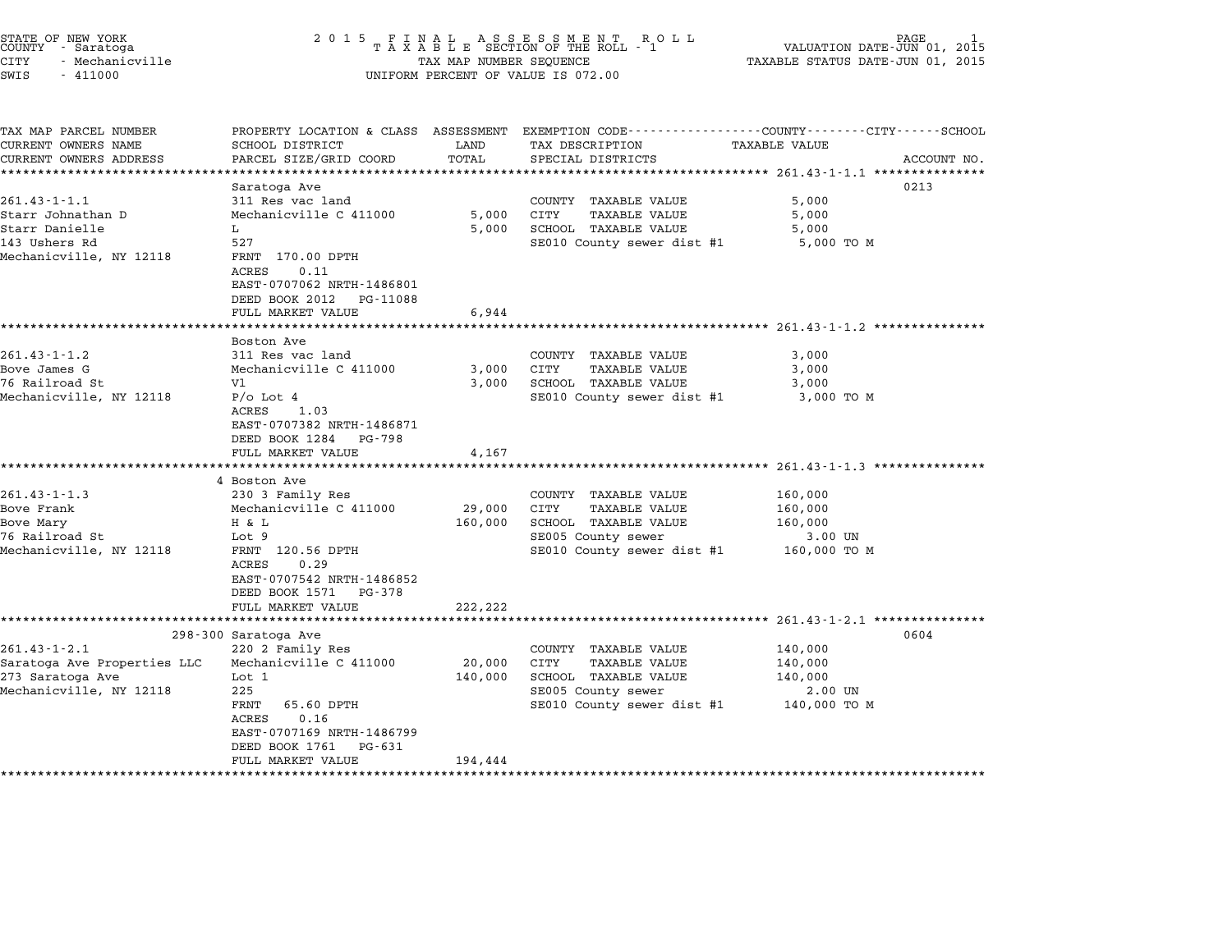| STATE OF NEW YORK<br>COUNTY - Saratoga | 2015 FINAL ASSESSMENT ROLL<br>TAXABLE SECTION OF THE ROLL - 1 | PAGE<br>VALUATION DATE-JUN 01, 2015 |
|----------------------------------------|---------------------------------------------------------------|-------------------------------------|
| CITY<br>- Mechanicville                | TAX MAP NUMBER SEOUENCE                                       | TAXABLE STATUS DATE-JUN 01, 2015    |
| $\sim$ $ \sim$<br>111000               |                                                               |                                     |

## STATE OF NEW YORK IS A SUBARDICE TO A LIFT OF A SUBARDICE TO A LIFT OF NEW TORSE OF TAXABLE PAGE 1<br>COUNTY - Saratoga Islam Are to the SECTION OF THE ROLL - 1 which waluation date-JUN 01, 2015<br>CITY - Mechanicville Notes (20 SWIS - <sup>411000</sup> UNIFORM PERCENT OF VALUE IS 072.00

TAX MAP PARCEL NUMBER PROPERTY LOCATION & CLASS ASSESSMENT EXEMPTION CODE------------------COUNTY--------CITY------SCHOOL ...<br>-- COUNTY:- TAX MAP PARCEL NUMBER THE OCHOTRY AND THE CURRENT EXEMPTION CODE<br>CURRENT OWNERS NAME SCHOOL DISTRICT LAND TAX DESCRIPTION TAXABLE VALUE CURRENT OWNERS ADDRESS PARCEL SIZE/GRID COORD TOTAL SPECIAL DISTRICTS ACCOUNT NO. \*\*\*\*\*\*\*\*\*\*\*\*\*\*\*\*\*\*\*\*\*\*\*\*\*\*\*\*\*\*\*\*\*\*\*\*\*\*\*\*\*\*\*\*\*\*\*\*\*\*\*\*\*\*\*\*\*\*\*\*\*\*\*\*\*\*\*\*\*\*\*\*\*\*\*\*\*\*\*\*\*\*\*\*\*\*\*\*\*\*\*\*\*\*\*\*\*\*\*\*\*\*\* 261.43-1-1.1 \*\*\*\*\*\*\*\*\*\*\*\*\*\*\* Saratoga Ave <sup>0213</sup> 261.43-1-1.1 Saratoga Ave and COUNTY TAXABLE VALUE 5,000<br>311 Res vac land COUNTY TAXABLE VALUE 5,000 Starr Johnathan D Mechanicville C <sup>411000</sup> 5,000 CITY TAXABLE VALUE 5,000 START AND START USE ON THE START OF START OF START AND START OF START OF START OF START OF SUITE<br>Starr Johnathan D Mechanicville C 411000 5,000 CITY TAXABLE VALUE 5,000<br>Starr Danielle 5,000 SCHOOL TAXABLE VALUE <sup>143</sup> Ushers Rd <sup>527</sup> SE010 County sewer dist #1 5,000 TO <sup>M</sup> Mechanicville, NY 12118 FRNT 170.00 DPTH ACRES 0.11 FANT 170.00 DFIH<br>ACRES 0.11<br>EAST-0707062 NRTH-1486801 EAST-0707062 NRTH-1486801<br>DEED BOOK 2012 PG-11088 DEED BOOK 2012 PG-11088<br>FULL MARKET VALUE 6,944 \*\*\*\*\*\*\*\*\*\*\*\*\*\*\*\*\*\*\*\*\*\*\*\*\*\*\*\*\*\*\*\*\*\*\*\*\*\*\*\*\*\*\*\*\*\*\*\*\*\*\*\*\*\*\*\*\*\*\*\*\*\*\*\*\*\*\*\*\*\*\*\*\*\*\*\*\*\*\*\*\*\*\*\*\*\*\*\*\*\*\*\*\*\*\*\*\*\*\*\*\*\*\* 261.43-1-1.2 \*\*\*\*\*\*\*\*\*\*\*\*\*\*\* ronn Annan<br>\*\*\*\*\*\*\*\*\*\*<br>Boston Ave 261.43-1-1.2 201.43-1-1.2 311 Res vac land COUNTY TAXABLE VALUE 3,000 Bove James G Mechanicville C <sup>411000</sup> 3,000 CITY TAXABLE VALUE 3,000 <sup>76</sup> Railroad St Vl 3,000 SCHOOL TAXABLE VALUE 3,000 Bove James G Mechanicville C 411000 3,000 CITY TAXABLE VALUE 3,000<br>76 Railroad St V1 3,000 SCHOOL TAXABLE VALUE 3,000<br>Mechanicville, NY 12118 P/o Lot 4 ACRES 1.03 EAST-0707382 NRTH-1486871 EAST-0707382 NRTH-14868<br>DEED BOOK 1284 PG-798 DEED BOOK 1284 PG-798<br>FULL MARKET VALUE 4,167 \*\*\*\*\*\*\*\*\*\*\*\*\*\*\*\*\*\*\*\*\*\*\*\*\*\*\*\*\*\*\*\*\*\*\*\*\*\*\*\*\*\*\*\*\*\*\*\*\*\*\*\*\*\*\*\*\*\*\*\*\*\*\*\*\*\*\*\*\*\*\*\*\*\*\*\*\*\*\*\*\*\*\*\*\*\*\*\*\*\*\*\*\*\*\*\*\*\*\*\*\*\*\* 261.43-1-1.3 \*\*\*\*\*\*\*\*\*\*\*\*\*\*\* <sup>4</sup> Boston Ave 261.43-1-1.3 <sup>230</sup> <sup>3</sup> Family Res COUNTY TAXABLE VALUE 160,000 a bostom avec more country than the country of the 160,000<br>Bove Frank Mechanicville C 411000 29,000 CITY TAXABLE VALUE 160,000 201.43-1-1.3 230 3 Family Res 2000 COONIT IAABLE VALUE 160,000<br>Bove Frank Mechanicville C 411000 29,000 CITY TAXABLE VALUE 160,000<br>Bove Mary H & L 160,000 SCHOOL TAXABLE VALUE 160,000 Extrain, the community of the community of the contract of the contract of the control of the control of the control of the control of the control of the control of the control of the control of the control of the control Mechanicville, NY 12118 Too, New The Magnetic County sever and the second of the second in the second in the second of the second school in the sever and the second school in the sever of the second second sever dist #1 16 FANI 120.30 DPIH<br>ACRES 0.29<br>EAST-0707542 NRTH-1486852 EAST-0707542 NRTH-14868<br>DEED BOOK 1571 PG-378 DEED BOOK 1571 PG-378<br>FULL MARKET VALUE 222,222 \*\*\*\*\*\*\*\*\*\*\*\*\*\*\*\*\*\*\*\*\*\*\*\*\*\*\*\*\*\*\*\*\*\*\*\*\*\*\*\*\*\*\*\*\*\*\*\*\*\*\*\*\*\*\*\*\*\*\*\*\*\*\*\*\*\*\*\*\*\*\*\*\*\*\*\*\*\*\*\*\*\*\*\*\*\*\*\*\*\*\*\*\*\*\*\*\*\*\*\*\*\*\* 261.43-1-2.1 \*\*\*\*\*\*\*\*\*\*\*\*\*\*\* 298-300 Saratoga Ave <sup>0604</sup> 261.43-1-2.1 <sup>220</sup> <sup>2</sup> Family Res COUNTY TAXABLE VALUE 140,000 zyo-you saratoga Ave and the country the VALUE 250-you saratoga Ave and the country the country of the country<br>20,000 CITY TAXABLE VALUE 140,000 CITY ANABLE VALUE 20,000 CITY SARABLE VALUE 20,000 CITY ANABLE VALUE 201.45 I 2.1 2.4 2 Family Res<br>28 Saratoga Ave Properties LLC Mechanicville C 411000 20,000 CITY TAXABLE VALUE 140,000<br>273 Saratoga Ave 140,000 SCHOOL TAXABLE VALUE 140,000 Saratoga Ave Properties LLC Mechanicville C 411000  $\begin{array}{cccc} 20,000 & CITY & TAXABLE VALUE & 140,000 \ 273 Saratoga Ave & Lot 1 & 225 & 140,000 \ 283 Sariotoga Ave & 225 & 225 & 225 & 225 \end{array}$  $SE010$  County sewer dist #1  $140,000$  TO M FRNT 65.60 DPTH<br>ACRES 0.16 FANI - 09.00 DFIH<br>ACRES - 0.16<br>EAST-0707169 NRTH-1486799 EAST-0707169 NRTH-14867<br>DEED BOOK 1761 PG-631 FULL MARKET VALUE 194,444 \*\*\*\*\*\*\*\*\*\*\*\*\*\*\*\*\*\*\*\*\*\*\*\*\*\*\*\*\*\*\*\*\*\*\*\*\*\*\*\*\*\*\*\*\*\*\*\*\*\*\*\*\*\*\*\*\*\*\*\*\*\*\*\*\*\*\*\*\*\*\*\*\*\*\*\*\*\*\*\*\*\*\*\*\*\*\*\*\*\*\*\*\*\*\*\*\*\*\*\*\*\*\*\*\*\*\*\*\*\*\*\*\*\*\*\*\*\*\*\*\*\*\*\*\*\*\*\*\*\*\*\*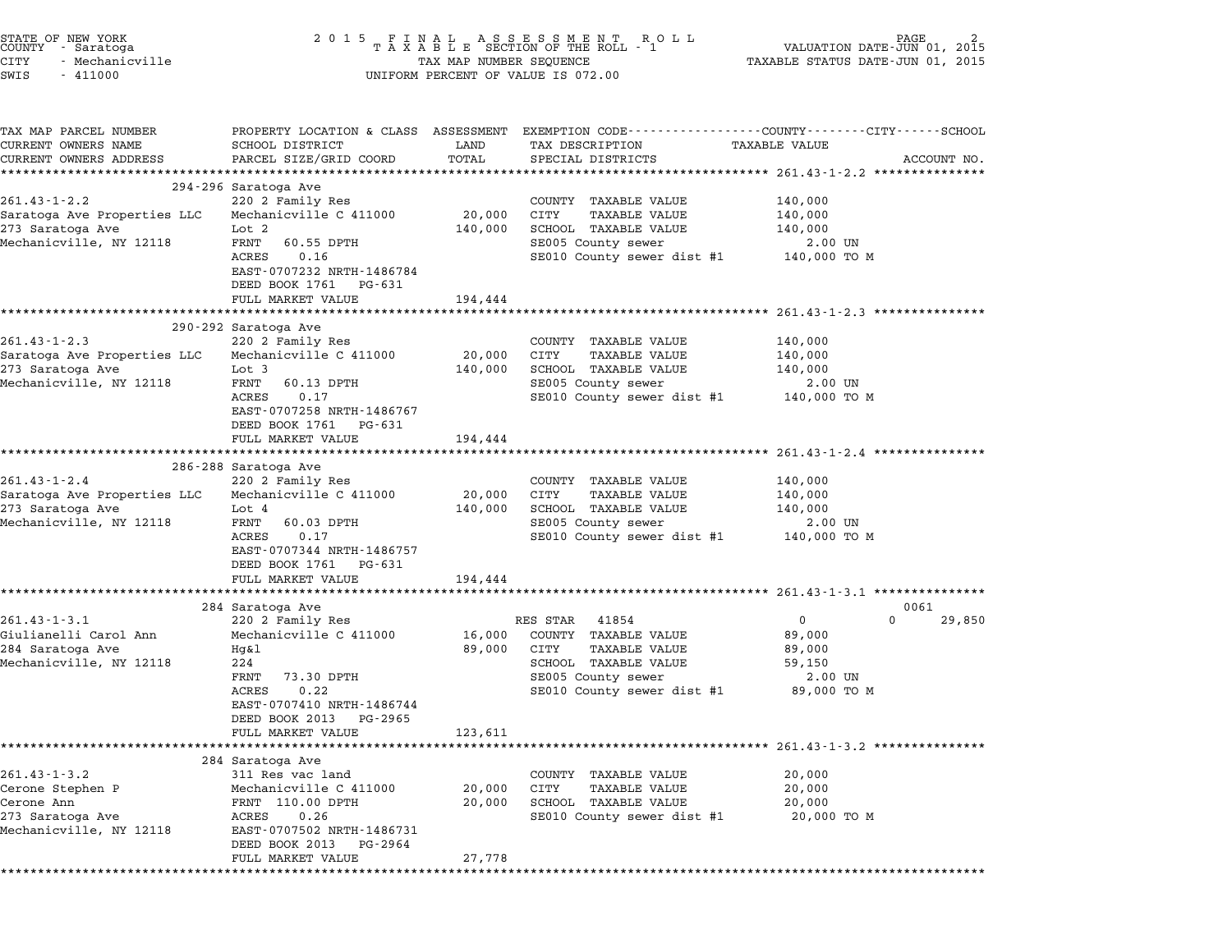| PROPERTY LOCATION & CLASS ASSESSMENT EXEMPTION CODE---------------COUNTY-------CITY-----SCHOOL<br>SCHOOL DISTRICT<br>LAND<br>TAX DESCRIPTION<br><b>TAXABLE VALUE</b><br>CURRENT OWNERS ADDRESS<br>PARCEL SIZE/GRID COORD<br>TOTAL<br>SPECIAL DISTRICTS<br>ACCOUNT NO.<br>294-296 Saratoga Ave<br>220 2 Family Res<br>COUNTY TAXABLE VALUE<br>140,000<br>Mechanicville C 411000<br>20,000<br>CITY<br>TAXABLE VALUE<br>140,000<br>SCHOOL TAXABLE VALUE<br>Lot 2<br>140,000<br>140,000<br>FRNT<br>60.55 DPTH<br>SE005 County sewer<br>$2.00$ UN<br>SE010 County sewer dist #1 140,000 TO M<br>ACRES<br>0.16<br>EAST-0707232 NRTH-1486784<br>DEED BOOK 1761 PG-631<br>FULL MARKET VALUE<br>194,444<br>290-292 Saratoga Ave<br>220 2 Family Res<br>COUNTY TAXABLE VALUE<br>140,000<br>Saratoga Ave Properties LLC<br>Mechanicville C 411000<br>20,000<br>CITY<br>TAXABLE VALUE<br>140,000<br>SCHOOL TAXABLE VALUE<br>Lot 3<br>140,000<br>140,000<br>FRNT<br>SE005 County sewer<br>2.00 UN<br>60.13 DPTH<br>SE010 County sewer dist #1<br>ACRES<br>0.17<br>140,000 TO M<br>EAST-0707258 NRTH-1486767<br>DEED BOOK 1761 PG-631<br>FULL MARKET VALUE<br>194,444<br>************************<br>************<br>286-288 Saratoga Ave<br>220 2 Family Res<br>COUNTY TAXABLE VALUE<br>140,000<br>Mechanicville C 411000<br>20,000<br>CITY<br>TAXABLE VALUE<br>140,000<br>SCHOOL TAXABLE VALUE<br>Lot 4<br>140,000<br>140,000<br>FRNT<br>SE005 County sewer<br>$2.00$ UN<br>60.03 DPTH<br>SE010 County sewer dist #1 140,000 TO M<br>ACRES<br>0.17<br>EAST-0707344 NRTH-1486757<br>DEED BOOK 1761 PG-631<br>FULL MARKET VALUE<br>194,444<br>************************************* 261.43-1-3.1 ****************<br>284 Saratoga Ave<br>0061<br>$\mathbf{0}$<br>0<br>220 2 Family Res<br>RES STAR 41854<br>Mechanicville C 411000<br>16,000<br>COUNTY TAXABLE VALUE<br>89,000<br>89,000<br>Hg&l<br>CITY<br>TAXABLE VALUE<br>89,000<br>224<br>SCHOOL TAXABLE VALUE<br>59,150<br>SE005 County sewer<br>FRNT<br>73.30 DPTH<br>2.00 UN<br><b>ACRES</b><br>0.22<br>SE010 County sewer dist #1<br>89,000 TO M<br>EAST-0707410 NRTH-1486744<br>DEED BOOK 2013 PG-2965<br>FULL MARKET VALUE<br>123,611<br>284 Saratoga Ave<br>20,000<br>311 Res vac land<br>COUNTY TAXABLE VALUE<br>20,000<br>Mechanicville C 411000<br>CITY<br><b>TAXABLE VALUE</b><br>20,000<br>20,000<br>FRNT 110.00 DPTH<br>SCHOOL TAXABLE VALUE<br>20,000<br>ACRES<br>0.26<br>SE010 County sewer dist #1<br>20,000 TO M<br>EAST-0707502 NRTH-1486731<br>DEED BOOK 2013<br>PG-2964 | STATE OF NEW YORK<br>COUNTY – Saratoga<br>CITY<br>- Mechanicville<br>SWIS<br>$-411000$ |  | 2015 FINAL ASSESSMENT ROLL<br>TAXABLE SECTION OF THE ROLL - 1<br>TAX MAP NUMBER SEQUENCE<br>UNIFORM PERCENT OF VALUE IS 072.00 | PAGE.<br>VALUATION DATE-JUN 01, 2015<br>TAXABLE STATUS DATE-JUN 01, 2015 |        |
|-----------------------------------------------------------------------------------------------------------------------------------------------------------------------------------------------------------------------------------------------------------------------------------------------------------------------------------------------------------------------------------------------------------------------------------------------------------------------------------------------------------------------------------------------------------------------------------------------------------------------------------------------------------------------------------------------------------------------------------------------------------------------------------------------------------------------------------------------------------------------------------------------------------------------------------------------------------------------------------------------------------------------------------------------------------------------------------------------------------------------------------------------------------------------------------------------------------------------------------------------------------------------------------------------------------------------------------------------------------------------------------------------------------------------------------------------------------------------------------------------------------------------------------------------------------------------------------------------------------------------------------------------------------------------------------------------------------------------------------------------------------------------------------------------------------------------------------------------------------------------------------------------------------------------------------------------------------------------------------------------------------------------------------------------------------------------------------------------------------------------------------------------------------------------------------------------------------------------------------------------------------------------------------------------------------------------------------------------------------------------------------------------------------------------------------------------------------------------------------------------------------------------------------|----------------------------------------------------------------------------------------|--|--------------------------------------------------------------------------------------------------------------------------------|--------------------------------------------------------------------------|--------|
| $261.43 - 1 - 2.2$<br>Saratoga Ave Properties LLC<br>273 Saratoga Ave<br>$261.43 - 1 - 2.3$<br>273 Saratoga Ave<br>$261.43 - 1 - 2.4$<br>Saratoga Ave Properties LLC<br>273 Saratoga Ave<br>$261.43 - 1 - 3.1$<br>Giulianelli Carol Ann<br>284 Saratoga Ave<br>$261.43 - 1 - 3.2$<br>Cerone Stephen P<br>Cerone Ann<br>273 Saratoga Ave                                                                                                                                                                                                                                                                                                                                                                                                                                                                                                                                                                                                                                                                                                                                                                                                                                                                                                                                                                                                                                                                                                                                                                                                                                                                                                                                                                                                                                                                                                                                                                                                                                                                                                                                                                                                                                                                                                                                                                                                                                                                                                                                                                                           | TAX MAP PARCEL NUMBER<br>CURRENT OWNERS NAME                                           |  |                                                                                                                                |                                                                          |        |
| Mechanicville, NY 12118<br>Mechanicville, NY 12118<br>Mechanicville, NY 12118<br>Mechanicville, NY 12118<br>Mechanicville, NY 12118                                                                                                                                                                                                                                                                                                                                                                                                                                                                                                                                                                                                                                                                                                                                                                                                                                                                                                                                                                                                                                                                                                                                                                                                                                                                                                                                                                                                                                                                                                                                                                                                                                                                                                                                                                                                                                                                                                                                                                                                                                                                                                                                                                                                                                                                                                                                                                                               |                                                                                        |  |                                                                                                                                |                                                                          |        |
|                                                                                                                                                                                                                                                                                                                                                                                                                                                                                                                                                                                                                                                                                                                                                                                                                                                                                                                                                                                                                                                                                                                                                                                                                                                                                                                                                                                                                                                                                                                                                                                                                                                                                                                                                                                                                                                                                                                                                                                                                                                                                                                                                                                                                                                                                                                                                                                                                                                                                                                                   |                                                                                        |  |                                                                                                                                |                                                                          |        |
|                                                                                                                                                                                                                                                                                                                                                                                                                                                                                                                                                                                                                                                                                                                                                                                                                                                                                                                                                                                                                                                                                                                                                                                                                                                                                                                                                                                                                                                                                                                                                                                                                                                                                                                                                                                                                                                                                                                                                                                                                                                                                                                                                                                                                                                                                                                                                                                                                                                                                                                                   |                                                                                        |  |                                                                                                                                |                                                                          |        |
|                                                                                                                                                                                                                                                                                                                                                                                                                                                                                                                                                                                                                                                                                                                                                                                                                                                                                                                                                                                                                                                                                                                                                                                                                                                                                                                                                                                                                                                                                                                                                                                                                                                                                                                                                                                                                                                                                                                                                                                                                                                                                                                                                                                                                                                                                                                                                                                                                                                                                                                                   |                                                                                        |  |                                                                                                                                |                                                                          |        |
|                                                                                                                                                                                                                                                                                                                                                                                                                                                                                                                                                                                                                                                                                                                                                                                                                                                                                                                                                                                                                                                                                                                                                                                                                                                                                                                                                                                                                                                                                                                                                                                                                                                                                                                                                                                                                                                                                                                                                                                                                                                                                                                                                                                                                                                                                                                                                                                                                                                                                                                                   |                                                                                        |  |                                                                                                                                |                                                                          |        |
|                                                                                                                                                                                                                                                                                                                                                                                                                                                                                                                                                                                                                                                                                                                                                                                                                                                                                                                                                                                                                                                                                                                                                                                                                                                                                                                                                                                                                                                                                                                                                                                                                                                                                                                                                                                                                                                                                                                                                                                                                                                                                                                                                                                                                                                                                                                                                                                                                                                                                                                                   |                                                                                        |  |                                                                                                                                |                                                                          |        |
|                                                                                                                                                                                                                                                                                                                                                                                                                                                                                                                                                                                                                                                                                                                                                                                                                                                                                                                                                                                                                                                                                                                                                                                                                                                                                                                                                                                                                                                                                                                                                                                                                                                                                                                                                                                                                                                                                                                                                                                                                                                                                                                                                                                                                                                                                                                                                                                                                                                                                                                                   |                                                                                        |  |                                                                                                                                |                                                                          |        |
|                                                                                                                                                                                                                                                                                                                                                                                                                                                                                                                                                                                                                                                                                                                                                                                                                                                                                                                                                                                                                                                                                                                                                                                                                                                                                                                                                                                                                                                                                                                                                                                                                                                                                                                                                                                                                                                                                                                                                                                                                                                                                                                                                                                                                                                                                                                                                                                                                                                                                                                                   |                                                                                        |  |                                                                                                                                |                                                                          |        |
|                                                                                                                                                                                                                                                                                                                                                                                                                                                                                                                                                                                                                                                                                                                                                                                                                                                                                                                                                                                                                                                                                                                                                                                                                                                                                                                                                                                                                                                                                                                                                                                                                                                                                                                                                                                                                                                                                                                                                                                                                                                                                                                                                                                                                                                                                                                                                                                                                                                                                                                                   |                                                                                        |  |                                                                                                                                |                                                                          |        |
|                                                                                                                                                                                                                                                                                                                                                                                                                                                                                                                                                                                                                                                                                                                                                                                                                                                                                                                                                                                                                                                                                                                                                                                                                                                                                                                                                                                                                                                                                                                                                                                                                                                                                                                                                                                                                                                                                                                                                                                                                                                                                                                                                                                                                                                                                                                                                                                                                                                                                                                                   |                                                                                        |  |                                                                                                                                |                                                                          |        |
|                                                                                                                                                                                                                                                                                                                                                                                                                                                                                                                                                                                                                                                                                                                                                                                                                                                                                                                                                                                                                                                                                                                                                                                                                                                                                                                                                                                                                                                                                                                                                                                                                                                                                                                                                                                                                                                                                                                                                                                                                                                                                                                                                                                                                                                                                                                                                                                                                                                                                                                                   |                                                                                        |  |                                                                                                                                |                                                                          |        |
|                                                                                                                                                                                                                                                                                                                                                                                                                                                                                                                                                                                                                                                                                                                                                                                                                                                                                                                                                                                                                                                                                                                                                                                                                                                                                                                                                                                                                                                                                                                                                                                                                                                                                                                                                                                                                                                                                                                                                                                                                                                                                                                                                                                                                                                                                                                                                                                                                                                                                                                                   |                                                                                        |  |                                                                                                                                |                                                                          |        |
|                                                                                                                                                                                                                                                                                                                                                                                                                                                                                                                                                                                                                                                                                                                                                                                                                                                                                                                                                                                                                                                                                                                                                                                                                                                                                                                                                                                                                                                                                                                                                                                                                                                                                                                                                                                                                                                                                                                                                                                                                                                                                                                                                                                                                                                                                                                                                                                                                                                                                                                                   |                                                                                        |  |                                                                                                                                |                                                                          |        |
|                                                                                                                                                                                                                                                                                                                                                                                                                                                                                                                                                                                                                                                                                                                                                                                                                                                                                                                                                                                                                                                                                                                                                                                                                                                                                                                                                                                                                                                                                                                                                                                                                                                                                                                                                                                                                                                                                                                                                                                                                                                                                                                                                                                                                                                                                                                                                                                                                                                                                                                                   |                                                                                        |  |                                                                                                                                |                                                                          |        |
|                                                                                                                                                                                                                                                                                                                                                                                                                                                                                                                                                                                                                                                                                                                                                                                                                                                                                                                                                                                                                                                                                                                                                                                                                                                                                                                                                                                                                                                                                                                                                                                                                                                                                                                                                                                                                                                                                                                                                                                                                                                                                                                                                                                                                                                                                                                                                                                                                                                                                                                                   |                                                                                        |  |                                                                                                                                |                                                                          |        |
|                                                                                                                                                                                                                                                                                                                                                                                                                                                                                                                                                                                                                                                                                                                                                                                                                                                                                                                                                                                                                                                                                                                                                                                                                                                                                                                                                                                                                                                                                                                                                                                                                                                                                                                                                                                                                                                                                                                                                                                                                                                                                                                                                                                                                                                                                                                                                                                                                                                                                                                                   |                                                                                        |  |                                                                                                                                |                                                                          |        |
|                                                                                                                                                                                                                                                                                                                                                                                                                                                                                                                                                                                                                                                                                                                                                                                                                                                                                                                                                                                                                                                                                                                                                                                                                                                                                                                                                                                                                                                                                                                                                                                                                                                                                                                                                                                                                                                                                                                                                                                                                                                                                                                                                                                                                                                                                                                                                                                                                                                                                                                                   |                                                                                        |  |                                                                                                                                |                                                                          |        |
|                                                                                                                                                                                                                                                                                                                                                                                                                                                                                                                                                                                                                                                                                                                                                                                                                                                                                                                                                                                                                                                                                                                                                                                                                                                                                                                                                                                                                                                                                                                                                                                                                                                                                                                                                                                                                                                                                                                                                                                                                                                                                                                                                                                                                                                                                                                                                                                                                                                                                                                                   |                                                                                        |  |                                                                                                                                |                                                                          |        |
|                                                                                                                                                                                                                                                                                                                                                                                                                                                                                                                                                                                                                                                                                                                                                                                                                                                                                                                                                                                                                                                                                                                                                                                                                                                                                                                                                                                                                                                                                                                                                                                                                                                                                                                                                                                                                                                                                                                                                                                                                                                                                                                                                                                                                                                                                                                                                                                                                                                                                                                                   |                                                                                        |  |                                                                                                                                |                                                                          |        |
|                                                                                                                                                                                                                                                                                                                                                                                                                                                                                                                                                                                                                                                                                                                                                                                                                                                                                                                                                                                                                                                                                                                                                                                                                                                                                                                                                                                                                                                                                                                                                                                                                                                                                                                                                                                                                                                                                                                                                                                                                                                                                                                                                                                                                                                                                                                                                                                                                                                                                                                                   |                                                                                        |  |                                                                                                                                |                                                                          |        |
|                                                                                                                                                                                                                                                                                                                                                                                                                                                                                                                                                                                                                                                                                                                                                                                                                                                                                                                                                                                                                                                                                                                                                                                                                                                                                                                                                                                                                                                                                                                                                                                                                                                                                                                                                                                                                                                                                                                                                                                                                                                                                                                                                                                                                                                                                                                                                                                                                                                                                                                                   |                                                                                        |  |                                                                                                                                |                                                                          |        |
|                                                                                                                                                                                                                                                                                                                                                                                                                                                                                                                                                                                                                                                                                                                                                                                                                                                                                                                                                                                                                                                                                                                                                                                                                                                                                                                                                                                                                                                                                                                                                                                                                                                                                                                                                                                                                                                                                                                                                                                                                                                                                                                                                                                                                                                                                                                                                                                                                                                                                                                                   |                                                                                        |  |                                                                                                                                |                                                                          | 29,850 |
|                                                                                                                                                                                                                                                                                                                                                                                                                                                                                                                                                                                                                                                                                                                                                                                                                                                                                                                                                                                                                                                                                                                                                                                                                                                                                                                                                                                                                                                                                                                                                                                                                                                                                                                                                                                                                                                                                                                                                                                                                                                                                                                                                                                                                                                                                                                                                                                                                                                                                                                                   |                                                                                        |  |                                                                                                                                |                                                                          |        |
|                                                                                                                                                                                                                                                                                                                                                                                                                                                                                                                                                                                                                                                                                                                                                                                                                                                                                                                                                                                                                                                                                                                                                                                                                                                                                                                                                                                                                                                                                                                                                                                                                                                                                                                                                                                                                                                                                                                                                                                                                                                                                                                                                                                                                                                                                                                                                                                                                                                                                                                                   |                                                                                        |  |                                                                                                                                |                                                                          |        |
|                                                                                                                                                                                                                                                                                                                                                                                                                                                                                                                                                                                                                                                                                                                                                                                                                                                                                                                                                                                                                                                                                                                                                                                                                                                                                                                                                                                                                                                                                                                                                                                                                                                                                                                                                                                                                                                                                                                                                                                                                                                                                                                                                                                                                                                                                                                                                                                                                                                                                                                                   |                                                                                        |  |                                                                                                                                |                                                                          |        |
|                                                                                                                                                                                                                                                                                                                                                                                                                                                                                                                                                                                                                                                                                                                                                                                                                                                                                                                                                                                                                                                                                                                                                                                                                                                                                                                                                                                                                                                                                                                                                                                                                                                                                                                                                                                                                                                                                                                                                                                                                                                                                                                                                                                                                                                                                                                                                                                                                                                                                                                                   |                                                                                        |  |                                                                                                                                |                                                                          |        |
|                                                                                                                                                                                                                                                                                                                                                                                                                                                                                                                                                                                                                                                                                                                                                                                                                                                                                                                                                                                                                                                                                                                                                                                                                                                                                                                                                                                                                                                                                                                                                                                                                                                                                                                                                                                                                                                                                                                                                                                                                                                                                                                                                                                                                                                                                                                                                                                                                                                                                                                                   |                                                                                        |  |                                                                                                                                |                                                                          |        |
|                                                                                                                                                                                                                                                                                                                                                                                                                                                                                                                                                                                                                                                                                                                                                                                                                                                                                                                                                                                                                                                                                                                                                                                                                                                                                                                                                                                                                                                                                                                                                                                                                                                                                                                                                                                                                                                                                                                                                                                                                                                                                                                                                                                                                                                                                                                                                                                                                                                                                                                                   |                                                                                        |  |                                                                                                                                |                                                                          |        |
|                                                                                                                                                                                                                                                                                                                                                                                                                                                                                                                                                                                                                                                                                                                                                                                                                                                                                                                                                                                                                                                                                                                                                                                                                                                                                                                                                                                                                                                                                                                                                                                                                                                                                                                                                                                                                                                                                                                                                                                                                                                                                                                                                                                                                                                                                                                                                                                                                                                                                                                                   |                                                                                        |  |                                                                                                                                |                                                                          |        |
|                                                                                                                                                                                                                                                                                                                                                                                                                                                                                                                                                                                                                                                                                                                                                                                                                                                                                                                                                                                                                                                                                                                                                                                                                                                                                                                                                                                                                                                                                                                                                                                                                                                                                                                                                                                                                                                                                                                                                                                                                                                                                                                                                                                                                                                                                                                                                                                                                                                                                                                                   |                                                                                        |  |                                                                                                                                |                                                                          |        |
|                                                                                                                                                                                                                                                                                                                                                                                                                                                                                                                                                                                                                                                                                                                                                                                                                                                                                                                                                                                                                                                                                                                                                                                                                                                                                                                                                                                                                                                                                                                                                                                                                                                                                                                                                                                                                                                                                                                                                                                                                                                                                                                                                                                                                                                                                                                                                                                                                                                                                                                                   |                                                                                        |  |                                                                                                                                |                                                                          |        |
|                                                                                                                                                                                                                                                                                                                                                                                                                                                                                                                                                                                                                                                                                                                                                                                                                                                                                                                                                                                                                                                                                                                                                                                                                                                                                                                                                                                                                                                                                                                                                                                                                                                                                                                                                                                                                                                                                                                                                                                                                                                                                                                                                                                                                                                                                                                                                                                                                                                                                                                                   |                                                                                        |  |                                                                                                                                |                                                                          |        |
|                                                                                                                                                                                                                                                                                                                                                                                                                                                                                                                                                                                                                                                                                                                                                                                                                                                                                                                                                                                                                                                                                                                                                                                                                                                                                                                                                                                                                                                                                                                                                                                                                                                                                                                                                                                                                                                                                                                                                                                                                                                                                                                                                                                                                                                                                                                                                                                                                                                                                                                                   |                                                                                        |  |                                                                                                                                |                                                                          |        |
|                                                                                                                                                                                                                                                                                                                                                                                                                                                                                                                                                                                                                                                                                                                                                                                                                                                                                                                                                                                                                                                                                                                                                                                                                                                                                                                                                                                                                                                                                                                                                                                                                                                                                                                                                                                                                                                                                                                                                                                                                                                                                                                                                                                                                                                                                                                                                                                                                                                                                                                                   |                                                                                        |  |                                                                                                                                |                                                                          |        |
|                                                                                                                                                                                                                                                                                                                                                                                                                                                                                                                                                                                                                                                                                                                                                                                                                                                                                                                                                                                                                                                                                                                                                                                                                                                                                                                                                                                                                                                                                                                                                                                                                                                                                                                                                                                                                                                                                                                                                                                                                                                                                                                                                                                                                                                                                                                                                                                                                                                                                                                                   |                                                                                        |  |                                                                                                                                |                                                                          |        |
|                                                                                                                                                                                                                                                                                                                                                                                                                                                                                                                                                                                                                                                                                                                                                                                                                                                                                                                                                                                                                                                                                                                                                                                                                                                                                                                                                                                                                                                                                                                                                                                                                                                                                                                                                                                                                                                                                                                                                                                                                                                                                                                                                                                                                                                                                                                                                                                                                                                                                                                                   |                                                                                        |  |                                                                                                                                |                                                                          |        |
|                                                                                                                                                                                                                                                                                                                                                                                                                                                                                                                                                                                                                                                                                                                                                                                                                                                                                                                                                                                                                                                                                                                                                                                                                                                                                                                                                                                                                                                                                                                                                                                                                                                                                                                                                                                                                                                                                                                                                                                                                                                                                                                                                                                                                                                                                                                                                                                                                                                                                                                                   |                                                                                        |  |                                                                                                                                |                                                                          |        |
| 27,778<br>FULL MARKET VALUE                                                                                                                                                                                                                                                                                                                                                                                                                                                                                                                                                                                                                                                                                                                                                                                                                                                                                                                                                                                                                                                                                                                                                                                                                                                                                                                                                                                                                                                                                                                                                                                                                                                                                                                                                                                                                                                                                                                                                                                                                                                                                                                                                                                                                                                                                                                                                                                                                                                                                                       |                                                                                        |  |                                                                                                                                |                                                                          |        |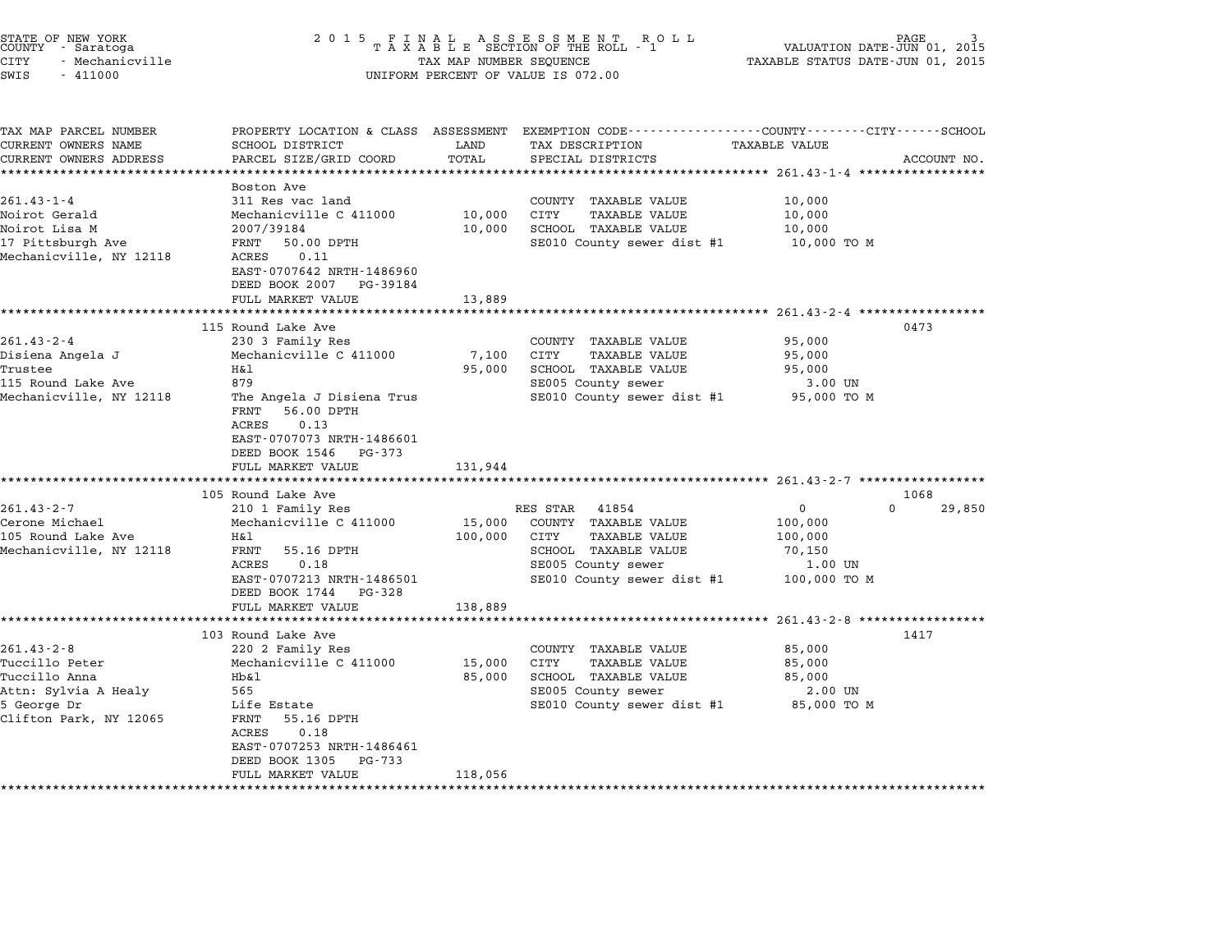| STATE OF NEW YORK<br>COUNTY - Saratoga<br><b>CITY</b><br>- Mechanicville<br>SWIS<br>$-411000$                        | 2 0 1 5                                                                                                                                                                                                                                                       | TAX MAP NUMBER SEQUENCE                 | FINAL ASSESSMENT ROLL<br>TAXABLE SECTION OF THE ROLL - 1<br>UNIFORM PERCENT OF VALUE IS 072.00                                                        | TAXABLE STATUS DATE-JUN 01, 2015                                                                                | PAGE<br>VALUATION DATE-JUN 01, 2015 |
|----------------------------------------------------------------------------------------------------------------------|---------------------------------------------------------------------------------------------------------------------------------------------------------------------------------------------------------------------------------------------------------------|-----------------------------------------|-------------------------------------------------------------------------------------------------------------------------------------------------------|-----------------------------------------------------------------------------------------------------------------|-------------------------------------|
| TAX MAP PARCEL NUMBER<br>CURRENT OWNERS NAME<br>CURRENT OWNERS ADDRESS                                               | PROPERTY LOCATION & CLASS ASSESSMENT<br>SCHOOL DISTRICT<br>PARCEL SIZE/GRID COORD<br>*******************                                                                                                                                                      | LAND<br>TOTAL<br>*********              | EXEMPTION CODE-----------------COUNTY-------CITY------SCHOOL<br>TAX DESCRIPTION<br>SPECIAL DISTRICTS                                                  | TAXABLE VALUE                                                                                                   | ACCOUNT NO.                         |
| $261.43 - 1 - 4$<br>Noirot Gerald<br>Noirot Lisa M<br>17 Pittsburgh Ave<br>Mechanicville, NY 12118                   | Boston Ave<br>311 Res vac land<br>Mechanicville C 411000<br>2007/39184<br>FRNT<br>50.00 DPTH<br>0.11<br>ACRES<br>EAST-0707642 NRTH-1486960<br>DEED BOOK 2007 PG-39184<br>FULL MARKET VALUE                                                                    | 10,000<br>10,000<br>13,889              | COUNTY TAXABLE VALUE<br>CITY<br><b>TAXABLE VALUE</b><br>SCHOOL TAXABLE VALUE<br>SE010 County sewer dist #1                                            | 10,000<br>10,000<br>10,000<br>10,000 TO M                                                                       |                                     |
| $261.43 - 2 - 4$<br>Disiena Angela J<br>Trustee<br>115 Round Lake Ave<br>Mechanicville, NY 12118                     | **********************<br>115 Round Lake Ave<br>230 3 Family Res<br>Mechanicville C 411000<br>Η&l<br>879<br>The Angela J Disiena Trus<br>FRNT<br>56.00 DPTH<br>ACRES<br>0.13<br>EAST-0707073 NRTH-1486601<br>DEED BOOK 1546<br>PG-373<br>FULL MARKET VALUE    | *********<br>7,100<br>95,000<br>131,944 | COUNTY TAXABLE VALUE<br>CITY<br><b>TAXABLE VALUE</b><br>SCHOOL TAXABLE VALUE<br>SE005 County sewer<br>SE010 County sewer dist #1                      | *************** 261.43-2-4 ******************<br>95,000<br>95,000<br>95,000<br>3.00 UN<br>95,000 TO M           | 0473                                |
| $261.43 - 2 - 7$<br>Cerone Michael<br>105 Round Lake Ave<br>Mechanicville, NY 12118                                  | 105 Round Lake Ave<br>210 1 Family Res<br>Mechanicville C 411000<br>Η&l<br>FRNT<br>55.16 DPTH<br>ACRES<br>0.18<br>EAST-0707213 NRTH-1486501<br>DEED BOOK 1744<br>PG-328<br>FULL MARKET VALUE                                                                  | 15,000<br>100,000<br>138,889            | RES STAR<br>41854<br>COUNTY TAXABLE VALUE<br>CITY<br><b>TAXABLE VALUE</b><br>SCHOOL TAXABLE VALUE<br>SE005 County sewer<br>SE010 County sewer dist #1 | 0<br>100,000<br>100,000<br>70,150<br>1.00 UN<br>100,000 TO M                                                    | 1068<br>$\Omega$<br>29,850          |
| $261.43 - 2 - 8$<br>Tuccillo Peter<br>Tuccillo Anna<br>Attn: Sylvia A Healy<br>5 George Dr<br>Clifton Park, NY 12065 | ***************<br>103 Round Lake Ave<br>220 2 Family Res<br>Mechanicville C 411000<br>Hb&l<br>565<br>Life Estate<br>FRNT<br>55.16 DPTH<br>0.18<br>ACRES<br>EAST-0707253 NRTH-1486461<br>DEED BOOK 1305<br>PG-733<br>FULL MARKET VALUE<br>******************* | 15,000<br>85,000<br>118,056             | COUNTY TAXABLE VALUE<br>CITY<br><b>TAXABLE VALUE</b><br>SCHOOL TAXABLE VALUE<br>SE005 County sewer<br>SE010 County sewer dist #1                      | ************************* 261.43-2-8 ******************<br>85,000<br>85,000<br>85,000<br>2.00 UN<br>85,000 TO M | 1417                                |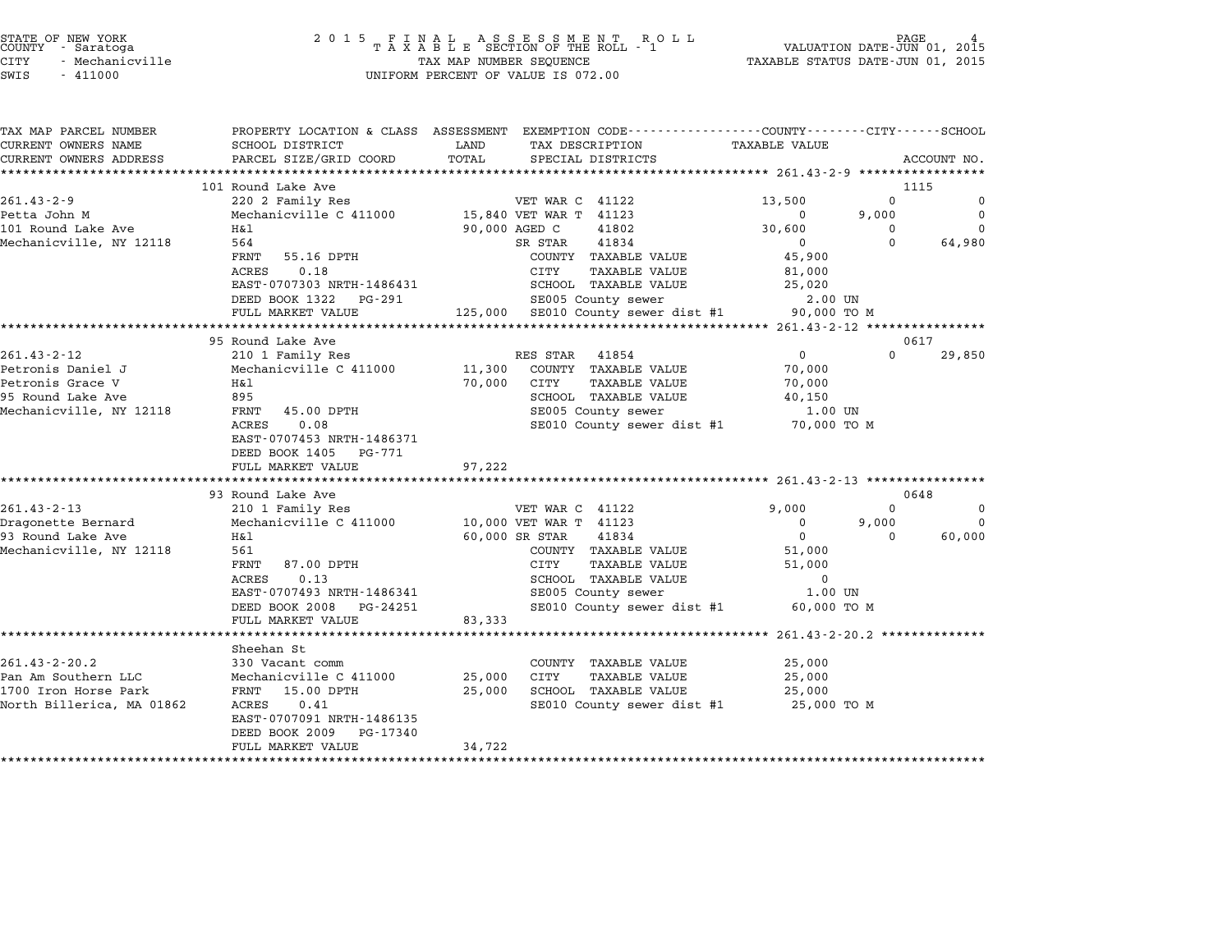|        | STATE OF NEW YORK |
|--------|-------------------|
| COUNTY | - Saratoga        |
| CITY   | - Mechanicville   |

## end the New York (STATE OF NEW YORK)<br>2015 FINAL ASSESSMENT ROLL - 1 (PALUATION DATE-JUN 01, 2015<br>COUNTY - Saratoga (PALUATION OF THE ROLL - 1) (PALUATION DATE-JUN 01, 2015 STATE OF NEW YORK GRANICLES AND THE RESULT OF NEW YORK TASH OF NEW TAXABLE STATE OF NEW TAXABLE STATUS AND LEA<br>COUNTY - Saratoga (2015 TAXABLE STATUS DATE-JUN 01, 2015 TAXABLE STATUS DATE-JUN 01, 2015<br>CITY - Mechanicville SWIS - <sup>411000</sup> UNIFORM PERCENT OF VALUE IS 072.00

| TAX MAP PARCEL NUMBER                   |                                                 |                                                 | PROPERTY LOCATION & CLASS ASSESSMENT EXEMPTION CODE---------------COUNTY-------CITY------SCHOOL |
|-----------------------------------------|-------------------------------------------------|-------------------------------------------------|-------------------------------------------------------------------------------------------------|
| CURRENT OWNERS NAME                     | SCHOOL DISTRICT                                 | LAND<br>TAX DESCRIPTION                         | <b>TAXABLE VALUE</b>                                                                            |
| CURRENT OWNERS ADDRESS                  | PARCEL SIZE/GRID COORD                          | TOTAL<br>SPECIAL DISTRICTS                      | ACCOUNT NO.                                                                                     |
|                                         |                                                 |                                                 |                                                                                                 |
|                                         | 101 Round Lake Ave                              |                                                 | 1115                                                                                            |
| $261.43 - 2 - 9$                        | 220 2 Family Res                                | VET WAR C 41122                                 | $\Omega$<br>13,500<br>0                                                                         |
| Petta John M                            | Mechanicville C 411000                          | 15,840 VET WAR T 41123                          | 9,000<br>$\Omega$<br>$\Omega$                                                                   |
| 101 Round Lake Ave                      | H&l                                             | 90,000 AGED C<br>41802                          | 30,600<br>$\Omega$<br>0                                                                         |
| Mechanicville, NY 12118                 | 564                                             | 41834<br>SR STAR                                | $\Omega$<br>$\Omega$<br>64,980                                                                  |
|                                         | FRNT 55.16 DPTH                                 | COUNTY TAXABLE VALUE                            | 45,900                                                                                          |
|                                         | 0.18<br>ACRES                                   | CITY<br>TAXABLE VALUE                           | 81,000                                                                                          |
|                                         | EAST-0707303 NRTH-1486431                       | SCHOOL TAXABLE VALUE                            | 25,020                                                                                          |
|                                         | DEED BOOK 1322<br>PG-291                        | SE005 County sewer                              | 2.00 UN                                                                                         |
|                                         | FULL MARKET VALUE                               | 125,000 SE010 County sewer dist #1              | 90,000 TO M                                                                                     |
|                                         |                                                 |                                                 |                                                                                                 |
|                                         | 95 Round Lake Ave                               |                                                 | 0617                                                                                            |
| $261.43 - 2 - 12$                       | 210 1 Family Res                                | RES STAR<br>41854                               | 29,850<br>$\overline{0}$<br>$\Omega$                                                            |
| Petronis Daniel J                       | Mechanicville C 411000                          | 11,300 COUNTY TAXABLE VALUE                     | 70,000                                                                                          |
| Petronis Grace V                        | Η&l                                             | 70,000 CITY<br><b>TAXABLE VALUE</b>             | 70,000                                                                                          |
| 95 Round Lake Ave                       | 895                                             | SCHOOL TAXABLE VALUE                            | 40,150                                                                                          |
| Mechanicville, NY 12118                 | FRNT 45.00 DPTH                                 | SE005 County sewer                              | 1.00 UN                                                                                         |
|                                         | 0.08<br>ACRES                                   | SE010 County sewer dist #1 70,000 TO M          |                                                                                                 |
|                                         | EAST-0707453 NRTH-1486371                       |                                                 |                                                                                                 |
|                                         | DEED BOOK 1405<br>PG-771                        |                                                 |                                                                                                 |
|                                         | FULL MARKET VALUE                               | 97,222                                          |                                                                                                 |
|                                         |                                                 |                                                 |                                                                                                 |
|                                         | 93 Round Lake Ave                               |                                                 | 0648<br>$\Omega$                                                                                |
| $261.43 - 2 - 13$                       | 210 1 Family Res                                | VET WAR C 41122                                 | 9,000<br>0                                                                                      |
| Dragonette Bernard<br>93 Round Lake Ave | Mechanicville C 411000<br>Η&l                   | 10,000 VET WAR T 41123                          | 9,000<br>0<br>$\Omega$<br>$\mathbf 0$<br>$\Omega$                                               |
|                                         | 561                                             | 60,000 SR STAR<br>41834<br>COUNTY TAXABLE VALUE | 60,000                                                                                          |
| Mechanicville, NY 12118                 | FRNT<br>87.00 DPTH                              | CITY<br>TAXABLE VALUE                           | 51,000<br>51,000                                                                                |
|                                         | 0.13                                            | SCHOOL TAXABLE VALUE                            | $\mathbf 0$                                                                                     |
|                                         | ACRES<br>EAST-0707493 NRTH-1486341              | SE005 County sewer                              | 1.00 UN                                                                                         |
|                                         |                                                 | SE010 County sewer dist #1                      |                                                                                                 |
|                                         | DEED BOOK 2008<br>PG-24251<br>FULL MARKET VALUE | 83,333                                          | 60,000 TO M                                                                                     |
|                                         |                                                 |                                                 |                                                                                                 |
|                                         | Sheehan St                                      |                                                 |                                                                                                 |
| $261.43 - 2 - 20.2$                     | 330 Vacant comm                                 | COUNTY TAXABLE VALUE                            | 25,000                                                                                          |
| Pan Am Southern LLC                     | Mechanicville C 411000                          | 25,000<br>CITY<br><b>TAXABLE VALUE</b>          | 25,000                                                                                          |
| 1700 Iron Horse Park                    | FRNT 15.00 DPTH                                 | 25,000<br>SCHOOL TAXABLE VALUE                  | 25,000                                                                                          |
| North Billerica, MA 01862               | ACRES<br>0.41                                   | SE010 County sewer dist #1 25,000 TO M          |                                                                                                 |
|                                         | EAST-0707091 NRTH-1486135                       |                                                 |                                                                                                 |
|                                         | DEED BOOK 2009<br>PG-17340                      |                                                 |                                                                                                 |
|                                         | FULL MARKET VALUE                               | 34,722                                          |                                                                                                 |
|                                         |                                                 |                                                 |                                                                                                 |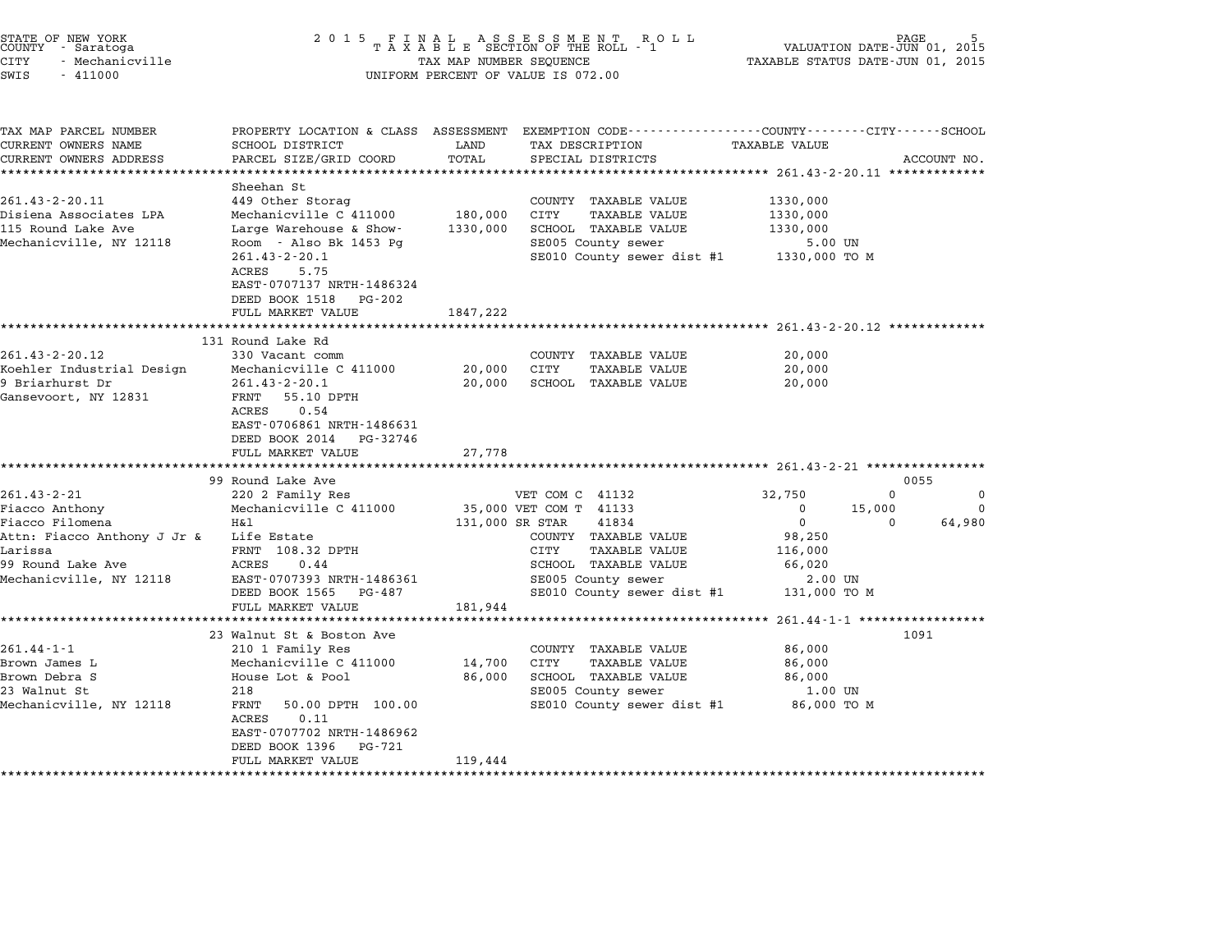| STATE OF NEW YORK<br>COUNTY - Saratoga<br>CITY<br>- Mechanicville<br>SWIS<br>$-411000$ | 2 0 1 5                                                 | TAX MAP NUMBER SEQUENCE | FINAL ASSESSMENT ROLL<br>TAXABLE SECTION OF THE ROLL - 1<br>UNIFORM PERCENT OF VALUE IS 072.00 | VALUATION DATE-JUN 01, 2015<br>TAXABLE STATUS DATE-JUN 01, 2015 | PAGE     |             |
|----------------------------------------------------------------------------------------|---------------------------------------------------------|-------------------------|------------------------------------------------------------------------------------------------|-----------------------------------------------------------------|----------|-------------|
| TAX MAP PARCEL NUMBER                                                                  |                                                         |                         | PROPERTY LOCATION & CLASS ASSESSMENT EXEMPTION CODE---------------COUNTY-------CITY-----SCHOOL |                                                                 |          |             |
| CURRENT OWNERS NAME                                                                    | SCHOOL DISTRICT                                         | LAND                    | TAX DESCRIPTION                                                                                | TAXABLE VALUE                                                   |          |             |
| CURRENT OWNERS ADDRESS                                                                 | PARCEL SIZE/GRID COORD                                  | TOTAL                   | SPECIAL DISTRICTS                                                                              |                                                                 |          | ACCOUNT NO. |
| **************************                                                             |                                                         |                         |                                                                                                |                                                                 |          |             |
|                                                                                        | Sheehan St                                              |                         |                                                                                                |                                                                 |          |             |
| $261.43 - 2 - 20.11$                                                                   | 449 Other Storag                                        |                         | COUNTY TAXABLE VALUE                                                                           | 1330,000                                                        |          |             |
| Disiena Associates LPA                                                                 | Mechanicville C 411000                                  | 180,000                 | CITY<br><b>TAXABLE VALUE</b>                                                                   | 1330,000                                                        |          |             |
| 115 Round Lake Ave                                                                     | Large Warehouse & Show-                                 | 1330,000                | SCHOOL TAXABLE VALUE                                                                           | 1330,000                                                        |          |             |
| Mechanicville, NY 12118                                                                | Room - Also Bk 1453 Pq<br>$261.43 - 2 - 20.1$           |                         | SE005 County sewer<br>SE010 County sewer dist #1                                               | 5.00 UN<br>1330,000 TO M                                        |          |             |
|                                                                                        | ACRES<br>5.75                                           |                         |                                                                                                |                                                                 |          |             |
|                                                                                        | EAST-0707137 NRTH-1486324                               |                         |                                                                                                |                                                                 |          |             |
|                                                                                        | DEED BOOK 1518<br>PG-202                                |                         |                                                                                                |                                                                 |          |             |
|                                                                                        | FULL MARKET VALUE                                       | 1847,222                |                                                                                                |                                                                 |          |             |
|                                                                                        |                                                         |                         |                                                                                                |                                                                 |          |             |
|                                                                                        | 131 Round Lake Rd                                       |                         |                                                                                                |                                                                 |          |             |
| $261.43 - 2 - 20.12$                                                                   | 330 Vacant comm                                         |                         | COUNTY TAXABLE VALUE                                                                           | 20,000                                                          |          |             |
| Koehler Industrial Design                                                              | Mechanicville C 411000                                  | 20,000                  | CITY<br>TAXABLE VALUE                                                                          | 20,000                                                          |          |             |
| 9 Briarhurst Dr                                                                        | $261.43 - 2 - 20.1$                                     | 20,000                  | SCHOOL TAXABLE VALUE                                                                           | 20,000                                                          |          |             |
| Gansevoort, NY 12831                                                                   | FRNT 55.10 DPTH                                         |                         |                                                                                                |                                                                 |          |             |
|                                                                                        | 0.54<br>ACRES                                           |                         |                                                                                                |                                                                 |          |             |
|                                                                                        | EAST-0706861 NRTH-1486631<br>DEED BOOK 2014<br>PG-32746 |                         |                                                                                                |                                                                 |          |             |
|                                                                                        | FULL MARKET VALUE                                       | 27,778                  |                                                                                                |                                                                 |          |             |
|                                                                                        |                                                         |                         |                                                                                                | *********************** 261.43-2-21 ****************            |          |             |
|                                                                                        | 99 Round Lake Ave                                       |                         |                                                                                                |                                                                 | 0055     |             |
| 261.43-2-21                                                                            | 220 2 Family Res                                        |                         | VET COM C 41132                                                                                | 32,750                                                          | $\Omega$ | 0           |
| Fiacco Anthony                                                                         | Mechanicville C 411000                                  |                         | 35,000 VET COM T 41133                                                                         | 0                                                               | 15,000   | 0           |
| Fiacco Filomena                                                                        | H&1                                                     | 131,000 SR STAR         | 41834                                                                                          | $\mathbf 0$                                                     | $\Omega$ | 64,980      |
| Attn: Fiacco Anthony J Jr &                                                            | Life Estate                                             |                         | COUNTY TAXABLE VALUE                                                                           | 98,250                                                          |          |             |
| Larissa                                                                                | FRNT 108.32 DPTH                                        |                         | CITY<br><b>TAXABLE VALUE</b>                                                                   | 116,000                                                         |          |             |
| 99 Round Lake Ave                                                                      | ACRES<br>0.44                                           |                         | SCHOOL TAXABLE VALUE                                                                           | 66,020                                                          |          |             |
| Mechanicville, NY 12118                                                                | EAST-0707393 NRTH-1486361                               |                         | SE005 County sewer                                                                             | 2.00 UN                                                         |          |             |
|                                                                                        | DEED BOOK 1565<br>PG-487                                |                         | SE010 County sewer dist #1                                                                     | 131,000 TO M                                                    |          |             |
|                                                                                        | FULL MARKET VALUE                                       | 181,944                 |                                                                                                | ************** 261.44-1-1 ******************                    |          |             |
|                                                                                        | 23 Walnut St & Boston Ave                               |                         |                                                                                                |                                                                 | 1091     |             |
| $261.44 - 1 - 1$                                                                       | 210 1 Family Res                                        |                         | COUNTY TAXABLE VALUE                                                                           | 86,000                                                          |          |             |
| Brown James L                                                                          | Mechanicville C 411000                                  | 14,700                  | CITY<br><b>TAXABLE VALUE</b>                                                                   | 86,000                                                          |          |             |
| Brown Debra S                                                                          | House Lot & Pool                                        | 86,000                  | SCHOOL TAXABLE VALUE                                                                           | 86,000                                                          |          |             |
| 23 Walnut St                                                                           | 218                                                     |                         | SE005 County sewer                                                                             | 1.00 UN                                                         |          |             |
| Mechanicville, NY 12118                                                                | FRNT<br>50.00 DPTH 100.00                               |                         | SE010 County sewer dist #1                                                                     | 86,000 TO M                                                     |          |             |
|                                                                                        | ACRES<br>0.11                                           |                         |                                                                                                |                                                                 |          |             |
|                                                                                        | EAST-0707702 NRTH-1486962                               |                         |                                                                                                |                                                                 |          |             |
|                                                                                        | DEED BOOK 1396<br>PG-721                                |                         |                                                                                                |                                                                 |          |             |
|                                                                                        | FULL MARKET VALUE                                       | 119,444                 |                                                                                                |                                                                 |          |             |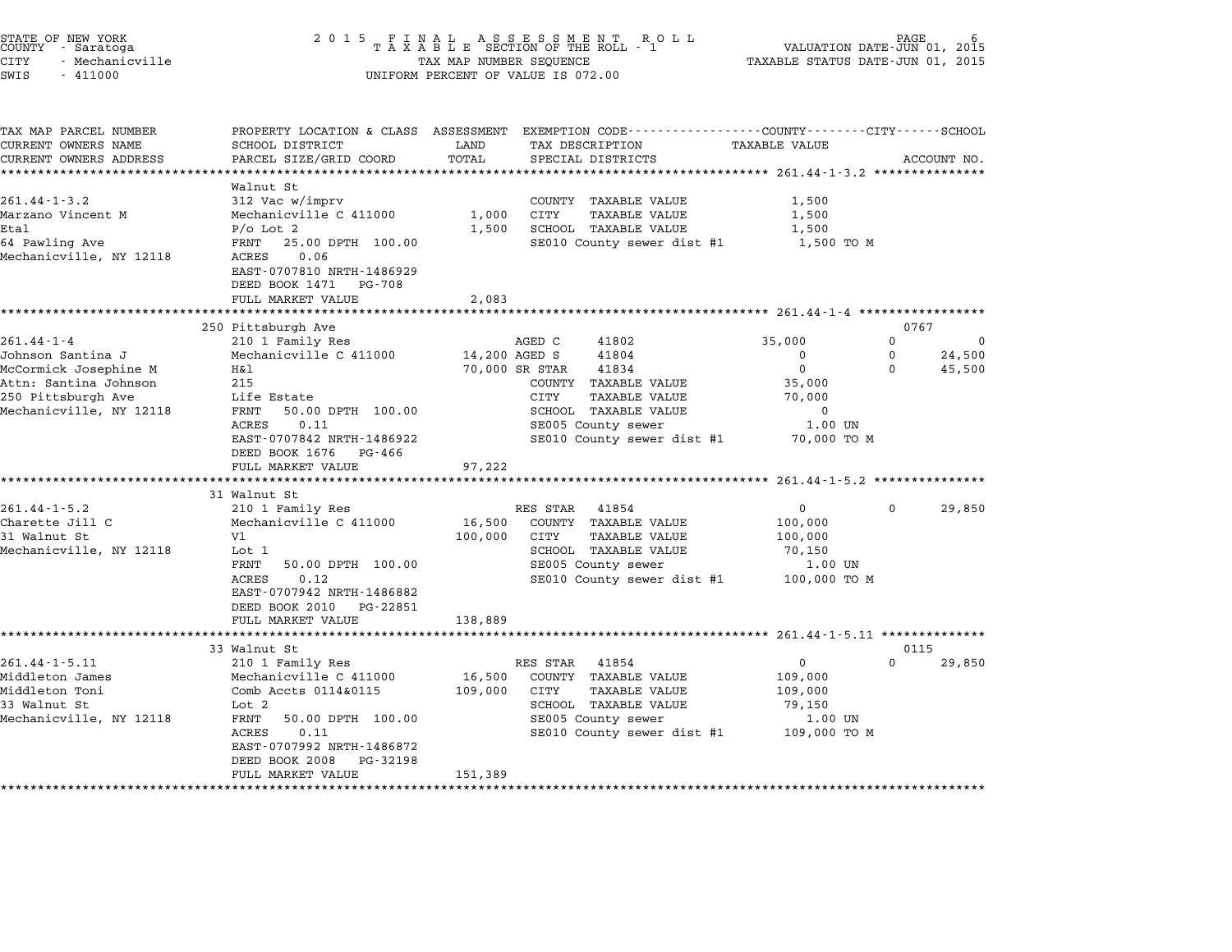| STATE OF NEW YORK |  |                 |  |
|-------------------|--|-----------------|--|
| COUNTY            |  | - Saratoga      |  |
| CITY              |  | - Mechanicville |  |

| SCHOOL DISTRICT<br>PARCEL SIZE/GRID COORD                                                                                                                                                           | LAND<br>TOTAL                                           | TAX DESCRIPTION<br>SPECIAL DISTRICTS                                                                                                      | TAXABLE VALUE                                                         |                                                                                        | ACCOUNT NO.                                                                                                       |
|-----------------------------------------------------------------------------------------------------------------------------------------------------------------------------------------------------|---------------------------------------------------------|-------------------------------------------------------------------------------------------------------------------------------------------|-----------------------------------------------------------------------|----------------------------------------------------------------------------------------|-------------------------------------------------------------------------------------------------------------------|
|                                                                                                                                                                                                     |                                                         |                                                                                                                                           |                                                                       |                                                                                        |                                                                                                                   |
| Walnut St<br>312 Vac w/imprv<br>Mechanicville C 411000<br>$P/O$ Lot 2<br>FRNT<br>25.00 DPTH 100.00<br>0.06<br>ACRES<br>EAST-0707810 NRTH-1486929<br>DEED BOOK 1471<br>PG-708<br>FULL MARKET VALUE   | 1,000<br>1,500<br>2,083                                 | COUNTY TAXABLE VALUE<br>CITY<br><b>TAXABLE VALUE</b><br>SCHOOL TAXABLE VALUE                                                              | 1,500<br>1,500<br>1,500                                               |                                                                                        |                                                                                                                   |
|                                                                                                                                                                                                     |                                                         |                                                                                                                                           |                                                                       |                                                                                        |                                                                                                                   |
| 210 1 Family Res<br>Mechanicville C 411000<br>H&1<br>215<br>Life Estate<br>50.00 DPTH 100.00<br>FRNT<br>0.11<br>ACRES<br>EAST-0707842 NRTH-1486922<br>DEED BOOK 1676<br>PG-466<br>FULL MARKET VALUE | 97,222                                                  | 41802<br>41804<br>41834<br>COUNTY TAXABLE VALUE<br>CITY<br><b>TAXABLE VALUE</b><br>SCHOOL TAXABLE VALUE<br>SE005 County sewer             | 35,000<br>$\Omega$<br>$\mathbf 0$<br>35,000<br>70,000<br>0<br>1.00 UN | 0<br>$\Omega$<br>0                                                                     | 0<br>24,500<br>45,500                                                                                             |
|                                                                                                                                                                                                     |                                                         |                                                                                                                                           |                                                                       |                                                                                        |                                                                                                                   |
| 210 1 Family Res<br>Mechanicville C 411000<br>V1<br>Lot 1<br>FRNT<br>50.00 DPTH 100.00<br>0.12<br>ACRES<br>EAST-0707942 NRTH-1486882<br>DEED BOOK 2010 PG-22851                                     | 16,500<br>100,000                                       | 41854<br>COUNTY TAXABLE VALUE<br>CITY<br>TAXABLE VALUE<br>SCHOOL TAXABLE VALUE<br>SE005 County sewer                                      | $\mathbf{0}$<br>100,000<br>100,000<br>70,150<br>1.00 UN               | $\Omega$                                                                               | 29,850                                                                                                            |
|                                                                                                                                                                                                     |                                                         |                                                                                                                                           |                                                                       |                                                                                        |                                                                                                                   |
| 33 Walnut St                                                                                                                                                                                        |                                                         |                                                                                                                                           |                                                                       | 0115                                                                                   |                                                                                                                   |
| 210 1 Family Res<br>Mechanicville C 411000<br>Comb Accts 0114&0115<br>Lot 2<br>50.00 DPTH 100.00<br>FRNT<br>0.11<br>ACRES                                                                           | 16,500<br>109,000                                       | 41854<br>COUNTY TAXABLE VALUE<br>CITY<br><b>TAXABLE VALUE</b><br>SCHOOL TAXABLE VALUE<br>SE005 County sewer<br>SE010 County sewer dist #1 | $\Omega$<br>109,000<br>109,000<br>79,150<br>1.00 UN<br>109,000 TO M   | $\Omega$                                                                               | 29,850                                                                                                            |
|                                                                                                                                                                                                     | 250 Pittsburgh Ave<br>31 Walnut St<br>FULL MARKET VALUE | PROPERTY LOCATION & CLASS ASSESSMENT<br>138,889                                                                                           | AGED C<br>14,200 AGED S<br>70,000 SR STAR<br>RES STAR<br>RES STAR     | SE010 County sewer dist #1<br>SE010 County sewer dist #1<br>SE010 County sewer dist #1 | EXEMPTION CODE-----------------COUNTY-------CITY------SCHOOL<br>1,500 TO M<br>0767<br>70,000 TO M<br>100,000 TO M |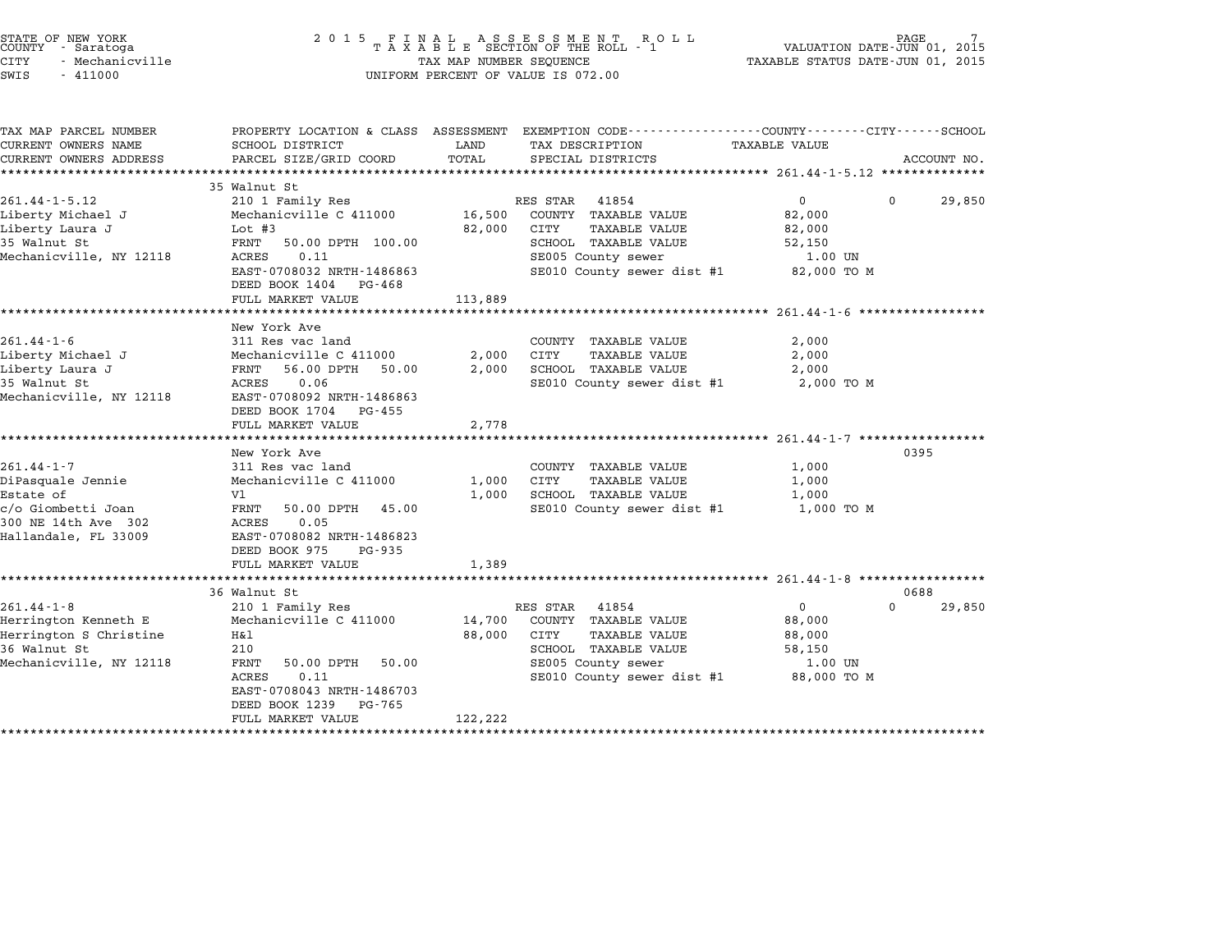| STATE OF NEW YORK<br>COUNTY - Saratoga<br>CITY<br>- Mechanicville<br>SWIS<br>$-411000$                                  | 2 0 1 5                                                                                                                                                                                                                     | TAX MAP NUMBER SEQUENCE               | FINAL ASSESSMENT ROLL<br>TAXABLE SECTION OF THE ROLL - 1<br>UNIFORM PERCENT OF VALUE IS 072.00                                                     | VALUATION DATE-JUN 01, 2015<br>TAXABLE STATUS DATE-JUN 01, 2015                       | PAGE                       |
|-------------------------------------------------------------------------------------------------------------------------|-----------------------------------------------------------------------------------------------------------------------------------------------------------------------------------------------------------------------------|---------------------------------------|----------------------------------------------------------------------------------------------------------------------------------------------------|---------------------------------------------------------------------------------------|----------------------------|
| TAX MAP PARCEL NUMBER<br>CURRENT OWNERS NAME<br>CURRENT OWNERS ADDRESS                                                  | SCHOOL DISTRICT<br>PARCEL SIZE/GRID COORD                                                                                                                                                                                   | LAND<br>TOTAL<br>******************** | PROPERTY LOCATION & CLASS ASSESSMENT EXEMPTION CODE---------------COUNTY-------CITY------SCHOOL<br>TAX DESCRIPTION<br>SPECIAL DISTRICTS            | TAXABLE VALUE<br>*************************** 261.44-1-5.12 ***************            | ACCOUNT NO.                |
| $261.44 - 1 - 5.12$<br>Liberty Michael J<br>Liberty Laura J<br>35 Walnut St<br>Mechanicville, NY 12118                  | 35 Walnut St<br>210 1 Family Res<br>Mechanicville C 411000<br>Lot $#3$<br>FRNT<br>50.00 DPTH 100.00<br>ACRES<br>0.11<br>EAST-0708032 NRTH-1486863<br>DEED BOOK 1404<br>PG-468<br>FULL MARKET VALUE<br>********************* | 16,500<br>82,000<br>113,889           | RES STAR 41854<br>COUNTY TAXABLE VALUE<br>CITY<br><b>TAXABLE VALUE</b><br>SCHOOL TAXABLE VALUE<br>SE005 County sewer<br>SE010 County sewer dist #1 | $\mathbf{0}$<br>82,000<br>82,000<br>52,150<br>1.00 UN<br>82,000 TO M                  | $\Omega$<br>29,850         |
| $261.44 - 1 - 6$<br>Liberty Michael J<br>Liberty Laura J<br>35 Walnut St<br>Mechanicville, NY 12118                     | New York Ave<br>311 Res vac land<br>Mechanicville C 411000<br>FRNT<br>56.00 DPTH 50.00<br>0.06<br>ACRES<br>EAST-0708092 NRTH-1486863<br>DEED BOOK 1704 PG-455<br>FULL MARKET VALUE                                          | 2,000<br>2,000<br>2,778               | COUNTY TAXABLE VALUE<br>CITY<br><b>TAXABLE VALUE</b><br>SCHOOL TAXABLE VALUE<br>SE010 County sewer dist #1                                         | 2,000<br>2,000<br>2,000<br>2,000 TO M                                                 |                            |
| $261.44 - 1 - 7$<br>DiPasquale Jennie<br>Estate of<br>c/o Giombetti Joan<br>300 NE 14th Ave 302<br>Hallandale, FL 33009 | New York Ave<br>311 Res vac land<br>Mechanicville C 411000<br>V1<br>FRNT<br>50.00 DPTH<br>45.00<br>0.05<br>ACRES<br>EAST-0708082 NRTH-1486823<br>DEED BOOK 975<br>PG-935<br>FULL MARKET VALUE                               | 1,000<br>1,000<br>1,389               | COUNTY TAXABLE VALUE<br>CITY<br><b>TAXABLE VALUE</b><br>SCHOOL TAXABLE VALUE<br>SE010 County sewer dist #1                                         | ********************** 261.44-1-7 **********<br>1,000<br>1,000<br>1,000<br>1,000 TO M | 0395                       |
| $261.44 - 1 - 8$<br>Herrington Kenneth E<br>Herrington S Christine<br>36 Walnut St<br>Mechanicville, NY 12118           | 36 Walnut St<br>210 1 Family Res<br>Mechanicville C 411000<br>H&1<br>210<br>FRNT<br>50.00 DPTH<br>50.00<br>0.11<br>ACRES<br>EAST-0708043 NRTH-1486703<br>DEED BOOK 1239<br>PG-765<br>FULL MARKET VALUE                      | 14,700<br>88,000<br>122,222           | RES STAR 41854<br>COUNTY TAXABLE VALUE<br>CITY<br><b>TAXABLE VALUE</b><br>SCHOOL TAXABLE VALUE<br>SE005 County sewer<br>SE010 County sewer dist #1 | 0<br>88,000<br>88,000<br>58,150<br>1.00 UN<br>88,000 TO M                             | 0688<br>$\Omega$<br>29,850 |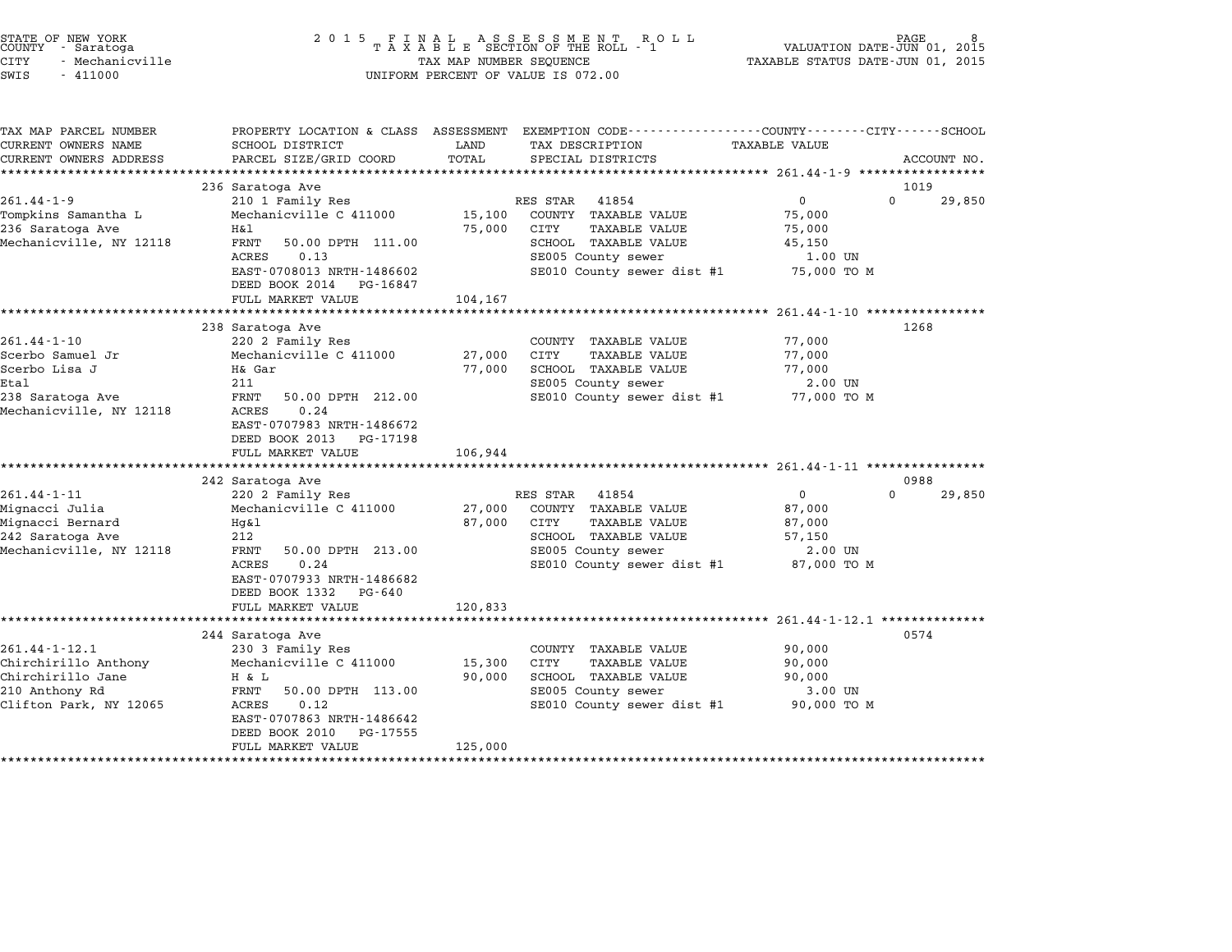| PROPERTY LOCATION & CLASS ASSESSMENT EXEMPTION CODE---------------COUNTY-------CITY-----SCHOOL<br>TAX MAP PARCEL NUMBER<br>CURRENT OWNERS NAME<br>SCHOOL DISTRICT<br>LAND<br>TAX DESCRIPTION<br>TAXABLE VALUE<br>TOTAL<br>CURRENT OWNERS ADDRESS<br>PARCEL SIZE/GRID COORD<br>SPECIAL DISTRICTS<br>236 Saratoga Ave<br>$261.44 - 1 - 9$<br>$\mathbf 0$<br>RES STAR<br>41854<br>210 1 Family Res<br>COUNTY TAXABLE VALUE<br>Mechanicville C 411000<br>15,100<br>75,000<br>236 Saratoga Ave<br>H&l<br>75,000<br>CITY<br>TAXABLE VALUE<br>75,000<br>FRNT<br>50.00 DPTH 111.00<br>SCHOOL TAXABLE VALUE<br>45,150<br>ACRES<br>0.13<br>SE005 County sewer<br>1.00 UN | ACCOUNT NO.<br>1019<br>$\Omega$<br>29,850 |
|----------------------------------------------------------------------------------------------------------------------------------------------------------------------------------------------------------------------------------------------------------------------------------------------------------------------------------------------------------------------------------------------------------------------------------------------------------------------------------------------------------------------------------------------------------------------------------------------------------------------------------------------------------------|-------------------------------------------|
| Tompkins Samantha L                                                                                                                                                                                                                                                                                                                                                                                                                                                                                                                                                                                                                                            |                                           |
|                                                                                                                                                                                                                                                                                                                                                                                                                                                                                                                                                                                                                                                                |                                           |
|                                                                                                                                                                                                                                                                                                                                                                                                                                                                                                                                                                                                                                                                |                                           |
|                                                                                                                                                                                                                                                                                                                                                                                                                                                                                                                                                                                                                                                                |                                           |
| Mechanicville, NY 12118                                                                                                                                                                                                                                                                                                                                                                                                                                                                                                                                                                                                                                        |                                           |
|                                                                                                                                                                                                                                                                                                                                                                                                                                                                                                                                                                                                                                                                |                                           |
|                                                                                                                                                                                                                                                                                                                                                                                                                                                                                                                                                                                                                                                                |                                           |
|                                                                                                                                                                                                                                                                                                                                                                                                                                                                                                                                                                                                                                                                |                                           |
|                                                                                                                                                                                                                                                                                                                                                                                                                                                                                                                                                                                                                                                                |                                           |
| EAST-0708013 NRTH-1486602<br>SE010 County sewer dist #1<br>75,000 TO M<br>DEED BOOK 2014 PG-16847                                                                                                                                                                                                                                                                                                                                                                                                                                                                                                                                                              |                                           |
| FULL MARKET VALUE<br>104,167                                                                                                                                                                                                                                                                                                                                                                                                                                                                                                                                                                                                                                   |                                           |
|                                                                                                                                                                                                                                                                                                                                                                                                                                                                                                                                                                                                                                                                |                                           |
| 238 Saratoga Ave                                                                                                                                                                                                                                                                                                                                                                                                                                                                                                                                                                                                                                               | 1268                                      |
| $261.44 - 1 - 10$<br>220 2 Family Res<br>COUNTY TAXABLE VALUE<br>77,000                                                                                                                                                                                                                                                                                                                                                                                                                                                                                                                                                                                        |                                           |
| Scerbo Samuel Jr<br>27,000<br>CITY<br>TAXABLE VALUE<br>77,000<br>Mechanicville C 411000                                                                                                                                                                                                                                                                                                                                                                                                                                                                                                                                                                        |                                           |
| Scerbo Lisa J<br>H& Gar<br>77,000<br>SCHOOL TAXABLE VALUE<br>77,000<br>211                                                                                                                                                                                                                                                                                                                                                                                                                                                                                                                                                                                     |                                           |
| Etal<br>SE005 County sewer<br>2.00 UN<br>238 Saratoga Ave<br>FRNT<br>50.00 DPTH 212.00<br>SE010 County sewer dist #1<br>77,000 TO M                                                                                                                                                                                                                                                                                                                                                                                                                                                                                                                            |                                           |
| Mechanicville, NY 12118<br>ACRES<br>0.24<br>EAST-0707983 NRTH-1486672<br>DEED BOOK 2013 PG-17198<br>FULL MARKET VALUE<br>106,944                                                                                                                                                                                                                                                                                                                                                                                                                                                                                                                               |                                           |
| *************************<br>************<br>******************************** 261.44-1-11 ****************                                                                                                                                                                                                                                                                                                                                                                                                                                                                                                                                                     |                                           |
| 242 Saratoga Ave                                                                                                                                                                                                                                                                                                                                                                                                                                                                                                                                                                                                                                               | 0988                                      |
| $261.44 - 1 - 11$<br>220 2 Family Res<br>0<br>RES STAR<br>41854                                                                                                                                                                                                                                                                                                                                                                                                                                                                                                                                                                                                | $\Omega$<br>29,850                        |
| Mignacci Julia<br>Mechanicville C 411000<br>27,000<br>COUNTY TAXABLE VALUE<br>87,000                                                                                                                                                                                                                                                                                                                                                                                                                                                                                                                                                                           |                                           |
| Mignacci Bernard<br>87,000<br>CITY<br><b>TAXABLE VALUE</b><br>Hq&l<br>87,000                                                                                                                                                                                                                                                                                                                                                                                                                                                                                                                                                                                   |                                           |
| 212<br>SCHOOL TAXABLE VALUE<br>242 Saratoga Ave<br>57,150                                                                                                                                                                                                                                                                                                                                                                                                                                                                                                                                                                                                      |                                           |
| Mechanicville, NY 12118<br>FRNT<br>50.00 DPTH 213.00<br>SE005 County sewer<br>2.00 UN                                                                                                                                                                                                                                                                                                                                                                                                                                                                                                                                                                          |                                           |
| ACRES<br>0.24<br>SE010 County sewer dist #1<br>87,000 TO M<br>EAST-0707933 NRTH-1486682<br>DEED BOOK 1332 PG-640                                                                                                                                                                                                                                                                                                                                                                                                                                                                                                                                               |                                           |
| FULL MARKET VALUE<br>120,833<br>*************                                                                                                                                                                                                                                                                                                                                                                                                                                                                                                                                                                                                                  |                                           |
| ******************************** 261.44-1-12.1 **************                                                                                                                                                                                                                                                                                                                                                                                                                                                                                                                                                                                                  |                                           |
| 244 Saratoga Ave<br>$261.44 - 1 - 12.1$<br>COUNTY TAXABLE VALUE                                                                                                                                                                                                                                                                                                                                                                                                                                                                                                                                                                                                | 0574                                      |
| 230 3 Family Res<br>90,000<br>Chirchirillo Anthony<br>TAXABLE VALUE<br>Mechanicville C 411000<br>15,300<br>CITY<br>90,000                                                                                                                                                                                                                                                                                                                                                                                                                                                                                                                                      |                                           |
| Chirchirillo Jane<br>SCHOOL TAXABLE VALUE<br>H & L<br>90,000<br>90,000                                                                                                                                                                                                                                                                                                                                                                                                                                                                                                                                                                                         |                                           |
| FRNT<br>210 Anthony Rd<br>50.00 DPTH 113.00<br>SE005 County sewer<br>3.00 UN                                                                                                                                                                                                                                                                                                                                                                                                                                                                                                                                                                                   |                                           |
| Clifton Park, NY 12065<br>ACRES<br>0.12<br>SE010 County sewer dist #1<br>90,000 TO M                                                                                                                                                                                                                                                                                                                                                                                                                                                                                                                                                                           |                                           |
| EAST-0707863 NRTH-1486642                                                                                                                                                                                                                                                                                                                                                                                                                                                                                                                                                                                                                                      |                                           |
| DEED BOOK 2010<br>PG-17555                                                                                                                                                                                                                                                                                                                                                                                                                                                                                                                                                                                                                                     |                                           |
| FULL MARKET VALUE<br>125,000                                                                                                                                                                                                                                                                                                                                                                                                                                                                                                                                                                                                                                   |                                           |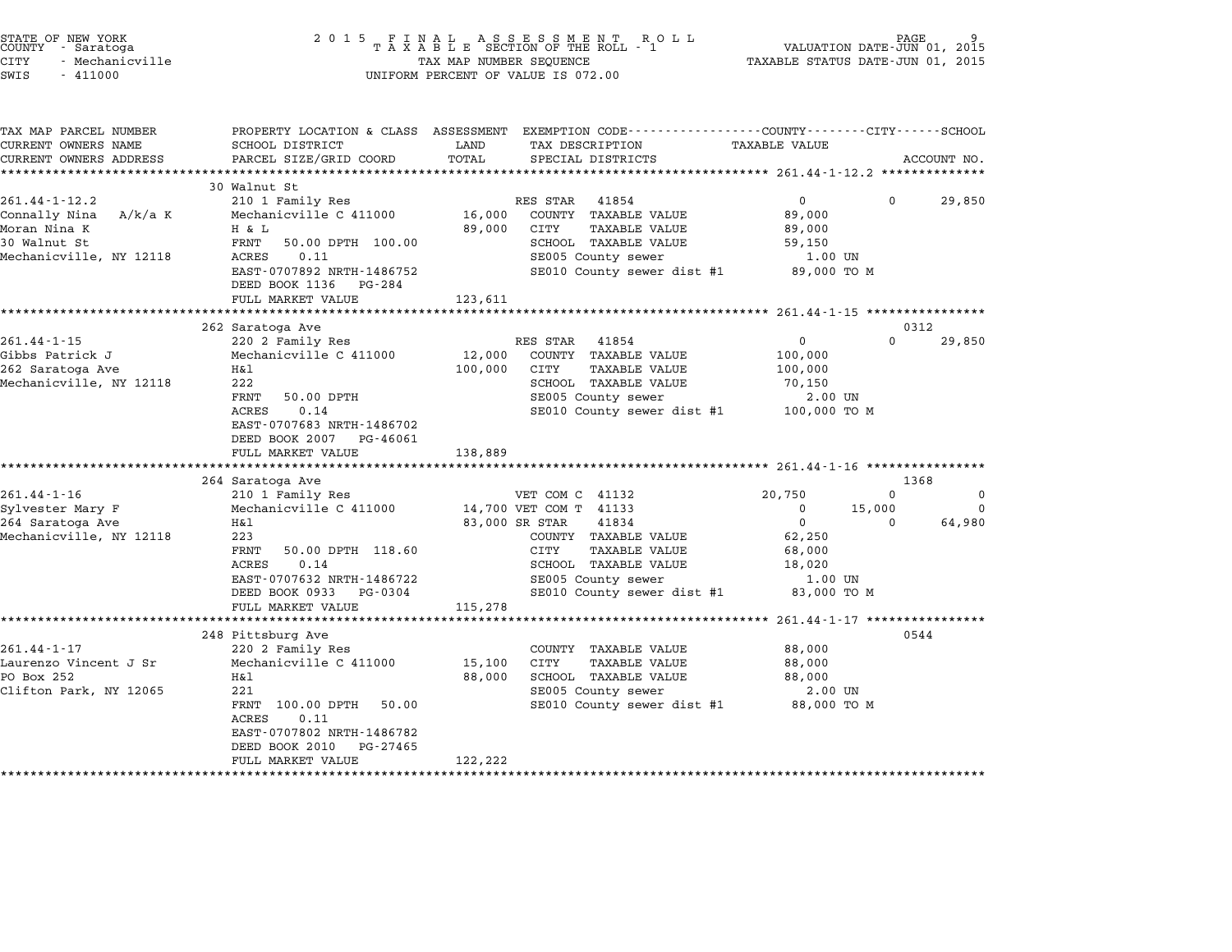| STATE OF NEW YORK<br>COUNTY - Saratoga<br><b>CITY</b><br>- Mechanicville<br>SWIS<br>$-411000$                 | 2 0 1 5                                                                                                                                                                                                                                              | TAX MAP NUMBER SEQUENCE                       | FINAL ASSESSMENT ROLL<br>TAXABLE SECTION OF THE ROLL - 1<br>UNIFORM PERCENT OF VALUE IS 072.00                                                                                                           |                                                                                    | PAGE<br>VALUATION DATE-JUN 01, 2015<br>TAXABLE STATUS DATE-JUN 01, 2015 |
|---------------------------------------------------------------------------------------------------------------|------------------------------------------------------------------------------------------------------------------------------------------------------------------------------------------------------------------------------------------------------|-----------------------------------------------|----------------------------------------------------------------------------------------------------------------------------------------------------------------------------------------------------------|------------------------------------------------------------------------------------|-------------------------------------------------------------------------|
| TAX MAP PARCEL NUMBER<br>CURRENT OWNERS NAME<br>CURRENT OWNERS ADDRESS                                        | SCHOOL DISTRICT<br>PARCEL SIZE/GRID COORD                                                                                                                                                                                                            | LAND<br>TOTAL                                 | PROPERTY LOCATION & CLASS ASSESSMENT EXEMPTION CODE---------------COUNTY-------CITY------SCHOOL<br>TAX DESCRIPTION<br>SPECIAL DISTRICTS                                                                  | TAXABLE VALUE                                                                      | ACCOUNT NO.                                                             |
|                                                                                                               |                                                                                                                                                                                                                                                      |                                               | ***************************** 261.44-1-12.2 ***************                                                                                                                                              |                                                                                    |                                                                         |
| $261.44 - 1 - 12.2$<br>Connally Nina<br>A/k/a K<br>Moran Nina K<br>30 Walnut St<br>Mechanicville, NY 12118    | 30 Walnut St<br>210 1 Family Res<br>Mechanicville C 411000<br>H & L<br>FRNT<br>50.00 DPTH 100.00<br>ACRES<br>0.11<br>EAST-0707892 NRTH-1486752<br>DEED BOOK 1136<br>PG-284<br>FULL MARKET VALUE                                                      | 16,000<br>89,000<br>123,611                   | RES STAR<br>41854<br>COUNTY TAXABLE VALUE<br>CITY<br>TAXABLE VALUE<br>SCHOOL TAXABLE VALUE<br>SE005 County sewer<br>SE010 County sewer dist #1                                                           | $\overline{0}$<br>89,000<br>89,000<br>59,150<br>1.00 UN<br>89,000 TO M             | 0<br>29,850                                                             |
|                                                                                                               | *********************<br>262 Saratoga Ave                                                                                                                                                                                                            | * * * * * * * * * *                           |                                                                                                                                                                                                          | ****************** 261.44-1-15 **************                                      | 0312                                                                    |
| $261.44 - 1 - 15$<br>Gibbs Patrick J<br>262 Saratoga Ave<br>Mechanicville, NY 12118                           | 220 2 Family Res<br>Mechanicville C 411000<br>H&l<br>222<br>FRNT<br>50.00 DPTH<br>ACRES<br>0.14<br>EAST-0707683 NRTH-1486702<br>DEED BOOK 2007<br>PG-46061<br>FULL MARKET VALUE                                                                      | 12,000<br>100,000<br>138,889                  | RES STAR<br>41854<br>COUNTY TAXABLE VALUE<br>CITY<br><b>TAXABLE VALUE</b><br>SCHOOL TAXABLE VALUE<br>SE005 County sewer<br>SE010 County sewer dist #1                                                    | 0<br>100,000<br>100,000<br>70,150<br>2.00 UN<br>100,000 TO M                       | $\Omega$<br>29,850                                                      |
|                                                                                                               | 264 Saratoga Ave                                                                                                                                                                                                                                     |                                               |                                                                                                                                                                                                          |                                                                                    | 1368                                                                    |
| $261.44 - 1 - 16$<br>Sylvester Mary F<br>264 Saratoga Ave<br>Mechanicville, NY 12118                          | 210 1 Family Res<br>Mechanicville C 411000<br>H&l<br>223<br>50.00 DPTH 118.60<br>FRNT<br><b>ACRES</b><br>0.14<br>EAST-0707632 NRTH-1486722<br>DEED BOOK 0933<br>PG-0304<br>FULL MARKET VALUE                                                         | 115,278                                       | VET COM C 41132<br>14,700 VET COM T 41133<br>83,000 SR STAR<br>41834<br>COUNTY TAXABLE VALUE<br>CITY<br><b>TAXABLE VALUE</b><br>SCHOOL TAXABLE VALUE<br>SE005 County sewer<br>SE010 County sewer dist #1 | 20,750<br>0<br>$\mathbf 0$<br>62,250<br>68,000<br>18,020<br>1.00 UN<br>83,000 TO M | $\Omega$<br>0<br>15,000<br>0<br>64,980<br>$\Omega$                      |
|                                                                                                               | **********************                                                                                                                                                                                                                               |                                               |                                                                                                                                                                                                          | ******************** 261.44-1-17 *****************                                 |                                                                         |
| $261.44 - 1 - 17$<br>Laurenzo Vincent J Sr<br>PO Box 252<br>Clifton Park, NY 12065<br>*********************** | 248 Pittsburg Ave<br>220 2 Family Res<br>Mechanicville C 411000<br>H&l<br>221<br>FRNT 100.00 DPTH<br>50.00<br><b>ACRES</b><br>0.11<br>EAST-0707802 NRTH-1486782<br>DEED BOOK 2010<br>PG-27465<br>FULL MARKET VALUE<br>****************************** | 15,100<br>88,000<br>122,222<br>************** | COUNTY TAXABLE VALUE<br>CITY<br><b>TAXABLE VALUE</b><br>SCHOOL TAXABLE VALUE<br>SE005 County sewer<br>SE010 County sewer dist #1                                                                         | 88,000<br>88,000<br>88,000<br>2.00 UN<br>88,000 TO M                               | 0544                                                                    |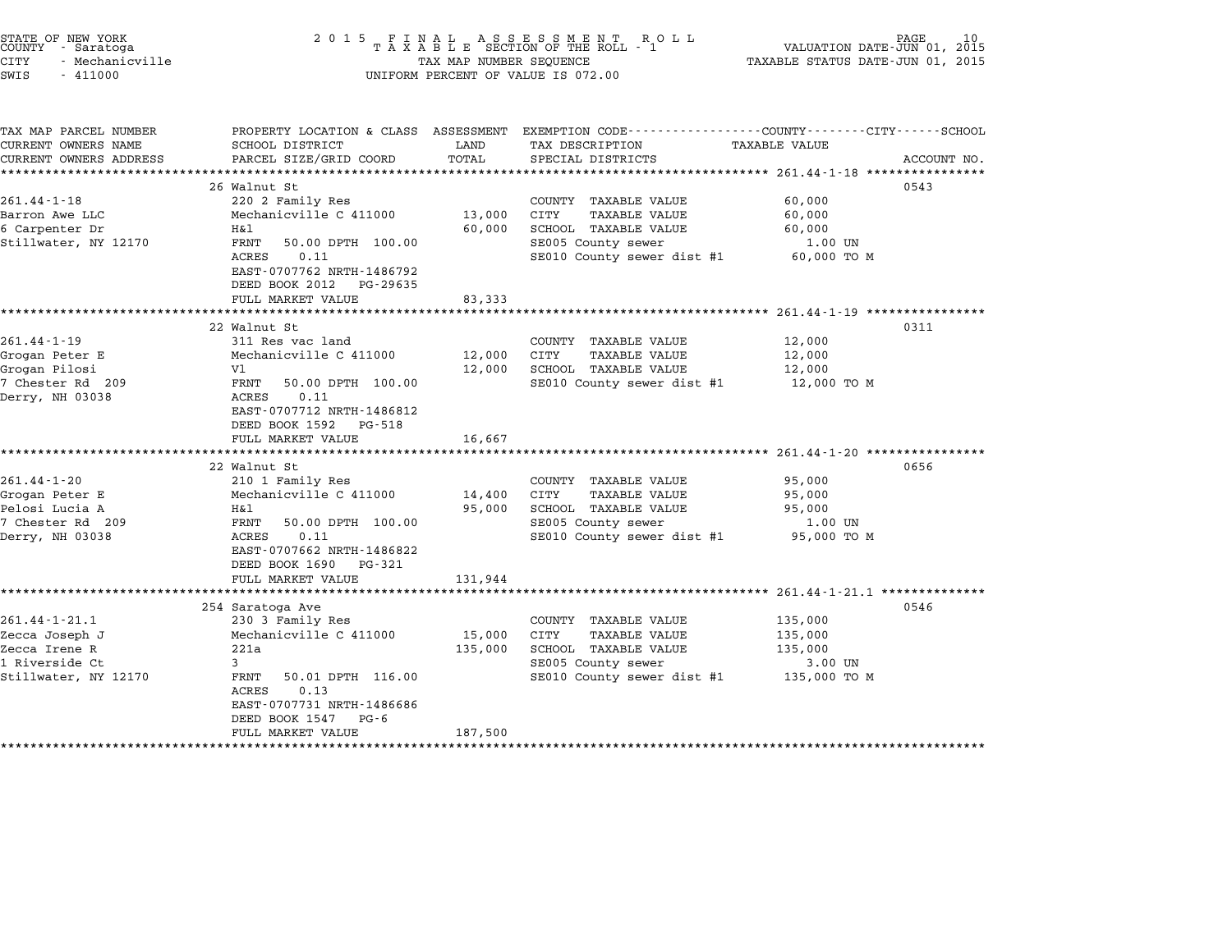| STATE OF NEW YORK<br>COUNTY - Saratoga<br>CITY<br>- Mechanicville<br>SWIS<br>$-411000$           | 2 0 1 5                                                                                                                                                                                                              | TAX MAP NUMBER SEQUENCE         | FINAL ASSESSMENT ROLL<br>TAXABLE SECTION OF THE ROLL - 1<br>UNIFORM PERCENT OF VALUE IS 072.00                                                                                                      | TAXABLE STATUS DATE-JUN 01, 2015                                                                  | PAGE<br>10<br>VALUATION DATE-JUN 01, 2015 |
|--------------------------------------------------------------------------------------------------|----------------------------------------------------------------------------------------------------------------------------------------------------------------------------------------------------------------------|---------------------------------|-----------------------------------------------------------------------------------------------------------------------------------------------------------------------------------------------------|---------------------------------------------------------------------------------------------------|-------------------------------------------|
| TAX MAP PARCEL NUMBER<br>CURRENT OWNERS NAME<br>CURRENT OWNERS ADDRESS                           | SCHOOL DISTRICT<br>PARCEL SIZE/GRID COORD<br>*****************************                                                                                                                                           | LAND<br>TOTAL<br>************** | PROPERTY LOCATION & CLASS ASSESSMENT EXEMPTION CODE--------------COUNTY-------CITY------SCHOOL<br>TAX DESCRIPTION<br>SPECIAL DISTRICTS<br>**************************** 261.44-1-18 **************** | TAXABLE VALUE                                                                                     | ACCOUNT NO.                               |
| $261.44 - 1 - 18$<br>Barron Awe LLC<br>6 Carpenter Dr<br>Stillwater, NY 12170                    | 26 Walnut St<br>220 2 Family Res<br>Mechanicville C 411000<br>H&l<br>FRNT<br>50.00 DPTH 100.00<br>0.11<br>ACRES<br>EAST-0707762 NRTH-1486792<br>DEED BOOK 2012 PG-29635<br>FULL MARKET VALUE                         | 13,000<br>60,000<br>83,333      | COUNTY TAXABLE VALUE<br>CITY<br><b>TAXABLE VALUE</b><br>SCHOOL TAXABLE VALUE<br>SE005 County sewer<br>SE010 County sewer dist #1                                                                    | 60,000<br>60,000<br>60,000<br>1.00 UN<br>60,000 TO M                                              | 0543                                      |
|                                                                                                  |                                                                                                                                                                                                                      |                                 |                                                                                                                                                                                                     |                                                                                                   |                                           |
| $261.44 - 1 - 19$<br>Grogan Peter E<br>Grogan Pilosi<br>7 Chester Rd 209<br>Derry, NH 03038      | 22 Walnut St<br>311 Res vac land<br>Mechanicville C 411000<br>V1<br>FRNT<br>50.00 DPTH 100.00<br>ACRES<br>0.11<br>EAST-0707712 NRTH-1486812<br>DEED BOOK 1592 PG-518<br>FULL MARKET VALUE                            | 12,000<br>12,000<br>16,667      | COUNTY TAXABLE VALUE<br>CITY<br><b>TAXABLE VALUE</b><br>SCHOOL TAXABLE VALUE<br>SE010 County sewer dist #1                                                                                          | 12,000<br>12,000<br>12,000<br>12,000 TO M<br>********************** 261.44-1-20 ***************** | 0311                                      |
| $261.44 - 1 - 20$<br>Grogan Peter E<br>Pelosi Lucia A<br>7 Chester Rd 209<br>Derry, NH 03038     | 22 Walnut St<br>210 1 Family Res<br>Mechanicville C 411000<br>H&l<br>FRNT<br>50.00 DPTH 100.00<br>ACRES<br>0.11<br>EAST-0707662 NRTH-1486822<br>DEED BOOK 1690 PG-321<br>FULL MARKET VALUE                           | 14,400<br>95,000<br>131,944     | COUNTY TAXABLE VALUE<br>CITY<br><b>TAXABLE VALUE</b><br>SCHOOL TAXABLE VALUE<br>SE005 County sewer<br>SE010 County sewer dist #1                                                                    | 95,000<br>95,000<br>95,000<br>1.00 UN<br>95,000 TO M                                              | 0656                                      |
|                                                                                                  | ***********************                                                                                                                                                                                              | ************                    |                                                                                                                                                                                                     |                                                                                                   |                                           |
| $261.44 - 1 - 21.1$<br>Zecca Joseph J<br>Zecca Irene R<br>1 Riverside Ct<br>Stillwater, NY 12170 | 254 Saratoga Ave<br>230 3 Family Res<br>Mechanicville C 411000<br>221a<br>$\mathbf{3}$<br>FRNT<br>50.01 DPTH 116.00<br>0.13<br>ACRES<br>EAST-0707731 NRTH-1486686<br>DEED BOOK 1547<br>$PG - 6$<br>FULL MARKET VALUE | 15,000<br>135,000<br>187,500    | COUNTY TAXABLE VALUE<br>CITY<br><b>TAXABLE VALUE</b><br>SCHOOL TAXABLE VALUE<br>SE005 County sewer<br>SE010 County sewer dist #1                                                                    | 135,000<br>135,000<br>135,000<br>3.00 UN<br>135,000 TO M                                          | 0546                                      |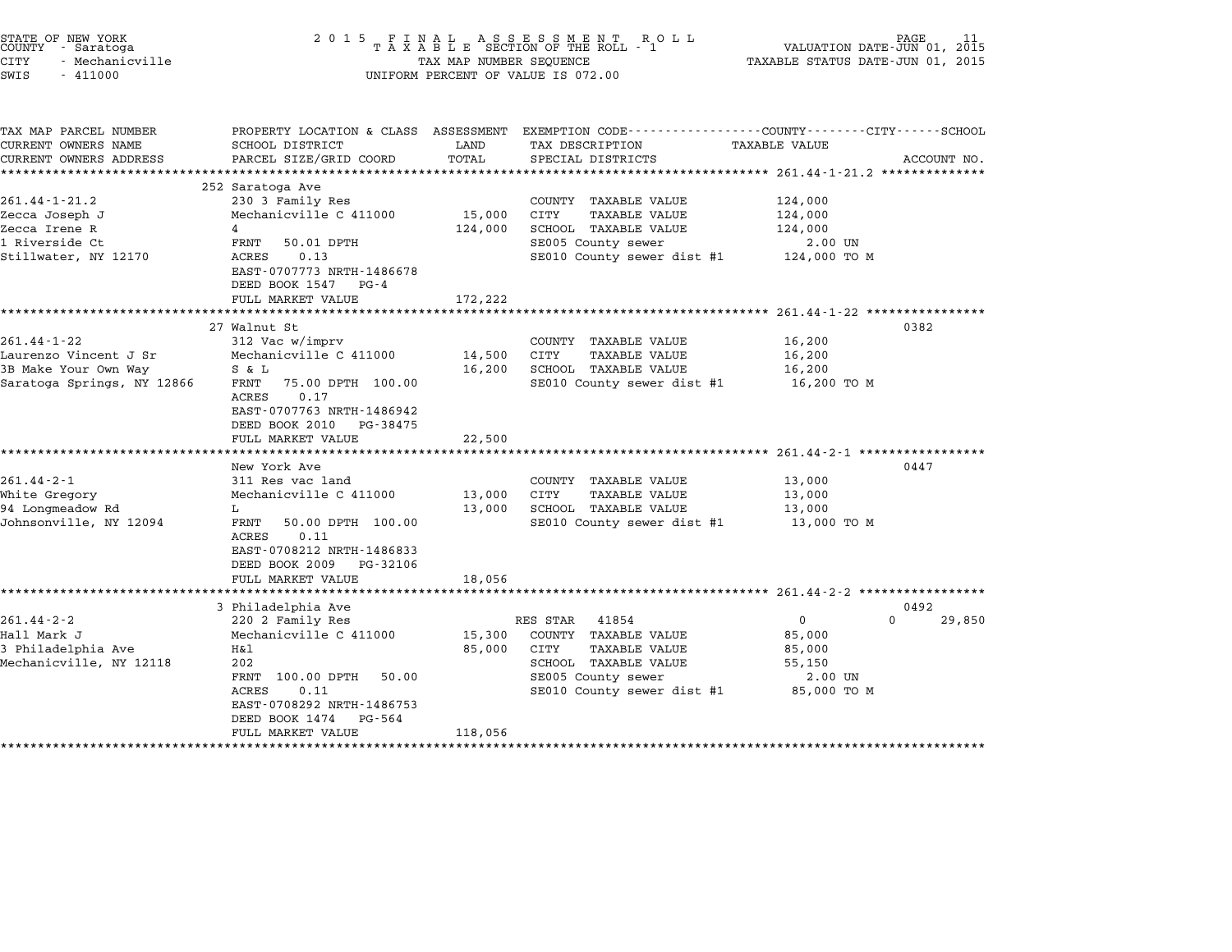| STATE OF NEW YORK<br>COUNTY - Saratoga<br>CITY<br>- Mechanicville<br>SWIS<br>$-411000$           | 2 0 1 5<br>FINAL ASSESSMENT ROLL<br>TAXABLE SECTION OF THE ROLL - 1<br>TAX MAP NUMBER SEQUENCE<br>UNIFORM PERCENT OF VALUE IS 072.00                                                                                                   | PAGE<br>VALUATION DATE-JUN 01, 2015<br>TAXABLE STATUS DATE-JUN 01, 2015 |                                                                                                                                                |                                                                                                    |                            |
|--------------------------------------------------------------------------------------------------|----------------------------------------------------------------------------------------------------------------------------------------------------------------------------------------------------------------------------------------|-------------------------------------------------------------------------|------------------------------------------------------------------------------------------------------------------------------------------------|----------------------------------------------------------------------------------------------------|----------------------------|
| TAX MAP PARCEL NUMBER<br>CURRENT OWNERS NAME<br>CURRENT OWNERS ADDRESS                           | SCHOOL DISTRICT<br>PARCEL SIZE/GRID COORD                                                                                                                                                                                              | LAND<br>TOTAL                                                           | PROPERTY LOCATION & CLASS ASSESSMENT EXEMPTION CODE---------------COUNTY-------CITY------SCHOOL<br>TAX DESCRIPTION<br>SPECIAL DISTRICTS        | <b>TAXABLE VALUE</b>                                                                               | ACCOUNT NO.                |
| $261.44 - 1 - 21.2$<br>Zecca Joseph J<br>Zecca Irene R<br>1 Riverside Ct<br>Stillwater, NY 12170 | 252 Saratoga Ave<br>230 3 Family Res<br>Mechanicville C 411000<br>4<br>FRNT<br>50.01 DPTH<br>0.13<br>ACRES<br>EAST-0707773 NRTH-1486678<br>DEED BOOK 1547 PG-4<br>FULL MARKET VALUE                                                    | 15,000<br>124,000<br>172,222                                            | COUNTY TAXABLE VALUE<br>CITY<br><b>TAXABLE VALUE</b><br>SCHOOL TAXABLE VALUE<br>SE005 County sewer<br>SE010 County sewer dist #1               | 124,000<br>124,000<br>124,000<br>2.00 UN<br>124,000 TO M                                           |                            |
| $261.44 - 1 - 22$<br>Laurenzo Vincent J Sr<br>3B Make Your Own Way<br>Saratoga Springs, NY 12866 | ********<br>27 Walnut St<br>312 Vac w/imprv<br>Mechanicville C 411000<br>S & L<br>75.00 DPTH 100.00<br>FRNT<br>ACRES<br>0.17<br>EAST-0707763 NRTH-1486942<br>DEED BOOK 2010 PG-38475<br>FULL MARKET VALUE                              | 14,500<br>16,200<br>22,500                                              | COUNTY TAXABLE VALUE<br>CITY<br><b>TAXABLE VALUE</b><br>SCHOOL TAXABLE VALUE<br>SE010 County sewer dist #1                                     | *********************** 261.44-1-22 *****************<br>16,200<br>16,200<br>16,200<br>16,200 то м | 0382                       |
| $261.44 - 2 - 1$<br>White Gregory<br>94 Longmeadow Rd<br>Johnsonville, NY 12094                  | New York Ave<br>311 Res vac land<br>Mechanicville C 411000<br>L<br>FRNT<br>50.00 DPTH 100.00<br>ACRES<br>0.11<br>EAST-0708212 NRTH-1486833<br>DEED BOOK 2009<br>PG-32106<br>FULL MARKET VALUE                                          | 13,000<br>13,000<br>18,056                                              | COUNTY TAXABLE VALUE<br>CITY<br><b>TAXABLE VALUE</b><br>SCHOOL TAXABLE VALUE<br>SE010 County sewer dist #1                                     | ******************** 261.44-2-1 *************<br>13,000<br>13,000<br>13,000<br>13,000 TO M         | 0447                       |
| $261.44 - 2 - 2$<br>Hall Mark J<br>3 Philadelphia Ave<br>Mechanicville, NY 12118                 | ************************<br>3 Philadelphia Ave<br>220 2 Family Res<br>Mechanicville C 411000<br>Η&l<br>202<br>FRNT 100.00 DPTH<br>50.00<br>0.11<br>ACRES<br>EAST-0708292 NRTH-1486753<br>DEED BOOK 1474<br>PG-564<br>FULL MARKET VALUE | 15,300<br>85,000<br>118,056                                             | RES STAR<br>41854<br>COUNTY TAXABLE VALUE<br>CITY<br>TAXABLE VALUE<br>SCHOOL TAXABLE VALUE<br>SE005 County sewer<br>SE010 County sewer dist #1 | $\mathbf 0$<br>85,000<br>85,000<br>55,150<br>2.00 UN<br>85,000 TO M                                | 0492<br>$\Omega$<br>29,850 |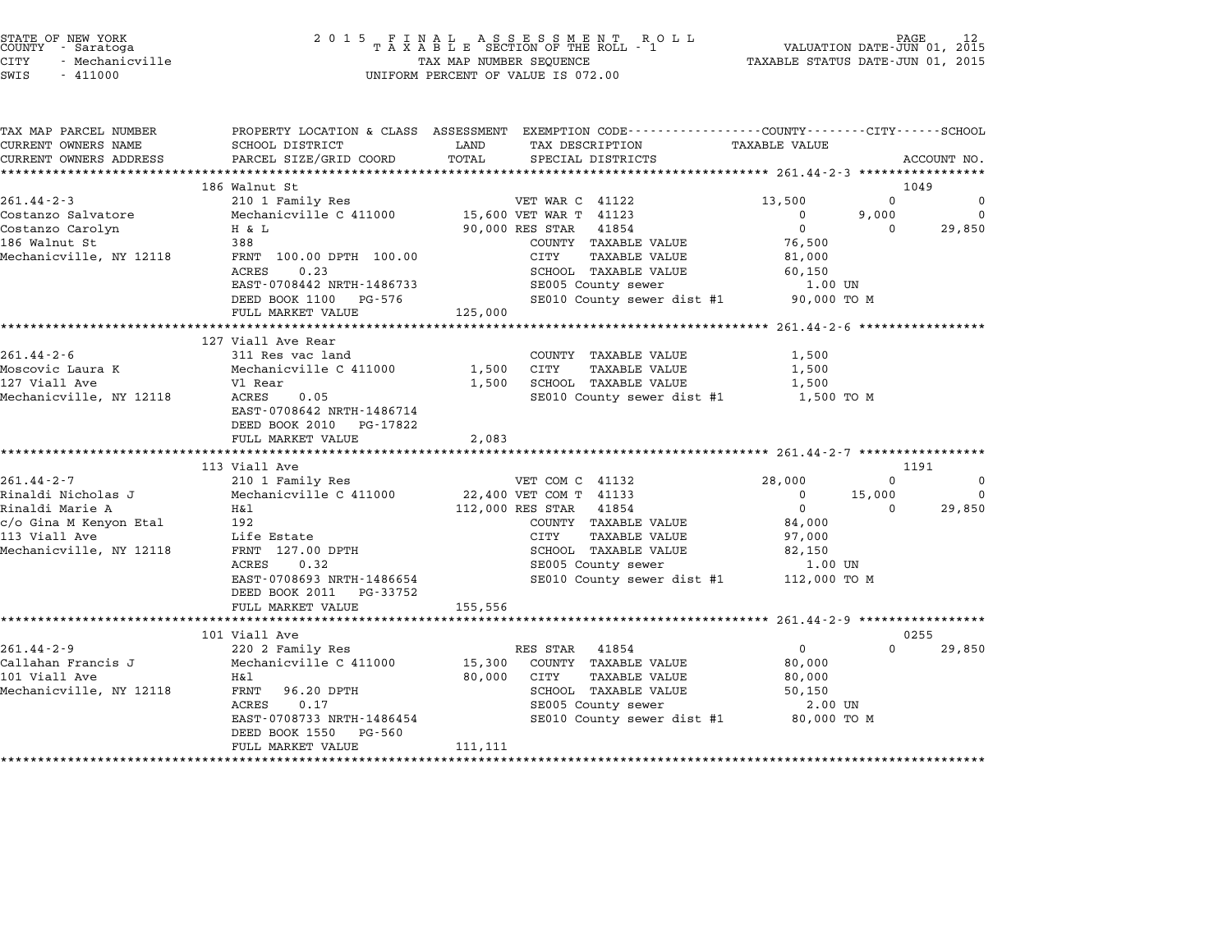| STATE OF NEW YORK |  |                 |  |  |  |
|-------------------|--|-----------------|--|--|--|
| COUNTY            |  | - Saratoga      |  |  |  |
| CITY              |  | - Mechanicville |  |  |  |

| TAX MAP PARCEL NUMBER   |                                                |                              | PROPERTY LOCATION & CLASS ASSESSMENT EXEMPTION CODE---------------COUNTY-------CITY------SCHOOL |                              |
|-------------------------|------------------------------------------------|------------------------------|-------------------------------------------------------------------------------------------------|------------------------------|
| CURRENT OWNERS NAME     | SCHOOL DISTRICT                                | LAND                         | TAX DESCRIPTION TAXABLE VALUE                                                                   |                              |
| CURRENT OWNERS ADDRESS  | PARCEL SIZE/GRID COORD                         | TOTAL<br>SPECIAL DISTRICTS   |                                                                                                 | ACCOUNT NO.                  |
|                         |                                                |                              |                                                                                                 |                              |
|                         | 186 Walnut St                                  |                              |                                                                                                 | 1049                         |
| $261.44 - 2 - 3$        | 210 1 Family Res                               | VET WAR C 41122              | 13,500                                                                                          | $\Omega$<br>$\mathbf 0$      |
| Costanzo Salvatore      | Mechanicville C 411000 15,600 VET WAR T 41123  |                              | $\overline{0}$                                                                                  | 9,000<br>$\overline{0}$      |
| Costanzo Carolyn        | H & L                                          | 90,000 RES STAR 41854        | $\overline{0}$                                                                                  | 29,850<br>$\Omega$           |
| 186 Walnut St           | 388                                            |                              | 76,500<br>COUNTY TAXABLE VALUE                                                                  |                              |
| Mechanicville, NY 12118 | FRNT 100.00 DPTH 100.00                        | CITY                         | TAXABLE VALUE<br>81,000                                                                         |                              |
|                         | 0.23<br>ACRES                                  |                              | SCHOOL TAXABLE VALUE<br>SE005 County sewer<br>60,150                                            |                              |
|                         | EAST-0708442 NRTH-1486733                      |                              | 1.00 UN                                                                                         |                              |
|                         | DEED BOOK 1100 PG-576                          |                              | SE010 County sewer dist #1 90,000 TO M                                                          |                              |
|                         | FULL MARKET VALUE                              | 125,000                      |                                                                                                 |                              |
|                         |                                                |                              |                                                                                                 |                              |
|                         | 127 Viall Ave Rear                             |                              |                                                                                                 |                              |
| $261.44 - 2 - 6$        | 311 Res vac land                               | COUNTY TAXABLE VALUE         | 1,500                                                                                           |                              |
| Moscovic Laura K        | Mechanicville C 411000                         | 1,500 CITY TAXABLE VALUE     | 1,500                                                                                           |                              |
| 127 Viall Ave           | Vl Rear                                        | 1,500 SCHOOL TAXABLE VALUE   | 1,500                                                                                           |                              |
| Mechanicville, NY 12118 | ACRES<br>0.05                                  |                              | SE010 County sewer dist #1 1,500 TO M                                                           |                              |
|                         | EAST-0708642 NRTH-1486714                      |                              |                                                                                                 |                              |
|                         | DEED BOOK 2010 PG-17822                        |                              |                                                                                                 |                              |
|                         | FULL MARKET VALUE                              | 2,083                        |                                                                                                 |                              |
|                         |                                                |                              |                                                                                                 |                              |
|                         | 113 Viall Ave                                  |                              |                                                                                                 | 1191                         |
| $261.44 - 2 - 7$        | 210 1 Family Res                               | VET COM C 41132              | 28,000                                                                                          | $\Omega$<br>$\mathbf 0$      |
| Rinaldi Nicholas J      | Mechanicville C 411000 22,400 VET COM T 41133  |                              |                                                                                                 | $0 \t 15,000$<br>$\mathbf 0$ |
| Rinaldi Marie A         | H&l                                            | 112,000 RES STAR 41854       | $\overline{0}$                                                                                  | 29,850<br>$\Omega$           |
| c/o Gina M Kenyon Etal  | 192                                            |                              | 84,000<br>COUNTY TAXABLE VALUE                                                                  |                              |
| 113 Viall Ave           | Life Estate                                    | CITY                         | TAXABLE VALUE<br>97,000                                                                         |                              |
| Mechanicville, NY 12118 | FRNT 127.00 DPTH<br>ACPEC 0.32                 |                              | SCHOOL TAXABLE VALUE<br>SE005 County sewer<br>82,150                                            |                              |
|                         |                                                |                              | 1.00 UN                                                                                         |                              |
|                         | EAST-0708693 NRTH-1486654                      |                              | SE010 County sewer dist #1 112,000 TO M                                                         |                              |
|                         | DEED BOOK 2011 PG-33752                        |                              |                                                                                                 |                              |
|                         | FULL MARKET VALUE                              | 155, 556                     |                                                                                                 |                              |
|                         |                                                |                              |                                                                                                 |                              |
|                         | 101 Viall Ave                                  |                              |                                                                                                 | 0255                         |
| $261.44 - 2 - 9$        | 220 2 Family Res                               | RES STAR 41854               | $\overline{0}$                                                                                  | $\Omega$<br>29,850           |
| Callahan Francis J      | Mechanicville C 411000                         | 15,300 COUNTY TAXABLE VALUE  | 80,000                                                                                          |                              |
| 101 Viall Ave           | H&l                                            | 80,000<br>CITY TAXABLE VALUE | 80,000                                                                                          |                              |
| Mechanicville, NY 12118 | FRNT 96.20 DPTH                                |                              | SCHOOL TAXABLE VALUE<br>50,150                                                                  |                              |
|                         | $\mathbf{m}$ and $\mathbf{m}$<br>ACRES<br>0.17 |                              | SE005 County sewer<br>2.00 UN                                                                   |                              |
|                         | EAST-0708733 NRTH-1486454                      |                              | SE010 County sewer dist #1 80,000 TO M                                                          |                              |
|                         | DEED BOOK 1550 PG-560                          |                              |                                                                                                 |                              |
|                         | FULL MARKET VALUE                              | 111,111                      |                                                                                                 |                              |
|                         |                                                |                              |                                                                                                 |                              |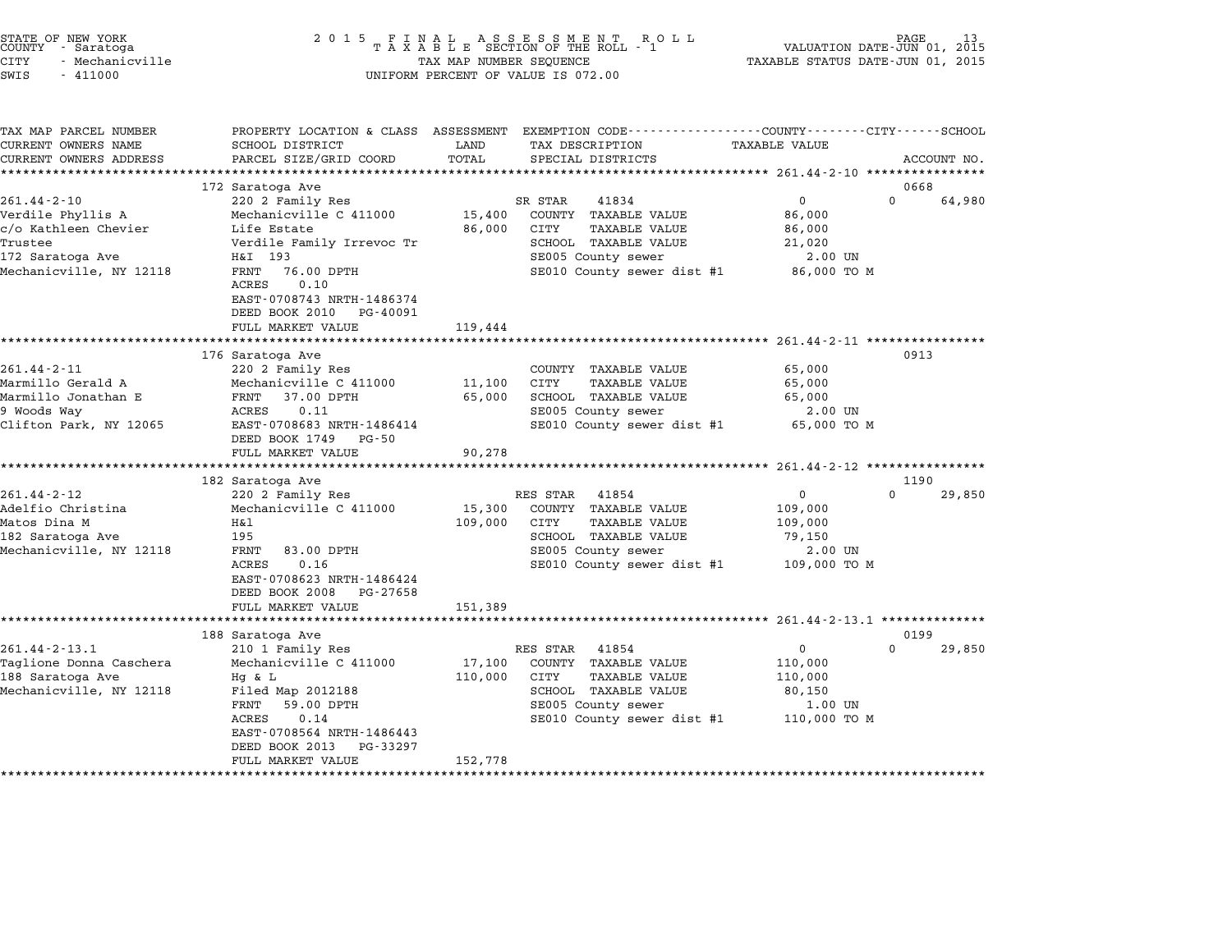| STATE OF NEW YORK<br>COUNTY – Saratoga<br>- Saratoga<br>CITY<br>- Mechanicville<br>SWIS<br>$-411000$                     | 2 0 1 5                                                                                                                                                                                                               | FINAL ASSESSMENT RO<br>TAXABLE SECTION OF THE ROLL - 1<br>R O L L<br>TAX MAP NUMBER SEQUENCE<br>UNIFORM PERCENT OF VALUE IS 072.00 | PAGE<br>VALUATION DATE-JUN 01, 2015<br>TAXABLE STATUS DATE-JUN 01, 2015                                                                        |                                                                         |                    |
|--------------------------------------------------------------------------------------------------------------------------|-----------------------------------------------------------------------------------------------------------------------------------------------------------------------------------------------------------------------|------------------------------------------------------------------------------------------------------------------------------------|------------------------------------------------------------------------------------------------------------------------------------------------|-------------------------------------------------------------------------|--------------------|
| TAX MAP PARCEL NUMBER<br>CURRENT OWNERS NAME<br>CURRENT OWNERS ADDRESS                                                   | PROPERTY LOCATION & CLASS ASSESSMENT<br>SCHOOL DISTRICT<br>PARCEL SIZE/GRID COORD                                                                                                                                     | LAND<br>TOTAL                                                                                                                      | EXEMPTION CODE-----------------COUNTY-------CITY------SCHOOL<br>TAX DESCRIPTION<br>SPECIAL DISTRICTS                                           | TAXABLE VALUE                                                           | ACCOUNT NO.        |
|                                                                                                                          | 172 Saratoga Ave                                                                                                                                                                                                      |                                                                                                                                    |                                                                                                                                                |                                                                         | 0668               |
| $261.44 - 2 - 10$<br>Verdile Phyllis A<br>c/o Kathleen Chevier<br>Trustee<br>172 Saratoga Ave<br>Mechanicville, NY 12118 | 220 2 Family Res<br>Mechanicville C 411000<br>Life Estate<br>Verdile Family Irrevoc Tr<br>H&I 193<br>76.00 DPTH<br>FRNT<br>ACRES<br>0.10<br>EAST-0708743 NRTH-1486374<br>DEED BOOK 2010 PG-40091<br>FULL MARKET VALUE | 15,400<br>86,000<br>119,444                                                                                                        | SR STAR<br>41834<br>COUNTY TAXABLE VALUE<br>CITY<br>TAXABLE VALUE<br>SCHOOL TAXABLE VALUE<br>SE005 County sewer<br>SE010 County sewer dist #1  | $\overline{0}$<br>86,000<br>86,000<br>21,020<br>2.00 UN<br>86,000 TO M  | $\Omega$<br>64,980 |
|                                                                                                                          |                                                                                                                                                                                                                       |                                                                                                                                    |                                                                                                                                                |                                                                         |                    |
| $261.44 - 2 - 11$<br>Marmillo Gerald A<br>Marmillo Jonathan E<br>9 Woods Way<br>Clifton Park, NY 12065                   | 176 Saratoga Ave<br>220 2 Family Res<br>Mechanicville C 411000<br>37.00 DPTH<br>FRNT<br>ACRES<br>0.11<br>EAST-0708683 NRTH-1486414<br>DEED BOOK 1749<br>PG-50<br>FULL MARKET VALUE                                    | 11,100<br>65,000<br>90,278                                                                                                         | COUNTY TAXABLE VALUE<br><b>CITY</b><br>TAXABLE VALUE<br>SCHOOL TAXABLE VALUE<br>SE005 County sewer<br>SE010 County sewer dist #1               | 65,000<br>65,000<br>65,000<br>2.00 UN<br>65,000 TO M                    | 0913               |
|                                                                                                                          | 182 Saratoga Ave                                                                                                                                                                                                      |                                                                                                                                    |                                                                                                                                                |                                                                         | 1190               |
| $261.44 - 2 - 12$<br>Adelfio Christina<br>Matos Dina M<br>182 Saratoga Ave<br>Mechanicville, NY 12118                    | 220 2 Family Res<br>Mechanicville C 411000<br>H&l<br>195<br>FRNT<br>83.00 DPTH<br>ACRES<br>0.16<br>EAST-0708623 NRTH-1486424<br>DEED BOOK 2008<br>PG-27658                                                            | 15,300<br>109,000                                                                                                                  | RES STAR<br>41854<br>COUNTY TAXABLE VALUE<br>CITY<br>TAXABLE VALUE<br>SCHOOL TAXABLE VALUE<br>SE005 County sewer<br>SE010 County sewer dist #1 | $\mathbf 0$<br>109,000<br>109,000<br>79,150<br>2.00 UN<br>109,000 TO M  | 0<br>29,850        |
|                                                                                                                          | FULL MARKET VALUE<br>**********************************                                                                                                                                                               | 151,389                                                                                                                            |                                                                                                                                                |                                                                         |                    |
|                                                                                                                          | 188 Saratoga Ave                                                                                                                                                                                                      |                                                                                                                                    |                                                                                                                                                |                                                                         | 0199               |
| $261.44 - 2 - 13.1$<br>Taglione Donna Caschera<br>188 Saratoga Ave<br>Mechanicville, NY 12118                            | 210 1 Family Res<br>Mechanicville C 411000<br>Hq & L<br>Filed Map 2012188<br>FRNT<br>59.00 DPTH<br>ACRES<br>0.14<br>EAST-0708564 NRTH-1486443<br>DEED BOOK 2013<br>PG-33297                                           | 17,100<br>110,000                                                                                                                  | RES STAR<br>41854<br>COUNTY TAXABLE VALUE<br>CITY<br>TAXABLE VALUE<br>SCHOOL TAXABLE VALUE<br>SE005 County sewer<br>SE010 County sewer dist #1 | $\mathsf{O}$<br>110,000<br>110,000<br>80,150<br>1.00 UN<br>110,000 TO M | $\Omega$<br>29,850 |

FULL MARKET VALUE 152,778

end the New York (STATE OF NEW YORK)<br>2015 FINAL ASSESSMENT ROLL - 1 VALUATION DATE-JUN 01, 2015<br>COUNTY - Saratoga (2015 TAXABLE SECTION OF THE ROLL - 1 VALUATION DATE-JUN 01, 2015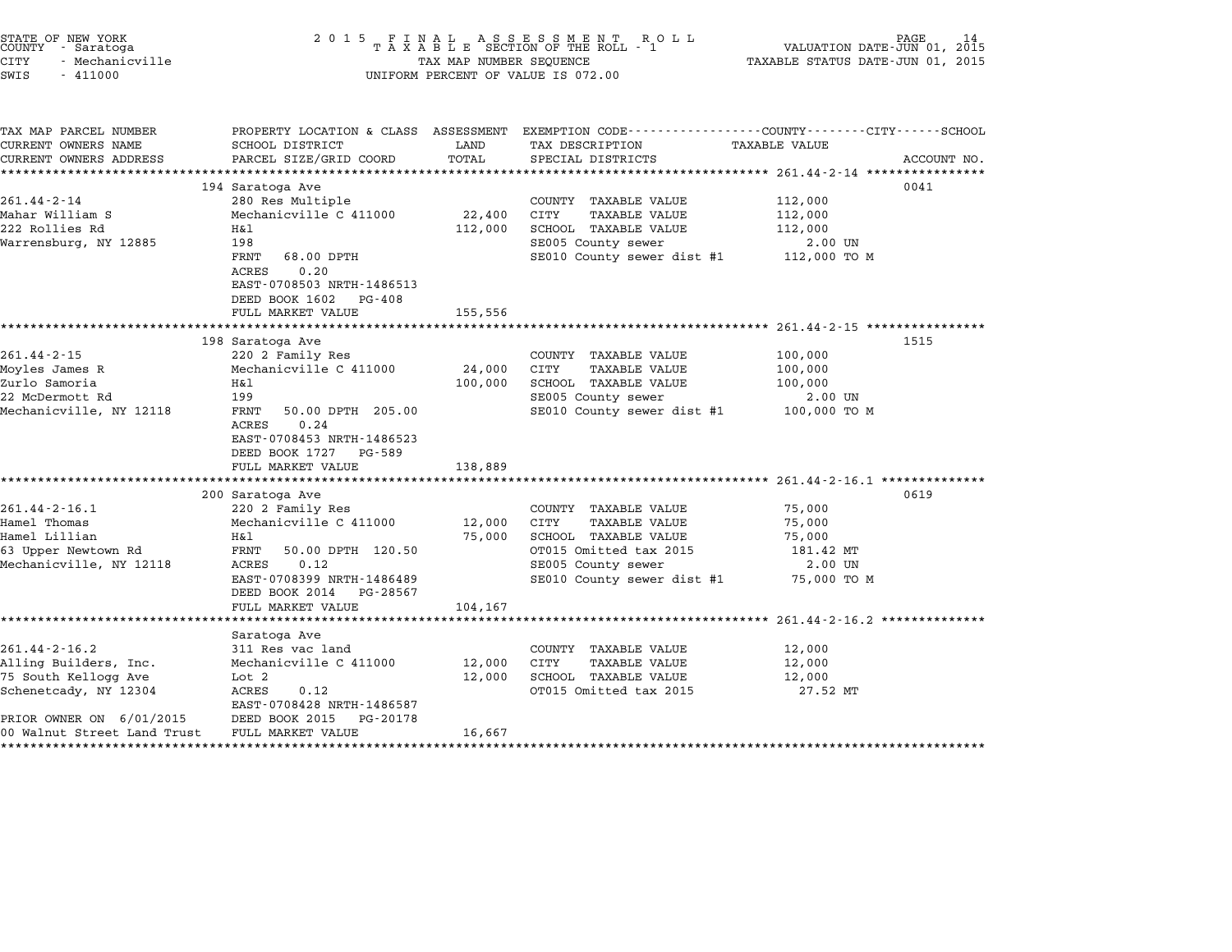| STATE OF NEW YORK<br>COUNTY - Saratoga<br><b>CITY</b><br>- Mechanicville<br>SWIS<br>$-411000$                                                            | 2 0 1 5                                                                                                                                                                                                  | TAX MAP NUMBER SEQUENCE      | FINAL ASSESSMENT ROLL<br>TAXABLE SECTION OF THE ROLL - 1<br>UNIFORM PERCENT OF VALUE IS 072.00                                                      | VALUATION DATE-JUN 01, 2015<br>TAXABLE STATUS DATE-JUN 01, 2015   | PAGE        |
|----------------------------------------------------------------------------------------------------------------------------------------------------------|----------------------------------------------------------------------------------------------------------------------------------------------------------------------------------------------------------|------------------------------|-----------------------------------------------------------------------------------------------------------------------------------------------------|-------------------------------------------------------------------|-------------|
| TAX MAP PARCEL NUMBER<br>CURRENT OWNERS NAME<br>CURRENT OWNERS ADDRESS                                                                                   | SCHOOL DISTRICT<br>PARCEL SIZE/GRID COORD                                                                                                                                                                | LAND<br>TOTAL                | PROPERTY LOCATION & CLASS ASSESSMENT EXEMPTION CODE----------------COUNTY-------CITY------SCHOOL<br>TAX DESCRIPTION<br>SPECIAL DISTRICTS            | <b>TAXABLE VALUE</b>                                              | ACCOUNT NO. |
| $261.44 - 2 - 14$<br>Mahar William S<br>222 Rollies Rd<br>Warrensburg, NY 12885                                                                          | 194 Saratoga Ave<br>280 Res Multiple<br>Mechanicville C 411000<br>Η&l<br>198<br>FRNT<br>68.00 DPTH<br>ACRES<br>0.20<br>EAST-0708503 NRTH-1486513<br>DEED BOOK 1602 PG-408<br>FULL MARKET VALUE           | 22,400<br>112,000<br>155,556 | COUNTY TAXABLE VALUE<br>CITY<br><b>TAXABLE VALUE</b><br>SCHOOL TAXABLE VALUE<br>SE005 County sewer<br>SE010 County sewer dist #1                    | 112,000<br>112,000<br>112,000<br>2.00 UN<br>112,000 TO M          | 0041        |
| $261.44 - 2 - 15$<br>Moyles James R<br>Zurlo Samoria<br>22 McDermott Rd<br>Mechanicville, NY 12118                                                       | 198 Saratoga Ave<br>220 2 Family Res<br>Mechanicville C 411000<br>Η&l<br>199<br>FRNT<br>50.00 DPTH 205.00<br>0.24<br>ACRES<br>EAST-0708453 NRTH-1486523<br>DEED BOOK 1727<br>PG-589<br>FULL MARKET VALUE | 24,000<br>100,000<br>138,889 | COUNTY TAXABLE VALUE<br>CITY<br>TAXABLE VALUE<br>SCHOOL TAXABLE VALUE<br>SE005 County sewer<br>SE010 County sewer dist #1                           | 100,000<br>100,000<br>100,000<br>2.00 UN<br>100,000 TO M          | 1515        |
| $261.44 - 2 - 16.1$<br>Hamel Thomas<br>Hamel Lillian<br>63 Upper Newtown Rd<br>Mechanicville, NY 12118                                                   | 200 Saratoga Ave<br>220 2 Family Res<br>Mechanicville C 411000<br>H&l<br>FRNT<br>50.00 DPTH 120.50<br>ACRES<br>0.12<br>EAST-0708399 NRTH-1486489<br>DEED BOOK 2014<br>PG-28567<br>FULL MARKET VALUE      | 12,000<br>75,000<br>104,167  | COUNTY TAXABLE VALUE<br>TAXABLE VALUE<br>CITY<br>SCHOOL TAXABLE VALUE<br>OT015 Omitted tax 2015<br>SE005 County sewer<br>SE010 County sewer dist #1 | 75,000<br>75,000<br>75,000<br>181.42 MT<br>2.00 UN<br>75,000 TO M | 0619        |
| $261.44 - 2 - 16.2$<br>Alling Builders, Inc.<br>75 South Kellogg Ave<br>Schenetcady, NY 12304<br>PRIOR OWNER ON 6/01/2015<br>00 Walnut Street Land Trust | Saratoga Ave<br>311 Res vac land<br>Mechanicville C 411000<br>Lot 2<br>ACRES<br>0.12<br>EAST-0708428 NRTH-1486587<br>DEED BOOK 2015<br>PG-20178<br>FULL MARKET VALUE                                     | 12,000<br>12,000<br>16,667   | COUNTY TAXABLE VALUE<br>CITY<br><b>TAXABLE VALUE</b><br>SCHOOL TAXABLE VALUE<br>OT015 Omitted tax 2015                                              | 12,000<br>12,000<br>12,000<br>27.52 MT                            |             |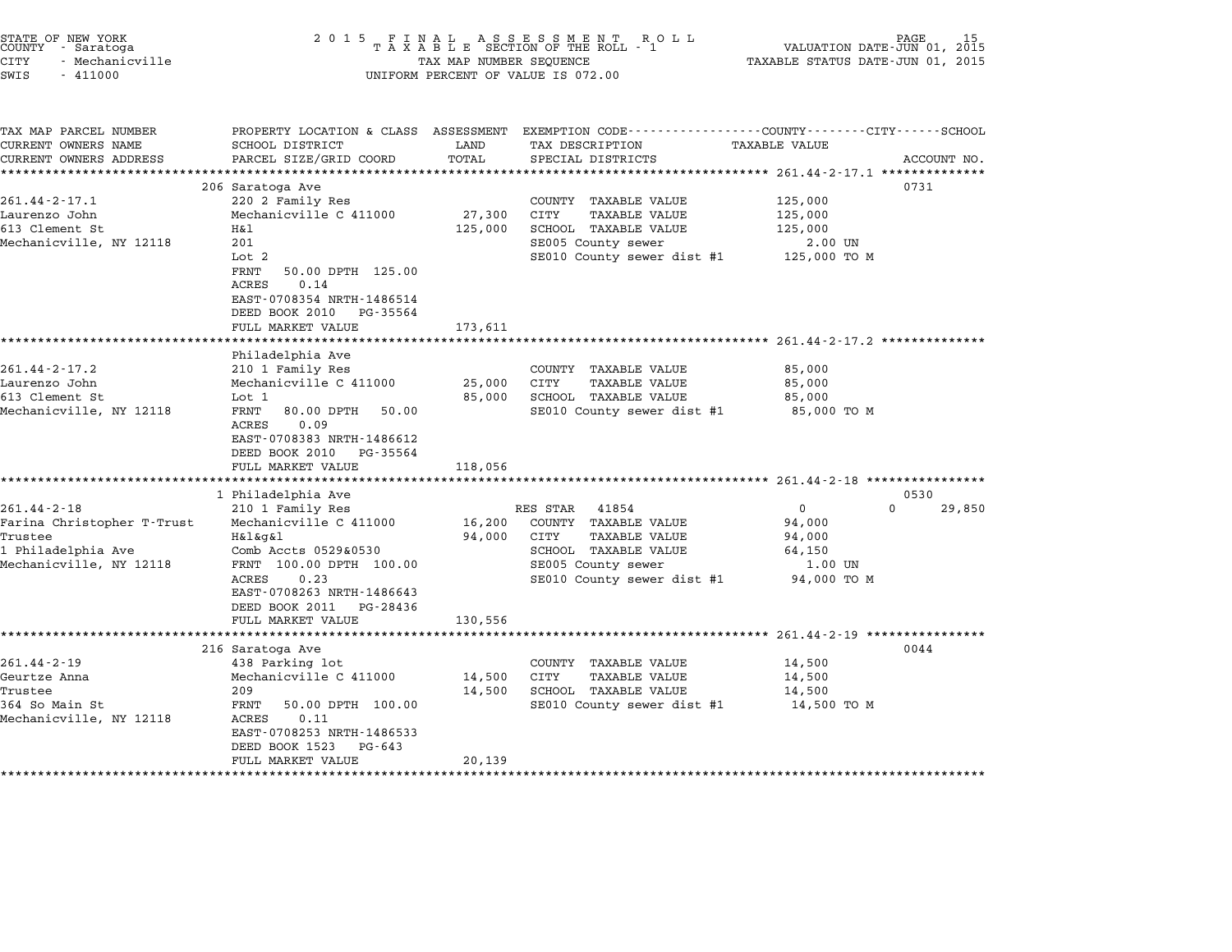| STATE OF NEW YORK<br>COUNTY - Saratoga<br>CITY<br>- Mechanicville<br>SWIS<br>$-411000$                      | 2 0 1 5<br>FINAL ASSESSMENT ROL<br>TAXABLE SECTION OF THE ROLL - 1<br>TAX MAP NUMBER SEQUENCE<br>UNIFORM PERCENT OF VALUE IS 072.00                                                                                             | PAGE<br>VALUATION DATE-JUN 01, 2015<br>TAXABLE STATUS DATE-JUN 01, 2015 |                                                                                                                                                       |                                                                                                                                 |
|-------------------------------------------------------------------------------------------------------------|---------------------------------------------------------------------------------------------------------------------------------------------------------------------------------------------------------------------------------|-------------------------------------------------------------------------|-------------------------------------------------------------------------------------------------------------------------------------------------------|---------------------------------------------------------------------------------------------------------------------------------|
| TAX MAP PARCEL NUMBER<br>CURRENT OWNERS NAME<br>CURRENT OWNERS ADDRESS                                      | SCHOOL DISTRICT<br>PARCEL SIZE/GRID COORD                                                                                                                                                                                       | LAND<br>TOTAL                                                           | TAX DESCRIPTION<br>SPECIAL DISTRICTS                                                                                                                  | PROPERTY LOCATION & CLASS ASSESSMENT EXEMPTION CODE---------------COUNTY-------CITY------SCHOOL<br>TAXABLE VALUE<br>ACCOUNT NO. |
| $261.44 - 2 - 17.1$<br>Laurenzo John<br>613 Clement St<br>Mechanicville, NY 12118                           | 206 Saratoga Ave<br>220 2 Family Res<br>Mechanicville C 411000<br>Η&l<br>201<br>Lot 2<br>FRNT<br>50.00 DPTH 125.00<br>ACRES<br>0.14<br>EAST-0708354 NRTH-1486514<br>DEED BOOK 2010<br>PG-35564<br>FULL MARKET VALUE             | 27,300<br>125,000<br>173,611                                            | COUNTY TAXABLE VALUE<br>CITY<br><b>TAXABLE VALUE</b><br>SCHOOL TAXABLE VALUE<br>SE005 County sewer<br>SE010 County sewer dist #1                      | 0731<br>125,000<br>125,000<br>125,000<br>2.00 UN<br>125,000 TO M                                                                |
| $261.44 - 2 - 17.2$<br>Laurenzo John<br>613 Clement St<br>Mechanicville, NY 12118                           | Philadelphia Ave<br>210 1 Family Res<br>Mechanicville C 411000<br>Lot 1<br>FRNT<br>80.00 DPTH<br>50.00<br>ACRES<br>0.09<br>EAST-0708383 NRTH-1486612<br>DEED BOOK 2010<br>PG-35564<br>FULL MARKET VALUE                         | 25,000<br>85,000<br>118,056                                             | COUNTY TAXABLE VALUE<br>CITY<br><b>TAXABLE VALUE</b><br>SCHOOL TAXABLE VALUE<br>SE010 County sewer dist #1                                            | 85,000<br>85,000<br>85,000<br>85,000 TO M                                                                                       |
|                                                                                                             |                                                                                                                                                                                                                                 |                                                                         |                                                                                                                                                       |                                                                                                                                 |
| $261.44 - 2 - 18$<br>Farina Christopher T-Trust<br>Trustee<br>1 Philadelphia Ave<br>Mechanicville, NY 12118 | 1 Philadelphia Ave<br>210 1 Family Res<br>Mechanicville C 411000<br>H&l&g&l<br>Comb Accts 0529&0530<br>FRNT 100.00 DPTH 100.00<br>ACRES<br>0.23<br>EAST-0708263 NRTH-1486643<br>DEED BOOK 2011<br>PG-28436<br>FULL MARKET VALUE | 16,200<br>94,000<br>130,556                                             | RES STAR<br>41854<br>COUNTY TAXABLE VALUE<br>CITY<br><b>TAXABLE VALUE</b><br>SCHOOL TAXABLE VALUE<br>SE005 County sewer<br>SE010 County sewer dist #1 | 0530<br>$\mathbf 0$<br>$\Omega$<br>29,850<br>94,000<br>94,000<br>64,150<br>1.00 UN<br>94,000 TO M                               |
|                                                                                                             |                                                                                                                                                                                                                                 |                                                                         |                                                                                                                                                       | ************************* 261.44-2-19 *****************                                                                         |
| $261.44 - 2 - 19$<br>Geurtze Anna<br>Trustee<br>364 So Main St<br>Mechanicville, NY 12118                   | 216 Saratoga Ave<br>438 Parking lot<br>Mechanicville C 411000<br>209<br>FRNT<br>50.00 DPTH 100.00<br>ACRES<br>0.11<br>EAST-0708253 NRTH-1486533<br>DEED BOOK 1523<br>PG-643<br>FULL MARKET VALUE                                | 14,500<br>14,500<br>20,139                                              | COUNTY TAXABLE VALUE<br>CITY<br><b>TAXABLE VALUE</b><br>SCHOOL TAXABLE VALUE<br>SE010 County sewer dist #1                                            | 0044<br>14,500<br>14,500<br>14,500<br>14,500 TO M                                                                               |

end the New York (North State of New York)<br>2015 FINAL ASSESSMENT ROLL ROLL (PALUATION DATE-JUN 01, 2015<br>COUNTY - Saratoga (PART A X A B L E SECTION OF THE ROLL - 1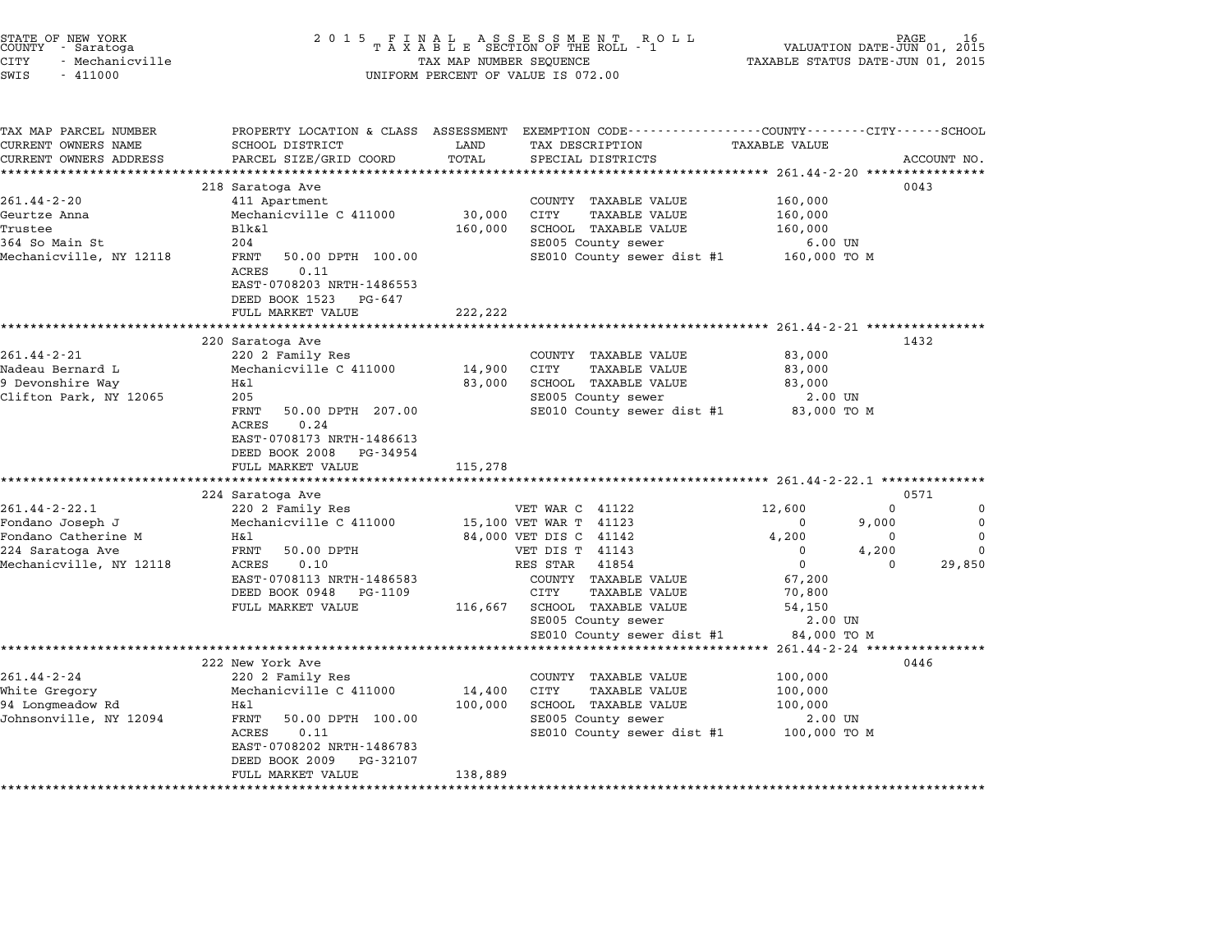| STATE OF NEW YORK<br>COUNTY<br>- Saratoga<br>CITY<br>- Mechanicville | 2 0 1 5<br>FINAL ASSESSMENT<br>TAXABLE SECTION OF THE ROLL<br>TAX MAP NUMBER SEQUENCE | PAGE<br>VALUATION DATE-JUN 01, 2015<br>TAXABLE STATUS DATE-JUN 01, 2015 |                                                                                 |                                     |          |             |
|----------------------------------------------------------------------|---------------------------------------------------------------------------------------|-------------------------------------------------------------------------|---------------------------------------------------------------------------------|-------------------------------------|----------|-------------|
| SWIS<br>$-411000$                                                    |                                                                                       |                                                                         | UNIFORM PERCENT OF VALUE IS 072.00                                              |                                     |          |             |
| TAX MAP PARCEL NUMBER<br>CURRENT OWNERS NAME                         | PROPERTY LOCATION & CLASS ASSESSMENT<br>SCHOOL DISTRICT                               | LAND                                                                    | EXEMPTION CODE-----------------COUNTY-------CITY------SCHOOL<br>TAX DESCRIPTION | TAXABLE VALUE                       |          |             |
| CURRENT OWNERS ADDRESS                                               | PARCEL SIZE/GRID COORD                                                                | TOTAL                                                                   | SPECIAL DISTRICTS                                                               |                                     |          | ACCOUNT NO. |
|                                                                      | ************************                                                              |                                                                         |                                                                                 |                                     |          |             |
|                                                                      | 218 Saratoga Ave                                                                      |                                                                         |                                                                                 |                                     |          | 0043        |
| $261.44 - 2 - 20$                                                    | 411 Apartment                                                                         |                                                                         | COUNTY TAXABLE VALUE                                                            | 160,000                             |          |             |
| Geurtze Anna                                                         | Mechanicville C 411000                                                                | 30,000                                                                  | <b>CITY</b><br><b>TAXABLE VALUE</b>                                             | 160,000                             |          |             |
| Trustee                                                              | <b>Blk&amp;l</b>                                                                      | 160,000                                                                 | SCHOOL TAXABLE VALUE                                                            | 160,000                             |          |             |
| 364 So Main St<br>Mechanicville, NY 12118                            | 204<br>FRNT<br>50.00 DPTH 100.00                                                      |                                                                         | SE005 County sewer<br>SE010 County sewer dist #1                                | $6.00$ UN<br>160,000 TO M           |          |             |
|                                                                      | ACRES<br>0.11                                                                         |                                                                         |                                                                                 |                                     |          |             |
|                                                                      | EAST-0708203 NRTH-1486553                                                             |                                                                         |                                                                                 |                                     |          |             |
|                                                                      | DEED BOOK 1523<br>PG-647                                                              |                                                                         |                                                                                 |                                     |          |             |
|                                                                      | FULL MARKET VALUE                                                                     | 222,222                                                                 |                                                                                 |                                     |          |             |
|                                                                      | ******************                                                                    | ***********                                                             |                                                                                 | ********** 261.44-2-21 ************ |          |             |
|                                                                      | 220 Saratoga Ave                                                                      |                                                                         |                                                                                 |                                     |          | 1432        |
| $261.44 - 2 - 21$                                                    | 220 2 Family Res                                                                      |                                                                         | COUNTY TAXABLE VALUE                                                            | 83,000                              |          |             |
| Nadeau Bernard L                                                     | Mechanicville C 411000                                                                | 14,900                                                                  | CITY<br><b>TAXABLE VALUE</b>                                                    | 83,000                              |          |             |
| 9 Devonshire Way                                                     | Η&l                                                                                   | 83,000                                                                  | SCHOOL TAXABLE VALUE                                                            | 83,000                              |          |             |
| Clifton Park, NY 12065                                               | 205                                                                                   |                                                                         | SE005 County sewer                                                              | 2.00 UN                             |          |             |
|                                                                      | FRNT<br>50.00 DPTH 207.00                                                             |                                                                         | SE010 County sewer dist #1                                                      | 83,000 TO M                         |          |             |
|                                                                      | ACRES<br>0.24                                                                         |                                                                         |                                                                                 |                                     |          |             |
|                                                                      | EAST-0708173 NRTH-1486613                                                             |                                                                         |                                                                                 |                                     |          |             |
|                                                                      | DEED BOOK 2008<br>PG-34954<br>FULL MARKET VALUE                                       | 115,278                                                                 |                                                                                 |                                     |          |             |
|                                                                      |                                                                                       |                                                                         |                                                                                 |                                     |          |             |
|                                                                      | 224 Saratoga Ave                                                                      |                                                                         |                                                                                 |                                     |          | 0571        |
| $261.44 - 2 - 22.1$                                                  | 220 2 Family Res                                                                      |                                                                         | VET WAR C 41122                                                                 | 12,600                              | 0        | 0           |
| Fondano Joseph J                                                     | Mechanicville C 411000                                                                |                                                                         | 15,100 VET WAR T 41123                                                          | 0                                   | 9,000    | $\mathbf 0$ |
| Fondano Catherine M                                                  | H&l                                                                                   |                                                                         | 84,000 VET DIS C 41142                                                          | 4,200                               | 0        | $\mathbf 0$ |
| 224 Saratoga Ave                                                     | FRNT<br>50.00 DPTH                                                                    |                                                                         | VET DIS T 41143                                                                 | 0                                   | 4,200    | $\mathbf 0$ |
| Mechanicville, NY 12118                                              | 0.10<br>ACRES                                                                         |                                                                         | RES STAR<br>41854                                                               | $\mathbf 0$                         | $\Omega$ | 29,850      |
|                                                                      | EAST-0708113 NRTH-1486583                                                             |                                                                         | COUNTY TAXABLE VALUE                                                            | 67,200                              |          |             |
|                                                                      | DEED BOOK 0948<br>PG-1109                                                             |                                                                         | CITY<br>TAXABLE VALUE                                                           | 70,800                              |          |             |
|                                                                      | FULL MARKET VALUE                                                                     | 116,667                                                                 | SCHOOL TAXABLE VALUE                                                            | 54,150                              |          |             |
|                                                                      |                                                                                       |                                                                         | SE005 County sewer                                                              | 2.00 UN                             |          |             |
|                                                                      | ************                                                                          |                                                                         | SE010 County sewer dist #1                                                      | 84,000 TO M                         |          | *********** |
|                                                                      | 222 New York Ave                                                                      |                                                                         |                                                                                 | 261.44-2-24 ****                    |          | 0446        |
| 261.44-2-24                                                          | 220 2 Family Res                                                                      |                                                                         | COUNTY TAXABLE VALUE                                                            | 100,000                             |          |             |
| White Gregory                                                        | Mechanicville C 411000                                                                | 14,400                                                                  | <b>CITY</b><br><b>TAXABLE VALUE</b>                                             | 100,000                             |          |             |
| 94 Longmeadow Rd                                                     | Η&l                                                                                   | 100,000                                                                 | SCHOOL TAXABLE VALUE                                                            | 100,000                             |          |             |
| Johnsonville, NY 12094                                               | 50.00 DPTH 100.00<br>FRNT                                                             |                                                                         | SE005 County sewer                                                              | 2.00 UN                             |          |             |
|                                                                      | ACRES<br>0.11                                                                         |                                                                         | SE010 County sewer dist #1                                                      | 100,000 TO M                        |          |             |
|                                                                      | EAST-0708202 NRTH-1486783                                                             |                                                                         |                                                                                 |                                     |          |             |
|                                                                      | DEED BOOK 2009<br>PG-32107                                                            |                                                                         |                                                                                 |                                     |          |             |
|                                                                      | FULL MARKET VALUE                                                                     | 138,889                                                                 |                                                                                 |                                     |          |             |
|                                                                      |                                                                                       |                                                                         |                                                                                 |                                     |          |             |

STATE OF NEW YORK <sup>2</sup> <sup>0</sup> <sup>1</sup> 5 F I N A L A S S E S S M E N T R O L L PAGE <sup>16</sup> COUNTY - Saratoga <sup>T</sup> <sup>A</sup> <sup>X</sup> <sup>A</sup> <sup>B</sup> <sup>L</sup> <sup>E</sup> SECTION OF THE ROLL - <sup>1</sup> VALUATION DATE-JUN 01, <sup>2015</sup>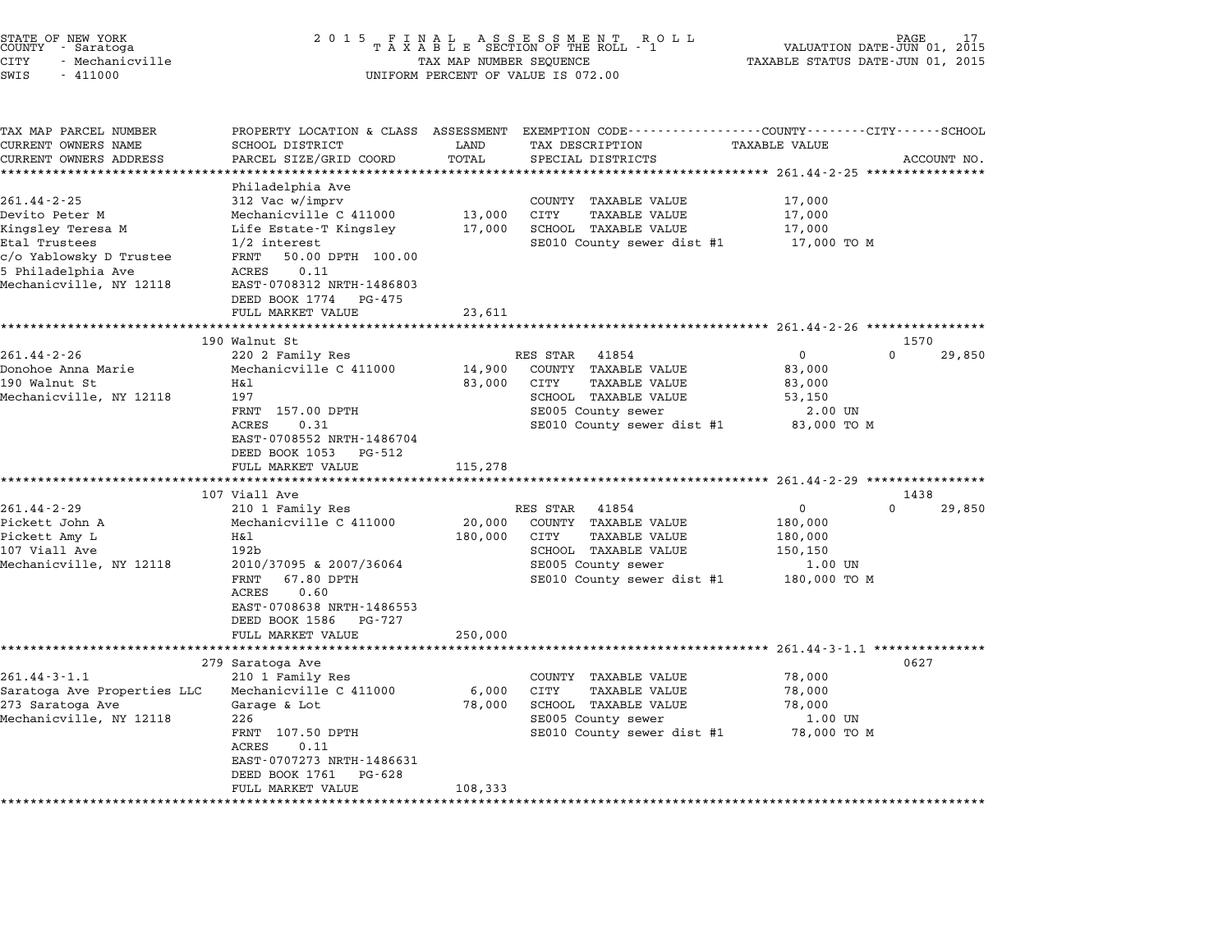| STATE OF NEW YORK<br>COUNTY - Saratoga |  |                 |  |
|----------------------------------------|--|-----------------|--|
| CITY                                   |  | - Mechanicville |  |
| -----                                  |  | .               |  |

## end the New York (STATE OF NEW YORK)<br>2015 FINAL ASSESSMENT ROLL - 1 VALUATION DATE-JUN 01, 2015<br>COUNTY - Saratoga (2015 TAXABLE SECTION OF THE ROLL - 1 VALUATION DATE-JUN 01, 2015 CITY - Mechanicville TAX MAP NUMBER SEQUENCE TAXABLE STATUS DATE-JUN 01, <sup>2015</sup> SWIS - <sup>411000</sup> UNIFORM PERCENT OF VALUE IS 072.00

| TAX MAP PARCEL NUMBER<br>CURRENT OWNERS NAME                               | SCHOOL DISTRICT                               | LAND    | PROPERTY LOCATION & CLASS ASSESSMENT EXEMPTION CODE----------------COUNTY-------CITY------SCHOOL<br>TAX DESCRIPTION | <b>TAXABLE VALUE</b> |                    |
|----------------------------------------------------------------------------|-----------------------------------------------|---------|---------------------------------------------------------------------------------------------------------------------|----------------------|--------------------|
| CURRENT OWNERS ADDRESS                                                     | PARCEL SIZE/GRID COORD                        | TOTAL   | SPECIAL DISTRICTS                                                                                                   |                      | ACCOUNT NO.        |
|                                                                            | *****************                             |         |                                                                                                                     |                      |                    |
|                                                                            | Philadelphia Ave                              |         |                                                                                                                     |                      |                    |
| $261.44 - 2 - 25$                                                          | 312 Vac w/imprv                               |         | COUNTY TAXABLE VALUE                                                                                                | 17,000               |                    |
| Devito Peter M                                                             | Mechanicville C 411000                        | 13,000  | CITY<br><b>TAXABLE VALUE</b>                                                                                        | 17,000               |                    |
| Kingsley Teresa M                                                          | Life Estate-T Kingsley                        | 17,000  | SCHOOL TAXABLE VALUE                                                                                                | 17,000               |                    |
| Etal Trustees                                                              | $1/2$ interest                                |         | SE010 County sewer dist #1                                                                                          | 17,000 то м          |                    |
| c/o Yablowsky D Trustee                                                    | FRNT 50.00 DPTH 100.00                        |         |                                                                                                                     |                      |                    |
| 5 Philadelphia Ave                                                         | ACRES<br>0.11                                 |         |                                                                                                                     |                      |                    |
| Mechanicville, NY 12118                                                    | EAST-0708312 NRTH-1486803                     |         |                                                                                                                     |                      |                    |
|                                                                            | DEED BOOK 1774 PG-475                         |         |                                                                                                                     |                      |                    |
|                                                                            | FULL MARKET VALUE                             | 23,611  |                                                                                                                     |                      |                    |
|                                                                            | ********************************              |         |                                                                                                                     |                      |                    |
|                                                                            | 190 Walnut St                                 |         |                                                                                                                     |                      | 1570               |
| $261.44 - 2 - 26$                                                          | 220 2 Family Res                              |         | 41854<br>RES STAR                                                                                                   | $\mathbf 0$          | $\Omega$<br>29,850 |
| Donohoe Anna Marie                                                         | Mechanicville C 411000                        | 14,900  | COUNTY TAXABLE VALUE                                                                                                | 83,000               |                    |
| 190 Walnut St                                                              | Η&l                                           | 83,000  | CITY<br>TAXABLE VALUE                                                                                               | 83,000               |                    |
| Mechanicville, NY 12118                                                    | 197                                           |         | SCHOOL TAXABLE VALUE                                                                                                | 53,150               |                    |
|                                                                            | FRNT 157.00 DPTH                              |         | SE005 County sewer                                                                                                  | 2.00 UN              |                    |
|                                                                            | ACRES<br>0.31                                 |         | SE010 County sewer dist #1 83,000 TO M                                                                              |                      |                    |
|                                                                            | EAST-0708552 NRTH-1486704                     |         |                                                                                                                     |                      |                    |
|                                                                            | DEED BOOK 1053 PG-512                         |         |                                                                                                                     |                      |                    |
|                                                                            | FULL MARKET VALUE                             | 115,278 |                                                                                                                     |                      |                    |
|                                                                            | 107 Viall Ave                                 |         |                                                                                                                     |                      | 1438               |
| $261.44 - 2 - 29$                                                          | 210 1 Family Res                              |         | RES STAR<br>41854                                                                                                   | $\mathbf{0}$         | $\Omega$<br>29,850 |
| Pickett John A                                                             | Mechanicville C 411000                        | 20,000  | COUNTY TAXABLE VALUE                                                                                                | 180,000              |                    |
| Pickett Amy L                                                              | Η&l                                           | 180,000 | CITY<br><b>TAXABLE VALUE</b>                                                                                        | 180,000              |                    |
| 107 Viall Ave                                                              | 192 <sub>b</sub>                              |         | SCHOOL TAXABLE VALUE                                                                                                | 150,150              |                    |
| Mechanicville, NY 12118                                                    | 2010/37095 & 2007/36064                       |         | SE005 County sewer                                                                                                  | $1.00$ UN            |                    |
|                                                                            | FRNT<br>67.80 DPTH                            |         | SE010 County sewer dist #1                                                                                          | 180,000 TO M         |                    |
|                                                                            |                                               |         |                                                                                                                     |                      |                    |
|                                                                            |                                               |         |                                                                                                                     |                      |                    |
|                                                                            | ACRES<br>0.60<br>EAST-0708638 NRTH-1486553    |         |                                                                                                                     |                      |                    |
|                                                                            | DEED BOOK 1586<br>PG-727                      |         |                                                                                                                     |                      |                    |
|                                                                            | FULL MARKET VALUE                             | 250,000 |                                                                                                                     |                      |                    |
|                                                                            |                                               |         |                                                                                                                     |                      |                    |
|                                                                            | 279 Saratoga Ave                              |         |                                                                                                                     |                      | 0627               |
| $261.44 - 3 - 1.1$                                                         | 210 1 Family Res                              |         | COUNTY TAXABLE VALUE                                                                                                | 78,000               |                    |
|                                                                            | Mechanicville C 411000                        | 6,000   | CITY<br><b>TAXABLE VALUE</b>                                                                                        | 78,000               |                    |
|                                                                            | Garage & Lot                                  | 78,000  | SCHOOL TAXABLE VALUE                                                                                                | 78,000               |                    |
|                                                                            | 226                                           |         | SE005 County sewer                                                                                                  | 1.00 UN              |                    |
|                                                                            | FRNT 107.50 DPTH                              |         | SE010 County sewer dist #1                                                                                          | 78,000 TO M          |                    |
| Saratoga Ave Properties LLC<br>273 Saratoga Ave<br>Mechanicville, NY 12118 | 0.11<br>ACRES                                 |         |                                                                                                                     |                      |                    |
|                                                                            | EAST-0707273 NRTH-1486631                     |         |                                                                                                                     |                      |                    |
|                                                                            | DEED BOOK 1761<br>PG-628<br>FULL MARKET VALUE | 108,333 |                                                                                                                     |                      |                    |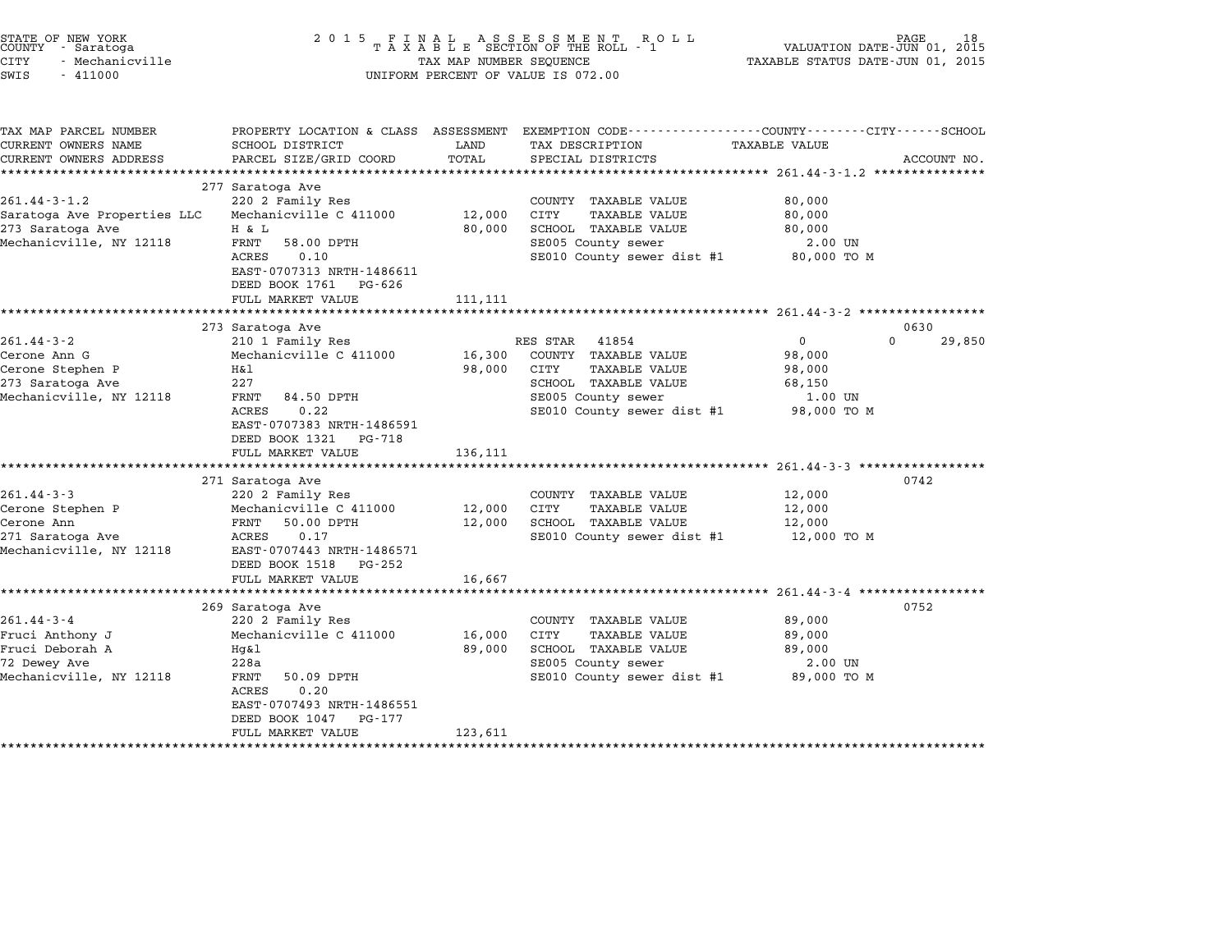| STATE OF NEW YORK<br>COUNTY - Saratoga<br><b>CITY</b><br>- Mechanicville<br>SWIS<br>$-411000$       | 2 0 1 5                                                                                                                                                                                                                                                     | TAX MAP NUMBER SEQUENCE     | FINAL ASSESSMENT ROLL<br>TAXABLE SECTION OF THE ROLL - 1<br>UNIFORM PERCENT OF VALUE IS 072.00                                                        | VALUATION DATE-JUN 01, 2015<br>TAXABLE STATUS DATE-JUN 01, 2015                                                         | PAGE               |
|-----------------------------------------------------------------------------------------------------|-------------------------------------------------------------------------------------------------------------------------------------------------------------------------------------------------------------------------------------------------------------|-----------------------------|-------------------------------------------------------------------------------------------------------------------------------------------------------|-------------------------------------------------------------------------------------------------------------------------|--------------------|
| TAX MAP PARCEL NUMBER<br>CURRENT OWNERS NAME<br>CURRENT OWNERS ADDRESS                              | SCHOOL DISTRICT<br>PARCEL SIZE/GRID COORD                                                                                                                                                                                                                   | LAND<br>TOTAL               | PROPERTY LOCATION & CLASS ASSESSMENT EXEMPTION CODE---------------COUNTY-------CITY-----SCHOOL<br>TAX DESCRIPTION<br>SPECIAL DISTRICTS                | TAXABLE VALUE                                                                                                           | ACCOUNT NO.        |
| $261.44 - 3 - 1.2$<br>Saratoga Ave Properties LLC<br>273 Saratoga Ave<br>Mechanicville, NY 12118    | 277 Saratoga Ave<br>220 2 Family Res<br>Mechanicville C 411000<br>H & L<br>FRNT<br>58.00 DPTH<br>0.10<br>ACRES<br>EAST-0707313 NRTH-1486611<br>DEED BOOK 1761<br>PG-626<br>FULL MARKET VALUE                                                                | 12,000<br>80,000<br>111,111 | COUNTY TAXABLE VALUE<br>CITY<br><b>TAXABLE VALUE</b><br>SCHOOL TAXABLE VALUE<br>SE005 County sewer<br>SE010 County sewer dist #1                      | 80,000<br>80,000<br>80,000<br>2.00 UN<br>80,000 TO M                                                                    |                    |
|                                                                                                     |                                                                                                                                                                                                                                                             |                             |                                                                                                                                                       |                                                                                                                         | 0630               |
| $261.44 - 3 - 2$<br>Cerone Ann G<br>Cerone Stephen P<br>273 Saratoga Ave<br>Mechanicville, NY 12118 | 273 Saratoga Ave<br>210 1 Family Res<br>Mechanicville C 411000<br>Η&l<br>227<br>FRNT<br>84.50 DPTH<br>0.22<br>ACRES<br>EAST-0707383 NRTH-1486591<br>DEED BOOK 1321<br>PG-718<br>FULL MARKET VALUE                                                           | 16,300<br>98,000<br>136,111 | RES STAR<br>41854<br>COUNTY TAXABLE VALUE<br>CITY<br><b>TAXABLE VALUE</b><br>SCHOOL TAXABLE VALUE<br>SE005 County sewer<br>SE010 County sewer dist #1 | $\Omega$<br>98,000<br>98,000<br>68,150<br>1.00 UN<br>98,000 TO M<br>********************** 261.44-3-3 ***************** | $\Omega$<br>29,850 |
| $261.44 - 3 - 3$<br>Cerone Stephen P<br>Cerone Ann<br>271 Saratoga Ave<br>Mechanicville, NY 12118   | 271 Saratoga Ave<br>220 2 Family Res<br>Mechanicville C 411000<br>50.00 DPTH<br>FRNT<br>ACRES<br>0.17<br>EAST-0707443 NRTH-1486571<br>DEED BOOK 1518<br>PG-252<br>FULL MARKET VALUE                                                                         | 12,000<br>12,000<br>16,667  | COUNTY TAXABLE VALUE<br>CITY<br>TAXABLE VALUE<br>SCHOOL TAXABLE VALUE<br>SE010 County sewer dist #1                                                   | 12,000<br>12,000<br>12,000<br>12,000 TO M                                                                               | 0742               |
| $261.44 - 3 - 4$<br>Fruci Anthony J<br>Fruci Deborah A<br>72 Dewey Ave<br>Mechanicville, NY 12118   | **********************<br>269 Saratoga Ave<br>220 2 Family Res<br>Mechanicville C 411000<br>Hg&l<br>228a<br>FRNT<br>50.09 DPTH<br>ACRES<br>0.20<br>EAST-0707493 NRTH-1486551<br>DEED BOOK 1047<br>PG-177<br>FULL MARKET VALUE<br>************************** | 16,000<br>89,000<br>123,611 | COUNTY TAXABLE VALUE<br>CITY<br><b>TAXABLE VALUE</b><br>SCHOOL TAXABLE VALUE<br>SE005 County sewer<br>SE010 County sewer dist #1                      | 89,000<br>89,000<br>89,000<br>2.00 UN<br>89,000 TO M                                                                    | 0752               |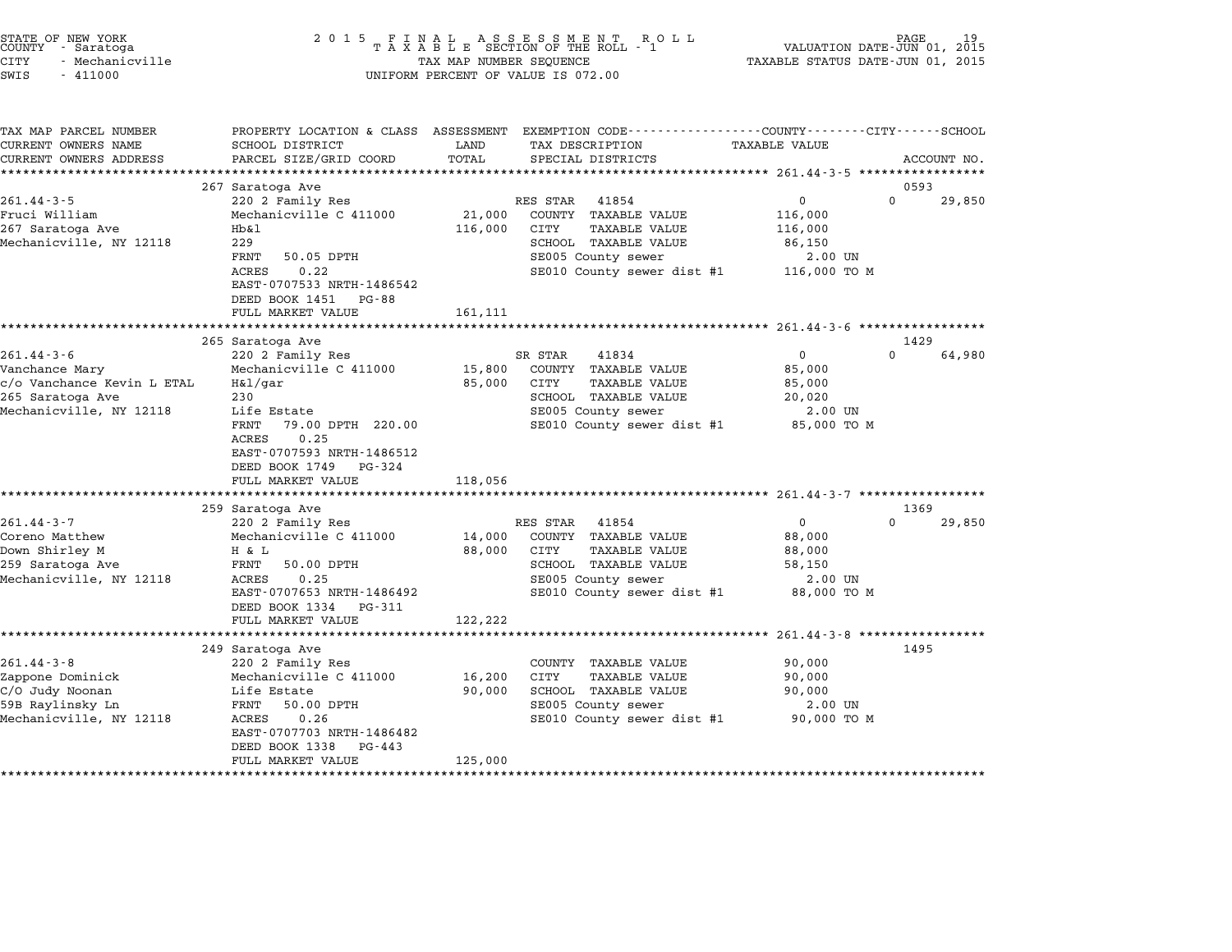| STATE OF NEW YORK<br>COUNTY – Saratoga<br>- Saratoga<br>CITY<br>- Mechanicville<br>SWIS<br>$-411000$            | 2 0 1 5                                                                                                                                                                                                        | TAX MAP NUMBER SEQUENCE     | FINAL ASSESSMENT ROTAXABLE SECTION OF THE ROLL - 1<br>R O L L<br>UNIFORM PERCENT OF VALUE IS 072.00                                                                                                                        | TAXABLE STATUS DATE-JUN 01, 2015                                                                             | PAGE<br>VALUATION DATE-JUN 01, 2015 |
|-----------------------------------------------------------------------------------------------------------------|----------------------------------------------------------------------------------------------------------------------------------------------------------------------------------------------------------------|-----------------------------|----------------------------------------------------------------------------------------------------------------------------------------------------------------------------------------------------------------------------|--------------------------------------------------------------------------------------------------------------|-------------------------------------|
| TAX MAP PARCEL NUMBER<br>CURRENT OWNERS NAME<br>CURRENT OWNERS ADDRESS                                          | <b>SCHOOL DISTRICT</b><br>PARCEL SIZE/GRID COORD                                                                                                                                                               | LAND<br>TOTAL               | PROPERTY LOCATION & CLASS ASSESSMENT EXEMPTION CODE----------------COUNTY-------CITY------SCHOOL<br>TAX DESCRIPTION<br>SPECIAL DISTRICTS                                                                                   | TAXABLE VALUE                                                                                                | ACCOUNT NO.                         |
|                                                                                                                 | 267 Saratoga Ave                                                                                                                                                                                               |                             |                                                                                                                                                                                                                            |                                                                                                              | 0593                                |
| $261.44 - 3 - 5$<br>Fruci William<br>267 Saratoga Ave<br>Mechanicville, NY 12118                                | 220 2 Family Res<br>Mechanicville C 411000<br>Hb&1<br>229<br>FRNT<br>50.05 DPTH<br><b>ACRES</b><br>0.22<br>EAST-0707533 NRTH-1486542                                                                           | 21,000<br>116,000           | RES STAR<br>41854<br>COUNTY TAXABLE VALUE<br><b>TAXABLE VALUE</b><br>CITY<br>SCHOOL TAXABLE VALUE<br>SE005 County sewer<br>SE010 County sewer dist #1                                                                      | 0<br>116,000<br>116,000<br>86,150<br>2.00 UN<br>116,000 TO M                                                 | $\Omega$<br>29,850                  |
|                                                                                                                 | DEED BOOK 1451 PG-88                                                                                                                                                                                           |                             |                                                                                                                                                                                                                            |                                                                                                              |                                     |
|                                                                                                                 | FULL MARKET VALUE                                                                                                                                                                                              | 161,111                     |                                                                                                                                                                                                                            |                                                                                                              |                                     |
|                                                                                                                 | *************************<br>265 Saratoga Ave                                                                                                                                                                  |                             |                                                                                                                                                                                                                            |                                                                                                              | 1429                                |
| $261.44 - 3 - 6$<br>Vanchance Mary<br>c/o Vanchance Kevin L ETAL<br>265 Saratoga Ave<br>Mechanicville, NY 12118 | 220 2 Family Res<br>Mechanicville C 411000<br>H&1/gar<br>230<br>Life Estate<br>FRNT<br>79.00 DPTH 220.00<br><b>ACRES</b><br>0.25<br>EAST-0707593 NRTH-1486512<br>DEED BOOK 1749<br>PG-324<br>FULL MARKET VALUE | 15,800<br>85,000<br>118,056 | SR STAR<br>41834<br>COUNTY TAXABLE VALUE<br><b>TAXABLE VALUE</b><br>CITY<br>SCHOOL TAXABLE VALUE<br>SE005 County sewer<br>SE010 County sewer dist #1<br>************************************ 261.44-3-7 ****************** | 0<br>85,000<br>85,000<br>20,020<br>2.00 UN<br>85,000 TO M                                                    | $\Omega$<br>64,980                  |
|                                                                                                                 | 259 Saratoga Ave                                                                                                                                                                                               |                             |                                                                                                                                                                                                                            |                                                                                                              | 1369                                |
| $261.44 - 3 - 7$<br>Coreno Matthew<br>Down Shirley M<br>259 Saratoga Ave<br>Mechanicville, NY 12118             | 220 2 Family Res<br>Mechanicville C 411000<br>H & L<br>FRNT<br>50.00 DPTH<br>0.25<br>ACRES<br>EAST-0707653 NRTH-1486492<br>DEED BOOK 1334 PG-311                                                               | 14,000<br>88,000            | RES STAR<br>41854<br>COUNTY TAXABLE VALUE<br>TAXABLE VALUE<br>CITY<br>SCHOOL TAXABLE VALUE<br>SE005 County sewer<br>SE010 County sewer dist #1                                                                             | 0<br>88,000<br>88,000<br>58,150<br>2.00 UN<br>88,000 TO M                                                    | $\Omega$<br>29,850                  |
|                                                                                                                 | FULL MARKET VALUE                                                                                                                                                                                              | 122,222                     |                                                                                                                                                                                                                            |                                                                                                              |                                     |
| $261.44 - 3 - 8$<br>Zappone Dominick<br>C/O Judy Noonan<br>59B Raylinsky Ln<br>Mechanicville, NY 12118          | 249 Saratoga Ave<br>220 2 Family Res<br>Mechanicville C 411000<br>Life Estate<br>FRNT<br>50.00 DPTH<br>ACRES<br>0.26<br>EAST-0707703 NRTH-1486482<br>DEED BOOK 1338<br>PG-443<br>FULL MARKET VALUE             | 16,200<br>90,000<br>125,000 | COUNTY TAXABLE VALUE<br>CITY<br>TAXABLE VALUE<br>SCHOOL TAXABLE VALUE<br>SE005 County sewer<br>SE010 County sewer dist #1                                                                                                  | ********************** 261.44-3-8 ******************<br>90,000<br>90,000<br>90,000<br>2.00 UN<br>90,000 TO M | 1495                                |

STATE OF NEW YORK <sup>2</sup> <sup>0</sup> <sup>1</sup> 5 F I N A L A S S E S S M E N T R O L L PAGE <sup>19</sup> COUNTY - Saratoga <sup>T</sup> <sup>A</sup> <sup>X</sup> <sup>A</sup> <sup>B</sup> <sup>L</sup> <sup>E</sup> SECTION OF THE ROLL - <sup>1</sup> VALUATION DATE-JUN 01, <sup>2015</sup>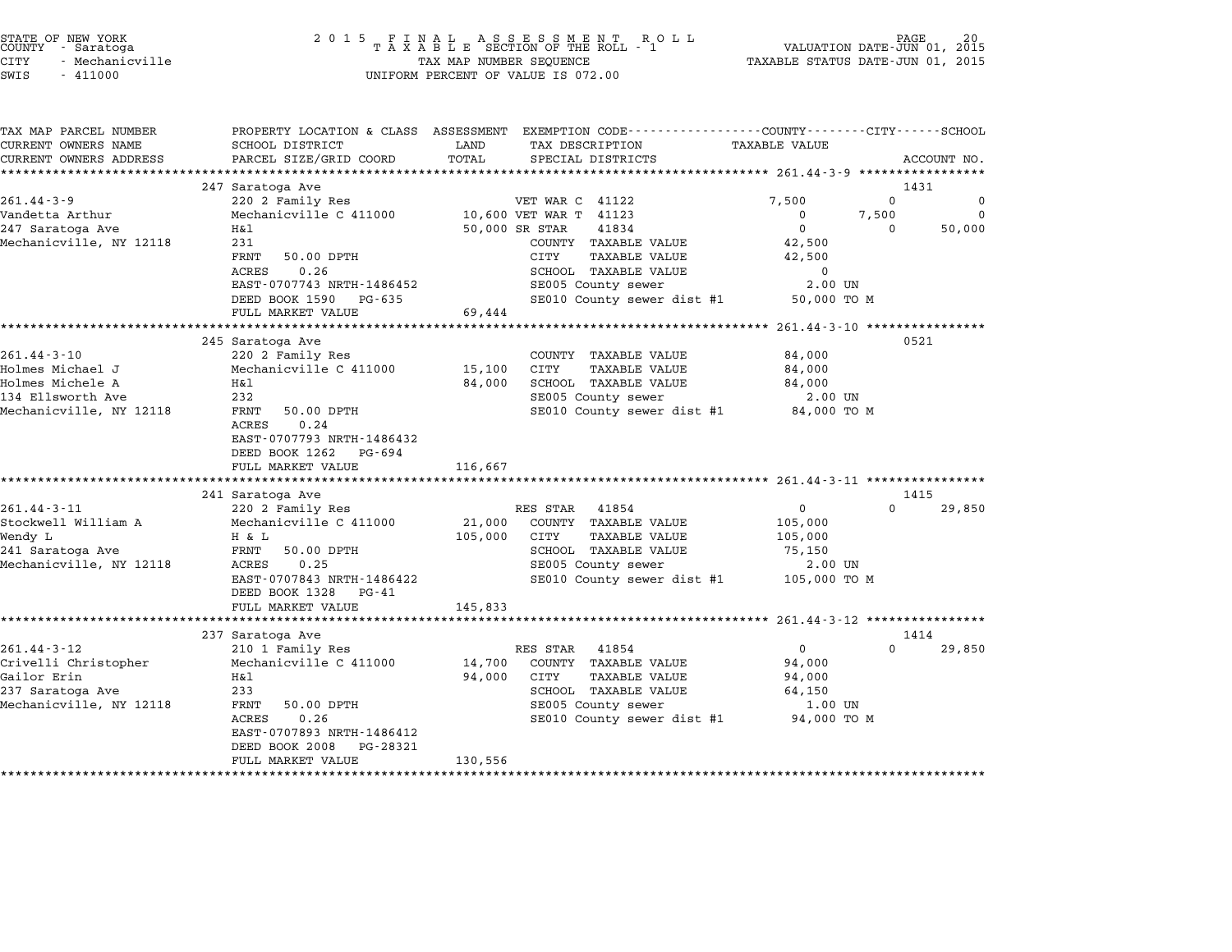|        | STATE OF NEW YORK |  |
|--------|-------------------|--|
| COUNTY | - Saratoga        |  |
| CITY   | - Mechanicville   |  |

| TAX MAP PARCEL NUMBER   |                                            |                | PROPERTY LOCATION & CLASS ASSESSMENT EXEMPTION CODE---------------COUNTY-------CITY------SCHOOL |                        |                    |
|-------------------------|--------------------------------------------|----------------|-------------------------------------------------------------------------------------------------|------------------------|--------------------|
| CURRENT OWNERS NAME     | SCHOOL DISTRICT                            | LAND           | TAX DESCRIPTION                                                                                 | <b>TAXABLE VALUE</b>   |                    |
| CURRENT OWNERS ADDRESS  | PARCEL SIZE/GRID COORD                     | TOTAL          | SPECIAL DISTRICTS                                                                               |                        | ACCOUNT NO.        |
|                         |                                            |                |                                                                                                 |                        |                    |
|                         | 247 Saratoga Ave                           |                |                                                                                                 |                        | 1431<br>$\Omega$   |
| $261.44 - 3 - 9$        | 220 2 Family Res                           |                | VET WAR C 41122                                                                                 | 7,500                  | 0<br>$\Omega$      |
| Vandetta Arthur         | Mechanicville C 411000<br>Η&l              |                | 10,600 VET WAR T 41123                                                                          | $\Omega$<br>0          | 7,500<br>$\Omega$  |
| 247 Saratoga Ave        |                                            | 50,000 SR STAR | 41834                                                                                           |                        | 50,000             |
| Mechanicville, NY 12118 | 231<br>FRNT<br>50.00 DPTH                  |                | COUNTY TAXABLE VALUE<br>CITY<br><b>TAXABLE VALUE</b>                                            | 42,500                 |                    |
|                         | 0.26                                       |                | SCHOOL TAXABLE VALUE                                                                            | 42,500                 |                    |
|                         | ACRES<br>EAST-0707743 NRTH-1486452         |                |                                                                                                 | $\mathbf 0$<br>2.00 UN |                    |
|                         |                                            |                | SE005 County sewer                                                                              |                        |                    |
|                         | DEED BOOK 1590 PG-635<br>FULL MARKET VALUE |                | SE010 County sewer dist #1                                                                      | 50,000 TO M            |                    |
|                         |                                            | 69,444         |                                                                                                 |                        |                    |
|                         | 245 Saratoga Ave                           |                |                                                                                                 |                        | 0521               |
| $261.44 - 3 - 10$       | 220 2 Family Res                           |                |                                                                                                 | 84,000                 |                    |
| Holmes Michael J        | Mechanicville C 411000                     | 15,100         | COUNTY TAXABLE VALUE<br>CITY<br>TAXABLE VALUE                                                   | 84,000                 |                    |
| Holmes Michele A        | H&l                                        |                |                                                                                                 |                        |                    |
| 134 Ellsworth Ave       | 232                                        | 84,000         | SCHOOL TAXABLE VALUE<br>SE005 County sewer                                                      | 84,000<br>2.00 UN      |                    |
|                         | FRNT<br>50.00 DPTH                         |                | SE010 County sewer dist #1                                                                      |                        |                    |
| Mechanicville, NY 12118 | 0.24<br>ACRES                              |                |                                                                                                 | 84,000 TO M            |                    |
|                         | EAST-0707793 NRTH-1486432                  |                |                                                                                                 |                        |                    |
|                         | DEED BOOK 1262 PG-694                      |                |                                                                                                 |                        |                    |
|                         | FULL MARKET VALUE                          | 116,667        |                                                                                                 |                        |                    |
|                         |                                            |                |                                                                                                 |                        |                    |
|                         | 241 Saratoga Ave                           |                |                                                                                                 |                        | 1415               |
| $261.44 - 3 - 11$       | 220 2 Family Res                           |                | RES STAR 41854                                                                                  | $\overline{0}$         | $\Omega$<br>29,850 |
| Stockwell William A     | Mechanicville C 411000                     | 21,000         | COUNTY TAXABLE VALUE                                                                            | 105,000                |                    |
| Wendy L                 | H & L                                      | 105,000        | CITY<br><b>TAXABLE VALUE</b>                                                                    | 105,000                |                    |
| 241 Saratoga Ave        | FRNT<br>50.00 DPTH                         |                | SCHOOL TAXABLE VALUE                                                                            | 75,150                 |                    |
| Mechanicville, NY 12118 | ACRES<br>0.25                              |                | SE005 County sewer                                                                              | 2.00 UN                |                    |
|                         | EAST-0707843 NRTH-1486422                  |                | SE010 County sewer dist #1                                                                      | 105,000 TO M           |                    |
|                         | DEED BOOK 1328<br>$PG - 41$                |                |                                                                                                 |                        |                    |
|                         | FULL MARKET VALUE                          | 145,833        |                                                                                                 |                        |                    |
|                         |                                            |                |                                                                                                 |                        |                    |
|                         | 237 Saratoga Ave                           |                |                                                                                                 |                        | 1414               |
| $261.44 - 3 - 12$       | 210 1 Family Res                           |                | RES STAR<br>41854                                                                               | $\mathbf{0}$           | $\Omega$<br>29,850 |
| Crivelli Christopher    | Mechanicville C 411000                     | 14,700         | COUNTY TAXABLE VALUE                                                                            | 94,000                 |                    |
| Gailor Erin             | Η&l                                        | 94,000         | CITY<br><b>TAXABLE VALUE</b>                                                                    | 94,000                 |                    |
| 237 Saratoga Ave        | 233                                        |                | SCHOOL TAXABLE VALUE                                                                            | 64,150                 |                    |
| Mechanicville, NY 12118 | 50.00 DPTH<br>FRNT                         |                | SE005 County sewer                                                                              | 1.00 UN                |                    |
|                         | 0.26<br>ACRES                              |                | SE010 County sewer dist #1                                                                      | 94,000 TO M            |                    |
|                         | EAST-0707893 NRTH-1486412                  |                |                                                                                                 |                        |                    |
|                         | DEED BOOK 2008<br>PG-28321                 |                |                                                                                                 |                        |                    |
|                         | FULL MARKET VALUE                          | 130,556        |                                                                                                 |                        |                    |
|                         |                                            |                |                                                                                                 |                        |                    |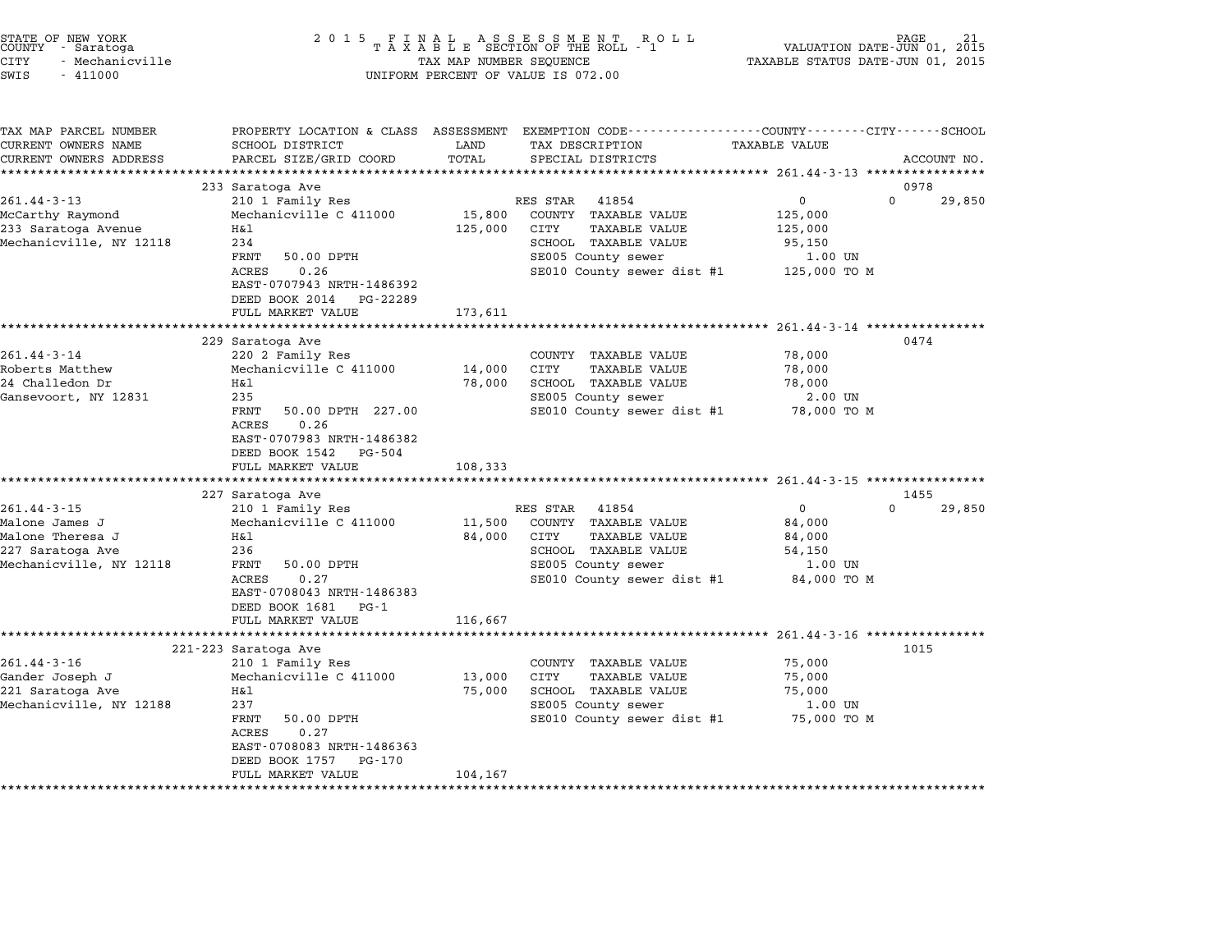| STATE OF NEW YORK<br>COUNTY - Saratoga<br><b>CITY</b><br>- Mechanicville<br>SWIS<br>$-411000$          | 2 0 1 5                                                                                                                                                                                                  | TAX MAP NUMBER SEQUENCE                | FINAL ASSESSMENT ROTAXABLE SECTION OF THE ROLL - 1<br>R O L L<br>UNIFORM PERCENT OF VALUE IS 072.00                                                   | PAGE<br>VALUATION DATE-JUN 01, 2015<br>TAXABLE STATUS DATE-JUN 01, 2015                                                                                   |             |
|--------------------------------------------------------------------------------------------------------|----------------------------------------------------------------------------------------------------------------------------------------------------------------------------------------------------------|----------------------------------------|-------------------------------------------------------------------------------------------------------------------------------------------------------|-----------------------------------------------------------------------------------------------------------------------------------------------------------|-------------|
| TAX MAP PARCEL NUMBER<br>CURRENT OWNERS NAME<br>CURRENT OWNERS ADDRESS                                 | SCHOOL DISTRICT<br>PARCEL SIZE/GRID COORD                                                                                                                                                                | LAND<br>TOTAL                          | PROPERTY LOCATION & CLASS ASSESSMENT EXEMPTION CODE---------------COUNTY-------CITY------SCHOOL<br>TAX DESCRIPTION<br>SPECIAL DISTRICTS               | TAXABLE VALUE                                                                                                                                             | ACCOUNT NO. |
|                                                                                                        | ***********************                                                                                                                                                                                  | ******************                     |                                                                                                                                                       | *********************************** 261.44-3-13 *****************                                                                                         |             |
|                                                                                                        | 233 Saratoga Ave                                                                                                                                                                                         |                                        |                                                                                                                                                       | 0978                                                                                                                                                      |             |
| $261.44 - 3 - 13$<br>McCarthy Raymond<br>233 Saratoga Avenue<br>Mechanicville, NY 12118                | 210 1 Family Res<br>Mechanicville C 411000<br>Η&l<br>234<br>FRNT<br>50.00 DPTH<br>ACRES<br>0.26<br>EAST-0707943 NRTH-1486392<br>DEED BOOK 2014<br>PG-22289                                               | 15,800<br>125,000                      | RES STAR<br>41854<br>COUNTY TAXABLE VALUE<br>CITY<br>TAXABLE VALUE<br>SCHOOL TAXABLE VALUE<br>SE005 County sewer<br>SE010 County sewer dist #1        | 0<br>$\Omega$<br>125,000<br>125,000<br>95,150<br>1.00 UN<br>125,000 TO M                                                                                  | 29,850      |
|                                                                                                        | FULL MARKET VALUE                                                                                                                                                                                        | 173,611                                |                                                                                                                                                       |                                                                                                                                                           |             |
| $261.44 - 3 - 14$<br>Roberts Matthew<br>24 Challedon Dr<br>Gansevoort, NY 12831                        | 229 Saratoga Ave<br>220 2 Family Res<br>Mechanicville C 411000<br>Η&l<br>235<br>FRNT<br>50.00 DPTH 227.00<br>0.26<br>ACRES<br>EAST-0707983 NRTH-1486382<br>DEED BOOK 1542<br>PG-504<br>FULL MARKET VALUE | 14,000<br>78,000<br>108,333<br>******* | COUNTY TAXABLE VALUE<br>CITY<br>TAXABLE VALUE<br>SCHOOL TAXABLE VALUE<br>SE005 County sewer<br>SE010 County sewer dist #1                             | ************** 261.44-3-14 *****************<br>0474<br>78,000<br>78,000<br>78,000<br>2.00 UN<br>78,000 TO M<br>************ 261.44-3-15 **************** |             |
|                                                                                                        | 227 Saratoga Ave                                                                                                                                                                                         |                                        |                                                                                                                                                       | 1455                                                                                                                                                      |             |
| $261.44 - 3 - 15$<br>Malone James J<br>Malone Theresa J<br>227 Saratoga Ave<br>Mechanicville, NY 12118 | 210 1 Family Res<br>Mechanicville C 411000<br>Η&l<br>236<br>FRNT<br>50.00 DPTH<br>0.27<br>ACRES<br>EAST-0708043 NRTH-1486383<br>DEED BOOK 1681<br>PG-1<br>FULL MARKET VALUE                              | 11,500<br>84,000<br>116,667            | RES STAR<br>41854<br>COUNTY TAXABLE VALUE<br>CITY<br><b>TAXABLE VALUE</b><br>SCHOOL TAXABLE VALUE<br>SE005 County sewer<br>SE010 County sewer dist #1 | $\Omega$<br>0<br>84,000<br>84,000<br>54,150<br>1.00 UN<br>84,000 TO M                                                                                     | 29,850      |
|                                                                                                        |                                                                                                                                                                                                          |                                        |                                                                                                                                                       |                                                                                                                                                           |             |
| $261.44 - 3 - 16$<br>Gander Joseph J<br>221 Saratoga Ave<br>Mechanicville, NY 12188                    | 221-223 Saratoga Ave<br>210 1 Family Res<br>Mechanicville C 411000<br>Η&l<br>237<br>FRNT<br>50.00 DPTH<br>ACRES<br>0.27<br>EAST-0708083 NRTH-1486363<br>DEED BOOK 1757<br>PG-170<br>FULL MARKET VALUE    | 13,000<br>75,000<br>104,167            | COUNTY TAXABLE VALUE<br>CITY<br><b>TAXABLE VALUE</b><br>SCHOOL TAXABLE VALUE<br>SE005 County sewer<br>SE010 County sewer dist #1                      | 1015<br>75,000<br>75,000<br>75,000<br>1.00 UN<br>75,000 TO M                                                                                              |             |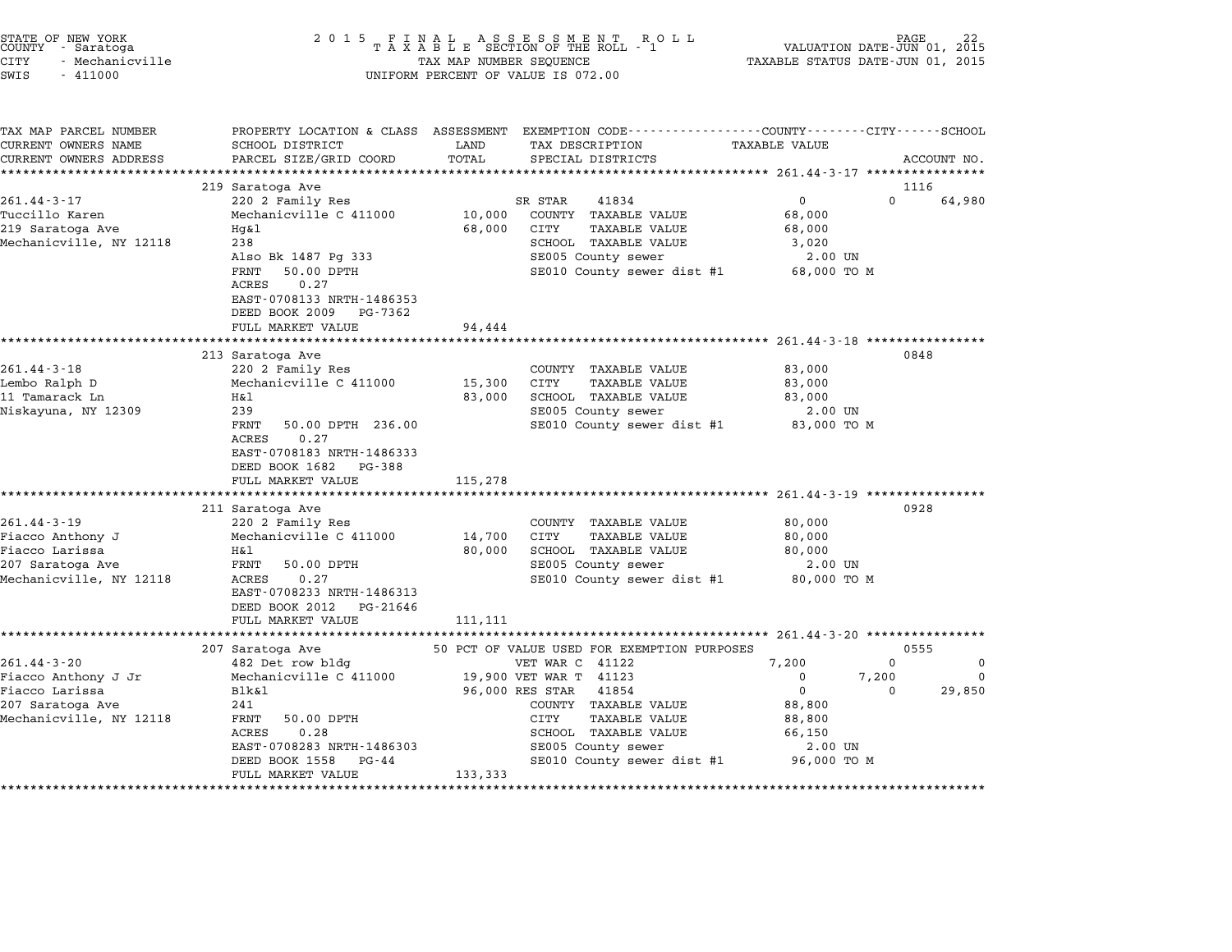| STATE OF NEW YORK<br>COUNTY - Saratoga<br>CITY<br>- Mechanicville<br>SWIS<br>$-411000$           | 2 0 1 5                                                                                                                                                                                                         | TAX MAP NUMBER SEQUENCE     | FINAL ASSESSMENT ROTAXABLE SECTION OF THE ROLL - 1<br>R O L L<br>UNIFORM PERCENT OF VALUE IS 072.00                                                                                    | VALUATION DATE-JUN 01, 2015<br>TAXABLE STATUS DATE-JUN 01, 2015                    | PAGE              |             |
|--------------------------------------------------------------------------------------------------|-----------------------------------------------------------------------------------------------------------------------------------------------------------------------------------------------------------------|-----------------------------|----------------------------------------------------------------------------------------------------------------------------------------------------------------------------------------|------------------------------------------------------------------------------------|-------------------|-------------|
| TAX MAP PARCEL NUMBER<br>CURRENT OWNERS NAME<br>CURRENT OWNERS ADDRESS                           | PROPERTY LOCATION & CLASS ASSESSMENT<br>SCHOOL DISTRICT<br>PARCEL SIZE/GRID COORD                                                                                                                               | LAND<br>TOTAL               | EXEMPTION CODE-----------------COUNTY-------CITY------SCHOOL<br>TAX DESCRIPTION<br>SPECIAL DISTRICTS                                                                                   | <b>TAXABLE VALUE</b>                                                               |                   | ACCOUNT NO. |
|                                                                                                  | 219 Saratoga Ave                                                                                                                                                                                                |                             |                                                                                                                                                                                        |                                                                                    | 1116              |             |
| $261.44 - 3 - 17$                                                                                | 220 2 Family Res                                                                                                                                                                                                |                             | SR STAR<br>41834                                                                                                                                                                       | $\mathbf{0}$                                                                       | $\Omega$          | 64,980      |
| Tuccillo Karen<br>219 Saratoga Ave<br>Mechanicville, NY 12118                                    | Mechanicville C 411000<br>$Hq\&1$<br>238<br>Also Bk 1487 Pg 333<br>FRNT<br>50.00 DPTH<br>ACRES<br>0.27<br>EAST-0708133 NRTH-1486353                                                                             | 10,000<br>68,000            | COUNTY TAXABLE VALUE<br><b>TAXABLE VALUE</b><br>CITY<br>SCHOOL TAXABLE VALUE<br>SE005 County sewer<br>SE010 County sewer dist #1                                                       | 68,000<br>68,000<br>3,020<br>2.00 UN<br>68,000 TO M                                |                   |             |
|                                                                                                  | DEED BOOK 2009<br>PG-7362<br>FULL MARKET VALUE                                                                                                                                                                  | 94,444                      |                                                                                                                                                                                        |                                                                                    |                   |             |
|                                                                                                  |                                                                                                                                                                                                                 |                             |                                                                                                                                                                                        | ********************* 261.44-3-18 ***************                                  |                   |             |
| $261.44 - 3 - 18$<br>Lembo Ralph D<br>11 Tamarack Ln<br>Niskayuna, NY 12309                      | 213 Saratoga Ave<br>220 2 Family Res<br>Mechanicville C 411000<br>Η&l<br>239<br>FRNT<br>50.00 DPTH 236.00<br><b>ACRES</b><br>0.27<br>EAST-0708183 NRTH-1486333<br>DEED BOOK 1682<br>PG-388<br>FULL MARKET VALUE | 15,300<br>83,000<br>115,278 | COUNTY TAXABLE VALUE<br>CITY<br><b>TAXABLE VALUE</b><br>SCHOOL TAXABLE VALUE<br>SE005 County sewer<br>SE010 County sewer dist #1                                                       | 83,000<br>83,000<br>83,000<br>$2.00$ UN<br>83,000 TO M                             | 0848              |             |
|                                                                                                  | 211 Saratoga Ave                                                                                                                                                                                                |                             |                                                                                                                                                                                        |                                                                                    | 0928              |             |
| 261.44-3-19<br>Fiacco Anthony J<br>Fiacco Larissa<br>207 Saratoga Ave<br>Mechanicville, NY 12118 | 220 2 Family Res<br>Mechanicville C 411000<br>Η&l<br>FRNT<br>50.00 DPTH<br>0.27<br>ACRES<br>EAST-0708233 NRTH-1486313<br>DEED BOOK 2012<br>PG-21646                                                             | 14,700<br>80,000            | COUNTY TAXABLE VALUE<br>CITY<br><b>TAXABLE VALUE</b><br>SCHOOL TAXABLE VALUE<br>SE005 County sewer<br>SE010 County sewer dist #1                                                       | 80,000<br>80,000<br>80,000<br>2.00 UN<br>80,000 TO M                               |                   |             |
|                                                                                                  | FULL MARKET VALUE<br>**************************                                                                                                                                                                 | 111,111                     |                                                                                                                                                                                        |                                                                                    |                   |             |
|                                                                                                  | 207 Saratoga Ave                                                                                                                                                                                                |                             | 50 PCT OF VALUE USED FOR EXEMPTION PURPOSES                                                                                                                                            |                                                                                    | 0555              |             |
| $261.44 - 3 - 20$                                                                                | 482 Det row bldg                                                                                                                                                                                                |                             | VET WAR C 41122                                                                                                                                                                        | 7,200                                                                              | $\Omega$          | $\Omega$    |
| Fiacco Anthony J Jr<br>Fiacco Larissa<br>207 Saratoga Ave<br>Mechanicville, NY 12118             | Mechanicville C 411000<br>Blk&l<br>241<br>FRNT<br>50.00 DPTH<br>ACRES<br>0.28<br>EAST-0708283 NRTH-1486303<br>DEED BOOK 1558<br>PG-44                                                                           |                             | 19,900 VET WAR T 41123<br>96,000 RES STAR<br>41854<br>COUNTY TAXABLE VALUE<br>CITY<br><b>TAXABLE VALUE</b><br>SCHOOL TAXABLE VALUE<br>SE005 County sewer<br>SE010 County sewer dist #1 | $\mathbf 0$<br>$\mathbf 0$<br>88,800<br>88,800<br>66,150<br>2.00 UN<br>96,000 TO M | 7,200<br>$\Omega$ | 0<br>29,850 |
|                                                                                                  | FULL MARKET VALUE                                                                                                                                                                                               | 133,333                     |                                                                                                                                                                                        |                                                                                    |                   |             |
|                                                                                                  |                                                                                                                                                                                                                 |                             |                                                                                                                                                                                        |                                                                                    |                   |             |

STATE OF NEW YORK <sup>2</sup> <sup>0</sup> <sup>1</sup> 5 F I N A L A S S E S S M E N T R O L L PAGE <sup>22</sup> COUNTY - Saratoga <sup>T</sup> <sup>A</sup> <sup>X</sup> <sup>A</sup> <sup>B</sup> <sup>L</sup> <sup>E</sup> SECTION OF THE ROLL - <sup>1</sup> VALUATION DATE-JUN 01, <sup>2015</sup>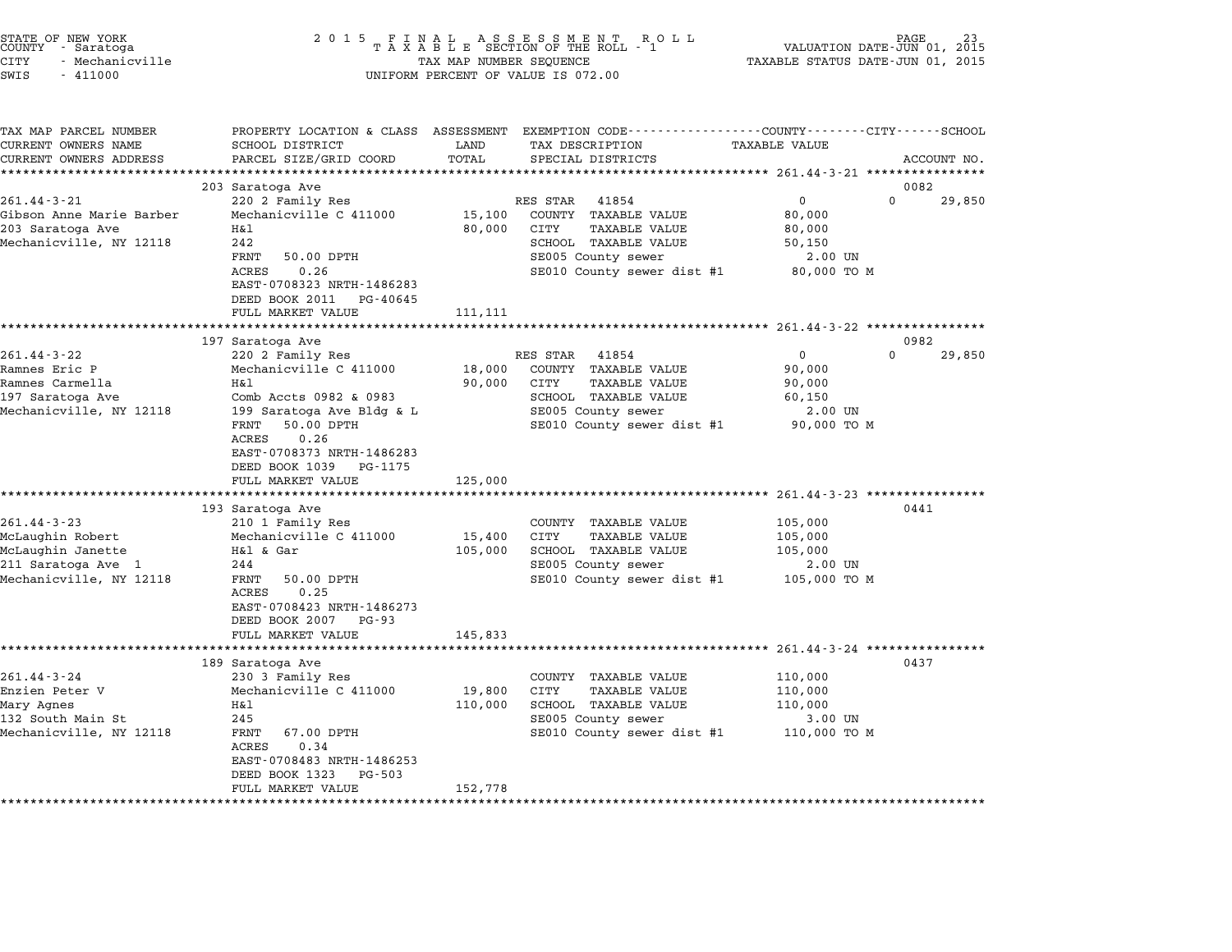| STATE OF NEW YORK<br>COUNTY - Saratoga<br>CITY<br>- Mechanicville<br>SWIS<br>$-411000$ | 2 0 1 5<br>FINAL ASSESSMENT ROLL<br>TAXABLE SECTION OF THE ROLL - 1<br>PAGE<br>VALUATION DATE-JUN 01, 2015<br>TAXABLE STATUS DATE-JUN 01, 2015<br>TAX MAP NUMBER SEQUENCE<br>UNIFORM PERCENT OF VALUE IS 072.00 |                   |                                                                                 |                        |                    |  |  |
|----------------------------------------------------------------------------------------|-----------------------------------------------------------------------------------------------------------------------------------------------------------------------------------------------------------------|-------------------|---------------------------------------------------------------------------------|------------------------|--------------------|--|--|
| TAX MAP PARCEL NUMBER<br>CURRENT OWNERS NAME                                           | PROPERTY LOCATION & CLASS ASSESSMENT<br>SCHOOL DISTRICT                                                                                                                                                         | LAND              | EXEMPTION CODE-----------------COUNTY-------CITY------SCHOOL<br>TAX DESCRIPTION | <b>TAXABLE VALUE</b>   |                    |  |  |
| CURRENT OWNERS ADDRESS                                                                 | PARCEL SIZE/GRID COORD                                                                                                                                                                                          | TOTAL             | SPECIAL DISTRICTS                                                               |                        | ACCOUNT NO.        |  |  |
|                                                                                        |                                                                                                                                                                                                                 | *********         | **************************** 261.44-3-21 ****************                       |                        |                    |  |  |
|                                                                                        | 203 Saratoga Ave                                                                                                                                                                                                |                   |                                                                                 |                        | 0082               |  |  |
| $261.44 - 3 - 21$                                                                      | 220 2 Family Res                                                                                                                                                                                                |                   | RES STAR<br>41854                                                               | 0                      | $\Omega$<br>29,850 |  |  |
| Gibson Anne Marie Barber                                                               | Mechanicville C 411000                                                                                                                                                                                          | 15,100            | COUNTY TAXABLE VALUE                                                            | 80,000                 |                    |  |  |
| 203 Saratoga Ave                                                                       | Η&l                                                                                                                                                                                                             | 80,000            | CITY<br><b>TAXABLE VALUE</b>                                                    | 80,000                 |                    |  |  |
| Mechanicville, NY 12118                                                                | 242                                                                                                                                                                                                             |                   | SCHOOL TAXABLE VALUE                                                            | 50,150                 |                    |  |  |
|                                                                                        | <b>FRNT</b><br>50.00 DPTH                                                                                                                                                                                       |                   | SE005 County sewer                                                              | 2.00 UN                |                    |  |  |
|                                                                                        | 0.26<br><b>ACRES</b><br>EAST-0708323 NRTH-1486283<br>DEED BOOK 2011 PG-40645                                                                                                                                    |                   | SE010 County sewer dist #1                                                      | 80,000 TO M            |                    |  |  |
|                                                                                        | FULL MARKET VALUE                                                                                                                                                                                               | 111,111           |                                                                                 |                        |                    |  |  |
|                                                                                        |                                                                                                                                                                                                                 |                   |                                                                                 |                        | 0982               |  |  |
| 261.44-3-22                                                                            | 197 Saratoga Ave<br>220 2 Family Res                                                                                                                                                                            |                   | RES STAR<br>41854                                                               | 0                      | $\Omega$<br>29,850 |  |  |
| Ramnes Eric P                                                                          | Mechanicville C 411000                                                                                                                                                                                          | 18,000            | COUNTY TAXABLE VALUE                                                            | 90,000                 |                    |  |  |
| Ramnes Carmella                                                                        | Η&l                                                                                                                                                                                                             | 90,000            | TAXABLE VALUE<br>CITY                                                           | 90,000                 |                    |  |  |
| 197 Saratoga Ave                                                                       | Comb Accts 0982 & 0983                                                                                                                                                                                          |                   | SCHOOL TAXABLE VALUE                                                            | 60,150                 |                    |  |  |
| Mechanicville, NY 12118                                                                | 199 Saratoga Ave Bldg & L<br>50.00 DPTH<br>FRNT<br>0.26<br>ACRES<br>EAST-0708373 NRTH-1486283                                                                                                                   |                   | SE005 County sewer<br>SE010 County sewer dist #1                                | 2.00 UN<br>90,000 TO M |                    |  |  |
|                                                                                        | DEED BOOK 1039 PG-1175                                                                                                                                                                                          |                   |                                                                                 |                        |                    |  |  |
|                                                                                        | FULL MARKET VALUE                                                                                                                                                                                               | 125,000           |                                                                                 |                        |                    |  |  |
|                                                                                        | 193 Saratoga Ave                                                                                                                                                                                                |                   |                                                                                 |                        | 0441               |  |  |
| $261.44 - 3 - 23$                                                                      | 210 1 Family Res                                                                                                                                                                                                |                   | COUNTY TAXABLE VALUE                                                            | 105,000                |                    |  |  |
| McLaughin Robert                                                                       | Mechanicville C 411000                                                                                                                                                                                          | 15,400            | CITY<br>TAXABLE VALUE                                                           | 105,000                |                    |  |  |
| McLaughin Janette                                                                      | H&l & Gar                                                                                                                                                                                                       | 105,000           | SCHOOL TAXABLE VALUE                                                            | 105,000                |                    |  |  |
| 211 Saratoga Ave 1                                                                     | 244                                                                                                                                                                                                             |                   | SE005 County sewer                                                              | 2.00 UN                |                    |  |  |
| Mechanicville, NY 12118                                                                | FRNT<br>50.00 DPTH<br>ACRES<br>0.25<br>EAST-0708423 NRTH-1486273                                                                                                                                                |                   | SE010 County sewer dist #1                                                      | 105,000 TO M           |                    |  |  |
|                                                                                        | DEED BOOK 2007 PG-93                                                                                                                                                                                            |                   |                                                                                 |                        |                    |  |  |
|                                                                                        | FULL MARKET VALUE                                                                                                                                                                                               | 145,833           |                                                                                 |                        |                    |  |  |
|                                                                                        |                                                                                                                                                                                                                 |                   |                                                                                 |                        |                    |  |  |
|                                                                                        | 189 Saratoga Ave                                                                                                                                                                                                |                   |                                                                                 |                        | 0437               |  |  |
| $261.44 - 3 - 24$                                                                      | 230 3 Family Res                                                                                                                                                                                                |                   | COUNTY TAXABLE VALUE                                                            | 110,000                |                    |  |  |
| Enzien Peter V<br>Mary Agnes                                                           | Mechanicville C 411000<br>H&l                                                                                                                                                                                   | 19,800<br>110,000 | CITY<br>TAXABLE VALUE<br>SCHOOL TAXABLE VALUE                                   | 110,000<br>110,000     |                    |  |  |
| 132 South Main St                                                                      | 245                                                                                                                                                                                                             |                   | SE005 County sewer                                                              | 3.00 UN                |                    |  |  |
| Mechanicville, NY 12118                                                                | FRNT<br>67.00 DPTH<br>0.34<br>ACRES<br>EAST-0708483 NRTH-1486253<br>DEED BOOK 1323<br>PG-503                                                                                                                    |                   | SE010 County sewer dist #1                                                      | 110,000 TO M           |                    |  |  |
|                                                                                        | FULL MARKET VALUE                                                                                                                                                                                               | 152,778           |                                                                                 |                        |                    |  |  |
|                                                                                        |                                                                                                                                                                                                                 | *************     |                                                                                 |                        |                    |  |  |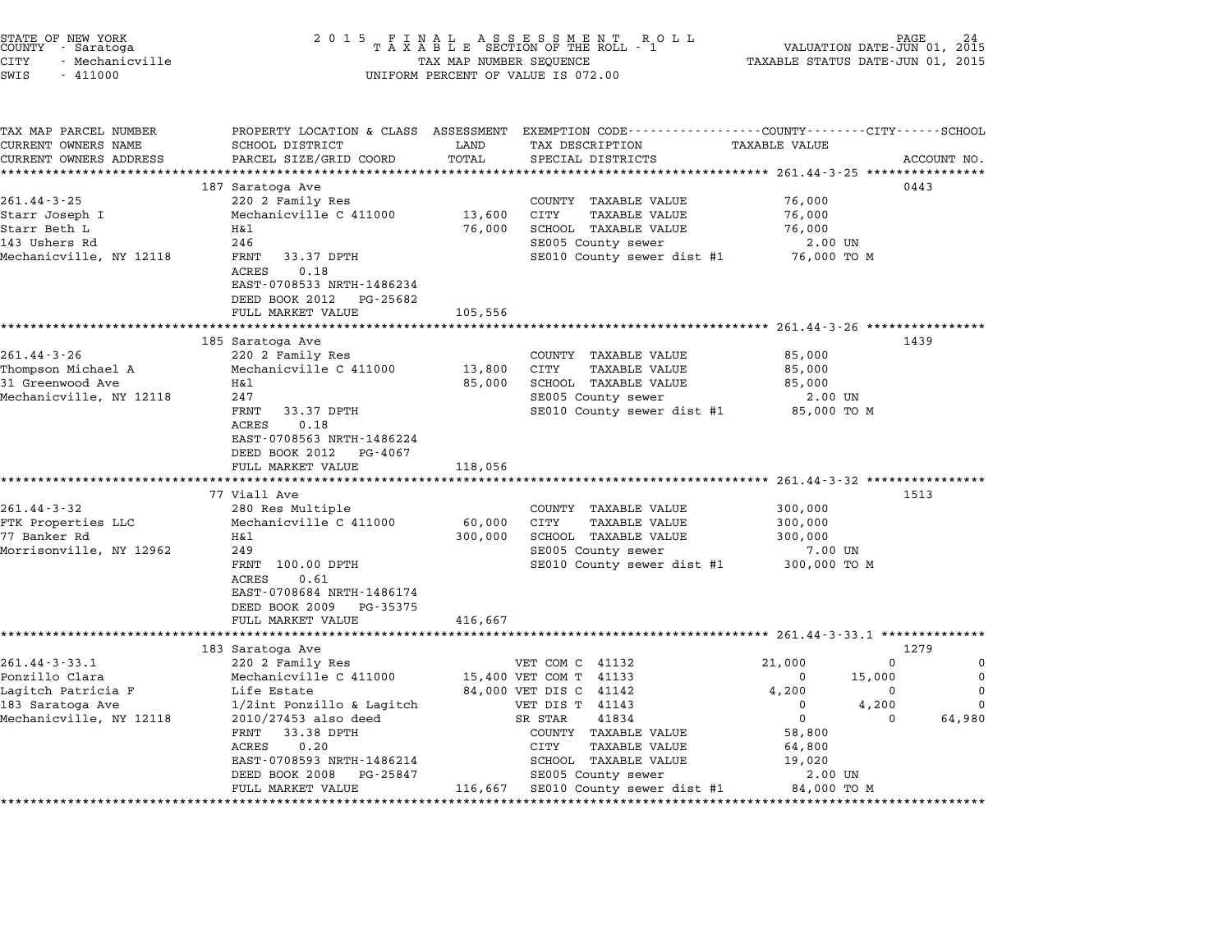| STATE OF NEW YORK<br>COUNTY – Saratoga<br>CITY<br>- Mechanicville<br>SWIS<br>$-411000$ | 2 0 1 5                                                 |                   | FINAL ASSESSMENT ROLL<br>TAXABLE SECTION OF THE ROLL - 1<br>TAX MAP NUMBER SEQUENCE<br>UNIFORM PERCENT OF VALUE IS 072.00 | VALUATION DATE-JUN 01, 2015<br>TAXABLE STATUS DATE-JUN 01, 2015 | PAGE               |
|----------------------------------------------------------------------------------------|---------------------------------------------------------|-------------------|---------------------------------------------------------------------------------------------------------------------------|-----------------------------------------------------------------|--------------------|
| TAX MAP PARCEL NUMBER<br>CURRENT OWNERS NAME                                           | SCHOOL DISTRICT                                         | LAND              | PROPERTY LOCATION & CLASS ASSESSMENT EXEMPTION CODE--------------COUNTY-------CITY------SCHOOL<br>TAX DESCRIPTION         | TAXABLE VALUE                                                   |                    |
| CURRENT OWNERS ADDRESS<br>***********************                                      | PARCEL SIZE/GRID COORD<br>***************************** | TOTAL             | SPECIAL DISTRICTS                                                                                                         |                                                                 | ACCOUNT NO.        |
|                                                                                        | 187 Saratoga Ave                                        |                   |                                                                                                                           |                                                                 | 0443               |
| $261.44 - 3 - 25$                                                                      | 220 2 Family Res                                        |                   | COUNTY TAXABLE VALUE                                                                                                      | 76,000                                                          |                    |
| Starr Joseph I                                                                         | Mechanicville C 411000                                  | 13,600            | CITY<br><b>TAXABLE VALUE</b>                                                                                              | 76,000                                                          |                    |
| Starr Beth L                                                                           | Η&l                                                     | 76,000            | SCHOOL TAXABLE VALUE                                                                                                      | 76,000                                                          |                    |
| 143 Ushers Rd                                                                          | 246                                                     |                   | SE005 County sewer                                                                                                        | 2.00 UN                                                         |                    |
| Mechanicville, NY 12118                                                                | FRNT<br>33.37 DPTH                                      |                   | SE010 County sewer dist #1                                                                                                | 76,000 TO M                                                     |                    |
|                                                                                        | 0.18<br>ACRES                                           |                   |                                                                                                                           |                                                                 |                    |
|                                                                                        | EAST-0708533 NRTH-1486234                               |                   |                                                                                                                           |                                                                 |                    |
|                                                                                        | DEED BOOK 2012<br>PG-25682                              |                   |                                                                                                                           |                                                                 |                    |
|                                                                                        | FULL MARKET VALUE                                       | 105,556           |                                                                                                                           |                                                                 |                    |
|                                                                                        | 185 Saratoga Ave                                        |                   |                                                                                                                           |                                                                 | 1439               |
| $261.44 - 3 - 26$                                                                      | 220 2 Family Res                                        |                   | COUNTY TAXABLE VALUE                                                                                                      | 85,000                                                          |                    |
| Thompson Michael A                                                                     | Mechanicville C 411000                                  | 13,800            | CITY<br><b>TAXABLE VALUE</b>                                                                                              | 85,000                                                          |                    |
| 31 Greenwood Ave                                                                       | Η&l                                                     | 85,000            | SCHOOL TAXABLE VALUE                                                                                                      | 85,000                                                          |                    |
| Mechanicville, NY 12118                                                                | 247                                                     |                   | SE005 County sewer                                                                                                        | 2.00 UN                                                         |                    |
|                                                                                        | FRNT<br>33.37 DPTH                                      |                   | SE010 County sewer dist #1                                                                                                | 85,000 TO M                                                     |                    |
|                                                                                        | 0.18<br>ACRES                                           |                   |                                                                                                                           |                                                                 |                    |
|                                                                                        | EAST-0708563 NRTH-1486224                               |                   |                                                                                                                           |                                                                 |                    |
|                                                                                        | DEED BOOK 2012<br>PG-4067                               |                   |                                                                                                                           |                                                                 |                    |
|                                                                                        | FULL MARKET VALUE                                       | 118,056           |                                                                                                                           |                                                                 |                    |
|                                                                                        |                                                         |                   |                                                                                                                           |                                                                 |                    |
|                                                                                        | 77 Viall Ave                                            |                   |                                                                                                                           |                                                                 | 1513               |
| 261.44-3-32                                                                            | 280 Res Multiple                                        |                   | COUNTY TAXABLE VALUE                                                                                                      | 300,000                                                         |                    |
| FTK Properties LLC<br>77 Banker Rd                                                     | Mechanicville C 411000<br>Η&l                           | 60,000<br>300,000 | CITY<br><b>TAXABLE VALUE</b><br>SCHOOL TAXABLE VALUE                                                                      | 300,000<br>300,000                                              |                    |
| Morrisonville, NY 12962                                                                | 249                                                     |                   | SE005 County sewer                                                                                                        | 7.00 UN                                                         |                    |
|                                                                                        | FRNT 100.00 DPTH                                        |                   | SE010 County sewer dist #1                                                                                                | 300,000 TO M                                                    |                    |
|                                                                                        | ACRES<br>0.61                                           |                   |                                                                                                                           |                                                                 |                    |
|                                                                                        | EAST-0708684 NRTH-1486174                               |                   |                                                                                                                           |                                                                 |                    |
|                                                                                        | DEED BOOK 2009<br>PG-35375                              |                   |                                                                                                                           |                                                                 |                    |
|                                                                                        | FULL MARKET VALUE                                       | 416,667           |                                                                                                                           |                                                                 |                    |
|                                                                                        | ************************                                |                   | **********************                                                                                                    | ********************* 261.44-3-33.1 **************              |                    |
|                                                                                        | 183 Saratoga Ave                                        |                   |                                                                                                                           |                                                                 | 1279               |
| $261.44 - 3 - 33.1$                                                                    | 220 2 Family Res                                        |                   | VET COM C 41132                                                                                                           | 21,000<br>0                                                     | 0                  |
| Ponzillo Clara                                                                         | Mechanicville C 411000                                  |                   | 15,400 VET COM T 41133                                                                                                    | 15,000<br>0                                                     | 0                  |
| Lagitch Patricia F                                                                     | Life Estate                                             |                   | 84,000 VET DIS C 41142                                                                                                    | 4,200<br>0                                                      | 0                  |
| 183 Saratoga Ave                                                                       | 1/2int Ponzillo & Lagitch                               |                   | VET DIS T 41143                                                                                                           | $\Omega$<br>4,200                                               | $\Omega$           |
| Mechanicville, NY 12118                                                                | 2010/27453 also deed<br>FRNT<br>33.38 DPTH              |                   | SR STAR<br>41834<br>COUNTY TAXABLE VALUE                                                                                  | $\mathbf 0$<br>58,800                                           | 64,980<br>$\Omega$ |
|                                                                                        | ACRES<br>0.20                                           |                   | CITY<br>TAXABLE VALUE                                                                                                     | 64,800                                                          |                    |
|                                                                                        | EAST-0708593 NRTH-1486214                               |                   | SCHOOL TAXABLE VALUE                                                                                                      | 19,020                                                          |                    |
|                                                                                        | DEED BOOK 2008<br>PG-25847                              |                   | SE005 County sewer                                                                                                        | 2.00 UN                                                         |                    |
|                                                                                        | FULL MARKET VALUE                                       | 116,667           | SE010 County sewer dist #1                                                                                                | 84,000 TO M                                                     |                    |
|                                                                                        |                                                         |                   |                                                                                                                           |                                                                 |                    |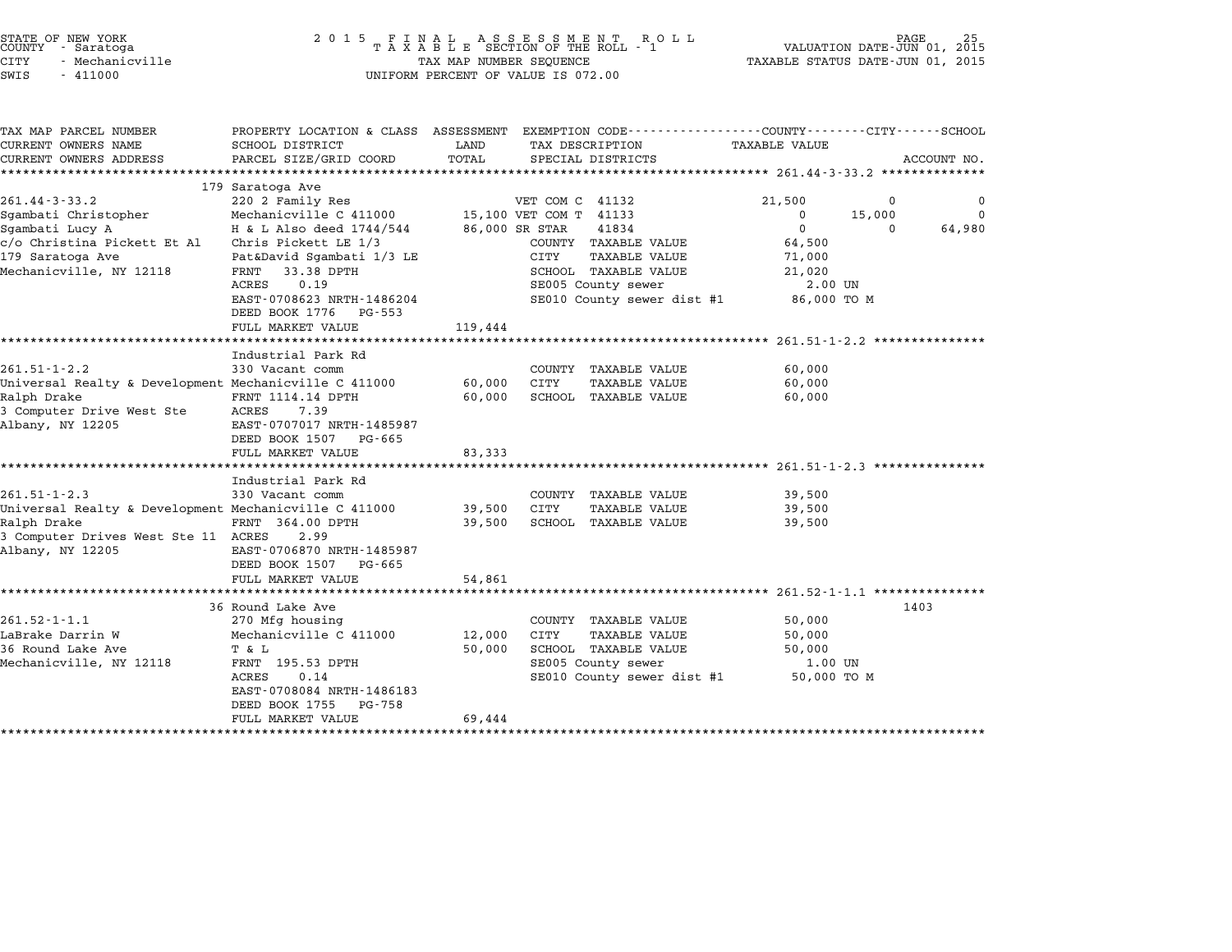| TAX MAP PARCEL NUMBER                                 | PROPERTY LOCATION & CLASS ASSESSMENT EXEMPTION CODE---------------COUNTY-------CITY-----SCHOOL |                |                              |                                      |                    |
|-------------------------------------------------------|------------------------------------------------------------------------------------------------|----------------|------------------------------|--------------------------------------|--------------------|
| CURRENT OWNERS NAME                                   | SCHOOL DISTRICT                                                                                | LAND           | TAX DESCRIPTION              | TAXABLE VALUE                        |                    |
| CURRENT OWNERS ADDRESS                                | PARCEL SIZE/GRID COORD                                                                         | TOTAL          | SPECIAL DISTRICTS            |                                      | ACCOUNT NO.        |
|                                                       |                                                                                                |                |                              |                                      |                    |
|                                                       | 179 Saratoga Ave                                                                               |                |                              |                                      |                    |
| $261.44 - 3 - 33.2$                                   | 220 2 Family Res                                                                               |                | VET COM C 41132              | 21,500                               | 0<br>$\Omega$      |
| Sgambati Christopher                                  | Mechanicville C 411000 $15,100$ VET COM T 41133                                                |                |                              | $\Omega$<br>15,000<br>$\overline{0}$ | $\Omega$           |
| Sgambati Lucy A                                       | H & L Also deed 1744/544                                                                       | 86,000 SR STAR | 41834                        |                                      | $\Omega$<br>64,980 |
| $c$ /o Christina Pickett Et Al Chris Pickett LE 1/3   |                                                                                                |                | COUNTY TAXABLE VALUE         | 64,500                               |                    |
| 179 Saratoga Ave                                      | Pat&David Sgambati 1/3 LE                                                                      |                | CITY<br>TAXABLE VALUE        | 71,000                               |                    |
| Mechanicville, NY 12118                               | FRNT<br>33.38 DPTH                                                                             |                | SCHOOL TAXABLE VALUE         | 21,020                               |                    |
|                                                       | 0.19<br>ACRES                                                                                  |                | SE005 County sewer           | 2.00 UN                              |                    |
|                                                       | EAST-0708623 NRTH-1486204<br>DEED BOOK 1776 PG-553                                             |                | SE010 County sewer dist #1   | 86,000 TO M                          |                    |
|                                                       | FULL MARKET VALUE                                                                              | 119,444        |                              |                                      |                    |
|                                                       |                                                                                                |                |                              |                                      |                    |
|                                                       | Industrial Park Rd                                                                             |                |                              |                                      |                    |
| $261.51 - 1 - 2.2$                                    | 330 Vacant comm                                                                                |                | COUNTY TAXABLE VALUE         | 60,000                               |                    |
| Universal Realty & Development Mechanicville C 411000 |                                                                                                | 60,000         | CITY<br><b>TAXABLE VALUE</b> | 60,000                               |                    |
| Ralph Drake                                           | FRNT 1114.14 DPTH                                                                              | 60,000         | SCHOOL TAXABLE VALUE         | 60,000                               |                    |
| 3 Computer Drive West Ste                             | 7.39<br>ACRES                                                                                  |                |                              |                                      |                    |
| Albany, NY 12205                                      | EAST-0707017 NRTH-1485987                                                                      |                |                              |                                      |                    |
|                                                       | DEED BOOK 1507 PG-665                                                                          |                |                              |                                      |                    |
|                                                       | FULL MARKET VALUE                                                                              | 83,333         |                              |                                      |                    |
|                                                       |                                                                                                |                |                              |                                      |                    |
|                                                       | Industrial Park Rd                                                                             |                |                              |                                      |                    |
| $261.51 - 1 - 2.3$                                    | 330 Vacant comm                                                                                |                | COUNTY TAXABLE VALUE         | 39,500                               |                    |
| Universal Realty & Development Mechanicville C 411000 |                                                                                                | 39,500 CITY    | TAXABLE VALUE                | 39,500                               |                    |
| Ralph Drake                                           | FRNT 364.00 DPTH                                                                               | 39,500         | SCHOOL TAXABLE VALUE         | 39,500                               |                    |
| 3 Computer Drives West Ste 11 ACRES                   | 2.99                                                                                           |                |                              |                                      |                    |
| Albany, NY 12205                                      | EAST-0706870 NRTH-1485987                                                                      |                |                              |                                      |                    |
|                                                       | DEED BOOK 1507 PG-665                                                                          |                |                              |                                      |                    |
|                                                       | FULL MARKET VALUE                                                                              | 54,861         |                              |                                      |                    |
|                                                       |                                                                                                |                |                              |                                      |                    |
|                                                       | 36 Round Lake Ave                                                                              |                |                              |                                      | 1403               |
| $261.52 - 1 - 1.1$                                    | 270 Mfg housing                                                                                |                | COUNTY TAXABLE VALUE         | 50,000                               |                    |
| LaBrake Darrin W                                      | Mechanicville C 411000                                                                         | 12,000         | CITY<br>TAXABLE VALUE        | 50,000                               |                    |
| 36 Round Lake Ave                                     | T & L                                                                                          | 50,000         | SCHOOL TAXABLE VALUE         | 50,000                               |                    |
| Mechanicville, NY 12118                               | FRNT 195.53 DPTH                                                                               |                | SE005 County sewer           | 1.00 UN                              |                    |
|                                                       | ACRES<br>0.14                                                                                  |                | SE010 County sewer dist #1   | 50,000 TO M                          |                    |
|                                                       | EAST-0708084 NRTH-1486183                                                                      |                |                              |                                      |                    |
|                                                       |                                                                                                |                |                              |                                      |                    |
|                                                       |                                                                                                |                |                              |                                      |                    |
|                                                       | DEED BOOK 1755<br>PG-758<br>FULL MARKET VALUE                                                  | 69,444         |                              |                                      |                    |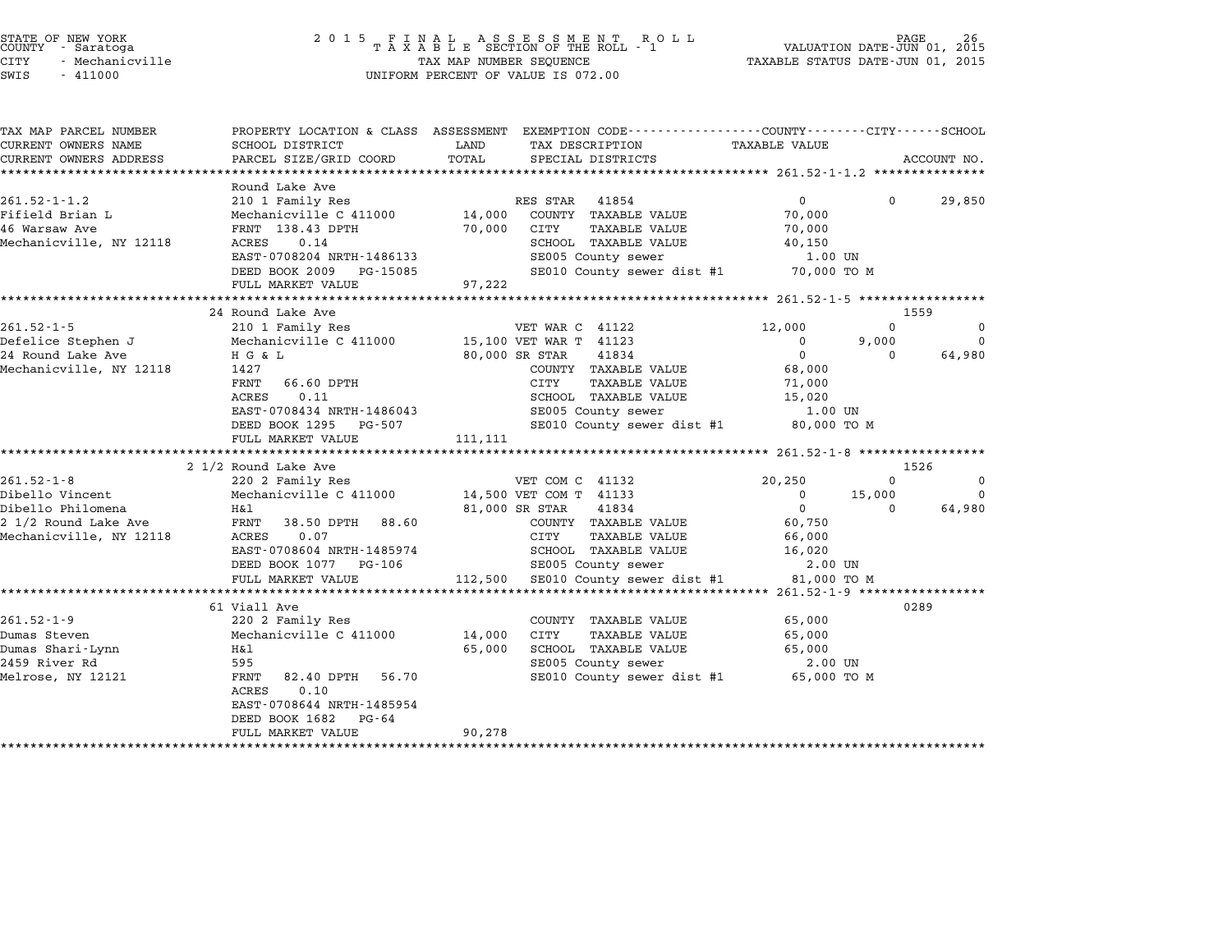| STATE OF NEW YORK<br>COUNTY - Saratoga<br><b>CITY</b><br>- Mechanicville<br>SWIS<br>$-411000$ | 2 0 1 5                             | TAX MAP NUMBER SEQUENCE | FINAL ASSESSMENT ROLL<br>TAXABLE SECTION OF THE ROLL - 1<br>UNIFORM PERCENT OF VALUE IS 072.00                      | TAXABLE STATUS DATE-JUN 01, 2015                  | PAGE<br>VALUATION DATE-JUN 01, 2015 | 26                    |
|-----------------------------------------------------------------------------------------------|-------------------------------------|-------------------------|---------------------------------------------------------------------------------------------------------------------|---------------------------------------------------|-------------------------------------|-----------------------|
| TAX MAP PARCEL NUMBER<br>CURRENT OWNERS NAME                                                  | SCHOOL DISTRICT                     | LAND                    | PROPERTY LOCATION & CLASS ASSESSMENT EXEMPTION CODE----------------COUNTY-------CITY------SCHOOL<br>TAX DESCRIPTION | <b>TAXABLE VALUE</b>                              |                                     |                       |
| CURRENT OWNERS ADDRESS                                                                        | PARCEL SIZE/GRID COORD              | TOTAL                   | SPECIAL DISTRICTS                                                                                                   |                                                   |                                     | ACCOUNT NO.           |
|                                                                                               |                                     |                         |                                                                                                                     |                                                   |                                     |                       |
|                                                                                               | Round Lake Ave                      |                         |                                                                                                                     |                                                   |                                     |                       |
| $261.52 - 1 - 1.2$                                                                            | 210 1 Family Res                    |                         | RES STAR 41854                                                                                                      | $\Omega$                                          | $\Omega$                            | 29,850                |
| Fifield Brian L                                                                               | Mechanicville C 411000              | 14,000                  | COUNTY TAXABLE VALUE                                                                                                | 70,000                                            |                                     |                       |
| 46 Warsaw Ave                                                                                 | FRNT 138.43 DPTH<br>0.14            | 70,000                  | CITY<br><b>TAXABLE VALUE</b>                                                                                        | 70,000                                            |                                     |                       |
| Mechanicville, NY 12118                                                                       | ACRES<br>EAST-0708204 NRTH-1486133  |                         | SCHOOL TAXABLE VALUE<br>SE005 County sewer                                                                          | 40,150<br>1.00 UN                                 |                                     |                       |
|                                                                                               | DEED BOOK 2009 PG-15085             |                         | SE010 County sewer dist #1                                                                                          | 70,000 TO M                                       |                                     |                       |
|                                                                                               | FULL MARKET VALUE                   | 97,222                  |                                                                                                                     |                                                   |                                     |                       |
|                                                                                               | **********************              | ***********             |                                                                                                                     | ************** 261.52-1-5 ******************      |                                     |                       |
|                                                                                               | 24 Round Lake Ave                   |                         |                                                                                                                     |                                                   |                                     | 1559                  |
| $261.52 - 1 - 5$                                                                              | 210 1 Family Res                    |                         | VET WAR C 41122                                                                                                     | 12,000                                            | $\Omega$                            | 0                     |
| Defelice Stephen J                                                                            | Mechanicville C 411000              |                         | 15,100 VET WAR T 41123                                                                                              | 0                                                 | 9,000                               | $\Omega$              |
| 24 Round Lake Ave                                                                             | H G & L                             |                         | 80,000 SR STAR<br>41834                                                                                             | $\mathbf 0$                                       | $\Omega$                            | 64,980                |
| Mechanicville, NY 12118                                                                       | 1427                                |                         | COUNTY TAXABLE VALUE                                                                                                | 68,000                                            |                                     |                       |
|                                                                                               | FRNT<br>66.60 DPTH<br>ACRES<br>0.11 |                         | CITY<br><b>TAXABLE VALUE</b><br>SCHOOL TAXABLE VALUE                                                                | 71,000<br>15,020                                  |                                     |                       |
|                                                                                               | EAST-0708434 NRTH-1486043           |                         | SE005 County sewer                                                                                                  | 1.00 UN                                           |                                     |                       |
|                                                                                               | DEED BOOK 1295 PG-507               |                         | SE010 County sewer dist #1                                                                                          | 80,000 TO M                                       |                                     |                       |
|                                                                                               | FULL MARKET VALUE                   | 111,111                 |                                                                                                                     |                                                   |                                     |                       |
|                                                                                               |                                     |                         |                                                                                                                     | ******************* 261.52-1-8 ****************** |                                     |                       |
|                                                                                               | 2 1/2 Round Lake Ave                |                         |                                                                                                                     |                                                   |                                     | 1526                  |
| $261.52 - 1 - 8$                                                                              | 220 2 Family Res                    |                         | VET COM C 41132                                                                                                     | 20,250                                            | $\Omega$                            | $\Omega$              |
| Dibello Vincent<br>Dibello Philomena                                                          | Mechanicville C 411000<br>Η&l       |                         | 14,500 VET COM T 41133<br>81,000 SR STAR<br>41834                                                                   | $\mathbf 0$<br>$\mathbf 0$                        | 15,000<br>$\Omega$                  | $\mathbf 0$<br>64,980 |
| 2 1/2 Round Lake Ave                                                                          | FRNT<br>38.50 DPTH<br>88.60         |                         | COUNTY TAXABLE VALUE                                                                                                | 60,750                                            |                                     |                       |
| Mechanicville, NY 12118                                                                       | ACRES<br>0.07                       |                         | CITY<br><b>TAXABLE VALUE</b>                                                                                        | 66,000                                            |                                     |                       |
|                                                                                               | EAST-0708604 NRTH-1485974           |                         | SCHOOL TAXABLE VALUE                                                                                                | 16,020                                            |                                     |                       |
|                                                                                               | DEED BOOK 1077 PG-106               |                         | SE005 County sewer                                                                                                  | 2.00 UN                                           |                                     |                       |
|                                                                                               | FULL MARKET VALUE                   | 112,500                 | SE010 County sewer dist #1                                                                                          | 81,000 TO M                                       |                                     |                       |
|                                                                                               | ***********************             |                         |                                                                                                                     |                                                   |                                     |                       |
|                                                                                               | 61 Viall Ave                        |                         |                                                                                                                     |                                                   |                                     | 0289                  |
| $261.52 - 1 - 9$                                                                              | 220 2 Family Res                    |                         | COUNTY TAXABLE VALUE                                                                                                | 65,000                                            |                                     |                       |
| Dumas Steven<br>Dumas Shari-Lynn                                                              | Mechanicville C 411000<br>H&l       | 14,000<br>65,000        | CITY<br><b>TAXABLE VALUE</b><br>SCHOOL TAXABLE VALUE                                                                | 65,000<br>65,000                                  |                                     |                       |
| 2459 River Rd                                                                                 | 595                                 |                         | SE005 County sewer                                                                                                  | 2.00 UN                                           |                                     |                       |
| Melrose, NY 12121                                                                             | FRNT<br>82.40 DPTH<br>56.70         |                         | SE010 County sewer dist #1                                                                                          | 65,000 TO M                                       |                                     |                       |
|                                                                                               | 0.10<br>ACRES                       |                         |                                                                                                                     |                                                   |                                     |                       |
|                                                                                               | EAST-0708644 NRTH-1485954           |                         |                                                                                                                     |                                                   |                                     |                       |
|                                                                                               | DEED BOOK 1682<br>PG-64             |                         |                                                                                                                     |                                                   |                                     |                       |
|                                                                                               | FULL MARKET VALUE                   | 90,278                  |                                                                                                                     |                                                   |                                     |                       |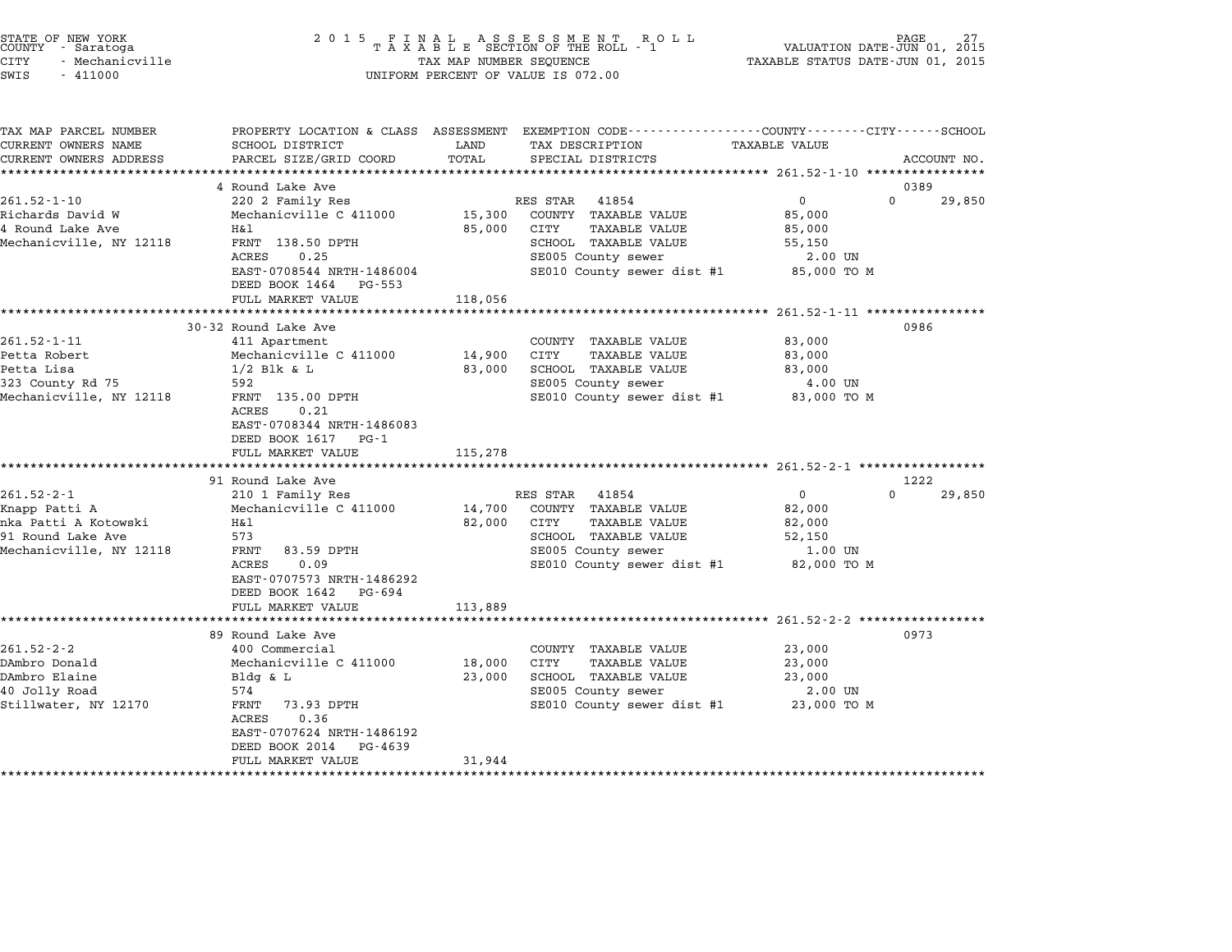| STATE OF NEW YORK<br>COUNTY - Saratoga<br><b>CITY</b><br>- Mechanicville<br>SWIS<br>$-411000$             | 2 0 1 5                                                                                                                                                                                                                                                | TAX MAP NUMBER SEQUENCE               | FINAL ASSESSMENT ROLL<br>TAXABLE SECTION OF THE ROLL - 1<br>UNIFORM PERCENT OF VALUE IS 072.00                                                                                                                        | VALUATION DATE-JUN 01, 2015<br>TAXABLE STATUS DATE-JUN 01, 2015                                            | PAGE                          |
|-----------------------------------------------------------------------------------------------------------|--------------------------------------------------------------------------------------------------------------------------------------------------------------------------------------------------------------------------------------------------------|---------------------------------------|-----------------------------------------------------------------------------------------------------------------------------------------------------------------------------------------------------------------------|------------------------------------------------------------------------------------------------------------|-------------------------------|
| TAX MAP PARCEL NUMBER<br>CURRENT OWNERS NAME<br>CURRENT OWNERS ADDRESS                                    | SCHOOL DISTRICT<br>PARCEL SIZE/GRID COORD                                                                                                                                                                                                              | LAND<br>TOTAL                         | PROPERTY LOCATION & CLASS ASSESSMENT EXEMPTION CODE--------------COUNTY-------CITY------SCHOOL<br>TAX DESCRIPTION<br>SPECIAL DISTRICTS                                                                                | TAXABLE VALUE<br>*********** 261.52-1-10 ****************                                                  | ACCOUNT NO.                   |
| $261.52 - 1 - 10$<br>Richards David W<br>4 Round Lake Ave<br>Mechanicville, NY 12118                      | 4 Round Lake Ave<br>220 2 Family Res<br>Mechanicville C 411000<br>H&l<br>FRNT 138.50 DPTH<br>ACRES<br>0.25<br>EAST-0708544 NRTH-1486004<br>DEED BOOK 1464<br>PG-553<br>FULL MARKET VALUE                                                               | 15,300<br>85,000<br>118,056           | RES STAR<br>41854<br>COUNTY TAXABLE VALUE<br>CITY<br><b>TAXABLE VALUE</b><br>SCHOOL TAXABLE VALUE<br>SE005 County sewer<br>SE010 County sewer dist #1                                                                 | $\mathbf 0$<br>85,000<br>85,000<br>55,150<br>2.00 UN<br>85,000 TO M                                        | 0389<br>$\Omega$<br>29,850    |
| $261.52 - 1 - 11$<br>Petta Robert<br>Petta Lisa<br>323 County Rd 75<br>Mechanicville, NY 12118            | *******************<br>30-32 Round Lake Ave<br>411 Apartment<br>Mechanicville C 411000<br>$1/2$ Blk & L<br>592<br>FRNT 135.00 DPTH<br>ACRES<br>0.21<br>EAST-0708344 NRTH-1486083<br>DEED BOOK 1617<br>$PG-1$<br>FULL MARKET VALUE                      | 14,900<br>83,000<br>115,278           | COUNTY TAXABLE VALUE<br><b>CITY</b><br><b>TAXABLE VALUE</b><br>SCHOOL TAXABLE VALUE<br>SE005 County sewer<br>SE010 County sewer dist #1                                                                               | *********** 261.52-1-11 *****************<br>83,000<br>83,000<br>83,000<br>4.00 UN<br>83,000 TO M          | 0986                          |
| $261.52 - 2 - 1$<br>Knapp Patti A<br>nka Patti A Kotowski<br>91 Round Lake Ave<br>Mechanicville, NY 12118 | 91 Round Lake Ave<br>210 1 Family Res<br>Mechanicville C 411000<br>Η&l<br>573<br>FRNT<br>83.59 DPTH<br>0.09<br>ACRES<br>EAST-0707573 NRTH-1486292<br>DEED BOOK 1642<br>PG-694                                                                          | 14,700<br>82,000                      | ******************************* 261.52-2-1 *****************<br>RES STAR<br>41854<br>COUNTY TAXABLE VALUE<br>CITY<br><b>TAXABLE VALUE</b><br>SCHOOL TAXABLE VALUE<br>SE005 County sewer<br>SE010 County sewer dist #1 | $\mathbf{0}$<br>82,000<br>82,000<br>52,150<br>1.00 UN<br>82,000 TO M                                       | 1222<br>$\mathbf 0$<br>29,850 |
| $261.52 - 2 - 2$<br>DAmbro Donald<br>DAmbro Elaine<br>40 Jolly Road<br>Stillwater, NY 12170               | FULL MARKET VALUE<br>*******************<br>89 Round Lake Ave<br>400 Commercial<br>Mechanicville C 411000<br>Bldg & L<br>574<br>FRNT<br>73.93 DPTH<br>ACRES<br>0.36<br>EAST-0707624 NRTH-1486192<br>DEED BOOK 2014<br>$PG - 4639$<br>FULL MARKET VALUE | 113,889<br>18,000<br>23,000<br>31,944 | COUNTY TAXABLE VALUE<br>CITY<br><b>TAXABLE VALUE</b><br>SCHOOL TAXABLE VALUE<br>SE005 County sewer<br>SE010 County sewer dist #1                                                                                      | ********************* 261.52-2-2 *****************<br>23,000<br>23,000<br>23,000<br>2.00 UN<br>23,000 TO M | 0973                          |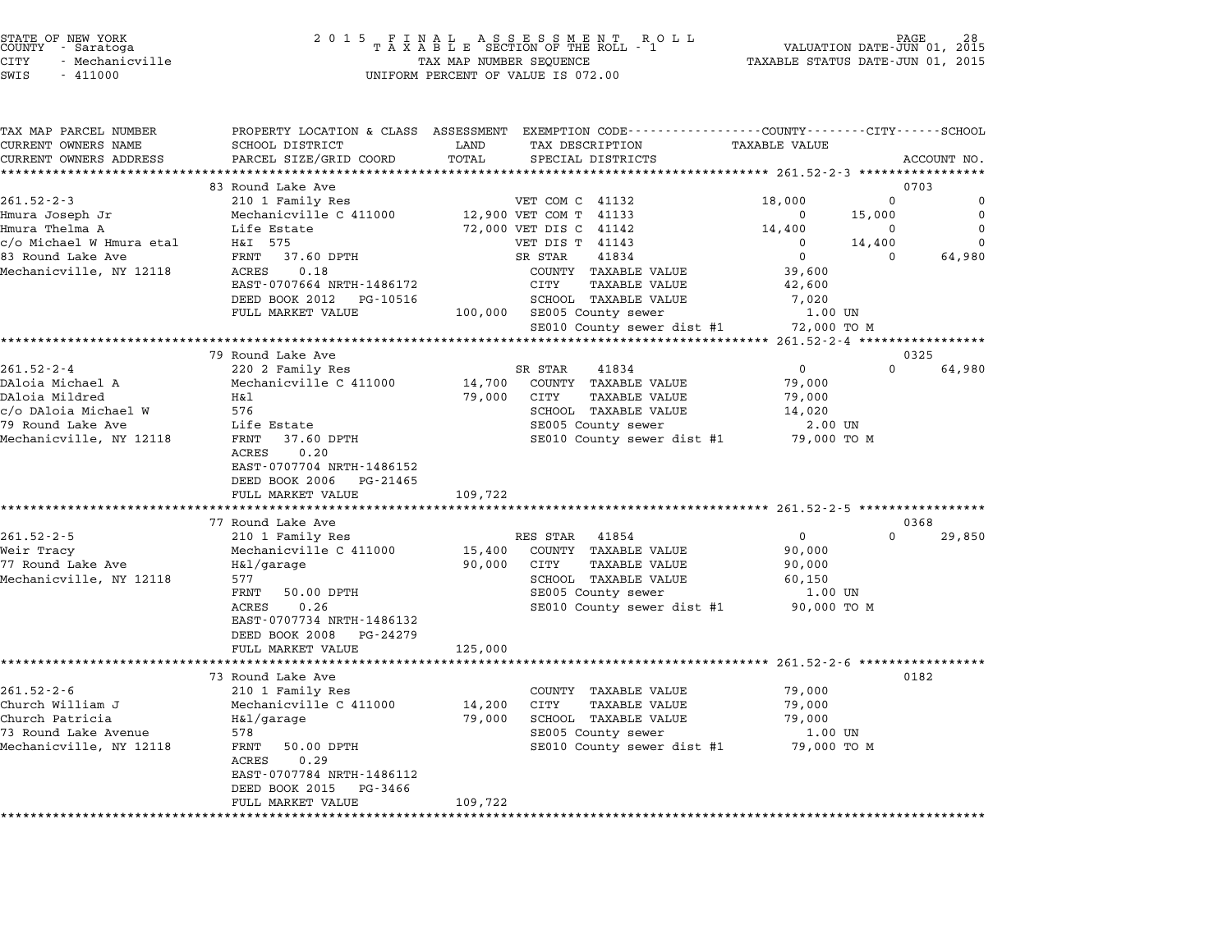| STATE OF NEW YORK |  |                 |  |
|-------------------|--|-----------------|--|
| COUNTY            |  | - Saratoga      |  |
| CITY              |  | - Mechanicville |  |

| PROPERTY LOCATION & CLASS ASSESSMENT EXEMPTION CODE---------------COUNTY-------CITY------SCHOOL<br>CURRENT OWNERS NAME<br>SCHOOL DISTRICT<br>TAX DESCRIPTION<br><b>TAXABLE VALUE</b><br>LAND<br>PARCEL SIZE/GRID COORD<br>TOTAL<br>CURRENT OWNERS ADDRESS<br>SPECIAL DISTRICTS<br>ACCOUNT NO.<br>83 Round Lake Ave<br>0703<br>$261.52 - 2 - 3$<br>18,000<br>$\Omega$<br>210 1 Family Res<br>VET COM C 41132<br>12,900 VET COM T 41133<br>Hmura Joseph Jr<br>Mechanicville C 411000<br>15,000<br>0<br>Hmura Thelma A<br>Life Estate<br>72,000 VET DIS C 41142<br>14,400<br>0<br>c/o Michael W Hmura etal<br>H&I 575<br>VET DIS T 41143<br>14,400<br>$\Omega$<br>$\mathbf{0}$<br>83 Round Lake Ave<br>FRNT 37.60 DPTH<br>SR STAR<br>41834<br>$\Omega$<br>$\Omega$<br>64,980<br>Mechanicville, NY 12118<br>0.18<br>ACRES<br>COUNTY TAXABLE VALUE<br>39,600<br>EAST-0707664 NRTH-1486172<br>CITY<br><b>TAXABLE VALUE</b><br>42,600<br>DEED BOOK 2012<br>SCHOOL TAXABLE VALUE<br>PG-10516<br>7,020<br>FULL MARKET VALUE<br>100,000 SE005 County sewer<br>1.00 UN<br>SE010 County sewer dist #1 72,000 TO M<br>**************************<br>********** 261.52-2-4 *****************<br>79 Round Lake Ave<br>0325<br>$261.52 - 2 - 4$<br>$\Omega$<br>64,980<br>220 2 Family Res<br>SR STAR<br>41834<br>0<br>14,700<br>DAloia Michael A<br>Mechanicville C 411000<br>COUNTY TAXABLE VALUE<br>79,000<br>DAloia Mildred<br>79,000<br>Η&l<br>CITY<br>TAXABLE VALUE<br>79,000<br>c/o DAloia Michael W<br>576<br>SCHOOL TAXABLE VALUE<br>14,020<br>79 Round Lake Ave<br>SE005 County sewer<br>Life Estate<br>2.00 UN<br>Mechanicville, NY 12118<br>37.60 DPTH<br>SE010 County sewer dist #1 79,000 TO M<br>FRNT<br>ACRES<br>0.20<br>EAST-0707704 NRTH-1486152<br>DEED BOOK 2006<br>PG-21465<br>109,722<br>FULL MARKET VALUE<br>77 Round Lake Ave<br>0368<br>$261.52 - 2 - 5$<br>$\Omega$<br>RES STAR<br>$\mathbf{0}$<br>29,850<br>210 1 Family Res<br>41854<br>Weir Tracy<br>COUNTY TAXABLE VALUE<br>Mechanicville C 411000<br>15,400<br>90,000<br>77 Round Lake Ave<br>H&l/garage<br>90,000<br>CITY<br>TAXABLE VALUE<br>90,000<br>Mechanicville, NY 12118<br>577<br>SCHOOL TAXABLE VALUE<br>60,150<br>FRNT<br>50.00 DPTH<br>SE005 County sewer<br>1.00 UN<br>0.26<br>SE010 County sewer dist #1 90,000 TO M<br>ACRES<br>EAST-0707734 NRTH-1486132<br>DEED BOOK 2008 PG-24279<br>FULL MARKET VALUE<br>125,000<br>73 Round Lake Ave<br>0182<br>210 1 Family Res<br>79,000<br>COUNTY TAXABLE VALUE<br>Mechanicville C 411000<br>14,200<br>CITY<br>TAXABLE VALUE<br>79,000<br>H&l/garage<br>79,000<br>SCHOOL TAXABLE VALUE<br>79,000<br>578<br>SE005 County sewer<br>1.00 UN<br>FRNT<br>50.00 DPTH<br>SE010 County sewer dist #1 79,000 TO M<br>0.29<br>ACRES<br>EAST-0707784 NRTH-1486112<br>DEED BOOK 2015<br>PG-3466<br>FULL MARKET VALUE<br>109,722 |                         |  |               |
|------------------------------------------------------------------------------------------------------------------------------------------------------------------------------------------------------------------------------------------------------------------------------------------------------------------------------------------------------------------------------------------------------------------------------------------------------------------------------------------------------------------------------------------------------------------------------------------------------------------------------------------------------------------------------------------------------------------------------------------------------------------------------------------------------------------------------------------------------------------------------------------------------------------------------------------------------------------------------------------------------------------------------------------------------------------------------------------------------------------------------------------------------------------------------------------------------------------------------------------------------------------------------------------------------------------------------------------------------------------------------------------------------------------------------------------------------------------------------------------------------------------------------------------------------------------------------------------------------------------------------------------------------------------------------------------------------------------------------------------------------------------------------------------------------------------------------------------------------------------------------------------------------------------------------------------------------------------------------------------------------------------------------------------------------------------------------------------------------------------------------------------------------------------------------------------------------------------------------------------------------------------------------------------------------------------------------------------------------------------------------------------------------------------------------------------------------------------------------------------------------------------------------------------------------------------------------------------------------------------------------------------------------------------------------------------------------------------------------------------------------------------------------------------------------------------------------------------|-------------------------|--|---------------|
|                                                                                                                                                                                                                                                                                                                                                                                                                                                                                                                                                                                                                                                                                                                                                                                                                                                                                                                                                                                                                                                                                                                                                                                                                                                                                                                                                                                                                                                                                                                                                                                                                                                                                                                                                                                                                                                                                                                                                                                                                                                                                                                                                                                                                                                                                                                                                                                                                                                                                                                                                                                                                                                                                                                                                                                                                                          | TAX MAP PARCEL NUMBER   |  |               |
|                                                                                                                                                                                                                                                                                                                                                                                                                                                                                                                                                                                                                                                                                                                                                                                                                                                                                                                                                                                                                                                                                                                                                                                                                                                                                                                                                                                                                                                                                                                                                                                                                                                                                                                                                                                                                                                                                                                                                                                                                                                                                                                                                                                                                                                                                                                                                                                                                                                                                                                                                                                                                                                                                                                                                                                                                                          |                         |  |               |
|                                                                                                                                                                                                                                                                                                                                                                                                                                                                                                                                                                                                                                                                                                                                                                                                                                                                                                                                                                                                                                                                                                                                                                                                                                                                                                                                                                                                                                                                                                                                                                                                                                                                                                                                                                                                                                                                                                                                                                                                                                                                                                                                                                                                                                                                                                                                                                                                                                                                                                                                                                                                                                                                                                                                                                                                                                          |                         |  |               |
|                                                                                                                                                                                                                                                                                                                                                                                                                                                                                                                                                                                                                                                                                                                                                                                                                                                                                                                                                                                                                                                                                                                                                                                                                                                                                                                                                                                                                                                                                                                                                                                                                                                                                                                                                                                                                                                                                                                                                                                                                                                                                                                                                                                                                                                                                                                                                                                                                                                                                                                                                                                                                                                                                                                                                                                                                                          |                         |  |               |
|                                                                                                                                                                                                                                                                                                                                                                                                                                                                                                                                                                                                                                                                                                                                                                                                                                                                                                                                                                                                                                                                                                                                                                                                                                                                                                                                                                                                                                                                                                                                                                                                                                                                                                                                                                                                                                                                                                                                                                                                                                                                                                                                                                                                                                                                                                                                                                                                                                                                                                                                                                                                                                                                                                                                                                                                                                          |                         |  |               |
|                                                                                                                                                                                                                                                                                                                                                                                                                                                                                                                                                                                                                                                                                                                                                                                                                                                                                                                                                                                                                                                                                                                                                                                                                                                                                                                                                                                                                                                                                                                                                                                                                                                                                                                                                                                                                                                                                                                                                                                                                                                                                                                                                                                                                                                                                                                                                                                                                                                                                                                                                                                                                                                                                                                                                                                                                                          |                         |  | 0             |
|                                                                                                                                                                                                                                                                                                                                                                                                                                                                                                                                                                                                                                                                                                                                                                                                                                                                                                                                                                                                                                                                                                                                                                                                                                                                                                                                                                                                                                                                                                                                                                                                                                                                                                                                                                                                                                                                                                                                                                                                                                                                                                                                                                                                                                                                                                                                                                                                                                                                                                                                                                                                                                                                                                                                                                                                                                          |                         |  | 0<br>$\Omega$ |
|                                                                                                                                                                                                                                                                                                                                                                                                                                                                                                                                                                                                                                                                                                                                                                                                                                                                                                                                                                                                                                                                                                                                                                                                                                                                                                                                                                                                                                                                                                                                                                                                                                                                                                                                                                                                                                                                                                                                                                                                                                                                                                                                                                                                                                                                                                                                                                                                                                                                                                                                                                                                                                                                                                                                                                                                                                          |                         |  |               |
|                                                                                                                                                                                                                                                                                                                                                                                                                                                                                                                                                                                                                                                                                                                                                                                                                                                                                                                                                                                                                                                                                                                                                                                                                                                                                                                                                                                                                                                                                                                                                                                                                                                                                                                                                                                                                                                                                                                                                                                                                                                                                                                                                                                                                                                                                                                                                                                                                                                                                                                                                                                                                                                                                                                                                                                                                                          |                         |  |               |
|                                                                                                                                                                                                                                                                                                                                                                                                                                                                                                                                                                                                                                                                                                                                                                                                                                                                                                                                                                                                                                                                                                                                                                                                                                                                                                                                                                                                                                                                                                                                                                                                                                                                                                                                                                                                                                                                                                                                                                                                                                                                                                                                                                                                                                                                                                                                                                                                                                                                                                                                                                                                                                                                                                                                                                                                                                          |                         |  |               |
|                                                                                                                                                                                                                                                                                                                                                                                                                                                                                                                                                                                                                                                                                                                                                                                                                                                                                                                                                                                                                                                                                                                                                                                                                                                                                                                                                                                                                                                                                                                                                                                                                                                                                                                                                                                                                                                                                                                                                                                                                                                                                                                                                                                                                                                                                                                                                                                                                                                                                                                                                                                                                                                                                                                                                                                                                                          |                         |  |               |
|                                                                                                                                                                                                                                                                                                                                                                                                                                                                                                                                                                                                                                                                                                                                                                                                                                                                                                                                                                                                                                                                                                                                                                                                                                                                                                                                                                                                                                                                                                                                                                                                                                                                                                                                                                                                                                                                                                                                                                                                                                                                                                                                                                                                                                                                                                                                                                                                                                                                                                                                                                                                                                                                                                                                                                                                                                          |                         |  |               |
|                                                                                                                                                                                                                                                                                                                                                                                                                                                                                                                                                                                                                                                                                                                                                                                                                                                                                                                                                                                                                                                                                                                                                                                                                                                                                                                                                                                                                                                                                                                                                                                                                                                                                                                                                                                                                                                                                                                                                                                                                                                                                                                                                                                                                                                                                                                                                                                                                                                                                                                                                                                                                                                                                                                                                                                                                                          |                         |  |               |
|                                                                                                                                                                                                                                                                                                                                                                                                                                                                                                                                                                                                                                                                                                                                                                                                                                                                                                                                                                                                                                                                                                                                                                                                                                                                                                                                                                                                                                                                                                                                                                                                                                                                                                                                                                                                                                                                                                                                                                                                                                                                                                                                                                                                                                                                                                                                                                                                                                                                                                                                                                                                                                                                                                                                                                                                                                          |                         |  |               |
|                                                                                                                                                                                                                                                                                                                                                                                                                                                                                                                                                                                                                                                                                                                                                                                                                                                                                                                                                                                                                                                                                                                                                                                                                                                                                                                                                                                                                                                                                                                                                                                                                                                                                                                                                                                                                                                                                                                                                                                                                                                                                                                                                                                                                                                                                                                                                                                                                                                                                                                                                                                                                                                                                                                                                                                                                                          |                         |  |               |
|                                                                                                                                                                                                                                                                                                                                                                                                                                                                                                                                                                                                                                                                                                                                                                                                                                                                                                                                                                                                                                                                                                                                                                                                                                                                                                                                                                                                                                                                                                                                                                                                                                                                                                                                                                                                                                                                                                                                                                                                                                                                                                                                                                                                                                                                                                                                                                                                                                                                                                                                                                                                                                                                                                                                                                                                                                          |                         |  |               |
|                                                                                                                                                                                                                                                                                                                                                                                                                                                                                                                                                                                                                                                                                                                                                                                                                                                                                                                                                                                                                                                                                                                                                                                                                                                                                                                                                                                                                                                                                                                                                                                                                                                                                                                                                                                                                                                                                                                                                                                                                                                                                                                                                                                                                                                                                                                                                                                                                                                                                                                                                                                                                                                                                                                                                                                                                                          |                         |  |               |
|                                                                                                                                                                                                                                                                                                                                                                                                                                                                                                                                                                                                                                                                                                                                                                                                                                                                                                                                                                                                                                                                                                                                                                                                                                                                                                                                                                                                                                                                                                                                                                                                                                                                                                                                                                                                                                                                                                                                                                                                                                                                                                                                                                                                                                                                                                                                                                                                                                                                                                                                                                                                                                                                                                                                                                                                                                          |                         |  |               |
|                                                                                                                                                                                                                                                                                                                                                                                                                                                                                                                                                                                                                                                                                                                                                                                                                                                                                                                                                                                                                                                                                                                                                                                                                                                                                                                                                                                                                                                                                                                                                                                                                                                                                                                                                                                                                                                                                                                                                                                                                                                                                                                                                                                                                                                                                                                                                                                                                                                                                                                                                                                                                                                                                                                                                                                                                                          |                         |  |               |
|                                                                                                                                                                                                                                                                                                                                                                                                                                                                                                                                                                                                                                                                                                                                                                                                                                                                                                                                                                                                                                                                                                                                                                                                                                                                                                                                                                                                                                                                                                                                                                                                                                                                                                                                                                                                                                                                                                                                                                                                                                                                                                                                                                                                                                                                                                                                                                                                                                                                                                                                                                                                                                                                                                                                                                                                                                          |                         |  |               |
|                                                                                                                                                                                                                                                                                                                                                                                                                                                                                                                                                                                                                                                                                                                                                                                                                                                                                                                                                                                                                                                                                                                                                                                                                                                                                                                                                                                                                                                                                                                                                                                                                                                                                                                                                                                                                                                                                                                                                                                                                                                                                                                                                                                                                                                                                                                                                                                                                                                                                                                                                                                                                                                                                                                                                                                                                                          |                         |  |               |
|                                                                                                                                                                                                                                                                                                                                                                                                                                                                                                                                                                                                                                                                                                                                                                                                                                                                                                                                                                                                                                                                                                                                                                                                                                                                                                                                                                                                                                                                                                                                                                                                                                                                                                                                                                                                                                                                                                                                                                                                                                                                                                                                                                                                                                                                                                                                                                                                                                                                                                                                                                                                                                                                                                                                                                                                                                          |                         |  |               |
|                                                                                                                                                                                                                                                                                                                                                                                                                                                                                                                                                                                                                                                                                                                                                                                                                                                                                                                                                                                                                                                                                                                                                                                                                                                                                                                                                                                                                                                                                                                                                                                                                                                                                                                                                                                                                                                                                                                                                                                                                                                                                                                                                                                                                                                                                                                                                                                                                                                                                                                                                                                                                                                                                                                                                                                                                                          |                         |  |               |
|                                                                                                                                                                                                                                                                                                                                                                                                                                                                                                                                                                                                                                                                                                                                                                                                                                                                                                                                                                                                                                                                                                                                                                                                                                                                                                                                                                                                                                                                                                                                                                                                                                                                                                                                                                                                                                                                                                                                                                                                                                                                                                                                                                                                                                                                                                                                                                                                                                                                                                                                                                                                                                                                                                                                                                                                                                          |                         |  |               |
|                                                                                                                                                                                                                                                                                                                                                                                                                                                                                                                                                                                                                                                                                                                                                                                                                                                                                                                                                                                                                                                                                                                                                                                                                                                                                                                                                                                                                                                                                                                                                                                                                                                                                                                                                                                                                                                                                                                                                                                                                                                                                                                                                                                                                                                                                                                                                                                                                                                                                                                                                                                                                                                                                                                                                                                                                                          |                         |  |               |
|                                                                                                                                                                                                                                                                                                                                                                                                                                                                                                                                                                                                                                                                                                                                                                                                                                                                                                                                                                                                                                                                                                                                                                                                                                                                                                                                                                                                                                                                                                                                                                                                                                                                                                                                                                                                                                                                                                                                                                                                                                                                                                                                                                                                                                                                                                                                                                                                                                                                                                                                                                                                                                                                                                                                                                                                                                          |                         |  |               |
|                                                                                                                                                                                                                                                                                                                                                                                                                                                                                                                                                                                                                                                                                                                                                                                                                                                                                                                                                                                                                                                                                                                                                                                                                                                                                                                                                                                                                                                                                                                                                                                                                                                                                                                                                                                                                                                                                                                                                                                                                                                                                                                                                                                                                                                                                                                                                                                                                                                                                                                                                                                                                                                                                                                                                                                                                                          |                         |  |               |
|                                                                                                                                                                                                                                                                                                                                                                                                                                                                                                                                                                                                                                                                                                                                                                                                                                                                                                                                                                                                                                                                                                                                                                                                                                                                                                                                                                                                                                                                                                                                                                                                                                                                                                                                                                                                                                                                                                                                                                                                                                                                                                                                                                                                                                                                                                                                                                                                                                                                                                                                                                                                                                                                                                                                                                                                                                          |                         |  |               |
|                                                                                                                                                                                                                                                                                                                                                                                                                                                                                                                                                                                                                                                                                                                                                                                                                                                                                                                                                                                                                                                                                                                                                                                                                                                                                                                                                                                                                                                                                                                                                                                                                                                                                                                                                                                                                                                                                                                                                                                                                                                                                                                                                                                                                                                                                                                                                                                                                                                                                                                                                                                                                                                                                                                                                                                                                                          |                         |  |               |
|                                                                                                                                                                                                                                                                                                                                                                                                                                                                                                                                                                                                                                                                                                                                                                                                                                                                                                                                                                                                                                                                                                                                                                                                                                                                                                                                                                                                                                                                                                                                                                                                                                                                                                                                                                                                                                                                                                                                                                                                                                                                                                                                                                                                                                                                                                                                                                                                                                                                                                                                                                                                                                                                                                                                                                                                                                          |                         |  |               |
|                                                                                                                                                                                                                                                                                                                                                                                                                                                                                                                                                                                                                                                                                                                                                                                                                                                                                                                                                                                                                                                                                                                                                                                                                                                                                                                                                                                                                                                                                                                                                                                                                                                                                                                                                                                                                                                                                                                                                                                                                                                                                                                                                                                                                                                                                                                                                                                                                                                                                                                                                                                                                                                                                                                                                                                                                                          |                         |  |               |
|                                                                                                                                                                                                                                                                                                                                                                                                                                                                                                                                                                                                                                                                                                                                                                                                                                                                                                                                                                                                                                                                                                                                                                                                                                                                                                                                                                                                                                                                                                                                                                                                                                                                                                                                                                                                                                                                                                                                                                                                                                                                                                                                                                                                                                                                                                                                                                                                                                                                                                                                                                                                                                                                                                                                                                                                                                          |                         |  |               |
|                                                                                                                                                                                                                                                                                                                                                                                                                                                                                                                                                                                                                                                                                                                                                                                                                                                                                                                                                                                                                                                                                                                                                                                                                                                                                                                                                                                                                                                                                                                                                                                                                                                                                                                                                                                                                                                                                                                                                                                                                                                                                                                                                                                                                                                                                                                                                                                                                                                                                                                                                                                                                                                                                                                                                                                                                                          |                         |  |               |
|                                                                                                                                                                                                                                                                                                                                                                                                                                                                                                                                                                                                                                                                                                                                                                                                                                                                                                                                                                                                                                                                                                                                                                                                                                                                                                                                                                                                                                                                                                                                                                                                                                                                                                                                                                                                                                                                                                                                                                                                                                                                                                                                                                                                                                                                                                                                                                                                                                                                                                                                                                                                                                                                                                                                                                                                                                          |                         |  |               |
|                                                                                                                                                                                                                                                                                                                                                                                                                                                                                                                                                                                                                                                                                                                                                                                                                                                                                                                                                                                                                                                                                                                                                                                                                                                                                                                                                                                                                                                                                                                                                                                                                                                                                                                                                                                                                                                                                                                                                                                                                                                                                                                                                                                                                                                                                                                                                                                                                                                                                                                                                                                                                                                                                                                                                                                                                                          |                         |  |               |
|                                                                                                                                                                                                                                                                                                                                                                                                                                                                                                                                                                                                                                                                                                                                                                                                                                                                                                                                                                                                                                                                                                                                                                                                                                                                                                                                                                                                                                                                                                                                                                                                                                                                                                                                                                                                                                                                                                                                                                                                                                                                                                                                                                                                                                                                                                                                                                                                                                                                                                                                                                                                                                                                                                                                                                                                                                          |                         |  |               |
|                                                                                                                                                                                                                                                                                                                                                                                                                                                                                                                                                                                                                                                                                                                                                                                                                                                                                                                                                                                                                                                                                                                                                                                                                                                                                                                                                                                                                                                                                                                                                                                                                                                                                                                                                                                                                                                                                                                                                                                                                                                                                                                                                                                                                                                                                                                                                                                                                                                                                                                                                                                                                                                                                                                                                                                                                                          |                         |  |               |
|                                                                                                                                                                                                                                                                                                                                                                                                                                                                                                                                                                                                                                                                                                                                                                                                                                                                                                                                                                                                                                                                                                                                                                                                                                                                                                                                                                                                                                                                                                                                                                                                                                                                                                                                                                                                                                                                                                                                                                                                                                                                                                                                                                                                                                                                                                                                                                                                                                                                                                                                                                                                                                                                                                                                                                                                                                          |                         |  |               |
|                                                                                                                                                                                                                                                                                                                                                                                                                                                                                                                                                                                                                                                                                                                                                                                                                                                                                                                                                                                                                                                                                                                                                                                                                                                                                                                                                                                                                                                                                                                                                                                                                                                                                                                                                                                                                                                                                                                                                                                                                                                                                                                                                                                                                                                                                                                                                                                                                                                                                                                                                                                                                                                                                                                                                                                                                                          |                         |  |               |
|                                                                                                                                                                                                                                                                                                                                                                                                                                                                                                                                                                                                                                                                                                                                                                                                                                                                                                                                                                                                                                                                                                                                                                                                                                                                                                                                                                                                                                                                                                                                                                                                                                                                                                                                                                                                                                                                                                                                                                                                                                                                                                                                                                                                                                                                                                                                                                                                                                                                                                                                                                                                                                                                                                                                                                                                                                          | $261.52 - 2 - 6$        |  |               |
|                                                                                                                                                                                                                                                                                                                                                                                                                                                                                                                                                                                                                                                                                                                                                                                                                                                                                                                                                                                                                                                                                                                                                                                                                                                                                                                                                                                                                                                                                                                                                                                                                                                                                                                                                                                                                                                                                                                                                                                                                                                                                                                                                                                                                                                                                                                                                                                                                                                                                                                                                                                                                                                                                                                                                                                                                                          | Church William J        |  |               |
|                                                                                                                                                                                                                                                                                                                                                                                                                                                                                                                                                                                                                                                                                                                                                                                                                                                                                                                                                                                                                                                                                                                                                                                                                                                                                                                                                                                                                                                                                                                                                                                                                                                                                                                                                                                                                                                                                                                                                                                                                                                                                                                                                                                                                                                                                                                                                                                                                                                                                                                                                                                                                                                                                                                                                                                                                                          | Church Patricia         |  |               |
|                                                                                                                                                                                                                                                                                                                                                                                                                                                                                                                                                                                                                                                                                                                                                                                                                                                                                                                                                                                                                                                                                                                                                                                                                                                                                                                                                                                                                                                                                                                                                                                                                                                                                                                                                                                                                                                                                                                                                                                                                                                                                                                                                                                                                                                                                                                                                                                                                                                                                                                                                                                                                                                                                                                                                                                                                                          | 73 Round Lake Avenue    |  |               |
|                                                                                                                                                                                                                                                                                                                                                                                                                                                                                                                                                                                                                                                                                                                                                                                                                                                                                                                                                                                                                                                                                                                                                                                                                                                                                                                                                                                                                                                                                                                                                                                                                                                                                                                                                                                                                                                                                                                                                                                                                                                                                                                                                                                                                                                                                                                                                                                                                                                                                                                                                                                                                                                                                                                                                                                                                                          | Mechanicville, NY 12118 |  |               |
|                                                                                                                                                                                                                                                                                                                                                                                                                                                                                                                                                                                                                                                                                                                                                                                                                                                                                                                                                                                                                                                                                                                                                                                                                                                                                                                                                                                                                                                                                                                                                                                                                                                                                                                                                                                                                                                                                                                                                                                                                                                                                                                                                                                                                                                                                                                                                                                                                                                                                                                                                                                                                                                                                                                                                                                                                                          |                         |  |               |
|                                                                                                                                                                                                                                                                                                                                                                                                                                                                                                                                                                                                                                                                                                                                                                                                                                                                                                                                                                                                                                                                                                                                                                                                                                                                                                                                                                                                                                                                                                                                                                                                                                                                                                                                                                                                                                                                                                                                                                                                                                                                                                                                                                                                                                                                                                                                                                                                                                                                                                                                                                                                                                                                                                                                                                                                                                          |                         |  |               |
|                                                                                                                                                                                                                                                                                                                                                                                                                                                                                                                                                                                                                                                                                                                                                                                                                                                                                                                                                                                                                                                                                                                                                                                                                                                                                                                                                                                                                                                                                                                                                                                                                                                                                                                                                                                                                                                                                                                                                                                                                                                                                                                                                                                                                                                                                                                                                                                                                                                                                                                                                                                                                                                                                                                                                                                                                                          |                         |  |               |
|                                                                                                                                                                                                                                                                                                                                                                                                                                                                                                                                                                                                                                                                                                                                                                                                                                                                                                                                                                                                                                                                                                                                                                                                                                                                                                                                                                                                                                                                                                                                                                                                                                                                                                                                                                                                                                                                                                                                                                                                                                                                                                                                                                                                                                                                                                                                                                                                                                                                                                                                                                                                                                                                                                                                                                                                                                          |                         |  |               |
|                                                                                                                                                                                                                                                                                                                                                                                                                                                                                                                                                                                                                                                                                                                                                                                                                                                                                                                                                                                                                                                                                                                                                                                                                                                                                                                                                                                                                                                                                                                                                                                                                                                                                                                                                                                                                                                                                                                                                                                                                                                                                                                                                                                                                                                                                                                                                                                                                                                                                                                                                                                                                                                                                                                                                                                                                                          |                         |  |               |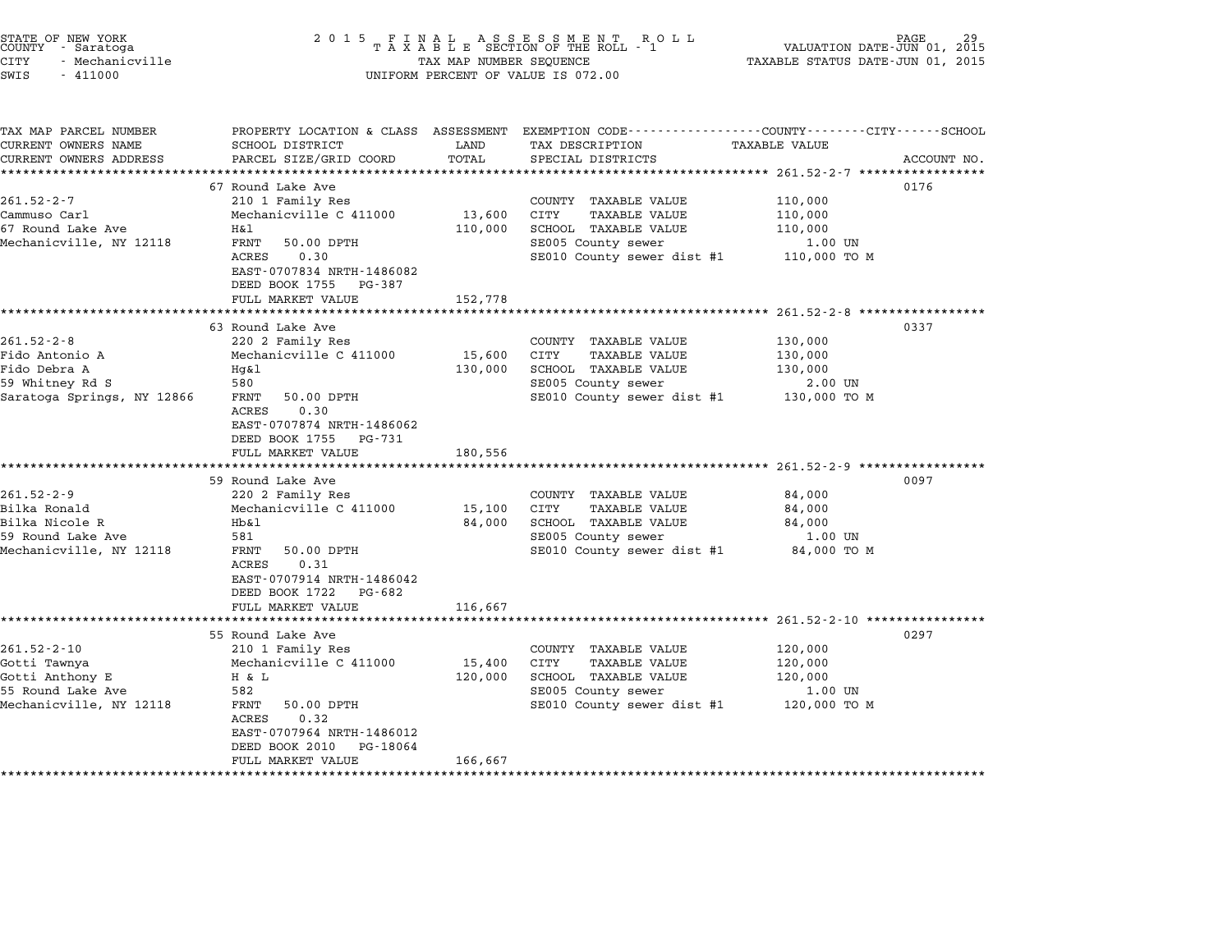| STATE OF NEW YORK<br>COUNTY - Saratoga<br><b>CITY</b><br>- Mechanicville<br>SWIS<br>$-411000$                                                                                                             | 2 0 1 5                                                                                                                                                                                                                                                                                                                                                                               | TAX MAP NUMBER SEQUENCE                          | FINAL ASSESSMENT RO<br>TAXABLE SECTION OF THE ROLL - 1<br>R O L L<br>UNIFORM PERCENT OF VALUE IS 072.00                                                                                                                                                                     | VALUATION DATE-JUN 01, 2015<br>TAXABLE STATUS DATE-JUN 01, 2015                                                  | PAGE         |
|-----------------------------------------------------------------------------------------------------------------------------------------------------------------------------------------------------------|---------------------------------------------------------------------------------------------------------------------------------------------------------------------------------------------------------------------------------------------------------------------------------------------------------------------------------------------------------------------------------------|--------------------------------------------------|-----------------------------------------------------------------------------------------------------------------------------------------------------------------------------------------------------------------------------------------------------------------------------|------------------------------------------------------------------------------------------------------------------|--------------|
| TAX MAP PARCEL NUMBER<br>CURRENT OWNERS NAME                                                                                                                                                              | SCHOOL DISTRICT                                                                                                                                                                                                                                                                                                                                                                       | LAND                                             | PROPERTY LOCATION & CLASS ASSESSMENT EXEMPTION CODE----------------COUNTY-------CITY------SCHOOL<br>TAX DESCRIPTION                                                                                                                                                         | <b>TAXABLE VALUE</b>                                                                                             |              |
| CURRENT OWNERS ADDRESS                                                                                                                                                                                    | PARCEL SIZE/GRID COORD<br>*****************                                                                                                                                                                                                                                                                                                                                           | TOTAL                                            | SPECIAL DISTRICTS<br>********************************** 261.52-2-7 *****************                                                                                                                                                                                        |                                                                                                                  | ACCOUNT NO.  |
|                                                                                                                                                                                                           | 67 Round Lake Ave                                                                                                                                                                                                                                                                                                                                                                     |                                                  |                                                                                                                                                                                                                                                                             |                                                                                                                  | 0176         |
| $261.52 - 2 - 7$<br>Cammuso Carl<br>67 Round Lake Ave<br>Mechanicville, NY 12118                                                                                                                          | 210 1 Family Res<br>Mechanicville C 411000<br>H&l<br>FRNT<br>50.00 DPTH<br>ACRES<br>0.30<br>EAST-0707834 NRTH-1486082                                                                                                                                                                                                                                                                 | 13,600<br>110,000                                | COUNTY TAXABLE VALUE<br>CITY<br>TAXABLE VALUE<br>SCHOOL TAXABLE VALUE<br>SE005 County sewer<br>SE010 County sewer dist #1                                                                                                                                                   | 110,000<br>110,000<br>110,000<br>1.00 UN<br>110,000 TO M                                                         |              |
|                                                                                                                                                                                                           | DEED BOOK 1755<br>PG-387                                                                                                                                                                                                                                                                                                                                                              |                                                  |                                                                                                                                                                                                                                                                             |                                                                                                                  |              |
|                                                                                                                                                                                                           | FULL MARKET VALUE                                                                                                                                                                                                                                                                                                                                                                     | 152,778                                          |                                                                                                                                                                                                                                                                             |                                                                                                                  |              |
|                                                                                                                                                                                                           | *********************                                                                                                                                                                                                                                                                                                                                                                 |                                                  |                                                                                                                                                                                                                                                                             | ********************** 261.52-2-8 ******************                                                             |              |
| $261.52 - 2 - 8$<br>Fido Antonio A<br>Fido Debra A<br>59 Whitney Rd S<br>Saratoga Springs, NY 12866<br>$261.52 - 2 - 9$<br>Bilka Ronald<br>Bilka Nicole R<br>59 Round Lake Ave<br>Mechanicville, NY 12118 | 63 Round Lake Ave<br>220 2 Family Res<br>Mechanicville C 411000<br>Hg&l<br>580<br>FRNT<br>50.00 DPTH<br>ACRES<br>0.30<br>EAST-0707874 NRTH-1486062<br>DEED BOOK 1755<br>PG-731<br>FULL MARKET VALUE<br>59 Round Lake Ave<br>220 2 Family Res<br>Mechanicville C 411000<br>Hb&l<br>581<br>50.00 DPTH<br>FRNT<br>0.31<br>ACRES<br>EAST-0707914 NRTH-1486042<br>DEED BOOK 1722<br>PG-682 | 15,600<br>130,000<br>180,556<br>15,100<br>84,000 | COUNTY TAXABLE VALUE<br><b>CITY</b><br><b>TAXABLE VALUE</b><br>SCHOOL TAXABLE VALUE<br>SE005 County sewer<br>SE010 County sewer dist #1<br>COUNTY TAXABLE VALUE<br>CITY<br><b>TAXABLE VALUE</b><br>SCHOOL TAXABLE VALUE<br>SE005 County sewer<br>SE010 County sewer dist #1 | 130,000<br>130,000<br>130,000<br>2.00 UN<br>130,000 TO M<br>84,000<br>84,000<br>84,000<br>1.00 UN<br>84,000 TO M | 0337<br>0097 |
|                                                                                                                                                                                                           | FULL MARKET VALUE                                                                                                                                                                                                                                                                                                                                                                     | 116,667                                          |                                                                                                                                                                                                                                                                             |                                                                                                                  |              |
|                                                                                                                                                                                                           | *********************                                                                                                                                                                                                                                                                                                                                                                 |                                                  |                                                                                                                                                                                                                                                                             | ************************* 261.52-2-10 ****************                                                           |              |
| $261.52 - 2 - 10$<br>Gotti Tawnya<br>Gotti Anthony E<br>55 Round Lake Ave<br>Mechanicville, NY 12118                                                                                                      | 55 Round Lake Ave<br>210 1 Family Res<br>Mechanicville C 411000<br>H & L<br>582<br>FRNT<br>50.00 DPTH<br>ACRES<br>0.32<br>EAST-0707964 NRTH-1486012<br>DEED BOOK 2010<br>PG-18064<br>FULL MARKET VALUE                                                                                                                                                                                | 15,400<br>120,000<br>166,667                     | COUNTY TAXABLE VALUE<br>CITY<br><b>TAXABLE VALUE</b><br>SCHOOL TAXABLE VALUE<br>SE005 County sewer<br>SE010 County sewer dist #1                                                                                                                                            | 120,000<br>120,000<br>120,000<br>1.00 UN<br>120,000 TO M                                                         | 0297         |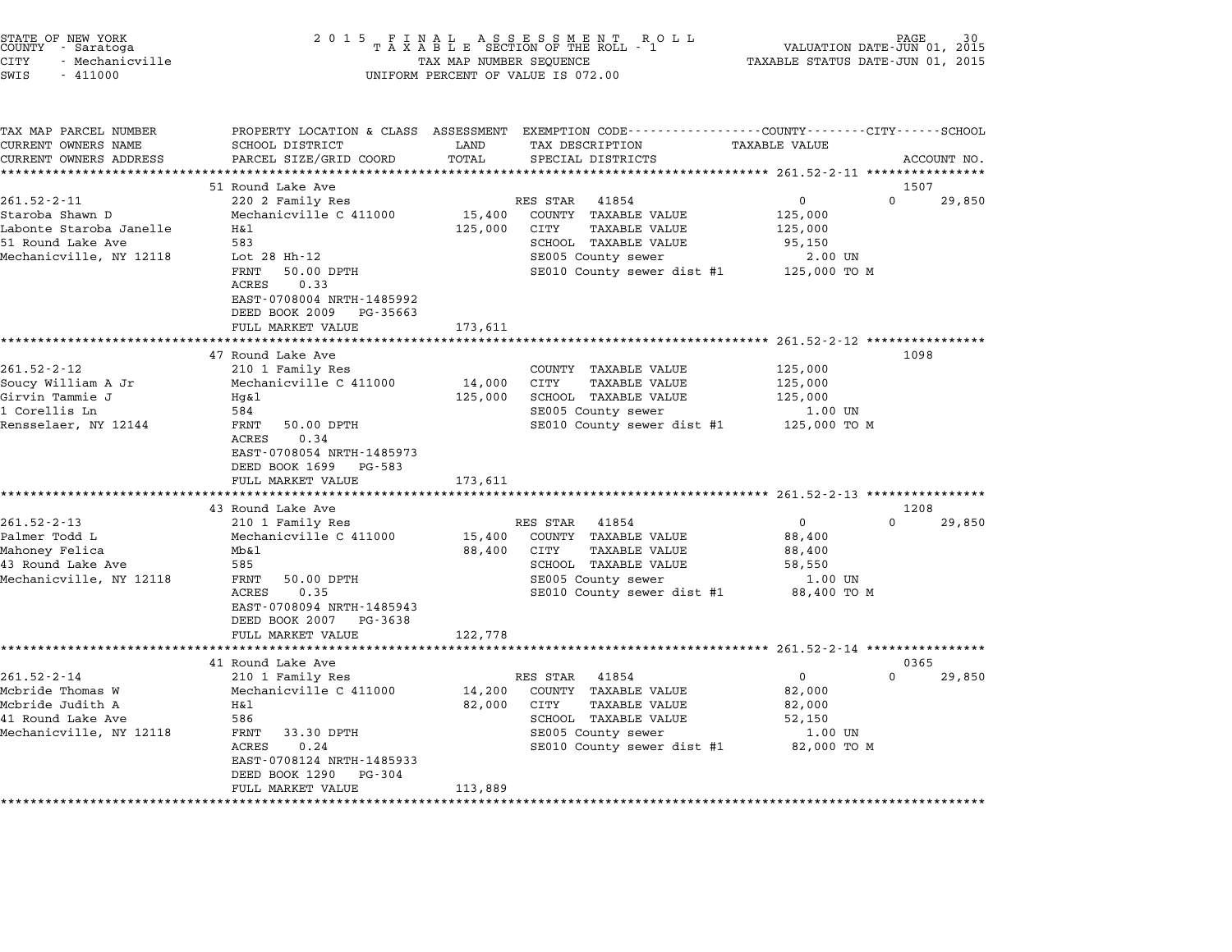| STATE OF NEW YORK<br>COUNTY - Saratoga<br><b>CITY</b><br>- Mechanicville<br>SWIS<br>$-411000$                   | 2 0 1 5                                                                                                                                                                                          | TAX MAP NUMBER SEQUENCE      | FINAL ASSESSMENT ROLL<br>TAXABLE SECTION OF THE ROLL - 1<br>UNIFORM PERCENT OF VALUE IS 072.00                                                        | VALUATION DATE-JUN 01,<br>TAXABLE STATUS DATE-JUN 01, 2015              | PAGE<br>2015               |
|-----------------------------------------------------------------------------------------------------------------|--------------------------------------------------------------------------------------------------------------------------------------------------------------------------------------------------|------------------------------|-------------------------------------------------------------------------------------------------------------------------------------------------------|-------------------------------------------------------------------------|----------------------------|
| TAX MAP PARCEL NUMBER<br>CURRENT OWNERS NAME<br>CURRENT OWNERS ADDRESS<br>**********************                | SCHOOL DISTRICT<br>PARCEL SIZE/GRID COORD                                                                                                                                                        | LAND<br>TOTAL                | PROPERTY LOCATION & CLASS ASSESSMENT EXEMPTION CODE---------------COUNTY-------CITY------SCHOOL<br>TAX DESCRIPTION<br>SPECIAL DISTRICTS               | TAXABLE VALUE                                                           | ACCOUNT NO.                |
|                                                                                                                 | 51 Round Lake Ave                                                                                                                                                                                |                              |                                                                                                                                                       |                                                                         | 1507                       |
| $261.52 - 2 - 11$<br>Staroba Shawn D<br>Labonte Staroba Janelle<br>51 Round Lake Ave<br>Mechanicville, NY 12118 | 220 2 Family Res<br>Mechanicville C 411000<br>Η&l<br>583<br>Lot 28 Hh-12<br>FRNT<br>50.00 DPTH<br>ACRES<br>0.33<br>EAST-0708004 NRTH-1485992                                                     | 15,400<br>125,000            | 41854<br>RES STAR<br>COUNTY TAXABLE VALUE<br>CITY<br><b>TAXABLE VALUE</b><br>SCHOOL TAXABLE VALUE<br>SE005 County sewer<br>SE010 County sewer dist #1 | $\mathbf{0}$<br>125,000<br>125,000<br>95,150<br>2.00 UN<br>125,000 TO M | $\Omega$<br>29,850         |
|                                                                                                                 | DEED BOOK 2009<br>PG-35663<br>FULL MARKET VALUE                                                                                                                                                  | 173,611                      |                                                                                                                                                       |                                                                         |                            |
| $261.52 - 2 - 12$<br>Soucy William A Jr<br>Girvin Tammie J<br>1 Corellis Ln<br>Rensselaer, NY 12144             | 47 Round Lake Ave<br>210 1 Family Res<br>Mechanicville C 411000<br>Hg&l<br>584<br>FRNT<br>50.00 DPTH<br>0.34<br>ACRES<br>EAST-0708054 NRTH-1485973<br>DEED BOOK 1699 PG-583<br>FULL MARKET VALUE | 14,000<br>125,000<br>173,611 | COUNTY TAXABLE VALUE<br>CITY<br><b>TAXABLE VALUE</b><br>SCHOOL TAXABLE VALUE<br>SE005 County sewer<br>SE010 County sewer dist #1 125,000 TO M         | 125,000<br>125,000<br>125,000<br>1.00 UN                                | 1098                       |
|                                                                                                                 | ************************                                                                                                                                                                         |                              |                                                                                                                                                       |                                                                         |                            |
| $261.52 - 2 - 13$<br>Palmer Todd L<br>Mahoney Felica<br>43 Round Lake Ave<br>Mechanicville, NY 12118            | 43 Round Lake Ave<br>210 1 Family Res<br>Mechanicville C 411000<br>Mb&l<br>585<br>50.00 DPTH<br>FRNT<br>0.35<br>ACRES<br>EAST-0708094 NRTH-1485943<br>DEED BOOK 2007 PG-3638                     | 15,400<br>88,400             | RES STAR<br>41854<br>COUNTY TAXABLE VALUE<br>CITY<br><b>TAXABLE VALUE</b><br>SCHOOL TAXABLE VALUE<br>SE005 County sewer<br>SE010 County sewer dist #1 | $\Omega$<br>88,400<br>88,400<br>58,550<br>1.00 UN<br>88,400 TO M        | 1208<br>$\Omega$<br>29,850 |
|                                                                                                                 | FULL MARKET VALUE                                                                                                                                                                                | 122,778                      |                                                                                                                                                       | ***************** 261.52-2-14 ***************                           |                            |
| $261.52 - 2 - 14$<br>Mcbride Thomas W<br>Mcbride Judith A<br>41 Round Lake Ave<br>Mechanicville, NY 12118       | 41 Round Lake Ave<br>210 1 Family Res<br>Mechanicville C 411000<br>Η&l<br>586<br>FRNT<br>33.30 DPTH<br>ACRES<br>0.24<br>EAST-0708124 NRTH-1485933<br>DEED BOOK 1290<br>PG-304                    | 14,200<br>82,000             | 41854<br>RES STAR<br>COUNTY TAXABLE VALUE<br>CITY<br><b>TAXABLE VALUE</b><br>SCHOOL TAXABLE VALUE<br>SE005 County sewer<br>SE010 County sewer dist #1 | $\mathbf{0}$<br>82,000<br>82,000<br>52,150<br>1.00 UN<br>82,000 TO M    | 0365<br>$\Omega$<br>29,850 |
|                                                                                                                 | FULL MARKET VALUE<br>****************************                                                                                                                                                | 113,889                      |                                                                                                                                                       |                                                                         |                            |

end the NEW YORK (NEW YORK) which the country the control of the control of the control of the control of the c<br>COUNTY - Saratoga (New York of Ta X A B L E SECTION OF THE ROLL - 1 (New York of THE COUNTY) which control the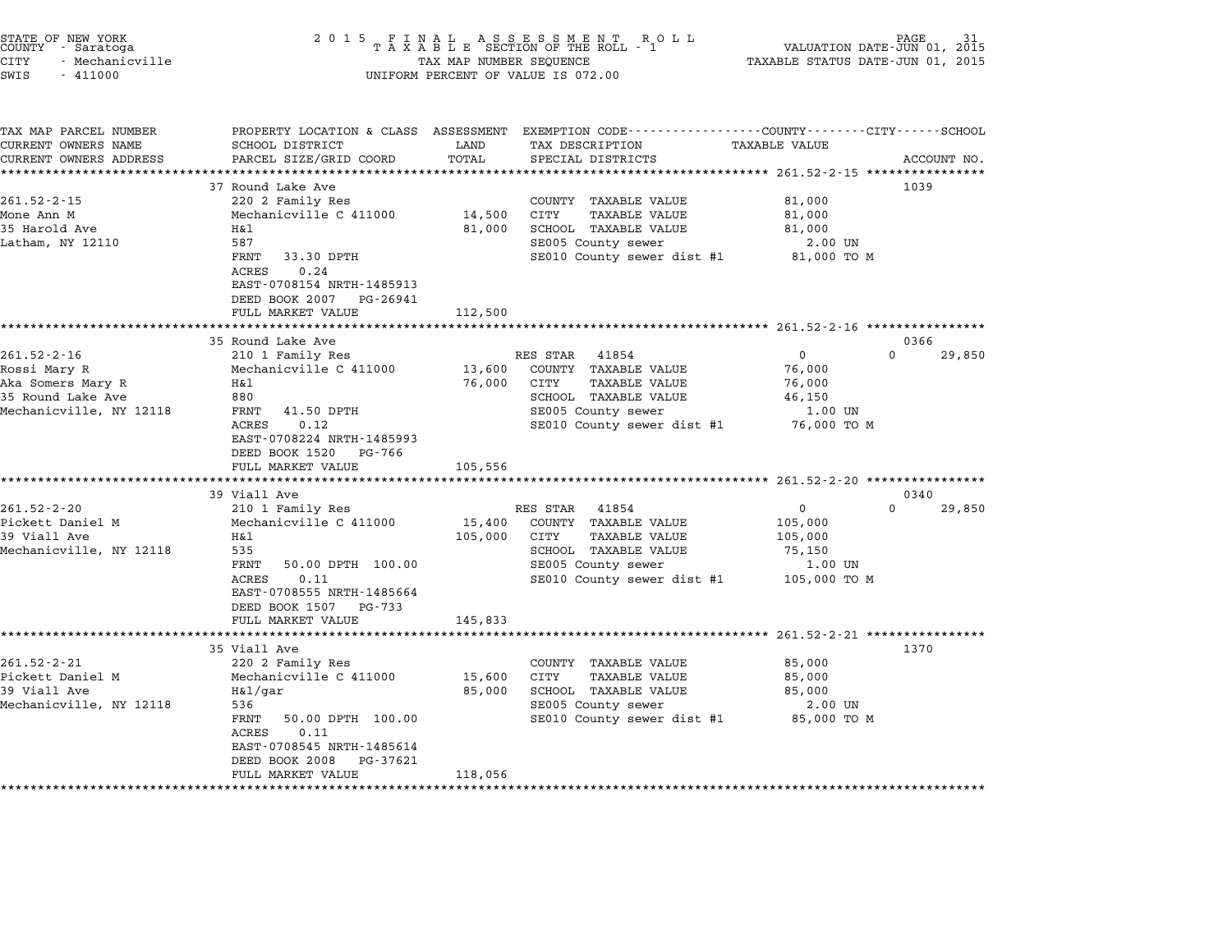| STATE OF NEW YORK<br>COUNTY - Saratoga<br><b>CITY</b><br>- Mechanicville<br>SWIS<br>$-411000$          | 2 0 1 5                                                                                                                                                                                                    | TAX MAP NUMBER SEQUENCE                          | FINAL ASSESSMENT RO<br>TAXABLE SECTION OF THE ROLL - 1<br>R O L L<br>UNIFORM PERCENT OF VALUE IS 072.00                                        | TAXABLE STATUS DATE-JUN 01, 2015                                                                                        | PAGE<br>VALUATION DATE-JUN 01, 2015 |
|--------------------------------------------------------------------------------------------------------|------------------------------------------------------------------------------------------------------------------------------------------------------------------------------------------------------------|--------------------------------------------------|------------------------------------------------------------------------------------------------------------------------------------------------|-------------------------------------------------------------------------------------------------------------------------|-------------------------------------|
| TAX MAP PARCEL NUMBER<br>CURRENT OWNERS NAME<br>CURRENT OWNERS ADDRESS                                 | SCHOOL DISTRICT<br>PARCEL SIZE/GRID COORD                                                                                                                                                                  | LAND<br>TOTAL                                    | PROPERTY LOCATION & CLASS ASSESSMENT EXEMPTION CODE---------------COUNTY-------CITY------SCHOOL<br>TAX DESCRIPTION<br>SPECIAL DISTRICTS        | TAXABLE VALUE                                                                                                           | ACCOUNT NO.                         |
| $261.52 - 2 - 15$<br>Mone Ann M<br>35 Harold Ave<br>Latham, NY 12110                                   | 37 Round Lake Ave<br>220 2 Family Res<br>Mechanicville C 411000<br>Η&l<br>587<br>FRNT<br>33.30 DPTH<br>ACRES<br>0.24<br>EAST-0708154 NRTH-1485913<br>DEED BOOK 2007<br>PG-26941<br>FULL MARKET VALUE       | 14,500<br>81,000<br>112,500                      | COUNTY TAXABLE VALUE<br>CITY<br>TAXABLE VALUE<br>SCHOOL TAXABLE VALUE<br>SE005 County sewer<br>SE010 County sewer dist #1 81,000 TO M          | 81,000<br>81,000<br>81,000<br>2.00 UN                                                                                   | 1039                                |
|                                                                                                        |                                                                                                                                                                                                            |                                                  |                                                                                                                                                |                                                                                                                         |                                     |
| $261.52 - 2 - 16$<br>Rossi Mary R<br>Aka Somers Mary R<br>35 Round Lake Ave<br>Mechanicville, NY 12118 | 35 Round Lake Ave<br>210 1 Family Res<br>Mechanicville C 411000<br>Η&l<br>880<br>FRNT<br>41.50 DPTH<br>0.12<br>ACRES<br>EAST-0708224 NRTH-1485993<br>DEED BOOK 1520<br>PG-766<br>FULL MARKET VALUE         | 13,600<br>76,000<br>105,556<br>***************** | RES STAR<br>41854<br>COUNTY TAXABLE VALUE<br>TAXABLE VALUE<br>CITY<br>SCHOOL TAXABLE VALUE<br>SE005 County sewer<br>SE010 County sewer dist #1 | $\Omega$<br>76,000<br>76,000<br>46,150<br>1.00 UN<br>76,000 то м<br>********************** 261.52-2-20 **************** | 0366<br>$\Omega$<br>29,850          |
| $261.52 - 2 - 20$<br>Pickett Daniel M<br>39 Viall Ave<br>Mechanicville, NY 12118                       | 39 Viall Ave<br>210 1 Family Res<br>Mechanicville C 411000<br>Η&l<br>535<br>FRNT<br>50.00 DPTH 100.00<br>0.11<br>ACRES<br>EAST-0708555 NRTH-1485664<br>DEED BOOK 1507<br>PG-733<br>FULL MARKET VALUE       | 15,400<br>105,000<br>145,833                     | 41854<br>RES STAR<br>COUNTY TAXABLE VALUE<br>CITY<br>TAXABLE VALUE<br>SCHOOL TAXABLE VALUE<br>SE005 County sewer<br>SE010 County sewer dist #1 | 0<br>105,000<br>105,000<br>75,150<br>1.00 UN<br>105,000 TO M                                                            | 0340<br>$\Omega$<br>29,850          |
| $261.52 - 2 - 21$<br>Pickett Daniel M<br>39 Viall Ave<br>Mechanicville, NY 12118                       | 35 Viall Ave<br>220 2 Family Res<br>Mechanicville C 411000<br>H&1/qar<br>536<br>FRNT<br>50.00 DPTH 100.00<br>ACRES<br>0.11<br>EAST-0708545 NRTH-1485614<br>DEED BOOK 2008<br>PG-37621<br>FULL MARKET VALUE | 15,600<br>85,000<br>118,056                      | COUNTY TAXABLE VALUE<br>CITY<br>TAXABLE VALUE<br>SCHOOL TAXABLE VALUE<br>SE005 County sewer<br>SE010 County sewer dist #1                      | 85,000<br>85,000<br>85,000<br>2.00 UN<br>85,000 TO M                                                                    | 1370                                |

STATE OF NEW YORK <sup>2</sup> <sup>0</sup> <sup>1</sup> 5 F I N A L A S S E S S M E N T R O L L PAGE <sup>31</sup> COUNTY - Saratoga <sup>T</sup> <sup>A</sup> <sup>X</sup> <sup>A</sup> <sup>B</sup> <sup>L</sup> <sup>E</sup> SECTION OF THE ROLL - <sup>1</sup> VALUATION DATE-JUN 01, <sup>2015</sup>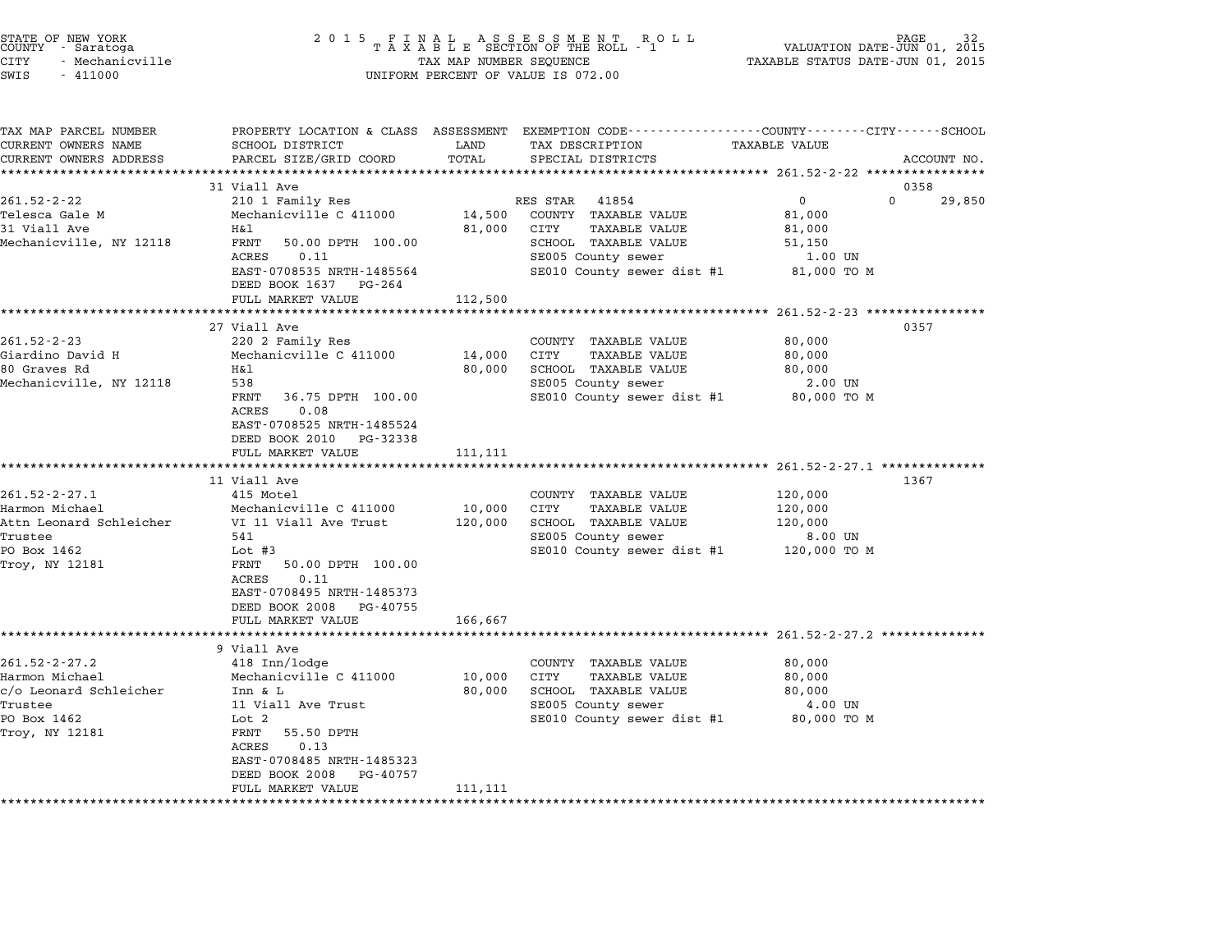| STATE OF NEW YORK<br>COUNTY – Saratoga<br>CITY<br>- Mechanicville<br>SWIS<br>$-411000$                       | 2 0 1 5<br>FINAL ASSESSMENT ROLL<br>TAXABLE SECTION OF THE ROLL - 1<br>PAGE<br>VALUATION DATE-JUN 01, 2015<br>TAXABLE STATUS DATE-JUN 01, 2015<br>TAX MAP NUMBER SEQUENCE<br>UNIFORM PERCENT OF VALUE IS 072.00                     |                              |                                                                                                                                                       |                                                                                                                                                                       |        |  |
|--------------------------------------------------------------------------------------------------------------|-------------------------------------------------------------------------------------------------------------------------------------------------------------------------------------------------------------------------------------|------------------------------|-------------------------------------------------------------------------------------------------------------------------------------------------------|-----------------------------------------------------------------------------------------------------------------------------------------------------------------------|--------|--|
| TAX MAP PARCEL NUMBER<br>CURRENT OWNERS NAME<br>CURRENT OWNERS ADDRESS                                       | PROPERTY LOCATION & CLASS ASSESSMENT<br>SCHOOL DISTRICT<br>PARCEL SIZE/GRID COORD                                                                                                                                                   | LAND<br>TOTAL<br>******      | TAX DESCRIPTION<br>SPECIAL DISTRICTS                                                                                                                  | EXEMPTION CODE-----------------COUNTY-------CITY------SCHOOL<br><b>TAXABLE VALUE</b><br>ACCOUNT NO.<br>*******************************261.52-2-22 ******************* |        |  |
|                                                                                                              | 31 Viall Ave                                                                                                                                                                                                                        |                              |                                                                                                                                                       | 0358                                                                                                                                                                  |        |  |
| $261.52 - 2 - 22$<br>Telesca Gale M<br>31 Viall Ave<br>Mechanicville, NY 12118                               | 210 1 Family Res<br>Mechanicville C 411000<br>Η&l<br>FRNT<br>50.00 DPTH 100.00<br>ACRES<br>0.11<br>EAST-0708535 NRTH-1485564<br>DEED BOOK 1637 PG-264                                                                               | 14,500<br>81,000             | RES STAR<br>41854<br>COUNTY TAXABLE VALUE<br>CITY<br><b>TAXABLE VALUE</b><br>SCHOOL TAXABLE VALUE<br>SE005 County sewer<br>SE010 County sewer dist #1 | $\mathbf 0$<br>$\Omega$<br>81,000<br>81,000<br>51,150<br>1.00 UN<br>81,000 TO M                                                                                       | 29,850 |  |
|                                                                                                              | FULL MARKET VALUE                                                                                                                                                                                                                   | 112,500                      |                                                                                                                                                       | ***************** 261.52-2-23 ************                                                                                                                            |        |  |
| $261.52 - 2 - 23$<br>Giardino David H<br>80 Graves Rd<br>Mechanicville, NY 12118                             | 27 Viall Ave<br>220 2 Family Res<br>Mechanicville C 411000<br>Η&l<br>538<br>FRNT<br>36.75 DPTH 100.00<br>ACRES<br>0.08<br>EAST-0708525 NRTH-1485524<br>DEED BOOK 2010<br>PG-32338<br>FULL MARKET VALUE<br>************************* | 14,000<br>80,000<br>111,111  | COUNTY TAXABLE VALUE<br>CITY<br><b>TAXABLE VALUE</b><br>SCHOOL TAXABLE VALUE<br>SE005 County sewer<br>SE010 County sewer dist #1                      | 0357<br>80,000<br>80,000<br>80,000<br>2.00 UN<br>80,000 TO M                                                                                                          |        |  |
|                                                                                                              | 11 Viall Ave                                                                                                                                                                                                                        |                              |                                                                                                                                                       | 1367                                                                                                                                                                  |        |  |
| $261.52 - 2 - 27.1$<br>Harmon Michael<br>Attn Leonard Schleicher<br>Trustee<br>PO Box 1462<br>Troy, NY 12181 | 415 Motel<br>Mechanicville C 411000<br>VI 11 Viall Ave Trust<br>541<br>Lot $#3$<br>FRNT<br>50.00 DPTH 100.00<br>0.11<br>ACRES<br>EAST-0708495 NRTH-1485373<br>DEED BOOK 2008<br>PG-40755<br>FULL MARKET VALUE                       | 10,000<br>120,000<br>166,667 | COUNTY TAXABLE VALUE<br>CITY<br><b>TAXABLE VALUE</b><br>SCHOOL TAXABLE VALUE<br>SE005 County sewer<br>SE010 County sewer dist #1                      | 120,000<br>120,000<br>120,000<br>8.00 UN<br>120,000 TO M                                                                                                              |        |  |
|                                                                                                              | ***********************                                                                                                                                                                                                             | **************               |                                                                                                                                                       |                                                                                                                                                                       |        |  |
| $261.52 - 2 - 27.2$<br>Harmon Michael<br>c/o Leonard Schleicher<br>Trustee<br>PO Box 1462<br>Troy, NY 12181  | 9 Viall Ave<br>418 Inn/lodge<br>Mechanicville C 411000<br>Inn & L<br>11 Viall Ave Trust<br>Lot 2<br>FRNT<br>55.50 DPTH<br>ACRES<br>0.13<br>EAST-0708485 NRTH-1485323<br>DEED BOOK 2008<br>PG-40757<br>FULL MARKET VALUE             | 10,000<br>80,000<br>111, 111 | COUNTY TAXABLE VALUE<br>CITY<br><b>TAXABLE VALUE</b><br>SCHOOL TAXABLE VALUE<br>SE005 County sewer<br>SE010 County sewer dist #1                      | 80,000<br>80,000<br>80,000<br>4.00 UN<br>80,000 TO M                                                                                                                  |        |  |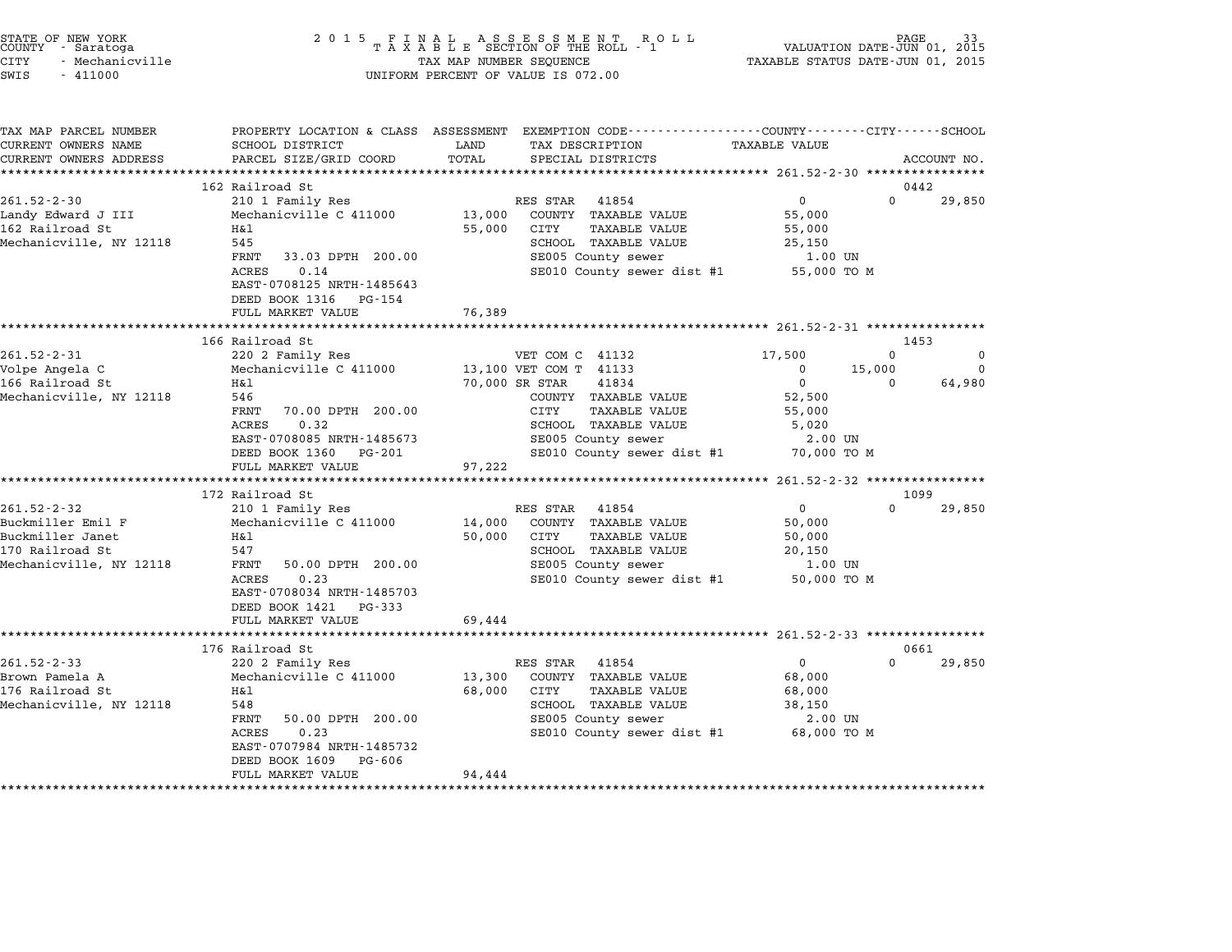| STATE OF NEW YORK<br>COUNTY - Saratoga<br>CITY<br>- Mechanicville<br>SWIS<br>$-411000$                   |                                                                                                                                                                                                                | $\begin{array}{cccccccccccccc} 2& 0& 1& 5 & & F & I & N & A & L & & A & S & S & E & S & M & E & N & T & & R & O & L \\ & & T & A & X & A & B & L & E & SECTION OF THE ROLL & - & 1 \end{array}$<br>PAGE<br>VALUATION DATE-JUN 01, 2015<br>TAXABLE STATUS DATE-JUN 01, 2015<br>TAX MAP NUMBER SEQUENCE<br>UNIFORM PERCENT OF VALUE IS 072.00 |                                                                                                                                                       |                                                                     |                                |                                 |
|----------------------------------------------------------------------------------------------------------|----------------------------------------------------------------------------------------------------------------------------------------------------------------------------------------------------------------|---------------------------------------------------------------------------------------------------------------------------------------------------------------------------------------------------------------------------------------------------------------------------------------------------------------------------------------------|-------------------------------------------------------------------------------------------------------------------------------------------------------|---------------------------------------------------------------------|--------------------------------|---------------------------------|
| TAX MAP PARCEL NUMBER<br>CURRENT OWNERS NAME<br>CURRENT OWNERS ADDRESS                                   | SCHOOL DISTRICT<br>PARCEL SIZE/GRID COORD                                                                                                                                                                      | LAND<br>TOTAL                                                                                                                                                                                                                                                                                                                               | PROPERTY LOCATION & CLASS ASSESSMENT EXEMPTION CODE---------------COUNTY-------CITY------SCHOOL<br>TAX DESCRIPTION<br>SPECIAL DISTRICTS               | TAXABLE VALUE                                                       |                                | ACCOUNT NO.                     |
|                                                                                                          | ***************************                                                                                                                                                                                    |                                                                                                                                                                                                                                                                                                                                             |                                                                                                                                                       |                                                                     |                                |                                 |
| $261.52 - 2 - 30$<br>Landy Edward J III<br>162 Railroad St<br>Mechanicville, NY 12118                    | 162 Railroad St<br>210 1 Family Res<br>Mechanicville C 411000<br>H&1<br>545<br>FRNT<br>33.03 DPTH 200.00<br><b>ACRES</b><br>0.14<br>EAST-0708125 NRTH-1485643<br>DEED BOOK 1316<br>PG-154<br>FULL MARKET VALUE | 13,000<br>55,000<br>76,389                                                                                                                                                                                                                                                                                                                  | RES STAR<br>41854<br>COUNTY TAXABLE VALUE<br>CITY<br><b>TAXABLE VALUE</b><br>SCHOOL TAXABLE VALUE<br>SE005 County sewer<br>SE010 County sewer dist #1 | 0<br>55,000<br>55,000<br>25,150<br>$1.00$ UN<br>55,000 TO M         | $\Omega$                       | 0442<br>29,850                  |
|                                                                                                          |                                                                                                                                                                                                                |                                                                                                                                                                                                                                                                                                                                             |                                                                                                                                                       | ************************ 261.52-2-31 ****************               |                                |                                 |
| $261.52 - 2 - 31$<br>Volpe Angela C<br>166 Railroad St<br>Mechanicville, NY 12118                        | 166 Railroad St<br>220 2 Family Res<br>Mechanicville C 411000<br>Η&l<br>546<br>FRNT<br>70.00 DPTH 200.00<br><b>ACRES</b><br>0.32                                                                               | 70,000 SR STAR                                                                                                                                                                                                                                                                                                                              | VET COM C 41132<br>13,100 VET COM T 41133<br>41834<br>COUNTY TAXABLE VALUE<br>CITY<br>TAXABLE VALUE<br>SCHOOL TAXABLE VALUE                           | 17,500<br>0<br>$\mathbf 0$<br>52,500<br>55,000<br>5,020             | $\Omega$<br>15,000<br>$\Omega$ | 1453<br>$\Omega$<br>0<br>64,980 |
|                                                                                                          | EAST-0708085 NRTH-1485673<br>DEED BOOK 1360 PG-201<br>FULL MARKET VALUE<br>**********************                                                                                                              | 97,222                                                                                                                                                                                                                                                                                                                                      | SE005 County sewer<br>SE010 County sewer dist #1<br>*****************                                                                                 | 2.00 UN<br>70,000 TO M<br>********** 261.52-2-32 ****************   |                                |                                 |
|                                                                                                          | 172 Railroad St                                                                                                                                                                                                |                                                                                                                                                                                                                                                                                                                                             |                                                                                                                                                       |                                                                     |                                | 1099                            |
| $261.52 - 2 - 32$<br>Buckmiller Emil F<br>Buckmiller Janet<br>170 Railroad St<br>Mechanicville, NY 12118 | 210 1 Family Res<br>Mechanicville C 411000<br>H&l<br>547<br>FRNT<br>50.00 DPTH 200.00<br>0.23<br><b>ACRES</b><br>EAST-0708034 NRTH-1485703<br>DEED BOOK 1421<br>PG-333                                         | 14,000<br>50,000                                                                                                                                                                                                                                                                                                                            | RES STAR<br>41854<br>COUNTY TAXABLE VALUE<br>CITY<br>TAXABLE VALUE<br>SCHOOL TAXABLE VALUE<br>SE005 County sewer<br>SE010 County sewer dist #1        | 0<br>50,000<br>50,000<br>20,150<br>1.00 UN<br>50,000 TO M           | $\Omega$                       | 29,850                          |
|                                                                                                          | FULL MARKET VALUE                                                                                                                                                                                              | 69,444                                                                                                                                                                                                                                                                                                                                      |                                                                                                                                                       |                                                                     |                                |                                 |
|                                                                                                          | 176 Railroad St                                                                                                                                                                                                |                                                                                                                                                                                                                                                                                                                                             |                                                                                                                                                       |                                                                     |                                | 0661                            |
| $261.52 - 2 - 33$<br>Brown Pamela A<br>176 Railroad St<br>Mechanicville, NY 12118                        | 220 2 Family Res<br>Mechanicville C 411000<br>Η&l<br>548<br>FRNT<br>50.00 DPTH 200.00<br>ACRES<br>0.23<br>EAST-0707984 NRTH-1485732<br>DEED BOOK 1609<br>PG-606<br>FULL MARKET VALUE                           | 13,300<br>68,000<br>94,444                                                                                                                                                                                                                                                                                                                  | RES STAR<br>41854<br>COUNTY TAXABLE VALUE<br>CITY<br><b>TAXABLE VALUE</b><br>SCHOOL TAXABLE VALUE<br>SE005 County sewer<br>SE010 County sewer dist #1 | $\mathbf 0$<br>68,000<br>68,000<br>38,150<br>2.00 UN<br>68,000 TO M | $\Omega$                       | 29,850                          |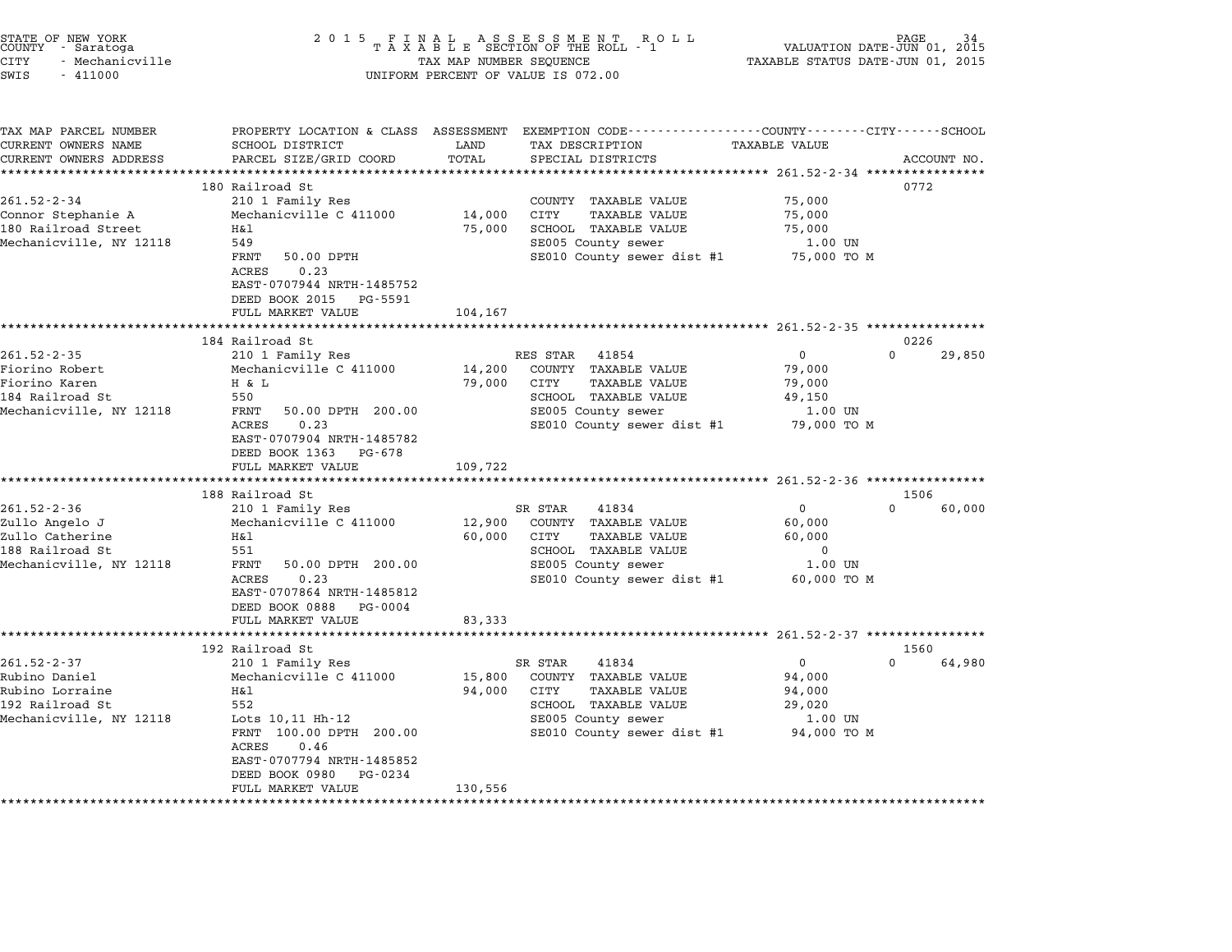| STATE OF NEW YORK<br>COUNTY - Saratoga<br>CITY<br>- Mechanicville<br>SWIS<br>$-411000$               | 2 0 1 5                                                                                                                                                                                                        | TAX MAP NUMBER SEQUENCE     | FINAL ASSESSMENT RO<br>TAXABLE SECTION OF THE ROLL - 1<br>R O L L<br>UNIFORM PERCENT OF VALUE IS 072.00                                              | TAXABLE STATUS DATE-JUN 01, 2015                                       | PAGE<br>VALUATION DATE-JUN 01, 2015 |
|------------------------------------------------------------------------------------------------------|----------------------------------------------------------------------------------------------------------------------------------------------------------------------------------------------------------------|-----------------------------|------------------------------------------------------------------------------------------------------------------------------------------------------|------------------------------------------------------------------------|-------------------------------------|
| TAX MAP PARCEL NUMBER<br>CURRENT OWNERS NAME<br>CURRENT OWNERS ADDRESS                               | PROPERTY LOCATION & CLASS ASSESSMENT<br>SCHOOL DISTRICT<br>PARCEL SIZE/GRID COORD                                                                                                                              | LAND<br>TOTAL<br>******     | EXEMPTION CODE-----------------COUNTY-------CITY------SCHOOL<br>TAX DESCRIPTION<br>SPECIAL DISTRICTS                                                 | TAXABLE VALUE<br>******** 261.52-2-34 ***                              | ACCOUNT NO.                         |
| $261.52 - 2 - 34$<br>Connor Stephanie A<br>180 Railroad Street<br>Mechanicville, NY 12118            | 180 Railroad St<br>210 1 Family Res<br>Mechanicville C 411000<br>Η&l<br>549<br>FRNT<br>50.00 DPTH<br>0.23<br><b>ACRES</b><br>EAST-0707944 NRTH-1485752<br>DEED BOOK 2015 PG-5591                               | 14,000<br>75,000            | COUNTY TAXABLE VALUE<br>CITY<br><b>TAXABLE VALUE</b><br>SCHOOL TAXABLE VALUE<br>SE005 County sewer<br>SE010 County sewer dist #1                     | 75,000<br>75,000<br>75,000<br>1.00 UN<br>75,000 TO M                   | 0772                                |
|                                                                                                      | FULL MARKET VALUE<br>****************************<br>184 Railroad St                                                                                                                                           | 104,167                     |                                                                                                                                                      |                                                                        | 0226                                |
| $261.52 - 2 - 35$<br>Fiorino Robert<br>Fiorino Karen<br>184 Railroad St<br>Mechanicville, NY 12118   | 210 1 Family Res<br>Mechanicville C 411000<br>H & L<br>550<br>FRNT<br>50.00 DPTH 200.00<br>ACRES<br>0.23<br>EAST-0707904 NRTH-1485782<br>DEED BOOK 1363 PG-678<br>FULL MARKET VALUE                            | 14,200<br>79,000<br>109,722 | RES STAR<br>41854<br>COUNTY TAXABLE VALUE<br>CITY<br>TAXABLE VALUE<br>SCHOOL TAXABLE VALUE<br>SE005 County sewer<br>SE010 County sewer dist #1       | $\mathbf 0$<br>79,000<br>79,000<br>49,150<br>1.00 UN<br>79,000 TO M    | $\Omega$<br>29,850                  |
|                                                                                                      | 188 Railroad St                                                                                                                                                                                                |                             |                                                                                                                                                      |                                                                        | 1506                                |
| $261.52 - 2 - 36$<br>Zullo Angelo J<br>Zullo Catherine<br>188 Railroad St<br>Mechanicville, NY 12118 | 210 1 Family Res<br>Mechanicville C 411000<br>H&l<br>551<br>FRNT<br>50.00 DPTH 200.00<br>ACRES<br>0.23<br>EAST-0707864 NRTH-1485812<br>DEED BOOK 0888 PG-0004<br>FULL MARKET VALUE                             | 12,900<br>60,000<br>83,333  | SR STAR<br>41834<br>COUNTY TAXABLE VALUE<br>CITY<br><b>TAXABLE VALUE</b><br>SCHOOL TAXABLE VALUE<br>SE005 County sewer<br>SE010 County sewer dist #1 | $\mathbf{0}$<br>60,000<br>60,000<br>$\Omega$<br>1.00 UN<br>60,000 TO M | $\Omega$<br>60,000                  |
|                                                                                                      | *********************<br>192 Railroad St                                                                                                                                                                       | **********                  | ********************* 261.52-2-37 *****************                                                                                                  |                                                                        | 1560                                |
| $261.52 - 2 - 37$<br>Rubino Daniel<br>Rubino Lorraine<br>192 Railroad St<br>Mechanicville, NY 12118  | 210 1 Family Res<br>Mechanicville C 411000<br>Η&l<br>552<br>Lots 10,11 Hh-12<br>FRNT 100.00 DPTH 200.00<br><b>ACRES</b><br>0.46<br>EAST-0707794 NRTH-1485852<br>DEED BOOK 0980<br>PG-0234<br>FULL MARKET VALUE | 15,800<br>94,000<br>130,556 | SR STAR<br>41834<br>COUNTY TAXABLE VALUE<br>CITY<br><b>TAXABLE VALUE</b><br>SCHOOL TAXABLE VALUE<br>SE005 County sewer<br>SE010 County sewer dist #1 | $\mathbf 0$<br>94,000<br>94,000<br>29,020<br>1.00 UN<br>94,000 TO M    | $\Omega$<br>64,980                  |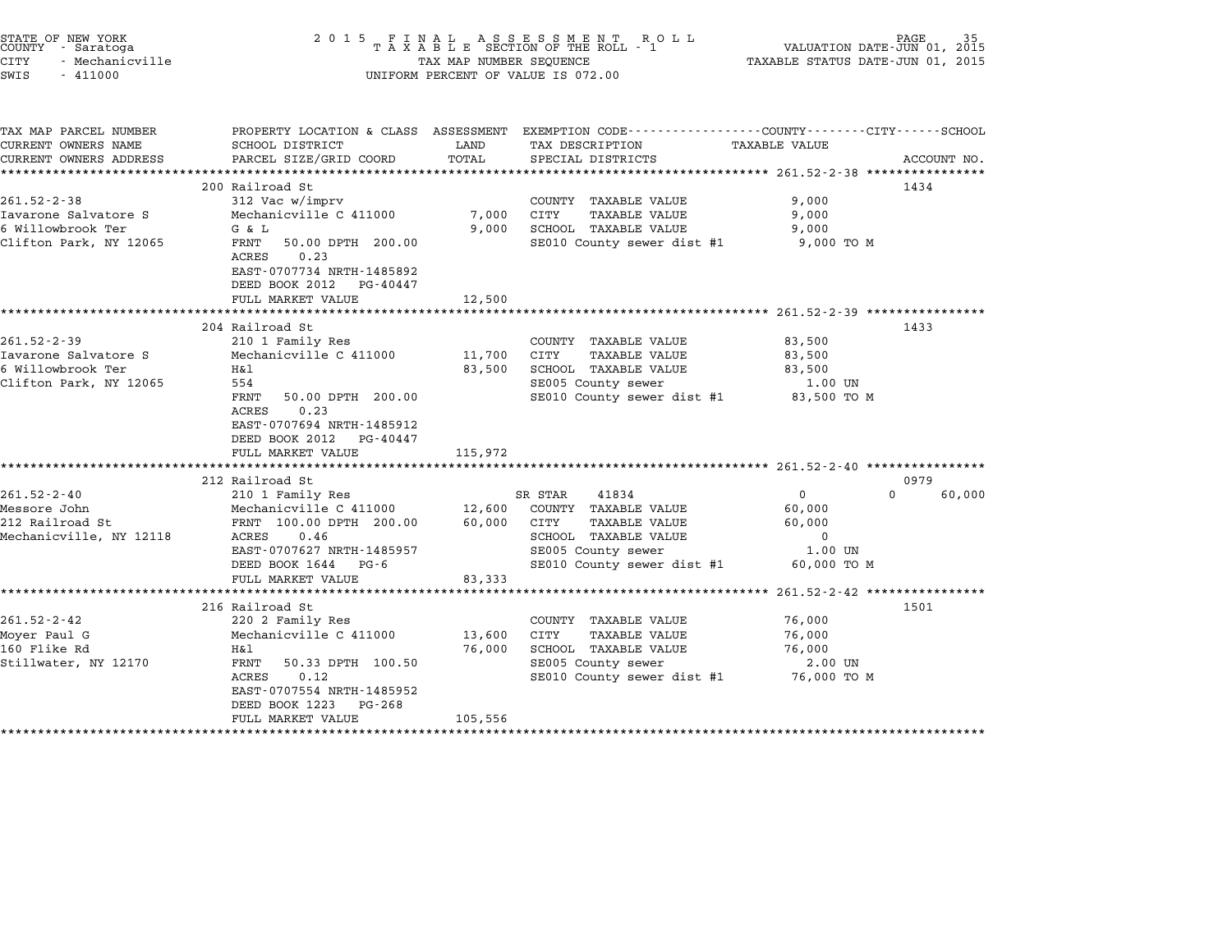| STATE OF NEW YORK<br>COUNTY - Saratoga<br>- Mechanicville<br>CITY<br>SWIS<br>$-411000$   | 2 0 1 5<br>FINAL ASSESSMENT ROLL<br>TAXABLE SECTION OF THE ROLL - 1<br>VALUATION DATE-JUN 01, 2015<br>TAXABLE STATUS DATE-JUN 01, 2015<br>TAX MAP NUMBER SEQUENCE<br>UNIFORM PERCENT OF VALUE IS 072.00                           |                                          |                                                                                                                                                      |                                                                                                                        |             |  |
|------------------------------------------------------------------------------------------|-----------------------------------------------------------------------------------------------------------------------------------------------------------------------------------------------------------------------------------|------------------------------------------|------------------------------------------------------------------------------------------------------------------------------------------------------|------------------------------------------------------------------------------------------------------------------------|-------------|--|
| TAX MAP PARCEL NUMBER<br>CURRENT OWNERS NAME<br>CURRENT OWNERS ADDRESS                   | SCHOOL DISTRICT<br>PARCEL SIZE/GRID COORD                                                                                                                                                                                         | LAND<br>TOTAL<br>*************           | PROPERTY LOCATION & CLASS ASSESSMENT EXEMPTION CODE---------------COUNTY-------CITY-----SCHOOL<br>TAX DESCRIPTION<br>SPECIAL DISTRICTS               | <b>TAXABLE VALUE</b><br>************* 261.52-2-38 ****************                                                     | ACCOUNT NO. |  |
| $261.52 - 2 - 38$<br>Iavarone Salvatore S<br>6 Willowbrook Ter<br>Clifton Park, NY 12065 | 200 Railroad St<br>312 Vac w/imprv<br>Mechanicville C 411000<br>G & L<br>FRNT<br>50.00 DPTH 200.00<br>ACRES<br>0.23<br>EAST-0707734 NRTH-1485892<br>DEED BOOK 2012 PG-40447<br>FULL MARKET VALUE                                  | 7,000<br>9,000<br>12,500                 | COUNTY TAXABLE VALUE<br>CITY<br><b>TAXABLE VALUE</b><br>SCHOOL TAXABLE VALUE<br>SE010 County sewer dist #1                                           | 1434<br>9,000<br>9,000<br>9,000<br>9,000 TO M                                                                          |             |  |
| $261.52 - 2 - 39$<br>Iavarone Salvatore S<br>6 Willowbrook Ter<br>Clifton Park, NY 12065 | ***********************<br>204 Railroad St<br>210 1 Family Res<br>Mechanicville C 411000<br>H&l<br>554<br>FRNT<br>50.00 DPTH 200.00<br>0.23<br>ACRES<br>EAST-0707694 NRTH-1485912<br>DEED BOOK 2012 PG-40447<br>FULL MARKET VALUE | *********<br>11,700<br>83,500<br>115,972 | COUNTY TAXABLE VALUE<br>CITY<br>TAXABLE VALUE<br>SCHOOL TAXABLE VALUE<br>SE005 County sewer<br>SE010 County sewer dist #1                            | ·************************ 261.52-2-39 ****************<br>1433<br>83,500<br>83,500<br>83,500<br>1.00 UN<br>83,500 TO M |             |  |
| $261.52 - 2 - 40$<br>Messore John<br>212 Railroad St<br>Mechanicville, NY 12118          | ***********************<br>212 Railroad St<br>210 1 Family Res<br>Mechanicville C 411000<br>FRNT 100.00 DPTH 200.00<br>ACRES<br>0.46<br>EAST-0707627 NRTH-1485957<br>DEED BOOK 1644 PG-6<br>FULL MARKET VALUE                     | 12,600<br>60,000<br>83,333               | SR STAR<br>41834<br>COUNTY TAXABLE VALUE<br>CITY<br><b>TAXABLE VALUE</b><br>SCHOOL TAXABLE VALUE<br>SE005 County sewer<br>SE010 County sewer dist #1 | 0979<br>$\Omega$<br>$\mathbf{0}$<br>60,000<br>60,000<br>$\mathbf 0$<br>1.00 UN<br>60,000 TO M                          | 60,000      |  |
| $261.52 - 2 - 42$<br>Moyer Paul G<br>160 Flike Rd<br>Stillwater, NY 12170                | ********************<br>216 Railroad St<br>220 2 Family Res<br>Mechanicville C 411000<br>H&l<br>FRNT<br>50.33 DPTH 100.50<br>ACRES<br>0.12<br>EAST-0707554 NRTH-1485952<br>DEED BOOK 1223<br>PG-268<br>FULL MARKET VALUE          | 13,600<br>76,000<br>105,556              | COUNTY TAXABLE VALUE<br>CITY<br>TAXABLE VALUE<br>SCHOOL TAXABLE VALUE<br>SE005 County sewer<br>SE010 County sewer dist #1                            | ***************** 261.52-2-42 ****************<br>1501<br>76,000<br>76,000<br>76,000<br>2.00 UN<br>76,000 TO M         |             |  |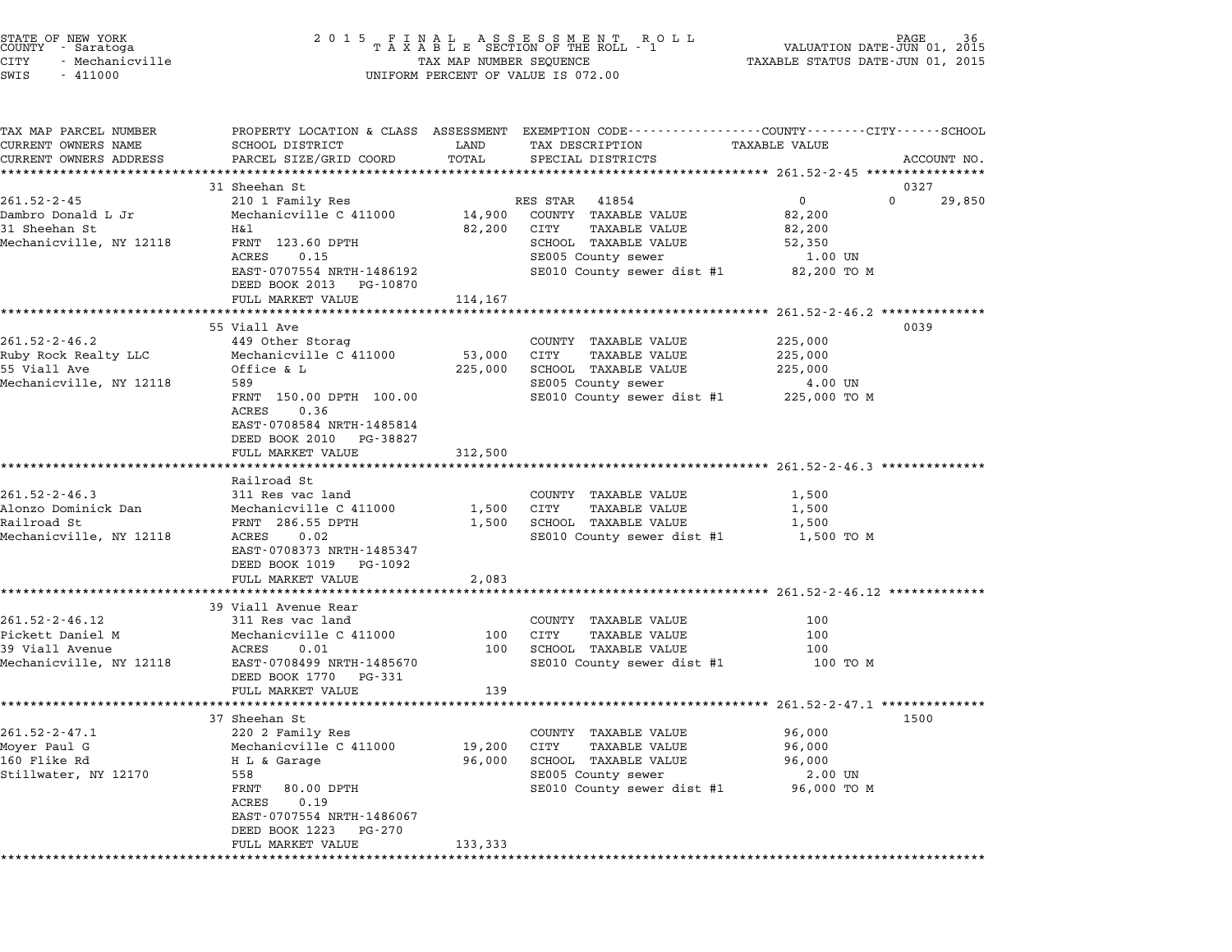| STATE OF NEW YORK<br>COUNTY – Saratoga<br>CITY<br>- Mechanicville<br>SWIS<br>$-411000$ | 2 0 1 5                                                               | TAX MAP NUMBER SEQUENCE | FINAL ASSESSMENT ROLL<br>TAXABLE SECTION OF THE ROLL - 1<br>UNIFORM PERCENT OF VALUE IS 072.00 | VALUATION DATE-JUN 01,<br>TAXABLE STATUS DATE-JUN 01, 2015                                      | 36<br>2015  |
|----------------------------------------------------------------------------------------|-----------------------------------------------------------------------|-------------------------|------------------------------------------------------------------------------------------------|-------------------------------------------------------------------------------------------------|-------------|
|                                                                                        |                                                                       |                         |                                                                                                |                                                                                                 |             |
| TAX MAP PARCEL NUMBER                                                                  |                                                                       |                         |                                                                                                | PROPERTY LOCATION & CLASS ASSESSMENT EXEMPTION CODE---------------COUNTY-------CITY------SCHOOL |             |
| CURRENT OWNERS NAME                                                                    | SCHOOL DISTRICT                                                       | LAND                    | TAX DESCRIPTION                                                                                | TAXABLE VALUE                                                                                   |             |
| CURRENT OWNERS ADDRESS                                                                 | PARCEL SIZE/GRID COORD<br>*********************                       | TOTAL<br>***********    | SPECIAL DISTRICTS                                                                              |                                                                                                 | ACCOUNT NO. |
|                                                                                        | 31 Sheehan St                                                         |                         |                                                                                                | 0327                                                                                            |             |
| $261.52 - 2 - 45$                                                                      | 210 1 Family Res                                                      |                         | RES STAR<br>41854                                                                              | $\overline{0}$<br>$\Omega$                                                                      | 29,850      |
| Dambro Donald L Jr                                                                     | Mechanicville C 411000                                                | 14,900                  | COUNTY TAXABLE VALUE                                                                           | 82,200                                                                                          |             |
| 31 Sheehan St                                                                          | H&l                                                                   | 82,200                  | CITY<br>TAXABLE VALUE                                                                          | 82,200                                                                                          |             |
| Mechanicville, NY 12118                                                                | FRNT 123.60 DPTH                                                      |                         | SCHOOL TAXABLE VALUE                                                                           | 52,350                                                                                          |             |
|                                                                                        | ACRES<br>0.15<br>EAST-0707554 NRTH-1486192<br>DEED BOOK 2013 PG-10870 |                         | SE005 County sewer<br>SE010 County sewer dist #1                                               | 1.00 UN<br>82,200 TO M                                                                          |             |
|                                                                                        | FULL MARKET VALUE                                                     | 114,167                 |                                                                                                |                                                                                                 |             |
|                                                                                        |                                                                       |                         |                                                                                                | *************** 261.52-2-46.2 ***************                                                   |             |
|                                                                                        | 55 Viall Ave                                                          |                         |                                                                                                | 0039                                                                                            |             |
| $261.52 - 2 - 46.2$                                                                    | 449 Other Storag                                                      |                         | COUNTY TAXABLE VALUE                                                                           | 225,000                                                                                         |             |
| Ruby Rock Realty LLC                                                                   | Mechanicville C 411000                                                | 53,000                  | CITY<br><b>TAXABLE VALUE</b>                                                                   | 225,000                                                                                         |             |
| 55 Viall Ave                                                                           | Office & L                                                            | 225,000                 | SCHOOL TAXABLE VALUE                                                                           | 225,000                                                                                         |             |
| Mechanicville, NY 12118                                                                | 589                                                                   |                         | SE005 County sewer                                                                             | 4.00 UN                                                                                         |             |
|                                                                                        | FRNT 150.00 DPTH 100.00<br>0.36                                       |                         | SE010 County sewer dist #1 225,000 TO M                                                        |                                                                                                 |             |
|                                                                                        | ACRES<br>EAST-0708584 NRTH-1485814                                    |                         |                                                                                                |                                                                                                 |             |
|                                                                                        | DEED BOOK 2010 PG-38827                                               |                         |                                                                                                |                                                                                                 |             |
|                                                                                        | FULL MARKET VALUE                                                     | 312,500                 |                                                                                                |                                                                                                 |             |
|                                                                                        |                                                                       |                         |                                                                                                |                                                                                                 |             |
|                                                                                        | Railroad St                                                           |                         |                                                                                                |                                                                                                 |             |
| $261.52 - 2 - 46.3$                                                                    | 311 Res vac land                                                      |                         | COUNTY TAXABLE VALUE                                                                           | 1,500                                                                                           |             |
| Alonzo Dominick Dan                                                                    | Mechanicville C 411000                                                | 1,500                   | CITY<br>TAXABLE VALUE                                                                          | 1,500                                                                                           |             |
| Railroad St<br>Mechanicville, NY 12118                                                 | FRNT 286.55 DPTH<br>ACRES<br>0.02                                     | 1,500                   | SCHOOL TAXABLE VALUE<br>SE010 County sewer dist #1                                             | 1,500<br>1,500 TO M                                                                             |             |
|                                                                                        | EAST-0708373 NRTH-1485347                                             |                         |                                                                                                |                                                                                                 |             |
|                                                                                        | DEED BOOK 1019<br>PG-1092                                             |                         |                                                                                                |                                                                                                 |             |
|                                                                                        | FULL MARKET VALUE                                                     | 2,083                   |                                                                                                |                                                                                                 |             |
|                                                                                        |                                                                       |                         |                                                                                                | ************************ 261.52-2-46.12 ***********                                             |             |
|                                                                                        | 39 Viall Avenue Rear                                                  |                         |                                                                                                |                                                                                                 |             |
| $261.52 - 2 - 46.12$                                                                   | 311 Res vac land                                                      |                         | COUNTY TAXABLE VALUE                                                                           | 100                                                                                             |             |
| Pickett Daniel M                                                                       | Mechanicville C 411000                                                | 100                     | CITY<br><b>TAXABLE VALUE</b>                                                                   | 100                                                                                             |             |
| 39 Viall Avenue<br>Mechanicville, NY 12118                                             | ACRES<br>0.01<br>EAST-0708499 NRTH-1485670                            | 100                     | SCHOOL TAXABLE VALUE<br>SE010 County sewer dist #1                                             | 100<br>100 TO M                                                                                 |             |
|                                                                                        | DEED BOOK 1770 PG-331                                                 |                         |                                                                                                |                                                                                                 |             |
|                                                                                        | FULL MARKET VALUE                                                     | 139                     |                                                                                                |                                                                                                 |             |
|                                                                                        |                                                                       |                         |                                                                                                | ************************* 261.52-2-47.1 ********                                                |             |
|                                                                                        | 37 Sheehan St                                                         |                         |                                                                                                | 1500                                                                                            |             |
| $261.52 - 2 - 47.1$                                                                    | 220 2 Family Res                                                      |                         | TAXABLE VALUE<br>COUNTY                                                                        | 96,000                                                                                          |             |
| Moyer Paul G                                                                           | Mechanicville C 411000                                                | 19,200                  | CITY<br><b>TAXABLE VALUE</b>                                                                   | 96,000                                                                                          |             |
| 160 Flike Rd                                                                           | H L & Garage                                                          | 96,000                  | SCHOOL TAXABLE VALUE                                                                           | 96,000                                                                                          |             |
| Stillwater, NY 12170                                                                   | 558                                                                   |                         | SE005 County sewer                                                                             | 2.00 UN                                                                                         |             |
|                                                                                        | FRNT<br>80.00 DPTH<br>ACRES<br>0.19                                   |                         | SE010 County sewer dist #1                                                                     | 96,000 TO M                                                                                     |             |
|                                                                                        | EAST-0707554 NRTH-1486067                                             |                         |                                                                                                |                                                                                                 |             |
|                                                                                        | DEED BOOK 1223<br>PG-270                                              |                         |                                                                                                |                                                                                                 |             |
|                                                                                        | FULL MARKET VALUE                                                     | 133,333                 |                                                                                                |                                                                                                 |             |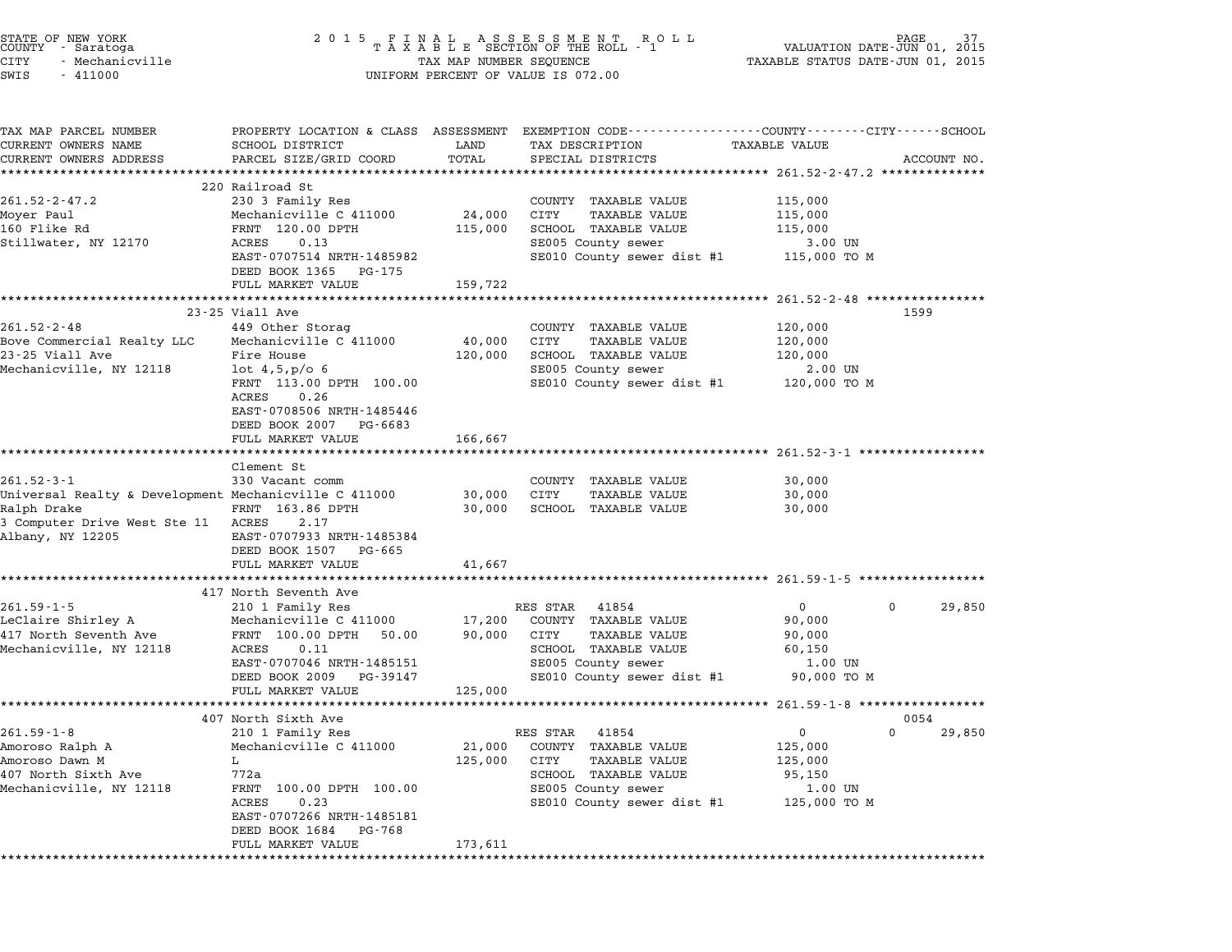| STATE OF NEW YORK<br>COUNTY - Saratoga<br><b>CITY</b><br>- Mechanicville<br>SWIS<br>$-411000$                                                | 2 0 1 5                                                                                                                                                                                                                   | TAX MAP NUMBER SEQUENCE      | FINAL ASSESSMENT ROLL<br>TAXABLE SECTION OF THE ROLL - 1<br>UNIFORM PERCENT OF VALUE IS 072.00                                                                     | VALUATION DATE-JUN 01,<br>TAXABLE STATUS DATE-JUN 01, 2015                            | 2015                  |
|----------------------------------------------------------------------------------------------------------------------------------------------|---------------------------------------------------------------------------------------------------------------------------------------------------------------------------------------------------------------------------|------------------------------|--------------------------------------------------------------------------------------------------------------------------------------------------------------------|---------------------------------------------------------------------------------------|-----------------------|
| TAX MAP PARCEL NUMBER<br>CURRENT OWNERS NAME<br>CURRENT OWNERS ADDRESS                                                                       | SCHOOL DISTRICT<br>PARCEL SIZE/GRID COORD<br>*************************                                                                                                                                                    | LAND<br>TOTAL                | PROPERTY LOCATION & CLASS ASSESSMENT EXEMPTION CODE---------------COUNTY-------CITY------SCHOOL<br>TAX DESCRIPTION<br>SPECIAL DISTRICTS                            | TAXABLE VALUE                                                                         | ACCOUNT NO.           |
| $261.52 - 2 - 47.2$<br>Moyer Paul<br>160 Flike Rd<br>Stillwater, NY 12170                                                                    | 220 Railroad St<br>230 3 Family Res<br>Mechanicville C 411000<br>FRNT 120.00 DPTH<br>ACRES<br>0.13<br>EAST-0707514 NRTH-1485982<br>DEED BOOK 1365<br>PG-175<br>FULL MARKET VALUE                                          | 24,000<br>115,000<br>159,722 | COUNTY TAXABLE VALUE<br>CITY<br><b>TAXABLE VALUE</b><br>SCHOOL TAXABLE VALUE<br>SE005 County sewer<br>SE010 County sewer dist #1                                   | 115,000<br>115,000<br>115,000<br>3.00 UN<br>115,000 TO M                              |                       |
| $261.52 - 2 - 48$<br>Bove Commercial Realty LLC<br>23-25 Viall Ave<br>Mechanicville, NY 12118                                                | 23-25 Viall Ave<br>449 Other Storag<br>Mechanicville C 411000<br>Fire House<br>$lot\,4,5, p/o\,6$<br>FRNT 113.00 DPTH 100.00<br>ACRES<br>0.26<br>EAST-0708506 NRTH-1485446<br>DEED BOOK 2007 PG-6683<br>FULL MARKET VALUE | 40,000<br>120,000<br>166,667 | COUNTY TAXABLE VALUE<br>CITY<br><b>TAXABLE VALUE</b><br>SCHOOL TAXABLE VALUE<br>SE005 County sewer<br>SE010 County sewer dist #1                                   | 120,000<br>120,000<br>120,000<br>2.00 UN<br>120,000 TO M                              | 1599                  |
| $261.52 - 3 - 1$<br>Universal Realty & Development Mechanicville C 411000<br>Ralph Drake<br>3 Computer Drive West Ste 11<br>Albany, NY 12205 | ******************<br>Clement St<br>330 Vacant comm<br>FRNT 163.86 DPTH<br>ACRES<br>2.17<br>EAST-0707933 NRTH-1485384<br>DEED BOOK 1507<br>PG-665<br>FULL MARKET VALUE                                                    | 30,000<br>30,000<br>41,667   | COUNTY TAXABLE VALUE<br>CITY<br>TAXABLE VALUE<br>SCHOOL TAXABLE VALUE                                                                                              | ************************* 261.52-3-1 ******************<br>30,000<br>30,000<br>30,000 |                       |
|                                                                                                                                              |                                                                                                                                                                                                                           |                              |                                                                                                                                                                    |                                                                                       |                       |
| $261.59 - 1 - 5$<br>LeClaire Shirley A<br>417 North Seventh Ave<br>Mechanicville, NY 12118                                                   | 417 North Seventh Ave<br>210 1 Family Res<br>Mechanicville C 411000<br>FRNT 100.00 DPTH<br>50.00<br>ACRES<br>0.11<br>EAST-0707046 NRTH-1485151<br>DEED BOOK 2009<br>PG-39147<br>FULL MARKET VALUE                         | 17,200<br>90,000<br>125,000  | RES STAR<br>41854<br>COUNTY TAXABLE VALUE<br>CITY<br><b>TAXABLE VALUE</b><br>SCHOOL TAXABLE VALUE<br>SE005 County sewer<br>SE010 County sewer dist #1              | $\mathbf{0}$<br>90,000<br>90,000<br>60,150<br>1.00 UN<br>90,000 TO M                  | $\mathbf 0$<br>29,850 |
|                                                                                                                                              |                                                                                                                                                                                                                           |                              |                                                                                                                                                                    | ************************* 261.59-1-8 ***********                                      |                       |
| $261.59 - 1 - 8$<br>Amoroso Ralph A<br>Amoroso Dawn M<br>407 North Sixth Ave<br>Mechanicville, NY 12118                                      | 407 North Sixth Ave<br>210 1 Family Res<br>Mechanicville C 411000<br>L<br>772a<br>FRNT<br>100.00 DPTH 100.00<br><b>ACRES</b><br>0.23<br>EAST-0707266 NRTH-1485181<br>DEED BOOK 1684<br>PG-768<br>FULL MARKET VALUE        | 21,000<br>125,000<br>173,611 | RES STAR<br>41854<br><b>TAXABLE VALUE</b><br>COUNTY<br>CITY<br>TAXABLE VALUE<br>SCHOOL<br><b>TAXABLE VALUE</b><br>SE005 County sewer<br>SE010 County sewer dist #1 | 0<br>125,000<br>125,000<br>95,150<br>$1.00$ UN<br>125,000 TO M                        | 0054<br>0<br>29,850   |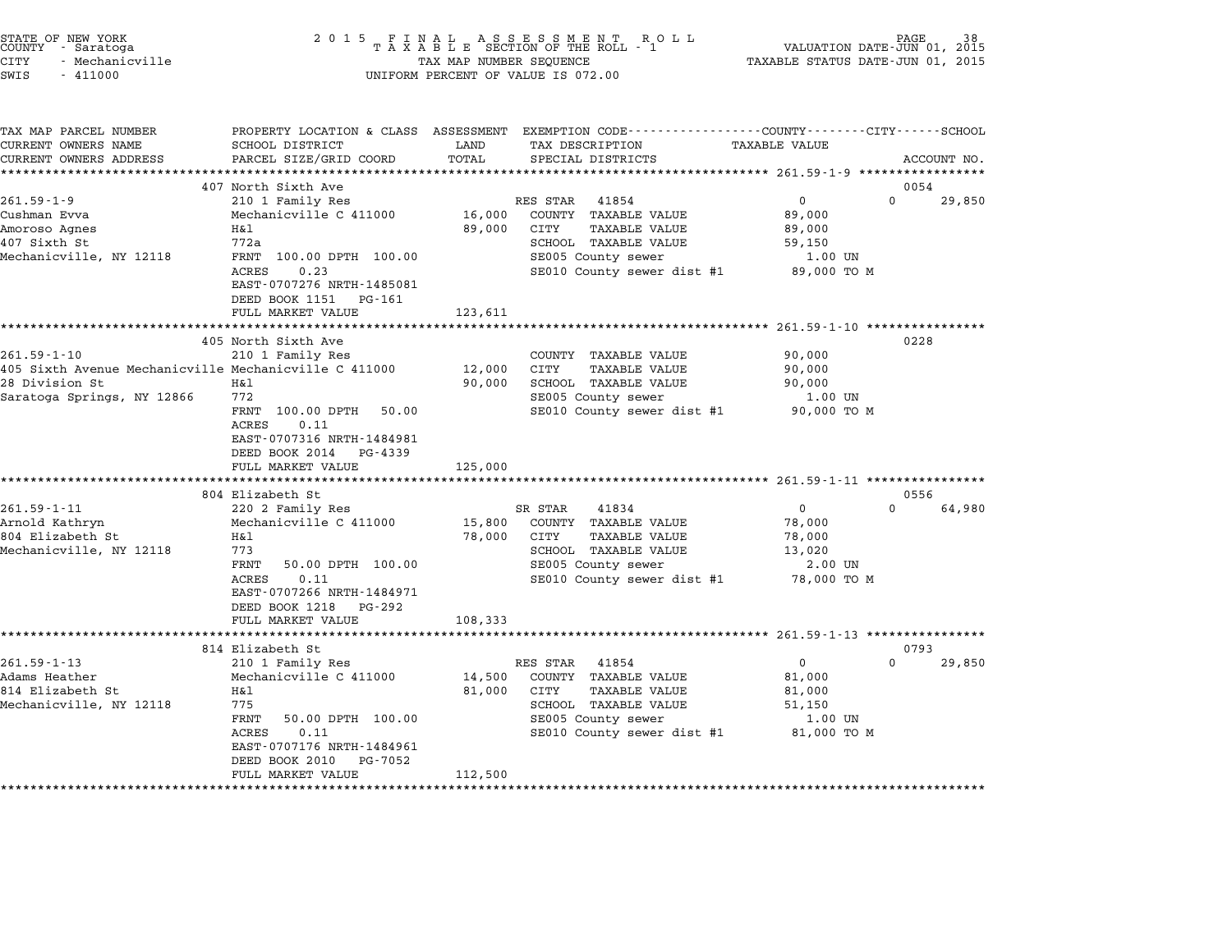| STATE OF NEW YORK<br>COUNTY - Saratoga<br><b>CITY</b><br>- Mechanicville<br>SWIS<br>$-411000$                              | 2 0 1 5                                                                                                                                                                                                   | TAX MAP NUMBER SEQUENCE     | FINAL ASSESSMENT RO<br>TAXABLE SECTION OF THE ROLL - 1<br>R O L L<br>UNIFORM PERCENT OF VALUE IS 072.00                                              | VALUATION DATE-JUN 01, 2015<br>TAXABLE STATUS DATE-JUN 01, 2015       | PAGE           |
|----------------------------------------------------------------------------------------------------------------------------|-----------------------------------------------------------------------------------------------------------------------------------------------------------------------------------------------------------|-----------------------------|------------------------------------------------------------------------------------------------------------------------------------------------------|-----------------------------------------------------------------------|----------------|
| TAX MAP PARCEL NUMBER<br>CURRENT OWNERS NAME<br>CURRENT OWNERS ADDRESS                                                     | SCHOOL DISTRICT<br>PARCEL SIZE/GRID COORD                                                                                                                                                                 | LAND<br>TOTAL               | PROPERTY LOCATION & CLASS ASSESSMENT EXEMPTION CODE---------------COUNTY-------CITY------SCHOOL<br>TAX DESCRIPTION<br>SPECIAL DISTRICTS              | <b>TAXABLE VALUE</b>                                                  | ACCOUNT NO.    |
|                                                                                                                            | ***********************                                                                                                                                                                                   |                             |                                                                                                                                                      |                                                                       |                |
| $261.59 - 1 - 9$                                                                                                           | 407 North Sixth Ave<br>210 1 Family Res                                                                                                                                                                   |                             | RES STAR<br>41854                                                                                                                                    | 0<br>0                                                                | 0054<br>29,850 |
| Cushman Evva<br>Amoroso Agnes<br>407 Sixth St<br>Mechanicville, NY 12118                                                   | Mechanicville C 411000<br>H&l<br>772a<br>FRNT 100.00 DPTH 100.00<br>ACRES<br>0.23                                                                                                                         | 16,000<br>89,000            | COUNTY TAXABLE VALUE<br>CITY<br><b>TAXABLE VALUE</b><br>SCHOOL TAXABLE VALUE<br>SE005 County sewer<br>SE010 County sewer dist #1                     | 89,000<br>89,000<br>59,150<br>1.00 UN<br>89,000 TO M                  |                |
|                                                                                                                            | EAST-0707276 NRTH-1485081<br>DEED BOOK 1151<br>PG-161<br>FULL MARKET VALUE                                                                                                                                | 123,611                     |                                                                                                                                                      |                                                                       |                |
|                                                                                                                            |                                                                                                                                                                                                           |                             |                                                                                                                                                      |                                                                       |                |
| $261.59 - 1 - 10$<br>405 Sixth Avenue Mechanicville Mechanicville C 411000<br>28 Division St<br>Saratoga Springs, NY 12866 | 405 North Sixth Ave<br>210 1 Family Res<br>Η&l<br>772<br>FRNT 100.00 DPTH<br>50.00<br>ACRES<br>0.11<br>EAST-0707316 NRTH-1484981<br>DEED BOOK 2014<br>PG-4339                                             | 12,000<br>90,000            | COUNTY TAXABLE VALUE<br>CITY<br>TAXABLE VALUE<br>SCHOOL TAXABLE VALUE<br>SE005 County sewer<br>SE010 County sewer dist #1                            | 90,000<br>90,000<br>90,000<br>1.00 UN<br>90,000 TO M                  | 0228           |
|                                                                                                                            | FULL MARKET VALUE                                                                                                                                                                                         | 125,000<br>********         |                                                                                                                                                      |                                                                       |                |
|                                                                                                                            | 804 Elizabeth St                                                                                                                                                                                          |                             |                                                                                                                                                      | ************** 261.59-1-11 ***************                            | 0556           |
| $261.59 - 1 - 11$<br>Arnold Kathryn<br>804 Elizabeth St<br>Mechanicville, NY 12118                                         | 220 2 Family Res<br>Mechanicville C 411000<br>Η&l<br>773<br>FRNT<br>50.00 DPTH 100.00<br>0.11<br>ACRES<br>EAST-0707266 NRTH-1484971<br>DEED BOOK 1218<br>PG-292<br>FULL MARKET VALUE                      | 15,800<br>78,000<br>108,333 | SR STAR<br>41834<br>COUNTY TAXABLE VALUE<br>CITY<br><b>TAXABLE VALUE</b><br>SCHOOL TAXABLE VALUE<br>SE005 County sewer<br>SE010 County sewer dist #1 | $\Omega$<br>0<br>78,000<br>78,000<br>13,020<br>2.00 UN<br>78,000 TO M | 64,980         |
|                                                                                                                            |                                                                                                                                                                                                           |                             |                                                                                                                                                      |                                                                       |                |
| $261.59 - 1 - 13$<br>Adams Heather<br>814 Elizabeth St<br>Mechanicville, NY 12118                                          | 814 Elizabeth St<br>210 1 Family Res<br>Mechanicville C 411000<br>Η&l<br>775<br>FRNT<br>50.00 DPTH 100.00<br>ACRES<br>0.11<br>EAST-0707176 NRTH-1484961<br>DEED BOOK 2010<br>PG-7052<br>FULL MARKET VALUE | 14,500<br>81,000<br>112,500 | RES STAR<br>41854<br>COUNTY TAXABLE VALUE<br>TAXABLE VALUE<br>CITY<br>SCHOOL TAXABLE VALUE<br>SE005 County sewer<br>SE010 County sewer dist #1       | 0<br>$\Omega$<br>81,000<br>81,000<br>51,150<br>1.00 UN<br>81,000 TO M | 0793<br>29,850 |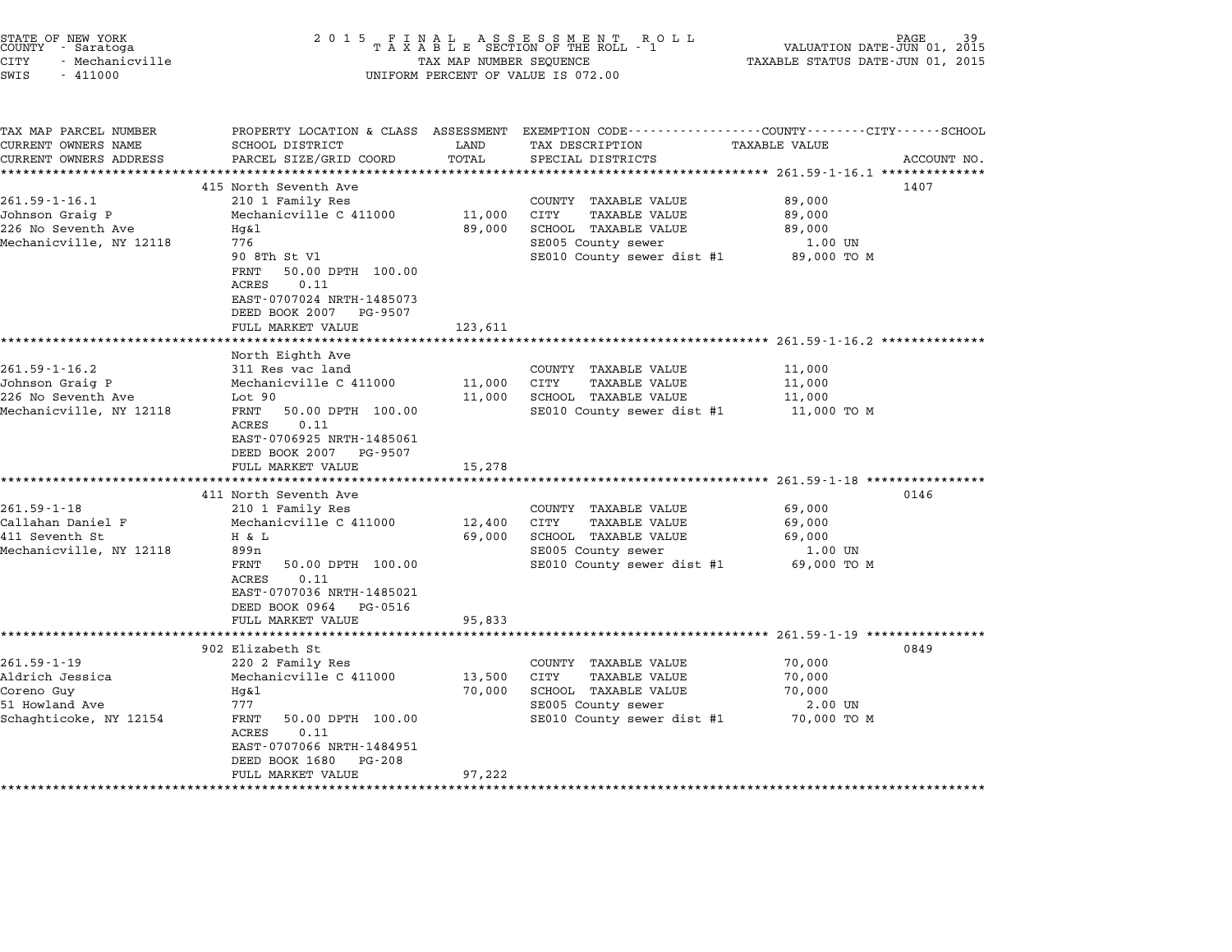| STATE OF NEW YORK<br>COUNTY<br>- Saratoga<br><b>CITY</b><br>- Mechanicville<br>SWIS<br>$-411000$ | 2 0 1 5                                                                                                                                                                                                     | FINAL ASSESSMENT ROTAXABLE SECTION OF THE ROLL - 1<br>R O L L<br>TAX MAP NUMBER SEQUENCE<br>UNIFORM PERCENT OF VALUE IS 072.00 |                                                                                                                                  |                                                        |             |  |  |  |  |
|--------------------------------------------------------------------------------------------------|-------------------------------------------------------------------------------------------------------------------------------------------------------------------------------------------------------------|--------------------------------------------------------------------------------------------------------------------------------|----------------------------------------------------------------------------------------------------------------------------------|--------------------------------------------------------|-------------|--|--|--|--|
| TAX MAP PARCEL NUMBER<br>CURRENT OWNERS NAME<br>CURRENT OWNERS ADDRESS                           | PROPERTY LOCATION & CLASS ASSESSMENT<br>SCHOOL DISTRICT<br>PARCEL SIZE/GRID COORD<br>******************                                                                                                     | LAND<br>TOTAL                                                                                                                  | EXEMPTION CODE-----------------COUNTY-------CITY------SCHOOL<br>TAX DESCRIPTION<br>SPECIAL DISTRICTS                             | <b>TAXABLE VALUE</b>                                   | ACCOUNT NO. |  |  |  |  |
| $261.59 - 1 - 16.1$<br>Johnson Graig P<br>226 No Seventh Ave<br>Mechanicville, NY 12118          | 415 North Seventh Ave<br>210 1 Family Res<br>Mechanicville C 411000<br>Hq&l<br>776<br>90 8Th St Vl<br>50.00 DPTH 100.00<br>FRNT<br>ACRES<br>0.11<br>EAST-0707024 NRTH-1485073<br>DEED BOOK 2007<br>PG-9507  | 11,000<br>89,000                                                                                                               | COUNTY TAXABLE VALUE<br>CITY<br><b>TAXABLE VALUE</b><br>SCHOOL TAXABLE VALUE<br>SE005 County sewer<br>SE010 County sewer dist #1 | 89,000<br>89,000<br>89,000<br>1.00 UN<br>89,000 TO M   | 1407        |  |  |  |  |
|                                                                                                  | FULL MARKET VALUE                                                                                                                                                                                           | 123,611                                                                                                                        |                                                                                                                                  | ************************ 261.59-1-16.2 *************** |             |  |  |  |  |
| $261.59 - 1 - 16.2$<br>Johnson Graig P<br>226 No Seventh Ave<br>Mechanicville, NY 12118          | North Eighth Ave<br>311 Res vac land<br>Mechanicville C 411000<br>Lot 90<br>FRNT<br>50.00 DPTH 100.00<br>ACRES<br>0.11<br>EAST-0706925 NRTH-1485061<br>DEED BOOK 2007<br>PG-9507<br>FULL MARKET VALUE       | 11,000<br>11,000                                                                                                               | COUNTY TAXABLE VALUE<br>CITY<br><b>TAXABLE VALUE</b><br>SCHOOL TAXABLE VALUE<br>SE010 County sewer dist #1                       | 11,000<br>11,000<br>11,000<br>11,000 TO M              |             |  |  |  |  |
|                                                                                                  |                                                                                                                                                                                                             | 15,278                                                                                                                         |                                                                                                                                  | $261.59 - 1 - 18$ *****                                |             |  |  |  |  |
| $261.59 - 1 - 18$<br>Callahan Daniel F<br>411 Seventh St<br>Mechanicville, NY 12118              | 411 North Seventh Ave<br>210 1 Family Res<br>Mechanicville C 411000<br>H & L<br>899n<br>FRNT<br>50.00 DPTH 100.00<br>ACRES<br>0.11<br>EAST-0707036 NRTH-1485021<br>DEED BOOK 0964<br>PG-0516                | 12,400<br>69,000                                                                                                               | COUNTY TAXABLE VALUE<br>CITY<br>TAXABLE VALUE<br>SCHOOL TAXABLE VALUE<br>SE005 County sewer<br>SE010 County sewer dist #1        | 69,000<br>69,000<br>69,000<br>1.00 UN<br>69,000 TO M   | 0146        |  |  |  |  |
|                                                                                                  | FULL MARKET VALUE                                                                                                                                                                                           | 95,833                                                                                                                         |                                                                                                                                  |                                                        |             |  |  |  |  |
|                                                                                                  | *********************<br>902 Elizabeth St                                                                                                                                                                   |                                                                                                                                |                                                                                                                                  | ********** 261.59-1-19 **************                  | 0849        |  |  |  |  |
| $261.59 - 1 - 19$<br>Aldrich Jessica<br>Coreno Guy<br>51 Howland Ave<br>Schaghticoke, NY 12154   | 220 2 Family Res<br>Mechanicville C 411000<br>Hq&l<br>777<br>FRNT<br>50.00 DPTH 100.00<br>ACRES<br>0.11<br>EAST-0707066 NRTH-1484951<br>DEED BOOK 1680<br>PG-208<br>FULL MARKET VALUE<br>****************** | 13,500<br>70,000<br>97,222                                                                                                     | COUNTY TAXABLE VALUE<br>CITY<br><b>TAXABLE VALUE</b><br>SCHOOL TAXABLE VALUE<br>SE005 County sewer<br>SE010 County sewer dist #1 | 70,000<br>70,000<br>70,000<br>$2.00$ UN<br>70,000 TO M |             |  |  |  |  |

end the NEW YORK (STATE OF NEW YORK)<br>2015 FINAL ASSESSMENT ROLL - 1 (PALUATION DATE-JUN 01, 2015<br>COUNTY - Saratoga (PALUATION OF THE ROLL - 1) (PALUATION DATE-JUN 01, 2015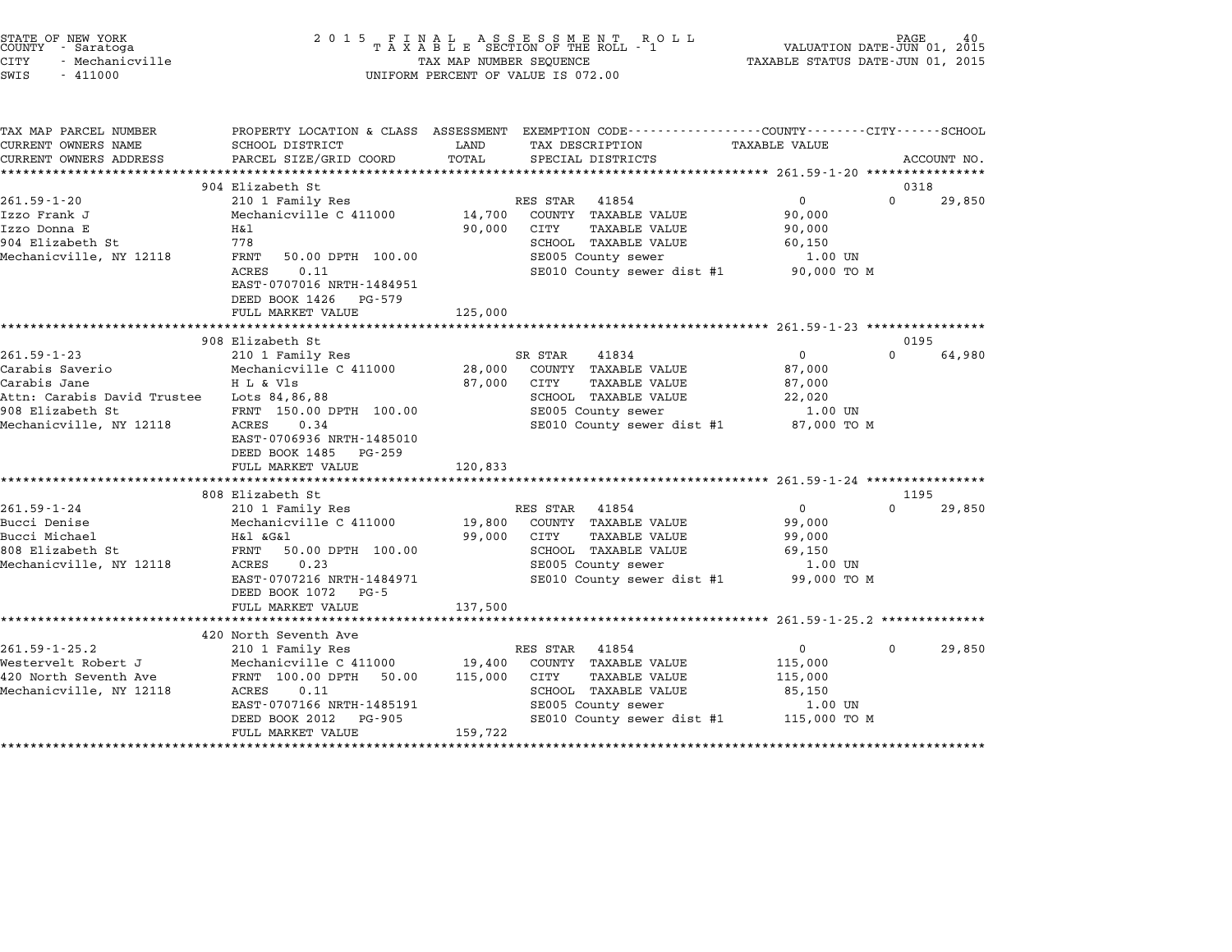|        | STATE OF NEW YORK |  |
|--------|-------------------|--|
| COUNTY | - Saratoga        |  |
| CITY   | - Mechanicville   |  |

## STATE OF NEW YORK <sup>2</sup> <sup>0</sup> <sup>1</sup> 5 F I N A L A S S E S S M E N T R O L L PAGE <sup>40</sup> COUNTY - Saratoga <sup>T</sup> <sup>A</sup> <sup>X</sup> <sup>A</sup> <sup>B</sup> <sup>L</sup> <sup>E</sup> SECTION OF THE ROLL - <sup>1</sup> VALUATION DATE-JUN 01, <sup>2015</sup> STATE OF NEW YORK (PAGE 10 ) AGE 2015 FINAL ASSESSMENT ROLL (PAGE 10 ) PAGE 40<br>COUNTY - Saratoga (DIRANIC RAXABLE STATUS DATE-JUN 01, 2015 TAXABLE STATUS DATE-JUN 01, 2015<br>CITY - Mechanicville (2015 - TAXABLE STATUS DATE-J SWIS - <sup>411000</sup> UNIFORM PERCENT OF VALUE IS 072.00

| TAX MAP PARCEL NUMBER<br>CURRENT OWNERS NAME | SCHOOL DISTRICT                                    | LAND    | PROPERTY LOCATION & CLASS ASSESSMENT EXEMPTION CODE---------------COUNTY-------CITY------SCHOOL<br>TAX DESCRIPTION TAXABLE VALUE |                   |          |             |
|----------------------------------------------|----------------------------------------------------|---------|----------------------------------------------------------------------------------------------------------------------------------|-------------------|----------|-------------|
| CURRENT OWNERS ADDRESS                       | PARCEL SIZE/GRID COORD                             | TOTAL   | SPECIAL DISTRICTS                                                                                                                |                   |          | ACCOUNT NO. |
|                                              |                                                    |         |                                                                                                                                  |                   |          |             |
|                                              | 904 Elizabeth St                                   |         |                                                                                                                                  |                   |          | 0318        |
| $261.59 - 1 - 20$                            | 210 1 Family Res                                   |         | RES STAR 41854                                                                                                                   | 0                 | $\Omega$ | 29,850      |
| Izzo Frank J                                 | Mechanicville C 411000 14,700 COUNTY TAXABLE VALUE |         |                                                                                                                                  | 90,000            |          |             |
| Izzo Donna E                                 | Η&l                                                | 90,000  | CITY<br>TAXABLE VALUE                                                                                                            | 90,000            |          |             |
| 904 Elizabeth St                             | 778                                                |         | SCHOOL TAXABLE VALUE<br>SE005 County sewer                                                                                       | 60,150            |          |             |
| Mechanicville, NY 12118                      | FRNT<br>50.00 DPTH 100.00<br>0.11<br>ACRES         |         | SE010 County sewer dist #1 90,000 TO M                                                                                           | 1.00 UN           |          |             |
|                                              | EAST-0707016 NRTH-1484951                          |         |                                                                                                                                  |                   |          |             |
|                                              | DEED BOOK 1426 PG-579                              |         |                                                                                                                                  |                   |          |             |
|                                              | FULL MARKET VALUE                                  | 125,000 |                                                                                                                                  |                   |          |             |
|                                              |                                                    |         |                                                                                                                                  |                   |          |             |
|                                              | 908 Elizabeth St                                   |         |                                                                                                                                  |                   |          | 0195        |
| $261.59 - 1 - 23$                            | 210 1 Family Res                                   |         | SR STAR 41834                                                                                                                    | $0 \qquad \qquad$ | $\Omega$ | 64,980      |
| Carabis Saverio                              | Mechanicville C 411000 28,000 COUNTY TAXABLE VALUE |         |                                                                                                                                  | 87,000            |          |             |
| Carabis Jane                                 | H L & Vls                                          |         | 87,000 CITY<br>TAXABLE VALUE                                                                                                     | 87,000            |          |             |
| Attn: Carabis David Trustee Lots 84,86,88    |                                                    |         | SCHOOL TAXABLE VALUE                                                                                                             | 22,020            |          |             |
| 908 Elizabeth St                             | FRNT 150.00 DPTH 100.00                            |         | SE005 County sewer                                                                                                               | 1.00 UN           |          |             |
| Mechanicville, NY 12118                      | ACRES<br>0.34                                      |         | SE010 County sewer dist #1 87,000 TO M                                                                                           |                   |          |             |
|                                              | EAST-0706936 NRTH-1485010                          |         |                                                                                                                                  |                   |          |             |
|                                              | DEED BOOK 1485 PG-259                              |         |                                                                                                                                  |                   |          |             |
|                                              | FULL MARKET VALUE                                  | 120,833 |                                                                                                                                  |                   |          |             |
|                                              | 808 Elizabeth St                                   |         |                                                                                                                                  |                   |          | 1195        |
| $261.59 - 1 - 24$                            | ʁiızabeth St<br>210 1 Family Res                   |         | RES STAR 41854                                                                                                                   | $0 \qquad \qquad$ | $\Omega$ | 29,850      |
| Bucci Denise                                 | Mechanicville C 411000 19,800 COUNTY TAXABLE VALUE |         |                                                                                                                                  | 99,000            |          |             |
| Bucci Michael                                | H&l &G&l                                           |         | 99,000 CITY TAXABLE VALUE                                                                                                        | 99,000            |          |             |
| 808 Elizabeth St                             | FRNT 50.00 DPTH 100.00                             |         | SCHOOL TAXABLE VALUE                                                                                                             | 69,150            |          |             |
| Mechanicville, NY 12118                      | ACRES<br>0.23                                      |         | SE005 County sewer                                                                                                               | 1.00 UN           |          |             |
|                                              | EAST-0707216 NRTH-1484971                          |         | SE010 County sewer dist #1 99,000 TO M                                                                                           |                   |          |             |
|                                              | DEED BOOK 1072 PG-5                                |         |                                                                                                                                  |                   |          |             |
|                                              | FULL MARKET VALUE                                  | 137,500 |                                                                                                                                  |                   |          |             |
|                                              |                                                    |         |                                                                                                                                  |                   |          |             |
|                                              | 420 North Seventh Ave                              |         |                                                                                                                                  |                   |          |             |
| $261.59 - 1 - 25.2$                          | 210 1 Family Res                                   |         | RES STAR 41854                                                                                                                   | $0 \qquad \qquad$ | $\Omega$ | 29,850      |
| Westervelt Robert J                          | Mechanicville C 411000 19,400 COUNTY TAXABLE VALUE |         |                                                                                                                                  | 115,000           |          |             |
| 420 North Seventh Ave                        | FRNT 100.00 DPTH 50.00                             | 115,000 | CITY<br>TAXABLE VALUE                                                                                                            | 115,000           |          |             |
| Mechanicville, NY 12118                      | ACRES<br>0.11                                      |         | SCHOOL TAXABLE VALUE                                                                                                             | 85,150            |          |             |
|                                              | EAST-0707166 NRTH-1485191                          |         | SE005 County sewer                                                                                                               | 1.00 UN           |          |             |
|                                              | DEED BOOK 2012 PG-905                              |         | SE010 County sewer dist #1 115,000 TO M                                                                                          |                   |          |             |
|                                              | FULL MARKET VALUE                                  | 159,722 |                                                                                                                                  |                   |          |             |
|                                              |                                                    |         |                                                                                                                                  |                   |          |             |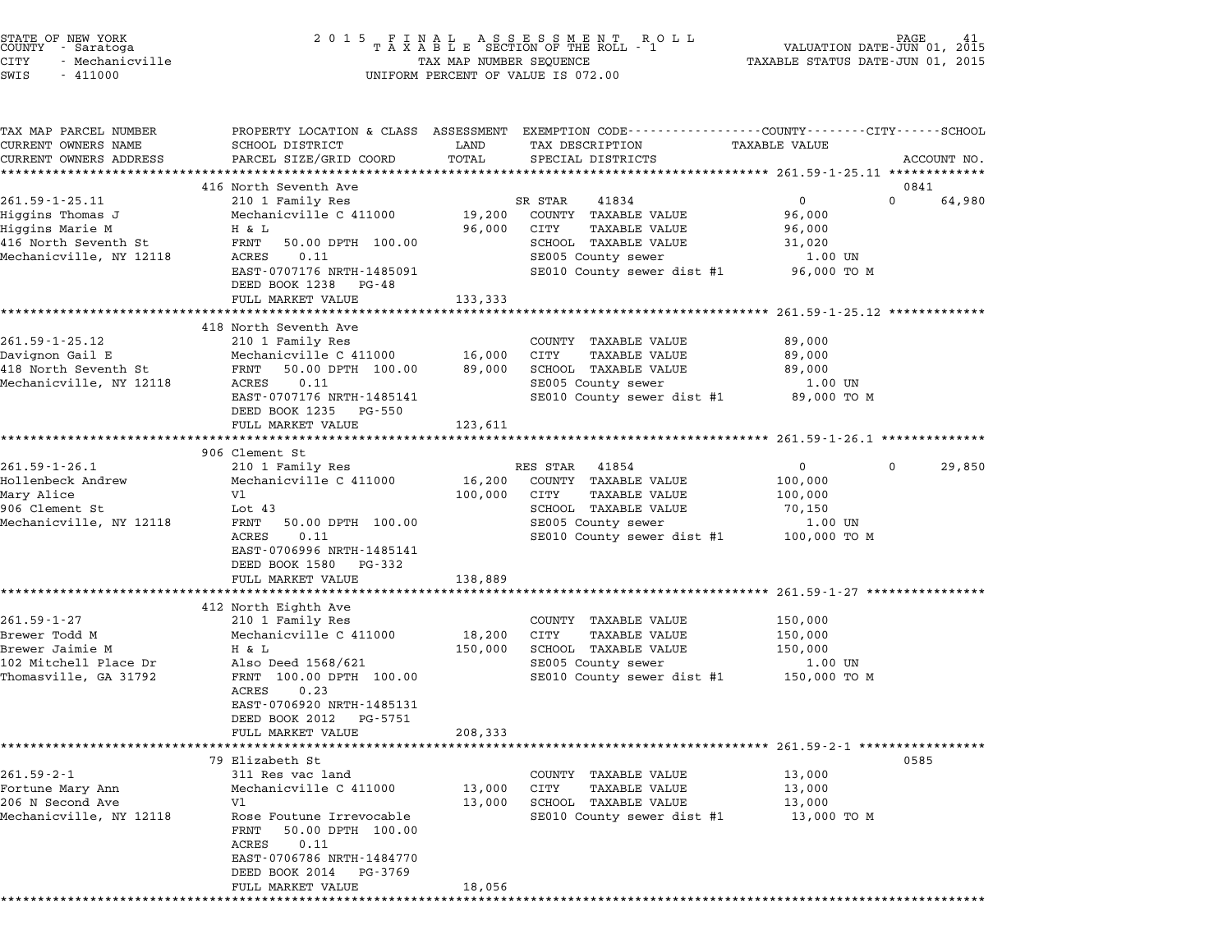| STATE OF NEW YORK<br>COUNTY - Saratoga<br>CITY<br>- Mechanicville<br>SWIS<br>$-411000$                   |                                                                                                                                                                                                                                                        |                              | 2015 FINAL ASSESSMENT ROLL<br>TAXABLE SECTION OF THE ROLL - 1<br>TAX MAP NUMBER SEQUENCE<br>UNIFORM PERCENT OF VALUE IS 072.00                     | VALUATION DATE-JUN 01,<br>TAXABLE STATUS DATE-JUN 01, 2015                                                             | 'AGE<br>41<br>2015         |
|----------------------------------------------------------------------------------------------------------|--------------------------------------------------------------------------------------------------------------------------------------------------------------------------------------------------------------------------------------------------------|------------------------------|----------------------------------------------------------------------------------------------------------------------------------------------------|------------------------------------------------------------------------------------------------------------------------|----------------------------|
| TAX MAP PARCEL NUMBER<br>CURRENT OWNERS NAME<br>CURRENT OWNERS ADDRESS                                   | PROPERTY LOCATION & CLASS ASSESSMENT EXEMPTION CODE----------------COUNTY-------CITY------SCHOOL<br>SCHOOL DISTRICT<br>PARCEL SIZE/GRID COORD<br>**********************                                                                                | LAND<br>TOTAL                | TAX DESCRIPTION<br>SPECIAL DISTRICTS                                                                                                               | TAXABLE VALUE                                                                                                          | ACCOUNT NO.                |
| 261.59-1-25.11<br>Higgins Thomas J<br>Higgins Marie M<br>416 North Seventh St<br>Mechanicville, NY 12118 | 416 North Seventh Ave<br>210 1 Family Res<br>Mechanicville C 411000<br>H & L<br>FRNT<br>50.00 DPTH 100.00<br>ACRES<br>0.11<br>EAST-0707176 NRTH-1485091<br>DEED BOOK 1238 PG-48<br>FULL MARKET VALUE                                                   | 19,200<br>96,000<br>133,333  | SR STAR<br>41834<br>COUNTY TAXABLE VALUE<br>CITY<br>TAXABLE VALUE<br>SCHOOL TAXABLE VALUE<br>SE005 County sewer<br>SE010 County sewer dist #1      | $\mathbf 0$<br>96,000<br>96,000<br>31,020<br>1.00 UN<br>96,000 TO M                                                    | 0841<br>64,980<br>$\Omega$ |
| $261.59 - 1 - 25.12$<br>Davignon Gail E<br>418 North Seventh St<br>Mechanicville, NY 12118               | ************************<br>418 North Seventh Ave<br>210 1 Family Res<br>Mechanicville C 411000<br>50.00 DPTH 100.00<br>FRNT<br>ACRES<br>0.11<br>EAST-0707176 NRTH-1485141<br>DEED BOOK 1235 PG-550<br>FULL MARKET VALUE                               | 16,000<br>89,000<br>123,611  | COUNTY TAXABLE VALUE<br>CITY<br><b>TAXABLE VALUE</b><br>SCHOOL TAXABLE VALUE<br>SE005 County sewer<br>SE010 County sewer dist #1                   | ************************ 261.59-1-25.12 ************<br>89,000<br>89,000<br>89,000<br>1.00 UN<br>89,000 TO M           |                            |
| $261.59 - 1 - 26.1$<br>Hollenbeck Andrew<br>Mary Alice<br>906 Clement St<br>Mechanicville, NY 12118      | 906 Clement St<br>210 1 Family Res<br>Mechanicville C 411000<br>V1<br>Lot 43<br>FRNT<br>50.00 DPTH 100.00<br>ACRES<br>0.11<br>EAST-0706996 NRTH-1485141<br>DEED BOOK 1580 PG-332<br>FULL MARKET VALUE                                                  | 16,200<br>100,000<br>138,889 | RES STAR 41854<br>COUNTY TAXABLE VALUE<br>CITY<br><b>TAXABLE VALUE</b><br>SCHOOL TAXABLE VALUE<br>SE005 County sewer<br>SE010 County sewer dist #1 | $\overline{0}$<br>100,000<br>100,000<br>70,150<br>1.00 UN<br>100,000 TO M                                              | 29,850<br>$\mathbf{0}$     |
| $261.59 - 1 - 27$<br>Brewer Todd M<br>Brewer Jaimie M<br>102 Mitchell Place Dr<br>Thomasville, GA 31792  | **********************<br>412 North Eighth Ave<br>210 1 Family Res<br>Mechanicville C 411000<br>H & L<br>Also Deed 1568/621<br>FRNT 100.00 DPTH 100.00<br>ACRES<br>0.23<br>EAST-0706920 NRTH-1485131<br>DEED BOOK 2012<br>PG-5751<br>FULL MARKET VALUE | 18,200<br>150,000<br>208,333 | COUNTY TAXABLE VALUE<br>CITY<br><b>TAXABLE VALUE</b><br>SCHOOL TAXABLE VALUE<br>SE005 County sewer<br>SE010 County sewer dist #1                   | ***************************** 261.59-1-27 ****************<br>150,000<br>150,000<br>150,000<br>1.00 UN<br>150,000 TO M |                            |
| $261.59 - 2 - 1$<br>Fortune Mary Ann<br>206 N Second Ave<br>Mechanicville, NY 12118                      | 79 Elizabeth St<br>311 Res vac land<br>Mechanicville C 411000<br>V1<br>Rose Foutune Irrevocable<br>50.00 DPTH 100.00<br>FRNT<br>ACRES<br>0.11<br>EAST-0706786 NRTH-1484770<br>DEED BOOK 2014 PG-3769<br>FULL MARKET VALUE                              | 13,000<br>13,000<br>18,056   | COUNTY TAXABLE VALUE<br>CITY<br>TAXABLE VALUE<br>SCHOOL TAXABLE VALUE<br>SE010 County sewer dist #1                                                | 13,000<br>13,000<br>13,000<br>13,000 TO M                                                                              | 0585                       |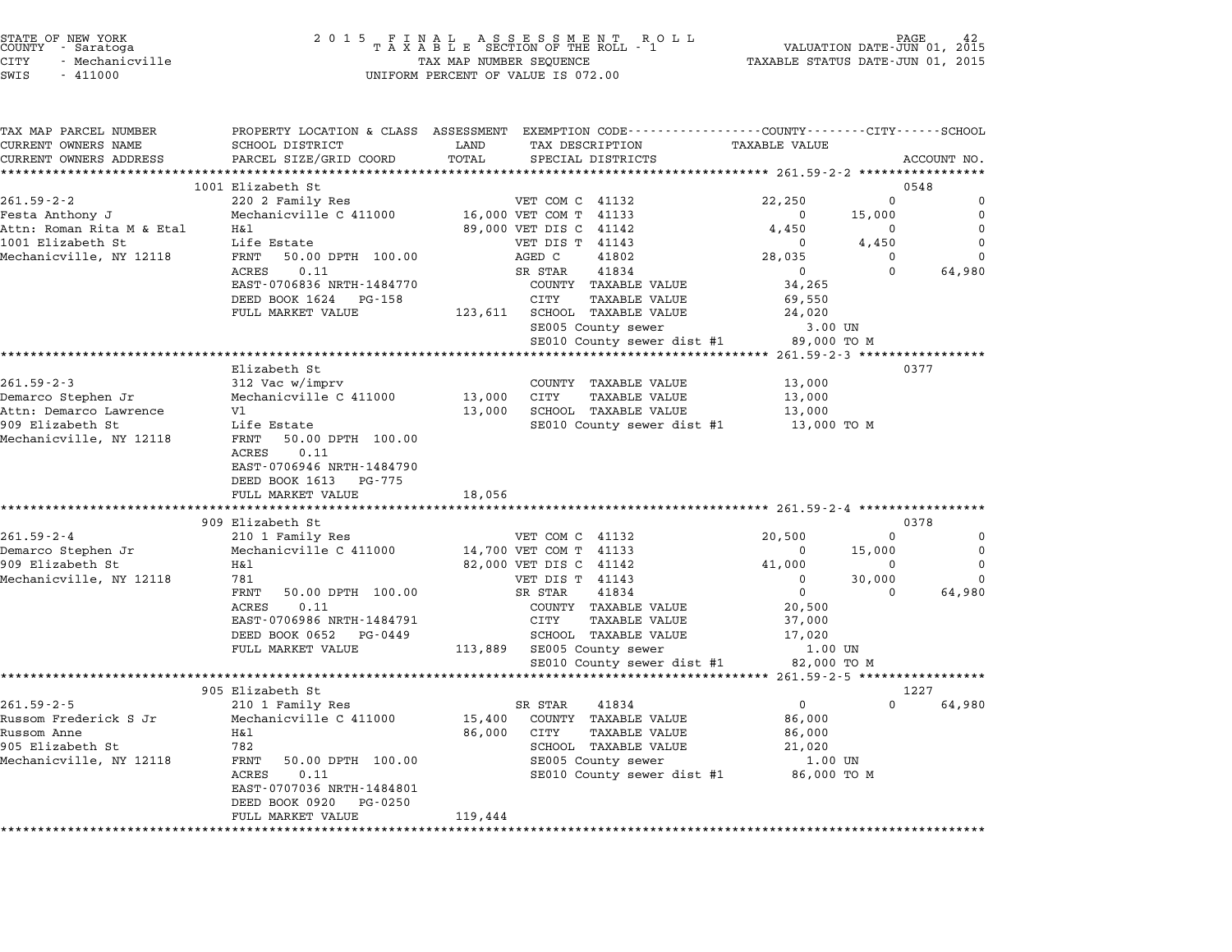| STATE OF NEW YORK |                 |
|-------------------|-----------------|
| COUNTY            | - Saratoga      |
| CITY              | - Mechanicville |

| TAX MAP PARCEL NUMBER     |                                                       |         | PROPERTY LOCATION & CLASS ASSESSMENT EXEMPTION CODE---------------COUNTY-------CITY------SCHOOL |                      |          |             |
|---------------------------|-------------------------------------------------------|---------|-------------------------------------------------------------------------------------------------|----------------------|----------|-------------|
| CURRENT OWNERS NAME       | SCHOOL DISTRICT                                       | LAND    | TAX DESCRIPTION                                                                                 | <b>TAXABLE VALUE</b> |          |             |
| CURRENT OWNERS ADDRESS    | PARCEL SIZE/GRID COORD                                | TOTAL   | SPECIAL DISTRICTS                                                                               |                      |          | ACCOUNT NO. |
|                           |                                                       |         |                                                                                                 |                      |          |             |
| $261.59 - 2 - 2$          | 1001 Elizabeth St<br>220 2 Family Res                 |         | VET COM C 41132                                                                                 | 22,250               | $\Omega$ | 0548<br>0   |
| Festa Anthony J           | Mechanicville C 411000                                |         | 16,000 VET COM T 41133                                                                          | $\Omega$             | 15,000   | $\mathbf 0$ |
| Attn: Roman Rita M & Etal | Η&l                                                   |         | 89,000 VET DIS C 41142                                                                          | 4,450                | 0        | $\Omega$    |
| 1001 Elizabeth St         | Life Estate                                           |         | VET DIS T 41143                                                                                 | $\Omega$             | 4,450    | $\Omega$    |
| Mechanicville, NY 12118   | FRNT<br>50.00 DPTH 100.00                             |         | AGED C<br>41802                                                                                 | 28,035               | $\Omega$ | $\Omega$    |
|                           | ACRES<br>0.11                                         |         | SR STAR<br>41834                                                                                | $\overline{0}$       | $\Omega$ | 64,980      |
|                           | EAST-0706836 NRTH-1484770                             |         | COUNTY TAXABLE VALUE                                                                            | 34,265               |          |             |
|                           | DEED BOOK 1624 PG-158                                 |         | CITY<br><b>TAXABLE VALUE</b>                                                                    | 69,550               |          |             |
|                           | FULL MARKET VALUE                                     |         | 123,611 SCHOOL TAXABLE VALUE                                                                    | 24,020               |          |             |
|                           |                                                       |         | SE005 County sewer                                                                              | 3.00 UN              |          |             |
|                           |                                                       |         | SE010 County sewer dist #1                                                                      | 89,000 TO M          |          |             |
|                           | ********************************                      |         |                                                                                                 |                      |          |             |
|                           | Elizabeth St                                          |         |                                                                                                 |                      |          | 0377        |
| $261.59 - 2 - 3$          | 312 Vac w/imprv                                       |         | COUNTY TAXABLE VALUE                                                                            | 13,000               |          |             |
| Demarco Stephen Jr        | Mechanicville C 411000                                |         | 13,000 CITY<br>TAXABLE VALUE                                                                    | 13,000               |          |             |
| Attn: Demarco Lawrence    | V1                                                    | 13,000  | SCHOOL TAXABLE VALUE                                                                            | 13,000               |          |             |
| 909 Elizabeth St          | Life Estate                                           |         | SE010 County sewer dist #1                                                                      | 13,000 TO M          |          |             |
| Mechanicville, NY 12118   | FRNT<br>50.00 DPTH 100.00                             |         |                                                                                                 |                      |          |             |
|                           | 0.11<br>ACRES                                         |         |                                                                                                 |                      |          |             |
|                           | EAST-0706946 NRTH-1484790<br>DEED BOOK 1613<br>PG-775 |         |                                                                                                 |                      |          |             |
|                           | FULL MARKET VALUE                                     | 18,056  |                                                                                                 |                      |          |             |
|                           | ***************************                           |         |                                                                                                 |                      |          |             |
|                           | 909 Elizabeth St                                      |         |                                                                                                 |                      |          | 0378        |
| $261.59 - 2 - 4$          | 210 1 Family Res                                      |         | VET COM C 41132                                                                                 | 20,500               | $\Omega$ | $\mathbf 0$ |
| Demarco Stephen Jr        | Mechanicville C 411000                                |         | 14,700 VET COM T 41133                                                                          | $\mathbf 0$          | 15,000   | $\mathbf 0$ |
| 909 Elizabeth St          | Η&l                                                   |         | 82,000 VET DIS C 41142                                                                          | 41,000               | 0        | $\Omega$    |
| Mechanicville, NY 12118   | 781                                                   |         | VET DIS T 41143                                                                                 | $\Omega$             | 30,000   | $\Omega$    |
|                           | FRNT<br>50.00 DPTH 100.00                             |         | SR STAR<br>41834                                                                                | $\mathbf 0$          | $\Omega$ | 64,980      |
|                           | 0.11<br>ACRES                                         |         | COUNTY TAXABLE VALUE                                                                            | 20,500               |          |             |
|                           | EAST-0706986 NRTH-1484791                             |         | CITY<br><b>TAXABLE VALUE</b>                                                                    | 37,000               |          |             |
|                           | DEED BOOK 0652 PG-0449                                |         | SCHOOL TAXABLE VALUE                                                                            | 17,020               |          |             |
|                           | FULL MARKET VALUE                                     |         | 113,889 SE005 County sewer                                                                      | 1.00 UN              |          |             |
|                           |                                                       |         | SE010 County sewer dist #1                                                                      | 82,000 TO M          |          |             |
|                           | 905 Elizabeth St                                      |         |                                                                                                 |                      |          | 1227        |
| $261.59 - 2 - 5$          | 210 1 Family Res                                      |         | SR STAR<br>41834                                                                                | $\mathbf 0$          | $\Omega$ | 64,980      |
| Russom Frederick S Jr     | Mechanicville C 411000                                | 15,400  | COUNTY TAXABLE VALUE                                                                            | 86,000               |          |             |
| Russom Anne               | H&l                                                   | 86,000  | CITY<br><b>TAXABLE VALUE</b>                                                                    | 86,000               |          |             |
| 905 Elizabeth St          | 782                                                   |         | SCHOOL TAXABLE VALUE                                                                            | 21,020               |          |             |
| Mechanicville, NY 12118   | FRNT<br>50.00 DPTH 100.00                             |         | SE005 County sewer                                                                              | 1.00 UN              |          |             |
|                           | ACRES<br>0.11                                         |         | SE010 County sewer dist #1                                                                      | 86,000 TO M          |          |             |
|                           | EAST-0707036 NRTH-1484801                             |         |                                                                                                 |                      |          |             |
|                           | DEED BOOK 0920<br>PG-0250                             |         |                                                                                                 |                      |          |             |
|                           | FULL MARKET VALUE                                     | 119,444 |                                                                                                 |                      |          |             |
|                           |                                                       |         |                                                                                                 |                      |          |             |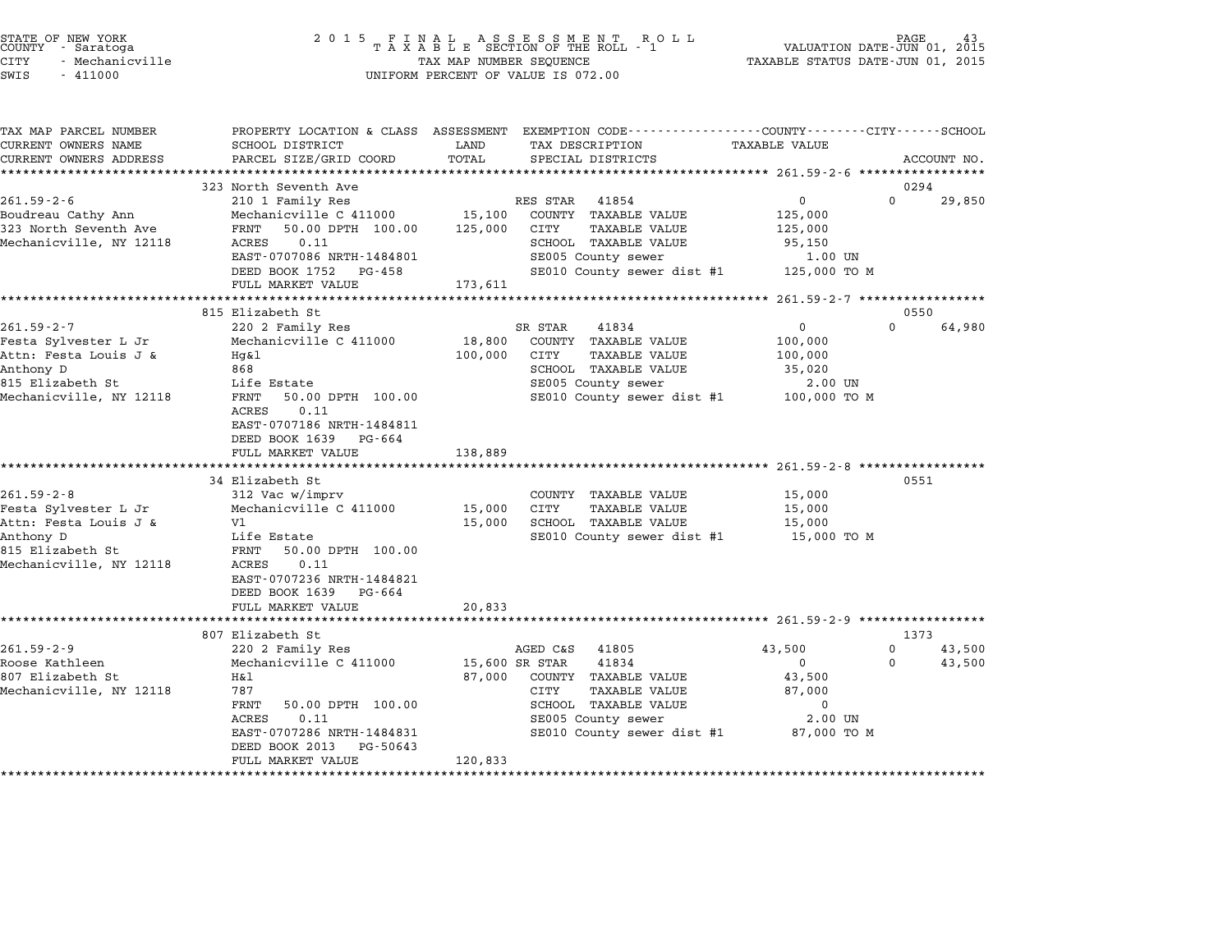| STATE OF NEW YORK<br>COUNTY - Saratoga<br>CITY<br>- Mechanicville<br>$-411000$<br>SWIS                                        | 2 0 1 5                                                                                                                                                                                                               | TAX MAP NUMBER SEQUENCE      | FINAL ASSESSMENT RC<br>TAXABLE SECTION OF THE ROLL - 1<br>R O L L<br>UNIFORM PERCENT OF VALUE IS 072.00                                                                   | TAXABLE STATUS DATE-JUN 01, 2015                                      | PAGE<br>VALUATION DATE-JUN 01, 2015       |
|-------------------------------------------------------------------------------------------------------------------------------|-----------------------------------------------------------------------------------------------------------------------------------------------------------------------------------------------------------------------|------------------------------|---------------------------------------------------------------------------------------------------------------------------------------------------------------------------|-----------------------------------------------------------------------|-------------------------------------------|
| TAX MAP PARCEL NUMBER<br>CURRENT OWNERS NAME<br>CURRENT OWNERS ADDRESS                                                        | <b>SCHOOL DISTRICT</b><br>PARCEL SIZE/GRID COORD                                                                                                                                                                      | LAND<br>TOTAL                | PROPERTY LOCATION & CLASS ASSESSMENT EXEMPTION CODE----------------COUNTY-------CITY------SCHOOL<br>TAX DESCRIPTION<br>SPECIAL DISTRICTS                                  | TAXABLE VALUE                                                         | ACCOUNT NO.                               |
| $261.59 - 2 - 6$<br>Boudreau Cathy Ann<br>323 North Seventh Ave<br>Mechanicville, NY 12118                                    | 323 North Seventh Ave<br>210 1 Family Res<br>Mechanicville C 411000<br>50.00 DPTH 100.00<br>FRNT<br><b>ACRES</b><br>0.11<br>EAST-0707086 NRTH-1484801<br>DEED BOOK 1752 PG-458<br>FULL MARKET VALUE                   | 15,100<br>125,000<br>173,611 | RES STAR<br>41854<br>COUNTY TAXABLE VALUE<br><b>TAXABLE VALUE</b><br>CITY<br>SCHOOL TAXABLE VALUE<br>SE005 County sewer<br>SE010 County sewer dist #1                     | 0<br>125,000<br>125,000<br>95,150<br>1.00 UN<br>125,000 TO M          | 0294<br>$\Omega$<br>29,850                |
|                                                                                                                               |                                                                                                                                                                                                                       |                              |                                                                                                                                                                           | ***** 261.59-2-7 *****************                                    |                                           |
| $261.59 - 2 - 7$<br>Festa Sylvester L Jr<br>Attn: Festa Louis J &<br>Anthony D<br>815 Elizabeth St<br>Mechanicville, NY 12118 | 815 Elizabeth St<br>220 2 Family Res<br>Mechanicville C 411000<br>Hq&l<br>868<br>Life Estate<br>FRNT<br>50.00 DPTH 100.00<br>ACRES<br>0.11<br>EAST-0707186 NRTH-1484811<br>DEED BOOK 1639 PG-664<br>FULL MARKET VALUE | 18,800<br>100,000<br>138,889 | 41834<br>SR STAR<br>COUNTY TAXABLE VALUE<br>CITY<br><b>TAXABLE VALUE</b><br>SCHOOL TAXABLE VALUE<br>SE005 County sewer<br>SE010 County sewer dist #1                      | 0<br>100,000<br>100,000<br>35,020<br>2.00 UN<br>100,000 TO M          | 0550<br>$\Omega$<br>64,980                |
|                                                                                                                               | ************************************                                                                                                                                                                                  |                              |                                                                                                                                                                           |                                                                       |                                           |
| $261.59 - 2 - 8$<br>Festa Sylvester L Jr<br>Attn: Festa Louis J &<br>Anthony D<br>815 Elizabeth St<br>Mechanicville, NY 12118 | 34 Elizabeth St<br>312 Vac w/imprv<br>Mechanicville C 411000<br>V1<br>Life Estate<br>FRNT<br>50.00 DPTH 100.00<br>ACRES<br>0.11<br>EAST-0707236 NRTH-1484821<br>DEED BOOK 1639 PG-664<br>FULL MARKET VALUE            | 15,000<br>15,000<br>20,833   | COUNTY TAXABLE VALUE<br>CITY<br>TAXABLE VALUE<br>SCHOOL TAXABLE VALUE<br>SE010 County sewer dist #1                                                                       | 15,000<br>15,000<br>15,000<br>15,000 TO M                             | 0551                                      |
|                                                                                                                               | 807 Elizabeth St                                                                                                                                                                                                      |                              |                                                                                                                                                                           |                                                                       |                                           |
| $261.59 - 2 - 9$<br>Roose Kathleen<br>807 Elizabeth St<br>Mechanicville, NY 12118                                             | 220 2 Family Res<br>Mechanicville C 411000<br>Η&l<br>787<br>FRNT<br>50.00 DPTH 100.00<br><b>ACRES</b><br>0.11<br>EAST-0707286 NRTH-1484831<br>DEED BOOK 2013<br>PG-50643<br>FULL MARKET VALUE                         | 87,000<br>120,833            | AGED C&S<br>41805<br>15,600 SR STAR<br>41834<br>COUNTY TAXABLE VALUE<br>CITY<br>TAXABLE VALUE<br>SCHOOL TAXABLE VALUE<br>SE005 County sewer<br>SE010 County sewer dist #1 | 43,500<br>0<br>43,500<br>87,000<br>$\Omega$<br>2.00 UN<br>87,000 TO M | 1373<br>0<br>43,500<br>$\Omega$<br>43,500 |

end the New York (2001 5 F I N A L A S S E S S M E N T R O L L RO L L PAGE 43 (2015 F I N A L A S S E S S M E N T R O L L PAGE 43 (2015 F A L A S S E S S M E N T R O L L PAGE 43 (2015 F A VALUATION DATE-JUN 01, 2015 F A X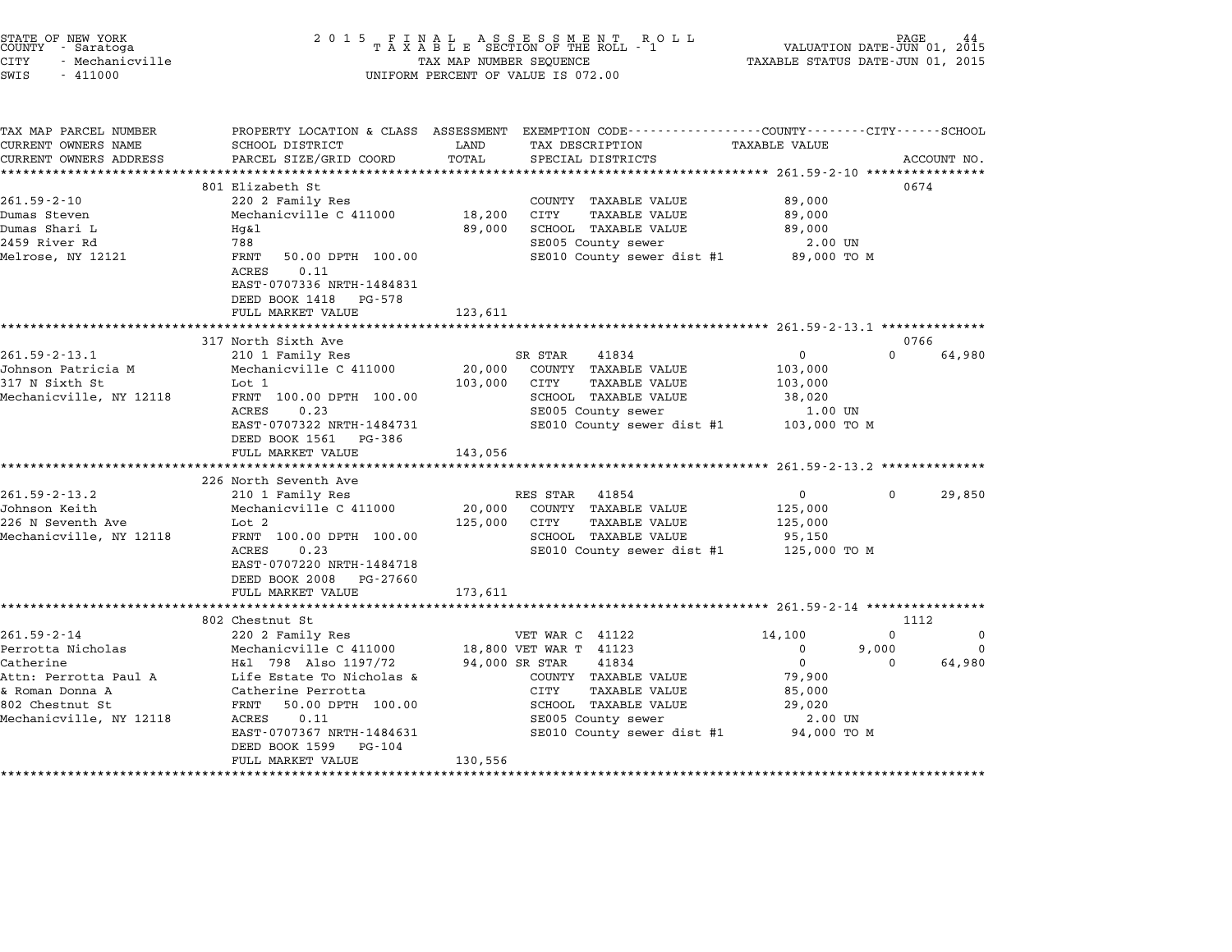| STATE OF NEW YORK |                   |  |  | 2015 FINAL ASSESSMENT ROLL      |  |  |                                                                                                  | PAGE |  |
|-------------------|-------------------|--|--|---------------------------------|--|--|--------------------------------------------------------------------------------------------------|------|--|
|                   | COUNTY - Saratoga |  |  | TAXABLE SECTION OF THE ROLL - 1 |  |  | VALUATION DATE-JUN 01, 2015                                                                      |      |  |
| ATMIT             | $M = 100$         |  |  | $\pi$                           |  |  | $max1 n1 n2 n3 n1 n4 n5 n6 n7 n8 n10 n10 n11 n10 n11 n11 n10 n11 n11 n10 n11 n11 n11 n11 n11 n1$ |      |  |

| STATE OF NEW YORK |                 |  |
|-------------------|-----------------|--|
| COUNTY            | - Saratoga      |  |
| CITY              | - Mechanicville |  |

## CITY - Mechanicville TAX MAP NUMBER SEQUENCE TAXABLE STATUS DATE-JUN 01, <sup>2015</sup> SWIS - <sup>411000</sup> UNIFORM PERCENT OF VALUE IS 072.00

| TAX MAP PARCEL NUMBER<br>CURRENT OWNERS NAME                                                        | SCHOOL DISTRICT                                                         | LAND           | PROPERTY LOCATION & CLASS ASSESSMENT EXEMPTION CODE---------------COUNTY-------CITY------SCHOOL<br>TAX DESCRIPTION | <b>TAXABLE VALUE</b> |          |             |
|-----------------------------------------------------------------------------------------------------|-------------------------------------------------------------------------|----------------|--------------------------------------------------------------------------------------------------------------------|----------------------|----------|-------------|
| CURRENT OWNERS ADDRESS                                                                              | PARCEL SIZE/GRID COORD                                                  | TOTAL          | SPECIAL DISTRICTS                                                                                                  |                      |          | ACCOUNT NO. |
|                                                                                                     |                                                                         |                |                                                                                                                    |                      |          |             |
|                                                                                                     | 801 Elizabeth St                                                        |                |                                                                                                                    |                      | 0674     |             |
| $261.59 - 2 - 10$                                                                                   | 220 2 Family Res                                                        |                | COUNTY TAXABLE VALUE                                                                                               | 89,000               |          |             |
| Dumas Steven                                                                                        | Mechanicville C 411000                                                  | 18,200         | <b>CITY</b><br><b>TAXABLE VALUE</b>                                                                                | 89,000               |          |             |
| Dumas Shari L                                                                                       | Hq&l                                                                    | 89,000         | SCHOOL TAXABLE VALUE                                                                                               | 89,000               |          |             |
| 2459 River Rd                                                                                       | 788                                                                     |                | SE005 County sewer                                                                                                 | 2.00 UN              |          |             |
| Melrose, NY 12121                                                                                   | FRNT<br>50.00 DPTH 100.00<br>0.11<br>ACRES<br>EAST-0707336 NRTH-1484831 |                | SE010 County sewer dist #1                                                                                         | 89,000 TO M          |          |             |
|                                                                                                     | DEED BOOK 1418<br>PG-578                                                |                |                                                                                                                    |                      |          |             |
|                                                                                                     | FULL MARKET VALUE                                                       | 123,611        |                                                                                                                    |                      |          |             |
|                                                                                                     | 317 North Sixth Ave                                                     |                |                                                                                                                    |                      | 0766     |             |
| $261.59 - 2 - 13.1$                                                                                 | 210 1 Family Res                                                        |                | SR STAR<br>41834                                                                                                   | $\Omega$             | $\Omega$ | 64,980      |
| Johnson Patricia M                                                                                  | Mechanicville C 411000                                                  | 20,000         | COUNTY TAXABLE VALUE                                                                                               | 103,000              |          |             |
| 317 N Sixth St                                                                                      | Lot 1                                                                   | 103,000        | CITY<br><b>TAXABLE VALUE</b>                                                                                       | 103,000              |          |             |
| Mechanicville, NY 12118                                                                             | FRNT 100.00 DPTH 100.00                                                 |                | SCHOOL TAXABLE VALUE                                                                                               | 38,020               |          |             |
|                                                                                                     | ACRES<br>0.23                                                           |                | SE005 County sewer                                                                                                 | 1.00 UN              |          |             |
|                                                                                                     | EAST-0707322 NRTH-1484731                                               |                | SE010 County sewer dist #1                                                                                         | 103,000 TO M         |          |             |
|                                                                                                     | DEED BOOK 1561 PG-386                                                   |                |                                                                                                                    |                      |          |             |
|                                                                                                     | FULL MARKET VALUE                                                       | 143,056        |                                                                                                                    |                      |          |             |
|                                                                                                     |                                                                         |                |                                                                                                                    |                      |          |             |
|                                                                                                     | 226 North Seventh Ave                                                   |                |                                                                                                                    |                      |          |             |
| $261.59 - 2 - 13.2$                                                                                 | 210 1 Family Res                                                        |                | 41854<br>RES STAR                                                                                                  | $\Omega$             | $\Omega$ | 29,850      |
| Johnson Keith                                                                                       | Mechanicville C 411000                                                  |                | 20,000 COUNTY TAXABLE VALUE                                                                                        | 125,000              |          |             |
| 226 N Seventh Ave                                                                                   | Lot 2                                                                   | 125,000        | CITY<br><b>TAXABLE VALUE</b>                                                                                       | 125,000              |          |             |
| Mechanicville, NY 12118                                                                             | FRNT 100.00 DPTH 100.00                                                 |                | SCHOOL TAXABLE VALUE                                                                                               | 95,150               |          |             |
|                                                                                                     | 0.23<br>ACRES                                                           |                | SE010 County sewer dist #1                                                                                         | 125,000 TO M         |          |             |
|                                                                                                     | EAST-0707220 NRTH-1484718                                               |                |                                                                                                                    |                      |          |             |
|                                                                                                     | DEED BOOK 2008 PG-27660                                                 |                |                                                                                                                    |                      |          |             |
|                                                                                                     | FULL MARKET VALUE                                                       | 173,611        |                                                                                                                    |                      |          |             |
|                                                                                                     |                                                                         |                |                                                                                                                    |                      |          |             |
|                                                                                                     |                                                                         |                |                                                                                                                    |                      |          |             |
|                                                                                                     | 802 Chestnut St                                                         |                |                                                                                                                    |                      | 1112     |             |
| $261.59 - 2 - 14$                                                                                   |                                                                         |                | VET WAR C 41122                                                                                                    | 14,100               | $\Omega$ | $\mathbf 0$ |
| Perrotta Nicholas                                                                                   | 220 2 Family Res<br>Mechanicville C 411000                              |                | 18,800 VET WAR T 41123                                                                                             | $\mathbf 0$          | 9,000    | $\Omega$    |
|                                                                                                     | H&l 798 Also 1197/72                                                    | 94,000 SR STAR | 41834                                                                                                              | $\overline{0}$       | $\Omega$ |             |
|                                                                                                     | Life Estate To Nicholas &                                               |                | COUNTY TAXABLE VALUE                                                                                               | 79,900               |          | 64,980      |
|                                                                                                     | Catherine Perrotta                                                      |                | CITY<br><b>TAXABLE VALUE</b>                                                                                       | 85,000               |          |             |
|                                                                                                     | FRNT<br>50.00 DPTH 100.00                                               |                | SCHOOL TAXABLE VALUE                                                                                               | 29,020               |          |             |
|                                                                                                     | ACRES<br>0.11                                                           |                | SE005 County sewer                                                                                                 | 2.00 UN              |          |             |
| Catherine<br>Attn: Perrotta Paul A<br>& Roman Donna A<br>802 Chestnut St<br>Mechanicville, NY 12118 | EAST-0707367 NRTH-1484631                                               |                | SE010 County sewer dist #1                                                                                         | 94,000 TO M          |          |             |
|                                                                                                     | DEED BOOK 1599<br>$PG - 104$                                            |                |                                                                                                                    |                      |          |             |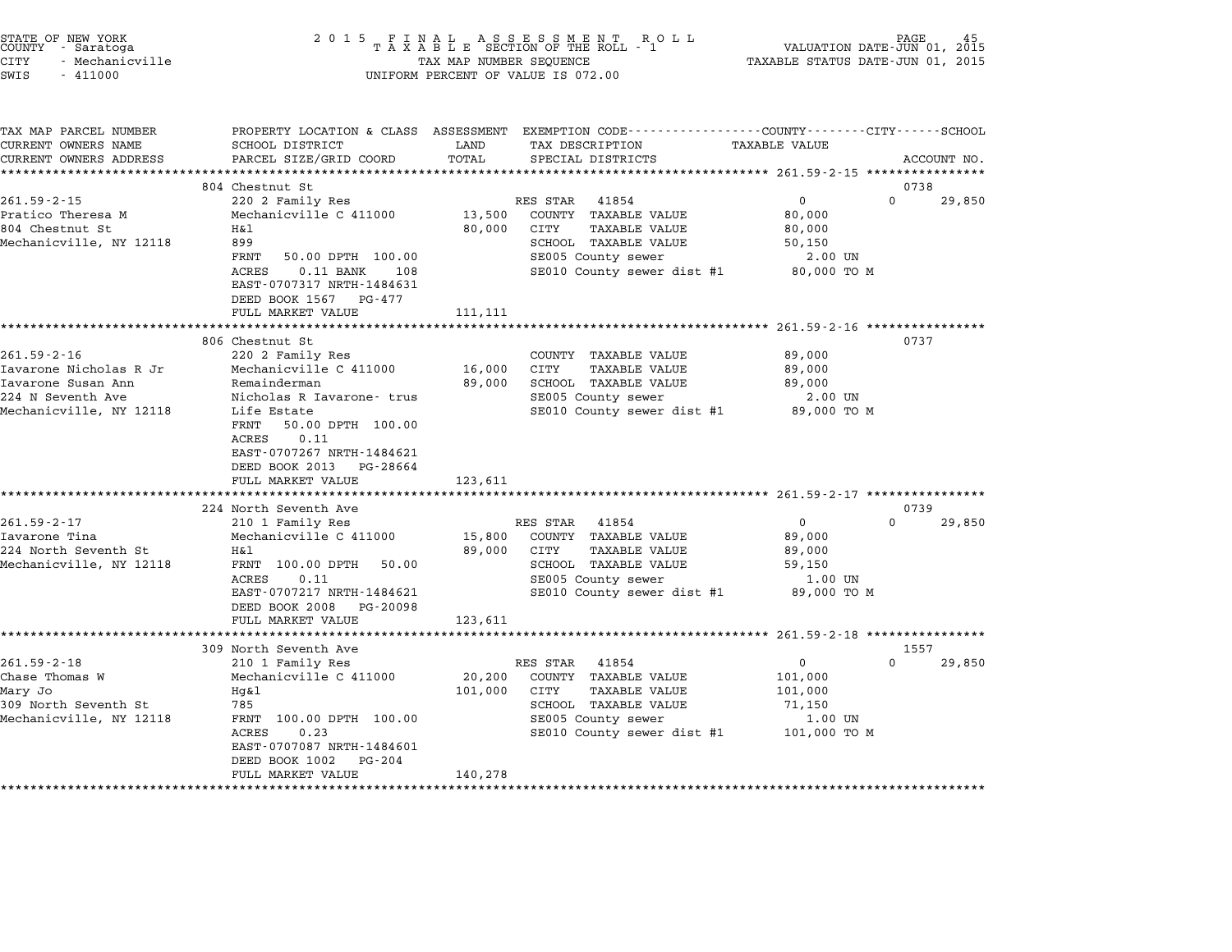| STATE OF NEW YORK<br>COUNTY - Saratoga<br>CITY<br>- Mechanicville<br>SWIS<br>$-411000$                            | 2 0 1 5                                                                                                                                                                                                                                              | TAX MAP NUMBER SEQUENCE      | FINAL ASSESSMENT ROLL<br>TAXABLE SECTION OF THE ROLL - 1<br>UNIFORM PERCENT OF VALUE IS 072.00                                                        | VALUATION DATE-JUN 01, 2015<br>TAXABLE STATUS DATE-JUN 01, 2015        | PAGE                       |
|-------------------------------------------------------------------------------------------------------------------|------------------------------------------------------------------------------------------------------------------------------------------------------------------------------------------------------------------------------------------------------|------------------------------|-------------------------------------------------------------------------------------------------------------------------------------------------------|------------------------------------------------------------------------|----------------------------|
| TAX MAP PARCEL NUMBER<br>CURRENT OWNERS NAME<br>CURRENT OWNERS ADDRESS                                            | SCHOOL DISTRICT<br>PARCEL SIZE/GRID COORD                                                                                                                                                                                                            | LAND<br>TOTAL                | PROPERTY LOCATION & CLASS ASSESSMENT EXEMPTION CODE---------------COUNTY-------CITY------SCHOOL<br>TAX DESCRIPTION<br>SPECIAL DISTRICTS               | <b>TAXABLE VALUE</b>                                                   | ACCOUNT NO.                |
|                                                                                                                   | 804 Chestnut St                                                                                                                                                                                                                                      |                              |                                                                                                                                                       |                                                                        | 0738                       |
| $261.59 - 2 - 15$<br>Pratico Theresa M<br>804 Chestnut St<br>Mechanicville, NY 12118                              | 220 2 Family Res<br>Mechanicville C 411000<br>Η&l<br>899<br>FRNT<br>50.00 DPTH 100.00<br><b>ACRES</b><br>$0.11$ BANK<br>108<br>EAST-0707317 NRTH-1484631<br>DEED BOOK 1567 PG-477                                                                    | 13,500<br>80,000             | RES STAR<br>41854<br>COUNTY TAXABLE VALUE<br>CITY<br>TAXABLE VALUE<br>SCHOOL TAXABLE VALUE<br>SE005 County sewer<br>SE010 County sewer dist #1        | 0<br>$\Omega$<br>80,000<br>80,000<br>50,150<br>2.00 UN<br>80,000 TO M  | 29,850                     |
|                                                                                                                   | FULL MARKET VALUE                                                                                                                                                                                                                                    | 111,111                      |                                                                                                                                                       | **************** 261.59-2-16 ****************                          |                            |
| $261.59 - 2 - 16$<br>Iavarone Nicholas R Jr<br>Iavarone Susan Ann<br>224 N Seventh Ave<br>Mechanicville, NY 12118 | 806 Chestnut St<br>220 2 Family Res<br>Mechanicville C 411000<br>Remainderman<br>Nicholas R Iavarone- trus<br>Life Estate<br>FRNT<br>50.00 DPTH 100.00<br>ACRES<br>0.11<br>EAST-0707267 NRTH-1484621<br>DEED BOOK 2013 PG-28664<br>FULL MARKET VALUE | 16,000<br>89,000<br>123,611  | COUNTY TAXABLE VALUE<br>CITY<br>TAXABLE VALUE<br>SCHOOL TAXABLE VALUE<br>SE005 County sewer<br>SE010 County sewer dist #1                             | 89,000<br>89,000<br>89,000<br>2.00 UN<br>89,000 TO M                   | 0737                       |
|                                                                                                                   | 224 North Seventh Ave                                                                                                                                                                                                                                |                              |                                                                                                                                                       |                                                                        | 0739                       |
| $261.59 - 2 - 17$<br>Iavarone Tina<br>224 North Seventh St<br>Mechanicville, NY 12118                             | 210 1 Family Res<br>Mechanicville C 411000<br>H&l<br>FRNT 100.00 DPTH<br>50.00<br>ACRES<br>0.11<br>EAST-0707217 NRTH-1484621<br>DEED BOOK 2008<br>PG-20098<br>FULL MARKET VALUE                                                                      | 15,800<br>89,000<br>123,611  | RES STAR<br>41854<br>COUNTY TAXABLE VALUE<br><b>TAXABLE VALUE</b><br>CITY<br>SCHOOL TAXABLE VALUE<br>SE005 County sewer<br>SE010 County sewer dist #1 | $\mathbf 0$<br>89,000<br>89,000<br>59,150<br>1.00 UN<br>89,000 TO M    | $\Omega$<br>29,850         |
|                                                                                                                   | ******************                                                                                                                                                                                                                                   |                              |                                                                                                                                                       |                                                                        |                            |
| $261.59 - 2 - 18$<br>Chase Thomas W<br>Mary Jo<br>309 North Seventh St<br>Mechanicville, NY 12118                 | 309 North Seventh Ave<br>210 1 Family Res<br>Mechanicville C 411000<br>Hg&l<br>785<br>FRNT 100.00 DPTH 100.00<br><b>ACRES</b><br>0.23<br>EAST-0707087 NRTH-1484601<br>DEED BOOK 1002<br>PG-204<br>FULL MARKET VALUE                                  | 20,200<br>101,000<br>140,278 | RES STAR<br>41854<br>COUNTY TAXABLE VALUE<br>CITY<br>TAXABLE VALUE<br>SCHOOL TAXABLE VALUE<br>SE005 County sewer<br>SE010 County sewer dist #1        | $\mathbf 0$<br>101,000<br>101,000<br>71,150<br>1.00 UN<br>101,000 TO M | 1557<br>$\Omega$<br>29,850 |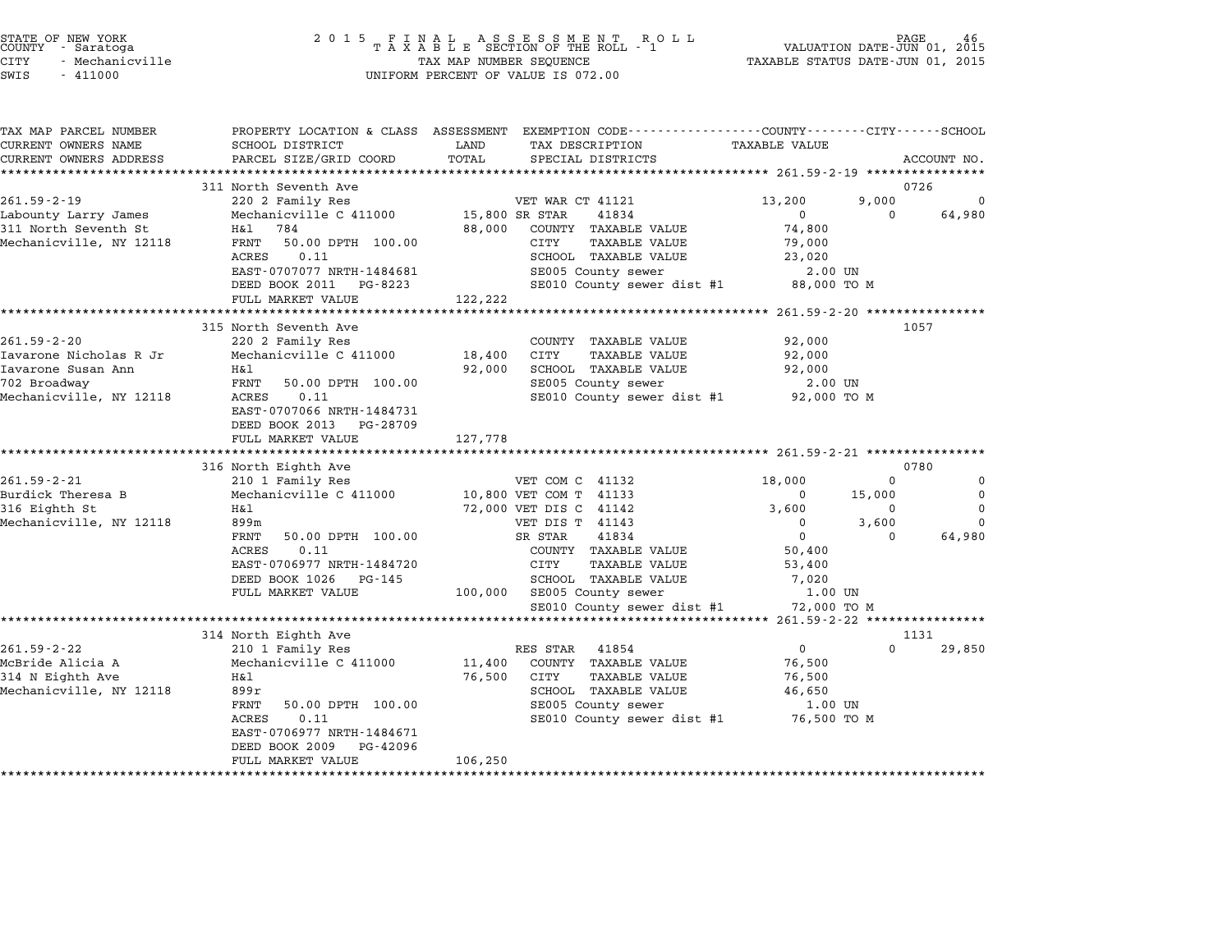| STATE OF NEW YORK<br>COUNTY<br>- Saratoga<br>CITY<br>- Mechanicville<br>SWIS<br>$-411000$ | 2 0 1 5                                                                                                         | FINAL ASSESSMENT RO<br>TAXABLE SECTION OF THE ROLL - 1<br>R O L L<br>TAX MAP NUMBER SEQUENCE<br>UNIFORM PERCENT OF VALUE IS 072.00                        | PAGE<br>VALUATION DATE-JUN 01, 2015<br>TAXABLE STATUS DATE-JUN 01, 2015      |                      |
|-------------------------------------------------------------------------------------------|-----------------------------------------------------------------------------------------------------------------|-----------------------------------------------------------------------------------------------------------------------------------------------------------|------------------------------------------------------------------------------|----------------------|
| TAX MAP PARCEL NUMBER<br>CURRENT OWNERS NAME<br>CURRENT OWNERS ADDRESS                    | SCHOOL DISTRICT<br>PARCEL SIZE/GRID COORD                                                                       | PROPERTY LOCATION & CLASS ASSESSMENT EXEMPTION CODE----------------COUNTY-------CITY------SCHOOL<br>LAND<br>TAX DESCRIPTION<br>TOTAL<br>SPECIAL DISTRICTS | <b>TAXABLE VALUE</b>                                                         | ACCOUNT NO.          |
|                                                                                           | 311 North Seventh Ave                                                                                           |                                                                                                                                                           | 0726                                                                         |                      |
| $261.59 - 2 - 19$<br>Labounty Larry James                                                 | 220 2 Family Res<br>Mechanicville C 411000                                                                      | VET WAR CT 41121<br>15,800 SR STAR<br>41834                                                                                                               | 13,200<br>9,000<br>$\Omega$<br>$\Omega$                                      | 0<br>64,980          |
| 311 North Seventh St<br>Mechanicville, NY 12118                                           | 784<br>H&l<br>FRNT<br>50.00 DPTH 100.00<br>0.11<br>ACRES<br>EAST-0707077 NRTH-1484681<br>DEED BOOK 2011 PG-8223 | 88,000<br>COUNTY TAXABLE VALUE<br><b>TAXABLE VALUE</b><br>CITY<br>SCHOOL TAXABLE VALUE<br>SE005 County sewer<br>SE010 County sewer dist #1                | 74,800<br>79,000<br>23,020<br>2.00 UN<br>88,000 TO M                         |                      |
|                                                                                           | FULL MARKET VALUE                                                                                               | 122,222                                                                                                                                                   |                                                                              |                      |
| $261.59 - 2 - 20$                                                                         | *******************<br>315 North Seventh Ave<br>220 2 Family Res                                                | ***********<br>COUNTY TAXABLE VALUE                                                                                                                       | ************************* 261.59-2-20 ****************<br>1057<br>92,000     |                      |
| Iavarone Nicholas R Jr<br>Iavarone Susan Ann<br>702 Broadway                              | Mechanicville C 411000<br>Η&l<br>FRNT<br>50.00 DPTH 100.00                                                      | <b>CITY</b><br>18,400<br><b>TAXABLE VALUE</b><br>92,000<br>SCHOOL TAXABLE VALUE<br>SE005 County sewer                                                     | 92,000<br>92,000<br>2.00 UN                                                  |                      |
| Mechanicville, NY 12118                                                                   | ACRES<br>0.11<br>EAST-0707066 NRTH-1484731<br>DEED BOOK 2013 PG-28709<br>FULL MARKET VALUE                      | SE010 County sewer dist #1<br>127,778                                                                                                                     | 92,000 TO M                                                                  |                      |
|                                                                                           | * * * * * * * * * * * * * * * * * * *                                                                           |                                                                                                                                                           |                                                                              |                      |
| $261.59 - 2 - 21$                                                                         | 316 North Eighth Ave<br>210 1 Family Res                                                                        | VET COM C 41132                                                                                                                                           | 0780<br>18,000<br>$\Omega$                                                   | 0                    |
| Burdick Theresa B<br>316 Eighth St                                                        | Mechanicville C 411000<br>H&l                                                                                   | 10,800 VET COM T 41133<br>72,000 VET DIS C 41142                                                                                                          | 15,000<br>$\Omega$<br>3,600<br>0                                             | $\Omega$<br>$\Omega$ |
| Mechanicville, NY 12118                                                                   | 899m<br>FRNT<br>50.00 DPTH 100.00<br><b>ACRES</b><br>0.11<br>EAST-0706977 NRTH-1484720<br>DEED BOOK 1026 PG-145 | VET DIS T 41143<br>41834<br>SR STAR<br>COUNTY TAXABLE VALUE<br>CITY<br><b>TAXABLE VALUE</b><br>SCHOOL TAXABLE VALUE                                       | 3,600<br>$\mathbf 0$<br>$\mathbf 0$<br>$\Omega$<br>50,400<br>53,400<br>7,020 | $\Omega$<br>64,980   |
|                                                                                           | FULL MARKET VALUE                                                                                               | 100,000 SE005 County sewer<br>SE010 County sewer dist #1                                                                                                  | 1.00 UN<br>72,000 TO M                                                       |                      |
|                                                                                           |                                                                                                                 |                                                                                                                                                           |                                                                              |                      |
| $261.59 - 2 - 22$                                                                         | 314 North Eighth Ave<br>210 1 Family Res                                                                        | RES STAR<br>41854                                                                                                                                         | 1131<br>$\Omega$<br>0                                                        | 29,850               |
| McBride Alicia A<br>314 N Eighth Ave<br>Mechanicville, NY 12118                           | Mechanicville C 411000<br>Η&l<br>899r<br>FRNT<br>50.00 DPTH 100.00<br><b>ACRES</b><br>0.11                      | COUNTY TAXABLE VALUE<br>11,400<br>76,500<br>TAXABLE VALUE<br>CITY<br>SCHOOL TAXABLE VALUE<br>SE005 County sewer<br>SE010 County sewer dist #1             | 76,500<br>76,500<br>46,650<br>1.00 UN<br>76,500 TO M                         |                      |
|                                                                                           | EAST-0706977 NRTH-1484671<br>DEED BOOK 2009<br>PG-42096<br>FULL MARKET VALUE                                    | 106,250                                                                                                                                                   |                                                                              |                      |

end the New York (2001 5 F I N A L A S S E S S M E N T R O L L RO L L PAGE 46 (2015) FOR THE ROLL SECTION OF THE ROLL 1 (2015) PAGE 46 (2016) FOR THE ROLL 2015 TA X A B L E SECTION OF THE ROLL - 1 (2015) THE ROLL DRIMINATI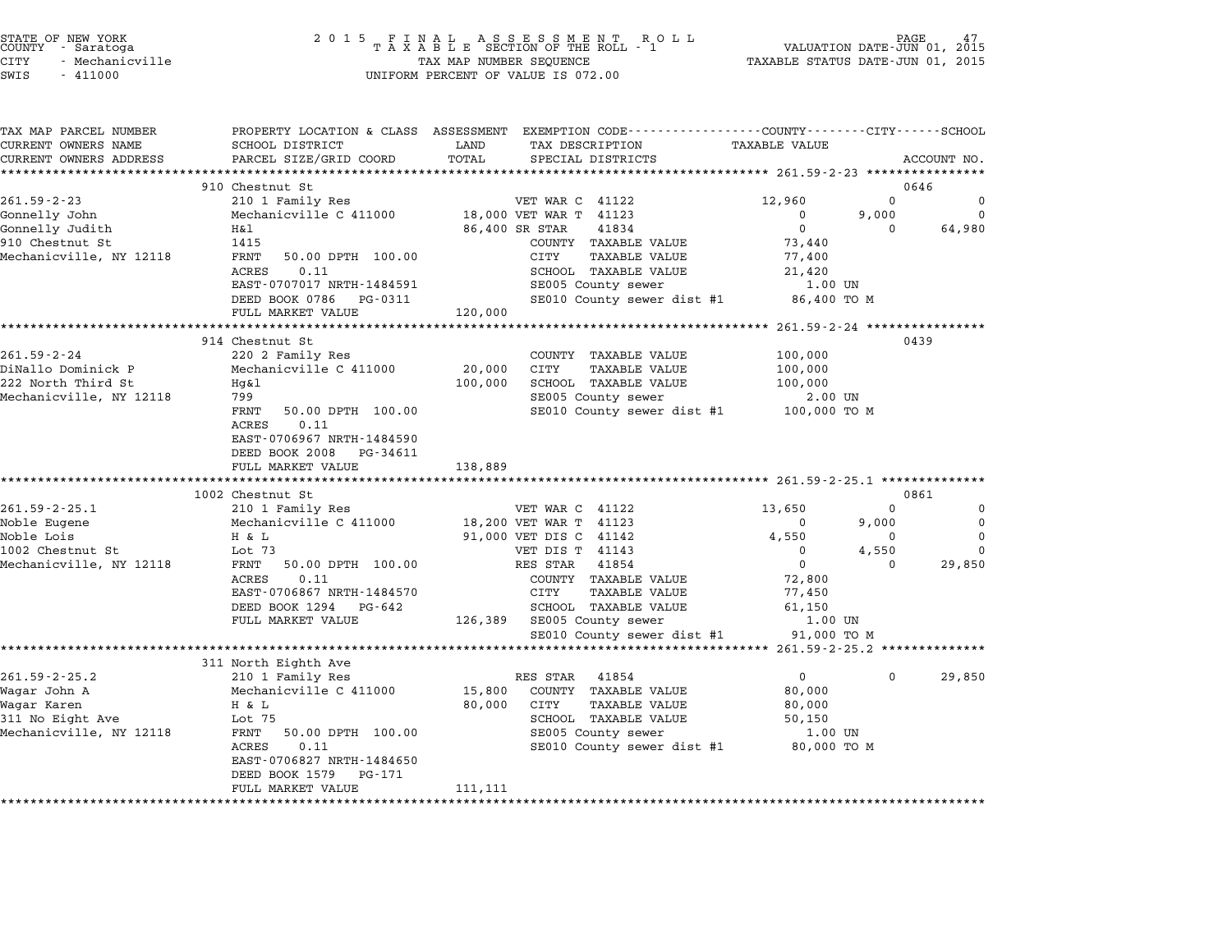|        | STATE OF NEW YORK |
|--------|-------------------|
| COUNTY | - Saratoga        |
| CITY   | - Mechanicville   |

| TAX MAP PARCEL NUMBER                         | SCHOOL DISTRICT                                      | PROPERTY LOCATION & CLASS ASSESSMENT EXEMPTION CODE---------------COUNTY-------CITY-----SCHOOL |                                                    |              |                |
|-----------------------------------------------|------------------------------------------------------|------------------------------------------------------------------------------------------------|----------------------------------------------------|--------------|----------------|
| CURRENT OWNERS NAME<br>CURRENT OWNERS ADDRESS | <b>EXAMPLE STATE STATE</b><br>PARCEL SIZE/GRID COORD | TAX DESCRIPTION TAXABLE VALUE<br>TOTAL<br>SPECIAL DISTRICTS                                    |                                                    |              | ACCOUNT NO.    |
|                                               |                                                      |                                                                                                |                                                    |              |                |
|                                               | 910 Chestnut St                                      |                                                                                                |                                                    | 0646         |                |
| $261.59 - 2 - 23$                             |                                                      |                                                                                                | 12,960                                             | $\mathbf 0$  | 0              |
| Gonnelly John                                 |                                                      | 210 1 Family Res<br>Mechanicville C 411000 18,000 VET WAR T 41123                              | $\mathbf 0$                                        | 9,000        | $\overline{0}$ |
| Gonnelly Judith                               | H&l                                                  | 86,400 SR STAR<br>41834                                                                        | $\overline{0}$                                     | $\mathbf{0}$ | 64,980         |
| 910 Chestnut St                               | 1415                                                 | COUNTY TAXABLE VALUE                                                                           | 73,440                                             |              |                |
| Mechanicville, NY 12118                       | FRNT<br>50.00 DPTH 100.00                            | CITY<br>TAXABLE VALUE                                                                          | 77,400                                             |              |                |
|                                               | ACRES<br>0.11                                        | SCHOOL TAXABLE VALUE                                                                           | 21,420                                             |              |                |
|                                               | EAST-0707017 NRTH-1484591                            | SE005 County sewer                                                                             | 1.00 UN                                            |              |                |
|                                               | DEED BOOK 0786 PG-0311                               | SE010 County sewer dist #1 86,400 TO M                                                         |                                                    |              |                |
|                                               | FULL MARKET VALUE                                    | 120,000                                                                                        |                                                    |              |                |
|                                               |                                                      |                                                                                                |                                                    |              |                |
|                                               | 914 Chestnut St                                      |                                                                                                |                                                    | 0439         |                |
| $261.59 - 2 - 24$                             | 220 2 Family Res                                     | COUNTY TAXABLE VALUE                                                                           | 100,000                                            |              |                |
| DiNallo Dominick P                            | Mechanicville C 411000 20,000                        | CITY<br>TAXABLE VALUE                                                                          | 100,000                                            |              |                |
| 222 North Third St                            | Hq&l                                                 | SCHOOL TAXABLE VALUE<br>100,000                                                                | 100,000                                            |              |                |
| Mechanicville, NY 12118                       | 799                                                  | SE005 County sewer<br>$SE010$ County sewer dist #1 $100,000$ TO M                              | 2.00 UN                                            |              |                |
|                                               | FRNT<br>50.00 DPTH 100.00<br>ACRES<br>0.11           |                                                                                                |                                                    |              |                |
|                                               | EAST-0706967 NRTH-1484590                            |                                                                                                |                                                    |              |                |
|                                               | DEED BOOK 2008 PG-34611                              |                                                                                                |                                                    |              |                |
|                                               | FULL MARKET VALUE                                    | 138,889                                                                                        |                                                    |              |                |
|                                               |                                                      |                                                                                                |                                                    |              |                |
|                                               | 1002 Chestnut St                                     |                                                                                                |                                                    | 0861         |                |
| $261.59 - 2 - 25.1$                           | 210 1 Family Res                                     | VET WAR C 41122                                                                                | 13,650                                             | $\Omega$     | $\mathbf 0$    |
| Noble Eugene                                  | Mechanicville C 411000                               | 18,200 VET WAR T 41123                                                                         | $\Omega$                                           | 9,000        | $\overline{0}$ |
| Noble Lois                                    | H & L                                                | 91,000 VET DIS C 41142                                                                         | 4,550                                              | $\mathbf 0$  | $\mathbf 0$    |
| 1002 Chestnut St                              | Lot 73                                               | VET DIS T 41143                                                                                | $\Omega$                                           | 4,550        | $\Omega$       |
| Mechanicville, NY 12118                       | FRNT 50.00 DPTH 100.00                               | RES STAR 41854                                                                                 | $\overline{0}$                                     | $\Omega$     | 29,850         |
|                                               | ACRES<br>0.11                                        | COUNTY TAXABLE VALUE                                                                           | 72,800                                             |              |                |
|                                               | EAST-0706867 NRTH-1484570                            | CITY<br>TAXABLE VALUE                                                                          | 77,450                                             |              |                |
|                                               | DEED BOOK 1294 PG-642                                | SCHOOL TAXABLE VALUE                                                                           | 61,150                                             |              |                |
|                                               | FULL MARKET VALUE                                    | 126,389 SE005 County sewer                                                                     | 1.00 UN                                            |              |                |
|                                               |                                                      | SE010 County sewer dist #1 91,000 TO M                                                         |                                                    |              |                |
|                                               |                                                      |                                                                                                | ********************* 261.59-2-25.2 ************** |              |                |
|                                               | 311 North Eighth Ave                                 |                                                                                                |                                                    |              |                |
| $261.59 - 2 - 25.2$                           | 210 1 Family Res                                     | RES STAR 41854                                                                                 | 0                                                  | $\Omega$     | 29,850         |
| Waqar John A<br>Wagar Karen                   | Mechanicville C 411000                               | 15,800 COUNTY TAXABLE VALUE<br>80,000 CITY                                                     | 80,000                                             |              |                |
|                                               | H & L<br>Lot 75                                      | TAXABLE VALUE<br>SCHOOL TAXABLE VALUE                                                          | 80,000                                             |              |                |
| 311 No Eight Ave<br>Mechanicville, NY 12118   | FRNT 50.00 DPTH 100.00                               | SE005 County sewer                                                                             | 50,150<br>1.00 UN                                  |              |                |
|                                               | ACRES<br>0.11                                        | SE010 County sewer dist #1 80,000 TO M                                                         |                                                    |              |                |
|                                               | EAST-0706827 NRTH-1484650                            |                                                                                                |                                                    |              |                |
|                                               | DEED BOOK 1579 PG-171                                |                                                                                                |                                                    |              |                |
|                                               | FULL MARKET VALUE                                    | 111,111                                                                                        |                                                    |              |                |
|                                               |                                                      |                                                                                                |                                                    |              |                |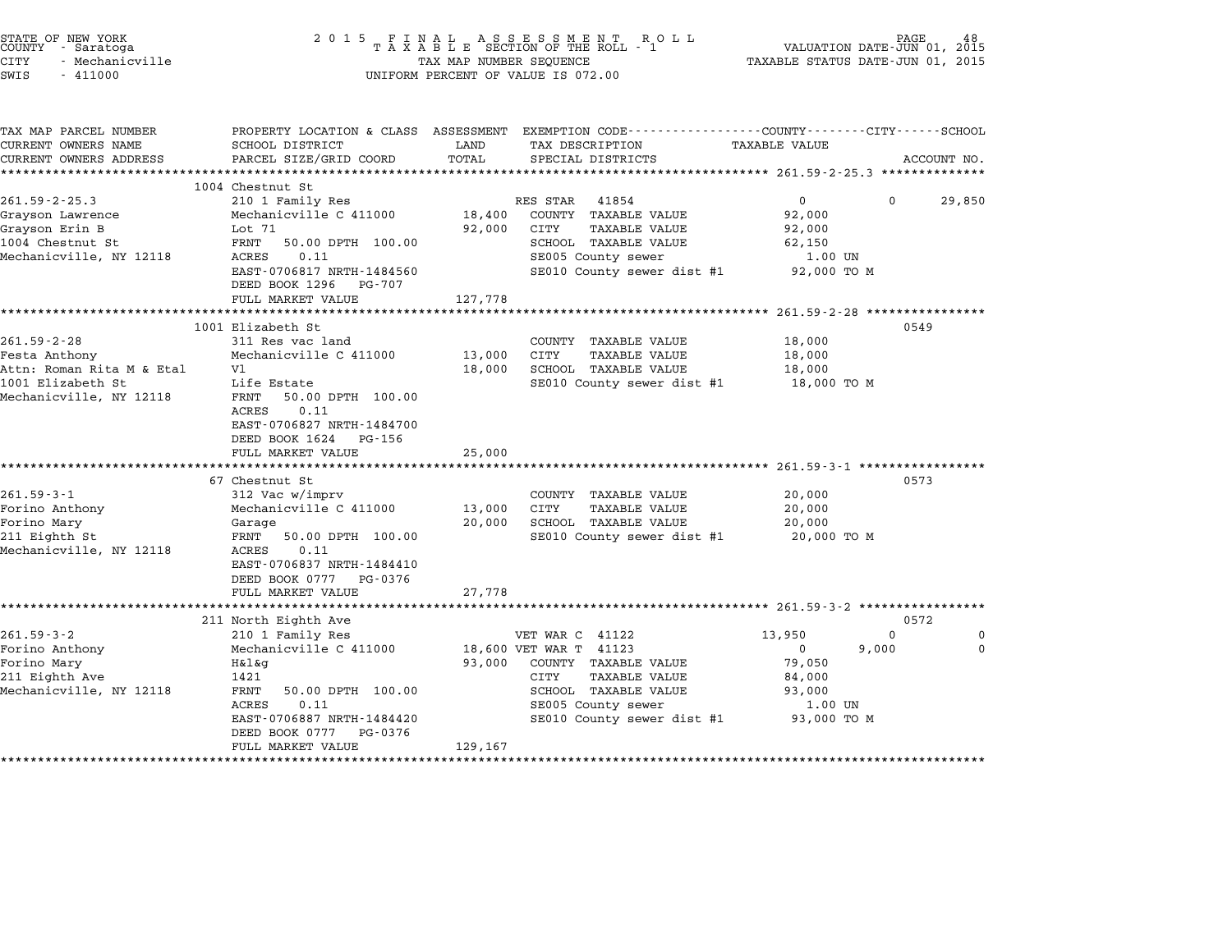| STATE OF NEW YORK<br>COUNTY - Saratoga<br>CITY<br>- Mechanicville<br>SWIS<br>$-411000$ | 2 0 1 5                                                                                             | TAX MAP NUMBER SEQUENCE | FINAL ASSESSMENT ROLL<br>TAXABLE SECTION OF THE ROLL - 1<br>UNIFORM PERCENT OF VALUE IS 072.00                    | TAXABLE STATUS DATE-JUN 01, 2015                      | PAGE<br>48<br>VALUATION DATE-JUN 01, 2015 |
|----------------------------------------------------------------------------------------|-----------------------------------------------------------------------------------------------------|-------------------------|-------------------------------------------------------------------------------------------------------------------|-------------------------------------------------------|-------------------------------------------|
| TAX MAP PARCEL NUMBER<br>CURRENT OWNERS NAME                                           | SCHOOL DISTRICT                                                                                     | LAND                    | PROPERTY LOCATION & CLASS ASSESSMENT EXEMPTION CODE---------------COUNTY-------CITY-----SCHOOL<br>TAX DESCRIPTION | TAXABLE VALUE                                         |                                           |
| CURRENT OWNERS ADDRESS                                                                 | PARCEL SIZE/GRID COORD                                                                              | TOTAL                   | SPECIAL DISTRICTS                                                                                                 |                                                       | ACCOUNT NO.                               |
|                                                                                        |                                                                                                     |                         |                                                                                                                   |                                                       |                                           |
| $261.59 - 2 - 25.3$                                                                    | 1004 Chestnut St<br>210 1 Family Res                                                                |                         | RES STAR<br>41854                                                                                                 | $\overline{0}$                                        | $\Omega$<br>29,850                        |
| Grayson Lawrence                                                                       | Mechanicville C 411000                                                                              | 18,400                  | COUNTY TAXABLE VALUE                                                                                              | 92,000                                                |                                           |
| Grayson Erin B                                                                         | Lot 71                                                                                              | 92,000                  | CITY<br>TAXABLE VALUE                                                                                             | 92,000                                                |                                           |
| 1004 Chestnut St                                                                       | FRNT<br>50.00 DPTH 100.00                                                                           |                         | SCHOOL TAXABLE VALUE                                                                                              | 62,150                                                |                                           |
| Mechanicville, NY 12118                                                                | ACRES<br>0.11                                                                                       |                         | SE005 County sewer                                                                                                | 1.00 UN                                               |                                           |
|                                                                                        | EAST-0706817 NRTH-1484560<br>DEED BOOK 1296 PG-707                                                  |                         | SE010 County sewer dist #1                                                                                        | 92,000 TO M                                           |                                           |
|                                                                                        | FULL MARKET VALUE                                                                                   | 127,778                 |                                                                                                                   |                                                       |                                           |
|                                                                                        | ***********************                                                                             |                         |                                                                                                                   | ********************** 261.59-2-28 *****************  |                                           |
|                                                                                        | 1001 Elizabeth St                                                                                   |                         |                                                                                                                   |                                                       | 0549                                      |
| $261.59 - 2 - 28$                                                                      | 311 Res vac land                                                                                    |                         | COUNTY TAXABLE VALUE                                                                                              | 18,000                                                |                                           |
| Festa Anthony<br>Attn: Roman Rita M & Etal                                             | Mechanicville C 411000<br>V1                                                                        | 13,000<br>18,000        | CITY<br>TAXABLE VALUE<br>SCHOOL TAXABLE VALUE                                                                     | 18,000<br>18,000                                      |                                           |
| 1001 Elizabeth St                                                                      | Life Estate                                                                                         |                         | SE010 County sewer dist #1                                                                                        | 18,000 TO M                                           |                                           |
| Mechanicville, NY 12118                                                                | 50.00 DPTH 100.00<br>FRNT<br>ACRES<br>0.11<br>EAST-0706827 NRTH-1484700<br>DEED BOOK 1624<br>PG-156 |                         |                                                                                                                   |                                                       |                                           |
|                                                                                        | FULL MARKET VALUE                                                                                   | 25,000                  |                                                                                                                   |                                                       |                                           |
|                                                                                        | 67 Chestnut St                                                                                      |                         |                                                                                                                   | ************************ 261.59-3-1 ***************** | 0573                                      |
| $261.59 - 3 - 1$                                                                       | 312 Vac w/imprv                                                                                     |                         | COUNTY TAXABLE VALUE                                                                                              | 20,000                                                |                                           |
| Forino Anthony                                                                         | Mechanicville C 411000                                                                              | 13,000                  | CITY<br><b>TAXABLE VALUE</b>                                                                                      | 20,000                                                |                                           |
| Forino Mary                                                                            | Garage                                                                                              | 20,000                  | SCHOOL TAXABLE VALUE                                                                                              | 20,000                                                |                                           |
| 211 Eighth St                                                                          | FRNT<br>50.00 DPTH 100.00                                                                           |                         | SE010 County sewer dist #1                                                                                        | 20,000 TO M                                           |                                           |
| Mechanicville, NY 12118                                                                | ACRES<br>0.11<br>EAST-0706837 NRTH-1484410                                                          |                         |                                                                                                                   |                                                       |                                           |
|                                                                                        | DEED BOOK 0777 PG-0376                                                                              |                         |                                                                                                                   |                                                       |                                           |
|                                                                                        | FULL MARKET VALUE                                                                                   | 27,778                  |                                                                                                                   |                                                       |                                           |
|                                                                                        |                                                                                                     | ********                |                                                                                                                   | ********************* 261.59-3-2 ************         |                                           |
| $261.59 - 3 - 2$                                                                       | 211 North Eighth Ave                                                                                |                         | VET WAR C 41122                                                                                                   | 13,950                                                | 0572<br>0<br>0                            |
| Forino Anthony                                                                         | 210 1 Family Res<br>Mechanicville C 411000                                                          |                         | 18,600 VET WAR T 41123                                                                                            | 0                                                     | 9,000<br>0                                |
| Forino Mary                                                                            | H&l&g                                                                                               | 93,000                  | COUNTY TAXABLE VALUE                                                                                              | 79,050                                                |                                           |
| 211 Eighth Ave                                                                         | 1421                                                                                                |                         | CITY<br>TAXABLE VALUE                                                                                             | 84,000                                                |                                           |
| Mechanicville, NY 12118                                                                | FRNT<br>50.00 DPTH 100.00                                                                           |                         | SCHOOL TAXABLE VALUE                                                                                              | 93,000                                                |                                           |
|                                                                                        | ACRES<br>0.11                                                                                       |                         | SE005 County sewer                                                                                                | 1.00 UN                                               |                                           |
|                                                                                        | EAST-0706887 NRTH-1484420<br>DEED BOOK 0777<br>PG-0376                                              |                         | SE010 County sewer dist #1                                                                                        | 93,000 TO M                                           |                                           |
|                                                                                        | FULL MARKET VALUE                                                                                   | 129,167                 |                                                                                                                   |                                                       |                                           |
|                                                                                        |                                                                                                     |                         |                                                                                                                   |                                                       |                                           |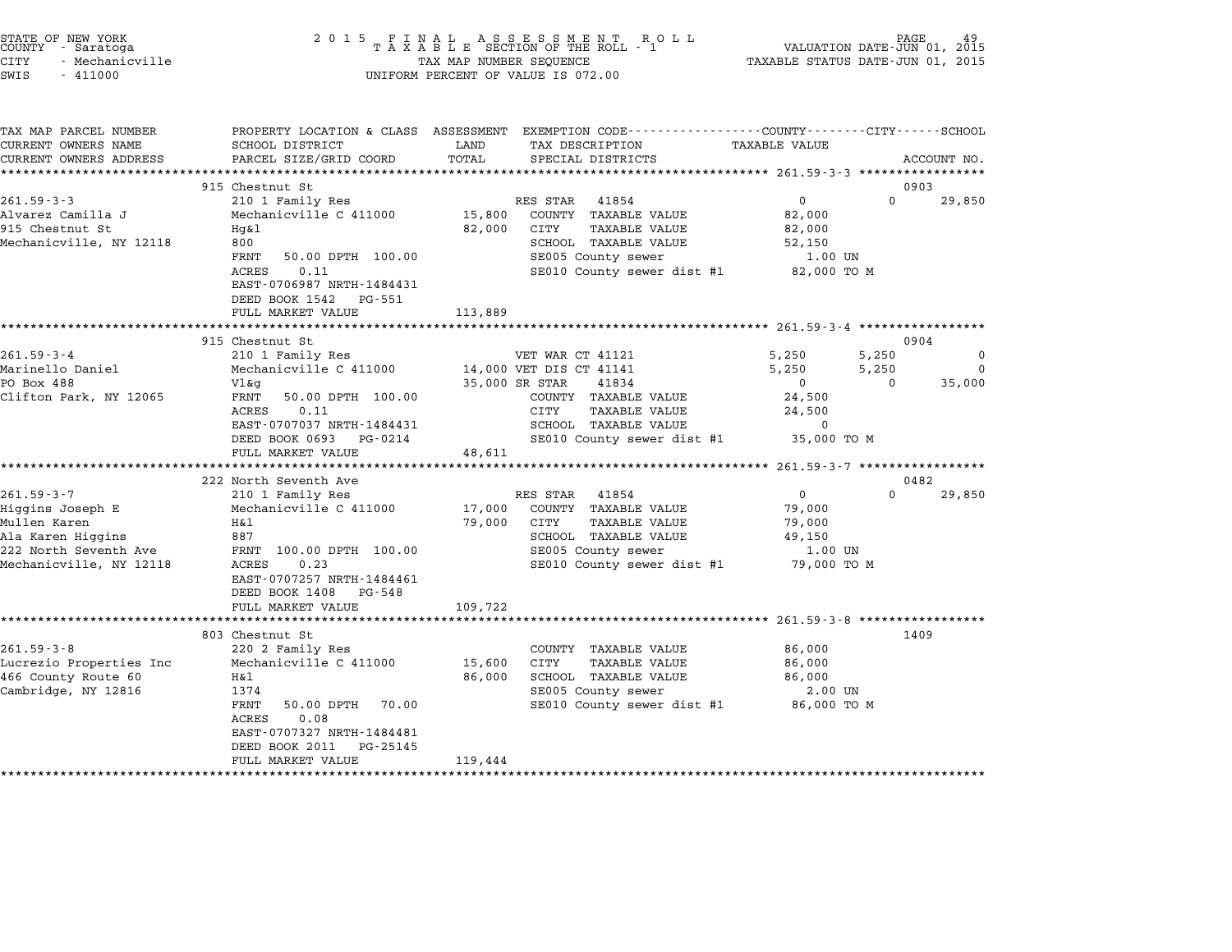| STATE OF NEW YORK<br>COUNTY - Saratoga<br><b>CITY</b><br>- Mechanicville<br>SWIS<br>$-411000$ | 2 0 1 5                                                | TAX MAP NUMBER SEQUENCE | $\begin{array}{cccccccccccccc} & F & I & N & A & L & A & S & S & E & S & S & M & E & N & T & R & O & L & L \\ T & A & X & A & B & L & E & SECTION OF THE ROLL & - & 1 & & & \\ \end{array}$<br>UNIFORM PERCENT OF VALUE IS 072.00 | TAXABLE STATUS DATE-JUN 01, 2015                | PAGE<br>VALUATION DATE-JUN 01, 2015 |             |
|-----------------------------------------------------------------------------------------------|--------------------------------------------------------|-------------------------|-----------------------------------------------------------------------------------------------------------------------------------------------------------------------------------------------------------------------------------|-------------------------------------------------|-------------------------------------|-------------|
|                                                                                               |                                                        |                         |                                                                                                                                                                                                                                   |                                                 |                                     |             |
| TAX MAP PARCEL NUMBER                                                                         | PROPERTY LOCATION & CLASS ASSESSMENT                   |                         | EXEMPTION CODE-----------------COUNTY-------CITY------SCHOOL                                                                                                                                                                      |                                                 |                                     |             |
| CURRENT OWNERS NAME<br>CURRENT OWNERS ADDRESS                                                 | SCHOOL DISTRICT<br>PARCEL SIZE/GRID COORD              | LAND<br>TOTAL           | TAX DESCRIPTION<br>SPECIAL DISTRICTS                                                                                                                                                                                              | TAXABLE VALUE                                   |                                     | ACCOUNT NO. |
| ***********************                                                                       |                                                        |                         |                                                                                                                                                                                                                                   |                                                 |                                     |             |
|                                                                                               | 915 Chestnut St                                        |                         |                                                                                                                                                                                                                                   |                                                 | 0903                                |             |
| $261.59 - 3 - 3$                                                                              | 210 1 Family Res                                       |                         | RES STAR 41854                                                                                                                                                                                                                    | $\overline{0}$                                  | $\Omega$                            | 29,850      |
| Alvarez Camilla J                                                                             | Mechanicville C 411000                                 | 15,800                  | COUNTY TAXABLE VALUE                                                                                                                                                                                                              | 82,000                                          |                                     |             |
| 915 Chestnut St                                                                               | $Hq\&1$                                                | 82,000                  | CITY<br>TAXABLE VALUE                                                                                                                                                                                                             | 82,000                                          |                                     |             |
| Mechanicville, NY 12118                                                                       | 800                                                    |                         | SCHOOL TAXABLE VALUE                                                                                                                                                                                                              | 52,150                                          |                                     |             |
|                                                                                               | FRNT<br>50.00 DPTH 100.00                              |                         | SE005 County sewer                                                                                                                                                                                                                | 1.00 UN                                         |                                     |             |
|                                                                                               | ACRES<br>0.11<br>EAST-0706987 NRTH-1484431             |                         | SE010 County sewer dist #1                                                                                                                                                                                                        | 82,000 TO M                                     |                                     |             |
|                                                                                               | DEED BOOK 1542<br>PG-551                               |                         |                                                                                                                                                                                                                                   |                                                 |                                     |             |
|                                                                                               | FULL MARKET VALUE                                      | 113,889                 |                                                                                                                                                                                                                                   |                                                 |                                     |             |
|                                                                                               |                                                        |                         |                                                                                                                                                                                                                                   |                                                 |                                     |             |
|                                                                                               | 915 Chestnut St                                        |                         |                                                                                                                                                                                                                                   |                                                 | 0904                                |             |
| $261.59 - 3 - 4$                                                                              | 210 1 Family Res                                       |                         | VET WAR CT 41121                                                                                                                                                                                                                  | 5,250                                           | 5,250                               | $\Omega$    |
| Marinello Daniel                                                                              | Mechanicville C 411000                                 |                         | 14,000 VET DIS CT 41141                                                                                                                                                                                                           | 5,250                                           | 5,250                               | $\Omega$    |
| PO Box 488                                                                                    | Vl&q                                                   |                         | 35,000 SR STAR<br>41834                                                                                                                                                                                                           | $\mathbf{0}$                                    | $\Omega$                            | 35,000      |
| Clifton Park, NY 12065                                                                        | FRNT<br>50.00 DPTH 100.00                              |                         | COUNTY TAXABLE VALUE                                                                                                                                                                                                              | 24,500                                          |                                     |             |
|                                                                                               | ACRES<br>0.11                                          |                         | CITY<br>TAXABLE VALUE                                                                                                                                                                                                             | 24,500<br>$\Omega$                              |                                     |             |
|                                                                                               | EAST-0707037 NRTH-1484431<br>DEED BOOK 0693<br>PG-0214 |                         | SCHOOL TAXABLE VALUE<br>SE010 County sewer dist #1                                                                                                                                                                                | 35,000 TO M                                     |                                     |             |
|                                                                                               | FULL MARKET VALUE                                      | 48,611                  |                                                                                                                                                                                                                                   |                                                 |                                     |             |
|                                                                                               |                                                        | **********              |                                                                                                                                                                                                                                   | ****************** 261.59-3-7 ***************** |                                     |             |
|                                                                                               | 222 North Seventh Ave                                  |                         |                                                                                                                                                                                                                                   |                                                 | 0482                                |             |
| $261.59 - 3 - 7$                                                                              | 210 1 Family Res                                       |                         | RES STAR<br>41854                                                                                                                                                                                                                 | $\mathbf{0}$                                    | $\Omega$                            | 29,850      |
| Higgins Joseph E                                                                              | Mechanicville C 411000                                 | 17,000                  | COUNTY TAXABLE VALUE                                                                                                                                                                                                              | 79,000                                          |                                     |             |
| Mullen Karen                                                                                  | H&1                                                    | 79,000                  | CITY<br>TAXABLE VALUE                                                                                                                                                                                                             | 79,000                                          |                                     |             |
| Ala Karen Higgins                                                                             | 887                                                    |                         | SCHOOL TAXABLE VALUE                                                                                                                                                                                                              | 49,150                                          |                                     |             |
| 222 North Seventh Ave                                                                         | FRNT 100.00 DPTH 100.00<br>0.23                        |                         | SE005 County sewer                                                                                                                                                                                                                | 1.00 UN                                         |                                     |             |
| Mechanicville, NY 12118                                                                       | ACRES<br>EAST-0707257 NRTH-1484461                     |                         | SE010 County sewer dist #1                                                                                                                                                                                                        | 79,000 TO M                                     |                                     |             |
|                                                                                               | DEED BOOK 1408 PG-548                                  |                         |                                                                                                                                                                                                                                   |                                                 |                                     |             |
|                                                                                               | FULL MARKET VALUE                                      | 109,722                 |                                                                                                                                                                                                                                   |                                                 |                                     |             |
|                                                                                               | *********************                                  |                         |                                                                                                                                                                                                                                   |                                                 |                                     |             |
|                                                                                               | 803 Chestnut St                                        |                         |                                                                                                                                                                                                                                   |                                                 | 1409                                |             |
| $261.59 - 3 - 8$                                                                              | 220 2 Family Res                                       |                         | COUNTY TAXABLE VALUE                                                                                                                                                                                                              | 86,000                                          |                                     |             |
| Lucrezio Properties Inc                                                                       | Mechanicville C 411000                                 | 15,600                  | CITY<br>TAXABLE VALUE                                                                                                                                                                                                             | 86,000                                          |                                     |             |
| 466 County Route 60                                                                           | H&l                                                    | 86,000                  | SCHOOL TAXABLE VALUE                                                                                                                                                                                                              | 86,000                                          |                                     |             |
| Cambridge, NY 12816                                                                           | 1374<br>FRNT<br>70.00                                  |                         | SE005 County sewer                                                                                                                                                                                                                | 2.00 UN<br>86,000 TO M                          |                                     |             |
|                                                                                               | 50.00 DPTH<br>ACRES<br>0.08                            |                         | SE010 County sewer dist #1                                                                                                                                                                                                        |                                                 |                                     |             |
|                                                                                               | EAST-0707327 NRTH-1484481                              |                         |                                                                                                                                                                                                                                   |                                                 |                                     |             |
|                                                                                               | DEED BOOK 2011<br>PG-25145                             |                         |                                                                                                                                                                                                                                   |                                                 |                                     |             |
|                                                                                               | FULL MARKET VALUE                                      | 119,444                 |                                                                                                                                                                                                                                   |                                                 |                                     |             |

\*\*\*\*\*\*\*\*\*\*\*\*\*\*\*\*\*\*\*\*\*\*\*\*\*\*\*\*\*\*\*\*\*\*\*\*\*\*\*\*\*\*\*\*\*\*\*\*\*\*\*\*\*\*\*\*\*\*\*\*\*\*\*\*\*\*\*\*\*\*\*\*\*\*\*\*\*\*\*\*\*\*\*\*\*\*\*\*\*\*\*\*\*\*\*\*\*\*\*\*\*\*\*\*\*\*\*\*\*\*\*\*\*\*\*\*\*\*\*\*\*\*\*\*\*\*\*\*\*\*\*\*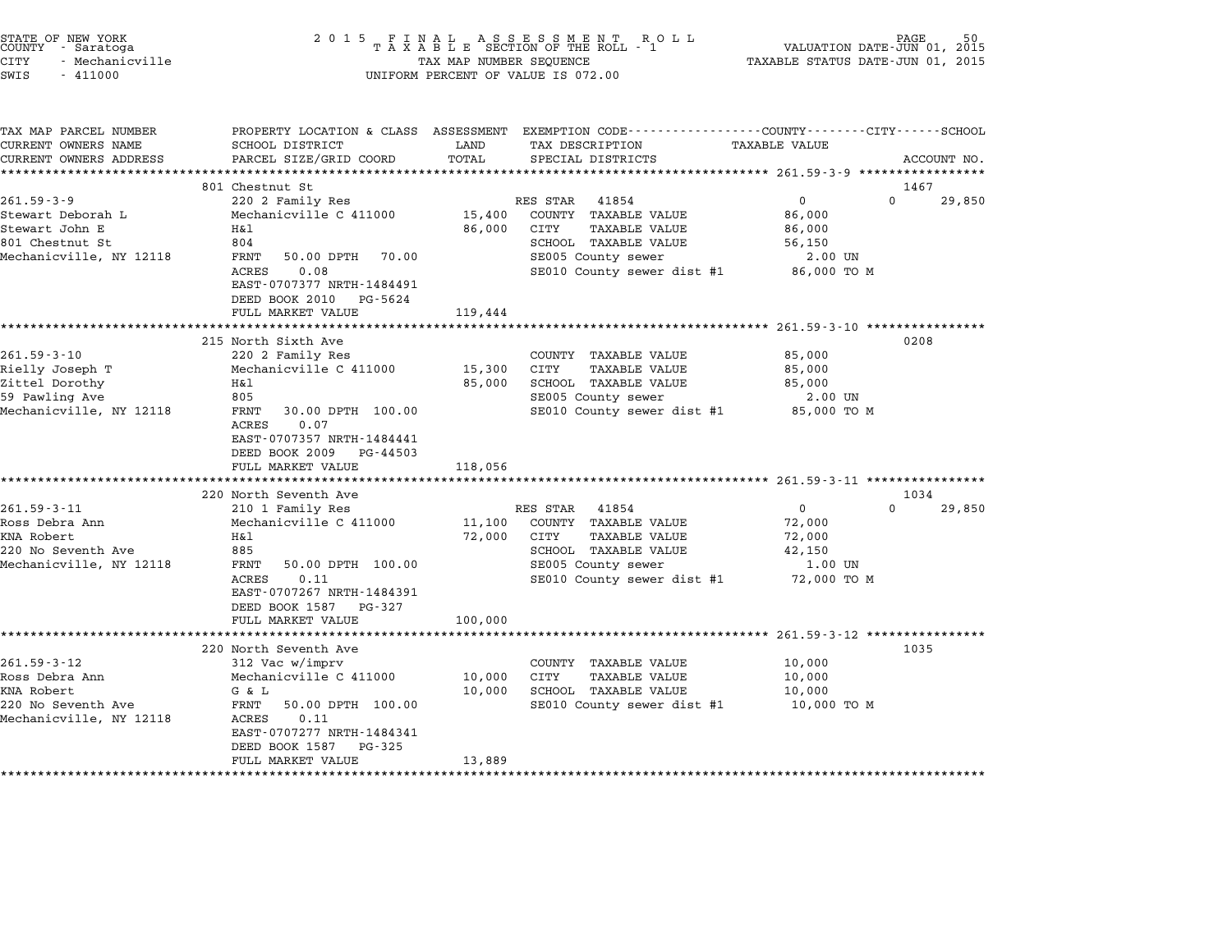| STATE OF NEW YORK<br>COUNTY - Saratoga<br><b>CITY</b><br>- Mechanicville<br>SWIS<br>$-411000$             | 2 0 1 5                                                                                                                                                                                                                                                          | TAX MAP NUMBER SEQUENCE                     | FINAL ASSESSMENT ROTAXABLE SECTION OF THE ROLL - 1<br>R O L L<br>UNIFORM PERCENT OF VALUE IS 072.00                                                                            | VALUATION DATE-JUN 01, 2015<br>TAXABLE STATUS DATE-JUN 01, 2015                                            | PAGE                       |
|-----------------------------------------------------------------------------------------------------------|------------------------------------------------------------------------------------------------------------------------------------------------------------------------------------------------------------------------------------------------------------------|---------------------------------------------|--------------------------------------------------------------------------------------------------------------------------------------------------------------------------------|------------------------------------------------------------------------------------------------------------|----------------------------|
| TAX MAP PARCEL NUMBER<br>CURRENT OWNERS NAME<br>CURRENT OWNERS ADDRESS<br>**********************          | PROPERTY LOCATION & CLASS ASSESSMENT<br><b>SCHOOL DISTRICT</b><br>PARCEL SIZE/GRID COORD                                                                                                                                                                         | LAND<br>TOTAL                               | EXEMPTION CODE-----------------COUNTY-------CITY------SCHOOL<br>TAX DESCRIPTION<br>SPECIAL DISTRICTS                                                                           | TAXABLE VALUE                                                                                              | ACCOUNT NO.                |
| $261.59 - 3 - 9$<br>Stewart Deborah L<br>Stewart John E<br>801 Chestnut St<br>Mechanicville, NY 12118     | 801 Chestnut St<br>220 2 Family Res<br>Mechanicville C 411000<br>Η&l<br>804<br>FRNT<br>50.00 DPTH<br>70.00<br>0.08<br>ACRES<br>EAST-0707377 NRTH-1484491<br>DEED BOOK 2010<br>PG-5624<br>FULL MARKET VALUE                                                       | 15,400<br>86,000<br>119,444                 | RES STAR<br>41854<br>COUNTY TAXABLE VALUE<br>CITY<br><b>TAXABLE VALUE</b><br>SCHOOL TAXABLE VALUE<br>SE005 County sewer<br>SE010 County sewer dist #1                          | 0<br>86,000<br>86,000<br>56,150<br>2.00 UN<br>86,000 TO M                                                  | 1467<br>$\Omega$<br>29,850 |
| $261.59 - 3 - 10$<br>Rielly Joseph T<br>Zittel Dorothy<br>59 Pawling Ave<br>Mechanicville, NY 12118       | ***********************<br>215 North Sixth Ave<br>220 2 Family Res<br>Mechanicville C 411000<br>Η&l<br>805<br>FRNT<br>30.00 DPTH 100.00<br>ACRES<br>0.07<br>EAST-0707357 NRTH-1484441<br>DEED BOOK 2009<br>PG-44503<br>FULL MARKET VALUE<br>******************** | 15,300<br>85,000<br>118,056<br>************ | COUNTY TAXABLE VALUE<br>CITY<br><b>TAXABLE VALUE</b><br>SCHOOL TAXABLE VALUE<br>SE005 County sewer<br>SE010 County sewer dist #1                                               | ********************** 261.59-3-10 ***************<br>85,000<br>85,000<br>85,000<br>2.00 UN<br>85,000 TO M | 0208                       |
| $261.59 - 3 - 11$<br>Ross Debra Ann<br><b>KNA Robert</b><br>220 No Seventh Ave<br>Mechanicville, NY 12118 | 220 North Seventh Ave<br>210 1 Family Res<br>Mechanicville C 411000<br>Η&l<br>885<br>FRNT<br>50.00 DPTH 100.00<br>0.11<br>ACRES<br>EAST-0707267 NRTH-1484391<br>DEED BOOK 1587<br>PG-327<br>FULL MARKET VALUE                                                    | 11,100<br>72,000<br>100,000                 | RES STAR<br>41854<br>COUNTY<br><b>TAXABLE VALUE</b><br>CITY<br><b>TAXABLE VALUE</b><br>SCHOOL TAXABLE VALUE<br>SE005 County sewer<br>SE010 County sewer dist #1                | 0<br>72,000<br>72,000<br>42,150<br>1.00 UN<br>72,000 TO M                                                  | 1034<br>$\Omega$<br>29,850 |
| $261.59 - 3 - 12$<br>Ross Debra Ann<br>KNA Robert<br>220 No Seventh Ave<br>Mechanicville, NY 12118        | 220 North Seventh Ave<br>312 Vac w/imprv<br>Mechanicville C 411000<br>G & L<br>FRNT<br>50.00 DPTH 100.00<br>ACRES<br>0.11<br>EAST-0707277 NRTH-1484341<br>DEED BOOK 1587<br>PG-325<br>FULL MARKET VALUE                                                          | 10,000<br>10,000<br>13,889                  | ******************************** 261.59-3-12 ****************<br>COUNTY<br><b>TAXABLE VALUE</b><br>CITY<br>TAXABLE VALUE<br>SCHOOL TAXABLE VALUE<br>SE010 County sewer dist #1 | 10,000<br>10,000<br>10,000<br>10,000 TO M                                                                  | 1035                       |

end the New York (STATE OF NEW YORK)<br>2015 FINAL ASSESSMENT ROLL FOLL (PALUATION DATE-JUN 01, 2015<br>COUNTY – Saratoga (2015 TAXABLE SECTION OF THE ROLL - 1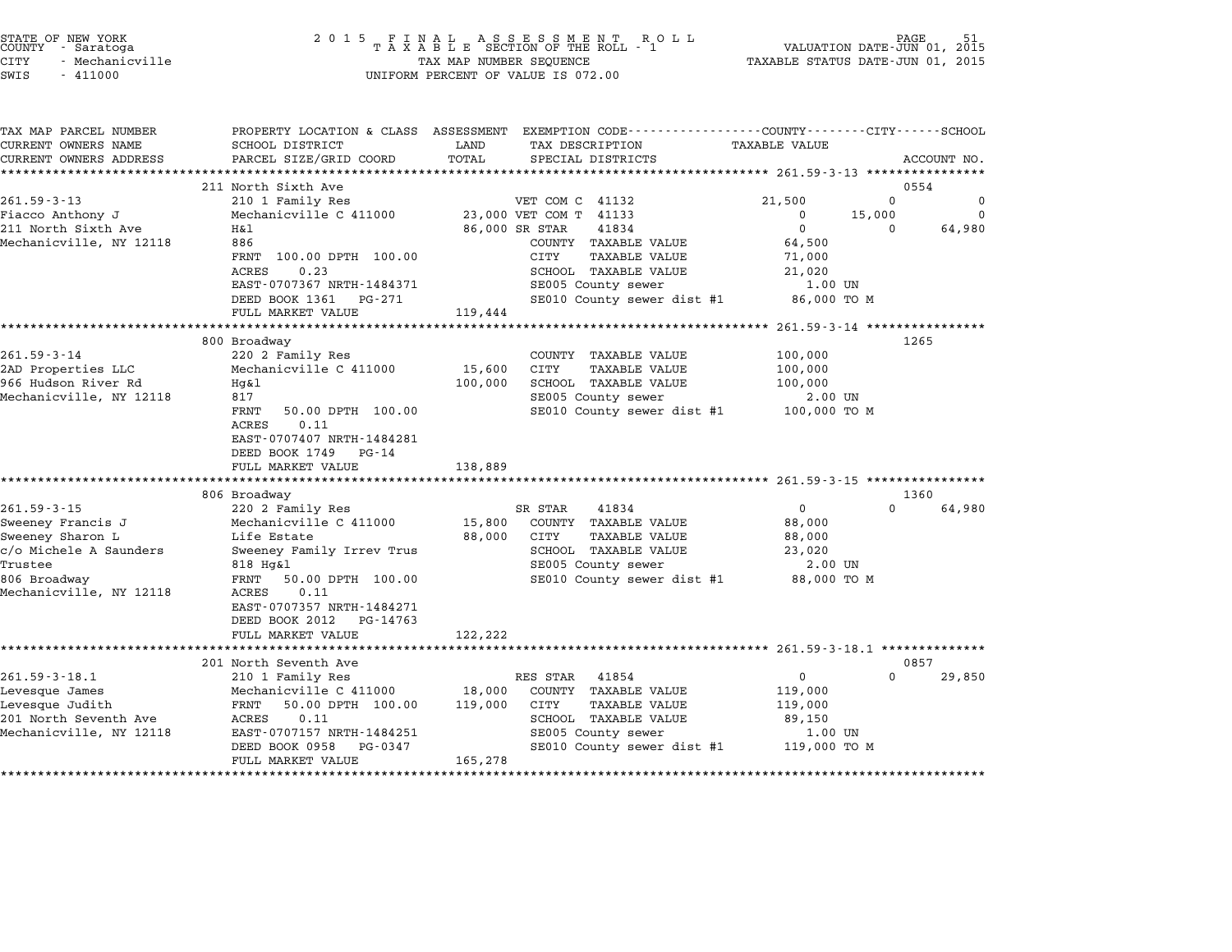| STATE OF NEW YORK<br>COUNTY - Saratoga<br><b>CITY</b><br>- Mechanicville<br>SWIS<br>$-411000$ |                                                   | TAX MAP NUMBER SEQUENCE | UNIFORM PERCENT OF VALUE IS 072.00                                                                                                      | TAXABLE STATUS DATE-JUN 01, 2015 | PAGE<br>VALUATION DATE-JUN 01, 2015 |             |
|-----------------------------------------------------------------------------------------------|---------------------------------------------------|-------------------------|-----------------------------------------------------------------------------------------------------------------------------------------|----------------------------------|-------------------------------------|-------------|
| TAX MAP PARCEL NUMBER<br>CURRENT OWNERS NAME<br>CURRENT OWNERS ADDRESS                        | SCHOOL DISTRICT<br>PARCEL SIZE/GRID COORD         | LAND<br>TOTAL           | PROPERTY LOCATION & CLASS ASSESSMENT EXEMPTION CODE----------------COUNTY-------CITY-----SCHOOL<br>TAX DESCRIPTION<br>SPECIAL DISTRICTS | TAXABLE VALUE                    |                                     | ACCOUNT NO. |
|                                                                                               |                                                   |                         |                                                                                                                                         |                                  |                                     |             |
|                                                                                               | 211 North Sixth Ave                               |                         |                                                                                                                                         |                                  | 0554                                |             |
| $261.59 - 3 - 13$                                                                             | 210 1 Family Res                                  |                         | VET COM C 41132                                                                                                                         | 21,500                           | $\Omega$                            | $\mathbf 0$ |
| Fiacco Anthony J                                                                              | Mechanicville C 411000                            |                         | 23,000 VET COM T 41133                                                                                                                  | $\mathbf 0$                      | 15,000                              | 0           |
| 211 North Sixth Ave<br>Mechanicville, NY 12118                                                | Η&l<br>886                                        |                         | 86,000 SR STAR<br>41834<br>COUNTY TAXABLE VALUE                                                                                         | $\mathbf{0}$<br>64,500           | 0                                   | 64,980      |
|                                                                                               | FRNT 100.00 DPTH 100.00                           |                         | CITY<br>TAXABLE VALUE                                                                                                                   | 71,000                           |                                     |             |
|                                                                                               | 0.23<br><b>ACRES</b>                              |                         | SCHOOL TAXABLE VALUE                                                                                                                    | 21,020                           |                                     |             |
|                                                                                               | EAST-0707367 NRTH-1484371                         |                         | SE005 County sewer                                                                                                                      | 1.00 UN                          |                                     |             |
|                                                                                               | DEED BOOK 1361<br>PG-271<br>FULL MARKET VALUE     | 119,444                 | SE010 County sewer dist #1                                                                                                              | 86,000 TO M                      |                                     |             |
|                                                                                               |                                                   |                         |                                                                                                                                         |                                  |                                     |             |
|                                                                                               | 800 Broadway                                      |                         |                                                                                                                                         |                                  | 1265                                |             |
| $261.59 - 3 - 14$                                                                             | 220 2 Family Res                                  |                         | COUNTY TAXABLE VALUE                                                                                                                    | 100,000                          |                                     |             |
| 2AD Properties LLC                                                                            | Mechanicville C 411000                            | 15,600                  | CITY<br>TAXABLE VALUE                                                                                                                   | 100,000                          |                                     |             |
| 966 Hudson River Rd<br>Mechanicville, NY 12118                                                | Hq&l<br>817                                       | 100,000                 | SCHOOL TAXABLE VALUE<br>SE005 County sewer                                                                                              | 100,000<br>2.00 UN               |                                     |             |
|                                                                                               | FRNT<br>50.00 DPTH 100.00                         |                         | SE010 County sewer dist #1                                                                                                              | 100,000 TO M                     |                                     |             |
|                                                                                               | 0.11<br>ACRES                                     |                         |                                                                                                                                         |                                  |                                     |             |
|                                                                                               | EAST-0707407 NRTH-1484281<br>DEED BOOK 1749 PG-14 |                         |                                                                                                                                         |                                  |                                     |             |
|                                                                                               | FULL MARKET VALUE                                 | 138,889                 |                                                                                                                                         |                                  |                                     |             |
|                                                                                               |                                                   |                         |                                                                                                                                         |                                  |                                     |             |
|                                                                                               | 806 Broadway                                      |                         |                                                                                                                                         |                                  | 1360                                |             |
| $261.59 - 3 - 15$                                                                             | 220 2 Family Res<br>Mechanicville C 411000        |                         | 41834<br>SR STAR<br>COUNTY TAXABLE VALUE                                                                                                | $\overline{0}$<br>88,000         | $\Omega$                            | 64,980      |
| Sweeney Francis J<br>Sweeney Sharon L                                                         | Life Estate                                       | 15,800<br>88,000        | CITY<br>TAXABLE VALUE                                                                                                                   | 88,000                           |                                     |             |
| c/o Michele A Saunders                                                                        | Sweeney Family Irrev Trus                         |                         | SCHOOL TAXABLE VALUE                                                                                                                    | 23,020                           |                                     |             |
| Trustee                                                                                       | 818 Hg&l                                          |                         | SE005 County sewer                                                                                                                      | 2.00 UN                          |                                     |             |
| 806 Broadway                                                                                  | FRNT<br>50.00 DPTH 100.00                         |                         | SE010 County sewer dist #1                                                                                                              | 88,000 TO M                      |                                     |             |
| Mechanicville, NY 12118                                                                       | ACRES<br>0.11                                     |                         |                                                                                                                                         |                                  |                                     |             |
|                                                                                               | EAST-0707357 NRTH-1484271                         |                         |                                                                                                                                         |                                  |                                     |             |
|                                                                                               | DEED BOOK 2012 PG-14763                           |                         |                                                                                                                                         |                                  |                                     |             |
|                                                                                               | FULL MARKET VALUE                                 | 122,222                 |                                                                                                                                         |                                  |                                     |             |
|                                                                                               | 201 North Seventh Ave                             |                         |                                                                                                                                         |                                  | 0857                                |             |
| $261.59 - 3 - 18.1$                                                                           | 210 1 Family Res                                  |                         | RES STAR 41854                                                                                                                          | $\mathbf{0}$                     | $\Omega$                            | 29,850      |
| Levesque James                                                                                | Mechanicville C 411000                            | 18,000                  | COUNTY TAXABLE VALUE                                                                                                                    | 119,000                          |                                     |             |
| Levesque Judith                                                                               | FRNT<br>50.00 DPTH 100.00                         | 119,000                 | CITY<br><b>TAXABLE VALUE</b>                                                                                                            | 119,000                          |                                     |             |
| 201 North Seventh Ave                                                                         | ACRES<br>0.11                                     |                         | SCHOOL TAXABLE VALUE                                                                                                                    | 89,150                           |                                     |             |
| Mechanicville, NY 12118                                                                       | EAST-0707157 NRTH-1484251                         |                         | SE005 County sewer                                                                                                                      | 1.00 UN                          |                                     |             |
|                                                                                               | DEED BOOK 0958<br>PG-0347                         |                         | SE010 County sewer dist #1 119,000 TO M                                                                                                 |                                  |                                     |             |
|                                                                                               | FULL MARKET VALUE                                 | 165,278                 |                                                                                                                                         |                                  |                                     |             |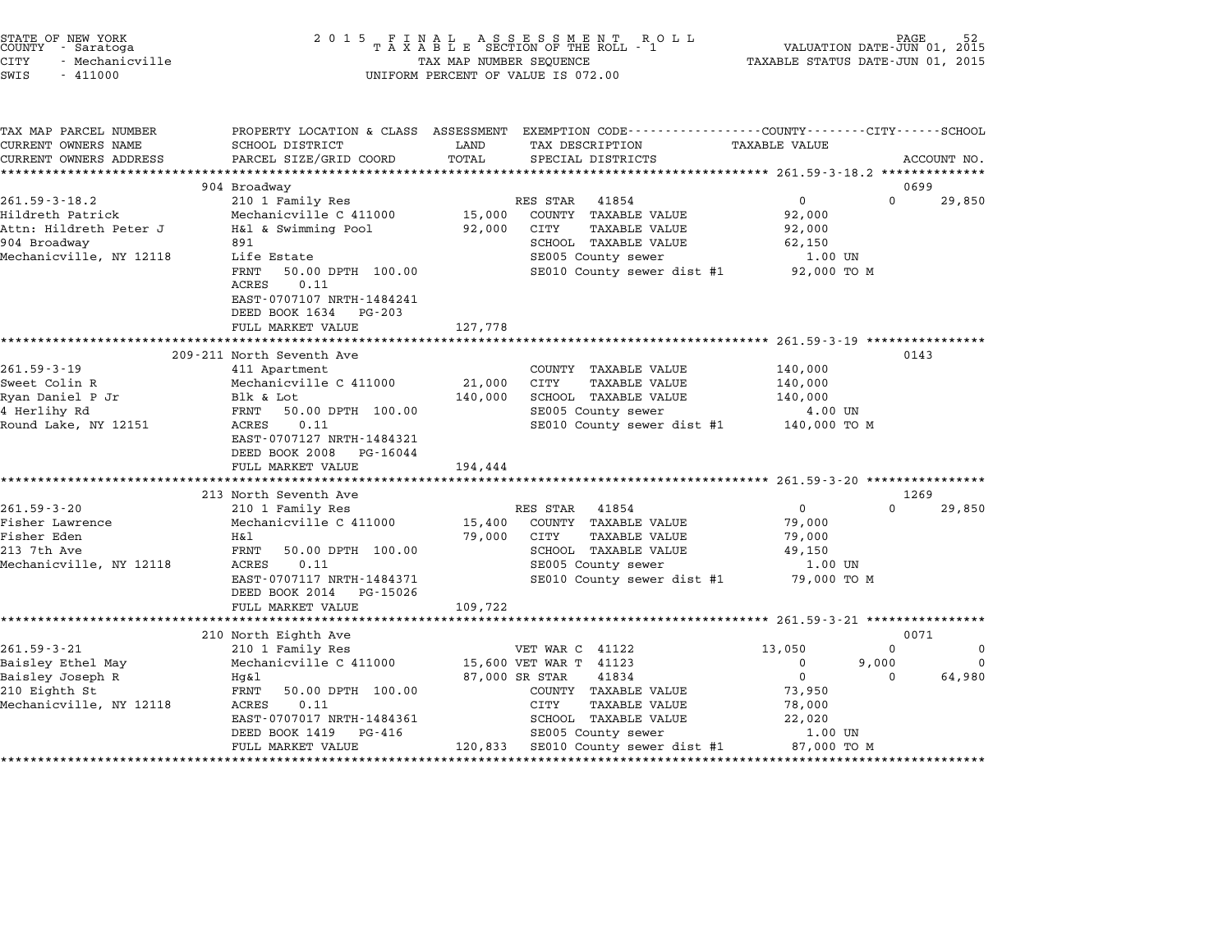| STATE OF NEW YORK |                 |  |
|-------------------|-----------------|--|
| COUNTY            | - Saratoga      |  |
| CITY              | - Mechanicville |  |

## end the New York (STATE OF NEW YORK)<br>2015 FINAL ASSESSMENT ROLL - 1 (PALUATION DATE-JUN 01, 2015<br>COUNTY - Saratoga (PALUATION OF THE ROLL - 1) (PALUATION DATE-JUN 01, 2015 CITY - Mechanicville TAX MAP NUMBER SEQUENCE TAXABLE STATUS DATE-JUN 01, <sup>2015</sup> SWIS - <sup>411000</sup> UNIFORM PERCENT OF VALUE IS 072.00

| TAX MAP PARCEL NUMBER   |                                            |             | PROPERTY LOCATION & CLASS ASSESSMENT EXEMPTION CODE----------------COUNTY-------CITY-----SCHOOL |                      |          |             |
|-------------------------|--------------------------------------------|-------------|-------------------------------------------------------------------------------------------------|----------------------|----------|-------------|
| CURRENT OWNERS NAME     | SCHOOL DISTRICT                            | LAND        | TAX DESCRIPTION                                                                                 | <b>TAXABLE VALUE</b> |          |             |
| CURRENT OWNERS ADDRESS  | PARCEL SIZE/GRID COORD                     | TOTAL       | SPECIAL DISTRICTS                                                                               |                      |          | ACCOUNT NO. |
|                         |                                            |             |                                                                                                 |                      |          |             |
|                         | 904 Broadway                               |             |                                                                                                 |                      | 0699     |             |
| $261.59 - 3 - 18.2$     | 210 1 Family Res                           |             | RES STAR 41854                                                                                  | $\Omega$             | $\Omega$ | 29,850      |
| Hildreth Patrick        | Mechanicville C 411000                     | 15,000      | COUNTY TAXABLE VALUE                                                                            | 92,000               |          |             |
| Attn: Hildreth Peter J  | H&l & Swimming Pool                        | 92,000 CITY | TAXABLE VALUE                                                                                   | 92,000               |          |             |
| 904 Broadway            | 891                                        |             | SCHOOL TAXABLE VALUE                                                                            | 62,150               |          |             |
| Mechanicville, NY 12118 | Life Estate                                |             | SE005 County sewer                                                                              | 1.00 UN              |          |             |
|                         | FRNT<br>50.00 DPTH 100.00<br>0.11<br>ACRES |             | SE010 County sewer dist #1 92,000 TO M                                                          |                      |          |             |
|                         | EAST-0707107 NRTH-1484241                  |             |                                                                                                 |                      |          |             |
|                         | DEED BOOK 1634 PG-203                      |             |                                                                                                 |                      |          |             |
|                         | FULL MARKET VALUE                          | 127,778     |                                                                                                 |                      |          |             |
|                         |                                            |             |                                                                                                 |                      |          |             |
|                         | 209-211 North Seventh Ave                  |             |                                                                                                 |                      | 0143     |             |
| $261.59 - 3 - 19$       | 411 Apartment                              |             | COUNTY TAXABLE VALUE                                                                            | 140,000              |          |             |
| Sweet Colin R           | Mechanicville C 411000                     | 21,000      | CITY<br><b>TAXABLE VALUE</b>                                                                    | 140,000              |          |             |
| Ryan Daniel P Jr        | Blk & Lot                                  | 140,000     | SCHOOL TAXABLE VALUE                                                                            | 140,000              |          |             |
| 4 Herlihy Rd            | FRNT<br>50.00 DPTH 100.00                  |             | SE005 County sewer                                                                              | 4.00 UN              |          |             |
| Round Lake, NY 12151    | 0.11<br>ACRES                              |             | SE010 County sewer dist #1 $140,000$ TO M                                                       |                      |          |             |
|                         | EAST-0707127 NRTH-1484321                  |             |                                                                                                 |                      |          |             |
|                         | DEED BOOK 2008 PG-16044                    |             |                                                                                                 |                      |          |             |
|                         | FULL MARKET VALUE                          | 194,444     |                                                                                                 |                      |          |             |
|                         |                                            |             |                                                                                                 |                      |          |             |
|                         | 213 North Seventh Ave                      |             |                                                                                                 |                      | 1269     |             |
| $261.59 - 3 - 20$       | 210 1 Family Res                           |             | RES STAR 41854                                                                                  | $\Omega$             | $\Omega$ | 29,850      |
| Fisher Lawrence         | Mechanicville C 411000                     | 15,400      | COUNTY TAXABLE VALUE                                                                            | 79,000               |          |             |
| Fisher Eden             | H&l                                        | 79,000      | CITY<br>TAXABLE VALUE                                                                           | 79,000               |          |             |
| 213 7th Ave             | FRNT<br>50.00 DPTH 100.00                  |             | SCHOOL TAXABLE VALUE                                                                            | 49,150               |          |             |
| Mechanicville, NY 12118 | ACRES<br>0.11                              |             | SE005 County sewer                                                                              | $1.00$ UN            |          |             |
|                         | EAST-0707117 NRTH-1484371                  |             | SE010 County sewer dist #1                                                                      | 79,000 TO M          |          |             |
|                         | DEED BOOK 2014 PG-15026                    |             |                                                                                                 |                      |          |             |
|                         | FULL MARKET VALUE                          | 109,722     |                                                                                                 |                      |          |             |
|                         |                                            |             |                                                                                                 |                      |          |             |
|                         | 210 North Eighth Ave                       |             |                                                                                                 |                      | 0071     |             |
| $261.59 - 3 - 21$       | 210 1 Family Res                           |             | VET WAR C 41122                                                                                 | 13,050               | $\Omega$ | $\mathbf 0$ |
| Baisley Ethel May       | Mechanicville C 411000                     |             | 15,600 VET WAR T 41123                                                                          | $\Omega$             | 9,000    | $\Omega$    |
| Baisley Joseph R        | $Hg\&1$                                    |             | 87,000 SR STAR<br>41834                                                                         | $\Omega$             | $\Omega$ | 64,980      |
| 210 Eighth St           | FRNT<br>50.00 DPTH 100.00                  |             | COUNTY TAXABLE VALUE                                                                            | 73,950               |          |             |
| Mechanicville, NY 12118 | ACRES<br>0.11                              |             | CITY<br>TAXABLE VALUE                                                                           | 78,000               |          |             |
|                         | EAST-0707017 NRTH-1484361                  |             | SCHOOL TAXABLE VALUE                                                                            | 22,020               |          |             |
|                         | DEED BOOK 1419<br>PG-416                   |             | SE005 County sewer                                                                              | 1.00 UN              |          |             |
|                         | FULL MARKET VALUE                          |             | 120,833 SE010 County sewer dist #1 67,000 TO M                                                  |                      |          |             |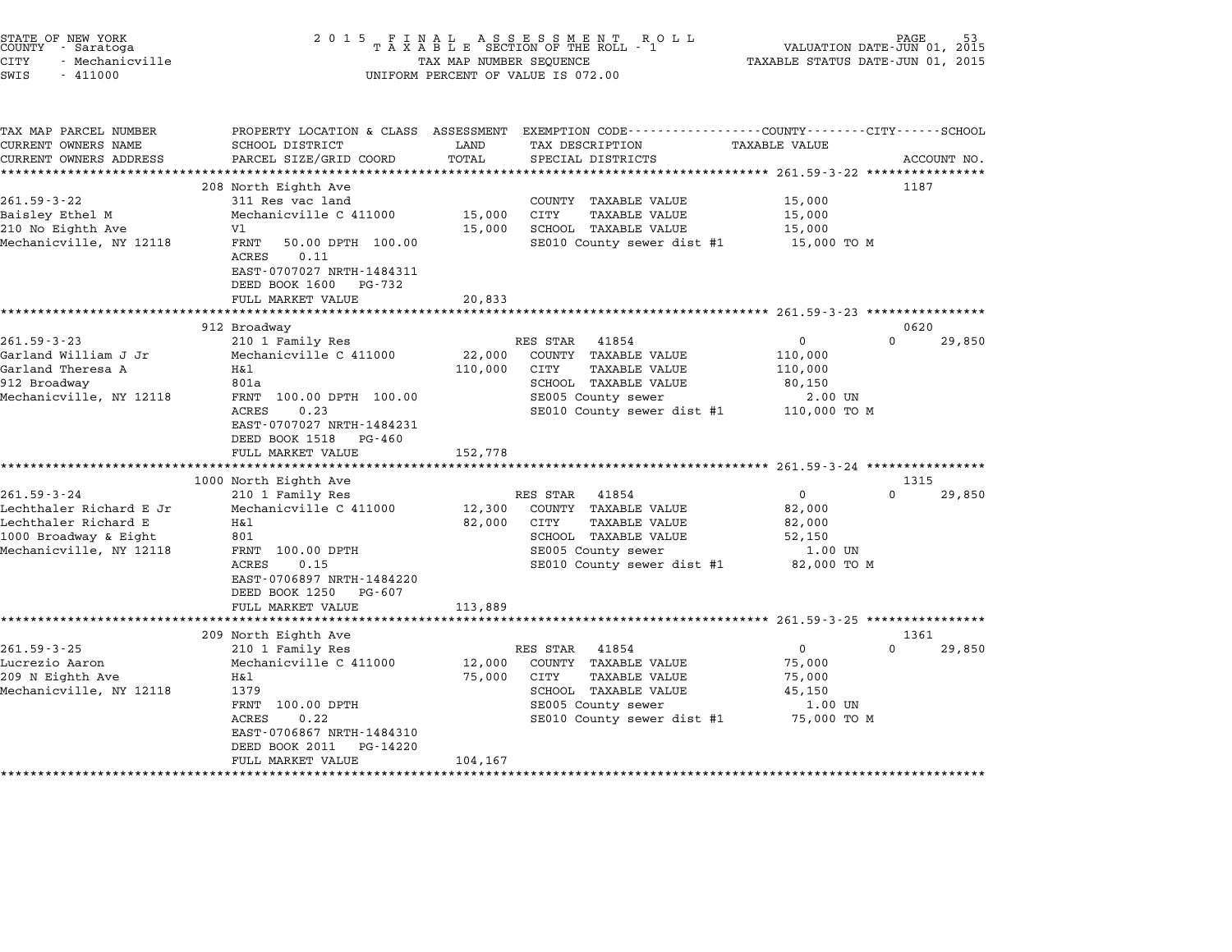| STATE OF NEW YORK<br>COUNTY - Saratoga<br><b>CITY</b><br>- Mechanicville<br>SWIS<br>$-411000$ | 2015 FINAL                                                                                       | TAX MAP NUMBER SEQUENCE | FINAL ASSESSMENT ROLL<br>TAXABLE SECTION OF THE ROLL - 1<br>UNIFORM PERCENT OF VALUE IS 072.00                     | VALUATION DATE-JUN 01, 2015<br>TAXABLE STATUS DATE-JUN 01, 2015 | PAGE                       |
|-----------------------------------------------------------------------------------------------|--------------------------------------------------------------------------------------------------|-------------------------|--------------------------------------------------------------------------------------------------------------------|-----------------------------------------------------------------|----------------------------|
| TAX MAP PARCEL NUMBER<br>CURRENT OWNERS NAME                                                  | SCHOOL DISTRICT                                                                                  | LAND                    | PROPERTY LOCATION & CLASS ASSESSMENT EXEMPTION CODE---------------COUNTY-------CITY------SCHOOL<br>TAX DESCRIPTION | TAXABLE VALUE                                                   |                            |
| CURRENT OWNERS ADDRESS                                                                        | PARCEL SIZE/GRID COORD                                                                           | TOTAL                   | SPECIAL DISTRICTS                                                                                                  |                                                                 | ACCOUNT NO.                |
|                                                                                               |                                                                                                  |                         |                                                                                                                    |                                                                 |                            |
|                                                                                               | 208 North Eighth Ave                                                                             |                         |                                                                                                                    |                                                                 | 1187                       |
| $261.59 - 3 - 22$                                                                             | 311 Res vac land                                                                                 |                         | COUNTY TAXABLE VALUE                                                                                               | 15,000                                                          |                            |
| Baisley Ethel M                                                                               | Mechanicville C 411000<br>V1                                                                     | 15,000                  | CITY<br><b>TAXABLE VALUE</b>                                                                                       | 15,000                                                          |                            |
| 210 No Eighth Ave<br>Mechanicville, NY 12118                                                  | FRNT<br>50.00 DPTH 100.00<br>ACRES<br>0.11<br>EAST-0707027 NRTH-1484311<br>DEED BOOK 1600 PG-732 | 15,000                  | SCHOOL TAXABLE VALUE<br>SE010 County sewer dist #1                                                                 | 15,000<br>15,000 TO M                                           |                            |
|                                                                                               | FULL MARKET VALUE                                                                                | 20,833                  |                                                                                                                    |                                                                 |                            |
|                                                                                               |                                                                                                  | ***********             | ******************************** 261.59-3-23 ****************                                                      |                                                                 |                            |
|                                                                                               | 912 Broadway                                                                                     |                         |                                                                                                                    |                                                                 | 0620                       |
| $261.59 - 3 - 23$                                                                             | 210 1 Family Res                                                                                 |                         | RES STAR<br>41854                                                                                                  | 0                                                               | 0<br>29,850                |
| Garland William J Jr                                                                          | Mechanicville C 411000                                                                           | 22,000                  | COUNTY TAXABLE VALUE                                                                                               | 110,000                                                         |                            |
| Garland Theresa A                                                                             | H&l                                                                                              | 110,000                 | CITY<br>TAXABLE VALUE                                                                                              | 110,000                                                         |                            |
| 912 Broadway                                                                                  | 801a                                                                                             |                         | SCHOOL TAXABLE VALUE                                                                                               | 80,150                                                          |                            |
| Mechanicville, NY 12118                                                                       | FRNT 100.00 DPTH 100.00                                                                          |                         | SE005 County sewer                                                                                                 | 2.00 UN                                                         |                            |
|                                                                                               | <b>ACRES</b><br>0.23<br>EAST-0707027 NRTH-1484231                                                |                         | SE010 County sewer dist #1                                                                                         | 110,000 TO M                                                    |                            |
|                                                                                               | DEED BOOK 1518 PG-460                                                                            |                         |                                                                                                                    |                                                                 |                            |
|                                                                                               | FULL MARKET VALUE                                                                                | 152,778                 |                                                                                                                    |                                                                 |                            |
|                                                                                               | ******************                                                                               |                         |                                                                                                                    |                                                                 |                            |
|                                                                                               | 1000 North Eighth Ave                                                                            |                         |                                                                                                                    |                                                                 | 1315                       |
| $261.59 - 3 - 24$                                                                             | 210 1 Family Res                                                                                 |                         | RES STAR<br>41854                                                                                                  | $\mathbf{0}$                                                    | $\Omega$<br>29,850         |
| Lechthaler Richard E Jr                                                                       | Mechanicville C 411000                                                                           | 12,300                  | COUNTY TAXABLE VALUE                                                                                               | 82,000                                                          |                            |
| Lechthaler Richard E                                                                          | Η&l                                                                                              | 82,000                  | CITY<br><b>TAXABLE VALUE</b>                                                                                       | 82,000                                                          |                            |
| 1000 Broadway & Eight                                                                         | 801                                                                                              |                         | SCHOOL TAXABLE VALUE                                                                                               | 52,150                                                          |                            |
| Mechanicville, NY 12118                                                                       | FRNT 100.00 DPTH                                                                                 |                         | SE005 County sewer                                                                                                 | 1.00 UN                                                         |                            |
|                                                                                               | ACRES<br>0.15                                                                                    |                         | SE010 County sewer dist #1                                                                                         | 82,000 TO M                                                     |                            |
|                                                                                               | EAST-0706897 NRTH-1484220                                                                        |                         |                                                                                                                    |                                                                 |                            |
|                                                                                               | DEED BOOK 1250<br>PG-607                                                                         |                         |                                                                                                                    |                                                                 |                            |
|                                                                                               | FULL MARKET VALUE<br>*********************                                                       | 113,889                 |                                                                                                                    |                                                                 |                            |
|                                                                                               |                                                                                                  |                         |                                                                                                                    |                                                                 |                            |
| $261.59 - 3 - 25$                                                                             | 209 North Eighth Ave<br>210 1 Family Res                                                         |                         | RES STAR<br>41854                                                                                                  | $\mathbf 0$                                                     | 1361<br>$\Omega$<br>29,850 |
| Lucrezio Aaron                                                                                | Mechanicville C 411000                                                                           | 12,000                  | COUNTY TAXABLE VALUE                                                                                               | 75,000                                                          |                            |
| 209 N Eighth Ave                                                                              | H&l                                                                                              | 75,000                  | <b>TAXABLE VALUE</b><br>CITY                                                                                       | 75,000                                                          |                            |
| Mechanicville, NY 12118                                                                       | 1379                                                                                             |                         | SCHOOL TAXABLE VALUE                                                                                               | 45,150                                                          |                            |
|                                                                                               | FRNT 100.00 DPTH                                                                                 |                         | SE005 County sewer                                                                                                 | 1.00 UN                                                         |                            |
|                                                                                               | <b>ACRES</b><br>0.22                                                                             |                         | SE010 County sewer dist #1                                                                                         | 75,000 TO M                                                     |                            |
|                                                                                               | EAST-0706867 NRTH-1484310                                                                        |                         |                                                                                                                    |                                                                 |                            |
|                                                                                               | DEED BOOK 2011<br>PG-14220                                                                       |                         |                                                                                                                    |                                                                 |                            |
|                                                                                               | FULL MARKET VALUE                                                                                | 104,167                 |                                                                                                                    |                                                                 |                            |
|                                                                                               |                                                                                                  |                         |                                                                                                                    |                                                                 |                            |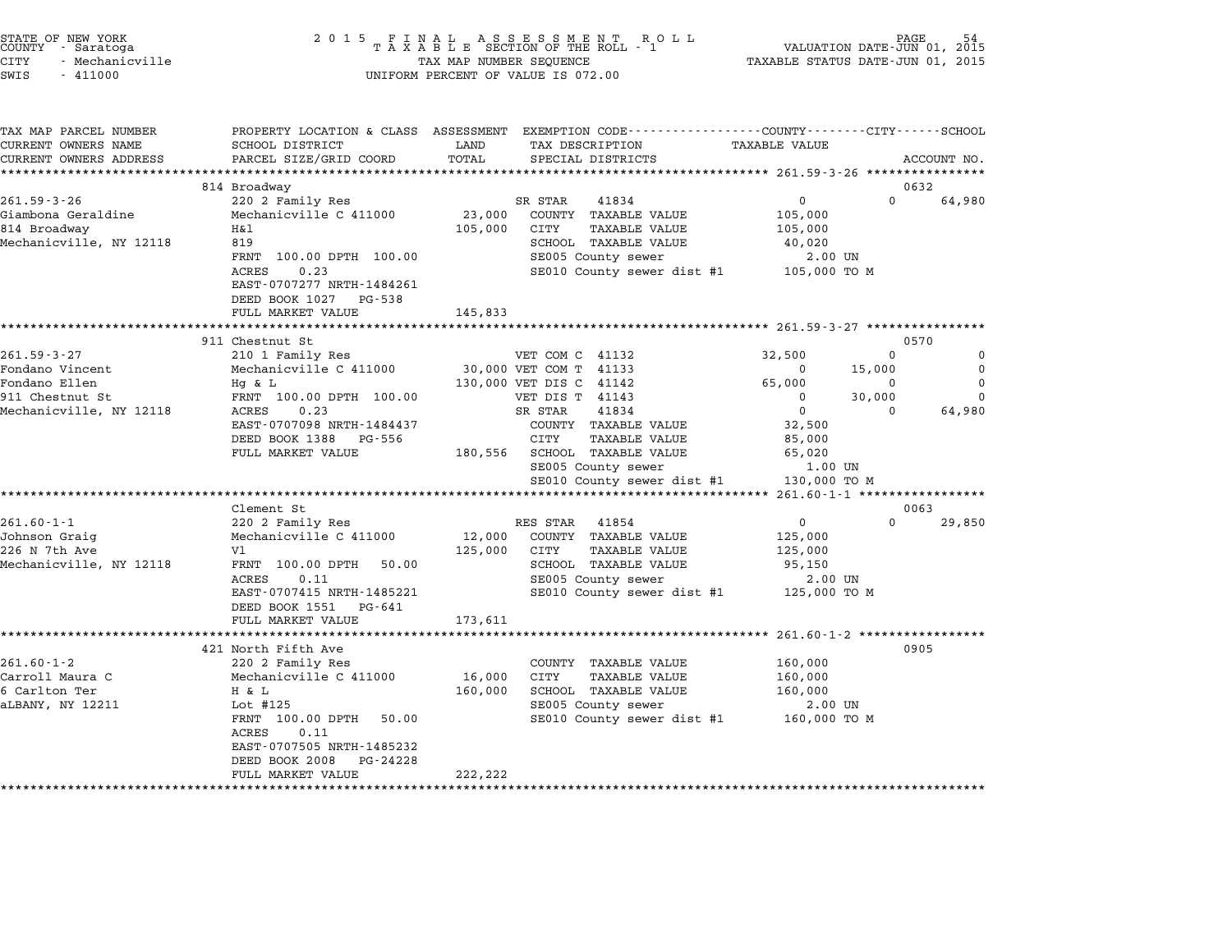|      | STATE OF NEW YORK<br>COUNTY - Saratoga |  |
|------|----------------------------------------|--|
| CITY | - Mechanicville                        |  |
|      |                                        |  |

## end the New York (STATE OF NEW YORK)<br>2015 FINAL ASSESSMENT ROLL - 1 (PALUATION DATE-JUN 01, 2015<br>COUNTY - Saratoga (PALUATION OF THE ROLL - 1) (PALUATION DATE-JUN 01, 2015 CITY - Mechanicville TAX MAP NUMBER SEQUENCE TAXABLE STATUS DATE-JUN 01, <sup>2015</sup> SWIS - <sup>411000</sup> UNIFORM PERCENT OF VALUE IS 072.00

TAX MAP PARCEL NUMBER PROPERTY LOCATION & CLASS ASSESSMENT EXEMPTION CODE------------------COUNTY--------CITY------SCHOOL CURRENT OWNERS NAME SCHOOL DISTRICT LAND TAX DESCRIPTION TAXABLE VALUE CURRENT OWNERS ADDEER FOUR DISTRICTS AND A CHASS ASSESSEENT EXERT ON TAX MIT PROCULPTION TRANSFOURERS ADDRESS SANCEL SIZE/GRID COORD TOTAL SEEN TRANSFOUR TRANSFOUR TRANSFOUR TRANSFOUR TRANSFOUR TRANSFOUR TRANSFOUR ACCOUNT 814 Broadway 0632 261.59-3-26 220.25 CHARLE 201.59-3-26 220 2 Family Res SR STAR 41834 201.59-3-26 230 0 632 Giambona Geraldine Mechanicville C <sup>411000</sup> 23,000 COUNTY TAXABLE VALUE 105,000 201.33 3 201.33 220 Pamily Res<br>Giambona Geraldine Mechanicville C 411000 23,000 COUNTY TAXABLE VALUE 105,000<br>814 Broadway 105,000 105,000 105,000 PAXABLE VALUE 105,000 Mechanicville C 411000 23,000 CONTI IAAABLE VALUE 103,000<br>Mechanicville, NY 12118 819 819 819 8105,000 CITY TAXABLE VALUE 105,000<br>Mechanicville, NY 12118 819 IT DESCRIPTION OF THE PROFIL IN THE PRODUCT THE PRODUCT PASSE OF THE PRODUCT PASSES OF THE PRODUCT SECTOR SCHOOL TRANSPLE VALUE AND SCHOOL TRANSPLE VALUE AND SCHOOL TRANSPLE VALUE AND SCHOOL TRANSPLE VALUE AND SCHOOL TRANS ACRES 0.23 SE010 County sewer dist #1 105,000 TO <sup>M</sup> ACRES 0.23<br>EAST-0707277 NRTH-1484261 EAST-0707277 NRTH-14842<br>DEED BOOK 1027 PG-538 EAST 0707277 NATH 1464201<br>
DEED BOOK 1027 PG-538<br>
FULL MARKET VALUE 145,833 \*\*\*\*\*\*\*\*\*\*\*\*\*\*\*\*\*\*\*\*\*\*\*\*\*\*\*\*\*\*\*\*\*\*\*\*\*\*\*\*\*\*\*\*\*\*\*\*\*\*\*\*\*\*\*\*\*\*\*\*\*\*\*\*\*\*\*\*\*\*\*\*\*\*\*\*\*\*\*\*\*\*\*\*\*\*\*\*\*\*\*\*\*\*\*\*\*\*\*\*\*\*\* 261.59-3-27 \*\*\*\*\*\*\*\*\*\*\*\*\*\*\*\* 911 Chestnut St 0570 261.59-3-27 <sup>210</sup> <sup>1</sup> Family Res VET COM C <sup>41132</sup> 32,500 <sup>0</sup> <sup>0</sup> 711 CHE RESERVE DE USIN USIN USING USING USING USING USING USING USING USING USING USING USING USING USING USI<br>2016 - Tondano Vincent Mechanicville C 411000 0 30,000 VET COM T 41133 0 15,000 0 0 0 0 0 0 0 0 0 0 0 0 0 0 0 Fondano Ellen Hg & L 130,000 VET DIS C <sup>41142</sup> 65,000 <sup>0</sup> <sup>0</sup> <sup>911</sup> Chestnut St FRNT 100.00 DPTH 100.00 VET DIS T <sup>41143</sup> <sup>0</sup> 30,000 <sup>0</sup> 0.11 CONCLUITE THE RESEARCH MANUSIC MANUSIC MANUSIC MANUSIC MANUSIC MANUSIC MANUSIC MANUSIC MANUSIC MANUSIC MA<br>1991 - 11143 0 0 64,980 0 64,980 0 64,980 0 64,980 0 64,980 0 64,980 0 64,980 0 64,980 0 64,980 0 64,980 0 64, EAST-070700 DETIT 100.000 USI DET DET THE 1999 USI DO NOT TAKE ACRES ON THE STAR ASSASSED ON THE STAR ON THE S<br>ACRES 19707098 NRTH-1484437 COUNTY TAXABLE VALUE 32,500 ACAES 0.2.5 U.2.5 U.2.5 A SIAR TAXABLE VALUE 2018.<br>EAST-0707998 NRTH-1484437 COUNTY TAXABLE VALUE 32,500<br>DEED BOOK 1388 PG-556 CITY TAXABLE VALUE 85,000 EAST UNIVERSITY OF THE CONTRACTED SOME SERVICE SERVICE SERVICE SERVICE SERVICE SERVICE SERVICE SERVICE SERVICE<br>DEED BOOK 1888 PG-556 SCHOOL TAXABLE VALUE 85,000<br>FULL MARKET VALUE 180,556 SCHOOL TAXABLE VALUE 65,020 CIII IAABDE VADCE 11 OS 2,000<br>SCHOOL TAXABLE VALUE 65,020<br>SE005 County sewer 1.00 UN SE010 County sewer dist #1 130,000 TO <sup>M</sup> \*\*\*\*\*\*\*\*\*\*\*\*\*\*\*\*\*\*\*\*\*\*\*\*\*\*\*\*\*\*\*\*\*\*\*\*\*\*\*\*\*\*\*\*\*\*\*\*\*\*\*\*\*\*\*\*\*\*\*\*\*\*\*\*\*\*\*\*\*\*\*\*\*\*\*\*\*\*\*\*\*\*\*\*\*\*\*\*\*\*\*\*\*\*\*\*\*\*\*\*\*\*\* 261.60-1-1 \*\*\*\*\*\*\*\*\*\*\*\*\*\*\*\*\* Clement St 0063 261.60-1-1 201.00-1-1 220 2 Family Res RES STAR 41854 201.00-1-1 220 0 29,850<br>220 2 Family Res RES STAR 41854 0 220 0 29,850 Johnson Graig Mechanicville C <sup>411000</sup> 12,000 COUNTY TAXABLE VALUE 125,000 <sup>226</sup> N 7th Ave Vl 125,000 CITY TAXABLE VALUE 125,000 olinison diary in the mechanic ville control of the section of the section of the section of the section of th<br>Mechanicville, NY 12118 FRNT 100.00 DPTH 50.00 SCHOOL TAXABLE VALUE 125,000 PM VI 123,000 CITT TAAABLE VALUE 123,000<br>FRNT 100.00 DPTH 50.00 SCHOOL TAXABLE VALUE 95,150<br>ACRES 0.11 SE005 County sewer 2.00 UN EART 190.00 DETIT 50.000 SERVER DESIGNED AAADDE VADOUT 190.000 TO 11<br>ACRES 0.11 1485221 SE005 County sewer dist #1 125,000 TO M  $\text{EAST-0707415} \text{ NRTH-1485221}$ ACRES 0.11<br>
EAST-0707415 NRTH-1485221 SE010 County sewer dist #1 125,000 TO M<br>
DEED BOOK 1551 PG-641 173,611 125,000 TO M \*\*\*\*\*\*\*\*\*\*\*\*\*\*\*\*\*\*\*\*\*\*\*\*\*\*\*\*\*\*\*\*\*\*\*\*\*\*\*\*\*\*\*\*\*\*\*\*\*\*\*\*\*\*\*\*\*\*\*\*\*\*\*\*\*\*\*\*\*\*\*\*\*\*\*\*\*\*\*\*\*\*\*\*\*\*\*\*\*\*\*\*\*\*\*\*\*\*\*\*\*\*\* 261.60-1-2 \*\*\*\*\*\*\*\*\*\*\*\*\*\*\*\*\* <sup>421</sup> North Fifth Ave <sup>0905</sup> 261.60-1-2 201.000 261.60-1-2 201.000 261.60-1-2 201.000 261.60-1-2 200 2 Family Res COUNTY TAXABLE VALUE 200.000 121 NOLL PITCH AVE AND COUNTY TAXABLE VALUE 160,000<br>200 200 200 Pamily Res COUNTY TAXABLE VALUE 160,000<br>Carroll Maura C 160,000 Mechanicville C 411000 16,000 CITY TAXABLE VALUE 160,000 201.00-1-2 CARLIST 220 PARTIFY NESSAUL CONTRA CONTRA CONTRA CONTRA CONTRA CONTRA CONTRA CONTRA CONTRA MERCULA<br>Carlton Ter 160,000 Hechanicville C 411000 16,000 CITY TAXABLE VALUE 160,000 100,000 calioli matrix of the mechanic ville of the control of the control matrix. And the set of the set of the semi-<br>G Carl Control Taxable value of the semi-control of the server of the semi-control of the semi-control of the<br> HERNT 100.000 SCROOD TAXABLE VALUE 100,000 NOT TAXABLE VALUE 100,000 NOT TAXABLE VALUE 2.00 UN<br>Lot #125 SE005 County sewer 11st #1 160,000 TO M **DOC #125<br>FRNT 100.00<br>ACRES 0.11** FANI 100.00 DPIH 50.00<br>ACRES 0.11<br>EAST-0707505 NRTH-1485232 EAST-0707505 NRTH-1485232<br>DEED BOOK 2008 PG-24228 FULL MARKET VALUE 222,222 \*\*\*\*\*\*\*\*\*\*\*\*\*\*\*\*\*\*\*\*\*\*\*\*\*\*\*\*\*\*\*\*\*\*\*\*\*\*\*\*\*\*\*\*\*\*\*\*\*\*\*\*\*\*\*\*\*\*\*\*\*\*\*\*\*\*\*\*\*\*\*\*\*\*\*\*\*\*\*\*\*\*\*\*\*\*\*\*\*\*\*\*\*\*\*\*\*\*\*\*\*\*\*\*\*\*\*\*\*\*\*\*\*\*\*\*\*\*\*\*\*\*\*\*\*\*\*\*\*\*\*\*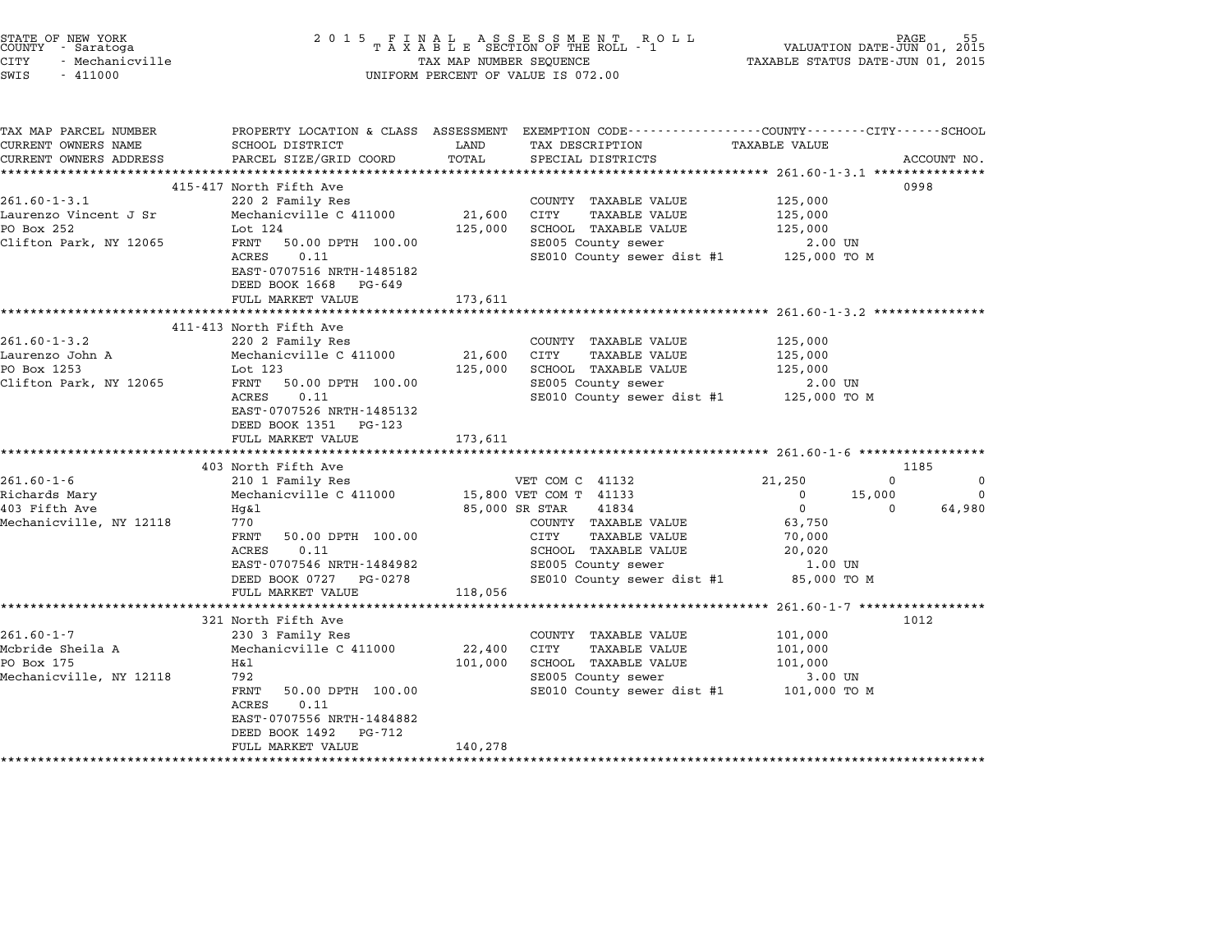| STATE OF NEW YORK<br>COUNTY - Saratoga<br><b>CITY</b><br>- Mechanicville<br>SWIS<br>$-411000$     | 2 0 1 5                                                                                                                                                                                                                            | TAX MAP NUMBER SEQUENCE                   | UNIFORM PERCENT OF VALUE IS 072.00                                                                                                                                              | VALUATION DATE-JUN 01, 2015<br>TAXABLE STATUS DATE-JUN 01, 2015                                                           | PAGE                                   |
|---------------------------------------------------------------------------------------------------|------------------------------------------------------------------------------------------------------------------------------------------------------------------------------------------------------------------------------------|-------------------------------------------|---------------------------------------------------------------------------------------------------------------------------------------------------------------------------------|---------------------------------------------------------------------------------------------------------------------------|----------------------------------------|
| TAX MAP PARCEL NUMBER<br>CURRENT OWNERS NAME<br>CURRENT OWNERS ADDRESS<br>*********************** | SCHOOL DISTRICT<br>PARCEL SIZE/GRID COORD                                                                                                                                                                                          | LAND<br>TOTAL                             | PROPERTY LOCATION & CLASS ASSESSMENT EXEMPTION CODE----------------COUNTY-------CITY------SCHOOL<br>TAX DESCRIPTION<br>SPECIAL DISTRICTS                                        | TAXABLE VALUE                                                                                                             | ACCOUNT NO.                            |
| $261.60 - 1 - 3.1$<br>Laurenzo Vincent J Sr<br>PO Box 252<br>Clifton Park, NY 12065               | 415-417 North Fifth Ave<br>220 2 Family Res<br>Mechanicville C 411000<br>Lot 124<br>FRNT<br>50.00 DPTH 100.00<br>0.11<br>ACRES<br>EAST-0707516 NRTH-1485182<br>DEED BOOK 1668<br>PG-649<br>FULL MARKET VALUE                       | 21,600<br>125,000<br>173,611              | COUNTY TAXABLE VALUE<br>CITY<br><b>TAXABLE VALUE</b><br>SCHOOL TAXABLE VALUE<br>SE005 County sewer<br>SE010 County sewer dist #1 125,000 TO M                                   | 125,000<br>125,000<br>125,000<br>2.00 UN                                                                                  | 0998                                   |
| $261.60 - 1 - 3.2$<br>Laurenzo John A<br>PO Box 1253<br>Clifton Park, NY 12065                    | *****************************<br>411-413 North Fifth Ave<br>220 2 Family Res<br>Mechanicville C 411000<br>Lot 123<br>FRNT<br>50.00 DPTH 100.00<br>ACRES<br>0.11<br>EAST-0707526 NRTH-1485132<br>DEED BOOK 1351 PG-123              | 21,600<br>125,000                         | COUNTY TAXABLE VALUE<br>CITY<br><b>TAXABLE VALUE</b><br>SCHOOL TAXABLE VALUE<br>SE005 County sewer<br>SE010 County sewer dist #1 125,000 TO M                                   | 125,000<br>125,000<br>125,000<br>2.00 UN                                                                                  |                                        |
|                                                                                                   | FULL MARKET VALUE                                                                                                                                                                                                                  | 173,611                                   |                                                                                                                                                                                 |                                                                                                                           |                                        |
| $261.60 - 1 - 6$<br>Richards Mary<br>403 Fifth Ave<br>Mechanicville, NY 12118                     | 403 North Fifth Ave<br>210 1 Family Res<br>Mechanicville C 411000<br>Hg&l<br>770<br>FRNT<br>50.00 DPTH 100.00<br>0.11<br>ACRES<br>EAST-0707546 NRTH-1484982<br>DEED BOOK 0727 PG-0278<br>FULL MARKET VALUE                         | 85,000 SR STAR<br>118,056                 | VET COM C 41132<br>15,800 VET COM T 41133<br>41834<br>COUNTY TAXABLE VALUE<br>CITY<br>TAXABLE VALUE<br>SCHOOL TAXABLE VALUE<br>SE005 County sewer<br>SE010 County sewer dist #1 | 21,250<br>0<br>$\mathbf 0$<br>15,000<br>$\mathbf 0$<br>$\Omega$<br>63,750<br>70,000<br>20,020<br>$1.00$ UN<br>85,000 TO M | 1185<br>$\Omega$<br>$\Omega$<br>64,980 |
| $261.60 - 1 - 7$<br>Mcbride Sheila A<br>PO Box 175<br>Mechanicville, NY 12118                     | *******************<br>321 North Fifth Ave<br>230 3 Family Res<br>Mechanicville C 411000<br>H&l<br>792<br>50.00 DPTH 100.00<br>FRNT<br>0.11<br>ACRES<br>EAST-0707556 NRTH-1484882<br>DEED BOOK 1492<br>PG-712<br>FULL MARKET VALUE | *********<br>22,400<br>101,000<br>140,278 | COUNTY TAXABLE VALUE<br><b>CITY</b><br><b>TAXABLE VALUE</b><br>SCHOOL TAXABLE VALUE<br>SE005 County sewer<br>SE010 County sewer dist #1                                         | ********* 261.60-1-7 *****************<br>101,000<br>101,000<br>101,000<br>3.00 UN<br>101,000 TO M                        | 1012                                   |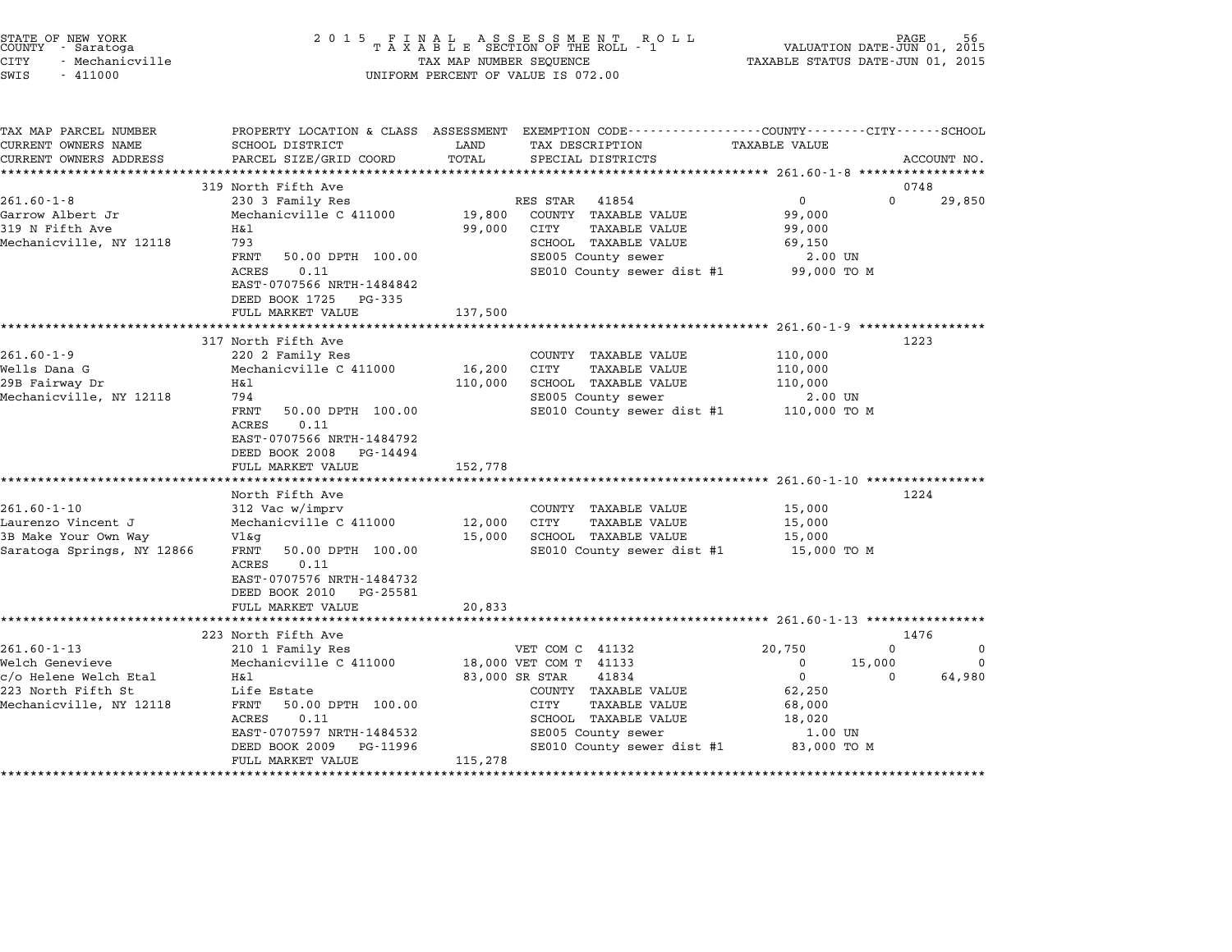| STATE OF NEW YORK<br>COUNTY - Saratoga<br><b>CITY</b><br>- Mechanicville<br>SWIS<br>$-411000$ | 2 0 1 5                                                 | TAX MAP NUMBER SEQUENCE | UNIFORM PERCENT OF VALUE IS 072.00                                                                                  | VALUATION DATE-JUN 01, 2015<br>TAXABLE STATUS DATE-JUN 01, 2015 | PAGE                 |
|-----------------------------------------------------------------------------------------------|---------------------------------------------------------|-------------------------|---------------------------------------------------------------------------------------------------------------------|-----------------------------------------------------------------|----------------------|
| TAX MAP PARCEL NUMBER<br>CURRENT OWNERS NAME                                                  | SCHOOL DISTRICT                                         | LAND                    | PROPERTY LOCATION & CLASS ASSESSMENT EXEMPTION CODE----------------COUNTY-------CITY------SCHOOL<br>TAX DESCRIPTION | TAXABLE VALUE                                                   |                      |
| CURRENT OWNERS ADDRESS                                                                        | PARCEL SIZE/GRID COORD<br>*************************     | TOTAL                   | SPECIAL DISTRICTS                                                                                                   |                                                                 | ACCOUNT NO.          |
|                                                                                               | 319 North Fifth Ave                                     |                         |                                                                                                                     |                                                                 | 0748                 |
| $261.60 - 1 - 8$                                                                              | 230 3 Family Res                                        |                         | RES STAR<br>41854                                                                                                   | $\mathbf{0}$                                                    | $\Omega$<br>29,850   |
| Garrow Albert Jr                                                                              | Mechanicville C 411000                                  | 19,800                  | COUNTY TAXABLE VALUE                                                                                                | 99,000                                                          |                      |
| 319 N Fifth Ave                                                                               | Η&l                                                     | 99,000                  | <b>TAXABLE VALUE</b><br>CITY                                                                                        | 99,000                                                          |                      |
| Mechanicville, NY 12118                                                                       | 793                                                     |                         | SCHOOL TAXABLE VALUE                                                                                                | 69,150                                                          |                      |
|                                                                                               | FRNT<br>50.00 DPTH 100.00<br>0.11<br>ACRES              |                         | SE005 County sewer<br>SE010 County sewer dist #1                                                                    | 2.00 UN<br>99,000 TO M                                          |                      |
|                                                                                               | EAST-0707566 NRTH-1484842                               |                         |                                                                                                                     |                                                                 |                      |
|                                                                                               | DEED BOOK 1725<br>PG-335                                |                         |                                                                                                                     |                                                                 |                      |
|                                                                                               | FULL MARKET VALUE                                       | 137,500                 |                                                                                                                     |                                                                 |                      |
|                                                                                               |                                                         |                         |                                                                                                                     |                                                                 | 1223                 |
| $261.60 - 1 - 9$                                                                              | 317 North Fifth Ave<br>220 2 Family Res                 |                         | COUNTY TAXABLE VALUE                                                                                                | 110,000                                                         |                      |
| Wells Dana G                                                                                  | Mechanicville C 411000                                  | 16,200                  | CITY<br>TAXABLE VALUE                                                                                               | 110,000                                                         |                      |
| 29B Fairway Dr                                                                                | Η&l                                                     | 110,000                 | SCHOOL TAXABLE VALUE                                                                                                | 110,000                                                         |                      |
| Mechanicville, NY 12118                                                                       | 794                                                     |                         | SE005 County sewer                                                                                                  | 2.00 UN                                                         |                      |
|                                                                                               | FRNT<br>50.00 DPTH 100.00                               |                         | SE010 County sewer dist #1                                                                                          | 110,000 TO M                                                    |                      |
|                                                                                               | 0.11<br>ACRES<br>EAST-0707566 NRTH-1484792              |                         |                                                                                                                     |                                                                 |                      |
|                                                                                               | DEED BOOK 2008<br>PG-14494                              |                         |                                                                                                                     |                                                                 |                      |
|                                                                                               | FULL MARKET VALUE<br>****************************       | 152,778                 |                                                                                                                     |                                                                 |                      |
|                                                                                               | North Fifth Ave                                         |                         |                                                                                                                     |                                                                 | 1224                 |
| $261.60 - 1 - 10$                                                                             | 312 Vac w/imprv                                         |                         | COUNTY TAXABLE VALUE                                                                                                | 15,000                                                          |                      |
| Laurenzo Vincent J                                                                            | Mechanicville C 411000                                  | 12,000                  | CITY<br><b>TAXABLE VALUE</b>                                                                                        | 15,000                                                          |                      |
| 3B Make Your Own Way                                                                          | Vl&g                                                    | 15,000                  | SCHOOL TAXABLE VALUE                                                                                                | 15,000                                                          |                      |
| Saratoga Springs, NY 12866                                                                    | 50.00 DPTH 100.00<br>FRNT<br>0.11<br>ACRES              |                         | SE010 County sewer dist #1                                                                                          | 15,000 TO M                                                     |                      |
|                                                                                               | EAST-0707576 NRTH-1484732<br>DEED BOOK 2010<br>PG-25581 |                         |                                                                                                                     |                                                                 |                      |
|                                                                                               | FULL MARKET VALUE                                       | 20,833                  |                                                                                                                     |                                                                 |                      |
|                                                                                               | ***********************                                 |                         |                                                                                                                     |                                                                 |                      |
|                                                                                               | 223 North Fifth Ave                                     |                         |                                                                                                                     |                                                                 | 1476                 |
| $261.60 - 1 - 13$                                                                             | 210 1 Family Res                                        |                         | VET COM C 41132                                                                                                     | 20,750                                                          | $\mathbf 0$<br>0     |
| Welch Genevieve                                                                               | Mechanicville C 411000                                  |                         | 18,000 VET COM T 41133                                                                                              | $\mathbf 0$<br>15,000<br>$\mathbf 0$                            | $\Omega$<br>$\Omega$ |
| c/o Helene Welch Etal<br>223 North Fifth St                                                   | H&l<br>Life Estate                                      | 83,000 SR STAR          | 41834<br>COUNTY TAXABLE VALUE                                                                                       | 62,250                                                          | 64,980               |
| Mechanicville, NY 12118                                                                       | FRNT<br>50.00 DPTH 100.00                               |                         | CITY<br><b>TAXABLE VALUE</b>                                                                                        | 68,000                                                          |                      |
|                                                                                               | ACRES<br>0.11                                           |                         | SCHOOL TAXABLE VALUE                                                                                                | 18,020                                                          |                      |
|                                                                                               | EAST-0707597 NRTH-1484532                               |                         | SE005 County sewer                                                                                                  | 1.00 UN                                                         |                      |
|                                                                                               | DEED BOOK 2009<br>PG-11996                              |                         | SE010 County sewer dist #1                                                                                          | 83,000 TO M                                                     |                      |
|                                                                                               | FULL MARKET VALUE                                       | 115,278                 |                                                                                                                     |                                                                 |                      |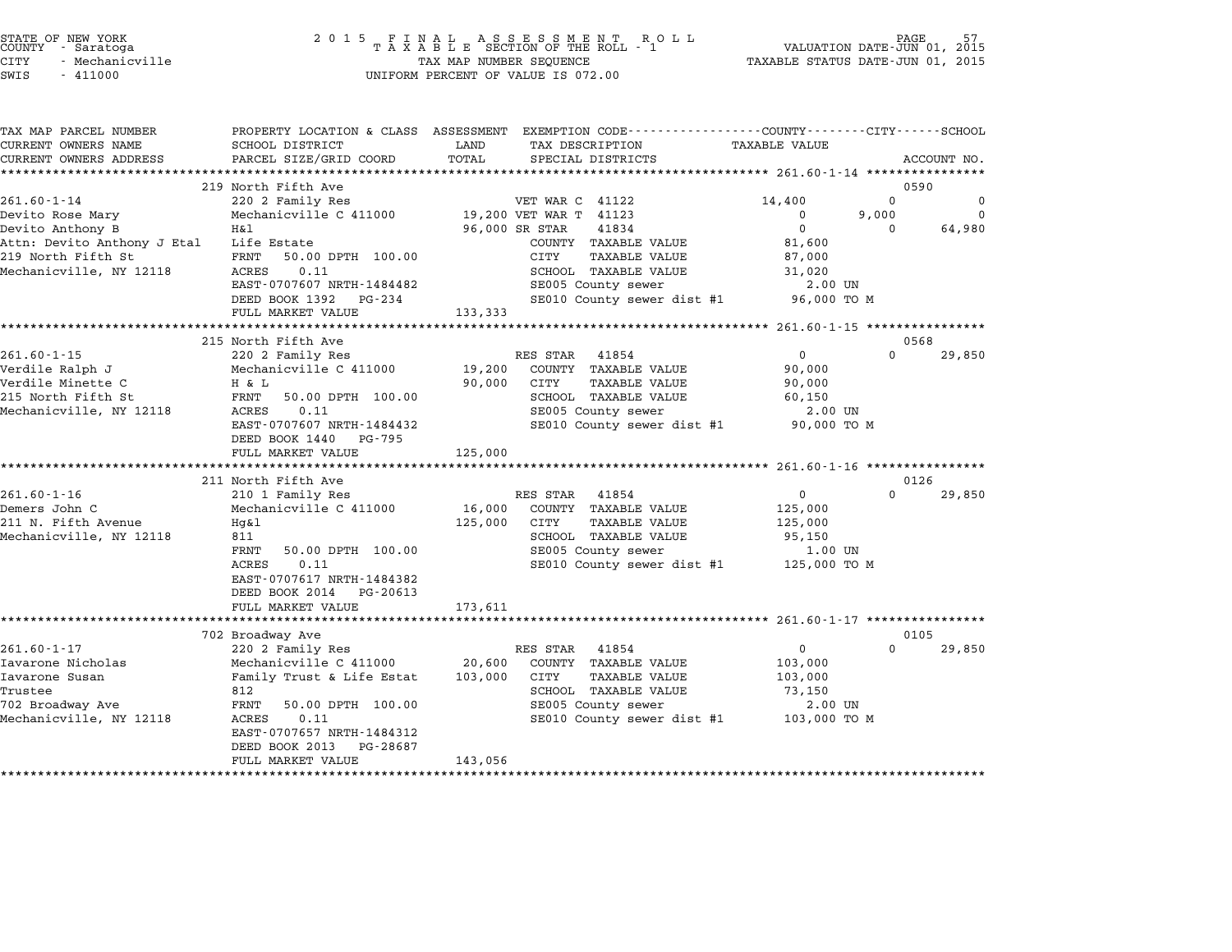| STATE OF NEW YORK |                 |  |
|-------------------|-----------------|--|
| COUNTY - Saratoga |                 |  |
| CITY              | - Mechanicville |  |

#### end the New York (STATE OF NEW YORK)<br>2015 FINAL ASSESSMENT ROLL - 1 (PALUATION DATE-JUN 01, 2015<br>COUNTY - Saratoga (PALUATION OF THE ROLL - 1) (PALUATION DATE-JUN 01, 2015 CITY - Mechanicville TAX MAP NUMBER SEQUENCE TAXABLE STATUS DATE-JUN 01, <sup>2015</sup> SWIS - <sup>411000</sup> UNIFORM PERCENT OF VALUE IS 072.00

TAX MAP PARCEL NUMBER PROPERTY LOCATION & CLASS ASSESSMENT EXEMPTION CODE------------------COUNTY--------CITY------SCHOOL CURRENT OWNERS NAME SCHOOL DISTRICT LAND TAX DESCRIPTION TAXABLE VALUE CURRENT OWNERS ADDEER FOUR DISTRICTS AND ASSESSEENT EXERPTION TRACK THE TANGER OWNERS ADDRESS SAGECOUNT NO.<br>CURRENT OWNERS ADDRESS PARCEL SIZE/GRID COORD TOTAL SPECIAL DISTRICTS ACCOUNT NO.<br>\*\*\*\*\*\*\*\*\*\*\*\*\*\*\*\*\*\*\*\*\*\*\*\*\*\*\*\*\*\*\*\* <sup>219</sup> North Fifth Ave <sup>0590</sup> 261.60-1-14 220 2019 North Fifth Ave 220 2 Family Res 201.60-1-14 220 2 Family Res 201.60-1-14 220 2 Family Res 201.60-1-14 220 2 Family Res 201.60-1-14 220 2 Family Res 201.60-1-14 220 2 Family Res 201.60-1-14 220 2 Famil Devito Rose Mary Mechanicville C <sup>411000</sup> 19,200 VET WAR T <sup>41123</sup> <sup>0</sup> 9,000 <sup>0</sup> Devito Anthony B H&l 96,000 SR STAR <sup>41834</sup> <sup>0</sup> <sup>0</sup> 64,980 Attn: Devito Anthony J Etal Life Estate COUNTY TAXABLE VALUE 81,600 ى سى المراجعة كالمراجعة المراجعة المراجعة المراجعة المراجعة المراجعة المراجعة المراجعة المراجعة المراجعة المرا<br>219 North Fifth St Etal Life Estate COUNTY TAXABLE VALUE 87,000<br>219 North Fifth St 87,000 PTH 100.00 CITY TAXA ACLI: DEVICO AILINOIY O ECAINA ILINE ESCALO DPTHANICO AND COUNTINAABLE VALUE AND ST,000<br>219 North Fith States of Tennis School Countine and Struck and Struck and Struck and Struck and Struck and Str<br>Mechanicville, NY 12118 EARL JOURNAL SOURCE SOURCE SOURCE SERVICE SUITS AND SAND SUITS AND SUITS AND SUITS AND SUITS AND SUITS AND SUI<br>ACRES 0.11 DURING A SCHOOL TAXABLE VALUE 31,020<br>EAST-0707607 NRTH-1484482 SE005 County sewer 2.00 UN EAST-0707607 NRTH-1484482 SE000 BAABLE VALUE 31,020<br>
DEED BOOK 1392 PG-234 SE010 County sewer dist #1 96,000 TO M EAST 0707007 MAIN 1404402<br>
DEED BOOK 1392 PG-234<br>
FULL MARKET VALUE 133,333 \*\*\*\*\*\*\*\*\*\*\*\*\*\*\*\*\*\*\*\*\*\*\*\*\*\*\*\*\*\*\*\*\*\*\*\*\*\*\*\*\*\*\*\*\*\*\*\*\*\*\*\*\*\*\*\*\*\*\*\*\*\*\*\*\*\*\*\*\*\*\*\*\*\*\*\*\*\*\*\*\*\*\*\*\*\*\*\*\*\*\*\*\*\*\*\*\*\*\*\*\*\*\* 261.60-1-15 \*\*\*\*\*\*\*\*\*\*\*\*\*\*\*\* <sup>215</sup> North Fifth Ave <sup>0568</sup> 261.60-1-15 <sup>220</sup> <sup>2</sup> Family Res RES STAR <sup>41854</sup> <sup>0</sup> <sup>0</sup> 29,850 Verdile Ralph J Mechanicville C <sup>411000</sup> 19,200 COUNTY TAXABLE VALUE 90,000 Verdile Minette C H & L 90,000 CITY TAXABLE VALUE 90,000 VEIGLIE NAIDLE VALUE NAIDLE VALUE NAIDLE VALUE OF THE RANGE OF THE RELEASED ON THE SUPPORT OF THE ST FROM THE S<br>215 North Fifth St FRNT 50.00 DPTH 100.00 SCHOOL TAXABLE VALUE 90,000 FOR SCHOOL TAXABLE VALUE 90,000 Mechanicville, NY <sup>12118</sup> ACRES 0.11 SE005 County sewer 2.00 UN EART 30.00 DETIT 100.000 NRTH-1484432 SEROOD IAAADDE VADOL US (1990) 2000 NRTH-1484432 SEROOD COUNTY Sewer dist #1 90,000 TO M EAST-0707607 NRTH-14844<br>DEED BOOK 1440 PG-795 DEED BOOK 1440 PG-795<br>FULL MARKET VALUE 125,000 \*\*\*\*\*\*\*\*\*\*\*\*\*\*\*\*\*\*\*\*\*\*\*\*\*\*\*\*\*\*\*\*\*\*\*\*\*\*\*\*\*\*\*\*\*\*\*\*\*\*\*\*\*\*\*\*\*\*\*\*\*\*\*\*\*\*\*\*\*\*\*\*\*\*\*\*\*\*\*\*\*\*\*\*\*\*\*\*\*\*\*\*\*\*\*\*\*\*\*\*\*\*\* 261.60-1-16 \*\*\*\*\*\*\*\*\*\*\*\*\*\*\*\* <sup>211</sup> North Fifth Ave <sup>0126</sup> 261.60-1-16 201.00-1-16 201.60-1-16 210 1 Family Res RES STAR 41854 201.60-1-16 201.60-1-16 201.60-1-16 201.60<br>2010 2016 210 RES STAR 41854 0 200 29,850 Demers John C Mechanicville C <sup>411000</sup> 16,000 COUNTY TAXABLE VALUE 125,000 211 O 201.00-1-10<br>Demers John C Mechanicville C 411000 16,000 COUNTY TAXABLE VALUE 125,000<br>211 N. Fifth Avenue Hg&l DEMIELS OOMI DESCRIPTION AND MECHANICVILLE CHILOON DURING TO,000 COUNTI IAAADDD VADUD ALD IS,000<br>211 N. Fifth Avenue Hg&l 125,000 CITY TAXABLE VALUE 125,000<br>Mechanicville, NY 12118 811 HAABLE VALUE 1825,000 CITT 188 HAABLE VALUE 1825,000<br>811 SCHOOL TAXABLE VALUE 95,150<br>FRNT 50.00 DPTH 100.00 SE005 County sewer 1.00 UN ern 50.00 DPTH 100.00 SCROOD TAAADDE VADOE STATES STATES (1.00 UN<br>FRNT 50.00 DPTH 100.00 SE005 County sewer dist #1 125,000 TO M EAST-0707617 NRTH-1484382 EAST-0707617 NRTH-1484382<br>DEED BOOK 2014 PG-20613 EAST-0707617 NRTH-1484382<br>DEED BOOK 2014 PG-20613<br>FULL MARKET VALUE 173,611 \*\*\*\*\*\*\*\*\*\*\*\*\*\*\*\*\*\*\*\*\*\*\*\*\*\*\*\*\*\*\*\*\*\*\*\*\*\*\*\*\*\*\*\*\*\*\*\*\*\*\*\*\*\*\*\*\*\*\*\*\*\*\*\*\*\*\*\*\*\*\*\*\*\*\*\*\*\*\*\*\*\*\*\*\*\*\*\*\*\*\*\*\*\*\*\*\*\*\*\*\*\*\* 261.60-1-17 \*\*\*\*\*\*\*\*\*\*\*\*\*\*\*\* <sup>702</sup> Broadway Ave <sup>0105</sup> 261.60-1-17 <sup>220</sup> <sup>2</sup> Family Res RES STAR <sup>41854</sup> <sup>0</sup> <sup>0</sup> 29,850 Iava - Iava - Iava - Iava - Iava - Iava - Iava - Iava - Iava - Iava - Iava - Iava - Iava - Iava - Iava - Iava<br>Iavarone Nicholas - Mechanicville C 411000 - 20,600 - COUNTY TAXABLE VALUE - IO3,000 Iavarone Susan Family Trust & Life Estat 103,000 CITY TAXABLE VALUE 103,000 Trustee <sup>812</sup> SCHOOL TAXABLE VALUE 73,150 reductive Susant of the Family Trust of Director (SCHOOL TAXADDE VALUE 1997), 1990<br>Trustee and the state of the SCHOOL TAXABLE VALUE 273,150<br>702 Broadway Ave FRNT 50.00 DPTH 100.00 SE005 County sewer 2.00 UN Truscee and the correct of the school in the season of the country of the country sever and the control of the season of the season of the season of the season of the season of the season of the season of the mechanicville EAST-0707657 NRTH-1484312<br>DEED BOOK 2013 PG-28687 FULL MARKET VALUE 143,056 \*\*\*\*\*\*\*\*\*\*\*\*\*\*\*\*\*\*\*\*\*\*\*\*\*\*\*\*\*\*\*\*\*\*\*\*\*\*\*\*\*\*\*\*\*\*\*\*\*\*\*\*\*\*\*\*\*\*\*\*\*\*\*\*\*\*\*\*\*\*\*\*\*\*\*\*\*\*\*\*\*\*\*\*\*\*\*\*\*\*\*\*\*\*\*\*\*\*\*\*\*\*\*\*\*\*\*\*\*\*\*\*\*\*\*\*\*\*\*\*\*\*\*\*\*\*\*\*\*\*\*\*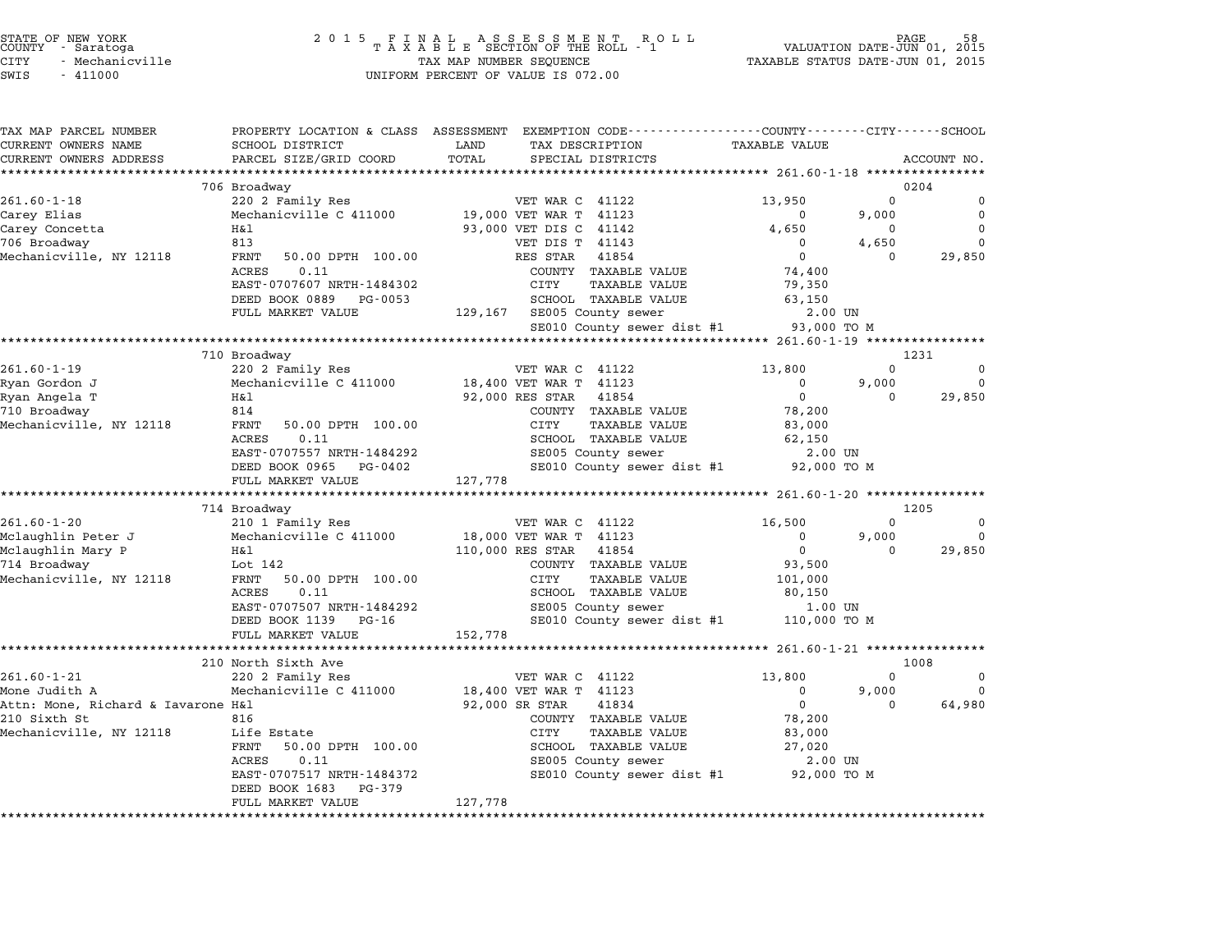| TAX MAP PARCEL NUMBER              |                                  | PROPERTY LOCATION & CLASS ASSESSMENT EXEMPTION CODE----------------COUNTY-------CITY-----SCHOOL |                      |                  |             |
|------------------------------------|----------------------------------|-------------------------------------------------------------------------------------------------|----------------------|------------------|-------------|
| CURRENT OWNERS NAME                | SCHOOL DISTRICT                  | TAX DESCRIPTION<br>LAND                                                                         | <b>TAXABLE VALUE</b> |                  |             |
| CURRENT OWNERS ADDRESS             | PARCEL SIZE/GRID COORD           | TOTAL<br>SPECIAL DISTRICTS                                                                      |                      |                  | ACCOUNT NO. |
|                                    |                                  |                                                                                                 |                      |                  |             |
| $261.60 - 1 - 18$                  | 706 Broadway<br>220 2 Family Res | VET WAR C 41122                                                                                 | 13,950               | 0204<br>$\Omega$ | $\Omega$    |
| Carey Elias                        | Mechanicville C 411000           | 19,000 VET WAR T 41123                                                                          | $\Omega$             | 9,000            | $\mathbf 0$ |
| Carey Concetta                     | H&l                              | 93,000 VET DIS C 41142                                                                          | 4,650                | $\mathbf 0$      | $\Omega$    |
| 706 Broadway                       | 813                              | VET DIS T 41143                                                                                 | $\mathbf 0$          | 4,650            | $\Omega$    |
| Mechanicville, NY 12118            | FRNT<br>50.00 DPTH 100.00        | RES STAR<br>41854                                                                               | $\overline{0}$       | $\Omega$         | 29,850      |
|                                    | 0.11<br>ACRES                    | COUNTY TAXABLE VALUE                                                                            | 74,400               |                  |             |
|                                    | EAST-0707607 NRTH-1484302        | CITY<br><b>TAXABLE VALUE</b>                                                                    | 79,350               |                  |             |
|                                    | DEED BOOK 0889 PG-0053           | SCHOOL TAXABLE VALUE                                                                            | 63,150               |                  |             |
|                                    | FULL MARKET VALUE                | 129,167 SE005 County sewer                                                                      | 2.00 UN              |                  |             |
|                                    |                                  | SE010 County sewer dist #1 93,000 TO M                                                          |                      |                  |             |
|                                    |                                  |                                                                                                 |                      |                  |             |
|                                    | 710 Broadway                     |                                                                                                 |                      | 1231             |             |
| $261.60 - 1 - 19$                  | 220 2 Family Res                 | VET WAR C 41122                                                                                 | 13,800               | $\Omega$         | 0           |
| Ryan Gordon J                      | Mechanicville C 411000           | 18,400 VET WAR T 41123                                                                          | $\mathbf 0$          | 9,000            | $\mathbf 0$ |
| Ryan Angela T                      | Η&l                              | 92,000 RES STAR<br>41854                                                                        | $\overline{0}$       | $\Omega$         | 29,850      |
| 710 Broadway                       | 814                              | COUNTY TAXABLE VALUE                                                                            | 78,200               |                  |             |
| Mechanicville, NY 12118            | FRNT<br>50.00 DPTH 100.00        | CITY<br>TAXABLE VALUE                                                                           | 83,000               |                  |             |
|                                    | ACRES<br>0.11                    | SCHOOL TAXABLE VALUE                                                                            | 62,150               |                  |             |
|                                    | EAST-0707557 NRTH-1484292        | SE005 County sewer                                                                              | 2.00 UN              |                  |             |
|                                    | DEED BOOK 0965 PG-0402           | SE010 County sewer dist #1 92,000 TO M                                                          |                      |                  |             |
|                                    | FULL MARKET VALUE                | 127,778                                                                                         |                      |                  |             |
|                                    |                                  |                                                                                                 |                      | 1205             |             |
| $261.60 - 1 - 20$                  | 714 Broadway<br>210 1 Family Res | VET WAR C 41122                                                                                 | 16,500               | $\Omega$         | 0           |
| Mclaughlin Peter J                 | Mechanicville C 411000           | 18,000 VET WAR T 41123                                                                          | $\mathbf 0$          | 9,000            | $\mathbf 0$ |
| Mclaughlin Mary P                  | Η&l                              | 110,000 RES STAR 41854                                                                          | $\mathbf 0$          | $\Omega$         | 29,850      |
| 714 Broadway                       | Lot 142                          | COUNTY TAXABLE VALUE                                                                            | 93,500               |                  |             |
| Mechanicville, NY 12118            | FRNT<br>50.00 DPTH 100.00        | CITY<br>TAXABLE VALUE                                                                           | 101,000              |                  |             |
|                                    | ACRES<br>0.11                    | SCHOOL TAXABLE VALUE                                                                            | 80,150               |                  |             |
|                                    | EAST-0707507 NRTH-1484292        | SE005 County sewer                                                                              | 1.00 UN              |                  |             |
|                                    | DEED BOOK 1139 PG-16             | SE010 County sewer dist #1 110,000 TO M                                                         |                      |                  |             |
|                                    | FULL MARKET VALUE                | 152,778                                                                                         |                      |                  |             |
|                                    | **************************       |                                                                                                 |                      |                  |             |
|                                    | 210 North Sixth Ave              |                                                                                                 |                      | 1008             |             |
| $261.60 - 1 - 21$                  | 220 2 Family Res                 | VET WAR C 41122                                                                                 | 13,800               | $\Omega$         | 0           |
| Mone Judith A                      | Mechanicville C 411000           | 18,400 VET WAR T 41123                                                                          | 0                    | 9,000            | $\Omega$    |
| Attn: Mone, Richard & Iavarone H&l |                                  | 92,000 SR STAR<br>41834                                                                         | $\mathbf 0$          | $\Omega$         | 64,980      |
| 210 Sixth St                       | 816                              | COUNTY TAXABLE VALUE                                                                            | 78,200               |                  |             |
| Mechanicville, NY 12118            | Life Estate                      | CITY<br>TAXABLE VALUE                                                                           | 83,000               |                  |             |
|                                    | FRNT<br>50.00 DPTH 100.00        | SCHOOL TAXABLE VALUE                                                                            | 27,020               |                  |             |
|                                    | ACRES<br>0.11                    | SE005 County sewer                                                                              | 2.00 UN              |                  |             |
|                                    | EAST-0707517 NRTH-1484372        | SE010 County sewer dist #1 92,000 TO M                                                          |                      |                  |             |
|                                    | DEED BOOK 1683<br>PG-379         |                                                                                                 |                      |                  |             |
|                                    | FULL MARKET VALUE                | 127,778                                                                                         |                      |                  |             |
|                                    |                                  |                                                                                                 |                      |                  |             |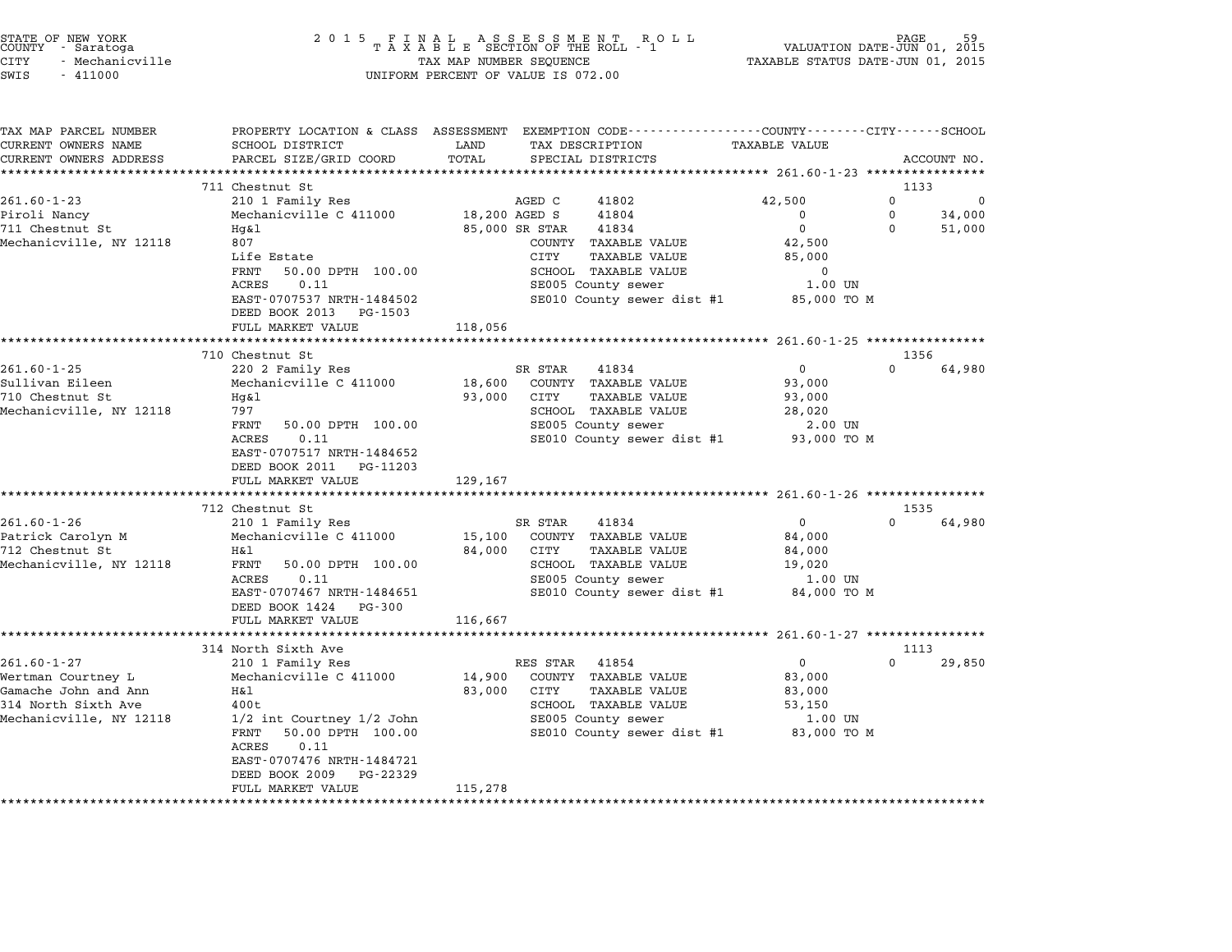| STATE OF NEW YORK |  |                 |  |  |  |
|-------------------|--|-----------------|--|--|--|
| COUNTY            |  | - Saratoga      |  |  |  |
| CITY              |  | - Mechanicville |  |  |  |

| TAX MAP PARCEL NUMBER<br>CURRENT OWNERS NAME | PROPERTY LOCATION & CLASS ASSESSMENT<br>SCHOOL DISTRICT | LAND          | EXEMPTION CODE-----------------COUNTY-------CITY------SCHOOL<br>TAX DESCRIPTION | <b>TAXABLE VALUE</b>                                |             |             |
|----------------------------------------------|---------------------------------------------------------|---------------|---------------------------------------------------------------------------------|-----------------------------------------------------|-------------|-------------|
| CURRENT OWNERS ADDRESS                       | PARCEL SIZE/GRID COORD                                  | TOTAL         | SPECIAL DISTRICTS                                                               |                                                     |             | ACCOUNT NO. |
|                                              |                                                         |               |                                                                                 |                                                     |             |             |
|                                              | 711 Chestnut St                                         |               |                                                                                 |                                                     | 1133        |             |
| $261.60 - 1 - 23$                            | 210 1 Family Res                                        |               | AGED C<br>41802                                                                 | 42,500                                              | 0           | 0           |
| Piroli Nancy                                 | Mechanicville C 411000                                  | 18,200 AGED S | 41804                                                                           | $\Omega$                                            | $\mathbf 0$ | 34,000      |
| 711 Chestnut St                              | Hq&l                                                    |               | 85,000 SR STAR<br>41834                                                         | $\mathbf 0$                                         | $\Omega$    | 51,000      |
| Mechanicville, NY 12118                      | 807                                                     |               | COUNTY TAXABLE VALUE                                                            | 42,500                                              |             |             |
|                                              | Life Estate                                             |               | CITY<br>TAXABLE VALUE                                                           | 85,000                                              |             |             |
|                                              | FRNT<br>50.00 DPTH 100.00                               |               | SCHOOL TAXABLE VALUE                                                            | $\mathbf 0$                                         |             |             |
|                                              | ACRES<br>0.11                                           |               | SE005 County sewer                                                              | 1.00 UN                                             |             |             |
|                                              | EAST-0707537 NRTH-1484502                               |               | SE010 County sewer dist #1                                                      | 85,000 TO M                                         |             |             |
|                                              | DEED BOOK 2013 PG-1503                                  |               |                                                                                 |                                                     |             |             |
|                                              | FULL MARKET VALUE                                       | 118,056       |                                                                                 |                                                     |             |             |
|                                              | *************************                               |               | ********************                                                            | ********************* 261.60-1-25 ***************** |             |             |
|                                              | 710 Chestnut St                                         |               |                                                                                 |                                                     | 1356        |             |
| $261.60 - 1 - 25$                            | 220 2 Family Res                                        |               | SR STAR<br>41834                                                                | 0                                                   | $\Omega$    | 64,980      |
| Sullivan Eileen                              | Mechanicville C 411000                                  | 18,600        | COUNTY TAXABLE VALUE                                                            | 93,000                                              |             |             |
| 710 Chestnut St                              | Hg&l                                                    | 93,000        | CITY<br>TAXABLE VALUE                                                           | 93,000                                              |             |             |
| Mechanicville, NY 12118                      | 797                                                     |               | SCHOOL TAXABLE VALUE                                                            | 28,020                                              |             |             |
|                                              | FRNT<br>50.00 DPTH 100.00                               |               | SE005 County sewer                                                              | 2.00 UN                                             |             |             |
|                                              | ACRES<br>0.11                                           |               | SE010 County sewer dist #1                                                      | 93,000 TO M                                         |             |             |
|                                              | EAST-0707517 NRTH-1484652                               |               |                                                                                 |                                                     |             |             |
|                                              | DEED BOOK 2011 PG-11203                                 |               |                                                                                 |                                                     |             |             |
|                                              | FULL MARKET VALUE                                       | 129,167       |                                                                                 |                                                     |             |             |
|                                              |                                                         |               |                                                                                 |                                                     |             |             |
|                                              | 712 Chestnut St                                         |               |                                                                                 |                                                     | 1535        |             |
| $261.60 - 1 - 26$                            | 210 1 Family Res                                        |               | 41834<br>SR STAR                                                                | $\overline{0}$                                      | $\Omega$    | 64,980      |
| Patrick Carolyn M                            | Mechanicville C 411000                                  |               | 15,100 COUNTY TAXABLE VALUE                                                     | 84,000                                              |             |             |
| 712 Chestnut St                              | H&l                                                     | 84,000        | CITY<br><b>TAXABLE VALUE</b>                                                    | 84,000                                              |             |             |
| Mechanicville, NY 12118                      | FRNT<br>50.00 DPTH 100.00                               |               | SCHOOL TAXABLE VALUE                                                            | 19,020                                              |             |             |
|                                              | ACRES<br>0.11                                           |               | SE005 County sewer                                                              | 1.00 UN                                             |             |             |
|                                              | EAST-0707467 NRTH-1484651                               |               |                                                                                 | SE010 County sewer dist #1 84,000 TO M              |             |             |
|                                              | DEED BOOK 1424 PG-300                                   |               |                                                                                 |                                                     |             |             |
|                                              | FULL MARKET VALUE                                       | 116,667       |                                                                                 |                                                     |             |             |
|                                              |                                                         |               |                                                                                 |                                                     |             |             |
|                                              | 314 North Sixth Ave                                     |               |                                                                                 |                                                     | 1113        |             |
| $261.60 - 1 - 27$                            | 210 1 Family Res                                        |               | RES STAR 41854                                                                  | $\mathbf 0$                                         | $\Omega$    | 29,850      |
| Wertman Courtney L                           | Mechanicville C 411000                                  | 14,900        | COUNTY TAXABLE VALUE                                                            | 83,000                                              |             |             |
| Gamache John and Ann                         | H&l                                                     | 83,000        | CITY<br><b>TAXABLE VALUE</b>                                                    | 83,000                                              |             |             |
| 314 North Sixth Ave                          | 400t                                                    |               | SCHOOL TAXABLE VALUE                                                            | 53,150                                              |             |             |
| Mechanicville, NY 12118                      | 1/2 int Courtney 1/2 John                               |               | SE005 County sewer                                                              | 1.00 UN                                             |             |             |
|                                              | 50.00 DPTH 100.00<br>FRNT                               |               |                                                                                 | SE010 County sewer dist #1 83,000 TO M              |             |             |
|                                              | <b>ACRES</b><br>0.11                                    |               |                                                                                 |                                                     |             |             |
|                                              | EAST-0707476 NRTH-1484721                               |               |                                                                                 |                                                     |             |             |
|                                              | DEED BOOK 2009<br>PG-22329                              |               |                                                                                 |                                                     |             |             |
|                                              | FULL MARKET VALUE                                       | 115,278       |                                                                                 |                                                     |             |             |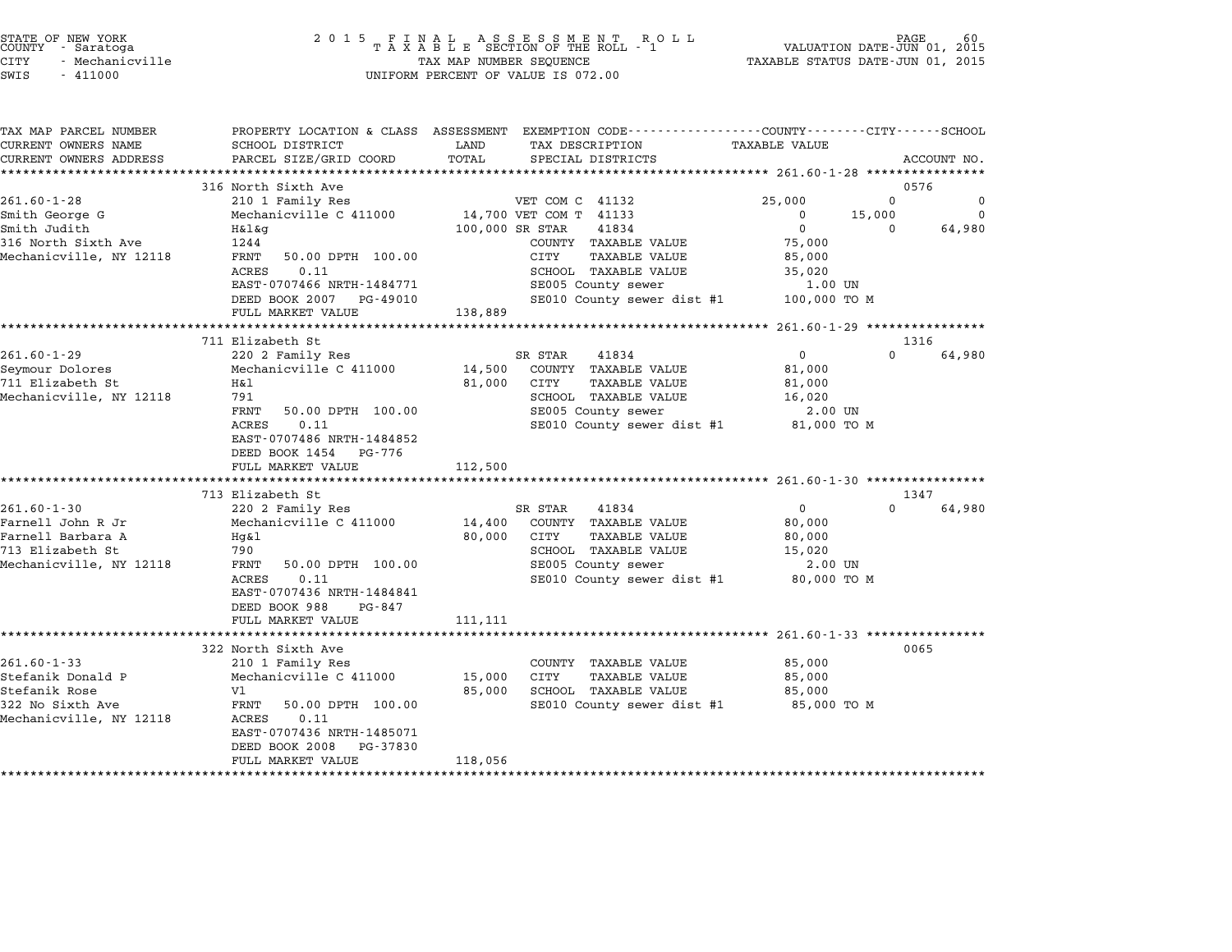| STATE OF NEW YORK<br>COUNTY - Saratoga<br><b>CITY</b><br>- Mechanicville<br>SWIS<br>$-411000$ |                                                    | TAX MAP NUMBER SEQUENCE | UNIFORM PERCENT OF VALUE IS 072.00                                                                                                      | TAXABLE STATUS DATE-JUN 01, 2015 | PAGE<br>VALUATION DATE-JUN 01, 2015 | 60          |
|-----------------------------------------------------------------------------------------------|----------------------------------------------------|-------------------------|-----------------------------------------------------------------------------------------------------------------------------------------|----------------------------------|-------------------------------------|-------------|
| TAX MAP PARCEL NUMBER<br>CURRENT OWNERS NAME<br>CURRENT OWNERS ADDRESS                        | SCHOOL DISTRICT<br>PARCEL SIZE/GRID COORD          | LAND<br>TOTAL           | PROPERTY LOCATION & CLASS ASSESSMENT EXEMPTION CODE---------------COUNTY-------CITY------SCHOOL<br>TAX DESCRIPTION<br>SPECIAL DISTRICTS | <b>TAXABLE VALUE</b>             |                                     | ACCOUNT NO. |
|                                                                                               |                                                    |                         |                                                                                                                                         |                                  |                                     |             |
|                                                                                               | 316 North Sixth Ave                                |                         |                                                                                                                                         |                                  | 0576                                |             |
| $261.60 - 1 - 28$                                                                             | 210 1 Family Res                                   |                         | VET COM C 41132                                                                                                                         | 25,000                           | $\Omega$                            | 0           |
| Smith George G                                                                                | Mechanicville C 411000                             |                         | 14,700 VET COM T 41133                                                                                                                  | $^{\circ}$                       | 15,000                              | $\mathbf 0$ |
| Smith Judith                                                                                  | H&l&g                                              | 100,000 SR STAR         | 41834                                                                                                                                   | $\mathbf 0$                      | 0                                   | 64,980      |
| 316 North Sixth Ave                                                                           | 1244                                               |                         | COUNTY TAXABLE VALUE                                                                                                                    | 75,000                           |                                     |             |
| Mechanicville, NY 12118                                                                       | FRNT<br>50.00 DPTH 100.00<br>ACRES<br>0.11         |                         | CITY<br>TAXABLE VALUE                                                                                                                   | 85,000                           |                                     |             |
|                                                                                               | EAST-0707466 NRTH-1484771                          |                         | SCHOOL TAXABLE VALUE<br>SE005 County sewer                                                                                              | 35,020<br>1.00 UN                |                                     |             |
|                                                                                               | DEED BOOK 2007<br>PG-49010                         |                         | SE010 County sewer dist #1                                                                                                              | 100,000 TO M                     |                                     |             |
|                                                                                               | FULL MARKET VALUE                                  | 138,889                 |                                                                                                                                         |                                  |                                     |             |
|                                                                                               |                                                    |                         |                                                                                                                                         |                                  |                                     |             |
|                                                                                               | 711 Elizabeth St                                   |                         |                                                                                                                                         |                                  | 1316                                |             |
| $261.60 - 1 - 29$                                                                             | 220 2 Family Res                                   |                         | SR STAR<br>41834                                                                                                                        | $\mathbf 0$                      | $\Omega$                            | 64,980      |
| Seymour Dolores                                                                               | Mechanicville C 411000                             | 14,500                  | COUNTY TAXABLE VALUE                                                                                                                    | 81,000                           |                                     |             |
| 711 Elizabeth St                                                                              | Η&l                                                | 81,000                  | CITY<br>TAXABLE VALUE                                                                                                                   | 81,000                           |                                     |             |
| Mechanicville, NY 12118                                                                       | 791<br>FRNT<br>50.00 DPTH 100.00                   |                         | SCHOOL TAXABLE VALUE<br>SE005 County sewer                                                                                              | 16,020<br>2.00 UN                |                                     |             |
|                                                                                               | 0.11<br>ACRES                                      |                         | SE010 County sewer dist #1                                                                                                              | 81,000 TO M                      |                                     |             |
|                                                                                               | EAST-0707486 NRTH-1484852<br>DEED BOOK 1454 PG-776 |                         |                                                                                                                                         |                                  |                                     |             |
|                                                                                               | FULL MARKET VALUE                                  | 112,500                 |                                                                                                                                         |                                  |                                     |             |
|                                                                                               |                                                    |                         |                                                                                                                                         |                                  |                                     |             |
|                                                                                               | 713 Elizabeth St                                   |                         |                                                                                                                                         |                                  | 1347                                |             |
| $261.60 - 1 - 30$                                                                             | 220 2 Family Res                                   |                         | 41834<br>SR STAR                                                                                                                        | $\overline{0}$                   | $\cap$                              | 64,980      |
| Farnell John R Jr                                                                             | Mechanicville C 411000                             | 14,400                  | COUNTY TAXABLE VALUE                                                                                                                    | 80,000                           |                                     |             |
| Farnell Barbara A<br>713 Elizabeth St                                                         | Hg&l<br>790                                        | 80,000                  | CITY<br>TAXABLE VALUE<br>SCHOOL TAXABLE VALUE                                                                                           | 80,000<br>15,020                 |                                     |             |
| Mechanicville, NY 12118                                                                       | FRNT<br>50.00 DPTH 100.00                          |                         | SE005 County sewer                                                                                                                      | 2.00 UN                          |                                     |             |
|                                                                                               | ACRES<br>0.11                                      |                         | SE010 County sewer dist #1                                                                                                              | 80,000 TO M                      |                                     |             |
|                                                                                               | EAST-0707436 NRTH-1484841                          |                         |                                                                                                                                         |                                  |                                     |             |
|                                                                                               | DEED BOOK 988<br>PG-847                            |                         |                                                                                                                                         |                                  |                                     |             |
|                                                                                               | FULL MARKET VALUE                                  | 111,111                 |                                                                                                                                         |                                  |                                     |             |
|                                                                                               | ***********************                            |                         |                                                                                                                                         |                                  |                                     |             |
|                                                                                               | 322 North Sixth Ave                                |                         |                                                                                                                                         |                                  |                                     | 0065        |
| $261.60 - 1 - 33$                                                                             | 210 1 Family Res                                   |                         | COUNTY TAXABLE VALUE                                                                                                                    | 85,000                           |                                     |             |
| Stefanik Donald P                                                                             | Mechanicville C 411000                             | 15,000                  | CITY<br><b>TAXABLE VALUE</b>                                                                                                            | 85,000                           |                                     |             |
| Stefanik Rose<br>322 No Sixth Ave                                                             | V1<br>50.00 DPTH 100.00<br>FRNT                    | 85,000                  | SCHOOL TAXABLE VALUE<br>SE010 County sewer dist #1                                                                                      | 85,000<br>85,000 TO M            |                                     |             |
| Mechanicville, NY 12118                                                                       | ACRES<br>0.11                                      |                         |                                                                                                                                         |                                  |                                     |             |
|                                                                                               | EAST-0707436 NRTH-1485071                          |                         |                                                                                                                                         |                                  |                                     |             |
|                                                                                               | DEED BOOK 2008<br>PG-37830                         |                         |                                                                                                                                         |                                  |                                     |             |
|                                                                                               | FULL MARKET VALUE                                  | 118,056                 |                                                                                                                                         |                                  |                                     |             |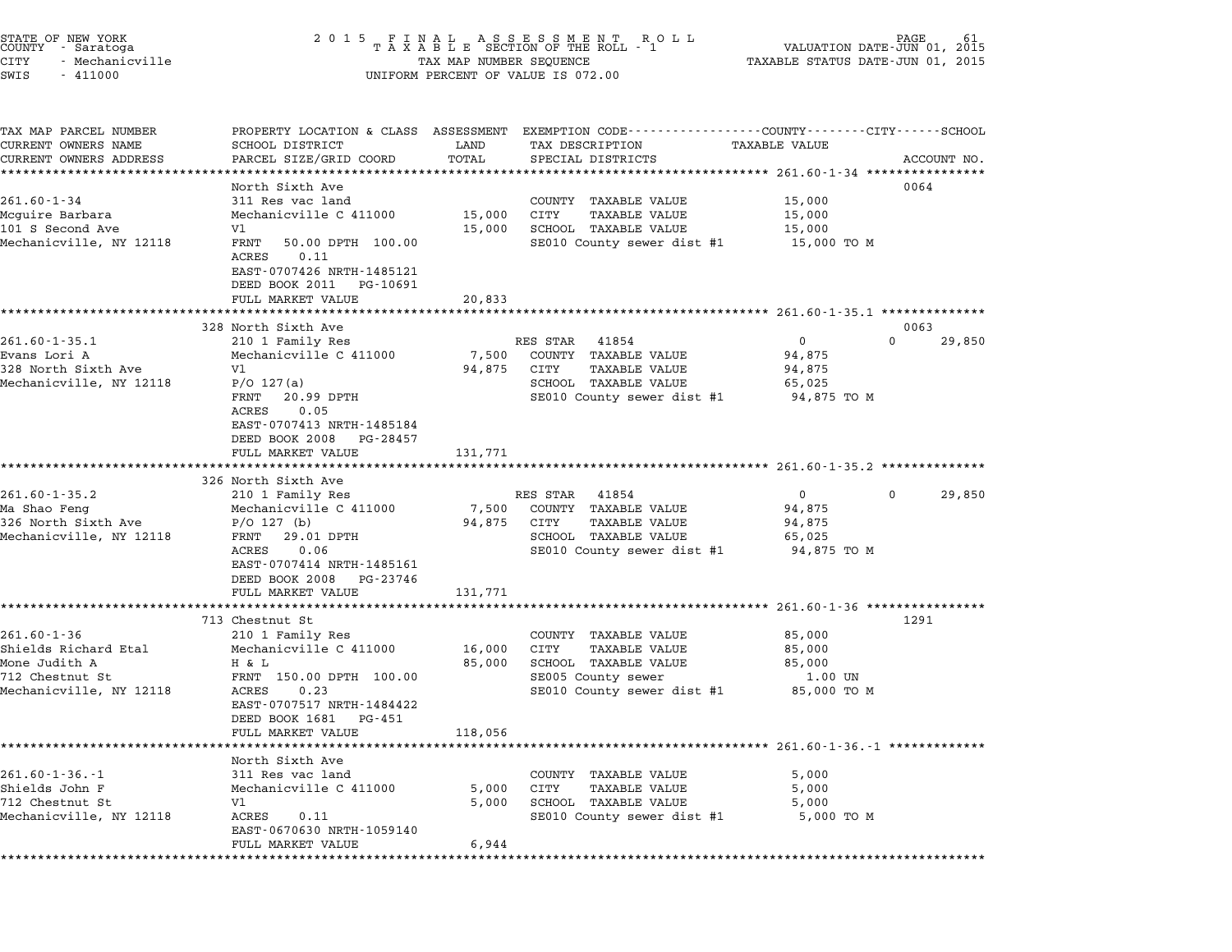| STATE OF NEW YORK<br>COUNTY - Saratoga<br>CITY<br>- Mechanicville<br>SWIS<br>$-411000$                   | 2 0 1 5                                                                                                                                                                                                        | TAX MAP NUMBER SEQUENCE     | FINAL ASSESSMENT ROLL<br>TAXABLE SECTION OF THE ROLL - 1<br>UNIFORM PERCENT OF VALUE IS 072.00                                                                                                          | VALUATION DATE-JUN 01,<br>TAXABLE STATUS DATE-JUN 01, 2015 | 61<br>2015                 |
|----------------------------------------------------------------------------------------------------------|----------------------------------------------------------------------------------------------------------------------------------------------------------------------------------------------------------------|-----------------------------|---------------------------------------------------------------------------------------------------------------------------------------------------------------------------------------------------------|------------------------------------------------------------|----------------------------|
| TAX MAP PARCEL NUMBER<br>CURRENT OWNERS NAME<br>CURRENT OWNERS ADDRESS                                   | <b>SCHOOL DISTRICT</b><br>PARCEL SIZE/GRID COORD                                                                                                                                                               | LAND<br>TOTAL               | PROPERTY LOCATION & CLASS ASSESSMENT EXEMPTION CODE---------------COUNTY-------CITY-----SCHOOL<br>TAX DESCRIPTION<br>SPECIAL DISTRICTS                                                                  | TAXABLE VALUE                                              | ACCOUNT NO.                |
| $261.60 - 1 - 34$<br>Mcquire Barbara<br>101 S Second Ave<br>Mechanicville, NY 12118                      | North Sixth Ave<br>311 Res vac land<br>Mechanicville C 411000<br>V1<br>FRNT<br>50.00 DPTH 100.00<br>ACRES<br>0.11<br>EAST-0707426 NRTH-1485121<br>DEED BOOK 2011<br>PG-10691<br>FULL MARKET VALUE              | 15,000<br>15,000<br>20,833  | COUNTY TAXABLE VALUE<br>CITY<br><b>TAXABLE VALUE</b><br>SCHOOL TAXABLE VALUE<br>SE010 County sewer dist #1                                                                                              | 15,000<br>15,000<br>15,000<br>15,000 TO M                  | 0064                       |
| $261.60 - 1 - 35.1$<br>Evans Lori A<br>328 North Sixth Ave<br>Mechanicville, NY 12118                    | 328 North Sixth Ave<br>210 1 Family Res<br>Mechanicville C 411000<br>V1<br>$P/O$ 127(a)<br>FRNT<br>20.99 DPTH<br>0.05<br>ACRES<br>EAST-0707413 NRTH-1485184<br>DEED BOOK 2008<br>PG-28457<br>FULL MARKET VALUE | 7,500<br>94,875<br>131,771  | ************************************** 261.60-1-35.1 ***************<br>RES STAR<br>41854<br>COUNTY TAXABLE VALUE<br>CITY<br><b>TAXABLE VALUE</b><br>SCHOOL TAXABLE VALUE<br>SE010 County sewer dist #1 | 0<br>94,875<br>94,875<br>65,025<br>94,875 TO M             | 0063<br>$\Omega$<br>29,850 |
| $261.60 - 1 - 35.2$<br>Ma Shao Feng<br>326 North Sixth Ave<br>Mechanicville, NY 12118                    | 326 North Sixth Ave<br>210 1 Family Res<br>Mechanicville C 411000<br>$P/O$ 127 (b)<br>FRNT<br>29.01 DPTH<br>0.06<br>ACRES<br>EAST-0707414 NRTH-1485161<br>DEED BOOK 2008<br>PG-23746<br>FULL MARKET VALUE      | 7,500<br>94,875<br>131,771  | RES STAR<br>41854<br>COUNTY TAXABLE VALUE<br><b>TAXABLE VALUE</b><br>CITY<br>SCHOOL TAXABLE VALUE<br>SE010 County sewer dist #1                                                                         | $\mathbf 0$<br>94,875<br>94,875<br>65,025<br>94,875 TO M   | $\mathbf 0$<br>29,850      |
| $261.60 - 1 - 36$<br>Shields Richard Etal<br>Mone Judith A<br>712 Chestnut St<br>Mechanicville, NY 12118 | 713 Chestnut St<br>210 1 Family Res<br>Mechanicville C 411000<br>H & L<br>FRNT 150.00 DPTH 100.00<br>0.23<br>ACRES<br>EAST-0707517 NRTH-1484422<br>DEED BOOK 1681<br>PG-451<br>FULL MARKET VALUE               | 16,000<br>85,000<br>118,056 | COUNTY TAXABLE VALUE<br>CITY<br><b>TAXABLE VALUE</b><br>SCHOOL TAXABLE VALUE<br>SE005 County sewer<br>SE010 County sewer dist #1                                                                        | 85,000<br>85,000<br>85,000<br>1.00 UN<br>85,000 TO M       | 1291                       |
| $261.60 - 1 - 36 - 1$<br>Shields John F<br>712 Chestnut St<br>Mechanicville, NY 12118                    | North Sixth Ave<br>311 Res vac land<br>Mechanicville C 411000<br>V1<br>ACRES<br>0.11<br>EAST-0670630 NRTH-1059140<br>FULL MARKET VALUE                                                                         | 5,000<br>5,000<br>6,944     | COUNTY TAXABLE VALUE<br>CITY<br>TAXABLE VALUE<br>SCHOOL TAXABLE VALUE<br>SE010 County sewer dist #1                                                                                                     | 5,000<br>5,000<br>5,000<br>5,000 TO M                      |                            |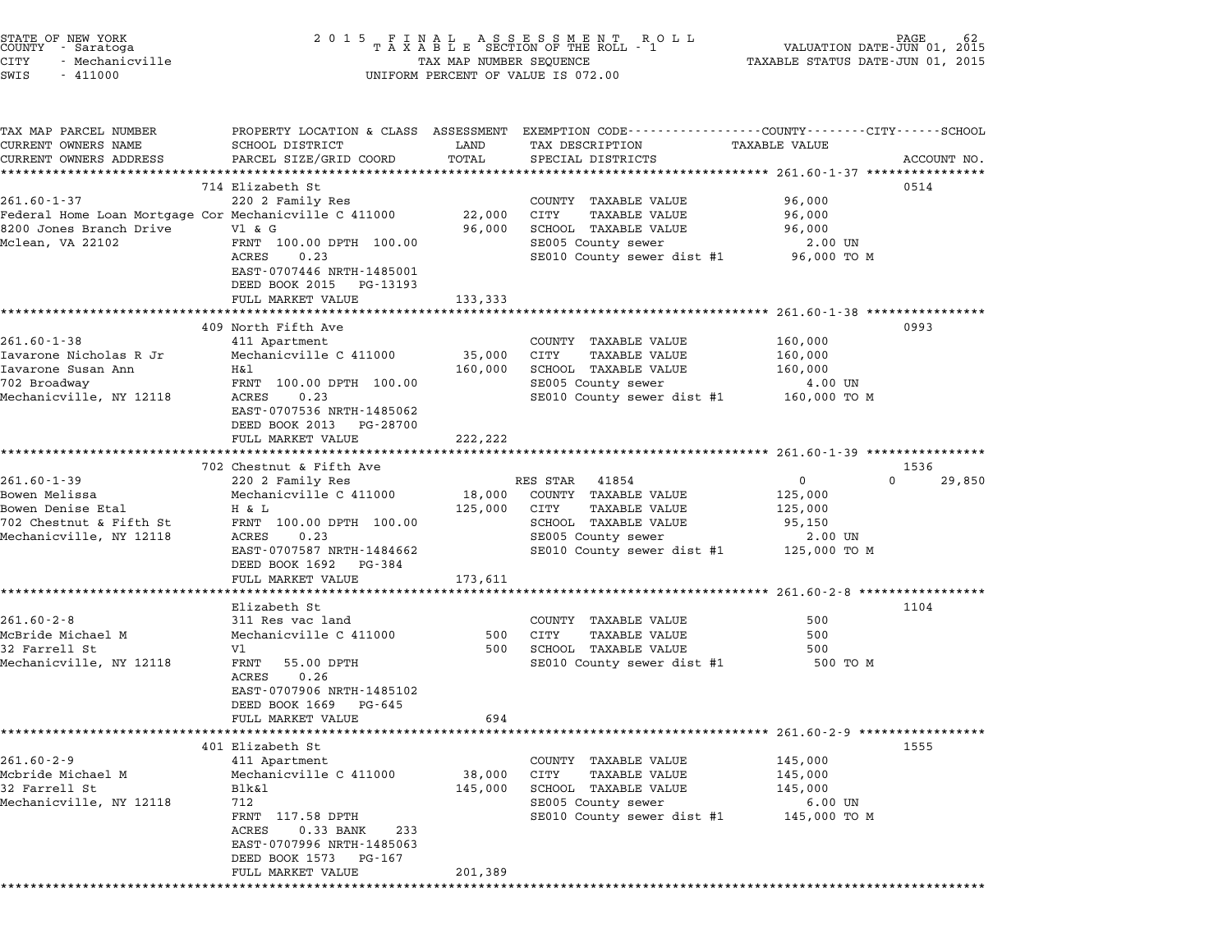| STATE OF NEW YORK<br>COUNTY – Saratoga<br>CITY<br>- Mechanicville<br>SWIS<br>$-411000$                                    | 2 0 1 5                                                                                                                                                                                                    |                              | FINAL ASSESSMENT ROLL<br>TAXABLE SECTION OF THE ROLL - 1<br>TAX MAP NUMBER SEQUENCE<br>UNIFORM PERCENT OF VALUE IS 072.00                      | VALUATION DATE-JUN 01,<br>TAXABLE STATUS DATE-JUN 01, 2015                            | PAGE<br>2015   |
|---------------------------------------------------------------------------------------------------------------------------|------------------------------------------------------------------------------------------------------------------------------------------------------------------------------------------------------------|------------------------------|------------------------------------------------------------------------------------------------------------------------------------------------|---------------------------------------------------------------------------------------|----------------|
| TAX MAP PARCEL NUMBER<br>CURRENT OWNERS NAME<br>CURRENT OWNERS ADDRESS                                                    | SCHOOL DISTRICT<br>PARCEL SIZE/GRID COORD<br>***************************                                                                                                                                   | LAND<br>TOTAL                | PROPERTY LOCATION & CLASS ASSESSMENT EXEMPTION CODE----------------COUNTY-------CITY------SCHOOL<br>TAX DESCRIPTION<br>SPECIAL DISTRICTS       | <b>TAXABLE VALUE</b>                                                                  | ACCOUNT NO.    |
| $261.60 - 1 - 37$<br>Federal Home Loan Mortgage Cor Mechanicville C 411000<br>8200 Jones Branch Drive<br>Mclean, VA 22102 | 714 Elizabeth St<br>220 2 Family Res<br>V1 & G<br>FRNT 100.00 DPTH 100.00<br>ACRES<br>0.23<br>EAST-0707446 NRTH-1485001<br>DEED BOOK 2015 PG-13193                                                         | 22,000<br>96,000             | COUNTY TAXABLE VALUE<br>CITY<br>TAXABLE VALUE<br>SCHOOL TAXABLE VALUE<br>SE005 County sewer<br>SE010 County sewer dist #1 96,000 TO M          | 96,000<br>96,000<br>96,000<br>2.00 UN                                                 | 0514           |
|                                                                                                                           | FULL MARKET VALUE                                                                                                                                                                                          | 133,333                      | ********************************** 261.60-1-38 ****************                                                                                |                                                                                       |                |
| $261.60 - 1 - 38$<br>Iavarone Nicholas R Jr<br>Iavarone Susan Ann<br>702 Broadway<br>Mechanicville, NY 12118              | 409 North Fifth Ave<br>411 Apartment<br>Mechanicville C 411000<br>H&l<br>FRNT 100.00 DPTH 100.00<br>ACRES<br>0.23<br>EAST-0707536 NRTH-1485062<br>DEED BOOK 2013 PG-28700                                  | 35,000<br>160,000            | COUNTY TAXABLE VALUE<br><b>TAXABLE VALUE</b><br>CITY<br>SCHOOL TAXABLE VALUE<br>SE005 County sewer<br>SE010 County sewer dist #1 160,000 TO M  | 160,000<br>160,000<br>160,000<br>4.00 UN                                              | 0993           |
|                                                                                                                           | FULL MARKET VALUE                                                                                                                                                                                          | 222,222                      |                                                                                                                                                |                                                                                       |                |
|                                                                                                                           | *************************                                                                                                                                                                                  | * * * * * * * * * *          |                                                                                                                                                |                                                                                       |                |
| $261.60 - 1 - 39$<br>Bowen Melissa<br>Bowen Denise Etal<br>702 Chestnut & Fifth St<br>Mechanicville, NY 12118             | 702 Chestnut & Fifth Ave<br>220 2 Family Res<br>Mechanicville C 411000<br>H & L<br>FRNT 100.00 DPTH 100.00<br>0.23<br>ACRES<br>EAST-0707587 NRTH-1484662<br>DEED BOOK 1692 PG-384<br>FULL MARKET VALUE     | 18,000<br>125,000<br>173,611 | RES STAR<br>41854<br>COUNTY TAXABLE VALUE<br>CITY<br>TAXABLE VALUE<br>SCHOOL TAXABLE VALUE<br>SE005 County sewer<br>SE010 County sewer dist #1 | $\overline{0}$<br>$\Omega$<br>125,000<br>125,000<br>95,150<br>2.00 UN<br>125,000 TO M | 1536<br>29,850 |
|                                                                                                                           |                                                                                                                                                                                                            |                              |                                                                                                                                                |                                                                                       |                |
| $261.60 - 2 - 8$<br>McBride Michael M<br>32 Farrell St<br>Mechanicville, NY 12118                                         | Elizabeth St<br>311 Res vac land<br>Mechanicville C 411000<br>Vl<br>FRNT<br>55.00 DPTH<br>0.26<br>ACRES<br>EAST-0707906 NRTH-1485102<br>DEED BOOK 1669<br>PG-645                                           | 500<br>500                   | COUNTY TAXABLE VALUE<br><b>TAXABLE VALUE</b><br>CITY<br>SCHOOL TAXABLE VALUE<br>SE010 County sewer dist #1                                     | 500<br>500<br>500<br>500 TO M                                                         | 1104           |
|                                                                                                                           | FULL MARKET VALUE                                                                                                                                                                                          | 694                          | ***************************** 261.60-2-9 *****************                                                                                     |                                                                                       |                |
| $261.60 - 2 - 9$<br>Mcbride Michael M<br>32 Farrell St<br>Mechanicville, NY 12118                                         | 401 Elizabeth St<br>411 Apartment<br>Mechanicville C 411000<br>Blk&l<br>712<br>FRNT 117.58 DPTH<br>233<br>ACRES<br>0.33 BANK<br>EAST-0707996 NRTH-1485063<br>DEED BOOK 1573<br>PG-167<br>FULL MARKET VALUE | 38,000<br>145,000<br>201,389 | COUNTY TAXABLE VALUE<br>CITY<br><b>TAXABLE VALUE</b><br>SCHOOL TAXABLE VALUE<br>SE005 County sewer<br>SE010 County sewer dist #1               | 145,000<br>145,000<br>145,000<br>$6.00$ UN<br>145,000 TO M                            | 1555           |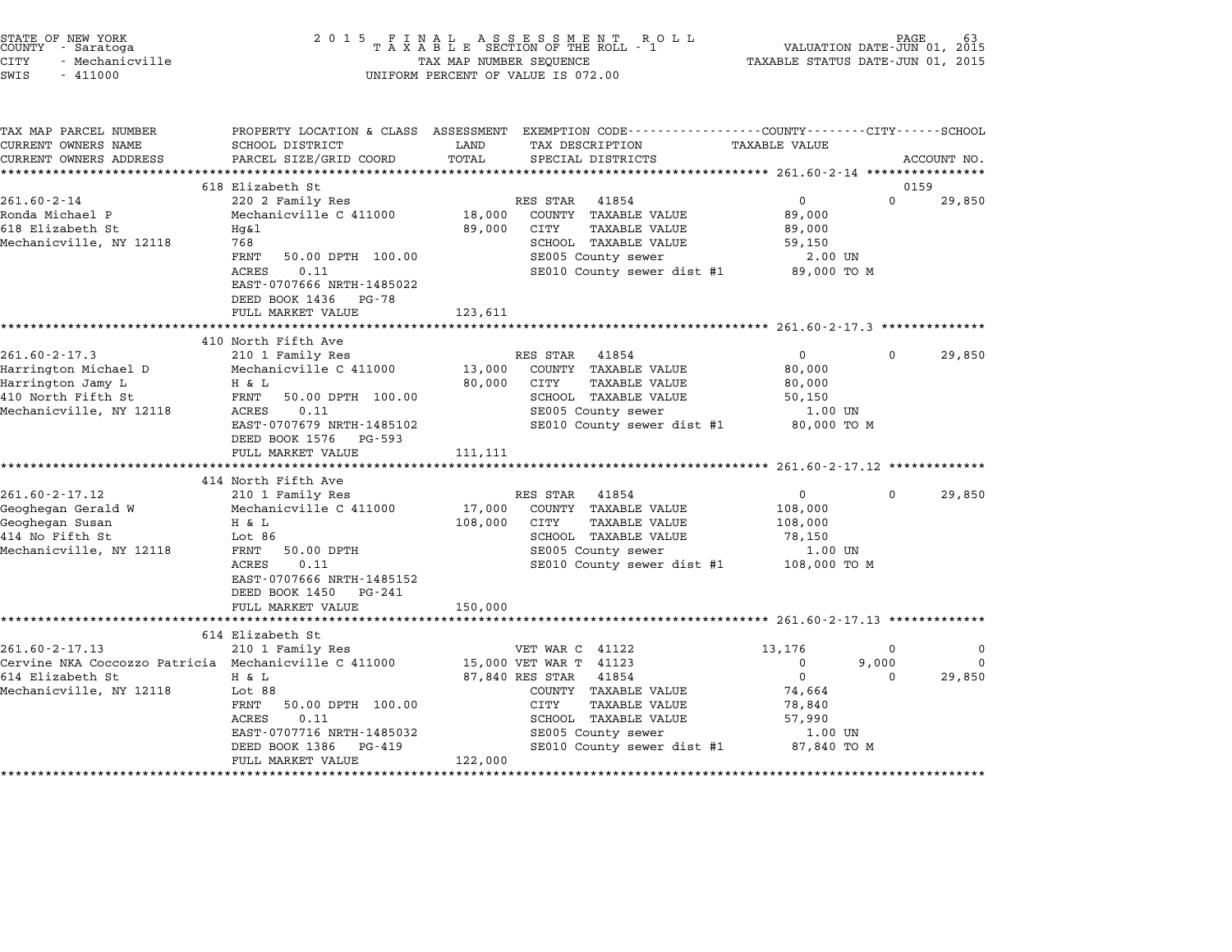| 2 0 1 5                                                                                                                                                                                                                                                                                                                                                         |                                                                                                                                                    | R O L L                                                                                                                                                                                                                    |                                                                                                                                                                                                                                   | PAGE                                                                                                                 |                                                                                                                                                                                                                                                                                      |
|-----------------------------------------------------------------------------------------------------------------------------------------------------------------------------------------------------------------------------------------------------------------------------------------------------------------------------------------------------------------|----------------------------------------------------------------------------------------------------------------------------------------------------|----------------------------------------------------------------------------------------------------------------------------------------------------------------------------------------------------------------------------|-----------------------------------------------------------------------------------------------------------------------------------------------------------------------------------------------------------------------------------|----------------------------------------------------------------------------------------------------------------------|--------------------------------------------------------------------------------------------------------------------------------------------------------------------------------------------------------------------------------------------------------------------------------------|
| SCHOOL DISTRICT<br>PARCEL SIZE/GRID COORD                                                                                                                                                                                                                                                                                                                       | LAND<br>TOTAL                                                                                                                                      | TAX DESCRIPTION<br>SPECIAL DISTRICTS                                                                                                                                                                                       | <b>TAXABLE VALUE</b>                                                                                                                                                                                                              |                                                                                                                      | ACCOUNT NO.                                                                                                                                                                                                                                                                          |
|                                                                                                                                                                                                                                                                                                                                                                 |                                                                                                                                                    |                                                                                                                                                                                                                            |                                                                                                                                                                                                                                   |                                                                                                                      |                                                                                                                                                                                                                                                                                      |
| 220 2 Family Res<br>Mechanicville C 411000<br>Hq&l<br>768<br>FRNT<br>50.00 DPTH 100.00<br><b>ACRES</b><br>0.11<br>EAST-0707666 NRTH-1485022<br>DEED BOOK 1436 PG-78                                                                                                                                                                                             | 18,000<br>89,000                                                                                                                                   | COUNTY TAXABLE VALUE<br>CITY<br><b>TAXABLE VALUE</b><br>SCHOOL TAXABLE VALUE<br>SE005 County sewer                                                                                                                         | $\mathsf{O}$<br>89,000<br>89,000<br>59,150                                                                                                                                                                                        | 0                                                                                                                    | 29,850                                                                                                                                                                                                                                                                               |
|                                                                                                                                                                                                                                                                                                                                                                 |                                                                                                                                                    |                                                                                                                                                                                                                            |                                                                                                                                                                                                                                   |                                                                                                                      |                                                                                                                                                                                                                                                                                      |
| 410 North Fifth Ave<br>210 1 Family Res<br>Mechanicville C 411000<br>H & L<br>FRNT<br>50.00 DPTH 100.00<br>ACRES<br>0.11<br>EAST-0707679 NRTH-1485102<br>DEED BOOK 1576 PG-593<br>FULL MARKET VALUE<br>414 North Fifth Ave<br>210 1 Family Res<br>Mechanicville C 411000<br>H & L<br>Lot 86<br>FRNT<br>50.00 DPTH<br>ACRES<br>0.11<br>EAST-0707666 NRTH-1485152 | 13,000<br>80,000<br>111,111<br>17,000<br>108,000                                                                                                   | 41854<br>COUNTY TAXABLE VALUE<br><b>TAXABLE VALUE</b><br>CITY<br>SCHOOL TAXABLE VALUE<br>SE005 County sewer<br>41854<br>COUNTY TAXABLE VALUE<br>CITY<br><b>TAXABLE VALUE</b><br>SCHOOL TAXABLE VALUE<br>SE005 County sewer | $\mathbf{0}$<br>80,000<br>80,000<br>50,150<br>$\Omega$<br>108,000<br>108,000<br>78,150                                                                                                                                            | 0<br>$\Omega$                                                                                                        | 29,850<br>29,850                                                                                                                                                                                                                                                                     |
| FULL MARKET VALUE                                                                                                                                                                                                                                                                                                                                               | 150,000                                                                                                                                            |                                                                                                                                                                                                                            |                                                                                                                                                                                                                                   |                                                                                                                      |                                                                                                                                                                                                                                                                                      |
|                                                                                                                                                                                                                                                                                                                                                                 |                                                                                                                                                    |                                                                                                                                                                                                                            |                                                                                                                                                                                                                                   |                                                                                                                      |                                                                                                                                                                                                                                                                                      |
| 210 1 Family Res<br>Cervine NKA Coccozzo Patricia Mechanicville C 411000<br>H & L<br>Lot 88<br>FRNT<br>50.00 DPTH 100.00<br>ACRES<br>0.11<br>EAST-0707716 NRTH-1485032<br>DEED BOOK 1386<br>PG-419<br>FULL MARKET VALUE                                                                                                                                         | 122,000                                                                                                                                            | 41854<br>COUNTY TAXABLE VALUE<br>CITY<br>TAXABLE VALUE<br>SCHOOL TAXABLE VALUE<br>SE005 County sewer                                                                                                                       | 13,176<br>0<br>$\mathbf{0}$<br>74,664<br>78,840<br>57,990                                                                                                                                                                         | 0<br>9,000<br>$\Omega$                                                                                               | $\Omega$<br>$\Omega$<br>29,850                                                                                                                                                                                                                                                       |
|                                                                                                                                                                                                                                                                                                                                                                 | 618 Elizabeth St<br>FULL MARKET VALUE<br>*************************<br>DEED BOOK 1450 PG-241<br>*******************************<br>614 Elizabeth St | 123,611                                                                                                                                                                                                                    | FINAL ASSESSMENT RC<br>TAXABLE SECTION OF THE ROLL - 1<br>TAX MAP NUMBER SEQUENCE<br>UNIFORM PERCENT OF VALUE IS 072.00<br>RES STAR 41854<br>RES STAR<br>RES STAR<br>VET WAR C 41122<br>15,000 VET WAR T 41123<br>87,840 RES STAR | SE010 County sewer dist #1<br>SE010 County sewer dist #1<br>SE010 County sewer dist #1<br>SE010 County sewer dist #1 | VALUATION DATE-JUN 01, 2015<br>TAXABLE STATUS DATE-JUN 01, 2015<br>PROPERTY LOCATION & CLASS ASSESSMENT EXEMPTION CODE----------------COUNTY-------CITY------SCHOOL<br>0159<br>2.00 UN<br>89,000 TO M<br>1.00 UN<br>80,000 TO M<br>1.00 UN<br>108,000 TO M<br>1.00 UN<br>87,840 TO M |

end the NEW YORK (STATE OF NEW YORK)<br>2015 FINAL ASSESSMENT ROLL - 1 (PALUATION DATE-JUN 01, 2015<br>COUNTY - Saratoga (PALUATION OF THE ROLL - 1) (PALUATION DATE-JUN 01, 2015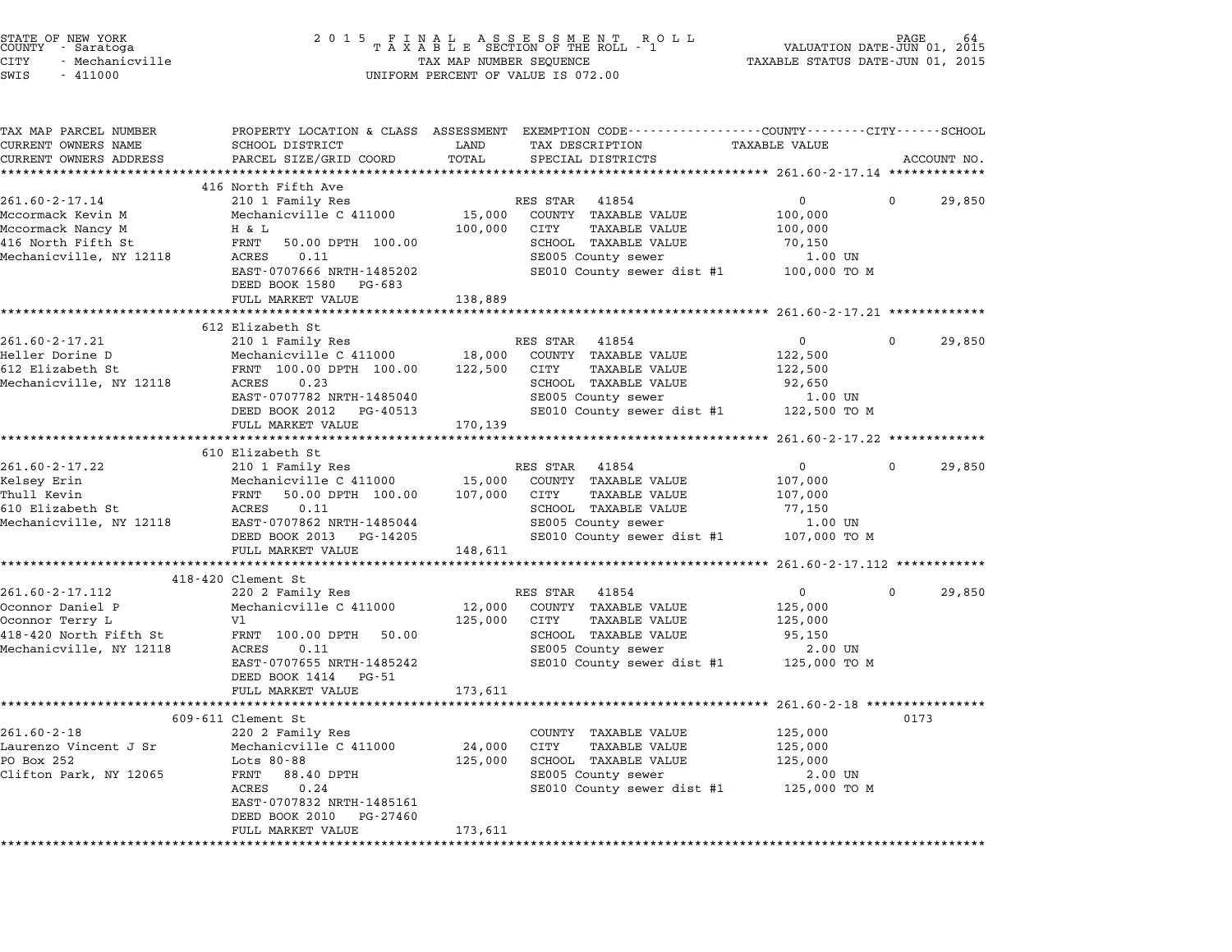| STATE OF NEW YORK<br>COUNTY - Saratoga<br>CITY<br>- Mechanicville<br>SWIS<br>$-411000$ | 2 0 1 5                                               |         | FINAL ASSESSMENT ROLL<br>TAXABLE SECTION OF THE ROLL - 1<br>TAX MAP NUMBER SEQUENCE<br>UNIFORM PERCENT OF VALUE IS 072.00 | VALUATION DATE-JUN 01,<br>TAXABLE STATUS DATE-JUN 01, 2015 |              | 64<br>2015  |
|----------------------------------------------------------------------------------------|-------------------------------------------------------|---------|---------------------------------------------------------------------------------------------------------------------------|------------------------------------------------------------|--------------|-------------|
| TAX MAP PARCEL NUMBER<br>CURRENT OWNERS NAME                                           | <b>SCHOOL DISTRICT</b>                                | LAND    | PROPERTY LOCATION & CLASS ASSESSMENT EXEMPTION CODE---------------COUNTY-------CITY------SCHOOL<br>TAX DESCRIPTION        | <b>TAXABLE VALUE</b>                                       |              |             |
| CURRENT OWNERS ADDRESS                                                                 | PARCEL SIZE/GRID COORD                                | TOTAL   | SPECIAL DISTRICTS                                                                                                         |                                                            |              | ACCOUNT NO. |
|                                                                                        | 416 North Fifth Ave                                   |         |                                                                                                                           |                                                            |              |             |
| $261.60 - 2 - 17.14$                                                                   | 210 1 Family Res                                      |         | RES STAR<br>41854                                                                                                         | 0                                                          | $\mathbf{0}$ | 29,850      |
| Mccormack Kevin M                                                                      | Mechanicville C 411000                                | 15,000  | COUNTY TAXABLE VALUE                                                                                                      | 100,000                                                    |              |             |
| Mccormack Nancy M                                                                      | H & L                                                 | 100,000 | CITY<br><b>TAXABLE VALUE</b>                                                                                              | 100,000                                                    |              |             |
| 416 North Fifth St                                                                     | FRNT<br>50.00 DPTH 100.00                             |         | SCHOOL TAXABLE VALUE                                                                                                      | 70,150                                                     |              |             |
| Mechanicville, NY 12118                                                                | ACRES<br>0.11                                         |         | SE005 County sewer                                                                                                        | 1.00 UN                                                    |              |             |
|                                                                                        | EAST-0707666 NRTH-1485202<br>DEED BOOK 1580<br>PG-683 |         | SE010 County sewer dist #1                                                                                                | 100,000 TO M                                               |              |             |
|                                                                                        | FULL MARKET VALUE                                     | 138,889 |                                                                                                                           |                                                            |              |             |
|                                                                                        | 612 Elizabeth St                                      |         |                                                                                                                           |                                                            |              |             |
| $261.60 - 2 - 17.21$                                                                   | 210 1 Family Res                                      |         | RES STAR 41854                                                                                                            | $\mathbf{0}$                                               | $\mathbf 0$  | 29,850      |
| Heller Dorine D                                                                        | Mechanicville C 411000                                | 18,000  | COUNTY TAXABLE VALUE                                                                                                      | 122,500                                                    |              |             |
| 612 Elizabeth St                                                                       | FRNT 100.00 DPTH 100.00                               | 122,500 | CITY<br>TAXABLE VALUE                                                                                                     | 122,500                                                    |              |             |
| Mechanicville, NY 12118                                                                | 0.23<br>ACRES                                         |         | SCHOOL TAXABLE VALUE                                                                                                      | 92,650                                                     |              |             |
|                                                                                        | EAST-0707782 NRTH-1485040                             |         | SE005 County sewer                                                                                                        | 1.00 UN                                                    |              |             |
|                                                                                        | DEED BOOK 2012<br>PG-40513                            |         | SE010 County sewer dist #1 122,500 TO M                                                                                   |                                                            |              |             |
|                                                                                        | FULL MARKET VALUE                                     | 170,139 |                                                                                                                           |                                                            |              |             |
|                                                                                        | *****************************<br>610 Elizabeth St     |         |                                                                                                                           |                                                            |              |             |
| 261.60-2-17.22                                                                         | 210 1 Family Res                                      |         | RES STAR 41854                                                                                                            | $\overline{0}$                                             | $\mathbf{0}$ | 29,850      |
| Kelsey Erin                                                                            | Mechanicville C 411000                                | 15,000  | COUNTY TAXABLE VALUE                                                                                                      | 107,000                                                    |              |             |
| Thull Kevin                                                                            | 50.00 DPTH 100.00<br>FRNT                             | 107,000 | CITY<br><b>TAXABLE VALUE</b>                                                                                              | 107,000                                                    |              |             |
| 610 Elizabeth St                                                                       | ACRES<br>0.11                                         |         | SCHOOL TAXABLE VALUE                                                                                                      | 77,150                                                     |              |             |
| Mechanicville, NY 12118                                                                | EAST-0707862 NRTH-1485044                             |         | SE005 County sewer                                                                                                        | 1.00 UN                                                    |              |             |
|                                                                                        | DEED BOOK 2013 PG-14205                               |         | SE010 County sewer dist #1                                                                                                | 107,000 TO M                                               |              |             |
|                                                                                        | FULL MARKET VALUE<br>***********************          | 148,611 |                                                                                                                           |                                                            |              |             |
|                                                                                        | 418-420 Clement St                                    |         |                                                                                                                           | *********** 261.60-2-17.112 ************                   |              |             |
| 261.60-2-17.112                                                                        | 220 2 Family Res                                      |         | RES STAR<br>41854                                                                                                         | $0 \qquad \qquad$                                          | $\mathbf 0$  | 29,850      |
| Oconnor Daniel P                                                                       | Mechanicville C 411000                                | 12,000  | COUNTY TAXABLE VALUE                                                                                                      | 125,000                                                    |              |             |
| Oconnor Terry L                                                                        | V1                                                    | 125,000 | <b>TAXABLE VALUE</b><br>CITY                                                                                              | 125,000                                                    |              |             |
| 418-420 North Fifth St                                                                 | FRNT 100.00 DPTH<br>50.00                             |         | SCHOOL TAXABLE VALUE                                                                                                      | 95,150                                                     |              |             |
| Mechanicville, NY 12118                                                                | ACRES<br>0.11                                         |         | SE005 County sewer                                                                                                        | $2.00$ UN                                                  |              |             |
|                                                                                        | EAST-0707655 NRTH-1485242                             |         | SE010 County sewer dist #1                                                                                                | 125,000 TO M                                               |              |             |
|                                                                                        | DEED BOOK 1414<br>PG-51                               |         |                                                                                                                           |                                                            |              |             |
|                                                                                        | FULL MARKET VALUE                                     | 173,611 |                                                                                                                           |                                                            |              |             |
|                                                                                        | 609-611 Clement St                                    |         |                                                                                                                           |                                                            | 0173         |             |
| $261.60 - 2 - 18$                                                                      | 220 2 Family Res                                      |         | COUNTY TAXABLE VALUE                                                                                                      | 125,000                                                    |              |             |
| Laurenzo Vincent J Sr                                                                  | Mechanicville C 411000                                | 24,000  | <b>CITY</b><br><b>TAXABLE VALUE</b>                                                                                       | 125,000                                                    |              |             |
| PO Box 252                                                                             | Lots 80-88                                            | 125,000 | SCHOOL TAXABLE VALUE                                                                                                      | 125,000                                                    |              |             |
| Clifton Park, NY 12065                                                                 | 88.40 DPTH<br>FRNT                                    |         | SE005 County sewer                                                                                                        | 2.00 UN                                                    |              |             |
|                                                                                        | ACRES<br>0.24                                         |         | SE010 County sewer dist #1                                                                                                | 125,000 TO M                                               |              |             |
|                                                                                        | EAST-0707832 NRTH-1485161                             |         |                                                                                                                           |                                                            |              |             |
|                                                                                        | DEED BOOK 2010<br>PG-27460                            |         |                                                                                                                           |                                                            |              |             |
|                                                                                        | FULL MARKET VALUE                                     | 173,611 |                                                                                                                           |                                                            |              |             |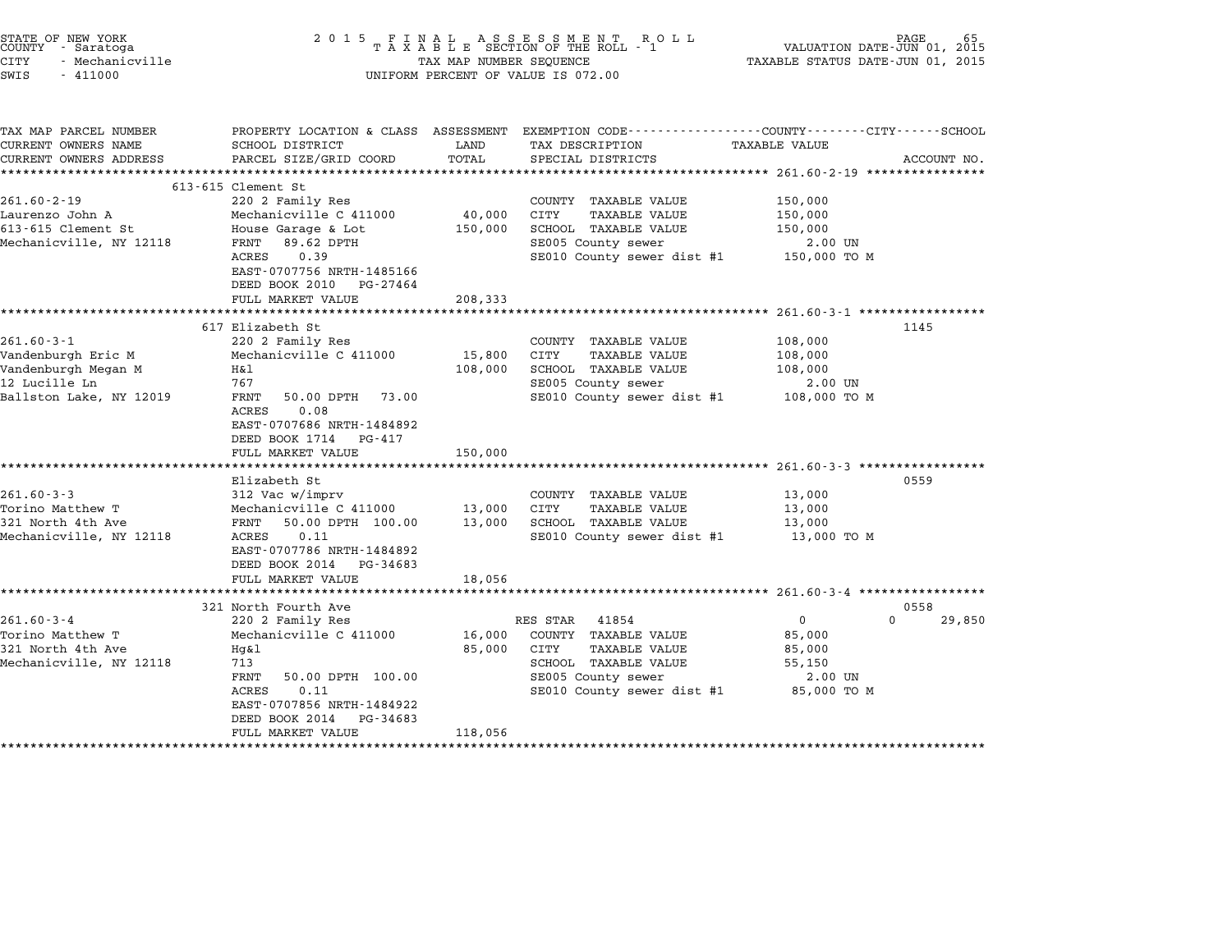| STATE OF NEW YORK<br>COUNTY - Saratoga<br><b>CITY</b><br>- Mechanicville<br>SWIS<br>$-411000$             | 2 0 1 5                                                                                                                                                                                                           | TAX MAP NUMBER SEQUENCE      | FINAL ASSESSMENT ROLL<br>TAXABLE SECTION OF THE ROLL - 1<br>UNIFORM PERCENT OF VALUE IS 072.00                                                 | VALUATION DATE-JUN 01, 2015<br>TAXABLE STATUS DATE-JUN 01, 2015   | PAGE           |
|-----------------------------------------------------------------------------------------------------------|-------------------------------------------------------------------------------------------------------------------------------------------------------------------------------------------------------------------|------------------------------|------------------------------------------------------------------------------------------------------------------------------------------------|-------------------------------------------------------------------|----------------|
| TAX MAP PARCEL NUMBER<br>CURRENT OWNERS NAME<br>CURRENT OWNERS ADDRESS                                    | SCHOOL DISTRICT<br>PARCEL SIZE/GRID COORD                                                                                                                                                                         | LAND<br>TOTAL                | PROPERTY LOCATION & CLASS ASSESSMENT EXEMPTION CODE---------------COUNTY-------CITY------SCHOOL<br>TAX DESCRIPTION<br>SPECIAL DISTRICTS        | TAXABLE VALUE<br>****************** 261.60-2-19 ***************** | ACCOUNT NO.    |
| $261.60 - 2 - 19$<br>Laurenzo John A<br>613-615 Clement St<br>Mechanicville, NY 12118                     | $613 - 615$ Clement St<br>220 2 Family Res<br>Mechanicville C 411000<br>House Garage & Lot<br>89.62 DPTH<br>FRNT<br>ACRES<br>0.39<br>EAST-0707756 NRTH-1485166<br>DEED BOOK 2010<br>PG-27464<br>FULL MARKET VALUE | 40,000<br>150,000<br>208,333 | COUNTY TAXABLE VALUE<br><b>TAXABLE VALUE</b><br>CITY<br>SCHOOL TAXABLE VALUE<br>SE005 County sewer<br>SE010 County sewer dist #1               | 150,000<br>150,000<br>150,000<br>2.00 UN<br>150,000 TO M          |                |
| $261.60 - 3 - 1$<br>Vandenburgh Eric M<br>Vandenburgh Megan M<br>12 Lucille Ln<br>Ballston Lake, NY 12019 | 617 Elizabeth St<br>220 2 Family Res<br>Mechanicville C 411000<br>Η&l<br>767<br>FRNT<br>50.00 DPTH 73.00<br>0.08<br>ACRES<br>EAST-0707686 NRTH-1484892<br>DEED BOOK 1714<br>PG-417<br>FULL MARKET VALUE           | 15,800<br>108,000<br>150,000 | COUNTY TAXABLE VALUE<br>CITY<br><b>TAXABLE VALUE</b><br>SCHOOL TAXABLE VALUE<br>SE005 County sewer<br>SE010 County sewer dist #1               | 108,000<br>108,000<br>108,000<br>$2.00$ UN<br>108,000 TO M        | 1145           |
| $261.60 - 3 - 3$<br>Torino Matthew T<br>321 North 4th Ave<br>Mechanicville, NY 12118                      | Elizabeth St<br>312 Vac w/imprv<br>Mechanicville C 411000<br>50.00 DPTH 100.00<br>FRNT<br>0.11<br>ACRES<br>EAST-0707786 NRTH-1484892<br>DEED BOOK 2014<br>PG-34683<br>FULL MARKET VALUE                           | 13,000<br>13,000<br>18,056   | COUNTY TAXABLE VALUE<br>CITY<br><b>TAXABLE VALUE</b><br>SCHOOL TAXABLE VALUE<br>SE010 County sewer dist #1                                     | 13,000<br>13,000<br>13,000<br>13,000 TO M                         | 0559           |
| $261.60 - 3 - 4$<br>Torino Matthew T<br>321 North 4th Ave<br>Mechanicville, NY 12118                      | 321 North Fourth Ave<br>220 2 Family Res<br>Mechanicville C 411000<br>Hq&l<br>713<br>FRNT<br>50.00 DPTH 100.00<br>ACRES<br>0.11<br>EAST-0707856 NRTH-1484922<br>DEED BOOK 2014<br>PG-34683<br>FULL MARKET VALUE   | 16,000<br>85,000<br>118,056  | RES STAR<br>41854<br>COUNTY TAXABLE VALUE<br>CITY<br>TAXABLE VALUE<br>SCHOOL TAXABLE VALUE<br>SE005 County sewer<br>SE010 County sewer dist #1 | 0<br>85,000<br>85,000<br>55,150<br>2.00 UN<br>85,000 TO M         | 0558<br>29,850 |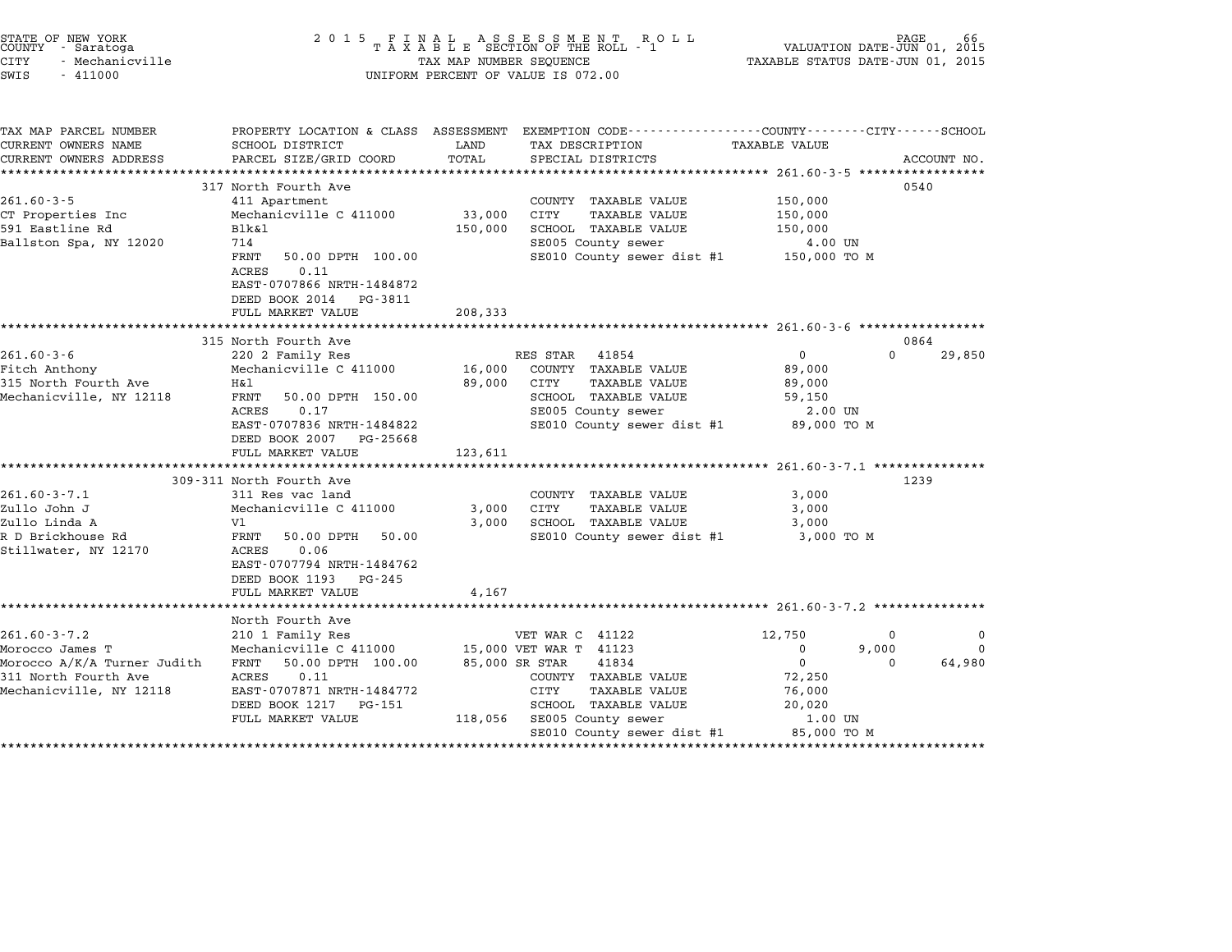| STATE OF NEW YORK<br>COUNTY – Saratoga<br>- Saratoga<br>CITY<br>- Mechanicville<br>SWIS<br>$-411000$                    | 2 0 1 5                                                                                                                                                                                                   | TAX MAP NUMBER SEQUENCE         | FINAL ASSESSMENT RO<br>TAXABLE SECTION OF THE ROLL - 1<br>R O L L<br>UNIFORM PERCENT OF VALUE IS 072.00                                                             | VALUATION DATE-JUN 01, 2015<br>TAXABLE STATUS DATE-JUN 01, 2015                        | PAGE                                            |
|-------------------------------------------------------------------------------------------------------------------------|-----------------------------------------------------------------------------------------------------------------------------------------------------------------------------------------------------------|---------------------------------|---------------------------------------------------------------------------------------------------------------------------------------------------------------------|----------------------------------------------------------------------------------------|-------------------------------------------------|
| TAX MAP PARCEL NUMBER<br>CURRENT OWNERS NAME<br>CURRENT OWNERS ADDRESS                                                  | SCHOOL DISTRICT<br>PARCEL SIZE/GRID COORD                                                                                                                                                                 | LAND<br>TOTAL<br>************** | PROPERTY LOCATION & CLASS ASSESSMENT EXEMPTION CODE---------------COUNTY-------CITY------SCHOOL<br>TAX DESCRIPTION<br>SPECIAL DISTRICTS                             | TAXABLE VALUE<br>**************** 261.60-3-5 ******************                        | ACCOUNT NO.                                     |
| $261.60 - 3 - 5$<br>CT Properties Inc<br>591 Eastline Rd<br>Ballston Spa, NY 12020                                      | 317 North Fourth Ave<br>411 Apartment<br>Mechanicville C 411000<br>Blk&l<br>714<br>FRNT<br>50.00 DPTH 100.00<br>ACRES<br>0.11<br>EAST-0707866 NRTH-1484872<br>DEED BOOK 2014 PG-3811<br>FULL MARKET VALUE | 33,000<br>150,000<br>208,333    | COUNTY TAXABLE VALUE<br>CITY<br><b>TAXABLE VALUE</b><br>SCHOOL TAXABLE VALUE<br>SE005 County sewer<br>SE010 County sewer dist #1                                    | 150,000<br>150,000<br>150,000<br>4.00 UN<br>150,000 TO M                               | 0540                                            |
|                                                                                                                         |                                                                                                                                                                                                           |                                 |                                                                                                                                                                     |                                                                                        |                                                 |
| $261.60 - 3 - 6$                                                                                                        | 315 North Fourth Ave<br>220 2 Family Res                                                                                                                                                                  |                                 | RES STAR<br>41854                                                                                                                                                   | $\Omega$                                                                               | 0864<br>$\Omega$<br>29,850                      |
| Fitch Anthony<br>315 North Fourth Ave<br>Mechanicville, NY 12118                                                        | Mechanicville C 411000<br>Η&l<br>FRNT<br>50.00 DPTH 150.00<br>0.17<br>ACRES<br>EAST-0707836 NRTH-1484822<br>DEED BOOK 2007 PG-25668<br>FULL MARKET VALUE                                                  | 16,000<br>89,000<br>123,611     | COUNTY TAXABLE VALUE<br>CITY<br><b>TAXABLE VALUE</b><br>SCHOOL TAXABLE VALUE<br>SE005 County sewer<br>SE010 County sewer dist #1                                    | 89,000<br>89,000<br>59,150<br>2.00 UN<br>89,000 TO M                                   |                                                 |
|                                                                                                                         |                                                                                                                                                                                                           |                                 |                                                                                                                                                                     | ************************* 261.60-3-7.1 ***************                                 |                                                 |
| $261.60 - 3 - 7.1$<br>Zullo John J<br>Zullo Linda A<br>R D Brickhouse Rd<br>Stillwater, NY 12170                        | 309-311 North Fourth Ave<br>311 Res vac land<br>Mechanicville C 411000<br>V1<br>FRNT 50.00 DPTH<br>50.00<br>0.06<br>ACRES<br>EAST-0707794 NRTH-1484762<br>DEED BOOK 1193 PG-245<br>FULL MARKET VALUE      | 3,000<br>3,000<br>4,167         | COUNTY TAXABLE VALUE<br>CITY<br>TAXABLE VALUE<br>SCHOOL TAXABLE VALUE<br>SE010 County sewer dist #1                                                                 | 3,000<br>3,000<br>3,000<br>3,000 TO M                                                  | 1239                                            |
|                                                                                                                         |                                                                                                                                                                                                           |                                 |                                                                                                                                                                     |                                                                                        |                                                 |
| $261.60 - 3 - 7.2$<br>Morocco James T<br>Morocco A/K/A Turner Judith<br>311 North Fourth Ave<br>Mechanicville, NY 12118 | North Fourth Ave<br>210 1 Family Res<br>Mechanicville C 411000<br>FRNT<br>50.00 DPTH 100.00<br>ACRES<br>0.11<br>EAST-0707871 NRTH-1484772<br>DEED BOOK 1217 PG-151<br>FULL MARKET VALUE                   | 118,056                         | VET WAR C 41122<br>15,000 VET WAR T 41123<br>85,000 SR STAR<br>41834<br>COUNTY TAXABLE VALUE<br>CITY<br>TAXABLE VALUE<br>SCHOOL TAXABLE VALUE<br>SE005 County sewer | 12,750<br>9,000<br>$\mathbf 0$<br>$\mathbf 0$<br>72,250<br>76,000<br>20,020<br>1.00 UN | $\Omega$<br>$\Omega$<br>0<br>$\Omega$<br>64,980 |

end the NEW YORK of the Country of the Country of the Country of the Country of the Country of the Country of the Country of the Country of the Country of the ROLL of the Country of the ROLL of the ROLL of the ROLL of the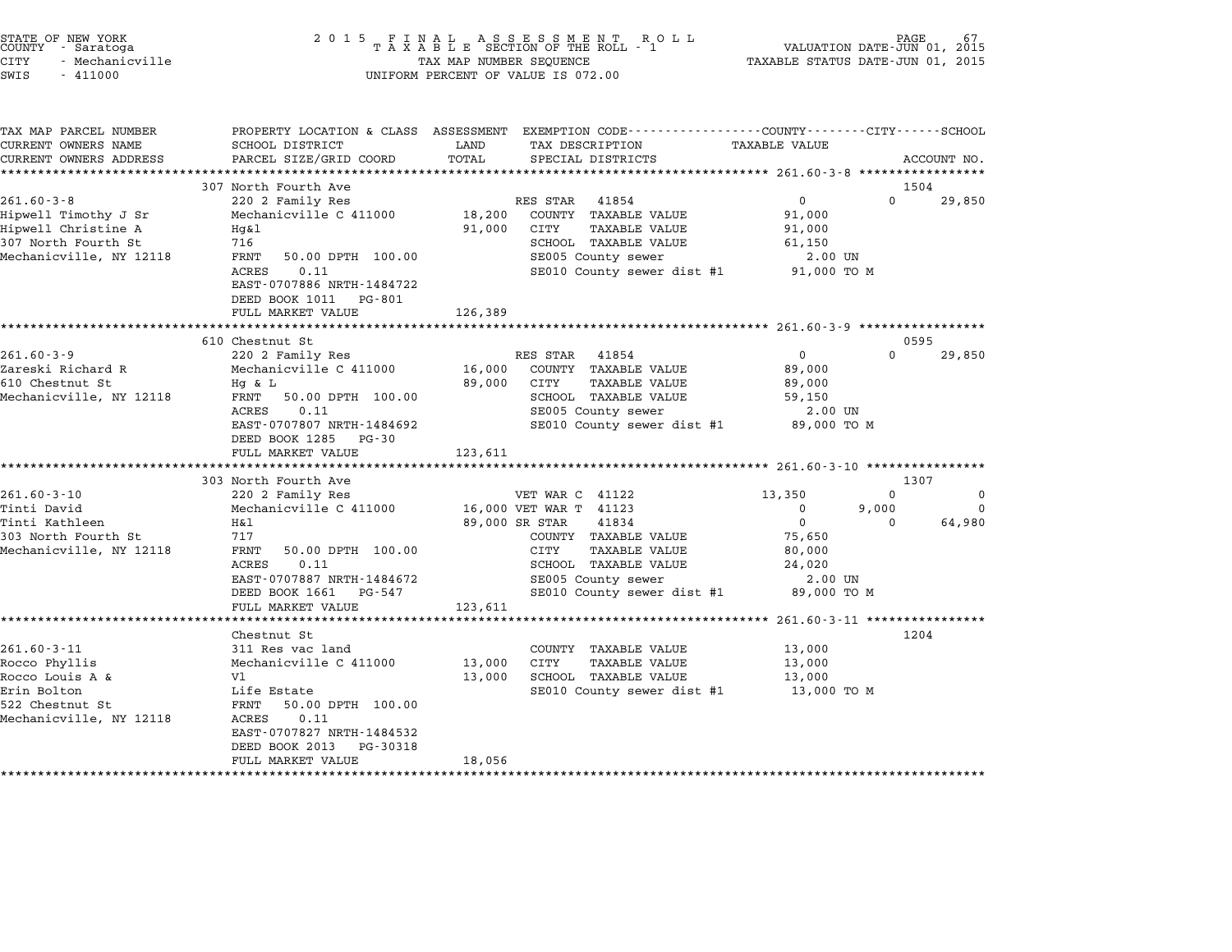| STATE OF NEW YORK<br>COUNTY<br>- Saratoga<br>CITY<br>- Mechanicville<br>$-411000$<br>SWIS                          | 2 0 1 5                                                                                                                                                                                                              | TAX MAP NUMBER SEQUENCE     | FINAL ASSESSMENT ROTAXABLE SECTION OF THE ROLL - 1<br>R O L L<br>UNIFORM PERCENT OF VALUE IS 072.00                                                                                                      | VALUATION DATE-JUN 01, 2015<br>TAXABLE STATUS DATE-JUN 01, 2015                    | PAGE                          |                         |
|--------------------------------------------------------------------------------------------------------------------|----------------------------------------------------------------------------------------------------------------------------------------------------------------------------------------------------------------------|-----------------------------|----------------------------------------------------------------------------------------------------------------------------------------------------------------------------------------------------------|------------------------------------------------------------------------------------|-------------------------------|-------------------------|
| TAX MAP PARCEL NUMBER<br>CURRENT OWNERS NAME<br>CURRENT OWNERS ADDRESS                                             | <b>SCHOOL DISTRICT</b><br>PARCEL SIZE/GRID COORD<br>**************************                                                                                                                                       | LAND<br>TOTAL               | PROPERTY LOCATION & CLASS ASSESSMENT EXEMPTION CODE----------------COUNTY-------CITY------SCHOOL<br>TAX DESCRIPTION<br>SPECIAL DISTRICTS                                                                 | TAXABLE VALUE                                                                      |                               | ACCOUNT NO.             |
| $261.60 - 3 - 8$<br>Hipwell Timothy J Sr<br>Hipwell Christine A<br>307 North Fourth St<br>Mechanicville, NY 12118  | 307 North Fourth Ave<br>220 2 Family Res<br>Mechanicville C 411000<br>Hq&l<br>716<br>FRNT<br>50.00 DPTH 100.00<br><b>ACRES</b><br>0.11<br>EAST-0707886 NRTH-1484722<br>DEED BOOK 1011<br>PG-801<br>FULL MARKET VALUE | 18,200<br>91,000<br>126,389 | RES STAR<br>41854<br>COUNTY TAXABLE VALUE<br>CITY<br>TAXABLE VALUE<br>SCHOOL TAXABLE VALUE<br>SE005 County sewer<br>SE010 County sewer dist #1                                                           | $\mathbf 0$<br>91,000<br>91,000<br>61,150<br>2.00 UN<br>91,000 TO M                | 1504<br>$\Omega$              | 29,850                  |
|                                                                                                                    | ***********************                                                                                                                                                                                              |                             |                                                                                                                                                                                                          |                                                                                    |                               |                         |
| $261.60 - 3 - 9$<br>Zareski Richard R<br>610 Chestnut St<br>Mechanicville, NY 12118                                | 610 Chestnut St<br>220 2 Family Res<br>Mechanicville C 411000<br>$Hg$ & $L$<br>FRNT<br>50.00 DPTH 100.00<br>ACRES<br>0.11<br>EAST-0707807 NRTH-1484692<br>DEED BOOK 1285<br>PG-30<br>FULL MARKET VALUE               | 16,000<br>89,000<br>123,611 | RES STAR<br>41854<br>COUNTY TAXABLE VALUE<br>CITY<br>TAXABLE VALUE<br>SCHOOL TAXABLE VALUE<br>SE005 County sewer<br>SE010 County sewer dist #1                                                           | 0<br>89,000<br>89,000<br>59,150<br>2.00 UN<br>89,000 TO M                          | $\Omega$                      | 0595<br>29,850          |
|                                                                                                                    | **********************************<br>303 North Fourth Ave                                                                                                                                                           |                             |                                                                                                                                                                                                          |                                                                                    | 1307                          |                         |
| $261.60 - 3 - 10$<br>Tinti David<br>Tinti Kathleen<br>303 North Fourth St<br>Mechanicville, NY 12118               | 220 2 Family Res<br>Mechanicville C 411000<br>H&l<br>717<br>FRNT<br>50.00 DPTH 100.00<br>ACRES<br>0.11<br>EAST-0707887 NRTH-1484672<br>DEED BOOK 1661<br>PG-547<br>FULL MARKET VALUE                                 | 123,611                     | VET WAR C 41122<br>16,000 VET WAR T 41123<br>89,000 SR STAR<br>41834<br>COUNTY TAXABLE VALUE<br>CITY<br><b>TAXABLE VALUE</b><br>SCHOOL TAXABLE VALUE<br>SE005 County sewer<br>SE010 County sewer dist #1 | 13,350<br>0<br>$\mathbf 0$<br>75,650<br>80,000<br>24,020<br>2.00 UN<br>89,000 TO M | $\Omega$<br>9,000<br>$\Omega$ | $\Omega$<br>0<br>64,980 |
| $261.60 - 3 - 11$<br>Rocco Phyllis<br>Rocco Louis A &<br>Erin Bolton<br>522 Chestnut St<br>Mechanicville, NY 12118 | Chestnut St<br>311 Res vac land<br>Mechanicville C 411000<br>V1<br>Life Estate<br>50.00 DPTH 100.00<br>FRNT<br><b>ACRES</b><br>0.11<br>EAST-0707827 NRTH-1484532<br>DEED BOOK 2013<br>PG-30318<br>FULL MARKET VALUE  | 13,000<br>13,000<br>18,056  | COUNTY TAXABLE VALUE<br><b>CITY</b><br><b>TAXABLE VALUE</b><br>SCHOOL TAXABLE VALUE<br>SE010 County sewer dist #1                                                                                        | 13,000<br>13,000<br>13,000<br>13,000 TO M                                          | 1204                          |                         |

end the NEW YORK (STATE OF NEW YORK)<br>2015 FINAL ASSESSMENT ROLL - 1 (PALUATION DATE-JUN 01, 2015<br>COUNTY - Saratoga (PALUATION OF THE ROLL - 1) (PALUATION DATE-JUN 01, 2015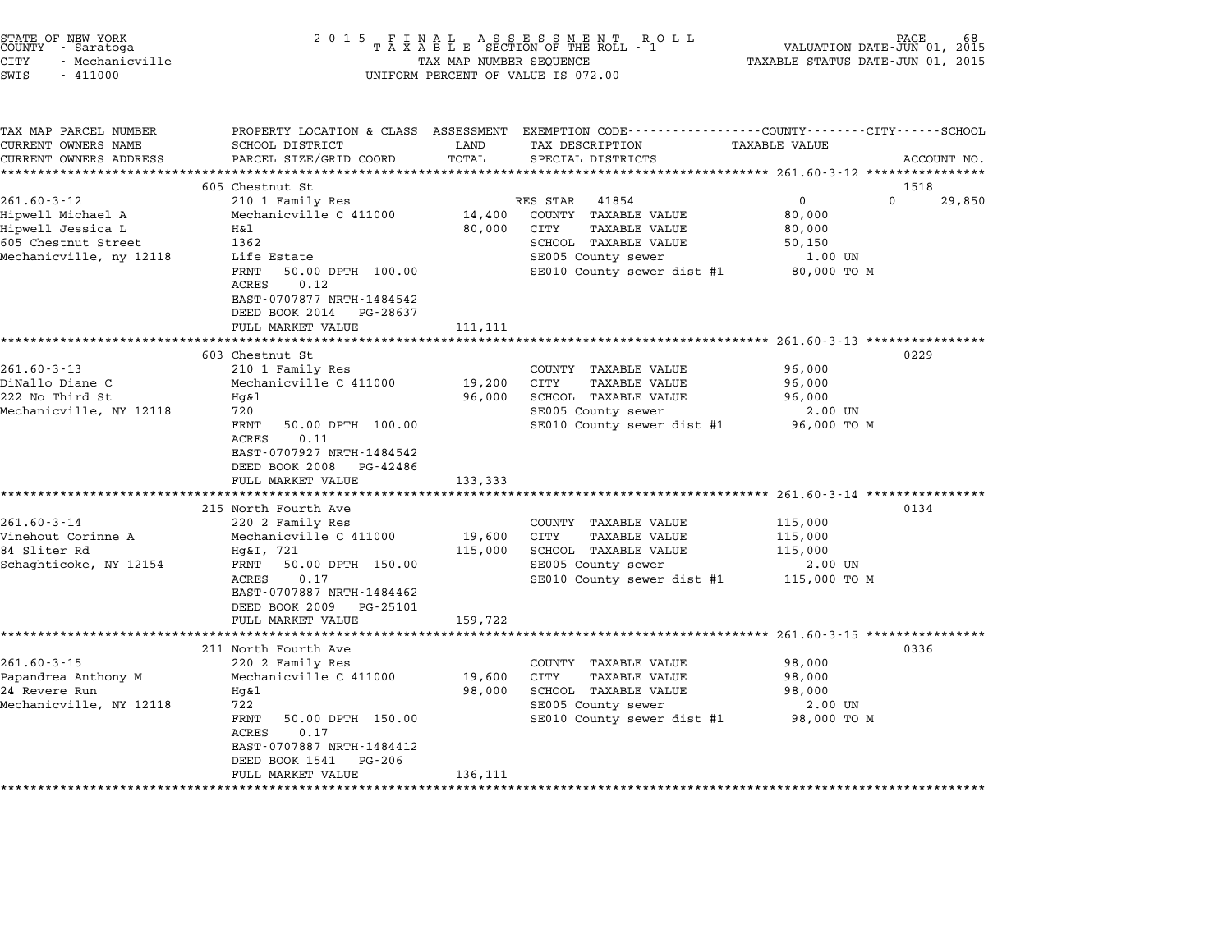| STATE OF NEW YORK<br>COUNTY - Saratoga<br><b>CITY</b><br>- Mechanicville<br>SWIS<br>$-411000$                 | 2 0 1 5                                                                                                                                                                                                                                                                                | TAX MAP NUMBER SEQUENCE      | FINAL ASSESSMENT ROTAXABLE SECTION OF THE ROLL - 1<br>R O L L<br>UNIFORM PERCENT OF VALUE IS 072.00                                                             | TAXABLE STATUS DATE-JUN 01, 2015                                                                                         | PAGE<br>VALUATION DATE-JUN 01, 2015 |
|---------------------------------------------------------------------------------------------------------------|----------------------------------------------------------------------------------------------------------------------------------------------------------------------------------------------------------------------------------------------------------------------------------------|------------------------------|-----------------------------------------------------------------------------------------------------------------------------------------------------------------|--------------------------------------------------------------------------------------------------------------------------|-------------------------------------|
| TAX MAP PARCEL NUMBER<br>CURRENT OWNERS NAME<br>CURRENT OWNERS ADDRESS                                        | PROPERTY LOCATION & CLASS ASSESSMENT<br>SCHOOL DISTRICT<br>PARCEL SIZE/GRID COORD<br>*************************                                                                                                                                                                         | LAND<br>TOTAL                | EXEMPTION CODE----------------COUNTY-------CITY------SCHOOL<br>TAX DESCRIPTION<br>SPECIAL DISTRICTS<br>**************************                               | TAXABLE VALUE<br>****************** 261.60-3-12 ****************                                                         | ACCOUNT NO.                         |
|                                                                                                               | 605 Chestnut St                                                                                                                                                                                                                                                                        |                              |                                                                                                                                                                 |                                                                                                                          | 1518                                |
| $261.60 - 3 - 12$<br>Hipwell Michael A<br>Hipwell Jessica L<br>605 Chestnut Street<br>Mechanicville, ny 12118 | 210 1 Family Res<br>Mechanicville C 411000<br>Η&l<br>1362<br>Life Estate<br>50.00 DPTH 100.00<br>FRNT<br>0.12<br>ACRES<br>EAST-0707877 NRTH-1484542                                                                                                                                    | 14,400<br>80,000             | RES STAR<br>41854<br>COUNTY TAXABLE VALUE<br>CITY<br><b>TAXABLE VALUE</b><br>SCHOOL TAXABLE VALUE<br>SE005 County sewer<br>SE010 County sewer dist #1           | $\mathbf{0}$<br>80,000<br>80,000<br>50,150<br>1.00 UN<br>80,000 TO M                                                     | $\Omega$<br>29,850                  |
|                                                                                                               | DEED BOOK 2014<br>PG-28637<br>FULL MARKET VALUE                                                                                                                                                                                                                                        | 111,111                      |                                                                                                                                                                 |                                                                                                                          |                                     |
| $261.60 - 3 - 13$<br>DiNallo Diane C<br>222 No Third St<br>Mechanicville, NY 12118<br>$261.60 - 3 - 14$       | 603 Chestnut St<br>210 1 Family Res<br>Mechanicville C 411000<br>$Hq\&1$<br>720<br>FRNT<br>50.00 DPTH 100.00<br>ACRES<br>0.11<br>EAST-0707927 NRTH-1484542<br>DEED BOOK 2008<br>PG-42486<br>FULL MARKET VALUE<br>*************************<br>215 North Fourth Ave<br>220 2 Family Res | 19,200<br>96,000<br>133,333  | COUNTY TAXABLE VALUE<br><b>CITY</b><br><b>TAXABLE VALUE</b><br>SCHOOL TAXABLE VALUE<br>SE005 County sewer<br>SE010 County sewer dist #1<br>COUNTY TAXABLE VALUE | ********************* 261.60-3-13 *****************<br>96,000<br>96,000<br>96,000<br>$2.00$ UN<br>96,000 TO M<br>115,000 | 0229<br>0134                        |
| Vinehout Corinne A<br>84 Sliter Rd<br>Schaghticoke, NY 12154                                                  | Mechanicville C 411000<br>Hg&I, 721<br>FRNT<br>50.00 DPTH 150.00<br>ACRES<br>0.17<br>EAST-0707887 NRTH-1484462<br>DEED BOOK 2009<br>PG-25101<br>FULL MARKET VALUE                                                                                                                      | 19,600<br>115,000<br>159,722 | CITY<br><b>TAXABLE VALUE</b><br>SCHOOL TAXABLE VALUE<br>SE005 County sewer<br>SE010 County sewer dist #1                                                        | 115,000<br>115,000<br>2.00 UN<br>115,000 TO M                                                                            |                                     |
|                                                                                                               | ********************                                                                                                                                                                                                                                                                   |                              |                                                                                                                                                                 | **********                                                                                                               | $261.60 - 3 - 15$ **************    |
| $261.60 - 3 - 15$<br>Papandrea Anthony M<br>24 Revere Run<br>Mechanicville, NY 12118                          | 211 North Fourth Ave<br>220 2 Family Res<br>Mechanicville C 411000<br>Hq&l<br>722<br>FRNT<br>50.00 DPTH 150.00<br><b>ACRES</b><br>0.17<br>EAST-0707887 NRTH-1484412<br>DEED BOOK 1541<br>PG-206<br>FULL MARKET VALUE                                                                   | 19,600<br>98,000<br>136,111  | COUNTY TAXABLE VALUE<br>CITY<br>TAXABLE VALUE<br>SCHOOL TAXABLE VALUE<br>SE005 County sewer<br>SE010 County sewer dist #1                                       | 98,000<br>98,000<br>98,000<br>2.00 UN<br>98,000 TO M                                                                     | 0336                                |

end the New York (STATE OF NEW YORK)<br>2015 FINAL ASSESSMENT ROLL - 1 (PALUATION DATE-JUN 01, 2015<br>COUNTY - Saratoga (PALUATION OF THE ROLL - 1) (PALUATION DATE-JUN 01, 2015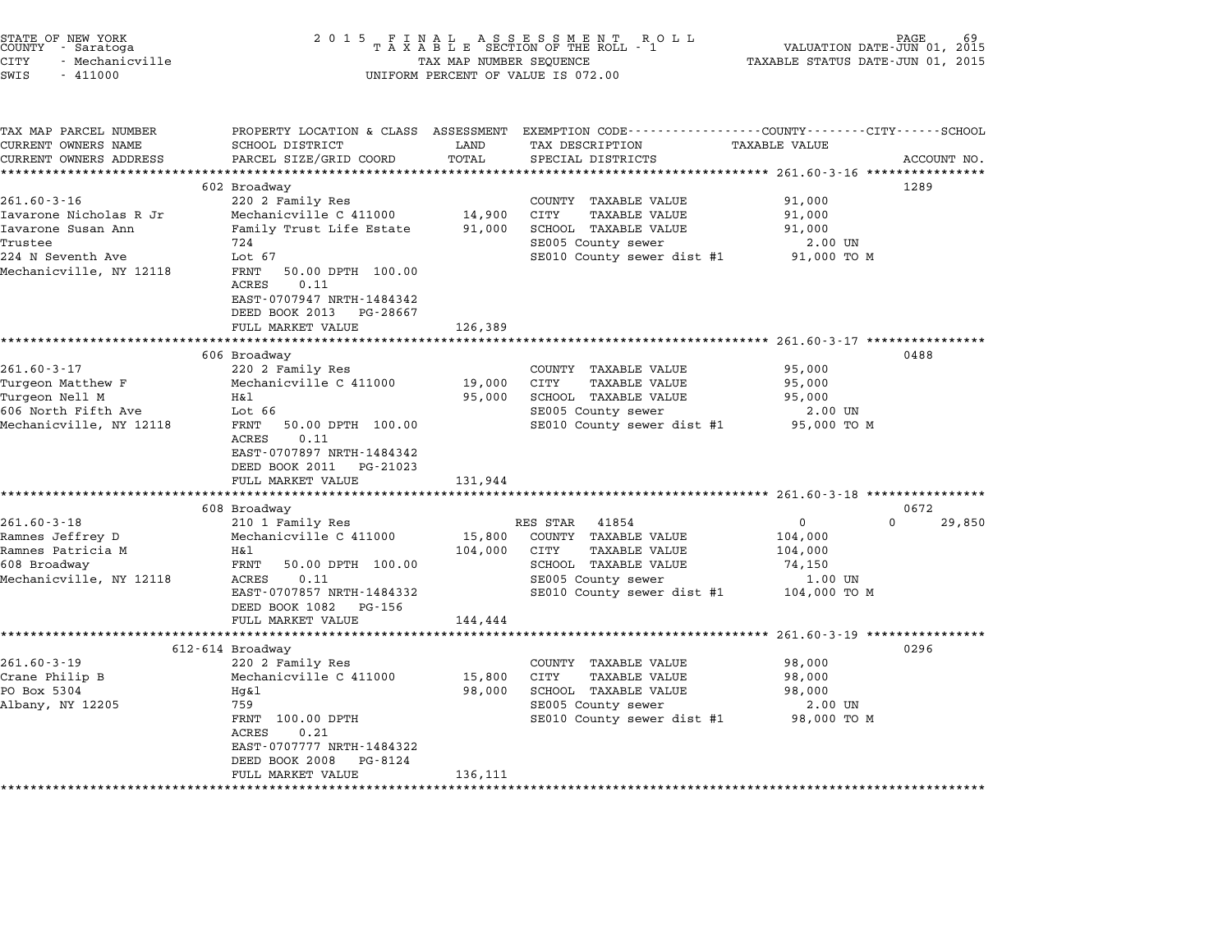| STATE OF NEW YORK |  |            |                 |  |
|-------------------|--|------------|-----------------|--|
| COUNTY            |  | - Saratoga |                 |  |
| CITY              |  |            | - Mechanicville |  |

## STATE OF NEW YORK <sup>2</sup> <sup>0</sup> <sup>1</sup> 5 F I N A L A S S E S S M E N T R O L L PAGE <sup>69</sup> COUNTY - Saratoga <sup>T</sup> <sup>A</sup> <sup>X</sup> <sup>A</sup> <sup>B</sup> <sup>L</sup> <sup>E</sup> SECTION OF THE ROLL - <sup>1</sup> VALUATION DATE-JUN 01, <sup>2015</sup> CITY - Mechanicville TAX MAP NUMBER SEQUENCE TAXABLE STATUS DATE-JUN 01, <sup>2015</sup> SWIS - <sup>411000</sup> UNIFORM PERCENT OF VALUE IS 072.00

| EXEMPTION CODE-----------------COUNTY-------CITY------SCHOOL<br>TAX MAP PARCEL NUMBER<br>PROPERTY LOCATION & CLASS ASSESSMENT<br>SCHOOL DISTRICT<br>LAND<br>TAX DESCRIPTION<br><b>TAXABLE VALUE</b> |          |             |
|-----------------------------------------------------------------------------------------------------------------------------------------------------------------------------------------------------|----------|-------------|
|                                                                                                                                                                                                     |          |             |
| CURRENT OWNERS NAME                                                                                                                                                                                 |          |             |
| TOTAL<br>CURRENT OWNERS ADDRESS<br>PARCEL SIZE/GRID COORD<br>SPECIAL DISTRICTS                                                                                                                      |          | ACCOUNT NO. |
| *************************                                                                                                                                                                           |          |             |
| 602 Broadway                                                                                                                                                                                        | 1289     |             |
| $261.60 - 3 - 16$<br>220 2 Family Res<br>91,000<br>COUNTY TAXABLE VALUE                                                                                                                             |          |             |
| Mechanicville C 411000<br>14,900<br><b>CITY</b><br>Iavarone Nicholas R Jr<br><b>TAXABLE VALUE</b><br>91,000<br>Iavarone Susan Ann<br>91,000                                                         |          |             |
| Family Trust Life Estate<br>91,000<br>SCHOOL TAXABLE VALUE<br>Trustee<br>724                                                                                                                        |          |             |
| SE005 County sewer<br>2.00 UN<br>224 N Seventh Ave<br>Lot 67<br>SE010 County sewer dist #1<br>91,000 TO M                                                                                           |          |             |
| Mechanicville, NY 12118<br>FRNT<br>50.00 DPTH 100.00<br>0.11<br>ACRES<br>EAST-0707947 NRTH-1484342<br>DEED BOOK 2013<br>PG-28667                                                                    |          |             |
| FULL MARKET VALUE<br>126,389                                                                                                                                                                        |          |             |
|                                                                                                                                                                                                     |          |             |
| 606 Broadway                                                                                                                                                                                        | 0488     |             |
| $261.60 - 3 - 17$<br>220 2 Family Res<br>95,000<br>COUNTY TAXABLE VALUE                                                                                                                             |          |             |
| Turgeon Matthew F<br>Mechanicville C 411000<br>19,000<br>CITY<br><b>TAXABLE VALUE</b><br>95,000<br>SCHOOL TAXABLE VALUE<br>Η&l                                                                      |          |             |
| Turgeon Nell M<br>95,000<br>95,000<br>606 North Fifth Ave<br>Lot 66<br>SE005 County sewer                                                                                                           |          |             |
| 2.00 UN<br>Mechanicville, NY 12118<br>SE010 County sewer dist #1<br>FRNT<br>50.00 DPTH 100.00<br>95,000 TO M                                                                                        |          |             |
| 0.11<br>ACRES<br>EAST-0707897 NRTH-1484342<br>DEED BOOK 2011<br>PG-21023<br>FULL MARKET VALUE<br>131,944                                                                                            |          |             |
|                                                                                                                                                                                                     |          |             |
| 608 Broadway                                                                                                                                                                                        | 0672     |             |
| $261.60 - 3 - 18$<br>210 1 Family Res<br>$\Omega$<br>RES STAR<br>41854                                                                                                                              | $\Omega$ | 29,850      |
| Mechanicville C 411000<br>15,800<br>Ramnes Jeffrey D<br>COUNTY TAXABLE VALUE<br>104,000                                                                                                             |          |             |
| Ramnes Patricia M<br><b>TAXABLE VALUE</b><br>H&l<br>104,000<br>CITY<br>104,000<br>608 Broadway<br>FRNT<br>50.00 DPTH 100.00<br>SCHOOL TAXABLE VALUE<br>74,150                                       |          |             |
| Mechanicville, NY 12118<br>ACRES<br>0.11<br>SE005 County sewer<br>1.00 UN                                                                                                                           |          |             |
| SE010 County sewer dist #1<br>EAST-0707857 NRTH-1484332<br>104,000 TO M                                                                                                                             |          |             |
| DEED BOOK 1082<br>PG-156<br>144,444<br>FULL MARKET VALUE                                                                                                                                            |          |             |
|                                                                                                                                                                                                     |          |             |
| 612-614 Broadway                                                                                                                                                                                    | 0296     |             |
| $261.60 - 3 - 19$<br>220 2 Family Res<br>COUNTY TAXABLE VALUE<br>98,000                                                                                                                             |          |             |
| Mechanicville C 411000<br>15,800<br>Crane Philip B<br>CITY<br><b>TAXABLE VALUE</b><br>98,000                                                                                                        |          |             |
| PO Box 5304<br>98,000<br>SCHOOL TAXABLE VALUE<br>Hq&l<br>98,000                                                                                                                                     |          |             |
| 759<br>Albany, NY 12205<br>SE005 County sewer<br>2.00 UN                                                                                                                                            |          |             |
| SE010 County sewer dist #1<br>FRNT 100.00 DPTH<br>98,000 TO M<br>0.21<br>ACRES                                                                                                                      |          |             |
| EAST-0707777 NRTH-1484322                                                                                                                                                                           |          |             |
|                                                                                                                                                                                                     |          |             |
| DEED BOOK 2008<br>PG-8124<br>FULL MARKET VALUE<br>136,111                                                                                                                                           |          |             |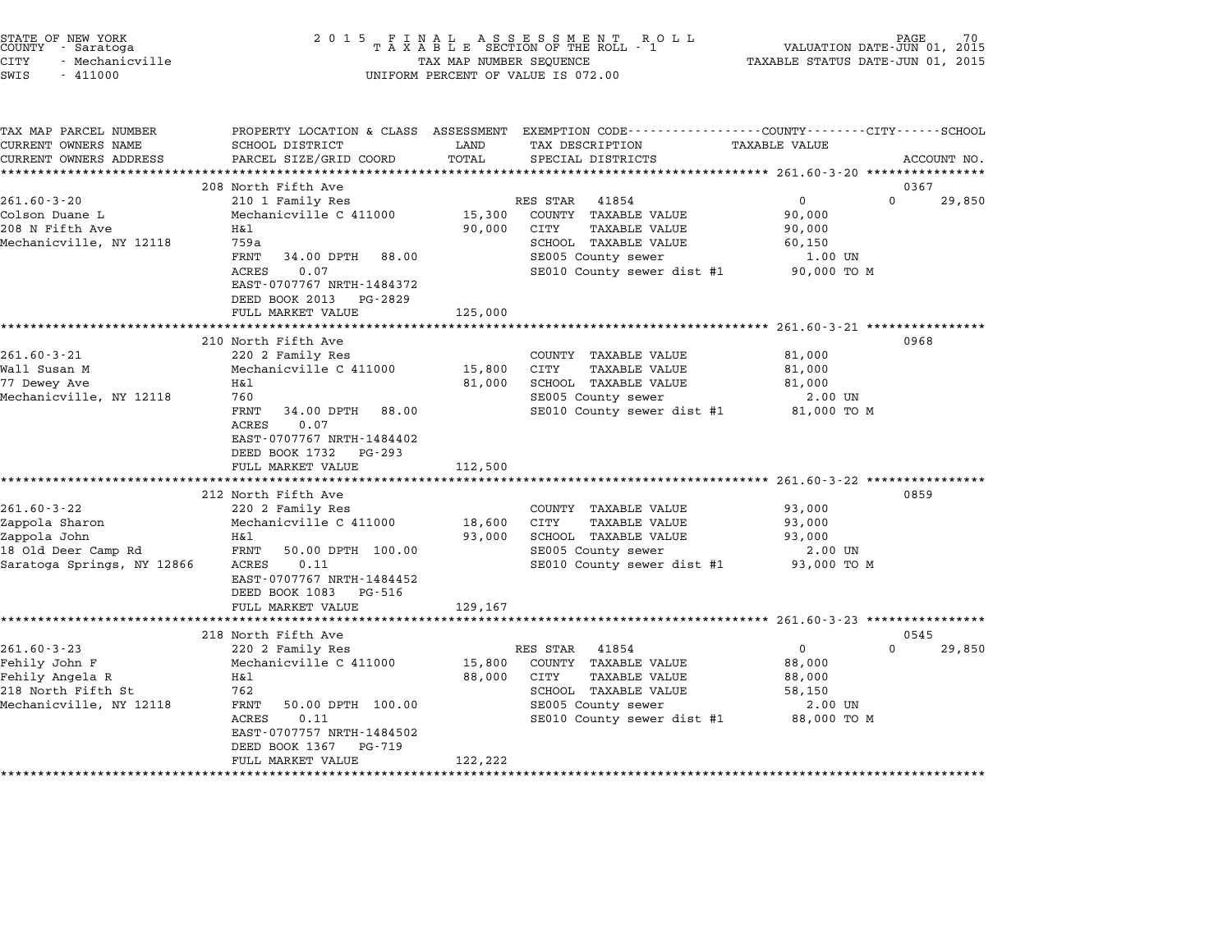| PROPERTY LOCATION & CLASS ASSESSMENT EXEMPTION CODE----------------COUNTY-------CITY------SCHOOL<br>SCHOOL DISTRICT<br>LAND<br>TAX DESCRIPTION<br>TAXABLE VALUE<br>CURRENT OWNERS ADDRESS<br>PARCEL SIZE/GRID COORD<br>TOTAL<br>SPECIAL DISTRICTS<br>ACCOUNT NO.<br>************************<br>208 North Fifth Ave<br>0367<br>$\Omega$<br>29,850<br>210 1 Family Res<br>RES STAR<br>41854<br>0<br>15,300<br>COUNTY TAXABLE VALUE<br>Mechanicville C 411000<br>90,000<br>90,000<br><b>TAXABLE VALUE</b><br>Η&l<br>CITY<br>90,000<br>SCHOOL TAXABLE VALUE<br>759a<br>60,150<br>FRNT<br>34.00 DPTH<br>88.00<br>SE005 County sewer<br>1.00 UN<br>ACRES<br>0.07<br>SE010 County sewer dist #1<br>90,000 TO M<br>EAST-0707767 NRTH-1484372<br>DEED BOOK 2013<br>PG-2829<br>FULL MARKET VALUE<br>125,000<br>210 North Fifth Ave<br>0968<br>$261.60 - 3 - 21$<br>220 2 Family Res<br>81,000<br>COUNTY TAXABLE VALUE<br>Wall Susan M<br>Mechanicville C 411000<br>15,800<br>CITY<br>TAXABLE VALUE<br>81,000<br>77 Dewey Ave<br>Η&l<br>SCHOOL TAXABLE VALUE<br>81,000<br>81,000<br>760<br>SE005 County sewer<br>2.00 UN<br>FRNT<br>34.00 DPTH<br>SE010 County sewer dist #1<br>81,000 TO M<br>88.00<br>0.07<br>ACRES<br>EAST-0707767 NRTH-1484402<br>DEED BOOK 1732<br>PG-293<br>FULL MARKET VALUE<br>112,500<br>**********************<br>0859<br>212 North Fifth Ave<br>$261.60 - 3 - 22$<br>220 2 Family Res<br>COUNTY TAXABLE VALUE<br>93,000<br>Zappola Sharon<br>Mechanicville C 411000<br>18,600<br>CITY<br><b>TAXABLE VALUE</b><br>93,000<br>93,000<br>SCHOOL TAXABLE VALUE<br>Zappola John<br>H&l<br>93,000<br>18 Old Deer Camp Rd<br>FRNT<br>50.00 DPTH 100.00<br>SE005 County sewer<br>2.00 UN<br>SE010 County sewer dist #1<br>93,000 TO M<br>ACRES<br>0.11<br>EAST-0707767 NRTH-1484452<br>DEED BOOK 1083<br>PG-516<br>FULL MARKET VALUE<br>129,167<br>************************<br>218 North Fifth Ave<br>0545<br>$261.60 - 3 - 23$<br>$\mathsf{O}$<br>$\mathbf 0$<br>29,850<br>220 2 Family Res<br>RES STAR<br>41854<br>Fehily John F<br>Mechanicville C 411000<br>15,800<br>COUNTY TAXABLE VALUE<br>88,000<br>88,000<br><b>TAXABLE VALUE</b><br>Fehily Angela R<br>H&l<br>CITY<br>88,000<br>762<br>SCHOOL TAXABLE VALUE<br>58,150<br>FRNT<br>50.00 DPTH 100.00<br>SE005 County sewer<br>2.00 UN<br>ACRES<br>0.11<br>SE010 County sewer dist #1<br>88,000 TO M<br>EAST-0707757 NRTH-1484502<br>DEED BOOK 1367<br>PG-719<br>FULL MARKET VALUE<br>122,222 | STATE OF NEW YORK<br>COUNTY - Saratoga<br><b>CITY</b><br>- Mechanicville<br>SWIS<br>$-411000$ | 2 0 1 5 | TAX MAP NUMBER SEQUENCE | FINAL ASSESSMENT RO<br>TAXABLE SECTION OF THE ROLL - 1<br>R O L L<br>UNIFORM PERCENT OF VALUE IS 072.00 | PAGE<br>VALUATION DATE-JUN 01, 2015<br>TAXABLE STATUS DATE-JUN 01, 2015 |  |
|--------------------------------------------------------------------------------------------------------------------------------------------------------------------------------------------------------------------------------------------------------------------------------------------------------------------------------------------------------------------------------------------------------------------------------------------------------------------------------------------------------------------------------------------------------------------------------------------------------------------------------------------------------------------------------------------------------------------------------------------------------------------------------------------------------------------------------------------------------------------------------------------------------------------------------------------------------------------------------------------------------------------------------------------------------------------------------------------------------------------------------------------------------------------------------------------------------------------------------------------------------------------------------------------------------------------------------------------------------------------------------------------------------------------------------------------------------------------------------------------------------------------------------------------------------------------------------------------------------------------------------------------------------------------------------------------------------------------------------------------------------------------------------------------------------------------------------------------------------------------------------------------------------------------------------------------------------------------------------------------------------------------------------------------------------------------------------------------------------------------------------------------------------------------------------------------------------------------------------------------------------------------------------------------------------------------------------------------------------------------------------------------------------------------------------------------------------------|-----------------------------------------------------------------------------------------------|---------|-------------------------|---------------------------------------------------------------------------------------------------------|-------------------------------------------------------------------------|--|
|                                                                                                                                                                                                                                                                                                                                                                                                                                                                                                                                                                                                                                                                                                                                                                                                                                                                                                                                                                                                                                                                                                                                                                                                                                                                                                                                                                                                                                                                                                                                                                                                                                                                                                                                                                                                                                                                                                                                                                                                                                                                                                                                                                                                                                                                                                                                                                                                                                                              | TAX MAP PARCEL NUMBER<br>CURRENT OWNERS NAME                                                  |         |                         |                                                                                                         |                                                                         |  |
|                                                                                                                                                                                                                                                                                                                                                                                                                                                                                                                                                                                                                                                                                                                                                                                                                                                                                                                                                                                                                                                                                                                                                                                                                                                                                                                                                                                                                                                                                                                                                                                                                                                                                                                                                                                                                                                                                                                                                                                                                                                                                                                                                                                                                                                                                                                                                                                                                                                              |                                                                                               |         |                         |                                                                                                         |                                                                         |  |
|                                                                                                                                                                                                                                                                                                                                                                                                                                                                                                                                                                                                                                                                                                                                                                                                                                                                                                                                                                                                                                                                                                                                                                                                                                                                                                                                                                                                                                                                                                                                                                                                                                                                                                                                                                                                                                                                                                                                                                                                                                                                                                                                                                                                                                                                                                                                                                                                                                                              | $261.60 - 3 - 20$                                                                             |         |                         |                                                                                                         |                                                                         |  |
|                                                                                                                                                                                                                                                                                                                                                                                                                                                                                                                                                                                                                                                                                                                                                                                                                                                                                                                                                                                                                                                                                                                                                                                                                                                                                                                                                                                                                                                                                                                                                                                                                                                                                                                                                                                                                                                                                                                                                                                                                                                                                                                                                                                                                                                                                                                                                                                                                                                              | Colson Duane L<br>208 N Fifth Ave                                                             |         |                         |                                                                                                         |                                                                         |  |
|                                                                                                                                                                                                                                                                                                                                                                                                                                                                                                                                                                                                                                                                                                                                                                                                                                                                                                                                                                                                                                                                                                                                                                                                                                                                                                                                                                                                                                                                                                                                                                                                                                                                                                                                                                                                                                                                                                                                                                                                                                                                                                                                                                                                                                                                                                                                                                                                                                                              | Mechanicville, NY 12118                                                                       |         |                         |                                                                                                         |                                                                         |  |
|                                                                                                                                                                                                                                                                                                                                                                                                                                                                                                                                                                                                                                                                                                                                                                                                                                                                                                                                                                                                                                                                                                                                                                                                                                                                                                                                                                                                                                                                                                                                                                                                                                                                                                                                                                                                                                                                                                                                                                                                                                                                                                                                                                                                                                                                                                                                                                                                                                                              |                                                                                               |         |                         |                                                                                                         |                                                                         |  |
|                                                                                                                                                                                                                                                                                                                                                                                                                                                                                                                                                                                                                                                                                                                                                                                                                                                                                                                                                                                                                                                                                                                                                                                                                                                                                                                                                                                                                                                                                                                                                                                                                                                                                                                                                                                                                                                                                                                                                                                                                                                                                                                                                                                                                                                                                                                                                                                                                                                              |                                                                                               |         |                         |                                                                                                         |                                                                         |  |
|                                                                                                                                                                                                                                                                                                                                                                                                                                                                                                                                                                                                                                                                                                                                                                                                                                                                                                                                                                                                                                                                                                                                                                                                                                                                                                                                                                                                                                                                                                                                                                                                                                                                                                                                                                                                                                                                                                                                                                                                                                                                                                                                                                                                                                                                                                                                                                                                                                                              |                                                                                               |         |                         |                                                                                                         |                                                                         |  |
|                                                                                                                                                                                                                                                                                                                                                                                                                                                                                                                                                                                                                                                                                                                                                                                                                                                                                                                                                                                                                                                                                                                                                                                                                                                                                                                                                                                                                                                                                                                                                                                                                                                                                                                                                                                                                                                                                                                                                                                                                                                                                                                                                                                                                                                                                                                                                                                                                                                              |                                                                                               |         |                         |                                                                                                         |                                                                         |  |
|                                                                                                                                                                                                                                                                                                                                                                                                                                                                                                                                                                                                                                                                                                                                                                                                                                                                                                                                                                                                                                                                                                                                                                                                                                                                                                                                                                                                                                                                                                                                                                                                                                                                                                                                                                                                                                                                                                                                                                                                                                                                                                                                                                                                                                                                                                                                                                                                                                                              |                                                                                               |         |                         |                                                                                                         |                                                                         |  |
|                                                                                                                                                                                                                                                                                                                                                                                                                                                                                                                                                                                                                                                                                                                                                                                                                                                                                                                                                                                                                                                                                                                                                                                                                                                                                                                                                                                                                                                                                                                                                                                                                                                                                                                                                                                                                                                                                                                                                                                                                                                                                                                                                                                                                                                                                                                                                                                                                                                              |                                                                                               |         |                         |                                                                                                         |                                                                         |  |
|                                                                                                                                                                                                                                                                                                                                                                                                                                                                                                                                                                                                                                                                                                                                                                                                                                                                                                                                                                                                                                                                                                                                                                                                                                                                                                                                                                                                                                                                                                                                                                                                                                                                                                                                                                                                                                                                                                                                                                                                                                                                                                                                                                                                                                                                                                                                                                                                                                                              | Mechanicville, NY 12118                                                                       |         |                         |                                                                                                         |                                                                         |  |
|                                                                                                                                                                                                                                                                                                                                                                                                                                                                                                                                                                                                                                                                                                                                                                                                                                                                                                                                                                                                                                                                                                                                                                                                                                                                                                                                                                                                                                                                                                                                                                                                                                                                                                                                                                                                                                                                                                                                                                                                                                                                                                                                                                                                                                                                                                                                                                                                                                                              |                                                                                               |         |                         |                                                                                                         |                                                                         |  |
|                                                                                                                                                                                                                                                                                                                                                                                                                                                                                                                                                                                                                                                                                                                                                                                                                                                                                                                                                                                                                                                                                                                                                                                                                                                                                                                                                                                                                                                                                                                                                                                                                                                                                                                                                                                                                                                                                                                                                                                                                                                                                                                                                                                                                                                                                                                                                                                                                                                              |                                                                                               |         |                         |                                                                                                         |                                                                         |  |
|                                                                                                                                                                                                                                                                                                                                                                                                                                                                                                                                                                                                                                                                                                                                                                                                                                                                                                                                                                                                                                                                                                                                                                                                                                                                                                                                                                                                                                                                                                                                                                                                                                                                                                                                                                                                                                                                                                                                                                                                                                                                                                                                                                                                                                                                                                                                                                                                                                                              |                                                                                               |         |                         |                                                                                                         |                                                                         |  |
|                                                                                                                                                                                                                                                                                                                                                                                                                                                                                                                                                                                                                                                                                                                                                                                                                                                                                                                                                                                                                                                                                                                                                                                                                                                                                                                                                                                                                                                                                                                                                                                                                                                                                                                                                                                                                                                                                                                                                                                                                                                                                                                                                                                                                                                                                                                                                                                                                                                              |                                                                                               |         |                         |                                                                                                         |                                                                         |  |
|                                                                                                                                                                                                                                                                                                                                                                                                                                                                                                                                                                                                                                                                                                                                                                                                                                                                                                                                                                                                                                                                                                                                                                                                                                                                                                                                                                                                                                                                                                                                                                                                                                                                                                                                                                                                                                                                                                                                                                                                                                                                                                                                                                                                                                                                                                                                                                                                                                                              |                                                                                               |         |                         |                                                                                                         |                                                                         |  |
|                                                                                                                                                                                                                                                                                                                                                                                                                                                                                                                                                                                                                                                                                                                                                                                                                                                                                                                                                                                                                                                                                                                                                                                                                                                                                                                                                                                                                                                                                                                                                                                                                                                                                                                                                                                                                                                                                                                                                                                                                                                                                                                                                                                                                                                                                                                                                                                                                                                              |                                                                                               |         |                         |                                                                                                         |                                                                         |  |
|                                                                                                                                                                                                                                                                                                                                                                                                                                                                                                                                                                                                                                                                                                                                                                                                                                                                                                                                                                                                                                                                                                                                                                                                                                                                                                                                                                                                                                                                                                                                                                                                                                                                                                                                                                                                                                                                                                                                                                                                                                                                                                                                                                                                                                                                                                                                                                                                                                                              |                                                                                               |         |                         |                                                                                                         |                                                                         |  |
|                                                                                                                                                                                                                                                                                                                                                                                                                                                                                                                                                                                                                                                                                                                                                                                                                                                                                                                                                                                                                                                                                                                                                                                                                                                                                                                                                                                                                                                                                                                                                                                                                                                                                                                                                                                                                                                                                                                                                                                                                                                                                                                                                                                                                                                                                                                                                                                                                                                              |                                                                                               |         |                         |                                                                                                         |                                                                         |  |
|                                                                                                                                                                                                                                                                                                                                                                                                                                                                                                                                                                                                                                                                                                                                                                                                                                                                                                                                                                                                                                                                                                                                                                                                                                                                                                                                                                                                                                                                                                                                                                                                                                                                                                                                                                                                                                                                                                                                                                                                                                                                                                                                                                                                                                                                                                                                                                                                                                                              | Saratoga Springs, NY 12866                                                                    |         |                         |                                                                                                         |                                                                         |  |
|                                                                                                                                                                                                                                                                                                                                                                                                                                                                                                                                                                                                                                                                                                                                                                                                                                                                                                                                                                                                                                                                                                                                                                                                                                                                                                                                                                                                                                                                                                                                                                                                                                                                                                                                                                                                                                                                                                                                                                                                                                                                                                                                                                                                                                                                                                                                                                                                                                                              |                                                                                               |         |                         |                                                                                                         |                                                                         |  |
|                                                                                                                                                                                                                                                                                                                                                                                                                                                                                                                                                                                                                                                                                                                                                                                                                                                                                                                                                                                                                                                                                                                                                                                                                                                                                                                                                                                                                                                                                                                                                                                                                                                                                                                                                                                                                                                                                                                                                                                                                                                                                                                                                                                                                                                                                                                                                                                                                                                              |                                                                                               |         |                         |                                                                                                         |                                                                         |  |
|                                                                                                                                                                                                                                                                                                                                                                                                                                                                                                                                                                                                                                                                                                                                                                                                                                                                                                                                                                                                                                                                                                                                                                                                                                                                                                                                                                                                                                                                                                                                                                                                                                                                                                                                                                                                                                                                                                                                                                                                                                                                                                                                                                                                                                                                                                                                                                                                                                                              |                                                                                               |         |                         |                                                                                                         |                                                                         |  |
|                                                                                                                                                                                                                                                                                                                                                                                                                                                                                                                                                                                                                                                                                                                                                                                                                                                                                                                                                                                                                                                                                                                                                                                                                                                                                                                                                                                                                                                                                                                                                                                                                                                                                                                                                                                                                                                                                                                                                                                                                                                                                                                                                                                                                                                                                                                                                                                                                                                              |                                                                                               |         |                         |                                                                                                         |                                                                         |  |
|                                                                                                                                                                                                                                                                                                                                                                                                                                                                                                                                                                                                                                                                                                                                                                                                                                                                                                                                                                                                                                                                                                                                                                                                                                                                                                                                                                                                                                                                                                                                                                                                                                                                                                                                                                                                                                                                                                                                                                                                                                                                                                                                                                                                                                                                                                                                                                                                                                                              |                                                                                               |         |                         |                                                                                                         |                                                                         |  |
|                                                                                                                                                                                                                                                                                                                                                                                                                                                                                                                                                                                                                                                                                                                                                                                                                                                                                                                                                                                                                                                                                                                                                                                                                                                                                                                                                                                                                                                                                                                                                                                                                                                                                                                                                                                                                                                                                                                                                                                                                                                                                                                                                                                                                                                                                                                                                                                                                                                              |                                                                                               |         |                         |                                                                                                         |                                                                         |  |
|                                                                                                                                                                                                                                                                                                                                                                                                                                                                                                                                                                                                                                                                                                                                                                                                                                                                                                                                                                                                                                                                                                                                                                                                                                                                                                                                                                                                                                                                                                                                                                                                                                                                                                                                                                                                                                                                                                                                                                                                                                                                                                                                                                                                                                                                                                                                                                                                                                                              | 218 North Fifth St                                                                            |         |                         |                                                                                                         |                                                                         |  |
|                                                                                                                                                                                                                                                                                                                                                                                                                                                                                                                                                                                                                                                                                                                                                                                                                                                                                                                                                                                                                                                                                                                                                                                                                                                                                                                                                                                                                                                                                                                                                                                                                                                                                                                                                                                                                                                                                                                                                                                                                                                                                                                                                                                                                                                                                                                                                                                                                                                              | Mechanicville, NY 12118                                                                       |         |                         |                                                                                                         |                                                                         |  |
|                                                                                                                                                                                                                                                                                                                                                                                                                                                                                                                                                                                                                                                                                                                                                                                                                                                                                                                                                                                                                                                                                                                                                                                                                                                                                                                                                                                                                                                                                                                                                                                                                                                                                                                                                                                                                                                                                                                                                                                                                                                                                                                                                                                                                                                                                                                                                                                                                                                              |                                                                                               |         |                         |                                                                                                         |                                                                         |  |
|                                                                                                                                                                                                                                                                                                                                                                                                                                                                                                                                                                                                                                                                                                                                                                                                                                                                                                                                                                                                                                                                                                                                                                                                                                                                                                                                                                                                                                                                                                                                                                                                                                                                                                                                                                                                                                                                                                                                                                                                                                                                                                                                                                                                                                                                                                                                                                                                                                                              |                                                                                               |         |                         |                                                                                                         |                                                                         |  |
|                                                                                                                                                                                                                                                                                                                                                                                                                                                                                                                                                                                                                                                                                                                                                                                                                                                                                                                                                                                                                                                                                                                                                                                                                                                                                                                                                                                                                                                                                                                                                                                                                                                                                                                                                                                                                                                                                                                                                                                                                                                                                                                                                                                                                                                                                                                                                                                                                                                              |                                                                                               |         |                         |                                                                                                         |                                                                         |  |
|                                                                                                                                                                                                                                                                                                                                                                                                                                                                                                                                                                                                                                                                                                                                                                                                                                                                                                                                                                                                                                                                                                                                                                                                                                                                                                                                                                                                                                                                                                                                                                                                                                                                                                                                                                                                                                                                                                                                                                                                                                                                                                                                                                                                                                                                                                                                                                                                                                                              |                                                                                               |         |                         |                                                                                                         |                                                                         |  |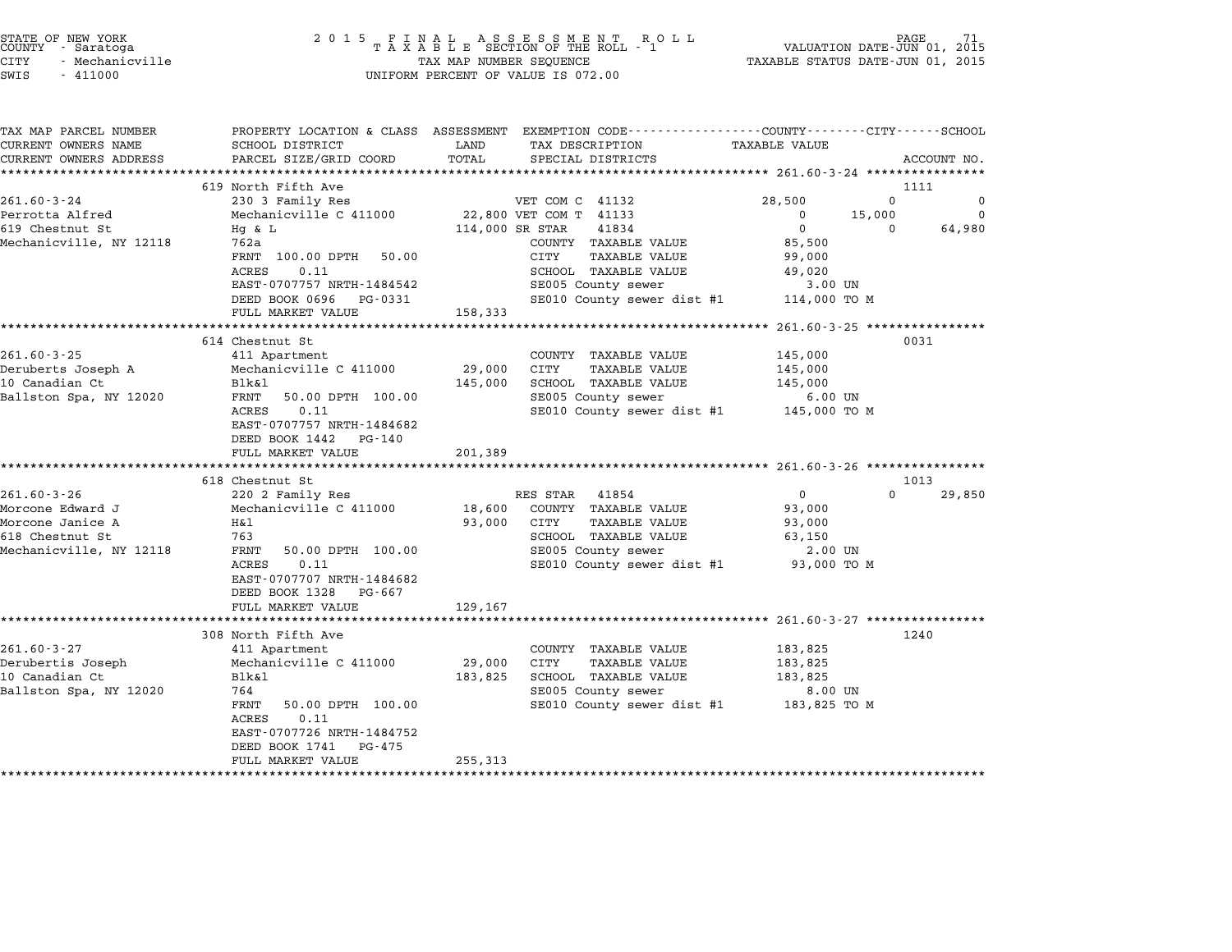| ounii aaratoga<br>CITY<br>- Mechanicville<br>SWIS<br>$-411000$         |                                                                                                                                   | I A A A B B B BECILON OF THE ROLL - I<br>TAX MAP NUMBER SEQUENCE<br>UNIFORM PERCENT OF VALUE IS 072.00                                            | VALUAIIUN DAIE-UUN VI, 2015<br>TAXABLE STATUS DATE-JUN 01, 2015 |             |
|------------------------------------------------------------------------|-----------------------------------------------------------------------------------------------------------------------------------|---------------------------------------------------------------------------------------------------------------------------------------------------|-----------------------------------------------------------------|-------------|
| TAX MAP PARCEL NUMBER<br>CURRENT OWNERS NAME<br>CURRENT OWNERS ADDRESS | SCHOOL DISTRICT LAND<br>PARCEL SIZE/GRID COORD                                                                                    | PROPERTY LOCATION & CLASS ASSESSMENT EXEMPTION CODE----------------COUNTY-------CITY------SCHOOL<br>TAX DESCRIPTION<br>TOTAL<br>SPECIAL DISTRICTS | TAXABLE VALUE                                                   | ACCOUNT NO. |
|                                                                        | 619 North Fifth Ave                                                                                                               |                                                                                                                                                   | 1111                                                            |             |
| $261.60 - 3 - 24$                                                      | 230 3 Family Res                                                                                                                  | VET COM C 41132                                                                                                                                   | 28,500<br>0                                                     |             |
| Perrotta Alfred<br>619 Chestnut St                                     |                                                                                                                                   | Mechanicville C 411000 22,800 VET COM T 41133<br>Hq & L 114,000 SR STAR 41834                                                                     | 15,000<br>$\overline{0}$                                        | $\mathbf 0$ |
|                                                                        |                                                                                                                                   |                                                                                                                                                   | $\overline{0}$<br>$\overline{0}$                                | 64,980      |
| Mechanicville, NY 12118                                                | 762a                                                                                                                              | COUNTY TAXABLE VALUE<br>TAXABLE VALUE<br>CITY                                                                                                     | 85,500<br>99,000                                                |             |
|                                                                        | FRNT 100.00 DPTH 50.00<br>0.11<br>ACRES                                                                                           |                                                                                                                                                   |                                                                 |             |
|                                                                        | EAST-0707757 NRTH-1484542                                                                                                         |                                                                                                                                                   |                                                                 |             |
|                                                                        | DEED BOOK 0696 PG-0331                                                                                                            | SCHOOL TAXABLE VALUE 49,020<br>SE005 County sewer 3.00 UN<br>SE010 County sewer dist #1 114,000 TO M                                              |                                                                 |             |
|                                                                        | FULL MARKET VALUE 158,333                                                                                                         |                                                                                                                                                   |                                                                 |             |
|                                                                        |                                                                                                                                   |                                                                                                                                                   |                                                                 |             |
|                                                                        | 614 Chestnut St                                                                                                                   |                                                                                                                                                   | 0031                                                            |             |
|                                                                        |                                                                                                                                   | COUNTY TAXABLE VALUE 145,000                                                                                                                      |                                                                 |             |
|                                                                        |                                                                                                                                   | 29,000 CITY<br>TAXABLE VALUE                                                                                                                      | 145,000                                                         |             |
|                                                                        | 261.60-3-25<br>Deruberts Joseph A Mechanicville C 411000<br>10 Canadian Ct Blk&l<br>Rallston Spa, NY 12020 FRNT 50.00 DPTH 100.00 | $145,000 \qquad \text{SCHOOL} \qquad \text{TAXABLE VALUE} \qquad \qquad 145,000$                                                                  |                                                                 |             |
|                                                                        |                                                                                                                                   | SE005 County sewer                                                                                                                                | $6.00$ UN                                                       |             |
|                                                                        | 0.11<br>ACRES                                                                                                                     | SE010 County sewer dist #1 $145,000$ TO M                                                                                                         |                                                                 |             |
|                                                                        | EAST-0707757 NRTH-1484682                                                                                                         |                                                                                                                                                   |                                                                 |             |
|                                                                        | DEED BOOK 1442 PG-140<br>FULL MARKET VALUE                                                                                        | 201,389                                                                                                                                           |                                                                 |             |
|                                                                        |                                                                                                                                   |                                                                                                                                                   |                                                                 |             |
|                                                                        | 618 Chestnut St                                                                                                                   |                                                                                                                                                   | 1013                                                            |             |
| 261.60-3-26                                                            | 220 2 Family Res                                                                                                                  | RES STAR 41854                                                                                                                                    | $\overline{0}$<br>$\Omega$                                      | 29,850      |
| Morcone Edward J                                                       |                                                                                                                                   | Mechanicville C 411000 18,600 COUNTY TAXABLE VALUE                                                                                                | 93,000                                                          |             |
| Morcone Janice A                                                       | Η&l                                                                                                                               | 93,000 CITY<br>TAXABLE VALUE                                                                                                                      | 93,000                                                          |             |
| 618 Chestnut St                                                        | 763                                                                                                                               | SCHOOL TAXABLE VALUE<br>SE005 County sewer                                                                                                        | 63,150                                                          |             |
| Mechanicville, NY 12118                                                | FRNT<br>50.00 DPTH 100.00                                                                                                         |                                                                                                                                                   | 2.00 UN                                                         |             |
|                                                                        | 0.11<br>ACRES                                                                                                                     | SE010 County sewer dist #1 93,000 TO M                                                                                                            |                                                                 |             |
|                                                                        | EAST-0707707 NRTH-1484682                                                                                                         |                                                                                                                                                   |                                                                 |             |
|                                                                        | DEED BOOK 1328 PG-667<br>FULL MARKET VALUE                                                                                        | 129,167                                                                                                                                           |                                                                 |             |
|                                                                        |                                                                                                                                   |                                                                                                                                                   |                                                                 |             |
|                                                                        | 308 North Fifth Ave                                                                                                               |                                                                                                                                                   | 1240                                                            |             |
| $261.60 - 3 - 27$                                                      | 411 Apartment                                                                                                                     | COUNTY TAXABLE VALUE                                                                                                                              | 183,825                                                         |             |
|                                                                        | Mechanicville C 411000                                                                                                            | 29,000 CITY<br>TAXABLE VALUE                                                                                                                      | 183,825                                                         |             |
| Derubertis Joseph<br>10 Canadian Ct<br>10 Canadian Ct                  | Blk&l                                                                                                                             | 183,825 SCHOOL TAXABLE VALUE                                                                                                                      | 183,825                                                         |             |
| Ballston Spa, NY 12020                                                 | 764                                                                                                                               | SE005 County sewer                                                                                                                                | 8.00 UN                                                         |             |
|                                                                        | 50.00 DPTH 100.00<br>FRNT                                                                                                         | SE010 County sewer dist #1 183,825 TO M                                                                                                           |                                                                 |             |
|                                                                        | 0.11<br>ACRES                                                                                                                     |                                                                                                                                                   |                                                                 |             |
|                                                                        | EAST-0707726 NRTH-1484752                                                                                                         |                                                                                                                                                   |                                                                 |             |
|                                                                        | DEED BOOK 1741 PG-475                                                                                                             |                                                                                                                                                   |                                                                 |             |
|                                                                        | FULL MARKET VALUE                                                                                                                 | 255,313                                                                                                                                           |                                                                 |             |

# end the NEW YORK (NEW YORK) which the country the control of the control of the control of the control of the c<br>COUNTY - Saratoga (New York of Taxable SECTION OF THE ROLL - 1 (New YALUATION DATE-JUN 01, 2015 CITY - Mechanicville TAX MAP NUMBER SEQUENCE TAXABLE STATUS DATE-JUN 01, <sup>2015</sup>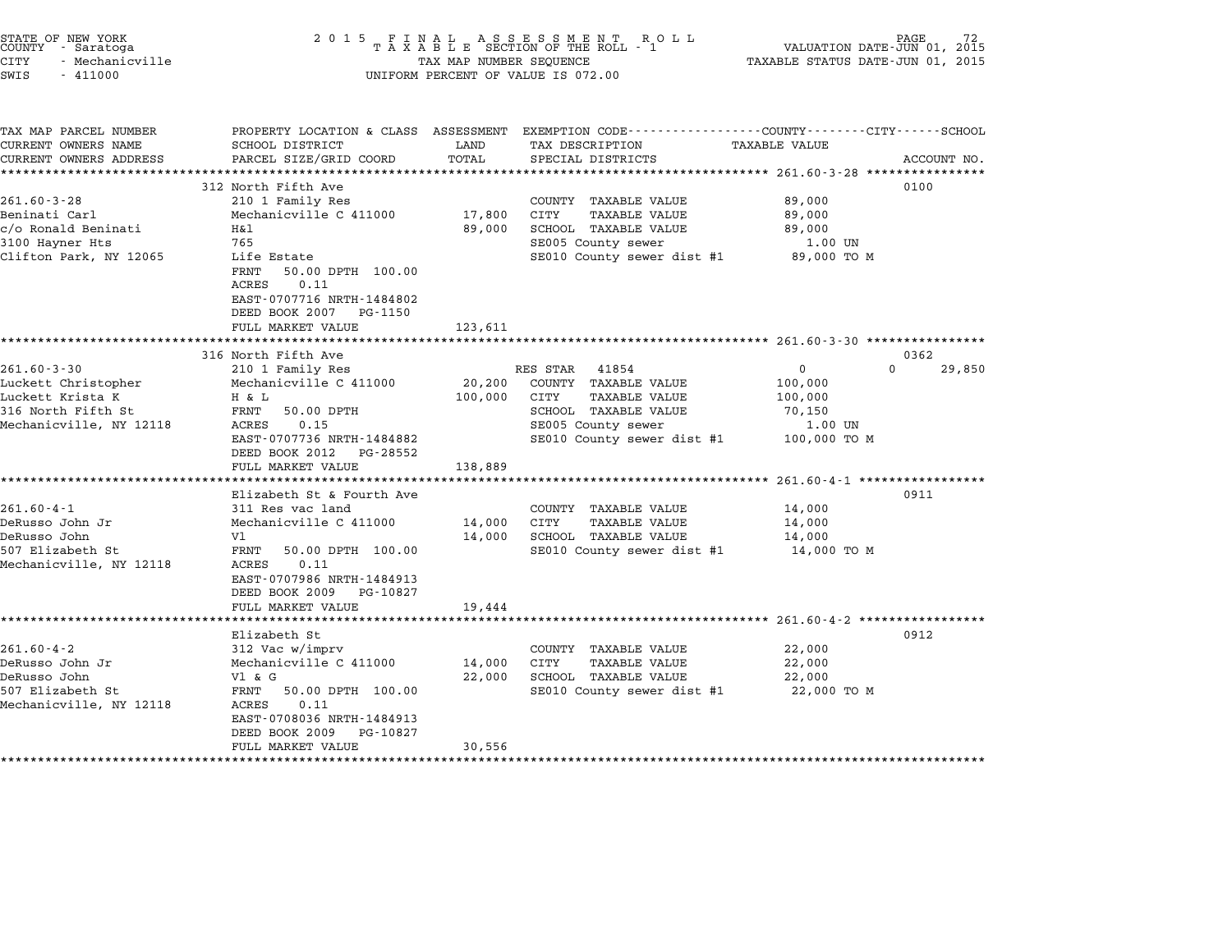|        | STATE OF NEW YORK |
|--------|-------------------|
| COUNTY | - Saratoga        |
| CITY   | - Mechanicville   |

## end the NEW YORK (NEW YORK) which the country the control of the control of the control of the control of the c<br>COUNTY - Saratoga (New York of Taxable SECTION OF THE ROLL - 1 (New York of THE COUNTY) which control the cont CITY - Mechanicville TAX MAP NUMBER SEQUENCE TAXABLE STATUS DATE-JUN 01, <sup>2015</sup> SWIS - <sup>411000</sup> UNIFORM PERCENT OF VALUE IS 072.00

TAX MAP PARCEL NUMBER PROPERTY LOCATION & CLASS ASSESSMENT EXEMPTION CODE------------------COUNTY--------CITY------SCHOOL CURRENT OWNERS NAME SCHOOL DISTRICT LAND TAX DESCRIPTION TAXABLE VALUE CURRENT OWNERS ADDRESS PARCEL SIZE/GRID COORD TOTAL SPECIAL DISTRICTS ACCOUNT NO. \*\*\*\*\*\*\*\*\*\*\*\*\*\*\*\*\*\*\*\*\*\*\*\*\*\*\*\*\*\*\*\*\*\*\*\*\*\*\*\*\*\*\*\*\*\*\*\*\*\*\*\*\*\*\*\*\*\*\*\*\*\*\*\*\*\*\*\*\*\*\*\*\*\*\*\*\*\*\*\*\*\*\*\*\*\*\*\*\*\*\*\*\*\*\*\*\*\*\*\*\*\*\* 261.60-3-28 \*\*\*\*\*\*\*\*\*\*\*\*\*\*\*\* <sup>312</sup> North Fifth Ave <sup>0100</sup> 261.60-3-28 312 North Fifth Ave 261.60-3-28 210 1 Family Res COUNTY TAXABLE VALUE 89,000 911 STAND IS A SULFALL AVE SOLD AND RESOLUTE TO A SULT A SULT OF A SULT OF A SULT AND RESOLUT AND RESOLUT AND<br>Beninati Carl Mechanicville C 411000 17,800 CITY TAXABLE VALUE 89,000 control and the control and the control of the control of the control of the control of the control of the con<br>Beninati Al Beninati H&l 89,000 SCHOOL TAXABLE VALUE 89,000<br>89,000 SCHOOL TAXABLE VALUE Beninati Carl Mechanicville C 411000 17,800 CITY TAXABLE VALUE 89,000<br>c/o Ronald Beninati H&l 89,000 SCHOOL TAXABLE VALUE Clifton Park, NY <sup>12065</sup> Life Estate SE010 County sewer dist #1 89,000 TO <sup>M</sup> ,05<br>Life Estate<br>FRNT 50.00 DPTH 100.00 HILE ESCACE<br>FRNT 50.00<br>ACRES 0.11 EAST-0707716 NRTH-1484802 EAST-0707716 NRTH-148480<br>DEED BOOK 2007 PG-1150 DEED BOOK 2007 PG-1150<br>FULL MARKET VALUE 123,611 \*\*\*\*\*\*\*\*\*\*\*\*\*\*\*\*\*\*\*\*\*\*\*\*\*\*\*\*\*\*\*\*\*\*\*\*\*\*\*\*\*\*\*\*\*\*\*\*\*\*\*\*\*\*\*\*\*\*\*\*\*\*\*\*\*\*\*\*\*\*\*\*\*\*\*\*\*\*\*\*\*\*\*\*\*\*\*\*\*\*\*\*\*\*\*\*\*\*\*\*\*\*\* 261.60-3-30 \*\*\*\*\*\*\*\*\*\*\*\*\*\*\*\* <sup>316</sup> North Fifth Ave <sup>0362</sup> 261.60-3-30 <sup>210</sup> <sup>1</sup> Family Res RES STAR <sup>41854</sup> <sup>0</sup> <sup>0</sup> 29,850 10 NOTED FITED AVE<br>201.60-3-30 210 1 Family Res RES STAR 41854<br>Luckett Christopher Mechanicville C 411000 20,200 COUNTY TAXABLE VALUE 100,000 201.00 J John Michael (1988)<br>Luckett Christopher Mechanicville C 411000 20,200 COUNTY TAXABLE VALUE 100,000<br>Luckett Krista K H & L 100,000 CITY TAXABLE VALUE 100,000 NUCRECT CHITSCOPHEL MECHANIC VILLE CONTRACT TRANSPORTED TRANSPORTED TRANSPORTED TRANSPORTED TRANSPORTED TRANSPOR<br>100,000 CITY TRANSPORTED TRANSPORTED TRANSPORTED TRANSPORTED TRANSPORTED TRANSPORTED TRANSPORTED TRANSPORTED Mechanicville, NY <sup>12118</sup> ACRES 0.15 SE005 County sewer 1.00 UN EXERES 0.15<br>
ACRES 0.15<br>
EAST-0707736 NRTH-1484882 SE005 County sewer dist #1 100,000 TO M<br>
DEED BOOK 2012 PG-28552 DEED BOOK 2012 PG-28552 FAST-070736 NRTH-1484882<br>
EAST-070736 NRTH-1484882<br>
DEED BOOK 2012 PG-28552<br>
FULL MARKET VALUE 138,889<br>
ISB.889 \*\*\*\*\*\*\*\*\*\*\*\*\*\*\*\*\*\*\*\*\*\*\*\*\*\*\*\*\*\*\*\*\*\*\*\*\*\*\*\*\*\*\*\*\*\*\*\*\*\*\*\*\*\*\*\*\*\*\*\*\*\*\*\*\*\*\*\*\*\*\*\*\*\*\*\*\*\*\*\*\*\*\*\*\*\*\*\*\*\*\*\*\*\*\*\*\*\*\*\*\*\*\* 261.60-4-1 \*\*\*\*\*\*\*\*\*\*\*\*\*\*\*\*\* Elizabeth St & Fourth Ave <sup>0911</sup> 261.60-4-1 Elizabeth St & Fourth Ave and COUNTY TAXABLE VALUE 14,000 DeRusso John Jr Mechanicville C <sup>411000</sup> 14,000 CITY TAXABLE VALUE 14,000 DeRusso John Vl 14,000 SCHOOL TAXABLE VALUE 14,000 Extra Franch Country of the Mechanic Country of the Mechanic Country of the Mechanic Country of the Mechanic Country SCHOOL TAXABLE VALUE 14,000 TO M<br>14,000 SCHOOL TAXABLE VALUE 14,000 TO M<br>507 Elizabeth St Mechanicville, NY <sup>12118</sup> ACRES 0.11 EAST-0707986 NRTH-1484913 EAST-0707986 NRTH-1484913 DEED BOOK 2009 PG-10827<br>FULL MARKET VALUE 19,444 \*\*\*\*\*\*\*\*\*\*\*\*\*\*\*\*\*\*\*\*\*\*\*\*\*\*\*\*\*\*\*\*\*\*\*\*\*\*\*\*\*\*\*\*\*\*\*\*\*\*\*\*\*\*\*\*\*\*\*\*\*\*\*\*\*\*\*\*\*\*\*\*\*\*\*\*\*\*\*\*\*\*\*\*\*\*\*\*\*\*\*\*\*\*\*\*\*\*\*\*\*\*\* 261.60-4-2 \*\*\*\*\*\*\*\*\*\*\*\*\*\*\*\*\* Elizabeth St 0912 261.60-4-2 Elizabeth St<br>
261.60-4-2 312 Vac w/imprv COUNTY TAXABLE VALUE 22,000 DeRusso John Jr Mechanicville C <sup>411000</sup> 14,000 CITY TAXABLE VALUE 22,000 DeRusso John Vl & G 22,000 SCHOOL TAXABLE VALUE 22,000 <sup>507</sup> Elizabeth St FRNT 50.00 DPTH 100.00 SE010 County sewer dist #1 22,000 TO <sup>M</sup> Mechanicville, NY <sup>12118</sup> ACRES 0.11 EAST-0708036 NRTH-1484913 EAST-0708036 NRTH-1484913 FULL MARKET VALUE 30,556 \*\*\*\*\*\*\*\*\*\*\*\*\*\*\*\*\*\*\*\*\*\*\*\*\*\*\*\*\*\*\*\*\*\*\*\*\*\*\*\*\*\*\*\*\*\*\*\*\*\*\*\*\*\*\*\*\*\*\*\*\*\*\*\*\*\*\*\*\*\*\*\*\*\*\*\*\*\*\*\*\*\*\*\*\*\*\*\*\*\*\*\*\*\*\*\*\*\*\*\*\*\*\*\*\*\*\*\*\*\*\*\*\*\*\*\*\*\*\*\*\*\*\*\*\*\*\*\*\*\*\*\*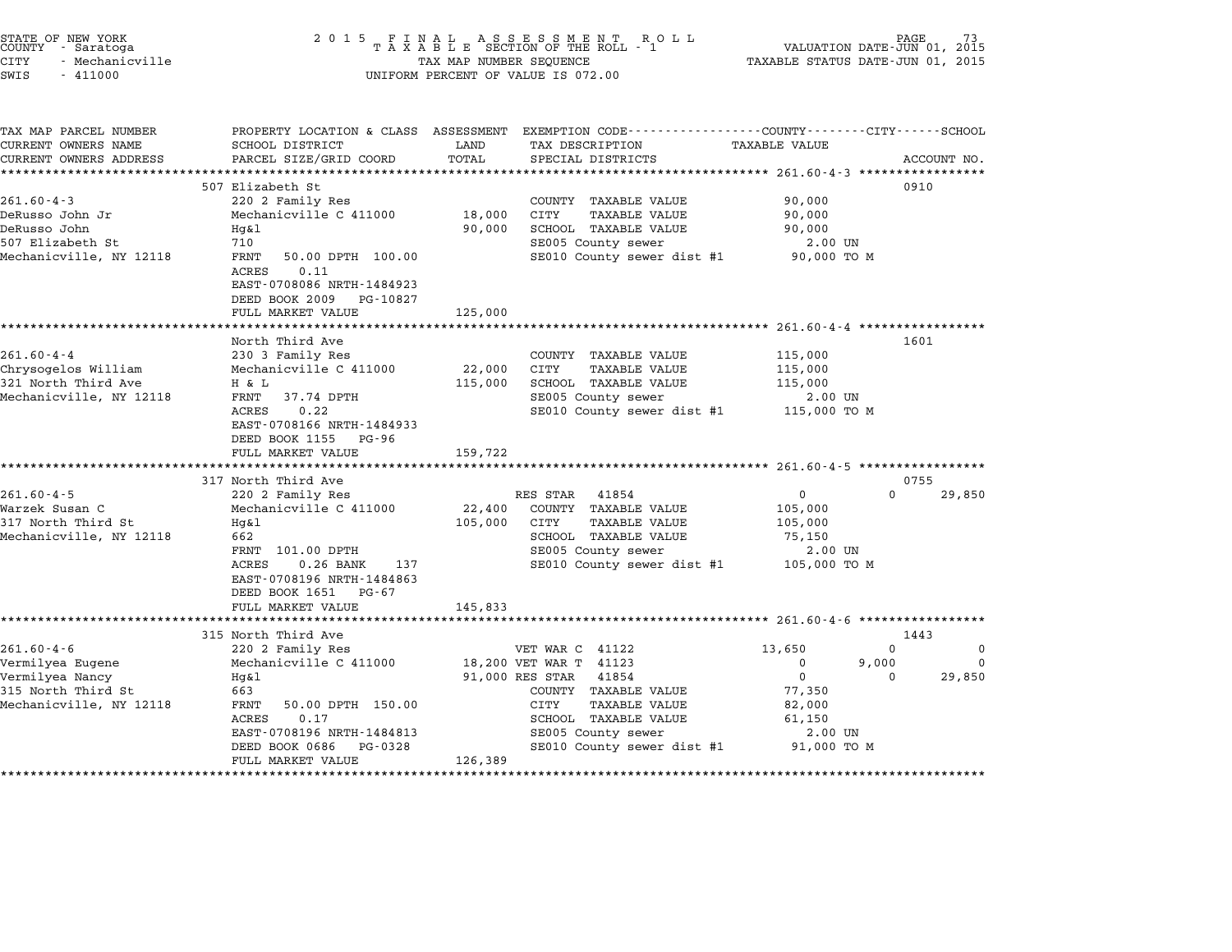|                                                                                                                                                                                      |                                                                                                                     |                  | UNIFORM PERCENT OF VALUE IS 072.00 |                                                                                                                                                                                                                                                                                                                                                                                                                                     |                                                                                                        |                                                                                                                                                                                                                                                                |
|--------------------------------------------------------------------------------------------------------------------------------------------------------------------------------------|---------------------------------------------------------------------------------------------------------------------|------------------|------------------------------------|-------------------------------------------------------------------------------------------------------------------------------------------------------------------------------------------------------------------------------------------------------------------------------------------------------------------------------------------------------------------------------------------------------------------------------------|--------------------------------------------------------------------------------------------------------|----------------------------------------------------------------------------------------------------------------------------------------------------------------------------------------------------------------------------------------------------------------|
| SCHOOL DISTRICT                                                                                                                                                                      | LAND                                                                                                                |                  |                                    | <b>TAXABLE VALUE</b>                                                                                                                                                                                                                                                                                                                                                                                                                |                                                                                                        |                                                                                                                                                                                                                                                                |
|                                                                                                                                                                                      |                                                                                                                     |                  |                                    |                                                                                                                                                                                                                                                                                                                                                                                                                                     |                                                                                                        | ACCOUNT NO.                                                                                                                                                                                                                                                    |
| 507 Elizabeth St<br>220 2 Family Res<br>Mechanicville C 411000<br>50.00 DPTH 100.00<br>0.11<br>EAST-0708086 NRTH-1484923<br>DEED BOOK 2009 PG-10827                                  | 18,000<br>90,000                                                                                                    | CITY             | <b>TAXABLE VALUE</b>               | 90,000<br>90,000<br>90,000                                                                                                                                                                                                                                                                                                                                                                                                          |                                                                                                        |                                                                                                                                                                                                                                                                |
|                                                                                                                                                                                      |                                                                                                                     |                  |                                    |                                                                                                                                                                                                                                                                                                                                                                                                                                     |                                                                                                        |                                                                                                                                                                                                                                                                |
| North Third Ave<br>230 3 Family Res<br>Mechanicville C 411000<br>37.74 DPTH<br>0.22<br>EAST-0708166 NRTH-1484933<br>DEED BOOK 1155 PG-96<br>FULL MARKET VALUE<br>317 North Third Ave | 22,000<br>115,000<br>159,722                                                                                        | CITY             | TAXABLE VALUE                      | 115,000<br>115,000<br>115,000                                                                                                                                                                                                                                                                                                                                                                                                       |                                                                                                        |                                                                                                                                                                                                                                                                |
| Mechanicville C 411000<br>FRNT 101.00 DPTH<br>$0.26$ BANK<br>137<br>EAST-0708196 NRTH-1484863<br>DEED BOOK 1651 PG-67<br>FULL MARKET VALUE                                           | 22,400<br>105,000<br>145,833                                                                                        | CITY             | <b>TAXABLE VALUE</b>               | 105,000<br>105,000<br>75,150                                                                                                                                                                                                                                                                                                                                                                                                        |                                                                                                        | 29,850                                                                                                                                                                                                                                                         |
| **************************                                                                                                                                                           |                                                                                                                     |                  |                                    |                                                                                                                                                                                                                                                                                                                                                                                                                                     |                                                                                                        |                                                                                                                                                                                                                                                                |
| 220 2 Family Res<br>Mechanicville C 411000<br>50.00 DPTH 150.00<br>0.17<br>EAST-0708196 NRTH-1484813                                                                                 |                                                                                                                     | CITY             | 41854<br>TAXABLE VALUE             | 13,650<br>0<br>$\mathbf 0$<br>77,350<br>82,000<br>61,150                                                                                                                                                                                                                                                                                                                                                                            | 0<br>$\mathbf 0$                                                                                       | 0<br>0<br>29,850                                                                                                                                                                                                                                               |
|                                                                                                                                                                                      | PARCEL SIZE/GRID COORD<br>FULL MARKET VALUE<br>220 2 Family Res<br>315 North Third Ave<br>DEED BOOK 0686<br>PG-0328 | TOTAL<br>125,000 | RES STAR                           | TAX DESCRIPTION<br>SPECIAL DISTRICTS<br>COUNTY TAXABLE VALUE<br>SCHOOL TAXABLE VALUE<br>SE005 County sewer<br>COUNTY TAXABLE VALUE<br>SCHOOL TAXABLE VALUE<br>SE005 County sewer<br>41854<br>COUNTY TAXABLE VALUE<br>SCHOOL TAXABLE VALUE<br>SE005 County sewer<br>VET WAR C 41122<br>18,200 VET WAR T 41123<br>91,000 RES STAR<br>COUNTY TAXABLE VALUE<br>SCHOOL TAXABLE VALUE<br>SE005 County sewer<br>SE010 County sewer dist #1 | SE010 County sewer dist #1<br>SE010 County sewer dist #1<br>$\mathbf{0}$<br>SE010 County sewer dist #1 | PROPERTY LOCATION & CLASS ASSESSMENT EXEMPTION CODE---------------COUNTY-------CITY------SCHOOL<br>0910<br>2.00 UN<br>90,000 TO M<br>1601<br>2.00 UN<br>115,000 TO M<br>0755<br>$\Omega$<br>2.00 UN<br>105,000 TO M<br>1443<br>9,000<br>2.00 UN<br>91,000 TO M |

\*\*\*\*\*\*\*\*\*\*\*\*\*\*\*\*\*\*\*\*\*\*\*\*\*\*\*\*\*\*\*\*\*\*\*\*\*\*\*\*\*\*\*\*\*\*\*\*\*\*\*\*\*\*\*\*\*\*\*\*\*\*\*\*\*\*\*\*\*\*\*\*\*\*\*\*\*\*\*\*\*\*\*\*\*\*\*\*\*\*\*\*\*\*\*\*\*\*\*\*\*\*\*\*\*\*\*\*\*\*\*\*\*\*\*\*\*\*\*\*\*\*\*\*\*\*\*\*\*\*\*\*

FULL MARKET VALUE 126,389

end the NEW YORK (NEW YORK) with the STATE OF NEW YORK (NEW YORK) with the SE I N A L A S S E S S M E N T R O L L<br>COUNTY - Saratoga (New York) 2015 T A X A B L E SECTION OF THE ROLL - 1 (NALUATION DATE-JUN 01, 2015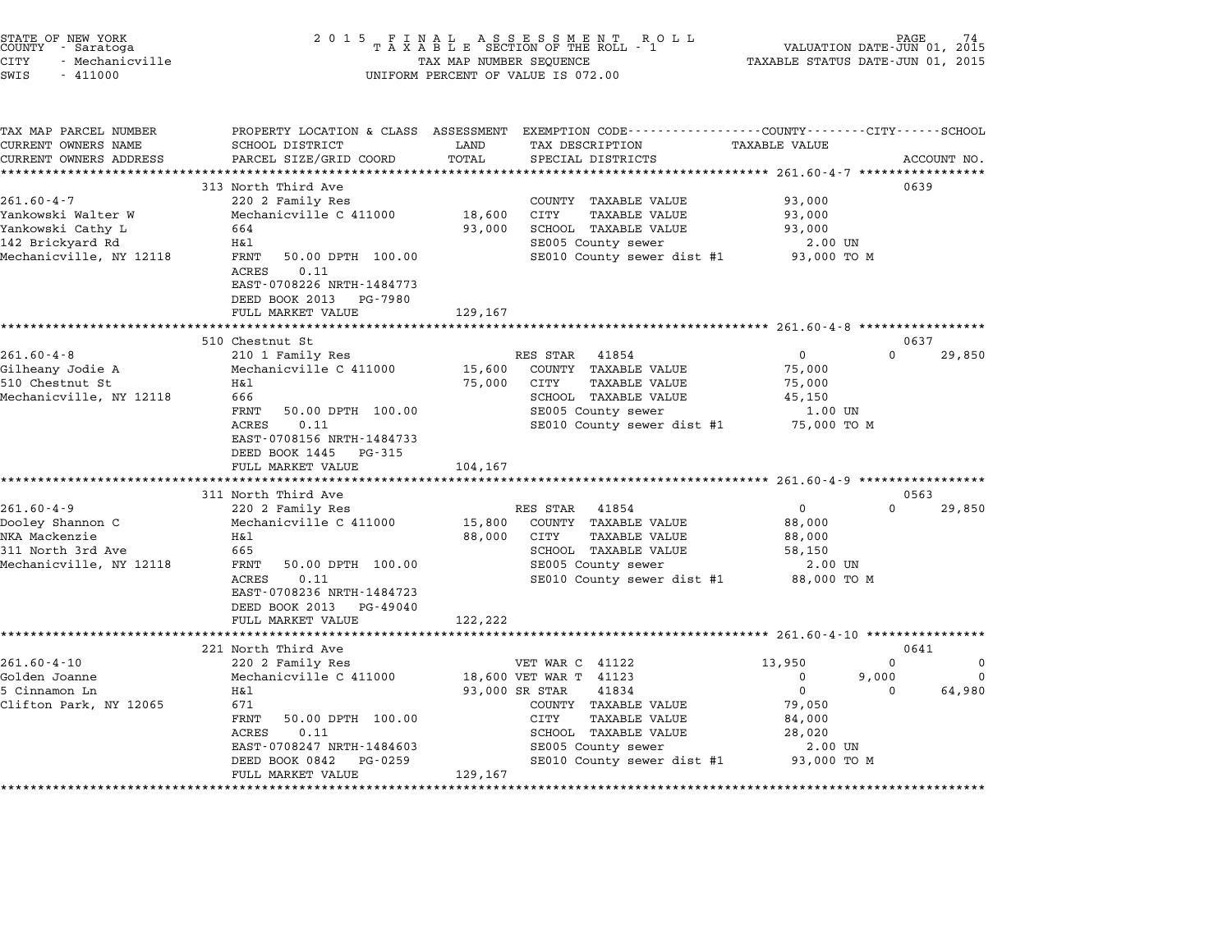| STATE OF NEW YORK<br>COUNTY - Saratoga<br>CITY<br>- Mechanicville<br>SWIS<br>$-411000$ | 2 0 1 5                                                                                                                | TAX MAP NUMBER SEQUENCE | UNIFORM PERCENT OF VALUE IS 072.00                                                                                                     | VALUATION DATE-JUN 01, 2015<br>TAXABLE STATUS DATE-JUN 01, 2015 | PAGE                    |
|----------------------------------------------------------------------------------------|------------------------------------------------------------------------------------------------------------------------|-------------------------|----------------------------------------------------------------------------------------------------------------------------------------|-----------------------------------------------------------------|-------------------------|
| TAX MAP PARCEL NUMBER<br>CURRENT OWNERS NAME<br>CURRENT OWNERS ADDRESS                 | SCHOOL DISTRICT<br>PARCEL SIZE/GRID COORD                                                                              | LAND<br>TOTAL           | PROPERTY LOCATION & CLASS ASSESSMENT EXEMPTION CODE--------------COUNTY-------CITY------SCHOOL<br>TAX DESCRIPTION<br>SPECIAL DISTRICTS | <b>TAXABLE VALUE</b>                                            | ACCOUNT NO.             |
| **********************                                                                 | ************************                                                                                               |                         |                                                                                                                                        |                                                                 |                         |
|                                                                                        | 313 North Third Ave                                                                                                    |                         |                                                                                                                                        |                                                                 | 0639                    |
| $261.60 - 4 - 7$                                                                       | 220 2 Family Res                                                                                                       |                         | COUNTY TAXABLE VALUE                                                                                                                   | 93,000                                                          |                         |
| Yankowski Walter W                                                                     | Mechanicville C 411000                                                                                                 | 18,600                  | CITY<br>TAXABLE VALUE                                                                                                                  | 93,000                                                          |                         |
| Yankowski Cathy L                                                                      | 664                                                                                                                    | 93,000                  | SCHOOL TAXABLE VALUE                                                                                                                   | 93,000                                                          |                         |
| 142 Brickyard Rd                                                                       | Η&l                                                                                                                    |                         | SE005 County sewer                                                                                                                     | 2.00 UN                                                         |                         |
| Mechanicville, NY 12118                                                                | FRNT<br>50.00 DPTH 100.00<br>0.11<br>ACRES<br>EAST-0708226 NRTH-1484773<br>DEED BOOK 2013 PG-7980<br>FULL MARKET VALUE | 129,167                 | SE010 County sewer dist #1                                                                                                             | 93,000 TO M                                                     |                         |
|                                                                                        |                                                                                                                        |                         |                                                                                                                                        |                                                                 |                         |
|                                                                                        | 510 Chestnut St                                                                                                        |                         |                                                                                                                                        |                                                                 | 0637                    |
| $261.60 - 4 - 8$<br>Gilheany Jodie A<br>510 Chestnut St<br>Mechanicville, NY 12118     | 210 1 Family Res<br>Mechanicville C 411000<br>Η&l<br>666                                                               | 15,600<br>75,000        | RES STAR<br>41854<br>COUNTY TAXABLE VALUE<br>CITY<br>TAXABLE VALUE<br>SCHOOL TAXABLE VALUE                                             | $\Omega$<br>75,000<br>75,000<br>45,150                          | $\Omega$<br>29,850      |
|                                                                                        | FRNT<br>50.00 DPTH 100.00<br>ACRES<br>0.11<br>EAST-0708156 NRTH-1484733<br>DEED BOOK 1445 PG-315                       |                         | SE005 County sewer<br>SE010 County sewer dist #1                                                                                       | 1.00 UN<br>75,000 TO M                                          |                         |
|                                                                                        | FULL MARKET VALUE                                                                                                      | 104,167                 |                                                                                                                                        |                                                                 |                         |
|                                                                                        | **********************                                                                                                 | ***********             |                                                                                                                                        |                                                                 |                         |
|                                                                                        | 311 North Third Ave                                                                                                    |                         |                                                                                                                                        |                                                                 | 0563                    |
| $261.60 - 4 - 9$                                                                       | 220 2 Family Res                                                                                                       |                         | RES STAR<br>41854                                                                                                                      | $\mathbf{0}$                                                    | 29,850<br>0             |
| Dooley Shannon C<br>NKA Mackenzie                                                      | Mechanicville C 411000<br>H&l                                                                                          | 15,800<br>88,000        | COUNTY TAXABLE VALUE<br>CITY<br>TAXABLE VALUE                                                                                          | 88,000<br>88,000                                                |                         |
| 311 North 3rd Ave                                                                      | 665                                                                                                                    |                         | SCHOOL TAXABLE VALUE                                                                                                                   | 58,150                                                          |                         |
| Mechanicville, NY 12118                                                                | FRNT<br>50.00 DPTH 100.00                                                                                              |                         | SE005 County sewer                                                                                                                     | 2.00 UN                                                         |                         |
|                                                                                        | 0.11<br>ACRES<br>EAST-0708236 NRTH-1484723<br>DEED BOOK 2013<br>PG-49040                                               |                         | SE010 County sewer dist #1                                                                                                             | 88,000 TO M                                                     |                         |
|                                                                                        | FULL MARKET VALUE                                                                                                      | 122,222                 |                                                                                                                                        |                                                                 |                         |
|                                                                                        |                                                                                                                        |                         |                                                                                                                                        |                                                                 |                         |
|                                                                                        | 221 North Third Ave                                                                                                    |                         |                                                                                                                                        |                                                                 | 0641                    |
| $261.60 - 4 - 10$                                                                      | 220 2 Family Res                                                                                                       |                         | VET WAR C 41122                                                                                                                        | 13,950                                                          | $\Omega$<br>$\Omega$    |
| Golden Joanne<br>5 Cinnamon Ln                                                         | Mechanicville C 411000<br>Η&l                                                                                          |                         | 18,600 VET WAR T 41123<br>93,000 SR STAR<br>41834                                                                                      | $\mathbf 0$<br>9,000<br>$\mathbf 0$                             | 0<br>$\Omega$<br>64,980 |
| Clifton Park, NY 12065                                                                 | 671                                                                                                                    |                         | COUNTY TAXABLE VALUE                                                                                                                   | 79,050                                                          |                         |
|                                                                                        | FRNT<br>50.00 DPTH 100.00                                                                                              |                         | <b>CITY</b><br>TAXABLE VALUE                                                                                                           | 84,000                                                          |                         |
|                                                                                        | 0.11<br>ACRES                                                                                                          |                         | SCHOOL TAXABLE VALUE                                                                                                                   | 28,020                                                          |                         |
|                                                                                        | EAST-0708247 NRTH-1484603                                                                                              |                         | SE005 County sewer                                                                                                                     | 2.00 UN                                                         |                         |
|                                                                                        | DEED BOOK 0842<br>PG-0259<br>FULL MARKET VALUE                                                                         | 129,167                 | SE010 County sewer dist #1                                                                                                             | 93,000 TO M                                                     |                         |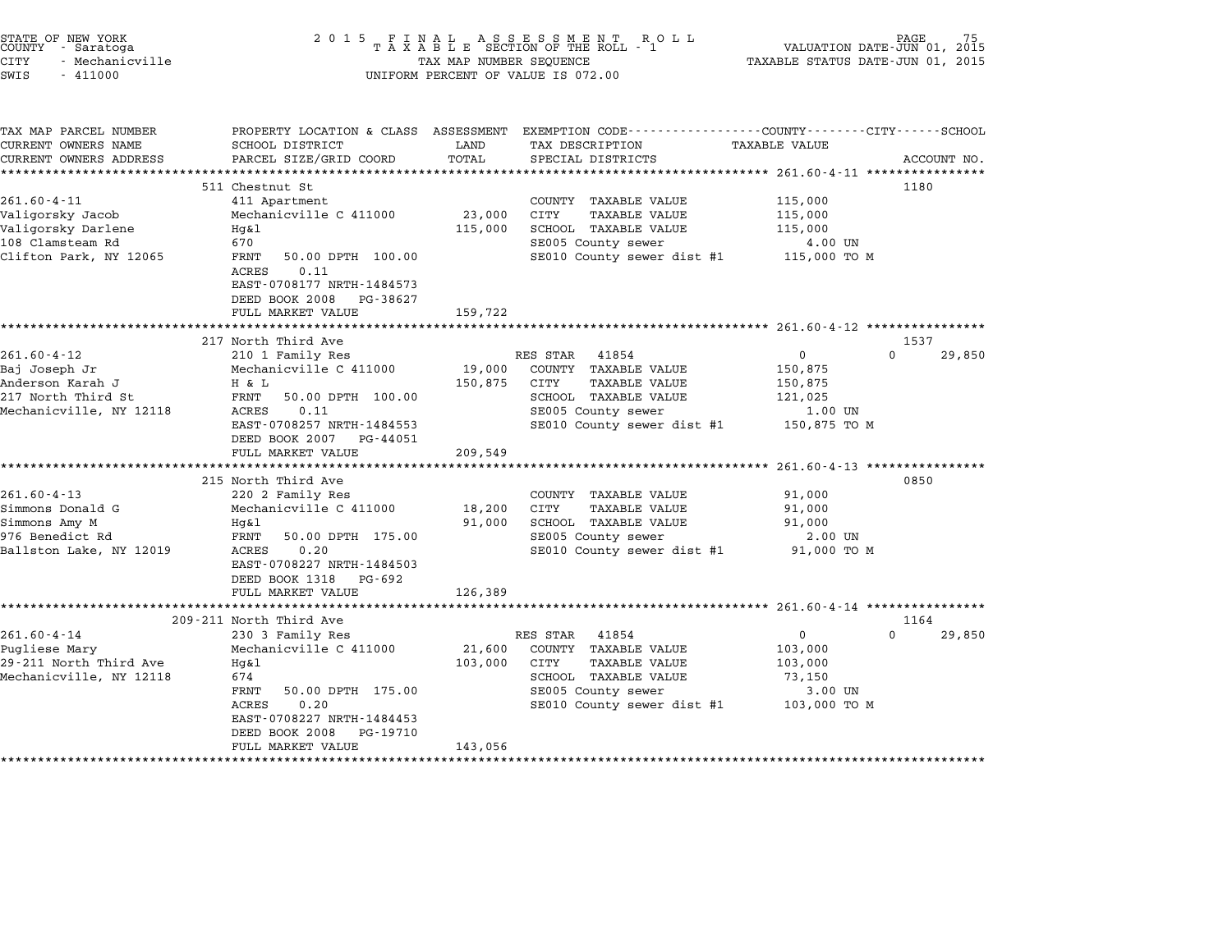|        | STATE OF NEW YORK |  |
|--------|-------------------|--|
| COUNTY | - Saratoga        |  |
| CITY   | - Mechanicville   |  |

# end the NEW YORK of the Country of the Country of the Country of the Country of the Country of the Country of the SECTION OF THE ROLL to the VALUATION DATE-JUN 01, 2015<br>Country - Saratoga the Country of the SECTION OF THE CITY - Mechanicville TAX MAP NUMBER SEQUENCE TAXABLE STATUS DATE-JUN 01, <sup>2015</sup> SWIS - <sup>411000</sup> UNIFORM PERCENT OF VALUE IS 072.00

| TAX MAP PARCEL NUMBER   | PROPERTY LOCATION & CLASS ASSESSMENT       |         | EXEMPTION CODE-----------------COUNTY-------CITY------SCHOOL |                      |          |             |
|-------------------------|--------------------------------------------|---------|--------------------------------------------------------------|----------------------|----------|-------------|
| CURRENT OWNERS NAME     | SCHOOL DISTRICT                            | LAND    | TAX DESCRIPTION                                              | <b>TAXABLE VALUE</b> |          |             |
| CURRENT OWNERS ADDRESS  | PARCEL SIZE/GRID COORD                     | TOTAL   | SPECIAL DISTRICTS                                            |                      |          | ACCOUNT NO. |
|                         |                                            |         |                                                              |                      |          |             |
|                         | 511 Chestnut St                            |         |                                                              |                      | 1180     |             |
| $261.60 - 4 - 11$       | 411 Apartment                              |         | COUNTY TAXABLE VALUE                                         | 115,000              |          |             |
| Valigorsky Jacob        | Mechanicville C 411000                     | 23,000  | CITY<br>TAXABLE VALUE                                        | 115,000              |          |             |
| Valigorsky Darlene      | Hq&l                                       | 115,000 | SCHOOL TAXABLE VALUE                                         | 115,000              |          |             |
| 108 Clamsteam Rd        | 670                                        |         | SE005 County sewer                                           | 4.00 UN              |          |             |
| Clifton Park, NY 12065  | FRNT<br>50.00 DPTH 100.00<br>0.11<br>ACRES |         | SE010 County sewer dist #1 115,000 TO M                      |                      |          |             |
|                         | EAST-0708177 NRTH-1484573                  |         |                                                              |                      |          |             |
|                         | DEED BOOK 2008 PG-38627                    |         |                                                              |                      |          |             |
|                         | FULL MARKET VALUE                          | 159,722 |                                                              |                      |          |             |
|                         |                                            |         |                                                              |                      |          |             |
|                         | 217 North Third Ave                        |         |                                                              |                      | 1537     |             |
| $261.60 - 4 - 12$       | 210 1 Family Res                           |         | RES STAR<br>41854                                            | $\mathbf{0}$         | $\Omega$ | 29,850      |
| Baj Joseph Jr           | Mechanicville C 411000                     |         | 19,000 COUNTY TAXABLE VALUE                                  | 150,875              |          |             |
| Anderson Karah J        | H & L                                      | 150,875 | CITY<br>TAXABLE VALUE                                        | 150,875              |          |             |
| 217 North Third St      | FRNT<br>50.00 DPTH 100.00                  |         | SCHOOL TAXABLE VALUE                                         | 121,025              |          |             |
| Mechanicville, NY 12118 | ACRES<br>0.11                              |         | SE005 County sewer                                           | 1.00 UN              |          |             |
|                         | EAST-0708257 NRTH-1484553                  |         | SE010 County sewer dist #1 150,875 TO M                      |                      |          |             |
|                         | DEED BOOK 2007 PG-44051                    |         |                                                              |                      |          |             |
|                         | FULL MARKET VALUE                          | 209,549 |                                                              |                      |          |             |
|                         |                                            |         |                                                              |                      |          |             |
|                         | 215 North Third Ave                        |         |                                                              |                      | 0850     |             |
| $261.60 - 4 - 13$       | 220 2 Family Res                           |         | COUNTY TAXABLE VALUE                                         | 91,000               |          |             |
| Simmons Donald G        | Mechanicville C 411000                     | 18,200  | CITY<br>TAXABLE VALUE                                        | 91,000               |          |             |
| Simmons Amy M           | Hq&l                                       | 91,000  | SCHOOL TAXABLE VALUE                                         | 91,000               |          |             |
| 976 Benedict Rd         | FRNT<br>50.00 DPTH 175.00                  |         | SE005 County sewer                                           | 2.00 UN              |          |             |
| Ballston Lake, NY 12019 | 0.20<br>ACRES                              |         | SE010 County sewer dist #1                                   | 91,000 TO M          |          |             |
|                         | EAST-0708227 NRTH-1484503                  |         |                                                              |                      |          |             |
|                         | DEED BOOK 1318 PG-692                      |         |                                                              |                      |          |             |
|                         | FULL MARKET VALUE                          | 126,389 |                                                              |                      |          |             |
|                         |                                            |         |                                                              |                      |          |             |
|                         | 209-211 North Third Ave                    |         |                                                              |                      | 1164     |             |
| $261.60 - 4 - 14$       | 230 3 Family Res                           |         | RES STAR<br>41854                                            | 0                    | $\Omega$ | 29,850      |
| Pugliese Mary           | Mechanicville C 411000                     | 21,600  | COUNTY TAXABLE VALUE                                         | 103,000              |          |             |
| 29-211 North Third Ave  | Hq&l                                       | 103,000 | CITY<br>TAXABLE VALUE                                        | 103,000              |          |             |
| Mechanicville, NY 12118 | 674                                        |         | SCHOOL TAXABLE VALUE                                         | 73,150               |          |             |
|                         | 50.00 DPTH 175.00<br>FRNT                  |         | SE005 County sewer                                           | 3.00 UN              |          |             |
|                         | 0.20<br>ACRES                              |         | SE010 County sewer dist #1 103,000 TO M                      |                      |          |             |
|                         | EAST-0708227 NRTH-1484453                  |         |                                                              |                      |          |             |
|                         | DEED BOOK 2008<br>PG-19710                 |         |                                                              |                      |          |             |
|                         | FULL MARKET VALUE                          | 143,056 |                                                              |                      |          |             |
|                         |                                            |         |                                                              |                      |          |             |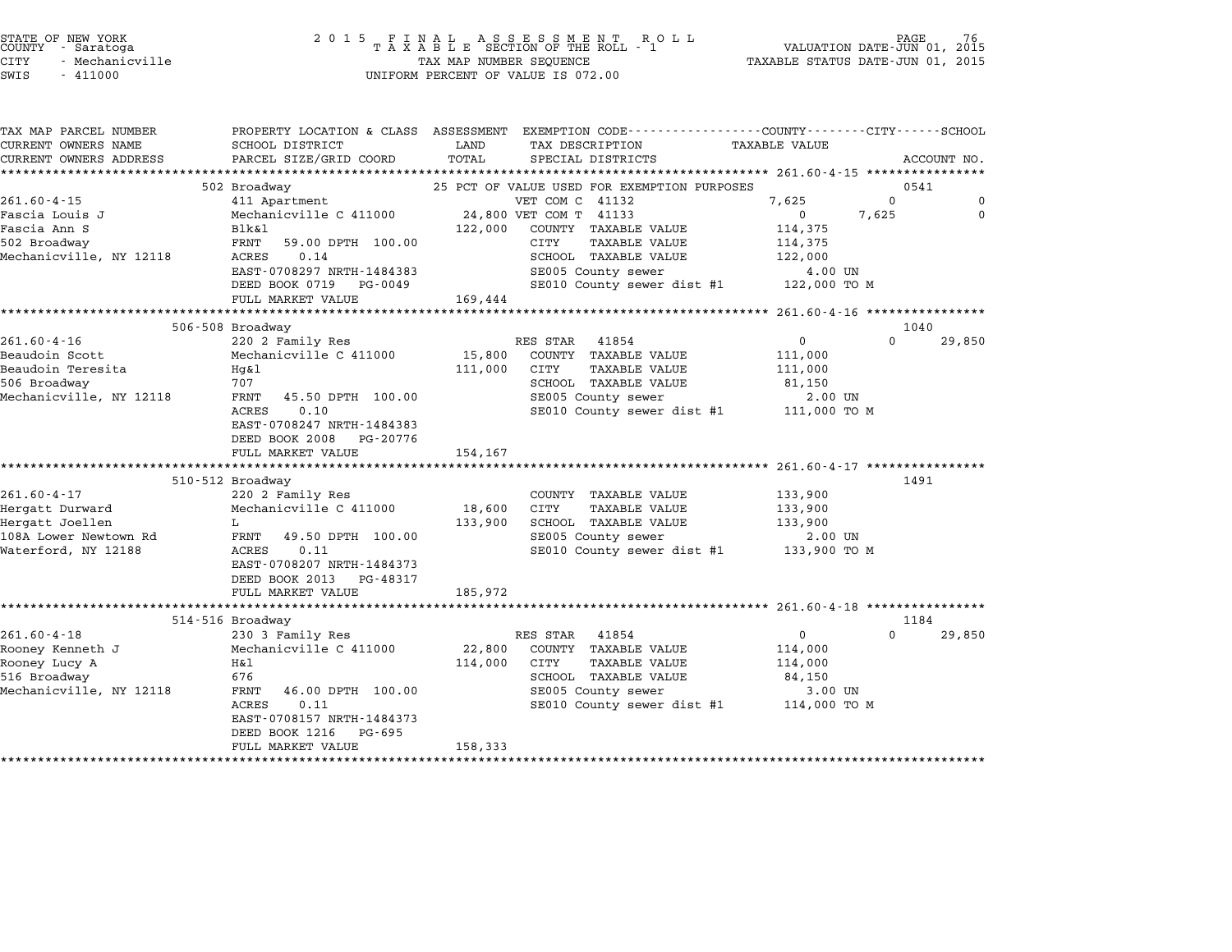|      | STATE OF NEW YORK<br>COUNTY - Saratoga |
|------|----------------------------------------|
|      |                                        |
| CITY | - Mechanicville                        |
|      |                                        |

# end the NEW YORK<br>2 0 1 5 F I N A L A S S E S S M E N T R O L L PAGE 76<br>COUNTY – Saratoga T A X A B L E SECTION OF THE ROLL - 1 VALUATION DATE-JUN 01, 2015 STATE OF NEW YORK PAGE 16 MAP 2015 FINAL ASSESSMENT ROLL<br>COUNTY - Saratoga 1 1 MAR NAP NAMBER SECTION OF THE ROLL - 1 1 1 VALUATION DATE-JUN 01, 2015<br>CITY - Mechanicville 1 1 101, 2015 TAXABLE STATUS DATE-JUN 01, 2015 SWIS - <sup>411000</sup> UNIFORM PERCENT OF VALUE IS 072.00

| PROPERTY LOCATION & CLASS ASSESSMENT EXEMPTION CODE----------------COUNTY-------CITY------SCHOOL<br>SCHOOL DISTRICT<br>LAND<br><b>TAXABLE VALUE</b><br>TAX DESCRIPTION<br>PARCEL SIZE/GRID COORD<br>TOTAL<br>SPECIAL DISTRICTS<br>ACCOUNT NO.<br>502 Broadway<br>25 PCT OF VALUE USED FOR EXEMPTION PURPOSES<br>0541<br>VET COM C 41132<br>7,625<br>$\Omega$<br>411 Apartment<br>24,800 VET COM T 41133<br>Mechanicville C 411000<br>$\overline{0}$<br>7,625<br>Blk&l<br>122,000<br>COUNTY TAXABLE VALUE<br>114,375<br>FRNT<br>59.00 DPTH 100.00<br>CITY<br>TAXABLE VALUE<br>114,375<br>ACRES<br>0.14<br>SCHOOL TAXABLE VALUE<br>122,000<br>EAST-0708297 NRTH-1484383<br>SE005 County sewer<br>4.00 UN<br>SE010 County sewer dist #1 122,000 TO M<br>DEED BOOK 0719 PG-0049<br>FULL MARKET VALUE<br>169,444<br>506-508 Broadway<br>1040<br>220 2 Family Res<br>RES STAR 41854<br>$\overline{0}$<br>$\Omega$<br>15,800<br>Mechanicville C 411000<br>COUNTY TAXABLE VALUE<br>111,000<br>111,000<br>CITY<br>TAXABLE VALUE<br>111,000<br>Hg&l<br>707<br>SCHOOL TAXABLE VALUE<br>81,150<br>FRNT<br>SE005 County sewer<br>45.50 DPTH 100.00<br>2.00 UN<br>SE010 County sewer dist #1 111,000 TO M<br>0.10<br>ACRES<br>EAST-0708247 NRTH-1484383<br>DEED BOOK 2008 PG-20776<br>FULL MARKET VALUE<br>154,167<br>1491<br>510-512 Broadway<br>220 2 Family Res<br>COUNTY TAXABLE VALUE<br>133,900<br>Mechanicville C 411000<br>18,600<br>CITY<br>TAXABLE VALUE<br>133,900<br>133,900<br>SCHOOL TAXABLE VALUE<br>133,900<br>L<br>SE005 County sewer<br>FRNT<br>49.50 DPTH 100.00<br>2.00 UN<br>SE010 County sewer dist #1 133,900 TO M<br>0.11<br>ACRES<br>EAST-0708207 NRTH-1484373<br>DEED BOOK 2013 PG-48317<br>FULL MARKET VALUE<br>185,972<br>1184<br>514-516 Broadway<br>230 3 Family Res<br>$\mathbf{0}$<br>$\Omega$<br>RES STAR<br>41854<br>Mechanicville C 411000<br>22,800<br>COUNTY TAXABLE VALUE<br>114,000<br>114,000<br><b>CITY</b><br><b>TAXABLE VALUE</b><br>H&l<br>114,000<br>676<br>SCHOOL TAXABLE VALUE<br>84,150<br>Mechanicville, NY 12118<br>46.00 DPTH 100.00<br>SE005 County sewer<br>3.00 UN<br>FRNT<br>SE010 County sewer dist #1 114,000 TO M<br>ACRES<br>0.11<br>EAST-0708157 NRTH-1484373<br>DEED BOOK 1216<br>PG-695<br>158,333<br>FULL MARKET VALUE |                         |  |  |          |
|-------------------------------------------------------------------------------------------------------------------------------------------------------------------------------------------------------------------------------------------------------------------------------------------------------------------------------------------------------------------------------------------------------------------------------------------------------------------------------------------------------------------------------------------------------------------------------------------------------------------------------------------------------------------------------------------------------------------------------------------------------------------------------------------------------------------------------------------------------------------------------------------------------------------------------------------------------------------------------------------------------------------------------------------------------------------------------------------------------------------------------------------------------------------------------------------------------------------------------------------------------------------------------------------------------------------------------------------------------------------------------------------------------------------------------------------------------------------------------------------------------------------------------------------------------------------------------------------------------------------------------------------------------------------------------------------------------------------------------------------------------------------------------------------------------------------------------------------------------------------------------------------------------------------------------------------------------------------------------------------------------------------------------------------------------------------------------------------------------------------------------------------------------------------------------------------------------------------------------------------------------------------------|-------------------------|--|--|----------|
|                                                                                                                                                                                                                                                                                                                                                                                                                                                                                                                                                                                                                                                                                                                                                                                                                                                                                                                                                                                                                                                                                                                                                                                                                                                                                                                                                                                                                                                                                                                                                                                                                                                                                                                                                                                                                                                                                                                                                                                                                                                                                                                                                                                                                                                                         | TAX MAP PARCEL NUMBER   |  |  |          |
|                                                                                                                                                                                                                                                                                                                                                                                                                                                                                                                                                                                                                                                                                                                                                                                                                                                                                                                                                                                                                                                                                                                                                                                                                                                                                                                                                                                                                                                                                                                                                                                                                                                                                                                                                                                                                                                                                                                                                                                                                                                                                                                                                                                                                                                                         | CURRENT OWNERS NAME     |  |  |          |
|                                                                                                                                                                                                                                                                                                                                                                                                                                                                                                                                                                                                                                                                                                                                                                                                                                                                                                                                                                                                                                                                                                                                                                                                                                                                                                                                                                                                                                                                                                                                                                                                                                                                                                                                                                                                                                                                                                                                                                                                                                                                                                                                                                                                                                                                         | CURRENT OWNERS ADDRESS  |  |  |          |
|                                                                                                                                                                                                                                                                                                                                                                                                                                                                                                                                                                                                                                                                                                                                                                                                                                                                                                                                                                                                                                                                                                                                                                                                                                                                                                                                                                                                                                                                                                                                                                                                                                                                                                                                                                                                                                                                                                                                                                                                                                                                                                                                                                                                                                                                         |                         |  |  |          |
|                                                                                                                                                                                                                                                                                                                                                                                                                                                                                                                                                                                                                                                                                                                                                                                                                                                                                                                                                                                                                                                                                                                                                                                                                                                                                                                                                                                                                                                                                                                                                                                                                                                                                                                                                                                                                                                                                                                                                                                                                                                                                                                                                                                                                                                                         |                         |  |  |          |
|                                                                                                                                                                                                                                                                                                                                                                                                                                                                                                                                                                                                                                                                                                                                                                                                                                                                                                                                                                                                                                                                                                                                                                                                                                                                                                                                                                                                                                                                                                                                                                                                                                                                                                                                                                                                                                                                                                                                                                                                                                                                                                                                                                                                                                                                         | $261.60 - 4 - 15$       |  |  | $\Omega$ |
|                                                                                                                                                                                                                                                                                                                                                                                                                                                                                                                                                                                                                                                                                                                                                                                                                                                                                                                                                                                                                                                                                                                                                                                                                                                                                                                                                                                                                                                                                                                                                                                                                                                                                                                                                                                                                                                                                                                                                                                                                                                                                                                                                                                                                                                                         | Fascia Louis J          |  |  | $\Omega$ |
|                                                                                                                                                                                                                                                                                                                                                                                                                                                                                                                                                                                                                                                                                                                                                                                                                                                                                                                                                                                                                                                                                                                                                                                                                                                                                                                                                                                                                                                                                                                                                                                                                                                                                                                                                                                                                                                                                                                                                                                                                                                                                                                                                                                                                                                                         | Fascia Ann S            |  |  |          |
|                                                                                                                                                                                                                                                                                                                                                                                                                                                                                                                                                                                                                                                                                                                                                                                                                                                                                                                                                                                                                                                                                                                                                                                                                                                                                                                                                                                                                                                                                                                                                                                                                                                                                                                                                                                                                                                                                                                                                                                                                                                                                                                                                                                                                                                                         | 502 Broadway            |  |  |          |
|                                                                                                                                                                                                                                                                                                                                                                                                                                                                                                                                                                                                                                                                                                                                                                                                                                                                                                                                                                                                                                                                                                                                                                                                                                                                                                                                                                                                                                                                                                                                                                                                                                                                                                                                                                                                                                                                                                                                                                                                                                                                                                                                                                                                                                                                         | Mechanicville, NY 12118 |  |  |          |
|                                                                                                                                                                                                                                                                                                                                                                                                                                                                                                                                                                                                                                                                                                                                                                                                                                                                                                                                                                                                                                                                                                                                                                                                                                                                                                                                                                                                                                                                                                                                                                                                                                                                                                                                                                                                                                                                                                                                                                                                                                                                                                                                                                                                                                                                         |                         |  |  |          |
|                                                                                                                                                                                                                                                                                                                                                                                                                                                                                                                                                                                                                                                                                                                                                                                                                                                                                                                                                                                                                                                                                                                                                                                                                                                                                                                                                                                                                                                                                                                                                                                                                                                                                                                                                                                                                                                                                                                                                                                                                                                                                                                                                                                                                                                                         |                         |  |  |          |
|                                                                                                                                                                                                                                                                                                                                                                                                                                                                                                                                                                                                                                                                                                                                                                                                                                                                                                                                                                                                                                                                                                                                                                                                                                                                                                                                                                                                                                                                                                                                                                                                                                                                                                                                                                                                                                                                                                                                                                                                                                                                                                                                                                                                                                                                         |                         |  |  |          |
|                                                                                                                                                                                                                                                                                                                                                                                                                                                                                                                                                                                                                                                                                                                                                                                                                                                                                                                                                                                                                                                                                                                                                                                                                                                                                                                                                                                                                                                                                                                                                                                                                                                                                                                                                                                                                                                                                                                                                                                                                                                                                                                                                                                                                                                                         |                         |  |  |          |
|                                                                                                                                                                                                                                                                                                                                                                                                                                                                                                                                                                                                                                                                                                                                                                                                                                                                                                                                                                                                                                                                                                                                                                                                                                                                                                                                                                                                                                                                                                                                                                                                                                                                                                                                                                                                                                                                                                                                                                                                                                                                                                                                                                                                                                                                         |                         |  |  |          |
|                                                                                                                                                                                                                                                                                                                                                                                                                                                                                                                                                                                                                                                                                                                                                                                                                                                                                                                                                                                                                                                                                                                                                                                                                                                                                                                                                                                                                                                                                                                                                                                                                                                                                                                                                                                                                                                                                                                                                                                                                                                                                                                                                                                                                                                                         | $261.60 - 4 - 16$       |  |  | 29,850   |
|                                                                                                                                                                                                                                                                                                                                                                                                                                                                                                                                                                                                                                                                                                                                                                                                                                                                                                                                                                                                                                                                                                                                                                                                                                                                                                                                                                                                                                                                                                                                                                                                                                                                                                                                                                                                                                                                                                                                                                                                                                                                                                                                                                                                                                                                         | Beaudoin Scott          |  |  |          |
|                                                                                                                                                                                                                                                                                                                                                                                                                                                                                                                                                                                                                                                                                                                                                                                                                                                                                                                                                                                                                                                                                                                                                                                                                                                                                                                                                                                                                                                                                                                                                                                                                                                                                                                                                                                                                                                                                                                                                                                                                                                                                                                                                                                                                                                                         | Beaudoin Teresita       |  |  |          |
|                                                                                                                                                                                                                                                                                                                                                                                                                                                                                                                                                                                                                                                                                                                                                                                                                                                                                                                                                                                                                                                                                                                                                                                                                                                                                                                                                                                                                                                                                                                                                                                                                                                                                                                                                                                                                                                                                                                                                                                                                                                                                                                                                                                                                                                                         | 506 Broadway            |  |  |          |
|                                                                                                                                                                                                                                                                                                                                                                                                                                                                                                                                                                                                                                                                                                                                                                                                                                                                                                                                                                                                                                                                                                                                                                                                                                                                                                                                                                                                                                                                                                                                                                                                                                                                                                                                                                                                                                                                                                                                                                                                                                                                                                                                                                                                                                                                         | Mechanicville, NY 12118 |  |  |          |
|                                                                                                                                                                                                                                                                                                                                                                                                                                                                                                                                                                                                                                                                                                                                                                                                                                                                                                                                                                                                                                                                                                                                                                                                                                                                                                                                                                                                                                                                                                                                                                                                                                                                                                                                                                                                                                                                                                                                                                                                                                                                                                                                                                                                                                                                         |                         |  |  |          |
|                                                                                                                                                                                                                                                                                                                                                                                                                                                                                                                                                                                                                                                                                                                                                                                                                                                                                                                                                                                                                                                                                                                                                                                                                                                                                                                                                                                                                                                                                                                                                                                                                                                                                                                                                                                                                                                                                                                                                                                                                                                                                                                                                                                                                                                                         |                         |  |  |          |
|                                                                                                                                                                                                                                                                                                                                                                                                                                                                                                                                                                                                                                                                                                                                                                                                                                                                                                                                                                                                                                                                                                                                                                                                                                                                                                                                                                                                                                                                                                                                                                                                                                                                                                                                                                                                                                                                                                                                                                                                                                                                                                                                                                                                                                                                         |                         |  |  |          |
|                                                                                                                                                                                                                                                                                                                                                                                                                                                                                                                                                                                                                                                                                                                                                                                                                                                                                                                                                                                                                                                                                                                                                                                                                                                                                                                                                                                                                                                                                                                                                                                                                                                                                                                                                                                                                                                                                                                                                                                                                                                                                                                                                                                                                                                                         |                         |  |  |          |
|                                                                                                                                                                                                                                                                                                                                                                                                                                                                                                                                                                                                                                                                                                                                                                                                                                                                                                                                                                                                                                                                                                                                                                                                                                                                                                                                                                                                                                                                                                                                                                                                                                                                                                                                                                                                                                                                                                                                                                                                                                                                                                                                                                                                                                                                         |                         |  |  |          |
|                                                                                                                                                                                                                                                                                                                                                                                                                                                                                                                                                                                                                                                                                                                                                                                                                                                                                                                                                                                                                                                                                                                                                                                                                                                                                                                                                                                                                                                                                                                                                                                                                                                                                                                                                                                                                                                                                                                                                                                                                                                                                                                                                                                                                                                                         |                         |  |  |          |
|                                                                                                                                                                                                                                                                                                                                                                                                                                                                                                                                                                                                                                                                                                                                                                                                                                                                                                                                                                                                                                                                                                                                                                                                                                                                                                                                                                                                                                                                                                                                                                                                                                                                                                                                                                                                                                                                                                                                                                                                                                                                                                                                                                                                                                                                         | $261.60 - 4 - 17$       |  |  |          |
|                                                                                                                                                                                                                                                                                                                                                                                                                                                                                                                                                                                                                                                                                                                                                                                                                                                                                                                                                                                                                                                                                                                                                                                                                                                                                                                                                                                                                                                                                                                                                                                                                                                                                                                                                                                                                                                                                                                                                                                                                                                                                                                                                                                                                                                                         | Hergatt Durward         |  |  |          |
|                                                                                                                                                                                                                                                                                                                                                                                                                                                                                                                                                                                                                                                                                                                                                                                                                                                                                                                                                                                                                                                                                                                                                                                                                                                                                                                                                                                                                                                                                                                                                                                                                                                                                                                                                                                                                                                                                                                                                                                                                                                                                                                                                                                                                                                                         | Hergatt Joellen         |  |  |          |
|                                                                                                                                                                                                                                                                                                                                                                                                                                                                                                                                                                                                                                                                                                                                                                                                                                                                                                                                                                                                                                                                                                                                                                                                                                                                                                                                                                                                                                                                                                                                                                                                                                                                                                                                                                                                                                                                                                                                                                                                                                                                                                                                                                                                                                                                         | 108A Lower Newtown Rd   |  |  |          |
|                                                                                                                                                                                                                                                                                                                                                                                                                                                                                                                                                                                                                                                                                                                                                                                                                                                                                                                                                                                                                                                                                                                                                                                                                                                                                                                                                                                                                                                                                                                                                                                                                                                                                                                                                                                                                                                                                                                                                                                                                                                                                                                                                                                                                                                                         | Waterford, NY 12188     |  |  |          |
|                                                                                                                                                                                                                                                                                                                                                                                                                                                                                                                                                                                                                                                                                                                                                                                                                                                                                                                                                                                                                                                                                                                                                                                                                                                                                                                                                                                                                                                                                                                                                                                                                                                                                                                                                                                                                                                                                                                                                                                                                                                                                                                                                                                                                                                                         |                         |  |  |          |
|                                                                                                                                                                                                                                                                                                                                                                                                                                                                                                                                                                                                                                                                                                                                                                                                                                                                                                                                                                                                                                                                                                                                                                                                                                                                                                                                                                                                                                                                                                                                                                                                                                                                                                                                                                                                                                                                                                                                                                                                                                                                                                                                                                                                                                                                         |                         |  |  |          |
|                                                                                                                                                                                                                                                                                                                                                                                                                                                                                                                                                                                                                                                                                                                                                                                                                                                                                                                                                                                                                                                                                                                                                                                                                                                                                                                                                                                                                                                                                                                                                                                                                                                                                                                                                                                                                                                                                                                                                                                                                                                                                                                                                                                                                                                                         |                         |  |  |          |
|                                                                                                                                                                                                                                                                                                                                                                                                                                                                                                                                                                                                                                                                                                                                                                                                                                                                                                                                                                                                                                                                                                                                                                                                                                                                                                                                                                                                                                                                                                                                                                                                                                                                                                                                                                                                                                                                                                                                                                                                                                                                                                                                                                                                                                                                         |                         |  |  |          |
|                                                                                                                                                                                                                                                                                                                                                                                                                                                                                                                                                                                                                                                                                                                                                                                                                                                                                                                                                                                                                                                                                                                                                                                                                                                                                                                                                                                                                                                                                                                                                                                                                                                                                                                                                                                                                                                                                                                                                                                                                                                                                                                                                                                                                                                                         |                         |  |  |          |
|                                                                                                                                                                                                                                                                                                                                                                                                                                                                                                                                                                                                                                                                                                                                                                                                                                                                                                                                                                                                                                                                                                                                                                                                                                                                                                                                                                                                                                                                                                                                                                                                                                                                                                                                                                                                                                                                                                                                                                                                                                                                                                                                                                                                                                                                         | $261.60 - 4 - 18$       |  |  | 29,850   |
|                                                                                                                                                                                                                                                                                                                                                                                                                                                                                                                                                                                                                                                                                                                                                                                                                                                                                                                                                                                                                                                                                                                                                                                                                                                                                                                                                                                                                                                                                                                                                                                                                                                                                                                                                                                                                                                                                                                                                                                                                                                                                                                                                                                                                                                                         | Rooney Kenneth J        |  |  |          |
|                                                                                                                                                                                                                                                                                                                                                                                                                                                                                                                                                                                                                                                                                                                                                                                                                                                                                                                                                                                                                                                                                                                                                                                                                                                                                                                                                                                                                                                                                                                                                                                                                                                                                                                                                                                                                                                                                                                                                                                                                                                                                                                                                                                                                                                                         | Rooney Lucy A           |  |  |          |
|                                                                                                                                                                                                                                                                                                                                                                                                                                                                                                                                                                                                                                                                                                                                                                                                                                                                                                                                                                                                                                                                                                                                                                                                                                                                                                                                                                                                                                                                                                                                                                                                                                                                                                                                                                                                                                                                                                                                                                                                                                                                                                                                                                                                                                                                         | 516 Broadway            |  |  |          |
|                                                                                                                                                                                                                                                                                                                                                                                                                                                                                                                                                                                                                                                                                                                                                                                                                                                                                                                                                                                                                                                                                                                                                                                                                                                                                                                                                                                                                                                                                                                                                                                                                                                                                                                                                                                                                                                                                                                                                                                                                                                                                                                                                                                                                                                                         |                         |  |  |          |
|                                                                                                                                                                                                                                                                                                                                                                                                                                                                                                                                                                                                                                                                                                                                                                                                                                                                                                                                                                                                                                                                                                                                                                                                                                                                                                                                                                                                                                                                                                                                                                                                                                                                                                                                                                                                                                                                                                                                                                                                                                                                                                                                                                                                                                                                         |                         |  |  |          |
|                                                                                                                                                                                                                                                                                                                                                                                                                                                                                                                                                                                                                                                                                                                                                                                                                                                                                                                                                                                                                                                                                                                                                                                                                                                                                                                                                                                                                                                                                                                                                                                                                                                                                                                                                                                                                                                                                                                                                                                                                                                                                                                                                                                                                                                                         |                         |  |  |          |
|                                                                                                                                                                                                                                                                                                                                                                                                                                                                                                                                                                                                                                                                                                                                                                                                                                                                                                                                                                                                                                                                                                                                                                                                                                                                                                                                                                                                                                                                                                                                                                                                                                                                                                                                                                                                                                                                                                                                                                                                                                                                                                                                                                                                                                                                         |                         |  |  |          |
|                                                                                                                                                                                                                                                                                                                                                                                                                                                                                                                                                                                                                                                                                                                                                                                                                                                                                                                                                                                                                                                                                                                                                                                                                                                                                                                                                                                                                                                                                                                                                                                                                                                                                                                                                                                                                                                                                                                                                                                                                                                                                                                                                                                                                                                                         |                         |  |  |          |
|                                                                                                                                                                                                                                                                                                                                                                                                                                                                                                                                                                                                                                                                                                                                                                                                                                                                                                                                                                                                                                                                                                                                                                                                                                                                                                                                                                                                                                                                                                                                                                                                                                                                                                                                                                                                                                                                                                                                                                                                                                                                                                                                                                                                                                                                         |                         |  |  |          |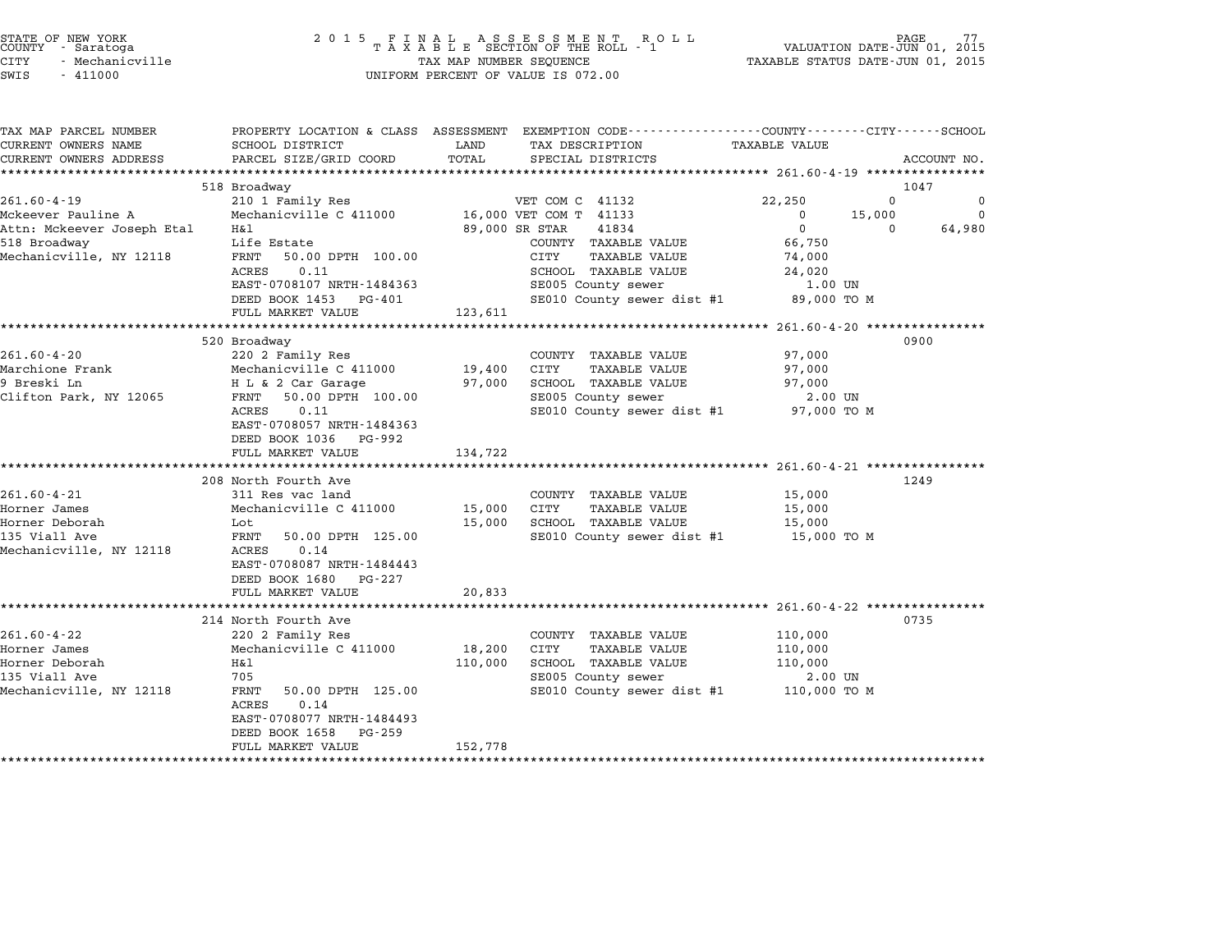| STATE OF NEW YORK<br>COUNTY - Saratoga |  |                 |  |
|----------------------------------------|--|-----------------|--|
| CITY                                   |  | - Mechanicville |  |

# end the NEW YORK (STATE OF NEW YORK)<br>2015 FINAL ASSESSMENT ROLL - 1 (PALUATION DATE-JUN 01, 2015)<br>COUNTY - Saratoga (2015 TAXABLE SECTION OF THE ROLL - 1) (VALUATION DATE-JUN 01, 2015 CITY - Mechanicville TAX MAP NUMBER SEQUENCE TAXABLE STATUS DATE-JUN 01, <sup>2015</sup> SWIS - <sup>411000</sup> UNIFORM PERCENT OF VALUE IS 072.00

| PROPERTY LOCATION & CLASS ASSESSMENT EXEMPTION CODE----------------COUNTY-------CITY------SCHOOL<br>SCHOOL DISTRICT<br>LAND<br>TAX DESCRIPTION<br>TAXABLE VALUE<br>TOTAL<br>PARCEL SIZE/GRID COORD<br>SPECIAL DISTRICTS<br>518 Broadway<br>1047<br>$\Omega$<br>22,250<br>210 1 Family Res<br>VET COM C 41132<br>Mechanicville C 411000 16,000 VET COM T 41133<br>$\overline{0}$<br>15,000<br>89,000 SR STAR<br>41834<br>$\overline{0}$<br>H&l<br>$\Omega$<br>66,750<br>Life Estate<br>COUNTY TAXABLE VALUE<br>FRNT<br>50.00 DPTH 100.00<br>CITY<br>TAXABLE VALUE<br>74,000<br>0.11<br>ACRES<br>SCHOOL TAXABLE VALUE<br>24,020<br>SE005 County sewer<br>EAST-0708107 NRTH-1484363<br>1.00 UN<br>SE010 County sewer dist #1 89,000 TO M<br>DEED BOOK 1453 PG-401<br>FULL MARKET VALUE<br>123,611<br>0900<br>520 Broadway<br>220 2 Family Res<br>97,000<br>COUNTY TAXABLE VALUE<br>Mechanicville C 411000<br>H L & 2 Car Garage<br>19,400 CITY<br><b>TAXABLE VALUE</b><br>97,000<br>97,000 SCHOOL TAXABLE VALUE<br>97,000<br>SE005 County sewer<br>FRNT 50.00 DPTH 100.00<br>2.00 UN<br>ACRES<br>0.11<br>SE010 County sewer dist #1 97,000 TO M<br>EAST-0708057 NRTH-1484363<br>DEED BOOK 1036 PG-992<br>FULL MARKET VALUE<br>134,722<br>208 North Fourth Ave<br>1249<br>311 Res vac land<br>COUNTY TAXABLE VALUE<br>15,000<br>Mechanicville C 411000<br>15,000 CITY<br><b>TAXABLE VALUE</b><br>15,000<br>15,000 SCHOOL TAXABLE VALUE<br>15,000<br>Lot<br>FRNT<br>SE010 County sewer dist #1 15,000 TO M<br>50.00 DPTH 125.00<br>0.14<br>ACRES<br>EAST-0708087 NRTH-1484443<br>DEED BOOK 1680 PG-227<br>FULL MARKET VALUE<br>20,833<br>214 North Fourth Ave<br>0735<br>220 2 Family Res<br>COUNTY TAXABLE VALUE<br>110,000<br>Mechanicville C 411000<br>18,200 CITY<br>TAXABLE VALUE<br>110,000<br>H&1<br>SCHOOL TAXABLE VALUE<br>110,000<br>110,000<br>705<br>SE005 County sewer<br>2.00 UN<br>SE010 County sewer dist #1 110,000 TO M<br>FRNT<br>50.00 DPTH 125.00<br>ACRES<br>0.14<br>EAST-0708077 NRTH-1484493<br>DEED BOOK 1658<br>PG-259<br>152,778<br>FULL MARKET VALUE |                            |  |  |             |
|-----------------------------------------------------------------------------------------------------------------------------------------------------------------------------------------------------------------------------------------------------------------------------------------------------------------------------------------------------------------------------------------------------------------------------------------------------------------------------------------------------------------------------------------------------------------------------------------------------------------------------------------------------------------------------------------------------------------------------------------------------------------------------------------------------------------------------------------------------------------------------------------------------------------------------------------------------------------------------------------------------------------------------------------------------------------------------------------------------------------------------------------------------------------------------------------------------------------------------------------------------------------------------------------------------------------------------------------------------------------------------------------------------------------------------------------------------------------------------------------------------------------------------------------------------------------------------------------------------------------------------------------------------------------------------------------------------------------------------------------------------------------------------------------------------------------------------------------------------------------------------------------------------------------------------------------------------------------------------------------------------------------------------------------------------------------------------|----------------------------|--|--|-------------|
|                                                                                                                                                                                                                                                                                                                                                                                                                                                                                                                                                                                                                                                                                                                                                                                                                                                                                                                                                                                                                                                                                                                                                                                                                                                                                                                                                                                                                                                                                                                                                                                                                                                                                                                                                                                                                                                                                                                                                                                                                                                                             | TAX MAP PARCEL NUMBER      |  |  |             |
|                                                                                                                                                                                                                                                                                                                                                                                                                                                                                                                                                                                                                                                                                                                                                                                                                                                                                                                                                                                                                                                                                                                                                                                                                                                                                                                                                                                                                                                                                                                                                                                                                                                                                                                                                                                                                                                                                                                                                                                                                                                                             | CURRENT OWNERS NAME        |  |  |             |
|                                                                                                                                                                                                                                                                                                                                                                                                                                                                                                                                                                                                                                                                                                                                                                                                                                                                                                                                                                                                                                                                                                                                                                                                                                                                                                                                                                                                                                                                                                                                                                                                                                                                                                                                                                                                                                                                                                                                                                                                                                                                             | CURRENT OWNERS ADDRESS     |  |  | ACCOUNT NO. |
|                                                                                                                                                                                                                                                                                                                                                                                                                                                                                                                                                                                                                                                                                                                                                                                                                                                                                                                                                                                                                                                                                                                                                                                                                                                                                                                                                                                                                                                                                                                                                                                                                                                                                                                                                                                                                                                                                                                                                                                                                                                                             |                            |  |  |             |
|                                                                                                                                                                                                                                                                                                                                                                                                                                                                                                                                                                                                                                                                                                                                                                                                                                                                                                                                                                                                                                                                                                                                                                                                                                                                                                                                                                                                                                                                                                                                                                                                                                                                                                                                                                                                                                                                                                                                                                                                                                                                             |                            |  |  |             |
|                                                                                                                                                                                                                                                                                                                                                                                                                                                                                                                                                                                                                                                                                                                                                                                                                                                                                                                                                                                                                                                                                                                                                                                                                                                                                                                                                                                                                                                                                                                                                                                                                                                                                                                                                                                                                                                                                                                                                                                                                                                                             | $261.60 - 4 - 19$          |  |  | $\Omega$    |
|                                                                                                                                                                                                                                                                                                                                                                                                                                                                                                                                                                                                                                                                                                                                                                                                                                                                                                                                                                                                                                                                                                                                                                                                                                                                                                                                                                                                                                                                                                                                                                                                                                                                                                                                                                                                                                                                                                                                                                                                                                                                             | Mckeever Pauline A         |  |  | $\Omega$    |
|                                                                                                                                                                                                                                                                                                                                                                                                                                                                                                                                                                                                                                                                                                                                                                                                                                                                                                                                                                                                                                                                                                                                                                                                                                                                                                                                                                                                                                                                                                                                                                                                                                                                                                                                                                                                                                                                                                                                                                                                                                                                             | Attn: Mckeever Joseph Etal |  |  | 64,980      |
|                                                                                                                                                                                                                                                                                                                                                                                                                                                                                                                                                                                                                                                                                                                                                                                                                                                                                                                                                                                                                                                                                                                                                                                                                                                                                                                                                                                                                                                                                                                                                                                                                                                                                                                                                                                                                                                                                                                                                                                                                                                                             | 518 Broadway               |  |  |             |
|                                                                                                                                                                                                                                                                                                                                                                                                                                                                                                                                                                                                                                                                                                                                                                                                                                                                                                                                                                                                                                                                                                                                                                                                                                                                                                                                                                                                                                                                                                                                                                                                                                                                                                                                                                                                                                                                                                                                                                                                                                                                             | Mechanicville, NY 12118    |  |  |             |
|                                                                                                                                                                                                                                                                                                                                                                                                                                                                                                                                                                                                                                                                                                                                                                                                                                                                                                                                                                                                                                                                                                                                                                                                                                                                                                                                                                                                                                                                                                                                                                                                                                                                                                                                                                                                                                                                                                                                                                                                                                                                             |                            |  |  |             |
|                                                                                                                                                                                                                                                                                                                                                                                                                                                                                                                                                                                                                                                                                                                                                                                                                                                                                                                                                                                                                                                                                                                                                                                                                                                                                                                                                                                                                                                                                                                                                                                                                                                                                                                                                                                                                                                                                                                                                                                                                                                                             |                            |  |  |             |
|                                                                                                                                                                                                                                                                                                                                                                                                                                                                                                                                                                                                                                                                                                                                                                                                                                                                                                                                                                                                                                                                                                                                                                                                                                                                                                                                                                                                                                                                                                                                                                                                                                                                                                                                                                                                                                                                                                                                                                                                                                                                             |                            |  |  |             |
|                                                                                                                                                                                                                                                                                                                                                                                                                                                                                                                                                                                                                                                                                                                                                                                                                                                                                                                                                                                                                                                                                                                                                                                                                                                                                                                                                                                                                                                                                                                                                                                                                                                                                                                                                                                                                                                                                                                                                                                                                                                                             |                            |  |  |             |
|                                                                                                                                                                                                                                                                                                                                                                                                                                                                                                                                                                                                                                                                                                                                                                                                                                                                                                                                                                                                                                                                                                                                                                                                                                                                                                                                                                                                                                                                                                                                                                                                                                                                                                                                                                                                                                                                                                                                                                                                                                                                             |                            |  |  |             |
|                                                                                                                                                                                                                                                                                                                                                                                                                                                                                                                                                                                                                                                                                                                                                                                                                                                                                                                                                                                                                                                                                                                                                                                                                                                                                                                                                                                                                                                                                                                                                                                                                                                                                                                                                                                                                                                                                                                                                                                                                                                                             |                            |  |  |             |
|                                                                                                                                                                                                                                                                                                                                                                                                                                                                                                                                                                                                                                                                                                                                                                                                                                                                                                                                                                                                                                                                                                                                                                                                                                                                                                                                                                                                                                                                                                                                                                                                                                                                                                                                                                                                                                                                                                                                                                                                                                                                             | $261.60 - 4 - 20$          |  |  |             |
|                                                                                                                                                                                                                                                                                                                                                                                                                                                                                                                                                                                                                                                                                                                                                                                                                                                                                                                                                                                                                                                                                                                                                                                                                                                                                                                                                                                                                                                                                                                                                                                                                                                                                                                                                                                                                                                                                                                                                                                                                                                                             | Marchione Frank            |  |  |             |
|                                                                                                                                                                                                                                                                                                                                                                                                                                                                                                                                                                                                                                                                                                                                                                                                                                                                                                                                                                                                                                                                                                                                                                                                                                                                                                                                                                                                                                                                                                                                                                                                                                                                                                                                                                                                                                                                                                                                                                                                                                                                             | 9 Breski Ln                |  |  |             |
|                                                                                                                                                                                                                                                                                                                                                                                                                                                                                                                                                                                                                                                                                                                                                                                                                                                                                                                                                                                                                                                                                                                                                                                                                                                                                                                                                                                                                                                                                                                                                                                                                                                                                                                                                                                                                                                                                                                                                                                                                                                                             | Clifton Park, NY 12065     |  |  |             |
|                                                                                                                                                                                                                                                                                                                                                                                                                                                                                                                                                                                                                                                                                                                                                                                                                                                                                                                                                                                                                                                                                                                                                                                                                                                                                                                                                                                                                                                                                                                                                                                                                                                                                                                                                                                                                                                                                                                                                                                                                                                                             |                            |  |  |             |
|                                                                                                                                                                                                                                                                                                                                                                                                                                                                                                                                                                                                                                                                                                                                                                                                                                                                                                                                                                                                                                                                                                                                                                                                                                                                                                                                                                                                                                                                                                                                                                                                                                                                                                                                                                                                                                                                                                                                                                                                                                                                             |                            |  |  |             |
|                                                                                                                                                                                                                                                                                                                                                                                                                                                                                                                                                                                                                                                                                                                                                                                                                                                                                                                                                                                                                                                                                                                                                                                                                                                                                                                                                                                                                                                                                                                                                                                                                                                                                                                                                                                                                                                                                                                                                                                                                                                                             |                            |  |  |             |
|                                                                                                                                                                                                                                                                                                                                                                                                                                                                                                                                                                                                                                                                                                                                                                                                                                                                                                                                                                                                                                                                                                                                                                                                                                                                                                                                                                                                                                                                                                                                                                                                                                                                                                                                                                                                                                                                                                                                                                                                                                                                             |                            |  |  |             |
|                                                                                                                                                                                                                                                                                                                                                                                                                                                                                                                                                                                                                                                                                                                                                                                                                                                                                                                                                                                                                                                                                                                                                                                                                                                                                                                                                                                                                                                                                                                                                                                                                                                                                                                                                                                                                                                                                                                                                                                                                                                                             |                            |  |  |             |
|                                                                                                                                                                                                                                                                                                                                                                                                                                                                                                                                                                                                                                                                                                                                                                                                                                                                                                                                                                                                                                                                                                                                                                                                                                                                                                                                                                                                                                                                                                                                                                                                                                                                                                                                                                                                                                                                                                                                                                                                                                                                             |                            |  |  |             |
|                                                                                                                                                                                                                                                                                                                                                                                                                                                                                                                                                                                                                                                                                                                                                                                                                                                                                                                                                                                                                                                                                                                                                                                                                                                                                                                                                                                                                                                                                                                                                                                                                                                                                                                                                                                                                                                                                                                                                                                                                                                                             | $261.60 - 4 - 21$          |  |  |             |
|                                                                                                                                                                                                                                                                                                                                                                                                                                                                                                                                                                                                                                                                                                                                                                                                                                                                                                                                                                                                                                                                                                                                                                                                                                                                                                                                                                                                                                                                                                                                                                                                                                                                                                                                                                                                                                                                                                                                                                                                                                                                             | Horner James               |  |  |             |
|                                                                                                                                                                                                                                                                                                                                                                                                                                                                                                                                                                                                                                                                                                                                                                                                                                                                                                                                                                                                                                                                                                                                                                                                                                                                                                                                                                                                                                                                                                                                                                                                                                                                                                                                                                                                                                                                                                                                                                                                                                                                             | Horner Deborah             |  |  |             |
|                                                                                                                                                                                                                                                                                                                                                                                                                                                                                                                                                                                                                                                                                                                                                                                                                                                                                                                                                                                                                                                                                                                                                                                                                                                                                                                                                                                                                                                                                                                                                                                                                                                                                                                                                                                                                                                                                                                                                                                                                                                                             | 135 Viall Ave              |  |  |             |
|                                                                                                                                                                                                                                                                                                                                                                                                                                                                                                                                                                                                                                                                                                                                                                                                                                                                                                                                                                                                                                                                                                                                                                                                                                                                                                                                                                                                                                                                                                                                                                                                                                                                                                                                                                                                                                                                                                                                                                                                                                                                             | Mechanicville, NY 12118    |  |  |             |
|                                                                                                                                                                                                                                                                                                                                                                                                                                                                                                                                                                                                                                                                                                                                                                                                                                                                                                                                                                                                                                                                                                                                                                                                                                                                                                                                                                                                                                                                                                                                                                                                                                                                                                                                                                                                                                                                                                                                                                                                                                                                             |                            |  |  |             |
|                                                                                                                                                                                                                                                                                                                                                                                                                                                                                                                                                                                                                                                                                                                                                                                                                                                                                                                                                                                                                                                                                                                                                                                                                                                                                                                                                                                                                                                                                                                                                                                                                                                                                                                                                                                                                                                                                                                                                                                                                                                                             |                            |  |  |             |
|                                                                                                                                                                                                                                                                                                                                                                                                                                                                                                                                                                                                                                                                                                                                                                                                                                                                                                                                                                                                                                                                                                                                                                                                                                                                                                                                                                                                                                                                                                                                                                                                                                                                                                                                                                                                                                                                                                                                                                                                                                                                             |                            |  |  |             |
|                                                                                                                                                                                                                                                                                                                                                                                                                                                                                                                                                                                                                                                                                                                                                                                                                                                                                                                                                                                                                                                                                                                                                                                                                                                                                                                                                                                                                                                                                                                                                                                                                                                                                                                                                                                                                                                                                                                                                                                                                                                                             |                            |  |  |             |
|                                                                                                                                                                                                                                                                                                                                                                                                                                                                                                                                                                                                                                                                                                                                                                                                                                                                                                                                                                                                                                                                                                                                                                                                                                                                                                                                                                                                                                                                                                                                                                                                                                                                                                                                                                                                                                                                                                                                                                                                                                                                             |                            |  |  |             |
|                                                                                                                                                                                                                                                                                                                                                                                                                                                                                                                                                                                                                                                                                                                                                                                                                                                                                                                                                                                                                                                                                                                                                                                                                                                                                                                                                                                                                                                                                                                                                                                                                                                                                                                                                                                                                                                                                                                                                                                                                                                                             | 261.60-4-22                |  |  |             |
|                                                                                                                                                                                                                                                                                                                                                                                                                                                                                                                                                                                                                                                                                                                                                                                                                                                                                                                                                                                                                                                                                                                                                                                                                                                                                                                                                                                                                                                                                                                                                                                                                                                                                                                                                                                                                                                                                                                                                                                                                                                                             | Horner James               |  |  |             |
|                                                                                                                                                                                                                                                                                                                                                                                                                                                                                                                                                                                                                                                                                                                                                                                                                                                                                                                                                                                                                                                                                                                                                                                                                                                                                                                                                                                                                                                                                                                                                                                                                                                                                                                                                                                                                                                                                                                                                                                                                                                                             | Horner Deborah             |  |  |             |
|                                                                                                                                                                                                                                                                                                                                                                                                                                                                                                                                                                                                                                                                                                                                                                                                                                                                                                                                                                                                                                                                                                                                                                                                                                                                                                                                                                                                                                                                                                                                                                                                                                                                                                                                                                                                                                                                                                                                                                                                                                                                             | 135 Viall Ave              |  |  |             |
|                                                                                                                                                                                                                                                                                                                                                                                                                                                                                                                                                                                                                                                                                                                                                                                                                                                                                                                                                                                                                                                                                                                                                                                                                                                                                                                                                                                                                                                                                                                                                                                                                                                                                                                                                                                                                                                                                                                                                                                                                                                                             | Mechanicville, NY 12118    |  |  |             |
|                                                                                                                                                                                                                                                                                                                                                                                                                                                                                                                                                                                                                                                                                                                                                                                                                                                                                                                                                                                                                                                                                                                                                                                                                                                                                                                                                                                                                                                                                                                                                                                                                                                                                                                                                                                                                                                                                                                                                                                                                                                                             |                            |  |  |             |
|                                                                                                                                                                                                                                                                                                                                                                                                                                                                                                                                                                                                                                                                                                                                                                                                                                                                                                                                                                                                                                                                                                                                                                                                                                                                                                                                                                                                                                                                                                                                                                                                                                                                                                                                                                                                                                                                                                                                                                                                                                                                             |                            |  |  |             |
|                                                                                                                                                                                                                                                                                                                                                                                                                                                                                                                                                                                                                                                                                                                                                                                                                                                                                                                                                                                                                                                                                                                                                                                                                                                                                                                                                                                                                                                                                                                                                                                                                                                                                                                                                                                                                                                                                                                                                                                                                                                                             |                            |  |  |             |
|                                                                                                                                                                                                                                                                                                                                                                                                                                                                                                                                                                                                                                                                                                                                                                                                                                                                                                                                                                                                                                                                                                                                                                                                                                                                                                                                                                                                                                                                                                                                                                                                                                                                                                                                                                                                                                                                                                                                                                                                                                                                             |                            |  |  |             |
|                                                                                                                                                                                                                                                                                                                                                                                                                                                                                                                                                                                                                                                                                                                                                                                                                                                                                                                                                                                                                                                                                                                                                                                                                                                                                                                                                                                                                                                                                                                                                                                                                                                                                                                                                                                                                                                                                                                                                                                                                                                                             |                            |  |  |             |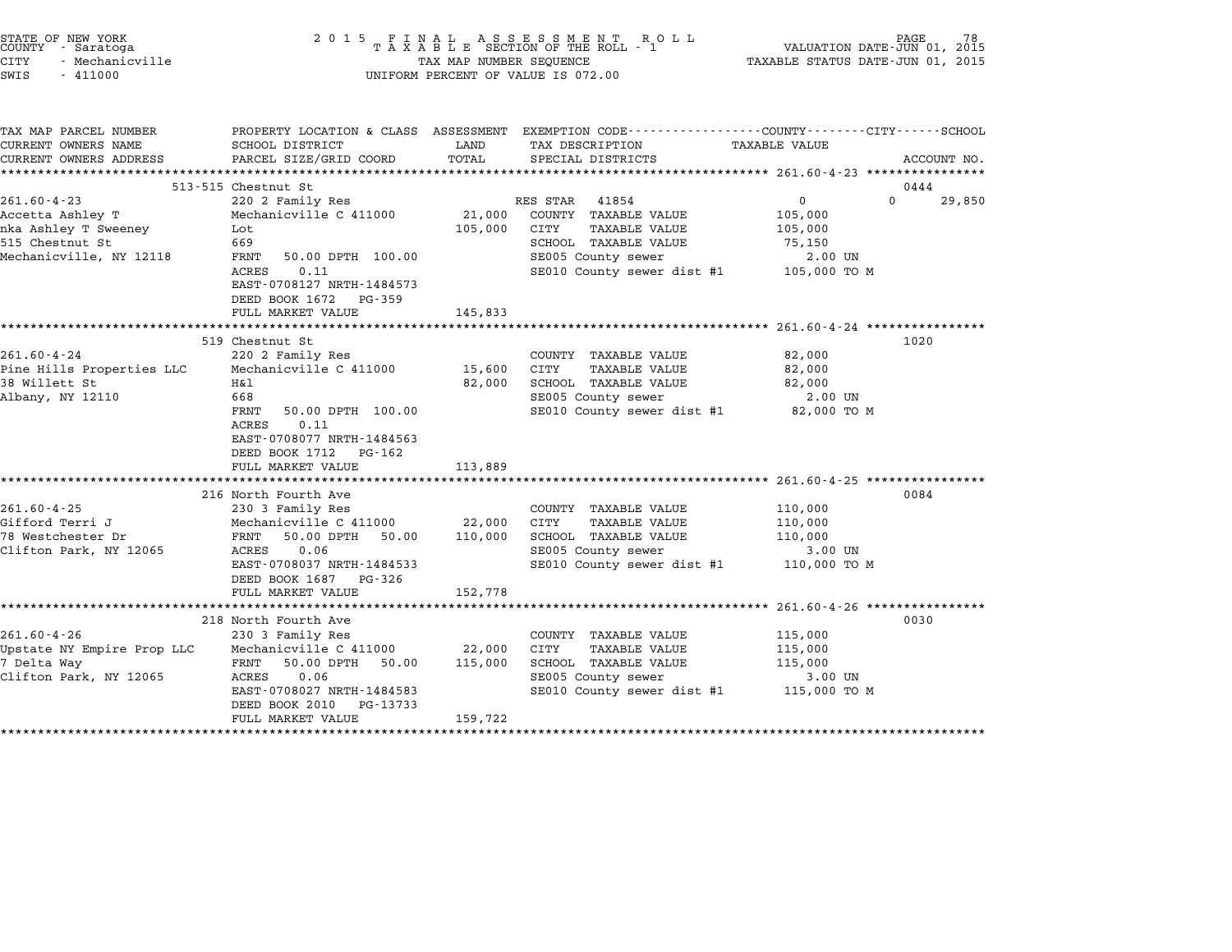| 2 0 1 5                                                                                                                                                                            |                                                                                                     | R O L L                                                                                            | VALUATION DATE-JUN 01, 2015<br>TAXABLE STATUS DATE-JUN 01, 2015                                                                                                                                                                                                                 | PAGE<br>78                                                                                                                                                                                                                                                                                             |
|------------------------------------------------------------------------------------------------------------------------------------------------------------------------------------|-----------------------------------------------------------------------------------------------------|----------------------------------------------------------------------------------------------------|---------------------------------------------------------------------------------------------------------------------------------------------------------------------------------------------------------------------------------------------------------------------------------|--------------------------------------------------------------------------------------------------------------------------------------------------------------------------------------------------------------------------------------------------------------------------------------------------------|
| SCHOOL DISTRICT<br>PARCEL SIZE/GRID COORD                                                                                                                                          | LAND<br>TOTAL                                                                                       | TAX DESCRIPTION<br>SPECIAL DISTRICTS                                                               | TAXABLE VALUE                                                                                                                                                                                                                                                                   | ACCOUNT NO.                                                                                                                                                                                                                                                                                            |
|                                                                                                                                                                                    |                                                                                                     |                                                                                                    |                                                                                                                                                                                                                                                                                 | 0444                                                                                                                                                                                                                                                                                                   |
| 220 2 Family Res                                                                                                                                                                   |                                                                                                     | 41854                                                                                              | $\mathbf 0$                                                                                                                                                                                                                                                                     | $\Omega$<br>29,850                                                                                                                                                                                                                                                                                     |
| Mechanicville C 411000<br>Lot<br>669<br>FRNT<br>50.00 DPTH 100.00<br><b>ACRES</b><br>0.11<br>EAST-0708127 NRTH-1484573<br>DEED BOOK 1672<br>PG-359<br>FULL MARKET VALUE            | 21,000<br>105,000<br>145,833                                                                        | COUNTY TAXABLE VALUE<br>CITY<br><b>TAXABLE VALUE</b><br>SCHOOL TAXABLE VALUE<br>SE005 County sewer | 105,000<br>105,000<br>75,150<br>2.00 UN<br>105,000 TO M                                                                                                                                                                                                                         |                                                                                                                                                                                                                                                                                                        |
|                                                                                                                                                                                    |                                                                                                     |                                                                                                    |                                                                                                                                                                                                                                                                                 |                                                                                                                                                                                                                                                                                                        |
| 519 Chestnut St<br>220 2 Family Res<br>Mechanicville C 411000<br>Η&l<br>668<br>FRNT<br>50.00 DPTH 100.00<br>0.11<br>ACRES<br>EAST-0708077 NRTH-1484563<br>DEED BOOK 1712<br>PG-162 | 15,600<br>82,000                                                                                    | COUNTY TAXABLE VALUE<br>CITY<br><b>TAXABLE VALUE</b><br>SCHOOL TAXABLE VALUE<br>SE005 County sewer | 82,000<br>82,000<br>82,000<br>2.00 UN<br>82,000 TO M                                                                                                                                                                                                                            | 1020                                                                                                                                                                                                                                                                                                   |
| FULL MARKET VALUE                                                                                                                                                                  | 113,889                                                                                             |                                                                                                    |                                                                                                                                                                                                                                                                                 |                                                                                                                                                                                                                                                                                                        |
|                                                                                                                                                                                    |                                                                                                     |                                                                                                    |                                                                                                                                                                                                                                                                                 |                                                                                                                                                                                                                                                                                                        |
| 230 3 Family Res<br>Mechanicville C 411000<br>FRNT<br>50.00 DPTH<br>50.00<br>ACRES<br>0.06<br>EAST-0708037 NRTH-1484533<br>DEED BOOK 1687 PG-326                                   | 22,000<br>110,000                                                                                   | COUNTY TAXABLE VALUE<br>CITY<br><b>TAXABLE VALUE</b><br>SCHOOL TAXABLE VALUE<br>SE005 County sewer | 110,000<br>110,000<br>110,000<br>3.00 UN<br>110,000 TO M                                                                                                                                                                                                                        | 0084                                                                                                                                                                                                                                                                                                   |
| *********************                                                                                                                                                              |                                                                                                     |                                                                                                    |                                                                                                                                                                                                                                                                                 |                                                                                                                                                                                                                                                                                                        |
| 218 North Fourth Ave<br>230 3 Family Res<br>Mechanicville C 411000<br>FRNT<br>50.00 DPTH<br>50.00<br>ACRES<br>0.06                                                                 | 22,000<br>115,000                                                                                   | COUNTY TAXABLE VALUE<br>CITY<br><b>TAXABLE VALUE</b><br>SCHOOL TAXABLE VALUE<br>SE005 County sewer | 115,000<br>115,000<br>115,000<br>3.00 UN                                                                                                                                                                                                                                        | 0030                                                                                                                                                                                                                                                                                                   |
|                                                                                                                                                                                    | *******************************<br>513-515 Chestnut St<br>216 North Fourth Ave<br>FULL MARKET VALUE | 152,778                                                                                            | $\begin{array}{cccccccccccccc} & F & I & N & A & L & & A & S & S & E & S & S & M & E & N & T & R & O & L \\ T & A & X & A & B & L & E & SECTION OF THE ROLL & - & 1 \end{array}$<br>TAX MAP NUMBER SEQUENCE<br>UNIFORM PERCENT OF VALUE IS 072.00<br>**************<br>RES STAR | PROPERTY LOCATION & CLASS ASSESSMENT EXEMPTION CODE---------------COUNTY-------CITY------SCHOOL<br>************ 261.60-4-23 *********<br>SE010 County sewer dist #1<br>*********** 261.60-4-24 ***<br>SE010 County sewer dist #1<br>SE010 County sewer dist #1<br>******** 261.60-4-26 *************** |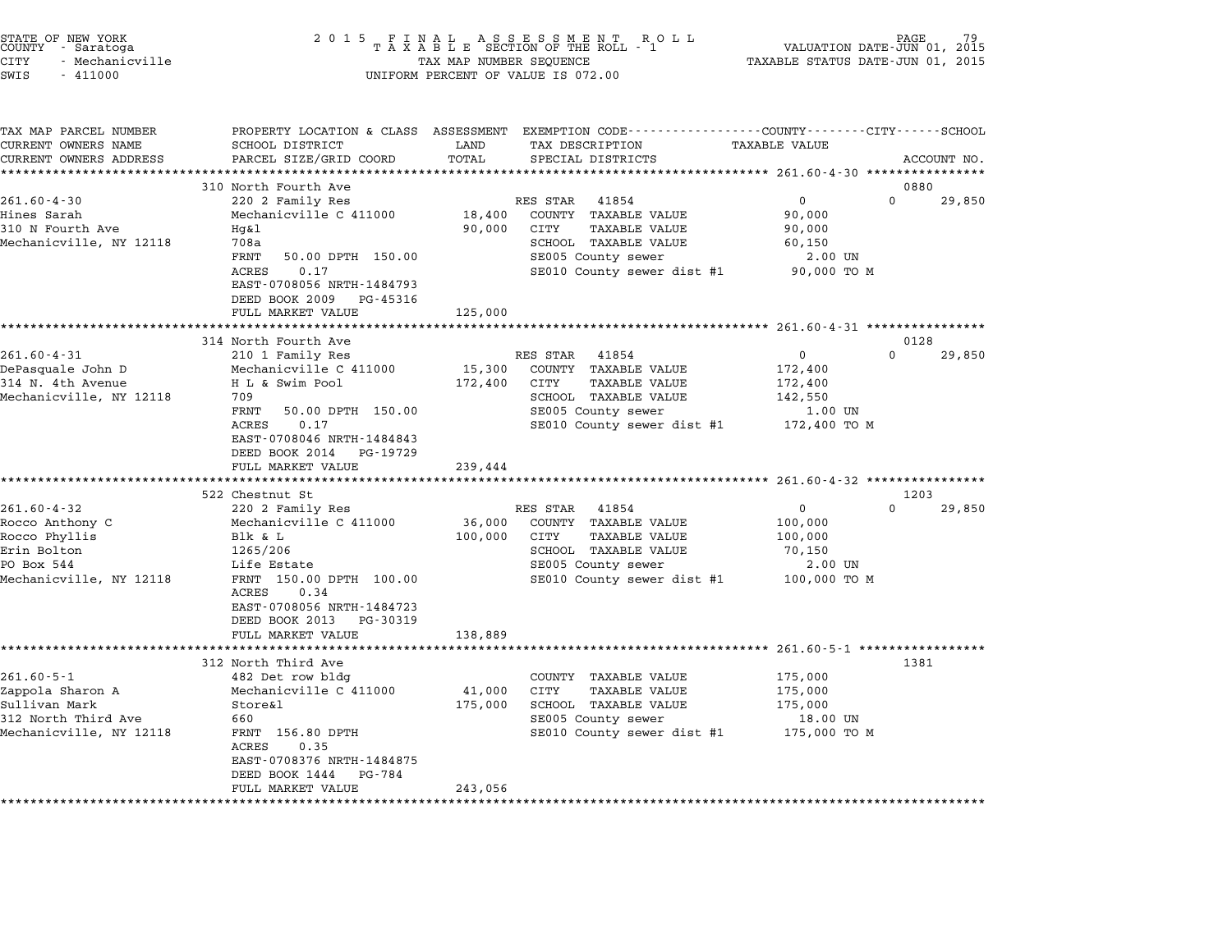| STATE OF NEW YORK<br>COUNTY – Saratoga<br>CITY<br>- Mechanicville<br>SWIS<br>$-411000$                                                                                                                  | 2 0 1 5                                                                                                                                                                                                                                                                                                                                                                                                 | TAX MAP NUMBER SEQUENCE                           | FINAL ASSESSMENT ROLL<br>TAXABLE SECTION OF THE ROLL - 1<br>UNIFORM PERCENT OF VALUE IS 072.00                                                                                                                                                                                                                 | VALUATION DATE-JUN 01, 2015<br>TAXABLE STATUS DATE-JUN 01, 2015                                                                                                                                            | PAGE                                                     |
|---------------------------------------------------------------------------------------------------------------------------------------------------------------------------------------------------------|---------------------------------------------------------------------------------------------------------------------------------------------------------------------------------------------------------------------------------------------------------------------------------------------------------------------------------------------------------------------------------------------------------|---------------------------------------------------|----------------------------------------------------------------------------------------------------------------------------------------------------------------------------------------------------------------------------------------------------------------------------------------------------------------|------------------------------------------------------------------------------------------------------------------------------------------------------------------------------------------------------------|----------------------------------------------------------|
| TAX MAP PARCEL NUMBER<br>CURRENT OWNERS NAME<br>CURRENT OWNERS ADDRESS                                                                                                                                  | PROPERTY LOCATION & CLASS ASSESSMENT<br>SCHOOL DISTRICT<br>PARCEL SIZE/GRID COORD                                                                                                                                                                                                                                                                                                                       | LAND<br>TOTAL<br>******                           | EXEMPTION CODE-----------------COUNTY-------CITY------SCHOOL<br>TAX DESCRIPTION<br>SPECIAL DISTRICTS                                                                                                                                                                                                           | TAXABLE VALUE                                                                                                                                                                                              | ACCOUNT NO.                                              |
|                                                                                                                                                                                                         | 310 North Fourth Ave                                                                                                                                                                                                                                                                                                                                                                                    |                                                   |                                                                                                                                                                                                                                                                                                                |                                                                                                                                                                                                            | 0880                                                     |
| $261.60 - 4 - 30$<br>Hines Sarah<br>310 N Fourth Ave<br>Mechanicville, NY 12118                                                                                                                         | 220 2 Family Res<br>Mechanicville C 411000<br>$Hq\&1$<br>708a<br>FRNT<br>50.00 DPTH 150.00<br>ACRES<br>0.17<br>EAST-0708056 NRTH-1484793<br>DEED BOOK 2009<br>PG-45316                                                                                                                                                                                                                                  | 18,400<br>90,000                                  | RES STAR<br>41854<br>COUNTY TAXABLE VALUE<br>CITY<br><b>TAXABLE VALUE</b><br>SCHOOL TAXABLE VALUE<br>SE005 County sewer<br>SE010 County sewer dist #1                                                                                                                                                          | $\mathbf 0$<br>90,000<br>90,000<br>60,150<br>2.00 UN<br>90,000 TO M                                                                                                                                        | $\Omega$<br>29,850                                       |
|                                                                                                                                                                                                         | FULL MARKET VALUE                                                                                                                                                                                                                                                                                                                                                                                       | 125,000                                           |                                                                                                                                                                                                                                                                                                                |                                                                                                                                                                                                            |                                                          |
| $261.60 - 4 - 31$<br>DePasquale John D<br>314 N. 4th Avenue<br>Mechanicville, NY 12118<br>$261.60 - 4 - 32$<br>Rocco Anthony C<br>Rocco Phyllis<br>Erin Bolton<br>PO Box 544<br>Mechanicville, NY 12118 | 314 North Fourth Ave<br>210 1 Family Res<br>Mechanicville C 411000<br>H L & Swim Pool<br>709<br>FRNT<br>50.00 DPTH 150.00<br>ACRES<br>0.17<br>EAST-0708046 NRTH-1484843<br>DEED BOOK 2014 PG-19729<br>FULL MARKET VALUE<br>522 Chestnut St<br>220 2 Family Res<br>Mechanicville C 411000<br>Blk & L<br>1265/206<br>Life Estate<br>FRNT 150.00 DPTH 100.00<br>ACRES<br>0.34<br>EAST-0708056 NRTH-1484723 | 15,300<br>172,400<br>239,444<br>36,000<br>100,000 | RES STAR<br>41854<br>COUNTY TAXABLE VALUE<br>CITY<br><b>TAXABLE VALUE</b><br>SCHOOL TAXABLE VALUE<br>SE005 County sewer<br>SE010 County sewer dist #1<br>RES STAR<br>41854<br>COUNTY TAXABLE VALUE<br>CITY<br><b>TAXABLE VALUE</b><br>SCHOOL TAXABLE VALUE<br>SE005 County sewer<br>SE010 County sewer dist #1 | $\mathbf{0}$<br>172,400<br>172,400<br>142,550<br>1.00 UN<br>172,400 TO M<br>********************** 261.60-4-32 ****************<br>$\mathbf{0}$<br>100,000<br>100,000<br>70,150<br>2.00 UN<br>100,000 TO M | 0128<br>$\Omega$<br>29,850<br>1203<br>$\Omega$<br>29,850 |
|                                                                                                                                                                                                         | DEED BOOK 2013<br>PG-30319<br>FULL MARKET VALUE                                                                                                                                                                                                                                                                                                                                                         | 138,889                                           |                                                                                                                                                                                                                                                                                                                |                                                                                                                                                                                                            |                                                          |
| $261.60 - 5 - 1$<br>Zappola Sharon A<br>Sullivan Mark<br>312 North Third Ave<br>Mechanicville, NY 12118                                                                                                 | 312 North Third Ave<br>482 Det row bldg<br>Mechanicville C 411000<br>Store&l<br>660<br>FRNT 156.80 DPTH<br>ACRES<br>0.35<br>EAST-0708376 NRTH-1484875<br>DEED BOOK 1444<br>PG-784<br>FULL MARKET VALUE                                                                                                                                                                                                  | 41,000<br>175,000<br>243,056                      | COUNTY TAXABLE VALUE<br>CITY<br>TAXABLE VALUE<br>SCHOOL TAXABLE VALUE<br>SE005 County sewer<br>SE010 County sewer dist #1 175,000 TO M                                                                                                                                                                         | **************** 261.60-5-1 *****************<br>175,000<br>175,000<br>175,000<br>18.00 UN                                                                                                                 | 1381                                                     |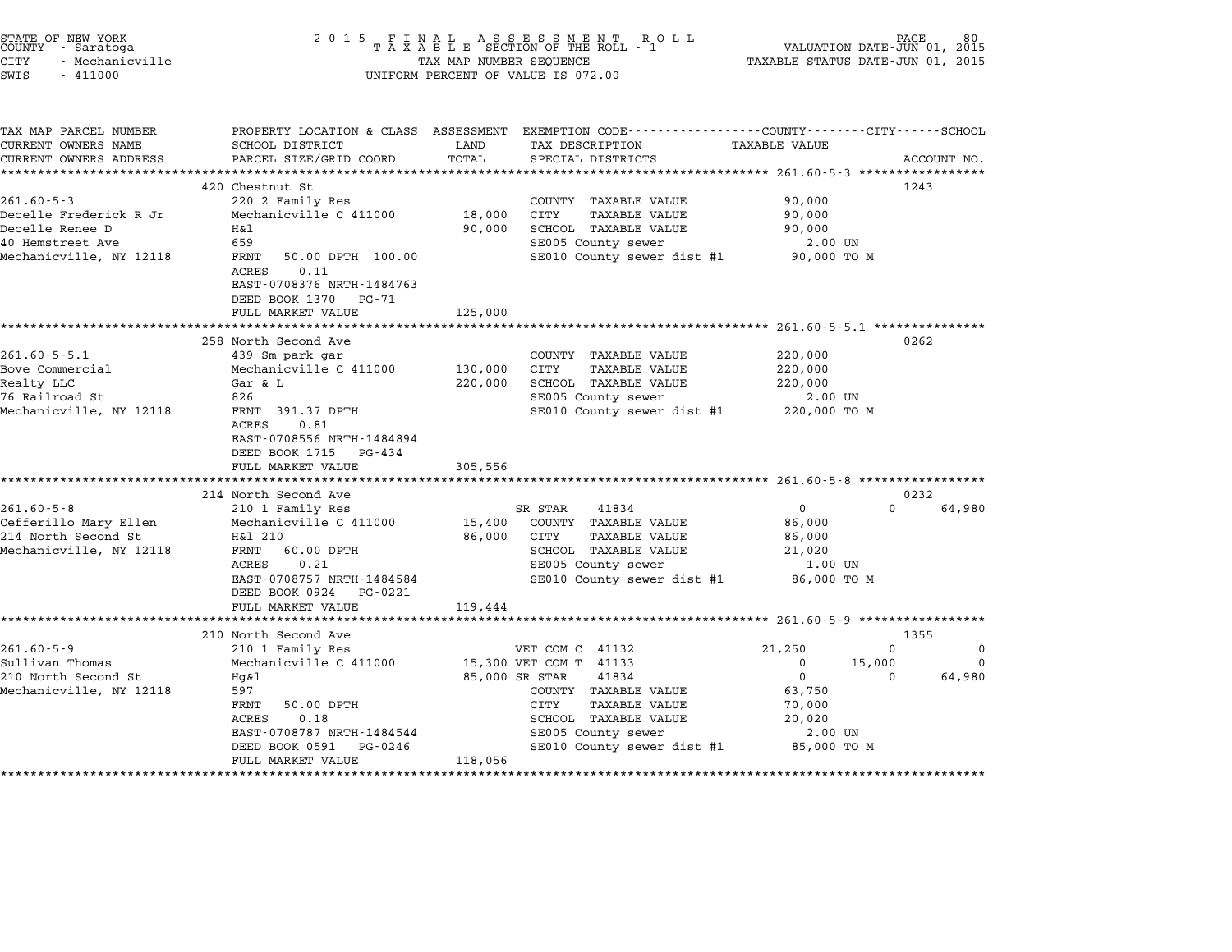| STATE OF NEW YORK<br>COUNTY - Saratoga<br>CITY<br>- Mechanicville<br>SWIS<br>$-411000$ | 2 0 1 5                                       | TAX MAP NUMBER SEQUENCE | UNIFORM PERCENT OF VALUE IS 072.00                                                                                 | VALUATION DATE-JUN 01,<br>TAXABLE STATUS DATE-JUN 01, 2015 | 80<br>2015            |
|----------------------------------------------------------------------------------------|-----------------------------------------------|-------------------------|--------------------------------------------------------------------------------------------------------------------|------------------------------------------------------------|-----------------------|
|                                                                                        |                                               |                         |                                                                                                                    |                                                            |                       |
| TAX MAP PARCEL NUMBER<br>CURRENT OWNERS NAME                                           | SCHOOL DISTRICT                               | LAND                    | PROPERTY LOCATION & CLASS ASSESSMENT EXEMPTION CODE---------------COUNTY-------CITY------SCHOOL<br>TAX DESCRIPTION | <b>TAXABLE VALUE</b>                                       |                       |
| CURRENT OWNERS ADDRESS                                                                 | PARCEL SIZE/GRID COORD                        | TOTAL                   | SPECIAL DISTRICTS                                                                                                  |                                                            | ACCOUNT NO.           |
|                                                                                        |                                               | ***********             |                                                                                                                    |                                                            |                       |
|                                                                                        | 420 Chestnut St                               |                         |                                                                                                                    |                                                            | 1243                  |
| $261.60 - 5 - 3$                                                                       | 220 2 Family Res                              |                         | COUNTY TAXABLE VALUE                                                                                               | 90,000                                                     |                       |
| Decelle Frederick R Jr                                                                 | Mechanicville C 411000                        | 18,000                  | <b>CITY</b><br><b>TAXABLE VALUE</b>                                                                                | 90,000                                                     |                       |
| Decelle Renee D                                                                        | Η&l                                           | 90,000                  | SCHOOL TAXABLE VALUE                                                                                               | 90,000                                                     |                       |
| 40 Hemstreet Ave                                                                       | 659                                           |                         | SE005 County sewer                                                                                                 | 2.00 UN                                                    |                       |
| Mechanicville, NY 12118                                                                | FRNT<br>50.00 DPTH 100.00                     |                         | SE010 County sewer dist #1 90,000 TO M                                                                             |                                                            |                       |
|                                                                                        | ACRES<br>0.11<br>EAST-0708376 NRTH-1484763    |                         |                                                                                                                    |                                                            |                       |
|                                                                                        | DEED BOOK 1370<br>PG-71                       |                         |                                                                                                                    |                                                            |                       |
|                                                                                        | FULL MARKET VALUE                             | 125,000                 |                                                                                                                    |                                                            |                       |
|                                                                                        |                                               |                         |                                                                                                                    |                                                            |                       |
|                                                                                        | 258 North Second Ave                          |                         |                                                                                                                    |                                                            | 0262                  |
| $261.60 - 5 - 5.1$                                                                     | 439 Sm park gar                               |                         | COUNTY TAXABLE VALUE                                                                                               | 220,000                                                    |                       |
| Bove Commercial                                                                        | Mechanicville C 411000                        | 130,000                 | CITY<br><b>TAXABLE VALUE</b>                                                                                       | 220,000                                                    |                       |
| Realty LLC                                                                             | Gar & L                                       | 220,000                 | SCHOOL TAXABLE VALUE                                                                                               | 220,000                                                    |                       |
| 76 Railroad St                                                                         | 826                                           |                         | SE005 County sewer                                                                                                 | $2.00$ UN                                                  |                       |
| Mechanicville, NY 12118                                                                | FRNT 391.37 DPTH                              |                         | SE010 County sewer dist #1                                                                                         | 220,000 TO M                                               |                       |
|                                                                                        | ACRES<br>0.81                                 |                         |                                                                                                                    |                                                            |                       |
|                                                                                        | EAST-0708556 NRTH-1484894                     |                         |                                                                                                                    |                                                            |                       |
|                                                                                        | DEED BOOK 1715<br>PG-434<br>FULL MARKET VALUE |                         |                                                                                                                    |                                                            |                       |
|                                                                                        |                                               | 305,556                 |                                                                                                                    |                                                            |                       |
|                                                                                        | 214 North Second Ave                          |                         |                                                                                                                    |                                                            | 0232                  |
| $261.60 - 5 - 8$                                                                       | 210 1 Family Res                              |                         | SR STAR<br>41834                                                                                                   | $\mathbf 0$                                                | $\Omega$<br>64,980    |
| Cefferillo Mary Ellen                                                                  | Mechanicville C 411000                        | 15,400                  | COUNTY TAXABLE VALUE                                                                                               | 86,000                                                     |                       |
| 214 North Second St                                                                    | H&1 210                                       | 86,000                  | CITY<br>TAXABLE VALUE                                                                                              | 86,000                                                     |                       |
| Mechanicville, NY 12118                                                                | FRNT<br>60.00 DPTH                            |                         | SCHOOL TAXABLE VALUE                                                                                               | 21,020                                                     |                       |
|                                                                                        | 0.21<br>ACRES                                 |                         | SE005 County sewer                                                                                                 | 1.00 UN                                                    |                       |
|                                                                                        | EAST-0708757 NRTH-1484584                     |                         | SE010 County sewer dist #1                                                                                         | 86,000 TO M                                                |                       |
|                                                                                        | DEED BOOK 0924<br>PG-0221                     |                         |                                                                                                                    |                                                            |                       |
|                                                                                        | FULL MARKET VALUE                             | 119,444                 |                                                                                                                    |                                                            |                       |
|                                                                                        |                                               |                         |                                                                                                                    | ********************** 261.60-5-9 ****************         |                       |
| $261.60 - 5 - 9$                                                                       | 210 North Second Ave<br>210 1 Family Res      |                         | VET COM C 41132                                                                                                    | 21,250                                                     | 1355<br>0<br>$\Omega$ |
| Sullivan Thomas                                                                        | Mechanicville C 411000                        |                         | 15,300 VET COM T 41133                                                                                             | $\mathbf 0$                                                | 15,000<br>0           |
| 210 North Second St                                                                    | $Hq\&1$                                       |                         | 85,000 SR STAR<br>41834                                                                                            | $\mathbf 0$                                                | 64,980<br>$\Omega$    |
| Mechanicville, NY 12118                                                                | 597                                           |                         | COUNTY TAXABLE VALUE                                                                                               | 63,750                                                     |                       |
|                                                                                        | FRNT<br>50.00 DPTH                            |                         | CITY<br>TAXABLE VALUE                                                                                              | 70,000                                                     |                       |

- 19. ACRES 0.18 STAR SCHOOL TAXABLE VALUE 20,000<br>RENT 50.00 DPTH 60.000 SCHOOL TAXABLE VALUE 20,020<br>ACRES 0.18 SCHOOL TAXABLE VALUE 20,020 EARL JOURNAL SOLUTION CITY AAADDE VADUE VAN MONTON SURFERING SUPPORT ON SUPPORT ON SUPPORT ON SUPPORT ON SUPPORT SUPPORT ON SUPPORT ON SUPPORT ON SUPPORT ON SUPPORT ON SUPPORT ON SUPPORT ON SUPPORT ON SUPPORT ON SUPPORT ON EAST-0708787 NRTH-1484544 SCHOOL IAAABLE VALUE 20,020<br>DEED BOOK 0591 PG-0246 SE010 County sewer dist #1 85,000 TO M

\*\*\*\*\*\*\*\*\*\*\*\*\*\*\*\*\*\*\*\*\*\*\*\*\*\*\*\*\*\*\*\*\*\*\*\*\*\*\*\*\*\*\*\*\*\*\*\*\*\*\*\*\*\*\*\*\*\*\*\*\*\*\*\*\*\*\*\*\*\*\*\*\*\*\*\*\*\*\*\*\*\*\*\*\*\*\*\*\*\*\*\*\*\*\*\*\*\*\*\*\*\*\*\*\*\*\*\*\*\*\*\*\*\*\*\*\*\*\*\*\*\*\*\*\*\*\*\*\*\*\*\*

ACRES 0.10<br>EAST-0708787 NRTH-1484544<br>DEED BOOK 0591 PG-0246<br>FULL MARKET VALUE 118,056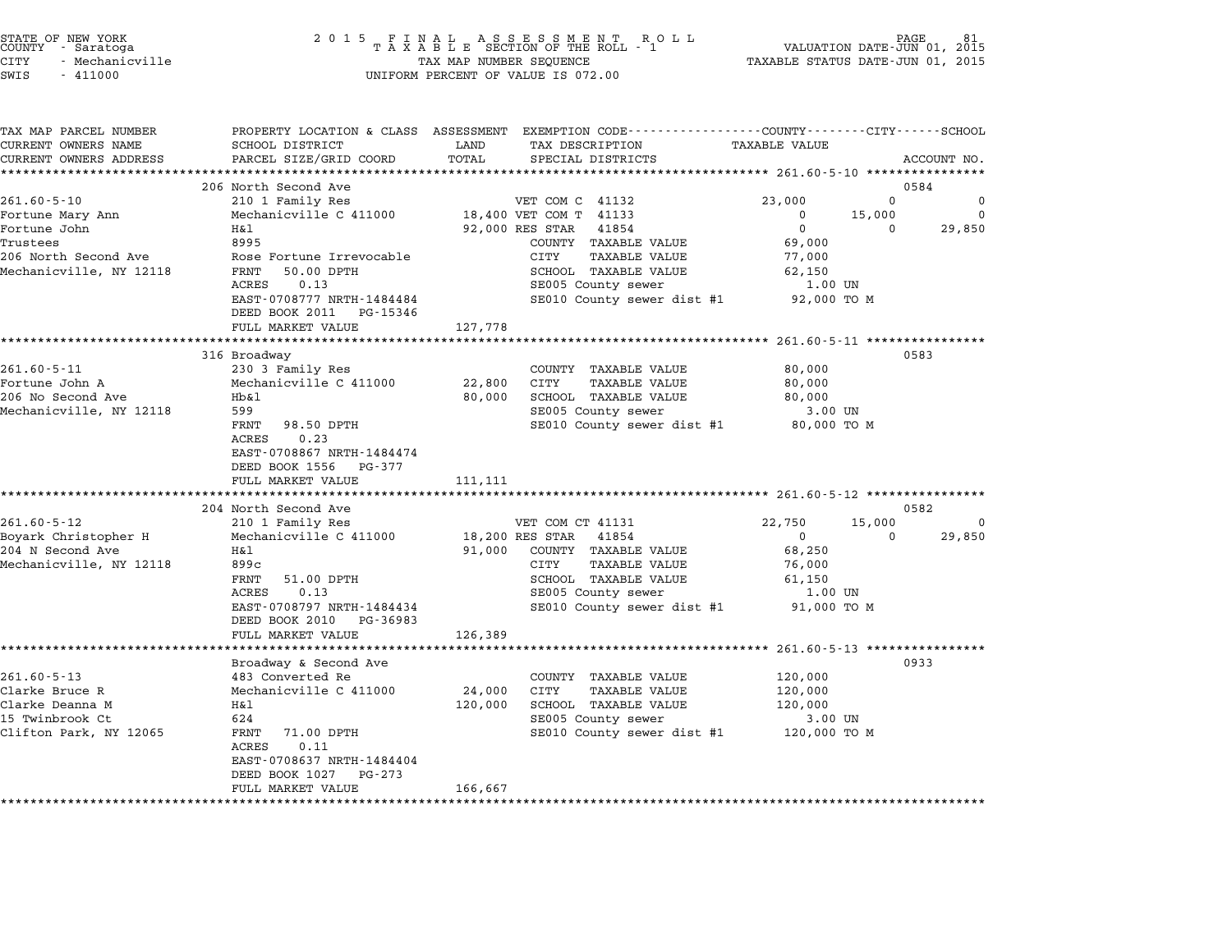|        | STATE OF NEW YORK |
|--------|-------------------|
| COUNTY | - Saratoga        |
| CITY   | - Mechanicville   |

### end the NEW YORK (STATE OF NEW YORK)<br>2015 FINAL ASSESSMENT ROLL - 1 (PALUATION DATE-JUN 01, 2015<br>COUNTY - Saratoga (PALUATION OF THE ROLL - 1) (PALUATION DATE-JUN 01, 2015 CITY - Mechanicville TAX MAP NUMBER SEQUENCE TAXABLE STATUS DATE-JUN 01, <sup>2015</sup> SWIS - <sup>411000</sup> UNIFORM PERCENT OF VALUE IS 072.00

| TAX MAP PARCEL NUMBER<br>CURRENT OWNERS NAME | SCHOOL DISTRICT                                      | PROPERTY LOCATION & CLASS ASSESSMENT EXEMPTION CODE---------------COUNTY-------CITY------SCHOOL<br>LAND<br>TAX DESCRIPTION | <b>TAXABLE VALUE</b>                |             |
|----------------------------------------------|------------------------------------------------------|----------------------------------------------------------------------------------------------------------------------------|-------------------------------------|-------------|
| CURRENT OWNERS ADDRESS                       | PARCEL SIZE/GRID COORD                               | TOTAL<br>SPECIAL DISTRICTS                                                                                                 |                                     | ACCOUNT NO. |
|                                              |                                                      |                                                                                                                            |                                     |             |
|                                              | 206 North Second Ave                                 |                                                                                                                            | 0584                                |             |
| $261.60 - 5 - 10$                            | 210 1 Family Res                                     | VET COM C 41132                                                                                                            | 23,000<br>0                         | $\Omega$    |
| Fortune Mary Ann                             | Mechanicville C 411000                               | 18,400 VET COM T 41133                                                                                                     | $\Omega$<br>15,000                  | $\Omega$    |
| Fortune John                                 | H&l                                                  | 92,000 RES STAR<br>41854                                                                                                   | $\mathbf 0$<br>$\Omega$             | 29,850      |
| Trustees                                     | 8995                                                 | COUNTY TAXABLE VALUE                                                                                                       | 69,000                              |             |
| 206 North Second Ave                         | Rose Fortune Irrevocable                             | CITY<br><b>TAXABLE VALUE</b>                                                                                               | 77,000                              |             |
| Mechanicville, NY 12118                      | FRNT<br>50.00 DPTH                                   | SCHOOL TAXABLE VALUE                                                                                                       | 62,150                              |             |
|                                              | ACRES<br>0.13                                        | SE005 County sewer                                                                                                         | 1.00 UN                             |             |
|                                              | EAST-0708777 NRTH-1484484<br>DEED BOOK 2011 PG-15346 | SE010 County sewer dist #1                                                                                                 | 92,000 TO M                         |             |
|                                              | FULL MARKET VALUE                                    | 127,778                                                                                                                    |                                     |             |
|                                              | *********************                                | ***********                                                                                                                | ********** 261.60-5-11 ************ |             |
|                                              | 316 Broadway                                         |                                                                                                                            | 0583                                |             |
| $261.60 - 5 - 11$                            | 230 3 Family Res                                     | COUNTY TAXABLE VALUE                                                                                                       | 80,000                              |             |
| Fortune John A                               | Mechanicville C 411000                               | 22,800<br><b>CITY</b><br>TAXABLE VALUE                                                                                     | 80,000                              |             |
| 206 No Second Ave                            | Hb&1                                                 | SCHOOL TAXABLE VALUE<br>80,000                                                                                             | 80,000                              |             |
| Mechanicville, NY 12118                      | 599                                                  | SE005 County sewer                                                                                                         | 3.00 UN                             |             |
|                                              | 98.50 DPTH<br>FRNT                                   | SE010 County sewer dist #1 80,000 TO M                                                                                     |                                     |             |
|                                              | 0.23<br>ACRES                                        |                                                                                                                            |                                     |             |
|                                              | EAST-0708867 NRTH-1484474                            |                                                                                                                            |                                     |             |
|                                              | DEED BOOK 1556 PG-377                                |                                                                                                                            |                                     |             |
|                                              | FULL MARKET VALUE                                    | 111,111                                                                                                                    |                                     |             |
|                                              | **************************                           |                                                                                                                            |                                     |             |
|                                              | 204 North Second Ave                                 |                                                                                                                            | 0582                                |             |
| $261.60 - 5 - 12$                            | 210 1 Family Res                                     | VET COM CT 41131                                                                                                           | 22,750<br>15,000                    | $\Omega$    |
| Boyark Christopher H                         | Mechanicville C 411000                               | 18,200 RES STAR<br>41854                                                                                                   | $\overline{0}$<br>$\Omega$          | 29,850      |
| 204 N Second Ave                             | H&l                                                  | 91,000<br>COUNTY TAXABLE VALUE                                                                                             | 68,250                              |             |
| Mechanicville, NY 12118                      | 899c                                                 | CITY<br><b>TAXABLE VALUE</b>                                                                                               | 76,000                              |             |
|                                              | FRNT<br>51.00 DPTH                                   | SCHOOL TAXABLE VALUE                                                                                                       | 61,150                              |             |
|                                              | ACRES<br>0.13                                        | SE005 County sewer                                                                                                         | 1.00 UN                             |             |
|                                              | EAST-0708797 NRTH-1484434<br>DEED BOOK 2010 PG-36983 | SE010 County sewer dist #1                                                                                                 | 91,000 TO M                         |             |
|                                              | FULL MARKET VALUE                                    | 126,389                                                                                                                    |                                     |             |
|                                              |                                                      |                                                                                                                            |                                     |             |
|                                              | Broadway & Second Ave                                |                                                                                                                            | 0933                                |             |
| $261.60 - 5 - 13$                            | 483 Converted Re                                     | COUNTY TAXABLE VALUE                                                                                                       | 120,000                             |             |
| Clarke Bruce R                               | Mechanicville C 411000                               | 24,000<br>CITY<br>TAXABLE VALUE                                                                                            | 120,000                             |             |
| Clarke Deanna M                              | H&l                                                  | SCHOOL TAXABLE VALUE<br>120,000                                                                                            | 120,000                             |             |
| 15 Twinbrook Ct                              | 624                                                  | SE005 County sewer                                                                                                         | 3.00 UN                             |             |
| Clifton Park, NY 12065                       | FRNT<br>71.00 DPTH                                   | SE010 County sewer dist #1 120,000 TO M                                                                                    |                                     |             |
|                                              | 0.11<br>ACRES                                        |                                                                                                                            |                                     |             |
|                                              |                                                      |                                                                                                                            |                                     |             |
|                                              | EAST-0708637 NRTH-1484404                            |                                                                                                                            |                                     |             |
|                                              | $PG - 273$<br>DEED BOOK 1027<br>FULL MARKET VALUE    | 166,667                                                                                                                    |                                     |             |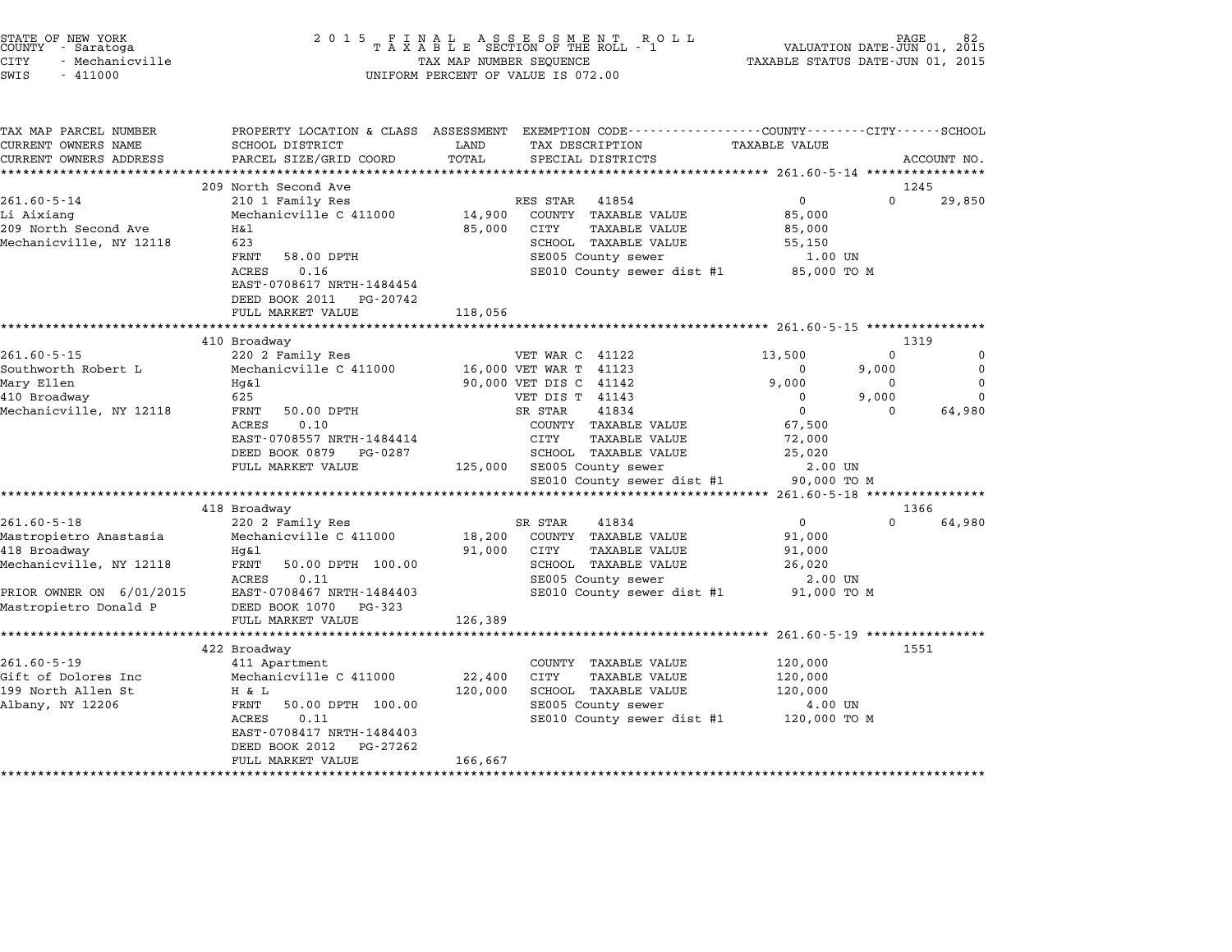|                                                                                               | ************************                                              |                         |                                                                                                |                                                                 |                   | 1551               |
|-----------------------------------------------------------------------------------------------|-----------------------------------------------------------------------|-------------------------|------------------------------------------------------------------------------------------------|-----------------------------------------------------------------|-------------------|--------------------|
| Mastropietro Donald P                                                                         | DEED BOOK 1070<br>PG-323<br>FULL MARKET VALUE                         | 126,389                 |                                                                                                |                                                                 |                   |                    |
| PRIOR OWNER ON 6/01/2015                                                                      | 0.11<br>ACRES<br>EAST-0708467 NRTH-1484403                            |                         | SE005 County sewer<br>SE010 County sewer dist #1                                               | 2.00 UN<br>91,000 TO M                                          |                   |                    |
| 418 Broadway<br>Mechanicville, NY 12118                                                       | Hq&l<br>FRNT<br>50.00 DPTH 100.00                                     | 91,000                  | CITY<br><b>TAXABLE VALUE</b><br>SCHOOL TAXABLE VALUE                                           | 91,000<br>26,020                                                |                   |                    |
| $261.60 - 5 - 18$<br>Mastropietro Anastasia                                                   | 418 Broadway<br>220 2 Family Res<br>Mechanicville C 411000            | 18,200                  | SR STAR<br>41834<br>COUNTY TAXABLE VALUE                                                       | $\mathbf 0$<br>91,000                                           | 1366<br>$\Omega$  | 64,980             |
|                                                                                               | **********                                                            |                         |                                                                                                | ******************************** 261.60-5-18 *****************  |                   |                    |
|                                                                                               | FULL MARKET VALUE                                                     | 125,000                 | SE005 County sewer<br>SE010 County sewer dist #1                                               | 2.00 UN<br>90,000 TO M                                          |                   |                    |
|                                                                                               | 0.10<br>ACRES<br>EAST-0708557 NRTH-1484414<br>DEED BOOK 0879 PG-0287  |                         | COUNTY TAXABLE VALUE<br>CITY<br><b>TAXABLE VALUE</b><br>SCHOOL TAXABLE VALUE                   | 67,500<br>72,000<br>25,020                                      |                   |                    |
| 410 Broadway<br>Mechanicville, NY 12118                                                       | 625<br>FRNT<br>50.00 DPTH                                             |                         | VET DIS T 41143<br>SR STAR<br>41834                                                            | 0<br>$\overline{0}$                                             | 9,000<br>$\Omega$ | $\Omega$<br>64,980 |
| Mary Ellen                                                                                    | Hq&l                                                                  |                         | 90,000 VET DIS C 41142                                                                         | 9,000                                                           | 0                 | 0                  |
| $261.60 - 5 - 15$<br>Southworth Robert L                                                      | 410 Broadway<br>220 2 Family Res<br>Mechanicville C 411000            |                         | VET WAR C 41122<br>16,000 VET WAR T 41123                                                      | 13,500<br>0                                                     | $\Omega$<br>9,000 | 0<br>0             |
|                                                                                               | FULL MARKET VALUE                                                     | 118,056                 |                                                                                                |                                                                 | 1319              |                    |
|                                                                                               | 0.16<br>ACRES<br>EAST-0708617 NRTH-1484454<br>DEED BOOK 2011 PG-20742 |                         | SE010 County sewer dist #1                                                                     | 85,000 TO M                                                     |                   |                    |
| 209 North Second Ave<br>Mechanicville, NY 12118                                               | Η&l<br>623<br>FRNT<br>58.00 DPTH                                      | 85,000                  | CITY<br>TAXABLE VALUE<br>SCHOOL TAXABLE VALUE<br>SE005 County sewer                            | 85,000<br>55,150<br>1.00 UN                                     |                   |                    |
| $261.60 - 5 - 14$<br>Li Aixiang                                                               | 209 North Second Ave<br>210 1 Family Res<br>Mechanicville C 411000    | 14,900                  | 41854<br>RES STAR<br>COUNTY TAXABLE VALUE                                                      | $\mathbf 0$<br>85,000                                           | 1245<br>$\Omega$  | 29,850             |
| CURRENT OWNERS ADDRESS                                                                        | PARCEL SIZE/GRID COORD                                                | TOTAL                   | SPECIAL DISTRICTS                                                                              |                                                                 |                   | ACCOUNT NO.        |
| TAX MAP PARCEL NUMBER<br>CURRENT OWNERS NAME                                                  | PROPERTY LOCATION & CLASS ASSESSMENT<br>SCHOOL DISTRICT               | LAND                    | EXEMPTION CODE-----------------COUNTY-------CITY------SCHOOL<br>TAX DESCRIPTION                | TAXABLE VALUE                                                   |                   |                    |
| STATE OF NEW YORK<br>COUNTY - Saratoga<br><b>CITY</b><br>- Mechanicville<br>SWIS<br>$-411000$ | 2 0 1 5                                                               | TAX MAP NUMBER SEQUENCE | FINAL ASSESSMENT ROLL<br>TAXABLE SECTION OF THE ROLL - 1<br>UNIFORM PERCENT OF VALUE IS 072.00 | VALUATION DATE-JUN 01, 2015<br>TAXABLE STATUS DATE-JUN 01, 2015 | PAGE              |                    |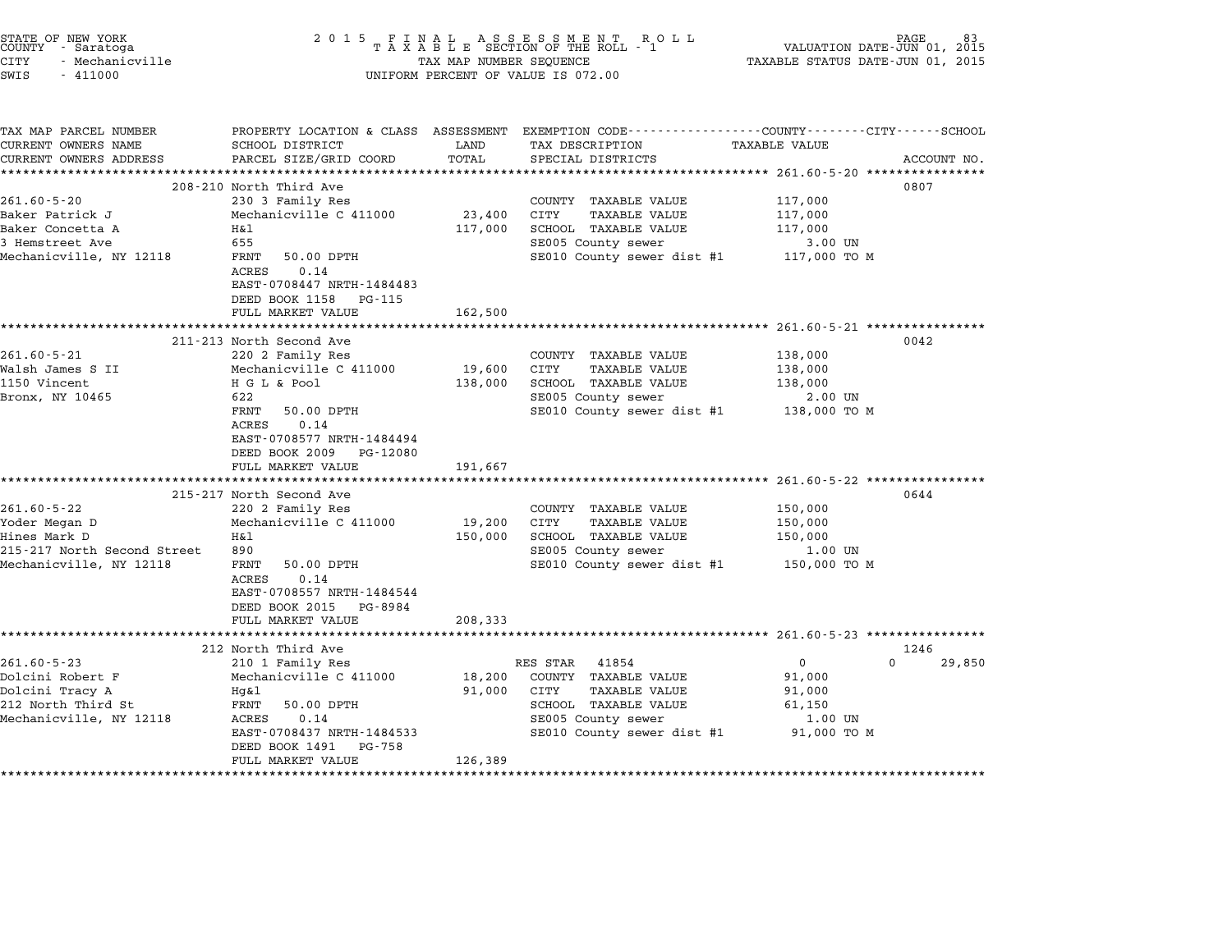| STATE OF NEW YORK<br>COUNTY - Saratoga<br><b>CITY</b><br>- Mechanicville<br>SWIS<br>$-411000$ | 2 0 1 5                                                                                                          | TAX MAP NUMBER SEQUENCE | FINAL ASSESSMENT ROLL<br>TAXABLE SECTION OF THE ROLL - 1<br>UNIFORM PERCENT OF VALUE IS 072.00                     | VALUATION DATE-JUN 01, 2015<br>TAXABLE STATUS DATE-JUN 01, 2015 | PAGE               |
|-----------------------------------------------------------------------------------------------|------------------------------------------------------------------------------------------------------------------|-------------------------|--------------------------------------------------------------------------------------------------------------------|-----------------------------------------------------------------|--------------------|
| TAX MAP PARCEL NUMBER<br>CURRENT OWNERS NAME                                                  | SCHOOL DISTRICT                                                                                                  | LAND                    | PROPERTY LOCATION & CLASS ASSESSMENT EXEMPTION CODE---------------COUNTY-------CITY------SCHOOL<br>TAX DESCRIPTION | <b>TAXABLE VALUE</b>                                            |                    |
| CURRENT OWNERS ADDRESS                                                                        | PARCEL SIZE/GRID COORD                                                                                           | TOTAL                   | SPECIAL DISTRICTS                                                                                                  |                                                                 | ACCOUNT NO.        |
|                                                                                               | 208-210 North Third Ave                                                                                          |                         |                                                                                                                    |                                                                 | 0807               |
| $261.60 - 5 - 20$<br>Baker Patrick J                                                          | 230 3 Family Res<br>Mechanicville C 411000                                                                       | 23,400                  | COUNTY TAXABLE VALUE<br>CITY<br><b>TAXABLE VALUE</b>                                                               | 117,000<br>117,000                                              |                    |
| Baker Concetta A                                                                              | Η&l                                                                                                              | 117,000                 | SCHOOL TAXABLE VALUE                                                                                               | 117,000                                                         |                    |
| 3 Hemstreet Ave                                                                               | 655                                                                                                              |                         | SE005 County sewer                                                                                                 | 3.00 UN                                                         |                    |
| Mechanicville, NY 12118                                                                       | FRNT<br>50.00 DPTH<br>ACRES<br>0.14<br>EAST-0708447 NRTH-1484483<br>DEED BOOK 1158 PG-115                        |                         | SE010 County sewer dist #1                                                                                         | 117,000 TO M                                                    |                    |
|                                                                                               | FULL MARKET VALUE                                                                                                | 162,500                 |                                                                                                                    |                                                                 |                    |
|                                                                                               |                                                                                                                  |                         |                                                                                                                    |                                                                 |                    |
|                                                                                               | 211-213 North Second Ave                                                                                         |                         |                                                                                                                    |                                                                 | 0042               |
| $261.60 - 5 - 21$<br>Walsh James S II                                                         | 220 2 Family Res<br>Mechanicville C 411000                                                                       | 19,600                  | COUNTY TAXABLE VALUE<br>CITY<br>TAXABLE VALUE                                                                      | 138,000<br>138,000                                              |                    |
| 1150 Vincent                                                                                  | H G L & Pool                                                                                                     | 138,000                 | SCHOOL TAXABLE VALUE                                                                                               | 138,000                                                         |                    |
| Bronx, NY 10465                                                                               | 622                                                                                                              |                         | SE005 County sewer                                                                                                 | 2.00 UN                                                         |                    |
|                                                                                               | FRNT<br>50.00 DPTH<br>0.14<br>ACRES<br>EAST-0708577 NRTH-1484494<br>DEED BOOK 2009 PG-12080<br>FULL MARKET VALUE | 191,667                 | SE010 County sewer dist #1                                                                                         | 138,000 TO M                                                    |                    |
|                                                                                               | *******************************                                                                                  |                         |                                                                                                                    |                                                                 |                    |
|                                                                                               | 215-217 North Second Ave                                                                                         |                         |                                                                                                                    |                                                                 | 0644               |
| 261.60-5-22                                                                                   | 220 2 Family Res                                                                                                 |                         | COUNTY TAXABLE VALUE                                                                                               | 150,000                                                         |                    |
| Yoder Megan D                                                                                 | Mechanicville C 411000                                                                                           | 19,200                  | CITY<br><b>TAXABLE VALUE</b>                                                                                       | 150,000                                                         |                    |
| Hines Mark D                                                                                  | Η&l                                                                                                              | 150,000                 | SCHOOL TAXABLE VALUE                                                                                               | 150,000                                                         |                    |
| 215-217 North Second Street                                                                   | 890                                                                                                              |                         | SE005 County sewer                                                                                                 | 1.00 UN                                                         |                    |
| Mechanicville, NY 12118                                                                       | FRNT<br>50.00 DPTH<br>0.14<br>ACRES<br>EAST-0708557 NRTH-1484544<br>DEED BOOK 2015<br>PG-8984                    |                         | SE010 County sewer dist #1                                                                                         | 150,000 то м                                                    |                    |
|                                                                                               | FULL MARKET VALUE                                                                                                | 208,333                 |                                                                                                                    |                                                                 |                    |
|                                                                                               | 212 North Third Ave                                                                                              |                         |                                                                                                                    |                                                                 | 1246               |
| $261.60 - 5 - 23$                                                                             | 210 1 Family Res                                                                                                 |                         | RES STAR<br>41854                                                                                                  | $\overline{0}$                                                  | $\Omega$<br>29,850 |
| Dolcini Robert F                                                                              | Mechanicville C 411000                                                                                           | 18,200                  | COUNTY TAXABLE VALUE                                                                                               | 91,000                                                          |                    |
| Dolcini Tracy A                                                                               | Hq&l                                                                                                             | 91,000                  | CITY<br>TAXABLE VALUE                                                                                              | 91,000                                                          |                    |
| 212 North Third St                                                                            | FRNT<br>50.00 DPTH                                                                                               |                         | SCHOOL TAXABLE VALUE                                                                                               | 61,150                                                          |                    |
| Mechanicville, NY 12118                                                                       | ACRES<br>0.14                                                                                                    |                         | SE005 County sewer                                                                                                 | 1.00 UN                                                         |                    |
|                                                                                               | EAST-0708437 NRTH-1484533<br>DEED BOOK 1491<br>PG-758                                                            |                         | SE010 County sewer dist #1                                                                                         | 91,000 TO M                                                     |                    |
|                                                                                               | FULL MARKET VALUE                                                                                                | 126,389                 |                                                                                                                    |                                                                 |                    |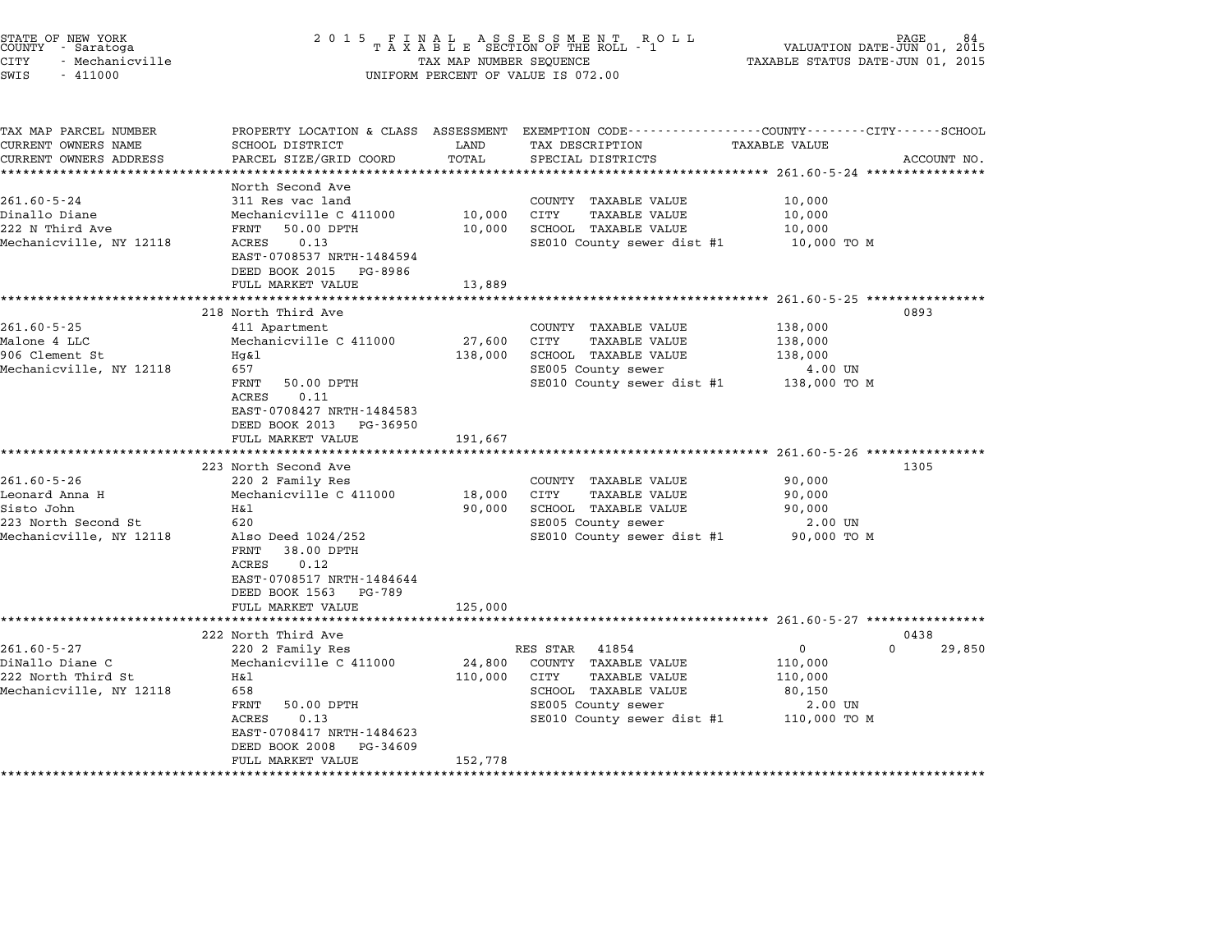| STATE OF NEW YORK<br>COUNTY - Saratoga<br><b>CITY</b><br>- Mechanicville<br>SWIS<br>$-411000$ |                                                                                                                | TAX MAP NUMBER SEQUENCE | $\begin{array}{cccccccccccccccccccccc} 2&0&1&5& &\texttt{F} &\texttt{I} &\texttt{N} &\texttt{A} &\texttt{L} & &\texttt{A} &\texttt{S} &\texttt{S} &\texttt{E} &\texttt{S} &\texttt{S} &\texttt{M} &\texttt{E} &\texttt{N} &\texttt{T} & &\texttt{R} &\texttt{O} &\texttt{L} &\texttt{L} \\ & & & & & & & & \texttt{T} &\texttt{A} &\texttt{X} &\texttt{A} &\texttt{B} &\texttt{L} &\texttt{E} & & & & & & & & &$<br>UNIFORM PERCENT OF VALUE IS 072.00 | PAGE<br>VALUATION DATE-JUN 01, 2015<br>TAXABLE STATUS DATE-JUN 01, 2015                                                         |
|-----------------------------------------------------------------------------------------------|----------------------------------------------------------------------------------------------------------------|-------------------------|--------------------------------------------------------------------------------------------------------------------------------------------------------------------------------------------------------------------------------------------------------------------------------------------------------------------------------------------------------------------------------------------------------------------------------------------------------|---------------------------------------------------------------------------------------------------------------------------------|
| TAX MAP PARCEL NUMBER<br>CURRENT OWNERS NAME<br>CURRENT OWNERS ADDRESS                        | SCHOOL DISTRICT<br>PARCEL SIZE/GRID COORD                                                                      | LAND<br>TOTAL           | TAX DESCRIPTION<br>SPECIAL DISTRICTS                                                                                                                                                                                                                                                                                                                                                                                                                   | PROPERTY LOCATION & CLASS ASSESSMENT EXEMPTION CODE---------------COUNTY-------CITY------SCHOOL<br>TAXABLE VALUE<br>ACCOUNT NO. |
|                                                                                               |                                                                                                                |                         |                                                                                                                                                                                                                                                                                                                                                                                                                                                        |                                                                                                                                 |
| $261.60 - 5 - 24$                                                                             | North Second Ave<br>311 Res vac land                                                                           |                         | COUNTY TAXABLE VALUE                                                                                                                                                                                                                                                                                                                                                                                                                                   | 10,000                                                                                                                          |
| Dinallo Diane<br>222 N Third Ave<br>Mechanicville, NY 12118                                   | Mechanicville C 411000<br>50.00 DPTH<br>FRNT<br>ACRES<br>0.13                                                  | 10,000<br>10,000        | CITY<br><b>TAXABLE VALUE</b><br>SCHOOL TAXABLE VALUE                                                                                                                                                                                                                                                                                                                                                                                                   | 10,000<br>10,000<br>10,000 TO M                                                                                                 |
|                                                                                               | EAST-0708537 NRTH-1484594<br>DEED BOOK 2015 PG-8986<br>FULL MARKET VALUE                                       | 13,889                  | SE010 County sewer dist #1                                                                                                                                                                                                                                                                                                                                                                                                                             |                                                                                                                                 |
|                                                                                               | *******************                                                                                            | ************            |                                                                                                                                                                                                                                                                                                                                                                                                                                                        | ************************ 261.60-5-25 ****************                                                                           |
|                                                                                               | 218 North Third Ave                                                                                            |                         |                                                                                                                                                                                                                                                                                                                                                                                                                                                        | 0893                                                                                                                            |
| $261.60 - 5 - 25$<br>Malone 4 LLC<br>906 Clement St                                           | 411 Apartment<br>Mechanicville C 411000<br>Hq&l                                                                | 27,600                  | COUNTY TAXABLE VALUE<br>CITY<br>TAXABLE VALUE<br>SCHOOL TAXABLE VALUE                                                                                                                                                                                                                                                                                                                                                                                  | 138,000<br>138,000<br>138,000                                                                                                   |
| Mechanicville, NY 12118                                                                       | 657<br>FRNT<br>50.00 DPTH<br>0.11<br>ACRES                                                                     | 138,000                 | SE005 County sewer<br>SE010 County sewer dist #1                                                                                                                                                                                                                                                                                                                                                                                                       | 4.00 UN<br>138,000 то м                                                                                                         |
|                                                                                               | EAST-0708427 NRTH-1484583<br>DEED BOOK 2013 PG-36950<br>FULL MARKET VALUE<br>* * * * * * * * * * * * * * * * * | 191,667<br>********     |                                                                                                                                                                                                                                                                                                                                                                                                                                                        |                                                                                                                                 |
|                                                                                               | 223 North Second Ave                                                                                           |                         |                                                                                                                                                                                                                                                                                                                                                                                                                                                        | ********************* 261.60-5-26 *************<br>1305                                                                         |
| $261.60 - 5 - 26$                                                                             | 220 2 Family Res                                                                                               |                         | COUNTY TAXABLE VALUE                                                                                                                                                                                                                                                                                                                                                                                                                                   | 90,000                                                                                                                          |
| Leonard Anna H<br>Sisto John                                                                  | Mechanicville C 411000<br>Η&l                                                                                  | 18,000<br>90,000        | CITY<br>TAXABLE VALUE<br>SCHOOL TAXABLE VALUE                                                                                                                                                                                                                                                                                                                                                                                                          | 90,000<br>90,000                                                                                                                |
| 223 North Second St<br>Mechanicville, NY 12118                                                | 620<br>Also Deed 1024/252<br>FRNT<br>38.00 DPTH<br>ACRES<br>0.12<br>EAST-0708517 NRTH-1484644                  |                         | SE005 County sewer<br>SE010 County sewer dist #1                                                                                                                                                                                                                                                                                                                                                                                                       | 2.00 UN<br>90,000 TO M                                                                                                          |
|                                                                                               | DEED BOOK 1563 PG-789<br>FULL MARKET VALUE                                                                     | 125,000                 |                                                                                                                                                                                                                                                                                                                                                                                                                                                        |                                                                                                                                 |
|                                                                                               | ***************************                                                                                    |                         |                                                                                                                                                                                                                                                                                                                                                                                                                                                        |                                                                                                                                 |
|                                                                                               | 222 North Third Ave                                                                                            |                         |                                                                                                                                                                                                                                                                                                                                                                                                                                                        | 0438                                                                                                                            |
| $261.60 - 5 - 27$                                                                             | 220 2 Family Res                                                                                               |                         | RES STAR 41854                                                                                                                                                                                                                                                                                                                                                                                                                                         | $\Omega$<br>29,850<br>$\mathbf{0}$                                                                                              |
| DiNallo Diane C                                                                               | Mechanicville C 411000                                                                                         | 24,800                  | COUNTY TAXABLE VALUE                                                                                                                                                                                                                                                                                                                                                                                                                                   | 110,000                                                                                                                         |
| 222 North Third St<br>Mechanicville, NY 12118                                                 | Η&l<br>658                                                                                                     | 110,000                 | CITY<br>TAXABLE VALUE<br>SCHOOL TAXABLE VALUE                                                                                                                                                                                                                                                                                                                                                                                                          | 110,000<br>80,150                                                                                                               |
|                                                                                               | FRNT<br>50.00 DPTH                                                                                             |                         | SE005 County sewer                                                                                                                                                                                                                                                                                                                                                                                                                                     | $2.00$ UN                                                                                                                       |
|                                                                                               | ACRES<br>0.13<br>EAST-0708417 NRTH-1484623<br>DEED BOOK 2008<br>PG-34609                                       |                         | SE010 County sewer dist #1                                                                                                                                                                                                                                                                                                                                                                                                                             | 110,000 TO M                                                                                                                    |
|                                                                                               | FULL MARKET VALUE                                                                                              | 152,778                 |                                                                                                                                                                                                                                                                                                                                                                                                                                                        |                                                                                                                                 |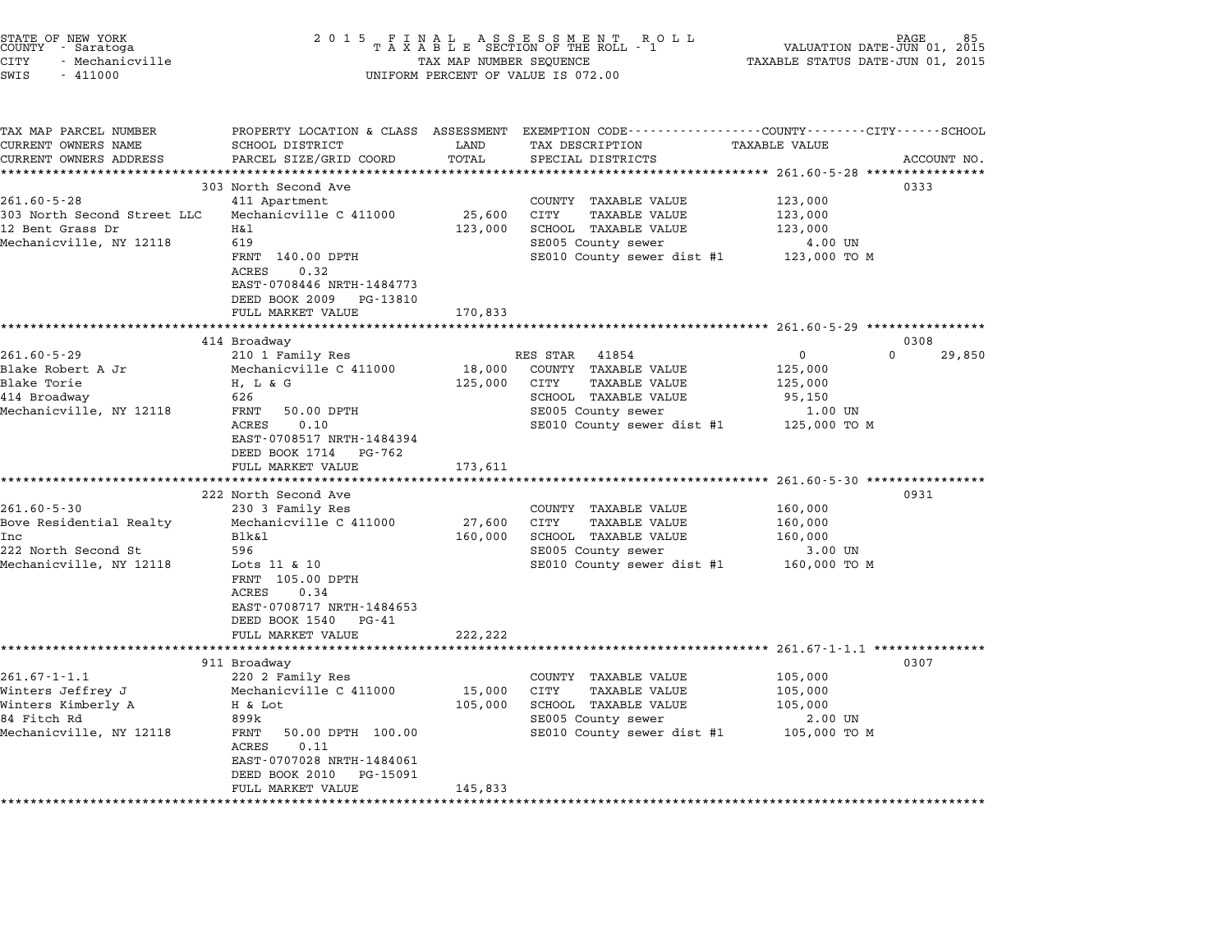| STATE OF NEW YORK<br>COUNTY<br>- Saratoga<br><b>CITY</b><br>- Mechanicville<br>SWIS<br>$-411000$                                   | 2 0 1 5<br>FINAL ASSESSMENT ROTAXABLE SECTION OF THE ROLL - 1<br>TAX MAP NUMBER SEQUENCE<br>UNIFORM PERCENT OF VALUE IS 072.00                                                                                                          | PAGE<br>VALUATION DATE-JUN 01, 2015<br>TAXABLE STATUS DATE-JUN 01, 2015 |                                                                                                                                                       |                                                                          |                |
|------------------------------------------------------------------------------------------------------------------------------------|-----------------------------------------------------------------------------------------------------------------------------------------------------------------------------------------------------------------------------------------|-------------------------------------------------------------------------|-------------------------------------------------------------------------------------------------------------------------------------------------------|--------------------------------------------------------------------------|----------------|
| TAX MAP PARCEL NUMBER<br>CURRENT OWNERS NAME<br>CURRENT OWNERS ADDRESS                                                             | SCHOOL DISTRICT<br>PARCEL SIZE/GRID COORD                                                                                                                                                                                               | LAND<br>TOTAL<br>******                                                 | PROPERTY LOCATION & CLASS ASSESSMENT EXEMPTION CODE---------------COUNTY-------CITY------SCHOOL<br>TAX DESCRIPTION<br>SPECIAL DISTRICTS               | <b>TAXABLE VALUE</b>                                                     | ACCOUNT NO.    |
| $261.60 - 5 - 28$<br>303 North Second Street LLC<br>12 Bent Grass Dr<br>Mechanicville, NY 12118                                    | 303 North Second Ave<br>411 Apartment<br>Mechanicville C 411000<br>Η&l<br>619<br>FRNT 140.00 DPTH<br>ACRES<br>0.32<br>EAST-0708446 NRTH-1484773<br>DEED BOOK 2009<br>PG-13810<br>FULL MARKET VALUE                                      | 25,600<br>123,000<br>170,833                                            | COUNTY TAXABLE VALUE<br>CITY<br>TAXABLE VALUE<br>SCHOOL TAXABLE VALUE<br>SE005 County sewer<br>SE010 County sewer dist #1                             | 123,000<br>123,000<br>123,000<br>4.00 UN<br>123,000 TO M                 | 0333           |
|                                                                                                                                    |                                                                                                                                                                                                                                         |                                                                         |                                                                                                                                                       |                                                                          |                |
| $261.60 - 5 - 29$<br>Blake Robert A Jr<br>Blake Torie<br>414 Broadway<br>Mechanicville, NY 12118                                   | 414 Broadway<br>210 1 Family Res<br>Mechanicville C 411000<br>$H$ , $L$ & $G$<br>626<br>50.00 DPTH<br>FRNT<br>ACRES<br>0.10<br>EAST-0708517 NRTH-1484394<br>DEED BOOK 1714<br>PG-762<br>FULL MARKET VALUE                               | 18,000<br>125,000<br>173,611                                            | RES STAR<br>41854<br>COUNTY TAXABLE VALUE<br>CITY<br><b>TAXABLE VALUE</b><br>SCHOOL TAXABLE VALUE<br>SE005 County sewer<br>SE010 County sewer dist #1 | $\Omega$<br>0<br>125,000<br>125,000<br>95,150<br>1.00 UN<br>125,000 TO M | 0308<br>29,850 |
|                                                                                                                                    | ********************                                                                                                                                                                                                                    | *********                                                               |                                                                                                                                                       | ********************** 261.60-5-30 *****************                     |                |
| $261.60 - 5 - 30$<br>Bove Residential Realty<br>Inc<br>222 North Second St<br>Mechanicville, NY 12118                              | 222 North Second Ave<br>230 3 Family Res<br>Mechanicville C 411000<br>Blk&1<br>596<br>Lots 11 & 10<br>FRNT 105.00 DPTH<br>ACRES<br>0.34<br>EAST-0708717 NRTH-1484653<br>DEED BOOK 1540<br>PG-41<br>FULL MARKET VALUE                    | 27,600<br>160,000<br>222,222                                            | COUNTY TAXABLE VALUE<br>CITY<br><b>TAXABLE VALUE</b><br>SCHOOL TAXABLE VALUE<br>SE005 County sewer<br>SE010 County sewer dist #1                      | 160,000<br>160,000<br>160,000<br>3.00 UN<br>160,000 TO M                 | 0931           |
|                                                                                                                                    | *******                                                                                                                                                                                                                                 |                                                                         |                                                                                                                                                       | $261.67 - 1 - 1.1$ **************<br>********                            |                |
| $261.67 - 1 - 1.1$<br>Winters Jeffrey J<br>Winters Kimberly A<br>84 Fitch Rd<br>Mechanicville, NY 12118<br>*********************** | 911 Broadway<br>220 2 Family Res<br>Mechanicville C 411000<br>H & Lot<br>899k<br>FRNT<br>50.00 DPTH 100.00<br>0.11<br>ACRES<br>EAST-0707028 NRTH-1484061<br>DEED BOOK 2010<br>PG-15091<br>FULL MARKET VALUE<br>************************ | 15,000<br>105,000<br>145,833<br>******************                      | COUNTY TAXABLE VALUE<br>CITY<br><b>TAXABLE VALUE</b><br>SCHOOL TAXABLE VALUE<br>SE005 County sewer<br>SE010 County sewer dist #1                      | 105,000<br>105,000<br>105,000<br>2.00 UN<br>105,000 TO M                 | 0307           |

end the New York (2001 5 F I N A L A S S E S S M E N T R O L L RO L L PAGE 85 (S M E N T R O L L PAGE 85 (S M E N T R O L L PAGE 85 (S M E N T R O L L PAGE 85 (S M E N T R O L L PAGE 85 (S M E N T A X A B L E SECTION OF TH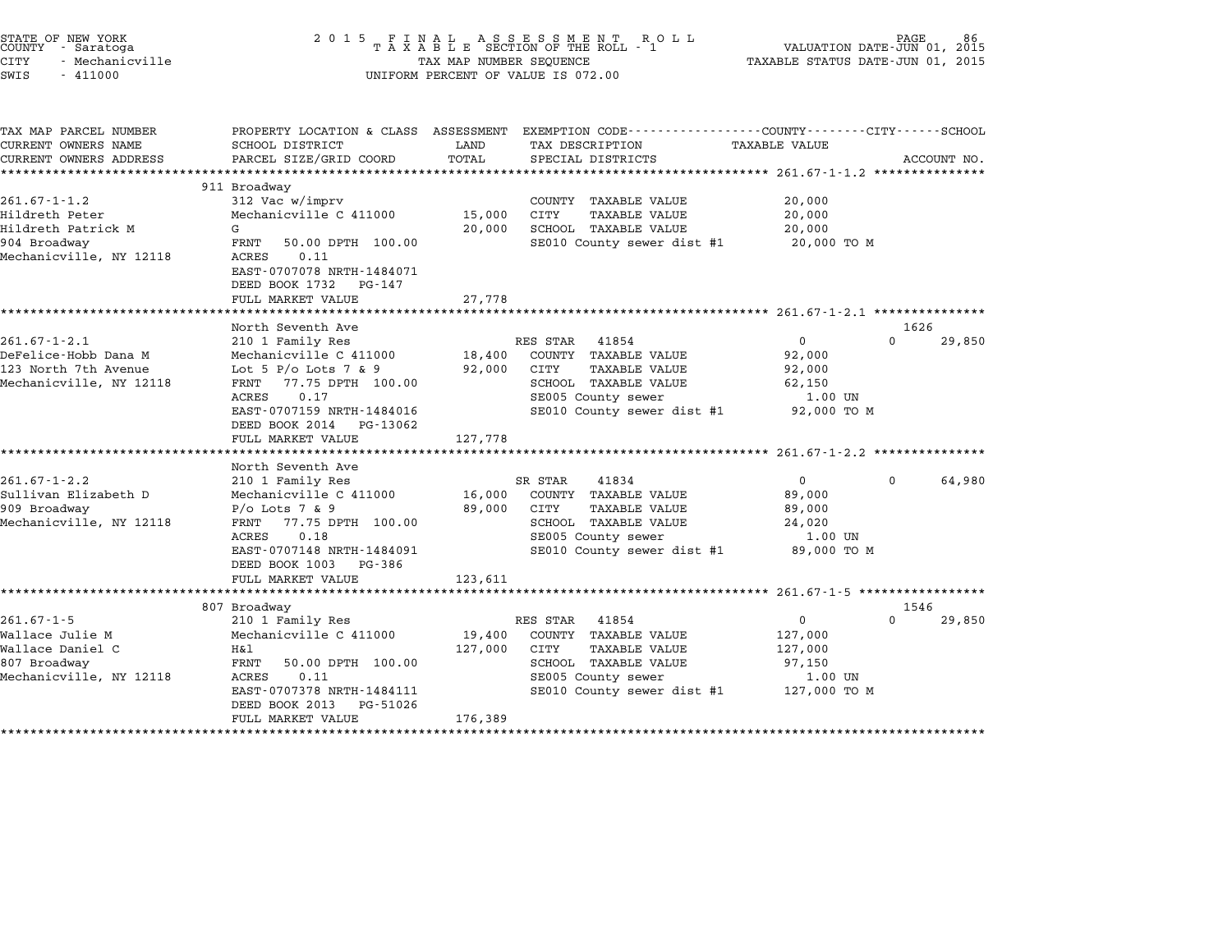| STATE OF NEW YORK<br>COUNTY - Saratoga<br>- Mechanicville<br>CITY<br>SWIS<br>$-411000$                | 2015 FINAL                                                                                                                                                                                                                                  | TAX MAP NUMBER SEQUENCE      | FINAL ASSESSMENT ROLL<br>TAXABLE SECTION OF THE ROLL - 1<br>UNIFORM PERCENT OF VALUE IS 072.00                                                            | VALUATION DATE-JUN 01, 2015<br>TAXABLE STATUS DATE-JUN 01, 2015        | PAGE.            | 86          |
|-------------------------------------------------------------------------------------------------------|---------------------------------------------------------------------------------------------------------------------------------------------------------------------------------------------------------------------------------------------|------------------------------|-----------------------------------------------------------------------------------------------------------------------------------------------------------|------------------------------------------------------------------------|------------------|-------------|
| TAX MAP PARCEL NUMBER<br>CURRENT OWNERS NAME<br>CURRENT OWNERS ADDRESS                                | SCHOOL DISTRICT<br>PARCEL SIZE/GRID COORD                                                                                                                                                                                                   | LAND<br>TOTAL                | PROPERTY LOCATION & CLASS ASSESSMENT EXEMPTION CODE----------------COUNTY-------CITY------SCHOOL<br>TAX DESCRIPTION<br>SPECIAL DISTRICTS                  | TAXABLE VALUE                                                          |                  | ACCOUNT NO. |
| $261.67 - 1 - 1.2$<br>Hildreth Peter<br>Hildreth Patrick M<br>904 Broadway<br>Mechanicville, NY 12118 | 911 Broadway<br>312 Vac w/imprv<br>Mechanicville C 411000<br>G<br>FRNT<br>50.00 DPTH 100.00<br>ACRES<br>0.11<br>EAST-0707078 NRTH-1484071<br>DEED BOOK 1732 PG-147<br>FULL MARKET VALUE                                                     | 15,000<br>20,000<br>27,778   | COUNTY TAXABLE VALUE<br>CITY<br>TAXABLE VALUE<br>SCHOOL TAXABLE VALUE<br>SE010 County sewer dist #1                                                       | 20,000<br>20,000<br>20,000<br>20,000 TO M                              |                  |             |
| $261.67 - 1 - 2.1$<br>DeFelice-Hobb Dana M<br>123 North 7th Avenue<br>Mechanicville, NY 12118         | North Seventh Ave<br>210 1 Family Res<br>Mechanicville C 411000<br>Lot 5 P/o Lots 7 & 9<br>77.75 DPTH 100.00<br>FRNT<br>ACRES<br>0.17<br>EAST-0707159 NRTH-1484016<br>DEED BOOK 2014 PG-13062<br>FULL MARKET VALUE                          | 18,400<br>92,000<br>127,778  | RES STAR 41854<br>COUNTY TAXABLE VALUE<br><b>CITY</b><br><b>TAXABLE VALUE</b><br>SCHOOL TAXABLE VALUE<br>SE005 County sewer<br>SE010 County sewer dist #1 | $\mathbf 0$<br>92,000<br>92,000<br>62,150<br>1.00 UN<br>92,000 TO M    | 1626<br>$\Omega$ | 29,850      |
| $261.67 - 1 - 2.2$<br>Sullivan Elizabeth D<br>909 Broadway<br>Mechanicville, NY 12118                 | ***************************<br>North Seventh Ave<br>210 1 Family Res<br>Mechanicville C 411000<br>$P/O$ Lots 7 & 9<br>FRNT<br>77.75 DPTH 100.00<br>ACRES<br>0.18<br>EAST-0707148 NRTH-1484091<br>DEED BOOK 1003 PG-386<br>FULL MARKET VALUE | 16,000<br>89,000<br>123,611  | SR STAR<br>41834<br>COUNTY TAXABLE VALUE<br>CITY<br><b>TAXABLE VALUE</b><br>SCHOOL TAXABLE VALUE<br>SE005 County sewer<br>SE010 County sewer dist #1      | $\overline{0}$<br>89,000<br>89,000<br>24,020<br>1.00 UN<br>89,000 TO M | $\Omega$         | 64,980      |
| $261.67 - 1 - 5$<br>Wallace Julie M<br>Wallace Daniel C<br>807 Broadway<br>Mechanicville, NY 12118    | ****************************<br>807 Broadway<br>210 1 Family Res<br>Mechanicville C 411000<br>H&l<br>FRNT<br>50.00 DPTH 100.00<br>ACRES<br>0.11<br>EAST-0707378 NRTH-1484111<br>DEED BOOK 2013<br>PG-51026<br>FULL MARKET VALUE             | 19,400<br>127,000<br>176,389 | RES STAR 41854<br>COUNTY TAXABLE VALUE<br>CITY<br><b>TAXABLE VALUE</b><br>SCHOOL TAXABLE VALUE<br>SE005 County sewer<br>SE010 County sewer dist #1        | $\mathbf 0$<br>127,000<br>127,000<br>97,150<br>1.00 UN<br>127,000 TO M | 1546<br>$\Omega$ | 29,850      |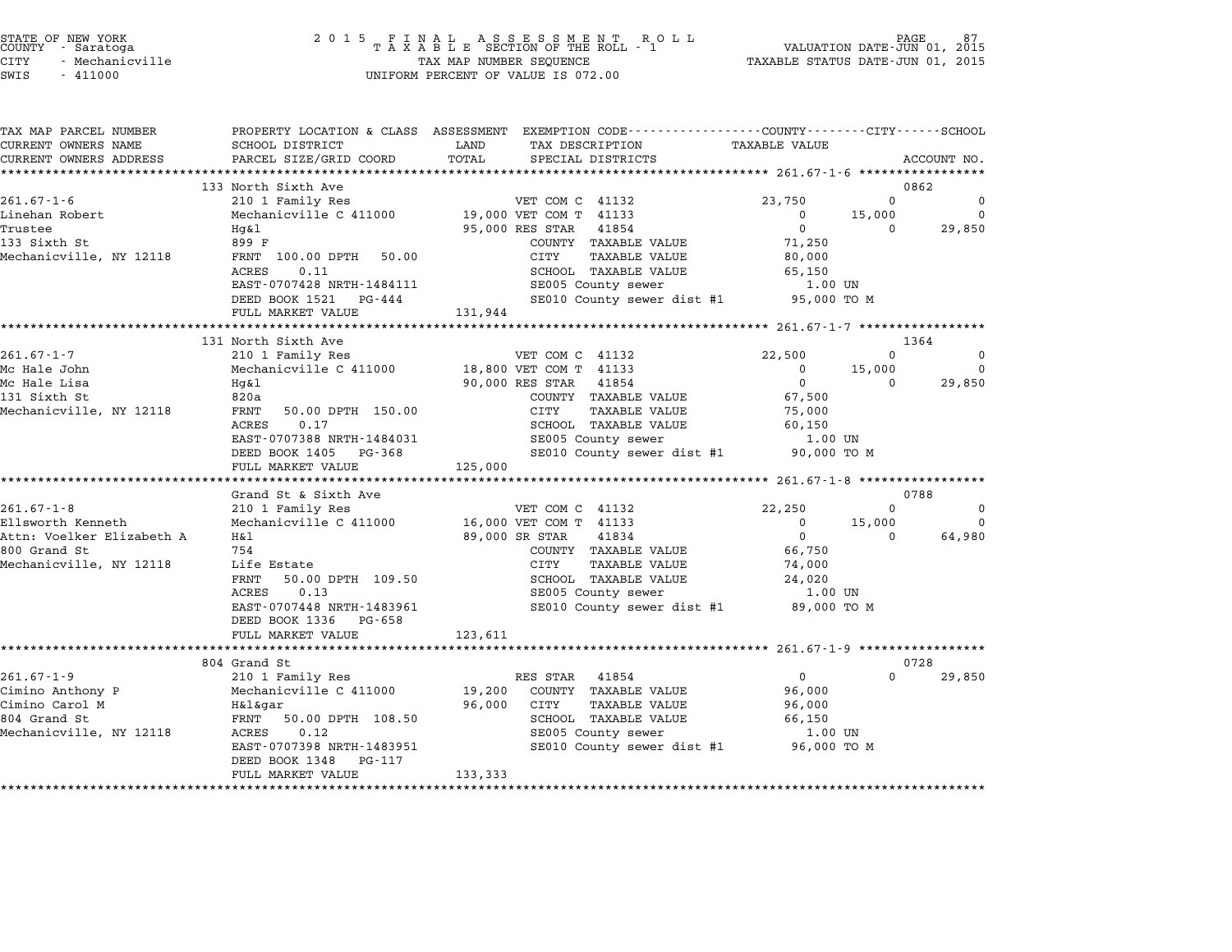| STATE OF NEW YORK |  |                 |  |
|-------------------|--|-----------------|--|
| COUNTY            |  | - Saratoga      |  |
| CITY              |  | - Mechanicville |  |

| TAX MAP PARCEL NUMBER<br>CURRENT OWNERS NAME | SCHOOL DISTRICT                                       | PROPERTY LOCATION & CLASS ASSESSMENT EXEMPTION CODE---------------COUNTY-------CITY------SCHOOL<br>LAND<br>TAX DESCRIPTION | <b>TAXABLE VALUE</b> |          |               |
|----------------------------------------------|-------------------------------------------------------|----------------------------------------------------------------------------------------------------------------------------|----------------------|----------|---------------|
| CURRENT OWNERS ADDRESS                       | PARCEL SIZE/GRID COORD                                | TOTAL<br>SPECIAL DISTRICTS                                                                                                 |                      |          | ACCOUNT NO.   |
| *************************                    |                                                       |                                                                                                                            |                      |          |               |
|                                              | 133 North Sixth Ave                                   |                                                                                                                            |                      | $\Omega$ | 0862          |
| $261.67 - 1 - 6$<br>Linehan Robert           | 210 1 Family Res<br>Mechanicville C 411000            | VET COM C 41132<br>19,000 VET COM T 41133                                                                                  | 23,750<br>$^{\circ}$ | 15,000   | 0<br>$\Omega$ |
| Trustee                                      | Hq&l                                                  | 95,000 RES STAR<br>41854                                                                                                   | $\Omega$             | $\Omega$ | 29,850        |
| 133 Sixth St                                 | 899 F                                                 | COUNTY TAXABLE VALUE                                                                                                       | 71,250               |          |               |
| Mechanicville, NY 12118                      | FRNT 100.00 DPTH 50.00                                | CITY<br><b>TAXABLE VALUE</b>                                                                                               | 80,000               |          |               |
|                                              | ACRES<br>0.11                                         | SCHOOL TAXABLE VALUE                                                                                                       | 65,150               |          |               |
|                                              | EAST-0707428 NRTH-1484111                             | SE005 County sewer                                                                                                         | 1.00 UN              |          |               |
|                                              | DEED BOOK 1521 PG-444                                 | SE010 County sewer dist #1                                                                                                 | 95,000 TO M          |          |               |
|                                              | FULL MARKET VALUE                                     | 131,944                                                                                                                    |                      |          |               |
|                                              | 131 North Sixth Ave                                   |                                                                                                                            |                      |          | 1364          |
| $261.67 - 1 - 7$                             | 210 1 Family Res                                      | VET COM C 41132                                                                                                            | 22,500               | $\Omega$ | $\Omega$      |
| Mc Hale John                                 | Mechanicville C 411000                                | 18,800 VET COM T 41133                                                                                                     | $\mathbf 0$          | 15,000   | $\mathbf 0$   |
| Mc Hale Lisa                                 | Hq&l                                                  | 90,000 RES STAR<br>41854                                                                                                   | $\Omega$             | $\Omega$ | 29,850        |
| 131 Sixth St                                 | 820a                                                  | COUNTY TAXABLE VALUE                                                                                                       | 67,500               |          |               |
| Mechanicville, NY 12118                      | FRNT<br>50.00 DPTH 150.00                             | CITY<br><b>TAXABLE VALUE</b>                                                                                               | 75,000               |          |               |
|                                              | 0.17<br>ACRES                                         | SCHOOL TAXABLE VALUE                                                                                                       | 60,150               |          |               |
|                                              | EAST-0707388 NRTH-1484031                             | SE005 County sewer                                                                                                         | 1.00 UN              |          |               |
|                                              | DEED BOOK 1405 PG-368                                 | SE010 County sewer dist #1                                                                                                 | 90,000 TO M          |          |               |
|                                              | FULL MARKET VALUE                                     | 125,000                                                                                                                    |                      |          |               |
|                                              | Grand St & Sixth Ave                                  |                                                                                                                            |                      |          | 0788          |
| $261.67 - 1 - 8$                             | 210 1 Family Res                                      | VET COM C 41132                                                                                                            | 22,250               | $\Omega$ | $\Omega$      |
| Ellsworth Kenneth                            | Mechanicville C 411000                                | 16,000 VET COM T 41133                                                                                                     | $\mathbf 0$          | 15,000   | $\Omega$      |
| Attn: Voelker Elizabeth A                    | H&l                                                   | 89,000 SR STAR<br>41834                                                                                                    | $\mathbf 0$          | 0        | 64,980        |
| 800 Grand St                                 | 754                                                   | COUNTY TAXABLE VALUE                                                                                                       | 66,750               |          |               |
| Mechanicville, NY 12118                      | Life Estate                                           | <b>TAXABLE VALUE</b><br>CITY                                                                                               | 74,000               |          |               |
|                                              | FRNT<br>50.00 DPTH 109.50                             | SCHOOL TAXABLE VALUE                                                                                                       | 24,020               |          |               |
|                                              | ACRES<br>0.13                                         | SE005 County sewer                                                                                                         | 1.00 UN              |          |               |
|                                              | EAST-0707448 NRTH-1483961<br>DEED BOOK 1336<br>PG-658 | SE010 County sewer dist #1                                                                                                 | 89,000 TO M          |          |               |
|                                              | FULL MARKET VALUE                                     | 123,611                                                                                                                    |                      |          |               |
|                                              |                                                       |                                                                                                                            |                      |          |               |
|                                              | 804 Grand St                                          |                                                                                                                            |                      |          | 0728          |
| $261.67 - 1 - 9$                             | 210 1 Family Res                                      | RES STAR<br>41854                                                                                                          | $\overline{0}$       | $\Omega$ | 29,850        |
| Cimino Anthony P                             | Mechanicville C 411000                                | 19,200<br>COUNTY TAXABLE VALUE                                                                                             | 96,000               |          |               |
| Cimino Carol M                               | H&l&gar                                               | 96,000<br>CITY<br><b>TAXABLE VALUE</b>                                                                                     | 96,000               |          |               |
| 804 Grand St                                 | FRNT<br>50.00 DPTH 108.50                             | SCHOOL TAXABLE VALUE                                                                                                       | 66,150               |          |               |
| Mechanicville, NY 12118                      | 0.12<br>ACRES<br>EAST-0707398 NRTH-1483951            | SE005 County sewer<br>SE010 County sewer dist #1 96,000 TO M                                                               | 1.00 UN              |          |               |
|                                              | DEED BOOK 1348<br>PG-117                              |                                                                                                                            |                      |          |               |
|                                              | FULL MARKET VALUE                                     | 133,333                                                                                                                    |                      |          |               |
|                                              |                                                       |                                                                                                                            |                      |          |               |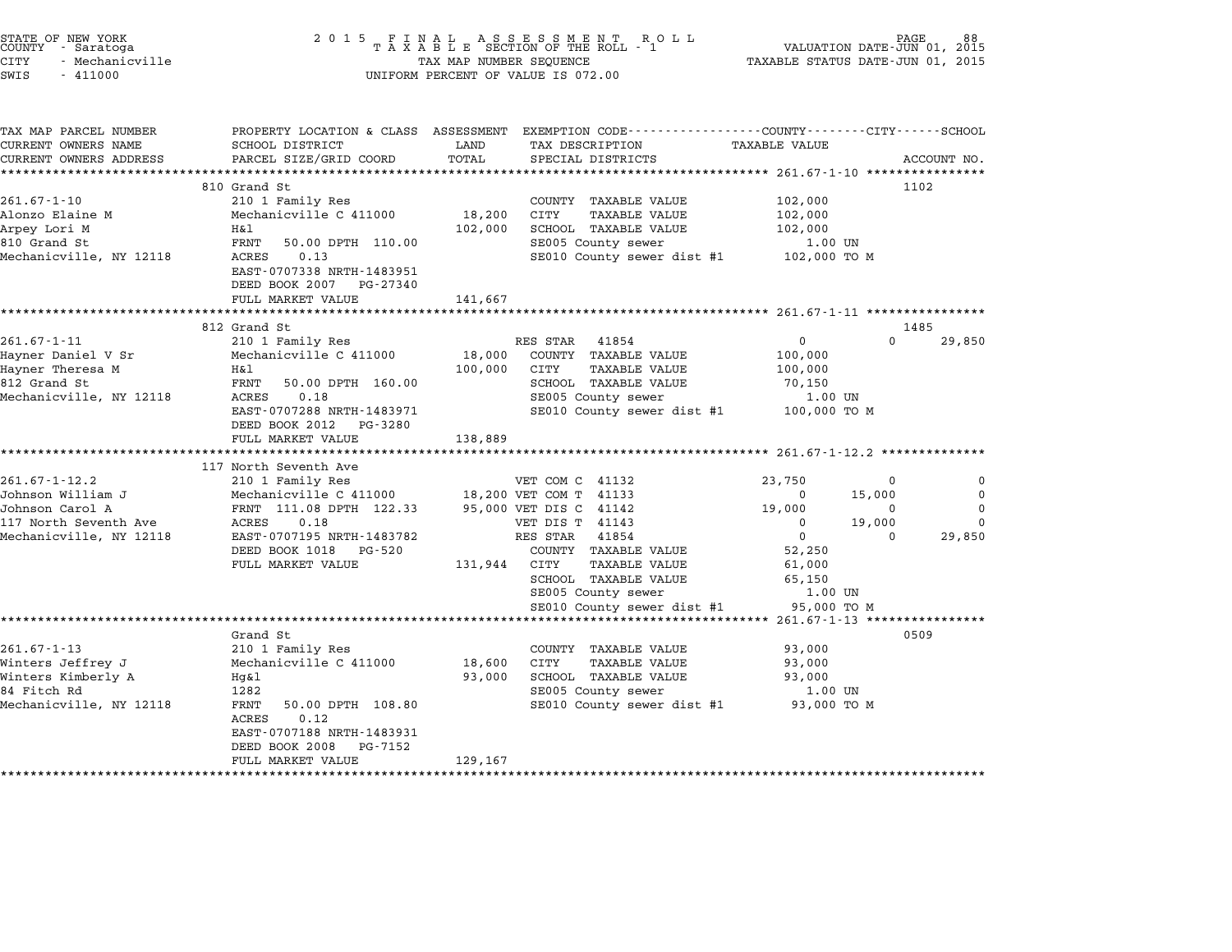| STATE OF NEW YORK<br>COUNTY - Saratoga<br><b>CITY</b><br>- Mechanicville<br>SWIS<br>$-411000$ | 2 0 1 5                                    | TAX MAP NUMBER SEQUENCE | UNIFORM PERCENT OF VALUE IS 072.00                                                              | TAXABLE STATUS DATE-JUN 01, 2015                | PAGE<br>VALUATION DATE-JUN 01, 2015 |             |
|-----------------------------------------------------------------------------------------------|--------------------------------------------|-------------------------|-------------------------------------------------------------------------------------------------|-------------------------------------------------|-------------------------------------|-------------|
|                                                                                               |                                            |                         |                                                                                                 |                                                 |                                     |             |
| TAX MAP PARCEL NUMBER                                                                         |                                            |                         | PROPERTY LOCATION & CLASS ASSESSMENT EXEMPTION CODE---------------COUNTY-------CITY------SCHOOL |                                                 |                                     |             |
| CURRENT OWNERS NAME                                                                           | SCHOOL DISTRICT                            | LAND                    | TAX DESCRIPTION                                                                                 | <b>TAXABLE VALUE</b>                            |                                     |             |
| CURRENT OWNERS ADDRESS                                                                        | PARCEL SIZE/GRID COORD                     | TOTAL                   | SPECIAL DISTRICTS                                                                               |                                                 |                                     | ACCOUNT NO. |
| ************************                                                                      |                                            |                         |                                                                                                 |                                                 |                                     |             |
| $261.67 - 1 - 10$                                                                             | 810 Grand St                               |                         |                                                                                                 |                                                 |                                     | 1102        |
| Alonzo Elaine M                                                                               | 210 1 Family Res<br>Mechanicville C 411000 | 18,200                  | COUNTY TAXABLE VALUE<br>CITY<br><b>TAXABLE VALUE</b>                                            | 102,000<br>102,000                              |                                     |             |
| Arpey Lori M                                                                                  | H&l                                        | 102,000                 | SCHOOL TAXABLE VALUE                                                                            | 102,000                                         |                                     |             |
| 810 Grand St                                                                                  | FRNT<br>50.00 DPTH 110.00                  |                         | SE005 County sewer                                                                              | 1.00 UN                                         |                                     |             |
| Mechanicville, NY 12118                                                                       | ACRES<br>0.13                              |                         | SE010 County sewer dist #1 102,000 TO M                                                         |                                                 |                                     |             |
|                                                                                               | EAST-0707338 NRTH-1483951                  |                         |                                                                                                 |                                                 |                                     |             |
|                                                                                               | DEED BOOK 2007 PG-27340                    |                         |                                                                                                 |                                                 |                                     |             |
|                                                                                               | FULL MARKET VALUE                          | 141,667                 |                                                                                                 |                                                 |                                     |             |
|                                                                                               |                                            |                         |                                                                                                 |                                                 |                                     |             |
|                                                                                               | 812 Grand St                               |                         |                                                                                                 |                                                 |                                     | 1485        |
| $261.67 - 1 - 11$                                                                             | 210 1 Family Res                           |                         | RES STAR 41854                                                                                  | $\mathbf{0}$                                    | $\Omega$                            | 29,850      |
| Hayner Daniel V Sr<br>Hayner Theresa M                                                        | Mechanicville C 411000<br>H&l              | 18,000<br>100,000       | COUNTY TAXABLE VALUE<br>CITY<br><b>TAXABLE VALUE</b>                                            | 100,000<br>100,000                              |                                     |             |
| 812 Grand St                                                                                  | FRNT<br>50.00 DPTH 160.00                  |                         | SCHOOL TAXABLE VALUE                                                                            | 70,150                                          |                                     |             |
| Mechanicville, NY 12118                                                                       | ACRES<br>0.18                              |                         | SE005 County sewer                                                                              | 1.00 UN                                         |                                     |             |
|                                                                                               | EAST-0707288 NRTH-1483971                  |                         | SE010 County sewer dist #1                                                                      | 100,000 TO M                                    |                                     |             |
|                                                                                               | DEED BOOK 2012 PG-3280                     |                         |                                                                                                 |                                                 |                                     |             |
|                                                                                               | FULL MARKET VALUE                          | 138,889                 |                                                                                                 |                                                 |                                     |             |
|                                                                                               |                                            |                         |                                                                                                 |                                                 |                                     |             |
|                                                                                               | 117 North Seventh Ave                      |                         |                                                                                                 |                                                 |                                     |             |
| $261.67 - 1 - 12.2$                                                                           | 210 1 Family Res                           |                         | VET COM C 41132                                                                                 | 23,750                                          | 0                                   | 0           |
| Johnson William J                                                                             | Mechanicville C 411000                     |                         | 18,200 VET COM T 41133                                                                          | 0                                               | 15,000                              | 0           |
| Johnson Carol A                                                                               | FRNT 111.08 DPTH 122.33                    |                         | 95,000 VET DIS C 41142                                                                          | 19,000                                          | 0                                   | 0           |
| 117 North Seventh Ave                                                                         | ACRES<br>0.18                              |                         | VET DIS T 41143                                                                                 | 0                                               | 19,000                              | $\Omega$    |
| Mechanicville, NY 12118                                                                       | EAST-0707195 NRTH-1483782                  |                         | RES STAR<br>41854                                                                               | $\mathbf 0$                                     | $\Omega$                            | 29,850      |
|                                                                                               | DEED BOOK 1018<br>PG-520                   |                         | COUNTY TAXABLE VALUE                                                                            | 52,250                                          |                                     |             |
|                                                                                               | FULL MARKET VALUE                          | 131,944                 | CITY<br>TAXABLE VALUE<br>SCHOOL TAXABLE VALUE                                                   | 61,000<br>65,150                                |                                     |             |
|                                                                                               |                                            |                         | SE005 County sewer                                                                              | 1.00 UN                                         |                                     |             |
|                                                                                               |                                            |                         | SE010 County sewer dist #1                                                                      | 95,000 TO M                                     |                                     |             |
|                                                                                               | *******************                        |                         |                                                                                                 | ***************** 261.67-1-13 ***************** |                                     |             |
|                                                                                               | Grand St                                   |                         |                                                                                                 |                                                 |                                     | 0509        |
| $261.67 - 1 - 13$                                                                             | 210 1 Family Res                           |                         | COUNTY TAXABLE VALUE                                                                            | 93,000                                          |                                     |             |
| Winters Jeffrey J                                                                             | Mechanicville C 411000                     | 18,600                  | CITY<br><b>TAXABLE VALUE</b>                                                                    | 93,000                                          |                                     |             |
| Winters Kimberly A                                                                            | Hg&l                                       | 93,000                  | SCHOOL TAXABLE VALUE                                                                            | 93,000                                          |                                     |             |
| 84 Fitch Rd                                                                                   | 1282                                       |                         | SE005 County sewer                                                                              | 1.00 UN                                         |                                     |             |
| Mechanicville, NY 12118                                                                       | FRNT<br>50.00 DPTH 108.80                  |                         | SE010 County sewer dist #1                                                                      | 93,000 TO M                                     |                                     |             |
|                                                                                               | ACRES<br>0.12                              |                         |                                                                                                 |                                                 |                                     |             |
|                                                                                               | EAST-0707188 NRTH-1483931                  |                         |                                                                                                 |                                                 |                                     |             |
|                                                                                               | DEED BOOK 2008<br>PG-7152                  |                         |                                                                                                 |                                                 |                                     |             |
|                                                                                               | FULL MARKET VALUE                          | 129,167                 |                                                                                                 |                                                 |                                     |             |

\*\*\*\*\*\*\*\*\*\*\*\*\*\*\*\*\*\*\*\*\*\*\*\*\*\*\*\*\*\*\*\*\*\*\*\*\*\*\*\*\*\*\*\*\*\*\*\*\*\*\*\*\*\*\*\*\*\*\*\*\*\*\*\*\*\*\*\*\*\*\*\*\*\*\*\*\*\*\*\*\*\*\*\*\*\*\*\*\*\*\*\*\*\*\*\*\*\*\*\*\*\*\*\*\*\*\*\*\*\*\*\*\*\*\*\*\*\*\*\*\*\*\*\*\*\*\*\*\*\*\*\*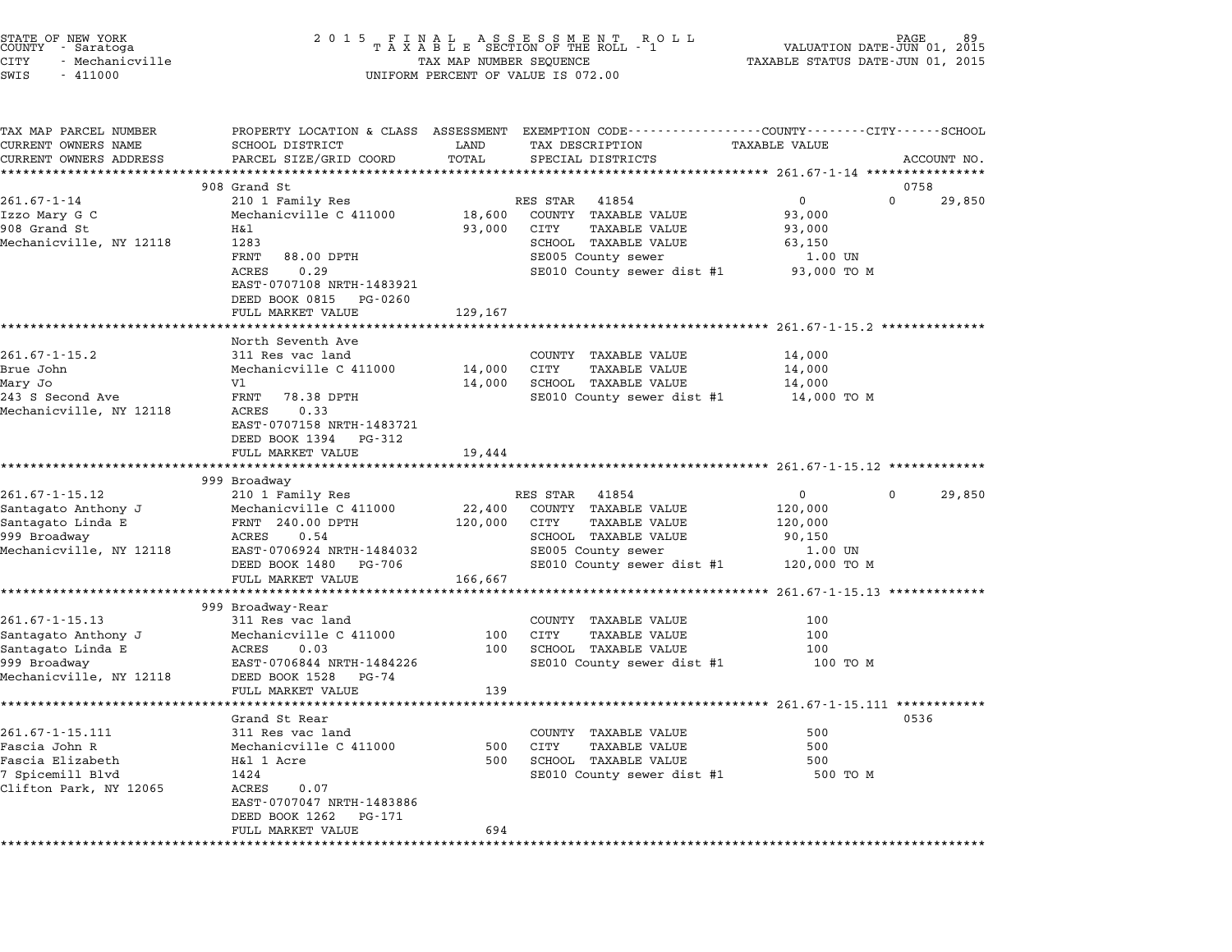|        | STATE OF NEW YORK |
|--------|-------------------|
| COUNTY | - Saratoga        |
| CITY   | - Mechanicville   |

TAX MAP PARCEL NUMBER PROPERTY LOCATION & CLASS ASSESSMENT EXEMPTION CODE------------------COUNTY--------CITY------SCHOOL ...<br>-- COUNTY:- TAX MAP PARCEL NUMBER THE OCHOTRY AND THE CURRENT EXEMPTION CODE<br>CURRENT OWNERS NAME SCHOOL DISTRICT LAND TAX DESCRIPTION TAXABLE VALUE CURRENT OWNERS ADDRESS FOR SCHOOL DISTRICTS ASSESSEENT EXERT ON TAX MISS TO TAIL THE COORD TOTAL TRANSFORD TO TAIL SERVER TO TAIL THE TRANSFORD TO TAIL THE TAN TAXABLE VALUE ACCOUNT NO.<br>CURRENT OWNERS ADDRESS PARCEL SIZE/G 908 Grand St 0758 261.67-1-14 <sup>210</sup> <sup>1</sup> Family Res RES STAR <sup>41854</sup> <sup>0</sup> <sup>0</sup> 29,850 Izzo Mary G C Mechanicville C <sup>411000</sup> 18,600 COUNTY TAXABLE VALUE 93,000 901.07 1 14 and Straining Research Market Hotel Market Hotel (SI)<br>1920 Market Mechanicville C 411000 18,600 COUNTY TAXABLE VALUE 93,000<br>193,000 CITY TAXABLE VALUE 93,000 93,000 93,000 POINTY MAXABLE VALUE 1220 Mary G. Mechanicville C.411000 (18,000 CONTI IAAABLE VALUE 93,000 (1995),000<br>Mechanicville, NY 12118 Hall 1283 (2000 CITY TAXABLE VALUE 93,000<br>Mechanicville, NY 12118 1283 (2000 SCHOOL TAXABLE VALUE 63,150 Example of the Mechanicville C (11000 18,600 COUNTY TAXABLE VALUE 93,000<br>
93,000 CITY TAXABLE VALUE 93,000<br>
Mechanicville, NY 12118 1283<br>
FRNT 88.00 DPTH SE005 County sewer 1.00 UN ACRES 0.29 SENCE COUNTY SEWER<br>SE010 County sewer dist #1 93,000 TO M FRNT 88.00 DPTH<br>ACRES 0.29<br>EAST-0707108 NRTH-1483921 EAST-0707108 NRTH-148392<br>DEED BOOK 0815 PG-0260 EASI 0707100 MAIN 1403321<br>
DEED BOOK 0815 PG-0260<br>
FULL MARKET VALUE 129,167 \*\*\*\*\*\*\*\*\*\*\*\*\*\*\*\*\*\*\*\*\*\*\*\*\*\*\*\*\*\*\*\*\*\*\*\*\*\*\*\*\*\*\*\*\*\*\*\*\*\*\*\*\*\*\*\*\*\*\*\*\*\*\*\*\*\*\*\*\*\*\*\*\*\*\*\*\*\*\*\*\*\*\*\*\*\*\*\*\*\*\*\*\*\*\*\*\*\*\*\*\*\*\* 261.67-1-15.2 \*\*\*\*\*\*\*\*\*\*\*\*\*\* ronn Annan vands<br>\*\*\*\*\*\*\*\*\*\*\*\*\*\*\*\*\*<br>North Seventh Ave 261.67-1-15.2 311 Res vac land COUNTY TAXABLE VALUE 14,000 Brue John Mechanicville C <sup>411000</sup> 14,000 CITY TAXABLE VALUE 14,000 Mary Jo Vl 14,000 SCHOOL TAXABLE VALUE 14,000 243 Second Ave 300 Minimum Declination of the Carlos (14,000 C11 12,000 CH) 14,000 SCHOOL TAXABLE VALUE SUPPER<br>Mary Jo SCHOOL TRIMING SE010 County sewer dist #1 14,000 TO M Mechanicville, NY <sup>12118</sup> ACRES 0.33 FANI 70.50 DFIH<br>ACRES 0.33<br>EAST-0707158 NRTH-1483721 EAST-0707158 NRTH-14837<br>DEED BOOK 1394 PG-312 EAST 0707150 MAIN 1405721<br>
DEED BOOK 1394 PG-312<br>
FULL MARKET VALUE 19,444 \*\*\*\*\*\*\*\*\*\*\*\*\*\*\*\*\*\*\*\*\*\*\*\*\*\*\*\*\*\*\*\*\*\*\*\*\*\*\*\*\*\*\*\*\*\*\*\*\*\*\*\*\*\*\*\*\*\*\*\*\*\*\*\*\*\*\*\*\*\*\*\*\*\*\*\*\*\*\*\*\*\*\*\*\*\*\*\*\*\*\*\*\*\*\*\*\*\*\*\*\*\*\* 261.67-1-15.12 \*\*\*\*\*\*\*\*\*\*\*\*\* <sub>1741</sub> سان 1<br>\*\*\*\*\*\*\*\*\*\*\*\*\*\*\*\*\*<br>999 Broadway 261.67-1-15.12 201.67-1-15.12 201.67-1-15.12 201.67-1-15.12 201.67-1-15.12 201.67-1-15.12<br>299 Broadway<br>261.67-1-15.12 210 1 Family Res RES STAR 41854 0 0 29,850 Solid Market County (261.67-1-15.12 – 210 1 Mechanicville C 411000 – 22,400 COUNTY TAXABLE VALUE 120,000<br>Santagato Anthony J – Mechanicville C 411000 – 22,400 COUNTY TAXABLE VALUE – 120,000 Santagato Linda E FRNT 240.00 DPTH 120,000 CITY TAXABLE VALUE 120,000 999 Broadway ALCHINIX SURFALL AND MECHANIX UNIVERSITY OF THE CONTROLL OF THE CONTROLL TAXABLE VALUE 22,400 CUTY<br>1999 Broadway 110,000 DPTH 90,000 CUTY TAXABLE VALUE 120,000 POST TAXABLE VALUE 120,000 POST POST DU Mechanicville, NY <sup>12118</sup> EAST-0706924 NRTH-1484032 SE005 County sewer 1.00 UN EXED 0.04 NRTH-1484032<br>
ERSED BOOK 1480 PG-706 SE005 County sewer dist #1 1.00 UN<br>
DEED BOOK 1480 PG-706 SE010 County sewer dist #1 120,000 TO M EASI-0700924 NAIH-1464032<br>
DEED BOOK 1480 PG-706<br>
FULL MARKET VALUE 166,667 \*\*\*\*\*\*\*\*\*\*\*\*\*\*\*\*\*\*\*\*\*\*\*\*\*\*\*\*\*\*\*\*\*\*\*\*\*\*\*\*\*\*\*\*\*\*\*\*\*\*\*\*\*\*\*\*\*\*\*\*\*\*\*\*\*\*\*\*\*\*\*\*\*\*\*\*\*\*\*\*\*\*\*\*\*\*\*\*\*\*\*\*\*\*\*\*\*\*\*\*\*\*\* 261.67-1-15.13 \*\*\*\*\*\*\*\*\*\*\*\*\* 999 Broadway-Rear 261.67-1-15.13 999 Broadway-Rear county TAXABLE VALUE 100 SHOQUWAY-REAL (1999) SECONTY TAXABLE VALUE 100<br>Santagato Anthony J Mechanicville C 411000 100 CITY TAXABLE VALUE 100 Santagato Linda E ACRES 0.03 <sup>100</sup> SCHOOL TAXABLE VALUE <sup>100</sup> Santagato Anthony 6 (EXTERN Mechanicville C 411000)<br>100 SCHOOL TAXABLE VALUE 100 100 CHORES 100 SCHOOL TAXABLE VALUE 100 100 100 M<br>100 TO M EAST-0706844 NRTH-1484226 SE010 County sewer dist #1 100 TO M Mechanicville, NY <sup>12118</sup> DEED BOOK <sup>1528</sup> PG-74 EASI-0700644 NKIH-1464220<br>
DEED BOOK 1528 PG-74<br>
FULL MARKET VALUE 139 \*\*\*\*\*\*\*\*\*\*\*\*\*\*\*\*\*\*\*\*\*\*\*\*\*\*\*\*\*\*\*\*\*\*\*\*\*\*\*\*\*\*\*\*\*\*\*\*\*\*\*\*\*\*\*\*\*\*\*\*\*\*\*\*\*\*\*\*\*\*\*\*\*\*\*\*\*\*\*\*\*\*\*\*\*\*\*\*\*\*\*\*\*\*\*\*\*\*\*\*\*\*\* 261.67-1-15.111 \*\*\*\*\*\*\*\*\*\*\*\* Grand St Rear <sup>0536</sup> 261.67-1-15.111 311 Res vac land<br>
261.67-1-15.111 311 Res vac land<br>
500 SOUNTY TAXABLE VALUE 9 - Summar Scheme Scheme (Summar Scheme)<br>261.67-1-15.111 - Single State Mechanicville C 411000 - S00 CITY TAXABLE VALUE - S00<br>Fascia John R - Mechanicville C 411000 - S00 CITY TAXABLE VALUE - S00 - S00 Fascia Elizabeth H&l <sup>1</sup> Acre <sup>500</sup> SCHOOL TAXABLE VALUE <sup>500</sup> <sup>7</sup> Spicemill Blvd <sup>1424</sup> SE010 County sewer dist #1 <sup>500</sup> TO <sup>M</sup> Clifton Park, NY <sup>12065</sup> ACRES 0.07 EAST-0707047 NRTH-1483886 EAST-0707047 NRTH-14838<br>DEED BOOK 1262 PG-171 EASI-0707047 NKIH-1463666<br>
DEED BOOK 1262 PG-171<br>
FULL MARKET VALUE 694 \*\*\*\*\*\*\*\*\*\*\*\*\*\*\*\*\*\*\*\*\*\*\*\*\*\*\*\*\*\*\*\*\*\*\*\*\*\*\*\*\*\*\*\*\*\*\*\*\*\*\*\*\*\*\*\*\*\*\*\*\*\*\*\*\*\*\*\*\*\*\*\*\*\*\*\*\*\*\*\*\*\*\*\*\*\*\*\*\*\*\*\*\*\*\*\*\*\*\*\*\*\*\*\*\*\*\*\*\*\*\*\*\*\*\*\*\*\*\*\*\*\*\*\*\*\*\*\*\*\*\*\*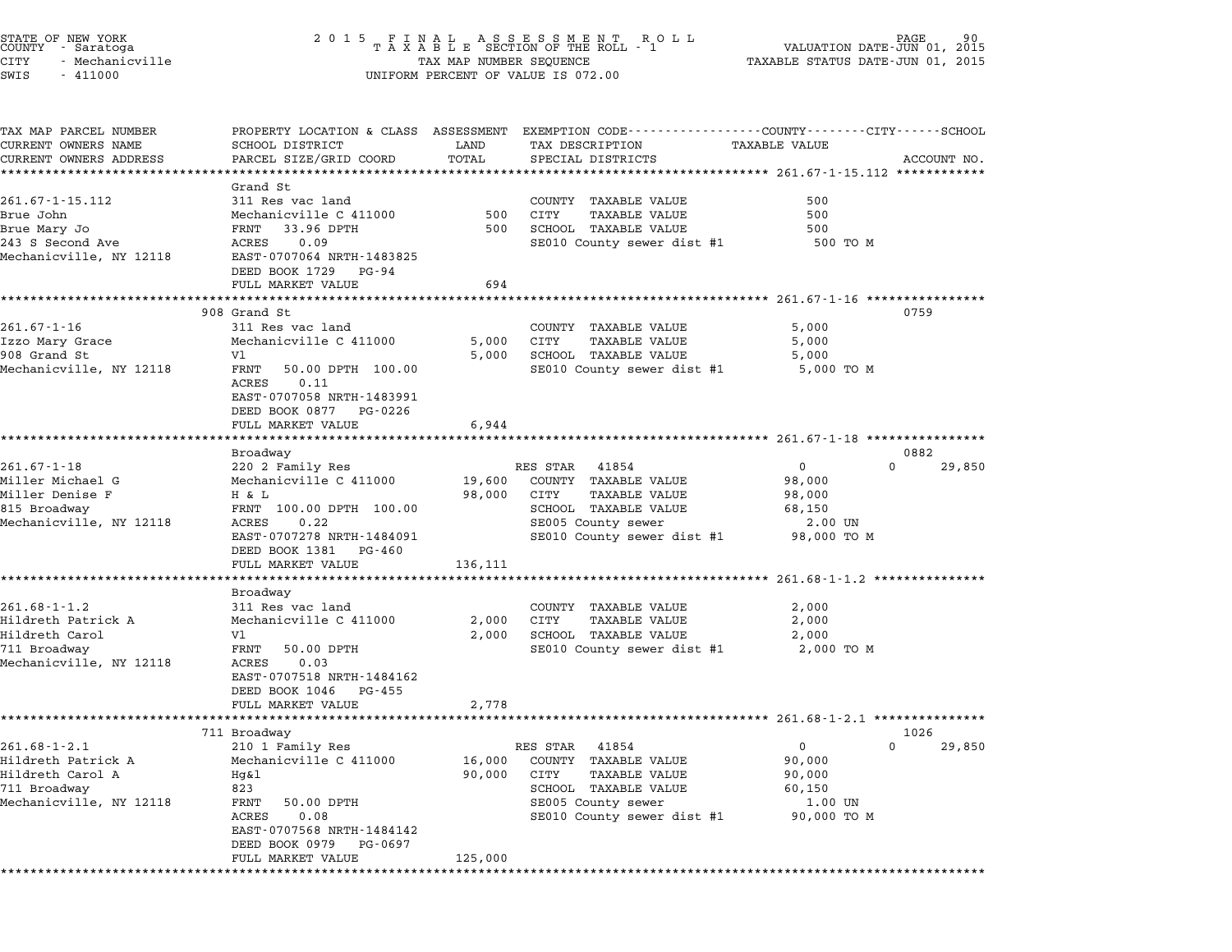| STATE OF NEW YORK<br>COUNTY - Saratoga<br>CITY<br>- Mechanicville<br>SWIS<br>$-411000$                  |                                                                                                                                                                                            | TAX MAP NUMBER SEQUENCE        | UNIFORM PERCENT OF VALUE IS 072.00                                                                                                                                           | AGE<br>VALUATION DATE-JUN 01, 2015<br>TAXABLE STATUS DATE-JUN 01, 2015           | 90          |
|---------------------------------------------------------------------------------------------------------|--------------------------------------------------------------------------------------------------------------------------------------------------------------------------------------------|--------------------------------|------------------------------------------------------------------------------------------------------------------------------------------------------------------------------|----------------------------------------------------------------------------------|-------------|
| TAX MAP PARCEL NUMBER<br>CURRENT OWNERS NAME<br>CURRENT OWNERS ADDRESS                                  | SCHOOL DISTRICT<br>PARCEL SIZE/GRID COORD<br>***********************                                                                                                                       | LAND<br>TOTAL<br>************* | PROPERTY LOCATION & CLASS ASSESSMENT EXEMPTION CODE---------------COUNTY-------CITY------SCHOOL<br>TAX DESCRIPTION<br>SPECIAL DISTRICTS                                      | TAXABLE VALUE                                                                    | ACCOUNT NO. |
| 261.67-1-15.112<br>Brue John<br>Brue Mary Jo<br>243 S Second Ave<br>Mechanicville, NY 12118             | Grand St<br>311 Res vac land<br>Mechanicville C 411000<br>FRNT<br>33.96 DPTH<br>ACRES<br>0.09<br>EAST-0707064 NRTH-1483825<br>DEED BOOK 1729 PG-94<br>FULL MARKET VALUE                    | 500<br>500<br>694              | ********************************* 261.67-1-15.112 ************<br>COUNTY TAXABLE VALUE<br>CITY<br><b>TAXABLE VALUE</b><br>SCHOOL TAXABLE VALUE<br>SE010 County sewer dist #1 | 500<br>500<br>500<br>500 TO M                                                    |             |
|                                                                                                         |                                                                                                                                                                                            |                                |                                                                                                                                                                              |                                                                                  |             |
| $261.67 - 1 - 16$<br>Izzo Mary Grace<br>908 Grand St<br>Mechanicville, NY 12118                         | 908 Grand St<br>311 Res vac land<br>Mechanicville C 411000<br>V1<br>FRNT<br>50.00 DPTH 100.00<br>ACRES<br>0.11<br>EAST-0707058 NRTH-1483991<br>DEED BOOK 0877 PG-0226<br>FULL MARKET VALUE | 5,000<br>5,000<br>6,944        | COUNTY TAXABLE VALUE<br>CITY<br>TAXABLE VALUE<br>SCHOOL TAXABLE VALUE<br>SE010 County sewer dist #1                                                                          | 0759<br>5,000<br>5,000<br>5,000<br>5,000 TO M                                    |             |
|                                                                                                         |                                                                                                                                                                                            |                                |                                                                                                                                                                              |                                                                                  |             |
|                                                                                                         | Broadway                                                                                                                                                                                   |                                |                                                                                                                                                                              | 0882                                                                             |             |
| $261.67 - 1 - 18$<br>Miller Michael G<br>Miller Denise F<br>815 Broadway<br>Mechanicville, NY 12118     | 220 2 Family Res<br>Mechanicville C 411000<br>H & L<br>FRNT 100.00 DPTH 100.00<br>ACRES<br>0.22<br>EAST-0707278 NRTH-1484091<br>DEED BOOK 1381 PG-460<br>FULL MARKET VALUE                 | 19,600<br>98,000<br>136,111    | RES STAR 41854<br>COUNTY TAXABLE VALUE<br>CITY<br>TAXABLE VALUE<br>SCHOOL TAXABLE VALUE<br>SE005 County sewer<br>SE010 County sewer dist #1 98,000 TO M                      | $\mathbf{0}$<br>$\Omega$<br>98,000<br>98,000<br>68,150<br>2.00 UN                | 29,850      |
|                                                                                                         |                                                                                                                                                                                            |                                |                                                                                                                                                                              |                                                                                  |             |
| $261.68 - 1 - 1.2$<br>Hildreth Patrick A<br>Hildreth Carol<br>711 Broadway<br>Mechanicville, NY 12118   | Broadway<br>311 Res vac land<br>Mechanicville C 411000<br>V1<br>FRNT<br>50.00 DPTH<br>ACRES<br>0.03<br>EAST-0707518 NRTH-1484162<br>DEED BOOK 1046 PG-455<br>FULL MARKET VALUE             | 2,000<br>2,000<br>2,778        | COUNTY TAXABLE VALUE<br>CITY<br>TAXABLE VALUE<br>SCHOOL TAXABLE VALUE<br>SE010 County sewer dist #1                                                                          | 2,000<br>2,000<br>2,000<br>2,000 TO M                                            |             |
|                                                                                                         |                                                                                                                                                                                            |                                |                                                                                                                                                                              |                                                                                  |             |
|                                                                                                         | 711 Broadway                                                                                                                                                                               |                                |                                                                                                                                                                              | 1026                                                                             |             |
| $261.68 - 1 - 2.1$<br>Hildreth Patrick A<br>Hildreth Carol A<br>711 Broadway<br>Mechanicville, NY 12118 | 210 1 Family Res<br>Mechanicville C 411000<br>$Hq\&1$<br>823<br>FRNT<br>50.00 DPTH<br>0.08<br>ACRES<br>EAST-0707568 NRTH-1484142<br>DEED BOOK 0979 PG-0697<br>FULL MARKET VALUE            | 16,000<br>90,000<br>125,000    | RES STAR 41854<br>COUNTY TAXABLE VALUE<br>CITY<br><b>TAXABLE VALUE</b><br>SCHOOL TAXABLE VALUE<br>SE005 County sewer<br>SE010 County sewer dist #1                           | $\mathsf{O}$<br>$\Omega$<br>90,000<br>90,000<br>60,150<br>1.00 UN<br>90,000 TO M | 29,850      |
|                                                                                                         |                                                                                                                                                                                            |                                |                                                                                                                                                                              |                                                                                  |             |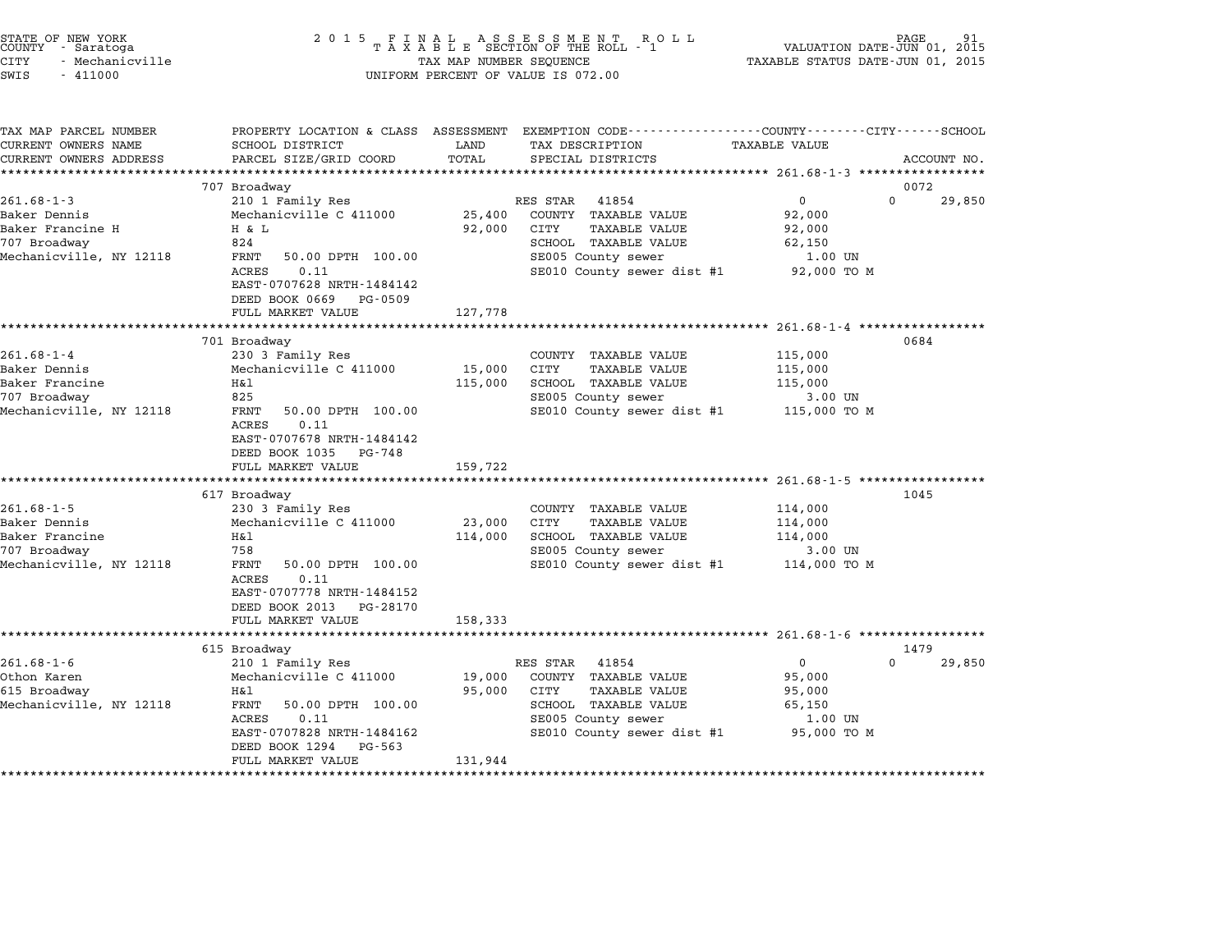|      | STATE OF NEW YORK<br>COUNTY - Saratoga |  |
|------|----------------------------------------|--|
| CITY | - Mechanicville                        |  |
|      |                                        |  |

# STATE OF NEW YORK <sup>2</sup> <sup>0</sup> <sup>1</sup> 5 F I N A L A S S E S S M E N T R O L L PAGE <sup>91</sup> COUNTY - Saratoga <sup>T</sup> <sup>A</sup> <sup>X</sup> <sup>A</sup> <sup>B</sup> <sup>L</sup> <sup>E</sup> SECTION OF THE ROLL - <sup>1</sup> VALUATION DATE-JUN 01, <sup>2015</sup> CITY - Mechanicville TAX MAP NUMBER SEQUENCE TAXABLE STATUS DATE-JUN 01, <sup>2015</sup> SWIS - <sup>411000</sup> UNIFORM PERCENT OF VALUE IS 072.00

| TAX MAP PARCEL NUMBER   | PROPERTY LOCATION & CLASS ASSESSMENT EXEMPTION CODE----------------COUNTY-------CITY------SCHOOL |         |                                         |                      |                    |
|-------------------------|--------------------------------------------------------------------------------------------------|---------|-----------------------------------------|----------------------|--------------------|
| CURRENT OWNERS NAME     | SCHOOL DISTRICT                                                                                  | LAND    | TAX DESCRIPTION                         | <b>TAXABLE VALUE</b> |                    |
| CURRENT OWNERS ADDRESS  | PARCEL SIZE/GRID COORD                                                                           | TOTAL   | SPECIAL DISTRICTS                       |                      | ACCOUNT NO.        |
|                         |                                                                                                  |         |                                         |                      |                    |
|                         | 707 Broadway                                                                                     |         |                                         |                      | 0072               |
| $261.68 - 1 - 3$        | 210 1 Family Res                                                                                 |         | RES STAR 41854                          | 0                    | $\Omega$<br>29,850 |
| Baker Dennis            | Mechanicville C 411000                                                                           | 25,400  | COUNTY TAXABLE VALUE                    | 92,000               |                    |
| Baker Francine H        | H & L                                                                                            | 92,000  | CITY<br>TAXABLE VALUE                   | 92,000               |                    |
| 707 Broadway            | 824                                                                                              |         | SCHOOL TAXABLE VALUE                    | 62,150               |                    |
| Mechanicville, NY 12118 | FRNT<br>50.00 DPTH 100.00                                                                        |         | SE005 County sewer                      | $1.00$ UN            |                    |
|                         | ACRES<br>0.11                                                                                    |         | SE010 County sewer dist #1              | 92,000 TO M          |                    |
|                         | EAST-0707628 NRTH-1484142                                                                        |         |                                         |                      |                    |
|                         | DEED BOOK 0669 PG-0509                                                                           |         |                                         |                      |                    |
|                         | FULL MARKET VALUE                                                                                | 127,778 |                                         |                      |                    |
|                         |                                                                                                  |         |                                         |                      |                    |
|                         | 701 Broadway                                                                                     |         |                                         |                      | 0684               |
| $261.68 - 1 - 4$        | 230 3 Family Res                                                                                 |         | COUNTY TAXABLE VALUE                    | 115,000              |                    |
| Baker Dennis            | Mechanicville C 411000                                                                           | 15,000  | CITY<br><b>TAXABLE VALUE</b>            | 115,000              |                    |
| Baker Francine          | Η&l                                                                                              | 115,000 | SCHOOL TAXABLE VALUE                    | 115,000              |                    |
| 707 Broadway            | 825                                                                                              |         | SE005 County sewer                      | 3.00 UN              |                    |
| Mechanicville, NY 12118 | FRNT<br>50.00 DPTH 100.00                                                                        |         | SE010 County sewer dist #1 115,000 TO M |                      |                    |
|                         | ACRES<br>0.11                                                                                    |         |                                         |                      |                    |
|                         | EAST-0707678 NRTH-1484142                                                                        |         |                                         |                      |                    |
|                         | DEED BOOK 1035 PG-748                                                                            |         |                                         |                      |                    |
|                         | FULL MARKET VALUE                                                                                | 159,722 |                                         |                      |                    |
|                         |                                                                                                  |         |                                         |                      |                    |
|                         | 617 Broadway                                                                                     |         |                                         |                      | 1045               |
| $261.68 - 1 - 5$        | 230 3 Family Res                                                                                 |         | COUNTY TAXABLE VALUE                    | 114,000              |                    |
| Baker Dennis            | Mechanicville C 411000                                                                           | 23,000  | <b>TAXABLE VALUE</b><br>CITY            | 114,000              |                    |
| Baker Francine          | H&l                                                                                              | 114,000 | SCHOOL TAXABLE VALUE                    | 114,000              |                    |
| 707 Broadway            | 758                                                                                              |         | SE005 County sewer                      | 3.00 UN              |                    |
| Mechanicville, NY 12118 | FRNT<br>50.00 DPTH 100.00                                                                        |         | SE010 County sewer dist #1              | 114,000 TO M         |                    |
|                         | 0.11<br>ACRES                                                                                    |         |                                         |                      |                    |
|                         | EAST-0707778 NRTH-1484152                                                                        |         |                                         |                      |                    |
|                         | DEED BOOK 2013 PG-28170                                                                          |         |                                         |                      |                    |
|                         | FULL MARKET VALUE                                                                                | 158,333 |                                         |                      |                    |
|                         |                                                                                                  |         |                                         |                      |                    |
|                         | 615 Broadway                                                                                     |         |                                         |                      | 1479               |
| $261.68 - 1 - 6$        | 210 1 Family Res                                                                                 |         | RES STAR<br>41854                       | $\mathbf{0}$         | 29,850<br>$\Omega$ |
| Othon Karen             | Mechanicville C 411000                                                                           | 19,000  | COUNTY TAXABLE VALUE                    | 95,000               |                    |
| 615 Broadway            | Η&l                                                                                              | 95,000  | CITY<br><b>TAXABLE VALUE</b>            | 95,000               |                    |
| Mechanicville, NY 12118 | FRNT<br>50.00 DPTH 100.00                                                                        |         | SCHOOL TAXABLE VALUE                    | 65,150               |                    |
|                         | 0.11<br>ACRES                                                                                    |         | SE005 County sewer                      | 1.00 UN              |                    |
|                         | EAST-0707828 NRTH-1484162                                                                        |         | SE010 County sewer dist #1              | 95,000 TO M          |                    |
|                         | DEED BOOK 1294<br>PG-563                                                                         |         |                                         |                      |                    |
|                         | FULL MARKET VALUE                                                                                | 131,944 |                                         |                      |                    |
|                         |                                                                                                  |         |                                         |                      |                    |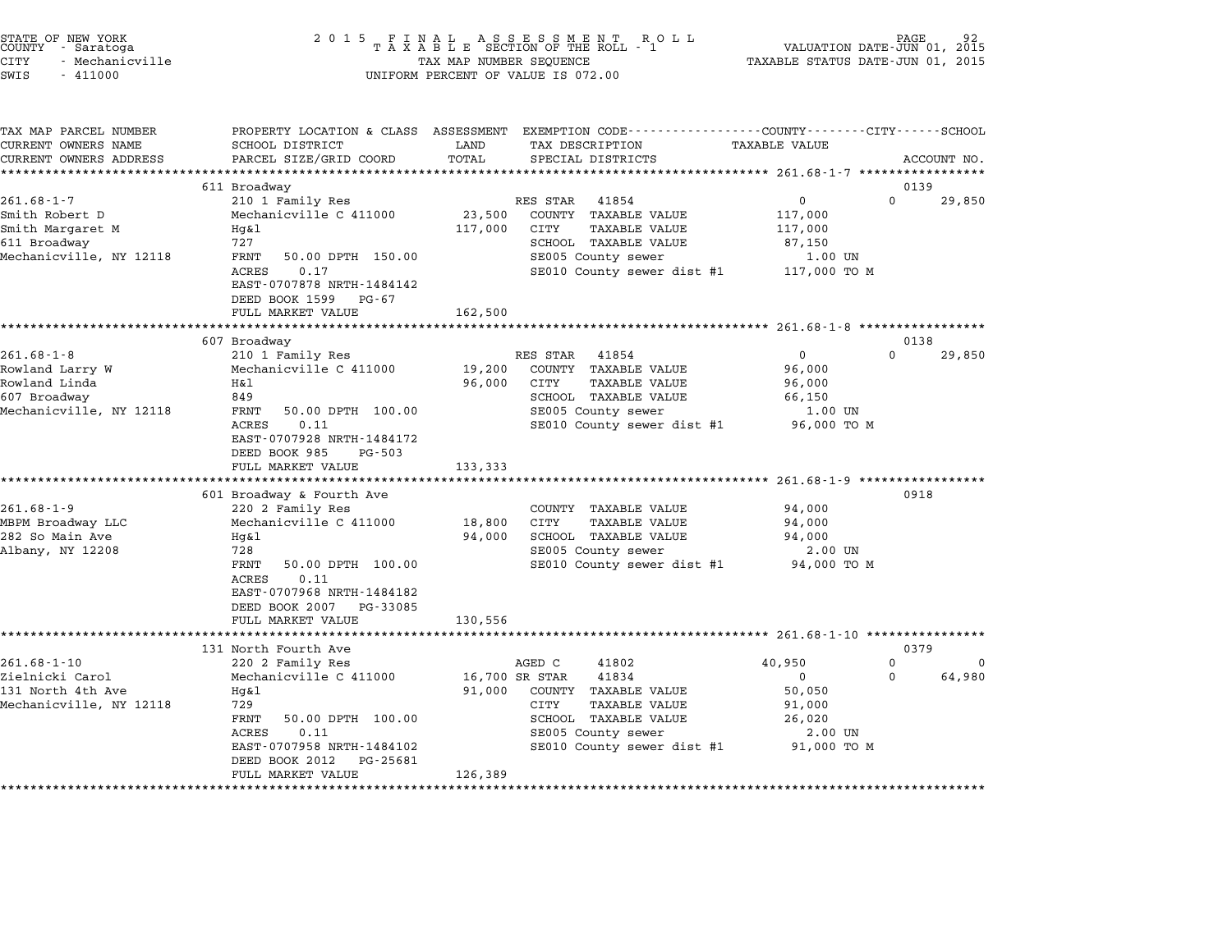|        | STATE OF NEW YORK |  |
|--------|-------------------|--|
| COUNTY | - Saratoga        |  |
| CITY   | - Mechanicville   |  |

| TAX MAP PARCEL NUMBER   |                                                                                            |         | PROPERTY LOCATION & CLASS ASSESSMENT EXEMPTION CODE---------------COUNTY-------CITY------SCHOOL |                        |                            |
|-------------------------|--------------------------------------------------------------------------------------------|---------|-------------------------------------------------------------------------------------------------|------------------------|----------------------------|
| CURRENT OWNERS NAME     | SCHOOL DISTRICT                                                                            | LAND    | TAX DESCRIPTION                                                                                 | <b>TAXABLE VALUE</b>   |                            |
| CURRENT OWNERS ADDRESS  | PARCEL SIZE/GRID COORD                                                                     | TOTAL   | SPECIAL DISTRICTS                                                                               |                        | ACCOUNT NO.                |
|                         |                                                                                            |         |                                                                                                 |                        |                            |
| $261.68 - 1 - 7$        | 611 Broadway<br>210 1 Family Res                                                           |         | RES STAR<br>41854                                                                               | $\mathbf 0$            | 0139<br>$\Omega$<br>29,850 |
| Smith Robert D          | Mechanicville C 411000                                                                     | 23,500  | COUNTY TAXABLE VALUE                                                                            | 117,000                |                            |
| Smith Margaret M        | $Hq\&1$                                                                                    | 117,000 | CITY<br><b>TAXABLE VALUE</b>                                                                    | 117,000                |                            |
| 611 Broadway            | 727                                                                                        |         | SCHOOL TAXABLE VALUE                                                                            | 87,150                 |                            |
| Mechanicville, NY 12118 | FRNT<br>50.00 DPTH 150.00                                                                  |         | SE005 County sewer                                                                              | 1.00 UN                |                            |
|                         | ACRES<br>0.17<br>EAST-0707878 NRTH-1484142<br>DEED BOOK 1599 PG-67<br>FULL MARKET VALUE    | 162,500 | SE010 County sewer dist #1                                                                      | 117,000 TO M           |                            |
|                         |                                                                                            |         |                                                                                                 |                        |                            |
|                         | 607 Broadway                                                                               |         |                                                                                                 |                        | 0138                       |
| $261.68 - 1 - 8$        | 210 1 Family Res                                                                           |         | RES STAR 41854                                                                                  | $\mathbf 0$            | $\Omega$<br>29,850         |
| Rowland Larry W         | Mechanicville C 411000                                                                     | 19,200  | COUNTY TAXABLE VALUE                                                                            | 96,000                 |                            |
| Rowland Linda           | Η&l                                                                                        | 96,000  | CITY<br><b>TAXABLE VALUE</b>                                                                    | 96,000                 |                            |
| 607 Broadway            | 849                                                                                        |         | SCHOOL TAXABLE VALUE                                                                            | 66,150                 |                            |
| Mechanicville, NY 12118 | FRNT<br>50.00 DPTH 100.00<br>ACRES<br>0.11                                                 |         | SE005 County sewer<br>SE010 County sewer dist #1                                                | 1.00 UN<br>96,000 TO M |                            |
|                         | EAST-0707928 NRTH-1484172<br>DEED BOOK 985<br>PG-503<br>FULL MARKET VALUE                  | 133,333 |                                                                                                 |                        |                            |
|                         |                                                                                            |         |                                                                                                 |                        |                            |
| $261.68 - 1 - 9$        | 601 Broadway & Fourth Ave<br>220 2 Family Res                                              |         | COUNTY TAXABLE VALUE                                                                            | 94,000                 | 0918                       |
| MBPM Broadway LLC       | Mechanicville C 411000                                                                     | 18,800  | CITY<br>TAXABLE VALUE                                                                           | 94,000                 |                            |
| 282 So Main Ave         | Hg&l                                                                                       | 94,000  | SCHOOL TAXABLE VALUE                                                                            | 94,000                 |                            |
| Albany, NY 12208        | 728                                                                                        |         | SE005 County sewer                                                                              | 2.00 UN                |                            |
|                         | FRNT<br>50.00 DPTH 100.00                                                                  |         | SE010 County sewer dist #1 94,000 TO M                                                          |                        |                            |
|                         | ACRES<br>0.11<br>EAST-0707968 NRTH-1484182<br>DEED BOOK 2007 PG-33085<br>FULL MARKET VALUE | 130,556 |                                                                                                 |                        |                            |
|                         |                                                                                            |         |                                                                                                 |                        |                            |
|                         | 131 North Fourth Ave                                                                       |         |                                                                                                 |                        | 0379                       |
| $261.68 - 1 - 10$       | 220 2 Family Res                                                                           |         | AGED C<br>41802                                                                                 | 40,950                 | 0<br>0                     |
| Zielnicki Carol         | Mechanicville C 411000                                                                     |         | 41834<br>16,700 SR STAR                                                                         | 0                      | 64,980<br>$\Omega$         |
| 131 North 4th Ave       | Hq&l                                                                                       | 91,000  | COUNTY TAXABLE VALUE                                                                            | 50,050                 |                            |
| Mechanicville, NY 12118 | 729                                                                                        |         | CITY<br><b>TAXABLE VALUE</b>                                                                    | 91,000                 |                            |
|                         | FRNT<br>50.00 DPTH 100.00                                                                  |         | SCHOOL TAXABLE VALUE                                                                            | 26,020                 |                            |
|                         | ACRES<br>0.11                                                                              |         | SE005 County sewer                                                                              | 2.00 UN                |                            |
|                         | EAST-0707958 NRTH-1484102<br>DEED BOOK 2012<br>PG-25681                                    |         | SE010 County sewer dist #1                                                                      | 91,000 TO M            |                            |
|                         | FULL MARKET VALUE                                                                          | 126,389 |                                                                                                 |                        |                            |
|                         |                                                                                            |         |                                                                                                 |                        |                            |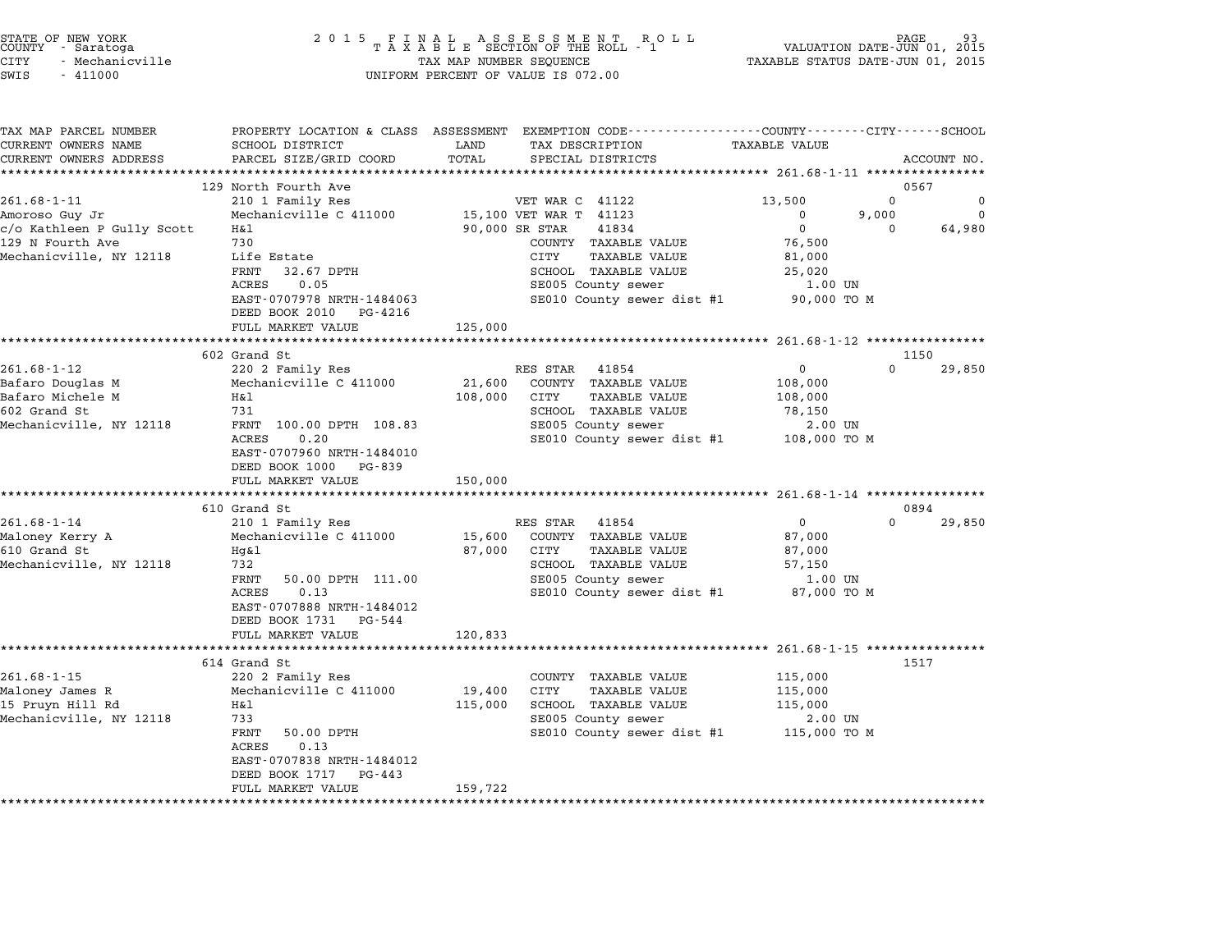| STATE OF NEW YORK |                 |  |
|-------------------|-----------------|--|
| COUNTY            | - Saratoga      |  |
| CITY              | - Mechanicville |  |

| TAX MAP PARCEL NUMBER<br>CURRENT OWNERS NAME | PROPERTY LOCATION & CLASS ASSESSMENT EXEMPTION CODE---------------COUNTY-------CITY------SCHOOL<br>SCHOOL DISTRICT | LAND                     | TAX DESCRIPTION                                           | <b>TAXABLE VALUE</b>                                 |          |                |
|----------------------------------------------|--------------------------------------------------------------------------------------------------------------------|--------------------------|-----------------------------------------------------------|------------------------------------------------------|----------|----------------|
| CURRENT OWNERS ADDRESS                       | PARCEL SIZE/GRID COORD                                                                                             | TOTAL                    | SPECIAL DISTRICTS                                         |                                                      |          | ACCOUNT NO.    |
|                                              |                                                                                                                    |                          |                                                           |                                                      |          |                |
|                                              | 129 North Fourth Ave                                                                                               |                          |                                                           |                                                      | 0567     |                |
| $261.68 - 1 - 11$                            | 210 1 Family Res                                                                                                   |                          | VET WAR C 41122                                           | 13,500                                               | 0        | 0              |
| Amoroso Guy Jr                               | Mechanicville C 411000                                                                                             |                          | 15,100 VET WAR T 41123                                    | $\mathbf 0$                                          | 9,000    | $\overline{0}$ |
| c/o Kathleen P Gully Scott                   | H&l                                                                                                                | 90,000 SR STAR           | 41834                                                     | $\overline{0}$                                       | $\Omega$ | 64,980         |
| 129 N Fourth Ave                             | 730                                                                                                                |                          | COUNTY TAXABLE VALUE                                      | 76,500                                               |          |                |
| Mechanicville, NY 12118                      | Life Estate                                                                                                        |                          | CITY<br>TAXABLE VALUE                                     | 81,000                                               |          |                |
|                                              | FRNT<br>32.67 DPTH                                                                                                 |                          | SCHOOL TAXABLE VALUE                                      | 25,020                                               |          |                |
|                                              | ACRES<br>0.05                                                                                                      |                          | SE005 County sewer                                        | 1.00 UN                                              |          |                |
|                                              | EAST-0707978 NRTH-1484063<br>DEED BOOK 2010 PG-4216                                                                |                          | SE010 County sewer dist #1 90,000 TO M                    |                                                      |          |                |
|                                              | FULL MARKET VALUE                                                                                                  | 125,000                  |                                                           |                                                      |          |                |
|                                              | ****************************                                                                                       | ************************ |                                                           | ********************** 261.68-1-12 ***************** |          |                |
|                                              | 602 Grand St                                                                                                       |                          |                                                           |                                                      | 1150     |                |
| $261.68 - 1 - 12$                            | 220 2 Family Res                                                                                                   |                          | RES STAR<br>41854                                         | $\overline{0}$                                       | $\Omega$ | 29,850         |
| Bafaro Douglas M                             | Mechanicville C 411000                                                                                             | 21,600                   | COUNTY TAXABLE VALUE                                      | 108,000                                              |          |                |
| Bafaro Michele M                             | H&l                                                                                                                | 108,000                  | CITY<br>TAXABLE VALUE                                     | 108,000                                              |          |                |
| 602 Grand St                                 | 731                                                                                                                |                          | SCHOOL TAXABLE VALUE                                      | 78,150                                               |          |                |
| Mechanicville, NY 12118                      | FRNT 100.00 DPTH 108.83                                                                                            |                          | SE005 County sewer                                        | 2.00 UN                                              |          |                |
|                                              | 0.20<br>ACRES                                                                                                      |                          | SE010 County sewer dist #1 108,000 TO M                   |                                                      |          |                |
|                                              | EAST-0707960 NRTH-1484010                                                                                          |                          |                                                           |                                                      |          |                |
|                                              | DEED BOOK 1000 PG-839                                                                                              |                          |                                                           |                                                      |          |                |
|                                              | FULL MARKET VALUE                                                                                                  | 150,000                  |                                                           |                                                      |          |                |
|                                              |                                                                                                                    |                          |                                                           |                                                      |          |                |
|                                              | 610 Grand St                                                                                                       |                          |                                                           |                                                      | 0894     |                |
| $261.68 - 1 - 14$                            | 210 1 Family Res                                                                                                   |                          | RES STAR 41854                                            | $\overline{0}$                                       | $\Omega$ | 29,850         |
| Maloney Kerry A                              | Mechanicville C 411000                                                                                             |                          | 15,600 COUNTY TAXABLE VALUE                               | 87,000                                               |          |                |
| 610 Grand St                                 | Hq&l                                                                                                               | 87,000 CITY              | TAXABLE VALUE                                             | 87,000                                               |          |                |
| Mechanicville, NY 12118                      | 732                                                                                                                |                          | SCHOOL TAXABLE VALUE                                      | 57,150                                               |          |                |
|                                              | FRNT<br>50.00 DPTH 111.00                                                                                          |                          | SE005 County sewer                                        | 1.00 UN                                              |          |                |
|                                              | ACRES<br>0.13                                                                                                      |                          | SE010 County sewer dist #1 87,000 TO M                    |                                                      |          |                |
|                                              | EAST-0707888 NRTH-1484012                                                                                          |                          |                                                           |                                                      |          |                |
|                                              | DEED BOOK 1731 PG-544                                                                                              |                          |                                                           |                                                      |          |                |
|                                              | FULL MARKET VALUE                                                                                                  | 120,833                  |                                                           |                                                      |          |                |
|                                              | ***********************                                                                                            |                          | **************************** 261.68-1-15 **************** |                                                      |          |                |
|                                              | 614 Grand St                                                                                                       |                          |                                                           |                                                      | 1517     |                |
| $261.68 - 1 - 15$                            | 220 2 Family Res                                                                                                   |                          | COUNTY TAXABLE VALUE                                      | 115,000                                              |          |                |
| Maloney James R                              | Mechanicville C 411000                                                                                             | 19,400                   | CITY<br><b>TAXABLE VALUE</b>                              | 115,000                                              |          |                |
| 15 Pruyn Hill Rd                             | H&l                                                                                                                | 115,000                  | SCHOOL TAXABLE VALUE                                      | 115,000                                              |          |                |
| Mechanicville, NY 12118                      | 733                                                                                                                |                          | SE005 County sewer                                        | 2.00 UN                                              |          |                |
|                                              | FRNT<br>50.00 DPTH                                                                                                 |                          | SE010 County sewer dist #1 115,000 TO M                   |                                                      |          |                |
|                                              | ACRES<br>0.13                                                                                                      |                          |                                                           |                                                      |          |                |
|                                              | EAST-0707838 NRTH-1484012                                                                                          |                          |                                                           |                                                      |          |                |
|                                              | DEED BOOK 1717<br>PG-443                                                                                           |                          |                                                           |                                                      |          |                |
|                                              | FULL MARKET VALUE                                                                                                  | 159,722                  |                                                           |                                                      |          |                |
|                                              |                                                                                                                    |                          |                                                           |                                                      |          |                |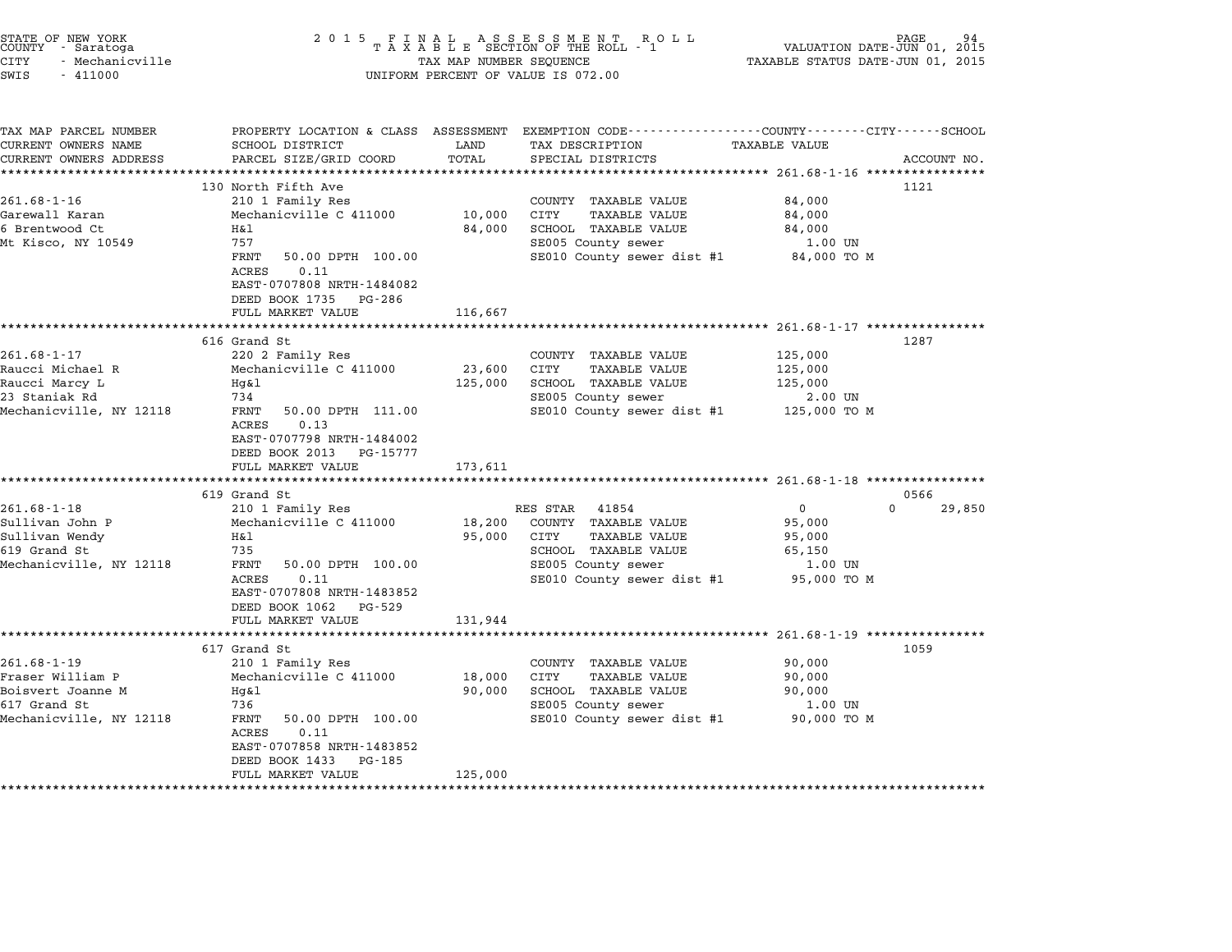| STATE OF NEW YORK<br>COUNTY - Saratoga<br><b>CITY</b><br>- Mechanicville<br>SWIS<br>$-411000$         | 2 0 1 5                                                                                                                                                                                                                                            | TAX MAP NUMBER SEQUENCE                  | FINAL ASSESSMENT ROLL<br>TAXABLE SECTION OF THE ROLL - 1<br>UNIFORM PERCENT OF VALUE IS 072.00                                                        | VALUATION DATE-JUN 01, 2015<br>TAXABLE STATUS DATE-JUN 01, 2015                                            | PAGE                       |
|-------------------------------------------------------------------------------------------------------|----------------------------------------------------------------------------------------------------------------------------------------------------------------------------------------------------------------------------------------------------|------------------------------------------|-------------------------------------------------------------------------------------------------------------------------------------------------------|------------------------------------------------------------------------------------------------------------|----------------------------|
| TAX MAP PARCEL NUMBER<br>CURRENT OWNERS NAME<br>CURRENT OWNERS ADDRESS                                | PROPERTY LOCATION & CLASS ASSESSMENT<br>SCHOOL DISTRICT<br>PARCEL SIZE/GRID COORD                                                                                                                                                                  | LAND<br>TOTAL                            | EXEMPTION CODE-----------------COUNTY-------CITY------SCHOOL<br>TAX DESCRIPTION<br>SPECIAL DISTRICTS                                                  | TAXABLE VALUE                                                                                              | ACCOUNT NO.                |
| $261.68 - 1 - 16$<br>Garewall Karan<br>6 Brentwood Ct<br>Mt Kisco, NY 10549                           | ********************<br>130 North Fifth Ave<br>210 1 Family Res<br>Mechanicville C 411000<br>H&1<br>757<br>FRNT<br>50.00 DPTH 100.00<br>ACRES<br>0.11<br>EAST-0707808 NRTH-1484082<br>DEED BOOK 1735 PG-286<br>FULL MARKET VALUE                   | *********<br>10,000<br>84,000<br>116,667 | COUNTY TAXABLE VALUE<br>CITY<br><b>TAXABLE VALUE</b><br>SCHOOL TAXABLE VALUE<br>SE005 County sewer<br>SE010 County sewer dist #1                      | 84,000<br>84,000<br>84,000<br>1.00 UN<br>84,000 TO M                                                       | 1121                       |
| $261.68 - 1 - 17$<br>Raucci Michael R<br>Raucci Marcy L<br>23 Staniak Rd<br>Mechanicville, NY 12118   | 616 Grand St<br>220 2 Family Res<br>Mechanicville C 411000<br>Hg&l<br>734<br>FRNT<br>50.00 DPTH 111.00<br>0.13<br>ACRES<br>EAST-0707798 NRTH-1484002<br>DEED BOOK 2013<br>PG-15777<br>FULL MARKET VALUE                                            | 23,600<br>125,000<br>173,611             | COUNTY TAXABLE VALUE<br>CITY<br>TAXABLE VALUE<br>SCHOOL TAXABLE VALUE<br>SE005 County sewer<br>SE010 County sewer dist #1                             | **************** 261.68-1-17 *****************<br>125,000<br>125,000<br>125,000<br>2.00 UN<br>125,000 TO M | 1287                       |
| $261.68 - 1 - 18$<br>Sullivan John P<br>Sullivan Wendy<br>619 Grand St<br>Mechanicville, NY 12118     | *************************************<br>619 Grand St<br>210 1 Family Res<br>Mechanicville C 411000<br>H&l<br>735<br>FRNT<br>50.00 DPTH 100.00<br>0.11<br>ACRES<br>EAST-0707808 NRTH-1483852<br>DEED BOOK 1062 PG-529<br>FULL MARKET VALUE         | 18,200<br>95,000<br>131,944              | RES STAR<br>41854<br>COUNTY TAXABLE VALUE<br>CITY<br><b>TAXABLE VALUE</b><br>SCHOOL TAXABLE VALUE<br>SE005 County sewer<br>SE010 County sewer dist #1 | 0<br>95,000<br>95,000<br>65,150<br>1.00 UN<br>95,000 TO M                                                  | 0566<br>$\Omega$<br>29,850 |
| $261.68 - 1 - 19$<br>Fraser William P<br>Boisvert Joanne M<br>617 Grand St<br>Mechanicville, NY 12118 | ******************<br>617 Grand St<br>210 1 Family Res<br>Mechanicville C 411000<br>Hq&l<br>736<br>FRNT<br>50.00 DPTH 100.00<br>0.11<br>ACRES<br>EAST-0707858 NRTH-1483852<br>DEED BOOK 1433<br>PG-185<br>FULL MARKET VALUE<br>******************* | 18,000<br>90,000<br>125,000              | COUNTY TAXABLE VALUE<br>CITY<br>TAXABLE VALUE<br>SCHOOL TAXABLE VALUE<br>SE005 County sewer<br>SE010 County sewer dist #1                             | ********** 261.68-1-19 ****************<br>90,000<br>90,000<br>90,000<br>1.00 UN<br>90,000 TO M            | 1059                       |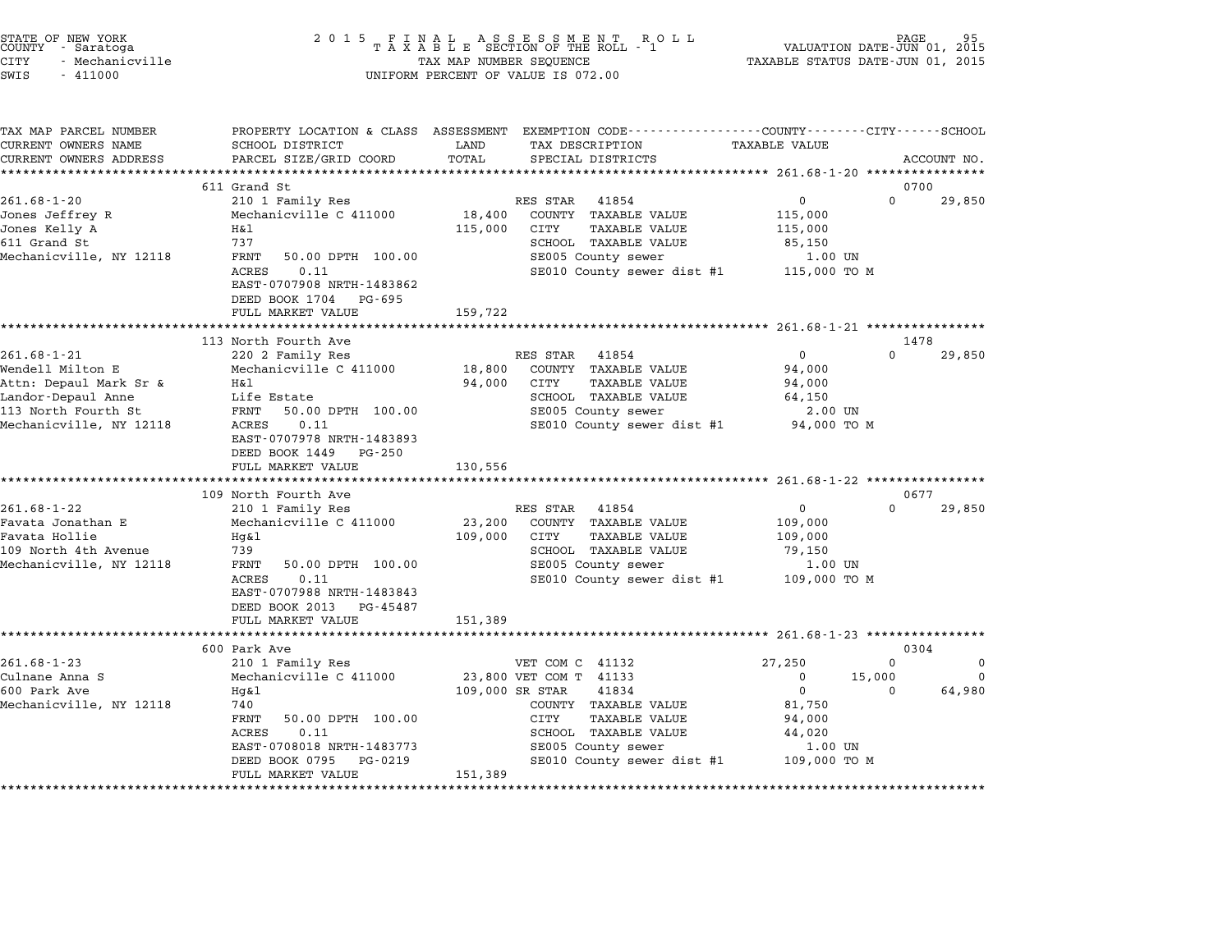| STATE OF NEW YORK |                 |  |
|-------------------|-----------------|--|
| COUNTY            | - Saratoga      |  |
| CITY              | - Mechanicville |  |

# STATE OF NEW YORK <sup>2</sup> <sup>0</sup> <sup>1</sup> 5 F I N A L A S S E S S M E N T R O L L PAGE <sup>95</sup> COUNTY - Saratoga <sup>T</sup> <sup>A</sup> <sup>X</sup> <sup>A</sup> <sup>B</sup> <sup>L</sup> <sup>E</sup> SECTION OF THE ROLL - <sup>1</sup> VALUATION DATE-JUN 01, <sup>2015</sup> CITY - Mechanicville TAX MAP NUMBER SEQUENCE TAXABLE STATUS DATE-JUN 01, <sup>2015</sup> SWIS - <sup>411000</sup> UNIFORM PERCENT OF VALUE IS 072.00

| TAX MAP PARCEL NUMBER<br>CURRENT OWNERS NAME | SCHOOL DISTRICT                                                                          | LAND            | PROPERTY LOCATION & CLASS ASSESSMENT EXEMPTION CODE---------------COUNTY-------CITY------SCHOOL<br>TAX DESCRIPTION | <b>TAXABLE VALUE</b> |                                     |
|----------------------------------------------|------------------------------------------------------------------------------------------|-----------------|--------------------------------------------------------------------------------------------------------------------|----------------------|-------------------------------------|
| CURRENT OWNERS ADDRESS                       | PARCEL SIZE/GRID COORD                                                                   | TOTAL           | SPECIAL DISTRICTS                                                                                                  |                      | ACCOUNT NO.                         |
|                                              |                                                                                          |                 |                                                                                                                    |                      |                                     |
|                                              | 611 Grand St                                                                             |                 |                                                                                                                    |                      | 0700                                |
| $261.68 - 1 - 20$                            | 210 1 Family Res                                                                         |                 | RES STAR<br>41854                                                                                                  | $\mathsf{O}$         | $\Omega$<br>29,850                  |
| Jones Jeffrey R                              | Mechanicville C 411000                                                                   | 18,400          | COUNTY TAXABLE VALUE                                                                                               | 115,000              |                                     |
| Jones Kelly A                                | H&l                                                                                      | 115,000         | CITY<br><b>TAXABLE VALUE</b>                                                                                       | 115,000              |                                     |
| 611 Grand St                                 | 737                                                                                      |                 | SCHOOL TAXABLE VALUE                                                                                               | 85,150               |                                     |
| Mechanicville, NY 12118                      | 50.00 DPTH 100.00<br>FRNT                                                                |                 | SE005 County sewer                                                                                                 | 1.00 UN              |                                     |
|                                              | ACRES<br>0.11<br>EAST-0707908 NRTH-1483862<br>DEED BOOK 1704 PG-695<br>FULL MARKET VALUE | 159,722         | SE010 County sewer dist #1                                                                                         | 115,000 TO M         |                                     |
|                                              |                                                                                          |                 |                                                                                                                    |                      |                                     |
|                                              | 113 North Fourth Ave                                                                     |                 |                                                                                                                    |                      | 1478                                |
| $261.68 - 1 - 21$                            | 220 2 Family Res                                                                         |                 | RES STAR<br>41854                                                                                                  | $\Omega$             | $\Omega$<br>29,850                  |
| Wendell Milton E                             | Mechanicville C 411000                                                                   | 18,800          | COUNTY TAXABLE VALUE                                                                                               | 94,000               |                                     |
| Attn: Depaul Mark Sr &                       | H&l                                                                                      | 94,000          | CITY<br><b>TAXABLE VALUE</b>                                                                                       | 94,000               |                                     |
| Landor-Depaul Anne                           | Life Estate                                                                              |                 | SCHOOL TAXABLE VALUE                                                                                               | 64,150               |                                     |
| 113 North Fourth St                          | FRNT<br>50.00 DPTH 100.00                                                                |                 | SE005 County sewer                                                                                                 | 2.00 UN              |                                     |
| Mechanicville, NY 12118                      | ACRES<br>0.11<br>EAST-0707978 NRTH-1483893<br>DEED BOOK 1449 PG-250                      |                 | SE010 County sewer dist #1                                                                                         | 94,000 TO M          |                                     |
|                                              | FULL MARKET VALUE                                                                        | 130,556         |                                                                                                                    |                      |                                     |
|                                              | 109 North Fourth Ave                                                                     |                 |                                                                                                                    |                      | 0677                                |
| $261.68 - 1 - 22$                            | 210 1 Family Res                                                                         |                 | RES STAR<br>41854                                                                                                  | 0                    | $\Omega$<br>29,850                  |
| Favata Jonathan E                            | Mechanicville C 411000                                                                   | 23,200          | COUNTY TAXABLE VALUE                                                                                               | 109,000              |                                     |
| Favata Hollie                                | Hg&l                                                                                     | 109,000         | CITY<br><b>TAXABLE VALUE</b>                                                                                       | 109,000              |                                     |
| 109 North 4th Avenue                         | 739                                                                                      |                 | SCHOOL TAXABLE VALUE                                                                                               | 79,150               |                                     |
| Mechanicville, NY 12118                      | FRNT<br>50.00 DPTH 100.00                                                                |                 | SE005 County sewer                                                                                                 | 1.00 UN              |                                     |
|                                              | ACRES<br>0.11                                                                            |                 | SE010 County sewer dist #1                                                                                         | 109,000 TO M         |                                     |
|                                              | EAST-0707988 NRTH-1483843                                                                |                 |                                                                                                                    |                      |                                     |
|                                              | DEED BOOK 2013 PG-45487                                                                  |                 |                                                                                                                    |                      |                                     |
|                                              | FULL MARKET VALUE                                                                        | 151,389         |                                                                                                                    |                      |                                     |
|                                              |                                                                                          |                 |                                                                                                                    |                      |                                     |
|                                              | 600 Park Ave                                                                             |                 |                                                                                                                    |                      | 0304                                |
| $261.68 - 1 - 23$<br>Culnane Anna S          | 210 1 Family Res<br>Mechanicville C 411000                                               |                 | VET COM C 41132<br>23,800 VET COM T 41133                                                                          | 27,250<br>0          | $\Omega$<br>0<br>15,000<br>$\Omega$ |
| 600 Park Ave                                 | Hq&l                                                                                     | 109,000 SR STAR | 41834                                                                                                              | $\overline{0}$       | 64,980<br>$\Omega$                  |
| Mechanicville, NY 12118                      | 740                                                                                      |                 | COUNTY TAXABLE VALUE                                                                                               | 81,750               |                                     |
|                                              | FRNT<br>50.00 DPTH 100.00                                                                |                 | CITY<br><b>TAXABLE VALUE</b>                                                                                       | 94,000               |                                     |
|                                              | ACRES<br>0.11                                                                            |                 | SCHOOL TAXABLE VALUE                                                                                               | 44,020               |                                     |
|                                              | EAST-0708018 NRTH-1483773                                                                |                 | SE005 County sewer                                                                                                 | 1.00 UN              |                                     |
|                                              | DEED BOOK 0795 PG-0219                                                                   |                 | SE010 County sewer dist #1                                                                                         | 109,000 TO M         |                                     |
|                                              | FULL MARKET VALUE                                                                        | 151,389         |                                                                                                                    |                      |                                     |
|                                              |                                                                                          |                 |                                                                                                                    |                      |                                     |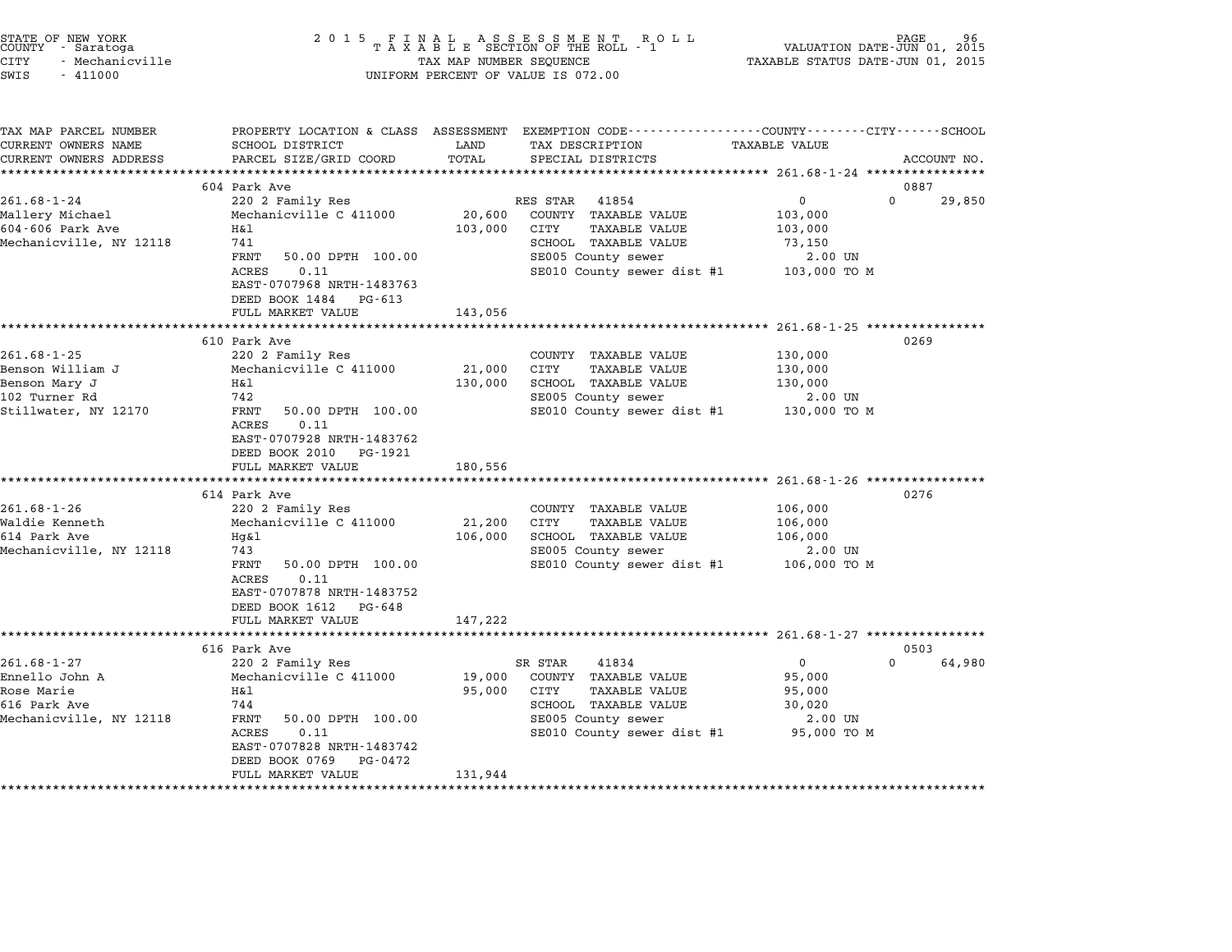| STATE OF NEW YORK<br>COUNTY - Saratoga<br>CITY<br>- Mechanicville<br>SWIS<br>$-411000$          | 2 0 1 5                                                                                                                                                                                                                              | TAX MAP NUMBER SEQUENCE                       | UNIFORM PERCENT OF VALUE IS 072.00                                                                                                             | VALUATION DATE-JUN 01, 2015<br>TAXABLE STATUS DATE-JUN 01, 2015             | PAGE           |
|-------------------------------------------------------------------------------------------------|--------------------------------------------------------------------------------------------------------------------------------------------------------------------------------------------------------------------------------------|-----------------------------------------------|------------------------------------------------------------------------------------------------------------------------------------------------|-----------------------------------------------------------------------------|----------------|
| TAX MAP PARCEL NUMBER<br>CURRENT OWNERS NAME<br>CURRENT OWNERS ADDRESS                          | SCHOOL DISTRICT<br>PARCEL SIZE/GRID COORD                                                                                                                                                                                            | LAND<br>TOTAL                                 | PROPERTY LOCATION & CLASS ASSESSMENT EXEMPTION CODE---------------COUNTY-------CITY------SCHOOL<br>TAX DESCRIPTION<br>SPECIAL DISTRICTS        | TAXABLE VALUE                                                               | ACCOUNT NO.    |
|                                                                                                 | **************************                                                                                                                                                                                                           |                                               |                                                                                                                                                |                                                                             |                |
| $261.68 - 1 - 24$<br>Mallery Michael<br>604-606 Park Ave<br>Mechanicville, NY 12118             | 604 Park Ave<br>220 2 Family Res<br>Mechanicville C 411000<br>H&l<br>741<br>FRNT<br>50.00 DPTH 100.00<br><b>ACRES</b><br>0.11<br>EAST-0707968 NRTH-1483763<br>DEED BOOK 1484 PG-613<br>FULL MARKET VALUE                             | 20,600<br>103,000<br>143,056                  | RES STAR<br>41854<br>COUNTY TAXABLE VALUE<br>CITY<br>TAXABLE VALUE<br>SCHOOL TAXABLE VALUE<br>SE005 County sewer<br>SE010 County sewer dist #1 | 0<br>$\mathbf 0$<br>103,000<br>103,000<br>73,150<br>2.00 UN<br>103,000 TO M | 0887<br>29,850 |
|                                                                                                 |                                                                                                                                                                                                                                      |                                               |                                                                                                                                                |                                                                             |                |
| $261.68 - 1 - 25$<br>Benson William J<br>Benson Mary J<br>102 Turner Rd<br>Stillwater, NY 12170 | 610 Park Ave<br>220 2 Family Res<br>Mechanicville C 411000<br>Η&l<br>742<br>FRNT<br>50.00 DPTH 100.00<br>ACRES<br>0.11<br>EAST-0707928 NRTH-1483762<br>DEED BOOK 2010<br>PG-1921<br>FULL MARKET VALUE                                | 21,000<br>130,000<br>180,556                  | COUNTY TAXABLE VALUE<br>CITY<br>TAXABLE VALUE<br>SCHOOL TAXABLE VALUE<br>SE005 County sewer<br>SE010 County sewer dist #1                      | 130,000<br>130,000<br>130,000<br>2.00 UN<br>130,000 TO M                    | 0269           |
|                                                                                                 | ****************************                                                                                                                                                                                                         |                                               |                                                                                                                                                |                                                                             |                |
| $261.68 - 1 - 26$<br>Waldie Kenneth<br>614 Park Ave<br>Mechanicville, NY 12118                  | 614 Park Ave<br>220 2 Family Res<br>Mechanicville C 411000<br>Hg&l<br>743<br>FRNT<br>50.00 DPTH 100.00<br>0.11<br>ACRES<br>EAST-0707878 NRTH-1483752<br>DEED BOOK 1612 PG-648<br>FULL MARKET VALUE                                   | 21,200<br>106,000<br>147,222                  | COUNTY TAXABLE VALUE<br>TAXABLE VALUE<br>CITY<br>SCHOOL TAXABLE VALUE<br>SE005 County sewer<br>SE010 County sewer dist #1                      | 106,000<br>106,000<br>106,000<br>2.00 UN<br>106,000 TO M                    | 0276           |
|                                                                                                 | *********************                                                                                                                                                                                                                |                                               |                                                                                                                                                |                                                                             |                |
| $261.68 - 1 - 27$<br>Ennello John A<br>Rose Marie<br>616 Park Ave<br>Mechanicville, NY 12118    | 616 Park Ave<br>220 2 Family Res<br>Mechanicville C 411000<br>Η&l<br>744<br>FRNT<br>50.00 DPTH 100.00<br>ACRES<br>0.11<br>EAST-0707828 NRTH-1483742<br>DEED BOOK 0769<br>PG-0472<br>FULL MARKET VALUE<br>*************************** | 19,000<br>95,000<br>131,944<br>************** | SR STAR<br>41834<br>COUNTY TAXABLE VALUE<br>CITY<br>TAXABLE VALUE<br>SCHOOL TAXABLE VALUE<br>SE005 County sewer<br>SE010 County sewer dist #1  | $\Omega$<br>0<br>95,000<br>95,000<br>30,020<br>2.00 UN<br>95,000 TO M       | 0503<br>64,980 |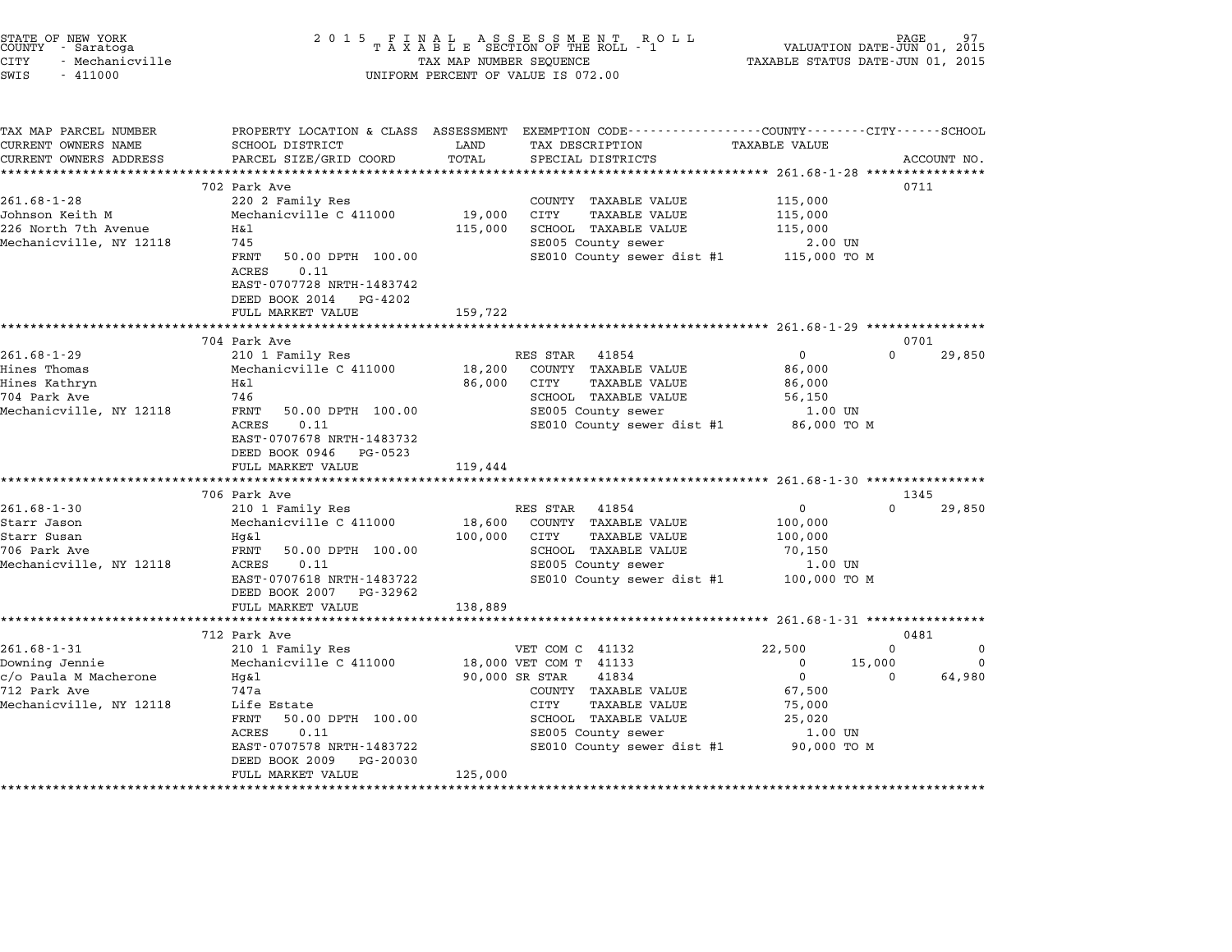| STATE OF NEW YORK<br>COUNTY - Saratoga<br>CITY<br>- Mechanicville<br>SWIS<br>$-411000$ | 2 0 1 5                                                                                          | TAX MAP NUMBER SEQUENCE | FINAL ASSESSMENT RO<br>TAXABLE SECTION OF THE ROLL - 1<br>R O L L<br>UNIFORM PERCENT OF VALUE IS 072.00                                 | TAXABLE STATUS DATE-JUN 01, 2015 | PAGE<br>VALUATION DATE-JUN 01, 2015 |             |
|----------------------------------------------------------------------------------------|--------------------------------------------------------------------------------------------------|-------------------------|-----------------------------------------------------------------------------------------------------------------------------------------|----------------------------------|-------------------------------------|-------------|
| TAX MAP PARCEL NUMBER<br>CURRENT OWNERS NAME<br>CURRENT OWNERS ADDRESS                 | SCHOOL DISTRICT<br>PARCEL SIZE/GRID COORD                                                        | LAND<br>TOTAL           | PROPERTY LOCATION & CLASS ASSESSMENT EXEMPTION CODE---------------COUNTY-------CITY------SCHOOL<br>TAX DESCRIPTION<br>SPECIAL DISTRICTS | <b>TAXABLE VALUE</b>             |                                     | ACCOUNT NO. |
|                                                                                        |                                                                                                  |                         |                                                                                                                                         |                                  |                                     |             |
| $261.68 - 1 - 28$                                                                      | 702 Park Ave<br>220 2 Family Res                                                                 |                         | COUNTY TAXABLE VALUE                                                                                                                    | 115,000                          | 0711                                |             |
| Johnson Keith M                                                                        | Mechanicville C 411000                                                                           | 19,000                  | CITY<br>TAXABLE VALUE                                                                                                                   | 115,000                          |                                     |             |
| 226 North 7th Avenue                                                                   | Η&l                                                                                              | 115,000                 | SCHOOL TAXABLE VALUE                                                                                                                    | 115,000                          |                                     |             |
| Mechanicville, NY 12118                                                                | 745                                                                                              |                         | SE005 County sewer                                                                                                                      | $2.00$ UN                        |                                     |             |
|                                                                                        | FRNT<br>50.00 DPTH 100.00                                                                        |                         | SE010 County sewer dist #1                                                                                                              | 115,000 TO M                     |                                     |             |
|                                                                                        | <b>ACRES</b><br>0.11<br>EAST-0707728 NRTH-1483742<br>DEED BOOK 2014 PG-4202<br>FULL MARKET VALUE | 159,722                 |                                                                                                                                         |                                  |                                     |             |
|                                                                                        | ***********************                                                                          | ***************         | ************************* 261.68-1-29 *****************                                                                                 |                                  |                                     |             |
|                                                                                        | 704 Park Ave                                                                                     |                         |                                                                                                                                         |                                  | 0701                                |             |
| $261.68 - 1 - 29$                                                                      | 210 1 Family Res                                                                                 |                         | RES STAR<br>41854                                                                                                                       | $\mathbf{0}$                     | $\Omega$                            | 29,850      |
| Hines Thomas                                                                           | Mechanicville C 411000                                                                           | 18,200                  | COUNTY TAXABLE VALUE                                                                                                                    | 86,000                           |                                     |             |
| Hines Kathryn<br>704 Park Ave                                                          | Η&l<br>746                                                                                       | 86,000                  | CITY<br><b>TAXABLE VALUE</b><br>SCHOOL TAXABLE VALUE                                                                                    | 86,000<br>56,150                 |                                     |             |
| Mechanicville, NY 12118                                                                | FRNT<br>50.00 DPTH 100.00                                                                        |                         | SE005 County sewer                                                                                                                      | 1.00 UN                          |                                     |             |
|                                                                                        | ACRES<br>0.11<br>EAST-0707678 NRTH-1483732<br>DEED BOOK 0946 PG-0523<br>FULL MARKET VALUE        | 119,444                 | SE010 County sewer dist #1                                                                                                              | 86,000 TO M                      |                                     |             |
|                                                                                        |                                                                                                  |                         |                                                                                                                                         |                                  |                                     |             |
|                                                                                        | 706 Park Ave                                                                                     |                         |                                                                                                                                         |                                  | 1345                                |             |
| $261.68 - 1 - 30$                                                                      | 210 1 Family Res                                                                                 |                         | RES STAR<br>41854                                                                                                                       | 0                                | $\Omega$                            | 29,850      |
| Starr Jason                                                                            | Mechanicville C 411000                                                                           | 18,600                  | COUNTY TAXABLE VALUE                                                                                                                    | 100,000                          |                                     |             |
| Starr Susan                                                                            | Hg&l                                                                                             | 100,000                 | CITY<br>TAXABLE VALUE                                                                                                                   | 100,000                          |                                     |             |
| 706 Park Ave<br>Mechanicville, NY 12118                                                | FRNT<br>50.00 DPTH 100.00<br>ACRES<br>0.11                                                       |                         | SCHOOL TAXABLE VALUE<br>SE005 County sewer                                                                                              | 70,150<br>1.00 UN                |                                     |             |
|                                                                                        | EAST-0707618 NRTH-1483722                                                                        |                         | SE010 County sewer dist #1                                                                                                              | 100,000 TO M                     |                                     |             |
|                                                                                        | DEED BOOK 2007 PG-32962                                                                          |                         |                                                                                                                                         |                                  |                                     |             |
|                                                                                        | FULL MARKET VALUE                                                                                | 138,889                 |                                                                                                                                         |                                  |                                     |             |
|                                                                                        | ********************                                                                             |                         |                                                                                                                                         |                                  |                                     |             |
|                                                                                        | 712 Park Ave                                                                                     |                         |                                                                                                                                         |                                  | 0481                                |             |
| $261.68 - 1 - 31$                                                                      | 210 1 Family Res                                                                                 |                         | VET COM C 41132                                                                                                                         | 22,500                           | 0                                   | 0           |
| Downing Jennie<br>c/o Paula M Macherone                                                | Mechanicville C 411000<br>Hg&l                                                                   |                         | 18,000 VET COM T 41133<br>90,000 SR STAR<br>41834                                                                                       | $\mathbf 0$<br>$\mathbf 0$       | 15,000<br>$\Omega$                  | 0<br>64,980 |
| 712 Park Ave                                                                           | 747a                                                                                             |                         | COUNTY TAXABLE VALUE                                                                                                                    | 67,500                           |                                     |             |
| Mechanicville, NY 12118                                                                | Life Estate                                                                                      |                         | <b>TAXABLE VALUE</b><br>CITY                                                                                                            | 75,000                           |                                     |             |
|                                                                                        | FRNT<br>50.00 DPTH 100.00                                                                        |                         | SCHOOL TAXABLE VALUE                                                                                                                    | 25,020                           |                                     |             |
|                                                                                        | ACRES<br>0.11                                                                                    |                         | SE005 County sewer                                                                                                                      | 1.00 UN                          |                                     |             |
|                                                                                        | EAST-0707578 NRTH-1483722<br>DEED BOOK 2009<br>PG-20030                                          |                         | SE010 County sewer dist #1                                                                                                              | 90,000 TO M                      |                                     |             |
|                                                                                        | FULL MARKET VALUE                                                                                | 125,000                 |                                                                                                                                         |                                  |                                     |             |
|                                                                                        |                                                                                                  |                         |                                                                                                                                         |                                  |                                     |             |

end the New York (STATE OF NEW YORK)<br>2015 FINAL ASSESSMENT ROLL - 1 (PALUATION DATE-JUN 01, 2015<br>COUNTY - Saratoga (PALUATION OF THE ROLL - 1) (PALUATION DATE-JUN 01, 2015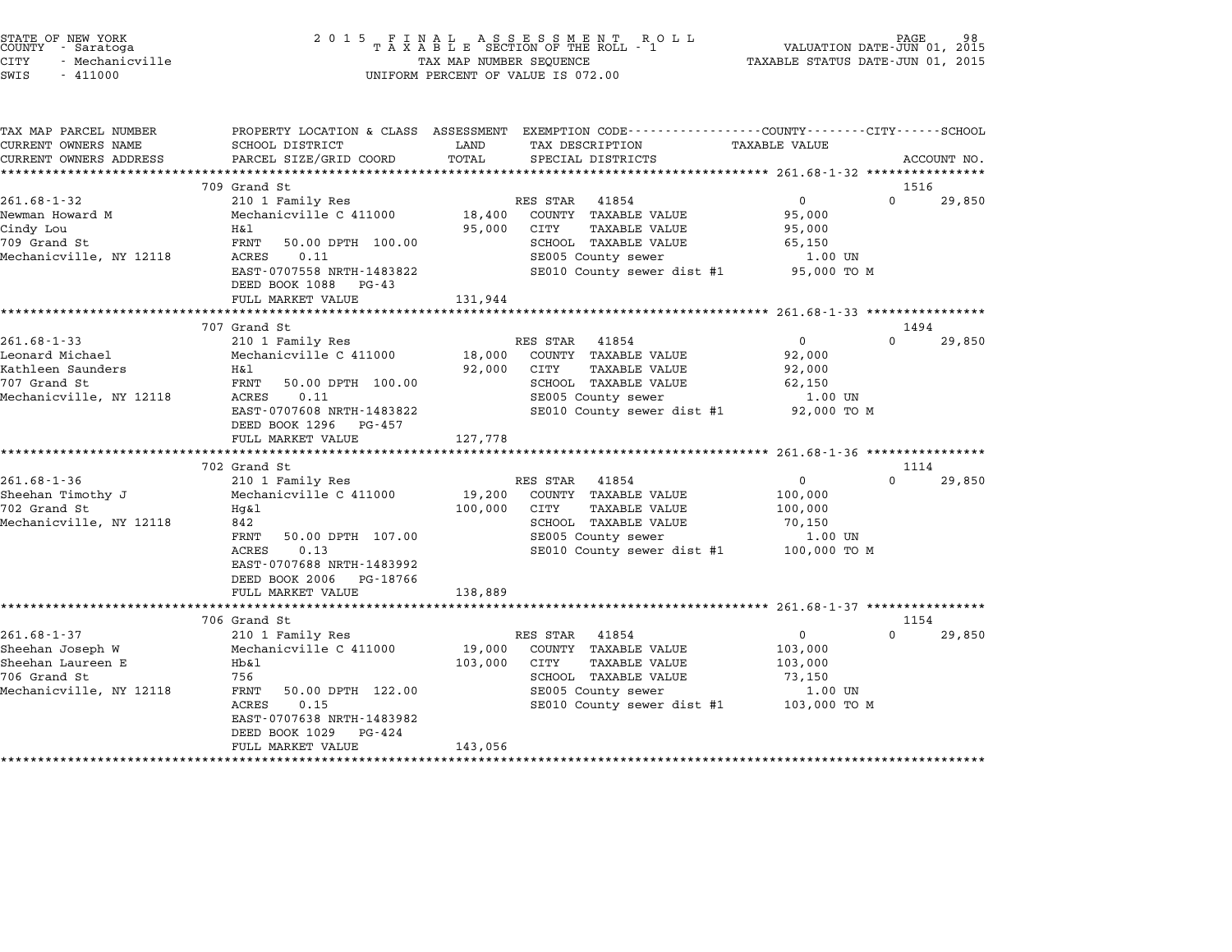|        | STATE OF NEW YORK |
|--------|-------------------|
| COUNTY | - Saratoga        |
| CITY   | - Mechanicville   |

# end the New York (STATE OF NEW YORK)<br>2015 FINAL ASSESSMENT ROLL - 1 (PALUATION DATE-JUN 01, 2015<br>COUNTY - Saratoga (PALUATION OF THE ROLL - 1) (PALUATION DATE-JUN 01, 2015 CITY - Mechanicville TAX MAP NUMBER SEQUENCE TAXABLE STATUS DATE-JUN 01, <sup>2015</sup> SWIS - <sup>411000</sup> UNIFORM PERCENT OF VALUE IS 072.00

TAX MAP PARCEL NUMBER PROPERTY LOCATION & CLASS ASSESSMENT EXEMPTION CODE------------------COUNTY--------CITY------SCHOOL ...<br>-- COUNTY:- TAX MAP PARCEL NUMBER THE OCHOTRY AND THE CURRENT EXEMPTION CODE<br>CURRENT OWNERS NAME SCHOOL DISTRICT LAND TAX DESCRIPTION TAXABLE VALUE CURRENT OWNERS ADDEER FOUR DISTRICTS AND ASSESSEENT EXERPTION TRACK THE TRACK CONSULTING SUBSTRICTS SCRIPTION TRACK THE TRACK ON THE TRACK ON THE TRACK ON THE TRACK ON THE TRACK ON THE TRACK ON THE TRACK ON THE TRACK ON TH 709 Grand St 1516 261.68-1-32 <sup>210</sup> <sup>1</sup> Family Res RES STAR <sup>41854</sup> <sup>0</sup> <sup>0</sup> 29,850 Newman Howard Minimulatic Communist Communist Communist Communist Communist Communist Communist Communist Communist<br>Newman Howard M Mechanicville C 411000 18,400 COUNTY TAXABLE VALUE 95,000 Cindy Lou H&l 95,000 CITY TAXABLE VALUE 95,000 <sup>709</sup> Grand St FRNT 50.00 DPTH 100.00 SCHOOL TAXABLE VALUE 65,150 Mechanicville, NY <sup>12118</sup> ACRES 0.11 SE005 County sewer 1.00 UN EXAMPLE VALUE SOLUTIONS SURVEY SURVEY AND SURVEY STARS SECTION OF THE SOLUTION OF SURVEY SECTION SECTION SECTION SECTION SECTION OF THE SECTION OF THE SECTION OF THE SECTION OF THE SECTION OF THE SECTION OF THE SECTION OF DEED BOOK 1088 PG-43<br>FULL MARKET VALUE 131,944 \*\*\*\*\*\*\*\*\*\*\*\*\*\*\*\*\*\*\*\*\*\*\*\*\*\*\*\*\*\*\*\*\*\*\*\*\*\*\*\*\*\*\*\*\*\*\*\*\*\*\*\*\*\*\*\*\*\*\*\*\*\*\*\*\*\*\*\*\*\*\*\*\*\*\*\*\*\*\*\*\*\*\*\*\*\*\*\*\*\*\*\*\*\*\*\*\*\*\*\*\*\*\* 261.68-1-33 \*\*\*\*\*\*\*\*\*\*\*\*\*\*\*\* 707 Grand St 1494 261.68-1-33 <sup>210</sup> <sup>1</sup> Family Res RES STAR <sup>41854</sup> <sup>0</sup> <sup>0</sup> 29,850 Leonard Michael Mechanicville C <sup>411000</sup> 18,000 COUNTY TAXABLE VALUE 92,000 201.00 1 55 AM PARTICULE 210 TRINITY NES<br>Leonard Michael Mechanicville C 411000 18,000 COUNTY TAXABLE VALUE 92,000<br>22,000 CITY TAXABLE VALUE 92,000 92,000 EURRAL MICHAEL AND MECHANIC SURFALL AND TRANSPORTED TRANSPORTED AND SALUE 2,000<br>192,000 CITY TAXABLE VALUE 92,000<br>707 Grand St 62,150 (FRNT 50.00 DPTH 100.00 SCHOOL TAXABLE VALUE 962,150 Machileen Samuel's Machile (1888)<br>The Mechanics of the Samuel School Taxable value (1890)<br>Mechanicville, NY 12118 ACRES 0.11 SE005 County sewer 1.00 UN EXRES 0.11 100.00<br>
ACRES 0.11 100.00 SCROOD IAXABLE VALUE 02,150<br>
EAST-0707608 NRTH-1483822 SE010 County sewer dist #1 92,000 TO M<br>
DEED BOOK 1296 PG-457 DEED BOOK 1296 PG-457<br>FULL MARKET VALUE 127,778 \*\*\*\*\*\*\*\*\*\*\*\*\*\*\*\*\*\*\*\*\*\*\*\*\*\*\*\*\*\*\*\*\*\*\*\*\*\*\*\*\*\*\*\*\*\*\*\*\*\*\*\*\*\*\*\*\*\*\*\*\*\*\*\*\*\*\*\*\*\*\*\*\*\*\*\*\*\*\*\*\*\*\*\*\*\*\*\*\*\*\*\*\*\*\*\*\*\*\*\*\*\*\* 261.68-1-36 \*\*\*\*\*\*\*\*\*\*\*\*\*\*\*\* 702 Grand St 1114 261.68-1-36 <sup>210</sup> <sup>1</sup> Family Res RES STAR <sup>41854</sup> <sup>0</sup> <sup>0</sup> 29,850 Sheehan Timothy J Mechanicville C <sup>411000</sup> 19,200 COUNTY TAXABLE VALUE 100,000 201.00 I 30 ON THE MANUS AND MANUSIAN TROUBLE VALUE 100,000<br>19,200 COUNTY TAXABLE VALUE 100,000<br>202 Grand St 100,000 CITY TAXABLE VALUE 100,000 SHEAR THISCHY OF THE MECHANICVILLE CONTRACT TRANSIC MEDIA AND TRANSIC MUSIC MUSIC MUSIC MUSIC MUSIC MUSIC MUSIC<br>Mechanicville, NY 12118 842 9842 SCHOOL TAXABLE VALUE 100,000<br>Mechanicville, NY 12118 842 Hg&1 100,000 CITY TAXABLE VALUE 100,000<br>842 SCHOOL TAXABLE VALUE 70,150<br>FRNT 50.00 DPTH 107.00 SE005 County sewer 1.00 UN ACRES 1.00 UN SEOUS COUNTY Sewer<br>SE010 County sewer dist #1 100,000 TO M EAST-0707688 NRTH-1483992 DEED BOOK <sup>2006</sup> PG-18766 FULL MARKET VALUE 138,889 \*\*\*\*\*\*\*\*\*\*\*\*\*\*\*\*\*\*\*\*\*\*\*\*\*\*\*\*\*\*\*\*\*\*\*\*\*\*\*\*\*\*\*\*\*\*\*\*\*\*\*\*\*\*\*\*\*\*\*\*\*\*\*\*\*\*\*\*\*\*\*\*\*\*\*\*\*\*\*\*\*\*\*\*\*\*\*\*\*\*\*\*\*\*\*\*\*\*\*\*\*\*\* 261.68-1-37 \*\*\*\*\*\*\*\*\*\*\*\*\*\*\*\* 706 Grand St 1154 261.68-1-31.000-1-37 201.68-1-37 201.68-1-37 201.68-1-37 201.68-1-37 201.68-1-37 201.68-1-37 200 1 Family Res RES STAR 41854 200-0 29,850 Sheehan Joseph W Mechanicville C <sup>411000</sup> 19,000 COUNTY TAXABLE VALUE 103,000 Sheehan Laureen E Hb&l 103,000 CITY TAXABLE VALUE 103,000 SHEEHAN OSSEN WARD MECHANICALLE CHINOON 19,000 CONTI IAAADDD VADOD 19,000 NOTIVERS AND 103,000 NOTIVERS 103,000<br>Sheehan Laureen E Host 103,000 CITY TAXABLE VALUE 103,000 11<br>706 Grand St Mechanicville, NY <sup>12118</sup> FRNT 50.00 DPTH 122.00 SE005 County sewer 1.00 UN The channel of the set of the set of the set of the set of the set of the set of the set of the set of the set o<br>Mechanicville, NY 12118 SENT 50.00 DPTH 122.00 SE005 County sewer dist #1 103,000 TO M<br>SE010 County sewer dis EAST-0707638 NRTH-1483982 EAST-0707638 NRTH-14839<br>DEED BOOK 1029 PG-424 FULL MARKET VALUE 143,056 \*\*\*\*\*\*\*\*\*\*\*\*\*\*\*\*\*\*\*\*\*\*\*\*\*\*\*\*\*\*\*\*\*\*\*\*\*\*\*\*\*\*\*\*\*\*\*\*\*\*\*\*\*\*\*\*\*\*\*\*\*\*\*\*\*\*\*\*\*\*\*\*\*\*\*\*\*\*\*\*\*\*\*\*\*\*\*\*\*\*\*\*\*\*\*\*\*\*\*\*\*\*\*\*\*\*\*\*\*\*\*\*\*\*\*\*\*\*\*\*\*\*\*\*\*\*\*\*\*\*\*\*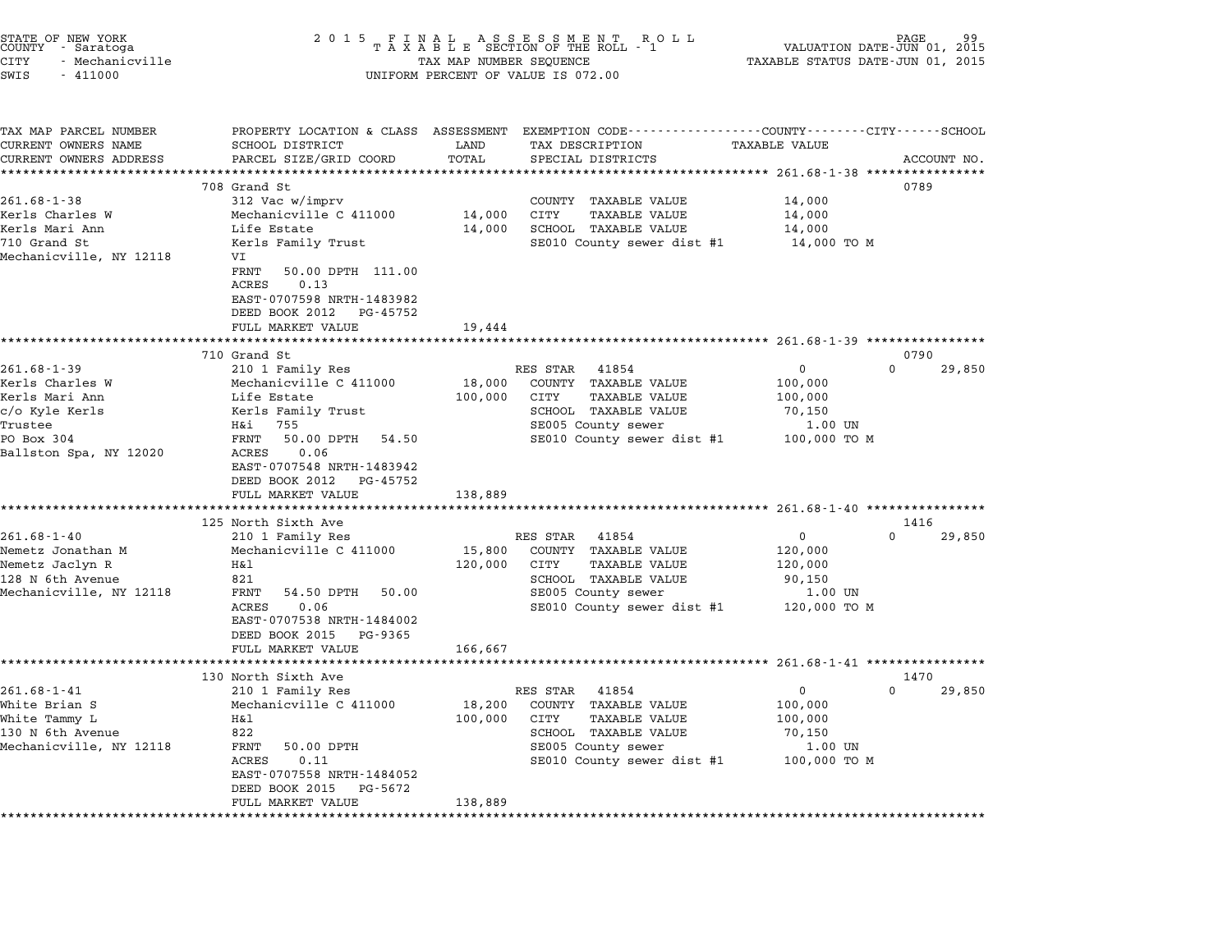|        | STATE OF NEW YORK |  |
|--------|-------------------|--|
| COUNTY | - Saratoga        |  |
| CITY   | - Mechanicville   |  |

## end the NEW YORK of the State of the Many of the State of the Magnetic State of the State of the State of the State of the State of the State of the ROLL of the ROLL of the ROLL of the ROLL of the ROLL of the ROLL of the N CITY - Mechanicville TAX MAP NUMBER SEQUENCE TAXABLE STATUS DATE-JUN 01, <sup>2015</sup> SWIS - <sup>411000</sup> UNIFORM PERCENT OF VALUE IS 072.00

TAX MAP PARCEL NUMBER PROPERTY LOCATION & CLASS ASSESSMENT EXEMPTION CODE------------------COUNTY--------CITY------SCHOOL ...<br>-- COUNTY:- TAX MAP PARCEL NUMBER THE OCHOTRY AND THE CURRENT EXEMPTION CODE<br>CURRENT OWNERS NAME SCHOOL DISTRICT LAND TAX DESCRIPTION TAXABLE VALUE CURRENT OWNERS ADDEER FOUR DISTRICTS AND ASSESSEENT EXERPTION TRACK THE TRACKE SERVER OWNERS ADDRESS SANGEL SIZE/GRID COORD TOTAL SERVET ON TRANSFERS ADDRESS PARCEL SIZE/GRID COORD TOTAL SPECIAL DISTRICTS ACCOUNT NO. 708 Grand St 0789 261.68-1-38 708 Grand St<br>
261.68-1-38 312 Vac w/imprv COUNTY TAXABLE VALUE 14,000 Kerls Charles W Mechanicville C <sup>411000</sup> 14,000 CITY TAXABLE VALUE 14,000 Kerls Mari Ann Life Estate 14,000 SCHOOL TAXABLE VALUE 14,000 Refis Charles Ward International Company of the Charles Charles Marian Different Marian Different Marian Diffe<br>The State SE010 County sewer dist #1 14,000 TO M<br>The SE010 County sewer dist #1 14,000 TO M Mechanicville, NY <sup>12118</sup> VI REIIS Family Ilust<br>VI<br>FRNT 50.00 DPTH 111.00 vi<br>FRNT 50.00<br>ACRES 0.13 EAST-0707598 NRTH-1483982 EAST-0707598 NRTH-1483982<br>DEED BOOK 2012 PG-45752 DEED BOOK 2012 PG-45752<br>FULL MARKET VALUE 19,444 \*\*\*\*\*\*\*\*\*\*\*\*\*\*\*\*\*\*\*\*\*\*\*\*\*\*\*\*\*\*\*\*\*\*\*\*\*\*\*\*\*\*\*\*\*\*\*\*\*\*\*\*\*\*\*\*\*\*\*\*\*\*\*\*\*\*\*\*\*\*\*\*\*\*\*\*\*\*\*\*\*\*\*\*\*\*\*\*\*\*\*\*\*\*\*\*\*\*\*\*\*\*\* 261.68-1-39 \*\*\*\*\*\*\*\*\*\*\*\*\*\*\*\* 710 Grand St 0790 261.68-1-39 <sup>210</sup> <sup>1</sup> Family Res RES STAR <sup>41854</sup> <sup>0</sup> <sup>0</sup> 29,850 Xerling Charles Minimum School (1999) 261.68-1-39 Mechanicville C 411000 18,000 COUNTY TAXABLE VALUE 100,000<br>Kerls Charles W Mechanicville C 411000 18,000 COUNTY TAXABLE VALUE 100,000 201.00 ISD IN THE MARIA AND MARI AND MARIAN TRISPED DISPOSED TO A MARIA AND MARIA AND DISPOSED AND DISPOSED A<br>Kerls Mari Ann 100,000 CIDTY TAXABLE VALUE 100,000 ON THE SERIE RALUE 100,000 c/o Kyle Kerls Kerls Family Trust SCHOOL TAXABLE VALUE 70,150 NEITS MALL AND HIS MANUS AND HIS MALL AND HANDLE VALUE ON THANDUL VALUE ON THANDUL VALUE ON THANDUL VALUE ON T<br>C/O Kyle Kerls (Real Stamily Trust SE005 County sewer 1.00 UN<br>Trustee 1.00 UN PO Box <sup>304</sup> FRNT 50.00 DPTH 54.50 SE010 County sewer dist #1 100,000 TO <sup>M</sup> 11080ee 120<br>Ballston Spa, NY 12020 RENT 50.00<br>Ballston Spa, NY 12020 ACRES 0.06 EAST-0707548 NRTH-1483942 EAST-0707548 NRTH-1483942<br>DEED BOOK 2012 PG-45752 FULL MARKET VALUE 138,889 \*\*\*\*\*\*\*\*\*\*\*\*\*\*\*\*\*\*\*\*\*\*\*\*\*\*\*\*\*\*\*\*\*\*\*\*\*\*\*\*\*\*\*\*\*\*\*\*\*\*\*\*\*\*\*\*\*\*\*\*\*\*\*\*\*\*\*\*\*\*\*\*\*\*\*\*\*\*\*\*\*\*\*\*\*\*\*\*\*\*\*\*\*\*\*\*\*\*\*\*\*\*\* 261.68-1-40 \*\*\*\*\*\*\*\*\*\*\*\*\*\*\*\* <sup>125</sup> North Sixth Ave <sup>1416</sup> 125 North Sixth Ave and State of the RES STAR 41854 0 0 29,850<br>261.68-1-40 210 1 Family Res RES STAR 41854 0 29,850 NEM NEMBER 123 NOT DISPONDENT MARKET AVE NEMBER 261.68-1-40<br>2019 120 10 1 Mechanicville C 411000 15,800 COUNTY TAXABLE VALUE 120,000<br>15,800 COUNTY TAXABLE VALUE 120,000 Nemetz Jaclyn R H&l 120,000 CITY TAXABLE VALUE 120,000 <sup>128</sup> N 6th Avenue <sup>821</sup> SCHOOL TAXABLE VALUE 90,150 Mechanicville, NY <sup>12118</sup> FRNT 54.50 DPTH 50.00 SE005 County sewer 1.00 UN  $SE010$  County sewer dist #1  $120,000$  TO M EAST-0707538 NRTH-1484002 DEED BOOK <sup>2015</sup> PG-9365 FULL MARKET VALUE 166,667 \*\*\*\*\*\*\*\*\*\*\*\*\*\*\*\*\*\*\*\*\*\*\*\*\*\*\*\*\*\*\*\*\*\*\*\*\*\*\*\*\*\*\*\*\*\*\*\*\*\*\*\*\*\*\*\*\*\*\*\*\*\*\*\*\*\*\*\*\*\*\*\*\*\*\*\*\*\*\*\*\*\*\*\*\*\*\*\*\*\*\*\*\*\*\*\*\*\*\*\*\*\*\* 261.68-1-41 \*\*\*\*\*\*\*\*\*\*\*\*\*\*\*\* <sup>130</sup> North Sixth Ave <sup>1470</sup> 130 North Sixth Ave 130 North Sixth Ave 1470<br>261.68-1-41 210 1 Family Res RES STAR 41854 0 0 29,850 150 MOLTIM STACH AVE RES STAR 41854 (1995)<br>2016 - All Temmily Res Res RES STAR 41854 (2006)<br>2007) Mechanicville C 411000 (2000 COUNTY TAXABLE VALUE 100,000 (2000 VALUE White Tammy L H&l 100,000 CITY TAXABLE VALUE 100,000 White Brian S Mechanicville C 411000 18,200 COUNTY TAXABLE VALUE 100,000<br>White Tammy L H&l Mechanicville, NY <sup>12118</sup> FRNT 50.00 DPTH SE005 County sewer 1.00 UN دد المسلم المسلم المسلم المسلم المسلم المسلم المسلم المسلم المسلم بين المسلم المسلم المسلم بين المسلم المسلم ا<br>FRINT 50.00 DPTH SE005 County sewer dist #1 100,000 TO M EAST-0707558 NRTH-1484052 EAST-0707558 NRTH-148405<br>DEED BOOK 2015 PG-5672 EAST-0707558 NRTH-1484052<br>DEED BOOK 2015 PG-5672<br>FULL MARKET VALUE 138,889 \*\*\*\*\*\*\*\*\*\*\*\*\*\*\*\*\*\*\*\*\*\*\*\*\*\*\*\*\*\*\*\*\*\*\*\*\*\*\*\*\*\*\*\*\*\*\*\*\*\*\*\*\*\*\*\*\*\*\*\*\*\*\*\*\*\*\*\*\*\*\*\*\*\*\*\*\*\*\*\*\*\*\*\*\*\*\*\*\*\*\*\*\*\*\*\*\*\*\*\*\*\*\*\*\*\*\*\*\*\*\*\*\*\*\*\*\*\*\*\*\*\*\*\*\*\*\*\*\*\*\*\*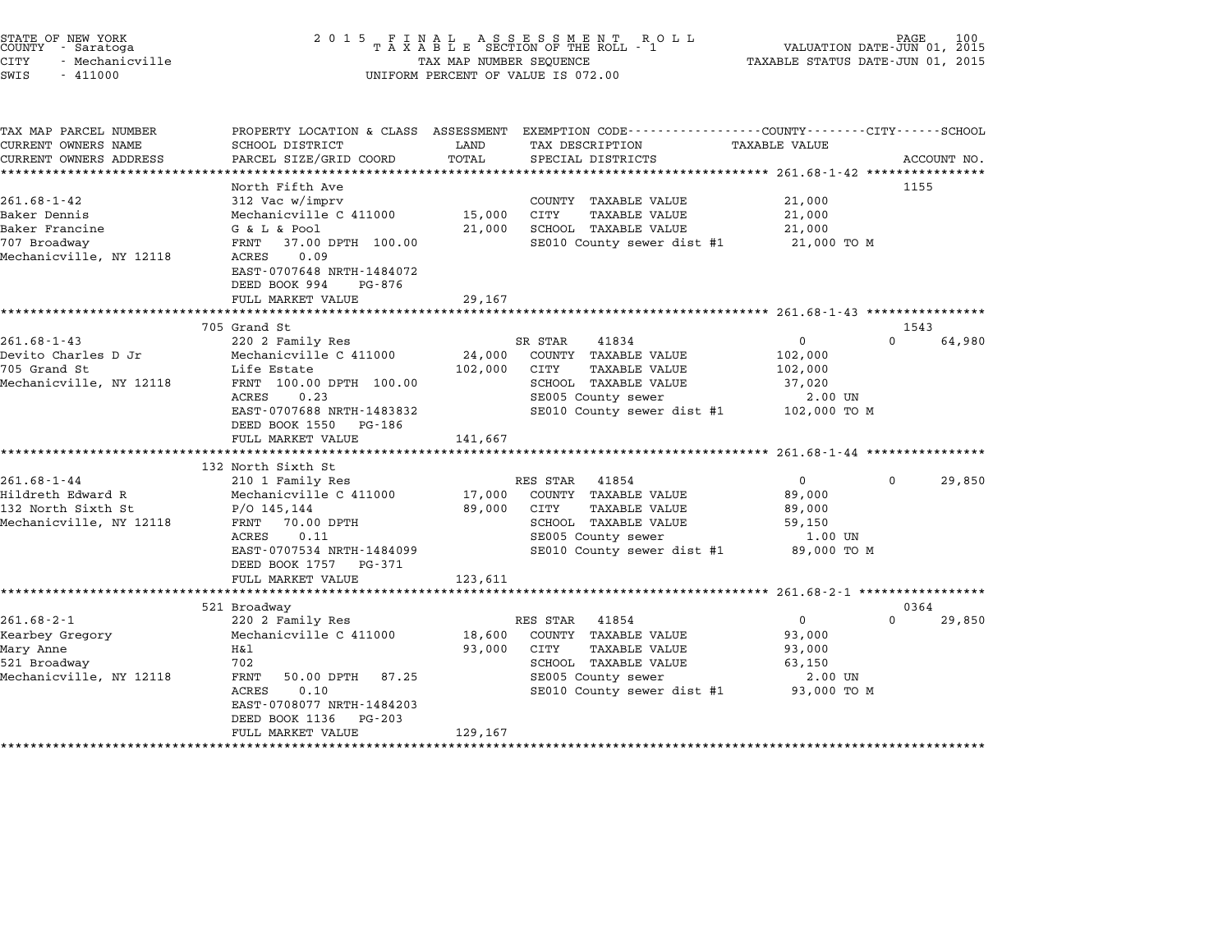| STATE OF NEW YORK<br>COUNTY - Saratoga<br>CITY<br>- Mechanicville<br>SWIS<br>$-411000$         |                                                                                                                                                                                                         | TAX MAP NUMBER SEQUENCE      | $\begin{array}{cccccccccccccc} 2& 0& 1& 5 & & F & I & N & A & L & & A & S & S & E & S & M & E & N & T & & R & O & L \\ & & T & A & X & A & B & L & E & SECTION & OF & THE & ROLL & - & 1 \end{array}$<br>UNIFORM PERCENT OF VALUE IS 072.00 | VALUATION DATE-JUN 01, 2015<br>TAXABLE STATUS DATE-JUN 01, 2015            |           | 100         |
|------------------------------------------------------------------------------------------------|---------------------------------------------------------------------------------------------------------------------------------------------------------------------------------------------------------|------------------------------|---------------------------------------------------------------------------------------------------------------------------------------------------------------------------------------------------------------------------------------------|----------------------------------------------------------------------------|-----------|-------------|
| TAX MAP PARCEL NUMBER<br>CURRENT OWNERS NAME<br>CURRENT OWNERS ADDRESS                         | <b>SCHOOL DISTRICT</b><br>PARCEL SIZE/GRID COORD                                                                                                                                                        | LAND<br>TOTAL                | PROPERTY LOCATION & CLASS ASSESSMENT EXEMPTION CODE---------------COUNTY-------CITY------SCHOOL<br>TAX DESCRIPTION<br>SPECIAL DISTRICTS                                                                                                     | <b>TAXABLE VALUE</b><br>******************** 261.68-1-42 ***************** |           | ACCOUNT NO. |
| $261.68 - 1 - 42$<br>Baker Dennis<br>Baker Francine<br>707 Broadway<br>Mechanicville, NY 12118 | North Fifth Ave<br>312 Vac w/imprv<br>Mechanicville C 411000<br>G & L & Pool<br>FRNT<br>37.00 DPTH 100.00<br>ACRES<br>0.09<br>EAST-0707648 NRTH-1484072<br>DEED BOOK 994<br>PG-876<br>FULL MARKET VALUE | 15,000<br>21,000<br>29,167   | COUNTY TAXABLE VALUE<br><b>TAXABLE VALUE</b><br>CITY<br>SCHOOL TAXABLE VALUE<br>SE010 County sewer dist #1                                                                                                                                  | 21,000<br>21,000<br>21,000<br>21,000 TO M                                  | 1155      |             |
|                                                                                                | 705 Grand St                                                                                                                                                                                            |                              |                                                                                                                                                                                                                                             |                                                                            | 1543      |             |
| $261.68 - 1 - 43$<br>Devito Charles D Jr<br>705 Grand St<br>Mechanicville, NY 12118            | 220 2 Family Res<br>Mechanicville C 411000<br>Life Estate<br>FRNT 100.00 DPTH 100.00<br>ACRES<br>0.23<br>EAST-0707688 NRTH-1483832<br>DEED BOOK 1550 PG-186<br>FULL MARKET VALUE                        | 24,000<br>102,000<br>141,667 | SR STAR<br>41834<br>COUNTY TAXABLE VALUE<br>CITY<br><b>TAXABLE VALUE</b><br>SCHOOL TAXABLE VALUE<br>SE005 County sewer<br>SE010 County sewer dist #1                                                                                        | $\Omega$<br>102,000<br>102,000<br>37,020<br>2.00 UN<br>102,000 TO M        | $\Omega$  | 64,980      |
|                                                                                                | 132 North Sixth St                                                                                                                                                                                      |                              |                                                                                                                                                                                                                                             |                                                                            |           |             |
| $261.68 - 1 - 44$<br>Hildreth Edward R<br>132 North Sixth St<br>Mechanicville, NY 12118        | 210 1 Family Res<br>Mechanicville C 411000<br>$P/O$ 145,144<br>FRNT<br>70.00 DPTH<br>ACRES<br>0.11<br>EAST-0707534 NRTH-1484099<br>DEED BOOK 1757 PG-371<br>FULL MARKET VALUE                           | 17,000<br>89,000<br>123,611  | RES STAR 41854<br>COUNTY TAXABLE VALUE<br>CITY<br><b>TAXABLE VALUE</b><br>SCHOOL TAXABLE VALUE<br>SE005 County sewer<br>SE010 County sewer dist #1                                                                                          | $\mathbf{0}$<br>89,000<br>89,000<br>59,150<br>1.00 UN<br>89,000 TO M       | $\Omega$  | 29,850      |
|                                                                                                |                                                                                                                                                                                                         |                              |                                                                                                                                                                                                                                             |                                                                            |           |             |
| $261.68 - 2 - 1$<br>Kearbey Gregory<br>Mary Anne<br>521 Broadway<br>Mechanicville, NY 12118    | 521 Broadway<br>220 2 Family Res<br>Mechanicville C 411000<br>H&l<br>702<br>FRNT<br>50.00 DPTH<br>87.25<br>ACRES<br>0.10<br>EAST-0708077 NRTH-1484203<br>DEED BOOK 1136<br>PG-203<br>FULL MARKET VALUE  | 18,600<br>93,000<br>129,167  | RES STAR 41854<br>COUNTY TAXABLE VALUE<br>CITY<br><b>TAXABLE VALUE</b><br>SCHOOL TAXABLE VALUE<br>SE005 County sewer<br>SE010 County sewer dist #1                                                                                          | $\mathbf{0}$<br>93,000<br>93,000<br>63,150<br>2.00 UN<br>93,000 TO M       | 0364<br>0 | 29,850      |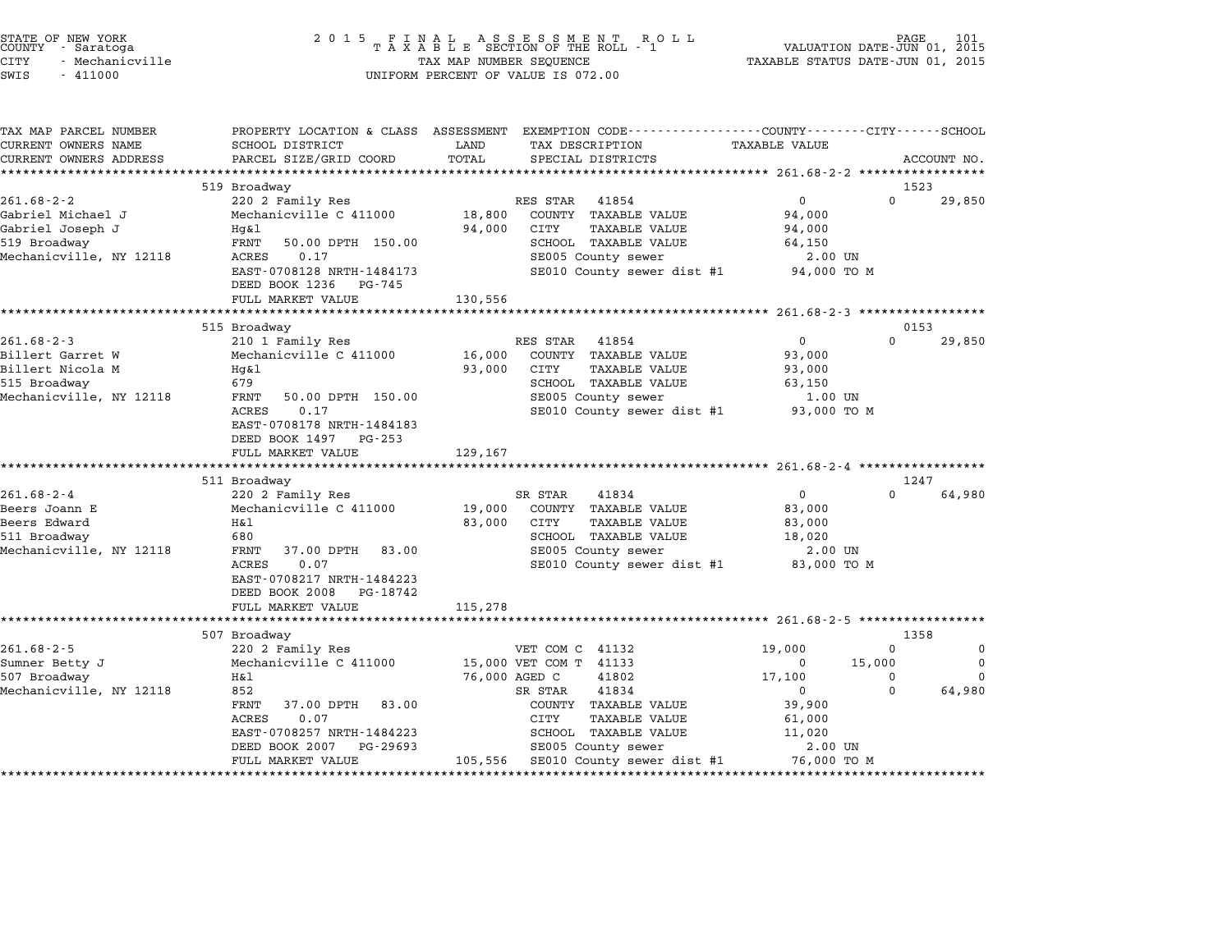| STATE OF NEW YORK<br>COUNTY - Saratoga<br><b>CITY</b><br>- Mechanicville<br>SWIS<br>$-411000$ |                                                    | TAX MAP NUMBER SEQUENCE | UNIFORM PERCENT OF VALUE IS 072.00                                                                                 | VALUATION DATE-JUN 01, 2015<br>TAXABLE STATUS DATE-JUN 01, 2015 | PAGE             | 101         |
|-----------------------------------------------------------------------------------------------|----------------------------------------------------|-------------------------|--------------------------------------------------------------------------------------------------------------------|-----------------------------------------------------------------|------------------|-------------|
| TAX MAP PARCEL NUMBER<br>CURRENT OWNERS NAME                                                  | SCHOOL DISTRICT                                    | LAND                    | PROPERTY LOCATION & CLASS ASSESSMENT EXEMPTION CODE---------------COUNTY-------CITY------SCHOOL<br>TAX DESCRIPTION | TAXABLE VALUE                                                   |                  |             |
| CURRENT OWNERS ADDRESS                                                                        | PARCEL SIZE/GRID COORD                             | TOTAL                   | SPECIAL DISTRICTS                                                                                                  |                                                                 |                  | ACCOUNT NO. |
|                                                                                               |                                                    |                         |                                                                                                                    |                                                                 |                  |             |
| $261.68 - 2 - 2$                                                                              | 519 Broadway<br>220 2 Family Res                   |                         | RES STAR 41854                                                                                                     | $\overline{0}$                                                  | 1523<br>$\Omega$ | 29,850      |
| Gabriel Michael J                                                                             | Mechanicville C 411000                             | 18,800                  | COUNTY TAXABLE VALUE                                                                                               | 94,000                                                          |                  |             |
| Gabriel Joseph J                                                                              | Hg&l                                               | 94,000                  | CITY<br>TAXABLE VALUE                                                                                              | 94,000                                                          |                  |             |
| 519 Broadway                                                                                  | FRNT<br>50.00 DPTH 150.00                          |                         | SCHOOL TAXABLE VALUE                                                                                               | 64,150                                                          |                  |             |
| Mechanicville, NY 12118                                                                       | ACRES<br>0.17                                      |                         | SE005 County sewer                                                                                                 | 2.00 UN                                                         |                  |             |
|                                                                                               | EAST-0708128 NRTH-1484173                          |                         | SE010 County sewer dist #1                                                                                         | 94,000 TO M                                                     |                  |             |
|                                                                                               | DEED BOOK 1236 PG-745                              |                         |                                                                                                                    |                                                                 |                  |             |
|                                                                                               | FULL MARKET VALUE<br>***************************** | 130,556                 |                                                                                                                    |                                                                 |                  |             |
|                                                                                               | 515 Broadway                                       |                         |                                                                                                                    |                                                                 | 0153             |             |
| $261.68 - 2 - 3$                                                                              | 210 1 Family Res                                   |                         | RES STAR 41854                                                                                                     | $\overline{0}$                                                  | $\Omega$         | 29,850      |
| Billert Garret W                                                                              | Mechanicville C 411000                             | 16,000                  | COUNTY TAXABLE VALUE                                                                                               | 93,000                                                          |                  |             |
| Billert Nicola M                                                                              | Hg&l                                               | 93,000                  | CITY<br>TAXABLE VALUE                                                                                              | 93,000                                                          |                  |             |
| 515 Broadway                                                                                  | 679                                                |                         | SCHOOL TAXABLE VALUE                                                                                               | 63,150                                                          |                  |             |
| Mechanicville, NY 12118                                                                       | FRNT<br>50.00 DPTH 150.00                          |                         | SE005 County sewer                                                                                                 | 1.00 UN                                                         |                  |             |
|                                                                                               | ACRES<br>0.17<br>EAST-0708178 NRTH-1484183         |                         | SE010 County sewer dist #1                                                                                         | 93,000 TO M                                                     |                  |             |
|                                                                                               | DEED BOOK 1497 PG-253                              |                         |                                                                                                                    |                                                                 |                  |             |
|                                                                                               | FULL MARKET VALUE                                  | 129,167                 |                                                                                                                    |                                                                 |                  |             |
|                                                                                               |                                                    |                         |                                                                                                                    |                                                                 |                  |             |
|                                                                                               | 511 Broadway                                       |                         |                                                                                                                    |                                                                 | 1247             |             |
| $261.68 - 2 - 4$                                                                              | 220 2 Family Res                                   |                         | SR STAR<br>41834                                                                                                   | $\mathbf{0}$                                                    | $\Omega$         | 64,980      |
| Beers Joann E<br>Beers Edward                                                                 | Mechanicville C 411000<br>H&l                      | 19,000<br>83,000        | COUNTY TAXABLE VALUE<br>CITY<br><b>TAXABLE VALUE</b>                                                               | 83,000<br>83,000                                                |                  |             |
| 511 Broadway                                                                                  | 680                                                |                         | SCHOOL TAXABLE VALUE                                                                                               | 18,020                                                          |                  |             |
| Mechanicville, NY 12118                                                                       | FRNT<br>37.00 DPTH 83.00                           |                         | SE005 County sewer                                                                                                 | 2.00 UN                                                         |                  |             |
|                                                                                               | ACRES<br>0.07                                      |                         | SE010 County sewer dist #1 83,000 TO M                                                                             |                                                                 |                  |             |
|                                                                                               | EAST-0708217 NRTH-1484223                          |                         |                                                                                                                    |                                                                 |                  |             |
|                                                                                               | DEED BOOK 2008 PG-18742                            |                         |                                                                                                                    |                                                                 |                  |             |
|                                                                                               | FULL MARKET VALUE<br>*************************     | 115,278                 |                                                                                                                    |                                                                 |                  |             |
|                                                                                               | 507 Broadway                                       |                         |                                                                                                                    |                                                                 | 1358             |             |
| $261.68 - 2 - 5$                                                                              | 220 2 Family Res                                   |                         | VET COM C 41132                                                                                                    | 19,000                                                          | 0                | 0           |
| Sumner Betty J                                                                                | Mechanicville C 411000                             |                         | 15,000 VET COM T 41133                                                                                             | $\mathbf 0$                                                     | 15,000           | 0           |
| 507 Broadway                                                                                  | H&l                                                | 76,000 AGED C           | 41802                                                                                                              | 17,100                                                          | 0                | $\Omega$    |
| Mechanicville, NY 12118                                                                       | 852                                                |                         | 41834<br>SR STAR                                                                                                   | $\mathbf{0}$                                                    | $\Omega$         | 64,980      |
|                                                                                               | FRNT<br>37.00 DPTH<br>83.00                        |                         | COUNTY TAXABLE VALUE                                                                                               | 39,900                                                          |                  |             |
|                                                                                               | ACRES<br>0.07                                      |                         | CITY<br><b>TAXABLE VALUE</b>                                                                                       | 61,000                                                          |                  |             |
|                                                                                               | EAST-0708257 NRTH-1484223                          |                         | SCHOOL TAXABLE VALUE                                                                                               | 11,020                                                          |                  |             |
|                                                                                               | DEED BOOK 2007 PG-29693<br>FULL MARKET VALUE       |                         | SE005 County sewer<br>105,556 SE010 County sewer dist #1                                                           | 2.00 UN<br>76,000 TO M                                          |                  |             |
|                                                                                               |                                                    |                         |                                                                                                                    |                                                                 |                  |             |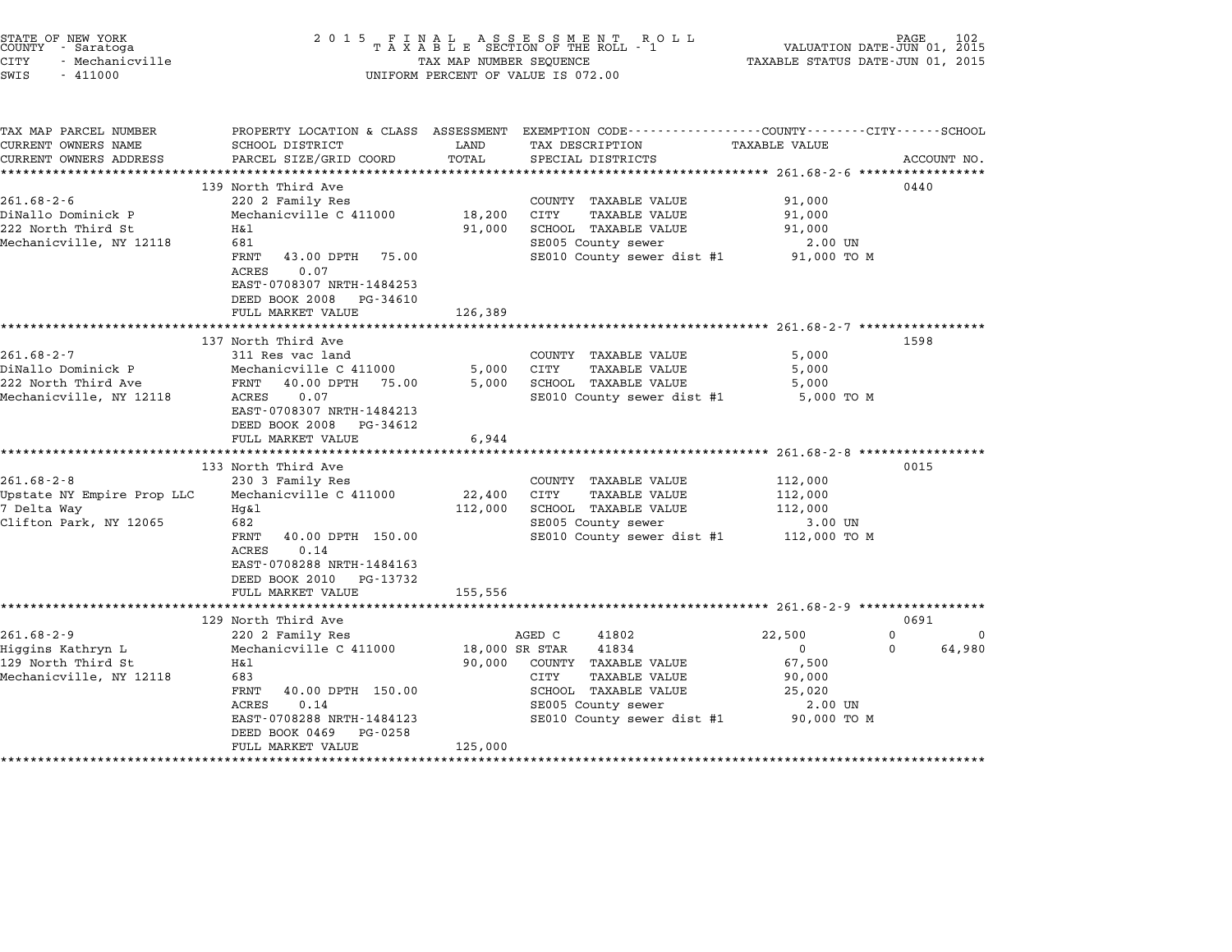| STATE OF NEW YORK<br>COUNTY - Saratoga<br>CITY<br>- Mechanicville<br>SWIS<br>$-411000$   | 2 0 1 5                                                                                                                                                                                                                                              | TAX MAP NUMBER SEQUENCE                               | FINAL ASSESSMENT RO<br>TAXABLE SECTION OF THE ROLL - 1<br>R O L L<br>UNIFORM PERCENT OF VALUE IS 072.00                                                                                                                              | VALUATION DATE-JUN 01, 2015<br>TAXABLE STATUS DATE-JUN 01, 2015                                                     | PAGE<br>102                                 |
|------------------------------------------------------------------------------------------|------------------------------------------------------------------------------------------------------------------------------------------------------------------------------------------------------------------------------------------------------|-------------------------------------------------------|--------------------------------------------------------------------------------------------------------------------------------------------------------------------------------------------------------------------------------------|---------------------------------------------------------------------------------------------------------------------|---------------------------------------------|
| TAX MAP PARCEL NUMBER<br>CURRENT OWNERS NAME<br>CURRENT OWNERS ADDRESS                   | SCHOOL DISTRICT<br>PARCEL SIZE/GRID COORD<br>***********************                                                                                                                                                                                 | LAND<br>TOTAL                                         | PROPERTY LOCATION & CLASS ASSESSMENT EXEMPTION CODE----------------COUNTY-------CITY------SCHOOL<br>TAX DESCRIPTION<br>SPECIAL DISTRICTS                                                                                             | TAXABLE VALUE<br>****************** 261.68-2-6 ******************                                                   | ACCOUNT NO.                                 |
| $261.68 - 2 - 6$<br>DiNallo Dominick P<br>222 North Third St<br>Mechanicville, NY 12118  | 139 North Third Ave<br>220 2 Family Res<br>Mechanicville C 411000<br>H&l<br>681<br>FRNT<br>43.00 DPTH<br>75.00<br>ACRES<br>0.07<br>EAST-0708307 NRTH-1484253<br>DEED BOOK 2008<br>PG-34610<br>FULL MARKET VALUE                                      | 18,200<br>91,000<br>126,389                           | COUNTY TAXABLE VALUE<br>CITY<br><b>TAXABLE VALUE</b><br>SCHOOL TAXABLE VALUE<br>SE005 County sewer<br>SE010 County sewer dist #1                                                                                                     | 91,000<br>91,000<br>91,000<br>2.00 UN<br>91,000 TO M                                                                | 0440                                        |
| $261.68 - 2 - 7$<br>DiNallo Dominick P<br>222 North Third Ave<br>Mechanicville, NY 12118 | 137 North Third Ave<br>311 Res vac land<br>Mechanicville C 411000<br>FRNT<br>40.00 DPTH<br>75.00<br>ACRES<br>0.07<br>EAST-0708307 NRTH-1484213<br>DEED BOOK 2008 PG-34612<br>FULL MARKET VALUE                                                       | 5,000<br>5,000<br>6,944                               | COUNTY TAXABLE VALUE<br>CITY<br><b>TAXABLE VALUE</b><br>SCHOOL TAXABLE VALUE<br>SE010 County sewer dist #1                                                                                                                           | 5,000<br>5,000<br>5,000<br>5,000 TO M                                                                               | 1598                                        |
| $261.68 - 2 - 8$<br>Upstate NY Empire Prop LLC<br>7 Delta Way<br>Clifton Park, NY 12065  | *************************************<br>133 North Third Ave<br>230 3 Family Res<br>Mechanicville C 411000<br>Hq&l<br>682<br>FRNT<br>40.00 DPTH 150.00<br>0.14<br>ACRES<br>EAST-0708288 NRTH-1484163<br>DEED BOOK 2010 PG-13732<br>FULL MARKET VALUE | *********************<br>22,400<br>112,000<br>155,556 | COUNTY TAXABLE VALUE<br>CITY<br><b>TAXABLE VALUE</b><br>SCHOOL TAXABLE VALUE<br>SE005 County sewer<br>SE010 County sewer dist #1                                                                                                     | ************************* 261.68-2-8 ******************<br>112,000<br>112,000<br>112,000<br>3.00 UN<br>112,000 TO M | 0015                                        |
| $261.68 - 2 - 9$<br>Higgins Kathryn L<br>129 North Third St<br>Mechanicville, NY 12118   | 129 North Third Ave<br>220 2 Family Res<br>Mechanicville C 411000<br>Η&l<br>683<br>FRNT<br>40.00 DPTH 150.00<br>0.14<br>ACRES<br>EAST-0708288 NRTH-1484123<br>DEED BOOK 0469<br>PG-0258<br>FULL MARKET VALUE                                         | 90,000<br>125,000                                     | ***************************** 261.68-2-9 ****************<br>AGED C<br>41802<br>18,000 SR STAR<br>41834<br>COUNTY TAXABLE VALUE<br>CITY<br>TAXABLE VALUE<br>SCHOOL TAXABLE VALUE<br>SE005 County sewer<br>SE010 County sewer dist #1 | 22,500<br>$\Omega$<br>67,500<br>90,000<br>25,020<br>2.00 UN<br>90,000 TO M                                          | 0691<br>$\Omega$<br>0<br>$\Omega$<br>64,980 |

STATE OF NEW YORK <sup>2</sup> <sup>0</sup> <sup>1</sup> 5 F I N A L A S S E S S M E N T R O L L PAGE <sup>102</sup> COUNTY - Saratoga <sup>T</sup> <sup>A</sup> <sup>X</sup> <sup>A</sup> <sup>B</sup> <sup>L</sup> <sup>E</sup> SECTION OF THE ROLL - <sup>1</sup> VALUATION DATE-JUN 01, <sup>2015</sup>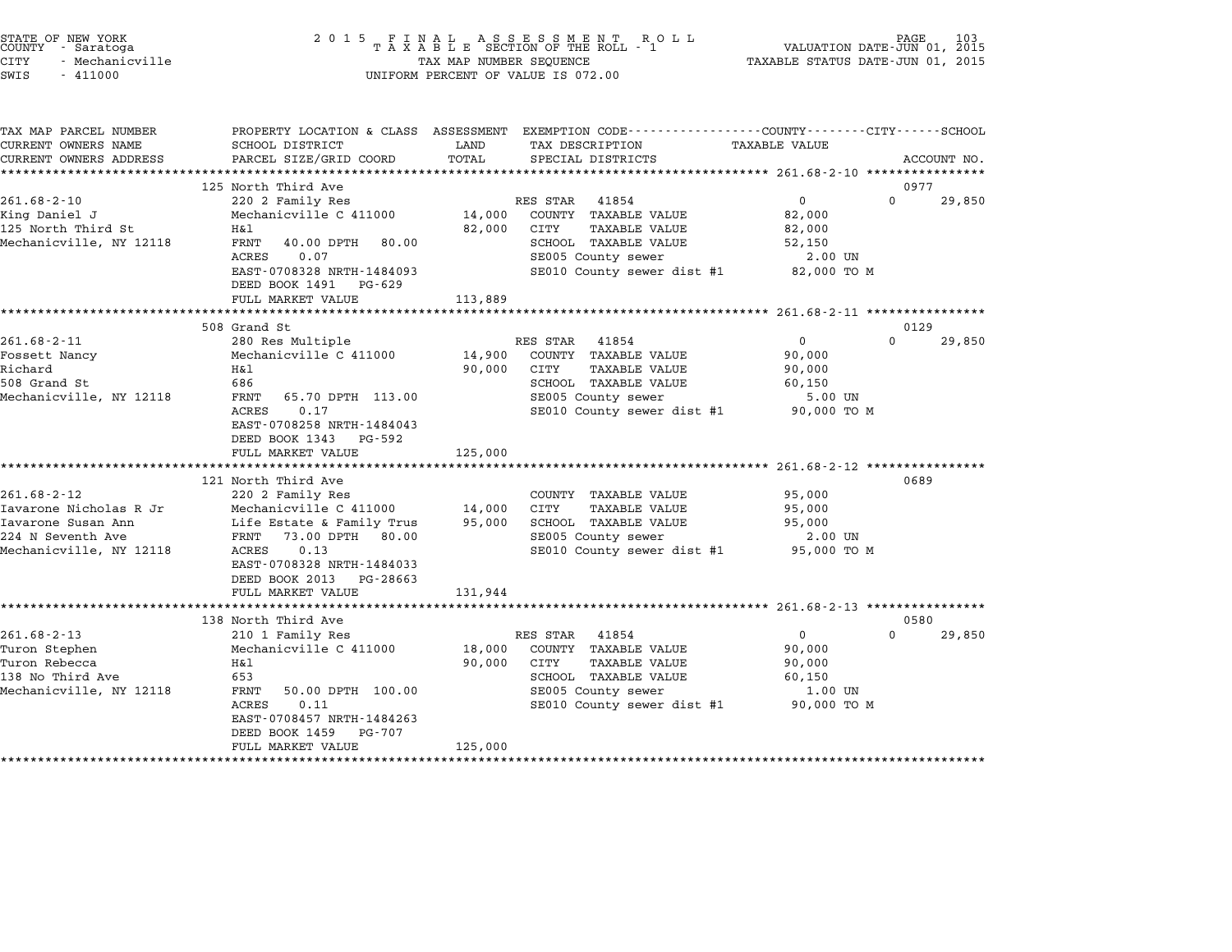| STATE OF NEW YORK<br>COUNTY - Saratoga<br>CITY<br>- Mechanicville<br>SWIS<br>$-411000$ | 2 0 1 5                                                                                     | TAX MAP NUMBER SEQUENCE | UNIFORM PERCENT OF VALUE IS 072.00                                                               | VALUATION DATE-JUN 01, 2015<br>TAXABLE STATUS DATE-JUN 01, 2015 | PAGE<br>103        |
|----------------------------------------------------------------------------------------|---------------------------------------------------------------------------------------------|-------------------------|--------------------------------------------------------------------------------------------------|-----------------------------------------------------------------|--------------------|
| TAX MAP PARCEL NUMBER                                                                  |                                                                                             |                         | PROPERTY LOCATION & CLASS ASSESSMENT EXEMPTION CODE----------------COUNTY-------CITY------SCHOOL |                                                                 |                    |
| CURRENT OWNERS NAME<br>CURRENT OWNERS ADDRESS                                          | SCHOOL DISTRICT<br>PARCEL SIZE/GRID COORD                                                   | LAND<br>TOTAL           | TAX DESCRIPTION<br>SPECIAL DISTRICTS                                                             | TAXABLE VALUE                                                   | ACCOUNT NO.        |
|                                                                                        |                                                                                             |                         |                                                                                                  |                                                                 |                    |
|                                                                                        | 125 North Third Ave                                                                         |                         |                                                                                                  |                                                                 | 0977               |
| $261.68 - 2 - 10$                                                                      | 220 2 Family Res                                                                            |                         | RES STAR<br>41854                                                                                | $\mathbf 0$                                                     | $\Omega$<br>29,850 |
| King Daniel J                                                                          | Mechanicville C 411000                                                                      | 14,000                  | COUNTY TAXABLE VALUE                                                                             | 82,000                                                          |                    |
| 125 North Third St                                                                     | H&l                                                                                         | 82,000                  | CITY<br>TAXABLE VALUE                                                                            | 82,000                                                          |                    |
| Mechanicville, NY 12118                                                                | <b>FRNT</b><br>40.00 DPTH<br>80.00                                                          |                         | SCHOOL TAXABLE VALUE                                                                             | 52,150                                                          |                    |
|                                                                                        | ACRES<br>0.07                                                                               |                         | SE005 County sewer                                                                               | 2.00 UN                                                         |                    |
|                                                                                        | EAST-0708328 NRTH-1484093<br>DEED BOOK 1491 PG-629                                          |                         | SE010 County sewer dist #1                                                                       | 82,000 TO M                                                     |                    |
|                                                                                        | FULL MARKET VALUE                                                                           | 113,889                 |                                                                                                  |                                                                 |                    |
|                                                                                        |                                                                                             |                         |                                                                                                  |                                                                 |                    |
|                                                                                        | 508 Grand St                                                                                |                         |                                                                                                  |                                                                 | 0129<br>$\Omega$   |
| $261.68 - 2 - 11$<br>Fossett Nancy                                                     | 280 Res Multiple<br>Mechanicville C 411000                                                  | 14,900                  | RES STAR<br>41854<br>COUNTY TAXABLE VALUE                                                        | 0<br>90,000                                                     | 29,850             |
| Richard                                                                                | H&l                                                                                         | 90,000                  | CITY<br>TAXABLE VALUE                                                                            | 90,000                                                          |                    |
| 508 Grand St                                                                           | 686                                                                                         |                         | SCHOOL TAXABLE VALUE                                                                             | 60,150                                                          |                    |
| Mechanicville, NY 12118                                                                | FRNT<br>65.70 DPTH 113.00                                                                   |                         | SE005 County sewer                                                                               | 5.00 UN                                                         |                    |
|                                                                                        | ACRES<br>0.17<br>EAST-0708258 NRTH-1484043<br>DEED BOOK 1343<br>PG-592<br>FULL MARKET VALUE | 125,000                 | SE010 County sewer dist #1                                                                       | 90,000 TO M                                                     |                    |
|                                                                                        | *******************                                                                         |                         |                                                                                                  | ********************** 261.68-2-12 ****************             |                    |
|                                                                                        | 121 North Third Ave                                                                         |                         |                                                                                                  |                                                                 | 0689               |
| $261.68 - 2 - 12$                                                                      | 220 2 Family Res                                                                            |                         | COUNTY TAXABLE VALUE                                                                             | 95,000                                                          |                    |
| Iavarone Nicholas R Jr                                                                 | Mechanicville C 411000                                                                      | 14,000                  | CITY<br><b>TAXABLE VALUE</b>                                                                     | 95,000                                                          |                    |
| Iavarone Susan Ann                                                                     | Life Estate & Family Trus                                                                   | 95,000                  | SCHOOL TAXABLE VALUE                                                                             | 95,000                                                          |                    |
| 224 N Seventh Ave                                                                      | FRNT<br>73.00 DPTH 80.00                                                                    |                         | SE005 County sewer                                                                               | 2.00 UN                                                         |                    |
| Mechanicville, NY 12118                                                                | ACRES<br>0.13<br>EAST-0708328 NRTH-1484033                                                  |                         | SE010 County sewer dist #1                                                                       | 95,000 TO M                                                     |                    |
|                                                                                        | DEED BOOK 2013<br>PG-28663<br>FULL MARKET VALUE                                             | 131,944                 |                                                                                                  |                                                                 |                    |
|                                                                                        | ***********************                                                                     |                         | ****************************** 261.68-2-13 *****************                                     |                                                                 |                    |
|                                                                                        | 138 North Third Ave                                                                         |                         |                                                                                                  |                                                                 | 0580               |
| $261.68 - 2 - 13$                                                                      | 210 1 Family Res                                                                            |                         | RES STAR<br>41854                                                                                | 0                                                               | $\Omega$<br>29,850 |
| Turon Stephen                                                                          | Mechanicville C 411000                                                                      | 18,000                  | COUNTY TAXABLE VALUE                                                                             | 90,000                                                          |                    |
| Turon Rebecca                                                                          | Η&l                                                                                         | 90,000                  | CITY<br><b>TAXABLE VALUE</b>                                                                     | 90,000                                                          |                    |
| 138 No Third Ave                                                                       | 653                                                                                         |                         | SCHOOL TAXABLE VALUE                                                                             | 60,150                                                          |                    |
| Mechanicville, NY 12118                                                                | FRNT<br>50.00 DPTH 100.00                                                                   |                         | SE005 County sewer                                                                               | 1.00 UN                                                         |                    |
|                                                                                        | ACRES<br>0.11                                                                               |                         | SE010 County sewer dist #1                                                                       | 90,000 TO M                                                     |                    |
|                                                                                        | EAST-0708457 NRTH-1484263                                                                   |                         |                                                                                                  |                                                                 |                    |
|                                                                                        | DEED BOOK 1459<br>PG-707                                                                    |                         |                                                                                                  |                                                                 |                    |
|                                                                                        | FULL MARKET VALUE                                                                           | 125,000                 |                                                                                                  |                                                                 |                    |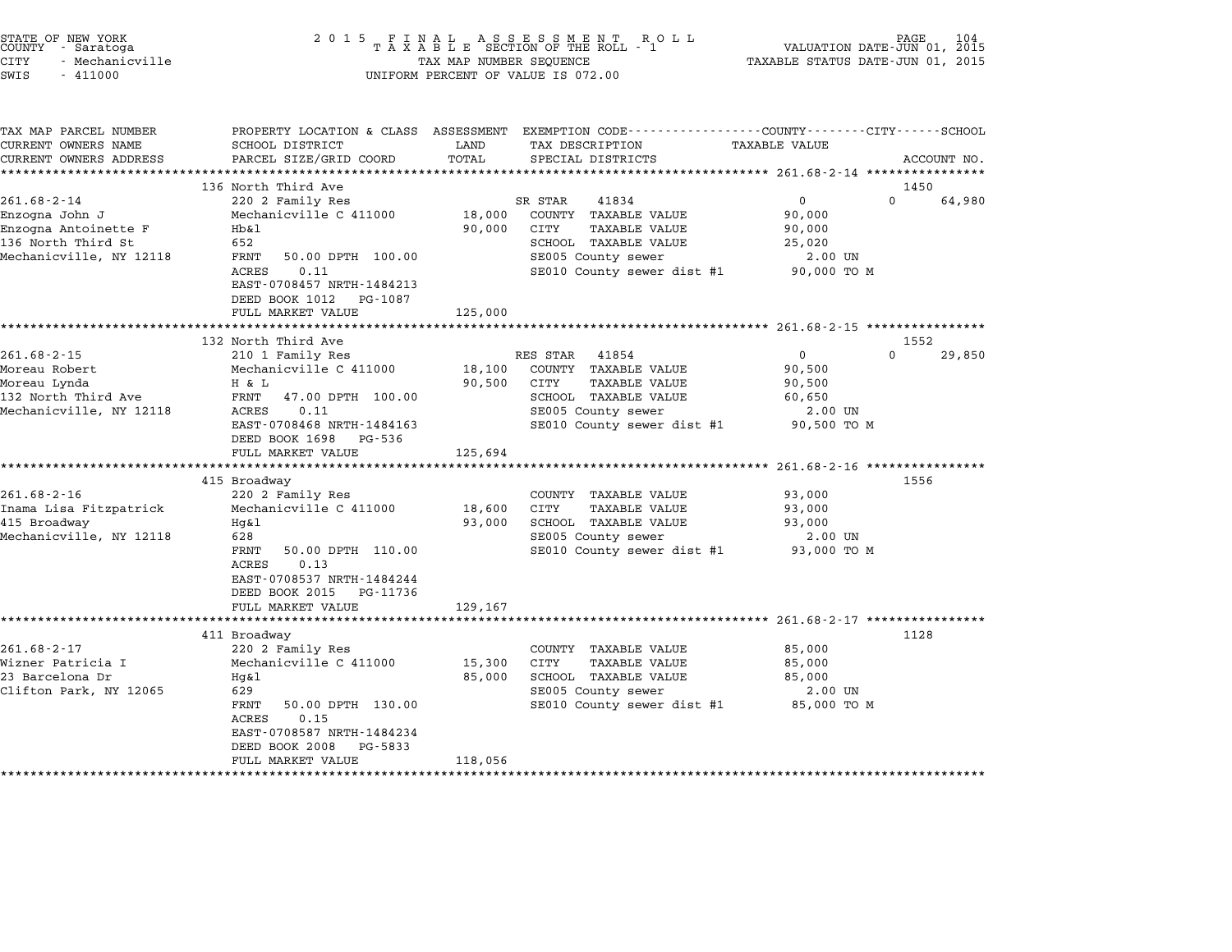| STATE OF NEW YORK<br>COUNTY - Saratoga<br><b>CITY</b><br>- Mechanicville<br>SWIS<br>$-411000$                | 2 0 1 5                                                                                                                                                                                                           | TAX MAP NUMBER SEQUENCE     | FINAL ASSESSMENT ROTAXABLE SECTION OF THE ROLL - 1<br>ROLL<br>UNIFORM PERCENT OF VALUE IS 072.00                                                      | VALUATION DATE-JUN 01, 2015<br>TAXABLE STATUS DATE-JUN 01, 2015     | PAGE<br>104                |
|--------------------------------------------------------------------------------------------------------------|-------------------------------------------------------------------------------------------------------------------------------------------------------------------------------------------------------------------|-----------------------------|-------------------------------------------------------------------------------------------------------------------------------------------------------|---------------------------------------------------------------------|----------------------------|
| TAX MAP PARCEL NUMBER<br>CURRENT OWNERS NAME<br>CURRENT OWNERS ADDRESS                                       | SCHOOL DISTRICT<br>PARCEL SIZE/GRID COORD                                                                                                                                                                         | LAND<br>TOTAL               | PROPERTY LOCATION & CLASS ASSESSMENT EXEMPTION CODE---------------COUNTY-------CITY------SCHOOL<br>TAX DESCRIPTION<br>SPECIAL DISTRICTS               | TAXABLE VALUE                                                       | ACCOUNT NO.                |
| $261.68 - 2 - 14$<br>Enzogna John J<br>Enzogna Antoinette F<br>136 North Third St<br>Mechanicville, NY 12118 | 136 North Third Ave<br>220 2 Family Res<br>Mechanicville C 411000<br>Hb&l<br>652<br>FRNT<br>50.00 DPTH 100.00<br>ACRES<br>0.11<br>EAST-0708457 NRTH-1484213<br>DEED BOOK 1012<br>PG-1087<br>FULL MARKET VALUE     | 18,000<br>90,000<br>125,000 | SR STAR<br>41834<br>COUNTY TAXABLE VALUE<br>CITY<br><b>TAXABLE VALUE</b><br>SCHOOL TAXABLE VALUE<br>SE005 County sewer<br>SE010 County sewer dist #1  | $\mathbf 0$<br>90,000<br>90,000<br>25,020<br>2.00 UN<br>90,000 TO M | 1450<br>$\Omega$<br>64,980 |
|                                                                                                              | *********************                                                                                                                                                                                             |                             |                                                                                                                                                       |                                                                     |                            |
| $261.68 - 2 - 15$<br>Moreau Robert<br>Moreau Lynda<br>132 North Third Ave<br>Mechanicville, NY 12118         | 132 North Third Ave<br>210 1 Family Res<br>Mechanicville C 411000<br>H & L<br>47.00 DPTH 100.00<br>FRNT<br>ACRES<br>0.11<br>EAST-0708468 NRTH-1484163<br>DEED BOOK 1698<br>PG-536<br>FULL MARKET VALUE            | 18,100<br>90,500<br>125,694 | RES STAR<br>41854<br>COUNTY TAXABLE VALUE<br>CITY<br><b>TAXABLE VALUE</b><br>SCHOOL TAXABLE VALUE<br>SE005 County sewer<br>SE010 County sewer dist #1 | 0<br>90,500<br>90,500<br>60,650<br>2.00 UN<br>90,500 TO M           | 1552<br>$\Omega$<br>29,850 |
|                                                                                                              | ****************************                                                                                                                                                                                      | ********************        |                                                                                                                                                       |                                                                     |                            |
| $261.68 - 2 - 16$<br>Inama Lisa Fitzpatrick<br>415 Broadway<br>Mechanicville, NY 12118                       | 415 Broadway<br>220 2 Family Res<br>Mechanicville C 411000<br>$Hq\&1$<br>628<br>FRNT<br>50.00 DPTH 110.00<br><b>ACRES</b><br>0.13<br>EAST-0708537 NRTH-1484244<br>DEED BOOK 2015<br>PG-11736<br>FULL MARKET VALUE | 18,600<br>93,000<br>129,167 | COUNTY TAXABLE VALUE<br>CITY<br>TAXABLE VALUE<br>SCHOOL TAXABLE VALUE<br>SE005 County sewer<br>SE010 County sewer dist #1                             | 93,000<br>93,000<br>93,000<br>2.00 UN<br>93,000 TO M                | 1556                       |
|                                                                                                              | 411 Broadway                                                                                                                                                                                                      |                             |                                                                                                                                                       |                                                                     | 1128                       |
| $261.68 - 2 - 17$<br>Wizner Patricia I<br>23 Barcelona Dr<br>Clifton Park, NY 12065                          | 220 2 Family Res<br>Mechanicville C 411000<br>Hg&l<br>629<br>FRNT<br>50.00 DPTH 130.00<br>ACRES<br>0.15<br>EAST-0708587 NRTH-1484234<br>DEED BOOK 2008<br>PG-5833<br>FULL MARKET VALUE                            | 15,300<br>85,000<br>118,056 | COUNTY TAXABLE VALUE<br><b>CITY</b><br><b>TAXABLE VALUE</b><br>SCHOOL TAXABLE VALUE<br>SE005 County sewer<br>SE010 County sewer dist #1               | 85,000<br>85,000<br>85,000<br>2.00 UN<br>85,000 TO M                |                            |

STATE OF NEW YORK <sup>2</sup> <sup>0</sup> <sup>1</sup> 5 F I N A L A S S E S S M E N T R O L L PAGE <sup>104</sup> COUNTY - Saratoga <sup>T</sup> <sup>A</sup> <sup>X</sup> <sup>A</sup> <sup>B</sup> <sup>L</sup> <sup>E</sup> SECTION OF THE ROLL - <sup>1</sup> VALUATION DATE-JUN 01, <sup>2015</sup>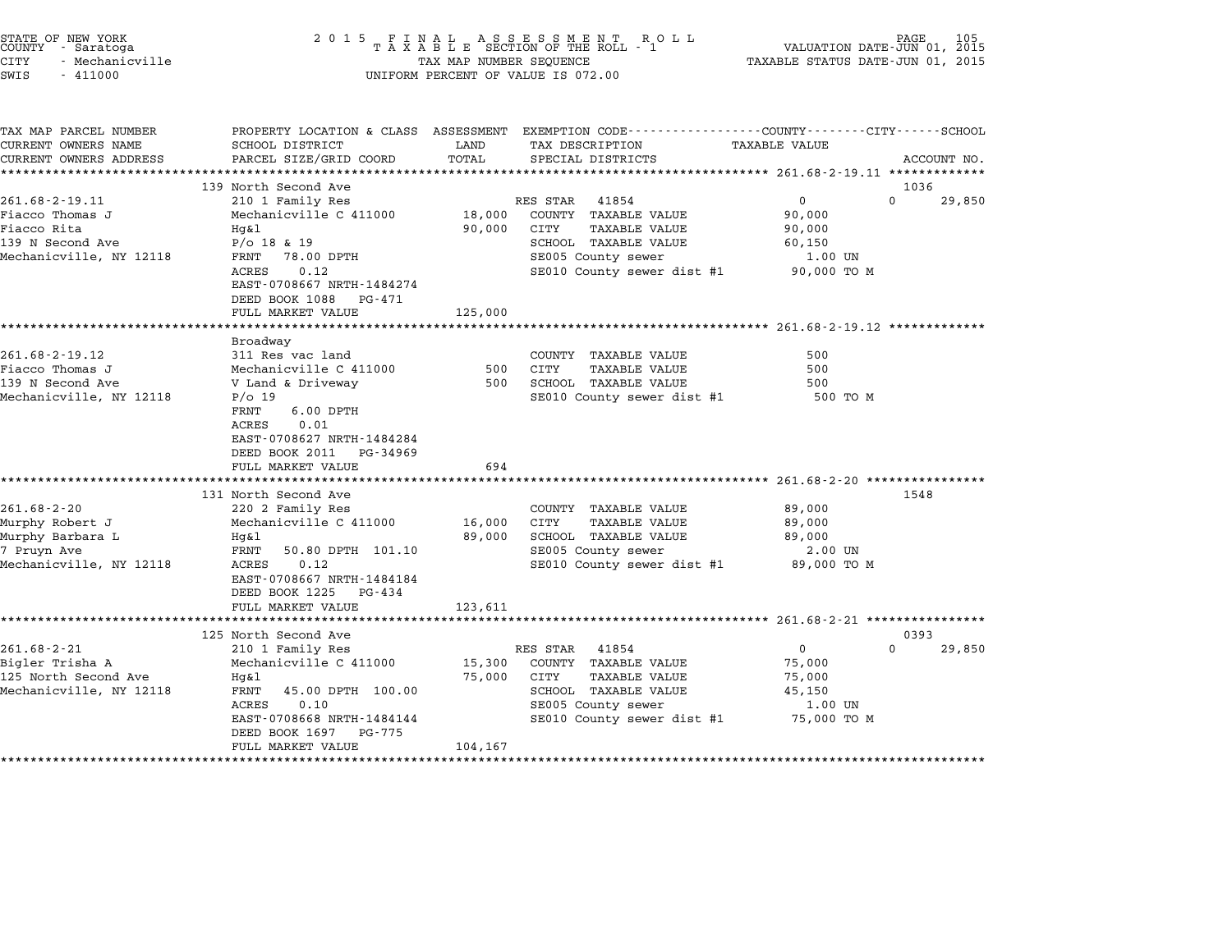| STATE OF NEW YORK<br>COUNTY<br>- Saratoga<br>CITY<br>- Mechanicville<br>SWIS<br>$-411000$ | 2 0 1 5                                                                                                  | TAX MAP NUMBER SEQUENCE | FINAL ASSESSMENT ROLL<br>TAXABLE SECTION OF THE ROLL - 1<br>UNIFORM PERCENT OF VALUE IS 072.00                      | VALUATION DATE-JUN 01, 2015<br>TAXABLE STATUS DATE-JUN 01, 2015 | PAGE<br>105                |
|-------------------------------------------------------------------------------------------|----------------------------------------------------------------------------------------------------------|-------------------------|---------------------------------------------------------------------------------------------------------------------|-----------------------------------------------------------------|----------------------------|
| TAX MAP PARCEL NUMBER<br>CURRENT OWNERS NAME                                              | SCHOOL DISTRICT                                                                                          | LAND                    | PROPERTY LOCATION & CLASS ASSESSMENT EXEMPTION CODE----------------COUNTY-------CITY------SCHOOL<br>TAX DESCRIPTION | TAXABLE VALUE                                                   |                            |
| CURRENT OWNERS ADDRESS<br>**********************                                          | PARCEL SIZE/GRID COORD                                                                                   | TOTAL                   | SPECIAL DISTRICTS                                                                                                   |                                                                 | ACCOUNT NO.                |
|                                                                                           | 139 North Second Ave                                                                                     |                         |                                                                                                                     |                                                                 | 1036                       |
| $261.68 - 2 - 19.11$                                                                      | 210 1 Family Res                                                                                         |                         | RES STAR<br>41854                                                                                                   | $\mathbf 0$                                                     | $\Omega$<br>29,850         |
| Fiacco Thomas J                                                                           | Mechanicville C 411000                                                                                   | 18,000                  | COUNTY TAXABLE VALUE                                                                                                | 90,000                                                          |                            |
| Fiacco Rita                                                                               | Hq&l                                                                                                     | 90,000                  | CITY<br>TAXABLE VALUE                                                                                               | 90,000                                                          |                            |
| 139 N Second Ave                                                                          | $P/O$ 18 & 19                                                                                            |                         | SCHOOL TAXABLE VALUE                                                                                                | 60,150                                                          |                            |
| Mechanicville, NY 12118                                                                   | 78.00 DPTH<br>FRNT                                                                                       |                         | SE005 County sewer                                                                                                  | 1.00 UN                                                         |                            |
|                                                                                           | 0.12<br>ACRES<br>EAST-0708667 NRTH-1484274                                                               |                         | SE010 County sewer dist #1                                                                                          | 90,000 TO M                                                     |                            |
|                                                                                           | DEED BOOK 1088<br>PG-471<br>FULL MARKET VALUE                                                            | 125,000                 |                                                                                                                     |                                                                 |                            |
|                                                                                           | ******************                                                                                       |                         |                                                                                                                     | ******************************* 261.68-2-19.12 **************   |                            |
|                                                                                           | Broadway                                                                                                 |                         |                                                                                                                     |                                                                 |                            |
| 261.68-2-19.12                                                                            | 311 Res vac land                                                                                         |                         | COUNTY TAXABLE VALUE                                                                                                | 500                                                             |                            |
| Fiacco Thomas J                                                                           | Mechanicville C 411000                                                                                   | 500                     | CITY<br><b>TAXABLE VALUE</b>                                                                                        | 500                                                             |                            |
| 139 N Second Ave                                                                          | V Land & Driveway                                                                                        | 500                     | SCHOOL TAXABLE VALUE                                                                                                | 500                                                             |                            |
| Mechanicville, NY 12118                                                                   | $P/O$ 19<br>FRNT<br>$6.00$ DPTH<br>ACRES<br>0.01<br>EAST-0708627 NRTH-1484284<br>DEED BOOK 2011 PG-34969 |                         | SE010 County sewer dist #1                                                                                          | 500 TO M                                                        |                            |
|                                                                                           | FULL MARKET VALUE                                                                                        | 694                     |                                                                                                                     |                                                                 |                            |
|                                                                                           |                                                                                                          | **********              |                                                                                                                     | ***************** 261.68-2-20 ****************                  |                            |
|                                                                                           | 131 North Second Ave                                                                                     |                         |                                                                                                                     |                                                                 | 1548                       |
| $261.68 - 2 - 20$                                                                         | 220 2 Family Res                                                                                         |                         | COUNTY TAXABLE VALUE                                                                                                | 89,000                                                          |                            |
| Murphy Robert J                                                                           | Mechanicville C 411000                                                                                   | 16,000                  | CITY<br><b>TAXABLE VALUE</b>                                                                                        | 89,000                                                          |                            |
| Murphy Barbara L                                                                          | Hq&l                                                                                                     | 89,000                  | SCHOOL TAXABLE VALUE                                                                                                | 89,000                                                          |                            |
| 7 Pruyn Ave                                                                               | FRNT<br>50.80 DPTH 101.10                                                                                |                         | SE005 County sewer                                                                                                  | 2.00 UN                                                         |                            |
| Mechanicville, NY 12118                                                                   | ACRES<br>0.12<br>EAST-0708667 NRTH-1484184<br>DEED BOOK 1225 PG-434                                      |                         | SE010 County sewer dist #1                                                                                          | 89,000 TO M                                                     |                            |
|                                                                                           | FULL MARKET VALUE                                                                                        | 123,611                 |                                                                                                                     |                                                                 |                            |
|                                                                                           |                                                                                                          |                         |                                                                                                                     | ********************** 261.68-2-21 *****************            |                            |
| $261.68 - 2 - 21$                                                                         | 125 North Second Ave<br>210 1 Family Res                                                                 |                         | RES STAR<br>41854                                                                                                   | $\mathbf{0}$                                                    | 0393<br>$\Omega$<br>29,850 |
| Bigler Trisha A                                                                           | Mechanicville C 411000                                                                                   | 15,300                  | COUNTY TAXABLE VALUE                                                                                                | 75,000                                                          |                            |
| 125 North Second Ave                                                                      | Hq&l                                                                                                     | 75,000                  | CITY<br>TAXABLE VALUE                                                                                               | 75,000                                                          |                            |
| Mechanicville, NY 12118                                                                   | FRNT<br>45.00 DPTH 100.00                                                                                |                         | SCHOOL TAXABLE VALUE                                                                                                | 45,150                                                          |                            |
|                                                                                           | 0.10<br>ACRES                                                                                            |                         | SE005 County sewer                                                                                                  | 1.00 UN                                                         |                            |
|                                                                                           | EAST-0708668 NRTH-1484144<br>DEED BOOK 1697<br>PG-775                                                    |                         | SE010 County sewer dist #1                                                                                          | 75,000 TO M                                                     |                            |
|                                                                                           |                                                                                                          |                         |                                                                                                                     |                                                                 |                            |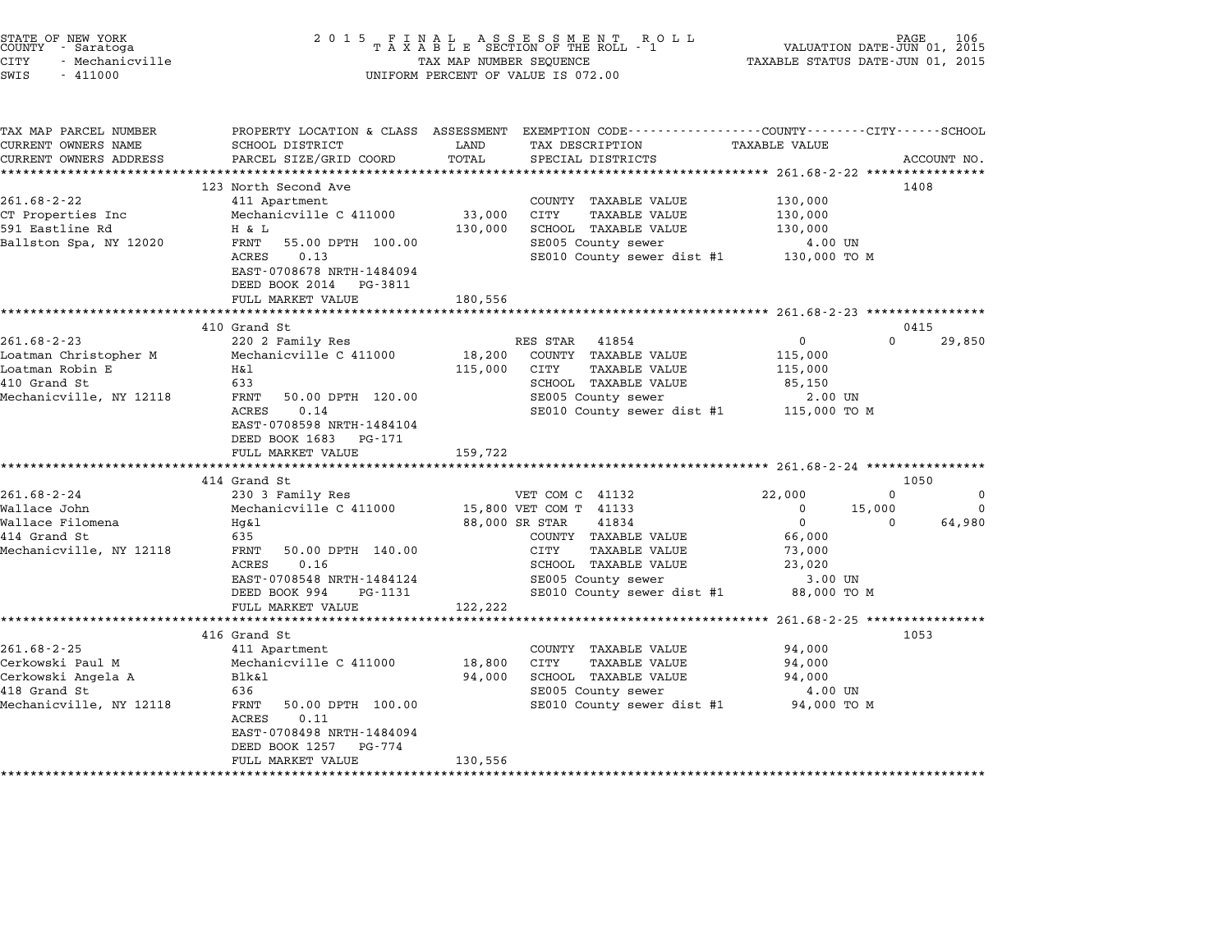| STATE OF NEW YORK<br>COUNTY - Saratoga<br><b>CITY</b><br>- Mechanicville<br>SWIS<br>$-411000$                                      | 2 0 1 5                                                                                                                                                                                               | TAX MAP NUMBER SEQUENCE      | $\begin{array}{cccccccccccccc} & F & I & N & A & L & & A & S & S & E & S & S & M & E & N & T & R & O & L\\ T & A & X & A & B & L & E & SECTION OF THE ROLL & - & 1 \end{array}$<br>R O L L<br>UNIFORM PERCENT OF VALUE IS 072.00 | TAXABLE STATUS DATE-JUN 01, 2015                                                             | 106<br>PAGE<br>VALUATION DATE-JUN 01, 2015            |
|------------------------------------------------------------------------------------------------------------------------------------|-------------------------------------------------------------------------------------------------------------------------------------------------------------------------------------------------------|------------------------------|----------------------------------------------------------------------------------------------------------------------------------------------------------------------------------------------------------------------------------|----------------------------------------------------------------------------------------------|-------------------------------------------------------|
| TAX MAP PARCEL NUMBER<br>CURRENT OWNERS NAME<br>CURRENT OWNERS ADDRESS                                                             | SCHOOL DISTRICT<br>PARCEL SIZE/GRID COORD<br>*****************                                                                                                                                        | LAND<br>TOTAL                | PROPERTY LOCATION & CLASS ASSESSMENT EXEMPTION CODE----------------COUNTY-------CITY------SCHOOL<br>TAX DESCRIPTION<br>SPECIAL DISTRICTS<br>********************************** 261.68-2-22 ****************                      | TAXABLE VALUE                                                                                | ACCOUNT NO.                                           |
| $261.68 - 2 - 22$<br>CT Properties Inc<br>591 Eastline Rd<br>Ballston Spa, NY 12020                                                | 123 North Second Ave<br>411 Apartment<br>Mechanicville C 411000<br>H & L<br>FRNT<br>55.00 DPTH 100.00<br>ACRES<br>0.13<br>EAST-0708678 NRTH-1484094<br>DEED BOOK 2014<br>PG-3811<br>FULL MARKET VALUE | 33,000<br>130,000<br>180,556 | COUNTY TAXABLE VALUE<br>CITY<br>TAXABLE VALUE<br>SCHOOL TAXABLE VALUE<br>SE005 County sewer<br>SE010 County sewer dist #1                                                                                                        | 130,000<br>130,000<br>130,000<br>4.00 UN<br>130,000 TO M                                     | 1408                                                  |
|                                                                                                                                    | **********************<br>410 Grand St                                                                                                                                                                | * * * * * * * * * *          |                                                                                                                                                                                                                                  |                                                                                              | 0415                                                  |
| $261.68 - 2 - 23$<br>Loatman Christopher M<br>Loatman Robin E<br>410 Grand St<br>Mechanicville, NY 12118                           | 220 2 Family Res<br>Mechanicville C 411000<br>H&1<br>633<br>FRNT<br>50.00 DPTH 120.00<br>ACRES<br>0.14<br>EAST-0708598 NRTH-1484104<br>DEED BOOK 1683<br>PG-171<br>FULL MARKET VALUE                  | 18,200<br>115,000<br>159,722 | RES STAR<br>41854<br>COUNTY TAXABLE VALUE<br>CITY<br>TAXABLE VALUE<br>SCHOOL TAXABLE VALUE<br>SE005 County sewer<br>SE010 County sewer dist #1                                                                                   | 0<br>115,000<br>115,000<br>85,150<br>2.00 UN<br>115,000 TO M                                 | 0<br>29,850                                           |
|                                                                                                                                    | ******************<br>414 Grand St                                                                                                                                                                    |                              |                                                                                                                                                                                                                                  |                                                                                              | 1050                                                  |
| $261.68 - 2 - 24$<br>Wallace John<br>Wallace Filomena<br>414 Grand St<br>Mechanicville, NY 12118                                   | 230 3 Family Res<br>Mechanicville C 411000<br>Hq&l<br>635<br>50.00 DPTH 140.00<br>FRNT<br>ACRES<br>0.16<br>EAST-0708548 NRTH-1484124<br>DEED BOOK 994<br>PG-1131<br>FULL MARKET VALUE                 | 88,000 SR STAR<br>122,222    | VET COM C 41132<br>15,800 VET COM T 41133<br>41834<br>COUNTY TAXABLE VALUE<br>CITY<br><b>TAXABLE VALUE</b><br>SCHOOL TAXABLE VALUE<br>SE005 County sewer<br>SE010 County sewer dist #1                                           | 22,000<br>0<br>15,000<br>$\mathbf 0$<br>66,000<br>73,000<br>23,020<br>3.00 UN<br>88,000 TO M | $\mathbf 0$<br>0<br>$\mathbf 0$<br>64,980<br>$\Omega$ |
|                                                                                                                                    | *********************                                                                                                                                                                                 |                              |                                                                                                                                                                                                                                  | ********************* 261.68-2-25 ****************                                           |                                                       |
| $261.68 - 2 - 25$<br>Cerkowski Paul M<br>Cerkowski Angela A<br>418 Grand St<br>Mechanicville, NY 12118<br>************************ | 416 Grand St<br>411 Apartment<br>Mechanicville C 411000<br>Blk&l<br>636<br>FRNT<br>50.00 DPTH 100.00<br>ACRES<br>0.11<br>EAST-0708498 NRTH-1484094<br>DEED BOOK 1257<br>PG-774<br>FULL MARKET VALUE   | 18,800<br>94,000<br>130,556  | COUNTY TAXABLE VALUE<br>CITY<br><b>TAXABLE VALUE</b><br>SCHOOL TAXABLE VALUE<br>SE005 County sewer<br>SE010 County sewer dist #1                                                                                                 | 94,000<br>94,000<br>94,000<br>4.00 UN<br>94,000 TO M                                         | 1053                                                  |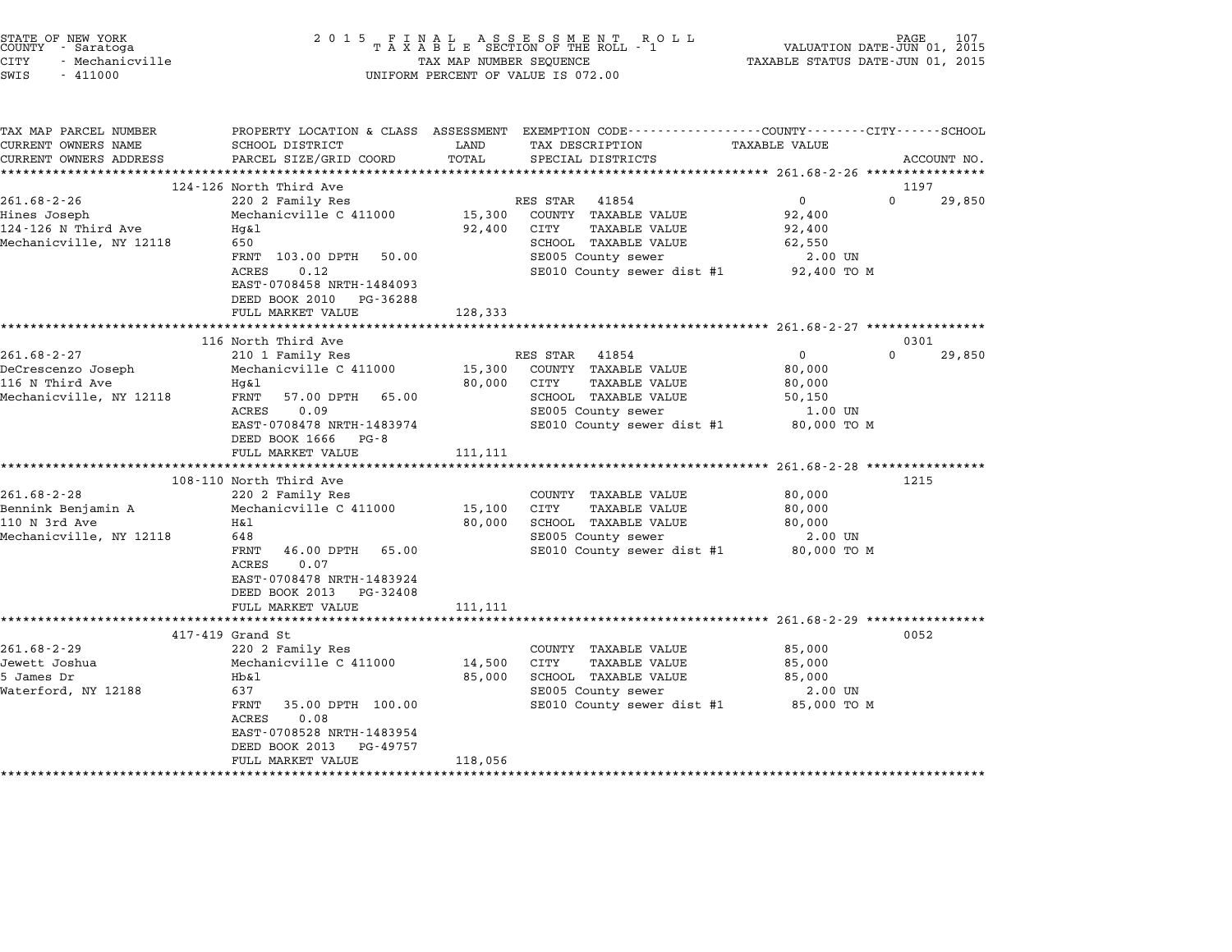| STATE OF NEW YORK<br>COUNTY - Saratoga<br><b>CITY</b><br>- Mechanicville<br>SWIS<br>$-411000$ | 2 0 1 5                                                                                                                                                                                                                                   | TAX MAP NUMBER SEQUENCE      | FINAL ASSESSMENT ROLL<br>TAXABLE SECTION OF THE ROLL - 1<br>UNIFORM PERCENT OF VALUE IS 072.00                                                        | VALUATION DATE-JUN 01, 2015<br>TAXABLE STATUS DATE-JUN 01, 2015                                               | PAGE           |
|-----------------------------------------------------------------------------------------------|-------------------------------------------------------------------------------------------------------------------------------------------------------------------------------------------------------------------------------------------|------------------------------|-------------------------------------------------------------------------------------------------------------------------------------------------------|---------------------------------------------------------------------------------------------------------------|----------------|
| TAX MAP PARCEL NUMBER<br>CURRENT OWNERS NAME<br>CURRENT OWNERS ADDRESS                        | SCHOOL DISTRICT<br>PARCEL SIZE/GRID COORD                                                                                                                                                                                                 | LAND<br>TOTAL                | PROPERTY LOCATION & CLASS ASSESSMENT EXEMPTION CODE--------------COUNTY-------CITY------SCHOOL<br>TAX DESCRIPTION<br>SPECIAL DISTRICTS                | TAXABLE VALUE                                                                                                 | ACCOUNT NO.    |
| $261.68 - 2 - 26$<br>Hines Joseph<br>124-126 N Third Ave<br>Mechanicville, NY 12118           | 124-126 North Third Ave<br>220 2 Family Res<br>Mechanicville C 411000<br>Hq&l<br>650<br>FRNT 103.00 DPTH<br>50.00<br><b>ACRES</b><br>0.12<br>EAST-0708458 NRTH-1484093<br>DEED BOOK 2010<br>PG-36288<br>FULL MARKET VALUE                 | 15,300<br>92,400<br>128,333  | RES STAR<br>41854<br>COUNTY TAXABLE VALUE<br>CITY<br><b>TAXABLE VALUE</b><br>SCHOOL TAXABLE VALUE<br>SE005 County sewer<br>SE010 County sewer dist #1 | $\Omega$<br>$\overline{0}$<br>92,400<br>92,400<br>62,550<br>2.00 UN<br>92,400 TO M                            | 1197<br>29,850 |
|                                                                                               | **************************                                                                                                                                                                                                                | *******************          |                                                                                                                                                       | ********************* 261.68-2-27 *****************                                                           |                |
| $261.68 - 2 - 27$<br>DeCrescenzo Joseph<br>116 N Third Ave<br>Mechanicville, NY 12118         | 116 North Third Ave<br>210 1 Family Res<br>Mechanicville C 411000<br>Hq&l<br>57.00 DPTH<br>FRNT<br>65.00<br>ACRES<br>0.09<br>EAST-0708478 NRTH-1483974<br>DEED BOOK 1666<br>PG - 8<br>FULL MARKET VALUE                                   | 15,300<br>80,000<br>111, 111 | RES STAR<br>41854<br>COUNTY TAXABLE VALUE<br>CITY<br>TAXABLE VALUE<br>SCHOOL TAXABLE VALUE<br>SE005 County sewer<br>SE010 County sewer dist #1        | $\Omega$<br>$\mathbf 0$<br>80,000<br>80,000<br>50,150<br>1.00 UN<br>80,000 TO M                               | 0301<br>29,850 |
| $261.68 - 2 - 28$<br>Bennink Benjamin A<br>110 N 3rd Ave<br>Mechanicville, NY 12118           | 108-110 North Third Ave<br>220 2 Family Res<br>Mechanicville C 411000<br>H&l<br>648<br>FRNT<br>46.00 DPTH<br>65.00<br>ACRES<br>0.07<br>EAST-0708478 NRTH-1483924<br>DEED BOOK 2013 PG-32408<br>FULL MARKET VALUE                          | 15,100<br>80,000<br>111,111  | COUNTY TAXABLE VALUE<br>CITY<br><b>TAXABLE VALUE</b><br>SCHOOL TAXABLE VALUE<br>SE005 County sewer<br>SE010 County sewer dist #1                      | ********************** 261.68-2-28 *****************<br>80,000<br>80,000<br>80,000<br>2.00 UN<br>80,000 TO M  | 1215           |
| $261.68 - 2 - 29$<br>Jewett Joshua<br>5 James Dr<br>Waterford, NY 12188                       | **************************<br>417-419 Grand St<br>220 2 Family Res<br>Mechanicville C 411000<br>Hb&1<br>637<br>FRNT<br>35.00 DPTH 100.00<br>ACRES<br>0.08<br>EAST-0708528 NRTH-1483954<br>DEED BOOK 2013<br>PG-49757<br>FULL MARKET VALUE | 14,500<br>85,000<br>118,056  | COUNTY TAXABLE VALUE<br>CITY<br><b>TAXABLE VALUE</b><br>SCHOOL TAXABLE VALUE<br>SE005 County sewer<br>SE010 County sewer dist #1                      | ************************ 261.68-2-29 ****************<br>85,000<br>85,000<br>85,000<br>2.00 UN<br>85,000 TO M | 0052           |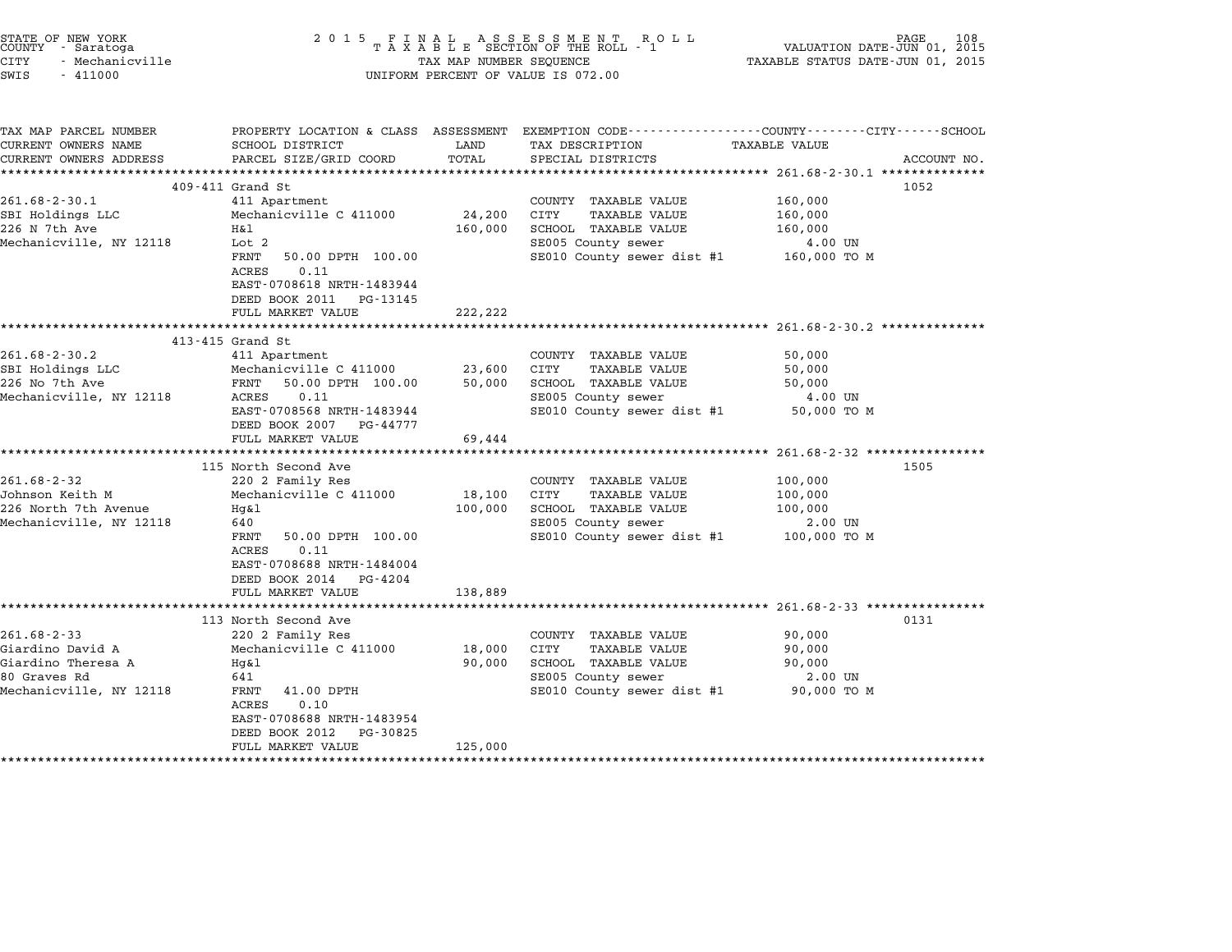| STATE OF NEW YORK<br>COUNTY - Saratoga<br>CITY<br>- Mechanicville<br>SWIS<br>$-411000$                 | 2 0 1 5<br>FINAL ASSESSMENT RO<br>TAXABLE SECTION OF THE ROLL - 1<br>PAGE<br>108<br>R O L L<br>VALUATION DATE-JUN 01, 2015<br>TAXABLE STATUS DATE-JUN 01, 2015<br>TAX MAP NUMBER SEQUENCE<br>UNIFORM PERCENT OF VALUE IS 072.00 |                              |                                                                                                                                          |                                                          |             |  |
|--------------------------------------------------------------------------------------------------------|---------------------------------------------------------------------------------------------------------------------------------------------------------------------------------------------------------------------------------|------------------------------|------------------------------------------------------------------------------------------------------------------------------------------|----------------------------------------------------------|-------------|--|
| TAX MAP PARCEL NUMBER<br>CURRENT OWNERS NAME<br>CURRENT OWNERS ADDRESS                                 | SCHOOL DISTRICT<br>PARCEL SIZE/GRID COORD                                                                                                                                                                                       | LAND<br>TOTAL                | PROPERTY LOCATION & CLASS ASSESSMENT EXEMPTION CODE----------------COUNTY-------CITY------SCHOOL<br>TAX DESCRIPTION<br>SPECIAL DISTRICTS | <b>TAXABLE VALUE</b>                                     | ACCOUNT NO. |  |
|                                                                                                        |                                                                                                                                                                                                                                 |                              |                                                                                                                                          | ***************** 261.68-2-30.1 ***************          |             |  |
|                                                                                                        | 409-411 Grand St                                                                                                                                                                                                                |                              |                                                                                                                                          |                                                          | 1052        |  |
| $261.68 - 2 - 30.1$<br>SBI Holdings LLC<br>226 N 7th Ave<br>Mechanicville, NY 12118                    | 411 Apartment<br>Mechanicville C 411000<br>Η&l<br>Lot 2<br>FRNT<br>50.00 DPTH 100.00<br>0.11<br>ACRES<br>EAST-0708618 NRTH-1483944                                                                                              | 24,200<br>160,000            | COUNTY TAXABLE VALUE<br>CITY<br><b>TAXABLE VALUE</b><br>SCHOOL TAXABLE VALUE<br>SE005 County sewer<br>SE010 County sewer dist #1         | 160,000<br>160,000<br>160,000<br>4.00 UN<br>160,000 то м |             |  |
|                                                                                                        | DEED BOOK 2011 PG-13145<br>FULL MARKET VALUE                                                                                                                                                                                    | 222,222                      | ******************************** 261.68-2-30.2 **************                                                                            |                                                          |             |  |
|                                                                                                        | 413-415 Grand St                                                                                                                                                                                                                |                              |                                                                                                                                          |                                                          |             |  |
| $261.68 - 2 - 30.2$<br>SBI Holdings LLC<br>226 No 7th Ave<br>Mechanicville, NY 12118                   | 411 Apartment<br>Mechanicville C 411000<br>FRNT<br>50.00 DPTH 100.00<br>0.11<br>ACRES<br>EAST-0708568 NRTH-1483944<br>DEED BOOK 2007<br>PG-44777<br>FULL MARKET VALUE                                                           | 23,600<br>50,000<br>69,444   | COUNTY TAXABLE VALUE<br>CITY<br>TAXABLE VALUE<br>SCHOOL TAXABLE VALUE<br>SE005 County sewer<br>SE010 County sewer dist #1                | 50,000<br>50,000<br>50,000<br>4.00 UN<br>50,000 TO M     |             |  |
|                                                                                                        |                                                                                                                                                                                                                                 |                              |                                                                                                                                          |                                                          |             |  |
| $261.68 - 2 - 32$<br>Johnson Keith M<br>226 North 7th Avenue<br>Mechanicville, NY 12118                | 115 North Second Ave<br>220 2 Family Res<br>Mechanicville C 411000<br>Hg&l<br>640<br>FRNT<br>50.00 DPTH 100.00<br>ACRES<br>0.11<br>EAST-0708688 NRTH-1484004<br>DEED BOOK 2014<br>PG-4204<br>FULL MARKET VALUE                  | 18,100<br>100,000<br>138,889 | COUNTY TAXABLE VALUE<br>CITY<br>TAXABLE VALUE<br>SCHOOL TAXABLE VALUE<br>SE005 County sewer<br>SE010 County sewer dist #1                | 100,000<br>100,000<br>100,000<br>2.00 UN<br>100,000 то м | 1505        |  |
|                                                                                                        | 113 North Second Ave                                                                                                                                                                                                            |                              |                                                                                                                                          |                                                          | 0131        |  |
| $261.68 - 2 - 33$<br>Giardino David A<br>Giardino Theresa A<br>80 Graves Rd<br>Mechanicville, NY 12118 | 220 2 Family Res<br>Mechanicville C 411000<br>Hq&l<br>641<br>FRNT<br>41.00 DPTH<br>ACRES<br>0.10<br>EAST-0708688 NRTH-1483954<br>DEED BOOK 2012<br>PG-30825<br>FULL MARKET VALUE                                                | 18,000<br>90,000<br>125,000  | COUNTY TAXABLE VALUE<br>CITY<br>TAXABLE VALUE<br>SCHOOL TAXABLE VALUE<br>SE005 County sewer<br>SE010 County sewer dist #1                | 90,000<br>90,000<br>90,000<br>2.00 UN<br>90,000 TO M     |             |  |

STATE OF NEW YORK <sup>2</sup> <sup>0</sup> <sup>1</sup> 5 F I N A L A S S E S S M E N T R O L L PAGE <sup>108</sup> COUNTY - Saratoga <sup>T</sup> <sup>A</sup> <sup>X</sup> <sup>A</sup> <sup>B</sup> <sup>L</sup> <sup>E</sup> SECTION OF THE ROLL - <sup>1</sup> VALUATION DATE-JUN 01, <sup>2015</sup>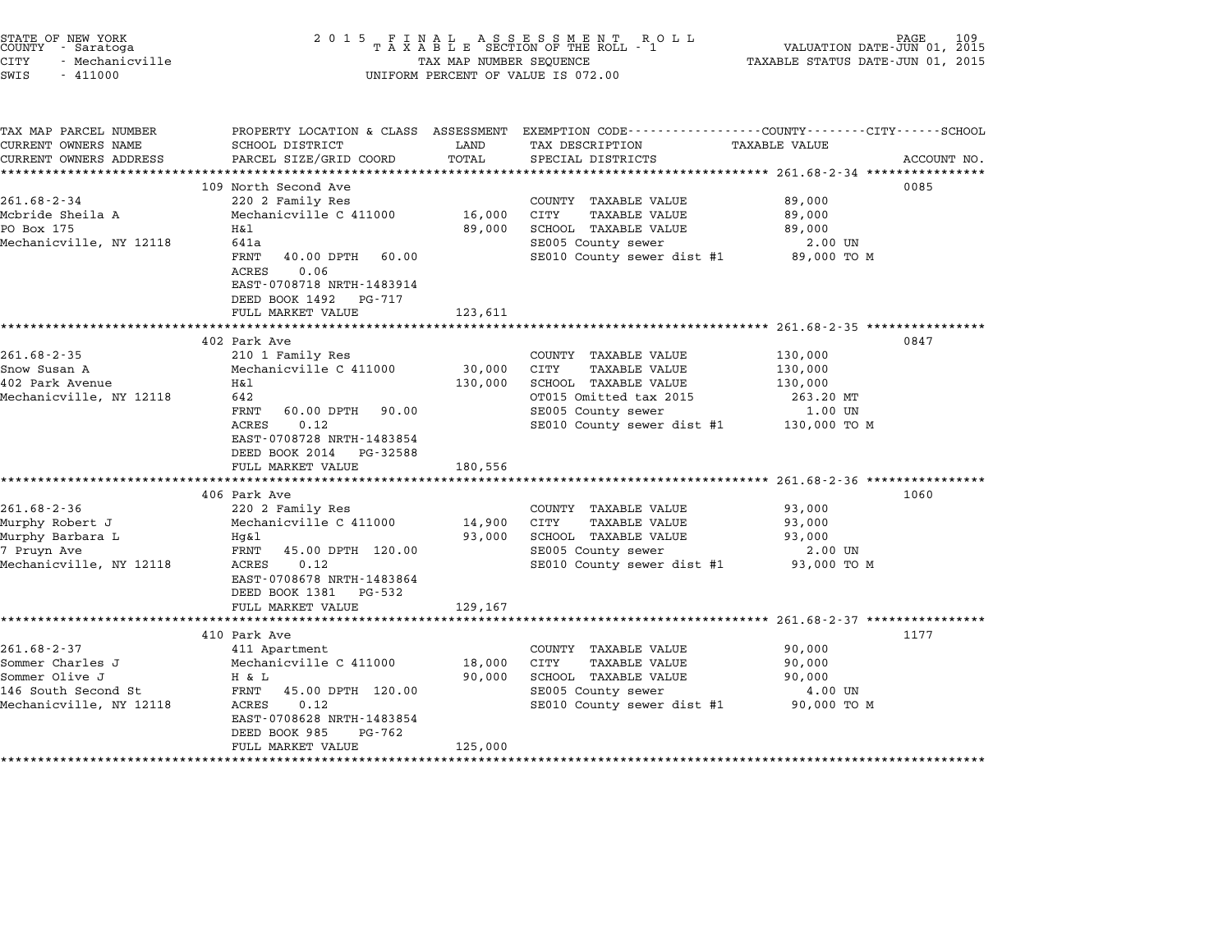| 2 0 1 5                                                                                                                                                                                               |                                                                                                    | R O L L                                                                                                                          | VALUATION DATE-JUN 01, 2015                                                                                                              | 109<br>PAGE                                                                                                                                                                                                                                                                                                                                                                             |
|-------------------------------------------------------------------------------------------------------------------------------------------------------------------------------------------------------|----------------------------------------------------------------------------------------------------|----------------------------------------------------------------------------------------------------------------------------------|------------------------------------------------------------------------------------------------------------------------------------------|-----------------------------------------------------------------------------------------------------------------------------------------------------------------------------------------------------------------------------------------------------------------------------------------------------------------------------------------------------------------------------------------|
| SCHOOL DISTRICT<br>PARCEL SIZE/GRID COORD                                                                                                                                                             | LAND<br>TOTAL                                                                                      | TAX DESCRIPTION<br>SPECIAL DISTRICTS                                                                                             |                                                                                                                                          | ACCOUNT NO.                                                                                                                                                                                                                                                                                                                                                                             |
|                                                                                                                                                                                                       |                                                                                                    |                                                                                                                                  |                                                                                                                                          | 0085                                                                                                                                                                                                                                                                                                                                                                                    |
| 220 2 Family Res<br>Mechanicville C 411000<br>H&l<br>641a<br>FRNT<br>40.00 DPTH<br>60.00<br>ACRES<br>0.06<br>EAST-0708718 NRTH-1483914<br>DEED BOOK 1492 PG-717                                       | 16,000<br>89,000                                                                                   | COUNTY TAXABLE VALUE<br>CITY<br><b>TAXABLE VALUE</b><br>SCHOOL TAXABLE VALUE<br>SE005 County sewer<br>SE010 County sewer dist #1 | 89,000<br>89,000<br>89,000<br>2.00 UN<br>89,000 TO M                                                                                     |                                                                                                                                                                                                                                                                                                                                                                                         |
| ****************************                                                                                                                                                                          |                                                                                                    |                                                                                                                                  |                                                                                                                                          |                                                                                                                                                                                                                                                                                                                                                                                         |
| 402 Park Ave<br>210 1 Family Res<br>Mechanicville C 411000<br>Η&l<br>642<br>60.00 DPTH<br>FRNT<br>90.00<br>ACRES<br>0.12<br>EAST-0708728 NRTH-1483854<br>DEED BOOK 2014 PG-32588<br>FULL MARKET VALUE | 30,000<br>130,000<br>180,556                                                                       | COUNTY TAXABLE VALUE<br>CITY<br>TAXABLE VALUE<br>SCHOOL TAXABLE VALUE<br>OT015 Omitted tax 2015<br>SE005 County sewer            | 130,000<br>130,000<br>130,000<br>263.20 MT<br>1.00 UN<br>130,000 TO M                                                                    | 0847                                                                                                                                                                                                                                                                                                                                                                                    |
|                                                                                                                                                                                                       |                                                                                                    |                                                                                                                                  |                                                                                                                                          | 1060                                                                                                                                                                                                                                                                                                                                                                                    |
| 220 2 Family Res<br>Mechanicville C 411000<br>Hg&l<br>FRNT<br>45.00 DPTH 120.00<br>ACRES<br>0.12<br>EAST-0708678 NRTH-1483864                                                                         | 14,900<br>93,000                                                                                   | COUNTY TAXABLE VALUE<br>CITY<br><b>TAXABLE VALUE</b><br>SCHOOL TAXABLE VALUE<br>SE005 County sewer                               | 93,000<br>93,000<br>93,000<br>2.00 UN<br>93,000 TO M                                                                                     |                                                                                                                                                                                                                                                                                                                                                                                         |
| FULL MARKET VALUE                                                                                                                                                                                     | 129,167                                                                                            |                                                                                                                                  |                                                                                                                                          |                                                                                                                                                                                                                                                                                                                                                                                         |
|                                                                                                                                                                                                       |                                                                                                    |                                                                                                                                  |                                                                                                                                          | 1177                                                                                                                                                                                                                                                                                                                                                                                    |
| 411 Apartment<br>Mechanicville C 411000<br>H & L<br>FRNT<br>45.00 DPTH 120.00<br>0.12<br>ACRES<br>EAST-0708628 NRTH-1483854<br>DEED BOOK 985<br>PG-762                                                | 18,000<br>90,000                                                                                   | COUNTY TAXABLE VALUE<br>CITY<br><b>TAXABLE VALUE</b><br>SCHOOL TAXABLE VALUE<br>SE005 County sewer<br>SE010 County sewer dist #1 | 90,000<br>90,000<br>90,000<br>4.00 UN<br>90,000 TO M                                                                                     |                                                                                                                                                                                                                                                                                                                                                                                         |
|                                                                                                                                                                                                       | 109 North Second Ave<br>FULL MARKET VALUE<br>406 Park Ave<br>DEED BOOK 1381 PG-532<br>410 Park Ave | 123,611                                                                                                                          | FINAL ASSESSMENT RO<br>TAXABLE SECTION OF THE ROLL - 1<br>TAX MAP NUMBER SEQUENCE<br>UNIFORM PERCENT OF VALUE IS 072.00<br>************* | TAXABLE STATUS DATE-JUN 01, 2015<br>PROPERTY LOCATION & CLASS ASSESSMENT EXEMPTION CODE----------------COUNTY-------CITY------SCHOOL<br>TAXABLE VALUE<br>****************** 261.68-2-34 *****************<br>SE010 County sewer dist #1<br>***************** 261.68-2-36 ***************<br>SE010 County sewer dist #1<br>******************************** 261.68-2-37 **************** |

STATE OF NEW YORK <sup>2</sup> <sup>0</sup> <sup>1</sup> 5 F I N A L A S S E S S M E N T R O L L PAGE <sup>109</sup> COUNTY - Saratoga <sup>T</sup> <sup>A</sup> <sup>X</sup> <sup>A</sup> <sup>B</sup> <sup>L</sup> <sup>E</sup> SECTION OF THE ROLL - <sup>1</sup> VALUATION DATE-JUN 01, <sup>2015</sup>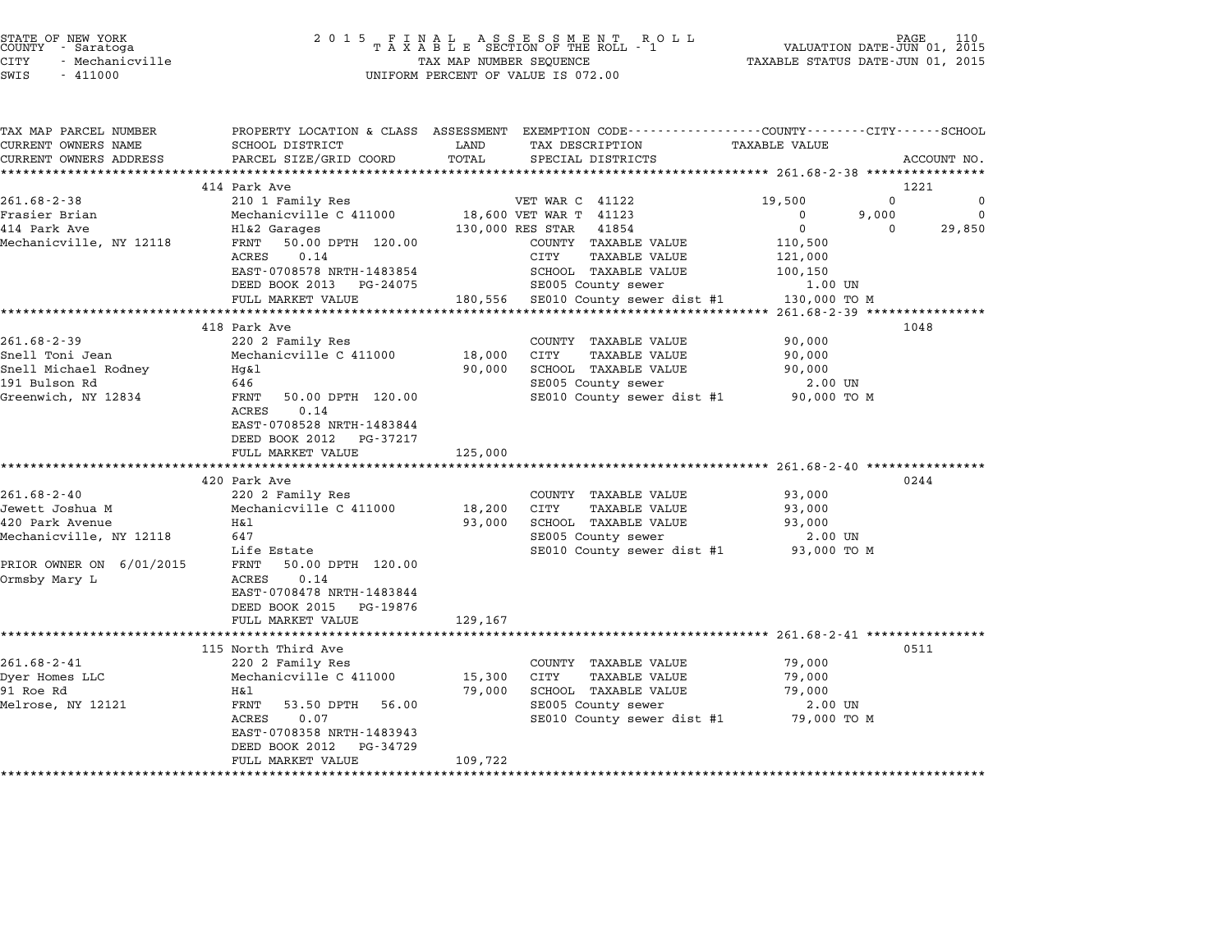| STATE OF NEW YORK<br>COUNTY | - Saratoga      |  |
|-----------------------------|-----------------|--|
| CITY                        | - Mechanicville |  |

| TAX MAP PARCEL NUMBER<br>CURRENT OWNERS NAME | SCHOOL DISTRICT                   | LAND             | PROPERTY LOCATION & CLASS ASSESSMENT EXEMPTION CODE---------------COUNTY-------CITY------SCHOOL<br>TAX DESCRIPTION | TAXABLE VALUE |                                     |
|----------------------------------------------|-----------------------------------|------------------|--------------------------------------------------------------------------------------------------------------------|---------------|-------------------------------------|
| CURRENT OWNERS ADDRESS                       |                                   | TOTAL            |                                                                                                                    |               |                                     |
|                                              | PARCEL SIZE/GRID COORD            |                  | SPECIAL DISTRICTS                                                                                                  |               | ACCOUNT NO.                         |
|                                              |                                   |                  |                                                                                                                    |               |                                     |
| $261.68 - 2 - 38$                            | 414 Park Ave                      |                  | VET WAR C 41122                                                                                                    |               | 1221<br>$\mathbf{0}$<br>$\mathbf 0$ |
|                                              | 210 1 Family Res                  |                  |                                                                                                                    | 19,500        | $\Omega$                            |
| Frasier Brian                                | Mechanicville C 411000            |                  | 18,600 VET WAR T 41123                                                                                             | 0             | 9,000                               |
| 414 Park Ave                                 | Hl&2 Garages                      | 130,000 RES STAR | 41854                                                                                                              | $\mathbf 0$   | 29,850<br>$\Omega$                  |
| Mechanicville, NY 12118                      | 50.00 DPTH 120.00<br>FRNT<br>0.14 |                  | COUNTY TAXABLE VALUE                                                                                               | 110,500       |                                     |
|                                              | ACRES                             |                  | <b>TAXABLE VALUE</b><br>CITY                                                                                       | 121,000       |                                     |
|                                              | EAST-0708578 NRTH-1483854         |                  | SCHOOL TAXABLE VALUE                                                                                               | 100,150       |                                     |
|                                              | DEED BOOK 2013 PG-24075           |                  | SE005 County sewer                                                                                                 | 1.00 UN       |                                     |
|                                              | FULL MARKET VALUE                 |                  | 180,556 SE010 County sewer dist #1                                                                                 | 130,000 TO M  |                                     |
|                                              |                                   |                  |                                                                                                                    |               |                                     |
|                                              | 418 Park Ave                      |                  |                                                                                                                    |               | 1048                                |
| $261.68 - 2 - 39$                            | 220 2 Family Res                  |                  | COUNTY TAXABLE VALUE                                                                                               | 90,000        |                                     |
| Snell Toni Jean                              | Mechanicville C 411000            | 18,000           | <b>CITY</b><br><b>TAXABLE VALUE</b>                                                                                | 90,000        |                                     |
| Snell Michael Rodney                         | Hg&l                              | 90,000           | SCHOOL TAXABLE VALUE                                                                                               | 90,000        |                                     |
| 191 Bulson Rd                                | 646                               |                  | SE005 County sewer                                                                                                 | 2.00 UN       |                                     |
| Greenwich, NY 12834                          | 50.00 DPTH 120.00<br>FRNT         |                  | SE010 County sewer dist #1 90,000 TO M                                                                             |               |                                     |
|                                              | ACRES<br>0.14                     |                  |                                                                                                                    |               |                                     |
|                                              | EAST-0708528 NRTH-1483844         |                  |                                                                                                                    |               |                                     |
|                                              | DEED BOOK 2012<br>PG-37217        |                  |                                                                                                                    |               |                                     |
|                                              | FULL MARKET VALUE                 | 125,000          |                                                                                                                    |               |                                     |
|                                              |                                   |                  |                                                                                                                    |               |                                     |
|                                              | 420 Park Ave                      |                  |                                                                                                                    |               | 0244                                |
| $261.68 - 2 - 40$                            | 220 2 Family Res                  |                  | COUNTY TAXABLE VALUE                                                                                               | 93,000        |                                     |
| Jewett Joshua M                              | Mechanicville C 411000            | 18,200           | <b>TAXABLE VALUE</b><br>CITY                                                                                       | 93,000        |                                     |
| 420 Park Avenue                              | H&1                               | 93,000           | SCHOOL TAXABLE VALUE                                                                                               | 93,000        |                                     |
| Mechanicville, NY 12118                      | 647                               |                  | SE005 County sewer                                                                                                 | 2.00 UN       |                                     |
|                                              | Life Estate                       |                  | SE010 County sewer dist #1                                                                                         | 93,000 TO M   |                                     |
| PRIOR OWNER ON 6/01/2015                     | FRNT<br>50.00 DPTH 120.00         |                  |                                                                                                                    |               |                                     |
| Ormsby Mary L                                | 0.14<br>ACRES                     |                  |                                                                                                                    |               |                                     |
|                                              | EAST-0708478 NRTH-1483844         |                  |                                                                                                                    |               |                                     |
|                                              | DEED BOOK 2015<br>PG-19876        |                  |                                                                                                                    |               |                                     |
|                                              | FULL MARKET VALUE                 | 129,167          |                                                                                                                    |               |                                     |
|                                              |                                   |                  |                                                                                                                    |               |                                     |
|                                              | 115 North Third Ave               |                  |                                                                                                                    |               | 0511                                |
| $261.68 - 2 - 41$                            | 220 2 Family Res                  |                  | COUNTY TAXABLE VALUE                                                                                               | 79,000        |                                     |
| Dyer Homes LLC                               | Mechanicville C 411000            | 15,300           | CITY<br><b>TAXABLE VALUE</b>                                                                                       | 79,000        |                                     |
| 91 Roe Rd                                    | Η&l                               | 79,000           | SCHOOL TAXABLE VALUE                                                                                               | 79,000        |                                     |
|                                              | FRNT<br>53.50 DPTH<br>56.00       |                  | SE005 County sewer                                                                                                 | 2.00 UN       |                                     |
| Melrose, NY 12121                            |                                   |                  |                                                                                                                    |               |                                     |
|                                              | ACRES<br>0.07                     |                  | SE010 County sewer dist #1 79,000 TO M                                                                             |               |                                     |
|                                              | EAST-0708358 NRTH-1483943         |                  |                                                                                                                    |               |                                     |
|                                              | DEED BOOK 2012<br>PG-34729        | 109,722          |                                                                                                                    |               |                                     |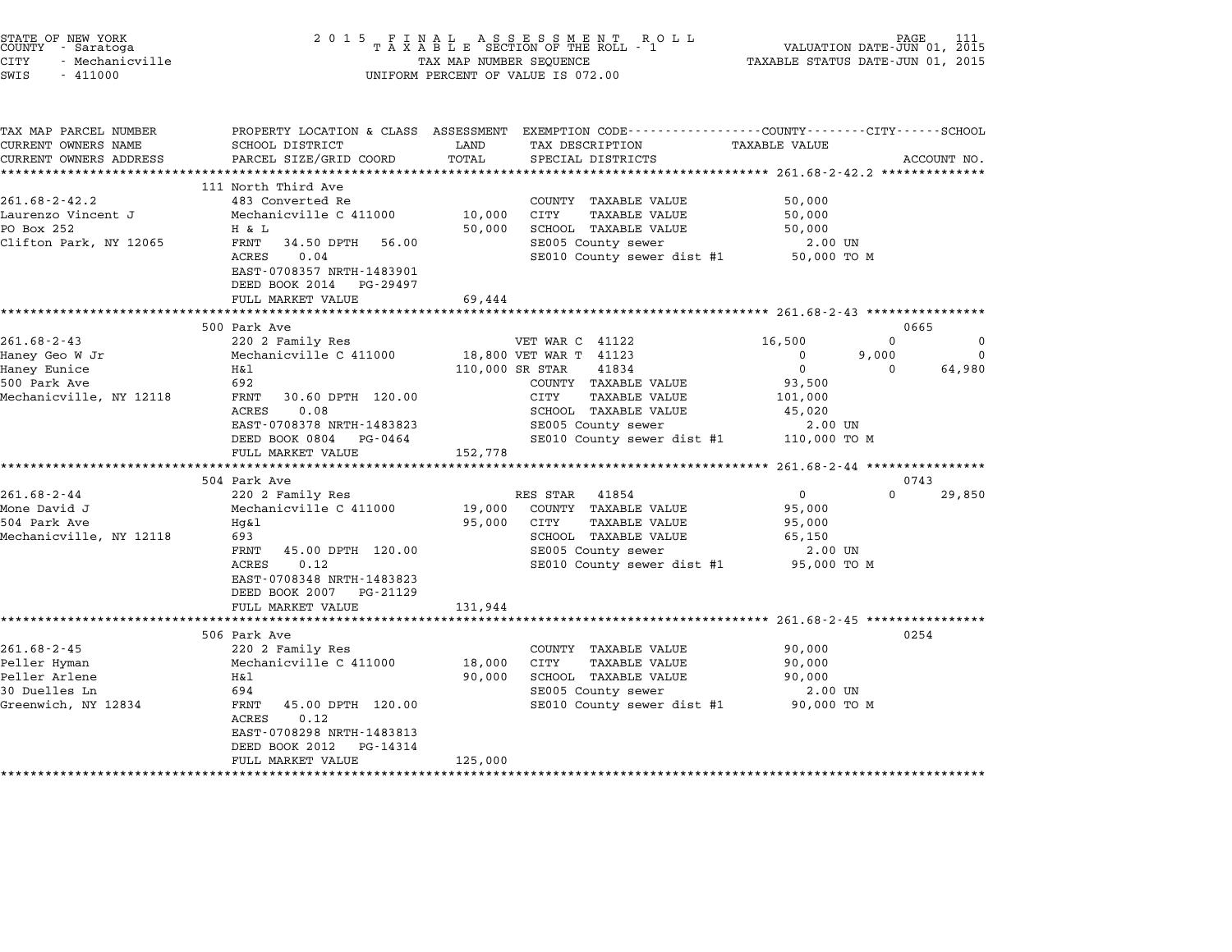| STATE OF NEW YORK<br>COUNTY - Saratoga<br><b>CITY</b><br>- Mechanicville<br>SWIS<br>$-411000$ | 2 0 1 5                                                                  | TAX MAP NUMBER SEQUENCE | UNIFORM PERCENT OF VALUE IS 072.00                                                                                 | TAXABLE STATUS DATE-JUN 01, 2015                    | PAGE<br>VALUATION DATE-JUN 01, 2015 |
|-----------------------------------------------------------------------------------------------|--------------------------------------------------------------------------|-------------------------|--------------------------------------------------------------------------------------------------------------------|-----------------------------------------------------|-------------------------------------|
| TAX MAP PARCEL NUMBER<br>CURRENT OWNERS NAME                                                  | SCHOOL DISTRICT                                                          | LAND                    | PROPERTY LOCATION & CLASS ASSESSMENT EXEMPTION CODE---------------COUNTY-------CITY------SCHOOL<br>TAX DESCRIPTION | TAXABLE VALUE                                       |                                     |
| CURRENT OWNERS ADDRESS                                                                        | PARCEL SIZE/GRID COORD                                                   | TOTAL                   | SPECIAL DISTRICTS<br>***********************************261.68-2-42.2 ***************                              |                                                     | ACCOUNT NO.                         |
|                                                                                               | 111 North Third Ave                                                      |                         |                                                                                                                    |                                                     |                                     |
| $261.68 - 2 - 42.2$                                                                           | 483 Converted Re                                                         |                         | COUNTY TAXABLE VALUE                                                                                               | 50,000                                              |                                     |
| Laurenzo Vincent J                                                                            | Mechanicville C 411000                                                   | 10,000                  | CITY<br>TAXABLE VALUE                                                                                              | 50,000                                              |                                     |
| PO Box 252                                                                                    | H & L                                                                    | 50,000                  | SCHOOL TAXABLE VALUE                                                                                               | 50,000                                              |                                     |
| Clifton Park, NY 12065                                                                        | FRNT<br>34.50 DPTH<br>56.00                                              |                         | SE005 County sewer                                                                                                 | 2.00 UN                                             |                                     |
|                                                                                               | ACRES<br>0.04<br>EAST-0708357 NRTH-1483901<br>DEED BOOK 2014<br>PG-29497 |                         | SE010 County sewer dist #1                                                                                         | 50,000 TO M                                         |                                     |
|                                                                                               | FULL MARKET VALUE                                                        | 69,444                  |                                                                                                                    |                                                     |                                     |
|                                                                                               | *********************                                                    |                         | ******************************** 261.68-2-43 ***************                                                       |                                                     |                                     |
| $261.68 - 2 - 43$                                                                             | 500 Park Ave<br>220 2 Family Res                                         |                         | VET WAR C 41122                                                                                                    | 16,500                                              | 0665<br>$\mathbf 0$<br>0            |
| Haney Geo W Jr                                                                                | Mechanicville C 411000                                                   |                         | 18,800 VET WAR T 41123                                                                                             | $\mathbf 0$<br>9,000                                | 0                                   |
| Haney Eunice                                                                                  | Η&l                                                                      | 110,000 SR STAR         | 41834                                                                                                              | $\mathbf 0$                                         | 64,980<br>$\Omega$                  |
| 500 Park Ave                                                                                  | 692                                                                      |                         | COUNTY TAXABLE VALUE                                                                                               | 93,500                                              |                                     |
| Mechanicville, NY 12118                                                                       | FRNT<br>30.60 DPTH 120.00                                                |                         | CITY<br>TAXABLE VALUE                                                                                              | 101,000                                             |                                     |
|                                                                                               | ACRES<br>0.08                                                            |                         | SCHOOL TAXABLE VALUE                                                                                               | 45,020                                              |                                     |
|                                                                                               | EAST-0708378 NRTH-1483823<br>DEED BOOK 0804<br>PG-0464                   |                         | SE005 County sewer<br>SE010 County sewer dist #1                                                                   | 2.00 UN<br>110,000 TO M                             |                                     |
|                                                                                               | FULL MARKET VALUE                                                        | 152,778                 |                                                                                                                    |                                                     |                                     |
|                                                                                               | *****************                                                        | ******************      |                                                                                                                    | ********************* 261.68-2-44 ***************** |                                     |
|                                                                                               | 504 Park Ave                                                             |                         |                                                                                                                    |                                                     | 0743                                |
| $261.68 - 2 - 44$<br>Mone David J                                                             | 220 2 Family Res<br>Mechanicville C 411000                               |                         | RES STAR<br>41854<br>COUNTY TAXABLE VALUE                                                                          | $\mathsf{O}$                                        | $\Omega$<br>29,850                  |
| 504 Park Ave                                                                                  | Hq&l                                                                     | 19,000<br>95,000        | CITY<br><b>TAXABLE VALUE</b>                                                                                       | 95,000<br>95,000                                    |                                     |
| Mechanicville, NY 12118                                                                       | 693                                                                      |                         | SCHOOL TAXABLE VALUE                                                                                               | 65,150                                              |                                     |
|                                                                                               | 45.00 DPTH 120.00<br>FRNT                                                |                         | SE005 County sewer                                                                                                 | 2.00 UN                                             |                                     |
|                                                                                               | ACRES<br>0.12                                                            |                         | SE010 County sewer dist #1                                                                                         | 95,000 TO M                                         |                                     |
|                                                                                               | EAST-0708348 NRTH-1483823<br>DEED BOOK 2007<br>PG-21129                  |                         |                                                                                                                    |                                                     |                                     |
|                                                                                               | FULL MARKET VALUE                                                        | 131,944                 |                                                                                                                    |                                                     |                                     |
|                                                                                               | ***********************                                                  |                         | **************************************55-2-45 ****************                                                     |                                                     | 0254                                |
| $261.68 - 2 - 45$                                                                             | 506 Park Ave<br>220 2 Family Res                                         |                         | COUNTY TAXABLE VALUE                                                                                               | 90,000                                              |                                     |
| Peller Hyman                                                                                  | Mechanicville C 411000                                                   | 18,000                  | CITY<br><b>TAXABLE VALUE</b>                                                                                       | 90,000                                              |                                     |
| Peller Arlene                                                                                 | Η&l                                                                      | 90,000                  | SCHOOL TAXABLE VALUE                                                                                               | 90,000                                              |                                     |
| 30 Duelles Ln                                                                                 | 694                                                                      |                         | SE005 County sewer                                                                                                 | 2.00 UN                                             |                                     |
| Greenwich, NY 12834                                                                           | FRNT<br>45.00 DPTH 120.00                                                |                         | SE010 County sewer dist #1                                                                                         | 90,000 TO M                                         |                                     |
|                                                                                               | ACRES<br>0.12                                                            |                         |                                                                                                                    |                                                     |                                     |
|                                                                                               | EAST-0708298 NRTH-1483813                                                |                         |                                                                                                                    |                                                     |                                     |
|                                                                                               | DEED BOOK 2012<br>PG-14314<br>FULL MARKET VALUE                          | 125,000                 |                                                                                                                    |                                                     |                                     |
| **********************                                                                        | *************************                                                | ******************      |                                                                                                                    |                                                     |                                     |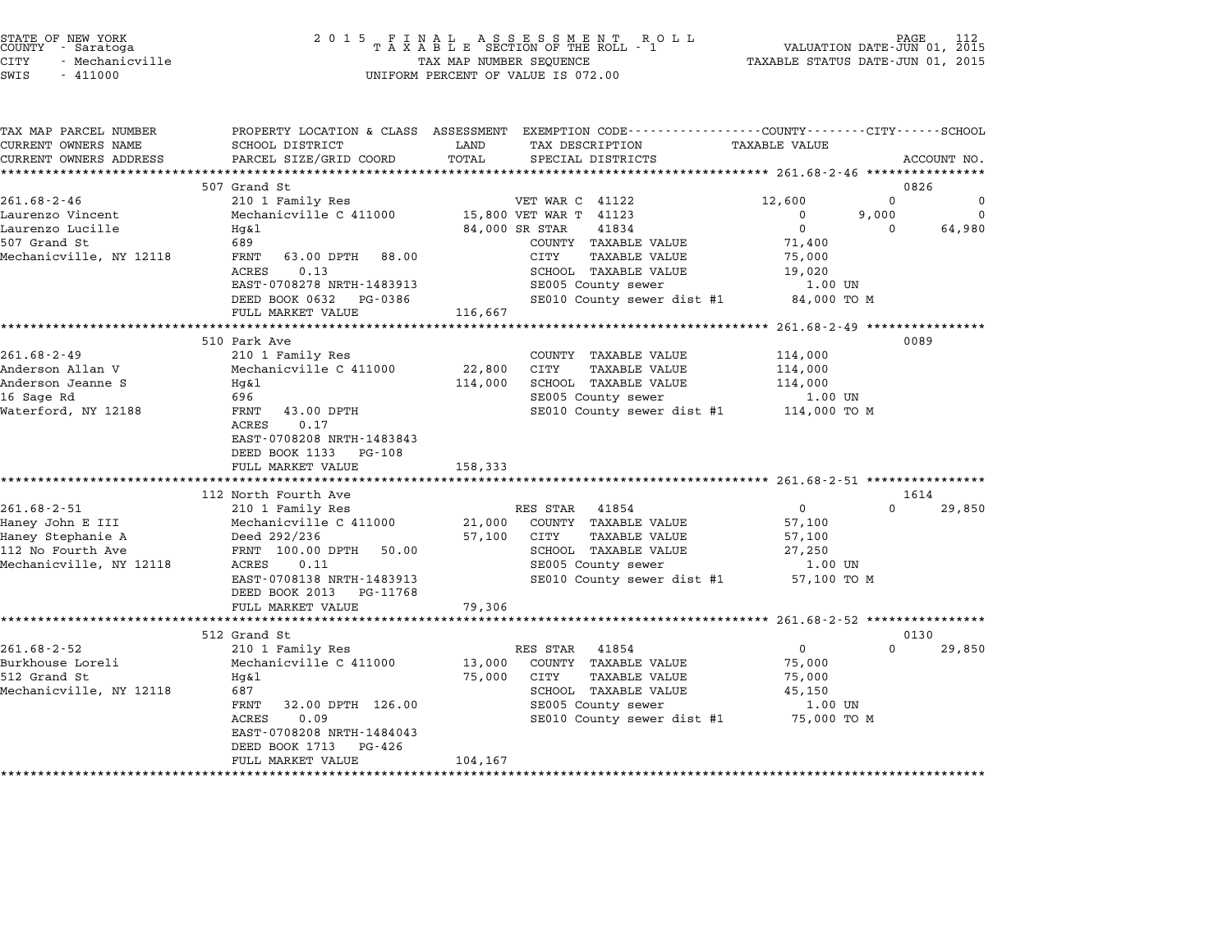| STATE OF NEW YORK |                 |  |
|-------------------|-----------------|--|
| COUNTY            | - Saratoga      |  |
| CITY              | - Mechanicville |  |

| TAX MAP PARCEL NUMBER<br>CURRENT OWNERS NAME | SCHOOL DISTRICT                     | LAND<br>TAX DESCRIPTION                | PROPERTY LOCATION & CLASS ASSESSMENT EXEMPTION CODE---------------COUNTY-------CITY------SCHOOL<br><b>TAXABLE VALUE</b> |
|----------------------------------------------|-------------------------------------|----------------------------------------|-------------------------------------------------------------------------------------------------------------------------|
|                                              |                                     |                                        |                                                                                                                         |
| CURRENT OWNERS ADDRESS                       | PARCEL SIZE/GRID COORD              | TOTAL<br>SPECIAL DISTRICTS             | ACCOUNT NO.                                                                                                             |
|                                              |                                     |                                        |                                                                                                                         |
|                                              | 507 Grand St                        |                                        | 0826                                                                                                                    |
| $261.68 - 2 - 46$                            | 210 1 Family Res                    | VET WAR C 41122                        | 12,600<br>$\Omega$<br>0                                                                                                 |
| Laurenzo Vincent                             | Mechanicville C 411000              | 15,800 VET WAR T 41123                 | 9,000<br>$\Omega$<br>$\mathbf{0}$                                                                                       |
| Laurenzo Lucille                             | Hg&l                                | 84,000 SR STAR<br>41834                | $\mathbf 0$<br>64,980<br>$\Omega$                                                                                       |
| 507 Grand St                                 | 689                                 | COUNTY TAXABLE VALUE                   | 71,400                                                                                                                  |
| Mechanicville, NY 12118                      | FRNT<br>63.00 DPTH 88.00            | CITY<br><b>TAXABLE VALUE</b>           | 75,000                                                                                                                  |
|                                              | <b>ACRES</b><br>0.13                | SCHOOL TAXABLE VALUE                   | 19,020                                                                                                                  |
|                                              | EAST-0708278 NRTH-1483913           | SE005 County sewer                     | $1.00$ UN                                                                                                               |
|                                              | DEED BOOK 0632 PG-0386              | SE010 County sewer dist #1             | 84,000 TO M                                                                                                             |
|                                              | FULL MARKET VALUE                   | 116,667                                |                                                                                                                         |
|                                              |                                     |                                        |                                                                                                                         |
|                                              | 510 Park Ave                        |                                        | 0089                                                                                                                    |
| $261.68 - 2 - 49$                            | 210 1 Family Res                    | COUNTY TAXABLE VALUE                   | 114,000                                                                                                                 |
| Anderson Allan V                             | Mechanicville C 411000              | 22,800<br>CITY<br>TAXABLE VALUE        | 114,000                                                                                                                 |
| Anderson Jeanne S                            | Hq&l                                | SCHOOL TAXABLE VALUE<br>114,000        | 114,000                                                                                                                 |
| 16 Sage Rd                                   | 696                                 | SE005 County sewer                     | 1.00 UN                                                                                                                 |
| Waterford, NY 12188                          | 43.00 DPTH<br>FRNT                  |                                        | SE010 County sewer dist #1 114,000 TO M                                                                                 |
|                                              | 0.17<br>ACRES                       |                                        |                                                                                                                         |
|                                              | EAST-0708208 NRTH-1483843           |                                        |                                                                                                                         |
|                                              | DEED BOOK 1133<br>PG-108            |                                        |                                                                                                                         |
|                                              | FULL MARKET VALUE                   | 158,333                                |                                                                                                                         |
|                                              |                                     |                                        |                                                                                                                         |
|                                              | 112 North Fourth Ave                |                                        | 1614                                                                                                                    |
| $261.68 - 2 - 51$                            | 210 1 Family Res                    | RES STAR 41854                         | $\overline{0}$<br>$\Omega$<br>29,850                                                                                    |
| Haney John E III                             | Mechanicville C 411000              | 21,000<br>COUNTY TAXABLE VALUE         | 57,100                                                                                                                  |
| Haney Stephanie A                            | Deed 292/236                        | 57,100<br>CITY<br><b>TAXABLE VALUE</b> | 57,100                                                                                                                  |
| 112 No Fourth Ave                            | FRNT 100.00 DPTH<br>50.00           | SCHOOL TAXABLE VALUE                   | 27,250                                                                                                                  |
| Mechanicville, NY 12118                      | ACRES<br>0.11                       | SE005 County sewer                     | 1.00 UN                                                                                                                 |
|                                              | EAST-0708138 NRTH-1483913           | SE010 County sewer dist #1             | 57,100 TO M                                                                                                             |
|                                              | DEED BOOK 2013<br>PG-11768          |                                        |                                                                                                                         |
|                                              | FULL MARKET VALUE                   | 79,306                                 |                                                                                                                         |
|                                              | *********************************** |                                        |                                                                                                                         |
|                                              | 512 Grand St                        |                                        | 0130                                                                                                                    |
| $261.68 - 2 - 52$                            | 210 1 Family Res                    | RES STAR<br>41854                      | $\mathbf{0}$<br>$\Omega$<br>29,850                                                                                      |
| Burkhouse Loreli                             | Mechanicville C 411000              | 13,000<br>COUNTY TAXABLE VALUE         | 75,000                                                                                                                  |
| 512 Grand St                                 | Hg&l                                | 75,000<br>TAXABLE VALUE<br>CITY        | 75,000                                                                                                                  |
| Mechanicville, NY 12118                      | 687                                 | SCHOOL TAXABLE VALUE                   | 45,150                                                                                                                  |
|                                              | FRNT<br>32.00 DPTH 126.00           | SE005 County sewer                     | $1.00$ UN                                                                                                               |
|                                              | 0.09<br><b>ACRES</b>                |                                        | SE010 County sewer dist #1 75,000 TO M                                                                                  |
|                                              | EAST-0708208 NRTH-1484043           |                                        |                                                                                                                         |
|                                              | DEED BOOK 1713<br>PG-426            |                                        |                                                                                                                         |
|                                              | FULL MARKET VALUE                   | 104,167                                |                                                                                                                         |
|                                              |                                     |                                        |                                                                                                                         |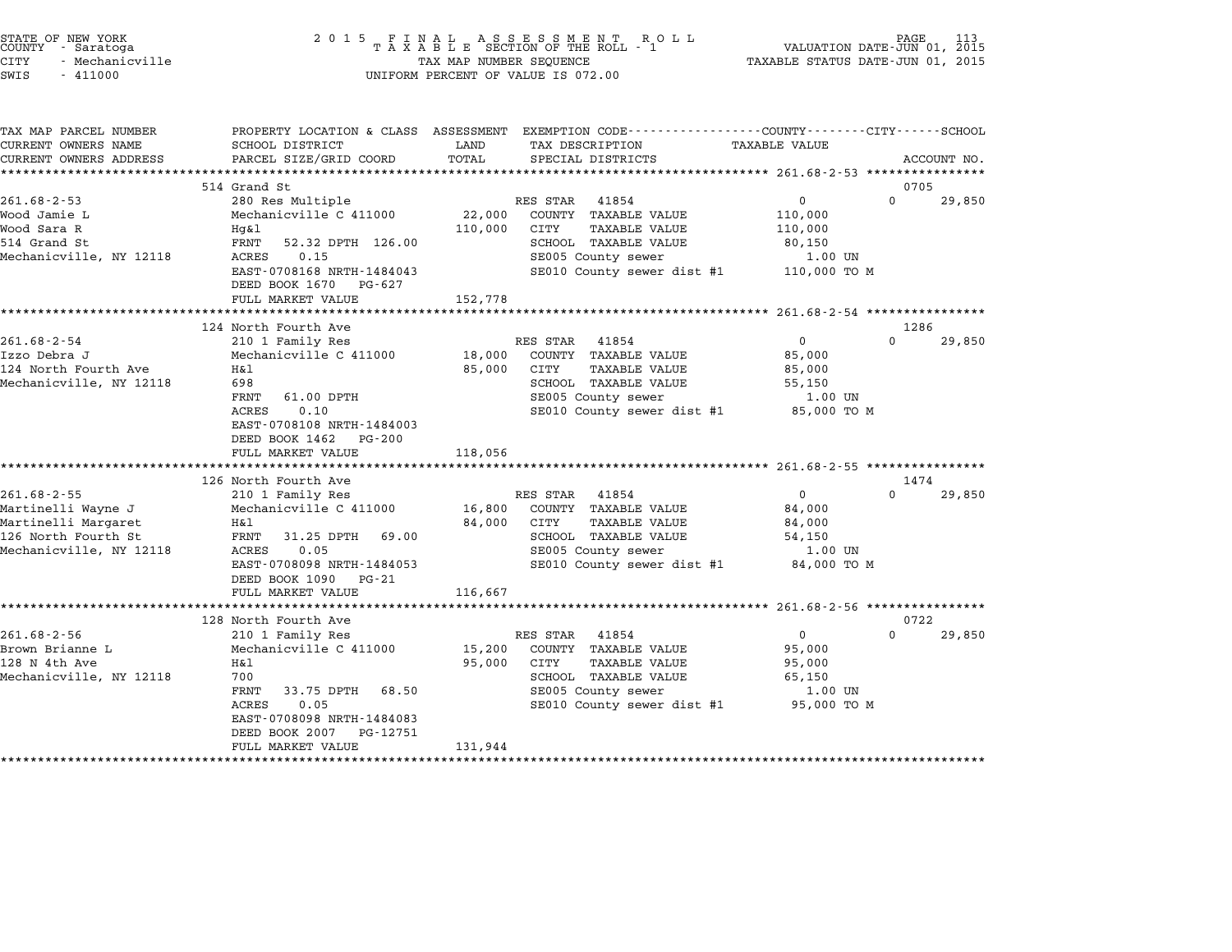| STATE OF NEW YORK<br>COUNTY - Saratoga<br>CITY<br>- Mechanicville<br>SWIS<br>$-411000$                           |                                                                                                                                                                                          | TAX MAP NUMBER SEQUENCE     | $\begin{array}{cccccccccccccccccc} 2&0&1&5& &\texttt{F} &\texttt{I} &\texttt{N} &\texttt{A} &\texttt{L} & &\texttt{A} &\texttt{S} &\texttt{E} &\texttt{S} &\texttt{S} &\texttt{M} &\texttt{E} &\texttt{N} &\texttt{T} & &\texttt{R} &\texttt{O} &\texttt{L} &\texttt{L} \\ & & & & & & & \texttt{T} & \texttt{A} &\texttt{X} &\texttt{A} &\texttt{B} &\texttt{L} &\texttt{E} & &\texttt{SECTION} & \texttt{OF} &\text$<br>UNIFORM PERCENT OF VALUE IS 072.00 | TAXABLE STATUS DATE-JUN 01, 2015                                     | PAGE<br>113<br>VALUATION DATE-JUN 01, 2015 |
|------------------------------------------------------------------------------------------------------------------|------------------------------------------------------------------------------------------------------------------------------------------------------------------------------------------|-----------------------------|--------------------------------------------------------------------------------------------------------------------------------------------------------------------------------------------------------------------------------------------------------------------------------------------------------------------------------------------------------------------------------------------------------------------------------------------------------------|----------------------------------------------------------------------|--------------------------------------------|
| TAX MAP PARCEL NUMBER<br>CURRENT OWNERS NAME<br>CURRENT OWNERS ADDRESS                                           | SCHOOL DISTRICT<br>PARCEL SIZE/GRID COORD                                                                                                                                                | LAND<br>TOTAL               | PROPERTY LOCATION & CLASS ASSESSMENT EXEMPTION CODE----------------COUNTY-------CITY------SCHOOL<br>TAX DESCRIPTION<br>SPECIAL DISTRICTS                                                                                                                                                                                                                                                                                                                     | <b>TAXABLE VALUE</b>                                                 | ACCOUNT NO.                                |
|                                                                                                                  |                                                                                                                                                                                          |                             |                                                                                                                                                                                                                                                                                                                                                                                                                                                              |                                                                      |                                            |
|                                                                                                                  | 514 Grand St                                                                                                                                                                             |                             |                                                                                                                                                                                                                                                                                                                                                                                                                                                              |                                                                      | 0705                                       |
| $261.68 - 2 - 53$<br>Wood Jamie L<br>Wood Sara R<br>514 Grand St                                                 | 280 Res Multiple<br>Mechanicville C 411000<br>Hg&l<br>FRNT<br>52.32 DPTH 126.00                                                                                                          | 22,000<br>110,000           | RES STAR<br>41854<br>COUNTY TAXABLE VALUE<br>CITY<br>TAXABLE VALUE<br>SCHOOL TAXABLE VALUE                                                                                                                                                                                                                                                                                                                                                                   | $\mathbf 0$<br>110,000<br>110,000<br>80,150                          | $\Omega$<br>29,850                         |
| Mechanicville, NY 12118                                                                                          | ACRES<br>0.15<br>EAST-0708168 NRTH-1484043<br>DEED BOOK 1670 PG-627<br>FULL MARKET VALUE                                                                                                 | 152,778                     | SE005 County sewer<br>SE010 County sewer dist #1                                                                                                                                                                                                                                                                                                                                                                                                             | 1.00 UN<br>110,000 TO M                                              |                                            |
|                                                                                                                  | ************************                                                                                                                                                                 |                             |                                                                                                                                                                                                                                                                                                                                                                                                                                                              |                                                                      |                                            |
|                                                                                                                  | 124 North Fourth Ave                                                                                                                                                                     |                             |                                                                                                                                                                                                                                                                                                                                                                                                                                                              |                                                                      | 1286                                       |
| $261.68 - 2 - 54$<br>Izzo Debra J<br>124 North Fourth Ave<br>Mechanicville, NY 12118                             | 210 1 Family Res<br>Mechanicville C 411000<br>Η&l<br>698<br>FRNT<br>61.00 DPTH<br>ACRES<br>0.10<br>EAST-0708108 NRTH-1484003<br>DEED BOOK 1462<br>PG-200                                 | 18,000<br>85,000            | RES STAR<br>41854<br>COUNTY TAXABLE VALUE<br>CITY<br><b>TAXABLE VALUE</b><br>SCHOOL TAXABLE VALUE<br>SE005 County sewer<br>SE010 County sewer dist #1                                                                                                                                                                                                                                                                                                        | $\mathsf{O}$<br>85,000<br>85,000<br>55,150<br>1.00 UN<br>85,000 TO M | $\Omega$<br>29,850                         |
|                                                                                                                  | FULL MARKET VALUE                                                                                                                                                                        | 118,056                     |                                                                                                                                                                                                                                                                                                                                                                                                                                                              |                                                                      |                                            |
|                                                                                                                  | ************************                                                                                                                                                                 |                             |                                                                                                                                                                                                                                                                                                                                                                                                                                                              |                                                                      |                                            |
|                                                                                                                  | 126 North Fourth Ave                                                                                                                                                                     |                             |                                                                                                                                                                                                                                                                                                                                                                                                                                                              |                                                                      | 1474                                       |
| $261.68 - 2 - 55$<br>Martinelli Wayne J<br>Martinelli Margaret<br>126 North Fourth St<br>Mechanicville, NY 12118 | 210 1 Family Res<br>Mechanicville C 411000<br>H&l<br>FRNT<br>31.25 DPTH<br>69.00<br>ACRES<br>0.05<br>EAST-0708098 NRTH-1484053<br>DEED BOOK 1090<br>PG-21                                | 16,800<br>84,000            | RES STAR<br>41854<br>COUNTY TAXABLE VALUE<br>CITY<br><b>TAXABLE VALUE</b><br>SCHOOL TAXABLE VALUE<br>SE005 County sewer<br>SE010 County sewer dist #1                                                                                                                                                                                                                                                                                                        | $\mathbf{0}$<br>84,000<br>84,000<br>54,150<br>1.00 UN<br>84,000 TO M | $\Omega$<br>29,850                         |
|                                                                                                                  | FULL MARKET VALUE<br>************************                                                                                                                                            | 116,667                     |                                                                                                                                                                                                                                                                                                                                                                                                                                                              |                                                                      |                                            |
|                                                                                                                  | 128 North Fourth Ave                                                                                                                                                                     |                             |                                                                                                                                                                                                                                                                                                                                                                                                                                                              |                                                                      | 0722                                       |
| $261.68 - 2 - 56$<br>Brown Brianne L<br>128 N 4th Ave<br>Mechanicville, NY 12118                                 | 210 1 Family Res<br>Mechanicville C 411000<br>Η&l<br>700<br>FRNT<br>33.75 DPTH<br>68.50<br>0.05<br>ACRES<br>EAST-0708098 NRTH-1484083<br>DEED BOOK 2007<br>PG-12751<br>FULL MARKET VALUE | 15,200<br>95,000<br>131,944 | RES STAR<br>41854<br>COUNTY TAXABLE VALUE<br><b>TAXABLE VALUE</b><br>CITY<br>SCHOOL TAXABLE VALUE<br>SE005 County sewer<br>SE010 County sewer dist #1                                                                                                                                                                                                                                                                                                        | 0<br>95,000<br>95,000<br>65,150<br>1.00 UN<br>95,000 TO M            | $\Omega$<br>29,850                         |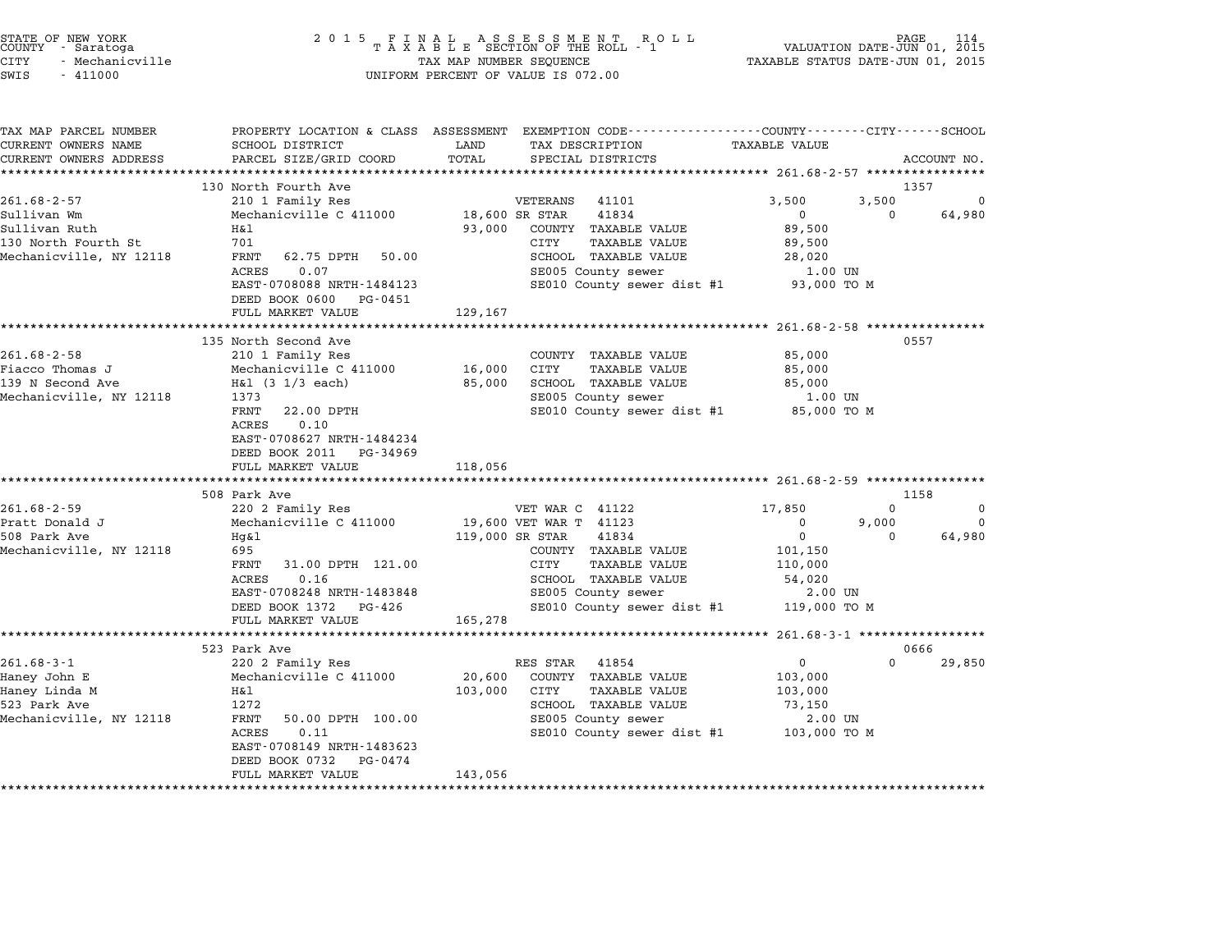| STATE OF NEW YORK<br>COUNTY - Saratoga<br><b>CITY</b><br>- Mechanicville<br>SWIS<br>$-411000$ | 2 0 1 5                                                                                     | TAX MAP NUMBER SEQUENCE | FINAL ASSESSMENT RO<br>TAXABLE SECTION OF THE ROLL - 1<br>R O L L<br>UNIFORM PERCENT OF VALUE IS 072.00                                 | VALUATION DATE-JUN 01, 2015<br>TAXABLE STATUS DATE-JUN 01, 2015 | PAGE             |             |
|-----------------------------------------------------------------------------------------------|---------------------------------------------------------------------------------------------|-------------------------|-----------------------------------------------------------------------------------------------------------------------------------------|-----------------------------------------------------------------|------------------|-------------|
| TAX MAP PARCEL NUMBER<br>CURRENT OWNERS NAME<br>CURRENT OWNERS ADDRESS                        | SCHOOL DISTRICT<br>PARCEL SIZE/GRID COORD                                                   | LAND<br>TOTAL           | PROPERTY LOCATION & CLASS ASSESSMENT EXEMPTION CODE---------------COUNTY-------CITY------SCHOOL<br>TAX DESCRIPTION<br>SPECIAL DISTRICTS | <b>TAXABLE VALUE</b>                                            |                  | ACCOUNT NO. |
|                                                                                               | ***************************<br>130 North Fourth Ave                                         |                         |                                                                                                                                         |                                                                 | 1357             |             |
| $261.68 - 2 - 57$                                                                             | 210 1 Family Res                                                                            |                         | VETERANS<br>41101                                                                                                                       | 3,500                                                           | 3,500            | -0          |
| Sullivan Wm                                                                                   | Mechanicville C 411000                                                                      |                         | 18,600 SR STAR<br>41834                                                                                                                 | $\mathbf{0}$                                                    | $\Omega$         | 64,980      |
| Sullivan Ruth                                                                                 | Η&l                                                                                         | 93,000                  | COUNTY TAXABLE VALUE                                                                                                                    | 89,500                                                          |                  |             |
| 130 North Fourth St                                                                           | 701                                                                                         |                         | CITY<br><b>TAXABLE VALUE</b>                                                                                                            | 89,500                                                          |                  |             |
| Mechanicville, NY 12118                                                                       | FRNT<br>62.75 DPTH<br>50.00                                                                 |                         | SCHOOL TAXABLE VALUE                                                                                                                    | 28,020                                                          |                  |             |
|                                                                                               | ACRES<br>0.07                                                                               |                         | SE005 County sewer                                                                                                                      | 1.00 UN                                                         |                  |             |
|                                                                                               | EAST-0708088 NRTH-1484123                                                                   |                         | SE010 County sewer dist #1                                                                                                              | 93,000 TO M                                                     |                  |             |
|                                                                                               | DEED BOOK 0600<br>PG-0451                                                                   |                         |                                                                                                                                         |                                                                 |                  |             |
|                                                                                               | FULL MARKET VALUE<br>**********************                                                 | 129,167<br>************ |                                                                                                                                         | ***************** 261.68-2-58 *****************                 |                  |             |
|                                                                                               | 135 North Second Ave                                                                        |                         |                                                                                                                                         |                                                                 | 0557             |             |
| $261.68 - 2 - 58$                                                                             | 210 1 Family Res                                                                            |                         | COUNTY TAXABLE VALUE                                                                                                                    | 85,000                                                          |                  |             |
| Fiacco Thomas J                                                                               | Mechanicville C 411000                                                                      | 16,000                  | TAXABLE VALUE<br>CITY                                                                                                                   | 85,000                                                          |                  |             |
| 139 N Second Ave                                                                              | $H&1$ (3 1/3 each)                                                                          | 85,000                  | SCHOOL TAXABLE VALUE                                                                                                                    | 85,000                                                          |                  |             |
| Mechanicville, NY 12118                                                                       | 1373                                                                                        |                         | SE005 County sewer                                                                                                                      | 1.00 UN                                                         |                  |             |
|                                                                                               | FRNT<br>22.00 DPTH<br>ACRES<br>0.10<br>EAST-0708627 NRTH-1484234<br>DEED BOOK 2011 PG-34969 |                         | SE010 County sewer dist #1                                                                                                              | 85,000 TO M                                                     |                  |             |
|                                                                                               | FULL MARKET VALUE                                                                           | 118,056                 |                                                                                                                                         |                                                                 |                  |             |
|                                                                                               | *****************                                                                           |                         |                                                                                                                                         |                                                                 |                  |             |
| $261.68 - 2 - 59$                                                                             | 508 Park Ave<br>220 2 Family Res                                                            |                         | VET WAR C 41122                                                                                                                         | 17,850                                                          | 1158<br>$\Omega$ | $\Omega$    |
| Pratt Donald J                                                                                | Mechanicville C 411000                                                                      |                         | 19,600 VET WAR T 41123                                                                                                                  | $\Omega$                                                        | 9,000            | $\Omega$    |
| 508 Park Ave                                                                                  | $Hq\&1$                                                                                     |                         | 119,000 SR STAR<br>41834                                                                                                                | $\mathbf 0$                                                     | $\Omega$         | 64,980      |
| Mechanicville, NY 12118                                                                       | 695                                                                                         |                         | COUNTY TAXABLE VALUE                                                                                                                    | 101,150                                                         |                  |             |
|                                                                                               | 31.00 DPTH 121.00<br>FRNT                                                                   |                         | CITY<br><b>TAXABLE VALUE</b>                                                                                                            | 110,000                                                         |                  |             |
|                                                                                               | ACRES<br>0.16                                                                               |                         | SCHOOL TAXABLE VALUE                                                                                                                    | 54,020                                                          |                  |             |
|                                                                                               | EAST-0708248 NRTH-1483848                                                                   |                         | SE005 County sewer                                                                                                                      | 2.00 UN                                                         |                  |             |
|                                                                                               | DEED BOOK 1372 PG-426                                                                       |                         | SE010 County sewer dist #1                                                                                                              | 119,000 TO M                                                    |                  |             |
|                                                                                               | FULL MARKET VALUE                                                                           | 165,278                 |                                                                                                                                         |                                                                 |                  |             |
|                                                                                               | **********************<br>523 Park Ave                                                      |                         |                                                                                                                                         | ********************* 261.68-3-1 *****************              | 0666             |             |
| $261.68 - 3 - 1$                                                                              | 220 2 Family Res                                                                            |                         | RES STAR<br>41854                                                                                                                       | $\mathbf 0$                                                     | $\Omega$         | 29,850      |
| Haney John E                                                                                  | Mechanicville C 411000                                                                      | 20,600                  | COUNTY TAXABLE VALUE                                                                                                                    | 103,000                                                         |                  |             |
| Haney Linda M                                                                                 | Η&l                                                                                         | 103,000                 | CITY<br><b>TAXABLE VALUE</b>                                                                                                            | 103,000                                                         |                  |             |
| 523 Park Ave                                                                                  | 1272                                                                                        |                         | SCHOOL TAXABLE VALUE                                                                                                                    | 73,150                                                          |                  |             |
| Mechanicville, NY 12118                                                                       | FRNT<br>50.00 DPTH 100.00                                                                   |                         | SE005 County sewer                                                                                                                      | 2.00 UN                                                         |                  |             |
|                                                                                               | ACRES<br>0.11                                                                               |                         | SE010 County sewer dist #1                                                                                                              | 103,000 TO M                                                    |                  |             |
|                                                                                               | EAST-0708149 NRTH-1483623<br>DEED BOOK 0732<br>PG-0474                                      |                         |                                                                                                                                         |                                                                 |                  |             |
|                                                                                               | FULL MARKET VALUE                                                                           | 143,056                 |                                                                                                                                         |                                                                 |                  |             |
|                                                                                               |                                                                                             | *************           |                                                                                                                                         |                                                                 |                  |             |

STATE OF NEW YORK <sup>2</sup> <sup>0</sup> <sup>1</sup> 5 F I N A L A S S E S S M E N T R O L L PAGE <sup>114</sup> COUNTY - Saratoga <sup>T</sup> <sup>A</sup> <sup>X</sup> <sup>A</sup> <sup>B</sup> <sup>L</sup> <sup>E</sup> SECTION OF THE ROLL - <sup>1</sup> VALUATION DATE-JUN 01, <sup>2015</sup>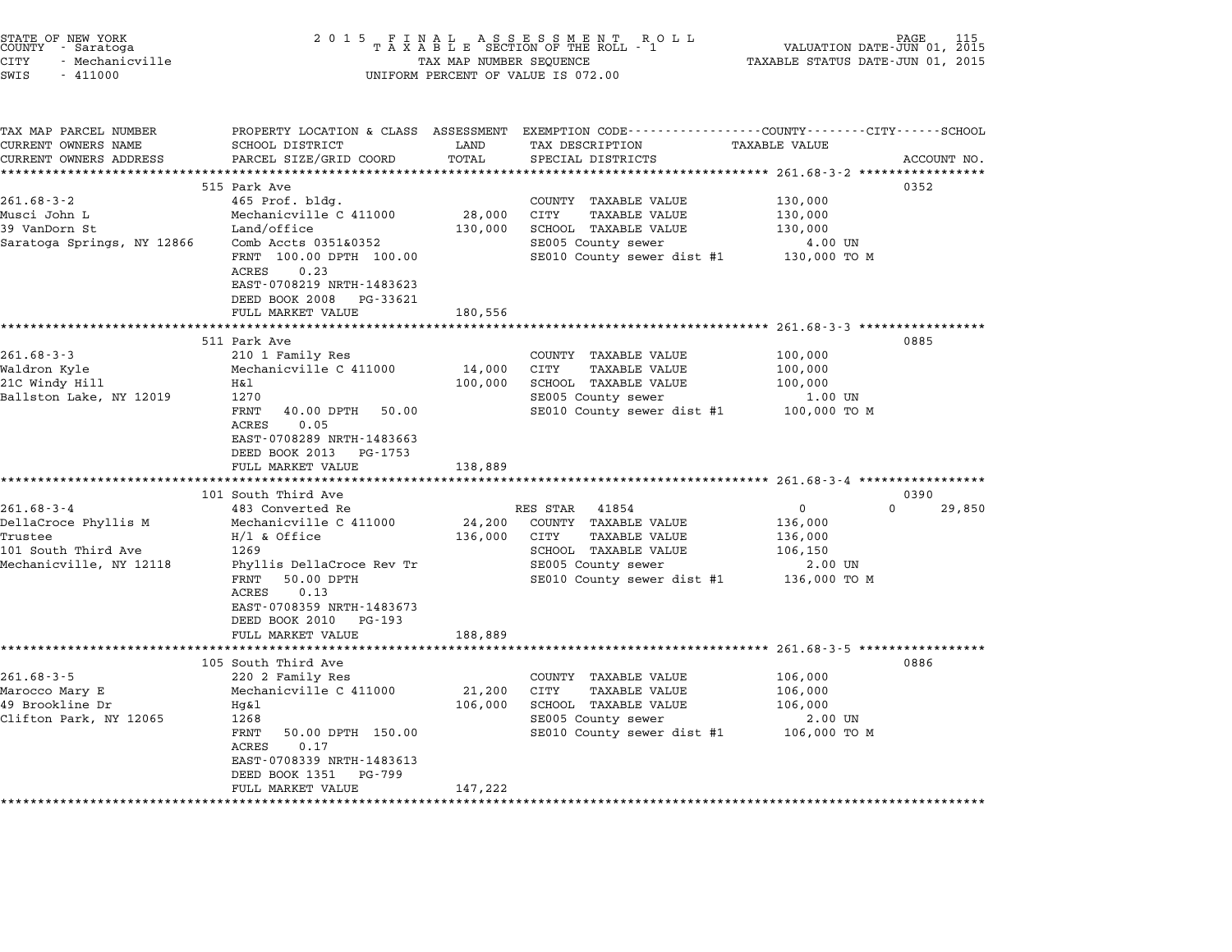| 2 0 1 5                                                                                                                                                                                                                |                                                                  | R O L L                                                                                                                                 | VALUATION DATE-JUN 01, 2015<br>TAXABLE STATUS DATE-JUN 01, 2015                                                                 | PAGE                                                                                                                                                                                                                                      |
|------------------------------------------------------------------------------------------------------------------------------------------------------------------------------------------------------------------------|------------------------------------------------------------------|-----------------------------------------------------------------------------------------------------------------------------------------|---------------------------------------------------------------------------------------------------------------------------------|-------------------------------------------------------------------------------------------------------------------------------------------------------------------------------------------------------------------------------------------|
| SCHOOL DISTRICT<br>PARCEL SIZE/GRID COORD                                                                                                                                                                              | LAND<br>TOTAL<br>*********                                       | TAX DESCRIPTION<br>SPECIAL DISTRICTS                                                                                                    | <b>TAXABLE VALUE</b>                                                                                                            | ACCOUNT NO.                                                                                                                                                                                                                               |
| 515 Park Ave<br>465 Prof. bldg.<br>Mechanicville C 411000<br>Land/office<br>Comb Accts 0351&0352<br>FRNT 100.00 DPTH 100.00<br>ACRES<br>0.23<br>EAST-0708219 NRTH-1483623<br>DEED BOOK 2008<br>PG-33621                | 28,000<br>130,000                                                | COUNTY TAXABLE VALUE<br><b>CITY</b><br><b>TAXABLE VALUE</b><br>SCHOOL TAXABLE VALUE<br>SE005 County sewer<br>SE010 County sewer dist #1 | 130,000<br>130,000<br>130,000<br>4.00 UN<br>130,000 TO M                                                                        | 0352                                                                                                                                                                                                                                      |
| 511 Park Ave                                                                                                                                                                                                           |                                                                  |                                                                                                                                         |                                                                                                                                 | 0885                                                                                                                                                                                                                                      |
| 210 1 Family Res<br>Mechanicville C 411000<br>Η&l<br>1270<br>FRNT<br>40.00 DPTH<br>50.00<br>ACRES<br>0.05<br>EAST-0708289 NRTH-1483663<br>DEED BOOK 2013<br>PG-1753<br>FULL MARKET VALUE                               | 14,000<br>100,000<br>138,889                                     | COUNTY TAXABLE VALUE<br>CITY<br><b>TAXABLE VALUE</b><br>SCHOOL TAXABLE VALUE<br>SE005 County sewer<br>SE010 County sewer dist #1        | 100,000<br>100,000<br>100,000<br>1.00 UN<br>100,000 TO M                                                                        |                                                                                                                                                                                                                                           |
|                                                                                                                                                                                                                        |                                                                  |                                                                                                                                         |                                                                                                                                 |                                                                                                                                                                                                                                           |
| 483 Converted Re<br>Mechanicville C 411000<br>$H/1$ & Office<br>1269<br>Phyllis DellaCroce Rev Tr<br>50.00 DPTH<br>FRNT<br>ACRES<br>0.13<br>EAST-0708359 NRTH-1483673<br>DEED BOOK 2010<br>PG-193<br>FULL MARKET VALUE | 24,200<br>136,000<br>188,889                                     | 41854<br>COUNTY<br>TAXABLE VALUE<br>CITY<br>TAXABLE VALUE<br>SCHOOL TAXABLE VALUE<br>SE005 County sewer<br>SE010 County sewer dist #1   | 0<br>$\Omega$<br>136,000<br>136,000<br>106,150<br>2.00 UN<br>136,000 TO M                                                       | 0390<br>29,850                                                                                                                                                                                                                            |
| ***************************                                                                                                                                                                                            |                                                                  |                                                                                                                                         |                                                                                                                                 |                                                                                                                                                                                                                                           |
| 105 South Third Ave<br>220 2 Family Res<br>Mechanicville C 411000<br>Hg&l<br>1268<br>FRNT<br>50.00 DPTH 150.00<br>ACRES<br>0.17<br>EAST-0708339 NRTH-1483613<br>DEED BOOK 1351<br>PG-799<br>FULL MARKET VALUE          | 21,200<br>106,000<br>147,222                                     | COUNTY TAXABLE VALUE<br>CITY<br>TAXABLE VALUE<br>SCHOOL TAXABLE VALUE<br>SE005 County sewer<br>SE010 County sewer dist #1               | 106,000<br>106,000<br>106,000<br>2.00 UN<br>106,000 TO M                                                                        | 0886                                                                                                                                                                                                                                      |
|                                                                                                                                                                                                                        | FULL MARKET VALUE<br>101 South Third Ave<br>******************** | PROPERTY LOCATION & CLASS ASSESSMENT<br>180,556                                                                                         | FINAL ASSESSMENT ROTAXABLE SECTION OF THE ROLL - 1<br>TAX MAP NUMBER SEQUENCE<br>UNIFORM PERCENT OF VALUE IS 072.00<br>RES STAR | EXEMPTION CODE----------------COUNTY-------CITY------SCHOOL<br>********************************* 261.68-3-2 *****************<br>************************* 261.68-3-3 *****************<br>******************** 261.68-3-4 ************** |

STATE OF NEW YORK <sup>2</sup> <sup>0</sup> <sup>1</sup> 5 F I N A L A S S E S S M E N T R O L L PAGE <sup>115</sup> COUNTY - Saratoga <sup>T</sup> <sup>A</sup> <sup>X</sup> <sup>A</sup> <sup>B</sup> <sup>L</sup> <sup>E</sup> SECTION OF THE ROLL - <sup>1</sup> VALUATION DATE-JUN 01, <sup>2015</sup>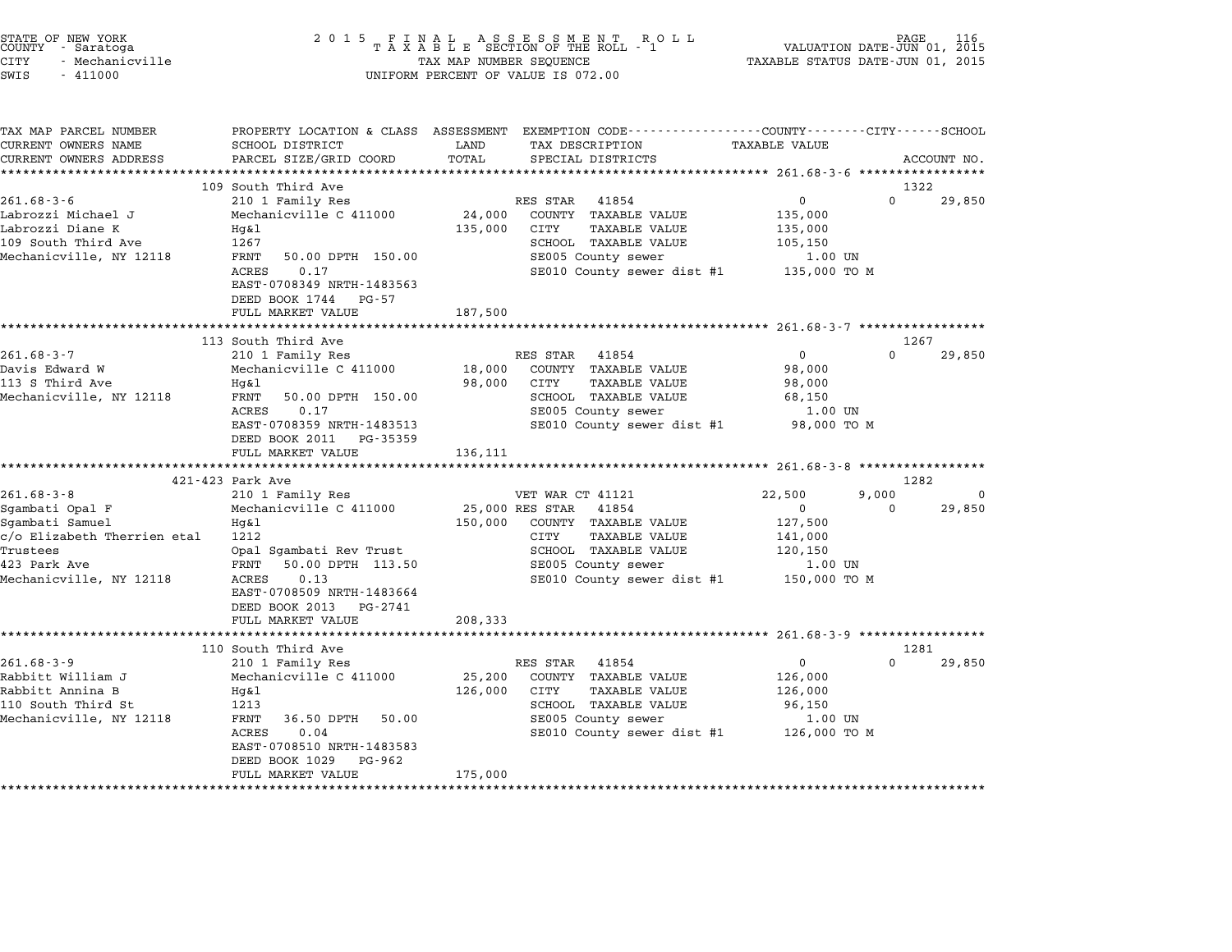| STATE OF NEW YORK<br>COUNTY      Saratoga<br><b>CITY</b><br>- Mechanicville<br>SWIS<br>$-411000$                                                                                                      | 2 0 1 5                                                                                                                                                                                                                                                                                                                           | TAX MAP NUMBER SEQUENCE                | FINAL ASSESSMENT RO<br>TAXABLE SECTION OF THE ROLL - 1<br>R O L L<br>UNIFORM PERCENT OF VALUE IS 072.00                                                                                                                                                                                               | VALUATION DATE-JUN 01, 2015<br>TAXABLE STATUS DATE-JUN 01, 2015                                                             | PAGE                           |                       |
|-------------------------------------------------------------------------------------------------------------------------------------------------------------------------------------------------------|-----------------------------------------------------------------------------------------------------------------------------------------------------------------------------------------------------------------------------------------------------------------------------------------------------------------------------------|----------------------------------------|-------------------------------------------------------------------------------------------------------------------------------------------------------------------------------------------------------------------------------------------------------------------------------------------------------|-----------------------------------------------------------------------------------------------------------------------------|--------------------------------|-----------------------|
| TAX MAP PARCEL NUMBER<br>CURRENT OWNERS NAME<br>CURRENT OWNERS ADDRESS                                                                                                                                | SCHOOL DISTRICT<br>PARCEL SIZE/GRID COORD<br>****************************                                                                                                                                                                                                                                                         | LAND<br>TOTAL                          | PROPERTY LOCATION & CLASS ASSESSMENT EXEMPTION CODE---------------COUNTY-------CITY------SCHOOL<br>TAX DESCRIPTION<br>SPECIAL DISTRICTS                                                                                                                                                               | <b>TAXABLE VALUE</b>                                                                                                        |                                | ACCOUNT NO.           |
|                                                                                                                                                                                                       | 109 South Third Ave                                                                                                                                                                                                                                                                                                               |                                        |                                                                                                                                                                                                                                                                                                       |                                                                                                                             | 1322                           |                       |
| $261.68 - 3 - 6$                                                                                                                                                                                      | 210 1 Family Res                                                                                                                                                                                                                                                                                                                  |                                        | RES STAR<br>41854                                                                                                                                                                                                                                                                                     | 0                                                                                                                           | 0                              | 29,850                |
| Labrozzi Michael J<br>Labrozzi Diane K<br>109 South Third Ave<br>Mechanicville, NY 12118                                                                                                              | Mechanicville C 411000<br>Hq&l<br>1267<br>FRNT<br>50.00 DPTH 150.00<br>ACRES<br>0.17<br>EAST-0708349 NRTH-1483563                                                                                                                                                                                                                 | 24,000<br>135,000                      | COUNTY TAXABLE VALUE<br>CITY<br><b>TAXABLE VALUE</b><br>SCHOOL TAXABLE VALUE<br>SE005 County sewer<br>SE010 County sewer dist #1                                                                                                                                                                      | 135,000<br>135,000<br>105,150<br>1.00 UN<br>135,000 TO M                                                                    |                                |                       |
|                                                                                                                                                                                                       | DEED BOOK 1744 PG-57                                                                                                                                                                                                                                                                                                              |                                        |                                                                                                                                                                                                                                                                                                       |                                                                                                                             |                                |                       |
|                                                                                                                                                                                                       | FULL MARKET VALUE<br>**************************                                                                                                                                                                                                                                                                                   | 187,500                                |                                                                                                                                                                                                                                                                                                       |                                                                                                                             |                                |                       |
|                                                                                                                                                                                                       | 113 South Third Ave                                                                                                                                                                                                                                                                                                               |                                        |                                                                                                                                                                                                                                                                                                       |                                                                                                                             |                                | 1267                  |
| $261.68 - 3 - 7$<br>Davis Edward W<br>113 S Third Ave<br>Mechanicville, NY 12118<br>$261.68 - 3 - 8$<br>Sgambati Opal F<br>Sgambati Samuel<br>c/o Elizabeth Therrien etal<br>Trustees<br>423 Park Ave | 210 1 Family Res<br>Mechanicville C 411000<br>Hq&l<br>FRNT<br>50.00 DPTH 150.00<br><b>ACRES</b><br>0.17<br>EAST-0708359 NRTH-1483513<br>DEED BOOK 2011<br>PG-35359<br>FULL MARKET VALUE<br>421-423 Park Ave<br>210 1 Family Res<br>Mechanicville C 411000<br>Hg&l<br>1212<br>Opal Sgambati Rev Trust<br>50.00 DPTH 113.50<br>FRNT | 18,000<br>98,000<br>136,111<br>150,000 | RES STAR 41854<br>COUNTY TAXABLE VALUE<br><b>CITY</b><br><b>TAXABLE VALUE</b><br>SCHOOL TAXABLE VALUE<br>SE005 County sewer<br>SE010 County sewer dist #1<br>VET WAR CT 41121<br>25,000 RES STAR 41854<br>COUNTY TAXABLE VALUE<br>CITY<br>TAXABLE VALUE<br>SCHOOL TAXABLE VALUE<br>SE005 County sewer | 0<br>98,000<br>98,000<br>68,150<br>1.00 UN<br>98,000 TO M<br>22,500<br>$\Omega$<br>127,500<br>141,000<br>120,150<br>1.00 UN | 0<br>1282<br>9,000<br>$\Omega$ | 29,850<br>0<br>29,850 |
| Mechanicville, NY 12118                                                                                                                                                                               | ACRES<br>0.13<br>EAST-0708509 NRTH-1483664<br>DEED BOOK 2013 PG-2741<br>FULL MARKET VALUE                                                                                                                                                                                                                                         | 208,333                                | SE010 County sewer dist #1                                                                                                                                                                                                                                                                            | 150,000 то м                                                                                                                |                                |                       |
|                                                                                                                                                                                                       | ***************************                                                                                                                                                                                                                                                                                                       |                                        |                                                                                                                                                                                                                                                                                                       |                                                                                                                             |                                |                       |
|                                                                                                                                                                                                       | 110 South Third Ave                                                                                                                                                                                                                                                                                                               |                                        |                                                                                                                                                                                                                                                                                                       |                                                                                                                             |                                | 1281                  |
| $261.68 - 3 - 9$<br>Rabbitt William J<br>Rabbitt Annina B<br>110 South Third St<br>Mechanicville, NY 12118                                                                                            | 210 1 Family Res<br>Mechanicville C 411000<br>Hq&l<br>1213<br>FRNT<br>36.50 DPTH<br>50.00<br>ACRES<br>0.04<br>EAST-0708510 NRTH-1483583<br>DEED BOOK 1029<br>PG-962                                                                                                                                                               | 25,200<br>126,000                      | RES STAR<br>41854<br>COUNTY TAXABLE VALUE<br>CITY<br><b>TAXABLE VALUE</b><br>SCHOOL TAXABLE VALUE<br>SE005 County sewer<br>SE010 County sewer dist #1                                                                                                                                                 | $\mathsf{O}$<br>126,000<br>126,000<br>96,150<br>1.00 UN<br>126,000 TO M                                                     | $\Omega$                       | 29,850                |
|                                                                                                                                                                                                       | FULL MARKET VALUE                                                                                                                                                                                                                                                                                                                 | 175,000                                |                                                                                                                                                                                                                                                                                                       |                                                                                                                             |                                |                       |

STATE OF NEW YORK <sup>2</sup> <sup>0</sup> <sup>1</sup> 5 F I N A L A S S E S S M E N T R O L L PAGE <sup>116</sup> COUNTY - Saratoga <sup>T</sup> <sup>A</sup> <sup>X</sup> <sup>A</sup> <sup>B</sup> <sup>L</sup> <sup>E</sup> SECTION OF THE ROLL - <sup>1</sup> VALUATION DATE-JUN 01, <sup>2015</sup>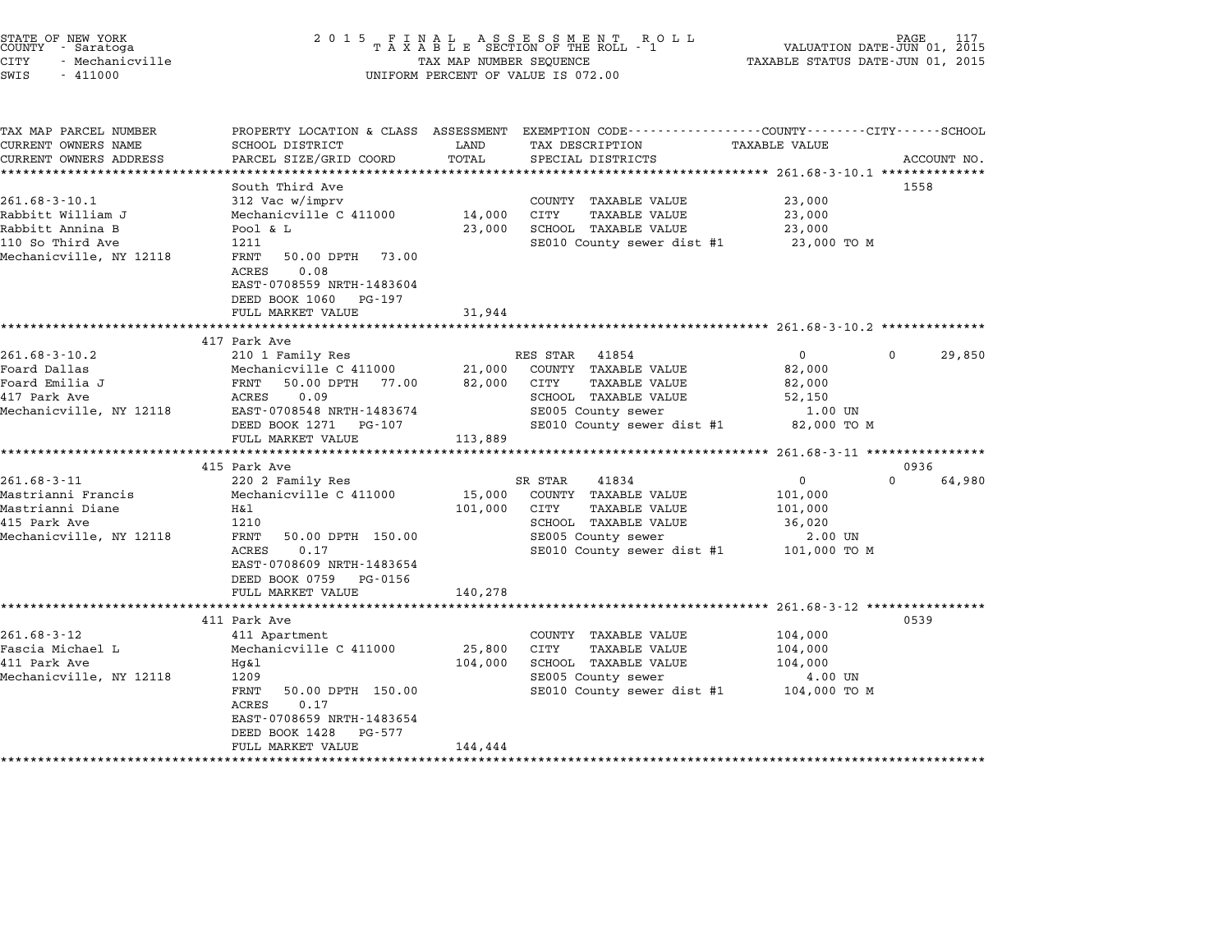| STATE OF NEW YORK<br>COUNTY - Saratoga<br>CITY<br>- Mechanicville<br>SWIS<br>$-411000$                      |                                                                                                                                                                                                          | TAX MAP NUMBER SEQUENCE             | 2015 FINAL ASSESSMENT ROLL<br>TAXABLE SECTION OF THE ROLL - 1<br>UNIFORM PERCENT OF VALUE IS 072.00                                                   | VALUATION DATE-JUN 01, 2015<br>TAXABLE STATUS DATE-JUN 01, 2015         |                            |
|-------------------------------------------------------------------------------------------------------------|----------------------------------------------------------------------------------------------------------------------------------------------------------------------------------------------------------|-------------------------------------|-------------------------------------------------------------------------------------------------------------------------------------------------------|-------------------------------------------------------------------------|----------------------------|
| TAX MAP PARCEL NUMBER<br>CURRENT OWNERS NAME<br>CURRENT OWNERS ADDRESS                                      | SCHOOL DISTRICT<br>PARCEL SIZE/GRID COORD                                                                                                                                                                | LAND<br>TOTAL<br>****************** | PROPERTY LOCATION & CLASS ASSESSMENT EXEMPTION CODE---------------COUNTY-------CITY------SCHOOL<br>TAX DESCRIPTION TAXABLE VALUE<br>SPECIAL DISTRICTS | ******************** 261.68-3-10.1 **************                       | ACCOUNT NO.                |
| $261.68 - 3 - 10.1$<br>Rabbitt William J<br>Rabbitt Annina B<br>110 So Third Ave<br>Mechanicville, NY 12118 | South Third Ave<br>312 Vac w/imprv<br>Mechanicville C 411000<br>Pool & L<br>1211<br>FRNT<br>50.00 DPTH 73.00<br>ACRES<br>0.08<br>EAST-0708559 NRTH-1483604<br>DEED BOOK 1060 PG-197<br>FULL MARKET VALUE | 14,000<br>23,000<br>31,944          | COUNTY TAXABLE VALUE<br>TAXABLE VALUE<br>CITY<br>SCHOOL TAXABLE VALUE<br>SE010 County sewer dist #1                                                   | 23,000<br>23,000<br>23,000<br>23,000 TO M                               | 1558                       |
| $261.68 - 3 - 10.2$<br>Foard Dallas<br>Foard Emilia J<br>417 Park Ave<br>Mechanicville, NY 12118            | 417 Park Ave<br>210 1 Family Res<br>Mechanicville C 411000<br>50.00 DPTH 77.00<br>FRNT<br>ACRES 0.09<br>EAST-0708548 NRTH-1483674<br>DEED BOOK 1271 PG-107<br>FULL MARKET VALUE                          | 21,000<br>82,000<br>113,889         | RES STAR 41854<br>COUNTY TAXABLE VALUE<br>CITY<br><b>TAXABLE VALUE</b><br>SCHOOL TAXABLE VALUE<br>SE005 County sewer<br>SE010 County sewer dist #1    | $\overline{0}$<br>82,000<br>82,000<br>52,150<br>1.00 UN<br>82,000 TO M  | $\mathbf{0}$<br>29,850     |
| $261.68 - 3 - 11$<br>Mastrianni Francis<br>Mastrianni Diane<br>415 Park Ave<br>Mechanicville, NY 12118      | 415 Park Ave<br>220 2 Family Res<br>Mechanicville C 411000<br>H&l<br>1210<br>FRNT<br>50.00 DPTH 150.00<br>0.17<br>ACRES<br>EAST-0708609 NRTH-1483654<br>DEED BOOK 0759 PG-0156<br>FULL MARKET VALUE      | 15,000<br>101,000<br>140,278        | 41834<br>SR STAR<br>COUNTY TAXABLE VALUE<br>CITY<br>TAXABLE VALUE<br>SCHOOL TAXABLE VALUE<br>SE005 County sewer<br>SE010 County sewer dist #1         | $\mathbf{0}$<br>101,000<br>101,000<br>36,020<br>2.00 UN<br>101,000 TO M | 0936<br>64,980<br>$\Omega$ |
| $261.68 - 3 - 12$<br>Fascia Michael L<br>411 Park Ave<br>Mechanicville, NY 12118                            | 411 Park Ave<br>411 Apartment<br>Mechanicville C 411000<br>Hq&l<br>1209<br>FRNT<br>50.00 DPTH 150.00<br>ACRES<br>0.17<br>EAST-0708659 NRTH-1483654<br>DEED BOOK 1428 PG-577<br>FULL MARKET VALUE         | 25,800<br>104,000<br>144,444        | COUNTY TAXABLE VALUE<br>CITY<br>TAXABLE VALUE<br>SCHOOL TAXABLE VALUE<br>SE005 County sewer<br>SE010 County sewer dist #1                             | 104,000<br>104,000<br>104,000<br>4.00 UN<br>104,000 TO M                | 0539                       |

\*\*\*\*\*\*\*\*\*\*\*\*\*\*\*\*\*\*\*\*\*\*\*\*\*\*\*\*\*\*\*\*\*\*\*\*\*\*\*\*\*\*\*\*\*\*\*\*\*\*\*\*\*\*\*\*\*\*\*\*\*\*\*\*\*\*\*\*\*\*\*\*\*\*\*\*\*\*\*\*\*\*\*\*\*\*\*\*\*\*\*\*\*\*\*\*\*\*\*\*\*\*\*\*\*\*\*\*\*\*\*\*\*\*\*\*\*\*\*\*\*\*\*\*\*\*\*\*\*\*\*\*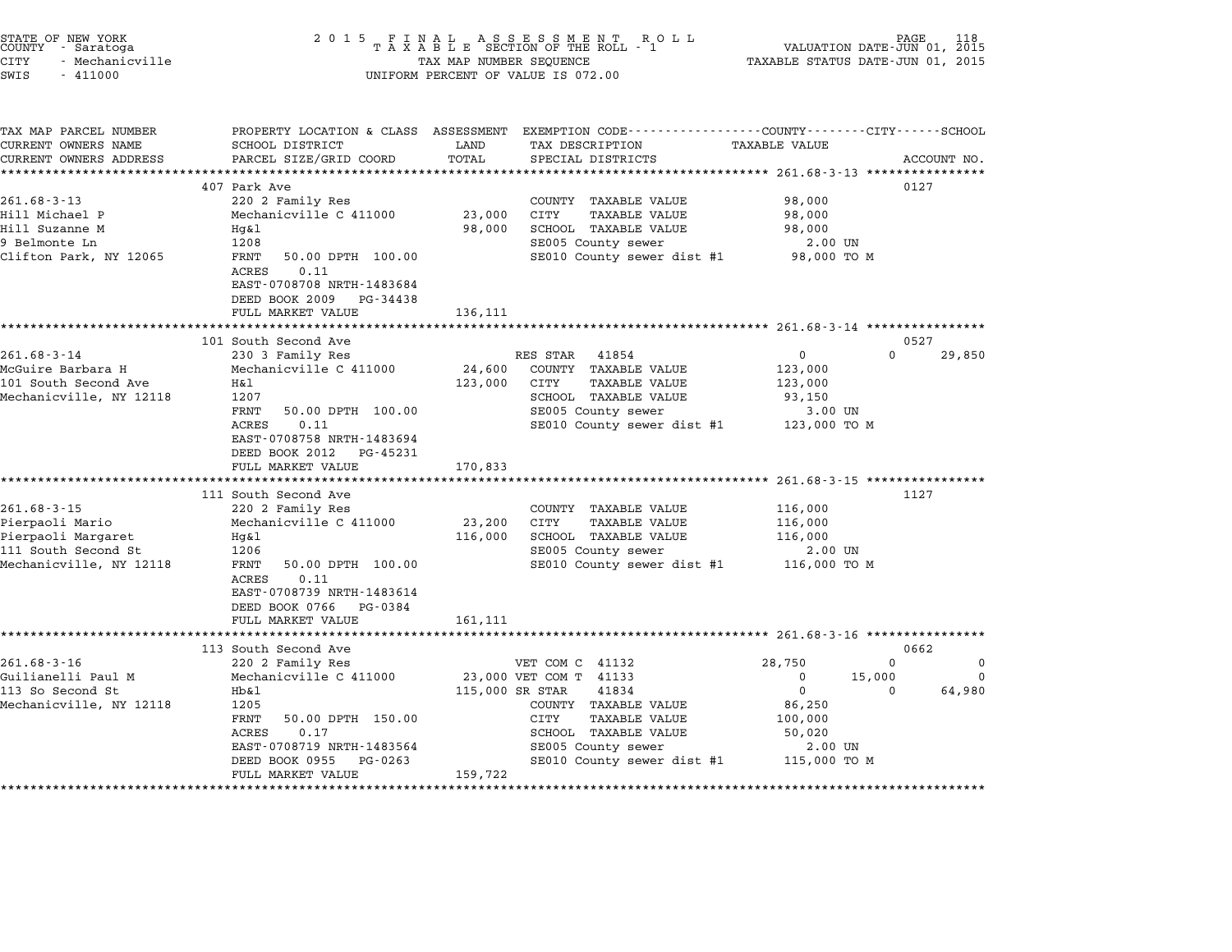|        | STATE OF NEW YORK |
|--------|-------------------|
| COUNTY | - Saratoga        |
| CITY   | - Mechanicville   |

### STATE OF NEW YORK <sup>2</sup> <sup>0</sup> <sup>1</sup> 5 F I N A L A S S E S S M E N T R O L L PAGE <sup>118</sup> COUNTY - Saratoga <sup>T</sup> <sup>A</sup> <sup>X</sup> <sup>A</sup> <sup>B</sup> <sup>L</sup> <sup>E</sup> SECTION OF THE ROLL - <sup>1</sup> VALUATION DATE-JUN 01, <sup>2015</sup> STATE OF NEW YORK (DATE HAS SER SOLL AS SER SOLL AS SERIES OF NEW TRACK AND RESERVE TO A LA SUBLEMENTION ON TH<br>COUNTY - Saratoga (2015 TAXABLE STATUS DATE-JUN 01, 2015 TAXABLE STATUS DATE-JUN 01, 2015<br>CITY - Mechanicville CONTI - Salatoga<br>CITY - Mechanicville<br>SWIS - 411000 UNIFORM PERCENT OF VALUE IS 072.00

TAX MAP PARCEL NUMBER PROPERTY LOCATION & CLASS ASSESSMENT EXEMPTION CODE------------------COUNTY--------CITY------SCHOOL CURRENT OWNERS NAME SCHOOL DISTRICT LAND TAX DESCRIPTION TAXABLE VALUE CURRENT OWNERS ADDEER FOUR DISTRICTS AND ASSESSEENT EXERPTION TRACK THE TANGER OWNERS ADDRESS SAGECOUNT NO.<br>CURRENT OWNERS ADDRESS PARCEL SIZE/GRID COORD TOTAL SPECIAL DISTRICTS ACCOUNT NO.<br>\*\*\*\*\*\*\*\*\*\*\*\*\*\*\*\*\*\*\*\*\*\*\*\*\*\*\*\*\*\*\*\* <sup>407</sup> Park Ave <sup>0127</sup> 261.68-3-13 <sup>220</sup> <sup>2</sup> Family Res COUNTY TAXABLE VALUE 98,000 Hill Michael P Mechanicville C <sup>411000</sup> 23,000 CITY TAXABLE VALUE 98,000 201.000 July 2010 220 Palming Reserved Market Market Control of Market Market South 1998,000<br>Hill Suzanne M 198,000 PON 198,000 SCHOOL TAXABLE VALUE 98,000<br>98,000 98,000 SCHOOL TAXABLE VALUE 111 Michael Physics (Mechanicville C 411000 Mechanics 23,000 C111 MAABLE VALUE 98,000<br>1208 Metal 98,000 SCHOOL TAXABLE VALUE 98,000<br>9 Belmonte Ln 1208 1208 SE005 County sewer 2.00 UN Clifton Park, NY <sup>12065</sup> FRNT 50.00 DPTH 100.00 SE010 County sewer dist #1 98,000 TO <sup>M</sup>  $\begin{array}{ccccccccc}\texttt{Clifton Park, NY 12065} & & & & & \texttt{FRNT} & \texttt{50.00 DPTH} & \texttt{100.00}\end{array}$ EAST-0708708 NRTH-1483684 EAST-0708708 NRTH-1483684<br>DEED BOOK 2009 PG-34438 DEED BOOK 2009 PG-34438<br>FULL MARKET VALUE 136,111 \*\*\*\*\*\*\*\*\*\*\*\*\*\*\*\*\*\*\*\*\*\*\*\*\*\*\*\*\*\*\*\*\*\*\*\*\*\*\*\*\*\*\*\*\*\*\*\*\*\*\*\*\*\*\*\*\*\*\*\*\*\*\*\*\*\*\*\*\*\*\*\*\*\*\*\*\*\*\*\*\*\*\*\*\*\*\*\*\*\*\*\*\*\*\*\*\*\*\*\*\*\*\* 261.68-3-14 \*\*\*\*\*\*\*\*\*\*\*\*\*\*\*\* <sup>101</sup> South Second Ave <sup>0527</sup> 261.68-3-14 201.05-3-14 201.68-3-14 201.68-3-14 230 3 Family Res RES STAR 41854 201.68-3-14 230 3650 230 3 Amily Res RES STAR 41854 201.68-3-14 230 3650 230 3 Amily Res RES STAR 41854 0 McGuire Barbara H Mechanicville C <sup>411000</sup> 24,600 COUNTY TAXABLE VALUE 123,000 201.00-3-14 201.00-3-14 230 230 Family Res<br>McGuire Barbara H Mechanicville C 411000 24,600 COUNTY TAXABLE VALUE 123,000<br>101 South Second Ave H&l 123,000 123,000 CITY TAXABLE VALUE 123,000 Mechanicville, NY <sup>12118</sup> <sup>1207</sup> SCHOOL TAXABLE VALUE 93,150 123,000 CITI IAAABLE VALUE 123,000<br>1207 SCHOOL TAXABLE VALUE 93,150<br>FRNT 50.00 DPTH 100.00 SE005 County sewer 3.00 UN ACRES 0.11 SE010 County sewer dist #1 123,000 TO <sup>M</sup> ACRES 0.11 EAST-0708758 NRTH-1483694<br>DEED BOOK 2012 PG-45231 FULL MARKET VALUE 170,833 \*\*\*\*\*\*\*\*\*\*\*\*\*\*\*\*\*\*\*\*\*\*\*\*\*\*\*\*\*\*\*\*\*\*\*\*\*\*\*\*\*\*\*\*\*\*\*\*\*\*\*\*\*\*\*\*\*\*\*\*\*\*\*\*\*\*\*\*\*\*\*\*\*\*\*\*\*\*\*\*\*\*\*\*\*\*\*\*\*\*\*\*\*\*\*\*\*\*\*\*\*\*\* 261.68-3-15 \*\*\*\*\*\*\*\*\*\*\*\*\*\*\*\* <sup>111</sup> South Second Ave <sup>1127</sup> 261.68-3-15 111 South Second Ave and Ave country TAXABLE VALUE 116,000 Pierpaoli Mario Mechanicville C <sup>411000</sup> 23,200 CITY TAXABLE VALUE 116,000 Pierpaoli Margaret Hg&l 116,000 SCHOOL TAXABLE VALUE 116,000 Fierpaoli Mario (Alto Acchamic and County 116,000 Clif (AAABLE VALUE 116,000 Pierpaoli Margaret 116,000 Hydrome<br>Pierpaoli Margaret 1206 116,000 Hydrometric 116,000 SCHOOL TAXABLE VALUE 116,000 IN Mechanic Methanics (1998)<br>110 1206 SECON SCHOLD HAADDE VADE HAADDE HAADDE VALUE SEOOL MAADDE VALUE SEOOL MAADDE VALUE SEOOL MAADDE VALUE<br>Mechanicville, NY 12118 FRNT 50.00 DPTH 100.00 SEOOL SEOOL County sewer dist #1 116,0 1200<br>FRNT 50.00<br>ACRES 0.11 EAST-0708739 NRTH-1483614 ACRES 0.11<br>EAST-0708739 NRTH-1483614 DEED BOOK 0766 PG-0384<br>FULL MARKET VALUE 161,111 \*\*\*\*\*\*\*\*\*\*\*\*\*\*\*\*\*\*\*\*\*\*\*\*\*\*\*\*\*\*\*\*\*\*\*\*\*\*\*\*\*\*\*\*\*\*\*\*\*\*\*\*\*\*\*\*\*\*\*\*\*\*\*\*\*\*\*\*\*\*\*\*\*\*\*\*\*\*\*\*\*\*\*\*\*\*\*\*\*\*\*\*\*\*\*\*\*\*\*\*\*\*\* 261.68-3-16 \*\*\*\*\*\*\*\*\*\*\*\*\*\*\*\* <sup>113</sup> South Second Ave <sup>0662</sup> 261.68-3-16 <sup>220</sup> <sup>2</sup> Family Res VET COM C <sup>41132</sup> 28,750 <sup>0</sup> <sup>0</sup> THE SECTION OF THE SECOND MAN WAS ARREST ON CONSUMING A SUIT COM CONTROLLED A SUIT COM CONSUMER COM CONSUMER ON THE SUIT COM TO A SUIT COM TO A SUIT COM TO A SUIT COM TO A SUIT COM TO A SUIT COM TO A SUIT COM TO A SUIT COM 113 So Second St Hb&l 115,000 SR STAR 41834 0 0 64,980 Mechanicville C 111000 (23,000 VET CON T 11133<br>113 Mo Second St Hb&1 (11100 115,000 STAR 11834 )<br>Mechanicville, NY 12118 1205 (200NTY TAXABLE VALUE 86,250 Hb&1 0<br>
Hb&1 115,000 SR STAR 41834 0<br>
1205 000NTY TAXABLE VALUE 86,250<br>
FRNT 50.00 DPTH 150.00 CITY TAXABLE VALUE 100,000<br>
ACRES 0.17 SCHOOL TAXABLE VALUE 50,020 ACRES 0.17 SCHOOL TAXABLE VALUE 50,020 EANI 50.00 DFIN 150.00<br>ACRES 0.17 SCHOOL TAXABLE VALUE 50,020<br>EAST-0708719 NRTH-1483564 SE005 County sewer 2.00 UN DEED BOOK <sup>0955</sup> PG-0263 SE010 County sewer dist #1 115,000 TO <sup>M</sup> FULL MARKET VALUE 159,722 \*\*\*\*\*\*\*\*\*\*\*\*\*\*\*\*\*\*\*\*\*\*\*\*\*\*\*\*\*\*\*\*\*\*\*\*\*\*\*\*\*\*\*\*\*\*\*\*\*\*\*\*\*\*\*\*\*\*\*\*\*\*\*\*\*\*\*\*\*\*\*\*\*\*\*\*\*\*\*\*\*\*\*\*\*\*\*\*\*\*\*\*\*\*\*\*\*\*\*\*\*\*\*\*\*\*\*\*\*\*\*\*\*\*\*\*\*\*\*\*\*\*\*\*\*\*\*\*\*\*\*\*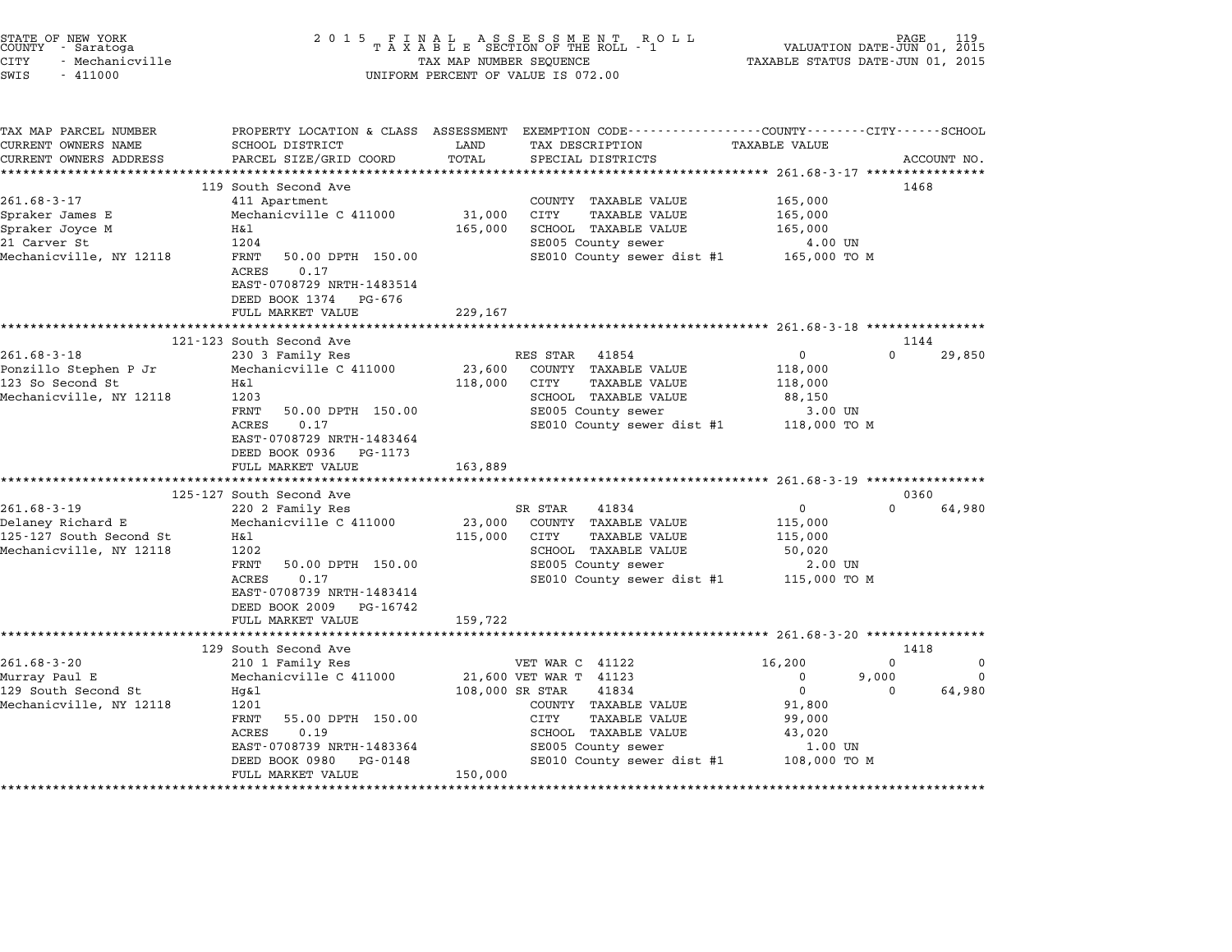| STATE OF NEW YORK<br>COUNTY<br>- Saratoga<br><b>CITY</b><br>- Mechanicville<br>SWIS<br>$-411000$ | 2 0 1 5<br>FINAL ASSESSMENT ROTAXABLE SECTION OF THE ROLL - 1<br>TAX MAP NUMBER SEQUENCE<br>UNIFORM PERCENT OF VALUE IS 072.00 | VALUATION DATE-JUN 01, 2015<br>TAXABLE STATUS DATE-JUN 01, 2015 | PAGE                                                                                                               | 119                                         |          |             |
|--------------------------------------------------------------------------------------------------|--------------------------------------------------------------------------------------------------------------------------------|-----------------------------------------------------------------|--------------------------------------------------------------------------------------------------------------------|---------------------------------------------|----------|-------------|
| TAX MAP PARCEL NUMBER<br>CURRENT OWNERS NAME                                                     | SCHOOL DISTRICT                                                                                                                | LAND                                                            | PROPERTY LOCATION & CLASS ASSESSMENT EXEMPTION CODE---------------COUNTY-------CITY------SCHOOL<br>TAX DESCRIPTION | <b>TAXABLE VALUE</b>                        |          |             |
| CURRENT OWNERS ADDRESS<br>*******************                                                    | PARCEL SIZE/GRID COORD                                                                                                         | TOTAL                                                           | SPECIAL DISTRICTS                                                                                                  |                                             |          | ACCOUNT NO. |
|                                                                                                  | 119 South Second Ave                                                                                                           |                                                                 |                                                                                                                    |                                             | 1468     |             |
| $261.68 - 3 - 17$                                                                                | 411 Apartment                                                                                                                  |                                                                 | COUNTY TAXABLE VALUE                                                                                               | 165,000                                     |          |             |
| Spraker James E                                                                                  | Mechanicville C 411000                                                                                                         | 31,000                                                          | CITY<br><b>TAXABLE VALUE</b>                                                                                       | 165,000                                     |          |             |
| Spraker Joyce M                                                                                  | H&l                                                                                                                            | 165,000                                                         | SCHOOL TAXABLE VALUE                                                                                               | 165,000                                     |          |             |
| 21 Carver St                                                                                     | 1204                                                                                                                           |                                                                 | SE005 County sewer                                                                                                 | 4.00 UN                                     |          |             |
| Mechanicville, NY 12118                                                                          | FRNT<br>50.00 DPTH 150.00<br>ACRES<br>0.17<br>EAST-0708729 NRTH-1483514<br>DEED BOOK 1374 PG-676                               |                                                                 | SE010 County sewer dist #1                                                                                         | 165,000 TO M                                |          |             |
|                                                                                                  | FULL MARKET VALUE                                                                                                              | 229,167                                                         |                                                                                                                    |                                             |          |             |
|                                                                                                  | *****************************                                                                                                  |                                                                 |                                                                                                                    |                                             |          |             |
|                                                                                                  | 121-123 South Second Ave                                                                                                       |                                                                 |                                                                                                                    |                                             | 1144     |             |
| $261.68 - 3 - 18$                                                                                | 230 3 Family Res                                                                                                               |                                                                 | RES STAR<br>41854                                                                                                  | $\mathbf 0$                                 | $\Omega$ | 29,850      |
| Ponzillo Stephen P Jr<br>123 So Second St                                                        | Mechanicville C 411000<br>Η&l                                                                                                  | 23,600                                                          | COUNTY TAXABLE VALUE<br>CITY<br><b>TAXABLE VALUE</b>                                                               | 118,000                                     |          |             |
| Mechanicville, NY 12118                                                                          | 1203                                                                                                                           | 118,000                                                         | SCHOOL TAXABLE VALUE                                                                                               | 118,000<br>88,150                           |          |             |
|                                                                                                  | FRNT<br>50.00 DPTH 150.00                                                                                                      |                                                                 | SE005 County sewer                                                                                                 | 3.00 UN                                     |          |             |
|                                                                                                  | <b>ACRES</b><br>0.17                                                                                                           |                                                                 | SE010 County sewer dist #1                                                                                         | 118,000 TO M                                |          |             |
|                                                                                                  | EAST-0708729 NRTH-1483464                                                                                                      |                                                                 |                                                                                                                    |                                             |          |             |
|                                                                                                  | DEED BOOK 0936<br>PG-1173                                                                                                      |                                                                 |                                                                                                                    |                                             |          |             |
|                                                                                                  | FULL MARKET VALUE                                                                                                              | 163,889                                                         |                                                                                                                    |                                             |          |             |
|                                                                                                  |                                                                                                                                |                                                                 | *********************************** 261.68-3-19 *****************                                                  |                                             |          |             |
|                                                                                                  | 125-127 South Second Ave                                                                                                       |                                                                 |                                                                                                                    |                                             | 0360     |             |
| $261.68 - 3 - 19$                                                                                | 220 2 Family Res                                                                                                               |                                                                 | SR STAR<br>41834                                                                                                   | 0                                           | $\Omega$ | 64,980      |
| Delaney Richard E                                                                                | Mechanicville C 411000                                                                                                         | 23,000                                                          | COUNTY TAXABLE VALUE                                                                                               | 115,000                                     |          |             |
| 125-127 South Second St                                                                          | Η&l                                                                                                                            | 115,000                                                         | CITY<br><b>TAXABLE VALUE</b>                                                                                       | 115,000                                     |          |             |
| Mechanicville, NY 12118                                                                          | 1202<br>FRNT<br>50.00 DPTH 150.00                                                                                              |                                                                 | <b>SCHOOL TAXABLE VALUE</b>                                                                                        | 50,020                                      |          |             |
|                                                                                                  | ACRES<br>0.17                                                                                                                  |                                                                 | SE005 County sewer<br>SE010 County sewer dist #1                                                                   | 2.00 UN                                     |          |             |
|                                                                                                  | EAST-0708739 NRTH-1483414                                                                                                      |                                                                 |                                                                                                                    | 115,000 TO M                                |          |             |
|                                                                                                  | DEED BOOK 2009<br>PG-16742                                                                                                     |                                                                 |                                                                                                                    |                                             |          |             |
|                                                                                                  | FULL MARKET VALUE                                                                                                              | 159,722                                                         |                                                                                                                    |                                             |          |             |
|                                                                                                  | *****************                                                                                                              |                                                                 |                                                                                                                    | ****************** 261.68-3-20 ************ |          |             |
|                                                                                                  | 129 South Second Ave                                                                                                           |                                                                 |                                                                                                                    |                                             | 1418     |             |
| $261.68 - 3 - 20$                                                                                | 210 1 Family Res                                                                                                               |                                                                 | VET WAR C 41122                                                                                                    | 16,200                                      | 0        | $\Omega$    |
| Murray Paul E                                                                                    | Mechanicville C 411000                                                                                                         |                                                                 | 21,600 VET WAR T 41123                                                                                             | 0                                           | 9,000    | 0           |
| 129 South Second St                                                                              | Hq&l                                                                                                                           | 108,000 SR STAR                                                 | 41834                                                                                                              | $\Omega$                                    | $\Omega$ | 64,980      |
| Mechanicville, NY 12118                                                                          | 1201                                                                                                                           |                                                                 | COUNTY TAXABLE VALUE                                                                                               | 91,800                                      |          |             |
|                                                                                                  | FRNT<br>55.00 DPTH 150.00                                                                                                      |                                                                 | <b>CITY</b><br><b>TAXABLE VALUE</b>                                                                                | 99,000                                      |          |             |

1201 - 2014 - 2020 - 2020 - 2020 - 2020 - 2020 - 2030 - 2030 - 2030 - 2030 - 2030 - 2030 - 2030 - 2030 - 2030<br>FRANCES - 2030 - 2030 - 2030 - 2030 - 2030 - 2030 - 2030 - 2030 - 2030 - 2030 - 2030 - 2030 - 2030 - 2030 - 20<br>A EANI 55.00 DFIN 150.00<br>ACRES 0.19 SCHOOL TAXABLE VALUE 43,020<br>EAST-0708739 NRTH-1483364 SE005 County sewer 1.00 UN DEED BOOK <sup>0980</sup> PG-0148 SE010 County sewer dist #1 108,000 TO <sup>M</sup>

\*\*\*\*\*\*\*\*\*\*\*\*\*\*\*\*\*\*\*\*\*\*\*\*\*\*\*\*\*\*\*\*\*\*\*\*\*\*\*\*\*\*\*\*\*\*\*\*\*\*\*\*\*\*\*\*\*\*\*\*\*\*\*\*\*\*\*\*\*\*\*\*\*\*\*\*\*\*\*\*\*\*\*\*\*\*\*\*\*\*\*\*\*\*\*\*\*\*\*\*\*\*\*\*\*\*\*\*\*\*\*\*\*\*\*\*\*\*\*\*\*\*\*\*\*\*\*\*\*\*\*\*

DEED BOOK 0980 PG-0148<br>FULL MARKET VALUE 150,000

STATE OF NEW YORK <sup>2</sup> <sup>0</sup> <sup>1</sup> 5 F I N A L A S S E S S M E N T R O L L PAGE <sup>119</sup> COUNTY - Saratoga <sup>T</sup> <sup>A</sup> <sup>X</sup> <sup>A</sup> <sup>B</sup> <sup>L</sup> <sup>E</sup> SECTION OF THE ROLL - <sup>1</sup> VALUATION DATE-JUN 01, <sup>2015</sup>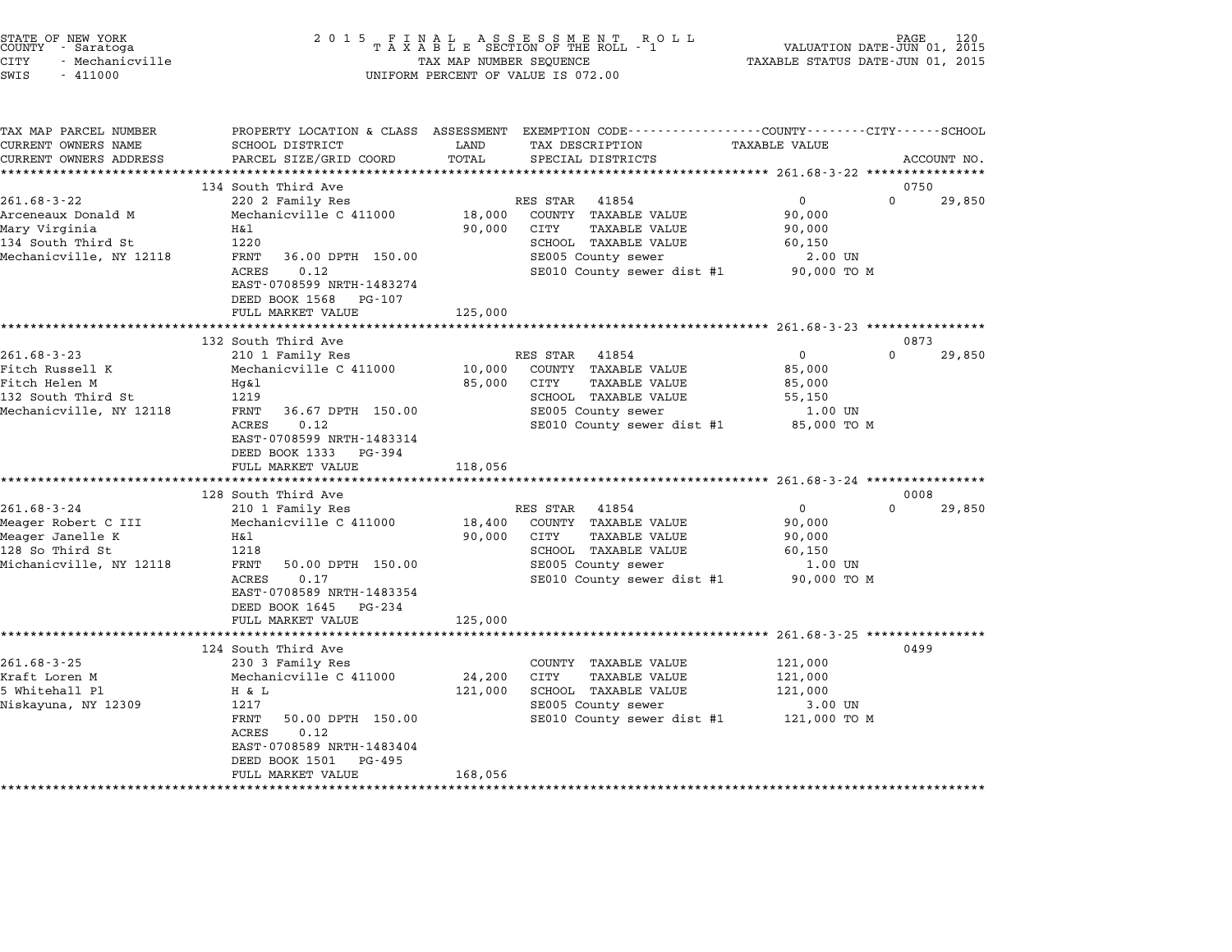| STATE OF NEW YORK<br>COUNTY - Saratoga<br><b>CITY</b><br>- Mechanicville<br>SWIS<br>$-411000$              | 2 0 1 5<br>FINAL ASSESSMENT ROLL<br>TAXABLE SECTION OF THE ROLL - 1<br>TAX MAP NUMBER SEQUENCE<br>UNIFORM PERCENT OF VALUE IS 072.00                                                                                                  |                              |                                                                                                                                                          | PAGE<br>VALUATION DATE-JUN 01, 2015<br>TAXABLE STATUS DATE-JUN 01, 2015         |                |  |
|------------------------------------------------------------------------------------------------------------|---------------------------------------------------------------------------------------------------------------------------------------------------------------------------------------------------------------------------------------|------------------------------|----------------------------------------------------------------------------------------------------------------------------------------------------------|---------------------------------------------------------------------------------|----------------|--|
| TAX MAP PARCEL NUMBER<br>CURRENT OWNERS NAME<br>CURRENT OWNERS ADDRESS                                     | SCHOOL DISTRICT<br>PARCEL SIZE/GRID COORD                                                                                                                                                                                             | LAND<br>TOTAL                | PROPERTY LOCATION & CLASS ASSESSMENT EXEMPTION CODE---------------COUNTY-------CITY------SCHOOL<br>TAX DESCRIPTION<br>SPECIAL DISTRICTS                  | TAXABLE VALUE                                                                   | ACCOUNT NO.    |  |
|                                                                                                            | *************************<br>134 South Third Ave                                                                                                                                                                                      |                              |                                                                                                                                                          |                                                                                 | 0750           |  |
| $261.68 - 3 - 22$<br>Arceneaux Donald M<br>Mary Virginia<br>134 South Third St<br>Mechanicville, NY 12118  | 220 2 Family Res<br>Mechanicville C 411000<br>Η&l<br>1220<br>FRNT<br>36.00 DPTH 150.00<br><b>ACRES</b><br>0.12<br>EAST-0708599 NRTH-1483274<br>DEED BOOK 1568<br>PG-107<br>FULL MARKET VALUE                                          | 18,000<br>90,000<br>125,000  | RES STAR<br>41854<br>COUNTY TAXABLE VALUE<br>CITY<br>TAXABLE VALUE<br>SCHOOL TAXABLE VALUE<br>SE005 County sewer<br>SE010 County sewer dist #1           | $\mathbf{0}$<br>0<br>90,000<br>90,000<br>60,150<br>$2.00$ UN<br>90,000 TO M     | 29,850         |  |
|                                                                                                            |                                                                                                                                                                                                                                       |                              |                                                                                                                                                          |                                                                                 |                |  |
| $261.68 - 3 - 23$<br>Fitch Russell K<br>Fitch Helen M<br>132 South Third St<br>Mechanicville, NY 12118     | 132 South Third Ave<br>210 1 Family Res<br>Mechanicville C 411000<br>Hg&l<br>1219<br>FRNT<br>36.67 DPTH 150.00<br>0.12<br>ACRES<br>EAST-0708599 NRTH-1483314<br>DEED BOOK 1333<br>PG-394                                              | 10,000<br>85,000             | RES STAR<br>41854<br>COUNTY<br>TAXABLE VALUE<br>CITY<br><b>TAXABLE VALUE</b><br>SCHOOL TAXABLE VALUE<br>SE005 County sewer<br>SE010 County sewer dist #1 | $\mathbf 0$<br>$\Omega$<br>85,000<br>85,000<br>55,150<br>1.00 UN<br>85,000 TO M | 0873<br>29,850 |  |
|                                                                                                            | FULL MARKET VALUE<br>*********************************                                                                                                                                                                                | 118,056                      |                                                                                                                                                          |                                                                                 |                |  |
| $261.68 - 3 - 24$<br>Meager Robert C III<br>Meager Janelle K<br>128 So Third St<br>Michanicville, NY 12118 | 128 South Third Ave<br>210 1 Family Res<br>Mechanicville C 411000<br>Η&l<br>1218<br>FRNT<br>50.00 DPTH 150.00<br>0.17<br>ACRES<br>EAST-0708589 NRTH-1483354<br>DEED BOOK 1645<br>PG-234<br>FULL MARKET VALUE                          | 18,400<br>90,000<br>125,000  | RES STAR<br>41854<br>COUNTY TAXABLE VALUE<br>CITY<br>TAXABLE VALUE<br>SCHOOL TAXABLE VALUE<br>SE005 County sewer<br>SE010 County sewer dist #1           | $\Omega$<br>0<br>90,000<br>90,000<br>60,150<br>1.00 UN<br>90,000 TO M           | 0008<br>29,850 |  |
|                                                                                                            | ********************                                                                                                                                                                                                                  |                              |                                                                                                                                                          | $261.68 - 3 - 25$ ****************                                              |                |  |
| $261.68 - 3 - 25$<br>Kraft Loren M<br>5 Whitehall Pl<br>Niskayuna, NY 12309                                | 124 South Third Ave<br>230 3 Family Res<br>Mechanicville C 411000<br>H & L<br>1217<br>FRNT<br>50.00 DPTH 150.00<br>0.12<br>ACRES<br>EAST-0708589 NRTH-1483404<br>DEED BOOK 1501<br>PG-495<br>FULL MARKET VALUE<br>******************* | 24,200<br>121,000<br>168,056 | COUNTY TAXABLE VALUE<br>CITY<br>TAXABLE VALUE<br>SCHOOL TAXABLE VALUE<br>SE005 County sewer<br>SE010 County sewer dist #1                                | 121,000<br>121,000<br>121,000<br>3.00 UN<br>121,000 TO M                        | 0499           |  |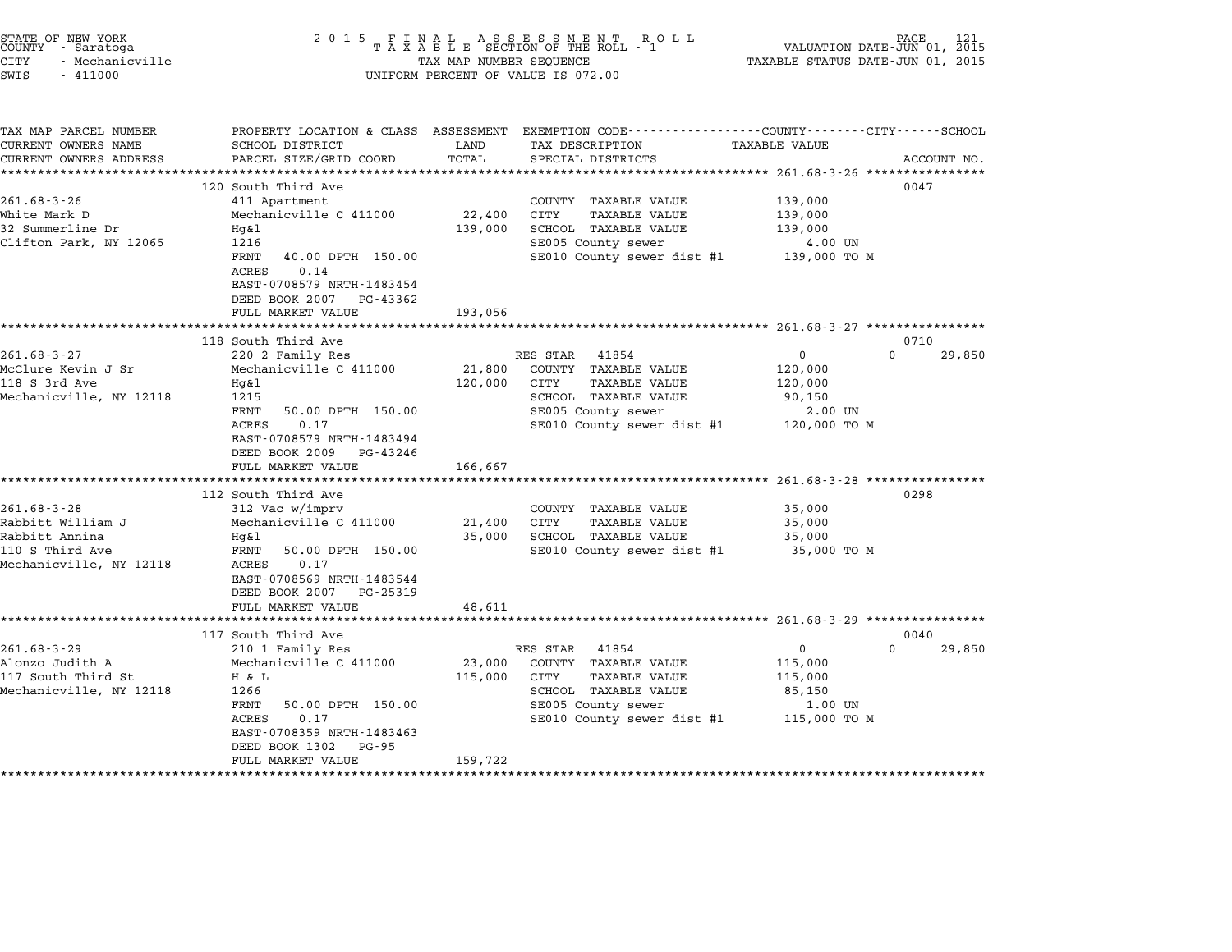| STATE OF NEW YORK<br>COUNTY - Saratoga<br>CITY<br>- Mechanicville<br>SWIS<br>$-411000$                 | 2 0 1 5<br>FINAL ASSESSMENT ROTAXABLE SECTION OF THE ROLL - 1<br>TAX MAP NUMBER SEQUENCE<br>UNIFORM PERCENT OF VALUE IS 072.00                                                                                                          | 121<br>PAGE<br>VALUATION DATE-JUN 01, 2015<br>TAXABLE STATUS DATE-JUN 01, 2015 |                                                                                                                                                       |                                                              |                            |
|--------------------------------------------------------------------------------------------------------|-----------------------------------------------------------------------------------------------------------------------------------------------------------------------------------------------------------------------------------------|--------------------------------------------------------------------------------|-------------------------------------------------------------------------------------------------------------------------------------------------------|--------------------------------------------------------------|----------------------------|
| TAX MAP PARCEL NUMBER<br>CURRENT OWNERS NAME<br>CURRENT OWNERS ADDRESS<br>**********************       | SCHOOL DISTRICT<br>PARCEL SIZE/GRID COORD<br>***************************                                                                                                                                                                | LAND<br>TOTAL                                                                  | PROPERTY LOCATION & CLASS ASSESSMENT EXEMPTION CODE---------------COUNTY-------CITY------SCHOOL<br>TAX DESCRIPTION<br>SPECIAL DISTRICTS               | TAXABLE VALUE                                                | ACCOUNT NO.                |
| $261.68 - 3 - 26$<br>White Mark D<br>32 Summerline Dr<br>Clifton Park, NY 12065                        | 120 South Third Ave<br>411 Apartment<br>Mechanicville C 411000<br>Hg&l<br>1216<br>FRNT<br>40.00 DPTH 150.00<br>0.14<br>ACRES<br>EAST-0708579 NRTH-1483454<br>DEED BOOK 2007<br>PG-43362<br>FULL MARKET VALUE                            | 22,400<br>139,000<br>193,056                                                   | COUNTY TAXABLE VALUE<br><b>TAXABLE VALUE</b><br>CITY<br>SCHOOL TAXABLE VALUE<br>SE005 County sewer<br>SE010 County sewer dist #1                      | 139,000<br>139,000<br>139,000<br>4.00 UN<br>139,000 то м     | 0047                       |
|                                                                                                        | ****************************                                                                                                                                                                                                            |                                                                                |                                                                                                                                                       |                                                              |                            |
| $261.68 - 3 - 27$<br>McClure Kevin J Sr<br>118 S 3rd Ave<br>Mechanicville, NY 12118                    | 118 South Third Ave<br>220 2 Family Res<br>Mechanicville C 411000<br>Hq&l<br>1215<br>FRNT<br>50.00 DPTH 150.00<br>ACRES<br>0.17<br>EAST-0708579 NRTH-1483494<br>DEED BOOK 2009<br>PG-43246<br>FULL MARKET VALUE<br>******************** | 21,800<br>120,000<br>166,667<br>***********                                    | RES STAR<br>41854<br>COUNTY TAXABLE VALUE<br>CITY<br><b>TAXABLE VALUE</b><br>SCHOOL TAXABLE VALUE<br>SE005 County sewer<br>SE010 County sewer dist #1 | 0<br>120,000<br>120,000<br>90,150<br>2.00 UN<br>120,000 TO M | 0710<br>$\Omega$<br>29,850 |
| $261.68 - 3 - 28$<br>Rabbitt William J<br>Rabbitt Annina<br>110 S Third Ave<br>Mechanicville, NY 12118 | 112 South Third Ave<br>312 Vac w/imprv<br>Mechanicville C 411000<br>Hq&l<br>FRNT<br>50.00 DPTH 150.00<br>ACRES<br>0.17<br>EAST-0708569 NRTH-1483544<br>DEED BOOK 2007<br>PG-25319<br>FULL MARKET VALUE                                  | 21,400<br>35,000<br>48,611                                                     | COUNTY TAXABLE VALUE<br>CITY<br><b>TAXABLE VALUE</b><br>SCHOOL TAXABLE VALUE<br>SE010 County sewer dist #1                                            | 35,000<br>35,000<br>35,000<br>35,000 TO M                    | 0298                       |
| $261.68 - 3 - 29$<br>Alonzo Judith A<br>117 South Third St<br>Mechanicville, NY 12118                  | 117 South Third Ave<br>210 1 Family Res<br>Mechanicville C 411000<br>H & L<br>1266<br>FRNT<br>50.00 DPTH 150.00<br>ACRES<br>0.17<br>EAST-0708359 NRTH-1483463<br>DEED BOOK 1302<br>PG-95<br>FULL MARKET VALUE                           | 23,000<br>115,000<br>159,722                                                   | RES STAR<br>41854<br>COUNTY TAXABLE VALUE<br>CITY<br>TAXABLE VALUE<br>SCHOOL TAXABLE VALUE<br>SE005 County sewer<br>SE010 County sewer dist #1        | 0<br>115,000<br>115,000<br>85,150<br>1.00 UN<br>115,000 TO M | 0040<br>$\Omega$<br>29,850 |

STATE OF NEW YORK <sup>2</sup> <sup>0</sup> <sup>1</sup> 5 F I N A L A S S E S S M E N T R O L L PAGE <sup>121</sup> COUNTY - Saratoga <sup>T</sup> <sup>A</sup> <sup>X</sup> <sup>A</sup> <sup>B</sup> <sup>L</sup> <sup>E</sup> SECTION OF THE ROLL - <sup>1</sup> VALUATION DATE-JUN 01, <sup>2015</sup>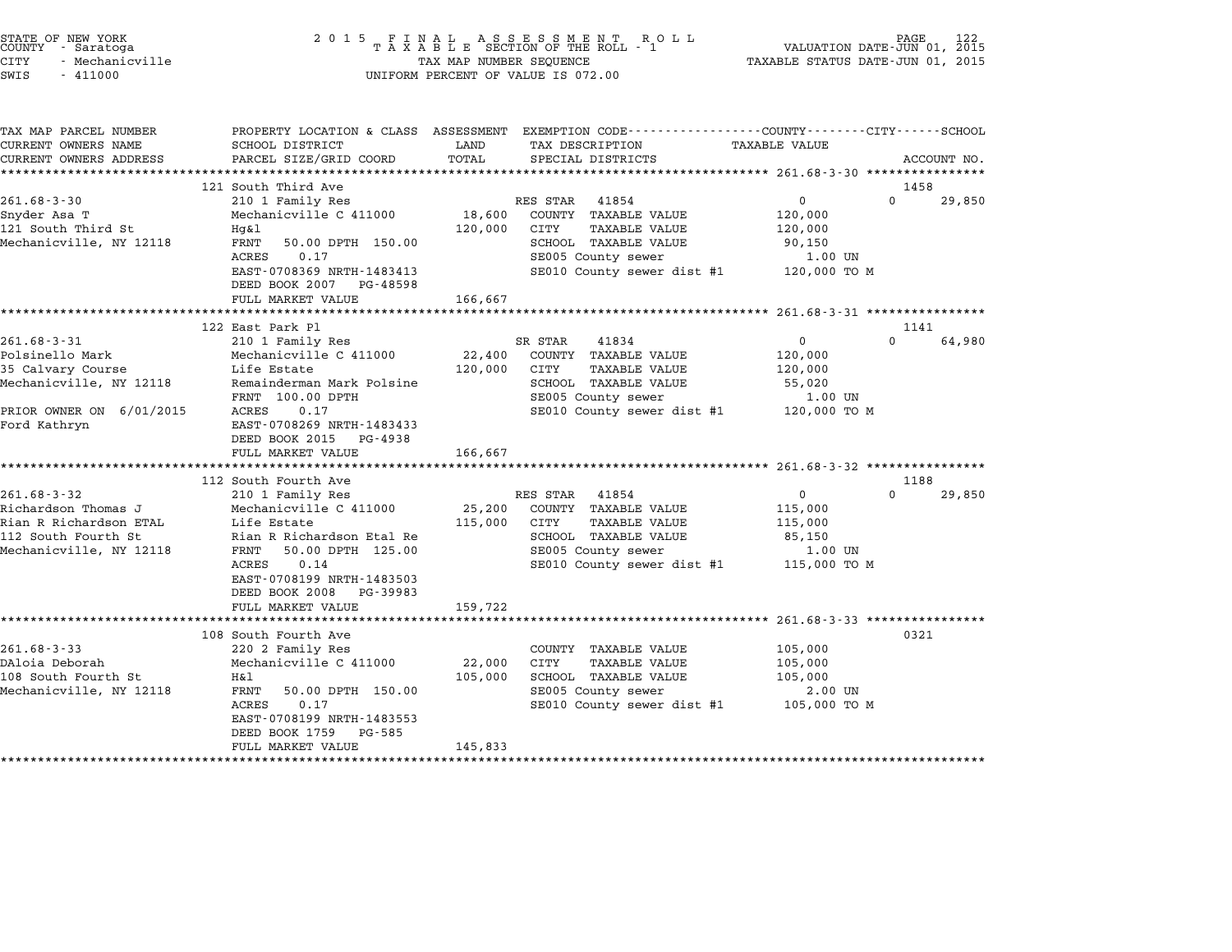| STATE OF NEW YORK<br>COUNTY - Saratoga<br><b>CITY</b><br>- Mechanicville<br>SWIS<br>$-411000$ | 2 0 1 5                                                | TAX MAP NUMBER SEQUENCE | FINAL ASSESSMENT ROLL<br>TAXABLE SECTION OF THE ROLL - 1<br>UNIFORM PERCENT OF VALUE IS 072.00 | TAXABLE STATUS DATE-JUN 01, 2015 | PAGE<br>122<br>VALUATION DATE-JUN 01, 2015 |
|-----------------------------------------------------------------------------------------------|--------------------------------------------------------|-------------------------|------------------------------------------------------------------------------------------------|----------------------------------|--------------------------------------------|
| TAX MAP PARCEL NUMBER                                                                         |                                                        |                         | PROPERTY LOCATION & CLASS ASSESSMENT EXEMPTION CODE---------------COUNTY-------CITY-----SCHOOL |                                  |                                            |
| CURRENT OWNERS NAME                                                                           | SCHOOL DISTRICT                                        | LAND                    | TAX DESCRIPTION                                                                                | TAXABLE VALUE                    |                                            |
| CURRENT OWNERS ADDRESS                                                                        | PARCEL SIZE/GRID COORD                                 | TOTAL                   | SPECIAL DISTRICTS                                                                              |                                  | ACCOUNT NO.                                |
|                                                                                               | 121 South Third Ave                                    |                         |                                                                                                |                                  | 1458                                       |
| $261.68 - 3 - 30$                                                                             | 210 1 Family Res                                       |                         | RES STAR<br>41854                                                                              | $\mathbf 0$                      | $\Omega$<br>29,850                         |
| Snyder Asa T                                                                                  | Mechanicville C 411000                                 | 18,600                  | COUNTY TAXABLE VALUE                                                                           | 120,000                          |                                            |
| 121 South Third St                                                                            | Hg&l                                                   | 120,000                 | CITY<br>TAXABLE VALUE                                                                          | 120,000                          |                                            |
| Mechanicville, NY 12118                                                                       | FRNT<br>50.00 DPTH 150.00                              |                         | SCHOOL TAXABLE VALUE                                                                           | 90,150                           |                                            |
|                                                                                               | 0.17<br>ACRES                                          |                         | SE005 County sewer                                                                             | 1.00 UN                          |                                            |
|                                                                                               | EAST-0708369 NRTH-1483413<br>DEED BOOK 2007 PG-48598   |                         | SE010 County sewer dist #1                                                                     | 120,000 TO M                     |                                            |
|                                                                                               | FULL MARKET VALUE                                      | 166,667                 |                                                                                                |                                  |                                            |
|                                                                                               |                                                        |                         |                                                                                                |                                  |                                            |
|                                                                                               | 122 East Park Pl                                       |                         |                                                                                                |                                  | 1141                                       |
| $261.68 - 3 - 31$                                                                             | 210 1 Family Res                                       |                         | SR STAR<br>41834                                                                               | 0                                | $\Omega$<br>64,980                         |
| Polsinello Mark                                                                               | Mechanicville C 411000                                 | 22,400                  | COUNTY TAXABLE VALUE                                                                           | 120,000                          |                                            |
| 35 Calvary Course                                                                             | Life Estate                                            | 120,000                 | CITY<br>TAXABLE VALUE                                                                          | 120,000                          |                                            |
| Mechanicville, NY 12118                                                                       | Remainderman Mark Polsine                              |                         | SCHOOL TAXABLE VALUE                                                                           | 55,020                           |                                            |
|                                                                                               | FRNT 100.00 DPTH                                       |                         | SE005 County sewer                                                                             | 1.00 UN                          |                                            |
| PRIOR OWNER ON 6/01/2015                                                                      | 0.17<br>ACRES                                          |                         | SE010 County sewer dist #1                                                                     | 120,000 TO M                     |                                            |
| Ford Kathryn                                                                                  | EAST-0708269 NRTH-1483433<br>DEED BOOK 2015<br>PG-4938 |                         |                                                                                                |                                  |                                            |
|                                                                                               | FULL MARKET VALUE                                      | 166,667                 |                                                                                                |                                  |                                            |
|                                                                                               | *************************                              |                         |                                                                                                |                                  |                                            |
|                                                                                               | 112 South Fourth Ave                                   |                         |                                                                                                |                                  | 1188                                       |
| $261.68 - 3 - 32$                                                                             | 210 1 Family Res                                       |                         | RES STAR<br>41854                                                                              | 0                                | 0<br>29,850                                |
| Richardson Thomas J                                                                           | Mechanicville C 411000                                 | 25,200                  | COUNTY TAXABLE VALUE                                                                           | 115,000                          |                                            |
| Rian R Richardson ETAL                                                                        | Life Estate                                            | 115,000                 | CITY<br><b>TAXABLE VALUE</b>                                                                   | 115,000                          |                                            |
| 112 South Fourth St                                                                           | Rian R Richardson Etal Re                              |                         | SCHOOL TAXABLE VALUE                                                                           | 85,150                           |                                            |
| Mechanicville, NY 12118                                                                       | FRNT<br>50.00 DPTH 125.00                              |                         | SE005 County sewer                                                                             | 1.00 UN                          |                                            |
|                                                                                               | 0.14<br>ACRES                                          |                         | SE010 County sewer dist #1                                                                     | 115,000 TO M                     |                                            |
|                                                                                               | EAST-0708199 NRTH-1483503                              |                         |                                                                                                |                                  |                                            |
|                                                                                               | DEED BOOK 2008<br>PG-39983                             |                         |                                                                                                |                                  |                                            |
|                                                                                               | FULL MARKET VALUE                                      | 159,722                 |                                                                                                |                                  |                                            |
|                                                                                               | ***************************                            |                         |                                                                                                |                                  |                                            |
|                                                                                               | 108 South Fourth Ave                                   |                         |                                                                                                |                                  | 0321                                       |
| $261.68 - 3 - 33$                                                                             | 220 2 Family Res                                       |                         | COUNTY TAXABLE VALUE                                                                           | 105,000                          |                                            |
| DAloia Deborah                                                                                | Mechanicville C 411000                                 | 22,000                  | CITY<br><b>TAXABLE VALUE</b>                                                                   | 105,000                          |                                            |
| 108 South Fourth St                                                                           | H&l                                                    | 105,000                 | SCHOOL TAXABLE VALUE                                                                           | 105,000                          |                                            |
| Mechanicville, NY 12118                                                                       | FRNT<br>50.00 DPTH 150.00<br>ACRES<br>0.17             |                         | SE005 County sewer                                                                             | 2.00 UN                          |                                            |
|                                                                                               | EAST-0708199 NRTH-1483553                              |                         | SE010 County sewer dist #1                                                                     | 105,000 TO M                     |                                            |
|                                                                                               | DEED BOOK 1759<br>PG-585                               |                         |                                                                                                |                                  |                                            |
|                                                                                               | FULL MARKET VALUE                                      | 145,833                 |                                                                                                |                                  |                                            |
|                                                                                               |                                                        |                         |                                                                                                |                                  |                                            |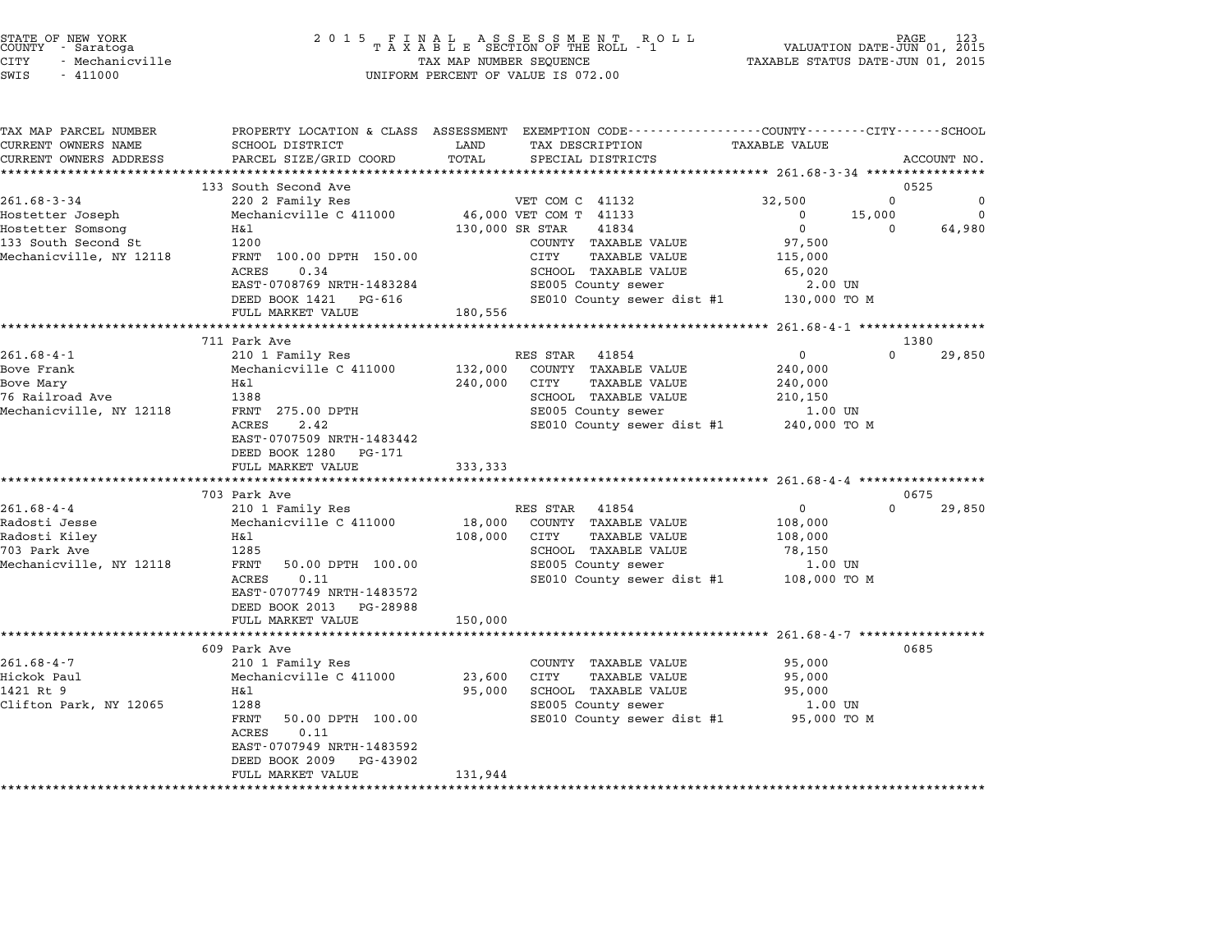| STATE OF NEW YORK |                 |  |
|-------------------|-----------------|--|
| COUNTY            | - Saratoga      |  |
| CITY              | - Mechanicville |  |

| TAX MAP PARCEL NUMBER<br>CURRENT OWNERS NAME | SCHOOL DISTRICT                                 | TAX DESCRIPTION<br>LAND                            | PROPERTY LOCATION & CLASS ASSESSMENT EXEMPTION CODE---------------COUNTY-------CITY------SCHOOL<br><b>TAXABLE VALUE</b> |
|----------------------------------------------|-------------------------------------------------|----------------------------------------------------|-------------------------------------------------------------------------------------------------------------------------|
| CURRENT OWNERS ADDRESS                       | PARCEL SIZE/GRID COORD                          | TOTAL<br>SPECIAL DISTRICTS                         | ACCOUNT NO.                                                                                                             |
|                                              |                                                 |                                                    |                                                                                                                         |
|                                              | 133 South Second Ave                            |                                                    | 0525                                                                                                                    |
| $261.68 - 3 - 34$                            | 220 2 Family Res                                | VET COM C 41132                                    | 32,500<br>$\Omega$<br>0                                                                                                 |
| Hostetter Joseph<br>Hostetter Somsong        | Mechanicville C 411000<br>H&l                   | 46,000 VET COM T 41133<br>130,000 SR STAR<br>41834 | 15,000<br>$\Omega$<br>$\mathbf 0$<br>$\mathbf{0}$<br>64,980<br>$\Omega$                                                 |
| 133 South Second St                          | 1200                                            | COUNTY TAXABLE VALUE                               | 97,500                                                                                                                  |
| Mechanicville, NY 12118                      | FRNT 100.00 DPTH 150.00                         | CITY<br>TAXABLE VALUE                              | 115,000                                                                                                                 |
|                                              | ACRES<br>0.34                                   | SCHOOL TAXABLE VALUE                               | 65,020                                                                                                                  |
|                                              | EAST-0708769 NRTH-1483284                       | SE005 County sewer                                 | $2.00$ UN                                                                                                               |
|                                              | DEED BOOK 1421 PG-616                           | SE010 County sewer dist #1                         | 130,000 TO M                                                                                                            |
|                                              | FULL MARKET VALUE                               | 180,556                                            |                                                                                                                         |
|                                              |                                                 |                                                    |                                                                                                                         |
|                                              | 711 Park Ave                                    |                                                    | 1380                                                                                                                    |
| $261.68 - 4 - 1$                             | 210 1 Family Res                                | RES STAR<br>41854                                  | $\Omega$<br>$\Omega$<br>29,850                                                                                          |
| Bove Frank                                   | Mechanicville C 411000                          | COUNTY TAXABLE VALUE<br>132,000                    | 240,000                                                                                                                 |
| Bove Mary                                    | H&l                                             | 240,000<br>CITY<br>TAXABLE VALUE                   | 240,000                                                                                                                 |
| 76 Railroad Ave                              | 1388                                            | SCHOOL TAXABLE VALUE                               | 210,150                                                                                                                 |
| Mechanicville, NY 12118                      | FRNT 275.00 DPTH<br>2.42                        | SE005 County sewer                                 | 1.00 UN                                                                                                                 |
|                                              | ACRES<br>EAST-0707509 NRTH-1483442              | SE010 County sewer dist #1                         | 240,000 TO M                                                                                                            |
|                                              | DEED BOOK 1280 PG-171                           |                                                    |                                                                                                                         |
|                                              | FULL MARKET VALUE                               | 333,333                                            |                                                                                                                         |
|                                              |                                                 |                                                    |                                                                                                                         |
|                                              | 703 Park Ave                                    |                                                    | 0675                                                                                                                    |
| $261.68 - 4 - 4$                             | 210 1 Family Res                                | RES STAR<br>41854                                  | $\mathbf{0}$<br>$\Omega$<br>29,850                                                                                      |
| Radosti Jesse                                | Mechanicville C 411000                          | 18,000<br>COUNTY TAXABLE VALUE                     | 108,000                                                                                                                 |
| Radosti Kiley                                | H&l                                             | 108,000<br>CITY<br>TAXABLE VALUE                   | 108,000                                                                                                                 |
| 703 Park Ave                                 | 1285                                            | SCHOOL TAXABLE VALUE                               | 78,150                                                                                                                  |
| Mechanicville, NY 12118                      | FRNT<br>50.00 DPTH 100.00                       | SE005 County sewer                                 | 1.00 UN                                                                                                                 |
|                                              | 0.11<br>ACRES                                   | SE010 County sewer dist #1                         | 108,000 TO M                                                                                                            |
|                                              | EAST-0707749 NRTH-1483572                       |                                                    |                                                                                                                         |
|                                              | DEED BOOK 2013<br>PG-28988<br>FULL MARKET VALUE | 150,000                                            |                                                                                                                         |
|                                              |                                                 |                                                    |                                                                                                                         |
|                                              | 609 Park Ave                                    |                                                    | 0685                                                                                                                    |
| $261.68 - 4 - 7$                             | 210 1 Family Res                                | COUNTY TAXABLE VALUE                               | 95,000                                                                                                                  |
| Hickok Paul                                  | Mechanicville C 411000                          | 23,600<br>CITY<br><b>TAXABLE VALUE</b>             | 95,000                                                                                                                  |
| 1421 Rt 9                                    | Η&l                                             | SCHOOL TAXABLE VALUE<br>95,000                     | 95,000                                                                                                                  |
| Clifton Park, NY 12065                       | 1288                                            | SE005 County sewer                                 | 1.00 UN                                                                                                                 |
|                                              | FRNT<br>50.00 DPTH 100.00<br>0.11<br>ACRES      | SE010 County sewer dist #1 95,000 TO M             |                                                                                                                         |
|                                              | EAST-0707949 NRTH-1483592                       |                                                    |                                                                                                                         |
|                                              |                                                 |                                                    |                                                                                                                         |
|                                              | DEED BOOK 2009<br>PG-43902                      |                                                    |                                                                                                                         |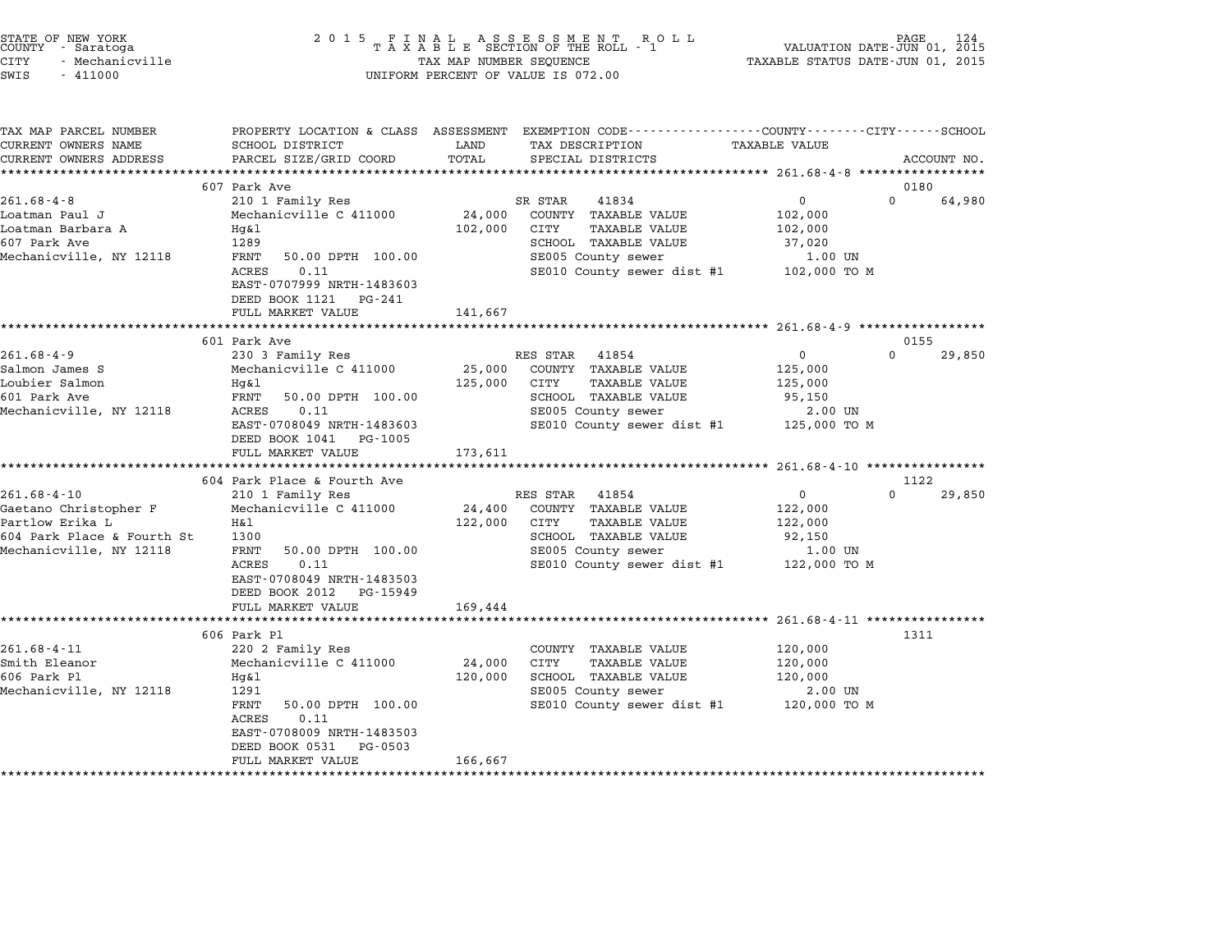| STATE OF NEW YORK |                 |  |
|-------------------|-----------------|--|
| COUNTY            | - Saratoga      |  |
| CITY              | - Mechanicville |  |

## STATE OF NEW YORK <sup>2</sup> <sup>0</sup> <sup>1</sup> 5 F I N A L A S S E S S M E N T R O L L PAGE <sup>124</sup> COUNTY - Saratoga <sup>T</sup> <sup>A</sup> <sup>X</sup> <sup>A</sup> <sup>B</sup> <sup>L</sup> <sup>E</sup> SECTION OF THE ROLL - <sup>1</sup> VALUATION DATE-JUN 01, <sup>2015</sup> STATE OF NEW YORK (RACE STATE OF NEW YORK 124 STATE OF NEW TAXABLE STATE OF NEW TAXABLE STATE 124<br>COUNTY - Saratoga (2015 TAXABLE STATUS DATE-JUN 01, 2015 TAXABLE STATUS DATE-JUN 01, 2015<br>CITY - Mechanicville SWIS - <sup>411000</sup> UNIFORM PERCENT OF VALUE IS 072.00

|                            | TAX MAP PARCEL NUMBER |                             |         | PROPERTY LOCATION & CLASS ASSESSMENT EXEMPTION CODE---------------COUNTY-------CITY------SCHOOL |                      |                    |
|----------------------------|-----------------------|-----------------------------|---------|-------------------------------------------------------------------------------------------------|----------------------|--------------------|
| CURRENT OWNERS NAME        |                       | SCHOOL DISTRICT             | LAND    | TAX DESCRIPTION                                                                                 | <b>TAXABLE VALUE</b> |                    |
| CURRENT OWNERS ADDRESS     |                       | PARCEL SIZE/GRID COORD      | TOTAL   | SPECIAL DISTRICTS                                                                               |                      | ACCOUNT NO.        |
|                            |                       |                             |         |                                                                                                 |                      |                    |
|                            |                       | 607 Park Ave                |         |                                                                                                 |                      | 0180               |
| $261.68 - 4 - 8$           |                       | 210 1 Family Res            |         | SR STAR<br>41834                                                                                | $\mathbf 0$          | $\Omega$<br>64,980 |
| Loatman Paul J             |                       | Mechanicville C 411000      | 24,000  | COUNTY TAXABLE VALUE                                                                            | 102,000              |                    |
| Loatman Barbara A          |                       | Hq&l                        | 102,000 | CITY<br><b>TAXABLE VALUE</b>                                                                    | 102,000              |                    |
| 607 Park Ave               |                       | 1289                        |         | SCHOOL TAXABLE VALUE                                                                            | 37,020               |                    |
| Mechanicville, NY 12118    |                       | FRNT<br>50.00 DPTH 100.00   |         | SE005 County sewer                                                                              | 1.00 UN              |                    |
|                            |                       | <b>ACRES</b><br>0.11        |         | SE010 County sewer dist #1                                                                      | 102,000 TO M         |                    |
|                            |                       | EAST-0707999 NRTH-1483603   |         |                                                                                                 |                      |                    |
|                            |                       | DEED BOOK 1121 PG-241       |         |                                                                                                 |                      |                    |
|                            |                       | FULL MARKET VALUE           | 141,667 |                                                                                                 |                      |                    |
|                            |                       |                             |         |                                                                                                 |                      |                    |
|                            |                       | 601 Park Ave                |         |                                                                                                 |                      | 0155               |
| $261.68 - 4 - 9$           |                       | 230 3 Family Res            |         | RES STAR 41854                                                                                  | $\mathbf 0$          | $\Omega$<br>29,850 |
| Salmon James S             |                       | Mechanicville C 411000      | 25,000  | COUNTY TAXABLE VALUE                                                                            | 125,000              |                    |
| Loubier Salmon             |                       | Hq&l                        | 125,000 | <b>TAXABLE VALUE</b><br>CITY                                                                    | 125,000              |                    |
| 601 Park Ave               |                       | FRNT<br>50.00 DPTH 100.00   |         | SCHOOL TAXABLE VALUE                                                                            | 95,150               |                    |
| Mechanicville, NY 12118    |                       | ACRES<br>0.11               |         | SE005 County sewer                                                                              | 2.00 UN              |                    |
|                            |                       | EAST-0708049 NRTH-1483603   |         | SE010 County sewer dist #1                                                                      | 125,000 TO M         |                    |
|                            |                       | DEED BOOK 1041 PG-1005      |         |                                                                                                 |                      |                    |
|                            |                       | FULL MARKET VALUE           | 173,611 |                                                                                                 |                      |                    |
|                            |                       |                             |         |                                                                                                 |                      |                    |
|                            |                       | 604 Park Place & Fourth Ave |         |                                                                                                 |                      | 1122               |
| $261.68 - 4 - 10$          |                       | 210 1 Family Res            |         | RES STAR<br>41854                                                                               | $\mathbf 0$          | $\Omega$<br>29,850 |
| Gaetano Christopher F      |                       | Mechanicville C 411000      | 24,400  | COUNTY TAXABLE VALUE                                                                            | 122,000              |                    |
| Partlow Erika L            |                       | H&l                         | 122,000 | CITY<br>TAXABLE VALUE                                                                           | 122,000              |                    |
|                            |                       | 1300                        |         |                                                                                                 |                      |                    |
| 604 Park Place & Fourth St |                       |                             |         | SCHOOL TAXABLE VALUE                                                                            | 92,150               |                    |
| Mechanicville, NY 12118    |                       | FRNT<br>50.00 DPTH 100.00   |         | SE005 County sewer                                                                              | 1.00 UN              |                    |
|                            |                       | ACRES<br>0.11               |         | SE010 County sewer dist #1                                                                      | 122,000 TO M         |                    |
|                            |                       | EAST-0708049 NRTH-1483503   |         |                                                                                                 |                      |                    |
|                            |                       | DEED BOOK 2012 PG-15949     |         |                                                                                                 |                      |                    |
|                            |                       | FULL MARKET VALUE           | 169,444 |                                                                                                 |                      |                    |
|                            |                       |                             |         |                                                                                                 |                      |                    |
|                            |                       | 606 Park Pl                 |         |                                                                                                 |                      | 1311               |
| $261.68 - 4 - 11$          |                       | 220 2 Family Res            |         | COUNTY TAXABLE VALUE                                                                            | 120,000              |                    |
| Smith Eleanor              |                       | Mechanicville C 411000      | 24,000  | CITY<br>TAXABLE VALUE                                                                           | 120,000              |                    |
| 606 Park Pl                |                       | Hg&l                        | 120,000 | SCHOOL TAXABLE VALUE                                                                            | 120,000              |                    |
| Mechanicville, NY 12118    |                       | 1291                        |         | SE005 County sewer                                                                              | 2.00 UN              |                    |
|                            |                       | FRNT<br>50.00 DPTH 100.00   |         | SE010 County sewer dist #1                                                                      | 120,000 TO M         |                    |
|                            |                       | 0.11<br>ACRES               |         |                                                                                                 |                      |                    |
|                            |                       | EAST-0708009 NRTH-1483503   |         |                                                                                                 |                      |                    |
|                            |                       | DEED BOOK 0531<br>PG-0503   |         |                                                                                                 |                      |                    |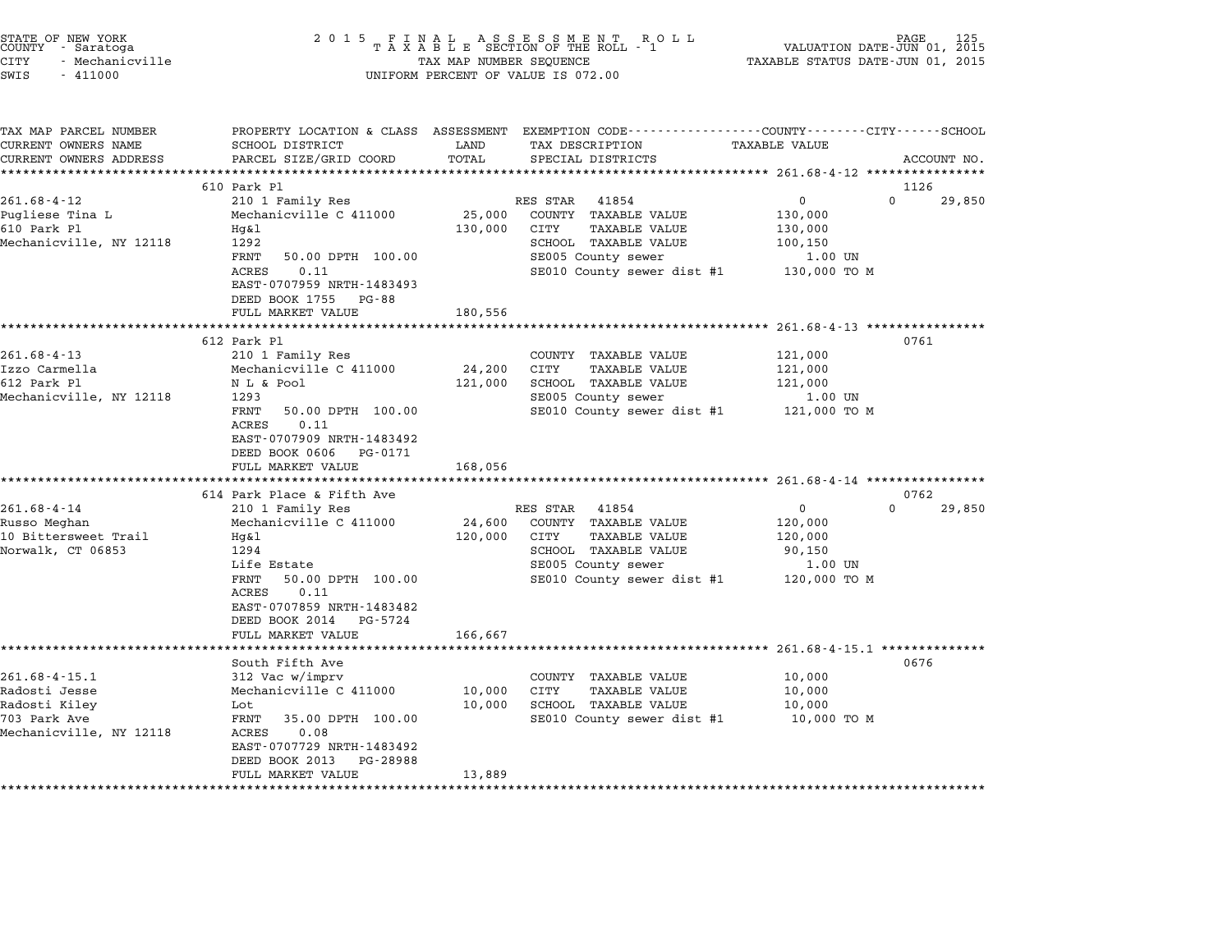| STATE OF NEW YORK<br>COUNTY - Saratoga<br>CITY<br>- Mechanicville<br>SWIS<br>$-411000$           | 2 0 1 5<br>FINAL ASSESSMENT ROTAXABLE SECTION OF THE ROLL - 1<br>R O L L<br>TAX MAP NUMBER SEQUENCE<br>UNIFORM PERCENT OF VALUE IS 072.00                                                                    |                              |                                                                                                                                                       | PAGE<br>VALUATION DATE-JUN 01, 2015<br>TAXABLE STATUS DATE-JUN 01, 2015              |             |  |
|--------------------------------------------------------------------------------------------------|--------------------------------------------------------------------------------------------------------------------------------------------------------------------------------------------------------------|------------------------------|-------------------------------------------------------------------------------------------------------------------------------------------------------|--------------------------------------------------------------------------------------|-------------|--|
| TAX MAP PARCEL NUMBER<br>CURRENT OWNERS NAME<br>CURRENT OWNERS ADDRESS<br>********************** | PROPERTY LOCATION & CLASS ASSESSMENT<br>SCHOOL DISTRICT<br>PARCEL SIZE/GRID COORD<br>****************************                                                                                            | LAND<br>TOTAL                | EXEMPTION CODE-----------------COUNTY-------CITY------SCHOOL<br>TAX DESCRIPTION<br>SPECIAL DISTRICTS                                                  | <b>TAXABLE VALUE</b>                                                                 | ACCOUNT NO. |  |
|                                                                                                  | 610 Park Pl                                                                                                                                                                                                  |                              |                                                                                                                                                       |                                                                                      | 1126        |  |
| 261.68-4-12<br>Pugliese Tina L<br>610 Park Pl<br>Mechanicville, NY 12118                         | 210 1 Family Res<br>Mechanicville C 411000<br>$Hq\&1$<br>1292<br>FRNT<br>50.00 DPTH 100.00<br>0.11<br>ACRES<br>EAST-0707959 NRTH-1483493<br>DEED BOOK 1755<br>PG-88                                          | 25,000<br>130,000            | RES STAR<br>41854<br>COUNTY TAXABLE VALUE<br><b>TAXABLE VALUE</b><br>CITY<br>SCHOOL TAXABLE VALUE<br>SE005 County sewer<br>SE010 County sewer dist #1 | $\Omega$<br>0<br>130,000<br>130,000<br>100,150<br>1.00 UN<br>130,000 TO M            | 29,850      |  |
|                                                                                                  | FULL MARKET VALUE<br>**********************                                                                                                                                                                  | 180,556<br>************      |                                                                                                                                                       | ************** 261.68-4-13 **********                                                |             |  |
| $261.68 - 4 - 13$<br>Izzo Carmella<br>612 Park Pl<br>Mechanicville, NY 12118                     | 612 Park Pl<br>210 1 Family Res<br>Mechanicville C 411000<br>N L & Pool<br>1293<br>FRNT<br>50.00 DPTH 100.00<br>0.11<br>ACRES<br>EAST-0707909 NRTH-1483492<br>DEED BOOK 0606<br>PG-0171<br>FULL MARKET VALUE | 24,200<br>121,000<br>168,056 | COUNTY TAXABLE VALUE<br>CITY<br><b>TAXABLE VALUE</b><br>SCHOOL TAXABLE VALUE<br>SE005 County sewer<br>SE010 County sewer dist #1                      | 121,000<br>121,000<br>121,000<br>1.00 UN<br>121,000 TO M                             | 0761        |  |
|                                                                                                  | 614 Park Place & Fifth Ave                                                                                                                                                                                   |                              |                                                                                                                                                       |                                                                                      | 0762        |  |
| $261.68 - 4 - 14$<br>Russo Meghan<br>10 Bittersweet Trail<br>Norwalk, CT 06853                   | 210 1 Family Res<br>Mechanicville C 411000<br>Hg&l<br>1294<br>Life Estate<br>FRNT<br>50.00 DPTH 100.00<br>0.11<br>ACRES<br>EAST-0707859 NRTH-1483482<br>DEED BOOK 2014<br>PG-5724<br>FULL MARKET VALUE       | 24,600<br>120,000<br>166,667 | RES STAR<br>41854<br>COUNTY TAXABLE VALUE<br>CITY<br><b>TAXABLE VALUE</b><br>SCHOOL TAXABLE VALUE<br>SE005 County sewer<br>SE010 County sewer dist #1 | $\Omega$<br>0<br>120,000<br>120,000<br>90,150<br>1.00 UN<br>120,000 TO M             | 29,850      |  |
| $261.68 - 4 - 15.1$<br>Radosti Jesse<br>Radosti Kiley<br>703 Park Ave<br>Mechanicville, NY 12118 | South Fifth Ave<br>312 Vac w/imprv<br>Mechanicville C 411000<br>Lot<br>FRNT<br>35.00 DPTH 100.00<br>ACRES<br>0.08<br>EAST-0707729 NRTH-1483492<br>DEED BOOK 2013<br>PG-28988<br>FULL MARKET VALUE            | 10,000<br>10,000<br>13,889   | COUNTY TAXABLE VALUE<br>CITY<br><b>TAXABLE VALUE</b><br>SCHOOL TAXABLE VALUE<br>SE010 County sewer dist #1                                            | **************** 261.68-4-15.1 ********<br>10,000<br>10,000<br>10,000<br>10,000 TO M | 0676        |  |

STATE OF NEW YORK <sup>2</sup> <sup>0</sup> <sup>1</sup> 5 F I N A L A S S E S S M E N T R O L L PAGE <sup>125</sup> COUNTY - Saratoga <sup>T</sup> <sup>A</sup> <sup>X</sup> <sup>A</sup> <sup>B</sup> <sup>L</sup> <sup>E</sup> SECTION OF THE ROLL - <sup>1</sup> VALUATION DATE-JUN 01, <sup>2015</sup>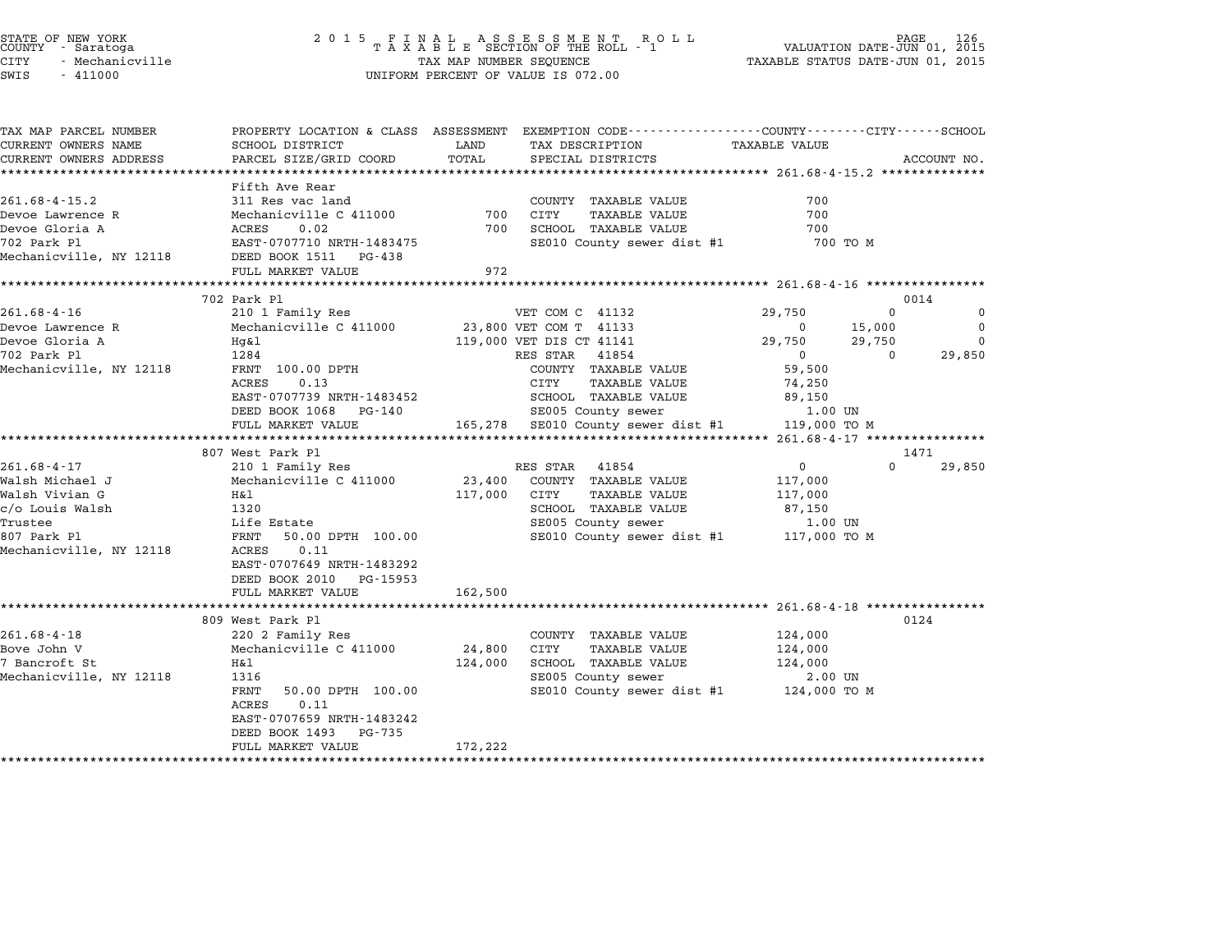| STATE OF NEW YORK |  |                 |  |
|-------------------|--|-----------------|--|
| COUNTY            |  | - Saratoga      |  |
| <b>CTTY</b>       |  | - Mechanicville |  |

| TAX MAP PARCEL NUMBER   |                                               |         | PROPERTY LOCATION & CLASS ASSESSMENT EXEMPTION CODE----------------COUNTY-------CITY-----SCHOOL |               |          |             |
|-------------------------|-----------------------------------------------|---------|-------------------------------------------------------------------------------------------------|---------------|----------|-------------|
| CURRENT OWNERS NAME     | SCHOOL DISTRICT                               | LAND    | TAX DESCRIPTION                                                                                 | TAXABLE VALUE |          |             |
| CURRENT OWNERS ADDRESS  | PARCEL SIZE/GRID COORD                        | TOTAL   | SPECIAL DISTRICTS                                                                               |               |          | ACCOUNT NO. |
|                         |                                               |         |                                                                                                 |               |          |             |
| $261.68 - 4 - 15.2$     | Fifth Ave Rear<br>311 Res vac land            |         | COUNTY TAXABLE VALUE                                                                            | 700           |          |             |
| Devoe Lawrence R        | Mechanicville C 411000                        |         | 700 CITY<br><b>TAXABLE VALUE</b>                                                                | 700           |          |             |
| Devoe Gloria A          | 0.02                                          | 700     | SCHOOL TAXABLE VALUE                                                                            | 700           |          |             |
| 702 Park Pl             | <b>ACRES</b><br>EAST-0707710 NRTH-1483475     |         | SE010 County sewer dist #1                                                                      | 700 TO M      |          |             |
| Mechanicville, NY 12118 | DEED BOOK 1511 PG-438                         |         |                                                                                                 |               |          |             |
|                         | FULL MARKET VALUE                             | 972     |                                                                                                 |               |          |             |
|                         |                                               |         |                                                                                                 |               |          |             |
|                         | 702 Park Pl                                   |         |                                                                                                 |               |          | 0014        |
| $261.68 - 4 - 16$       | 210 1 Family Res                              |         | VET COM C 41132                                                                                 | 29,750        | $\Omega$ | $\mathbf 0$ |
| Devoe Lawrence R        | Mechanicville C 411000 23,800 VET COM T 41133 |         |                                                                                                 | $\Omega$      | 15,000   | $\Omega$    |
| Devoe Gloria A          | Hq&l                                          |         | 119,000 VET DIS CT 41141                                                                        | 29,750        | 29,750   | $\Omega$    |
| 702 Park Pl             | 1284                                          |         | 41854<br>RES STAR                                                                               | $\Omega$      | $\Omega$ | 29,850      |
| Mechanicville, NY 12118 | FRNT 100.00 DPTH                              |         | COUNTY TAXABLE VALUE                                                                            | 59,500        |          |             |
|                         | 0.13<br>ACRES                                 |         | CITY<br>TAXABLE VALUE                                                                           | 74,250        |          |             |
|                         | EAST-0707739 NRTH-1483452                     |         | SCHOOL TAXABLE VALUE                                                                            | 89,150        |          |             |
|                         | DEED BOOK 1068 PG-140                         |         | SE005 County sewer                                                                              | 1.00 UN       |          |             |
|                         | FULL MARKET VALUE                             |         | 165,278 SE010 County sewer dist #1 119,000 TO M                                                 |               |          |             |
|                         |                                               |         |                                                                                                 |               |          |             |
|                         | 807 West Park Pl                              |         |                                                                                                 |               |          | 1471        |
| $261.68 - 4 - 17$       | 210 1 Family Res                              |         | RES STAR<br>41854                                                                               | 0             | $\Omega$ | 29,850      |
| Walsh Michael J         | Mechanicville C 411000                        |         | 23,400 COUNTY TAXABLE VALUE                                                                     | 117,000       |          |             |
| Walsh Vivian G          | H&l                                           |         | 117,000 CITY<br>TAXABLE VALUE                                                                   | 117,000       |          |             |
| c/o Louis Walsh         | 1320                                          |         | SCHOOL TAXABLE VALUE                                                                            | 87,150        |          |             |
| Trustee                 | Life Estate                                   |         | SE005 County sewer                                                                              | 1.00 UN       |          |             |
| 807 Park Pl             | FRNT<br>50.00 DPTH 100.00                     |         | SE010 County sewer dist #1 117,000 TO M                                                         |               |          |             |
| Mechanicville, NY 12118 | 0.11<br>ACRES                                 |         |                                                                                                 |               |          |             |
|                         | EAST-0707649 NRTH-1483292                     |         |                                                                                                 |               |          |             |
|                         | DEED BOOK 2010 PG-15953                       |         |                                                                                                 |               |          |             |
|                         | FULL MARKET VALUE                             | 162,500 |                                                                                                 |               |          |             |
|                         |                                               |         |                                                                                                 |               |          |             |
|                         | 809 West Park Pl                              |         |                                                                                                 |               |          | 0124        |
| $261.68 - 4 - 18$       | 220 2 Family Res                              |         | COUNTY TAXABLE VALUE                                                                            | 124,000       |          |             |
| Bove John V             | Mechanicville C 411000                        |         | 24,800 CITY<br>TAXABLE VALUE                                                                    | 124,000       |          |             |
| 7 Bancroft St           | H&l                                           | 124,000 | SCHOOL TAXABLE VALUE                                                                            | 124,000       |          |             |
| Mechanicville, NY 12118 | 1316                                          |         | SE005 County sewer                                                                              | 2.00 UN       |          |             |
|                         | FRNT<br>50.00 DPTH 100.00<br>0.11<br>ACRES    |         | SE010 County sewer dist #1 $124,000$ TO M                                                       |               |          |             |
|                         | EAST-0707659 NRTH-1483242                     |         |                                                                                                 |               |          |             |
|                         | DEED BOOK 1493 PG-735                         |         |                                                                                                 |               |          |             |
|                         | FULL MARKET VALUE                             | 172,222 |                                                                                                 |               |          |             |
|                         |                                               |         |                                                                                                 |               |          |             |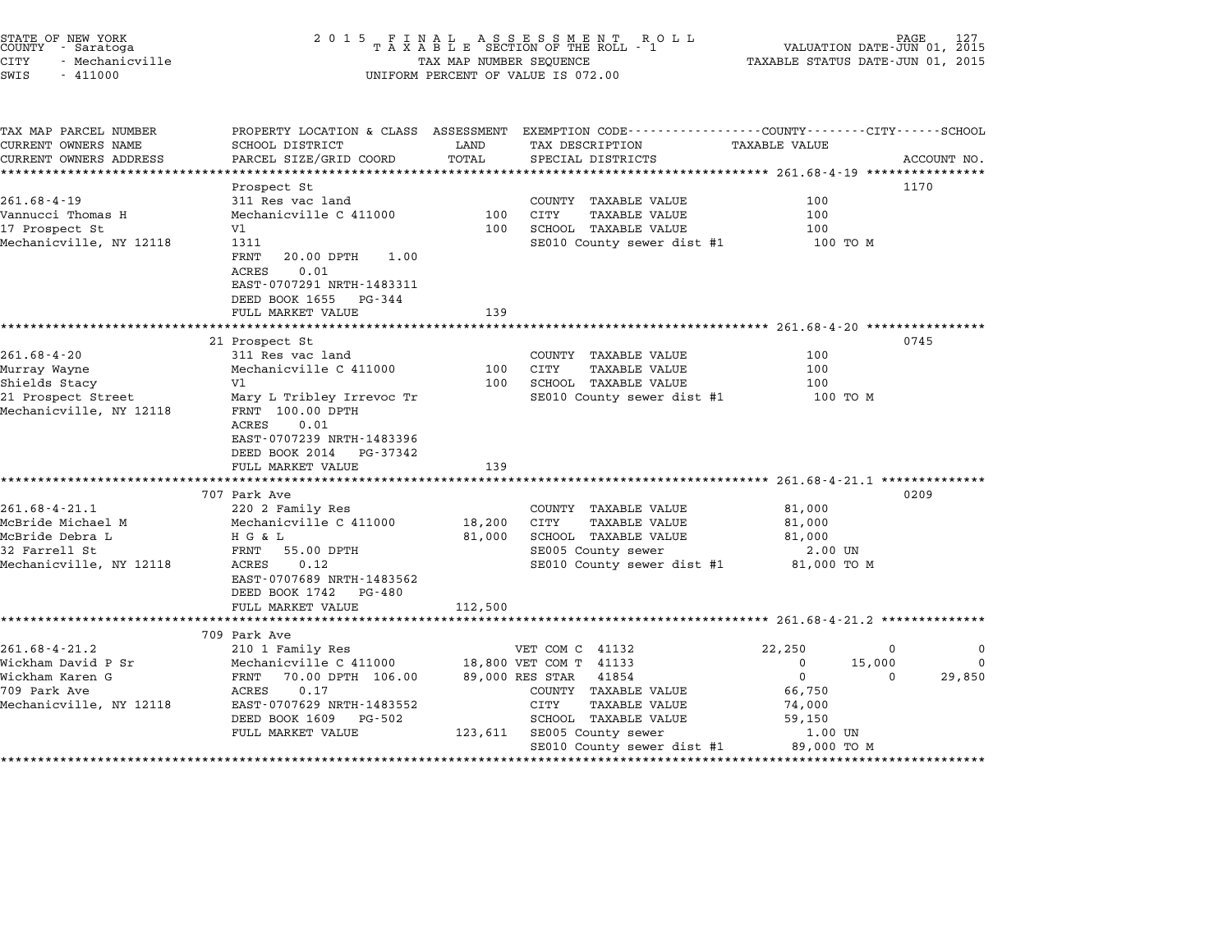| COUNTY<br>CITY<br>SWIS | STATE OF NEW YORK<br>- Saratoga<br>- Mechanicville<br>$-411000$ |                                              |       | 2015 FINAL ASSESSMENT ROLL<br>TAXABLE SECTION OF THE ROLL - 1<br>TAX MAP NUMBER SEQUENCE<br>UNIFORM PERCENT OF VALUE IS 072.00 |                                                                              | 127<br>PAGE<br>VALUATION DATE-JUN 01, 2015<br>TAXABLE STATUS DATE-JUN 01, 2015 |  |
|------------------------|-----------------------------------------------------------------|----------------------------------------------|-------|--------------------------------------------------------------------------------------------------------------------------------|------------------------------------------------------------------------------|--------------------------------------------------------------------------------|--|
|                        | TAX MAP PARCEL NUMBER<br>CURRENT OWNERS NAME                    | PROPERTY LOCATION & CLASS<br>SCHOOL DISTRICT |       | ASSESSMENT<br>TAX DESCRIPTION<br>LAND                                                                                          | EXEMPTION CODE-----------------COUNTY-------CITY-----SCHOOL<br>TAXABLE VALUE |                                                                                |  |
|                        | CURRENT OWNERS ADDRESS                                          | PARCEL SIZE/GRID COORD                       | TOTAL | SPECIAL DISTRICTS                                                                                                              |                                                                              | ACCOUNT NO.                                                                    |  |

| CONNENI OMNERO NAME                           | nomon niniviri                                                                                                                              | <b>UAIVU</b> | TUV DEPOTITIOM                                                              |                    |                            |
|-----------------------------------------------|---------------------------------------------------------------------------------------------------------------------------------------------|--------------|-----------------------------------------------------------------------------|--------------------|----------------------------|
| CURRENT OWNERS ADDRESS                        | PARCEL SIZE/GRID COORD                                                                                                                      | TOTAL        | SPECIAL DISTRICTS                                                           |                    | ACCOUNT NO.                |
|                                               |                                                                                                                                             |              |                                                                             |                    |                            |
|                                               | Prospect St                                                                                                                                 |              |                                                                             |                    | 1170                       |
| $261.68 - 4 - 19$                             | 311 Res vac land                                                                                                                            |              | COUNTY TAXABLE VALUE                                                        | 100                |                            |
| Vannucci Thomas H                             | Mechanicville C 411000                                                                                                                      | 100          | <b>CITY</b><br>TAXABLE VALUE                                                | 100                |                            |
| 17 Prospect St                                | Vl                                                                                                                                          | 100          | SCHOOL TAXABLE VALUE                                                        | 100                |                            |
| Mechanicville, NY 12118                       | 1311<br>FRNT<br>1.00<br>20.00 DPTH<br>0.01<br>ACRES<br>EAST-0707291 NRTH-1483311<br>DEED BOOK 1655 PG-344<br>FULL MARKET VALUE              | 139          | SE010 County sewer dist #1                                                  | 100 TO M           |                            |
|                                               |                                                                                                                                             |              |                                                                             |                    |                            |
|                                               | 21 Prospect St                                                                                                                              |              |                                                                             |                    | 0745                       |
| $261.68 - 4 - 20$                             | 311 Res vac land                                                                                                                            |              | COUNTY TAXABLE VALUE                                                        | 100                |                            |
| Murray Wayne                                  | Mechanicville C 411000                                                                                                                      | 100          | TAXABLE VALUE<br>CITY                                                       | 100                |                            |
| Shields Stacy                                 | V1                                                                                                                                          | 100          | SCHOOL TAXABLE VALUE                                                        | 100                |                            |
| 21 Prospect Street<br>Mechanicville, NY 12118 | Mary L Tribley Irrevoc Tr<br>FRNT 100.00 DPTH<br>ACRES<br>0.01<br>EAST-0707239 NRTH-1483396<br>DEED BOOK 2014 PG-37342<br>FULL MARKET VALUE | 139          | SE010 County sewer dist #1                                                  | 100 TO M           |                            |
|                                               |                                                                                                                                             |              |                                                                             |                    |                            |
|                                               | 707 Park Ave                                                                                                                                |              |                                                                             |                    | 0209                       |
| $261.68 - 4 - 21.1$                           | 220 2 Family Res                                                                                                                            |              | COUNTY TAXABLE VALUE                                                        | 81,000             |                            |
| McBride Michael M                             | Mechanicville C 411000                                                                                                                      | 18,200       | CITY<br>TAXABLE VALUE                                                       | 81,000             |                            |
| McBride Debra L                               | H G & L                                                                                                                                     |              | 81,000 SCHOOL TAXABLE VALUE                                                 | 81,000             |                            |
| 32 Farrell St<br>Mechanicville, NY 12118      | FRNT 55.00 DPTH<br>0.12<br>ACRES<br>EAST-0707689 NRTH-1483562<br>DEED BOOK 1742 PG-480                                                      |              | SE005 County sewer<br>SE010 County sewer dist #1 $\overline{a}$ 81,000 TO M | 2.00 UN            |                            |
|                                               | FULL MARKET VALUE                                                                                                                           | 112,500      |                                                                             |                    |                            |
|                                               |                                                                                                                                             |              |                                                                             |                    |                            |
| $261.68 - 4 - 21.2$                           | 709 Park Ave<br>210 1 Family Res                                                                                                            |              | VET COM C 41132                                                             | 22,250             | $\mathbf 0$<br>$\mathbf 0$ |
| Wickham David P Sr                            | Mechanicville C 411000 18,800 VET COM T 41133                                                                                               |              |                                                                             | $\Omega$<br>15,000 | $\Omega$                   |
| Wickham Karen G                               | FRNT 70.00 DPTH 106.00                                                                                                                      |              | 89,000 RES STAR 41854                                                       | $\overline{0}$     | 29,850<br>$\Omega$         |
| 709 Park Ave                                  | ACRES<br>0.17                                                                                                                               |              | COUNTY TAXABLE VALUE                                                        | 66,750             |                            |
| Mechanicville, NY 12118                       | EAST-0707629 NRTH-1483552                                                                                                                   |              | CITY<br>TAXABLE VALUE                                                       | 74,000             |                            |
|                                               | DEED BOOK 1609<br>PG-502                                                                                                                    |              | SCHOOL TAXABLE VALUE                                                        | 59,150             |                            |
|                                               | FULL MARKET VALUE                                                                                                                           |              | 123,611 SE005 County sewer                                                  | 1.00 UN            |                            |
|                                               |                                                                                                                                             |              | SE010 County sewer dist #1 89,000 TO M                                      |                    |                            |
|                                               |                                                                                                                                             |              |                                                                             |                    |                            |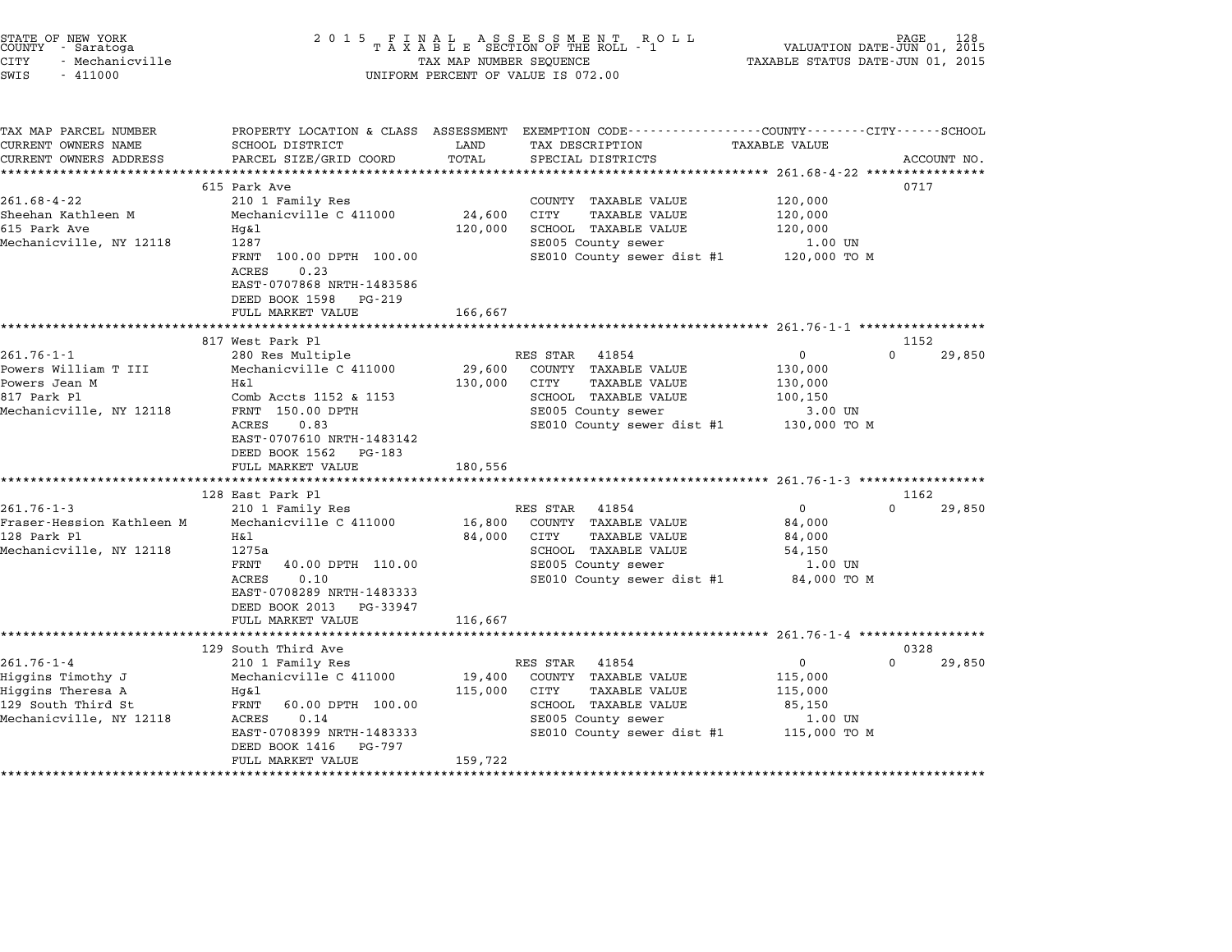| STATE OF NEW YORK<br>COUNTY - Saratoga |                 |  |
|----------------------------------------|-----------------|--|
| CITY                                   | - Mechanicville |  |

### STATE OF NEW YORK <sup>2</sup> <sup>0</sup> <sup>1</sup> 5 F I N A L A S S E S S M E N T R O L L PAGE <sup>128</sup> COUNTY - Saratoga <sup>T</sup> <sup>A</sup> <sup>X</sup> <sup>A</sup> <sup>B</sup> <sup>L</sup> <sup>E</sup> SECTION OF THE ROLL - <sup>1</sup> VALUATION DATE-JUN 01, <sup>2015</sup> STATE OF NEW YORK (RACE STATE OF NEW YORK 128 STATE OF NEW TAXABLE STATE OF NEW TAXABLE STATE 1988)<br>COUNTY - Saratoga (2015 TAXABLE STATUS DATE-JUN 01, 2015 TAXABLE STATUS DATE-JUN 01, 2015<br>CITY - Mechanicville (2015 TAXAB CONTI - Salatoga<br>CITY - Mechanicville<br>SWIS - 411000 UNIFORM PERCENT OF VALUE IS 072.00

TAX MAP PARCEL NUMBER PROPERTY LOCATION & CLASS ASSESSMENT EXEMPTION CODE------------------COUNTY--------CITY------SCHOOL CURRENT OWNERS NAME SCHOOL DISTRICT LAND TAX DESCRIPTION TAXABLE VALUE CURRENT OWNERS ADDEER FOUR DISTRICTS AND A CHASS ASSESSEENT EXERT ON TAX MIT PROCULPTION TRANSFOURERS ADDRESS SANCEL SIZE/GRID COORD TOTAL SEEN TRANSFOUR TRANSFOUR TRANSFOUR TRANSFOUR TRANSFOUR TRANSFOUR TRANSFOUR ACCOUNT <sup>615</sup> Park Ave <sup>0717</sup> 261.68-4-22 615 Park Ave 261.68-4-22 210 1 Family Res COUNTY TAXABLE VALUE 120,000 SHEEM MARK ON THE SALL AVE TO MARK ON THE 20,000 24,600 COUNTY TAXABLE VALUE 120,000<br>Sheehan Kathleen M Mechanicville C 411000 24,600 CITY TAXABLE VALUE 120,000 201.00 + 22 = 201.00 + 210 = 210 = 210 = 210 = 210 = 210,000<br>Sheehan Kathleen M = 20,000 = 24,600 = 24,600 = 210,000 = 210,000 = 120,000 = 210,000 = 120,000 = 120,000 = 2<br>Sheehan = 210,000 = 210,000 = 210,000 = 210,000 = 2 Mechanicville, NY <sup>12118</sup> <sup>1287</sup> SE005 County sewer 1.00 UN IT 120,000 SCROOD TAAADDE VADOE 120,000 ISLAMING 1987<br>1.00 UN SECOLS COUNTY Sewer dist #1 100.00 TO M 1287<br>FRNT 100.00<br>ACRES 0.23 FANI 100.00 DFIN 100.00<br>ACRES 0.23<br>EAST-0707868 NRTH-1483586 ACRES 0.23<br>EAST-0707868 NRTH-1483586<br>DEED BOOK 1598 PG-219 FULL MARKET VALUE 166,667 \*\*\*\*\*\*\*\*\*\*\*\*\*\*\*\*\*\*\*\*\*\*\*\*\*\*\*\*\*\*\*\*\*\*\*\*\*\*\*\*\*\*\*\*\*\*\*\*\*\*\*\*\*\*\*\*\*\*\*\*\*\*\*\*\*\*\*\*\*\*\*\*\*\*\*\*\*\*\*\*\*\*\*\*\*\*\*\*\*\*\*\*\*\*\*\*\*\*\*\*\*\*\* 261.76-1-1 \*\*\*\*\*\*\*\*\*\*\*\*\*\*\*\*\* <sup>817</sup> West Park Pl <sup>1152</sup> 261.76-1-1 281.76-1-1 280 Res Multiple RES STAR 41854 201.76-1-1 280 0 29,850<br>RES STAR 41854 0 261.76-1-1 280 Res Multiple RES STAR 41854 0 29,850 Powers William T III Mechanicville C <sup>411000</sup> 29,600 COUNTY TAXABLE VALUE 130,000 Powers Jean M H&l 130,000 CITY TAXABLE VALUE 130,000 FOWELS NITITEM I III RECHAMICVITE C TITOOV 29,000 COUNTI IAAADDD VADOD (1900)<br>Powers Jean M Hall Hall (130,000 CITY TAXABLE VALUE 130,000 130,000 FAXABLE VALUE 100,150 POWELS UEAN MET AND HEART TRANSILE VALUE AND TRANSILE VALUE AND TRANSILE VALUE TRANSILE VALUE TRANSILE VALUE SCHOOL TRANSILE VALUE TRANSILE VALUE TRANSILE VALUE TRANSILE VALUE TRANSILE VALUE TRANSILE VALUE TRANSILE VALUE T ACCES ITS & ITS AND CONDUCTED BOOKS OUTLY SERVER THAN THANDS VALUE TO A TOO, IS A TOO, IS ON TO M<br>FRINT 150,000 DPTH SERVER SERVER SERVER SERVER THE 130,000 TO M<br>ACRES 0.83 FRNI 150.00 DPIH<br>ACRES 0.83<br>EAST-0707610 NRTH-1483142 ACRES 0.83<br>EAST-0707610 NRTH-1483142<br>DEED BOOK 1562 PG-183 FULL MARKET VALUE 180,556 \*\*\*\*\*\*\*\*\*\*\*\*\*\*\*\*\*\*\*\*\*\*\*\*\*\*\*\*\*\*\*\*\*\*\*\*\*\*\*\*\*\*\*\*\*\*\*\*\*\*\*\*\*\*\*\*\*\*\*\*\*\*\*\*\*\*\*\*\*\*\*\*\*\*\*\*\*\*\*\*\*\*\*\*\*\*\*\*\*\*\*\*\*\*\*\*\*\*\*\*\*\*\* 261.76-1-3 \*\*\*\*\*\*\*\*\*\*\*\*\*\*\*\*\* <sup>128</sup> East Park Pl <sup>1162</sup> 261.76-1-3 <sup>210</sup> <sup>1</sup> Family Res RES STAR <sup>41854</sup> <sup>0</sup> <sup>0</sup> 29,850 Fraser-Hession Kathleen M Mechanicville C <sup>411000</sup> 16,800 COUNTY TAXABLE VALUE 84,000 <sup>128</sup> Park Pl H&l 84,000 CITY TAXABLE VALUE 84,000 riaser-hession kathleen Machineen (1992)<br>128 Park Plannel (1994,000 Hall State of Taxable Value 54,000 Hall State State State State State State State<br>Mechanicville, NY 12118 1275a nar - 12,000 CIT INALLE VALUE - 12,000 CHE 14,000 EXAMPLE VALUE - 12,000 M<br>SCHOOL TAXABLE VALUE - 12,150 SCOUNTY SERVICE - 1.00 UN<br>FRNT - 40.00 DPTH 110.00 - SECOOS COUNTY SEWER 12750<br>FRNT 40.00 DPTH 110.00 SCHOOD IAAABLE VALUE<br>ACRES 0.10 SE010 County sewer dist #1 84,000 TO M<br>EAST-0708289 NRTH-1483333 DEED BOOK <sup>2013</sup> PG-33947 FULL MARKET VALUE 116,667 \*\*\*\*\*\*\*\*\*\*\*\*\*\*\*\*\*\*\*\*\*\*\*\*\*\*\*\*\*\*\*\*\*\*\*\*\*\*\*\*\*\*\*\*\*\*\*\*\*\*\*\*\*\*\*\*\*\*\*\*\*\*\*\*\*\*\*\*\*\*\*\*\*\*\*\*\*\*\*\*\*\*\*\*\*\*\*\*\*\*\*\*\*\*\*\*\*\*\*\*\*\*\* 261.76-1-4 \*\*\*\*\*\*\*\*\*\*\*\*\*\*\*\*\* <sup>129</sup> South Third Ave <sup>0328</sup> 261.76-1-4 <sup>210</sup> <sup>1</sup> Family Res RES STAR <sup>41854</sup> <sup>0</sup> <sup>0</sup> 29,850 Higgins Timothy J Mechanicville C <sup>411000</sup> 19,400 COUNTY TAXABLE VALUE 115,000 كان المسلم المسلم المسلم المسلم المسلم المسلم المسلم المسلم المسلم المسلم المسلم المسلم المسلم المسلم المسلم ا<br>Higgins Theresa A Hg&l 115,000 CITY TAXABLE VALUE 115,000 CHE 215,000 <sup>129</sup> South Third St FRNT 60.00 DPTH 100.00 SCHOOL TAXABLE VALUE 85,150 miggins ineresa A migatics and Migatics and Might interest in the mathematics of the mathematics of the might<br>129 South Third St. 150 SE005 County sewer 1.00 UN Mechanicville, NY 12118 ACRES 0.14 SE005 County sewer 1.00 UN EART 00.00 DETIT 100.000 SERVER DERIVER PRACHES 0.14<br>ACRES 0.14 1.00 UN SECOLE COUNTY Sewer dist #1 115,000 TO M EAST-0708399 NRTH-14833<br>DEED BOOK 1416 PG-797 EAST 0700555 MAIN 1405555<br>
DEED BOOK 1416 PG-797<br>
FULL MARKET VALUE 159,722 \*\*\*\*\*\*\*\*\*\*\*\*\*\*\*\*\*\*\*\*\*\*\*\*\*\*\*\*\*\*\*\*\*\*\*\*\*\*\*\*\*\*\*\*\*\*\*\*\*\*\*\*\*\*\*\*\*\*\*\*\*\*\*\*\*\*\*\*\*\*\*\*\*\*\*\*\*\*\*\*\*\*\*\*\*\*\*\*\*\*\*\*\*\*\*\*\*\*\*\*\*\*\*\*\*\*\*\*\*\*\*\*\*\*\*\*\*\*\*\*\*\*\*\*\*\*\*\*\*\*\*\*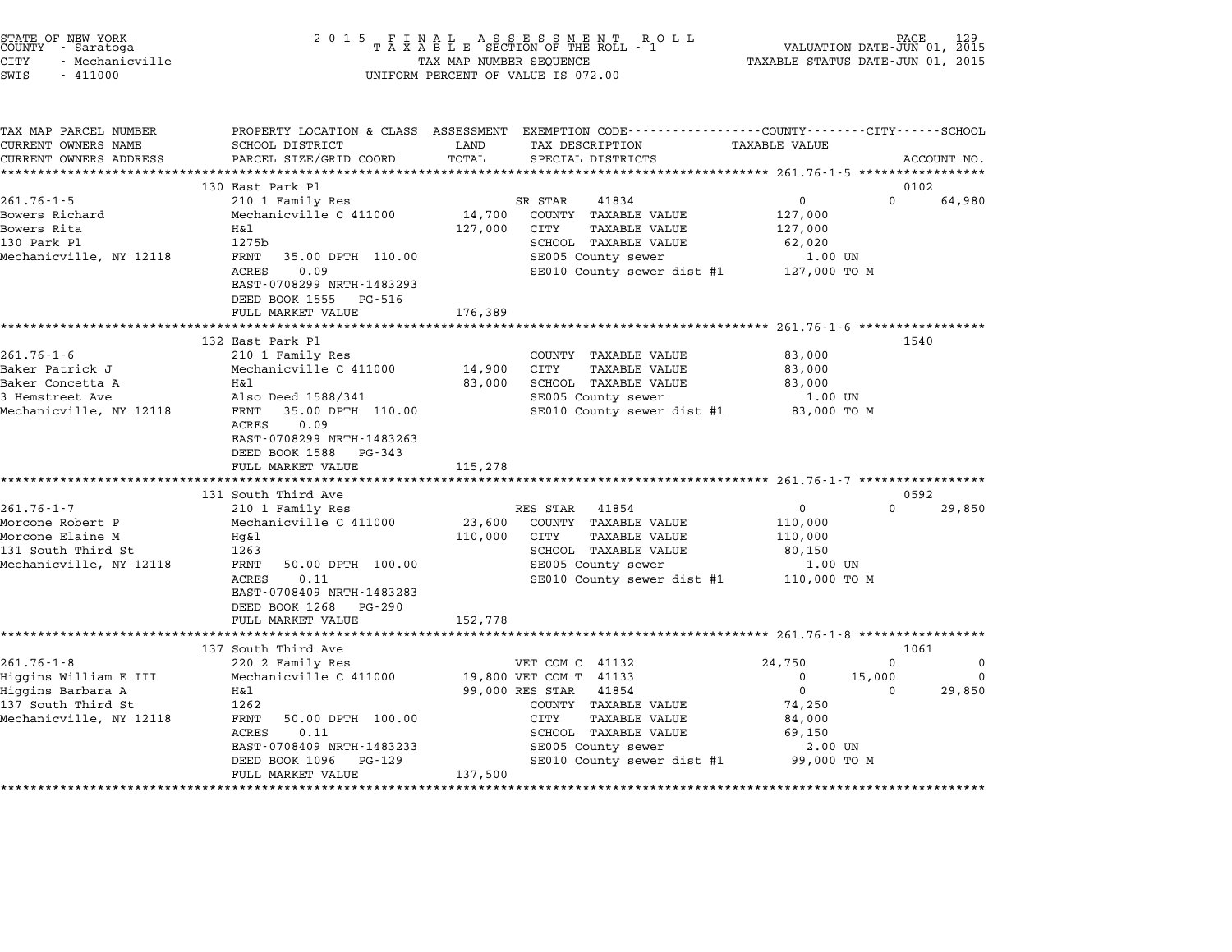| STATE OF NEW YORK<br>COUNTY<br>- Saratoga<br>CITY<br>- Mechanicville<br>SWIS<br>$-411000$                       | 2 0 1 5<br>FINAL ASSESSMENT ROTAXABLE SECTION OF THE ROLL - 1<br>R O L L<br>TAX MAP NUMBER SEQUENCE<br>UNIFORM PERCENT OF VALUE IS 072.00                                                          |                              |                                                                                                                                                                                                           | PAGE<br>VALUATION DATE-JUN 01, 2015<br>TAXABLE STATUS DATE-JUN 01, 2015            |                                |                                |
|-----------------------------------------------------------------------------------------------------------------|----------------------------------------------------------------------------------------------------------------------------------------------------------------------------------------------------|------------------------------|-----------------------------------------------------------------------------------------------------------------------------------------------------------------------------------------------------------|------------------------------------------------------------------------------------|--------------------------------|--------------------------------|
| TAX MAP PARCEL NUMBER<br>CURRENT OWNERS NAME<br>CURRENT OWNERS ADDRESS                                          | PROPERTY LOCATION & CLASS ASSESSMENT<br>SCHOOL DISTRICT<br>PARCEL SIZE/GRID COORD<br>***********************                                                                                       | LAND<br>TOTAL                | EXEMPTION CODE-----------------COUNTY-------CITY------SCHOOL<br>TAX DESCRIPTION<br>SPECIAL DISTRICTS                                                                                                      | TAXABLE VALUE                                                                      |                                | ACCOUNT NO.                    |
|                                                                                                                 | 130 East Park Pl                                                                                                                                                                                   |                              |                                                                                                                                                                                                           |                                                                                    | 0102                           |                                |
| $261.76 - 1 - 5$                                                                                                | 210 1 Family Res                                                                                                                                                                                   |                              | SR STAR<br>41834                                                                                                                                                                                          | $\mathbf 0$                                                                        | $\Omega$                       | 64,980                         |
| Bowers Richard<br>Bowers Rita<br>130 Park Pl<br>Mechanicville, NY 12118                                         | Mechanicville C 411000<br>H&l<br>1275b<br>FRNT<br>35.00 DPTH 110.00<br><b>ACRES</b><br>0.09                                                                                                        | 14,700<br>127,000            | COUNTY TAXABLE VALUE<br>CITY<br><b>TAXABLE VALUE</b><br>SCHOOL TAXABLE VALUE<br>SE005 County sewer<br>SE010 County sewer dist #1                                                                          | 127,000<br>127,000<br>62,020<br>1.00 UN<br>127,000 TO M                            |                                |                                |
|                                                                                                                 | EAST-0708299 NRTH-1483293<br>DEED BOOK 1555<br>PG-516<br>FULL MARKET VALUE                                                                                                                         | 176,389                      |                                                                                                                                                                                                           |                                                                                    |                                |                                |
|                                                                                                                 | **********************                                                                                                                                                                             | *********                    |                                                                                                                                                                                                           | ************ 261.76-1-6 *************                                              |                                |                                |
| $261.76 - 1 - 6$<br>Baker Patrick J<br>Baker Concetta A<br>3 Hemstreet Ave<br>Mechanicville, NY 12118           | 132 East Park Pl<br>210 1 Family Res<br>Mechanicville C 411000<br>Η&l<br>Also Deed 1588/341<br>FRNT<br>35.00 DPTH 110.00<br>0.09<br>ACRES<br>EAST-0708299 NRTH-1483263<br>DEED BOOK 1588<br>PG-343 | 14,900<br>83,000             | COUNTY TAXABLE VALUE<br>CITY<br><b>TAXABLE VALUE</b><br>SCHOOL TAXABLE VALUE<br>SE005 County sewer<br>SE010 County sewer dist #1                                                                          | 83,000<br>83,000<br>83,000<br>1.00 UN<br>83,000 TO M                               | 1540                           |                                |
|                                                                                                                 | FULL MARKET VALUE                                                                                                                                                                                  | 115,278                      |                                                                                                                                                                                                           |                                                                                    |                                |                                |
|                                                                                                                 | *********************<br>131 South Third Ave                                                                                                                                                       |                              |                                                                                                                                                                                                           |                                                                                    | 0592                           |                                |
| $261.76 - 1 - 7$<br>Morcone Robert P<br>Morcone Elaine M<br>131 South Third St<br>Mechanicville, NY 12118       | 210 1 Family Res<br>Mechanicville C 411000<br>Hq&l<br>1263<br>FRNT<br>50.00 DPTH 100.00<br>ACRES<br>0.11<br>EAST-0708409 NRTH-1483283<br>DEED BOOK 1268<br>$PG-290$<br>FULL MARKET VALUE           | 23,600<br>110,000<br>152,778 | RES STAR<br>41854<br>COUNTY TAXABLE VALUE<br>CITY<br><b>TAXABLE VALUE</b><br>SCHOOL TAXABLE VALUE<br>SE005 County sewer<br>SE010 County sewer dist #1                                                     | $\mathbf{0}$<br>110,000<br>110,000<br>80,150<br>1.00 UN<br>110,000 TO M            | $\Omega$                       | 29,850                         |
|                                                                                                                 | *******************                                                                                                                                                                                |                              |                                                                                                                                                                                                           | *************** 261.76-1-8 ****************                                        |                                |                                |
|                                                                                                                 | 137 South Third Ave                                                                                                                                                                                |                              |                                                                                                                                                                                                           |                                                                                    | 1061                           |                                |
| $261.76 - 1 - 8$<br>Higgins William E III<br>Higgins Barbara A<br>137 South Third St<br>Mechanicville, NY 12118 | 220 2 Family Res<br>Mechanicville C 411000<br>H&l<br>1262<br>FRNT<br>50.00 DPTH 100.00<br>ACRES<br>0.11<br>EAST-0708409 NRTH-1483233<br>DEED BOOK 1096<br>PG-129                                   |                              | VET COM C 41132<br>19,800 VET COM T 41133<br>99,000 RES STAR<br>41854<br>COUNTY TAXABLE VALUE<br>CITY<br><b>TAXABLE VALUE</b><br>SCHOOL TAXABLE VALUE<br>SE005 County sewer<br>SE010 County sewer dist #1 | 24,750<br>0<br>$\mathbf 0$<br>74,250<br>84,000<br>69,150<br>2.00 UN<br>99,000 TO M | $\Omega$<br>15,000<br>$\Omega$ | $\Omega$<br>$\Omega$<br>29,850 |
|                                                                                                                 | FULL MARKET VALUE                                                                                                                                                                                  | 137,500                      |                                                                                                                                                                                                           |                                                                                    |                                |                                |

STATE OF NEW YORK <sup>2</sup> <sup>0</sup> <sup>1</sup> 5 F I N A L A S S E S S M E N T R O L L PAGE <sup>129</sup> COUNTY - Saratoga <sup>T</sup> <sup>A</sup> <sup>X</sup> <sup>A</sup> <sup>B</sup> <sup>L</sup> <sup>E</sup> SECTION OF THE ROLL - <sup>1</sup> VALUATION DATE-JUN 01, <sup>2015</sup>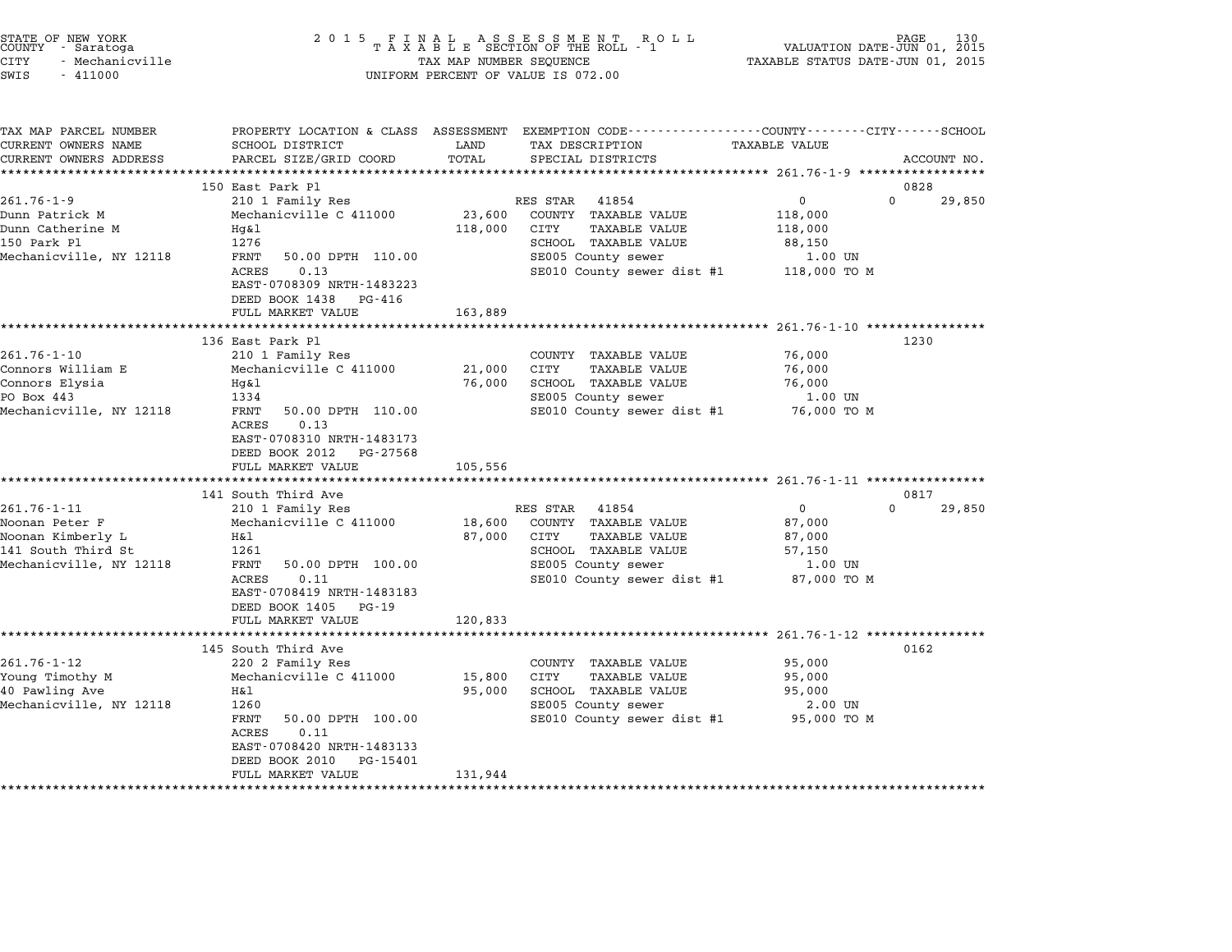| STATE OF NEW YORK<br>COUNTY - Saratoga<br>CITY<br>- Mechanicville<br>SWIS<br>$-411000$ | 2 0 1 5                                                                                       | TAX MAP NUMBER SEQUENCE | FINAL ASSESSMENT ROLL<br>TAXABLE SECTION OF THE ROLL - 1<br>UNIFORM PERCENT OF VALUE IS 072.00                     | VALUATION DATE-JUN 01, 2015<br>TAXABLE STATUS DATE-JUN 01, 2015 | PAGE<br>130 |
|----------------------------------------------------------------------------------------|-----------------------------------------------------------------------------------------------|-------------------------|--------------------------------------------------------------------------------------------------------------------|-----------------------------------------------------------------|-------------|
| TAX MAP PARCEL NUMBER<br>CURRENT OWNERS NAME                                           | SCHOOL DISTRICT                                                                               | LAND                    | PROPERTY LOCATION & CLASS ASSESSMENT EXEMPTION CODE---------------COUNTY-------CITY------SCHOOL<br>TAX DESCRIPTION | TAXABLE VALUE                                                   |             |
| CURRENT OWNERS ADDRESS                                                                 | PARCEL SIZE/GRID COORD                                                                        | TOTAL                   | SPECIAL DISTRICTS                                                                                                  |                                                                 | ACCOUNT NO. |
|                                                                                        | 150 East Park Pl                                                                              |                         |                                                                                                                    |                                                                 | 0828        |
| $261.76 - 1 - 9$                                                                       | 210 1 Family Res                                                                              |                         | RES STAR<br>41854                                                                                                  | 0<br>0                                                          | 29,850      |
| Dunn Patrick M                                                                         | Mechanicville C 411000                                                                        | 23,600                  | COUNTY TAXABLE VALUE                                                                                               | 118,000                                                         |             |
| Dunn Catherine M                                                                       | Hg&l                                                                                          | 118,000                 | CITY<br>TAXABLE VALUE                                                                                              | 118,000                                                         |             |
| 150 Park Pl                                                                            | 1276                                                                                          |                         | SCHOOL TAXABLE VALUE                                                                                               | 88,150                                                          |             |
| Mechanicville, NY 12118                                                                | FRNT<br>50.00 DPTH 110.00                                                                     |                         | SE005 County sewer                                                                                                 | 1.00 UN                                                         |             |
|                                                                                        | 0.13<br>ACRES<br>EAST-0708309 NRTH-1483223                                                    |                         | SE010 County sewer dist #1                                                                                         | 118,000 TO M                                                    |             |
|                                                                                        | DEED BOOK 1438<br>PG-416                                                                      |                         |                                                                                                                    |                                                                 |             |
|                                                                                        | FULL MARKET VALUE                                                                             | 163,889                 |                                                                                                                    |                                                                 |             |
|                                                                                        |                                                                                               |                         |                                                                                                                    | ************ 261.76-1-10 *****************                      |             |
|                                                                                        | 136 East Park Pl                                                                              |                         |                                                                                                                    |                                                                 | 1230        |
| $261.76 - 1 - 10$                                                                      | 210 1 Family Res                                                                              |                         | COUNTY TAXABLE VALUE                                                                                               | 76,000                                                          |             |
| Connors William E                                                                      | Mechanicville C 411000                                                                        | 21,000                  | CITY<br><b>TAXABLE VALUE</b>                                                                                       | 76,000                                                          |             |
| Connors Elysia<br>PO Box 443                                                           | Hg&l<br>1334                                                                                  | 76,000                  | SCHOOL TAXABLE VALUE<br>SE005 County sewer                                                                         | 76,000<br>1.00 UN                                               |             |
| Mechanicville, NY 12118                                                                | FRNT<br>50.00 DPTH 110.00                                                                     |                         | SE010 County sewer dist #1                                                                                         | 76,000 то м                                                     |             |
|                                                                                        | ACRES<br>0.13<br>EAST-0708310 NRTH-1483173<br>DEED BOOK 2012<br>PG-27568<br>FULL MARKET VALUE |                         |                                                                                                                    |                                                                 |             |
|                                                                                        | *********************                                                                         | 105,556                 |                                                                                                                    |                                                                 |             |
|                                                                                        | 141 South Third Ave                                                                           |                         |                                                                                                                    |                                                                 | 0817        |
| $261.76 - 1 - 11$                                                                      | 210 1 Family Res                                                                              |                         | RES STAR<br>41854                                                                                                  | $\Omega$<br>0                                                   | 29,850      |
| Noonan Peter F                                                                         | Mechanicville C 411000                                                                        | 18,600                  | COUNTY TAXABLE VALUE                                                                                               | 87,000                                                          |             |
| Noonan Kimberly L                                                                      | H&l                                                                                           | 87,000                  | CITY<br>TAXABLE VALUE                                                                                              | 87,000                                                          |             |
| 141 South Third St                                                                     | 1261                                                                                          |                         | SCHOOL TAXABLE VALUE                                                                                               | 57,150                                                          |             |
| Mechanicville, NY 12118                                                                | FRNT<br>50.00 DPTH 100.00<br>0.11<br>ACRES                                                    |                         | SE005 County sewer<br>SE010 County sewer dist #1                                                                   | 1.00 UN<br>87,000 TO M                                          |             |
|                                                                                        | EAST-0708419 NRTH-1483183                                                                     |                         |                                                                                                                    |                                                                 |             |
|                                                                                        | DEED BOOK 1405<br>PG-19                                                                       |                         |                                                                                                                    |                                                                 |             |
|                                                                                        | FULL MARKET VALUE                                                                             | 120,833                 |                                                                                                                    |                                                                 |             |
|                                                                                        |                                                                                               |                         |                                                                                                                    |                                                                 |             |
|                                                                                        | 145 South Third Ave                                                                           |                         |                                                                                                                    |                                                                 | 0162        |
| $261.76 - 1 - 12$                                                                      | 220 2 Family Res                                                                              |                         | COUNTY TAXABLE VALUE                                                                                               | 95,000                                                          |             |
| Young Timothy M                                                                        | Mechanicville C 411000                                                                        | 15,800                  | CITY<br><b>TAXABLE VALUE</b>                                                                                       | 95,000                                                          |             |
| 40 Pawling Ave<br>Mechanicville, NY 12118                                              | Η&l<br>1260                                                                                   | 95,000                  | SCHOOL TAXABLE VALUE<br>SE005 County sewer                                                                         | 95,000<br>2.00 UN                                               |             |
|                                                                                        | FRNT<br>50.00 DPTH 100.00                                                                     |                         | SE010 County sewer dist #1                                                                                         | 95,000 TO M                                                     |             |
|                                                                                        | 0.11<br>ACRES                                                                                 |                         |                                                                                                                    |                                                                 |             |
|                                                                                        | EAST-0708420 NRTH-1483133                                                                     |                         |                                                                                                                    |                                                                 |             |
|                                                                                        | DEED BOOK 2010<br>PG-15401                                                                    |                         |                                                                                                                    |                                                                 |             |
|                                                                                        | FULL MARKET VALUE                                                                             | 131,944                 |                                                                                                                    |                                                                 |             |
|                                                                                        |                                                                                               |                         |                                                                                                                    |                                                                 |             |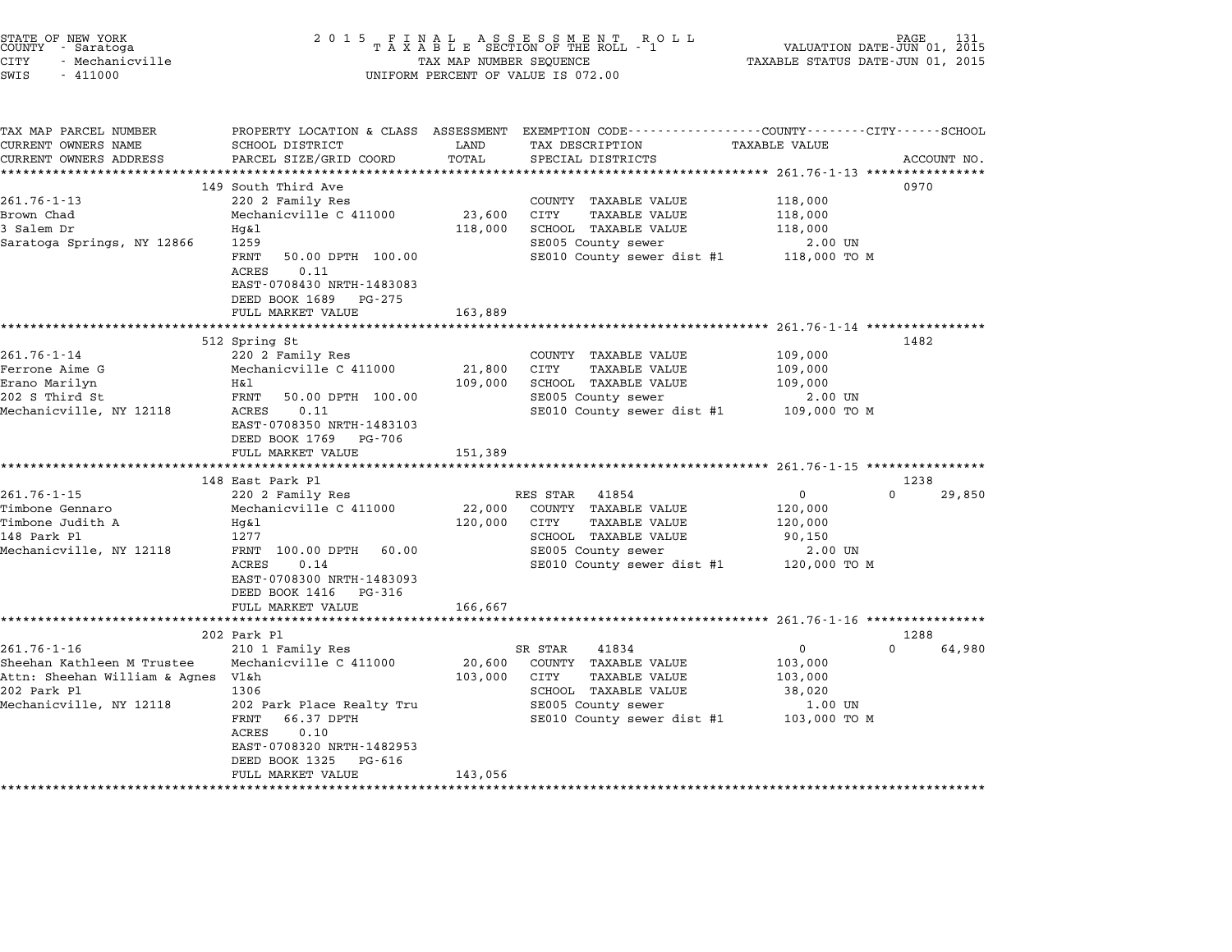| STATE OF NEW YORK<br>COUNTY - Saratoga<br>CITY<br>- Mechanicville<br>SWIS<br>$-411000$ | 2 0 1 5                                                                                                                  | TAX MAP NUMBER SEQUENCE | FINAL ASSESSMENT ROLL<br>TAXABLE SECTION OF THE ROLL - 1<br>UNIFORM PERCENT OF VALUE IS 072.00 | VALUATION DATE-JUN 01, 2015<br>TAXABLE STATUS DATE-JUN 01, 2015 | PAGE               |
|----------------------------------------------------------------------------------------|--------------------------------------------------------------------------------------------------------------------------|-------------------------|------------------------------------------------------------------------------------------------|-----------------------------------------------------------------|--------------------|
| TAX MAP PARCEL NUMBER                                                                  | PROPERTY LOCATION & CLASS ASSESSMENT                                                                                     | LAND                    | EXEMPTION CODE------------------COUNTY-------CITY------SCHOOL                                  |                                                                 |                    |
| CURRENT OWNERS NAME<br>CURRENT OWNERS ADDRESS                                          | SCHOOL DISTRICT<br>PARCEL SIZE/GRID COORD                                                                                | TOTAL                   | TAX DESCRIPTION<br>SPECIAL DISTRICTS                                                           | TAXABLE VALUE                                                   | ACCOUNT NO.        |
|                                                                                        |                                                                                                                          | ************            |                                                                                                |                                                                 |                    |
|                                                                                        | 149 South Third Ave                                                                                                      |                         |                                                                                                |                                                                 | 0970               |
| $261.76 - 1 - 13$                                                                      | 220 2 Family Res                                                                                                         |                         | COUNTY TAXABLE VALUE                                                                           | 118,000                                                         |                    |
| Brown Chad                                                                             | Mechanicville C 411000                                                                                                   | 23,600                  | CITY<br><b>TAXABLE VALUE</b>                                                                   | 118,000                                                         |                    |
| 3 Salem Dr                                                                             | Hg&l                                                                                                                     | 118,000                 | SCHOOL TAXABLE VALUE                                                                           | 118,000                                                         |                    |
| Saratoga Springs, NY 12866                                                             | 1259                                                                                                                     |                         | SE005 County sewer                                                                             | 2.00 UN                                                         |                    |
|                                                                                        | FRNT<br>50.00 DPTH 100.00<br>0.11<br>ACRES<br>EAST-0708430 NRTH-1483083<br>DEED BOOK 1689<br>PG-275<br>FULL MARKET VALUE | 163,889                 | SE010 County sewer dist #1                                                                     | 118,000 TO M                                                    |                    |
|                                                                                        |                                                                                                                          |                         |                                                                                                | ******************* 261.76-1-14 *****************               |                    |
|                                                                                        | 512 Spring St                                                                                                            |                         |                                                                                                |                                                                 | 1482               |
| $261.76 - 1 - 14$                                                                      | 220 2 Family Res                                                                                                         |                         | COUNTY TAXABLE VALUE                                                                           | 109,000                                                         |                    |
| Ferrone Aime G                                                                         | Mechanicville C 411000                                                                                                   | 21,800                  | CITY<br><b>TAXABLE VALUE</b>                                                                   | 109,000                                                         |                    |
| Erano Marilyn                                                                          | H&l                                                                                                                      | 109,000                 | SCHOOL TAXABLE VALUE                                                                           | 109,000                                                         |                    |
| 202 S Third St                                                                         | FRNT<br>50.00 DPTH 100.00                                                                                                |                         | SE005 County sewer                                                                             | 2.00 UN                                                         |                    |
| Mechanicville, NY 12118                                                                | <b>ACRES</b><br>0.11<br>EAST-0708350 NRTH-1483103<br>DEED BOOK 1769<br>PG-706                                            |                         | SE010 County sewer dist #1                                                                     | 109,000 TO M                                                    |                    |
|                                                                                        | FULL MARKET VALUE<br>**************************                                                                          | 151,389                 |                                                                                                |                                                                 |                    |
|                                                                                        | 148 East Park Pl                                                                                                         |                         |                                                                                                | ***************** 261.76-1-15 ****************                  | 1238               |
| $261.76 - 1 - 15$                                                                      | 220 2 Family Res                                                                                                         |                         | RES STAR<br>41854                                                                              | $\mathbf 0$                                                     | $\Omega$<br>29,850 |
| Timbone Gennaro                                                                        | Mechanicville C 411000                                                                                                   | 22,000                  | COUNTY TAXABLE VALUE                                                                           | 120,000                                                         |                    |
| Timbone Judith A                                                                       | Hq&l                                                                                                                     | 120,000                 | CITY<br><b>TAXABLE VALUE</b>                                                                   | 120,000                                                         |                    |
| 148 Park Pl                                                                            | 1277                                                                                                                     |                         | SCHOOL TAXABLE VALUE                                                                           | 90,150                                                          |                    |
| Mechanicville, NY 12118                                                                | FRNT 100.00 DPTH<br>60.00                                                                                                |                         | SE005 County sewer                                                                             | 2.00 UN                                                         |                    |
|                                                                                        | ACRES<br>0.14<br>EAST-0708300 NRTH-1483093<br>DEED BOOK 1416 PG-316                                                      |                         | SE010 County sewer dist #1                                                                     | 120,000 TO M                                                    |                    |
|                                                                                        | FULL MARKET VALUE                                                                                                        | 166,667                 |                                                                                                |                                                                 |                    |
|                                                                                        |                                                                                                                          |                         |                                                                                                |                                                                 |                    |
|                                                                                        | 202 Park Pl                                                                                                              |                         |                                                                                                |                                                                 | 1288               |
| $261.76 - 1 - 16$                                                                      | 210 1 Family Res                                                                                                         |                         | SR STAR<br>41834                                                                               | 0                                                               | $\Omega$<br>64,980 |
| Sheehan Kathleen M Trustee                                                             | Mechanicville C 411000                                                                                                   | 20,600                  | COUNTY TAXABLE VALUE                                                                           | 103,000                                                         |                    |
| Attn: Sheehan William & Agnes Vl&h                                                     |                                                                                                                          | 103,000                 | CITY<br><b>TAXABLE VALUE</b>                                                                   | 103,000                                                         |                    |
| 202 Park Pl<br>Mechanicville, NY 12118                                                 | 1306<br>202 Park Place Realty Tru                                                                                        |                         | SCHOOL TAXABLE VALUE<br>SE005 County sewer                                                     | 38,020<br>1.00 UN                                               |                    |
|                                                                                        | FRNT<br>66.37 DPTH                                                                                                       |                         | SE010 County sewer dist #1                                                                     | 103,000 TO M                                                    |                    |
|                                                                                        | ACRES<br>0.10<br>EAST-0708320 NRTH-1482953                                                                               |                         |                                                                                                |                                                                 |                    |
|                                                                                        | DEED BOOK 1325<br>PG-616                                                                                                 |                         |                                                                                                |                                                                 |                    |
|                                                                                        | FULL MARKET VALUE                                                                                                        | 143,056                 |                                                                                                |                                                                 |                    |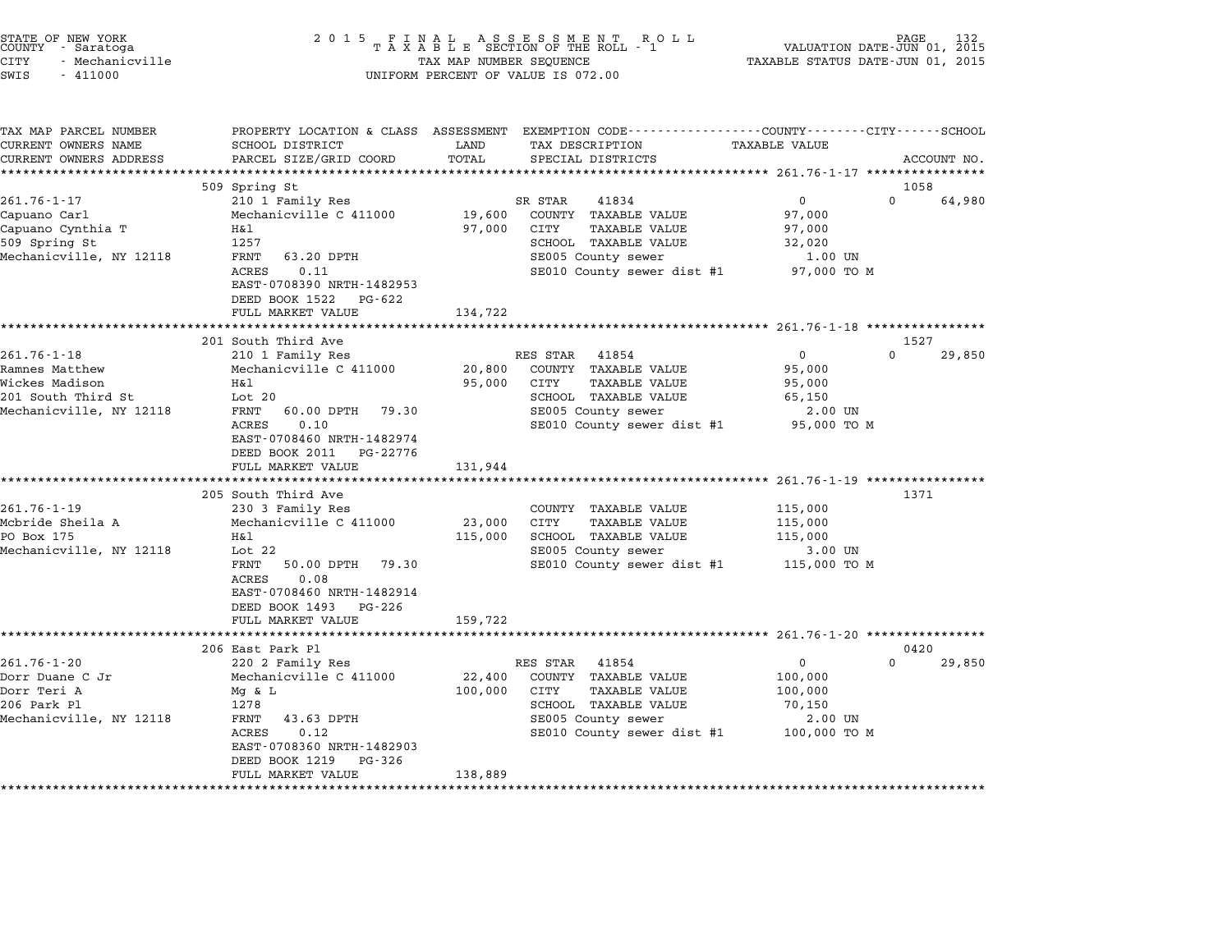| STATE OF NEW YORK<br>COUNTY - Saratoga<br><b>CITY</b><br>- Mechanicville<br>SWIS<br>$-411000$ | 2 0 1 5                                                 | TAX MAP NUMBER SEQUENCE | $\begin{array}{cccccccccccccc} & F & I & N & A & L & & A & S & S & E & S & S & M & E & N & T & & R & O & L \\ T & A & X & A & B & L & E & SECTION OF THE ROLL & - & 1 \end{array}$<br>UNIFORM PERCENT OF VALUE IS 072.00 | TAXABLE STATUS DATE-JUN 01, 2015 | PAGE<br>132<br>VALUATION DATE-JUN 01, 2015 |
|-----------------------------------------------------------------------------------------------|---------------------------------------------------------|-------------------------|--------------------------------------------------------------------------------------------------------------------------------------------------------------------------------------------------------------------------|----------------------------------|--------------------------------------------|
| TAX MAP PARCEL NUMBER<br>CURRENT OWNERS NAME                                                  | SCHOOL DISTRICT                                         | LAND                    | PROPERTY LOCATION & CLASS ASSESSMENT EXEMPTION CODE---------------COUNTY-------CITY------SCHOOL<br>TAX DESCRIPTION                                                                                                       | <b>TAXABLE VALUE</b>             |                                            |
| CURRENT OWNERS ADDRESS                                                                        | PARCEL SIZE/GRID COORD                                  | TOTAL                   | SPECIAL DISTRICTS                                                                                                                                                                                                        |                                  | ACCOUNT NO.                                |
| ***********************                                                                       |                                                         |                         |                                                                                                                                                                                                                          |                                  |                                            |
|                                                                                               | 509 Spring St                                           |                         |                                                                                                                                                                                                                          |                                  | 1058                                       |
| $261.76 - 1 - 17$                                                                             | 210 1 Family Res                                        |                         | SR STAR<br>41834                                                                                                                                                                                                         | $\mathbf 0$                      | $\Omega$<br>64,980                         |
| Capuano Carl<br>Capuano Cynthia T                                                             | Mechanicville C 411000<br>Η&l                           | 19,600<br>97,000        | COUNTY TAXABLE VALUE<br>CITY<br>TAXABLE VALUE                                                                                                                                                                            | 97,000<br>97,000                 |                                            |
| 509 Spring St                                                                                 | 1257                                                    |                         | SCHOOL TAXABLE VALUE                                                                                                                                                                                                     | 32,020                           |                                            |
| Mechanicville, NY 12118                                                                       | FRNT<br>63.20 DPTH                                      |                         | SE005 County sewer                                                                                                                                                                                                       | 1.00 UN                          |                                            |
|                                                                                               | 0.11<br>ACRES                                           |                         | SE010 County sewer dist #1                                                                                                                                                                                               | 97,000 TO M                      |                                            |
|                                                                                               | EAST-0708390 NRTH-1482953                               |                         |                                                                                                                                                                                                                          |                                  |                                            |
|                                                                                               | DEED BOOK 1522<br>PG-622                                |                         |                                                                                                                                                                                                                          |                                  |                                            |
|                                                                                               | FULL MARKET VALUE                                       | 134,722                 |                                                                                                                                                                                                                          |                                  |                                            |
|                                                                                               | 201 South Third Ave                                     |                         |                                                                                                                                                                                                                          |                                  | 1527                                       |
| $261.76 - 1 - 18$                                                                             | 210 1 Family Res                                        |                         | RES STAR<br>41854                                                                                                                                                                                                        | $\Omega$                         | $\Omega$<br>29,850                         |
| Ramnes Matthew                                                                                | Mechanicville C 411000                                  | 20,800                  | COUNTY TAXABLE VALUE                                                                                                                                                                                                     | 95,000                           |                                            |
| Wickes Madison                                                                                | H&l                                                     | 95,000                  | <b>TAXABLE VALUE</b><br>CITY                                                                                                                                                                                             | 95,000                           |                                            |
| 201 South Third St                                                                            | Lot 20                                                  |                         | SCHOOL TAXABLE VALUE                                                                                                                                                                                                     | 65,150                           |                                            |
| Mechanicville, NY 12118                                                                       | FRNT<br>60.00 DPTH<br>79.30                             |                         | SE005 County sewer                                                                                                                                                                                                       | 2.00 UN                          |                                            |
|                                                                                               | ACRES<br>0.10                                           |                         | SE010 County sewer dist #1                                                                                                                                                                                               | 95,000 TO M                      |                                            |
|                                                                                               | EAST-0708460 NRTH-1482974<br>DEED BOOK 2011<br>PG-22776 |                         |                                                                                                                                                                                                                          |                                  |                                            |
|                                                                                               | FULL MARKET VALUE                                       | 131,944                 |                                                                                                                                                                                                                          |                                  |                                            |
|                                                                                               | *********************                                   |                         |                                                                                                                                                                                                                          |                                  |                                            |
|                                                                                               | 205 South Third Ave                                     |                         |                                                                                                                                                                                                                          |                                  | 1371                                       |
| $261.76 - 1 - 19$                                                                             | 230 3 Family Res                                        |                         | COUNTY TAXABLE VALUE                                                                                                                                                                                                     | 115,000                          |                                            |
| Mcbride Sheila A                                                                              | Mechanicville C 411000                                  | 23,000                  | <b>TAXABLE VALUE</b><br>CITY                                                                                                                                                                                             | 115,000                          |                                            |
| PO Box 175                                                                                    | Η&l                                                     | 115,000                 | SCHOOL TAXABLE VALUE                                                                                                                                                                                                     | 115,000                          |                                            |
| Mechanicville, NY 12118                                                                       | Lot $22$<br>FRNT<br>50.00 DPTH 79.30                    |                         | SE005 County sewer<br>SE010 County sewer dist #1                                                                                                                                                                         | 3.00 UN<br>115,000 TO M          |                                            |
|                                                                                               | 0.08<br>ACRES                                           |                         |                                                                                                                                                                                                                          |                                  |                                            |
|                                                                                               | EAST-0708460 NRTH-1482914                               |                         |                                                                                                                                                                                                                          |                                  |                                            |
|                                                                                               | DEED BOOK 1493 PG-226                                   |                         |                                                                                                                                                                                                                          |                                  |                                            |
|                                                                                               | FULL MARKET VALUE                                       | 159,722                 |                                                                                                                                                                                                                          |                                  |                                            |
|                                                                                               | ************************                                |                         |                                                                                                                                                                                                                          |                                  |                                            |
| $261.76 - 1 - 20$                                                                             | 206 East Park Pl                                        |                         |                                                                                                                                                                                                                          | $\mathbf 0$                      | 0420<br>$\Omega$<br>29,850                 |
| Dorr Duane C Jr                                                                               | 220 2 Family Res<br>Mechanicville C 411000              | 22,400                  | RES STAR 41854<br>COUNTY TAXABLE VALUE                                                                                                                                                                                   | 100,000                          |                                            |
| Dorr Teri A                                                                                   | Mg & L                                                  | 100,000                 | CITY<br>TAXABLE VALUE                                                                                                                                                                                                    | 100,000                          |                                            |
| 206 Park Pl                                                                                   | 1278                                                    |                         | SCHOOL TAXABLE VALUE                                                                                                                                                                                                     | 70,150                           |                                            |
| Mechanicville, NY 12118                                                                       | FRNT<br>43.63 DPTH                                      |                         | SE005 County sewer                                                                                                                                                                                                       | 2.00 UN                          |                                            |
|                                                                                               | ACRES<br>0.12                                           |                         | SE010 County sewer dist #1                                                                                                                                                                                               | 100,000 TO M                     |                                            |
|                                                                                               | EAST-0708360 NRTH-1482903<br>DEED BOOK 1219<br>PG-326   |                         |                                                                                                                                                                                                                          |                                  |                                            |

\*\*\*\*\*\*\*\*\*\*\*\*\*\*\*\*\*\*\*\*\*\*\*\*\*\*\*\*\*\*\*\*\*\*\*\*\*\*\*\*\*\*\*\*\*\*\*\*\*\*\*\*\*\*\*\*\*\*\*\*\*\*\*\*\*\*\*\*\*\*\*\*\*\*\*\*\*\*\*\*\*\*\*\*\*\*\*\*\*\*\*\*\*\*\*\*\*\*\*\*\*\*\*\*\*\*\*\*\*\*\*\*\*\*\*\*\*\*\*\*\*\*\*\*\*\*\*\*\*\*\*\*

DEED BOOK 1219 PG-326<br>FULL MARKET VALUE 138,889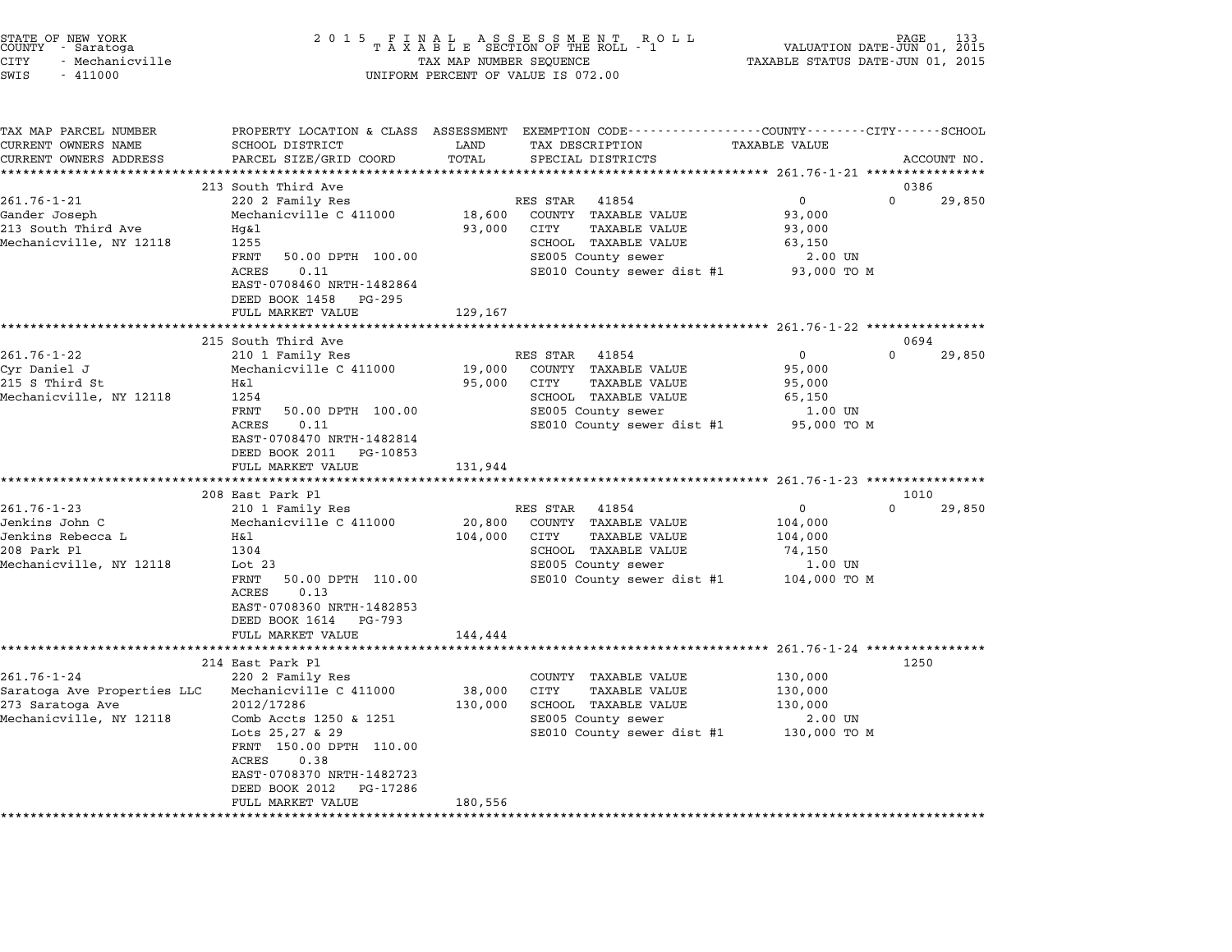| STATE OF NEW YORK<br>COUNTY - Saratoga<br>CITY<br>- Mechanicville<br>SWIS<br>$-411000$                                                                                               |                                                                                                                                                                                                                                                                                                                                                                                 | TAX MAP NUMBER SEQUENCE                          | UNIFORM PERCENT OF VALUE IS 072.00                                                                                                                                                                                                                                                                | VALUATION DATE-JUN 01, 2015<br>TAXABLE STATUS DATE-JUN 01, 2015                                                                               | PAGE<br>133                                              |
|--------------------------------------------------------------------------------------------------------------------------------------------------------------------------------------|---------------------------------------------------------------------------------------------------------------------------------------------------------------------------------------------------------------------------------------------------------------------------------------------------------------------------------------------------------------------------------|--------------------------------------------------|---------------------------------------------------------------------------------------------------------------------------------------------------------------------------------------------------------------------------------------------------------------------------------------------------|-----------------------------------------------------------------------------------------------------------------------------------------------|----------------------------------------------------------|
| TAX MAP PARCEL NUMBER<br>CURRENT OWNERS NAME<br>CURRENT OWNERS ADDRESS                                                                                                               | SCHOOL DISTRICT<br>PARCEL SIZE/GRID COORD                                                                                                                                                                                                                                                                                                                                       | LAND<br>TOTAL                                    | PROPERTY LOCATION & CLASS ASSESSMENT EXEMPTION CODE---------------COUNTY-------CITY-----SCHOOL<br>TAX DESCRIPTION<br>SPECIAL DISTRICTS                                                                                                                                                            | <b>TAXABLE VALUE</b>                                                                                                                          | ACCOUNT NO.                                              |
|                                                                                                                                                                                      |                                                                                                                                                                                                                                                                                                                                                                                 |                                                  |                                                                                                                                                                                                                                                                                                   |                                                                                                                                               |                                                          |
| $261.76 - 1 - 21$                                                                                                                                                                    | 213 South Third Ave<br>220 2 Family Res                                                                                                                                                                                                                                                                                                                                         |                                                  | RES STAR<br>41854                                                                                                                                                                                                                                                                                 | $\Omega$                                                                                                                                      | 0386<br>$\Omega$<br>29,850                               |
| Gander Joseph<br>213 South Third Ave<br>Mechanicville, NY 12118                                                                                                                      | Mechanicville C 411000<br>Hq&l<br>1255<br>FRNT<br>50.00 DPTH 100.00<br>ACRES<br>0.11<br>EAST-0708460 NRTH-1482864<br>DEED BOOK 1458<br>PG-295                                                                                                                                                                                                                                   | 18,600<br>93,000                                 | COUNTY TAXABLE VALUE<br>CITY<br><b>TAXABLE VALUE</b><br>SCHOOL TAXABLE VALUE<br>SE005 County sewer<br>SE010 County sewer dist #1 93,000 TO M                                                                                                                                                      | 93,000<br>93,000<br>63,150<br>2.00 UN                                                                                                         |                                                          |
|                                                                                                                                                                                      | FULL MARKET VALUE                                                                                                                                                                                                                                                                                                                                                               | 129,167                                          |                                                                                                                                                                                                                                                                                                   |                                                                                                                                               |                                                          |
|                                                                                                                                                                                      |                                                                                                                                                                                                                                                                                                                                                                                 | *********                                        |                                                                                                                                                                                                                                                                                                   | ******************** 261.76-1-22 **************                                                                                               |                                                          |
| $261.76 - 1 - 22$<br>Cyr Daniel J<br>215 S Third St<br>Mechanicville, NY 12118<br>$261.76 - 1 - 23$<br>Jenkins John C<br>Jenkins Rebecca L<br>208 Park Pl<br>Mechanicville, NY 12118 | 215 South Third Ave<br>210 1 Family Res<br>Mechanicville C 411000<br>H&l<br>1254<br>FRNT<br>50.00 DPTH 100.00<br>ACRES<br>0.11<br>EAST-0708470 NRTH-1482814<br>DEED BOOK 2011 PG-10853<br>FULL MARKET VALUE<br>***********************<br>208 East Park Pl<br>210 1 Family Res<br>Mechanicville C 411000<br>H&l<br>1304<br>Lot 23<br>FRNT<br>50.00 DPTH 110.00<br>ACRES<br>0.13 | 19,000<br>95,000<br>131,944<br>20,800<br>104,000 | RES STAR 41854<br>COUNTY TAXABLE VALUE<br>CITY<br><b>TAXABLE VALUE</b><br>SCHOOL TAXABLE VALUE<br>SE005 County sewer<br>SE010 County sewer dist #1<br>RES STAR 41854<br>COUNTY TAXABLE VALUE<br>CITY<br>TAXABLE VALUE<br>SCHOOL TAXABLE VALUE<br>SE005 County sewer<br>SE010 County sewer dist #1 | $\mathbf 0$<br>95,000<br>95,000<br>65,150<br>1.00 UN<br>95,000 TO M<br>$\mathbf 0$<br>104,000<br>104,000<br>74,150<br>1.00 UN<br>104,000 TO M | 0694<br>$\Omega$<br>29,850<br>1010<br>$\Omega$<br>29,850 |
|                                                                                                                                                                                      | EAST-0708360 NRTH-1482853<br>DEED BOOK 1614 PG-793<br>FULL MARKET VALUE<br>***********************                                                                                                                                                                                                                                                                              | 144,444                                          |                                                                                                                                                                                                                                                                                                   |                                                                                                                                               |                                                          |
|                                                                                                                                                                                      | 214 East Park Pl                                                                                                                                                                                                                                                                                                                                                                |                                                  |                                                                                                                                                                                                                                                                                                   |                                                                                                                                               | 1250                                                     |
| $261.76 - 1 - 24$<br>Saratoga Ave Properties LLC<br>273 Saratoga Ave<br>Mechanicville, NY 12118                                                                                      | 220 2 Family Res<br>Mechanicville C 411000<br>2012/17286<br>Comb Accts 1250 & 1251<br>Lots $25,27$ & 29<br>FRNT 150.00 DPTH 110.00<br>ACRES<br>0.38<br>EAST-0708370 NRTH-1482723<br>DEED BOOK 2012<br>PG-17286<br>FULL MARKET VALUE                                                                                                                                             | 38,000<br>130,000<br>180,556                     | COUNTY TAXABLE VALUE<br>CITY<br>TAXABLE VALUE<br>SCHOOL TAXABLE VALUE<br>SE005 County sewer<br>SE010 County sewer dist #1                                                                                                                                                                         | 130,000<br>130,000<br>130,000<br>2.00 UN<br>130,000 TO M                                                                                      |                                                          |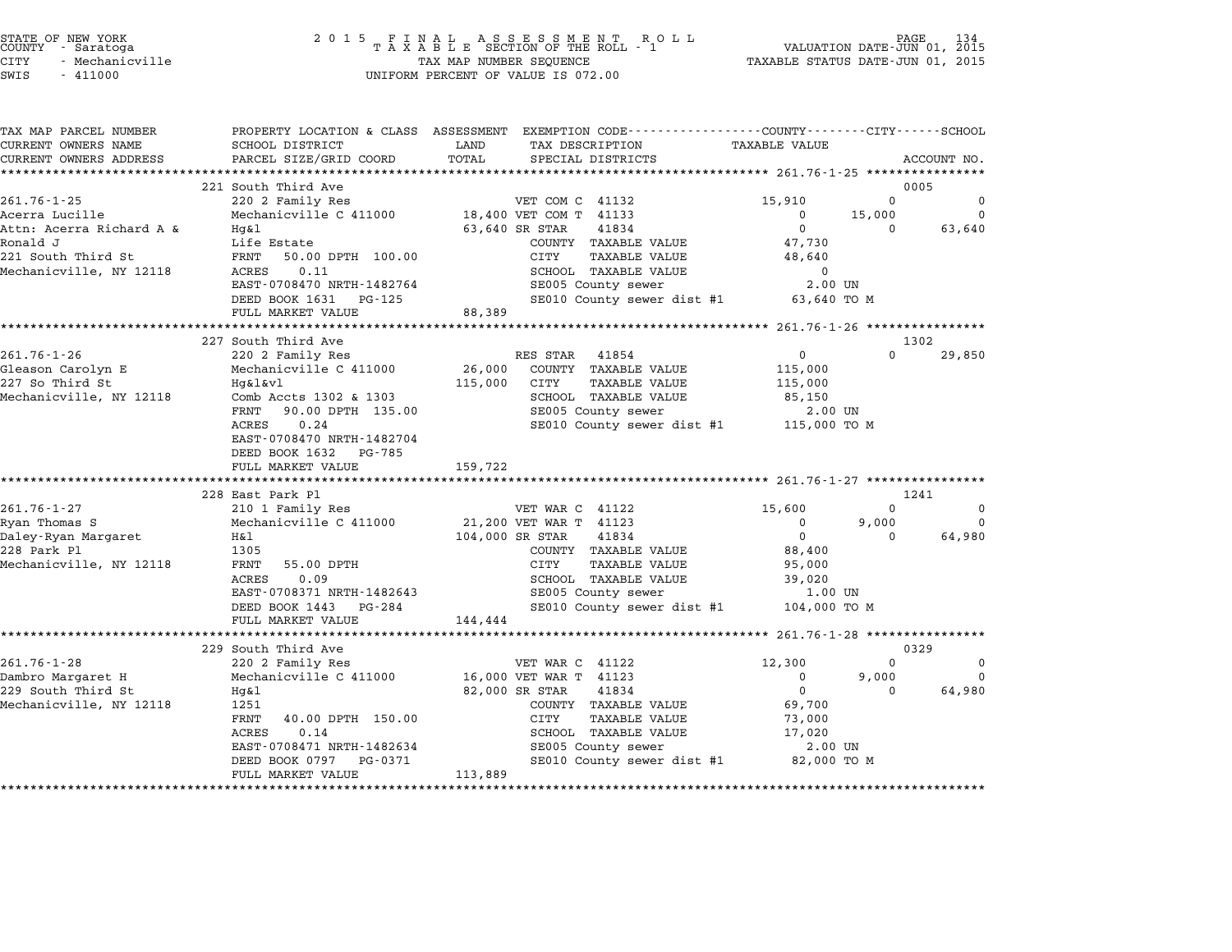|        | STATE OF NEW YORK |  |
|--------|-------------------|--|
| COUNTY | - Saratoga        |  |
| CITY   | - Mechanicville   |  |

| TAX MAP PARCEL NUMBER<br>CURRENT OWNERS NAME | SCHOOL DISTRICT                             | PROPERTY LOCATION & CLASS ASSESSMENT EXEMPTION CODE---------------COUNTY-------CITY------SCHOOL<br>LAND<br>TAX DESCRIPTION | <b>TAXABLE VALUE</b>         |             |
|----------------------------------------------|---------------------------------------------|----------------------------------------------------------------------------------------------------------------------------|------------------------------|-------------|
| CURRENT OWNERS ADDRESS                       | PARCEL SIZE/GRID COORD                      | TOTAL<br>SPECIAL DISTRICTS                                                                                                 |                              | ACCOUNT NO. |
|                                              | 221 South Third Ave                         |                                                                                                                            |                              | 0005        |
| $261.76 - 1 - 25$                            | 220 2 Family Res                            | VET COM C 41132                                                                                                            | 15,910<br>$\Omega$           | 0           |
| Acerra Lucille                               | Mechanicville C 411000                      | 18,400 VET COM T 41133                                                                                                     | 15,000<br>$\mathbf{0}$       | $\Omega$    |
| Attn: Acerra Richard A &                     | Hq&l                                        | 41834<br>63,640 SR STAR                                                                                                    | $\mathbf{0}$<br>$\Omega$     | 63,640      |
| Ronald J                                     | Life Estate                                 | COUNTY TAXABLE VALUE                                                                                                       | 47,730                       |             |
| 221 South Third St                           | FRNT<br>50.00 DPTH 100.00                   | CITY<br><b>TAXABLE VALUE</b>                                                                                               | 48,640                       |             |
| Mechanicville, NY 12118                      | ACRES<br>0.11                               | SCHOOL TAXABLE VALUE                                                                                                       | $\Omega$                     |             |
|                                              | EAST-0708470 NRTH-1482764                   | SE005 County sewer                                                                                                         | 2.00 UN                      |             |
|                                              | DEED BOOK 1631 PG-125<br>FULL MARKET VALUE  | SE010 County sewer dist #1 63,640 TO M<br>88,389                                                                           |                              |             |
|                                              |                                             |                                                                                                                            |                              |             |
|                                              | 227 South Third Ave                         |                                                                                                                            |                              | 1302        |
| $261.76 - 1 - 26$                            | 220 2 Family Res                            | RES STAR 41854                                                                                                             | $\Omega$<br>$\Omega$         | 29,850      |
| Gleason Carolyn E                            | Mechanicville C 411000                      | 26,000<br>COUNTY TAXABLE VALUE                                                                                             | 115,000                      |             |
| 227 So Third St                              | Hq&l&vl                                     | 115,000<br>CITY<br><b>TAXABLE VALUE</b>                                                                                    | 115,000                      |             |
| Mechanicville, NY 12118                      | Comb Accts 1302 & 1303                      | SCHOOL TAXABLE VALUE                                                                                                       | 85,150                       |             |
|                                              | FRNT<br>90.00 DPTH 135.00                   | SE005 County sewer                                                                                                         | 2.00 UN                      |             |
|                                              | ACRES<br>0.24                               | SE010 County sewer dist #1 115,000 TO M                                                                                    |                              |             |
|                                              | EAST-0708470 NRTH-1482704                   |                                                                                                                            |                              |             |
|                                              | DEED BOOK 1632 PG-785<br>FULL MARKET VALUE  | 159,722                                                                                                                    |                              |             |
|                                              |                                             |                                                                                                                            |                              |             |
|                                              | 228 East Park Pl                            |                                                                                                                            |                              | 1241        |
| $261.76 - 1 - 27$                            | 210 1 Family Res                            | VET WAR C 41122                                                                                                            | 15,600<br>$\Omega$           | $\Omega$    |
| Ryan Thomas S                                | Mechanicville C 411000                      | 21,200 VET WAR T 41123                                                                                                     | 0<br>9,000                   | $\Omega$    |
| Daley-Ryan Margaret                          | H&l                                         | 41834<br>104,000 SR STAR                                                                                                   | $\mathbf 0$                  | 64,980      |
| 228 Park Pl                                  | 1305                                        | COUNTY TAXABLE VALUE                                                                                                       | 88,400                       |             |
| Mechanicville, NY 12118                      | FRNT<br>55.00 DPTH                          | CITY<br><b>TAXABLE VALUE</b>                                                                                               | 95,000                       |             |
|                                              | ACRES<br>0.09                               | <b>SCHOOL TAXABLE VALUE</b>                                                                                                | 39,020                       |             |
|                                              | EAST-0708371 NRTH-1482643                   | SE005 County sewer                                                                                                         | 1.00 UN                      |             |
|                                              | DEED BOOK 1443 PG-284<br>FULL MARKET VALUE  | SE010 County sewer dist #1 104,000 TO M<br>144,444                                                                         |                              |             |
|                                              |                                             |                                                                                                                            |                              |             |
|                                              | 229 South Third Ave                         |                                                                                                                            |                              | 0329        |
| $261.76 - 1 - 28$                            | 220 2 Family Res                            | VET WAR C 41122                                                                                                            | $\Omega$<br>12,300           | 0           |
| Dambro Margaret H                            |                                             | Mechanicville C 411000 16,000 VET WAR T 41123                                                                              | 9,000<br>$\mathbf{0}$        | $\Omega$    |
| 229 South Third St                           | Hg&l                                        | 82,000 SR STAR<br>41834                                                                                                    | $\mathbf{0}$<br>$\mathbf{0}$ | 64,980      |
| Mechanicville, NY 12118                      |                                             | COUNTY TAXABLE VALUE                                                                                                       | 69,700                       |             |
|                                              | 1251                                        |                                                                                                                            |                              |             |
|                                              | FRNT<br>40.00 DPTH 150.00                   | CITY<br><b>TAXABLE VALUE</b>                                                                                               | 73,000                       |             |
|                                              | <b>ACRES</b><br>0.14                        | SCHOOL TAXABLE VALUE                                                                                                       | 17,020                       |             |
|                                              | EAST-0708471 NRTH-1482634                   | SE005 County sewer                                                                                                         | 2.00 UN                      |             |
|                                              | DEED BOOK 0797 PG-0371<br>FULL MARKET VALUE | SE010 County sewer dist #1 82,000 TO M<br>113,889                                                                          |                              |             |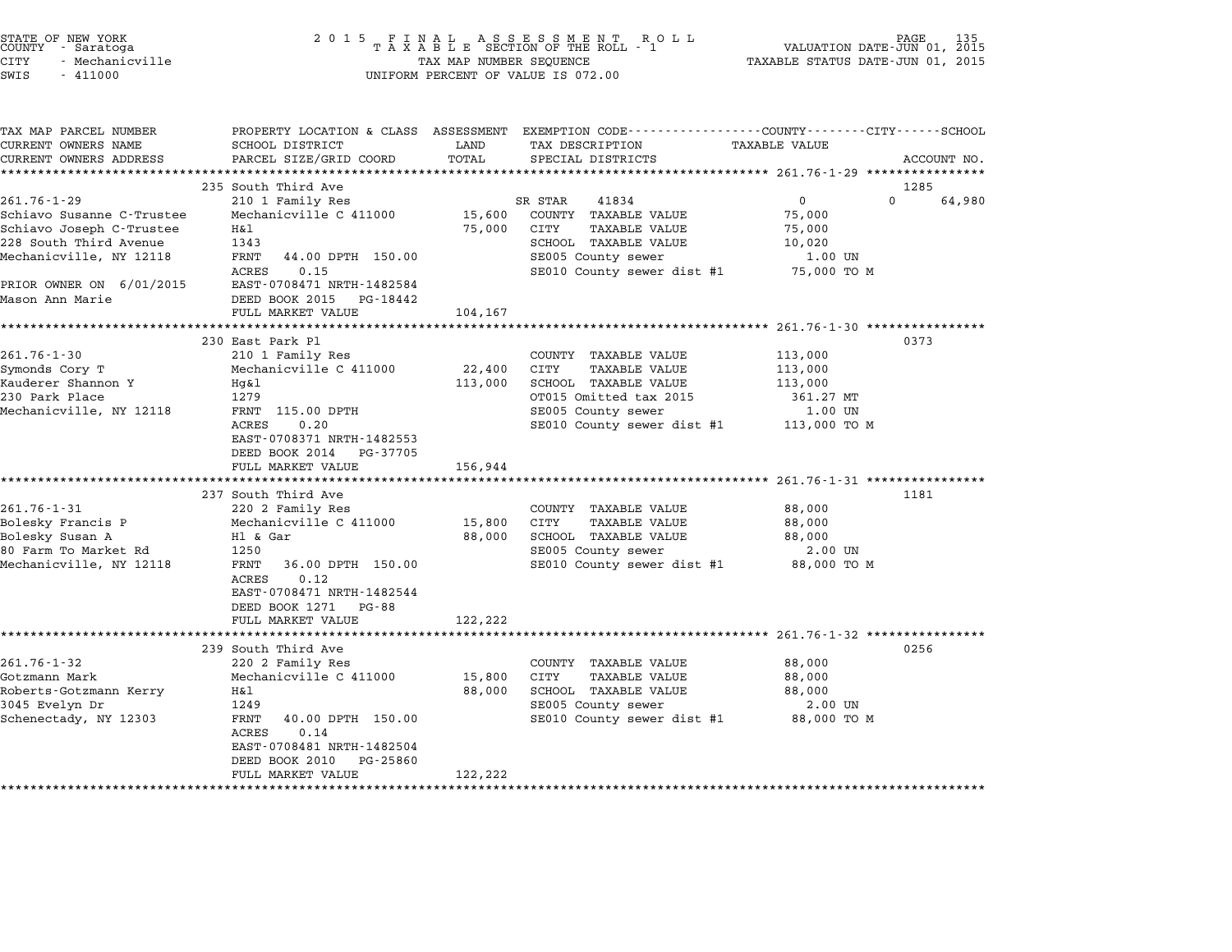| STATE OF NEW YORK |                 |  |
|-------------------|-----------------|--|
| COUNTY            | - Saratoga      |  |
| CITY              | - Mechanicville |  |

| TAX MAP PARCEL NUMBER                               |                                                   |         | PROPERTY LOCATION & CLASS ASSESSMENT EXEMPTION CODE---------------COUNTY-------CITY------SCHOOL |                      |                            |
|-----------------------------------------------------|---------------------------------------------------|---------|-------------------------------------------------------------------------------------------------|----------------------|----------------------------|
| CURRENT OWNERS NAME                                 | SCHOOL DISTRICT                                   | LAND    | TAX DESCRIPTION                                                                                 | <b>TAXABLE VALUE</b> |                            |
| CURRENT OWNERS ADDRESS<br>************************* | PARCEL SIZE/GRID COORD                            | TOTAL   | SPECIAL DISTRICTS                                                                               |                      | ACCOUNT NO.                |
|                                                     |                                                   |         |                                                                                                 |                      |                            |
| 261.76-1-29                                         | 235 South Third Ave<br>210 1 Family Res           |         | SR STAR<br>41834                                                                                | $\mathbf{0}$         | 1285<br>$\Omega$<br>64,980 |
| Schiavo Susanne C-Trustee                           | Mechanicville C 411000                            | 15,600  | COUNTY TAXABLE VALUE                                                                            | 75,000               |                            |
| Schiavo Joseph C-Trustee                            | H&l                                               | 75,000  | CITY<br>TAXABLE VALUE                                                                           | 75,000               |                            |
| 228 South Third Avenue                              | 1343                                              |         | SCHOOL TAXABLE VALUE                                                                            | 10,020               |                            |
| Mechanicville, NY 12118                             | FRNT<br>44.00 DPTH 150.00                         |         | SE005 County sewer                                                                              | 1.00 UN              |                            |
|                                                     | ACRES<br>0.15                                     |         | SE010 County sewer dist #1 75,000 TO M                                                          |                      |                            |
| PRIOR OWNER ON 6/01/2015                            | EAST-0708471 NRTH-1482584                         |         |                                                                                                 |                      |                            |
| Mason Ann Marie                                     | DEED BOOK 2015 PG-18442                           |         |                                                                                                 |                      |                            |
|                                                     | FULL MARKET VALUE                                 | 104,167 |                                                                                                 |                      |                            |
|                                                     |                                                   |         |                                                                                                 |                      |                            |
|                                                     | 230 East Park Pl                                  |         |                                                                                                 |                      | 0373                       |
| $261.76 - 1 - 30$                                   | 210 1 Family Res                                  |         | COUNTY TAXABLE VALUE                                                                            | 113,000              |                            |
| Symonds Cory T                                      | Mechanicville C 411000                            | 22,400  | CITY<br>TAXABLE VALUE                                                                           | 113,000              |                            |
| Kauderer Shannon Y                                  | Hq&l                                              | 113,000 | SCHOOL TAXABLE VALUE                                                                            | 113,000              |                            |
| 230 Park Place                                      | 1279                                              |         | OT015 Omitted tax 2015                                                                          | 361.27 MT            |                            |
| Mechanicville, NY 12118                             | FRNT 115.00 DPTH                                  |         | SE005 County sewer                                                                              | 1.00 UN              |                            |
|                                                     | 0.20<br>ACRES                                     |         | SE010 County sewer dist #1 113,000 TO M                                                         |                      |                            |
|                                                     | EAST-0708371 NRTH-1482553                         |         |                                                                                                 |                      |                            |
|                                                     | DEED BOOK 2014 PG-37705                           |         |                                                                                                 |                      |                            |
|                                                     | FULL MARKET VALUE                                 | 156,944 |                                                                                                 |                      |                            |
|                                                     |                                                   |         |                                                                                                 |                      |                            |
|                                                     | 237 South Third Ave                               |         |                                                                                                 |                      | 1181                       |
| 261.76-1-31                                         | 220 2 Family Res                                  |         | COUNTY TAXABLE VALUE                                                                            | 88,000               |                            |
| Bolesky Francis P                                   | Mechanicville C 411000                            | 15,800  | CITY<br>TAXABLE VALUE                                                                           | 88,000               |                            |
| Bolesky Susan A                                     | Hl & Gar                                          | 88,000  | SCHOOL TAXABLE VALUE                                                                            | 88,000               |                            |
| 80 Farm To Market Rd                                | 1250                                              |         | SE005 County sewer                                                                              | 2.00 UN              |                            |
| Mechanicville, NY 12118                             | FRNT<br>36.00 DPTH 150.00                         |         | SE010 County sewer dist #1 88,000 TO M                                                          |                      |                            |
|                                                     | <b>ACRES</b><br>0.12                              |         |                                                                                                 |                      |                            |
|                                                     | EAST-0708471 NRTH-1482544<br>DEED BOOK 1271 PG-88 |         |                                                                                                 |                      |                            |
|                                                     | FULL MARKET VALUE                                 | 122,222 |                                                                                                 |                      |                            |
|                                                     |                                                   |         |                                                                                                 |                      |                            |
|                                                     | 239 South Third Ave                               |         |                                                                                                 |                      | 0256                       |
| $261.76 - 1 - 32$                                   | 220 2 Family Res                                  |         | COUNTY TAXABLE VALUE                                                                            | 88,000               |                            |
| Gotzmann Mark                                       | Mechanicville C 411000                            | 15,800  | CITY<br>TAXABLE VALUE                                                                           | 88,000               |                            |
| Roberts-Gotzmann Kerry                              | H&l                                               | 88,000  | SCHOOL TAXABLE VALUE                                                                            | 88,000               |                            |
| 3045 Evelyn Dr                                      | 1249                                              |         | SE005 County sewer                                                                              | 2.00 UN              |                            |
| Schenectady, NY 12303                               | FRNT<br>40.00 DPTH 150.00                         |         | SE010 County sewer dist #1 88,000 TO M                                                          |                      |                            |
|                                                     | 0.14<br>ACRES                                     |         |                                                                                                 |                      |                            |
|                                                     | EAST-0708481 NRTH-1482504                         |         |                                                                                                 |                      |                            |
|                                                     | DEED BOOK 2010<br>PG-25860                        |         |                                                                                                 |                      |                            |
|                                                     | FULL MARKET VALUE                                 | 122,222 |                                                                                                 |                      |                            |
|                                                     |                                                   |         |                                                                                                 |                      |                            |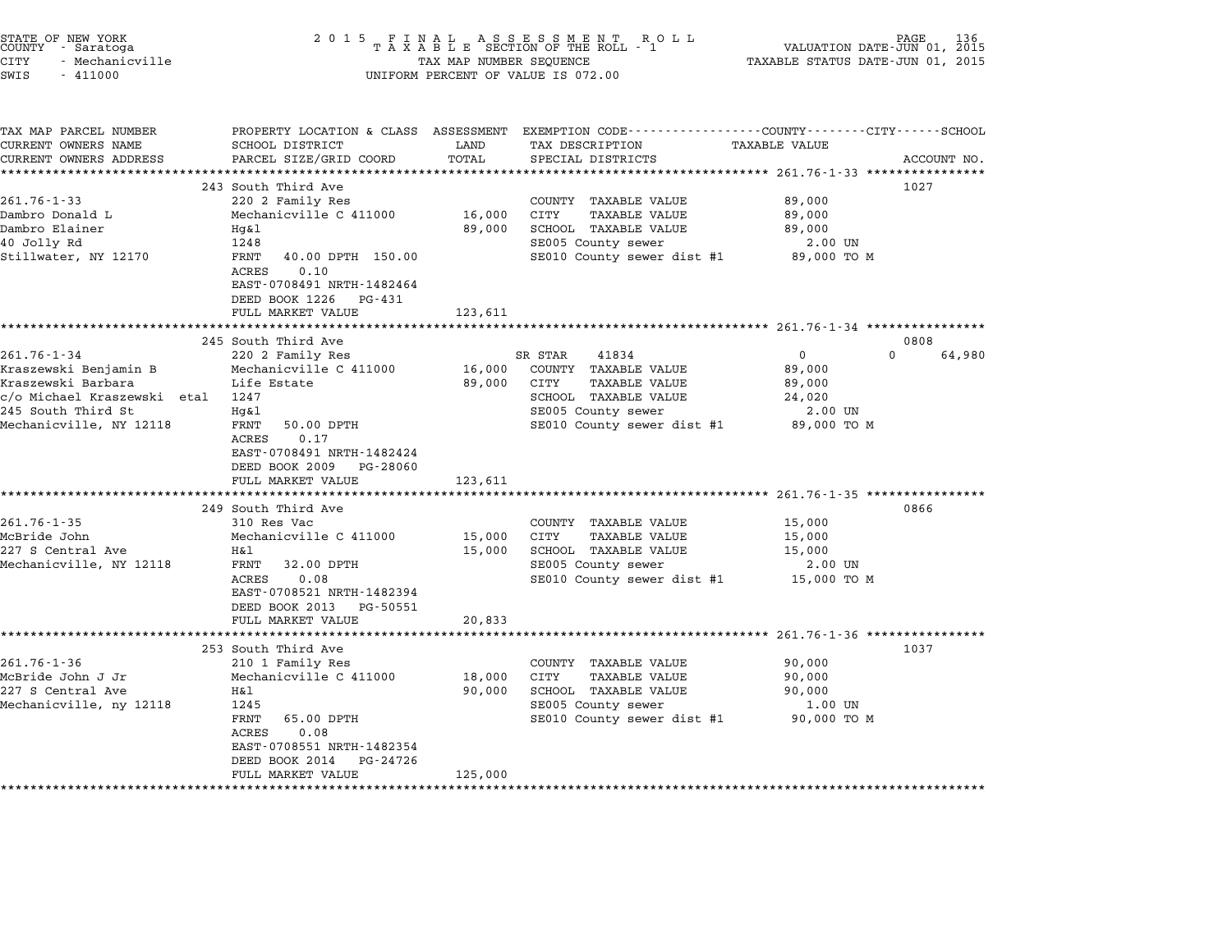| STATE OF NEW YORK<br>COUNTY - Saratoga<br>CITY<br>- Mechanicville<br>SWIS<br>$-411000$ | 2 0 1 5                                                                                                             | TAX MAP NUMBER SEQUENCE | FINAL ASSESSMENT ROTAXABLE SECTION OF THE ROLL - 1<br>R O L L<br>UNIFORM PERCENT OF VALUE IS 072.00  | VALUATION DATE-JUN 01, 2015<br>TAXABLE STATUS DATE-JUN 01, 2015 | PAGE<br>136 |
|----------------------------------------------------------------------------------------|---------------------------------------------------------------------------------------------------------------------|-------------------------|------------------------------------------------------------------------------------------------------|-----------------------------------------------------------------|-------------|
| TAX MAP PARCEL NUMBER<br>CURRENT OWNERS NAME<br>CURRENT OWNERS ADDRESS                 | PROPERTY LOCATION & CLASS ASSESSMENT<br>SCHOOL DISTRICT<br>PARCEL SIZE/GRID COORD                                   | LAND<br>TOTAL           | EXEMPTION CODE-----------------COUNTY-------CITY------SCHOOL<br>TAX DESCRIPTION<br>SPECIAL DISTRICTS | TAXABLE VALUE                                                   | ACCOUNT NO. |
| *******************                                                                    | ****************************                                                                                        |                         |                                                                                                      |                                                                 |             |
| $261.76 - 1 - 33$                                                                      | 243 South Third Ave<br>220 2 Family Res                                                                             |                         | COUNTY TAXABLE VALUE                                                                                 | 89,000                                                          | 1027        |
| Dambro Donald L                                                                        | Mechanicville C 411000                                                                                              | 16,000                  | CITY<br><b>TAXABLE VALUE</b>                                                                         | 89,000                                                          |             |
| Dambro Elainer                                                                         | Hg&l                                                                                                                | 89,000                  | SCHOOL TAXABLE VALUE                                                                                 | 89,000                                                          |             |
| 40 Jolly Rd                                                                            | 1248                                                                                                                |                         | SE005 County sewer                                                                                   | 2.00 UN                                                         |             |
| Stillwater, NY 12170                                                                   | FRNT<br>40.00 DPTH 150.00                                                                                           |                         | SE010 County sewer dist #1                                                                           | 89,000 TO M                                                     |             |
|                                                                                        | 0.10<br>ACRES<br>EAST-0708491 NRTH-1482464<br>DEED BOOK 1226<br>PG-431<br>FULL MARKET VALUE                         | 123,611                 |                                                                                                      |                                                                 |             |
|                                                                                        |                                                                                                                     | *************           |                                                                                                      | ********************* 261.76-1-34 *****************             |             |
|                                                                                        | 245 South Third Ave                                                                                                 |                         |                                                                                                      |                                                                 | 0808        |
| $261.76 - 1 - 34$<br>Kraszewski Benjamin B                                             | 220 2 Family Res<br>Mechanicville C 411000                                                                          | 16,000                  | SR STAR<br>41834<br>COUNTY TAXABLE VALUE                                                             | $\Omega$<br>$\Omega$<br>89,000                                  | 64,980      |
| Kraszewski Barbara                                                                     | Life Estate                                                                                                         | 89,000                  | CITY<br>TAXABLE VALUE                                                                                | 89,000                                                          |             |
| c/o Michael Kraszewski etal                                                            | 1247                                                                                                                |                         | SCHOOL TAXABLE VALUE                                                                                 | 24,020                                                          |             |
| 245 South Third St                                                                     | Hg&l                                                                                                                |                         | SE005 County sewer                                                                                   | 2.00 UN                                                         |             |
| Mechanicville, NY 12118                                                                | 50.00 DPTH<br>FRNT<br>ACRES<br>0.17<br>EAST-0708491 NRTH-1482424<br>DEED BOOK 2009<br>PG-28060<br>FULL MARKET VALUE | 123,611                 | SE010 County sewer dist #1                                                                           | 89,000 TO M                                                     |             |
|                                                                                        | *********************                                                                                               |                         |                                                                                                      | ***************************** 261.76-1-35 ****************      |             |
|                                                                                        | 249 South Third Ave                                                                                                 |                         |                                                                                                      |                                                                 | 0866        |
| 261.76-1-35<br>McBride John                                                            | 310 Res Vac<br>Mechanicville C 411000                                                                               | 15,000                  | COUNTY TAXABLE VALUE<br>CITY<br>TAXABLE VALUE                                                        | 15,000<br>15,000                                                |             |
| 227 S Central Ave                                                                      | H&l                                                                                                                 | 15,000                  | SCHOOL TAXABLE VALUE                                                                                 | 15,000                                                          |             |
| Mechanicville, NY 12118                                                                | FRNT<br>32.00 DPTH                                                                                                  |                         | SE005 County sewer                                                                                   | 2.00 UN                                                         |             |
|                                                                                        | ACRES<br>0.08<br>EAST-0708521 NRTH-1482394                                                                          |                         | SE010 County sewer dist #1                                                                           | 15,000 TO M                                                     |             |
|                                                                                        | DEED BOOK 2013<br>PG-50551<br>FULL MARKET VALUE                                                                     | 20,833                  |                                                                                                      |                                                                 |             |
|                                                                                        | **********************                                                                                              |                         |                                                                                                      | ********************** 261.76-1-36 *****************            |             |
|                                                                                        | 253 South Third Ave                                                                                                 |                         |                                                                                                      |                                                                 | 1037        |
| $261.76 - 1 - 36$                                                                      | 210 1 Family Res                                                                                                    |                         | COUNTY TAXABLE VALUE                                                                                 | 90,000                                                          |             |
| McBride John J Jr                                                                      | Mechanicville C 411000                                                                                              | 18,000                  | CITY<br><b>TAXABLE VALUE</b>                                                                         | 90,000                                                          |             |
| 227 S Central Ave                                                                      | Η&l                                                                                                                 | 90,000                  | SCHOOL TAXABLE VALUE                                                                                 | 90,000                                                          |             |
| Mechanicville, ny 12118                                                                | 1245                                                                                                                |                         | SE005 County sewer                                                                                   | 1.00 UN                                                         |             |
|                                                                                        | FRNT<br>65.00 DPTH<br>ACRES<br>0.08                                                                                 |                         | SE010 County sewer dist #1                                                                           | 90,000 TO M                                                     |             |
|                                                                                        | EAST-0708551 NRTH-1482354<br>DEED BOOK 2014<br>PG-24726                                                             |                         |                                                                                                      |                                                                 |             |
|                                                                                        | FULL MARKET VALUE                                                                                                   | 125,000                 |                                                                                                      |                                                                 |             |
|                                                                                        |                                                                                                                     |                         |                                                                                                      |                                                                 |             |

STATE OF NEW YORK <sup>2</sup> <sup>0</sup> <sup>1</sup> 5 F I N A L A S S E S S M E N T R O L L PAGE <sup>136</sup> COUNTY - Saratoga <sup>T</sup> <sup>A</sup> <sup>X</sup> <sup>A</sup> <sup>B</sup> <sup>L</sup> <sup>E</sup> SECTION OF THE ROLL - <sup>1</sup> VALUATION DATE-JUN 01, <sup>2015</sup>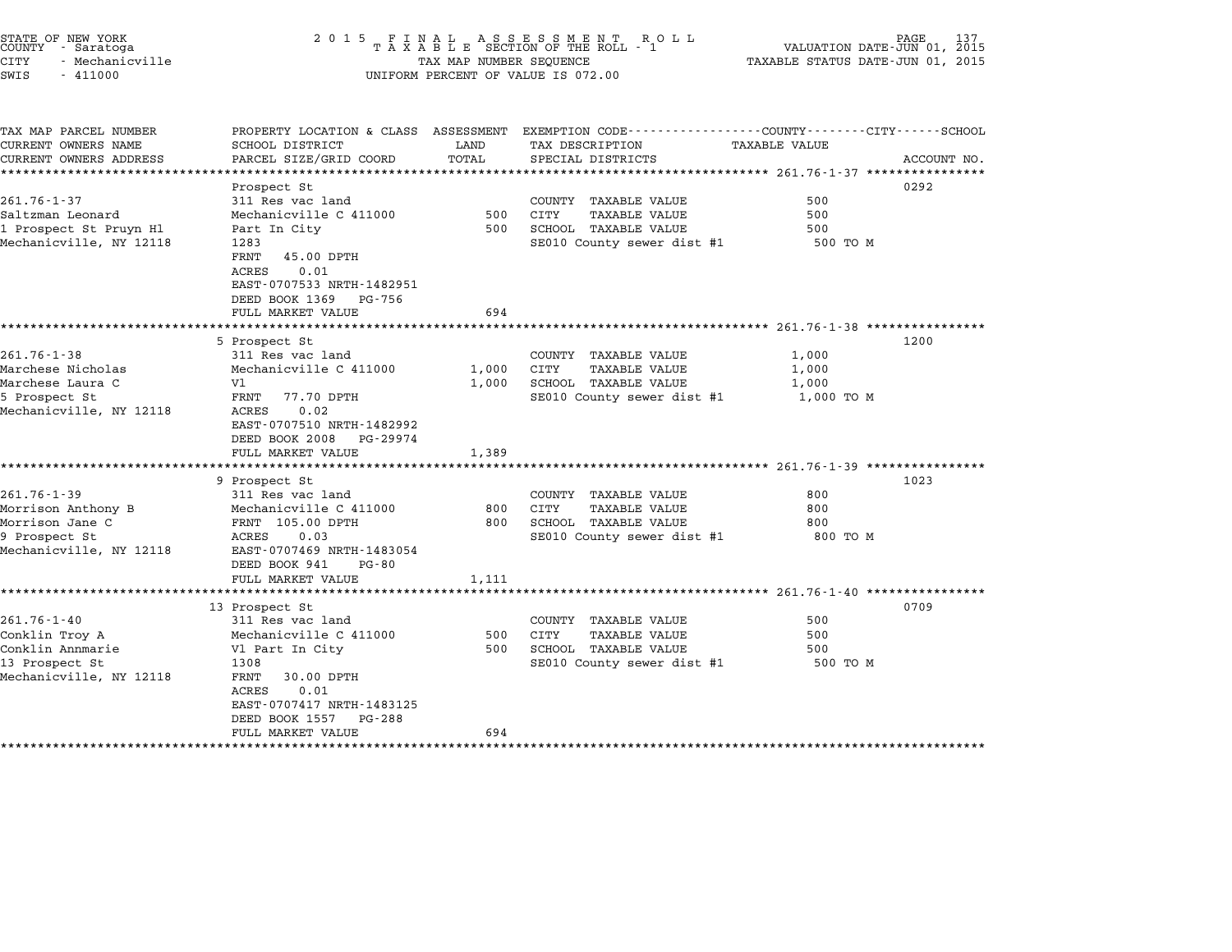|               | ATE OF NEW YORK<br>UNTY - Saratoga |  |
|---------------|------------------------------------|--|
| ТY            | - Mechanicville                    |  |
| $\sim$ $\sim$ | 111000                             |  |

## STATE OF NEW YORK <sup>2</sup> <sup>0</sup> <sup>1</sup> 5 F I N A L A S S E S S M E N T R O L L PAGE <sup>137</sup> COUNTY - Saratoga <sup>T</sup> <sup>A</sup> <sup>X</sup> <sup>A</sup> <sup>B</sup> <sup>L</sup> <sup>E</sup> SECTION OF THE ROLL - <sup>1</sup> VALUATION DATE-JUN 01, <sup>2015</sup> STATE OF NEW YORK (NORE 137 ) 2015 FINAL ASSESSMENT ROLL (NORE 137 ) PAGE 137<br>COUNTY - Saratoga (NORE 1998) TAXABLE SECTION OF THE ROLL - 1 (NORE 1999) VALUATION DATE-JUN 01, 2015<br>CITY - Mechanicville (NORE 1999) TAXABLE S CONTI - Salatoga<br>CITY - Mechanicville<br>SWIS - 411000 UNIFORM PERCENT OF VALUE IS 072.00

TAX MAP PARCEL NUMBER PROPERTY LOCATION & CLASS ASSESSMENT EXEMPTION CODE------------------COUNTY--------CITY------SCHOOL CURRENT OWNERS NAME SCHOOL DISTRICT LAND TAX DESCRIPTION TAXABLE VALUE CURRENT OWNERS ADDRESS PARCEL SIZE/GRID COORD TOTAL SPECIAL DISTRICTS ACCOUNT NO. \*\*\*\*\*\*\*\*\*\*\*\*\*\*\*\*\*\*\*\*\*\*\*\*\*\*\*\*\*\*\*\*\*\*\*\*\*\*\*\*\*\*\*\*\*\*\*\*\*\*\*\*\*\*\*\*\*\*\*\*\*\*\*\*\*\*\*\*\*\*\*\*\*\*\*\*\*\*\*\*\*\*\*\*\*\*\*\*\*\*\*\*\*\*\*\*\*\*\*\*\*\*\* 261.76-1-37 \*\*\*\*\*\*\*\*\*\*\*\*\*\*\*\* Prospect St 0292 261.76-1-37 **Example 261.76-1-37** Super Country Taxable Value 500 country Taxable Value 500 Saltzman Leonard Mechanicville C <sup>411000</sup> <sup>500</sup> CITY TAXABLE VALUE <sup>500</sup> 201.70 1 37<br>1 1 Prospect St Prospect State Mechanic Ville C 411000 500 SCHOOL TAXABLE VALUE 500<br>1 Prospect St Pruyn Hl Part In City 500 SCHOOL TAXABLE VALUE 500 SCHOOL TAXABLE VALUE Saltzman Beonard – Mechanicville C 411000<br>1 Prospect St Pruyn H1 – Part In City – 500 SCHOOL TAXABLE VALUE – 500 TO M<br>Mechanicville, NY 12118 – 1283 – 1380 DPTH – SE010 County sewer dist #1 – 500 TO M FRNT 45.00 DPTH<br>ACRES 0.01 FANI 45.00 DFIH<br>ACRES 0.01<br>EAST-0707533 NRTH-1482951 EAST-0707533 NRTH-14829<br>DEED BOOK 1369 PG-756 DEED BOOK 1369 PG-756<br>FULL MARKET VALUE 694 \*\*\*\*\*\*\*\*\*\*\*\*\*\*\*\*\*\*\*\*\*\*\*\*\*\*\*\*\*\*\*\*\*\*\*\*\*\*\*\*\*\*\*\*\*\*\*\*\*\*\*\*\*\*\*\*\*\*\*\*\*\*\*\*\*\*\*\*\*\*\*\*\*\*\*\*\*\*\*\*\*\*\*\*\*\*\*\*\*\*\*\*\*\*\*\*\*\*\*\*\*\*\* 261.76-1-38 \*\*\*\*\*\*\*\*\*\*\*\*\*\*\*\* יט ביט האמאבא 1261.76-1-38 איז איז א בעריי בעריי ביט ביט ביט האוויג ביט האוויג ביט האוויג ביט ביט ביט ביט ביט<br>1200 1200 1200 1200 Erospect St 261.76-1-38 201.76-1-38 201.76-1-38 311 Res vac land COUNTY TAXABLE VALUE 1,000 Marchese Nicholas Mechanicville C <sup>411000</sup> 1,000 CITY TAXABLE VALUE 1,000 Marchese Laura C Vl 1,000 SCHOOL TAXABLE VALUE 1,000 marchese Micholas (Marchese Declinant of The County of The Transference of The Transference of Transference of<br>Marchese Laura C (Senot Transference of Transference of SE010 County sewer dist #1 1,000 TO M<br>5 Prospect St (1, marchese mania computer of the sense of the sense of the sense of the sense of the sense of the sense of the s<br>Mechanicville, NY 12118 ACRES 0.02 EAST-0707510 NRTH-1482992 EAST-0707510 NRTH-1482992<br>DEED BOOK 2008 PG-29974 EAST 0707510 MAIN 1402552<br>
DEED BOOK 2008 PG-29974<br>
FULL MARKET VALUE 1,389 \*\*\*\*\*\*\*\*\*\*\*\*\*\*\*\*\*\*\*\*\*\*\*\*\*\*\*\*\*\*\*\*\*\*\*\*\*\*\*\*\*\*\*\*\*\*\*\*\*\*\*\*\*\*\*\*\*\*\*\*\*\*\*\*\*\*\*\*\*\*\*\*\*\*\*\*\*\*\*\*\*\*\*\*\*\*\*\*\*\*\*\*\*\*\*\*\*\*\*\*\*\*\* 261.76-1-39 \*\*\*\*\*\*\*\*\*\*\*\*\*\*\*\* 9 Prospect St 1023 261.76-1-39 201.76-1-39 201.76-1-39 201.76-1-39 201.76-1-39 201.76-1-39 201.76-1-39 201.76-1-39 201.76-1-39 20<br>311 Res vac land COUNTY TAXABLE VALUE 800 Morrison Anthony B Mechanicville C <sup>411000</sup> <sup>800</sup> CITY TAXABLE VALUE <sup>800</sup> Morrison Jane C FRNT 105.00 DPTH <sup>800</sup> SCHOOL TAXABLE VALUE <sup>800</sup> MOTTISON ANCHONY B AND MECHANICYTIC CHILOOP ON SUO CITY IN ANNUAL VALUE VALUE ON SUO SUO<br>MOTTISON JANE C FROM TO SOO DPTH 800 SCHOOL TAXABLE VALUE ALLE<br>9 Prospect St 800 TO M morrison dans<br>9 Prospect Street Heads (1998)<br>Mechanicville, NY 12118 EAST-0707469 NRTH-1483054 EAST-0707469 NRTH-1483<br>DEED BOOK 941 PG-80 EASI-0707405 NAIH-1465054<br>
DEED BOOK 941 PG-80<br>
FULL MARKET VALUE 1,111 \*\*\*\*\*\*\*\*\*\*\*\*\*\*\*\*\*\*\*\*\*\*\*\*\*\*\*\*\*\*\*\*\*\*\*\*\*\*\*\*\*\*\*\*\*\*\*\*\*\*\*\*\*\*\*\*\*\*\*\*\*\*\*\*\*\*\*\*\*\*\*\*\*\*\*\*\*\*\*\*\*\*\*\*\*\*\*\*\*\*\*\*\*\*\*\*\*\*\*\*\*\*\* 261.76-1-40 \*\*\*\*\*\*\*\*\*\*\*\*\*\*\*\* 13 Prospect St 0709 261.76-1-40 <sup>311</sup> Res vac land COUNTY TAXABLE VALUE <sup>500</sup> Conklin Troy A Mechanicville C <sup>411000</sup> <sup>500</sup> CITY TAXABLE VALUE <sup>500</sup> 201.70 I TO ME SURFACT THE SURFACT OF CONTROLL OUT AN TRANSFERING A SUBMIT OF SUBMIT OF SUBMIT OF SUBMIT OF SU<br>Conklin Annmarie 1988 In City 11000 SCHOOL TAXABLE VALUE 500<br>CONKlin Annmarie 1988 In City 500 SCHOOL TAXABLE V COINTIN THOY A CONNOT MECHANIC VILLE CONNOT CONNOT SUGGERIZION ON MECHANIC VILLE CONNOT SUGGERIZION ON SCHOOL TAXABLE VALUE 500<br>13 Prospect St 1308 1308 SE010 County sewer dist #1 500 TO M CONATIN ANDERLIE CONSTRUCTION CONSTRUCT SUPPORT OF THE CONSTRUCTION OF THE CONSTRUCTION OF THE CONSTRUCTION OF<br>Mechanicville, NY 12118 FRNT 30.00 DPTH 1308<br>FRNT 30.00 DPTH<br>ACRES 0.01 FANI 50.00 DFIH<br>ACRES 0.01<br>EAST-0707417 NRTH-1483125 EAST-0707417 NRTH-14831<br>DEED BOOK 1557 PG-288 FULL MARKET VALUE <sup>694</sup> \*\*\*\*\*\*\*\*\*\*\*\*\*\*\*\*\*\*\*\*\*\*\*\*\*\*\*\*\*\*\*\*\*\*\*\*\*\*\*\*\*\*\*\*\*\*\*\*\*\*\*\*\*\*\*\*\*\*\*\*\*\*\*\*\*\*\*\*\*\*\*\*\*\*\*\*\*\*\*\*\*\*\*\*\*\*\*\*\*\*\*\*\*\*\*\*\*\*\*\*\*\*\*\*\*\*\*\*\*\*\*\*\*\*\*\*\*\*\*\*\*\*\*\*\*\*\*\*\*\*\*\*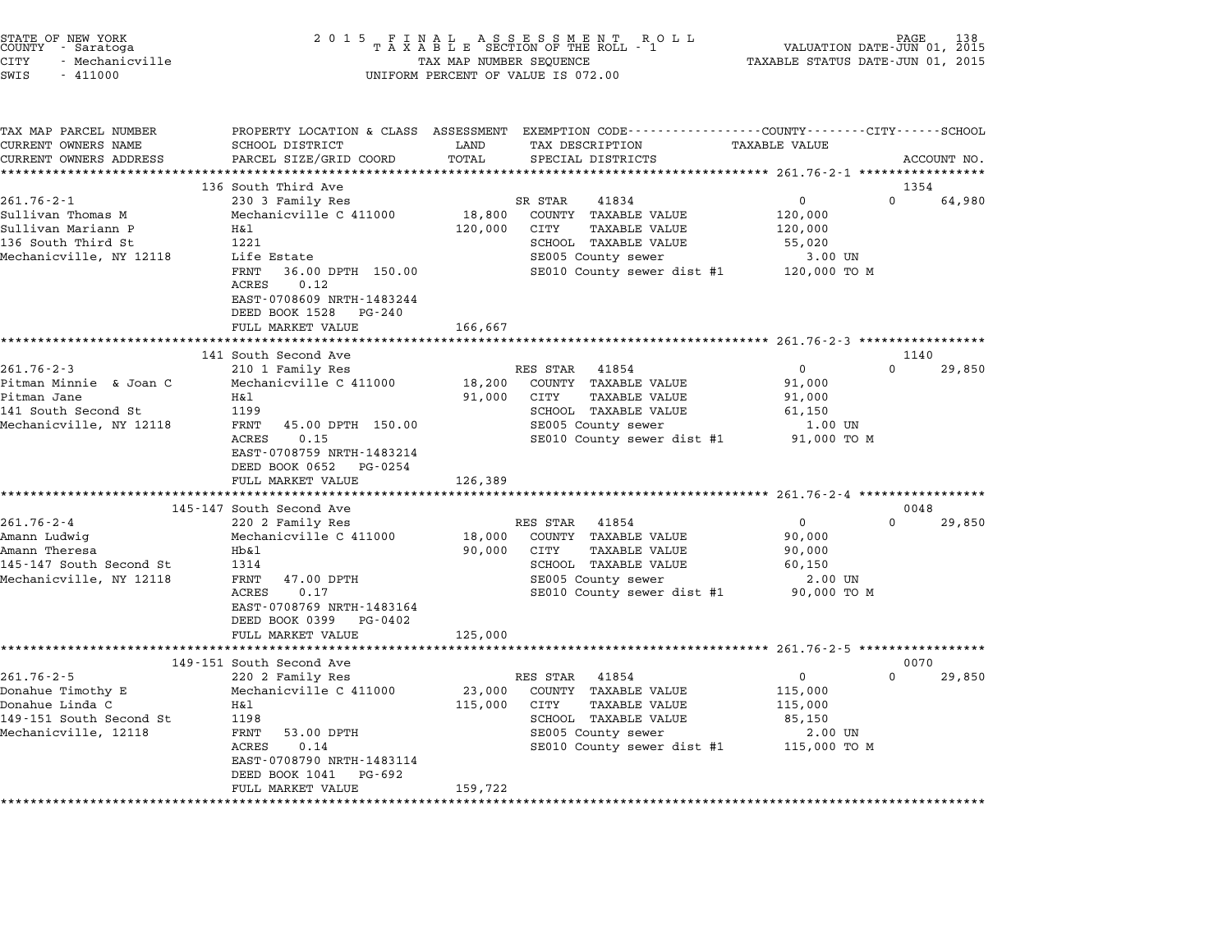| STATE OF NEW YORK<br>COUNTY      Saratoga<br>CITY<br>- Mechanicville<br>SWIS<br>$-411000$ | 2 0 1 5<br>FINAL ASSESSMENT ROTAXABLE SECTION OF THE ROLL - 1<br>TAX MAP NUMBER SEQUENCE<br>UNIFORM PERCENT OF VALUE IS 072.00 |                       |                                                                                                                                         | VALUATION DATE-JUN 01, 2015<br>TAXABLE STATUS DATE-JUN 01, 2015 | PAGE     |             |
|-------------------------------------------------------------------------------------------|--------------------------------------------------------------------------------------------------------------------------------|-----------------------|-----------------------------------------------------------------------------------------------------------------------------------------|-----------------------------------------------------------------|----------|-------------|
| TAX MAP PARCEL NUMBER<br>CURRENT OWNERS NAME<br>CURRENT OWNERS ADDRESS                    | SCHOOL DISTRICT<br>PARCEL SIZE/GRID COORD                                                                                      | LAND<br>TOTAL         | PROPERTY LOCATION & CLASS ASSESSMENT EXEMPTION CODE---------------COUNTY-------CITY------SCHOOL<br>TAX DESCRIPTION<br>SPECIAL DISTRICTS | <b>TAXABLE VALUE</b>                                            |          | ACCOUNT NO. |
|                                                                                           | 136 South Third Ave                                                                                                            |                       |                                                                                                                                         |                                                                 | 1354     |             |
| $261.76 - 2 - 1$                                                                          | 230 3 Family Res                                                                                                               |                       | SR STAR<br>41834                                                                                                                        | 0                                                               | $\Omega$ | 64,980      |
| Sullivan Thomas M                                                                         | Mechanicville C 411000                                                                                                         | 18,800                | COUNTY TAXABLE VALUE                                                                                                                    | 120,000                                                         |          |             |
| Sullivan Mariann P                                                                        | Η&l                                                                                                                            | 120,000               | CITY<br><b>TAXABLE VALUE</b>                                                                                                            | 120,000                                                         |          |             |
| 136 South Third St                                                                        | 1221                                                                                                                           |                       | SCHOOL TAXABLE VALUE                                                                                                                    | 55,020                                                          |          |             |
| Mechanicville, NY 12118                                                                   | Life Estate                                                                                                                    |                       | SE005 County sewer                                                                                                                      | 3.00 UN                                                         |          |             |
|                                                                                           | FRNT<br>36.00 DPTH 150.00<br>ACRES<br>0.12                                                                                     |                       | SE010 County sewer dist #1                                                                                                              | 120,000 TO M                                                    |          |             |
|                                                                                           | EAST-0708609 NRTH-1483244<br>DEED BOOK 1528 PG-240                                                                             |                       |                                                                                                                                         |                                                                 |          |             |
|                                                                                           | FULL MARKET VALUE                                                                                                              | 166,667               |                                                                                                                                         |                                                                 |          |             |
|                                                                                           | 141 South Second Ave                                                                                                           |                       |                                                                                                                                         |                                                                 | 1140     |             |
| $261.76 - 2 - 3$                                                                          | 210 1 Family Res                                                                                                               |                       | RES STAR 41854                                                                                                                          | $\mathbf{0}$                                                    | $\Omega$ | 29,850      |
| Pitman Minnie & Joan C                                                                    | Mechanicville C 411000                                                                                                         | 18,200                | COUNTY TAXABLE VALUE                                                                                                                    | 91,000                                                          |          |             |
| Pitman Jane                                                                               | H&l                                                                                                                            | 91,000                | TAXABLE VALUE<br>CITY                                                                                                                   | 91,000                                                          |          |             |
| 141 South Second St                                                                       | 1199                                                                                                                           |                       | SCHOOL TAXABLE VALUE                                                                                                                    | 61,150                                                          |          |             |
| Mechanicville, NY 12118                                                                   | FRNT<br>45.00 DPTH 150.00                                                                                                      |                       | SE005 County sewer                                                                                                                      | 1.00 UN                                                         |          |             |
|                                                                                           | <b>ACRES</b><br>0.15<br>EAST-0708759 NRTH-1483214<br>DEED BOOK 0652<br>PG-0254                                                 |                       | SE010 County sewer dist #1                                                                                                              | 91,000 TO M                                                     |          |             |
|                                                                                           | FULL MARKET VALUE                                                                                                              | 126,389               |                                                                                                                                         |                                                                 |          |             |
|                                                                                           | ***********************                                                                                                        | * * * * * * * * * * * | ********************************* 261.76-2-4 *****************                                                                          |                                                                 |          |             |
|                                                                                           | 145-147 South Second Ave                                                                                                       |                       |                                                                                                                                         |                                                                 | 0048     |             |
| $261.76 - 2 - 4$                                                                          | 220 2 Family Res                                                                                                               |                       | RES STAR<br>41854                                                                                                                       | 0                                                               | 0        | 29,850      |
| Amann Ludwig                                                                              | Mechanicville C 411000                                                                                                         | 18,000                | COUNTY TAXABLE VALUE                                                                                                                    | 90,000                                                          |          |             |
| Amann Theresa                                                                             | $Hb$ &l                                                                                                                        | 90,000                | <b>TAXABLE VALUE</b><br>CITY                                                                                                            | 90,000                                                          |          |             |
| 145-147 South Second St                                                                   | 1314                                                                                                                           |                       | SCHOOL TAXABLE VALUE                                                                                                                    | 60,150                                                          |          |             |
| Mechanicville, NY 12118                                                                   | FRNT<br>47.00 DPTH<br><b>ACRES</b><br>0.17                                                                                     |                       | SE005 County sewer<br>SE010 County sewer dist #1                                                                                        | 2.00 UN<br>90,000 TO M                                          |          |             |
|                                                                                           | EAST-0708769 NRTH-1483164<br>DEED BOOK 0399<br>PG-0402                                                                         |                       |                                                                                                                                         |                                                                 |          |             |
|                                                                                           | FULL MARKET VALUE                                                                                                              | 125,000               |                                                                                                                                         |                                                                 |          |             |
|                                                                                           |                                                                                                                                |                       |                                                                                                                                         |                                                                 |          |             |
|                                                                                           | 149-151 South Second Ave                                                                                                       |                       |                                                                                                                                         |                                                                 | 0070     |             |
| $261.76 - 2 - 5$                                                                          | 220 2 Family Res                                                                                                               |                       | RES STAR<br>41854                                                                                                                       | 0                                                               | $\Omega$ | 29,850      |
| Donahue Timothy E<br>Donahue Linda C                                                      | Mechanicville C 411000<br>H&l                                                                                                  | 23,000<br>115,000     | COUNTY TAXABLE VALUE<br>CITY<br><b>TAXABLE VALUE</b>                                                                                    | 115,000                                                         |          |             |
| 149-151 South Second St                                                                   | 1198                                                                                                                           |                       | SCHOOL TAXABLE VALUE                                                                                                                    | 115,000<br>85,150                                               |          |             |
| Mechanicville, 12118                                                                      | FRNT<br>53.00 DPTH                                                                                                             |                       | SE005 County sewer                                                                                                                      | $2.00$ UN                                                       |          |             |
|                                                                                           | <b>ACRES</b><br>0.14<br>EAST-0708790 NRTH-1483114                                                                              |                       | SE010 County sewer dist #1                                                                                                              | 115,000 TO M                                                    |          |             |
|                                                                                           | DEED BOOK 1041<br>PG-692<br>FULL MARKET VALUE                                                                                  | 159,722               |                                                                                                                                         |                                                                 |          |             |

STATE OF NEW YORK <sup>2</sup> <sup>0</sup> <sup>1</sup> 5 F I N A L A S S E S S M E N T R O L L PAGE <sup>138</sup> COUNTY - Saratoga <sup>T</sup> <sup>A</sup> <sup>X</sup> <sup>A</sup> <sup>B</sup> <sup>L</sup> <sup>E</sup> SECTION OF THE ROLL - <sup>1</sup> VALUATION DATE-JUN 01, <sup>2015</sup>

\*\*\*\*\*\*\*\*\*\*\*\*\*\*\*\*\*\*\*\*\*\*\*\*\*\*\*\*\*\*\*\*\*\*\*\*\*\*\*\*\*\*\*\*\*\*\*\*\*\*\*\*\*\*\*\*\*\*\*\*\*\*\*\*\*\*\*\*\*\*\*\*\*\*\*\*\*\*\*\*\*\*\*\*\*\*\*\*\*\*\*\*\*\*\*\*\*\*\*\*\*\*\*\*\*\*\*\*\*\*\*\*\*\*\*\*\*\*\*\*\*\*\*\*\*\*\*\*\*\*\*\*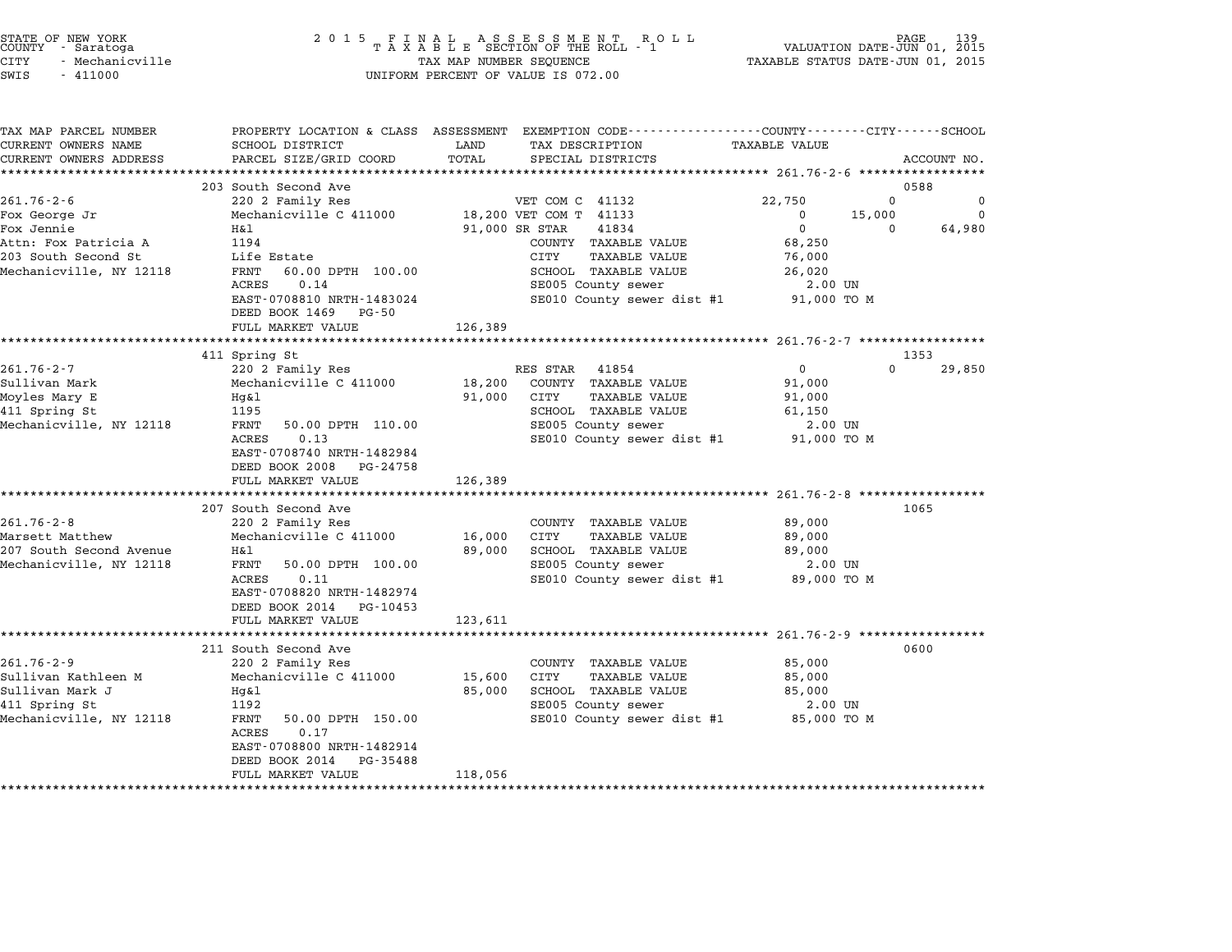| STATE OF NEW YORK |                 |  |
|-------------------|-----------------|--|
| COUNTY            | - Saratoga      |  |
| CITY              | - Mechanicville |  |

| TAX MAP PARCEL NUMBER<br>CURRENT OWNERS NAME |                                            | LAND           | PROPERTY LOCATION & CLASS ASSESSMENT EXEMPTION CODE---------------COUNTY-------CITY------SCHOOL | <b>TAXABLE VALUE</b> |          |             |
|----------------------------------------------|--------------------------------------------|----------------|-------------------------------------------------------------------------------------------------|----------------------|----------|-------------|
| CURRENT OWNERS ADDRESS                       | SCHOOL DISTRICT<br>PARCEL SIZE/GRID COORD  | TOTAL          | TAX DESCRIPTION<br>SPECIAL DISTRICTS                                                            |                      |          | ACCOUNT NO. |
|                                              |                                            |                |                                                                                                 |                      |          |             |
|                                              | 203 South Second Ave                       |                |                                                                                                 |                      | 0588     |             |
| $261.76 - 2 - 6$                             | 220 2 Family Res                           |                | VET COM C 41132                                                                                 | 22,750               | $\Omega$ | 0           |
| Fox George Jr                                | Mechanicville C 411000                     |                | 18,200 VET COM T 41133                                                                          | $^{\circ}$           | 15,000   | $\Omega$    |
| Fox Jennie                                   | H&l                                        | 91,000 SR STAR | 41834                                                                                           | $\mathbf 0$          | $\Omega$ | 64,980      |
| Attn: Fox Patricia A                         | 1194                                       |                | COUNTY TAXABLE VALUE                                                                            | 68,250               |          |             |
| 203 South Second St                          | Life Estate                                |                | CITY<br>TAXABLE VALUE                                                                           | 76,000               |          |             |
| Mechanicville, NY 12118                      | 60.00 DPTH 100.00<br>FRNT                  |                | SCHOOL TAXABLE VALUE                                                                            | 26,020               |          |             |
|                                              | ACRES<br>0.14                              |                | SE005 County sewer                                                                              | 2.00 UN              |          |             |
|                                              | EAST-0708810 NRTH-1483024                  |                | SE010 County sewer dist #1                                                                      | 91,000 TO M          |          |             |
|                                              | DEED BOOK 1469 PG-50                       |                |                                                                                                 |                      |          |             |
|                                              | FULL MARKET VALUE                          | 126,389        |                                                                                                 |                      |          |             |
|                                              | ***************************                |                |                                                                                                 |                      |          |             |
|                                              | 411 Spring St                              |                |                                                                                                 |                      | 1353     |             |
| $261.76 - 2 - 7$                             | 220 2 Family Res                           |                | RES STAR 41854                                                                                  | $\mathbf{0}$         | $\Omega$ | 29,850      |
| Sullivan Mark                                | Mechanicville C 411000                     | 18,200         | COUNTY TAXABLE VALUE                                                                            | 91,000               |          |             |
| Moyles Mary E                                | Hg&l                                       | 91,000         | CITY<br>TAXABLE VALUE                                                                           | 91,000               |          |             |
| 411 Spring St                                | 1195                                       |                | SCHOOL TAXABLE VALUE                                                                            | 61,150               |          |             |
| Mechanicville, NY 12118                      | FRNT<br>50.00 DPTH 110.00                  |                | SE005 County sewer                                                                              | 2.00 UN              |          |             |
|                                              | 0.13<br>ACRES<br>EAST-0708740 NRTH-1482984 |                | SE010 County sewer dist #1 91,000 TO M                                                          |                      |          |             |
|                                              | DEED BOOK 2008 PG-24758                    |                |                                                                                                 |                      |          |             |
|                                              | FULL MARKET VALUE                          | 126,389        |                                                                                                 |                      |          |             |
|                                              |                                            |                |                                                                                                 |                      |          |             |
|                                              | 207 South Second Ave                       |                |                                                                                                 |                      | 1065     |             |
| $261.76 - 2 - 8$                             | 220 2 Family Res                           |                | COUNTY TAXABLE VALUE                                                                            | 89,000               |          |             |
| Marsett Matthew                              | Mechanicville C 411000                     | 16,000         | CITY<br><b>TAXABLE VALUE</b>                                                                    | 89,000               |          |             |
| 207 South Second Avenue                      | Η&l                                        | 89,000         | SCHOOL TAXABLE VALUE                                                                            | 89,000               |          |             |
| Mechanicville, NY 12118                      | FRNT<br>50.00 DPTH 100.00                  |                | SE005 County sewer                                                                              | 2.00 UN              |          |             |
|                                              | ACRES<br>0.11                              |                | SE010 County sewer dist #1                                                                      | 89,000 TO M          |          |             |
|                                              | EAST-0708820 NRTH-1482974                  |                |                                                                                                 |                      |          |             |
|                                              | DEED BOOK 2014 PG-10453                    |                |                                                                                                 |                      |          |             |
|                                              | FULL MARKET VALUE                          | 123,611        |                                                                                                 |                      |          |             |
|                                              |                                            |                |                                                                                                 |                      |          |             |
|                                              | 211 South Second Ave                       |                |                                                                                                 |                      | 0600     |             |
| $261.76 - 2 - 9$                             | 220 2 Family Res                           |                | COUNTY TAXABLE VALUE                                                                            | 85,000               |          |             |
| Sullivan Kathleen M                          | Mechanicville C 411000                     | 15,600         | CITY<br><b>TAXABLE VALUE</b>                                                                    | 85,000               |          |             |
| Sullivan Mark J                              | Hq&l                                       | 85,000         | SCHOOL TAXABLE VALUE                                                                            | 85,000               |          |             |
| 411 Spring St                                | 1192                                       |                | SE005 County sewer                                                                              | 2.00 UN              |          |             |
| Mechanicville, NY 12118                      | FRNT<br>50.00 DPTH 150.00<br>0.17<br>ACRES |                | SE010 County sewer dist #1                                                                      | 85,000 TO M          |          |             |
|                                              | EAST-0708800 NRTH-1482914                  |                |                                                                                                 |                      |          |             |
|                                              | DEED BOOK 2014<br>PG-35488                 |                |                                                                                                 |                      |          |             |
|                                              | FULL MARKET VALUE                          | 118,056        |                                                                                                 |                      |          |             |
|                                              |                                            |                |                                                                                                 |                      |          |             |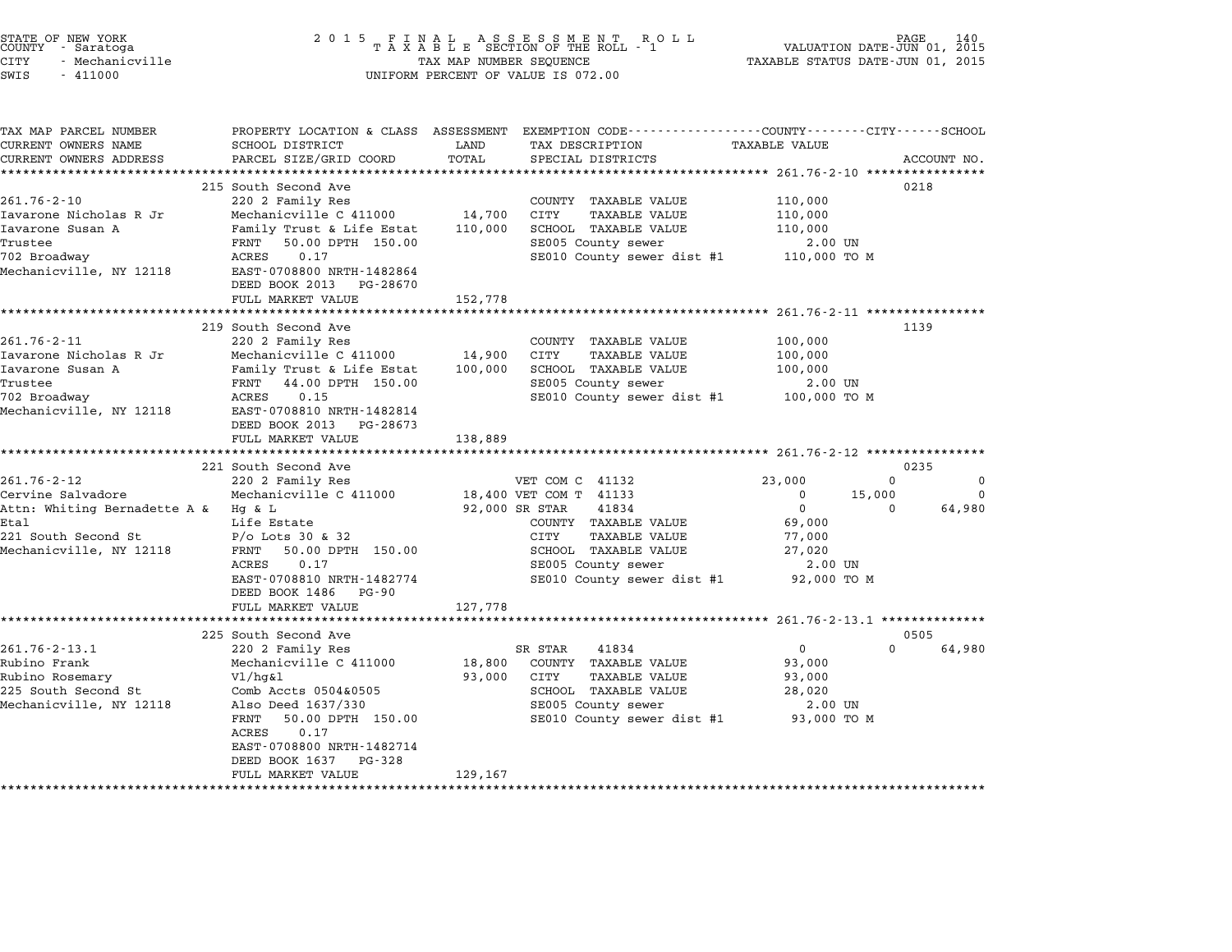| STATE OF NEW YORK |  |                 |  |  |
|-------------------|--|-----------------|--|--|
| COUNTY            |  | - Saratoga      |  |  |
| CITY              |  | - Mechanicville |  |  |

# STATE OF NEW YORK <sup>2</sup> <sup>0</sup> <sup>1</sup> 5 F I N A L A S S E S S M E N T R O L L PAGE <sup>140</sup> COUNTY - Saratoga <sup>T</sup> <sup>A</sup> <sup>X</sup> <sup>A</sup> <sup>B</sup> <sup>L</sup> <sup>E</sup> SECTION OF THE ROLL - <sup>1</sup> VALUATION DATE-JUN 01, <sup>2015</sup> CITY - Mechanicville TAX MAP NUMBER SEQUENCE TAXABLE STATUS DATE-JUN 01, <sup>2015</sup> SWIS - <sup>411000</sup> UNIFORM PERCENT OF VALUE IS 072.00

| TAX MAP PARCEL NUMBER<br>CURRENT OWNERS NAME | SCHOOL DISTRICT                                        | LAND              | PROPERTY LOCATION & CLASS ASSESSMENT EXEMPTION CODE---------------COUNTY-------CITY------SCHOOL<br>TAX DESCRIPTION | <b>TAXABLE VALUE</b> |                              |
|----------------------------------------------|--------------------------------------------------------|-------------------|--------------------------------------------------------------------------------------------------------------------|----------------------|------------------------------|
| CURRENT OWNERS ADDRESS                       | PARCEL SIZE/GRID COORD                                 | TOTAL             | SPECIAL DISTRICTS                                                                                                  |                      | ACCOUNT NO.                  |
| ******************                           |                                                        |                   |                                                                                                                    |                      |                              |
|                                              | 215 South Second Ave                                   |                   |                                                                                                                    |                      | 0218                         |
| $261.76 - 2 - 10$                            | 220 2 Family Res                                       |                   | COUNTY TAXABLE VALUE                                                                                               | 110,000              |                              |
| Iavarone Nicholas R Jr<br>Iavarone Susan A   | Mechanicville C 411000                                 | 14,700            | CITY<br><b>TAXABLE VALUE</b><br>SCHOOL TAXABLE VALUE                                                               | 110,000              |                              |
| Trustee                                      | Family Trust & Life Estat<br>50.00 DPTH 150.00<br>FRNT | 110,000           | SE005 County sewer                                                                                                 | 110,000<br>2.00 UN   |                              |
| 702 Broadway                                 | 0.17<br>ACRES                                          |                   | SE010 County sewer dist #1                                                                                         | 110,000 TO M         |                              |
| Mechanicville, NY 12118                      | EAST-0708800 NRTH-1482864                              |                   |                                                                                                                    |                      |                              |
|                                              | DEED BOOK 2013 PG-28670                                |                   |                                                                                                                    |                      |                              |
|                                              | FULL MARKET VALUE                                      | 152,778           |                                                                                                                    |                      |                              |
|                                              | *****************************                          |                   |                                                                                                                    |                      |                              |
|                                              | 219 South Second Ave                                   |                   |                                                                                                                    |                      | 1139                         |
| $261.76 - 2 - 11$                            | 220 2 Family Res                                       |                   | COUNTY TAXABLE VALUE                                                                                               | 100,000              |                              |
| Iavarone Nicholas R Jr<br>Iavarone Susan A   | Mechanicville C 411000<br>Family Trust & Life Estat    | 14,900<br>100,000 | <b>CITY</b><br><b>TAXABLE VALUE</b><br>SCHOOL TAXABLE VALUE                                                        | 100,000<br>100,000   |                              |
| Trustee                                      | FRNT<br>44.00 DPTH 150.00                              |                   | SE005 County sewer                                                                                                 | 2.00 UN              |                              |
| 702 Broadway                                 | ACRES<br>0.15                                          |                   | SE010 County sewer dist #1 100,000 TO M                                                                            |                      |                              |
| Mechanicville, NY 12118                      | EAST-0708810 NRTH-1482814                              |                   |                                                                                                                    |                      |                              |
|                                              | DEED BOOK 2013 PG-28673                                |                   |                                                                                                                    |                      |                              |
|                                              | FULL MARKET VALUE                                      | 138,889           |                                                                                                                    |                      |                              |
|                                              |                                                        |                   |                                                                                                                    |                      |                              |
| 261.76-2-12                                  | 221 South Second Ave<br>220 2 Family Res               |                   | VET COM C 41132                                                                                                    | 23,000               | 0235<br>$\Omega$<br>$\Omega$ |
| Cervine Salvadore                            | Mechanicville C 411000                                 |                   | 18,400 VET COM T 41133                                                                                             | $\mathbf 0$          | 15,000<br>$\Omega$           |
| Attn: Whiting Bernadette A &                 | Hg & L                                                 |                   | 92,000 SR STAR<br>41834                                                                                            | $\mathbf 0$          | 64,980<br>$\mathbf{0}$       |
| Etal                                         | Life Estate                                            |                   | COUNTY TAXABLE VALUE                                                                                               | 69,000               |                              |
| 221 South Second St                          | $P/O$ Lots 30 & 32                                     |                   | CITY<br>TAXABLE VALUE                                                                                              | 77,000               |                              |
| Mechanicville, NY 12118                      | FRNT 50.00 DPTH 150.00                                 |                   | SCHOOL TAXABLE VALUE                                                                                               | 27,020               |                              |
|                                              | ACRES<br>0.17                                          |                   | SE005 County sewer                                                                                                 | 2.00 UN              |                              |
|                                              | EAST-0708810 NRTH-1482774                              |                   | SE010 County sewer dist #1                                                                                         | 92,000 TO M          |                              |
|                                              | DEED BOOK 1486 PG-90                                   |                   |                                                                                                                    |                      |                              |
|                                              | FULL MARKET VALUE<br>***********************           | 127,778           |                                                                                                                    |                      |                              |
|                                              | 225 South Second Ave                                   |                   |                                                                                                                    |                      | 0505                         |
| $261.76 - 2 - 13.1$                          | 220 2 Family Res                                       |                   | 41834<br>SR STAR                                                                                                   | $\mathbf 0$          | 64,980<br>$\Omega$           |
| Rubino Frank                                 | Mechanicville C 411000                                 | 18,800            | COUNTY TAXABLE VALUE                                                                                               | 93,000               |                              |
| Rubino Rosemary                              | $V1/hq\&1$                                             | 93,000            | CITY<br>TAXABLE VALUE                                                                                              | 93,000               |                              |
| 225 South Second St                          | Comb Accts 0504&0505                                   |                   | SCHOOL TAXABLE VALUE                                                                                               | 28,020               |                              |
| Mechanicville, NY 12118                      | Also Deed 1637/330                                     |                   | SE005 County sewer                                                                                                 | 2.00 UN              |                              |
|                                              | FRNT<br>50.00 DPTH 150.00<br>0.17<br>ACRES             |                   | SE010 County sewer dist #1 93,000 TO M                                                                             |                      |                              |
|                                              | EAST-0708800 NRTH-1482714<br>DEED BOOK 1637 PG-328     |                   |                                                                                                                    |                      |                              |
|                                              | FULL MARKET VALUE                                      | 129,167           |                                                                                                                    |                      |                              |
|                                              |                                                        |                   |                                                                                                                    |                      |                              |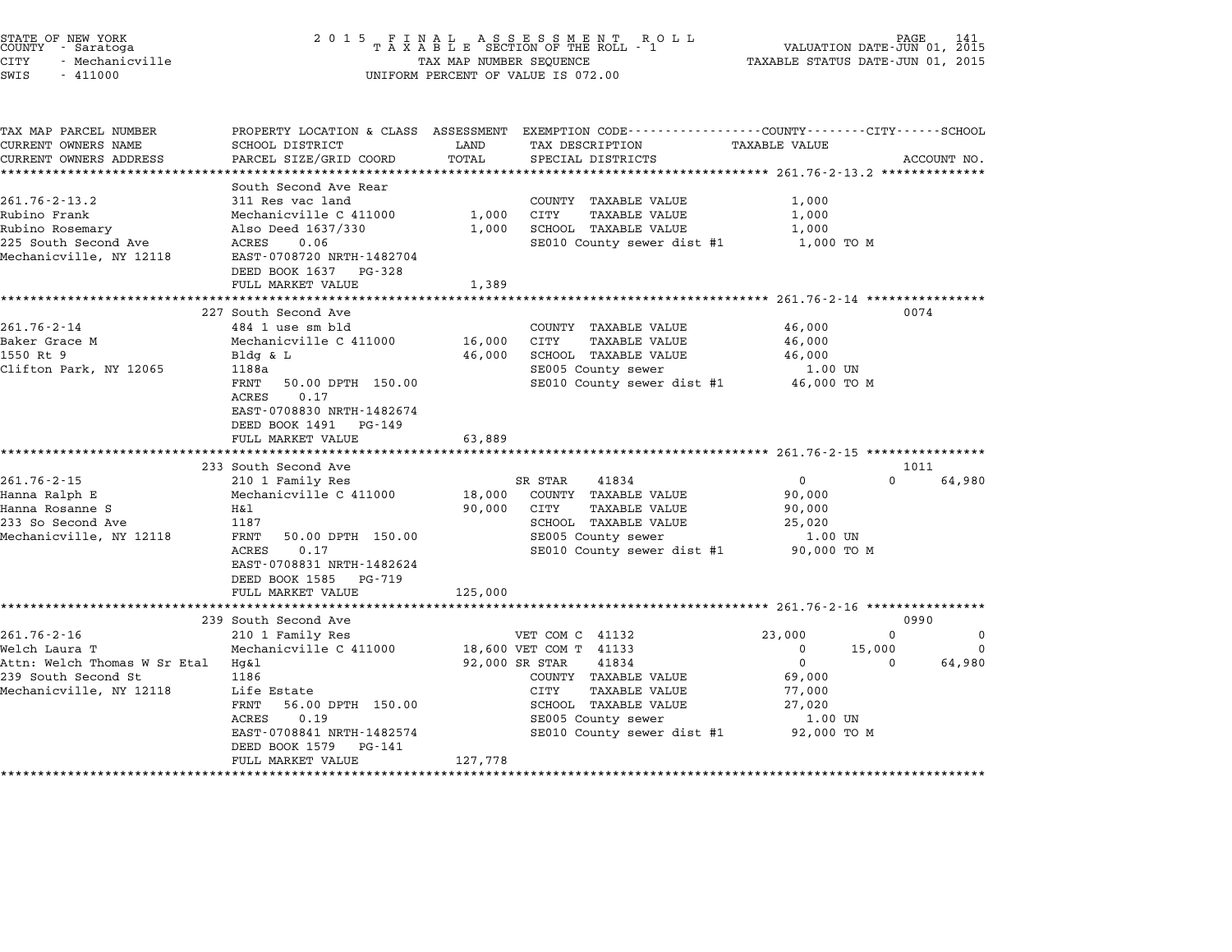| STATE OF NEW YORK<br>COUNTY - Saratoga<br><b>CITY</b><br>- Mechanicville<br>SWIS<br>$-411000$ |                                                                                                                       | TAX MAP NUMBER SEQUENCE | UNIFORM PERCENT OF VALUE IS 072.00                                                                                 | VALUATION DATE-JUN 01, 2015<br>TAXABLE STATUS DATE-JUN 01, 2015 | PAGE                 |
|-----------------------------------------------------------------------------------------------|-----------------------------------------------------------------------------------------------------------------------|-------------------------|--------------------------------------------------------------------------------------------------------------------|-----------------------------------------------------------------|----------------------|
| TAX MAP PARCEL NUMBER<br>CURRENT OWNERS NAME                                                  | SCHOOL DISTRICT                                                                                                       | LAND                    | PROPERTY LOCATION & CLASS ASSESSMENT EXEMPTION CODE---------------COUNTY-------CITY------SCHOOL<br>TAX DESCRIPTION | TAXABLE VALUE                                                   |                      |
| CURRENT OWNERS ADDRESS                                                                        | PARCEL SIZE/GRID COORD                                                                                                | TOTAL                   | SPECIAL DISTRICTS                                                                                                  |                                                                 | ACCOUNT NO.          |
|                                                                                               | South Second Ave Rear                                                                                                 |                         |                                                                                                                    |                                                                 |                      |
| $261.76 - 2 - 13.2$                                                                           | 311 Res vac land                                                                                                      |                         | COUNTY TAXABLE VALUE                                                                                               | 1,000                                                           |                      |
| Rubino Frank                                                                                  | Mechanicville C 411000                                                                                                | 1,000                   | CITY<br>TAXABLE VALUE                                                                                              | 1,000                                                           |                      |
| Rubino Rosemary                                                                               | Also Deed 1637/330                                                                                                    | 1,000                   | SCHOOL TAXABLE VALUE                                                                                               | 1,000                                                           |                      |
| 225 South Second Ave<br>Mechanicville, NY 12118                                               | ACRES<br>0.06<br>EAST-0708720 NRTH-1482704<br>DEED BOOK 1637 PG-328                                                   |                         | SE010 County sewer dist #1                                                                                         | 1,000 TO M                                                      |                      |
|                                                                                               | FULL MARKET VALUE                                                                                                     | 1,389                   |                                                                                                                    |                                                                 |                      |
|                                                                                               | ************************                                                                                              | *************           |                                                                                                                    |                                                                 |                      |
|                                                                                               | 227 South Second Ave                                                                                                  |                         |                                                                                                                    |                                                                 | 0074                 |
| $261.76 - 2 - 14$<br>Baker Grace M                                                            | 484 1 use sm bld<br>Mechanicville C 411000                                                                            | 16,000                  | COUNTY TAXABLE VALUE<br>CITY                                                                                       | 46,000                                                          |                      |
| 1550 Rt 9                                                                                     | Bldg & L                                                                                                              | 46,000                  | TAXABLE VALUE<br>SCHOOL TAXABLE VALUE                                                                              | 46,000<br>46,000                                                |                      |
| Clifton Park, NY 12065                                                                        | 1188a                                                                                                                 |                         | SE005 County sewer                                                                                                 | $1.00$ UN                                                       |                      |
|                                                                                               | FRNT<br>50.00 DPTH 150.00<br>0.17<br>ACRES<br>EAST-0708830 NRTH-1482674<br>DEED BOOK 1491 PG-149<br>FULL MARKET VALUE | 63,889                  | SE010 County sewer dist #1                                                                                         | 46,000 TO M                                                     |                      |
|                                                                                               | *********************                                                                                                 | ***********             | ************************************** 261.76-2-15 *****************                                               |                                                                 |                      |
| $261.76 - 2 - 15$                                                                             | 233 South Second Ave<br>210 1 Family Res                                                                              |                         | SR STAR<br>41834                                                                                                   | $\Omega$<br>$\mathbf{0}$                                        | 1011<br>64,980       |
| Hanna Ralph E                                                                                 | Mechanicville C 411000                                                                                                | 18,000                  | COUNTY TAXABLE VALUE                                                                                               | 90,000                                                          |                      |
| Hanna Rosanne S                                                                               | Η&l                                                                                                                   | 90,000                  | CITY<br>TAXABLE VALUE                                                                                              | 90,000                                                          |                      |
| 233 So Second Ave                                                                             | 1187                                                                                                                  |                         | SCHOOL TAXABLE VALUE                                                                                               | 25,020                                                          |                      |
| Mechanicville, NY 12118                                                                       | FRNT<br>50.00 DPTH 150.00                                                                                             |                         | SE005 County sewer                                                                                                 | 1.00 UN                                                         |                      |
|                                                                                               | ACRES<br>0.17<br>EAST-0708831 NRTH-1482624<br>DEED BOOK 1585<br>PG-719<br>FULL MARKET VALUE                           | 125,000                 | SE010 County sewer dist #1                                                                                         | 90,000 TO M                                                     |                      |
|                                                                                               |                                                                                                                       |                         |                                                                                                                    |                                                                 |                      |
|                                                                                               | 239 South Second Ave                                                                                                  |                         |                                                                                                                    |                                                                 | 0990                 |
| $261.76 - 2 - 16$<br>Welch Laura T                                                            | 210 1 Family Res<br>Mechanicville C 411000                                                                            |                         | VET COM C 41132<br>18,600 VET COM T 41133                                                                          | 23,000<br>0<br>$\mathbf{0}$<br>15,000                           | $\Omega$<br>$\Omega$ |
| Attn: Welch Thomas W Sr Etal                                                                  | Hq&l                                                                                                                  |                         | 92,000 SR STAR<br>41834                                                                                            | $\mathbf{0}$<br>0                                               | 64,980               |
| 239 South Second St                                                                           | 1186                                                                                                                  |                         | COUNTY TAXABLE VALUE                                                                                               | 69,000                                                          |                      |
| Mechanicville, NY 12118                                                                       | Life Estate                                                                                                           |                         | CITY<br><b>TAXABLE VALUE</b>                                                                                       | 77,000                                                          |                      |
|                                                                                               | FRNT<br>56.00 DPTH 150.00                                                                                             |                         | SCHOOL TAXABLE VALUE                                                                                               | 27,020                                                          |                      |
|                                                                                               | ACRES<br>0.19                                                                                                         |                         | SE005 County sewer                                                                                                 | 1.00 UN                                                         |                      |
|                                                                                               | EAST-0708841 NRTH-1482574<br>DEED BOOK 1579<br>PG-141<br>FULL MARKET VALUE                                            | 127,778                 | SE010 County sewer dist #1                                                                                         | 92,000 TO M                                                     |                      |
|                                                                                               |                                                                                                                       |                         |                                                                                                                    |                                                                 |                      |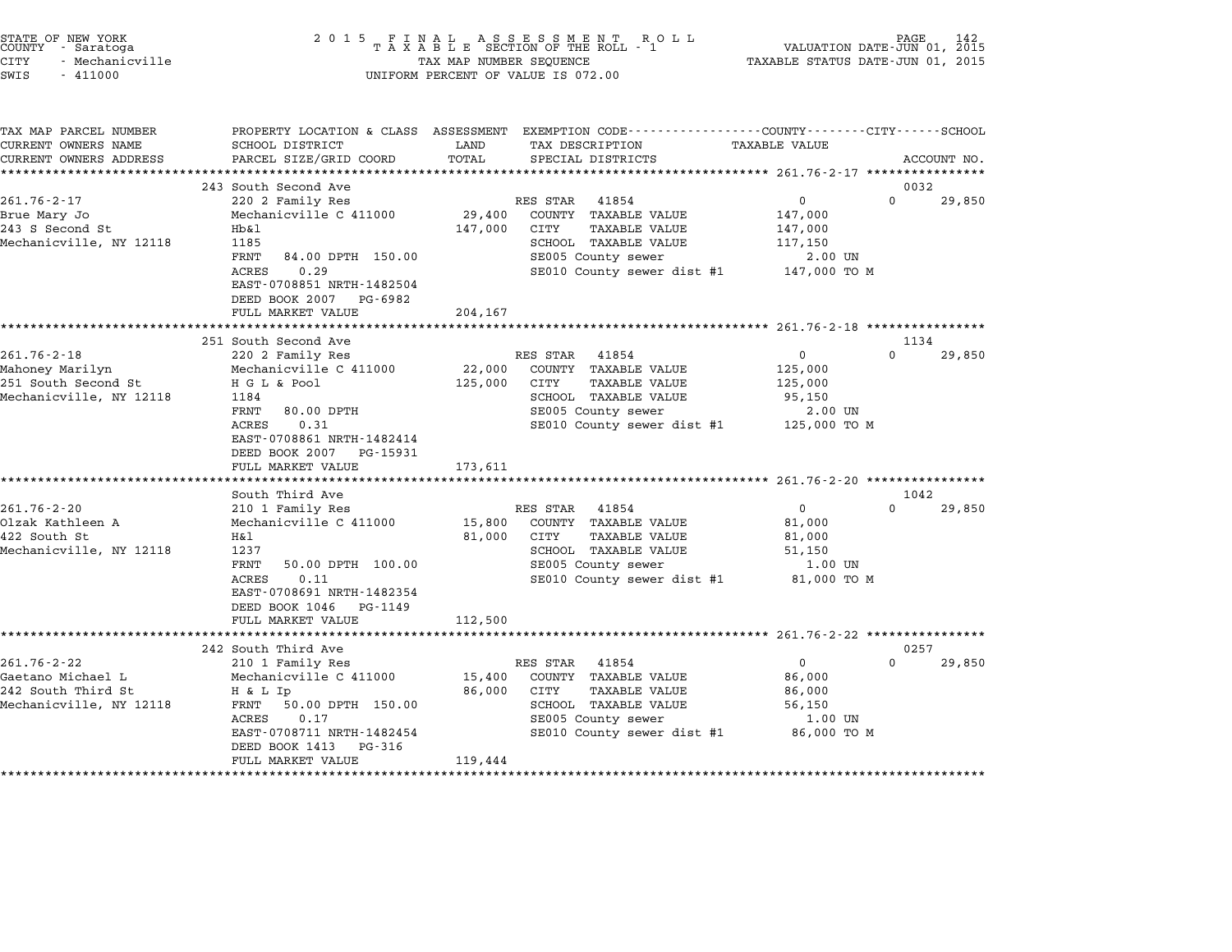| STATE OF NEW YORK<br>COUNTY - Saratoga<br>CITY<br>- Mechanicville<br>$-411000$<br>SWIS |                                                        | TAX MAP NUMBER SEQUENCE | $\begin{array}{cccccccccccccccccc} 2&0&1&5& &\texttt{F} &\texttt{I} &\texttt{N} &\texttt{A} &\texttt{L} & &\texttt{A} &\texttt{S} &\texttt{E} &\texttt{S} &\texttt{S} &\texttt{M} &\texttt{E} &\texttt{N} &\texttt{T} & &\texttt{R} &\texttt{O} &\texttt{L} &\texttt{L} \\ & & & & & & & \texttt{T} &\texttt{A} &\texttt{X} &\texttt{A} &\texttt{B} &\texttt{L} &\texttt{E} & & & & & & & & & & & & & & & & & &$<br>UNIFORM PERCENT OF VALUE IS 072.00 | VALUATION DATE-JUN 01, 2015<br>TAXABLE STATUS DATE-JUN 01, 2015 | PAGE<br>142 |
|----------------------------------------------------------------------------------------|--------------------------------------------------------|-------------------------|--------------------------------------------------------------------------------------------------------------------------------------------------------------------------------------------------------------------------------------------------------------------------------------------------------------------------------------------------------------------------------------------------------------------------------------------------------|-----------------------------------------------------------------|-------------|
| TAX MAP PARCEL NUMBER                                                                  |                                                        |                         | PROPERTY LOCATION & CLASS ASSESSMENT EXEMPTION CODE---------------COUNTY-------CITY------SCHOOL                                                                                                                                                                                                                                                                                                                                                        |                                                                 |             |
| CURRENT OWNERS NAME<br>CURRENT OWNERS ADDRESS                                          | SCHOOL DISTRICT<br>PARCEL SIZE/GRID COORD              | LAND<br>TOTAL           | TAX DESCRIPTION<br>SPECIAL DISTRICTS                                                                                                                                                                                                                                                                                                                                                                                                                   | TAXABLE VALUE                                                   | ACCOUNT NO. |
|                                                                                        |                                                        |                         |                                                                                                                                                                                                                                                                                                                                                                                                                                                        |                                                                 |             |
|                                                                                        | 243 South Second Ave                                   |                         |                                                                                                                                                                                                                                                                                                                                                                                                                                                        |                                                                 | 0032        |
| $261.76 - 2 - 17$                                                                      | 220 2 Family Res                                       |                         | RES STAR<br>41854                                                                                                                                                                                                                                                                                                                                                                                                                                      | 0<br>$\Omega$                                                   | 29,850      |
| Brue Mary Jo                                                                           | Mechanicville C 411000                                 | 29,400                  | COUNTY TAXABLE VALUE                                                                                                                                                                                                                                                                                                                                                                                                                                   | 147,000                                                         |             |
| 243 S Second St                                                                        | Hb&l                                                   | 147,000                 | <b>TAXABLE VALUE</b><br>CITY                                                                                                                                                                                                                                                                                                                                                                                                                           | 147,000                                                         |             |
| Mechanicville, NY 12118                                                                | 1185<br>FRNT<br>84.00 DPTH 150.00                      |                         | SCHOOL TAXABLE VALUE<br>SE005 County sewer                                                                                                                                                                                                                                                                                                                                                                                                             | 117,150<br>2.00 UN                                              |             |
|                                                                                        | ACRES<br>0.29                                          |                         | SE010 County sewer dist #1                                                                                                                                                                                                                                                                                                                                                                                                                             | 147,000 TO M                                                    |             |
|                                                                                        | EAST-0708851 NRTH-1482504                              |                         |                                                                                                                                                                                                                                                                                                                                                                                                                                                        |                                                                 |             |
|                                                                                        | DEED BOOK 2007 PG-6982                                 |                         |                                                                                                                                                                                                                                                                                                                                                                                                                                                        |                                                                 |             |
|                                                                                        | FULL MARKET VALUE                                      | 204,167                 |                                                                                                                                                                                                                                                                                                                                                                                                                                                        |                                                                 |             |
|                                                                                        | **********************                                 | **************          |                                                                                                                                                                                                                                                                                                                                                                                                                                                        | ************************* 261.76-2-18 *****************         |             |
| $261.76 - 2 - 18$                                                                      | 251 South Second Ave                                   |                         |                                                                                                                                                                                                                                                                                                                                                                                                                                                        | $\Omega$<br>$\Omega$                                            | 1134        |
| Mahoney Marilyn                                                                        | 220 2 Family Res<br>Mechanicville C 411000             | 22,000                  | RES STAR 41854<br>COUNTY TAXABLE VALUE                                                                                                                                                                                                                                                                                                                                                                                                                 | 125,000                                                         | 29,850      |
| 251 South Second St                                                                    | H G L & Pool                                           | 125,000                 | CITY<br>TAXABLE VALUE                                                                                                                                                                                                                                                                                                                                                                                                                                  | 125,000                                                         |             |
| Mechanicville, NY 12118                                                                | 1184                                                   |                         | SCHOOL TAXABLE VALUE                                                                                                                                                                                                                                                                                                                                                                                                                                   | 95,150                                                          |             |
|                                                                                        | FRNT<br>80.00 DPTH                                     |                         | SE005 County sewer                                                                                                                                                                                                                                                                                                                                                                                                                                     | 2.00 UN                                                         |             |
|                                                                                        | 0.31<br>ACRES                                          |                         | SE010 County sewer dist #1                                                                                                                                                                                                                                                                                                                                                                                                                             | 125,000 TO M                                                    |             |
|                                                                                        | EAST-0708861 NRTH-1482414                              |                         |                                                                                                                                                                                                                                                                                                                                                                                                                                                        |                                                                 |             |
|                                                                                        | DEED BOOK 2007 PG-15931                                |                         |                                                                                                                                                                                                                                                                                                                                                                                                                                                        |                                                                 |             |
|                                                                                        | FULL MARKET VALUE<br>*******************               | 173,611                 |                                                                                                                                                                                                                                                                                                                                                                                                                                                        |                                                                 |             |
|                                                                                        | South Third Ave                                        |                         |                                                                                                                                                                                                                                                                                                                                                                                                                                                        |                                                                 | 1042        |
| $261.76 - 2 - 20$                                                                      | 210 1 Family Res                                       |                         | RES STAR 41854                                                                                                                                                                                                                                                                                                                                                                                                                                         | $\overline{0}$<br>$\Omega$                                      | 29,850      |
| Olzak Kathleen A                                                                       | Mechanicville C 411000                                 | 15,800                  | COUNTY TAXABLE VALUE                                                                                                                                                                                                                                                                                                                                                                                                                                   | 81,000                                                          |             |
| 422 South St                                                                           | H&l                                                    | 81,000                  | CITY<br>TAXABLE VALUE                                                                                                                                                                                                                                                                                                                                                                                                                                  | 81,000                                                          |             |
| Mechanicville, NY 12118                                                                | 1237                                                   |                         | SCHOOL TAXABLE VALUE                                                                                                                                                                                                                                                                                                                                                                                                                                   | 51,150                                                          |             |
|                                                                                        | FRNT<br>50.00 DPTH 100.00                              |                         | SE005 County sewer                                                                                                                                                                                                                                                                                                                                                                                                                                     | 1.00 UN                                                         |             |
|                                                                                        | ACRES<br>0.11                                          |                         | SE010 County sewer dist #1                                                                                                                                                                                                                                                                                                                                                                                                                             | 81,000 TO M                                                     |             |
|                                                                                        | EAST-0708691 NRTH-1482354<br>DEED BOOK 1046<br>PG-1149 |                         |                                                                                                                                                                                                                                                                                                                                                                                                                                                        |                                                                 |             |
|                                                                                        | FULL MARKET VALUE                                      | 112,500                 |                                                                                                                                                                                                                                                                                                                                                                                                                                                        |                                                                 |             |
|                                                                                        |                                                        |                         |                                                                                                                                                                                                                                                                                                                                                                                                                                                        |                                                                 |             |
|                                                                                        | 242 South Third Ave                                    |                         |                                                                                                                                                                                                                                                                                                                                                                                                                                                        |                                                                 | 0257        |
| $261.76 - 2 - 22$                                                                      | 210 1 Family Res                                       |                         | RES STAR 41854                                                                                                                                                                                                                                                                                                                                                                                                                                         | $\Omega$<br>0                                                   | 29,850      |
| Gaetano Michael L                                                                      | Mechanicville C 411000                                 | 15,400                  | COUNTY TAXABLE VALUE                                                                                                                                                                                                                                                                                                                                                                                                                                   | 86,000                                                          |             |
| 242 South Third St                                                                     | H & L Ip                                               | 86,000                  | CITY<br>TAXABLE VALUE                                                                                                                                                                                                                                                                                                                                                                                                                                  | 86,000                                                          |             |
| Mechanicville, NY 12118                                                                | FRNT<br>50.00 DPTH 150.00                              |                         | SCHOOL TAXABLE VALUE                                                                                                                                                                                                                                                                                                                                                                                                                                   | 56,150                                                          |             |
|                                                                                        | ACRES<br>0.17<br>EAST-0708711 NRTH-1482454             |                         | SE005 County sewer                                                                                                                                                                                                                                                                                                                                                                                                                                     | 1.00 UN<br>86,000 TO M                                          |             |
|                                                                                        | DEED BOOK 1413<br>PG-316                               |                         | SE010 County sewer dist #1                                                                                                                                                                                                                                                                                                                                                                                                                             |                                                                 |             |
|                                                                                        | FULL MARKET VALUE                                      | 119,444                 |                                                                                                                                                                                                                                                                                                                                                                                                                                                        |                                                                 |             |
|                                                                                        |                                                        | .                       |                                                                                                                                                                                                                                                                                                                                                                                                                                                        |                                                                 |             |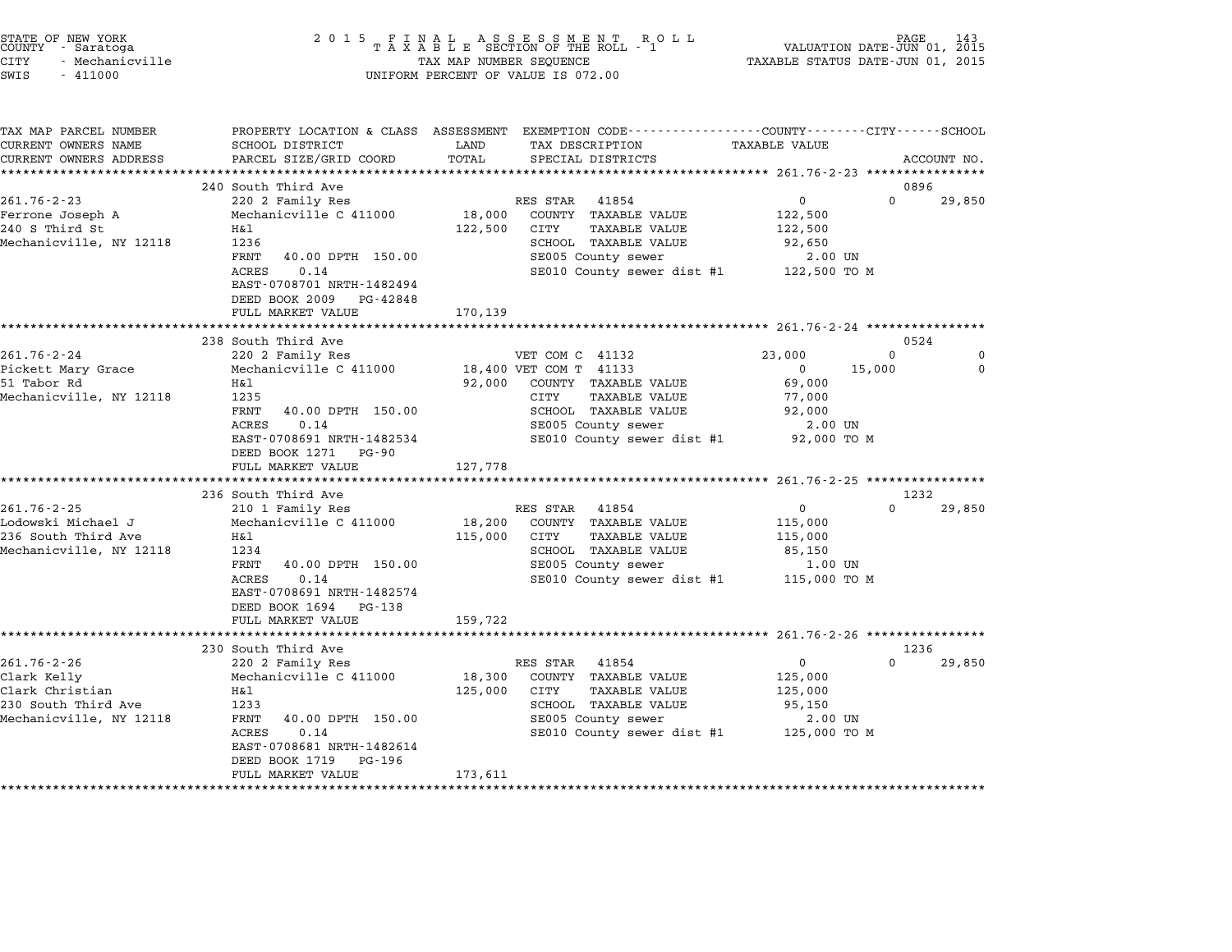| STATE OF NEW YORK<br>COUNTY - Saratoga<br><b>CITY</b><br>- Mechanicville<br>SWIS<br>$-411000$         | 2 0 1 5                                                                                                                                                                                                                                | TAX MAP NUMBER SEQUENCE      | UNIFORM PERCENT OF VALUE IS 072.00                                                                                                                                                                        | TAXABLE STATUS DATE-JUN 01, 2015                                              | PAGE<br>VALUATION DATE-JUN 01, 2015 |
|-------------------------------------------------------------------------------------------------------|----------------------------------------------------------------------------------------------------------------------------------------------------------------------------------------------------------------------------------------|------------------------------|-----------------------------------------------------------------------------------------------------------------------------------------------------------------------------------------------------------|-------------------------------------------------------------------------------|-------------------------------------|
| TAX MAP PARCEL NUMBER<br>CURRENT OWNERS NAME<br>CURRENT OWNERS ADDRESS                                | SCHOOL DISTRICT<br>PARCEL SIZE/GRID COORD<br>**************************                                                                                                                                                                | LAND<br>TOTAL                | PROPERTY LOCATION & CLASS ASSESSMENT EXEMPTION CODE---------------COUNTY-------CITY------SCHOOL<br>TAX DESCRIPTION<br>SPECIAL DISTRICTS                                                                   | <b>TAXABLE VALUE</b>                                                          | ACCOUNT NO.                         |
|                                                                                                       | 240 South Third Ave                                                                                                                                                                                                                    |                              |                                                                                                                                                                                                           |                                                                               | 0896                                |
| $261.76 - 2 - 23$<br>Ferrone Joseph A<br>240 S Third St<br>Mechanicville, NY 12118                    | 220 2 Family Res<br>Mechanicville C 411000<br>H&l<br>1236<br>FRNT<br>40.00 DPTH 150.00<br>ACRES<br>0.14<br>EAST-0708701 NRTH-1482494<br>DEED BOOK 2009<br>PG-42848<br>FULL MARKET VALUE                                                | 18,000<br>122,500<br>170,139 | RES STAR<br>41854<br>COUNTY TAXABLE VALUE<br>CITY<br>TAXABLE VALUE<br>SCHOOL TAXABLE VALUE<br>SE005 County sewer<br>SE010 County sewer dist #1                                                            | $\mathbf 0$<br>122,500<br>122,500<br>92,650<br>2.00 UN<br>122,500 TO M        | $\Omega$<br>29,850                  |
|                                                                                                       |                                                                                                                                                                                                                                        |                              |                                                                                                                                                                                                           | ********************* 261.76-2-24 ****************                            | 0524                                |
| $261.76 - 2 - 24$<br>Pickett Mary Grace<br>51 Tabor Rd<br>Mechanicville, NY 12118                     | 238 South Third Ave<br>220 2 Family Res<br>Mechanicville C 411000<br>H&l<br>1235<br>FRNT<br>40.00 DPTH 150.00<br>ACRES<br>0.14<br>EAST-0708691 NRTH-1482534<br>DEED BOOK 1271<br>PG-90<br>FULL MARKET VALUE<br>*********************** | 92,000<br>127,778            | VET COM C 41132<br>18,400 VET COM T 41133<br>COUNTY TAXABLE VALUE<br><b>TAXABLE VALUE</b><br>CITY<br>SCHOOL TAXABLE VALUE<br>SE005 County sewer<br>SE010 County sewer dist #1<br>************************ | 23,000<br>0<br>15,000<br>69,000<br>77,000<br>92,000<br>2.00 UN<br>92,000 TO M | $\Omega$<br>0<br>0                  |
|                                                                                                       | 236 South Third Ave                                                                                                                                                                                                                    |                              |                                                                                                                                                                                                           |                                                                               | 1232                                |
| 261.76-2-25<br>Lodowski Michael J<br>236 South Third Ave<br>Mechanicville, NY 12118                   | 210 1 Family Res<br>Mechanicville C 411000<br>H&l<br>1234<br>FRNT<br>40.00 DPTH 150.00<br>0.14<br>ACRES<br>EAST-0708691 NRTH-1482574<br>DEED BOOK 1694<br>PG-138                                                                       | 18,200<br>115,000            | RES STAR<br>41854<br>COUNTY TAXABLE VALUE<br>CITY<br>TAXABLE VALUE<br>SCHOOL TAXABLE VALUE<br>SE005 County sewer<br>SE010 County sewer dist #1                                                            | 0<br>115,000<br>115,000<br>85,150<br>1.00 UN<br>115,000 TO M                  | 29,850                              |
|                                                                                                       | FULL MARKET VALUE<br>******************                                                                                                                                                                                                | 159,722                      |                                                                                                                                                                                                           |                                                                               |                                     |
|                                                                                                       | 230 South Third Ave                                                                                                                                                                                                                    |                              |                                                                                                                                                                                                           |                                                                               | 1236                                |
| $261.76 - 2 - 26$<br>Clark Kelly<br>Clark Christian<br>230 South Third Ave<br>Mechanicville, NY 12118 | 220 2 Family Res<br>Mechanicville C 411000<br>H&l<br>1233<br>FRNT<br>40.00 DPTH 150.00<br>ACRES<br>0.14<br>EAST-0708681 NRTH-1482614<br>DEED BOOK 1719<br>PG-196<br>FULL MARKET VALUE                                                  | 18,300<br>125,000<br>173,611 | 41854<br>RES STAR<br>COUNTY TAXABLE VALUE<br>CITY<br>TAXABLE VALUE<br>SCHOOL TAXABLE VALUE<br>SE005 County sewer<br>SE010 County sewer dist #1                                                            | $\mathbf 0$<br>125,000<br>125,000<br>95,150<br>2.00 UN<br>125,000 TO M        | $\Omega$<br>29,850                  |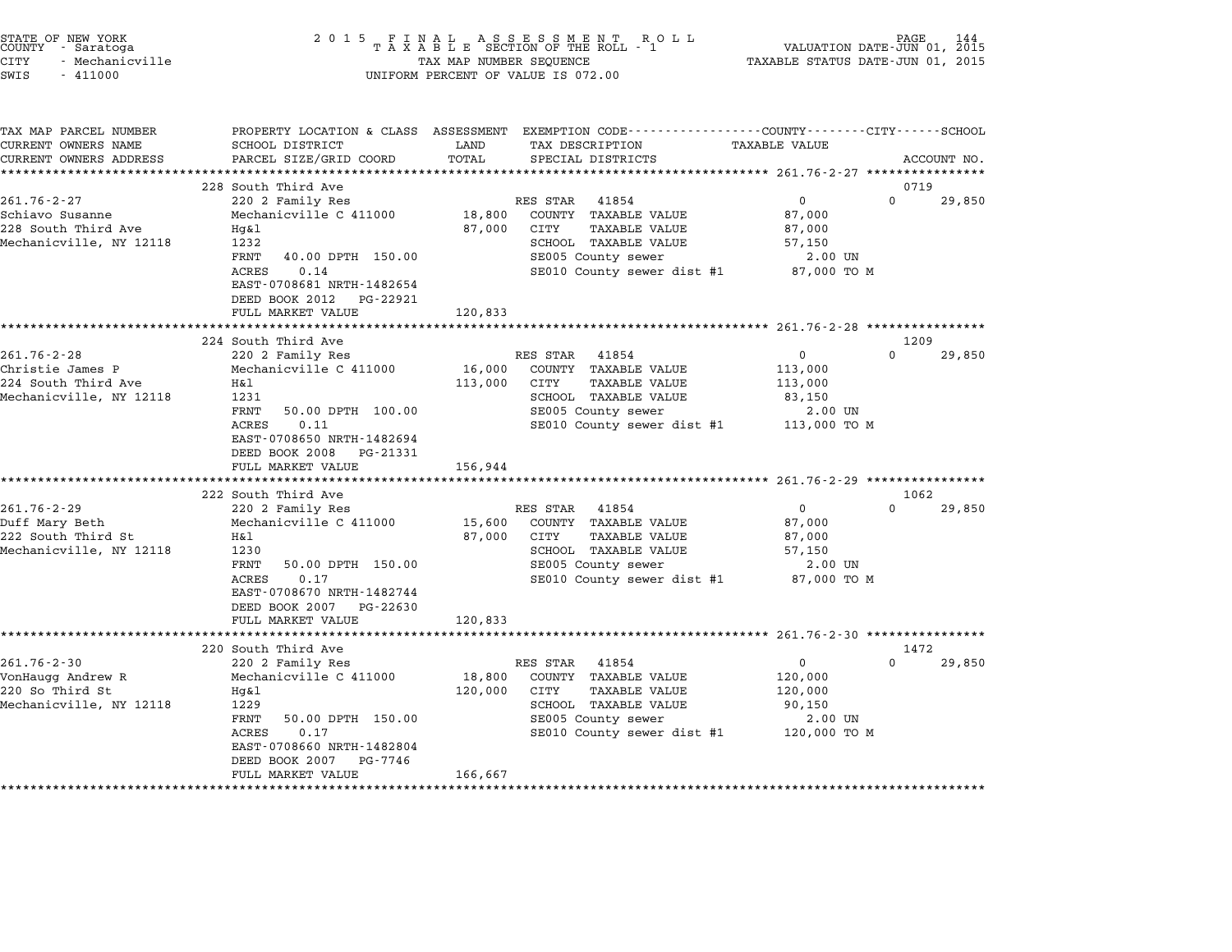| STATE OF NEW YORK<br>COUNTY - Saratoga<br>CITY<br>- Mechanicville<br>SWIS<br>$-411000$  | 2 0 1 5                                                                                                                                                                                                               | TAX MAP NUMBER SEQUENCE      | UNIFORM PERCENT OF VALUE IS 072.00                                                                                                                    | TAXABLE STATUS DATE-JUN 01, 2015                                        | PAGE<br>144<br>VALUATION DATE-JUN 01, 2015 |
|-----------------------------------------------------------------------------------------|-----------------------------------------------------------------------------------------------------------------------------------------------------------------------------------------------------------------------|------------------------------|-------------------------------------------------------------------------------------------------------------------------------------------------------|-------------------------------------------------------------------------|--------------------------------------------|
| TAX MAP PARCEL NUMBER<br>CURRENT OWNERS NAME<br>CURRENT OWNERS ADDRESS                  | SCHOOL DISTRICT<br>PARCEL SIZE/GRID COORD                                                                                                                                                                             | LAND<br>TOTAL                | PROPERTY LOCATION & CLASS ASSESSMENT EXEMPTION CODE---------------COUNTY-------CITY------SCHOOL<br>TAX DESCRIPTION<br>SPECIAL DISTRICTS               | <b>TAXABLE VALUE</b>                                                    | ACCOUNT NO.                                |
|                                                                                         | ***************************                                                                                                                                                                                           |                              |                                                                                                                                                       |                                                                         |                                            |
| $261.76 - 2 - 27$<br>Schiavo Susanne<br>228 South Third Ave<br>Mechanicville, NY 12118  | 228 South Third Ave<br>220 2 Family Res<br>Mechanicville C 411000<br>Hg&l<br>1232<br>40.00 DPTH 150.00<br>FRNT<br>ACRES<br>0.14<br>EAST-0708681 NRTH-1482654<br>DEED BOOK 2012<br>PG-22921<br>FULL MARKET VALUE       | 18,800<br>87,000<br>120,833  | RES STAR<br>41854<br>COUNTY TAXABLE VALUE<br>CITY<br>TAXABLE VALUE<br>SCHOOL TAXABLE VALUE<br>SE005 County sewer<br>SE010 County sewer dist #1        | 0<br>87,000<br>87,000<br>57,150<br>2.00 UN<br>87,000 TO M               | 0719<br>29,850<br>$\Omega$                 |
|                                                                                         |                                                                                                                                                                                                                       |                              |                                                                                                                                                       | ***************** 261.76-2-28 ****************                          |                                            |
|                                                                                         | 224 South Third Ave                                                                                                                                                                                                   |                              |                                                                                                                                                       |                                                                         | 1209                                       |
| $261.76 - 2 - 28$<br>Christie James P<br>224 South Third Ave<br>Mechanicville, NY 12118 | 220 2 Family Res<br>Mechanicville C 411000<br>Η&l<br>1231<br>FRNT<br>50.00 DPTH 100.00<br>ACRES<br>0.11<br>EAST-0708650 NRTH-1482694<br>DEED BOOK 2008<br>PG-21331                                                    | 16,000<br>113,000            | RES STAR<br>41854<br>COUNTY TAXABLE VALUE<br>CITY<br><b>TAXABLE VALUE</b><br>SCHOOL TAXABLE VALUE<br>SE005 County sewer<br>SE010 County sewer dist #1 | $\mathbf 0$<br>113,000<br>113,000<br>83,150<br>2.00 UN<br>113,000 TO M  | $\Omega$<br>29,850                         |
|                                                                                         | FULL MARKET VALUE                                                                                                                                                                                                     | 156,944                      |                                                                                                                                                       |                                                                         |                                            |
|                                                                                         | 222 South Third Ave                                                                                                                                                                                                   | ********                     |                                                                                                                                                       | *********** 261.76-2-29 ***************                                 | 1062                                       |
| $261.76 - 2 - 29$<br>Duff Mary Beth<br>222 South Third St<br>Mechanicville, NY 12118    | 220 2 Family Res<br>Mechanicville C 411000<br>Η&l<br>1230<br>FRNT<br>50.00 DPTH 150.00<br>ACRES<br>0.17<br>EAST-0708670 NRTH-1482744<br>DEED BOOK 2007 PG-22630<br>FULL MARKET VALUE                                  | 15,600<br>87,000<br>120,833  | RES STAR<br>41854<br>COUNTY TAXABLE VALUE<br>CITY<br><b>TAXABLE VALUE</b><br>SCHOOL TAXABLE VALUE<br>SE005 County sewer<br>SE010 County sewer dist #1 | 0<br>87,000<br>87,000<br>57,150<br>2.00 UN<br>87,000 TO M               | $\Omega$<br>29,850                         |
|                                                                                         | ********************                                                                                                                                                                                                  |                              |                                                                                                                                                       |                                                                         |                                            |
| $261.76 - 2 - 30$<br>VonHaugg Andrew R<br>220 So Third St<br>Mechanicville, NY 12118    | 220 South Third Ave<br>220 2 Family Res<br>Mechanicville C 411000<br>Hg&l<br>1229<br>FRNT<br>50.00 DPTH 150.00<br><b>ACRES</b><br>0.17<br>EAST-0708660 NRTH-1482804<br>DEED BOOK 2007<br>PG-7746<br>FULL MARKET VALUE | 18,800<br>120,000<br>166,667 | RES STAR<br>41854<br>COUNTY TAXABLE VALUE<br>CITY<br><b>TAXABLE VALUE</b><br>SCHOOL TAXABLE VALUE<br>SE005 County sewer<br>SE010 County sewer dist #1 | $\mathbf{0}$<br>120,000<br>120,000<br>90,150<br>2.00 UN<br>120,000 TO M | 1472<br>$\Omega$<br>29,850                 |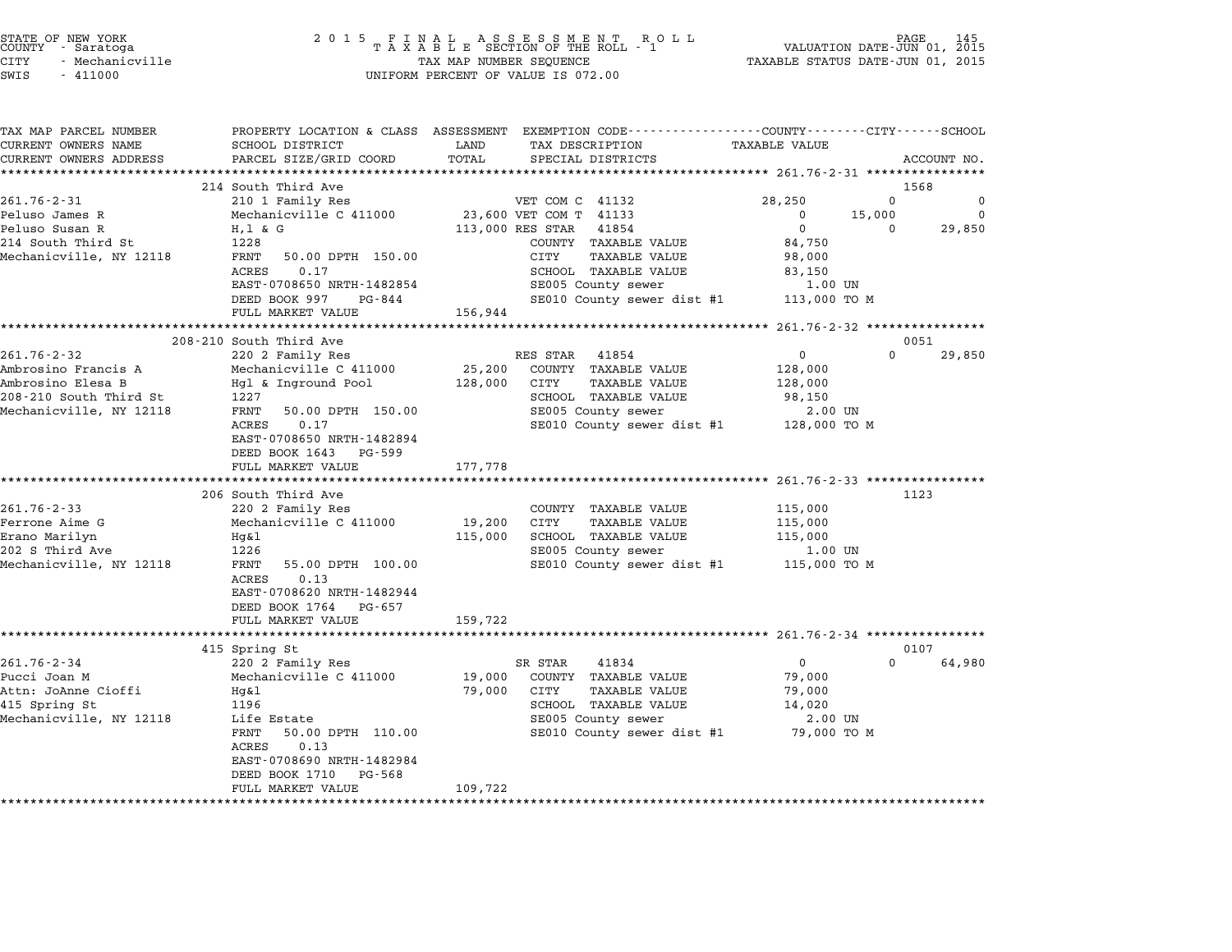| STATE OF NEW YORK<br>COUNTY - Saratoga<br><b>CITY</b><br>- Mechanicville<br>SWIS<br>$-411000$ |                                                                                                | TAX MAP NUMBER SEOUENCE | UNIFORM PERCENT OF VALUE IS 072.00               | TAXABLE STATUS DATE-JUN 01, 2015                 |          |             |
|-----------------------------------------------------------------------------------------------|------------------------------------------------------------------------------------------------|-------------------------|--------------------------------------------------|--------------------------------------------------|----------|-------------|
|                                                                                               |                                                                                                |                         |                                                  |                                                  |          |             |
| TAX MAP PARCEL NUMBER                                                                         | PROPERTY LOCATION & CLASS ASSESSMENT EXEMPTION CODE---------------COUNTY-------CITY-----SCHOOL |                         |                                                  |                                                  |          |             |
| CURRENT OWNERS NAME                                                                           | SCHOOL DISTRICT                                                                                | LAND                    | TAX DESCRIPTION                                  | <b>TAXABLE VALUE</b>                             |          |             |
| CURRENT OWNERS ADDRESS                                                                        | PARCEL SIZE/GRID COORD                                                                         | TOTAL                   | SPECIAL DISTRICTS                                |                                                  |          | ACCOUNT NO. |
|                                                                                               | 214 South Third Ave                                                                            |                         |                                                  |                                                  | 1568     |             |
| $261.76 - 2 - 31$                                                                             | 210 1 Family Res                                                                               |                         | VET COM C 41132                                  | 28,250                                           | $\Omega$ | $\mathbf 0$ |
| Peluso James R                                                                                | Mechanicville C 411000                                                                         |                         | 23,600 VET COM T 41133                           | $\Omega$                                         | 15,000   | $\Omega$    |
| Peluso Susan R                                                                                | H, 1 & 2G                                                                                      |                         | 113,000 RES STAR 41854                           | $\overline{0}$                                   | $\Omega$ | 29,850      |
| 214 South Third St                                                                            | 1228                                                                                           |                         | COUNTY TAXABLE VALUE                             | 84,750                                           |          |             |
| Mechanicville, NY 12118                                                                       | FRNT<br>50.00 DPTH 150.00                                                                      |                         | CITY<br>TAXABLE VALUE                            | 98,000                                           |          |             |
|                                                                                               | 0.17<br>ACRES                                                                                  |                         | SCHOOL TAXABLE VALUE                             | 83,150                                           |          |             |
|                                                                                               | EAST-0708650 NRTH-1482854                                                                      |                         | SE005 County sewer                               | 1.00 UN                                          |          |             |
|                                                                                               | DEED BOOK 997<br>PG-844<br>FULL MARKET VALUE                                                   | 156,944                 | SE010 County sewer dist #1                       | 113,000 TO M                                     |          |             |
|                                                                                               |                                                                                                |                         | ********************                             | ********************* 261.76-2-32 ************** |          |             |
|                                                                                               | 208-210 South Third Ave                                                                        |                         |                                                  |                                                  | 0051     |             |
| $261.76 - 2 - 32$                                                                             | 220 2 Family Res                                                                               |                         | RES STAR<br>41854                                | $\overline{0}$                                   | $\Omega$ | 29,850      |
| Ambrosino Francis A                                                                           | Mechanicville C 411000                                                                         | 25,200                  | COUNTY TAXABLE VALUE                             | 128,000                                          |          |             |
| Ambrosino Elesa B                                                                             | Hgl & Inground Pool                                                                            | 128,000                 | CITY<br>TAXABLE VALUE                            | 128,000                                          |          |             |
| 208-210 South Third St                                                                        | 1227                                                                                           |                         | SCHOOL TAXABLE VALUE                             | 98,150                                           |          |             |
| Mechanicville, NY 12118                                                                       | FRNT<br>50.00 DPTH 150.00                                                                      |                         | SE005 County sewer                               | $2.00$ UN                                        |          |             |
|                                                                                               | ACRES<br>0.17<br>EAST-0708650 NRTH-1482894                                                     |                         | SE010 County sewer dist #1                       | 128,000 TO M                                     |          |             |
|                                                                                               | DEED BOOK 1643 PG-599                                                                          |                         |                                                  |                                                  |          |             |
|                                                                                               | FULL MARKET VALUE                                                                              | 177,778                 |                                                  |                                                  |          |             |
|                                                                                               | *************************                                                                      |                         |                                                  |                                                  |          |             |
|                                                                                               | 206 South Third Ave                                                                            |                         |                                                  |                                                  | 1123     |             |
| $261.76 - 2 - 33$                                                                             | 220 2 Family Res                                                                               |                         | COUNTY TAXABLE VALUE                             | 115,000                                          |          |             |
| Ferrone Aime G                                                                                | Mechanicville C 411000                                                                         | 19,200                  | CITY<br>TAXABLE VALUE                            | 115,000                                          |          |             |
| Erano Marilyn                                                                                 | Hg&l                                                                                           | 115,000                 | SCHOOL TAXABLE VALUE                             | 115,000                                          |          |             |
| 202 S Third Ave<br>Mechanicville, NY 12118                                                    | 1226<br>FRNT<br>55.00 DPTH 100.00                                                              |                         | SE005 County sewer<br>SE010 County sewer dist #1 | 1.00 UN<br>115,000 TO M                          |          |             |
|                                                                                               | ACRES<br>0.13                                                                                  |                         |                                                  |                                                  |          |             |
|                                                                                               | EAST-0708620 NRTH-1482944                                                                      |                         |                                                  |                                                  |          |             |
|                                                                                               | DEED BOOK 1764 PG-657                                                                          |                         |                                                  |                                                  |          |             |
|                                                                                               | FULL MARKET VALUE                                                                              | 159,722                 |                                                  |                                                  |          |             |
|                                                                                               |                                                                                                |                         |                                                  |                                                  |          |             |
|                                                                                               | 415 Spring St                                                                                  |                         |                                                  |                                                  | 0107     |             |
| $261.76 - 2 - 34$                                                                             | 220 2 Family Res                                                                               |                         | 41834<br>SR STAR                                 | $\overline{0}$                                   | $\Omega$ | 64,980      |
| Pucci Joan M                                                                                  | Mechanicville C 411000                                                                         | 19,000                  | COUNTY TAXABLE VALUE                             | 79,000                                           |          |             |
| Attn: JoAnne Cioffi<br>415 Spring St                                                          | Hq&l<br>1196                                                                                   | 79,000                  | CITY<br>TAXABLE VALUE<br>SCHOOL TAXABLE VALUE    | 79,000<br>14,020                                 |          |             |
| Mechanicville, NY 12118                                                                       | Life Estate                                                                                    |                         | SE005 County sewer                               | 2.00 UN                                          |          |             |
|                                                                                               | FRNT<br>50.00 DPTH 110.00                                                                      |                         | SE010 County sewer dist #1                       | 79,000 TO M                                      |          |             |
|                                                                                               | ACRES<br>0.13                                                                                  |                         |                                                  |                                                  |          |             |
|                                                                                               | EAST-0708690 NRTH-1482984                                                                      |                         |                                                  |                                                  |          |             |

DEED BOOK <sup>1710</sup> PG-568

FULL MARKET VALUE 109,722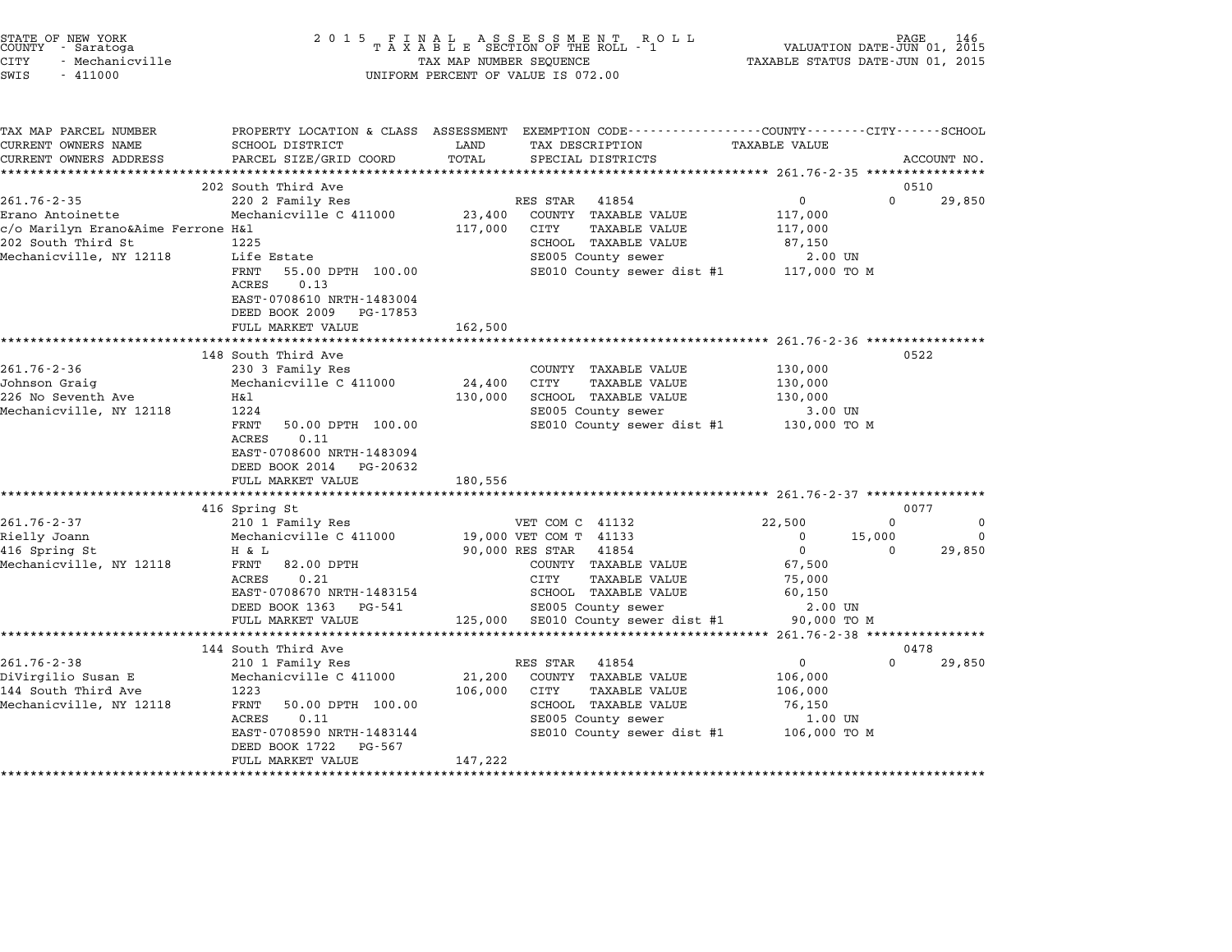| STATE OF NEW YORK<br>COUNTY   - Saratoga<br>CITY<br>- Mechanicville<br>SWIS<br>$-411000$                                     | 2 0 1 5                                                                                                                                                                                                                        | TAX MAP NUMBER SEQUENCE      | FINAL ASSESSMENT RO<br>TAXABLE SECTION OF THE ROLL - 1<br>ROLL<br>UNIFORM PERCENT OF VALUE IS 072.00                                                                                                      | VALUATION DATE-JUN 01, 2015<br>TAXABLE STATUS DATE-JUN 01, 2015                            | PAGE                     |                         |
|------------------------------------------------------------------------------------------------------------------------------|--------------------------------------------------------------------------------------------------------------------------------------------------------------------------------------------------------------------------------|------------------------------|-----------------------------------------------------------------------------------------------------------------------------------------------------------------------------------------------------------|--------------------------------------------------------------------------------------------|--------------------------|-------------------------|
| TAX MAP PARCEL NUMBER<br>CURRENT OWNERS NAME<br>CURRENT OWNERS ADDRESS                                                       | SCHOOL DISTRICT<br>PARCEL SIZE/GRID COORD                                                                                                                                                                                      | LAND<br>TOTAL                | PROPERTY LOCATION & CLASS ASSESSMENT EXEMPTION CODE---------------COUNTY-------CITY------SCHOOL<br>TAX DESCRIPTION<br>SPECIAL DISTRICTS                                                                   | TAXABLE VALUE                                                                              |                          | ACCOUNT NO.             |
| $261.76 - 2 - 35$<br>Erano Antoinette<br>c/o Marilyn Erano&Aime Ferrone H&l<br>202 South Third St<br>Mechanicville, NY 12118 | 202 South Third Ave<br>220 2 Family Res<br>Mechanicville C 411000<br>1225<br>Life Estate<br>FRNT<br>55.00 DPTH 100.00<br>0.13<br>ACRES<br>EAST-0708610 NRTH-1483004<br>DEED BOOK 2009 PG-17853<br>FULL MARKET VALUE            | 23,400<br>117,000<br>162,500 | RES STAR 41854<br>COUNTY TAXABLE VALUE<br>CITY<br><b>TAXABLE VALUE</b><br>SCHOOL TAXABLE VALUE<br>SE005 County sewer<br>SE010 County sewer dist #1 117,000 TO M                                           | 0<br>117,000<br>117,000<br>87,150<br>$2.00$ UN                                             | 0510<br>$\Omega$         | 29,850                  |
| $261.76 - 2 - 36$<br>Johnson Graig<br>226 No Seventh Ave<br>Mechanicville, NY 12118                                          | 148 South Third Ave<br>230 3 Family Res<br>Mechanicville C 411000<br>Η&l<br>1224<br>FRNT<br>50.00 DPTH 100.00<br><b>ACRES</b><br>0.11<br>EAST-0708600 NRTH-1483094<br>DEED BOOK 2014 PG-20632<br>FULL MARKET VALUE             | 24,400<br>130,000<br>180,556 | COUNTY TAXABLE VALUE<br><b>TAXABLE VALUE</b><br>CITY<br>SCHOOL TAXABLE VALUE<br>SE005 County sewer<br>SE010 County sewer dist #1                                                                          | 130,000<br>130,000<br>130,000<br>3.00 UN<br>130,000 TO M                                   | 0522                     |                         |
| $261.76 - 2 - 37$<br>Rielly Joann<br>416 Spring St<br>Mechanicville, NY 12118                                                | 416 Spring St<br>210 1 Family Res<br>Mechanicville C 411000<br>H & L<br>FRNT<br>82.00 DPTH<br>ACRES<br>0.21<br>EAST-0708670 NRTH-1483154<br>DEED BOOK 1363 PG-541<br>FULL MARKET VALUE                                         | 125,000                      | VET COM C 41132<br>19,000 VET COM T 41133<br>90,000 RES STAR<br>41854<br>COUNTY TAXABLE VALUE<br>CITY<br><b>TAXABLE VALUE</b><br>SCHOOL TAXABLE VALUE<br>SE005 County sewer<br>SE010 County sewer dist #1 | 22,500<br>$\Omega$<br>$\mathbf{0}$<br>67,500<br>75,000<br>60,150<br>2.00 UN<br>90,000 TO M | 0077<br>0<br>15,000<br>0 | 0<br>$\Omega$<br>29,850 |
| $261.76 - 2 - 38$<br>DiVirgilio Susan E<br>144 South Third Ave<br>Mechanicville, NY 12118                                    | *********************<br>144 South Third Ave<br>210 1 Family Res<br>Mechanicville C 411000<br>1223<br>FRNT<br>50.00 DPTH 100.00<br>ACRES<br>0.11<br>EAST-0708590 NRTH-1483144<br>DEED BOOK 1722<br>PG-567<br>FULL MARKET VALUE | 21,200<br>106,000<br>147,222 | RES STAR<br>41854<br>COUNTY TAXABLE VALUE<br>CITY<br><b>TAXABLE VALUE</b><br>SCHOOL TAXABLE VALUE<br>SE005 County sewer<br>SE010 County sewer dist #1                                                     | $\mathbf 0$<br>106,000<br>106,000<br>76,150<br>1.00 UN<br>106,000 TO M                     | 0478<br>$\Omega$         | 29,850                  |

STATE OF NEW YORK <sup>2</sup> <sup>0</sup> <sup>1</sup> 5 F I N A L A S S E S S M E N T R O L L PAGE <sup>146</sup> COUNTY - Saratoga <sup>T</sup> <sup>A</sup> <sup>X</sup> <sup>A</sup> <sup>B</sup> <sup>L</sup> <sup>E</sup> SECTION OF THE ROLL - <sup>1</sup> VALUATION DATE-JUN 01, <sup>2015</sup>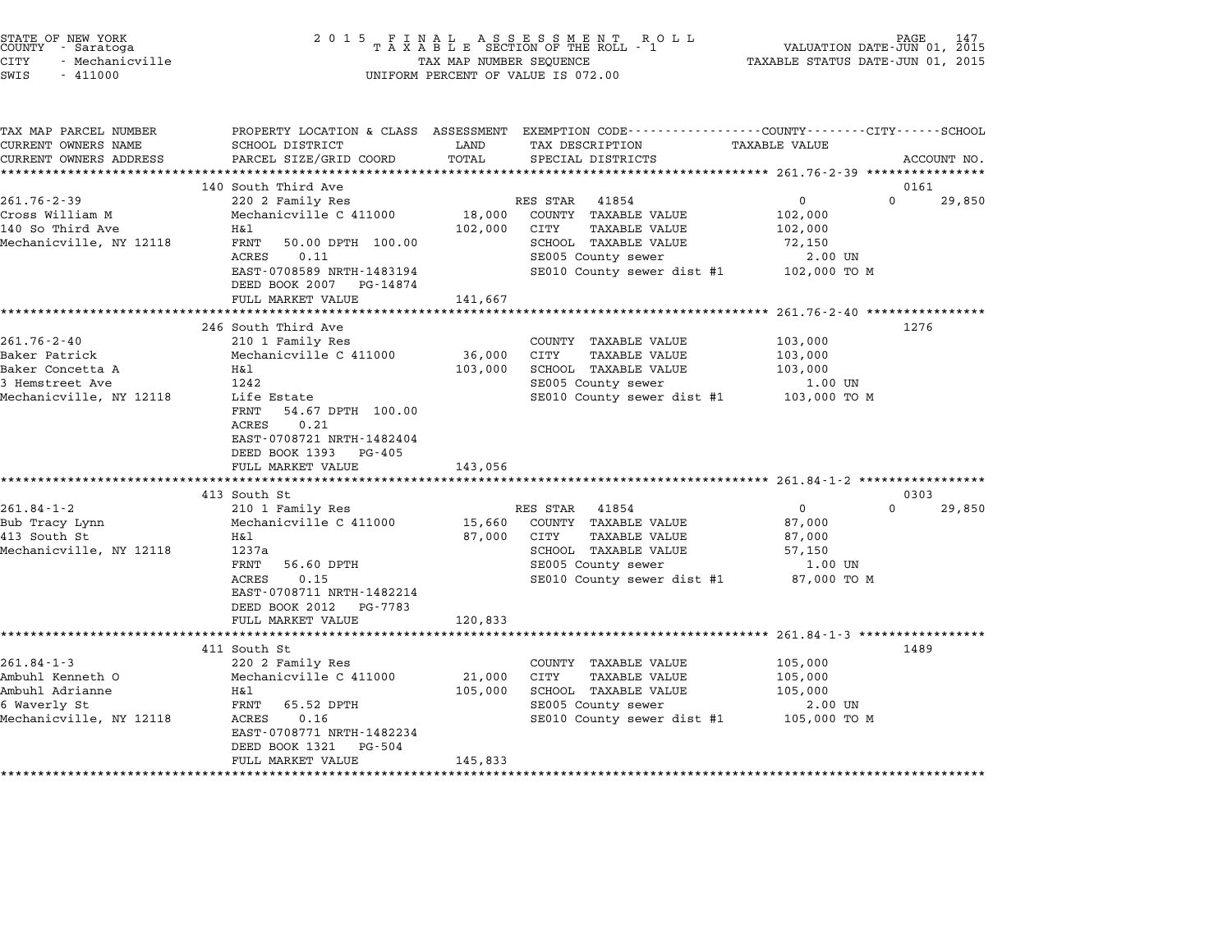| STATE OF NEW YORK<br>COUNTY - Saratoga<br><b>CITY</b><br>- Mechanicville<br>SWIS<br>$-411000$        | 2 0 1 5                                                                                                                                                                                                                  | TAX MAP NUMBER SEQUENCE                     | FINAL ASSESSMENT ROLL - 1<br>R O L L<br>UNIFORM PERCENT OF VALUE IS 072.00                                                                            | PAGE<br>VALUATION DATE-JUN 01, 2015<br>TAXABLE STATUS DATE-JUN 01, 2015                                                                        | 147         |
|------------------------------------------------------------------------------------------------------|--------------------------------------------------------------------------------------------------------------------------------------------------------------------------------------------------------------------------|---------------------------------------------|-------------------------------------------------------------------------------------------------------------------------------------------------------|------------------------------------------------------------------------------------------------------------------------------------------------|-------------|
| TAX MAP PARCEL NUMBER<br>CURRENT OWNERS NAME<br>CURRENT OWNERS ADDRESS                               | SCHOOL DISTRICT<br>PARCEL SIZE/GRID COORD                                                                                                                                                                                | LAND<br>TOTAL                               | TAX DESCRIPTION<br>SPECIAL DISTRICTS                                                                                                                  | PROPERTY LOCATION & CLASS ASSESSMENT EXEMPTION CODE---------------COUNTY-------CITY------SCHOOL<br>TAXABLE VALUE                               | ACCOUNT NO. |
| $261.76 - 2 - 39$<br>Cross William M<br>140 So Third Ave<br>Mechanicville, NY 12118                  | 140 South Third Ave<br>220 2 Family Res<br>Mechanicville C 411000<br>Η&l<br>FRNT<br>50.00 DPTH 100.00<br>ACRES<br>0.11<br>EAST-0708589 NRTH-1483194<br>DEED BOOK 2007 PG-14874<br>FULL MARKET VALUE                      | 18,000<br>102,000<br>141,667                | RES STAR<br>41854<br>COUNTY TAXABLE VALUE<br>CITY<br><b>TAXABLE VALUE</b><br>SCHOOL TAXABLE VALUE<br>SE005 County sewer<br>SE010 County sewer dist #1 | ******************* 261.76-2-39 ****************<br>0161<br>$\mathbf 0$<br>$\Omega$<br>102,000<br>102,000<br>72,150<br>2.00 UN<br>102,000 TO M | 29,850      |
| $261.76 - 2 - 40$<br>Baker Patrick<br>Baker Concetta A<br>3 Hemstreet Ave<br>Mechanicville, NY 12118 | 246 South Third Ave<br>210 1 Family Res<br>Mechanicville C 411000<br>H&l<br>1242<br>Life Estate<br>FRNT<br>54.67 DPTH 100.00<br>0.21<br>ACRES<br>EAST-0708721 NRTH-1482404<br>DEED BOOK 1393 PG-405<br>FULL MARKET VALUE | 36,000<br>103,000<br>143,056                | COUNTY TAXABLE VALUE<br>CITY<br><b>TAXABLE VALUE</b><br>SCHOOL TAXABLE VALUE<br>SE005 County sewer<br>SE010 County sewer dist #1                      | $261.76 - 2 - 40$ **************<br>1276<br>103,000<br>103,000<br>103,000<br>1.00 UN<br>103,000 TO M                                           |             |
| $261.84 - 1 - 2$                                                                                     | ************************<br>413 South St                                                                                                                                                                                 |                                             | 41854                                                                                                                                                 | 0303<br>$\mathbf 0$<br>$\Omega$                                                                                                                | 29,850      |
| Bub Tracy Lynn<br>413 South St<br>Mechanicville, NY 12118                                            | 210 1 Family Res<br>Mechanicville C 411000<br>Η&l<br>1237a<br>FRNT<br>56.60 DPTH<br>0.15<br>ACRES<br>EAST-0708711 NRTH-1482214<br>DEED BOOK 2012 PG-7783<br>FULL MARKET VALUE                                            | 15,660<br>87,000<br>120,833                 | RES STAR<br>COUNTY TAXABLE VALUE<br>CITY<br><b>TAXABLE VALUE</b><br>SCHOOL TAXABLE VALUE<br>SE005 County sewer<br>SE010 County sewer dist #1          | 87,000<br>87,000<br>57,150<br>1.00 UN<br>87,000 TO M                                                                                           |             |
|                                                                                                      | *********************<br>411 South St                                                                                                                                                                                    | ***********                                 |                                                                                                                                                       | ********************** 261.84-1-3 ******************<br>1489                                                                                   |             |
| $261.84 - 1 - 3$<br>Ambuhl Kenneth O<br>Ambuhl Adrianne<br>6 Waverly St<br>Mechanicville, NY 12118   | 220 2 Family Res<br>Mechanicville C 411000<br>H&l<br>FRNT<br>65.52 DPTH<br>ACRES<br>0.16<br>EAST-0708771 NRTH-1482234<br>DEED BOOK 1321<br>$PG - 504$<br>FULL MARKET VALUE                                               | 21,000<br>105,000<br>145,833<br>*********** | COUNTY TAXABLE VALUE<br>CITY<br><b>TAXABLE VALUE</b><br>SCHOOL TAXABLE VALUE<br>SE005 County sewer<br>SE010 County sewer dist #1                      | 105,000<br>105,000<br>105,000<br>2.00 UN<br>105,000 TO M                                                                                       |             |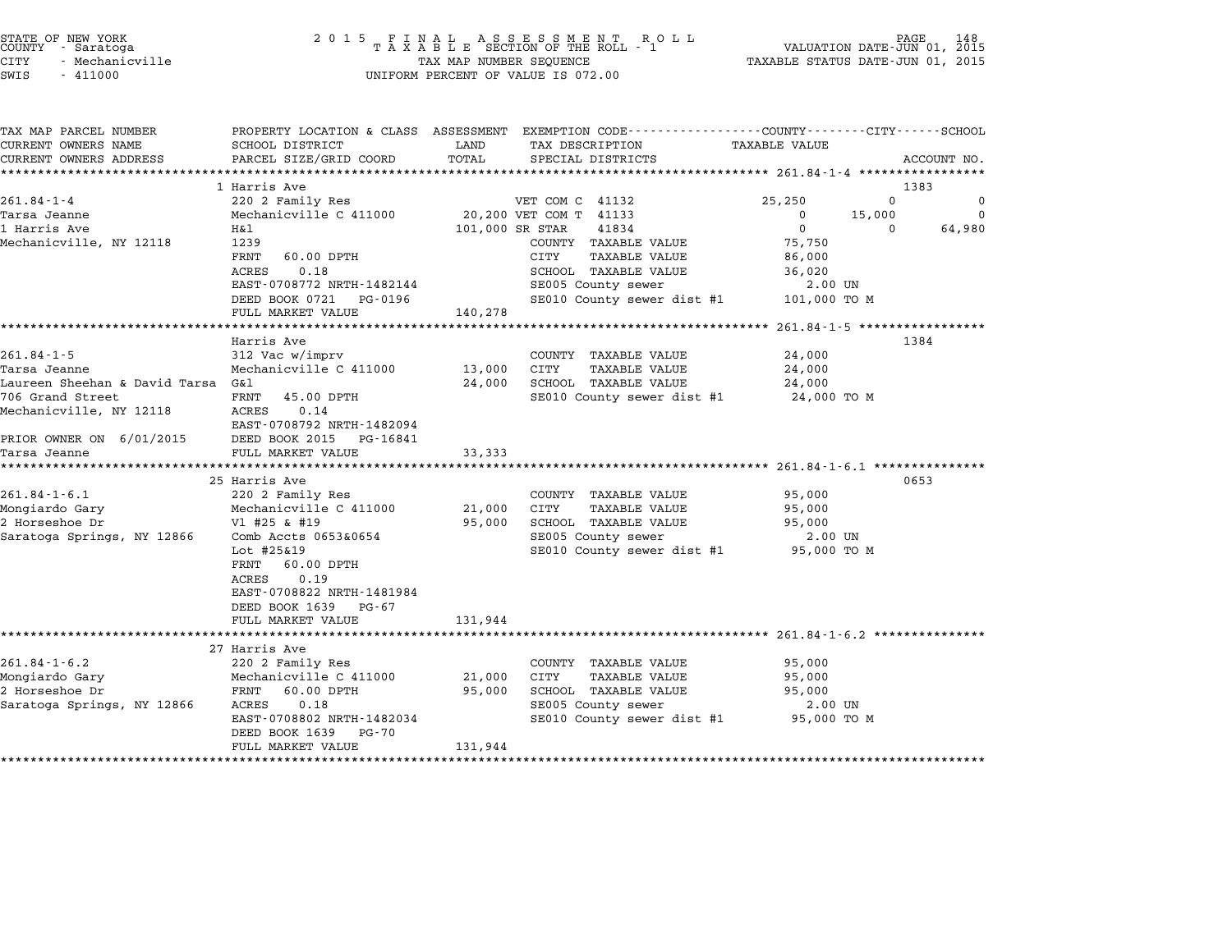| TAX MAP PARCEL NUMBER                              |                                               |                 | PROPERTY LOCATION & CLASS ASSESSMENT EXEMPTION CODE----------------COUNTY-------CITY------SCHOOL |                            |             |
|----------------------------------------------------|-----------------------------------------------|-----------------|--------------------------------------------------------------------------------------------------|----------------------------|-------------|
| CURRENT OWNERS NAME                                | SCHOOL DISTRICT                               | LAND            | TAX DESCRIPTION                                                                                  | <b>TAXABLE VALUE</b>       |             |
| CURRENT OWNERS ADDRESS                             | PARCEL SIZE/GRID COORD                        | TOTAL           | SPECIAL DISTRICTS                                                                                |                            | ACCOUNT NO. |
|                                                    |                                               |                 |                                                                                                  |                            |             |
|                                                    | 1 Harris Ave                                  |                 |                                                                                                  |                            | 1383        |
| $261.84 - 1 - 4$                                   | 220 2 Family Res                              |                 | VET COM C 41132                                                                                  | 25,250<br>$\Omega$         | $\Omega$    |
| Tarsa Jeanne                                       | Mechanicville C 411000 20,200 VET COM T 41133 |                 |                                                                                                  | $\overline{0}$<br>15,000   | $\Omega$    |
| 1 Harris Ave                                       | H&l                                           | 101,000 SR STAR | 41834                                                                                            | $\overline{0}$<br>$\Omega$ | 64,980      |
| Mechanicville, NY 12118                            | 1239                                          |                 | COUNTY TAXABLE VALUE                                                                             | 75,750                     |             |
|                                                    | FRNT<br>60.00 DPTH                            |                 | CITY<br>TAXABLE VALUE                                                                            | 86,000                     |             |
|                                                    | 0.18<br>ACRES                                 |                 | SCHOOL TAXABLE VALUE                                                                             | 36,020                     |             |
|                                                    | EAST-0708772 NRTH-1482144                     |                 | SE005 County sewer                                                                               | 2.00 UN                    |             |
|                                                    | DEED BOOK 0721 PG-0196                        |                 | SE010 County sewer dist #1 101,000 TO M                                                          |                            |             |
|                                                    | FULL MARKET VALUE                             | 140,278         |                                                                                                  |                            |             |
|                                                    |                                               |                 |                                                                                                  |                            |             |
|                                                    | Harris Ave                                    |                 |                                                                                                  |                            | 1384        |
| $261.84 - 1 - 5$                                   | 312 Vac w/imprv                               |                 | COUNTY TAXABLE VALUE                                                                             | 24,000                     |             |
| Tarsa Jeanne                                       | Mechanicville C 411000                        | 13,000 CITY     | TAXABLE VALUE                                                                                    | 24,000                     |             |
| Laureen Sheehan & David Tarsa G&l                  |                                               |                 | 24,000 SCHOOL TAXABLE VALUE                                                                      | 24,000                     |             |
| 706 Grand Street                                   | FRNT 45.00 DPTH                               |                 | SE010 County sewer dist #1 24,000 TO M                                                           |                            |             |
| Mechanicville, NY 12118                            | ACRES<br>0.14                                 |                 |                                                                                                  |                            |             |
|                                                    | EAST-0708792 NRTH-1482094                     |                 |                                                                                                  |                            |             |
| PRIOR OWNER ON $6/01/2015$ DEED BOOK 2015 PG-16841 |                                               |                 |                                                                                                  |                            |             |
| Tarsa Jeanne                                       | FULL MARKET VALUE                             | 33,333          |                                                                                                  |                            |             |
| ********************                               |                                               |                 |                                                                                                  |                            |             |
|                                                    | 25 Harris Ave                                 |                 |                                                                                                  |                            | 0653        |
| $261.84 - 1 - 6.1$                                 | 220 2 Family Res                              |                 | COUNTY TAXABLE VALUE                                                                             | 95,000                     |             |
| Mongiardo Gary                                     | Mechanicville C 411000                        |                 | 21,000 CITY<br>TAXABLE VALUE                                                                     | 95,000                     |             |
| 2 Horseshoe Dr                                     | Vl #25 & #19                                  |                 | 95,000 SCHOOL TAXABLE VALUE                                                                      | 95,000                     |             |
| Saratoga Springs, NY 12866                         | Comb Accts 0653&0654                          |                 | SE005 County sewer                                                                               | 2.00 UN                    |             |
|                                                    | Lot #25&19                                    |                 | SE010 County sewer dist #1 95,000 TO M                                                           |                            |             |
|                                                    | FRNT 60.00 DPTH                               |                 |                                                                                                  |                            |             |
|                                                    | ACRES<br>0.19                                 |                 |                                                                                                  |                            |             |
|                                                    | EAST-0708822 NRTH-1481984                     |                 |                                                                                                  |                            |             |
|                                                    | DEED BOOK 1639 PG-67                          |                 |                                                                                                  |                            |             |
|                                                    | FULL MARKET VALUE                             | 131,944         |                                                                                                  |                            |             |
|                                                    |                                               |                 |                                                                                                  |                            |             |
|                                                    | 27 Harris Ave                                 |                 |                                                                                                  |                            |             |
| $261.84 - 1 - 6.2$                                 | 220 2 Family Res                              |                 | COUNTY TAXABLE VALUE                                                                             | 95,000                     |             |
| Mongiardo Gary                                     | Mechanicville C 411000                        | 21,000          | CITY<br>TAXABLE VALUE                                                                            | 95,000                     |             |
| 2 Horseshoe Dr                                     | FRNT 60.00 DPTH                               | 95,000          | SCHOOL TAXABLE VALUE                                                                             | 95,000                     |             |
| Saratoga Springs, NY 12866                         | ACRES<br>0.18                                 |                 | SE005 County sewer                                                                               | 2.00 UN                    |             |
|                                                    | EAST-0708802 NRTH-1482034                     |                 | SE010 County sewer dist #1 95,000 TO M                                                           |                            |             |
|                                                    | DEED BOOK 1639 PG-70                          |                 |                                                                                                  |                            |             |
|                                                    | FULL MARKET VALUE                             | 131,944         |                                                                                                  |                            |             |
|                                                    |                                               |                 |                                                                                                  |                            |             |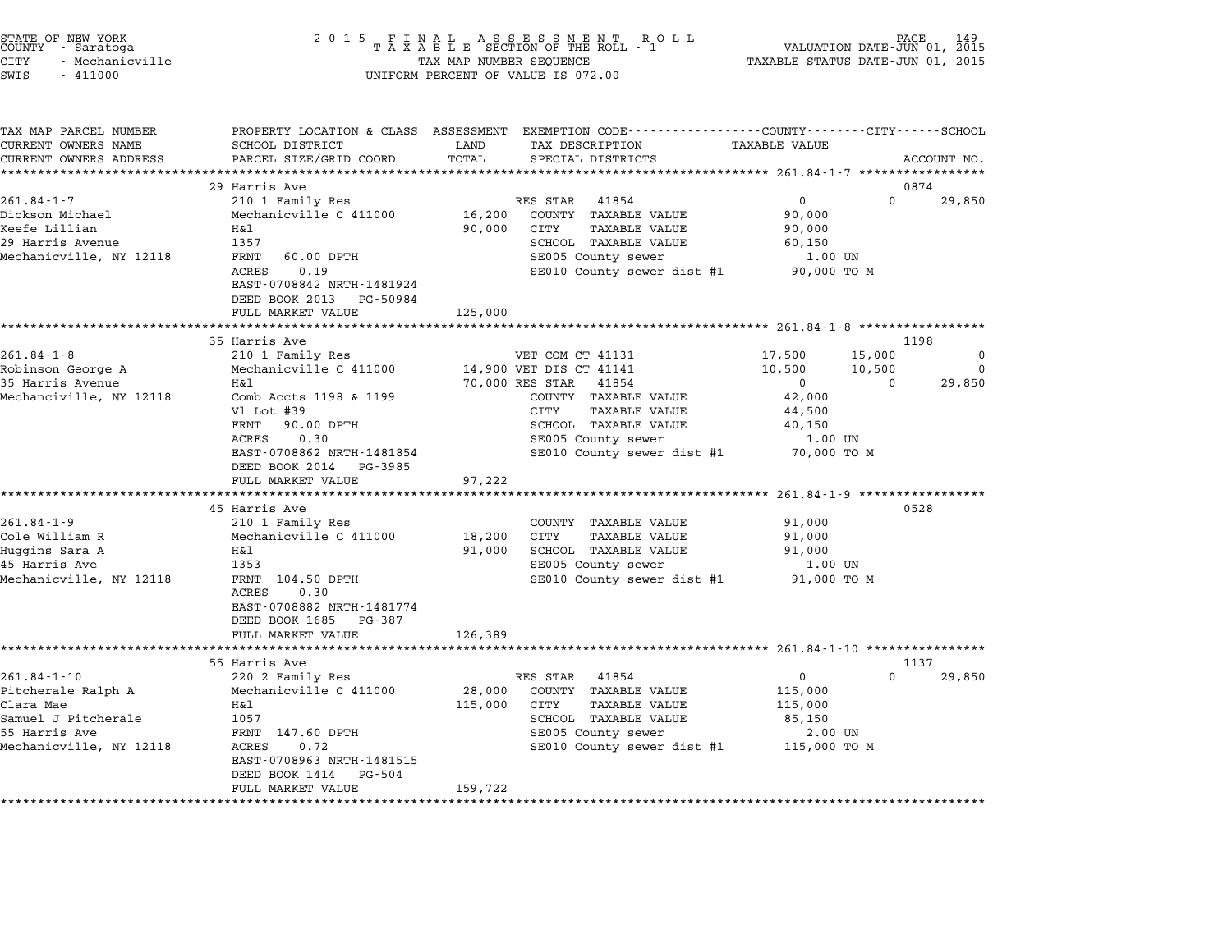|        | STATE OF NEW YORK |  |
|--------|-------------------|--|
| COUNTY | - Saratoga        |  |
| CITY   | - Mechanicville   |  |

| TAX MAP PARCEL NUMBER<br>CURRENT OWNERS NAME | PROPERTY LOCATION & CLASS ASSESSMENT<br>SCHOOL DISTRICT                                    | LAND    | EXEMPTION CODE-----------------COUNTY-------CITY------SCHOOL<br>TAX DESCRIPTION | <b>TAXABLE VALUE</b> |          |             |
|----------------------------------------------|--------------------------------------------------------------------------------------------|---------|---------------------------------------------------------------------------------|----------------------|----------|-------------|
| CURRENT OWNERS ADDRESS                       | PARCEL SIZE/GRID COORD                                                                     | TOTAL   | SPECIAL DISTRICTS                                                               |                      |          | ACCOUNT NO. |
|                                              | ********************                                                                       |         |                                                                                 |                      |          |             |
|                                              | 29 Harris Ave                                                                              |         |                                                                                 |                      |          | 0874        |
| $261.84 - 1 - 7$                             | 210 1 Family Res                                                                           |         | RES STAR<br>41854                                                               | $\overline{0}$       | $\Omega$ | 29,850      |
| Dickson Michael                              | Mechanicville C 411000                                                                     | 16,200  | COUNTY TAXABLE VALUE                                                            | 90,000               |          |             |
| Keefe Lillian                                | Η&l                                                                                        | 90,000  | CITY<br>TAXABLE VALUE                                                           | 90,000               |          |             |
| 29 Harris Avenue                             | 1357                                                                                       |         | SCHOOL TAXABLE VALUE                                                            | 60,150               |          |             |
| Mechanicville, NY 12118                      | FRNT<br>60.00 DPTH                                                                         |         | SE005 County sewer                                                              | 1.00 UN              |          |             |
|                                              | 0.19<br>ACRES<br>EAST-0708842 NRTH-1481924<br>DEED BOOK 2013 PG-50984<br>FULL MARKET VALUE | 125,000 | SE010 County sewer dist #1                                                      | 90,000 TO M          |          |             |
|                                              | ***************************                                                                |         |                                                                                 |                      |          |             |
|                                              | 35 Harris Ave                                                                              |         |                                                                                 |                      |          | 1198        |
| $261.84 - 1 - 8$                             | 210 1 Family Res                                                                           |         | VET COM CT 41131                                                                | 17,500               | 15,000   | 0           |
| Robinson George A                            | Mechanicville C 411000                                                                     |         | 14,900 VET DIS CT 41141                                                         | 10,500               | 10,500   | 0           |
| 35 Harris Avenue                             | H&l                                                                                        |         | 70,000 RES STAR 41854                                                           | $\overline{0}$       | $\Omega$ | 29,850      |
| Mechanciville, NY 12118                      | Comb Accts 1198 & 1199                                                                     |         | COUNTY TAXABLE VALUE                                                            | 42,000               |          |             |
|                                              | Vl Lot #39                                                                                 |         | CITY<br>TAXABLE VALUE                                                           | 44,500               |          |             |
|                                              | FRNT<br>90.00 DPTH                                                                         |         | SCHOOL TAXABLE VALUE                                                            | 40,150               |          |             |
|                                              | 0.30<br>ACRES                                                                              |         | SE005 County sewer                                                              | 1.00 UN              |          |             |
|                                              | EAST-0708862 NRTH-1481854                                                                  |         | SE010 County sewer dist #1                                                      | 70,000 TO M          |          |             |
|                                              | DEED BOOK 2014 PG-3985                                                                     |         |                                                                                 |                      |          |             |
|                                              | FULL MARKET VALUE<br>****************************                                          | 97,222  |                                                                                 |                      |          |             |
|                                              | 45 Harris Ave                                                                              |         |                                                                                 |                      |          | 0528        |
| $261.84 - 1 - 9$                             | 210 1 Family Res                                                                           |         | COUNTY TAXABLE VALUE                                                            | 91,000               |          |             |
| Cole William R                               | Mechanicville C 411000                                                                     | 18,200  | CITY<br><b>TAXABLE VALUE</b>                                                    | 91,000               |          |             |
| Huggins Sara A                               | H&l                                                                                        | 91,000  | <b>SCHOOL TAXABLE VALUE</b>                                                     | 91,000               |          |             |
| 45 Harris Ave                                | 1353                                                                                       |         | SE005 County sewer                                                              | $1.00$ UN            |          |             |
| Mechanicville, NY 12118                      | FRNT 104.50 DPTH                                                                           |         | SE010 County sewer dist #1                                                      | 91,000 TO M          |          |             |
|                                              | ACRES<br>0.30                                                                              |         |                                                                                 |                      |          |             |
|                                              | EAST-0708882 NRTH-1481774                                                                  |         |                                                                                 |                      |          |             |
|                                              | DEED BOOK 1685 PG-387                                                                      |         |                                                                                 |                      |          |             |
|                                              | FULL MARKET VALUE                                                                          | 126,389 |                                                                                 |                      |          |             |
|                                              | **********************                                                                     |         |                                                                                 |                      |          |             |
|                                              | 55 Harris Ave                                                                              |         |                                                                                 |                      |          | 1137        |
| $261.84 - 1 - 10$                            | 220 2 Family Res                                                                           |         | RES STAR 41854                                                                  | $\Omega$             | $\Omega$ | 29,850      |
| Pitcherale Ralph A                           | Mechanicville C 411000                                                                     | 28,000  | COUNTY TAXABLE VALUE                                                            | 115,000              |          |             |
| Clara Mae                                    | H&l                                                                                        | 115,000 | CITY<br><b>TAXABLE VALUE</b>                                                    | 115,000              |          |             |
| Samuel J Pitcherale                          | 1057                                                                                       |         | SCHOOL TAXABLE VALUE                                                            | 85,150               |          |             |
| 55 Harris Ave                                | FRNT 147.60 DPTH                                                                           |         | SE005 County sewer                                                              | 2.00 UN              |          |             |
| Mechanicville, NY 12118                      | 0.72<br>ACRES                                                                              |         | SE010 County sewer dist #1 115,000 TO M                                         |                      |          |             |
|                                              | EAST-0708963 NRTH-1481515                                                                  |         |                                                                                 |                      |          |             |
|                                              | DEED BOOK 1414<br>PG-504                                                                   |         |                                                                                 |                      |          |             |
|                                              | FULL MARKET VALUE                                                                          | 159,722 |                                                                                 |                      |          |             |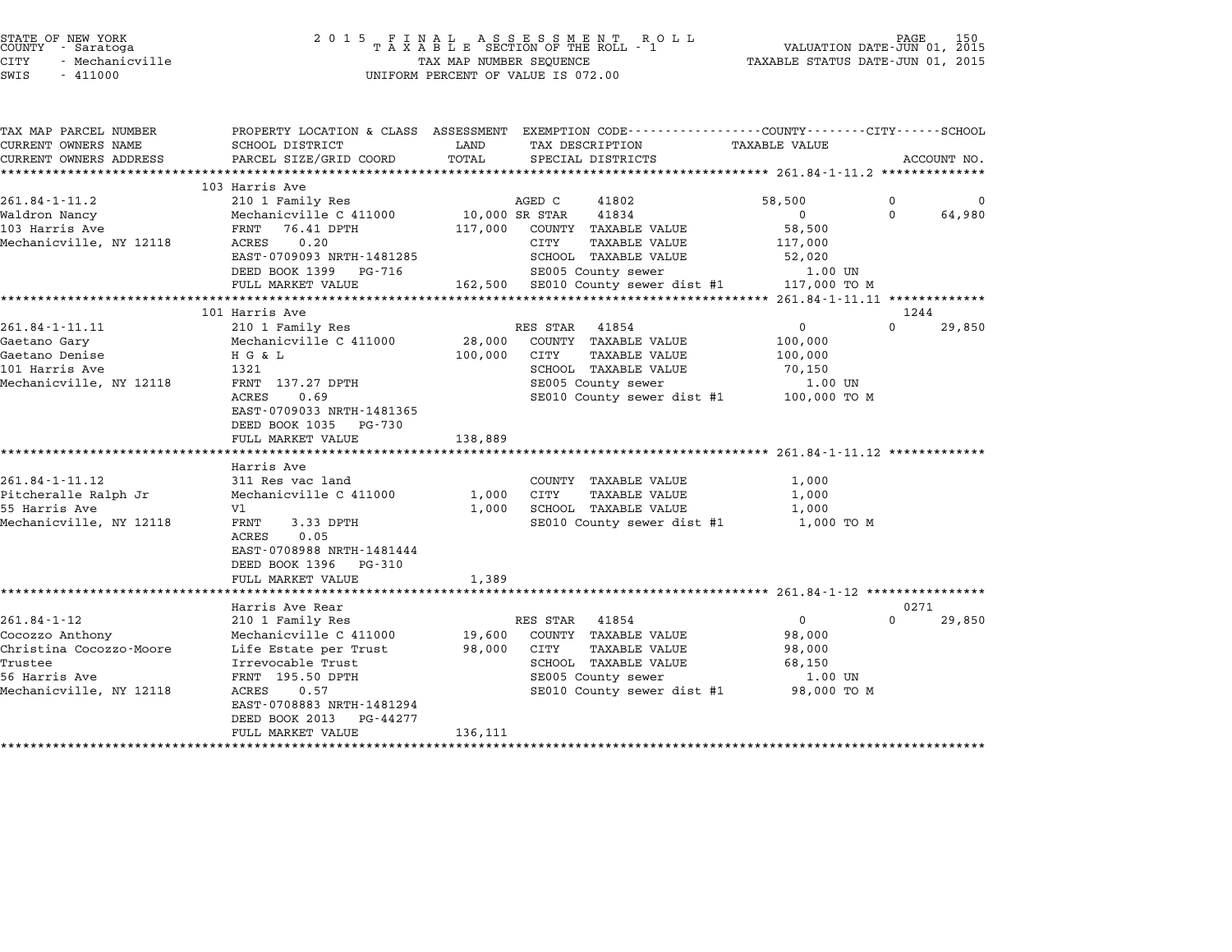| STATE OF NEW YORK<br>COUNTY - Saratoga<br>CITY<br>- Mechanicville<br>SWIS<br>$-411000$ | 2 0 1 5                                                                           | FINAL ASSESSMENT RO<br>TAXABLE SECTION OF THE ROLL - 1<br>R O L L<br>TAX MAP NUMBER SEQUENCE<br>UNIFORM PERCENT OF VALUE IS 072.00 | PAGE<br>150<br>VALUATION DATE-JUN 01, 2015<br>TAXABLE STATUS DATE-JUN 01, 2015                                                                      |
|----------------------------------------------------------------------------------------|-----------------------------------------------------------------------------------|------------------------------------------------------------------------------------------------------------------------------------|-----------------------------------------------------------------------------------------------------------------------------------------------------|
| TAX MAP PARCEL NUMBER<br>CURRENT OWNERS NAME<br>CURRENT OWNERS ADDRESS                 | PROPERTY LOCATION & CLASS ASSESSMENT<br>SCHOOL DISTRICT<br>PARCEL SIZE/GRID COORD | TAX DESCRIPTION<br>LAND<br>TOTAL<br>SPECIAL DISTRICTS                                                                              | EXEMPTION CODE-----------------COUNTY-------CITY------SCHOOL<br><b>TAXABLE VALUE</b><br>ACCOUNT NO.<br>*************** 261.84-1-11.2 ************** |
|                                                                                        | 103 Harris Ave                                                                    |                                                                                                                                    |                                                                                                                                                     |
| $261.84 - 1 - 11.2$                                                                    | 210 1 Family Res                                                                  | AGED C<br>41802                                                                                                                    | 58,500<br>$\Omega$                                                                                                                                  |
| Waldron Nancy                                                                          | Mechanicville C 411000                                                            | 10,000 SR STAR<br>41834                                                                                                            | $\mathbf 0$<br>$\Omega$<br>64,980                                                                                                                   |
| 103 Harris Ave                                                                         | FRNT<br>76.41 DPTH                                                                | 117,000<br>COUNTY TAXABLE VALUE                                                                                                    | 58,500                                                                                                                                              |
| Mechanicville, NY 12118                                                                | 0.20<br>ACRES                                                                     | CITY<br>TAXABLE VALUE                                                                                                              | 117,000                                                                                                                                             |
|                                                                                        | EAST-0709093 NRTH-1481285                                                         | SCHOOL TAXABLE VALUE                                                                                                               | 52,020                                                                                                                                              |
|                                                                                        | DEED BOOK 1399 PG-716<br>FULL MARKET VALUE                                        | SE005 County sewer<br>162,500 SE010 County sewer dist #1                                                                           | 1.00 UN<br>117,000 TO M                                                                                                                             |
|                                                                                        |                                                                                   |                                                                                                                                    | ********** 261.84-1-11.11 *************                                                                                                             |
|                                                                                        | 101 Harris Ave                                                                    |                                                                                                                                    | 1244                                                                                                                                                |
| 261.84-1-11.11                                                                         | 210 1 Family Res                                                                  | RES STAR<br>41854                                                                                                                  | $\overline{0}$<br>$\Omega$<br>29,850                                                                                                                |
| Gaetano Gary                                                                           | Mechanicville C 411000                                                            | 28,000<br>COUNTY TAXABLE VALUE                                                                                                     | 100,000                                                                                                                                             |
| Gaetano Denise                                                                         | HG & L                                                                            | 100,000<br>CITY<br><b>TAXABLE VALUE</b>                                                                                            | 100,000                                                                                                                                             |
| 101 Harris Ave                                                                         | 1321                                                                              | SCHOOL TAXABLE VALUE                                                                                                               | 70,150                                                                                                                                              |
| Mechanicville, NY 12118                                                                | FRNT 137.27 DPTH                                                                  | SE005 County sewer                                                                                                                 | 1.00 UN                                                                                                                                             |
|                                                                                        | ACRES<br>0.69<br>EAST-0709033 NRTH-1481365<br>DEED BOOK 1035 PG-730               | SE010 County sewer dist #1                                                                                                         | 100,000 TO M                                                                                                                                        |
|                                                                                        | FULL MARKET VALUE                                                                 | 138,889                                                                                                                            |                                                                                                                                                     |
|                                                                                        | **********************                                                            |                                                                                                                                    |                                                                                                                                                     |
|                                                                                        | Harris Ave                                                                        |                                                                                                                                    |                                                                                                                                                     |
| 261.84-1-11.12                                                                         | 311 Res vac land<br>Mechanicville C 411000                                        | COUNTY TAXABLE VALUE<br><b>CITY</b><br><b>TAXABLE VALUE</b>                                                                        | 1,000                                                                                                                                               |
| Pitcheralle Ralph Jr<br>55 Harris Ave                                                  | V1                                                                                | 1,000<br>1,000<br>SCHOOL TAXABLE VALUE                                                                                             | 1,000<br>1,000                                                                                                                                      |
| Mechanicville, NY 12118                                                                | FRNT<br>3.33 DPTH                                                                 | SE010 County sewer dist #1                                                                                                         | 1,000 TO M                                                                                                                                          |
|                                                                                        | 0.05<br>ACRES                                                                     |                                                                                                                                    |                                                                                                                                                     |
|                                                                                        | EAST-0708988 NRTH-1481444                                                         |                                                                                                                                    |                                                                                                                                                     |
|                                                                                        | DEED BOOK 1396<br>PG-310                                                          |                                                                                                                                    |                                                                                                                                                     |
|                                                                                        | FULL MARKET VALUE                                                                 | 1,389                                                                                                                              |                                                                                                                                                     |
|                                                                                        |                                                                                   |                                                                                                                                    | ·******************************* 261.84-1-12 ****************                                                                                       |
|                                                                                        | Harris Ave Rear                                                                   |                                                                                                                                    | 0271<br>$\Omega$                                                                                                                                    |
| $261.84 - 1 - 12$                                                                      | 210 1 Family Res                                                                  | RES STAR<br>41854<br>COUNTY TAXABLE VALUE                                                                                          | 0<br>29,850                                                                                                                                         |
| Cocozzo Anthony<br>Christina Cocozzo-Moore                                             | Mechanicville C 411000<br>Life Estate per Trust                                   | 19,600<br>98,000<br>CITY<br>TAXABLE VALUE                                                                                          | 98,000<br>98,000                                                                                                                                    |
| Trustee                                                                                | Irrevocable Trust                                                                 | SCHOOL TAXABLE VALUE                                                                                                               | 68,150                                                                                                                                              |
| 56 Harris Ave                                                                          | FRNT 195.50 DPTH                                                                  | SE005 County sewer                                                                                                                 | 1.00 UN                                                                                                                                             |
| Mechanicville, NY 12118                                                                | ACRES<br>0.57                                                                     | SE010 County sewer dist #1                                                                                                         | 98,000 TO M                                                                                                                                         |
|                                                                                        | EAST-0708883 NRTH-1481294                                                         |                                                                                                                                    |                                                                                                                                                     |
|                                                                                        | DEED BOOK 2013<br>PG-44277                                                        |                                                                                                                                    |                                                                                                                                                     |
|                                                                                        | FULL MARKET VALUE                                                                 | 136,111                                                                                                                            |                                                                                                                                                     |
|                                                                                        |                                                                                   |                                                                                                                                    |                                                                                                                                                     |

STATE OF NEW YORK <sup>2</sup> <sup>0</sup> <sup>1</sup> 5 F I N A L A S S E S S M E N T R O L L PAGE <sup>150</sup> COUNTY - Saratoga <sup>T</sup> <sup>A</sup> <sup>X</sup> <sup>A</sup> <sup>B</sup> <sup>L</sup> <sup>E</sup> SECTION OF THE ROLL - <sup>1</sup> VALUATION DATE-JUN 01, <sup>2015</sup>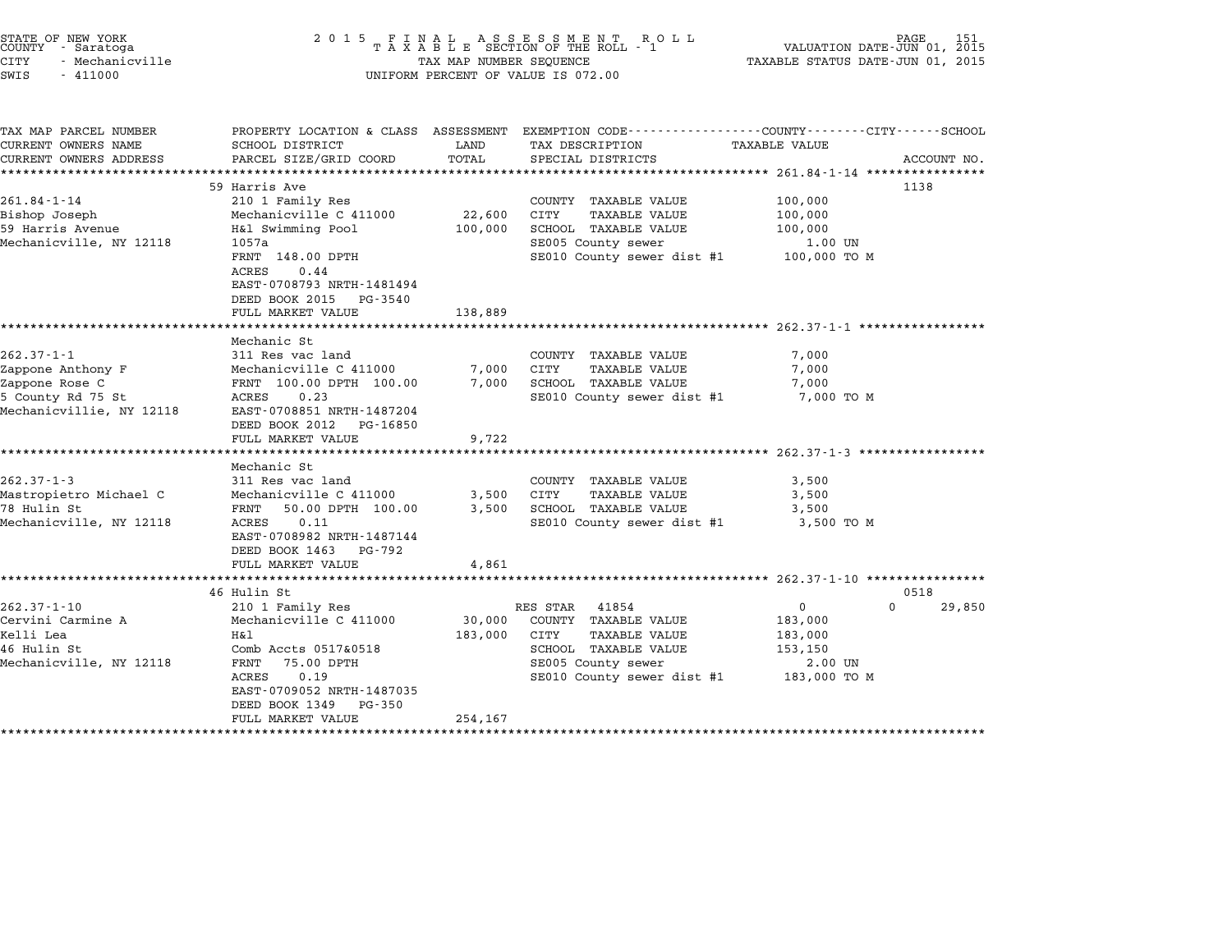|        | STATE OF NEW YORK |
|--------|-------------------|
| COUNTY | - Saratoga        |
| CITY   | - Mechanicville   |

# STATE OF NEW YORK <sup>2</sup> <sup>0</sup> <sup>1</sup> 5 F I N A L A S S E S S M E N T R O L L PAGE <sup>151</sup> COUNTY - Saratoga <sup>T</sup> <sup>A</sup> <sup>X</sup> <sup>A</sup> <sup>B</sup> <sup>L</sup> <sup>E</sup> SECTION OF THE ROLL - <sup>1</sup> VALUATION DATE-JUN 01, <sup>2015</sup> STATE OF NEW YORK (DATE AND THE STATE OF NEW YORK 151 DAGE 151 DAGE 2015 PAGE 151 DAGE 2015 PAGE 2015 PAGE 201<br>COUNTY - Saratoga (2015 PAXABLE STATUS DATE-JUN 01, 2015 PAXABLE STATUS DATE-JUN 01, 2015<br>CITY - Mechanicville CUNIT - SALACUYA<br>CITY - Mechanicville<br>SWIS - 411000 UNIFORM PERCENT OF VALUE IS 072.00

TAX MAP PARCEL NUMBER PROPERTY LOCATION & CLASS ASSESSMENT EXEMPTION CODE------------------COUNTY--------CITY------SCHOOL CURRENT OWNERS NAME SCHOOL DISTRICT LAND TAX DESCRIPTION TAXABLE VALUE CURRENT OWNERS ADDRESS FOR SCHOOL DISTRICTS ASSESSEENT EXERT ON TAX MISS TO TAIL THE COORD TOTAL TRANSFORD TO TAIL SERVER TO TAIL THE TRANSFORD TO TAIL THE TAN TAXABLE VALUE ACCOUNT NO.<br>CURRENT OWNERS ADDRESS PARCEL SIZE/G <sup>59</sup> Harris Ave <sup>1138</sup> 261.84-1-14 59 Harris Ave 261.84-1-14 210.000 ESP Harris Ave 261.84-1-14 201.04 Bishop Joseph Mechanicville C <sup>411000</sup> 22,600 CITY TAXABLE VALUE 100,000 <sup>59</sup> Harris Avenue H&l Swimming Pool 100,000 SCHOOL TAXABLE VALUE 100,000 Mechanicville, NY <sup>12118</sup> 1057a SE005 County sewer 1.00 UN INT SWIMMING POOL TOO,000 SCROOD TAAADDE VADOE TOO,000 TOO,000<br>1.00 UN SECOLS COUNTY Sewer dist #1 100,000 TO M<br>FRNT 148.00 DPTH SECOLO COUNTY Sewer dist #1 100,000 TO M 1057a<br>FRNT 148.00<br>ACRES 0.44 FRNT 140.00 DF1H<br>ACRES 0.44<br>EAST-0708793 NRTH-1481494 ACRES 0.44<br>EAST-0708793 NRTH-1481494<br>DEED BOOK 2015 PG-3540 FULL MARKET VALUE 138,889 \*\*\*\*\*\*\*\*\*\*\*\*\*\*\*\*\*\*\*\*\*\*\*\*\*\*\*\*\*\*\*\*\*\*\*\*\*\*\*\*\*\*\*\*\*\*\*\*\*\*\*\*\*\*\*\*\*\*\*\*\*\*\*\*\*\*\*\*\*\*\*\*\*\*\*\*\*\*\*\*\*\*\*\*\*\*\*\*\*\*\*\*\*\*\*\*\*\*\*\*\*\*\* 262.37-1-1 \*\*\*\*\*\*\*\*\*\*\*\*\*\*\*\*\* Mechanic St 262.37-1-1 Mechanic St<br>Mechanic St<br>311 Res vac land COUNTY TAXABLE VALUE 7,000 Zappone Anthony F Mechanicville C <sup>411000</sup> 7,000 CITY TAXABLE VALUE 7,000 Zappone Rose C FRNT 100.00 DPTH 100.00 7,000 SCHOOL TAXABLE VALUE 7,000 Exappone Anthony Procedure Callotte Callotte (1990)<br>2011 - The Research Routh 100.00 DPTH 100.00 - 7,000 SCHOOL TAXABLE VALUE<br>5 County Rd 75 St 1 RCRES 0.23 - SE010 County sewer dist #1 7,000 TO M % Appone Rose Cappone Real Practicular 100.000<br>5 County Rd 75 St Mac ACRES 0.23<br>Mechanicvillie, NY 12118 EAST-0708851 NRTH-1487204 EAST-0708851 NRTH-1487204<br>DEED BOOK 2012 PG-16850 FULL MARKET VALUE 9,722 \*\*\*\*\*\*\*\*\*\*\*\*\*\*\*\*\*\*\*\*\*\*\*\*\*\*\*\*\*\*\*\*\*\*\*\*\*\*\*\*\*\*\*\*\*\*\*\*\*\*\*\*\*\*\*\*\*\*\*\*\*\*\*\*\*\*\*\*\*\*\*\*\*\*\*\*\*\*\*\*\*\*\*\*\*\*\*\*\*\*\*\*\*\*\*\*\*\*\*\*\*\*\* 262.37-1-3 \*\*\*\*\*\*\*\*\*\*\*\*\*\*\*\*\* ronn MARREI<br>\*\*\*\*\*\*\*\*\*\*\*<br>Mechanic St 262.37-1-3 Mechanic St<br>
262.37-1-3 311 Res vac land COUNTY TAXABLE VALUE 3,500 Mastropietro Michael C Mechanicville C <sup>411000</sup> 3,500 CITY TAXABLE VALUE 3,500 202.37 I 3 II NES VAC IANO 3,500 COUNTI IAAADDD VADOD<br>Mastropietro Michael C Mechanicville C 411000 3,500 CITY TAXABLE VALUE 3,500<br>78 Hulin St 3,500 SCHOOL TAXABLE VALUE 3,500 SCHOOL TAXABLE VALUE 3,500 Mastropietro Michael C (Mechanicville C 411000)<br>
TR Hulin St FRNT 50.00 DPTH 100.00 3,500 SCHOOL TAXABLE VALUE 3,500<br>
Mechanicville, NY 12118 ACRES 0.11 SE010 County sewer dist #1 3,500 TO M<br>
EAST-0708982 NRTH-1487144 EAST-0708982 NRTH-14871<br>DEED BOOK 1463 PG-792 EAST-0708982 NRTH-1487144<br>DEED BOOK 1463 PG-792<br>FULL MARKET VALUE 4,861 \*\*\*\*\*\*\*\*\*\*\*\*\*\*\*\*\*\*\*\*\*\*\*\*\*\*\*\*\*\*\*\*\*\*\*\*\*\*\*\*\*\*\*\*\*\*\*\*\*\*\*\*\*\*\*\*\*\*\*\*\*\*\*\*\*\*\*\*\*\*\*\*\*\*\*\*\*\*\*\*\*\*\*\*\*\*\*\*\*\*\*\*\*\*\*\*\*\*\*\*\*\*\* 262.37-1-10 \*\*\*\*\*\*\*\*\*\*\*\*\*\*\*\* 46 Hulin St 0518 262.37-1-10 12.02.37-1-10 210 1 Family Res RES STAR 41854 0 202.37-1-10 210 210 1 Family Res RES STAR 41854 0 Cervini Carmine A Mechanicville C <sup>411000</sup> 30,000 COUNTY TAXABLE VALUE 183,000 Kelli Lea H&l 183,000 CITY TAXABLE VALUE 183,000 CETVINI CHIMINE A COMPOSITION AND MECHANICAL COMPOSITION CONTRANSIVATION AND ACCESS ON A THAN THAN A CONTRANSI<br>183,000 CITY TAXABLE VALUE 153,000<br>46 Hulin St 153,150 Mechanicville, NY <sup>12118</sup> FRNT 75.00 DPTH SE005 County sewer 2.00 UN ACCES 0517 AOSID COMM CONTRADING MARINE VALUE AND 153,000 IN 1988.<br>FRINT 75.00 DPTH SE005 COunty sewer dist #1 183,000 TO M<br>ACRES 0.19 SE010 County sewer dist #1 183,000 TO M FANI 73.00 DPIH<br>ACRES 0.19<br>EAST-0709052 NRTH-1487035 EAST-0709052 NRTH-14870<br>DEED BOOK 1349 PG-350 EASI-0709032 NAIH-1467033<br>
DEED BOOK 1349 PG-350<br>
FULL MARKET VALUE 254,167 \*\*\*\*\*\*\*\*\*\*\*\*\*\*\*\*\*\*\*\*\*\*\*\*\*\*\*\*\*\*\*\*\*\*\*\*\*\*\*\*\*\*\*\*\*\*\*\*\*\*\*\*\*\*\*\*\*\*\*\*\*\*\*\*\*\*\*\*\*\*\*\*\*\*\*\*\*\*\*\*\*\*\*\*\*\*\*\*\*\*\*\*\*\*\*\*\*\*\*\*\*\*\*\*\*\*\*\*\*\*\*\*\*\*\*\*\*\*\*\*\*\*\*\*\*\*\*\*\*\*\*\*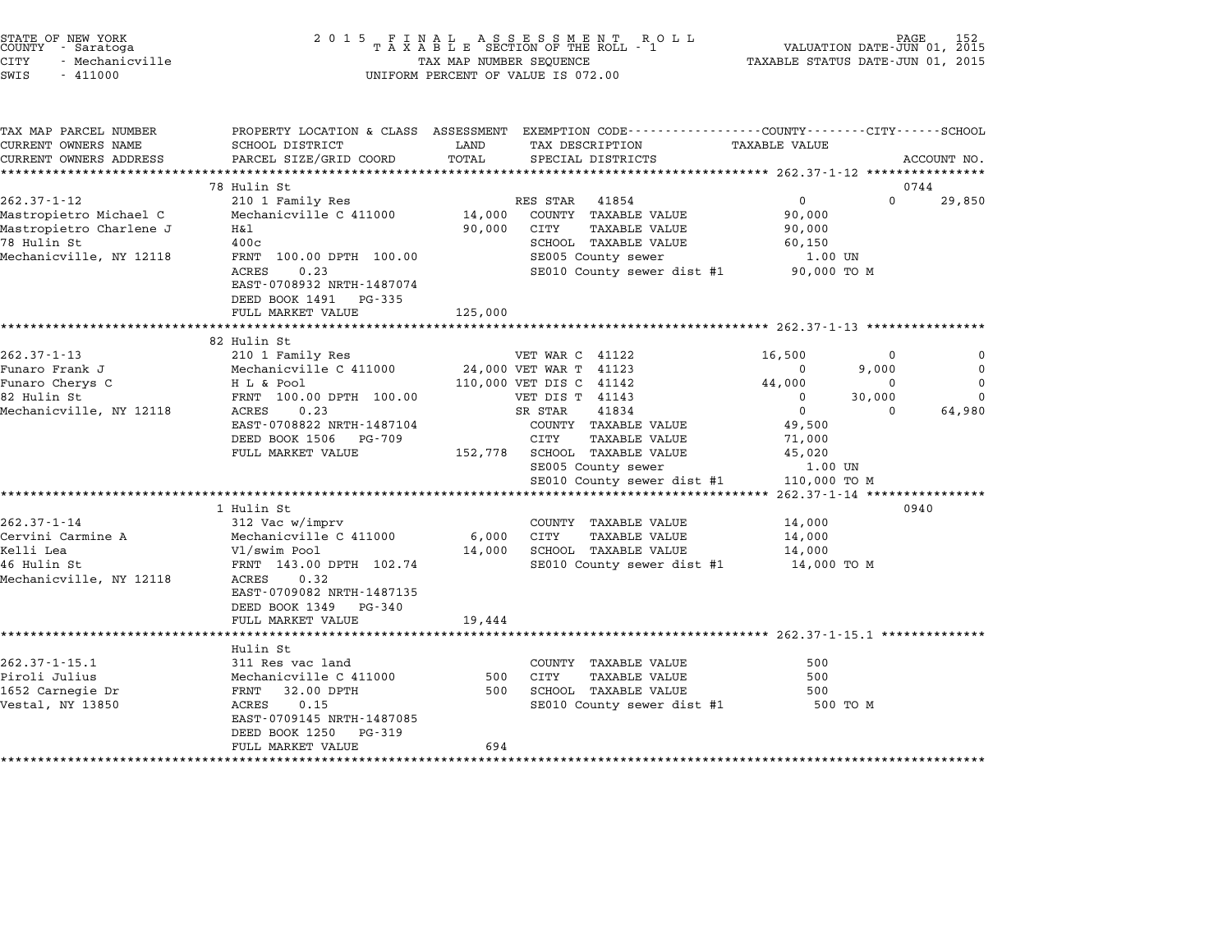|        | STATE OF NEW YORK |  |
|--------|-------------------|--|
| COUNTY | - Saratoga        |  |
| CITY   | - Mechanicville   |  |
|        |                   |  |

## STATE OF NEW YORK <sup>2</sup> <sup>0</sup> <sup>1</sup> 5 F I N A L A S S E S S M E N T R O L L PAGE <sup>152</sup> COUNTY - Saratoga <sup>T</sup> <sup>A</sup> <sup>X</sup> <sup>A</sup> <sup>B</sup> <sup>L</sup> <sup>E</sup> SECTION OF THE ROLL - <sup>1</sup> VALUATION DATE-JUN 01, <sup>2015</sup> STATE OF NEW YORK (DATE AND THE SELL AS SESS MENT ROLL) DEVINION DATE-UNE PAGE 152<br>COUNTY - Saratoga (DI) 01, 2015 TAXABLE SECTION OF THE ROLL - 1 (DI) 1991-1991 VALUATION DATE-JUN 01, 2015<br>CITY - Mechanicville (DI) 2015 T SWIS - <sup>411000</sup> UNIFORM PERCENT OF VALUE IS 072.00

| TAX MAP PARCEL NUMBER<br>CURRENT OWNERS NAME | PROPERTY LOCATION & CLASS ASSESSMENT<br>SCHOOL DISTRICT                                     | LAND    | EXEMPTION CODE-----------------COUNTY-------CITY------SCHOOL<br>TAX DESCRIPTION | TAXABLE VALUE    |          |             |
|----------------------------------------------|---------------------------------------------------------------------------------------------|---------|---------------------------------------------------------------------------------|------------------|----------|-------------|
| CURRENT OWNERS ADDRESS                       | PARCEL SIZE/GRID COORD                                                                      | TOTAL   | SPECIAL DISTRICTS                                                               |                  |          | ACCOUNT NO. |
|                                              |                                                                                             |         |                                                                                 |                  |          |             |
|                                              | 78 Hulin St                                                                                 |         |                                                                                 |                  |          | 0744        |
| $262.37 - 1 - 12$                            | 210 1 Family Res                                                                            |         | RES STAR<br>41854                                                               | $\Omega$         | $\Omega$ | 29,850      |
| Mastropietro Michael C                       | Mechanicville C 411000                                                                      | 14,000  | COUNTY TAXABLE VALUE                                                            | 90,000           |          |             |
| Mastropietro Charlene J                      | H&l                                                                                         | 90,000  | CITY<br><b>TAXABLE VALUE</b>                                                    | 90,000           |          |             |
| 78 Hulin St                                  | 400c                                                                                        |         | SCHOOL TAXABLE VALUE                                                            | 60,150           |          |             |
| Mechanicville, NY 12118                      | FRNT 100.00 DPTH 100.00                                                                     |         | SE005 County sewer                                                              | 1.00 UN          |          |             |
|                                              | 0.23<br>ACRES<br>EAST-0708932 NRTH-1487074<br>DEED BOOK 1491<br>PG-335<br>FULL MARKET VALUE | 125,000 | SE010 County sewer dist #1 90,000 TO M                                          |                  |          |             |
|                                              | ************************                                                                    |         |                                                                                 |                  |          |             |
|                                              | 82 Hulin St                                                                                 |         |                                                                                 |                  |          |             |
| $262.37 - 1 - 13$                            | 210 1 Family Res                                                                            |         | VET WAR C 41122                                                                 | 16,500           | 0        | 0           |
| Funaro Frank J                               | Mechanicville C 411000                                                                      |         | 24,000 VET WAR T 41123                                                          | $\mathbf 0$      | 9,000    | $\mathbf 0$ |
| Funaro Cherys C                              | H L & Pool                                                                                  |         | 110,000 VET DIS C 41142                                                         | 44,000           | $\Omega$ | $\Omega$    |
| 82 Hulin St                                  | FRNT 100.00 DPTH 100.00                                                                     |         | VET DIS T 41143                                                                 | $\mathbf 0$      | 30,000   | $\Omega$    |
| Mechanicville, NY 12118                      | ACRES<br>0.23                                                                               |         | SR STAR<br>41834                                                                | $\mathbf 0$      | $\Omega$ | 64,980      |
|                                              | EAST-0708822 NRTH-1487104                                                                   |         | COUNTY TAXABLE VALUE                                                            | 49,500           |          |             |
|                                              | DEED BOOK 1506<br>PG-709<br>FULL MARKET VALUE                                               |         | CITY<br><b>TAXABLE VALUE</b><br>152,778 SCHOOL TAXABLE VALUE                    | 71,000<br>45,020 |          |             |
|                                              |                                                                                             |         | SE005 County sewer                                                              | 1.00 UN          |          |             |
|                                              |                                                                                             |         | SE010 County sewer dist #1                                                      | 110,000 TO M     |          |             |
|                                              |                                                                                             |         |                                                                                 |                  |          |             |
|                                              | 1 Hulin St                                                                                  |         |                                                                                 |                  |          | 0940        |
| $262.37 - 1 - 14$                            | 312 Vac w/imprv                                                                             |         | COUNTY TAXABLE VALUE                                                            | 14,000           |          |             |
| Cervini Carmine A                            | Mechanicville C 411000                                                                      | 6,000   | CITY<br><b>TAXABLE VALUE</b>                                                    | 14,000           |          |             |
| Kelli Lea                                    | Vl/swim Pool                                                                                | 14,000  | SCHOOL TAXABLE VALUE                                                            | 14,000           |          |             |
| 46 Hulin St<br>Mechanicville, NY 12118       | FRNT 143.00 DPTH 102.74<br>ACRES<br>0.32<br>EAST-0709082 NRTH-1487135                       |         | SE010 County sewer dist #1 14,000 TO M                                          |                  |          |             |
|                                              | DEED BOOK 1349 PG-340<br>FULL MARKET VALUE                                                  | 19,444  |                                                                                 |                  |          |             |
|                                              |                                                                                             |         |                                                                                 |                  |          |             |
|                                              | Hulin St                                                                                    |         |                                                                                 |                  |          |             |
| $262.37 - 1 - 15.1$<br>Piroli Julius         | 311 Res vac land<br>Mechanicville C 411000                                                  | 500     | COUNTY TAXABLE VALUE<br>CITY<br><b>TAXABLE VALUE</b>                            | 500<br>500       |          |             |
| 1652 Carnegie Dr                             | 32.00 DPTH<br>FRNT                                                                          | 500     | <b>SCHOOL TAXABLE VALUE</b>                                                     | 500              |          |             |
| Vestal, NY 13850                             | ACRES<br>0.15<br>EAST-0709145 NRTH-1487085<br>DEED BOOK 1250<br>PG-319                      |         | SE010 County sewer dist #1 500 TO M                                             |                  |          |             |
|                                              | FULL MARKET VALUE                                                                           | 694     |                                                                                 |                  |          |             |
|                                              |                                                                                             |         |                                                                                 |                  |          |             |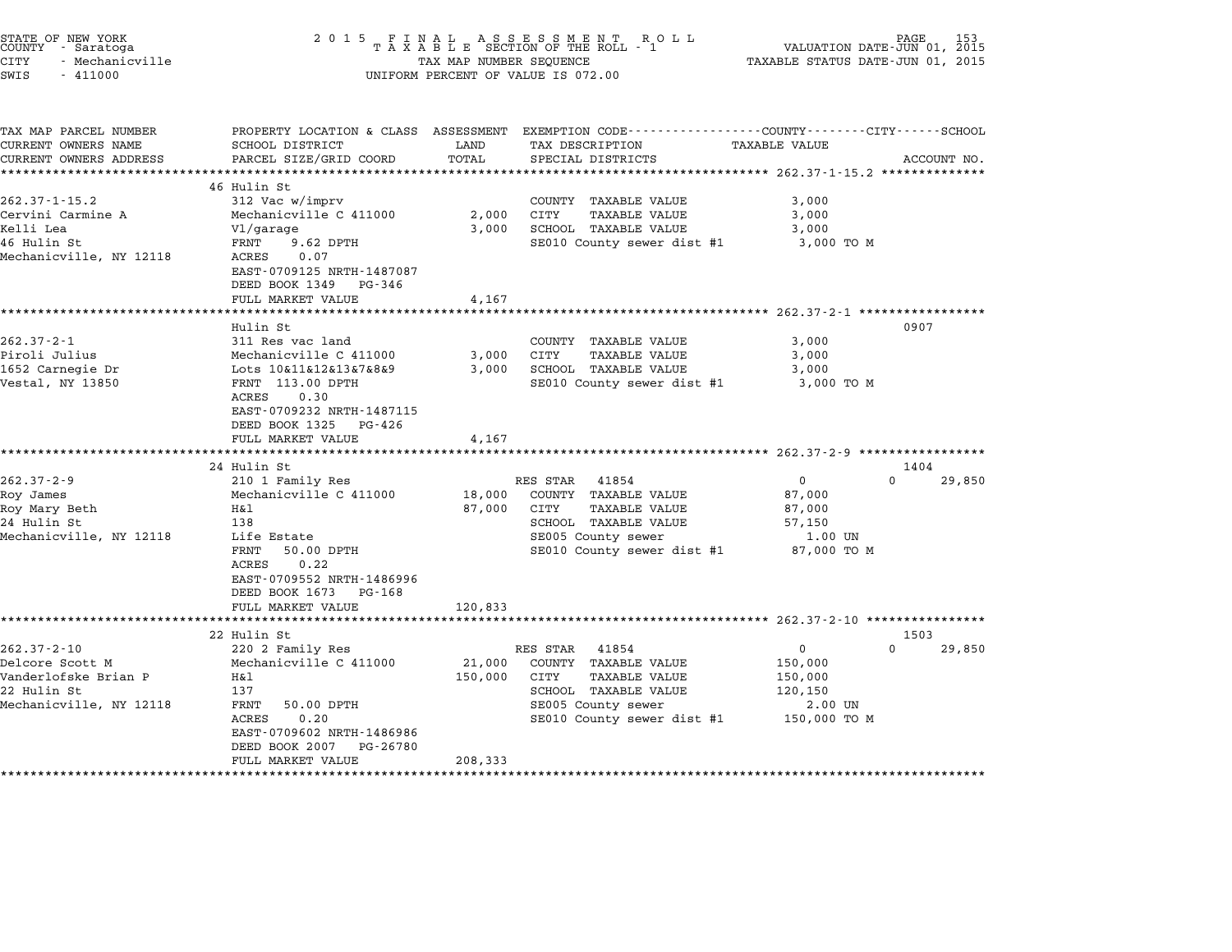| STATE OF NEW YORK<br>COUNTY - Saratoga<br><b>CITY</b><br>- Mechanicville<br>SWIS<br>$-411000$          | 2 0 1 5                                                                                                                                                                                                                   | TAX MAP NUMBER SEQUENCE      | FINAL ASSESSMENT ROLL<br>TAXABLE SECTION OF THE ROLL - 1<br>UNIFORM PERCENT OF VALUE IS 072.00                                                        | VALUATION DATE-JUN 01, 2015<br>TAXABLE STATUS DATE-JUN 01, 2015                                 | PAGE                       |
|--------------------------------------------------------------------------------------------------------|---------------------------------------------------------------------------------------------------------------------------------------------------------------------------------------------------------------------------|------------------------------|-------------------------------------------------------------------------------------------------------------------------------------------------------|-------------------------------------------------------------------------------------------------|----------------------------|
| TAX MAP PARCEL NUMBER<br>CURRENT OWNERS NAME<br>CURRENT OWNERS ADDRESS                                 | SCHOOL DISTRICT<br>PARCEL SIZE/GRID COORD                                                                                                                                                                                 | LAND<br>TOTAL                | PROPERTY LOCATION & CLASS ASSESSMENT EXEMPTION CODE---------------COUNTY-------CITY------SCHOOL<br>TAX DESCRIPTION<br>SPECIAL DISTRICTS               | TAXABLE VALUE<br>******************************** 262.37-1-15.2 **************                  | ACCOUNT NO.                |
| $262.37 - 1 - 15.2$<br>Cervini Carmine A<br>Kelli Lea<br>46 Hulin St<br>Mechanicville, NY 12118        | 46 Hulin St<br>312 Vac w/imprv<br>Mechanicville C 411000<br>Vl/garage<br>FRNT<br>$9.62$ DPTH<br>ACRES<br>0.07<br>EAST-0709125 NRTH-1487087<br>DEED BOOK 1349<br>PG-346<br>FULL MARKET VALUE                               | 2,000<br>3,000<br>4,167      | COUNTY TAXABLE VALUE<br>CITY<br>TAXABLE VALUE<br>SCHOOL TAXABLE VALUE<br>SE010 County sewer dist #1                                                   | 3,000<br>3,000<br>3,000<br>3,000 TO M                                                           |                            |
| $262.37 - 2 - 1$<br>Piroli Julius<br>1652 Carnegie Dr<br>Vestal, NY 13850                              | ******************<br>Hulin St<br>311 Res vac land<br>Mechanicville C 411000<br>Lots 10&11&12&13&7&8&9<br>FRNT 113.00 DPTH<br>ACRES<br>0.30<br>EAST-0709232 NRTH-1487115<br>DEED BOOK 1325<br>PG-426<br>FULL MARKET VALUE | 3,000<br>3,000<br>4,167      | COUNTY TAXABLE VALUE<br>CITY<br>TAXABLE VALUE<br>SCHOOL TAXABLE VALUE<br>SE010 County sewer dist #1                                                   | ************************* 262.37-2-1 *****************<br>3,000<br>3,000<br>3,000<br>3,000 TO M | 0907                       |
|                                                                                                        | ********************************<br>24 Hulin St                                                                                                                                                                           |                              |                                                                                                                                                       |                                                                                                 | 1404                       |
| $262.37 - 2 - 9$<br>Roy James<br>Roy Mary Beth<br>24 Hulin St<br>Mechanicville, NY 12118               | 210 1 Family Res<br>Mechanicville C 411000<br>H&l<br>138<br>Life Estate<br>50.00 DPTH<br>FRNT<br>ACRES<br>0.22<br>EAST-0709552 NRTH-1486996<br>DEED BOOK 1673<br>PG-168                                                   | 18,000<br>87,000             | RES STAR<br>41854<br>COUNTY TAXABLE VALUE<br>CITY<br>TAXABLE VALUE<br>SCHOOL TAXABLE VALUE<br>SE005 County sewer<br>SE010 County sewer dist #1        | $\mathsf 0$<br>87,000<br>87,000<br>57,150<br>1.00 UN<br>87,000 TO M                             | $\Omega$<br>29,850         |
|                                                                                                        | FULL MARKET VALUE<br>********************                                                                                                                                                                                 | 120,833                      |                                                                                                                                                       |                                                                                                 |                            |
| $262.37 - 2 - 10$<br>Delcore Scott M<br>Vanderlofske Brian P<br>22 Hulin St<br>Mechanicville, NY 12118 | 22 Hulin St<br>220 2 Family Res<br>Mechanicville C 411000<br>Η&l<br>137<br>FRNT<br>50.00 DPTH<br>ACRES<br>0.20<br>EAST-0709602 NRTH-1486986<br>DEED BOOK 2007<br>PG-26780<br>FULL MARKET VALUE                            | 21,000<br>150,000<br>208,333 | RES STAR<br>41854<br>COUNTY TAXABLE VALUE<br><b>TAXABLE VALUE</b><br>CITY<br>SCHOOL TAXABLE VALUE<br>SE005 County sewer<br>SE010 County sewer dist #1 | $\mathsf 0$<br>150,000<br>150,000<br>120,150<br>2.00 UN<br>150,000 TO M                         | 1503<br>$\Omega$<br>29,850 |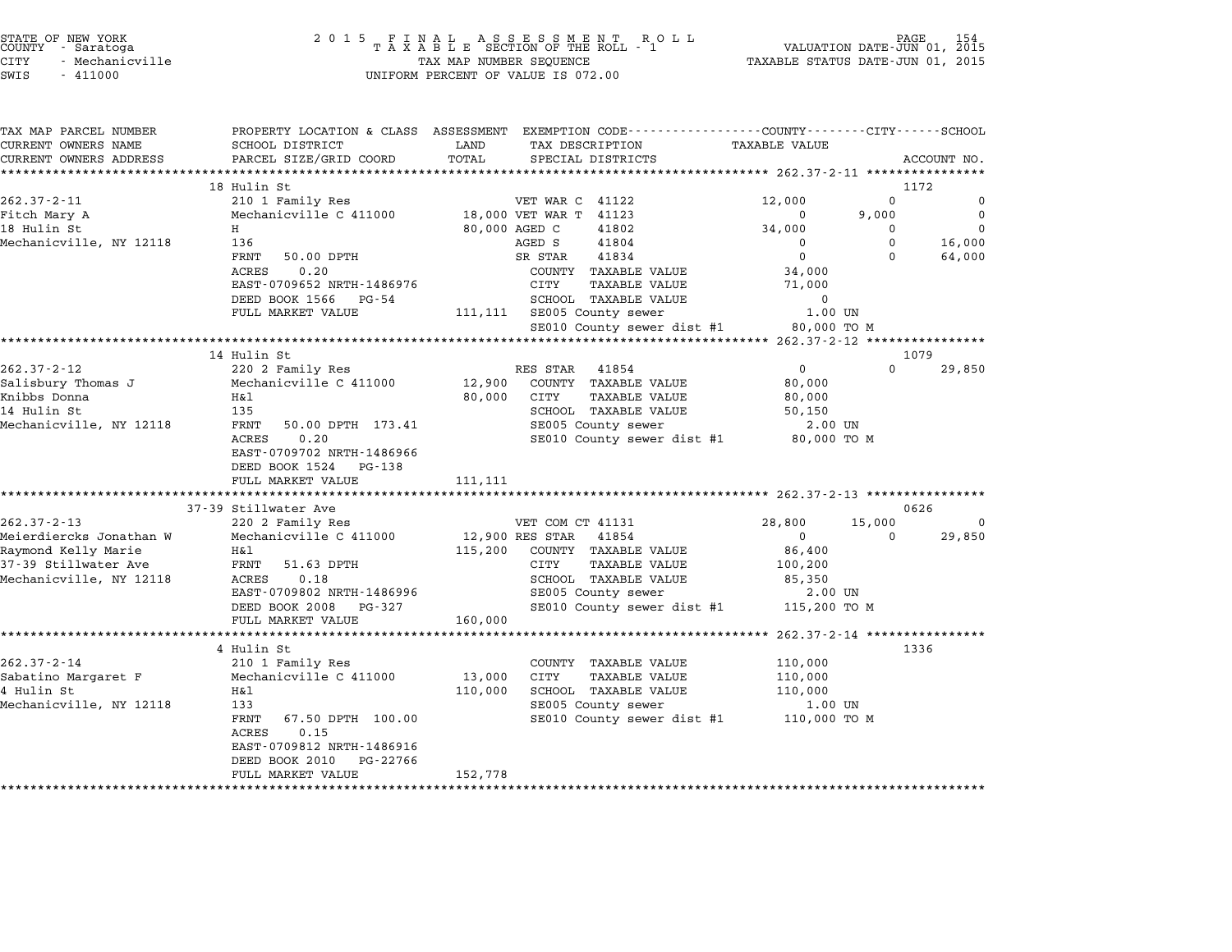| STATE OF NEW YORK |  |            |               |  |
|-------------------|--|------------|---------------|--|
| COUNTY            |  | - Saratoga |               |  |
| CITY              |  |            | Mechanicville |  |

| WIS | 411000 |
|-----|--------|
|     |        |

| TAX MAP PARCEL NUMBER<br>CURRENT OWNERS NAME | SCHOOL DISTRICT                              | LAND<br>TAX DESCRIPTION             | PROPERTY LOCATION & CLASS ASSESSMENT EXEMPTION CODE---------------COUNTY-------CITY------SCHOOL<br><b>TAXABLE VALUE</b> |  |
|----------------------------------------------|----------------------------------------------|-------------------------------------|-------------------------------------------------------------------------------------------------------------------------|--|
| CURRENT OWNERS ADDRESS                       | PARCEL SIZE/GRID COORD                       | TOTAL<br>SPECIAL DISTRICTS          | ACCOUNT NO.                                                                                                             |  |
|                                              |                                              |                                     |                                                                                                                         |  |
|                                              | 18 Hulin St                                  |                                     | 1172                                                                                                                    |  |
| $262.37 - 2 - 11$                            | 210 1 Family Res                             | VET WAR C 41122                     | 12,000<br>$\Omega$<br>$\mathbf 0$                                                                                       |  |
| Fitch Mary A                                 | Mechanicville C 411000                       | 18,000 VET WAR T 41123              | $\Omega$<br>9,000<br>$\Omega$                                                                                           |  |
| 18 Hulin St                                  | H                                            | 80,000 AGED C<br>41802              | $\mathbf 0$<br>34,000<br>$\Omega$                                                                                       |  |
| Mechanicville, NY 12118                      | 136                                          | AGED S<br>41804                     | $\Omega$<br>16,000<br>$\Omega$                                                                                          |  |
|                                              | FRNT 50.00 DPTH                              | SR STAR<br>41834                    | $\Omega$<br>$\Omega$<br>64,000                                                                                          |  |
|                                              | ACRES<br>0.20                                | COUNTY TAXABLE VALUE                | 34,000                                                                                                                  |  |
|                                              | EAST-0709652 NRTH-1486976                    | CITY<br>TAXABLE VALUE               | 71,000                                                                                                                  |  |
|                                              | DEED BOOK 1566 PG-54                         | SCHOOL TAXABLE VALUE                | $\Omega$                                                                                                                |  |
|                                              | FULL MARKET VALUE                            | 111,111 SE005 County sewer          | 1.00 UN                                                                                                                 |  |
|                                              |                                              | SE010 County sewer dist #1          | 80,000 TO M                                                                                                             |  |
|                                              | ************************                     |                                     |                                                                                                                         |  |
|                                              | 14 Hulin St                                  |                                     | 1079                                                                                                                    |  |
| $262.37 - 2 - 12$                            | 220 2 Family Res                             | RES STAR 41854                      | $\overline{0}$<br>$\Omega$<br>29,850                                                                                    |  |
| Salisbury Thomas J                           | Mechanicville C 411000                       | 12,900 COUNTY TAXABLE VALUE         | 80,000                                                                                                                  |  |
| Knibbs Donna                                 | Η&l                                          | 80,000 CITY<br><b>TAXABLE VALUE</b> | 80,000                                                                                                                  |  |
| 14 Hulin St                                  | 135                                          | SCHOOL TAXABLE VALUE                | 50,150                                                                                                                  |  |
| Mechanicville, NY 12118                      | FRNT 50.00 DPTH 173.41<br>0.20               | SE005 County sewer                  | 2.00 UN                                                                                                                 |  |
|                                              | ACRES<br>EAST-0709702 NRTH-1486966           |                                     | SE010 County sewer dist #1 80,000 TO M                                                                                  |  |
|                                              | DEED BOOK 1524 PG-138                        |                                     |                                                                                                                         |  |
|                                              | FULL MARKET VALUE                            | 111,111                             |                                                                                                                         |  |
|                                              |                                              |                                     |                                                                                                                         |  |
|                                              | 37-39 Stillwater Ave                         |                                     | 0626                                                                                                                    |  |
| $262.37 - 2 - 13$                            | 220 2 Family Res                             | VET COM CT 41131                    | 28,800<br>15,000<br>$\Omega$                                                                                            |  |
| Meierdiercks Jonathan W                      | Mechanicville C 411000                       | 12,900 RES STAR 41854               | 29,850<br>$\overline{0}$<br>$\Omega$                                                                                    |  |
| Raymond Kelly Marie                          | H&l                                          | 115,200 COUNTY TAXABLE VALUE        | 86,400                                                                                                                  |  |
| 37-39 Stillwater Ave                         | FRNT 51.63 DPTH                              | CITY<br>TAXABLE VALUE               | 100,200                                                                                                                 |  |
| Mechanicville, NY 12118                      | ACRES<br>0.18                                | SCHOOL TAXABLE VALUE                | 85,350                                                                                                                  |  |
|                                              | EAST-0709802 NRTH-1486996                    | SE005 County sewer                  | 2.00 UN                                                                                                                 |  |
|                                              | DEED BOOK 2008 PG-327                        |                                     | SE010 County sewer dist #1 115,200 TO M                                                                                 |  |
|                                              | FULL MARKET VALUE                            | 160,000                             |                                                                                                                         |  |
|                                              |                                              |                                     |                                                                                                                         |  |
|                                              | 4 Hulin St                                   |                                     | 1336                                                                                                                    |  |
| $262.37 - 2 - 14$                            | 210 1 Family Res                             | COUNTY TAXABLE VALUE                | 110,000                                                                                                                 |  |
| Sabatino Margaret F                          | Mechanicville C 411000                       | 13,000 CITY<br><b>TAXABLE VALUE</b> | 110,000                                                                                                                 |  |
| 4 Hulin St                                   | H&l                                          | 110,000<br>SCHOOL TAXABLE VALUE     | 110,000                                                                                                                 |  |
| Mechanicville, NY 12118                      | 133                                          | SE005 County sewer                  | 1.00 UN                                                                                                                 |  |
|                                              | FRNT 67.50 DPTH 100.00<br>0.15<br>ACRES      |                                     | SE010 County sewer dist #1 110,000 TO M                                                                                 |  |
|                                              |                                              |                                     |                                                                                                                         |  |
|                                              | EAST-0709812 NRTH-1486916                    |                                     |                                                                                                                         |  |
|                                              | DEED BOOK 2010 PG-22766<br>FULL MARKET VALUE | 152,778                             |                                                                                                                         |  |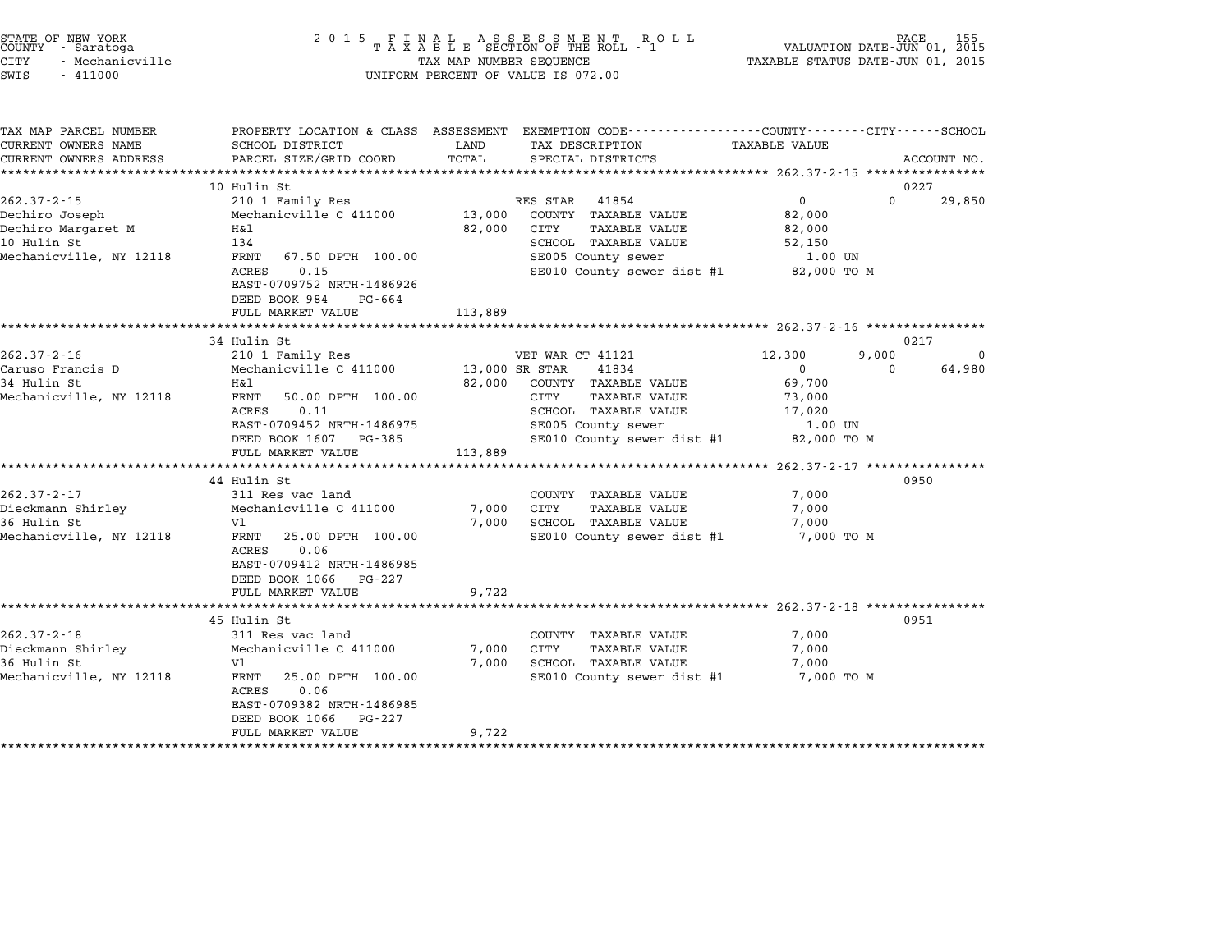|        | STATE OF NEW YORK |  |
|--------|-------------------|--|
| COUNTY | - Saratoga        |  |
| CITY   | - Mechanicville   |  |

# STATE OF NEW YORK <sup>2</sup> <sup>0</sup> <sup>1</sup> 5 F I N A L A S S E S S M E N T R O L L PAGE <sup>155</sup> COUNTY - Saratoga <sup>T</sup> <sup>A</sup> <sup>X</sup> <sup>A</sup> <sup>B</sup> <sup>L</sup> <sup>E</sup> SECTION OF THE ROLL - <sup>1</sup> VALUATION DATE-JUN 01, <sup>2015</sup> STATE OF NEW YORK (DATE AND THE SELL AS SESS MENT ROLL) DEVINION DATE-UND PAGE 155<br>COUNTY - Saratoga (DIRE-JUN 01, 2015 TAXABLE SECTION OF THE ROLL - 1 (DIRE-JUN 01, 2015 )<br>CITY - Mechanicville (DIRE-JUN 01, 2015 ) TAXABLE CUNIT - SALACUYA<br>CITY - Mechanicville<br>SWIS - 411000 UNIFORM PERCENT OF VALUE IS 072.00

TAX MAP PARCEL NUMBER PROPERTY LOCATION & CLASS ASSESSMENT EXEMPTION CODE------------------COUNTY--------CITY------SCHOOL CURRENT OWNERS NAME SCHOOL DISTRICT LAND TAX DESCRIPTION TAXABLE VALUE CURRENT OWNERS ADDEER FOUR DISTRICTS AND ASSESSEENT EXERPTION TRACK THE COORD TOTAL TRACK THE TRACK THE COORD TO TRACK THE TRACK THE TRACK THE TRACK THE TRACK THE TRACK THE TRACK THE TRACK THE TRACK THE TRACK THE TRACK THE 10 Hulin St 0227 10 Hulin St<br>
262.37-2-15 10 Hulin St<br>
210 1 Family Res RES STAR 41854 0 0 0 29,850 Dechiro Joseph Mechanicville C <sup>411000</sup> 13,000 COUNTY TAXABLE VALUE 82,000 Dechiro Margaret M H&l 82,000 CITY TAXABLE VALUE 82,000 DECITITO ODSEPIT AND THE MECHANIC VIDEO CONTRATION AND TRANSPORTED AS AND SALUE OF TRANSPORTED AND SALUE AND SA<br>10 Hulin St 134 SCHOOL TAXABLE VALUE 52,000<br>10 Hulin St 134 SCHOOL TAXABLE VALUE 52,150 Mechanic Margaret Margaret Margaret Margaret Margaret Margaret Margaret Margaret Margaret Margaret Margaret 11<br>10 Hulin Standol TaxaBLE Value SSENOOL TAXABLE VALUE S2,000 UNIN SENOOL TAXABLE VALUE S2,150 UNIN SENOOL TAXABL SCHOOL TAXABLE VALUE 52,150<br>SE005 County sewer 1.00 UN<br>SE010 County sewer dist #1 82,000 TO M EAST-0709752 NRTH-1486926 EAST-0709752 NRTH-14869<br>DEED BOOK 984 PG-664 EAST 0707752 NKIII 1400520<br>
DEED BOOK 984 PG-664<br>
FULL MARKET VALUE 113,889 \*\*\*\*\*\*\*\*\*\*\*\*\*\*\*\*\*\*\*\*\*\*\*\*\*\*\*\*\*\*\*\*\*\*\*\*\*\*\*\*\*\*\*\*\*\*\*\*\*\*\*\*\*\*\*\*\*\*\*\*\*\*\*\*\*\*\*\*\*\*\*\*\*\*\*\*\*\*\*\*\*\*\*\*\*\*\*\*\*\*\*\*\*\*\*\*\*\*\*\*\*\*\* 262.37-2-16 \*\*\*\*\*\*\*\*\*\*\*\*\*\*\*\* 34 Hulin St 0217 262.37-2-16 262.37-2-16 210 1 Family Res VET WAR CT 41121 262.37-2-16 2000 0 Caruso Francis D Mechanicville C <sup>411000</sup> 13,000 SR STAR <sup>41834</sup> <sup>0</sup> <sup>0</sup> 64,980 202.37-2-10 210 210 Family Res (202.37-2-10 210 1990)<br>Caruso Francis D Mechanicville C 411000 13,000 SR STAR (2018)<br>34 Hulin St (29,700 EXABLE VALUE 69,700 CALLSO FIANCES DURING MECHANICVILLE CULTUS (NO DE SIGNO DE SIAR UNIVERSIDE VALUE 199700<br>32,000 COUNTY TAXABLE VALUE 109,700<br>Mechanicville, NY 12118 FRNT 50.00 DPTH 100.00 CITY TAXABLE VALUE 173,000 ACLES 0.00 DPTH 100.00 62,000 COMIT IAXABLE VALUE 17,000 07,700<br>FRINT 50.00 DPTH 100.00 CITY TAXABLE VALUE 17,000<br>ACRES 0.11 SCHOOL TAXABLE VALUE 17,020 EARL JOURNAL SOLUTE SOLUTE SUITE AARDEE VALUE IN 1999.<br>ACRES 0.11 IOU.00 SCHOOL TAXABLE VALUE 17,020<br>EAST-0709452 NRTH-1486975 SE005 County sewer 1.00 UN EAST-0709452 NRTH-1486975 SCHOOD IAAABLE VALUE 17,020<br>DEED BOOK 1607 PG-385 SE010 County sewer dist #1 82,000 TO M EAST 0703432 MAIN 1400373<br>
DEED BOOK 1607 PG-385<br>
FULL MARKET VALUE 113,889 \*\*\*\*\*\*\*\*\*\*\*\*\*\*\*\*\*\*\*\*\*\*\*\*\*\*\*\*\*\*\*\*\*\*\*\*\*\*\*\*\*\*\*\*\*\*\*\*\*\*\*\*\*\*\*\*\*\*\*\*\*\*\*\*\*\*\*\*\*\*\*\*\*\*\*\*\*\*\*\*\*\*\*\*\*\*\*\*\*\*\*\*\*\*\*\*\*\*\*\*\*\*\* 262.37-2-17 \*\*\*\*\*\*\*\*\*\*\*\*\*\*\*\* 44 Hulin St 0950 262.37-2-17 311 Res vac land<br>262.37-2-17 311 Res vac land COUNTY TAXABLE VALUE 7,000 Dieckmann Shirley Mechanicville C <sup>411000</sup> 7,000 CITY TAXABLE VALUE 7,000 <sup>36</sup> Hulin St Vl 7,000 SCHOOL TAXABLE VALUE 7,000 Mechanic Milley (Mechanicville C 111000 1,000 C11 IAAABLE VABOL TRIVIDE 1999)<br>36 Hulin St Hulle (Mille VI 7,000 SCHOOL TAXABLE VALUE 19,000 C11<br>Mechanicville, NY 12118 FRNT 25.00 DPTH 100.00 SE010 County sewer dist #1 7,00 Nechanicville, NY 12118 FRNT 25.00 DPTH 100.00 SE010 County sewer dist #1 7,000 TO M EAST-0709412 NRTH-1486985 EAST-0709412 NRTH-14869<br>DEED BOOK 1066 PG-227 EAST 0705412 MAIN 1400505<br>
DEED BOOK 1066 PG-227<br>
FULL MARKET VALUE 9,722 \*\*\*\*\*\*\*\*\*\*\*\*\*\*\*\*\*\*\*\*\*\*\*\*\*\*\*\*\*\*\*\*\*\*\*\*\*\*\*\*\*\*\*\*\*\*\*\*\*\*\*\*\*\*\*\*\*\*\*\*\*\*\*\*\*\*\*\*\*\*\*\*\*\*\*\*\*\*\*\*\*\*\*\*\*\*\*\*\*\*\*\*\*\*\*\*\*\*\*\*\*\*\* 262.37-2-18 \*\*\*\*\*\*\*\*\*\*\*\*\*\*\*\* 45 Hulin St 0951 262.37-2-18 262.37-2-18 12.02.37-2-18 262.37-2-18 262.37-2-18 262.37-2-18 262.37-2-18 262.37-2-18 262.37-2-18<br>2000 311 Res vac land COUNTY TAXABLE VALUE 7,000 13 MILLI DE READ AND MILLI DUAN MEDIANUS (262.37-2-18 F) 000<br>Dieckmann Shirley 19 Mechanicville C 411000 7,000 CITY TAXABLE VALUE 7,000 7,000 362.37-2-10 STI RES VAC IANU (202.37-2-10 UONTI IAAABLE VALUE 7,000 (2011 IAAABLE VALUE 7,000 VALUE 7,000<br>Die Mechanicville C 411000 7,000 CITY TAXABLE VALUE 7,000 7,000<br>36 Hulin St 7,000 7,000 7,000 7,000 7,000 7,000 7,0 Mechanic Milley (Mechanicville C 111000 1,000 C11 IAAABLE VABOL TRIVIDE 1999)<br>36 Hulin St Hulle (Mille VI 7,000 SCHOOL TAXABLE VALUE 19,000 C11<br>Mechanicville, NY 12118 FRNT 25.00 DPTH 100.00 SE010 County sewer dist #1 7,00 vi<br>FRNT 25.00<br>ACRES 0.06 FANI 23.00 DFIN 100.00<br>ACRES 0.06<br>EAST-0709382 NRTH-1486985 ACRES 0.06<br>EAST-0709382 NRTH-1486985 FULL MARKET VALUE 9,722 \*\*\*\*\*\*\*\*\*\*\*\*\*\*\*\*\*\*\*\*\*\*\*\*\*\*\*\*\*\*\*\*\*\*\*\*\*\*\*\*\*\*\*\*\*\*\*\*\*\*\*\*\*\*\*\*\*\*\*\*\*\*\*\*\*\*\*\*\*\*\*\*\*\*\*\*\*\*\*\*\*\*\*\*\*\*\*\*\*\*\*\*\*\*\*\*\*\*\*\*\*\*\*\*\*\*\*\*\*\*\*\*\*\*\*\*\*\*\*\*\*\*\*\*\*\*\*\*\*\*\*\*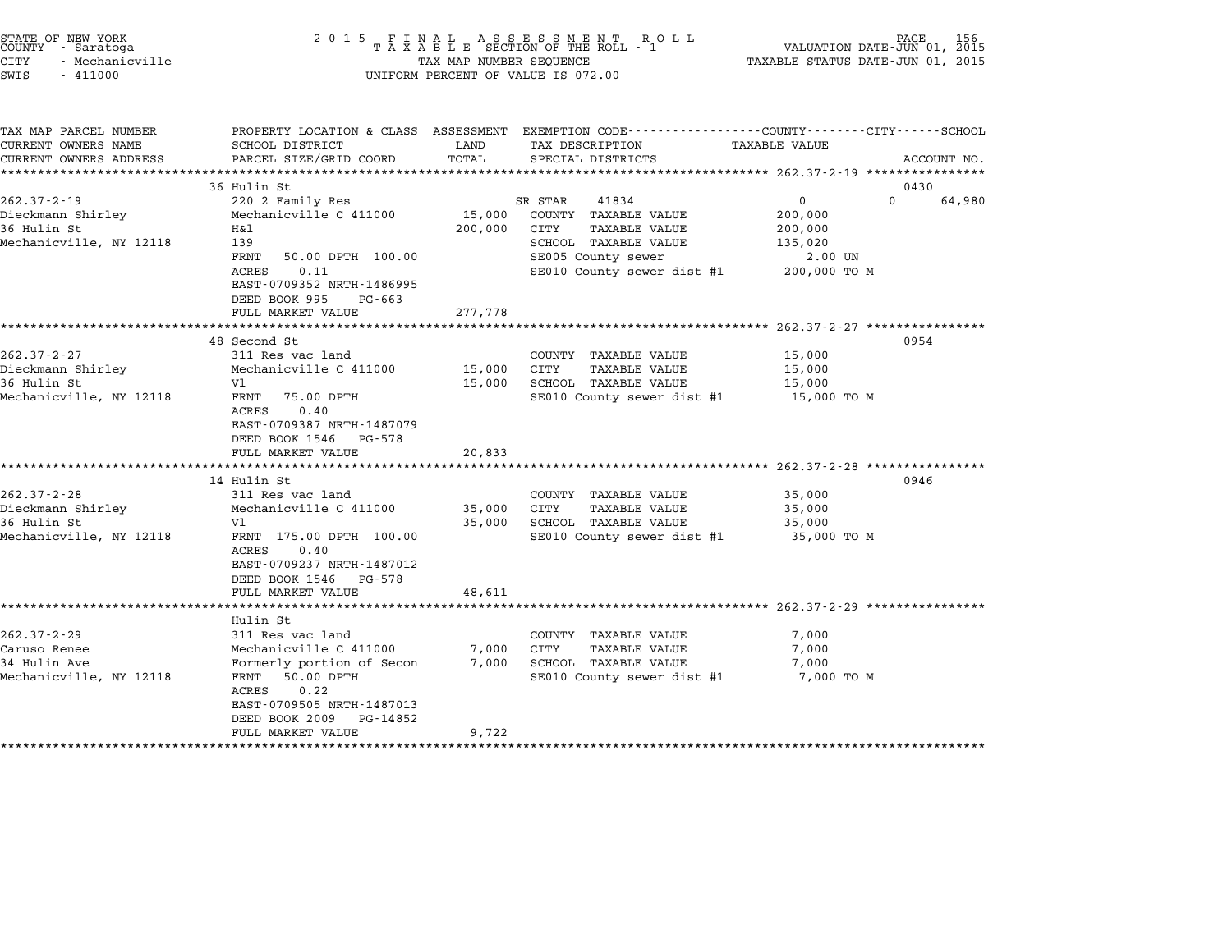| STATE OF NEW YORK<br>COUNTY<br>- Saratoga<br>CITY<br>- Mechanicville<br>SWIS<br>$-411000$ | 2 0 1 5                                                                                                                                                                                        | TAX MAP NUMBER SEQUENCE      | FINAL ASSESSMENT RO<br>TAXABLE SECTION OF THE ROLL - 1<br>R O L L<br>UNIFORM PERCENT OF VALUE IS 072.00                                       | VALUATION DATE-JUN 01, 2015<br>TAXABLE STATUS DATE-JUN 01, 2015                  | PAGE<br>156 |
|-------------------------------------------------------------------------------------------|------------------------------------------------------------------------------------------------------------------------------------------------------------------------------------------------|------------------------------|-----------------------------------------------------------------------------------------------------------------------------------------------|----------------------------------------------------------------------------------|-------------|
| TAX MAP PARCEL NUMBER<br>CURRENT OWNERS NAME<br>CURRENT OWNERS ADDRESS                    | PROPERTY LOCATION & CLASS ASSESSMENT<br>SCHOOL DISTRICT<br>PARCEL SIZE/GRID COORD                                                                                                              | LAND<br>TOTAL                | EXEMPTION CODE-----------------COUNTY-------CITY------SCHOOL<br>TAX DESCRIPTION<br>SPECIAL DISTRICTS                                          | TAXABLE VALUE                                                                    | ACCOUNT NO. |
|                                                                                           |                                                                                                                                                                                                |                              |                                                                                                                                               | ****************** 262.37-2-19 *****************                                 |             |
|                                                                                           | 36 Hulin St                                                                                                                                                                                    |                              |                                                                                                                                               |                                                                                  | 0430        |
| $262.37 - 2 - 19$<br>Dieckmann Shirley<br>36 Hulin St<br>Mechanicville, NY 12118          | 220 2 Family Res<br>Mechanicville C 411000<br>Η&l<br>139<br>FRNT<br>50.00 DPTH 100.00<br>0.11<br>ACRES<br>EAST-0709352 NRTH-1486995<br>DEED BOOK 995<br>$PG - 663$<br>FULL MARKET VALUE        | 15,000<br>200,000<br>277,778 | 41834<br>SR STAR<br>COUNTY TAXABLE VALUE<br>CITY<br>TAXABLE VALUE<br>SCHOOL TAXABLE VALUE<br>SE005 County sewer<br>SE010 County sewer dist #1 | $\Omega$<br>$\Omega$<br>200,000<br>200,000<br>135,020<br>2.00 UN<br>200,000 TO M | 64,980      |
|                                                                                           |                                                                                                                                                                                                |                              |                                                                                                                                               |                                                                                  |             |
| $262.37 - 2 - 27$<br>Dieckmann Shirley<br>36 Hulin St<br>Mechanicville, NY 12118          | 48 Second St<br>311 Res vac land<br>Mechanicville C 411000<br>V1<br>FRNT<br>75.00 DPTH<br>ACRES<br>0.40<br>EAST-0709387 NRTH-1487079<br>DEED BOOK 1546 PG-578<br>FULL MARKET VALUE             | 15,000<br>15,000<br>20,833   | COUNTY TAXABLE VALUE<br>CITY<br>TAXABLE VALUE<br>SCHOOL TAXABLE VALUE<br>SE010 County sewer dist #1                                           | 15,000<br>15,000<br>15,000<br>15,000 TO M                                        | 0954        |
| $262.37 - 2 - 28$<br>Dieckmann Shirley<br>36 Hulin St<br>Mechanicville, NY 12118          | 14 Hulin St<br>311 Res vac land<br>Mechanicville C 411000<br>V1<br>FRNT 175.00 DPTH 100.00<br>ACRES<br>0.40<br>EAST-0709237 NRTH-1487012<br>DEED BOOK 1546<br>PG-578<br>FULL MARKET VALUE      | 35,000<br>35,000<br>48,611   | COUNTY TAXABLE VALUE<br>CITY<br>TAXABLE VALUE<br>SCHOOL TAXABLE VALUE<br>SE010 County sewer dist #1                                           | 35,000<br>35,000<br>35,000<br>35,000 TO M                                        | 0946        |
|                                                                                           | Hulin St                                                                                                                                                                                       |                              |                                                                                                                                               |                                                                                  |             |
| $262.37 - 2 - 29$<br>Caruso Renee<br>34 Hulin Ave<br>Mechanicville, NY 12118              | 311 Res vac land<br>Mechanicville C 411000<br>Formerly portion of Secon<br>50.00 DPTH<br>FRNT<br>ACRES<br>0.22<br>EAST-0709505 NRTH-1487013<br>DEED BOOK 2009<br>PG-14852<br>FULL MARKET VALUE | 7,000<br>7,000<br>9,722      | COUNTY TAXABLE VALUE<br>CITY<br>TAXABLE VALUE<br>SCHOOL TAXABLE VALUE<br>SE010 County sewer dist #1                                           | 7,000<br>7,000<br>7,000<br>7,000 TO M                                            |             |

STATE OF NEW YORK <sup>2</sup> <sup>0</sup> <sup>1</sup> 5 F I N A L A S S E S S M E N T R O L L PAGE <sup>156</sup> COUNTY - Saratoga <sup>T</sup> <sup>A</sup> <sup>X</sup> <sup>A</sup> <sup>B</sup> <sup>L</sup> <sup>E</sup> SECTION OF THE ROLL - <sup>1</sup> VALUATION DATE-JUN 01, <sup>2015</sup>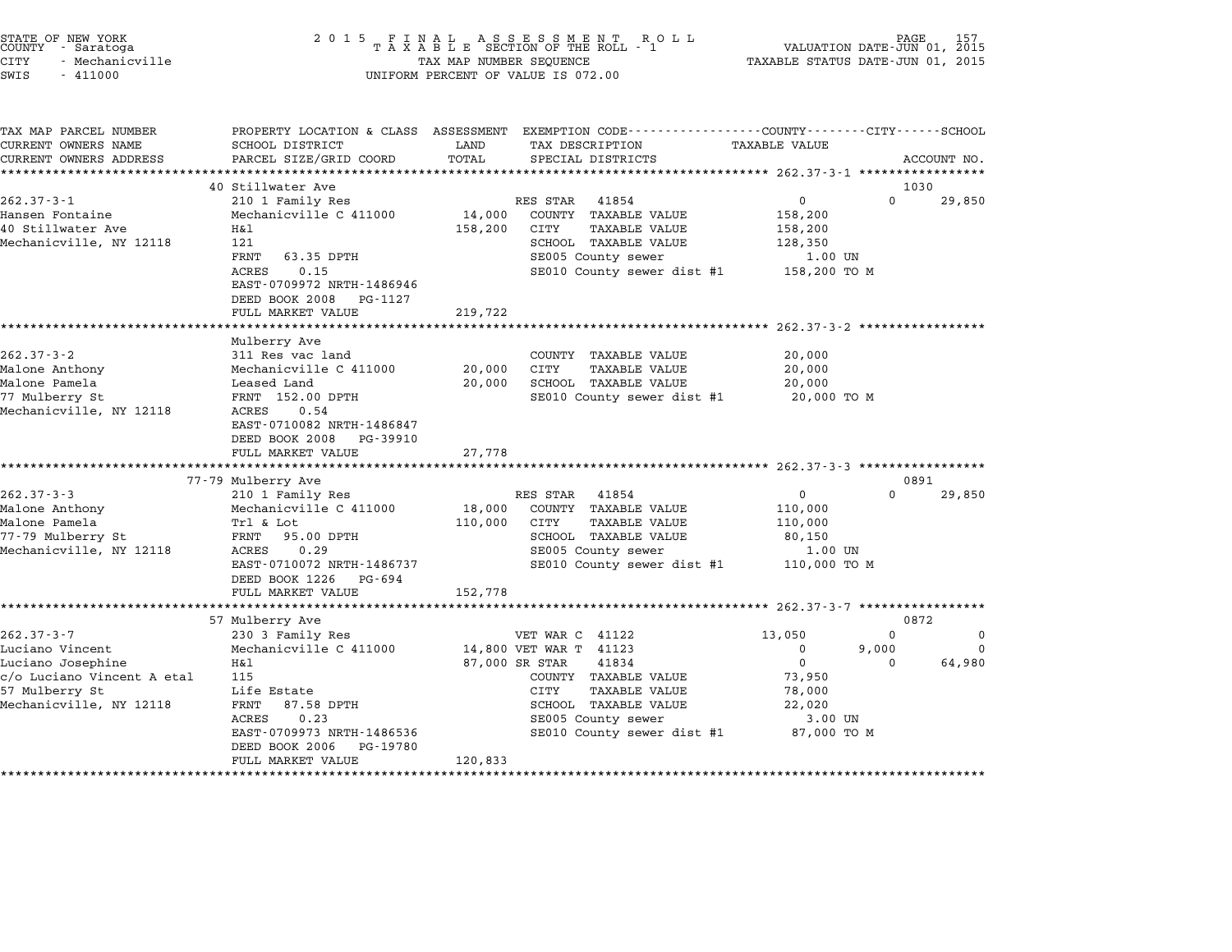| STATE OF NEW YORK<br>COUNTY - Saratoga<br><b>CITY</b><br>- Mechanicville<br>SWIS<br>$-411000$ | 2 0 1 5                                                              | TAX MAP NUMBER SEQUENCE | FINAL ASSESSMENT ROTAXABLE SECTION OF THE ROLL - 1<br>R O L L<br>UNIFORM PERCENT OF VALUE IS 072.00                                    | TAXABLE STATUS DATE-JUN 01, 2015          | PAGE<br>VALUATION DATE-JUN 01, 2015 |          |
|-----------------------------------------------------------------------------------------------|----------------------------------------------------------------------|-------------------------|----------------------------------------------------------------------------------------------------------------------------------------|-------------------------------------------|-------------------------------------|----------|
| TAX MAP PARCEL NUMBER<br>CURRENT OWNERS NAME<br>CURRENT OWNERS ADDRESS                        | SCHOOL DISTRICT<br>PARCEL SIZE/GRID COORD<br>*********************** | LAND<br>TOTAL           | PROPERTY LOCATION & CLASS ASSESSMENT EXEMPTION CODE---------------COUNTY-------CITY-----SCHOOL<br>TAX DESCRIPTION<br>SPECIAL DISTRICTS | TAXABLE VALUE                             | ACCOUNT NO.                         |          |
|                                                                                               | 40 Stillwater Ave                                                    |                         |                                                                                                                                        |                                           | 1030                                |          |
| $262.37 - 3 - 1$                                                                              | 210 1 Family Res                                                     |                         | RES STAR<br>41854                                                                                                                      | 0                                         | 0<br>29,850                         |          |
| Hansen Fontaine                                                                               | Mechanicville C 411000                                               | 14,000                  | COUNTY TAXABLE VALUE                                                                                                                   | 158,200                                   |                                     |          |
| 40 Stillwater Ave                                                                             | Η&l                                                                  | 158,200                 | CITY<br><b>TAXABLE VALUE</b>                                                                                                           | 158,200                                   |                                     |          |
| Mechanicville, NY 12118                                                                       | 121                                                                  |                         | SCHOOL TAXABLE VALUE                                                                                                                   | 128,350                                   |                                     |          |
|                                                                                               | FRNT<br>63.35 DPTH                                                   |                         | SE005 County sewer                                                                                                                     | 1.00 UN                                   |                                     |          |
|                                                                                               | <b>ACRES</b><br>0.15<br>EAST-0709972 NRTH-1486946                    |                         | SE010 County sewer dist #1                                                                                                             | 158,200 TO M                              |                                     |          |
|                                                                                               | DEED BOOK 2008<br>PG-1127                                            |                         |                                                                                                                                        |                                           |                                     |          |
|                                                                                               | FULL MARKET VALUE                                                    | 219,722                 |                                                                                                                                        |                                           |                                     |          |
|                                                                                               | *******************                                                  |                         |                                                                                                                                        | *********** 262.37-3-2 ****************** |                                     |          |
|                                                                                               | Mulberry Ave                                                         |                         |                                                                                                                                        |                                           |                                     |          |
| $262.37 - 3 - 2$                                                                              | 311 Res vac land                                                     |                         | COUNTY<br>TAXABLE VALUE                                                                                                                | 20,000                                    |                                     |          |
| Malone Anthony                                                                                | Mechanicville C 411000                                               | 20,000                  | CITY<br><b>TAXABLE VALUE</b>                                                                                                           | 20,000                                    |                                     |          |
| Malone Pamela                                                                                 | Leased Land                                                          | 20,000                  | SCHOOL TAXABLE VALUE                                                                                                                   | 20,000                                    |                                     |          |
| 77 Mulberry St                                                                                | FRNT 152.00 DPTH                                                     |                         | SE010 County sewer dist #1                                                                                                             | 20,000 TO M                               |                                     |          |
| Mechanicville, NY 12118                                                                       | ACRES<br>0.54                                                        |                         |                                                                                                                                        |                                           |                                     |          |
|                                                                                               | EAST-0710082 NRTH-1486847                                            |                         |                                                                                                                                        |                                           |                                     |          |
|                                                                                               | DEED BOOK 2008<br>PG-39910                                           |                         |                                                                                                                                        |                                           |                                     |          |
|                                                                                               | FULL MARKET VALUE<br>***************************                     | 27,778                  |                                                                                                                                        |                                           |                                     |          |
|                                                                                               | 77-79 Mulberry Ave                                                   |                         |                                                                                                                                        |                                           | 0891                                |          |
| $262.37 - 3 - 3$                                                                              | 210 1 Family Res                                                     |                         | RES STAR<br>41854                                                                                                                      | 0                                         | $\Omega$<br>29,850                  |          |
| Malone Anthony                                                                                | Mechanicville C 411000                                               | 18,000                  | COUNTY TAXABLE VALUE                                                                                                                   | 110,000                                   |                                     |          |
| Malone Pamela                                                                                 | Trl & Lot                                                            | 110,000                 | CITY<br><b>TAXABLE VALUE</b>                                                                                                           | 110,000                                   |                                     |          |
| 77-79 Mulberry St                                                                             | 95.00 DPTH<br>FRNT                                                   |                         | SCHOOL TAXABLE VALUE                                                                                                                   | 80,150                                    |                                     |          |
| Mechanicville, NY 12118                                                                       | ACRES<br>0.29                                                        |                         | SE005 County sewer                                                                                                                     | 1.00 UN                                   |                                     |          |
|                                                                                               | EAST-0710072 NRTH-1486737                                            |                         | SE010 County sewer dist #1                                                                                                             | 110,000 TO M                              |                                     |          |
|                                                                                               | DEED BOOK 1226<br>PG-694                                             |                         |                                                                                                                                        |                                           |                                     |          |
|                                                                                               | FULL MARKET VALUE                                                    | 152,778                 |                                                                                                                                        |                                           |                                     |          |
|                                                                                               |                                                                      |                         |                                                                                                                                        | ****** 262.37-3-7                         |                                     |          |
|                                                                                               | 57 Mulberry Ave                                                      |                         |                                                                                                                                        |                                           | 0872                                |          |
| $262.37 - 3 - 7$                                                                              | 230 3 Family Res                                                     |                         | VET WAR C 41122                                                                                                                        | 13,050                                    | $\Omega$                            | $\Omega$ |
| Luciano Vincent                                                                               | Mechanicville C 411000                                               |                         | 14,800 VET WAR T 41123                                                                                                                 | 0                                         | 9,000                               | 0        |
| Luciano Josephine                                                                             | Η&l                                                                  |                         | 87,000 SR STAR<br>41834                                                                                                                | $\mathbf 0$                               | 64,980<br>$\Omega$                  |          |
| c/o Luciano Vincent A etal                                                                    | 115                                                                  |                         | COUNTY TAXABLE VALUE                                                                                                                   | 73,950                                    |                                     |          |
| 57 Mulberry St                                                                                | Life Estate                                                          |                         | CITY<br><b>TAXABLE VALUE</b>                                                                                                           | 78,000                                    |                                     |          |
| Mechanicville, NY 12118                                                                       | FRNT<br>87.58 DPTH                                                   |                         | SCHOOL TAXABLE VALUE                                                                                                                   | 22,020                                    |                                     |          |
|                                                                                               | ACRES<br>0.23<br>EAST-0709973 NRTH-1486536                           |                         | SE005 County sewer<br>SE010 County sewer dist #1                                                                                       | 3.00 UN<br>87,000 TO M                    |                                     |          |
|                                                                                               | DEED BOOK 2006<br>PG-19780                                           |                         |                                                                                                                                        |                                           |                                     |          |
|                                                                                               | FULL MARKET VALUE                                                    | 120,833                 |                                                                                                                                        |                                           |                                     |          |
|                                                                                               |                                                                      |                         |                                                                                                                                        |                                           |                                     |          |

STATE OF NEW YORK <sup>2</sup> <sup>0</sup> <sup>1</sup> 5 F I N A L A S S E S S M E N T R O L L PAGE <sup>157</sup> COUNTY - Saratoga <sup>T</sup> <sup>A</sup> <sup>X</sup> <sup>A</sup> <sup>B</sup> <sup>L</sup> <sup>E</sup> SECTION OF THE ROLL - <sup>1</sup> VALUATION DATE-JUN 01, <sup>2015</sup>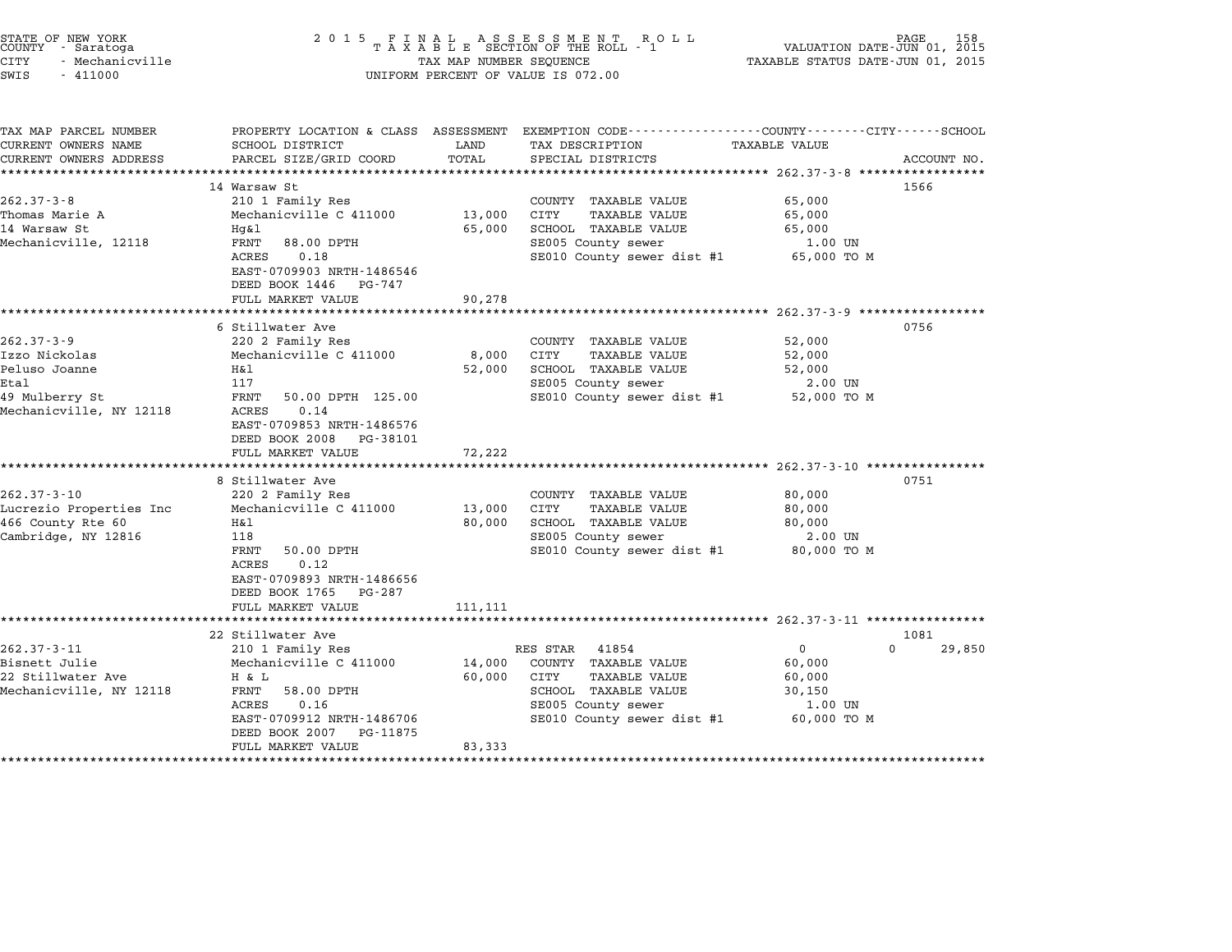| STATE OF NEW YORK<br>COUNTY - Saratoga<br><b>CITY</b><br>- Mechanicville<br>SWIS<br>$-411000$           | 2 0 1 5                                                                                                                                                                                                                            | TAX MAP NUMBER SEQUENCE     | FINAL ASSESSMENT ROLL<br>TAXABLE SECTION OF THE ROLL - 1<br>UNIFORM PERCENT OF VALUE IS 072.00                                                                                                 | VALUATION DATE-JUN 01, 2015<br>TAXABLE STATUS DATE-JUN 01, 2015       |                |
|---------------------------------------------------------------------------------------------------------|------------------------------------------------------------------------------------------------------------------------------------------------------------------------------------------------------------------------------------|-----------------------------|------------------------------------------------------------------------------------------------------------------------------------------------------------------------------------------------|-----------------------------------------------------------------------|----------------|
| TAX MAP PARCEL NUMBER<br>CURRENT OWNERS NAME                                                            | PROPERTY LOCATION & CLASS ASSESSMENT<br>SCHOOL DISTRICT                                                                                                                                                                            | LAND                        | EXEMPTION CODE----------------COUNTY-------CITY------SCHOOL<br>TAX DESCRIPTION                                                                                                                 | <b>TAXABLE VALUE</b>                                                  |                |
| CURRENT OWNERS ADDRESS                                                                                  | PARCEL SIZE/GRID COORD                                                                                                                                                                                                             | TOTAL                       | SPECIAL DISTRICTS                                                                                                                                                                              | *********** 262.37-3-8 **********                                     | ACCOUNT NO.    |
| $262.37 - 3 - 8$<br>Thomas Marie A<br>14 Warsaw St<br>Mechanicville, 12118                              | 14 Warsaw St<br>210 1 Family Res<br>Mechanicville C 411000<br>Hg&l<br>FRNT<br>88.00 DPTH<br>0.18<br>ACRES<br>EAST-0709903 NRTH-1486546                                                                                             | 13,000<br>65,000            | COUNTY TAXABLE VALUE<br><b>TAXABLE VALUE</b><br>CITY<br>SCHOOL TAXABLE VALUE<br>SE005 County sewer<br>SE010 County sewer dist #1                                                               | 65,000<br>65,000<br>65,000<br>1.00 UN<br>65,000 TO M                  | 1566           |
|                                                                                                         | DEED BOOK 1446<br>PG-747<br>FULL MARKET VALUE                                                                                                                                                                                      | 90,278                      |                                                                                                                                                                                                |                                                                       |                |
|                                                                                                         |                                                                                                                                                                                                                                    |                             |                                                                                                                                                                                                | ********************** 262.37-3-9 ******************                  |                |
| $262.37 - 3 - 9$<br>Izzo Nickolas<br>Peluso Joanne<br>Etal<br>49 Mulberry St<br>Mechanicville, NY 12118 | 6 Stillwater Ave<br>220 2 Family Res<br>Mechanicville C 411000<br>H&l<br>117<br>FRNT<br>50.00 DPTH 125.00<br>0.14<br>ACRES<br>EAST-0709853 NRTH-1486576<br>DEED BOOK 2008<br>PG-38101<br>FULL MARKET VALUE<br>******************** | 8,000<br>52,000<br>72,222   | COUNTY TAXABLE VALUE<br>CITY<br><b>TAXABLE VALUE</b><br>SCHOOL TAXABLE VALUE<br>SE005 County sewer<br>SE010 County sewer dist #1<br>****************************** 262.37-3-10 *************** | 52,000<br>52,000<br>52,000<br>2.00 UN<br>52,000 TO M                  | 0756           |
| $262.37 - 3 - 10$<br>Lucrezio Properties Inc<br>466 County Rte 60<br>Cambridge, NY 12816                | 8 Stillwater Ave<br>220 2 Family Res<br>Mechanicville C 411000<br>Η&l<br>118<br>FRNT<br>50.00 DPTH<br>0.12<br>ACRES<br>EAST-0709893 NRTH-1486656<br>DEED BOOK 1765<br>PG-287<br>FULL MARKET VALUE                                  | 13,000<br>80,000<br>111,111 | COUNTY TAXABLE VALUE<br>CITY<br>TAXABLE VALUE<br>SCHOOL TAXABLE VALUE<br>SE005 County sewer<br>SE010 County sewer dist #1                                                                      | 80,000<br>80,000<br>80,000<br>2.00 UN<br>80,000 TO M                  | 0751           |
|                                                                                                         | ***********************                                                                                                                                                                                                            |                             |                                                                                                                                                                                                |                                                                       |                |
| $262.37 - 3 - 11$<br>Bisnett Julie<br>22 Stillwater Ave<br>Mechanicville, NY 12118                      | 22 Stillwater Ave<br>210 1 Family Res<br>Mechanicville C 411000<br>H & L<br>FRNT<br>58.00 DPTH<br>ACRES<br>0.16<br>EAST-0709912 NRTH-1486706<br>DEED BOOK 2007<br>PG-11875<br>FULL MARKET VALUE                                    | 14,000<br>60,000<br>83,333  | RES STAR<br>41854<br>COUNTY TAXABLE VALUE<br>CITY<br><b>TAXABLE VALUE</b><br>SCHOOL TAXABLE VALUE<br>SE005 County sewer<br>SE010 County sewer dist #1                                          | 0<br>$\Omega$<br>60,000<br>60,000<br>30,150<br>1.00 UN<br>60,000 TO M | 1081<br>29,850 |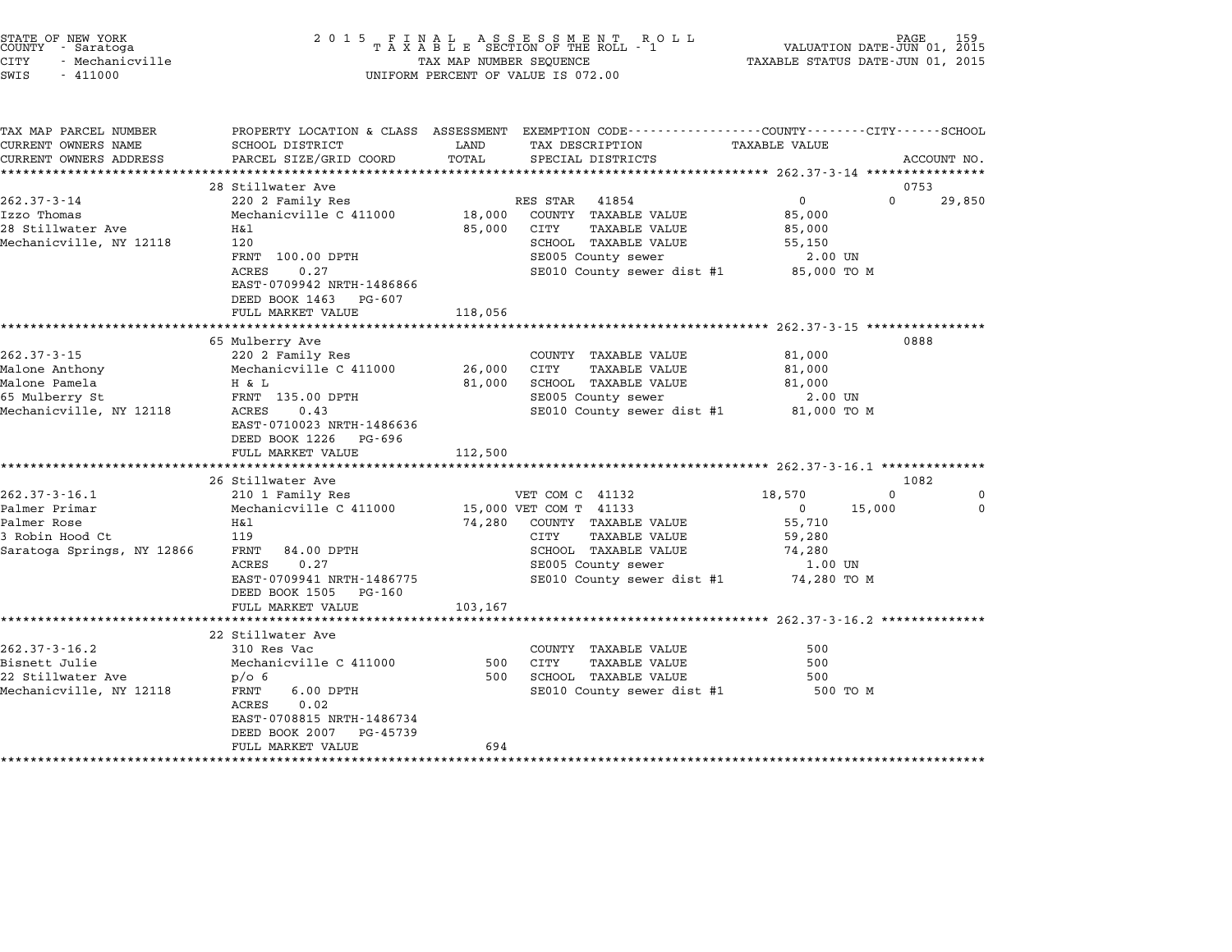| STATE OF NEW YORK<br>COUNTY<br>- Saratoga<br>CITY<br>- Mechanicville<br>SWIS<br>$-411000$            | 2 0 1 5                                                                                                                                                                                   | TAX MAP NUMBER SEQUENCE     | FINAL ASSESSMENT RO<br>TAXABLE SECTION OF THE ROLL - 1<br>R O L L<br>UNIFORM PERCENT OF VALUE IS 072.00                                                                       | VALUATION DATE-JUN 01, 2015<br>TAXABLE STATUS DATE-JUN 01, 2015                                      | PAGE          |
|------------------------------------------------------------------------------------------------------|-------------------------------------------------------------------------------------------------------------------------------------------------------------------------------------------|-----------------------------|-------------------------------------------------------------------------------------------------------------------------------------------------------------------------------|------------------------------------------------------------------------------------------------------|---------------|
| TAX MAP PARCEL NUMBER<br>CURRENT OWNERS NAME<br>CURRENT OWNERS ADDRESS                               | SCHOOL DISTRICT<br>PARCEL SIZE/GRID COORD                                                                                                                                                 | LAND<br>TOTAL               | PROPERTY LOCATION & CLASS ASSESSMENT EXEMPTION CODE----------------COUNTY-------CITY------SCHOOL<br>TAX DESCRIPTION<br>SPECIAL DISTRICTS                                      | <b>TAXABLE VALUE</b><br>****************** 262.37-3-14 ***********                                   | ACCOUNT NO.   |
|                                                                                                      | 28 Stillwater Ave                                                                                                                                                                         |                             |                                                                                                                                                                               |                                                                                                      | 0753          |
| $262.37 - 3 - 14$<br>Izzo Thomas<br>28 Stillwater Ave<br>Mechanicville, NY 12118                     | 220 2 Family Res<br>Mechanicville C 411000<br>H&l<br>120<br>FRNT 100.00 DPTH<br>ACRES<br>0.27<br>EAST-0709942 NRTH-1486866<br>DEED BOOK 1463<br>PG-607<br>FULL MARKET VALUE               | 18,000<br>85,000<br>118,056 | RES STAR<br>41854<br>COUNTY TAXABLE VALUE<br>CITY<br><b>TAXABLE VALUE</b><br>SCHOOL TAXABLE VALUE<br>SE005 County sewer<br>SE010 County sewer dist #1                         | $\mathbf{0}$<br>$\Omega$<br>85,000<br>85,000<br>55,150<br>2.00 UN<br>85,000 TO M                     | 29,850        |
|                                                                                                      | ********************                                                                                                                                                                      |                             |                                                                                                                                                                               | ***************** 262.37-3-15 ****************                                                       |               |
| $262.37 - 3 - 15$<br>Malone Anthony<br>Malone Pamela<br>65 Mulberry St<br>Mechanicville, NY 12118    | 65 Mulberry Ave<br>220 2 Family Res<br>Mechanicville C 411000<br>H & L<br>FRNT 135.00 DPTH<br>0.43<br>ACRES<br>EAST-0710023 NRTH-1486636<br>DEED BOOK 1226<br>PG-696<br>FULL MARKET VALUE | 26,000<br>81,000<br>112,500 | COUNTY TAXABLE VALUE<br>CITY<br>TAXABLE VALUE<br>SCHOOL TAXABLE VALUE<br>SE005 County sewer<br>SE010 County sewer dist #1                                                     | 81,000<br>81,000<br>81,000<br>2.00 UN<br>81,000 TO M                                                 | 0888          |
|                                                                                                      | ********************<br>26 Stillwater Ave                                                                                                                                                 |                             |                                                                                                                                                                               | ********************* 262.37-3-16.1 ***************                                                  | 1082          |
| $262.37 - 3 - 16.1$<br>Palmer Primar<br>Palmer Rose<br>3 Robin Hood Ct<br>Saratoga Springs, NY 12866 | 210 1 Family Res<br>Mechanicville C 411000<br>H&l<br>119<br>FRNT<br>84.00 DPTH<br>0.27<br>ACRES<br>EAST-0709941 NRTH-1486775<br>DEED BOOK 1505 PG-160                                     | 74,280                      | VET COM C 41132<br>15,000 VET COM T 41133<br>COUNTY TAXABLE VALUE<br>CITY<br><b>TAXABLE VALUE</b><br>SCHOOL TAXABLE VALUE<br>SE005 County sewer<br>SE010 County sewer dist #1 | 18,570<br>$\Omega$<br>$\mathbf{0}$<br>15,000<br>55,710<br>59,280<br>74,280<br>1.00 UN<br>74,280 TO M | 0<br>$\Omega$ |
|                                                                                                      | FULL MARKET VALUE                                                                                                                                                                         | 103,167                     |                                                                                                                                                                               |                                                                                                      |               |
|                                                                                                      | 22 Stillwater Ave                                                                                                                                                                         |                             | ******************************** 262.37-3-16.2 **************                                                                                                                 |                                                                                                      |               |
| $262.37 - 3 - 16.2$<br>Bisnett Julie<br>22 Stillwater Ave<br>Mechanicville, NY 12118                 | 310 Res Vac<br>Mechanicville C 411000<br>p/O <sub>6</sub><br>FRNT<br>$6.00$ DPTH<br>0.02<br>ACRES<br>EAST-0708815 NRTH-1486734<br>DEED BOOK 2007<br>PG-45739                              | 500<br>500                  | COUNTY TAXABLE VALUE<br>CITY<br><b>TAXABLE VALUE</b><br>SCHOOL TAXABLE VALUE<br>SE010 County sewer dist #1                                                                    | 500<br>500<br>500<br>500 TO M                                                                        |               |
|                                                                                                      | FULL MARKET VALUE                                                                                                                                                                         | 694                         |                                                                                                                                                                               |                                                                                                      |               |
|                                                                                                      |                                                                                                                                                                                           |                             |                                                                                                                                                                               |                                                                                                      |               |

STATE OF NEW YORK <sup>2</sup> <sup>0</sup> <sup>1</sup> 5 F I N A L A S S E S S M E N T R O L L PAGE <sup>159</sup> COUNTY - Saratoga <sup>T</sup> <sup>A</sup> <sup>X</sup> <sup>A</sup> <sup>B</sup> <sup>L</sup> <sup>E</sup> SECTION OF THE ROLL - <sup>1</sup> VALUATION DATE-JUN 01, <sup>2015</sup>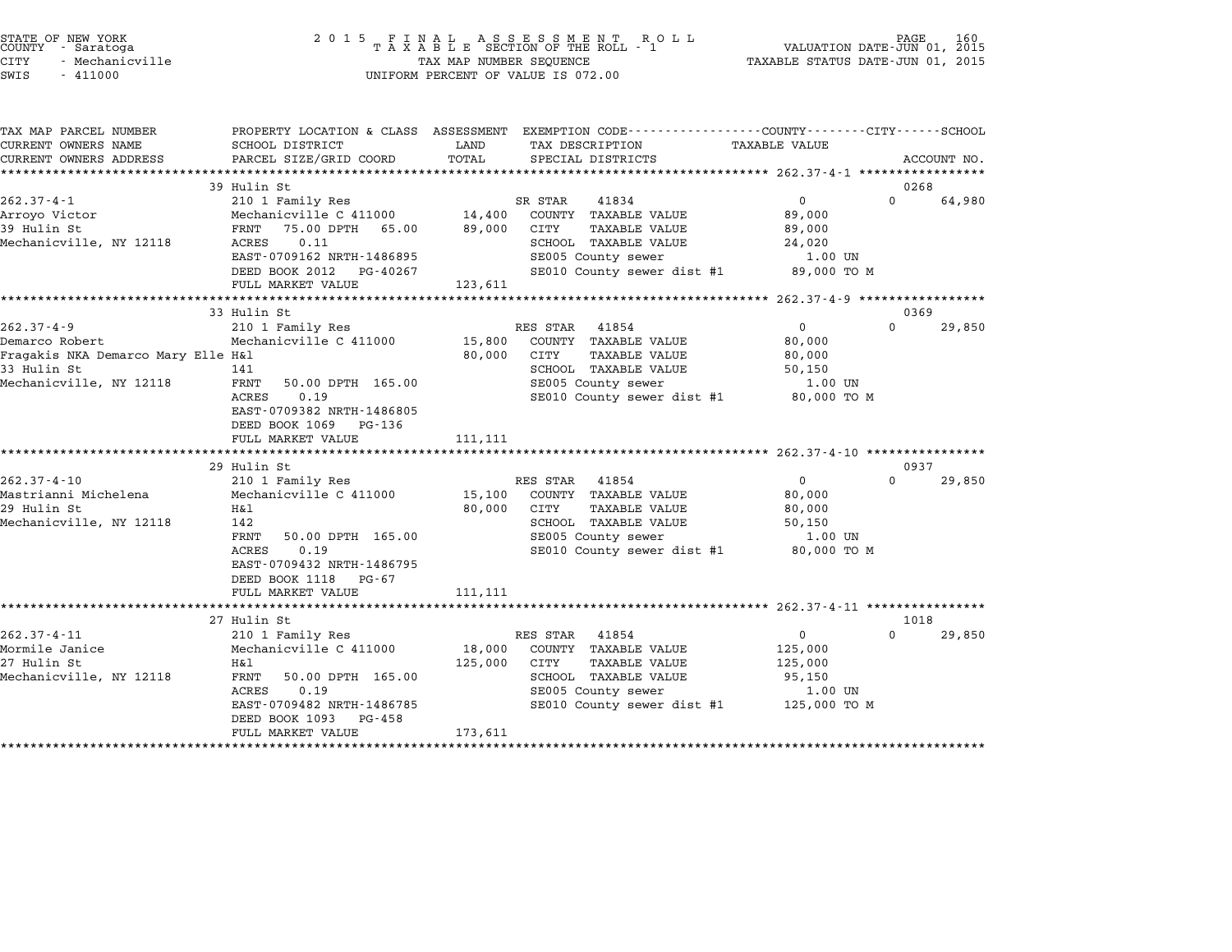| COUNTY | STATE OF NEW YORK<br>- Saratoga |  |
|--------|---------------------------------|--|
| CITY   | - Mechanicville                 |  |

# STATE OF NEW YORK <sup>2</sup> <sup>0</sup> <sup>1</sup> 5 F I N A L A S S E S S M E N T R O L L PAGE <sup>160</sup> COUNTY - Saratoga <sup>T</sup> <sup>A</sup> <sup>X</sup> <sup>A</sup> <sup>B</sup> <sup>L</sup> <sup>E</sup> SECTION OF THE ROLL - <sup>1</sup> VALUATION DATE-JUN 01, <sup>2015</sup> CITY - Mechanicville TAX MAP NUMBER SEQUENCE TAXABLE STATUS DATE-JUN 01, <sup>2015</sup> SWIS - <sup>411000</sup> UNIFORM PERCENT OF VALUE IS 072.00

| TAX MAP PARCEL NUMBER              |                                    | PROPERTY LOCATION & CLASS ASSESSMENT EXEMPTION CODE----------------COUNTY-------CITY------SCHOOL |                                   |
|------------------------------------|------------------------------------|--------------------------------------------------------------------------------------------------|-----------------------------------|
| CURRENT OWNERS NAME                | SCHOOL DISTRICT                    | LAND<br>TAX DESCRIPTION                                                                          | TAXABLE VALUE                     |
| CURRENT OWNERS ADDRESS             | PARCEL SIZE/GRID COORD             | TOTAL<br>SPECIAL DISTRICTS                                                                       | ACCOUNT NO.                       |
|                                    |                                    |                                                                                                  |                                   |
|                                    | 39 Hulin St                        |                                                                                                  | 0268                              |
| $262.37 - 4 - 1$                   | 210 1 Family Res                   | 41834<br>SR STAR                                                                                 | $\mathbf 0$<br>$\Omega$<br>64,980 |
| Arroyo Victor                      | Mechanicville C 411000 14,400      | COUNTY TAXABLE VALUE                                                                             | 89,000                            |
| 39 Hulin St                        | FRNT<br>75.00 DPTH 65.00<br>0.11   | 89,000<br>CITY<br>TAXABLE VALUE<br>SCHOOL TAXABLE VALUE                                          | 89,000                            |
| Mechanicville, NY 12118            | ACRES<br>EAST-0709162 NRTH-1486895 | SE005 County sewer                                                                               | 24,020<br>1.00 UN                 |
|                                    | DEED BOOK 2012 PG-40267            | SE010 County sewer dist #1                                                                       | 89,000 TO M                       |
|                                    | FULL MARKET VALUE                  | 123,611                                                                                          |                                   |
|                                    |                                    |                                                                                                  |                                   |
|                                    | 33 Hulin St                        |                                                                                                  | 0369                              |
| $262.37 - 4 - 9$                   | 210 1 Family Res                   | RES STAR<br>41854                                                                                | $\mathbf 0$<br>$\Omega$<br>29,850 |
| Demarco Robert                     | Mechanicville C 411000             | 15,800 COUNTY TAXABLE VALUE                                                                      | 80,000                            |
| Fragakis NKA Demarco Mary Elle H&l |                                    | 80,000<br>CITY<br>TAXABLE VALUE                                                                  | 80,000                            |
| 33 Hulin St                        | 141                                | SCHOOL TAXABLE VALUE                                                                             | 50,150                            |
| Mechanicville, NY 12118            | FRNT<br>50.00 DPTH 165.00          | SE005 County sewer                                                                               | 1.00 UN                           |
|                                    | 0.19<br>ACRES                      | SE010 County sewer dist #1 80,000 TO M                                                           |                                   |
|                                    | EAST-0709382 NRTH-1486805          |                                                                                                  |                                   |
|                                    | DEED BOOK 1069 PG-136              |                                                                                                  |                                   |
|                                    | FULL MARKET VALUE                  | 111,111                                                                                          |                                   |
|                                    |                                    |                                                                                                  |                                   |
|                                    | 29 Hulin St                        |                                                                                                  | 0937                              |
| $262.37 - 4 - 10$                  | 210 1 Family Res                   | RES STAR<br>41854                                                                                | $\mathbf 0$<br>29,850<br>$\Omega$ |
| Mastrianni Michelena               | Mechanicville C 411000             | 15,100 COUNTY TAXABLE VALUE                                                                      | 80,000                            |
| 29 Hulin St                        | H&l                                | 80,000<br>CITY<br>TAXABLE VALUE                                                                  | 80,000                            |
| Mechanicville, NY 12118            | 142                                | SCHOOL TAXABLE VALUE                                                                             | 50,150                            |
|                                    | FRNT<br>50.00 DPTH 165.00          | SE005 County sewer                                                                               | 1.00 UN                           |
|                                    | 0.19<br>ACRES                      | SE010 County sewer dist #1 80,000 TO M                                                           |                                   |
|                                    | EAST-0709432 NRTH-1486795          |                                                                                                  |                                   |
|                                    | DEED BOOK 1118 PG-67               |                                                                                                  |                                   |
|                                    | FULL MARKET VALUE                  | 111,111                                                                                          |                                   |
|                                    |                                    |                                                                                                  |                                   |
|                                    | 27 Hulin St                        |                                                                                                  | 1018                              |
| $262.37 - 4 - 11$                  | 210 1 Family Res                   | RES STAR<br>41854                                                                                | 0<br>$\Omega$<br>29,850           |
| Mormile Janice                     | Mechanicville C 411000             | 18,000<br>COUNTY TAXABLE VALUE                                                                   | 125,000                           |
| 27 Hulin St                        | H&l                                | 125,000<br>CITY<br><b>TAXABLE VALUE</b>                                                          | 125,000                           |
| Mechanicville, NY 12118            | FRNT<br>50.00 DPTH 165.00          | SCHOOL TAXABLE VALUE                                                                             | 95,150                            |
|                                    | ACRES<br>0.19                      | SE005 County sewer<br>SE010 County sewer dist #1 125,000 TO M                                    | 1.00 UN                           |
|                                    | EAST-0709482 NRTH-1486785          |                                                                                                  |                                   |
|                                    | DEED BOOK 1093<br>PG-458           | 173,611                                                                                          |                                   |
|                                    | FULL MARKET VALUE                  |                                                                                                  |                                   |

\*\*\*\*\*\*\*\*\*\*\*\*\*\*\*\*\*\*\*\*\*\*\*\*\*\*\*\*\*\*\*\*\*\*\*\*\*\*\*\*\*\*\*\*\*\*\*\*\*\*\*\*\*\*\*\*\*\*\*\*\*\*\*\*\*\*\*\*\*\*\*\*\*\*\*\*\*\*\*\*\*\*\*\*\*\*\*\*\*\*\*\*\*\*\*\*\*\*\*\*\*\*\*\*\*\*\*\*\*\*\*\*\*\*\*\*\*\*\*\*\*\*\*\*\*\*\*\*\*\*\*\*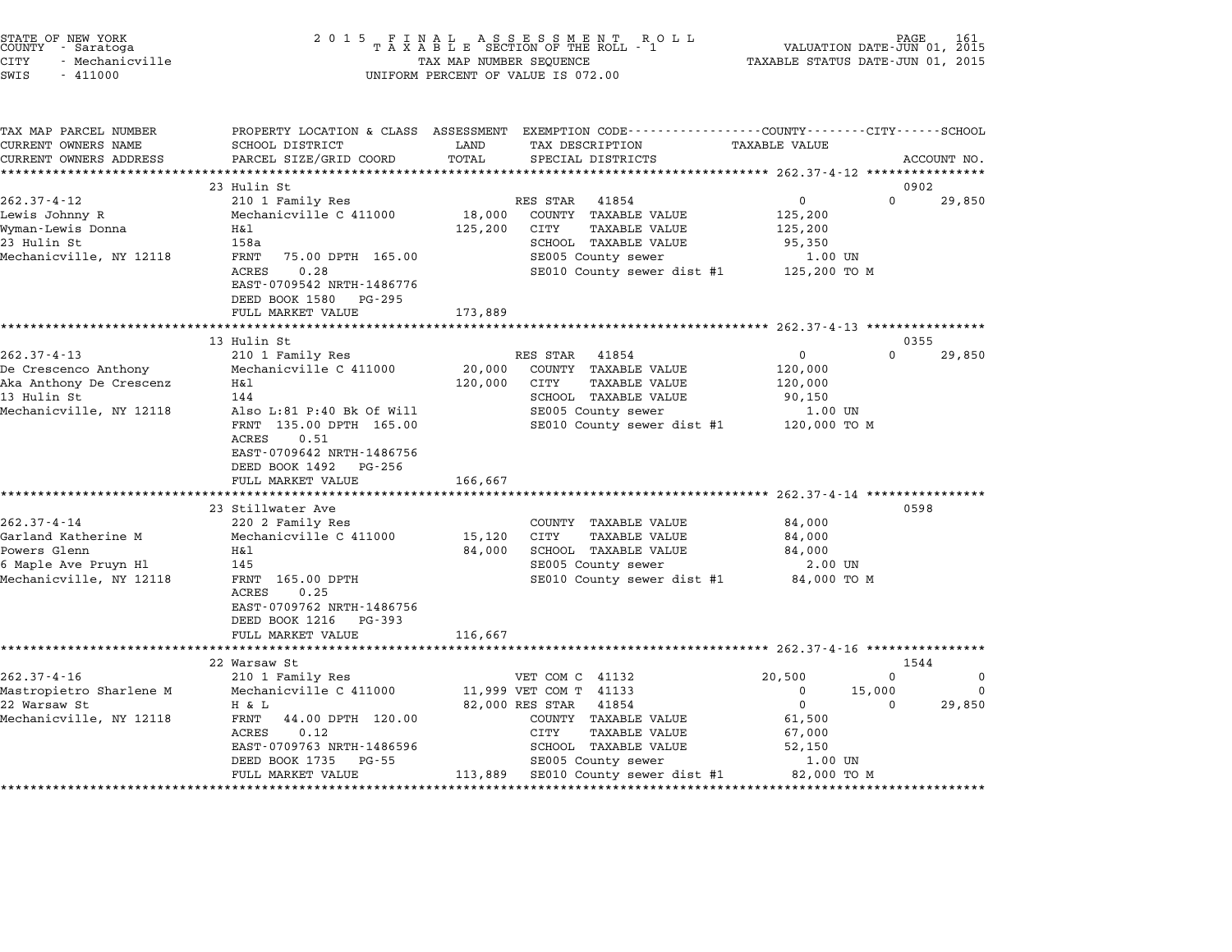| STATE OF NEW YORK<br>COUNTY | - Saratoga      |  |
|-----------------------------|-----------------|--|
| CITY                        | - Mechanicville |  |

# STATE OF NEW YORK <sup>2</sup> <sup>0</sup> <sup>1</sup> 5 F I N A L A S S E S S M E N T R O L L PAGE <sup>161</sup> COUNTY - Saratoga <sup>T</sup> <sup>A</sup> <sup>X</sup> <sup>A</sup> <sup>B</sup> <sup>L</sup> <sup>E</sup> SECTION OF THE ROLL - <sup>1</sup> VALUATION DATE-JUN 01, <sup>2015</sup> CITY - Mechanicville TAX MAP NUMBER SEQUENCE TAXABLE STATUS DATE-JUN 01, <sup>2015</sup> CUNIT - SALACUYA<br>CITY - Mechanicville<br>SWIS - 411000 UNIFORM PERCENT OF VALUE IS 072.00

TAX MAP PARCEL NUMBER PROPERTY LOCATION & CLASS ASSESSMENT EXEMPTION CODE------------------COUNTY--------CITY------SCHOOL CURRENT OWNERS NAME SCHOOL DISTRICT LAND TAX DESCRIPTION TAXABLE VALUE CURRENT OWNERS ADDRESS FOR SCHOOL DISTRICTS ASSESSEENT EXERPTION TRACK THE TRACK THE COORD TOTAL TRACK THE TRACK THE TRACK ON TRACK THE TRACK THE TRACK THE TRACK THE TRACK THE TRACK THE TRACK THE TRACK THE TRACK THE TRACK 23 Hulin St 0902 262.37-4-12 23 Hulin St<br>262.37-4-12 210 1 Family Res RES STAR 41854 0 29,850 zy Hulli Start (1889) (1892) 2002 23 Aulin Start (1892) 2003 2004 210 1 Family Res (1890) 218,000 2008 2008 20<br>Lewis Johnny R (125,200 Mechanicville C 411000 18,000 COUNTY TAXABLE VALUE 125,200 Wyman-Lewis Donna H&l 125,200 CITY TAXABLE VALUE 125,200 LEWIS JOINING A REGIMENT MELTRON DESCRIPTION AND TRANSPORTATION AND TRANSPORTATION AND LESS 200<br>Myman-Lewis Donna Hall Hall (125,200 CITY TAXABLE VALUE 125,200<br>23 Hulin St 158a SCHOOL TAXABLE VALUE 95,350 Myman Dewis Domia (Name) – 1181<br>Mechanics (Name) – 123,200 UNIT (Name) SCHOOL TAXABLE VALUE (STROL TAXABLE VALUE 95,350<br>Mechanicville, NY 12118 – FRNT 75.00 DPTH 165.00 – SE005 County sewer – 1.00 UN 1988 - SCROOD TAXABLE VALUE - 99,990<br>FRNT 75.00 DPTH 165.00 - SE005 County sewer - 1.00 UN<br>ACRES 0.28 - SE010 County sewer dist #1 125,200 TO M ACRES 0.28<br>EAST-0709542 NRTH-1486776 EAST-0709542 NRTH-14867<br>DEED BOOK 1580 PG-295 EASI 0705542 MAIN 1400770<br>
DEED BOOK 1580 PG-295<br>
FULL MARKET VALUE 173,889 \*\*\*\*\*\*\*\*\*\*\*\*\*\*\*\*\*\*\*\*\*\*\*\*\*\*\*\*\*\*\*\*\*\*\*\*\*\*\*\*\*\*\*\*\*\*\*\*\*\*\*\*\*\*\*\*\*\*\*\*\*\*\*\*\*\*\*\*\*\*\*\*\*\*\*\*\*\*\*\*\*\*\*\*\*\*\*\*\*\*\*\*\*\*\*\*\*\*\*\*\*\*\* 262.37-4-13 \*\*\*\*\*\*\*\*\*\*\*\*\*\*\*\* 13 Hulin St 0355 262.37-4-13 13 Hulin St<br>262.37-4-13 202.37-4-13 13 Hulin St<br>262.37-4-13 210 1 Family Res RES STAR 41854 0 0 29,850 De Crescenco Anthony Mechanicville C <sup>411000</sup> 20,000 COUNTY TAXABLE VALUE 120,000 202.37-4-13<br>De Crescenco Anthony Mechanicville C 411000 20,000 COUNTY TAXABLE VALUE 120,000<br>Aka Anthony De Crescenz H&l 120,000 1130,000 CITY TAXABLE VALUE 120,000 Le crescenco Anthony in the mechanic virte control of the crescenco Anthony De Crescenz and Haven Haven and Hav<br>Aka Anthony De Crescenz Hall (120,000 CITY TAXABLE VALUE 120,000 PAXABLE VALUE 120,000 PAXABLE VALUE 120,000 MAR ANCHONY DE CLESCENZ MAIN AND ALSO ENTRANDENT MARABLE VALUE AND ALSO,000<br>13 Hulin St 144 SCHOOL TAXABLE VALUE 90,150<br>Mechanicville, NY 12118 Also L:81 P:40 Bk Of Will SE005 County sewer 1.00 UN FRNT 135.00 DPTH 165.00 SE010 County sewer dist #1 120,000 TO <sup>M</sup> AISO D:01 F:4<br>FRNT 135.00<br>ACRES 0.51 FANI 155.00 DFIN 105.00<br>ACRES 0.51<br>EAST-0709642 NRTH-1486756 EAST-0709642 NRTH-14867<br>DEED BOOK 1492 PG-256 DEED BOOK 1492 PG-256<br>FULL MARKET VALUE 166,667 \*\*\*\*\*\*\*\*\*\*\*\*\*\*\*\*\*\*\*\*\*\*\*\*\*\*\*\*\*\*\*\*\*\*\*\*\*\*\*\*\*\*\*\*\*\*\*\*\*\*\*\*\*\*\*\*\*\*\*\*\*\*\*\*\*\*\*\*\*\*\*\*\*\*\*\*\*\*\*\*\*\*\*\*\*\*\*\*\*\*\*\*\*\*\*\*\*\*\*\*\*\*\* 262.37-4-14 \*\*\*\*\*\*\*\*\*\*\*\*\*\*\*\* <sup>23</sup> Stillwater Ave <sup>0598</sup> 262.37-4-14 202.37-4<br>23 Stillwater Ave<br>220 2 Family Res COUNTY TAXABLE VALUE 84,000 Garland Katherine M Mechanicville C <sup>411000</sup> 15,120 CITY TAXABLE VALUE 84,000 202.37-4-14 Maximized Maximized Maximized Maximized Maximized Maximized Maximized Maximized S4,000<br>Powers Glenn Maximized Maximized Maximized Maximized Maximized Maximized Maximized Maximized Maximized Maximi<br>Powers Glenn GALLAND MARINE IN A MERIMULATION MEDICINE OF THE SALE OF TAXABLE VALUE OF THE SALE OF THE SALE OF THE SALE OF <br>
BALLO SCHOOL TAXABLE VALUE SALE OF SALE OF SALE OF SCHOOL TAXABLE VALUE SALE OF SALE OF SALE OF SALE OF SALE O Nechanicville, NY 12118 Tax and Taxable value of the server of the server of the server of the server of the se<br>
Mechanicville, NY 12118 TRNT 165.00 DPTH SE005 County sewer dist #1 84,000 TO M<br>
ACRES 0.25 FANI 103.00 DPIH<br>ACRES 0.25<br>EAST-0709762 NRTH-1486756 ACRES 0.25<br>EAST-0709762 NRTH-1486756<br>DEED BOOK 1216 PG-393 FULL MARKET VALUE 116,667 \*\*\*\*\*\*\*\*\*\*\*\*\*\*\*\*\*\*\*\*\*\*\*\*\*\*\*\*\*\*\*\*\*\*\*\*\*\*\*\*\*\*\*\*\*\*\*\*\*\*\*\*\*\*\*\*\*\*\*\*\*\*\*\*\*\*\*\*\*\*\*\*\*\*\*\*\*\*\*\*\*\*\*\*\*\*\*\*\*\*\*\*\*\*\*\*\*\*\*\*\*\*\* 262.37-4-16 \*\*\*\*\*\*\*\*\*\*\*\*\*\*\*\* <sup>22</sup> Warsaw St <sup>1544</sup> 262.37-4-16 <sup>210</sup> <sup>1</sup> Family Res VET COM C <sup>41132</sup> 20,500 <sup>0</sup> <sup>0</sup> Mastropietro Sharlene M Mechanicville C <sup>411000</sup> 11,999 VET COM T <sup>41133</sup> <sup>0</sup> 15,000 <sup>0</sup> <sup>22</sup> Warsaw St H & L 82,000 RES STAR <sup>41854</sup> <sup>0</sup> <sup>0</sup> 29,850 Mechanicville C 411000 11,999 VEI CONTINUES And EXAMPLE ON THE SERVICE ON THE SERVICE ON THE SERVICE ON THE SE<br>Mechanicville, NY 12118 H & L 44.00 DPTH 120.00 COUNTY TAXABLE VALUE 61,500 FRNT 44.00 DPTH 120.00 COUNTY TAXABLE VALUE 61,500<br>ACRES 0.12 CITY TAXABLE VALUE 67,000<br>EAST-0709763 NRTH-1486596 SCHOOL TAXABLE VALUE 52,150 EANI 141.00 DETH 120.00<br>ACRES 0.12 010 CITY TAXABLE VALUE 67,000<br>EAST-0709763 NRTH-1486596 SCHOOL TAXABLE VALUE 52,150 NORSE 199763 NRTH-1486596 SENGOL TAXABLE VALUE 199763 NRTH-1486596 SALUE 2011 TAXABLE VALUE 2011<br>BASED BOOK 1735 PG-55 SENGOL TAXABLE VALUE 2011 SCROOL TAXABLE VALUE 2011 EASI-0709703 NKIH-1480390<br>DEED BOOK 1735 PG-55 SE005 County sewer 1.00 UN<br>FULL MARKET VALUE 113,889 SE010 County sewer dist #1 82,000 TO M \*\*\*\*\*\*\*\*\*\*\*\*\*\*\*\*\*\*\*\*\*\*\*\*\*\*\*\*\*\*\*\*\*\*\*\*\*\*\*\*\*\*\*\*\*\*\*\*\*\*\*\*\*\*\*\*\*\*\*\*\*\*\*\*\*\*\*\*\*\*\*\*\*\*\*\*\*\*\*\*\*\*\*\*\*\*\*\*\*\*\*\*\*\*\*\*\*\*\*\*\*\*\*\*\*\*\*\*\*\*\*\*\*\*\*\*\*\*\*\*\*\*\*\*\*\*\*\*\*\*\*\*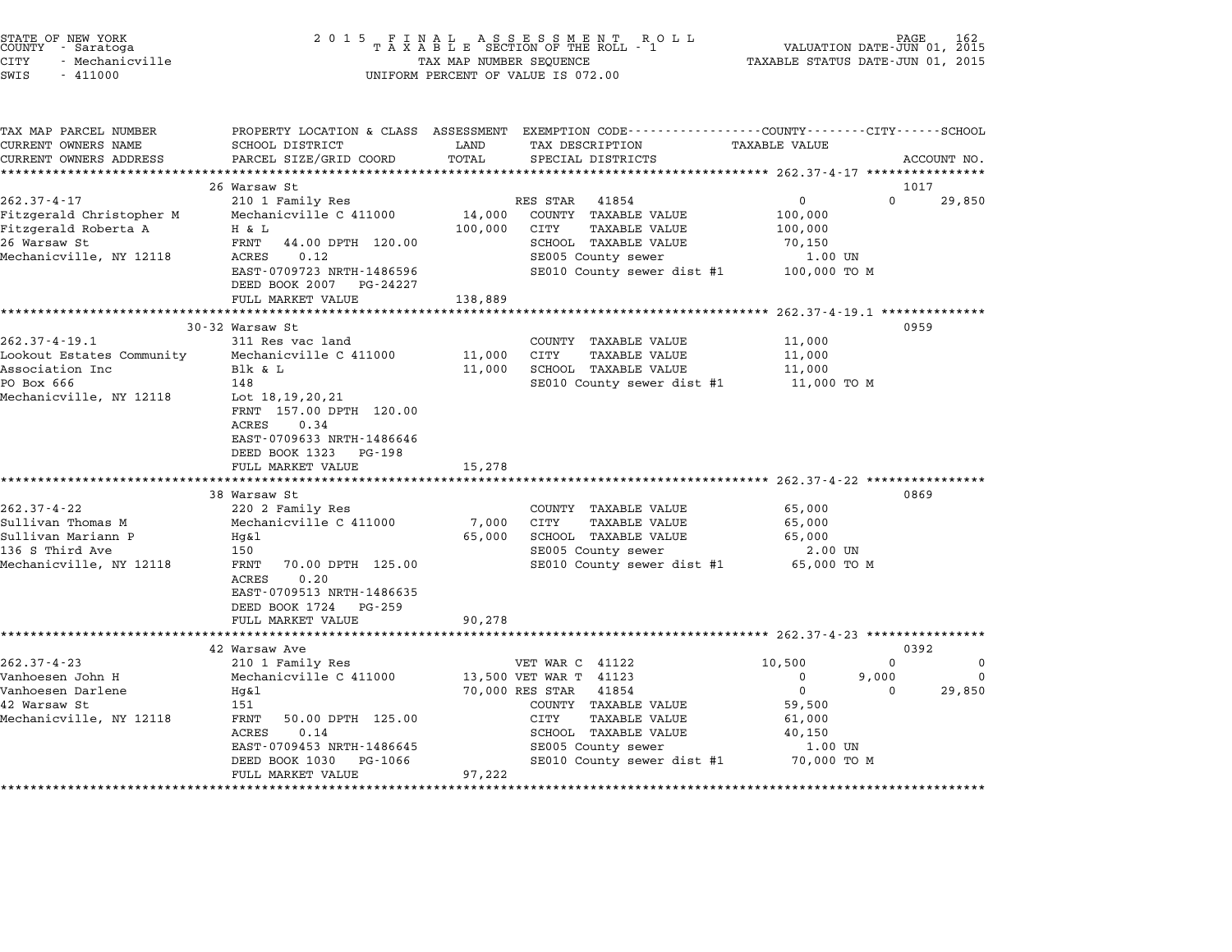| STATE OF NEW YORK<br>COUNTY – Saratoga<br>CITY<br>- Mechanicville<br>SWIS<br>$-411000$                                                                                       | 2 0 1 5                                                                                                                                                                                                                                                                                                                          | TAX MAP NUMBER SEQUENCE                                    | FINAL ASSESSMENT ROLL<br>TAXABLE SECTION OF THE ROLL - 1<br>UNIFORM PERCENT OF VALUE IS 072.00                                                                                                            | PAGE 162<br>VALUATION DATE-JUN 01, 2015<br>TAXABLE STATUS DATE-JUN 01, 2015                                                  |                         |
|------------------------------------------------------------------------------------------------------------------------------------------------------------------------------|----------------------------------------------------------------------------------------------------------------------------------------------------------------------------------------------------------------------------------------------------------------------------------------------------------------------------------|------------------------------------------------------------|-----------------------------------------------------------------------------------------------------------------------------------------------------------------------------------------------------------|------------------------------------------------------------------------------------------------------------------------------|-------------------------|
| TAX MAP PARCEL NUMBER<br>CURRENT OWNERS NAME<br>CURRENT OWNERS ADDRESS                                                                                                       | SCHOOL DISTRICT<br>PARCEL SIZE/GRID COORD                                                                                                                                                                                                                                                                                        | LAND<br>TOTAL                                              | PROPERTY LOCATION & CLASS ASSESSMENT EXEMPTION CODE---------------COUNTY-------CITY------SCHOOL<br>TAX DESCRIPTION<br>SPECIAL DISTRICTS                                                                   | <b>TAXABLE VALUE</b>                                                                                                         | ACCOUNT NO.             |
| ***********************                                                                                                                                                      | ****************************<br>26 Warsaw St                                                                                                                                                                                                                                                                                     |                                                            |                                                                                                                                                                                                           |                                                                                                                              | 1017                    |
| $262.37 - 4 - 17$<br>Fitzgerald Christopher M<br>Fitzgerald Roberta A<br>26 Warsaw St                                                                                        | 210 1 Family Res<br>Mechanicville C 411000<br>H & L<br>FRNT<br>44.00 DPTH 120.00                                                                                                                                                                                                                                                 | 14,000<br>100,000                                          | RES STAR<br>41854<br>COUNTY TAXABLE VALUE<br>CITY<br>TAXABLE VALUE<br>SCHOOL TAXABLE VALUE                                                                                                                | $\mathbf 0$<br>$\Omega$<br>100,000<br>100,000<br>70,150                                                                      | 29,850                  |
| Mechanicville, NY 12118                                                                                                                                                      | 0.12<br>ACRES<br>EAST-0709723 NRTH-1486596<br>DEED BOOK 2007<br>PG-24227<br>FULL MARKET VALUE                                                                                                                                                                                                                                    | 138,889                                                    | SE005 County sewer<br>SE010 County sewer dist #1                                                                                                                                                          | 1.00 UN<br>100,000 TO M                                                                                                      |                         |
|                                                                                                                                                                              | *********************                                                                                                                                                                                                                                                                                                            | **********                                                 |                                                                                                                                                                                                           | $*******262.37-4-19.1**************$                                                                                         |                         |
| $262.37 - 4 - 19.1$<br>Lookout Estates Community<br>Association Inc<br>PO Box 666<br>Mechanicville, NY 12118<br>$262.37 - 4 - 22$<br>Sullivan Thomas M<br>Sullivan Mariann P | 30-32 Warsaw St<br>311 Res vac land<br>Mechanicville C 411000<br>Blk & L<br>148<br>Lot $18, 19, 20, 21$<br>FRNT 157.00 DPTH 120.00<br>ACRES<br>0.34<br>EAST-0709633 NRTH-1486646<br>DEED BOOK 1323<br>PG-198<br>FULL MARKET VALUE<br>*********************<br>38 Warsaw St<br>220 2 Family Res<br>Mechanicville C 411000<br>Hg&l | 11,000<br>11,000<br>15,278<br>*********<br>7,000<br>65,000 | COUNTY TAXABLE VALUE<br>CITY<br><b>TAXABLE VALUE</b><br>SCHOOL TAXABLE VALUE<br>SE010 County sewer dist #1<br>COUNTY TAXABLE VALUE<br>CITY<br><b>TAXABLE VALUE</b><br>SCHOOL TAXABLE VALUE                | 11,000<br>11,000<br>11,000<br>11,000 TO M<br>********************** 262.37-4-22 **************<br>65,000<br>65,000<br>65,000 | 0959<br>0869            |
| 136 S Third Ave<br>Mechanicville, NY 12118                                                                                                                                   | 150<br>FRNT<br>70.00 DPTH 125.00<br>0.20<br>ACRES<br>EAST-0709513 NRTH-1486635<br>DEED BOOK 1724<br>PG-259<br>FULL MARKET VALUE<br>*********************                                                                                                                                                                         | 90,278                                                     | SE005 County sewer<br>SE010 County sewer dist #1                                                                                                                                                          | 2.00 UN<br>65,000 TO M                                                                                                       |                         |
|                                                                                                                                                                              | 42 Warsaw Ave                                                                                                                                                                                                                                                                                                                    |                                                            |                                                                                                                                                                                                           |                                                                                                                              | 0392                    |
| $262.37 - 4 - 23$<br>Vanhoesen John H<br>Vanhoesen Darlene<br>42 Warsaw St<br>Mechanicville, NY 12118                                                                        | 210 1 Family Res<br>Mechanicville C 411000<br>Hq&l<br>151<br>FRNT<br>50.00 DPTH 125.00<br>ACRES<br>0.14<br>EAST-0709453 NRTH-1486645<br>DEED BOOK 1030<br>PG-1066<br>FULL MARKET VALUE                                                                                                                                           | 97,222                                                     | VET WAR C 41122<br>13,500 VET WAR T 41123<br>70,000 RES STAR<br>41854<br>COUNTY TAXABLE VALUE<br>CITY<br><b>TAXABLE VALUE</b><br>SCHOOL TAXABLE VALUE<br>SE005 County sewer<br>SE010 County sewer dist #1 | 10,500<br>$\Omega$<br>$\Omega$<br>9,000<br>$\mathbf 0$<br>$\Omega$<br>59,500<br>61,000<br>40,150<br>1.00 UN<br>70,000 TO M   | 0<br>$\Omega$<br>29,850 |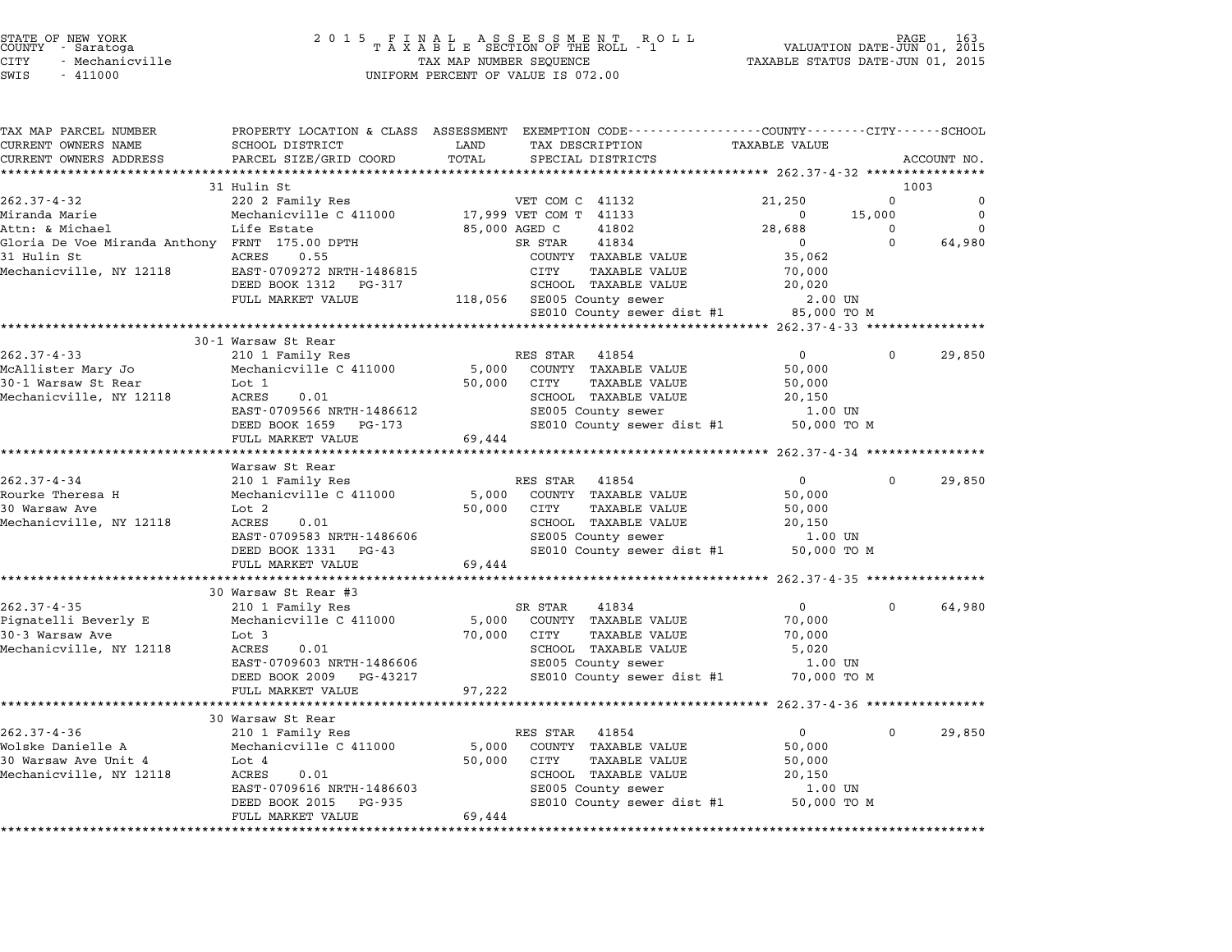| TAX MAP PARCEL NUMBER                          | PROPERTY LOCATION & CLASS ASSESSMENT EXEMPTION CODE---------------COUNTY-------CITY-----SCHOOL |                      |                              |                                                   |             |             |
|------------------------------------------------|------------------------------------------------------------------------------------------------|----------------------|------------------------------|---------------------------------------------------|-------------|-------------|
| CURRENT OWNERS NAME                            | SCHOOL DISTRICT                                                                                | LAND                 | TAX DESCRIPTION              | <b>TAXABLE VALUE</b>                              |             |             |
| CURRENT OWNERS ADDRESS                         | PARCEL SIZE/GRID COORD                                                                         | TOTAL                | SPECIAL DISTRICTS            |                                                   |             | ACCOUNT NO. |
|                                                |                                                                                                |                      |                              |                                                   |             |             |
|                                                | 31 Hulin St                                                                                    |                      |                              |                                                   |             | 1003        |
| $262.37 - 4 - 32$                              | 220 2 Family Res                                                                               |                      | VET COM C 41132              | 21,250                                            | $\Omega$    | 0           |
| Miranda Marie                                  | Mechanicville C 411000 17,999 VET COM T 41133                                                  |                      |                              | $\Omega$                                          | 15,000      | $\Omega$    |
| Attn: & Michael                                | Life Estate                                                                                    | 85,000 AGED C        | 41802                        | 28,688                                            | 0           | $\Omega$    |
| Gloria De Voe Miranda Anthony FRNT 175.00 DPTH |                                                                                                |                      | SR STAR<br>41834             | $\mathbf{0}$                                      | $\Omega$    | 64,980      |
| 31 Hulin St                                    | ACRES<br>0.55                                                                                  |                      | COUNTY TAXABLE VALUE         | 35,062                                            |             |             |
| Mechanicville, NY 12118                        | EAST-0709272 NRTH-1486815                                                                      |                      | CITY<br>TAXABLE VALUE        | 70,000                                            |             |             |
|                                                | DEED BOOK 1312 PG-317                                                                          |                      | SCHOOL TAXABLE VALUE         | 20,020                                            |             |             |
|                                                | FULL MARKET VALUE                                                                              |                      | 118,056 SE005 County sewer   | 2.00 UN                                           |             |             |
|                                                |                                                                                                |                      | SE010 County sewer dist #1   | 85,000 TO M                                       |             |             |
|                                                | 30-1 Warsaw St Rear                                                                            |                      |                              |                                                   |             |             |
| $262.37 - 4 - 33$                              | 210 1 Family Res                                                                               |                      | RES STAR<br>41854            | $\Omega$                                          | $\Omega$    | 29,850      |
| McAllister Mary Jo                             | Mechanicville C 411000                                                                         | 5,000                | COUNTY TAXABLE VALUE         | 50,000                                            |             |             |
| 30-1 Warsaw St Rear                            | Lot 1                                                                                          | 50,000               | CITY<br>TAXABLE VALUE        | 50,000                                            |             |             |
| Mechanicville, NY 12118                        | ACRES<br>0.01                                                                                  |                      | SCHOOL TAXABLE VALUE         | 20,150                                            |             |             |
|                                                | EAST-0709566 NRTH-1486612                                                                      |                      | SE005 County sewer           | 1.00 UN                                           |             |             |
|                                                | DEED BOOK 1659 PG-173                                                                          |                      | SE010 County sewer dist #1   | 50,000 TO M                                       |             |             |
|                                                | FULL MARKET VALUE                                                                              | 69,444               |                              |                                                   |             |             |
|                                                |                                                                                                |                      |                              |                                                   |             |             |
|                                                | Warsaw St Rear                                                                                 |                      |                              |                                                   |             |             |
| $262.37 - 4 - 34$                              | 210 1 Family Res                                                                               |                      | 41854<br>RES STAR            | 0                                                 | $\Omega$    | 29,850      |
| Rourke Theresa H                               | Mechanicville C 411000                                                                         | 5,000                | COUNTY TAXABLE VALUE         | 50,000                                            |             |             |
| 30 Warsaw Ave                                  | Lot 2                                                                                          | 50,000               | TAXABLE VALUE<br>CITY        | 50,000                                            |             |             |
| Mechanicville, NY 12118                        | <b>ACRES</b><br>0.01                                                                           |                      | SCHOOL TAXABLE VALUE         | 20,150                                            |             |             |
|                                                | EAST-0709583 NRTH-1486606                                                                      |                      | SE005 County sewer           | 1.00 UN                                           |             |             |
|                                                | DEED BOOK 1331 PG-43                                                                           |                      | SE010 County sewer dist #1   | 50,000 TO M                                       |             |             |
|                                                | FULL MARKET VALUE                                                                              | 69,444               |                              |                                                   |             |             |
|                                                |                                                                                                |                      |                              |                                                   |             |             |
|                                                | 30 Warsaw St Rear #3                                                                           |                      |                              |                                                   |             |             |
| $262.37 - 4 - 35$                              | 210 1 Family Res                                                                               |                      | SR STAR<br>41834             | $\Omega$                                          | $\Omega$    | 64,980      |
| Pignatelli Beverly E                           | Mechanicville C 411000                                                                         | 5,000                | COUNTY TAXABLE VALUE         | 70,000                                            |             |             |
| 30-3 Warsaw Ave                                | Lot 3                                                                                          | 70,000               | CITY<br><b>TAXABLE VALUE</b> | 70,000                                            |             |             |
| Mechanicville, NY 12118                        | ACRES<br>0.01                                                                                  |                      | SCHOOL TAXABLE VALUE         | 5,020                                             |             |             |
|                                                | EAST-0709603 NRTH-1486606                                                                      |                      | SE005 County sewer           | 1.00 UN                                           |             |             |
|                                                | DEED BOOK 2009<br>PG-43217                                                                     |                      | SE010 County sewer dist #1   | 70,000 TO M                                       |             |             |
|                                                | FULL MARKET VALUE                                                                              | 97,222               |                              |                                                   |             |             |
|                                                | ***************************                                                                    | ******************** |                              | ******************* 262.37-4-36 ***************** |             |             |
|                                                | 30 Warsaw St Rear                                                                              |                      |                              |                                                   |             |             |
| $262.37 - 4 - 36$                              | 210 1 Family Res                                                                               |                      | RES STAR<br>41854            | 0                                                 | $\mathbf 0$ | 29,850      |
| Wolske Danielle A                              | Mechanicville C 411000                                                                         | 5,000                | COUNTY TAXABLE VALUE         | 50,000                                            |             |             |
| 30 Warsaw Ave Unit 4                           | Lot 4                                                                                          | 50,000               | CITY<br>TAXABLE VALUE        | 50,000                                            |             |             |
| Mechanicville, NY 12118                        | 0.01<br>ACRES                                                                                  |                      | SCHOOL TAXABLE VALUE         | 20,150                                            |             |             |
|                                                | EAST-0709616 NRTH-1486603                                                                      |                      | SE005 County sewer           | 1.00 UN                                           |             |             |
|                                                | DEED BOOK 2015<br>PG-935                                                                       |                      | SE010 County sewer dist #1   | 50,000 TO M                                       |             |             |
|                                                | FULL MARKET VALUE                                                                              | 69,444               |                              |                                                   |             |             |
|                                                |                                                                                                |                      |                              |                                                   |             |             |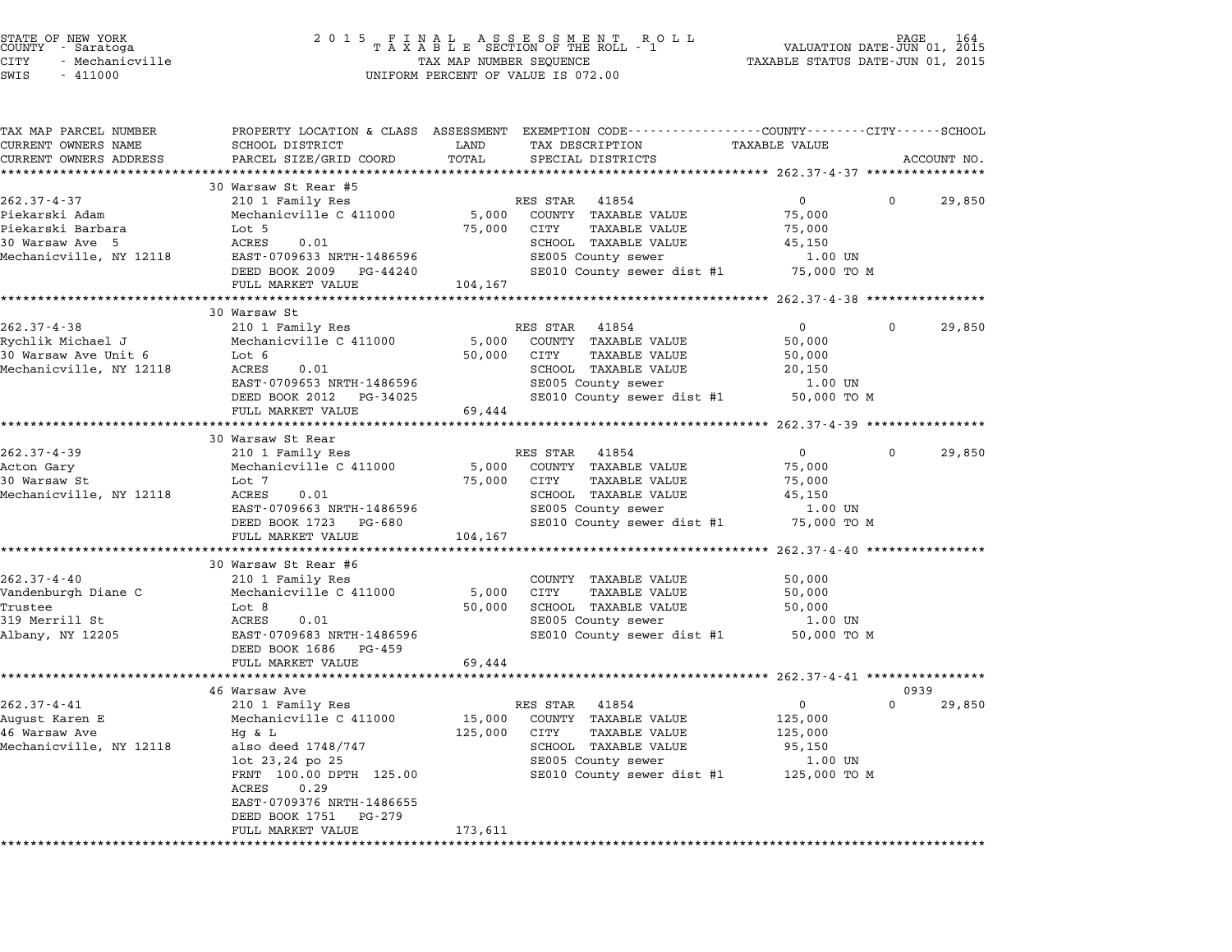| STATE OF NEW YORK<br>COUNTY - Saratoga<br>CITY<br>- Mechanicville<br>SWIS<br>$-411000$ | 2 0 1 5                                              | TAX MAP NUMBER SEQUENCE   | FINAL ASSESSMENT RC<br>TAXABLE SECTION OF THE ROLL - 1<br>R O L L<br>UNIFORM PERCENT OF VALUE IS 072.00 | VALUATION DATE-JUN 01, 2015<br>TAXABLE STATUS DATE-JUN 01, 2015 | PAGE     |             |
|----------------------------------------------------------------------------------------|------------------------------------------------------|---------------------------|---------------------------------------------------------------------------------------------------------|-----------------------------------------------------------------|----------|-------------|
| TAX MAP PARCEL NUMBER                                                                  |                                                      |                           | PROPERTY LOCATION & CLASS ASSESSMENT EXEMPTION CODE---------------COUNTY-------CITY-----SCHOOL          |                                                                 |          |             |
| CURRENT OWNERS NAME<br>CURRENT OWNERS ADDRESS                                          | SCHOOL DISTRICT<br>PARCEL SIZE/GRID COORD            | LAND<br>TOTAL             | TAX DESCRIPTION<br>SPECIAL DISTRICTS                                                                    | <b>TAXABLE VALUE</b>                                            |          | ACCOUNT NO. |
|                                                                                        |                                                      |                           |                                                                                                         | ************** 262.37-4-37 *******                              |          |             |
|                                                                                        | 30 Warsaw St Rear #5                                 |                           |                                                                                                         |                                                                 |          |             |
| $262.37 - 4 - 37$                                                                      | 210 1 Family Res                                     |                           | RES STAR 41854                                                                                          | $\overline{0}$                                                  | 0        | 29,850      |
| Piekarski Adam                                                                         | Mechanicville C 411000                               | 5,000                     | COUNTY TAXABLE VALUE                                                                                    | 75,000                                                          |          |             |
| Piekarski Barbara                                                                      | Lot 5                                                | 75,000                    | CITY<br>TAXABLE VALUE                                                                                   | 75,000                                                          |          |             |
| 30 Warsaw Ave 5<br>Mechanicville, NY 12118                                             | ACRES<br>0.01<br>EAST-0709633 NRTH-1486596           |                           | SCHOOL TAXABLE VALUE<br>SE005 County sewer                                                              | 45,150<br>1.00 UN                                               |          |             |
|                                                                                        | DEED BOOK 2009 PG-44240                              |                           | SE010 County sewer dist #1                                                                              | 75,000 TO M                                                     |          |             |
|                                                                                        | FULL MARKET VALUE                                    | 104,167                   |                                                                                                         |                                                                 |          |             |
|                                                                                        |                                                      |                           |                                                                                                         | ******************** 262.37-4-38 *****************              |          |             |
|                                                                                        | 30 Warsaw St                                         |                           |                                                                                                         |                                                                 |          |             |
| $262.37 - 4 - 38$                                                                      | 210 1 Family Res                                     |                           | RES STAR 41854                                                                                          | $\overline{0}$                                                  | $\Omega$ | 29,850      |
| Rychlik Michael J                                                                      | Mechanicville C 411000                               | 5,000                     | COUNTY TAXABLE VALUE                                                                                    | 50,000                                                          |          |             |
| 30 Warsaw Ave Unit 6                                                                   | Lot 6                                                | 50,000                    | CITY<br><b>TAXABLE VALUE</b>                                                                            | 50,000                                                          |          |             |
| Mechanicville, NY 12118                                                                | ACRES<br>0.01                                        |                           | SCHOOL TAXABLE VALUE                                                                                    | 20,150                                                          |          |             |
|                                                                                        | EAST-0709653 NRTH-1486596                            |                           | SE005 County sewer                                                                                      | 1.00 UN                                                         |          |             |
|                                                                                        | DEED BOOK 2012 PG-34025                              |                           | SE010 County sewer dist #1                                                                              | 50,000 TO M                                                     |          |             |
|                                                                                        | FULL MARKET VALUE<br>********************            | 69,444                    |                                                                                                         |                                                                 |          |             |
|                                                                                        | 30 Warsaw St Rear                                    |                           |                                                                                                         |                                                                 |          |             |
| $262.37 - 4 - 39$                                                                      | 210 1 Family Res                                     |                           | RES STAR<br>41854                                                                                       | $\overline{0}$                                                  | $\Omega$ | 29,850      |
| Acton Gary                                                                             | Mechanicville C 411000                               | 5,000                     | COUNTY TAXABLE VALUE                                                                                    | 75,000                                                          |          |             |
| 30 Warsaw St                                                                           | Lot 7                                                | 75,000                    | CITY<br>TAXABLE VALUE                                                                                   | 75,000                                                          |          |             |
| Mechanicville, NY 12118                                                                | ACRES<br>0.01                                        |                           | SCHOOL TAXABLE VALUE                                                                                    | 45,150                                                          |          |             |
|                                                                                        | EAST-0709663 NRTH-1486596                            |                           | SE005 County sewer                                                                                      | 1.00 UN                                                         |          |             |
|                                                                                        | DEED BOOK 1723 PG-680                                |                           | SE010 County sewer dist #1                                                                              | 75,000 TO M                                                     |          |             |
|                                                                                        | FULL MARKET VALUE<br>******************************* | 104,167<br>************** | ******************************** 262.37-4-40 ****************                                           |                                                                 |          |             |
|                                                                                        | 30 Warsaw St Rear #6                                 |                           |                                                                                                         |                                                                 |          |             |
| $262.37 - 4 - 40$                                                                      | 210 1 Family Res                                     |                           | COUNTY TAXABLE VALUE                                                                                    | 50,000                                                          |          |             |
| Vandenburgh Diane C                                                                    | Mechanicville C 411000                               | 5,000                     | CITY<br><b>TAXABLE VALUE</b>                                                                            | 50,000                                                          |          |             |
| Trustee                                                                                | Lot 8                                                | 50,000                    | SCHOOL TAXABLE VALUE                                                                                    | 50,000                                                          |          |             |
| 319 Merrill St                                                                         | ACRES<br>0.01                                        |                           | SE005 County sewer                                                                                      | 1.00 UN                                                         |          |             |
| Albany, NY 12205                                                                       | EAST-0709683 NRTH-1486596                            |                           | SE010 County sewer dist #1                                                                              | 50,000 TO M                                                     |          |             |
|                                                                                        | DEED BOOK 1686 PG-459                                |                           |                                                                                                         |                                                                 |          |             |
|                                                                                        | FULL MARKET VALUE<br>********************            | 69,444<br>**********      |                                                                                                         |                                                                 |          |             |
|                                                                                        | 46 Warsaw Ave                                        |                           |                                                                                                         | ************ 262.37-4-41 ****************                       |          | 0939        |
| $262.37 - 4 - 41$                                                                      | 210 1 Family Res                                     |                           | RES STAR 41854                                                                                          | $\mathbf 0$                                                     | $\Omega$ | 29,850      |
| August Karen E                                                                         | Mechanicville C 411000                               | 15,000                    | COUNTY TAXABLE VALUE                                                                                    | 125,000                                                         |          |             |
| 46 Warsaw Ave                                                                          | $Hg$ & $L$                                           | 125,000                   | CITY<br>TAXABLE VALUE                                                                                   | 125,000                                                         |          |             |
| Mechanicville, NY 12118                                                                | also deed 1748/747                                   |                           | SCHOOL TAXABLE VALUE                                                                                    | 95,150                                                          |          |             |
|                                                                                        | lot 23,24 po 25                                      |                           | SE005 County sewer                                                                                      | 1.00 UN                                                         |          |             |
|                                                                                        | FRNT 100.00 DPTH 125.00                              |                           | SE010 County sewer dist #1 125,000 TO M                                                                 |                                                                 |          |             |
|                                                                                        | ACRES<br>0.29                                        |                           |                                                                                                         |                                                                 |          |             |
|                                                                                        | EAST-0709376 NRTH-1486655                            |                           |                                                                                                         |                                                                 |          |             |
|                                                                                        | DEED BOOK 1751<br>PG-279                             |                           |                                                                                                         |                                                                 |          |             |
|                                                                                        | FULL MARKET VALUE                                    | 173,611                   |                                                                                                         |                                                                 |          |             |
|                                                                                        |                                                      |                           |                                                                                                         |                                                                 |          |             |

STATE OF NEW YORK <sup>2</sup> <sup>0</sup> <sup>1</sup> 5 F I N A L A S S E S S M E N T R O L L PAGE <sup>164</sup> COUNTY - Saratoga <sup>T</sup> <sup>A</sup> <sup>X</sup> <sup>A</sup> <sup>B</sup> <sup>L</sup> <sup>E</sup> SECTION OF THE ROLL - <sup>1</sup> VALUATION DATE-JUN 01, <sup>2015</sup>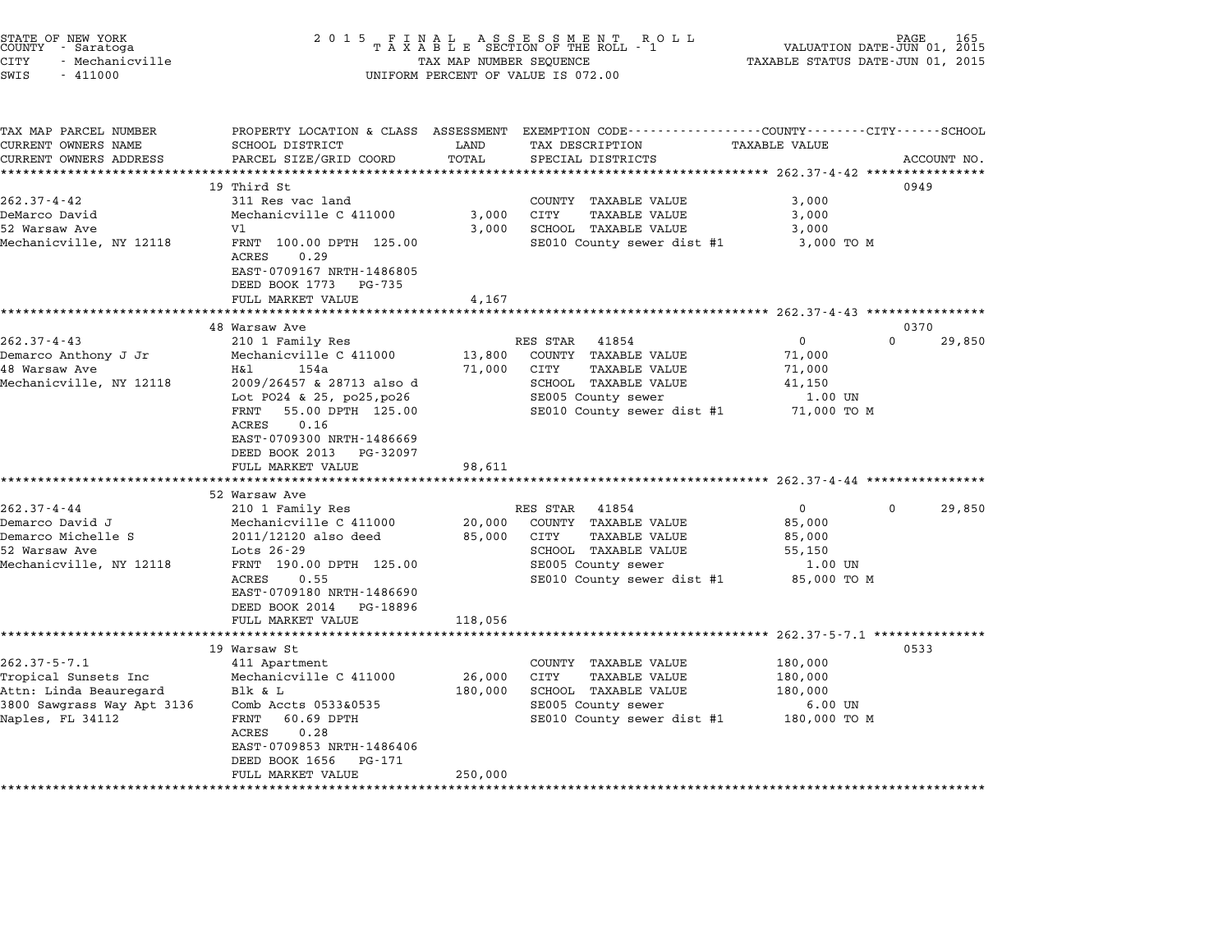| STATE OF NEW YORK<br>COUNTY - Saratoga<br>CITY<br>- Mechanicville<br>SWIS<br>$-411000$ | 2 0 1 5                                                                 | TAX MAP NUMBER SEQUENCE | FINAL ASSESSMENT RO<br>TAXABLE SECTION OF THE ROLL - 1<br>R O L L<br>UNIFORM PERCENT OF VALUE IS 072.00            | PAGE 165<br>VALUATION DATE-JUN 01, 2015<br>TAXABLE STATUS DATE-JUN 01, 2015 |                            |
|----------------------------------------------------------------------------------------|-------------------------------------------------------------------------|-------------------------|--------------------------------------------------------------------------------------------------------------------|-----------------------------------------------------------------------------|----------------------------|
| TAX MAP PARCEL NUMBER<br>CURRENT OWNERS NAME                                           | SCHOOL DISTRICT                                                         | LAND                    | PROPERTY LOCATION & CLASS ASSESSMENT EXEMPTION CODE---------------COUNTY-------CITY------SCHOOL<br>TAX DESCRIPTION | <b>TAXABLE VALUE</b>                                                        |                            |
| CURRENT OWNERS ADDRESS                                                                 | PARCEL SIZE/GRID COORD                                                  | TOTAL                   | SPECIAL DISTRICTS                                                                                                  |                                                                             | ACCOUNT NO.                |
| *********************                                                                  | **************                                                          | ********                |                                                                                                                    |                                                                             |                            |
|                                                                                        | 19 Third St                                                             |                         |                                                                                                                    |                                                                             | 0949                       |
| $262.37 - 4 - 42$                                                                      | 311 Res vac land                                                        |                         | COUNTY TAXABLE VALUE                                                                                               | 3,000                                                                       |                            |
| DeMarco David                                                                          | Mechanicville C 411000                                                  | 3,000                   | <b>CITY</b><br>TAXABLE VALUE                                                                                       | 3,000                                                                       |                            |
| 52 Warsaw Ave                                                                          | V1                                                                      | 3,000                   | SCHOOL TAXABLE VALUE                                                                                               | 3,000                                                                       |                            |
| Mechanicville, NY 12118                                                                | FRNT 100.00 DPTH 125.00<br>0.29<br>ACRES<br>EAST-0709167 NRTH-1486805   |                         | SE010 County sewer dist #1                                                                                         | 3,000 TO M                                                                  |                            |
|                                                                                        | DEED BOOK 1773<br>PG-735                                                |                         |                                                                                                                    |                                                                             |                            |
|                                                                                        | FULL MARKET VALUE                                                       | 4,167                   |                                                                                                                    |                                                                             |                            |
|                                                                                        |                                                                         | * * * * * * * * * *     |                                                                                                                    | ******************* 262.37-4-43 *****************                           |                            |
| $262.37 - 4 - 43$                                                                      | 48 Warsaw Ave<br>210 1 Family Res                                       |                         | 41854<br>RES STAR                                                                                                  | $\mathbf 0$                                                                 | 0370<br>$\Omega$<br>29,850 |
| Demarco Anthony J Jr                                                                   | Mechanicville C 411000                                                  | 13,800                  | COUNTY TAXABLE VALUE                                                                                               | 71,000                                                                      |                            |
| 48 Warsaw Ave                                                                          | H&l<br>154a                                                             | 71,000                  | CITY<br><b>TAXABLE VALUE</b>                                                                                       | 71,000                                                                      |                            |
| Mechanicville, NY 12118                                                                | 2009/26457 & 28713 also d                                               |                         | SCHOOL TAXABLE VALUE                                                                                               | 41,150                                                                      |                            |
|                                                                                        | Lot P024 & 25, po25, po26                                               |                         | SE005 County sewer                                                                                                 | 1.00 UN                                                                     |                            |
|                                                                                        | 55.00 DPTH 125.00<br>FRNT<br>ACRES<br>0.16<br>EAST-0709300 NRTH-1486669 |                         | SE010 County sewer dist #1                                                                                         | 71,000 TO M                                                                 |                            |
|                                                                                        | DEED BOOK 2013<br>PG-32097                                              |                         |                                                                                                                    |                                                                             |                            |
|                                                                                        | FULL MARKET VALUE<br>***********************                            | 98,611                  |                                                                                                                    |                                                                             |                            |
|                                                                                        | 52 Warsaw Ave                                                           |                         |                                                                                                                    |                                                                             |                            |
| $262.37 - 4 - 44$                                                                      | 210 1 Family Res                                                        |                         | RES STAR<br>41854                                                                                                  | 0<br>0                                                                      | 29,850                     |
| Demarco David J                                                                        | Mechanicville C 411000                                                  | 20,000                  | COUNTY TAXABLE VALUE                                                                                               | 85,000                                                                      |                            |
| Demarco Michelle S                                                                     | 2011/12120 also deed                                                    | 85,000                  | CITY<br><b>TAXABLE VALUE</b>                                                                                       | 85,000                                                                      |                            |
| 52 Warsaw Ave                                                                          | Lots 26-29                                                              |                         | SCHOOL TAXABLE VALUE                                                                                               | 55,150                                                                      |                            |
| Mechanicville, NY 12118                                                                | FRNT 190.00 DPTH 125.00                                                 |                         | SE005 County sewer                                                                                                 | 1.00 UN                                                                     |                            |
|                                                                                        | ACRES<br>0.55                                                           |                         | SE010 County sewer dist #1                                                                                         | 85,000 TO M                                                                 |                            |
|                                                                                        | EAST-0709180 NRTH-1486690<br>DEED BOOK 2014<br>PG-18896                 |                         |                                                                                                                    |                                                                             |                            |
|                                                                                        | FULL MARKET VALUE                                                       | 118,056                 |                                                                                                                    |                                                                             |                            |
|                                                                                        | ********************                                                    |                         | ************************                                                                                           | $262.37 - 5 - 7.1$ ***************                                          |                            |
|                                                                                        | 19 Warsaw St                                                            |                         |                                                                                                                    |                                                                             | 0533                       |
| $262.37 - 5 - 7.1$                                                                     | 411 Apartment                                                           |                         | COUNTY TAXABLE VALUE                                                                                               | 180,000                                                                     |                            |
| Tropical Sunsets Inc                                                                   | Mechanicville C 411000                                                  | 26,000                  | CITY<br>TAXABLE VALUE                                                                                              | 180,000                                                                     |                            |
| Attn: Linda Beauregard                                                                 | Blk & L                                                                 | 180,000                 | SCHOOL TAXABLE VALUE                                                                                               | 180,000                                                                     |                            |
| 3800 Sawgrass Way Apt 3136                                                             | Comb Accts 0533&0535                                                    |                         | SE005 County sewer                                                                                                 | $6.00$ UN                                                                   |                            |
| Naples, FL 34112                                                                       | 60.69 DPTH<br>FRNT                                                      |                         | SE010 County sewer dist #1                                                                                         | 180,000 TO M                                                                |                            |
|                                                                                        | ACRES<br>0.28<br>EAST-0709853 NRTH-1486406                              |                         |                                                                                                                    |                                                                             |                            |
|                                                                                        | DEED BOOK 1656<br>PG-171                                                |                         |                                                                                                                    |                                                                             |                            |
|                                                                                        | FULL MARKET VALUE                                                       | 250,000                 |                                                                                                                    |                                                                             |                            |
|                                                                                        |                                                                         |                         |                                                                                                                    |                                                                             |                            |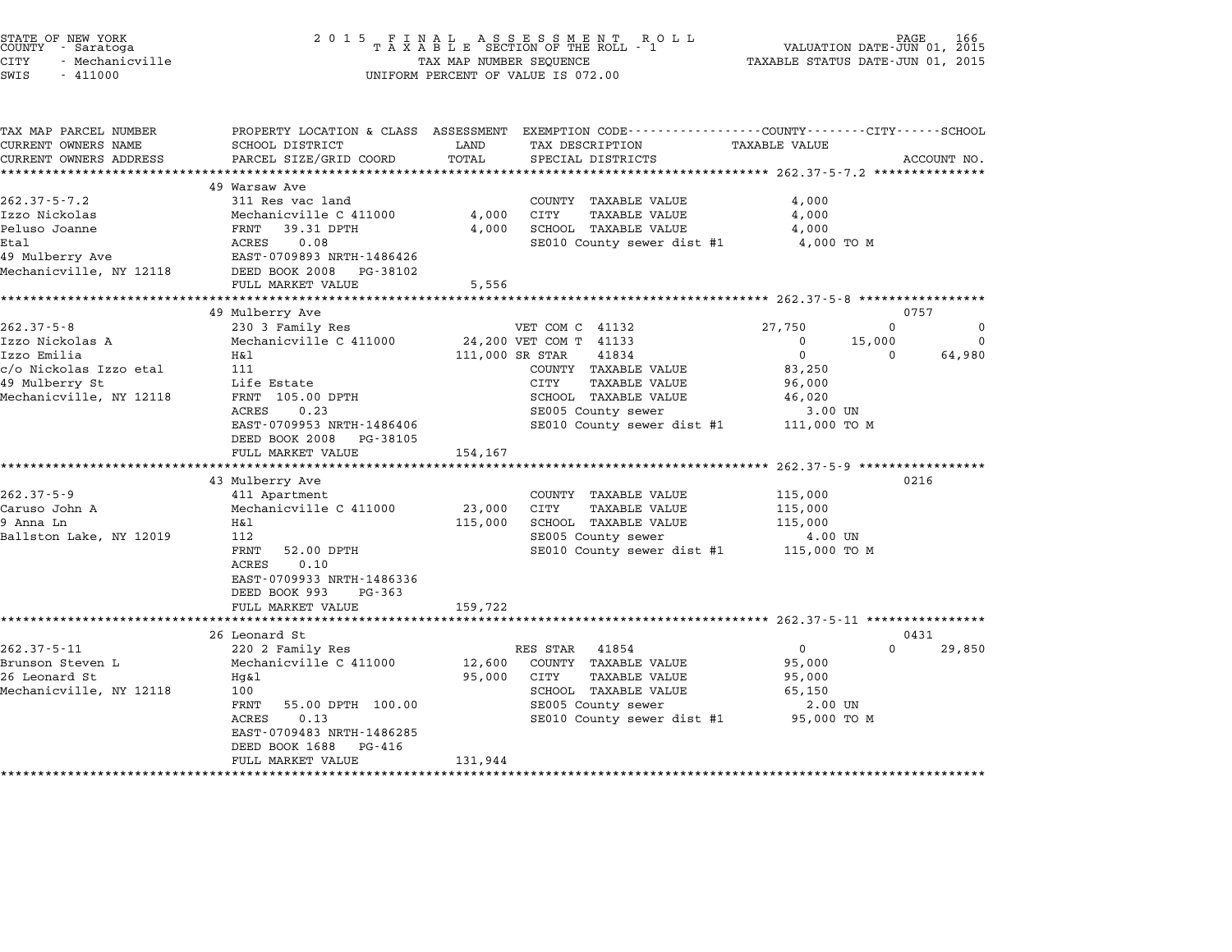| STATE OF NEW YORK<br>COUNTY - Saratoga<br><b>CITY</b><br>- Mechanicville<br>SWIS<br>$-411000$ | 2 0 1 5                                                                                                                                      | TAX MAP NUMBER SEQUENCE | FINAL ASSESSMENT ROLL<br>TAXABLE SECTION OF THE ROLL - 1<br>UNIFORM PERCENT OF VALUE IS 072.00 | VALUATION DATE-JUN 01, 2015<br>TAXABLE STATUS DATE-JUN 01, 2015 | PAGE        |             |
|-----------------------------------------------------------------------------------------------|----------------------------------------------------------------------------------------------------------------------------------------------|-------------------------|------------------------------------------------------------------------------------------------|-----------------------------------------------------------------|-------------|-------------|
| TAX MAP PARCEL NUMBER<br>CURRENT OWNERS NAME<br>CURRENT OWNERS ADDRESS                        | PROPERTY LOCATION & CLASS ASSESSMENT EXEMPTION CODE---------------COUNTY-------CITY------SCHOOL<br>SCHOOL DISTRICT<br>PARCEL SIZE/GRID COORD | LAND<br>TOTAL           | TAX DESCRIPTION<br>SPECIAL DISTRICTS                                                           | TAXABLE VALUE                                                   |             | ACCOUNT NO. |
|                                                                                               |                                                                                                                                              |                         |                                                                                                |                                                                 |             |             |
|                                                                                               | 49 Warsaw Ave                                                                                                                                |                         |                                                                                                |                                                                 |             |             |
| $262.37 - 5 - 7.2$                                                                            | 311 Res vac land                                                                                                                             |                         | COUNTY TAXABLE VALUE                                                                           | 4,000                                                           |             |             |
| Izzo Nickolas                                                                                 | Mechanicville C 411000                                                                                                                       | 4,000                   | <b>CITY</b><br>TAXABLE VALUE                                                                   | 4,000                                                           |             |             |
| Peluso Joanne                                                                                 | FRNT<br>39.31 DPTH                                                                                                                           | 4,000                   | SCHOOL TAXABLE VALUE                                                                           | 4,000                                                           |             |             |
| <b>Etal</b>                                                                                   | ACRES<br>0.08                                                                                                                                |                         | SE010 County sewer dist #1                                                                     | 4,000 TO M                                                      |             |             |
| 49 Mulberry Ave                                                                               | EAST-0709893 NRTH-1486426                                                                                                                    |                         |                                                                                                |                                                                 |             |             |
| Mechanicville, NY 12118                                                                       | DEED BOOK 2008<br>PG-38102<br>FULL MARKET VALUE                                                                                              | 5,556                   |                                                                                                |                                                                 |             |             |
|                                                                                               |                                                                                                                                              |                         |                                                                                                |                                                                 |             |             |
|                                                                                               | 49 Mulberry Ave                                                                                                                              |                         |                                                                                                |                                                                 | 0757        |             |
| $262.37 - 5 - 8$                                                                              | 230 3 Family Res                                                                                                                             |                         | VET COM C 41132                                                                                | 27,750                                                          | $\mathbf 0$ | $\mathbf 0$ |
| Izzo Nickolas A                                                                               | Mechanicville C 411000                                                                                                                       |                         | 24,200 VET COM T 41133                                                                         | $\mathbf 0$                                                     | 15,000      | 0           |
| Izzo Emilia                                                                                   | H&1                                                                                                                                          | 111,000 SR STAR         | 41834                                                                                          | $\overline{0}$                                                  | $\mathbf 0$ | 64,980      |
| c/o Nickolas Izzo etal                                                                        | 111                                                                                                                                          |                         | COUNTY TAXABLE VALUE                                                                           | 83,250                                                          |             |             |
| 49 Mulberry St                                                                                | Life Estate                                                                                                                                  |                         | CITY<br><b>TAXABLE VALUE</b>                                                                   | 96,000                                                          |             |             |
| Mechanicville, NY 12118                                                                       | FRNT 105.00 DPTH                                                                                                                             |                         | SCHOOL TAXABLE VALUE                                                                           | 46,020                                                          |             |             |
|                                                                                               | ACRES<br>0.23<br>EAST-0709953 NRTH-1486406                                                                                                   |                         | SE005 County sewer<br>SE010 County sewer dist #1                                               | 3.00 UN<br>111,000 TO M                                         |             |             |
|                                                                                               | DEED BOOK 2008<br>PG-38105<br>FULL MARKET VALUE                                                                                              | 154,167                 |                                                                                                |                                                                 |             |             |
|                                                                                               |                                                                                                                                              |                         |                                                                                                | *********************** 262.37-5-9 ******************           |             |             |
|                                                                                               | 43 Mulberry Ave                                                                                                                              |                         |                                                                                                |                                                                 | 0216        |             |
| $262.37 - 5 - 9$<br>Caruso John A                                                             | 411 Apartment<br>Mechanicville C 411000                                                                                                      | 23,000                  | COUNTY TAXABLE VALUE<br>CITY<br>TAXABLE VALUE                                                  | 115,000                                                         |             |             |
| 9 Anna Ln                                                                                     | Η&l                                                                                                                                          | 115,000                 | SCHOOL TAXABLE VALUE                                                                           | 115,000<br>115,000                                              |             |             |
| Ballston Lake, NY 12019                                                                       | 112                                                                                                                                          |                         | SE005 County sewer                                                                             | 4.00 UN                                                         |             |             |
|                                                                                               | FRNT<br>52.00 DPTH                                                                                                                           |                         | SE010 County sewer dist #1                                                                     | 115,000 TO M                                                    |             |             |
|                                                                                               | ACRES<br>0.10                                                                                                                                |                         |                                                                                                |                                                                 |             |             |
|                                                                                               | EAST-0709933 NRTH-1486336<br>DEED BOOK 993<br>PG-363                                                                                         |                         |                                                                                                |                                                                 |             |             |
|                                                                                               | FULL MARKET VALUE                                                                                                                            | 159,722                 |                                                                                                |                                                                 |             |             |
|                                                                                               |                                                                                                                                              |                         |                                                                                                |                                                                 |             |             |
|                                                                                               | ***************************                                                                                                                  |                         |                                                                                                |                                                                 | 0431        |             |
|                                                                                               | 26 Leonard St                                                                                                                                |                         |                                                                                                |                                                                 |             |             |
|                                                                                               | 220 2 Family Res                                                                                                                             |                         | RES STAR<br>41854                                                                              | $\mathsf{O}$                                                    | $\Omega$    | 29,850      |
|                                                                                               | Mechanicville C 411000                                                                                                                       | 12,600                  | COUNTY TAXABLE VALUE                                                                           | 95,000                                                          |             |             |
| 26 Leonard St                                                                                 | Hq&l                                                                                                                                         | 95,000                  | CITY<br><b>TAXABLE VALUE</b>                                                                   | 95,000                                                          |             |             |
|                                                                                               | 100                                                                                                                                          |                         | SCHOOL TAXABLE VALUE                                                                           | 65,150                                                          |             |             |
| $262.37 - 5 - 11$<br>Brunson Steven L<br>Mechanicville, NY 12118                              | FRNT<br>55.00 DPTH 100.00                                                                                                                    |                         | SE005 County sewer                                                                             | 2.00 UN                                                         |             |             |
|                                                                                               | ACRES<br>0.13                                                                                                                                |                         | SE010 County sewer dist #1                                                                     | 95,000 TO M                                                     |             |             |
|                                                                                               | EAST-0709483 NRTH-1486285<br>DEED BOOK 1688<br>PG-416                                                                                        |                         |                                                                                                |                                                                 |             |             |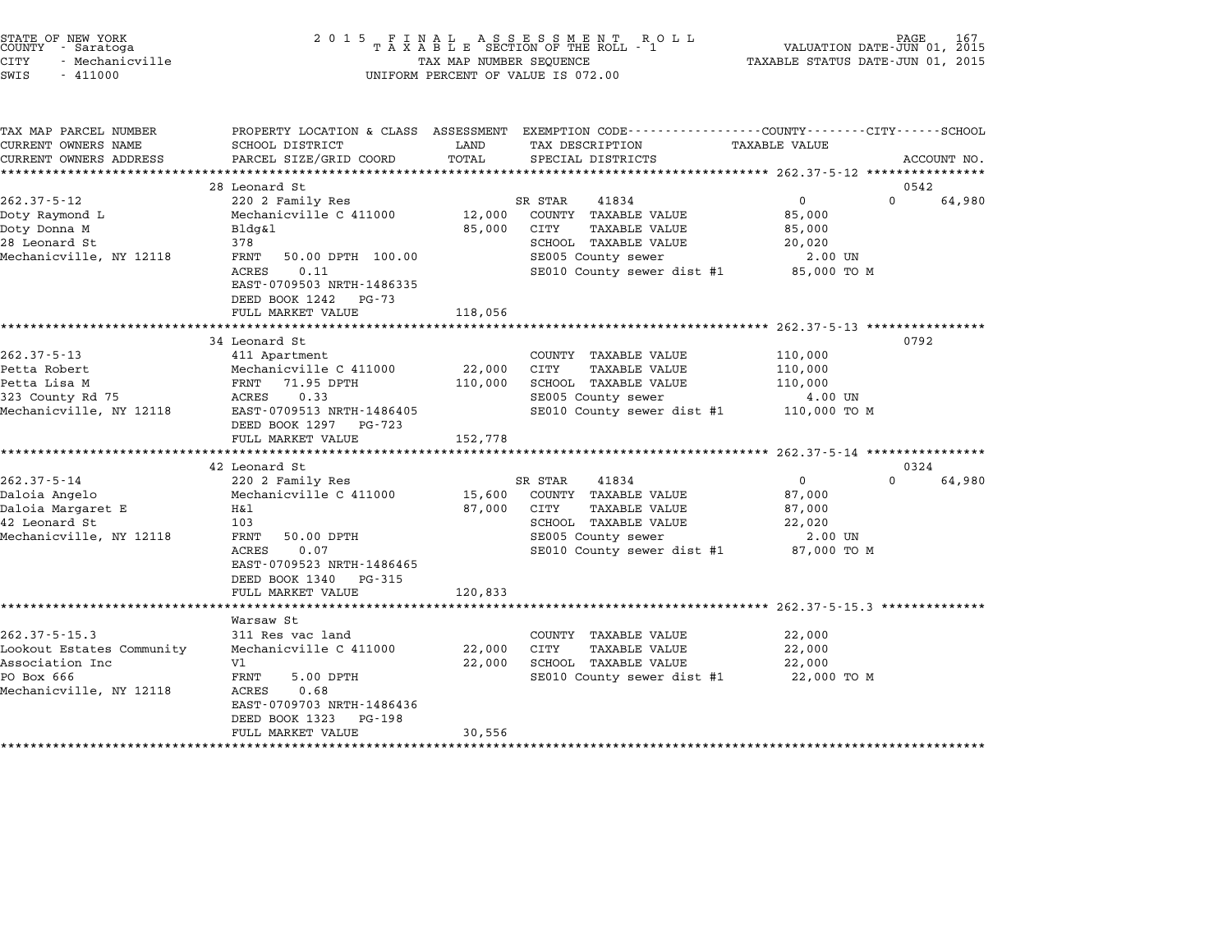|        | STATE OF NEW YORK |  |
|--------|-------------------|--|
| COUNTY | - Saratoga        |  |
| CITY   | - Mechanicville   |  |

| TAX MAP PARCEL NUMBER<br>CURRENT OWNERS NAME                                                                 | PROPERTY LOCATION & CLASS ASSESSMENT EXEMPTION CODE----------------COUNTY-------CITY------SCHOOL<br>SCHOOL DISTRICT                                                                           | LAND                         | TAX DESCRIPTION                                                                                                                                           | <b>TAXABLE VALUE</b>                                             |                            |
|--------------------------------------------------------------------------------------------------------------|-----------------------------------------------------------------------------------------------------------------------------------------------------------------------------------------------|------------------------------|-----------------------------------------------------------------------------------------------------------------------------------------------------------|------------------------------------------------------------------|----------------------------|
| CURRENT OWNERS ADDRESS                                                                                       | PARCEL SIZE/GRID COORD                                                                                                                                                                        | TOTAL                        | SPECIAL DISTRICTS                                                                                                                                         |                                                                  | ACCOUNT NO.                |
|                                                                                                              | 28 Leonard St                                                                                                                                                                                 |                              |                                                                                                                                                           |                                                                  | 0542                       |
| $262.37 - 5 - 12$<br>Doty Raymond L<br>Doty Donna M<br>28 Leonard St<br>Mechanicville, NY 12118              | 220 2 Family Res<br>Mechanicville C 411000<br>Bldg&l<br>378<br>FRNT<br>50.00 DPTH 100.00<br>0.11<br><b>ACRES</b><br>EAST-0709503 NRTH-1486335<br>DEED BOOK 1242<br>PG-73<br>FULL MARKET VALUE | 12,000<br>85,000<br>118,056  | SR STAR<br>41834<br>COUNTY TAXABLE VALUE<br>CITY<br>TAXABLE VALUE<br>SCHOOL TAXABLE VALUE<br>SE005 County sewer<br>SE010 County sewer dist #1 85,000 TO M | $\mathbf{0}$<br>85,000<br>85,000<br>20,020<br>2.00 UN            | $\Omega$<br>64,980         |
|                                                                                                              |                                                                                                                                                                                               |                              |                                                                                                                                                           |                                                                  |                            |
| $262.37 - 5 - 13$<br>Petta Robert<br>Petta Lisa M<br>323 County Rd 75<br>Mechanicville, NY 12118             | 34 Leonard St<br>411 Apartment<br>Mechanicville C 411000<br>FRNT<br>71.95 DPTH<br>0.33<br>ACRES<br>EAST-0709513 NRTH-1486405<br>DEED BOOK 1297 PG-723<br>FULL MARKET VALUE                    | 22,000<br>110,000<br>152,778 | COUNTY TAXABLE VALUE<br>CITY<br><b>TAXABLE VALUE</b><br>SCHOOL TAXABLE VALUE<br>SE005 County sewer<br>SE010 County sewer dist #1                          | 110,000<br>110,000<br>110,000<br>4.00 UN<br>110,000 TO M         | 0792                       |
|                                                                                                              |                                                                                                                                                                                               |                              |                                                                                                                                                           |                                                                  |                            |
| $262.37 - 5 - 14$<br>Daloia Angelo<br>Daloia Margaret E<br>42 Leonard St<br>Mechanicville, NY 12118          | 42 Leonard St<br>220 2 Family Res<br>Mechanicville C 411000<br>Η&l<br>103<br>FRNT<br>50.00 DPTH<br>ACRES<br>0.07<br>EAST-0709523 NRTH-1486465<br>DEED BOOK 1340 PG-315<br>FULL MARKET VALUE   | 15,600<br>87,000<br>120,833  | SR STAR<br>41834<br>COUNTY TAXABLE VALUE<br>CITY<br>TAXABLE VALUE<br>SCHOOL TAXABLE VALUE<br>SE005 County sewer<br>SE010 County sewer dist #1             | $\Omega$<br>87,000<br>87,000<br>22,020<br>2.00 UN<br>87,000 TO M | 0324<br>64,980<br>$\Omega$ |
| $262.37 - 5 - 15.3$<br>Lookout Estates Community<br>Association Inc<br>PO Box 666<br>Mechanicville, NY 12118 | Warsaw St<br>311 Res vac land<br>Mechanicville C 411000<br>V1<br>FRNT<br>5.00 DPTH<br>0.68<br>ACRES<br>EAST-0709703 NRTH-1486436<br>DEED BOOK 1323<br>PG-198<br>FULL MARKET VALUE             | 22,000<br>22,000<br>30,556   | COUNTY TAXABLE VALUE<br>CITY<br>TAXABLE VALUE<br>SCHOOL TAXABLE VALUE<br>SE010 County sewer dist #1                                                       | 22,000<br>22,000<br>22,000<br>22,000 TO M                        |                            |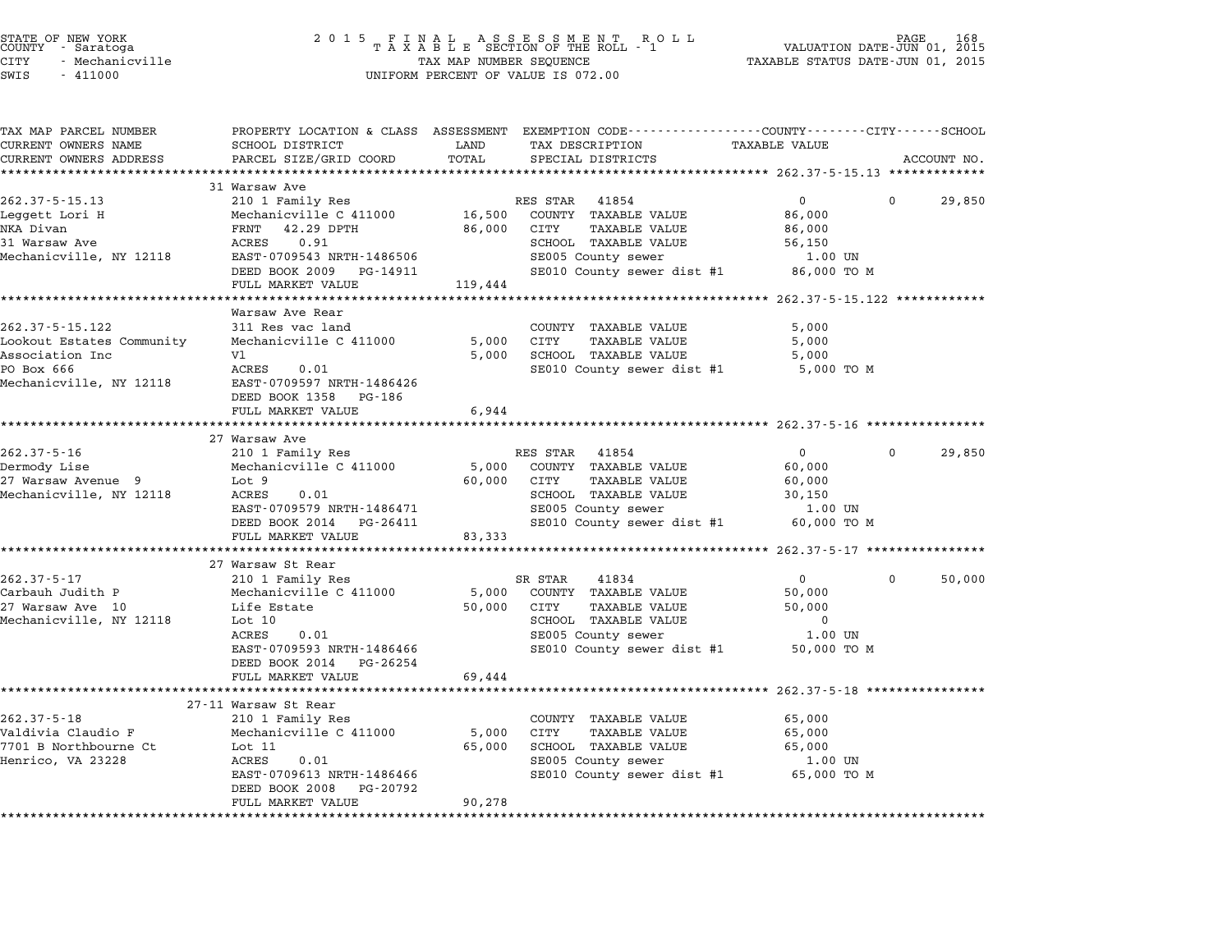| COUNTY | STATE OF NEW YORK<br>- Saratoga |  |
|--------|---------------------------------|--|
| CITY   | - Mechanicville                 |  |

# STATE OF NEW YORK <sup>2</sup> <sup>0</sup> <sup>1</sup> 5 F I N A L A S S E S S M E N T R O L L PAGE <sup>168</sup> COUNTY - Saratoga <sup>T</sup> <sup>A</sup> <sup>X</sup> <sup>A</sup> <sup>B</sup> <sup>L</sup> <sup>E</sup> SECTION OF THE ROLL - <sup>1</sup> VALUATION DATE-JUN 01, <sup>2015</sup> STATE OF NEW YORK (DATE HOLD STATE OF NEW YORK 168 STATE OF NEW TAXABLE STATE OF NEW TAXABLE STATE 168 )<br>COUNTY - Saratoga (DI) 01, 2015 – TAXABLE STATUS DATE-JUN 01, 2015<br>CITY - Mechanicville (DI) 2015 – TAXABLE STATUS DA SWIS - <sup>411000</sup> UNIFORM PERCENT OF VALUE IS 072.00

| TAX MAP PARCEL NUMBER<br>CURRENT OWNERS NAME | SCHOOL DISTRICT                                     | LAND    | PROPERTY LOCATION & CLASS ASSESSMENT EXEMPTION CODE---------------COUNTY-------CITY------SCHOOL<br>TAX DESCRIPTION | <b>TAXABLE VALUE</b>                                |          |             |
|----------------------------------------------|-----------------------------------------------------|---------|--------------------------------------------------------------------------------------------------------------------|-----------------------------------------------------|----------|-------------|
| CURRENT OWNERS ADDRESS                       | PARCEL SIZE/GRID COORD                              | TOTAL   | SPECIAL DISTRICTS                                                                                                  |                                                     |          | ACCOUNT NO. |
|                                              |                                                     |         |                                                                                                                    |                                                     |          |             |
|                                              | 31 Warsaw Ave                                       |         |                                                                                                                    |                                                     |          |             |
| $262.37 - 5 - 15.13$                         | 210 1 Family Res                                    |         | 41854<br>RES STAR                                                                                                  | $\overline{0}$                                      | $\Omega$ | 29,850      |
| Leggett Lori H                               | Mechanicville C 411000                              | 16,500  | COUNTY TAXABLE VALUE                                                                                               | 86,000                                              |          |             |
| NKA Divan                                    | FRNT<br>42.29 DPTH                                  | 86,000  | TAXABLE VALUE<br>CITY                                                                                              | 86,000                                              |          |             |
| 31 Warsaw Ave                                | 0.91<br>ACRES                                       |         | SCHOOL TAXABLE VALUE                                                                                               | 56,150                                              |          |             |
| Mechanicville, NY 12118                      | EAST-0709543 NRTH-1486506                           |         | SE005 County sewer                                                                                                 | 1.00 UN                                             |          |             |
|                                              | DEED BOOK 2009<br>PG-14911                          |         | SE010 County sewer dist #1 86,000 TO M                                                                             |                                                     |          |             |
|                                              | FULL MARKET VALUE                                   | 119,444 |                                                                                                                    |                                                     |          |             |
|                                              |                                                     |         |                                                                                                                    | ********************** 262.37-5-15.122 ************ |          |             |
|                                              | Warsaw Ave Rear                                     |         |                                                                                                                    |                                                     |          |             |
| $262.37 - 5 - 15.122$                        | 311 Res vac land                                    |         | COUNTY TAXABLE VALUE                                                                                               | 5,000                                               |          |             |
| Lookout Estates Community                    | Mechanicville C 411000                              | 5,000   | CITY<br>TAXABLE VALUE                                                                                              | 5,000                                               |          |             |
| Association Inc                              | V1                                                  | 5,000   | SCHOOL TAXABLE VALUE                                                                                               | 5,000                                               |          |             |
| PO Box 666                                   | ACRES<br>0.01                                       |         | SE010 County sewer dist #1                                                                                         | 5,000 TO M                                          |          |             |
|                                              |                                                     |         |                                                                                                                    |                                                     |          |             |
| Mechanicville, NY 12118                      | EAST-0709597 NRTH-1486426                           |         |                                                                                                                    |                                                     |          |             |
|                                              | DEED BOOK 1358 PG-186                               |         |                                                                                                                    |                                                     |          |             |
|                                              | FULL MARKET VALUE<br>****************************** | 6,944   |                                                                                                                    |                                                     |          |             |
|                                              |                                                     |         |                                                                                                                    |                                                     |          |             |
|                                              | 27 Warsaw Ave                                       |         |                                                                                                                    |                                                     |          |             |
| $262.37 - 5 - 16$                            | 210 1 Family Res                                    |         | RES STAR<br>41854                                                                                                  | $\overline{0}$                                      | $\Omega$ | 29,850      |
| Dermody Lise                                 | Mechanicville C 411000                              | 5,000   | COUNTY TAXABLE VALUE                                                                                               | 60,000                                              |          |             |
| 27 Warsaw Avenue 9                           | Lot 9                                               | 60,000  | CITY<br>TAXABLE VALUE                                                                                              | 60,000                                              |          |             |
| Mechanicville, NY 12118                      | 0.01<br>ACRES                                       |         | SCHOOL TAXABLE VALUE                                                                                               | 30,150                                              |          |             |
|                                              | EAST-0709579 NRTH-1486471                           |         | SE005 County sewer                                                                                                 | 1.00 UN                                             |          |             |
|                                              | DEED BOOK 2014 PG-26411                             |         | SE010 County sewer dist #1                                                                                         | 60,000 TO M                                         |          |             |
|                                              | FULL MARKET VALUE                                   | 83,333  |                                                                                                                    |                                                     |          |             |
|                                              |                                                     |         |                                                                                                                    |                                                     |          |             |
|                                              | 27 Warsaw St Rear                                   |         |                                                                                                                    |                                                     |          |             |
| $262.37 - 5 - 17$                            | 210 1 Family Res                                    |         | SR STAR<br>41834                                                                                                   | $\Omega$                                            | $\Omega$ | 50,000      |
| Carbauh Judith P                             | Mechanicville C 411000                              | 5,000   | COUNTY TAXABLE VALUE                                                                                               | 50,000                                              |          |             |
| 27 Warsaw Ave 10                             | Life Estate                                         | 50,000  | CITY<br>TAXABLE VALUE                                                                                              | 50,000                                              |          |             |
| Mechanicville, NY 12118                      | Lot 10                                              |         | SCHOOL TAXABLE VALUE                                                                                               | $\mathbf 0$                                         |          |             |
|                                              | ACRES<br>0.01                                       |         | SE005 County sewer                                                                                                 | 1.00 UN                                             |          |             |
|                                              | EAST-0709593 NRTH-1486466                           |         | SE010 County sewer dist #1                                                                                         | 50,000 TO M                                         |          |             |
|                                              | DEED BOOK 2014<br>PG-26254                          |         |                                                                                                                    |                                                     |          |             |
|                                              | FULL MARKET VALUE                                   | 69,444  |                                                                                                                    |                                                     |          |             |
|                                              |                                                     |         |                                                                                                                    |                                                     |          |             |
|                                              | 27-11 Warsaw St Rear                                |         |                                                                                                                    |                                                     |          |             |
| $262.37 - 5 - 18$                            | 210 1 Family Res                                    |         | COUNTY TAXABLE VALUE                                                                                               | 65,000                                              |          |             |
| Valdivia Claudio F                           | Mechanicville C 411000                              | 5,000   | CITY<br>TAXABLE VALUE                                                                                              | 65,000                                              |          |             |
| 7701 B Northbourne Ct                        | Lot 11                                              | 65,000  | SCHOOL TAXABLE VALUE                                                                                               | 65,000                                              |          |             |
| Henrico, VA 23228                            | ACRES<br>0.01                                       |         | SE005 County sewer                                                                                                 | $1.00$ UN                                           |          |             |
|                                              | EAST-0709613 NRTH-1486466                           |         | SE010 County sewer dist #1                                                                                         | 65,000 TO M                                         |          |             |
|                                              | DEED BOOK 2008<br>PG-20792                          |         |                                                                                                                    |                                                     |          |             |
|                                              | FULL MARKET VALUE                                   | 90,278  |                                                                                                                    |                                                     |          |             |
|                                              |                                                     |         |                                                                                                                    |                                                     |          |             |
|                                              |                                                     |         |                                                                                                                    |                                                     |          |             |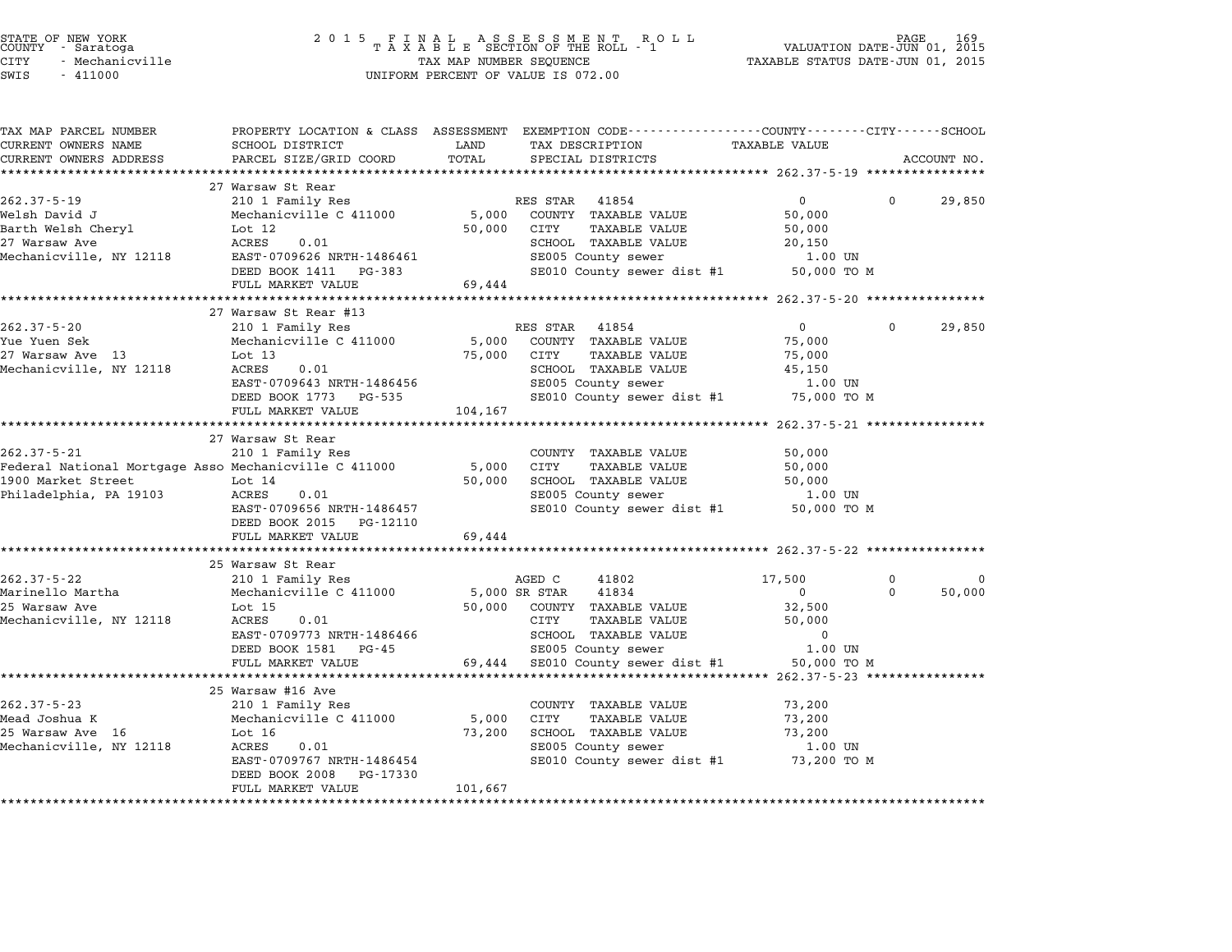| STATE OF NEW YORK<br>COUNTY - Saratoga<br><b>CITY</b><br>- Mechanicville | 2 0 1 5                                                 | TAX MAP NUMBER SEQUENCE | $\begin{array}{cccccccccc} & F & I & N & A & L & A & S & S & E & S & S & M & E & N & T & R & O & L \\ T & A & X & A & B & L & E & SECTION OF THE ROLL & - & 1 \end{array}$ | VALUATION DATE-JUN 01, 2015<br>TAXABLE STATUS DATE-JUN 01, 2015 | PAGE     | 169         |
|--------------------------------------------------------------------------|---------------------------------------------------------|-------------------------|----------------------------------------------------------------------------------------------------------------------------------------------------------------------------|-----------------------------------------------------------------|----------|-------------|
| SWIS<br>$-411000$                                                        |                                                         |                         | UNIFORM PERCENT OF VALUE IS 072.00                                                                                                                                         |                                                                 |          |             |
| TAX MAP PARCEL NUMBER                                                    |                                                         |                         | PROPERTY LOCATION & CLASS ASSESSMENT EXEMPTION CODE---------------COUNTY-------CITY-----SCHOOL                                                                             |                                                                 |          |             |
| CURRENT OWNERS NAME                                                      | SCHOOL DISTRICT                                         | LAND                    | TAX DESCRIPTION                                                                                                                                                            | <b>TAXABLE VALUE</b>                                            |          |             |
| CURRENT OWNERS ADDRESS<br>***********************                        | PARCEL SIZE/GRID COORD                                  | TOTAL                   | SPECIAL DISTRICTS                                                                                                                                                          |                                                                 |          | ACCOUNT NO. |
|                                                                          | 27 Warsaw St Rear                                       |                         |                                                                                                                                                                            |                                                                 |          |             |
| $262.37 - 5 - 19$                                                        | 210 1 Family Res                                        |                         | RES STAR 41854                                                                                                                                                             | $\overline{0}$                                                  | $\Omega$ | 29,850      |
| Welsh David J                                                            | Mechanicville C 411000                                  | 5,000                   | COUNTY TAXABLE VALUE                                                                                                                                                       | 50,000                                                          |          |             |
| Barth Welsh Cheryl                                                       | Lot 12                                                  | 50,000                  | CITY<br>TAXABLE VALUE                                                                                                                                                      | 50,000                                                          |          |             |
| 27 Warsaw Ave                                                            | ACRES<br>0.01                                           |                         | SCHOOL TAXABLE VALUE                                                                                                                                                       | 20,150                                                          |          |             |
| Mechanicville, NY 12118                                                  | EAST-0709626 NRTH-1486461                               |                         | SE005 County sewer                                                                                                                                                         | 1.00 UN                                                         |          |             |
|                                                                          | DEED BOOK 1411 PG-383                                   |                         | SE010 County sewer dist #1                                                                                                                                                 | 50,000 TO M                                                     |          |             |
|                                                                          | FULL MARKET VALUE                                       | 69,444                  |                                                                                                                                                                            |                                                                 |          |             |
|                                                                          |                                                         | ****************        |                                                                                                                                                                            | ******************* 262.37-5-20 *************                   |          |             |
| $262.37 - 5 - 20$                                                        | 27 Warsaw St Rear #13                                   |                         | RES STAR                                                                                                                                                                   | 0                                                               | 0        |             |
| Yue Yuen Sek                                                             | 210 1 Family Res<br>Mechanicville C 411000              | 5,000                   | 41854<br>COUNTY TAXABLE VALUE                                                                                                                                              | 75,000                                                          |          | 29,850      |
| 27 Warsaw Ave 13                                                         | Lot $13$                                                | 75,000                  | TAXABLE VALUE<br>CITY                                                                                                                                                      | 75,000                                                          |          |             |
| Mechanicville, NY 12118                                                  | ACRES<br>0.01                                           |                         | SCHOOL TAXABLE VALUE                                                                                                                                                       | 45,150                                                          |          |             |
|                                                                          | EAST-0709643 NRTH-1486456                               |                         | SE005 County sewer                                                                                                                                                         | 1.00 UN                                                         |          |             |
|                                                                          | DEED BOOK 1773 PG-535                                   |                         | SE010 County sewer dist #1                                                                                                                                                 | 75,000 TO M                                                     |          |             |
|                                                                          | FULL MARKET VALUE                                       | 104,167                 |                                                                                                                                                                            |                                                                 |          |             |
|                                                                          | *********************                                   | ******************      |                                                                                                                                                                            | ******** 262.37-5-21 **************                             |          |             |
|                                                                          | 27 Warsaw St Rear                                       |                         |                                                                                                                                                                            |                                                                 |          |             |
| $262.37 - 5 - 21$                                                        | 210 1 Family Res                                        |                         | COUNTY TAXABLE VALUE                                                                                                                                                       | 50,000                                                          |          |             |
| Federal National Mortgage Asso Mechanicville C 411000                    |                                                         | 5,000                   | <b>CITY</b><br>TAXABLE VALUE                                                                                                                                               | 50,000                                                          |          |             |
| 1900 Market Street                                                       | Lot $14$                                                | 50,000                  | SCHOOL TAXABLE VALUE                                                                                                                                                       | 50,000                                                          |          |             |
| Philadelphia, PA 19103                                                   | ACRES<br>0.01                                           |                         | SE005 County sewer                                                                                                                                                         | 1.00 UN                                                         |          |             |
|                                                                          | EAST-0709656 NRTH-1486457<br>DEED BOOK 2015<br>PG-12110 |                         | SE010 County sewer dist #1                                                                                                                                                 | 50,000 TO M                                                     |          |             |
|                                                                          | FULL MARKET VALUE                                       | 69,444                  |                                                                                                                                                                            |                                                                 |          |             |
|                                                                          | ***********************                                 |                         |                                                                                                                                                                            |                                                                 |          |             |
|                                                                          | 25 Warsaw St Rear                                       |                         |                                                                                                                                                                            |                                                                 |          |             |
| $262.37 - 5 - 22$                                                        | 210 1 Family Res                                        |                         | AGED C<br>41802                                                                                                                                                            | 17,500                                                          | 0        | 0           |
| Marinello Martha                                                         | Mechanicville C 411000                                  |                         | 5,000 SR STAR<br>41834                                                                                                                                                     | $\overline{0}$                                                  | 0        | 50,000      |
| 25 Warsaw Ave                                                            | Lot $15$                                                | 50,000                  | COUNTY TAXABLE VALUE                                                                                                                                                       | 32,500                                                          |          |             |
| Mechanicville, NY 12118                                                  | ACRES<br>0.01                                           |                         | CITY<br>TAXABLE VALUE                                                                                                                                                      | 50,000                                                          |          |             |
|                                                                          | EAST-0709773 NRTH-1486466                               |                         | SCHOOL TAXABLE VALUE                                                                                                                                                       | $\mathbf 0$                                                     |          |             |
|                                                                          | DEED BOOK 1581 PG-45                                    |                         | SE005 County sewer                                                                                                                                                         | 1.00 UN                                                         |          |             |
|                                                                          | FULL MARKET VALUE                                       | 69,444                  | SE010 County sewer dist #1                                                                                                                                                 | 50,000 TO M                                                     |          |             |
|                                                                          |                                                         |                         |                                                                                                                                                                            | *********** 262.37-5-23 ***                                     |          |             |
| $262.37 - 5 - 23$                                                        | 25 Warsaw #16 Ave<br>210 1 Family Res                   |                         | COUNTY TAXABLE VALUE                                                                                                                                                       |                                                                 |          |             |
| Mead Joshua K                                                            | Mechanicville C 411000                                  | 5,000                   | CITY<br>TAXABLE VALUE                                                                                                                                                      | 73,200<br>73,200                                                |          |             |
| 25 Warsaw Ave 16                                                         | Lot $16$                                                | 73,200                  | SCHOOL TAXABLE VALUE                                                                                                                                                       | 73,200                                                          |          |             |
| Mechanicville, NY 12118                                                  | <b>ACRES</b><br>0.01                                    |                         | SE005 County sewer                                                                                                                                                         | 1.00 UN                                                         |          |             |
|                                                                          | EAST-0709767 NRTH-1486454                               |                         | SE010 County sewer dist #1                                                                                                                                                 | 73,200 TO M                                                     |          |             |

RONLL<br>EAST-0709767 NRTH-1486454<br>DEED BOOK 2008 PG-17330 FULL MARKET VALUE 101,667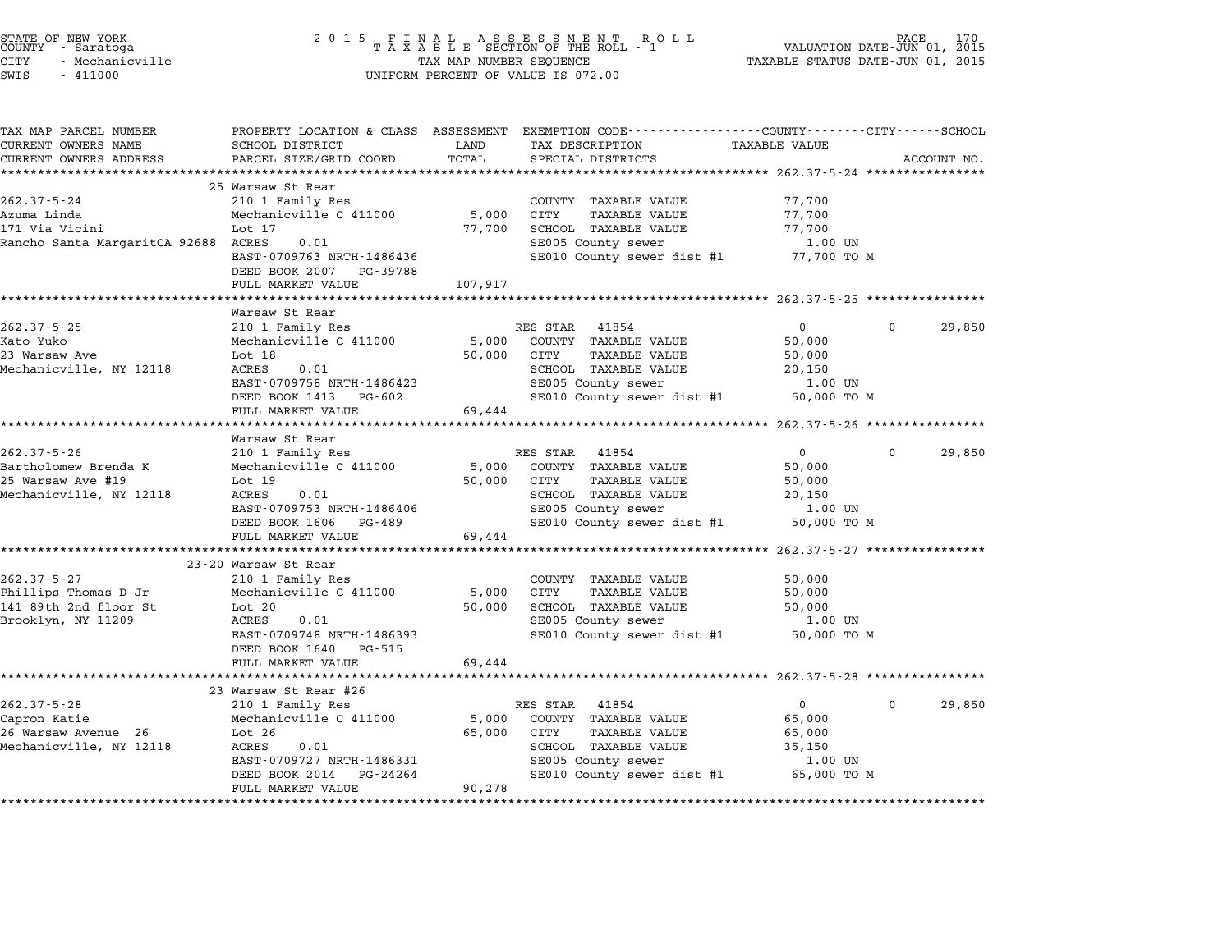| STATE OF NEW YORK<br>COUNTY – Saratoga<br><b>CITY</b><br>- Mechanicville<br>SWIS<br>$-411000$ | 2 0 1 5                                            | TAX MAP NUMBER SEQUENCE | UNIFORM PERCENT OF VALUE IS 072.00                           | VALUATION DATE-JUN 01, 2015<br>TAXABLE STATUS DATE-JUN 01, 2015 | PAGE     |             |
|-----------------------------------------------------------------------------------------------|----------------------------------------------------|-------------------------|--------------------------------------------------------------|-----------------------------------------------------------------|----------|-------------|
| TAX MAP PARCEL NUMBER                                                                         | PROPERTY LOCATION & CLASS ASSESSMENT               |                         | EXEMPTION CODE-----------------COUNTY-------CITY------SCHOOL |                                                                 |          |             |
| CURRENT OWNERS NAME                                                                           | SCHOOL DISTRICT                                    | LAND                    | TAX DESCRIPTION                                              | <b>TAXABLE VALUE</b>                                            |          |             |
| CURRENT OWNERS ADDRESS<br>**********************                                              | PARCEL SIZE/GRID COORD<br>************************ | TOTAL                   | SPECIAL DISTRICTS                                            |                                                                 |          | ACCOUNT NO. |
|                                                                                               | 25 Warsaw St Rear                                  |                         |                                                              |                                                                 |          |             |
| $262.37 - 5 - 24$                                                                             | 210 1 Family Res                                   |                         | COUNTY TAXABLE VALUE                                         | 77,700                                                          |          |             |
| Azuma Linda                                                                                   | Mechanicville C 411000                             | 5,000                   | CITY<br><b>TAXABLE VALUE</b>                                 | 77,700                                                          |          |             |
| 171 Via Vicini                                                                                | Lot 17                                             | 77,700                  | SCHOOL TAXABLE VALUE                                         | 77,700                                                          |          |             |
| Rancho Santa MargaritCA 92688 ACRES                                                           | 0.01                                               |                         | SE005 County sewer                                           | 1.00 UN                                                         |          |             |
|                                                                                               | EAST-0709763 NRTH-1486436                          |                         | SE010 County sewer dist #1                                   | 77,700 TO M                                                     |          |             |
|                                                                                               | DEED BOOK 2007 PG-39788                            |                         |                                                              |                                                                 |          |             |
|                                                                                               | FULL MARKET VALUE                                  | 107,917                 |                                                              |                                                                 |          |             |
|                                                                                               |                                                    |                         |                                                              |                                                                 |          |             |
|                                                                                               | Warsaw St Rear                                     |                         |                                                              |                                                                 |          |             |
| $262.37 - 5 - 25$                                                                             | 210 1 Family Res                                   |                         | RES STAR 41854                                               | $\overline{0}$                                                  | $\Omega$ | 29,850      |
| Kato Yuko                                                                                     | Mechanicville C 411000                             | 5,000                   | COUNTY TAXABLE VALUE                                         | 50,000                                                          |          |             |
| 23 Warsaw Ave                                                                                 | Lot 18                                             | 50,000                  | TAXABLE VALUE<br>CITY                                        | 50,000                                                          |          |             |
| Mechanicville, NY 12118                                                                       | 0.01<br>ACRES                                      |                         | SCHOOL TAXABLE VALUE                                         | 20,150                                                          |          |             |
|                                                                                               | EAST-0709758 NRTH-1486423<br>DEED BOOK 1413 PG-602 |                         | SE005 County sewer                                           | 1.00 UN<br>50,000 TO M                                          |          |             |
|                                                                                               | FULL MARKET VALUE                                  | 69,444                  | SE010 County sewer dist #1                                   |                                                                 |          |             |
|                                                                                               | * * * * * * * * * * * * * * * * * * *              | ********************    |                                                              | *********** 262.37-5-26 ****************                        |          |             |
|                                                                                               | Warsaw St Rear                                     |                         |                                                              |                                                                 |          |             |
| $262.37 - 5 - 26$                                                                             | 210 1 Family Res                                   |                         | RES STAR 41854                                               | $\mathbf{0}$                                                    | $\Omega$ | 29,850      |
| Bartholomew Brenda K                                                                          | Mechanicville C 411000                             | 5,000                   | COUNTY TAXABLE VALUE                                         | 50,000                                                          |          |             |
| 25 Warsaw Ave #19                                                                             | Lot 19                                             | 50,000                  | CITY<br><b>TAXABLE VALUE</b>                                 | 50,000                                                          |          |             |
| Mechanicville, NY 12118                                                                       | 0.01<br>ACRES                                      |                         | SCHOOL TAXABLE VALUE                                         | 20,150                                                          |          |             |
|                                                                                               | EAST-0709753 NRTH-1486406                          |                         | SE005 County sewer                                           | 1.00 UN                                                         |          |             |
|                                                                                               | DEED BOOK 1606 PG-489                              |                         | SE010 County sewer dist #1                                   | 50,000 TO M                                                     |          |             |
|                                                                                               | FULL MARKET VALUE                                  | 69,444                  |                                                              |                                                                 |          |             |
|                                                                                               |                                                    |                         |                                                              |                                                                 |          |             |
|                                                                                               | 23-20 Warsaw St Rear                               |                         |                                                              |                                                                 |          |             |
| $262.37 - 5 - 27$<br>Phillips Thomas D Jr                                                     | 210 1 Family Res<br>Mechanicville C 411000         | 5,000                   | COUNTY TAXABLE VALUE<br>CITY<br><b>TAXABLE VALUE</b>         | 50,000<br>50,000                                                |          |             |
| 141 89th 2nd floor St                                                                         | Lot 20                                             | 50,000                  | SCHOOL TAXABLE VALUE                                         | 50,000                                                          |          |             |
| Brooklyn, NY 11209                                                                            | ACRES<br>0.01                                      |                         | SE005 County sewer                                           | 1.00 UN                                                         |          |             |
|                                                                                               | EAST-0709748 NRTH-1486393                          |                         | SE010 County sewer dist #1                                   | 50,000 TO M                                                     |          |             |
|                                                                                               | DEED BOOK 1640 PG-515                              |                         |                                                              |                                                                 |          |             |
|                                                                                               | FULL MARKET VALUE                                  | 69,444                  |                                                              |                                                                 |          |             |
|                                                                                               |                                                    |                         |                                                              |                                                                 |          |             |
|                                                                                               | 23 Warsaw St Rear #26                              |                         |                                                              |                                                                 |          |             |
| $262.37 - 5 - 28$                                                                             | 210 1 Family Res                                   |                         | RES STAR<br>41854                                            | $\mathbf 0$                                                     | $\Omega$ | 29,850      |
| Capron Katie                                                                                  | Mechanicville C 411000                             | 5,000                   | COUNTY TAXABLE VALUE                                         | 65,000                                                          |          |             |
| 26 Warsaw Avenue 26                                                                           | Lot $26$                                           | 65,000                  | CITY<br>TAXABLE VALUE                                        | 65,000                                                          |          |             |
| Mechanicville, NY 12118                                                                       | ACRES<br>0.01                                      |                         | SCHOOL TAXABLE VALUE                                         | 35,150                                                          |          |             |
|                                                                                               |                                                    |                         |                                                              |                                                                 |          |             |
|                                                                                               | EAST-0709727 NRTH-1486331                          |                         | SE005 County sewer                                           | 1.00 UN                                                         |          |             |
|                                                                                               | DEED BOOK 2014 PG-24264<br>FULL MARKET VALUE       | 90,278                  | SE010 County sewer dist #1                                   | 65,000 TO M                                                     |          |             |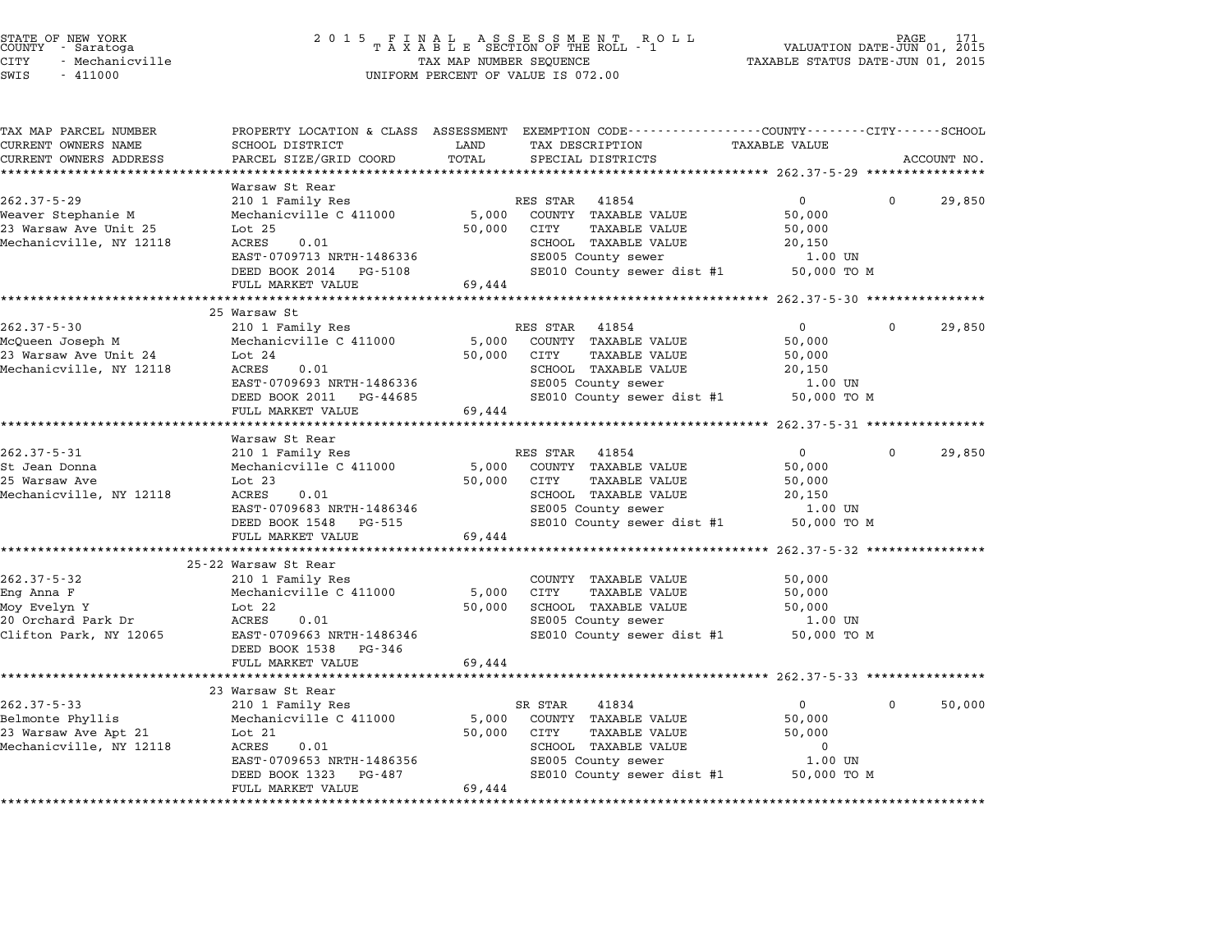| STATE OF NEW YORK<br>COUNTY – Saratoga<br><b>CITY</b><br>- Mechanicville<br>SWIS<br>$-411000$ | 2 0 1 5                                                 | TAX MAP NUMBER SEQUENCE   | $\begin{array}{cccccccccccccc} & F & I & N & A & L & & A & S & S & E & S & S & M & E & N & T & R & O & L & L \\ T & A & X & A & B & L & E & SECTION OF THE ROLL & - & 1 & & & \\ \end{array}$<br>UNIFORM PERCENT OF VALUE IS 072.00 | PAGE 171<br>VALUATION DATE-JUN 01, 2015<br>TAXABLE STATUS DATE-JUN 01, 2015 | PAGE     |             |
|-----------------------------------------------------------------------------------------------|---------------------------------------------------------|---------------------------|-------------------------------------------------------------------------------------------------------------------------------------------------------------------------------------------------------------------------------------|-----------------------------------------------------------------------------|----------|-------------|
| TAX MAP PARCEL NUMBER<br>CURRENT OWNERS NAME                                                  | PROPERTY LOCATION & CLASS ASSESSMENT<br>SCHOOL DISTRICT | LAND                      | EXEMPTION CODE-----------------COUNTY-------CITY------SCHOOL<br>TAX DESCRIPTION                                                                                                                                                     | TAXABLE VALUE                                                               |          |             |
| CURRENT OWNERS ADDRESS                                                                        | PARCEL SIZE/GRID COORD                                  | TOTAL                     | SPECIAL DISTRICTS                                                                                                                                                                                                                   |                                                                             |          | ACCOUNT NO. |
|                                                                                               |                                                         |                           |                                                                                                                                                                                                                                     |                                                                             |          |             |
|                                                                                               | Warsaw St Rear                                          |                           |                                                                                                                                                                                                                                     |                                                                             |          |             |
| $262.37 - 5 - 29$                                                                             | 210 1 Family Res                                        |                           | RES STAR<br>41854                                                                                                                                                                                                                   | 0                                                                           | 0        | 29,850      |
| Weaver Stephanie M                                                                            | Mechanicville C 411000                                  | 5,000                     | COUNTY TAXABLE VALUE                                                                                                                                                                                                                | 50,000                                                                      |          |             |
| 23 Warsaw Ave Unit 25                                                                         | Lot <sub>25</sub>                                       | 50,000                    | CITY<br><b>TAXABLE VALUE</b>                                                                                                                                                                                                        | 50,000                                                                      |          |             |
| Mechanicville, NY 12118                                                                       | ACRES<br>0.01                                           |                           | SCHOOL TAXABLE VALUE                                                                                                                                                                                                                | 20,150                                                                      |          |             |
|                                                                                               | EAST-0709713 NRTH-1486336                               |                           | SE005 County sewer                                                                                                                                                                                                                  | 1.00 UN                                                                     |          |             |
|                                                                                               | DEED BOOK 2014 PG-5108                                  |                           | SE010 County sewer dist #1                                                                                                                                                                                                          | 50,000 TO M                                                                 |          |             |
|                                                                                               | FULL MARKET VALUE                                       | 69,444                    |                                                                                                                                                                                                                                     |                                                                             |          |             |
|                                                                                               | 25 Warsaw St                                            |                           |                                                                                                                                                                                                                                     |                                                                             |          |             |
| $262.37 - 5 - 30$                                                                             | 210 1 Family Res                                        |                           | RES STAR 41854                                                                                                                                                                                                                      | $\mathbf 0$                                                                 | $\Omega$ | 29,850      |
| McQueen Joseph M                                                                              | Mechanicville C 411000                                  | 5,000                     | COUNTY TAXABLE VALUE                                                                                                                                                                                                                | 50,000                                                                      |          |             |
| 23 Warsaw Ave Unit 24                                                                         | Lot $24$                                                | 50,000                    | CITY<br><b>TAXABLE VALUE</b>                                                                                                                                                                                                        | 50,000                                                                      |          |             |
| Mechanicville, NY 12118                                                                       | 0.01<br>ACRES                                           |                           | SCHOOL TAXABLE VALUE                                                                                                                                                                                                                | 20,150                                                                      |          |             |
|                                                                                               | EAST-0709693 NRTH-1486336                               |                           | SE005 County sewer                                                                                                                                                                                                                  | 1.00 UN                                                                     |          |             |
|                                                                                               | DEED BOOK 2011 PG-44685                                 |                           | SE010 County sewer dist #1                                                                                                                                                                                                          | 50,000 TO M                                                                 |          |             |
|                                                                                               | FULL MARKET VALUE                                       | 69,444                    |                                                                                                                                                                                                                                     |                                                                             |          |             |
|                                                                                               | *****************                                       | ******************        |                                                                                                                                                                                                                                     | ********* 262.37-5-31 ****************                                      |          |             |
|                                                                                               | Warsaw St Rear                                          |                           |                                                                                                                                                                                                                                     |                                                                             |          |             |
| $262.37 - 5 - 31$                                                                             | 210 1 Family Res                                        |                           | RES STAR<br>41854                                                                                                                                                                                                                   | $\mathbf 0$                                                                 | $\Omega$ | 29,850      |
| St Jean Donna                                                                                 | Mechanicville C 411000                                  | 5,000                     | COUNTY TAXABLE VALUE                                                                                                                                                                                                                | 50,000                                                                      |          |             |
| 25 Warsaw Ave                                                                                 | Lot $23$                                                | 50,000                    | CITY<br><b>TAXABLE VALUE</b>                                                                                                                                                                                                        | 50,000                                                                      |          |             |
| Mechanicville, NY 12118                                                                       | ACRES<br>0.01                                           |                           | SCHOOL TAXABLE VALUE                                                                                                                                                                                                                | 20,150                                                                      |          |             |
|                                                                                               | EAST-0709683 NRTH-1486346                               |                           | SE005 County sewer                                                                                                                                                                                                                  | 1.00 UN                                                                     |          |             |
|                                                                                               | DEED BOOK 1548<br>PG-515                                |                           | SE010 County sewer dist #1                                                                                                                                                                                                          | 50,000 TO M                                                                 |          |             |
|                                                                                               | FULL MARKET VALUE                                       | 69,444                    |                                                                                                                                                                                                                                     |                                                                             |          |             |
|                                                                                               | *****************************<br>25-22 Warsaw St Rear   | ************************* |                                                                                                                                                                                                                                     | *********** 262.37-5-32 ****************                                    |          |             |
| $262.37 - 5 - 32$                                                                             |                                                         |                           |                                                                                                                                                                                                                                     |                                                                             |          |             |
| Eng Anna F                                                                                    | 210 1 Family Res<br>Mechanicville C 411000              | 5,000                     | COUNTY TAXABLE VALUE<br>CITY<br><b>TAXABLE VALUE</b>                                                                                                                                                                                | 50,000<br>50,000                                                            |          |             |
| Moy Evelyn Y                                                                                  | Lot $22$                                                | 50,000                    | SCHOOL TAXABLE VALUE                                                                                                                                                                                                                | 50,000                                                                      |          |             |
| 20 Orchard Park Dr                                                                            | ACRES<br>0.01                                           |                           | SE005 County sewer                                                                                                                                                                                                                  | 1.00 UN                                                                     |          |             |
| Clifton Park, NY 12065                                                                        | EAST-0709663 NRTH-1486346                               |                           | SE010 County sewer dist #1                                                                                                                                                                                                          | 50,000 TO M                                                                 |          |             |
|                                                                                               | DEED BOOK 1538<br>PG-346                                |                           |                                                                                                                                                                                                                                     |                                                                             |          |             |
|                                                                                               | FULL MARKET VALUE                                       | 69,444                    |                                                                                                                                                                                                                                     |                                                                             |          |             |
|                                                                                               |                                                         |                           |                                                                                                                                                                                                                                     |                                                                             |          |             |
|                                                                                               | 23 Warsaw St Rear                                       |                           |                                                                                                                                                                                                                                     |                                                                             |          |             |
| $262.37 - 5 - 33$                                                                             | 210 1 Family Res                                        |                           | SR STAR<br>41834                                                                                                                                                                                                                    | $\mathbf 0$                                                                 | $\Omega$ | 50,000      |
| Belmonte Phyllis                                                                              | Mechanicville C 411000                                  | 5,000                     | COUNTY TAXABLE VALUE                                                                                                                                                                                                                | 50,000                                                                      |          |             |
| 23 Warsaw Ave Apt 21                                                                          | Lot $21$                                                | 50,000                    | CITY<br><b>TAXABLE VALUE</b>                                                                                                                                                                                                        | 50,000                                                                      |          |             |
| Mechanicville, NY 12118                                                                       | ACRES<br>0.01                                           |                           | SCHOOL TAXABLE VALUE                                                                                                                                                                                                                | $\mathbf 0$                                                                 |          |             |
|                                                                                               | EAST-0709653 NRTH-1486356                               |                           | SE005 County sewer                                                                                                                                                                                                                  | 1.00 UN                                                                     |          |             |
|                                                                                               | DEED BOOK 1323<br>PG-487                                |                           | SE010 County sewer dist #1                                                                                                                                                                                                          | 50,000 TO M                                                                 |          |             |
|                                                                                               | FULL MARKET VALUE                                       | 69,444                    |                                                                                                                                                                                                                                     |                                                                             |          |             |
| *********************                                                                         | *************************                               |                           |                                                                                                                                                                                                                                     |                                                                             |          |             |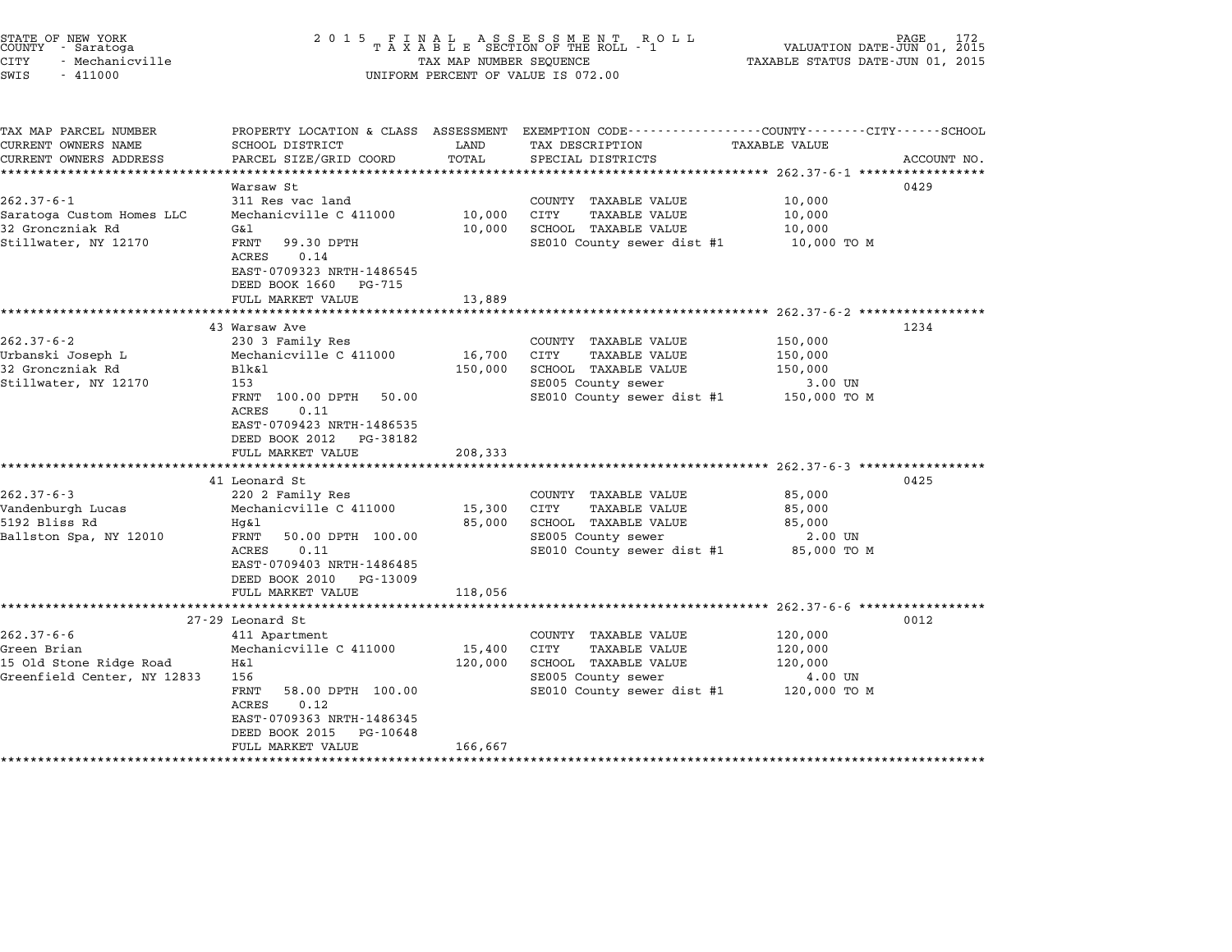| STATE OF NEW YORK<br>COUNTY - Saratoga<br><b>CITY</b><br>- Mechanicville<br>SWIS<br>$-411000$ | 2 0 1 5                                                                                                                    | TAX MAP NUMBER SEQUENCE | FINAL ASSESSMENT RO<br>TAXABLE SECTION OF THE ROLL - 1<br>R O L L<br>UNIFORM PERCENT OF VALUE IS 072.00             | VALUATION DATE-JUN 01, 2015<br>TAXABLE STATUS DATE-JUN 01, 2015    | PAGE<br>172 |
|-----------------------------------------------------------------------------------------------|----------------------------------------------------------------------------------------------------------------------------|-------------------------|---------------------------------------------------------------------------------------------------------------------|--------------------------------------------------------------------|-------------|
| TAX MAP PARCEL NUMBER<br>CURRENT OWNERS NAME                                                  | SCHOOL DISTRICT                                                                                                            | LAND                    | PROPERTY LOCATION & CLASS ASSESSMENT EXEMPTION CODE----------------COUNTY-------CITY------SCHOOL<br>TAX DESCRIPTION | <b>TAXABLE VALUE</b>                                               |             |
| CURRENT OWNERS ADDRESS                                                                        | PARCEL SIZE/GRID COORD                                                                                                     | TOTAL                   | SPECIAL DISTRICTS                                                                                                   |                                                                    | ACCOUNT NO. |
| **************************                                                                    |                                                                                                                            |                         |                                                                                                                     |                                                                    |             |
|                                                                                               | Warsaw St                                                                                                                  |                         |                                                                                                                     |                                                                    | 0429        |
| $262.37 - 6 - 1$                                                                              | 311 Res vac land                                                                                                           |                         | COUNTY TAXABLE VALUE                                                                                                | 10,000                                                             |             |
| Saratoga Custom Homes LLC<br>32 Gronczniak Rd                                                 | Mechanicville C 411000<br>G&l                                                                                              | 10,000<br>10,000        | CITY<br>TAXABLE VALUE<br>SCHOOL TAXABLE VALUE                                                                       | 10,000<br>10,000                                                   |             |
| Stillwater, NY 12170                                                                          | FRNT<br>99.30 DPTH<br>ACRES<br>0.14                                                                                        |                         | SE010 County sewer dist #1                                                                                          | 10,000 TO M                                                        |             |
|                                                                                               | EAST-0709323 NRTH-1486545<br>DEED BOOK 1660 PG-715                                                                         |                         |                                                                                                                     |                                                                    |             |
|                                                                                               | FULL MARKET VALUE<br>*************************                                                                             | 13,889                  | ************************************* 262.37-6-2 ******************                                                 |                                                                    |             |
|                                                                                               | 43 Warsaw Ave                                                                                                              |                         |                                                                                                                     |                                                                    | 1234        |
| $262.37 - 6 - 2$                                                                              | 230 3 Family Res                                                                                                           |                         | COUNTY TAXABLE VALUE                                                                                                | 150,000                                                            |             |
| Urbanski Joseph L                                                                             | Mechanicville C 411000                                                                                                     | 16,700                  | TAXABLE VALUE<br>CITY                                                                                               | 150,000                                                            |             |
| 32 Gronczniak Rd                                                                              | Blk&1                                                                                                                      | 150,000                 | SCHOOL TAXABLE VALUE                                                                                                | 150,000                                                            |             |
| Stillwater, NY 12170                                                                          | 153                                                                                                                        |                         | SE005 County sewer                                                                                                  | 3.00 UN                                                            |             |
|                                                                                               | FRNT 100.00 DPTH<br>50.00<br>ACRES<br>0.11<br>EAST-0709423 NRTH-1486535<br>DEED BOOK 2012<br>PG-38182<br>FULL MARKET VALUE | 208,333                 | SE010 County sewer dist #1                                                                                          | 150,000 то м                                                       |             |
|                                                                                               | ************************                                                                                                   |                         |                                                                                                                     | ************************************ 262.37-6-3 ****************** |             |
|                                                                                               | 41 Leonard St                                                                                                              |                         |                                                                                                                     |                                                                    | 0425        |
| $262.37 - 6 - 3$                                                                              | 220 2 Family Res                                                                                                           |                         | COUNTY TAXABLE VALUE                                                                                                | 85,000                                                             |             |
| Vandenburgh Lucas                                                                             | Mechanicville C 411000                                                                                                     | 15,300                  | CITY<br><b>TAXABLE VALUE</b>                                                                                        | 85,000                                                             |             |
| 5192 Bliss Rd                                                                                 | Hg&l                                                                                                                       | 85,000                  | SCHOOL TAXABLE VALUE                                                                                                | 85,000                                                             |             |
| Ballston Spa, NY 12010                                                                        | FRNT<br>50.00 DPTH 100.00                                                                                                  |                         | SE005 County sewer                                                                                                  | 2.00 UN                                                            |             |
|                                                                                               | ACRES<br>0.11<br>EAST-0709403 NRTH-1486485<br>DEED BOOK 2010<br>PG-13009                                                   |                         | SE010 County sewer dist #1                                                                                          | 85,000 TO M                                                        |             |
|                                                                                               | FULL MARKET VALUE                                                                                                          | 118,056                 |                                                                                                                     |                                                                    |             |
|                                                                                               | ***********************                                                                                                    |                         |                                                                                                                     | *********************** 262.37-6-6 ******************              |             |
|                                                                                               | 27-29 Leonard St                                                                                                           |                         |                                                                                                                     |                                                                    | 0012        |
| $262.37 - 6 - 6$                                                                              | 411 Apartment                                                                                                              |                         | COUNTY TAXABLE VALUE                                                                                                | 120,000                                                            |             |
| Green Brian                                                                                   | Mechanicville C 411000                                                                                                     | 15,400                  | CITY<br><b>TAXABLE VALUE</b>                                                                                        | 120,000                                                            |             |
| 15 Old Stone Ridge Road                                                                       | Η&l                                                                                                                        | 120,000                 | SCHOOL TAXABLE VALUE                                                                                                | 120,000                                                            |             |
| Greenfield Center, NY 12833                                                                   | 156                                                                                                                        |                         | SE005 County sewer                                                                                                  | 4.00 UN                                                            |             |
|                                                                                               | FRNT<br>58.00 DPTH 100.00<br>ACRES<br>0.12                                                                                 |                         | SE010 County sewer dist #1                                                                                          | 120,000 TO M                                                       |             |
|                                                                                               | EAST-0709363 NRTH-1486345<br>DEED BOOK 2015<br>PG-10648                                                                    |                         |                                                                                                                     |                                                                    |             |
| ************************                                                                      | FULL MARKET VALUE                                                                                                          | 166,667                 |                                                                                                                     |                                                                    |             |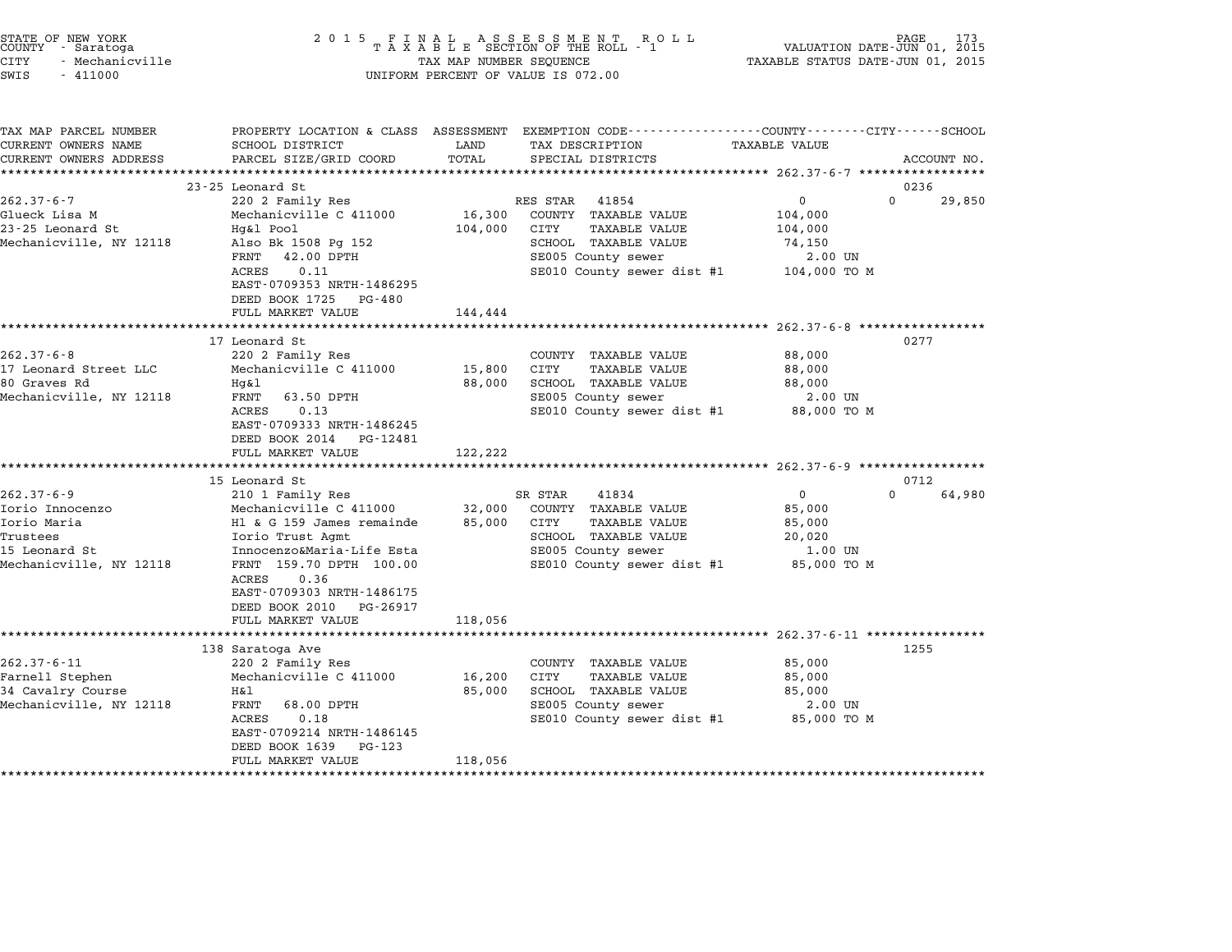| STATE OF NEW YORK<br>COUNTY - Saratoga<br><b>CITY</b><br>- Mechanicville<br>SWIS<br>$-411000$    | 2 0 1 5                                       | TAX MAP NUMBER SEQUENCE | FINAL ASSESSMENT ROTAXABLE SECTION OF THE ROLL - 1<br>R O L L<br>UNIFORM PERCENT OF VALUE IS 072.00                                      | TAXABLE STATUS DATE-JUN 01, 2015  | PAGE<br>VALUATION DATE-JUN 01, 2015 |
|--------------------------------------------------------------------------------------------------|-----------------------------------------------|-------------------------|------------------------------------------------------------------------------------------------------------------------------------------|-----------------------------------|-------------------------------------|
| TAX MAP PARCEL NUMBER<br>CURRENT OWNERS NAME<br>CURRENT OWNERS ADDRESS<br>********************** | SCHOOL DISTRICT<br>PARCEL SIZE/GRID COORD     | LAND<br>TOTAL           | PROPERTY LOCATION & CLASS ASSESSMENT EXEMPTION CODE----------------COUNTY-------CITY------SCHOOL<br>TAX DESCRIPTION<br>SPECIAL DISTRICTS | TAXABLE VALUE                     | ACCOUNT NO.                         |
|                                                                                                  | 23-25 Leonard St                              |                         |                                                                                                                                          |                                   | 0236                                |
| $262.37 - 6 - 7$                                                                                 | 220 2 Family Res                              |                         | RES STAR<br>41854                                                                                                                        | 0                                 | $\Omega$<br>29,850                  |
| Glueck Lisa M                                                                                    | Mechanicville C 411000                        | 16,300                  | COUNTY TAXABLE VALUE                                                                                                                     | 104,000                           |                                     |
| 23-25 Leonard St                                                                                 | Hg&l Pool                                     | 104,000                 | CITY<br><b>TAXABLE VALUE</b>                                                                                                             | 104,000                           |                                     |
| Mechanicville, NY 12118                                                                          | Also Bk 1508 Pg 152                           |                         | SCHOOL TAXABLE VALUE                                                                                                                     | 74,150                            |                                     |
|                                                                                                  | FRNT<br>42.00 DPTH                            |                         | SE005 County sewer                                                                                                                       | 2.00 UN                           |                                     |
|                                                                                                  | ACRES<br>0.11<br>EAST-0709353 NRTH-1486295    |                         | SE010 County sewer dist #1                                                                                                               | 104,000 TO M                      |                                     |
|                                                                                                  | DEED BOOK 1725<br>PG-480<br>FULL MARKET VALUE | 144,444                 |                                                                                                                                          |                                   |                                     |
|                                                                                                  | **********************                        |                         | *********************                                                                                                                    | $262.37 - 6 - 8$ **************** |                                     |
|                                                                                                  | 17 Leonard St                                 |                         |                                                                                                                                          |                                   | 0277                                |
| $262.37 - 6 - 8$                                                                                 | 220 2 Family Res                              |                         | COUNTY TAXABLE VALUE                                                                                                                     | 88,000                            |                                     |
| 17 Leonard Street LLC                                                                            | Mechanicville C 411000                        | 15,800                  | CITY<br><b>TAXABLE VALUE</b>                                                                                                             | 88,000                            |                                     |
| 80 Graves Rd                                                                                     | Hg&l                                          | 88,000                  | SCHOOL TAXABLE VALUE                                                                                                                     | 88,000                            |                                     |
| Mechanicville, NY 12118                                                                          | 63.50 DPTH<br>FRNT                            |                         | SE005 County sewer                                                                                                                       | 2.00 UN                           |                                     |
|                                                                                                  | 0.13<br>ACRES                                 |                         | SE010 County sewer dist #1                                                                                                               | 88,000 TO M                       |                                     |
|                                                                                                  | EAST-0709333 NRTH-1486245<br>DEED BOOK 2014   |                         |                                                                                                                                          |                                   |                                     |
|                                                                                                  | PG-12481<br>FULL MARKET VALUE                 | 122,222                 |                                                                                                                                          |                                   |                                     |
|                                                                                                  | *******************************               |                         |                                                                                                                                          |                                   |                                     |
|                                                                                                  | 15 Leonard St                                 |                         |                                                                                                                                          |                                   | 0712                                |
| $262.37 - 6 - 9$                                                                                 | 210 1 Family Res                              |                         | SR STAR<br>41834                                                                                                                         | $\mathbf 0$                       | $\Omega$<br>64,980                  |
| Iorio Innocenzo                                                                                  | Mechanicville C 411000                        | 32,000                  | COUNTY TAXABLE VALUE                                                                                                                     | 85,000                            |                                     |
| Iorio Maria                                                                                      | H1 & G 159 James remainde                     | 85,000                  | CITY<br><b>TAXABLE VALUE</b>                                                                                                             | 85,000                            |                                     |
| Trustees                                                                                         | Iorio Trust Agmt                              |                         | SCHOOL TAXABLE VALUE                                                                                                                     | 20,020                            |                                     |
| 15 Leonard St                                                                                    | Innocenzo&Maria-Life Esta                     |                         | SE005 County sewer                                                                                                                       | 1.00 UN                           |                                     |
| Mechanicville, NY 12118                                                                          | FRNT 159.70 DPTH 100.00                       |                         | SE010 County sewer dist #1                                                                                                               | 85,000 TO M                       |                                     |
|                                                                                                  | ACRES<br>0.36<br>EAST-0709303 NRTH-1486175    |                         |                                                                                                                                          |                                   |                                     |
|                                                                                                  | DEED BOOK 2010<br>PG-26917                    |                         |                                                                                                                                          |                                   |                                     |
|                                                                                                  | FULL MARKET VALUE                             | 118,056                 |                                                                                                                                          |                                   |                                     |
|                                                                                                  | ************************                      |                         |                                                                                                                                          |                                   |                                     |
|                                                                                                  | 138 Saratoga Ave                              |                         |                                                                                                                                          |                                   | 1255                                |
| $262.37 - 6 - 11$                                                                                | 220 2 Family Res                              |                         | COUNTY<br>TAXABLE VALUE                                                                                                                  | 85,000                            |                                     |
| Farnell Stephen                                                                                  | Mechanicville C 411000                        | 16,200                  | CITY<br>TAXABLE VALUE                                                                                                                    | 85,000                            |                                     |
| 34 Cavalry Course                                                                                | Η&l                                           | 85,000                  | SCHOOL TAXABLE VALUE                                                                                                                     | 85,000                            |                                     |
| Mechanicville, NY 12118                                                                          | FRNT<br>68.00 DPTH                            |                         | SE005 County sewer                                                                                                                       | 2.00 UN                           |                                     |
|                                                                                                  | ACRES<br>0.18                                 |                         | SE010 County sewer dist #1                                                                                                               | 85,000 TO M                       |                                     |
|                                                                                                  | EAST-0709214 NRTH-1486145                     |                         |                                                                                                                                          |                                   |                                     |
|                                                                                                  | DEED BOOK 1639<br>PG-123                      |                         |                                                                                                                                          |                                   |                                     |
|                                                                                                  | FULL MARKET VALUE                             | 118,056                 |                                                                                                                                          |                                   |                                     |
|                                                                                                  |                                               |                         |                                                                                                                                          |                                   |                                     |

STATE OF NEW YORK <sup>2</sup> <sup>0</sup> <sup>1</sup> 5 F I N A L A S S E S S M E N T R O L L PAGE <sup>173</sup> COUNTY - Saratoga <sup>T</sup> <sup>A</sup> <sup>X</sup> <sup>A</sup> <sup>B</sup> <sup>L</sup> <sup>E</sup> SECTION OF THE ROLL - <sup>1</sup> VALUATION DATE-JUN 01, <sup>2015</sup>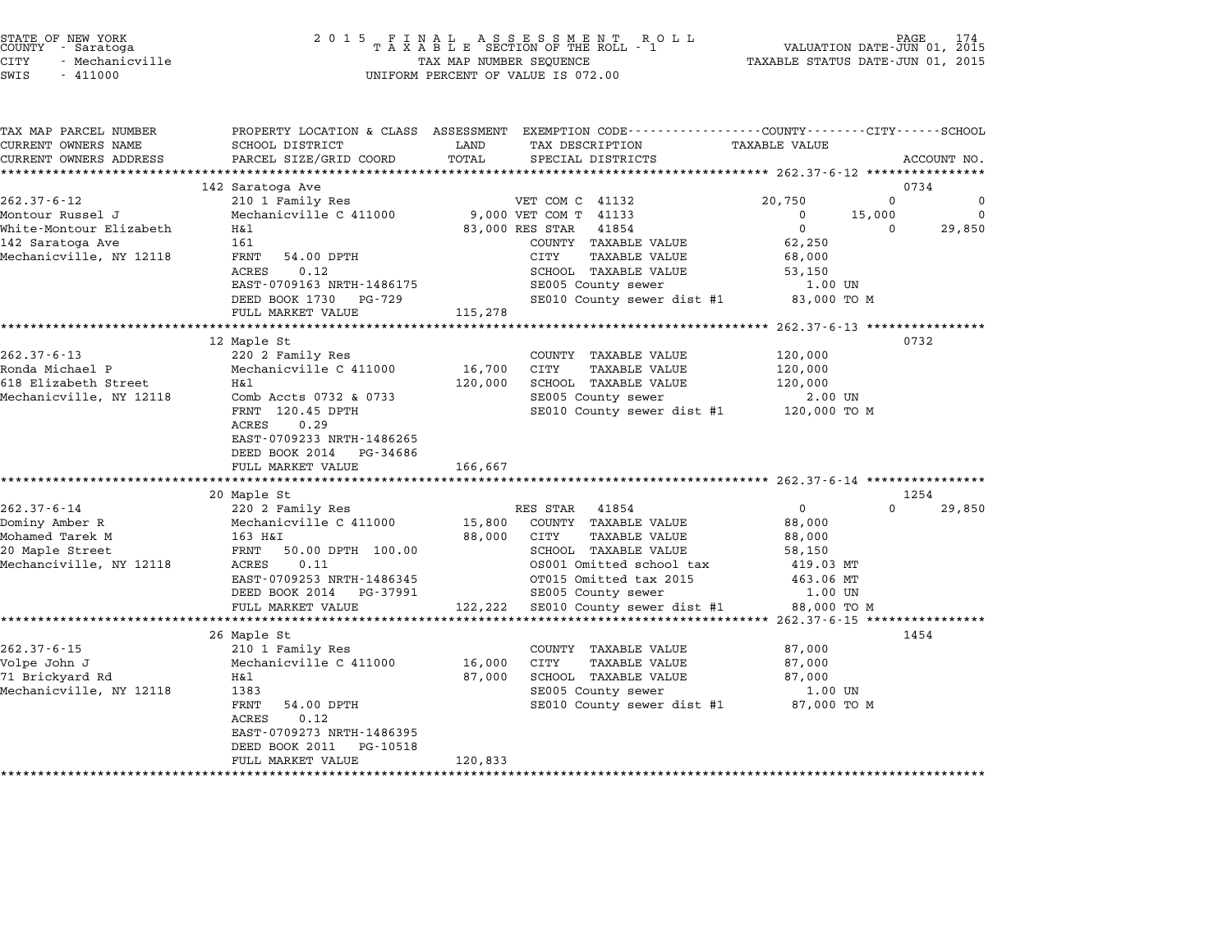| STATE OF NEW YORK |                 |  |
|-------------------|-----------------|--|
| COUNTY            | - Saratoga      |  |
| CITY              | - Mechanicville |  |

# STATE OF NEW YORK <sup>2</sup> <sup>0</sup> <sup>1</sup> 5 F I N A L A S S E S S M E N T R O L L PAGE <sup>174</sup> COUNTY - Saratoga <sup>T</sup> <sup>A</sup> <sup>X</sup> <sup>A</sup> <sup>B</sup> <sup>L</sup> <sup>E</sup> SECTION OF THE ROLL - <sup>1</sup> VALUATION DATE-JUN 01, <sup>2015</sup> STATE OF NEW YORK (RACE STATE OF NEW YORK 174 MAR DATE OF NEW TAXABLE STATE OF NEW TAXABLE STATE 174 MADELE TAXABLE STATUS DATE-JUN 01, 2015 TAXABLE STATUS DATE-JUN 01, 2015 TAXABLE STATUS DATE-JUN 01, 2015 TAXABLE STATUS CUNIT - SALACUYA<br>CITY - Mechanicville<br>SWIS - 411000 UNIFORM PERCENT OF VALUE IS 072.00

TAX MAP PARCEL NUMBER PROPERTY LOCATION & CLASS ASSESSMENT EXEMPTION CODE------------------COUNTY--------CITY------SCHOOL ...<br>-- COUNTY:- TAX MAP PARCEL NUMBER THE OCHOTRY AND THE CURRENT EXEMPTION CODE<br>CURRENT OWNERS NAME SCHOOL DISTRICT LAND TAX DESCRIPTION TAXABLE VALUE CURRENT OWNERS ADDEER FOUR DISTRICTS AND ASSESSEENT EXERPTION TRACK THE TANGER OWNERS ADDRESS SAGECOUNT NO.<br>CURRENT OWNERS ADDRESS PARCEL SIZE/GRID COORD TOTAL SPECIAL DISTRICTS ACCOUNT NO.<br>\*\*\*\*\*\*\*\*\*\*\*\*\*\*\*\*\*\*\*\*\*\*\*\*\*\*\*\*\*\*\*\* <sup>142</sup> Saratoga Ave <sup>0734</sup> 262.37-6-12 142 Saratoga Ave and the set of the set of the set of the set of the set of the set of the set of the set of the set of the set of the set of the set of the set of the set of the set of the set of the set of th Montour Russel J Mechanicville C <sup>411000</sup> 9,000 VET COM T <sup>41133</sup> <sup>0</sup> 15,000 <sup>0</sup> سام الله المسلم المسلم المسلم المسلم المسلم المسلم المسلم المسلم المسلم المسلم المسلم المسلم المسلم المسلم الم<br>Montour Elizabeth Mechanicville C 411000 9,000 VET COM T 41133 0 0 15,000 15,000 0 29,850<br>Mhite-Montour Elizab 100110011 Russel 0 1 2011 Rechamicville c 411000 1 3,000 VET COM 1 41133<br>Mhite-Montour Elizabeth 161 161 83,000 RES STAR 41854 0<br>142 Saratoga Ave 161 161 2000NTY TAXABLE VALUE 62,250 wirte-montour-sirizabeth have hadden have byyoo kas sidk alone of the state of the state of the state of the s<br>142 Saratoga Ave (COUNTY TAXABLE VALUE 68,000<br>Mechanicville, NY 12118 FRNT 54.00 DPTH CITY TAXABLE VALUE 68,000 10.1 INABLE VALUE 1999 MARINE VALUE 1999 MARINE VALUE 1999 MARINE 1999 MARINE 1999 MARINE 1999 MARINE 1999 MAR<br>FRNT 54.00 DPTH 1999 MARINE 1999 MARINE SOHOOL TAXABLE VALUE 1999 1999 1999 MARINE 1999 MARINE 1999 MARINE 199 EARL 191.00 DETIT (1999) OF THE TANDLE VALUE ON SOURCE SALES AND SUPPORT SUPPORT ON SUPPORT SALES AND SUPPORT S<br>ACRES 0.12 NRTH-1486175 SE005 County sewer 1.00 UN EAST-0709163 NRTH-1486175 SCHOOD IAAABLE VALUE SCHOOL SCHOOL SCHOOL SECOLUME IAAABLE VALUE SECOLUME SECOLUME SECOLUM<br>DEED BOOK 1730 PG-729 SECOLU County sewer dist #1 83,000 TO M EAST 0705105 MAIN 1400175<br>
DEED BOOK 1730 PG-729<br>
FULL MARKET VALUE 115,278 \*\*\*\*\*\*\*\*\*\*\*\*\*\*\*\*\*\*\*\*\*\*\*\*\*\*\*\*\*\*\*\*\*\*\*\*\*\*\*\*\*\*\*\*\*\*\*\*\*\*\*\*\*\*\*\*\*\*\*\*\*\*\*\*\*\*\*\*\*\*\*\*\*\*\*\*\*\*\*\*\*\*\*\*\*\*\*\*\*\*\*\*\*\*\*\*\*\*\*\*\*\*\* 262.37-6-13 \*\*\*\*\*\*\*\*\*\*\*\*\*\*\*\* 12 Maple St 0732 262.37-6-13 202.37-6-13 220 2 Family Res COUNTY TAXABLE VALUE 120,000 Ronda Michael P Mechanicville C <sup>411000</sup> 16,700 CITY TAXABLE VALUE 120,000 612.37-0-13 - 202 Amily Res (2013)<br>Ronda Michael P - Mechanicville C 411000 - 16,700 CITY - TAXABLE VALUE 120,000<br>120,000 SCHOOL TAXABLE VALUE 120,000 Nonta Hichart Tell (Mechanicville C 111000)<br>Mechanicville, NY 12118 Hall (Mechanic 120,000 SCHOOL TAXABLE VALUE 120,000<br>Mechanicville, NY 12118 Comb Accts 0732 & 0733 SE005 County sewer 2.00 UN HAT 120,000 SCHOOL HAABLE VALUE 120,000 120,000<br>COME SE005 County sewer 2.00 UN<br>FRNT 120.45 DPTH SE010 County sewer dist #1 120,000 TO M<br>ACRES 0.29 FANI 120.45 DPIH<br>ACRES 0.29<br>EAST-0709233 NRTH-1486265 ACRES 0.29<br>EAST-0709233 NRTH-1486265<br>DEED BOOK 2014 PG-34686 FULL MARKET VALUE 166,667 \*\*\*\*\*\*\*\*\*\*\*\*\*\*\*\*\*\*\*\*\*\*\*\*\*\*\*\*\*\*\*\*\*\*\*\*\*\*\*\*\*\*\*\*\*\*\*\*\*\*\*\*\*\*\*\*\*\*\*\*\*\*\*\*\*\*\*\*\*\*\*\*\*\*\*\*\*\*\*\*\*\*\*\*\*\*\*\*\*\*\*\*\*\*\*\*\*\*\*\*\*\*\* 262.37-6-14 \*\*\*\*\*\*\*\*\*\*\*\*\*\*\*\* 20 Maple St 1254 262.37-6-14 202.37-6-14 200 Maple St<br>262.37-6-14 220 2 Family Res RES STAR 41854 0 29,850 Dominy Amber R Mechanicville C <sup>411000</sup> 15,800 COUNTY TAXABLE VALUE 88,000 ست المستقدم المستقدم المستقدم المستقدم المستقدم المستقدم المستقدم المستقدم المستقدم المستقدم المستقدم المستقدم<br>Dominy Amber R M 163 H&I 88,000 CUNTY TAXABLE VALUE 88,000<br>88,000 CITY TAXABLE VALUE 88,000 20 DOMINY AMDEL R MERCHANIC VILLE C 411000 MOST 19,000 COONTI IAAABLE VALUE 66,000<br>20 Maple Street 100.00 FRNT 50.00 DPTH 100.00 SCHOOL TAXABLE VALUE 58,150 Montailled Tarter in the contract of the contract of the control of the control of the control of the control o<br>Mechanciville, NY 12118 PRNT 50.00 DPTH 100.00 SCHOOL TAXABLE VALUE 58,150 58,150<br>Mechanciville, NY 12118 ACRE EANI JOURNAL SURFAINT DOUBLY SURVEY AND MARINE VALUE OF ALLO SOLUTION OF A SALUE OF A SALUE OF A SALUE OF A SA<br>ACRES ON DISPONSIBLE OF A SALUE OF A SALUE OF A SALUE OF A SALUE OF A SALUE OF A SALUE OF A SALUE OF A SALUE O<br> DEED 09253 NRTH-1486345<br>
DEED BOOK 2014 PG-37991 SE005 County sewer 1.00 UN<br>
DEED BOOK 2014 PG-37991 SE005 County sewer 1.00 UN FULL MARKET VALUE 122,222 SE010 County sewer dist #1 88,000 TO <sup>M</sup> \*\*\*\*\*\*\*\*\*\*\*\*\*\*\*\*\*\*\*\*\*\*\*\*\*\*\*\*\*\*\*\*\*\*\*\*\*\*\*\*\*\*\*\*\*\*\*\*\*\*\*\*\*\*\*\*\*\*\*\*\*\*\*\*\*\*\*\*\*\*\*\*\*\*\*\*\*\*\*\*\*\*\*\*\*\*\*\*\*\*\*\*\*\*\*\*\*\*\*\*\*\*\* 262.37-6-15 \*\*\*\*\*\*\*\*\*\*\*\*\*\*\*\* 26 Maple St 1454 262.37-6-15 202.37-6-15 210 1 Family Res COUNTY TAXABLE VALUE 87,000 Volpe John J Mechanicville C <sup>411000</sup> 16,000 CITY TAXABLE VALUE 87,000 202.59 UP 202.59 UP 210 I PAINTLY RES<br>171 Brickyard Rd Mechanicville C 411000 16,000 CITY TAXABLE VALUE 87,000<br>27,000 SCHOOL TAXABLE VALUE 87,000 VOIDE UOIN U SANDE VALUE (NOIDE VALUE VALUE VALUE VALUE VALUE VALUE VALUE VALUE VALUE VALUE VALUE VALUE VALUE VALUE VALUE VALUE VALUE VALUE VALUE VALUE VALUE VALUE VALUE VALUE VALUE VALUE VALUE VALUE VALUE VALUE VALUE VALU AT AND SERVER TRANSPORTENT OF SERVER TRANSPORTENT OF STRING AND STRING STRING OF STRING SERVER TRANSPORTENT OF<br>SECOLE SERVER SERVER SERVER SERVER SERVER SERVER SERVER SERVER SERVER SERVER SERVER SERVER SERVER SERVER SERVER ACRES 0.12 rkni 94.00 Drin<br>ACRES 0.12<br>EAST-0709273 NRTH-1486395 EAST-0709273 NRTH-1486395<br>DEED BOOK 2011 PG-10518 DEED BOOK 2011 PG-10518<br>FULL MARKET VALUE 120,833 \*\*\*\*\*\*\*\*\*\*\*\*\*\*\*\*\*\*\*\*\*\*\*\*\*\*\*\*\*\*\*\*\*\*\*\*\*\*\*\*\*\*\*\*\*\*\*\*\*\*\*\*\*\*\*\*\*\*\*\*\*\*\*\*\*\*\*\*\*\*\*\*\*\*\*\*\*\*\*\*\*\*\*\*\*\*\*\*\*\*\*\*\*\*\*\*\*\*\*\*\*\*\*\*\*\*\*\*\*\*\*\*\*\*\*\*\*\*\*\*\*\*\*\*\*\*\*\*\*\*\*\*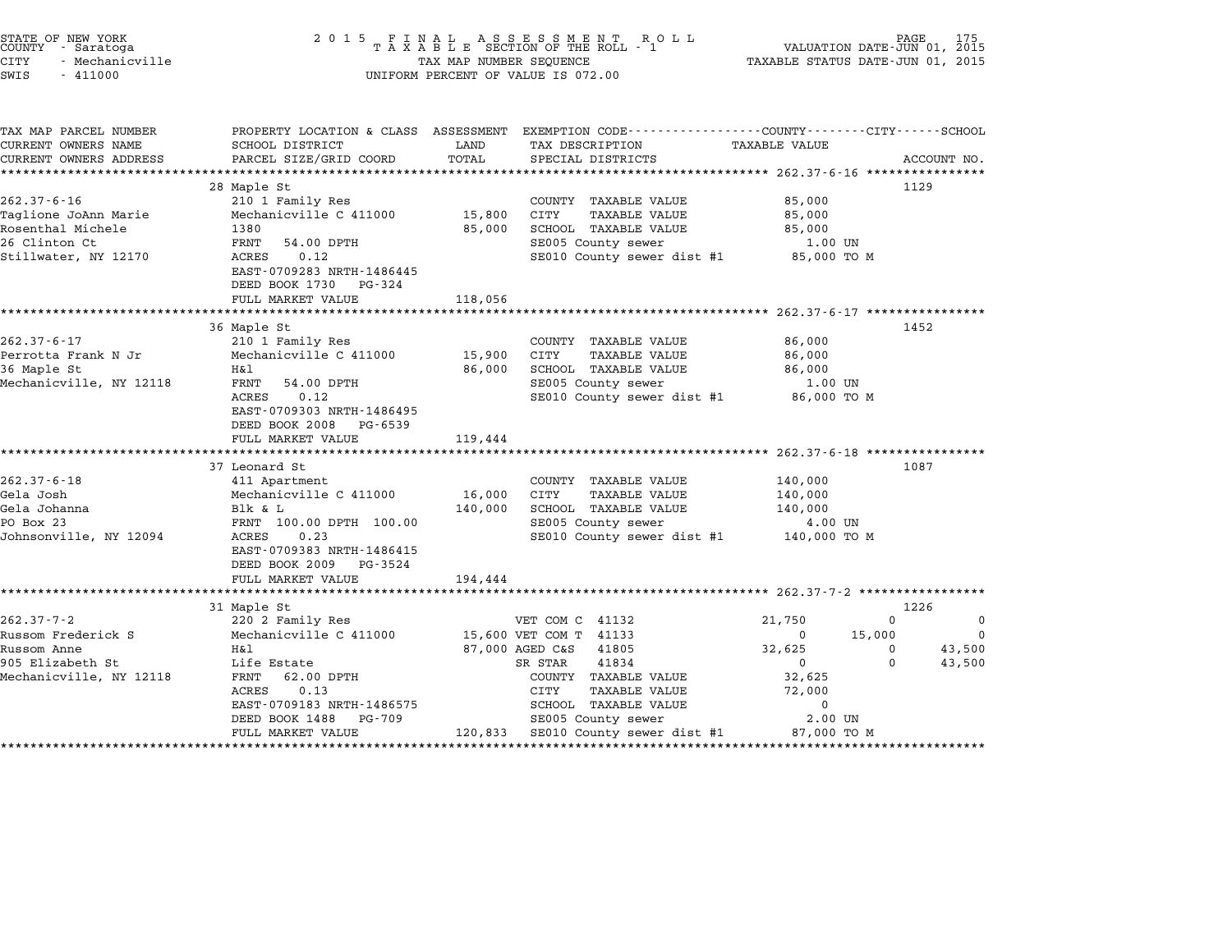| STATE OF NEW YORK<br>COUNTY - Saratoga<br><b>CITY</b><br>- Mechanicville<br>SWIS<br>$-411000$           | 2 0 1 5                                                                                                                                                                                     | TAX MAP NUMBER SEQUENCE      | FINAL ASSESSMENT ROLL<br>TAXABLE SECTION OF THE ROLL - 1<br>UNIFORM PERCENT OF VALUE IS 072.00                                                                                                                                                    | VALUATION DATE-JUN 01, 2015<br>TAXABLE STATUS DATE-JUN 01, 2015                                |                                        |                                   |
|---------------------------------------------------------------------------------------------------------|---------------------------------------------------------------------------------------------------------------------------------------------------------------------------------------------|------------------------------|---------------------------------------------------------------------------------------------------------------------------------------------------------------------------------------------------------------------------------------------------|------------------------------------------------------------------------------------------------|----------------------------------------|-----------------------------------|
| TAX MAP PARCEL NUMBER<br>CURRENT OWNERS NAME<br>CURRENT OWNERS ADDRESS                                  | SCHOOL DISTRICT<br>PARCEL SIZE/GRID COORD                                                                                                                                                   | LAND<br>TOTAL                | PROPERTY LOCATION & CLASS ASSESSMENT EXEMPTION CODE---------------COUNTY-------CITY------SCHOOL<br>TAX DESCRIPTION TAXABLE VALUE<br>SPECIAL DISTRICTS                                                                                             |                                                                                                |                                        | ACCOUNT NO.                       |
| $262.37 - 6 - 16$<br>Taglione JoAnn Marie<br>Rosenthal Michele<br>26 Clinton Ct<br>Stillwater, NY 12170 | 28 Maple St<br>210 1 Family Res<br>Mechanicville C 411000<br>1380<br>FRNT<br>54.00 DPTH<br>0.12<br>ACRES<br>EAST-0709283 NRTH-1486445<br>DEED BOOK 1730 PG-324<br>FULL MARKET VALUE         | 15,800<br>85,000<br>118,056  | COUNTY TAXABLE VALUE<br>TAXABLE VALUE<br>CITY<br>SCHOOL TAXABLE VALUE<br>SE005 County sewer<br>SE010 County sewer dist #1                                                                                                                         | 85,000<br>85,000<br>85,000<br>1.00 UN<br>85,000 TO M                                           |                                        | 1129                              |
|                                                                                                         |                                                                                                                                                                                             |                              |                                                                                                                                                                                                                                                   |                                                                                                |                                        |                                   |
| $262.37 - 6 - 17$<br>Perrotta Frank N Jr<br>36 Maple St<br>Mechanicville, NY 12118                      | 36 Maple St<br>210 1 Family Res<br>Mechanicville C 411000<br>H&l<br>FRNT<br>54.00 DPTH<br>ACRES<br>0.12<br>EAST-0709303 NRTH-1486495<br>DEED BOOK 2008 PG-6539<br>FULL MARKET VALUE         | 15,900<br>86,000<br>119,444  | COUNTY TAXABLE VALUE<br>CITY<br><b>TAXABLE VALUE</b><br>SCHOOL TAXABLE VALUE<br>SE005 County sewer<br>SE010 County sewer dist #1                                                                                                                  | 86,000<br>86,000<br>86,000<br>1.00 UN<br>86,000 то м                                           |                                        | 1452                              |
| $262.37 - 6 - 18$<br>Gela Josh<br>Gela Johanna<br>PO Box 23<br>Johnsonville, NY 12094                   | 37 Leonard St<br>411 Apartment<br>Mechanicville C 411000<br>Blk & L<br>FRNT 100.00 DPTH 100.00<br>ACRES<br>0.23<br>EAST-0709383 NRTH-1486415<br>DEED BOOK 2009 PG-3524<br>FULL MARKET VALUE | 16,000<br>140,000<br>194,444 | COUNTY TAXABLE VALUE<br><b>TAXABLE VALUE</b><br>CITY<br>SCHOOL TAXABLE VALUE<br>SE005 County sewer<br>SE010 County sewer dist #1 140,000 TO M                                                                                                     | 140,000<br>140,000<br>140,000<br>4.00 UN                                                       |                                        | 1087                              |
|                                                                                                         | ***********************<br>31 Maple St                                                                                                                                                      |                              |                                                                                                                                                                                                                                                   |                                                                                                |                                        | 1226                              |
| $262.37 - 7 - 2$<br>Russom Frederick S<br>Russom Anne<br>905 Elizabeth St<br>Mechanicville, NY 12118    | 220 2 Family Res<br>Mechanicville C 411000<br>H&l<br>Life Estate<br>FRNT<br>62.00 DPTH<br>ACRES<br>0.13<br>EAST-0709183 NRTH-1486575<br>DEED BOOK 1488<br>PG-709<br>FULL MARKET VALUE       |                              | VET COM C 41132<br>15,600 VET COM T 41133<br>87,000 AGED C&S<br>41805<br>SR STAR<br>41834<br>COUNTY TAXABLE VALUE<br>CITY<br><b>TAXABLE VALUE</b><br>SCHOOL TAXABLE VALUE<br>SE005 County sewer<br>120,833 SE010 County sewer dist #1 87,000 TO M | 21,750<br>$\overline{\mathbf{0}}$<br>32,625<br>$\mathbf 0$<br>32,625<br>72,000<br>0<br>2.00 UN | $\mathbf 0$<br>15,000<br>0<br>$\Omega$ | 0<br>$\Omega$<br>43,500<br>43,500 |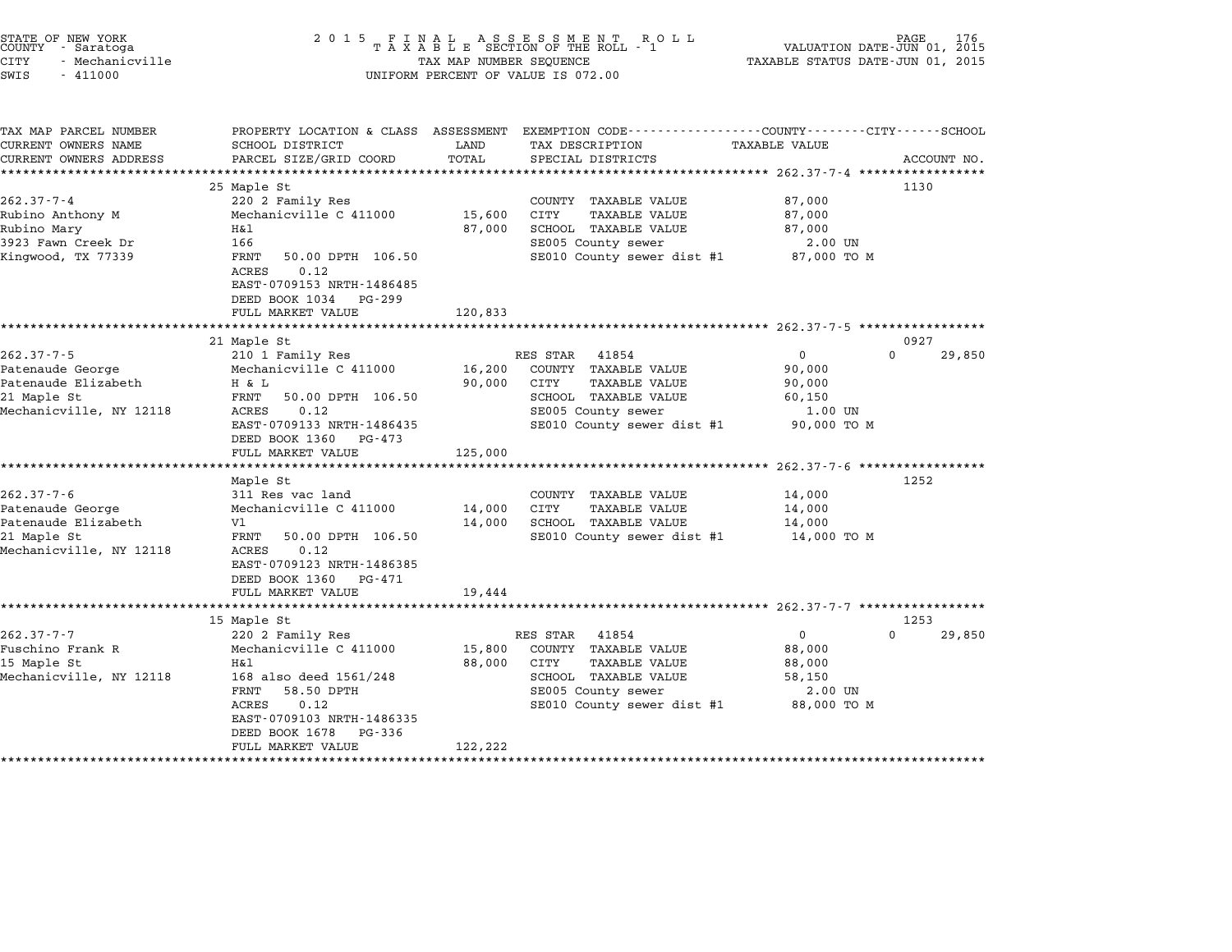| STATE OF NEW YORK |                 |  |
|-------------------|-----------------|--|
| COUNTY            | - Saratoga      |  |
| CITY              | - Mechanicville |  |

| TAX MAP PARCEL NUMBER   | PROPERTY LOCATION & CLASS ASSESSMENT                                                                                     |         | EXEMPTION CODE-----------------COUNTY-------CITY------SCHOOL |                      |          |             |
|-------------------------|--------------------------------------------------------------------------------------------------------------------------|---------|--------------------------------------------------------------|----------------------|----------|-------------|
| CURRENT OWNERS NAME     | SCHOOL DISTRICT                                                                                                          | LAND    | TAX DESCRIPTION                                              | <b>TAXABLE VALUE</b> |          |             |
| CURRENT OWNERS ADDRESS  | PARCEL SIZE/GRID COORD                                                                                                   | TOTAL   | SPECIAL DISTRICTS                                            |                      |          | ACCOUNT NO. |
|                         |                                                                                                                          |         |                                                              |                      |          |             |
|                         | 25 Maple St                                                                                                              |         |                                                              |                      | 1130     |             |
| $262.37 - 7 - 4$        | 220 2 Family Res                                                                                                         |         | COUNTY TAXABLE VALUE                                         | 87,000               |          |             |
| Rubino Anthony M        | Mechanicville C 411000                                                                                                   | 15,600  | CITY<br>TAXABLE VALUE                                        | 87,000               |          |             |
| Rubino Mary             | H&l                                                                                                                      | 87,000  | SCHOOL TAXABLE VALUE                                         | 87,000               |          |             |
| 3923 Fawn Creek Dr      | 166                                                                                                                      |         | SE005 County sewer                                           | 2.00 UN              |          |             |
| Kingwood, TX 77339      | FRNT<br>50.00 DPTH 106.50<br>0.12<br>ACRES<br>EAST-0709153 NRTH-1486485<br>DEED BOOK 1034<br>PG-299<br>FULL MARKET VALUE | 120,833 | SE010 County sewer dist #1 87,000 TO M                       |                      |          |             |
|                         |                                                                                                                          |         |                                                              |                      |          |             |
|                         | 21 Maple St                                                                                                              |         |                                                              |                      | 0927     |             |
| $262.37 - 7 - 5$        | 210 1 Family Res                                                                                                         |         | RES STAR<br>41854                                            | $\mathbf{0}$         | $\Omega$ | 29,850      |
| Patenaude George        | Mechanicville C 411000                                                                                                   |         | 16,200 COUNTY TAXABLE VALUE                                  | 90,000               |          |             |
| Patenaude Elizabeth     | H & L                                                                                                                    | 90,000  | CITY<br>TAXABLE VALUE                                        | 90,000               |          |             |
| 21 Maple St             | FRNT<br>50.00 DPTH 106.50                                                                                                |         | SCHOOL TAXABLE VALUE                                         | 60,150               |          |             |
| Mechanicville, NY 12118 | 0.12<br>ACRES                                                                                                            |         | SE005 County sewer                                           | 1.00 UN              |          |             |
|                         | EAST-0709133 NRTH-1486435                                                                                                |         | SE010 County sewer dist #1                                   | 90,000 TO M          |          |             |
|                         | DEED BOOK 1360<br>PG-473                                                                                                 |         |                                                              |                      |          |             |
|                         | FULL MARKET VALUE                                                                                                        | 125,000 |                                                              |                      |          |             |
|                         |                                                                                                                          |         |                                                              |                      |          |             |
|                         | Maple St                                                                                                                 |         |                                                              |                      | 1252     |             |
| $262.37 - 7 - 6$        | 311 Res vac land                                                                                                         |         | COUNTY TAXABLE VALUE                                         | 14,000               |          |             |
| Patenaude George        | Mechanicville C 411000                                                                                                   | 14,000  | CITY<br>TAXABLE VALUE                                        | 14,000               |          |             |
| Patenaude Elizabeth     | V1                                                                                                                       |         | 14,000 SCHOOL TAXABLE VALUE                                  | 14,000               |          |             |
| 21 Maple St             | FRNT<br>50.00 DPTH 106.50                                                                                                |         | SE010 County sewer dist #1 14,000 TO M                       |                      |          |             |
| Mechanicville, NY 12118 | 0.12<br>ACRES                                                                                                            |         |                                                              |                      |          |             |
|                         | EAST-0709123 NRTH-1486385                                                                                                |         |                                                              |                      |          |             |
|                         | DEED BOOK 1360<br>PG-471                                                                                                 |         |                                                              |                      |          |             |
|                         | FULL MARKET VALUE                                                                                                        | 19,444  |                                                              |                      |          |             |
|                         |                                                                                                                          |         |                                                              |                      |          |             |
|                         | 15 Maple St                                                                                                              |         |                                                              |                      | 1253     |             |
| $262.37 - 7 - 7$        | 220 2 Family Res                                                                                                         |         | RES STAR<br>41854                                            | $\mathbf{0}$         | $\Omega$ | 29,850      |
| Fuschino Frank R        | Mechanicville C 411000                                                                                                   | 15,800  | COUNTY TAXABLE VALUE                                         | 88,000               |          |             |
| 15 Maple St             | Η&l                                                                                                                      | 88,000  | CITY<br>TAXABLE VALUE                                        | 88,000               |          |             |
| Mechanicville, NY 12118 | 168 also deed 1561/248                                                                                                   |         | SCHOOL TAXABLE VALUE                                         | 58,150               |          |             |
|                         | 58.50 DPTH<br>FRNT                                                                                                       |         | SE005 County sewer                                           | 2.00 UN              |          |             |
|                         | ACRES<br>0.12                                                                                                            |         | SE010 County sewer dist #1 88,000 TO M                       |                      |          |             |
|                         | EAST-0709103 NRTH-1486335                                                                                                |         |                                                              |                      |          |             |
|                         | DEED BOOK 1678<br>PG-336                                                                                                 |         |                                                              |                      |          |             |
|                         | FULL MARKET VALUE                                                                                                        | 122,222 |                                                              |                      |          |             |
|                         |                                                                                                                          |         |                                                              |                      |          |             |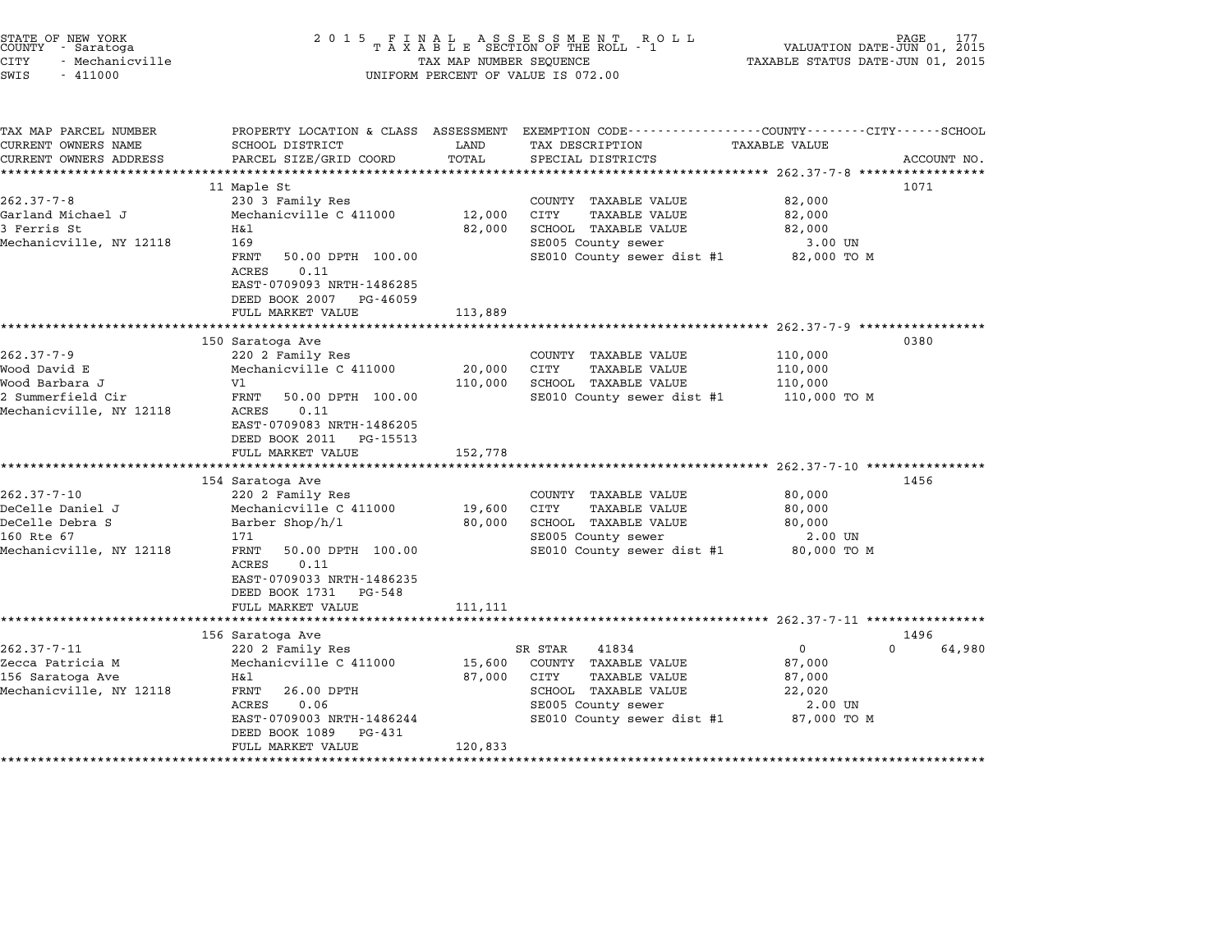| FINAL ASSESSMENT RO<br>TAXABLE SECTION OF THE ROLL - 1<br>ROLL<br>PAGE<br>177<br>2 0 1 5<br>VALUATION DATE-JUN 01, 2015<br>TAX MAP NUMBER SEQUENCE<br>TAXABLE STATUS DATE-JUN 01, 2015<br>UNIFORM PERCENT OF VALUE IS 072.00 |                                                                                                                           |                                                                                                                                    |                                                                      |                                                                                                                               |
|------------------------------------------------------------------------------------------------------------------------------------------------------------------------------------------------------------------------------|---------------------------------------------------------------------------------------------------------------------------|------------------------------------------------------------------------------------------------------------------------------------|----------------------------------------------------------------------|-------------------------------------------------------------------------------------------------------------------------------|
| SCHOOL DISTRICT<br>PARCEL SIZE/GRID COORD                                                                                                                                                                                    | LAND<br>TOTAL                                                                                                             | TAX DESCRIPTION<br>SPECIAL DISTRICTS                                                                                               | TAXABLE VALUE                                                        | ACCOUNT NO.                                                                                                                   |
| 11 Maple St<br>230 3 Family Res<br>Mechanicville C 411000<br>H&1<br>169<br>FRNT<br>50.00 DPTH 100.00<br>0.11<br>ACRES<br>EAST-0709093 NRTH-1486285<br>DEED BOOK 2007<br>PG-46059<br>FULL MARKET VALUE                        | 12,000<br>82,000<br>113,889                                                                                               | COUNTY TAXABLE VALUE<br>CITY<br>TAXABLE VALUE<br>SCHOOL TAXABLE VALUE<br>SE005 County sewer<br>SE010 County sewer dist #1          | 82,000<br>82,000<br>82,000<br>3.00 UN<br>82,000 TO M                 | 1071                                                                                                                          |
|                                                                                                                                                                                                                              |                                                                                                                           |                                                                                                                                    |                                                                      |                                                                                                                               |
| 220 2 Family Res<br>Mechanicville C 411000<br>V1<br>FRNT<br>50.00 DPTH 100.00<br>0.11<br>ACRES<br>EAST-0709083 NRTH-1486205<br>DEED BOOK 2011 PG-15513<br>FULL MARKET VALUE                                                  | 20,000<br>110,000<br>152,778                                                                                              | COUNTY TAXABLE VALUE<br>CITY<br>TAXABLE VALUE<br>SCHOOL TAXABLE VALUE<br>SE010 County sewer dist #1                                | 110,000<br>110,000<br>110,000<br>110,000 TO M                        | 0380                                                                                                                          |
|                                                                                                                                                                                                                              |                                                                                                                           |                                                                                                                                    |                                                                      | 1456                                                                                                                          |
| 220 2 Family Res<br>Mechanicville C 411000<br>Barber Shop/h/1<br>171<br>FRNT<br>50.00 DPTH 100.00<br>0.11<br>ACRES<br>EAST-0709033 NRTH-1486235                                                                              | 19,600<br>80,000                                                                                                          | COUNTY TAXABLE VALUE<br>CITY<br>TAXABLE VALUE<br>SCHOOL TAXABLE VALUE<br>SE005 County sewer                                        | 80,000<br>80,000<br>80,000<br>2.00 UN<br>80,000 TO M                 |                                                                                                                               |
|                                                                                                                                                                                                                              |                                                                                                                           |                                                                                                                                    |                                                                      |                                                                                                                               |
| ***********************************                                                                                                                                                                                          |                                                                                                                           |                                                                                                                                    |                                                                      |                                                                                                                               |
| 156 Saratoga Ave<br>220 2 Family Res<br>Mechanicville C 411000<br>Η&l<br>26.00 DPTH<br>FRNT<br>0.06<br>ACRES<br>EAST-0709003 NRTH-1486244<br>DEED BOOK 1089 PG-431<br>FULL MARKET VALUE                                      | 15,600<br>87,000<br>120,833                                                                                               | 41834<br>COUNTY TAXABLE VALUE<br>CITY<br>TAXABLE VALUE<br>SCHOOL TAXABLE VALUE<br>SE005 County sewer<br>SE010 County sewer dist #1 | $\mathbf{0}$<br>87,000<br>87,000<br>22,020<br>2.00 UN<br>87,000 TO M | 1496<br>64,980<br>0                                                                                                           |
|                                                                                                                                                                                                                              | 150 Saratoga Ave<br>***********************************<br>154 Saratoga Ave<br>DEED BOOK 1731 PG-548<br>FULL MARKET VALUE | 111, 111                                                                                                                           | SR STAR                                                              | PROPERTY LOCATION & CLASS ASSESSMENT EXEMPTION CODE---------------COUNTY-------CITY------SCHOOL<br>SE010 County sewer dist #1 |

STATE OF NEW YORK <sup>2</sup> <sup>0</sup> <sup>1</sup> 5 F I N A L A S S E S S M E N T R O L L PAGE <sup>177</sup> COUNTY - Saratoga <sup>T</sup> <sup>A</sup> <sup>X</sup> <sup>A</sup> <sup>B</sup> <sup>L</sup> <sup>E</sup> SECTION OF THE ROLL - <sup>1</sup> VALUATION DATE-JUN 01, <sup>2015</sup>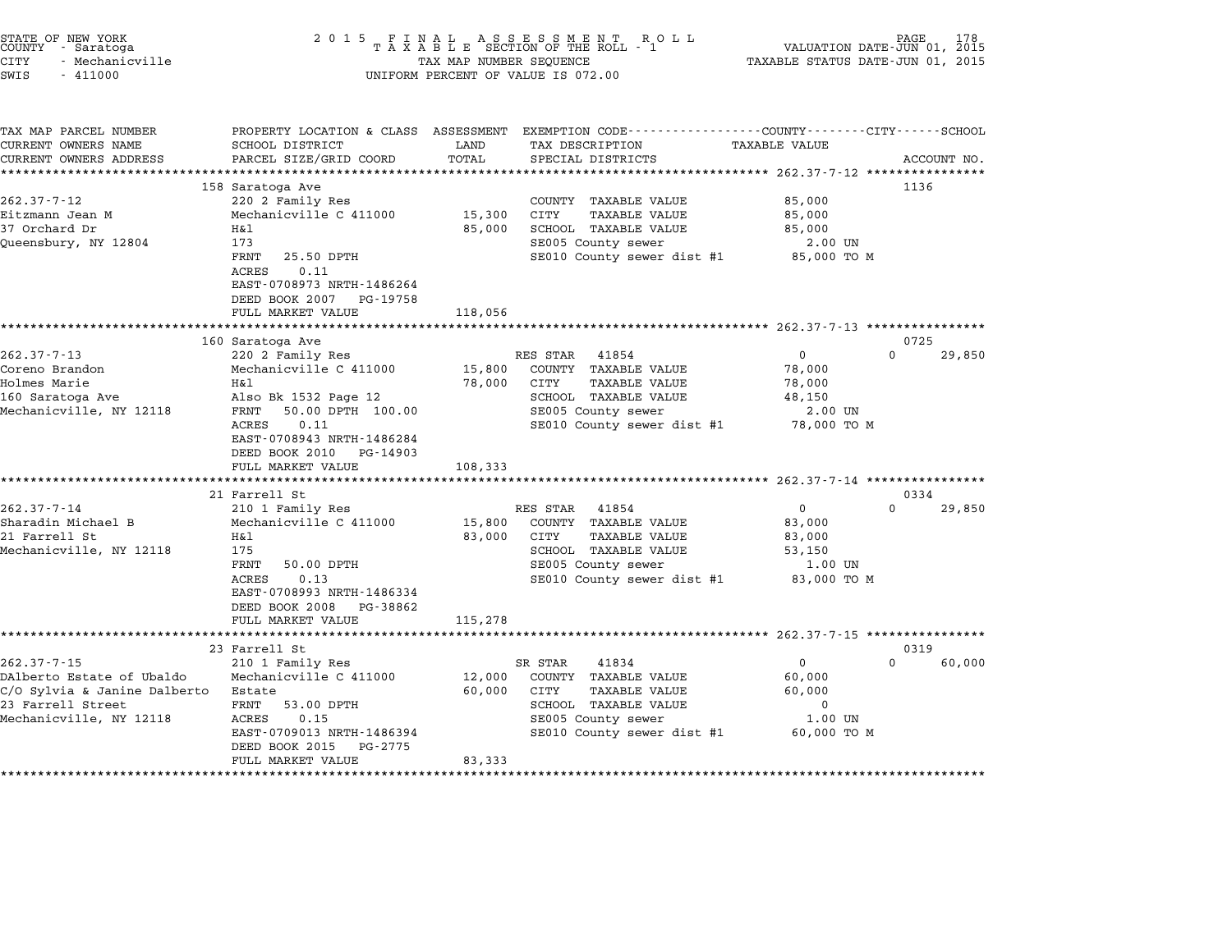| STATE OF NEW YORK<br>COUNTY - Saratoga<br><b>CITY</b><br>- Mechanicville<br>SWIS<br>$-411000$ | 2 0 1 5                                                                                        | TAX MAP NUMBER SEQUENCE | FINAL ASSESSMENT ROLL<br>TAXABLE SECTION OF THE ROLL - 1<br>UNIFORM PERCENT OF VALUE IS 072.00                     | TAXABLE STATUS DATE-JUN 01, 2015 | PAGE 178<br>VALUATION DATE-JUN 01, 2015 |
|-----------------------------------------------------------------------------------------------|------------------------------------------------------------------------------------------------|-------------------------|--------------------------------------------------------------------------------------------------------------------|----------------------------------|-----------------------------------------|
| TAX MAP PARCEL NUMBER<br>CURRENT OWNERS NAME                                                  | SCHOOL DISTRICT                                                                                | LAND                    | PROPERTY LOCATION & CLASS ASSESSMENT EXEMPTION CODE----------------COUNTY-------CITY-----SCHOOL<br>TAX DESCRIPTION | <b>TAXABLE VALUE</b>             |                                         |
| CURRENT OWNERS ADDRESS                                                                        | PARCEL SIZE/GRID COORD                                                                         | TOTAL                   | SPECIAL DISTRICTS                                                                                                  |                                  | ACCOUNT NO.                             |
|                                                                                               |                                                                                                |                         |                                                                                                                    |                                  | 1136                                    |
| $262.37 - 7 - 12$                                                                             | 158 Saratoga Ave<br>220 2 Family Res                                                           |                         | COUNTY TAXABLE VALUE                                                                                               | 85,000                           |                                         |
| Eitzmann Jean M                                                                               | Mechanicville C 411000                                                                         | 15,300                  | CITY<br>TAXABLE VALUE                                                                                              | 85,000                           |                                         |
| 37 Orchard Dr                                                                                 | Η&l                                                                                            | 85,000                  | SCHOOL TAXABLE VALUE                                                                                               | 85,000                           |                                         |
| Queensbury, NY 12804                                                                          | 173                                                                                            |                         | SE005 County sewer                                                                                                 | 2.00 UN                          |                                         |
|                                                                                               | FRNT<br>25.50 DPTH<br>0.11<br>ACRES<br>EAST-0708973 NRTH-1486264<br>DEED BOOK 2007<br>PG-19758 |                         | SE010 County sewer dist #1                                                                                         | 85,000 TO M                      |                                         |
|                                                                                               | FULL MARKET VALUE                                                                              | 118,056                 |                                                                                                                    |                                  |                                         |
|                                                                                               |                                                                                                |                         |                                                                                                                    |                                  |                                         |
| $262.37 - 7 - 13$                                                                             | 160 Saratoga Ave                                                                               |                         |                                                                                                                    | $\mathbf 0$                      | 0725<br>$\Omega$<br>29,850              |
| Coreno Brandon                                                                                | 220 2 Family Res<br>Mechanicville C 411000                                                     | 15,800                  | 41854<br>RES STAR<br>COUNTY TAXABLE VALUE                                                                          | 78,000                           |                                         |
| Holmes Marie                                                                                  | Η&l                                                                                            | 78,000                  | CITY<br><b>TAXABLE VALUE</b>                                                                                       | 78,000                           |                                         |
| 160 Saratoga Ave                                                                              | Also Bk 1532 Page 12                                                                           |                         | SCHOOL TAXABLE VALUE                                                                                               | 48,150                           |                                         |
| Mechanicville, NY 12118                                                                       | FRNT<br>50.00 DPTH 100.00<br>0.11<br>ACRES<br>EAST-0708943 NRTH-1486284                        |                         | SE005 County sewer<br>SE010 County sewer dist #1                                                                   | 2.00 UN<br>78,000 TO M           |                                         |
|                                                                                               | DEED BOOK 2010 PG-14903<br>FULL MARKET VALUE                                                   | 108,333                 |                                                                                                                    |                                  |                                         |
|                                                                                               |                                                                                                |                         |                                                                                                                    |                                  |                                         |
|                                                                                               | 21 Farrell St                                                                                  |                         |                                                                                                                    |                                  | 0334                                    |
| $262.37 - 7 - 14$                                                                             | 210 1 Family Res                                                                               |                         | RES STAR<br>41854                                                                                                  | $\overline{0}$                   | $\Omega$<br>29,850                      |
| Sharadin Michael B                                                                            | Mechanicville C 411000                                                                         | 15,800                  | COUNTY TAXABLE VALUE                                                                                               | 83,000                           |                                         |
| 21 Farrell St                                                                                 | Η&l                                                                                            | 83,000                  | CITY<br><b>TAXABLE VALUE</b>                                                                                       | 83,000                           |                                         |
| Mechanicville, NY 12118                                                                       | 175                                                                                            |                         | SCHOOL TAXABLE VALUE                                                                                               | 53,150                           |                                         |
|                                                                                               | FRNT<br>50.00 DPTH<br>0.13<br>ACRES                                                            |                         | SE005 County sewer                                                                                                 | 1.00 UN<br>83,000 TO M           |                                         |
|                                                                                               | EAST-0708993 NRTH-1486334                                                                      |                         | SE010 County sewer dist #1                                                                                         |                                  |                                         |
|                                                                                               | DEED BOOK 2008 PG-38862                                                                        |                         |                                                                                                                    |                                  |                                         |
|                                                                                               | FULL MARKET VALUE                                                                              | 115,278                 |                                                                                                                    |                                  |                                         |
|                                                                                               | **********************                                                                         |                         |                                                                                                                    |                                  |                                         |
|                                                                                               | 23 Farrell St                                                                                  |                         |                                                                                                                    |                                  | 0319                                    |
| $262.37 - 7 - 15$                                                                             | 210 1 Family Res                                                                               |                         | SR STAR<br>41834                                                                                                   | $\mathbf 0$                      | $\Omega$<br>60,000                      |
| DAlberto Estate of Ubaldo                                                                     | Mechanicville C 411000                                                                         | 12,000                  | COUNTY TAXABLE VALUE                                                                                               | 60,000                           |                                         |
| C/O Sylvia & Janine Dalberto                                                                  | Estate                                                                                         | 60,000                  | CITY<br>TAXABLE VALUE                                                                                              | 60,000                           |                                         |
| 23 Farrell Street                                                                             | FRNT<br>53.00 DPTH                                                                             |                         | SCHOOL TAXABLE VALUE                                                                                               | $\mathbf 0$                      |                                         |
| Mechanicville, NY 12118                                                                       | 0.15<br>ACRES<br>EAST-0709013 NRTH-1486394                                                     |                         | SE005 County sewer<br>SE010 County sewer dist #1                                                                   | $1.00$ UN<br>60,000 TO M         |                                         |
|                                                                                               | DEED BOOK 2015<br>PG-2775                                                                      |                         |                                                                                                                    |                                  |                                         |
|                                                                                               | FULL MARKET VALUE                                                                              | 83,333                  |                                                                                                                    |                                  |                                         |
|                                                                                               |                                                                                                | *******************     |                                                                                                                    |                                  |                                         |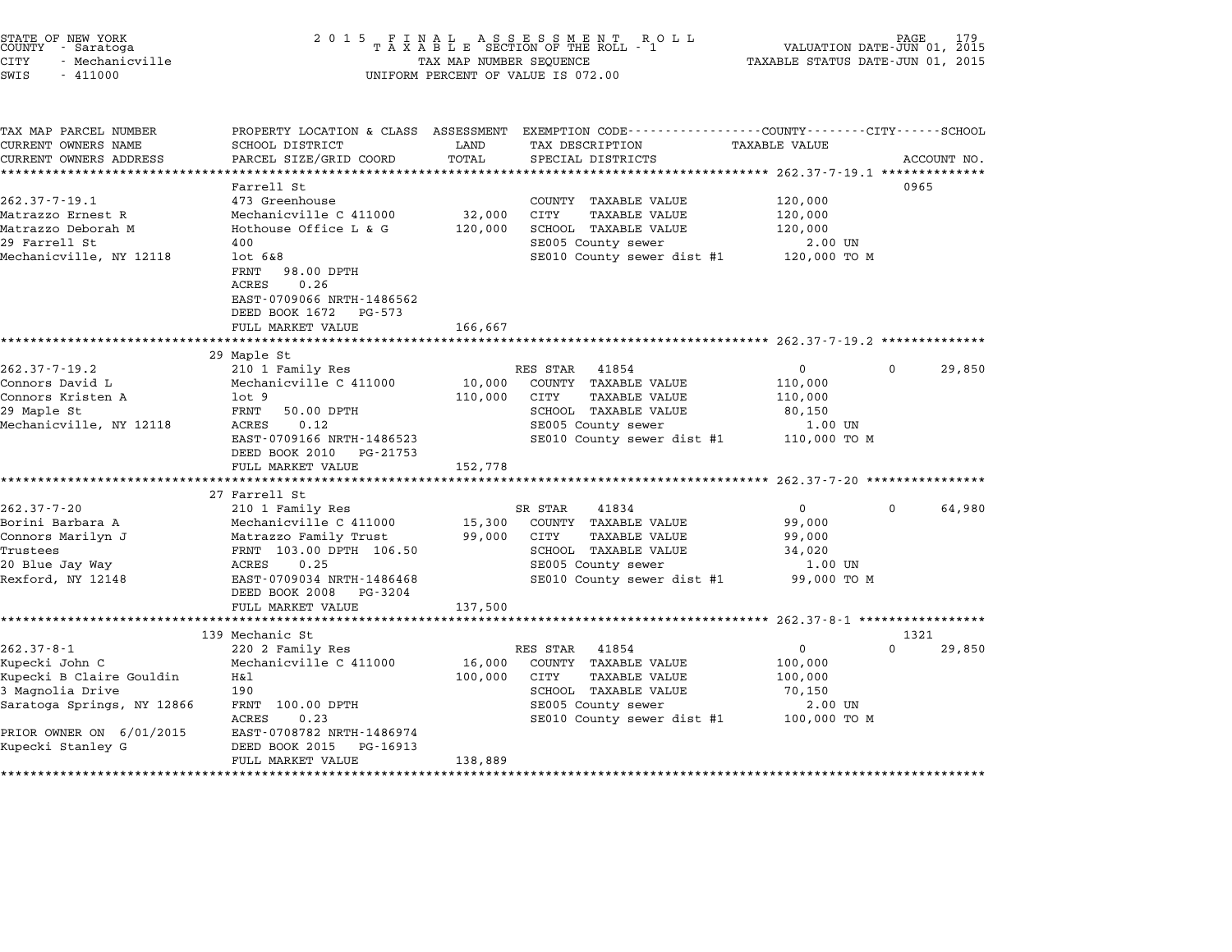# STATE OF NEW YORK <sup>2</sup> <sup>0</sup> <sup>1</sup> 5 F I N A L A S S E S S M E N T R O L L PAGE <sup>179</sup> COUNTY - Saratoga <sup>T</sup> <sup>A</sup> <sup>X</sup> <sup>A</sup> <sup>B</sup> <sup>L</sup> <sup>E</sup> SECTION OF THE ROLL - <sup>1</sup> VALUATION DATE-JUN 01, <sup>2015</sup> CITY - Mechanicville TAX MAP NUMBER SEQUENCE TAXABLE STATUS DATE-JUN 01, <sup>2015</sup> STATE OF NEW YORK<br>
COUNTY - Saratoga<br>
CITY - Mechanicville<br>
SWIS - 411000 UNIFORM PERCENT OF VALUE IS 072.00

|                            |                                                                                                                                                                                                                                                                                                                                                                                                                                                                                                                                                                                                                                                                                                                                                              | PROPERTY LOCATION & CLASS ASSESSMENT EXEMPTION CODE----------------COUNTY-------CITY------SCHOOL                                  |                                                                                                                                                                                                                                                                                                                                                                                                                                              |                                                                                                                                                                                                                                                                              |                                                                                                                |
|----------------------------|--------------------------------------------------------------------------------------------------------------------------------------------------------------------------------------------------------------------------------------------------------------------------------------------------------------------------------------------------------------------------------------------------------------------------------------------------------------------------------------------------------------------------------------------------------------------------------------------------------------------------------------------------------------------------------------------------------------------------------------------------------------|-----------------------------------------------------------------------------------------------------------------------------------|----------------------------------------------------------------------------------------------------------------------------------------------------------------------------------------------------------------------------------------------------------------------------------------------------------------------------------------------------------------------------------------------------------------------------------------------|------------------------------------------------------------------------------------------------------------------------------------------------------------------------------------------------------------------------------------------------------------------------------|----------------------------------------------------------------------------------------------------------------|
|                            |                                                                                                                                                                                                                                                                                                                                                                                                                                                                                                                                                                                                                                                                                                                                                              |                                                                                                                                   |                                                                                                                                                                                                                                                                                                                                                                                                                                              |                                                                                                                                                                                                                                                                              |                                                                                                                |
|                            |                                                                                                                                                                                                                                                                                                                                                                                                                                                                                                                                                                                                                                                                                                                                                              |                                                                                                                                   |                                                                                                                                                                                                                                                                                                                                                                                                                                              |                                                                                                                                                                                                                                                                              | ACCOUNT NO.                                                                                                    |
|                            |                                                                                                                                                                                                                                                                                                                                                                                                                                                                                                                                                                                                                                                                                                                                                              |                                                                                                                                   |                                                                                                                                                                                                                                                                                                                                                                                                                                              |                                                                                                                                                                                                                                                                              |                                                                                                                |
|                            |                                                                                                                                                                                                                                                                                                                                                                                                                                                                                                                                                                                                                                                                                                                                                              |                                                                                                                                   |                                                                                                                                                                                                                                                                                                                                                                                                                                              |                                                                                                                                                                                                                                                                              |                                                                                                                |
|                            |                                                                                                                                                                                                                                                                                                                                                                                                                                                                                                                                                                                                                                                                                                                                                              |                                                                                                                                   |                                                                                                                                                                                                                                                                                                                                                                                                                                              |                                                                                                                                                                                                                                                                              |                                                                                                                |
|                            |                                                                                                                                                                                                                                                                                                                                                                                                                                                                                                                                                                                                                                                                                                                                                              |                                                                                                                                   |                                                                                                                                                                                                                                                                                                                                                                                                                                              |                                                                                                                                                                                                                                                                              |                                                                                                                |
|                            |                                                                                                                                                                                                                                                                                                                                                                                                                                                                                                                                                                                                                                                                                                                                                              |                                                                                                                                   |                                                                                                                                                                                                                                                                                                                                                                                                                                              |                                                                                                                                                                                                                                                                              |                                                                                                                |
|                            |                                                                                                                                                                                                                                                                                                                                                                                                                                                                                                                                                                                                                                                                                                                                                              |                                                                                                                                   |                                                                                                                                                                                                                                                                                                                                                                                                                                              |                                                                                                                                                                                                                                                                              |                                                                                                                |
|                            |                                                                                                                                                                                                                                                                                                                                                                                                                                                                                                                                                                                                                                                                                                                                                              |                                                                                                                                   |                                                                                                                                                                                                                                                                                                                                                                                                                                              |                                                                                                                                                                                                                                                                              |                                                                                                                |
|                            |                                                                                                                                                                                                                                                                                                                                                                                                                                                                                                                                                                                                                                                                                                                                                              |                                                                                                                                   |                                                                                                                                                                                                                                                                                                                                                                                                                                              |                                                                                                                                                                                                                                                                              |                                                                                                                |
|                            |                                                                                                                                                                                                                                                                                                                                                                                                                                                                                                                                                                                                                                                                                                                                                              |                                                                                                                                   |                                                                                                                                                                                                                                                                                                                                                                                                                                              |                                                                                                                                                                                                                                                                              |                                                                                                                |
|                            |                                                                                                                                                                                                                                                                                                                                                                                                                                                                                                                                                                                                                                                                                                                                                              |                                                                                                                                   |                                                                                                                                                                                                                                                                                                                                                                                                                                              |                                                                                                                                                                                                                                                                              |                                                                                                                |
|                            |                                                                                                                                                                                                                                                                                                                                                                                                                                                                                                                                                                                                                                                                                                                                                              |                                                                                                                                   |                                                                                                                                                                                                                                                                                                                                                                                                                                              |                                                                                                                                                                                                                                                                              |                                                                                                                |
|                            |                                                                                                                                                                                                                                                                                                                                                                                                                                                                                                                                                                                                                                                                                                                                                              |                                                                                                                                   |                                                                                                                                                                                                                                                                                                                                                                                                                                              |                                                                                                                                                                                                                                                                              |                                                                                                                |
|                            |                                                                                                                                                                                                                                                                                                                                                                                                                                                                                                                                                                                                                                                                                                                                                              |                                                                                                                                   |                                                                                                                                                                                                                                                                                                                                                                                                                                              |                                                                                                                                                                                                                                                                              |                                                                                                                |
|                            |                                                                                                                                                                                                                                                                                                                                                                                                                                                                                                                                                                                                                                                                                                                                                              |                                                                                                                                   |                                                                                                                                                                                                                                                                                                                                                                                                                                              |                                                                                                                                                                                                                                                                              | 29,850                                                                                                         |
|                            |                                                                                                                                                                                                                                                                                                                                                                                                                                                                                                                                                                                                                                                                                                                                                              |                                                                                                                                   |                                                                                                                                                                                                                                                                                                                                                                                                                                              |                                                                                                                                                                                                                                                                              |                                                                                                                |
|                            |                                                                                                                                                                                                                                                                                                                                                                                                                                                                                                                                                                                                                                                                                                                                                              |                                                                                                                                   |                                                                                                                                                                                                                                                                                                                                                                                                                                              |                                                                                                                                                                                                                                                                              |                                                                                                                |
|                            |                                                                                                                                                                                                                                                                                                                                                                                                                                                                                                                                                                                                                                                                                                                                                              |                                                                                                                                   |                                                                                                                                                                                                                                                                                                                                                                                                                                              |                                                                                                                                                                                                                                                                              |                                                                                                                |
|                            |                                                                                                                                                                                                                                                                                                                                                                                                                                                                                                                                                                                                                                                                                                                                                              |                                                                                                                                   |                                                                                                                                                                                                                                                                                                                                                                                                                                              |                                                                                                                                                                                                                                                                              |                                                                                                                |
|                            |                                                                                                                                                                                                                                                                                                                                                                                                                                                                                                                                                                                                                                                                                                                                                              |                                                                                                                                   |                                                                                                                                                                                                                                                                                                                                                                                                                                              |                                                                                                                                                                                                                                                                              |                                                                                                                |
|                            |                                                                                                                                                                                                                                                                                                                                                                                                                                                                                                                                                                                                                                                                                                                                                              |                                                                                                                                   |                                                                                                                                                                                                                                                                                                                                                                                                                                              |                                                                                                                                                                                                                                                                              |                                                                                                                |
|                            |                                                                                                                                                                                                                                                                                                                                                                                                                                                                                                                                                                                                                                                                                                                                                              |                                                                                                                                   |                                                                                                                                                                                                                                                                                                                                                                                                                                              |                                                                                                                                                                                                                                                                              |                                                                                                                |
|                            |                                                                                                                                                                                                                                                                                                                                                                                                                                                                                                                                                                                                                                                                                                                                                              |                                                                                                                                   |                                                                                                                                                                                                                                                                                                                                                                                                                                              |                                                                                                                                                                                                                                                                              |                                                                                                                |
|                            |                                                                                                                                                                                                                                                                                                                                                                                                                                                                                                                                                                                                                                                                                                                                                              |                                                                                                                                   |                                                                                                                                                                                                                                                                                                                                                                                                                                              |                                                                                                                                                                                                                                                                              |                                                                                                                |
|                            |                                                                                                                                                                                                                                                                                                                                                                                                                                                                                                                                                                                                                                                                                                                                                              |                                                                                                                                   |                                                                                                                                                                                                                                                                                                                                                                                                                                              |                                                                                                                                                                                                                                                                              | 64,980                                                                                                         |
|                            |                                                                                                                                                                                                                                                                                                                                                                                                                                                                                                                                                                                                                                                                                                                                                              |                                                                                                                                   |                                                                                                                                                                                                                                                                                                                                                                                                                                              |                                                                                                                                                                                                                                                                              |                                                                                                                |
|                            |                                                                                                                                                                                                                                                                                                                                                                                                                                                                                                                                                                                                                                                                                                                                                              |                                                                                                                                   |                                                                                                                                                                                                                                                                                                                                                                                                                                              |                                                                                                                                                                                                                                                                              |                                                                                                                |
|                            |                                                                                                                                                                                                                                                                                                                                                                                                                                                                                                                                                                                                                                                                                                                                                              |                                                                                                                                   |                                                                                                                                                                                                                                                                                                                                                                                                                                              |                                                                                                                                                                                                                                                                              |                                                                                                                |
|                            |                                                                                                                                                                                                                                                                                                                                                                                                                                                                                                                                                                                                                                                                                                                                                              |                                                                                                                                   |                                                                                                                                                                                                                                                                                                                                                                                                                                              |                                                                                                                                                                                                                                                                              |                                                                                                                |
|                            |                                                                                                                                                                                                                                                                                                                                                                                                                                                                                                                                                                                                                                                                                                                                                              |                                                                                                                                   |                                                                                                                                                                                                                                                                                                                                                                                                                                              |                                                                                                                                                                                                                                                                              |                                                                                                                |
|                            |                                                                                                                                                                                                                                                                                                                                                                                                                                                                                                                                                                                                                                                                                                                                                              |                                                                                                                                   |                                                                                                                                                                                                                                                                                                                                                                                                                                              |                                                                                                                                                                                                                                                                              |                                                                                                                |
|                            |                                                                                                                                                                                                                                                                                                                                                                                                                                                                                                                                                                                                                                                                                                                                                              |                                                                                                                                   |                                                                                                                                                                                                                                                                                                                                                                                                                                              |                                                                                                                                                                                                                                                                              |                                                                                                                |
|                            |                                                                                                                                                                                                                                                                                                                                                                                                                                                                                                                                                                                                                                                                                                                                                              |                                                                                                                                   |                                                                                                                                                                                                                                                                                                                                                                                                                                              |                                                                                                                                                                                                                                                                              |                                                                                                                |
|                            |                                                                                                                                                                                                                                                                                                                                                                                                                                                                                                                                                                                                                                                                                                                                                              |                                                                                                                                   |                                                                                                                                                                                                                                                                                                                                                                                                                                              |                                                                                                                                                                                                                                                                              |                                                                                                                |
|                            |                                                                                                                                                                                                                                                                                                                                                                                                                                                                                                                                                                                                                                                                                                                                                              |                                                                                                                                   |                                                                                                                                                                                                                                                                                                                                                                                                                                              | $\Omega$                                                                                                                                                                                                                                                                     | 29,850                                                                                                         |
|                            |                                                                                                                                                                                                                                                                                                                                                                                                                                                                                                                                                                                                                                                                                                                                                              |                                                                                                                                   |                                                                                                                                                                                                                                                                                                                                                                                                                                              |                                                                                                                                                                                                                                                                              |                                                                                                                |
| Η&l                        |                                                                                                                                                                                                                                                                                                                                                                                                                                                                                                                                                                                                                                                                                                                                                              | CITY<br><b>TAXABLE VALUE</b>                                                                                                      |                                                                                                                                                                                                                                                                                                                                                                                                                                              |                                                                                                                                                                                                                                                                              |                                                                                                                |
| 190                        |                                                                                                                                                                                                                                                                                                                                                                                                                                                                                                                                                                                                                                                                                                                                                              | SCHOOL TAXABLE VALUE                                                                                                              | 70,150                                                                                                                                                                                                                                                                                                                                                                                                                                       |                                                                                                                                                                                                                                                                              |                                                                                                                |
| FRNT 100.00 DPTH           |                                                                                                                                                                                                                                                                                                                                                                                                                                                                                                                                                                                                                                                                                                                                                              | SE005 County sewer                                                                                                                | 2.00 UN                                                                                                                                                                                                                                                                                                                                                                                                                                      |                                                                                                                                                                                                                                                                              |                                                                                                                |
|                            |                                                                                                                                                                                                                                                                                                                                                                                                                                                                                                                                                                                                                                                                                                                                                              |                                                                                                                                   |                                                                                                                                                                                                                                                                                                                                                                                                                                              |                                                                                                                                                                                                                                                                              |                                                                                                                |
| 0.23<br><b>ACRES</b>       |                                                                                                                                                                                                                                                                                                                                                                                                                                                                                                                                                                                                                                                                                                                                                              |                                                                                                                                   |                                                                                                                                                                                                                                                                                                                                                                                                                                              |                                                                                                                                                                                                                                                                              |                                                                                                                |
| EAST-0708782 NRTH-1486974  |                                                                                                                                                                                                                                                                                                                                                                                                                                                                                                                                                                                                                                                                                                                                                              | SE010 County sewer dist #1                                                                                                        | 100,000 TO M                                                                                                                                                                                                                                                                                                                                                                                                                                 |                                                                                                                                                                                                                                                                              |                                                                                                                |
| DEED BOOK 2015<br>PG-16913 |                                                                                                                                                                                                                                                                                                                                                                                                                                                                                                                                                                                                                                                                                                                                                              |                                                                                                                                   |                                                                                                                                                                                                                                                                                                                                                                                                                                              |                                                                                                                                                                                                                                                                              |                                                                                                                |
|                            | SCHOOL DISTRICT<br>PARCEL SIZE/GRID COORD<br>Farrell St<br>473 Greenhouse<br>Mechanicville C 411000<br>Hothouse Office $L$ & $G$<br>400<br>$1$ ot $6&8$<br>FRNT<br>98.00 DPTH<br>ACRES<br>0.26<br>EAST-0709066 NRTH-1486562<br>DEED BOOK 1672 PG-573<br>FULL MARKET VALUE<br>29 Maple St<br>210 1 Family Res<br>Mechanicville C 411000<br>$1$ ot $9$<br>FRNT<br>50.00 DPTH<br>ACRES<br>0.12<br>EAST-0709166 NRTH-1486523<br>DEED BOOK 2010 PG-21753<br>FULL MARKET VALUE<br>27 Farrell St<br>210 1 Family Res<br>Mechanicville C 411000<br>Matrazzo Family Trust<br>FRNT 103.00 DPTH 106.50<br>ACRES<br>0.25<br>EAST-0709034 NRTH-1486468<br>DEED BOOK 2008<br>PG-3204<br>FULL MARKET VALUE<br>139 Mechanic St<br>220 2 Family Res<br>Mechanicville C 411000 | LAND<br>TOTAL<br>32,000<br>120,000<br>166,667<br>10,000<br>110,000<br>152,778<br>15,300<br>99,000<br>137,500<br>16,000<br>100,000 | TAX DESCRIPTION<br>SPECIAL DISTRICTS<br>COUNTY TAXABLE VALUE<br><b>CITY</b><br><b>TAXABLE VALUE</b><br>SCHOOL TAXABLE VALUE<br>SE005 County sewer<br>41854<br>RES STAR<br>COUNTY TAXABLE VALUE<br>CITY<br>TAXABLE VALUE<br>SCHOOL TAXABLE VALUE<br>SE005 County sewer<br>SR STAR<br>41834<br>COUNTY TAXABLE VALUE<br>CITY<br><b>TAXABLE VALUE</b><br>SCHOOL TAXABLE VALUE<br>SE005 County sewer<br>RES STAR<br>41854<br>COUNTY TAXABLE VALUE | <b>TAXABLE VALUE</b><br>120,000<br>120,000<br>120,000<br>2.00 UN<br>$\mathbf 0$<br>110,000<br>110,000<br>80,150<br>1.00 UN<br>SE010 County sewer dist #1<br>$\overline{0}$<br>99,000<br>99,000<br>34,020<br>1.00 UN<br>SE010 County sewer dist #1<br>0<br>100,000<br>100,000 | 0965<br>SE010 County sewer dist #1 120,000 TO M<br>$\Omega$<br>110,000 TO M<br>$\Omega$<br>99,000 TO M<br>1321 |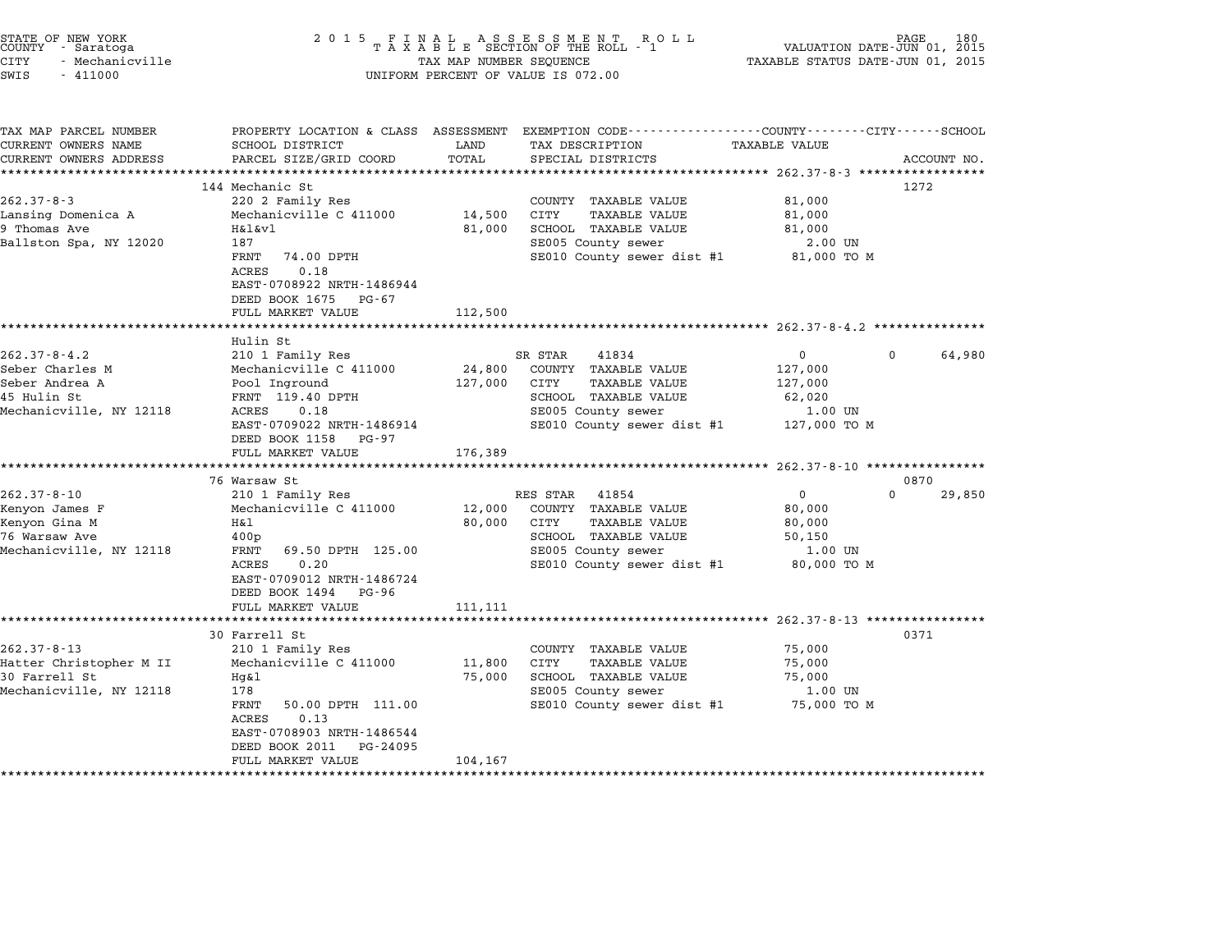| STATE OF NEW YORK |  |                 |  |
|-------------------|--|-----------------|--|
| COUNTY            |  | - Saratoga      |  |
| CITY              |  | - Mechanicville |  |

## STATE OF NEW YORK <sup>2</sup> <sup>0</sup> <sup>1</sup> 5 F I N A L A S S E S S M E N T R O L L PAGE <sup>180</sup> COUNTY - Saratoga <sup>T</sup> <sup>A</sup> <sup>X</sup> <sup>A</sup> <sup>B</sup> <sup>L</sup> <sup>E</sup> SECTION OF THE ROLL - <sup>1</sup> VALUATION DATE-JUN 01, <sup>2015</sup> STATE OF NEW YORK (ROBER 180 ) AND RESERVE TO A SUBSETION OF NEW TOR COUNTY - SATE OF NEW TAXABLE STATUS 180<br>COUNTY - Saratoga (2015 ) A X A B L E SECTION OF THE ROLL - 1 (VALUATION DATE-JUN 01, 2015<br>CITY - Mechanicville ( SWIS - <sup>411000</sup> UNIFORM PERCENT OF VALUE IS 072.00

| TAX MAP PARCEL NUMBER<br>CURRENT OWNERS NAME | SCHOOL DISTRICT            | LAND     | PROPERTY LOCATION & CLASS ASSESSMENT EXEMPTION CODE---------------COUNTY-------CITY------SCHOOL<br>TAX DESCRIPTION | <b>TAXABLE VALUE</b> |                    |
|----------------------------------------------|----------------------------|----------|--------------------------------------------------------------------------------------------------------------------|----------------------|--------------------|
| CURRENT OWNERS ADDRESS                       | PARCEL SIZE/GRID COORD     | TOTAL    | SPECIAL DISTRICTS                                                                                                  |                      | ACCOUNT NO.        |
|                                              |                            |          |                                                                                                                    |                      |                    |
|                                              | 144 Mechanic St            |          |                                                                                                                    |                      | 1272               |
| $262.37 - 8 - 3$                             | 220 2 Family Res           |          | COUNTY TAXABLE VALUE                                                                                               | 81,000               |                    |
| Lansing Domenica A                           | Mechanicville C 411000     | 14,500   | <b>CITY</b><br><b>TAXABLE VALUE</b>                                                                                | 81,000               |                    |
| 9 Thomas Ave                                 | H&l&vl                     | 81,000   | SCHOOL TAXABLE VALUE                                                                                               | 81,000               |                    |
| Ballston Spa, NY 12020                       | 187                        |          | SE005 County sewer                                                                                                 | 2.00 UN              |                    |
|                                              | FRNT<br>74.00 DPTH         |          | SE010 County sewer dist #1                                                                                         | 81,000 TO M          |                    |
|                                              | 0.18<br>ACRES              |          |                                                                                                                    |                      |                    |
|                                              | EAST-0708922 NRTH-1486944  |          |                                                                                                                    |                      |                    |
|                                              | DEED BOOK 1675 PG-67       |          |                                                                                                                    |                      |                    |
|                                              | FULL MARKET VALUE          | 112,500  |                                                                                                                    |                      |                    |
|                                              |                            |          |                                                                                                                    |                      |                    |
|                                              | Hulin St                   |          |                                                                                                                    |                      |                    |
| $262.37 - 8 - 4.2$                           | 210 1 Family Res           |          | SR STAR<br>41834                                                                                                   | $\Omega$             | $\Omega$<br>64,980 |
| Seber Charles M                              | Mechanicville C 411000     | 24,800   | COUNTY TAXABLE VALUE                                                                                               | 127,000              |                    |
| Seber Andrea A                               | Pool Inground              | 127,000  | CITY<br>TAXABLE VALUE                                                                                              | 127,000              |                    |
| 45 Hulin St                                  | FRNT 119.40 DPTH           |          | SCHOOL TAXABLE VALUE                                                                                               | 62,020               |                    |
| Mechanicville, NY 12118                      | ACRES<br>0.18              |          | SE005 County sewer                                                                                                 | 1.00 UN              |                    |
|                                              | EAST-0709022 NRTH-1486914  |          | SE010 County sewer dist #1                                                                                         | 127,000 TO M         |                    |
|                                              | DEED BOOK 1158 PG-97       |          |                                                                                                                    |                      |                    |
|                                              | FULL MARKET VALUE          | 176,389  |                                                                                                                    |                      |                    |
|                                              |                            |          |                                                                                                                    |                      |                    |
|                                              | 76 Warsaw St               |          |                                                                                                                    |                      | 0870               |
| $262.37 - 8 - 10$                            | 210 1 Family Res           |          | RES STAR<br>41854                                                                                                  | $\mathbf 0$          | $\Omega$<br>29,850 |
| Kenyon James F                               | Mechanicville C 411000     | 12,000   | COUNTY TAXABLE VALUE                                                                                               | 80,000               |                    |
| Kenyon Gina M                                | H&l                        | 80,000   | CITY<br><b>TAXABLE VALUE</b>                                                                                       | 80,000               |                    |
| 76 Warsaw Ave                                | 400p                       |          | SCHOOL TAXABLE VALUE                                                                                               | 50,150               |                    |
| Mechanicville, NY 12118                      | 69.50 DPTH 125.00<br>FRNT  |          | SE005 County sewer                                                                                                 | 1.00 UN              |                    |
|                                              | 0.20<br>ACRES              |          | SE010 County sewer dist #1                                                                                         | 80,000 TO M          |                    |
|                                              | EAST-0709012 NRTH-1486724  |          |                                                                                                                    |                      |                    |
|                                              | DEED BOOK 1494 PG-96       |          |                                                                                                                    |                      |                    |
|                                              | FULL MARKET VALUE          | 111, 111 |                                                                                                                    |                      |                    |
|                                              |                            |          |                                                                                                                    |                      |                    |
|                                              | 30 Farrell St              |          |                                                                                                                    |                      | 0371               |
| $262.37 - 8 - 13$                            | 210 1 Family Res           |          | COUNTY TAXABLE VALUE                                                                                               | 75,000               |                    |
| Hatter Christopher M II                      | Mechanicville C 411000     | 11,800   | CITY<br>TAXABLE VALUE                                                                                              | 75,000               |                    |
| 30 Farrell St                                | Hg&l                       | 75,000   | SCHOOL TAXABLE VALUE                                                                                               | 75,000               |                    |
| Mechanicville, NY 12118                      | 178                        |          | SE005 County sewer                                                                                                 | 1.00 UN              |                    |
|                                              | FRNT<br>50.00 DPTH 111.00  |          | SE010 County sewer dist #1                                                                                         | 75,000 TO M          |                    |
|                                              | 0.13<br>ACRES              |          |                                                                                                                    |                      |                    |
|                                              | EAST-0708903 NRTH-1486544  |          |                                                                                                                    |                      |                    |
|                                              | DEED BOOK 2011<br>PG-24095 |          |                                                                                                                    |                      |                    |
|                                              | FULL MARKET VALUE          | 104,167  |                                                                                                                    |                      |                    |
|                                              |                            |          |                                                                                                                    |                      |                    |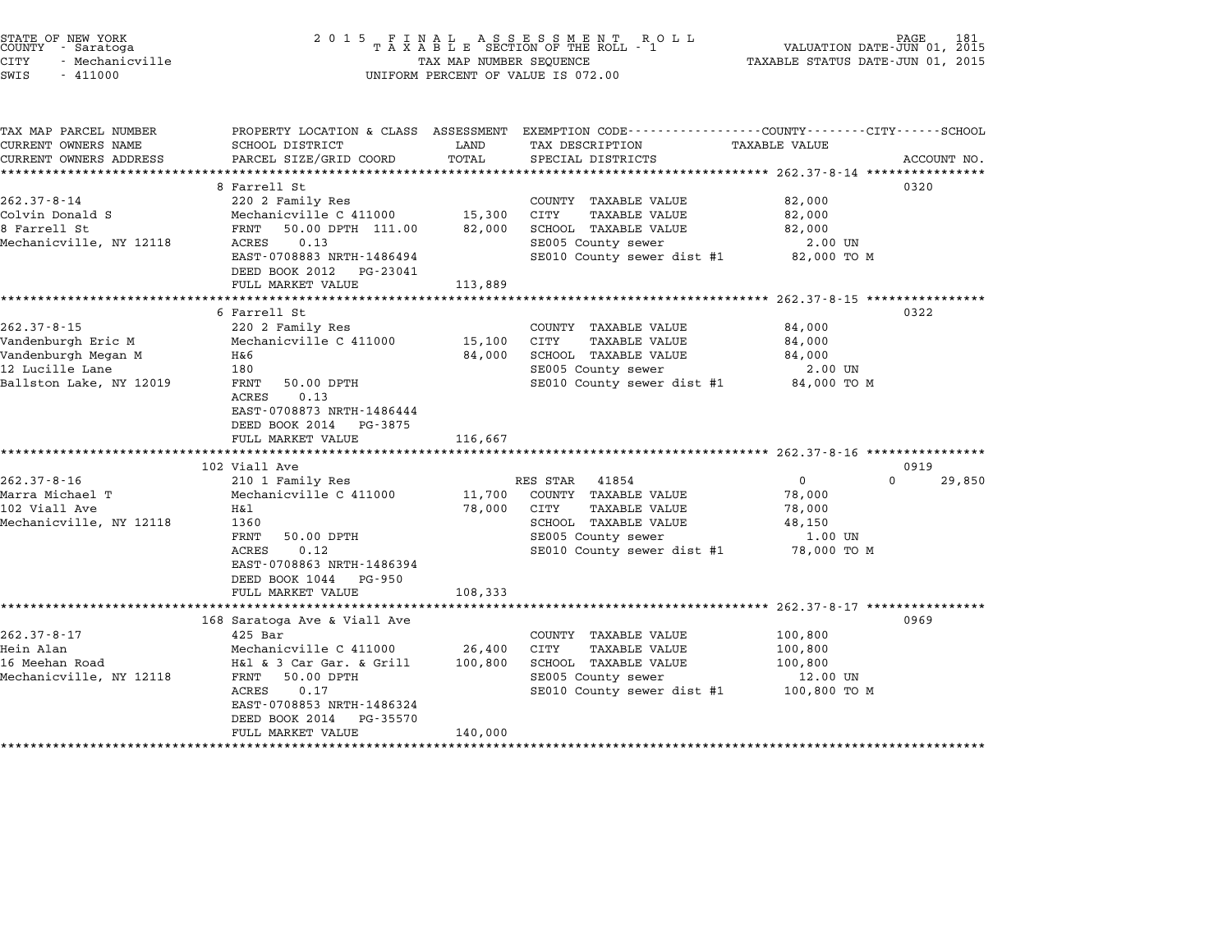| STATE OF NEW YORK<br>COUNTY - Saratoga<br><b>CITY</b><br>- Mechanicville<br>SWIS<br>$-411000$                | 2 0 1 5                                                                                                                                                                                                                | TAX MAP NUMBER SEQUENCE         | FINAL ASSESSMENT ROLL<br>TAXABLE SECTION OF THE ROLL - 1<br>UNIFORM PERCENT OF VALUE IS 072.00                                                        | TAXABLE STATUS DATE-JUN 01, 2015                                                          | 181<br>VALUATION DATE-JUN 01, 2015 |
|--------------------------------------------------------------------------------------------------------------|------------------------------------------------------------------------------------------------------------------------------------------------------------------------------------------------------------------------|---------------------------------|-------------------------------------------------------------------------------------------------------------------------------------------------------|-------------------------------------------------------------------------------------------|------------------------------------|
| TAX MAP PARCEL NUMBER<br>CURRENT OWNERS NAME<br>CURRENT OWNERS ADDRESS                                       | SCHOOL DISTRICT<br>PARCEL SIZE/GRID COORD<br>**************************                                                                                                                                                | LAND<br>TOTAL<br>************** | PROPERTY LOCATION & CLASS ASSESSMENT EXEMPTION CODE---------------COUNTY-------CITY------SCHOOL<br>TAX DESCRIPTION<br>SPECIAL DISTRICTS               | TAXABLE VALUE<br>****************** 262.37-8-14 *****************                         | ACCOUNT NO.                        |
| $262.37 - 8 - 14$<br>Colvin Donald S<br>8 Farrell St<br>Mechanicville, NY 12118                              | 8 Farrell St<br>220 2 Family Res<br>Mechanicville C 411000<br>50.00 DPTH 111.00<br>FRNT<br>0.13<br>ACRES<br>EAST-0708883 NRTH-1486494<br>DEED BOOK 2012<br>PG-23041<br>FULL MARKET VALUE                               | 15,300<br>82,000<br>113,889     | COUNTY TAXABLE VALUE<br>CITY<br><b>TAXABLE VALUE</b><br>SCHOOL TAXABLE VALUE<br>SE005 County sewer<br>SE010 County sewer dist #1                      | 82,000<br>82,000<br>82,000<br>2.00 UN<br>82,000 TO M                                      | 0320                               |
| $262.37 - 8 - 15$<br>Vandenburgh Eric M<br>Vandenburgh Megan M<br>12 Lucille Lane<br>Ballston Lake, NY 12019 | 6 Farrell St<br>220 2 Family Res<br>Mechanicville C 411000<br>H&6<br>180<br>FRNT<br>50.00 DPTH<br>0.13<br>ACRES<br>EAST-0708873 NRTH-1486444<br>DEED BOOK 2014 PG-3875<br>FULL MARKET VALUE                            | 15,100<br>84,000<br>116,667     | COUNTY TAXABLE VALUE<br>CITY<br>TAXABLE VALUE<br>SCHOOL TAXABLE VALUE<br>SE005 County sewer<br>SE010 County sewer dist #1                             | ****** 262.37-8-15 **************<br>84,000<br>84,000<br>84,000<br>2.00 UN<br>84,000 TO M | 0322                               |
| $262.37 - 8 - 16$<br>Marra Michael T<br>102 Viall Ave<br>Mechanicville, NY 12118                             | 102 Viall Ave<br>210 1 Family Res<br>Mechanicville C 411000<br>Η&l<br>1360<br>FRNT<br>50.00 DPTH<br>0.12<br>ACRES<br>EAST-0708863 NRTH-1486394<br>DEED BOOK 1044<br>PG-950<br>FULL MARKET VALUE                        | 11,700<br>78,000<br>108,333     | RES STAR<br>41854<br>COUNTY TAXABLE VALUE<br>CITY<br><b>TAXABLE VALUE</b><br>SCHOOL TAXABLE VALUE<br>SE005 County sewer<br>SE010 County sewer dist #1 | 0<br>78,000<br>78,000<br>48,150<br>1.00 UN<br>78,000 TO M                                 | 0919<br>$\Omega$<br>29,850         |
| $262.37 - 8 - 17$<br>Hein Alan<br>16 Meehan Road<br>Mechanicville, NY 12118                                  | 168 Saratoga Ave & Viall Ave<br>$425$ Bar<br>Mechanicville C 411000<br>H&l & 3 Car Gar. & Grill<br>FRNT<br>50.00 DPTH<br>ACRES<br>0.17<br>EAST-0708853 NRTH-1486324<br>DEED BOOK 2014<br>PG-35570<br>FULL MARKET VALUE | 26,400<br>100,800<br>140,000    | COUNTY TAXABLE VALUE<br>CITY<br>TAXABLE VALUE<br>SCHOOL TAXABLE VALUE<br>SE005 County sewer<br>SE010 County sewer dist #1                             | 100,800<br>100,800<br>100,800<br>12.00 UN<br>100,800 то м                                 | 0969                               |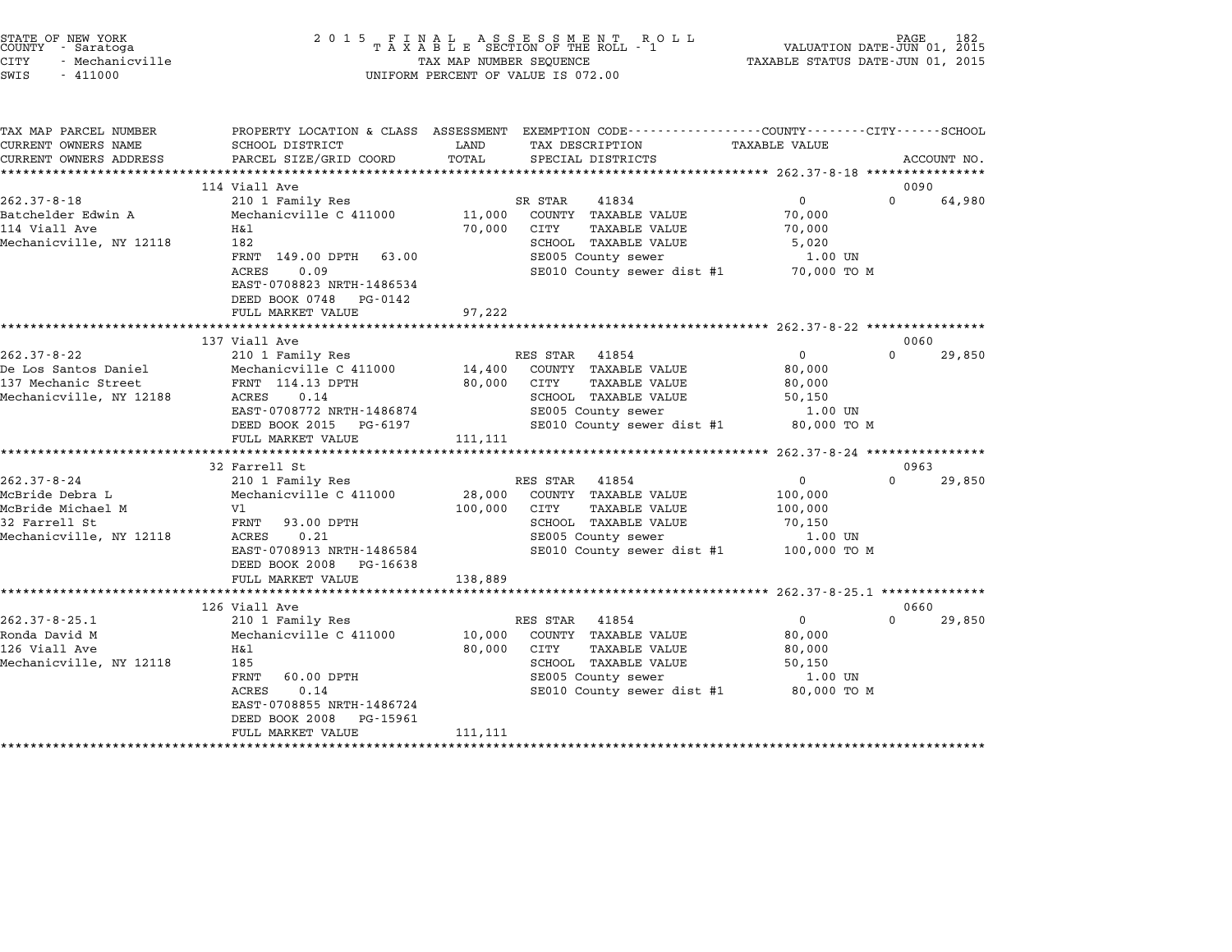| STATE OF NEW YORK |                 |
|-------------------|-----------------|
| COUNTY            | - Saratoga      |
| CITY              | - Mechanicville |

# STATE OF NEW YORK <sup>2</sup> <sup>0</sup> <sup>1</sup> 5 F I N A L A S S E S S M E N T R O L L PAGE <sup>182</sup> COUNTY - Saratoga <sup>T</sup> <sup>A</sup> <sup>X</sup> <sup>A</sup> <sup>B</sup> <sup>L</sup> <sup>E</sup> SECTION OF THE ROLL - <sup>1</sup> VALUATION DATE-JUN 01, <sup>2015</sup> STATE OF NEW YORK (RACE STATE OF NEW YORK 182 STATE OF NEW TAXABLE STATE OF NEW TAXABLE STATE 1920<br>COUNTY - Saratoga (2015 TAXABLE STATUS DATE-JUN 01, 2015 TAXABLE STATUS DATE-JUN 01, 2015<br>CITY - Mechanicville SWIS - <sup>411000</sup> UNIFORM PERCENT OF VALUE IS 072.00

TAX MAP PARCEL NUMBER PROPERTY LOCATION & CLASS ASSESSMENT EXEMPTION CODE------------------COUNTY--------CITY------SCHOOL ...<br>-- COUNTY:- TAX MAP PARCEL NUMBER THE OCHOTRY AND THE CURRENT EXEMPTION CODE<br>CURRENT OWNERS NAME SCHOOL DISTRICT LAND TAX DESCRIPTION TAXABLE VALUE CURRENT OWNERS ADDEER FOURDER FROM BOURDANT SALEMENT ON SCHOOL DISTRICTS AND TRANS AND TRANS TO TRANS TO TRANS<br>CURRENT OWNERS ADDRESS PARCEL SIZE/GRID COORD TOTAL SPECIAL DISTRICTS ACCOUNT NO.<br>\*\*\*\*\*\*\*\*\*\*\*\*\*\*\*\*\*\*\*\*\*\*\*\*\*\*\*\*\* <sup>114</sup> Viall Ave <sup>0090</sup> 114 Viall Ave 114 Viall Ave 262.37-8-18 20090<br>210 1 Family Res SR STAR 41834 0 000 64,980 Batchelder Edwin A Mechanicville C <sup>411000</sup> 11,000 COUNTY TAXABLE VALUE 70,000 202.37 July 210 Traming Research 202.37 July 202.37 July 202.37 July 202.37 July 202.37 July 202.<br>11,000 COUNTY TAXABLE VALUE 70,000<br>114 Viall Ave 70,000 CITY TAXABLE VALUE 70,000 Mechanicville C 411000 11,000 CONTI IAABLE VALUE (1,000 CONTI IAABLE VALUE 1999)<br>114 View Hall Ave Hall (1,000 CITY TAXABLE VALUE 1999)<br>20,000 SCHOOL TAXABLE VALUE 5,0200 SCHOOL TAXABLE VALUE ITAL TANDUS VOLUT IN TANDUS VADUS (U. 1992)<br>1821 - SCHOOL TAXABLE VALUE STOUR SECOUL TAXABLE VALUE (U. 1999)<br>FRNT 149.00 DPTH 63.00 SECOUS COUNTY SEWER (U. 1.00 UN ACRES 0.09 SE010 County sewer dist #1 70,000 TO <sup>M</sup> ACRES 0.09<br>EAST-0708823 NRTH-1486534 EAST-0708823 NRTH-148653<br>DEED BOOK 0748 PG-0142 EAST 0700025 MAIN 1400554<br>
DEED BOOK 0748 PG-0142<br>
FULL MARKET VALUE 97,222 \*\*\*\*\*\*\*\*\*\*\*\*\*\*\*\*\*\*\*\*\*\*\*\*\*\*\*\*\*\*\*\*\*\*\*\*\*\*\*\*\*\*\*\*\*\*\*\*\*\*\*\*\*\*\*\*\*\*\*\*\*\*\*\*\*\*\*\*\*\*\*\*\*\*\*\*\*\*\*\*\*\*\*\*\*\*\*\*\*\*\*\*\*\*\*\*\*\*\*\*\*\*\* 262.37-8-22 \*\*\*\*\*\*\*\*\*\*\*\*\*\*\*\* <sup>137</sup> Viall Ave <sup>0060</sup> 262.37-8-22 12.37-8-22 20060 RES STAR 41854 202.37-8-22 20060 239,850 RES STAR 41854 202.37-8-22 20 210 1 Family Res RES STAR 41854 202.37-8-22 20 210 1 Family Res RES STAR 41854 0 2060 De Los Santos Daniel Mechanicville C <sup>411000</sup> 14,400 COUNTY TAXABLE VALUE 80,000 102.37-0-22.37-0-22.02.37-0-22.02.37-0-22.02.37-0-22.02.37-0-22.02.02.02.02.02.02.02.02.02.02.02.02.<br>137 Mechanic Street FRNT 114.13 DPTH 80,000 COUNTY TAXABLE VALUE 80,000 E DOS BANCOS DANIEL ARE RECHANICVILLE CONTRACT (1990 COUNTRACTED AND SOUTH AND SOUTH AND SOUTH AND SUPPORT ON SU<br>137 Mechanic Street FRNT 114.13 DPTH 30,000 CITY TAXABLE VALUE 50,000 FOR SOUTH AND SOUTH 50,000 CHARES SOUTH EANI 114.15 DFIH 807,000 CITI IAABDE VALUE 807,000<br>ACRES 0.14 SCHOOL TAXABLE VALUE 50,150<br>EAST-0708772 NRTH-1486874 SE005 County sewer 1.00 UN EXED 0.1.4<br>
EXED DEED BOOK 2015 PG-6197 SE005 County sewer dist #1 80,000 TO M<br>
DEED BOOK 2015 PG-6197 SE010 County sewer dist #1 80,000 TO M EASI-0706772 NAIH-1460674<br>
DEED BOOK 2015 PG-6197<br>
FULL MARKET VALUE 111,111 \*\*\*\*\*\*\*\*\*\*\*\*\*\*\*\*\*\*\*\*\*\*\*\*\*\*\*\*\*\*\*\*\*\*\*\*\*\*\*\*\*\*\*\*\*\*\*\*\*\*\*\*\*\*\*\*\*\*\*\*\*\*\*\*\*\*\*\*\*\*\*\*\*\*\*\*\*\*\*\*\*\*\*\*\*\*\*\*\*\*\*\*\*\*\*\*\*\*\*\*\*\*\* 262.37-8-24 \*\*\*\*\*\*\*\*\*\*\*\*\*\*\*\* 32 Farrell St 0963 262.37-8-24 <sup>210</sup> <sup>1</sup> Family Res RES STAR <sup>41854</sup> <sup>0</sup> <sup>0</sup> 29,850 McBride Debra L Mechanicville C <sup>411000</sup> 28,000 COUNTY TAXABLE VALUE 100,000 McBride Michael M Vl 100,000 CITY TAXABLE VALUE 100,000 ACBITURE DEDIA I DECLAMITE CONTROL AND MANUE AND TRANSPORTED MOTOR CONTROLLER (NOT TRANSPORTED MOOD, 000 MANUE<br>MCBITURE IN SCHOOL CITY STAND SCHOOL TAXABLE VALUE 100,000<br>32 Farrell St Mechanicville, NY <sup>12118</sup> ACRES 0.21 SE005 County sewer 1.00 UN EXERES 0.21 SCROOD TAXABLE VALUE (1.00 UNITS) ACRES 0.21 SE005 COUNTY SERVER 1.00 UN<br>
EAST-0708913 NRTH-1486584 SE010 County sewer dist #1 100,000 TO M<br>
DEED BOOK 2008 PG-16638 EAST-0708913 NRTH-1486584<br>DEED BOOK 2008 PG-16638<br>FULL MARKET VALUE 138,889 \*\*\*\*\*\*\*\*\*\*\*\*\*\*\*\*\*\*\*\*\*\*\*\*\*\*\*\*\*\*\*\*\*\*\*\*\*\*\*\*\*\*\*\*\*\*\*\*\*\*\*\*\*\*\*\*\*\*\*\*\*\*\*\*\*\*\*\*\*\*\*\*\*\*\*\*\*\*\*\*\*\*\*\*\*\*\*\*\*\*\*\*\*\*\*\*\*\*\*\*\*\*\* 262.37-8-25.1 \*\*\*\*\*\*\*\*\*\*\*\*\*\* <sup>126</sup> Viall Ave <sup>0660</sup> 262.37-8-25.1 <sup>210</sup> <sup>1</sup> Family Res RES STAR <sup>41854</sup> <sup>0</sup> <sup>0</sup> 29,850 120 VIALL ROM MARRIA MES STAR 41854 (NALL AND 210 1 AVAILLY RESS STAR 41854 (NALUE 210 1 AU MECHANICV RESS STAR 41854 (NALUE 210 1 AU MECHANICV RESS STAR 41854 (NALUE 210 1 AVAILLY RESS STAR 41854 (NALUE 20,000 COUNTY TAXA <sup>126</sup> Viall Ave H&l 80,000 CITY TAXABLE VALUE 80,000 Mechanicville, NY <sup>12118</sup> <sup>185</sup> SCHOOL TAXABLE VALUE 50,150 ITAL CONSULTED MANUAL CONSULTED SUPPORT ON SCHOOL TAXABLE VALUE ON SOURCONDUCTION OUTLOOK SUPPORT SECTION SECTIO<br>1.00 UNIVERSITY SECTION SECTION SECTION SECTION SECTION SECTION SECTION SECTION SECTION SECTION SECTION SECTI ACRES 0.00 DPTH SCHOOL TAXABLE VALUE 50,150<br>
RENT 60.00 DPTH SE005 County sewer 1.00 UN<br>
ACRES 0.14 SE010 County sewer dist #1 80,000 TO M<br>
EAST-0708855 NRTH-1486724 EAST-0708855 NRTH-1486724<br>DEED BOOK 2008 PG-15961 EAST-0708855 NRTH-1486724<br>DEED BOOK 2008 PG-15961<br>FULL MARKET VALUE 111,111 \*\*\*\*\*\*\*\*\*\*\*\*\*\*\*\*\*\*\*\*\*\*\*\*\*\*\*\*\*\*\*\*\*\*\*\*\*\*\*\*\*\*\*\*\*\*\*\*\*\*\*\*\*\*\*\*\*\*\*\*\*\*\*\*\*\*\*\*\*\*\*\*\*\*\*\*\*\*\*\*\*\*\*\*\*\*\*\*\*\*\*\*\*\*\*\*\*\*\*\*\*\*\*\*\*\*\*\*\*\*\*\*\*\*\*\*\*\*\*\*\*\*\*\*\*\*\*\*\*\*\*\*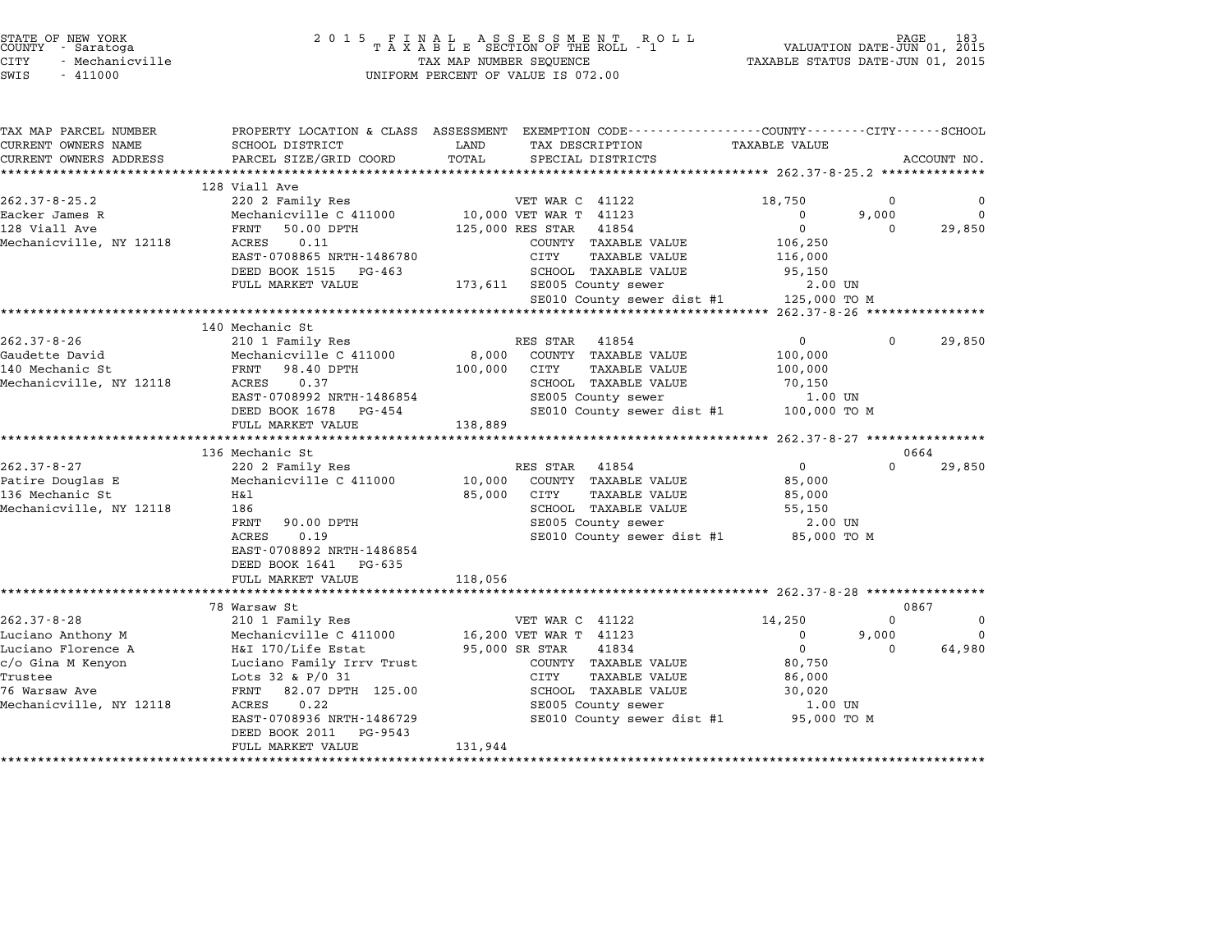| STATE OF NEW YORK |                 |  |
|-------------------|-----------------|--|
| COUNTY            | - Saratoga      |  |
| CITY              | - Mechanicville |  |

# STATE OF NEW YORK <sup>2</sup> <sup>0</sup> <sup>1</sup> 5 F I N A L A S S E S S M E N T R O L L PAGE <sup>183</sup> COUNTY - Saratoga <sup>T</sup> <sup>A</sup> <sup>X</sup> <sup>A</sup> <sup>B</sup> <sup>L</sup> <sup>E</sup> SECTION OF THE ROLL - <sup>1</sup> VALUATION DATE-JUN 01, <sup>2015</sup> STATE OF NEW YORK (RACE STATE OF NEW YORK 183<br>COUNTY - Saratoga (RACE STATE RANGER SECTION OF THE ROLL - 1 (RACE STATUS DATE-JUN 01, 2015<br>CITY - Mechanicville (Race Status of Taxable Status Date-JUN 01, 2015 SWIS - <sup>411000</sup> UNIFORM PERCENT OF VALUE IS 072.00

| TAX MAP PARCEL NUMBER   | PROPERTY LOCATION & CLASS ASSESSMENT EXEMPTION CODE---------------COUNTY-------CITY------SCHOOL |                  |                                         |                      |             |             |
|-------------------------|-------------------------------------------------------------------------------------------------|------------------|-----------------------------------------|----------------------|-------------|-------------|
| CURRENT OWNERS NAME     | SCHOOL DISTRICT                                                                                 | LAND             | TAX DESCRIPTION                         | <b>TAXABLE VALUE</b> |             |             |
| CURRENT OWNERS ADDRESS  | PARCEL SIZE/GRID COORD                                                                          | TOTAL            | SPECIAL DISTRICTS                       |                      |             | ACCOUNT NO. |
|                         |                                                                                                 |                  |                                         |                      |             |             |
|                         | 128 Viall Ave                                                                                   |                  |                                         |                      |             |             |
| $262.37 - 8 - 25.2$     | 220 2 Family Res                                                                                |                  | VET WAR C 41122                         | 18,750               | $\mathbf 0$ | 0           |
| Eacker James R          | Mechanicville C 411000 10,000 VET WAR T 41123                                                   |                  |                                         | $\Omega$             | 9,000       | $\Omega$    |
| 128 Viall Ave           | 50.00 DPTH<br>FRNT                                                                              | 125,000 RES STAR | 41854                                   | $\mathbf{0}$         | $\Omega$    | 29,850      |
| Mechanicville, NY 12118 | 0.11<br>ACRES                                                                                   |                  | COUNTY TAXABLE VALUE                    | 106,250              |             |             |
|                         | EAST-0708865 NRTH-1486780                                                                       |                  | CITY<br>TAXABLE VALUE                   | 116,000              |             |             |
|                         | DEED BOOK 1515 PG-463                                                                           |                  | SCHOOL TAXABLE VALUE                    | 95,150               |             |             |
|                         | FULL MARKET VALUE                                                                               |                  | 173,611 SE005 County sewer              | 2.00 UN              |             |             |
|                         |                                                                                                 |                  | SE010 County sewer dist #1 125,000 TO M |                      |             |             |
|                         |                                                                                                 |                  |                                         |                      |             |             |
|                         | 140 Mechanic St                                                                                 |                  |                                         |                      |             |             |
| $262.37 - 8 - 26$       | 210 1 Family Res                                                                                |                  | RES STAR 41854                          | $\overline{0}$       | $\Omega$    | 29,850      |
| Gaudette David          | Mechanicville C 411000                                                                          | 8,000            | COUNTY TAXABLE VALUE                    | 100,000              |             |             |
| 140 Mechanic St         | FRNT 98.40 DPTH                                                                                 | 100,000          | CITY<br>TAXABLE VALUE                   | 100,000              |             |             |
| Mechanicville, NY 12118 | 0.37<br>ACRES                                                                                   |                  | SCHOOL TAXABLE VALUE                    | 70,150               |             |             |
|                         | EAST-0708992 NRTH-1486854                                                                       |                  | SE005 County sewer                      | 1.00 UN              |             |             |
|                         | DEED BOOK 1678 PG-454                                                                           |                  | SE010 County sewer dist #1 100,000 TO M |                      |             |             |
|                         | FULL MARKET VALUE                                                                               | 138,889          |                                         |                      |             |             |
|                         |                                                                                                 |                  |                                         |                      |             |             |
|                         | 136 Mechanic St                                                                                 |                  |                                         |                      | 0664        |             |
| $262.37 - 8 - 27$       | 220 2 Family Res                                                                                |                  | RES STAR<br>41854                       | $\overline{0}$       | $\Omega$    | 29,850      |
| Patire Douglas E        | Mechanicville C 411000                                                                          | 10,000           | COUNTY TAXABLE VALUE                    | 85,000               |             |             |
| 136 Mechanic St         | H&1                                                                                             | 85,000 CITY      | <b>TAXABLE VALUE</b>                    | 85,000               |             |             |
| Mechanicville, NY 12118 | 186                                                                                             |                  | SCHOOL TAXABLE VALUE                    | 55,150               |             |             |
|                         | FRNT<br>90.00 DPTH                                                                              |                  | SE005 County sewer                      | 2.00 UN              |             |             |
|                         | 0.19<br>ACRES                                                                                   |                  | SE010 County sewer dist #1 85,000 TO M  |                      |             |             |
|                         | EAST-0708892 NRTH-1486854                                                                       |                  |                                         |                      |             |             |
|                         | DEED BOOK 1641<br>PG-635                                                                        |                  |                                         |                      |             |             |
|                         | FULL MARKET VALUE                                                                               | 118,056          |                                         |                      |             |             |
|                         |                                                                                                 |                  |                                         |                      |             |             |
|                         | 78 Warsaw St                                                                                    |                  |                                         |                      | 0867        |             |
| $262.37 - 8 - 28$       | 210 1 Family Res                                                                                |                  | VET WAR C 41122                         | 14,250               | $\Omega$    | $\mathbf 0$ |
| Luciano Anthony M       | Mechanicville C 411000 16,200 VET WAR T 41123                                                   |                  |                                         | $\mathbf 0$          | 9,000       | $\Omega$    |
| Luciano Florence A      | H&I 170/Life Estat                                                                              | 95,000 SR STAR   | 41834                                   | $\overline{0}$       | $\Omega$    | 64,980      |
| c/o Gina M Kenyon       | Luciano Family Irrv Trust                                                                       |                  | COUNTY TAXABLE VALUE                    | 80,750               |             |             |
| Trustee                 | Lots 32 & $P/0$ 31                                                                              |                  | CITY<br>TAXABLE VALUE                   | 86,000               |             |             |
| 76 Warsaw Ave           | FRNT 82.07 DPTH 125.00                                                                          |                  | SCHOOL TAXABLE VALUE                    | 30,020               |             |             |
| Mechanicville, NY 12118 | 0.22<br>ACRES                                                                                   |                  | SE005 County sewer                      | 1.00 UN              |             |             |
|                         | EAST-0708936 NRTH-1486729                                                                       |                  | SE010 County sewer dist #1 95,000 TO M  |                      |             |             |
|                         | DEED BOOK 2011<br>PG-9543                                                                       |                  |                                         |                      |             |             |
|                         | FULL MARKET VALUE                                                                               | 131,944          |                                         |                      |             |             |
|                         |                                                                                                 |                  |                                         |                      |             |             |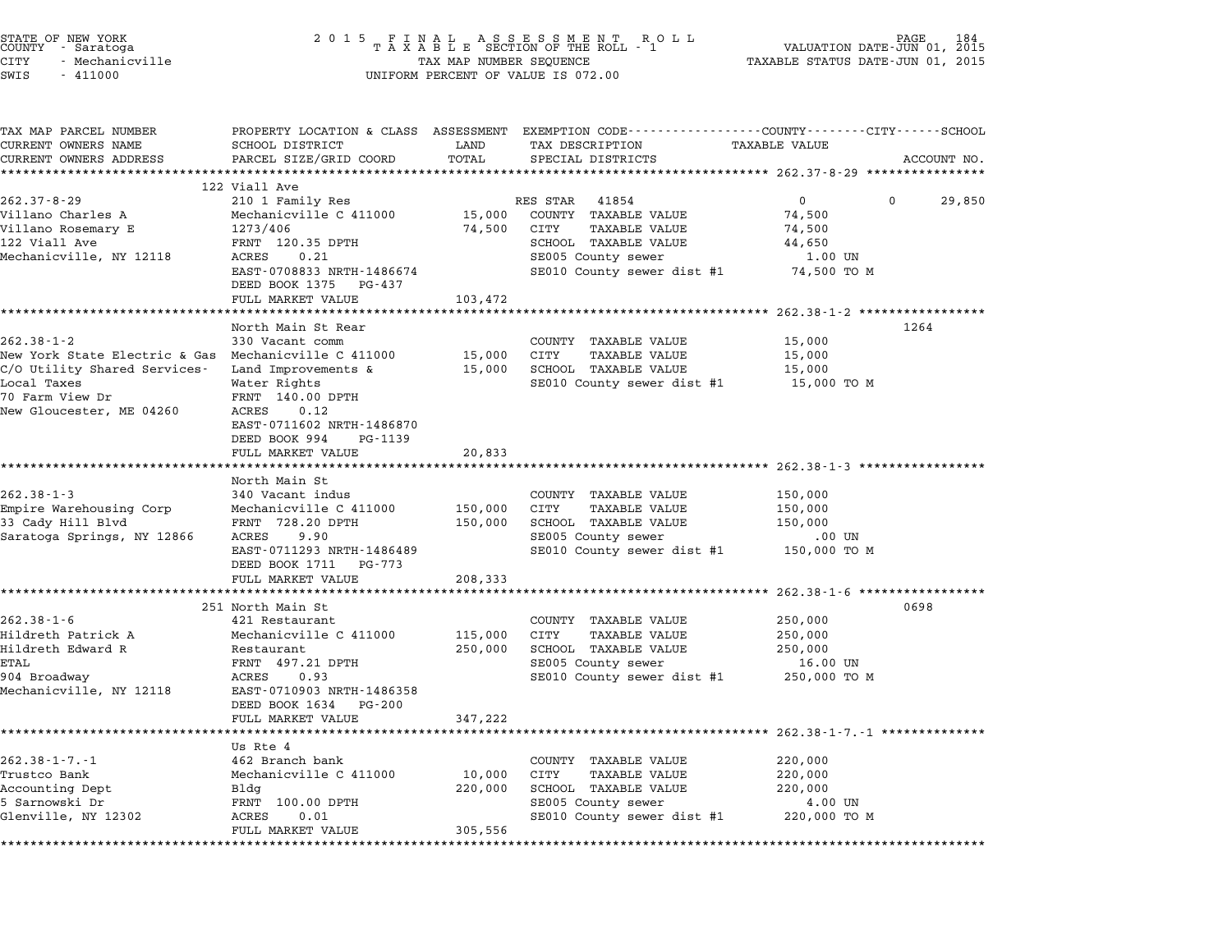| STATE OF NEW YORK<br>COUNTY<br>- Saratoga<br><b>CITY</b><br>- Mechanicville | 2 0 1 5                                    | TAX MAP NUMBER SEQUENCE | FINAL ASSESSMENT ROLL<br>TAXABLE SECTION OF THE ROLL - 1                                        | TAXABLE STATUS DATE-JUN 01, 2015            | PAGE<br>184<br>VALUATION DATE-JUN 01, 2015 |
|-----------------------------------------------------------------------------|--------------------------------------------|-------------------------|-------------------------------------------------------------------------------------------------|---------------------------------------------|--------------------------------------------|
| SWIS<br>$-411000$                                                           |                                            |                         | UNIFORM PERCENT OF VALUE IS 072.00                                                              |                                             |                                            |
| TAX MAP PARCEL NUMBER                                                       |                                            |                         | PROPERTY LOCATION & CLASS ASSESSMENT EXEMPTION CODE---------------COUNTY-------CITY------SCHOOL |                                             |                                            |
| CURRENT OWNERS NAME                                                         | SCHOOL DISTRICT                            | LAND                    | TAX DESCRIPTION                                                                                 | TAXABLE VALUE                               |                                            |
| CURRENT OWNERS ADDRESS                                                      | PARCEL SIZE/GRID COORD                     | TOTAL                   | SPECIAL DISTRICTS                                                                               |                                             | ACCOUNT NO.                                |
|                                                                             |                                            |                         |                                                                                                 |                                             |                                            |
|                                                                             | 122 Viall Ave                              |                         |                                                                                                 |                                             |                                            |
| $262.37 - 8 - 29$                                                           | 210 1 Family Res                           |                         | RES STAR<br>41854                                                                               | $\mathbf{0}$                                | $\Omega$<br>29,850                         |
| Villano Charles A                                                           | Mechanicville C 411000                     | 15,000                  | COUNTY TAXABLE VALUE                                                                            | 74,500                                      |                                            |
| Villano Rosemary E<br>122 Viall Ave                                         | 1273/406<br>FRNT 120.35 DPTH               | 74,500                  | CITY<br>TAXABLE VALUE<br>SCHOOL TAXABLE VALUE                                                   | 74,500<br>44,650                            |                                            |
| Mechanicville, NY 12118                                                     | ACRES<br>0.21                              |                         | SE005 County sewer                                                                              | 1.00 UN                                     |                                            |
|                                                                             | EAST-0708833 NRTH-1486674                  |                         | SE010 County sewer dist #1                                                                      | 74,500 TO M                                 |                                            |
|                                                                             | DEED BOOK 1375 PG-437                      |                         |                                                                                                 |                                             |                                            |
|                                                                             | FULL MARKET VALUE                          | 103,472                 |                                                                                                 |                                             |                                            |
|                                                                             |                                            |                         |                                                                                                 | ******* 262.38-1-2 ************             |                                            |
|                                                                             | North Main St Rear                         |                         |                                                                                                 |                                             | 1264                                       |
| $262.38 - 1 - 2$                                                            | 330 Vacant comm                            |                         | COUNTY<br>TAXABLE VALUE                                                                         | 15,000                                      |                                            |
| New York State Electric & Gas Mechanicville C 411000                        |                                            | 15,000                  | CITY<br>TAXABLE VALUE                                                                           | 15,000                                      |                                            |
| C/O Utility Shared Services-                                                | Land Improvements &                        | 15,000                  | SCHOOL TAXABLE VALUE                                                                            | 15,000                                      |                                            |
| Local Taxes                                                                 | Water Rights                               |                         | SE010 County sewer dist #1                                                                      | 15,000 TO M                                 |                                            |
| 70 Farm View Dr                                                             | FRNT 140.00 DPTH                           |                         |                                                                                                 |                                             |                                            |
| New Gloucester, ME 04260                                                    | ACRES<br>0.12                              |                         |                                                                                                 |                                             |                                            |
|                                                                             | EAST-0711602 NRTH-1486870                  |                         |                                                                                                 |                                             |                                            |
|                                                                             | DEED BOOK 994<br>PG-1139                   |                         |                                                                                                 |                                             |                                            |
|                                                                             | FULL MARKET VALUE                          | 20,833                  |                                                                                                 |                                             |                                            |
|                                                                             | ********************                       |                         | ************************************** 262.38-1-3 *****                                         |                                             |                                            |
| $262.38 - 1 - 3$                                                            | North Main St                              |                         |                                                                                                 |                                             |                                            |
| Empire Warehousing Corp                                                     | 340 Vacant indus<br>Mechanicville C 411000 | 150,000                 | COUNTY TAXABLE VALUE<br>CITY<br>TAXABLE VALUE                                                   | 150,000<br>150,000                          |                                            |
| 33 Cady Hill Blvd                                                           | FRNT 728.20 DPTH                           | 150,000                 | SCHOOL TAXABLE VALUE                                                                            | 150,000                                     |                                            |
| Saratoga Springs, NY 12866                                                  | ACRES<br>9.90                              |                         | SE005 County sewer                                                                              | $.00$ UN                                    |                                            |
|                                                                             | EAST-0711293 NRTH-1486489                  |                         | SE010 County sewer dist #1                                                                      | 150,000 TO M                                |                                            |
|                                                                             | DEED BOOK 1711 PG-773                      |                         |                                                                                                 |                                             |                                            |
|                                                                             | FULL MARKET VALUE                          | 208,333                 |                                                                                                 |                                             |                                            |
|                                                                             | *************************                  |                         |                                                                                                 |                                             |                                            |
|                                                                             | 251 North Main St                          |                         |                                                                                                 |                                             | 0698                                       |
| $262.38 - 1 - 6$                                                            | 421 Restaurant                             |                         | COUNTY TAXABLE VALUE                                                                            | 250,000                                     |                                            |
| Hildreth Patrick A                                                          | Mechanicville C 411000                     | 115,000                 | CITY<br>TAXABLE VALUE                                                                           | 250,000                                     |                                            |
| Hildreth Edward R                                                           | Restaurant                                 | 250,000                 | SCHOOL TAXABLE VALUE                                                                            | 250,000                                     |                                            |
| ETAL                                                                        | FRNT 497.21 DPTH                           |                         | SE005 County sewer                                                                              | 16.00 UN                                    |                                            |
| 904 Broadway                                                                | ACRES<br>0.93                              |                         | SE010 County sewer dist #1                                                                      | 250,000 TO M                                |                                            |
| Mechanicville, NY 12118                                                     | EAST-0710903 NRTH-1486358                  |                         |                                                                                                 |                                             |                                            |
|                                                                             | DEED BOOK 1634 PG-200                      |                         |                                                                                                 |                                             |                                            |
|                                                                             | FULL MARKET VALUE                          | 347,222                 |                                                                                                 |                                             |                                            |
|                                                                             |                                            |                         |                                                                                                 | *********************** 262.38-1-7.-1 ***** |                                            |
|                                                                             | Us Rte 4                                   |                         |                                                                                                 |                                             |                                            |
| $262.38 - 1 - 7. - 1$                                                       | 462 Branch bank                            |                         | COUNTY TAXABLE VALUE                                                                            | 220,000                                     |                                            |
| Trustco Bank                                                                | Mechanicville C 411000<br>Bldg             | 10,000<br>220,000       | CITY<br>TAXABLE VALUE<br>SCHOOL TAXABLE VALUE                                                   | 220,000<br>220,000                          |                                            |
| Accounting Dept<br>5 Sarnowski Dr                                           | FRNT 100.00 DPTH                           |                         | SE005 County sewer                                                                              | 4.00 UN                                     |                                            |
| Glenville, NY 12302                                                         | ACRES<br>0.01                              |                         | SE010 County sewer dist #1                                                                      | 220,000 TO M                                |                                            |
|                                                                             |                                            |                         |                                                                                                 |                                             |                                            |

FULL MARKET VALUE 305,556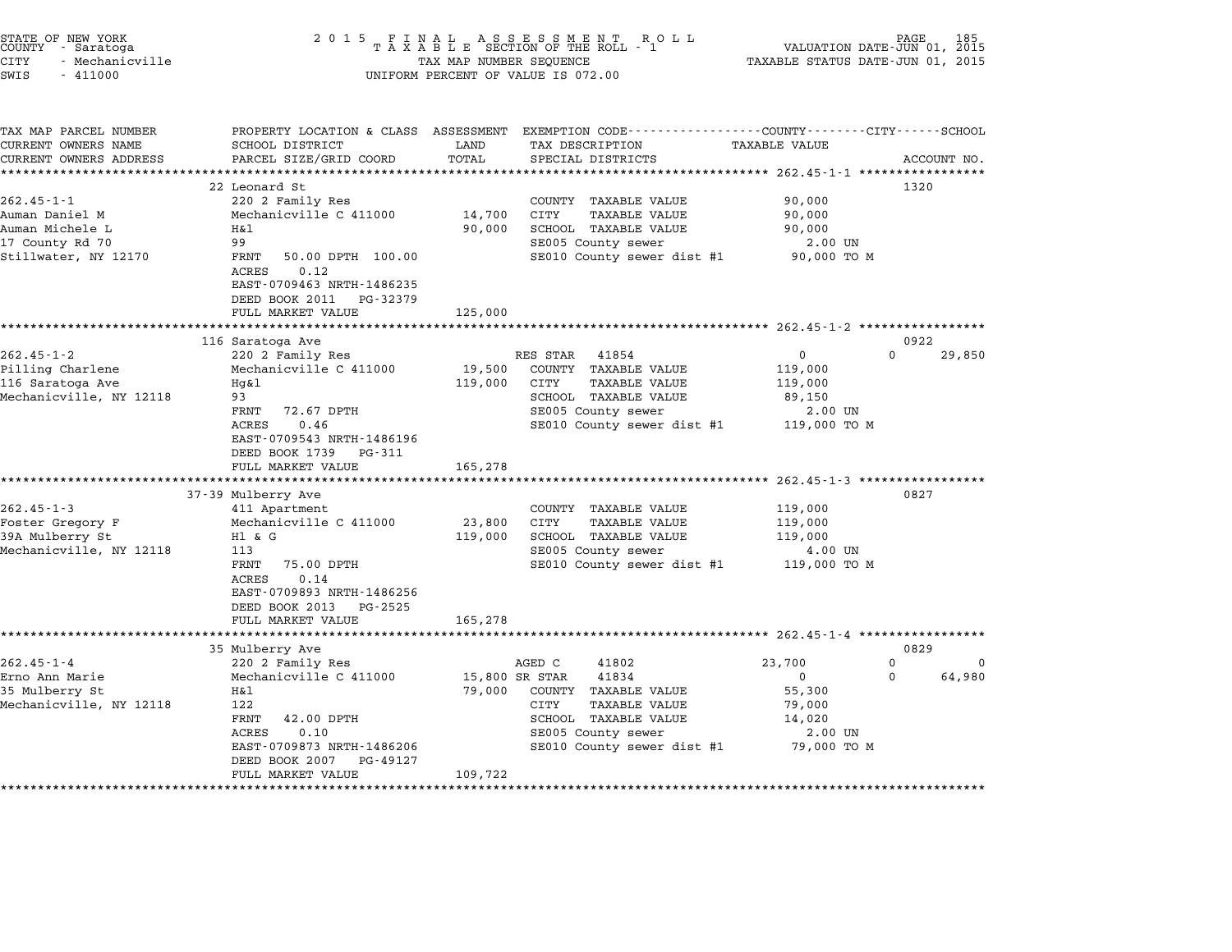| STATE OF NEW YORK<br>COUNTY - Saratoga<br>CITY<br>- Mechanicville<br>SWIS<br>$-411000$ | 2 0 1 5                                                                                               | TAX MAP NUMBER SEQUENCE | FINAL ASSESSMENT ROLL<br>TAXABLE SECTION OF THE ROLL - 1<br>UNIFORM PERCENT OF VALUE IS 072.00  | VALUATION DATE-JUN 01, 2015<br>TAXABLE STATUS DATE-JUN 01, 2015 | PAGE<br>185             |
|----------------------------------------------------------------------------------------|-------------------------------------------------------------------------------------------------------|-------------------------|-------------------------------------------------------------------------------------------------|-----------------------------------------------------------------|-------------------------|
| TAX MAP PARCEL NUMBER                                                                  |                                                                                                       |                         | PROPERTY LOCATION & CLASS ASSESSMENT EXEMPTION CODE---------------COUNTY-------CITY------SCHOOL |                                                                 |                         |
| CURRENT OWNERS NAME<br>CURRENT OWNERS ADDRESS                                          | SCHOOL DISTRICT<br>PARCEL SIZE/GRID COORD                                                             | LAND<br>TOTAL           | TAX DESCRIPTION<br>SPECIAL DISTRICTS                                                            | TAXABLE VALUE                                                   | ACCOUNT NO.             |
|                                                                                        | ***************************                                                                           |                         |                                                                                                 |                                                                 |                         |
|                                                                                        | 22 Leonard St                                                                                         |                         |                                                                                                 |                                                                 | 1320                    |
| $262.45 - 1 - 1$                                                                       | 220 2 Family Res                                                                                      |                         | COUNTY TAXABLE VALUE                                                                            | 90,000                                                          |                         |
| Auman Daniel M                                                                         | Mechanicville C 411000                                                                                | 14,700                  | CITY<br>TAXABLE VALUE                                                                           | 90,000                                                          |                         |
| Auman Michele L                                                                        | Η&l                                                                                                   | 90,000                  | SCHOOL TAXABLE VALUE                                                                            | 90,000                                                          |                         |
| 17 County Rd 70                                                                        | 99                                                                                                    |                         | SE005 County sewer                                                                              | 2.00 UN                                                         |                         |
| Stillwater, NY 12170                                                                   | FRNT<br>50.00 DPTH 100.00<br>0.12<br>ACRES<br>EAST-0709463 NRTH-1486235<br>DEED BOOK 2011<br>PG-32379 |                         | SE010 County sewer dist #1                                                                      | 90,000 TO M                                                     |                         |
|                                                                                        | FULL MARKET VALUE                                                                                     | 125,000                 |                                                                                                 |                                                                 |                         |
|                                                                                        |                                                                                                       |                         |                                                                                                 | ********************** 262.45-1-2 ***************               |                         |
|                                                                                        | 116 Saratoga Ave                                                                                      |                         |                                                                                                 |                                                                 | 0922                    |
| $262.45 - 1 - 2$                                                                       | 220 2 Family Res                                                                                      |                         | 41854<br>RES STAR                                                                               | $\Omega$                                                        | $\Omega$<br>29,850      |
| Pilling Charlene                                                                       | Mechanicville C 411000                                                                                | 19,500                  | COUNTY TAXABLE VALUE                                                                            | 119,000                                                         |                         |
| 116 Saratoga Ave                                                                       | $Hq\&1$                                                                                               | 119,000                 | CITY<br>TAXABLE VALUE                                                                           | 119,000                                                         |                         |
| Mechanicville, NY 12118                                                                | 93                                                                                                    |                         | SCHOOL TAXABLE VALUE                                                                            | 89,150                                                          |                         |
|                                                                                        | 72.67 DPTH<br>FRNT                                                                                    |                         | SE005 County sewer                                                                              | 2.00 UN                                                         |                         |
|                                                                                        | ACRES<br>0.46                                                                                         |                         | SE010 County sewer dist #1                                                                      | 119,000 TO M                                                    |                         |
|                                                                                        | EAST-0709543 NRTH-1486196                                                                             |                         |                                                                                                 |                                                                 |                         |
|                                                                                        | DEED BOOK 1739<br>PG-311                                                                              |                         |                                                                                                 |                                                                 |                         |
|                                                                                        | FULL MARKET VALUE                                                                                     | 165,278                 |                                                                                                 |                                                                 |                         |
|                                                                                        |                                                                                                       |                         |                                                                                                 | $262.45 - 1 - 3$ *************                                  |                         |
|                                                                                        | 37-39 Mulberry Ave                                                                                    |                         |                                                                                                 |                                                                 | 0827                    |
| $262.45 - 1 - 3$                                                                       | 411 Apartment                                                                                         |                         | COUNTY TAXABLE VALUE                                                                            | 119,000                                                         |                         |
| Foster Gregory F                                                                       | Mechanicville C 411000                                                                                | 23,800                  | CITY<br><b>TAXABLE VALUE</b>                                                                    | 119,000                                                         |                         |
| 39A Mulberry St                                                                        | H1 & G                                                                                                | 119,000                 | SCHOOL TAXABLE VALUE                                                                            | 119,000                                                         |                         |
| Mechanicville, NY 12118                                                                | 113<br>FRNT                                                                                           |                         | SE005 County sewer<br>SE010 County sewer dist #1                                                | 4.00 UN                                                         |                         |
|                                                                                        | 75.00 DPTH<br>ACRES<br>0.14                                                                           |                         |                                                                                                 | 119,000 TO M                                                    |                         |
|                                                                                        | EAST-0709893 NRTH-1486256                                                                             |                         |                                                                                                 |                                                                 |                         |
|                                                                                        | DEED BOOK 2013<br>PG-2525                                                                             |                         |                                                                                                 |                                                                 |                         |
|                                                                                        | FULL MARKET VALUE                                                                                     | 165,278                 |                                                                                                 |                                                                 |                         |
|                                                                                        |                                                                                                       |                         |                                                                                                 |                                                                 |                         |
|                                                                                        | 35 Mulberry Ave                                                                                       |                         |                                                                                                 |                                                                 | 0829                    |
| $262.45 - 1 - 4$                                                                       | 220 2 Family Res                                                                                      |                         | AGED C<br>41802                                                                                 | 23,700                                                          | $\mathbf 0$<br>$\Omega$ |
| Erno Ann Marie                                                                         | Mechanicville C 411000                                                                                | 15,800 SR STAR          | 41834                                                                                           | $\mathbf 0$                                                     | $\Omega$<br>64,980      |
| 35 Mulberry St                                                                         | Η&l                                                                                                   | 79,000                  | COUNTY TAXABLE VALUE                                                                            | 55,300                                                          |                         |
| Mechanicville, NY 12118                                                                | 122                                                                                                   |                         | CITY<br>TAXABLE VALUE                                                                           | 79,000                                                          |                         |
|                                                                                        | 42.00 DPTH<br>FRNT                                                                                    |                         | SCHOOL TAXABLE VALUE                                                                            | 14,020                                                          |                         |
|                                                                                        | ACRES<br>0.10                                                                                         |                         | SE005 County sewer                                                                              | 2.00 UN                                                         |                         |
|                                                                                        | EAST-0709873 NRTH-1486206                                                                             |                         | SE010 County sewer dist #1                                                                      | 79,000 TO M                                                     |                         |
|                                                                                        | DEED BOOK 2007<br>PG-49127                                                                            |                         |                                                                                                 |                                                                 |                         |
|                                                                                        | FULL MARKET VALUE                                                                                     | 109,722                 |                                                                                                 |                                                                 |                         |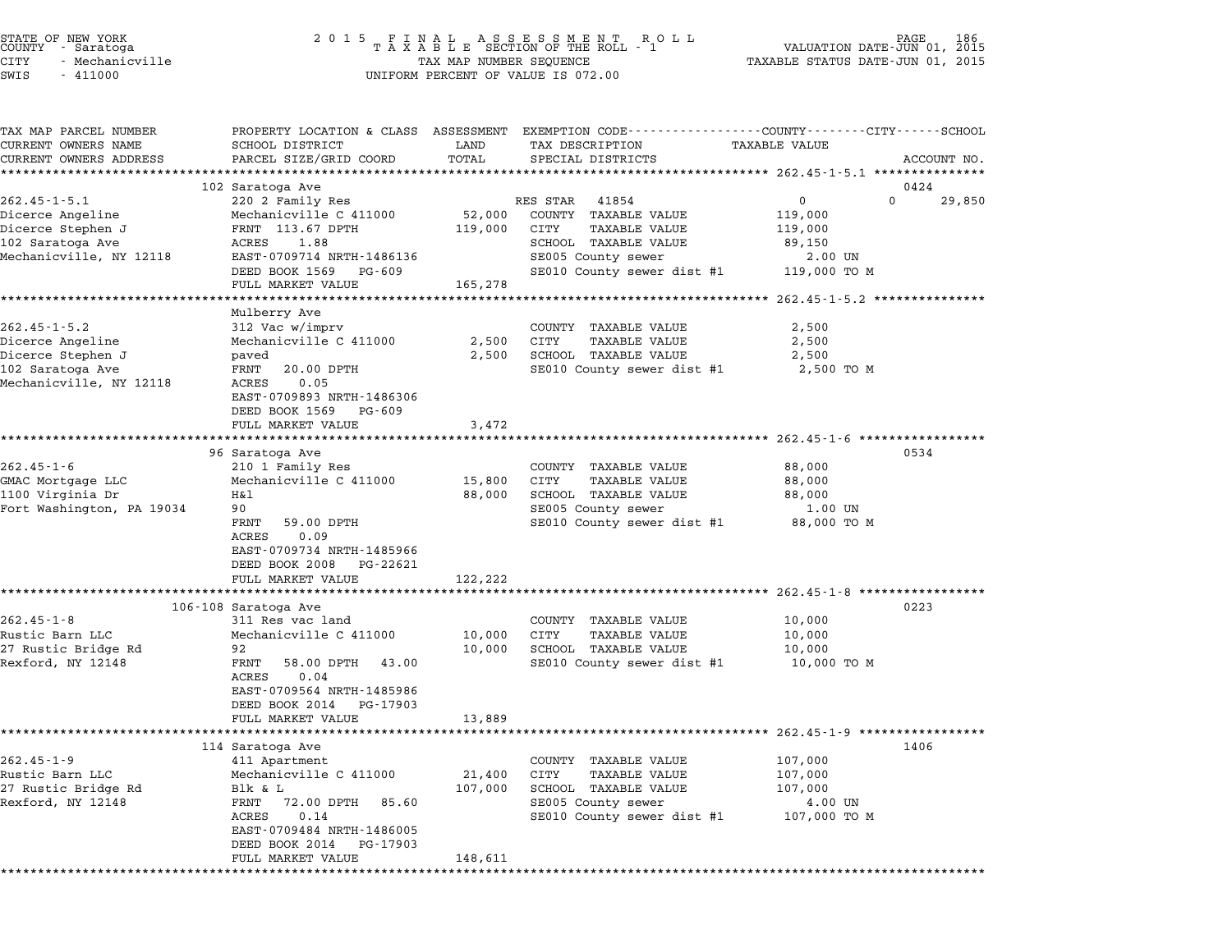| STATE OF NEW YORK<br>COUNTY – Saratoga<br>CITY<br>- Mechanicville<br>SWIS<br>$-411000$                     | 2 0 1 5                                                                                                                                                                                                | TAX MAP NUMBER SEQUENCE                         | UNIFORM PERCENT OF VALUE IS 072.00                                                                                                             | VALUATION DATE-JUN 01,<br>TAXABLE STATUS DATE-JUN 01, 2015                           | 186<br>2015 |
|------------------------------------------------------------------------------------------------------------|--------------------------------------------------------------------------------------------------------------------------------------------------------------------------------------------------------|-------------------------------------------------|------------------------------------------------------------------------------------------------------------------------------------------------|--------------------------------------------------------------------------------------|-------------|
| TAX MAP PARCEL NUMBER<br>CURRENT OWNERS NAME<br>CURRENT OWNERS ADDRESS                                     | SCHOOL DISTRICT<br>PARCEL SIZE/GRID COORD<br>*************************                                                                                                                                 | LAND<br>TOTAL                                   | PROPERTY LOCATION & CLASS ASSESSMENT EXEMPTION CODE----------------COUNTY-------CITY------SCHOOL<br>TAX DESCRIPTION<br>SPECIAL DISTRICTS       | TAXABLE VALUE                                                                        | ACCOUNT NO. |
| $262.45 - 1 - 5.1$<br>Dicerce Angeline<br>Dicerce Stephen J<br>102 Saratoga Ave<br>Mechanicville, NY 12118 | 102 Saratoga Ave<br>220 2 Family Res<br>Mechanicville C 411000<br>FRNT 113.67 DPTH<br>ACRES<br>1.88<br>EAST-0709714 NRTH-1486136<br>DEED BOOK 1569<br>PG-609<br>FULL MARKET VALUE                      | 52,000<br>119,000<br>165,278                    | RES STAR<br>41854<br>COUNTY TAXABLE VALUE<br>TAXABLE VALUE<br>CITY<br>SCHOOL TAXABLE VALUE<br>SE005 County sewer<br>SE010 County sewer dist #1 | 0424<br>$\mathbf{0}$<br>0<br>119,000<br>119,000<br>89,150<br>2.00 UN<br>119,000 TO M | 29,850      |
|                                                                                                            | Mulberry Ave                                                                                                                                                                                           |                                                 |                                                                                                                                                |                                                                                      |             |
| $262.45 - 1 - 5.2$<br>Dicerce Angeline<br>Dicerce Stephen J<br>102 Saratoga Ave<br>Mechanicville, NY 12118 | 312 Vac w/imprv<br>Mechanicville C 411000<br>paved<br>20.00 DPTH<br>FRNT<br>0.05<br>ACRES<br>EAST-0709893 NRTH-1486306<br>DEED BOOK 1569<br>PG-609                                                     | 2,500<br>2,500                                  | COUNTY TAXABLE VALUE<br>CITY<br>TAXABLE VALUE<br>SCHOOL TAXABLE VALUE<br>SE010 County sewer dist #1                                            | 2,500<br>2,500<br>2,500<br>2,500 TO M                                                |             |
|                                                                                                            | FULL MARKET VALUE                                                                                                                                                                                      | 3,472                                           |                                                                                                                                                |                                                                                      |             |
| $262.45 - 1 - 6$<br>GMAC Mortgage LLC<br>1100 Virginia Dr<br>Fort Washington, PA 19034                     | 96 Saratoga Ave<br>210 1 Family Res<br>Mechanicville C 411000<br>Η&l<br>90<br>59.00 DPTH<br>FRNT<br>0.09<br>ACRES<br>EAST-0709734 NRTH-1485966<br>DEED BOOK 2008<br>PG-22621                           | 15,800<br>88,000                                | COUNTY TAXABLE VALUE<br>CITY<br>TAXABLE VALUE<br>SCHOOL TAXABLE VALUE<br>SE005 County sewer<br>SE010 County sewer dist #1                      | 0534<br>88,000<br>88,000<br>88,000<br>1.00 UN<br>88,000 TO M                         |             |
|                                                                                                            | FULL MARKET VALUE                                                                                                                                                                                      | 122,222                                         |                                                                                                                                                | **************************** 262.45-1-8 ****************                             |             |
| $262.45 - 1 - 8$<br>Rustic Barn LLC<br>27 Rustic Bridge Rd<br>Rexford, NY 12148                            | 106-108 Saratoga Ave<br>311 Res vac land<br>Mechanicville C 411000<br>92<br>FRNT<br>58.00 DPTH<br>43.00<br>0.04<br>ACRES<br>EAST-0709564 NRTH-1485986<br>DEED BOOK 2014<br>PG-17903                    | 10,000<br>10,000                                | COUNTY TAXABLE VALUE<br>CITY<br>TAXABLE VALUE<br>SCHOOL TAXABLE VALUE<br>SE010 County sewer dist #1                                            | 0223<br>10,000<br>10,000<br>10,000<br>10,000 TO M                                    |             |
|                                                                                                            | FULL MARKET VALUE                                                                                                                                                                                      | 13,889                                          |                                                                                                                                                | ************************ 262.45-1-9 ******************                               |             |
| $262.45 - 1 - 9$<br>Rustic Barn LLC<br>27 Rustic Bridge Rd<br>Rexford, NY 12148                            | 114 Saratoga Ave<br>411 Apartment<br>Mechanicville C 411000<br>Blk & L<br>FRNT<br>72.00 DPTH<br>85.60<br>ACRES<br>0.14<br>EAST-0709484 NRTH-1486005<br>DEED BOOK 2014<br>PG-17903<br>FULL MARKET VALUE | 21,400<br>107,000<br>148,611<br>* * * * * * * * | COUNTY TAXABLE VALUE<br>CITY<br><b>TAXABLE VALUE</b><br>SCHOOL TAXABLE VALUE<br>SE005 County sewer<br>SE010 County sewer dist #1               | 1406<br>107,000<br>107,000<br>107,000<br>4.00 UN<br>107,000 TO M                     |             |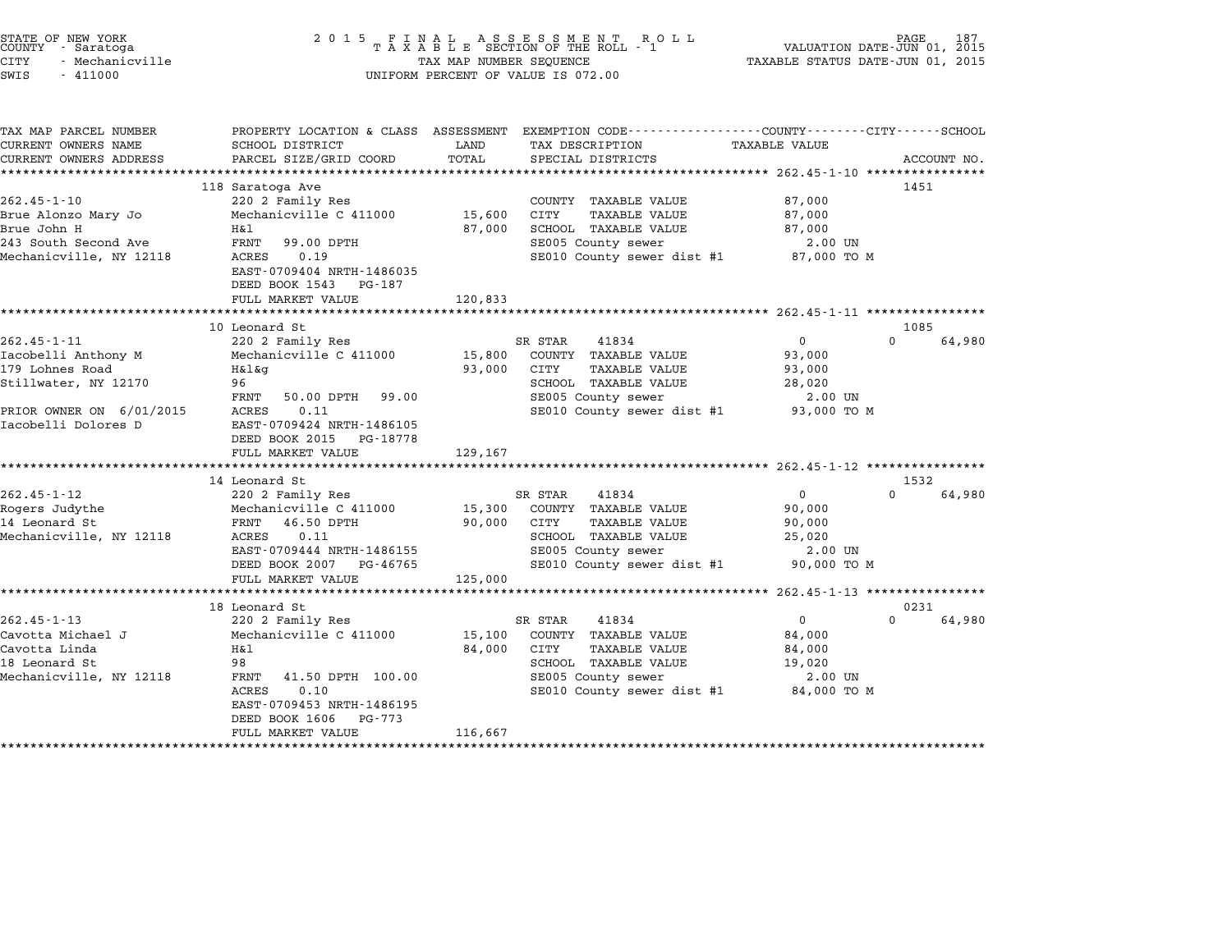| STATE OF NEW YORK<br>COUNTY<br>- Saratoga<br>– Mechanicville<br>CITY<br>SWIS<br>$-411000$ |                                                                                                | TAX MAP NUMBER SEQUENCE | 2015 FINAL ASSESSMENT ROLL<br>TAXABLE SECTION OF THE ROLL - 1<br>UNIFORM PERCENT OF VALUE IS 072.00 | TAXABLE STATUS DATE-JUN 01, 2015                                              | 187 PAGE 187<br>VALUATION DATE-JUN 01, 2015 |
|-------------------------------------------------------------------------------------------|------------------------------------------------------------------------------------------------|-------------------------|-----------------------------------------------------------------------------------------------------|-------------------------------------------------------------------------------|---------------------------------------------|
| TAX MAP PARCEL NUMBER<br>CURRENT OWNERS NAME<br>CURRENT OWNERS ADDRESS                    | PROPERTY LOCATION & CLASS<br>SCHOOL DISTRICT<br>PARCEL SIZE/GRID COORD TOTAL SPECIAL DISTRICTS | ASSESSMENT<br>LAND      | TAX DESCRIPTION                                                                                     | EXEMPTION CODE-----------------COUNTY-------CITY------SCHOOL<br>TAXABLE VALUE | ACCOUNT NO.                                 |
| 262.45-1-10<br>Brue Alonzo Mary Jo                                                        | 118 Saratoga Ave<br>220 2 Family Res<br>Mechanicville C 411000                                 | 15,600                  | COUNTY<br>TAXABLE VALUE<br>CITY<br>TAXABLE VALUE                                                    | 87,000<br>87,000                                                              | 1451                                        |

| 202. I I IV<br>Brue Alonzo Mary Jo<br>Brue John H<br>243 South Second Ave<br>Mechanicville, NY 12118                                   | 220 2 Family Res<br>Mechanicville C 411000<br>H&l<br>FRNT<br>99.00 DPTH<br>0.19<br>ACRES<br>EAST-0709404 NRTH-1486035<br>DEED BOOK 1543<br>PG-187<br>FULL MARKET VALUE                 | COUNII IAAADID VADOD<br>15,600<br>CITY<br>TAXABLE VALUE<br>87,000<br>SCHOOL TAXABLE VALUE<br>SE005 County sewer<br>SE010 County sewer dist #1<br>120,833                        | 0, 1, 000<br>87,000<br>87,000<br>2.00 UN<br>87,000 TO M                              |        |
|----------------------------------------------------------------------------------------------------------------------------------------|----------------------------------------------------------------------------------------------------------------------------------------------------------------------------------------|---------------------------------------------------------------------------------------------------------------------------------------------------------------------------------|--------------------------------------------------------------------------------------|--------|
|                                                                                                                                        | 10 Leonard St                                                                                                                                                                          |                                                                                                                                                                                 |                                                                                      | 1085   |
| $262.45 - 1 - 11$<br>Iacobelli Anthony M<br>179 Lohnes Road<br>Stillwater, NY 12170<br>PRIOR OWNER ON 6/01/2015<br>Iacobelli Dolores D | 220 2 Family Res<br>Mechanicville C 411000<br>H&l&q<br>96<br>FRNT<br>50.00 DPTH 99.00<br>0.11<br>ACRES<br>EAST-0709424 NRTH-1486105<br>DEED BOOK 2015<br>PG-18778<br>FULL MARKET VALUE | SR STAR<br>41834<br>15,800<br>COUNTY TAXABLE VALUE<br>93,000<br>CITY<br>TAXABLE VALUE<br>SCHOOL TAXABLE VALUE<br>SE005 County sewer<br>SE010 County sewer dist #1<br>129,167    | $\overline{0}$<br>$\Omega$<br>93,000<br>93,000<br>28,020<br>$2.00$ UN<br>93,000 TO M | 64,980 |
|                                                                                                                                        | 14 Leonard St                                                                                                                                                                          |                                                                                                                                                                                 |                                                                                      | 1532   |
| $262.45 - 1 - 12$<br>Rogers Judythe<br>14 Leonard St<br>Mechanicville, NY 12118                                                        | 220 2 Family Res<br>Mechanicville C 411000<br>FRNT 46.50 DPTH<br>0.11<br>ACRES<br>EAST-0709444 NRTH-1486155<br>DEED BOOK 2007 PG-46765<br>FULL MARKET VALUE                            | SR STAR<br>41834<br>15,300 COUNTY TAXABLE VALUE<br>90,000<br>CITY<br>TAXABLE VALUE<br>SCHOOL TAXABLE VALUE<br>SE005 County sewer<br>SE010 County sewer dist #1<br>125,000       | $\overline{0}$<br>$\Omega$<br>90,000<br>90,000<br>25,020<br>2.00 UN<br>90,000 TO M   | 64,980 |
|                                                                                                                                        | 18 Leonard St                                                                                                                                                                          |                                                                                                                                                                                 |                                                                                      | 0231   |
| $262.45 - 1 - 13$<br>Cavotta Michael J<br>Cavotta Linda<br>18 Leonard St<br>Mechanicville, NY 12118                                    | 220 2 Family Res<br>Mechanicville C 411000<br>H&l<br>98<br>41.50 DPTH 100.00<br>FRNT<br>0.10<br>ACRES<br>EAST-0709453 NRTH-1486195<br>DEED BOOK 1606 PG-773<br>FULL MARKET VALUE       | SR STAR<br>41834<br>15,100<br>COUNTY TAXABLE VALUE<br>84,000<br>CITY<br>TAXABLE VALUE<br>SCHOOL<br>TAXABLE VALUE<br>SE005 County sewer<br>SE010 County sewer dist #1<br>116,667 | $\overline{0}$<br>$\Omega$<br>84,000<br>84,000<br>19,020<br>2.00 UN<br>84,000 TO M   | 64,980 |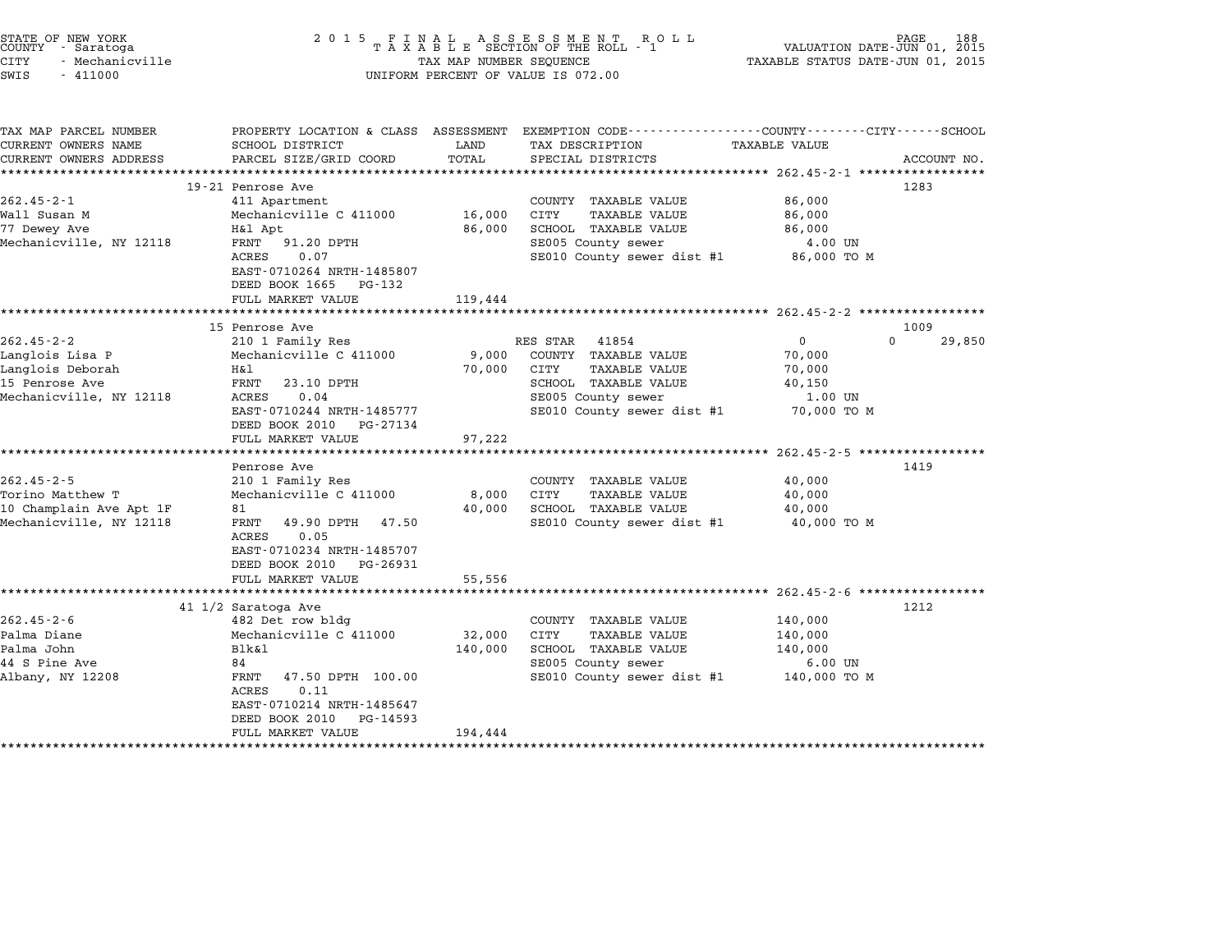| STATE OF NEW YORK<br>COUNTY - Saratoga<br>CITY<br>- Mechanicville<br>SWIS<br>$-411000$               | 2 0 1 5                                                                                                                                                                                                                   | TAX MAP NUMBER SEQUENCE      | FINAL ASSESSMENT ROLL<br>TAXABLE SECTION OF THE ROLL - 1<br>UNIFORM PERCENT OF VALUE IS 072.00                                                        | VALUATION DATE-JUN 01, 2015<br>TAXABLE STATUS DATE-JUN 01, 2015                                 | 188                |
|------------------------------------------------------------------------------------------------------|---------------------------------------------------------------------------------------------------------------------------------------------------------------------------------------------------------------------------|------------------------------|-------------------------------------------------------------------------------------------------------------------------------------------------------|-------------------------------------------------------------------------------------------------|--------------------|
| TAX MAP PARCEL NUMBER<br>CURRENT OWNERS NAME<br>CURRENT OWNERS ADDRESS                               | PROPERTY LOCATION & CLASS ASSESSMENT<br>SCHOOL DISTRICT<br>PARCEL SIZE/GRID COORD                                                                                                                                         | LAND<br>TOTAL                | EXEMPTION CODE-----------------COUNTY-------CITY------SCHOOL<br>TAX DESCRIPTION<br>SPECIAL DISTRICTS                                                  | TAXABLE VALUE<br>************************** 262.45-2-1 ******************                       | ACCOUNT NO.        |
| $262.45 - 2 - 1$<br>Wall Susan M<br>77 Dewey Ave<br>Mechanicville, NY 12118                          | 19-21 Penrose Ave<br>411 Apartment<br>Mechanicville C 411000<br>H&l Apt<br>FRNT<br>91.20 DPTH<br>ACRES<br>0.07<br>EAST-0710264 NRTH-1485807<br>DEED BOOK 1665<br>PG-132<br>FULL MARKET VALUE                              | 16,000<br>86,000<br>119,444  | COUNTY TAXABLE VALUE<br>CITY<br>TAXABLE VALUE<br>SCHOOL TAXABLE VALUE<br>SE005 County sewer<br>SE010 County sewer dist #1                             | 86,000<br>86,000<br>86,000<br>4.00 UN<br>86,000 TO M                                            | 1283               |
|                                                                                                      | ************************<br>15 Penrose Ave                                                                                                                                                                                |                              |                                                                                                                                                       |                                                                                                 | 1009               |
| $262.45 - 2 - 2$<br>Langlois Lisa P<br>Langlois Deborah<br>15 Penrose Ave<br>Mechanicville, NY 12118 | 210 1 Family Res<br>Mechanicville C 411000<br>Η&l<br>FRNT<br>23.10 DPTH<br>0.04<br>ACRES<br>EAST-0710244 NRTH-1485777<br>DEED BOOK 2010<br>PG-27134<br>FULL MARKET VALUE<br>*********************                         | 9,000<br>70,000<br>97,222    | RES STAR<br>41854<br>COUNTY TAXABLE VALUE<br><b>TAXABLE VALUE</b><br>CITY<br>SCHOOL TAXABLE VALUE<br>SE005 County sewer<br>SE010 County sewer dist #1 | 0<br>70,000<br>70,000<br>40,150<br>1.00 UN<br>70,000 TO M                                       | $\Omega$<br>29,850 |
|                                                                                                      | Penrose Ave                                                                                                                                                                                                               |                              | ************************************* 262.45-2-5 ******************                                                                                   |                                                                                                 | 1419               |
| $262.45 - 2 - 5$<br>Torino Matthew T<br>10 Champlain Ave Apt 1F<br>Mechanicville, NY 12118           | 210 1 Family Res<br>Mechanicville C 411000<br>81<br>FRNT<br>49.90 DPTH 47.50<br>ACRES<br>0.05<br>EAST-0710234 NRTH-1485707<br>DEED BOOK 2010<br>PG-26931                                                                  | 8,000<br>40,000              | COUNTY TAXABLE VALUE<br>CITY<br><b>TAXABLE VALUE</b><br>SCHOOL TAXABLE VALUE<br>SE010 County sewer dist #1                                            | 40,000<br>40,000<br>40,000<br>40,000 TO M                                                       |                    |
|                                                                                                      | FULL MARKET VALUE                                                                                                                                                                                                         | 55,556                       |                                                                                                                                                       |                                                                                                 |                    |
| $262.45 - 2 - 6$<br>Palma Diane<br>Palma John<br>44 S Pine Ave<br>Albany, NY 12208                   | 41 1/2 Saratoga Ave<br>482 Det row bldg<br>Mechanicville C 411000<br><b>Blk&amp;l</b><br>84<br>FRNT<br>47.50 DPTH 100.00<br>0.11<br>ACRES<br>EAST-0710214 NRTH-1485647<br>DEED BOOK 2010<br>PG-14593<br>FULL MARKET VALUE | 32,000<br>140,000<br>194,444 | COUNTY TAXABLE VALUE<br>CITY<br><b>TAXABLE VALUE</b><br>SCHOOL TAXABLE VALUE<br>SE005 County sewer<br>SE010 County sewer dist #1                      | $262.45 - 2 - 6$ ****************<br>140,000<br>140,000<br>140,000<br>$6.00$ UN<br>140,000 TO M | 1212               |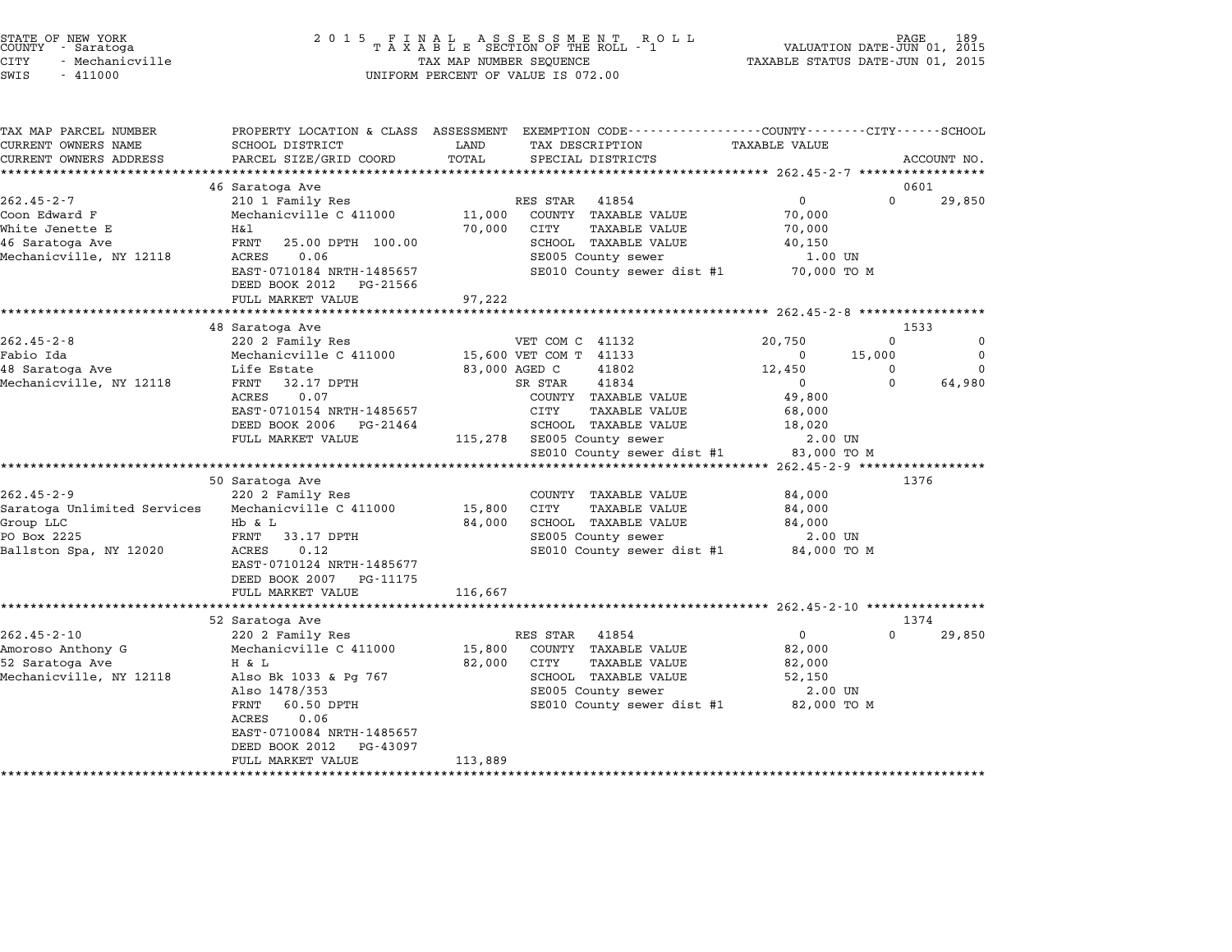| STATE OF NEW YORK<br>COUNTY - Saratoga |  |                 |
|----------------------------------------|--|-----------------|
| 'ITY                                   |  | - Mechanicville |

# STATE OF NEW YORK <sup>2</sup> <sup>0</sup> <sup>1</sup> 5 F I N A L A S S E S S M E N T R O L L PAGE <sup>189</sup> COUNTY - Saratoga <sup>T</sup> <sup>A</sup> <sup>X</sup> <sup>A</sup> <sup>B</sup> <sup>L</sup> <sup>E</sup> SECTION OF THE ROLL - <sup>1</sup> VALUATION DATE-JUN 01, <sup>2015</sup> STATE OF NEW YORK (ROBER 1899)<br>COUNTY - Saratoga (ROBER 1899) TAXA BILE SECTION OF THE ROLL - 1 (ROBER 1899) VALUATION DATE-JUN 01, 2015<br>CITY - Mechanicville (ROBER 1999) TAXABLE STATUS DATE-JUN 01, 2015 SWIS - <sup>411000</sup> UNIFORM PERCENT OF VALUE IS 072.00

TAX MAP PARCEL NUMBER PROPERTY LOCATION & CLASS ASSESSMENT EXEMPTION CODE------------------COUNTY--------CITY------SCHOOL CURRENT OWNERS NAME SCHOOL DISTRICT LAND TAX DESCRIPTION TAXABLE VALUE CURRENT OWNERS ADDEER FOUR DISTRICTS AND A CHASS ASSESSEENT EXERPTION TRACK THE TRACKE STANDS CONSULTING TRACK<br>CURRENT OWNERS ADDRESS PARCEL SIZE/GRID COORD TOTAL SPECIAL DISTRICTS ACCOUNT NO.<br>\*\*\*\*\*\*\*\*\*\*\*\*\*\*\*\*\*\*\*\*\*\*\*\*\*\*\*\*\* <sup>46</sup> Saratoga Ave <sup>0601</sup> 262.45-2-7 <sup>210</sup> <sup>1</sup> Family Res RES STAR <sup>41854</sup> <sup>0</sup> <sup>0</sup> 29,850 Coon Edward F Mechanicville C <sup>411000</sup> 11,000 COUNTY TAXABLE VALUE 70,000 202.49 2 / 210 Framily Res (No. 202.49 2 Research 202.49 2 Page 202.49 2 Page 202.49 2 Page 202.49 2 Page 202.<br>Coon Edward F 20,000 COUNTY TAXABLE VALUE 70,000 2011<br>Mhite Jenette E 16,000 21TY TAXABLE VALUE 70,000 <sup>46</sup> Saratoga Ave FRNT 25.00 DPTH 100.00 SCHOOL TAXABLE VALUE 40,150 MILLE DEMELLE BOOS AND MALLE RESERVE TO MALLE VALUE AND MANUS VALUE OF TAXABLE VALUE OF TAXABLE VALUE AND MANU<br>A Mechanicoville, NY 12118 RCRES 0.06 SE005 County sewer 1.00 UN 1.00 UN EXTRINI 20.00 FIRM 100.00 SCROOD IAAABLE VALUE 40,150 40,150<br>
ACRES 0.06 SE005 County sewer 1.00 UN<br>
DEED BOOK 2012 PG-21566 SE010 County sewer dist #1 70,000 TO M<br>
DEED BOOK 2012 PG-21566 EASI-0710164 NAIH-1465657<br>DEED BOOK 2012 PG-21566<br>FULL MARKET VALUE 97,222 \*\*\*\*\*\*\*\*\*\*\*\*\*\*\*\*\*\*\*\*\*\*\*\*\*\*\*\*\*\*\*\*\*\*\*\*\*\*\*\*\*\*\*\*\*\*\*\*\*\*\*\*\*\*\*\*\*\*\*\*\*\*\*\*\*\*\*\*\*\*\*\*\*\*\*\*\*\*\*\*\*\*\*\*\*\*\*\*\*\*\*\*\*\*\*\*\*\*\*\*\*\*\* 262.45-2-8 \*\*\*\*\*\*\*\*\*\*\*\*\*\*\*\*\* <sup>48</sup> Saratoga Ave <sup>1533</sup> 262.45-2-8 <sup>220</sup> <sup>2</sup> Family Res VET COM C <sup>41132</sup> 20,750 <sup>0</sup> <sup>0</sup> Fabio Ida Mechanicville C <sup>411000</sup> 15,600 VET COM T <sup>41133</sup> <sup>0</sup> 15,000 <sup>0</sup> <sup>48</sup> Saratoga Ave Life Estate 83,000 AGED C <sup>41802</sup> 12,450 <sup>0</sup> <sup>0</sup> ست ست بن من المستوى التي تم المستوى التي تم المستوى التي تم التي تم التي تم التي تم التي تم التي تم التي تم ال<br>12,450 0 0 12,450 0 0 13,000 AGED 0 83,000 AGED 41832<br>Mechanicville, NY 12118 FRNT 32.17 DPTH and the secare and the secare of the secare of the secare and the secare of the secare of the secare of the secare o<br>FRNT 32.17 DPTH SR STAR 41834<br>ACRES 0.07 COUNTY TAXABLE VALUE 49,800 EANI 12.17 DETH SA STAR THUSH SA STAR THUS ON STRIP ON SA STAR TAXABLE VALUE (1998)<br>ACRES 0.07<br>EAST-0710154 NRTH-1485657 CITY TAXABLE VALUE 68,000 DEED BOOK <sup>2006</sup> PG-21464 SCHOOL TAXABLE VALUE 18,020 EASI-0710154 NKIH-1465057<br>
DEED BOOK 2006 PG-21464 SCHOOL TAXABLE VALUE 18,020<br>
FULL MARKET VALUE 115,278 SE005 County sewer 2.00 UN SE010 County sewer dist #1 83,000 TO <sup>M</sup> \*\*\*\*\*\*\*\*\*\*\*\*\*\*\*\*\*\*\*\*\*\*\*\*\*\*\*\*\*\*\*\*\*\*\*\*\*\*\*\*\*\*\*\*\*\*\*\*\*\*\*\*\*\*\*\*\*\*\*\*\*\*\*\*\*\*\*\*\*\*\*\*\*\*\*\*\*\*\*\*\*\*\*\*\*\*\*\*\*\*\*\*\*\*\*\*\*\*\*\*\*\*\* 262.45-2-9 \*\*\*\*\*\*\*\*\*\*\*\*\*\*\*\*\* <sup>50</sup> Saratoga Ave <sup>1376</sup> 262.45-2-9 202.45-2-9 220 2 Family Res COUNTY TAXABLE VALUE 302.45-2-9 220 2 Family Res Saratoga Unlimited Services Mechanicville C <sup>411000</sup> 15,800 CITY TAXABLE VALUE 84,000 Group LLC and the Saratoga Unlimited Services Mechanicville C 411000 15,800 CITY TAXABLE VALUE 84,000<br>Group LLC B B & L B & L 84,000 SCHOOL TAXABLE VALUE 84,000 PO BOX 2225 FRAME SERVICES FRAME SERVICE SUBSERVICE CONSULTER SERVICE CONSULTER SERVICE SUBSERVICE SUBSERVICE SUBSERVICE SUBSERVICE SUBSERVICE SUBSERVICE SUBSERVICE SUBSERVICE SUBSERVICE SUBSERVICE SUBSERVICE SUBSERVICE SU Ballston Spa, NY 12020 ACRES 0.12<br>
Ballston Spa, NY 12020 ACRES 0.12 SE005 County sewer dist #1 84,000 TO M<br>
Ballston Spa, NY 12020 ACRES 0.12 SE010 County sewer dist #1 84,000 TO M EAST-0710124 NRTH-1485677<br>DEED BOOK 2007 PG-11175 EAST–0710124 NRTH–1485677<br>DEED BOOK 2007 PG–11175<br>FULL MARKET VALUE 116,667 \*\*\*\*\*\*\*\*\*\*\*\*\*\*\*\*\*\*\*\*\*\*\*\*\*\*\*\*\*\*\*\*\*\*\*\*\*\*\*\*\*\*\*\*\*\*\*\*\*\*\*\*\*\*\*\*\*\*\*\*\*\*\*\*\*\*\*\*\*\*\*\*\*\*\*\*\*\*\*\*\*\*\*\*\*\*\*\*\*\*\*\*\*\*\*\*\*\*\*\*\*\*\* 262.45-2-10 \*\*\*\*\*\*\*\*\*\*\*\*\*\*\*\* <sup>52</sup> Saratoga Ave <sup>1374</sup> 262.45-2-10 220 27.45-2-10 220 2 Family Res RES STAR 41854 202.45-2-10 220 0 29,850<br>262.45-2-10 220 2 Family Res RES STAR 41854 0 239,850 د الله التاريخية المسلمين المسلمين المسلمين المسلمين المسلمين المسلمين المسلمين المسلمين والمسلمين المسلمين وا<br>Amoroso Anthony G Mechanicville C 411000 15,800 COUNTY TAXABLE VALUE 82,000 <sup>52</sup> Saratoga Ave H & L 82,000 CITY TAXABLE VALUE 82,000 MECHANICVILLE CONTROLS AND MECHANICVILLE CONTROLS AND SALUE SALUE SALUE SALUE SALUE SALUE SALUE SALUE SALUE SA<br>1920 Baratoga Also Bk 1033 & Pg 767 SCHOOL TAXABLE VALUE SALUE SALUE SALUE SALUE SALUE SALUE SALUE SALUE SALUE Also Bk 1033 & Pg 767 62,000 CIII IAAABLE VALUE<br>Also 1478/353 SCHOOL TAXABLE VALUE 52,150<br>SE005 County sewer 2.00 UN ALSO DA 10353 WEB 107 SERIES AND TAAADDE VADOL SANDON SERIES ON THE SERIES ON THE SERIES OF THE SERIES OF THE<br>Also 1478/353 MB 100 TO M SERIES SERIES SERIES SERIES OF THE SERIES OF THE SERIES OF THE SERIES SERIES SERIES AISO 14787555<br>FRNT 60.50<br>ACRES 0.06 FANI - 00.50 DFIH<br>ACRES - 0.06<br>EAST-0710084 NRTH-1485657 EAST-0710084 NRTH-1485657<br>DEED BOOK 2012 PG-43097 EAST-0710084 NRTH-1485657<br>DEED BOOK 2012 PG-43097<br>FULL MARKET VALUE 113,889 \*\*\*\*\*\*\*\*\*\*\*\*\*\*\*\*\*\*\*\*\*\*\*\*\*\*\*\*\*\*\*\*\*\*\*\*\*\*\*\*\*\*\*\*\*\*\*\*\*\*\*\*\*\*\*\*\*\*\*\*\*\*\*\*\*\*\*\*\*\*\*\*\*\*\*\*\*\*\*\*\*\*\*\*\*\*\*\*\*\*\*\*\*\*\*\*\*\*\*\*\*\*\*\*\*\*\*\*\*\*\*\*\*\*\*\*\*\*\*\*\*\*\*\*\*\*\*\*\*\*\*\*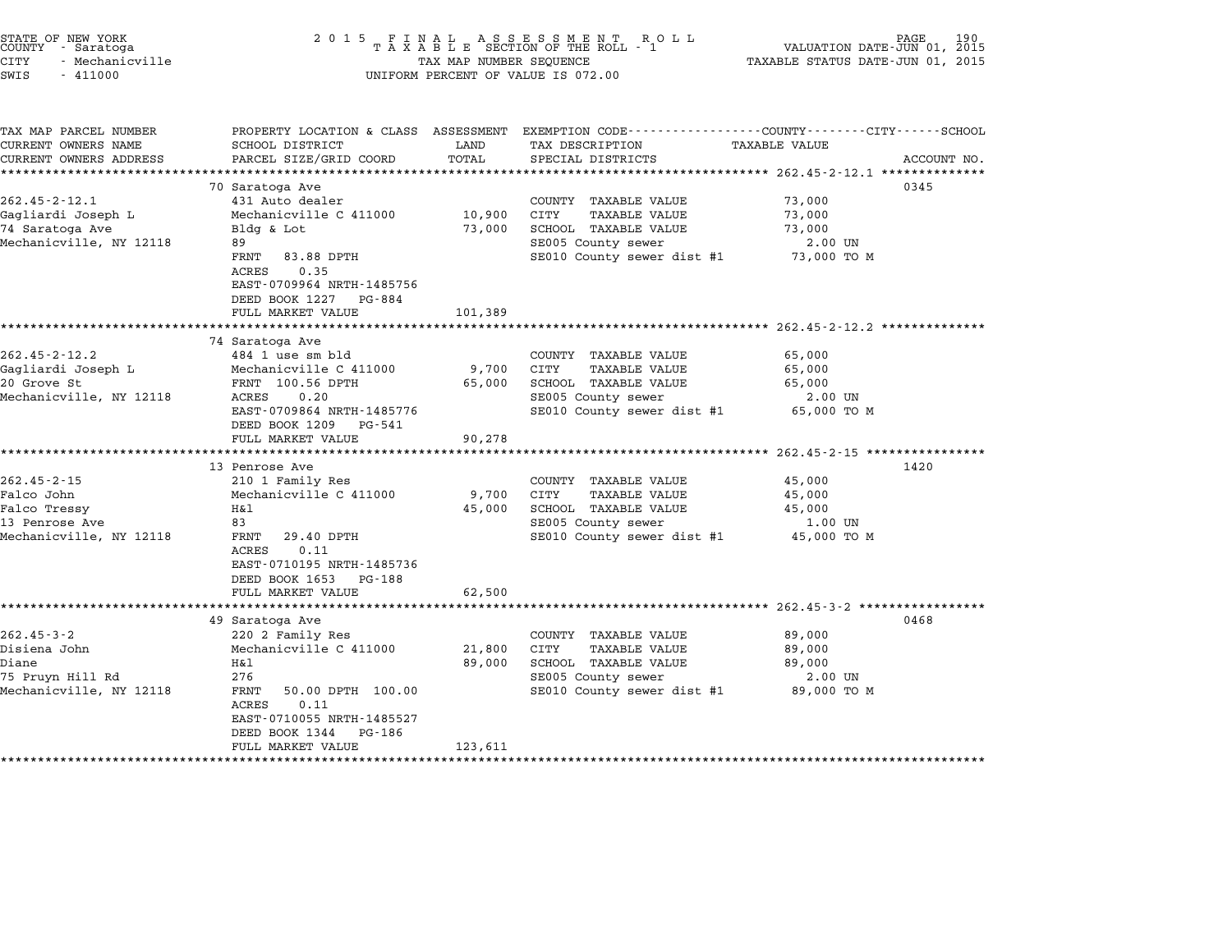| STATE OF NEW YORK |                 |  |
|-------------------|-----------------|--|
| COUNTY            | - Saratoga      |  |
| CITY              | - Mechanicville |  |

# STATE OF NEW YORK <sup>2</sup> <sup>0</sup> <sup>1</sup> 5 F I N A L A S S E S S M E N T R O L L PAGE <sup>190</sup> COUNTY - Saratoga <sup>T</sup> <sup>A</sup> <sup>X</sup> <sup>A</sup> <sup>B</sup> <sup>L</sup> <sup>E</sup> SECTION OF THE ROLL - <sup>1</sup> VALUATION DATE-JUN 01, <sup>2015</sup> CITY - Mechanicville TAX MAP NUMBER SEQUENCE TAXABLE STATUS DATE-JUN 01, <sup>2015</sup> SWIS - <sup>411000</sup> UNIFORM PERCENT OF VALUE IS 072.00

| TAX MAP PARCEL NUMBER   | PROPERTY LOCATION & CLASS ASSESSMENT |         | EXEMPTION CODE-----------------COUNTY-------CITY------SCHOOL |                      |             |
|-------------------------|--------------------------------------|---------|--------------------------------------------------------------|----------------------|-------------|
| CURRENT OWNERS NAME     | SCHOOL DISTRICT                      | LAND    | TAX DESCRIPTION                                              | <b>TAXABLE VALUE</b> |             |
| CURRENT OWNERS ADDRESS  | PARCEL SIZE/GRID COORD               | TOTAL   | SPECIAL DISTRICTS                                            |                      | ACCOUNT NO. |
|                         |                                      |         |                                                              |                      |             |
|                         | 70 Saratoga Ave                      |         |                                                              |                      | 0345        |
| $262.45 - 2 - 12.1$     | 431 Auto dealer                      |         | COUNTY TAXABLE VALUE                                         | 73,000               |             |
| Gagliardi Joseph L      | Mechanicville C 411000               | 10,900  | CITY<br><b>TAXABLE VALUE</b>                                 | 73,000               |             |
| 74 Saratoga Ave         | Bldg & Lot                           | 73,000  | SCHOOL TAXABLE VALUE                                         | 73,000               |             |
| Mechanicville, NY 12118 | 89                                   |         | SE005 County sewer                                           | 2.00 UN              |             |
|                         | FRNT<br>83.88 DPTH                   |         | SE010 County sewer dist #1 73,000 TO M                       |                      |             |
|                         | 0.35<br>ACRES                        |         |                                                              |                      |             |
|                         | EAST-0709964 NRTH-1485756            |         |                                                              |                      |             |
|                         | DEED BOOK 1227<br>PG-884             |         |                                                              |                      |             |
|                         | FULL MARKET VALUE                    | 101,389 |                                                              |                      |             |
|                         |                                      |         |                                                              |                      |             |
|                         | 74 Saratoga Ave                      |         |                                                              |                      |             |
| $262.45 - 2 - 12.2$     | 484 1 use sm bld                     |         | COUNTY TAXABLE VALUE                                         | 65,000               |             |
| Gagliardi Joseph L      | Mechanicville C 411000               | 9,700   | CITY<br>TAXABLE VALUE                                        | 65,000               |             |
| 20 Grove St             | FRNT 100.56 DPTH                     | 65,000  | SCHOOL TAXABLE VALUE                                         | 65,000               |             |
| Mechanicville, NY 12118 | ACRES<br>0.20                        |         | SE005 County sewer                                           | 2.00 UN              |             |
|                         | EAST-0709864 NRTH-1485776            |         | SE010 County sewer dist #1 65,000 TO M                       |                      |             |
|                         | DEED BOOK 1209<br>PG-541             |         |                                                              |                      |             |
|                         | FULL MARKET VALUE                    | 90,278  |                                                              |                      |             |
|                         |                                      |         |                                                              |                      |             |
|                         | 13 Penrose Ave                       |         |                                                              |                      | 1420        |
| $262.45 - 2 - 15$       | 210 1 Family Res                     |         | COUNTY TAXABLE VALUE                                         | 45,000               |             |
| Falco John              | Mechanicville C 411000               | 9,700   | CITY<br>TAXABLE VALUE                                        | 45,000               |             |
| Falco Tressy            | Η&l                                  | 45,000  | SCHOOL TAXABLE VALUE                                         | 45,000               |             |
| 13 Penrose Ave          | 83                                   |         | SE005 County sewer                                           | 1.00 UN              |             |
| Mechanicville, NY 12118 | FRNT<br>29.40 DPTH                   |         | SE010 County sewer dist #1 45,000 TO M                       |                      |             |
|                         | ACRES<br>0.11                        |         |                                                              |                      |             |
|                         | EAST-0710195 NRTH-1485736            |         |                                                              |                      |             |
|                         | DEED BOOK 1653<br>PG-188             |         |                                                              |                      |             |
|                         | FULL MARKET VALUE                    | 62,500  |                                                              |                      |             |
|                         |                                      |         |                                                              |                      |             |
|                         | 49 Saratoga Ave                      |         |                                                              |                      | 0468        |
| $262.45 - 3 - 2$        | 220 2 Family Res                     |         | COUNTY TAXABLE VALUE                                         | 89,000               |             |
| Disiena John            | Mechanicville C 411000               | 21,800  | CITY<br>TAXABLE VALUE                                        | 89,000               |             |
| Diane                   | Η&l                                  | 89,000  | SCHOOL TAXABLE VALUE                                         | 89,000               |             |
| 75 Pruyn Hill Rd        | 276                                  |         | SE005 County sewer                                           | 2.00 UN              |             |
| Mechanicville, NY 12118 | 50.00 DPTH 100.00<br>FRNT            |         | SE010 County sewer dist #1                                   | 89,000 TO M          |             |
|                         | ACRES<br>0.11                        |         |                                                              |                      |             |
|                         | EAST-0710055 NRTH-1485527            |         |                                                              |                      |             |
|                         | DEED BOOK 1344<br>PG-186             |         |                                                              |                      |             |
|                         | FULL MARKET VALUE                    | 123,611 |                                                              |                      |             |
|                         |                                      |         |                                                              |                      |             |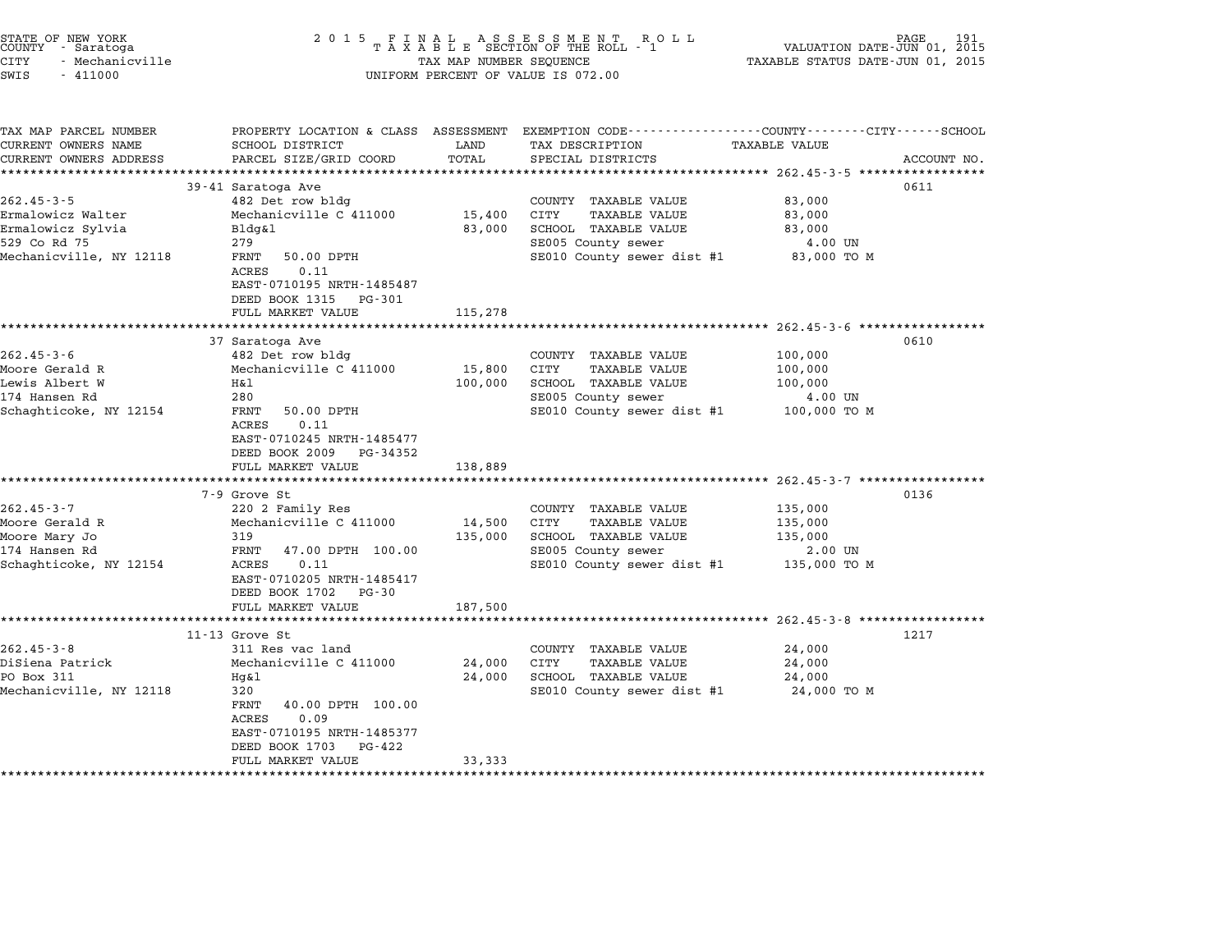| STATE OF NEW YORK<br>COUNTY - Saratoga<br>CITY<br>- Mechanicville<br>SWIS<br>$-411000$                | 2 0 1 5                                                                                                                                                                                                                    | TAX MAP NUMBER SEQUENCE      | FINAL ASSESSMENT RC<br>TAXABLE SECTION OF THE ROLL - 1<br>R O L L<br>UNIFORM PERCENT OF VALUE IS 072.00                                 | PAGE<br>VALUATION DATE-JUN 01, 2015<br>TAXABLE STATUS DATE-JUN 01, 2015 | 191         |
|-------------------------------------------------------------------------------------------------------|----------------------------------------------------------------------------------------------------------------------------------------------------------------------------------------------------------------------------|------------------------------|-----------------------------------------------------------------------------------------------------------------------------------------|-------------------------------------------------------------------------|-------------|
| TAX MAP PARCEL NUMBER<br>CURRENT OWNERS NAME<br>CURRENT OWNERS ADDRESS                                | SCHOOL DISTRICT<br>PARCEL SIZE/GRID COORD<br>**************************                                                                                                                                                    | LAND<br>TOTAL                | PROPERTY LOCATION & CLASS ASSESSMENT EXEMPTION CODE---------------COUNTY-------CITY------SCHOOL<br>TAX DESCRIPTION<br>SPECIAL DISTRICTS | TAXABLE VALUE                                                           | ACCOUNT NO. |
| $262.45 - 3 - 5$<br>Ermalowicz Walter<br>Ermalowicz Sylvia<br>529 Co Rd 75<br>Mechanicville, NY 12118 | 39-41 Saratoga Ave<br>482 Det row bldg<br>Mechanicville C 411000<br>Bldg&l<br>279<br>FRNT<br>50.00 DPTH<br>0.11<br>ACRES<br>EAST-0710195 NRTH-1485487<br>DEED BOOK 1315<br>PG-301<br>FULL MARKET VALUE                     | 15,400<br>83,000<br>115,278  | COUNTY TAXABLE VALUE<br><b>TAXABLE VALUE</b><br>CITY<br>SCHOOL TAXABLE VALUE<br>SE005 County sewer<br>SE010 County sewer dist #1        | 83,000<br>83,000<br>83,000<br>4.00 UN<br>83,000 TO M                    | 0611        |
|                                                                                                       | ****************************                                                                                                                                                                                               |                              |                                                                                                                                         |                                                                         |             |
| $262.45 - 3 - 6$<br>Moore Gerald R<br>Lewis Albert W<br>174 Hansen Rd<br>Schaghticoke, NY 12154       | 37 Saratoga Ave<br>482 Det row bldg<br>Mechanicville C 411000<br>Η&l<br>280<br>FRNT<br>50.00 DPTH<br>ACRES<br>0.11<br>EAST-0710245 NRTH-1485477<br>DEED BOOK 2009<br>PG-34352<br>FULL MARKET VALUE<br>******************** | 15,800<br>100,000<br>138,889 | COUNTY TAXABLE VALUE<br>CITY<br><b>TAXABLE VALUE</b><br>SCHOOL TAXABLE VALUE<br>SE005 County sewer<br>SE010 County sewer dist #1        | 100,000<br>100,000<br>100,000<br>4.00 UN<br>100,000 TO M                | 0610        |
| $262.45 - 3 - 7$<br>Moore Gerald R<br>Moore Mary Jo<br>174 Hansen Rd<br>Schaghticoke, NY 12154        | 7-9 Grove St<br>220 2 Family Res<br>Mechanicville C 411000<br>319<br>FRNT<br>47.00 DPTH 100.00<br>ACRES<br>0.11<br>EAST-0710205 NRTH-1485417<br>DEED BOOK 1702<br>PG-30<br>FULL MARKET VALUE                               | 14,500<br>135,000<br>187,500 | COUNTY TAXABLE VALUE<br>CITY<br><b>TAXABLE VALUE</b><br>SCHOOL TAXABLE VALUE<br>SE005 County sewer<br>SE010 County sewer dist #1        | 135,000<br>135,000<br>135,000<br>2.00 UN<br>135,000 TO M                | 0136        |
| $262.45 - 3 - 8$<br>DiSiena Patrick<br>PO Box 311<br>Mechanicville, NY 12118                          | $11 - 13$ Grove St<br>311 Res vac land<br>Mechanicville C 411000<br>Hg&l<br>320<br>FRNT<br>40.00 DPTH 100.00<br>ACRES<br>0.09<br>EAST-0710195 NRTH-1485377<br>DEED BOOK 1703<br>PG-422<br>FULL MARKET VALUE                | 24,000<br>24,000<br>33,333   | COUNTY TAXABLE VALUE<br><b>CITY</b><br><b>TAXABLE VALUE</b><br>SCHOOL TAXABLE VALUE<br>SE010 County sewer dist #1                       | 24,000<br>24,000<br>24,000<br>24,000 TO M                               | 1217        |

STATE OF NEW YORK <sup>2</sup> <sup>0</sup> <sup>1</sup> 5 F I N A L A S S E S S M E N T R O L L PAGE <sup>191</sup> COUNTY - Saratoga <sup>T</sup> <sup>A</sup> <sup>X</sup> <sup>A</sup> <sup>B</sup> <sup>L</sup> <sup>E</sup> SECTION OF THE ROLL - <sup>1</sup> VALUATION DATE-JUN 01, <sup>2015</sup>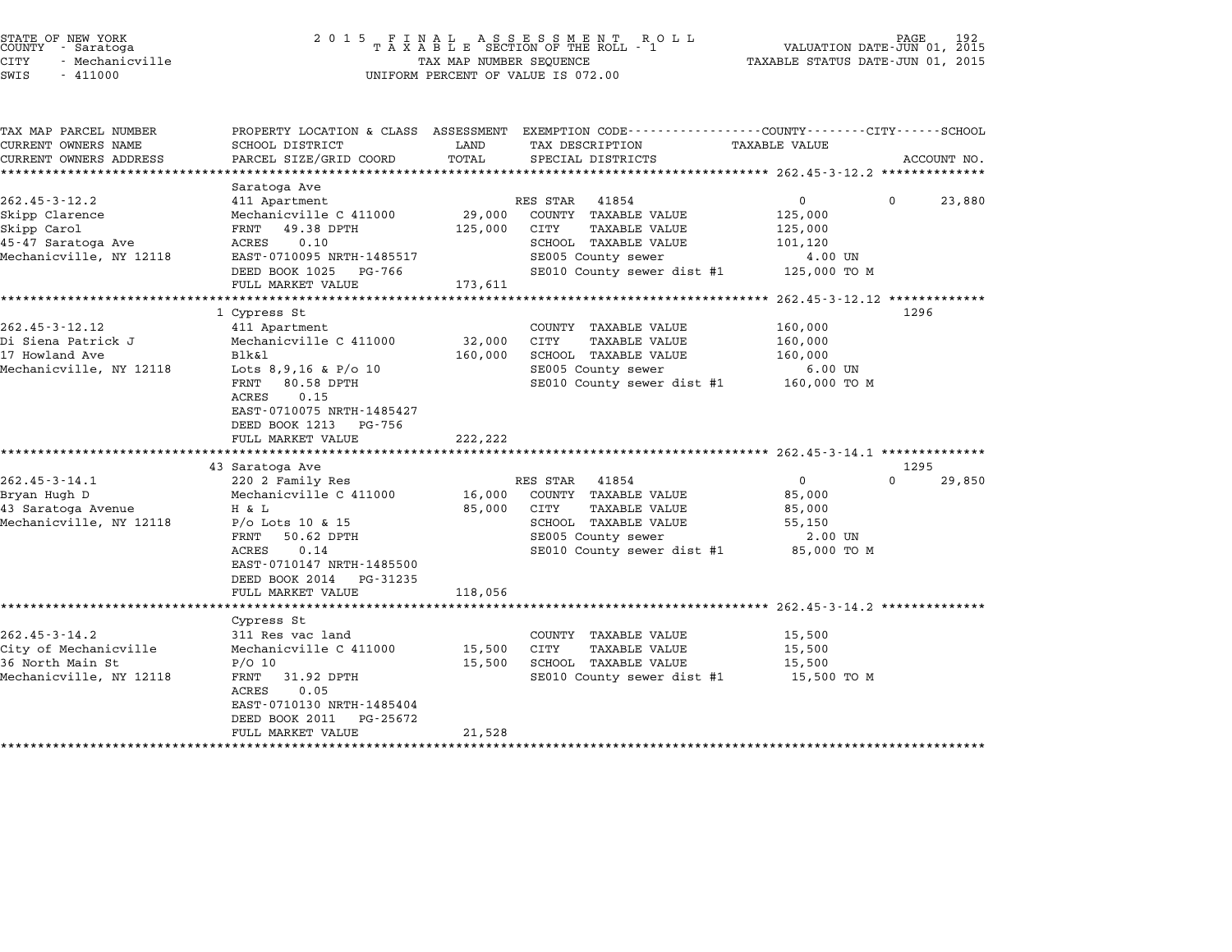| STATE OF NEW YORK<br>COUNTY - Saratoga<br>CITY<br>- Mechanicville<br>SWIS<br>$-411000$ | 2 0 1 5                                         | TAX MAP NUMBER SEQUENCE | FINAL ASSESSMENT ROLL<br>TAXABLE SECTION OF THE ROLL - 1<br>UNIFORM PERCENT OF VALUE IS 072.00 | VALUATION DATE-JUN 01, 2015<br>TAXABLE STATUS DATE-JUN 01, 2015 |          |             |
|----------------------------------------------------------------------------------------|-------------------------------------------------|-------------------------|------------------------------------------------------------------------------------------------|-----------------------------------------------------------------|----------|-------------|
| TAX MAP PARCEL NUMBER                                                                  | PROPERTY LOCATION & CLASS ASSESSMENT            |                         | EXEMPTION CODE-----------------COUNTY-------CITY------SCHOOL                                   |                                                                 |          |             |
| CURRENT OWNERS NAME<br>CURRENT OWNERS ADDRESS                                          | SCHOOL DISTRICT<br>PARCEL SIZE/GRID COORD       | LAND<br>TOTAL           | TAX DESCRIPTION<br>SPECIAL DISTRICTS                                                           | <b>TAXABLE VALUE</b>                                            |          | ACCOUNT NO. |
|                                                                                        |                                                 |                         |                                                                                                |                                                                 |          |             |
|                                                                                        | Saratoga Ave                                    |                         |                                                                                                |                                                                 |          |             |
| $262.45 - 3 - 12.2$                                                                    | 411 Apartment                                   |                         | RES STAR<br>41854                                                                              | $\overline{0}$                                                  | $\Omega$ | 23,880      |
| Skipp Clarence                                                                         | Mechanicville C 411000                          | 29,000                  | COUNTY TAXABLE VALUE                                                                           | 125,000                                                         |          |             |
| Skipp Carol                                                                            | FRNT 49.38 DPTH                                 | 125,000                 | <b>TAXABLE VALUE</b><br>CITY                                                                   | 125,000                                                         |          |             |
| 45-47 Saratoga Ave                                                                     | 0.10<br>ACRES                                   |                         | SCHOOL TAXABLE VALUE                                                                           | 101,120                                                         |          |             |
| Mechanicville, NY 12118                                                                | EAST-0710095 NRTH-1485517                       |                         | SE005 County sewer                                                                             | 4.00 UN                                                         |          |             |
|                                                                                        | DEED BOOK 1025<br>PG-766                        |                         | SE010 County sewer dist #1                                                                     | 125,000 TO M                                                    |          |             |
|                                                                                        | FULL MARKET VALUE<br>*****************          | 173,611<br>*********    |                                                                                                |                                                                 |          |             |
|                                                                                        | 1 Cypress St                                    |                         |                                                                                                | ******** 262.45-3-12.12 **************                          | 1296     |             |
| 262.45-3-12.12                                                                         | 411 Apartment                                   |                         | COUNTY TAXABLE VALUE                                                                           | 160,000                                                         |          |             |
| Di Siena Patrick J                                                                     | Mechanicville C 411000                          | 32,000                  | CITY<br>TAXABLE VALUE                                                                          | 160,000                                                         |          |             |
| 17 Howland Ave                                                                         | Blk&1                                           | 160,000                 | SCHOOL TAXABLE VALUE                                                                           | 160,000                                                         |          |             |
| Mechanicville, NY 12118                                                                | Lots $8,9,16$ & $P/O$ 10                        |                         | SE005 County sewer                                                                             | $6.00$ UN                                                       |          |             |
|                                                                                        | 80.58 DPTH<br>FRNT                              |                         | SE010 County sewer dist #1                                                                     | 160,000 TO M                                                    |          |             |
|                                                                                        | ACRES<br>0.15                                   |                         |                                                                                                |                                                                 |          |             |
|                                                                                        | EAST-0710075 NRTH-1485427                       |                         |                                                                                                |                                                                 |          |             |
|                                                                                        | DEED BOOK 1213<br>PG-756                        |                         |                                                                                                |                                                                 |          |             |
|                                                                                        | FULL MARKET VALUE                               | 222,222                 |                                                                                                |                                                                 |          |             |
|                                                                                        |                                                 |                         |                                                                                                | ******************* 262.45-3-14.1 **************                |          |             |
|                                                                                        | 43 Saratoga Ave                                 |                         |                                                                                                |                                                                 | 1295     |             |
| $262.45 - 3 - 14.1$                                                                    | 220 2 Family Res                                |                         | RES STAR 41854                                                                                 | 0                                                               | $\Omega$ | 29,850      |
| Bryan Hugh D                                                                           | Mechanicville C 411000<br>H & L                 | 16,000                  | COUNTY TAXABLE VALUE                                                                           | 85,000                                                          |          |             |
| 43 Saratoga Avenue<br>Mechanicville, NY 12118                                          |                                                 | 85,000                  | CITY<br><b>TAXABLE VALUE</b><br>SCHOOL TAXABLE VALUE                                           | 85,000                                                          |          |             |
|                                                                                        | $P/O$ Lots 10 & 15<br>50.62 DPTH<br>FRNT        |                         | SE005 County sewer                                                                             | 55,150<br>2.00 UN                                               |          |             |
|                                                                                        | ACRES<br>0.14                                   |                         | SE010 County sewer dist #1                                                                     | 85,000 TO M                                                     |          |             |
|                                                                                        | EAST-0710147 NRTH-1485500                       |                         |                                                                                                |                                                                 |          |             |
|                                                                                        | DEED BOOK 2014<br>PG-31235                      |                         |                                                                                                |                                                                 |          |             |
|                                                                                        | FULL MARKET VALUE                               | 118,056                 |                                                                                                |                                                                 |          |             |
|                                                                                        |                                                 |                         |                                                                                                | ************************ 262.45-3-14.2 **************           |          |             |
|                                                                                        | Cypress St                                      |                         |                                                                                                |                                                                 |          |             |
| $262.45 - 3 - 14.2$                                                                    | 311 Res vac land                                |                         | COUNTY TAXABLE VALUE                                                                           | 15,500                                                          |          |             |
| City of Mechanicville                                                                  | Mechanicville C 411000                          | 15,500                  | CITY<br><b>TAXABLE VALUE</b>                                                                   | 15,500                                                          |          |             |
| 36 North Main St                                                                       | $P/O$ 10                                        | 15,500                  | SCHOOL TAXABLE VALUE                                                                           | 15,500                                                          |          |             |
| Mechanicville, NY 12118                                                                | FRNT 31.92 DPTH                                 |                         | SE010 County sewer dist #1                                                                     | 15,500 TO M                                                     |          |             |
|                                                                                        | ACRES<br>0.05                                   |                         |                                                                                                |                                                                 |          |             |
|                                                                                        | EAST-0710130 NRTH-1485404                       |                         |                                                                                                |                                                                 |          |             |
|                                                                                        | DEED BOOK 2011<br>PG-25672<br>FULL MARKET VALUE | 21,528                  |                                                                                                |                                                                 |          |             |
|                                                                                        |                                                 |                         |                                                                                                |                                                                 |          |             |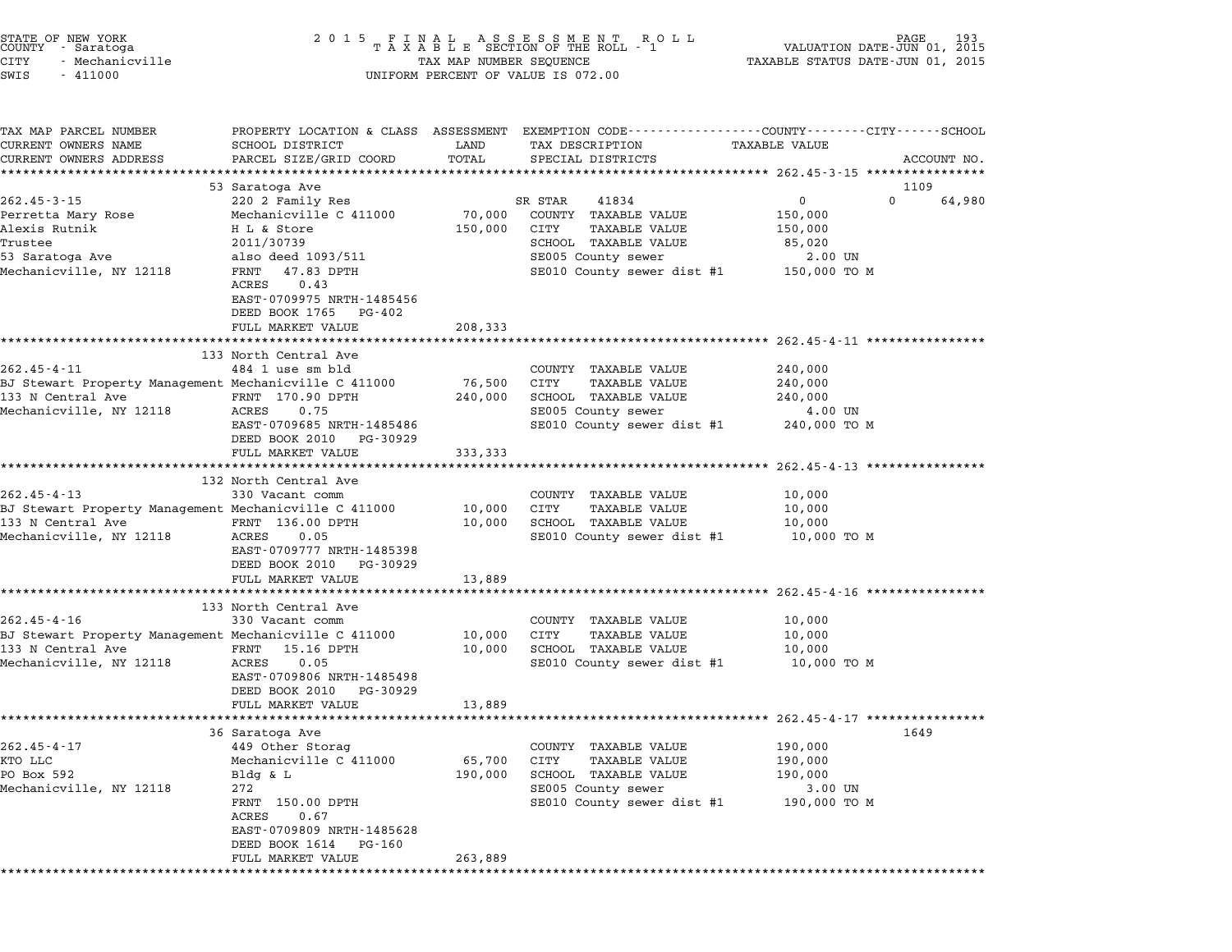| TAX MAP PARCEL NUMBER                                 | PROPERTY LOCATION & CLASS ASSESSMENT EXEMPTION CODE---------------COUNTY-------CITY------SCHOOL |             |         |                                                    |                      |              |          |             |
|-------------------------------------------------------|-------------------------------------------------------------------------------------------------|-------------|---------|----------------------------------------------------|----------------------|--------------|----------|-------------|
| CURRENT OWNERS NAME                                   | SCHOOL DISTRICT                                                                                 | LAND        |         | TAX DESCRIPTION                                    | <b>TAXABLE VALUE</b> |              |          |             |
| CURRENT OWNERS ADDRESS                                | PARCEL SIZE/GRID COORD                                                                          | TOTAL       |         | SPECIAL DISTRICTS                                  |                      |              |          | ACCOUNT NO. |
|                                                       | 53 Saratoga Ave                                                                                 |             |         |                                                    |                      |              | 1109     |             |
| $262.45 - 3 - 15$                                     | 220 2 Family Res                                                                                |             | SR STAR | 41834                                              |                      | $\mathbf{0}$ | $\Omega$ | 64,980      |
| Perretta Mary Rose                                    | Mechanicville C 411000                                                                          | 70,000      |         | COUNTY TAXABLE VALUE                               |                      | 150,000      |          |             |
| Alexis Rutnik                                         | H L & Store                                                                                     | 150,000     | CITY    | <b>TAXABLE VALUE</b>                               |                      | 150,000      |          |             |
| Trustee                                               | 2011/30739                                                                                      |             |         | SCHOOL TAXABLE VALUE                               |                      | 85,020       |          |             |
| 53 Saratoga Ave                                       | also deed 1093/511                                                                              |             |         | SE005 County sewer                                 |                      | 2.00 UN      |          |             |
| Mechanicville, NY 12118                               | FRNT<br>47.83 DPTH<br>0.43<br>ACRES                                                             |             |         | SE010 County sewer dist #1 150,000 TO M            |                      |              |          |             |
|                                                       | EAST-0709975 NRTH-1485456<br>DEED BOOK 1765 PG-402                                              |             |         |                                                    |                      |              |          |             |
|                                                       | FULL MARKET VALUE                                                                               | 208,333     |         |                                                    |                      |              |          |             |
|                                                       |                                                                                                 |             |         |                                                    |                      |              |          |             |
|                                                       | 133 North Central Ave                                                                           |             |         |                                                    |                      |              |          |             |
| $262.45 - 4 - 11$                                     | 484 1 use sm bld                                                                                |             |         | COUNTY TAXABLE VALUE                               |                      | 240,000      |          |             |
| BJ Stewart Property Management Mechanicville C 411000 |                                                                                                 | 76,500      | CITY    | <b>TAXABLE VALUE</b>                               |                      | 240,000      |          |             |
| 133 N Central Ave 5 FRNT 170.90 DPTH                  |                                                                                                 | 240,000     |         | SCHOOL TAXABLE VALUE                               |                      | 240,000      |          |             |
| Mechanicville, NY 12118                               | ACRES<br>0.75                                                                                   |             |         | SE005 County sewer                                 |                      | 4.00 UN      |          |             |
|                                                       | EAST-0709685 NRTH-1485486                                                                       |             |         | SE010 County sewer dist #1                         |                      | 240,000 TO M |          |             |
|                                                       | DEED BOOK 2010 PG-30929                                                                         |             |         |                                                    |                      |              |          |             |
|                                                       | FULL MARKET VALUE                                                                               | 333,333     |         |                                                    |                      |              |          |             |
|                                                       |                                                                                                 |             |         |                                                    |                      |              |          |             |
|                                                       | 132 North Central Ave                                                                           |             |         |                                                    |                      |              |          |             |
| $262.45 - 4 - 13$                                     | 330 Vacant comm                                                                                 |             |         | COUNTY TAXABLE VALUE                               |                      | 10,000       |          |             |
| BJ Stewart Property Management Mechanicville C 411000 |                                                                                                 | 10,000      | CITY    | TAXABLE VALUE                                      |                      | 10,000       |          |             |
| 133 N Central Ave                                     | FRNT 136.00 DPTH                                                                                | 10,000      |         | SCHOOL TAXABLE VALUE                               |                      | 10,000       |          |             |
| Mechanicville, NY 12118                               | ACRES 0.05                                                                                      |             |         | SE010 County sewer dist #1                         |                      | 10,000 TO M  |          |             |
|                                                       | EAST-0709777 NRTH-1485398<br>DEED BOOK 2010 PG-30929                                            |             |         |                                                    |                      |              |          |             |
|                                                       | FULL MARKET VALUE                                                                               | 13,889      |         |                                                    |                      |              |          |             |
|                                                       | ***************************                                                                     |             |         |                                                    |                      |              |          |             |
|                                                       | 133 North Central Ave                                                                           |             |         |                                                    |                      |              |          |             |
| $262.45 - 4 - 16$                                     | 330 Vacant comm                                                                                 |             |         | COUNTY TAXABLE VALUE                               |                      | 10,000       |          |             |
| BJ Stewart Property Management Mechanicville C 411000 |                                                                                                 | 10,000      | CITY    | <b>TAXABLE VALUE</b>                               |                      | 10,000       |          |             |
| 133 N Central Ave                                     | FRNT 15.16 DPTH<br>ACRES 0.05                                                                   | 10,000      |         | SCHOOL TAXABLE VALUE                               |                      | 10,000       |          |             |
| Mechanicville, NY 12118                               | EAST-0709806 NRTH-1485498                                                                       |             |         | SE010 County sewer dist #1                         |                      | 10,000 TO M  |          |             |
|                                                       | DEED BOOK 2010 PG-30929                                                                         |             |         |                                                    |                      |              |          |             |
|                                                       | FULL MARKET VALUE                                                                               | 13,889      |         |                                                    |                      |              |          |             |
|                                                       | ***********************                                                                         | *********** |         | ************************ 262.45-4-17 ************* |                      |              |          |             |
|                                                       | 36 Saratoga Ave                                                                                 |             |         |                                                    |                      |              | 1649     |             |
| $262.45 - 4 - 17$                                     | 449 Other Storag                                                                                |             |         | COUNTY TAXABLE VALUE                               |                      | 190,000      |          |             |
| KTO LLC                                               | Mechanicville C 411000                                                                          | 65,700      | CITY    | TAXABLE VALUE                                      |                      | 190,000      |          |             |
| PO Box 592                                            | Bldg & L                                                                                        | 190,000     |         | SCHOOL TAXABLE VALUE                               |                      | 190,000      |          |             |
| Mechanicville, NY 12118                               | 272                                                                                             |             |         | SE005 County sewer                                 |                      | 3.00 UN      |          |             |
|                                                       | FRNT 150.00 DPTH                                                                                |             |         | SE010 County sewer dist #1 190,000 TO M            |                      |              |          |             |
|                                                       | 0.67<br>ACRES                                                                                   |             |         |                                                    |                      |              |          |             |
|                                                       | EAST-0709809 NRTH-1485628                                                                       |             |         |                                                    |                      |              |          |             |
|                                                       | DEED BOOK 1614 PG-160                                                                           |             |         |                                                    |                      |              |          |             |
|                                                       | FULL MARKET VALUE                                                                               | 263,889     |         |                                                    |                      |              |          |             |
|                                                       |                                                                                                 |             |         |                                                    |                      |              |          |             |
|                                                       |                                                                                                 |             |         |                                                    |                      |              |          |             |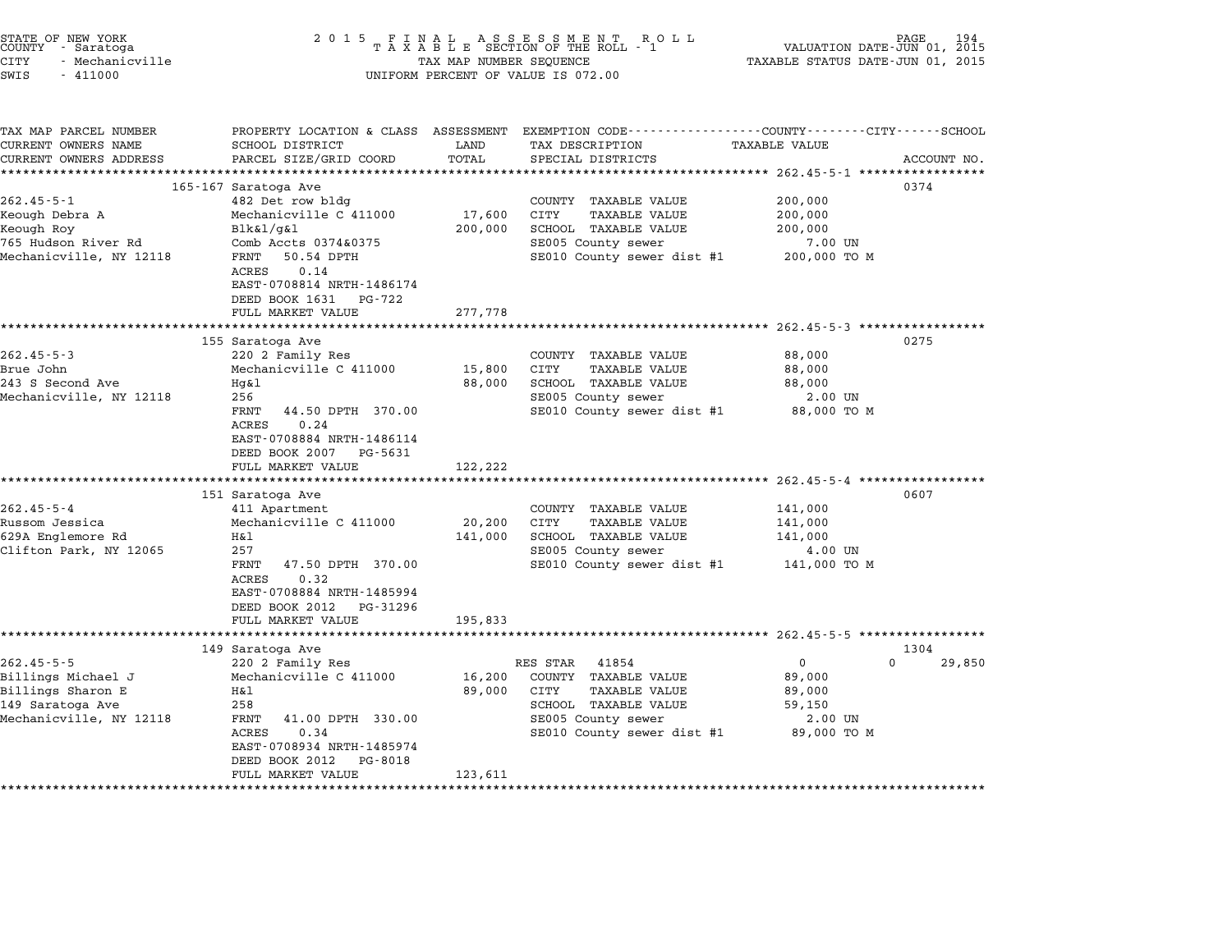| STATE OF NEW YORK<br>COUNTY - Saratoga<br>CITY<br>- Mechanicville<br>SWIS<br>$-411000$                     | 2015 FINAL                                                                                                                                                                                                                                             | TAX MAP NUMBER SEQUENCE                                | FINAL ASSESSMENT ROLL<br>TAXABLE SECTION OF THE ROLL - 1<br>UNIFORM PERCENT OF VALUE IS 072.00                                                                                               | PAGE<br>VALUATION DATE-JUN 01, 2015<br>TAXABLE STATUS DATE-JUN 01, 2015                        | 194    |
|------------------------------------------------------------------------------------------------------------|--------------------------------------------------------------------------------------------------------------------------------------------------------------------------------------------------------------------------------------------------------|--------------------------------------------------------|----------------------------------------------------------------------------------------------------------------------------------------------------------------------------------------------|------------------------------------------------------------------------------------------------|--------|
| TAX MAP PARCEL NUMBER<br>CURRENT OWNERS NAME<br>CURRENT OWNERS ADDRESS                                     | SCHOOL DISTRICT<br>PARCEL SIZE/GRID COORD<br>****************************                                                                                                                                                                              | LAND<br>TOTAL<br>************                          | PROPERTY LOCATION & CLASS ASSESSMENT EXEMPTION CODE---------------COUNTY-------CITY------SCHOOL<br>TAX DESCRIPTION<br>SPECIAL DISTRICTS                                                      | <b>TAXABLE VALUE</b><br>ACCOUNT NO.                                                            |        |
| $262.45 - 5 - 1$<br>Keough Debra A<br>Keough Roy<br>765 Hudson River Rd<br>Mechanicville, NY 12118         | 165-167 Saratoga Ave<br>482 Det row bldg<br>Mechanicville C 411000<br>$Blk\&1/q\&1$<br>Comb Accts 0374&0375<br>50.54 DPTH<br>FRNT<br>ACRES<br>0.14<br>EAST-0708814 NRTH-1486174                                                                        | 17,600<br>200,000                                      | ·********************************* 262.45-5-1 *****************<br>COUNTY TAXABLE VALUE<br>CITY<br>TAXABLE VALUE<br>SCHOOL TAXABLE VALUE<br>SE005 County sewer<br>SE010 County sewer dist #1 | 0374<br>200,000<br>200,000<br>200,000<br>7.00 UN<br>200,000 TO M                               |        |
| $262.45 - 5 - 3$<br>Brue John                                                                              | DEED BOOK 1631 PG-722<br>FULL MARKET VALUE<br>********************<br>155 Saratoga Ave<br>220 2 Family Res<br>Mechanicville C 411000                                                                                                                   | 277,778<br>* * * * * * * * * * * * * * * * *<br>15,800 | COUNTY TAXABLE VALUE<br>CITY<br><b>TAXABLE VALUE</b>                                                                                                                                         | ************************************ 262.45-5-3 ******************<br>0275<br>88,000<br>88,000 |        |
| 243 S Second Ave<br>Mechanicville, NY 12118                                                                | Hg&1<br>256<br>FRNT<br>44.50 DPTH 370.00<br>ACRES<br>0.24<br>EAST-0708884 NRTH-1486114<br>DEED BOOK 2007<br>PG-5631                                                                                                                                    | 88,000                                                 | SCHOOL TAXABLE VALUE<br>SE005 County sewer<br>SE010 County sewer dist #1                                                                                                                     | 88,000<br>2.00 UN<br>88,000 TO M                                                               |        |
| $262.45 - 5 - 4$<br>Russom Jessica<br>629A Englemore Rd<br>Clifton Park, NY 12065                          | FULL MARKET VALUE<br>151 Saratoga Ave<br>411 Apartment<br>Mechanicville C 411000<br>H&l<br>257<br>FRNT<br>47.50 DPTH 370.00<br><b>ACRES</b><br>0.32<br>EAST-0708884 NRTH-1485994<br>DEED BOOK 2012 PG-31296<br>FULL MARKET VALUE<br>****************** | 122,222<br>20,200<br>141,000<br>195,833                | COUNTY TAXABLE VALUE<br>TAXABLE VALUE<br>CITY<br>SCHOOL TAXABLE VALUE<br>SE005 County sewer<br>SE010 County sewer dist #1                                                                    | 0607<br>141,000<br>141,000<br>141,000<br>4.00 UN<br>141,000 TO M                               |        |
| $262.45 - 5 - 5$<br>Billings Michael J<br>Billings Sharon E<br>149 Saratoga Ave<br>Mechanicville, NY 12118 | 149 Saratoga Ave<br>220 2 Family Res<br>Mechanicville C 411000<br>Η&l<br>258<br>FRNT<br>41.00 DPTH 330.00<br>ACRES<br>0.34<br>EAST-0708934 NRTH-1485974<br>DEED BOOK 2012<br>PG-8018<br>FULL MARKET VALUE<br>**************************                | 16,200<br>89,000<br>123,611<br>**************          | RES STAR<br>41854<br>COUNTY TAXABLE VALUE<br>CITY<br><b>TAXABLE VALUE</b><br>SCHOOL TAXABLE VALUE<br>SE005 County sewer<br>SE010 County sewer dist #1                                        | 1304<br>$\mathbf{0}$<br>$\Omega$<br>89,000<br>89,000<br>59,150<br>2.00 UN<br>89,000 TO M       | 29,850 |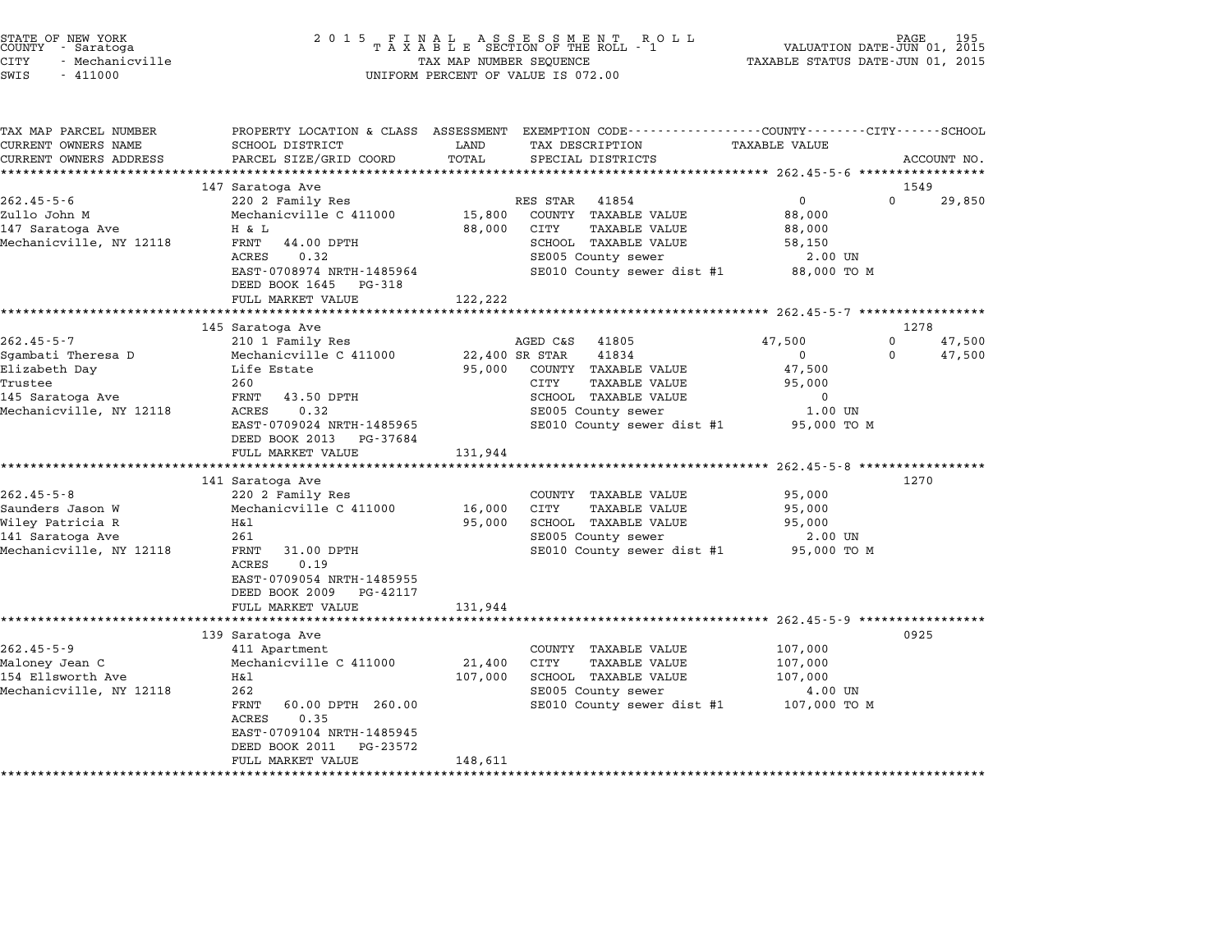| STATE OF NEW YORK<br>COUNTY - Saratoga | 2015 FINAL ASSESSMENT ROLL<br>TAXABLE SECTION OF THE ROLL - 1 | 195<br>PAGE<br>VALUATION DATE-JUN 01, 2015 |
|----------------------------------------|---------------------------------------------------------------|--------------------------------------------|
| CITY<br>- Mechanicville                | TAX MAP NUMBER SEQUENCE                                       | TAXABLE STATUS DATE-JUN 01, 2015           |

# STATE OF NEW YORK (DATE AND THE SELL ARE SERIES SOFT ON DETAILS ARE SERIES AND TRUSS OF NEW TRACK AND TRUSS AN<br>COUNTY - Saratoga (2015 - TAXABLE SECTION OF THE ROLL - 1 (DATE-JUN 01, 2015 - 1)<br>CITY - Mechanicville (2015 - STATE OF NEW YORK COUNTY - Saratoga and the serve of the server of the server of the server of the server of the server of the server of the server of the server of the server of the server of the server of the server of v

| TAX MAP PARCEL NUMBER   | PROPERTY LOCATION & CLASS ASSESSMENT EXEMPTION CODE---------------COUNTY-------CITY------SCHOOL |         |                              |                      |          |             |
|-------------------------|-------------------------------------------------------------------------------------------------|---------|------------------------------|----------------------|----------|-------------|
| CURRENT OWNERS NAME     | SCHOOL DISTRICT                                                                                 | LAND    | TAX DESCRIPTION              | <b>TAXABLE VALUE</b> |          |             |
| CURRENT OWNERS ADDRESS  | PARCEL SIZE/GRID COORD                                                                          | TOTAL   | SPECIAL DISTRICTS            |                      |          | ACCOUNT NO. |
|                         |                                                                                                 |         |                              |                      |          |             |
|                         | 147 Saratoga Ave                                                                                |         |                              |                      | 1549     |             |
| $262.45 - 5 - 6$        | 220 2 Family Res                                                                                |         | RES STAR<br>41854            | $\mathbf 0$          | $\Omega$ | 29,850      |
| Zullo John M            | Mechanicville C 411000                                                                          | 15,800  | COUNTY TAXABLE VALUE         | 88,000               |          |             |
| 147 Saratoga Ave        | H & L                                                                                           | 88,000  | CITY<br><b>TAXABLE VALUE</b> | 88,000               |          |             |
| Mechanicville, NY 12118 | FRNT<br>44.00 DPTH                                                                              |         | SCHOOL TAXABLE VALUE         | 58,150               |          |             |
|                         | ACRES<br>0.32                                                                                   |         | SE005 County sewer           | 2.00 UN              |          |             |
|                         | EAST-0708974 NRTH-1485964<br>DEED BOOK 1645<br>PG-318                                           |         | SE010 County sewer dist #1   | 88,000 TO M          |          |             |
|                         | FULL MARKET VALUE                                                                               | 122,222 |                              |                      |          |             |
|                         | *************************************                                                           |         |                              |                      |          |             |
|                         | 145 Saratoga Ave                                                                                |         |                              |                      | 1278     |             |
| $262.45 - 5 - 7$        | 210 1 Family Res                                                                                |         | AGED C&S<br>41805            | 47,500               | 0        | 47,500      |
| Sgambati Theresa D      | Mechanicville C 411000                                                                          |         | 41834<br>22,400 SR STAR      | $\Omega$             | $\Omega$ | 47,500      |
| Elizabeth Day           | Life Estate                                                                                     | 95,000  | COUNTY TAXABLE VALUE         | 47,500               |          |             |
| Trustee                 | 260                                                                                             |         | CITY<br><b>TAXABLE VALUE</b> | 95,000               |          |             |
| 145 Saratoga Ave        | FRNT<br>43.50 DPTH                                                                              |         | SCHOOL TAXABLE VALUE         | 0                    |          |             |
| Mechanicville, NY 12118 | ACRES<br>0.32                                                                                   |         | SE005 County sewer           | 1.00 UN              |          |             |
|                         | EAST-0709024 NRTH-1485965                                                                       |         | SE010 County sewer dist #1   | 95,000 TO M          |          |             |
|                         | DEED BOOK 2013 PG-37684                                                                         |         |                              |                      |          |             |
|                         | FULL MARKET VALUE                                                                               | 131,944 |                              |                      |          |             |
|                         |                                                                                                 |         |                              |                      |          |             |
|                         | 141 Saratoga Ave                                                                                |         |                              |                      | 1270     |             |
| $262.45 - 5 - 8$        | 220 2 Family Res                                                                                |         | COUNTY TAXABLE VALUE         | 95,000               |          |             |
| Saunders Jason W        | Mechanicville C 411000                                                                          | 16,000  | CITY<br><b>TAXABLE VALUE</b> | 95,000               |          |             |
| Wiley Patricia R        | H&1                                                                                             | 95,000  | SCHOOL TAXABLE VALUE         | 95,000               |          |             |
| 141 Saratoga Ave        | 261                                                                                             |         | SE005 County sewer           | 2.00 UN              |          |             |
| Mechanicville, NY 12118 | 31.00 DPTH<br>FRNT                                                                              |         | SE010 County sewer dist #1   | 95,000 TO M          |          |             |
|                         | 0.19<br>ACRES                                                                                   |         |                              |                      |          |             |
|                         | EAST-0709054 NRTH-1485955                                                                       |         |                              |                      |          |             |
|                         | DEED BOOK 2009<br>PG-42117                                                                      |         |                              |                      |          |             |
|                         | FULL MARKET VALUE                                                                               | 131,944 |                              |                      |          |             |
|                         |                                                                                                 |         |                              |                      |          |             |
|                         | 139 Saratoga Ave                                                                                |         |                              |                      | 0925     |             |
| $262.45 - 5 - 9$        | 411 Apartment                                                                                   |         | COUNTY TAXABLE VALUE         | 107,000              |          |             |
| Maloney Jean C          | Mechanicville C 411000                                                                          | 21,400  | CITY<br><b>TAXABLE VALUE</b> | 107,000              |          |             |
| 154 Ellsworth Ave       | Η&l                                                                                             | 107,000 | SCHOOL TAXABLE VALUE         | 107,000              |          |             |
| Mechanicville, NY 12118 | 262                                                                                             |         | SE005 County sewer           | 4.00 UN              |          |             |
|                         | 60.00 DPTH 260.00<br>FRNT                                                                       |         | SE010 County sewer dist #1   | 107,000 то м         |          |             |
|                         | <b>ACRES</b><br>0.35                                                                            |         |                              |                      |          |             |
|                         | EAST-0709104 NRTH-1485945                                                                       |         |                              |                      |          |             |
|                         | DEED BOOK 2011<br>PG-23572                                                                      |         |                              |                      |          |             |
|                         |                                                                                                 | 148,611 |                              |                      |          |             |
|                         | FULL MARKET VALUE                                                                               |         |                              |                      |          |             |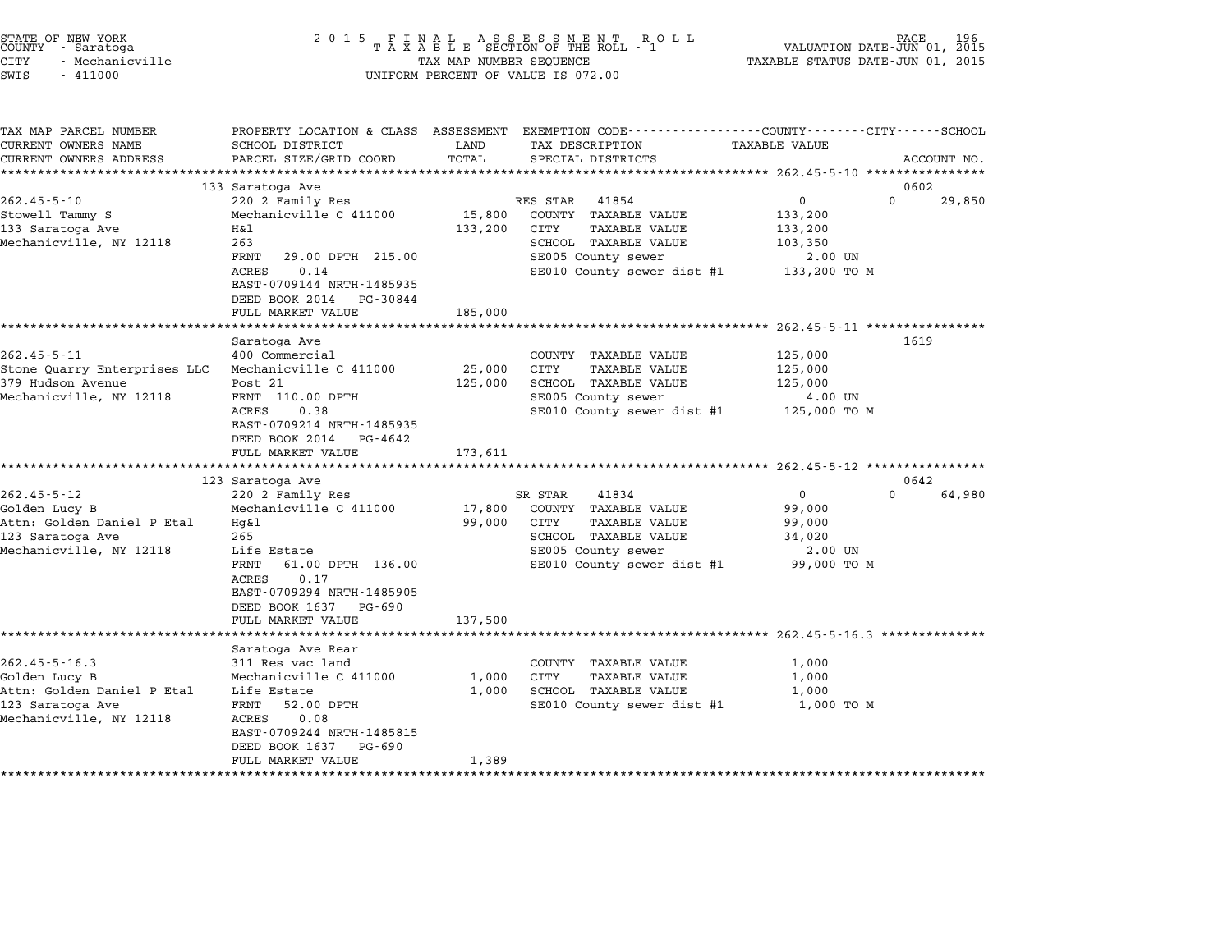| STATE OF NEW YORK<br>COUNTY – Saratoga<br>- Saratoga<br>CITY<br>- Mechanicville<br>SWIS<br>$-411000$ | 2 0 1 5                                                                                           | TAX MAP NUMBER SEQUENCE | FINAL ASSESSMENT ROTAXABLE SECTION OF THE ROLL - 1<br>R O L L<br>UNIFORM PERCENT OF VALUE IS 072.00                                     | VALUATION DATE-JUN 01, 2015<br>TAXABLE STATUS DATE-JUN 01, 2015 | PAGE<br>196 |
|------------------------------------------------------------------------------------------------------|---------------------------------------------------------------------------------------------------|-------------------------|-----------------------------------------------------------------------------------------------------------------------------------------|-----------------------------------------------------------------|-------------|
| TAX MAP PARCEL NUMBER<br>CURRENT OWNERS NAME<br>CURRENT OWNERS ADDRESS                               | SCHOOL DISTRICT<br>PARCEL SIZE/GRID COORD                                                         | LAND<br>TOTAL           | PROPERTY LOCATION & CLASS ASSESSMENT EXEMPTION CODE---------------COUNTY-------CITY------SCHOOL<br>TAX DESCRIPTION<br>SPECIAL DISTRICTS | TAXABLE VALUE                                                   | ACCOUNT NO. |
|                                                                                                      | 133 Saratoga Ave                                                                                  |                         |                                                                                                                                         |                                                                 | 0602        |
| $262.45 - 5 - 10$                                                                                    | 220 2 Family Res                                                                                  |                         | RES STAR<br>41854                                                                                                                       | $\Omega$<br>0                                                   | 29,850      |
| Stowell Tammy S                                                                                      | Mechanicville C 411000                                                                            | 15,800                  | COUNTY TAXABLE VALUE                                                                                                                    | 133,200                                                         |             |
| 133 Saratoga Ave                                                                                     | Η&l                                                                                               | 133,200                 | CITY<br>TAXABLE VALUE                                                                                                                   | 133,200                                                         |             |
| Mechanicville, NY 12118                                                                              | 263                                                                                               |                         | SCHOOL TAXABLE VALUE                                                                                                                    | 103,350                                                         |             |
|                                                                                                      | FRNT<br>29.00 DPTH 215.00                                                                         |                         | SE005 County sewer                                                                                                                      | 2.00 UN                                                         |             |
|                                                                                                      | <b>ACRES</b><br>0.14<br>EAST-0709144 NRTH-1485935<br>DEED BOOK 2014 PG-30844<br>FULL MARKET VALUE | 185,000                 | SE010 County sewer dist #1                                                                                                              | 133,200 TO M                                                    |             |
|                                                                                                      | ******************                                                                                |                         |                                                                                                                                         | ********************* 262.45-5-11 ****************              |             |
|                                                                                                      | Saratoga Ave                                                                                      |                         |                                                                                                                                         |                                                                 | 1619        |
| $262.45 - 5 - 11$                                                                                    | 400 Commercial                                                                                    |                         | COUNTY TAXABLE VALUE                                                                                                                    | 125,000                                                         |             |
| Stone Quarry Enterprises LLC                                                                         | Mechanicville C 411000                                                                            | 25,000                  | CITY<br><b>TAXABLE VALUE</b>                                                                                                            | 125,000                                                         |             |
| 379 Hudson Avenue                                                                                    | Post 21                                                                                           | 125,000                 | SCHOOL TAXABLE VALUE                                                                                                                    | 125,000                                                         |             |
| Mechanicville, NY 12118                                                                              | FRNT 110.00 DPTH                                                                                  |                         | SE005 County sewer                                                                                                                      | 4.00 UN                                                         |             |
|                                                                                                      | ACRES<br>0.38<br>EAST-0709214 NRTH-1485935<br>DEED BOOK 2014 PG-4642                              |                         | SE010 County sewer dist #1                                                                                                              | 125,000 TO M                                                    |             |
|                                                                                                      | FULL MARKET VALUE<br>******************************                                               | 173,611                 |                                                                                                                                         |                                                                 |             |
|                                                                                                      | 123 Saratoga Ave                                                                                  |                         |                                                                                                                                         |                                                                 | 0642        |
| $262.45 - 5 - 12$                                                                                    | 220 2 Family Res                                                                                  |                         | 41834<br>SR STAR                                                                                                                        | $\mathbf 0$<br>$\Omega$                                         | 64,980      |
| Golden Lucy B                                                                                        | Mechanicville C 411000                                                                            | 17,800                  | COUNTY TAXABLE VALUE                                                                                                                    | 99,000                                                          |             |
| Attn: Golden Daniel P Etal                                                                           | $Hq\&1$                                                                                           | 99,000                  | CITY<br><b>TAXABLE VALUE</b>                                                                                                            | 99,000                                                          |             |
| 123 Saratoga Ave                                                                                     | 265                                                                                               |                         | SCHOOL TAXABLE VALUE                                                                                                                    | 34,020                                                          |             |
| Mechanicville, NY 12118                                                                              | Life Estate                                                                                       |                         | SE005 County sewer                                                                                                                      | 2.00 UN                                                         |             |
|                                                                                                      | FRNT<br>61.00 DPTH 136.00<br>ACRES<br>0.17<br>EAST-0709294 NRTH-1485905<br>DEED BOOK 1637 PG-690  |                         | SE010 County sewer dist #1                                                                                                              | 99,000 TO M                                                     |             |
|                                                                                                      | FULL MARKET VALUE                                                                                 | 137,500                 |                                                                                                                                         |                                                                 |             |
|                                                                                                      |                                                                                                   |                         | ************************************** 262.45-5-16.3 ***************                                                                    |                                                                 |             |
|                                                                                                      | Saratoga Ave Rear<br>311 Res vac land                                                             |                         |                                                                                                                                         |                                                                 |             |
| $262.45 - 5 - 16.3$<br>Golden Lucy B                                                                 | Mechanicville C 411000                                                                            | 1,000                   | COUNTY TAXABLE VALUE<br>CITY<br><b>TAXABLE VALUE</b>                                                                                    | 1,000<br>1,000                                                  |             |
| Attn: Golden Daniel P Etal                                                                           | Life Estate                                                                                       | 1,000                   | SCHOOL TAXABLE VALUE                                                                                                                    | 1,000                                                           |             |
| 123 Saratoga Ave                                                                                     | FRNT<br>52.00 DPTH                                                                                |                         | SE010 County sewer dist #1                                                                                                              | 1,000 TO M                                                      |             |
| Mechanicville, NY 12118                                                                              | ACRES<br>0.08<br>EAST-0709244 NRTH-1485815                                                        |                         |                                                                                                                                         |                                                                 |             |
|                                                                                                      | DEED BOOK 1637<br>PG-690<br>FULL MARKET VALUE                                                     | 1,389                   |                                                                                                                                         |                                                                 |             |

STATE OF NEW YORK <sup>2</sup> <sup>0</sup> <sup>1</sup> 5 F I N A L A S S E S S M E N T R O L L PAGE <sup>196</sup> COUNTY - Saratoga <sup>T</sup> <sup>A</sup> <sup>X</sup> <sup>A</sup> <sup>B</sup> <sup>L</sup> <sup>E</sup> SECTION OF THE ROLL - <sup>1</sup> VALUATION DATE-JUN 01, <sup>2015</sup>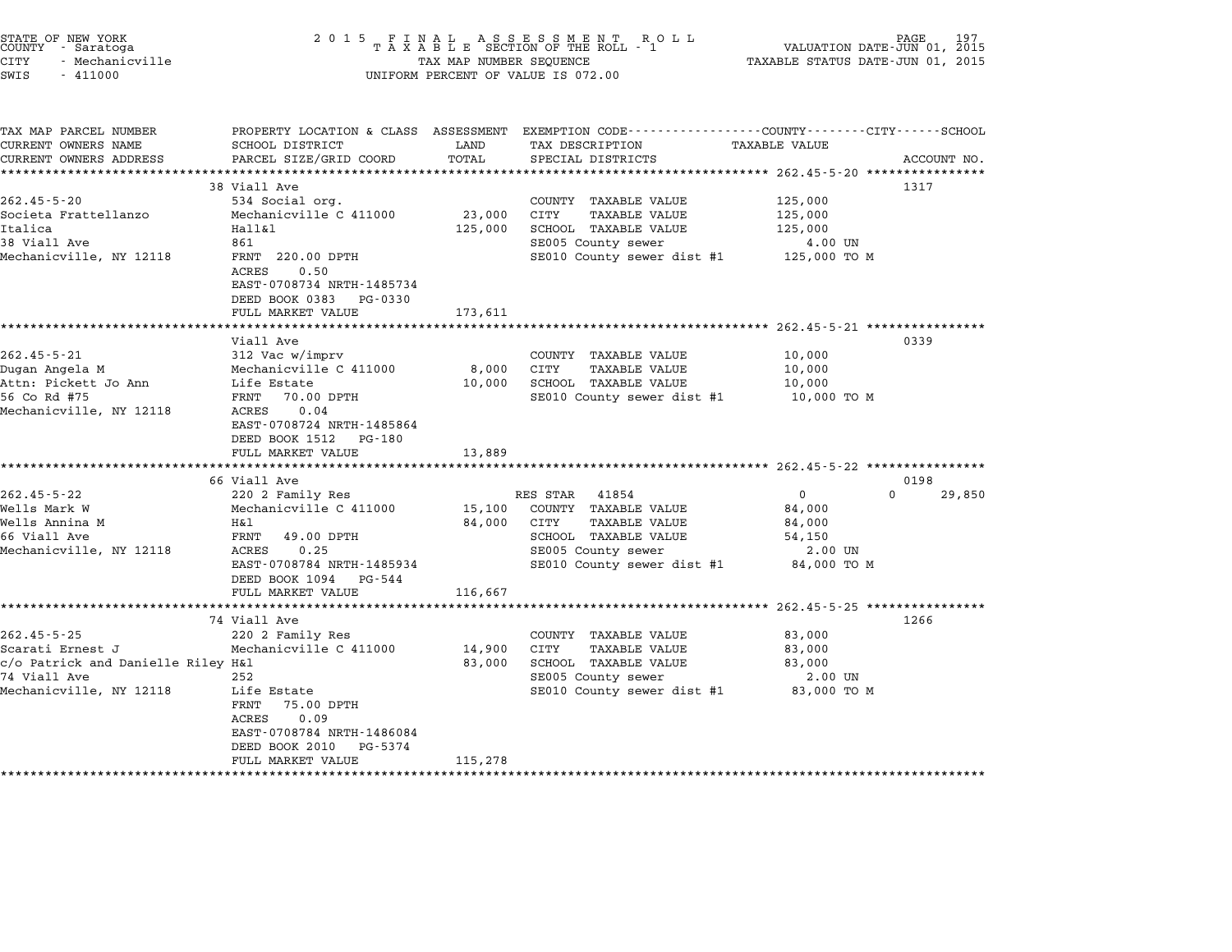| STATE OF NEW YORK<br>COUNTY | - Saratoga      |
|-----------------------------|-----------------|
| CITY                        | - Mechanicville |

TAX MAP PARCEL NUMBER PROPERTY LOCATION & CLASS ASSESSMENT EXEMPTION CODE------------------COUNTY--------CITY------SCHOOL ...<br>-- COUNTY:- TAX MAP PARCEL NUMBER THE OCHOTRY AND THE CURRENT EXEMPTION CODE<br>CURRENT OWNERS NAME SCHOOL DISTRICT LAND TAX DESCRIPTION TAXABLE VALUE CURRENT OWNERS ADDEER FOUR DISTRICTS AND A CHASS ASSESSEENT EXERT ON TAX MIT PROCUPTION TRANSFOURERS ADDRESS SANCEL SIZE/GRID COORD TOTAL SEEN TRANSFOUR TRANSFOUR TRANSFOUR TRANSFOUR TRANSFOUR TRANSFOUR TRANSFOUR ACCOUNT N <sup>38</sup> Viall Ave <sup>1317</sup> 262.45-5-20 38 Still Ave 334 Social org. COUNTY TAXABLE VALUE 125,000 Societa Societa According to the Societa Fraction of the Societa Fraction of the Societa Fraction of the Societa<br>Societa Frattellanzo Mechanicville C 411000 23,000 CITY TAXABLE VALUE 125,000 الماء التي تقويد المسلم التي تقويد المسلم التي التي التي التي التي يتم التي التي التي يتم التي يتم التي التي ا<br>ISSOCIELA ISS,000 CITY TAXABLE VALUE 125,000<br>Italica 125,000 SCHOOL TAXABLE VALUE 125,000 <sup>38</sup> Viall Ave <sup>861</sup> SE005 County sewer 4.00 UN ncarica (1991)<br>1861 - Merican Barristan (1992) (1992) School Pakabus value (1993)<br>SE010 County sewer dist #1 125,000 TO M (1990) (1993) (1990) (1994) (1990) (1990) (1990) (1990) (1990) (1990) 。。。<br>FRNT 220.00<br>ACRES 0.50 FANI 220.00 DFIH<br>ACRES 0.50<br>EAST-0708734 NRTH-1485734 DEED BOOK <sup>0383</sup> PG-0330 FULL MARKET VALUE 173,611 \*\*\*\*\*\*\*\*\*\*\*\*\*\*\*\*\*\*\*\*\*\*\*\*\*\*\*\*\*\*\*\*\*\*\*\*\*\*\*\*\*\*\*\*\*\*\*\*\*\*\*\*\*\*\*\*\*\*\*\*\*\*\*\*\*\*\*\*\*\*\*\*\*\*\*\*\*\*\*\*\*\*\*\*\*\*\*\*\*\*\*\*\*\*\*\*\*\*\*\*\*\*\* 262.45-5-21 \*\*\*\*\*\*\*\*\*\*\*\*\*\*\*\* Viall Ave <sup>0339</sup> 262.45-5-21 262.45-5-21 262.45-5-21 262.45-5-21 262.45-5-21 262.45-5-21 262.45-5-21 262.45-5-21 262.45-5-21 26<br>260.000 260.45-5-21 262.45-5-21 312 Vac w/imprv Dugan Angela M Mechanicville C <sup>411000</sup> 8,000 CITY TAXABLE VALUE 10,000 دور المسلم المسلم المسلم المسلم المسلم المسلم المسلم المسلم المسلم المسلم المسلم المسلم المسلم المسلم المسلم ا<br>Dugan Angela M Mechanicville C 411000 8,000 CITY TAXABLE VALUE 10,000<br>Attn: Pickett Jo Ann Life Estate 10,000 56 Construction of the mechanic virie construction of the construction of the manufacture of the manufacture o<br>Attn: Pickett Jo Ann Life Estate 10,000 SCHOOL TAXABLE VALUE ALUE 10,000 TO M<br>56 Co Rd #75 10,000 TO M Mechanicville, NY <sup>12118</sup> ACRES 0.04 FRNT 70.00 DF1H<br>ACRES 0.04<br>EAST-0708724 NRTH-1485864 EAST-0708724 NRTH-14858<br>DEED BOOK 1512 PG-180 EAST-0708724 NRTH-1485864<br>DEED BOOK 1512 PG-180<br>FULL MARKET VALUE 13,889 \*\*\*\*\*\*\*\*\*\*\*\*\*\*\*\*\*\*\*\*\*\*\*\*\*\*\*\*\*\*\*\*\*\*\*\*\*\*\*\*\*\*\*\*\*\*\*\*\*\*\*\*\*\*\*\*\*\*\*\*\*\*\*\*\*\*\*\*\*\*\*\*\*\*\*\*\*\*\*\*\*\*\*\*\*\*\*\*\*\*\*\*\*\*\*\*\*\*\*\*\*\*\* 262.45-5-22 \*\*\*\*\*\*\*\*\*\*\*\*\*\*\*\* <sup>66</sup> Viall Ave <sup>0198</sup> 262.45-5-22 220 276 Viall Ave RES STAR 41854 202.45-5-22 220 276 220 276 220 276 220 276 220 276 230 276 230 2<br>20198 RES STAR 41854 0 220 276 220 276 230 276 230 276 230 276 230 276 230 276 250 250 250 276 230 276 230 276 Wells Mark W Mechanicville C <sup>411000</sup> 15,100 COUNTY TAXABLE VALUE 84,000 Wells Annina M H&l 84,000 CITY TAXABLE VALUE 84,000 MELLS MALA WARDEN MERRIAM DECIMINITY OF THE CONTRACT ON THE SALUE SALUE SERVICE SERVICE SERVICE SERVICE SERVIC<br>Mells Annina Malay School Taxable Value S4,000<br>66 Viall Ave Salue 54,150 Mechanicville, NY <sup>12118</sup> ACRES 0.25 SE005 County sewer 2.00 UN EARLY 1990 SENSEM SENSEM SERVER AND SERVER AND SERVER AND SERVER SERVER AND SERVER AND SERVER AND SERVER AND SERVER AND SERVER AND SERVER AND SERVER AND SERVER AND SERVER AND SERVER AND SERVER AND SERVER AND SERVER AND SER 8000 COUILLY SEWEL SEWEL 2.00 ON 2.00 ON 2.00 ON 2.00 ON 2.00 ON 2.00 ON 2.00 ON DEED BOOK 1094 PG-544<br>FULL MARKET VALUE 116,667 \*\*\*\*\*\*\*\*\*\*\*\*\*\*\*\*\*\*\*\*\*\*\*\*\*\*\*\*\*\*\*\*\*\*\*\*\*\*\*\*\*\*\*\*\*\*\*\*\*\*\*\*\*\*\*\*\*\*\*\*\*\*\*\*\*\*\*\*\*\*\*\*\*\*\*\*\*\*\*\*\*\*\*\*\*\*\*\*\*\*\*\*\*\*\*\*\*\*\*\*\*\*\* 262.45-5-25 \*\*\*\*\*\*\*\*\*\*\*\*\*\*\*\* <sup>74</sup> Viall Ave <sup>1266</sup> 262.45-5-25 262.45-5-25 220 2 Family Res COUNTY TAXABLE VALUE 302.45-5-25 202.45-5-25 202.45-5-25 220 2 Family Res Scarati Ernest J Mechanicville C <sup>411000</sup> 14,900 CITY TAXABLE VALUE 83,000 countin and Danielle Riley Mechanicville C 411000 and the Countinum of the Countinum of the Countinum of the C<br>Countinum School Taxable Value 83,000 SCHOOL TAXABLE VALUE 83,000 and Danielle Riley H&l 83,000 atrick and Dani <sup>74</sup> Viall Ave <sup>252</sup> SE005 County sewer 2.00 UN C/O FACILICK AND DANIEVILLE KILEY NAI<br>
Mechanicville, NY 12118 Life Estate SE005 County sewer dist #1 83,000 TO M<br>Mechanicville, NY 12118 Life Estate SE010 County sewer dist #1 83,000 TO M Life Estate<br>FRNT 75.00 DPTH ACRES 0.09 FANI 75.00 DFIH<br>ACRES 0.09<br>EAST-0708784 NRTH-1486084 EAST-0708784 NRTH-148608<br>DEED BOOK 2010 PG-5374 FULL MARKET VALUE 115,278 \*\*\*\*\*\*\*\*\*\*\*\*\*\*\*\*\*\*\*\*\*\*\*\*\*\*\*\*\*\*\*\*\*\*\*\*\*\*\*\*\*\*\*\*\*\*\*\*\*\*\*\*\*\*\*\*\*\*\*\*\*\*\*\*\*\*\*\*\*\*\*\*\*\*\*\*\*\*\*\*\*\*\*\*\*\*\*\*\*\*\*\*\*\*\*\*\*\*\*\*\*\*\*\*\*\*\*\*\*\*\*\*\*\*\*\*\*\*\*\*\*\*\*\*\*\*\*\*\*\*\*\*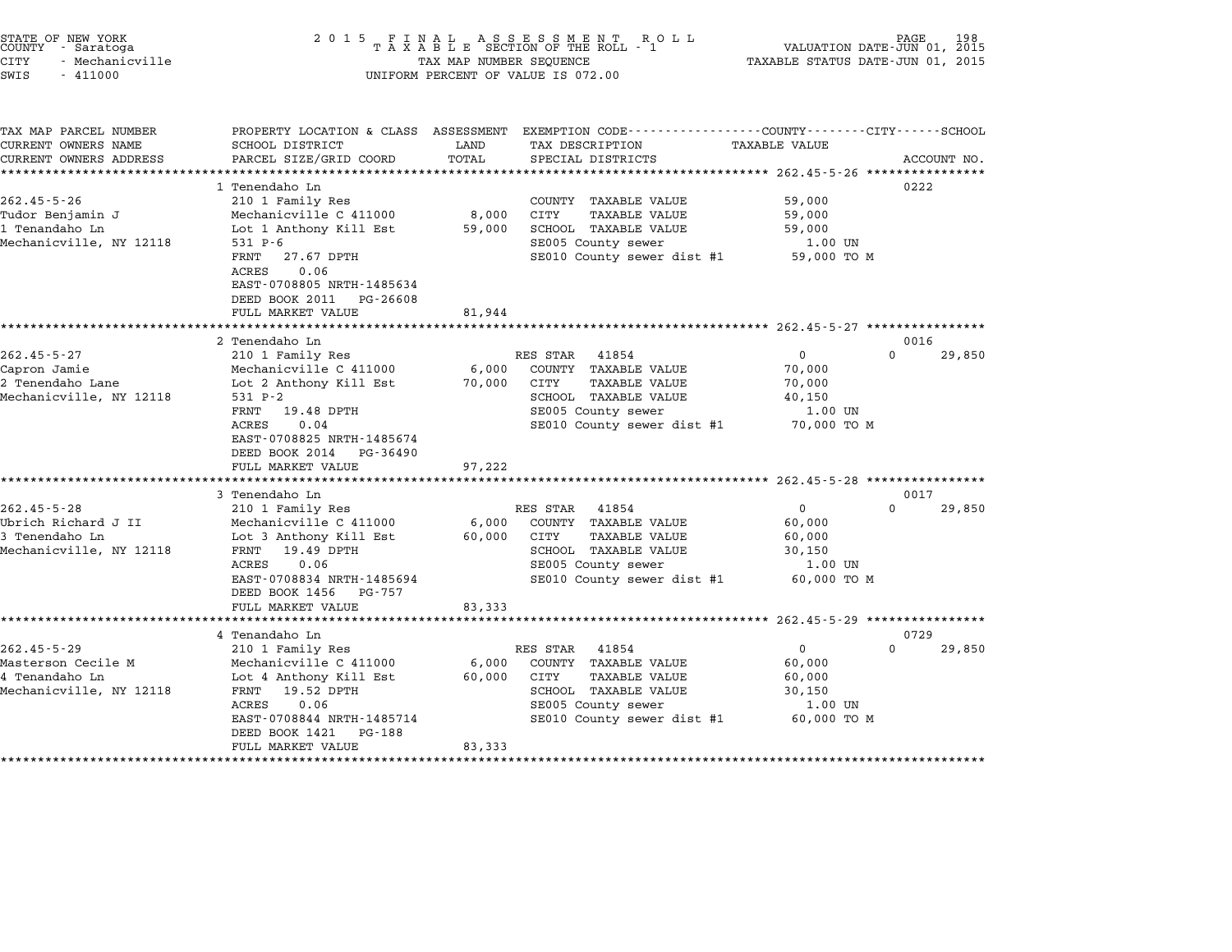| STATE OF NEW YORK |                 |  |
|-------------------|-----------------|--|
| COUNTY            | - Saratoga      |  |
| CITY              | - Mechanicville |  |

| TAX MAP PARCEL NUMBER                |                                                                                                                     |                               | PROPERTY LOCATION & CLASS ASSESSMENT EXEMPTION CODE---------------COUNTY-------CITY------SCHOOL |                     |                  |             |
|--------------------------------------|---------------------------------------------------------------------------------------------------------------------|-------------------------------|-------------------------------------------------------------------------------------------------|---------------------|------------------|-------------|
| CURRENT OWNERS NAME                  | SCHOOL DISTRICT                                                                                                     | LAND                          | TAX DESCRIPTION                                                                                 | TAXABLE VALUE       |                  |             |
| CURRENT OWNERS ADDRESS               | PARCEL SIZE/GRID COORD                                                                                              | TOTAL                         | SPECIAL DISTRICTS                                                                               |                     |                  | ACCOUNT NO. |
|                                      |                                                                                                                     |                               |                                                                                                 |                     |                  |             |
|                                      | 1 Tenendaho Ln                                                                                                      |                               |                                                                                                 |                     | 0222             |             |
| $262.45 - 5 - 26$                    | 210 1 Family Res                                                                                                    |                               | COUNTY TAXABLE VALUE                                                                            | 59,000              |                  |             |
| Tudor Benjamin J                     | Mechanicville C 411000                                                                                              | 8,000                         | CITY<br><b>TAXABLE VALUE</b>                                                                    | 59,000              |                  |             |
| 1 Tenandaho Ln                       | Lot 1 Anthony Kill Est                                                                                              | 59,000                        | SCHOOL TAXABLE VALUE                                                                            | 59,000              |                  |             |
| Mechanicville, NY 12118              | $531 P - 6$                                                                                                         |                               | SE005 County sewer                                                                              | 1.00 UN             |                  |             |
|                                      | FRNT<br>27.67 DPTH<br>0.06<br>ACRES<br>EAST-0708805 NRTH-1485634<br>DEED BOOK 2011<br>PG-26608<br>FULL MARKET VALUE | 81,944                        | SE010 County sewer dist #1                                                                      | 59,000 TO M         |                  |             |
|                                      |                                                                                                                     |                               |                                                                                                 |                     |                  |             |
|                                      | 2 Tenendaho Ln                                                                                                      |                               |                                                                                                 |                     | 0016             |             |
| $262.45 - 5 - 27$                    | 210 1 Family Res                                                                                                    |                               | RES STAR<br>41854                                                                               | $\overline{0}$      | $\Omega$         | 29,850      |
| Capron Jamie                         | Mechanicville C 411000                                                                                              | 6,000                         | COUNTY TAXABLE VALUE                                                                            | 70,000              |                  |             |
| 2 Tenendaho Lane                     | Lot 2 Anthony Kill Est                                                                                              | 70,000                        | CITY<br><b>TAXABLE VALUE</b>                                                                    | 70,000              |                  |             |
| Mechanicville, NY 12118              | 531 P-2                                                                                                             |                               | SCHOOL TAXABLE VALUE                                                                            | 40,150              |                  |             |
|                                      | FRNT<br>19.48 DPTH                                                                                                  |                               | SE005 County sewer                                                                              | 1.00 UN             |                  |             |
|                                      | 0.04<br>ACRES                                                                                                       |                               | SE010 County sewer dist #1 70,000 TO M                                                          |                     |                  |             |
|                                      | EAST-0708825 NRTH-1485674<br>DEED BOOK 2014<br>PG-36490<br>FULL MARKET VALUE                                        | 97,222                        |                                                                                                 |                     |                  |             |
|                                      |                                                                                                                     |                               |                                                                                                 |                     |                  |             |
|                                      | 3 Tenendaho Ln                                                                                                      |                               |                                                                                                 |                     | 0017             |             |
| $262.45 - 5 - 28$                    | 210 1 Family Res                                                                                                    |                               | 41854<br>RES STAR                                                                               | $\overline{0}$      | $\Omega$         | 29,850      |
| Ubrich Richard J II                  | Mechanicville C 411000                                                                                              | 6,000                         | COUNTY TAXABLE VALUE                                                                            | 60,000              |                  |             |
| 3 Tenendaho Ln                       | Lot 3 Anthony Kill Est                                                                                              | 60,000                        | CITY<br><b>TAXABLE VALUE</b>                                                                    | 60,000              |                  |             |
| Mechanicville, NY 12118              | 19.49 DPTH<br>FRNT                                                                                                  |                               | SCHOOL TAXABLE VALUE                                                                            | 30,150              |                  |             |
|                                      | 0.06<br>ACRES                                                                                                       |                               | SE005 County sewer                                                                              | 1.00 UN             |                  |             |
|                                      | EAST-0708834 NRTH-1485694<br>DEED BOOK 1456 PG-757                                                                  |                               | SE010 County sewer dist #1                                                                      | 60,000 TO M         |                  |             |
|                                      | FULL MARKET VALUE                                                                                                   | 83,333                        |                                                                                                 |                     |                  |             |
|                                      |                                                                                                                     |                               |                                                                                                 |                     |                  |             |
|                                      | 4 Tenandaho Ln                                                                                                      |                               |                                                                                                 | $\Omega$            | 0729<br>$\Omega$ |             |
| $262.45 - 5 - 29$                    | 210 1 Family Res                                                                                                    |                               | RES STAR 41854                                                                                  |                     |                  | 29,850      |
| Masterson Cecile M<br>4 Tenandaho Ln | Mechanicville C 411000                                                                                              | 6,000<br>60,000               | COUNTY TAXABLE VALUE<br>CITY                                                                    | 60,000              |                  |             |
|                                      | Lot 4 Anthony Kill Est                                                                                              |                               | <b>TAXABLE VALUE</b>                                                                            | 60,000              |                  |             |
| Mechanicville, NY 12118              | 19.52 DPTH<br>FRNT<br>ACRES<br>0.06                                                                                 |                               | SCHOOL TAXABLE VALUE                                                                            | 30,150<br>$1.00$ UN |                  |             |
|                                      | EAST-0708844 NRTH-1485714<br>DEED BOOK 1421<br>PG-188                                                               |                               | SE005 County sewer<br>SE010 County sewer dist #1                                                | 60,000 TO M         |                  |             |
|                                      | FULL MARKET VALUE<br>*************************                                                                      | 83,333<br>******************* |                                                                                                 |                     |                  |             |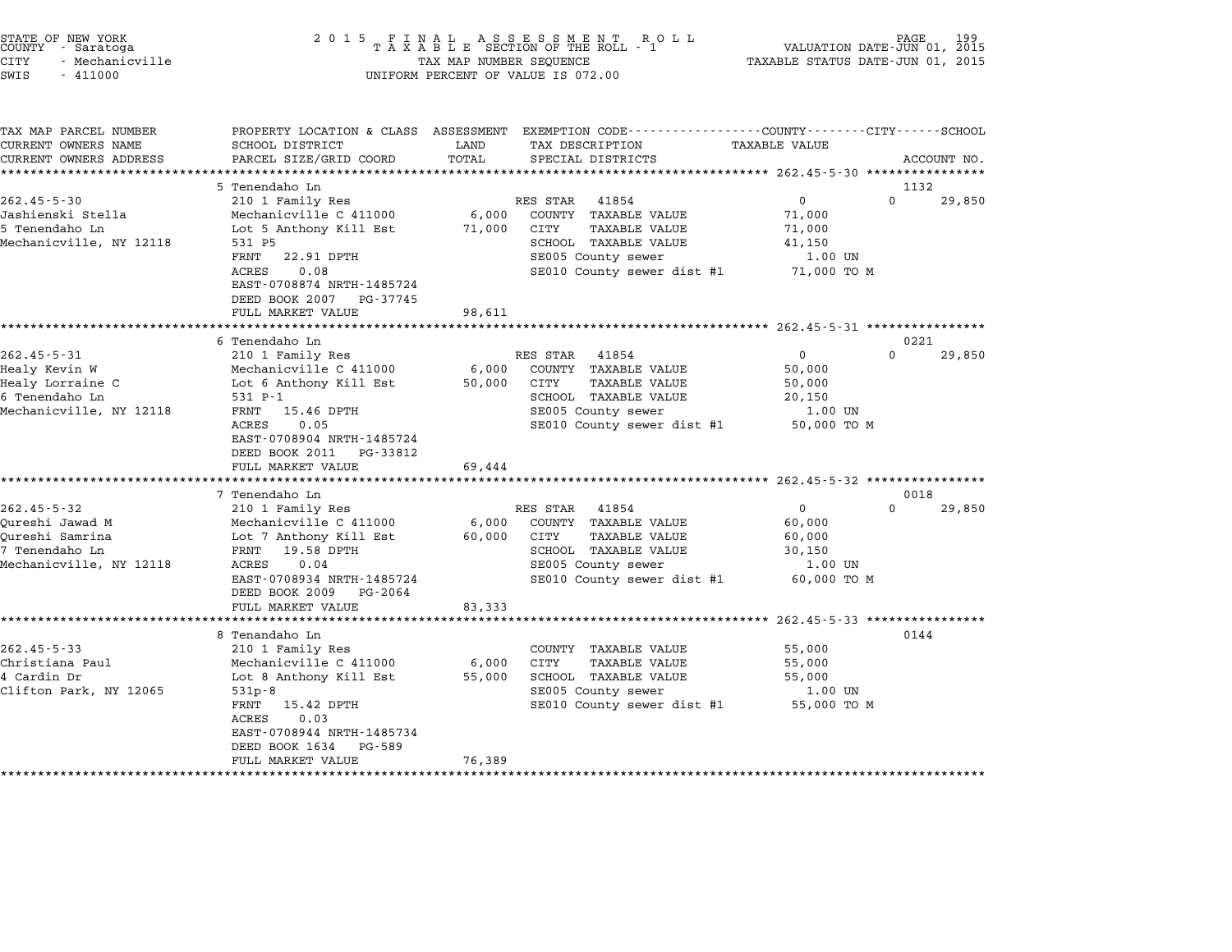| STATE OF NEW YORK |  |                 |  |
|-------------------|--|-----------------|--|
| COUNTY            |  | - Saratoga      |  |
| CITY              |  | - Mechanicville |  |

| TAX MAP PARCEL NUMBER<br>CURRENT OWNERS NAME | SCHOOL DISTRICT                  | LAND   | PROPERTY LOCATION & CLASS ASSESSMENT EXEMPTION CODE---------------COUNTY-------CITY------SCHOOL<br>TAX DESCRIPTION | <b>TAXABLE VALUE</b> |                    |
|----------------------------------------------|----------------------------------|--------|--------------------------------------------------------------------------------------------------------------------|----------------------|--------------------|
|                                              |                                  |        |                                                                                                                    |                      |                    |
| CURRENT OWNERS ADDRESS                       | PARCEL SIZE/GRID COORD           | TOTAL  | SPECIAL DISTRICTS                                                                                                  |                      | ACCOUNT NO.        |
|                                              |                                  |        |                                                                                                                    |                      |                    |
|                                              | 5 Tenendaho Ln                   |        |                                                                                                                    |                      | 1132               |
| $262.45 - 5 - 30$                            | 210 1 Family Res                 |        | RES STAR<br>41854                                                                                                  | $\mathbf 0$          | $\Omega$<br>29,850 |
| Jashienski Stella                            | Mechanicville C 411000           | 6,000  | COUNTY TAXABLE VALUE                                                                                               | 71,000               |                    |
| 5 Tenendaho Ln                               | Lot 5 Anthony Kill Est           | 71,000 | CITY<br>TAXABLE VALUE                                                                                              | 71,000               |                    |
| Mechanicville, NY 12118                      | 531 P5                           |        | SCHOOL TAXABLE VALUE                                                                                               | 41,150               |                    |
|                                              | FRNT<br>22.91 DPTH               |        | SE005 County sewer                                                                                                 | 1.00 UN              |                    |
|                                              | 0.08<br>ACRES                    |        | SE010 County sewer dist #1                                                                                         | 71,000 TO M          |                    |
|                                              | EAST-0708874 NRTH-1485724        |        |                                                                                                                    |                      |                    |
|                                              | DEED BOOK 2007 PG-37745          |        |                                                                                                                    |                      |                    |
|                                              | FULL MARKET VALUE                | 98,611 |                                                                                                                    |                      |                    |
|                                              |                                  |        |                                                                                                                    |                      |                    |
|                                              | 6 Tenendaho Ln                   |        |                                                                                                                    |                      | 0221               |
| $262.45 - 5 - 31$                            | 210 1 Family Res                 |        | RES STAR 41854                                                                                                     | $\Omega$             | $\Omega$<br>29,850 |
| Healy Kevin W                                | Mechanicville C 411000           | 6,000  | COUNTY TAXABLE VALUE                                                                                               | 50,000               |                    |
| Healy Lorraine C                             | Lot 6 Anthony Kill Est           | 50,000 | CITY<br>TAXABLE VALUE                                                                                              | 50,000               |                    |
| 6 Tenendaho Ln                               | 531 P-1                          |        | SCHOOL TAXABLE VALUE                                                                                               | 20,150               |                    |
| Mechanicville, NY 12118                      | FRNT 15.46 DPTH                  |        | SE005 County sewer                                                                                                 | 1.00 UN              |                    |
|                                              | ACRES<br>0.05                    |        | SE010 County sewer dist #1                                                                                         | 50,000 TO M          |                    |
|                                              | EAST-0708904 NRTH-1485724        |        |                                                                                                                    |                      |                    |
|                                              | DEED BOOK 2011 PG-33812          |        |                                                                                                                    |                      |                    |
|                                              | FULL MARKET VALUE                | 69,444 |                                                                                                                    |                      |                    |
|                                              |                                  |        |                                                                                                                    |                      |                    |
|                                              | 7 Tenendaho Ln                   |        |                                                                                                                    |                      | 0018               |
| $262.45 - 5 - 32$                            | 210 1 Family Res                 |        | RES STAR 41854                                                                                                     | $\Omega$             | $\Omega$<br>29,850 |
| Qureshi Jawad M                              | Mechanicville C 411000           | 6,000  | COUNTY TAXABLE VALUE                                                                                               | 60,000               |                    |
| Qureshi Samrina                              | Lot 7 Anthony Kill Est           | 60,000 | CITY<br><b>TAXABLE VALUE</b>                                                                                       | 60,000               |                    |
| 7 Tenendaho Ln                               | FRNT 19.58 DPTH                  |        | SCHOOL TAXABLE VALUE                                                                                               | 30,150               |                    |
| Mechanicville, NY 12118                      | ACRES<br>0.04                    |        | SE005 County sewer                                                                                                 | 1.00 UN              |                    |
|                                              | EAST-0708934 NRTH-1485724        |        | SE010 County sewer dist #1                                                                                         | 60,000 TO M          |                    |
|                                              | DEED BOOK 2009<br>PG-2064        |        |                                                                                                                    |                      |                    |
|                                              | FULL MARKET VALUE                | 83,333 |                                                                                                                    |                      |                    |
|                                              | ******************************** |        |                                                                                                                    |                      |                    |
|                                              | 8 Tenandaho Ln                   |        |                                                                                                                    |                      | 0144               |
| $262.45 - 5 - 33$                            | 210 1 Family Res                 |        | COUNTY TAXABLE VALUE                                                                                               | 55,000               |                    |
| Christiana Paul                              | Mechanicville C 411000           | 6,000  | CITY<br><b>TAXABLE VALUE</b>                                                                                       | 55,000               |                    |
| 4 Cardin Dr                                  | Lot 8 Anthony Kill Est           | 55,000 | SCHOOL TAXABLE VALUE                                                                                               | 55,000               |                    |
| Clifton Park, NY 12065                       | $531p - 8$                       |        | SE005 County sewer                                                                                                 | 1.00 UN              |                    |
|                                              | 15.42 DPTH<br>FRNT               |        | SE010 County sewer dist #1                                                                                         | 55,000 TO M          |                    |
|                                              |                                  |        |                                                                                                                    |                      |                    |
|                                              | 0.03<br>ACRES                    |        |                                                                                                                    |                      |                    |
|                                              | EAST-0708944 NRTH-1485734        |        |                                                                                                                    |                      |                    |
|                                              | DEED BOOK 1634<br>PG-589         |        |                                                                                                                    |                      |                    |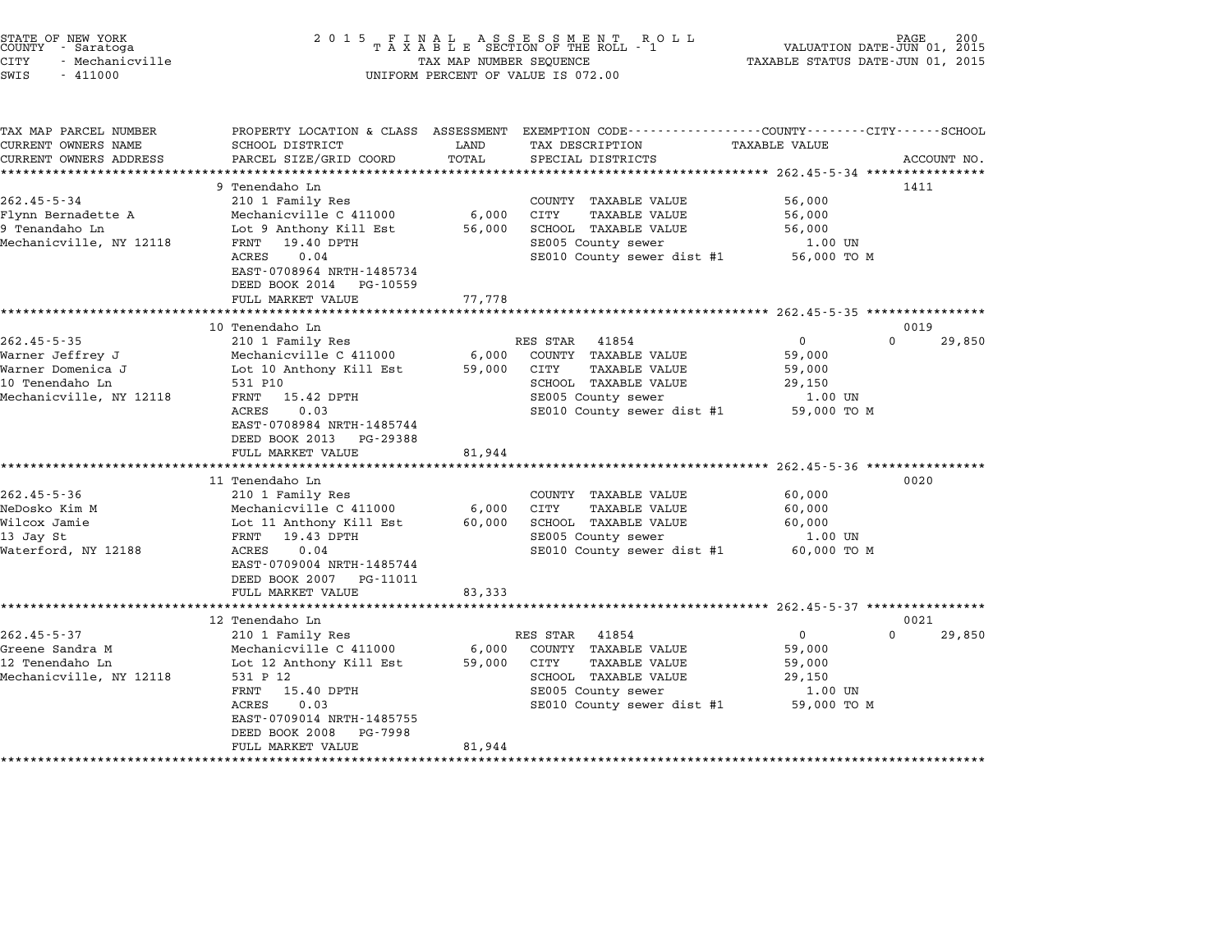| STATE OF NEW YORK<br>COUNTY - Saratoga | 2015 FINAL ASSESSMENT ROLL<br>TAXABLE SECTION OF THE ROLL - 1 | 200<br>PAGE<br>VALUATION DATE-JUN 01, 2015 |
|----------------------------------------|---------------------------------------------------------------|--------------------------------------------|
| CITY<br>- Mechanicville                | TAX MAP NUMBER SEOUENCE                                       | TAXABLE STATUS DATE-JUN 01, 2015           |
| $\sim$ $ \sim$<br>111000               | $\frac{1}{2}$                                                 |                                            |

# SWIS - <sup>411000</sup> UNIFORM PERCENT OF VALUE IS 072.00

TAX MAP PARCEL NUMBER PROPERTY LOCATION & CLASS ASSESSMENT EXEMPTION CODE------------------COUNTY--------CITY------SCHOOL ...<br>-- COUNTY:- TAX MAP PARCEL NUMBER THE OCHOTRY AND THE CURRENT EXEMPTION CODE<br>CURRENT OWNERS NAME SCHOOL DISTRICT LAND TAX DESCRIPTION TAXABLE VALUE CURRENT OWNERS ADDEER FOUR DISTRICTS AND ASSESSEENT EXERPTION TRACK THE COORD TOTAL TRACK THE COORD TOTAL TRACK THE TRACK THE TRACK THE TRACK THE TRACK THE TRACK THE TRACK THE TRACK THE TRACK THE TRACK THE TRACK THE TRACK <sup>9</sup> Tenendaho Ln <sup>1411</sup> 262.45-5-34 210 Premendaho Ln<br>262.45-5-34 210 1 Family Res COUNTY TAXABLE VALUE 56,000 Flynn Bernadette A Mechanicville C <sup>411000</sup> 6,000 CITY TAXABLE VALUE 56,000 9 July 1 Tenning Reserves to the CONTROL CONTROLL AND SUPPOSE SOLUTE:<br>Flynn Bernadette A Mechanicville C 411000 6,000 CITY TAXABLE VALUE 56,000<br>9 Tenandaho Ln 56,000 SCHOOL TAXABLE VALUE 56,000 Mechanicville, NY <sup>12118</sup> FRNT 19.40 DPTH SE005 County sewer 1.00 UN ACRES 0.04 DETERMINATION CONTROL DESCRIPTION OF THE SECOLE AND SECOLE SERVICE SERVICE SERVICE SERVICE SERVICE SECOLE SECOLE SECOLE SECOLE SECOLE SECOLE SECOLE SECOLE SECOLE SECOLE SECOLE SECOLE SECOLE SECOLE SECOLE SECOLE FANI 19.40 DPIH<br>ACRES 0.04<br>EAST-0708964 NRTH-1485734 EAST-0708964 NRTH-1485734<br>DEED BOOK 2014 PG-10559 FULL MARKET VALUE 77,778 \*\*\*\*\*\*\*\*\*\*\*\*\*\*\*\*\*\*\*\*\*\*\*\*\*\*\*\*\*\*\*\*\*\*\*\*\*\*\*\*\*\*\*\*\*\*\*\*\*\*\*\*\*\*\*\*\*\*\*\*\*\*\*\*\*\*\*\*\*\*\*\*\*\*\*\*\*\*\*\*\*\*\*\*\*\*\*\*\*\*\*\*\*\*\*\*\*\*\*\*\*\*\* 262.45-5-35 \*\*\*\*\*\*\*\*\*\*\*\*\*\*\*\* <sup>10</sup> Tenendaho Ln <sup>0019</sup> 262.45-5-35 <sup>210</sup> <sup>1</sup> Family Res RES STAR <sup>41854</sup> <sup>0</sup> <sup>0</sup> 29,850 Warner Jeffrey J Mechanicville C <sup>411000</sup> 6,000 COUNTY TAXABLE VALUE 59,000 سماء الله المسلم المسلم المسلم المسلم المسلم المسلم المسلم المسلم المسلم المسلم المسلم المسلم المسلم المسلم ال<br>Warner Jomenica J Mechanicville C 411000 6,000 COUNTY TAXABLE VALUE 59,000<br>Warner Domenica J <sup>10</sup> Tenendaho Ln <sup>531</sup> P10 SCHOOL TAXABLE VALUE 29,150 Mariner Domenica 0 and the mariner politics of the computation of the server of the server of the server of the<br>10 Tenendaho In S31 P10 server SE005 County sewer 1.00 UN<br>Mechanicville, NY 12118 FRNT 15.42 DPTH SE005 County ACRES 0.03 SENOOD TAXABLE VALUE 29,150<br>
RENT 15.42 DPTH SE005 County sewer 1.00 UN<br>
RAST-0708984 NRTH-1485744 SE010 County sewer dist #1 59,000 TO M EAST-0708984 NRTH-1485744<br>DEED BOOK 2013 PG-29388 EAST 0700504 MAIN 1405744<br>
DEED BOOK 2013 PG-29388<br>
FULL MARKET VALUE 81,944 \*\*\*\*\*\*\*\*\*\*\*\*\*\*\*\*\*\*\*\*\*\*\*\*\*\*\*\*\*\*\*\*\*\*\*\*\*\*\*\*\*\*\*\*\*\*\*\*\*\*\*\*\*\*\*\*\*\*\*\*\*\*\*\*\*\*\*\*\*\*\*\*\*\*\*\*\*\*\*\*\*\*\*\*\*\*\*\*\*\*\*\*\*\*\*\*\*\*\*\*\*\*\* 262.45-5-36 \*\*\*\*\*\*\*\*\*\*\*\*\*\*\*\* <sup>11</sup> Tenendaho Ln <sup>0020</sup> 262.45-5-36 202.45-5-36 210 1 Tenendaho Ln<br>200.000 210 1 Family Res COUNTY TAXABLE VALUE 60,000 NeDosko Kim M Mechanicville C <sup>411000</sup> 6,000 CITY TAXABLE VALUE 60,000 Wilcox Jamie Lot <sup>11</sup> Anthony Kill Est 60,000 SCHOOL TAXABLE VALUE 60,000 <sup>13</sup> Jay St FRNT 19.43 DPTH SE005 County sewer 1.00 UN WILCOX Danie and the computer of the computer of the computer of the control of the control of the control of the control of the control of the control of the control of the control of the control of the control of the con EAST-0709004 NRTH-1485744<br>DEED BOOK 2007 PG-11011 FULL MARKET VALUE 83,333 \*\*\*\*\*\*\*\*\*\*\*\*\*\*\*\*\*\*\*\*\*\*\*\*\*\*\*\*\*\*\*\*\*\*\*\*\*\*\*\*\*\*\*\*\*\*\*\*\*\*\*\*\*\*\*\*\*\*\*\*\*\*\*\*\*\*\*\*\*\*\*\*\*\*\*\*\*\*\*\*\*\*\*\*\*\*\*\*\*\*\*\*\*\*\*\*\*\*\*\*\*\*\* 262.45-5-37 \*\*\*\*\*\*\*\*\*\*\*\*\*\*\*\* <sup>12</sup> Tenendaho Ln <sup>0021</sup> 262.45-5-37 202.45-5-37 210 1 Family Res RES STAR 41854 202.45-5-37 210 1 Family Res RES STAR 41854 202.45-5-37 Greene Sandra M Mechanicville C <sup>411000</sup> 6,000 COUNTY TAXABLE VALUE 59,000 10 Tensory Chromato (18 Tengths 19 And 1994)<br>12 Tenendaho Ln Lot 12 Anthony Kill Est 59,000 COUNTY TAXABLE VALUE 59,000<br>12 Tenendaho Ln Lot 12 Anthony Kill Est 59,000 CITY TAXABLE VALUE 59,000 Mechanicville, NY <sup>12118</sup> <sup>531</sup> P <sup>12</sup> SCHOOL TAXABLE VALUE 29,150 EUCLEZ ANTIFIEST AND SPROOF CITY TAAABLE VALUE SPROOF AND SPROOF STATES IN SPROOF TAXABLE VALUE SCHOOL TAXABLE VALUE 29,150<br>FRNT 15.40 DPTH SE005 County sewer 1.00 UN ACRES 0.03 SENT SENTEN SERVER SERVER AND TRANSPORTED AND 1.00 UN SERVER SERVER AND TRANSPORTED AND TRANSPORTED<br>FRAMES 0.03 SERVER SERVER SERVER SERVER SERVER SERVER SERVER SERVER SERVER SERVER SERVER SERVER SERVER SERVER S FANI 13.40 DPIH<br>ACRES 0.03<br>EAST-0709014 NRTH-1485755 ACRES 0.03<br>EAST-0709014 NRTH-1485755 FULL MARKET VALUE 81,944 \*\*\*\*\*\*\*\*\*\*\*\*\*\*\*\*\*\*\*\*\*\*\*\*\*\*\*\*\*\*\*\*\*\*\*\*\*\*\*\*\*\*\*\*\*\*\*\*\*\*\*\*\*\*\*\*\*\*\*\*\*\*\*\*\*\*\*\*\*\*\*\*\*\*\*\*\*\*\*\*\*\*\*\*\*\*\*\*\*\*\*\*\*\*\*\*\*\*\*\*\*\*\*\*\*\*\*\*\*\*\*\*\*\*\*\*\*\*\*\*\*\*\*\*\*\*\*\*\*\*\*\*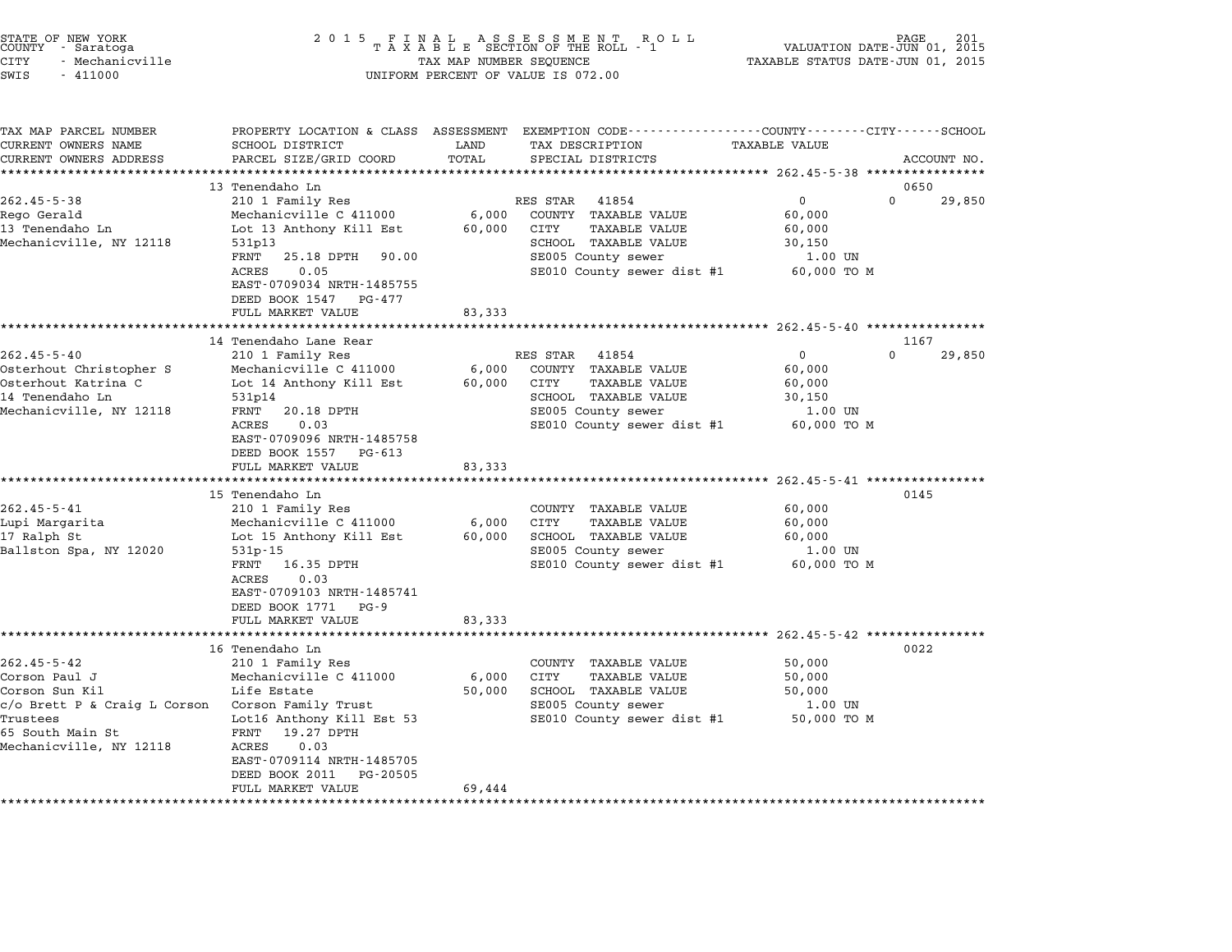| STATE OF NEW YORK<br>COUNTY | - Saratoga      |  |
|-----------------------------|-----------------|--|
| CITY                        | - Mechanicville |  |

| TAX MAP PARCEL NUMBER                         | PROPERTY LOCATION & CLASS ASSESSMENT                                       |               | EXEMPTION CODE-----------------COUNTY-------CITY------SCHOOL |                                                            |                    |
|-----------------------------------------------|----------------------------------------------------------------------------|---------------|--------------------------------------------------------------|------------------------------------------------------------|--------------------|
| CURRENT OWNERS NAME<br>CURRENT OWNERS ADDRESS | SCHOOL DISTRICT<br>PARCEL SIZE/GRID COORD                                  | LAND<br>TOTAL | TAX DESCRIPTION<br>SPECIAL DISTRICTS                         | <b>TAXABLE VALUE</b>                                       | ACCOUNT NO.        |
|                                               |                                                                            |               |                                                              | ********************************** 262.45-5-38 *********** |                    |
|                                               | 13 Tenendaho Ln                                                            |               |                                                              |                                                            | 0650               |
| $262.45 - 5 - 38$                             | 210 1 Family Res                                                           |               | RES STAR<br>41854                                            | $\mathbf 0$                                                | $\Omega$<br>29,850 |
| Rego Gerald                                   | Mechanicville C 411000                                                     | 6,000         | COUNTY TAXABLE VALUE                                         | 60,000                                                     |                    |
| 13 Tenendaho Ln                               | Lot 13 Anthony Kill Est                                                    | 60,000        | CITY<br>TAXABLE VALUE                                        | 60,000                                                     |                    |
| Mechanicville, NY 12118                       | 531p13                                                                     |               | SCHOOL TAXABLE VALUE                                         | 30,150                                                     |                    |
|                                               | 25.18 DPTH<br>FRNT<br>90.00                                                |               | SE005 County sewer                                           | 1.00 UN                                                    |                    |
|                                               | <b>ACRES</b><br>0.05                                                       |               | SE010 County sewer dist #1                                   | 60,000 TO M                                                |                    |
|                                               | EAST-0709034 NRTH-1485755<br>DEED BOOK 1547<br>PG-477<br>FULL MARKET VALUE | 83,333        |                                                              |                                                            |                    |
|                                               | **********************                                                     |               |                                                              |                                                            |                    |
|                                               | 14 Tenendaho Lane Rear                                                     |               |                                                              |                                                            | 1167               |
| $262.45 - 5 - 40$                             | 210 1 Family Res                                                           |               | 41854<br>RES STAR                                            | 0                                                          | $\Omega$<br>29,850 |
| Osterhout Christopher S                       | Mechanicville C 411000                                                     | 6,000         | COUNTY TAXABLE VALUE                                         | 60,000                                                     |                    |
| Osterhout Katrina C                           | Lot 14 Anthony Kill Est                                                    | 60,000        | CITY<br><b>TAXABLE VALUE</b>                                 | 60,000                                                     |                    |
| 14 Tenendaho Ln                               | 531p14                                                                     |               | SCHOOL TAXABLE VALUE                                         | 30,150                                                     |                    |
| Mechanicville, NY 12118                       | FRNT<br>20.18 DPTH                                                         |               | SE005 County sewer                                           | 1.00 UN                                                    |                    |
|                                               | 0.03<br>ACRES                                                              |               | SE010 County sewer dist #1                                   | 60,000 TO M                                                |                    |
|                                               | EAST-0709096 NRTH-1485758                                                  |               |                                                              |                                                            |                    |
|                                               | DEED BOOK 1557<br>PG-613                                                   |               |                                                              |                                                            |                    |
|                                               | FULL MARKET VALUE                                                          | 83,333        |                                                              |                                                            |                    |
|                                               |                                                                            |               |                                                              |                                                            |                    |
|                                               | 15 Tenendaho Ln                                                            |               |                                                              |                                                            | 0145               |
| $262.45 - 5 - 41$                             | 210 1 Family Res                                                           |               | COUNTY TAXABLE VALUE                                         | 60,000                                                     |                    |
| Lupi Margarita                                | Mechanicville C 411000                                                     | 6,000         | CITY<br><b>TAXABLE VALUE</b>                                 | 60,000                                                     |                    |
| 17 Ralph St                                   | Lot 15 Anthony Kill Est                                                    | 60,000        | SCHOOL TAXABLE VALUE                                         | 60,000                                                     |                    |
| Ballston Spa, NY 12020                        | $531p - 15$                                                                |               | SE005 County sewer                                           | 1.00 UN                                                    |                    |
|                                               | 16.35 DPTH<br>FRNT                                                         |               | SE010 County sewer dist #1                                   | 60,000 TO M                                                |                    |
|                                               | 0.03<br>ACRES                                                              |               |                                                              |                                                            |                    |
|                                               | EAST-0709103 NRTH-1485741                                                  |               |                                                              |                                                            |                    |
|                                               | DEED BOOK 1771<br>$PG-9$                                                   |               |                                                              |                                                            |                    |
|                                               | FULL MARKET VALUE                                                          | 83,333        |                                                              |                                                            |                    |
|                                               |                                                                            |               |                                                              |                                                            |                    |
|                                               | 16 Tenendaho Ln                                                            |               |                                                              |                                                            | 0022               |
| $262.45 - 5 - 42$                             | 210 1 Family Res                                                           |               | COUNTY TAXABLE VALUE                                         | 50,000                                                     |                    |
| Corson Paul J                                 | Mechanicville C 411000                                                     | 6,000         | TAXABLE VALUE<br>CITY                                        | 50,000                                                     |                    |
| Corson Sun Kil                                | Life Estate                                                                | 50,000        | SCHOOL TAXABLE VALUE                                         | 50,000                                                     |                    |
| c/o Brett P & Craig L Corson                  | Corson Family Trust                                                        |               | SE005 County sewer                                           | 1.00 UN                                                    |                    |
| Trustees                                      | Lot16 Anthony Kill Est 53                                                  |               | SE010 County sewer dist #1                                   | 50,000 TO M                                                |                    |
| 65 South Main St                              | 19.27 DPTH<br>FRNT                                                         |               |                                                              |                                                            |                    |
| Mechanicville, NY 12118                       | 0.03<br><b>ACRES</b>                                                       |               |                                                              |                                                            |                    |
|                                               | EAST-0709114 NRTH-1485705                                                  |               |                                                              |                                                            |                    |
|                                               | DEED BOOK 2011<br>PG-20505                                                 |               |                                                              |                                                            |                    |
|                                               | FULL MARKET VALUE                                                          | 69,444        |                                                              |                                                            |                    |
|                                               |                                                                            |               |                                                              |                                                            |                    |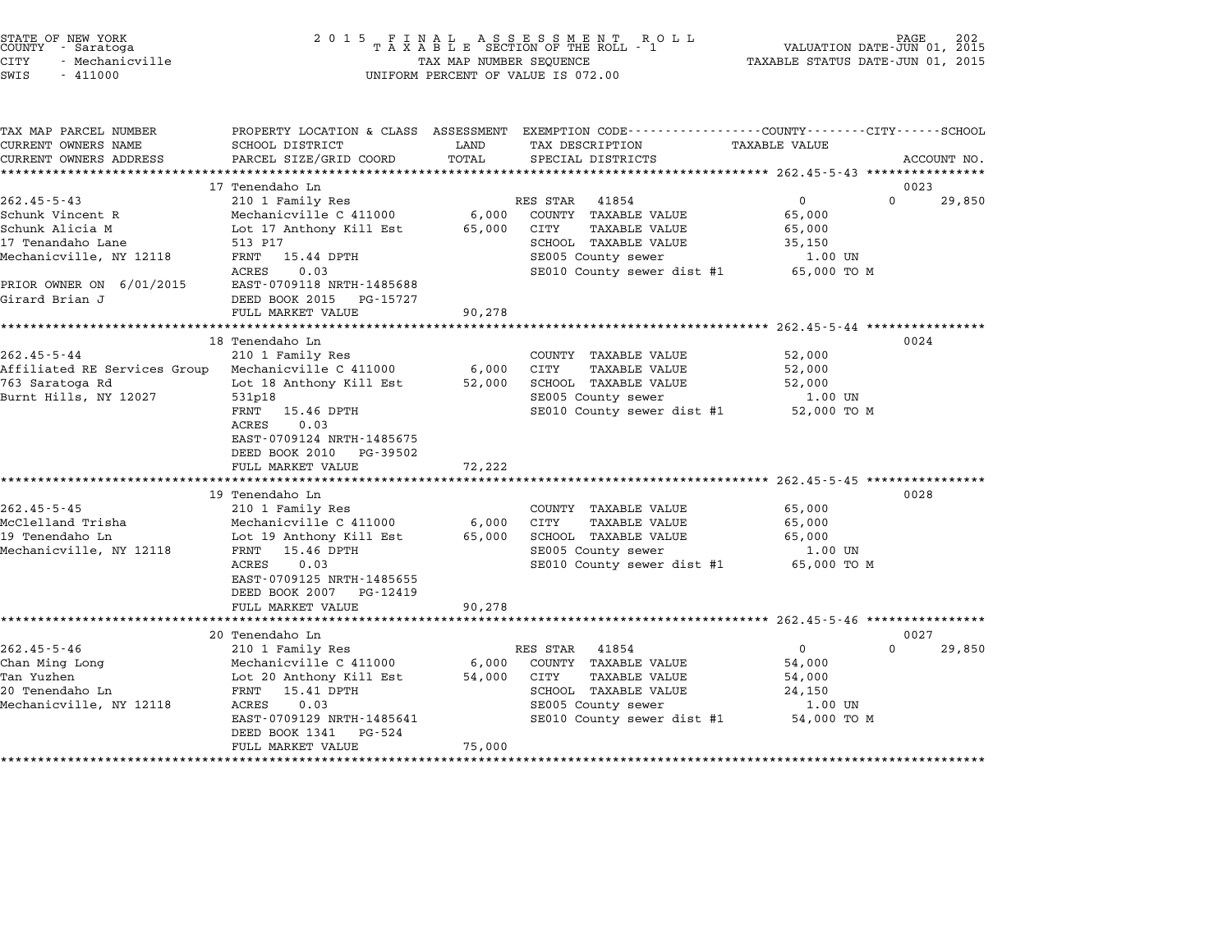| STATE OF NEW YORK |  |                 |  |
|-------------------|--|-----------------|--|
| COUNTY            |  | - Saratoga      |  |
| CITY              |  | - Mechanicville |  |

# STATE OF NEW YORK <sup>2</sup> <sup>0</sup> <sup>1</sup> 5 F I N A L A S S E S S M E N T R O L L PAGE <sup>202</sup> COUNTY - Saratoga <sup>T</sup> <sup>A</sup> <sup>X</sup> <sup>A</sup> <sup>B</sup> <sup>L</sup> <sup>E</sup> SECTION OF THE ROLL - <sup>1</sup> VALUATION DATE-JUN 01, <sup>2015</sup> CITY - Mechanicville TAX MAP NUMBER SEQUENCE TAXABLE STATUS DATE-JUN 01, <sup>2015</sup> SWIS - <sup>411000</sup> UNIFORM PERCENT OF VALUE IS 072.00

| TAX MAP PARCEL NUMBER<br>CURRENT OWNERS NAME<br>CURRENT OWNERS ADDRESS                                                               | PROPERTY LOCATION & CLASS ASSESSMENT<br>SCHOOL DISTRICT                                                                                                                                                   | LAND<br>TOTAL             | EXEMPTION CODE------------------COUNTY-------CITY------SCHOOL<br>TAX DESCRIPTION<br>SPECIAL DISTRICTS                                          | TAXABLE VALUE                                                          |                    |
|--------------------------------------------------------------------------------------------------------------------------------------|-----------------------------------------------------------------------------------------------------------------------------------------------------------------------------------------------------------|---------------------------|------------------------------------------------------------------------------------------------------------------------------------------------|------------------------------------------------------------------------|--------------------|
|                                                                                                                                      | PARCEL SIZE/GRID COORD                                                                                                                                                                                    |                           |                                                                                                                                                |                                                                        | ACCOUNT NO.        |
|                                                                                                                                      | 17 Tenendaho Ln                                                                                                                                                                                           |                           |                                                                                                                                                |                                                                        | 0023               |
| $262.45 - 5 - 43$<br>Schunk Vincent R<br>Schunk Alicia M<br>17 Tenandaho Lane<br>Mechanicville, NY 12118<br>PRIOR OWNER ON 6/01/2015 | 210 1 Family Res<br>Mechanicville C 411000<br>Lot 17 Anthony Kill Est<br>513 P17<br>FRNT 15.44 DPTH<br>ACRES<br>0.03<br>EAST-0709118 NRTH-1485688                                                         | 6,000<br>65,000           | RES STAR<br>41854<br>COUNTY TAXABLE VALUE<br>TAXABLE VALUE<br>CITY<br>SCHOOL TAXABLE VALUE<br>SE005 County sewer<br>SE010 County sewer dist #1 | $\overline{0}$<br>65,000<br>65,000<br>35,150<br>1.00 UN<br>65,000 TO M | $\Omega$<br>29,850 |
| Girard Brian J                                                                                                                       | DEED BOOK 2015<br>PG-15727                                                                                                                                                                                |                           |                                                                                                                                                |                                                                        |                    |
|                                                                                                                                      | FULL MARKET VALUE                                                                                                                                                                                         | 90,278                    |                                                                                                                                                |                                                                        |                    |
|                                                                                                                                      | 18 Tenendaho Ln                                                                                                                                                                                           |                           |                                                                                                                                                |                                                                        | 0024               |
| $262.45 - 5 - 44$<br>Affiliated RE Services Group Mechanicville C 411000<br>763 Saratoga Rd<br>Burnt Hills, NY 12027                 | 210 1 Family Res<br>Lot 18 Anthony Kill Est<br>531p18<br>FRNT 15.46 DPTH<br>0.03<br>ACRES<br>EAST-0709124 NRTH-1485675<br>DEED BOOK 2010<br>PG-39502<br>FULL MARKET VALUE                                 | 6,000<br>72,222           | COUNTY TAXABLE VALUE<br>CITY<br>TAXABLE VALUE<br>52,000 SCHOOL TAXABLE VALUE<br>SE005 County sewer<br>SE010 County sewer dist #1 52,000 TO M   | 52,000<br>52,000<br>52,000<br>1.00 UN                                  |                    |
| $262.45 - 5 - 45$<br>McClelland Trisha<br>19 Tenendaho Ln<br>Mechanicville, NY 12118                                                 | 19 Tenendaho Ln<br>210 1 Family Res<br>Mechanicville C 411000<br>Lot 19 Anthony Kill Est<br>FRNT 15.46 DPTH<br>0.03<br>ACRES<br>EAST-0709125 NRTH-1485655<br>DEED BOOK 2007 PG-12419<br>FULL MARKET VALUE | 6,000<br>65,000<br>90,278 | COUNTY TAXABLE VALUE<br>CITY<br>TAXABLE VALUE<br>SCHOOL TAXABLE VALUE<br>SE005 County sewer<br>SE010 County sewer dist #1 65,000 TO M          | 65,000<br>65,000<br>65,000<br>1.00 UN                                  | 0028               |
|                                                                                                                                      | 20 Tenendaho Ln                                                                                                                                                                                           |                           |                                                                                                                                                |                                                                        | 0027               |
| $262.45 - 5 - 46$<br>Chan Ming Long<br>Tan Yuzhen<br>20 Tenendaho Ln<br>Mechanicville, NY 12118                                      | 210 1 Family Res<br>Mechanicville C 411000<br>Lot 20 Anthony Kill Est<br>FRNT 15.41 DPTH<br>ACRES<br>0.03<br>EAST-0709129 NRTH-1485641<br>DEED BOOK 1341<br>PG-524<br>FULL MARKET VALUE                   | 6,000<br>54,000<br>75,000 | RES STAR 41854<br>COUNTY TAXABLE VALUE<br>CITY<br>TAXABLE VALUE<br>SCHOOL TAXABLE VALUE<br>SE005 County sewer<br>SE010 County sewer dist #1    | $\overline{0}$<br>54,000<br>54,000<br>24,150<br>1.00 UN<br>54,000 TO M | $\Omega$<br>29,850 |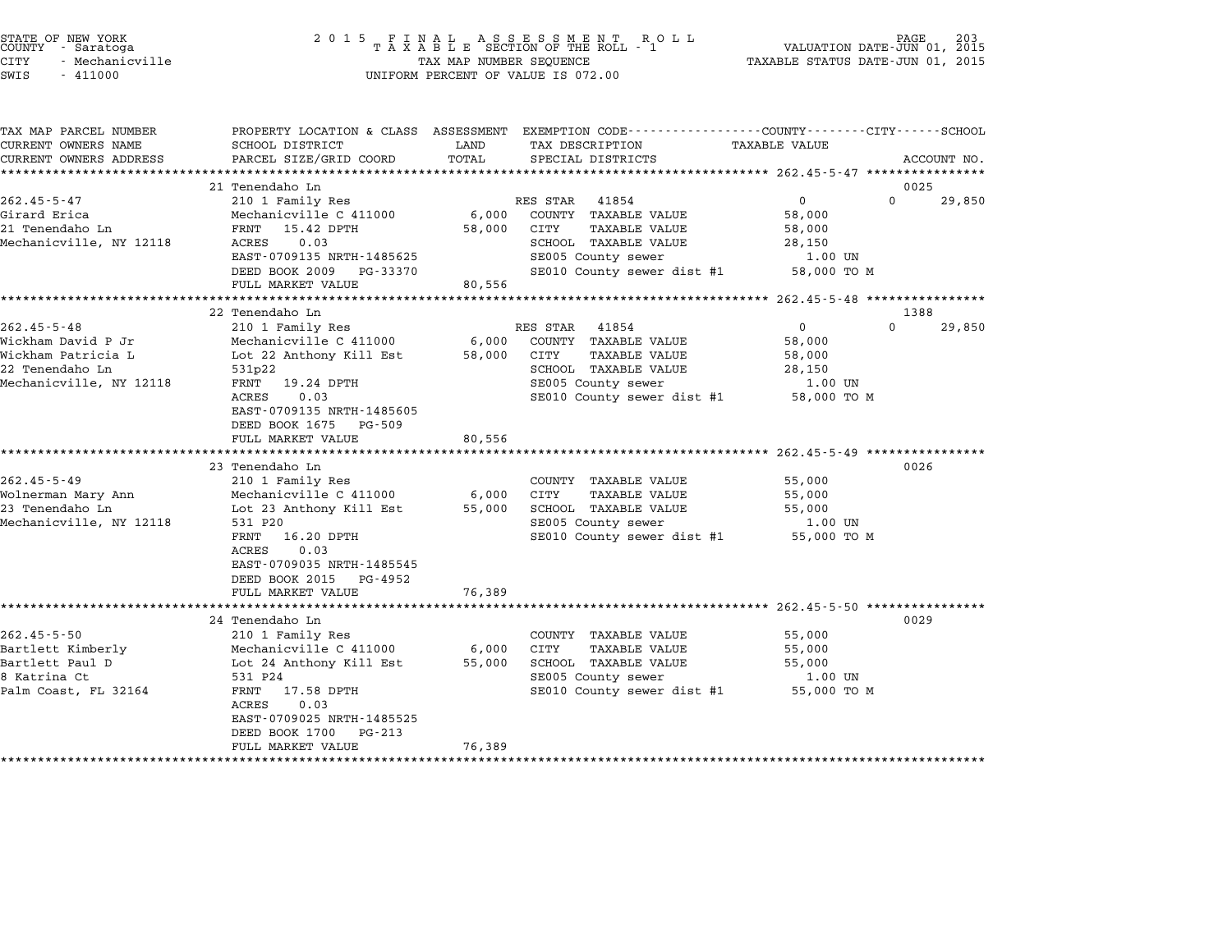| TATE OF NEW YORK |                 |  |
|------------------|-----------------|--|
| OUNTY - Saratoga |                 |  |
| 'TTY             | - Mechanicville |  |

# STATE OF NEW YORK <sup>2</sup> <sup>0</sup> <sup>1</sup> 5 F I N A L A S S E S S M E N T R O L L PAGE <sup>203</sup> COUNTY - Saratoga <sup>T</sup> <sup>A</sup> <sup>X</sup> <sup>A</sup> <sup>B</sup> <sup>L</sup> <sup>E</sup> SECTION OF THE ROLL - <sup>1</sup> VALUATION DATE-JUN 01, <sup>2015</sup> CITY - Mechanicville TAX MAP NUMBER SEQUENCE TAXABLE STATUS DATE-JUN 01, <sup>2015</sup> STATE OF NEW YORK COUNTY - Saratoga and the serve of the server of the server of the server of the server of the server of the server of the server of the server of the server of the server of the server of the server of v

| TAX MAP PARCEL NUMBER   |                                  |            | PROPERTY LOCATION & CLASS ASSESSMENT EXEMPTION CODE---------------COUNTY-------CITY------SCHOOL |                |          |             |
|-------------------------|----------------------------------|------------|-------------------------------------------------------------------------------------------------|----------------|----------|-------------|
| CURRENT OWNERS NAME     | SCHOOL DISTRICT                  | LAND       | TAX DESCRIPTION                                                                                 | TAXABLE VALUE  |          |             |
| CURRENT OWNERS ADDRESS  | PARCEL SIZE/GRID COORD           | TOTAL      | SPECIAL DISTRICTS                                                                               |                |          | ACCOUNT NO. |
|                         |                                  |            |                                                                                                 |                |          |             |
|                         | 21 Tenendaho Ln                  |            |                                                                                                 |                | 0025     |             |
| $262.45 - 5 - 47$       | 210 1 Family Res                 |            | RES STAR 41854                                                                                  | $\Omega$       | $\Omega$ | 29,850      |
| Girard Erica            | Mechanicville C 411000           | 6,000      | COUNTY TAXABLE VALUE                                                                            | 58,000         |          |             |
| 21 Tenendaho Ln         | FRNT 15.42 DPTH                  | 58,000     | CITY<br><b>TAXABLE VALUE</b>                                                                    | 58,000         |          |             |
| Mechanicville, NY 12118 | 0.03<br>ACRES                    |            | SCHOOL TAXABLE VALUE                                                                            | 28,150         |          |             |
|                         | EAST-0709135 NRTH-1485625        |            | SE005 County sewer                                                                              | 1.00 UN        |          |             |
|                         | DEED BOOK 2009 PG-33370          |            | SE010 County sewer dist #1                                                                      | 58,000 TO M    |          |             |
|                         | FULL MARKET VALUE                | 80,556     |                                                                                                 |                |          |             |
|                         |                                  |            |                                                                                                 |                |          |             |
|                         | 22 Tenendaho Ln                  |            |                                                                                                 |                | 1388     |             |
| $262.45 - 5 - 48$       | 210 1 Family Res                 |            | RES STAR<br>41854                                                                               | $\overline{0}$ | $\Omega$ | 29,850      |
| Wickham David P Jr      | Mechanicville C 411000           |            | 6,000 COUNTY TAXABLE VALUE                                                                      | 58,000         |          |             |
| Wickham Patricia L      | Lot 22 Anthony Kill Est          |            | 58,000 CITY<br><b>TAXABLE VALUE</b>                                                             | 58,000         |          |             |
| 22 Tenendaho Ln         | 531p22                           |            | SCHOOL TAXABLE VALUE                                                                            | 28,150         |          |             |
| Mechanicville, NY 12118 | FRNT 19.24 DPTH<br>ACRES<br>0.03 |            | SE005 County sewer                                                                              | 1.00 UN        |          |             |
|                         | EAST-0709135 NRTH-1485605        |            | SE010 County sewer dist #1                                                                      | 58,000 TO M    |          |             |
|                         | DEED BOOK 1675<br>PG-509         |            |                                                                                                 |                |          |             |
|                         | FULL MARKET VALUE                | 80,556     |                                                                                                 |                |          |             |
|                         | ******************************   |            |                                                                                                 |                |          |             |
|                         | 23 Tenendaho Ln                  |            |                                                                                                 |                | 0026     |             |
| $262.45 - 5 - 49$       | 210 1 Family Res                 |            | COUNTY TAXABLE VALUE                                                                            | 55,000         |          |             |
| Wolnerman Mary Ann      | Mechanicville C 411000           | 6,000      | <b>CITY</b><br><b>TAXABLE VALUE</b>                                                             | 55,000         |          |             |
| 23 Tenendaho Ln         | Lot 23 Anthony Kill Est          | 55,000     | SCHOOL TAXABLE VALUE                                                                            | 55,000         |          |             |
| Mechanicville, NY 12118 | 531 P20                          |            | SE005 County sewer                                                                              | 1.00 UN        |          |             |
|                         | FRNT 16.20 DPTH                  |            | SE010 County sewer dist #1                                                                      | 55,000 TO M    |          |             |
|                         | 0.03<br>ACRES                    |            |                                                                                                 |                |          |             |
|                         | EAST-0709035 NRTH-1485545        |            |                                                                                                 |                |          |             |
|                         | DEED BOOK 2015<br>PG-4952        |            |                                                                                                 |                |          |             |
|                         | FULL MARKET VALUE                | 76,389     |                                                                                                 |                |          |             |
|                         |                                  |            |                                                                                                 |                |          |             |
|                         | 24 Tenendaho Ln                  |            |                                                                                                 |                | 0029     |             |
| $262.45 - 5 - 50$       | 210 1 Family Res                 |            | COUNTY TAXABLE VALUE                                                                            | 55,000         |          |             |
| Bartlett Kimberly       | Mechanicville C 411000           | 6,000 CITY | TAXABLE VALUE                                                                                   | 55,000         |          |             |
| Bartlett Paul D         | Lot 24 Anthony Kill Est          | 55,000     | SCHOOL TAXABLE VALUE                                                                            | 55,000         |          |             |
| 8 Katrina Ct            | 531 P24                          |            | SE005 County sewer                                                                              | 1.00 UN        |          |             |
| Palm Coast, FL 32164    | 17.58 DPTH<br>FRNT               |            | SE010 County sewer dist #1                                                                      | 55,000 TO M    |          |             |
|                         | ACRES<br>0.03                    |            |                                                                                                 |                |          |             |
|                         | EAST-0709025 NRTH-1485525        |            |                                                                                                 |                |          |             |
|                         | DEED BOOK 1700<br>PG-213         |            |                                                                                                 |                |          |             |
|                         |                                  | 76,389     |                                                                                                 |                |          |             |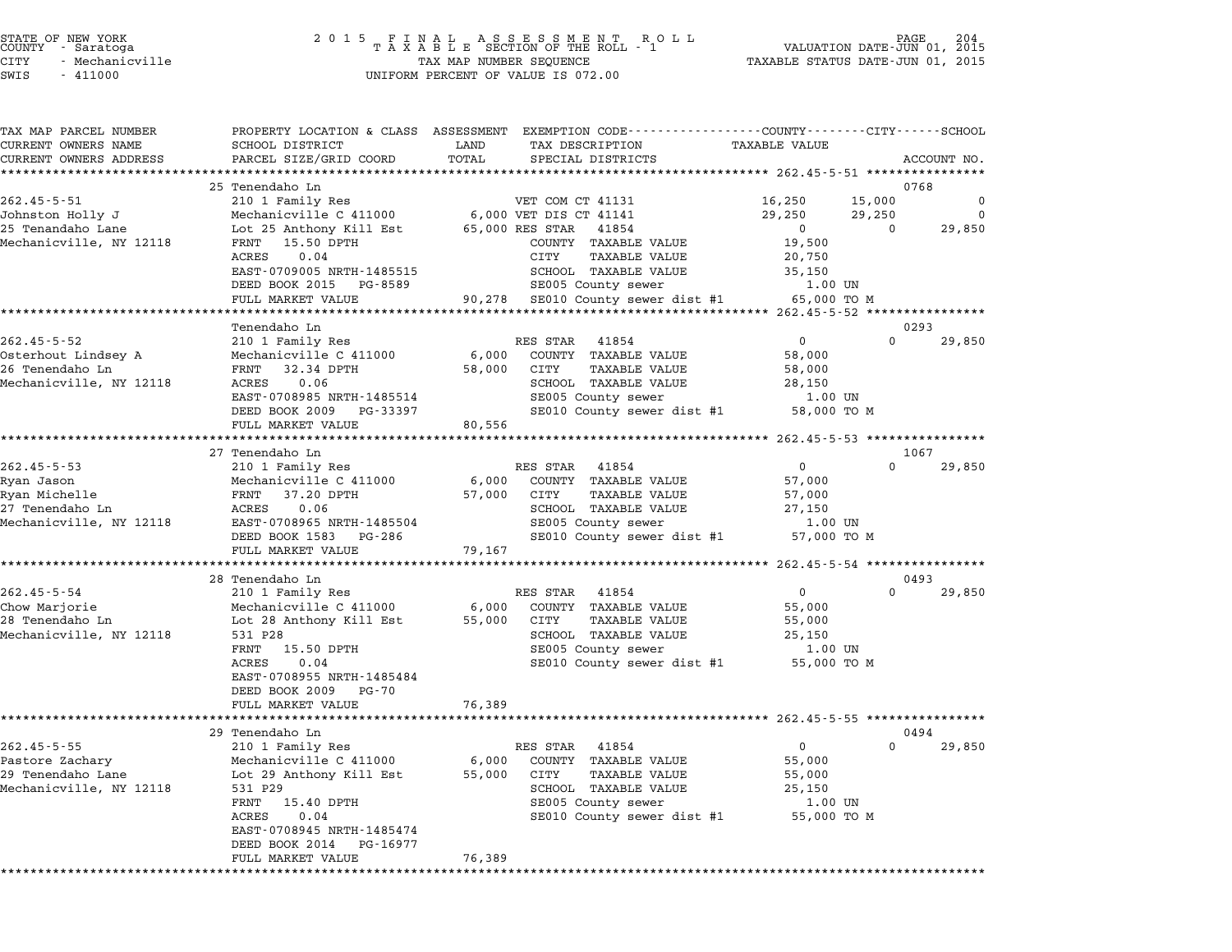| TAX MAP PARCEL NUMBER           |                                              | PROPERTY LOCATION & CLASS ASSESSMENT EXEMPTION CODE----------------COUNTY-------CITY------SCHOOL |                                                    |
|---------------------------------|----------------------------------------------|--------------------------------------------------------------------------------------------------|----------------------------------------------------|
| CURRENT OWNERS NAME             | SCHOOL DISTRICT                              | LAND<br>TAX DESCRIPTION                                                                          | TAXABLE VALUE                                      |
| CURRENT OWNERS ADDRESS          | PARCEL SIZE/GRID COORD                       | TOTAL<br>SPECIAL DISTRICTS                                                                       | ACCOUNT NO.                                        |
|                                 |                                              |                                                                                                  |                                                    |
| $262.45 - 5 - 51$               | 25 Tenendaho Ln<br>210 1 Family Res          | VET COM CT 41131                                                                                 | 0768<br>16,250<br>15,000<br>0                      |
| Johnston Holly J                | Mechanicville C 411000                       | 6,000 VET DIS CT 41141                                                                           | 29,250<br>29,250<br>0                              |
| 25 Tenandaho Lane               | Lot 25 Anthony Kill Est                      | 65,000 RES STAR 41854                                                                            | 29,850<br>$\Omega$<br>$\Omega$                     |
| Mechanicville, NY 12118         | FRNT 15.50 DPTH                              | COUNTY TAXABLE VALUE                                                                             | 19,500                                             |
|                                 | ACRES<br>0.04                                | CITY<br>TAXABLE VALUE                                                                            | 20,750                                             |
|                                 | EAST-0709005 NRTH-1485515                    | SCHOOL TAXABLE VALUE                                                                             | 35,150                                             |
|                                 | DEED BOOK 2015 PG-8589                       | SE005 County sewer                                                                               | 1.00 UN                                            |
|                                 | FULL MARKET VALUE                            | 90,278 SE010 County sewer dist #1                                                                | 65,000 TO M                                        |
|                                 |                                              |                                                                                                  |                                                    |
|                                 | Tenendaho Ln                                 |                                                                                                  | 0293                                               |
| $262.45 - 5 - 52$               | 210 1 Family Res                             | RES STAR 41854                                                                                   | $\mathbf 0$<br>$\Omega$<br>29,850                  |
| Osterhout Lindsey A             | Mechanicville C 411000                       | 6,000<br>COUNTY TAXABLE VALUE                                                                    | 58,000                                             |
| 26 Tenendaho Ln                 | FRNT 32.34 DPTH                              | 58,000<br>CITY<br>TAXABLE VALUE                                                                  | 58,000                                             |
| Mechanicville, NY 12118         | ACRES<br>0.06                                | SCHOOL TAXABLE VALUE                                                                             | 28,150                                             |
|                                 | EAST-0708985 NRTH-1485514                    | SE005 County sewer                                                                               | $1.00$ UN                                          |
|                                 | DEED BOOK 2009 PG-33397                      | SE010 County sewer dist #1                                                                       | 58,000 TO M                                        |
|                                 | FULL MARKET VALUE                            | 80,556                                                                                           |                                                    |
|                                 | ***********************                      |                                                                                                  |                                                    |
|                                 | 27 Tenendaho Ln                              |                                                                                                  | 1067<br>$\overline{0}$<br>$\Omega$                 |
| $262.45 - 5 - 53$<br>Ryan Jason | 210 1 Family Res<br>Mechanicville C 411000   | RES STAR<br>41854<br>6,000<br>COUNTY TAXABLE VALUE                                               | 29,850<br>57,000                                   |
| Ryan Michelle                   | FRNT 37.20 DPTH                              | <b>TAXABLE VALUE</b><br>57,000<br>CITY                                                           | 57,000                                             |
| 27 Tenendaho Ln                 | ACRES<br>0.06                                | SCHOOL TAXABLE VALUE                                                                             | 27,150                                             |
| Mechanicville, NY 12118         | EAST-0708965 NRTH-1485504                    | SE005 County sewer                                                                               | $1.00$ UN                                          |
|                                 | DEED BOOK 1583 PG-286                        | SE010 County sewer dist #1                                                                       | 57,000 TO M                                        |
|                                 | FULL MARKET VALUE                            | 79,167                                                                                           |                                                    |
|                                 |                                              |                                                                                                  | ******************** 262.45-5-54 ***************** |
|                                 | 28 Tenendaho Ln                              |                                                                                                  | 0493                                               |
| $262.45 - 5 - 54$               | 210 1 Family Res                             | RES STAR 41854                                                                                   | $\mathbf{0}$<br>$\Omega$<br>29,850                 |
| Chow Marjorie                   | Mechanicville C 411000                       | COUNTY TAXABLE VALUE<br>6,000                                                                    | 55,000                                             |
| 28 Tenendaho Ln                 | Lot 28 Anthony Kill Est                      | 55,000 CITY<br>TAXABLE VALUE                                                                     | 55,000                                             |
| Mechanicville, NY 12118         | 531 P28                                      | SCHOOL TAXABLE VALUE                                                                             | 25,150                                             |
|                                 | 15.50 DPTH<br>FRNT                           | SE005 County sewer                                                                               | 1.00 UN                                            |
|                                 | ACRES<br>0.04                                | SE010 County sewer dist #1                                                                       | 55,000 TO M                                        |
|                                 | EAST-0708955 NRTH-1485484                    |                                                                                                  |                                                    |
|                                 | DEED BOOK 2009<br>PG-70                      |                                                                                                  |                                                    |
|                                 | FULL MARKET VALUE<br>*********************** | 76,389                                                                                           |                                                    |
|                                 | 29 Tenendaho Ln                              |                                                                                                  | 0494                                               |
| $262.45 - 5 - 55$               |                                              | RES STAR<br>41854                                                                                | $\mathbf 0$<br>$\Omega$<br>29,850                  |
| Pastore Zachary                 | 210 1 Family Res<br>Mechanicville C 411000   | 6,000<br>COUNTY TAXABLE VALUE                                                                    | 55,000                                             |
| 29 Tenendaho Lane               | Lot 29 Anthony Kill Est                      | 55,000<br>CITY<br><b>TAXABLE VALUE</b>                                                           | 55,000                                             |
| Mechanicville, NY 12118         | 531 P29                                      | SCHOOL TAXABLE VALUE                                                                             | 25,150                                             |
|                                 | FRNT 15.40 DPTH                              | SE005 County sewer                                                                               | 1.00 UN                                            |
|                                 | 0.04<br>ACRES                                | SE010 County sewer dist #1                                                                       | 55,000 TO M                                        |
|                                 | EAST-0708945 NRTH-1485474                    |                                                                                                  |                                                    |
|                                 | DEED BOOK 2014<br>PG-16977                   |                                                                                                  |                                                    |
|                                 | FULL MARKET VALUE                            | 76,389                                                                                           |                                                    |
|                                 |                                              |                                                                                                  |                                                    |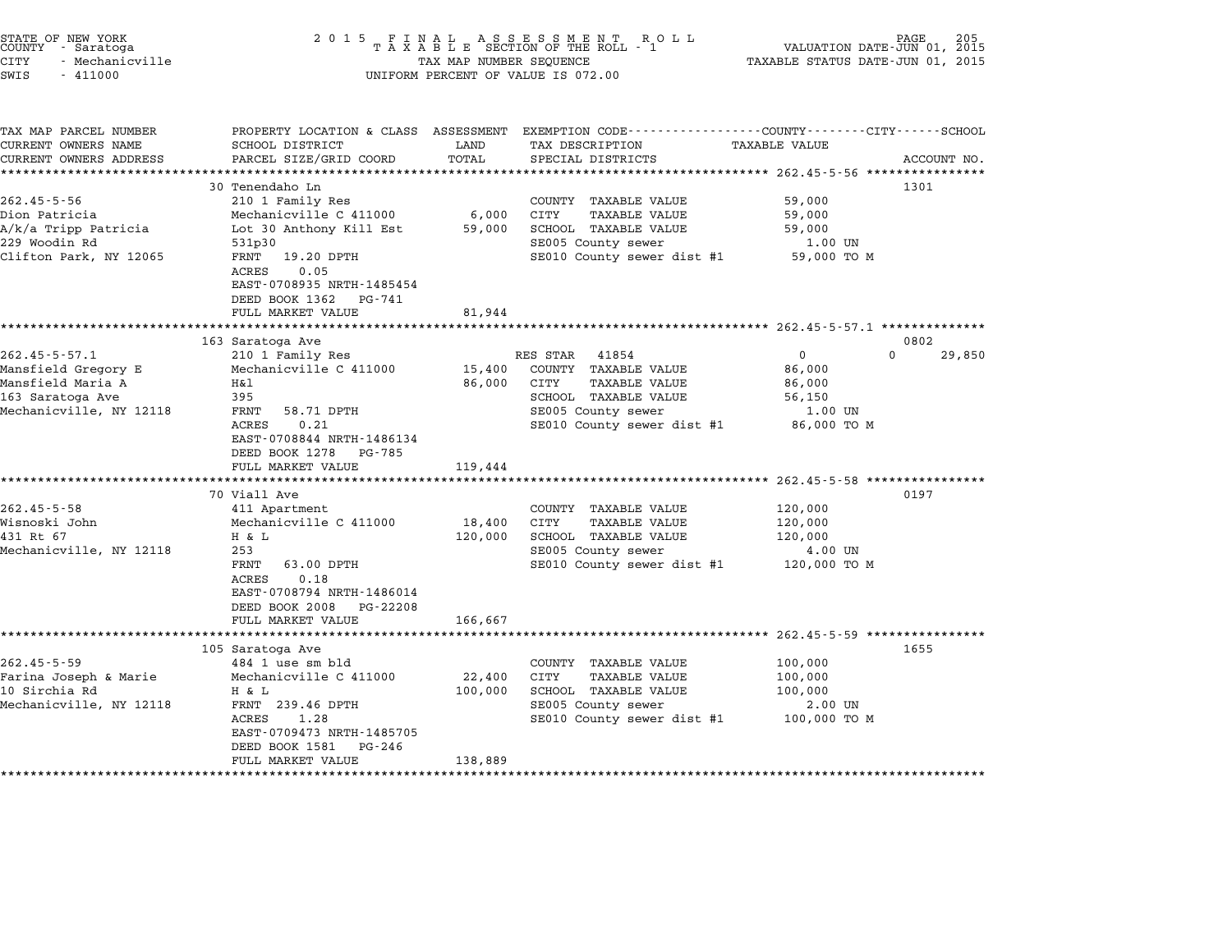| STATE OF NEW YORK<br>COUNTY - Saratoga | 2015 FINAL ASSESSMENT ROLL<br>TAXABLE SECTION OF THE ROLL - 1 | 205<br>PAGE<br>VALUATION DATE-JUN 01, 2015 |
|----------------------------------------|---------------------------------------------------------------|--------------------------------------------|
| CITY<br>- Mechanicville                | TAX MAP NUMBER SEOUENCE                                       | TAXABLE STATUS DATE-JUN 01, 2015           |

TAX MAP PARCEL NUMBER PROPERTY LOCATION & CLASS ASSESSMENT EXEMPTION CODE------------------COUNTY--------CITY------SCHOOL ...<br>-- COUNTY:- TAX MAP PARCEL NUMBER THE OCHOTRY AND THE CURRENT EXEMPTION CODE<br>CURRENT OWNERS NAME SCHOOL DISTRICT LAND TAX DESCRIPTION TAXABLE VALUE CURRENT OWNERS ADDEER FOUR DISTRICTS AND A CHASS ASSESSEENT EXERT ON TAX MIT PROCUPTION TRANSFOURERS ADDRESS SANGER DISTRICTS ACCOUNT NO.<br>CURRENT OWNERS ADDRESS PARCEL SIZE/GRID COORD TOTAL SPECIAL DISTRICTS ACCOUNT NO.<br>\*\* CURRENT OWNERS NAME SCHOOL DISTRICT LAND TAX DESCRIPTION TAXABLE VALUE<br>30 Tenendaho Ln 1301 Total SPECIAL DISTRICTS ACCOUNT NO.<br>30 Tenendaho Ln 1301 262.45-5-56 30 Tenendaho Ln<br>262.45-5-56 210 1 Family Res COUNTY TAXABLE VALUE 59,000 Dion Patricia Mechanicville C <sup>411000</sup> 6,000 CITY TAXABLE VALUE 59,000 A/k/a Tripp Patricia Lot <sup>30</sup> Anthony Kill Est 59,000 SCHOOL TAXABLE VALUE 59,000 <sup>229</sup> Woodin Rd 531p30 SE005 County sewer 1.00 UN A REACT THE SECTION OF THE SECTION OF THE SECTION OF THE SECTION OF THE SECTION OF THE SECTION OF SECTION SECTIO<br>Clifton Park, NY 12065 FRNT 19.20 DPTH SECOL SECOL SECOL SECTION SERVER AND SECTION OF THE SP,000 TO M -------<br>FRNT 19.20 DPTH<br>ACRES 0.05 EAST-0708935 NRTH-1485454 DEED BOOK <sup>1362</sup> PG-741 FULL MARKET VALUE 81,944 \*\*\*\*\*\*\*\*\*\*\*\*\*\*\*\*\*\*\*\*\*\*\*\*\*\*\*\*\*\*\*\*\*\*\*\*\*\*\*\*\*\*\*\*\*\*\*\*\*\*\*\*\*\*\*\*\*\*\*\*\*\*\*\*\*\*\*\*\*\*\*\*\*\*\*\*\*\*\*\*\*\*\*\*\*\*\*\*\*\*\*\*\*\*\*\*\*\*\*\*\*\*\* 262.45-5-57.1 \*\*\*\*\*\*\*\*\*\*\*\*\*\* <sup>163</sup> Saratoga Ave <sup>0802</sup> 262.45-5-57.1 210 163 Saratoga Ave 262.45-5-57.1 210 1 Family Res RES STAR 41854 202.45-5-57.1 210 1 Family Res Mansfield Gregory E Mechanicville C <sup>411000</sup> 15,400 COUNTY TAXABLE VALUE 86,000 Mansfield Maria A H&l 86,000 CITY TAXABLE VALUE 86,000 <sup>163</sup> Saratoga Ave <sup>395</sup> SCHOOL TAXABLE VALUE 56,150 Mechanicville, NY <sup>12118</sup> FRNT 58.71 DPTH SE005 County sewer 1.00 UN در المسلم المسلم المسلم المسلم المسلم المسلم المسلم المسلم المسلم المسلم المسلم المسلم المسلم المسلم المسلم ال<br>1.00 UN SE005 County sewer dist #1 86,000 TO M EAST-0708844 NRTH-1486134 EAST-0708844 NRTH-14861<br>DEED BOOK 1278 PG-785 EAST-0708844 NRTH-1486134<br>DEED BOOK 1278 PG-785<br>FULL MARKET VALUE 119,444 \*\*\*\*\*\*\*\*\*\*\*\*\*\*\*\*\*\*\*\*\*\*\*\*\*\*\*\*\*\*\*\*\*\*\*\*\*\*\*\*\*\*\*\*\*\*\*\*\*\*\*\*\*\*\*\*\*\*\*\*\*\*\*\*\*\*\*\*\*\*\*\*\*\*\*\*\*\*\*\*\*\*\*\*\*\*\*\*\*\*\*\*\*\*\*\*\*\*\*\*\*\*\* 262.45-5-58 \*\*\*\*\*\*\*\*\*\*\*\*\*\*\*\* <sup>70</sup> Viall Ave <sup>0197</sup> 262.45-5-58 70 Viall Ave and Apartment COUNTY TAXABLE VALUE 120,000 Wisnoski John Mechanicville C <sup>411000</sup> 18,400 CITY TAXABLE VALUE 120,000 411 Apartment (18,400 CONTRITAANDE VALUE 120,000 1990)<br>Mechanicville C 411000 18,400 CITY TAXABLE VALUE 120,000<br>431 Rt 67 H & L 120,000 SCHOOL TAXABLE VALUE 120,000 MECHANICVILLE C 411000 18,400 CIII IAAABLE VALUE 120,000<br>431 Rt 67 H & L 120,000 SCHOOL TAXABLE VALUE 120,000<br>Mechanicville, NY 12118 253 SE005 County sewer 4.00 UN FRNT 63.00 DPTH SE010 County sewer dist #1 120,000 TO <sup>M</sup> FRNT 63.00 DPTH<br>ACRES 0.18 EAST-0708794 NRTH-1486014 EAST-0708794 NRTH-1486014<br>DEED BOOK 2008 PG-22208 DEED BOOK 2008 PG-22208<br>FULL MARKET VALUE 166,667 \*\*\*\*\*\*\*\*\*\*\*\*\*\*\*\*\*\*\*\*\*\*\*\*\*\*\*\*\*\*\*\*\*\*\*\*\*\*\*\*\*\*\*\*\*\*\*\*\*\*\*\*\*\*\*\*\*\*\*\*\*\*\*\*\*\*\*\*\*\*\*\*\*\*\*\*\*\*\*\*\*\*\*\*\*\*\*\*\*\*\*\*\*\*\*\*\*\*\*\*\*\*\* 262.45-5-59 \*\*\*\*\*\*\*\*\*\*\*\*\*\*\*\* <sup>105</sup> Saratoga Ave <sup>1655</sup> 262.45-5-59 484 1 use sm bld<br>262.45-5-59 484 1 use sm bld COUNTY TAXABLE VALUE 100,000 Farina Joseph & Marie Mechanicville C <sup>411000</sup> 22,400 CITY TAXABLE VALUE 100,000 103.1999-10 Sirchia Rd Hothanicville C 411000 12,400 CUNTI IAAABLE VALUE 100,000<br>100,000 1111 Sirchia Joseph & Marie 100,000 Mechanicville C 411000 12,400 CUTY TAXABLE VALUE 100,000<br>100,000 SCHOOL TAXABLE VALUE 100,000 Mechanic Control of the mechanic ville of the control of the manufacture of the control of the set of the server of the server of the server of the server of the server of the server of the server of the server of the serv A R D<br>FRNT 239.46 DPTH 100,000 SCROOD TAXABLE VALUE 100,000 TO UN<br>ACRES 1.28 SE010 County sewer dist #1 100,000 TO M H & L 100,00<br>FRNT 239.46 DPTH<br>ACRES 1.28<br>EAST-0709473 NRTH-1485705 EAST-0709473 NRTH-14857<br>DEED BOOK 1581 PG-246 EAST 0705475 MAIN 1405705<br>
DEED BOOK 1581 PG-246<br>
FULL MARKET VALUE 138,889 \*\*\*\*\*\*\*\*\*\*\*\*\*\*\*\*\*\*\*\*\*\*\*\*\*\*\*\*\*\*\*\*\*\*\*\*\*\*\*\*\*\*\*\*\*\*\*\*\*\*\*\*\*\*\*\*\*\*\*\*\*\*\*\*\*\*\*\*\*\*\*\*\*\*\*\*\*\*\*\*\*\*\*\*\*\*\*\*\*\*\*\*\*\*\*\*\*\*\*\*\*\*\*\*\*\*\*\*\*\*\*\*\*\*\*\*\*\*\*\*\*\*\*\*\*\*\*\*\*\*\*\*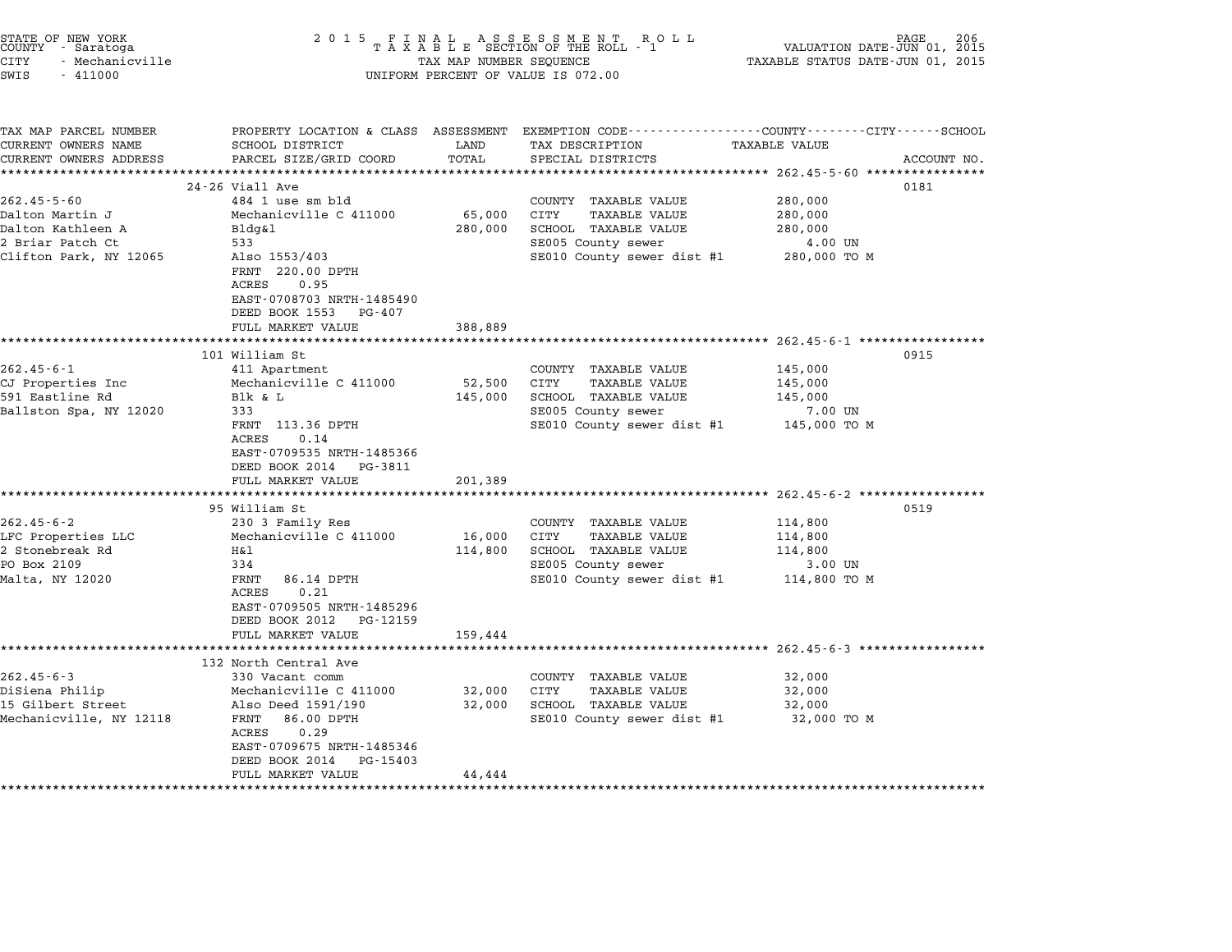| STATE OF NEW YORK<br>COUNTY - Saratoga<br><b>CITY</b><br>- Mechanicville<br>SWIS<br>$-411000$ | 2 0 1 5                                                                                                       | TAX MAP NUMBER SEQUENCE | FINAL ASSESSMENT RO<br>TAXABLE SECTION OF THE ROLL - 1<br>R O L L<br>UNIFORM PERCENT OF VALUE IS 072.00                                 | VALUATION DATE-JUN 01, 2015<br>TAXABLE STATUS DATE-JUN 01, 2015 | PAGE<br>206 |
|-----------------------------------------------------------------------------------------------|---------------------------------------------------------------------------------------------------------------|-------------------------|-----------------------------------------------------------------------------------------------------------------------------------------|-----------------------------------------------------------------|-------------|
| TAX MAP PARCEL NUMBER<br>CURRENT OWNERS NAME<br>CURRENT OWNERS ADDRESS                        | SCHOOL DISTRICT<br>PARCEL SIZE/GRID COORD                                                                     | LAND<br>TOTAL           | PROPERTY LOCATION & CLASS ASSESSMENT EXEMPTION CODE---------------COUNTY-------CITY------SCHOOL<br>TAX DESCRIPTION<br>SPECIAL DISTRICTS | TAXABLE VALUE                                                   | ACCOUNT NO. |
|                                                                                               |                                                                                                               |                         |                                                                                                                                         |                                                                 |             |
| $262.45 - 5 - 60$                                                                             | 24-26 Viall Ave<br>484 1 use sm bld                                                                           |                         | COUNTY TAXABLE VALUE                                                                                                                    | 280,000                                                         | 0181        |
| Dalton Martin J                                                                               | Mechanicville C 411000                                                                                        | 65,000                  | CITY<br>TAXABLE VALUE                                                                                                                   | 280,000                                                         |             |
| Dalton Kathleen A                                                                             | Bldg&l                                                                                                        | 280,000                 | SCHOOL TAXABLE VALUE                                                                                                                    | 280,000                                                         |             |
| 2 Briar Patch Ct                                                                              | 533                                                                                                           |                         | SE005 County sewer                                                                                                                      | 4.00 UN                                                         |             |
| Clifton Park, NY 12065                                                                        | Also 1553/403<br>FRNT 220.00 DPTH<br>ACRES<br>0.95<br>EAST-0708703 NRTH-1485490                               |                         | SE010 County sewer dist #1 280,000 TO M                                                                                                 |                                                                 |             |
|                                                                                               | DEED BOOK 1553 PG-407                                                                                         |                         |                                                                                                                                         |                                                                 |             |
|                                                                                               | FULL MARKET VALUE                                                                                             | 388,889                 |                                                                                                                                         |                                                                 |             |
|                                                                                               | 101 William St                                                                                                |                         |                                                                                                                                         | ************************* 262.45-6-1 *************              | 0915        |
| $262.45 - 6 - 1$                                                                              | 411 Apartment                                                                                                 |                         | COUNTY TAXABLE VALUE                                                                                                                    | 145,000                                                         |             |
| CJ Properties Inc                                                                             | Mechanicville C 411000                                                                                        | 52,500                  | CITY<br><b>TAXABLE VALUE</b>                                                                                                            | 145,000                                                         |             |
| 591 Eastline Rd                                                                               | Blk & L                                                                                                       | 145,000                 | SCHOOL TAXABLE VALUE                                                                                                                    | 145,000                                                         |             |
| Ballston Spa, NY 12020                                                                        | 333                                                                                                           |                         | SE005 County sewer                                                                                                                      | 7.00 UN                                                         |             |
|                                                                                               | FRNT 113.36 DPTH<br>0.14<br>ACRES<br>EAST-0709535 NRTH-1485366<br>DEED BOOK 2014 PG-3811<br>FULL MARKET VALUE | 201,389                 | SE010 County sewer dist #1 145,000 TO M                                                                                                 |                                                                 |             |
|                                                                                               |                                                                                                               |                         |                                                                                                                                         | ******************************** 262.45-6-2 *****************   |             |
|                                                                                               | 95 William St                                                                                                 |                         |                                                                                                                                         |                                                                 | 0519        |
| $262.45 - 6 - 2$                                                                              | 230 3 Family Res                                                                                              |                         | COUNTY TAXABLE VALUE                                                                                                                    | 114,800                                                         |             |
| LFC Properties LLC                                                                            | Mechanicville C 411000                                                                                        | 16,000                  | CITY<br>TAXABLE VALUE                                                                                                                   | 114,800                                                         |             |
| 2 Stonebreak Rd<br>PO Box 2109                                                                | Η&l<br>334                                                                                                    | 114,800                 | SCHOOL TAXABLE VALUE<br>SE005 County sewer                                                                                              | 114,800<br>3.00 UN                                              |             |
| Malta, NY 12020                                                                               | FRNT<br>86.14 DPTH<br>ACRES<br>0.21<br>EAST-0709505 NRTH-1485296                                              |                         | SE010 County sewer dist #1                                                                                                              | 114,800 TO M                                                    |             |
|                                                                                               | DEED BOOK 2012 PG-12159                                                                                       |                         |                                                                                                                                         |                                                                 |             |
|                                                                                               | FULL MARKET VALUE                                                                                             | 159,444                 |                                                                                                                                         |                                                                 |             |
|                                                                                               |                                                                                                               |                         | ******************************** 262.45-6-3 *****************                                                                           |                                                                 |             |
| $262.45 - 6 - 3$                                                                              | 132 North Central Ave<br>330 Vacant comm                                                                      |                         | COUNTY TAXABLE VALUE                                                                                                                    | 32,000                                                          |             |
| DiSiena Philip                                                                                | Mechanicville C 411000                                                                                        | 32,000                  | CITY<br><b>TAXABLE VALUE</b>                                                                                                            | 32,000                                                          |             |
| 15 Gilbert Street                                                                             | Also Deed 1591/190                                                                                            | 32,000                  | SCHOOL TAXABLE VALUE                                                                                                                    | 32,000                                                          |             |
| Mechanicville, NY 12118                                                                       | FRNT 86.00 DPTH<br>ACRES<br>0.29<br>EAST-0709675 NRTH-1485346<br>DEED BOOK 2014 PG-15403                      |                         | SE010 County sewer dist #1                                                                                                              | 32,000 TO M                                                     |             |
|                                                                                               | FULL MARKET VALUE                                                                                             | 44,444                  |                                                                                                                                         |                                                                 |             |

STATE OF NEW YORK <sup>2</sup> <sup>0</sup> <sup>1</sup> 5 F I N A L A S S E S S M E N T R O L L PAGE <sup>206</sup> COUNTY - Saratoga <sup>T</sup> <sup>A</sup> <sup>X</sup> <sup>A</sup> <sup>B</sup> <sup>L</sup> <sup>E</sup> SECTION OF THE ROLL - <sup>1</sup> VALUATION DATE-JUN 01, <sup>2015</sup>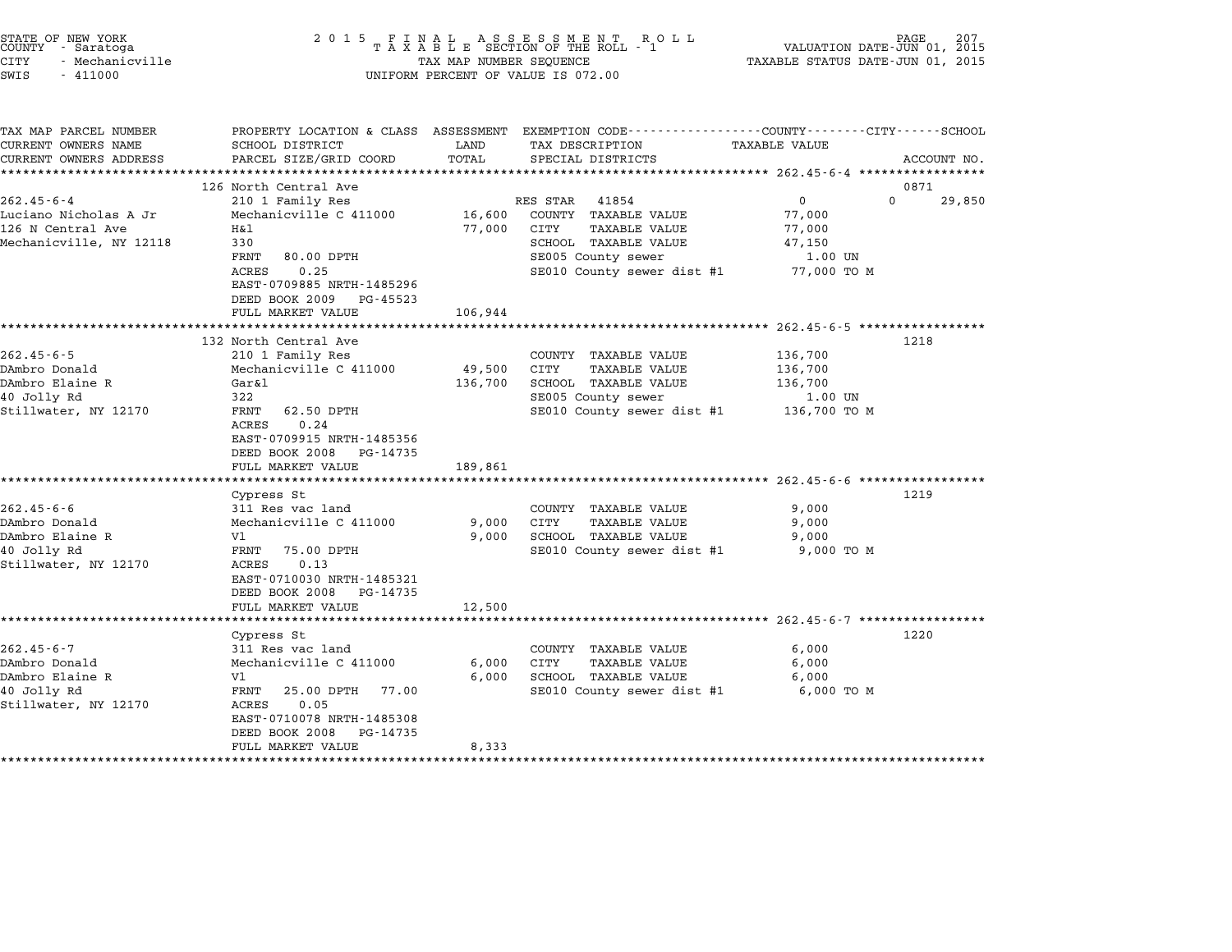| STATE OF NEW YORK<br>COUNTY - Saratoga<br><b>CITY</b><br>- Mechanicville<br>SWIS<br>$-411000$ | 2 0 1 5                                                                                        | TAX MAP NUMBER SEQUENCE | FINAL ASSESSMENT RO<br>TAXABLE SECTION OF THE ROLL - 1<br>R O L L<br>UNIFORM PERCENT OF VALUE IS 072.00 | VALUATION DATE-JUN 01, 2015<br>TAXABLE STATUS DATE-JUN 01, 2015 | PAGE<br>207 |
|-----------------------------------------------------------------------------------------------|------------------------------------------------------------------------------------------------|-------------------------|---------------------------------------------------------------------------------------------------------|-----------------------------------------------------------------|-------------|
| TAX MAP PARCEL NUMBER                                                                         |                                                                                                |                         | PROPERTY LOCATION & CLASS ASSESSMENT EXEMPTION CODE---------------COUNTY-------CITY-----SCHOOL          |                                                                 |             |
| CURRENT OWNERS NAME<br>CURRENT OWNERS ADDRESS                                                 | SCHOOL DISTRICT<br>PARCEL SIZE/GRID COORD                                                      | LAND<br>TOTAL           | TAX DESCRIPTION<br>SPECIAL DISTRICTS                                                                    | TAXABLE VALUE                                                   | ACCOUNT NO. |
|                                                                                               |                                                                                                |                         |                                                                                                         |                                                                 |             |
|                                                                                               | 126 North Central Ave                                                                          |                         |                                                                                                         |                                                                 | 0871        |
| $262.45 - 6 - 4$                                                                              | 210 1 Family Res                                                                               |                         | RES STAR<br>41854                                                                                       | $\mathbf 0$<br>$\Omega$                                         | 29,850      |
| Luciano Nicholas A Jr<br>126 N Central Ave                                                    | Mechanicville C 411000<br>H&l                                                                  | 16,600<br>77,000        | COUNTY TAXABLE VALUE<br>CITY<br>TAXABLE VALUE                                                           | 77,000<br>77,000                                                |             |
| Mechanicville, NY 12118                                                                       | 330                                                                                            |                         | SCHOOL TAXABLE VALUE                                                                                    | 47,150                                                          |             |
|                                                                                               | FRNT<br>80.00 DPTH<br>0.25<br>ACRES<br>EAST-0709885 NRTH-1485296<br>DEED BOOK 2009<br>PG-45523 |                         | SE005 County sewer<br>SE010 County sewer dist #1                                                        | 1.00 UN<br>77,000 TO M                                          |             |
|                                                                                               | FULL MARKET VALUE                                                                              | 106,944                 |                                                                                                         |                                                                 |             |
|                                                                                               | **********************                                                                         |                         | *******************************                                                                         | $262.45 - 6 - 5$ *****************                              |             |
|                                                                                               | 132 North Central Ave                                                                          |                         |                                                                                                         |                                                                 | 1218        |
| $262.45 - 6 - 5$                                                                              | 210 1 Family Res                                                                               |                         | COUNTY TAXABLE VALUE                                                                                    | 136,700                                                         |             |
| DAmbro Donald                                                                                 | Mechanicville C 411000                                                                         | 49,500                  | CITY<br>TAXABLE VALUE                                                                                   | 136,700                                                         |             |
| DAmbro Elaine R                                                                               | Gar&l                                                                                          | 136,700                 | SCHOOL TAXABLE VALUE                                                                                    | 136,700                                                         |             |
| 40 Jolly Rd                                                                                   | 322                                                                                            |                         | SE005 County sewer                                                                                      | 1.00 UN                                                         |             |
| Stillwater, NY 12170                                                                          | FRNT<br>62.50 DPTH<br>ACRES<br>0.24<br>EAST-0709915 NRTH-1485356                               |                         | SE010 County sewer dist #1                                                                              | 136,700 TO M                                                    |             |
|                                                                                               | DEED BOOK 2008<br>PG-14735                                                                     |                         |                                                                                                         |                                                                 |             |
|                                                                                               | FULL MARKET VALUE                                                                              | 189,861                 |                                                                                                         |                                                                 |             |
|                                                                                               | ********************                                                                           |                         |                                                                                                         |                                                                 |             |
| $262.45 - 6 - 6$                                                                              | Cypress St<br>311 Res vac land                                                                 |                         | COUNTY TAXABLE VALUE                                                                                    | 9,000                                                           | 1219        |
| DAmbro Donald                                                                                 | Mechanicville C 411000                                                                         | 9,000                   | CITY<br><b>TAXABLE VALUE</b>                                                                            | 9,000                                                           |             |
| DAmbro Elaine R                                                                               | Vl                                                                                             | 9,000                   | SCHOOL TAXABLE VALUE                                                                                    | 9,000                                                           |             |
| 40 Jolly Rd                                                                                   | FRNT<br>75.00 DPTH                                                                             |                         | SE010 County sewer dist #1                                                                              | 9,000 TO M                                                      |             |
| Stillwater, NY 12170                                                                          | ACRES<br>0.13<br>EAST-0710030 NRTH-1485321                                                     |                         |                                                                                                         |                                                                 |             |
|                                                                                               | DEED BOOK 2008<br>PG-14735                                                                     |                         |                                                                                                         |                                                                 |             |
|                                                                                               | FULL MARKET VALUE                                                                              | 12,500                  |                                                                                                         |                                                                 |             |
|                                                                                               | ******************                                                                             | ***********             |                                                                                                         |                                                                 |             |
|                                                                                               | Cypress St                                                                                     |                         |                                                                                                         |                                                                 | 1220        |
| $262.45 - 6 - 7$<br>DAmbro Donald                                                             | 311 Res vac land                                                                               |                         | COUNTY TAXABLE VALUE<br>CITY                                                                            | 6,000                                                           |             |
| DAmbro Elaine R                                                                               | Mechanicville C 411000<br>Vl                                                                   | 6,000<br>6,000          | <b>TAXABLE VALUE</b><br>SCHOOL TAXABLE VALUE                                                            | 6,000<br>6,000                                                  |             |
| 40 Jolly Rd                                                                                   | FRNT<br>25.00 DPTH<br>77.00                                                                    |                         | SE010 County sewer dist #1                                                                              | 6,000 TO M                                                      |             |
| Stillwater, NY 12170                                                                          | ACRES<br>0.05                                                                                  |                         |                                                                                                         |                                                                 |             |
|                                                                                               | EAST-0710078 NRTH-1485308                                                                      |                         |                                                                                                         |                                                                 |             |
|                                                                                               | DEED BOOK 2008<br>PG-14735                                                                     |                         |                                                                                                         |                                                                 |             |
| *********************                                                                         | FULL MARKET VALUE<br>*********************                                                     | 8,333<br>*********      |                                                                                                         |                                                                 |             |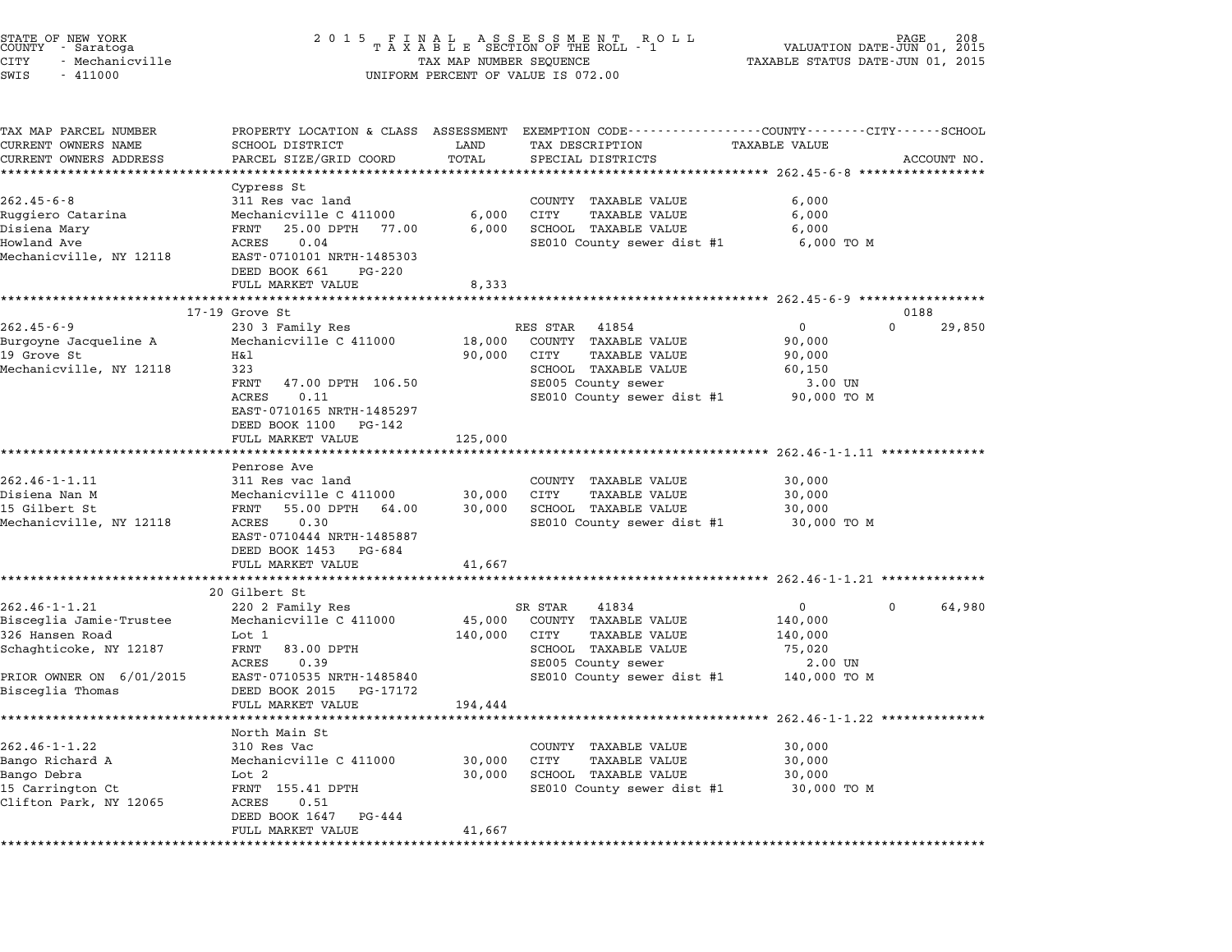| STATE OF NEW YORK<br>COUNTY - Saratoga<br><b>CITY</b><br>- Mechanicville<br>SWIS<br>$-411000$ | 2 0 1 5                                    | TAX MAP NUMBER SEQUENCE | FINAL ASSESSMENT ROTAXABLE SECTION OF THE ROLL - 1<br>R O L L<br>UNIFORM PERCENT OF VALUE IS 072.00                | VALUATION DATE-JUN 01, 2015<br>TAXABLE STATUS DATE-JUN 01, 2015 | PAGE     |             |
|-----------------------------------------------------------------------------------------------|--------------------------------------------|-------------------------|--------------------------------------------------------------------------------------------------------------------|-----------------------------------------------------------------|----------|-------------|
| TAX MAP PARCEL NUMBER<br>CURRENT OWNERS NAME                                                  | SCHOOL DISTRICT                            | LAND                    | PROPERTY LOCATION & CLASS ASSESSMENT EXEMPTION CODE----------------COUNTY-------CITY-----SCHOOL<br>TAX DESCRIPTION | <b>TAXABLE VALUE</b>                                            |          |             |
| CURRENT OWNERS ADDRESS                                                                        | PARCEL SIZE/GRID COORD                     | TOTAL                   | SPECIAL DISTRICTS                                                                                                  |                                                                 |          | ACCOUNT NO. |
| ************************                                                                      |                                            |                         |                                                                                                                    |                                                                 |          |             |
|                                                                                               | Cypress St                                 |                         |                                                                                                                    |                                                                 |          |             |
| $262.45 - 6 - 8$                                                                              | 311 Res vac land                           |                         | COUNTY TAXABLE VALUE                                                                                               | 6,000                                                           |          |             |
| Ruggiero Catarina                                                                             | Mechanicville C 411000                     | 6,000                   | <b>TAXABLE VALUE</b><br>CITY                                                                                       | 6,000                                                           |          |             |
| Disiena Mary                                                                                  | FRNT<br>25.00 DPTH 77.00                   | 6,000                   | SCHOOL TAXABLE VALUE                                                                                               | 6,000                                                           |          |             |
| Howland Ave<br>Mechanicville, NY 12118                                                        | 0.04<br>ACRES<br>EAST-0710101 NRTH-1485303 |                         | SE010 County sewer dist #1                                                                                         | 6,000 TO M                                                      |          |             |
|                                                                                               | DEED BOOK 661<br>PG-220                    |                         |                                                                                                                    |                                                                 |          |             |
|                                                                                               | FULL MARKET VALUE                          | 8,333                   |                                                                                                                    |                                                                 |          |             |
|                                                                                               | 17-19 Grove St                             | ***************         |                                                                                                                    | ******************** 262.45-6-9 ****************                | 0188     |             |
| $262.45 - 6 - 9$                                                                              | 230 3 Family Res                           |                         | RES STAR<br>41854                                                                                                  | $\mathbf 0$                                                     | 0        | 29,850      |
| Burgoyne Jacqueline A                                                                         | Mechanicville C 411000                     | 18,000                  | COUNTY TAXABLE VALUE                                                                                               | 90,000                                                          |          |             |
| 19 Grove St                                                                                   | Η&l                                        | 90,000                  | CITY<br><b>TAXABLE VALUE</b>                                                                                       | 90,000                                                          |          |             |
| Mechanicville, NY 12118                                                                       | 323                                        |                         | SCHOOL TAXABLE VALUE                                                                                               | 60,150                                                          |          |             |
|                                                                                               | FRNT<br>47.00 DPTH 106.50                  |                         | SE005 County sewer                                                                                                 | 3.00 UN                                                         |          |             |
|                                                                                               | ACRES<br>0.11                              |                         | SE010 County sewer dist #1                                                                                         | 90,000 TO M                                                     |          |             |
|                                                                                               | EAST-0710165 NRTH-1485297                  |                         |                                                                                                                    |                                                                 |          |             |
|                                                                                               | DEED BOOK 1100<br>PG-142                   |                         |                                                                                                                    |                                                                 |          |             |
|                                                                                               | FULL MARKET VALUE                          | 125,000                 |                                                                                                                    |                                                                 |          |             |
|                                                                                               |                                            |                         |                                                                                                                    |                                                                 |          |             |
| 262.46-1-1.11                                                                                 | Penrose Ave<br>311 Res vac land            |                         | COUNTY TAXABLE VALUE                                                                                               | 30,000                                                          |          |             |
| Disiena Nan M                                                                                 | Mechanicville C 411000                     | 30,000                  | CITY<br><b>TAXABLE VALUE</b>                                                                                       | 30,000                                                          |          |             |
| 15 Gilbert St                                                                                 | FRNT 55.00 DPTH 64.00                      | 30,000                  | SCHOOL TAXABLE VALUE                                                                                               | 30,000                                                          |          |             |
| Mechanicville, NY 12118                                                                       | ACRES<br>0.30                              |                         | SE010 County sewer dist #1                                                                                         | 30,000 TO M                                                     |          |             |
|                                                                                               | EAST-0710444 NRTH-1485887                  |                         |                                                                                                                    |                                                                 |          |             |
|                                                                                               | DEED BOOK 1453 PG-684                      |                         |                                                                                                                    |                                                                 |          |             |
|                                                                                               | FULL MARKET VALUE                          | 41,667                  |                                                                                                                    |                                                                 |          |             |
|                                                                                               |                                            |                         |                                                                                                                    |                                                                 |          |             |
|                                                                                               | 20 Gilbert St                              |                         |                                                                                                                    |                                                                 |          |             |
| $262.46 - 1 - 1.21$<br>Bisceglia Jamie-Trustee                                                | 220 2 Family Res<br>Mechanicville C 411000 | 45,000                  | SR STAR<br>41834<br>COUNTY TAXABLE VALUE                                                                           | $\mathbf{0}$<br>140,000                                         | $\Omega$ | 64,980      |
| 326 Hansen Road                                                                               | Lot 1                                      |                         | CITY<br>TAXABLE VALUE                                                                                              |                                                                 |          |             |
| Schaghticoke, NY 12187                                                                        | FRNT<br>83.00 DPTH                         | 140,000                 | SCHOOL TAXABLE VALUE                                                                                               | 140,000<br>75,020                                               |          |             |
|                                                                                               | 0.39<br>ACRES                              |                         | SE005 County sewer                                                                                                 | 2.00 UN                                                         |          |             |
| PRIOR OWNER ON 6/01/2015                                                                      | EAST-0710535 NRTH-1485840                  |                         | SE010 County sewer dist #1                                                                                         | 140,000 TO M                                                    |          |             |
| Bisceglia Thomas                                                                              | DEED BOOK 2015 PG-17172                    |                         |                                                                                                                    |                                                                 |          |             |
|                                                                                               | FULL MARKET VALUE                          | 194,444                 |                                                                                                                    |                                                                 |          |             |
|                                                                                               | *****************                          |                         |                                                                                                                    | ******************* 262.46-1-1.22 **************                |          |             |
|                                                                                               | North Main St                              |                         |                                                                                                                    |                                                                 |          |             |
| $262.46 - 1 - 1.22$                                                                           | 310 Res Vac                                |                         | COUNTY TAXABLE VALUE                                                                                               | 30,000                                                          |          |             |
| Bango Richard A                                                                               | Mechanicville C 411000                     | 30,000                  | CITY<br><b>TAXABLE VALUE</b>                                                                                       | 30,000                                                          |          |             |
| Bango Debra                                                                                   | Lot 2                                      | 30,000                  | SCHOOL TAXABLE VALUE                                                                                               | 30,000                                                          |          |             |
| 15 Carrington Ct                                                                              | FRNT 155.41 DPTH                           |                         | SE010 County sewer dist #1                                                                                         | 30,000 TO M                                                     |          |             |
| Clifton Park, NY 12065                                                                        | ACRES<br>0.51<br>DEED BOOK 1647<br>PG-444  |                         |                                                                                                                    |                                                                 |          |             |
|                                                                                               | FULL MARKET VALUE                          | 41,667                  |                                                                                                                    |                                                                 |          |             |
|                                                                                               |                                            |                         |                                                                                                                    |                                                                 |          |             |

STATE OF NEW YORK <sup>2</sup> <sup>0</sup> <sup>1</sup> 5 F I N A L A S S E S S M E N T R O L L PAGE <sup>208</sup> COUNTY - Saratoga <sup>T</sup> <sup>A</sup> <sup>X</sup> <sup>A</sup> <sup>B</sup> <sup>L</sup> <sup>E</sup> SECTION OF THE ROLL - <sup>1</sup> VALUATION DATE-JUN 01, <sup>2015</sup>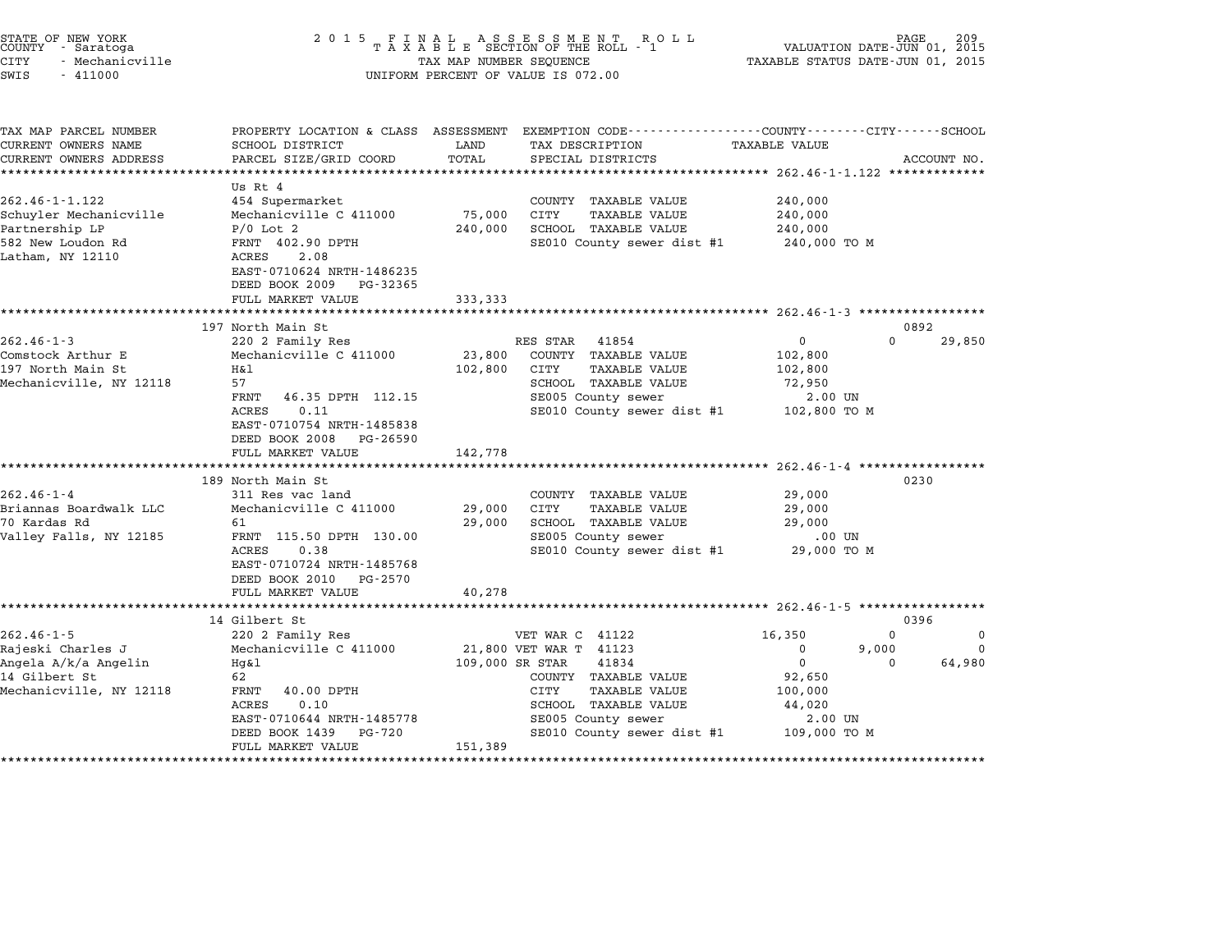| STATE OF NEW YORK<br>COUNTY - Saratoga<br><b>CITY</b><br>- Mechanicville<br>SWIS<br>$-411000$ | 2 0 1 5                                                 | TAX MAP NUMBER SEQUENCE | FINAL ASSESSMENT RO<br>TAXABLE SECTION OF THE ROLL - 1<br>R O L L<br>UNIFORM PERCENT OF VALUE IS 072.00 |                                             | PAGE<br>209<br>VALUATION DATE-JUN 01, 2015<br>TAXABLE STATUS DATE-JUN 01, 2015 |
|-----------------------------------------------------------------------------------------------|---------------------------------------------------------|-------------------------|---------------------------------------------------------------------------------------------------------|---------------------------------------------|--------------------------------------------------------------------------------|
| TAX MAP PARCEL NUMBER                                                                         |                                                         |                         | PROPERTY LOCATION & CLASS ASSESSMENT EXEMPTION CODE----------------COUNTY-------CITY------SCHOOL        |                                             |                                                                                |
| CURRENT OWNERS NAME                                                                           | SCHOOL DISTRICT                                         | LAND                    | TAX DESCRIPTION                                                                                         | <b>TAXABLE VALUE</b>                        |                                                                                |
| CURRENT OWNERS ADDRESS<br>************************                                            | PARCEL SIZE/GRID COORD                                  | TOTAL                   | SPECIAL DISTRICTS                                                                                       |                                             | ACCOUNT NO.                                                                    |
|                                                                                               | Us Rt 4                                                 |                         |                                                                                                         |                                             |                                                                                |
| $262.46 - 1 - 1.122$                                                                          | 454 Supermarket                                         |                         | COUNTY TAXABLE VALUE                                                                                    | 240,000                                     |                                                                                |
| Schuyler Mechanicville                                                                        | Mechanicville C 411000                                  | 75,000                  | CITY<br><b>TAXABLE VALUE</b>                                                                            | 240,000                                     |                                                                                |
| Partnership LP                                                                                | $P/0$ Lot 2                                             | 240,000                 | SCHOOL TAXABLE VALUE                                                                                    | 240,000                                     |                                                                                |
| 582 New Loudon Rd                                                                             | FRNT 402.90 DPTH                                        |                         | SE010 County sewer dist #1                                                                              | 240,000 TO M                                |                                                                                |
| Latham, NY 12110                                                                              | 2.08<br>ACRES                                           |                         |                                                                                                         |                                             |                                                                                |
|                                                                                               | EAST-0710624 NRTH-1486235<br>DEED BOOK 2009<br>PG-32365 |                         |                                                                                                         |                                             |                                                                                |
|                                                                                               | FULL MARKET VALUE                                       | 333,333                 |                                                                                                         |                                             |                                                                                |
|                                                                                               |                                                         |                         |                                                                                                         |                                             |                                                                                |
|                                                                                               | 197 North Main St                                       |                         |                                                                                                         |                                             | 0892                                                                           |
| $262.46 - 1 - 3$                                                                              | 220 2 Family Res                                        |                         | RES STAR<br>41854                                                                                       | 0                                           | $\Omega$<br>29,850                                                             |
| Comstock Arthur E                                                                             | Mechanicville C 411000                                  | 23,800                  | COUNTY TAXABLE VALUE                                                                                    | 102,800                                     |                                                                                |
| 197 North Main St                                                                             | Η&l                                                     | 102,800                 | CITY<br><b>TAXABLE VALUE</b>                                                                            | 102,800                                     |                                                                                |
| Mechanicville, NY 12118                                                                       | 57                                                      |                         | SCHOOL TAXABLE VALUE                                                                                    | 72,950                                      |                                                                                |
|                                                                                               | FRNT<br>46.35 DPTH 112.15                               |                         | SE005 County sewer                                                                                      | 2.00 UN                                     |                                                                                |
|                                                                                               | ACRES<br>0.11                                           |                         | SE010 County sewer dist #1                                                                              | 102,800 TO M                                |                                                                                |
|                                                                                               | EAST-0710754 NRTH-1485838<br>DEED BOOK 2008<br>PG-26590 |                         |                                                                                                         |                                             |                                                                                |
|                                                                                               | FULL MARKET VALUE                                       | 142,778                 |                                                                                                         |                                             |                                                                                |
|                                                                                               | *********************                                   |                         |                                                                                                         |                                             | $262.46 - 1 - 4$ ****************                                              |
|                                                                                               | 189 North Main St                                       |                         |                                                                                                         |                                             | 0230                                                                           |
| $262.46 - 1 - 4$                                                                              | 311 Res vac land                                        |                         | COUNTY TAXABLE VALUE                                                                                    | 29,000                                      |                                                                                |
| Briannas Boardwalk LLC                                                                        | Mechanicville C 411000                                  | 29,000                  | CITY<br><b>TAXABLE VALUE</b>                                                                            | 29,000                                      |                                                                                |
| 70 Kardas Rd                                                                                  | 61                                                      | 29,000                  | SCHOOL TAXABLE VALUE                                                                                    | 29,000                                      |                                                                                |
| Valley Falls, NY 12185                                                                        | FRNT 115.50 DPTH 130.00                                 |                         | SE005 County sewer                                                                                      | .00 UN                                      |                                                                                |
|                                                                                               | ACRES<br>0.38                                           |                         | SE010 County sewer dist #1                                                                              | 29,000 TO M                                 |                                                                                |
|                                                                                               | EAST-0710724 NRTH-1485768                               |                         |                                                                                                         |                                             |                                                                                |
|                                                                                               | DEED BOOK 2010<br>PG-2570                               |                         |                                                                                                         |                                             |                                                                                |
|                                                                                               | FULL MARKET VALUE                                       | 40,278                  |                                                                                                         |                                             |                                                                                |
|                                                                                               |                                                         |                         |                                                                                                         | *************** 262.46-1-5 **************** |                                                                                |
|                                                                                               | 14 Gilbert St                                           |                         |                                                                                                         |                                             | 0396                                                                           |
| $262.46 - 1 - 5$                                                                              | 220 2 Family Res                                        |                         | VET WAR C 41122                                                                                         | 16,350                                      | $\Omega$<br>0                                                                  |
| Rajeski Charles J                                                                             | Mechanicville C 411000                                  |                         | 21,800 VET WAR T 41123                                                                                  | $\Omega$                                    | 9,000<br>$\Omega$                                                              |
| Angela A/k/a Angelin                                                                          | $Hq\&1$                                                 | 109,000 SR STAR         | 41834                                                                                                   | $\Omega$                                    | 64,980<br>$\Omega$                                                             |
| 14 Gilbert St                                                                                 | 62                                                      |                         | COUNTY TAXABLE VALUE                                                                                    | 92,650                                      |                                                                                |
| Mechanicville, NY 12118                                                                       | FRNT<br>40.00 DPTH<br>ACRES<br>0.10                     |                         | CITY<br><b>TAXABLE VALUE</b><br>SCHOOL TAXABLE VALUE                                                    | 100,000<br>44,020                           |                                                                                |
|                                                                                               | EAST-0710644 NRTH-1485778                               |                         | SE005 County sewer                                                                                      | 2.00 UN                                     |                                                                                |
|                                                                                               | DEED BOOK 1439<br>PG-720                                |                         | SE010 County sewer dist #1                                                                              | 109,000 TO M                                |                                                                                |
|                                                                                               | FULL MARKET VALUE                                       | 151,389                 |                                                                                                         |                                             |                                                                                |
|                                                                                               | *****************                                       |                         |                                                                                                         |                                             |                                                                                |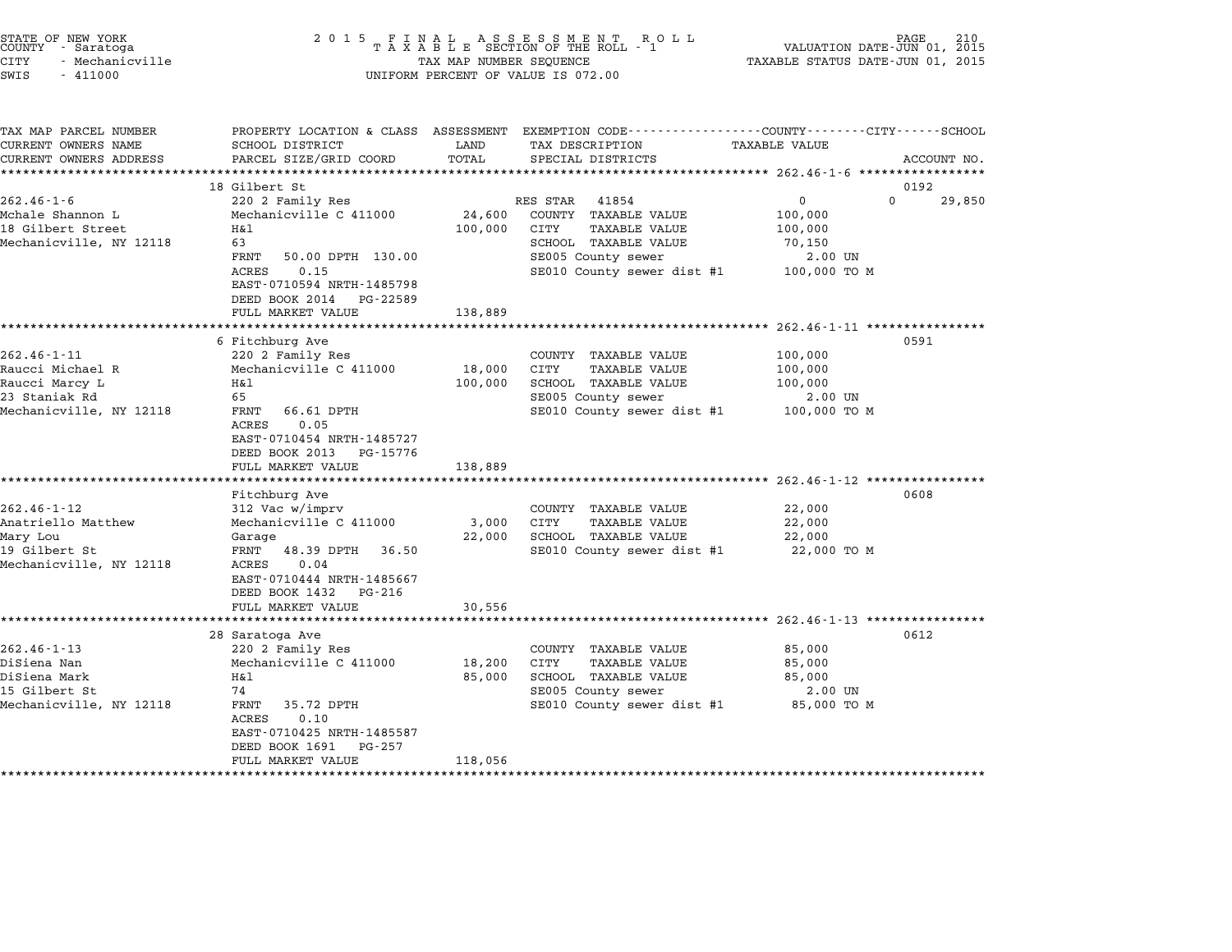| STATE OF NEW YORK<br>COUNTY<br>- Saratoga<br>CITY<br>- Mechanicville<br>$-411000$<br>SWIS |                                                                                                                                                                                                 |         | TAX MAP NUMBER SEQUENCE TAXABLE STATUS DATE-JUN 01, 2015<br>UNIFORM PERCENT OF VALUE IS 072.00 |                    |          |             |
|-------------------------------------------------------------------------------------------|-------------------------------------------------------------------------------------------------------------------------------------------------------------------------------------------------|---------|------------------------------------------------------------------------------------------------|--------------------|----------|-------------|
| TAX MAP PARCEL NUMBER<br>CURRENT OWNERS NAME SCHOOL DISTRICT                              | PROPERTY LOCATION & CLASS ASSESSMENT EXEMPTION CODE----------------COUNTY-------CITY------SCHOOL<br>CURRENT OWNERS ADDRESS           PARCEL SIZE/GRID COORD       TOTAL       SPECIAL DISTRICTS |         | LAND TAX DESCRIPTION                                                                           | TAXABLE VALUE      |          | ACCOUNT NO. |
|                                                                                           |                                                                                                                                                                                                 |         |                                                                                                |                    |          |             |
|                                                                                           | 18 Gilbert St                                                                                                                                                                                   |         |                                                                                                |                    | 0192     |             |
| $262.46 - 1 - 6$                                                                          | 220 2 Family Res                                                                                                                                                                                |         | RES STAR 41854                                                                                 | $\overline{0}$     | $\Omega$ | 29,850      |
| Mchale Shannon L<br>18 Gilbert Street<br>$H\&1$                                           | Mechanicville C 411000 24,600 COUNTY                                                                                                                                                            | 100,000 | TAXABLE VALUE<br>CITY<br>TAXABLE VALUE                                                         | 100,000<br>100,000 |          |             |
| Mechanicville, NY 12118                                                                   | 63                                                                                                                                                                                              |         | SCHOOL TAXABLE VALUE 70,150                                                                    |                    |          |             |
|                                                                                           | 50.00 DPTH 130.00<br>FRNT                                                                                                                                                                       |         | SE005 County sewer 2.00 UN                                                                     |                    |          |             |
|                                                                                           | 0.15<br>ACRES<br>EAST-0710594 NRTH-1485798<br>DEED BOOK 2014 PG-22589                                                                                                                           |         | SE010 County sewer dist #1 100,000 TO M                                                        |                    |          |             |
|                                                                                           | FULL MARKET VALUE                                                                                                                                                                               | 138,889 |                                                                                                |                    |          |             |

|                                          | DEED BOOK 2014 FG-22J6J<br>FULL MARKET VALUE                                                          | 138,889 |                              |              |      |
|------------------------------------------|-------------------------------------------------------------------------------------------------------|---------|------------------------------|--------------|------|
|                                          | 6 Fitchburg Ave                                                                                       |         |                              |              | 0591 |
| $262.46 - 1 - 11$                        | 220 2 Family Res                                                                                      |         | COUNTY TAXABLE VALUE         | 100,000      |      |
| Raucci Michael R                         | Mechanicville C 411000                                                                                | 18,000  | CITY<br><b>TAXABLE VALUE</b> | 100,000      |      |
| Raucci Marcy L                           | Η&l                                                                                                   | 100,000 | SCHOOL<br>TAXABLE VALUE      | 100,000      |      |
| 23 Staniak Rd                            | 65                                                                                                    |         | SE005 County sewer           | 2.00 UN      |      |
| Mechanicville, NY 12118                  | 66.61 DPTH<br>FRNT<br>0.05<br>ACRES<br>EAST-0710454 NRTH-1485727                                      |         | SE010 County sewer dist #1   | 100,000 TO M |      |
|                                          | DEED BOOK 2013<br>PG-15776                                                                            |         |                              |              |      |
|                                          | FULL MARKET VALUE                                                                                     | 138,889 |                              |              |      |
|                                          |                                                                                                       |         |                              |              |      |
|                                          | Fitchburg Ave                                                                                         |         |                              |              | 0608 |
| $262.46 - 1 - 12$                        | 312 Vac w/imprv                                                                                       |         | COUNTY<br>TAXABLE VALUE      | 22,000       |      |
| Anatriello Matthew                       | Mechanicville C 411000                                                                                | 3,000   | CITY<br>TAXABLE VALUE        | 22,000       |      |
| Mary Lou                                 | Garage                                                                                                | 22,000  | SCHOOL TAXABLE VALUE         | 22,000       |      |
| 19 Gilbert St<br>Mechanicville, NY 12118 | 48.39 DPTH<br>36.50<br>FRNT<br>0.04<br>ACRES<br>EAST-0710444 NRTH-1485667<br>DEED BOOK 1432<br>PG-216 |         | SE010 County sewer dist #1   | 22,000 TO M  |      |
|                                          | FULL MARKET VALUE                                                                                     | 30,556  |                              |              |      |
|                                          |                                                                                                       |         |                              |              |      |
|                                          | 28 Saratoga Ave                                                                                       |         |                              |              | 0612 |
| $262.46 - 1 - 13$                        | 220 2 Family Res                                                                                      |         | COUNTY TAXABLE VALUE         | 85,000       |      |
| DiSiena Nan                              | Mechanicville C 411000                                                                                | 18,200  | CITY<br>TAXABLE VALUE        | 85,000       |      |
| DiSiena Mark                             | H&l                                                                                                   | 85,000  | SCHOOL TAXABLE VALUE         | 85,000       |      |
| 15 Gilbert St                            | 74                                                                                                    |         | SE005 County sewer           | 2.00 UN      |      |
| Mechanicville, NY 12118                  | 35.72 DPTH<br>FRNT<br>0.10<br>ACRES<br>EAST-0710425 NRTH-1485587<br>DEED BOOK 1691<br>PG-257          |         | SE010 County sewer dist #1   | 85,000 TO M  |      |
|                                          | FULL MARKET VALUE                                                                                     | 118,056 |                              |              |      |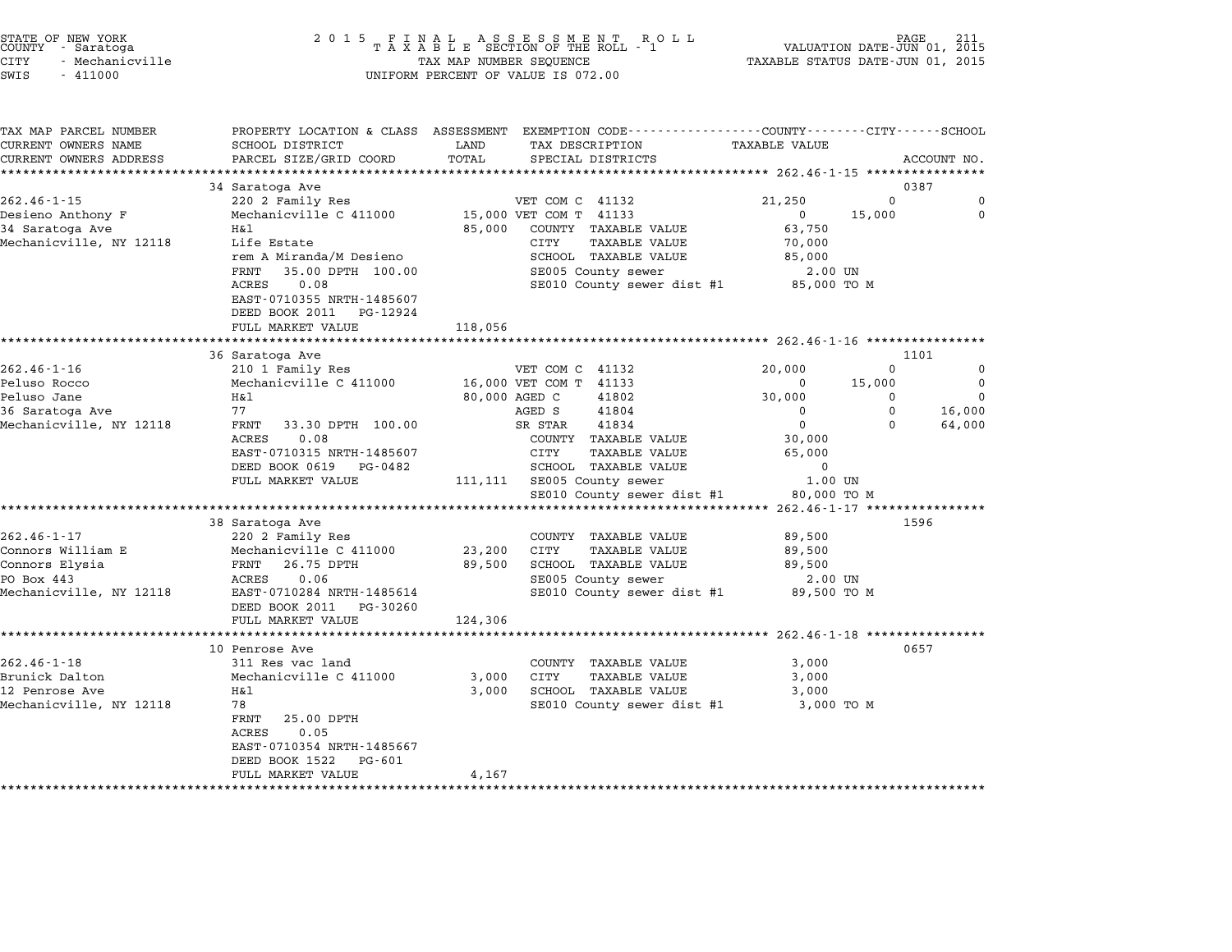| STATE OF NEW YORK |                 |  |
|-------------------|-----------------|--|
| COUNTY            | - Saratoga      |  |
| CITY              | - Mechanicville |  |

# STATE OF NEW YORK <sup>2</sup> <sup>0</sup> <sup>1</sup> 5 F I N A L A S S E S S M E N T R O L L PAGE <sup>211</sup> COUNTY - Saratoga <sup>T</sup> <sup>A</sup> <sup>X</sup> <sup>A</sup> <sup>B</sup> <sup>L</sup> <sup>E</sup> SECTION OF THE ROLL - <sup>1</sup> VALUATION DATE-JUN 01, <sup>2015</sup> CITY - Mechanicville TAX MAP NUMBER SEQUENCE TAXABLE STATUS DATE-JUN 01, <sup>2015</sup> SWIS - <sup>411000</sup> UNIFORM PERCENT OF VALUE IS 072.00

| TAX MAP PARCEL NUMBER                      |                                            |               | PROPERTY LOCATION & CLASS ASSESSMENT EXEMPTION CODE----------------COUNTY-------CITY------SCHOOL |                      |               |                      |
|--------------------------------------------|--------------------------------------------|---------------|--------------------------------------------------------------------------------------------------|----------------------|---------------|----------------------|
| CURRENT OWNERS NAME                        | SCHOOL DISTRICT                            | LAND          | TAX DESCRIPTION                                                                                  | <b>TAXABLE VALUE</b> |               |                      |
| CURRENT OWNERS ADDRESS                     | PARCEL SIZE/GRID COORD                     | TOTAL         | SPECIAL DISTRICTS                                                                                |                      |               | ACCOUNT NO.          |
|                                            | 34 Saratoga Ave                            |               |                                                                                                  |                      |               | 0387                 |
| $262.46 - 1 - 15$                          | 220 2 Family Res                           |               | VET COM C 41132                                                                                  | 21,250               | $\Omega$      | $\mathbf 0$          |
| Desieno Anthony F                          | Mechanicville C 411000                     |               | 15,000 VET COM T 41133                                                                           | $\mathbf{0}$         | 15,000        | $\mathbf 0$          |
| 34 Saratoga Ave                            | H&1                                        | 85,000        | COUNTY TAXABLE VALUE                                                                             | 63,750               |               |                      |
| Mechanicville, NY 12118                    | Life Estate                                |               | CITY<br>TAXABLE VALUE                                                                            | 70,000               |               |                      |
|                                            | rem A Miranda/M Desieno                    |               | SCHOOL TAXABLE VALUE                                                                             | 85,000               |               |                      |
|                                            | FRNT<br>35.00 DPTH 100.00                  |               | SE005 County sewer                                                                               | 2.00 UN              |               |                      |
|                                            | 0.08<br>ACRES                              |               | SE010 County sewer dist #1                                                                       | 85,000 TO M          |               |                      |
|                                            | EAST-0710355 NRTH-1485607                  |               |                                                                                                  |                      |               |                      |
|                                            | DEED BOOK 2011<br>PG-12924                 |               |                                                                                                  |                      |               |                      |
|                                            | FULL MARKET VALUE                          | 118,056       |                                                                                                  |                      |               |                      |
|                                            |                                            |               |                                                                                                  |                      |               |                      |
|                                            | 36 Saratoga Ave                            |               |                                                                                                  |                      |               | 1101                 |
| $262.46 - 1 - 16$                          | 210 1 Family Res                           |               | VET COM C 41132                                                                                  | 20,000               | $\Omega$      | $\Omega$             |
| Peluso Rocco                               | Mechanicville C 411000                     |               | 16,000 VET COM T 41133                                                                           | $\Omega$             | 15,000        | $\Omega$<br>$\Omega$ |
| Peluso Jane                                | H&l                                        | 80,000 AGED C | 41802                                                                                            | 30,000               | 0<br>$\Omega$ |                      |
| 36 Saratoga Ave<br>Mechanicville, NY 12118 | 77<br>33.30 DPTH 100.00<br>FRNT            |               | 41804<br>AGED S<br>41834<br>SR STAR                                                              | 0<br>$\mathbf 0$     | $\Omega$      | 16,000<br>64,000     |
|                                            | 0.08<br>ACRES                              |               | COUNTY TAXABLE VALUE                                                                             | 30,000               |               |                      |
|                                            | EAST-0710315 NRTH-1485607                  |               | CITY<br><b>TAXABLE VALUE</b>                                                                     | 65,000               |               |                      |
|                                            | DEED BOOK 0619<br>PG-0482                  |               | SCHOOL TAXABLE VALUE                                                                             | $\Omega$             |               |                      |
|                                            | FULL MARKET VALUE                          |               | 111,111 SE005 County sewer                                                                       | 1.00 UN              |               |                      |
|                                            |                                            |               | SE010 County sewer dist #1                                                                       | 80,000 TO M          |               |                      |
|                                            |                                            |               |                                                                                                  |                      |               |                      |
|                                            | 38 Saratoga Ave                            |               |                                                                                                  |                      |               | 1596                 |
| $262.46 - 1 - 17$                          | 220 2 Family Res                           |               | COUNTY TAXABLE VALUE                                                                             | 89,500               |               |                      |
| Connors William E                          | Mechanicville C 411000                     | 23,200        | <b>TAXABLE VALUE</b><br>CITY                                                                     | 89,500               |               |                      |
| Connors Elysia                             | 26.75 DPTH<br>FRNT                         | 89,500        | SCHOOL TAXABLE VALUE                                                                             | 89,500               |               |                      |
| PO Box 443                                 | 0.06<br>ACRES                              |               | SE005 County sewer                                                                               | 2.00 UN              |               |                      |
| Mechanicville, NY 12118                    | EAST-0710284 NRTH-1485614                  |               | SE010 County sewer dist #1                                                                       | 89,500 TO M          |               |                      |
|                                            | DEED BOOK 2011 PG-30260                    |               |                                                                                                  |                      |               |                      |
|                                            | FULL MARKET VALUE                          | 124,306       |                                                                                                  |                      |               |                      |
|                                            | *******************************            |               |                                                                                                  |                      |               |                      |
|                                            | 10 Penrose Ave                             |               |                                                                                                  |                      |               | 0657                 |
| $262.46 - 1 - 18$<br>Brunick Dalton        | 311 Res vac land<br>Mechanicville C 411000 | 3,000         | COUNTY TAXABLE VALUE<br>CITY<br>TAXABLE VALUE                                                    | 3,000                |               |                      |
| 12 Penrose Ave                             |                                            |               |                                                                                                  | 3,000                |               |                      |
| Mechanicville, NY 12118                    | Η&l<br>78                                  | 3,000         | SCHOOL TAXABLE VALUE<br>SE010 County sewer dist #1                                               | 3,000<br>3,000 TO M  |               |                      |
|                                            | 25.00 DPTH<br>FRNT                         |               |                                                                                                  |                      |               |                      |
|                                            | 0.05<br>ACRES                              |               |                                                                                                  |                      |               |                      |
|                                            | EAST-0710354 NRTH-1485667                  |               |                                                                                                  |                      |               |                      |
|                                            | DEED BOOK 1522<br>PG-601                   |               |                                                                                                  |                      |               |                      |
|                                            | FULL MARKET VALUE                          | 4,167         |                                                                                                  |                      |               |                      |
|                                            |                                            |               |                                                                                                  |                      |               |                      |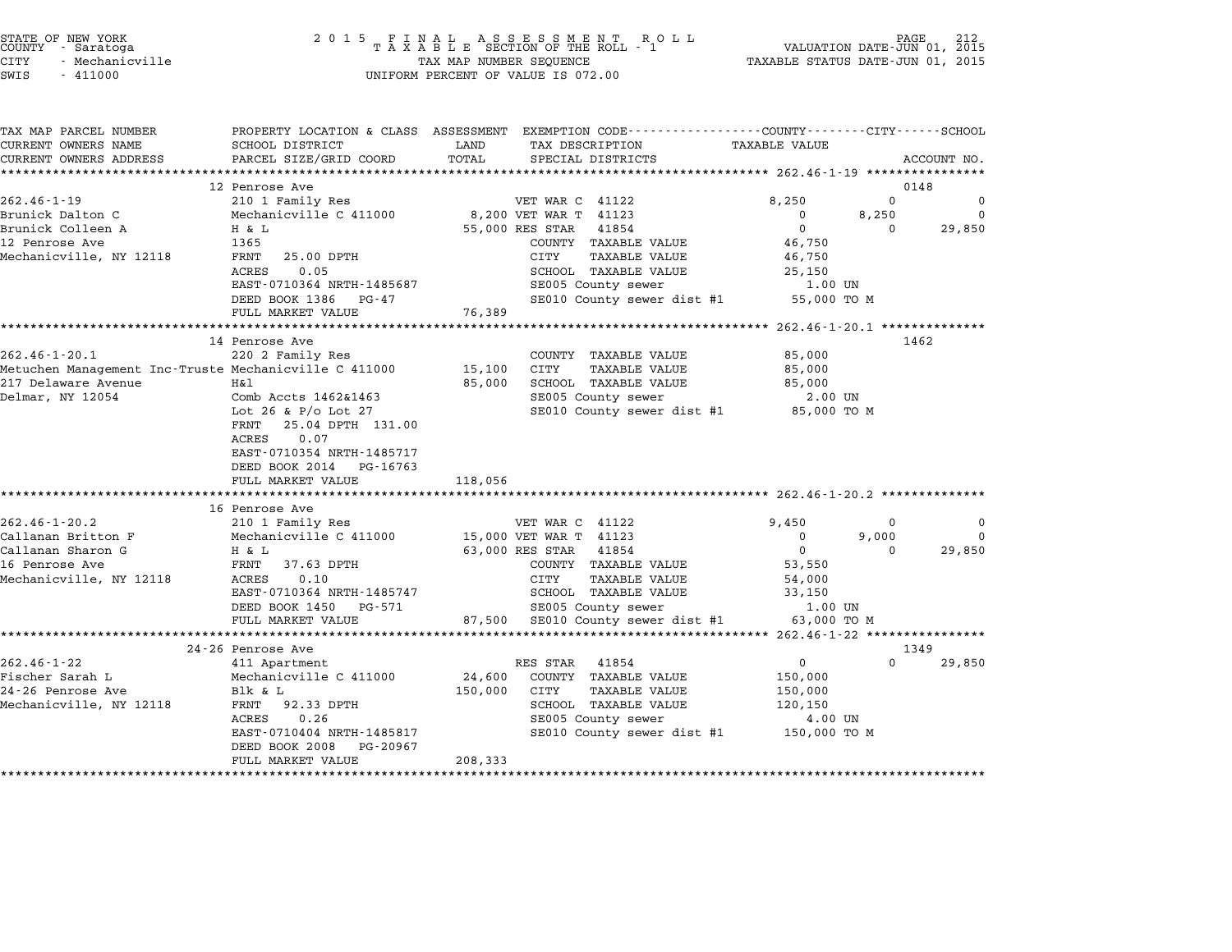| STATE OF NEW YORK |                 |  |
|-------------------|-----------------|--|
| COUNTY            | - Saratoga      |  |
| CITY              | - Mechanicville |  |

| TAX MAP PARCEL NUMBER<br>CURRENT OWNERS NAME          | SCHOOL DISTRICT            | PROPERTY LOCATION & CLASS ASSESSMENT EXEMPTION CODE---------------COUNTY-------CITY------SCHOOL<br>LAND<br>TAX DESCRIPTION | <b>TAXABLE VALUE</b>                |                              |
|-------------------------------------------------------|----------------------------|----------------------------------------------------------------------------------------------------------------------------|-------------------------------------|------------------------------|
| CURRENT OWNERS ADDRESS                                |                            | TOTAL                                                                                                                      |                                     |                              |
|                                                       | PARCEL SIZE/GRID COORD     | SPECIAL DISTRICTS                                                                                                          |                                     | ACCOUNT NO.                  |
|                                                       |                            |                                                                                                                            |                                     |                              |
| $262.46 - 1 - 19$                                     | 12 Penrose Ave             | VET WAR C 41122                                                                                                            | 8,250                               | 0148<br>$\Omega$<br>$\Omega$ |
| Brunick Dalton C                                      | 210 1 Family Res           |                                                                                                                            |                                     |                              |
| Brunick Colleen A                                     | Mechanicville C 411000     | 8,200 VET WAR T 41123                                                                                                      | $\mathbf 0$<br>8,250<br>$\mathbf 0$ | $\Omega$                     |
|                                                       | H & L                      | 55,000 RES STAR 41854                                                                                                      |                                     | 29,850<br>$\Omega$           |
| 12 Penrose Ave                                        | 1365                       | COUNTY TAXABLE VALUE                                                                                                       | 46,750                              |                              |
| Mechanicville, NY 12118                               | FRNT<br>25.00 DPTH         | CITY<br><b>TAXABLE VALUE</b>                                                                                               | 46,750                              |                              |
|                                                       | 0.05<br>ACRES              | SCHOOL TAXABLE VALUE                                                                                                       | 25,150                              |                              |
|                                                       | EAST-0710364 NRTH-1485687  | SE005 County sewer                                                                                                         | 1.00 UN                             |                              |
|                                                       | DEED BOOK 1386 PG-47       | SE010 County sewer dist #1                                                                                                 | 55,000 TO M                         |                              |
|                                                       | FULL MARKET VALUE          | 76,389                                                                                                                     |                                     |                              |
|                                                       |                            |                                                                                                                            |                                     |                              |
|                                                       | 14 Penrose Ave             |                                                                                                                            |                                     | 1462                         |
| $262.46 - 1 - 20.1$                                   | 220 2 Family Res           | COUNTY TAXABLE VALUE                                                                                                       | 85,000                              |                              |
| Metuchen Management Inc-Truste Mechanicville C 411000 |                            | 15,100<br>CITY<br>TAXABLE VALUE                                                                                            | 85,000                              |                              |
| 217 Delaware Avenue                                   | Η&l                        | SCHOOL TAXABLE VALUE<br>85,000                                                                                             | 85,000                              |                              |
| Delmar, NY 12054                                      | Comb Accts 1462&1463       | SE005 County sewer                                                                                                         | 2.00 UN                             |                              |
|                                                       | Lot 26 & $P/O$ Lot 27      | SE010 County sewer dist #1 85,000 TO M                                                                                     |                                     |                              |
|                                                       | FRNT<br>25.04 DPTH 131.00  |                                                                                                                            |                                     |                              |
|                                                       | ACRES<br>0.07              |                                                                                                                            |                                     |                              |
|                                                       | EAST-0710354 NRTH-1485717  |                                                                                                                            |                                     |                              |
|                                                       | DEED BOOK 2014<br>PG-16763 |                                                                                                                            |                                     |                              |
|                                                       | FULL MARKET VALUE          | 118,056                                                                                                                    |                                     |                              |
|                                                       |                            |                                                                                                                            |                                     |                              |
|                                                       | 16 Penrose Ave             |                                                                                                                            |                                     |                              |
| $262.46 - 1 - 20.2$                                   | 210 1 Family Res           | VET WAR C 41122                                                                                                            | 9,450                               | $\Omega$<br>0                |
| Callanan Britton F                                    | Mechanicville C 411000     | 15,000 VET WAR T 41123                                                                                                     | 9,000<br>$\mathbf 0$                | $\Omega$                     |
| Callanan Sharon G                                     | H & L                      | 63,000 RES STAR 41854                                                                                                      | $\overline{0}$                      | $\Omega$<br>29,850           |
| 16 Penrose Ave                                        | FRNT<br>37.63 DPTH         | COUNTY TAXABLE VALUE                                                                                                       | 53,550                              |                              |
| Mechanicville, NY 12118                               | 0.10<br>ACRES              | <b>TAXABLE VALUE</b><br>CITY                                                                                               | 54,000                              |                              |
|                                                       | EAST-0710364 NRTH-1485747  | SCHOOL TAXABLE VALUE                                                                                                       | 33,150                              |                              |
|                                                       | DEED BOOK 1450 PG-571      | SE005 County sewer                                                                                                         | 1.00 UN                             |                              |
|                                                       | FULL MARKET VALUE          | 87,500 SE010 County sewer dist #1                                                                                          | 63,000 TO M                         |                              |
|                                                       |                            |                                                                                                                            |                                     |                              |
|                                                       | 24-26 Penrose Ave          |                                                                                                                            |                                     | 1349                         |
| $262.46 - 1 - 22$                                     | 411 Apartment              | RES STAR<br>41854                                                                                                          | $\mathbf 0$                         | $\Omega$<br>29,850           |
| Fischer Sarah L                                       | Mechanicville C 411000     | 24,600<br>COUNTY TAXABLE VALUE                                                                                             | 150,000                             |                              |
| 24-26 Penrose Ave                                     | Blk & L                    | 150,000<br>CITY<br>TAXABLE VALUE                                                                                           | 150,000                             |                              |
| Mechanicville, NY 12118                               | FRNT 92.33 DPTH            | SCHOOL TAXABLE VALUE                                                                                                       | 120,150                             |                              |
|                                                       | 0.26<br>ACRES              | SE005 County sewer                                                                                                         | 4.00 UN                             |                              |
|                                                       | EAST-0710404 NRTH-1485817  | SE010 County sewer dist #1 150,000 TO M                                                                                    |                                     |                              |
|                                                       | DEED BOOK 2008<br>PG-20967 |                                                                                                                            |                                     |                              |
|                                                       | FULL MARKET VALUE          | 208,333                                                                                                                    |                                     |                              |
|                                                       |                            |                                                                                                                            |                                     |                              |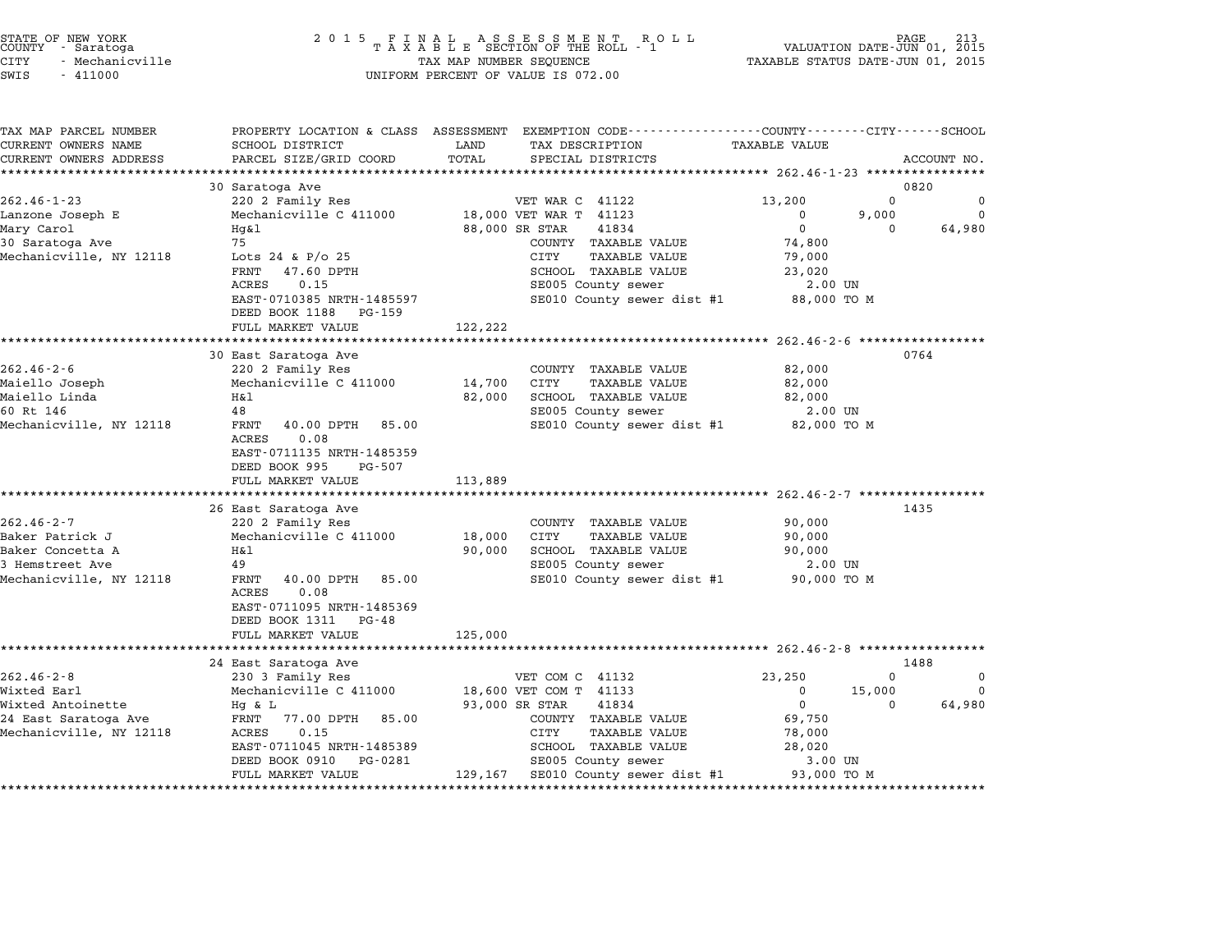| STATE OF NEW YORK |  |            |  |                 |
|-------------------|--|------------|--|-----------------|
| COUNTY            |  | - Saratoga |  |                 |
| CITY              |  |            |  | - Mechanicville |

| TAX MAP PARCEL NUMBER                               |                                              | PROPERTY LOCATION & CLASS ASSESSMENT EXEMPTION CODE----------------COUNTY-------CITY------SCHOOL |                                   |
|-----------------------------------------------------|----------------------------------------------|--------------------------------------------------------------------------------------------------|-----------------------------------|
| CURRENT OWNERS NAME                                 | SCHOOL DISTRICT<br>PARCEL SIZE/GRID COORD    | TAX DESCRIPTION<br>LAND<br>TOTAL                                                                 | <b>TAXABLE VALUE</b>              |
| CURRENT OWNERS ADDRESS<br>************************* |                                              | SPECIAL DISTRICTS                                                                                | ACCOUNT NO.                       |
|                                                     | 30 Saratoga Ave                              |                                                                                                  | 0820                              |
| $262.46 - 1 - 23$                                   | 220 2 Family Res                             | VET WAR C 41122                                                                                  | $\Omega$<br>13,200<br>$\mathbf 0$ |
| Lanzone Joseph E                                    | Mechanicville C 411000                       | 18,000 VET WAR T 41123                                                                           | 9,000<br>$\Omega$<br>$\Omega$     |
| Mary Carol                                          | Hq&l                                         | 88,000 SR STAR<br>41834                                                                          | $\Omega$<br>64,980<br>$\Omega$    |
| 30 Saratoga Ave                                     | 75                                           | COUNTY TAXABLE VALUE                                                                             | 74,800                            |
| Mechanicville, NY 12118                             | Lots 24 & P/o 25                             | CITY<br><b>TAXABLE VALUE</b>                                                                     | 79,000                            |
|                                                     | 47.60 DPTH<br>FRNT                           | SCHOOL TAXABLE VALUE                                                                             | 23,020                            |
|                                                     | 0.15<br>ACRES                                | SE005 County sewer                                                                               | 2.00 UN                           |
|                                                     | EAST-0710385 NRTH-1485597                    | SE010 County sewer dist #1                                                                       | 88,000 TO M                       |
|                                                     | DEED BOOK 1188<br>PG-159                     |                                                                                                  |                                   |
|                                                     | FULL MARKET VALUE                            | 122,222                                                                                          |                                   |
|                                                     | ***********************                      |                                                                                                  |                                   |
|                                                     | 30 East Saratoga Ave                         |                                                                                                  | 0764                              |
| $262.46 - 2 - 6$                                    | 220 2 Family Res                             | COUNTY TAXABLE VALUE                                                                             | 82,000                            |
| Maiello Joseph                                      | Mechanicville C 411000                       | 14,700<br><b>CITY</b><br>TAXABLE VALUE                                                           | 82,000                            |
| Maiello Linda                                       | Η&l                                          | 82,000<br>SCHOOL TAXABLE VALUE                                                                   | 82,000                            |
| 60 Rt 146                                           | 48                                           | SE005 County sewer                                                                               | 2.00 UN                           |
| Mechanicville, NY 12118                             | 40.00 DPTH<br>FRNT<br>85.00                  | SE010 County sewer dist #1                                                                       | 82,000 TO M                       |
|                                                     | 0.08<br>ACRES                                |                                                                                                  |                                   |
|                                                     | EAST-0711135 NRTH-1485359                    |                                                                                                  |                                   |
|                                                     | DEED BOOK 995<br>PG-507                      |                                                                                                  |                                   |
|                                                     | FULL MARKET VALUE                            | 113,889                                                                                          |                                   |
|                                                     |                                              |                                                                                                  |                                   |
|                                                     | 26 East Saratoga Ave                         |                                                                                                  | 1435                              |
| $262.46 - 2 - 7$                                    | 220 2 Family Res                             | COUNTY TAXABLE VALUE                                                                             | 90,000                            |
| Baker Patrick J                                     | Mechanicville C 411000                       | <b>TAXABLE VALUE</b><br>18,000<br>CITY                                                           | 90,000                            |
| Baker Concetta A<br>3 Hemstreet Ave                 | Η&l<br>49                                    | SCHOOL TAXABLE VALUE<br>90,000                                                                   | 90,000                            |
|                                                     |                                              | SE005 County sewer                                                                               | 2.00 UN                           |
| Mechanicville, NY 12118                             | FRNT<br>40.00 DPTH<br>85.00<br>ACRES<br>0.08 | SE010 County sewer dist #1                                                                       | 90,000 TO M                       |
|                                                     | EAST-0711095 NRTH-1485369                    |                                                                                                  |                                   |
|                                                     | DEED BOOK 1311<br>PG-48                      |                                                                                                  |                                   |
|                                                     | FULL MARKET VALUE                            | 125,000                                                                                          |                                   |
|                                                     | *********************                        |                                                                                                  |                                   |
|                                                     | 24 East Saratoga Ave                         |                                                                                                  | 1488                              |
| $262.46 - 2 - 8$                                    | 230 3 Family Res                             | VET COM C 41132                                                                                  | 23,250<br>$\Omega$<br>$\mathbf 0$ |
| Wixted Earl                                         | Mechanicville C 411000                       | 18,600 VET COM T 41133                                                                           | $\Omega$<br>15,000<br>$\Omega$    |
| Wixted Antoinette                                   | Hg & L                                       | 93,000 SR STAR<br>41834                                                                          | $\mathbf 0$<br>64,980<br>0        |
| 24 East Saratoga Ave                                | 77.00 DPTH<br>FRNT<br>85.00                  | COUNTY TAXABLE VALUE                                                                             | 69,750                            |
| Mechanicville, NY 12118                             | 0.15<br>ACRES                                | <b>CITY</b><br><b>TAXABLE VALUE</b>                                                              | 78,000                            |
|                                                     | EAST-0711045 NRTH-1485389                    | SCHOOL TAXABLE VALUE                                                                             | 28,020                            |
|                                                     | DEED BOOK 0910<br>PG-0281                    | SE005 County sewer                                                                               | 3.00 UN                           |
|                                                     | FULL MARKET VALUE                            | 129,167<br>SE010 County sewer dist #1                                                            | 93,000 TO M                       |
|                                                     |                                              |                                                                                                  |                                   |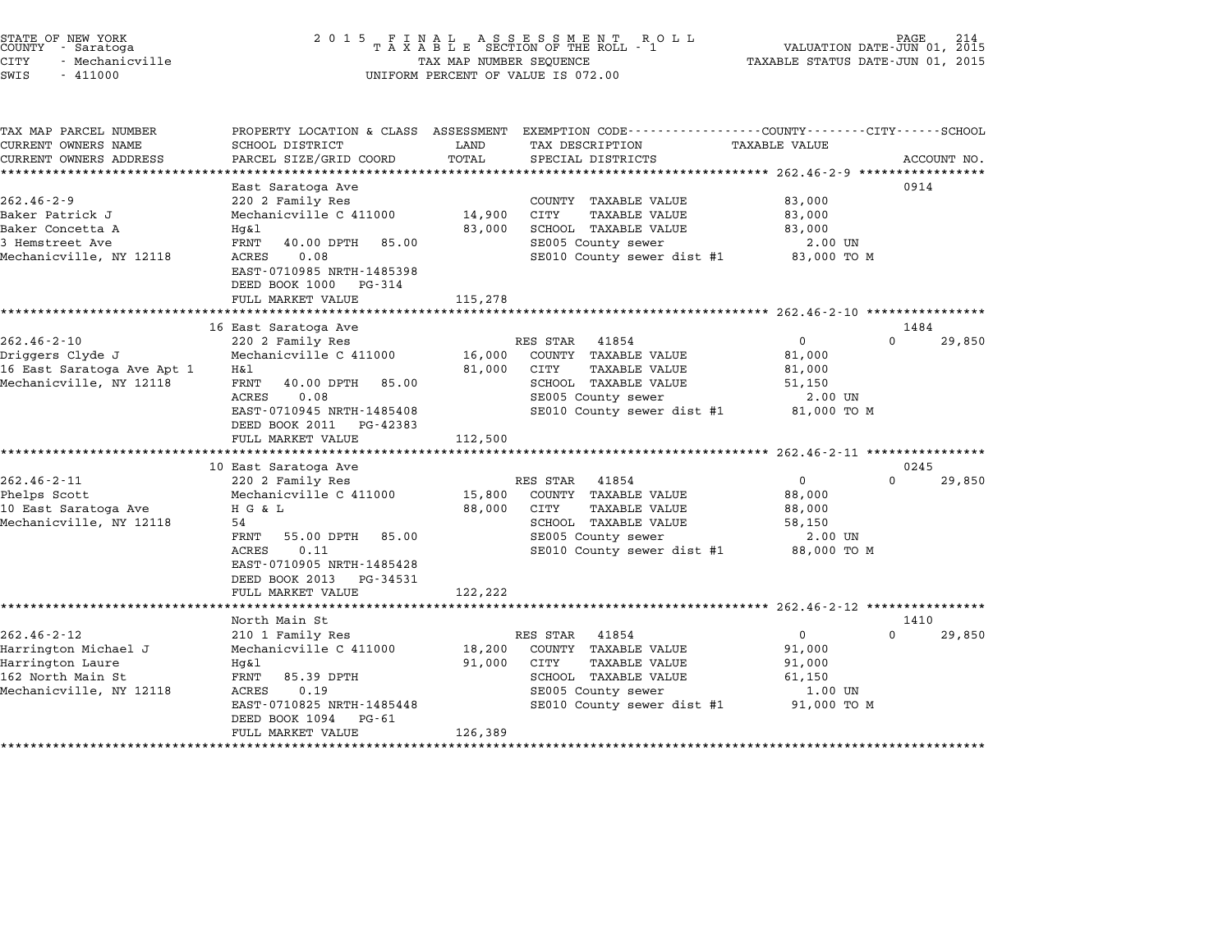| STATE OF NEW YORK<br>COUNTY - Saratoga<br>CITY<br>- Mechanicville<br>SWIS<br>$-411000$                        | 2 0 1 5                                                                                                                                                                                               | TAX MAP NUMBER SEQUENCE     | FINAL ASSESSMENT ROLL<br>TAXABLE SECTION OF THE ROLL - 1<br>UNIFORM PERCENT OF VALUE IS 072.00                                                 | VALUATION DATE-JUN 01, 2015<br>TAXABLE STATUS DATE-JUN 01, 2015      | PAGE.     | 214         |
|---------------------------------------------------------------------------------------------------------------|-------------------------------------------------------------------------------------------------------------------------------------------------------------------------------------------------------|-----------------------------|------------------------------------------------------------------------------------------------------------------------------------------------|----------------------------------------------------------------------|-----------|-------------|
| TAX MAP PARCEL NUMBER<br>CURRENT OWNERS NAME<br>CURRENT OWNERS ADDRESS<br>***********************             | SCHOOL DISTRICT<br>PARCEL SIZE/GRID COORD                                                                                                                                                             | LAND<br>TOTAL               | PROPERTY LOCATION & CLASS ASSESSMENT EXEMPTION CODE---------------COUNTY-------CITY------SCHOOL<br>TAX DESCRIPTION<br>SPECIAL DISTRICTS        | <b>TAXABLE VALUE</b>                                                 |           | ACCOUNT NO. |
| $262.46 - 2 - 9$<br>Baker Patrick J<br>Baker Concetta A<br>3 Hemstreet Ave<br>Mechanicville, NY 12118         | East Saratoga Ave<br>220 2 Family Res<br>Mechanicville C 411000<br>Hq&l<br>FRNT<br>40.00 DPTH<br>85.00<br>0.08<br>ACRES<br>EAST-0710985 NRTH-1485398<br>DEED BOOK 1000<br>PG-314<br>FULL MARKET VALUE | 14,900<br>83,000<br>115,278 | COUNTY TAXABLE VALUE<br>CITY<br><b>TAXABLE VALUE</b><br>SCHOOL TAXABLE VALUE<br>SE005 County sewer<br>SE010 County sewer dist #1               | 83,000<br>83,000<br>83,000<br>2.00 UN<br>83,000 TO M                 | 0914      |             |
|                                                                                                               | 16 East Saratoga Ave                                                                                                                                                                                  |                             |                                                                                                                                                |                                                                      | 1484      |             |
| $262.46 - 2 - 10$<br>Driggers Clyde J<br>16 East Saratoga Ave Apt 1<br>Mechanicville, NY 12118                | 220 2 Family Res<br>Mechanicville C 411000<br>Η&l<br>FRNT<br>40.00 DPTH<br>85.00<br>ACRES<br>0.08<br>EAST-0710945 NRTH-1485408<br>DEED BOOK 2011 PG-42383<br>FULL MARKET VALUE                        | 16,000<br>81,000<br>112,500 | RES STAR<br>41854<br>COUNTY TAXABLE VALUE<br>CITY<br>TAXABLE VALUE<br>SCHOOL TAXABLE VALUE<br>SE005 County sewer<br>SE010 County sewer dist #1 | $\mathbf{0}$<br>81,000<br>81,000<br>51,150<br>2.00 UN<br>81,000 TO M | 0         | 29,850      |
|                                                                                                               | 10 East Saratoga Ave                                                                                                                                                                                  |                             |                                                                                                                                                |                                                                      | 0245      |             |
| $262.46 - 2 - 11$<br>Phelps Scott<br>10 East Saratoga Ave<br>Mechanicville, NY 12118                          | 220 2 Family Res<br>Mechanicville C 411000<br>H G & L<br>54<br>FRNT<br>55.00 DPTH<br>85.00<br>0.11<br>ACRES<br>EAST-0710905 NRTH-1485428<br>DEED BOOK 2013<br>PG-34531<br>FULL MARKET VALUE           | 15,800<br>88,000<br>122,222 | RES STAR<br>41854<br>COUNTY TAXABLE VALUE<br>CITY<br>TAXABLE VALUE<br>SCHOOL TAXABLE VALUE<br>SE005 County sewer<br>SE010 County sewer dist #1 | $\Omega$<br>88,000<br>88,000<br>58,150<br>2.00 UN<br>88,000 TO M     | 0         | 29,850      |
|                                                                                                               |                                                                                                                                                                                                       |                             |                                                                                                                                                |                                                                      |           |             |
| $262.46 - 2 - 12$<br>Harrington Michael J<br>Harrington Laure<br>162 North Main St<br>Mechanicville, NY 12118 | North Main St<br>210 1 Family Res<br>Mechanicville C 411000<br>Hq&l<br>FRNT<br>85.39 DPTH<br>ACRES<br>0.19<br>EAST-0710825 NRTH-1485448<br>DEED BOOK 1094<br>PG-61<br>FULL MARKET VALUE               | 18,200<br>91,000<br>126,389 | RES STAR<br>41854<br>COUNTY TAXABLE VALUE<br>CITY<br>TAXABLE VALUE<br>SCHOOL TAXABLE VALUE<br>SE005 County sewer<br>SE010 County sewer dist #1 | $\mathbf{0}$<br>91,000<br>91,000<br>61,150<br>1.00 UN<br>91,000 TO M | 1410<br>0 | 29,850      |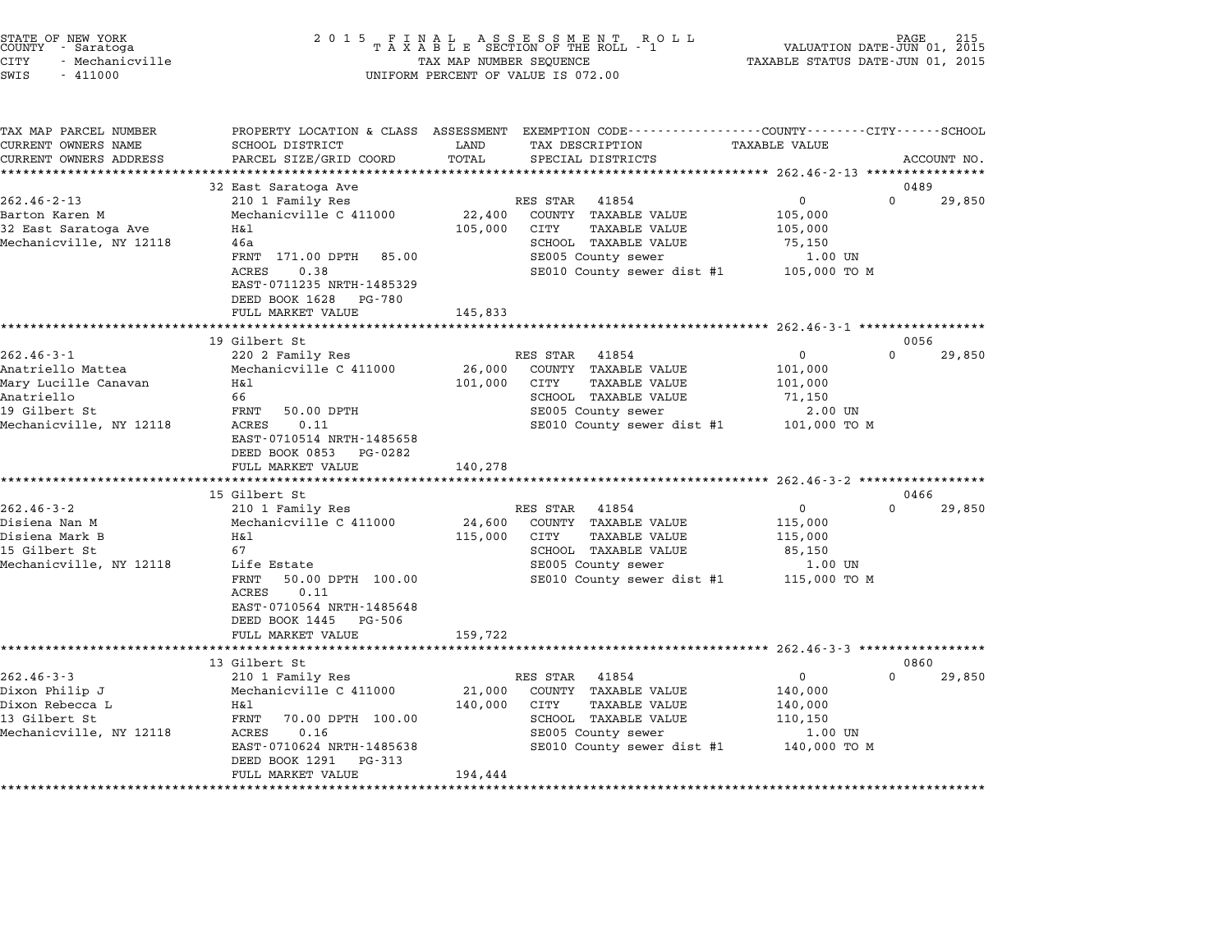| STATE OF NEW YORK<br>COUNTY - Saratoga<br>CITY<br>- Mechanicville<br>SWIS<br>$-411000$                                  | 2 0 1 5                                                                                                                                                                                            | TAX MAP NUMBER SEQUENCE      | FINAL ASSESSMENT RO<br>TAXABLE SECTION OF THE ROLL - 1<br>R O L L<br>UNIFORM PERCENT OF VALUE IS 072.00                                               | TAXABLE STATUS DATE-JUN 01, 2015                              | PAGE<br>VALUATION DATE-JUN 01, 2015 |
|-------------------------------------------------------------------------------------------------------------------------|----------------------------------------------------------------------------------------------------------------------------------------------------------------------------------------------------|------------------------------|-------------------------------------------------------------------------------------------------------------------------------------------------------|---------------------------------------------------------------|-------------------------------------|
| TAX MAP PARCEL NUMBER<br>CURRENT OWNERS NAME<br>CURRENT OWNERS ADDRESS<br>*********************                         | SCHOOL DISTRICT<br>PARCEL SIZE/GRID COORD                                                                                                                                                          | LAND<br>TOTAL                | PROPERTY LOCATION & CLASS ASSESSMENT EXEMPTION CODE---------------COUNTY-------CITY------SCHOOL<br>TAX DESCRIPTION<br>SPECIAL DISTRICTS               | <b>TAXABLE VALUE</b>                                          | ACCOUNT NO.                         |
|                                                                                                                         | 32 East Saratoga Ave                                                                                                                                                                               |                              |                                                                                                                                                       |                                                               | 0489                                |
| $262.46 - 2 - 13$<br>Barton Karen M<br>32 East Saratoga Ave<br>Mechanicville, NY 12118                                  | 210 1 Family Res<br>Mechanicville C 411000<br>Η&l<br>46a<br>FRNT 171.00 DPTH<br>85.00<br><b>ACRES</b><br>0.38<br>EAST-0711235 NRTH-1485329<br>DEED BOOK 1628<br>PG-780                             | 22,400<br>105,000            | RES STAR<br>41854<br>COUNTY TAXABLE VALUE<br>CITY<br><b>TAXABLE VALUE</b><br>SCHOOL TAXABLE VALUE<br>SE005 County sewer<br>SE010 County sewer dist #1 | 0<br>105,000<br>105,000<br>75,150<br>1.00 UN<br>105,000 TO M  | $\Omega$<br>29,850                  |
|                                                                                                                         | FULL MARKET VALUE                                                                                                                                                                                  | 145,833<br>*************     |                                                                                                                                                       | ********************* 262.46-3-1 ****************             |                                     |
|                                                                                                                         | 19 Gilbert St                                                                                                                                                                                      |                              |                                                                                                                                                       |                                                               | 0056                                |
| $262.46 - 3 - 1$<br>Anatriello Mattea<br>Mary Lucille Canavan<br>Anatriello<br>19 Gilbert St<br>Mechanicville, NY 12118 | 220 2 Family Res<br>Mechanicville C 411000<br>Η&l<br>66<br>FRNT<br>50.00 DPTH<br>0.11<br>ACRES<br>EAST-0710514 NRTH-1485658<br>DEED BOOK 0853 PG-0282                                              | 26,000<br>101,000            | 41854<br>RES STAR<br>COUNTY TAXABLE VALUE<br><b>TAXABLE VALUE</b><br>CITY<br>SCHOOL TAXABLE VALUE<br>SE005 County sewer<br>SE010 County sewer dist #1 | 0<br>101,000<br>101,000<br>71,150<br>2.00 UN<br>101,000 TO M  | $\Omega$<br>29,850                  |
|                                                                                                                         | FULL MARKET VALUE                                                                                                                                                                                  | 140,278                      |                                                                                                                                                       |                                                               |                                     |
|                                                                                                                         | 15 Gilbert St                                                                                                                                                                                      |                              |                                                                                                                                                       |                                                               | 0466                                |
| $262.46 - 3 - 2$<br>Disiena Nan M<br>Disiena Mark B<br>15 Gilbert St<br>Mechanicville, NY 12118                         | 210 1 Family Res<br>Mechanicville C 411000<br>Η&l<br>67<br>Life Estate<br>FRNT<br>50.00 DPTH 100.00<br>0.11<br>ACRES<br>EAST-0710564 NRTH-1485648<br>DEED BOOK 1445<br>PG-506<br>FULL MARKET VALUE | 24,600<br>115,000<br>159,722 | RES STAR 41854<br>COUNTY TAXABLE VALUE<br>CITY<br>TAXABLE VALUE<br>SCHOOL TAXABLE VALUE<br>SE005 County sewer<br>SE010 County sewer dist #1           | 0<br>115,000<br>115,000<br>85,150<br>1.00 UN<br>115,000 TO M  | $\Omega$<br>29,850                  |
|                                                                                                                         |                                                                                                                                                                                                    | ****************             |                                                                                                                                                       |                                                               |                                     |
| $262.46 - 3 - 3$<br>Dixon Philip J<br>Dixon Rebecca L<br>13 Gilbert St<br>Mechanicville, NY 12118                       | 13 Gilbert St<br>210 1 Family Res<br>Mechanicville C 411000<br>Η&l<br>FRNT<br>70.00 DPTH 100.00<br>ACRES<br>0.16<br>EAST-0710624 NRTH-1485638<br>DEED BOOK 1291<br>PG-313<br>FULL MARKET VALUE     | 21,000<br>140,000<br>194,444 | RES STAR<br>41854<br>COUNTY TAXABLE VALUE<br>CITY<br><b>TAXABLE VALUE</b><br>SCHOOL TAXABLE VALUE<br>SE005 County sewer<br>SE010 County sewer dist #1 | 0<br>140,000<br>140,000<br>110,150<br>1.00 UN<br>140,000 TO M | 0860<br>$\Omega$<br>29,850          |

STATE OF NEW YORK <sup>2</sup> <sup>0</sup> <sup>1</sup> 5 F I N A L A S S E S S M E N T R O L L PAGE <sup>215</sup> COUNTY - Saratoga <sup>T</sup> <sup>A</sup> <sup>X</sup> <sup>A</sup> <sup>B</sup> <sup>L</sup> <sup>E</sup> SECTION OF THE ROLL - <sup>1</sup> VALUATION DATE-JUN 01, <sup>2015</sup>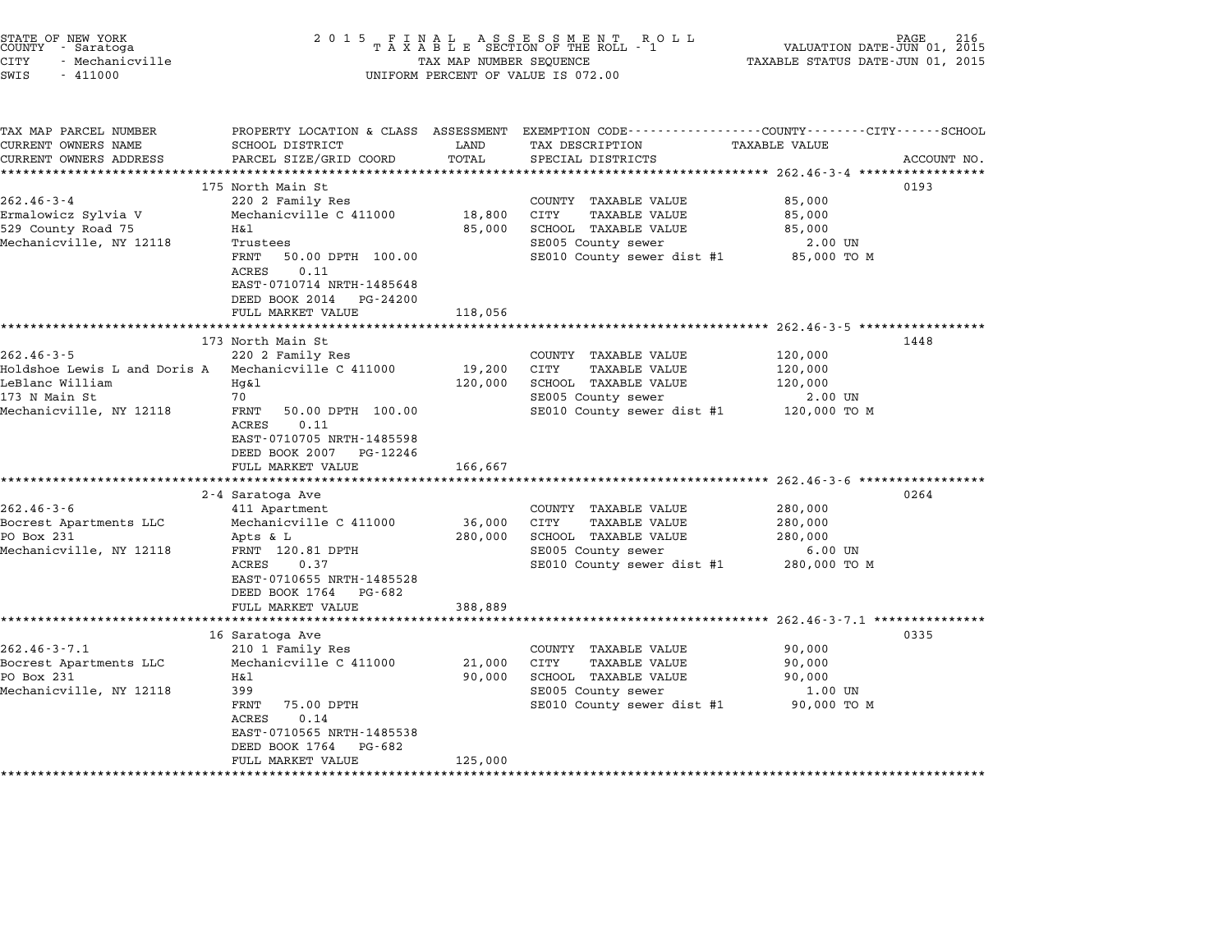| STATE OF NEW YORK<br>COUNTY - Saratoga<br><b>CITY</b><br>- Mechanicville<br>SWIS<br>$-411000$                   | 2 0 1 5                                                                                                                                                                                                                                   | TAX MAP NUMBER SEQUENCE                       | FINAL ASSESSMENT ROTAXABLE SECTION OF THE ROLL - 1<br>R O L L<br>UNIFORM PERCENT OF VALUE IS 072.00                              | VALUATION DATE-JUN 01, 2015<br>TAXABLE STATUS DATE-JUN 01, 2015 | PAGE        |
|-----------------------------------------------------------------------------------------------------------------|-------------------------------------------------------------------------------------------------------------------------------------------------------------------------------------------------------------------------------------------|-----------------------------------------------|----------------------------------------------------------------------------------------------------------------------------------|-----------------------------------------------------------------|-------------|
| TAX MAP PARCEL NUMBER<br>CURRENT OWNERS NAME<br>CURRENT OWNERS ADDRESS<br>**********************                | PROPERTY LOCATION & CLASS ASSESSMENT<br>SCHOOL DISTRICT<br>PARCEL SIZE/GRID COORD                                                                                                                                                         | LAND<br>TOTAL                                 | EXEMPTION CODE-----------------COUNTY-------CITY------SCHOOL<br>TAX DESCRIPTION<br>SPECIAL DISTRICTS                             | TAXABLE VALUE                                                   | ACCOUNT NO. |
| $262.46 - 3 - 4$<br>Ermalowicz Sylvia V<br>529 County Road 75<br>Mechanicville, NY 12118                        | 175 North Main St<br>220 2 Family Res<br>Mechanicville C 411000<br>Η&l<br>Trustees<br>FRNT<br>50.00 DPTH 100.00<br>0.11<br>ACRES<br>EAST-0710714 NRTH-1485648<br>DEED BOOK 2014<br>PG-24200<br>FULL MARKET VALUE                          | 18,800<br>85,000<br>118,056                   | COUNTY TAXABLE VALUE<br>CITY<br><b>TAXABLE VALUE</b><br>SCHOOL TAXABLE VALUE<br>SE005 County sewer<br>SE010 County sewer dist #1 | 85,000<br>85,000<br>85,000<br>2.00 UN<br>85,000 TO M            | 0193        |
| $262.46 - 3 - 5$<br>Holdshoe Lewis L and Doris A<br>LeBlanc William<br>173 N Main St<br>Mechanicville, NY 12118 | **************************<br>173 North Main St<br>220 2 Family Res<br>Mechanicville C 411000<br>Hg&l<br>70<br>FRNT<br>50.00 DPTH 100.00<br>0.11<br>ACRES<br>EAST-0710705 NRTH-1485598<br>DEED BOOK 2007<br>PG-12246<br>FULL MARKET VALUE | 19,200<br>120,000<br>166,667                  | COUNTY TAXABLE VALUE<br>CITY<br><b>TAXABLE VALUE</b><br>SCHOOL TAXABLE VALUE<br>SE005 County sewer<br>SE010 County sewer dist #1 | 120,000<br>120,000<br>120,000<br>2.00 UN<br>120,000 TO M        | 1448        |
| $262.46 - 3 - 6$<br>Bocrest Apartments LLC<br>PO Box 231<br>Mechanicville, NY 12118                             | ***********************<br>2-4 Saratoga Ave<br>411 Apartment<br>Mechanicville C 411000<br>Apts & L<br>FRNT 120.81 DPTH<br>ACRES<br>0.37<br>EAST-0710655 NRTH-1485528<br>DEED BOOK 1764 PG-682<br>FULL MARKET VALUE                        | *************<br>36,000<br>280,000<br>388,889 | COUNTY TAXABLE VALUE<br>CITY<br><b>TAXABLE VALUE</b><br>SCHOOL TAXABLE VALUE<br>SE005 County sewer<br>SE010 County sewer dist #1 | 280,000<br>280,000<br>280,000<br>$6.00$ UN<br>280,000 TO M      | 0264        |
| $262.46 - 3 - 7.1$<br>Bocrest Apartments LLC<br>PO Box 231<br>Mechanicville, NY 12118                           | 16 Saratoga Ave<br>210 1 Family Res<br>Mechanicville C 411000<br>Η&l<br>399<br>FRNT<br>75.00 DPTH<br>ACRES<br>0.14<br>EAST-0710565 NRTH-1485538<br>DEED BOOK 1764<br>PG-682<br>FULL MARKET VALUE                                          | 21,000<br>90,000<br>125,000                   | COUNTY TAXABLE VALUE<br>CITY<br><b>TAXABLE VALUE</b><br>SCHOOL TAXABLE VALUE<br>SE005 County sewer<br>SE010 County sewer dist #1 | 90,000<br>90,000<br>90,000<br>1.00 UN<br>90,000 TO M            | 0335        |

STATE OF NEW YORK <sup>2</sup> <sup>0</sup> <sup>1</sup> 5 F I N A L A S S E S S M E N T R O L L PAGE <sup>216</sup> COUNTY - Saratoga <sup>T</sup> <sup>A</sup> <sup>X</sup> <sup>A</sup> <sup>B</sup> <sup>L</sup> <sup>E</sup> SECTION OF THE ROLL - <sup>1</sup> VALUATION DATE-JUN 01, <sup>2015</sup>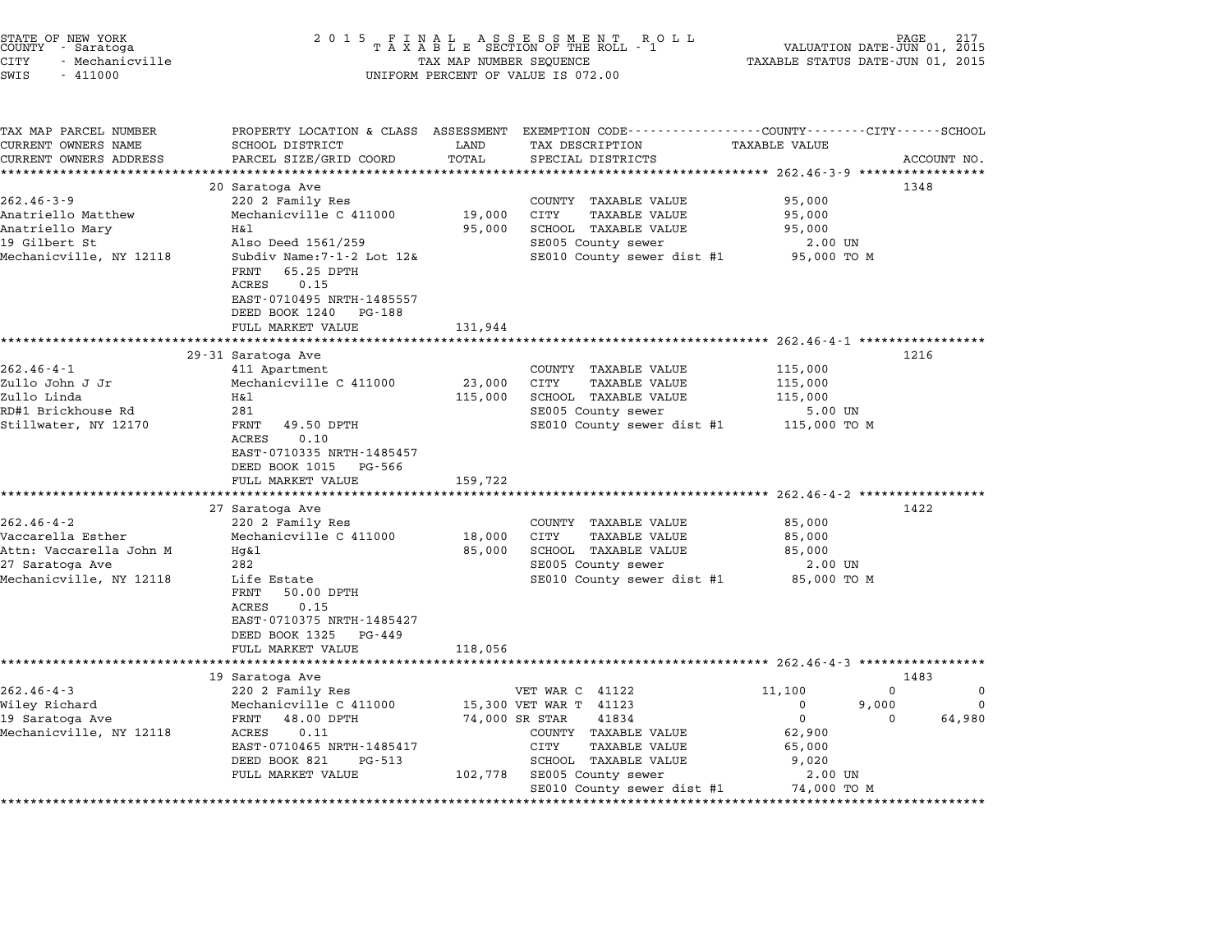| STATE OF NEW YORK<br>COUNTY – Saratoga<br>CITY<br>- Mechanicville<br>SWIS<br>$-411000$ | 2 0 1 5                                                                                                     | TAX MAP NUMBER SEQUENCE | FINAL ASSESSMENT RO<br>TAXABLE SECTION OF THE ROLL - 1<br>R O L L<br>UNIFORM PERCENT OF VALUE IS 072.00             | TAXABLE STATUS DATE-JUN 01, 2015         | PAGE 217<br>VALUATION DATE-JUN 01, 2015 |  |
|----------------------------------------------------------------------------------------|-------------------------------------------------------------------------------------------------------------|-------------------------|---------------------------------------------------------------------------------------------------------------------|------------------------------------------|-----------------------------------------|--|
| TAX MAP PARCEL NUMBER<br>CURRENT OWNERS NAME                                           | SCHOOL DISTRICT                                                                                             | LAND                    | PROPERTY LOCATION & CLASS ASSESSMENT EXEMPTION CODE----------------COUNTY-------CITY------SCHOOL<br>TAX DESCRIPTION | <b>TAXABLE VALUE</b>                     |                                         |  |
| CURRENT OWNERS ADDRESS<br>**********************                                       | PARCEL SIZE/GRID COORD                                                                                      | TOTAL                   | SPECIAL DISTRICTS                                                                                                   |                                          | ACCOUNT NO.                             |  |
|                                                                                        | 20 Saratoga Ave                                                                                             |                         |                                                                                                                     |                                          | 1348                                    |  |
| $262.46 - 3 - 9$                                                                       | 220 2 Family Res                                                                                            |                         | COUNTY TAXABLE VALUE                                                                                                | 95,000                                   |                                         |  |
| Anatriello Matthew                                                                     | Mechanicville C 411000                                                                                      | 19,000                  | CITY<br><b>TAXABLE VALUE</b>                                                                                        | 95,000                                   |                                         |  |
| Anatriello Mary                                                                        | H&l                                                                                                         | 95,000                  | SCHOOL TAXABLE VALUE                                                                                                | 95,000                                   |                                         |  |
| 19 Gilbert St                                                                          | Also Deed 1561/259                                                                                          |                         | SE005 County sewer                                                                                                  | 2.00 UN                                  |                                         |  |
| Mechanicville, NY 12118                                                                | Subdiv Name: 7-1-2 Lot 12&<br>65.25 DPTH<br>FRNT<br>0.15<br>ACRES                                           |                         | SE010 County sewer dist #1                                                                                          | 95,000 TO M                              |                                         |  |
|                                                                                        | EAST-0710495 NRTH-1485557<br>DEED BOOK 1240<br>PG-188                                                       |                         |                                                                                                                     |                                          |                                         |  |
|                                                                                        | FULL MARKET VALUE                                                                                           | 131,944                 |                                                                                                                     |                                          |                                         |  |
|                                                                                        | **********************                                                                                      |                         | ****************************** 262.46-4-1 *****************                                                         |                                          |                                         |  |
|                                                                                        | 29-31 Saratoga Ave                                                                                          |                         |                                                                                                                     |                                          | 1216                                    |  |
| $262.46 - 4 - 1$                                                                       | 411 Apartment                                                                                               |                         | COUNTY TAXABLE VALUE                                                                                                | 115,000                                  |                                         |  |
| Zullo John J Jr                                                                        | Mechanicville C 411000                                                                                      | 23,000                  | CITY<br><b>TAXABLE VALUE</b>                                                                                        | 115,000                                  |                                         |  |
| Zullo Linda                                                                            | H&l                                                                                                         | 115,000                 | SCHOOL TAXABLE VALUE                                                                                                | 115,000                                  |                                         |  |
| RD#1 Brickhouse Rd                                                                     | 281                                                                                                         |                         | SE005 County sewer                                                                                                  | 5.00 UN                                  |                                         |  |
| Stillwater, NY 12170                                                                   | FRNT<br>49.50 DPTH<br>ACRES<br>0.10<br>EAST-0710335 NRTH-1485457<br>DEED BOOK 1015<br>PG-566                |                         | SE010 County sewer dist #1                                                                                          | 115,000 TO M                             |                                         |  |
|                                                                                        | FULL MARKET VALUE                                                                                           | 159,722                 |                                                                                                                     |                                          |                                         |  |
|                                                                                        |                                                                                                             |                         |                                                                                                                     | *********** 262.46-4-2 ***************** |                                         |  |
|                                                                                        | 27 Saratoga Ave                                                                                             |                         |                                                                                                                     |                                          | 1422                                    |  |
| 262.46-4-2                                                                             | 220 2 Family Res                                                                                            |                         | COUNTY TAXABLE VALUE                                                                                                | 85,000                                   |                                         |  |
| Vaccarella Esther                                                                      | Mechanicville C 411000                                                                                      | 18,000                  | CITY<br>TAXABLE VALUE                                                                                               | 85,000                                   |                                         |  |
| Attn: Vaccarella John M                                                                | Hg&1                                                                                                        | 85,000                  | SCHOOL TAXABLE VALUE                                                                                                | 85,000                                   |                                         |  |
| 27 Saratoga Ave                                                                        | 282                                                                                                         |                         | SE005 County sewer                                                                                                  | 2.00 UN                                  |                                         |  |
| Mechanicville, NY 12118                                                                | Life Estate<br>FRNT<br>50.00 DPTH<br>0.15<br>ACRES<br>EAST-0710375 NRTH-1485427<br>DEED BOOK 1325<br>PG-449 |                         | SE010 County sewer dist #1                                                                                          | 85,000 TO M                              |                                         |  |
|                                                                                        | FULL MARKET VALUE                                                                                           | 118,056                 |                                                                                                                     |                                          |                                         |  |
|                                                                                        |                                                                                                             |                         |                                                                                                                     |                                          |                                         |  |
|                                                                                        | 19 Saratoga Ave                                                                                             |                         |                                                                                                                     |                                          | 1483                                    |  |
| $262.46 - 4 - 3$                                                                       | 220 2 Family Res                                                                                            |                         | VET WAR C 41122                                                                                                     | 11,100                                   | $\mathbf 0$<br>0                        |  |
| Wiley Richard                                                                          | Mechanicville C 411000                                                                                      |                         | 15,300 VET WAR T 41123                                                                                              | 0<br>$\mathbf 0$                         | $\mathbf 0$<br>9,000<br>$\Omega$        |  |
| 19 Saratoga Ave<br>Mechanicville, NY 12118                                             | 48.00 DPTH<br>FRNT<br>0.11<br>ACRES                                                                         | 74,000 SR STAR          | 41834<br>COUNTY TAXABLE VALUE                                                                                       | 62,900                                   | 64,980                                  |  |
|                                                                                        | EAST-0710465 NRTH-1485417                                                                                   |                         | <b>CITY</b><br><b>TAXABLE VALUE</b>                                                                                 | 65,000                                   |                                         |  |
|                                                                                        | DEED BOOK 821<br>PG-513                                                                                     |                         | SCHOOL TAXABLE VALUE                                                                                                | 9,020                                    |                                         |  |
|                                                                                        | FULL MARKET VALUE                                                                                           | 102,778                 | SE005 County sewer<br>SE010 County sewer dist #1                                                                    | 2.00 UN<br>74,000 TO M                   |                                         |  |

\*\*\*\*\*\*\*\*\*\*\*\*\*\*\*\*\*\*\*\*\*\*\*\*\*\*\*\*\*\*\*\*\*\*\*\*\*\*\*\*\*\*\*\*\*\*\*\*\*\*\*\*\*\*\*\*\*\*\*\*\*\*\*\*\*\*\*\*\*\*\*\*\*\*\*\*\*\*\*\*\*\*\*\*\*\*\*\*\*\*\*\*\*\*\*\*\*\*\*\*\*\*\*\*\*\*\*\*\*\*\*\*\*\*\*\*\*\*\*\*\*\*\*\*\*\*\*\*\*\*\*\*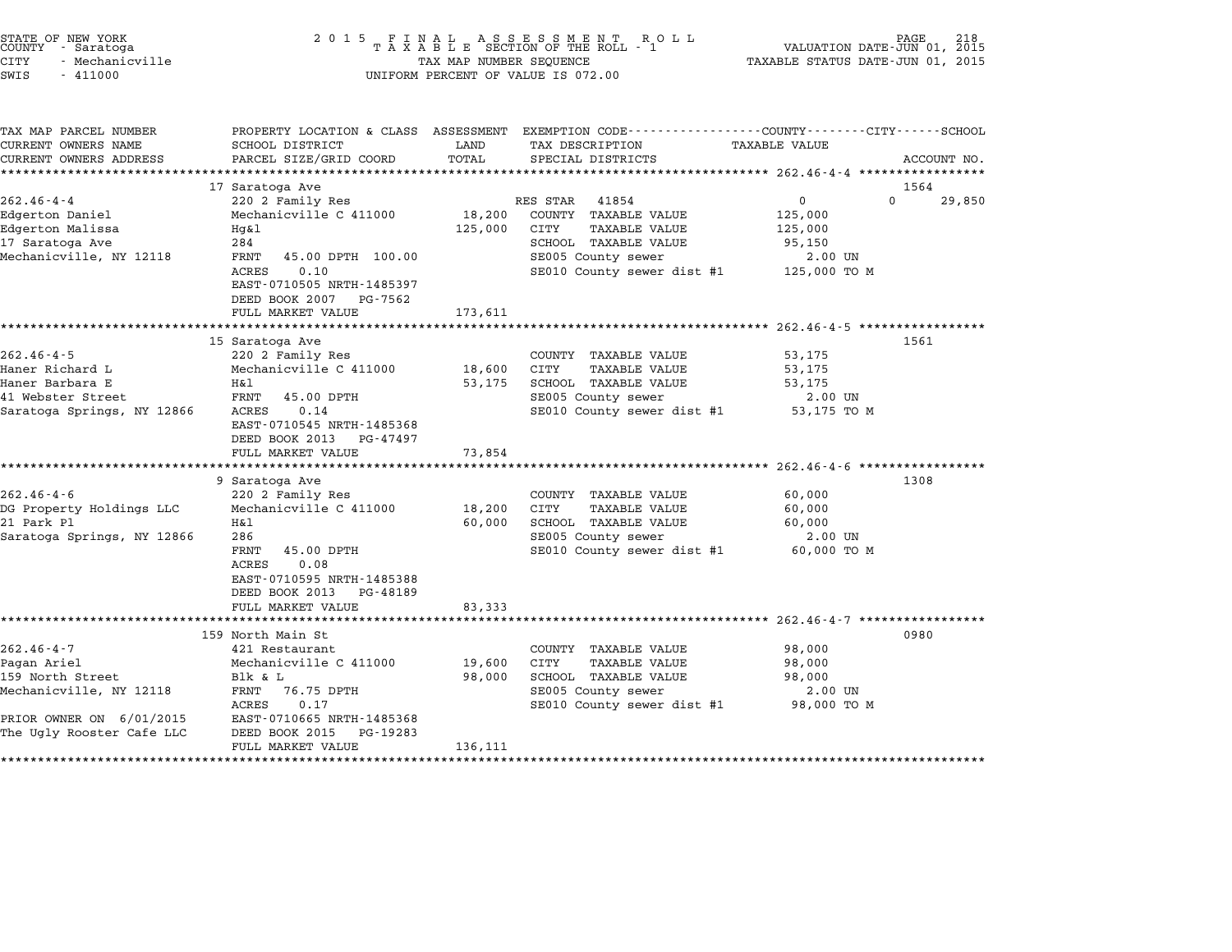| STATE OF NEW YORK<br>COUNTY - Saratoga | 2015 FINAL ASSESSMENT ROLL<br>TAXABLE SECTION OF THE ROLL - 1 | 218<br>PAGE<br>VALUATION DATE-JUN 01, 2015 |
|----------------------------------------|---------------------------------------------------------------|--------------------------------------------|
| CITY<br>- Mechanicville                | TAX MAP NUMBER SEOUENCE                                       | TAXABLE STATUS DATE-JUN 01, 2015           |
| SWIS<br>- 411000                       | UNIFORM PERCENT OF VALUE IS 072.00                            |                                            |

| TAX MAP PARCEL NUMBER      | PROPERTY LOCATION & CLASS ASSESSMENT |         | EXEMPTION CODE-----------------COUNTY-------CITY------SCHOOL |                |                    |
|----------------------------|--------------------------------------|---------|--------------------------------------------------------------|----------------|--------------------|
| CURRENT OWNERS NAME        | SCHOOL DISTRICT                      | LAND    | TAX DESCRIPTION                                              | TAXABLE VALUE  |                    |
| CURRENT OWNERS ADDRESS     | PARCEL SIZE/GRID COORD               | TOTAL   | SPECIAL DISTRICTS                                            |                | ACCOUNT NO.        |
|                            |                                      |         |                                                              |                |                    |
|                            | 17 Saratoga Ave                      |         |                                                              |                | 1564               |
| $262.46 - 4 - 4$           | 220 2 Family Res                     |         | RES STAR<br>41854                                            | $\overline{0}$ | $\Omega$<br>29,850 |
| Edgerton Daniel            | Mechanicville C 411000               | 18,200  | COUNTY TAXABLE VALUE                                         | 125,000        |                    |
| Edgerton Malissa           | Hg&l                                 | 125,000 | CITY<br><b>TAXABLE VALUE</b>                                 | 125,000        |                    |
| 17 Saratoga Ave            | 284                                  |         | SCHOOL TAXABLE VALUE                                         | 95,150         |                    |
| Mechanicville, NY 12118    | FRNT<br>45.00 DPTH 100.00            |         | SE005 County sewer                                           | 2.00 UN        |                    |
|                            | 0.10<br>ACRES                        |         | SE010 County sewer dist #1 125,000 TO M                      |                |                    |
|                            | EAST-0710505 NRTH-1485397            |         |                                                              |                |                    |
|                            | DEED BOOK 2007<br>PG-7562            |         |                                                              |                |                    |
|                            | FULL MARKET VALUE                    | 173,611 |                                                              |                |                    |
|                            |                                      |         |                                                              |                |                    |
|                            | 15 Saratoga Ave                      |         |                                                              |                | 1561               |
| $262.46 - 4 - 5$           | 220 2 Family Res                     |         | COUNTY TAXABLE VALUE                                         | 53,175         |                    |
| Haner Richard L            | Mechanicville C 411000               | 18,600  | CITY<br><b>TAXABLE VALUE</b>                                 | 53,175         |                    |
| Haner Barbara E            | H&l                                  | 53,175  | SCHOOL TAXABLE VALUE                                         | 53,175         |                    |
| 41 Webster Street          | FRNT<br>45.00 DPTH                   |         | SE005 County sewer                                           | 2.00 UN        |                    |
| Saratoga Springs, NY 12866 | 0.14<br>ACRES                        |         | SE010 County sewer dist #1                                   | 53,175 TO M    |                    |
|                            | EAST-0710545 NRTH-1485368            |         |                                                              |                |                    |
|                            | DEED BOOK 2013<br>PG-47497           |         |                                                              |                |                    |
|                            | FULL MARKET VALUE                    | 73,854  |                                                              |                |                    |
|                            |                                      |         |                                                              |                |                    |
|                            | 9 Saratoga Ave                       |         |                                                              |                | 1308               |
| $262.46 - 4 - 6$           | 220 2 Family Res                     |         | COUNTY TAXABLE VALUE                                         | 60,000         |                    |
| DG Property Holdings LLC   | Mechanicville C 411000               | 18,200  | CITY<br><b>TAXABLE VALUE</b>                                 | 60,000         |                    |
| 21 Park Pl                 | Η&l                                  | 60,000  | SCHOOL TAXABLE VALUE                                         | 60,000         |                    |
| Saratoga Springs, NY 12866 | 286                                  |         | SE005 County sewer                                           | 2.00 UN        |                    |
|                            | 45.00 DPTH<br>FRNT                   |         | SE010 County sewer dist #1                                   | 60,000 TO M    |                    |
|                            | 0.08<br>ACRES                        |         |                                                              |                |                    |
|                            | EAST-0710595 NRTH-1485388            |         |                                                              |                |                    |
|                            | DEED BOOK 2013<br>PG-48189           |         |                                                              |                |                    |
|                            | FULL MARKET VALUE                    | 83,333  |                                                              |                |                    |
|                            |                                      |         |                                                              |                |                    |
|                            | 159 North Main St                    |         |                                                              |                | 0980               |
| $262.46 - 4 - 7$           | 421 Restaurant                       |         | COUNTY TAXABLE VALUE                                         | 98,000         |                    |
| Pagan Ariel                | Mechanicville C 411000               | 19,600  | <b>CITY</b><br><b>TAXABLE VALUE</b>                          | 98,000         |                    |
| 159 North Street           | Blk & L                              | 98,000  | SCHOOL TAXABLE VALUE                                         | 98,000         |                    |
| Mechanicville, NY 12118    | 76.75 DPTH<br>FRNT                   |         | SE005 County sewer                                           | 2.00 UN        |                    |
|                            | ACRES<br>0.17                        |         | SE010 County sewer dist #1                                   | 98,000 TO M    |                    |
| PRIOR OWNER ON 6/01/2015   | EAST-0710665 NRTH-1485368            |         |                                                              |                |                    |
| The Ugly Rooster Cafe LLC  | DEED BOOK 2015<br>PG-19283           |         |                                                              |                |                    |
|                            | FULL MARKET VALUE                    | 136,111 |                                                              |                |                    |
|                            |                                      |         |                                                              |                |                    |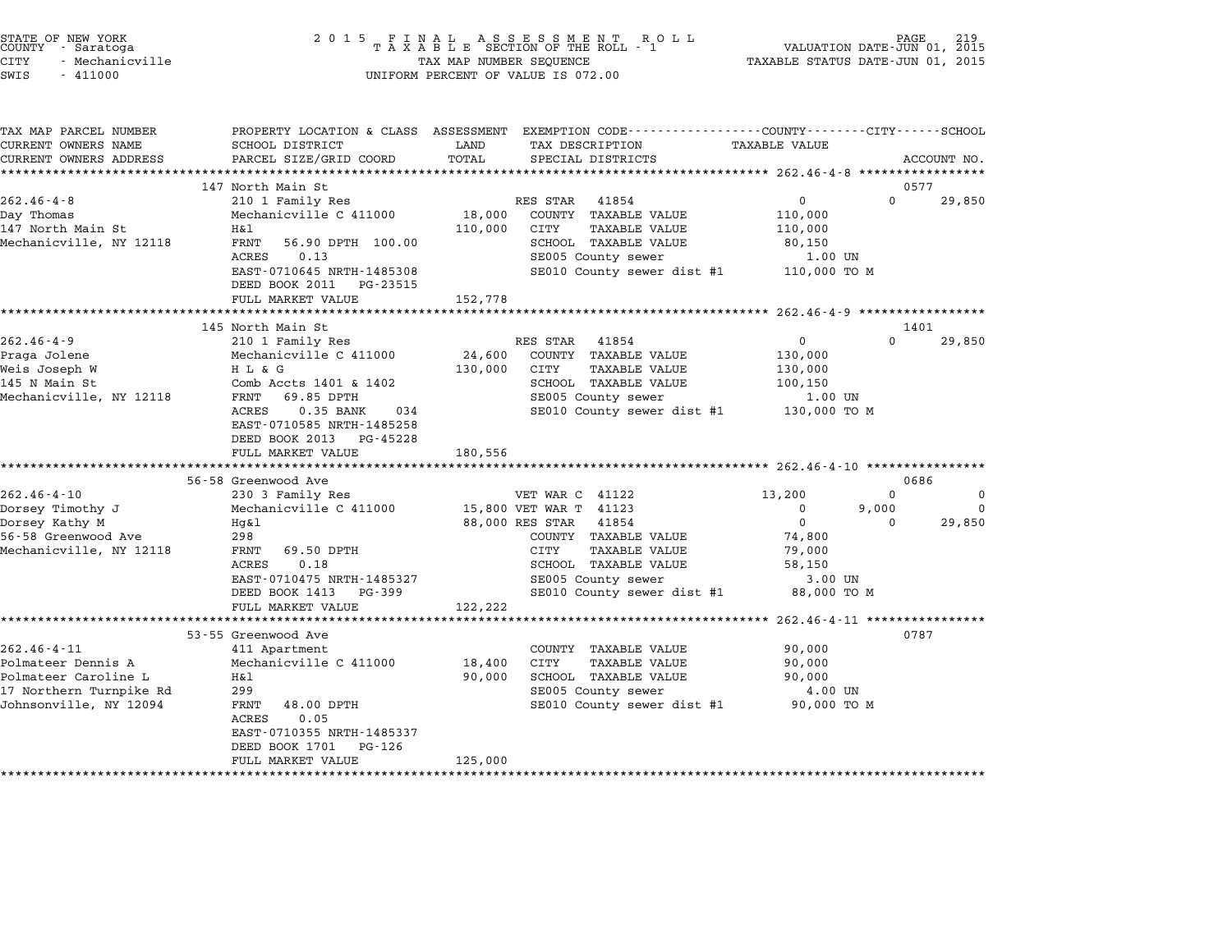| STATE OF NEW YORK<br>COUNTY - Saratoga<br><b>CITY</b><br>- Mechanicville<br>SWIS<br>$-411000$                        | 2 0 1 5                                                                                                                                                                                                                                                          | TAX MAP NUMBER SEQUENCE                  | FINAL ASSESSMENT RC<br>TAXABLE SECTION OF THE ROLL - 1<br>R O L L<br>UNIFORM PERCENT OF VALUE IS 072.00                                                                                                   | TAXABLE STATUS DATE-JUN 01, 2015                                                                                   | PAGE<br>VALUATION DATE-JUN 01, 2015                             |
|----------------------------------------------------------------------------------------------------------------------|------------------------------------------------------------------------------------------------------------------------------------------------------------------------------------------------------------------------------------------------------------------|------------------------------------------|-----------------------------------------------------------------------------------------------------------------------------------------------------------------------------------------------------------|--------------------------------------------------------------------------------------------------------------------|-----------------------------------------------------------------|
| TAX MAP PARCEL NUMBER<br>CURRENT OWNERS NAME<br>CURRENT OWNERS ADDRESS                                               | PROPERTY LOCATION & CLASS ASSESSMENT<br>SCHOOL DISTRICT<br>PARCEL SIZE/GRID COORD                                                                                                                                                                                | LAND<br>TOTAL                            | EXEMPTION CODE-----------------COUNTY-------CITY------SCHOOL<br>TAX DESCRIPTION<br>SPECIAL DISTRICTS                                                                                                      | <b>TAXABLE VALUE</b>                                                                                               | ACCOUNT NO.                                                     |
| $262.46 - 4 - 8$<br>Day Thomas<br>147 North Main St<br>Mechanicville, NY 12118                                       | 147 North Main St<br>210 1 Family Res<br>Mechanicville C 411000<br>Η&l<br>FRNT<br>56.90 DPTH 100.00<br>ACRES<br>0.13<br>EAST-0710645 NRTH-1485308<br>DEED BOOK 2011<br>PG-23515<br>FULL MARKET VALUE                                                             | 18,000<br>110,000<br>152,778             | RES STAR<br>41854<br>COUNTY TAXABLE VALUE<br>CITY<br><b>TAXABLE VALUE</b><br>SCHOOL TAXABLE VALUE<br>SE005 County sewer<br>SE010 County sewer dist #1                                                     | $\mathbf 0$<br>110,000<br>110,000<br>80,150<br>1.00 UN<br>110,000 TO M                                             | 0577<br>$\Omega$<br>29,850                                      |
| $262.46 - 4 - 9$<br>Praga Jolene<br>Weis Joseph W<br>145 N Main St<br>Mechanicville, NY 12118                        | *********************<br>145 North Main St<br>210 1 Family Res<br>Mechanicville C 411000<br>H L & G<br>Comb Accts 1401 & 1402<br>69.85 DPTH<br>FRNT<br>ACRES<br>0.35 BANK<br>034<br>EAST-0710585 NRTH-1485258<br>DEED BOOK 2013<br>PG-45228<br>FULL MARKET VALUE | 24,600<br>130,000<br>180,556             | RES STAR<br>41854<br>COUNTY TAXABLE VALUE<br><b>TAXABLE VALUE</b><br>CITY<br>SCHOOL TAXABLE VALUE<br>SE005 County sewer<br>SE010 County sewer dist #1                                                     | ******************* 262.46-4-9 ******************<br>0<br>130,000<br>130,000<br>100,150<br>1.00 UN<br>130,000 TO M | 1401<br>$\Omega$<br>29,850                                      |
| $262.46 - 4 - 10$<br>Dorsey Timothy J<br>Dorsey Kathy M<br>56-58 Greenwood Ave<br>Mechanicville, NY 12118            | 56-58 Greenwood Ave<br>230 3 Family Res<br>Mechanicville C 411000<br>Hq&l<br>298<br>FRNT<br>69.50 DPTH<br>ACRES<br>0.18<br>EAST-0710475 NRTH-1485327<br>DEED BOOK 1413<br>PG-399<br>FULL MARKET VALUE                                                            | 122,222                                  | VET WAR C 41122<br>15,800 VET WAR T 41123<br>88,000 RES STAR<br>41854<br>COUNTY TAXABLE VALUE<br>CITY<br><b>TAXABLE VALUE</b><br>SCHOOL TAXABLE VALUE<br>SE005 County sewer<br>SE010 County sewer dist #1 | 13,200<br>$\mathbf 0$<br>$\mathbf 0$<br>74,800<br>79,000<br>58,150<br>3.00 UN<br>88,000 TO M                       | 0686<br>$\mathbf 0$<br>0<br>9,000<br>$\mathbf 0$<br>29,850<br>0 |
| $262.46 - 4 - 11$<br>Polmateer Dennis A<br>Polmateer Caroline L<br>17 Northern Turnpike Rd<br>Johnsonville, NY 12094 | *********************<br>53-55 Greenwood Ave<br>411 Apartment<br>Mechanicville C 411000<br>Η&l<br>299<br>FRNT<br>48.00 DPTH<br>0.05<br><b>ACRES</b><br>EAST-0710355 NRTH-1485337<br>DEED BOOK 1701<br>PG-126<br>FULL MARKET VALUE                                | 18,400<br>90,000<br>125,000<br>********* | *****************<br>COUNTY TAXABLE VALUE<br><b>CITY</b><br>TAXABLE VALUE<br>SCHOOL TAXABLE VALUE<br>SE005 County sewer<br>SE010 County sewer dist #1                                                     | 90,000<br>90,000<br>90,000<br>4.00 UN<br>90,000 TO M                                                               | 262.46-4-11 *****************<br>0787                           |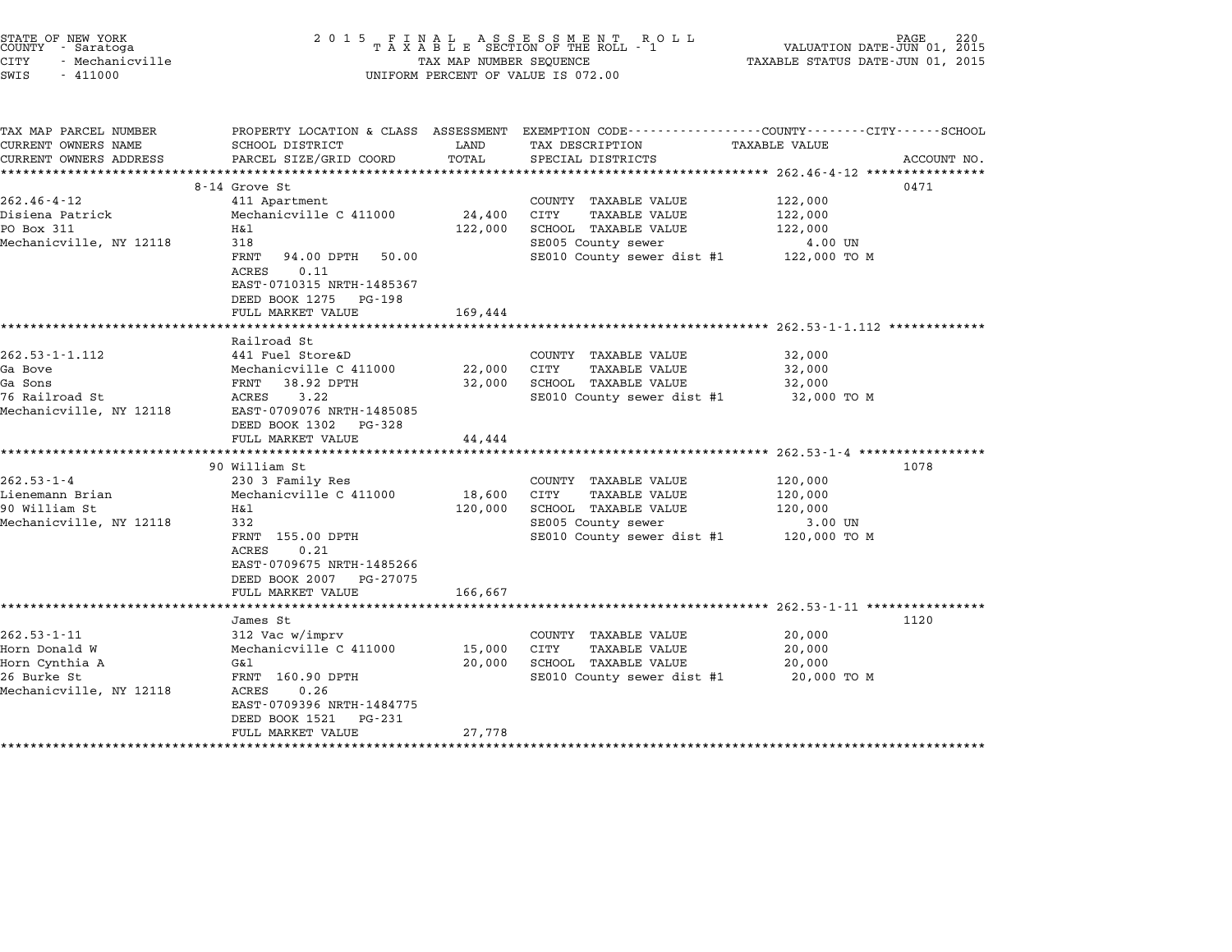|        | STATE OF NEW YORK |
|--------|-------------------|
| COUNTY | - Saratoga        |
| CITY   | - Mechanicville   |

# STATE OF NEW YORK <sup>2</sup> <sup>0</sup> <sup>1</sup> 5 F I N A L A S S E S S M E N T R O L L PAGE <sup>220</sup> COUNTY - Saratoga <sup>T</sup> <sup>A</sup> <sup>X</sup> <sup>A</sup> <sup>B</sup> <sup>L</sup> <sup>E</sup> SECTION OF THE ROLL - <sup>1</sup> VALUATION DATE-JUN 01, <sup>2015</sup> STATE OF NEW YORK (RACE STATE OF NEW YORK DAGE 2008)<br>COUNTY - Saratoga (ASSECTION OF THE ROLL - 1 (SECTION OF THE ROLL - 1 (SOUNTY - 1 )<br>CITY - Mechanicville (ASSECTION OF TAXABLE STATUS DATE-JUN 01, 2015 CUNIT - SALACUYA<br>CITY - Mechanicville<br>SWIS - 411000 UNIFORM PERCENT OF VALUE IS 072.00

TAX MAP PARCEL NUMBER PROPERTY LOCATION & CLASS ASSESSMENT EXEMPTION CODE------------------COUNTY--------CITY------SCHOOL ...<br>-- COUNTY:- TAX MAP PARCEL NUMBER THE OCHOTRY AND THE CURRENT EXEMPTION CODE<br>CURRENT OWNERS NAME SCHOOL DISTRICT LAND TAX DESCRIPTION TAXABLE VALUE CURRENT OWNERS ADDRESS FOR SCHOOL DISTRICTS ASSESSEENT EXERPTION TRACK THE TRACK THE COORD TOTAL TRACK THE TRACK THE TRACK ON TRACK THE TRACK THE TRACK THE TRACK THE TRACK THE TRACK THE TRACK THE TRACK THE TRACK THE TRACK 8-14 Grove St 0471 262.46-4-12 8-14 Grove St<br>
262.46-4-12 411 Apartment COUNTY TAXABLE VALUE 122,000 0-14 UNIVERSIAL MARK ON SURFALUE SOLA AND A COUNTY TAXABLE VALUE 122,000<br>All Apartment to the country Taxable Value 122,000<br>Disiena Patrick Mechanicville C 411000 24,400 CITY TAXABLE VALUE 122,000 202.40 4 12 12.000<br>Disiena Patrick Mechanicville C 411000 24,400 CUTY TAXABLE VALUE 122,000<br>PO Box 311 122,000 122,000 SCHOOL TAXABLE VALUE 122,000 DISIEMA FACTICK MECHANICVILLE C 411000 24,400 CIII IAAABLE VALUE 122,000<br>PO Box 311 H&1 122,000 SCHOOL TAXABLE VALUE 122,000<br>Mechanicville, NY 12118 318 318 SE005 County sewer 4.00 UN IAR THE TRANSE VALUE AND TRANSE VALUE TRANSE VALUE 1999.<br>318 SE005 County sewer dist #1 122,000 TO M SE010 County sewer dist #1 122,000 TO M <sub>510</sub><br>FRNT 94.00<br>ACRES 0.11 EAST-0710315 NRTH-1485367 EAST-0710315 NRTH-14853<br>DEED BOOK 1275 PG-198 DEED BOOK 1275 PG-198<br>FULL MARKET VALUE 169,444 \*\*\*\*\*\*\*\*\*\*\*\*\*\*\*\*\*\*\*\*\*\*\*\*\*\*\*\*\*\*\*\*\*\*\*\*\*\*\*\*\*\*\*\*\*\*\*\*\*\*\*\*\*\*\*\*\*\*\*\*\*\*\*\*\*\*\*\*\*\*\*\*\*\*\*\*\*\*\*\*\*\*\*\*\*\*\*\*\*\*\*\*\*\*\*\*\*\*\*\*\*\*\* 262.53-1-1.112 \*\*\*\*\*\*\*\*\*\*\*\*\* romm Phakari<br>\*\*\*\*\*\*\*\*\*\*\*<br>Railroad St 262.53-1-1.112 and 262.53-1-1.112 and 262.53-1-1.112 and 262.53-1-1.112 and 262.53-1-1.112 and 5 country taxable value 32,000 Ga Bove Mechanicville C <sup>411000</sup> 22,000 CITY TAXABLE VALUE 32,000 Ga Sons FRNT 38.92 DPTH 32,000 SCHOOL TAXABLE VALUE 32,000 9 ABOVE ACCHANTIVITIE C 411000 22,000 CIT ANABLE VADOL TRANSIC SURFOR SENDER MANUS AND SURFORM SENDER SENDER M<br>1989 SCHOOL TRANSIC SENDER SENDER SENDER SENDER SENDER SENDER SALUE SANCHE SANCHE SANCHE SANCHE SANCHE SANCHE<br> Mechanicville, NY <sup>12118</sup> EAST-0709076 NRTH-1485085 EAST-0709076 NRTH-14850<br>DEED BOOK 1302 PG-328 DEED BOOK 1302 PG-328<br>FULL MARKET VALUE 44,444 \*\*\*\*\*\*\*\*\*\*\*\*\*\*\*\*\*\*\*\*\*\*\*\*\*\*\*\*\*\*\*\*\*\*\*\*\*\*\*\*\*\*\*\*\*\*\*\*\*\*\*\*\*\*\*\*\*\*\*\*\*\*\*\*\*\*\*\*\*\*\*\*\*\*\*\*\*\*\*\*\*\*\*\*\*\*\*\*\*\*\*\*\*\*\*\*\*\*\*\*\*\*\* 262.53-1-4 \*\*\*\*\*\*\*\*\*\*\*\*\*\*\*\*\* 90 William St 1078 262.53-1-4 90 William St<br>262.53-1-4 230 3 Family Res COUNTY TAXABLE VALUE 120,000 90 WILLIAM SU SUMING SUMPARE MANAGERIA SUMPRESS 262.53-1-4 (2010)<br>2009 230 3 Machanicville C 411000 18,600 CITY TAXABLE VALUE 120,000<br>200,000 18,600 CITY TAXABLE VALUE 902.33 1 سبب المسلم المسلم المسلم المسلم المسلم المسلم المسلم المسلم المسلم المسلم المسلم المسلم المسلم المسلم<br>190,000 SCHOOL TAXABLE VALUE 120,000<br>190,000 SCHOOL TAXABLE VALUE 120,000 Mechanicville, NY <sup>12118</sup> <sup>332</sup> SE005 County sewer 3.00 UN ART 155.00 DEENS 120,000 DEENS IN ARABLE VADOL 120,000 IN 120,000<br>
SECOL SECOL SENT SERVER SERVER SERVED 13.000 TO M<br>SECOLO County sewer dist #1 120,000 TO M FRNT 155.00 DPTH<br>ACRES 0.21 EAST-0709675 NRTH-1485266 DEED BOOK <sup>2007</sup> PG-27075 FULL MARKET VALUE 166,667 \*\*\*\*\*\*\*\*\*\*\*\*\*\*\*\*\*\*\*\*\*\*\*\*\*\*\*\*\*\*\*\*\*\*\*\*\*\*\*\*\*\*\*\*\*\*\*\*\*\*\*\*\*\*\*\*\*\*\*\*\*\*\*\*\*\*\*\*\*\*\*\*\*\*\*\*\*\*\*\*\*\*\*\*\*\*\*\*\*\*\*\*\*\*\*\*\*\*\*\*\*\*\* 262.53-1-11 \*\*\*\*\*\*\*\*\*\*\*\*\*\*\*\* James St <sup>1120</sup> 262.53-1-11 312 Vac w/imprv COUNTY TAXABLE VALUE 202.53-1<br>262.53-1-11 312 Vac w/imprv COUNTY TAXABLE VALUE 20,000 ommes occurs of the community of the community of the community of the community of the community of the community of the community of the community of the community of the community of the community of the community of th Horn Cynthia A G&l 20,000 SCHOOL TAXABLE VALUE 20,000 20,000 DESCRIPTION MENTEUR STRAIN MANAGEMENT AND MANUE VALUE OF THANDER VALUE AND MANUE VALUE SUPPORT ON MANUE<br>20,000 SCHOOL TRAIN MANUE VALUE VALUE VALUE VALUE VALUE VALUE VALUE VALUE VALUE VALUE VALUE VALUE VALUE VALUE<br>2 Horn Cynchia Andreas Mort<br>26 Burke St Mar – FRNT 160.90<br>Mechanicville, NY 12118 – ACRES – 0.26 FANI 100.50 DFIH<br>ACRES 0.26<br>EAST-0709396 NRTH-1484775 EAST-0709396 NRTH-14847<br>DEED BOOK 1521 PG-231 EAST-0709396 NRTH-1484775<br>DEED BOOK 1521 PG-231<br>FULL MARKET VALUE 27,778 \*\*\*\*\*\*\*\*\*\*\*\*\*\*\*\*\*\*\*\*\*\*\*\*\*\*\*\*\*\*\*\*\*\*\*\*\*\*\*\*\*\*\*\*\*\*\*\*\*\*\*\*\*\*\*\*\*\*\*\*\*\*\*\*\*\*\*\*\*\*\*\*\*\*\*\*\*\*\*\*\*\*\*\*\*\*\*\*\*\*\*\*\*\*\*\*\*\*\*\*\*\*\*\*\*\*\*\*\*\*\*\*\*\*\*\*\*\*\*\*\*\*\*\*\*\*\*\*\*\*\*\*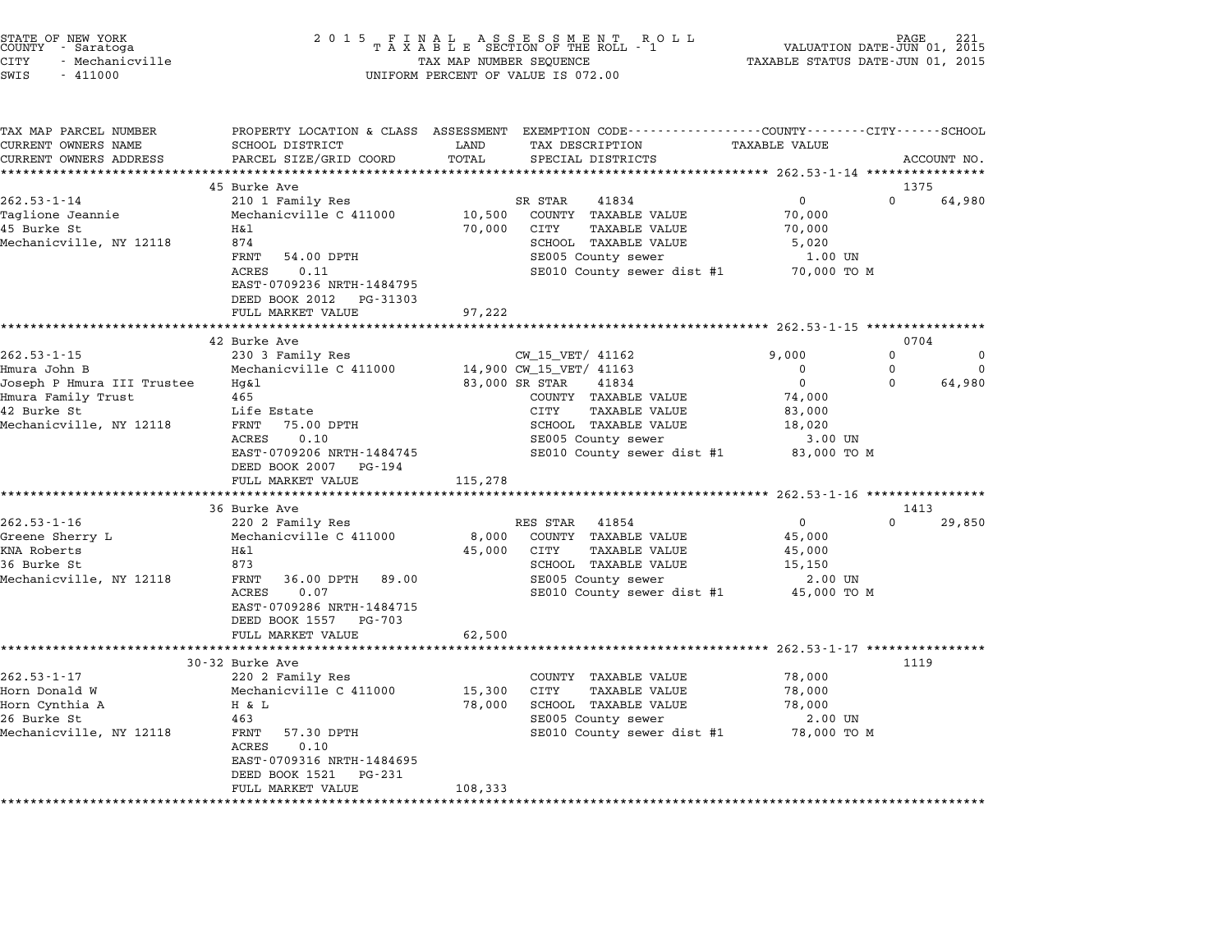| STATE OF NEW YORK |                 |  |
|-------------------|-----------------|--|
| COUNTY            | - Saratoga      |  |
| CITY              | - Mechanicville |  |

| TAX MAP PARCEL NUMBER      |                                                |         | PROPERTY LOCATION & CLASS ASSESSMENT EXEMPTION CODE---------------COUNTY-------CITY------SCHOOL |                      |             |                |
|----------------------------|------------------------------------------------|---------|-------------------------------------------------------------------------------------------------|----------------------|-------------|----------------|
| CURRENT OWNERS NAME        | SCHOOL DISTRICT                                | LAND    | TAX DESCRIPTION                                                                                 | <b>TAXABLE VALUE</b> |             |                |
| CURRENT OWNERS ADDRESS     | PARCEL SIZE/GRID COORD<br>******************** | TOTAL   | SPECIAL DISTRICTS                                                                               |                      |             | ACCOUNT NO.    |
|                            |                                                |         |                                                                                                 |                      |             |                |
| $262.53 - 1 - 14$          | 45 Burke Ave<br>210 1 Family Res               |         | SR STAR<br>41834                                                                                | $\overline{0}$       | $\Omega$    | 1375<br>64,980 |
| Taglione Jeannie           | Mechanicville C 411000                         | 10,500  | COUNTY TAXABLE VALUE                                                                            | 70,000               |             |                |
| 45 Burke St                | Η&l                                            | 70,000  | CITY<br><b>TAXABLE VALUE</b>                                                                    | 70,000               |             |                |
| Mechanicville, NY 12118    | 874                                            |         | SCHOOL TAXABLE VALUE                                                                            | 5,020                |             |                |
|                            | FRNT<br>54.00 DPTH                             |         | SE005 County sewer                                                                              | 1.00 UN              |             |                |
|                            | 0.11<br>ACRES                                  |         | SE010 County sewer dist #1                                                                      | 70,000 TO M          |             |                |
|                            | EAST-0709236 NRTH-1484795                      |         |                                                                                                 |                      |             |                |
|                            | DEED BOOK 2012 PG-31303                        |         |                                                                                                 |                      |             |                |
|                            | FULL MARKET VALUE                              | 97,222  |                                                                                                 |                      |             |                |
|                            | **************************                     |         |                                                                                                 |                      |             |                |
|                            | 42 Burke Ave                                   |         |                                                                                                 |                      |             | 0704           |
| $262.53 - 1 - 15$          | 230 3 Family Res                               |         | CW_15_VET/ 41162                                                                                | 9,000                | $\mathbf 0$ | 0              |
| Hmura John B               | Mechanicville C 411000                         |         | 14,900 CW_15_VET/ 41163                                                                         | $\mathbf 0$          | 0           | $\Omega$       |
| Joseph P Hmura III Trustee | Hq&l                                           |         | 83,000 SR STAR<br>41834                                                                         | $\Omega$             | $\Omega$    | 64,980         |
| Hmura Family Trust         | 465                                            |         | COUNTY TAXABLE VALUE                                                                            | 74,000               |             |                |
| 42 Burke St                | Life Estate                                    |         | CITY<br><b>TAXABLE VALUE</b>                                                                    | 83,000               |             |                |
| Mechanicville, NY 12118    | FRNT<br>75.00 DPTH                             |         | SCHOOL TAXABLE VALUE                                                                            | 18,020               |             |                |
|                            | 0.10<br>ACRES                                  |         | SE005 County sewer                                                                              | 3.00 UN              |             |                |
|                            | EAST-0709206 NRTH-1484745                      |         | SE010 County sewer dist #1                                                                      | 83,000 TO M          |             |                |
|                            | DEED BOOK 2007<br>PG-194                       |         |                                                                                                 |                      |             |                |
|                            | FULL MARKET VALUE                              | 115,278 |                                                                                                 |                      |             |                |
|                            | 36 Burke Ave                                   |         |                                                                                                 |                      |             | 1413           |
| $262.53 - 1 - 16$          | 220 2 Family Res                               |         | RES STAR 41854                                                                                  | $\overline{0}$       | $\Omega$    | 29,850         |
| Greene Sherry L            | Mechanicville C 411000                         | 8,000   | COUNTY TAXABLE VALUE                                                                            | 45,000               |             |                |
| KNA Roberts                | H&l                                            | 45,000  | CITY<br><b>TAXABLE VALUE</b>                                                                    | 45,000               |             |                |
| 36 Burke St                | 873                                            |         | SCHOOL TAXABLE VALUE                                                                            | 15,150               |             |                |
| Mechanicville, NY 12118    | FRNT<br>36.00 DPTH 89.00                       |         | SE005 County sewer                                                                              | 2.00 UN              |             |                |
|                            | ACRES<br>0.07                                  |         | SE010 County sewer dist #1 45,000 TO M                                                          |                      |             |                |
|                            | EAST-0709286 NRTH-1484715                      |         |                                                                                                 |                      |             |                |
|                            | DEED BOOK 1557 PG-703                          |         |                                                                                                 |                      |             |                |
|                            | FULL MARKET VALUE                              | 62,500  |                                                                                                 |                      |             |                |
|                            | ***************************                    |         |                                                                                                 |                      |             |                |
|                            | 30-32 Burke Ave                                |         |                                                                                                 |                      |             | 1119           |
| $262.53 - 1 - 17$          | 220 2 Family Res                               |         | COUNTY TAXABLE VALUE                                                                            | 78,000               |             |                |
| Horn Donald W              | Mechanicville C 411000                         | 15,300  | CITY<br><b>TAXABLE VALUE</b>                                                                    | 78,000               |             |                |
| Horn Cynthia A             | H & L                                          | 78,000  | SCHOOL TAXABLE VALUE                                                                            | 78,000               |             |                |
| 26 Burke St                | 463                                            |         | SE005 County sewer                                                                              | 2.00 UN              |             |                |
| Mechanicville, NY 12118    |                                                |         |                                                                                                 |                      |             |                |
|                            | 57.30 DPTH<br>FRNT                             |         | SE010 County sewer dist #1 78,000 TO M                                                          |                      |             |                |
|                            | 0.10<br>ACRES                                  |         |                                                                                                 |                      |             |                |
|                            | EAST-0709316 NRTH-1484695                      |         |                                                                                                 |                      |             |                |
|                            | DEED BOOK 1521<br>PG-231<br>FULL MARKET VALUE  | 108,333 |                                                                                                 |                      |             |                |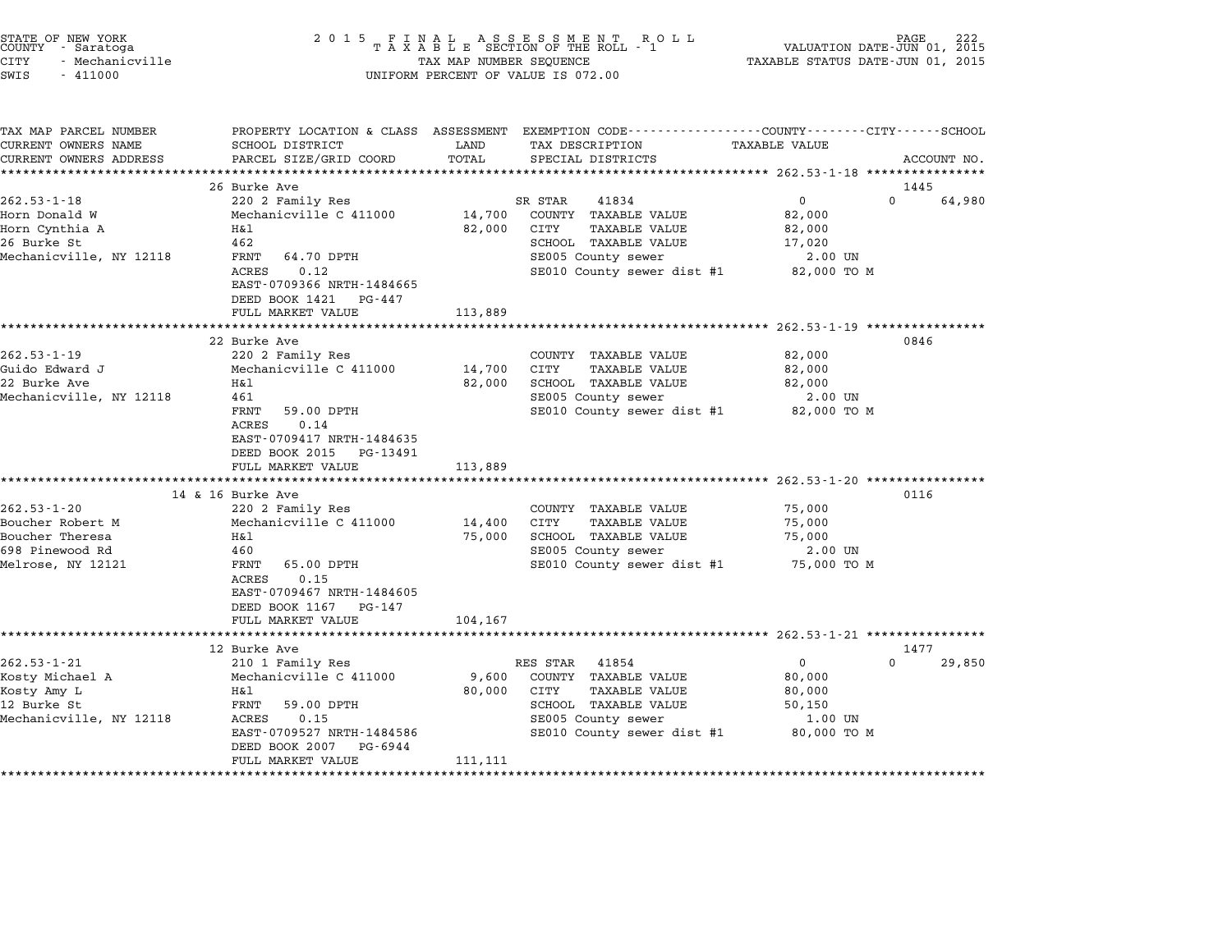| STATE OF NEW YORK<br>COUNTY - Saratoga<br><b>CITY</b><br>- Mechanicville<br>SWIS<br>$-411000$    | 2 0 1 5                                                                                                                                                                                    | TAX MAP NUMBER SEQUENCE     | UNIFORM PERCENT OF VALUE IS 072.00                                                                                                            | VALUATION DATE-JUN 01, 2015<br>TAXABLE STATUS DATE-JUN 01, 2015        | PAGE                       |
|--------------------------------------------------------------------------------------------------|--------------------------------------------------------------------------------------------------------------------------------------------------------------------------------------------|-----------------------------|-----------------------------------------------------------------------------------------------------------------------------------------------|------------------------------------------------------------------------|----------------------------|
| TAX MAP PARCEL NUMBER<br>CURRENT OWNERS NAME<br>CURRENT OWNERS ADDRESS                           | SCHOOL DISTRICT<br>PARCEL SIZE/GRID COORD                                                                                                                                                  | LAND<br>TOTAL               | PROPERTY LOCATION & CLASS ASSESSMENT EXEMPTION CODE---------------COUNTY-------CITY------SCHOOL<br>TAX DESCRIPTION<br>SPECIAL DISTRICTS       | TAXABLE VALUE                                                          | ACCOUNT NO.                |
| $262.53 - 1 - 18$<br>Horn Donald W<br>Horn Cynthia A<br>26 Burke St<br>Mechanicville, NY 12118   | 26 Burke Ave<br>220 2 Family Res<br>Mechanicville C 411000<br>Η&l<br>462<br>FRNT<br>64.70 DPTH<br>0.12<br>ACRES<br>EAST-0709366 NRTH-1484665<br>DEED BOOK 1421 PG-447<br>FULL MARKET VALUE | 14,700<br>82,000<br>113,889 | 41834<br>SR STAR<br>COUNTY TAXABLE VALUE<br>CITY<br>TAXABLE VALUE<br>SCHOOL TAXABLE VALUE<br>SE005 County sewer<br>SE010 County sewer dist #1 | $\overline{0}$<br>82,000<br>82,000<br>17,020<br>2.00 UN<br>82,000 TO M | 1445<br>$\Omega$<br>64,980 |
|                                                                                                  |                                                                                                                                                                                            |                             |                                                                                                                                               |                                                                        |                            |
| $262.53 - 1 - 19$<br>Guido Edward J<br>22 Burke Ave<br>Mechanicville, NY 12118                   | 22 Burke Ave<br>220 2 Family Res<br>Mechanicville C 411000<br>Η&l<br>461<br>FRNT<br>59.00 DPTH<br>0.14<br>ACRES<br>EAST-0709417 NRTH-1484635<br>DEED BOOK 2015 PG-13491                    | 14,700<br>82,000            | COUNTY TAXABLE VALUE<br>CITY<br>TAXABLE VALUE<br>SCHOOL TAXABLE VALUE<br>SE005 County sewer<br>SE010 County sewer dist #1                     | 82,000<br>82,000<br>82,000<br>2.00 UN<br>82,000 TO M                   | 0846                       |
|                                                                                                  | FULL MARKET VALUE                                                                                                                                                                          | 113,889                     |                                                                                                                                               |                                                                        |                            |
| $262.53 - 1 - 20$<br>Boucher Robert M<br>Boucher Theresa<br>698 Pinewood Rd<br>Melrose, NY 12121 | 14 & 16 Burke Ave<br>220 2 Family Res<br>Mechanicville C 411000<br>Η&l<br>460<br>FRNT<br>65.00 DPTH<br>0.15<br>ACRES<br>EAST-0709467 NRTH-1484605<br>DEED BOOK 1167 PG-147                 | 14,400<br>75,000            | COUNTY TAXABLE VALUE<br>CITY<br>TAXABLE VALUE<br>SCHOOL TAXABLE VALUE<br>SE005 County sewer<br>SE010 County sewer dist #1 75,000 TO M         | 75,000<br>75,000<br>75,000<br>2.00 UN                                  | 0116                       |
|                                                                                                  | FULL MARKET VALUE<br>************************                                                                                                                                              | 104,167                     |                                                                                                                                               |                                                                        |                            |
| $262.53 - 1 - 21$<br>Kosty Michael A<br>Kosty Amy L<br>12 Burke St<br>Mechanicville, NY 12118    | 12 Burke Ave<br>210 1 Family Res<br>Mechanicville C 411000<br>H&l<br>FRNT<br>59.00 DPTH<br>ACRES<br>0.15<br>EAST-0709527 NRTH-1484586<br>DEED BOOK 2007<br>PG-6944                         | 9,600<br>80,000             | RES STAR 41854<br>COUNTY TAXABLE VALUE<br>CITY<br>TAXABLE VALUE<br>SCHOOL TAXABLE VALUE<br>SE005 County sewer<br>SE010 County sewer dist #1   | $\mathbf{0}$<br>80,000<br>80,000<br>50,150<br>1.00 UN<br>80,000 TO M   | 1477<br>$\Omega$<br>29,850 |
|                                                                                                  | FULL MARKET VALUE                                                                                                                                                                          | 111,111                     |                                                                                                                                               |                                                                        |                            |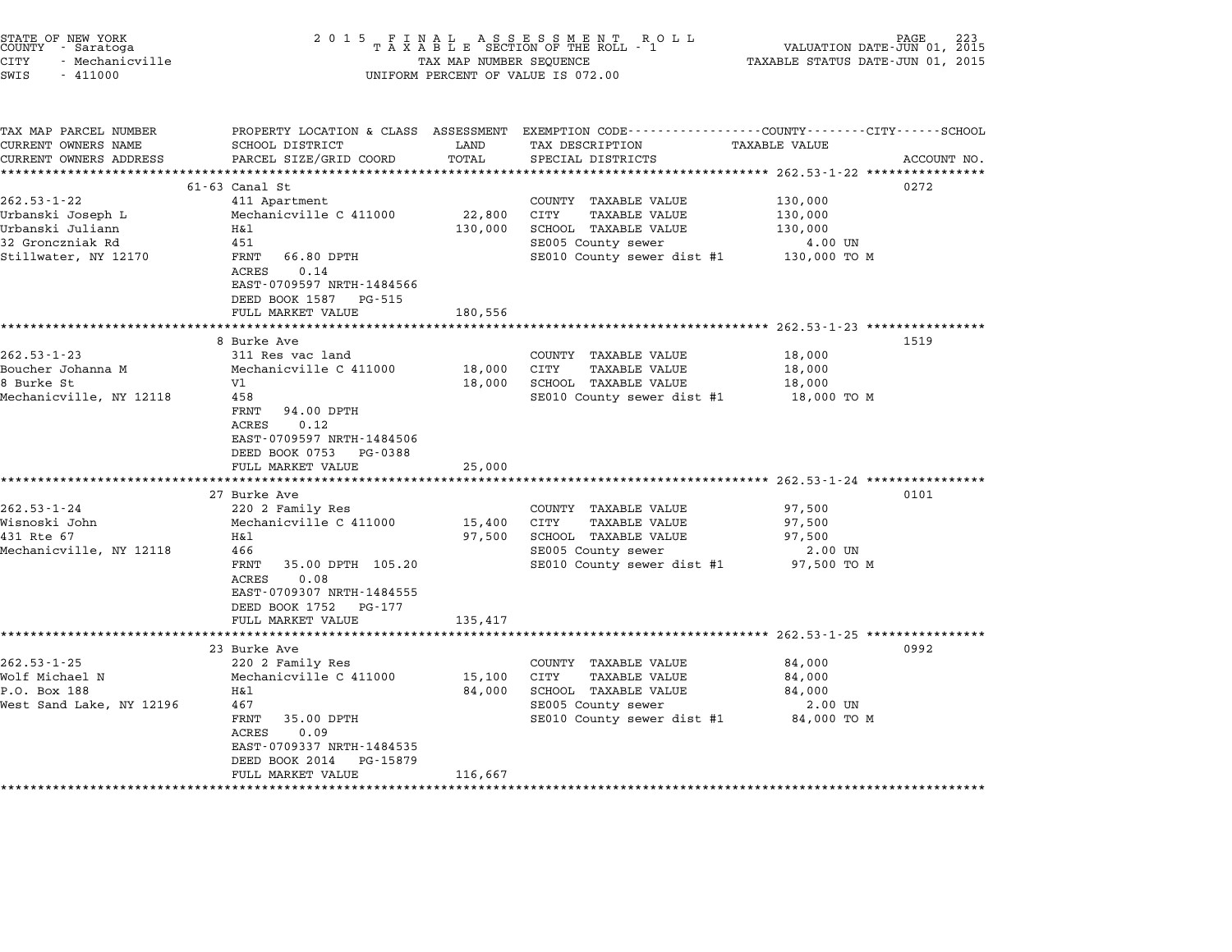| STATE OF NEW YORK<br>COUNTY<br>- Saratoga<br><b>CITY</b><br>- Mechanicville<br>SWIS<br>$-411000$ | 2 0 1 5                                                                                                         | TAX MAP NUMBER SEQUENCE | FINAL ASSESSMENT ROTAXABLE SECTION OF THE ROLL - 1<br>R O L L<br>UNIFORM PERCENT OF VALUE IS 072.00                                                                 | VALUATION DATE-JUN 01, 2015<br>TAXABLE STATUS DATE-JUN 01, 2015 | PAGE        |
|--------------------------------------------------------------------------------------------------|-----------------------------------------------------------------------------------------------------------------|-------------------------|---------------------------------------------------------------------------------------------------------------------------------------------------------------------|-----------------------------------------------------------------|-------------|
| TAX MAP PARCEL NUMBER<br>CURRENT OWNERS NAME<br>CURRENT OWNERS ADDRESS                           | PROPERTY LOCATION & CLASS ASSESSMENT<br>SCHOOL DISTRICT<br>PARCEL SIZE/GRID COORD                               | LAND<br>TOTAL           | EXEMPTION CODE-----------------COUNTY-------CITY------SCHOOL<br>TAX DESCRIPTION<br>SPECIAL DISTRICTS<br>********************************** 262.53-1-22 ************ | TAXABLE VALUE                                                   | ACCOUNT NO. |
|                                                                                                  | $61 - 63$ Canal St                                                                                              |                         |                                                                                                                                                                     |                                                                 | 0272        |
| $262.53 - 1 - 22$                                                                                | 411 Apartment                                                                                                   |                         | COUNTY TAXABLE VALUE                                                                                                                                                | 130,000                                                         |             |
| Urbanski Joseph L                                                                                | Mechanicville C 411000                                                                                          | 22,800                  | CITY<br><b>TAXABLE VALUE</b>                                                                                                                                        | 130,000                                                         |             |
| Urbanski Juliann                                                                                 | Η&l                                                                                                             | 130,000                 | SCHOOL TAXABLE VALUE                                                                                                                                                | 130,000                                                         |             |
| 32 Gronczniak Rd                                                                                 | 451                                                                                                             |                         | SE005 County sewer                                                                                                                                                  | 4.00 UN                                                         |             |
| Stillwater, NY 12170                                                                             | FRNT<br>66.80 DPTH<br>0.14<br>ACRES<br>EAST-0709597 NRTH-1484566<br>DEED BOOK 1587 PG-515<br>FULL MARKET VALUE  | 180,556                 | SE010 County sewer dist #1                                                                                                                                          | 130,000 TO M                                                    |             |
|                                                                                                  | ******************                                                                                              |                         |                                                                                                                                                                     | ********************** 262.53-1-23 ****************             |             |
|                                                                                                  | 8 Burke Ave                                                                                                     |                         |                                                                                                                                                                     |                                                                 | 1519        |
| $262.53 - 1 - 23$                                                                                | 311 Res vac land                                                                                                |                         | COUNTY TAXABLE VALUE                                                                                                                                                | 18,000                                                          |             |
| Boucher Johanna M                                                                                | Mechanicville C 411000                                                                                          | 18,000                  | CITY<br>TAXABLE VALUE                                                                                                                                               | 18,000                                                          |             |
| 8 Burke St<br>Mechanicville, NY 12118                                                            | V1<br>458                                                                                                       | 18,000                  | SCHOOL TAXABLE VALUE<br>SE010 County sewer dist #1                                                                                                                  | 18,000<br>18,000 TO M                                           |             |
|                                                                                                  | FRNT<br>94.00 DPTH<br>0.12<br>ACRES<br>EAST-0709597 NRTH-1484506<br>DEED BOOK 0753 PG-0388<br>FULL MARKET VALUE |                         |                                                                                                                                                                     |                                                                 |             |
|                                                                                                  |                                                                                                                 | 25,000                  |                                                                                                                                                                     | ********** 262.53-1-24 *********                                |             |
|                                                                                                  | 27 Burke Ave                                                                                                    |                         |                                                                                                                                                                     |                                                                 | 0101        |
| $262.53 - 1 - 24$                                                                                | 220 2 Family Res                                                                                                |                         | COUNTY TAXABLE VALUE                                                                                                                                                | 97,500                                                          |             |
| Wisnoski John                                                                                    | Mechanicville C 411000                                                                                          | 15,400                  | CITY<br><b>TAXABLE VALUE</b>                                                                                                                                        | 97,500                                                          |             |
| 431 Rte 67                                                                                       | Η&l                                                                                                             | 97,500                  | SCHOOL TAXABLE VALUE                                                                                                                                                | 97,500                                                          |             |
| Mechanicville, NY 12118                                                                          | 466                                                                                                             |                         | SE005 County sewer                                                                                                                                                  | 2.00 UN                                                         |             |
|                                                                                                  | FRNT<br>35.00 DPTH 105.20<br>ACRES<br>0.08<br>EAST-0709307 NRTH-1484555<br>DEED BOOK 1752 PG-177                |                         | SE010 County sewer dist #1                                                                                                                                          | 97,500 TO M                                                     |             |
|                                                                                                  | FULL MARKET VALUE                                                                                               | 135,417                 |                                                                                                                                                                     |                                                                 |             |
|                                                                                                  | ********************<br>23 Burke Ave                                                                            |                         |                                                                                                                                                                     | *********************** 262.53-1-25 *****************           | 0992        |
| $262.53 - 1 - 25$                                                                                | 220 2 Family Res                                                                                                |                         | COUNTY TAXABLE VALUE                                                                                                                                                | 84,000                                                          |             |
| Wolf Michael N                                                                                   | Mechanicville C 411000                                                                                          | 15,100                  | CITY<br>TAXABLE VALUE                                                                                                                                               | 84,000                                                          |             |
| P.O. Box 188                                                                                     | Η&l                                                                                                             | 84,000                  | SCHOOL TAXABLE VALUE                                                                                                                                                | 84,000                                                          |             |
| West Sand Lake, NY 12196                                                                         | 467                                                                                                             |                         | SE005 County sewer                                                                                                                                                  | 2.00 UN                                                         |             |
|                                                                                                  | FRNT<br>35.00 DPTH<br>ACRES<br>0.09                                                                             |                         | SE010 County sewer dist #1                                                                                                                                          | 84,000 TO M                                                     |             |
|                                                                                                  | EAST-0709337 NRTH-1484535<br>DEED BOOK 2014<br>PG-15879<br>FULL MARKET VALUE                                    | 116,667                 |                                                                                                                                                                     |                                                                 |             |
|                                                                                                  | ******************                                                                                              |                         |                                                                                                                                                                     |                                                                 |             |

STATE OF NEW YORK <sup>2</sup> <sup>0</sup> <sup>1</sup> 5 F I N A L A S S E S S M E N T R O L L PAGE <sup>223</sup> COUNTY - Saratoga <sup>T</sup> <sup>A</sup> <sup>X</sup> <sup>A</sup> <sup>B</sup> <sup>L</sup> <sup>E</sup> SECTION OF THE ROLL - <sup>1</sup> VALUATION DATE-JUN 01, <sup>2015</sup>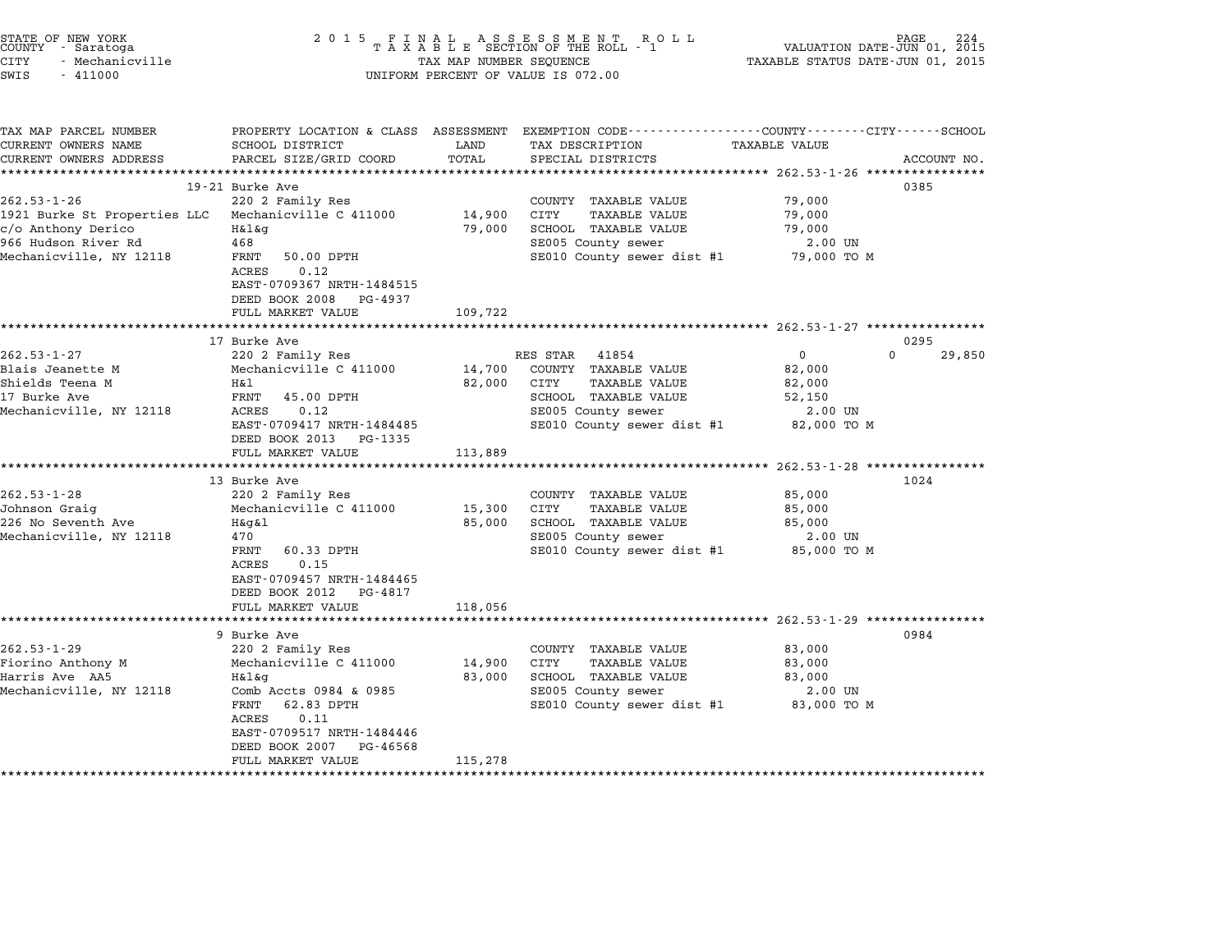| STATE OF NEW YORK<br>COUNTY - Saratoga<br>CITY<br>- Mechanicville<br>SWIS<br>$-411000$ | 2015 FINAL                          | TAX MAP NUMBER SEQUENCE | FINAL ASSESSMENT ROLL<br>TAXABLE SECTION OF THE ROLL - 1<br>UNIFORM PERCENT OF VALUE IS 072.00  | TAXABLE STATUS DATE-JUN 01, 2015 | PAGE<br>224<br>VALUATION DATE-JUN 01, 2015 |
|----------------------------------------------------------------------------------------|-------------------------------------|-------------------------|-------------------------------------------------------------------------------------------------|----------------------------------|--------------------------------------------|
|                                                                                        |                                     |                         |                                                                                                 |                                  |                                            |
| TAX MAP PARCEL NUMBER                                                                  |                                     |                         | PROPERTY LOCATION & CLASS ASSESSMENT EXEMPTION CODE---------------COUNTY-------CITY------SCHOOL |                                  |                                            |
| CURRENT OWNERS NAME                                                                    | SCHOOL DISTRICT                     | LAND                    | TAX DESCRIPTION                                                                                 | TAXABLE VALUE                    |                                            |
| CURRENT OWNERS ADDRESS                                                                 | PARCEL SIZE/GRID COORD              | TOTAL                   | SPECIAL DISTRICTS                                                                               |                                  | ACCOUNT NO.                                |
|                                                                                        |                                     |                         |                                                                                                 |                                  |                                            |
| $262.53 - 1 - 26$                                                                      | 19-21 Burke Ave<br>220 2 Family Res |                         | COUNTY TAXABLE VALUE                                                                            | 79,000                           | 0385                                       |
| 1921 Burke St Properties LLC                                                           | Mechanicville C 411000              | 14,900                  | CITY<br>TAXABLE VALUE                                                                           | 79,000                           |                                            |
| c/o Anthony Derico                                                                     | H&l&q                               | 79,000                  | SCHOOL TAXABLE VALUE                                                                            | 79,000                           |                                            |
| 966 Hudson River Rd                                                                    | 468                                 |                         | SE005 County sewer                                                                              | 2.00 UN                          |                                            |
| Mechanicville, NY 12118                                                                | FRNT<br>50.00 DPTH                  |                         | SE010 County sewer dist #1                                                                      | 79,000 TO M                      |                                            |
|                                                                                        | ACRES<br>0.12                       |                         |                                                                                                 |                                  |                                            |
|                                                                                        | EAST-0709367 NRTH-1484515           |                         |                                                                                                 |                                  |                                            |
|                                                                                        | DEED BOOK 2008<br>PG-4937           |                         |                                                                                                 |                                  |                                            |
|                                                                                        | FULL MARKET VALUE                   | 109,722                 |                                                                                                 |                                  |                                            |
|                                                                                        |                                     |                         |                                                                                                 |                                  |                                            |
|                                                                                        | 17 Burke Ave                        |                         |                                                                                                 |                                  | 0295                                       |
| $262.53 - 1 - 27$                                                                      | 220 2 Family Res                    |                         | RES STAR<br>41854                                                                               | $\Omega$                         | $\Omega$<br>29,850                         |
| Blais Jeanette M                                                                       | Mechanicville C 411000              | 14,700                  | COUNTY TAXABLE VALUE                                                                            | 82,000                           |                                            |
| Shields Teena M                                                                        | Η&l                                 | 82,000                  | CITY<br>TAXABLE VALUE                                                                           | 82,000                           |                                            |
| 17 Burke Ave                                                                           | FRNT<br>45.00 DPTH                  |                         | SCHOOL TAXABLE VALUE                                                                            | 52,150                           |                                            |
| Mechanicville, NY 12118                                                                | 0.12<br>ACRES                       |                         | SE005 County sewer                                                                              | 2.00 UN                          |                                            |
|                                                                                        | EAST-0709417 NRTH-1484485           |                         | SE010 County sewer dist #1                                                                      | 82,000 TO M                      |                                            |
|                                                                                        | DEED BOOK 2013 PG-1335              |                         |                                                                                                 |                                  |                                            |
|                                                                                        | FULL MARKET VALUE                   | 113,889                 |                                                                                                 |                                  |                                            |
|                                                                                        |                                     |                         |                                                                                                 |                                  |                                            |
|                                                                                        | 13 Burke Ave                        |                         |                                                                                                 |                                  | 1024                                       |
| $262.53 - 1 - 28$                                                                      | 220 2 Family Res                    |                         | COUNTY TAXABLE VALUE                                                                            | 85,000                           |                                            |
| Johnson Graig                                                                          | Mechanicville C 411000              | 15,300                  | CITY<br>TAXABLE VALUE                                                                           | 85,000                           |                                            |
| 226 No Seventh Ave                                                                     | $H\&q\&l$                           | 85,000                  | SCHOOL TAXABLE VALUE                                                                            | 85,000                           |                                            |
| Mechanicville, NY 12118                                                                | 470                                 |                         | SE005 County sewer                                                                              | 2.00 UN                          |                                            |
|                                                                                        | 60.33 DPTH<br>FRNT                  |                         | SE010 County sewer dist #1                                                                      | 85,000 TO M                      |                                            |
|                                                                                        | 0.15<br>ACRES                       |                         |                                                                                                 |                                  |                                            |
|                                                                                        | EAST-0709457 NRTH-1484465           |                         |                                                                                                 |                                  |                                            |
|                                                                                        | DEED BOOK 2012 PG-4817              |                         |                                                                                                 |                                  |                                            |
|                                                                                        | FULL MARKET VALUE                   | 118,056                 |                                                                                                 |                                  |                                            |
|                                                                                        |                                     |                         |                                                                                                 |                                  | 0984                                       |
| $262.53 - 1 - 29$                                                                      | 9 Burke Ave<br>220 2 Family Res     |                         | COUNTY TAXABLE VALUE                                                                            | 83,000                           |                                            |
| Fiorino Anthony M                                                                      | Mechanicville C 411000              | 14,900                  | CITY<br>TAXABLE VALUE                                                                           | 83,000                           |                                            |
| Harris Ave AA5                                                                         | H&l&q                               | 83,000                  | SCHOOL TAXABLE VALUE                                                                            | 83,000                           |                                            |
| Mechanicville, NY 12118                                                                | Comb Accts 0984 & 0985              |                         | SE005 County sewer                                                                              | 2.00 UN                          |                                            |
|                                                                                        | 62.83 DPTH<br>FRNT                  |                         | SE010 County sewer dist #1                                                                      | 83,000 TO M                      |                                            |
|                                                                                        | ACRES<br>0.11                       |                         |                                                                                                 |                                  |                                            |
|                                                                                        | EAST-0709517 NRTH-1484446           |                         |                                                                                                 |                                  |                                            |

EAST-0709517 NRTH-1484446<br>DEED BOOK 2007 PG-46568 DEED BOOK 2007 PG-46568<br>FULL MARKET VALUE 115,278 \*\*\*\*\*\*\*\*\*\*\*\*\*\*\*\*\*\*\*\*\*\*\*\*\*\*\*\*\*\*\*\*\*\*\*\*\*\*\*\*\*\*\*\*\*\*\*\*\*\*\*\*\*\*\*\*\*\*\*\*\*\*\*\*\*\*\*\*\*\*\*\*\*\*\*\*\*\*\*\*\*\*\*\*\*\*\*\*\*\*\*\*\*\*\*\*\*\*\*\*\*\*\*\*\*\*\*\*\*\*\*\*\*\*\*\*\*\*\*\*\*\*\*\*\*\*\*\*\*\*\*\*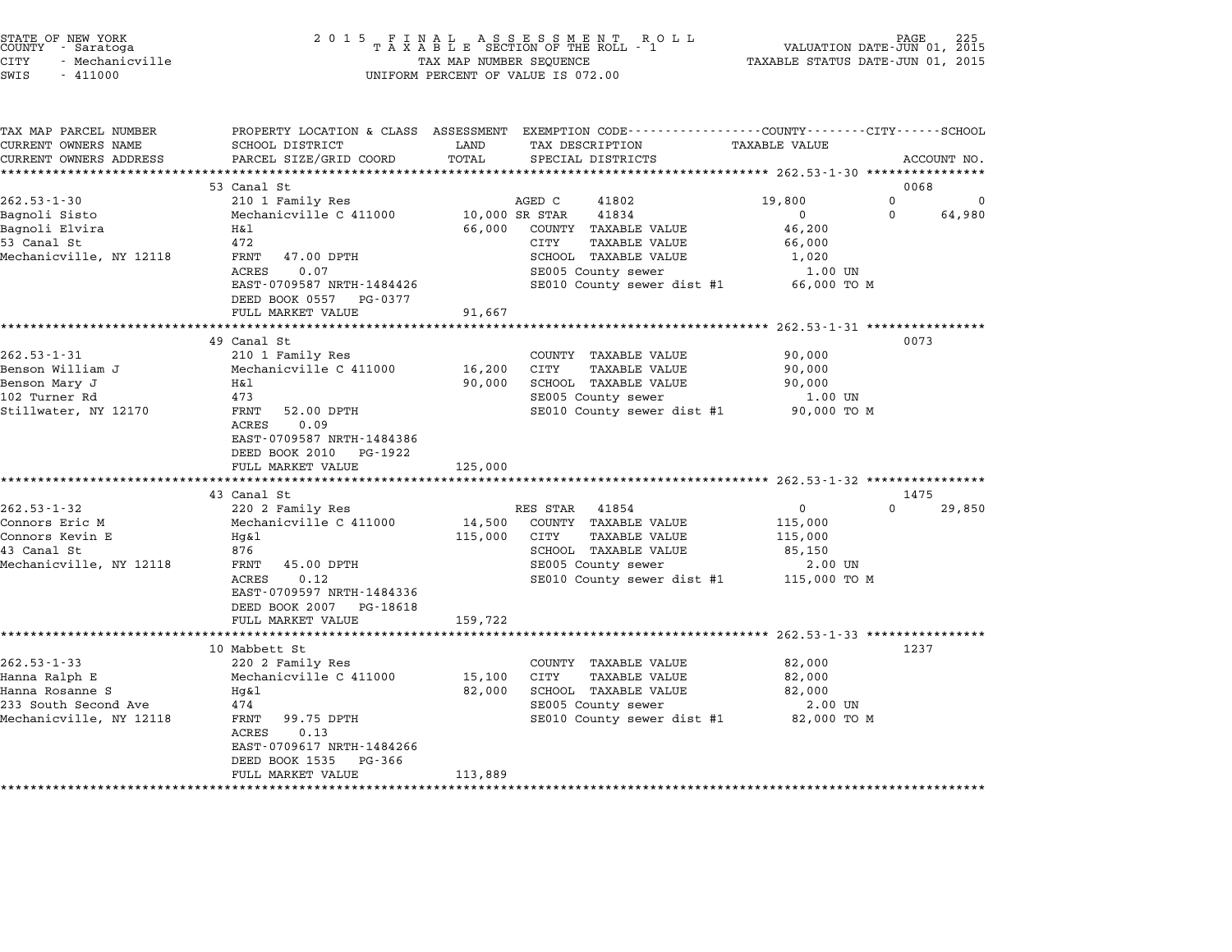|        | STATE OF NEW YORK |  |
|--------|-------------------|--|
| COUNTY | - Saratoga        |  |
| CITY   | - Mechanicville   |  |

| TAX MAP PARCEL NUMBER<br>CURRENT OWNERS NAME | SCHOOL DISTRICT                               | LAND           | PROPERTY LOCATION & CLASS ASSESSMENT EXEMPTION CODE---------------COUNTY-------CITY------SCHOOL<br>TAX DESCRIPTION | <b>TAXABLE VALUE</b>   |                  |             |
|----------------------------------------------|-----------------------------------------------|----------------|--------------------------------------------------------------------------------------------------------------------|------------------------|------------------|-------------|
| CURRENT OWNERS ADDRESS                       | PARCEL SIZE/GRID COORD                        | TOTAL          | SPECIAL DISTRICTS                                                                                                  |                        |                  | ACCOUNT NO. |
| ***********************                      |                                               |                |                                                                                                                    |                        |                  |             |
|                                              | 53 Canal St                                   |                |                                                                                                                    |                        | 0068             |             |
| $262.53 - 1 - 30$                            | 210 1 Family Res                              |                | 41802<br>AGED C                                                                                                    | 19,800                 | $\Omega$         | 0           |
| Bagnoli Sisto                                | Mechanicville C 411000                        | 10,000 SR STAR | 41834                                                                                                              | $\Omega$               | $\mathbf 0$      | 64,980      |
| Bagnoli Elvira                               | Η&l                                           |                | 66,000 COUNTY TAXABLE VALUE                                                                                        | 46,200                 |                  |             |
| 53 Canal St<br>Mechanicville, NY 12118       | 472<br>FRNT<br>47.00 DPTH                     |                | CITY<br><b>TAXABLE VALUE</b><br>SCHOOL TAXABLE VALUE                                                               | 66,000                 |                  |             |
|                                              | 0.07<br>ACRES                                 |                | SE005 County sewer                                                                                                 | 1,020                  |                  |             |
|                                              | EAST-0709587 NRTH-1484426                     |                | SE010 County sewer dist #1                                                                                         | 1.00 UN<br>66,000 TO M |                  |             |
|                                              | DEED BOOK 0557 PG-0377                        |                |                                                                                                                    |                        |                  |             |
|                                              | FULL MARKET VALUE                             | 91,667         |                                                                                                                    |                        |                  |             |
|                                              |                                               |                |                                                                                                                    |                        |                  |             |
|                                              | 49 Canal St                                   |                |                                                                                                                    |                        | 0073             |             |
| $262.53 - 1 - 31$                            | 210 1 Family Res                              |                | COUNTY TAXABLE VALUE                                                                                               | 90,000                 |                  |             |
| Benson William J                             | Mechanicville C 411000                        | 16,200 CITY    | <b>TAXABLE VALUE</b>                                                                                               | 90,000                 |                  |             |
| Benson Mary J                                | Η&l                                           | 90,000         | SCHOOL TAXABLE VALUE                                                                                               | 90,000                 |                  |             |
| 102 Turner Rd                                | 473                                           |                | SE005 County sewer                                                                                                 | 1.00 UN                |                  |             |
| Stillwater, NY 12170                         | FRNT<br>52.00 DPTH                            |                | SE010 County sewer dist #1 90,000 TO M                                                                             |                        |                  |             |
|                                              | 0.09<br><b>ACRES</b>                          |                |                                                                                                                    |                        |                  |             |
|                                              | EAST-0709587 NRTH-1484386                     |                |                                                                                                                    |                        |                  |             |
|                                              | DEED BOOK 2010 PG-1922                        |                |                                                                                                                    |                        |                  |             |
|                                              | FULL MARKET VALUE                             | 125,000        |                                                                                                                    |                        |                  |             |
|                                              | ***********************                       |                |                                                                                                                    |                        |                  |             |
|                                              | 43 Canal St                                   |                |                                                                                                                    |                        | 1475<br>$\Omega$ |             |
| $262.53 - 1 - 32$                            | 220 2 Family Res                              |                | RES STAR 41854                                                                                                     | 0                      |                  | 29,850      |
| Connors Eric M<br>Connors Kevin E            | Mechanicville C 411000                        | 14,500         | COUNTY TAXABLE VALUE<br>CITY<br><b>TAXABLE VALUE</b>                                                               | 115,000                |                  |             |
| 43 Canal St                                  | Hq&l<br>876                                   | 115,000        | SCHOOL TAXABLE VALUE                                                                                               | 115,000<br>85,150      |                  |             |
| Mechanicville, NY 12118                      | 45.00 DPTH<br>FRNT                            |                | SE005 County sewer                                                                                                 | 2.00 UN                |                  |             |
|                                              | 0.12<br>ACRES                                 |                | SE010 County sewer dist #1                                                                                         | 115,000 TO M           |                  |             |
|                                              | EAST-0709597 NRTH-1484336                     |                |                                                                                                                    |                        |                  |             |
|                                              | DEED BOOK 2007 PG-18618                       |                |                                                                                                                    |                        |                  |             |
|                                              | FULL MARKET VALUE                             | 159,722        |                                                                                                                    |                        |                  |             |
|                                              |                                               |                |                                                                                                                    |                        |                  |             |
|                                              | 10 Mabbett St                                 |                |                                                                                                                    |                        | 1237             |             |
| $262.53 - 1 - 33$                            | 220 2 Family Res                              |                | COUNTY TAXABLE VALUE                                                                                               | 82,000                 |                  |             |
| Hanna Ralph E                                | Mechanicville C 411000                        | 15,100         | CITY<br><b>TAXABLE VALUE</b>                                                                                       | 82,000                 |                  |             |
| Hanna Rosanne S                              | Hq&l                                          | 82,000         | SCHOOL TAXABLE VALUE                                                                                               | 82,000                 |                  |             |
| 233 South Second Ave                         | 474                                           |                | SE005 County sewer                                                                                                 | 2.00 UN                |                  |             |
|                                              |                                               |                |                                                                                                                    |                        |                  |             |
|                                              | 99.75 DPTH<br>FRNT                            |                | SE010 County sewer dist #1 82,000 TO M                                                                             |                        |                  |             |
|                                              | 0.13<br>ACRES                                 |                |                                                                                                                    |                        |                  |             |
|                                              | EAST-0709617 NRTH-1484266                     |                |                                                                                                                    |                        |                  |             |
| Mechanicville, NY 12118                      | DEED BOOK 1535<br>PG-366<br>FULL MARKET VALUE | 113,889        |                                                                                                                    |                        |                  |             |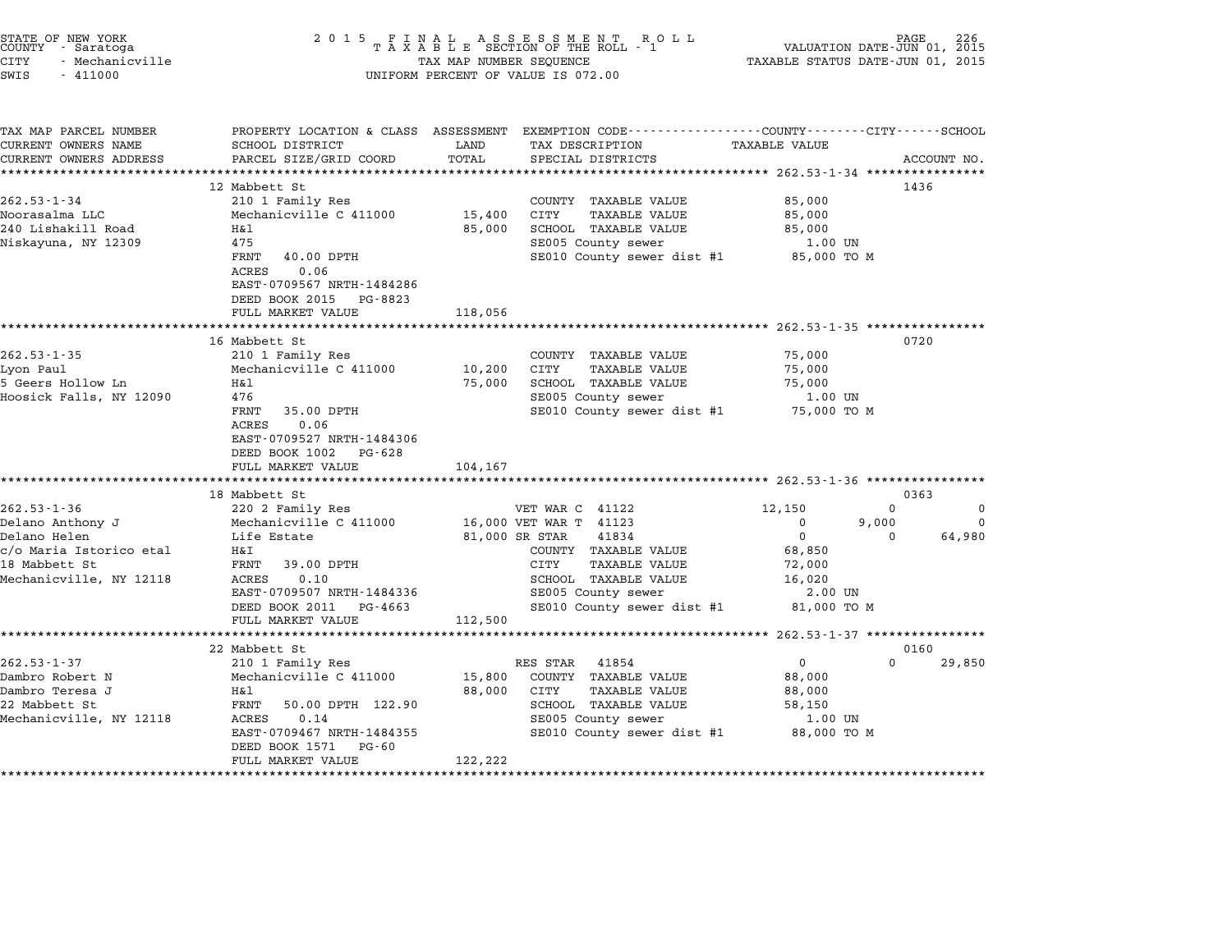| STATE OF NEW YORK<br>COUNTY - Saratoga<br>CITY<br>- Mechanicville<br>SWIS<br>$-411000$                                       | 2 0 1 5<br>FINAL ASSESSMENT ROLL<br>TAXABLE SECTION OF THE ROLL - 1<br>TAX MAP NUMBER SEQUENCE<br>TAX MAP NUMBER SEQUENCE<br>UNIFORM PERCENT OF VALUE IS 072.00                                                    |                                  |                                                                                                                                                                                                   | PAGE<br>2015<br>VALUATION DATE-JUN 01,<br>TAXABLE STATUS DATE-JUN 01, 2015                 |                               |                                |
|------------------------------------------------------------------------------------------------------------------------------|--------------------------------------------------------------------------------------------------------------------------------------------------------------------------------------------------------------------|----------------------------------|---------------------------------------------------------------------------------------------------------------------------------------------------------------------------------------------------|--------------------------------------------------------------------------------------------|-------------------------------|--------------------------------|
| TAX MAP PARCEL NUMBER<br>CURRENT OWNERS NAME<br>CURRENT OWNERS ADDRESS                                                       | SCHOOL DISTRICT<br>PARCEL SIZE/GRID COORD                                                                                                                                                                          | LAND<br>TOTAL                    | PROPERTY LOCATION & CLASS ASSESSMENT EXEMPTION CODE---------------COUNTY-------CITY------SCHOOL<br>TAX DESCRIPTION<br>SPECIAL DISTRICTS                                                           | TAXABLE VALUE                                                                              |                               | ACCOUNT NO.                    |
|                                                                                                                              |                                                                                                                                                                                                                    | **************                   |                                                                                                                                                                                                   | ****************** 262.53-1-34 *****************                                           |                               |                                |
| $262.53 - 1 - 34$<br>Noorasalma LLC<br>240 Lishakill Road<br>Niskayuna, NY 12309                                             | 12 Mabbett St<br>210 1 Family Res<br>Mechanicville C 411000<br>Η&l<br>475<br>FRNT 40.00 DPTH<br>ACRES<br>0.06<br>EAST-0709567 NRTH-1484286<br>DEED BOOK 2015 PG-8823<br>FULL MARKET VALUE                          | 15,400 CITY<br>85,000<br>118,056 | COUNTY TAXABLE VALUE<br><b>TAXABLE VALUE</b><br>SCHOOL TAXABLE VALUE<br>SE005 County sewer<br>SE010 County sewer dist #1                                                                          | 85,000<br>85,000<br>85,000<br>1.00 UN<br>85,000 TO M                                       | 1436                          |                                |
|                                                                                                                              |                                                                                                                                                                                                                    |                                  |                                                                                                                                                                                                   |                                                                                            |                               |                                |
| $262.53 - 1 - 35$<br>Lyon Paul<br>5 Geers Hollow Ln<br>Hoosick Falls, NY 12090                                               | 16 Mabbett St<br>210 1 Family Res<br>Mechanicville C 411000<br>H&1<br>476<br>FRNT 35.00 DPTH<br>ACRES<br>0.06<br>EAST-0709527 NRTH-1484306<br>DEED BOOK 1002 PG-628<br>FULL MARKET VALUE<br>********************** | 10,200<br>75,000<br>104,167      | COUNTY TAXABLE VALUE<br>CITY<br>TAXABLE VALUE<br>SCHOOL TAXABLE VALUE<br>SE005 County sewer<br>SE010 County sewer dist #1 75,000 TO M                                                             | 75,000<br>75,000<br>75,000<br>1.00 UN                                                      | 0720                          |                                |
|                                                                                                                              | 18 Mabbett St                                                                                                                                                                                                      |                                  |                                                                                                                                                                                                   |                                                                                            | 0363                          |                                |
| $262.53 - 1 - 36$<br>Delano Anthony J<br>Delano Helen<br>c/o Maria Istorico etal<br>18 Mabbett St<br>Mechanicville, NY 12118 | 220 2 Family Res<br>Mechanicville C 411000<br>Life Estate<br>Η&Ι<br>FRNT 39.00 DPTH<br>ACRES<br>0.10<br>EAST-0709507 NRTH-1484336<br>DEED BOOK 2011 PG-4663<br>FULL MARKET VALUE                                   | 112,500                          | VET WAR C 41122<br>16,000 VET WAR T 41123<br>81,000 SR STAR<br>41834<br>COUNTY TAXABLE VALUE<br>CITY<br>TAXABLE VALUE<br>SCHOOL TAXABLE VALUE<br>SE005 County sewer<br>SE010 County sewer dist #1 | 12,150<br>$\mathbf{0}$<br>$\Omega$<br>68,850<br>72,000<br>16,020<br>2.00 UN<br>81,000 TO M | $\Omega$<br>9,000<br>$\Omega$ | $\Omega$<br>$\Omega$<br>64,980 |
|                                                                                                                              |                                                                                                                                                                                                                    |                                  |                                                                                                                                                                                                   |                                                                                            |                               |                                |
| $262.53 - 1 - 37$<br>Dambro Robert N<br>Dambro Teresa J<br>22 Mabbett St<br>Mechanicville, NY 12118                          | 22 Mabbett St<br>210 1 Family Res<br>Mechanicville C 411000<br>H&l<br>FRNT 50.00 DPTH 122.90<br>ACRES<br>0.14<br>EAST-0709467 NRTH-1484355<br>DEED BOOK 1571 PG-60<br>FULL MARKET VALUE                            | 15,800<br>88,000<br>122,222      | RES STAR<br>41854<br>COUNTY TAXABLE VALUE<br>CITY<br>TAXABLE VALUE<br>SCHOOL TAXABLE VALUE<br>SE005 County sewer<br>SE010 County sewer dist #1                                                    | $\Omega$<br>88,000<br>88,000<br>58,150<br>1.00 UN<br>88,000 TO M                           | 0160<br>$\Omega$              | 29,850                         |

STATE OF NEW YORK <sup>2</sup> <sup>0</sup> <sup>1</sup> 5 F I N A L A S S E S S M E N T R O L L PAGE <sup>226</sup> COUNTY - Saratoga <sup>T</sup> <sup>A</sup> <sup>X</sup> <sup>A</sup> <sup>B</sup> <sup>L</sup> <sup>E</sup> SECTION OF THE ROLL - <sup>1</sup> VALUATION DATE-JUN 01, <sup>2015</sup>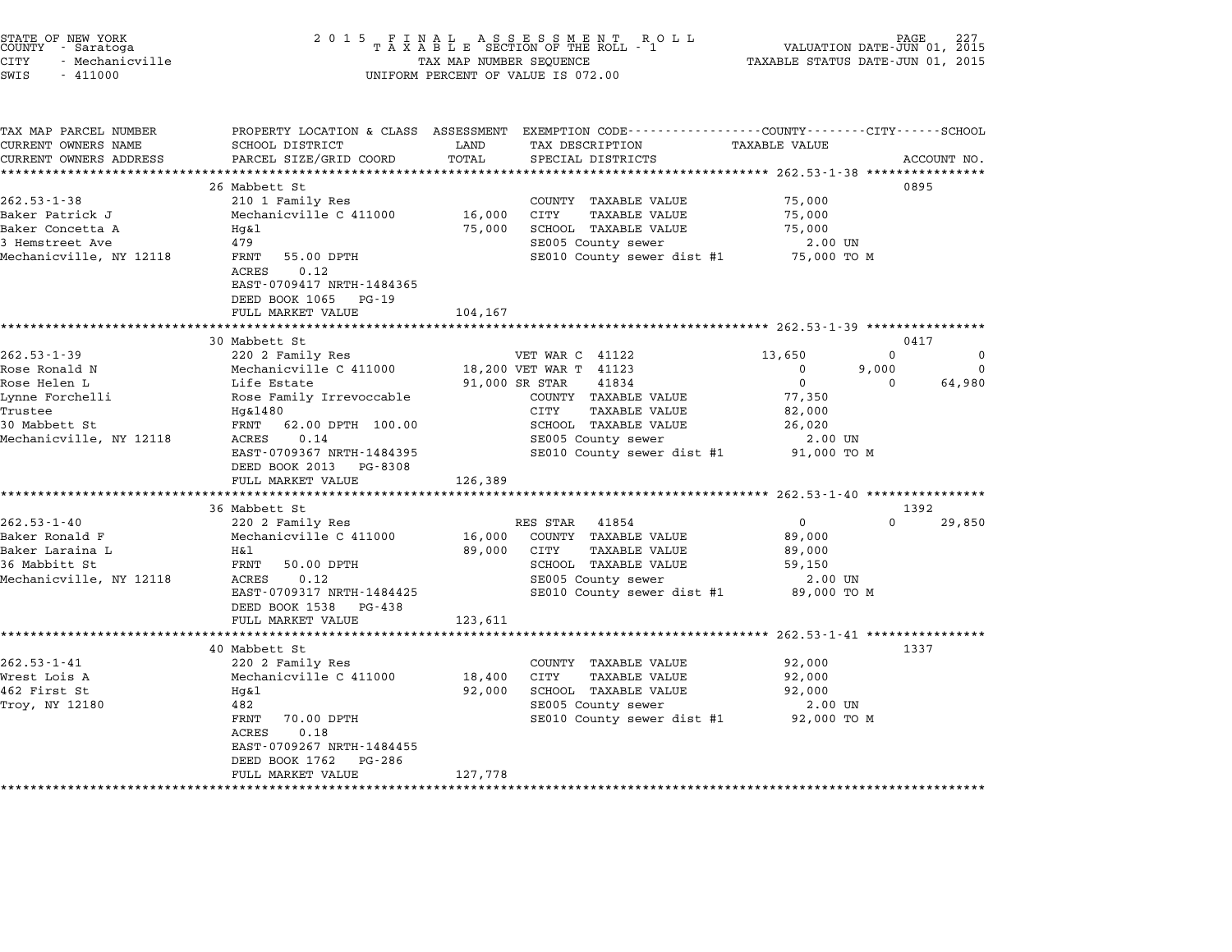|        | STATE OF NEW YORK |  |
|--------|-------------------|--|
| COUNTY | - Saratoga        |  |
| CITY   | - Mechanicville   |  |

TAX MAP PARCEL NUMBER PROPERTY LOCATION & CLASS ASSESSMENT EXEMPTION CODE------------------COUNTY--------CITY------SCHOOL ...<br>-- COUNTY:- TAX MAP PARCEL NUMBER THE OCHOTRY AND THE CURRENT EXEMPTION CODE<br>CURRENT OWNERS NAME SCHOOL DISTRICT LAND TAX DESCRIPTION TAXABLE VALUE CURRENT OWNERS ADDEER FOUR DISTRICTS AND A CHASS ASSESSEENT EXERT ON TAX MIT PROCULPTION TRANSFOURERS ADDRESS SANCEL SIZE/GRID COORD TOTAL SEEN TRANSFOUR TRANSFOUR TRANSFOUR TRANSFOUR TRANSFOUR TRANSFOUR TRANSFOUR ACCOUNT 26 Mabbett St 0895 262.53-1-38 202.53 and 202.53 202.53 202.53 and 202.53 202.53 country TAXABLE VALUE 75,000 26 MaDWELL SO HERRICK SOME SUPER SERVING A LOCAL SERVITS AND TRAVEL SUPERFORD A LOCAL SUPERFORM ON SUPERFORM S<br>Baker Patrick J Mechanicville C 411000 16,000 CITY TAXABLE VALUE Baker Concetta A Hg&l 75,000 SCHOOL TAXABLE VALUE 75,000 Baker Factrick 0 (Alechanicvirie c 411000) (19,000) CITT (IAABLE VALUE 19,000) (19,000)<br>Baker Concetta A (19 Mg&l 199 / 199 Mg 199 (1990) (1990) (1990) (1990) (1990) (1990) (1990) (1990) (1990) (19<br>SE005 County sewer 19,00 MARE CONCELLA A THREE IN THE RESERVE ON THE RESERVE ON SUIT AN INCREDIBLE VALUE ON THE RESERVENCE OF A THAN AN<br>1990 - SE010 County sewer dist #1 75,000 TO M SECON SECON SECON SECON SECON AN INCREDIBLE PART OF A SAME RESER<br> 475<br>FRNT 55.00<br>ACRES 0.12 EAST-0709417 NRTH-1484365 EAST-0709417 NRTH-1484365<br>DEED BOOK 1065 PG-19 FULL MARKET VALUE 104,167 \*\*\*\*\*\*\*\*\*\*\*\*\*\*\*\*\*\*\*\*\*\*\*\*\*\*\*\*\*\*\*\*\*\*\*\*\*\*\*\*\*\*\*\*\*\*\*\*\*\*\*\*\*\*\*\*\*\*\*\*\*\*\*\*\*\*\*\*\*\*\*\*\*\*\*\*\*\*\*\*\*\*\*\*\*\*\*\*\*\*\*\*\*\*\*\*\*\*\*\*\*\*\* 262.53-1-39 \*\*\*\*\*\*\*\*\*\*\*\*\*\*\*\* 30 Mabbett St 0417 262.53-1-39 <sup>220</sup> <sup>2</sup> Family Res VET WAR C <sup>41122</sup> 13,650 <sup>0</sup> <sup>0</sup> Rose Ronald N Mechanicville C <sup>411000</sup> 18,200 VET WAR T <sup>41123</sup> <sup>0</sup> 9,000 <sup>0</sup> Rose Helen L Life Estate 91,000 SR STAR <sup>41834</sup> <sup>0</sup> <sup>0</sup> 64,980 Rose Romanu Recomment Recomment Control (1990)<br>Rose Helm (1990) Different County 191,000 SR STAR 19834<br>Lynne Forchelli County TAXABLE VALUE 77,350 0 10 Abse herein in the state of the state of the state of the state of the state of the state of the state of<br>Lynne Forchelli (Rose Family Irrevoccable country TAXABLE VALUE 77,350<br>Trustee (Rose Hg&l480 CITY TAXABLE VALUE <sup>30</sup> Mabbett St FRNT 62.00 DPTH 100.00 SCHOOL TAXABLE VALUE 26,020 Mechanicville, NY <sup>12118</sup> ACRES 0.14 SE005 County sewer 2.00 UN EART USING HAADDE VADUE AND SUIT 20100 TAAADDE VADUE 2010<br>ACRES 0.14 0.100 SE005 COUNTY Sewer dist #1 91,000 TO M<br>EAST-0709367 NRTH-1484395 SE010 County sewer dist #1 91,000 TO M EAST-0709367 NRTH-148439<br>DEED BOOK 2013 PG-8308 EAST 0705507 MAIN 1404555<br>
DEED BOOK 2013 PG-8308<br>
FULL MARKET VALUE 126,389 \*\*\*\*\*\*\*\*\*\*\*\*\*\*\*\*\*\*\*\*\*\*\*\*\*\*\*\*\*\*\*\*\*\*\*\*\*\*\*\*\*\*\*\*\*\*\*\*\*\*\*\*\*\*\*\*\*\*\*\*\*\*\*\*\*\*\*\*\*\*\*\*\*\*\*\*\*\*\*\*\*\*\*\*\*\*\*\*\*\*\*\*\*\*\*\*\*\*\*\*\*\*\* 262.53-1-40 \*\*\*\*\*\*\*\*\*\*\*\*\*\*\*\* 36 Mabbett St 1392 262.53-1-40 127.53-1-40 202.53-1-40 202.53-1-40 202.53-1-40 202.53-1-40 202.53-1-40 2002 Family Res RES STAR 41854 202.53-1-40 2003 Family Res RES STAR 41854 0 0 0 29,850 Baker Ronald F Mechanicville C <sup>411000</sup> 16,000 COUNTY TAXABLE VALUE 89,000 Baker Laraina L H&l 89,000 CITY TAXABLE VALUE 89,000 لادة المسلم المسلم المسلم المسلم المسلم المسلم المسلم المسلم المسلم المسلم المسلم المسلم المسلم المسلم المسلم <br>199,000 CITY TAXABLE VALUE 89,000 PAYABLE VALUE 89,100<br>36 Mabbitt St FRNT 50.00 DPTH SCHOOL TAXABLE VALUE 59,1 Baker Darama Deck of the Taxable Value of the Sater Darama Deck of the Sater Darama Deck of the Sater of the S<br>36 Mabbitt St SCRES 1.12 SCRES 1.12 SE005 County sewer 2.00 UN Mechanicville, NY 12118 ACRES 0.12 EART 10.00 DF111 SENSE SENSE AAADDE VADUE<br>ACRES 0.12 SENSE SENSE SENSE SENSE SENSE SENSE SENSE SENSE SENSE SENSE SENSE SANSE SANSE SENSE SENSE SENSE SE EAST-0709317 NRTH-14844<br>DEED BOOK 1538 PG-438 DEED BOOK 1538 PG-438<br>FULL MARKET VALUE 123,611 \*\*\*\*\*\*\*\*\*\*\*\*\*\*\*\*\*\*\*\*\*\*\*\*\*\*\*\*\*\*\*\*\*\*\*\*\*\*\*\*\*\*\*\*\*\*\*\*\*\*\*\*\*\*\*\*\*\*\*\*\*\*\*\*\*\*\*\*\*\*\*\*\*\*\*\*\*\*\*\*\*\*\*\*\*\*\*\*\*\*\*\*\*\*\*\*\*\*\*\*\*\*\* 262.53-1-41 \*\*\*\*\*\*\*\*\*\*\*\*\*\*\*\* 40 Mabbett St 1337 262.53-1-41 202.53-1-41 220 2 Family Res COUNTY TAXABLE VALUE 92,000 9,000 100 Max and Lot U.S. And Lot U.S. And Lot U.S. And Lot U.S. And Lot U.S. And Lot U.S. And Lot U.S. And L<br>Music Lois A Mechanicville C 411000 18,400 CITY TAXABLE VALUE 92,000 92,000 <sup>462</sup> First St Hg&l 92,000 SCHOOL TAXABLE VALUE 92,000 wiest Louis A (Media Media Media Media Media Media Media Media Media Media Media Media Media Media Media Media<br>162 SE1705 COUNTER SERIE (MEDIA MEDIA SERIE SERIE SERIE SERIE SERIE SERIE SERIE SERIE SERIE SERIE SERIE SERIE<br>1 FRNT 70.00 DPTH SE010 County sewer dist #1 92,000 TO <sup>M</sup> ---<br>FRNT 70.00 DPTH<br>ACRES 0.18 FANI 70.00 DPIH<br>ACRES 0.18<br>EAST-0709267 NRTH-1484455 EAST-0709267 NRTH-14844<br>DEED BOOK 1762 PG-286 DEED BOOK 1762 PG-286<br>FULL MARKET VALUE 127,778 \*\*\*\*\*\*\*\*\*\*\*\*\*\*\*\*\*\*\*\*\*\*\*\*\*\*\*\*\*\*\*\*\*\*\*\*\*\*\*\*\*\*\*\*\*\*\*\*\*\*\*\*\*\*\*\*\*\*\*\*\*\*\*\*\*\*\*\*\*\*\*\*\*\*\*\*\*\*\*\*\*\*\*\*\*\*\*\*\*\*\*\*\*\*\*\*\*\*\*\*\*\*\*\*\*\*\*\*\*\*\*\*\*\*\*\*\*\*\*\*\*\*\*\*\*\*\*\*\*\*\*\*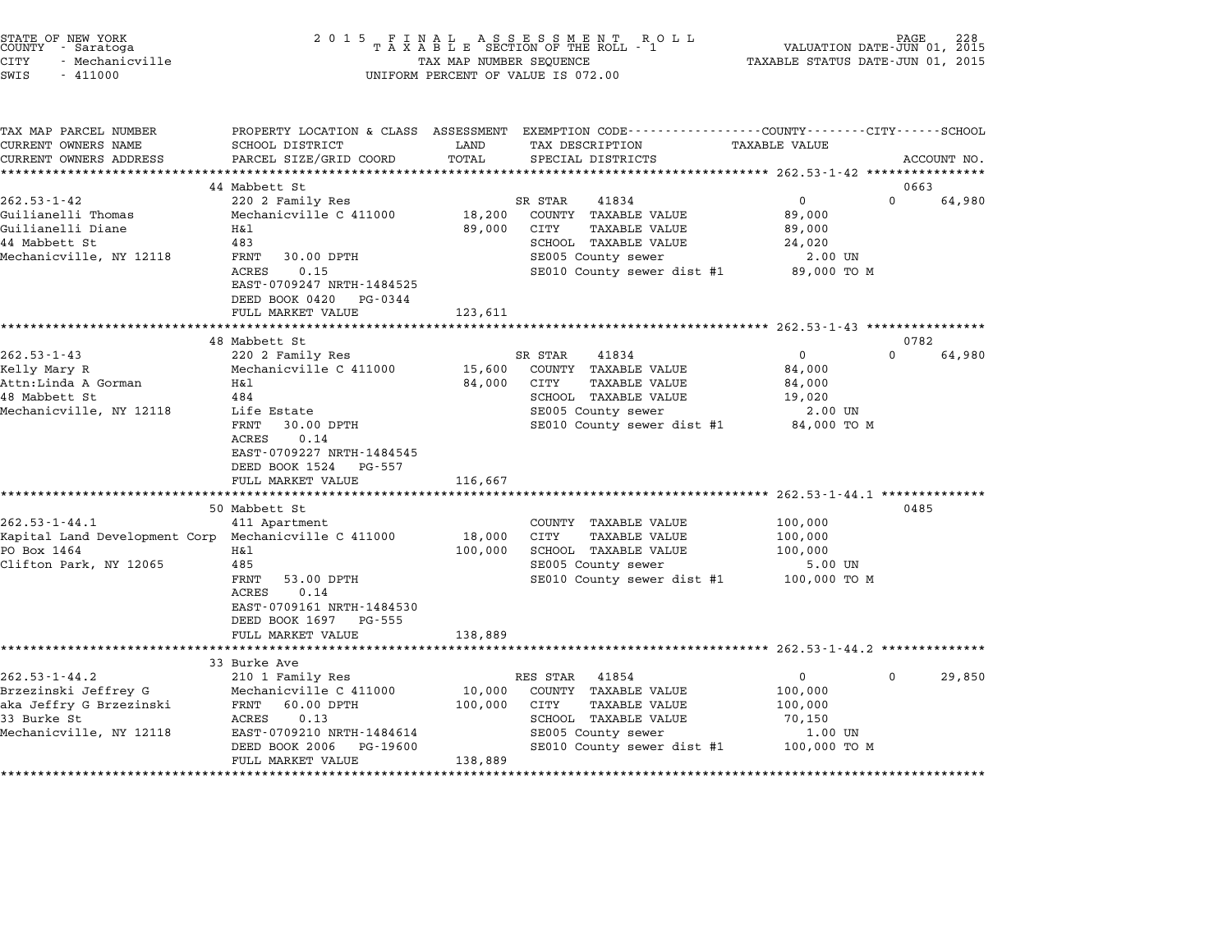| STATE OF NEW YORK<br>COUNTY - Saratoga<br>CITY<br>- Mechanicville<br>SWIS<br>$-411000$                               | 2 0 1 5                                                                                                                                                                           | FINAL ASSESSMENT RO<br>TAXABLE SECTION OF THE ROLL - 1<br>R O L L<br>TAX MAP NUMBER SEQUENCE<br>UNIFORM PERCENT OF VALUE IS 072.00                                                    | PAGE<br>VALUATION DATE-JUN 01, 2015<br>TAXABLE STATUS DATE-JUN 01, 2015                      |
|----------------------------------------------------------------------------------------------------------------------|-----------------------------------------------------------------------------------------------------------------------------------------------------------------------------------|---------------------------------------------------------------------------------------------------------------------------------------------------------------------------------------|----------------------------------------------------------------------------------------------|
| TAX MAP PARCEL NUMBER<br>CURRENT OWNERS NAME<br>CURRENT OWNERS ADDRESS                                               | SCHOOL DISTRICT<br>PARCEL SIZE/GRID COORD                                                                                                                                         | PROPERTY LOCATION & CLASS ASSESSMENT EXEMPTION CODE---------------COUNTY-------CITY-----SCHOOL<br>LAND<br>TAX DESCRIPTION<br>TOTAL<br>SPECIAL DISTRICTS                               | TAXABLE VALUE<br>ACCOUNT NO.                                                                 |
|                                                                                                                      |                                                                                                                                                                                   |                                                                                                                                                                                       |                                                                                              |
| $262.53 - 1 - 42$<br>Guilianelli Thomas<br>Guilianelli Diane<br>44 Mabbett St<br>Mechanicville, NY 12118             | 44 Mabbett St<br>220 2 Family Res<br>Mechanicville C 411000<br>Η&l<br>483<br>30.00 DPTH<br>FRNT                                                                                   | SR STAR<br>41834<br>18,200<br>COUNTY TAXABLE VALUE<br>89,000<br>CITY<br>TAXABLE VALUE<br>SCHOOL TAXABLE VALUE<br>SE005 County sewer                                                   | 0663<br>$\mathbf{0}$<br>$\Omega$<br>64,980<br>89,000<br>89,000<br>24,020<br>2.00 UN          |
|                                                                                                                      | ACRES<br>0.15<br>EAST-0709247 NRTH-1484525<br>DEED BOOK 0420<br>PG-0344<br>FULL MARKET VALUE                                                                                      | SE010 County sewer dist #1<br>123,611                                                                                                                                                 | 89,000 TO M                                                                                  |
|                                                                                                                      | 48 Mabbett St                                                                                                                                                                     |                                                                                                                                                                                       | 0782                                                                                         |
| $262.53 - 1 - 43$<br>Kelly Mary R<br>Attn:Linda A Gorman<br>48 Mabbett St<br>Mechanicville, NY 12118                 | 220 2 Family Res<br>Mechanicville C 411000<br>H& 1<br>484<br>Life Estate<br>FRNT<br>30.00 DPTH<br>0.14<br>ACRES<br>EAST-0709227 NRTH-1484545<br>DEED BOOK 1524<br>PG-557          | SR STAR<br>41834<br>15,600<br>COUNTY TAXABLE VALUE<br>84,000<br>CITY<br><b>TAXABLE VALUE</b><br>SCHOOL TAXABLE VALUE<br>SE005 County sewer<br>SE010 County sewer dist #1              | $\overline{0}$<br>$\Omega$<br>64,980<br>84,000<br>84,000<br>19,020<br>2.00 UN<br>84,000 TO M |
|                                                                                                                      | FULL MARKET VALUE                                                                                                                                                                 | 116,667                                                                                                                                                                               |                                                                                              |
| $262.53 - 1 - 44.1$<br>Kapital Land Development Corp Mechanicville C 411000<br>PO Box 1464<br>Clifton Park, NY 12065 | 50 Mabbett St<br>411 Apartment<br>Η&l<br>485<br>53.00 DPTH<br>FRNT<br>ACRES<br>0.14<br>EAST-0709161 NRTH-1484530<br>DEED BOOK 1697 PG-555<br>FULL MARKET VALUE                    | COUNTY TAXABLE VALUE<br>CITY<br>18,000<br>TAXABLE VALUE<br>100,000<br>SCHOOL TAXABLE VALUE<br>SE005 County sewer<br>SE010 County sewer dist #1<br>138,889                             | 0485<br>100,000<br>100,000<br>100,000<br>5.00 UN<br>100,000 TO M                             |
|                                                                                                                      |                                                                                                                                                                                   |                                                                                                                                                                                       |                                                                                              |
| $262.53 - 1 - 44.2$<br>Brzezinski Jeffrey G<br>aka Jeffry G Brzezinski<br>33 Burke St<br>Mechanicville, NY 12118     | 33 Burke Ave<br>210 1 Family Res<br>Mechanicville C 411000<br>FRNT<br>60.00 DPTH<br>ACRES<br>0.13<br>EAST-0709210 NRTH-1484614<br>DEED BOOK 2006<br>PG-19600<br>FULL MARKET VALUE | RES STAR<br>41854<br>10,000<br>COUNTY TAXABLE VALUE<br>100,000<br>CITY<br><b>TAXABLE VALUE</b><br>SCHOOL TAXABLE VALUE<br>SE005 County sewer<br>SE010 County sewer dist #1<br>138,889 | 0<br>29,850<br>$\mathbf 0$<br>100,000<br>100,000<br>70,150<br>1.00 UN<br>100,000 TO M        |

STATE OF NEW YORK <sup>2</sup> <sup>0</sup> <sup>1</sup> 5 F I N A L A S S E S S M E N T R O L L PAGE <sup>228</sup> COUNTY - Saratoga <sup>T</sup> <sup>A</sup> <sup>X</sup> <sup>A</sup> <sup>B</sup> <sup>L</sup> <sup>E</sup> SECTION OF THE ROLL - <sup>1</sup> VALUATION DATE-JUN 01, <sup>2015</sup>

\*\*\*\*\*\*\*\*\*\*\*\*\*\*\*\*\*\*\*\*\*\*\*\*\*\*\*\*\*\*\*\*\*\*\*\*\*\*\*\*\*\*\*\*\*\*\*\*\*\*\*\*\*\*\*\*\*\*\*\*\*\*\*\*\*\*\*\*\*\*\*\*\*\*\*\*\*\*\*\*\*\*\*\*\*\*\*\*\*\*\*\*\*\*\*\*\*\*\*\*\*\*\*\*\*\*\*\*\*\*\*\*\*\*\*\*\*\*\*\*\*\*\*\*\*\*\*\*\*\*\*\*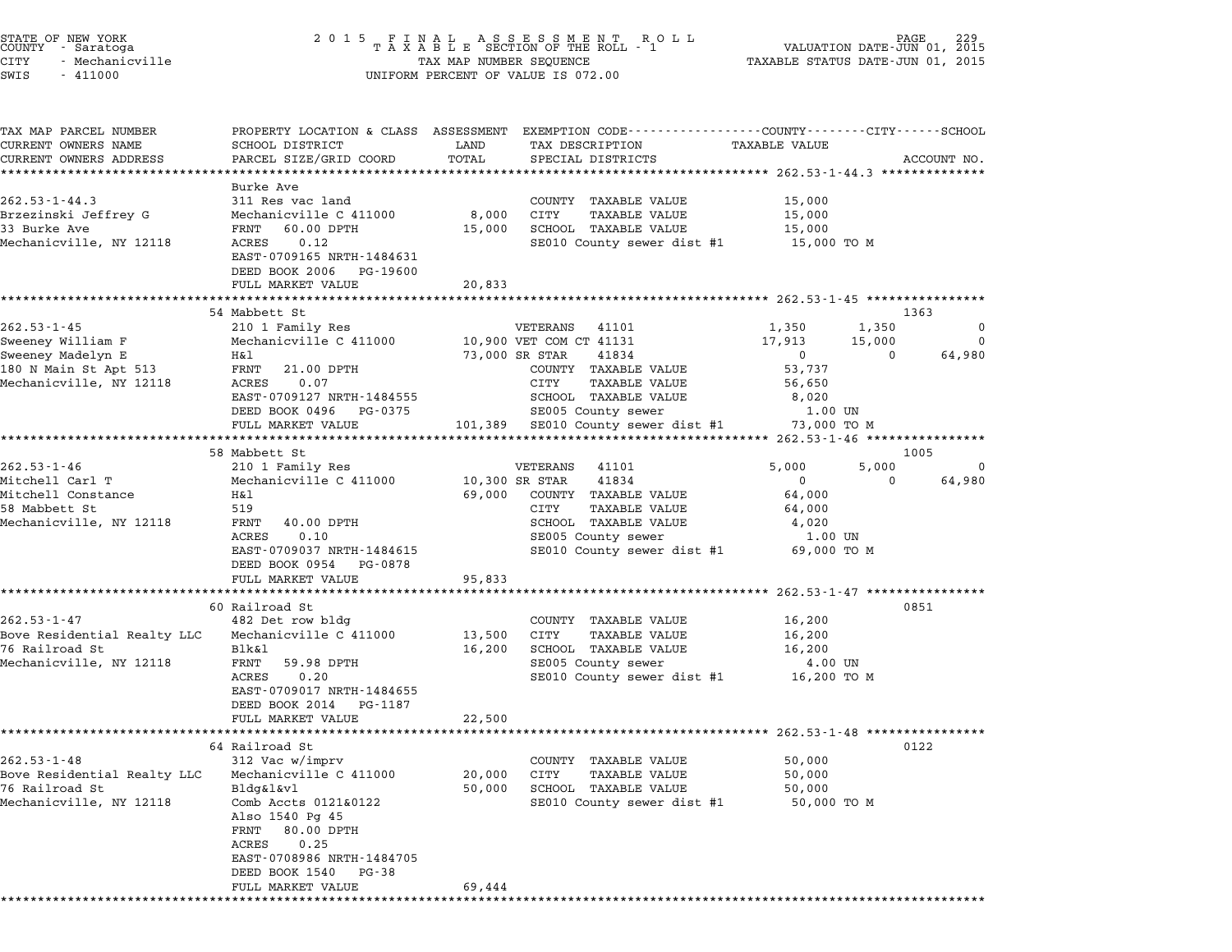| STATE OF NEW YORK<br>COUNTY – Saratoga<br>CITY<br>- Mechanicville<br>SWIS<br>$-411000$                 | 2 0 1 5                                                                                                                                                               |                  | FINAL ASSESSMENT ROLL MAN PAGE PAGE TAXABLE SECTION OF THE ROLL - 1 VALUATION DATE-JUN 01,<br>TAXABLE SECTION OF THE ROLL - 1 VALUATION DATE-JUN 01,<br>UNIFORM PERCENT OF VALUE IS 072.00 | TAXABLE STATUS DATE-JUN 01, 2015                                                                       | 2015             |
|--------------------------------------------------------------------------------------------------------|-----------------------------------------------------------------------------------------------------------------------------------------------------------------------|------------------|--------------------------------------------------------------------------------------------------------------------------------------------------------------------------------------------|--------------------------------------------------------------------------------------------------------|------------------|
| TAX MAP PARCEL NUMBER<br>CURRENT OWNERS NAME<br>CURRENT OWNERS ADDRESS                                 | SCHOOL DISTRICT<br>PARCEL SIZE/GRID COORD                                                                                                                             | LAND<br>TOTAL    | PROPERTY LOCATION & CLASS ASSESSMENT EXEMPTION CODE---------------COUNTY-------CITY------SCHOOL<br>TAX DESCRIPTION<br>SPECIAL DISTRICTS                                                    | <b>TAXABLE VALUE</b>                                                                                   | ACCOUNT NO.      |
|                                                                                                        | ***********************                                                                                                                                               |                  |                                                                                                                                                                                            |                                                                                                        |                  |
| $262.53 - 1 - 44.3$<br>Brzezinski Jeffrey G<br>33 Burke Ave<br>Mechanicville, NY 12118                 | Burke Ave<br>311 Res vac land<br>Mechanicville C 411000<br>60.00 DPTH<br>FRNT<br>ACRES 0.12<br>EAST-0709165 NRTH-1484631                                              | 8,000<br>15,000  | COUNTY TAXABLE VALUE<br>CITY<br><b>TAXABLE VALUE</b><br>SCHOOL TAXABLE VALUE<br>SE010 County sewer dist #1                                                                                 | 15,000<br>15,000<br>15,000<br>15,000 TO M                                                              |                  |
|                                                                                                        | DEED BOOK 2006 PG-19600                                                                                                                                               |                  |                                                                                                                                                                                            |                                                                                                        |                  |
|                                                                                                        | FULL MARKET VALUE                                                                                                                                                     | 20,833           |                                                                                                                                                                                            |                                                                                                        |                  |
|                                                                                                        | 54 Mabbett St                                                                                                                                                         |                  |                                                                                                                                                                                            |                                                                                                        | 1363             |
| $262.53 - 1 - 45$<br>Sweeney William F<br>Sweeney Madelyn E                                            | 210 1 Family Res<br>Mechanicville C 411000<br>Η&l                                                                                                                     |                  | VETERANS 41101<br>10,900 VET COM CT 41131<br>73,000 SR STAR<br>41834                                                                                                                       | 1,350<br>1,350<br>17,913<br>15,000<br>$\overline{0}$<br>$\Omega$                                       | 0<br>0<br>64,980 |
| 180 N Main St Apt 513<br>Mechanicville, NY 12118                                                       | FRNT<br>21.00 DPTH<br>ACRES<br>0.07<br>EAST-0709127 NRTH-1484555<br>DEED BOOK 0496 PG-0375<br>FULL MARKET VALUE                                                       |                  | COUNTY TAXABLE VALUE<br>CITY<br>TAXABLE VALUE<br>SCHOOL TAXABLE VALUE<br>SE005 County sewer<br>101,389 SE010 County sewer dist #1 73,000 TO M                                              | 53,737<br>56,650<br>8,020<br>1.00 UN                                                                   |                  |
|                                                                                                        |                                                                                                                                                                       |                  |                                                                                                                                                                                            |                                                                                                        |                  |
|                                                                                                        | 58 Mabbett St                                                                                                                                                         |                  |                                                                                                                                                                                            |                                                                                                        | 1005             |
| $262.53 - 1 - 46$<br>Mitchell Carl T<br>Mitchell Constance<br>58 Mabbett St<br>Mechanicville, NY 12118 | 210 1 Family Res<br>Mechanicville C 411000<br>Η&l<br>519<br>40.00 DPTH<br>FRNT<br>0.10<br>ACRES<br>EAST-0709037 NRTH-1484615<br>DEED BOOK 0954 PG-0878                | 69,000           | VETERANS<br>41101<br>10,300 SR STAR<br>41834<br>COUNTY TAXABLE VALUE<br>CITY<br>TAXABLE VALUE<br>SCHOOL TAXABLE VALUE<br>SE005 County sewer<br>SE010 County sewer dist #1                  | 5,000<br>5,000<br>$\overline{0}$<br>$\mathbf 0$<br>64,000<br>64,000<br>4,020<br>1.00 UN<br>69,000 TO M | 0<br>64,980      |
|                                                                                                        | FULL MARKET VALUE                                                                                                                                                     | 95,833           |                                                                                                                                                                                            | *********** 262.53-1-47 **************                                                                 |                  |
|                                                                                                        | 60 Railroad St                                                                                                                                                        |                  |                                                                                                                                                                                            |                                                                                                        | 0851             |
| $262.53 - 1 - 47$<br>Bove Residential Realty LLC<br>76 Railroad St<br>Mechanicville, NY 12118          | 482 Det row bldg<br>Mechanicville C 411000<br>Blk&l<br>FRNT<br>59.98 DPTH<br>ACRES<br>0.20<br>EAST-0709017 NRTH-1484655<br>DEED BOOK 2014<br>PG-1187                  | 13,500<br>16,200 | COUNTY TAXABLE VALUE<br>CITY<br><b>TAXABLE VALUE</b><br>SCHOOL TAXABLE VALUE<br>SE005 County sewer<br>SE010 County sewer dist #1 16,200 TO M                                               | 16,200<br>16,200<br>16,200<br>4.00 UN                                                                  |                  |
|                                                                                                        | FULL MARKET VALUE                                                                                                                                                     | 22,500           |                                                                                                                                                                                            |                                                                                                        |                  |
|                                                                                                        | 64 Railroad St                                                                                                                                                        |                  |                                                                                                                                                                                            |                                                                                                        | 0122             |
| $262.53 - 1 - 48$<br>Bove Residential Realty LLC<br>76 Railroad St<br>Mechanicville, NY 12118          | 312 Vac w/imprv<br>Mechanicville C 411000<br>Bldg&l&vl<br>Comb Accts 0121&0122<br>Also 1540 Pg 45<br>80.00 DPTH<br>FRNT<br>ACRES<br>0.25<br>EAST-0708986 NRTH-1484705 | 20,000<br>50,000 | COUNTY TAXABLE VALUE<br>CITY<br><b>TAXABLE VALUE</b><br>SCHOOL TAXABLE VALUE<br>SE010 County sewer dist #1                                                                                 | 50,000<br>50,000<br>50,000<br>50,000 TO M                                                              |                  |
|                                                                                                        | DEED BOOK 1540<br>PG-38<br>FULL MARKET VALUE                                                                                                                          | 69,444           |                                                                                                                                                                                            |                                                                                                        |                  |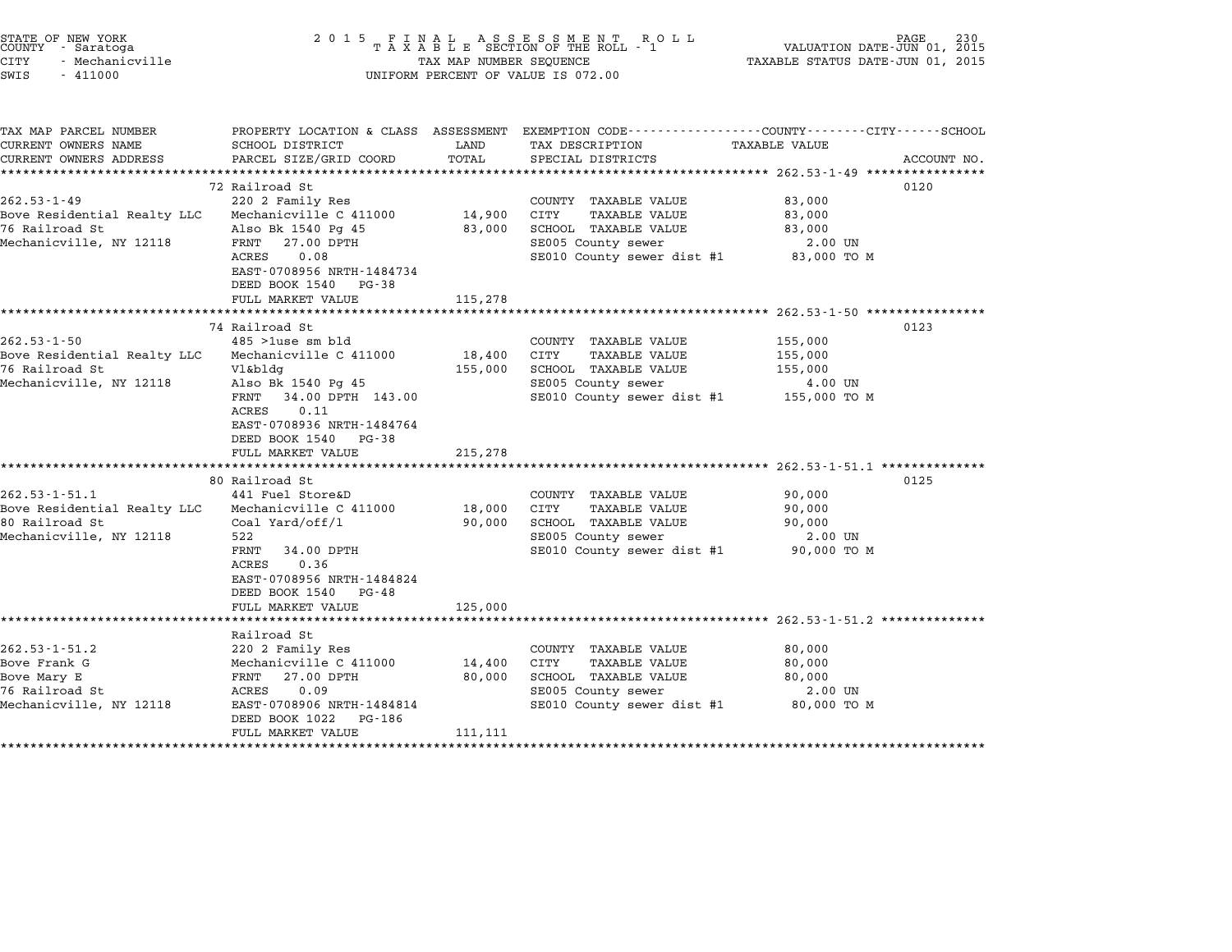| STATE OF NEW YORK<br>COUNTY - Saratoga<br><b>CITY</b><br>- Mechanicville<br>SWIS<br>$-411000$   | 2 0 1 5                                                                                                                                                                                                                     | TAX MAP NUMBER SEQUENCE      | FINAL ASSESSMENT ROLL<br>TAXABLE SECTION OF THE ROLL - 1<br>UNIFORM PERCENT OF VALUE IS 072.00                                                                                                         | VALUATION DATE-JUN 01, 2015<br>TAXABLE STATUS DATE-JUN 01, 2015                          | PAGE<br>230 |
|-------------------------------------------------------------------------------------------------|-----------------------------------------------------------------------------------------------------------------------------------------------------------------------------------------------------------------------------|------------------------------|--------------------------------------------------------------------------------------------------------------------------------------------------------------------------------------------------------|------------------------------------------------------------------------------------------|-------------|
| TAX MAP PARCEL NUMBER<br>CURRENT OWNERS NAME<br>CURRENT OWNERS ADDRESS                          | SCHOOL DISTRICT<br>PARCEL SIZE/GRID COORD                                                                                                                                                                                   | LAND<br>TOTAL                | PROPERTY LOCATION & CLASS ASSESSMENT EXEMPTION CODE----------------COUNTY-------CITY------SCHOOL<br>TAX DESCRIPTION<br>SPECIAL DISTRICTS<br>***************************** 262.53-1-49 **************** | TAXABLE VALUE                                                                            | ACCOUNT NO. |
| $262.53 - 1 - 49$<br>Bove Residential Realty LLC<br>76 Railroad St<br>Mechanicville, NY 12118   | 72 Railroad St<br>220 2 Family Res<br>Mechanicville C 411000<br>Also Bk 1540 Pg 45<br>FRNT 27.00 DPTH<br>ACRES<br>0.08<br>EAST-0708956 NRTH-1484734<br>DEED BOOK 1540 PG-38<br>FULL MARKET VALUE                            | 14,900<br>83,000<br>115,278  | COUNTY TAXABLE VALUE<br><b>TAXABLE VALUE</b><br>CITY<br>SCHOOL TAXABLE VALUE<br>SE005 County sewer<br>SE010 County sewer dist #1                                                                       | 83,000<br>83,000<br>83,000<br>2.00 UN<br>83,000 TO M                                     | 0120        |
|                                                                                                 |                                                                                                                                                                                                                             |                              |                                                                                                                                                                                                        |                                                                                          |             |
| $262.53 - 1 - 50$<br>Bove Residential Realty LLC<br>76 Railroad St<br>Mechanicville, NY 12118   | 74 Railroad St<br>$485$ >1use sm bld<br>Mechanicville C 411000<br>Vl&bldg<br>Also Bk 1540 Pg 45<br>FRNT 34.00 DPTH 143.00<br><b>ACRES</b><br>0.11<br>EAST-0708936 NRTH-1484764<br>DEED BOOK 1540 PG-38<br>FULL MARKET VALUE | 18,400<br>155,000<br>215,278 | COUNTY TAXABLE VALUE<br><b>TAXABLE VALUE</b><br>CITY<br>SCHOOL TAXABLE VALUE<br>SE005 County sewer<br>SE010 County sewer dist #1                                                                       | 155,000<br>155,000<br>155,000<br>4.00 UN<br>155,000 TO M                                 | 0123        |
| $262.53 - 1 - 51.1$<br>Bove Residential Realty LLC<br>80 Railroad St<br>Mechanicville, NY 12118 | 80 Railroad St<br>441 Fuel Store&D<br>Mechanicville C 411000<br>Coal Yard/off/1<br>522<br>FRNT<br>34.00 DPTH<br>ACRES<br>0.36<br>EAST-0708956 NRTH-1484824<br>DEED BOOK 1540 PG-48<br>FULL MARKET VALUE                     | 18,000<br>90,000<br>125,000  | COUNTY TAXABLE VALUE<br>CITY<br>TAXABLE VALUE<br>SCHOOL TAXABLE VALUE<br>SE005 County sewer<br>SE010 County sewer dist #1                                                                              | ********** 262.53-1-51.1 *******<br>90,000<br>90,000<br>90,000<br>2.00 UN<br>90,000 TO M | 0125        |
|                                                                                                 |                                                                                                                                                                                                                             |                              | ******************************** 262.53-1-51.2 **********                                                                                                                                              |                                                                                          |             |
| $262.53 - 1 - 51.2$<br>Bove Frank G<br>Bove Mary E<br>76 Railroad St<br>Mechanicville, NY 12118 | Railroad St<br>220 2 Family Res<br>Mechanicville C 411000<br>FRNT 27.00 DPTH<br>ACRES<br>0.09<br>EAST-0708906 NRTH-1484814<br>DEED BOOK 1022<br>PG-186<br>FULL MARKET VALUE                                                 | 14,400<br>80,000<br>111,111  | COUNTY TAXABLE VALUE<br>CITY<br>TAXABLE VALUE<br>SCHOOL TAXABLE VALUE<br>SE005 County sewer<br>SE010 County sewer dist #1 80,000 TO M                                                                  | 80,000<br>80,000<br>80,000<br>$2.00$ UN                                                  |             |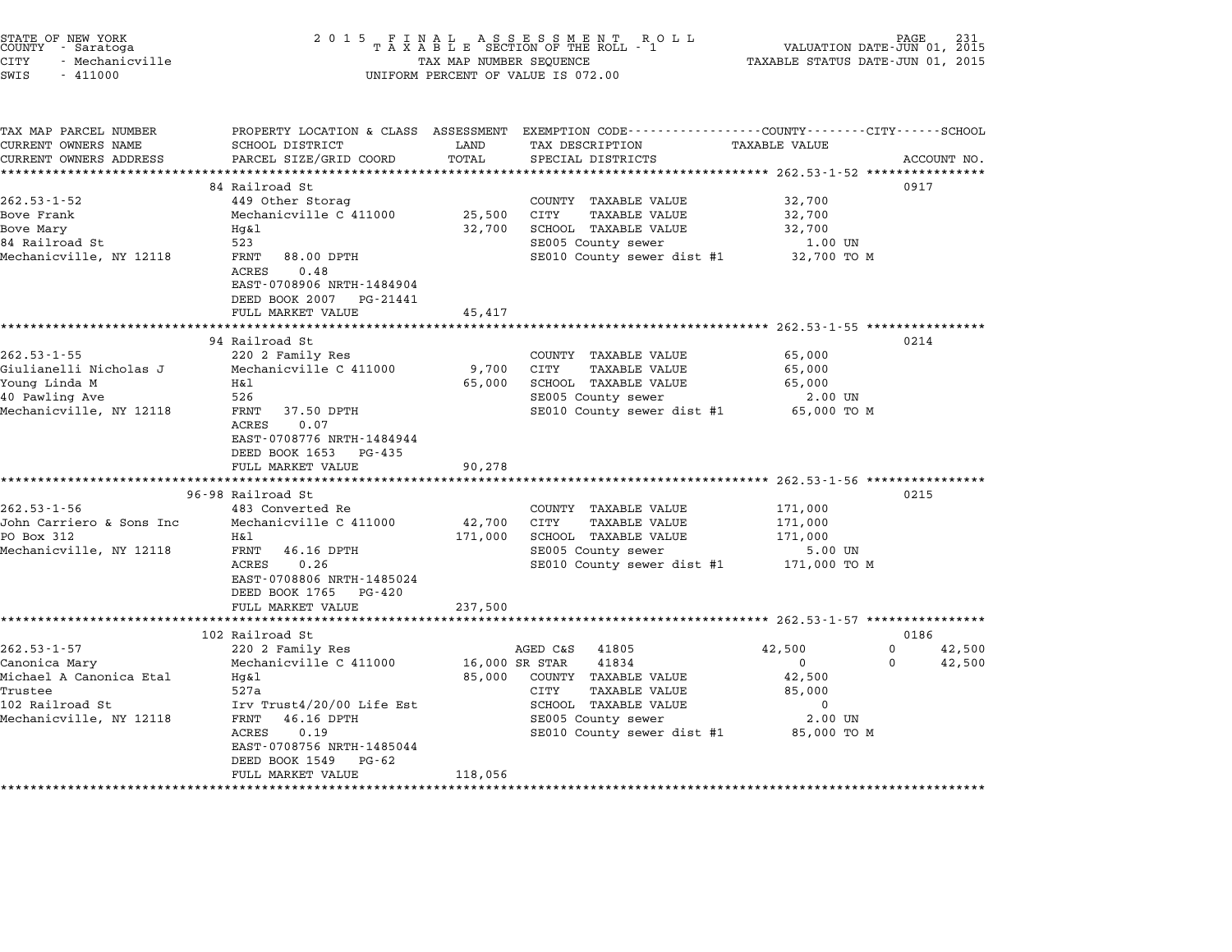| STATE OF NEW YORK<br>COUNTY - Saratoga | 2015 FINAL ASSESSMENT ROLL<br>TAXABLE SECTION OF THE ROLL - 1 | PAGE<br>VALUATION DATE-JUN 01, 2015 |
|----------------------------------------|---------------------------------------------------------------|-------------------------------------|
| CITY<br>– Mechanicville                | TAX MAP NUMBER SEQUENCE                                       | TAXABLE STATUS DATE-JUN 01, 2015    |

| TAX MAP PARCEL NUMBER<br>CURRENT OWNERS NAME<br>CURRENT OWNERS ADDRESS | PROPERTY LOCATION & CLASS ASSESSMENT EXEMPTION CODE---------------COUNTY-------CITY------SCHOOL<br>SCHOOL DISTRICT<br>PARCEL SIZE/GRID COORD | LAND<br>TOTAL  | TAX DESCRIPTION<br>SPECIAL DISTRICTS                 | <b>TAXABLE VALUE</b>   | ACCOUNT NO.        |
|------------------------------------------------------------------------|----------------------------------------------------------------------------------------------------------------------------------------------|----------------|------------------------------------------------------|------------------------|--------------------|
|                                                                        |                                                                                                                                              |                |                                                      |                        |                    |
|                                                                        | 84 Railroad St                                                                                                                               |                |                                                      |                        | 0917               |
| $262.53 - 1 - 52$                                                      | 449 Other Storag                                                                                                                             |                | COUNTY TAXABLE VALUE                                 | 32,700                 |                    |
| Bove Frank                                                             | Mechanicville C 411000                                                                                                                       | 25,500         | CITY<br><b>TAXABLE VALUE</b>                         | 32,700                 |                    |
| Bove Mary                                                              | Hq&l                                                                                                                                         | 32,700         | SCHOOL TAXABLE VALUE                                 | 32,700                 |                    |
| 84 Railroad St                                                         | 523                                                                                                                                          |                | SE005 County sewer                                   | 1.00 UN                |                    |
| Mechanicville, NY 12118                                                | 88.00 DPTH<br>FRNT<br>ACRES<br>0.48<br>EAST-0708906 NRTH-1484904<br>DEED BOOK 2007 PG-21441                                                  |                | SE010 County sewer dist #1                           | 32,700 TO M            |                    |
|                                                                        | FULL MARKET VALUE                                                                                                                            | 45,417         |                                                      |                        |                    |
|                                                                        |                                                                                                                                              |                |                                                      |                        |                    |
| $262.53 - 1 - 55$                                                      | 94 Railroad St<br>220 2 Family Res                                                                                                           |                |                                                      | 65,000                 | 0214               |
| Giulianelli Nicholas J                                                 | Mechanicville C 411000                                                                                                                       | 9,700          | COUNTY TAXABLE VALUE<br>CITY<br><b>TAXABLE VALUE</b> | 65,000                 |                    |
| Young Linda M                                                          | Η&l                                                                                                                                          | 65,000         | SCHOOL TAXABLE VALUE                                 | 65,000                 |                    |
| 40 Pawling Ave                                                         | 526                                                                                                                                          |                | SE005 County sewer                                   | 2.00 UN                |                    |
| Mechanicville, NY 12118                                                | FRNT<br>37.50 DPTH                                                                                                                           |                | SE010 County sewer dist #1                           | 65,000 TO M            |                    |
|                                                                        | 0.07<br>ACRES<br>EAST-0708776 NRTH-1484944<br>DEED BOOK 1653 PG-435                                                                          |                |                                                      |                        |                    |
|                                                                        | FULL MARKET VALUE                                                                                                                            | 90,278         |                                                      |                        |                    |
|                                                                        |                                                                                                                                              |                |                                                      |                        |                    |
| $262.53 - 1 - 56$                                                      | 96-98 Railroad St<br>483 Converted Re                                                                                                        |                | COUNTY TAXABLE VALUE                                 | 171,000                | 0215               |
| John Carriero & Sons Inc                                               | Mechanicville C 411000                                                                                                                       | 42,700         | CITY<br><b>TAXABLE VALUE</b>                         | 171,000                |                    |
| PO Box 312                                                             | H&l                                                                                                                                          | 171,000        | SCHOOL TAXABLE VALUE                                 | 171,000                |                    |
| Mechanicville, NY 12118                                                | FRNT<br>46.16 DPTH                                                                                                                           |                | SE005 County sewer                                   | 5.00 UN                |                    |
|                                                                        | 0.26<br>ACRES<br>EAST-0708806 NRTH-1485024<br>DEED BOOK 1765 PG-420                                                                          |                | SE010 County sewer dist #1 171,000 TO M              |                        |                    |
|                                                                        | FULL MARKET VALUE                                                                                                                            | 237,500        |                                                      |                        |                    |
|                                                                        |                                                                                                                                              |                |                                                      |                        | 0186               |
| $262.53 - 1 - 57$                                                      | 102 Railroad St<br>220 2 Family Res                                                                                                          |                | 41805<br>AGED C&S                                    | 42,500                 | 42,500<br>$\Omega$ |
| Canonica Mary                                                          | Mechanicville C 411000                                                                                                                       | 16,000 SR STAR | 41834                                                | $\Omega$               | 42,500<br>$\Omega$ |
| Michael A Canonica Etal                                                | Hg&l                                                                                                                                         | 85,000         | COUNTY TAXABLE VALUE                                 | 42,500                 |                    |
| Trustee                                                                | 527a                                                                                                                                         |                | CITY<br><b>TAXABLE VALUE</b>                         | 85,000                 |                    |
| 102 Railroad St                                                        | Irv Trust4/20/00 Life Est                                                                                                                    |                | SCHOOL TAXABLE VALUE                                 | 0                      |                    |
| Mechanicville, NY 12118                                                | 46.16 DPTH<br>FRNT<br>ACRES<br>0.19<br>EAST-0708756 NRTH-1485044<br>DEED BOOK 1549 PG-62                                                     |                | SE005 County sewer<br>SE010 County sewer dist #1     | 2.00 UN<br>85,000 TO M |                    |
|                                                                        | FULL MARKET VALUE                                                                                                                            | 118,056        |                                                      |                        |                    |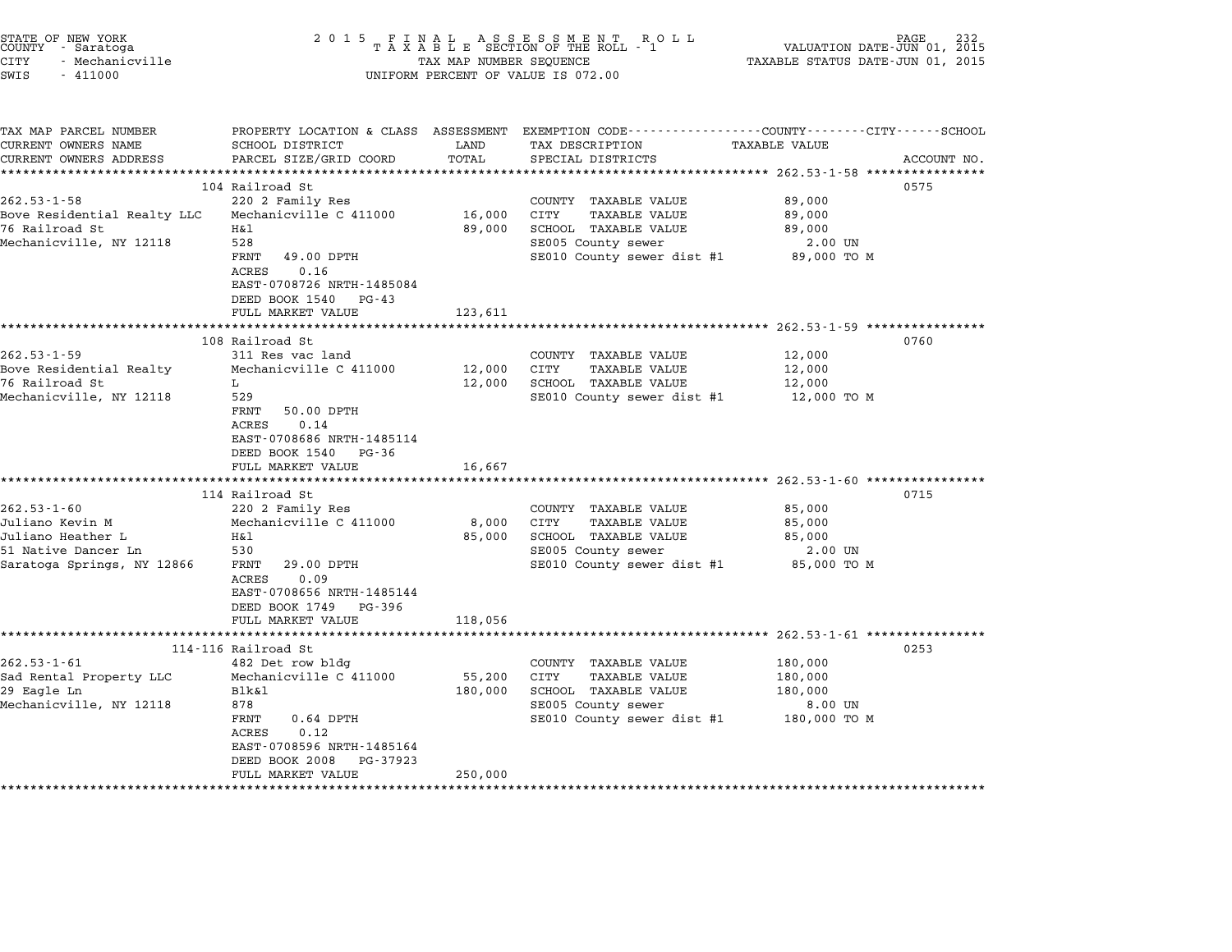| STATE OF NEW YORK<br>COUNTY - Saratoga<br><b>CITY</b><br>- Mechanicville<br>SWIS<br>$-411000$ | 2 0 1 5                                                                                                      | TAX MAP NUMBER SEQUENCE    | FINAL ASSESSMENT ROTAXABLE SECTION OF THE ROLL - 1<br>R O L L<br>UNIFORM PERCENT OF VALUE IS 072.00 | VALUATION DATE-JUN 01, 2015<br>TAXABLE STATUS DATE-JUN 01, 2015 | PAGE        |
|-----------------------------------------------------------------------------------------------|--------------------------------------------------------------------------------------------------------------|----------------------------|-----------------------------------------------------------------------------------------------------|-----------------------------------------------------------------|-------------|
| TAX MAP PARCEL NUMBER<br>CURRENT OWNERS NAME<br>CURRENT OWNERS ADDRESS                        | PROPERTY LOCATION & CLASS ASSESSMENT<br>SCHOOL DISTRICT<br>PARCEL SIZE/GRID COORD<br>*********************** | LAND<br>TOTAL<br>********* | EXEMPTION CODE----------------COUNTY-------CITY------SCHOOL<br>TAX DESCRIPTION<br>SPECIAL DISTRICTS | TAXABLE VALUE                                                   | ACCOUNT NO. |
|                                                                                               | 104 Railroad St                                                                                              |                            |                                                                                                     |                                                                 | 0575        |
| $262.53 - 1 - 58$                                                                             | 220 2 Family Res                                                                                             |                            | COUNTY TAXABLE VALUE                                                                                | 89,000                                                          |             |
| Bove Residential Realty LLC                                                                   | Mechanicville C 411000                                                                                       | 16,000                     | CITY<br>TAXABLE VALUE                                                                               | 89,000                                                          |             |
| 76 Railroad St                                                                                | Η&l                                                                                                          | 89,000                     | SCHOOL TAXABLE VALUE                                                                                | 89,000                                                          |             |
| Mechanicville, NY 12118                                                                       | 528                                                                                                          |                            | SE005 County sewer                                                                                  | 2.00 UN                                                         |             |
|                                                                                               | FRNT<br>49.00 DPTH                                                                                           |                            | SE010 County sewer dist #1                                                                          | 89,000 TO M                                                     |             |
|                                                                                               | 0.16<br>ACRES                                                                                                |                            |                                                                                                     |                                                                 |             |
|                                                                                               | EAST-0708726 NRTH-1485084                                                                                    |                            |                                                                                                     |                                                                 |             |
|                                                                                               | DEED BOOK 1540<br>PG-43<br>FULL MARKET VALUE                                                                 | 123,611                    |                                                                                                     |                                                                 |             |
|                                                                                               |                                                                                                              | **************             | *********************************** 262.53-1-59 *************                                       |                                                                 |             |
|                                                                                               | 108 Railroad St                                                                                              |                            |                                                                                                     |                                                                 | 0760        |
| $262.53 - 1 - 59$                                                                             | 311 Res vac land                                                                                             |                            | COUNTY TAXABLE VALUE                                                                                | 12,000                                                          |             |
| Bove Residential Realty                                                                       | Mechanicville C 411000                                                                                       | 12,000                     | CITY<br><b>TAXABLE VALUE</b>                                                                        | 12,000                                                          |             |
| 76 Railroad St                                                                                | L                                                                                                            | 12,000                     | SCHOOL TAXABLE VALUE                                                                                | 12,000                                                          |             |
| Mechanicville, NY 12118                                                                       | 529                                                                                                          |                            | SE010 County sewer dist #1                                                                          | 12,000 TO M                                                     |             |
|                                                                                               | FRNT<br>50.00 DPTH<br>ACRES<br>0.14<br>EAST-0708686 NRTH-1485114<br>DEED BOOK 1540<br>PG-36                  |                            |                                                                                                     |                                                                 |             |
|                                                                                               | FULL MARKET VALUE                                                                                            | 16,667                     |                                                                                                     | ********* 262.53-1-60 *********                                 |             |
|                                                                                               | 114 Railroad St                                                                                              |                            |                                                                                                     |                                                                 | 0715        |
| $262.53 - 1 - 60$                                                                             | 220 2 Family Res                                                                                             |                            | COUNTY TAXABLE VALUE                                                                                | 85,000                                                          |             |
| Juliano Kevin M                                                                               | Mechanicville C 411000                                                                                       | 8,000                      | CITY<br>TAXABLE VALUE                                                                               | 85,000                                                          |             |
| Juliano Heather L                                                                             | H&l                                                                                                          | 85,000                     | SCHOOL TAXABLE VALUE                                                                                | 85,000                                                          |             |
| 51 Native Dancer Ln                                                                           | 530                                                                                                          |                            | SE005 County sewer                                                                                  | 2.00 UN                                                         |             |
| Saratoga Springs, NY 12866                                                                    | FRNT<br>29.00 DPTH<br>ACRES<br>0.09<br>EAST-0708656 NRTH-1485144<br>DEED BOOK 1749<br>PG-396                 |                            | SE010 County sewer dist #1                                                                          | 85,000 TO M                                                     |             |
|                                                                                               | FULL MARKET VALUE                                                                                            | 118,056                    |                                                                                                     |                                                                 |             |
|                                                                                               | ************************                                                                                     |                            | ************************                                                                            | $262.53 - 1 - 61$ ***************                               |             |
|                                                                                               | 114-116 Railroad St                                                                                          |                            |                                                                                                     |                                                                 | 0253        |
| $262.53 - 1 - 61$<br>Sad Rental Property LLC                                                  | 482 Det row bldg<br>Mechanicville C 411000                                                                   | 55,200                     | COUNTY TAXABLE VALUE<br>CITY<br>TAXABLE VALUE                                                       | 180,000<br>180,000                                              |             |
| 29 Eagle Ln                                                                                   | Blk&1                                                                                                        | 180,000                    | SCHOOL TAXABLE VALUE                                                                                | 180,000                                                         |             |
| Mechanicville, NY 12118                                                                       | 878                                                                                                          |                            | SE005 County sewer                                                                                  | 8.00 UN                                                         |             |
|                                                                                               | FRNT<br>$0.64$ DPTH                                                                                          |                            | SE010 County sewer dist #1                                                                          | 180,000 TO M                                                    |             |
|                                                                                               | ACRES<br>0.12                                                                                                |                            |                                                                                                     |                                                                 |             |
|                                                                                               | EAST-0708596 NRTH-1485164                                                                                    |                            |                                                                                                     |                                                                 |             |
|                                                                                               | DEED BOOK 2008<br>PG-37923                                                                                   |                            |                                                                                                     |                                                                 |             |
|                                                                                               | FULL MARKET VALUE                                                                                            | 250,000                    |                                                                                                     |                                                                 |             |
|                                                                                               | *******************                                                                                          |                            |                                                                                                     |                                                                 |             |

STATE OF NEW YORK <sup>2</sup> <sup>0</sup> <sup>1</sup> 5 F I N A L A S S E S S M E N T R O L L PAGE <sup>232</sup> COUNTY - Saratoga <sup>T</sup> <sup>A</sup> <sup>X</sup> <sup>A</sup> <sup>B</sup> <sup>L</sup> <sup>E</sup> SECTION OF THE ROLL - <sup>1</sup> VALUATION DATE-JUN 01, <sup>2015</sup>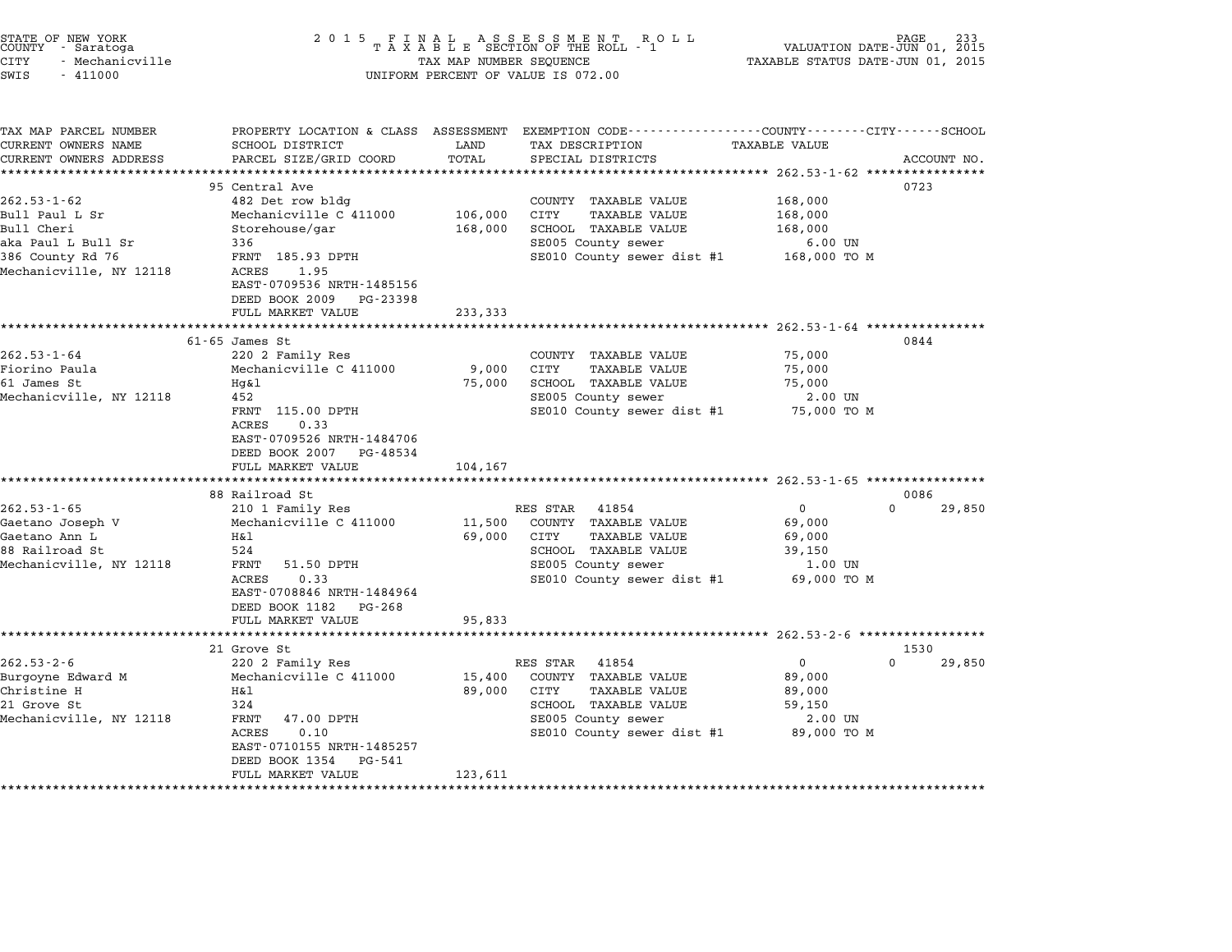| SWIS<br>$-411000$                            |                                                       |         | UNIFORM PERCENT OF VALUE IS 072.00                                                                                  |                      |                    |
|----------------------------------------------|-------------------------------------------------------|---------|---------------------------------------------------------------------------------------------------------------------|----------------------|--------------------|
|                                              |                                                       |         |                                                                                                                     |                      |                    |
| TAX MAP PARCEL NUMBER<br>CURRENT OWNERS NAME | SCHOOL DISTRICT                                       | LAND    | PROPERTY LOCATION & CLASS ASSESSMENT EXEMPTION CODE----------------COUNTY-------CITY------SCHOOL<br>TAX DESCRIPTION | <b>TAXABLE VALUE</b> |                    |
| CURRENT OWNERS ADDRESS                       | PARCEL SIZE/GRID COORD                                | TOTAL   | SPECIAL DISTRICTS                                                                                                   |                      | ACCOUNT NO.        |
| *************************                    |                                                       |         |                                                                                                                     |                      |                    |
| $262.53 - 1 - 62$                            | 95 Central Ave<br>482 Det row bldg                    |         | COUNTY TAXABLE VALUE                                                                                                | 168,000              | 0723               |
| Bull Paul L Sr                               | Mechanicville C 411000                                | 106,000 | CITY<br>TAXABLE VALUE                                                                                               | 168,000              |                    |
| Bull Cheri                                   | Storehouse/gar                                        | 168,000 | SCHOOL TAXABLE VALUE                                                                                                | 168,000              |                    |
| aka Paul L Bull Sr                           | 336                                                   |         | SE005 County sewer                                                                                                  | $6.00$ UN            |                    |
| 386 County Rd 76                             | FRNT 185.93 DPTH                                      |         | SE010 County sewer dist #1 168,000 TO M                                                                             |                      |                    |
| Mechanicville, NY 12118                      | ACRES<br>1.95                                         |         |                                                                                                                     |                      |                    |
|                                              | EAST-0709536 NRTH-1485156                             |         |                                                                                                                     |                      |                    |
|                                              | DEED BOOK 2009 PG-23398                               |         |                                                                                                                     |                      |                    |
|                                              | FULL MARKET VALUE                                     | 233,333 |                                                                                                                     |                      |                    |
|                                              | $61 - 65$ James St                                    |         |                                                                                                                     |                      | 0844               |
| $262.53 - 1 - 64$                            | 220 2 Family Res                                      |         | COUNTY TAXABLE VALUE                                                                                                | 75,000               |                    |
| Fiorino Paula                                | Mechanicville C 411000                                | 9,000   | CITY<br>TAXABLE VALUE                                                                                               | 75,000               |                    |
| 61 James St                                  | Hg&l                                                  |         | 75,000 SCHOOL TAXABLE VALUE                                                                                         | 75,000               |                    |
| Mechanicville, NY 12118                      | 452                                                   |         | SE005 County sewer                                                                                                  | 2.00 UN              |                    |
|                                              | FRNT 115.00 DPTH                                      |         | SE010 County sewer dist #1 75,000 TO M                                                                              |                      |                    |
|                                              | ACRES<br>0.33                                         |         |                                                                                                                     |                      |                    |
|                                              | EAST-0709526 NRTH-1484706                             |         |                                                                                                                     |                      |                    |
|                                              | DEED BOOK 2007 PG-48534                               |         |                                                                                                                     |                      |                    |
|                                              | FULL MARKET VALUE                                     | 104,167 |                                                                                                                     |                      |                    |
|                                              | 88 Railroad St                                        |         |                                                                                                                     |                      | 0086               |
| $262.53 - 1 - 65$                            | 210 1 Family Res                                      |         | RES STAR 41854                                                                                                      | $\overline{0}$       | $\Omega$<br>29,850 |
| Gaetano Joseph V                             | Mechanicville C 411000                                | 11,500  | COUNTY TAXABLE VALUE                                                                                                | 69,000               |                    |
| Gaetano Ann L                                | H&l                                                   |         | 69,000 CITY<br>TAXABLE VALUE                                                                                        | 69,000               |                    |
| 88 Railroad St                               | 524                                                   |         | SCHOOL TAXABLE VALUE                                                                                                | 39,150               |                    |
| Mechanicville, NY 12118                      | FRNT<br>51.50 DPTH                                    |         | SE005 County sewer                                                                                                  | 1.00 UN              |                    |
|                                              | ACRES<br>0.33                                         |         | SE010 County sewer dist #1                                                                                          | 69,000 TO M          |                    |
|                                              | EAST-0708846 NRTH-1484964                             |         |                                                                                                                     |                      |                    |
|                                              | DEED BOOK 1182 PG-268                                 |         |                                                                                                                     |                      |                    |
|                                              | FULL MARKET VALUE                                     | 95,833  |                                                                                                                     |                      |                    |
|                                              | 21 Grove St                                           |         |                                                                                                                     |                      | 1530               |
| $262.53 - 2 - 6$                             | 220 2 Family Res                                      |         | RES STAR 41854                                                                                                      | $\overline{0}$       | $\Omega$<br>29,850 |
| Burgoyne Edward M                            | Mechanicville C 411000                                | 15,400  | COUNTY TAXABLE VALUE                                                                                                | 89,000               |                    |
| Christine H                                  | Η&l                                                   | 89,000  | CITY<br>TAXABLE VALUE                                                                                               | 89,000               |                    |
| 21 Grove St                                  | 324                                                   |         | SCHOOL TAXABLE VALUE                                                                                                | 59,150               |                    |
| Mechanicville, NY 12118                      | FRNT<br>47.00 DPTH                                    |         | SE005 County sewer                                                                                                  | 2.00 UN              |                    |
|                                              | ACRES<br>0.10                                         |         | SE010 County sewer dist #1                                                                                          | 89,000 TO M          |                    |
|                                              | EAST-0710155 NRTH-1485257<br>DEED BOOK 1354<br>PG-541 |         |                                                                                                                     |                      |                    |

\*\*\*\*\*\*\*\*\*\*\*\*\*\*\*\*\*\*\*\*\*\*\*\*\*\*\*\*\*\*\*\*\*\*\*\*\*\*\*\*\*\*\*\*\*\*\*\*\*\*\*\*\*\*\*\*\*\*\*\*\*\*\*\*\*\*\*\*\*\*\*\*\*\*\*\*\*\*\*\*\*\*\*\*\*\*\*\*\*\*\*\*\*\*\*\*\*\*\*\*\*\*\*\*\*\*\*\*\*\*\*\*\*\*\*\*\*\*\*\*\*\*\*\*\*\*\*\*\*\*\*\*

FULL MARKET VALUE 123,611

STATE OF NEW YORK <sup>2</sup> <sup>0</sup> <sup>1</sup> 5 F I N A L A S S E S S M E N T R O L L PAGE <sup>233</sup> COUNTY - Saratoga <sup>T</sup> <sup>A</sup> <sup>X</sup> <sup>A</sup> <sup>B</sup> <sup>L</sup> <sup>E</sup> SECTION OF THE ROLL - <sup>1</sup> VALUATION DATE-JUN 01, <sup>2015</sup> CITY - Mechanicville TAX MAP NUMBER SEQUENCE TAXABLE STATUS DATE-JUN 01, <sup>2015</sup> STATE OF NEW YORK COUNTY - Saratoga and the serve of the country - Saratoga and the serve of the serve of the serve of the serve of the serve of the serve of the serve of the serve of the serve of the serve of the serve of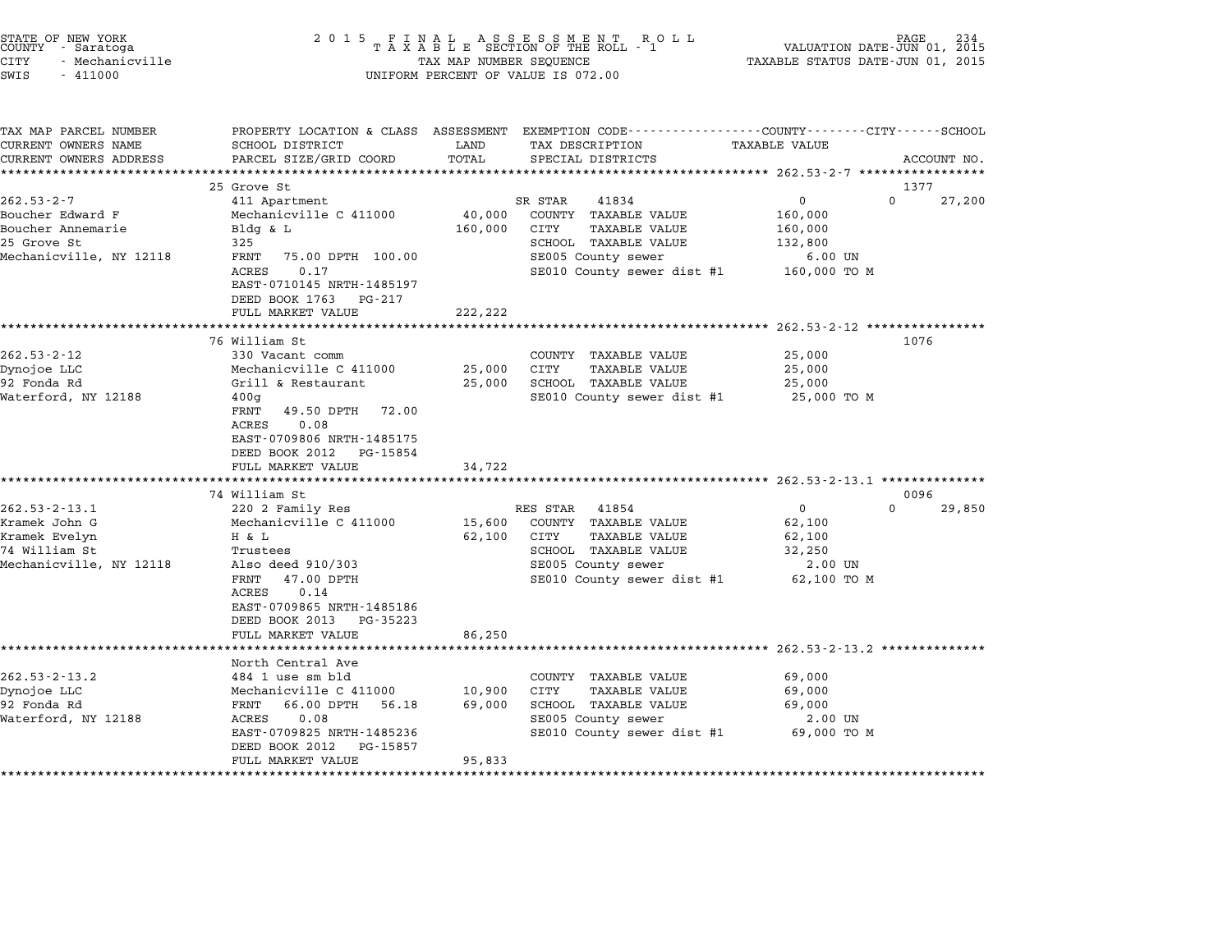| STATE OF NEW YORK<br>COUNTY - Saratoga<br><b>CITY</b><br>- Mechanicville<br>SWIS<br>$-411000$       | 2 0 1 5                                                                                                                                                                                                                   | TAX MAP NUMBER SEQUENCE      | FINAL ASSESSMENT ROLL<br>TAXABLE SECTION OF THE ROLL - 1<br>UNIFORM PERCENT OF VALUE IS 072.00                                                     | VALUATION DATE-JUN 01, 2015<br>TAXABLE STATUS DATE-JUN 01, 2015                                            | PAGE                       |
|-----------------------------------------------------------------------------------------------------|---------------------------------------------------------------------------------------------------------------------------------------------------------------------------------------------------------------------------|------------------------------|----------------------------------------------------------------------------------------------------------------------------------------------------|------------------------------------------------------------------------------------------------------------|----------------------------|
| TAX MAP PARCEL NUMBER<br>CURRENT OWNERS NAME<br>CURRENT OWNERS ADDRESS                              | SCHOOL DISTRICT<br>PARCEL SIZE/GRID COORD                                                                                                                                                                                 | LAND<br>TOTAL                | PROPERTY LOCATION & CLASS ASSESSMENT EXEMPTION CODE---------------COUNTY-------CITY------SCHOOL<br>TAX DESCRIPTION<br>SPECIAL DISTRICTS            | <b>TAXABLE VALUE</b>                                                                                       | ACCOUNT NO.                |
| $262.53 - 2 - 7$<br>Boucher Edward F<br>Boucher Annemarie<br>25 Grove St<br>Mechanicville, NY 12118 | 25 Grove St<br>411 Apartment<br>Mechanicville C 411000<br>Bldg & L<br>325<br>FRNT<br>75.00 DPTH 100.00<br>ACRES<br>0.17<br>EAST-0710145 NRTH-1485197<br>DEED BOOK 1763<br>PG-217<br>FULL MARKET VALUE                     | 40,000<br>160,000<br>222,222 | SR STAR<br>41834<br>COUNTY TAXABLE VALUE<br>CITY<br>TAXABLE VALUE<br>SCHOOL TAXABLE VALUE<br>SE005 County sewer<br>SE010 County sewer dist #1      | $\mathsf{O}$<br>160,000<br>160,000<br>132,800<br>$6.00$ UN<br>160,000 TO M                                 | 1377<br>$\Omega$<br>27,200 |
| $262.53 - 2 - 12$<br>Dynojoe LLC<br>92 Fonda Rd<br>Waterford, NY 12188                              | 76 William St<br>330 Vacant comm<br>Mechanicville C 411000<br>Grill & Restaurant<br>400q<br>FRNT<br>49.50 DPTH 72.00<br>ACRES<br>0.08<br>EAST-0709806 NRTH-1485175<br>DEED BOOK 2012 PG-15854                             | 25,000<br>25,000             | COUNTY TAXABLE VALUE<br>CITY<br>TAXABLE VALUE<br>SCHOOL TAXABLE VALUE<br>SE010 County sewer dist #1                                                | 25,000<br>25,000<br>25,000<br>25,000 TO M                                                                  | 1076                       |
|                                                                                                     | FULL MARKET VALUE                                                                                                                                                                                                         | 34,722                       |                                                                                                                                                    |                                                                                                            |                            |
| $262.53 - 2 - 13.1$<br>Kramek John G<br>Kramek Evelyn<br>74 William St<br>Mechanicville, NY 12118   | 74 William St<br>220 2 Family Res<br>Mechanicville C 411000<br>H & L<br>Trustees<br>Also deed 910/303<br>FRNT 47.00 DPTH<br>ACRES<br>0.14<br>EAST-0709865 NRTH-1485186<br>DEED BOOK 2013<br>PG-35223<br>FULL MARKET VALUE | 15,600<br>62,100<br>86,250   | RES STAR 41854<br>COUNTY TAXABLE VALUE<br><b>TAXABLE VALUE</b><br>CITY<br>SCHOOL TAXABLE VALUE<br>SE005 County sewer<br>SE010 County sewer dist #1 | $\mathsf{O}$<br>62,100<br>62,100<br>32,250<br>2.00 UN<br>62,100 TO M                                       | 0096<br>$\Omega$<br>29,850 |
| $262.53 - 2 - 13.2$<br>Dynojoe LLC<br>92 Fonda Rd<br>Waterford, NY 12188                            | North Central Ave<br>484 1 use sm bld<br>Mechanicville C 411000<br>FRNT 66.00 DPTH<br>56.18<br>ACRES<br>0.08<br>EAST-0709825 NRTH-1485236<br>DEED BOOK 2012<br>PG-15857<br>FULL MARKET VALUE                              | 10,900<br>69,000<br>95,833   | COUNTY TAXABLE VALUE<br>CITY<br><b>TAXABLE VALUE</b><br>SCHOOL TAXABLE VALUE<br>SE005 County sewer<br>SE010 County sewer dist #1                   | ********************* 262.53-2-13.2 **************<br>69,000<br>69,000<br>69,000<br>2.00 UN<br>69,000 TO M |                            |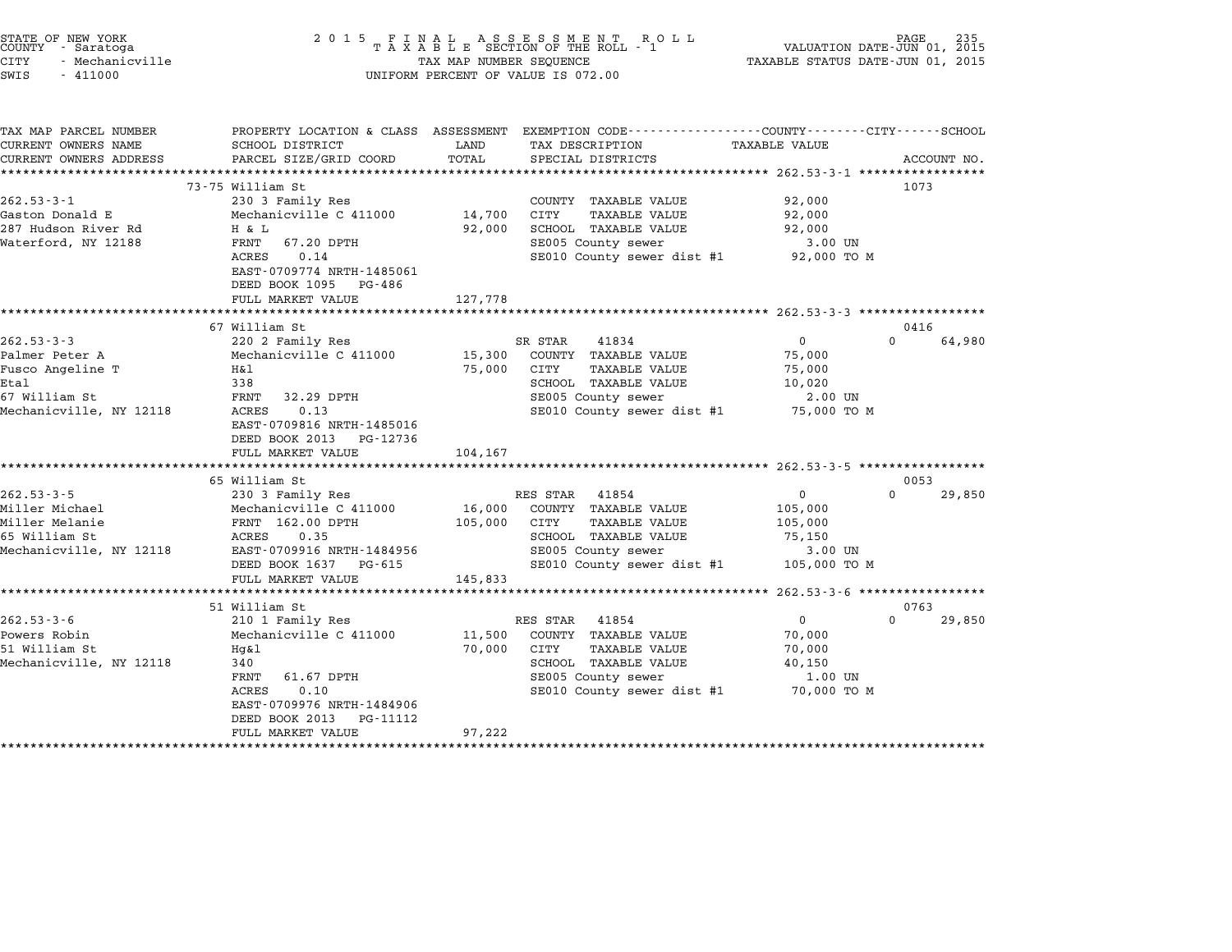| STATE OF NEW YORK<br>COUNTY - Saratoga<br>CITY<br>- Mechanicville<br>SWIS<br>$-411000$                     | 2 0 1 5                                                                                                                                                                                           | TAX MAP NUMBER SEQUENCE      | FINAL ASSESSMENT ROLL<br>TAXABLE SECTION OF THE ROLL - 1<br>UNIFORM PERCENT OF VALUE IS 072.00                                                | VALUATION DATE-JUN 01, 2015<br>TAXABLE STATUS DATE-JUN 01, 2015           | PAGE             |             |
|------------------------------------------------------------------------------------------------------------|---------------------------------------------------------------------------------------------------------------------------------------------------------------------------------------------------|------------------------------|-----------------------------------------------------------------------------------------------------------------------------------------------|---------------------------------------------------------------------------|------------------|-------------|
| TAX MAP PARCEL NUMBER<br>CURRENT OWNERS NAME<br>CURRENT OWNERS ADDRESS                                     | SCHOOL DISTRICT<br>PARCEL SIZE/GRID COORD                                                                                                                                                         | LAND<br>TOTAL                | PROPERTY LOCATION & CLASS ASSESSMENT EXEMPTION CODE---------------COUNTY-------CITY-----SCHOOL<br>TAX DESCRIPTION<br>SPECIAL DISTRICTS        | <b>TAXABLE VALUE</b>                                                      |                  | ACCOUNT NO. |
| $262.53 - 3 - 1$<br>Gaston Donald E<br>287 Hudson River Rd<br>Waterford, NY 12188                          | 73-75 William St<br>230 3 Family Res<br>Mechanicville C 411000<br>H & L<br>FRNT<br>67.20 DPTH<br>0.14<br>ACRES<br>EAST-0709774 NRTH-1485061<br>DEED BOOK 1095 PG-486<br>FULL MARKET VALUE         | 14,700<br>92,000<br>127,778  | COUNTY TAXABLE VALUE<br>CITY<br>TAXABLE VALUE<br>SCHOOL TAXABLE VALUE<br>SE005 County sewer<br>SE010 County sewer dist #1                     | 92,000<br>92,000<br>92,000<br>3.00 UN<br>92,000 TO M                      | 1073             |             |
|                                                                                                            |                                                                                                                                                                                                   |                              |                                                                                                                                               |                                                                           |                  |             |
| $262.53 - 3 - 3$<br>Palmer Peter A<br>Fusco Angeline T<br>Etal<br>67 William St<br>Mechanicville, NY 12118 | 67 William St<br>220 2 Family Res<br>Mechanicville C 411000<br>H&l<br>338<br>FRNT<br>32.29 DPTH<br>ACRES<br>0.13<br>EAST-0709816 NRTH-1485016<br>DEED BOOK 2013 PG-12736<br>FULL MARKET VALUE     | 15,300<br>75,000<br>104,167  | SR STAR<br>41834<br>COUNTY TAXABLE VALUE<br>CITY<br>TAXABLE VALUE<br>SCHOOL TAXABLE VALUE<br>SE005 County sewer<br>SE010 County sewer dist #1 | $\mathbf{0}$<br>75,000<br>75,000<br>10,020<br>2.00 UN<br>75,000 TO M      | 0416<br>$\Omega$ | 64,980      |
|                                                                                                            | 65 William St                                                                                                                                                                                     |                              |                                                                                                                                               |                                                                           | 0053             |             |
| $262.53 - 3 - 5$<br>Miller Michael<br>Miller Melanie<br>65 William St<br>Mechanicville, NY 12118           | 230 3 Family Res<br>Mechanicville C 411000<br>FRNT 162.00 DPTH<br>ACRES 0.35<br>EAST-0709916 NRTH-1484956<br>DEED BOOK 1637 PG-615<br>FULL MARKET VALUE                                           | 16,000<br>105,000<br>145,833 | RES STAR 41854<br>COUNTY TAXABLE VALUE<br>CITY<br>TAXABLE VALUE<br>SCHOOL TAXABLE VALUE<br>SE005 County sewer<br>SE010 County sewer dist #1   | $\overline{0}$<br>105,000<br>105,000<br>75,150<br>3.00 UN<br>105,000 TO M | $\Omega$         | 29,850      |
|                                                                                                            | **********************                                                                                                                                                                            |                              | ***********************                                                                                                                       | ******************** 262.53-3-6 *****************                         |                  |             |
| $262.53 - 3 - 6$<br>Powers Robin<br>51 William St<br>Mechanicville, NY 12118                               | 51 William St<br>210 1 Family Res<br>Mechanicville C 411000<br>Hg&l<br>340<br>FRNT<br>61.67 DPTH<br>ACRES<br>0.10<br>EAST-0709976 NRTH-1484906<br>DEED BOOK 2013<br>PG-11112<br>FULL MARKET VALUE | 11,500<br>70,000<br>97,222   | RES STAR 41854<br>COUNTY TAXABLE VALUE<br>CITY<br>TAXABLE VALUE<br>SCHOOL TAXABLE VALUE<br>SE005 County sewer<br>SE010 County sewer dist #1   | $\mathbf 0$<br>70,000<br>70,000<br>40,150<br>1.00 UN<br>70,000 TO M       | 0763<br>$\Omega$ | 29,850      |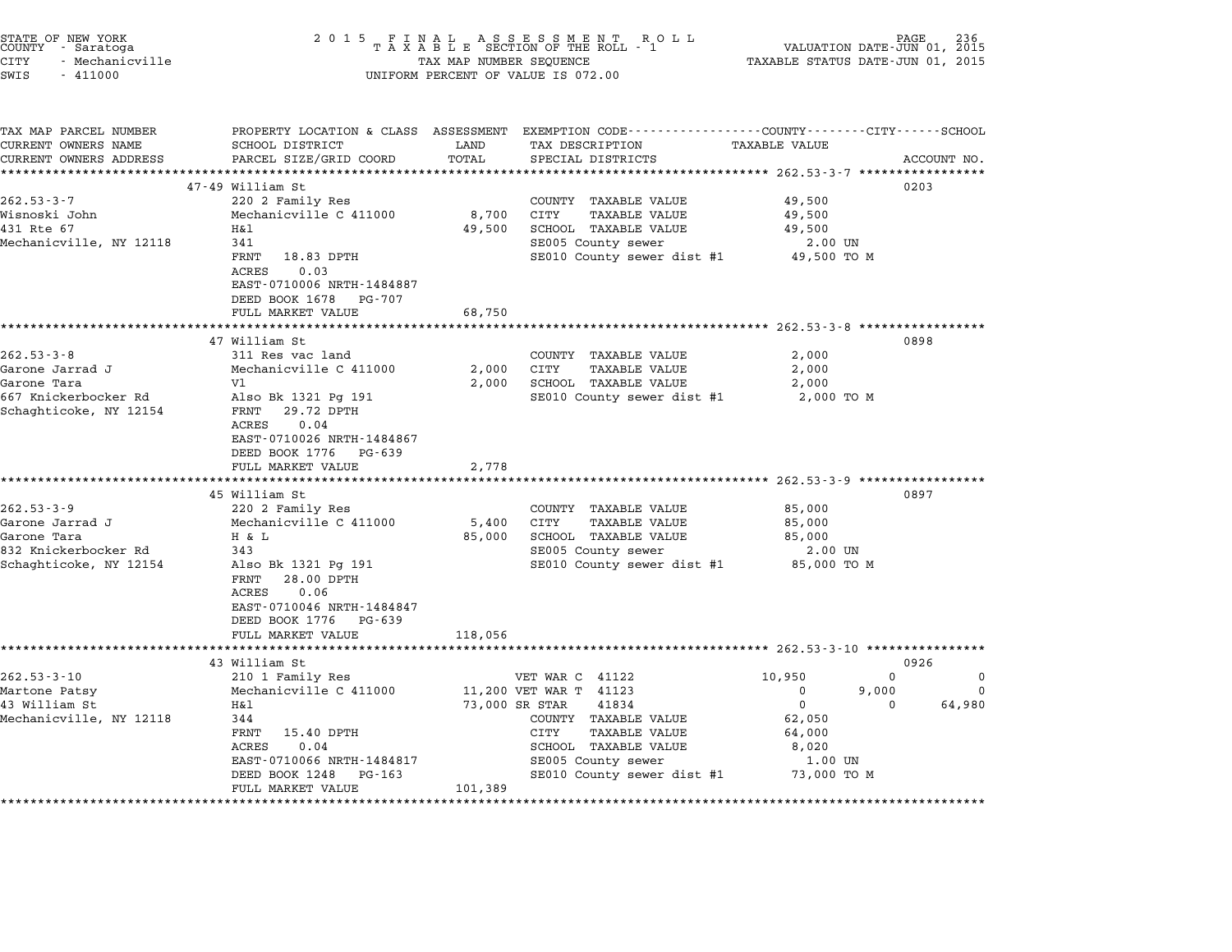| STATE OF NEW YORK<br>COUNTY – Saratoga<br><b>CITY</b><br>- Mechanicville<br>SWIS<br>$-411000$                                                                                                                | 2 0 1 5                                                                                                                                                                                                                                                                                                                                                                                                                         | TAX MAP NUMBER SEQUENCE                               | $\begin{array}{cccccccccc} & F & I & N & A & L & & A & S & S & E & S & M & E & N & T & & R & O & L \\ T & A & X & A & B & L & E & \text{SECTION OF THE ROLL} & - & 1 \end{array}$<br>UNIFORM PERCENT OF VALUE IS 072.00          | VALUATION DATE-JUN 01, 2015<br>TAXABLE STATUS DATE-JUN 01, 2015                                            | PAGE<br>236                                |
|--------------------------------------------------------------------------------------------------------------------------------------------------------------------------------------------------------------|---------------------------------------------------------------------------------------------------------------------------------------------------------------------------------------------------------------------------------------------------------------------------------------------------------------------------------------------------------------------------------------------------------------------------------|-------------------------------------------------------|----------------------------------------------------------------------------------------------------------------------------------------------------------------------------------------------------------------------------------|------------------------------------------------------------------------------------------------------------|--------------------------------------------|
| TAX MAP PARCEL NUMBER<br>CURRENT OWNERS NAME<br>CURRENT OWNERS ADDRESS                                                                                                                                       | SCHOOL DISTRICT<br>PARCEL SIZE/GRID COORD                                                                                                                                                                                                                                                                                                                                                                                       | LAND<br>TOTAL                                         | PROPERTY LOCATION & CLASS ASSESSMENT EXEMPTION CODE--------------COUNTY-------CITY------SCHOOL<br>TAX DESCRIPTION<br>SPECIAL DISTRICTS                                                                                           | <b>TAXABLE VALUE</b>                                                                                       | ACCOUNT NO.                                |
|                                                                                                                                                                                                              |                                                                                                                                                                                                                                                                                                                                                                                                                                 |                                                       |                                                                                                                                                                                                                                  |                                                                                                            |                                            |
| $262.53 - 3 - 7$<br>Wisnoski John<br>431 Rte 67<br>Mechanicville, NY 12118                                                                                                                                   | 47-49 William St<br>220 2 Family Res<br>Mechanicville C 411000<br>Η&l<br>341<br>FRNT<br>18.83 DPTH<br>ACRES<br>0.03<br>EAST-0710006 NRTH-1484887                                                                                                                                                                                                                                                                                | 8,700<br>49,500                                       | COUNTY TAXABLE VALUE<br>CITY<br><b>TAXABLE VALUE</b><br>SCHOOL TAXABLE VALUE<br>SE005 County sewer<br>SE010 County sewer dist #1 49,500 TO M                                                                                     | 49,500<br>49,500<br>49,500<br>2.00 UN                                                                      | 0203                                       |
|                                                                                                                                                                                                              | DEED BOOK 1678 PG-707                                                                                                                                                                                                                                                                                                                                                                                                           |                                                       |                                                                                                                                                                                                                                  |                                                                                                            |                                            |
|                                                                                                                                                                                                              | FULL MARKET VALUE                                                                                                                                                                                                                                                                                                                                                                                                               | 68,750                                                |                                                                                                                                                                                                                                  |                                                                                                            |                                            |
| $262.53 - 3 - 8$<br>Garone Jarrad J<br>Garone Tara<br>667 Knickerbocker Rd<br>Schaghticoke, NY 12154<br>$262.53 - 3 - 9$<br>Garone Jarrad J<br>Garone Tara<br>832 Knickerbocker Rd<br>Schaghticoke, NY 12154 | 47 William St<br>311 Res vac land<br>Mechanicville C 411000<br>V1<br>Also Bk 1321 Pg 191<br>FRNT 29.72 DPTH<br>ACRES<br>0.04<br>EAST-0710026 NRTH-1484867<br>DEED BOOK 1776 PG-639<br>FULL MARKET VALUE<br>45 William St<br>220 2 Family Res<br>Mechanicville C 411000<br>H & L<br>343<br>Also Bk 1321 Pg 191<br>FRNT<br>28.00 DPTH<br>ACRES<br>0.06<br>EAST-0710046 NRTH-1484847<br>DEED BOOK 1776 PG-639<br>FULL MARKET VALUE | 2,000<br>2,000<br>2,778<br>5,400<br>85,000<br>118,056 | COUNTY TAXABLE VALUE<br>CITY<br>TAXABLE VALUE<br>SCHOOL TAXABLE VALUE<br>SE010 County sewer dist #1<br>COUNTY TAXABLE VALUE<br>CITY<br>TAXABLE VALUE<br>SCHOOL TAXABLE VALUE<br>SE005 County sewer<br>SE010 County sewer dist #1 | 2,000<br>2,000<br>2,000<br>2,000 TO M<br>85,000<br>85,000<br>85,000<br>2.00 UN<br>85,000 TO M              | 0898<br>0897                               |
|                                                                                                                                                                                                              | 43 William St                                                                                                                                                                                                                                                                                                                                                                                                                   |                                                       |                                                                                                                                                                                                                                  |                                                                                                            | 0926                                       |
| $262.53 - 3 - 10$<br>Martone Patsy<br>43 William St<br>Mechanicville, NY 12118                                                                                                                               | 210 1 Family Res<br>Mechanicville C 411000<br>Η&l<br>344<br>FRNT<br>15.40 DPTH<br>ACRES<br>0.04<br>EAST-0710066 NRTH-1484817<br>DEED BOOK 1248<br>PG-163<br>FULL MARKET VALUE                                                                                                                                                                                                                                                   | 101,389                                               | VET WAR C 41122<br>11,200 VET WAR T 41123<br>73,000 SR STAR<br>41834<br>COUNTY TAXABLE VALUE<br>CITY<br>TAXABLE VALUE<br>SCHOOL TAXABLE VALUE<br>SE005 County sewer<br>SE010 County sewer dist #1                                | 10,950<br>$\Omega$<br>9,000<br>$\mathbf 0$<br>- 0<br>62,050<br>64,000<br>8,020<br>$1.00$ UN<br>73,000 TO M | $\Omega$<br>$\Omega$<br>$\Omega$<br>64,980 |

STATE OF NEW YORK <sup>2</sup> <sup>0</sup> <sup>1</sup> 5 F I N A L A S S E S S M E N T R O L L PAGE <sup>236</sup> COUNTY - Saratoga <sup>T</sup> <sup>A</sup> <sup>X</sup> <sup>A</sup> <sup>B</sup> <sup>L</sup> <sup>E</sup> SECTION OF THE ROLL - <sup>1</sup> VALUATION DATE-JUN 01, <sup>2015</sup>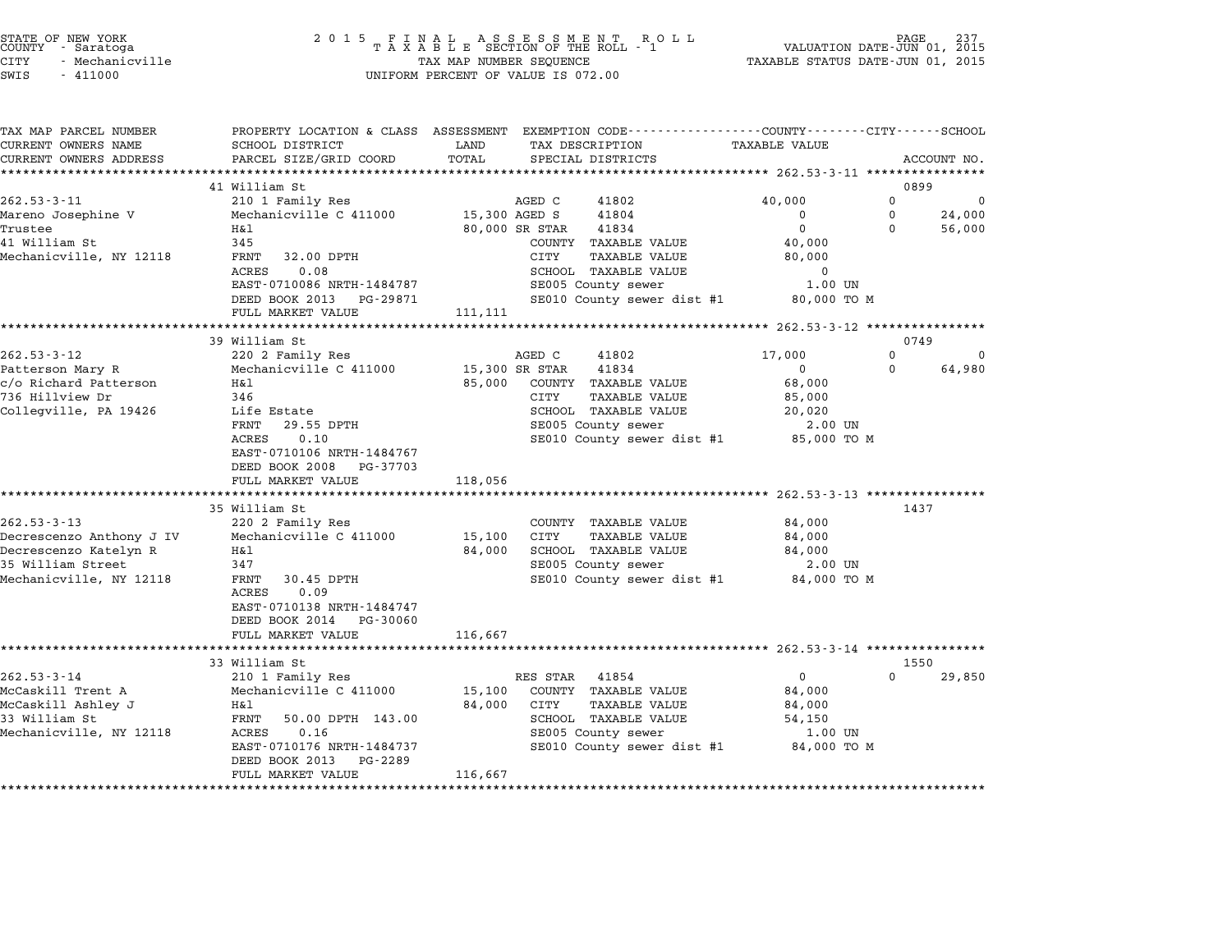| STATE OF NEW YORK |  |            |  |                 |
|-------------------|--|------------|--|-----------------|
| COUNTY            |  | - Saratoga |  |                 |
| CITY              |  |            |  | - Mechanicville |

| TAX MAP PARCEL NUMBER                 | PROPERTY LOCATION & CLASS ASSESSMENT EXEMPTION CODE----------------COUNTY-------CITY------SCHOOL |                |                                        |                       |               |                    |
|---------------------------------------|--------------------------------------------------------------------------------------------------|----------------|----------------------------------------|-----------------------|---------------|--------------------|
| CURRENT OWNERS NAME                   | SCHOOL DISTRICT                                                                                  | LAND           | TAX DESCRIPTION                        | <b>TAXABLE VALUE</b>  |               |                    |
| CURRENT OWNERS ADDRESS                | PARCEL SIZE/GRID COORD                                                                           | TOTAL          | SPECIAL DISTRICTS                      |                       |               | ACCOUNT NO.        |
|                                       | 41 William St                                                                                    |                |                                        |                       | 0899          |                    |
| $262.53 - 3 - 11$                     | 210 1 Family Res                                                                                 |                | 41802<br>AGED C                        | 40,000                | 0             | 0                  |
| Mareno Josephine V                    | Mechanicville C 411000                                                                           | 15,300 AGED S  | 41804                                  | 0                     | $\mathbf 0$   | 24,000             |
| Trustee                               | Η&l                                                                                              | 80,000 SR STAR | 41834                                  | $\mathbf 0$           | $\Omega$      | 56,000             |
| 41 William St                         | 345                                                                                              |                | COUNTY TAXABLE VALUE                   | 40,000                |               |                    |
| Mechanicville, NY 12118               | 32.00 DPTH<br>FRNT                                                                               |                | CITY<br>TAXABLE VALUE                  | 80,000                |               |                    |
|                                       | ACRES<br>0.08                                                                                    |                | SCHOOL TAXABLE VALUE                   | 0                     |               |                    |
|                                       | EAST-0710086 NRTH-1484787                                                                        |                | SE005 County sewer                     | 1.00 UN               |               |                    |
|                                       | DEED BOOK 2013 PG-29871                                                                          |                | SE010 County sewer dist #1             | 80,000 TO M           |               |                    |
|                                       | FULL MARKET VALUE                                                                                | 111,111        |                                        |                       |               |                    |
|                                       |                                                                                                  |                |                                        |                       |               |                    |
|                                       | 39 William St                                                                                    |                |                                        |                       | 0749          |                    |
| $262.53 - 3 - 12$<br>Patterson Mary R | 220 2 Family Res<br>Mechanicville C 411000                                                       | 15,300 SR STAR | AGED C<br>41802<br>41834               | 17,000<br>$\mathbf 0$ | $\Omega$<br>0 | $\Omega$<br>64,980 |
| c/o Richard Patterson                 | H&l                                                                                              | 85,000         | COUNTY TAXABLE VALUE                   | 68,000                |               |                    |
| 736 Hillview Dr                       | 346                                                                                              |                | CITY<br>TAXABLE VALUE                  | 85,000                |               |                    |
| Collegville, PA 19426                 | Life Estate                                                                                      |                | SCHOOL TAXABLE VALUE                   | 20,020                |               |                    |
|                                       | 29.55 DPTH<br>FRNT                                                                               |                | SE005 County sewer                     | 2.00 UN               |               |                    |
|                                       | 0.10<br>ACRES                                                                                    |                | SE010 County sewer dist #1 85,000 TO M |                       |               |                    |
|                                       | EAST-0710106 NRTH-1484767                                                                        |                |                                        |                       |               |                    |
|                                       | DEED BOOK 2008<br>PG-37703                                                                       |                |                                        |                       |               |                    |
|                                       | FULL MARKET VALUE                                                                                | 118,056        |                                        |                       |               |                    |
|                                       |                                                                                                  |                |                                        |                       |               |                    |
|                                       | 35 William St                                                                                    |                |                                        |                       | 1437          |                    |
| $262.53 - 3 - 13$                     | 220 2 Family Res                                                                                 |                | COUNTY TAXABLE VALUE                   | 84,000                |               |                    |
| Decrescenzo Anthony J IV              | Mechanicville C 411000                                                                           | 15,100         | CITY<br><b>TAXABLE VALUE</b>           | 84,000                |               |                    |
| Decrescenzo Katelyn R                 | H&l                                                                                              | 84,000         | SCHOOL TAXABLE VALUE                   | 84,000                |               |                    |
| 35 William Street                     | 347                                                                                              |                | SE005 County sewer                     | 2.00 UN               |               |                    |
| Mechanicville, NY 12118               | FRNT<br>30.45 DPTH                                                                               |                | SE010 County sewer dist #1             | 84,000 TO M           |               |                    |
|                                       | 0.09<br>ACRES<br>EAST-0710138 NRTH-1484747                                                       |                |                                        |                       |               |                    |
|                                       | DEED BOOK 2014 PG-30060                                                                          |                |                                        |                       |               |                    |
|                                       | FULL MARKET VALUE                                                                                | 116,667        |                                        |                       |               |                    |
|                                       | **************************                                                                       |                |                                        |                       |               |                    |
|                                       | 33 William St                                                                                    |                |                                        |                       | 1550          |                    |
| $262.53 - 3 - 14$                     | 210 1 Family Res                                                                                 |                | RES STAR<br>41854                      | $\mathbf{0}$          | 0             | 29,850             |
| McCaskill Trent A                     | Mechanicville C 411000                                                                           | 15,100         | COUNTY TAXABLE VALUE                   | 84,000                |               |                    |
| McCaskill Ashley J                    | Η&l                                                                                              | 84,000         | CITY<br>TAXABLE VALUE                  | 84,000                |               |                    |
| 33 William St                         | FRNT<br>50.00 DPTH 143.00                                                                        |                | SCHOOL TAXABLE VALUE                   | 54,150                |               |                    |
| Mechanicville, NY 12118               | 0.16<br>ACRES                                                                                    |                | SE005 County sewer                     | 1.00 UN               |               |                    |
|                                       | EAST-0710176 NRTH-1484737                                                                        |                | SE010 County sewer dist #1 84,000 TO M |                       |               |                    |
|                                       | DEED BOOK 2013<br>PG-2289                                                                        |                |                                        |                       |               |                    |
|                                       | FULL MARKET VALUE                                                                                | 116,667        |                                        |                       |               |                    |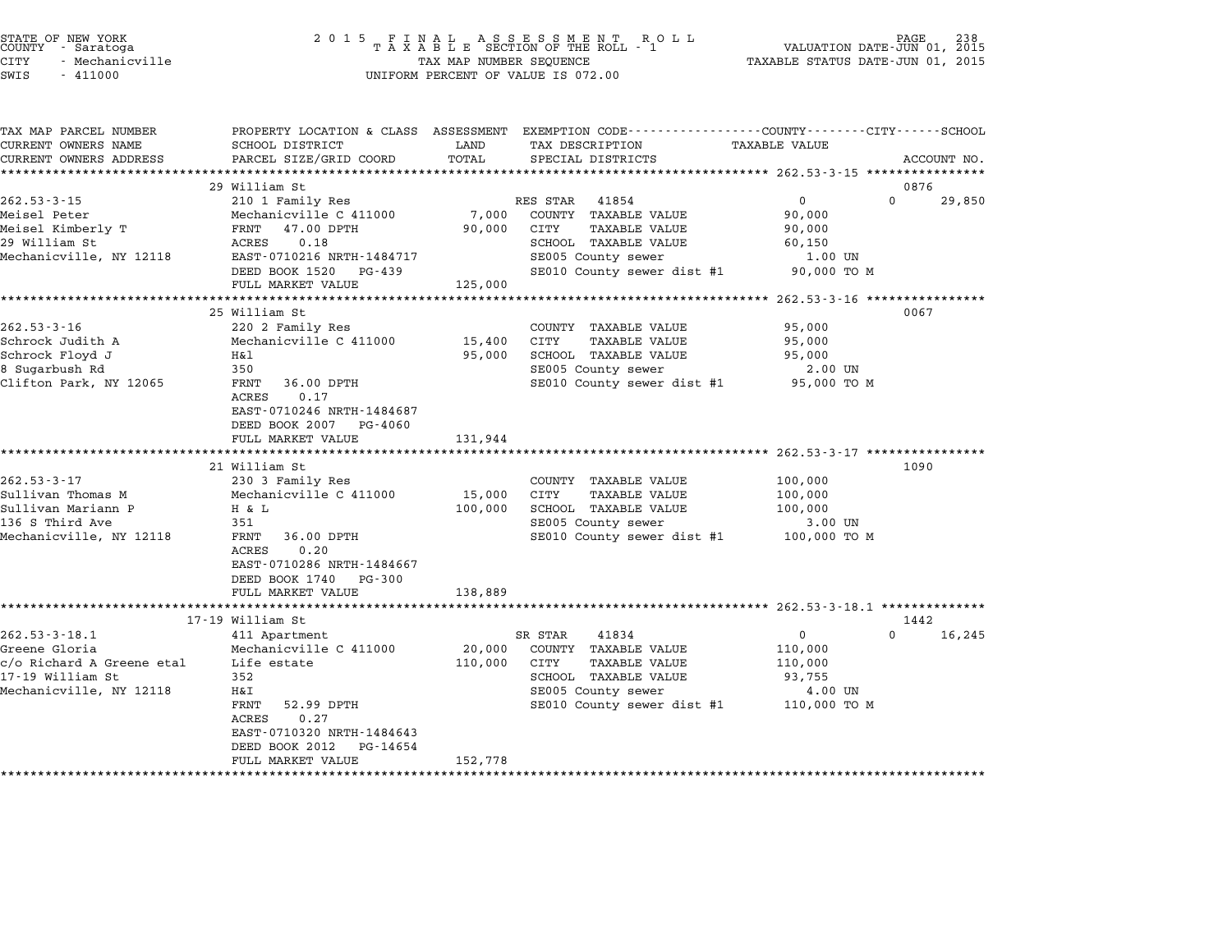|       | STATE OF NEW YORK<br>COUNTY - Saratoga |  |
|-------|----------------------------------------|--|
| CITY. | - Mechanicville                        |  |

# STATE OF NEW YORK <sup>2</sup> <sup>0</sup> <sup>1</sup> 5 F I N A L A S S E S S M E N T R O L L PAGE <sup>238</sup> COUNTY - Saratoga <sup>T</sup> <sup>A</sup> <sup>X</sup> <sup>A</sup> <sup>B</sup> <sup>L</sup> <sup>E</sup> SECTION OF THE ROLL - <sup>1</sup> VALUATION DATE-JUN 01, <sup>2015</sup> CITY - Mechanicville TAX MAP NUMBER SEQUENCE TAXABLE STATUS DATE-JUN 01, <sup>2015</sup> STATE OF NEW YORK COUNTY - Saratoga and the serve of the server of the server of the server of the server of the server of the server of the server of the server of the server of the server of the server of the server of v

| TAX MAP PARCEL NUMBER<br>CURRENT OWNERS NAME | SCHOOL DISTRICT                  | LAND            | PROPERTY LOCATION & CLASS ASSESSMENT EXEMPTION CODE---------------COUNTY-------CITY-----SCHOOL<br>TAX DESCRIPTION | <b>TAXABLE VALUE</b> |                    |
|----------------------------------------------|----------------------------------|-----------------|-------------------------------------------------------------------------------------------------------------------|----------------------|--------------------|
|                                              |                                  |                 |                                                                                                                   |                      |                    |
| CURRENT OWNERS ADDRESS                       | PARCEL SIZE/GRID COORD           | TOTAL           | SPECIAL DISTRICTS                                                                                                 |                      | ACCOUNT NO.        |
|                                              | 29 William St                    |                 |                                                                                                                   |                      |                    |
| $262.53 - 3 - 15$                            |                                  |                 | 41854<br>RES STAR                                                                                                 | $\overline{0}$       | 0876<br>$\Omega$   |
|                                              | 210 1 Family Res                 |                 |                                                                                                                   | 90,000               | 29,850             |
| Meisel Peter                                 | Mechanicville C 411000           | 7,000<br>90,000 | COUNTY TAXABLE VALUE<br>CITY<br><b>TAXABLE VALUE</b>                                                              |                      |                    |
| Meisel Kimberly T                            | FRNT 47.00 DPTH<br>0.18<br>ACRES |                 |                                                                                                                   | 90,000               |                    |
| 29 William St                                | EAST-0710216 NRTH-1484717        |                 | SCHOOL TAXABLE VALUE                                                                                              | 60,150<br>1.00 UN    |                    |
| Mechanicville, NY 12118                      |                                  |                 | SE005 County sewer                                                                                                |                      |                    |
|                                              | DEED BOOK 1520<br>PG-439         |                 | SE010 County sewer dist #1                                                                                        | 90,000 TO M          |                    |
|                                              | FULL MARKET VALUE                | 125,000         |                                                                                                                   |                      |                    |
|                                              |                                  |                 |                                                                                                                   |                      |                    |
|                                              | 25 William St                    |                 |                                                                                                                   |                      | 0067               |
| $262.53 - 3 - 16$                            | 220 2 Family Res                 |                 | COUNTY TAXABLE VALUE                                                                                              | 95,000               |                    |
| Schrock Judith A                             | Mechanicville C 411000           | 15,400          | CITY<br><b>TAXABLE VALUE</b>                                                                                      | 95,000               |                    |
| Schrock Floyd J                              | H&l                              | 95,000          | SCHOOL TAXABLE VALUE                                                                                              | 95,000               |                    |
| 8 Sugarbush Rd                               | 350                              |                 | SE005 County sewer                                                                                                | 2.00 UN              |                    |
| Clifton Park, NY 12065                       | 36.00 DPTH<br>FRNT               |                 | SE010 County sewer dist #1 95,000 TO M                                                                            |                      |                    |
|                                              | 0.17<br>ACRES                    |                 |                                                                                                                   |                      |                    |
|                                              | EAST-0710246 NRTH-1484687        |                 |                                                                                                                   |                      |                    |
|                                              | DEED BOOK 2007 PG-4060           |                 |                                                                                                                   |                      |                    |
|                                              | FULL MARKET VALUE                | 131,944         |                                                                                                                   |                      |                    |
|                                              |                                  |                 | ************************************ 262.53-3-17 ***********                                                      |                      |                    |
|                                              | 21 William St                    |                 |                                                                                                                   |                      | 1090               |
| $262.53 - 3 - 17$                            | 230 3 Family Res                 |                 | COUNTY TAXABLE VALUE                                                                                              | 100,000              |                    |
| Sullivan Thomas M                            | Mechanicville C 411000           | 15,000          | CITY<br><b>TAXABLE VALUE</b>                                                                                      | 100,000              |                    |
| Sullivan Mariann P                           | H & L                            | 100,000         | SCHOOL TAXABLE VALUE                                                                                              | 100,000              |                    |
| 136 S Third Ave                              | 351                              |                 | SE005 County sewer                                                                                                | 3.00 UN              |                    |
| Mechanicville, NY 12118                      | FRNT 36.00 DPTH                  |                 | SE010 County sewer dist #1                                                                                        | 100,000 TO M         |                    |
|                                              | 0.20<br>ACRES                    |                 |                                                                                                                   |                      |                    |
|                                              | EAST-0710286 NRTH-1484667        |                 |                                                                                                                   |                      |                    |
|                                              | DEED BOOK 1740 PG-300            |                 |                                                                                                                   |                      |                    |
|                                              | FULL MARKET VALUE                | 138,889         |                                                                                                                   |                      |                    |
|                                              |                                  |                 |                                                                                                                   |                      |                    |
|                                              | 17-19 William St                 |                 |                                                                                                                   |                      | 1442               |
| $262.53 - 3 - 18.1$                          | 411 Apartment                    |                 | SR STAR<br>41834                                                                                                  | $\overline{0}$       | $\Omega$<br>16,245 |
| Greene Gloria                                | Mechanicville C 411000           | 20,000          | COUNTY TAXABLE VALUE                                                                                              | 110,000              |                    |
|                                              | Life estate                      | 110,000         | CITY<br>TAXABLE VALUE                                                                                             | 110,000              |                    |
| c/o Richard A Greene etal                    |                                  |                 | SCHOOL TAXABLE VALUE                                                                                              | 93,755               |                    |
|                                              | 352                              |                 |                                                                                                                   |                      |                    |
|                                              | Η&Ι                              |                 | SE005 County sewer                                                                                                | 4.00 UN              |                    |
|                                              | 52.99 DPTH<br>FRNT               |                 | SE010 County sewer dist #1                                                                                        | 110,000 TO M         |                    |
|                                              | 0.27<br>ACRES                    |                 |                                                                                                                   |                      |                    |
| 17-19 William St<br>Mechanicville, NY 12118  | EAST-0710320 NRTH-1484643        |                 |                                                                                                                   |                      |                    |
|                                              | DEED BOOK 2012<br>PG-14654       |                 |                                                                                                                   |                      |                    |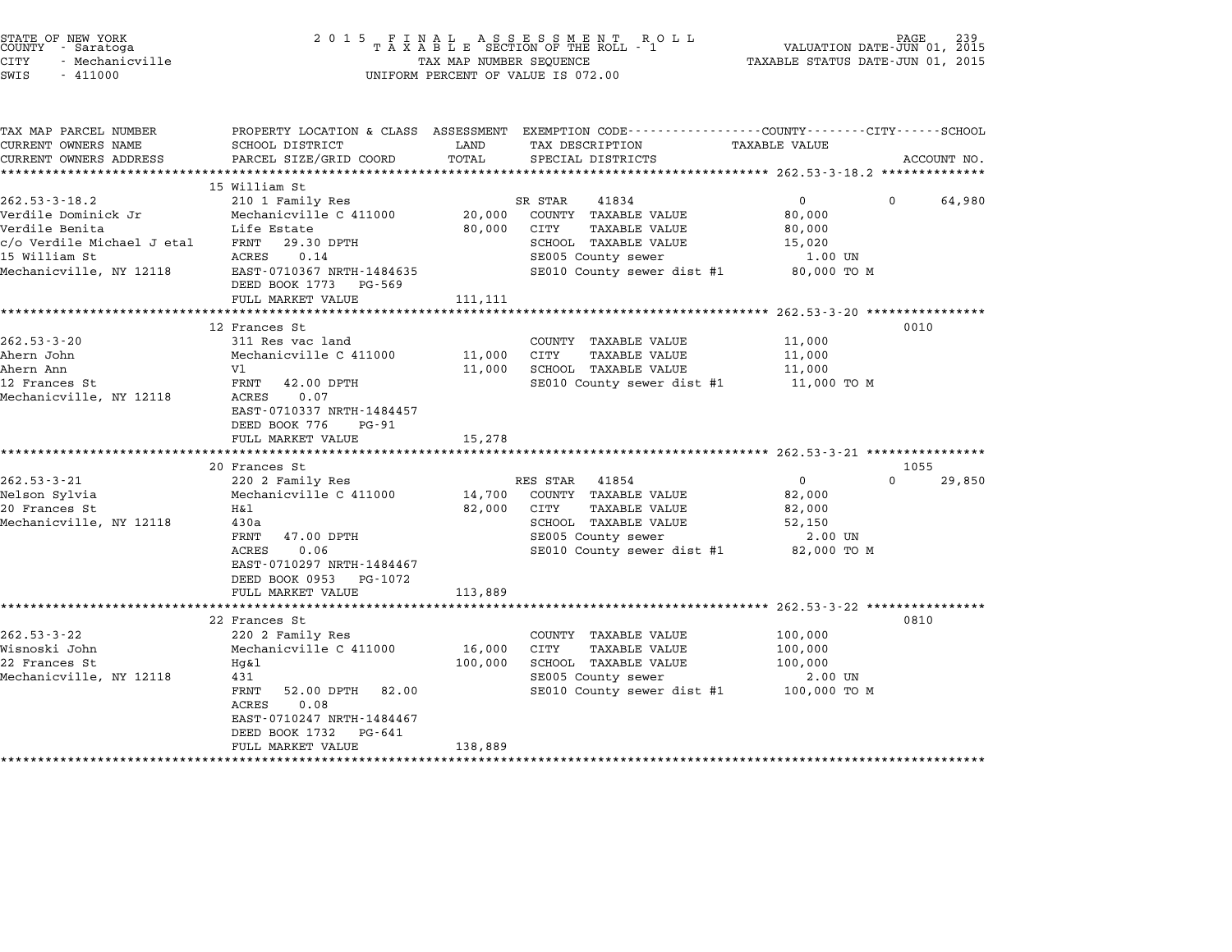| STATE OF NEW YORK<br>COUNTY - Saratoga<br>CITY<br>- Mechanicville<br>SWIS<br>$-411000$ |                                                                                                                               |                   | 2015 FINAL ASSESSMENT ROLL<br>TAXABLE SECTION OF THE ROLL - 1<br>TAX MAP NUMBER SEQUENCE                                                              | TAXABLE STATUS DATE-JUN 01, 2015                                     | PAGE 239<br>VALUATION DATE-JUN 01, 2015 |
|----------------------------------------------------------------------------------------|-------------------------------------------------------------------------------------------------------------------------------|-------------------|-------------------------------------------------------------------------------------------------------------------------------------------------------|----------------------------------------------------------------------|-----------------------------------------|
|                                                                                        |                                                                                                                               |                   | UNIFORM PERCENT OF VALUE IS 072.00                                                                                                                    |                                                                      |                                         |
| TAX MAP PARCEL NUMBER<br>CURRENT OWNERS NAME                                           | SCHOOL DISTRICT                                                                                                               | LAND              | PROPERTY LOCATION & CLASS ASSESSMENT EXEMPTION CODE---------------COUNTY-------CITY------SCHOOL<br>TAX DESCRIPTION                                    | <b>TAXABLE VALUE</b>                                                 |                                         |
| CURRENT OWNERS ADDRESS                                                                 | PARCEL SIZE/GRID COORD                                                                                                        | TOTAL             | SPECIAL DISTRICTS                                                                                                                                     |                                                                      | ACCOUNT NO.                             |
|                                                                                        |                                                                                                                               |                   |                                                                                                                                                       |                                                                      |                                         |
| $262.53 - 3 - 18.2$<br>Verdile Dominick Jr<br>Verdile Benita                           | 15 William St<br>210 1 Family Res<br>Mechanicville C 411000<br>Life Estate                                                    | 20,000<br>80,000  | 41834<br>SR STAR<br>COUNTY TAXABLE VALUE<br>CITY<br>TAXABLE VALUE                                                                                     | $\overline{0}$<br>80,000<br>80,000                                   | $\Omega$<br>64,980                      |
| c/o Verdile Michael J etal<br>15 William St<br>Mechanicville, NY 12118                 | FRNT<br>29.30 DPTH<br>ACRES<br>0.14<br>EAST-0710367 NRTH-1484635                                                              |                   | SCHOOL TAXABLE VALUE<br>SE005 County sewer<br>SE010 County sewer dist #1 80,000 TO M                                                                  | 15,020<br>1.00 UN                                                    |                                         |
|                                                                                        | DEED BOOK 1773 PG-569<br>FULL MARKET VALUE                                                                                    | 111,111           |                                                                                                                                                       |                                                                      |                                         |
|                                                                                        | 12 Frances St                                                                                                                 |                   |                                                                                                                                                       |                                                                      | 0010                                    |
| $262.53 - 3 - 20$<br>Ahern John<br>Ahern Ann<br>12 Frances St                          | 311 Res vac land<br>Mechanicville C 411000<br>V1<br>FRNT 42.00 DPTH<br>0.07                                                   | 11,000<br>11,000  | COUNTY TAXABLE VALUE<br>CITY<br><b>TAXABLE VALUE</b><br>SCHOOL TAXABLE VALUE<br>SE010 County sewer dist #1                                            | 11,000<br>11,000<br>11,000<br>11,000 TO M                            |                                         |
| Mechanicville, NY 12118                                                                | ACRES<br>EAST-0710337 NRTH-1484457<br>DEED BOOK 776<br>PG-91<br>FULL MARKET VALUE                                             | 15,278            |                                                                                                                                                       |                                                                      |                                         |
|                                                                                        |                                                                                                                               |                   | ************************************* 262.53-3-21 *****************                                                                                   |                                                                      |                                         |
|                                                                                        | 20 Frances St                                                                                                                 |                   |                                                                                                                                                       |                                                                      | 1055                                    |
| $262.53 - 3 - 21$<br>Nelson Sylvia<br>20 Frances St<br>Mechanicville, NY 12118         | 220 2 Family Res<br>Mechanicville C 411000<br>Η&l<br>430a<br>FRNT<br>47.00 DPTH<br>0.06<br>ACRES<br>EAST-0710297 NRTH-1484467 | 14,700<br>82,000  | RES STAR<br>41854<br>COUNTY TAXABLE VALUE<br>CITY<br><b>TAXABLE VALUE</b><br>SCHOOL TAXABLE VALUE<br>SE005 County sewer<br>SE010 County sewer dist #1 | $\mathbf{0}$<br>82,000<br>82,000<br>52,150<br>2.00 UN<br>82,000 TO M | $\Omega$<br>29,850                      |
|                                                                                        | DEED BOOK 0953 PG-1072<br>FULL MARKET VALUE<br>**************************                                                     | 113,889           |                                                                                                                                                       |                                                                      |                                         |
| $262.53 - 3 - 22$                                                                      | 22 Frances St<br>220 2 Family Res                                                                                             |                   | COUNTY TAXABLE VALUE                                                                                                                                  | 100,000                                                              | 0810                                    |
| Wisnoski John<br>22 Frances St<br>Mechanicville, NY 12118                              | Mechanicville C 411000<br>Hq&l<br>431<br>FRNT<br>52.00 DPTH<br>82.00                                                          | 16,000<br>100,000 | CITY<br><b>TAXABLE VALUE</b><br>SCHOOL TAXABLE VALUE<br>SE005 County sewer<br>SE010 County sewer dist #1                                              | 100,000<br>100,000<br>2.00 UN<br>100,000 TO M                        |                                         |

\*\*\*\*\*\*\*\*\*\*\*\*\*\*\*\*\*\*\*\*\*\*\*\*\*\*\*\*\*\*\*\*\*\*\*\*\*\*\*\*\*\*\*\*\*\*\*\*\*\*\*\*\*\*\*\*\*\*\*\*\*\*\*\*\*\*\*\*\*\*\*\*\*\*\*\*\*\*\*\*\*\*\*\*\*\*\*\*\*\*\*\*\*\*\*\*\*\*\*\*\*\*\*\*\*\*\*\*\*\*\*\*\*\*\*\*\*\*\*\*\*\*\*\*\*\*\*\*\*\*\*\*

FRNT 52.00 DPTH 82.00<br>ACRES 0.08 FRNI 32.00 DPIH 82.00<br>ACRES 0.08<br>EAST-0710247 NRTH-1484467 EAST-0710247 NRTH-14844<br>DEED BOOK 1732 PG-641

FULL MARKET VALUE 138,889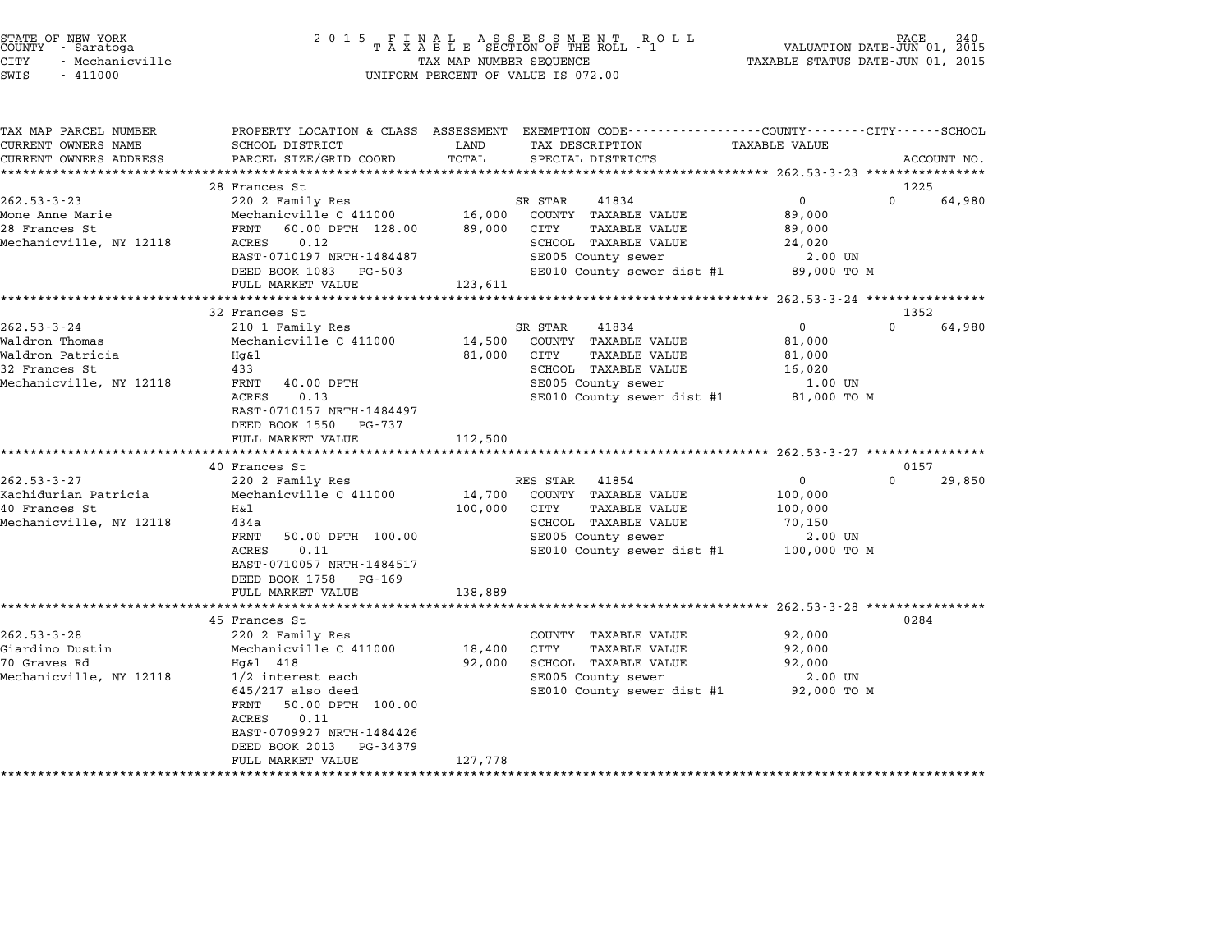|      | STATE OF NEW YORK<br>COUNTY - Saratoga |
|------|----------------------------------------|
| CITY | - Mechanicville                        |
|      |                                        |

| TAX MAP PARCEL NUMBER   | PROPERTY LOCATION & CLASS ASSESSMENT EXEMPTION CODE----------------COUNTY-------CITY------SCHOOL |             |                                         |                      |                    |
|-------------------------|--------------------------------------------------------------------------------------------------|-------------|-----------------------------------------|----------------------|--------------------|
| CURRENT OWNERS NAME     | SCHOOL DISTRICT                                                                                  | LAND        | TAX DESCRIPTION                         | <b>TAXABLE VALUE</b> |                    |
| CURRENT OWNERS ADDRESS  | PARCEL SIZE/GRID COORD                                                                           | TOTAL       | SPECIAL DISTRICTS                       |                      | ACCOUNT NO.        |
|                         |                                                                                                  |             |                                         |                      |                    |
|                         | 28 Frances St                                                                                    |             |                                         |                      | 1225               |
| $262.53 - 3 - 23$       | 220 2 Family Res                                                                                 |             | SR STAR<br>41834                        | $\overline{0}$       | $\Omega$<br>64,980 |
| Mone Anne Marie         | Mechanicville C 411000 16,000 COUNTY TAXABLE VALUE                                               |             |                                         | 89,000               |                    |
| 28 Frances St           | FRNT 60.00 DPTH 128.00                                                                           | 89,000 CITY | TAXABLE VALUE                           | 89,000               |                    |
| Mechanicville, NY 12118 | 0.12<br>ACRES                                                                                    |             | SCHOOL TAXABLE VALUE                    | 24,020               |                    |
|                         | EAST-0710197 NRTH-1484487                                                                        |             | SE005 County sewer                      | 2.00 UN              |                    |
|                         | DEED BOOK 1083 PG-503                                                                            |             | SE010 County sewer dist #1 89,000 TO M  |                      |                    |
|                         | FULL MARKET VALUE                                                                                | 123,611     |                                         |                      |                    |
|                         |                                                                                                  |             |                                         |                      |                    |
|                         | 32 Frances St                                                                                    |             |                                         |                      | 1352               |
| $262.53 - 3 - 24$       | 210 1 Family Res                                                                                 |             | 41834<br>SR STAR                        | $\overline{0}$       | $\Omega$<br>64,980 |
| Waldron Thomas          | Mechanicville C 411000                                                                           |             | 14,500 COUNTY TAXABLE VALUE             | 81,000               |                    |
| Waldron Patricia        | Hg&l                                                                                             | 81,000 CITY | <b>TAXABLE VALUE</b>                    | 81,000               |                    |
| 32 Frances St           | 433                                                                                              |             | SCHOOL TAXABLE VALUE                    | 16,020               |                    |
| Mechanicville, NY 12118 | 40.00 DPTH<br>FRNT                                                                               |             | SE005 County sewer                      | 1.00 UN              |                    |
|                         | 0.13<br>ACRES                                                                                    |             | SE010 County sewer dist #1 81,000 TO M  |                      |                    |
|                         | EAST-0710157 NRTH-1484497                                                                        |             |                                         |                      |                    |
|                         | DEED BOOK 1550 PG-737                                                                            |             |                                         |                      |                    |
|                         |                                                                                                  |             |                                         |                      |                    |
|                         | FULL MARKET VALUE                                                                                | 112,500     |                                         |                      |                    |
|                         |                                                                                                  |             |                                         |                      |                    |
|                         | 40 Frances St                                                                                    |             |                                         | $\mathbf 0$          | 0157<br>$\Omega$   |
| $262.53 - 3 - 27$       | 220 2 Family Res                                                                                 |             | RES STAR 41854                          |                      | 29,850             |
| Kachidurian Patricia    | Mechanicville C 411000                                                                           | 14,700      | COUNTY TAXABLE VALUE                    | 100,000              |                    |
| 40 Frances St           | Η&l                                                                                              | 100,000     | TAXABLE VALUE<br>CITY                   | 100,000              |                    |
| Mechanicville, NY 12118 | 434a                                                                                             |             | SCHOOL TAXABLE VALUE                    | 70,150               |                    |
|                         | FRNT<br>50.00 DPTH 100.00                                                                        |             | SE005 County sewer                      | 2.00 UN              |                    |
|                         | ACRES<br>0.11                                                                                    |             | SE010 County sewer dist #1 100,000 TO M |                      |                    |
|                         | EAST-0710057 NRTH-1484517                                                                        |             |                                         |                      |                    |
|                         | DEED BOOK 1758 PG-169                                                                            |             |                                         |                      |                    |
|                         | FULL MARKET VALUE                                                                                | 138,889     |                                         |                      |                    |
|                         |                                                                                                  |             |                                         |                      |                    |
|                         | 45 Frances St                                                                                    |             |                                         |                      | 0284               |
| $262.53 - 3 - 28$       | 220 2 Family Res                                                                                 |             | COUNTY TAXABLE VALUE                    | 92,000               |                    |
| Giardino Dustin         | Mechanicville C 411000                                                                           | 18,400      | CITY<br>TAXABLE VALUE                   | 92,000               |                    |
| 70 Graves Rd            | Hg&l 418                                                                                         | 92,000      | SCHOOL TAXABLE VALUE                    | 92,000               |                    |
| Mechanicville, NY 12118 | 1/2 interest each                                                                                |             | SE005 County sewer                      | 2.00 UN              |                    |
|                         | $645/217$ also deed                                                                              |             | SE010 County sewer dist #1 92,000 TO M  |                      |                    |
|                         | 50.00 DPTH 100.00<br>FRNT                                                                        |             |                                         |                      |                    |
|                         | 0.11<br>ACRES                                                                                    |             |                                         |                      |                    |
|                         | EAST-0709927 NRTH-1484426                                                                        |             |                                         |                      |                    |
|                         |                                                                                                  |             |                                         |                      |                    |
|                         |                                                                                                  |             |                                         |                      |                    |
|                         | DEED BOOK 2013<br>PG-34379<br>FULL MARKET VALUE                                                  | 127,778     |                                         |                      |                    |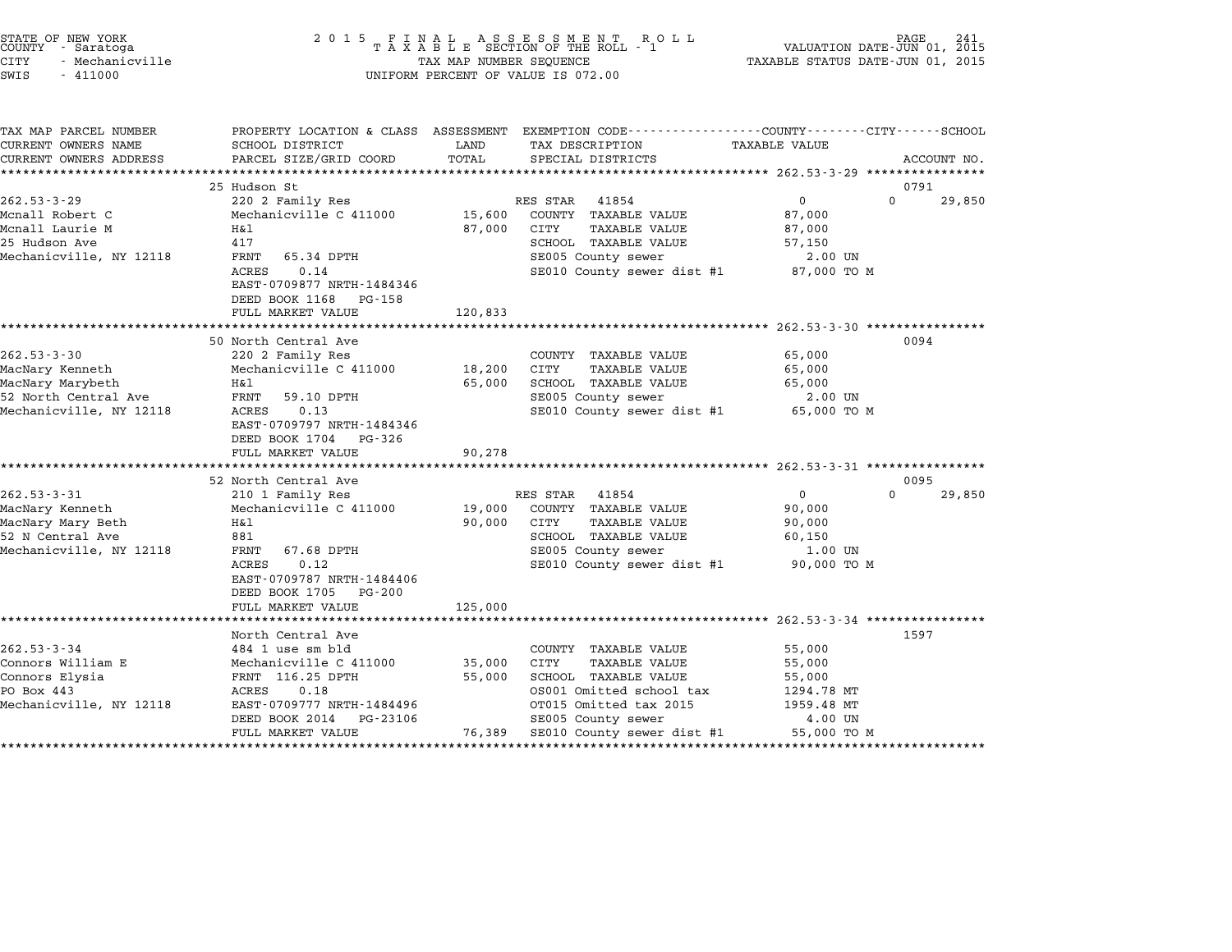|        | STATE OF NEW YORK |  |
|--------|-------------------|--|
| COUNTY | - Saratoga        |  |
| CITY   | - Mechanicville   |  |

| TAX MAP PARCEL NUMBER<br>CURRENT OWNERS NAME<br>CURRENT OWNERS ADDRESS                                      | SCHOOL DISTRICT<br>PARCEL SIZE/GRID COORD                                                                                                                                                       | LAND<br>TOTAL                   | PROPERTY LOCATION & CLASS ASSESSMENT EXEMPTION CODE----------------COUNTY-------CITY------SCHOOL<br>TAX DESCRIPTION<br>SPECIAL DISTRICTS                                                          | TAXABLE VALUE                                                       | ACCOUNT NO.    |
|-------------------------------------------------------------------------------------------------------------|-------------------------------------------------------------------------------------------------------------------------------------------------------------------------------------------------|---------------------------------|---------------------------------------------------------------------------------------------------------------------------------------------------------------------------------------------------|---------------------------------------------------------------------|----------------|
|                                                                                                             |                                                                                                                                                                                                 |                                 |                                                                                                                                                                                                   |                                                                     |                |
| $262.53 - 3 - 29$<br>Mcnall Robert C<br>Mcnall Laurie M<br>25 Hudson Ave<br>Mechanicville, NY 12118         | 25 Hudson St<br>220 2 Family Res<br>Mechanicville C 411000<br>Η&l<br>417<br>FRNT 65.34 DPTH<br><b>ACRES</b><br>0.14<br>EAST-0709877 NRTH-1484346<br>DEED BOOK 1168 PG-158<br>FULL MARKET VALUE  | 87,000<br>120,833               | RES STAR<br>41854<br>15,600 COUNTY TAXABLE VALUE<br>CITY<br>TAXABLE VALUE<br>SCHOOL TAXABLE VALUE<br>SE005 County sewer<br>SE010 County sewer dist #1 87,000 TO M                                 | 0<br>$\Omega$<br>87,000<br>87,000<br>57,150<br>2.00 UN              | 0791<br>29,850 |
| $262.53 - 3 - 30$<br>MacNary Kenneth<br>MacNary Marybeth<br>52 North Central Ave<br>Mechanicville, NY 12118 | 50 North Central Ave<br>220 2 Family Res<br>Mechanicville C 411000<br>H&1<br>FRNT 59.10 DPTH<br>ACRES<br>0.13<br>EAST-0709797 NRTH-1484346<br>DEED BOOK 1704 PG-326<br>FULL MARKET VALUE        | 18,200 CITY<br>65,000<br>90,278 | COUNTY TAXABLE VALUE<br>TAXABLE VALUE<br>SCHOOL TAXABLE VALUE<br>SE005 County sewer<br>SE010 County sewer dist #1                                                                                 | 65,000<br>65,000<br>65,000<br>2.00 UN<br>65,000 TO M                | 0094           |
|                                                                                                             |                                                                                                                                                                                                 |                                 |                                                                                                                                                                                                   |                                                                     |                |
| $262.53 - 3 - 31$<br>MacNary Kenneth<br>MacNary Mary Beth<br>52 N Central Ave<br>Mechanicville, NY 12118    | 52 North Central Ave<br>210 1 Family Res<br>Mechanicville C 411000<br>H&1<br>881<br>FRNT 67.68 DPTH<br>0.12<br>ACRES<br>EAST-0709787 NRTH-1484406<br>DEED BOOK 1705 PG-200<br>FULL MARKET VALUE | 90,000<br>125,000               | RES STAR 41854<br>19,000 COUNTY TAXABLE VALUE<br>CITY<br>TAXABLE VALUE<br>SCHOOL TAXABLE VALUE<br>SE005 County sewer<br>SE010 County sewer dist #1 90,000 TO M                                    | $\overline{0}$<br>$\Omega$<br>90,000<br>90,000<br>60,150<br>1.00 UN | 0095<br>29,850 |
|                                                                                                             | North Central Ave                                                                                                                                                                               |                                 |                                                                                                                                                                                                   |                                                                     | 1597           |
| $262.53 - 3 - 34$<br>Connors William E<br>Connors Elysia<br>PO Box 443<br>Mechanicville, NY 12118           | 484 1 use sm bld<br>Mechanicville C 411000<br>FRNT 116.25 DPTH<br>ACRES<br>0.18<br>EAST-0709777 NRTH-1484496<br>DEED BOOK 2014<br>PG-23106<br>FULL MARKET VALUE                                 | 35,000 CITY<br>55,000           | COUNTY TAXABLE VALUE<br><b>TAXABLE VALUE</b><br>SCHOOL TAXABLE VALUE<br>OS001 Omitted school tax<br>OT015 Omitted tax 2015<br>SE005 County sewer<br>76,389 SE010 County sewer dist #1 55,000 TO M | 55,000<br>55,000<br>55,000<br>1294.78 MT<br>1959.48 MT<br>4.00 UN   |                |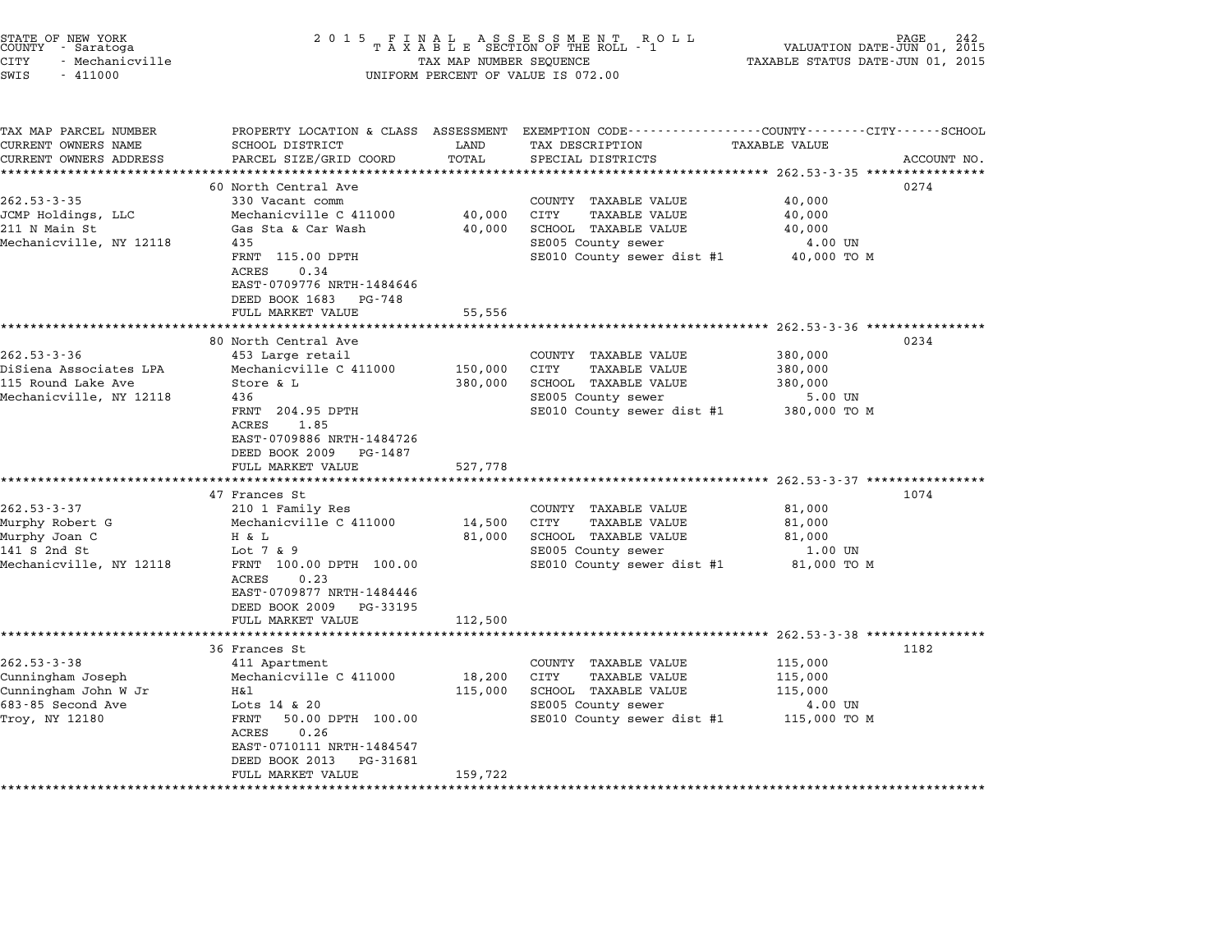| STATE OF NEW YORK<br>COUNTY - Saratoga<br>CITY<br>- Mechanicville<br>SWIS<br>$-411000$ | 2 0 1 5                                                                                                                  | TAX MAP NUMBER SEQUENCE | FINAL ASSESSMENT ROTAXABLE SECTION OF THE ROLL - 1<br>R O L L<br>UNIFORM PERCENT OF VALUE IS 072.00  | VALUATION DATE-JUN 01, 2015<br>TAXABLE STATUS DATE-JUN 01, 2015 | PAGE        |
|----------------------------------------------------------------------------------------|--------------------------------------------------------------------------------------------------------------------------|-------------------------|------------------------------------------------------------------------------------------------------|-----------------------------------------------------------------|-------------|
| TAX MAP PARCEL NUMBER<br>CURRENT OWNERS NAME<br>CURRENT OWNERS ADDRESS                 | PROPERTY LOCATION & CLASS ASSESSMENT<br>SCHOOL DISTRICT<br>PARCEL SIZE/GRID COORD                                        | LAND<br>TOTAL           | EXEMPTION CODE-----------------COUNTY-------CITY------SCHOOL<br>TAX DESCRIPTION<br>SPECIAL DISTRICTS | <b>TAXABLE VALUE</b>                                            | ACCOUNT NO. |
| ******************                                                                     | 60 North Central Ave                                                                                                     |                         |                                                                                                      |                                                                 | 0274        |
| $262.53 - 3 - 35$                                                                      | 330 Vacant comm                                                                                                          |                         | COUNTY TAXABLE VALUE                                                                                 | 40,000                                                          |             |
| JCMP Holdings, LLC                                                                     | Mechanicville C 411000                                                                                                   | 40,000                  | <b>CITY</b><br>TAXABLE VALUE                                                                         | 40,000                                                          |             |
| 211 N Main St                                                                          | Gas Sta & Car Wash                                                                                                       | 40,000                  | SCHOOL TAXABLE VALUE                                                                                 | 40,000                                                          |             |
| Mechanicville, NY 12118                                                                | 435                                                                                                                      |                         | SE005 County sewer                                                                                   | 4.00 UN                                                         |             |
|                                                                                        | FRNT 115.00 DPTH                                                                                                         |                         | SE010 County sewer dist #1                                                                           | 40,000 TO M                                                     |             |
|                                                                                        | <b>ACRES</b><br>0.34<br>EAST-0709776 NRTH-1484646<br>DEED BOOK 1683 PG-748<br>FULL MARKET VALUE                          | 55,556                  |                                                                                                      |                                                                 |             |
|                                                                                        | ********************                                                                                                     | ***********             |                                                                                                      | ************ 262.53-3-36 ***********                            |             |
|                                                                                        | 80 North Central Ave                                                                                                     |                         |                                                                                                      |                                                                 | 0234        |
| $262.53 - 3 - 36$                                                                      | 453 Large retail                                                                                                         |                         | COUNTY TAXABLE VALUE                                                                                 | 380,000                                                         |             |
| DiSiena Associates LPA                                                                 | Mechanicville C 411000                                                                                                   | 150,000                 | CITY<br><b>TAXABLE VALUE</b>                                                                         | 380,000                                                         |             |
| 115 Round Lake Ave<br>Mechanicville, NY 12118                                          | Store & L<br>436                                                                                                         | 380,000                 | SCHOOL TAXABLE VALUE<br>SE005 County sewer                                                           | 380,000<br>5.00 UN                                              |             |
|                                                                                        | FRNT 204.95 DPTH<br>ACRES<br>1.85<br>EAST-0709886 NRTH-1484726<br>DEED BOOK 2009 PG-1487                                 |                         | SE010 County sewer dist #1                                                                           | 380,000 TO M                                                    |             |
|                                                                                        | FULL MARKET VALUE                                                                                                        | 527,778                 |                                                                                                      |                                                                 |             |
|                                                                                        |                                                                                                                          |                         |                                                                                                      |                                                                 |             |
| $262.53 - 3 - 37$                                                                      | 47 Frances St<br>210 1 Family Res                                                                                        |                         | COUNTY TAXABLE VALUE                                                                                 | 81,000                                                          | 1074        |
| Murphy Robert G                                                                        | Mechanicville C 411000                                                                                                   | 14,500                  | CITY<br><b>TAXABLE VALUE</b>                                                                         | 81,000                                                          |             |
| Murphy Joan C                                                                          | H & L                                                                                                                    | 81,000                  | SCHOOL TAXABLE VALUE                                                                                 | 81,000                                                          |             |
| 141 S 2nd St                                                                           | Lot $7 \& 9$                                                                                                             |                         | SE005 County sewer                                                                                   | 1.00 UN                                                         |             |
| Mechanicville, NY 12118                                                                | FRNT 100.00 DPTH 100.00<br>ACRES<br>0.23<br>EAST-0709877 NRTH-1484446<br>DEED BOOK 2009<br>PG-33195<br>FULL MARKET VALUE | 112,500                 | SE010 County sewer dist #1                                                                           | 81,000 TO M                                                     |             |
|                                                                                        | ************************                                                                                                 | ************            | ****************************** 262.53-3-38 ****************                                          |                                                                 |             |
|                                                                                        | 36 Frances St                                                                                                            |                         |                                                                                                      |                                                                 | 1182        |
| $262.53 - 3 - 38$                                                                      | 411 Apartment                                                                                                            |                         | COUNTY TAXABLE VALUE                                                                                 | 115,000                                                         |             |
| Cunningham Joseph                                                                      | Mechanicville C 411000                                                                                                   | 18,200                  | CITY<br><b>TAXABLE VALUE</b>                                                                         | 115,000                                                         |             |
| Cunningham John W Jr                                                                   | Η&l                                                                                                                      | 115,000                 | SCHOOL TAXABLE VALUE                                                                                 | 115,000                                                         |             |
| 683-85 Second Ave                                                                      | Lots $14 \times 20$                                                                                                      |                         | SE005 County sewer                                                                                   | 4.00 UN                                                         |             |
| Troy, NY 12180                                                                         | FRNT<br>50.00 DPTH 100.00<br>ACRES<br>0.26                                                                               |                         | SE010 County sewer dist #1                                                                           | 115,000 TO M                                                    |             |
|                                                                                        | EAST-0710111 NRTH-1484547<br>DEED BOOK 2013<br>PG-31681                                                                  |                         |                                                                                                      |                                                                 |             |
|                                                                                        | FULL MARKET VALUE                                                                                                        | 159,722                 |                                                                                                      |                                                                 |             |

STATE OF NEW YORK <sup>2</sup> <sup>0</sup> <sup>1</sup> 5 F I N A L A S S E S S M E N T R O L L PAGE <sup>242</sup> COUNTY - Saratoga <sup>T</sup> <sup>A</sup> <sup>X</sup> <sup>A</sup> <sup>B</sup> <sup>L</sup> <sup>E</sup> SECTION OF THE ROLL - <sup>1</sup> VALUATION DATE-JUN 01, <sup>2015</sup>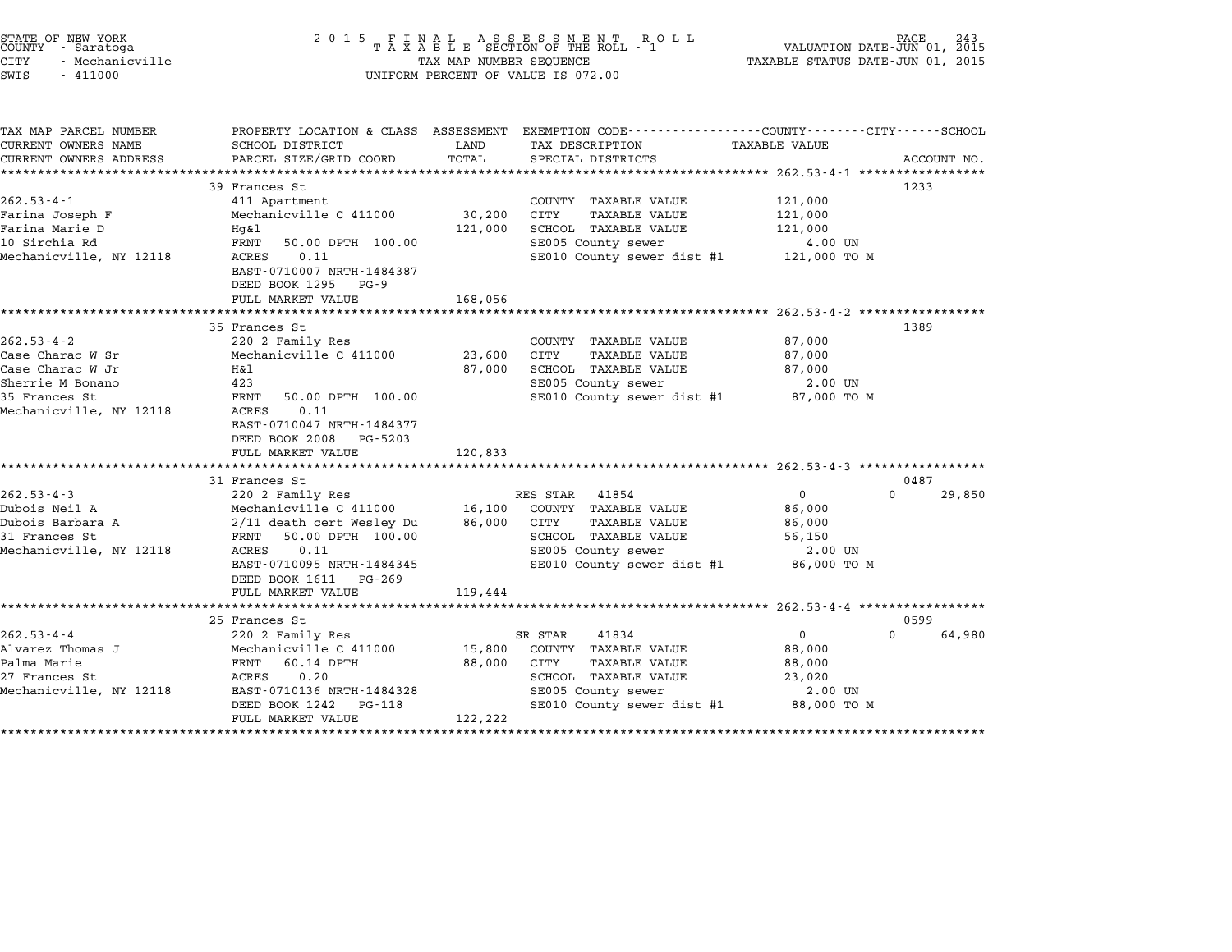| STATE OF NEW YORK<br>COUNTY - Saratoga<br><b>CITY</b><br>- Mechanicville<br>SWIS<br>$-411000$                            | 2 0 1 5                                                                                                                                                                                                           | TAX MAP NUMBER SEQUENCE      | FINAL ASSESSMENT ROLL<br>TAXABLE SECTION OF THE ROLL - 1<br>UNIFORM PERCENT OF VALUE IS 072.00                                                        | VALUATION DATE-JUN 01, 2015<br>TAXABLE STATUS DATE-JUN 01, 2015  | 243                        |
|--------------------------------------------------------------------------------------------------------------------------|-------------------------------------------------------------------------------------------------------------------------------------------------------------------------------------------------------------------|------------------------------|-------------------------------------------------------------------------------------------------------------------------------------------------------|------------------------------------------------------------------|----------------------------|
| TAX MAP PARCEL NUMBER<br>CURRENT OWNERS NAME<br>CURRENT OWNERS ADDRESS                                                   | SCHOOL DISTRICT<br>PARCEL SIZE/GRID COORD                                                                                                                                                                         | LAND<br>TOTAL                | PROPERTY LOCATION & CLASS ASSESSMENT EXEMPTION CODE---------------COUNTY-------CITY------SCHOOL<br>TAX DESCRIPTION<br>SPECIAL DISTRICTS               | TAXABLE VALUE<br>********************** 262.53-4-1 ************  | ACCOUNT NO.                |
| $262.53 - 4 - 1$<br>Farina Joseph F<br>Farina Marie D<br>10 Sirchia Rd<br>Mechanicville, NY 12118                        | 39 Frances St<br>411 Apartment<br>Mechanicville C 411000<br>Hg&l<br>FRNT<br>50.00 DPTH 100.00<br>ACRES<br>0.11<br>EAST-0710007 NRTH-1484387<br>DEED BOOK 1295<br><b>PG-9</b><br>FULL MARKET VALUE                 | 30,200<br>121,000<br>168,056 | COUNTY TAXABLE VALUE<br><b>TAXABLE VALUE</b><br>CITY<br>SCHOOL TAXABLE VALUE<br>SE005 County sewer<br>SE010 County sewer dist #1                      | 121,000<br>121,000<br>121,000<br>4.00 UN<br>121,000 TO M         | 1233                       |
| $262.53 - 4 - 2$<br>Case Charac W Sr<br>Case Charac W Jr<br>Sherrie M Bonano<br>35 Frances St<br>Mechanicville, NY 12118 | 35 Frances St<br>220 2 Family Res<br>Mechanicville C 411000<br>Η&l<br>423<br>FRNT<br>50.00 DPTH 100.00<br>0.11<br>ACRES<br>EAST-0710047 NRTH-1484377<br>DEED BOOK 2008 PG-5203<br>FULL MARKET VALUE               | 23,600<br>87,000<br>120,833  | COUNTY TAXABLE VALUE<br>CITY<br><b>TAXABLE VALUE</b><br>SCHOOL TAXABLE VALUE<br>SE005 County sewer<br>SE010 County sewer dist #1                      | 87,000<br>87,000<br>87,000<br>2.00 UN<br>87,000 TO M             | 1389                       |
| $262.53 - 4 - 3$<br>Dubois Neil A<br>Dubois Barbara A<br>31 Frances St<br>Mechanicville, NY 12118                        | 31 Frances St<br>220 2 Family Res<br>Mechanicville C 411000<br>2/11 death cert Wesley Du<br>50.00 DPTH 100.00<br>FRNT<br>0.11<br>ACRES<br>EAST-0710095 NRTH-1484345<br>DEED BOOK 1611 PG-269<br>FULL MARKET VALUE | 16,100<br>86,000<br>119,444  | 41854<br>RES STAR<br>COUNTY TAXABLE VALUE<br><b>TAXABLE VALUE</b><br>CITY<br>SCHOOL TAXABLE VALUE<br>SE005 County sewer<br>SE010 County sewer dist #1 | $\Omega$<br>86,000<br>86,000<br>56,150<br>2.00 UN<br>86,000 TO M | 0487<br>$\Omega$<br>29,850 |
| $262.53 - 4 - 4$<br>Alvarez Thomas J<br>Palma Marie<br>27 Frances St<br>Mechanicville, NY 12118                          | 25 Frances St<br>220 2 Family Res<br>Mechanicville C 411000<br>FRNT<br>60.14 DPTH<br>ACRES<br>0.20<br>EAST-0710136 NRTH-1484328                                                                                   | 15,800<br>88,000             | SR STAR<br>41834<br>COUNTY TAXABLE VALUE<br>CITY<br><b>TAXABLE VALUE</b><br>SCHOOL TAXABLE VALUE<br>SE005 County sewer                                | $\mathbf{0}$<br>88,000<br>88,000<br>23,020<br>2.00 UN            | 0599<br>64,980<br>$\Omega$ |
|                                                                                                                          | DEED BOOK 1242<br>PG-118<br>FULL MARKET VALUE                                                                                                                                                                     | 122,222                      | SE010 County sewer dist #1                                                                                                                            | 88,000 TO M                                                      |                            |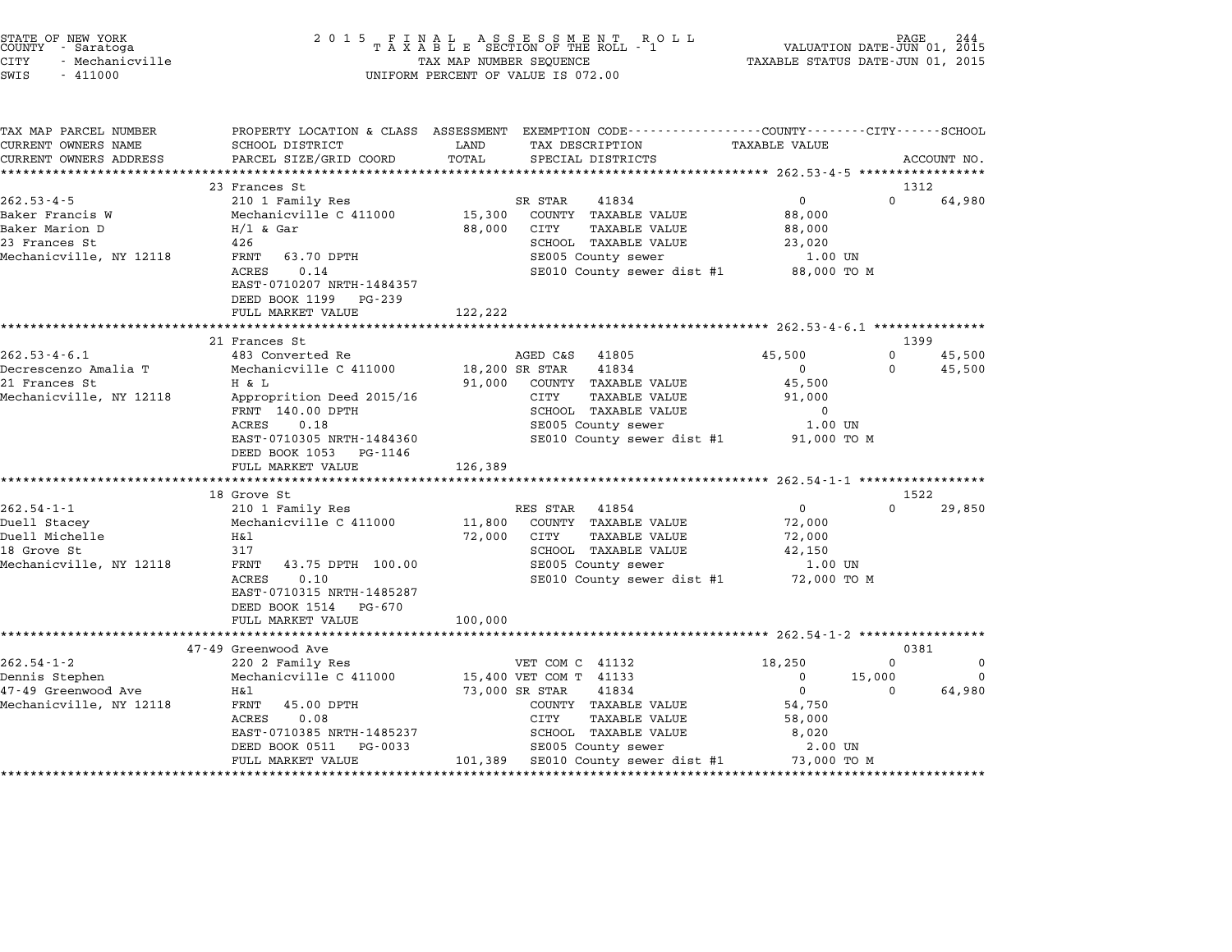|        | STATE OF NEW YORK |
|--------|-------------------|
| COUNTY | - Saratoga        |
| CITY   | - Mechanicville   |

### STATE OF NEW YORK <sup>2</sup> <sup>0</sup> <sup>1</sup> 5 F I N A L A S S E S S M E N T R O L L PAGE <sup>244</sup> COUNTY - Saratoga <sup>T</sup> <sup>A</sup> <sup>X</sup> <sup>A</sup> <sup>B</sup> <sup>L</sup> <sup>E</sup> SECTION OF THE ROLL - <sup>1</sup> VALUATION DATE-JUN 01, <sup>2015</sup> CITY - Mechanicville TAX MAP NUMBER SEQUENCE TAXABLE STATUS DATE-JUN 01, <sup>2015</sup> CUNIT - SALACUYA<br>CITY - Mechanicville<br>SWIS - 411000 UNIFORM PERCENT OF VALUE IS 072.00

TAX MAP PARCEL NUMBER PROPERTY LOCATION & CLASS ASSESSMENT EXEMPTION CODE------------------COUNTY--------CITY------SCHOOL ...<br>-- COUNTY:- TAX MAP PARCEL NUMBER THE OCHOTRY AND THE CURRENT EXEMPTION CODE<br>CURRENT OWNERS NAME SCHOOL DISTRICT LAND TAX DESCRIPTION TAXABLE VALUE CURRENT OWNERS ADDEER FOUR DISTRICTS AND A CHASS ASSESSEENT EXERPTION TRACK THE TRACKE STANDS CONSULTED TRACKER<br>CURRENT OWNERS ADDRESS PARCEL SIZE/GRID COORD TOTAL SPECIAL DISTRICTS ACCOUNT NO.<br>\*\*\*\*\*\*\*\*\*\*\*\*\*\*\*\*\*\*\*\*\*\*\*\*\*\*\*\* <sup>23</sup> Frances St <sup>1312</sup> 262.53-4-5 202.53-4-5 210 1 Family Res St<br>262.53-4-5 210 1 Family Res SR STAR 41834 0 0 64,980 Baker Francis W Mechanicville C <sup>411000</sup> 15,300 COUNTY TAXABLE VALUE 88,000 Baker Marion D H/l & Gar 88,000 CITY TAXABLE VALUE 88,000 BANCI FIANCIS WORKER AND DESCRIPTION MECHANICAL CONSTRUCTIVE CONTRACT AND DESCRIPTION OF A SOUTH AN ABULE CONTR<br>23 Frances St 126 (2001) Have a serve the service of the service of the service of the service of the service<br> and matrices States of the control of the control of the control of the control of the control of the control o<br>Mechanicville, NY 12118 426 STANT 63.70 DPTH SE005 County sewer 1.00 UN SE005 County sewer 1.00 UN 420<br>
FENT 63.70 DPTH SCHOOL TAXABLE VALUE<br>
ACRES 0.14 SE005 County sewer dist #1 88,000 TO M<br>
EAST-0710207 NRTH-1484357 SE010 County sewer dist #1 88,000 TO M EAST-0710207 NRTH-14843<br>DEED BOOK 1199 PG-239 EAST 0710207 MAIN 1404337<br>
DEED BOOK 1199 PG-239<br>
FULL MARKET VALUE 122,222 \*\*\*\*\*\*\*\*\*\*\*\*\*\*\*\*\*\*\*\*\*\*\*\*\*\*\*\*\*\*\*\*\*\*\*\*\*\*\*\*\*\*\*\*\*\*\*\*\*\*\*\*\*\*\*\*\*\*\*\*\*\*\*\*\*\*\*\*\*\*\*\*\*\*\*\*\*\*\*\*\*\*\*\*\*\*\*\*\*\*\*\*\*\*\*\*\*\*\*\*\*\*\* 262.53-4-6.1 \*\*\*\*\*\*\*\*\*\*\*\*\*\*\* <sup>21</sup> Frances St <sup>1399</sup> 262.53-4-6.1 202.53-4-6.1 and the main of the main of the Magnetic AGED CAS 41805 202.53-4-6.1 and the main of<br>262.53-4-6.1 483 Converted Re ages and the Magnetic AGED CAS 41805 45,500 0 45,500 45,500 كرون من المسلم المسلم المسلم المسلم المسلم المسلم المسلم المسلم المسلم المسلم المسلم المسلم المسلم المسلم المس<br>Decrescenzo Amalia T Mechanicville C 411000 18,200 SR STAR 41834 0 0 0 45,500 202.33-4-0.1 Frances And Head and Health Converted Reformation of the Market Converted Reformation of the Converted Reformation of the Converted Reformation of the Market Associates of the Market Converted Reformation of t echanics and the channel of the community of the community of the set of the set of the set of the set of the<br>21 Frances St. The Late of the St. 16 COUNTY TAXABLE VALUE 45,500<br>Mechanicville, NY 12118 Approprition Deed 2015 n a limit of the state of the state of the state of the state of the state of the state of the state of the school that school that the school that is a series of the school that  $\frac{1}{2}$ ,000  $\frac{1}{2}$ ,000  $\frac{1}{2}$  schoo Appropriation beed 2015/10<br>FRNT 140.00 DPTH SCHOOL TAXABLE VALUE<br>ACRES 0.18 SE005 County sewer 1.00 UN EXTRAIN THUS COLLECTED SCROOL TRAABLE VALUE TO A SCROOL TRAABLE VALUE TO A SECOLL TRAABLE VALUE TO A SECOLL TRAABLE VALUE TO A SECOLL TRAABLE VALUE TO A SECOLL TRAABLE VALUE TO A SECOLL TRAABLE VALUE TO A SECOLL TRAABLE VA EASI-0710505 NAIH-1464500<br>
DEED BOOK 1053 PG-1146<br>
FULL MARKET VALUE 126,389 \*\*\*\*\*\*\*\*\*\*\*\*\*\*\*\*\*\*\*\*\*\*\*\*\*\*\*\*\*\*\*\*\*\*\*\*\*\*\*\*\*\*\*\*\*\*\*\*\*\*\*\*\*\*\*\*\*\*\*\*\*\*\*\*\*\*\*\*\*\*\*\*\*\*\*\*\*\*\*\*\*\*\*\*\*\*\*\*\*\*\*\*\*\*\*\*\*\*\*\*\*\*\* 262.54-1-1 \*\*\*\*\*\*\*\*\*\*\*\*\*\*\*\*\* 18 Grove St 1522 18 Grove St<br>
18 Grove St<br>
262.54-1-1 210 1 Family Res RES STAR 41854 0 0 29,850 16 Grove Start of the State of the State of 2001.<br>2010 1 Family Res (Res Res STAR) RES STAR 41854 (2001)<br>Duell Stacey (Mechanicville C 411000 11,800 COUNTY TAXABLE VALUE (72,000 Duell Michelle H&l 72,000 CITY TAXABLE VALUE 72,000 DUELL SIGNEY DURING THE MECHANICALLE CALLON CONTRACT TRANSPLE VALUE 1999 (1999) AND MECHANICALLE SURFER STRUCK<br>18 Grove St 317 317 SCHOOL TAXABLE VALUE 1999 (1999) 42,000<br>18 Grove St 42,150 Metrima Strategie – Marine Marine (1990)<br>18 Grove Street – Marine Street (1990)<br>Mechanicville, NY 12118 – FRNT 43.75 DPTH 100.00 SE005 County sewer – 1.00 UN 3 SCHOOD TAXABLE VALUE 42,150<br>
FRNT 43.75 DPTH 100.00 SE005 County sewer 1.00 UN<br>
RAST-0710315 NRTH-1485287 SE010 County sewer dist #1 72,000 TO M EAST-0710315 NRTH-14852<br>DEED BOOK 1514 PG-670 EAST-0710315 NRTH-1485287<br>DEED BOOK 1514 PG-670<br>FULL MARKET VALUE 100,000 \*\*\*\*\*\*\*\*\*\*\*\*\*\*\*\*\*\*\*\*\*\*\*\*\*\*\*\*\*\*\*\*\*\*\*\*\*\*\*\*\*\*\*\*\*\*\*\*\*\*\*\*\*\*\*\*\*\*\*\*\*\*\*\*\*\*\*\*\*\*\*\*\*\*\*\*\*\*\*\*\*\*\*\*\*\*\*\*\*\*\*\*\*\*\*\*\*\*\*\*\*\*\* 262.54-1-2 \*\*\*\*\*\*\*\*\*\*\*\*\*\*\*\*\* י מטעמע מאו א בער האראי א בער האט האט היידי א ביי האט היידי א ביי האט היידי א היידי א ביי האראי א היידי א לא ב<br>47-49 Greenwood Ave 0381 262.54-1-2 <sup>220</sup> <sup>2</sup> Family Res VET COM C <sup>41132</sup> 18,250 <sup>0</sup> <sup>0</sup> Dennis Stephen Mechanicville C <sup>411000</sup> 15,400 VET COM T <sup>41133</sup> <sup>0</sup> 15,000 <sup>0</sup> 002.34-1-2 (1990) 2202 Family Res (1990) 2202 Family Res (1990) 2202 Family Res (1990) 220 For Comment of Ali<br>19 Dennis Stephen (1990) Mechanicville C 411000 15,400 VET COM T 41133 (1990) 0 64,980<br>19 January Res (1990) 23 Mechanicville, NY <sup>12118</sup> FRNT 45.00 DPTH COUNTY TAXABLE VALUE 54,750 n and the control of the set of the set of the control of the control of the control of the control of the control of the control of the control of the control of the control of the control of the control of the control of EARL TREE SECULE IN SECULE IN SUIT AN ABOUT THAT THE SECTOR OF THE SAME OF SALE IN SALE IN SALE IN SALE IN SUI<br>ACRES 0.08<br>EAST-0710385 NRTH-1485237 SCHOOL TAXABLE VALUE 8,020 EAST-0710385 NRTH-1485237 SCHOOL TAXABLE VALUE 8,020<br>DEED BOOK 0511 PG-0033 SE005 County sewer 2.00 UN FULL MARKET VALUE 101,389 SCHOOL TAAADLE VALUE 101,22.0<br>DEED BOOK 0511 PG-0033 SE005 County sewer dist #1 73,000 TO M \*\*\*\*\*\*\*\*\*\*\*\*\*\*\*\*\*\*\*\*\*\*\*\*\*\*\*\*\*\*\*\*\*\*\*\*\*\*\*\*\*\*\*\*\*\*\*\*\*\*\*\*\*\*\*\*\*\*\*\*\*\*\*\*\*\*\*\*\*\*\*\*\*\*\*\*\*\*\*\*\*\*\*\*\*\*\*\*\*\*\*\*\*\*\*\*\*\*\*\*\*\*\*\*\*\*\*\*\*\*\*\*\*\*\*\*\*\*\*\*\*\*\*\*\*\*\*\*\*\*\*\*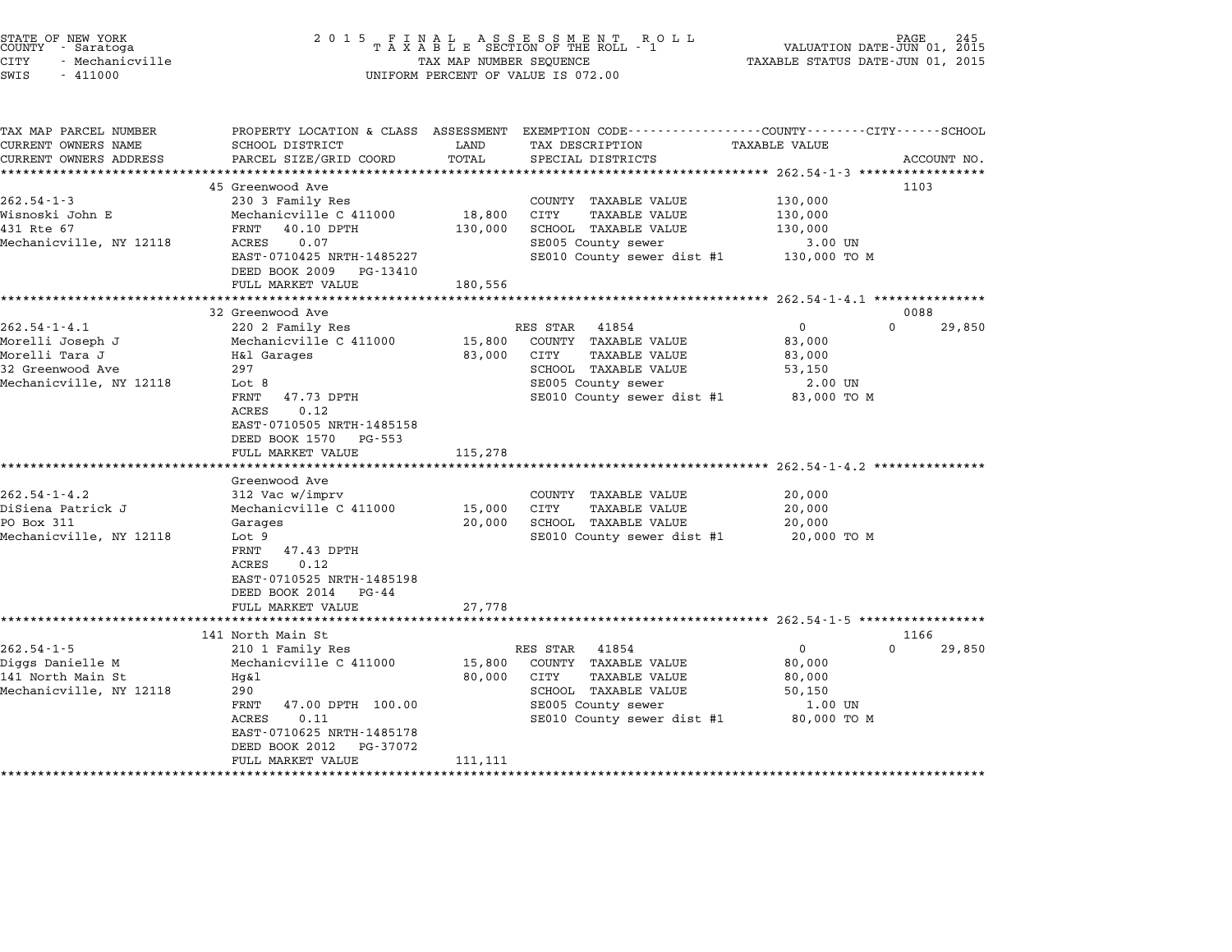| STATE OF NEW YORK<br>COUNTY - Saratoga<br><b>CITY</b><br>- Mechanicville<br>SWIS<br>$-411000$ | 2 0 1 5                                               | TAX MAP NUMBER SEQUENCE | FINAL ASSESSMENT ROLL<br>TAXABLE SECTION OF THE ROLL - 1<br>UNIFORM PERCENT OF VALUE IS 072.00                     | VALUATION DATE-JUN 01, 2015<br>TAXABLE STATUS DATE-JUN 01, 2015 | PAGE        |
|-----------------------------------------------------------------------------------------------|-------------------------------------------------------|-------------------------|--------------------------------------------------------------------------------------------------------------------|-----------------------------------------------------------------|-------------|
| TAX MAP PARCEL NUMBER<br>CURRENT OWNERS NAME                                                  | SCHOOL DISTRICT                                       | LAND                    | PROPERTY LOCATION & CLASS ASSESSMENT EXEMPTION CODE---------------COUNTY-------CITY------SCHOOL<br>TAX DESCRIPTION | TAXABLE VALUE                                                   |             |
| CURRENT OWNERS ADDRESS                                                                        | PARCEL SIZE/GRID COORD                                | TOTAL                   | SPECIAL DISTRICTS                                                                                                  |                                                                 | ACCOUNT NO. |
|                                                                                               |                                                       |                         | ********************************* 262.54-1-3 *****************                                                     |                                                                 |             |
| $262.54 - 1 - 3$                                                                              | 45 Greenwood Ave<br>230 3 Family Res                  |                         | COUNTY TAXABLE VALUE                                                                                               | 130,000                                                         | 1103        |
| Wisnoski John E                                                                               | Mechanicville C 411000                                | 18,800                  | CITY<br><b>TAXABLE VALUE</b>                                                                                       | 130,000                                                         |             |
| 431 Rte 67                                                                                    | FRNT<br>40.10 DPTH                                    | 130,000                 | SCHOOL TAXABLE VALUE                                                                                               | 130,000                                                         |             |
| Mechanicville, NY 12118                                                                       | 0.07<br>ACRES                                         |                         | SE005 County sewer                                                                                                 | 3.00 UN                                                         |             |
|                                                                                               | EAST-0710425 NRTH-1485227                             |                         | SE010 County sewer dist #1                                                                                         | 130,000 TO M                                                    |             |
|                                                                                               | DEED BOOK 2009<br>PG-13410                            |                         |                                                                                                                    |                                                                 |             |
|                                                                                               | FULL MARKET VALUE<br>*********************            | 180,556                 | *****************************                                                                                      | ********************* 262.54-1-4.1 ***************              |             |
|                                                                                               | 32 Greenwood Ave                                      |                         |                                                                                                                    |                                                                 | 0088        |
| $262.54 - 1 - 4.1$                                                                            | 220 2 Family Res                                      |                         | RES STAR<br>41854                                                                                                  | $\mathbf 0$<br>$\Omega$                                         | 29,850      |
| Morelli Joseph J                                                                              | Mechanicville C 411000                                | 15,800                  | COUNTY TAXABLE VALUE                                                                                               | 83,000                                                          |             |
| Morelli Tara J                                                                                | H&l Garages                                           | 83,000                  | CITY<br>TAXABLE VALUE                                                                                              | 83,000                                                          |             |
| 32 Greenwood Ave                                                                              | 297                                                   |                         | SCHOOL TAXABLE VALUE                                                                                               | 53,150                                                          |             |
| Mechanicville, NY 12118                                                                       | Lot 8<br>FRNT<br>47.73 DPTH                           |                         | SE005 County sewer<br>SE010 County sewer dist #1                                                                   | 2.00 UN<br>83,000 TO M                                          |             |
|                                                                                               | ACRES<br>0.12                                         |                         |                                                                                                                    |                                                                 |             |
|                                                                                               | EAST-0710505 NRTH-1485158<br>DEED BOOK 1570<br>PG-553 |                         |                                                                                                                    |                                                                 |             |
|                                                                                               | FULL MARKET VALUE                                     | 115,278                 |                                                                                                                    |                                                                 |             |
|                                                                                               |                                                       |                         |                                                                                                                    |                                                                 |             |
|                                                                                               | Greenwood Ave                                         |                         |                                                                                                                    |                                                                 |             |
| $262.54 - 1 - 4.2$<br>DiSiena Patrick J                                                       | 312 Vac w/imprv<br>Mechanicville C 411000             | 15,000                  | COUNTY TAXABLE VALUE<br>CITY<br><b>TAXABLE VALUE</b>                                                               | 20,000<br>20,000                                                |             |
| PO Box 311                                                                                    | Garages                                               | 20,000                  | SCHOOL TAXABLE VALUE                                                                                               | 20,000                                                          |             |
| Mechanicville, NY 12118                                                                       | Lot 9                                                 |                         | SE010 County sewer dist #1                                                                                         | 20,000 TO M                                                     |             |
|                                                                                               | 47.43 DPTH<br>FRNT                                    |                         |                                                                                                                    |                                                                 |             |
|                                                                                               | 0.12<br>ACRES<br>EAST-0710525 NRTH-1485198            |                         |                                                                                                                    |                                                                 |             |
|                                                                                               | DEED BOOK 2014<br>PG-44                               |                         |                                                                                                                    |                                                                 |             |
|                                                                                               | FULL MARKET VALUE                                     | 27,778                  |                                                                                                                    |                                                                 |             |
|                                                                                               | ***********************                               |                         |                                                                                                                    |                                                                 |             |
|                                                                                               | 141 North Main St                                     |                         |                                                                                                                    |                                                                 | 1166        |
| $262.54 - 1 - 5$                                                                              | 210 1 Family Res                                      |                         | RES STAR<br>41854                                                                                                  | $\mathbf 0$<br>$\Omega$                                         | 29,850      |
| Diggs Danielle M<br>141 North Main St                                                         | Mechanicville C 411000<br>Hg&l                        | 15,800<br>80,000        | COUNTY TAXABLE VALUE<br>TAXABLE VALUE<br>CITY                                                                      | 80,000<br>80,000                                                |             |
| Mechanicville, NY 12118                                                                       | 290                                                   |                         | SCHOOL TAXABLE VALUE                                                                                               | 50,150                                                          |             |
|                                                                                               | FRNT<br>47.00 DPTH 100.00                             |                         | SE005 County sewer                                                                                                 | 1.00 UN                                                         |             |
|                                                                                               | ACRES<br>0.11                                         |                         | SE010 County sewer dist #1                                                                                         | 80,000 TO M                                                     |             |
|                                                                                               | EAST-0710625 NRTH-1485178                             |                         |                                                                                                                    |                                                                 |             |
|                                                                                               | DEED BOOK 2012<br>PG-37072                            |                         |                                                                                                                    |                                                                 |             |
| ************************                                                                      | FULL MARKET VALUE<br>************************         | 111,111                 |                                                                                                                    |                                                                 |             |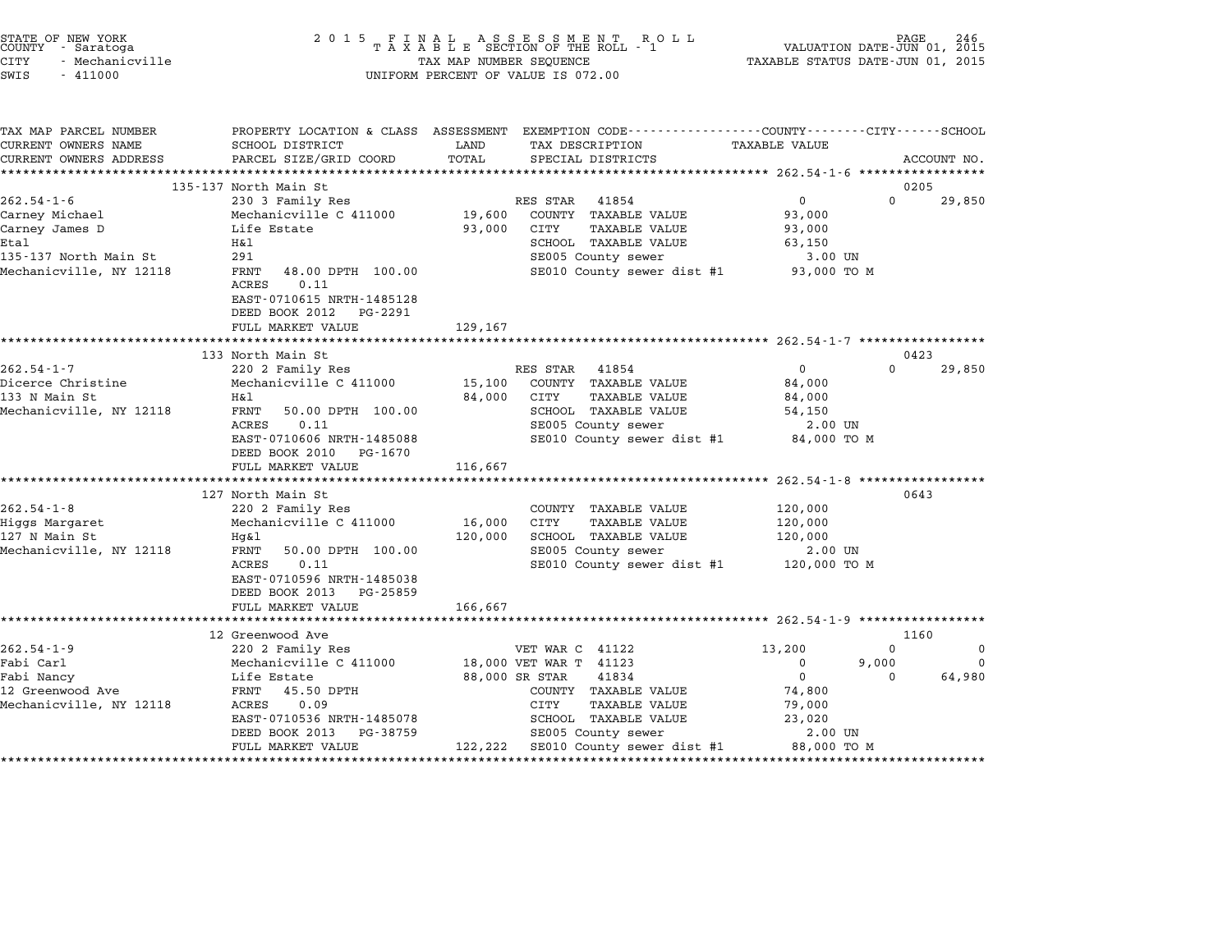| STATE OF NEW YORK |                 |  |
|-------------------|-----------------|--|
| COUNTY            | - Saratoga      |  |
| CITY              | - Mechanicville |  |

# STATE OF NEW YORK <sup>2</sup> <sup>0</sup> <sup>1</sup> 5 F I N A L A S S E S S M E N T R O L L PAGE <sup>246</sup> COUNTY - Saratoga <sup>T</sup> <sup>A</sup> <sup>X</sup> <sup>A</sup> <sup>B</sup> <sup>L</sup> <sup>E</sup> SECTION OF THE ROLL - <sup>1</sup> VALUATION DATE-JUN 01, <sup>2015</sup> CITY - Mechanicville TAX MAP NUMBER SEQUENCE TAXABLE STATUS DATE-JUN 01, <sup>2015</sup> SWIS - <sup>411000</sup> UNIFORM PERCENT OF VALUE IS 072.00

| PROPERTY LOCATION & CLASS ASSESSMENT EXEMPTION CODE----------------COUNTY-------CITY------SCHOOL<br><b>TAXABLE VALUE</b><br>CURRENT OWNERS NAME<br>LAND<br>SCHOOL DISTRICT<br>TAX DESCRIPTION<br>TOTAL<br>PARCEL SIZE/GRID COORD<br>CURRENT OWNERS ADDRESS<br>SPECIAL DISTRICTS<br>ACCOUNT NO.<br>135-137 North Main St<br>0205<br>RES STAR 41854<br>$\overline{0}$<br>$\Omega$<br>$262.54 - 1 - 6$<br>29,850<br>230 3 Family Res<br>Mechanicville C 411000 19,600 COUNTY TAXABLE VALUE<br>93,000<br>Carney Michael<br>93,000 CITY<br>TAXABLE VALUE<br>Carney James D<br>Life Estate<br>93,000<br>Etal<br>SCHOOL TAXABLE VALUE<br>H&l<br>63,150<br>SE005 County sewer<br>291<br>135-137 North Main St<br>3.00 UN<br>Mechanicville, NY 12118<br>SE010 County sewer dist #1 93,000 TO M<br>FRNT 48.00 DPTH 100.00<br>0.11<br>ACRES<br>EAST-0710615 NRTH-1485128<br>DEED BOOK 2012 PG-2291<br>FULL MARKET VALUE<br>129,167<br>133 North Main St<br>0423<br>$262.54 - 1 - 7$<br>$0 \qquad \qquad$<br>220 2 Family Res<br>RES STAR 41854<br>$\Omega$<br>29,850<br>AAV A Family Not<br>15,100 COUNTY TAXABLE VALUE<br>Dicerce Christine<br>84,000<br>133 N Main St<br>H&l<br>84,000 CITY<br>TAXABLE VALUE<br>84,000<br>Mechanicville, NY 12118<br>SCHOOL TAXABLE VALUE<br>SE005 County sewer<br>FRNT 50.00 DPTH 100.00<br>54,150<br>0.11<br>2.00 UN<br>ACRES<br>EAST-0710606 NRTH-1485088<br>SE010 County sewer dist #1 84,000 TO M<br>DEED BOOK 2010 PG-1670<br>116,667<br>FULL MARKET VALUE<br>0643<br>127 North Main St<br>220 2 Family Res<br>Mechanicville C 411000<br>120,000<br>COUNTY TAXABLE VALUE<br>16,000 CITY<br>TAXABLE VALUE<br>120,000<br>$120,000$ SCHOOL TAXABLE VALUE $120,000$<br>SE005 County sewer $2.00$<br>Hg&l<br>2.00 UN<br>FRNT 50.00 DPTH 100.00<br>SE010 County sewer dist #1 $120,000$ TO M<br>0.11<br>ACRES<br>EAST-0710596 NRTH-1485038<br>DEED BOOK 2013 PG-25859<br>166,667<br>FULL MARKET VALUE<br>1160<br>12 Greenwood Ave<br>$\Omega$<br>$\mathbf 0$<br>220 2 Family Res<br>VET WAR C 41122<br>13,200<br>Mechanicville C 411000 18,000 VET WAR T 41123<br>9,000<br>$\mathbf 0$<br>$\overline{\phantom{0}}$<br>$0 \qquad \qquad$<br>Fabi Nancy<br>12 Greenwood Ave<br>88,000 SR STAR<br>$\overline{0}$<br>64,980<br>41834<br>Life Estate<br>LITE BOCOLLE<br>FRNT 45.50 DPTH<br>FRAT 0.09<br>COUNTY TAXABLE VALUE<br>74,800<br>Mechanicville, NY 12118<br>CITY<br>TAXABLE VALUE<br>79,000<br>23,020<br>EAST-0710536 NRTH-1485078<br>SCHOOL TAXABLE VALUE<br>SE005 County sewer<br>DEED BOOK 2013 PG-38759<br>2.00 UN<br>122,222 SE010 County sewer dist #1 88,000 TO M |                         |                   |  |  |  |
|-----------------------------------------------------------------------------------------------------------------------------------------------------------------------------------------------------------------------------------------------------------------------------------------------------------------------------------------------------------------------------------------------------------------------------------------------------------------------------------------------------------------------------------------------------------------------------------------------------------------------------------------------------------------------------------------------------------------------------------------------------------------------------------------------------------------------------------------------------------------------------------------------------------------------------------------------------------------------------------------------------------------------------------------------------------------------------------------------------------------------------------------------------------------------------------------------------------------------------------------------------------------------------------------------------------------------------------------------------------------------------------------------------------------------------------------------------------------------------------------------------------------------------------------------------------------------------------------------------------------------------------------------------------------------------------------------------------------------------------------------------------------------------------------------------------------------------------------------------------------------------------------------------------------------------------------------------------------------------------------------------------------------------------------------------------------------------------------------------------------------------------------------------------------------------------------------------------------------------------------------------------------------------------------------------------------------------------------------------------------------------------------------------------------------------------------------------------------------------------------------------------------------------------------------------------------------------------------------------|-------------------------|-------------------|--|--|--|
|                                                                                                                                                                                                                                                                                                                                                                                                                                                                                                                                                                                                                                                                                                                                                                                                                                                                                                                                                                                                                                                                                                                                                                                                                                                                                                                                                                                                                                                                                                                                                                                                                                                                                                                                                                                                                                                                                                                                                                                                                                                                                                                                                                                                                                                                                                                                                                                                                                                                                                                                                                                                     | TAX MAP PARCEL NUMBER   |                   |  |  |  |
|                                                                                                                                                                                                                                                                                                                                                                                                                                                                                                                                                                                                                                                                                                                                                                                                                                                                                                                                                                                                                                                                                                                                                                                                                                                                                                                                                                                                                                                                                                                                                                                                                                                                                                                                                                                                                                                                                                                                                                                                                                                                                                                                                                                                                                                                                                                                                                                                                                                                                                                                                                                                     |                         |                   |  |  |  |
|                                                                                                                                                                                                                                                                                                                                                                                                                                                                                                                                                                                                                                                                                                                                                                                                                                                                                                                                                                                                                                                                                                                                                                                                                                                                                                                                                                                                                                                                                                                                                                                                                                                                                                                                                                                                                                                                                                                                                                                                                                                                                                                                                                                                                                                                                                                                                                                                                                                                                                                                                                                                     |                         |                   |  |  |  |
|                                                                                                                                                                                                                                                                                                                                                                                                                                                                                                                                                                                                                                                                                                                                                                                                                                                                                                                                                                                                                                                                                                                                                                                                                                                                                                                                                                                                                                                                                                                                                                                                                                                                                                                                                                                                                                                                                                                                                                                                                                                                                                                                                                                                                                                                                                                                                                                                                                                                                                                                                                                                     |                         |                   |  |  |  |
|                                                                                                                                                                                                                                                                                                                                                                                                                                                                                                                                                                                                                                                                                                                                                                                                                                                                                                                                                                                                                                                                                                                                                                                                                                                                                                                                                                                                                                                                                                                                                                                                                                                                                                                                                                                                                                                                                                                                                                                                                                                                                                                                                                                                                                                                                                                                                                                                                                                                                                                                                                                                     |                         |                   |  |  |  |
|                                                                                                                                                                                                                                                                                                                                                                                                                                                                                                                                                                                                                                                                                                                                                                                                                                                                                                                                                                                                                                                                                                                                                                                                                                                                                                                                                                                                                                                                                                                                                                                                                                                                                                                                                                                                                                                                                                                                                                                                                                                                                                                                                                                                                                                                                                                                                                                                                                                                                                                                                                                                     |                         |                   |  |  |  |
|                                                                                                                                                                                                                                                                                                                                                                                                                                                                                                                                                                                                                                                                                                                                                                                                                                                                                                                                                                                                                                                                                                                                                                                                                                                                                                                                                                                                                                                                                                                                                                                                                                                                                                                                                                                                                                                                                                                                                                                                                                                                                                                                                                                                                                                                                                                                                                                                                                                                                                                                                                                                     |                         |                   |  |  |  |
|                                                                                                                                                                                                                                                                                                                                                                                                                                                                                                                                                                                                                                                                                                                                                                                                                                                                                                                                                                                                                                                                                                                                                                                                                                                                                                                                                                                                                                                                                                                                                                                                                                                                                                                                                                                                                                                                                                                                                                                                                                                                                                                                                                                                                                                                                                                                                                                                                                                                                                                                                                                                     |                         |                   |  |  |  |
|                                                                                                                                                                                                                                                                                                                                                                                                                                                                                                                                                                                                                                                                                                                                                                                                                                                                                                                                                                                                                                                                                                                                                                                                                                                                                                                                                                                                                                                                                                                                                                                                                                                                                                                                                                                                                                                                                                                                                                                                                                                                                                                                                                                                                                                                                                                                                                                                                                                                                                                                                                                                     |                         |                   |  |  |  |
|                                                                                                                                                                                                                                                                                                                                                                                                                                                                                                                                                                                                                                                                                                                                                                                                                                                                                                                                                                                                                                                                                                                                                                                                                                                                                                                                                                                                                                                                                                                                                                                                                                                                                                                                                                                                                                                                                                                                                                                                                                                                                                                                                                                                                                                                                                                                                                                                                                                                                                                                                                                                     |                         |                   |  |  |  |
|                                                                                                                                                                                                                                                                                                                                                                                                                                                                                                                                                                                                                                                                                                                                                                                                                                                                                                                                                                                                                                                                                                                                                                                                                                                                                                                                                                                                                                                                                                                                                                                                                                                                                                                                                                                                                                                                                                                                                                                                                                                                                                                                                                                                                                                                                                                                                                                                                                                                                                                                                                                                     |                         |                   |  |  |  |
|                                                                                                                                                                                                                                                                                                                                                                                                                                                                                                                                                                                                                                                                                                                                                                                                                                                                                                                                                                                                                                                                                                                                                                                                                                                                                                                                                                                                                                                                                                                                                                                                                                                                                                                                                                                                                                                                                                                                                                                                                                                                                                                                                                                                                                                                                                                                                                                                                                                                                                                                                                                                     |                         |                   |  |  |  |
|                                                                                                                                                                                                                                                                                                                                                                                                                                                                                                                                                                                                                                                                                                                                                                                                                                                                                                                                                                                                                                                                                                                                                                                                                                                                                                                                                                                                                                                                                                                                                                                                                                                                                                                                                                                                                                                                                                                                                                                                                                                                                                                                                                                                                                                                                                                                                                                                                                                                                                                                                                                                     |                         |                   |  |  |  |
|                                                                                                                                                                                                                                                                                                                                                                                                                                                                                                                                                                                                                                                                                                                                                                                                                                                                                                                                                                                                                                                                                                                                                                                                                                                                                                                                                                                                                                                                                                                                                                                                                                                                                                                                                                                                                                                                                                                                                                                                                                                                                                                                                                                                                                                                                                                                                                                                                                                                                                                                                                                                     |                         |                   |  |  |  |
|                                                                                                                                                                                                                                                                                                                                                                                                                                                                                                                                                                                                                                                                                                                                                                                                                                                                                                                                                                                                                                                                                                                                                                                                                                                                                                                                                                                                                                                                                                                                                                                                                                                                                                                                                                                                                                                                                                                                                                                                                                                                                                                                                                                                                                                                                                                                                                                                                                                                                                                                                                                                     |                         |                   |  |  |  |
|                                                                                                                                                                                                                                                                                                                                                                                                                                                                                                                                                                                                                                                                                                                                                                                                                                                                                                                                                                                                                                                                                                                                                                                                                                                                                                                                                                                                                                                                                                                                                                                                                                                                                                                                                                                                                                                                                                                                                                                                                                                                                                                                                                                                                                                                                                                                                                                                                                                                                                                                                                                                     |                         |                   |  |  |  |
|                                                                                                                                                                                                                                                                                                                                                                                                                                                                                                                                                                                                                                                                                                                                                                                                                                                                                                                                                                                                                                                                                                                                                                                                                                                                                                                                                                                                                                                                                                                                                                                                                                                                                                                                                                                                                                                                                                                                                                                                                                                                                                                                                                                                                                                                                                                                                                                                                                                                                                                                                                                                     |                         |                   |  |  |  |
|                                                                                                                                                                                                                                                                                                                                                                                                                                                                                                                                                                                                                                                                                                                                                                                                                                                                                                                                                                                                                                                                                                                                                                                                                                                                                                                                                                                                                                                                                                                                                                                                                                                                                                                                                                                                                                                                                                                                                                                                                                                                                                                                                                                                                                                                                                                                                                                                                                                                                                                                                                                                     |                         |                   |  |  |  |
|                                                                                                                                                                                                                                                                                                                                                                                                                                                                                                                                                                                                                                                                                                                                                                                                                                                                                                                                                                                                                                                                                                                                                                                                                                                                                                                                                                                                                                                                                                                                                                                                                                                                                                                                                                                                                                                                                                                                                                                                                                                                                                                                                                                                                                                                                                                                                                                                                                                                                                                                                                                                     |                         |                   |  |  |  |
|                                                                                                                                                                                                                                                                                                                                                                                                                                                                                                                                                                                                                                                                                                                                                                                                                                                                                                                                                                                                                                                                                                                                                                                                                                                                                                                                                                                                                                                                                                                                                                                                                                                                                                                                                                                                                                                                                                                                                                                                                                                                                                                                                                                                                                                                                                                                                                                                                                                                                                                                                                                                     |                         |                   |  |  |  |
|                                                                                                                                                                                                                                                                                                                                                                                                                                                                                                                                                                                                                                                                                                                                                                                                                                                                                                                                                                                                                                                                                                                                                                                                                                                                                                                                                                                                                                                                                                                                                                                                                                                                                                                                                                                                                                                                                                                                                                                                                                                                                                                                                                                                                                                                                                                                                                                                                                                                                                                                                                                                     |                         |                   |  |  |  |
|                                                                                                                                                                                                                                                                                                                                                                                                                                                                                                                                                                                                                                                                                                                                                                                                                                                                                                                                                                                                                                                                                                                                                                                                                                                                                                                                                                                                                                                                                                                                                                                                                                                                                                                                                                                                                                                                                                                                                                                                                                                                                                                                                                                                                                                                                                                                                                                                                                                                                                                                                                                                     |                         |                   |  |  |  |
|                                                                                                                                                                                                                                                                                                                                                                                                                                                                                                                                                                                                                                                                                                                                                                                                                                                                                                                                                                                                                                                                                                                                                                                                                                                                                                                                                                                                                                                                                                                                                                                                                                                                                                                                                                                                                                                                                                                                                                                                                                                                                                                                                                                                                                                                                                                                                                                                                                                                                                                                                                                                     |                         |                   |  |  |  |
|                                                                                                                                                                                                                                                                                                                                                                                                                                                                                                                                                                                                                                                                                                                                                                                                                                                                                                                                                                                                                                                                                                                                                                                                                                                                                                                                                                                                                                                                                                                                                                                                                                                                                                                                                                                                                                                                                                                                                                                                                                                                                                                                                                                                                                                                                                                                                                                                                                                                                                                                                                                                     |                         |                   |  |  |  |
|                                                                                                                                                                                                                                                                                                                                                                                                                                                                                                                                                                                                                                                                                                                                                                                                                                                                                                                                                                                                                                                                                                                                                                                                                                                                                                                                                                                                                                                                                                                                                                                                                                                                                                                                                                                                                                                                                                                                                                                                                                                                                                                                                                                                                                                                                                                                                                                                                                                                                                                                                                                                     | $262.54 - 1 - 8$        |                   |  |  |  |
|                                                                                                                                                                                                                                                                                                                                                                                                                                                                                                                                                                                                                                                                                                                                                                                                                                                                                                                                                                                                                                                                                                                                                                                                                                                                                                                                                                                                                                                                                                                                                                                                                                                                                                                                                                                                                                                                                                                                                                                                                                                                                                                                                                                                                                                                                                                                                                                                                                                                                                                                                                                                     | Higgs Margaret          |                   |  |  |  |
|                                                                                                                                                                                                                                                                                                                                                                                                                                                                                                                                                                                                                                                                                                                                                                                                                                                                                                                                                                                                                                                                                                                                                                                                                                                                                                                                                                                                                                                                                                                                                                                                                                                                                                                                                                                                                                                                                                                                                                                                                                                                                                                                                                                                                                                                                                                                                                                                                                                                                                                                                                                                     | 127 N Main St           |                   |  |  |  |
|                                                                                                                                                                                                                                                                                                                                                                                                                                                                                                                                                                                                                                                                                                                                                                                                                                                                                                                                                                                                                                                                                                                                                                                                                                                                                                                                                                                                                                                                                                                                                                                                                                                                                                                                                                                                                                                                                                                                                                                                                                                                                                                                                                                                                                                                                                                                                                                                                                                                                                                                                                                                     | Mechanicville, NY 12118 |                   |  |  |  |
|                                                                                                                                                                                                                                                                                                                                                                                                                                                                                                                                                                                                                                                                                                                                                                                                                                                                                                                                                                                                                                                                                                                                                                                                                                                                                                                                                                                                                                                                                                                                                                                                                                                                                                                                                                                                                                                                                                                                                                                                                                                                                                                                                                                                                                                                                                                                                                                                                                                                                                                                                                                                     |                         |                   |  |  |  |
|                                                                                                                                                                                                                                                                                                                                                                                                                                                                                                                                                                                                                                                                                                                                                                                                                                                                                                                                                                                                                                                                                                                                                                                                                                                                                                                                                                                                                                                                                                                                                                                                                                                                                                                                                                                                                                                                                                                                                                                                                                                                                                                                                                                                                                                                                                                                                                                                                                                                                                                                                                                                     |                         |                   |  |  |  |
|                                                                                                                                                                                                                                                                                                                                                                                                                                                                                                                                                                                                                                                                                                                                                                                                                                                                                                                                                                                                                                                                                                                                                                                                                                                                                                                                                                                                                                                                                                                                                                                                                                                                                                                                                                                                                                                                                                                                                                                                                                                                                                                                                                                                                                                                                                                                                                                                                                                                                                                                                                                                     |                         |                   |  |  |  |
|                                                                                                                                                                                                                                                                                                                                                                                                                                                                                                                                                                                                                                                                                                                                                                                                                                                                                                                                                                                                                                                                                                                                                                                                                                                                                                                                                                                                                                                                                                                                                                                                                                                                                                                                                                                                                                                                                                                                                                                                                                                                                                                                                                                                                                                                                                                                                                                                                                                                                                                                                                                                     |                         |                   |  |  |  |
|                                                                                                                                                                                                                                                                                                                                                                                                                                                                                                                                                                                                                                                                                                                                                                                                                                                                                                                                                                                                                                                                                                                                                                                                                                                                                                                                                                                                                                                                                                                                                                                                                                                                                                                                                                                                                                                                                                                                                                                                                                                                                                                                                                                                                                                                                                                                                                                                                                                                                                                                                                                                     | $262.54 - 1 - 9$        |                   |  |  |  |
|                                                                                                                                                                                                                                                                                                                                                                                                                                                                                                                                                                                                                                                                                                                                                                                                                                                                                                                                                                                                                                                                                                                                                                                                                                                                                                                                                                                                                                                                                                                                                                                                                                                                                                                                                                                                                                                                                                                                                                                                                                                                                                                                                                                                                                                                                                                                                                                                                                                                                                                                                                                                     | Fabi Carl               |                   |  |  |  |
|                                                                                                                                                                                                                                                                                                                                                                                                                                                                                                                                                                                                                                                                                                                                                                                                                                                                                                                                                                                                                                                                                                                                                                                                                                                                                                                                                                                                                                                                                                                                                                                                                                                                                                                                                                                                                                                                                                                                                                                                                                                                                                                                                                                                                                                                                                                                                                                                                                                                                                                                                                                                     |                         |                   |  |  |  |
|                                                                                                                                                                                                                                                                                                                                                                                                                                                                                                                                                                                                                                                                                                                                                                                                                                                                                                                                                                                                                                                                                                                                                                                                                                                                                                                                                                                                                                                                                                                                                                                                                                                                                                                                                                                                                                                                                                                                                                                                                                                                                                                                                                                                                                                                                                                                                                                                                                                                                                                                                                                                     |                         |                   |  |  |  |
|                                                                                                                                                                                                                                                                                                                                                                                                                                                                                                                                                                                                                                                                                                                                                                                                                                                                                                                                                                                                                                                                                                                                                                                                                                                                                                                                                                                                                                                                                                                                                                                                                                                                                                                                                                                                                                                                                                                                                                                                                                                                                                                                                                                                                                                                                                                                                                                                                                                                                                                                                                                                     |                         |                   |  |  |  |
|                                                                                                                                                                                                                                                                                                                                                                                                                                                                                                                                                                                                                                                                                                                                                                                                                                                                                                                                                                                                                                                                                                                                                                                                                                                                                                                                                                                                                                                                                                                                                                                                                                                                                                                                                                                                                                                                                                                                                                                                                                                                                                                                                                                                                                                                                                                                                                                                                                                                                                                                                                                                     |                         |                   |  |  |  |
|                                                                                                                                                                                                                                                                                                                                                                                                                                                                                                                                                                                                                                                                                                                                                                                                                                                                                                                                                                                                                                                                                                                                                                                                                                                                                                                                                                                                                                                                                                                                                                                                                                                                                                                                                                                                                                                                                                                                                                                                                                                                                                                                                                                                                                                                                                                                                                                                                                                                                                                                                                                                     |                         |                   |  |  |  |
|                                                                                                                                                                                                                                                                                                                                                                                                                                                                                                                                                                                                                                                                                                                                                                                                                                                                                                                                                                                                                                                                                                                                                                                                                                                                                                                                                                                                                                                                                                                                                                                                                                                                                                                                                                                                                                                                                                                                                                                                                                                                                                                                                                                                                                                                                                                                                                                                                                                                                                                                                                                                     |                         | FULL MARKET VALUE |  |  |  |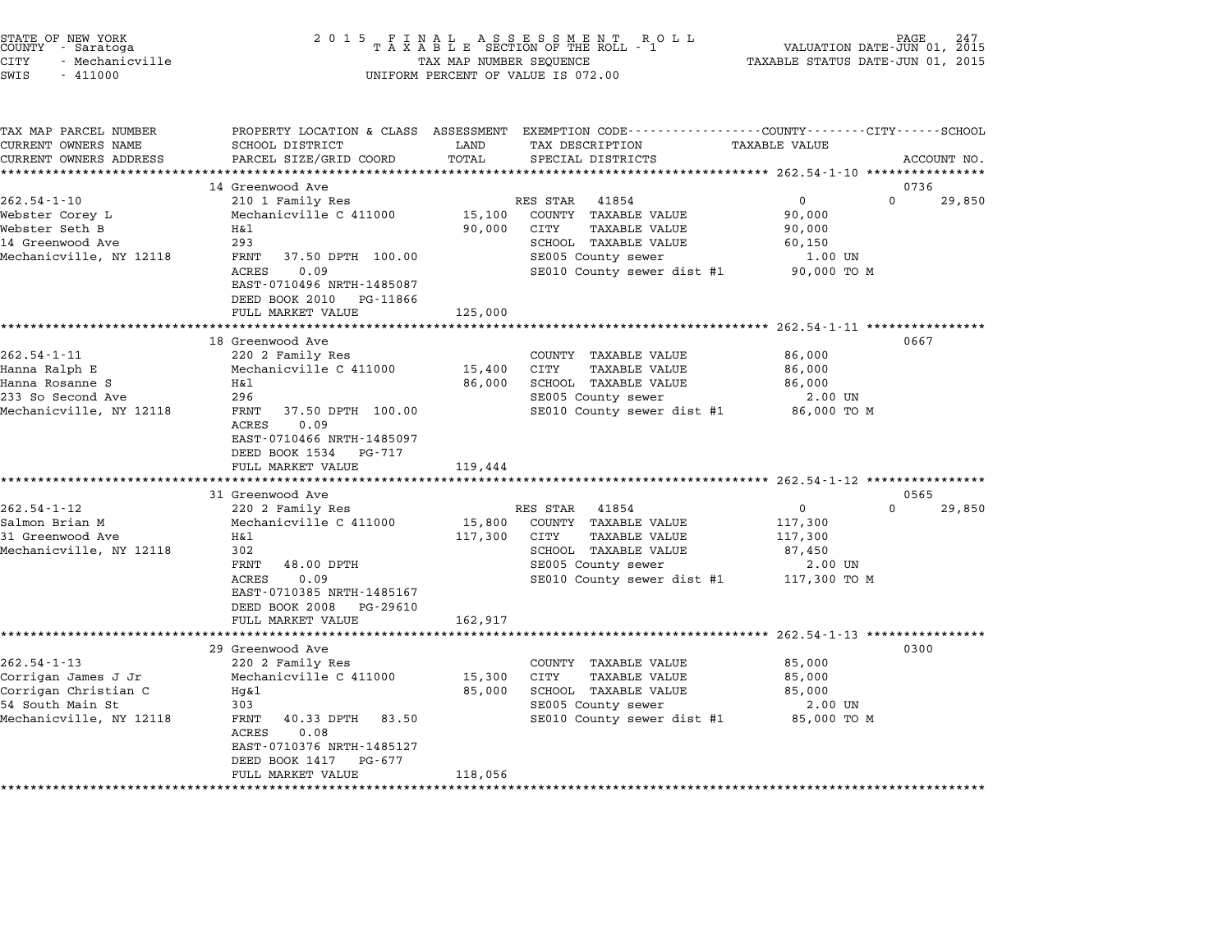| STATE OF NEW YORK<br>COUNTY - Saratoga<br>CITY<br>- Mechanicville<br>SWIS<br>$-411000$                          | 2 0 1 5                                                                                                                                                                                                        | TAX MAP NUMBER SEQUENCE      | FINAL ASSESSMENT ROLL<br>TAXABLE SECTION OF THE ROLL - 1<br>UNIFORM PERCENT OF VALUE IS 072.00                                                 | VALUATION DATE-JUN 01, 2015<br>TAXABLE STATUS DATE-JUN 01, 2015                    | PAGE           |
|-----------------------------------------------------------------------------------------------------------------|----------------------------------------------------------------------------------------------------------------------------------------------------------------------------------------------------------------|------------------------------|------------------------------------------------------------------------------------------------------------------------------------------------|------------------------------------------------------------------------------------|----------------|
| TAX MAP PARCEL NUMBER<br>CURRENT OWNERS NAME<br>CURRENT OWNERS ADDRESS                                          | SCHOOL DISTRICT<br>PARCEL SIZE/GRID COORD                                                                                                                                                                      | LAND<br>TOTAL                | PROPERTY LOCATION & CLASS ASSESSMENT EXEMPTION CODE--------------COUNTY-------CITY------SCHOOL<br>TAX DESCRIPTION<br>SPECIAL DISTRICTS         | TAXABLE VALUE                                                                      | ACCOUNT NO.    |
|                                                                                                                 |                                                                                                                                                                                                                |                              |                                                                                                                                                |                                                                                    |                |
| $262.54 - 1 - 10$<br>Webster Corey L<br>Webster Seth B<br>14 Greenwood Ave<br>Mechanicville, NY 12118           | 14 Greenwood Ave<br>210 1 Family Res<br>Mechanicville C 411000<br>H&l<br>293<br>FRNT<br>37.50 DPTH 100.00<br>0.09<br>ACRES<br>EAST-0710496 NRTH-1485087<br>DEED BOOK 2010<br>PG-11866<br>FULL MARKET VALUE     | 15,100<br>90,000<br>125,000  | RES STAR<br>41854<br>COUNTY TAXABLE VALUE<br>CITY<br>TAXABLE VALUE<br>SCHOOL TAXABLE VALUE<br>SE005 County sewer<br>SE010 County sewer dist #1 | 0<br>$\Omega$<br>90,000<br>90,000<br>60,150<br>1.00 UN<br>90,000 TO M              | 0736<br>29,850 |
|                                                                                                                 |                                                                                                                                                                                                                |                              |                                                                                                                                                | ******** 262.54-1-11 ************                                                  |                |
| $262.54 - 1 - 11$<br>Hanna Ralph E<br>Hanna Rosanne S<br>233 So Second Ave<br>Mechanicville, NY 12118           | 18 Greenwood Ave<br>220 2 Family Res<br>Mechanicville C 411000<br>H&l<br>296<br>FRNT<br>37.50 DPTH 100.00<br>0.09<br>ACRES<br>EAST-0710466 NRTH-1485097<br>DEED BOOK 1534<br>PG-717<br>FULL MARKET VALUE       | 15,400<br>86,000<br>119,444  | COUNTY TAXABLE VALUE<br>CITY<br><b>TAXABLE VALUE</b><br>SCHOOL TAXABLE VALUE<br>SE005 County sewer<br>SE010 County sewer dist #1               | 86,000<br>86,000<br>86,000<br>2.00 UN<br>86,000 TO M                               | 0667           |
|                                                                                                                 | ********************                                                                                                                                                                                           |                              | *********************                                                                                                                          | ********************* 262.54-1-12 *****************                                |                |
| $262.54 - 1 - 12$<br>Salmon Brian M<br>31 Greenwood Ave<br>Mechanicville, NY 12118                              | 31 Greenwood Ave<br>220 2 Family Res<br>Mechanicville C 411000<br>Η&l<br>302<br>FRNT<br>48.00 DPTH<br>ACRES<br>0.09<br>EAST-0710385 NRTH-1485167<br>DEED BOOK 2008<br>PG-29610<br>FULL MARKET VALUE            | 15,800<br>117,300<br>162,917 | RES STAR 41854<br>COUNTY TAXABLE VALUE<br>CITY<br>TAXABLE VALUE<br>SCHOOL TAXABLE VALUE<br>SE005 County sewer<br>SE010 County sewer dist #1    | $\mathbf 0$<br>$\Omega$<br>117,300<br>117,300<br>87,450<br>2.00 UN<br>117,300 TO M | 0565<br>29,850 |
|                                                                                                                 |                                                                                                                                                                                                                |                              |                                                                                                                                                | ***************** 262.54-1-13 **************                                       |                |
| $262.54 - 1 - 13$<br>Corrigan James J Jr<br>Corrigan Christian C<br>54 South Main St<br>Mechanicville, NY 12118 | 29 Greenwood Ave<br>220 2 Family Res<br>Mechanicville C 411000<br>$Hq\&1$<br>303<br>FRNT<br>40.33 DPTH<br>83.50<br>ACRES<br>0.08<br>EAST-0710376 NRTH-1485127<br>DEED BOOK 1417<br>PG-677<br>FULL MARKET VALUE | 15,300<br>85,000<br>118,056  | COUNTY TAXABLE VALUE<br>CITY<br><b>TAXABLE VALUE</b><br>SCHOOL TAXABLE VALUE<br>SE005 County sewer<br>SE010 County sewer dist #1               | 85,000<br>85,000<br>85,000<br>2.00 UN<br>85,000 TO M                               | 0300           |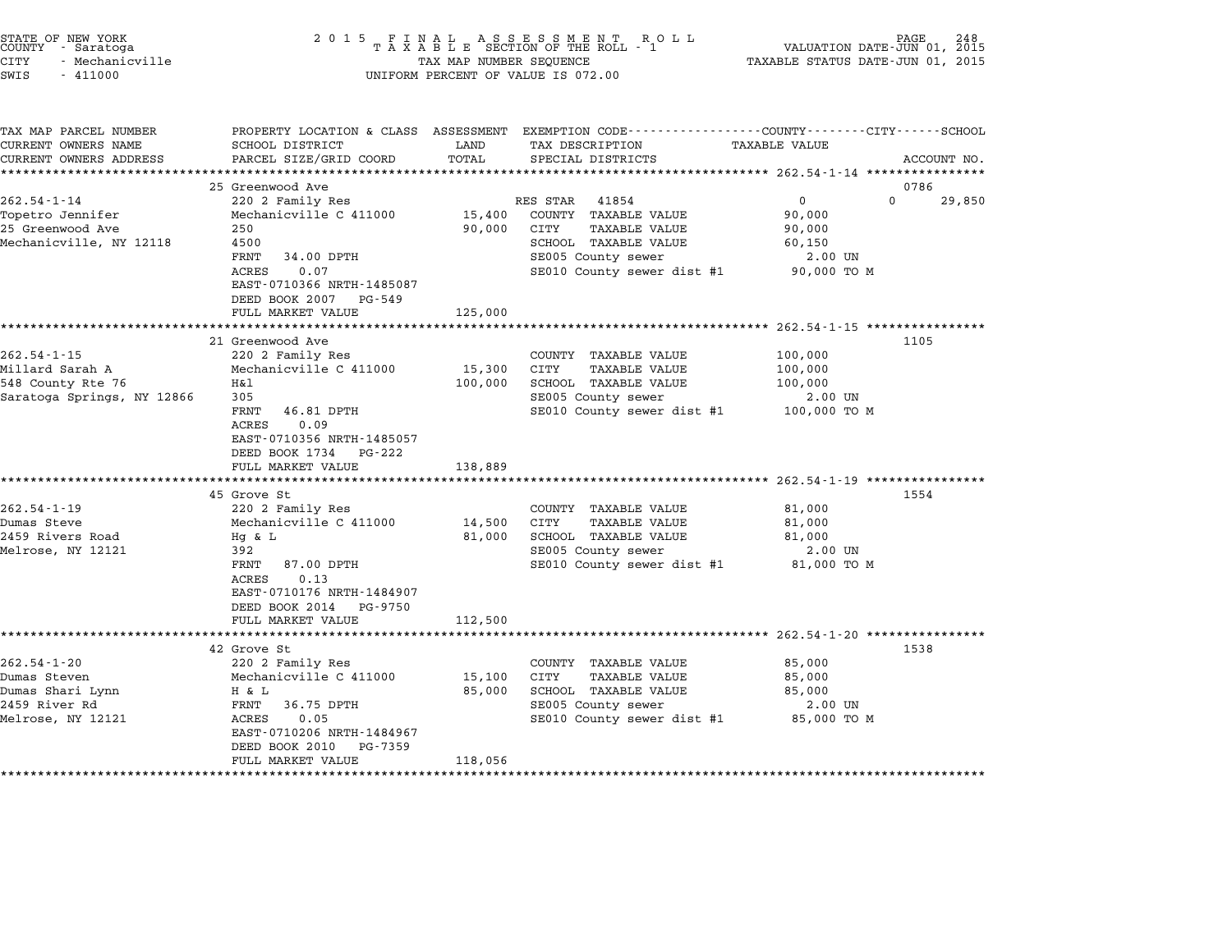| STATE OF NEW YORK<br>COUNTY - Saratoga<br><b>CITY</b><br>- Mechanicville<br>SWIS<br>$-411000$     | 2 0 1 5                                                                                                                                                                                                                                                      | TAX MAP NUMBER SEQUENCE                     | FINAL ASSESSMENT ROTAXABLE SECTION OF THE ROLL - 1<br>R O L L<br>UNIFORM PERCENT OF VALUE IS 072.00                                                                                                  | VALUATION DATE-JUN 01, 2015<br>TAXABLE STATUS DATE-JUN 01, 2015 | PAGE<br>248                |
|---------------------------------------------------------------------------------------------------|--------------------------------------------------------------------------------------------------------------------------------------------------------------------------------------------------------------------------------------------------------------|---------------------------------------------|------------------------------------------------------------------------------------------------------------------------------------------------------------------------------------------------------|-----------------------------------------------------------------|----------------------------|
| TAX MAP PARCEL NUMBER<br>CURRENT OWNERS NAME<br>CURRENT OWNERS ADDRESS<br>*********************** | <b>SCHOOL DISTRICT</b><br>PARCEL SIZE/GRID COORD                                                                                                                                                                                                             | LAND<br>TOTAL                               | PROPERTY LOCATION & CLASS ASSESSMENT EXEMPTION CODE---------------COUNTY-------CITY------SCHOOL<br>TAX DESCRIPTION<br>SPECIAL DISTRICTS                                                              | TAXABLE VALUE                                                   | ACCOUNT NO.                |
| $262.54 - 1 - 14$<br>Topetro Jennifer<br>25 Greenwood Ave<br>Mechanicville, NY 12118              | 25 Greenwood Ave<br>220 2 Family Res<br>Mechanicville C 411000<br>250<br>4500<br>FRNT<br>34.00 DPTH<br>0.07<br><b>ACRES</b><br>EAST-0710366 NRTH-1485087<br>DEED BOOK 2007<br>PG-549<br>FULL MARKET VALUE                                                    | 15,400<br>90,000<br>125,000                 | RES STAR<br>41854<br>COUNTY TAXABLE VALUE<br>CITY<br><b>TAXABLE VALUE</b><br>SCHOOL TAXABLE VALUE<br>SE005 County sewer<br>SE010 County sewer dist #1                                                | 0<br>90,000<br>90,000<br>60,150<br>2.00 UN<br>90,000 TO M       | 0786<br>$\Omega$<br>29,850 |
| $262.54 - 1 - 15$<br>Millard Sarah A<br>548 County Rte 76<br>Saratoga Springs, NY 12866           | **********************<br>21 Greenwood Ave<br>220 2 Family Res<br>Mechanicville C 411000<br>Η&l<br>305<br>46.81 DPTH<br>FRNT<br><b>ACRES</b><br>0.09<br>EAST-0710356 NRTH-1485057<br>DEED BOOK 1734<br>PG-222<br>FULL MARKET VALUE<br>********************** | 15,300<br>100,000<br>138,889<br>*********** | COUNTY TAXABLE VALUE<br>CITY<br><b>TAXABLE VALUE</b><br>SCHOOL TAXABLE VALUE<br>SE005 County sewer<br>SE010 County sewer dist #1<br>*********************************** 262.54-1-19 **************** | 100,000<br>100,000<br>100,000<br>2.00 UN<br>100,000 TO M        | 1105                       |
| $262.54 - 1 - 19$<br>Dumas Steve<br>2459 Rivers Road<br>Melrose, NY 12121                         | 45 Grove St<br>220 2 Family Res<br>Mechanicville C 411000<br>Hq & L<br>392<br>FRNT<br>87.00 DPTH<br>0.13<br>ACRES<br>EAST-0710176 NRTH-1484907<br>DEED BOOK 2014<br>PG-9750<br>FULL MARKET VALUE                                                             | 14,500<br>81,000<br>112,500                 | COUNTY TAXABLE VALUE<br>CITY<br><b>TAXABLE VALUE</b><br>SCHOOL TAXABLE VALUE<br>SE005 County sewer<br>SE010 County sewer dist #1                                                                     | 81,000<br>81,000<br>81,000<br>2.00 UN<br>81,000 TO M            | 1554                       |
| $262.54 - 1 - 20$<br>Dumas Steven<br>Dumas Shari Lynn<br>2459 River Rd<br>Melrose, NY 12121       | ********************<br>42 Grove St<br>220 2 Family Res<br>Mechanicville C 411000<br>H & L<br>FRNT<br>36.75 DPTH<br>ACRES<br>0.05<br>EAST-0710206 NRTH-1484967<br>DEED BOOK 2010<br>PG-7359<br>FULL MARKET VALUE                                             | 15,100<br>85,000<br>118,056                 | COUNTY<br>TAXABLE VALUE<br>CITY<br><b>TAXABLE VALUE</b><br>SCHOOL TAXABLE VALUE<br>SE005 County sewer<br>SE010 County sewer dist #1                                                                  | 85,000<br>85,000<br>85,000<br>2.00 UN<br>85,000 TO M            | 1538                       |

STATE OF NEW YORK <sup>2</sup> <sup>0</sup> <sup>1</sup> 5 F I N A L A S S E S S M E N T R O L L PAGE <sup>248</sup> COUNTY - Saratoga <sup>T</sup> <sup>A</sup> <sup>X</sup> <sup>A</sup> <sup>B</sup> <sup>L</sup> <sup>E</sup> SECTION OF THE ROLL - <sup>1</sup> VALUATION DATE-JUN 01, <sup>2015</sup>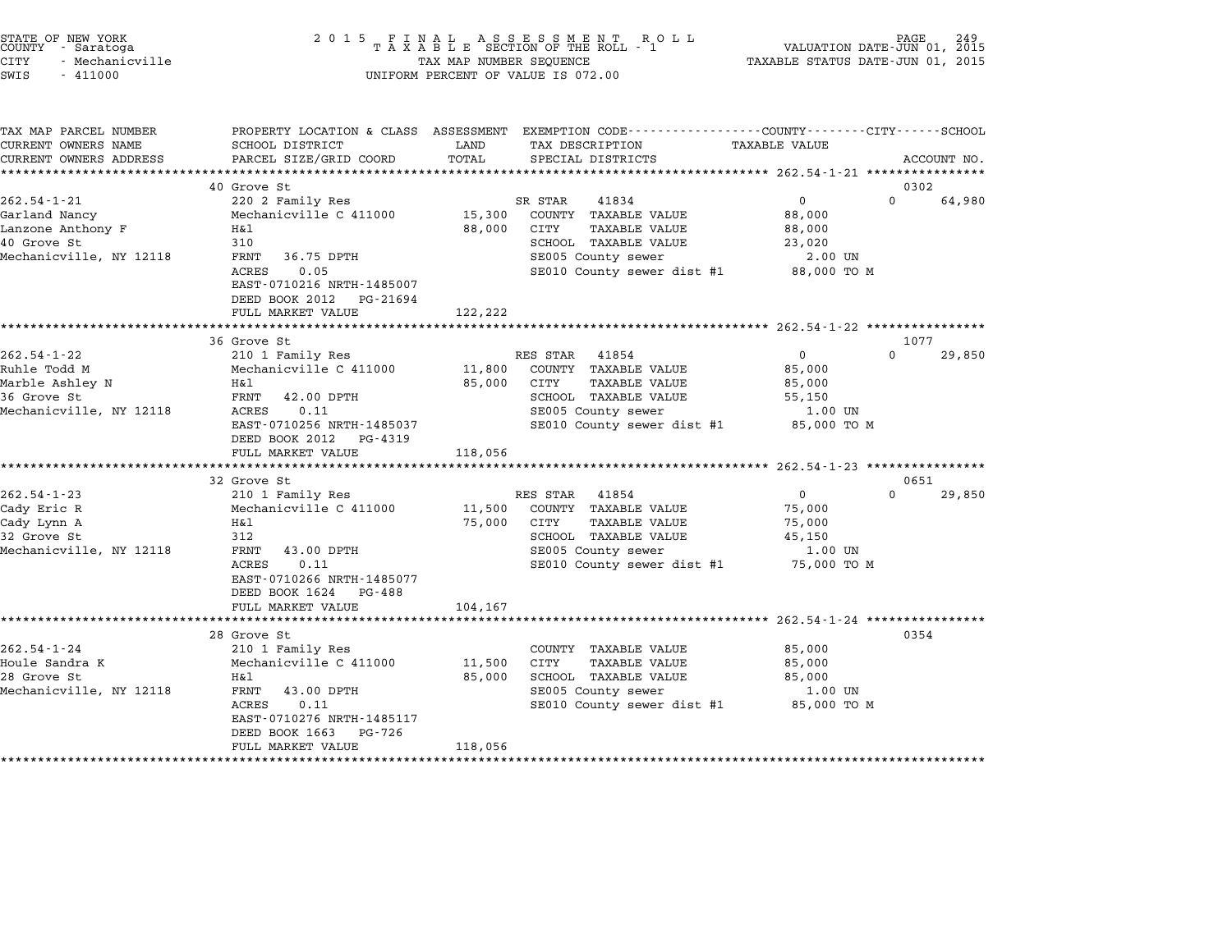| STATE OF NEW YORK<br>COUNTY | - Saratoga      |  |
|-----------------------------|-----------------|--|
| CITY                        | - Mechanicville |  |

# STATE OF NEW YORK <sup>2</sup> <sup>0</sup> <sup>1</sup> 5 F I N A L A S S E S S M E N T R O L L PAGE <sup>249</sup> COUNTY - Saratoga <sup>T</sup> <sup>A</sup> <sup>X</sup> <sup>A</sup> <sup>B</sup> <sup>L</sup> <sup>E</sup> SECTION OF THE ROLL - <sup>1</sup> VALUATION DATE-JUN 01, <sup>2015</sup> CITY - Mechanicville TAX MAP NUMBER SEQUENCE TAXABLE STATUS DATE-JUN 01, <sup>2015</sup> SWIS - <sup>411000</sup> UNIFORM PERCENT OF VALUE IS 072.00

| TAX MAP PARCEL NUMBER      | PROPERTY LOCATION & CLASS ASSESSMENT       |         | EXEMPTION CODE-----------------COUNTY-------CITY------SCHOOL |                      |          |             |
|----------------------------|--------------------------------------------|---------|--------------------------------------------------------------|----------------------|----------|-------------|
| CURRENT OWNERS NAME        | SCHOOL DISTRICT                            | LAND    | TAX DESCRIPTION                                              | <b>TAXABLE VALUE</b> |          |             |
| CURRENT OWNERS ADDRESS     | PARCEL SIZE/GRID COORD                     | TOTAL   | SPECIAL DISTRICTS                                            |                      |          | ACCOUNT NO. |
|                            |                                            |         |                                                              |                      |          |             |
|                            | 40 Grove St                                |         |                                                              |                      | 0302     |             |
| $262.54 - 1 - 21$          | 220 2 Family Res                           |         | SR STAR<br>41834                                             | $\Omega$             | $\Omega$ | 64,980      |
| Garland Nancy              | Mechanicville C 411000                     | 15,300  | COUNTY TAXABLE VALUE                                         | 88,000               |          |             |
| Lanzone Anthony F          | H&l                                        | 88,000  | CITY<br><b>TAXABLE VALUE</b>                                 | 88,000               |          |             |
| 40 Grove St                | 310                                        |         | SCHOOL TAXABLE VALUE                                         | 23,020               |          |             |
| Mechanicville, NY 12118    | FRNT<br>36.75 DPTH                         |         | SE005 County sewer                                           | 2.00 UN              |          |             |
|                            | 0.05<br>ACRES                              |         | SE010 County sewer dist #1 88,000 TO M                       |                      |          |             |
|                            | EAST-0710216 NRTH-1485007                  |         |                                                              |                      |          |             |
|                            | DEED BOOK 2012<br>PG-21694                 |         |                                                              |                      |          |             |
|                            | FULL MARKET VALUE                          | 122,222 |                                                              |                      |          |             |
|                            |                                            |         |                                                              |                      |          |             |
|                            | 36 Grove St                                |         |                                                              |                      | 1077     |             |
| $262.54 - 1 - 22$          | 210 1 Family Res                           |         | RES STAR<br>41854                                            | $\overline{0}$       | $\Omega$ | 29,850      |
| Ruhle Todd M               | Mechanicville C 411000                     | 11,800  | COUNTY TAXABLE VALUE                                         | 85,000               |          |             |
| Marble Ashley N            | H&l                                        | 85,000  | CITY<br>TAXABLE VALUE                                        | 85,000               |          |             |
| 36 Grove St                | FRNT<br>42.00 DPTH                         |         | SCHOOL TAXABLE VALUE                                         | 55,150               |          |             |
| Mechanicville, NY 12118    | 0.11<br>ACRES                              |         | SE005 County sewer                                           | 1.00 UN              |          |             |
|                            | EAST-0710256 NRTH-1485037                  |         | SE010 County sewer dist #1 85,000 TO M                       |                      |          |             |
|                            | DEED BOOK 2012<br>PG-4319                  |         |                                                              |                      |          |             |
|                            | FULL MARKET VALUE                          | 118,056 |                                                              |                      |          |             |
|                            | 32 Grove St                                |         |                                                              |                      | 0651     |             |
| $262.54 - 1 - 23$          |                                            |         |                                                              | $\mathbf{0}$         | 0        |             |
| Cady Eric R                | 210 1 Family Res<br>Mechanicville C 411000 |         | RES STAR<br>41854<br>11,500 COUNTY TAXABLE VALUE             | 75,000               |          | 29,850      |
|                            | Η&l                                        | 75,000  | CITY<br>TAXABLE VALUE                                        |                      |          |             |
| Cady Lynn A<br>32 Grove St | 312                                        |         | SCHOOL TAXABLE VALUE                                         | 75,000<br>45,150     |          |             |
| Mechanicville, NY 12118    | FRNT<br>43.00 DPTH                         |         | SE005 County sewer                                           | 1.00 UN              |          |             |
|                            | 0.11<br>ACRES                              |         | SE010 County sewer dist #1 75,000 TO M                       |                      |          |             |
|                            | EAST-0710266 NRTH-1485077                  |         |                                                              |                      |          |             |
|                            | DEED BOOK 1624 PG-488                      |         |                                                              |                      |          |             |
|                            | FULL MARKET VALUE                          | 104,167 |                                                              |                      |          |             |
|                            |                                            |         |                                                              |                      |          |             |
|                            | 28 Grove St                                |         |                                                              |                      | 0354     |             |
| $262.54 - 1 - 24$          | 210 1 Family Res                           |         | COUNTY TAXABLE VALUE                                         | 85,000               |          |             |
| Houle Sandra K             | Mechanicville C 411000                     | 11,500  | CITY<br>TAXABLE VALUE                                        | 85,000               |          |             |
| 28 Grove St                | Η&l                                        | 85,000  | SCHOOL TAXABLE VALUE                                         | 85,000               |          |             |
| Mechanicville, NY 12118    | 43.00 DPTH<br>FRNT                         |         | SE005 County sewer                                           | 1.00 UN              |          |             |
|                            | ACRES<br>0.11                              |         | SE010 County sewer dist #1 85,000 TO M                       |                      |          |             |
|                            | EAST-0710276 NRTH-1485117                  |         |                                                              |                      |          |             |
|                            | DEED BOOK 1663<br>PG-726                   |         |                                                              |                      |          |             |
|                            | FULL MARKET VALUE                          | 118,056 |                                                              |                      |          |             |
|                            | **************************************     |         |                                                              |                      |          |             |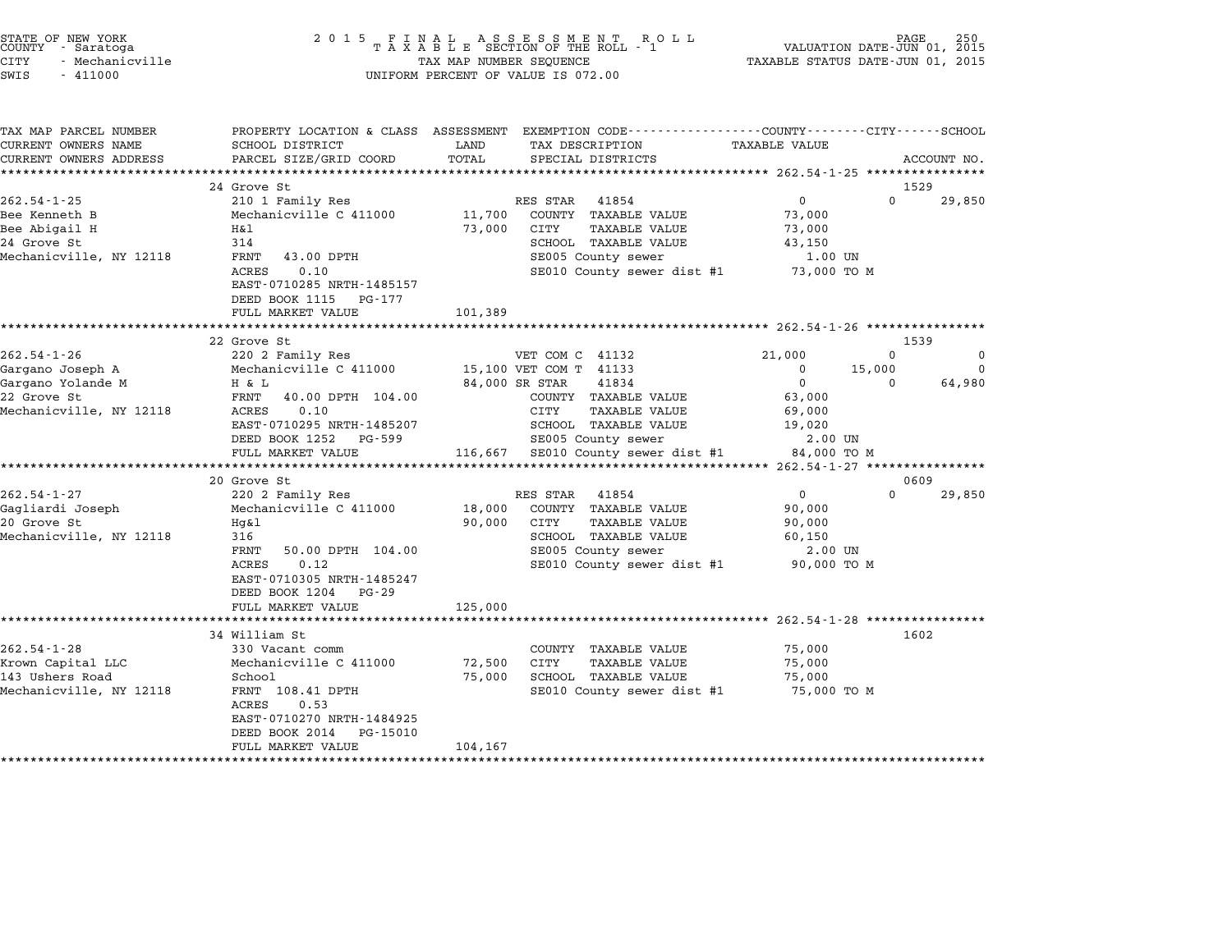| STATE OF NEW YORK |                 |  |
|-------------------|-----------------|--|
| COUNTY            | - Saratoga      |  |
| CITY              | - Mechanicville |  |

| TAX MAP PARCEL NUMBER   | PROPERTY LOCATION & CLASS ASSESSMENT |                                               | EXEMPTION CODE-----------------COUNTY-------CITY------SCHOOL |
|-------------------------|--------------------------------------|-----------------------------------------------|--------------------------------------------------------------|
| CURRENT OWNERS NAME     | SCHOOL DISTRICT                      | LAND<br>TAX DESCRIPTION                       | TAXABLE VALUE                                                |
| CURRENT OWNERS ADDRESS  | PARCEL SIZE/GRID COORD               | TOTAL<br>SPECIAL DISTRICTS                    | ACCOUNT NO.                                                  |
|                         |                                      |                                               |                                                              |
|                         | 24 Grove St                          |                                               | 1529                                                         |
| $262.54 - 1 - 25$       | 210 1 Family Res                     | RES STAR<br>41854                             | $\overline{0}$<br>$\Omega$<br>29,850                         |
| Bee Kenneth B           | Mechanicville C 411000               | 11,700<br>COUNTY TAXABLE VALUE                | 73,000                                                       |
| Bee Abigail H           | Η&l                                  | 73,000<br><b>TAXABLE VALUE</b><br>CITY        | 73,000                                                       |
| 24 Grove St             | 314                                  | SCHOOL TAXABLE VALUE                          | 43,150                                                       |
| Mechanicville, NY 12118 | FRNT<br>43.00 DPTH                   | SE005 County sewer                            | 1.00 UN                                                      |
|                         | 0.10<br>ACRES                        | SE010 County sewer dist #1 73,000 TO M        |                                                              |
|                         | EAST-0710285 NRTH-1485157            |                                               |                                                              |
|                         | DEED BOOK 1115<br>PG-177             |                                               |                                                              |
|                         | FULL MARKET VALUE                    | 101,389                                       |                                                              |
|                         | *************************            |                                               |                                                              |
|                         | 22 Grove St                          |                                               | 1539                                                         |
| $262.54 - 1 - 26$       | 220 2 Family Res                     | VET COM C 41132                               | 21,000<br>$\Omega$<br>0                                      |
| Gargano Joseph A        | Mechanicville C 411000               | 15,100 VET COM T 41133                        | 0<br>15,000<br>$\Omega$                                      |
| Gargano Yolande M       | H & L                                | 41834<br>84,000 SR STAR                       | $\overline{0}$<br>64,980<br>$\Omega$                         |
| 22 Grove St             | FRNT<br>40.00 DPTH 104.00            | COUNTY TAXABLE VALUE                          | 63,000                                                       |
| Mechanicville, NY 12118 | 0.10<br>ACRES                        | <b>TAXABLE VALUE</b><br>CITY                  | 69,000                                                       |
|                         | EAST-0710295 NRTH-1485207            | SCHOOL TAXABLE VALUE                          | 19,020                                                       |
|                         | DEED BOOK 1252<br>PG-599             | SE005 County sewer                            | 2.00 UN                                                      |
|                         | FULL MARKET VALUE                    | 116,667 SE010 County sewer dist #1            | 84,000 TO M                                                  |
|                         |                                      |                                               |                                                              |
|                         | 20 Grove St                          |                                               | 0609                                                         |
| $262.54 - 1 - 27$       | 220 2 Family Res                     | RES STAR<br>41854                             | 0<br>$\Omega$<br>29,850                                      |
| Gagliardi Joseph        | Mechanicville C 411000               | 18,000<br>COUNTY TAXABLE VALUE                | 90,000                                                       |
| 20 Grove St             | Hq&l                                 | 90,000<br>CITY<br><b>TAXABLE VALUE</b>        | 90,000                                                       |
| Mechanicville, NY 12118 | 316                                  | SCHOOL TAXABLE VALUE                          | 60,150                                                       |
|                         | FRNT<br>50.00 DPTH 104.00            | SE005 County sewer                            | 2.00 UN                                                      |
|                         | 0.12<br>ACRES                        | SE010 County sewer dist #1 90,000 TO M        |                                                              |
|                         | EAST-0710305 NRTH-1485247            |                                               |                                                              |
|                         | DEED BOOK 1204<br>PG-29              |                                               |                                                              |
|                         | FULL MARKET VALUE                    | 125,000                                       |                                                              |
|                         |                                      |                                               |                                                              |
|                         | 34 William St                        |                                               | 1602                                                         |
| $262.54 - 1 - 28$       | 330 Vacant comm                      | COUNTY TAXABLE VALUE                          | 75,000                                                       |
| Krown Capital LLC       | Mechanicville C 411000               | 72,500<br><b>CITY</b><br><b>TAXABLE VALUE</b> | 75,000                                                       |
| 143 Ushers Road         | School                               | 75,000<br>SCHOOL TAXABLE VALUE                | 75,000                                                       |
| Mechanicville, NY 12118 | FRNT 108.41 DPTH<br>ACRES<br>0.53    | SE010 County sewer dist #1                    | 75,000 TO M                                                  |
|                         | EAST-0710270 NRTH-1484925            |                                               |                                                              |
|                         | DEED BOOK 2014<br>PG-15010           |                                               |                                                              |
|                         | FULL MARKET VALUE                    | 104,167                                       |                                                              |
|                         |                                      |                                               |                                                              |
|                         |                                      |                                               |                                                              |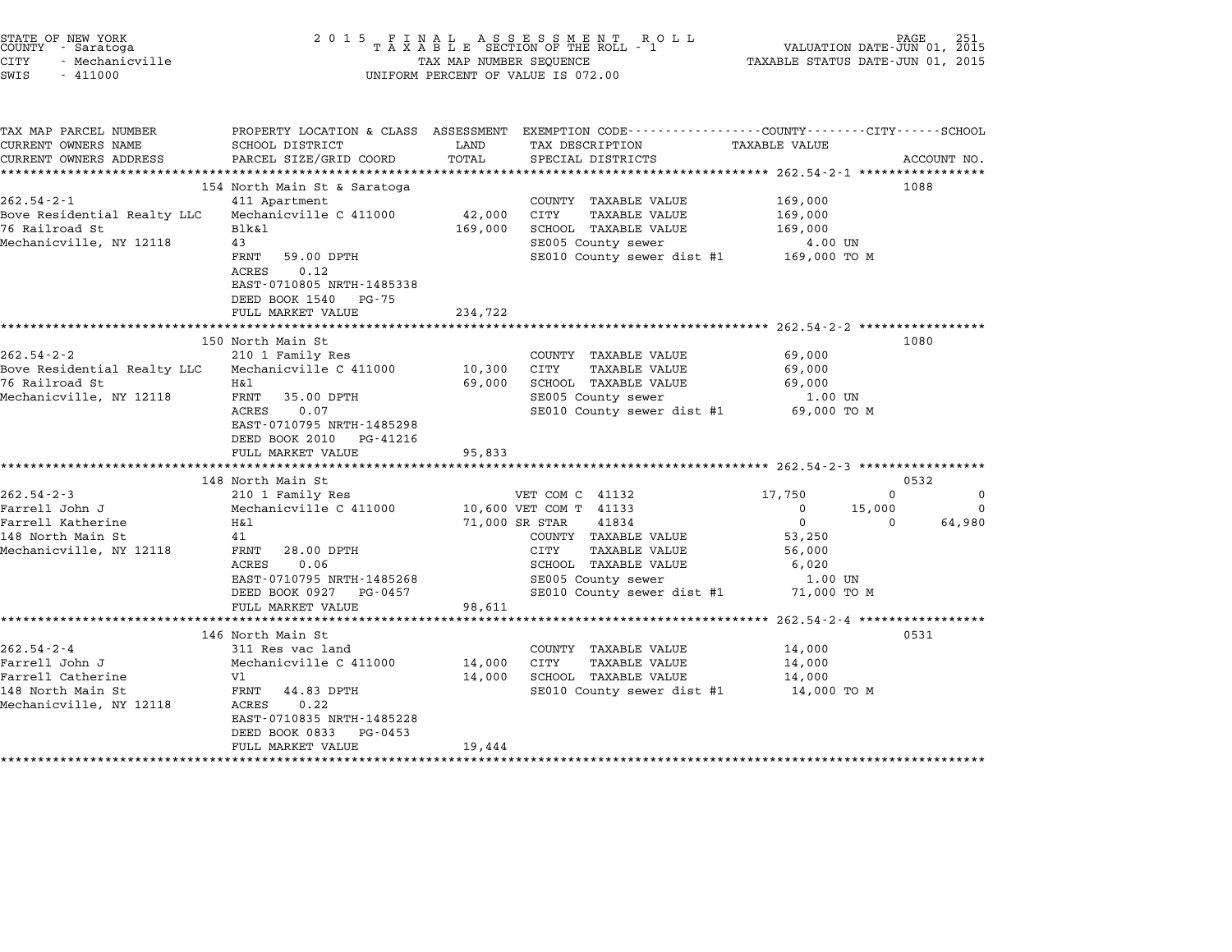| STATE OF NEW YORK<br>COUNTY - Saratoga<br><b>CITY</b><br>- Mechanicville<br>SWIS<br>$-411000$           | 2 0 1 5                                                                                                                                                                                                      | TAX MAP NUMBER SEQUENCE               | FINAL ASSESSMENT ROLL<br>TAXABLE SECTION OF THE ROLL - 1<br>UNIFORM PERCENT OF VALUE IS 072.00                                                                                                           | TAXABLE STATUS DATE-JUN 01, 2015                                                                            | PAGE 251<br>VALUATION DATE-JUN 01, 2015                 |
|---------------------------------------------------------------------------------------------------------|--------------------------------------------------------------------------------------------------------------------------------------------------------------------------------------------------------------|---------------------------------------|----------------------------------------------------------------------------------------------------------------------------------------------------------------------------------------------------------|-------------------------------------------------------------------------------------------------------------|---------------------------------------------------------|
| TAX MAP PARCEL NUMBER<br>CURRENT OWNERS NAME<br>CURRENT OWNERS ADDRESS                                  | SCHOOL DISTRICT<br>PARCEL SIZE/GRID COORD                                                                                                                                                                    | LAND<br>TOTAL                         | PROPERTY LOCATION & CLASS ASSESSMENT EXEMPTION CODE---------------COUNTY-------CITY------SCHOOL<br>TAX DESCRIPTION<br>SPECIAL DISTRICTS                                                                  | TAXABLE VALUE                                                                                               | ACCOUNT NO.                                             |
| $262.54 - 2 - 1$<br>Bove Residential Realty LLC<br>76 Railroad St<br>Mechanicville, NY 12118            | 154 North Main St & Saratoga<br>411 Apartment<br>Mechanicville C 411000<br>Blk&l<br>43<br>FRNT<br>59.00 DPTH<br>0.12<br>ACRES<br>EAST-0710805 NRTH-1485338<br>DEED BOOK 1540<br>PG-75                        | 42,000<br>169,000                     | COUNTY TAXABLE VALUE<br>TAXABLE VALUE<br>CITY<br>SCHOOL TAXABLE VALUE<br>SE005 County sewer<br>SE010 County sewer dist #1 169,000 TO M                                                                   | 169,000<br>169,000<br>169,000<br>4.00 UN                                                                    | 1088                                                    |
| $262.54 - 2 - 2$<br>Bove Residential Realty LLC<br>76 Railroad St<br>Mechanicville, NY 12118            | FULL MARKET VALUE<br>150 North Main St<br>210 1 Family Res<br>Mechanicville C 411000<br>Η&l<br>FRNT 35.00 DPTH<br>ACRES<br>0.07<br>EAST-0710795 NRTH-1485298<br>DEED BOOK 2010 PG-41216<br>FULL MARKET VALUE | 234,722<br>10,300<br>69,000<br>95,833 | COUNTY TAXABLE VALUE<br>CITY<br><b>TAXABLE VALUE</b><br>SCHOOL TAXABLE VALUE<br>SE005 County sewer<br>SE010 County sewer dist #1 69,000 TO M                                                             | 69,000<br>69,000<br>69,000<br>1.00 UN                                                                       | 1080                                                    |
| $262.54 - 2 - 3$<br>Farrell John J<br>Farrell Katherine<br>148 North Main St<br>Mechanicville, NY 12118 | 148 North Main St<br>210 1 Family Res<br>Mechanicville C 411000<br>H&1<br>41<br>28.00 DPTH<br>FRNT<br>0.06<br>ACRES<br>EAST-0710795 NRTH-1485268<br>DEED BOOK 0927 PG-0457<br>FULL MARKET VALUE              | 98,611                                | VET COM C 41132<br>10,600 VET COM T 41133<br>71,000 SR STAR<br>41834<br>COUNTY TAXABLE VALUE<br><b>TAXABLE VALUE</b><br>CITY<br>SCHOOL TAXABLE VALUE<br>SE005 County sewer<br>SE010 County sewer dist #1 | 17,750<br>$\overline{0}$<br>15,000<br>$\overline{0}$<br>53,250<br>56,000<br>6,020<br>1.00 UN<br>71,000 TO M | 0532<br>$\Omega$<br>0<br>$\Omega$<br>64,980<br>$\Omega$ |
| $262.54 - 2 - 4$<br>Farrell John J<br>Farrell Catherine<br>148 North Main St<br>Mechanicville, NY 12118 | 146 North Main St<br>311 Res vac land<br>Mechanicville C 411000<br>Vl<br>FRNT<br>44.83 DPTH<br>ACRES<br>0.22<br>EAST-0710835 NRTH-1485228<br>DEED BOOK 0833<br>PG-0453<br>FULL MARKET VALUE                  | 14,000<br>14,000<br>19,444            | COUNTY TAXABLE VALUE<br><b>TAXABLE VALUE</b><br>CITY<br>SCHOOL TAXABLE VALUE<br>SE010 County sewer dist #1 14,000 TO M                                                                                   | ********************* 262.54-2-4 ******************<br>14,000<br>14,000<br>14,000                           | 0531                                                    |

STATE OF NEW YORK <sup>2</sup> <sup>0</sup> <sup>1</sup> 5 F I N A L A S S E S S M E N T R O L L PAGE <sup>251</sup> COUNTY - Saratoga <sup>T</sup> <sup>A</sup> <sup>X</sup> <sup>A</sup> <sup>B</sup> <sup>L</sup> <sup>E</sup> SECTION OF THE ROLL - <sup>1</sup> VALUATION DATE-JUN 01, <sup>2015</sup>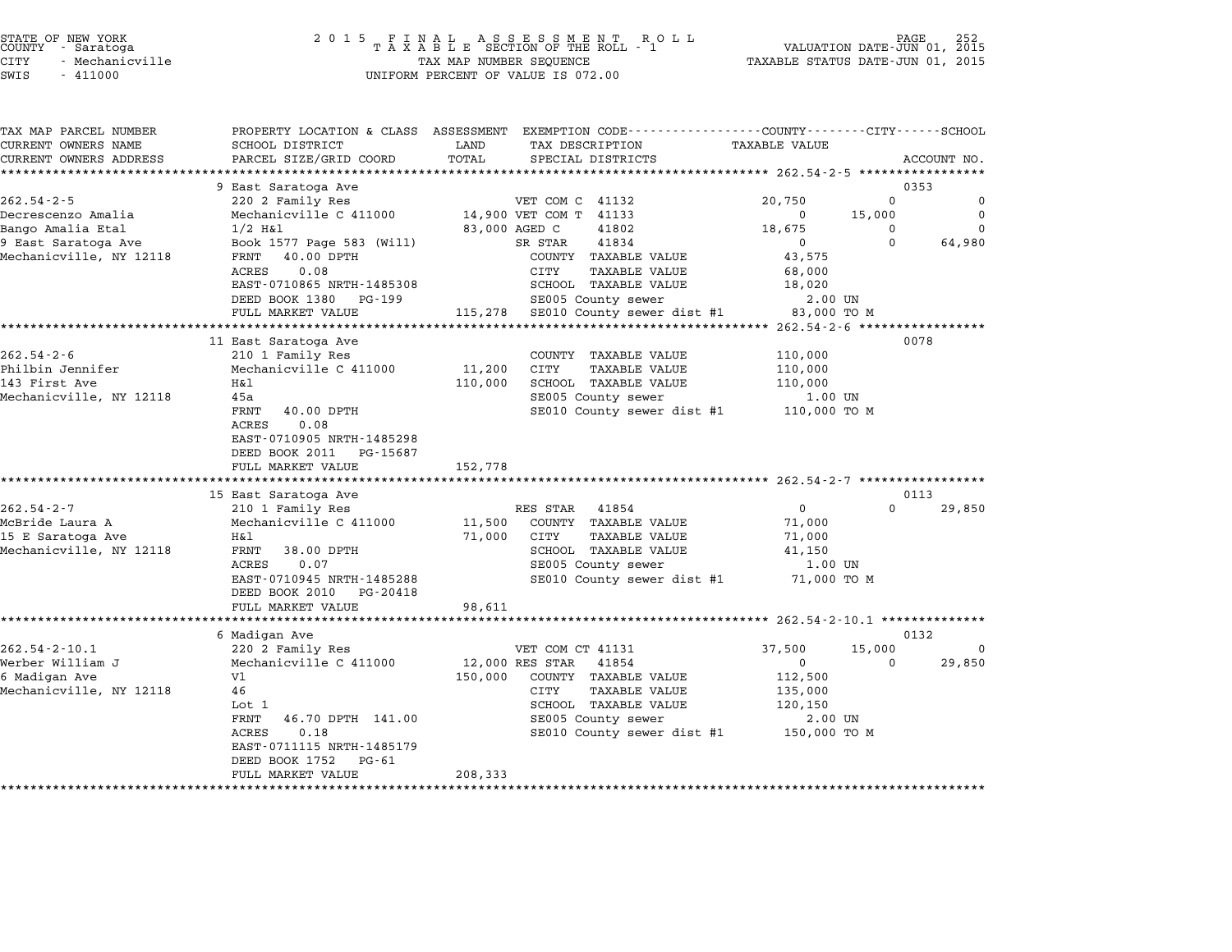|      | STATE OF NEW YORK<br>COUNTY - Saratoga |
|------|----------------------------------------|
| CITY | - Mechanicville                        |
|      |                                        |

| TAX MAP PARCEL NUMBER<br>CURRENT OWNERS NAME       | SCHOOL DISTRICT                            | PROPERTY LOCATION & CLASS ASSESSMENT EXEMPTION CODE---------------COUNTY-------CITY------SCHOOL<br>LAND<br>TAX DESCRIPTION | <b>TAXABLE VALUE</b>                |
|----------------------------------------------------|--------------------------------------------|----------------------------------------------------------------------------------------------------------------------------|-------------------------------------|
| CURRENT OWNERS ADDRESS<br>************************ | PARCEL SIZE/GRID COORD                     | TOTAL<br>SPECIAL DISTRICTS                                                                                                 | ACCOUNT NO.                         |
|                                                    | 9 East Saratoga Ave                        |                                                                                                                            | 0353                                |
| $262.54 - 2 - 5$                                   | 220 2 Family Res                           | VET COM C 41132                                                                                                            | $\Omega$<br>20,750<br>$\mathbf 0$   |
| Decrescenzo Amalia                                 | Mechanicville C 411000                     | 14,900 VET COM T 41133                                                                                                     | $\mathbf 0$<br>15,000<br>$^{\circ}$ |
| Bango Amalia Etal                                  | $1/2$ H&l                                  | 83,000 AGED C<br>41802                                                                                                     | 18,675<br>$\Omega$<br>$\Omega$      |
| 9 East Saratoga Ave                                | Book 1577 Page 583 (Will)                  | 41834<br>SR STAR                                                                                                           | $\Omega$<br>64,980<br>$\Omega$      |
| Mechanicville, NY 12118                            | FRNT 40.00 DPTH                            | COUNTY TAXABLE VALUE                                                                                                       | 43,575                              |
|                                                    | ACRES<br>0.08                              | CITY<br><b>TAXABLE VALUE</b>                                                                                               | 68,000                              |
|                                                    | EAST-0710865 NRTH-1485308                  | SCHOOL TAXABLE VALUE                                                                                                       | 18,020                              |
|                                                    | DEED BOOK 1380 PG-199                      | SE005 County sewer                                                                                                         | 2.00 UN                             |
|                                                    | FULL MARKET VALUE                          | 115,278 SE010 County sewer dist #1                                                                                         | 83,000 TO M                         |
|                                                    |                                            |                                                                                                                            |                                     |
|                                                    | 11 East Saratoga Ave                       |                                                                                                                            | 0078                                |
| $262.54 - 2 - 6$<br>Philbin Jennifer               | 210 1 Family Res<br>Mechanicville C 411000 | COUNTY TAXABLE VALUE<br>CITY<br>11,200<br><b>TAXABLE VALUE</b>                                                             | 110,000<br>110,000                  |
| 143 First Ave                                      | Η&l                                        | SCHOOL TAXABLE VALUE<br>110,000                                                                                            | 110,000                             |
| Mechanicville, NY 12118                            | 45a                                        | SE005 County sewer                                                                                                         | 1.00 UN                             |
|                                                    | FRNT<br>40.00 DPTH                         | SE010 County sewer dist #1                                                                                                 | 110,000 TO M                        |
|                                                    | ACRES<br>0.08                              |                                                                                                                            |                                     |
|                                                    | EAST-0710905 NRTH-1485298                  |                                                                                                                            |                                     |
|                                                    | DEED BOOK 2011 PG-15687                    |                                                                                                                            |                                     |
|                                                    | FULL MARKET VALUE                          | 152,778                                                                                                                    |                                     |
|                                                    |                                            |                                                                                                                            |                                     |
|                                                    | 15 East Saratoga Ave                       |                                                                                                                            | 0113                                |
| $262.54 - 2 - 7$                                   | 210 1 Family Res                           | RES STAR<br>41854                                                                                                          | $\Omega$<br>$\Omega$<br>29,850      |
| McBride Laura A                                    | Mechanicville C 411000                     | 11,500<br>COUNTY TAXABLE VALUE                                                                                             | 71,000                              |
| 15 E Saratoga Ave                                  | H&l                                        | 71,000<br>CITY<br><b>TAXABLE VALUE</b>                                                                                     | 71,000                              |
| Mechanicville, NY 12118                            | 38.00 DPTH<br>FRNT                         | SCHOOL TAXABLE VALUE                                                                                                       | 41,150                              |
|                                                    | ACRES<br>0.07<br>EAST-0710945 NRTH-1485288 | SE005 County sewer                                                                                                         | 1.00 UN<br>71,000 TO M              |
|                                                    | DEED BOOK 2010<br>PG-20418                 | SE010 County sewer dist #1                                                                                                 |                                     |
|                                                    | FULL MARKET VALUE                          | 98,611                                                                                                                     |                                     |
|                                                    |                                            |                                                                                                                            |                                     |
|                                                    | 6 Madigan Ave                              |                                                                                                                            | 0132                                |
| $262.54 - 2 - 10.1$                                | 220 2 Family Res                           | VET COM CT 41131                                                                                                           | 15,000<br>37,500<br>$\Omega$        |
| Werber William J                                   | Mechanicville C 411000                     | 12,000 RES STAR<br>41854                                                                                                   | 29,850<br>$\Omega$<br>$\Omega$      |
| 6 Madigan Ave                                      | V1                                         | 150,000<br>COUNTY TAXABLE VALUE                                                                                            | 112,500                             |
| Mechanicville, NY 12118                            | 46                                         | CITY<br><b>TAXABLE VALUE</b>                                                                                               | 135,000                             |
|                                                    | Lot 1                                      | SCHOOL TAXABLE VALUE                                                                                                       | 120,150                             |
|                                                    | 46.70 DPTH 141.00<br>FRNT                  | SE005 County sewer                                                                                                         | 2.00 UN                             |
|                                                    | 0.18<br>ACRES                              | SE010 County sewer dist #1                                                                                                 | 150,000 TO M                        |
|                                                    | EAST-0711115 NRTH-1485179                  |                                                                                                                            |                                     |
|                                                    | DEED BOOK 1752<br>PG-61                    |                                                                                                                            |                                     |
|                                                    | FULL MARKET VALUE                          | 208,333                                                                                                                    |                                     |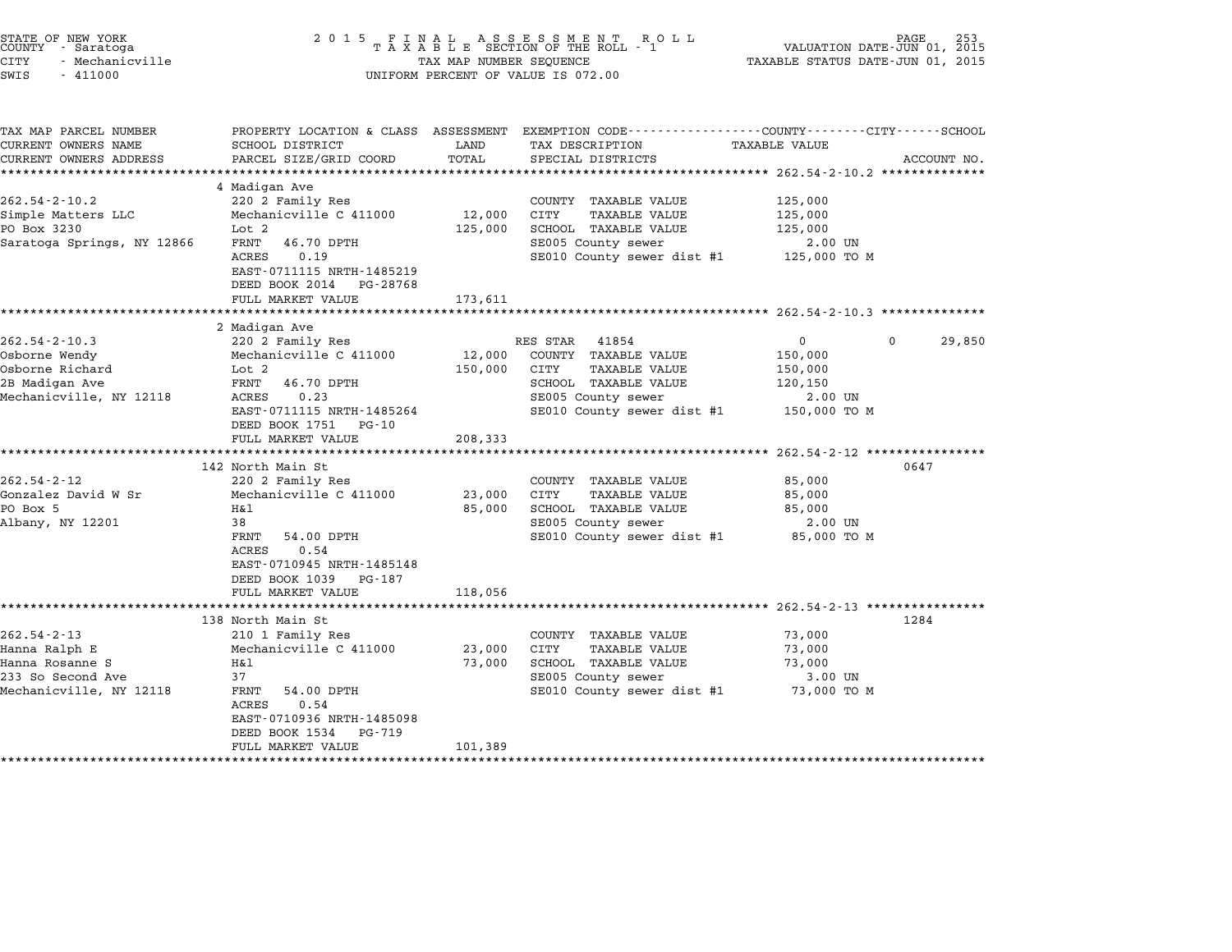| 2 0 1 5                                                                                                                                                                                                                                                                   |                                                             |                                                                                                                                                                                                                                        |                                                                                                                                             | PAGE<br>253                                                                                                                                                                                                                                                                                                                                                           |
|---------------------------------------------------------------------------------------------------------------------------------------------------------------------------------------------------------------------------------------------------------------------------|-------------------------------------------------------------|----------------------------------------------------------------------------------------------------------------------------------------------------------------------------------------------------------------------------------------|---------------------------------------------------------------------------------------------------------------------------------------------|-----------------------------------------------------------------------------------------------------------------------------------------------------------------------------------------------------------------------------------------------------------------------------------------------------------------------------------------------------------------------|
| SCHOOL DISTRICT<br>PARCEL SIZE/GRID COORD                                                                                                                                                                                                                                 | LAND<br>TOTAL                                               | TAX DESCRIPTION<br>SPECIAL DISTRICTS                                                                                                                                                                                                   | TAXABLE VALUE                                                                                                                               | ACCOUNT NO.                                                                                                                                                                                                                                                                                                                                                           |
| 4 Madigan Ave<br>220 2 Family Res<br>Mechanicville C 411000<br>Lot 2<br>FRNT<br>46.70 DPTH<br>ACRES<br>0.19<br>EAST-0711115 NRTH-1485219<br>DEED BOOK 2014 PG-28768                                                                                                       | 12,000<br>125,000                                           | COUNTY TAXABLE VALUE<br>CITY<br><b>TAXABLE VALUE</b><br>SCHOOL TAXABLE VALUE<br>SE005 County sewer                                                                                                                                     | 125,000<br>125,000<br>125,000<br>2.00 UN<br>125,000 TO M                                                                                    |                                                                                                                                                                                                                                                                                                                                                                       |
| ********************                                                                                                                                                                                                                                                      |                                                             |                                                                                                                                                                                                                                        |                                                                                                                                             |                                                                                                                                                                                                                                                                                                                                                                       |
| 2 Madigan Ave<br>220 2 Family Res<br>Mechanicville C 411000<br>Lot 2<br>FRNT<br>46.70 DPTH<br>ACRES<br>0.23<br>EAST-0711115 NRTH-1485264<br>DEED BOOK 1751 PG-10<br>FULL MARKET VALUE<br>*********************<br>220 2 Family Res<br>Mechanicville C 411000<br>Η&l<br>38 | 12,000<br>150,000<br>208,333<br>23,000<br>85,000            | COUNTY TAXABLE VALUE<br>CITY<br><b>TAXABLE VALUE</b><br>SCHOOL TAXABLE VALUE<br>SE005 County sewer<br>SE010 County sewer dist #1<br>COUNTY TAXABLE VALUE<br>CITY<br><b>TAXABLE VALUE</b><br>SCHOOL TAXABLE VALUE<br>SE005 County sewer | $\mathbf 0$<br>150,000<br>150,000<br>120,150<br>2.00 UN<br>150,000 TO M<br>85,000<br>85,000<br>85,000<br>2.00 UN                            | 29,850<br>0647                                                                                                                                                                                                                                                                                                                                                        |
| FRNT<br>54.00 DPTH<br>ACRES<br>0.54<br>EAST-0710945 NRTH-1485148<br>DEED BOOK 1039<br>PG-187<br>FULL MARKET VALUE                                                                                                                                                         | 118,056                                                     |                                                                                                                                                                                                                                        | 85,000 TO M                                                                                                                                 |                                                                                                                                                                                                                                                                                                                                                                       |
|                                                                                                                                                                                                                                                                           |                                                             |                                                                                                                                                                                                                                        |                                                                                                                                             | 1284                                                                                                                                                                                                                                                                                                                                                                  |
| 210 1 Family Res<br>Mechanicville C 411000<br>Η&l<br>37<br>FRNT<br>54.00 DPTH<br>ACRES<br>0.54<br>EAST-0710936 NRTH-1485098<br>DEED BOOK 1534<br>PG-719<br>FULL MARKET VALUE                                                                                              | 23,000<br>73,000                                            | COUNTY TAXABLE VALUE<br>CITY<br>TAXABLE VALUE<br>SCHOOL TAXABLE VALUE<br>SE005 County sewer                                                                                                                                            | 73,000<br>73,000<br>73,000<br>3.00 UN<br>73,000 TO M                                                                                        |                                                                                                                                                                                                                                                                                                                                                                       |
|                                                                                                                                                                                                                                                                           | FULL MARKET VALUE<br>142 North Main St<br>138 North Main St | 173,611                                                                                                                                                                                                                                | FINAL ASSESSMENT ROLL<br>TAXABLE SECTION OF THE ROLL - 1<br>TAX MAP NUMBER SEQUENCE<br>UNIFORM PERCENT OF VALUE IS 072.00<br>RES STAR 41854 | VALUATION DATE-JUN 01, 2015<br>TAXABLE STATUS DATE-JUN 01, 2015<br>PROPERTY LOCATION & CLASS ASSESSMENT EXEMPTION CODE----------------COUNTY-------CITY------SCHOOL<br>SE010 County sewer dist #1<br>$\mathbf{0}$<br>********************* 262.54-2-12 ****************<br>SE010 County sewer dist #1<br>$262.54 - 2 - 13$ ************<br>SE010 County sewer dist #1 |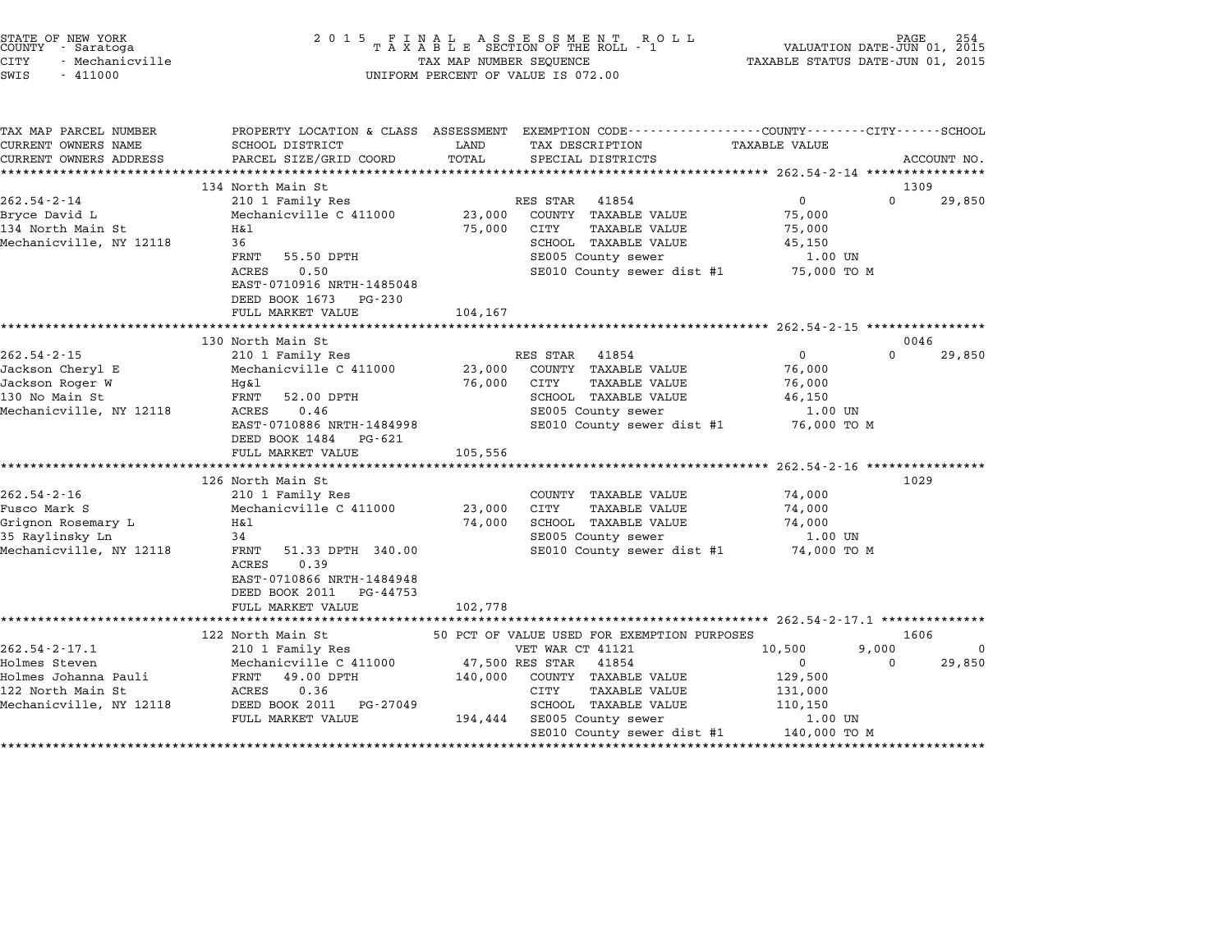| STATE OF NEW YORK<br>COUNTY - Saratoga<br><b>CITY</b><br>- Mechanicville<br>SWIS<br>$-411000$                | 2 0 1 5                                                                                                                                                                                              | TAX MAP NUMBER SEQUENCE     | UNIFORM PERCENT OF VALUE IS 072.00                                                                                                                                                    | TAXABLE STATUS DATE-JUN 01, 2015                                                              |                   |                |
|--------------------------------------------------------------------------------------------------------------|------------------------------------------------------------------------------------------------------------------------------------------------------------------------------------------------------|-----------------------------|---------------------------------------------------------------------------------------------------------------------------------------------------------------------------------------|-----------------------------------------------------------------------------------------------|-------------------|----------------|
| TAX MAP PARCEL NUMBER<br>CURRENT OWNERS NAME<br>CURRENT OWNERS ADDRESS                                       | SCHOOL DISTRICT<br>PARCEL SIZE/GRID COORD                                                                                                                                                            | LAND<br>TOTAL               | PROPERTY LOCATION & CLASS ASSESSMENT EXEMPTION CODE---------------COUNTY-------CITY------SCHOOL<br>TAX DESCRIPTION TAXABLE VALUE<br>SPECIAL DISTRICTS                                 |                                                                                               |                   | ACCOUNT NO.    |
| $262.54 - 2 - 14$<br>Bryce David L<br>134 North Main St<br>Mechanicville, NY 12118                           | 134 North Main St<br>210 1 Family Res<br>Mechanicville C 411000<br>Η&l<br>36<br>FRNT 55.50 DPTH<br>ACRES<br>0.50<br>EAST-0710916 NRTH-1485048<br>DEED BOOK 1673 PG-230<br>FULL MARKET VALUE          | 23,000<br>75,000<br>104,167 | RES STAR 41854<br>COUNTY TAXABLE VALUE<br>CITY<br><b>TAXABLE VALUE</b><br>SCHOOL TAXABLE VALUE<br>SE005 County sewer<br>SE010 County sewer dist #1 75,000 TO M                        | $\overline{0}$<br>75,000<br>75,000<br>45,150<br>1.00 UN                                       | $\Omega$          | 1309<br>29,850 |
|                                                                                                              |                                                                                                                                                                                                      |                             |                                                                                                                                                                                       |                                                                                               |                   |                |
| $262.54 - 2 - 15$<br>Jackson Cheryl E<br>Jackson Roger W<br>130 No Main St<br>Mechanicville, NY 12118        | 130 North Main St<br>210 1 Family Res<br>Mechanicville C 411000<br>Hg&l<br>FRNT<br>52.00 DPTH<br>0.46<br>ACRES<br>EAST-0710886 NRTH-1484998<br>DEED BOOK 1484 PG-621<br>FULL MARKET VALUE            | 23,000<br>76,000<br>105,556 | RES STAR 41854<br>COUNTY TAXABLE VALUE<br>CITY<br><b>TAXABLE VALUE</b><br>SCHOOL TAXABLE VALUE<br>SE005 County sewer<br>SE010 County sewer dist #1                                    | $\overline{0}$<br>76,000<br>76,000<br>46,150<br>1.00 UN<br>76,000 TO M                        | $\Omega$          | 0046<br>29,850 |
| $262.54 - 2 - 16$<br>Fusco Mark S<br>Grignon Rosemary L<br>35 Raylinsky Ln<br>Mechanicville, NY 12118        | 126 North Main St<br>210 1 Family Res<br>Mechanicville C 411000<br>H&l<br>34<br>FRNT 51.33 DPTH 340.00<br>ACRES<br>0.39<br>EAST-0710866 NRTH-1484948<br>DEED BOOK 2011 PG-44753<br>FULL MARKET VALUE | 23,000<br>74,000<br>102,778 | COUNTY TAXABLE VALUE<br>CITY<br>TAXABLE VALUE<br>SCHOOL TAXABLE VALUE<br>SE005 County sewer<br>SE010 County sewer dist #1                                                             | ************ 262.54-2-16 ************<br>74,000<br>74,000<br>74,000<br>1.00 UN<br>74,000 TO M | 1029              |                |
|                                                                                                              | 122 North Main St                                                                                                                                                                                    |                             | 50 PCT OF VALUE USED FOR EXEMPTION PURPOSES                                                                                                                                           |                                                                                               |                   | 1606           |
| $262.54 - 2 - 17.1$<br>Holmes Steven<br>Holmes Johanna Pauli<br>122 North Main St<br>Mechanicville, NY 12118 | 210 1 Family Res<br>Mechanicville C 411000<br>FRNT 49.00 DPTH<br>ACRES<br>0.36<br>DEED BOOK 2011 PG-27049<br>FULL MARKET VALUE                                                                       | 140,000                     | VET WAR CT 41121<br>47,500 RES STAR 41854<br>COUNTY TAXABLE VALUE<br>CITY<br><b>TAXABLE VALUE</b><br>SCHOOL TAXABLE VALUE<br>194,444 SE005 County sewer<br>SE010 County sewer dist #1 | 10,500<br>$\mathbf 0$<br>129,500<br>131,000<br>110,150<br>1.00 UN<br>140,000 TO M             | 9,000<br>$\Omega$ | 0<br>29,850    |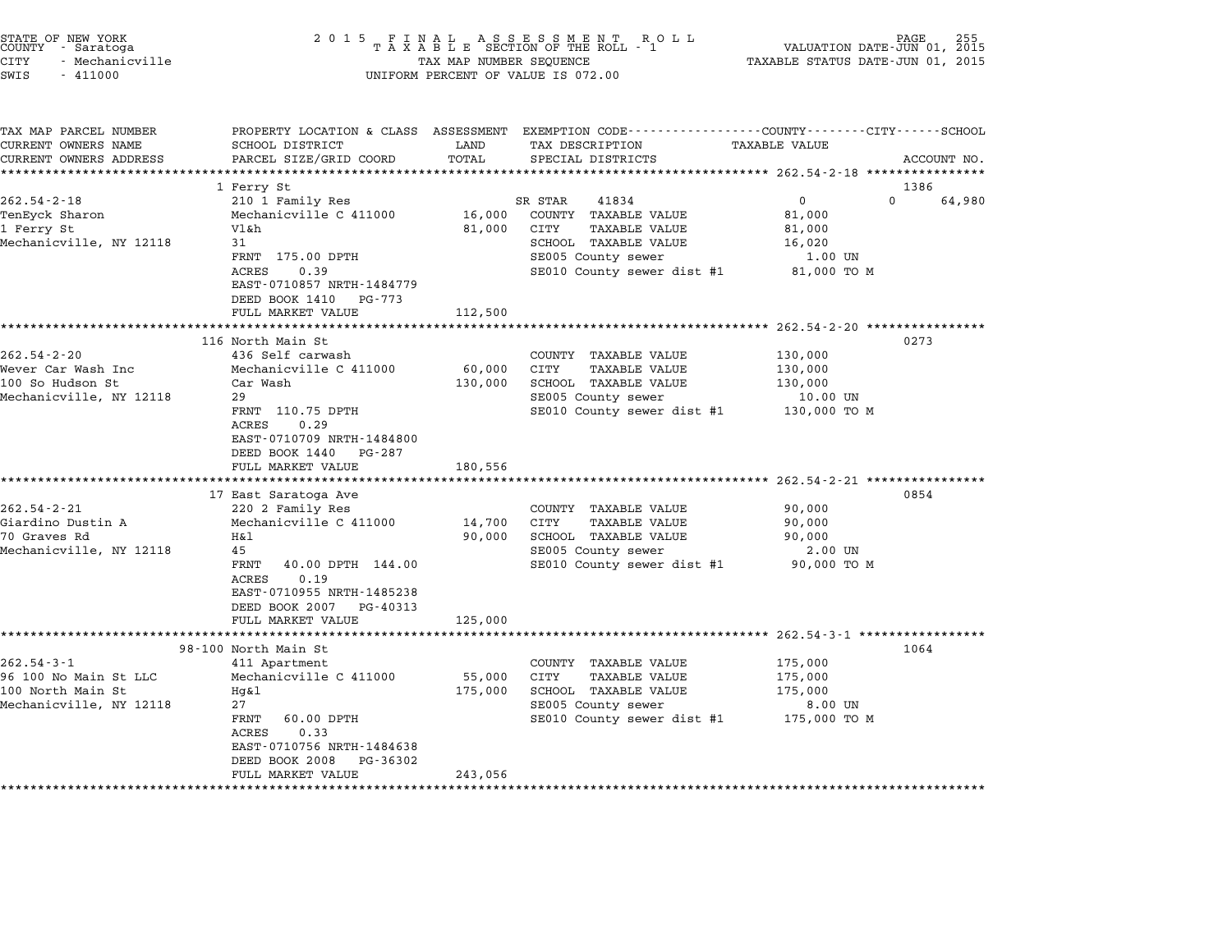| STATE OF NEW YORK<br>COUNTY - Saratoga<br><b>CITY</b><br>- Mechanicville<br>SWIS<br>$-411000$       | 2015 FI                                                                                                                                                                                              | TAX MAP NUMBER SEQUENCE      | FINAL ASSESSMENT ROLL<br>TAXABLE SECTION OF THE ROLL - 1<br>UNIFORM PERCENT OF VALUE IS 072.00                                                          | TAXABLE STATUS DATE-JUN 01, 2015                                    | 255<br>PAGE<br>VALUATION DATE-JUN 01, 2015 |
|-----------------------------------------------------------------------------------------------------|------------------------------------------------------------------------------------------------------------------------------------------------------------------------------------------------------|------------------------------|---------------------------------------------------------------------------------------------------------------------------------------------------------|---------------------------------------------------------------------|--------------------------------------------|
| TAX MAP PARCEL NUMBER<br>CURRENT OWNERS NAME<br>CURRENT OWNERS ADDRESS<br>************************* | SCHOOL DISTRICT<br>PARCEL SIZE/GRID COORD                                                                                                                                                            | LAND<br>TOTAL                | PROPERTY LOCATION & CLASS ASSESSMENT EXEMPTION CODE----------------COUNTY-------CITY------SCHOOL<br>TAX DESCRIPTION<br>SPECIAL DISTRICTS                | TAXABLE VALUE                                                       | ACCOUNT NO.                                |
|                                                                                                     | 1 Ferry St                                                                                                                                                                                           |                              |                                                                                                                                                         |                                                                     | 1386                                       |
| $262.54 - 2 - 18$<br>TenEyck Sharon<br>1 Ferry St<br>Mechanicville, NY 12118                        | 210 1 Family Res<br>Mechanicville C 411000<br>Vl &h<br>31<br>FRNT 175.00 DPTH<br><b>ACRES</b><br>0.39<br>EAST-0710857 NRTH-1484779<br>DEED BOOK 1410<br>PG-773<br>FULL MARKET VALUE                  | 16,000<br>81,000<br>112,500  | SR STAR<br>41834<br>COUNTY<br>TAXABLE VALUE<br>CITY<br>TAXABLE VALUE<br><b>SCHOOL TAXABLE VALUE</b><br>SE005 County sewer<br>SE010 County sewer dist #1 | $\mathbf 0$<br>81,000<br>81,000<br>16,020<br>1.00 UN<br>81,000 TO M | $\Omega$<br>64,980                         |
|                                                                                                     | ***********************                                                                                                                                                                              | .                            |                                                                                                                                                         | ******************** 262.54-2-20 *************                      |                                            |
| $262.54 - 2 - 20$<br>Wever Car Wash Inc<br>100 So Hudson St<br>Mechanicville, NY 12118              | 116 North Main St<br>436 Self carwash<br>Mechanicville C 411000<br>Car Wash<br>29<br>FRNT 110.75 DPTH<br>ACRES<br>0.29<br>EAST-0710709 NRTH-1484800<br>DEED BOOK 1440<br>PG-287<br>FULL MARKET VALUE | 60,000<br>130,000<br>180,556 | COUNTY TAXABLE VALUE<br>CITY<br><b>TAXABLE VALUE</b><br>SCHOOL TAXABLE VALUE<br>SE005 County sewer<br>SE010 County sewer dist #1                        | 130,000<br>130,000<br>130,000<br>10.00 UN<br>130,000 TO M           | 0273                                       |
|                                                                                                     |                                                                                                                                                                                                      |                              |                                                                                                                                                         | *********************** 262.54-2-21 *************                   |                                            |
| $262.54 - 2 - 21$<br>Giardino Dustin A<br>70 Graves Rd<br>Mechanicville, NY 12118                   | 17 East Saratoga Ave<br>220 2 Family Res<br>Mechanicville C 411000<br>Η&l<br>45<br>FRNT<br>40.00 DPTH 144.00<br><b>ACRES</b><br>0.19                                                                 | 14,700<br>90,000             | COUNTY TAXABLE VALUE<br>CITY<br>TAXABLE VALUE<br>SCHOOL TAXABLE VALUE<br>SE005 County sewer<br>SE010 County sewer dist #1                               | 90,000<br>90,000<br>90,000<br>2.00 UN<br>90,000 TO M                | 0854                                       |
|                                                                                                     | EAST-0710955 NRTH-1485238<br>DEED BOOK 2007 PG-40313<br>FULL MARKET VALUE                                                                                                                            | 125,000                      |                                                                                                                                                         |                                                                     |                                            |
|                                                                                                     | ************************                                                                                                                                                                             |                              |                                                                                                                                                         | **************************** 262.54-3-1 ***************             |                                            |
| $262.54 - 3 - 1$<br>96 100 No Main St LLC<br>100 North Main St<br>Mechanicville, NY 12118           | 98-100 North Main St<br>411 Apartment<br>Mechanicville C 411000<br>Hg&1<br>27<br><b>FRNT</b><br>60.00 DPTH                                                                                           | 55,000<br>175,000            | COUNTY<br>TAXABLE VALUE<br>CITY<br>TAXABLE VALUE<br>SCHOOL TAXABLE VALUE<br>SE005 County sewer<br>SE010 County sewer dist #1                            | 175,000<br>175,000<br>175,000<br>8.00 UN<br>175,000 TO M            | 1064                                       |

\*\*\*\*\*\*\*\*\*\*\*\*\*\*\*\*\*\*\*\*\*\*\*\*\*\*\*\*\*\*\*\*\*\*\*\*\*\*\*\*\*\*\*\*\*\*\*\*\*\*\*\*\*\*\*\*\*\*\*\*\*\*\*\*\*\*\*\*\*\*\*\*\*\*\*\*\*\*\*\*\*\*\*\*\*\*\*\*\*\*\*\*\*\*\*\*\*\*\*\*\*\*\*\*\*\*\*\*\*\*\*\*\*\*\*\*\*\*\*\*\*\*\*\*\*\*\*\*\*\*\*\*

27<br>FRNT 60.00 DPTH<br>ACRES 0.33 FANI - 00.00 DPIH<br>ACRES - 0.33<br>EAST-0710756 NRTH-1484638 EAST-0710756 NRTH-1484638<br>DEED BOOK 2008 PG-36302

DEED BOOK 2008 PG-36302<br>FULL MARKET VALUE 243,056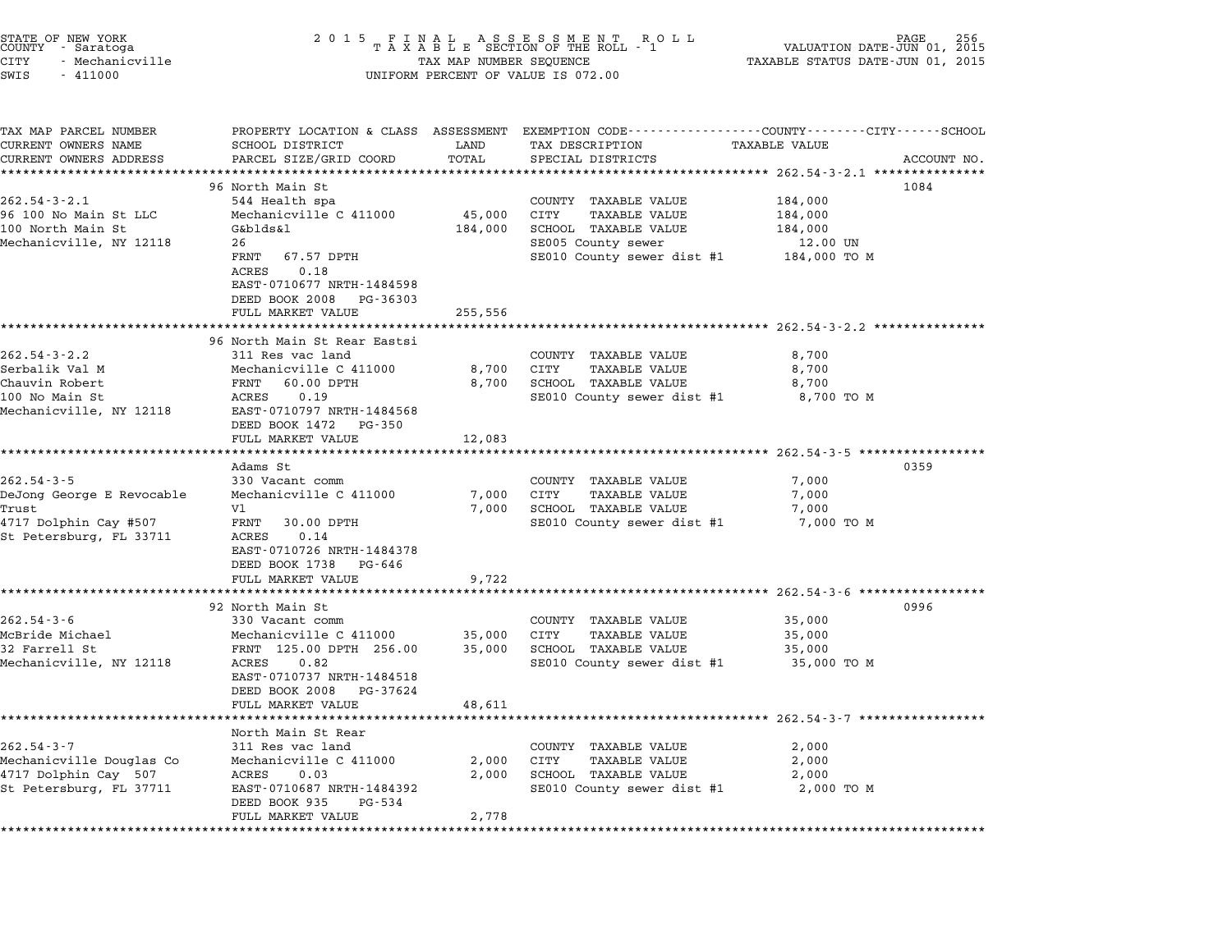| 2 0 1 5                                                                                                                                                               |                                                                                                            | R O L L                                                                                                                          | VALUATION DATE-JUN 01, 2015<br>TAXABLE STATUS DATE-JUN 01, 2015                                                     | PAGE                                                                                                                                                                                                                                                                                     |
|-----------------------------------------------------------------------------------------------------------------------------------------------------------------------|------------------------------------------------------------------------------------------------------------|----------------------------------------------------------------------------------------------------------------------------------|---------------------------------------------------------------------------------------------------------------------|------------------------------------------------------------------------------------------------------------------------------------------------------------------------------------------------------------------------------------------------------------------------------------------|
| SCHOOL DISTRICT<br>PARCEL SIZE/GRID COORD                                                                                                                             | LAND<br>TOTAL                                                                                              | TAX DESCRIPTION<br>SPECIAL DISTRICTS                                                                                             | TAXABLE VALUE                                                                                                       | ACCOUNT NO.                                                                                                                                                                                                                                                                              |
| *********************                                                                                                                                                 | ***********                                                                                                |                                                                                                                                  |                                                                                                                     |                                                                                                                                                                                                                                                                                          |
| 96 North Main St<br>544 Health spa<br>Mechanicville C 411000<br>G&blds&l<br>26<br>FRNT<br>67.57 DPTH<br>ACRES<br>0.18<br>EAST-0710677 NRTH-1484598                    | 45,000<br>184,000                                                                                          | COUNTY TAXABLE VALUE<br>CITY<br><b>TAXABLE VALUE</b><br>SCHOOL TAXABLE VALUE<br>SE005 County sewer<br>SE010 County sewer dist #1 | 184,000<br>184,000<br>184,000<br>12.00 UN<br>184,000 TO M                                                           | 1084                                                                                                                                                                                                                                                                                     |
| DEED BOOK 2008<br>PG-36303                                                                                                                                            |                                                                                                            |                                                                                                                                  |                                                                                                                     |                                                                                                                                                                                                                                                                                          |
| FULL MARKET VALUE                                                                                                                                                     | 255,556                                                                                                    |                                                                                                                                  |                                                                                                                     |                                                                                                                                                                                                                                                                                          |
|                                                                                                                                                                       |                                                                                                            |                                                                                                                                  |                                                                                                                     |                                                                                                                                                                                                                                                                                          |
| 311 Res vac land<br>Mechanicville C 411000<br>60.00 DPTH<br>FRNT<br>ACRES<br>0.19<br>EAST-0710797 NRTH-1484568<br>DEED BOOK 1472<br>PG-350                            | 8,700<br>8,700                                                                                             | COUNTY TAXABLE VALUE<br>CITY<br><b>TAXABLE VALUE</b><br>SCHOOL TAXABLE VALUE<br>SE010 County sewer dist #1                       | 8,700<br>8,700<br>8,700<br>8,700 TO M                                                                               |                                                                                                                                                                                                                                                                                          |
|                                                                                                                                                                       |                                                                                                            |                                                                                                                                  |                                                                                                                     |                                                                                                                                                                                                                                                                                          |
|                                                                                                                                                                       |                                                                                                            |                                                                                                                                  |                                                                                                                     | 0359                                                                                                                                                                                                                                                                                     |
| 330 Vacant comm<br>Mechanicville C 411000<br>Vl<br>FRNT<br>30.00 DPTH<br>ACRES<br>0.14<br>EAST-0710726 NRTH-1484378<br>DEED BOOK 1738<br>PG-646                       | 7,000<br>7,000                                                                                             | COUNTY TAXABLE VALUE<br>CITY<br><b>TAXABLE VALUE</b><br>SCHOOL TAXABLE VALUE<br>SE010 County sewer dist #1                       | 7,000<br>7,000<br>7,000<br>7,000 TO M                                                                               |                                                                                                                                                                                                                                                                                          |
| FULL MARKET VALUE                                                                                                                                                     | 9,722                                                                                                      |                                                                                                                                  |                                                                                                                     |                                                                                                                                                                                                                                                                                          |
|                                                                                                                                                                       |                                                                                                            |                                                                                                                                  |                                                                                                                     |                                                                                                                                                                                                                                                                                          |
| 330 Vacant comm<br>Mechanicville C 411000<br>FRNT 125.00 DPTH 256.00<br>ACRES<br>0.82<br>EAST-0710737 NRTH-1484518<br>DEED BOOK 2008<br>PG-37624<br>FULL MARKET VALUE | 35,000<br>35,000<br>48,611                                                                                 | COUNTY TAXABLE VALUE<br>CITY<br>TAXABLE VALUE<br>SCHOOL TAXABLE VALUE<br>SE010 County sewer dist #1                              | 35,000<br>35,000<br>35,000<br>35,000 TO M                                                                           | 0996                                                                                                                                                                                                                                                                                     |
|                                                                                                                                                                       |                                                                                                            |                                                                                                                                  |                                                                                                                     |                                                                                                                                                                                                                                                                                          |
| North Main St Rear<br>311 Res vac land<br>Mechanicville C 411000<br>ACRES<br>0.03<br>EAST-0710687 NRTH-1484392<br>DEED BOOK 935<br>PG-534<br>FULL MARKET VALUE        | 2,000<br>2,000<br>2,778                                                                                    | COUNTY TAXABLE VALUE<br>CITY<br><b>TAXABLE VALUE</b><br>SCHOOL TAXABLE VALUE<br>SE010 County sewer dist #1                       | 2,000<br>2,000<br>2,000<br>2,000 TO M                                                                               |                                                                                                                                                                                                                                                                                          |
|                                                                                                                                                                       | *********************<br>96 North Main St Rear Eastsi<br>FULL MARKET VALUE<br>Adams St<br>92 North Main St | 12,083                                                                                                                           | FINAL ASSESSMENT ROTAXABLE SECTION OF THE ROLL - 1<br>TAX MAP NUMBER SEQUENCE<br>UNIFORM PERCENT OF VALUE IS 072.00 | PROPERTY LOCATION & CLASS ASSESSMENT EXEMPTION CODE---------------COUNTY-------CITY-----SCHOOL<br>************ 262.54-3-2.1 ***************<br>**************************** 262.54-3-2.2 ***************<br>********* 262.54-3-5 **********<br>********************** 262.54-3-7 ******* |

STATE OF NEW YORK <sup>2</sup> <sup>0</sup> <sup>1</sup> 5 F I N A L A S S E S S M E N T R O L L PAGE <sup>256</sup> COUNTY - Saratoga <sup>T</sup> <sup>A</sup> <sup>X</sup> <sup>A</sup> <sup>B</sup> <sup>L</sup> <sup>E</sup> SECTION OF THE ROLL - <sup>1</sup> VALUATION DATE-JUN 01, <sup>2015</sup>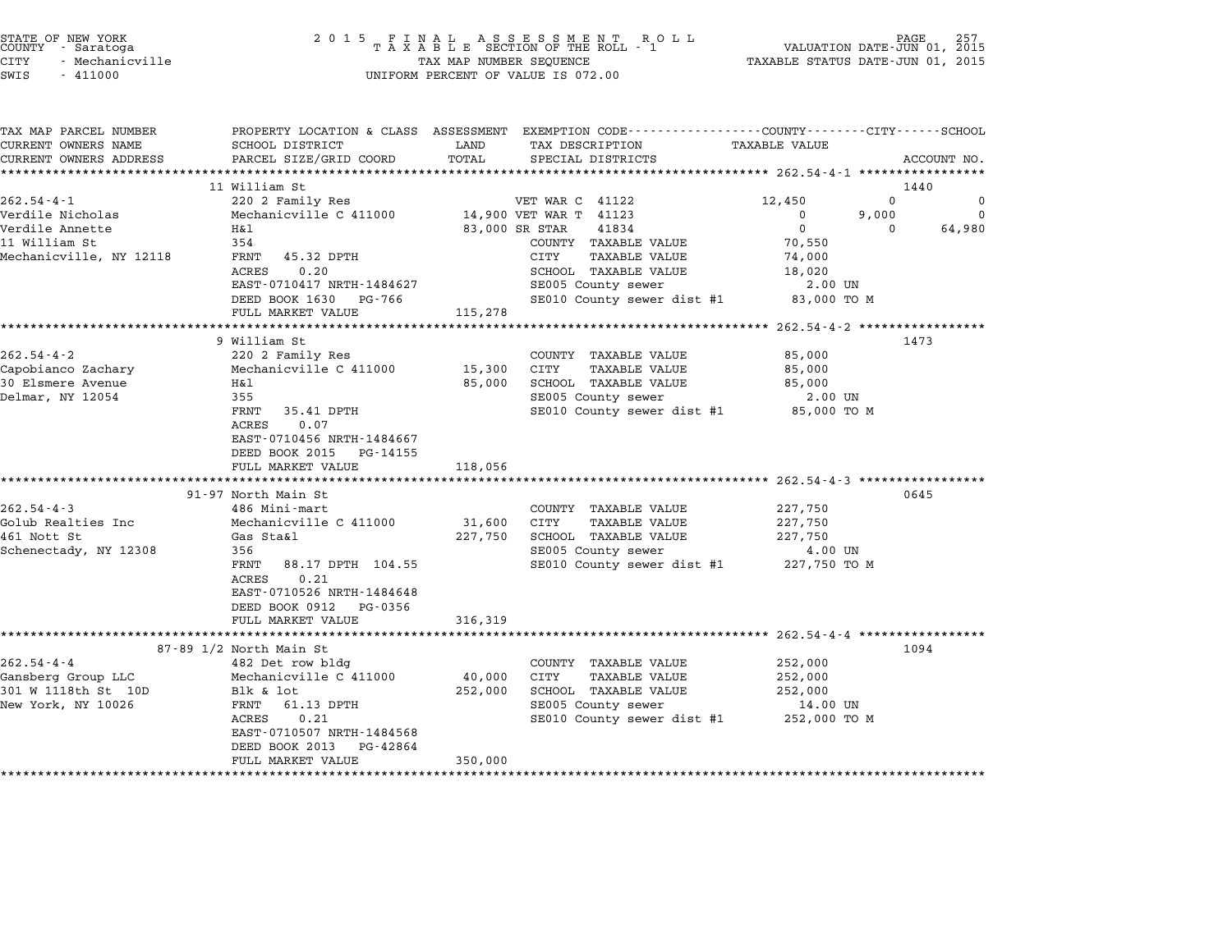| STATE OF NEW YORK<br>COUNTY | - Saratoga      |  |
|-----------------------------|-----------------|--|
|                             |                 |  |
| CITY                        | - Mechanicville |  |

| TAX MAP PARCEL NUMBER   | PROPERTY LOCATION & CLASS ASSESSMENT EXEMPTION CODE---------------COUNTY-------CITY------SCHOOL |                |                                         |                      |                    |
|-------------------------|-------------------------------------------------------------------------------------------------|----------------|-----------------------------------------|----------------------|--------------------|
| CURRENT OWNERS NAME     | SCHOOL DISTRICT                                                                                 | LAND           | TAX DESCRIPTION                         | <b>TAXABLE VALUE</b> |                    |
| CURRENT OWNERS ADDRESS  | PARCEL SIZE/GRID COORD                                                                          | TOTAL          | SPECIAL DISTRICTS                       |                      | ACCOUNT NO.        |
|                         |                                                                                                 |                |                                         |                      |                    |
|                         | 11 William St                                                                                   |                |                                         |                      | 1440               |
| $262.54 - 4 - 1$        | 220 2 Family Res                                                                                |                | VET WAR C 41122                         | 12,450               | $\Omega$<br>0      |
| Verdile Nicholas        | Mechanicville C 411000 14,900 VET WAR T 41123                                                   |                |                                         | $\mathbf 0$          | 9,000<br>$\Omega$  |
| Verdile Annette         | Η&l                                                                                             | 83,000 SR STAR | 41834                                   | $\mathbf{0}$         | 64,980<br>$\Omega$ |
| 11 William St           | 354                                                                                             |                | COUNTY TAXABLE VALUE                    | 70,550               |                    |
| Mechanicville, NY 12118 | FRNT 45.32 DPTH                                                                                 |                | <b>TAXABLE VALUE</b><br>CITY            | 74,000               |                    |
|                         | 0.20<br>ACRES                                                                                   |                | SCHOOL TAXABLE VALUE                    | 18,020               |                    |
|                         | EAST-0710417 NRTH-1484627                                                                       |                | SE005 County sewer                      | 2.00 UN              |                    |
|                         | DEED BOOK 1630 PG-766                                                                           |                | SE010 County sewer dist #1              | 83,000 TO M          |                    |
|                         | FULL MARKET VALUE                                                                               | 115,278        |                                         |                      |                    |
|                         |                                                                                                 |                |                                         |                      |                    |
|                         | 9 William St                                                                                    |                |                                         |                      | 1473               |
| $262.54 - 4 - 2$        | 220 2 Family Res                                                                                |                | COUNTY TAXABLE VALUE                    | 85,000               |                    |
| Capobianco Zachary      | Mechanicville C 411000                                                                          | 15,300         | CITY<br><b>TAXABLE VALUE</b>            | 85,000               |                    |
| 30 Elsmere Avenue       | H&l                                                                                             | 85,000         | SCHOOL TAXABLE VALUE                    | 85,000               |                    |
| Delmar, NY 12054        | 355                                                                                             |                | SE005 County sewer                      | 2.00 UN              |                    |
|                         | FRNT<br>35.41 DPTH                                                                              |                | SE010 County sewer dist #1 85,000 TO M  |                      |                    |
|                         | ACRES<br>0.07                                                                                   |                |                                         |                      |                    |
|                         | EAST-0710456 NRTH-1484667                                                                       |                |                                         |                      |                    |
|                         | DEED BOOK 2015 PG-14155                                                                         |                |                                         |                      |                    |
|                         | FULL MARKET VALUE                                                                               | 118,056        |                                         |                      |                    |
|                         |                                                                                                 |                |                                         |                      |                    |
|                         | 91-97 North Main St                                                                             |                |                                         |                      | 0645               |
| $262.54 - 4 - 3$        | 486 Mini-mart                                                                                   |                | COUNTY TAXABLE VALUE                    | 227,750              |                    |
| Golub Realties Inc      | Mechanicville C 411000                                                                          | 31,600 CITY    | <b>TAXABLE VALUE</b>                    | 227,750              |                    |
| 461 Nott St             | Gas Sta&l                                                                                       | 227,750        | SCHOOL TAXABLE VALUE                    | 227,750              |                    |
| Schenectady, NY 12308   | 356                                                                                             |                | SE005 County sewer                      | 4.00 UN              |                    |
|                         | 88.17 DPTH 104.55<br>FRNT                                                                       |                | SE010 County sewer dist #1 227,750 TO M |                      |                    |
|                         | 0.21<br>ACRES                                                                                   |                |                                         |                      |                    |
|                         | EAST-0710526 NRTH-1484648                                                                       |                |                                         |                      |                    |
|                         | DEED BOOK 0912<br>PG-0356                                                                       |                |                                         |                      |                    |
|                         | FULL MARKET VALUE                                                                               | 316,319        |                                         |                      |                    |
|                         |                                                                                                 |                |                                         |                      |                    |
|                         | 87-89 1/2 North Main St                                                                         |                |                                         |                      | 1094               |
| $262.54 - 4 - 4$        | 482 Det row bldg                                                                                |                | COUNTY TAXABLE VALUE                    | 252,000              |                    |
| Gansberg Group LLC      | Mechanicville C 411000                                                                          | 40,000         | CITY<br>TAXABLE VALUE                   | 252,000              |                    |
|                         |                                                                                                 |                |                                         |                      |                    |
| 301 W 1118th St 10D     | Blk & lot                                                                                       | 252,000        | SCHOOL TAXABLE VALUE                    | 252,000              |                    |
| New York, NY 10026      | FRNT 61.13 DPTH                                                                                 |                | SE005 County sewer                      | 14.00 UN             |                    |
|                         | 0.21<br>ACRES                                                                                   |                | SE010 County sewer dist #1 252,000 TO M |                      |                    |
|                         | EAST-0710507 NRTH-1484568                                                                       |                |                                         |                      |                    |
|                         | DEED BOOK 2013<br>PG-42864                                                                      |                |                                         |                      |                    |
|                         | FULL MARKET VALUE                                                                               | 350,000        |                                         |                      |                    |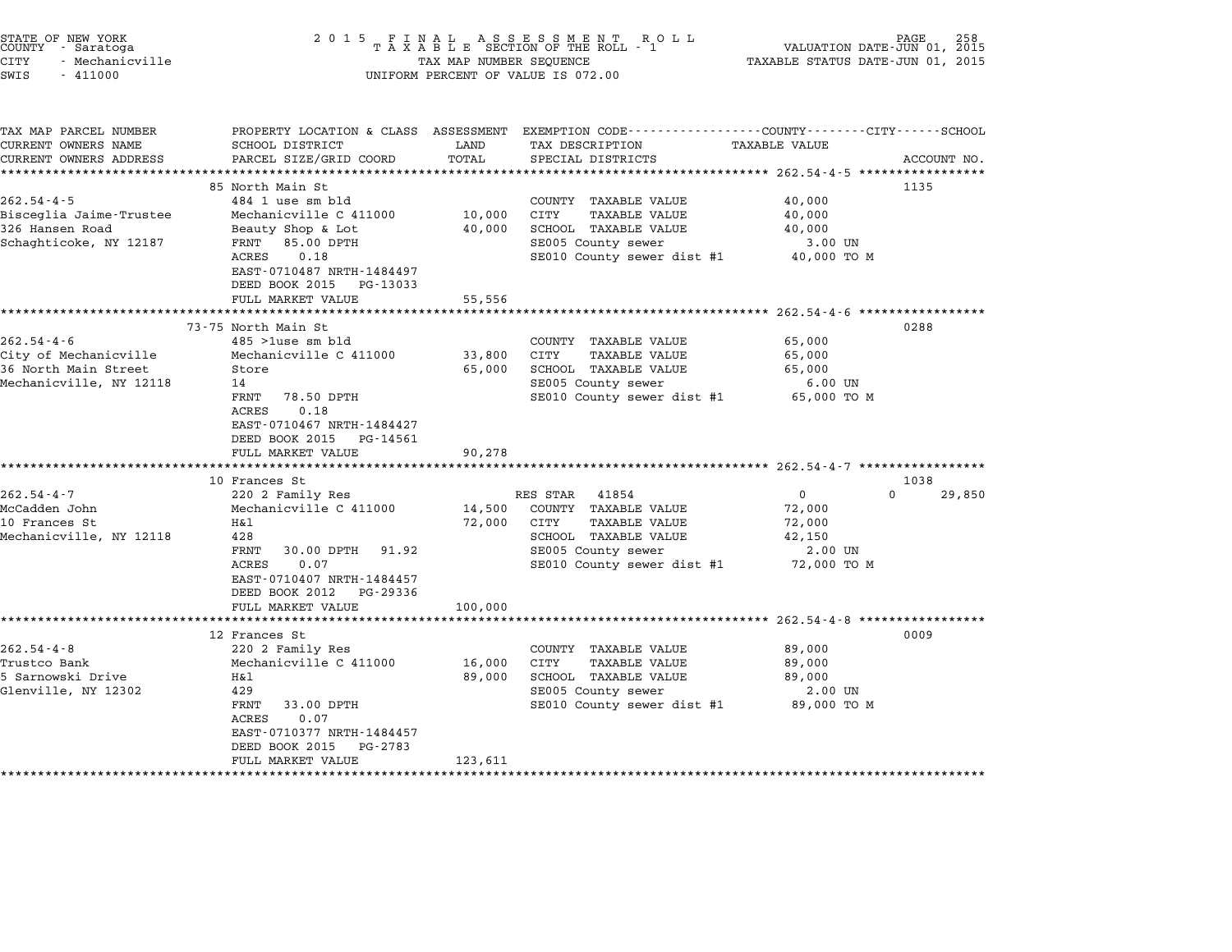| STATE OF NEW YORK<br>COUNTY - Saratoga<br><b>CITY</b><br>- Mechanicville<br>SWIS<br>$-411000$ | 2 0 1 5                                                                                                                                                                                                                                               | TAX MAP NUMBER SEQUENCE                | FINAL ASSESSMENT ROLL<br>TAXABLE SECTION OF THE ROLL - 1<br>UNIFORM PERCENT OF VALUE IS 072.00                                                                                                               | VALUATION DATE-JUN 01, 2015<br>TAXABLE STATUS DATE-JUN 01, 2015                                          | PAGE                |
|-----------------------------------------------------------------------------------------------|-------------------------------------------------------------------------------------------------------------------------------------------------------------------------------------------------------------------------------------------------------|----------------------------------------|--------------------------------------------------------------------------------------------------------------------------------------------------------------------------------------------------------------|----------------------------------------------------------------------------------------------------------|---------------------|
| TAX MAP PARCEL NUMBER<br>CURRENT OWNERS NAME<br>CURRENT OWNERS ADDRESS                        | SCHOOL DISTRICT<br>PARCEL SIZE/GRID COORD<br>**********************                                                                                                                                                                                   | LAND<br>TOTAL                          | PROPERTY LOCATION & CLASS ASSESSMENT EXEMPTION CODE---------------COUNTY-------CITY------SCHOOL<br>TAX DESCRIPTION<br>SPECIAL DISTRICTS<br>*********************************** 262.54-4-5 ****************** | TAXABLE VALUE                                                                                            | ACCOUNT NO.         |
| $262.54 - 4 - 5$<br>Bisceglia Jaime-Trustee<br>326 Hansen Road<br>Schaghticoke, NY 12187      | 85 North Main St<br>484 1 use sm bld<br>Mechanicville C 411000<br>Beauty Shop & Lot<br>FRNT<br>85.00 DPTH<br>0.18<br>ACRES<br>EAST-0710487 NRTH-1484497<br>DEED BOOK 2015 PG-13033<br>FULL MARKET VALUE                                               | 10,000<br>40,000<br>55,556             | COUNTY TAXABLE VALUE<br><b>CITY</b><br>TAXABLE VALUE<br>SCHOOL TAXABLE VALUE<br>SE005 County sewer<br>SE010 County sewer dist #1                                                                             | 40,000<br>40,000<br>40,000<br>3.00 UN<br>40,000 TO M                                                     | 1135                |
| $262.54 - 4 - 6$<br>City of Mechanicville<br>36 North Main Street<br>Mechanicville, NY 12118  | *********************<br>73-75 North Main St<br>$485$ >1use sm bld<br>Mechanicville C 411000<br>Store<br>14<br>78.50 DPTH<br>FRNT<br>ACRES<br>0.18<br>EAST-0710467 NRTH-1484427<br>DEED BOOK 2015 PG-14561<br>FULL MARKET VALUE                       | 33,800<br>65,000<br>90,278             | COUNTY TAXABLE VALUE<br>CITY<br>TAXABLE VALUE<br>SCHOOL TAXABLE VALUE<br>SE005 County sewer<br>SE010 County sewer dist #1                                                                                    | ****************** 262.54-4-6 ******************<br>65,000<br>65,000<br>65,000<br>6.00 UN<br>65,000 TO M | 0288                |
| $262.54 - 4 - 7$<br>McCadden John<br>10 Frances St<br>Mechanicville, NY 12118                 | ************************<br>10 Frances St<br>220 2 Family Res<br>Mechanicville C 411000<br>Η&l<br>428<br>FRNT<br>30.00 DPTH<br>91.92<br>ACRES<br>0.07<br>EAST-0710407 NRTH-1484457<br>DEED BOOK 2012 PG-29336                                         | 14,500<br>72,000                       | RES STAR<br>41854<br>COUNTY TAXABLE VALUE<br>CITY<br><b>TAXABLE VALUE</b><br>SCHOOL TAXABLE VALUE<br>SE005 County sewer<br>SE010 County sewer dist #1                                                        | $\overline{0}$<br>72,000<br>72,000<br>42,150<br>2.00 UN<br>72,000 TO M                                   | 1038<br>0<br>29,850 |
| $262.54 - 4 - 8$<br>Trustco Bank<br>5 Sarnowski Drive<br>Glenville, NY 12302                  | FULL MARKET VALUE<br>**********************<br>12 Frances St<br>220 2 Family Res<br>Mechanicville C 411000<br>Η&l<br>429<br>FRNT<br>33.00 DPTH<br><b>ACRES</b><br>0.07<br>EAST-0710377 NRTH-1484457<br>DEED BOOK 2015<br>PG-2783<br>FULL MARKET VALUE | 100,000<br>16,000<br>89,000<br>123,611 | COUNTY TAXABLE VALUE<br>CITY<br>TAXABLE VALUE<br>SCHOOL TAXABLE VALUE<br>SE005 County sewer<br>SE010 County sewer dist #1                                                                                    | 89,000<br>89,000<br>89,000<br>2.00 UN<br>89,000 TO M                                                     | 0009                |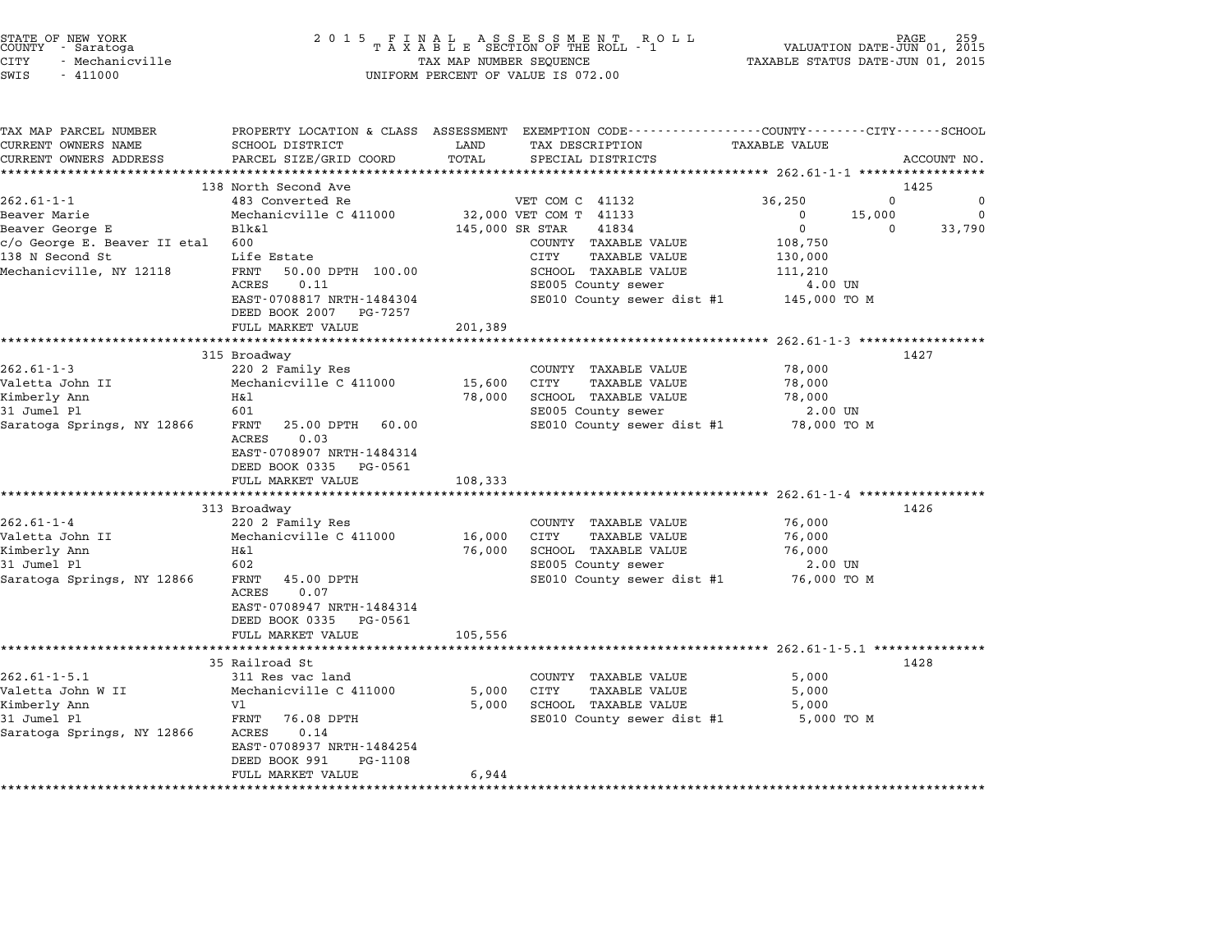| STATE OF NEW YORK |                 |  |
|-------------------|-----------------|--|
| COUNTY            | - Saratoga      |  |
| CITY              | - Mechanicville |  |

| TAX MAP PARCEL NUMBER<br>CURRENT OWNERS NAME | SCHOOL DISTRICT                                                 | LAND            | PROPERTY LOCATION & CLASS ASSESSMENT EXEMPTION CODE---------------COUNTY-------CITY------SCHOOL<br>TAX DESCRIPTION | <b>TAXABLE VALUE</b>                         |                    |
|----------------------------------------------|-----------------------------------------------------------------|-----------------|--------------------------------------------------------------------------------------------------------------------|----------------------------------------------|--------------------|
| CURRENT OWNERS ADDRESS                       | PARCEL SIZE/GRID COORD                                          | TOTAL           | SPECIAL DISTRICTS                                                                                                  |                                              | ACCOUNT NO.        |
| ***********************                      |                                                                 |                 |                                                                                                                    |                                              |                    |
|                                              | 138 North Second Ave                                            |                 |                                                                                                                    |                                              | 1425               |
| $262.61 - 1 - 1$                             | 483 Converted Re                                                |                 | VET COM C 41132                                                                                                    | 36,250                                       | $\Omega$<br>0      |
| Beaver Marie                                 | Mechanicville C 411000                                          |                 | 32,000 VET COM T 41133                                                                                             | 15,000<br>$\mathbf 0$                        | $\Omega$           |
| Beaver George E                              | Blk&l                                                           | 145,000 SR STAR | 41834                                                                                                              | $\mathbf 0$                                  | 33,790<br>$\Omega$ |
| c/o George E. Beaver II etal                 | 600                                                             |                 | COUNTY TAXABLE VALUE                                                                                               | 108,750                                      |                    |
| 138 N Second St                              | Life Estate                                                     |                 | <b>CITY</b><br><b>TAXABLE VALUE</b>                                                                                | 130,000                                      |                    |
| Mechanicville, NY 12118                      | FRNT<br>50.00 DPTH 100.00                                       |                 | SCHOOL TAXABLE VALUE                                                                                               | 111,210                                      |                    |
|                                              | 0.11<br>ACRES                                                   |                 | SE005 County sewer                                                                                                 | 4.00 UN                                      |                    |
|                                              | EAST-0708817 NRTH-1484304                                       |                 | SE010 County sewer dist #1                                                                                         | 145,000 TO M                                 |                    |
|                                              | DEED BOOK 2007<br>PG-7257                                       |                 |                                                                                                                    |                                              |                    |
|                                              | FULL MARKET VALUE                                               | 201,389         |                                                                                                                    |                                              |                    |
|                                              |                                                                 |                 |                                                                                                                    | ***************** 262.61-1-3 *************** | 1427               |
| $262.61 - 1 - 3$                             | 315 Broadway<br>220 2 Family Res                                |                 | COUNTY TAXABLE VALUE                                                                                               | 78,000                                       |                    |
| Valetta John II                              | Mechanicville C 411000                                          | 15,600          | CITY<br><b>TAXABLE VALUE</b>                                                                                       | 78,000                                       |                    |
| Kimberly Ann                                 | Η&l                                                             | 78,000          | SCHOOL TAXABLE VALUE                                                                                               | 78,000                                       |                    |
| 31 Jumel Pl                                  | 601                                                             |                 | SE005 County sewer                                                                                                 | $2.00$ UN                                    |                    |
| Saratoga Springs, NY 12866                   | FRNT<br>25.00 DPTH<br>60.00                                     |                 | SE010 County sewer dist #1                                                                                         | 78,000 TO M                                  |                    |
|                                              | 0.03<br>ACRES                                                   |                 |                                                                                                                    |                                              |                    |
|                                              | EAST-0708907 NRTH-1484314                                       |                 |                                                                                                                    |                                              |                    |
|                                              | DEED BOOK 0335<br>PG-0561                                       |                 |                                                                                                                    |                                              |                    |
|                                              | FULL MARKET VALUE                                               | 108,333         |                                                                                                                    |                                              |                    |
|                                              |                                                                 |                 |                                                                                                                    |                                              |                    |
|                                              | 313 Broadway                                                    |                 |                                                                                                                    |                                              | 1426               |
| $262.61 - 1 - 4$                             | 220 2 Family Res                                                |                 | COUNTY TAXABLE VALUE                                                                                               | 76,000                                       |                    |
| Valetta John II                              | Mechanicville C 411000                                          | 16,000          | <b>CITY</b><br><b>TAXABLE VALUE</b>                                                                                | 76,000                                       |                    |
| Kimberly Ann                                 | H&l                                                             | 76,000          | SCHOOL TAXABLE VALUE                                                                                               | 76,000                                       |                    |
| 31 Jumel Pl                                  | 602                                                             |                 | SE005 County sewer                                                                                                 | 2.00 UN                                      |                    |
| Saratoga Springs, NY 12866                   | FRNT<br>45.00 DPTH<br>0.07<br>ACRES                             |                 | SE010 County sewer dist #1                                                                                         | 76,000 TO M                                  |                    |
|                                              | EAST-0708947 NRTH-1484314                                       |                 |                                                                                                                    |                                              |                    |
|                                              | DEED BOOK 0335 PG-0561                                          |                 |                                                                                                                    |                                              |                    |
|                                              | FULL MARKET VALUE                                               | 105,556         |                                                                                                                    |                                              |                    |
|                                              | ***********************                                         |                 | ************************************* 262.61-1-5.1 **************                                                  |                                              |                    |
|                                              | 35 Railroad St                                                  |                 |                                                                                                                    |                                              | 1428               |
| $262.61 - 1 - 5.1$                           | 311 Res vac land                                                |                 | COUNTY TAXABLE VALUE                                                                                               | 5,000                                        |                    |
| Valetta John W II                            | Mechanicville C 411000                                          | 5,000           | CITY<br><b>TAXABLE VALUE</b>                                                                                       | 5,000                                        |                    |
| Kimberly Ann                                 | V1                                                              | 5,000           | SCHOOL TAXABLE VALUE                                                                                               | 5,000                                        |                    |
| 31 Jumel Pl                                  | FRNT<br>76.08 DPTH                                              |                 | SE010 County sewer dist #1                                                                                         | 5,000 TO M                                   |                    |
| Saratoga Springs, NY 12866                   | 0.14<br>ACRES                                                   |                 |                                                                                                                    |                                              |                    |
|                                              | EAST-0708937 NRTH-1484254                                       |                 |                                                                                                                    |                                              |                    |
|                                              |                                                                 |                 |                                                                                                                    |                                              |                    |
|                                              |                                                                 |                 |                                                                                                                    |                                              |                    |
|                                              | DEED BOOK 991<br>PG-1108<br>FULL MARKET VALUE<br>************** | 6,944           |                                                                                                                    |                                              |                    |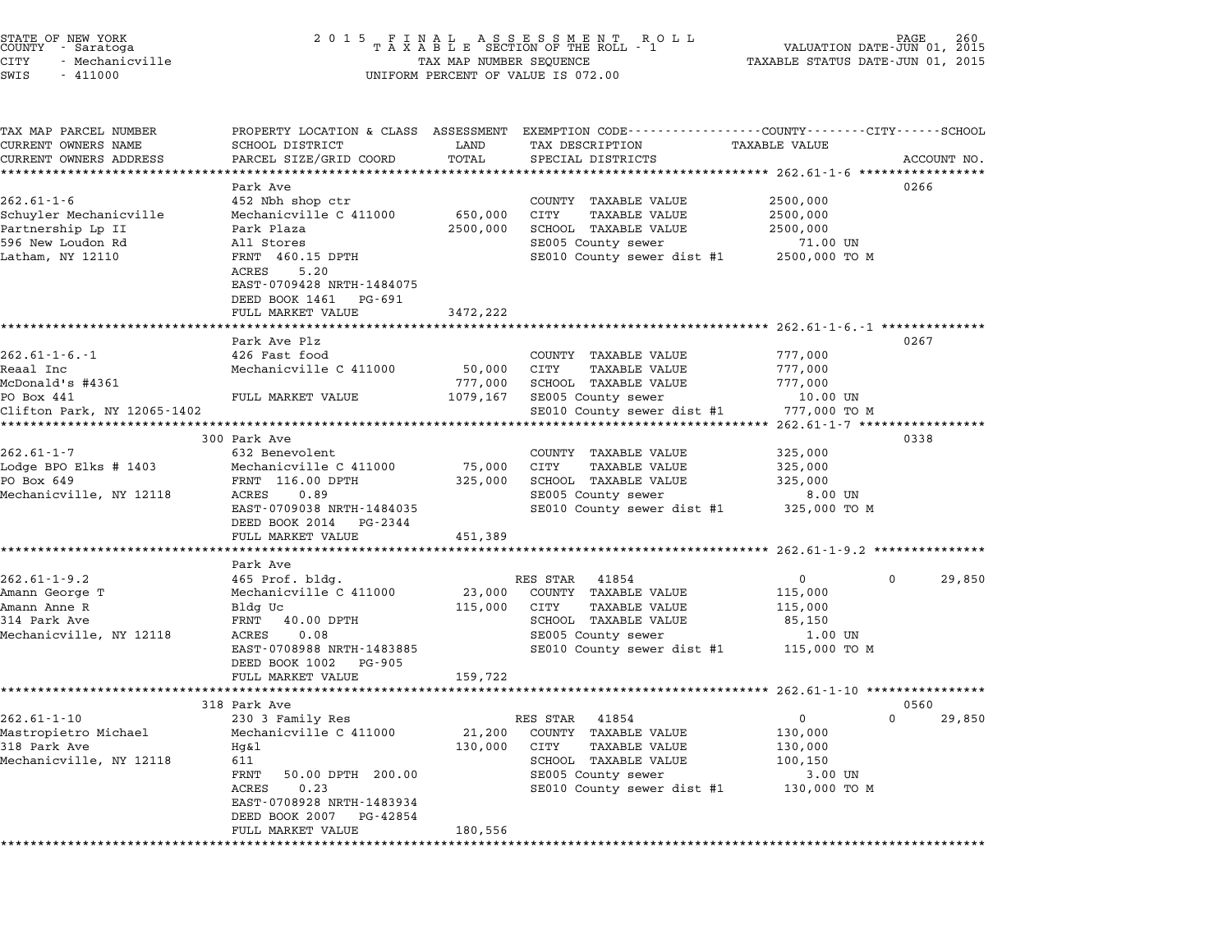|      | STATE OF NEW YORK |
|------|-------------------|
|      | COUNTY - Saratoga |
| CITY | - Mechanicville   |

# STATE OF NEW YORK <sup>2</sup> <sup>0</sup> <sup>1</sup> 5 F I N A L A S S E S S M E N T R O L L PAGE <sup>260</sup> COUNTY - Saratoga <sup>T</sup> <sup>A</sup> <sup>X</sup> <sup>A</sup> <sup>B</sup> <sup>L</sup> <sup>E</sup> SECTION OF THE ROLL - <sup>1</sup> VALUATION DATE-JUN 01, <sup>2015</sup> STATE OF NEW YORK PAGE 260 CONTROLL AND THE ROUNDER OF NEW YORK PAGE 260<br>COUNTY - Saratoga 1 2015 TAXABLE SECTION OF THE ROLL - 1 WALUATION DATE-JUN 01, 2015<br>CITY - Mechanicville TAXABLE STATUS DATE-JUN 01, 2015 SWIS - <sup>411000</sup> UNIFORM PERCENT OF VALUE IS 072.00

TAX MAP PARCEL NUMBER PROPERTY LOCATION & CLASS ASSESSMENT EXEMPTION CODE------------------COUNTY--------CITY------SCHOOL ...<br>-- COUNTY:- TAX MAP PARCEL NUMBER THE OCHOTRY AND THE CURRENT EXEMPTION CODE<br>CURRENT OWNERS NAME SCHOOL DISTRICT LAND TAX DESCRIPTION TAXABLE VALUE CURRENT OWNERS ADDEER FOUR DISTRICTS AND ASSESSEENT EXERPTION TRACK THE TRACK CONSULTER SCHOOL DISTRICTS ACCOUNT NO.<br>CURRENT OWNERS ADDRESS PARCEL SIZE/GRID COORD TOTAL SPECIAL DISTRICTS ACCOUNT NO.<br>\*\*\*\*\*\*\*\*\*\*\*\*\*\*\*\*\*\*\*\*\*\*\* Park Ave <sup>0266</sup> 262.61-1-6 and the state of the state of the state of the state of the state of the state of the state of the state of the state of the state of the state of the state of the state of the state of the state of the state of Schuyler Mechanicville Mechanicville C <sup>411000</sup> 650,000 CITY TAXABLE VALUE 2500,000 202.01 1 - 12 NDI SHOP CLI<br>Schuyler Mechanicville Mechanicville C 411000 - 650,000 CITY TAXABLE VALUE 2500,000<br>Partnership Lp II Park Plaza 2500,000 2500,000 SCHOOL TAXABLE VALUE 2500,000 Schuyler Mechanicville - Mechanicville C 411000 - 050,000 C111 - IAABDE VALUE - 2500,000<br>Partnership Lp II - Park Plaza - 2500,000 SCHOOL TAXABLE VALUE - 2500,000<br>596 New Loudon Rd - All Stores - 21.00 UN - SE005 County se raithership by it and the ratham states and the search of the search of the search of the search of the search<br>1960 FRNT 460.15 DPTH SE010 County sewer dist #1 2500,000 TO M AII SCOIES<br>FRNT 460.15<br>ACRES 5.20 FANT 400.15 DF1H<br>ACRES 5.20<br>EAST-0709428 NRTH-1484075 ACRES 5.20<br>EAST-0709428 NRTH-1484075<br>DEED BOOK 1461 PG-691 FULL MARKET VALUE 3472,222 \*\*\*\*\*\*\*\*\*\*\*\*\*\*\*\*\*\*\*\*\*\*\*\*\*\*\*\*\*\*\*\*\*\*\*\*\*\*\*\*\*\*\*\*\*\*\*\*\*\*\*\*\*\*\*\*\*\*\*\*\*\*\*\*\*\*\*\*\*\*\*\*\*\*\*\*\*\*\*\*\*\*\*\*\*\*\*\*\*\*\*\*\*\*\*\*\*\*\*\*\*\*\* 262.61-1-6.-1 \*\*\*\*\*\*\*\*\*\*\*\*\*\* Park Ave Plz <sup>0267</sup> 262.61-1-6.-1 202.01-202.01-1-6.-1 202.01-202.01-426 Park Ave Plz<br>Park Ave Plz<br>262.61-1-6.-1 COUNTY TAXABLE VALUE 777,000 Reaal Inc Mechanicville C <sup>411000</sup> 50,000 CITY TAXABLE VALUE 777,000 McDonald's #4361 777,000 SCHOOL TAXABLE VALUE 777,000 edail inc. International declinime of the computational contract increase the computational of the contract of<br>MCDonald FULL MARKET VALUE 1079,167 SE005 County sewer 10.00 UN PO Box 441 Clifton Park, NY 12065-1402 SE010 County sewer dist #1 777,000 TO <sup>M</sup> \*\*\*\*\*\*\*\*\*\*\*\*\*\*\*\*\*\*\*\*\*\*\*\*\*\*\*\*\*\*\*\*\*\*\*\*\*\*\*\*\*\*\*\*\*\*\*\*\*\*\*\*\*\*\*\*\*\*\*\*\*\*\*\*\*\*\*\*\*\*\*\*\*\*\*\*\*\*\*\*\*\*\*\*\*\*\*\*\*\*\*\*\*\*\*\*\*\*\*\*\*\*\* 262.61-1-7 \*\*\*\*\*\*\*\*\*\*\*\*\*\*\*\*\* <sup>300</sup> Park Ave <sup>0338</sup> 262.61-1-7 300 Park Ave 322 Benevolent COUNTY TAXABLE VALUE 325,000 Lodge BPO Elks # <sup>1403</sup> Mechanicville C <sup>411000</sup> 75,000 CITY TAXABLE VALUE 325,000 202.01 F = 0.02 Delevolent<br>Lodge BPO Elks # 1403 = Mechanicville C 411000 = 75,000 CITY = TAXABLE VALUE 325,000<br>PO Box 649 = FRNT 116.00 DPTH = 325,000 SCHOOL TAXABLE VALUE = 325,000 Nouge Bro EIKS # 1403 Mechanicville C 411000 1999,000 CIII IAAABLE VALUE 1999,000<br>PO Box 649 FRNT 116.00 DPTH 325,000 SCHOOL TAXABLE VALUE 325,000<br>Mechanicville, NY 12118 ACRES 0.89 SE005 County sewer 8.00 UN EART 110.00 DF111 10.000 SE000 DEROUG TAAADD VADOR<br>ACRES 0.89 SE005 COunty sewer dist #1 325,000 TO M<br>EAST-0709038 NRTH-1484035 SE010 County sewer dist #1 325,000 TO M EAST-0709038 NRTH-148403<br>DEED BOOK 2014 PG-2344 EAST 0705050 MAIN 1404055<br>
DEED BOOK 2014 PG-2344<br>
FULL MARKET VALUE 451,389 \*\*\*\*\*\*\*\*\*\*\*\*\*\*\*\*\*\*\*\*\*\*\*\*\*\*\*\*\*\*\*\*\*\*\*\*\*\*\*\*\*\*\*\*\*\*\*\*\*\*\*\*\*\*\*\*\*\*\*\*\*\*\*\*\*\*\*\*\*\*\*\*\*\*\*\*\*\*\*\*\*\*\*\*\*\*\*\*\*\*\*\*\*\*\*\*\*\*\*\*\*\*\* 262.61-1-9.2 \*\*\*\*\*\*\*\*\*\*\*\*\*\*\* ronn man<br>\*\*\*\*\*\*\*\*\*<br>Park Ave 262.61-1-9.2 1.1.1.2.2.2.2.01-1-9.2 1.1.1.2.2.2.01-1-9.2 1.1.1.2.2.01-1-9.2 1.1.1.2.2.01-1-9.2 1.1.1.2.2.02.0<br>Park Ave RES STAR 41854 0 0 29,850 262.61-1-9.2 465 Prof. bldg. RES STAR 41854 0 29,850 ad Amann Corporation over the control of the main of the fact of the fact of the fact of the fact of the fact o<br>Amann George The Mechanicville C 411000 23,000 COUNTY TAXABLE VALUE 115,000 Amann Anne R Bldg Uc 115,000 CITY TAXABLE VALUE 115,000 All decry international community of the community of the community of the community of the community of the c<br>Amann Anne R Bldg UC (115,000 CITY 115,000 FAXABLE VALUE 115,000 COMMUNITY 115,000 COMMUNITY 115,000 CHANNE VAL Mechanicville, NY <sup>12118</sup> ACRES 0.08 SE005 County sewer 1.00 UN EARLY 10.00 DETIN CONTRACTED SECOOD TAAADDE VADOL US. 1.00 UN CONTRACTED SECOOD COUNTY SEWER TO MANY SERVER THAN 11.00 UN CONTRACTED SECOOD COUNTY SERVER THAN 115,000 TO M EAST-0708988 NRTH-14838<br>DEED BOOK 1002 PG-905 EAST 0700500 MAIN 1405005<br>
DEED BOOK 1002 PG-905<br>
FULL MARKET VALUE 159,722 \*\*\*\*\*\*\*\*\*\*\*\*\*\*\*\*\*\*\*\*\*\*\*\*\*\*\*\*\*\*\*\*\*\*\*\*\*\*\*\*\*\*\*\*\*\*\*\*\*\*\*\*\*\*\*\*\*\*\*\*\*\*\*\*\*\*\*\*\*\*\*\*\*\*\*\*\*\*\*\*\*\*\*\*\*\*\*\*\*\*\*\*\*\*\*\*\*\*\*\*\*\*\* 262.61-1-10 \*\*\*\*\*\*\*\*\*\*\*\*\*\*\*\* <sup>318</sup> Park Ave <sup>0560</sup> 262.61-1-10 1262.01-1-10 230 3 Family Res RES STAR 41854 202.01-1-10 230 360<br>230 3 Family Res RES STAR 41854 0 230 3 29,850 Mastropietro Michael Mechanicville C <sup>411000</sup> 21,200 COUNTY TAXABLE VALUE 130,000 <sup>318</sup> Park Ave Hg&l 130,000 CITY TAXABLE VALUE 130,000 MASCRIPTECTO MICHAEL MECHANICVILLE C 411000 121,200 CONTI IAAADDD VADOD 130,000<br>Mechanicville, NY 12118 Hg&l 130,000 CITY TAXABLE VALUE 130,000<br>Mechanicville, NY 12118 611 HAABLE VALUE 1981 1992<br>611 SCHOOL TAXABLE VALUE 100,150<br>FRNT 50.00 DPTH 200.00 SE005 County sewer 3.00 UN ern and the second than the server of the server of the server of the server of the server of the server of th<br>FRINT 5.000 DPTH 200.00 SE005 County sewer dist #1 130,000 TO M EAST-0708928 NRTH-1483934 EAST-0708928 NRTH-1483934<br>DEED BOOK 2007 PG-42854 FULL MARKET VALUE 180,556 \*\*\*\*\*\*\*\*\*\*\*\*\*\*\*\*\*\*\*\*\*\*\*\*\*\*\*\*\*\*\*\*\*\*\*\*\*\*\*\*\*\*\*\*\*\*\*\*\*\*\*\*\*\*\*\*\*\*\*\*\*\*\*\*\*\*\*\*\*\*\*\*\*\*\*\*\*\*\*\*\*\*\*\*\*\*\*\*\*\*\*\*\*\*\*\*\*\*\*\*\*\*\*\*\*\*\*\*\*\*\*\*\*\*\*\*\*\*\*\*\*\*\*\*\*\*\*\*\*\*\*\*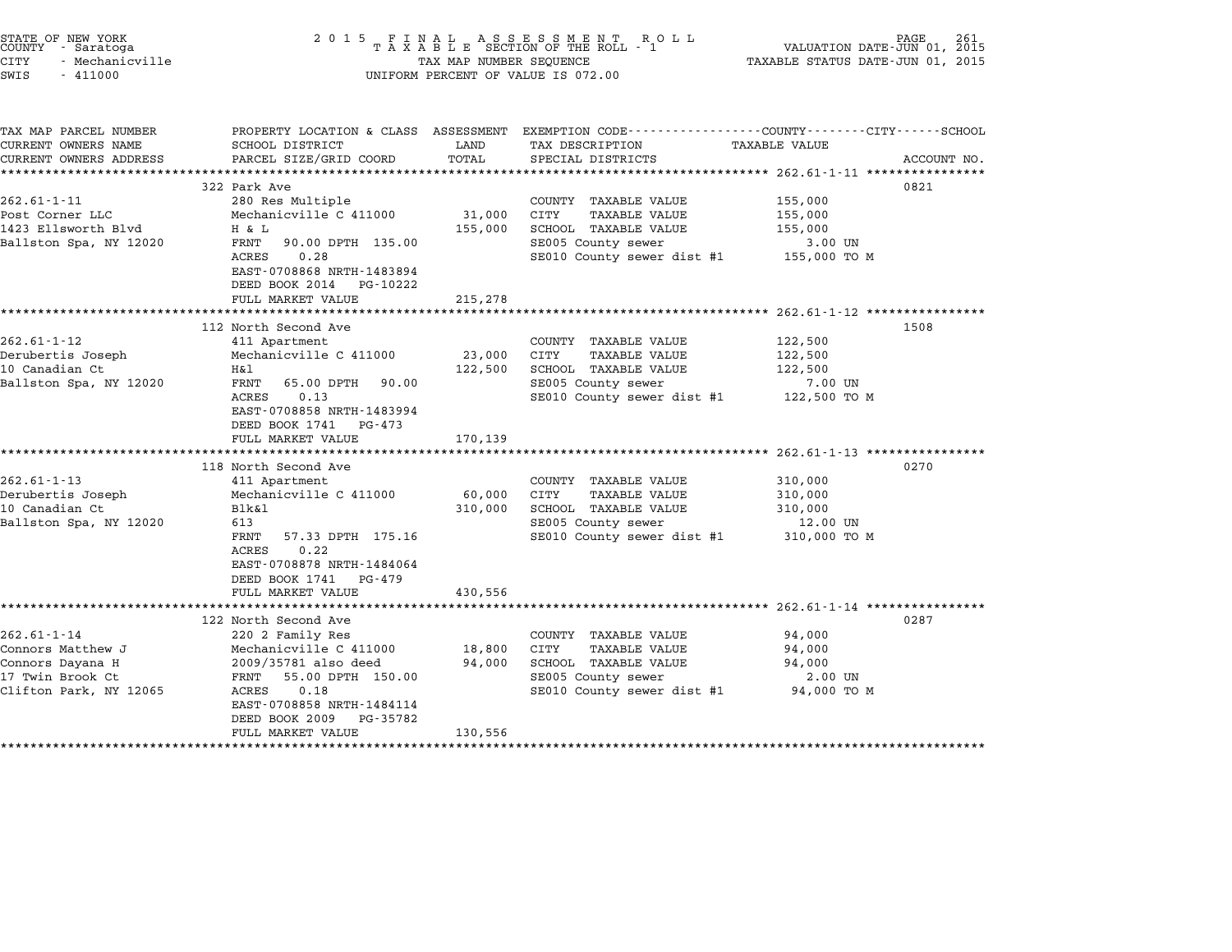| STATE OF NEW YORK<br>COUNTY - Saratoga<br><b>CITY</b><br>- Mechanicville<br>SWIS<br>$-411000$            | 2 0 1 5                                                                                                                                                                                                                  | TAX MAP NUMBER SEQUENCE      | FINAL ASSESSMENT ROLL<br>TAXABLE SECTION OF THE ROLL - 1<br>UNIFORM PERCENT OF VALUE IS 072.00                                          | VALUATION DATE-JUN 01, 2015<br>TAXABLE STATUS DATE-JUN 01, 2015  | 261<br>PAGE. |
|----------------------------------------------------------------------------------------------------------|--------------------------------------------------------------------------------------------------------------------------------------------------------------------------------------------------------------------------|------------------------------|-----------------------------------------------------------------------------------------------------------------------------------------|------------------------------------------------------------------|--------------|
| TAX MAP PARCEL NUMBER<br>CURRENT OWNERS NAME<br>CURRENT OWNERS ADDRESS                                   | SCHOOL DISTRICT<br>PARCEL SIZE/GRID COORD                                                                                                                                                                                | LAND<br>TOTAL                | PROPERTY LOCATION & CLASS ASSESSMENT EXEMPTION CODE---------------COUNTY-------CITY------SCHOOL<br>TAX DESCRIPTION<br>SPECIAL DISTRICTS | TAXABLE VALUE<br>***************** 262.61-1-11 ***************** | ACCOUNT NO.  |
| $262.61 - 1 - 11$<br>Post Corner LLC<br>1423 Ellsworth Blvd<br>Ballston Spa, NY 12020                    | 322 Park Ave<br>280 Res Multiple<br>Mechanicville C 411000<br>H & L<br>FRNT<br>90.00 DPTH 135.00<br>ACRES<br>0.28<br>EAST-0708868 NRTH-1483894<br>DEED BOOK 2014<br>PG-10222<br>FULL MARKET VALUE                        | 31,000<br>155,000<br>215,278 | COUNTY TAXABLE VALUE<br>CITY<br><b>TAXABLE VALUE</b><br>SCHOOL TAXABLE VALUE<br>SE005 County sewer<br>SE010 County sewer dist #1        | 155,000<br>155,000<br>155,000<br>3.00 UN<br>155,000 TO M         | 0821         |
| $262.61 - 1 - 12$<br>Derubertis Joseph<br>10 Canadian Ct<br>Ballston Spa, NY 12020                       | 112 North Second Ave<br>411 Apartment<br>Mechanicville C 411000<br>Η&l<br>FRNT<br>65.00 DPTH<br>90.00<br>ACRES<br>0.13<br>EAST-0708858 NRTH-1483994<br>DEED BOOK 1741<br>PG-473<br>FULL MARKET VALUE                     | 23,000<br>122,500<br>170,139 | COUNTY TAXABLE VALUE<br>CITY<br><b>TAXABLE VALUE</b><br>SCHOOL TAXABLE VALUE<br>SE005 County sewer<br>SE010 County sewer dist #1        | 122,500<br>122,500<br>122,500<br>7.00 UN<br>122,500 TO M         | 1508         |
| $262.61 - 1 - 13$<br>Derubertis Joseph<br>10 Canadian Ct<br>Ballston Spa, NY 12020                       | 118 North Second Ave<br>411 Apartment<br>Mechanicville C 411000<br>Blk&1<br>613<br>FRNT<br>57.33 DPTH 175.16<br>0.22<br>ACRES<br>EAST-0708878 NRTH-1484064<br>DEED BOOK 1741<br>PG-479<br>FULL MARKET VALUE              | 60,000<br>310,000<br>430,556 | COUNTY TAXABLE VALUE<br>CITY<br><b>TAXABLE VALUE</b><br>SCHOOL TAXABLE VALUE<br>SE005 County sewer<br>SE010 County sewer dist #1        | 310,000<br>310,000<br>310,000<br>12.00 UN<br>310,000 TO M        | 0270         |
| $262.61 - 1 - 14$<br>Connors Matthew J<br>Connors Dayana H<br>17 Twin Brook Ct<br>Clifton Park, NY 12065 | 122 North Second Ave<br>220 2 Family Res<br>Mechanicville C 411000<br>2009/35781 also deed<br>FRNT<br>55.00 DPTH 150.00<br>ACRES<br>0.18<br>EAST-0708858 NRTH-1484114<br>DEED BOOK 2009<br>PG-35782<br>FULL MARKET VALUE | 18,800<br>94,000<br>130,556  | COUNTY TAXABLE VALUE<br>CITY<br><b>TAXABLE VALUE</b><br>SCHOOL TAXABLE VALUE<br>SE005 County sewer<br>SE010 County sewer dist #1        | 94,000<br>94,000<br>94,000<br>2.00 UN<br>94,000 TO M             | 0287         |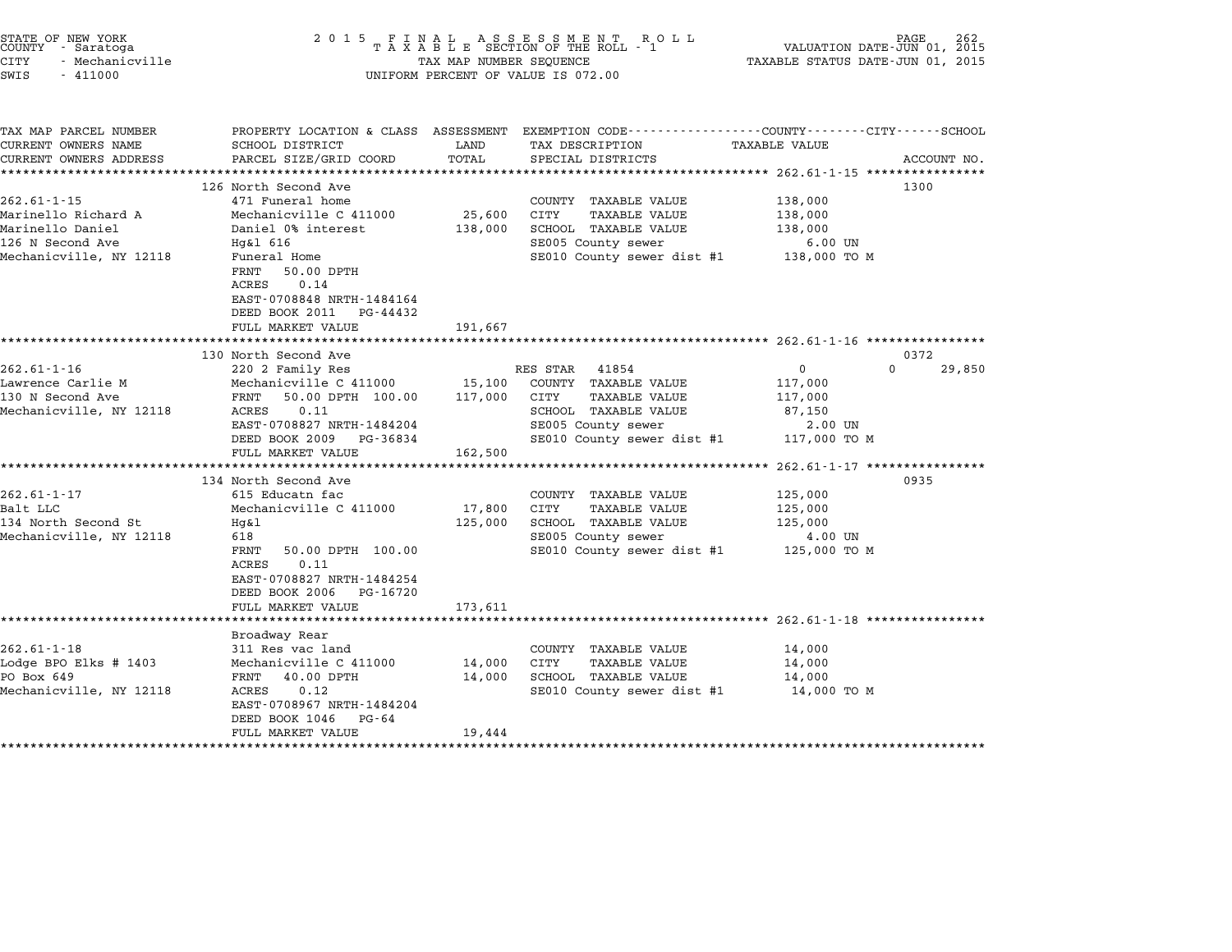|        | STATE OF NEW YORK |  |
|--------|-------------------|--|
| COUNTY | - Saratoga        |  |
| CITY   | - Mechanicville   |  |

# STATE OF NEW YORK <sup>2</sup> <sup>0</sup> <sup>1</sup> 5 F I N A L A S S E S S M E N T R O L L PAGE <sup>262</sup> COUNTY - Saratoga <sup>T</sup> <sup>A</sup> <sup>X</sup> <sup>A</sup> <sup>B</sup> <sup>L</sup> <sup>E</sup> SECTION OF THE ROLL - <sup>1</sup> VALUATION DATE-JUN 01, <sup>2015</sup> CITY - Mechanicville TAX MAP NUMBER SEQUENCE TAXABLE STATUS DATE-JUN 01, <sup>2015</sup> SWIS - <sup>411000</sup> UNIFORM PERCENT OF VALUE IS 072.00

| TAX MAP PARCEL NUMBER<br>CURRENT OWNERS NAME<br>CURRENT OWNERS ADDRESS | SCHOOL DISTRICT<br>PARCEL SIZE/GRID COORD                                                                      | LAND<br>TOTAL | PROPERTY LOCATION & CLASS ASSESSMENT EXEMPTION CODE---------------COUNTY-------CITY------SCHOOL<br>TAX DESCRIPTION<br>SPECIAL DISTRICTS | TAXABLE VALUE      | ACCOUNT NO.        |
|------------------------------------------------------------------------|----------------------------------------------------------------------------------------------------------------|---------------|-----------------------------------------------------------------------------------------------------------------------------------------|--------------------|--------------------|
|                                                                        |                                                                                                                |               |                                                                                                                                         |                    |                    |
|                                                                        | 126 North Second Ave                                                                                           |               |                                                                                                                                         |                    | 1300               |
| $262.61 - 1 - 15$                                                      | 471 Funeral home                                                                                               |               | COUNTY TAXABLE VALUE                                                                                                                    | 138,000            |                    |
| Marinello Richard A                                                    | Mechanicville C 411000                                                                                         | 25,600        | CITY<br><b>TAXABLE VALUE</b>                                                                                                            | 138,000            |                    |
| Marinello Daniel                                                       | Daniel 0% interest                                                                                             | 138,000       | SCHOOL TAXABLE VALUE                                                                                                                    | 138,000            |                    |
| 126 N Second Ave                                                       | Hg&l 616                                                                                                       |               | SE005 County sewer                                                                                                                      | $6.00$ UN          |                    |
| Mechanicville, NY 12118                                                | Funeral Home<br>50.00 DPTH<br>FRNT<br>0.14<br>ACRES<br>EAST-0708848 NRTH-1484164<br>DEED BOOK 2011<br>PG-44432 |               | SE010 County sewer dist #1                                                                                                              | 138,000 TO M       |                    |
|                                                                        | FULL MARKET VALUE                                                                                              | 191,667       |                                                                                                                                         |                    |                    |
|                                                                        | 130 North Second Ave                                                                                           |               |                                                                                                                                         |                    | 0372               |
| $262.61 - 1 - 16$                                                      | 220 2 Family Res                                                                                               |               | RES STAR 41854                                                                                                                          | $\overline{0}$     | $\Omega$<br>29,850 |
| Lawrence Carlie M                                                      | Mechanicville C 411000 15,100                                                                                  |               | COUNTY TAXABLE VALUE                                                                                                                    | 117,000            |                    |
| 130 N Second Ave                                                       | FRNT 50.00 DPTH 100.00                                                                                         | 117,000 CITY  | TAXABLE VALUE                                                                                                                           | 117,000            |                    |
| Mechanicville, NY 12118                                                | 0.11<br>ACRES                                                                                                  |               | SCHOOL TAXABLE VALUE                                                                                                                    | 87,150             |                    |
|                                                                        | EAST-0708827 NRTH-1484204                                                                                      |               | SE005 County sewer                                                                                                                      | 2.00 UN            |                    |
|                                                                        | DEED BOOK 2009<br>PG-36834<br>FULL MARKET VALUE                                                                | 162,500       | SE010 County sewer dist #1 117,000 TO M                                                                                                 |                    |                    |
|                                                                        |                                                                                                                |               |                                                                                                                                         |                    |                    |
|                                                                        | 134 North Second Ave                                                                                           |               |                                                                                                                                         |                    | 0935               |
| $262.61 - 1 - 17$                                                      | 615 Educatn fac                                                                                                |               | COUNTY TAXABLE VALUE                                                                                                                    | 125,000            |                    |
| Balt LLC                                                               | Mechanicville C 411000                                                                                         | 17,800        | CITY<br><b>TAXABLE VALUE</b>                                                                                                            | 125,000            |                    |
| 134 North Second St<br>Mechanicville, NY 12118                         | $Hq\&1$<br>618                                                                                                 | 125,000       | SCHOOL TAXABLE VALUE                                                                                                                    | 125,000<br>4.00 UN |                    |
|                                                                        | FRNT                                                                                                           |               | SE005 County sewer<br>SE010 County sewer dist #1                                                                                        |                    |                    |
|                                                                        | 50.00 DPTH 100.00<br>0.11<br>ACRES<br>EAST-0708827 NRTH-1484254<br>DEED BOOK 2006<br>PG-16720                  |               |                                                                                                                                         | 125,000 TO M       |                    |
|                                                                        | FULL MARKET VALUE                                                                                              | 173,611       |                                                                                                                                         |                    |                    |
|                                                                        | Broadway Rear                                                                                                  |               |                                                                                                                                         |                    |                    |
| $262.61 - 1 - 18$                                                      | 311 Res vac land                                                                                               |               | COUNTY TAXABLE VALUE                                                                                                                    | 14,000             |                    |
| Lodge BPO Elks # 1403                                                  | Mechanicville C 411000                                                                                         | 14,000        | <b>TAXABLE VALUE</b><br>CITY                                                                                                            | 14,000             |                    |
| PO Box 649                                                             | FRNT 40.00 DPTH                                                                                                | 14,000        | SCHOOL TAXABLE VALUE                                                                                                                    | 14,000             |                    |
| Mechanicville, NY 12118                                                | ACRES<br>0.12<br>EAST-0708967 NRTH-1484204<br>DEED BOOK 1046<br>$PG - 64$                                      |               | SE010 County sewer dist #1 14,000 TO M                                                                                                  |                    |                    |
|                                                                        | FULL MARKET VALUE                                                                                              | 19,444        |                                                                                                                                         |                    |                    |
|                                                                        |                                                                                                                |               |                                                                                                                                         |                    |                    |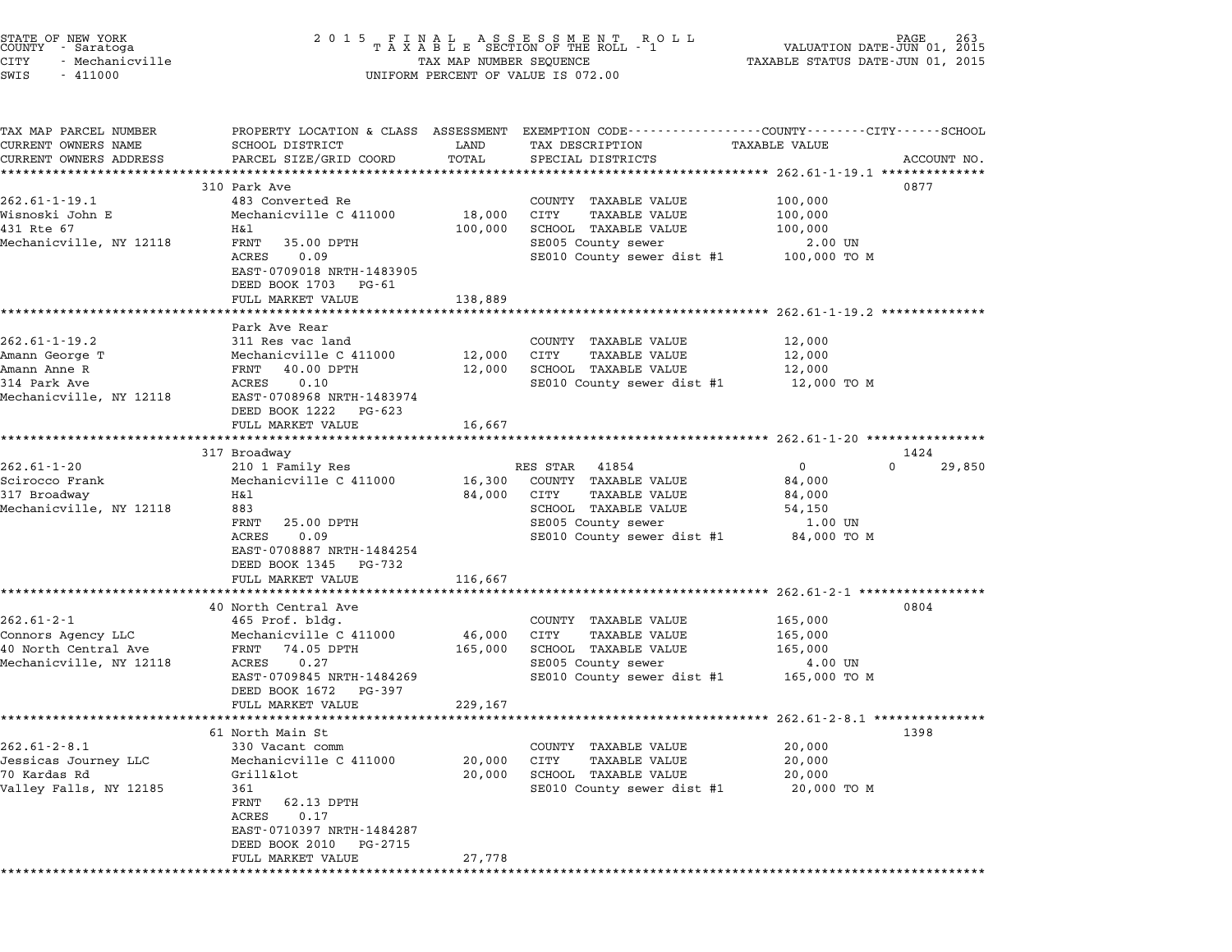| STATE OF NEW YORK<br>COUNTY - Saratoga<br>CITY<br>- Mechanicville<br>SWIS<br>$-411000$           | 2 0 1 5<br>FINAL ASSESSMENT RO<br>TAXABLE SECTION OF THE ROLL - 1<br>R O L L<br>TAX MAP NUMBER SEQUENCE<br>UNIFORM PERCENT OF VALUE IS 072.00                                                           |                              |                                                                                                                                                       | PAGE<br>VALUATION DATE-JUN 01, 2015<br>TAXABLE STATUS DATE-JUN 01, 2015 |                            |  |  |  |  |  |
|--------------------------------------------------------------------------------------------------|---------------------------------------------------------------------------------------------------------------------------------------------------------------------------------------------------------|------------------------------|-------------------------------------------------------------------------------------------------------------------------------------------------------|-------------------------------------------------------------------------|----------------------------|--|--|--|--|--|
| TAX MAP PARCEL NUMBER<br>CURRENT OWNERS NAME<br>CURRENT OWNERS ADDRESS                           | SCHOOL DISTRICT<br>PARCEL SIZE/GRID COORD                                                                                                                                                               | LAND<br>TOTAL                | PROPERTY LOCATION & CLASS ASSESSMENT EXEMPTION CODE---------------COUNTY-------CITY------SCHOOL<br>TAX DESCRIPTION<br>SPECIAL DISTRICTS               | TAXABLE VALUE                                                           | ACCOUNT NO.                |  |  |  |  |  |
| $262.61 - 1 - 19.1$<br>Wisnoski John E<br>431 Rte 67<br>Mechanicville, NY 12118                  | 310 Park Ave<br>483 Converted Re<br>Mechanicville C 411000<br>H&l<br>FRNT<br>35.00 DPTH<br>ACRES<br>0.09<br>EAST-0709018 NRTH-1483905<br>DEED BOOK 1703 PG-61<br>FULL MARKET VALUE                      | 18,000<br>100,000<br>138,889 | COUNTY TAXABLE VALUE<br>CITY<br>TAXABLE VALUE<br>SCHOOL TAXABLE VALUE<br>SE005 County sewer<br>SE010 County sewer dist #1                             | 100,000<br>100,000<br>100,000<br>2.00 UN<br>100,000 TO M                | 0877                       |  |  |  |  |  |
| $262.61 - 1 - 19.2$<br>Amann George T<br>Amann Anne R<br>314 Park Ave<br>Mechanicville, NY 12118 | Park Ave Rear<br>311 Res vac land<br>Mechanicville C 411000<br>FRNT 40.00 DPTH<br>0.10<br>ACRES<br>EAST-0708968 NRTH-1483974<br>DEED BOOK 1222<br>PG-623<br>FULL MARKET VALUE                           | 12,000<br>12,000<br>16,667   | COUNTY TAXABLE VALUE<br>CITY<br><b>TAXABLE VALUE</b><br>SCHOOL TAXABLE VALUE<br>SE010 County sewer dist #1                                            | 12,000<br>12,000<br>12,000<br>12,000 TO M                               |                            |  |  |  |  |  |
| $262.61 - 1 - 20$<br>Scirocco Frank<br>317 Broadway<br>Mechanicville, NY 12118                   | 317 Broadway<br>210 1 Family Res<br>Mechanicville C 411000<br>H&l<br>883<br>25.00 DPTH<br>FRNT<br>0.09<br>ACRES<br>EAST-0708887 NRTH-1484254<br>DEED BOOK 1345 PG-732<br>FULL MARKET VALUE              | 16,300<br>84,000<br>116,667  | RES STAR<br>41854<br>COUNTY TAXABLE VALUE<br>CITY<br><b>TAXABLE VALUE</b><br>SCHOOL TAXABLE VALUE<br>SE005 County sewer<br>SE010 County sewer dist #1 | $\mathbf 0$<br>84,000<br>84,000<br>54,150<br>1.00 UN<br>84,000 TO M     | 1424<br>$\Omega$<br>29,850 |  |  |  |  |  |
| $262.61 - 2 - 1$<br>Connors Agency LLC<br>40 North Central Ave<br>Mechanicville, NY 12118        | 40 North Central Ave<br>465 Prof. bldg.<br>Mechanicville C 411000<br>FRNT 74.05 DPTH<br>0.27<br>ACRES<br>EAST-0709845 NRTH-1484269<br>DEED BOOK 1672<br>PG-397<br>FULL MARKET VALUE                     | 46,000<br>165,000<br>229,167 | COUNTY TAXABLE VALUE<br>CITY<br><b>TAXABLE VALUE</b><br>SCHOOL TAXABLE VALUE<br>SE005 County sewer<br>SE010 County sewer dist #1                      | 165,000<br>165,000<br>165,000<br>4.00 UN<br>165,000 TO M                | 0804                       |  |  |  |  |  |
| $262.61 - 2 - 8.1$<br>Jessicas Journey LLC<br>70 Kardas Rd<br>Valley Falls, NY 12185             | 61 North Main St<br>330 Vacant comm<br>Mechanicville C 411000<br>Grill&lot<br>361<br>FRNT<br>62.13 DPTH<br>ACRES<br>0.17<br>EAST-0710397 NRTH-1484287<br>DEED BOOK 2010<br>PG-2715<br>FULL MARKET VALUE | 20,000<br>20,000<br>27,778   | COUNTY TAXABLE VALUE<br>CITY<br>TAXABLE VALUE<br>SCHOOL TAXABLE VALUE<br>SE010 County sewer dist #1                                                   | 20,000<br>20,000<br>20,000<br>20,000 TO M                               | 1398                       |  |  |  |  |  |

\*\*\*\*\*\*\*\*\*\*\*\*\*\*\*\*\*\*\*\*\*\*\*\*\*\*\*\*\*\*\*\*\*\*\*\*\*\*\*\*\*\*\*\*\*\*\*\*\*\*\*\*\*\*\*\*\*\*\*\*\*\*\*\*\*\*\*\*\*\*\*\*\*\*\*\*\*\*\*\*\*\*\*\*\*\*\*\*\*\*\*\*\*\*\*\*\*\*\*\*\*\*\*\*\*\*\*\*\*\*\*\*\*\*\*\*\*\*\*\*\*\*\*\*\*\*\*\*\*\*\*\*

STATE OF NEW YORK <sup>2</sup> <sup>0</sup> <sup>1</sup> 5 F I N A L A S S E S S M E N T R O L L PAGE <sup>263</sup> COUNTY - Saratoga <sup>T</sup> <sup>A</sup> <sup>X</sup> <sup>A</sup> <sup>B</sup> <sup>L</sup> <sup>E</sup> SECTION OF THE ROLL - <sup>1</sup> VALUATION DATE-JUN 01, <sup>2015</sup>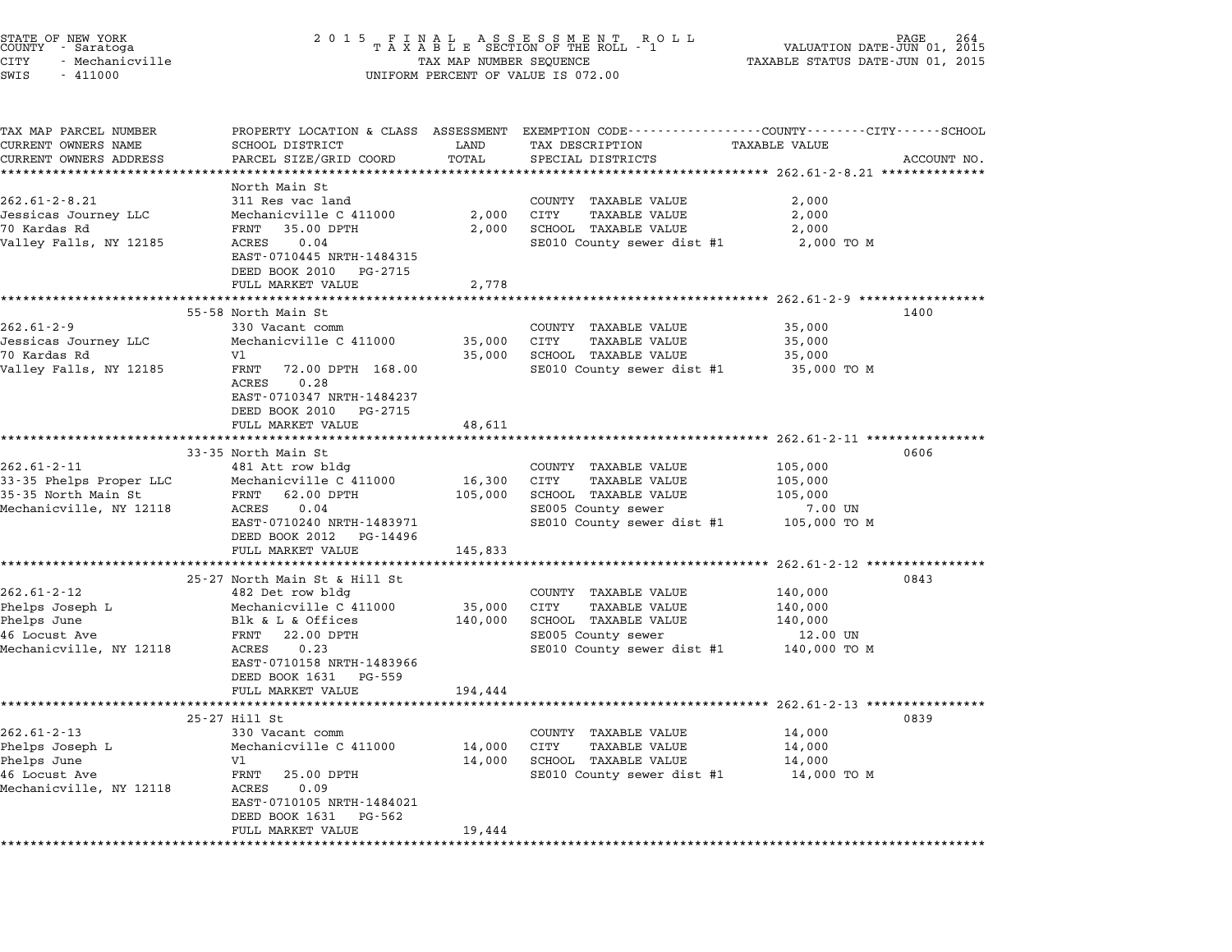| STATE OF NEW YORK<br>COUNTY - Saratoga<br>CITY<br>- Mechanicville<br>SWIS<br>$-411000$          | 2 0 1 5                                                                                                                                                                                                               | TAX MAP NUMBER SEQUENCE      | FINAL ASSESSMENT ROLL<br>TAXABLE SECTION OF THE ROLL - 1<br>UNIFORM PERCENT OF VALUE IS 072.00                                                                         | VALUATION DATE-JUN 01,<br>TAXABLE STATUS DATE-JUN 01, 2015                                 | 264<br>2015 |
|-------------------------------------------------------------------------------------------------|-----------------------------------------------------------------------------------------------------------------------------------------------------------------------------------------------------------------------|------------------------------|------------------------------------------------------------------------------------------------------------------------------------------------------------------------|--------------------------------------------------------------------------------------------|-------------|
| TAX MAP PARCEL NUMBER<br>CURRENT OWNERS NAME<br>CURRENT OWNERS ADDRESS                          | SCHOOL DISTRICT<br>PARCEL SIZE/GRID COORD                                                                                                                                                                             | LAND<br>TOTAL                | PROPERTY LOCATION & CLASS ASSESSMENT EXEMPTION CODE----------------COUNTY-------CITY------SCHOOL<br>TAX DESCRIPTION<br>SPECIAL DISTRICTS                               | TAXABLE VALUE                                                                              | ACCOUNT NO. |
| $262.61 - 2 - 8.21$<br>Jessicas Journey LLC<br>70 Kardas Rd<br>Valley Falls, NY 12185           | North Main St<br>311 Res vac land<br>Mechanicville C 411000<br>FRNT<br>35.00 DPTH<br>ACRES<br>0.04<br>EAST-0710445 NRTH-1484315<br>DEED BOOK 2010<br>PG-2715<br>FULL MARKET VALUE                                     | 2,000<br>2,000<br>2,778      | COUNTY TAXABLE VALUE<br>CITY<br><b>TAXABLE VALUE</b><br>SCHOOL TAXABLE VALUE<br>SE010 County sewer dist #1                                                             | 2,000<br>2,000<br>2,000<br>2,000 TO M                                                      |             |
| $262.61 - 2 - 9$<br>Jessicas Journey LLC<br>70 Kardas Rd<br>Valley Falls, NY 12185              | 55-58 North Main St<br>330 Vacant comm<br>Mechanicville C 411000<br>V1<br>FRNT<br>72.00 DPTH 168.00<br>0.28<br>ACRES<br>EAST-0710347 NRTH-1484237<br>DEED BOOK 2010<br>PG-2715<br>FULL MARKET VALUE                   | 35,000<br>35,000<br>48,611   | COUNTY TAXABLE VALUE<br>TAXABLE VALUE<br>CITY<br>SCHOOL TAXABLE VALUE<br>SE010 County sewer dist #1                                                                    | 35,000<br>35,000<br>35,000<br>35,000 TO M                                                  | 1400        |
| $262.61 - 2 - 11$<br>33-35 Phelps Proper LLC<br>35-35 North Main St<br>Mechanicville, NY 12118  | 33-35 North Main St<br>481 Att row bldg<br>Mechanicville C 411000<br>62.00 DPTH<br>FRNT<br>ACRES<br>0.04<br>EAST-0710240 NRTH-1483971<br>DEED BOOK 2012<br>PG-14496<br>FULL MARKET VALUE                              | 16,300<br>105,000<br>145,833 | COUNTY TAXABLE VALUE<br>CITY<br>TAXABLE VALUE<br>SCHOOL TAXABLE VALUE<br>SE005 County sewer<br>SE010 County sewer dist #1                                              | 105,000<br>105,000<br>105,000<br>7.00 UN<br>105,000 TO M                                   | 0606        |
| $262.61 - 2 - 12$<br>Phelps Joseph L<br>Phelps June<br>46 Locust Ave<br>Mechanicville, NY 12118 | 25-27 North Main St & Hill St<br>482 Det row bldg<br>Mechanicville C 411000<br>Blk & L & Offices<br>22.00 DPTH<br>FRNT<br>ACRES<br>0.23<br>EAST-0710158 NRTH-1483966<br>DEED BOOK 1631<br>PG-559<br>FULL MARKET VALUE | 35,000<br>140,000<br>194,444 | COUNTY TAXABLE VALUE<br>CITY<br><b>TAXABLE VALUE</b><br>SCHOOL TAXABLE VALUE<br>SE005 County sewer<br>SE010 County sewer dist #1                                       | 262.61-2-12 *****************<br>140,000<br>140,000<br>140,000<br>12.00 UN<br>140,000 TO M | 0843        |
| $262.61 - 2 - 13$<br>Phelps Joseph L<br>Phelps June<br>46 Locust Ave<br>Mechanicville, NY 12118 | 25-27 Hill St<br>330 Vacant comm<br>Mechanicville C 411000<br>V1<br>FRNT<br>25.00 DPTH<br>0.09<br>ACRES<br>EAST-0710105 NRTH-1484021<br>DEED BOOK 1631<br>PG-562<br>FULL MARKET VALUE                                 | 14,000<br>14,000<br>19,444   | ******************************* 262.61-2-13 *********<br>COUNTY<br>TAXABLE VALUE<br>CITY<br><b>TAXABLE VALUE</b><br>SCHOOL TAXABLE VALUE<br>SE010 County sewer dist #1 | 14,000<br>14,000<br>14,000<br>14,000 TO M                                                  | 0839        |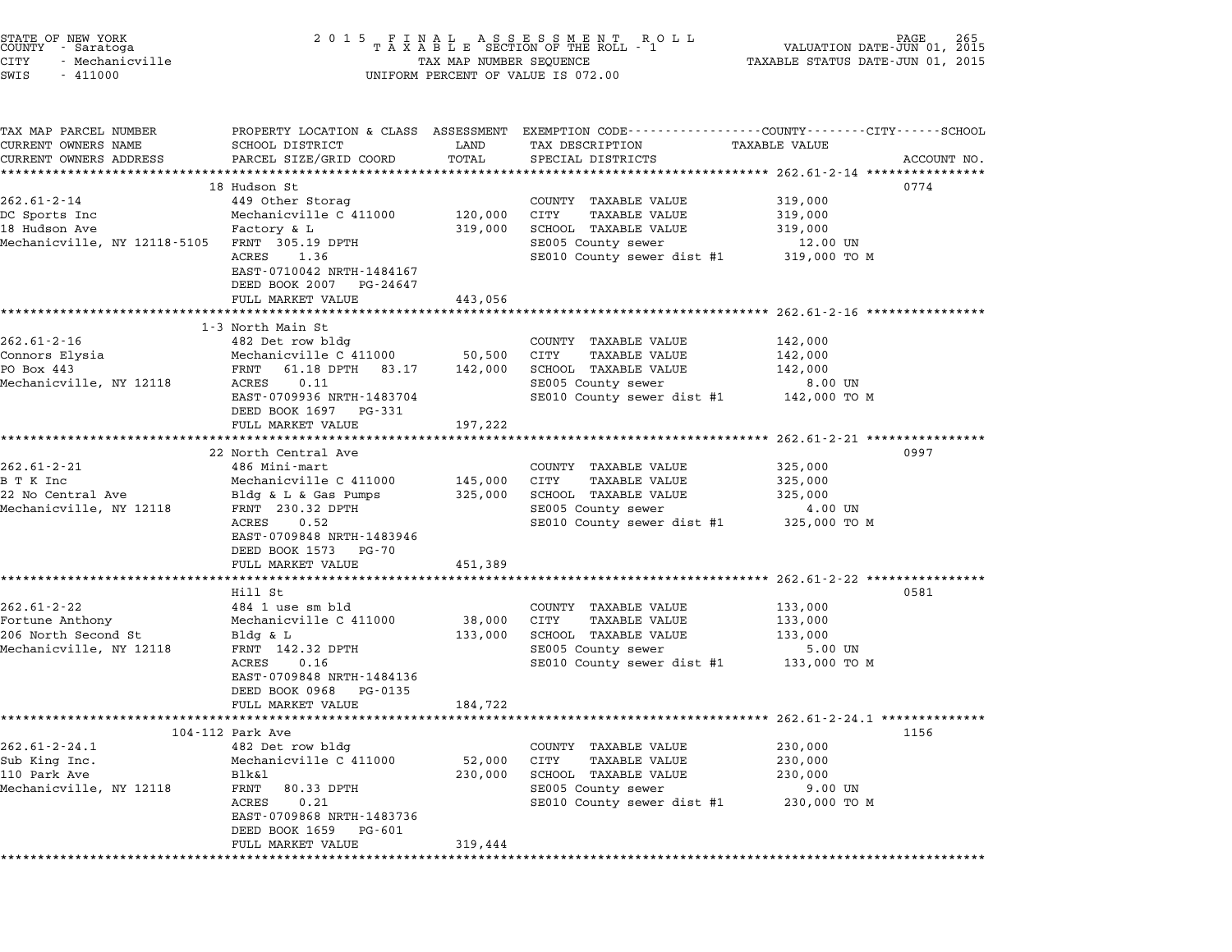| STATE OF NEW YORK |  |               |  |  |
|-------------------|--|---------------|--|--|
| COUNTY            |  | - Saratoga    |  |  |
| CITY              |  | Mechanicville |  |  |

TAX MAP PARCEL NUMBER PROPERTY LOCATION & CLASS ASSESSMENT EXEMPTION CODE------------------COUNTY--------CITY------SCHOOL ...<br>-- COUNTY:- TAX MAP PARCEL NUMBER THE OCHOTRY AND THE CURRENT EXEMPTION CODE<br>CURRENT OWNERS NAME SCHOOL DISTRICT LAND TAX DESCRIPTION TAXABLE VALUE CURRENT OWNERS ADDRESS FOR SCHOOL DISTRICTS ASSESSEENT EXERPTION TRACK THE TRACK THE COORD TOTAL TRACK THE TRACK THE TRACK ON TRACK THE TRACK THE TRACK THE TRACK THE TRACK THE TRACK THE TRACK THE TRACK THE TRACK THE TRACK 18 Hudson St 0774 262.61-2-14 18 Hudson St<br>
262.61-2-14 202.01<br>
262.61-2-14 202.01 202.01 202.01 202.01 449 Other Storag COUNTY TAXABLE VALUE DC Sports Inc Mechanicville C <sup>411000</sup> 120,000 CITY TAXABLE VALUE 319,000 18 19 Hart Christophe Hudson Ave Christophe Control of Separation (1889)<br>18 Hudson Ave Mechanicville C 411000 120,000 CITY TAXABLE VALUE 319,000<br>18 Hudson Ave Factory & L 319,000 SCHOOL TAXABLE VALUE 319,000 Mechanicville, NY 12118-5105 FRNT 305.19 DPTH SE005 County sewer 12.00 UN ACCLITION CONTROL CONSULTED A SECOL ANALY SEWER WAS SERVER AND TRAFFICITY OF SECOLL TRAFFICITY OF SECOLL TRAFFICITION SECOLL SECOLL SECOLL SECOLL SECOLL SECOLL SECOLL SECOLL SECOLL SECOLL SECOLL SECOLL SECOLL SECOLL SECOLL FRNI 303.19 DPIH<br>ACRES 1.36<br>EAST-0710042 NRTH-1484167 EAST-0710042 NRTH-1484167<br>DEED BOOK 2007 PG-24647 FULL MARKET VALUE 443,056 \*\*\*\*\*\*\*\*\*\*\*\*\*\*\*\*\*\*\*\*\*\*\*\*\*\*\*\*\*\*\*\*\*\*\*\*\*\*\*\*\*\*\*\*\*\*\*\*\*\*\*\*\*\*\*\*\*\*\*\*\*\*\*\*\*\*\*\*\*\*\*\*\*\*\*\*\*\*\*\*\*\*\*\*\*\*\*\*\*\*\*\*\*\*\*\*\*\*\*\*\*\*\* 262.61-2-16 \*\*\*\*\*\*\*\*\*\*\*\*\*\*\*\* 0 MARAEI<br>\*\*\*\*\*\*\*\*\*\*\*\*\*\*\*\*\*\*<br>1-3 North Main St 262.61-2-16 13 North Main St<br>
262.61-2-16 1482 Det row bldg COUNTY TAXABLE VALUE 142,000 Connors Elysia Mechanicville C <sup>411000</sup> 50,500 CITY TAXABLE VALUE 142,000 PO BOX 462 BEL TOW DIGY THE COMMON SURFACE ON SURFACE ON SURFACE ON SURFACE ON THE SURFACE OF THE SURFACE OF T<br>PO BOX 443 FRNT 61.18 DPTH 83.17 142,000 SCHOOL TAXABLE VALUE 142,000 Mechanicville, NY <sup>12118</sup> ACRES 0.11 SE005 County sewer 8.00 UN EART U.LU DETIM US.LY 142,000 SCROOD IAAADDE VADUE<br>ACRES 0.11 SE005 COunty sewer dist #1 142,000 TO M<br>EAST-0709936 NRTH-1483704 SE010 County sewer dist #1 142,000 TO M -------<br>EAST-0709936 NRTH-1483704<br>DEED BOOK 1697 PG-331 FULL MARKET VALUE 197,222 \*\*\*\*\*\*\*\*\*\*\*\*\*\*\*\*\*\*\*\*\*\*\*\*\*\*\*\*\*\*\*\*\*\*\*\*\*\*\*\*\*\*\*\*\*\*\*\*\*\*\*\*\*\*\*\*\*\*\*\*\*\*\*\*\*\*\*\*\*\*\*\*\*\*\*\*\*\*\*\*\*\*\*\*\*\*\*\*\*\*\*\*\*\*\*\*\*\*\*\*\*\*\* 262.61-2-21 \*\*\*\*\*\*\*\*\*\*\*\*\*\*\*\* <sup>22</sup> North Central Ave <sup>0997</sup> 262.61-2-21 22 ADD 120 ABRA AND THE REAL AGE SERIES AND THE REAL AGE SERIES AND THE REAL AND TRIAL AND TRIAL A<br>262.61-2-21 486 Mini-mart COUNTY COUNTY TAXABLE VALUE 325,000 22 NOTE LIGHT VERTIFY AND THE COUNTY TAXABLE VALUE 325,000<br>145,000 COUNTY TAXABLE VALUE 325,000<br>145,000 CITY TAXABLE VALUE 325,000 AGCHANICVILLE C 411000 145,000 CITY TAXABLE VALUE <sup>22</sup> No Central Ave Bldg & L & Gas Pumps 325,000 SCHOOL TAXABLE VALUE 325,000 mechanicville County of the County of the County of the County of the Section of the Section of the Section of<br>Mechanicville, NY 12118 Bldg & L & Gas Pumps 325,000 SE005 County sewer 325,000 UN<br>Mechanicville, NY 12118 FRNT ACRES 0.52 SENCE COUNTRAINS SERVICE COUNTRAINS ON SURVEY ON SURVEY OF SCHOOL TRAABLE VALUE TO SEVER SELVER SE<br>
FRINT 230.32 DPTH SE005 County sewer dist #1 325,000 TO M<br>
EAST-0709848 NRTH-1483946 SE010 County sewer dist #1 EAST-0709848 NRTH-1483<br>DEED BOOK 1573 PG-70 DEED BOOK 1573 PG-70<br>FULL MARKET VALUE 451,389 \*\*\*\*\*\*\*\*\*\*\*\*\*\*\*\*\*\*\*\*\*\*\*\*\*\*\*\*\*\*\*\*\*\*\*\*\*\*\*\*\*\*\*\*\*\*\*\*\*\*\*\*\*\*\*\*\*\*\*\*\*\*\*\*\*\*\*\*\*\*\*\*\*\*\*\*\*\*\*\*\*\*\*\*\*\*\*\*\*\*\*\*\*\*\*\*\*\*\*\*\*\*\* 262.61-2-22 \*\*\*\*\*\*\*\*\*\*\*\*\*\*\*\* Hill St 0581 262.61-2-22 484 1 use sm bld<br>262.61-2-22 county taxable value 133,000 orthony and the model of the sm bld country TAXABLE VALUE 133,000<br>Mechanicville C 411000 38,000 CITY TAXABLE VALUE 133,000 POT 133,000 <sup>206</sup> North Second St Bldg & L 133,000 SCHOOL TAXABLE VALUE 133,000 Net and the construction of the construction of the construction of the construction of the construction of the<br>Mechanicville, NY 12118 B1dg & Linke Handle Section SE005 County sewer 5.00 UN SE005 County sewer 5.00 UN ACRES 0.16 SE000 SCHOOD TAXABLE VALUE 133,000 SCHOOD TAXABLE VALUE FRIVE 133,000 SCHOOD TAXABLE VALUE 133,000<br>
FRIVE 142.32 DPTH SE005 County sewer dist #1 133,000 TO M<br>
EAST-0709848 NRTH-1484136 SE010 County sewer dist #1 EAST-0709848 NRTH-1484136<br>DEED BOOK 0968 PG-0135 FULL MARKET VALUE 184,722 \*\*\*\*\*\*\*\*\*\*\*\*\*\*\*\*\*\*\*\*\*\*\*\*\*\*\*\*\*\*\*\*\*\*\*\*\*\*\*\*\*\*\*\*\*\*\*\*\*\*\*\*\*\*\*\*\*\*\*\*\*\*\*\*\*\*\*\*\*\*\*\*\*\*\*\*\*\*\*\*\*\*\*\*\*\*\*\*\*\*\*\*\*\*\*\*\*\*\*\*\*\*\* 262.61-2-24.1 \*\*\*\*\*\*\*\*\*\*\*\*\*\* ם משטא ב-104, ובט ב-104, ובט ב-104, ובט ב-104, ובט ב-104, ובט ב-104, ובט ב-104, ובט ב-104-112 Park -112 Park A<br>104-112 Park Ave 1156 106, ובראשונה ב-104-112 Park Ave 262.61-2-24.1 104-112 Park Ave 262.61-2-24.1 104-112 Park Ave 262.61-2-24.1 202.01-482 Det row bldg Sub King Inc. Mechanicville C <sup>411000</sup> 52,000 CITY TAXABLE VALUE 230,000 <sup>110</sup> Park Ave Blk&l 230,000 SCHOOL TAXABLE VALUE 230,000 سمد السمد العربية التي يستطيع المسلم التي يستطيع المسلم التي يستطيع المسلم التي يستطيع التي يستطيع التي يستطيع<br>100 Park Senot TaxaBle Value<br>Mechanicville, NY 12118 FRNT 80.33 DPTH SE005 County sewer 9.00 UN ACRES 0.33 DPTH 230,000 SCROOD TAXABLE VADOE 230,000 230,000<br>FRNT 80.33 DPTH SE005 County sewer 3.00 DN<br>ACRES 0.21 SE010 County sewer dist #1 230,000 TO M<br>EAST-0709868 NRTH-1483736 EAST-0709868 NRTH-14837<br>DEED BOOK 1659 PG-601 EAST 0705000 MAIN 1405750<br>
DEED BOOK 1659 PG-601<br>
FULL MARKET VALUE 319,444 \*\*\*\*\*\*\*\*\*\*\*\*\*\*\*\*\*\*\*\*\*\*\*\*\*\*\*\*\*\*\*\*\*\*\*\*\*\*\*\*\*\*\*\*\*\*\*\*\*\*\*\*\*\*\*\*\*\*\*\*\*\*\*\*\*\*\*\*\*\*\*\*\*\*\*\*\*\*\*\*\*\*\*\*\*\*\*\*\*\*\*\*\*\*\*\*\*\*\*\*\*\*\*\*\*\*\*\*\*\*\*\*\*\*\*\*\*\*\*\*\*\*\*\*\*\*\*\*\*\*\*\*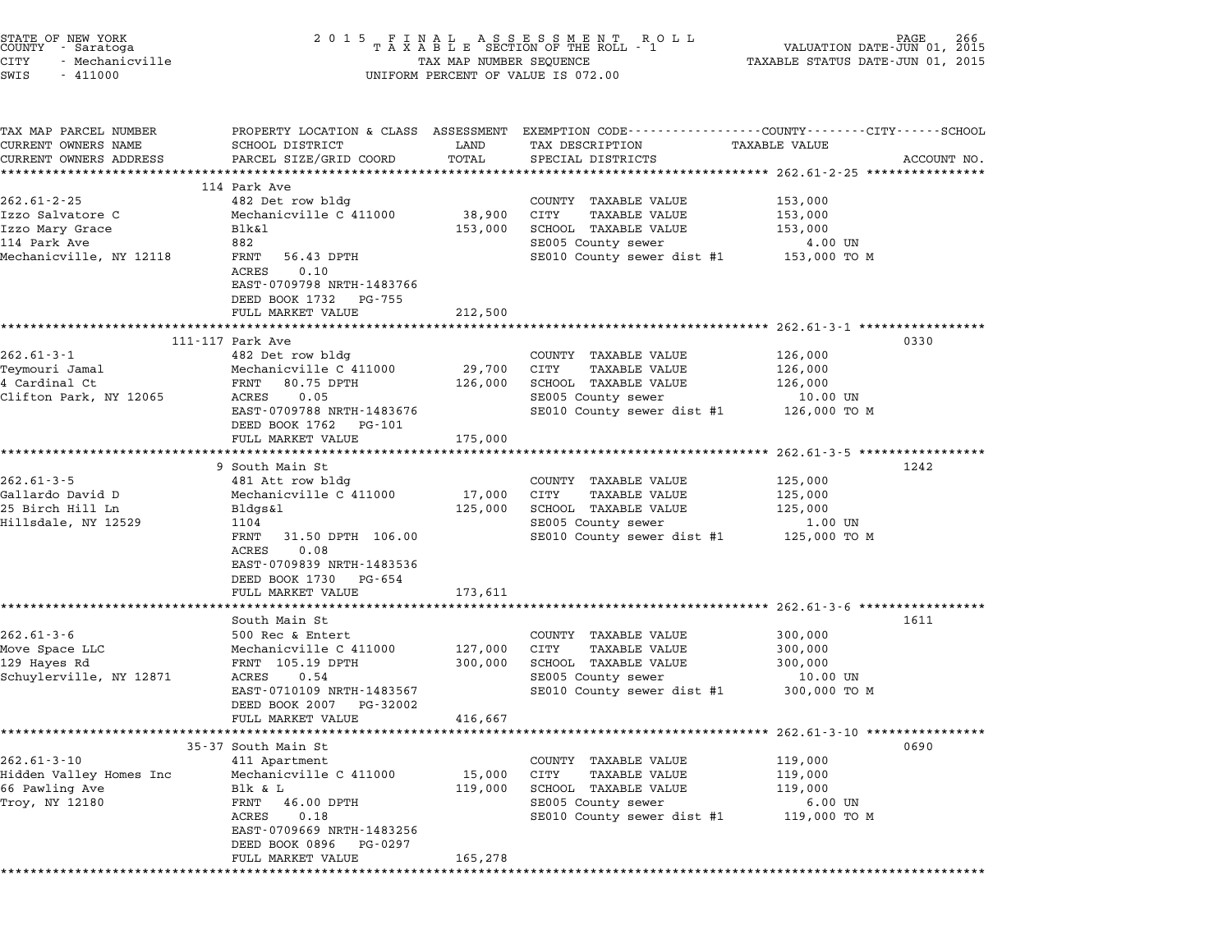| 2 0 1 5                                                                                                                                                                              |                                                                                | ROLL                                                                                                                                       | VALUATION DATE-JUN 01, 2015                                                                                                | PAGE<br>266                                                                                                                                                                                                                                                                                                                                                          |  |  |
|--------------------------------------------------------------------------------------------------------------------------------------------------------------------------------------|--------------------------------------------------------------------------------|--------------------------------------------------------------------------------------------------------------------------------------------|----------------------------------------------------------------------------------------------------------------------------|----------------------------------------------------------------------------------------------------------------------------------------------------------------------------------------------------------------------------------------------------------------------------------------------------------------------------------------------------------------------|--|--|
| UNIFORM PERCENT OF VALUE IS 072.00                                                                                                                                                   |                                                                                |                                                                                                                                            |                                                                                                                            |                                                                                                                                                                                                                                                                                                                                                                      |  |  |
| SCHOOL DISTRICT<br>PARCEL SIZE/GRID COORD                                                                                                                                            | LAND<br>TOTAL                                                                  | TAX DESCRIPTION<br>SPECIAL DISTRICTS                                                                                                       |                                                                                                                            | ACCOUNT NO.                                                                                                                                                                                                                                                                                                                                                          |  |  |
|                                                                                                                                                                                      |                                                                                |                                                                                                                                            |                                                                                                                            |                                                                                                                                                                                                                                                                                                                                                                      |  |  |
| 482 Det row bldg<br>Mechanicville C 411000<br>Blk&l<br>882<br>FRNT<br>56.43 DPTH<br>0.10<br>ACRES<br>EAST-0709798 NRTH-1483766                                                       | 38,900<br>153,000                                                              | COUNTY TAXABLE VALUE<br>CITY<br><b>TAXABLE VALUE</b><br>SCHOOL TAXABLE VALUE<br>SE005 County sewer                                         | 153,000<br>153,000<br>153,000<br>4.00 UN<br>153,000 TO M                                                                   |                                                                                                                                                                                                                                                                                                                                                                      |  |  |
| FULL MARKET VALUE                                                                                                                                                                    | 212,500                                                                        |                                                                                                                                            |                                                                                                                            |                                                                                                                                                                                                                                                                                                                                                                      |  |  |
| ********************************<br>111-117 Park Ave                                                                                                                                 |                                                                                |                                                                                                                                            |                                                                                                                            | 0330                                                                                                                                                                                                                                                                                                                                                                 |  |  |
| Mechanicville C 411000<br>80.75 DPTH<br>FRNT<br>ACRES<br>0.05<br>EAST-0709788 NRTH-1483676<br>DEED BOOK 1762 PG-101                                                                  | 29,700<br>126,000                                                              | CITY<br>TAXABLE VALUE<br>SCHOOL TAXABLE VALUE<br>SE005 County sewer                                                                        | 126,000<br>126,000<br>10.00 UN<br>126,000 TO M                                                                             |                                                                                                                                                                                                                                                                                                                                                                      |  |  |
| FULL MARKET VALUE                                                                                                                                                                    | 175,000                                                                        |                                                                                                                                            |                                                                                                                            |                                                                                                                                                                                                                                                                                                                                                                      |  |  |
| 9 South Main St<br>481 Att row bldg<br>Mechanicville C 411000<br>Bldgs&l<br>1104<br>FRNT<br>31.50 DPTH 106.00<br>ACRES<br>0.08<br>EAST-0709839 NRTH-1483536<br>DEED BOOK 1730 PG-654 | 17,000<br>125,000                                                              | COUNTY TAXABLE VALUE<br>CITY<br><b>TAXABLE VALUE</b><br>SCHOOL TAXABLE VALUE<br>SE005 County sewer                                         | 125,000<br>125,000<br>125,000<br>1.00 UN<br>125,000 TO M                                                                   | 1242                                                                                                                                                                                                                                                                                                                                                                 |  |  |
| FULL MARKET VALUE                                                                                                                                                                    | 173,611                                                                        |                                                                                                                                            |                                                                                                                            |                                                                                                                                                                                                                                                                                                                                                                      |  |  |
| South Main St<br>500 Rec & Entert<br>Mechanicville C 411000<br>FRNT 105.19 DPTH<br>ACRES<br>0.54<br>EAST-0710109 NRTH-1483567<br>DEED BOOK 2007<br>PG-32002                          | 127,000<br>300,000                                                             | COUNTY TAXABLE VALUE<br>CITY<br>TAXABLE VALUE<br>SCHOOL TAXABLE VALUE<br>SE005 County sewer<br>SE010 County sewer dist #1                  | 300,000<br>300,000<br>300,000<br>10.00 UN<br>300,000 TO M                                                                  | 1611                                                                                                                                                                                                                                                                                                                                                                 |  |  |
| *************************                                                                                                                                                            |                                                                                |                                                                                                                                            |                                                                                                                            |                                                                                                                                                                                                                                                                                                                                                                      |  |  |
| 35-37 South Main St<br>411 Apartment<br>Mechanicville C 411000<br>Blk & L<br>FRNT<br>46.00 DPTH<br>ACRES<br>0.18                                                                     | 15,000<br>119,000                                                              | TAXABLE VALUE<br>COUNTY<br><b>CITY</b><br><b>TAXABLE VALUE</b><br>SCHOOL TAXABLE VALUE<br>SE005 County sewer<br>SE010 County sewer dist #1 | 119,000<br>119,000<br>119,000<br>$6.00$ UN<br>119,000 TO M                                                                 | 0690                                                                                                                                                                                                                                                                                                                                                                 |  |  |
|                                                                                                                                                                                      | 114 Park Ave<br>DEED BOOK 1732 PG-755<br>482 Det row bldg<br>FULL MARKET VALUE | **************************************<br>416,667                                                                                          | FINAL ASSESSMENT RO<br>TAXABLE SECTION OF THE ROLL - 1<br>TAX MAP NUMBER SEQUENCE<br>*************<br>COUNTY TAXABLE VALUE | TAXABLE STATUS DATE-JUN 01, 2015<br>PROPERTY LOCATION & CLASS ASSESSMENT EXEMPTION CODE---------------COUNTY-------CITY------SCHOOL<br>TAXABLE VALUE<br>SE010 County sewer dist #1<br>************************* 262.61-3-1 ******************<br>126,000<br>SE010 County sewer dist #1<br>SE010 County sewer dist #1<br>********************* 262.61-3-10 ********** |  |  |

STATE OF NEW YORK <sup>2</sup> <sup>0</sup> <sup>1</sup> 5 F I N A L A S S E S S M E N T R O L L PAGE <sup>266</sup> COUNTY - Saratoga <sup>T</sup> <sup>A</sup> <sup>X</sup> <sup>A</sup> <sup>B</sup> <sup>L</sup> <sup>E</sup> SECTION OF THE ROLL - <sup>1</sup> VALUATION DATE-JUN 01, <sup>2015</sup>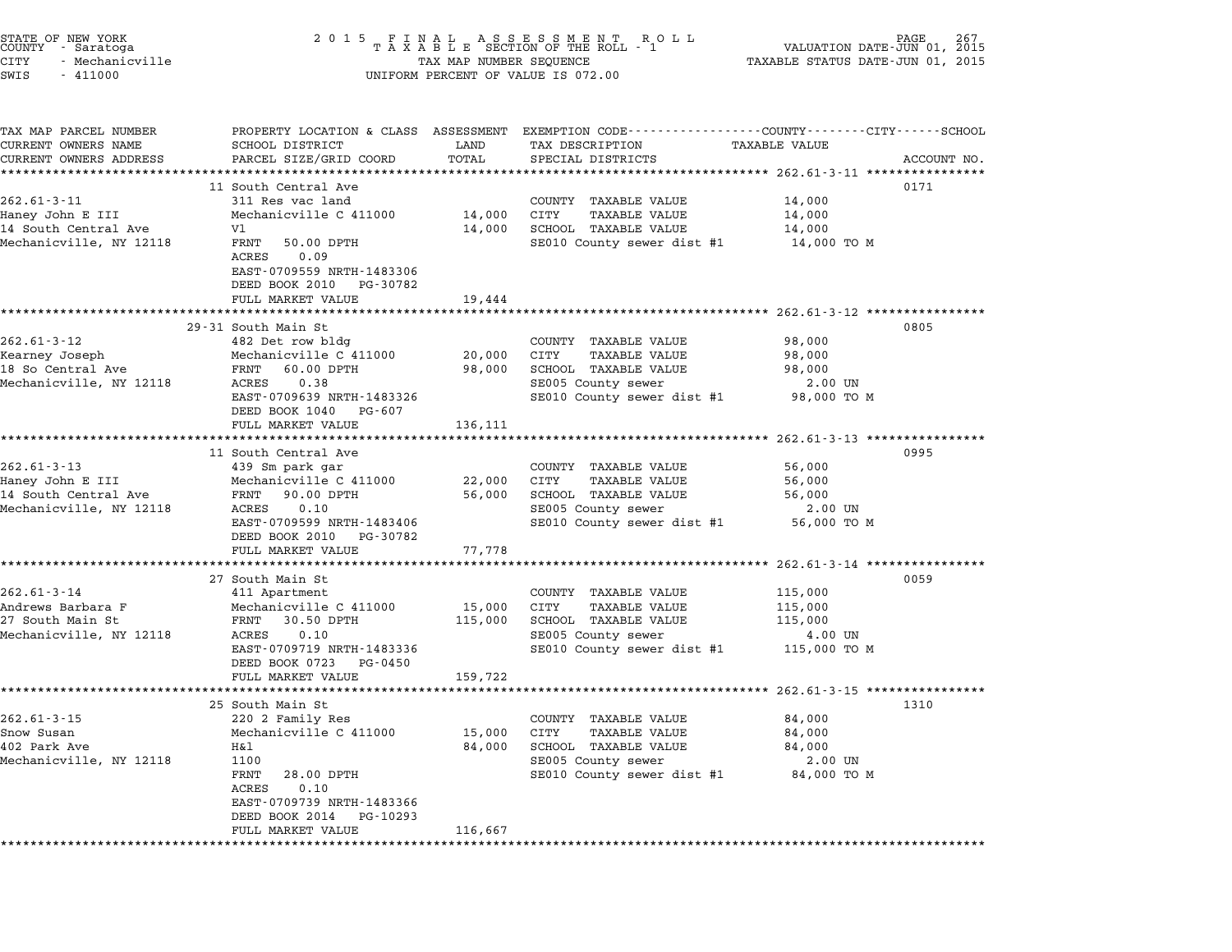| STATE OF NEW YORK<br>COUNTY - Saratoga<br>CITY<br>- Mechanicville<br>SWIS<br>$-411000$   | 2 0 1 5                                                                                                                                                                               | TAX MAP NUMBER SEQUENCE      | UNIFORM PERCENT OF VALUE IS 072.00                                                                                                            | VALUATION DATE-JUN 01,<br>TAXABLE STATUS DATE-JUN 01, 2015 | 267<br>2015 |
|------------------------------------------------------------------------------------------|---------------------------------------------------------------------------------------------------------------------------------------------------------------------------------------|------------------------------|-----------------------------------------------------------------------------------------------------------------------------------------------|------------------------------------------------------------|-------------|
| TAX MAP PARCEL NUMBER<br>CURRENT OWNERS NAME<br>CURRENT OWNERS ADDRESS                   | SCHOOL DISTRICT<br>PARCEL SIZE/GRID COORD                                                                                                                                             | LAND<br>TOTAL                | PROPERTY LOCATION & CLASS ASSESSMENT EXEMPTION CODE---------------COUNTY-------CITY------SCHOOL<br>TAX DESCRIPTION<br>SPECIAL DISTRICTS       | <b>TAXABLE VALUE</b>                                       | ACCOUNT NO. |
| $262.61 - 3 - 11$<br>Haney John E III<br>14 South Central Ave<br>Mechanicville, NY 12118 | 11 South Central Ave<br>311 Res vac land<br>Mechanicville C 411000<br>V1<br>FRNT<br>50.00 DPTH<br>ACRES<br>0.09<br>EAST-0709559 NRTH-1483306<br>DEED BOOK 2010 PG-30782               | 14,000<br>14,000             | COUNTY TAXABLE VALUE<br>CITY<br>TAXABLE VALUE<br>SCHOOL TAXABLE VALUE<br>SE010 County sewer dist #1                                           | 14,000<br>14,000<br>14,000<br>14,000 TO M                  | 0171        |
|                                                                                          | FULL MARKET VALUE<br>29-31 South Main St                                                                                                                                              | 19,444                       |                                                                                                                                               |                                                            | 0805        |
| $262.61 - 3 - 12$<br>Kearney Joseph<br>18 So Central Ave<br>Mechanicville, NY 12118      | 482 Det row bldg<br>Mechanicville C 411000<br>FRNT 60.00 DPTH<br>0.38<br>ACRES<br>EAST-0709639 NRTH-1483326<br>DEED BOOK 1040 PG-607                                                  | 20,000<br>98,000             | COUNTY TAXABLE VALUE<br>CITY<br>TAXABLE VALUE<br>SCHOOL TAXABLE VALUE<br>SE005 County sewer<br>SE010 County sewer dist #1                     | 98,000<br>98,000<br>98,000<br>2.00 UN<br>98,000 TO M       |             |
|                                                                                          | FULL MARKET VALUE                                                                                                                                                                     | 136,111                      |                                                                                                                                               |                                                            |             |
| $262.61 - 3 - 13$<br>Haney John E III<br>14 South Central Ave<br>Mechanicville, NY 12118 | 11 South Central Ave<br>439 Sm park gar<br>Mechanicville C 411000<br>90.00 DPTH<br>FRNT<br>ACRES<br>0.10<br>EAST-0709599 NRTH-1483406<br>DEED BOOK 2010 PG-30782<br>FULL MARKET VALUE | 22,000<br>56,000<br>77,778   | COUNTY TAXABLE VALUE<br>CITY<br>TAXABLE VALUE<br>SCHOOL TAXABLE VALUE<br>SE005 County sewer<br>SE010 County sewer dist #1                     | 56,000<br>56,000<br>56,000<br>2.00 UN<br>56,000 TO M       | 0995        |
|                                                                                          |                                                                                                                                                                                       |                              |                                                                                                                                               | ********* 262.61-3-14 **************                       |             |
| $262.61 - 3 - 14$<br>Andrews Barbara F<br>27 South Main St<br>Mechanicville, NY 12118    | 27 South Main St<br>411 Apartment<br>Mechanicville C 411000<br>FRNT<br>30.50 DPTH<br>ACRES<br>0.10<br>EAST-0709719 NRTH-1483336<br>DEED BOOK 0723<br>PG-0450<br>FULL MARKET VALUE     | 15,000<br>115,000<br>159,722 | COUNTY TAXABLE VALUE<br>CITY<br><b>TAXABLE VALUE</b><br>SCHOOL TAXABLE VALUE<br>SE005 County sewer<br>SE010 County sewer dist #1 115,000 TO M | 115,000<br>115,000<br>115,000<br>4.00 UN                   | 0059        |
|                                                                                          | 25 South Main St                                                                                                                                                                      |                              |                                                                                                                                               |                                                            | 1310        |
| $262.61 - 3 - 15$<br>Snow Susan<br>402 Park Ave<br>Mechanicville, NY 12118               | 220 2 Family Res<br>Mechanicville C 411000<br>Η&l<br>1100<br>FRNT<br>28.00 DPTH<br>ACRES<br>0.10<br>EAST-0709739 NRTH-1483366<br>DEED BOOK 2014<br>PG-10293<br>FULL MARKET VALUE      | 15,000<br>84,000<br>116,667  | COUNTY TAXABLE VALUE<br><b>TAXABLE VALUE</b><br>CITY<br>SCHOOL TAXABLE VALUE<br>SE005 County sewer<br>SE010 County sewer dist #1              | 84,000<br>84,000<br>84,000<br>2.00 UN<br>84,000 TO M       |             |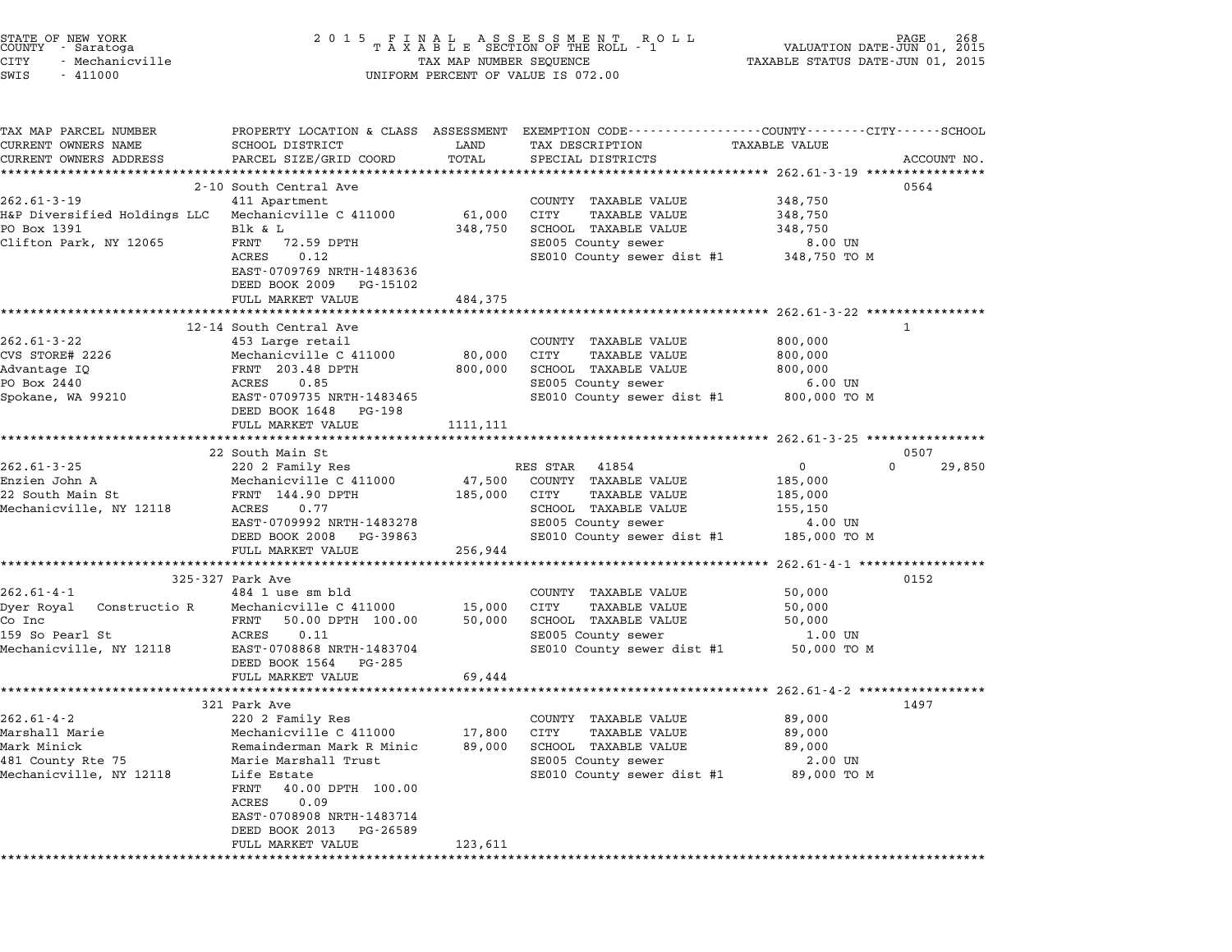| STATE OF NEW YORK<br>COUNTY - Saratoga<br>CITY<br>- Mechanicville<br>SWIS<br>$-411000$                  | 2 0 1 5                                                                                                                                                                                                                                                      |                                | FINAL ASSESSMENT ROLL<br>TAXABLE SECTION OF THE ROLL - 1<br>TAX MAP NUMBER SEQUENCE<br>UNIFORM PERCENT OF VALUE IS 072.00                                                                                 | VALUATION DATE-JUN 01,<br>TAXABLE STATUS DATE-JUN 01, 2015             | 268<br>2015  |
|---------------------------------------------------------------------------------------------------------|--------------------------------------------------------------------------------------------------------------------------------------------------------------------------------------------------------------------------------------------------------------|--------------------------------|-----------------------------------------------------------------------------------------------------------------------------------------------------------------------------------------------------------|------------------------------------------------------------------------|--------------|
| TAX MAP PARCEL NUMBER<br>CURRENT OWNERS NAME<br>CURRENT OWNERS ADDRESS                                  | SCHOOL DISTRICT<br>PARCEL SIZE/GRID COORD<br>************************                                                                                                                                                                                        | LAND<br>TOTAL<br>************* | PROPERTY LOCATION & CLASS ASSESSMENT EXEMPTION CODE---------------COUNTY-------CITY------SCHOOL<br>TAX DESCRIPTION<br>SPECIAL DISTRICTS<br>********************************* 262.61-3-19 **************** | TAXABLE VALUE                                                          | ACCOUNT NO.  |
| $262.61 - 3 - 19$<br>H&P Diversified Holdings LLC<br>PO Box 1391<br>Clifton Park, NY 12065              | 2-10 South Central Ave<br>411 Apartment<br>Mechanicville C 411000<br>Blk & L<br>FRNT<br>72.59 DPTH<br>ACRES<br>0.12<br>EAST-0709769 NRTH-1483636<br>DEED BOOK 2009<br>PG-15102                                                                               | 61,000<br>348,750              | COUNTY TAXABLE VALUE<br>CITY<br>TAXABLE VALUE<br>SCHOOL TAXABLE VALUE<br>SE005 County sewer<br>SE010 County sewer dist #1 348,750 TO M                                                                    | 348,750<br>348,750<br>348,750<br>8.00 UN                               | 0564         |
|                                                                                                         | FULL MARKET VALUE                                                                                                                                                                                                                                            | 484,375                        |                                                                                                                                                                                                           | ******************* 262.61-3-22 *************                          |              |
| $262.61 - 3 - 22$<br>CVS STORE# 2226<br>Advantage IQ<br>PO Box 2440<br>Spokane, WA 99210                | 12-14 South Central Ave<br>453 Large retail<br>Mechanicville C 411000<br>FRNT 203.48 DPTH<br>0.85<br>ACRES<br>EAST-0709735 NRTH-1483465<br>DEED BOOK 1648<br>PG-198<br>FULL MARKET VALUE                                                                     | 80,000<br>800,000<br>1111, 111 | COUNTY TAXABLE VALUE<br>CITY<br><b>TAXABLE VALUE</b><br>SCHOOL TAXABLE VALUE<br>SE005 County sewer<br>SE010 County sewer dist #1                                                                          | 800,000<br>800,000<br>800,000<br>$6.00$ UN<br>800,000 TO M             | $\mathbf{1}$ |
|                                                                                                         | 22 South Main St                                                                                                                                                                                                                                             |                                |                                                                                                                                                                                                           |                                                                        | 0507         |
| $262.61 - 3 - 25$<br>Enzien John A<br>22 South Main St<br>Mechanicville, NY 12118                       | 220 2 Family Res<br>Mechanicville C 411000<br>FRNT 144.90 DPTH<br>ACRES<br>0.77<br>EAST-0709992 NRTH-1483278<br>DEED BOOK 2008<br>PG-39863<br>FULL MARKET VALUE                                                                                              | 47,500<br>185,000<br>256,944   | RES STAR 41854<br>COUNTY TAXABLE VALUE<br>CITY<br>TAXABLE VALUE<br>SCHOOL TAXABLE VALUE<br>SE005 County sewer<br>SE010 County sewer dist #1 185,000 TO M                                                  | $\overline{0}$<br>$\Omega$<br>185,000<br>185,000<br>155,150<br>4.00 UN | 29,850       |
|                                                                                                         |                                                                                                                                                                                                                                                              |                                |                                                                                                                                                                                                           | ********* 262.61-4-1 ***************                                   |              |
| $262.61 - 4 - 1$<br>Dyer Royal<br>Constructio R<br>Co Inc<br>159 So Pearl St<br>Mechanicville, NY 12118 | 325-327 Park Ave<br>484 1 use sm bld<br>Mechanicville C 411000<br>FRNT<br>50.00 DPTH 100.00<br>ACRES<br>0.11<br>EAST-0708868 NRTH-1483704<br>DEED BOOK 1564<br>PG-285<br>FULL MARKET VALUE                                                                   | 15,000<br>50,000<br>69,444     | COUNTY TAXABLE VALUE<br>CITY<br>TAXABLE VALUE<br>SCHOOL TAXABLE VALUE<br>SE005 County sewer<br>SE010 County sewer dist #1                                                                                 | 50,000<br>50,000<br>50,000<br>1.00 UN<br>50,000 TO M                   | 0152         |
|                                                                                                         |                                                                                                                                                                                                                                                              |                                |                                                                                                                                                                                                           |                                                                        |              |
| $262.61 - 4 - 2$<br>Marshall Marie<br>Mark Minick<br>481 County Rte 75<br>Mechanicville, NY 12118       | 321 Park Ave<br>220 2 Family Res<br>Mechanicville C 411000<br>Remainderman Mark R Minic<br>Marie Marshall Trust<br>Life Estate<br>FRNT<br>40.00 DPTH 100.00<br>ACRES<br>0.09<br>EAST-0708908 NRTH-1483714<br>DEED BOOK 2013<br>PG-26589<br>FULL MARKET VALUE | 17,800<br>89,000<br>123,611    | COUNTY TAXABLE VALUE<br>CITY<br><b>TAXABLE VALUE</b><br>SCHOOL TAXABLE VALUE<br>SE005 County sewer<br>SE010 County sewer dist #1                                                                          | 89,000<br>89,000<br>89,000<br>2.00 UN<br>89,000 TO M                   | 1497         |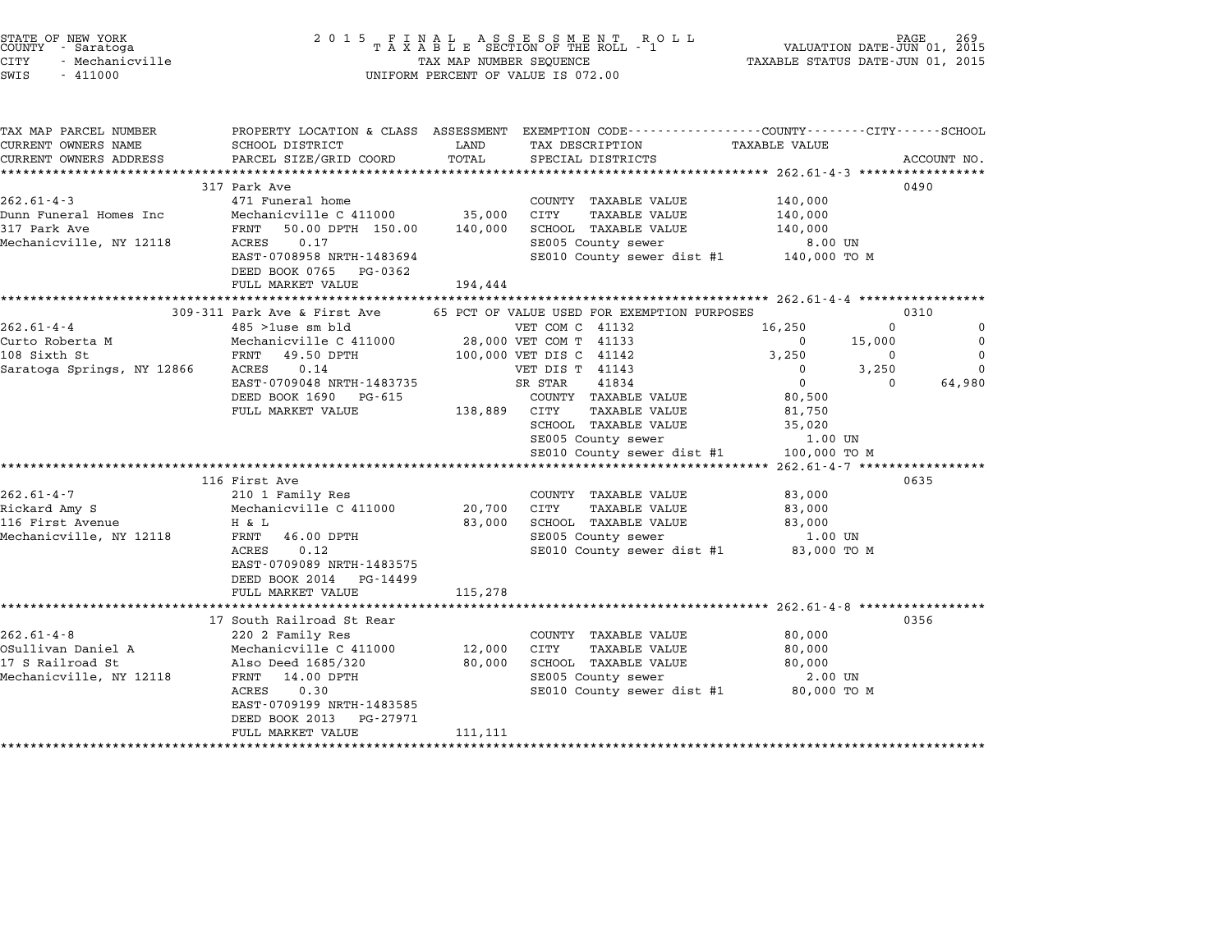| STATE OF NEW YORK<br>COUNTY - Saratoga<br><b>CITY</b><br>- Mechanicville<br>SWIS<br>$-411000$                                                                         | 2 0 1 5                                                                                                                                                                                                                                                                  |                                  | UNIFORM PERCENT OF VALUE IS 072.00                                                                                                                                                                                                                                                                                                                                   | TAXABLE STATUS DATE-JUN 01, 2015                                                                                                                                                                                                 |                                                             |                                          |
|-----------------------------------------------------------------------------------------------------------------------------------------------------------------------|--------------------------------------------------------------------------------------------------------------------------------------------------------------------------------------------------------------------------------------------------------------------------|----------------------------------|----------------------------------------------------------------------------------------------------------------------------------------------------------------------------------------------------------------------------------------------------------------------------------------------------------------------------------------------------------------------|----------------------------------------------------------------------------------------------------------------------------------------------------------------------------------------------------------------------------------|-------------------------------------------------------------|------------------------------------------|
| TAX MAP PARCEL NUMBER<br>CURRENT OWNERS NAME<br>CURRENT OWNERS ADDRESS                                                                                                | SCHOOL DISTRICT<br>PARCEL SIZE/GRID COORD                                                                                                                                                                                                                                | LAND<br>TOTAL                    | PROPERTY LOCATION & CLASS ASSESSMENT EXEMPTION CODE---------------COUNTY-------CITY-----SCHOOL<br>TAX DESCRIPTION<br>SPECIAL DISTRICTS                                                                                                                                                                                                                               | TAXABLE VALUE                                                                                                                                                                                                                    |                                                             | ACCOUNT NO.                              |
| $262.61 - 4 - 3$<br>Dunn Funeral Homes Inc<br>317 Park Ave<br>Mechanicville, NY 12118                                                                                 | 317 Park Ave<br>471 Funeral home<br>Mechanicville C 411000<br>FRNT 50.00 DPTH 150.00<br>0.17<br>ACRES<br>EAST-0708958 NRTH-1483694<br>DEED BOOK 0765 PG-0362<br>FULL MARKET VALUE                                                                                        | 35,000<br>140,000<br>194,444     | COUNTY TAXABLE VALUE<br><b>TAXABLE VALUE</b><br>CITY<br>SCHOOL TAXABLE VALUE<br>SE005 County sewer<br>SE010 County sewer dist #1 140,000 TO M                                                                                                                                                                                                                        | 140,000<br>140,000<br>140,000<br>8.00 UN                                                                                                                                                                                         | 0490                                                        |                                          |
|                                                                                                                                                                       | 309-311 Park Ave & First Ave                                                                                                                                                                                                                                             | *************************        | 65 PCT OF VALUE USED FOR EXEMPTION PURPOSES                                                                                                                                                                                                                                                                                                                          | *********************** 262.61-4-4 *****************                                                                                                                                                                             | 0310                                                        |                                          |
| $262.61 - 4 - 4$<br>Curto Roberta M<br>108 Sixth St<br>Saratoga Springs, NY 12866<br>$262.61 - 4 - 7$<br>Rickard Amy S<br>116 First Avenue<br>Mechanicville, NY 12118 | $485$ > 1use sm bld<br>Mechanicville C 411000<br>FRNT 49.50 DPTH<br>0.14<br>ACRES<br>EAST-0709048 NRTH-1483735<br>DEED BOOK 1690 PG-615<br>FULL MARKET VALUE<br>116 First Ave<br>210 1 Family Res<br>Mechanicville C 411000<br>H & L<br>FRNT 46.00 DPTH<br>0.12<br>ACRES | 138,889 CITY<br>20,700<br>83,000 | VET COM C 41132<br>28,000 VET COM T 41133<br>100,000 VET DIS C 41142<br>VET DIS T 41143<br>SR STAR<br>41834<br>COUNTY TAXABLE VALUE<br>TAXABLE VALUE<br>SCHOOL TAXABLE VALUE<br>SE005 County sewer<br>SE010 County sewer dist #1<br>COUNTY TAXABLE VALUE<br>CITY<br><b>TAXABLE VALUE</b><br>SCHOOL TAXABLE VALUE<br>SE005 County sewer<br>SE010 County sewer dist #1 | 16,250<br>$\overline{\phantom{0}}$<br>3,250<br>$^{\circ}$<br>$\overline{0}$<br>80,500<br>81,750<br>35,020<br>1.00 UN<br>100,000 TO M<br>**** 262.61-4-7 ****************<br>83,000<br>83,000<br>83,000<br>1.00 UN<br>83,000 TO M | $\Omega$<br>15,000<br>$\Omega$<br>3,250<br>$\Omega$<br>0635 | 0<br>0<br>$\Omega$<br>$\Omega$<br>64,980 |
|                                                                                                                                                                       | EAST-0709089 NRTH-1483575<br>DEED BOOK 2014<br>PG-14499<br>FULL MARKET VALUE                                                                                                                                                                                             | 115,278                          |                                                                                                                                                                                                                                                                                                                                                                      |                                                                                                                                                                                                                                  |                                                             |                                          |
| $262.61 - 4 - 8$<br>OSullivan Daniel A<br>17 S Railroad St<br>Mechanicville, NY 12118                                                                                 | 17 South Railroad St Rear<br>220 2 Family Res<br>Mechanicville C 411000<br>Also Deed 1685/320<br>FRNT 14.00 DPTH<br>ACRES<br>0.30<br>EAST-0709199 NRTH-1483585<br>DEED BOOK 2013<br>PG-27971<br>FULL MARKET VALUE                                                        | 12,000<br>80,000<br>111,111      | COUNTY TAXABLE VALUE<br>TAXABLE VALUE<br>CITY<br>SCHOOL TAXABLE VALUE<br>SE005 County sewer<br>SE010 County sewer dist #1 80,000 TO M                                                                                                                                                                                                                                | 80,000<br>80,000<br>80,000<br>2.00 UN                                                                                                                                                                                            | 0356                                                        |                                          |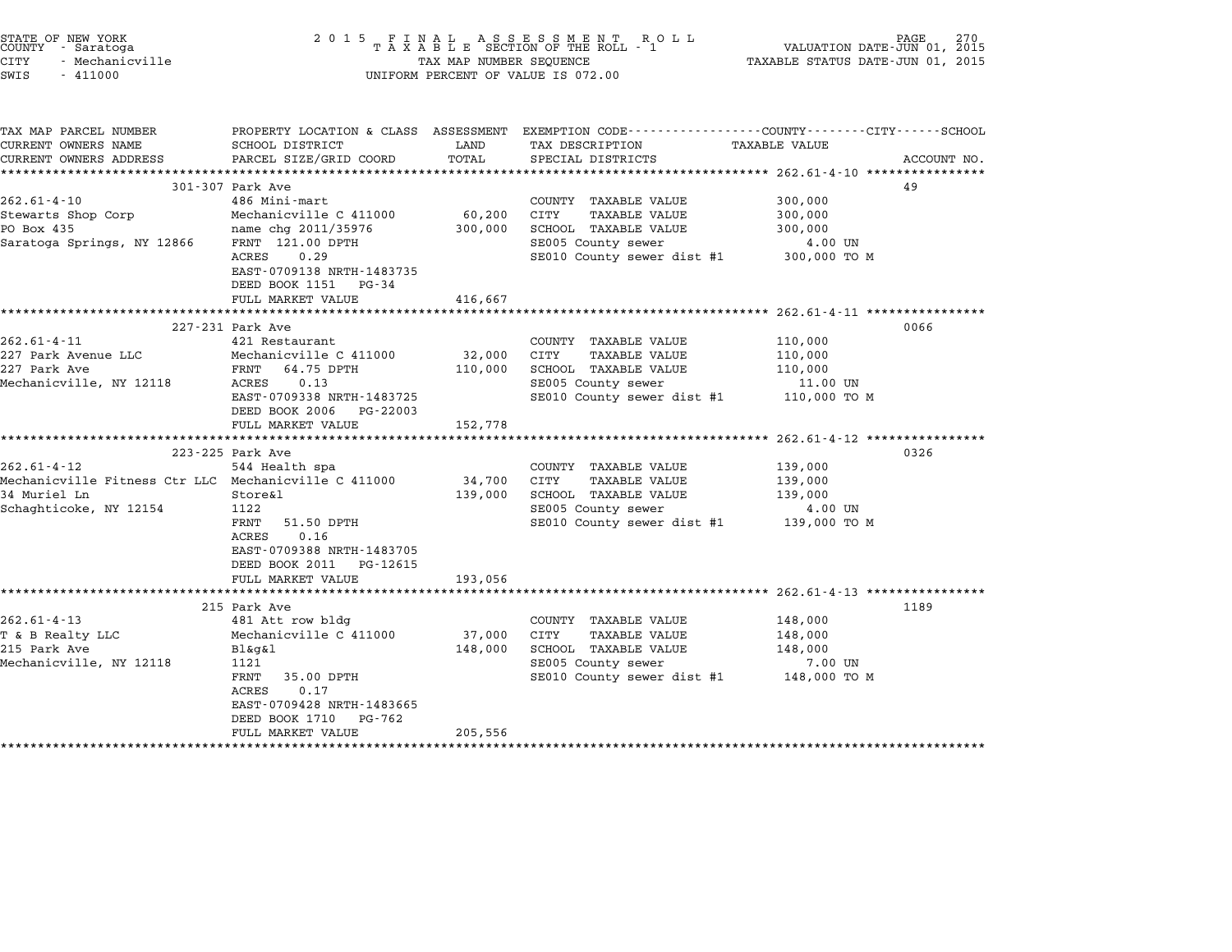| STATE OF NEW YORK<br>COUNTY - Saratoga<br><b>CITY</b><br>- Mechanicville<br>SWIS<br>$-411000$                 | 2 0 1 5                                                                                                                                                                                           | TAX MAP NUMBER SEQUENCE      | FINAL ASSESSMENT ROLL<br>TAXABLE SECTION OF THE ROLL - 1<br>UNIFORM PERCENT OF VALUE IS 072.00                                         | VALUATION DATE-JUN 01, 2015<br>TAXABLE STATUS DATE-JUN 01, 2015   | PAGE<br>270 |
|---------------------------------------------------------------------------------------------------------------|---------------------------------------------------------------------------------------------------------------------------------------------------------------------------------------------------|------------------------------|----------------------------------------------------------------------------------------------------------------------------------------|-------------------------------------------------------------------|-------------|
| TAX MAP PARCEL NUMBER<br>CURRENT OWNERS NAME<br>CURRENT OWNERS ADDRESS                                        | SCHOOL DISTRICT<br>PARCEL SIZE/GRID COORD<br>*******************************                                                                                                                      | LAND<br>TOTAL                | PROPERTY LOCATION & CLASS ASSESSMENT EXEMPTION CODE--------------COUNTY-------CITY------SCHOOL<br>TAX DESCRIPTION<br>SPECIAL DISTRICTS | TAXABLE VALUE<br>****************** 262.61-4-10 ***************** | ACCOUNT NO. |
| $262.61 - 4 - 10$<br>Stewarts Shop Corp<br>PO Box 435<br>Saratoga Springs, NY 12866                           | 301-307 Park Ave<br>486 Mini-mart<br>Mechanicville C 411000<br>name chg 2011/35976<br>FRNT 121.00 DPTH<br>ACRES<br>0.29<br>EAST-0709138 NRTH-1483735<br>DEED BOOK 1151 PG-34                      | 60,200<br>300,000            | COUNTY TAXABLE VALUE<br>CITY<br><b>TAXABLE VALUE</b><br>SCHOOL TAXABLE VALUE<br>SE005 County sewer<br>SE010 County sewer dist #1       | 300,000<br>300,000<br>300,000<br>4.00 UN<br>300,000 TO M          | 49          |
|                                                                                                               | FULL MARKET VALUE                                                                                                                                                                                 | 416,667                      |                                                                                                                                        | ************************ 262.61-4-11 *****************            |             |
| 262.61-4-11<br>227 Park Avenue LLC<br>227 Park Ave<br>Mechanicville, NY 12118                                 | 227-231 Park Ave<br>421 Restaurant<br>Mechanicville C 411000<br>FRNT<br>64.75 DPTH<br>ACRES<br>0.13<br>EAST-0709338 NRTH-1483725<br>DEED BOOK 2006 PG-22003<br>FULL MARKET VALUE                  | 32,000<br>110,000<br>152,778 | COUNTY TAXABLE VALUE<br>CITY<br><b>TAXABLE VALUE</b><br>SCHOOL TAXABLE VALUE<br>SE005 County sewer<br>SE010 County sewer dist #1       | 110,000<br>110,000<br>110,000<br>11.00 UN<br>110,000 TO M         | 0066        |
|                                                                                                               | **************************                                                                                                                                                                        |                              |                                                                                                                                        | $262.61 - 4 - 12$ ****************                                |             |
| 262.61-4-12<br>Mechanicville Fitness Ctr LLC Mechanicville C 411000<br>34 Muriel Ln<br>Schaghticoke, NY 12154 | 223-225 Park Ave<br>544 Health spa<br>Store&l<br>1122<br>FRNT<br>51.50 DPTH<br>0.16<br>ACRES<br>EAST-0709388 NRTH-1483705<br>DEED BOOK 2011 PG-12615<br>FULL MARKET VALUE                         | 34,700<br>139,000<br>193,056 | COUNTY TAXABLE VALUE<br>CITY<br><b>TAXABLE VALUE</b><br>SCHOOL TAXABLE VALUE<br>SE005 County sewer<br>SE010 County sewer dist #1       | 139,000<br>139,000<br>139,000<br>4.00 UN<br>139,000 TO M          | 0326        |
|                                                                                                               |                                                                                                                                                                                                   |                              |                                                                                                                                        |                                                                   |             |
| $262.61 - 4 - 13$<br>T & B Realty LLC<br>215 Park Ave<br>Mechanicville, NY 12118                              | 215 Park Ave<br>481 Att row bldg<br>Mechanicville C 411000<br>Bl&q&l<br>1121<br>FRNT<br>35.00 DPTH<br>0.17<br>ACRES<br>EAST-0709428 NRTH-1483665<br>DEED BOOK 1710<br>PG-762<br>FULL MARKET VALUE | 37,000<br>148,000<br>205,556 | COUNTY TAXABLE VALUE<br>CITY<br><b>TAXABLE VALUE</b><br>SCHOOL TAXABLE VALUE<br>SE005 County sewer<br>SE010 County sewer dist #1       | 148,000<br>148,000<br>148,000<br>7.00 UN<br>148,000 TO M          | 1189        |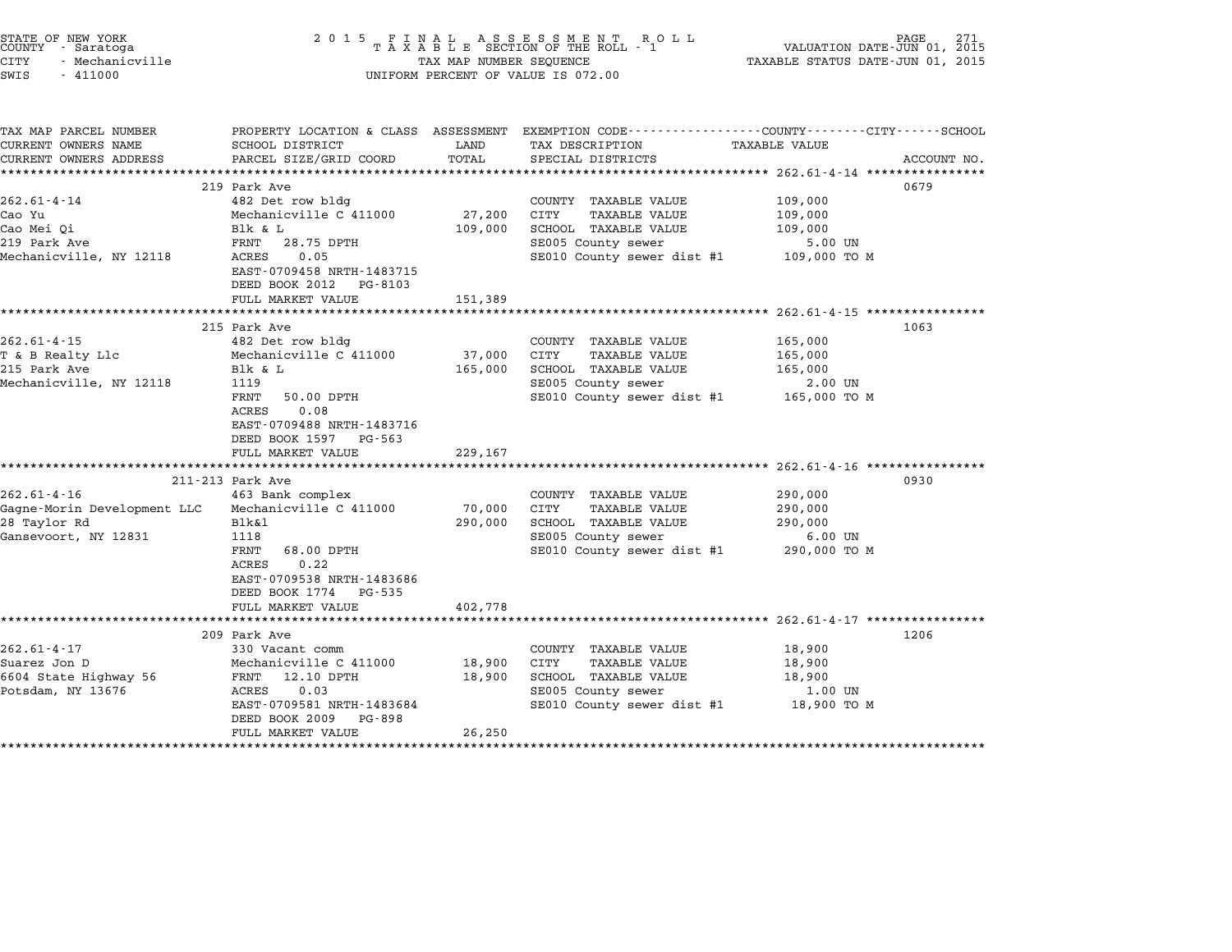| STATE OF NEW YORK<br>COUNTY - Saratoga<br>CITY<br>- Mechanicville<br>SWIS<br>$-411000$   |                                                                                                                                                                                                 | TAX MAP NUMBER SEQUENCE          | 2015 FINAL ASSESSMENT ROLL<br>TAXABLE SECTION OF THE ROLL - 1<br>UNIFORM PERCENT OF VALUE IS 072.00                                                                                                   | VALUATION DATE-JUN 01, 2015<br>TAXABLE STATUS DATE-JUN 01, 2015     | PAGE.       |
|------------------------------------------------------------------------------------------|-------------------------------------------------------------------------------------------------------------------------------------------------------------------------------------------------|----------------------------------|-------------------------------------------------------------------------------------------------------------------------------------------------------------------------------------------------------|---------------------------------------------------------------------|-------------|
| TAX MAP PARCEL NUMBER<br>CURRENT OWNERS NAME<br>CURRENT OWNERS ADDRESS                   | SCHOOL DISTRICT<br>PARCEL SIZE/GRID COORD<br>*****************************                                                                                                                      | LAND<br>TOTAL<br>*************** | PROPERTY LOCATION & CLASS ASSESSMENT EXEMPTION CODE---------------COUNTY-------CITY------SCHOOL<br>TAX DESCRIPTION<br>SPECIAL DISTRICTS                                                               | TAXABLE VALUE<br>******************** 262.61-4-14 ***************** | ACCOUNT NO. |
| $262.61 - 4 - 14$<br>Cao Yu<br>Cao Mei Qi<br>219 Park Ave<br>Mechanicville, NY 12118     | 219 Park Ave<br>482 Det row bldg<br>Mechanicville C 411000<br>Blk & L<br>FRNT 28.75 DPTH<br>ACRES<br>0.05<br>EAST-0709458 NRTH-1483715<br>DEED BOOK 2012 PG-8103<br>FULL MARKET VALUE           | 27,200<br>109,000<br>151,389     | COUNTY TAXABLE VALUE<br>CITY<br><b>TAXABLE VALUE</b><br>SCHOOL TAXABLE VALUE<br>SE005 County sewer<br>SE010 County sewer dist #1                                                                      | 109,000<br>109,000<br>109,000<br>5.00 UN<br>109,000 TO M            | 0679        |
|                                                                                          |                                                                                                                                                                                                 |                                  |                                                                                                                                                                                                       |                                                                     |             |
| $262.61 - 4 - 15$<br>T & B Realty Llc<br>215 Park Ave<br>Mechanicville, NY 12118         | 215 Park Ave<br>482 Det row bldg<br>Mechanicville C 411000<br>Blk & L<br>1119<br>FRNT<br>50.00 DPTH<br>0.08<br>ACRES<br>EAST-0709488 NRTH-1483716<br>DEED BOOK 1597 PG-563<br>FULL MARKET VALUE | 37,000<br>165,000<br>229,167     | COUNTY TAXABLE VALUE<br>CITY<br>TAXABLE VALUE<br>SCHOOL TAXABLE VALUE<br>SE005 County sewer<br>SE010 County sewer dist #1 165,000 TO M<br>****************************** 262.61-4-16 **************** | 165,000<br>165,000<br>165,000<br>2.00 UN                            | 1063        |
|                                                                                          | 211-213 Park Ave                                                                                                                                                                                |                                  |                                                                                                                                                                                                       |                                                                     | 0930        |
| $262.61 - 4 - 16$<br>Gagne-Morin Development LLC<br>28 Taylor Rd<br>Gansevoort, NY 12831 | 463 Bank complex<br>Mechanicville C 411000<br>Blk&l<br>1118<br>FRNT<br>68.00 DPTH<br>ACRES<br>0.22<br>EAST-0709538 NRTH-1483686<br>DEED BOOK 1774 PG-535<br>FULL MARKET VALUE                   | 70,000<br>290,000                | COUNTY TAXABLE VALUE<br>CITY<br>TAXABLE VALUE<br>SCHOOL TAXABLE VALUE<br>SE005 County sewer<br>SE010 County sewer dist #1                                                                             | 290,000<br>290,000<br>290,000<br>$6.00$ UN<br>290,000 TO M          |             |
|                                                                                          | ***************************                                                                                                                                                                     | 402,778                          |                                                                                                                                                                                                       |                                                                     |             |
| $262.61 - 4 - 17$<br>Suarez Jon D<br>6604 State Highway 56<br>Potsdam, NY 13676          | 209 Park Ave<br>330 Vacant comm<br>Mechanicville C 411000<br>FRNT 12.10 DPTH<br>ACRES<br>0.03<br>EAST-0709581 NRTH-1483684<br>DEED BOOK 2009<br>PG-898<br>FULL MARKET VALUE                     | 18,900<br>18,900<br>26,250       | COUNTY TAXABLE VALUE<br>CITY<br>TAXABLE VALUE<br>SCHOOL TAXABLE VALUE<br>SE005 County sewer<br>SE010 County sewer dist #1                                                                             | 18,900<br>18,900<br>18,900<br>1.00 UN<br>18,900 TO M                | 1206        |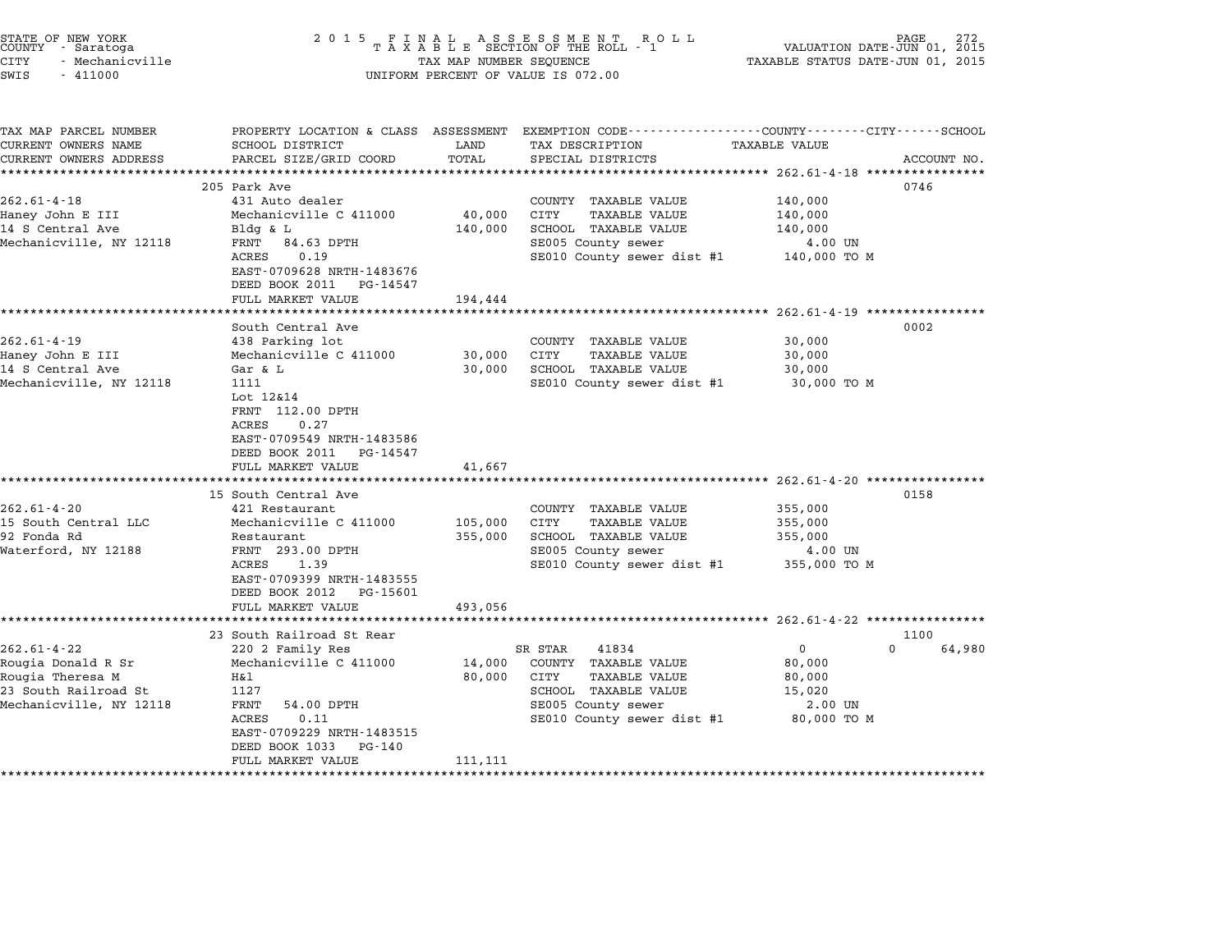| STATE OF NEW YORK<br>COUNTY - Saratoga<br><b>CITY</b><br>- Mechanicville<br>SWIS<br>$-411000$                                                                           | 2 0 1 5                                                                                                                                                                                                                                                                                                                                                                                                                      | TAX MAP NUMBER SEQUENCE                          | FINAL ASSESSMENT RC<br>TAXABLE SECTION OF THE ROLL - 1<br>R O L L<br>UNIFORM PERCENT OF VALUE IS 072.00                                                                                                                                        | PAGE<br>VALUATION DATE-JUN 01, 2015<br>TAXABLE STATUS DATE-JUN 01, 2015                                               |             |
|-------------------------------------------------------------------------------------------------------------------------------------------------------------------------|------------------------------------------------------------------------------------------------------------------------------------------------------------------------------------------------------------------------------------------------------------------------------------------------------------------------------------------------------------------------------------------------------------------------------|--------------------------------------------------|------------------------------------------------------------------------------------------------------------------------------------------------------------------------------------------------------------------------------------------------|-----------------------------------------------------------------------------------------------------------------------|-------------|
| TAX MAP PARCEL NUMBER<br>CURRENT OWNERS NAME<br>CURRENT OWNERS ADDRESS                                                                                                  | PROPERTY LOCATION & CLASS ASSESSMENT<br>SCHOOL DISTRICT<br>PARCEL SIZE/GRID COORD                                                                                                                                                                                                                                                                                                                                            | LAND<br>TOTAL                                    | EXEMPTION CODE----------------COUNTY-------CITY------SCHOOL<br>TAX DESCRIPTION<br>SPECIAL DISTRICTS                                                                                                                                            | <b>TAXABLE VALUE</b>                                                                                                  | ACCOUNT NO. |
|                                                                                                                                                                         |                                                                                                                                                                                                                                                                                                                                                                                                                              |                                                  | ************************************* 262.61-4-18 *****************                                                                                                                                                                            |                                                                                                                       |             |
| $262.61 - 4 - 18$<br>Haney John E III<br>14 S Central Ave<br>Mechanicville, NY 12118                                                                                    | 205 Park Ave<br>431 Auto dealer<br>Mechanicville C 411000<br>$Bldg$ & $L$<br>FRNT<br>84.63 DPTH<br>ACRES<br>0.19<br>EAST-0709628 NRTH-1483676                                                                                                                                                                                                                                                                                | 40,000<br>140,000                                | COUNTY TAXABLE VALUE<br>CITY<br><b>TAXABLE VALUE</b><br>SCHOOL TAXABLE VALUE<br>SE005 County sewer<br>SE010 County sewer dist #1                                                                                                               | 0746<br>140,000<br>140,000<br>140,000<br>4.00 UN<br>140,000 TO M                                                      |             |
|                                                                                                                                                                         | DEED BOOK 2011<br>PG-14547                                                                                                                                                                                                                                                                                                                                                                                                   |                                                  |                                                                                                                                                                                                                                                |                                                                                                                       |             |
|                                                                                                                                                                         | FULL MARKET VALUE<br>*****************                                                                                                                                                                                                                                                                                                                                                                                       | 194,444                                          |                                                                                                                                                                                                                                                | ******************* 262.61-4-19 ****************                                                                      |             |
| $262.61 - 4 - 19$<br>Haney John E III<br>14 S Central Ave<br>Mechanicville, NY 12118<br>$262.61 - 4 - 20$<br>15 South Central LLC<br>92 Fonda Rd<br>Waterford, NY 12188 | South Central Ave<br>438 Parking lot<br>Mechanicville C 411000<br>Gar & L<br>1111<br>Lot 12&14<br>FRNT 112.00 DPTH<br>0.27<br>ACRES<br>EAST-0709549 NRTH-1483586<br>DEED BOOK 2011<br>PG-14547<br>FULL MARKET VALUE<br>*******************<br>15 South Central Ave<br>421 Restaurant<br>Mechanicville C 411000<br>Restaurant<br>FRNT 293.00 DPTH<br>ACRES<br>1.39<br>EAST-0709399 NRTH-1483555<br>DEED BOOK 2012<br>PG-15601 | 30,000<br>30,000<br>41,667<br>105,000<br>355,000 | COUNTY TAXABLE VALUE<br>CITY<br><b>TAXABLE VALUE</b><br>SCHOOL TAXABLE VALUE<br>SE010 County sewer dist #1<br>COUNTY TAXABLE VALUE<br>CITY<br><b>TAXABLE VALUE</b><br>SCHOOL TAXABLE VALUE<br>SE005 County sewer<br>SE010 County sewer dist #1 | 0002<br>30,000<br>30,000<br>30,000<br>30,000 TO M<br>0158<br>355,000<br>355,000<br>355,000<br>4.00 UN<br>355,000 TO M |             |
|                                                                                                                                                                         | FULL MARKET VALUE<br>*********************                                                                                                                                                                                                                                                                                                                                                                                   | 493,056                                          |                                                                                                                                                                                                                                                |                                                                                                                       |             |
|                                                                                                                                                                         | 23 South Railroad St Rear                                                                                                                                                                                                                                                                                                                                                                                                    |                                                  |                                                                                                                                                                                                                                                | ******************* 262.61-4-22 *****************<br>1100                                                             |             |
| $262.61 - 4 - 22$<br>Rougia Donald R Sr<br>Rougia Theresa M<br>23 South Railroad St<br>Mechanicville, NY 12118                                                          | 220 2 Family Res<br>Mechanicville C 411000<br>H&l<br>1127<br>FRNT<br>54.00 DPTH<br>ACRES<br>0.11<br>EAST-0709229 NRTH-1483515<br>DEED BOOK 1033<br>PG-140<br>FULL MARKET VALUE<br>*********************                                                                                                                                                                                                                      | 14,000<br>80,000<br>111,111                      | SR STAR<br>41834<br>COUNTY TAXABLE VALUE<br><b>TAXABLE VALUE</b><br>CITY<br>SCHOOL TAXABLE VALUE<br>SE005 County sewer<br>SE010 County sewer dist #1                                                                                           | $\Omega$<br>$\mathbf 0$<br>80,000<br>80,000<br>15,020<br>2.00 UN<br>80,000 TO M                                       | 64,980      |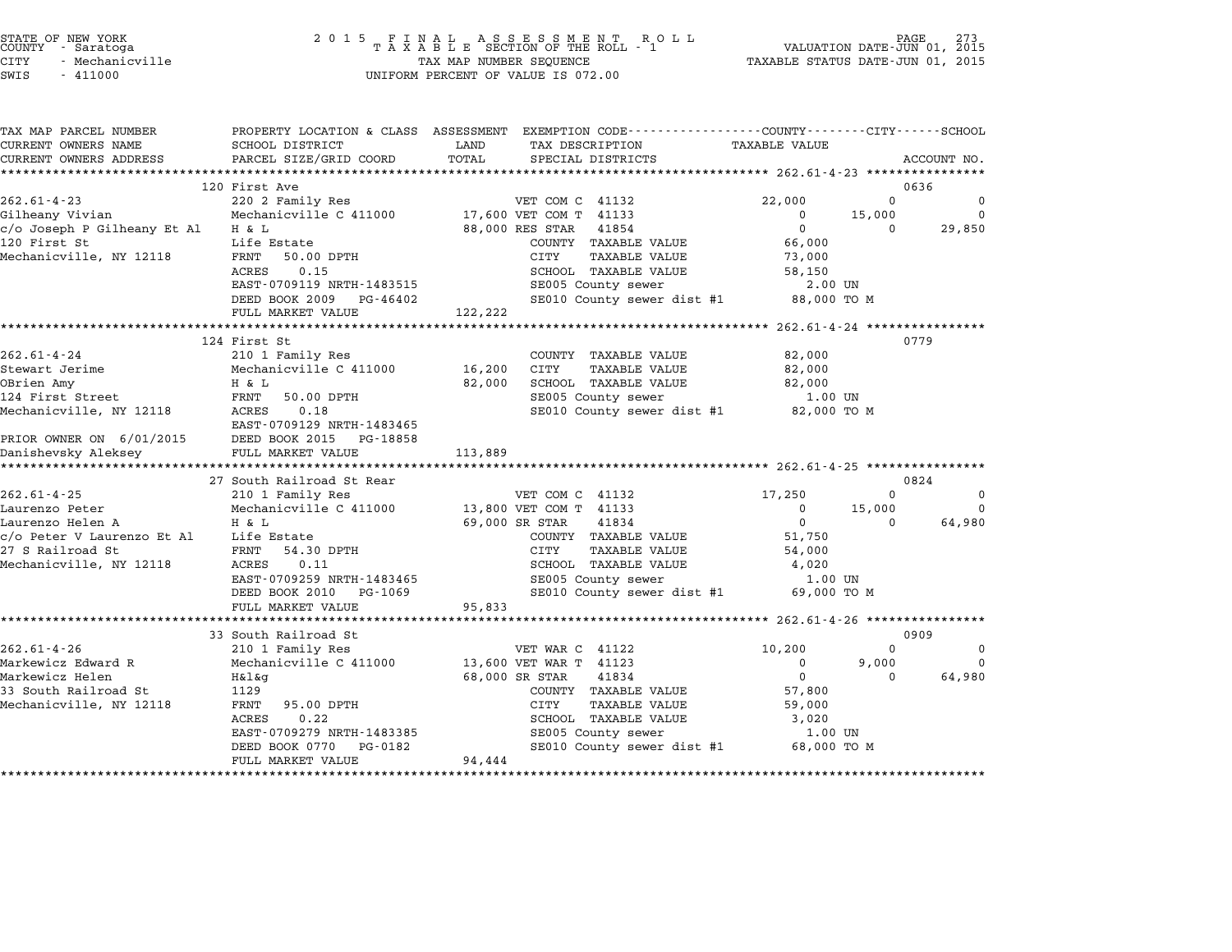# STATE OF NEW YORK <sup>2</sup> <sup>0</sup> <sup>1</sup> 5 F I N A L A S S E S S M E N T R O L L PAGE <sup>273</sup> COUNTY - Saratoga <sup>T</sup> <sup>A</sup> <sup>X</sup> <sup>A</sup> <sup>B</sup> <sup>L</sup> <sup>E</sup> SECTION OF THE ROLL - <sup>1</sup> VALUATION DATE-JUN 01, <sup>2015</sup> CITY - Mechanicville TAX MAP NUMBER SEQUENCE TAXABLE STATUS DATE-JUN 01, <sup>2015</sup> STATE OF NEW YORK COUNTY - Saratoga and the serve of the server of the server of the server of the server of the server of the server of the server of the server of the server of value is 072.00<br>
SWIS - 411000 UNIFORM PERC

| TAX MAP PARCEL NUMBER       |                             | PROPERTY LOCATION & CLASS ASSESSMENT EXEMPTION CODE----------------COUNTY-------CITY-----SCHOOL |                                          |          |             |
|-----------------------------|-----------------------------|-------------------------------------------------------------------------------------------------|------------------------------------------|----------|-------------|
| CURRENT OWNERS NAME         | SCHOOL DISTRICT             | LAND<br>TAX DESCRIPTION                                                                         | <b>TAXABLE VALUE</b>                     |          |             |
| CURRENT OWNERS ADDRESS      | PARCEL SIZE/GRID COORD      | TOTAL<br>SPECIAL DISTRICTS                                                                      |                                          |          | ACCOUNT NO. |
|                             |                             |                                                                                                 |                                          |          |             |
|                             | 120 First Ave               |                                                                                                 |                                          |          | 0636        |
| $262.61 - 4 - 23$           | 220 2 Family Res            | VET COM C 41132                                                                                 | 22,000                                   | $\Omega$ | $\Omega$    |
| Gilheany Vivian             | Mechanicville C 411000      | 17,600 VET COM T 41133                                                                          | 0                                        | 15,000   | $\Omega$    |
| c/o Joseph P Gilheany Et Al | H & L                       | 88,000 RES STAR<br>41854                                                                        | $\mathbf 0$                              | 0        | 29,850      |
| 120 First St                | Life Estate                 | COUNTY TAXABLE VALUE                                                                            | 66,000                                   |          |             |
| Mechanicville, NY 12118     | FRNT<br>50.00 DPTH          | CITY<br><b>TAXABLE VALUE</b>                                                                    | 73,000                                   |          |             |
|                             | 0.15<br>ACRES               | SCHOOL TAXABLE VALUE                                                                            | 58,150                                   |          |             |
|                             | EAST-0709119 NRTH-1483515   | SE005 County sewer                                                                              | 2.00 UN                                  |          |             |
|                             | DEED BOOK 2009 PG-46402     | SE010 County sewer dist #1                                                                      | 88,000 TO M                              |          |             |
|                             | FULL MARKET VALUE           | 122,222                                                                                         |                                          |          |             |
|                             |                             |                                                                                                 | ********** 262.61-4-24 ***************** |          |             |
|                             | 124 First St                |                                                                                                 |                                          |          | 0779        |
| $262.61 - 4 - 24$           | 210 1 Family Res            | COUNTY TAXABLE VALUE                                                                            | 82,000                                   |          |             |
| Stewart Jerime              | Mechanicville C 411000      | 16,200<br>CITY<br><b>TAXABLE VALUE</b>                                                          | 82,000                                   |          |             |
| OBrien Amy                  | H & L                       | SCHOOL TAXABLE VALUE<br>82,000                                                                  | 82,000                                   |          |             |
| 124 First Street            | FRNT<br>50.00 DPTH          | SE005 County sewer                                                                              | 1.00 UN                                  |          |             |
| Mechanicville, NY 12118     | ACRES<br>0.18               | SE010 County sewer dist #1 82,000 TO M                                                          |                                          |          |             |
|                             | EAST-0709129 NRTH-1483465   |                                                                                                 |                                          |          |             |
| PRIOR OWNER ON 6/01/2015    | DEED BOOK 2015<br>PG-18858  |                                                                                                 |                                          |          |             |
| Danishevsky Aleksey         | FULL MARKET VALUE           | 113,889                                                                                         |                                          |          |             |
|                             |                             |                                                                                                 |                                          |          |             |
|                             | 27 South Railroad St Rear   |                                                                                                 |                                          |          | 0824        |
| $262.61 - 4 - 25$           | 210 1 Family Res            | VET COM C 41132                                                                                 | 17,250                                   | $\Omega$ | $\Omega$    |
| Laurenzo Peter              | Mechanicville C 411000      | 13,800 VET COM T 41133                                                                          | 0                                        | 15,000   | $\Omega$    |
| Laurenzo Helen A            | H & L                       | 41834<br>69,000 SR STAR                                                                         | $\overline{0}$                           | $\Omega$ | 64,980      |
| c/o Peter V Laurenzo Et Al  | Life Estate                 | COUNTY TAXABLE VALUE                                                                            | 51,750                                   |          |             |
| 27 S Railroad St            | FRNT<br>54.30 DPTH          | <b>CITY</b><br><b>TAXABLE VALUE</b>                                                             | 54,000                                   |          |             |
| Mechanicville, NY 12118     | ACRES<br>0.11               | SCHOOL TAXABLE VALUE                                                                            | 4,020                                    |          |             |
|                             | EAST-0709259 NRTH-1483465   | SE005 County sewer                                                                              | $1.00$ UN                                |          |             |
|                             | DEED BOOK 2010<br>PG-1069   | SE010 County sewer dist #1                                                                      | 69,000 TO M                              |          |             |
|                             | FULL MARKET VALUE           | 95,833                                                                                          |                                          |          |             |
|                             | *************************** |                                                                                                 |                                          |          |             |
|                             | 33 South Railroad St        |                                                                                                 |                                          |          | 0909        |
| $262.61 - 4 - 26$           | 210 1 Family Res            | VET WAR C 41122                                                                                 | 10,200                                   | $\Omega$ | $\Omega$    |
| Markewicz Edward R          | Mechanicville C 411000      | 13,600 VET WAR T 41123                                                                          | $\mathbf 0$                              | 9,000    | $\Omega$    |
| Markewicz Helen             | H&l&q                       | 68,000 SR STAR<br>41834                                                                         | 0                                        | $\Omega$ | 64,980      |
| 33 South Railroad St        | 1129                        | COUNTY TAXABLE VALUE                                                                            | 57,800                                   |          |             |
| Mechanicville, NY 12118     | FRNT<br>95.00 DPTH          | CITY<br><b>TAXABLE VALUE</b>                                                                    | 59,000                                   |          |             |
|                             | 0.22<br>ACRES               | SCHOOL TAXABLE VALUE                                                                            | 3,020                                    |          |             |
|                             | EAST-0709279 NRTH-1483385   | SE005 County sewer                                                                              | 1.00 UN                                  |          |             |
|                             | DEED BOOK 0770<br>PG-0182   | SE010 County sewer dist #1                                                                      | 68,000 TO M                              |          |             |
|                             | FULL MARKET VALUE           | 94,444                                                                                          |                                          |          |             |
|                             |                             |                                                                                                 |                                          |          |             |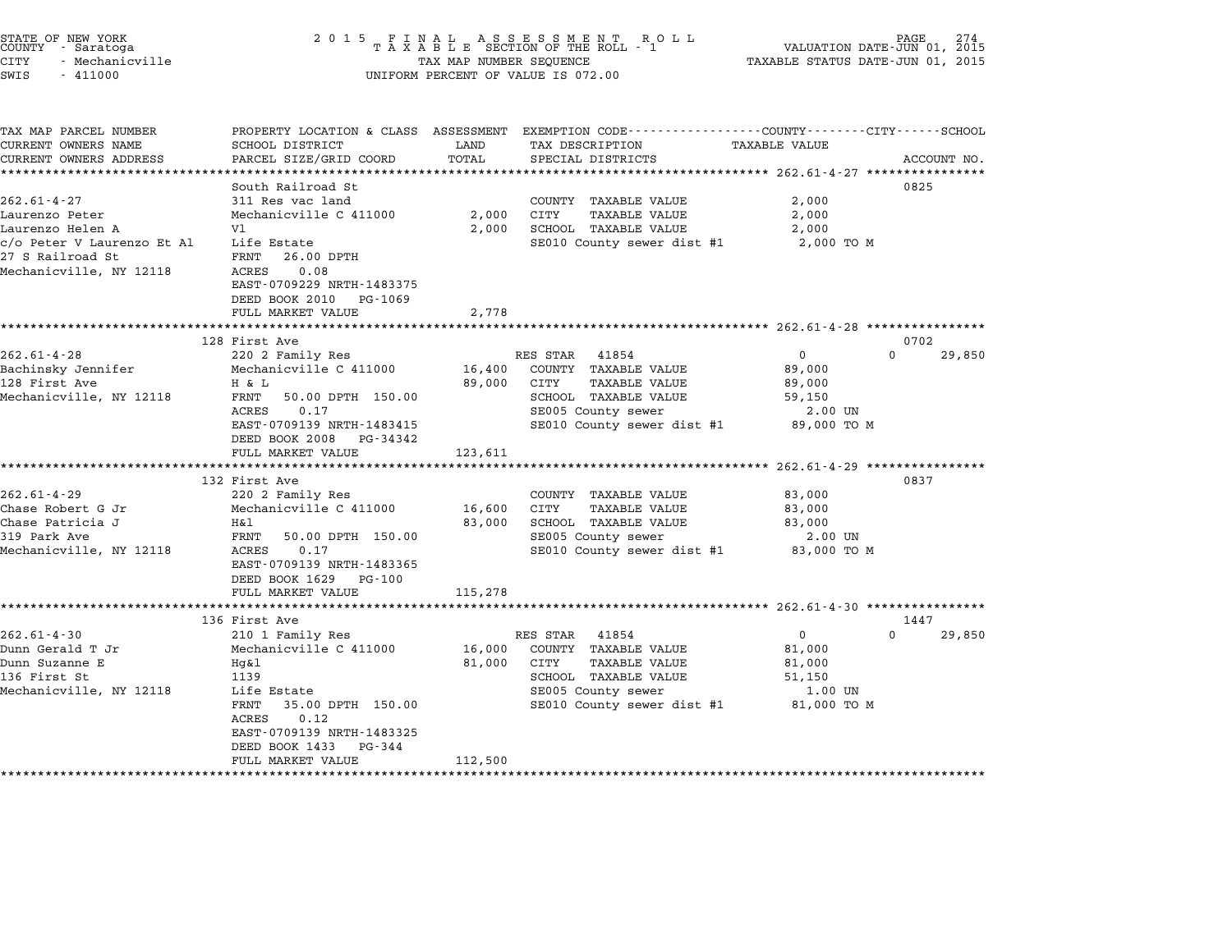| STATE OF NEW YORK |                 |  |
|-------------------|-----------------|--|
| COUNTY            | - Saratoga      |  |
| CITY              | - Mechanicville |  |

# STATE OF NEW YORK <sup>2</sup> <sup>0</sup> <sup>1</sup> 5 F I N A L A S S E S S M E N T R O L L PAGE <sup>274</sup> COUNTY - Saratoga <sup>T</sup> <sup>A</sup> <sup>X</sup> <sup>A</sup> <sup>B</sup> <sup>L</sup> <sup>E</sup> SECTION OF THE ROLL - <sup>1</sup> VALUATION DATE-JUN 01, <sup>2015</sup> CITY - Mechanicville TAX MAP NUMBER SEQUENCE TAXABLE STATUS DATE-JUN 01, <sup>2015</sup> SWIS - <sup>411000</sup> UNIFORM PERCENT OF VALUE IS 072.00

TAX MAP PARCEL NUMBER PROPERTY LOCATION & CLASS ASSESSMENT EXEMPTION CODE------------------COUNTY--------CITY------SCHOOL ...<br>-- COUNTY:- TAX MAP PARCEL NUMBER THE OCHOTRY AND THE CURRENT EXEMPTION CODE<br>CURRENT OWNERS NAME SCHOOL DISTRICT LAND TAX DESCRIPTION TAXABLE VALUE CURRENT OWNERS ADDEER FOUR DISTRICTS AND A CHASS ASSESSEENT EXERT ON TAX MIT PROCUPTION TRANSFOURERS ADDRESS SANCEL SIZE/GRID COORD TOTAL SEEN SECOUNT MO.<br>CURRENT OWNERS ADDRESS PARCEL SIZE/GRID COORD TOTAL SPECIAL DISTRIC South Railroad St 0825 262.61-4-27 311 Res vac land COUNTY TAXABLE VALUE 2,000 Laurenzo Peter Mechanicville C <sup>411000</sup> 2,000 CITY TAXABLE VALUE 2,000 Laurenzo Helen A Vl 2,000 SCHOOL TAXABLE VALUE 2,000 contract Peter Mechanic VIII C 411000 (2,000 CIII IAAABLE VALUE 2,000 2,000 2,000 ENT<br>Caurenzo Et Al Life Estate SE010 County sewer dist #1 2,000 TO M<br>27 S Railroad St FRNT 26.00 DPTH cyo retail value his called a series of the seated and the seated and the seated and the seated and the seated<br>Mechanicville, NY 12118 ACRES 0.08 FANI 20.00 DFIH<br>ACRES 0.08<br>EAST-0709229 NRTH-1483375 EAST-0709229 NRTH-1483375<br>DEED BOOK 2010 PG-1069 FULL MARKET VALUE 2,778 \*\*\*\*\*\*\*\*\*\*\*\*\*\*\*\*\*\*\*\*\*\*\*\*\*\*\*\*\*\*\*\*\*\*\*\*\*\*\*\*\*\*\*\*\*\*\*\*\*\*\*\*\*\*\*\*\*\*\*\*\*\*\*\*\*\*\*\*\*\*\*\*\*\*\*\*\*\*\*\*\*\*\*\*\*\*\*\*\*\*\*\*\*\*\*\*\*\*\*\*\*\*\* 262.61-4-28 \*\*\*\*\*\*\*\*\*\*\*\*\*\*\*\* <sup>128</sup> First Ave <sup>0702</sup> 262.61-4-28 202.01-4-28 200 RES STAR 41854 202.01-4-28 200 29,850 220 2 Family Res RES STAR 41854 202.01-4-28<br>220 2 Family Res RES STAR 41854 0 220 2 20 2 76 220 2 76 230 2 76 230 2 20 2 20 2 20 2 20 2 20 2 20 2 23 2 2 2 Bachinsky Jennifer Mechanicville C <sup>411000</sup> 16,400 COUNTY TAXABLE VALUE 89,000 002.01-4-20 Ave Hamily Res (220 Family Res (281 Am Hotel Results Ave Haven Ave Haven Ave Haven Ave Haven Ave<br>128 First Ave Have Have Haven Haven Ave August 29,000 COUNTY TAXABLE VALUE (29,000 POST) Mechanicville C 111000 10,400 COMIT IAAADDD VADOD 19,000<br>128 First Ave B9,000 CITY S8,000 FAXABLE VALUE 59,000<br>Mechanicville, NY 12118 FRNT 50.00 DPTH 150.00 SCHOOL TAXABLE VALUE 59,050 A & D<br>FRNT 50.00 DPTH 150.00 69,000 CIII IAABLE VALUE 69,000<br>ACRES 0.17 SE005 County sewer 2.00 UN EART 30.00 DETIT 130.000 SERVER SERVER ARABLE VADOL SERVER SUPER SERVER SUPER SERVER SUPER SERVER SUPER SERVER<br>ACRES 0.17 SERVER SERVER SERVER SERVER SERVER SERVER SERVER SERVER SERVER SERVER SERVER SERVER SERVER SERVER S EAST-0709139 NRTH-1483415<br>DEED BOOK 2008 PG-34342 EAST-0709139 NRTH-1483415<br>
EAST-0709139 NRTH-1483415<br>
DEED BOOK 2008 PG-34342<br>
FULL MARKET VALUE 123,611<br>
FULL MARKET VALUE 123,611 \*\*\*\*\*\*\*\*\*\*\*\*\*\*\*\*\*\*\*\*\*\*\*\*\*\*\*\*\*\*\*\*\*\*\*\*\*\*\*\*\*\*\*\*\*\*\*\*\*\*\*\*\*\*\*\*\*\*\*\*\*\*\*\*\*\*\*\*\*\*\*\*\*\*\*\*\*\*\*\*\*\*\*\*\*\*\*\*\*\*\*\*\*\*\*\*\*\*\*\*\*\*\* 262.61-4-29 \*\*\*\*\*\*\*\*\*\*\*\*\*\*\*\* <sup>132</sup> First Ave <sup>0837</sup> 262.61-4-29 220 202.51 COUNTY TAXABLE VALUE 33,000 152 TIS AVE ISLATE AND RESEARCE COUNTY TAXABLE VALUE 83,000 من المسابق المستوى المستوى المستوى المستوى المستوى<br>Chase Robert G Jr Mechanicville C 411000 16,600 CITY TAXABLE VALUE Chase Patricia J H&l 83,000 SCHOOL TAXABLE VALUE 83,000 كان المسلم المسلم المسلم المسلم المسلم المسلم المسلم المسلم المسلم المسلم المسلم المسلم المسلم المسلم المسلم ا<br>2.00 Observe Hall Hall Hall Stroom SE005 County sewer 2.00 UNIT S0.00 DPTH 150.00 SE005 County sewer CHASE FACILICIA UNIXALE PART MALLE DESCRIPTION OF THE STRAND ON SCHOOL TRANSILE VALUE ON SURVEY ON DESCRIPTION<br>
Mechanicville, NY 12118 ACRES 0.17 SE010 County sewer dist #1 83,000 TO M<br>
EAST-0709139 NRTH-1483365 EAST-0709139 NRTH-1483365<br>DEED BOOK 1629 PG-100 FULL MARKET VALUE 115,278 \*\*\*\*\*\*\*\*\*\*\*\*\*\*\*\*\*\*\*\*\*\*\*\*\*\*\*\*\*\*\*\*\*\*\*\*\*\*\*\*\*\*\*\*\*\*\*\*\*\*\*\*\*\*\*\*\*\*\*\*\*\*\*\*\*\*\*\*\*\*\*\*\*\*\*\*\*\*\*\*\*\*\*\*\*\*\*\*\*\*\*\*\*\*\*\*\*\*\*\*\*\*\* 262.61-4-30 \*\*\*\*\*\*\*\*\*\*\*\*\*\*\*\* <sup>136</sup> First Ave <sup>1447</sup> 262.61-4-30 136 First Ave 136 First Ave 202.61-4-30 202.61-4-30 200.61-4-30 2010<br>2010 RES STAR 41854 0 210 210 1 Family Res RES STAR 41854 0 200 0 29,850 Dunn Gerald T Jr Mechanicville C <sup>411000</sup> 16,000 COUNTY TAXABLE VALUE 81,000 202.01-4-50<br>Dunn Gerald T Jr Mechanicville C 411000 16,000 COUNTY TAXABLE VALUE 81,000<br>Dunn Suzanne E Hg&l 81,000 CITY TAXABLE VALUE <sup>136</sup> First St <sup>1139</sup> SCHOOL TAXABLE VALUE 51,150 Mechanicville, NY <sup>12118</sup> Life Estate SE005 County sewer 1.00 UN الله عليه المسلم المسلم المسلم المسلم المسلم المسلم المسلم المسلم المسلم المسلم المسلم المسلم المسلم المسلم ال<br>1.00 UN SE010 County sewer dist #1 81,000 TO M SE010 County sewer dist #1 81,000 TO M LITE ESTATE<br>FRNT 35.00<br>ACRES 0.12 EAST-0709139 NRTH-1483325 EAST-0709139 NRTH-14833<br>DEED BOOK 1433 PG-344 EAST 0705155 MAIN 1405525<br>
DEED BOOK 1433 PG-344<br>
FULL MARKET VALUE 112,500 \*\*\*\*\*\*\*\*\*\*\*\*\*\*\*\*\*\*\*\*\*\*\*\*\*\*\*\*\*\*\*\*\*\*\*\*\*\*\*\*\*\*\*\*\*\*\*\*\*\*\*\*\*\*\*\*\*\*\*\*\*\*\*\*\*\*\*\*\*\*\*\*\*\*\*\*\*\*\*\*\*\*\*\*\*\*\*\*\*\*\*\*\*\*\*\*\*\*\*\*\*\*\*\*\*\*\*\*\*\*\*\*\*\*\*\*\*\*\*\*\*\*\*\*\*\*\*\*\*\*\*\*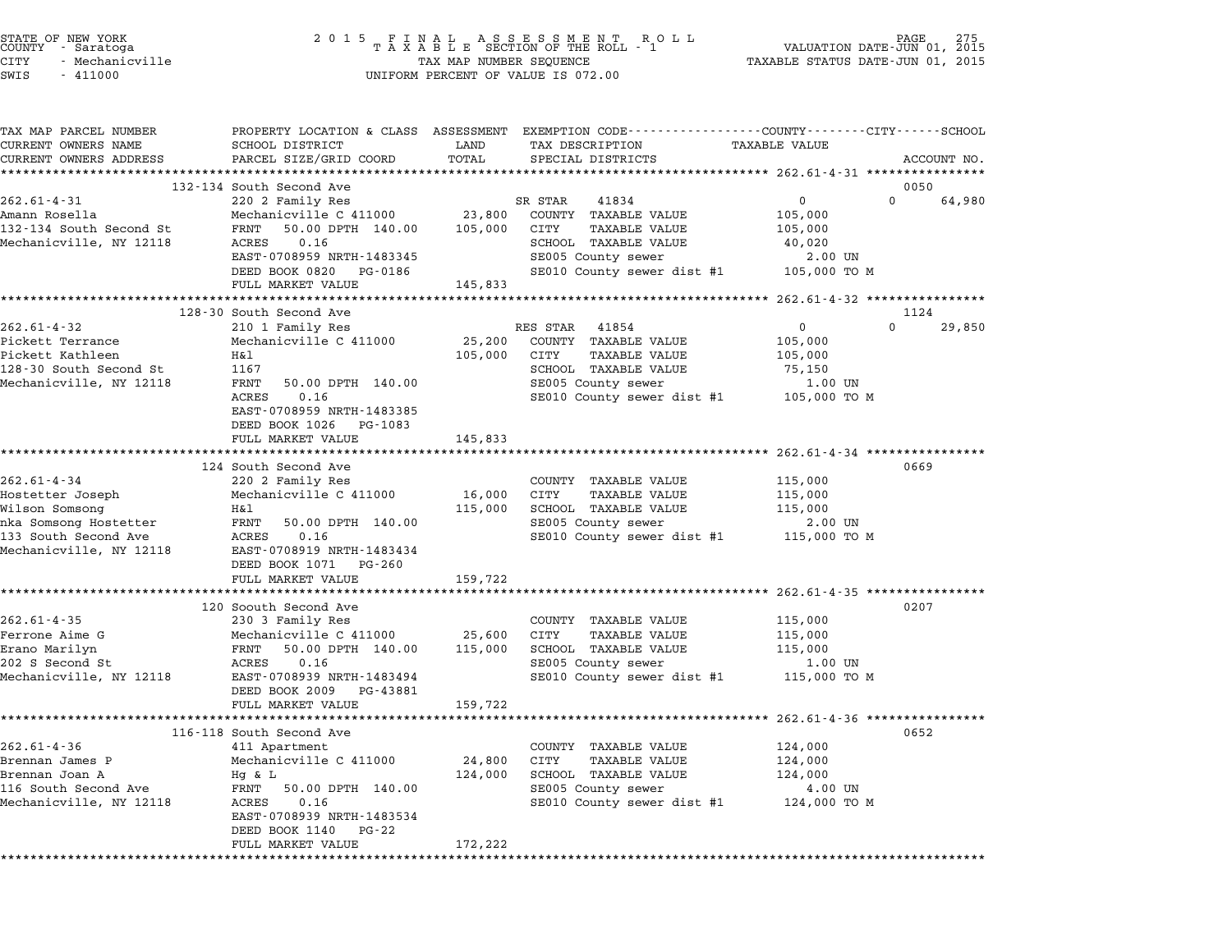| STATE OF NEW YORK<br>COUNTY – Saratoga<br>CITY<br>- Mechanicville<br>SWIS<br>$-411000$                                              | 2 0 1 5                                                                                                                                                                                                  | TAX MAP NUMBER SEQUENCE      | FINAL ASSESSMENT ROLL<br>TAXABLE SECTION OF THE ROLL - 1<br>UNIFORM PERCENT OF VALUE IS 072.00                                                                     | VALUATION DATE-JUN 01, 2015<br>TAXABLE STATUS DATE-JUN 01, 2015 | 275<br>PAGE        |
|-------------------------------------------------------------------------------------------------------------------------------------|----------------------------------------------------------------------------------------------------------------------------------------------------------------------------------------------------------|------------------------------|--------------------------------------------------------------------------------------------------------------------------------------------------------------------|-----------------------------------------------------------------|--------------------|
| TAX MAP PARCEL NUMBER<br>CURRENT OWNERS NAME<br>CURRENT OWNERS ADDRESS                                                              | SCHOOL DISTRICT<br>PARCEL SIZE/GRID COORD                                                                                                                                                                | LAND<br>TOTAL                | PROPERTY LOCATION & CLASS ASSESSMENT EXEMPTION CODE---------------COUNTY-------CITY------SCHOOL<br>TAX DESCRIPTION<br>SPECIAL DISTRICTS                            | TAXABLE VALUE                                                   | ACCOUNT NO.        |
|                                                                                                                                     | 132-134 South Second Ave                                                                                                                                                                                 |                              |                                                                                                                                                                    |                                                                 | 0050               |
| $262.61 - 4 - 31$<br>Amann Rosella<br>132-134 South Second St<br>Mechanicville, NY 12118                                            | 220 2 Family Res<br>Mechanicville C 411000<br>FRNT<br>50.00 DPTH 140.00<br>0.16<br>ACRES<br>EAST-0708959 NRTH-1483345<br>DEED BOOK 0820 PG-0186                                                          | 23,800<br>105,000            | SR STAR<br>41834<br>COUNTY TAXABLE VALUE<br>CITY<br>TAXABLE VALUE<br>SCHOOL TAXABLE VALUE<br>SE005 County sewer<br>SE010 County sewer dist #1                      | 0<br>105,000<br>105,000<br>40,020<br>2.00 UN<br>105,000 TO M    | $\Omega$<br>64,980 |
|                                                                                                                                     | FULL MARKET VALUE                                                                                                                                                                                        | 145,833                      |                                                                                                                                                                    |                                                                 |                    |
|                                                                                                                                     | 128-30 South Second Ave                                                                                                                                                                                  |                              |                                                                                                                                                                    |                                                                 | 1124               |
| $262.61 - 4 - 32$<br>Pickett Terrance<br>Pickett Kathleen<br>128-30 South Second St<br>Mechanicville, NY 12118                      | 210 1 Family Res<br>Mechanicville C 411000<br>H&l<br>1167<br>FRNT<br>50.00 DPTH 140.00<br>ACRES<br>0.16<br>EAST-0708959 NRTH-1483385<br>DEED BOOK 1026 PG-1083<br>FULL MARKET VALUE                      | 25,200<br>105,000<br>145,833 | RES STAR<br>41854<br>COUNTY TAXABLE VALUE<br>CITY<br><b>TAXABLE VALUE</b><br>SCHOOL TAXABLE VALUE<br>SE005 County sewer<br>SE010 County sewer dist #1 105,000 TO M | $\mathbf{0}$<br>105,000<br>105,000<br>75,150<br>1.00 UN         | $\Omega$<br>29,850 |
|                                                                                                                                     |                                                                                                                                                                                                          |                              |                                                                                                                                                                    |                                                                 |                    |
| $262.61 - 4 - 34$<br>Hostetter Joseph<br>Wilson Somsong<br>nka Somsong Hostetter<br>133 South Second Ave<br>Mechanicville, NY 12118 | 124 South Second Ave<br>220 2 Family Res<br>Mechanicville C 411000<br>H&l<br>FRNT<br>50.00 DPTH 140.00<br>ACRES<br>0.16<br>EAST-0708919 NRTH-1483434<br>DEED BOOK 1071 PG-260                            | 16,000<br>115,000            | COUNTY TAXABLE VALUE<br>CITY<br><b>TAXABLE VALUE</b><br>SCHOOL TAXABLE VALUE<br>SE005 County sewer<br>SE010 County sewer dist #1                                   | 115,000<br>115,000<br>115,000<br>2.00 UN<br>115,000 TO M        | 0669               |
|                                                                                                                                     | FULL MARKET VALUE                                                                                                                                                                                        | 159,722                      |                                                                                                                                                                    |                                                                 |                    |
| $262.61 - 4 - 35$<br>Ferrone Aime G<br>Erano Marilyn<br>202 S Second St<br>Mechanicville, NY 12118                                  | 120 Soouth Second Ave<br>230 3 Family Res<br>Mechanicville C 411000 25,600<br>FRNT 50.00 DPTH 140.00<br>0.16<br>ACRES<br>EAST-0708939 NRTH-1483494<br>DEED BOOK 2009 PG-43881<br>FULL MARKET VALUE       | 115,000<br>159,722           | COUNTY TAXABLE VALUE<br>CITY<br><b>TAXABLE VALUE</b><br>SCHOOL TAXABLE VALUE<br>SE005 County sewer<br>SE010 County sewer dist #1                                   | 115,000<br>115,000<br>115,000<br>1.00 UN<br>115,000 TO M        | 0207               |
|                                                                                                                                     |                                                                                                                                                                                                          |                              |                                                                                                                                                                    |                                                                 |                    |
| $262.61 - 4 - 36$<br>Brennan James P<br>Brennan Joan A<br>116 South Second Ave<br>Mechanicville, NY 12118                           | 116-118 South Second Ave<br>411 Apartment<br>Mechanicville C 411000<br>Hg & L<br>FRNT<br>50.00 DPTH 140.00<br>ACRES<br>0.16<br>EAST-0708939 NRTH-1483534<br>DEED BOOK 1140<br>PG-22<br>FULL MARKET VALUE | 24,800<br>124,000<br>172,222 | COUNTY TAXABLE VALUE<br>CITY<br>TAXABLE VALUE<br>SCHOOL TAXABLE VALUE<br>SE005 County sewer<br>SE010 County sewer dist #1                                          | 124,000<br>124,000<br>124,000<br>4.00 UN<br>124,000 TO M        | 0652               |

STATE OF NEW YORK <sup>2</sup> <sup>0</sup> <sup>1</sup> 5 F I N A L A S S E S S M E N T R O L L PAGE <sup>275</sup> COUNTY - Saratoga <sup>T</sup> <sup>A</sup> <sup>X</sup> <sup>A</sup> <sup>B</sup> <sup>L</sup> <sup>E</sup> SECTION OF THE ROLL - <sup>1</sup> VALUATION DATE-JUN 01, <sup>2015</sup>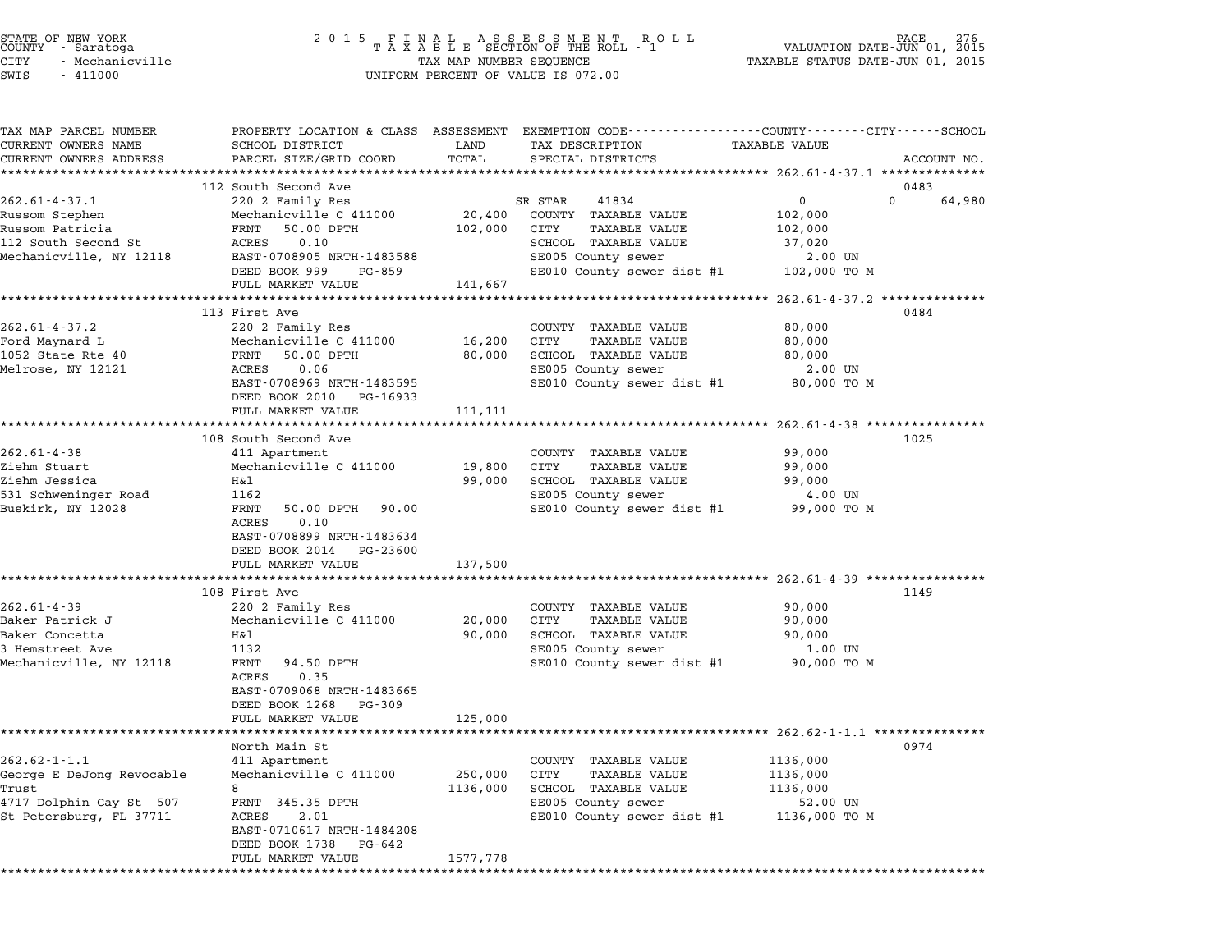| STATE OF NEW YORK<br>COUNTY<br>- Saratoga<br>CITY<br>- Mechanicville<br>SWIS<br>$-411000$                      | 2 0 1 5                                                                                                                                                                                                        | TAX MAP NUMBER SEQUENCE      | FINAL ASSESSMENT RO<br>TAXABLE SECTION OF THE ROLL - 1<br>R O L L<br>UNIFORM PERCENT OF VALUE IS 072.00                                       | VALUATION DATE-JUN 01, 2015<br>TAXABLE STATUS DATE-JUN 01, 2015          | 276<br>PAGE |
|----------------------------------------------------------------------------------------------------------------|----------------------------------------------------------------------------------------------------------------------------------------------------------------------------------------------------------------|------------------------------|-----------------------------------------------------------------------------------------------------------------------------------------------|--------------------------------------------------------------------------|-------------|
| TAX MAP PARCEL NUMBER<br>CURRENT OWNERS NAME<br>CURRENT OWNERS ADDRESS                                         | SCHOOL DISTRICT<br>PARCEL SIZE/GRID COORD                                                                                                                                                                      | LAND<br>TOTAL                | PROPERTY LOCATION & CLASS ASSESSMENT EXEMPTION CODE----------------COUNTY-------CITY------SCHOOL<br>TAX DESCRIPTION<br>SPECIAL DISTRICTS      | TAXABLE VALUE                                                            | ACCOUNT NO. |
|                                                                                                                | 112 South Second Ave                                                                                                                                                                                           |                              |                                                                                                                                               |                                                                          | 0483        |
| $262.61 - 4 - 37.1$<br>Russom Stephen<br>Russom Patricia<br>112 South Second St<br>Mechanicville, NY 12118     | 220 2 Family Res<br>Mechanicville C 411000<br>FRNT<br>50.00 DPTH<br>0.10<br>ACRES<br>EAST-0708905 NRTH-1483588<br>DEED BOOK 999<br>PG-859<br>FULL MARKET VALUE                                                 | 20,400<br>102,000<br>141,667 | SR STAR<br>41834<br>COUNTY TAXABLE VALUE<br>CITY<br>TAXABLE VALUE<br>SCHOOL TAXABLE VALUE<br>SE005 County sewer<br>SE010 County sewer dist #1 | 0<br>$\Omega$<br>102,000<br>102,000<br>37,020<br>2.00 UN<br>102,000 TO M | 64,980      |
|                                                                                                                |                                                                                                                                                                                                                |                              |                                                                                                                                               | *********** 262.61-4-37.2 **************                                 |             |
| $262.61 - 4 - 37.2$<br>Ford Maynard L<br>1052 State Rte 40<br>Melrose, NY 12121                                | 113 First Ave<br>220 2 Family Res<br>Mechanicville C 411000<br>50.00 DPTH<br>FRNT<br>ACRES<br>0.06<br>EAST-0708969 NRTH-1483595<br>DEED BOOK 2010 PG-16933<br>FULL MARKET VALUE                                | 16,200<br>80,000<br>111,111  | COUNTY TAXABLE VALUE<br>CITY<br>TAXABLE VALUE<br>SCHOOL TAXABLE VALUE<br>SE005 County sewer<br>SE010 County sewer dist #1                     | 80,000<br>80,000<br>80,000<br>2.00 UN<br>80,000 TO M                     | 0484        |
|                                                                                                                | *****************************                                                                                                                                                                                  |                              |                                                                                                                                               |                                                                          |             |
| $262.61 - 4 - 38$<br>Ziehm Stuart<br>Ziehm Jessica<br>531 Schweninger Road<br>Buskirk, NY 12028                | 108 South Second Ave<br>411 Apartment<br>Mechanicville C 411000<br>H&l<br>1162<br>FRNT<br>50.00 DPTH<br>90.00<br>ACRES<br>0.10<br>EAST-0708899 NRTH-1483634<br>DEED BOOK 2014<br>PG-23600<br>FULL MARKET VALUE | 19,800<br>99,000<br>137,500  | COUNTY TAXABLE VALUE<br>CITY<br><b>TAXABLE VALUE</b><br>SCHOOL TAXABLE VALUE<br>SE005 County sewer<br>SE010 County sewer dist #1              | 99,000<br>99,000<br>99,000<br>4.00 UN<br>99,000 TO M                     | 1025        |
|                                                                                                                | 108 First Ave                                                                                                                                                                                                  |                              | ************************************* 262.61-4-39 *****************                                                                           |                                                                          | 1149        |
| 262.61-4-39<br>Baker Patrick J<br>Baker Concetta<br>3 Hemstreet Ave<br>Mechanicville, NY 12118                 | 220 2 Family Res<br>Mechanicville C 411000<br>Η&l<br>1132<br>FRNT<br>94.50 DPTH<br>ACRES<br>0.35<br>EAST-0709068 NRTH-1483665<br>DEED BOOK 1268<br>PG-309<br>FULL MARKET VALUE                                 | 20,000<br>90,000<br>125,000  | COUNTY TAXABLE VALUE<br>CITY<br><b>TAXABLE VALUE</b><br>SCHOOL TAXABLE VALUE<br>SE005 County sewer<br>SE010 County sewer dist #1              | 90,000<br>90,000<br>90,000<br>1.00 UN<br>90,000 TO M                     |             |
|                                                                                                                | ********************                                                                                                                                                                                           |                              |                                                                                                                                               |                                                                          |             |
| $262.62 - 1 - 1.1$<br>George E DeJong Revocable<br>Trust<br>4717 Dolphin Cay St 507<br>St Petersburg, FL 37711 | North Main St<br>411 Apartment<br>Mechanicville C 411000<br>8<br>FRNT 345.35 DPTH<br>2.01<br>ACRES<br>EAST-0710617 NRTH-1484208<br>DEED BOOK 1738<br>PG-642                                                    | 250,000<br>1136,000          | TAXABLE VALUE<br>COUNTY<br><b>CITY</b><br>TAXABLE VALUE<br>SCHOOL TAXABLE VALUE<br>SE005 County sewer<br>SE010 County sewer dist #1           | 1136,000<br>1136,000<br>1136,000<br>52.00 UN<br>1136,000 TO M            | 0974        |
|                                                                                                                | FULL MARKET VALUE                                                                                                                                                                                              | 1577,778                     |                                                                                                                                               |                                                                          |             |
|                                                                                                                |                                                                                                                                                                                                                |                              |                                                                                                                                               |                                                                          |             |

STATE OF NEW YORK <sup>2</sup> <sup>0</sup> <sup>1</sup> 5 F I N A L A S S E S S M E N T R O L L PAGE <sup>276</sup> COUNTY - Saratoga <sup>T</sup> <sup>A</sup> <sup>X</sup> <sup>A</sup> <sup>B</sup> <sup>L</sup> <sup>E</sup> SECTION OF THE ROLL - <sup>1</sup> VALUATION DATE-JUN 01, <sup>2015</sup>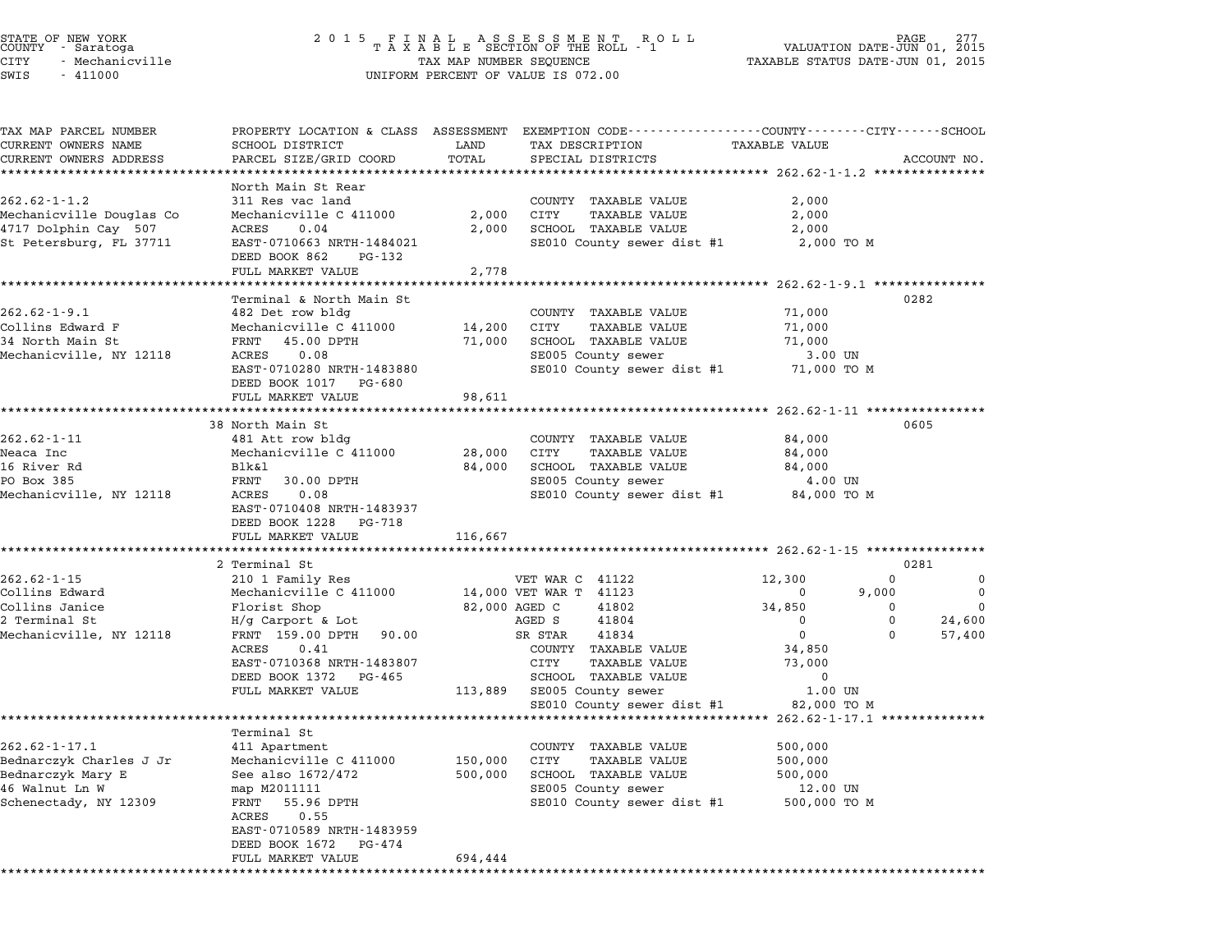|       | STATE OF NEW YORK<br>COUNTY - Saratoga |  |
|-------|----------------------------------------|--|
| CITY  | - Mechanicville                        |  |
| ----- | .                                      |  |

# STATE OF NEW YORK <sup>2</sup> <sup>0</sup> <sup>1</sup> 5 F I N A L A S S E S S M E N T R O L L PAGE <sup>277</sup> COUNTY - Saratoga <sup>T</sup> <sup>A</sup> <sup>X</sup> <sup>A</sup> <sup>B</sup> <sup>L</sup> <sup>E</sup> SECTION OF THE ROLL - <sup>1</sup> VALUATION DATE-JUN 01, <sup>2015</sup> CITY - Mechanicville TAX MAP NUMBER SEQUENCE TAXABLE STATUS DATE-JUN 01, <sup>2015</sup> SWIS - <sup>411000</sup> UNIFORM PERCENT OF VALUE IS 072.00

| TAX MAP PARCEL NUMBER    |                                              |         | PROPERTY LOCATION & CLASS ASSESSMENT EXEMPTION CODE---------------COUNTY-------CITY------SCHOOL |                                                         |             |
|--------------------------|----------------------------------------------|---------|-------------------------------------------------------------------------------------------------|---------------------------------------------------------|-------------|
| CURRENT OWNERS NAME      | SCHOOL DISTRICT                              | LAND    | TAX DESCRIPTION                                                                                 | TAXABLE VALUE                                           |             |
| CURRENT OWNERS ADDRESS   | PARCEL SIZE/GRID COORD                       | TOTAL   | SPECIAL DISTRICTS                                                                               |                                                         | ACCOUNT NO. |
|                          |                                              |         |                                                                                                 |                                                         |             |
| $262.62 - 1 - 1.2$       | North Main St Rear<br>311 Res vac land       |         | COUNTY TAXABLE VALUE                                                                            | 2,000                                                   |             |
| Mechanicville Douglas Co | Mechanicville C 411000                       | 2,000   | CITY<br><b>TAXABLE VALUE</b>                                                                    | 2,000                                                   |             |
| 4717 Dolphin Cay 507     | 0.04<br>ACRES                                | 2,000   | SCHOOL TAXABLE VALUE                                                                            | 2,000                                                   |             |
| St Petersburg, FL 37711  | EAST-0710663 NRTH-1484021                    |         | SE010 County sewer dist #1                                                                      | 2,000 TO M                                              |             |
|                          | DEED BOOK 862<br>PG-132                      |         |                                                                                                 |                                                         |             |
|                          | FULL MARKET VALUE<br>*********************** | 2,778   |                                                                                                 | ************************* 262.62-1-9.1 **************** |             |
|                          | Terminal & North Main St                     |         |                                                                                                 |                                                         | 0282        |
| $262.62 - 1 - 9.1$       | 482 Det row bldg                             |         | COUNTY TAXABLE VALUE                                                                            | 71,000                                                  |             |
| Collins Edward F         | Mechanicville C 411000                       | 14,200  | CITY<br>TAXABLE VALUE                                                                           | 71,000                                                  |             |
| 34 North Main St         | FRNT 45.00 DPTH                              | 71,000  | SCHOOL TAXABLE VALUE                                                                            | 71,000                                                  |             |
| Mechanicville, NY 12118  | 0.08<br>ACRES                                |         | SE005 County sewer                                                                              | 3.00 UN                                                 |             |
|                          | EAST-0710280 NRTH-1483880                    |         | SE010 County sewer dist #1                                                                      | 71,000 TO M                                             |             |
|                          | DEED BOOK 1017 PG-680                        |         |                                                                                                 |                                                         |             |
|                          | FULL MARKET VALUE                            | 98,611  |                                                                                                 |                                                         |             |
|                          |                                              |         |                                                                                                 | ********** 262.62-1-11 **************                   |             |
|                          | 38 North Main St                             |         |                                                                                                 |                                                         | 0605        |
| $262.62 - 1 - 11$        | 481 Att row bldg                             |         | COUNTY TAXABLE VALUE                                                                            | 84,000                                                  |             |
| Neaca Inc                | Mechanicville C 411000                       | 28,000  | CITY<br><b>TAXABLE VALUE</b>                                                                    | 84,000                                                  |             |
| 16 River Rd              | Blk&l                                        | 84,000  | SCHOOL TAXABLE VALUE                                                                            | 84,000                                                  |             |
| PO Box 385               | FRNT 30.00 DPTH                              |         | SE005 County sewer                                                                              | 4.00 UN                                                 |             |
| Mechanicville, NY 12118  | ACRES<br>0.08                                |         | SE010 County sewer dist #1                                                                      | 84,000 TO M                                             |             |
|                          | EAST-0710408 NRTH-1483937                    |         |                                                                                                 |                                                         |             |
|                          | DEED BOOK 1228 PG-718                        |         |                                                                                                 |                                                         |             |
|                          | FULL MARKET VALUE                            | 116,667 |                                                                                                 |                                                         |             |
|                          | ***********************                      |         |                                                                                                 |                                                         |             |
|                          | 2 Terminal St                                |         |                                                                                                 |                                                         | 0281        |
| $262.62 - 1 - 15$        | 210 1 Family Res                             |         | VET WAR C 41122                                                                                 | 12,300<br>$\mathbf 0$                                   | 0           |
| Collins Edward           | Mechanicville C 411000                       |         | 14,000 VET WAR T 41123                                                                          | 9,000<br>0                                              | $\mathbf 0$ |
| Collins Janice           | Florist Shop                                 |         | 82,000 AGED C<br>41802                                                                          | 34,850<br>0                                             | $\Omega$    |
| 2 Terminal St            | $H/g$ Carport & Lot                          |         | AGED S<br>41804                                                                                 | $\mathbf 0$<br>$\Omega$                                 | 24,600      |
| Mechanicville, NY 12118  | FRNT 159.00 DPTH<br>90.00                    |         | 41834<br>SR STAR                                                                                | $\Omega$<br>$\Omega$                                    | 57,400      |
|                          | ACRES<br>0.41                                |         | COUNTY TAXABLE VALUE                                                                            | 34,850                                                  |             |
|                          | EAST-0710368 NRTH-1483807                    |         | CITY<br><b>TAXABLE VALUE</b>                                                                    | 73,000                                                  |             |
|                          | DEED BOOK 1372 PG-465                        |         | SCHOOL TAXABLE VALUE                                                                            | $\Omega$                                                |             |
|                          | FULL MARKET VALUE                            | 113,889 | SE005 County sewer                                                                              | 1.00 UN                                                 |             |
|                          |                                              |         | SE010 County sewer dist #1                                                                      | 82,000 TO M                                             |             |
|                          |                                              |         |                                                                                                 | 262.62-1-17.1 ***************                           |             |
|                          | Terminal St                                  |         |                                                                                                 |                                                         |             |
| $262.62 - 1 - 17.1$      | 411 Apartment                                |         | COUNTY TAXABLE VALUE                                                                            | 500,000                                                 |             |
| Bednarczyk Charles J Jr  | Mechanicville C 411000                       | 150,000 | CITY<br>TAXABLE VALUE                                                                           | 500,000                                                 |             |
| Bednarczyk Mary E        | See also 1672/472                            | 500,000 | SCHOOL TAXABLE VALUE                                                                            | 500,000                                                 |             |
| 46 Walnut Ln W           | map M2011111                                 |         | SE005 County sewer                                                                              | 12.00 UN                                                |             |
| Schenectady, NY 12309    | FRNT<br>55.96 DPTH<br>ACRES<br>0.55          |         | SE010 County sewer dist #1                                                                      | 500,000 TO M                                            |             |
|                          | EAST-0710589 NRTH-1483959                    |         |                                                                                                 |                                                         |             |
|                          | DEED BOOK 1672<br>PG-474                     |         |                                                                                                 |                                                         |             |
|                          | FULL MARKET VALUE                            | 694,444 |                                                                                                 |                                                         |             |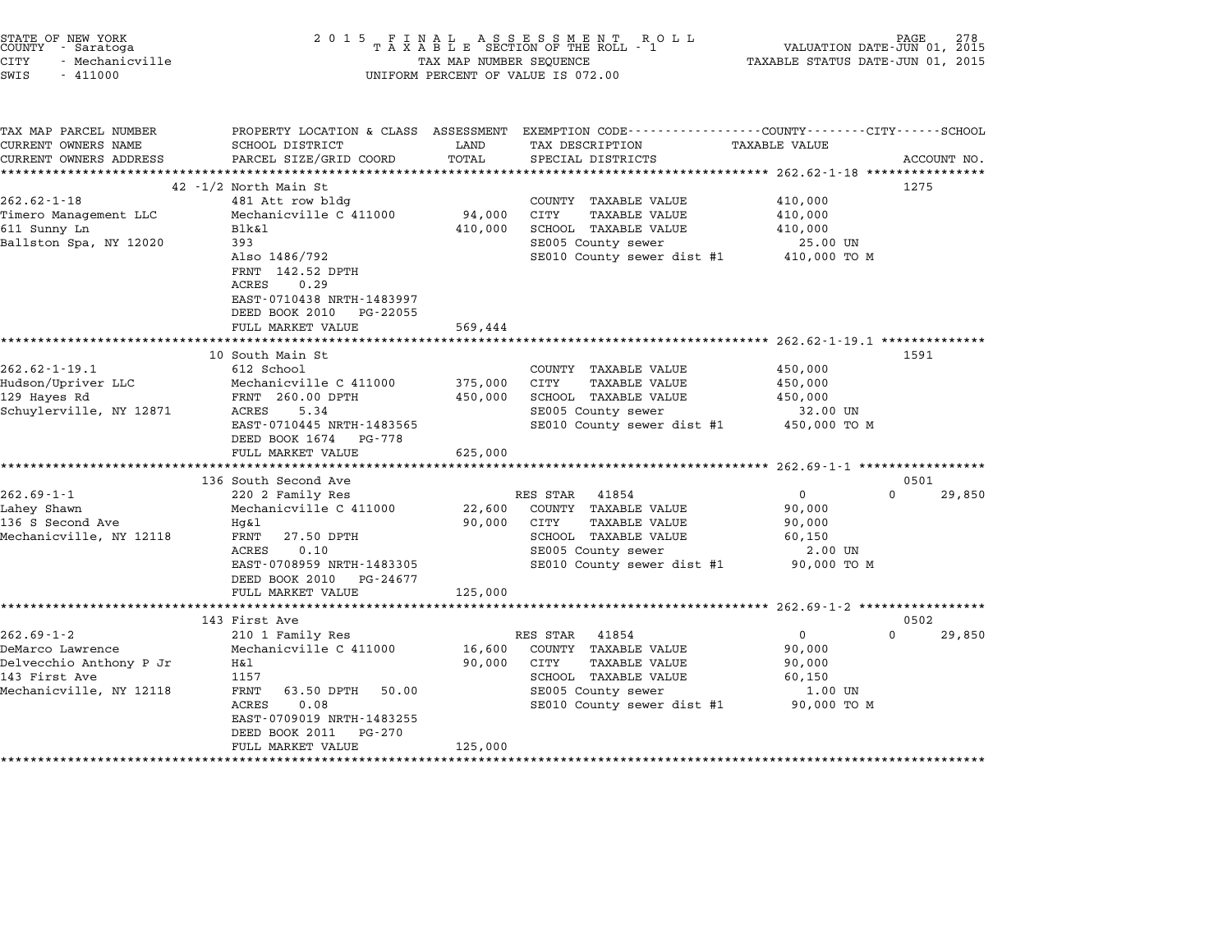| STATE OF NEW YORK<br>COUNTY - Saratoga<br>CITY<br>- Mechanicville<br>SWIS<br>$-411000$                      | 2 0 1 5                                                                                                                                                                |                             | FINAL ASSESSMENT ROLL<br>TAXABLE SECTION OF THE ROLL - 1<br>TAX MAP NUMBER SEQUENCE<br>UNIFORM PERCENT OF VALUE IS 072.00                          | TAXABLE STATUS DATE-JUN 01, 2015                                     | 278<br>PAGE<br>VALUATION DATE-JUN 01, 2015 |
|-------------------------------------------------------------------------------------------------------------|------------------------------------------------------------------------------------------------------------------------------------------------------------------------|-----------------------------|----------------------------------------------------------------------------------------------------------------------------------------------------|----------------------------------------------------------------------|--------------------------------------------|
| TAX MAP PARCEL NUMBER<br>CURRENT OWNERS NAME<br>CURRENT OWNERS ADDRESS                                      | SCHOOL DISTRICT<br>PARCEL SIZE/GRID COORD                                                                                                                              | LAND<br>TOTAL               | PROPERTY LOCATION & CLASS ASSESSMENT EXEMPTION CODE---------------COUNTY-------CITY-----SCHOOL<br>TAX DESCRIPTION<br>SPECIAL DISTRICTS             | <b>TAXABLE VALUE</b>                                                 | ACCOUNT NO.                                |
|                                                                                                             |                                                                                                                                                                        |                             |                                                                                                                                                    |                                                                      |                                            |
|                                                                                                             | 42 -1/2 North Main St                                                                                                                                                  |                             |                                                                                                                                                    |                                                                      | 1275                                       |
| $262.62 - 1 - 18$<br>Timero Management LLC<br>611 Sunny Ln<br>Ballston Spa, NY 12020                        | 481 Att row bldg<br>Mechanicville C 411000<br>Blk&l<br>393<br>Also 1486/792<br>FRNT 142.52 DPTH<br>ACRES<br>0.29                                                       | 94,000<br>410,000           | COUNTY TAXABLE VALUE<br><b>TAXABLE VALUE</b><br>CITY<br>SCHOOL TAXABLE VALUE<br>SE005 County sewer<br>SE010 County sewer dist #1                   | 410,000<br>410,000<br>410,000<br>25.00 UN<br>410,000 TO M            |                                            |
|                                                                                                             | EAST-0710438 NRTH-1483997<br>DEED BOOK 2010 PG-22055<br>FULL MARKET VALUE                                                                                              | 569,444                     |                                                                                                                                                    |                                                                      |                                            |
|                                                                                                             | 10 South Main St                                                                                                                                                       |                             |                                                                                                                                                    |                                                                      | 1591                                       |
| $262.62 - 1 - 19.1$<br>Hudson/Upriver LLC<br>129 Hayes Rd<br>Schuylerville, NY 12871                        | 612 School<br>Mechanicville C 411000<br>FRNT 260.00 DPTH<br>ACRES<br>5.34<br>EAST-0710445 NRTH-1483565<br>DEED BOOK 1674 PG-778                                        | 375,000<br>450,000          | COUNTY TAXABLE VALUE<br>CITY<br>TAXABLE VALUE<br>SCHOOL TAXABLE VALUE<br>SE005 County sewer<br>SE010 County sewer dist #1 450,000 TO M             | 450,000<br>450,000<br>450,000<br>32.00 UN                            |                                            |
|                                                                                                             | FULL MARKET VALUE                                                                                                                                                      | 625,000                     |                                                                                                                                                    |                                                                      |                                            |
|                                                                                                             | 136 South Second Ave                                                                                                                                                   |                             |                                                                                                                                                    |                                                                      | 0501                                       |
| $262.69 - 1 - 1$<br>Lahey Shawn<br>136 S Second Ave<br>Mechanicville, NY 12118                              | 220 2 Family Res<br>Mechanicville C 411000<br>Hq&l<br>FRNT<br>27.50 DPTH<br>ACRES<br>0.10<br>EAST-0708959 NRTH-1483305<br>DEED BOOK 2010 PG-24677<br>FULL MARKET VALUE | 22,600<br>90,000<br>125,000 | RES STAR 41854<br>COUNTY TAXABLE VALUE<br><b>TAXABLE VALUE</b><br>CITY<br>SCHOOL TAXABLE VALUE<br>SE005 County sewer<br>SE010 County sewer dist #1 | $\mathbf{0}$<br>90,000<br>90,000<br>60,150<br>2.00 UN<br>90,000 TO M | $\Omega$<br>29,850                         |
|                                                                                                             | 143 First Ave                                                                                                                                                          |                             |                                                                                                                                                    |                                                                      | 0502                                       |
| $262.69 - 1 - 2$<br>DeMarco Lawrence<br>Delvecchio Anthony P Jr<br>143 First Ave<br>Mechanicville, NY 12118 | 210 1 Family Res<br>Mechanicville C 411000<br>Η&l<br>1157<br>FRNT<br>63.50 DPTH<br>50.00<br>ACRES<br>0.08<br>EAST-0709019 NRTH-1483255<br>DEED BOOK 2011 PG-270        | 16,600<br>90,000            | RES STAR 41854<br>COUNTY TAXABLE VALUE<br><b>TAXABLE VALUE</b><br>CITY<br>SCHOOL TAXABLE VALUE<br>SE005 County sewer<br>SE010 County sewer dist #1 | 0<br>90,000<br>90,000<br>60,150<br>1.00 UN<br>90,000 TO M            | $\Omega$<br>29,850                         |
|                                                                                                             | FULL MARKET VALUE                                                                                                                                                      | 125,000                     |                                                                                                                                                    |                                                                      |                                            |

STATE OF NEW YORK <sup>2</sup> <sup>0</sup> <sup>1</sup> 5 F I N A L A S S E S S M E N T R O L L PAGE <sup>278</sup> COUNTY - Saratoga <sup>T</sup> <sup>A</sup> <sup>X</sup> <sup>A</sup> <sup>B</sup> <sup>L</sup> <sup>E</sup> SECTION OF THE ROLL - <sup>1</sup> VALUATION DATE-JUN 01, <sup>2015</sup>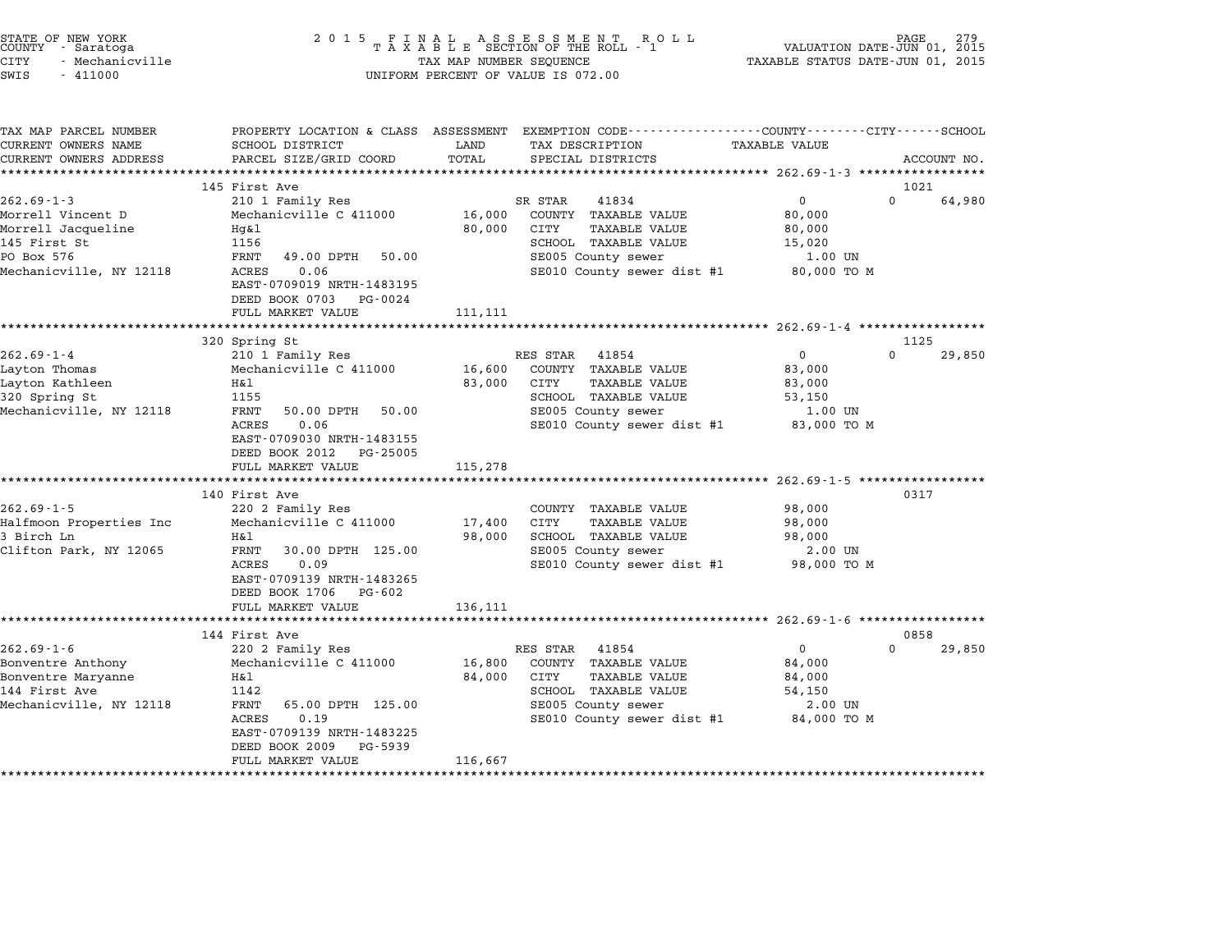| STATE OF NEW YORK |                 |  |
|-------------------|-----------------|--|
| COUNTY            | - Saratoga      |  |
| CITY              | - Mechanicville |  |

# STATE OF NEW YORK <sup>2</sup> <sup>0</sup> <sup>1</sup> 5 F I N A L A S S E S S M E N T R O L L PAGE <sup>279</sup> COUNTY - Saratoga <sup>T</sup> <sup>A</sup> <sup>X</sup> <sup>A</sup> <sup>B</sup> <sup>L</sup> <sup>E</sup> SECTION OF THE ROLL - <sup>1</sup> VALUATION DATE-JUN 01, <sup>2015</sup> CITY - Mechanicville TAX MAP NUMBER SEQUENCE TAXABLE STATUS DATE-JUN 01, <sup>2015</sup> SWIS - <sup>411000</sup> UNIFORM PERCENT OF VALUE IS 072.00

TAX MAP PARCEL NUMBER PROPERTY LOCATION & CLASS ASSESSMENT EXEMPTION CODE------------------COUNTY--------CITY------SCHOOL ...<br>-- COUNTY:- TAX MAP PARCEL NUMBER THE OCHOTRY AND THE CURRENT EXEMPTION CODE<br>CURRENT OWNERS NAME SCHOOL DISTRICT LAND TAX DESCRIPTION TAXABLE VALUE CURRENT OWNERS ADDEER FOUR DISTRICTS AND A CHASS ASSESSEENT EXERT ON TAX MIT PROCULPTION TRANSFOURERS ADDRESS SANCEL SIZE/GRID COORD TOTAL SEEN TRANSFOUR TRANSFOUR TRANSFOUR TRANSFOUR TRANSFOUR TRANSFOUR TRANSFOUR ACCOUNT <sup>145</sup> First Ave <sup>1021</sup> 145 First Ave 145 First Ave 262.69-1-3 202.05 1 210 1 Family Res SR STAR 41834 0 0 64,980 14J FILS AVE SER STAR 41834 (1995)<br>2010 1 Eamily Res (1894 SR STAR 41834 (2006) 16,000 COUNTY TAXABLE VALUE 80,000 NUCLEMENT AVE ستان المسلم المسلم المسلم المسلم المسلم المسلم المسلم المسلم المسلم المسلم المسلم المسلم المسلم المسلم المسلم ا<br>Morrell Jacqueline Morell Jacqueline Hg&l Bo,000 COUNT TAXABLE VALUE 80,000 NOTIEIT VIRCENT DUCES DUCES NECRET MECHANICALLE CONTRACTOR CONTRACTOR AND SOURCES OVER A SOURCE SOURCE AND SOU<br>Morrell Jacqueline Hotel Hotel Hotel Source and Source of Source of Source of Source and Source of Source of S<br> NOTIELI JACQUEINE AND HANDER MANUS AND SURVICE SURVEY OF TAXABLE VALUE AND SURVEY OF SURVEY OF SURVEY AND SURV<br>19.00 DPTH 50.00 SE005 COUNTY SEWER TO STRAIN SERVEY AND SERVEY SURVEY AND SURVEY OF SURVEY OF SURVEY OF TAXAB Mechanicville, NY 12118 CRES 0.06 SE000 COUNTRABLE VALUE 11.00 UN CONSERVATIVE PO BOX 576 SE000 TO M<br>Mechanicville, NY 12118 ACRES 0.06 SE010 County sewer dist #1 80,000 TO M<br>EAST-0709019 NRTH-1483195 EAST-0709019 NRTH-1483195<br>DEED BOOK 0703 PG-0024 FULL MARKET VALUE 111,111 \*\*\*\*\*\*\*\*\*\*\*\*\*\*\*\*\*\*\*\*\*\*\*\*\*\*\*\*\*\*\*\*\*\*\*\*\*\*\*\*\*\*\*\*\*\*\*\*\*\*\*\*\*\*\*\*\*\*\*\*\*\*\*\*\*\*\*\*\*\*\*\*\*\*\*\*\*\*\*\*\*\*\*\*\*\*\*\*\*\*\*\*\*\*\*\*\*\*\*\*\*\*\* 262.69-1-4 \*\*\*\*\*\*\*\*\*\*\*\*\*\*\*\*\* 320 Spring St 1125 262.69-1-4 202.09-1-4 202.69-1-4 202.69-1-4 202.69-1-4 202.69-1-4 202.69-1-4 202.69-1-4 202.69-1-4 202.69-1-4<br>200 29,850 RES STAR 41854 0 200 29,850 210 1 Family Res RES STAR 41854 0 200 29,850 Layton Thomas Mechanicville C <sup>411000</sup> 16,600 COUNTY TAXABLE VALUE 83,000 202.09-1-4<br>Layton Thomas Mechanicville C 411000 16,600 COUNTY TAXABLE VALUE 83,000<br>Layton Kathleen H&l 83,000 CITY TAXAB any contributions of the mechanic virtue of the contribution of the contribution of the contribution of the co<br>183,000 CITY TAXABLE VALUE 83,000 NOTE S3,000 NOTE S3,000 NOTE S3,000 NOTE S3,000 NOTE S3,000 NOTE S3,000 NOTE<br> Mechanicville, NY <sup>12118</sup> FRNT 50.00 DPTH 50.00 SE005 County sewer 1.00 UN در المسلم المسلم المسلم المسلم المسلم المسلم المسلم المسلم المسلم المسلم المسلم المسلم المسلم المسلم المسلم ال<br>FRINT 50.00 DPTH 50.00 SE005 County sewer dist #1 83,000 TO M EAST-0709030 NRTH-1483155 EAST-0709030 NRTH-1483155<br>DEED BOOK 2012 PG-25005 DEED BOOK 2012 PG-25005<br>FULL MARKET VALUE 115,278 \*\*\*\*\*\*\*\*\*\*\*\*\*\*\*\*\*\*\*\*\*\*\*\*\*\*\*\*\*\*\*\*\*\*\*\*\*\*\*\*\*\*\*\*\*\*\*\*\*\*\*\*\*\*\*\*\*\*\*\*\*\*\*\*\*\*\*\*\*\*\*\*\*\*\*\*\*\*\*\*\*\*\*\*\*\*\*\*\*\*\*\*\*\*\*\*\*\*\*\*\*\*\* 262.69-1-5 \*\*\*\*\*\*\*\*\*\*\*\*\*\*\*\*\* <sup>140</sup> First Ave <sup>0317</sup> 262.69-1-5 <sup>220</sup> <sup>2</sup> Family Res COUNTY TAXABLE VALUE 98,000 Halfmoon Properties Inc Mechanicville C <sup>411000</sup> 17,400 CITY TAXABLE VALUE 98,000 202.00 1 5 202.00 2 202.000 220 2 Palming Research Mathematic Committee And Committee And Society of Society<br>3 Birch Ln 198,000 SCHOOL TAXABLE VALUE 98,000 98,000 98,000 PAXABLE VALUE 98,000 Clifton Park, NY <sup>12065</sup> FRNT 30.00 DPTH 125.00 SE005 County sewer 2.00 UN ACAL MANDE VALUE 1999, NEW SUIT ON SERVER IN A SUBSEDUCE 1 AAADDE VALUE 1999, NOT US.<br>FRANT 30.00 DPTH 125.00 SE005 COUNTy sewer dist #1 98,000 TO M EAST-0709139 NRTH-1483265 ACRES 0.09<br>EAST-0709139 NRTH-1483265 DEED BOOK 1706 PG-602<br>FULL MARKET VALUE 136,111 \*\*\*\*\*\*\*\*\*\*\*\*\*\*\*\*\*\*\*\*\*\*\*\*\*\*\*\*\*\*\*\*\*\*\*\*\*\*\*\*\*\*\*\*\*\*\*\*\*\*\*\*\*\*\*\*\*\*\*\*\*\*\*\*\*\*\*\*\*\*\*\*\*\*\*\*\*\*\*\*\*\*\*\*\*\*\*\*\*\*\*\*\*\*\*\*\*\*\*\*\*\*\* 262.69-1-6 \*\*\*\*\*\*\*\*\*\*\*\*\*\*\*\*\* <sup>144</sup> First Ave <sup>0858</sup> 144 First Ave 144 First Ave 262.69-1-6 220 2 Family Res RES STAR 41854 0 2010 29,850 Bonventre Anthony Mechanicville C <sup>411000</sup> 16,800 COUNTY TAXABLE VALUE 84,000 202.00 1 O<br>Bonventre Anthony Mechanicville C 411000 16,800 COUNTY TAXABLE VALUE 84,000<br>Bonventre Maryanne Ball Ball 84,000 CITY TAXABLE VALUE 84,000 BOIN BUILD FOR THE MELLON MELLON CONTRACTED AND THE SERVICE SERVICE AND SALUE OF A SALUE SERVICE SERVICE SERVICE<br>144 First Ave 1142 SCHOOL TAXABLE VALUE S4,000<br>144 First Ave 54,150 Mentite maryanne of the control of the control of the control of the control of the control of the control of the control of the series of the series of the series of the series of the series of the series of the series of 1142 SCROOD TAXABLE VALUE 1998<br>FRNT 65.00 DPTH 125.00 SE005 County sewer 2.00 UN<br>ACRES 0.19 SE010 County sewer dist #1 84,000 TO M ACRES 0.19 EAST-0709139 NRTH-1483225<br>DEED BOOK 2009 PG-5939 FULL MARKET VALUE 116,667 \*\*\*\*\*\*\*\*\*\*\*\*\*\*\*\*\*\*\*\*\*\*\*\*\*\*\*\*\*\*\*\*\*\*\*\*\*\*\*\*\*\*\*\*\*\*\*\*\*\*\*\*\*\*\*\*\*\*\*\*\*\*\*\*\*\*\*\*\*\*\*\*\*\*\*\*\*\*\*\*\*\*\*\*\*\*\*\*\*\*\*\*\*\*\*\*\*\*\*\*\*\*\*\*\*\*\*\*\*\*\*\*\*\*\*\*\*\*\*\*\*\*\*\*\*\*\*\*\*\*\*\*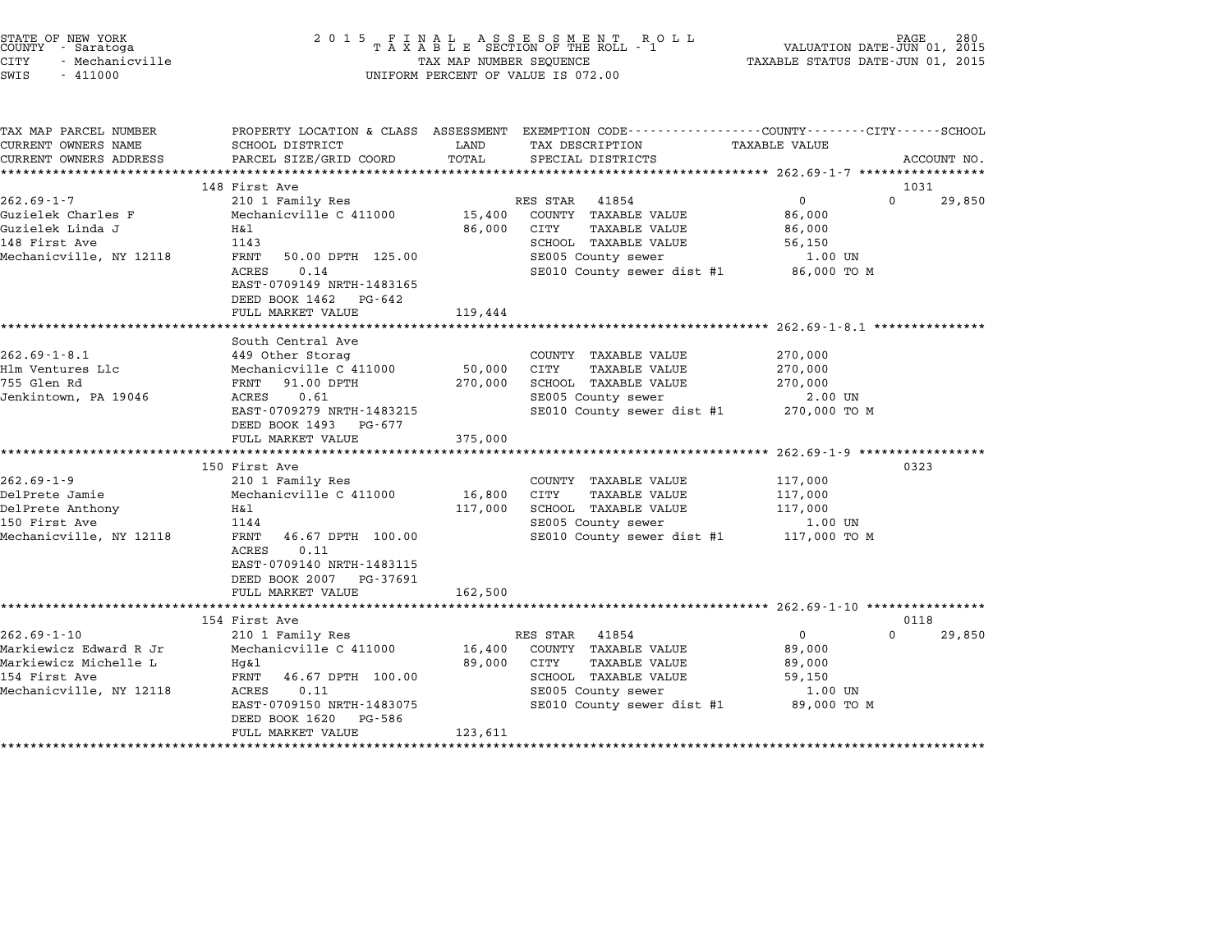| STATE OF NEW YORK |                 |  |
|-------------------|-----------------|--|
| COUNTY            | - Saratoga      |  |
| CITY              | - Mechanicville |  |

# STATE OF NEW YORK <sup>2</sup> <sup>0</sup> <sup>1</sup> 5 F I N A L A S S E S S M E N T R O L L PAGE <sup>280</sup> COUNTY - Saratoga <sup>T</sup> <sup>A</sup> <sup>X</sup> <sup>A</sup> <sup>B</sup> <sup>L</sup> <sup>E</sup> SECTION OF THE ROLL - <sup>1</sup> VALUATION DATE-JUN 01, <sup>2015</sup> STATE OF NEW YORK (PAGE 180 )<br>COUNTY - Saratoga (PAGE 180 ) TAXALLE SECTION OF THE ROLL - 1 (PAGE 1901, 2015 )<br>CITY - Mechanicville (PAGE 1915 ) TAXABLE STATUS DATE-JUN 01, 2015 ) TAXABLE STATUS DATE-JUN 01, 2015 SWIS - <sup>411000</sup> UNIFORM PERCENT OF VALUE IS 072.00

| TAX MAP PARCEL NUMBER                  |                                                    |             | PROPERTY LOCATION & CLASS ASSESSMENT EXEMPTION CODE---------------COUNTY-------CITY------SCHOOL |                   |                    |
|----------------------------------------|----------------------------------------------------|-------------|-------------------------------------------------------------------------------------------------|-------------------|--------------------|
| CURRENT OWNERS NAME                    | SCHOOL DISTRICT                                    | LAND        | TAX DESCRIPTION TAXABLE VALUE                                                                   |                   |                    |
| CURRENT OWNERS ADDRESS                 | PARCEL SIZE/GRID COORD                             | TOTAL       | SPECIAL DISTRICTS                                                                               |                   | ACCOUNT NO.        |
|                                        |                                                    |             |                                                                                                 |                   |                    |
|                                        | 148 First Ave                                      |             |                                                                                                 |                   | 1031               |
| $262.69 - 1 - 7$                       | 210 1 Family Res                                   |             | RES STAR 41854                                                                                  | $0 \qquad \qquad$ | $\Omega$<br>29,850 |
| Guzielek Charles F<br>Guzielek Linda J | Mechanicville C 411000<br>H&l                      |             | 15,400 COUNTY TAXABLE VALUE<br>86,000 CITY<br>TAXABLE VALUE                                     | 86,000            |                    |
| 148 First Ave                          | 1143                                               |             | SCHOOL TAXABLE VALUE                                                                            | 86,000<br>56,150  |                    |
| Mechanicville, NY 12118                | FRNT 50.00 DPTH 125.00                             |             | SE005 County sewer                                                                              | 1.00 UN           |                    |
|                                        | 0.14<br>ACRES                                      |             | SE010 County sewer dist #1 86,000 TO M                                                          |                   |                    |
|                                        | EAST-0709149 NRTH-1483165                          |             |                                                                                                 |                   |                    |
|                                        | DEED BOOK 1462 PG-642                              |             |                                                                                                 |                   |                    |
|                                        | FULL MARKET VALUE                                  | 119,444     |                                                                                                 |                   |                    |
|                                        |                                                    |             |                                                                                                 |                   |                    |
|                                        | South Central Ave                                  |             |                                                                                                 |                   |                    |
| $262.69 - 1 - 8.1$                     | 449 Other Storag                                   |             | COUNTY TAXABLE VALUE                                                                            | 270,000           |                    |
| Hlm Ventures Llc                       | Mechanicville C 411000                             | 50,000 CITY | TAXABLE VALUE                                                                                   | 270,000           |                    |
| 755 Glen Rd                            | FRNT 91.00 DPTH                                    | 270,000     | SCHOOL TAXABLE VALUE                                                                            | 270,000           |                    |
| Jenkintown, PA 19046                   | ACRES 0.61                                         |             | SE005 County sewer                                                                              | 2.00 UN           |                    |
|                                        | EAST-0709279 NRTH-1483215                          |             | SE010 County sewer dist #1 270,000 TO M                                                         |                   |                    |
|                                        | DEED BOOK 1493 PG-677                              |             |                                                                                                 |                   |                    |
|                                        | FULL MARKET VALUE 375,000                          |             |                                                                                                 |                   |                    |
|                                        |                                                    |             |                                                                                                 |                   |                    |
|                                        | 150 First Ave                                      |             |                                                                                                 |                   | 0323               |
| $262.69 - 1 - 9$                       | 210 1 Family Res                                   |             | COUNTY TAXABLE VALUE                                                                            | 117,000           |                    |
| DelPrete Jamie                         | Mechanicville C 411000 16,800                      |             | CITY<br>TAXABLE VALUE                                                                           | 117,000           |                    |
| DelPrete Anthony<br>150 First Ave      | H&l                                                | 117,000     | SCHOOL TAXABLE VALUE                                                                            | 117,000           |                    |
| 150 First Ave                          | 1144                                               |             | SE005 County sewer                                                                              | 1.00 UN           |                    |
| Mechanicville, NY 12118                | FRNT 46.67 DPTH 100.00                             |             | SE010 County sewer dist #1 117,000 TO M                                                         |                   |                    |
|                                        | ACRES<br>0.11<br>EAST-0709140 NRTH-1483115         |             |                                                                                                 |                   |                    |
|                                        | DEED BOOK 2007 PG-37691                            |             |                                                                                                 |                   |                    |
|                                        | FULL MARKET VALUE 162,500                          |             |                                                                                                 |                   |                    |
|                                        |                                                    |             |                                                                                                 |                   |                    |
|                                        | 154 First Ave                                      |             |                                                                                                 |                   | 0118               |
| $262.69 - 1 - 10$                      | 210 1 Family Res                                   |             | RES STAR 41854                                                                                  | $\overline{0}$    | $\Omega$<br>29,850 |
| Markiewicz Edward R Jr                 | Mechanicville C 411000 16,400 COUNTY TAXABLE VALUE |             |                                                                                                 | 89,000            |                    |
| Markiewicz Michelle L                  | Hq&l                                               | 89,000      | CITY<br>TAXABLE VALUE                                                                           | 89,000            |                    |
| 154 First Ave                          | FRNT<br>46.67 DPTH 100.00                          |             | SCHOOL TAXABLE VALUE                                                                            | 59,150            |                    |
| Mechanicville, NY 12118                | ACRES<br>0.11                                      |             | SE005 County sewer                                                                              | 1.00 UN           |                    |
|                                        | EAST-0709150 NRTH-1483075                          |             | SE010 County sewer dist #1 89,000 TO M                                                          |                   |                    |
|                                        | DEED BOOK 1620 PG-586                              |             |                                                                                                 |                   |                    |
|                                        | FULL MARKET VALUE                                  | 123,611     |                                                                                                 |                   |                    |
|                                        |                                                    |             |                                                                                                 |                   |                    |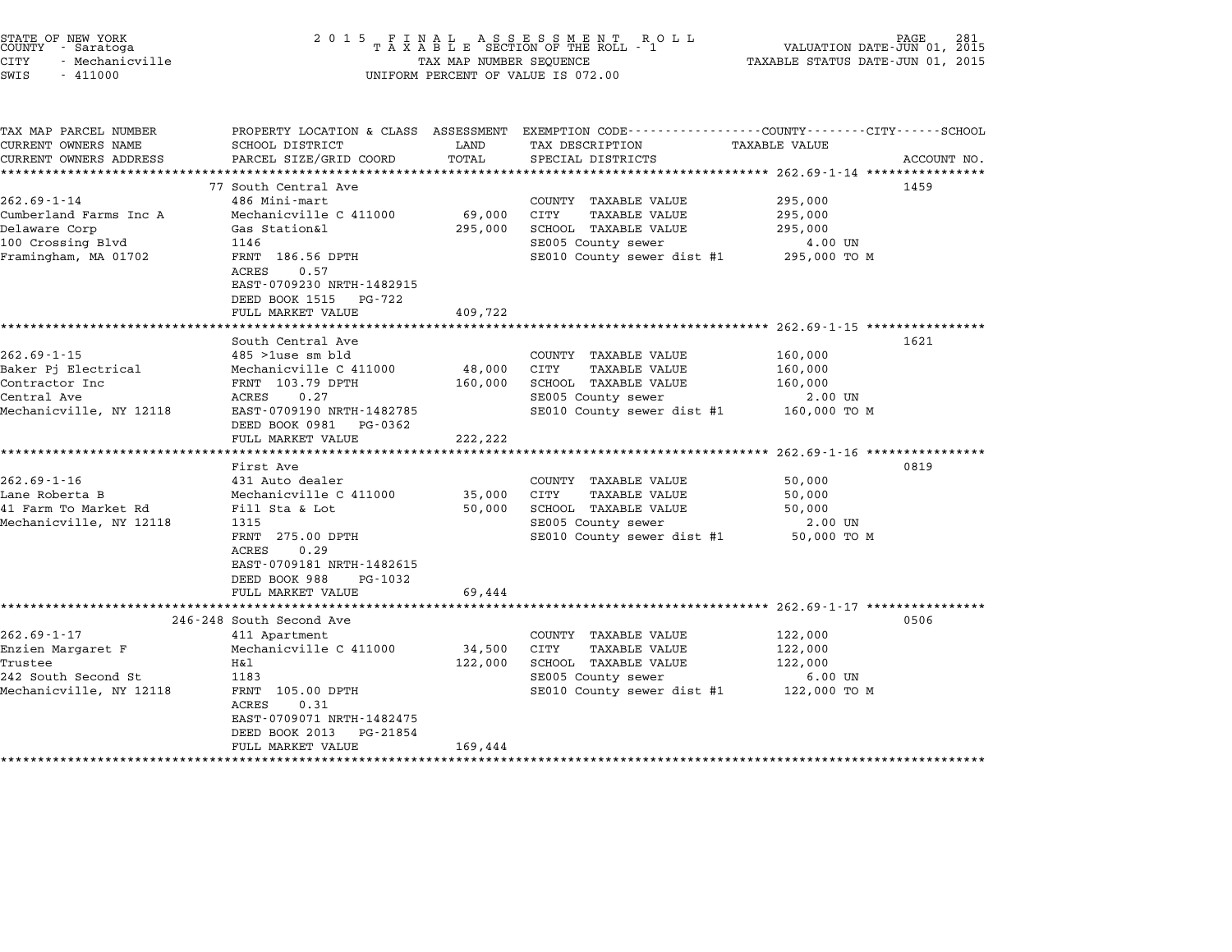| STATE OF NEW YORK |                 |  |
|-------------------|-----------------|--|
| COUNTY            | - Saratoga      |  |
| CITY              | - Mechanicville |  |

TAX MAP PARCEL NUMBER PROPERTY LOCATION & CLASS ASSESSMENT EXEMPTION CODE------------------COUNTY--------CITY------SCHOOL

CURRENT OWNERS ADDRESS PARCEL SIZE/GRID COORD TOTAL SPECIAL DISTRICTS ACCOUNT NO. \*\*\*\*\*\*\*\*\*\*\*\*\*\*\*\*\*\*\*\*\*\*\*\*\*\*\*\*\*\*\*\*\*\*\*\*\*\*\*\*\*\*\*\*\*\*\*\*\*\*\*\*\*\*\*\*\*\*\*\*\*\*\*\*\*\*\*\*\*\*\*\*\*\*\*\*\*\*\*\*\*\*\*\*\*\*\*\*\*\*\*\*\*\*\*\*\*\*\*\*\*\*\* 262.69-1-14 \*\*\*\*\*\*\*\*\*\*\*\*\*\*\*\*

77 South Central Ave <sup>1459</sup>

...<br>-- COUNTY:- TAX MAP PARCEL NUMBER THE OCHOTRY AND THE CURRENT EXEMPTION CODE<br>CURRENT OWNERS NAME SCHOOL DISTRICT LAND TAX DESCRIPTION TAXABLE VALUE

FRNT 186.56 DPTH<br>ACRES 0.57 EAST-0709230 NRTH-1482915 EAST-0709230 NRTH-14829<br>DEED BOOK 1515 PG-722

262.69-1-14 77 South Central Ave County TAXABLE VALUE 295,000<br>262.69-1-14 486 Mini-mart COUNTY TAXABLE VALUE 295,000 77 SOUT CHILIAT AVE<br>262.69-1-14 486 Mini-mart Ave COUNTY TAXABLE VALUE 295,000<br>295,000 Cuty TAXABLE VALUE 295,000 21 295,000 202.00 1 14 1900 HDC HOLL 202.00 1 202.00 203.000 203.000 204.000 205.000 205.000 205.000 205.000 205.000 205<br>Cumberland Farms Inc A 1 Mechanicville C 411000 69,000 CITY TAXABLE VALUE 295,000 205,000 205.000 205.000 205 Cumbertand Farms Inc A Mechanicvirie C 411000 09,000 C111 IAAABLE VALUE 295,000<br>Delaware Corp Gas Station&l 295,000 SCHOOL TAXABLE VALUE 295,000<br>100 Crossing Blvd 1146 1146 SE005 County sewer 4.00 UN Framingham, MA <sup>01702</sup> FRNT 186.56 DPTH SE010 County sewer dist #1 295,000 TO <sup>M</sup>

|                         | CICROFI USOCOCO INILII ISOZJIJ |         |                            |              |
|-------------------------|--------------------------------|---------|----------------------------|--------------|
|                         | DEED BOOK 1515 PG-722          |         |                            |              |
|                         | FULL MARKET VALUE              | 409,722 |                            |              |
|                         |                                |         |                            |              |
|                         | South Central Ave              |         |                            | 1621         |
| $262.69 - 1 - 15$       | $485$ >1use sm bld             |         | TAXABLE VALUE<br>COUNTY    | 160,000      |
| Baker Pi Electrical     | Mechanicville C 411000         | 48,000  | CITY<br>TAXABLE VALUE      | 160,000      |
| Contractor Inc          | FRNT 103.79 DPTH               | 160,000 | SCHOOL<br>TAXABLE VALUE    | 160,000      |
| Central Ave             | 0.27<br>ACRES                  |         | SE005 County sewer         | 2.00 UN      |
| Mechanicville. NY 12118 | EAST-0709190 NRTH-1482785      |         | SE010 County sewer dist #1 | 160,000 TO M |
|                         | DEED BOOK 0981<br>PG-0362      |         |                            |              |
|                         | FIILL MARKET VALUE             | 222.222 |                            |              |

|                         | POOK 0201 FG 0202                    |         |                                         |             |      |
|-------------------------|--------------------------------------|---------|-----------------------------------------|-------------|------|
|                         | FULL MARKET VALUE                    | 222,222 |                                         |             |      |
|                         |                                      |         |                                         |             |      |
|                         | First Ave                            |         |                                         |             | 0819 |
| $262.69 - 1 - 16$       | 431 Auto dealer                      |         | COUNTY<br>TAXABLE VALUE                 | 50,000      |      |
| Lane Roberta B          | Mechanicville C 411000               | 35,000  | TAXABLE VALUE<br>CITY                   | 50,000      |      |
| 41 Farm To Market Rd    | Fill Sta & Lot                       | 50,000  | SCHOOL TAXABLE VALUE                    | 50,000      |      |
| Mechanicville, NY 12118 | 1315                                 |         | SE005 County sewer                      | 2.00 UN     |      |
|                         | FRNT 275.00 DPTH                     |         | SE010 County sewer dist #1              | 50,000 TO M |      |
|                         | 0.29<br>ACRES                        |         |                                         |             |      |
|                         | EAST-0709181 NRTH-1482615            |         |                                         |             |      |
|                         | DEED BOOK 988<br>PG-1032             |         |                                         |             |      |
|                         | FULL MARKET VALUE                    | 69,444  |                                         |             |      |
|                         |                                      |         |                                         |             |      |
|                         | 246-248 South Second Ave             |         |                                         |             | 0506 |
| $262.69 - 1 - 17$       | 411 Apartment                        |         | COUNTY<br>TAXABLE VALUE                 | 122,000     |      |
| Enzien Margaret F       | Mechanicville C 411000               | 34,500  | CITY<br>TAXABLE VALUE                   | 122,000     |      |
| Trustee                 | H&l                                  | 122,000 | SCHOOL<br>TAXABLE VALUE                 | 122,000     |      |
| 242 South Second St     | 1183                                 |         | SE005 County sewer                      | 6.00 UN     |      |
| Mechanicville, NY 12118 | FRNT<br>105.00 DPTH<br>0.31<br>ACRES |         | SE010 County sewer dist #1 122,000 TO M |             |      |
|                         | EAST-0709071 NRTH-1482475            |         |                                         |             |      |
|                         | DEED BOOK 2013<br>PG-21854           |         |                                         |             |      |
|                         | FULL MARKET VALUE                    | 169,444 |                                         |             |      |

\*\*\*\*\*\*\*\*\*\*\*\*\*\*\*\*\*\*\*\*\*\*\*\*\*\*\*\*\*\*\*\*\*\*\*\*\*\*\*\*\*\*\*\*\*\*\*\*\*\*\*\*\*\*\*\*\*\*\*\*\*\*\*\*\*\*\*\*\*\*\*\*\*\*\*\*\*\*\*\*\*\*\*\*\*\*\*\*\*\*\*\*\*\*\*\*\*\*\*\*\*\*\*\*\*\*\*\*\*\*\*\*\*\*\*\*\*\*\*\*\*\*\*\*\*\*\*\*\*\*\*\*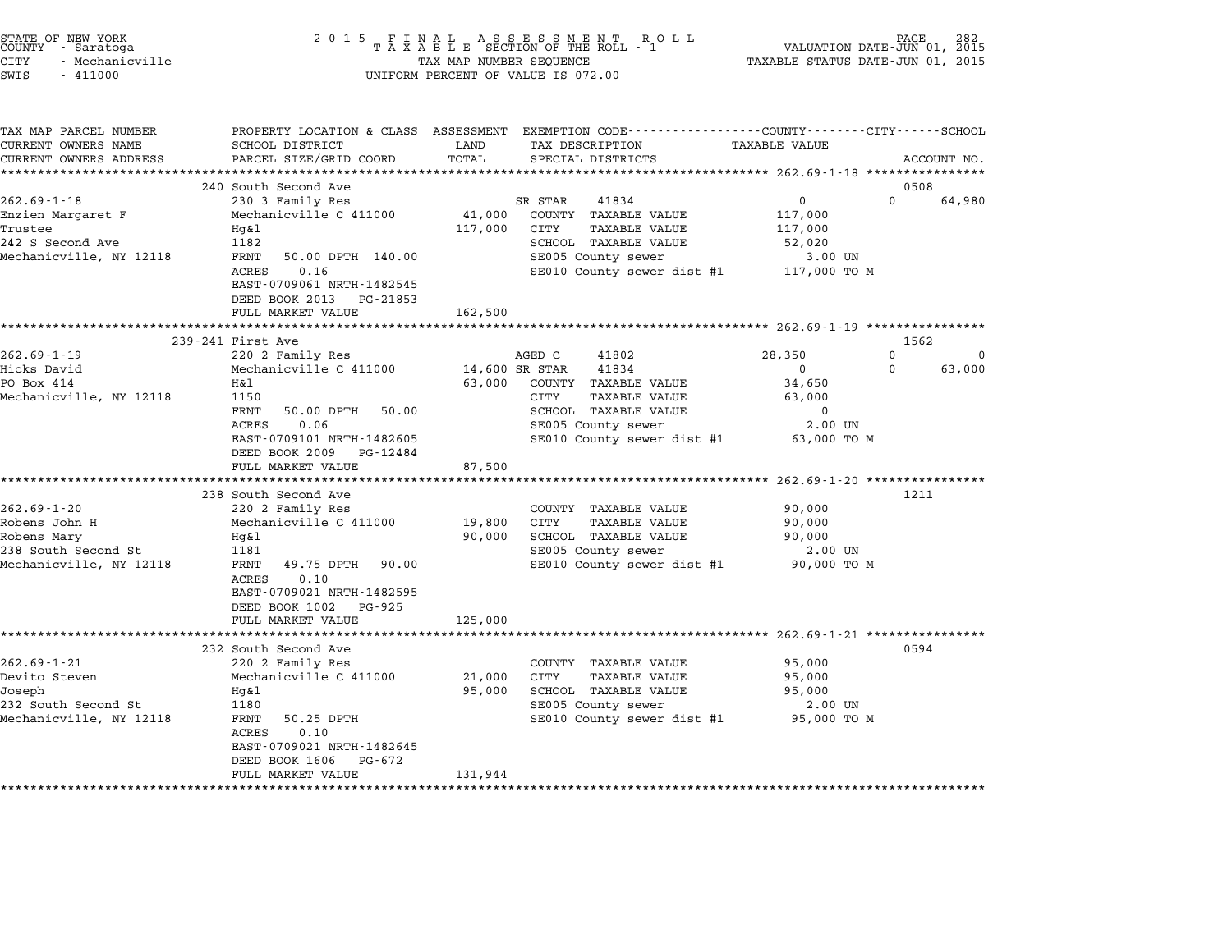| STATE OF NEW YORK<br>COUNTY - Saratoga<br>CITY<br>- Mechanicville<br>SWIS<br>$-411000$ | 2 0 1 5                                              | TAX MAP NUMBER SEQUENCE | FINAL ASSESSMENT ROLL<br>TAXABLE SECTION OF THE ROLL - 1<br>UNIFORM PERCENT OF VALUE IS 072.00                    | VALUATION DATE-JUN 01, 2015<br>TAXABLE STATUS DATE-JUN 01, 2015 | PAGE                       |
|----------------------------------------------------------------------------------------|------------------------------------------------------|-------------------------|-------------------------------------------------------------------------------------------------------------------|-----------------------------------------------------------------|----------------------------|
| TAX MAP PARCEL NUMBER<br>CURRENT OWNERS NAME                                           | SCHOOL DISTRICT                                      | LAND                    | PROPERTY LOCATION & CLASS ASSESSMENT EXEMPTION CODE---------------COUNTY-------CITY-----SCHOOL<br>TAX DESCRIPTION | <b>TAXABLE VALUE</b>                                            |                            |
| CURRENT OWNERS ADDRESS                                                                 | PARCEL SIZE/GRID COORD                               | TOTAL                   | SPECIAL DISTRICTS                                                                                                 |                                                                 | ACCOUNT NO.                |
| **********************                                                                 |                                                      |                         |                                                                                                                   |                                                                 |                            |
| $262.69 - 1 - 18$                                                                      | 240 South Second Ave<br>230 3 Family Res             |                         | SR STAR<br>41834                                                                                                  | $\mathbf 0$                                                     | 0508<br>$\Omega$<br>64,980 |
| Enzien Margaret F                                                                      | Mechanicville C 411000                               | 41,000                  | COUNTY TAXABLE VALUE                                                                                              | 117,000                                                         |                            |
| Trustee                                                                                | Hg&l                                                 | 117,000                 | CITY<br>TAXABLE VALUE                                                                                             | 117,000                                                         |                            |
| 242 S Second Ave                                                                       | 1182                                                 |                         | SCHOOL TAXABLE VALUE                                                                                              | 52,020                                                          |                            |
| Mechanicville, NY 12118                                                                | FRNT<br>50.00 DPTH 140.00                            |                         | SE005 County sewer                                                                                                | 3.00 UN                                                         |                            |
|                                                                                        | 0.16<br>ACRES                                        |                         | SE010 County sewer dist #1                                                                                        | 117,000 TO M                                                    |                            |
|                                                                                        | EAST-0709061 NRTH-1482545                            |                         |                                                                                                                   |                                                                 |                            |
|                                                                                        | DEED BOOK 2013 PG-21853                              |                         |                                                                                                                   |                                                                 |                            |
|                                                                                        | FULL MARKET VALUE                                    | 162,500                 |                                                                                                                   |                                                                 |                            |
|                                                                                        | 239-241 First Ave                                    |                         |                                                                                                                   |                                                                 | 1562                       |
| $262.69 - 1 - 19$                                                                      | 220 2 Family Res                                     |                         | AGED C<br>41802                                                                                                   | 28,350                                                          | $\Omega$<br>$\Omega$       |
| Hicks David                                                                            | Mechanicville C 411000                               |                         | 14,600 SR STAR<br>41834                                                                                           | $\mathbf 0$<br>0                                                | 63,000                     |
| PO Box 414                                                                             | Η&l                                                  | 63,000                  | COUNTY TAXABLE VALUE                                                                                              | 34,650                                                          |                            |
| Mechanicville, NY 12118                                                                | 1150                                                 |                         | CITY<br>TAXABLE VALUE                                                                                             | 63,000                                                          |                            |
|                                                                                        | FRNT<br>50.00 DPTH<br>50.00                          |                         | SCHOOL TAXABLE VALUE                                                                                              | 0                                                               |                            |
|                                                                                        | 0.06<br>ACRES                                        |                         | SE005 County sewer                                                                                                | $2.00$ UN                                                       |                            |
|                                                                                        | EAST-0709101 NRTH-1482605<br>DEED BOOK 2009 PG-12484 |                         | SE010 County sewer dist #1                                                                                        | 63,000 TO M                                                     |                            |
|                                                                                        | FULL MARKET VALUE                                    | 87,500                  |                                                                                                                   |                                                                 |                            |
|                                                                                        | *********************                                | ******************      |                                                                                                                   | *************** 262.69-1-20 *****************                   |                            |
|                                                                                        | 238 South Second Ave                                 |                         |                                                                                                                   |                                                                 | 1211                       |
| $262.69 - 1 - 20$                                                                      | 220 2 Family Res                                     |                         | COUNTY TAXABLE VALUE                                                                                              | 90,000                                                          |                            |
| Robens John H                                                                          | Mechanicville C 411000                               | 19,800                  | CITY<br><b>TAXABLE VALUE</b>                                                                                      | 90,000                                                          |                            |
| Robens Mary                                                                            | Hq&l                                                 | 90,000                  | SCHOOL TAXABLE VALUE                                                                                              | 90,000                                                          |                            |
| 238 South Second St                                                                    | 1181                                                 |                         | SE005 County sewer                                                                                                | 2.00 UN                                                         |                            |
| Mechanicville, NY 12118                                                                | FRNT<br>49.75 DPTH 90.00<br>0.10<br>ACRES            |                         | SE010 County sewer dist #1                                                                                        | 90,000 TO M                                                     |                            |
|                                                                                        | EAST-0709021 NRTH-1482595                            |                         |                                                                                                                   |                                                                 |                            |
|                                                                                        | DEED BOOK 1002<br>PG-925                             |                         |                                                                                                                   |                                                                 |                            |
|                                                                                        | FULL MARKET VALUE                                    | 125,000                 |                                                                                                                   |                                                                 |                            |
|                                                                                        |                                                      |                         |                                                                                                                   |                                                                 |                            |
|                                                                                        | 232 South Second Ave                                 |                         |                                                                                                                   |                                                                 | 0594                       |
| $262.69 - 1 - 21$                                                                      | 220 2 Family Res                                     |                         | COUNTY TAXABLE VALUE                                                                                              | 95,000                                                          |                            |
| Devito Steven                                                                          | Mechanicville C 411000                               | 21,000                  | CITY<br><b>TAXABLE VALUE</b>                                                                                      | 95,000                                                          |                            |
| Joseph                                                                                 | $Hq\&1$                                              | 95,000                  | SCHOOL TAXABLE VALUE                                                                                              | 95,000                                                          |                            |
| 232 South Second St<br>Mechanicville, NY 12118                                         | 1180<br>FRNT<br>50.25 DPTH                           |                         | SE005 County sewer<br>SE010 County sewer dist #1                                                                  | 2.00 UN<br>95,000 TO M                                          |                            |
|                                                                                        | 0.10<br>ACRES                                        |                         |                                                                                                                   |                                                                 |                            |
|                                                                                        | EAST-0709021 NRTH-1482645                            |                         |                                                                                                                   |                                                                 |                            |
|                                                                                        | DEED BOOK 1606<br>PG-672                             |                         |                                                                                                                   |                                                                 |                            |
|                                                                                        | FULL MARKET VALUE                                    | 131,944                 |                                                                                                                   |                                                                 |                            |
|                                                                                        |                                                      |                         |                                                                                                                   |                                                                 |                            |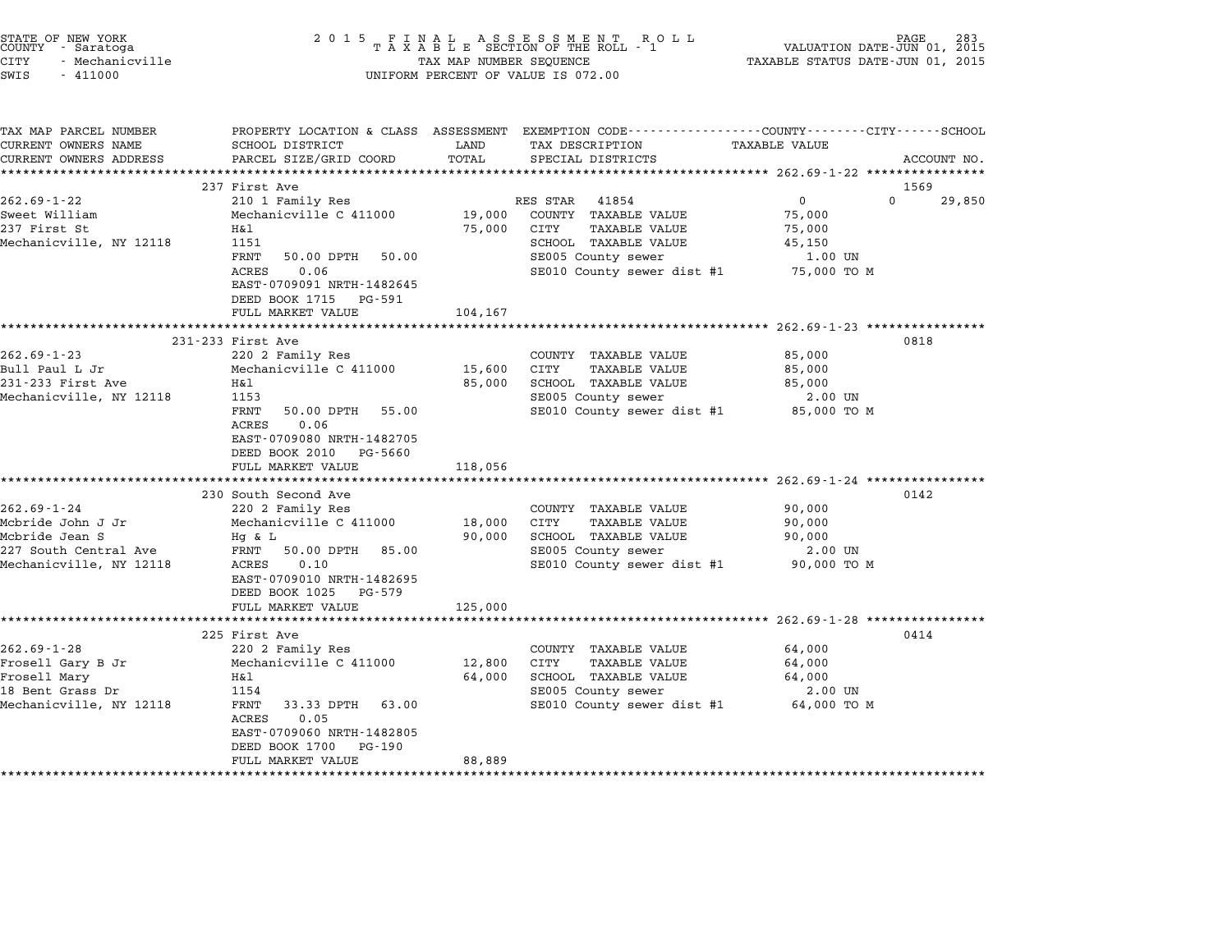| STATE OF NEW YORK<br>COUNTY - Saratoga<br><b>CITY</b><br>- Mechanicville<br>SWIS<br>$-411000$ | 2 0 1 5                                                | TAX MAP NUMBER SEQUENCE | UNIFORM PERCENT OF VALUE IS 072.00                                                                                  | VALUATION DATE-JUN 01, 2015<br>TAXABLE STATUS DATE-JUN 01, 2015 | PAGE        |
|-----------------------------------------------------------------------------------------------|--------------------------------------------------------|-------------------------|---------------------------------------------------------------------------------------------------------------------|-----------------------------------------------------------------|-------------|
| TAX MAP PARCEL NUMBER<br>CURRENT OWNERS NAME                                                  | SCHOOL DISTRICT                                        | LAND                    | PROPERTY LOCATION & CLASS ASSESSMENT EXEMPTION CODE----------------COUNTY-------CITY------SCHOOL<br>TAX DESCRIPTION | TAXABLE VALUE                                                   |             |
| CURRENT OWNERS ADDRESS                                                                        | PARCEL SIZE/GRID COORD                                 | TOTAL                   | SPECIAL DISTRICTS                                                                                                   |                                                                 | ACCOUNT NO. |
|                                                                                               | 237 First Ave                                          |                         |                                                                                                                     |                                                                 | 1569        |
| $262.69 - 1 - 22$                                                                             | 210 1 Family Res                                       |                         | RES STAR<br>41854                                                                                                   | $\Omega$<br>$\mathbf{0}$                                        | 29,850      |
| Sweet William                                                                                 | Mechanicville C 411000                                 | 19,000                  | COUNTY TAXABLE VALUE                                                                                                | 75,000                                                          |             |
| 237 First St                                                                                  | H&l                                                    | 75,000                  | TAXABLE VALUE<br>CITY                                                                                               | 75,000                                                          |             |
| Mechanicville, NY 12118                                                                       | 1151                                                   |                         | SCHOOL TAXABLE VALUE                                                                                                | 45,150                                                          |             |
|                                                                                               | FRNT<br>50.00 DPTH<br>50.00<br>ACRES<br>0.06           |                         | SE005 County sewer<br>SE010 County sewer dist #1                                                                    | 1.00 UN<br>75,000 TO M                                          |             |
|                                                                                               | EAST-0709091 NRTH-1482645                              |                         |                                                                                                                     |                                                                 |             |
|                                                                                               | DEED BOOK 1715<br>PG-591                               |                         |                                                                                                                     |                                                                 |             |
|                                                                                               | FULL MARKET VALUE                                      | 104,167                 |                                                                                                                     |                                                                 |             |
|                                                                                               |                                                        |                         |                                                                                                                     |                                                                 |             |
|                                                                                               | 231-233 First Ave                                      |                         |                                                                                                                     |                                                                 | 0818        |
| $262.69 - 1 - 23$<br>Bull Paul L Jr                                                           | 220 2 Family Res<br>Mechanicville C 411000             | 15,600                  | COUNTY TAXABLE VALUE<br>CITY<br>TAXABLE VALUE                                                                       | 85,000<br>85,000                                                |             |
| 231-233 First Ave                                                                             | Η&l                                                    | 85,000                  | SCHOOL TAXABLE VALUE                                                                                                | 85,000                                                          |             |
| Mechanicville, NY 12118                                                                       | 1153                                                   |                         | SE005 County sewer                                                                                                  | 2.00 UN                                                         |             |
|                                                                                               | FRNT<br>50.00 DPTH<br>55.00                            |                         | SE010 County sewer dist #1                                                                                          | 85,000 TO M                                                     |             |
|                                                                                               | 0.06<br>ACRES                                          |                         |                                                                                                                     |                                                                 |             |
|                                                                                               | EAST-0709080 NRTH-1482705<br>DEED BOOK 2010<br>PG-5660 |                         |                                                                                                                     |                                                                 |             |
|                                                                                               | FULL MARKET VALUE<br>********************************  | 118,056                 |                                                                                                                     |                                                                 |             |
|                                                                                               |                                                        |                         |                                                                                                                     |                                                                 | 0142        |
| $262.69 - 1 - 24$                                                                             | 230 South Second Ave<br>220 2 Family Res               |                         | COUNTY TAXABLE VALUE                                                                                                | 90,000                                                          |             |
| Mcbride John J Jr                                                                             | Mechanicville C 411000                                 | 18,000                  | CITY<br><b>TAXABLE VALUE</b>                                                                                        | 90,000                                                          |             |
| Mcbride Jean S                                                                                | Hq & L                                                 | 90,000                  | SCHOOL TAXABLE VALUE                                                                                                | 90,000                                                          |             |
| 227 South Central Ave                                                                         | FRNT<br>50.00 DPTH<br>85.00                            |                         | SE005 County sewer                                                                                                  | $2.00$ UN                                                       |             |
| Mechanicville, NY 12118                                                                       | ACRES<br>0.10                                          |                         | SE010 County sewer dist #1                                                                                          | 90,000 TO M                                                     |             |
|                                                                                               | EAST-0709010 NRTH-1482695                              |                         |                                                                                                                     |                                                                 |             |
|                                                                                               | DEED BOOK 1025 PG-579                                  |                         |                                                                                                                     |                                                                 |             |
|                                                                                               | FULL MARKET VALUE<br>****************************      | 125,000                 | ************************************* 262.69-1-28 *****************                                                 |                                                                 |             |
|                                                                                               | 225 First Ave                                          |                         |                                                                                                                     |                                                                 | 0414        |
| $262.69 - 1 - 28$                                                                             | 220 2 Family Res                                       |                         | COUNTY TAXABLE VALUE                                                                                                | 64,000                                                          |             |
| Frosell Gary B Jr                                                                             | Mechanicville C 411000                                 | 12,800                  | CITY<br><b>TAXABLE VALUE</b>                                                                                        | 64,000                                                          |             |
| Frosell Mary                                                                                  | H&l                                                    | 64,000                  | SCHOOL TAXABLE VALUE                                                                                                | 64,000                                                          |             |
| 18 Bent Grass Dr                                                                              | 1154                                                   |                         | SE005 County sewer                                                                                                  | 2.00 UN                                                         |             |
| Mechanicville, NY 12118                                                                       | FRNT<br>33.33 DPTH<br>63.00                            |                         | SE010 County sewer dist #1                                                                                          | 64,000 TO M                                                     |             |
|                                                                                               | ACRES<br>0.05<br>EAST-0709060 NRTH-1482805             |                         |                                                                                                                     |                                                                 |             |
|                                                                                               | DEED BOOK 1700<br>PG-190                               |                         |                                                                                                                     |                                                                 |             |
|                                                                                               | FULL MARKET VALUE                                      | 88,889                  |                                                                                                                     |                                                                 |             |
|                                                                                               |                                                        |                         |                                                                                                                     |                                                                 |             |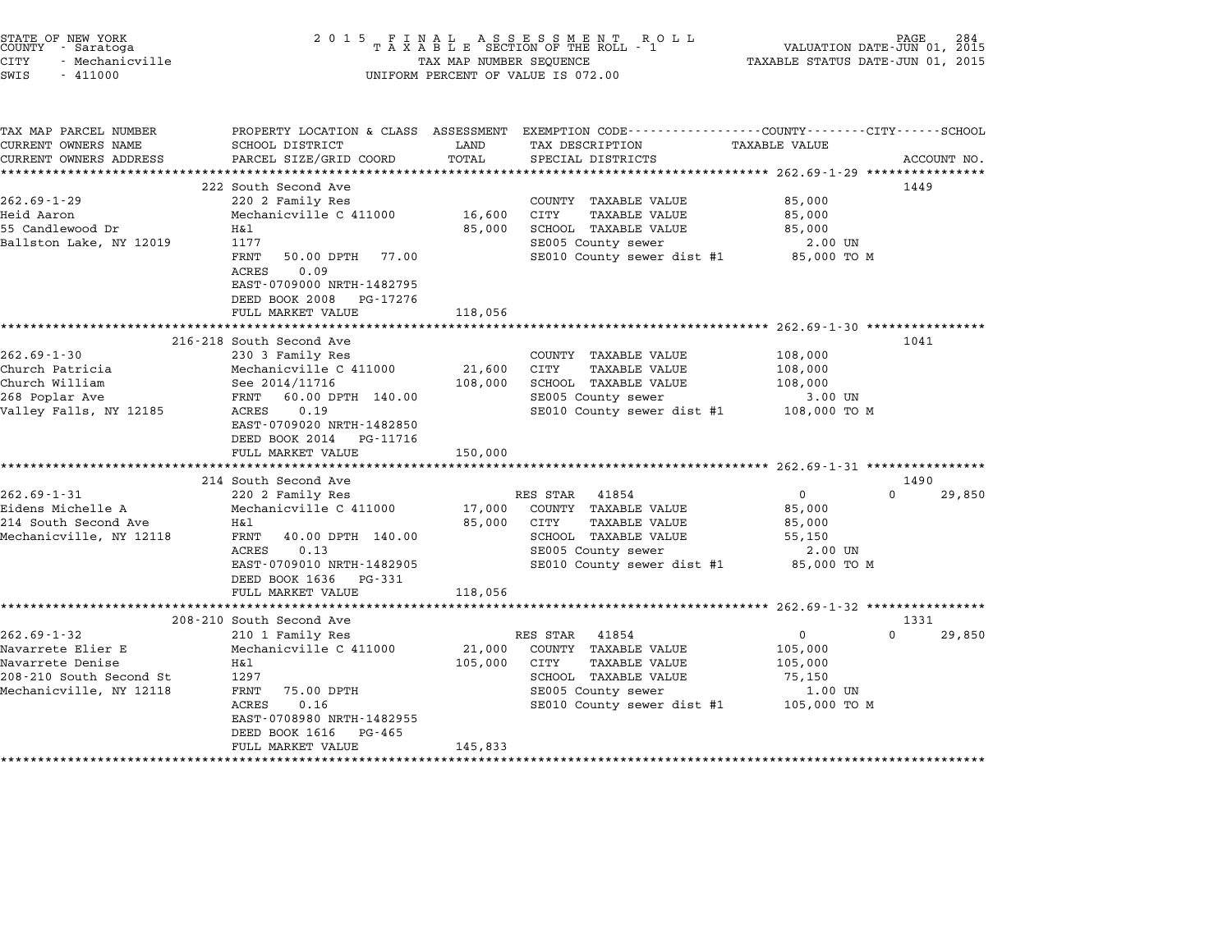| STATE OF NEW YORK<br>COUNTY - Saratoga<br><b>CITY</b><br>- Mechanicville<br>SWIS<br>$-411000$ | 2 0 1 5                                                                                       | TAX MAP NUMBER SEQUENCE | FINAL ASSESSMENT ROLL<br>TAXABLE SECTION OF THE ROLL - 1<br>UNIFORM PERCENT OF VALUE IS 072.00                      | VALUATION DATE-JUN 01, 2015<br>TAXABLE STATUS DATE-JUN 01, 2015 | 284<br>PAGE |
|-----------------------------------------------------------------------------------------------|-----------------------------------------------------------------------------------------------|-------------------------|---------------------------------------------------------------------------------------------------------------------|-----------------------------------------------------------------|-------------|
| TAX MAP PARCEL NUMBER<br>CURRENT OWNERS NAME                                                  | SCHOOL DISTRICT                                                                               | LAND                    | PROPERTY LOCATION & CLASS ASSESSMENT EXEMPTION CODE----------------COUNTY-------CITY------SCHOOL<br>TAX DESCRIPTION | <b>TAXABLE VALUE</b>                                            |             |
| CURRENT OWNERS ADDRESS                                                                        | PARCEL SIZE/GRID COORD                                                                        | TOTAL                   | SPECIAL DISTRICTS                                                                                                   |                                                                 | ACCOUNT NO. |
| **********************                                                                        |                                                                                               |                         |                                                                                                                     |                                                                 |             |
|                                                                                               | 222 South Second Ave                                                                          |                         |                                                                                                                     |                                                                 | 1449        |
| $262.69 - 1 - 29$                                                                             | 220 2 Family Res                                                                              |                         | COUNTY TAXABLE VALUE                                                                                                | 85,000                                                          |             |
| Heid Aaron                                                                                    | Mechanicville C 411000                                                                        | 16,600                  | CITY<br><b>TAXABLE VALUE</b>                                                                                        | 85,000                                                          |             |
| 55 Candlewood Dr<br>Ballston Lake, NY 12019                                                   | Η&l<br>1177                                                                                   | 85,000                  | SCHOOL TAXABLE VALUE                                                                                                | 85,000                                                          |             |
|                                                                                               | FRNT<br>50.00 DPTH<br>77.00                                                                   |                         | SE005 County sewer<br>SE010 County sewer dist #1                                                                    | 2.00 UN<br>85,000 TO M                                          |             |
|                                                                                               | 0.09<br>ACRES<br>EAST-0709000 NRTH-1482795<br>DEED BOOK 2008<br>PG-17276<br>FULL MARKET VALUE | 118,056                 |                                                                                                                     |                                                                 |             |
|                                                                                               | ********************                                                                          |                         |                                                                                                                     | ************************* 262.69-1-30 ****************          |             |
|                                                                                               | 216-218 South Second Ave                                                                      |                         |                                                                                                                     |                                                                 | 1041        |
| $262.69 - 1 - 30$                                                                             | 230 3 Family Res                                                                              |                         | COUNTY<br>TAXABLE VALUE                                                                                             | 108,000                                                         |             |
| Church Patricia                                                                               | Mechanicville C 411000                                                                        | 21,600                  | CITY<br><b>TAXABLE VALUE</b>                                                                                        | 108,000                                                         |             |
| Church William                                                                                | See 2014/11716                                                                                | 108,000                 | SCHOOL TAXABLE VALUE                                                                                                | 108,000                                                         |             |
| 268 Poplar Ave                                                                                | FRNT<br>60.00 DPTH 140.00                                                                     |                         | SE005 County sewer                                                                                                  | 3.00 UN                                                         |             |
| Valley Falls, NY 12185                                                                        | 0.19<br>ACRES<br>EAST-0709020 NRTH-1482850<br>DEED BOOK 2014<br>PG-11716<br>FULL MARKET VALUE | 150,000                 | SE010 County sewer dist #1                                                                                          | 108,000 TO M                                                    |             |
|                                                                                               | *******************                                                                           |                         |                                                                                                                     | ******************** 262.69-1-31 ****************               |             |
|                                                                                               | 214 South Second Ave                                                                          |                         |                                                                                                                     |                                                                 | 1490        |
| $262.69 - 1 - 31$                                                                             | 220 2 Family Res                                                                              |                         | RES STAR<br>41854                                                                                                   | 0                                                               | 29,850      |
| Eidens Michelle A                                                                             | Mechanicville C 411000                                                                        | 17,000                  | COUNTY TAXABLE VALUE                                                                                                | 85,000                                                          |             |
| 214 South Second Ave                                                                          | Η&l                                                                                           | 85,000                  | <b>TAXABLE VALUE</b><br>CITY                                                                                        | 85,000                                                          |             |
| Mechanicville, NY 12118                                                                       | FRNT<br>40.00 DPTH 140.00                                                                     |                         | SCHOOL TAXABLE VALUE                                                                                                | 55,150                                                          |             |
|                                                                                               | 0.13<br>ACRES                                                                                 |                         | SE005 County sewer                                                                                                  | 2.00 UN                                                         |             |
|                                                                                               | EAST-0709010 NRTH-1482905                                                                     |                         | SE010 County sewer dist #1                                                                                          | 85,000 TO M                                                     |             |
|                                                                                               | DEED BOOK 1636<br>PG-331                                                                      |                         |                                                                                                                     |                                                                 |             |
|                                                                                               | FULL MARKET VALUE                                                                             | 118,056                 |                                                                                                                     |                                                                 |             |
|                                                                                               | *******************                                                                           |                         | ********************                                                                                                | ********************* 262.69-1-32 *****************             | 1331        |
| $262.69 - 1 - 32$                                                                             | 208-210 South Second Ave<br>210 1 Family Res                                                  |                         | RES STAR<br>41854                                                                                                   | 0                                                               | 29,850      |
| Navarrete Elier E                                                                             | Mechanicville C 411000                                                                        | 21,000                  | COUNTY TAXABLE VALUE                                                                                                | 105,000                                                         |             |
| Navarrete Denise                                                                              | Η&l                                                                                           | 105,000                 | TAXABLE VALUE<br>CITY                                                                                               | 105,000                                                         |             |
| 208-210 South Second St                                                                       | 1297                                                                                          |                         | SCHOOL TAXABLE VALUE                                                                                                | 75,150                                                          |             |
| Mechanicville, NY 12118                                                                       | FRNT<br>75.00 DPTH                                                                            |                         | SE005 County sewer                                                                                                  | 1.00 UN                                                         |             |
|                                                                                               | ACRES<br>0.16                                                                                 |                         | SE010 County sewer dist #1                                                                                          | 105,000 TO M                                                    |             |
|                                                                                               | EAST-0708980 NRTH-1482955                                                                     |                         |                                                                                                                     |                                                                 |             |
|                                                                                               | DEED BOOK 1616<br>PG-465                                                                      |                         |                                                                                                                     |                                                                 |             |
|                                                                                               | FULL MARKET VALUE                                                                             | 145,833                 |                                                                                                                     |                                                                 |             |
|                                                                                               | ******************                                                                            | *********               |                                                                                                                     |                                                                 |             |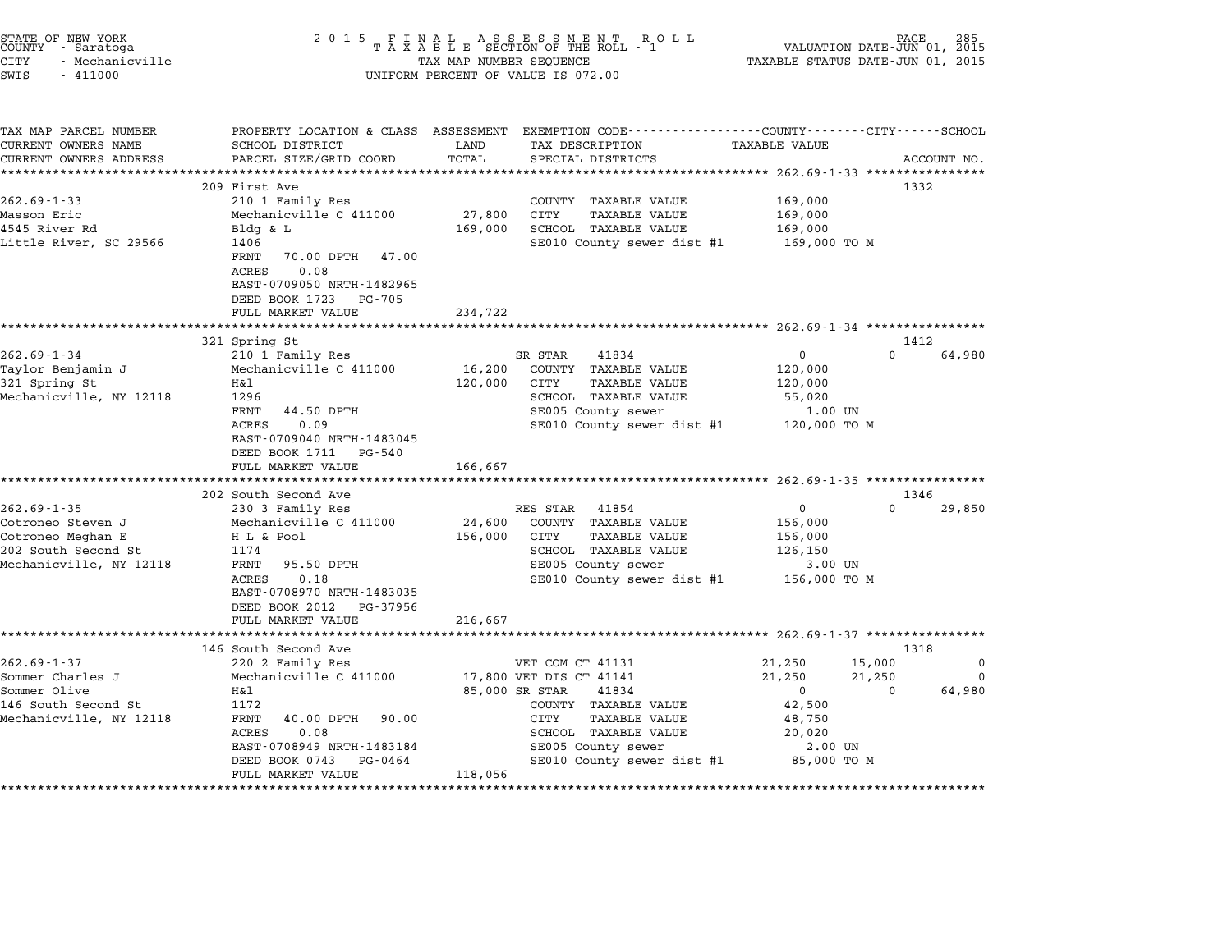| STATE OF NEW YORK<br>COUNTY - Saratoga<br><b>CITY</b><br>- Mechanicville<br>SWIS<br>$-411000$ | 2 0 1 5                                                                                                    | TAX MAP NUMBER SEQUENCE | FINAL ASSESSMENT RO<br>TAXABLE SECTION OF THE ROLL - 1<br>R O L L<br>UNIFORM PERCENT OF VALUE IS 072.00                                | VALUATION DATE-JUN 01, 2015<br>TAXABLE STATUS DATE-JUN 01, 2015 | PAGE        |
|-----------------------------------------------------------------------------------------------|------------------------------------------------------------------------------------------------------------|-------------------------|----------------------------------------------------------------------------------------------------------------------------------------|-----------------------------------------------------------------|-------------|
| TAX MAP PARCEL NUMBER<br>CURRENT OWNERS NAME<br>CURRENT OWNERS ADDRESS                        | SCHOOL DISTRICT<br>PARCEL SIZE/GRID COORD<br>***************************                                   | LAND<br>TOTAL           | PROPERTY LOCATION & CLASS ASSESSMENT EXEMPTION CODE--------------COUNTY-------CITY------SCHOOL<br>TAX DESCRIPTION<br>SPECIAL DISTRICTS | <b>TAXABLE VALUE</b>                                            | ACCOUNT NO. |
|                                                                                               | 209 First Ave                                                                                              |                         |                                                                                                                                        |                                                                 | 1332        |
| $262.69 - 1 - 33$                                                                             | 210 1 Family Res                                                                                           |                         | COUNTY TAXABLE VALUE                                                                                                                   | 169,000                                                         |             |
| Masson Eric                                                                                   | Mechanicville C 411000                                                                                     | 27,800                  | CITY<br>TAXABLE VALUE                                                                                                                  | 169,000                                                         |             |
| 4545 River Rd                                                                                 | Bldg & L                                                                                                   | 169,000                 | SCHOOL TAXABLE VALUE                                                                                                                   | 169,000                                                         |             |
| Little River, SC 29566                                                                        | 1406<br>FRNT<br>70.00 DPTH<br>47.00<br>0.08<br>ACRES<br>EAST-0709050 NRTH-1482965<br>DEED BOOK 1723 PG-705 |                         | SE010 County sewer dist #1                                                                                                             | 169,000 то м                                                    |             |
|                                                                                               | FULL MARKET VALUE<br>***********************                                                               | 234,722                 |                                                                                                                                        |                                                                 |             |
|                                                                                               | 321 Spring St                                                                                              |                         |                                                                                                                                        |                                                                 | 1412        |
| $262.69 - 1 - 34$                                                                             | 210 1 Family Res                                                                                           |                         | 41834<br>SR STAR                                                                                                                       | $\mathbf 0$<br>$\cap$                                           | 64,980      |
| Taylor Benjamin J                                                                             | Mechanicville C 411000                                                                                     | 16,200                  | COUNTY TAXABLE VALUE                                                                                                                   | 120,000                                                         |             |
| 321 Spring St                                                                                 | Η&l                                                                                                        | 120,000                 | CITY<br><b>TAXABLE VALUE</b>                                                                                                           | 120,000                                                         |             |
| Mechanicville, NY 12118                                                                       | 1296                                                                                                       |                         | SCHOOL TAXABLE VALUE                                                                                                                   | 55,020                                                          |             |
|                                                                                               | FRNT<br>44.50 DPTH<br>ACRES<br>0.09<br>EAST-0709040 NRTH-1483045<br>DEED BOOK 1711 PG-540                  |                         | SE005 County sewer<br>SE010 County sewer dist #1                                                                                       | 1.00 UN<br>120,000 TO M                                         |             |
|                                                                                               | FULL MARKET VALUE                                                                                          | 166,667                 |                                                                                                                                        | ******************** 262.69-1-35 *********                      |             |
|                                                                                               | 202 South Second Ave                                                                                       |                         |                                                                                                                                        |                                                                 | 1346        |
| $262.69 - 1 - 35$                                                                             | 230 3 Family Res                                                                                           |                         | RES STAR 41854                                                                                                                         | $\mathbf{0}$<br>$\Omega$                                        | 29,850      |
| Cotroneo Steven J                                                                             | Mechanicville C 411000                                                                                     | 24,600                  | COUNTY TAXABLE VALUE                                                                                                                   | 156,000                                                         |             |
| Cotroneo Meghan E                                                                             | H L & Pool                                                                                                 | 156,000                 | TAXABLE VALUE<br>CITY                                                                                                                  | 156,000                                                         |             |
| 202 South Second St                                                                           | 1174                                                                                                       |                         | SCHOOL TAXABLE VALUE                                                                                                                   | 126,150                                                         |             |
| Mechanicville, NY 12118                                                                       | 95.50 DPTH<br>FRNT                                                                                         |                         | SE005 County sewer                                                                                                                     | 3.00 UN                                                         |             |
|                                                                                               | ACRES<br>0.18<br>EAST-0708970 NRTH-1483035<br>DEED BOOK 2012 PG-37956                                      |                         | SE010 County sewer dist #1                                                                                                             | 156,000 ТО М                                                    |             |
|                                                                                               | FULL MARKET VALUE<br>*******************************                                                       | 216,667                 |                                                                                                                                        |                                                                 |             |
|                                                                                               | 146 South Second Ave                                                                                       |                         |                                                                                                                                        |                                                                 | 1318        |
| $262.69 - 1 - 37$                                                                             | 220 2 Family Res                                                                                           |                         | VET COM CT 41131                                                                                                                       | 21,250<br>15,000                                                | 0           |
| Sommer Charles J                                                                              | Mechanicville C 411000                                                                                     |                         | 17,800 VET DIS CT 41141                                                                                                                | 21,250<br>21,250                                                | $\Omega$    |
| Sommer Olive                                                                                  | Η&l                                                                                                        |                         | 85,000 SR STAR<br>41834                                                                                                                | $\mathbf{0}$<br>$\Omega$                                        | 64,980      |
| 146 South Second St                                                                           | 1172                                                                                                       |                         | COUNTY TAXABLE VALUE                                                                                                                   | 42,500                                                          |             |
| Mechanicville, NY 12118                                                                       | FRNT<br>40.00 DPTH<br>90.00                                                                                |                         | CITY<br>TAXABLE VALUE                                                                                                                  | 48,750                                                          |             |
|                                                                                               | 0.08<br>ACRES                                                                                              |                         | SCHOOL TAXABLE VALUE                                                                                                                   | 20,020                                                          |             |
|                                                                                               | EAST-0708949 NRTH-1483184                                                                                  |                         | SE005 County sewer                                                                                                                     | 2.00 UN                                                         |             |
|                                                                                               | DEED BOOK 0743<br>PG-0464                                                                                  |                         | SE010 County sewer dist #1                                                                                                             | 85,000 TO M                                                     |             |
|                                                                                               | FULL MARKET VALUE                                                                                          | 118,056                 |                                                                                                                                        |                                                                 |             |

STATE OF NEW YORK <sup>2</sup> <sup>0</sup> <sup>1</sup> 5 F I N A L A S S E S S M E N T R O L L PAGE <sup>285</sup> COUNTY - Saratoga <sup>T</sup> <sup>A</sup> <sup>X</sup> <sup>A</sup> <sup>B</sup> <sup>L</sup> <sup>E</sup> SECTION OF THE ROLL - <sup>1</sup> VALUATION DATE-JUN 01, <sup>2015</sup>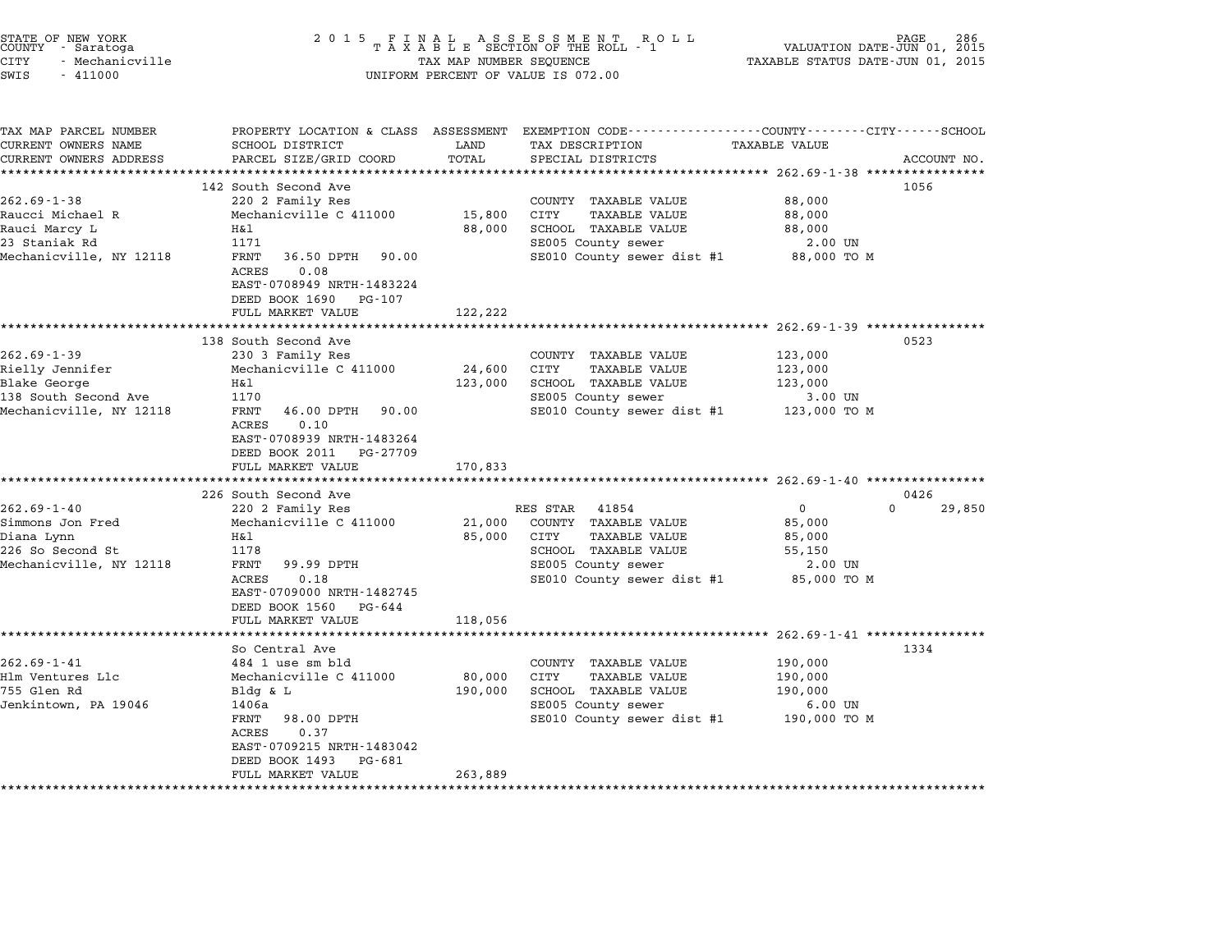| STATE OF NEW YORK<br>COUNTY - Saratoga<br>CITY<br>- Mechanicville<br>SWIS<br>$-411000$                  | 2 0 1 5                                                                                                                                                                                                        | TAX MAP NUMBER SEQUENCE      | $\begin{array}{cccccccccccccc} & F & I & N & A & L & & A & S & S & E & S & S & M & E & N & T & R & O & L \\ T & A & X & A & B & L & E & SECTION OF THE ROLL & - & 1 \end{array}$<br>UNIFORM PERCENT OF VALUE IS 072.00 | VALUATION DATE-JUN 01, 2015<br>TAXABLE STATUS DATE-JUN 01, 2015       | 286<br>PAGE    |
|---------------------------------------------------------------------------------------------------------|----------------------------------------------------------------------------------------------------------------------------------------------------------------------------------------------------------------|------------------------------|------------------------------------------------------------------------------------------------------------------------------------------------------------------------------------------------------------------------|-----------------------------------------------------------------------|----------------|
| TAX MAP PARCEL NUMBER<br>CURRENT OWNERS NAME<br>CURRENT OWNERS ADDRESS                                  | SCHOOL DISTRICT<br>PARCEL SIZE/GRID COORD                                                                                                                                                                      | LAND<br>TOTAL                | PROPERTY LOCATION & CLASS ASSESSMENT EXEMPTION CODE---------------COUNTY-------CITY-----SCHOOL<br>TAX DESCRIPTION<br>SPECIAL DISTRICTS                                                                                 | <b>TAXABLE VALUE</b>                                                  | ACCOUNT NO.    |
| $262.69 - 1 - 38$<br>Raucci Michael R<br>Rauci Marcy L<br>23 Staniak Rd<br>Mechanicville, NY 12118      | 142 South Second Ave<br>220 2 Family Res<br>Mechanicville C 411000<br>H&l<br>1171<br>36.50 DPTH 90.00<br>FRNT<br>ACRES<br>0.08<br>EAST-0708949 NRTH-1483224<br>DEED BOOK 1690<br>PG-107<br>FULL MARKET VALUE   | 15,800<br>88,000<br>122,222  | ************************** 262.69-1-38 *****************<br>COUNTY TAXABLE VALUE<br>CITY<br>TAXABLE VALUE<br>SCHOOL TAXABLE VALUE<br>SE005 County sewer<br>SE010 County sewer dist #1                                  | 88,000<br>88,000<br>88,000<br>2.00 UN<br>88,000 TO M                  | 1056           |
|                                                                                                         |                                                                                                                                                                                                                |                              |                                                                                                                                                                                                                        |                                                                       |                |
| $262.69 - 1 - 39$<br>Rielly Jennifer<br>Blake George<br>138 South Second Ave<br>Mechanicville, NY 12118 | 138 South Second Ave<br>230 3 Family Res<br>Mechanicville C 411000<br>H&l<br>1170<br>FRNT<br>46.00 DPTH 90.00<br>0.10<br>ACRES<br>EAST-0708939 NRTH-1483264<br>DEED BOOK 2011<br>PG-27709<br>FULL MARKET VALUE | 24,600<br>123,000<br>170,833 | COUNTY TAXABLE VALUE<br>CITY<br><b>TAXABLE VALUE</b><br>SCHOOL TAXABLE VALUE<br>SE005 County sewer<br>SE010 County sewer dist #1 123,000 TO M                                                                          | 123,000<br>123,000<br>123,000<br>3.00 UN                              | 0523           |
|                                                                                                         |                                                                                                                                                                                                                |                              |                                                                                                                                                                                                                        |                                                                       |                |
| $262.69 - 1 - 40$<br>Simmons Jon Fred<br>Diana Lynn<br>226 So Second St<br>Mechanicville, NY 12118      | 226 South Second Ave<br>220 2 Family Res<br>Mechanicville C 411000<br>H&l<br>1178<br>FRNT<br>99.99 DPTH<br>0.18<br>ACRES<br>EAST-0709000 NRTH-1482745<br>DEED BOOK 1560<br>PG-644                              | 21,000<br>85,000             | RES STAR 41854<br>COUNTY TAXABLE VALUE<br>CITY<br><b>TAXABLE VALUE</b><br>SCHOOL TAXABLE VALUE<br>SE005 County sewer<br>SE010 County sewer dist #1                                                                     | 0<br>$\Omega$<br>85,000<br>85,000<br>55,150<br>2.00 UN<br>85,000 TO M | 0426<br>29,850 |
|                                                                                                         | FULL MARKET VALUE                                                                                                                                                                                              | 118,056                      |                                                                                                                                                                                                                        |                                                                       |                |
| $262.69 - 1 - 41$<br>Hlm Ventures Llc<br>755 Glen Rd<br>Jenkintown, PA 19046                            | So Central Ave<br>484 1 use sm bld<br>Mechanicville C 411000<br>$Bldq \& L$<br>1406a<br>FRNT<br>98.00 DPTH<br>ACRES<br>0.37<br>EAST-0709215 NRTH-1483042<br>DEED BOOK 1493<br>PG-681                           | 80,000<br>190,000            | COUNTY TAXABLE VALUE<br>CITY<br><b>TAXABLE VALUE</b><br>SCHOOL TAXABLE VALUE<br>SE005 County sewer<br>SE010 County sewer dist #1                                                                                       | 190,000<br>190,000<br>190,000<br>$6.00$ UN<br>190,000 то м            | 1334           |
|                                                                                                         | FULL MARKET VALUE                                                                                                                                                                                              | 263,889                      |                                                                                                                                                                                                                        |                                                                       |                |

STATE OF NEW YORK <sup>2</sup> <sup>0</sup> <sup>1</sup> 5 F I N A L A S S E S S M E N T R O L L PAGE <sup>286</sup> COUNTY - Saratoga <sup>T</sup> <sup>A</sup> <sup>X</sup> <sup>A</sup> <sup>B</sup> <sup>L</sup> <sup>E</sup> SECTION OF THE ROLL - <sup>1</sup> VALUATION DATE-JUN 01, <sup>2015</sup>

\*\*\*\*\*\*\*\*\*\*\*\*\*\*\*\*\*\*\*\*\*\*\*\*\*\*\*\*\*\*\*\*\*\*\*\*\*\*\*\*\*\*\*\*\*\*\*\*\*\*\*\*\*\*\*\*\*\*\*\*\*\*\*\*\*\*\*\*\*\*\*\*\*\*\*\*\*\*\*\*\*\*\*\*\*\*\*\*\*\*\*\*\*\*\*\*\*\*\*\*\*\*\*\*\*\*\*\*\*\*\*\*\*\*\*\*\*\*\*\*\*\*\*\*\*\*\*\*\*\*\*\*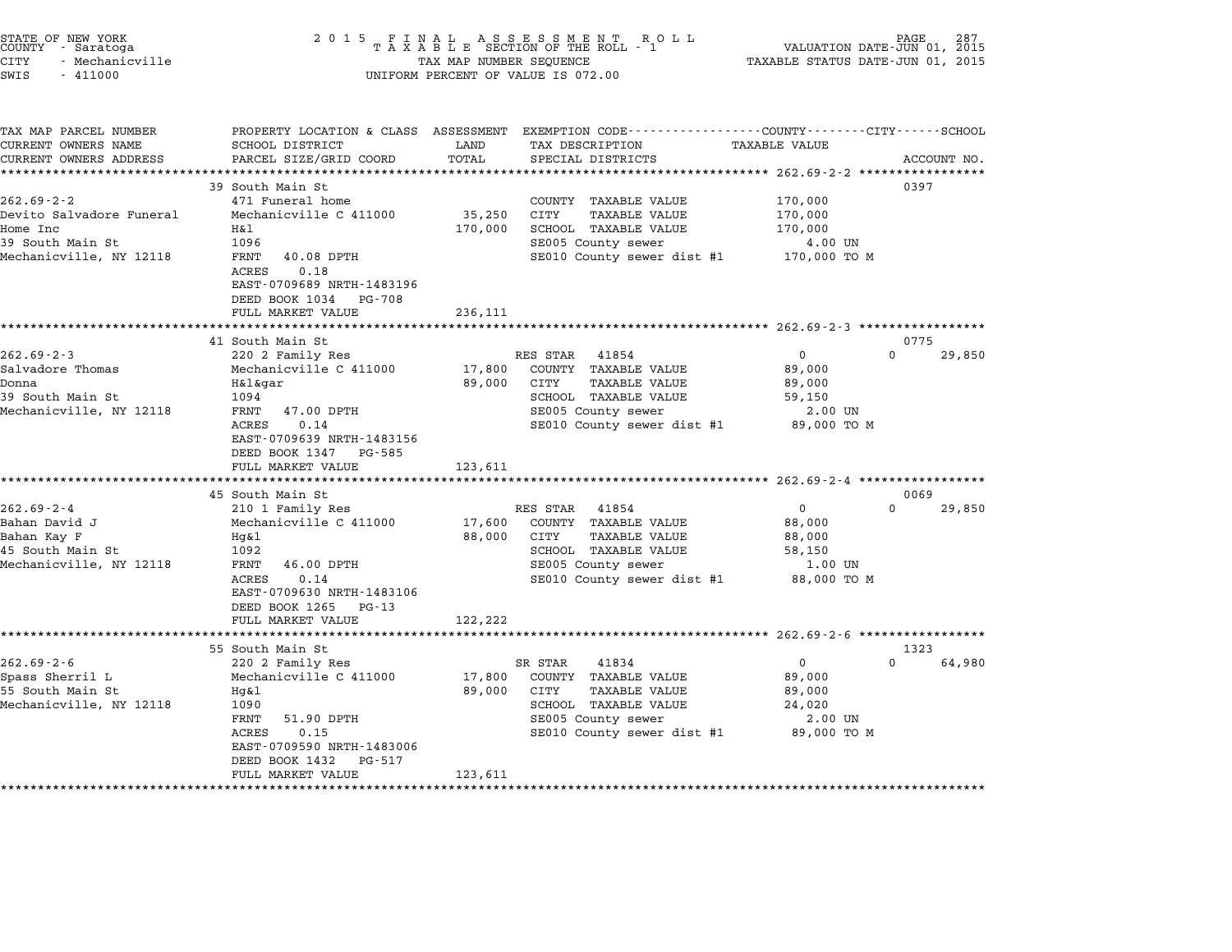| STATE OF NEW YORK |                 |  |
|-------------------|-----------------|--|
| COUNTY            | - Saratoga      |  |
| CITY              | - Mechanicville |  |

# STATE OF NEW YORK <sup>2</sup> <sup>0</sup> <sup>1</sup> 5 F I N A L A S S E S S M E N T R O L L PAGE <sup>287</sup> COUNTY - Saratoga <sup>T</sup> <sup>A</sup> <sup>X</sup> <sup>A</sup> <sup>B</sup> <sup>L</sup> <sup>E</sup> SECTION OF THE ROLL - <sup>1</sup> VALUATION DATE-JUN 01, <sup>2015</sup> STATE OF NEW YORK (PAGE 187 )<br>COUNTY - Saratoga (PASS MED EXAGE 1885 ESSECTION OF THE ROLL - 1 (PASS) VALUATION DATE-JUN 01, 2015<br>CITY - Mechanicville (1, 2015 - 1 (PASS MAP NUMBER SEQUENCE ) (PAXABLE STATUS DATE-JUN 01, 2 SWIS - <sup>411000</sup> UNIFORM PERCENT OF VALUE IS 072.00

| SCHOOL DISTRICT                                                              | LAND                                                                                                                                                                                                                                                                                                                                                                                                                                | TAX DESCRIPTION                                                                           | TAXABLE VALUE                                                                                                                                                                                                                                                                         |                                                                                                                                                                                                                                                     |                                                                                                                                                                                                             |
|------------------------------------------------------------------------------|-------------------------------------------------------------------------------------------------------------------------------------------------------------------------------------------------------------------------------------------------------------------------------------------------------------------------------------------------------------------------------------------------------------------------------------|-------------------------------------------------------------------------------------------|---------------------------------------------------------------------------------------------------------------------------------------------------------------------------------------------------------------------------------------------------------------------------------------|-----------------------------------------------------------------------------------------------------------------------------------------------------------------------------------------------------------------------------------------------------|-------------------------------------------------------------------------------------------------------------------------------------------------------------------------------------------------------------|
|                                                                              |                                                                                                                                                                                                                                                                                                                                                                                                                                     | SPECIAL DISTRICTS                                                                         |                                                                                                                                                                                                                                                                                       |                                                                                                                                                                                                                                                     | ACCOUNT NO.                                                                                                                                                                                                 |
|                                                                              |                                                                                                                                                                                                                                                                                                                                                                                                                                     |                                                                                           |                                                                                                                                                                                                                                                                                       |                                                                                                                                                                                                                                                     |                                                                                                                                                                                                             |
|                                                                              |                                                                                                                                                                                                                                                                                                                                                                                                                                     |                                                                                           |                                                                                                                                                                                                                                                                                       |                                                                                                                                                                                                                                                     |                                                                                                                                                                                                             |
|                                                                              |                                                                                                                                                                                                                                                                                                                                                                                                                                     |                                                                                           |                                                                                                                                                                                                                                                                                       |                                                                                                                                                                                                                                                     |                                                                                                                                                                                                             |
|                                                                              |                                                                                                                                                                                                                                                                                                                                                                                                                                     |                                                                                           |                                                                                                                                                                                                                                                                                       |                                                                                                                                                                                                                                                     |                                                                                                                                                                                                             |
|                                                                              |                                                                                                                                                                                                                                                                                                                                                                                                                                     |                                                                                           |                                                                                                                                                                                                                                                                                       |                                                                                                                                                                                                                                                     |                                                                                                                                                                                                             |
| FRNT<br>40.08 DPTH<br>0.18<br>ACRES<br>EAST-0709689 NRTH-1483196             |                                                                                                                                                                                                                                                                                                                                                                                                                                     |                                                                                           |                                                                                                                                                                                                                                                                                       |                                                                                                                                                                                                                                                     |                                                                                                                                                                                                             |
|                                                                              |                                                                                                                                                                                                                                                                                                                                                                                                                                     |                                                                                           |                                                                                                                                                                                                                                                                                       |                                                                                                                                                                                                                                                     |                                                                                                                                                                                                             |
|                                                                              |                                                                                                                                                                                                                                                                                                                                                                                                                                     |                                                                                           |                                                                                                                                                                                                                                                                                       |                                                                                                                                                                                                                                                     |                                                                                                                                                                                                             |
| 41 South Main St                                                             |                                                                                                                                                                                                                                                                                                                                                                                                                                     |                                                                                           |                                                                                                                                                                                                                                                                                       | 0775                                                                                                                                                                                                                                                |                                                                                                                                                                                                             |
| 220 2 Family Res                                                             |                                                                                                                                                                                                                                                                                                                                                                                                                                     | 41854                                                                                     | $\mathbf{0}$                                                                                                                                                                                                                                                                          | $\Omega$                                                                                                                                                                                                                                            | 29,850                                                                                                                                                                                                      |
| Mechanicville C 411000                                                       | 17,800                                                                                                                                                                                                                                                                                                                                                                                                                              | COUNTY TAXABLE VALUE                                                                      | 89,000                                                                                                                                                                                                                                                                                |                                                                                                                                                                                                                                                     |                                                                                                                                                                                                             |
| H&l&gar                                                                      | 89,000                                                                                                                                                                                                                                                                                                                                                                                                                              | CITY<br><b>TAXABLE VALUE</b>                                                              | 89,000                                                                                                                                                                                                                                                                                |                                                                                                                                                                                                                                                     |                                                                                                                                                                                                             |
| 1094                                                                         |                                                                                                                                                                                                                                                                                                                                                                                                                                     | SCHOOL TAXABLE VALUE                                                                      | 59,150                                                                                                                                                                                                                                                                                |                                                                                                                                                                                                                                                     |                                                                                                                                                                                                             |
| FRNT<br>47.00 DPTH                                                           |                                                                                                                                                                                                                                                                                                                                                                                                                                     | SE005 County sewer                                                                        | 2.00 UN                                                                                                                                                                                                                                                                               |                                                                                                                                                                                                                                                     |                                                                                                                                                                                                             |
| EAST-0709639 NRTH-1483156<br>DEED BOOK 1347<br>PG-585                        |                                                                                                                                                                                                                                                                                                                                                                                                                                     |                                                                                           |                                                                                                                                                                                                                                                                                       |                                                                                                                                                                                                                                                     |                                                                                                                                                                                                             |
|                                                                              |                                                                                                                                                                                                                                                                                                                                                                                                                                     |                                                                                           |                                                                                                                                                                                                                                                                                       |                                                                                                                                                                                                                                                     |                                                                                                                                                                                                             |
|                                                                              |                                                                                                                                                                                                                                                                                                                                                                                                                                     |                                                                                           |                                                                                                                                                                                                                                                                                       |                                                                                                                                                                                                                                                     |                                                                                                                                                                                                             |
|                                                                              |                                                                                                                                                                                                                                                                                                                                                                                                                                     |                                                                                           |                                                                                                                                                                                                                                                                                       |                                                                                                                                                                                                                                                     | 29,850                                                                                                                                                                                                      |
|                                                                              |                                                                                                                                                                                                                                                                                                                                                                                                                                     |                                                                                           |                                                                                                                                                                                                                                                                                       |                                                                                                                                                                                                                                                     |                                                                                                                                                                                                             |
| $Hq\&1$                                                                      | 88,000                                                                                                                                                                                                                                                                                                                                                                                                                              | CITY<br><b>TAXABLE VALUE</b>                                                              | 88,000                                                                                                                                                                                                                                                                                |                                                                                                                                                                                                                                                     |                                                                                                                                                                                                             |
| 1092                                                                         |                                                                                                                                                                                                                                                                                                                                                                                                                                     | SCHOOL TAXABLE VALUE                                                                      | 58,150                                                                                                                                                                                                                                                                                |                                                                                                                                                                                                                                                     |                                                                                                                                                                                                             |
| 46.00 DPTH<br>FRNT                                                           |                                                                                                                                                                                                                                                                                                                                                                                                                                     | SE005 County sewer                                                                        | 1.00 UN                                                                                                                                                                                                                                                                               |                                                                                                                                                                                                                                                     |                                                                                                                                                                                                             |
| 0.14<br><b>ACRES</b><br>EAST-0709630 NRTH-1483106<br>DEED BOOK 1265<br>PG-13 |                                                                                                                                                                                                                                                                                                                                                                                                                                     |                                                                                           |                                                                                                                                                                                                                                                                                       |                                                                                                                                                                                                                                                     |                                                                                                                                                                                                             |
|                                                                              |                                                                                                                                                                                                                                                                                                                                                                                                                                     |                                                                                           |                                                                                                                                                                                                                                                                                       |                                                                                                                                                                                                                                                     |                                                                                                                                                                                                             |
|                                                                              |                                                                                                                                                                                                                                                                                                                                                                                                                                     |                                                                                           |                                                                                                                                                                                                                                                                                       |                                                                                                                                                                                                                                                     |                                                                                                                                                                                                             |
|                                                                              |                                                                                                                                                                                                                                                                                                                                                                                                                                     |                                                                                           |                                                                                                                                                                                                                                                                                       |                                                                                                                                                                                                                                                     |                                                                                                                                                                                                             |
|                                                                              |                                                                                                                                                                                                                                                                                                                                                                                                                                     |                                                                                           |                                                                                                                                                                                                                                                                                       |                                                                                                                                                                                                                                                     | 64,980                                                                                                                                                                                                      |
|                                                                              |                                                                                                                                                                                                                                                                                                                                                                                                                                     |                                                                                           |                                                                                                                                                                                                                                                                                       |                                                                                                                                                                                                                                                     |                                                                                                                                                                                                             |
|                                                                              |                                                                                                                                                                                                                                                                                                                                                                                                                                     |                                                                                           |                                                                                                                                                                                                                                                                                       |                                                                                                                                                                                                                                                     |                                                                                                                                                                                                             |
|                                                                              |                                                                                                                                                                                                                                                                                                                                                                                                                                     |                                                                                           |                                                                                                                                                                                                                                                                                       |                                                                                                                                                                                                                                                     |                                                                                                                                                                                                             |
| 0.15<br>ACRES                                                                |                                                                                                                                                                                                                                                                                                                                                                                                                                     |                                                                                           |                                                                                                                                                                                                                                                                                       |                                                                                                                                                                                                                                                     |                                                                                                                                                                                                             |
|                                                                              |                                                                                                                                                                                                                                                                                                                                                                                                                                     |                                                                                           |                                                                                                                                                                                                                                                                                       |                                                                                                                                                                                                                                                     |                                                                                                                                                                                                             |
| EAST-0709590 NRTH-1483006<br>DEED BOOK 1432<br>PG-517                        |                                                                                                                                                                                                                                                                                                                                                                                                                                     |                                                                                           |                                                                                                                                                                                                                                                                                       |                                                                                                                                                                                                                                                     |                                                                                                                                                                                                             |
|                                                                              | PARCEL SIZE/GRID COORD<br>39 South Main St<br>471 Funeral home<br>Mechanicville C 411000<br>Η&l<br>1096<br>DEED BOOK 1034<br>PG-708<br>FULL MARKET VALUE<br>0.14<br>ACRES<br>FULL MARKET VALUE<br>*******************************<br>45 South Main St<br>210 1 Family Res<br>Mechanicville C 411000<br>FULL MARKET VALUE<br>55 South Main St<br>220 2 Family Res<br>Mechanicville C 411000<br>$Hq\&1$<br>1090<br>FRNT<br>51.90 DPTH | TOTAL<br>35,250<br>170,000<br>236,111<br>123,611<br>17,600<br>122,222<br>17,800<br>89,000 | COUNTY TAXABLE VALUE<br>CITY<br><b>TAXABLE VALUE</b><br>SCHOOL TAXABLE VALUE<br>SE005 County sewer<br>RES STAR<br>RES STAR<br>41854<br>COUNTY TAXABLE VALUE<br>SR STAR<br>41834<br>COUNTY TAXABLE VALUE<br>CITY<br><b>TAXABLE VALUE</b><br>SCHOOL TAXABLE VALUE<br>SE005 County sewer | 170,000<br>170,000<br>170,000<br>4.00 UN<br>SE010 County sewer dist #1<br>SE010 County sewer dist #1<br>$\mathsf{O}$<br>88,000<br>SE010 County sewer dist #1<br>$\mathbf{0}$<br>89,000<br>89,000<br>24,020<br>2.00 UN<br>SE010 County sewer dist #1 | PROPERTY LOCATION & CLASS ASSESSMENT EXEMPTION CODE--------------COUNTY-------CITY------SCHOOL<br>0397<br>170,000 то м<br>89,000 TO M<br>0069<br>$\Omega$<br>88,000 TO M<br>1323<br>$\Omega$<br>89,000 TO M |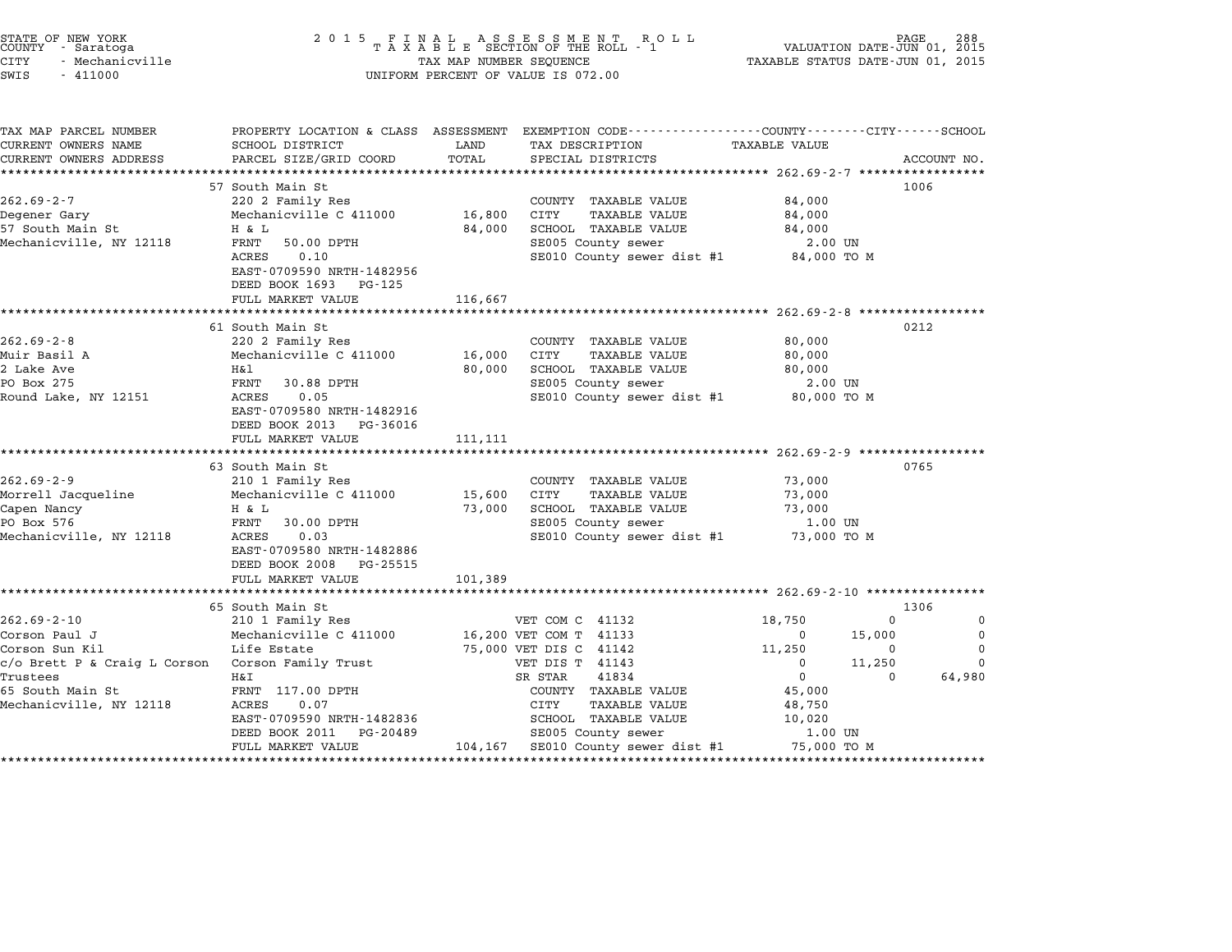| STATE OF NEW YORK<br>COUNTY - Saratoga<br><b>CITY</b><br>- Mechanicville<br>SWIS<br>$-411000$ | 2 0 1 5                                                             | TAX MAP NUMBER SEQUENCE | FINAL ASSESSMENT ROLL<br>TAXABLE SECTION OF THE ROLL - 1<br>UNIFORM PERCENT OF VALUE IS 072.00  | TAXABLE STATUS DATE-JUN 01, 2015                 | PAGE               | 288<br>VALUATION DATE-JUN 01, 2015 |
|-----------------------------------------------------------------------------------------------|---------------------------------------------------------------------|-------------------------|-------------------------------------------------------------------------------------------------|--------------------------------------------------|--------------------|------------------------------------|
| TAX MAP PARCEL NUMBER                                                                         | SCHOOL DISTRICT                                                     |                         | PROPERTY LOCATION & CLASS ASSESSMENT EXEMPTION CODE---------------COUNTY-------CITY------SCHOOL |                                                  |                    |                                    |
| CURRENT OWNERS NAME<br>CURRENT OWNERS ADDRESS                                                 | PARCEL SIZE/GRID COORD                                              | LAND<br>TOTAL           | TAX DESCRIPTION<br>SPECIAL DISTRICTS                                                            | TAXABLE VALUE                                    |                    | ACCOUNT NO.                        |
| ************************                                                                      |                                                                     |                         |                                                                                                 |                                                  |                    |                                    |
|                                                                                               | 57 South Main St                                                    |                         |                                                                                                 |                                                  |                    | 1006                               |
| $262.69 - 2 - 7$                                                                              | 220 2 Family Res                                                    |                         | COUNTY TAXABLE VALUE                                                                            | 84,000                                           |                    |                                    |
| Degener Gary                                                                                  | Mechanicville C 411000                                              | 16,800                  | <b>CITY</b><br><b>TAXABLE VALUE</b>                                                             | 84,000                                           |                    |                                    |
| 57 South Main St                                                                              | H & L                                                               | 84,000                  | SCHOOL TAXABLE VALUE                                                                            | 84,000                                           |                    |                                    |
| Mechanicville, NY 12118                                                                       | FRNT<br>50.00 DPTH                                                  |                         | SE005 County sewer                                                                              | 2.00 UN                                          |                    |                                    |
|                                                                                               | ACRES<br>0.10<br>EAST-0709590 NRTH-1482956<br>DEED BOOK 1693 PG-125 |                         | SE010 County sewer dist #1                                                                      | 84,000 TO M                                      |                    |                                    |
|                                                                                               | FULL MARKET VALUE                                                   | 116,667                 |                                                                                                 |                                                  |                    |                                    |
|                                                                                               | ***********************                                             |                         |                                                                                                 | ****************** 262.69-2-8 ****************** |                    |                                    |
|                                                                                               | 61 South Main St                                                    |                         |                                                                                                 |                                                  |                    | 0212                               |
| $262.69 - 2 - 8$                                                                              | 220 2 Family Res                                                    |                         | COUNTY TAXABLE VALUE                                                                            | 80,000                                           |                    |                                    |
| Muir Basil A                                                                                  | Mechanicville C 411000                                              | 16,000                  | CITY<br><b>TAXABLE VALUE</b>                                                                    | 80,000                                           |                    |                                    |
| 2 Lake Ave                                                                                    | Η&l                                                                 | 80,000                  | SCHOOL TAXABLE VALUE                                                                            | 80,000                                           |                    |                                    |
| PO Box 275                                                                                    | FRNT<br>30.88 DPTH                                                  |                         | SE005 County sewer                                                                              | 2.00 UN                                          |                    |                                    |
| Round Lake, NY 12151                                                                          | 0.05<br>ACRES                                                       |                         | SE010 County sewer dist #1                                                                      | 80,000 TO M                                      |                    |                                    |
|                                                                                               | EAST-0709580 NRTH-1482916<br>DEED BOOK 2013 PG-36016                |                         |                                                                                                 |                                                  |                    |                                    |
|                                                                                               | FULL MARKET VALUE<br>*******************                            | 111,111                 |                                                                                                 |                                                  |                    |                                    |
|                                                                                               |                                                                     |                         |                                                                                                 | ***************** 262.69-2-9 ****************    |                    | 0765                               |
| $262.69 - 2 - 9$                                                                              | 63 South Main St<br>210 1 Family Res                                |                         | COUNTY TAXABLE VALUE                                                                            | 73,000                                           |                    |                                    |
| Morrell Jacqueline                                                                            | Mechanicville C 411000                                              | 15,600                  | CITY<br><b>TAXABLE VALUE</b>                                                                    | 73,000                                           |                    |                                    |
| Capen Nancy                                                                                   | H & L                                                               | 73,000                  | SCHOOL TAXABLE VALUE                                                                            | 73,000                                           |                    |                                    |
| PO Box 576                                                                                    | FRNT<br>30.00 DPTH                                                  |                         | SE005 County sewer                                                                              | 1.00 UN                                          |                    |                                    |
| Mechanicville, NY 12118                                                                       | ACRES<br>0.03                                                       |                         | SE010 County sewer dist #1                                                                      | 73,000 TO M                                      |                    |                                    |
|                                                                                               | EAST-0709580 NRTH-1482886<br>DEED BOOK 2008 PG-25515                |                         |                                                                                                 |                                                  |                    |                                    |
|                                                                                               | FULL MARKET VALUE                                                   | 101,389                 |                                                                                                 |                                                  |                    |                                    |
|                                                                                               | * * * * * * * * * * * * * * * * * * *                               |                         |                                                                                                 | ******************** 262.69-2-10 **************  |                    |                                    |
|                                                                                               | 65 South Main St                                                    |                         |                                                                                                 |                                                  |                    | 1306                               |
| $262.69 - 2 - 10$                                                                             | 210 1 Family Res                                                    |                         | VET COM C 41132                                                                                 | 18,750                                           | $\Omega$           | 0                                  |
| Corson Paul J                                                                                 | Mechanicville C 411000                                              |                         | 16,200 VET COM T 41133                                                                          | $\Omega$                                         | 15,000<br>$\Omega$ | $\mathbf 0$<br>$\Omega$            |
| Corson Sun Kil<br>c/o Brett P & Craig L Corson                                                | Life Estate<br>Corson Family Trust                                  |                         | 75,000 VET DIS C 41142<br>VET DIS T 41143                                                       | 11,250<br>$\Omega$                               | 11,250             | $\Omega$                           |
| Trustees                                                                                      | Η&Ι                                                                 |                         | SR STAR<br>41834                                                                                | $\overline{0}$                                   | $\Omega$           | 64,980                             |
| 65 South Main St                                                                              | FRNT 117.00 DPTH                                                    |                         | COUNTY TAXABLE VALUE                                                                            | 45,000                                           |                    |                                    |
| Mechanicville, NY 12118                                                                       | ACRES<br>0.07                                                       |                         | CITY<br><b>TAXABLE VALUE</b>                                                                    | 48,750                                           |                    |                                    |
|                                                                                               | EAST-0709590 NRTH-1482836                                           |                         | SCHOOL TAXABLE VALUE                                                                            | 10,020                                           |                    |                                    |
|                                                                                               | DEED BOOK 2011<br>PG-20489                                          |                         | SE005 County sewer                                                                              | 1.00 UN                                          |                    |                                    |
|                                                                                               | FULL MARKET VALUE                                                   | 104,167                 | SE010 County sewer dist #1                                                                      | 75,000 TO M                                      |                    |                                    |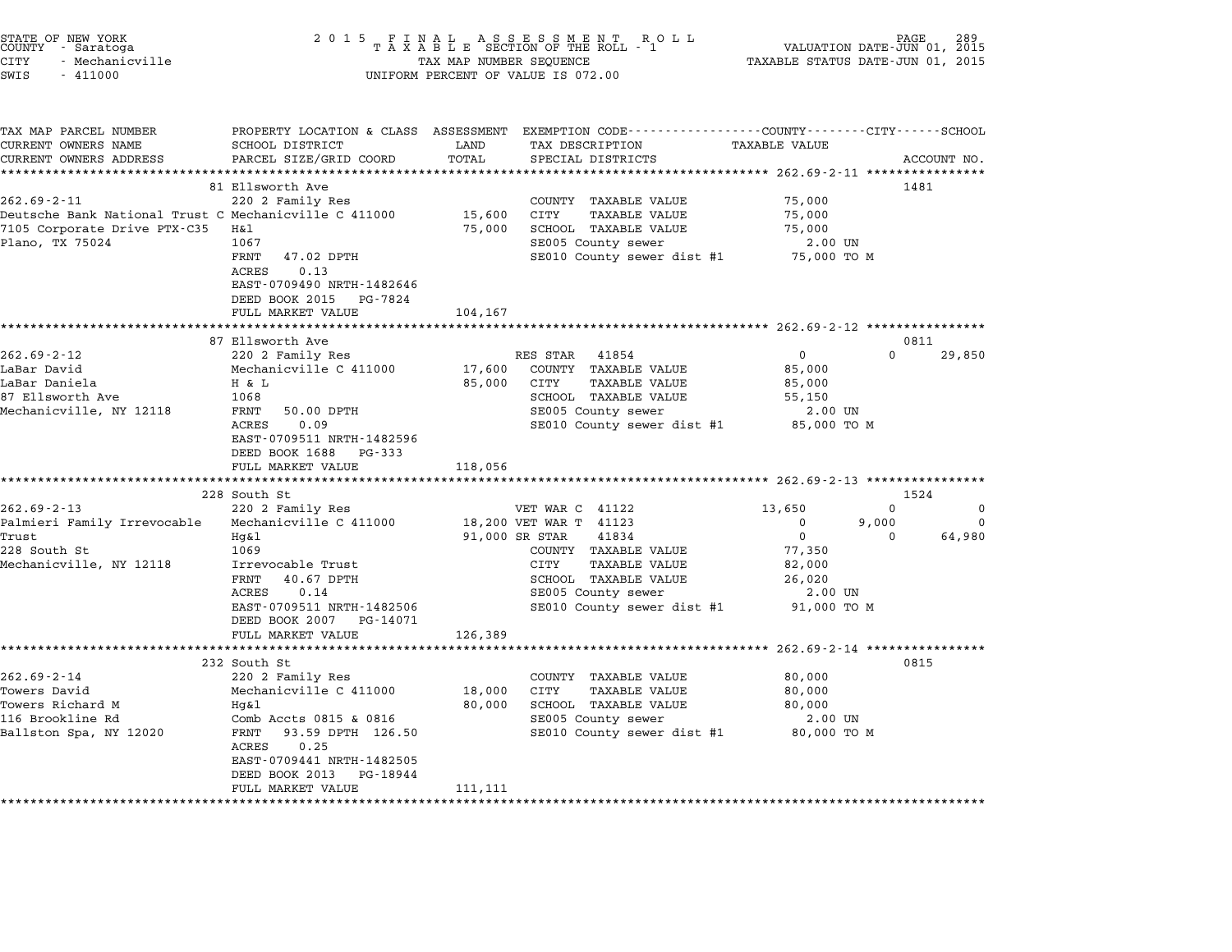| 2 0 1 5                                                                                                                                                                                                                           |                                                                                                                                                                               | R O L L                                                                                                                                   | VALUATION DATE-JUN 01, 2015<br>TAXABLE STATUS DATE-JUN 01, 2015                                                                                                                                | PAGE                                                                                                                                                                                                                            |
|-----------------------------------------------------------------------------------------------------------------------------------------------------------------------------------------------------------------------------------|-------------------------------------------------------------------------------------------------------------------------------------------------------------------------------|-------------------------------------------------------------------------------------------------------------------------------------------|------------------------------------------------------------------------------------------------------------------------------------------------------------------------------------------------|---------------------------------------------------------------------------------------------------------------------------------------------------------------------------------------------------------------------------------|
| SCHOOL DISTRICT<br>PARCEL SIZE/GRID COORD                                                                                                                                                                                         | LAND<br>TOTAL<br>*******                                                                                                                                                      | TAX DESCRIPTION<br>SPECIAL DISTRICTS                                                                                                      | <b>TAXABLE VALUE</b>                                                                                                                                                                           | ACCOUNT NO.                                                                                                                                                                                                                     |
| 220 2 Family Res<br>H&l<br>1067<br>FRNT<br>47.02 DPTH<br>0.13<br>ACRES<br>EAST-0709490 NRTH-1482646<br>DEED BOOK 2015<br>PG-7824<br>FULL MARKET VALUE                                                                             | 15,600<br>75,000<br>104,167                                                                                                                                                   | COUNTY TAXABLE VALUE<br><b>CITY</b><br><b>TAXABLE VALUE</b><br>SCHOOL TAXABLE VALUE<br>SE005 County sewer<br>SE010 County sewer dist #1   | 75,000<br>75,000<br>75,000<br>2.00 UN<br>75,000 TO M                                                                                                                                           | 1481                                                                                                                                                                                                                            |
|                                                                                                                                                                                                                                   |                                                                                                                                                                               |                                                                                                                                           |                                                                                                                                                                                                |                                                                                                                                                                                                                                 |
| 220 2 Family Res<br>Mechanicville C 411000<br>H & L<br>1068<br>FRNT<br>50.00 DPTH<br>ACRES<br>0.09<br>EAST-0709511 NRTH-1482596<br>DEED BOOK 1688<br>PG-333<br>FULL MARKET VALUE                                                  | 17,600<br>85,000<br>118,056                                                                                                                                                   | 41854<br>COUNTY TAXABLE VALUE<br>CITY<br><b>TAXABLE VALUE</b><br>SCHOOL TAXABLE VALUE<br>SE005 County sewer                               | $\mathbf 0$<br>0<br>85,000<br>85,000<br>55,150<br>2.00 UN<br>85,000 TO M                                                                                                                       | 0811<br>29,850                                                                                                                                                                                                                  |
|                                                                                                                                                                                                                                   |                                                                                                                                                                               |                                                                                                                                           |                                                                                                                                                                                                | 1524                                                                                                                                                                                                                            |
| 220 2 Family Res<br>Mechanicville C 411000<br>Hg&l<br>1069<br>Irrevocable Trust<br>FRNT<br>40.67 DPTH<br>ACRES<br>0.14<br>EAST-0709511 NRTH-1482506<br>DEED BOOK 2007<br>PG-14071                                                 |                                                                                                                                                                               | 41834<br>COUNTY TAXABLE VALUE<br>CITY<br><b>TAXABLE VALUE</b><br>SCHOOL TAXABLE VALUE<br>SE005 County sewer<br>SE010 County sewer dist #1 | 13,650<br>0<br>0<br>9,000<br>$\mathbf 0$<br>$\Omega$<br>77,350<br>82,000<br>26,020<br>2.00 UN<br>91,000 TO M                                                                                   | $\mathbf 0$<br>$\Omega$<br>64,980                                                                                                                                                                                               |
|                                                                                                                                                                                                                                   |                                                                                                                                                                               |                                                                                                                                           |                                                                                                                                                                                                |                                                                                                                                                                                                                                 |
| 220 2 Family Res<br>Mechanicville C 411000<br>Hg&l<br>Comb Accts 0815 & 0816<br>FRNT<br>93.59 DPTH 126.50<br>ACRES<br>0.25<br>EAST-0709441 NRTH-1482505<br>DEED BOOK 2013<br>PG-18944<br>FULL MARKET VALUE<br>******************* | 18,000<br>80,000<br>111,111                                                                                                                                                   | COUNTY TAXABLE VALUE<br>CITY<br>TAXABLE VALUE<br>SCHOOL TAXABLE VALUE<br>SE005 County sewer                                               | 80,000<br>80,000<br>80,000<br>2.00 UN<br>80,000 TO M                                                                                                                                           | 0815                                                                                                                                                                                                                            |
|                                                                                                                                                                                                                                   | 81 Ellsworth Ave<br>Deutsche Bank National Trust C Mechanicville C 411000<br>87 Ellsworth Ave<br>228 South St<br>FULL MARKET VALUE<br>***********************<br>232 South St | PROPERTY LOCATION & CLASS ASSESSMENT<br>126,389                                                                                           | FINAL ASSESSMENT ROTAXABLE SECTION OF THE ROLL - 1<br>TAX MAP NUMBER SEQUENCE<br>UNIFORM PERCENT OF VALUE IS 072.00<br>RES STAR<br>VET WAR C 41122<br>18,200 VET WAR T 41123<br>91,000 SR STAR | EXEMPTION CODE-----------------COUNTY-------CITY------SCHOOL<br>SE010 County sewer dist #1<br>************** 262.69-2-13 **************<br>************************* 262.69-2-14 ****************<br>SE010 County sewer dist #1 |

STATE OF NEW YORK <sup>2</sup> <sup>0</sup> <sup>1</sup> 5 F I N A L A S S E S S M E N T R O L L PAGE <sup>289</sup> COUNTY - Saratoga <sup>T</sup> <sup>A</sup> <sup>X</sup> <sup>A</sup> <sup>B</sup> <sup>L</sup> <sup>E</sup> SECTION OF THE ROLL - <sup>1</sup> VALUATION DATE-JUN 01, <sup>2015</sup>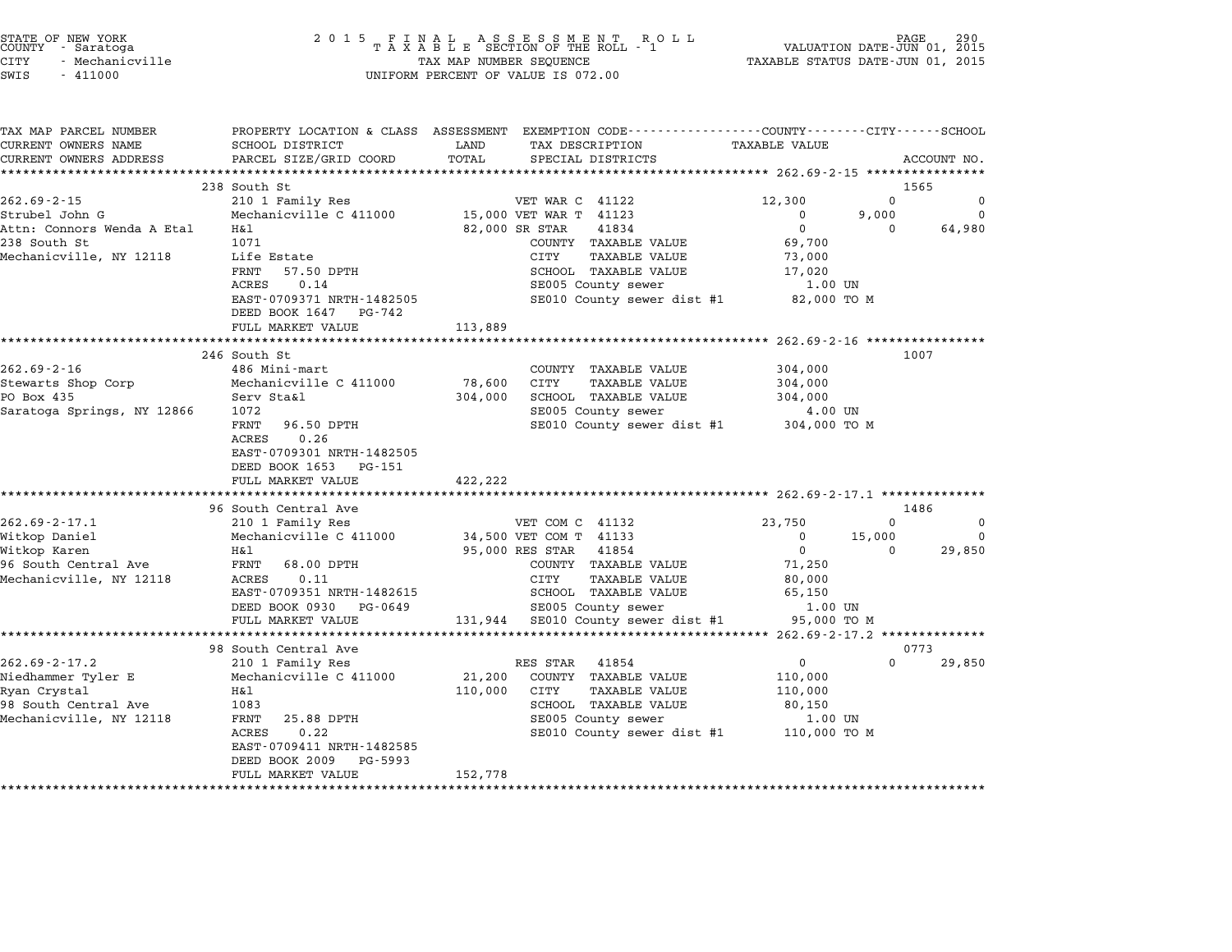| STATE OF NEW YORK |  |                 |  |  |  |
|-------------------|--|-----------------|--|--|--|
| COUNTY            |  | - Saratoga      |  |  |  |
| CITY              |  | - Mechanicville |  |  |  |

| TAX MAP PARCEL NUMBER                                |                                                | PROPERTY LOCATION & CLASS ASSESSMENT EXEMPTION CODE---------------COUNTY-------CITY------SCHOOL |                                       |             |
|------------------------------------------------------|------------------------------------------------|-------------------------------------------------------------------------------------------------|---------------------------------------|-------------|
| CURRENT OWNERS NAME                                  | SCHOOL DISTRICT                                | LAND<br>TAX DESCRIPTION                                                                         | <b>TAXABLE VALUE</b>                  |             |
| CURRENT OWNERS ADDRESS<br>************************** | PARCEL SIZE/GRID COORD                         | TOTAL<br>SPECIAL DISTRICTS                                                                      |                                       | ACCOUNT NO. |
|                                                      | 238 South St                                   |                                                                                                 |                                       | 1565        |
| $262.69 - 2 - 15$                                    | 210 1 Family Res                               | VET WAR C 41122                                                                                 | 12,300<br>$\Omega$                    | 0           |
| Strubel John G                                       | Mechanicville C 411000                         | 15,000 VET WAR T 41123                                                                          | 9,000<br>$\mathbf 0$                  | $\Omega$    |
| Attn: Connors Wenda A Etal                           | Η&l                                            | 82,000 SR STAR<br>41834                                                                         | $\mathbf 0$<br>$\Omega$               | 64,980      |
| 238 South St                                         | 1071                                           | COUNTY TAXABLE VALUE                                                                            | 69,700                                |             |
| Mechanicville, NY 12118                              | Life Estate                                    | CITY<br>TAXABLE VALUE                                                                           | 73,000                                |             |
|                                                      | FRNT<br>57.50 DPTH                             | SCHOOL TAXABLE VALUE                                                                            | 17,020                                |             |
|                                                      | 0.14<br>ACRES                                  | SE005 County sewer                                                                              | 1.00 UN                               |             |
|                                                      | EAST-0709371 NRTH-1482505                      | SE010 County sewer dist #1                                                                      | 82,000 TO M                           |             |
|                                                      | DEED BOOK 1647<br>PG-742                       |                                                                                                 |                                       |             |
|                                                      | FULL MARKET VALUE                              | 113,889                                                                                         |                                       |             |
|                                                      |                                                |                                                                                                 | ********** 262.69-2-16 ************** |             |
| $262.69 - 2 - 16$                                    | 246 South St<br>486 Mini-mart                  |                                                                                                 |                                       | 1007        |
|                                                      |                                                | COUNTY TAXABLE VALUE<br>78,600<br>CITY<br><b>TAXABLE VALUE</b>                                  | 304,000                               |             |
| Stewarts Shop Corp<br>PO Box 435                     | Mechanicville C 411000<br>Serv Sta&l           | 304,000<br>SCHOOL TAXABLE VALUE                                                                 | 304,000<br>304,000                    |             |
| Saratoga Springs, NY 12866                           | 1072                                           | SE005 County sewer                                                                              | 4.00 UN                               |             |
|                                                      | FRNT<br>96.50 DPTH                             | SE010 County sewer dist #1 304,000 TO M                                                         |                                       |             |
|                                                      | 0.26<br><b>ACRES</b>                           |                                                                                                 |                                       |             |
|                                                      | EAST-0709301 NRTH-1482505                      |                                                                                                 |                                       |             |
|                                                      | DEED BOOK 1653 PG-151                          |                                                                                                 |                                       |             |
|                                                      | FULL MARKET VALUE                              | 422,222                                                                                         |                                       |             |
|                                                      |                                                |                                                                                                 |                                       |             |
|                                                      | 96 South Central Ave                           |                                                                                                 |                                       | 1486        |
| $262.69 - 2 - 17.1$                                  | 210 1 Family Res                               | VET COM C 41132                                                                                 | 23,750<br>$\Omega$                    | $\Omega$    |
| Witkop Daniel                                        | Mechanicville C 411000                         | 34,500 VET COM T 41133                                                                          | 15,000<br>$\mathbf 0$                 | $\Omega$    |
| Witkop Karen                                         | Η&l                                            | 95,000 RES STAR<br>41854                                                                        | $\overline{0}$<br>$\Omega$            | 29,850      |
| 96 South Central Ave                                 | FRNT<br>68.00 DPTH                             | COUNTY TAXABLE VALUE                                                                            | 71,250                                |             |
| Mechanicville, NY 12118                              | ACRES<br>0.11                                  | CITY<br>TAXABLE VALUE                                                                           | 80,000                                |             |
|                                                      | EAST-0709351 NRTH-1482615                      | SCHOOL TAXABLE VALUE                                                                            | 65,150                                |             |
|                                                      | DEED BOOK 0930 PG-0649<br>FULL MARKET VALUE    | SE005 County sewer<br>131,944 SE010 County sewer dist #1                                        | 1.00 UN<br>95,000 TO M                |             |
|                                                      |                                                |                                                                                                 |                                       |             |
|                                                      | 98 South Central Ave                           |                                                                                                 |                                       | 0773        |
| $262.69 - 2 - 17.2$                                  | 210 1 Family Res                               | RES STAR<br>41854                                                                               | $\Omega$<br>$\overline{0}$            | 29,850      |
| Niedhammer Tyler E                                   | Mechanicville C 411000                         | 21,200<br>COUNTY TAXABLE VALUE                                                                  | 110,000                               |             |
| Ryan Crystal                                         | H&l                                            | 110,000<br>CITY<br>TAXABLE VALUE                                                                | 110,000                               |             |
| 98 South Central Ave                                 | 1083                                           | SCHOOL TAXABLE VALUE                                                                            | 80,150                                |             |
| Mechanicville, NY 12118                              | FRNT<br>25.88 DPTH                             | SE005 County sewer                                                                              | 1.00 UN                               |             |
|                                                      | 0.22<br>ACRES                                  | SE010 County sewer dist #1 110,000 TO M                                                         |                                       |             |
|                                                      |                                                |                                                                                                 |                                       |             |
|                                                      | EAST-0709411 NRTH-1482585                      |                                                                                                 |                                       |             |
|                                                      | DEED BOOK 2009<br>PG-5993<br>FULL MARKET VALUE | 152,778                                                                                         |                                       |             |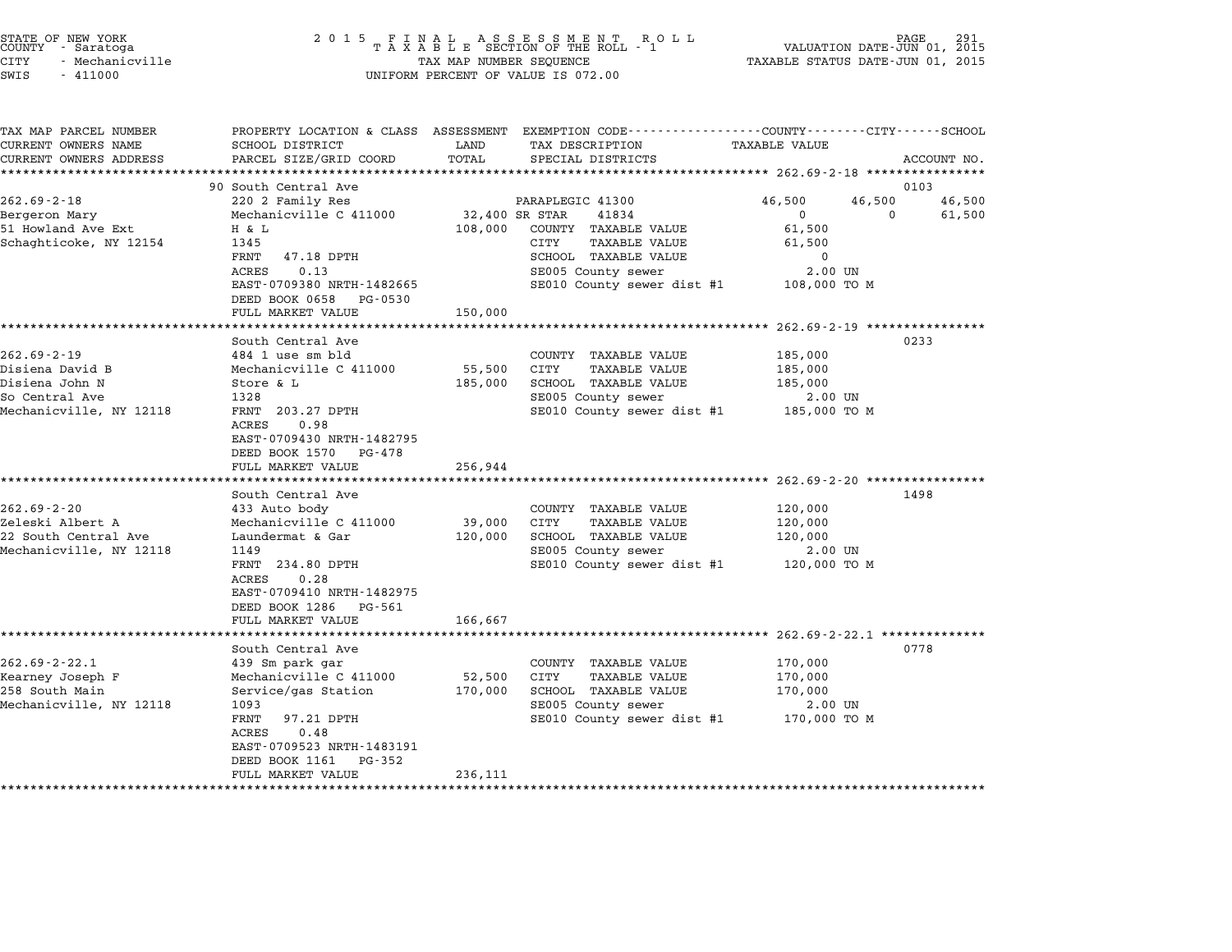| STATE OF NEW YORK<br>COUNTY - Saratoga<br>CITY<br>- Mechanicville<br>SWIS<br>$-411000$              | 2 0 1 5                                                                                                                                                                                                                               | TAX MAP NUMBER SEQUENCE              | FINAL ASSESSMENT ROLL<br>TAXABLE SECTION OF THE ROLL - 1<br>UNIFORM PERCENT OF VALUE IS 072.00                                                                     | VALUATION DATE-JUN 01, 2015<br>TAXABLE STATUS DATE-JUN 01, 2015                                           | PAGE                     |
|-----------------------------------------------------------------------------------------------------|---------------------------------------------------------------------------------------------------------------------------------------------------------------------------------------------------------------------------------------|--------------------------------------|--------------------------------------------------------------------------------------------------------------------------------------------------------------------|-----------------------------------------------------------------------------------------------------------|--------------------------|
| TAX MAP PARCEL NUMBER<br>CURRENT OWNERS NAME<br>CURRENT OWNERS ADDRESS                              | SCHOOL DISTRICT<br>PARCEL SIZE/GRID COORD<br>*************************                                                                                                                                                                | LAND<br>TOTAL                        | PROPERTY LOCATION & CLASS ASSESSMENT EXEMPTION CODE---------------COUNTY-------CITY------SCHOOL<br>TAX DESCRIPTION<br>SPECIAL DISTRICTS                            | <b>TAXABLE VALUE</b>                                                                                      | ACCOUNT NO.              |
| $262.69 - 2 - 18$<br>Bergeron Mary<br>51 Howland Ave Ext<br>Schaghticoke, NY 12154                  | 90 South Central Ave<br>220 2 Family Res<br>Mechanicville C 411000<br>H & L<br>1345<br>FRNT<br>47.18 DPTH<br>0.13<br>ACRES<br>EAST-0709380 NRTH-1482665<br>DEED BOOK 0658<br>PG-0530<br>FULL MARKET VALUE                             | 32,400 SR STAR<br>108,000<br>150,000 | PARAPLEGIC 41300<br>41834<br>COUNTY TAXABLE VALUE<br>CITY<br><b>TAXABLE VALUE</b><br>SCHOOL TAXABLE VALUE<br>SE005 County sewer<br>SE010 County sewer dist #1      | 46,500<br>46,500<br>0<br>0<br>61,500<br>61,500<br>0<br>2.00 UN<br>108,000 TO M                            | 0103<br>46,500<br>61,500 |
| $262.69 - 2 - 19$<br>Disiena David B<br>Disiena John N<br>So Central Ave<br>Mechanicville, NY 12118 | South Central Ave<br>484 1 use sm bld<br>Mechanicville C 411000<br>Store & L<br>1328<br>FRNT 203.27 DPTH<br>0.98<br>ACRES<br>EAST-0709430 NRTH-1482795<br>DEED BOOK 1570<br>PG-478<br>FULL MARKET VALUE                               | 55,500<br>185,000<br>256,944         | COUNTY TAXABLE VALUE<br>CITY<br><b>TAXABLE VALUE</b><br>SCHOOL TAXABLE VALUE<br>SE005 County sewer<br>SE010 County sewer dist #1                                   | ********* 262.69-2-19 **********<br>185,000<br>185,000<br>185,000<br>2.00 UN<br>185,000 TO M              | 0233                     |
| $262.69 - 2 - 20$<br>Zeleski Albert A<br>22 South Central Ave<br>Mechanicville, NY 12118            | **********************<br>South Central Ave<br>433 Auto body<br>Mechanicville C 411000<br>Laundermat & Gar<br>1149<br>FRNT 234.80 DPTH<br>ACRES<br>0.28<br>EAST-0709410 NRTH-1482975<br>DEED BOOK 1286<br>PG-561<br>FULL MARKET VALUE | 39,000<br>120,000<br>166,667         | ******************************<br>COUNTY TAXABLE VALUE<br>CITY<br><b>TAXABLE VALUE</b><br>SCHOOL TAXABLE VALUE<br>SE005 County sewer<br>SE010 County sewer dist #1 | $262.69 - 2 - 20$ ****************<br>120,000<br>120,000<br>120,000<br>2.00 UN<br>120,000 TO M            | 1498                     |
| $262.69 - 2 - 22.1$<br>Kearney Joseph F<br>258 South Main<br>Mechanicville, NY 12118                | South Central Ave<br>439 Sm park gar<br>Mechanicville C 411000<br>Service/gas Station<br>1093<br>FRNT<br>97.21 DPTH<br>ACRES<br>0.48<br>EAST-0709523 NRTH-1483191<br>DEED BOOK 1161<br>PG-352<br>FULL MARKET VALUE                    | 52,500<br>170,000<br>236,111         | COUNTY<br>TAXABLE VALUE<br>CITY<br><b>TAXABLE VALUE</b><br>SCHOOL TAXABLE VALUE<br>SE005 County sewer<br>SE010 County sewer dist #1                                | ********************* 262.69-2-22.1 *********<br>170,000<br>170,000<br>170,000<br>2.00 UN<br>170,000 TO M | 0778                     |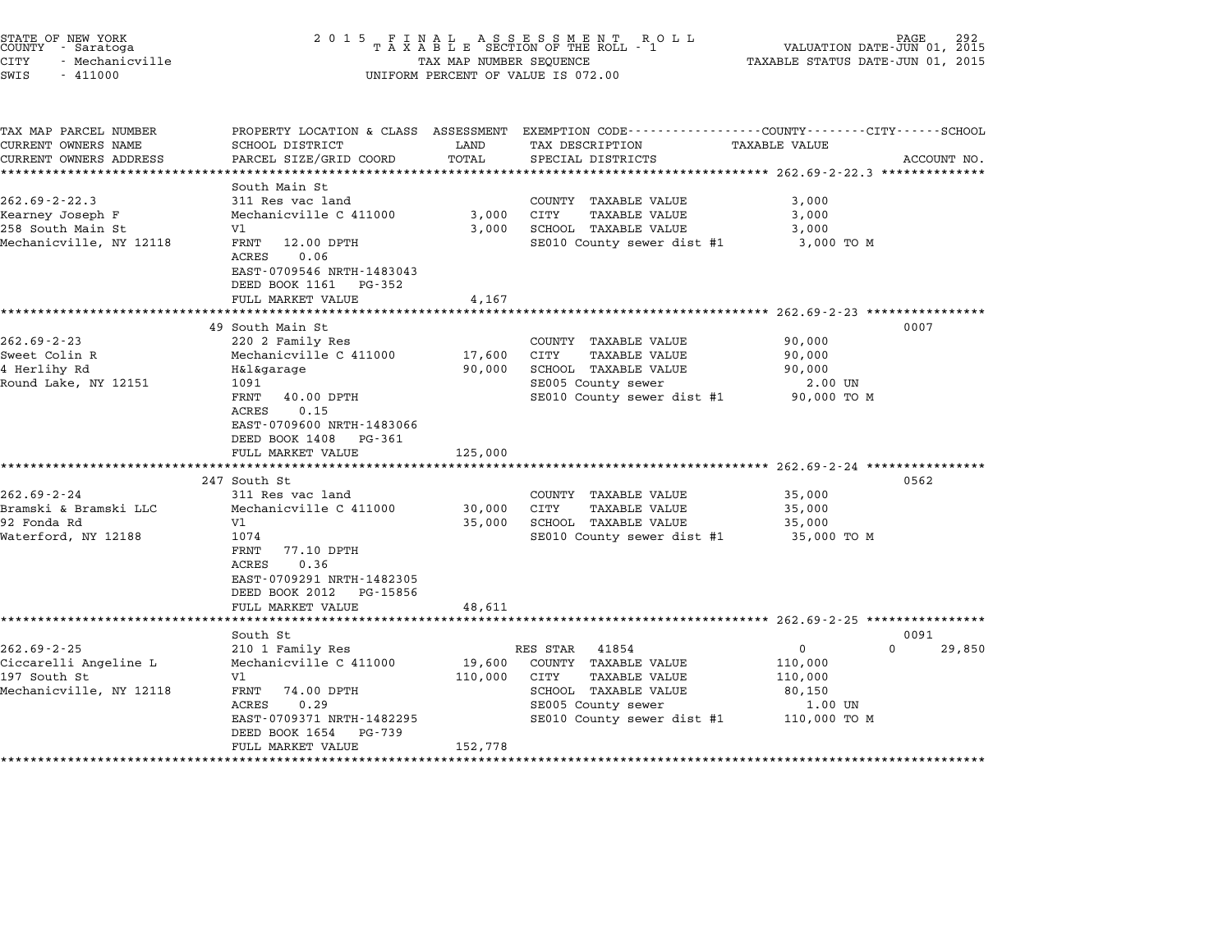| STATE OF NEW YORK<br>COUNTY - Saratoga<br>CITY<br>- Mechanicville<br>SWIS<br>$-411000$ | 2 0 1 5                                            | TAX MAP NUMBER SEQUENCE | FINAL ASSESSMENT ROLL<br>TAXABLE SECTION OF THE ROLL - 1<br>UNIFORM PERCENT OF VALUE IS 072.00                     | VALUATION DATE-JUN 01, 2015<br>TAXABLE STATUS DATE-JUN 01, 2015 | PAGE        |
|----------------------------------------------------------------------------------------|----------------------------------------------------|-------------------------|--------------------------------------------------------------------------------------------------------------------|-----------------------------------------------------------------|-------------|
| TAX MAP PARCEL NUMBER<br>CURRENT OWNERS NAME                                           | SCHOOL DISTRICT                                    | LAND                    | PROPERTY LOCATION & CLASS ASSESSMENT EXEMPTION CODE---------------COUNTY-------CITY------SCHOOL<br>TAX DESCRIPTION | TAXABLE VALUE                                                   |             |
| CURRENT OWNERS ADDRESS                                                                 | PARCEL SIZE/GRID COORD                             | TOTAL                   | SPECIAL DISTRICTS                                                                                                  |                                                                 | ACCOUNT NO. |
| ******************************                                                         |                                                    |                         |                                                                                                                    |                                                                 |             |
| $262.69 - 2 - 22.3$                                                                    | South Main St<br>311 Res vac land                  |                         | COUNTY TAXABLE VALUE                                                                                               | 3,000                                                           |             |
| Kearney Joseph F                                                                       | Mechanicville C 411000                             | 3,000                   | CITY<br>TAXABLE VALUE                                                                                              | 3,000                                                           |             |
| 258 South Main St                                                                      | V1                                                 | 3,000                   | SCHOOL TAXABLE VALUE                                                                                               | 3,000                                                           |             |
| Mechanicville, NY 12118                                                                | FRNT<br>12.00 DPTH<br>0.06<br>ACRES                |                         | SE010 County sewer dist #1                                                                                         | 3,000 TO M                                                      |             |
|                                                                                        | EAST-0709546 NRTH-1483043<br>DEED BOOK 1161 PG-352 |                         |                                                                                                                    |                                                                 |             |
|                                                                                        | FULL MARKET VALUE<br>*********************         | 4,167                   |                                                                                                                    | ************************ 262.69-2-23 *****************          |             |
|                                                                                        | 49 South Main St                                   |                         |                                                                                                                    |                                                                 | 0007        |
| $262.69 - 2 - 23$                                                                      | 220 2 Family Res                                   |                         | COUNTY TAXABLE VALUE                                                                                               | 90,000                                                          |             |
| Sweet Colin R                                                                          | Mechanicville C 411000                             | 17,600                  | <b>CITY</b><br><b>TAXABLE VALUE</b>                                                                                | 90,000                                                          |             |
| 4 Herlihy Rd                                                                           | H&l&garage                                         | 90,000                  | SCHOOL TAXABLE VALUE                                                                                               | 90,000                                                          |             |
| Round Lake, NY 12151                                                                   | 1091                                               |                         | SE005 County sewer                                                                                                 | 2.00 UN                                                         |             |
|                                                                                        | FRNT<br>40.00 DPTH                                 |                         | SE010 County sewer dist #1                                                                                         | 90,000 TO M                                                     |             |
|                                                                                        | ACRES<br>0.15                                      |                         |                                                                                                                    |                                                                 |             |
|                                                                                        | EAST-0709600 NRTH-1483066<br>DEED BOOK 1408 PG-361 |                         |                                                                                                                    |                                                                 |             |
|                                                                                        | FULL MARKET VALUE                                  | 125,000                 |                                                                                                                    |                                                                 |             |
|                                                                                        | *********************                              |                         |                                                                                                                    | ************************ 262.69-2-24 ***************            |             |
|                                                                                        | 247 South St                                       |                         |                                                                                                                    |                                                                 | 0562        |
| $262.69 - 2 - 24$                                                                      | 311 Res vac land                                   |                         | COUNTY TAXABLE VALUE                                                                                               | 35,000                                                          |             |
| Bramski & Bramski LLC                                                                  | Mechanicville C 411000                             | 30,000                  | CITY<br>TAXABLE VALUE                                                                                              | 35,000                                                          |             |
| 92 Fonda Rd                                                                            | V1                                                 | 35,000                  | SCHOOL TAXABLE VALUE                                                                                               | 35,000                                                          |             |
| Waterford, NY 12188                                                                    | 1074<br>FRNT<br>77.10 DPTH                         |                         | SE010 County sewer dist #1                                                                                         | 35,000 TO M                                                     |             |
|                                                                                        | ACRES<br>0.36                                      |                         |                                                                                                                    |                                                                 |             |
|                                                                                        | EAST-0709291 NRTH-1482305                          |                         |                                                                                                                    |                                                                 |             |
|                                                                                        | DEED BOOK 2012 PG-15856                            |                         |                                                                                                                    |                                                                 |             |
|                                                                                        | FULL MARKET VALUE                                  | 48,611                  |                                                                                                                    |                                                                 |             |
|                                                                                        |                                                    |                         |                                                                                                                    | ************************* 262.69-2-25 *****************         |             |
|                                                                                        | South St                                           |                         |                                                                                                                    |                                                                 | 0091        |
| $262.69 - 2 - 25$                                                                      | 210 1 Family Res                                   |                         | RES STAR<br>41854                                                                                                  | $\mathbf{0}$                                                    | 0<br>29,850 |
| Ciccarelli Angeline L<br>197 South St                                                  | Mechanicville C 411000<br>V1                       | 19,600<br>110,000       | COUNTY TAXABLE VALUE<br>CITY<br>TAXABLE VALUE                                                                      | 110,000<br>110,000                                              |             |
| Mechanicville, NY 12118                                                                | FRNT<br>74.00 DPTH                                 |                         | SCHOOL TAXABLE VALUE                                                                                               | 80,150                                                          |             |
|                                                                                        | ACRES<br>0.29                                      |                         | SE005 County sewer                                                                                                 | 1.00 UN                                                         |             |
|                                                                                        | EAST-0709371 NRTH-1482295                          |                         | SE010 County sewer dist #1                                                                                         | 110,000 TO M                                                    |             |
|                                                                                        | DEED BOOK 1654<br>PG-739                           |                         |                                                                                                                    |                                                                 |             |
|                                                                                        | FULL MARKET VALUE                                  | 152,778                 |                                                                                                                    |                                                                 |             |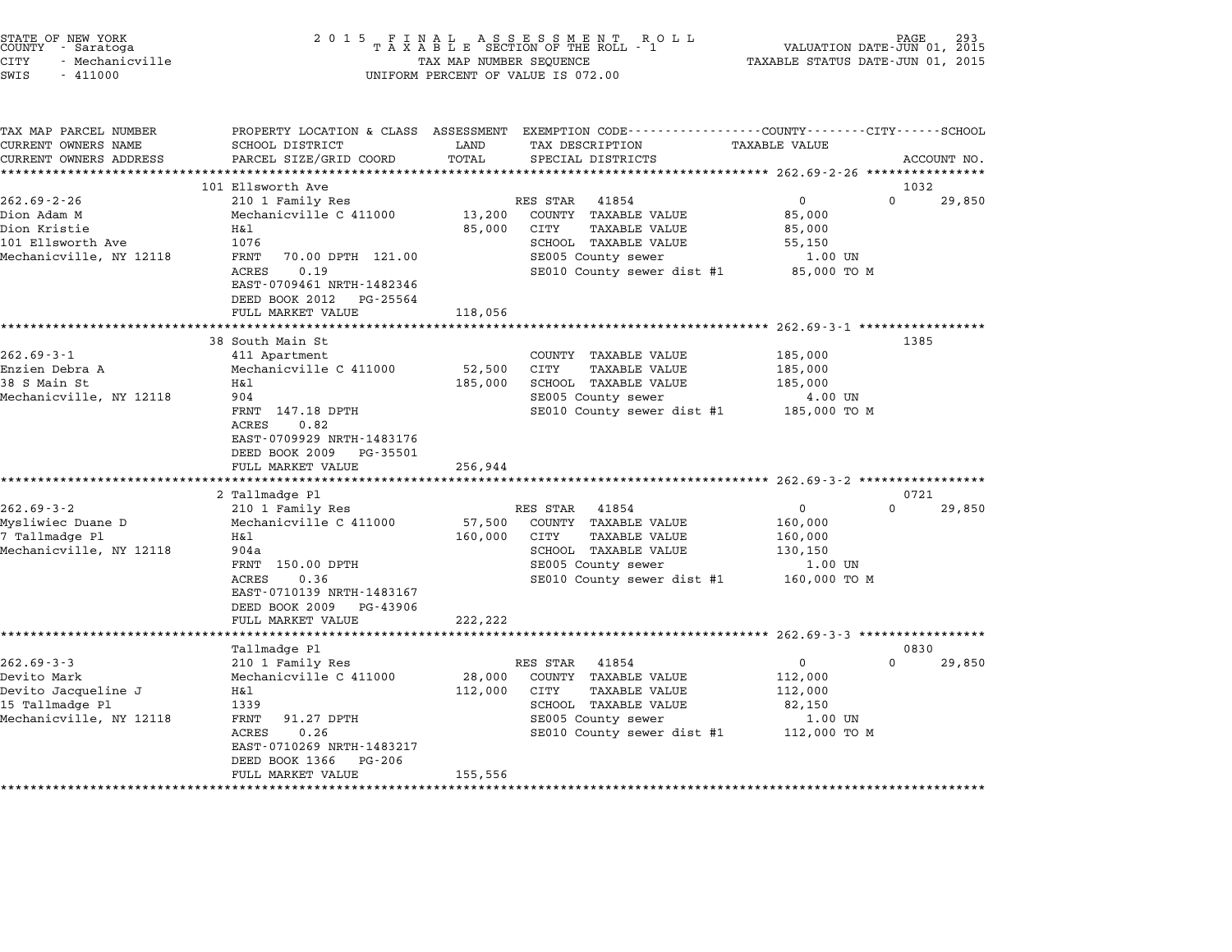| STATE OF NEW YORK<br>COUNTY - Saratoga<br>CITY<br>- Mechanicville<br>SWIS<br>$-411000$                                                                              | 2 0 1 5                                                                                                                                                                                                                                                                                                                                                                                                                            | TAX MAP NUMBER SEQUENCE                                      | FINAL ASSESSMENT ROLL<br>TAXABLE SECTION OF THE ROLL - 1<br>UNIFORM PERCENT OF VALUE IS 072.00                                                                                                                                                                              | VALUATION DATE-JUN 01, 2015<br>TAXABLE STATUS DATE-JUN 01, 2015                                                                                                                 | PAGE                               |
|---------------------------------------------------------------------------------------------------------------------------------------------------------------------|------------------------------------------------------------------------------------------------------------------------------------------------------------------------------------------------------------------------------------------------------------------------------------------------------------------------------------------------------------------------------------------------------------------------------------|--------------------------------------------------------------|-----------------------------------------------------------------------------------------------------------------------------------------------------------------------------------------------------------------------------------------------------------------------------|---------------------------------------------------------------------------------------------------------------------------------------------------------------------------------|------------------------------------|
| TAX MAP PARCEL NUMBER<br>CURRENT OWNERS NAME<br>CURRENT OWNERS ADDRESS                                                                                              | SCHOOL DISTRICT<br>PARCEL SIZE/GRID COORD                                                                                                                                                                                                                                                                                                                                                                                          | LAND<br>TOTAL                                                | PROPERTY LOCATION & CLASS ASSESSMENT EXEMPTION CODE--------------COUNTY-------CITY------SCHOOL<br>TAX DESCRIPTION<br>SPECIAL DISTRICTS                                                                                                                                      | TAXABLE VALUE                                                                                                                                                                   | ACCOUNT NO.                        |
|                                                                                                                                                                     | ************************                                                                                                                                                                                                                                                                                                                                                                                                           |                                                              |                                                                                                                                                                                                                                                                             |                                                                                                                                                                                 |                                    |
| $262.69 - 2 - 26$<br>Dion Adam M<br>Dion Kristie<br>101 Ellsworth Ave<br>Mechanicville, NY 12118                                                                    | 101 Ellsworth Ave<br>210 1 Family Res<br>Mechanicville C 411000<br>Η&l<br>1076<br>FRNT<br>70.00 DPTH 121.00<br>0.19<br>ACRES<br>EAST-0709461 NRTH-1482346<br>DEED BOOK 2012<br>PG-25564                                                                                                                                                                                                                                            | 13,200<br>85,000                                             | RES STAR<br>41854<br>COUNTY TAXABLE VALUE<br>CITY<br>TAXABLE VALUE<br>SCHOOL TAXABLE VALUE<br>SE005 County sewer<br>SE010 County sewer dist #1                                                                                                                              | $\mathbf 0$<br>85,000<br>85,000<br>55,150<br>1.00 UN<br>85,000 TO M                                                                                                             | 1032<br>$\Omega$<br>29,850         |
|                                                                                                                                                                     | FULL MARKET VALUE                                                                                                                                                                                                                                                                                                                                                                                                                  | 118,056                                                      |                                                                                                                                                                                                                                                                             |                                                                                                                                                                                 |                                    |
| $262.69 - 3 - 1$<br>Enzien Debra A<br>38 S Main St<br>Mechanicville, NY 12118<br>$262.69 - 3 - 2$<br>Mysliwiec Duane D<br>7 Tallmadge Pl<br>Mechanicville, NY 12118 | 38 South Main St<br>411 Apartment<br>Mechanicville C 411000<br>Η&l<br>904<br>FRNT 147.18 DPTH<br>ACRES<br>0.82<br>EAST-0709929 NRTH-1483176<br>DEED BOOK 2009<br>PG-35501<br>FULL MARKET VALUE<br>*********************<br>2 Tallmadge Pl<br>210 1 Family Res<br>Mechanicville C 411000<br>H&l<br>904a<br>FRNT 150.00 DPTH<br>0.36<br><b>ACRES</b><br>EAST-0710139 NRTH-1483167<br>DEED BOOK 2009<br>PG-43906<br>FULL MARKET VALUE | 52,500<br>185,000<br>256,944<br>57,500<br>160,000<br>222,222 | COUNTY TAXABLE VALUE<br>CITY<br>TAXABLE VALUE<br>SCHOOL TAXABLE VALUE<br>SE005 County sewer<br>SE010 County sewer dist #1<br>RES STAR<br>41854<br>COUNTY TAXABLE VALUE<br>CITY<br>TAXABLE VALUE<br>SCHOOL TAXABLE VALUE<br>SE005 County sewer<br>SE010 County sewer dist #1 | ************** 262.69-3-1 **************<br>185,000<br>185,000<br>185,000<br>4.00 UN<br>185,000 TO M<br>$\mathbf 0$<br>160,000<br>160,000<br>130,150<br>1.00 UN<br>160,000 TO M | 1385<br>0721<br>$\Omega$<br>29,850 |
|                                                                                                                                                                     |                                                                                                                                                                                                                                                                                                                                                                                                                                    |                                                              |                                                                                                                                                                                                                                                                             |                                                                                                                                                                                 |                                    |
| $262.69 - 3 - 3$<br>Devito Mark<br>Devito Jacqueline J<br>15 Tallmadge Pl<br>Mechanicville, NY 12118                                                                | Tallmadge Pl<br>210 1 Family Res<br>Mechanicville C 411000<br>Η&l<br>1339<br>FRNT<br>91.27 DPTH<br>ACRES<br>0.26<br>EAST-0710269 NRTH-1483217<br>DEED BOOK 1366<br>PG-206<br>FULL MARKET VALUE                                                                                                                                                                                                                                     | 28,000<br>112,000<br>155,556                                 | RES STAR<br>41854<br>COUNTY TAXABLE VALUE<br>CITY<br><b>TAXABLE VALUE</b><br>SCHOOL TAXABLE VALUE<br>SE005 County sewer<br>SE010 County sewer dist #1                                                                                                                       | $\mathbf{0}$<br>112,000<br>112,000<br>82,150<br>1.00 UN<br>112,000 TO M                                                                                                         | 0830<br>$\Omega$<br>29,850         |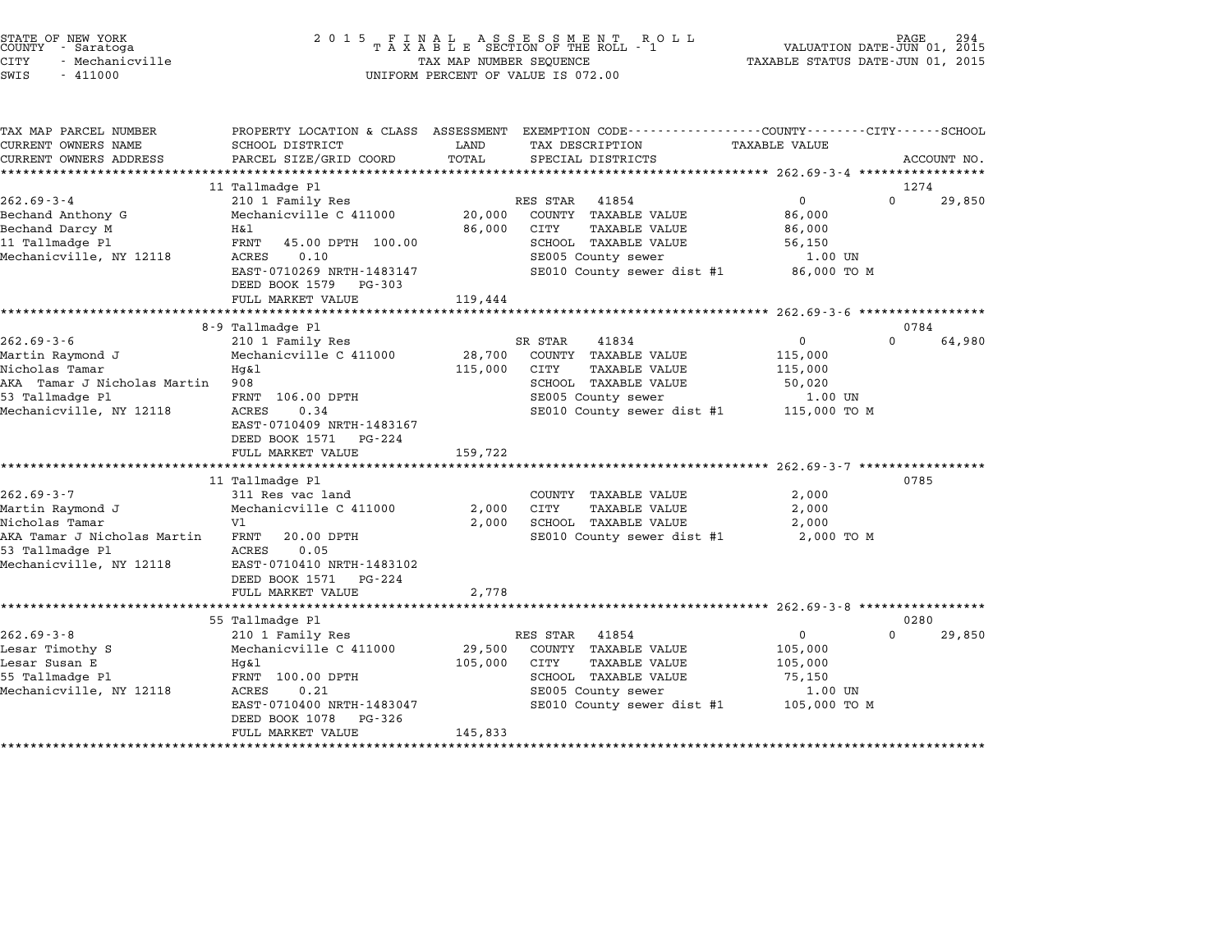| COUNTY<br>CITY<br>SWIS | STATE OF NEW YORK<br>- Saratoga<br>- Mechanicville<br>$-411000$ |                                                         |      | 2015 FINAL ASSESSMENT ROLL<br>TAXABLE SECTION OF THE ROLL - 1<br>TAX MAP NUMBER SEQUENCE<br>UNIFORM PERCENT OF VALUE IS 072.00 | VALUATION DATE-JUN 01, 2015<br>TAXABLE STATUS DATE-JUN 01, 2015               | PAGE | 294 |
|------------------------|-----------------------------------------------------------------|---------------------------------------------------------|------|--------------------------------------------------------------------------------------------------------------------------------|-------------------------------------------------------------------------------|------|-----|
|                        | TAX MAP PARCEL NUMBER<br>CURRENT OWNERS NAME                    | PROPERTY LOCATION & CLASS ASSESSMENT<br>SCHOOL DISTRICT | LAND | TAX DESCRIPTION                                                                                                                | EXEMPTION CODE-----------------COUNTY-------CITY------SCHOOL<br>TAXABLE VALUE |      |     |

| IAA MAF FARCEU NUMBER                       |                               |              |                                                                    |                                         |          |             |
|---------------------------------------------|-------------------------------|--------------|--------------------------------------------------------------------|-----------------------------------------|----------|-------------|
| CURRENT OWNERS NAME                         | SCHOOL DISTRICT               | LAND         | TAX DESCRIPTION                                                    | TAXABLE VALUE                           |          |             |
| CURRENT OWNERS ADDRESS                      | PARCEL SIZE/GRID COORD        | TOTAL        | SPECIAL DISTRICTS                                                  |                                         |          | ACCOUNT NO. |
|                                             |                               |              |                                                                    |                                         |          |             |
|                                             | 11 Tallmadge Pl               |              |                                                                    |                                         | 1274     |             |
| $262.69 - 3 - 4$                            | 210 1 Family Res              |              | RES STAR 41854                                                     | 0                                       | $\Omega$ | 29,850      |
| Bechand Anthony G                           | Mechanicville C 411000        |              | 20,000 COUNTY TAXABLE VALUE                                        | 86,000                                  |          |             |
| Bechand Darcy M                             | H&l                           |              | 86,000 CITY<br>TAXABLE VALUE                                       | 86,000                                  |          |             |
| 11 Tallmadge Pl                             | FRNT 45.00 DPTH 100.00        |              | SCHOOL TAXABLE VALUE                                               | 56,150                                  |          |             |
| Mechanicville, NY 12118                     | ACRES<br>0.10                 |              | SE005 County sewer                                                 | 1.00 UN                                 |          |             |
|                                             | EAST-0710269 NRTH-1483147     |              |                                                                    | SE010 County sewer dist #1 86,000 TO M  |          |             |
|                                             | DEED BOOK 1579 PG-303         |              |                                                                    |                                         |          |             |
|                                             | FULL MARKET VALUE             | 119,444      |                                                                    |                                         |          |             |
|                                             |                               |              |                                                                    |                                         |          |             |
|                                             | 8-9 Tallmadge Pl              |              |                                                                    |                                         | 0784     |             |
| $262.69 - 3 - 6$                            | 210 1 Family Res              |              | 41834<br>SR STAR                                                   | $\overline{0}$                          | $\Omega$ | 64,980      |
| Martin Raymond J                            | Mechanicville C 411000 28,700 |              | COUNTY TAXABLE VALUE                                               | 115,000                                 |          |             |
| Nicholas Tamar                              | Hq&l                          | 115,000      | CITY<br>TAXABLE VALUE                                              | 115,000                                 |          |             |
| AKA Tamar J Nicholas Martin 908             |                               |              | SCHOOL TAXABLE VALUE<br>SE005 County sewer                         | 50,020                                  |          |             |
| 53 Tallmadge Pl                             | FRNT 106.00 DPTH              |              |                                                                    | 1.00 UN                                 |          |             |
| Mechanicville, NY 12118                     | 0.34<br>ACRES                 |              |                                                                    | SE010 County sewer dist #1 115,000 TO M |          |             |
|                                             | EAST-0710409 NRTH-1483167     |              |                                                                    |                                         |          |             |
|                                             | DEED BOOK 1571 PG-224         |              |                                                                    |                                         |          |             |
|                                             | FULL MARKET VALUE             | 159,722      |                                                                    |                                         |          |             |
|                                             |                               |              |                                                                    |                                         |          |             |
|                                             | 11 Tallmadge Pl               |              |                                                                    |                                         | 0785     |             |
| $262.69 - 3 - 7$                            | 311 Res vac land              |              | COUNTY TAXABLE VALUE                                               | 2,000                                   |          |             |
| Martin Raymond J                            | Mechanicville C 411000        | 2,000        | CITY<br>TAXABLE VALUE                                              | 2,000                                   |          |             |
| Nicholas Tamar                              | Vl                            | 2,000        | SCHOOL TAXABLE VALUE                                               | 2,000                                   |          |             |
| AKA Tamar J Nicholas Martin FRNT 20.00 DPTH |                               |              |                                                                    | SE010 County sewer dist #1 2,000 TO M   |          |             |
| 53 Tallmadge Pl                             | 0.05<br>ACRES                 |              |                                                                    |                                         |          |             |
| Mechanicville, NY 12118                     | EAST-0710410 NRTH-1483102     |              |                                                                    |                                         |          |             |
|                                             | DEED BOOK 1571 PG-224         |              |                                                                    |                                         |          |             |
|                                             | FULL MARKET VALUE             | 2,778        |                                                                    |                                         |          |             |
|                                             |                               |              |                                                                    |                                         |          |             |
|                                             | 55 Tallmadge Pl               |              |                                                                    |                                         | 0280     |             |
| $262.69 - 3 - 8$                            | 210 1 Family Res              |              | RES STAR<br>41854                                                  | $\overline{0}$                          | $\Omega$ | 29,850      |
| Lesar Timothy S                             | Mechanicville C 411000        |              | 29,500 COUNTY TAXABLE VALUE                                        | 105,000                                 |          |             |
| Lesar Susan E                               | Hq&l                          | 105,000 CITY | TAXABLE VALUE                                                      | 105,000                                 |          |             |
| 55 Tallmadge Pl                             | FRNT 100.00 DPTH              |              |                                                                    | 75,150                                  |          |             |
| Mechanicville, NY 12118                     | ACRES<br>0.21                 |              | SCHOOL TAXABLE VALUE<br>SCHOOL TAXABLE VALUE<br>SE005 County sewer | 1.00 UN                                 |          |             |
|                                             | EAST-0710400 NRTH-1483047     |              |                                                                    |                                         |          |             |
|                                             | DEED BOOK 1078 PG-326         |              |                                                                    |                                         |          |             |
|                                             | FULL MARKET VALUE             | 145,833      |                                                                    |                                         |          |             |
|                                             |                               |              |                                                                    | SE010 County sewer dist #1 105,000 TO M |          |             |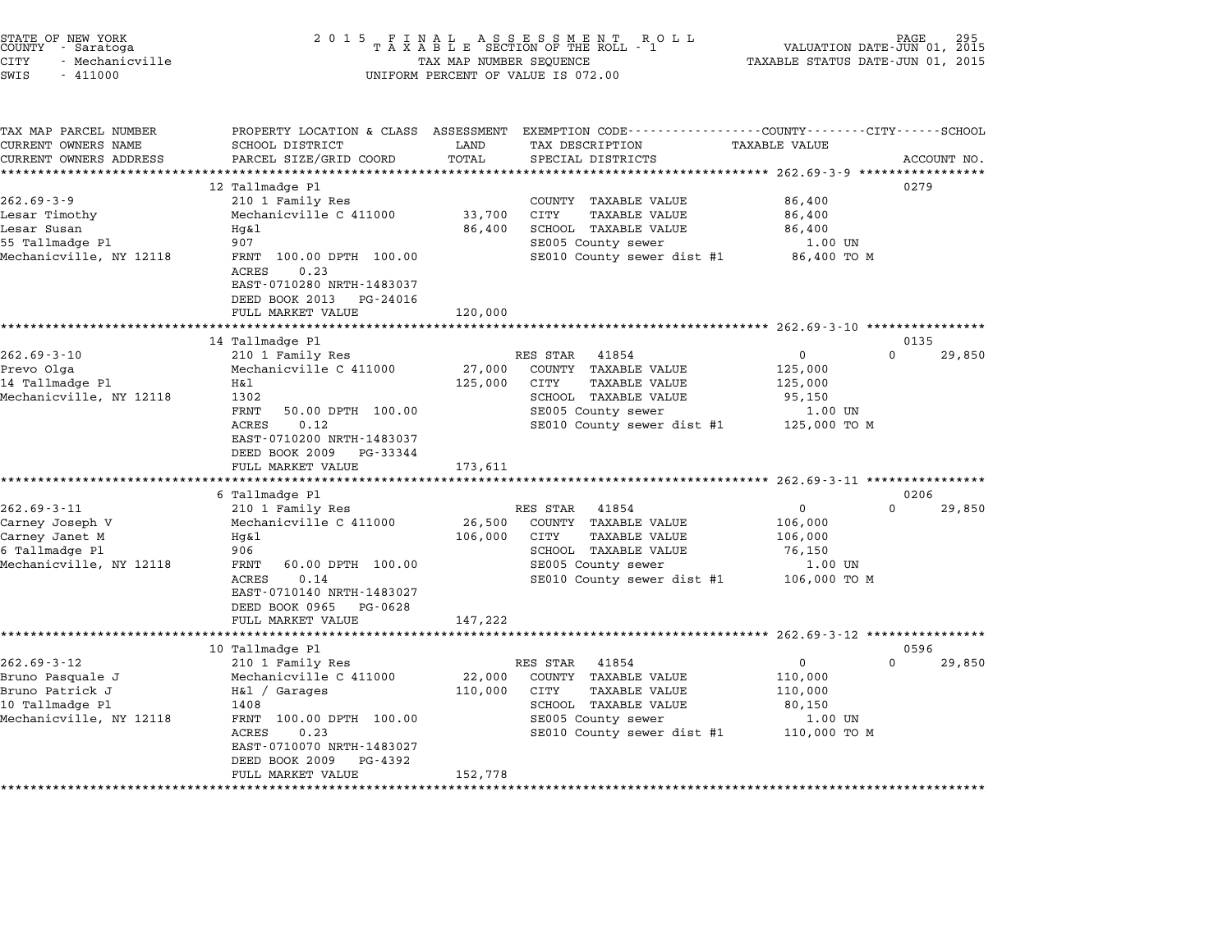| STATE OF NEW YORK<br>COUNTY - Saratoga | 2015 FINAL ASSESSMENT ROLL<br>TAXABLE SECTION OF THE ROLL - 1 | 295<br>PAGE<br>VALUATION DATE-JUN 01, 2015 |
|----------------------------------------|---------------------------------------------------------------|--------------------------------------------|
| CITY<br>– Mechanicville                | TAX MAP NUMBER SEQUENCE                                       | TAXABLE STATUS DATE-JUN 01, 2015           |
| SWIS<br>- 411000                       | UNIFORM PERCENT OF VALUE IS 072.00                            |                                            |

TAX MAP PARCEL NUMBER PROPERTY LOCATION & CLASS ASSESSMENT EXEMPTION CODE------------------COUNTY--------CITY------SCHOOL CURRENT OWNERS NAME SCHOOL DISTRICT LAND TAX DESCRIPTION TAXABLE VALUE CURRENT OWNERS ADDEER FOUR DISTRICTS AND A CHASS ASSESSEENT EXERT ON TAX MIT PROCULPTION TRANSFOURERS ADDRESS SANCEL SIZE/GRID COORD TOTAL SEEN TRANSFOUR TRANSFOUR TRANSFOUR TRANSFOUR TRANSFOUR TRANSFOUR TRANSFOUR ACCOUNT 12 Tallmadge Pl 0279 262.69-3-9 12 Tallmadge Pl<br>262.69-3-9 210 1 Family Res COUNTY TAXABLE VALUE 86,400 Lesar Timothy Mechanicville C <sup>411000</sup> 33,700 CITY TAXABLE VALUE 86,400 المالية المسلم المسلم المسلم المسلم المسلم المسلم المسلم المسلم المسلم المسلم المسلم المسلم المسلم المسلم المس<br>Lesar Susan 1986,400 SCHOOL TAXABLE VALUE 86,400<br>1986,400 SCHOOL TAXABLE VALUE ESAI TIMOCHY – MECHANICVITIE C 411000 – 53,700 – CITI – IAAABLE VALUE – 60,400<br>Lesar Susan – Hg&l – 86,400 – 86,400 – 86,400 – 86,400 – 86,400 – 86,400 – 86,400 – 86,400 – 86,400 – 907 – 8 Mechanicville, NY <sup>12118</sup> FRNT 100.00 DPTH 100.00 SE010 County sewer dist #1 86,400 TO <sup>M</sup> ACRES 0.23 FANI 100.00 DFIN 100.00<br>ACRES 0.23<br>EAST-0710280 NRTH-1483037 EAST-0710280 NRTH-1483037<br>DEED BOOK 2013 PG-24016 DEED BOOK 2013 PG-24016<br>FULL MARKET VALUE 120,000 \*\*\*\*\*\*\*\*\*\*\*\*\*\*\*\*\*\*\*\*\*\*\*\*\*\*\*\*\*\*\*\*\*\*\*\*\*\*\*\*\*\*\*\*\*\*\*\*\*\*\*\*\*\*\*\*\*\*\*\*\*\*\*\*\*\*\*\*\*\*\*\*\*\*\*\*\*\*\*\*\*\*\*\*\*\*\*\*\*\*\*\*\*\*\*\*\*\*\*\*\*\*\* 262.69-3-10 \*\*\*\*\*\*\*\*\*\*\*\*\*\*\*\* 14 Tallmadge Pl 0135 262.69-3-10 135 - 262.69-3-10 135 - 262.69-3-10 135 - 262.69-3-10 135 - 262.69-3-10 135 - 262.69-3-10 135 - 26<br>210 1 Family Res RES STAR 41854 0 210 210 210 1 Family Res RES STAR 41854 0 20 0 29,850 Prevo Olga Mechanicville C <sup>411000</sup> 27,000 COUNTY TAXABLE VALUE 125,000 <sup>14</sup> Tallmadge Pl H&l 125,000 CITY TAXABLE VALUE 125,000 Mechanicville C 111000 127,000 CONTI IAAADDD VADOD 123,000<br>125,000 CITY 1AXABLE VALUE 125000 125000 125000 125000 125000<br>Mechanicville, NY 12118 1302 125,000 SCHOOL TAXABLE VALUE 95,150 125,000 CITI IAABLE VALUE 125,000<br>1302 SCHOOL TAXABLE VALUE 95,150<br>FRNT 50.00 DPTH 100.00 SE005 County sewer 1.00 UN ACRES 0.12 SE010 County sewer dist #1 125,000 TO <sup>M</sup> EAST-0710200 NRTH-1483037 EAST-0710200 NRTH-1483037<br>DEED BOOK 2009 PG-33344 DEED BOOK 2009 PG-33344<br>FULL MARKET VALUE 173,611 \*\*\*\*\*\*\*\*\*\*\*\*\*\*\*\*\*\*\*\*\*\*\*\*\*\*\*\*\*\*\*\*\*\*\*\*\*\*\*\*\*\*\*\*\*\*\*\*\*\*\*\*\*\*\*\*\*\*\*\*\*\*\*\*\*\*\*\*\*\*\*\*\*\*\*\*\*\*\*\*\*\*\*\*\*\*\*\*\*\*\*\*\*\*\*\*\*\*\*\*\*\*\* 262.69-3-11 \*\*\*\*\*\*\*\*\*\*\*\*\*\*\*\* 6 Tallmadge Pl 0206 262.69-3-11 <sup>210</sup> <sup>1</sup> Family Res RES STAR <sup>41854</sup> <sup>0</sup> <sup>0</sup> 29,850 Carney Joseph V Mechanicville C <sup>411000</sup> 26,500 COUNTY TAXABLE VALUE 106,000 Carney Janet M Hg&l 106,000 CITY TAXABLE VALUE 106,000 Carney Joseph V (ECHANICVITE C 411000 - 20,000 COONTI TAAABLE VALUE - 100,000<br>Carney Janet M - Hg&l - 106,000 CITY TAXABLE VALUE - 106,000<br>6 Tallmadge Pl - 906 - 906 - SCHOOL TAXABLE VALUE - 76,150 Mechanicville, NY <sup>12118</sup> FRNT 60.00 DPTH 100.00 SE005 County sewer 1.00 UN Hg&1 106,000 CITY TAXABLE VALUE 106,000<br>
906 SCHOOL TAXABLE VALUE 76,150<br>
FRNT 60.00 DPTH 100.00 SE005 County sewer 1.00 UN<br>
ACRES 0.14 SE010 County sewer dist #1 106,000 TO M ACRES 0.14 EAST-0710140 NRTH-1483027<br>DEED BOOK 0965 PG-0628 FULL MARKET VALUE 147,222 \*\*\*\*\*\*\*\*\*\*\*\*\*\*\*\*\*\*\*\*\*\*\*\*\*\*\*\*\*\*\*\*\*\*\*\*\*\*\*\*\*\*\*\*\*\*\*\*\*\*\*\*\*\*\*\*\*\*\*\*\*\*\*\*\*\*\*\*\*\*\*\*\*\*\*\*\*\*\*\*\*\*\*\*\*\*\*\*\*\*\*\*\*\*\*\*\*\*\*\*\*\*\* 262.69-3-12 \*\*\*\*\*\*\*\*\*\*\*\*\*\*\*\* 10 Tallmadge Pl 0596 262.69-3-12 10 Tallmadge Pl<br>10 Tallmadge Pl<br>262.69-3-12 202.09-3-12 210 1 Family Res RES STAR 41854 0 29,850 Bruno Pasquale J Mechanicville C <sup>411000</sup> 22,000 COUNTY TAXABLE VALUE 110,000 202.09-3-12<br>Bruno Pasquale J Mechanicville C 411000 22,000 COUNTY TAXABLE VALUE <br>Bruno Patrick J H&l / Garages 110,000 CITY 11 TAXIBLE VALUE - PROGRESS - PROGRESS - PROGRESS - PROGRESS - PROGRESS - PROGRESS - PROGRESS - PROGRESS - PRO<br>110,000 CITY - TAXABLE VALUE - 110,000 PATABLE VALUE - 110,000 PRATABLE VALUE - 110,000 PROGRESS - 110,000 PROG Mel / Galages (110,000 CIII IAAABLE VALUE 110,000 IIO,000<br>10 Tallmadge Pl (100.00 DPTH 100.00 SCHOOL TAXABLE VALUE (80,150 )<br>Mechanicville, NY 12118 FRNT 100.00 DPTH 100.00 (SE005 County sewer (1.00 UN ACRES 0.23 1200.00 COUNTY SERVER CONTRASHED VALUE VALUE OF THE MANAGEMENT OF THE MANAGEMENT OF THE MANAGEMENT O<br>FRINT 100.00 DPTH 100.00 SERVER SERVER SERVER SERVER SERVER SERVER SERVER SERVER SERVER SERVER SERVER SERVER S ACRES 0.23 EAST-0710070 NRTH-1483027<br>DEED BOOK 2009 PG-4392 FULL MARKET VALUE 152,778 \*\*\*\*\*\*\*\*\*\*\*\*\*\*\*\*\*\*\*\*\*\*\*\*\*\*\*\*\*\*\*\*\*\*\*\*\*\*\*\*\*\*\*\*\*\*\*\*\*\*\*\*\*\*\*\*\*\*\*\*\*\*\*\*\*\*\*\*\*\*\*\*\*\*\*\*\*\*\*\*\*\*\*\*\*\*\*\*\*\*\*\*\*\*\*\*\*\*\*\*\*\*\*\*\*\*\*\*\*\*\*\*\*\*\*\*\*\*\*\*\*\*\*\*\*\*\*\*\*\*\*\*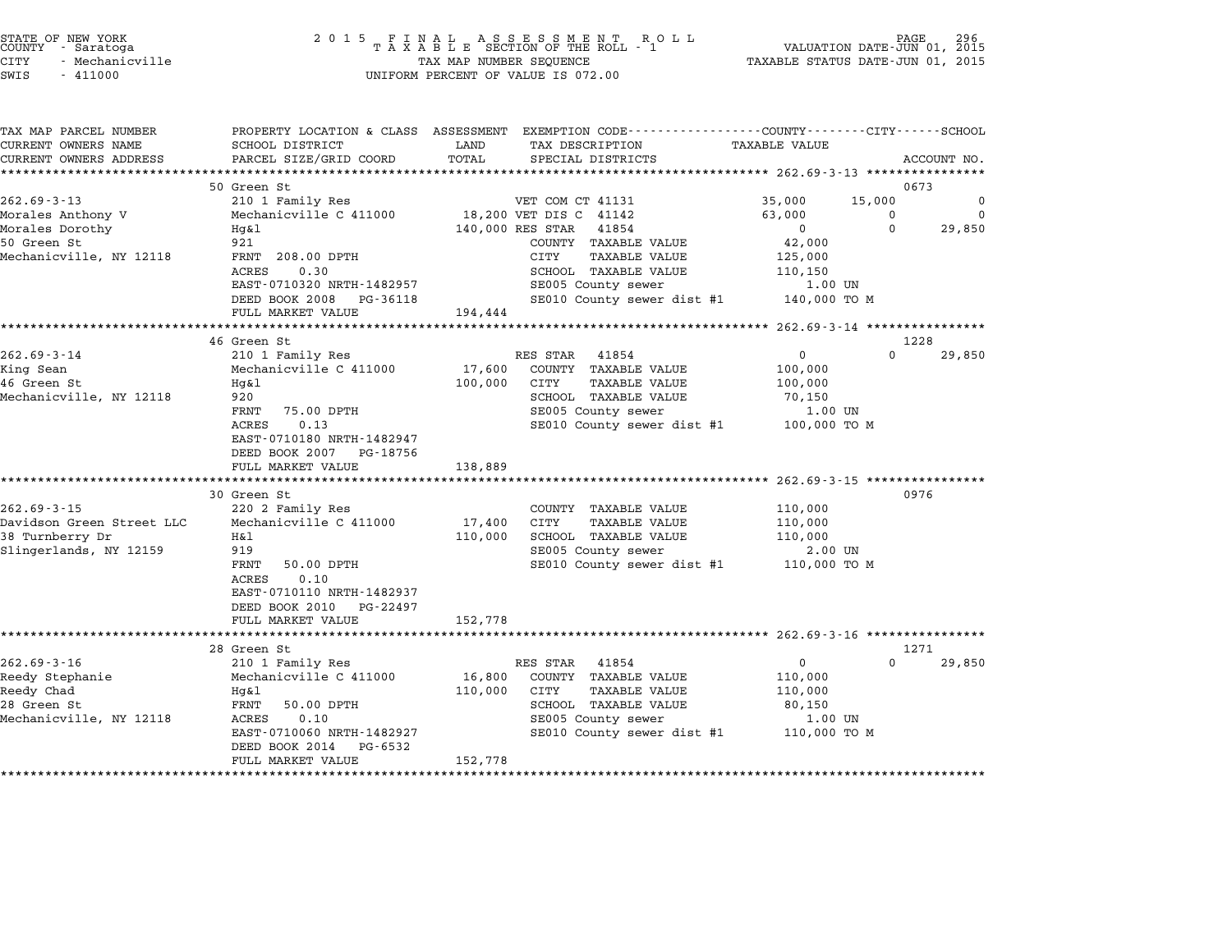|        | STATE OF NEW YORK |  |
|--------|-------------------|--|
| COUNTY | - Saratoga        |  |
| CITY   | - Mechanicville   |  |

| TAX MAP PARCEL NUMBER<br>CURRENT OWNERS NAME | PROPERTY LOCATION & CLASS ASSESSMENT EXEMPTION CODE---------------COUNTY-------CITY------SCHOOL<br>SCHOOL DISTRICT | LAND<br>TAX DESCRIPTION         | <b>TAXABLE VALUE</b>                       |                                  |
|----------------------------------------------|--------------------------------------------------------------------------------------------------------------------|---------------------------------|--------------------------------------------|----------------------------------|
|                                              |                                                                                                                    |                                 |                                            |                                  |
| CURRENT OWNERS ADDRESS                       | PARCEL SIZE/GRID COORD                                                                                             | TOTAL<br>SPECIAL DISTRICTS      |                                            | ACCOUNT NO.                      |
|                                              |                                                                                                                    |                                 |                                            |                                  |
| $262.69 - 3 - 13$                            | 50 Green St                                                                                                        |                                 |                                            | 0673                             |
|                                              | 210 1 Family Res                                                                                                   | VET COM CT 41131                | 35,000                                     | 15,000<br>0                      |
| Morales Anthony V                            | Mechanicville C 411000                                                                                             | 18,200 VET DIS C 41142          | 63,000                                     | $\Omega$<br>$\Omega$<br>$\Omega$ |
| Morales Dorothy                              | Hg&l                                                                                                               | 140,000 RES STAR 41854          | $\mathbf 0$                                | 29,850                           |
| 50 Green St                                  | 921                                                                                                                | COUNTY TAXABLE VALUE            | 42,000                                     |                                  |
| Mechanicville, NY 12118                      | FRNT 208.00 DPTH                                                                                                   | CITY                            | TAXABLE VALUE<br>125,000                   |                                  |
|                                              | 0.30<br>ACRES                                                                                                      | SCHOOL TAXABLE VALUE            | 110,150                                    |                                  |
|                                              | EAST-0710320 NRTH-1482957                                                                                          |                                 | SE005 County sewer<br>1.00 UN              |                                  |
|                                              | DEED BOOK 2008 PG-36118                                                                                            |                                 | SE010 County sewer dist #1<br>140,000 TO M |                                  |
|                                              | FULL MARKET VALUE                                                                                                  | 194,444                         |                                            |                                  |
|                                              |                                                                                                                    |                                 |                                            |                                  |
|                                              | 46 Green St                                                                                                        |                                 |                                            | 1228                             |
| $262.69 - 3 - 14$                            | 210 1 Family Res                                                                                                   | RES STAR 41854                  | $\mathbf 0$                                | $\Omega$<br>29,850               |
| King Sean                                    | Mechanicville C 411000                                                                                             | 17,600<br>COUNTY TAXABLE VALUE  | 100,000                                    |                                  |
| 46 Green St                                  | Hq&l                                                                                                               | 100,000<br>CITY                 | <b>TAXABLE VALUE</b><br>100,000            |                                  |
| Mechanicville, NY 12118                      | 920                                                                                                                | SCHOOL TAXABLE VALUE            | 70,150                                     |                                  |
|                                              | FRNT<br>75.00 DPTH                                                                                                 |                                 | SE005 County sewer<br>1.00 UN              |                                  |
|                                              | 0.13<br>ACRES                                                                                                      |                                 | SE010 County sewer dist #1 100,000 TO M    |                                  |
|                                              | EAST-0710180 NRTH-1482947                                                                                          |                                 |                                            |                                  |
|                                              | DEED BOOK 2007 PG-18756                                                                                            |                                 |                                            |                                  |
|                                              | FULL MARKET VALUE                                                                                                  | 138,889                         |                                            |                                  |
|                                              |                                                                                                                    |                                 |                                            |                                  |
|                                              | 30 Green St                                                                                                        |                                 |                                            | 0976                             |
| $262.69 - 3 - 15$                            | 220 2 Family Res                                                                                                   | COUNTY TAXABLE VALUE            | 110,000                                    |                                  |
| Davidson Green Street LLC                    | Mechanicville C 411000                                                                                             | 17,400<br>CITY                  | <b>TAXABLE VALUE</b><br>110,000            |                                  |
| 38 Turnberry Dr                              | Η&l                                                                                                                | 110,000<br>SCHOOL TAXABLE VALUE | 110,000                                    |                                  |
| Slingerlands, NY 12159                       | 919                                                                                                                | SE005 County sewer              | 2.00 UN                                    |                                  |
|                                              | FRNT<br>50.00 DPTH                                                                                                 |                                 | SE010 County sewer dist #1 110,000 TO M    |                                  |
|                                              | 0.10<br>ACRES                                                                                                      |                                 |                                            |                                  |
|                                              | EAST-0710110 NRTH-1482937                                                                                          |                                 |                                            |                                  |
|                                              | DEED BOOK 2010 PG-22497                                                                                            |                                 |                                            |                                  |
|                                              | FULL MARKET VALUE                                                                                                  | 152,778                         |                                            |                                  |
|                                              |                                                                                                                    |                                 |                                            |                                  |
|                                              | 28 Green St                                                                                                        |                                 |                                            | 1271                             |
| $262.69 - 3 - 16$                            | 210 1 Family Res                                                                                                   | RES STAR<br>41854               | $\mathbf{0}$                               | $\Omega$<br>29,850               |
| Reedy Stephanie                              | Mechanicville C 411000                                                                                             | 16,800<br>COUNTY TAXABLE VALUE  | 110,000                                    |                                  |
| Reedy Chad                                   | Hq&l                                                                                                               | 110,000<br>CITY                 | TAXABLE VALUE<br>110,000                   |                                  |
| 28 Green St                                  | FRNT<br>50.00 DPTH                                                                                                 | SCHOOL TAXABLE VALUE            | 80,150                                     |                                  |
| Mechanicville, NY 12118                      | 0.10<br>ACRES                                                                                                      | SE005 County sewer              | 1.00 UN                                    |                                  |
|                                              | EAST-0710060 NRTH-1482927                                                                                          |                                 | SE010 County sewer dist #1 110,000 TO M    |                                  |
|                                              | DEED BOOK 2014<br>PG-6532                                                                                          |                                 |                                            |                                  |
|                                              | FULL MARKET VALUE                                                                                                  | 152,778                         |                                            |                                  |
|                                              |                                                                                                                    |                                 |                                            |                                  |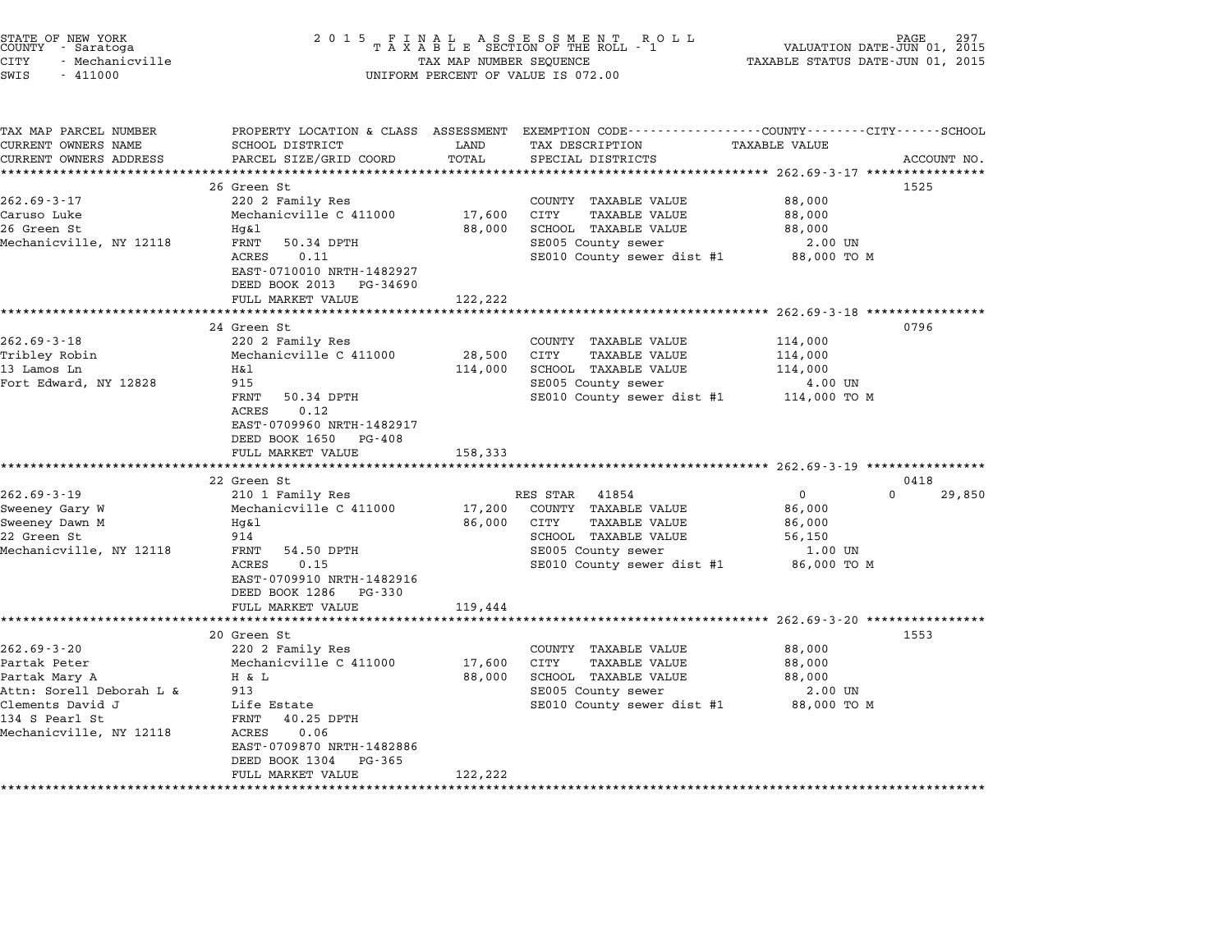| STATE OF NEW YORK<br>COUNTY - Saratoga<br>CITY<br>- Mechanicville<br>SWIS<br>$-411000$ | 2 0 1 5                                                                                      | TAX MAP NUMBER SEQUENCE | FINAL ASSESSMENT ROLL<br>TAXABLE SECTION OF THE ROLL - 1<br>UNIFORM PERCENT OF VALUE IS 072.00                    | VALUATION DATE-JUN 01, 2015<br>TAXABLE STATUS DATE-JUN 01, 2015 | PAGE        |
|----------------------------------------------------------------------------------------|----------------------------------------------------------------------------------------------|-------------------------|-------------------------------------------------------------------------------------------------------------------|-----------------------------------------------------------------|-------------|
| TAX MAP PARCEL NUMBER<br>CURRENT OWNERS NAME                                           | SCHOOL DISTRICT                                                                              | LAND                    | PROPERTY LOCATION & CLASS ASSESSMENT EXEMPTION CODE--------------COUNTY-------CITY------SCHOOL<br>TAX DESCRIPTION | TAXABLE VALUE                                                   |             |
| CURRENT OWNERS ADDRESS                                                                 | PARCEL SIZE/GRID COORD                                                                       | TOTAL                   | SPECIAL DISTRICTS                                                                                                 |                                                                 | ACCOUNT NO. |
| ********************                                                                   |                                                                                              | **********              |                                                                                                                   |                                                                 |             |
| $262.69 - 3 - 17$                                                                      | 26 Green St<br>220 2 Family Res                                                              |                         | COUNTY TAXABLE VALUE                                                                                              |                                                                 | 1525        |
| Caruso Luke                                                                            | Mechanicville C 411000                                                                       | 17,600                  | CITY<br><b>TAXABLE VALUE</b>                                                                                      | 88,000<br>88,000                                                |             |
| 26 Green St                                                                            | Hg&l                                                                                         | 88,000                  | SCHOOL TAXABLE VALUE                                                                                              | 88,000                                                          |             |
| Mechanicville, NY 12118                                                                | FRNT<br>50.34 DPTH                                                                           |                         | SE005 County sewer                                                                                                | 2.00 UN                                                         |             |
|                                                                                        | ACRES<br>0.11                                                                                |                         | SE010 County sewer dist #1                                                                                        | 88,000 TO M                                                     |             |
|                                                                                        | EAST-0710010 NRTH-1482927<br>DEED BOOK 2013 PG-34690                                         |                         |                                                                                                                   |                                                                 |             |
|                                                                                        | FULL MARKET VALUE                                                                            | 122,222                 |                                                                                                                   |                                                                 |             |
|                                                                                        | *************************                                                                    | ******************      |                                                                                                                   |                                                                 |             |
|                                                                                        | 24 Green St                                                                                  |                         |                                                                                                                   |                                                                 | 0796        |
| $262.69 - 3 - 18$<br>Tribley Robin                                                     | 220 2 Family Res<br>Mechanicville C 411000                                                   | 28,500                  | COUNTY TAXABLE VALUE<br>CITY<br><b>TAXABLE VALUE</b>                                                              | 114,000<br>114,000                                              |             |
| 13 Lamos Ln                                                                            | Η&l                                                                                          | 114,000                 | SCHOOL TAXABLE VALUE                                                                                              | 114,000                                                         |             |
| Fort Edward, NY 12828                                                                  | 915                                                                                          |                         | SE005 County sewer                                                                                                | 4.00 UN                                                         |             |
|                                                                                        | FRNT<br>50.34 DPTH<br>0.12<br>ACRES<br>EAST-0709960 NRTH-1482917<br>DEED BOOK 1650<br>PG-408 |                         | SE010 County sewer dist #1                                                                                        | 114,000 TO M                                                    |             |
|                                                                                        | FULL MARKET VALUE                                                                            | 158,333                 |                                                                                                                   |                                                                 |             |
|                                                                                        | *********************<br>22 Green St                                                         |                         |                                                                                                                   | ********************** 262.69-3-19 ***************              | 0418        |
| $262.69 - 3 - 19$                                                                      | 210 1 Family Res                                                                             |                         | RES STAR<br>41854                                                                                                 | 0                                                               | 0<br>29,850 |
| Sweeney Gary W                                                                         | Mechanicville C 411000                                                                       | 17,200                  | COUNTY TAXABLE VALUE                                                                                              | 86,000                                                          |             |
| Sweeney Dawn M                                                                         | Hg&l                                                                                         | 86,000                  | <b>TAXABLE VALUE</b><br>CITY                                                                                      | 86,000                                                          |             |
| 22 Green St                                                                            | 914                                                                                          |                         | SCHOOL TAXABLE VALUE                                                                                              | 56,150                                                          |             |
| Mechanicville, NY 12118                                                                | FRNT<br>54.50 DPTH                                                                           |                         | SE005 County sewer                                                                                                | $1.00$ UN                                                       |             |
|                                                                                        | ACRES<br>0.15<br>EAST-0709910 NRTH-1482916<br>DEED BOOK 1286 PG-330                          |                         | SE010 County sewer dist #1                                                                                        | 86,000 TO M                                                     |             |
|                                                                                        | FULL MARKET VALUE                                                                            | 119,444                 |                                                                                                                   |                                                                 |             |
|                                                                                        |                                                                                              |                         |                                                                                                                   | ************************* 262.69-3-20 ****************          |             |
|                                                                                        | 20 Green St                                                                                  |                         |                                                                                                                   |                                                                 | 1553        |
| $262.69 - 3 - 20$                                                                      | 220 2 Family Res                                                                             |                         | COUNTY TAXABLE VALUE                                                                                              | 88,000                                                          |             |
| Partak Peter<br>Partak Mary A                                                          | Mechanicville C 411000<br>H & L                                                              | 17,600<br>88,000        | <b>TAXABLE VALUE</b><br>CITY<br>SCHOOL TAXABLE VALUE                                                              | 88,000<br>88,000                                                |             |
| Attn: Sorell Deborah L &                                                               | 913                                                                                          |                         | SE005 County sewer                                                                                                | 2.00 UN                                                         |             |
| Clements David J                                                                       | Life Estate                                                                                  |                         | SE010 County sewer dist #1                                                                                        | 88,000 TO M                                                     |             |
| 134 S Pearl St                                                                         | 40.25 DPTH<br>FRNT                                                                           |                         |                                                                                                                   |                                                                 |             |
| Mechanicville, NY 12118                                                                | 0.06<br>ACRES                                                                                |                         |                                                                                                                   |                                                                 |             |
|                                                                                        | EAST-0709870 NRTH-1482886<br>DEED BOOK 1304<br>PG-365                                        |                         |                                                                                                                   |                                                                 |             |
|                                                                                        | FULL MARKET VALUE                                                                            | 122,222                 |                                                                                                                   |                                                                 |             |
|                                                                                        |                                                                                              |                         |                                                                                                                   |                                                                 |             |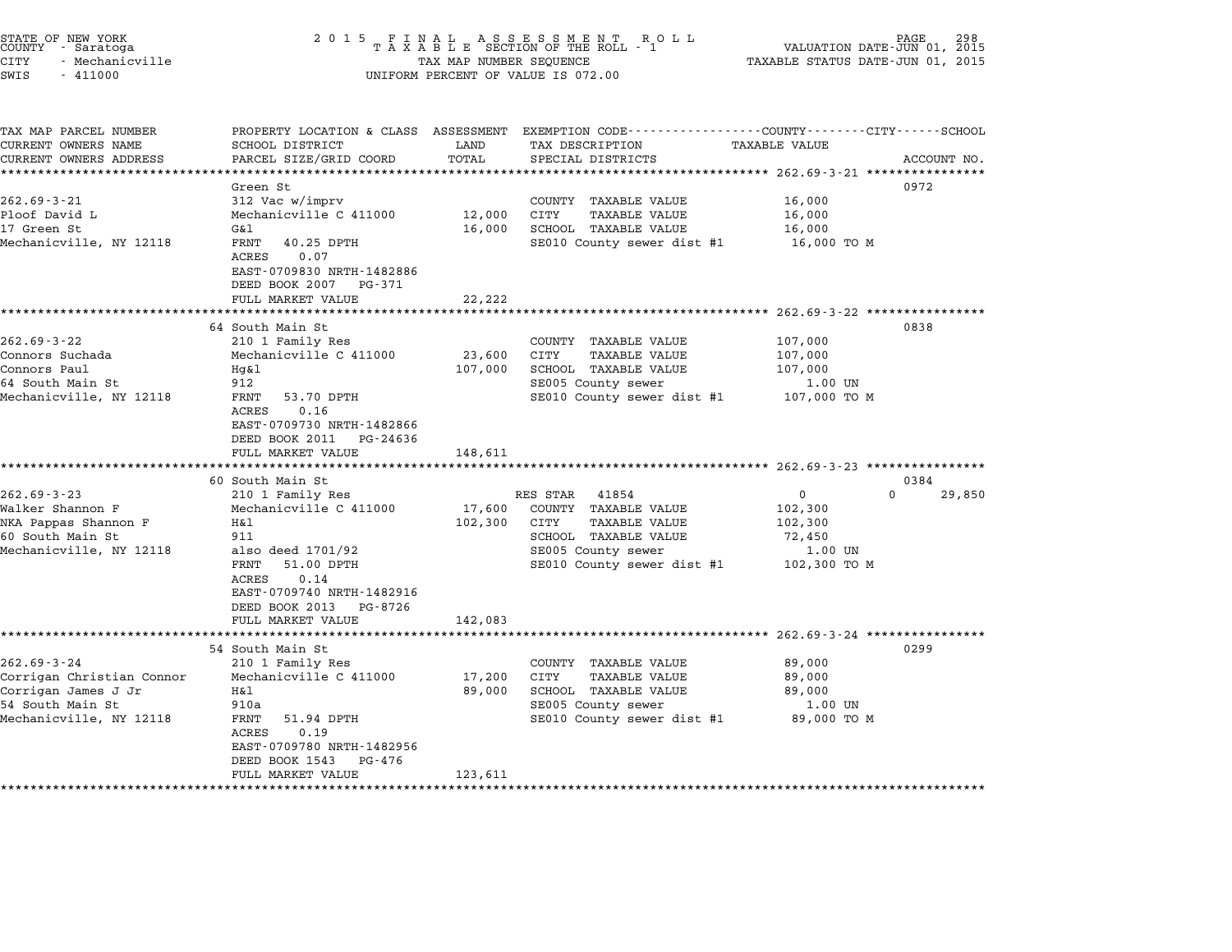| STATE OF NEW YORK<br>COUNTY - Saratoga<br><b>CITY</b><br>- Mechanicville<br>SWIS<br>$-411000$                        | 2 0 1 5                                                                                                                                                                                                                   | TAX MAP NUMBER SEQUENCE                   | FINAL ASSESSMENT RO<br>TAXABLE SECTION OF THE ROLL - 1<br>R O L L<br>UNIFORM PERCENT OF VALUE IS 072.00                                                                     | VALUATION DATE-JUN 01, 2015<br>TAXABLE STATUS DATE-JUN 01, 2015                                  |                    |
|----------------------------------------------------------------------------------------------------------------------|---------------------------------------------------------------------------------------------------------------------------------------------------------------------------------------------------------------------------|-------------------------------------------|-----------------------------------------------------------------------------------------------------------------------------------------------------------------------------|--------------------------------------------------------------------------------------------------|--------------------|
| TAX MAP PARCEL NUMBER<br>CURRENT OWNERS NAME<br>CURRENT OWNERS ADDRESS                                               | SCHOOL DISTRICT<br>PARCEL SIZE/GRID COORD                                                                                                                                                                                 | LAND<br>TOTAL                             | PROPERTY LOCATION & CLASS ASSESSMENT EXEMPTION CODE---------------COUNTY-------CITY------SCHOOL<br>TAX DESCRIPTION<br>SPECIAL DISTRICTS                                     | <b>TAXABLE VALUE</b>                                                                             | ACCOUNT NO.        |
| $262.69 - 3 - 21$<br>Ploof David L<br>17 Green St<br>Mechanicville, NY 12118                                         | ******************<br>Green St<br>312 Vac w/imprv<br>Mechanicville C 411000<br>G&l<br>FRNT<br>40.25 DPTH<br>0.07<br>ACRES<br>EAST-0709830 NRTH-1482886<br>DEED BOOK 2007<br>PG-371                                        | ******<br>12,000<br>16,000                | ******************************** 262.69-3-21 ****************<br>COUNTY TAXABLE VALUE<br>CITY<br><b>TAXABLE VALUE</b><br>SCHOOL TAXABLE VALUE<br>SE010 County sewer dist #1 | 16,000<br>16,000<br>16,000<br>16,000 TO M                                                        | 0972               |
|                                                                                                                      | FULL MARKET VALUE                                                                                                                                                                                                         | 22,222                                    |                                                                                                                                                                             |                                                                                                  |                    |
| $262.69 - 3 - 22$<br>Connors Suchada<br>Connors Paul<br>64 South Main St<br>Mechanicville, NY 12118                  | *****************<br>64 South Main St<br>210 1 Family Res<br>Mechanicville C 411000<br>Hq&l<br>912<br>FRNT<br>53.70 DPTH<br>ACRES<br>0.16<br>EAST-0709730 NRTH-1482866<br>DEED BOOK 2011<br>PG-24636<br>FULL MARKET VALUE | *********<br>23,600<br>107,000<br>148,611 | COUNTY TAXABLE VALUE<br>CITY<br><b>TAXABLE VALUE</b><br>SCHOOL TAXABLE VALUE<br>SE005 County sewer<br>SE010 County sewer dist #1                                            | *********** 262.69-3-22 ************<br>107,000<br>107,000<br>107,000<br>1.00 UN<br>107,000 TO M | 0838               |
|                                                                                                                      | ****************************                                                                                                                                                                                              |                                           |                                                                                                                                                                             |                                                                                                  |                    |
|                                                                                                                      | 60 South Main St                                                                                                                                                                                                          |                                           |                                                                                                                                                                             |                                                                                                  | 0384               |
| $262.69 - 3 - 23$<br>Walker Shannon F<br>NKA Pappas Shannon F<br>60 South Main St<br>Mechanicville, NY 12118         | 210 1 Family Res<br>Mechanicville C 411000<br>Η&l<br>911<br>also deed 1701/92<br>51.00 DPTH<br>FRNT<br>0.14<br>ACRES<br>EAST-0709740 NRTH-1482916<br>DEED BOOK 2013<br>PG-8726<br>FULL MARKET VALUE<br>****************   | 17,600<br>102,300<br>142,083              | 41854<br>RES STAR<br>COUNTY TAXABLE VALUE<br>CITY<br><b>TAXABLE VALUE</b><br>SCHOOL TAXABLE VALUE<br>SE005 County sewer<br>SE010 County sewer dist #1                       | 0<br>102,300<br>102,300<br>72,450<br>1.00 UN<br>102,300 TO M                                     | $\Omega$<br>29,850 |
| $262.69 - 3 - 24$<br>Corrigan Christian Connor<br>Corrigan James J Jr<br>54 South Main St<br>Mechanicville, NY 12118 | 54 South Main St<br>210 1 Family Res<br>Mechanicville C 411000<br>Η&l<br>910a<br>FRNT<br>51.94 DPTH<br>0.19<br>ACRES<br>EAST-0709780 NRTH-1482956<br>DEED BOOK 1543<br>PG-476<br>FULL MARKET VALUE<br>******************* | 17,200<br>89,000<br>123,611<br>********   | COUNTY TAXABLE VALUE<br>CITY<br><b>TAXABLE VALUE</b><br>SCHOOL TAXABLE VALUE<br>SE005 County sewer<br>SE010 County sewer dist #1                                            | $262.69 - 3 - 24$ *************<br>89,000<br>89,000<br>89,000<br>1.00 UN<br>89,000 TO M          | 0299               |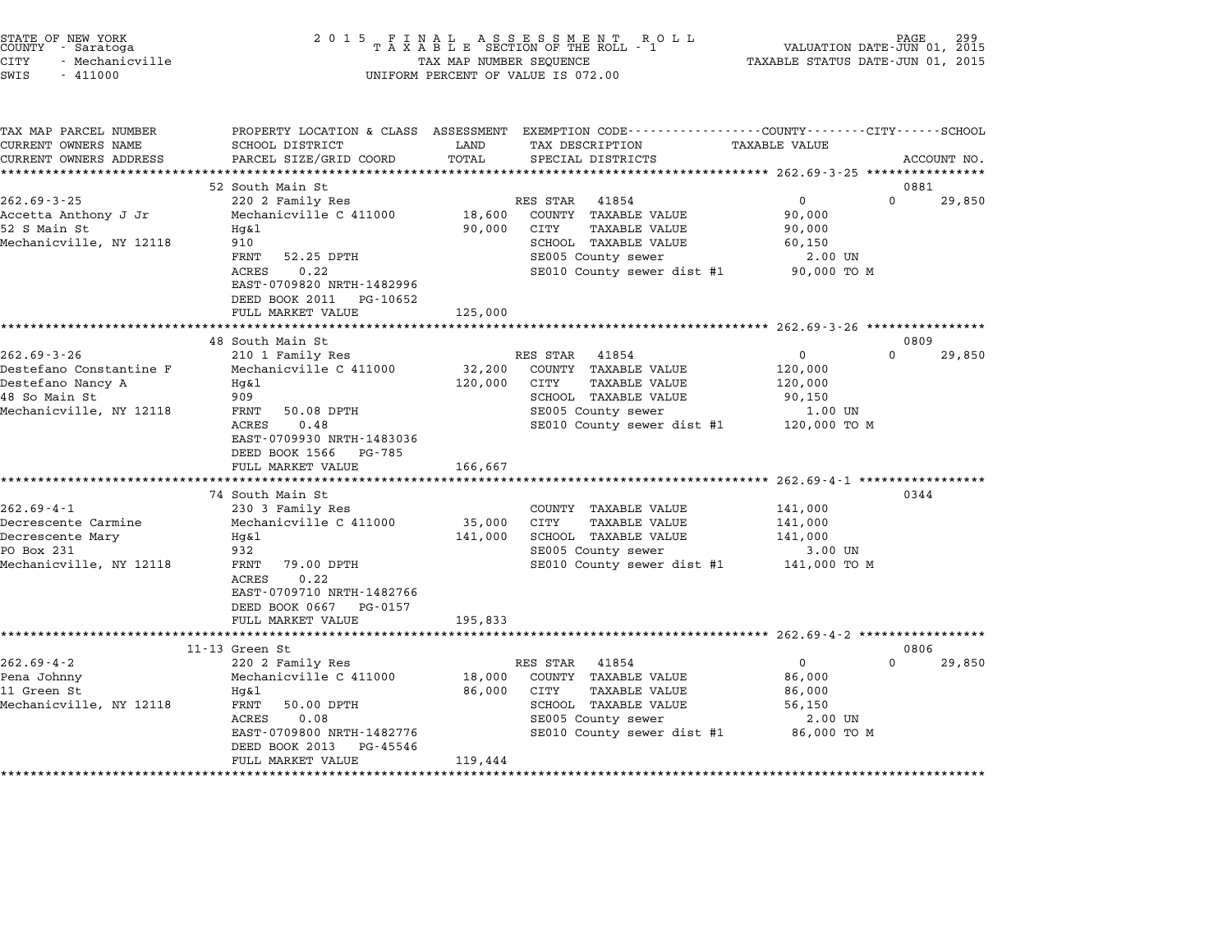|      | STATE OF NEW YORK |  |
|------|-------------------|--|
|      | COUNTY - Saratoga |  |
| CITY | - Mechanicville   |  |

| TAX MAP PARCEL NUMBER      |                            |         | PROPERTY LOCATION & CLASS ASSESSMENT EXEMPTION CODE---------------COUNTY-------CITY------SCHOOL |                      |                    |
|----------------------------|----------------------------|---------|-------------------------------------------------------------------------------------------------|----------------------|--------------------|
| CURRENT OWNERS NAME        | SCHOOL DISTRICT            | LAND    | TAX DESCRIPTION                                                                                 | <b>TAXABLE VALUE</b> |                    |
| CURRENT OWNERS ADDRESS     | PARCEL SIZE/GRID COORD     | TOTAL   | SPECIAL DISTRICTS                                                                               |                      | ACCOUNT NO.        |
|                            |                            |         |                                                                                                 |                      |                    |
|                            | 52 South Main St           |         |                                                                                                 |                      | 0881               |
| $262.69 - 3 - 25$          | 220 2 Family Res           |         | RES STAR<br>41854                                                                               | $\overline{0}$       | $\Omega$<br>29,850 |
| Accetta Anthony J Jr       | Mechanicville C 411000     | 18,600  | COUNTY TAXABLE VALUE                                                                            | 90,000               |                    |
| 52 S Main St               | $Hq\&1$                    | 90,000  | CITY<br>TAXABLE VALUE                                                                           | 90,000               |                    |
| Mechanicville, NY 12118    | 910                        |         | SCHOOL TAXABLE VALUE                                                                            | 60,150               |                    |
|                            | 52.25 DPTH<br>FRNT         |         | SE005 County sewer                                                                              | 2.00 UN              |                    |
|                            | 0.22<br><b>ACRES</b>       |         | SE010 County sewer dist #1 90,000 TO M                                                          |                      |                    |
|                            | EAST-0709820 NRTH-1482996  |         |                                                                                                 |                      |                    |
|                            | DEED BOOK 2011<br>PG-10652 |         |                                                                                                 |                      |                    |
|                            | FULL MARKET VALUE          | 125,000 |                                                                                                 |                      |                    |
|                            |                            |         |                                                                                                 |                      |                    |
|                            | 48 South Main St           |         |                                                                                                 |                      | 0809               |
| $262.69 - 3 - 26$          | 210 1 Family Res           |         | RES STAR 41854                                                                                  | $\mathbf 0$          | $\Omega$<br>29,850 |
| Destefano Constantine F    | Mechanicville C 411000     | 32,200  | COUNTY TAXABLE VALUE                                                                            | 120,000              |                    |
| Destefano Nancy A          | Hq&l                       | 120,000 | CITY<br>TAXABLE VALUE                                                                           | 120,000              |                    |
| 48 So Main St              | 909                        |         | SCHOOL TAXABLE VALUE                                                                            | 90,150               |                    |
| Mechanicville, NY 12118    | 50.08 DPTH<br>FRNT         |         | SE005 County sewer                                                                              | 1.00 UN              |                    |
|                            | 0.48<br>ACRES              |         | SE010 County sewer dist #1                                                                      | 120,000 TO M         |                    |
|                            | EAST-0709930 NRTH-1483036  |         |                                                                                                 |                      |                    |
|                            | DEED BOOK 1566<br>PG-785   |         |                                                                                                 |                      |                    |
|                            | FULL MARKET VALUE          | 166,667 |                                                                                                 |                      |                    |
|                            |                            |         |                                                                                                 |                      |                    |
|                            | 74 South Main St           |         |                                                                                                 |                      | 0344               |
| $262.69 - 4 - 1$           | 230 3 Family Res           |         | COUNTY TAXABLE VALUE                                                                            | 141,000              |                    |
| Decrescente Carmine        | Mechanicville C 411000     | 35,000  | CITY<br><b>TAXABLE VALUE</b>                                                                    | 141,000              |                    |
| Decrescente Mary           | Hg&l                       | 141,000 | SCHOOL TAXABLE VALUE                                                                            | 141,000              |                    |
| PO Box 231                 | 932                        |         | SE005 County sewer                                                                              | 3.00 UN              |                    |
| Mechanicville, NY 12118    | FRNT<br>79.00 DPTH         |         | SE010 County sewer dist #1                                                                      | 141,000 TO M         |                    |
|                            |                            |         |                                                                                                 |                      |                    |
|                            | 0.22<br>ACRES              |         |                                                                                                 |                      |                    |
|                            | EAST-0709710 NRTH-1482766  |         |                                                                                                 |                      |                    |
|                            | DEED BOOK 0667<br>PG-0157  |         |                                                                                                 |                      |                    |
|                            | FULL MARKET VALUE          | 195,833 |                                                                                                 |                      |                    |
|                            |                            |         |                                                                                                 |                      |                    |
|                            | $11 - 13$ Green St         |         |                                                                                                 |                      | 0806               |
|                            | 220 2 Family Res           |         | RES STAR<br>41854                                                                               | $\mathbf{0}$         | $\Omega$<br>29,850 |
| $262.69 - 4 - 2$           |                            |         | COUNTY TAXABLE VALUE                                                                            | 86,000               |                    |
|                            | Mechanicville C 411000     | 18,000  |                                                                                                 |                      |                    |
| Pena Johnny<br>11 Green St | $Hq\&1$                    | 86,000  | CITY<br>TAXABLE VALUE                                                                           | 86,000               |                    |
| Mechanicville, NY 12118    | FRNT<br>50.00 DPTH         |         | SCHOOL TAXABLE VALUE                                                                            | 56,150               |                    |
|                            | <b>ACRES</b><br>0.08       |         | SE005 County sewer                                                                              | 2.00 UN              |                    |
|                            | EAST-0709800 NRTH-1482776  |         | SE010 County sewer dist #1                                                                      | 86,000 TO M          |                    |
|                            | DEED BOOK 2013<br>PG-45546 |         |                                                                                                 |                      |                    |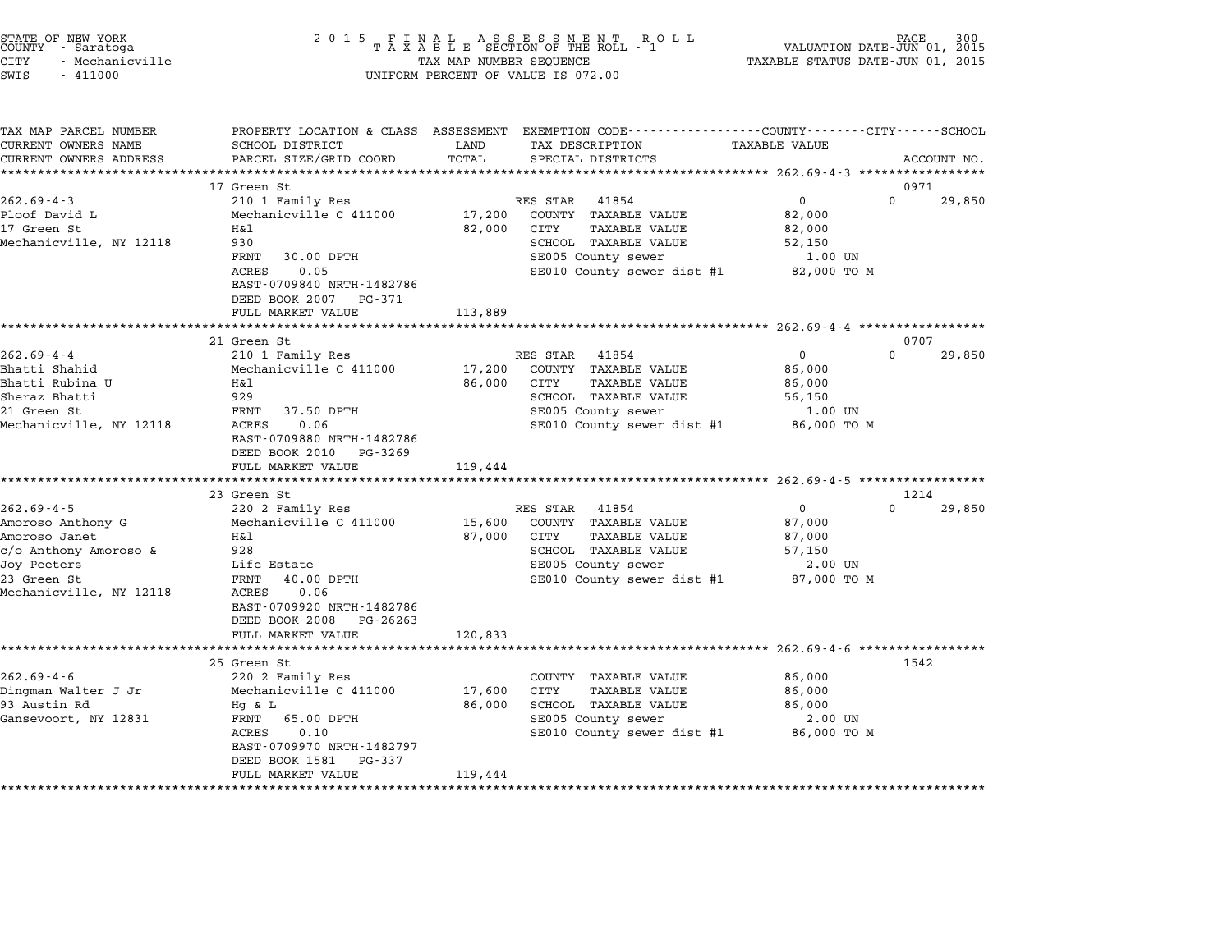|        | STATE OF NEW YORK |  |
|--------|-------------------|--|
| COUNTY | - Saratoga        |  |
| CITY   | - Mechanicville   |  |

| TAX MAP PARCEL NUMBER   |                                                     |         | PROPERTY LOCATION & CLASS ASSESSMENT EXEMPTION CODE---------------COUNTY-------CITY------SCHOOL |                   |                    |
|-------------------------|-----------------------------------------------------|---------|-------------------------------------------------------------------------------------------------|-------------------|--------------------|
| CURRENT OWNERS NAME     | SCHOOL DISTRICT                                     | LAND    | TAX DESCRIPTION                                                                                 | TAXABLE VALUE     |                    |
| CURRENT OWNERS ADDRESS  | PARCEL SIZE/GRID COORD                              | TOTAL   | SPECIAL DISTRICTS                                                                               |                   | ACCOUNT NO.        |
| *********************** |                                                     |         |                                                                                                 |                   |                    |
|                         | 17 Green St                                         |         |                                                                                                 |                   | 0971               |
| $262.69 - 4 - 3$        | 210 1 Family Res                                    |         | RES STAR<br>41854                                                                               | $\mathbf{0}$      | $\Omega$<br>29,850 |
| Ploof David L           | Mechanicville C 411000                              | 17,200  | COUNTY TAXABLE VALUE                                                                            | 82,000            |                    |
| 17 Green St             | H&l<br>930                                          | 82,000  | CITY<br>TAXABLE VALUE                                                                           | 82,000            |                    |
| Mechanicville, NY 12118 | 30.00 DPTH<br>FRNT                                  |         | SCHOOL TAXABLE VALUE<br>SE005 County sewer                                                      | 52,150<br>1.00 UN |                    |
|                         | ACRES<br>0.05                                       |         | SE010 County sewer dist #1 82,000 TO M                                                          |                   |                    |
|                         | EAST-0709840 NRTH-1482786                           |         |                                                                                                 |                   |                    |
|                         | DEED BOOK 2007 PG-371                               |         |                                                                                                 |                   |                    |
|                         | FULL MARKET VALUE                                   | 113,889 |                                                                                                 |                   |                    |
|                         |                                                     |         |                                                                                                 |                   |                    |
|                         | 21 Green St                                         |         |                                                                                                 |                   | 0707               |
| $262.69 - 4 - 4$        | 210 1 Family Res                                    |         | RES STAR<br>41854                                                                               | $\Omega$          | $\Omega$<br>29,850 |
| Bhatti Shahid           | Mechanicville C 411000                              | 17,200  | COUNTY TAXABLE VALUE                                                                            | 86,000            |                    |
| Bhatti Rubina U         | Η&l                                                 | 86,000  | CITY<br><b>TAXABLE VALUE</b>                                                                    | 86,000            |                    |
| Sheraz Bhatti           | 929                                                 |         | SCHOOL TAXABLE VALUE                                                                            | 56,150            |                    |
| 21 Green St             | FRNT<br>37.50 DPTH                                  |         | SE005 County sewer                                                                              | $1.00$ UN         |                    |
| Mechanicville, NY 12118 | 0.06<br>ACRES                                       |         | SE010 County sewer dist #1                                                                      | 86,000 TO M       |                    |
|                         | EAST-0709880 NRTH-1482786<br>DEED BOOK 2010 PG-3269 |         |                                                                                                 |                   |                    |
|                         | FULL MARKET VALUE                                   | 119,444 |                                                                                                 |                   |                    |
|                         |                                                     |         |                                                                                                 |                   |                    |
|                         | 23 Green St                                         |         |                                                                                                 |                   | 1214               |
| $262.69 - 4 - 5$        | 220 2 Family Res                                    |         | RES STAR<br>41854                                                                               | $\mathbf{0}$      | $\Omega$<br>29,850 |
| Amoroso Anthony G       | Mechanicville C 411000                              | 15,600  | COUNTY TAXABLE VALUE                                                                            | 87,000            |                    |
| Amoroso Janet           | H&l                                                 | 87,000  | CITY<br>TAXABLE VALUE                                                                           | 87,000            |                    |
| $c/o$ Anthony Amoroso & | 928                                                 |         | SCHOOL TAXABLE VALUE                                                                            | 57,150            |                    |
| Joy Peeters             | Life Estate                                         |         | SE005 County sewer                                                                              | 2.00 UN           |                    |
| 23 Green St             | FRNT<br>40.00 DPTH                                  |         | SE010 County sewer dist #1                                                                      | 87,000 TO M       |                    |
| Mechanicville, NY 12118 | ACRES<br>0.06                                       |         |                                                                                                 |                   |                    |
|                         | EAST-0709920 NRTH-1482786                           |         |                                                                                                 |                   |                    |
|                         | DEED BOOK 2008<br>PG-26263                          |         |                                                                                                 |                   |                    |
|                         | FULL MARKET VALUE                                   | 120,833 |                                                                                                 |                   |                    |
|                         |                                                     |         |                                                                                                 |                   |                    |
| $262.69 - 4 - 6$        | 25 Green St<br>220 2 Family Res                     |         | COUNTY TAXABLE VALUE                                                                            | 86,000            | 1542               |
| Dingman Walter J Jr     | Mechanicville C 411000                              | 17,600  | CITY<br><b>TAXABLE VALUE</b>                                                                    | 86,000            |                    |
| 93 Austin Rd            | Hg & L                                              | 86,000  | SCHOOL TAXABLE VALUE                                                                            | 86,000            |                    |
| Gansevoort, NY 12831    | 65.00 DPTH<br>FRNT                                  |         | SE005 County sewer                                                                              | 2.00 UN           |                    |
|                         | 0.10<br><b>ACRES</b>                                |         | SE010 County sewer dist #1                                                                      | 86,000 TO M       |                    |
|                         | EAST-0709970 NRTH-1482797                           |         |                                                                                                 |                   |                    |
|                         | DEED BOOK 1581<br>PG-337                            |         |                                                                                                 |                   |                    |
|                         | FULL MARKET VALUE                                   | 119,444 |                                                                                                 |                   |                    |
|                         |                                                     |         |                                                                                                 |                   |                    |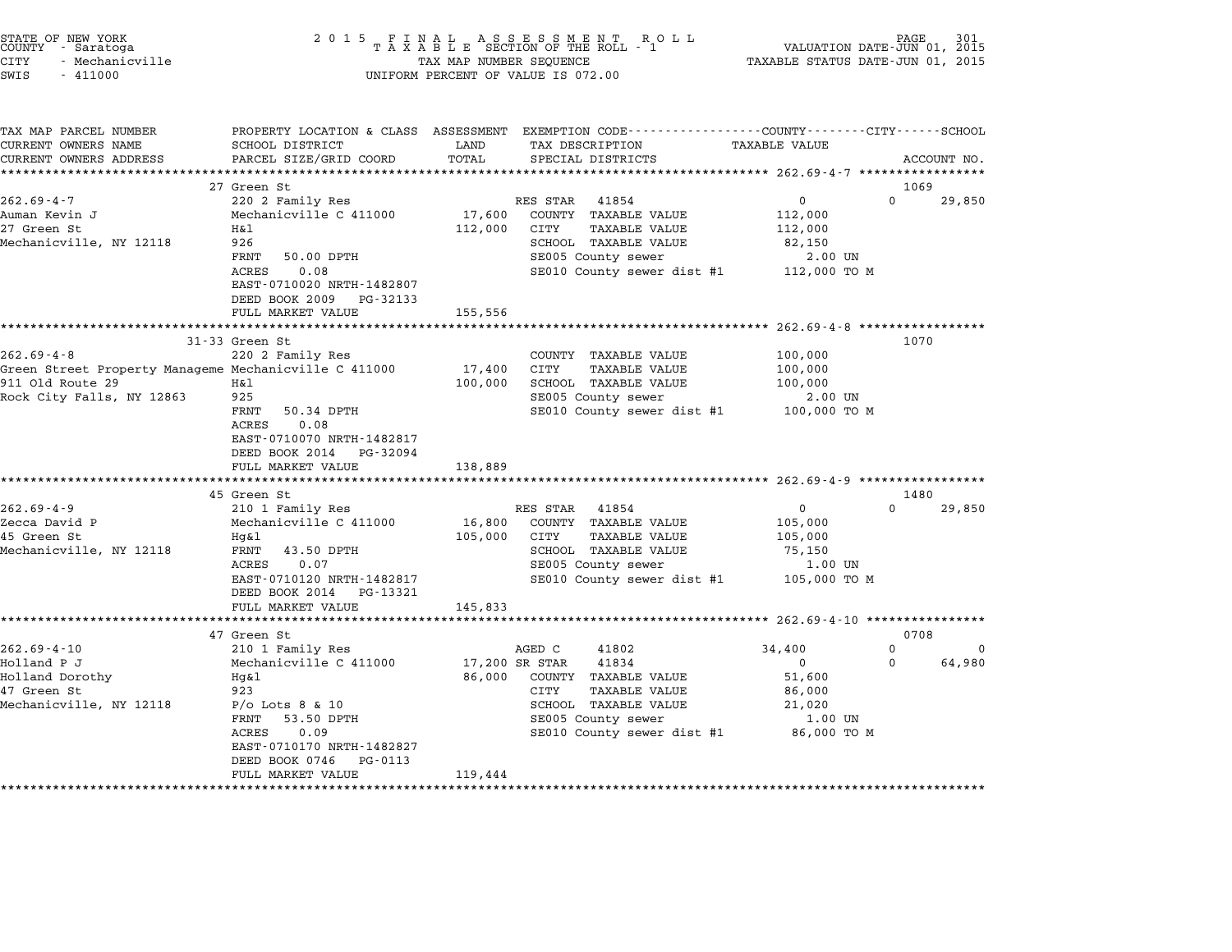| STATE OF NEW YORK<br>COUNTY - Saratoga<br>CITY<br>- Mechanicville<br>SWIS<br>$-411000$ | 2 0 1 5                                        | TAX MAP NUMBER SEQUENCE   | FINAL ASSESSMENT RO<br>TAXABLE SECTION OF THE ROLL - 1<br>R O L L<br>UNIFORM PERCENT OF VALUE IS 072.00           | TAXABLE STATUS DATE-JUN 01, 2015         | PAGE<br>VALUATION DATE-JUN 01, 2015 |
|----------------------------------------------------------------------------------------|------------------------------------------------|---------------------------|-------------------------------------------------------------------------------------------------------------------|------------------------------------------|-------------------------------------|
|                                                                                        |                                                |                           |                                                                                                                   |                                          |                                     |
| TAX MAP PARCEL NUMBER<br>CURRENT OWNERS NAME                                           | SCHOOL DISTRICT                                | LAND                      | PROPERTY LOCATION & CLASS ASSESSMENT EXEMPTION CODE---------------COUNTY-------CITY-----SCHOOL<br>TAX DESCRIPTION | <b>TAXABLE VALUE</b>                     |                                     |
| CURRENT OWNERS ADDRESS                                                                 | PARCEL SIZE/GRID COORD                         | TOTAL                     | SPECIAL DISTRICTS                                                                                                 |                                          | ACCOUNT NO.                         |
| ***********************                                                                |                                                |                           |                                                                                                                   |                                          |                                     |
|                                                                                        | 27 Green St                                    |                           |                                                                                                                   |                                          | 1069                                |
| $262.69 - 4 - 7$                                                                       | 220 2 Family Res                               |                           | RES STAR<br>41854                                                                                                 | 0                                        | $\Omega$<br>29,850                  |
| Auman Kevin J                                                                          | Mechanicville C 411000                         | 17,600                    | COUNTY TAXABLE VALUE                                                                                              | 112,000                                  |                                     |
| 27 Green St                                                                            | Η&l                                            | 112,000                   | CITY<br><b>TAXABLE VALUE</b>                                                                                      | 112,000                                  |                                     |
| Mechanicville, NY 12118                                                                | 926                                            |                           | SCHOOL TAXABLE VALUE                                                                                              | 82,150                                   |                                     |
|                                                                                        | FRNT<br>50.00 DPTH                             |                           | SE005 County sewer                                                                                                | 2.00 UN                                  |                                     |
|                                                                                        | 0.08<br>ACRES                                  |                           | SE010 County sewer dist #1                                                                                        | 112,000 TO M                             |                                     |
|                                                                                        | EAST-0710020 NRTH-1482807                      |                           |                                                                                                                   |                                          |                                     |
|                                                                                        | DEED BOOK 2009<br>PG-32133                     |                           |                                                                                                                   |                                          |                                     |
|                                                                                        | FULL MARKET VALUE<br>***********************   | 155,556<br>************** |                                                                                                                   | **************** 262.69-4-8 ************ |                                     |
|                                                                                        | 31-33 Green St                                 |                           |                                                                                                                   |                                          | 1070                                |
| $262.69 - 4 - 8$                                                                       | 220 2 Family Res                               |                           | COUNTY TAXABLE VALUE                                                                                              | 100,000                                  |                                     |
| Green Street Property Manageme Mechanicville C 411000                                  |                                                | 17,400                    | CITY<br><b>TAXABLE VALUE</b>                                                                                      | 100,000                                  |                                     |
| 911 Old Route 29                                                                       | H&l                                            | 100,000                   | SCHOOL TAXABLE VALUE                                                                                              | 100,000                                  |                                     |
| Rock City Falls, NY 12863                                                              | 925                                            |                           | SE005 County sewer                                                                                                | 2.00 UN                                  |                                     |
|                                                                                        | FRNT<br>50.34 DPTH                             |                           | SE010 County sewer dist #1                                                                                        | 100,000 TO M                             |                                     |
|                                                                                        | 0.08<br>ACRES                                  |                           |                                                                                                                   |                                          |                                     |
|                                                                                        | EAST-0710070 NRTH-1482817                      |                           |                                                                                                                   |                                          |                                     |
|                                                                                        | DEED BOOK 2014 PG-32094                        |                           |                                                                                                                   |                                          |                                     |
|                                                                                        | FULL MARKET VALUE                              | 138,889                   |                                                                                                                   |                                          |                                     |
|                                                                                        |                                                |                           |                                                                                                                   |                                          |                                     |
|                                                                                        | 45 Green St                                    |                           |                                                                                                                   |                                          | 1480<br>$\Omega$                    |
| $262.69 - 4 - 9$                                                                       | 210 1 Family Res                               |                           | RES STAR<br>41854                                                                                                 | 0                                        | 29,850                              |
| Zecca David P<br>45 Green St                                                           | Mechanicville C 411000<br>Hg&l                 | 16,800<br>105,000         | COUNTY TAXABLE VALUE<br>CITY<br>TAXABLE VALUE                                                                     | 105,000<br>105,000                       |                                     |
| Mechanicville, NY 12118                                                                | FRNT<br>43.50 DPTH                             |                           | SCHOOL TAXABLE VALUE                                                                                              | 75,150                                   |                                     |
|                                                                                        | 0.07<br>ACRES                                  |                           | SE005 County sewer                                                                                                | 1.00 UN                                  |                                     |
|                                                                                        | EAST-0710120 NRTH-1482817                      |                           | SE010 County sewer dist #1                                                                                        | 105,000 TO M                             |                                     |
|                                                                                        | DEED BOOK 2014 PG-13321                        |                           |                                                                                                                   |                                          |                                     |
|                                                                                        | FULL MARKET VALUE                              | 145,833                   |                                                                                                                   |                                          |                                     |
|                                                                                        |                                                |                           |                                                                                                                   |                                          |                                     |
|                                                                                        | 47 Green St                                    |                           |                                                                                                                   |                                          | 0708                                |
| $262.69 - 4 - 10$                                                                      | 210 1 Family Res                               |                           | AGED C<br>41802                                                                                                   | 34,400                                   | 0<br>0                              |
| Holland P J                                                                            | Mechanicville C 411000                         | 17,200 SR STAR            | 41834                                                                                                             | $\mathbf 0$                              | 64,980<br>0                         |
| Holland Dorothy                                                                        | Hg&l                                           | 86,000                    | COUNTY TAXABLE VALUE                                                                                              | 51,600                                   |                                     |
| 47 Green St                                                                            | 923                                            |                           | CITY<br><b>TAXABLE VALUE</b>                                                                                      | 86,000                                   |                                     |
| Mechanicville, NY 12118                                                                | $P/O$ Lots 8 & 10                              |                           | SCHOOL TAXABLE VALUE                                                                                              | 21,020                                   |                                     |
|                                                                                        | FRNT<br>53.50 DPTH                             |                           | SE005 County sewer                                                                                                | $1.00$ UN                                |                                     |
|                                                                                        | ACRES<br>0.09                                  |                           | SE010 County sewer dist #1                                                                                        | 86,000 TO M                              |                                     |
|                                                                                        | EAST-0710170 NRTH-1482827                      |                           |                                                                                                                   |                                          |                                     |
|                                                                                        | DEED BOOK 0746<br>PG-0113<br>FULL MARKET VALUE |                           |                                                                                                                   |                                          |                                     |
|                                                                                        |                                                | 119,444                   |                                                                                                                   |                                          |                                     |
|                                                                                        |                                                |                           |                                                                                                                   |                                          |                                     |

STATE OF NEW YORK <sup>2</sup> <sup>0</sup> <sup>1</sup> 5 F I N A L A S S E S S M E N T R O L L PAGE <sup>301</sup> COUNTY - Saratoga <sup>T</sup> <sup>A</sup> <sup>X</sup> <sup>A</sup> <sup>B</sup> <sup>L</sup> <sup>E</sup> SECTION OF THE ROLL - <sup>1</sup> VALUATION DATE-JUN 01, <sup>2015</sup>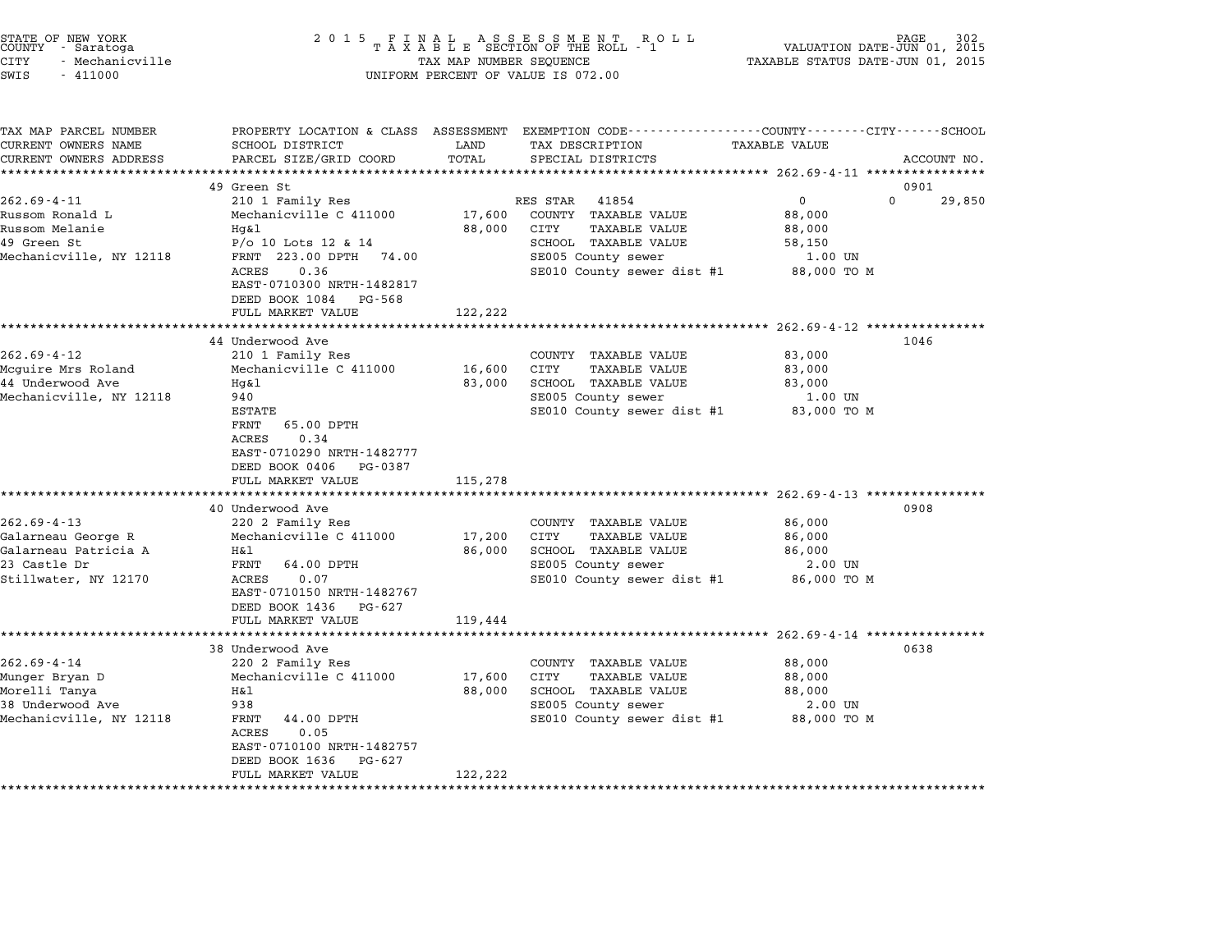| STATE OF NEW YORK<br>COUNTY - Saratoga<br>CITY<br>- Mechanicville<br>SWIS<br>$-411000$                  | 2 0 1 5                                                                                                                                                                                                                    | TAX MAP NUMBER SEQUENCE     | FINAL ASSESSMENT ROLL<br>TAXABLE SECTION OF THE ROLL - 1<br>UNIFORM PERCENT OF VALUE IS 072.00                                                 | PAGE<br>VALUATION DATE-JUN 01, 2015<br>TAXABLE STATUS DATE-JUN 01, 2015                                               |             |
|---------------------------------------------------------------------------------------------------------|----------------------------------------------------------------------------------------------------------------------------------------------------------------------------------------------------------------------------|-----------------------------|------------------------------------------------------------------------------------------------------------------------------------------------|-----------------------------------------------------------------------------------------------------------------------|-------------|
| TAX MAP PARCEL NUMBER<br>CURRENT OWNERS NAME<br>CURRENT OWNERS ADDRESS<br>********************          | SCHOOL DISTRICT<br>PARCEL SIZE/GRID COORD<br>************************                                                                                                                                                      | LAND<br>TOTAL               | PROPERTY LOCATION & CLASS ASSESSMENT EXEMPTION CODE---------------COUNTY-------CITY------SCHOOL<br>TAX DESCRIPTION<br>SPECIAL DISTRICTS        | TAXABLE VALUE                                                                                                         | ACCOUNT NO. |
| $262.69 - 4 - 11$<br>Russom Ronald L<br>Russom Melanie<br>49 Green St<br>Mechanicville, NY 12118        | 49 Green St<br>210 1 Family Res<br>Mechanicville C 411000<br>Hq&l<br>$P/O$ 10 Lots 12 & 14<br>FRNT 223.00 DPTH 74.00<br>ACRES<br>0.36<br>EAST-0710300 NRTH-1482817<br>DEED BOOK 1084<br>PG-568<br>FULL MARKET VALUE        | 17,600<br>88,000<br>122,222 | RES STAR<br>41854<br>COUNTY TAXABLE VALUE<br>CITY<br>TAXABLE VALUE<br>SCHOOL TAXABLE VALUE<br>SE005 County sewer<br>SE010 County sewer dist #1 | 0901<br>0<br>$\Omega$<br>88,000<br>88,000<br>58,150<br>1.00 UN<br>88,000 TO M                                         | 29,850      |
| $262.69 - 4 - 12$<br>Mcguire Mrs Roland<br>44 Underwood Ave<br>Mechanicville, NY 12118                  | 44 Underwood Ave<br>210 1 Family Res<br>Mechanicville C 411000<br>Hg&l<br>940<br><b>ESTATE</b><br>FRNT<br>65.00 DPTH<br>ACRES<br>0.34<br>EAST-0710290 NRTH-1482777<br>DEED BOOK 0406<br>PG-0387<br>FULL MARKET VALUE       | 16,600<br>83,000<br>115,278 | COUNTY TAXABLE VALUE<br>CITY<br>TAXABLE VALUE<br>SCHOOL TAXABLE VALUE<br>SE005 County sewer<br>SE010 County sewer dist #1                      | ***************** 262.69-4-12 *****************<br>1046<br>83,000<br>83,000<br>83,000<br>1.00 UN<br>83,000 TO M       |             |
| $262.69 - 4 - 13$<br>Galarneau George R<br>Galarneau Patricia A<br>23 Castle Dr<br>Stillwater, NY 12170 | 40 Underwood Ave<br>220 2 Family Res<br>Mechanicville C 411000<br>Η&l<br>FRNT<br>64.00 DPTH<br>ACRES<br>0.07<br>EAST-0710150 NRTH-1482767<br>DEED BOOK 1436<br>PG-627<br>FULL MARKET VALUE                                 | 17,200<br>86,000<br>119,444 | COUNTY TAXABLE VALUE<br>CITY<br>TAXABLE VALUE<br>SCHOOL TAXABLE VALUE<br>SE005 County sewer<br>SE010 County sewer dist #1                      | ************************ 262.69-4-13 ***********<br>0908<br>86,000<br>86,000<br>86,000<br>2.00 UN<br>86,000 TO M      |             |
| $262.69 - 4 - 14$<br>Munger Bryan D<br>Morelli Tanya<br>38 Underwood Ave<br>Mechanicville, NY 12118     | *********************<br>38 Underwood Ave<br>220 2 Family Res<br>Mechanicville C 411000<br>Η&l<br>938<br>FRNT<br>44.00 DPTH<br>ACRES<br>0.05<br>EAST-0710100 NRTH-1482757<br>DEED BOOK 1636<br>PG-627<br>FULL MARKET VALUE | 17,600<br>88,000<br>122,222 | COUNTY TAXABLE VALUE<br>CITY<br>TAXABLE VALUE<br>SCHOOL TAXABLE VALUE<br>SE005 County sewer<br>SE010 County sewer dist #1                      | ********************** 262.69-4-14 ****************<br>0638<br>88,000<br>88,000<br>88,000<br>$2.00$ UN<br>88,000 TO M |             |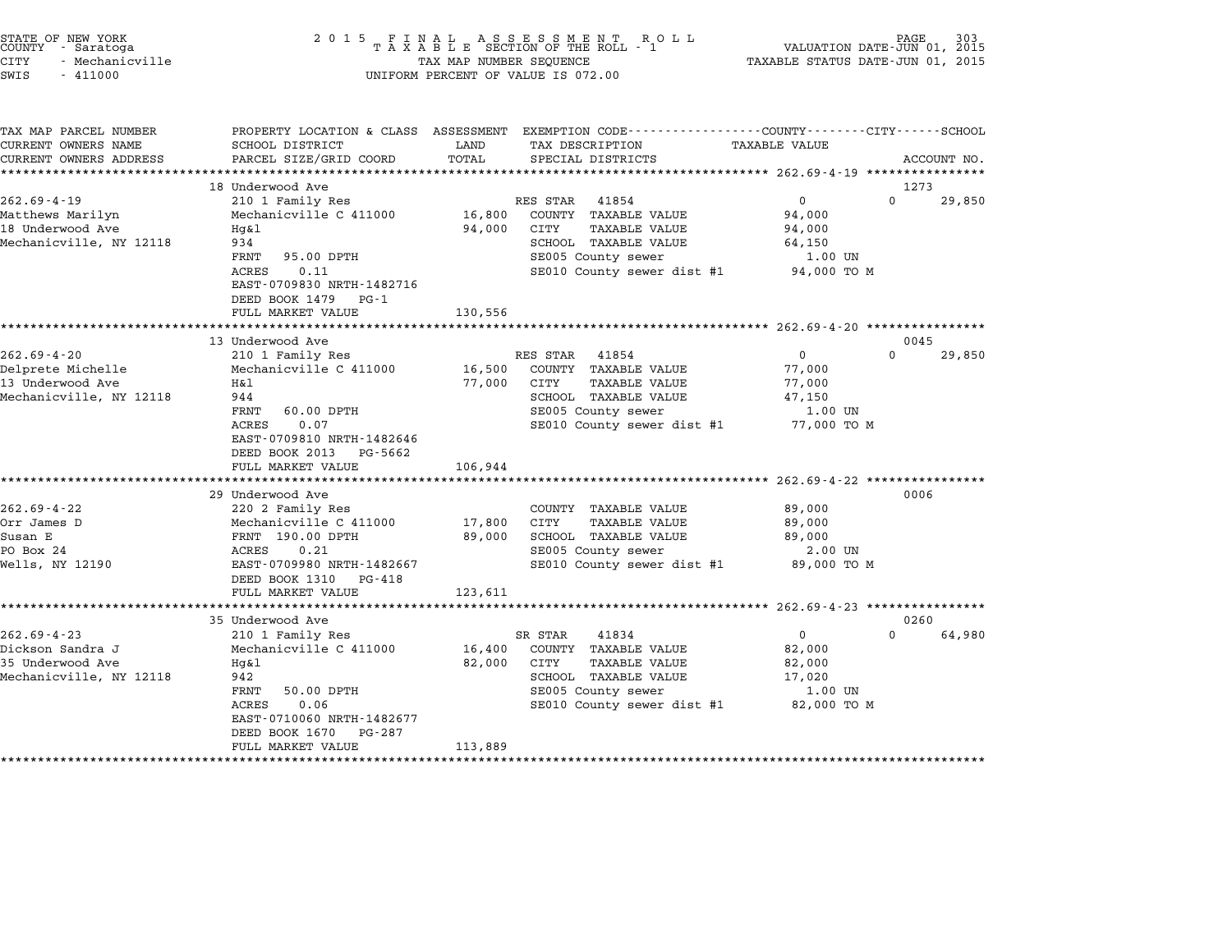| STATE OF NEW YORK<br>COUNTY - Saratoga<br><b>CITY</b><br>- Mechanicville<br>SWIS<br>$-411000$ | 2 0 1 5                                                                 | TAX MAP NUMBER SEQUENCE | FINAL ASSESSMENT ROLL<br>TAXABLE SECTION OF THE ROLL - 1<br>UNIFORM PERCENT OF VALUE IS 072.00  | VALUATION DATE-JUN 01, 2015<br>TAXABLE STATUS DATE-JUN 01, 2015 | PAGE                       |
|-----------------------------------------------------------------------------------------------|-------------------------------------------------------------------------|-------------------------|-------------------------------------------------------------------------------------------------|-----------------------------------------------------------------|----------------------------|
| TAX MAP PARCEL NUMBER                                                                         |                                                                         |                         | PROPERTY LOCATION & CLASS ASSESSMENT EXEMPTION CODE----------------COUNTY-------CITY-----SCHOOL |                                                                 |                            |
| CURRENT OWNERS NAME                                                                           | SCHOOL DISTRICT                                                         | LAND                    | TAX DESCRIPTION                                                                                 | <b>TAXABLE VALUE</b>                                            |                            |
| CURRENT OWNERS ADDRESS<br>************************                                            | PARCEL SIZE/GRID COORD                                                  | TOTAL                   | SPECIAL DISTRICTS                                                                               |                                                                 | ACCOUNT NO.                |
|                                                                                               |                                                                         |                         |                                                                                                 |                                                                 |                            |
| $262.69 - 4 - 19$                                                                             | 18 Underwood Ave<br>210 1 Family Res                                    |                         | RES STAR<br>41854                                                                               | $\overline{0}$                                                  | 1273<br>$\Omega$<br>29,850 |
| Matthews Marilyn                                                                              | Mechanicville C 411000                                                  | 16,800                  | COUNTY TAXABLE VALUE                                                                            | 94,000                                                          |                            |
| 18 Underwood Ave                                                                              | Hg&l                                                                    | 94,000                  | CITY<br>TAXABLE VALUE                                                                           | 94,000                                                          |                            |
| Mechanicville, NY 12118                                                                       | 934                                                                     |                         | SCHOOL TAXABLE VALUE                                                                            | 64,150                                                          |                            |
|                                                                                               | 95.00 DPTH<br>FRNT                                                      |                         | SE005 County sewer                                                                              | 1.00 UN                                                         |                            |
|                                                                                               | ACRES<br>0.11<br>EAST-0709830 NRTH-1482716<br>DEED BOOK 1479<br>PG-1    |                         | SE010 County sewer dist #1                                                                      | 94,000 TO M                                                     |                            |
|                                                                                               | FULL MARKET VALUE                                                       | 130,556                 |                                                                                                 |                                                                 |                            |
|                                                                                               | *********************                                                   |                         |                                                                                                 |                                                                 |                            |
|                                                                                               | 13 Underwood Ave                                                        |                         |                                                                                                 |                                                                 | 0045                       |
| $262.69 - 4 - 20$                                                                             | 210 1 Family Res                                                        |                         | RES STAR<br>41854                                                                               | $\overline{0}$                                                  | $\Omega$<br>29,850         |
| Delprete Michelle                                                                             | Mechanicville C 411000                                                  | 16,500                  | COUNTY TAXABLE VALUE                                                                            | 77,000                                                          |                            |
| 13 Underwood Ave                                                                              | Η&l                                                                     | 77,000                  | <b>TAXABLE VALUE</b><br>CITY                                                                    | 77,000                                                          |                            |
| Mechanicville, NY 12118                                                                       | 944                                                                     |                         | SCHOOL TAXABLE VALUE                                                                            | 47,150                                                          |                            |
|                                                                                               | FRNT<br>60.00 DPTH                                                      |                         | SE005 County sewer                                                                              | 1.00 UN                                                         |                            |
|                                                                                               | 0.07<br>ACRES<br>EAST-0709810 NRTH-1482646<br>DEED BOOK 2013<br>PG-5662 |                         | SE010 County sewer dist #1                                                                      | 77,000 TO M                                                     |                            |
|                                                                                               | FULL MARKET VALUE                                                       | 106,944                 |                                                                                                 |                                                                 |                            |
|                                                                                               | ***************************                                             |                         |                                                                                                 |                                                                 |                            |
|                                                                                               | 29 Underwood Ave                                                        |                         |                                                                                                 |                                                                 | 0006                       |
| $262.69 - 4 - 22$                                                                             | 220 2 Family Res                                                        |                         | COUNTY TAXABLE VALUE                                                                            | 89,000                                                          |                            |
| Orr James D                                                                                   | Mechanicville C 411000                                                  | 17,800                  | CITY<br><b>TAXABLE VALUE</b>                                                                    | 89,000                                                          |                            |
| Susan E                                                                                       | FRNT 190.00 DPTH                                                        | 89,000                  | SCHOOL TAXABLE VALUE                                                                            | 89,000                                                          |                            |
| PO Box 24                                                                                     | ACRES<br>0.21                                                           |                         | SE005 County sewer                                                                              | 2.00 UN                                                         |                            |
| Wells, NY 12190                                                                               | EAST-0709980 NRTH-1482667<br>DEED BOOK 1310<br>PG-418                   |                         | SE010 County sewer dist #1                                                                      | 89,000 TO M                                                     |                            |
|                                                                                               | FULL MARKET VALUE                                                       | 123,611                 |                                                                                                 |                                                                 |                            |
|                                                                                               | *********************                                                   |                         |                                                                                                 | ******************** 262.69-4-23 *****************              |                            |
|                                                                                               | 35 Underwood Ave                                                        |                         |                                                                                                 |                                                                 | 0260                       |
| $262.69 - 4 - 23$<br>Dickson Sandra J                                                         | 210 1 Family Res<br>Mechanicville C 411000                              | 16,400                  | SR STAR<br>41834<br>COUNTY TAXABLE VALUE                                                        | $\mathbf{0}$<br>82,000                                          | $\Omega$<br>64,980         |
| 35 Underwood Ave                                                                              | $Hq\&1$                                                                 | 82,000                  | CITY<br><b>TAXABLE VALUE</b>                                                                    | 82,000                                                          |                            |
| Mechanicville, NY 12118                                                                       | 942                                                                     |                         | SCHOOL TAXABLE VALUE                                                                            | 17,020                                                          |                            |
|                                                                                               | FRNT<br>50.00 DPTH                                                      |                         | SE005 County sewer                                                                              | 1.00 UN                                                         |                            |
|                                                                                               | ACRES<br>0.06                                                           |                         | SE010 County sewer dist #1                                                                      | 82,000 TO M                                                     |                            |
|                                                                                               | EAST-0710060 NRTH-1482677                                               |                         |                                                                                                 |                                                                 |                            |
|                                                                                               |                                                                         |                         |                                                                                                 |                                                                 |                            |
|                                                                                               | DEED BOOK 1670<br>PG-287                                                |                         |                                                                                                 |                                                                 |                            |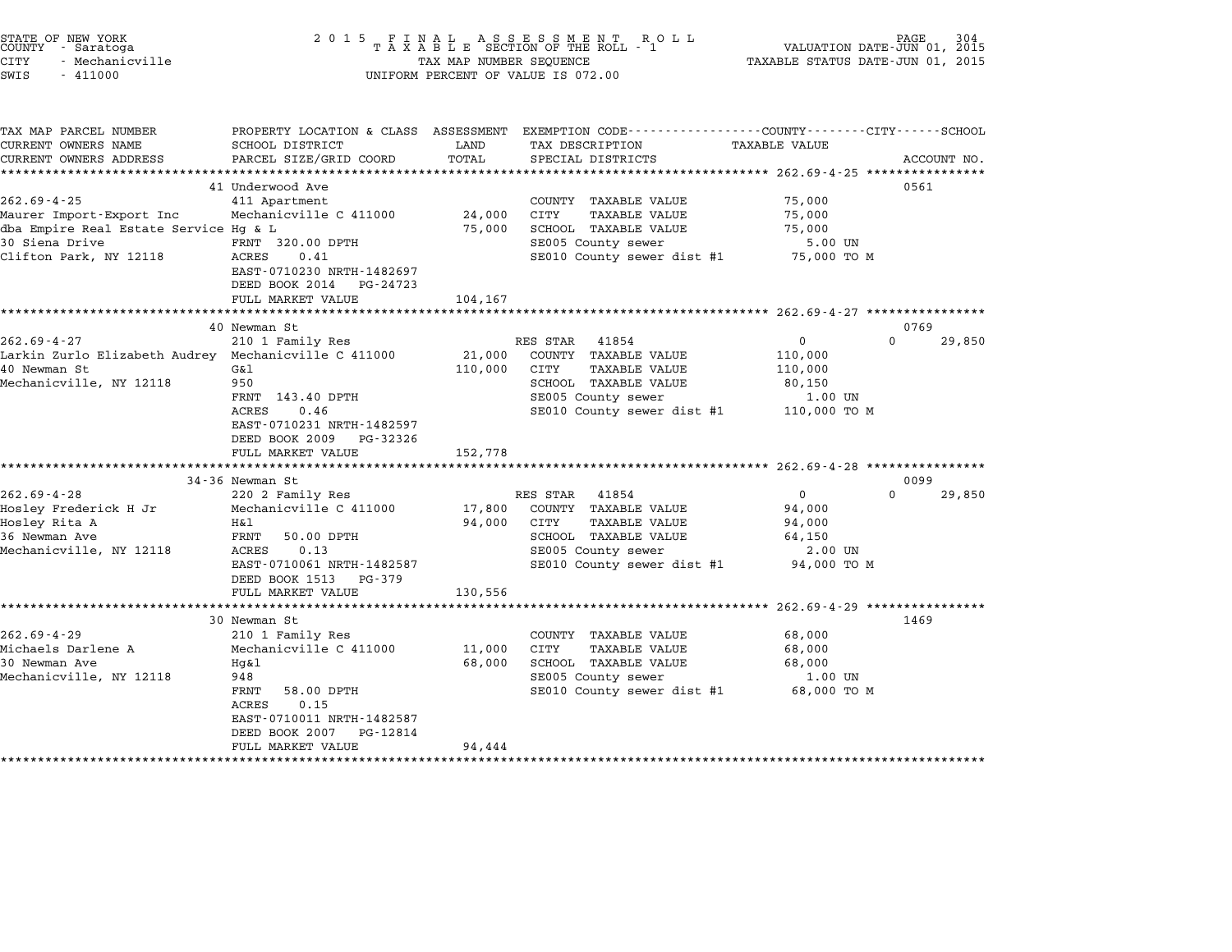| STATE OF NEW YORK<br>COUNTY - Saratoga<br>CITY<br>- Mechanicville<br>SWIS<br>$-411000$                                             | 2 0 1 5                                                                                                                                                                       | TAX MAP NUMBER SEQUENCE      | FINAL ASSESSMENT RO<br>TAXABLE SECTION OF THE ROLL - 1<br>R O L L<br>UNIFORM PERCENT OF VALUE IS 072.00                                               | VALUATION DATE-JUN 01, 2015<br>TAXABLE STATUS DATE-JUN 01, 2015  | PAGE<br>304                |
|------------------------------------------------------------------------------------------------------------------------------------|-------------------------------------------------------------------------------------------------------------------------------------------------------------------------------|------------------------------|-------------------------------------------------------------------------------------------------------------------------------------------------------|------------------------------------------------------------------|----------------------------|
| TAX MAP PARCEL NUMBER<br>CURRENT OWNERS NAME<br>CURRENT OWNERS ADDRESS                                                             | SCHOOL DISTRICT<br>PARCEL SIZE/GRID COORD                                                                                                                                     | LAND<br>TOTAL                | PROPERTY LOCATION & CLASS ASSESSMENT EXEMPTION CODE---------------COUNTY-------CITY-----SCHOOL<br>TAX DESCRIPTION<br>SPECIAL DISTRICTS                | <b>TAXABLE VALUE</b>                                             |                            |
|                                                                                                                                    |                                                                                                                                                                               |                              |                                                                                                                                                       | ************* 262.69-4-25 **********                             | ACCOUNT NO.                |
| $262.69 - 4 - 25$<br>Maurer Import-Export Inc<br>dba Empire Real Estate Service Hg & L<br>30 Siena Drive<br>Clifton Park, NY 12118 | 41 Underwood Ave<br>411 Apartment<br>Mechanicville C 411000<br>FRNT 320.00 DPTH<br>ACRES<br>0.41<br>EAST-0710230 NRTH-1482697<br>DEED BOOK 2014 PG-24723<br>FULL MARKET VALUE | 24,000<br>75,000<br>104,167  | COUNTY TAXABLE VALUE<br>CITY<br><b>TAXABLE VALUE</b><br>SCHOOL TAXABLE VALUE<br>SE005 County sewer<br>SE010 County sewer dist #1                      | 75,000<br>75,000<br>75,000<br>5.00 UN<br>75,000 TO M             | 0561                       |
|                                                                                                                                    | ****************************                                                                                                                                                  |                              |                                                                                                                                                       |                                                                  |                            |
| $262.69 - 4 - 27$<br>Larkin Zurlo Elizabeth Audrey Mechanicville C 411000<br>40 Newman St<br>Mechanicville, NY 12118               | 40 Newman St<br>210 1 Family Res<br>G&1<br>950<br>FRNT 143.40 DPTH<br>ACRES<br>0.46<br>EAST-0710231 NRTH-1482597<br>DEED BOOK 2009<br>PG-32326<br>FULL MARKET VALUE           | 21,000<br>110,000<br>152,778 | RES STAR<br>41854<br>COUNTY TAXABLE VALUE<br>CITY<br>TAXABLE VALUE<br>SCHOOL TAXABLE VALUE<br>SE005 County sewer<br>SE010 County sewer dist #1        | 0<br>110,000<br>110,000<br>80,150<br>1.00 UN<br>110,000 TO M     | 0769<br>$\Omega$<br>29,850 |
|                                                                                                                                    | 34-36 Newman St                                                                                                                                                               |                              |                                                                                                                                                       |                                                                  | 0099                       |
| $262.69 - 4 - 28$<br>Hosley Frederick H Jr<br>Hosley Rita A<br>36 Newman Ave<br>Mechanicville, NY 12118                            | 220 2 Family Res<br>Mechanicville C 411000<br>H&l<br>FRNT<br>50.00 DPTH<br>ACRES<br>0.13<br>EAST-0710061 NRTH-1482587<br>DEED BOOK 1513<br>PG-379                             | 17,800<br>94,000             | RES STAR<br>41854<br>COUNTY TAXABLE VALUE<br>CITY<br><b>TAXABLE VALUE</b><br>SCHOOL TAXABLE VALUE<br>SE005 County sewer<br>SE010 County sewer dist #1 | $\Omega$<br>94,000<br>94,000<br>64,150<br>2.00 UN<br>94,000 TO M | $\Omega$<br>29,850         |
|                                                                                                                                    | FULL MARKET VALUE                                                                                                                                                             | 130,556                      |                                                                                                                                                       |                                                                  |                            |
|                                                                                                                                    |                                                                                                                                                                               |                              |                                                                                                                                                       |                                                                  | 1469                       |
| $262.69 - 4 - 29$<br>Michaels Darlene A<br>30 Newman Ave<br>Mechanicville, NY 12118                                                | 30 Newman St<br>210 1 Family Res<br>Mechanicville C 411000<br>Hq&l<br>948<br>FRNT<br>58.00 DPTH<br>ACRES<br>0.15<br>EAST-0710011 NRTH-1482587<br>DEED BOOK 2007 PG-12814      | 11,000<br>68,000             | COUNTY TAXABLE VALUE<br>CITY<br>TAXABLE VALUE<br>SCHOOL TAXABLE VALUE<br>SE005 County sewer<br>SE010 County sewer dist #1                             | 68,000<br>68,000<br>68,000<br>1.00 UN<br>68,000 TO M             |                            |

FULL MARKET VALUE 94,444

STATE OF NEW YORK <sup>2</sup> <sup>0</sup> <sup>1</sup> 5 F I N A L A S S E S S M E N T R O L L PAGE <sup>304</sup> COUNTY - Saratoga <sup>T</sup> <sup>A</sup> <sup>X</sup> <sup>A</sup> <sup>B</sup> <sup>L</sup> <sup>E</sup> SECTION OF THE ROLL - <sup>1</sup> VALUATION DATE-JUN 01, <sup>2015</sup>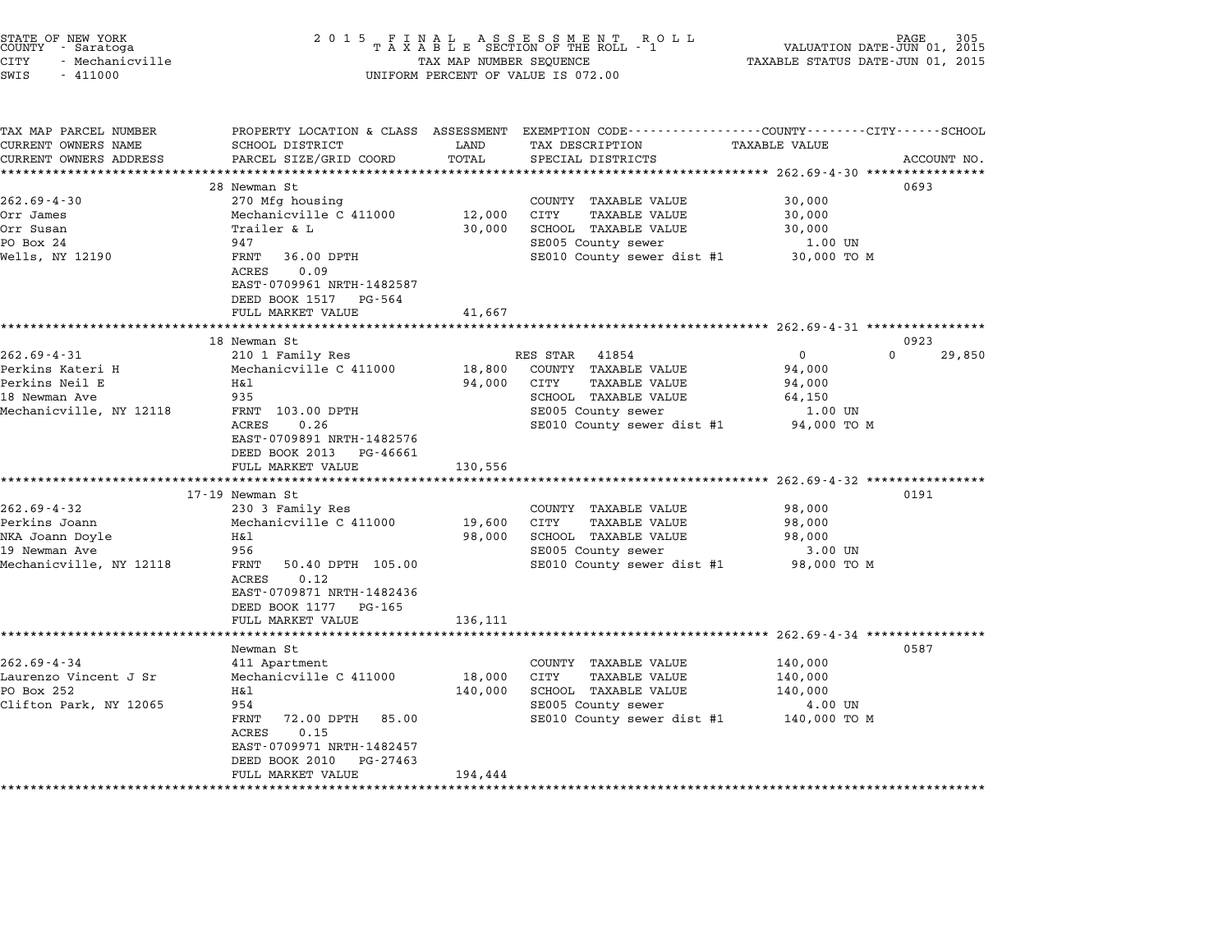| STATE OF NEW YORK |                 |  |
|-------------------|-----------------|--|
| COUNTY            | - Saratoga      |  |
| CITY              | - Mechanicville |  |

TAX MAP PARCEL NUMBER PROPERTY LOCATION & CLASS ASSESSMENT EXEMPTION CODE------------------COUNTY--------CITY------SCHOOL ...<br>-- COUNTY:- TAX MAP PARCEL NUMBER THE OCHOTRY AND THE CURRENT EXEMPTION CODE<br>CURRENT OWNERS NAME SCHOOL DISTRICT LAND TAX DESCRIPTION TAXABLE VALUE CURRENT OWNERS ADDRESS PARCEL SIZE/GRID COORD TOTAL SPECIAL DISTRICTS ACCOUNT NO. \*\*\*\*\*\*\*\*\*\*\*\*\*\*\*\*\*\*\*\*\*\*\*\*\*\*\*\*\*\*\*\*\*\*\*\*\*\*\*\*\*\*\*\*\*\*\*\*\*\*\*\*\*\*\*\*\*\*\*\*\*\*\*\*\*\*\*\*\*\*\*\*\*\*\*\*\*\*\*\*\*\*\*\*\*\*\*\*\*\*\*\*\*\*\*\*\*\*\*\*\*\*\* 262.69-4-30 \*\*\*\*\*\*\*\*\*\*\*\*\*\*\*\* <sup>28</sup> Newman St <sup>0693</sup> 262.69-4-30 28 Newman St 270 Mfg housing COUNTY TAXABLE VALUE 30,000 Orr James Mechanicville C <sup>411000</sup> 12,000 CITY TAXABLE VALUE 30,000 Orr Susan Trailer & L 30,000 SCHOOL TAXABLE VALUE 30,000 orr Susan and South of the Chamber of the Carlotte County is the Chamber of the Chamber of the Chamber of the C<br>PO Box 24 947 947 SE005 County sewer 1.00 UN UIL SURFACE IN THE RESEARCH SERVICE IN THE RESEARCH SERVICE IN THE SECON SURFACE IN THE SECON SURFACE IN THE S<br>PO BOX 34 SECON SECON SERVICE SERVICE SERVICE IN SECON SERVICE SERVICE SERVICE SURFACE SERVICE SERVICE SERVICE<br> FRNT 36.00 DPTH<br>ACRES 0.09 EAST-0709961 NRTH-1482587 DEED BOOK <sup>1517</sup> PG-564 FULL MARKET VALUE 41,667 \*\*\*\*\*\*\*\*\*\*\*\*\*\*\*\*\*\*\*\*\*\*\*\*\*\*\*\*\*\*\*\*\*\*\*\*\*\*\*\*\*\*\*\*\*\*\*\*\*\*\*\*\*\*\*\*\*\*\*\*\*\*\*\*\*\*\*\*\*\*\*\*\*\*\*\*\*\*\*\*\*\*\*\*\*\*\*\*\*\*\*\*\*\*\*\*\*\*\*\*\*\*\* 262.69-4-31 \*\*\*\*\*\*\*\*\*\*\*\*\*\*\*\* <sup>18</sup> Newman St <sup>0923</sup> 262.69-4-31 202.69-4-31 210 1 Family Res RES STAR 41854 202.69-4-31 202.69-4-31 210 1 Family Res RES STAR 41854 Perkins Kateri H Mechanicville C <sup>411000</sup> 18,800 COUNTY TAXABLE VALUE 94,000 Perkins Neil E H&l 94,000 CITY TAXABLE VALUE 94,000 <sup>18</sup> Newman Ave <sup>935</sup> SCHOOL TAXABLE VALUE 64,150 Mechanicville, NY <sup>12118</sup> FRNT 103.00 DPTH SE005 County sewer 1.00 UN ACRES 0.26 SE010 County sewer dist #1 94,000 TO <sup>M</sup> FRNI 103.00 DPIH<br>ACRES 0.26<br>EAST-0709891 NRTH-1482576 EAST-0709891 NRTH-1482576<br>DEED BOOK 2013 PG-46661 DEED BOOK 2013 PG-46661<br>FULL MARKET VALUE 130,556 \*\*\*\*\*\*\*\*\*\*\*\*\*\*\*\*\*\*\*\*\*\*\*\*\*\*\*\*\*\*\*\*\*\*\*\*\*\*\*\*\*\*\*\*\*\*\*\*\*\*\*\*\*\*\*\*\*\*\*\*\*\*\*\*\*\*\*\*\*\*\*\*\*\*\*\*\*\*\*\*\*\*\*\*\*\*\*\*\*\*\*\*\*\*\*\*\*\*\*\*\*\*\* 262.69-4-32 \*\*\*\*\*\*\*\*\*\*\*\*\*\*\*\* 17-19 Newman St <sup>0191</sup> 262.69-4-32 <sup>230</sup> <sup>3</sup> Family Res COUNTY TAXABLE VALUE 98,000 11/13 Nowwaan Strand In the Samman Strand In the Search of Country TAXABLE VALUE 98,000<br>200 19,600 CITY TAXABLE VALUE 98,000 Mechanicville C 411000 19,600 CITY TAXABLE VALUE المراد المسلم المسلم المسلم المسلم المسلم المسلم المسلم المسلم المسلم المسلم المسلم المسلم المسلم المسلم المسل<br>19,600 CITY TAXABLE VALUE 98,000<br>19,000 SCHOOL TAXABLE VALUE 98,000 19,600 CITY TAXABLE VALUE 98,000 98,000 Perkins Joann 98,000 Mechanicville C 411000 98,000 SCHOOL TAXABLE VALUE<br>19 Newman Ave 956 956 956 956 8E005 County sewer 3.00 UN Mechanicville, NY 12118 FRNT 50.40 DPTH 105.00 SE010 County sewer dist #1 98,000 TO M ACRES 0.12 EAST-0709871 NRTH-1482436 EAST-0709871 NRTH-14824<br>DEED BOOK 1177 PG-165 DEED BOOK 1177 PG-165<br>FULL MARKET VALUE 136,111 \*\*\*\*\*\*\*\*\*\*\*\*\*\*\*\*\*\*\*\*\*\*\*\*\*\*\*\*\*\*\*\*\*\*\*\*\*\*\*\*\*\*\*\*\*\*\*\*\*\*\*\*\*\*\*\*\*\*\*\*\*\*\*\*\*\*\*\*\*\*\*\*\*\*\*\*\*\*\*\*\*\*\*\*\*\*\*\*\*\*\*\*\*\*\*\*\*\*\*\*\*\*\* 262.69-4-34 \*\*\*\*\*\*\*\*\*\*\*\*\*\*\*\* Newman St <sup>0587</sup> 262.69-4-34 Keyman St<br>Newman St 111 Apartment 411 Apartment COUNTY TAXABLE VALUE 140,000 ewaan Jordan States (262.69-4-34 140,000 18,000 18,000 18,000 COUNTY<br>140,000 18,000 CITY TAXABLE VALUE 140,000 18,000 LARE VALUE 140,000 NAVABLE VALUE 202.09-4-54 HIMPART HANDE VALUE 140,000<br>Laurenzo Vincent J Sr Mechanicville C 411000 18,000 CITY TAXABLE VALUE 140,000<br>PO Box 252 H&l 140,000 140,000 SCHOOL TAXABLE VALUE 140,000 Clifton Park, NY <sup>12065</sup> <sup>954</sup> SE005 County sewer 4.00 UN FROUS COUNTY SEWER THE REVOLUS COUNTY SEWER ALL SECOND TO M FRNT 72.00 DPTH 85.00<br>ACRES 0.15 FANI 72.00 DPIH 89.00<br>ACRES 0.15<br>EAST-0709971 NRTH-1482457 EAST-0709971 NRTH-1482457<br>DEED BOOK 2010 PG-27463 DEED BOOK 2010 PG-27463<br>FULL MARKET VALUE 194,444 \*\*\*\*\*\*\*\*\*\*\*\*\*\*\*\*\*\*\*\*\*\*\*\*\*\*\*\*\*\*\*\*\*\*\*\*\*\*\*\*\*\*\*\*\*\*\*\*\*\*\*\*\*\*\*\*\*\*\*\*\*\*\*\*\*\*\*\*\*\*\*\*\*\*\*\*\*\*\*\*\*\*\*\*\*\*\*\*\*\*\*\*\*\*\*\*\*\*\*\*\*\*\*\*\*\*\*\*\*\*\*\*\*\*\*\*\*\*\*\*\*\*\*\*\*\*\*\*\*\*\*\*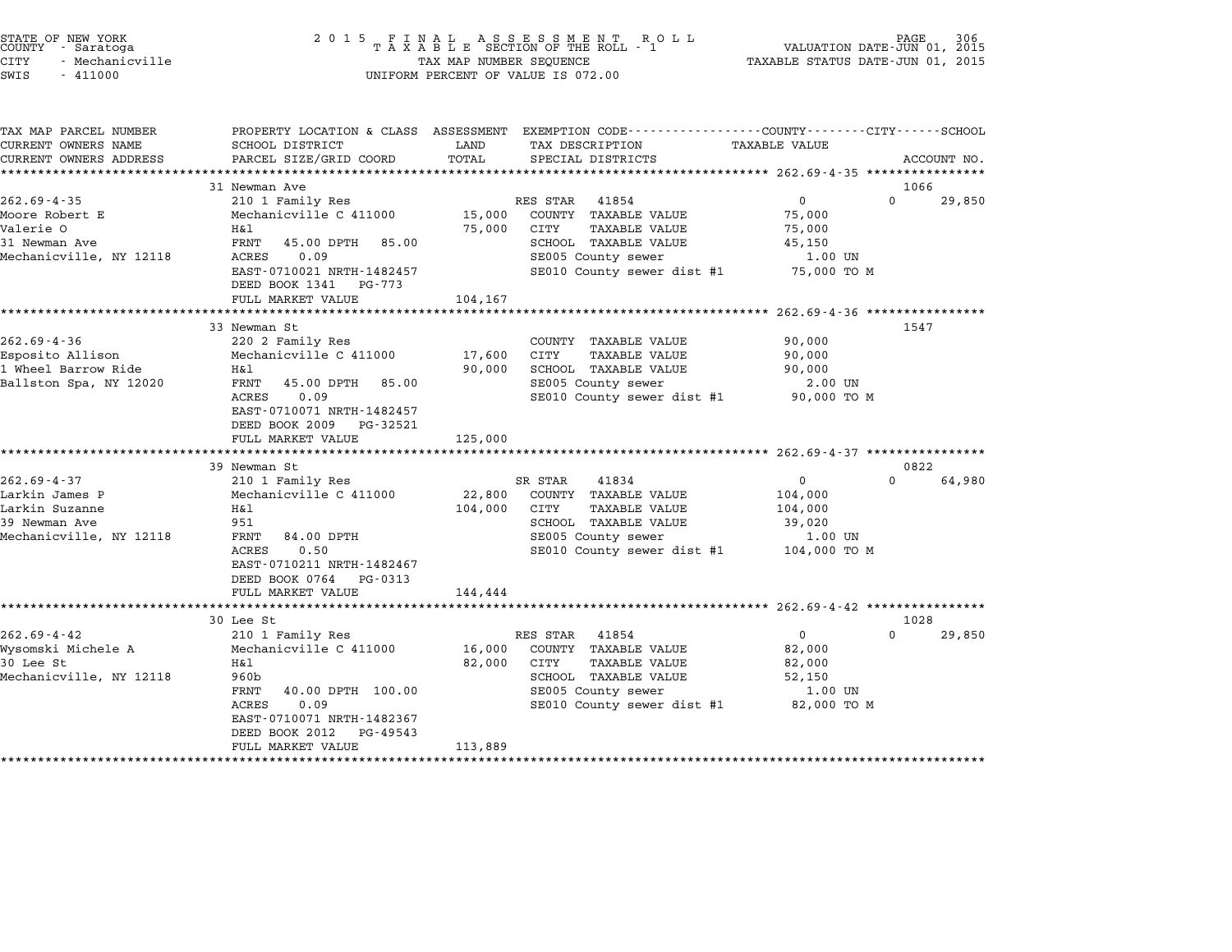| STATE OF NEW YORK<br>COUNTY - Saratoga<br>CITY<br>- Mechanicville<br>SWIS<br>$-411000$ | 2 0 1 5                                    | TAX MAP NUMBER SEQUENCE | $\begin{array}{cccccccccccccc} & F & I & N & A & L & A & S & S & E & S & S & M & E & N & T & R & O & L & L \\ T & A & X & A & B & L & E & SECTION OF THE ROLL & - & 1 & & & \\ \end{array}$<br>UNIFORM PERCENT OF VALUE IS 072.00 | TAXABLE STATUS DATE-JUN 01, 2015 | PAGE<br>306<br>VALUATION DATE-JUN 01, 2015 |
|----------------------------------------------------------------------------------------|--------------------------------------------|-------------------------|-----------------------------------------------------------------------------------------------------------------------------------------------------------------------------------------------------------------------------------|----------------------------------|--------------------------------------------|
| TAX MAP PARCEL NUMBER<br>CURRENT OWNERS NAME                                           | SCHOOL DISTRICT                            | LAND                    | PROPERTY LOCATION & CLASS ASSESSMENT EXEMPTION CODE--------------COUNTY-------CITY------SCHOOL<br>TAX DESCRIPTION                                                                                                                 | <b>TAXABLE VALUE</b>             |                                            |
| CURRENT OWNERS ADDRESS                                                                 | PARCEL SIZE/GRID COORD                     | TOTAL                   | SPECIAL DISTRICTS                                                                                                                                                                                                                 |                                  | ACCOUNT NO.                                |
|                                                                                        | 31 Newman Ave                              |                         |                                                                                                                                                                                                                                   |                                  | 1066                                       |
| $262.69 - 4 - 35$                                                                      | 210 1 Family Res                           |                         | RES STAR<br>41854                                                                                                                                                                                                                 | $\mathbf{0}$                     | $\Omega$<br>29,850                         |
| Moore Robert E                                                                         | Mechanicville C 411000                     | 15,000                  | COUNTY TAXABLE VALUE                                                                                                                                                                                                              | 75,000                           |                                            |
| Valerie O                                                                              | Η&l                                        | 75,000                  | CITY<br><b>TAXABLE VALUE</b>                                                                                                                                                                                                      | 75,000                           |                                            |
| 31 Newman Ave                                                                          | FRNT<br>45.00 DPTH 85.00                   |                         | SCHOOL TAXABLE VALUE                                                                                                                                                                                                              | 45,150                           |                                            |
| Mechanicville, NY 12118                                                                | ACRES<br>0.09                              |                         | SE005 County sewer                                                                                                                                                                                                                | 1.00 UN                          |                                            |
|                                                                                        | EAST-0710021 NRTH-1482457                  |                         | SE010 County sewer dist #1                                                                                                                                                                                                        | 75,000 TO M                      |                                            |
|                                                                                        | DEED BOOK 1341 PG-773<br>FULL MARKET VALUE | 104,167                 |                                                                                                                                                                                                                                   |                                  |                                            |
|                                                                                        |                                            |                         |                                                                                                                                                                                                                                   |                                  |                                            |
|                                                                                        | 33 Newman St                               |                         |                                                                                                                                                                                                                                   |                                  | 1547                                       |
| $262.69 - 4 - 36$                                                                      | 220 2 Family Res                           |                         | COUNTY TAXABLE VALUE                                                                                                                                                                                                              | 90,000                           |                                            |
| Esposito Allison                                                                       | Mechanicville C 411000                     | 17,600                  | CITY<br><b>TAXABLE VALUE</b>                                                                                                                                                                                                      | 90,000                           |                                            |
| 1 Wheel Barrow Ride                                                                    | Η&l                                        | 90,000                  | SCHOOL TAXABLE VALUE                                                                                                                                                                                                              | 90,000                           |                                            |
| Ballston Spa, NY 12020                                                                 | FRNT<br>45.00 DPTH<br>85.00                |                         | SE005 County sewer                                                                                                                                                                                                                | 2.00 UN                          |                                            |
|                                                                                        | ACRES<br>0.09<br>EAST-0710071 NRTH-1482457 |                         | SE010 County sewer dist #1                                                                                                                                                                                                        | 90,000 TO M                      |                                            |
|                                                                                        | DEED BOOK 2009 PG-32521                    |                         |                                                                                                                                                                                                                                   |                                  |                                            |
|                                                                                        | FULL MARKET VALUE                          | 125,000                 |                                                                                                                                                                                                                                   |                                  |                                            |
|                                                                                        |                                            |                         |                                                                                                                                                                                                                                   |                                  |                                            |
|                                                                                        | 39 Newman St                               |                         |                                                                                                                                                                                                                                   |                                  | 0822                                       |
| $262.69 - 4 - 37$                                                                      | 210 1 Family Res                           |                         | SR STAR<br>41834                                                                                                                                                                                                                  | $\mathbf{0}$                     | $\Omega$<br>64,980                         |
| Larkin James P                                                                         | Mechanicville C 411000                     | 22,800                  | COUNTY TAXABLE VALUE                                                                                                                                                                                                              | 104,000                          |                                            |
| Larkin Suzanne                                                                         | Η&l                                        | 104,000                 | CITY<br><b>TAXABLE VALUE</b>                                                                                                                                                                                                      | 104,000                          |                                            |
| 39 Newman Ave                                                                          | 951                                        |                         | SCHOOL TAXABLE VALUE                                                                                                                                                                                                              | 39,020                           |                                            |
| Mechanicville, NY 12118                                                                | FRNT<br>84.00 DPTH<br>ACRES<br>0.50        |                         | SE005 County sewer<br>SE010 County sewer dist #1                                                                                                                                                                                  | 1.00 UN<br>104,000 TO M          |                                            |
|                                                                                        | EAST-0710211 NRTH-1482467                  |                         |                                                                                                                                                                                                                                   |                                  |                                            |
|                                                                                        | DEED BOOK 0764 PG-0313                     |                         |                                                                                                                                                                                                                                   |                                  |                                            |
|                                                                                        | FULL MARKET VALUE                          | 144,444                 |                                                                                                                                                                                                                                   |                                  |                                            |
|                                                                                        |                                            |                         |                                                                                                                                                                                                                                   |                                  |                                            |
|                                                                                        | 30 Lee St                                  |                         |                                                                                                                                                                                                                                   |                                  | 1028                                       |
| $262.69 - 4 - 42$                                                                      | 210 1 Family Res                           |                         | RES STAR 41854                                                                                                                                                                                                                    | $\overline{0}$                   | $\Omega$<br>29,850                         |
| Wysomski Michele A<br>30 Lee St                                                        | Mechanicville C 411000                     | 16,000                  | COUNTY TAXABLE VALUE<br>CITY                                                                                                                                                                                                      | 82,000                           |                                            |
| Mechanicville, NY 12118                                                                | H&l<br>960b                                | 82,000                  | <b>TAXABLE VALUE</b><br>SCHOOL TAXABLE VALUE                                                                                                                                                                                      | 82,000<br>52,150                 |                                            |
|                                                                                        | 40.00 DPTH 100.00<br>FRNT                  |                         | SE005 County sewer                                                                                                                                                                                                                | 1.00 UN                          |                                            |
|                                                                                        | ACRES<br>0.09                              |                         | SE010 County sewer dist #1                                                                                                                                                                                                        | 82,000 TO M                      |                                            |
|                                                                                        | EAST-0710071 NRTH-1482367                  |                         |                                                                                                                                                                                                                                   |                                  |                                            |
|                                                                                        | DEED BOOK 2012<br>PG-49543                 |                         |                                                                                                                                                                                                                                   |                                  |                                            |
|                                                                                        | FULL MARKET VALUE                          | 113,889                 |                                                                                                                                                                                                                                   |                                  |                                            |

end the New York (North State of New York)<br>2015 FINAL ASSESSMENT ROLL ROLL (PALUATION DATE-JUN 01, 2015<br>COUNTY – Saratoga (2015 TAXABLE SECTION OF THE ROLL - 1)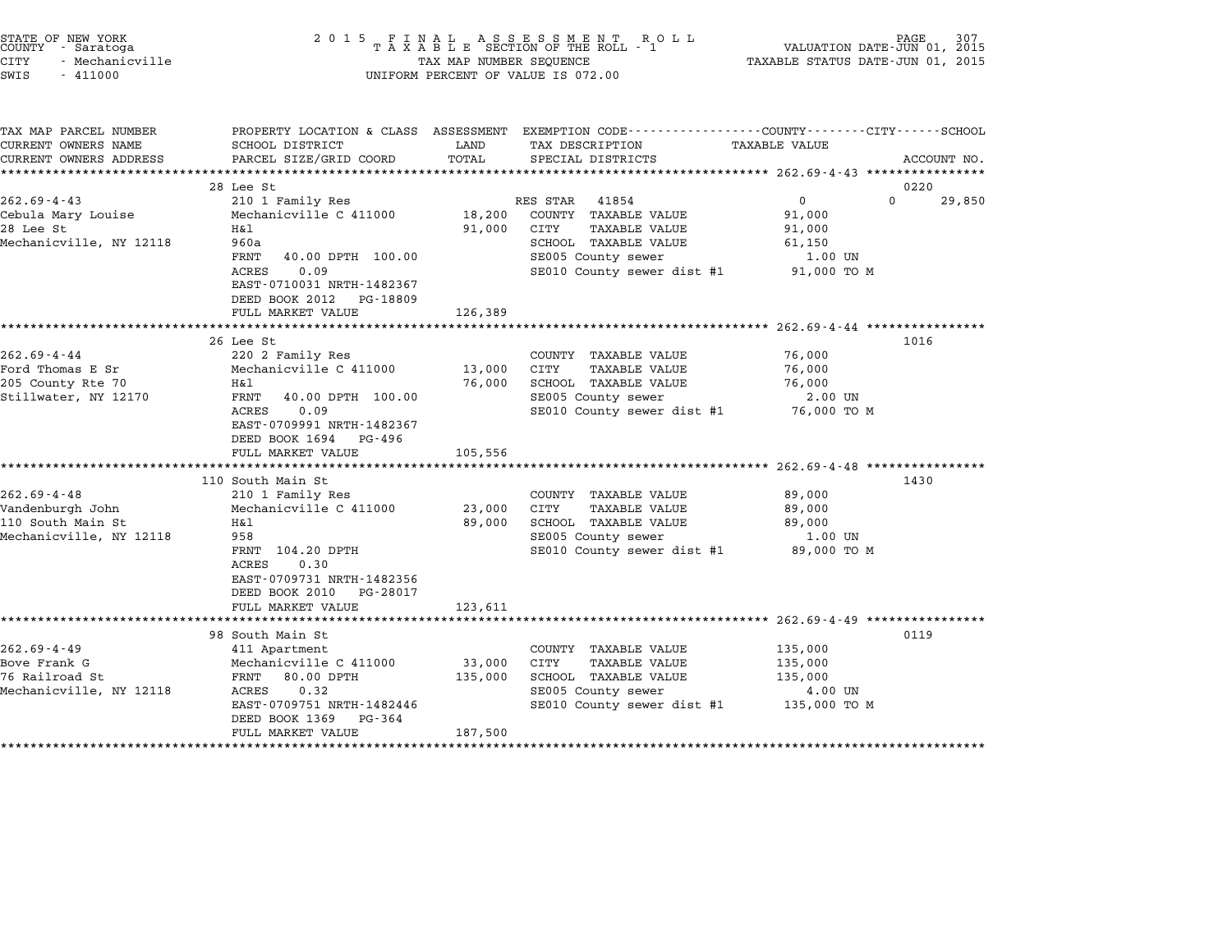| STATE OF NEW YORK<br>COUNTY - Saratoga<br><b>CITY</b><br>- Mechanicville<br>SWIS<br>$-411000$ | 2 0 1 5                                                                                                                                                                                            | TAX MAP NUMBER SEQUENCE      | FINAL ASSESSMENT RO<br>TAXABLE SECTION OF THE ROLL - 1<br>R O L L<br>UNIFORM PERCENT OF VALUE IS 072.00                                               | PAGE<br>VALUATION DATE-JUN 01, 2015<br>TAXABLE STATUS DATE-JUN 01, 2015      | 307         |
|-----------------------------------------------------------------------------------------------|----------------------------------------------------------------------------------------------------------------------------------------------------------------------------------------------------|------------------------------|-------------------------------------------------------------------------------------------------------------------------------------------------------|------------------------------------------------------------------------------|-------------|
| TAX MAP PARCEL NUMBER<br>CURRENT OWNERS NAME<br>CURRENT OWNERS ADDRESS                        | SCHOOL DISTRICT<br>PARCEL SIZE/GRID COORD                                                                                                                                                          | LAND<br>TOTAL                | PROPERTY LOCATION & CLASS ASSESSMENT EXEMPTION CODE---------------COUNTY-------CITY------SCHOOL<br>TAX DESCRIPTION<br>SPECIAL DISTRICTS               | TAXABLE VALUE<br>***************** 262.69-4-43 *****************             | ACCOUNT NO. |
|                                                                                               | 28 Lee St                                                                                                                                                                                          |                              |                                                                                                                                                       | 0220                                                                         |             |
| $262.69 - 4 - 43$<br>Cebula Mary Louise<br>28 Lee St<br>Mechanicville, NY 12118               | 210 1 Family Res<br>Mechanicville C 411000<br>Η&l<br>960a<br>FRNT<br>40.00 DPTH 100.00<br>ACRES<br>0.09<br>EAST-0710031 NRTH-1482367<br>DEED BOOK 2012<br>PG-18809                                 | 18,200<br>91,000             | RES STAR<br>41854<br>COUNTY TAXABLE VALUE<br>CITY<br><b>TAXABLE VALUE</b><br>SCHOOL TAXABLE VALUE<br>SE005 County sewer<br>SE010 County sewer dist #1 | $\Omega$<br>$\Omega$<br>91,000<br>91,000<br>61,150<br>1.00 UN<br>91,000 TO M | 29,850      |
|                                                                                               | FULL MARKET VALUE                                                                                                                                                                                  | 126,389                      |                                                                                                                                                       |                                                                              |             |
|                                                                                               | 26 Lee St                                                                                                                                                                                          |                              |                                                                                                                                                       | ************ 262.69-4-44 **<br>1016                                          |             |
| $262.69 - 4 - 44$<br>Ford Thomas E Sr<br>205 County Rte 70<br>Stillwater, NY 12170            | 220 2 Family Res<br>Mechanicville C 411000<br>Η&l<br>FRNT<br>40.00 DPTH 100.00<br>ACRES<br>0.09<br>EAST-0709991 NRTH-1482367<br>DEED BOOK 1694<br>PG-496<br>FULL MARKET VALUE                      | 13,000<br>76,000<br>105,556  | COUNTY TAXABLE VALUE<br>CITY<br><b>TAXABLE VALUE</b><br>SCHOOL TAXABLE VALUE<br>SE005 County sewer<br>SE010 County sewer dist #1                      | 76,000<br>76,000<br>76,000<br>2.00 UN<br>76,000 TO M                         |             |
|                                                                                               |                                                                                                                                                                                                    |                              |                                                                                                                                                       | *********************** 262.69-4-48 *****************                        |             |
| $262.69 - 4 - 48$<br>Vandenburgh John<br>110 South Main St<br>Mechanicville, NY 12118         | 110 South Main St<br>210 1 Family Res<br>Mechanicville C 411000<br>Η&l<br>958<br>FRNT 104.20 DPTH<br>0.30<br>ACRES<br>EAST-0709731 NRTH-1482356<br>DEED BOOK 2010<br>PG-28017<br>FULL MARKET VALUE | 23,000<br>89,000<br>123,611  | COUNTY TAXABLE VALUE<br>CITY<br><b>TAXABLE VALUE</b><br>SCHOOL TAXABLE VALUE<br>SE005 County sewer<br>SE010 County sewer dist #1                      | 1430<br>89,000<br>89,000<br>89,000<br>1.00 UN<br>89,000 TO M                 |             |
|                                                                                               | *********************                                                                                                                                                                              |                              |                                                                                                                                                       | *********************** 262.69-4-49 ***************                          |             |
| $262.69 - 4 - 49$<br>Bove Frank G<br>76 Railroad St<br>Mechanicville, NY 12118                | 98 South Main St<br>411 Apartment<br>Mechanicville C 411000<br>FRNT 80.00 DPTH<br>ACRES<br>0.32<br>EAST-0709751 NRTH-1482446<br>DEED BOOK 1369<br>PG-364<br>FULL MARKET VALUE                      | 33,000<br>135,000<br>187,500 | COUNTY TAXABLE VALUE<br>CITY<br><b>TAXABLE VALUE</b><br>SCHOOL TAXABLE VALUE<br>SE005 County sewer<br>SE010 County sewer dist #1                      | 0119<br>135,000<br>135,000<br>135,000<br>4.00 UN<br>135,000 TO M             |             |

STATE OF NEW YORK <sup>2</sup> <sup>0</sup> <sup>1</sup> 5 F I N A L A S S E S S M E N T R O L L PAGE <sup>307</sup> COUNTY - Saratoga <sup>T</sup> <sup>A</sup> <sup>X</sup> <sup>A</sup> <sup>B</sup> <sup>L</sup> <sup>E</sup> SECTION OF THE ROLL - <sup>1</sup> VALUATION DATE-JUN 01, <sup>2015</sup>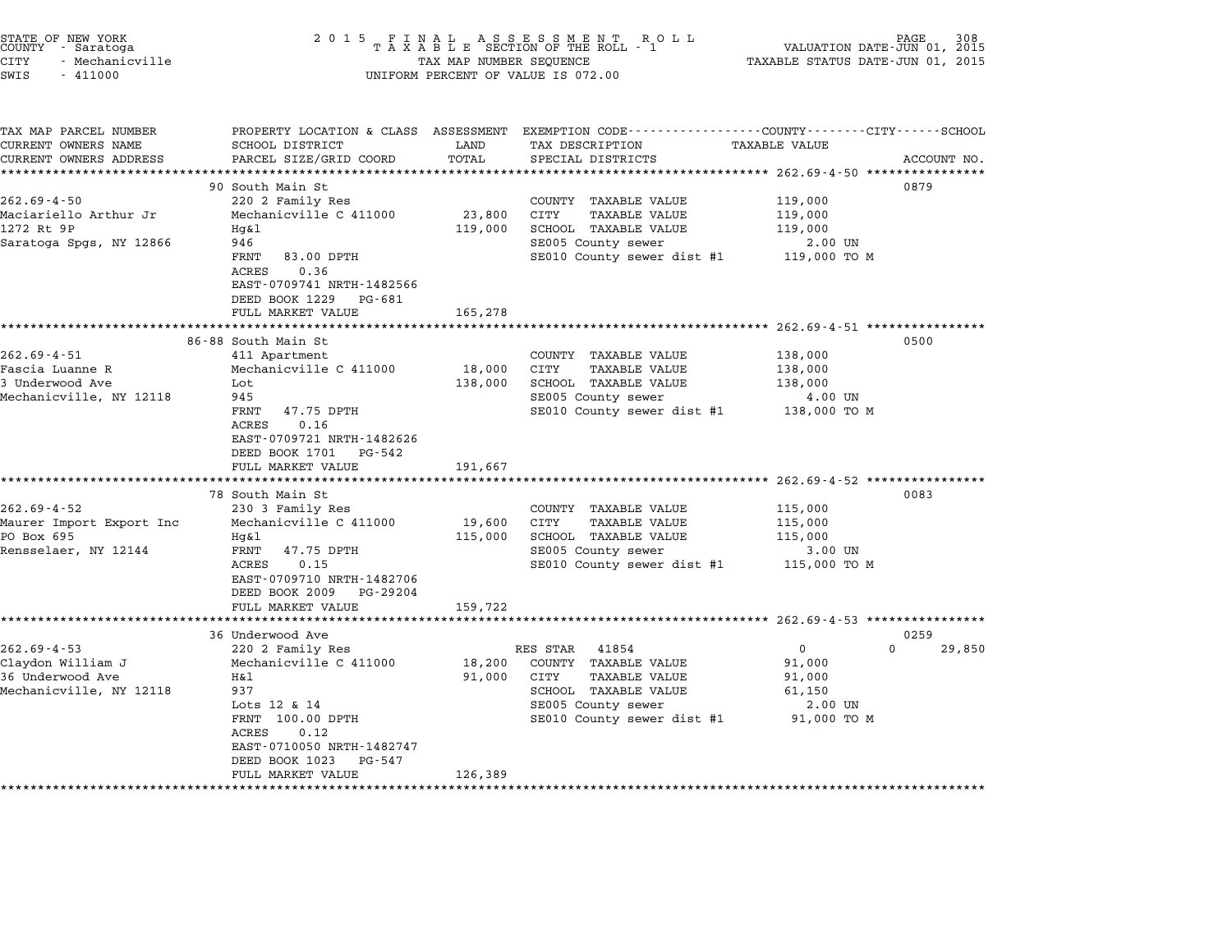| STATE OF NEW YORK<br>COUNTY - Saratoga<br><b>CITY</b><br>- Mechanicville<br>SWIS<br>$-411000$ | 2 0 1 5<br>FINAL ASSESSMENT ROLL<br>TAXABLE SECTION OF THE ROLL - 1<br>TAX MAP NUMBER SEQUENCE<br>UNIFORM PERCENT OF VALUE IS 072.00                                                                               | VALUATION DATE-JUN 01, 2015<br>TAXABLE STATUS DATE-JUN 01, 2015 | PAGE                                                                                                                                           |                                                                      |             |
|-----------------------------------------------------------------------------------------------|--------------------------------------------------------------------------------------------------------------------------------------------------------------------------------------------------------------------|-----------------------------------------------------------------|------------------------------------------------------------------------------------------------------------------------------------------------|----------------------------------------------------------------------|-------------|
| TAX MAP PARCEL NUMBER<br>CURRENT OWNERS NAME<br>CURRENT OWNERS ADDRESS                        | SCHOOL DISTRICT<br>PARCEL SIZE/GRID COORD                                                                                                                                                                          | LAND<br>TOTAL                                                   | PROPERTY LOCATION & CLASS ASSESSMENT EXEMPTION CODE---------------COUNTY-------CITY------SCHOOL<br>TAX DESCRIPTION<br>SPECIAL DISTRICTS        | TAXABLE VALUE                                                        | ACCOUNT NO. |
| **********************                                                                        | ****************************                                                                                                                                                                                       |                                                                 |                                                                                                                                                |                                                                      |             |
| $262.69 - 4 - 50$<br>Maciariello Arthur Jr<br>1272 Rt 9P<br>Saratoga Spgs, NY 12866           | 90 South Main St<br>220 2 Family Res<br>Mechanicville C 411000<br>Hq&l<br>946                                                                                                                                      | 23,800<br>119,000                                               | COUNTY TAXABLE VALUE<br>CITY<br>TAXABLE VALUE<br>SCHOOL TAXABLE VALUE<br>SE005 County sewer                                                    | 119,000<br>119,000<br>119,000<br>2.00 UN                             | 0879        |
|                                                                                               | FRNT<br>83.00 DPTH<br>ACRES<br>0.36<br>EAST-0709741 NRTH-1482566<br>DEED BOOK 1229<br>PG-681<br>FULL MARKET VALUE                                                                                                  | 165,278                                                         | SE010 County sewer dist #1                                                                                                                     | 119,000 TO M                                                         |             |
|                                                                                               |                                                                                                                                                                                                                    |                                                                 |                                                                                                                                                | ************************* 262.69-4-51 *****************              |             |
| $262.69 - 4 - 51$<br>Fascia Luanne R<br>3 Underwood Ave<br>Mechanicville, NY 12118            | 86-88 South Main St<br>411 Apartment<br>Mechanicville C 411000<br>Lot<br>945<br>FRNT<br>47.75 DPTH<br>0.16<br>ACRES<br>EAST-0709721 NRTH-1482626<br>DEED BOOK 1701 PG-542                                          | 18,000<br>138,000                                               | COUNTY TAXABLE VALUE<br>CITY<br>TAXABLE VALUE<br>SCHOOL TAXABLE VALUE<br>SE005 County sewer<br>SE010 County sewer dist #1                      | 138,000<br>138,000<br>138,000<br>4.00 UN<br>138,000 TO M             | 0500        |
|                                                                                               | FULL MARKET VALUE                                                                                                                                                                                                  | 191,667                                                         |                                                                                                                                                |                                                                      |             |
| $262.69 - 4 - 52$<br>Maurer Import Export Inc<br>PO Box 695<br>Rensselaer, NY 12144           | 78 South Main St<br>230 3 Family Res<br>Mechanicville C 411000<br>Hg&l<br>FRNT<br>47.75 DPTH<br>ACRES<br>0.15<br>EAST-0709710 NRTH-1482706<br>DEED BOOK 2009<br>PG-29204                                           | 19,600<br>115,000                                               | COUNTY TAXABLE VALUE<br>CITY<br>TAXABLE VALUE<br>SCHOOL TAXABLE VALUE<br>SE005 County sewer<br>SE010 County sewer dist #1                      | 115,000<br>115,000<br>115,000<br>3.00 UN<br>115,000 TO M             | 0083        |
|                                                                                               | FULL MARKET VALUE                                                                                                                                                                                                  | 159,722                                                         |                                                                                                                                                |                                                                      |             |
|                                                                                               | 36 Underwood Ave                                                                                                                                                                                                   |                                                                 |                                                                                                                                                |                                                                      | 0259        |
| $262.69 - 4 - 53$<br>Claydon William J<br>36 Underwood Ave<br>Mechanicville, NY 12118         | 220 2 Family Res<br>Mechanicville C 411000<br>H&l<br>937<br>Lots 12 & 14<br>FRNT 100.00 DPTH<br>0.12<br>ACRES<br>EAST-0710050 NRTH-1482747<br>DEED BOOK 1023<br>PG-547<br>FULL MARKET VALUE<br>******************* | 18,200<br>91,000<br>126,389                                     | RES STAR<br>41854<br>COUNTY TAXABLE VALUE<br>CITY<br>TAXABLE VALUE<br>SCHOOL TAXABLE VALUE<br>SE005 County sewer<br>SE010 County sewer dist #1 | $\mathbf{0}$<br>91,000<br>91,000<br>61,150<br>2.00 UN<br>91,000 TO M | 0<br>29,850 |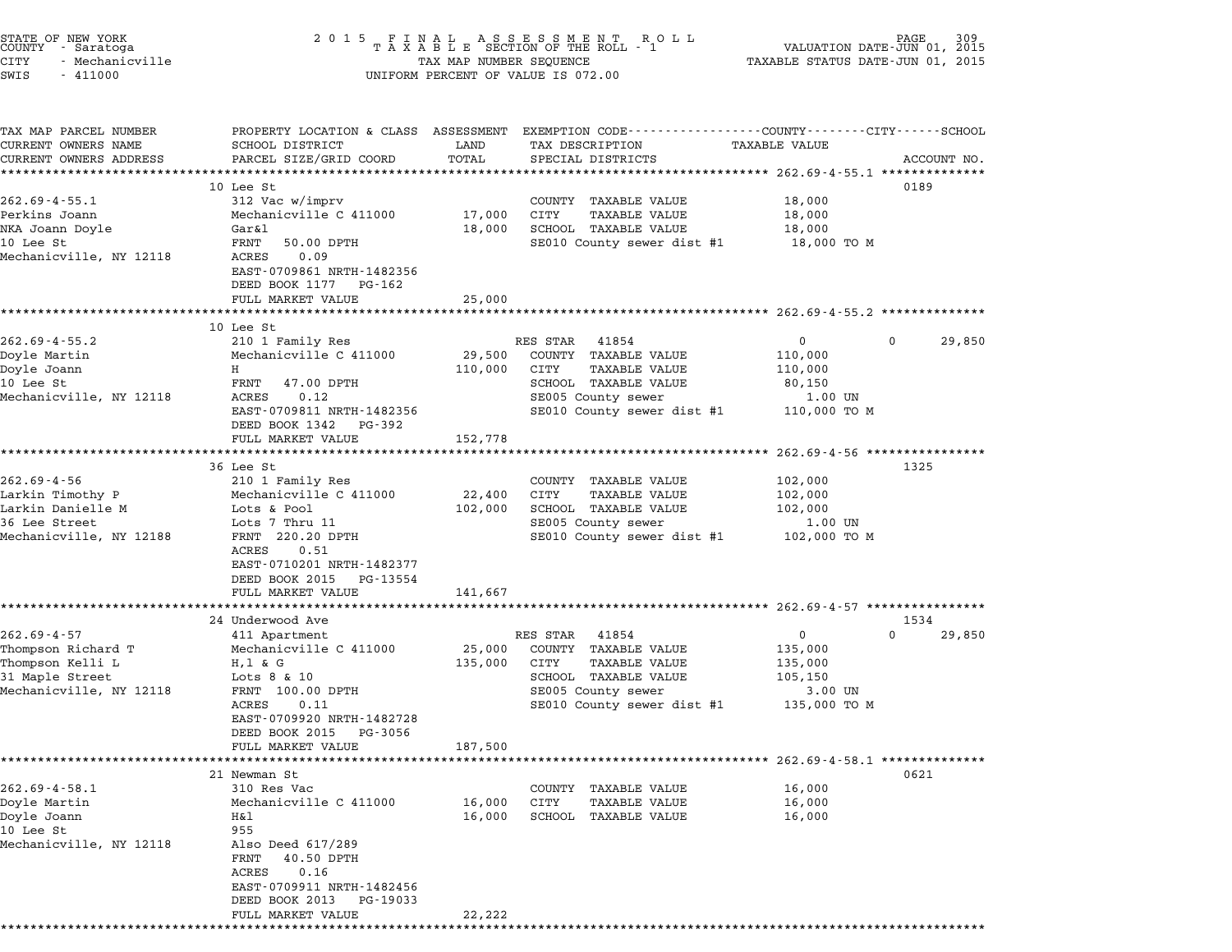| STATE OF NEW YORK |  |            |                 |  |
|-------------------|--|------------|-----------------|--|
| COUNTY            |  | - Saratoga |                 |  |
| CITY              |  |            | - Mechanicville |  |

# STATE OF NEW YORK <sup>2</sup> <sup>0</sup> <sup>1</sup> 5 F I N A L A S S E S S M E N T R O L L PAGE <sup>309</sup> COUNTY - Saratoga <sup>T</sup> <sup>A</sup> <sup>X</sup> <sup>A</sup> <sup>B</sup> <sup>L</sup> <sup>E</sup> SECTION OF THE ROLL - <sup>1</sup> VALUATION DATE-JUN 01, <sup>2015</sup> STATE OF NEW YORK (DAT SOLD STATE OF NEW YORK 109 STATE OF NEW TAXABLE STATUS 2015 FAGE TAXABLE STATUS OF NEW Y<br>COUNTY - Saratoga (2015 TAXABLE STATUS DATE-JUN 01, 2015 TAXABLE STATUS DATE-JUN 01, 2015<br>CITY - Mechanicville SWIS - <sup>411000</sup> UNIFORM PERCENT OF VALUE IS 072.00

| TAX MAP PARCEL NUMBER<br>CURRENT OWNERS NAME<br>CURRENT OWNERS ADDRESS | PROPERTY LOCATION & CLASS ASSESSMENT EXEMPTION CODE---------------COUNTY-------CITY------SCHOOL<br>SCHOOL DISTRICT | LAND<br>TOTAL | TAX DESCRIPTION<br>SPECIAL DISTRICTS                 | TAXABLE VALUE |                    |
|------------------------------------------------------------------------|--------------------------------------------------------------------------------------------------------------------|---------------|------------------------------------------------------|---------------|--------------------|
| *************************                                              | PARCEL SIZE/GRID COORD                                                                                             |               |                                                      |               | ACCOUNT NO.        |
|                                                                        | 10 Lee St                                                                                                          |               |                                                      |               | 0189               |
| $262.69 - 4 - 55.1$                                                    | 312 Vac w/imprv                                                                                                    |               | COUNTY TAXABLE VALUE                                 | 18,000        |                    |
| Perkins Joann                                                          | Mechanicville C 411000                                                                                             | 17,000        | CITY<br><b>TAXABLE VALUE</b>                         | 18,000        |                    |
| NKA Joann Doyle                                                        | Gar&l                                                                                                              | 18,000        | SCHOOL TAXABLE VALUE                                 | 18,000        |                    |
| 10 Lee St                                                              | FRNT<br>50.00 DPTH                                                                                                 |               | SE010 County sewer dist #1                           | 18,000 TO M   |                    |
| Mechanicville, NY 12118                                                | ACRES<br>0.09                                                                                                      |               |                                                      |               |                    |
|                                                                        | EAST-0709861 NRTH-1482356<br>DEED BOOK 1177 PG-162                                                                 |               |                                                      |               |                    |
|                                                                        | FULL MARKET VALUE                                                                                                  | 25,000        |                                                      |               |                    |
|                                                                        |                                                                                                                    |               |                                                      |               |                    |
|                                                                        | 10 Lee St                                                                                                          |               |                                                      |               |                    |
| $262.69 - 4 - 55.2$                                                    | 210 1 Family Res                                                                                                   |               | RES STAR<br>41854                                    | $\mathbf 0$   | 29,850<br>$\Omega$ |
| Doyle Martin                                                           | Mechanicville C 411000                                                                                             | 29,500        | COUNTY TAXABLE VALUE                                 | 110,000       |                    |
| Doyle Joann                                                            | H                                                                                                                  | 110,000       | CITY<br>TAXABLE VALUE                                | 110,000       |                    |
| 10 Lee St                                                              | FRNT<br>47.00 DPTH                                                                                                 |               | SCHOOL TAXABLE VALUE                                 | 80,150        |                    |
| Mechanicville, NY 12118                                                | ACRES<br>0.12                                                                                                      |               | SE005 County sewer                                   | 1.00 UN       |                    |
|                                                                        | EAST-0709811 NRTH-1482356<br>DEED BOOK 1342 PG-392                                                                 |               | SE010 County sewer dist #1                           | 110,000 TO M  |                    |
|                                                                        | FULL MARKET VALUE                                                                                                  | 152,778       |                                                      |               |                    |
|                                                                        |                                                                                                                    |               |                                                      |               |                    |
| $262.69 - 4 - 56$                                                      | 36 Lee St                                                                                                          |               |                                                      |               | 1325               |
|                                                                        | 210 1 Family Res                                                                                                   |               | COUNTY TAXABLE VALUE                                 | 102,000       |                    |
| Larkin Timothy P                                                       | Mechanicville C 411000                                                                                             | 22,400        | CITY<br><b>TAXABLE VALUE</b><br>SCHOOL TAXABLE VALUE | 102,000       |                    |
| Larkin Danielle M                                                      | Lots & Pool                                                                                                        | 102,000       |                                                      | 102,000       |                    |
| 36 Lee Street<br>Mechanicville, NY 12188                               | Lots 7 Thru 11<br>FRNT 220.20 DPTH                                                                                 |               | SE005 County sewer                                   | 1.00 UN       |                    |
|                                                                        | ACRES<br>0.51                                                                                                      |               | SE010 County sewer dist #1 102,000 TO M              |               |                    |
|                                                                        | EAST-0710201 NRTH-1482377                                                                                          |               |                                                      |               |                    |
|                                                                        | DEED BOOK 2015 PG-13554                                                                                            |               |                                                      |               |                    |
|                                                                        | FULL MARKET VALUE                                                                                                  | 141,667       |                                                      |               |                    |
|                                                                        |                                                                                                                    |               |                                                      |               |                    |
|                                                                        | 24 Underwood Ave                                                                                                   |               |                                                      |               | 1534               |
| $262.69 - 4 - 57$                                                      | 411 Apartment                                                                                                      |               | RES STAR<br>41854                                    | 0             | $\Omega$<br>29,850 |
| Thompson Richard T                                                     | Mechanicville C 411000                                                                                             | 25,000        | COUNTY TAXABLE VALUE                                 | 135,000       |                    |
| Thompson Kelli L                                                       | H, 1 & 2G                                                                                                          | 135,000       | CITY<br>TAXABLE VALUE                                | 135,000       |                    |
| 31 Maple Street                                                        | Lots $8 \& 10$                                                                                                     |               | SCHOOL TAXABLE VALUE                                 | 105,150       |                    |
| Mechanicville, NY 12118                                                | FRNT 100.00 DPTH                                                                                                   |               | SE005 County sewer                                   | 3.00 UN       |                    |
|                                                                        | ACRES<br>0.11                                                                                                      |               | SE010 County sewer dist #1 135,000 TO M              |               |                    |
|                                                                        | EAST-0709920 NRTH-1482728                                                                                          |               |                                                      |               |                    |
|                                                                        | DEED BOOK 2015 PG-3056                                                                                             |               |                                                      |               |                    |
|                                                                        | FULL MARKET VALUE                                                                                                  | 187,500       |                                                      |               |                    |
|                                                                        |                                                                                                                    |               |                                                      |               |                    |
|                                                                        | 21 Newman St                                                                                                       |               |                                                      |               | 0621               |
| 262.69-4-58.1                                                          | 310 Res Vac                                                                                                        |               | COUNTY TAXABLE VALUE                                 | 16,000        |                    |
| Doyle Martin                                                           | Mechanicville C 411000                                                                                             |               | 16,000 CITY TAXABLE VALUE<br>SCHOOL TAXABLE VALUE    | 16,000        |                    |
| Doyle Joann<br>10 Lee St                                               | Η&l<br>955                                                                                                         | 16,000        |                                                      | 16,000        |                    |
| Mechanicville, NY 12118                                                | Also Deed 617/289                                                                                                  |               |                                                      |               |                    |
|                                                                        | FRNT<br>40.50 DPTH                                                                                                 |               |                                                      |               |                    |
|                                                                        | ACRES<br>0.16                                                                                                      |               |                                                      |               |                    |
|                                                                        | EAST-0709911 NRTH-1482456                                                                                          |               |                                                      |               |                    |
|                                                                        | DEED BOOK 2013 PG-19033                                                                                            |               |                                                      |               |                    |
|                                                                        | FULL MARKET VALUE                                                                                                  | 22,222        |                                                      |               |                    |
|                                                                        |                                                                                                                    |               |                                                      |               |                    |
|                                                                        |                                                                                                                    |               |                                                      |               |                    |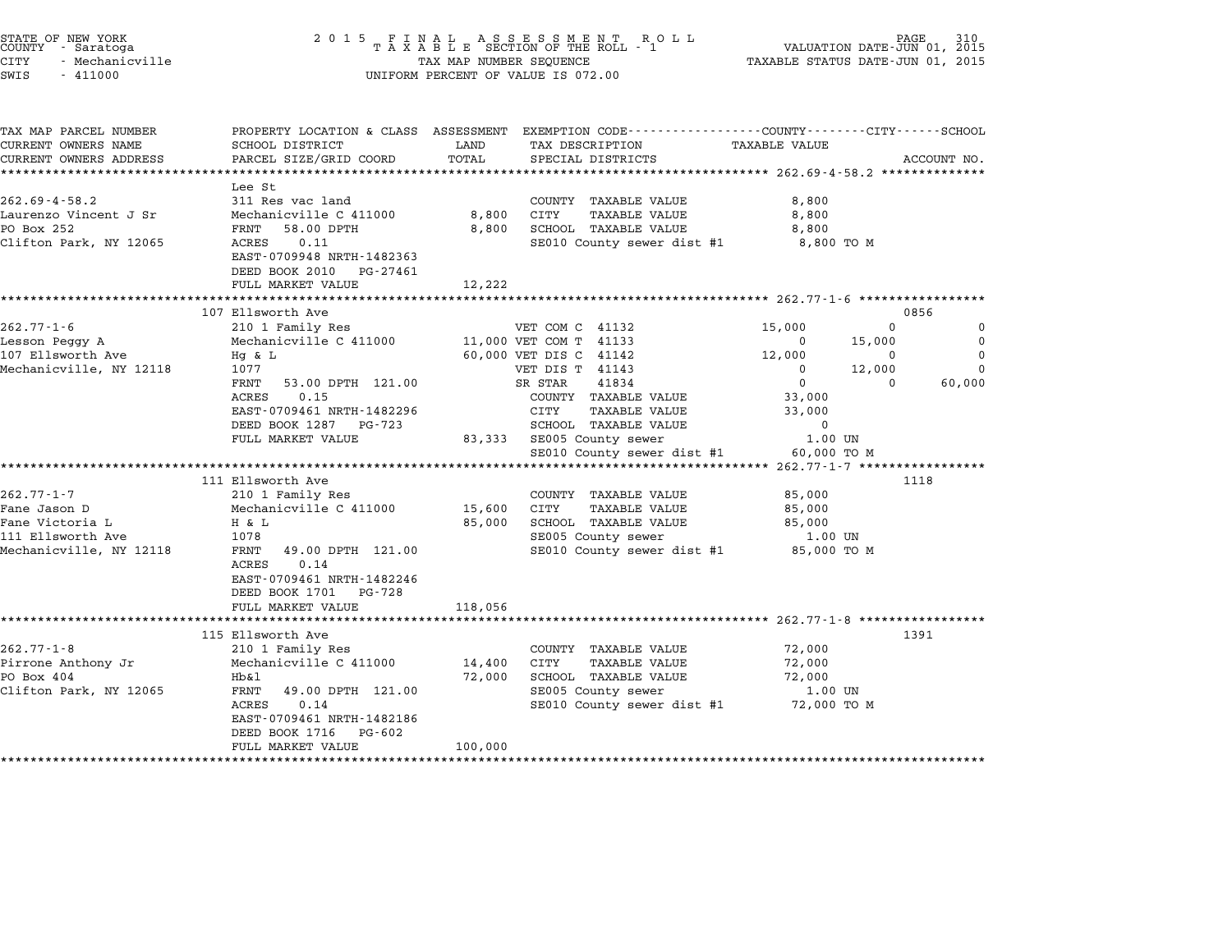| STATE OF NEW YORK<br>COUNTY - Saratoga<br>CITY<br>- Mechanicville<br>SWIS<br>$-411000$                                                                                                    | 2 0 1 5                                                                                                                                                                                                                                                                                                                             | TAX MAP NUMBER SEQUENCE                 | FINAL ASSESSMENT RO<br>TAXABLE SECTION OF THE ROLL - 1<br>R O L L<br>UNIFORM PERCENT OF VALUE IS 072.00                                                                                                                                                                                                                                                                     | VALUATION DATE-JUN 01, 2015<br>TAXABLE STATUS DATE-JUN 01, 2015                                                                                                                                                                                                   | PAGE                                                |
|-------------------------------------------------------------------------------------------------------------------------------------------------------------------------------------------|-------------------------------------------------------------------------------------------------------------------------------------------------------------------------------------------------------------------------------------------------------------------------------------------------------------------------------------|-----------------------------------------|-----------------------------------------------------------------------------------------------------------------------------------------------------------------------------------------------------------------------------------------------------------------------------------------------------------------------------------------------------------------------------|-------------------------------------------------------------------------------------------------------------------------------------------------------------------------------------------------------------------------------------------------------------------|-----------------------------------------------------|
| TAX MAP PARCEL NUMBER<br>CURRENT OWNERS NAME<br>CURRENT OWNERS ADDRESS                                                                                                                    | SCHOOL DISTRICT<br>PARCEL SIZE/GRID COORD                                                                                                                                                                                                                                                                                           | LAND<br>TOTAL                           | PROPERTY LOCATION & CLASS ASSESSMENT EXEMPTION CODE----------------COUNTY-------CITY-----SCHOOL<br>TAX DESCRIPTION<br>SPECIAL DISTRICTS                                                                                                                                                                                                                                     | <b>TAXABLE VALUE</b>                                                                                                                                                                                                                                              | ACCOUNT NO.                                         |
| $262.69 - 4 - 58.2$<br>Laurenzo Vincent J Sr<br>PO Box 252<br>Clifton Park, NY 12065                                                                                                      | Lee St<br>311 Res vac land<br>Mechanicville C 411000<br>FRNT<br>58.00 DPTH<br>0.11<br>ACRES<br>EAST-0709948 NRTH-1482363<br>DEED BOOK 2010<br>PG-27461<br>FULL MARKET VALUE                                                                                                                                                         | 8,800<br>8,800<br>12,222<br>*********** | COUNTY TAXABLE VALUE<br>CITY<br>TAXABLE VALUE<br>SCHOOL TAXABLE VALUE<br>SE010 County sewer dist #1                                                                                                                                                                                                                                                                         | 8,800<br>8,800<br>8,800<br>8,800 TO M                                                                                                                                                                                                                             |                                                     |
|                                                                                                                                                                                           | 107 Ellsworth Ave                                                                                                                                                                                                                                                                                                                   |                                         |                                                                                                                                                                                                                                                                                                                                                                             | ******************** 262.77-1-6 ******************                                                                                                                                                                                                                | 0856                                                |
| $262.77 - 1 - 6$<br>Lesson Peggy A<br>107 Ellsworth Ave<br>Mechanicville, NY 12118<br>$262.77 - 1 - 7$<br>Fane Jason D<br>Fane Victoria L<br>111 Ellsworth Ave<br>Mechanicville, NY 12118 | 210 1 Family Res<br>Mechanicville C 411000<br>Hq & L<br>1077<br>FRNT<br>53.00 DPTH 121.00<br>0.15<br>ACRES<br>EAST-0709461 NRTH-1482296<br>DEED BOOK 1287<br>PG-723<br>FULL MARKET VALUE<br>**********************<br>111 Ellsworth Ave<br>210 1 Family Res<br>Mechanicville C 411000<br>H & L<br>1078<br>FRNT<br>49.00 DPTH 121.00 | 83,333<br>15,600<br>85,000              | VET COM C 41132<br>11,000 VET COM T 41133<br>60,000 VET DIS C 41142<br>VET DIS T 41143<br>41834<br>SR STAR<br>COUNTY TAXABLE VALUE<br>CITY<br>TAXABLE VALUE<br>SCHOOL TAXABLE VALUE<br>SE005 County sewer<br>SE010 County sewer dist #1<br>COUNTY TAXABLE VALUE<br><b>TAXABLE VALUE</b><br>CITY<br>SCHOOL TAXABLE VALUE<br>SE005 County sewer<br>SE010 County sewer dist #1 | 15,000<br>$\Omega$<br>15,000<br>$\Omega$<br>12,000<br>0<br>12,000<br>0<br>$\mathbf 0$<br>0<br>33,000<br>33,000<br>0<br>1.00 UN<br>60,000 TO M<br>************************** 262.77-1-7 ******************<br>85,000<br>85,000<br>85,000<br>1.00 UN<br>85,000 TO M | 0<br>$\Omega$<br>$\mathbf 0$<br>0<br>60,000<br>1118 |
|                                                                                                                                                                                           | 0.14<br>ACRES<br>EAST-0709461 NRTH-1482246<br>DEED BOOK 1701 PG-728<br>FULL MARKET VALUE                                                                                                                                                                                                                                            | 118,056                                 |                                                                                                                                                                                                                                                                                                                                                                             |                                                                                                                                                                                                                                                                   |                                                     |
| $262.77 - 1 - 8$<br>Pirrone Anthony Jr<br>PO Box 404<br>Clifton Park, NY 12065                                                                                                            | **********************<br>115 Ellsworth Ave<br>210 1 Family Res<br>Mechanicville C 411000<br>Hb&l<br>FRNT<br>49.00 DPTH 121.00<br>0.14<br>ACRES<br>EAST-0709461 NRTH-1482186<br>DEED BOOK 1716<br>PG-602<br>FULL MARKET VALUE                                                                                                       | 14,400<br>72,000<br>100,000             | COUNTY TAXABLE VALUE<br>TAXABLE VALUE<br>CITY<br>SCHOOL TAXABLE VALUE<br>SE005 County sewer<br>SE010 County sewer dist #1                                                                                                                                                                                                                                                   | 72,000<br>72,000<br>72,000<br>1.00 UN<br>72,000 TO M                                                                                                                                                                                                              | 1391                                                |

STATE OF NEW YORK <sup>2</sup> <sup>0</sup> <sup>1</sup> 5 F I N A L A S S E S S M E N T R O L L PAGE <sup>310</sup> COUNTY - Saratoga <sup>T</sup> <sup>A</sup> <sup>X</sup> <sup>A</sup> <sup>B</sup> <sup>L</sup> <sup>E</sup> SECTION OF THE ROLL - <sup>1</sup> VALUATION DATE-JUN 01, <sup>2015</sup>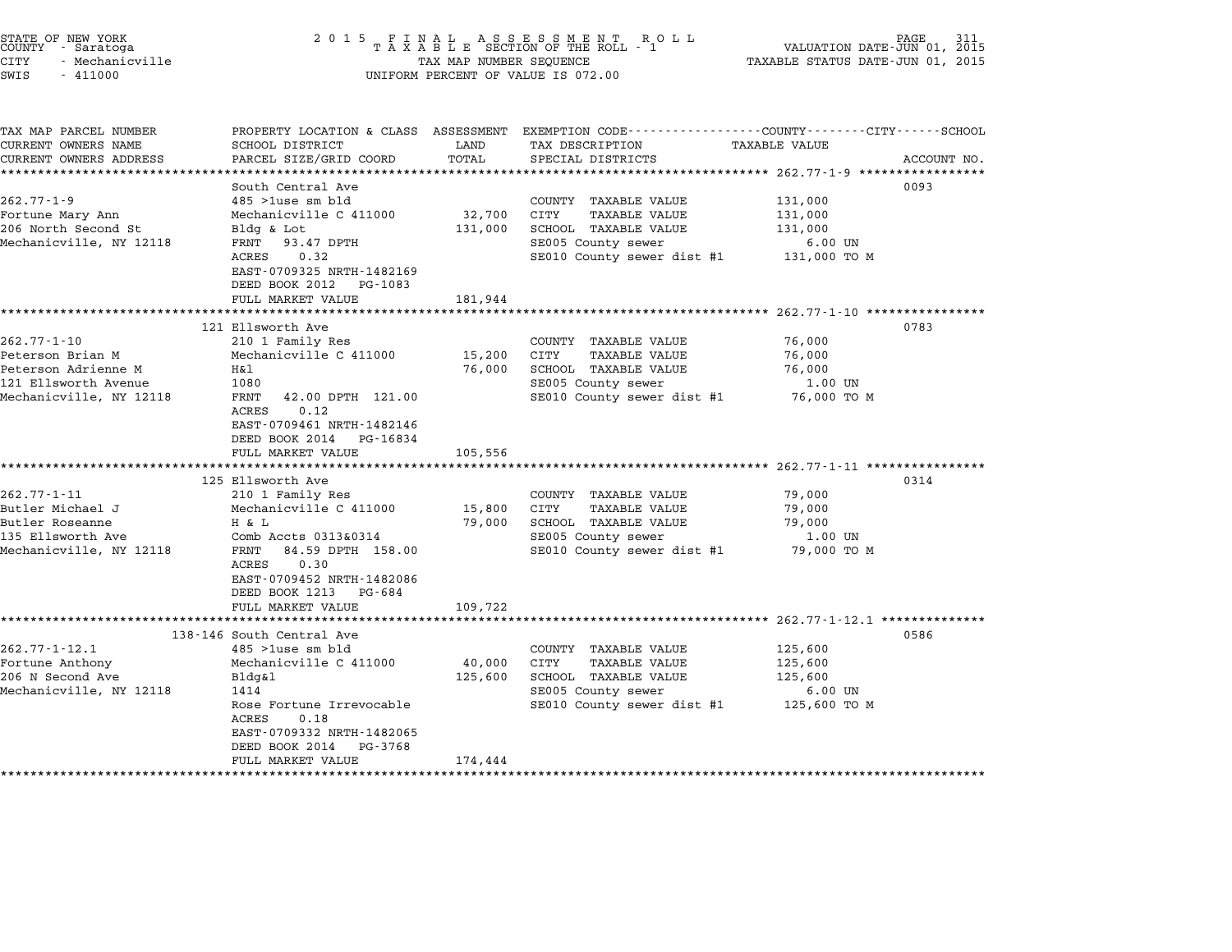| STATE OF NEW YORK<br>COUNTY - Saratoga<br><b>CITY</b><br>- Mechanicville<br>SWIS<br>$-411000$ | 2 0 1 5                                                                 | TAX MAP NUMBER SEQUENCE | FINAL ASSESSMENT ROLL<br>TAXABLE SECTION OF THE ROLL - 1<br>UNIFORM PERCENT OF VALUE IS 072.00                     | VALUATION DATE-JUN 01, 2015<br>TAXABLE STATUS DATE-JUN 01, 2015 | PAGE        |
|-----------------------------------------------------------------------------------------------|-------------------------------------------------------------------------|-------------------------|--------------------------------------------------------------------------------------------------------------------|-----------------------------------------------------------------|-------------|
| TAX MAP PARCEL NUMBER<br>CURRENT OWNERS NAME                                                  | SCHOOL DISTRICT                                                         | LAND                    | PROPERTY LOCATION & CLASS ASSESSMENT EXEMPTION CODE---------------COUNTY-------CITY------SCHOOL<br>TAX DESCRIPTION | TAXABLE VALUE                                                   |             |
| CURRENT OWNERS ADDRESS                                                                        | PARCEL SIZE/GRID COORD                                                  | TOTAL                   | SPECIAL DISTRICTS                                                                                                  |                                                                 | ACCOUNT NO. |
|                                                                                               | South Central Ave                                                       |                         |                                                                                                                    |                                                                 | 0093        |
| $262.77 - 1 - 9$                                                                              | $485$ >1use sm bld                                                      |                         | COUNTY TAXABLE VALUE                                                                                               | 131,000                                                         |             |
| Fortune Mary Ann                                                                              | Mechanicville C 411000                                                  | 32,700                  | CITY<br>TAXABLE VALUE                                                                                              | 131,000                                                         |             |
| 206 North Second St                                                                           | Bldg & Lot                                                              | 131,000                 | SCHOOL TAXABLE VALUE                                                                                               | 131,000                                                         |             |
| Mechanicville, NY 12118                                                                       | FRNT<br>93.47 DPTH                                                      |                         | SE005 County sewer                                                                                                 | $6.00$ UN                                                       |             |
|                                                                                               | ACRES<br>0.32<br>EAST-0709325 NRTH-1482169<br>DEED BOOK 2012<br>PG-1083 |                         | SE010 County sewer dist #1                                                                                         | 131,000 TO M                                                    |             |
|                                                                                               | FULL MARKET VALUE                                                       | 181,944                 |                                                                                                                    |                                                                 |             |
|                                                                                               | ******************                                                      |                         |                                                                                                                    | ********** 262.77-1-10 ***************                          | 0783        |
| $262.77 - 1 - 10$                                                                             | 121 Ellsworth Ave<br>210 1 Family Res                                   |                         | COUNTY TAXABLE VALUE                                                                                               | 76,000                                                          |             |
| Peterson Brian M                                                                              | Mechanicville C 411000                                                  | 15,200                  | CITY<br>TAXABLE VALUE                                                                                              | 76,000                                                          |             |
| Peterson Adrienne M                                                                           | H&l                                                                     | 76,000                  | SCHOOL TAXABLE VALUE                                                                                               | 76,000                                                          |             |
| 121 Ellsworth Avenue                                                                          | 1080                                                                    |                         | SE005 County sewer                                                                                                 | 1.00 UN                                                         |             |
| Mechanicville, NY 12118                                                                       | FRNT<br>42.00 DPTH 121.00<br>ACRES<br>0.12<br>EAST-0709461 NRTH-1482146 |                         | SE010 County sewer dist #1                                                                                         | 76,000 TO M                                                     |             |
|                                                                                               | DEED BOOK 2014 PG-16834<br>FULL MARKET VALUE                            | 105,556                 |                                                                                                                    |                                                                 |             |
|                                                                                               | 125 Ellsworth Ave                                                       |                         | ******************************* 262.77-1-11 ****************                                                       |                                                                 | 0314        |
| $262.77 - 1 - 11$                                                                             | 210 1 Family Res                                                        |                         | COUNTY TAXABLE VALUE                                                                                               | 79,000                                                          |             |
| Butler Michael J                                                                              | Mechanicville C 411000                                                  | 15,800                  | TAXABLE VALUE<br>CITY                                                                                              | 79,000                                                          |             |
| Butler Roseanne                                                                               | H & L                                                                   | 79,000                  | SCHOOL TAXABLE VALUE                                                                                               | 79,000                                                          |             |
| 135 Ellsworth Ave                                                                             | Comb Accts 0313&0314                                                    |                         | SE005 County sewer                                                                                                 | 1.00 UN                                                         |             |
| Mechanicville, NY 12118                                                                       | FRNT<br>84.59 DPTH 158.00<br>ACRES<br>0.30                              |                         | SE010 County sewer dist #1                                                                                         | 79,000 TO M                                                     |             |
|                                                                                               | EAST-0709452 NRTH-1482086<br>DEED BOOK 1213 PG-684<br>FULL MARKET VALUE | 109,722                 |                                                                                                                    |                                                                 |             |
|                                                                                               | ***********************                                                 |                         | ******************************* 262.77-1-12.1 **************                                                       |                                                                 |             |
|                                                                                               | 138-146 South Central Ave                                               |                         |                                                                                                                    |                                                                 | 0586        |
| $262.77 - 1 - 12.1$                                                                           | $485$ > 1use sm bld                                                     |                         | COUNTY TAXABLE VALUE                                                                                               | 125,600                                                         |             |
| Fortune Anthony                                                                               | Mechanicville C 411000                                                  | 40,000                  | CITY<br>TAXABLE VALUE                                                                                              | 125,600                                                         |             |
| 206 N Second Ave                                                                              | Bldg&l                                                                  | 125,600                 | SCHOOL TAXABLE VALUE                                                                                               | 125,600                                                         |             |
| Mechanicville, NY 12118                                                                       | 1414                                                                    |                         | SE005 County sewer                                                                                                 | $6.00$ UN                                                       |             |
|                                                                                               | Rose Fortune Irrevocable<br>ACRES<br>0.18<br>EAST-0709332 NRTH-1482065  |                         | SE010 County sewer dist #1                                                                                         | 125,600 то м                                                    |             |
|                                                                                               | DEED BOOK 2014<br>PG-3768<br>FULL MARKET VALUE                          | 174,444                 |                                                                                                                    |                                                                 |             |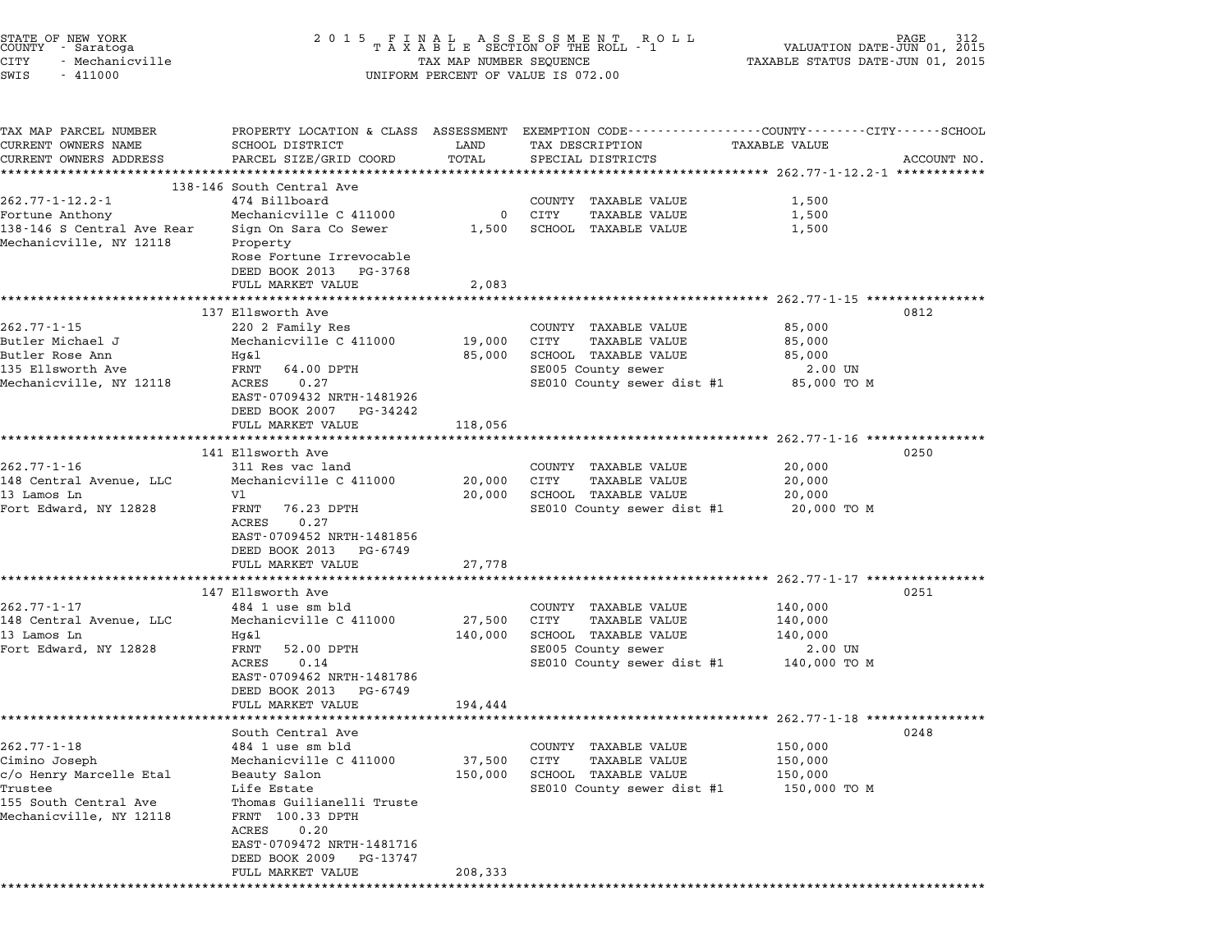| STATE OF NEW YORK<br>COUNTY - Saratoga<br>CITY<br>- Mechanicville<br>SWIS<br>$-411000$                                                     | 2 0 1 5                                                                                                                                                                                                                                          | TAX MAP NUMBER SEQUENCE      | FINAL ASSESSMENT ROLL<br>TAXABLE SECTION OF THE ROLL - 1<br>UNIFORM PERCENT OF VALUE IS 072.00                            | 312<br>VALUATION DATE-JUN 01,<br>2015<br>TAXABLE STATUS DATE-JUN 01, 2015                                                                                                                         |  |
|--------------------------------------------------------------------------------------------------------------------------------------------|--------------------------------------------------------------------------------------------------------------------------------------------------------------------------------------------------------------------------------------------------|------------------------------|---------------------------------------------------------------------------------------------------------------------------|---------------------------------------------------------------------------------------------------------------------------------------------------------------------------------------------------|--|
| TAX MAP PARCEL NUMBER<br>CURRENT OWNERS NAME<br>CURRENT OWNERS ADDRESS                                                                     | <b>SCHOOL DISTRICT</b><br>PARCEL SIZE/GRID COORD                                                                                                                                                                                                 | LAND<br>TOTAL<br>********    | TAX DESCRIPTION<br>SPECIAL DISTRICTS                                                                                      | PROPERTY LOCATION & CLASS ASSESSMENT EXEMPTION CODE--------------COUNTY-------CITY------SCHOOL<br><b>TAXABLE VALUE</b><br>ACCOUNT NO.<br>*************************** 262.77-1-12.2-1 ************ |  |
| $262.77 - 1 - 12.2 - 1$<br>Fortune Anthony<br>138-146 S Central Ave Rear<br>Mechanicville, NY 12118                                        | 138-146 South Central Ave<br>474 Billboard<br>Mechanicville C 411000<br>Sign On Sara Co Sewer<br>Property<br>Rose Fortune Irrevocable<br>DEED BOOK 2013<br>PG-3768<br>FULL MARKET VALUE                                                          | 0<br>1,500<br>2,083          | COUNTY TAXABLE VALUE<br>CITY<br>TAXABLE VALUE<br>SCHOOL TAXABLE VALUE                                                     | 1,500<br>1,500<br>1,500                                                                                                                                                                           |  |
| $262.77 - 1 - 15$<br>Butler Michael J<br>Butler Rose Ann<br>135 Ellsworth Ave<br>Mechanicville, NY 12118                                   | 137 Ellsworth Ave<br>220 2 Family Res<br>Mechanicville C 411000<br>Hq&l<br>FRNT<br>64.00 DPTH<br>0.27<br>ACRES<br>EAST-0709432 NRTH-1481926<br>DEED BOOK 2007<br>PG-34242<br>FULL MARKET VALUE                                                   | 19,000<br>85,000<br>118,056  | COUNTY TAXABLE VALUE<br>CITY<br>TAXABLE VALUE<br>SCHOOL TAXABLE VALUE<br>SE005 County sewer<br>SE010 County sewer dist #1 | 0812<br>85,000<br>85,000<br>85,000<br>2.00 UN<br>85,000 TO M                                                                                                                                      |  |
| $262.77 - 1 - 16$<br>148 Central Avenue, LLC<br>13 Lamos Ln<br>Fort Edward, NY 12828                                                       | 141 Ellsworth Ave<br>311 Res vac land<br>Mechanicville C 411000<br>V1<br>FRNT<br>76.23 DPTH<br>0.27<br>ACRES<br>EAST-0709452 NRTH-1481856<br>DEED BOOK 2013<br>PG-6749<br>FULL MARKET VALUE                                                      | 20,000<br>20,000<br>27,778   | COUNTY TAXABLE VALUE<br>CITY<br>TAXABLE VALUE<br>SCHOOL TAXABLE VALUE<br>SE010 County sewer dist #1                       | 0250<br>20,000<br>20,000<br>20,000<br>20,000 TO M                                                                                                                                                 |  |
| $262.77 - 1 - 17$<br>148 Central Avenue, LLC<br>13 Lamos Ln<br>Fort Edward, NY 12828                                                       | 147 Ellsworth Ave<br>484 1 use sm bld<br>Mechanicville C 411000<br>Hg&l<br>FRNT<br>52.00 DPTH<br>0.14<br>ACRES<br>EAST-0709462 NRTH-1481786<br>DEED BOOK 2013<br>PG-6749<br>FULL MARKET VALUE                                                    | 27,500<br>140,000<br>194,444 | COUNTY TAXABLE VALUE<br>CITY<br>TAXABLE VALUE<br>SCHOOL TAXABLE VALUE<br>SE005 County sewer<br>SE010 County sewer dist #1 | 0251<br>140,000<br>140,000<br>140,000<br>2.00 UN<br>140,000 TO M                                                                                                                                  |  |
| $262.77 - 1 - 18$<br>Cimino Joseph<br>c/o Henry Marcelle Etal<br>Trustee<br>155 South Central Ave<br>Mechanicville, NY 12118<br>********** | South Central Ave<br>484 1 use sm bld<br>Mechanicville C 411000<br>Beauty Salon<br>Life Estate<br>Thomas Guilianelli Truste<br>FRNT 100.33 DPTH<br>ACRES<br>0.20<br>EAST-0709472 NRTH-1481716<br>DEED BOOK 2009<br>PG-13747<br>FULL MARKET VALUE | 37,500<br>150,000<br>208,333 | COUNTY TAXABLE VALUE<br>CITY<br><b>TAXABLE VALUE</b><br>SCHOOL TAXABLE VALUE<br>SE010 County sewer dist #1                | 0248<br>150,000<br>150,000<br>150,000<br>150,000 то м                                                                                                                                             |  |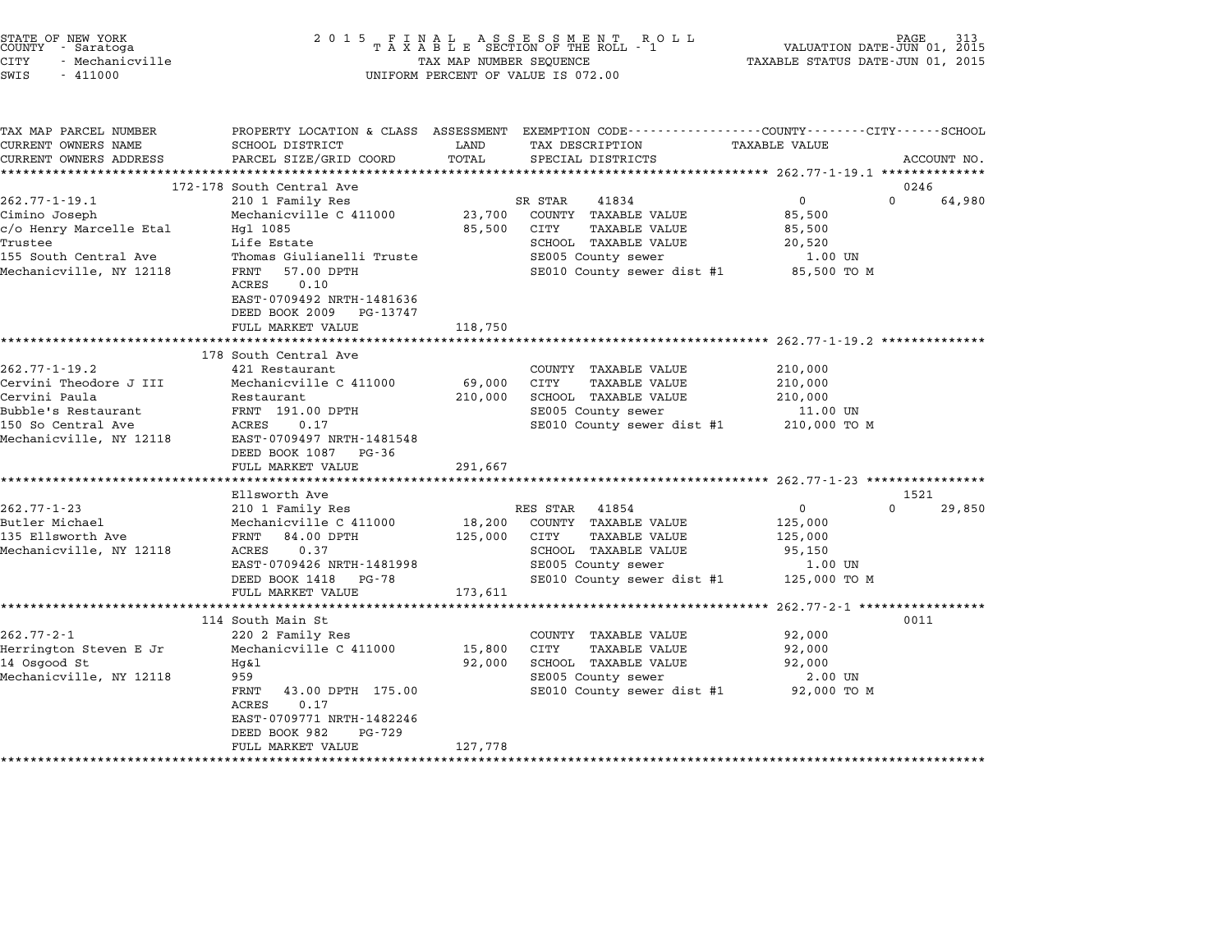| STATE OF NEW YORK<br>COUNTY - Saratoga<br>CITY<br>- Mechanicville<br>SWIS<br>$-411000$                                           | 2 0 1 5<br>FINAL ASSESSMENT RO<br>TAXABLE SECTION OF THE ROLL - 1<br>R O L L<br>TAX MAP NUMBER SEQUENCE<br>UNIFORM PERCENT OF VALUE IS 072.00                                                        |                                             |                                                                                                                                                       | PAGE<br>313<br>VALUATION DATE-JUN 01, 2015<br>TAXABLE STATUS DATE-JUN 01, 2015 |                            |  |
|----------------------------------------------------------------------------------------------------------------------------------|------------------------------------------------------------------------------------------------------------------------------------------------------------------------------------------------------|---------------------------------------------|-------------------------------------------------------------------------------------------------------------------------------------------------------|--------------------------------------------------------------------------------|----------------------------|--|
| TAX MAP PARCEL NUMBER<br>CURRENT OWNERS NAME<br>CURRENT OWNERS ADDRESS                                                           | SCHOOL DISTRICT<br>PARCEL SIZE/GRID COORD                                                                                                                                                            | LAND<br>TOTAL                               | PROPERTY LOCATION & CLASS ASSESSMENT EXEMPTION CODE---------------COUNTY-------CITY------SCHOOL<br>TAX DESCRIPTION<br>SPECIAL DISTRICTS               | <b>TAXABLE VALUE</b>                                                           | ACCOUNT NO.                |  |
|                                                                                                                                  |                                                                                                                                                                                                      |                                             |                                                                                                                                                       | **************** 262.77-1-19.1 ***************                                 |                            |  |
| $262.77 - 1 - 19.1$                                                                                                              | 172-178 South Central Ave                                                                                                                                                                            |                                             | SR STAR<br>41834                                                                                                                                      | $\mathbf 0$                                                                    | 0246<br>$\Omega$<br>64,980 |  |
| Cimino Joseph<br>c/o Henry Marcelle Etal<br>Trustee<br>155 South Central Ave<br>Mechanicville, NY 12118                          | 210 1 Family Res<br>Mechanicville C 411000<br>Hgl 1085<br>Life Estate<br>Thomas Giulianelli Truste<br>57.00 DPTH<br>FRNT<br>ACRES<br>0.10<br>EAST-0709492 NRTH-1481636<br>DEED BOOK 2009<br>PG-13747 | 23,700<br>85,500                            | COUNTY TAXABLE VALUE<br>CITY<br><b>TAXABLE VALUE</b><br>SCHOOL TAXABLE VALUE<br>SE005 County sewer<br>SE010 County sewer dist #1                      | 85,500<br>85,500<br>20,520<br>1.00 UN<br>85,500 TO M                           |                            |  |
|                                                                                                                                  | FULL MARKET VALUE                                                                                                                                                                                    | 118,750                                     |                                                                                                                                                       |                                                                                |                            |  |
|                                                                                                                                  | ***********************<br>178 South Central Ave                                                                                                                                                     |                                             | ************************************** 262.77-1-19.2 ***************                                                                                  |                                                                                |                            |  |
| 262.77-1-19.2<br>Cervini Theodore J III<br>Cervini Paula<br>Bubble's Restaurant<br>150 So Central Ave<br>Mechanicville, NY 12118 | 421 Restaurant<br>Mechanicville C 411000<br>Restaurant<br>FRNT 191.00 DPTH<br>ACRES<br>0.17<br>EAST-0709497 NRTH-1481548<br>DEED BOOK 1087<br>PG-36<br>FULL MARKET VALUE                             | 69,000<br>210,000<br>291,667                | COUNTY TAXABLE VALUE<br>CITY<br><b>TAXABLE VALUE</b><br>SCHOOL TAXABLE VALUE<br>SE005 County sewer<br>SE010 County sewer dist #1                      | 210,000<br>210,000<br>210,000<br>11.00 UN<br>210,000 TO M                      |                            |  |
|                                                                                                                                  | ******************                                                                                                                                                                                   |                                             |                                                                                                                                                       |                                                                                |                            |  |
|                                                                                                                                  | Ellsworth Ave                                                                                                                                                                                        |                                             |                                                                                                                                                       |                                                                                | 1521                       |  |
| $262.77 - 1 - 23$<br>Butler Michael<br>135 Ellsworth Ave<br>Mechanicville, NY 12118                                              | 210 1 Family Res<br>Mechanicville C 411000<br>FRNT 84.00 DPTH<br>ACRES<br>0.37<br>EAST-0709426 NRTH-1481998<br>DEED BOOK 1418<br>PG-78<br>FULL MARKET VALUE<br>**********************                | 18,200<br>125,000<br>173,611<br>*********** | RES STAR<br>41854<br>COUNTY TAXABLE VALUE<br><b>TAXABLE VALUE</b><br>CITY<br>SCHOOL TAXABLE VALUE<br>SE005 County sewer<br>SE010 County sewer dist #1 | $\mathbf 0$<br>125,000<br>125,000<br>95,150<br>1.00 UN<br>125,000 TO M         | $\Omega$<br>29,850         |  |
|                                                                                                                                  | 114 South Main St                                                                                                                                                                                    |                                             |                                                                                                                                                       | $262.77 - 2 - 1$ *****************                                             | 0011                       |  |
| $262.77 - 2 - 1$<br>Herrington Steven E Jr<br>14 Osgood St<br>Mechanicville, NY 12118                                            | 220 2 Family Res<br>Mechanicville C 411000<br>Hq&l<br>959<br>FRNT<br>43.00 DPTH 175.00<br>ACRES<br>0.17<br>EAST-0709771 NRTH-1482246<br>DEED BOOK 982<br>PG-729                                      | 15,800<br>92,000                            | COUNTY TAXABLE VALUE<br>CITY<br>TAXABLE VALUE<br>SCHOOL TAXABLE VALUE<br>SE005 County sewer<br>SE010 County sewer dist #1                             | 92,000<br>92,000<br>92,000<br>2.00 UN<br>92,000 TO M                           |                            |  |
|                                                                                                                                  | FULL MARKET VALUE                                                                                                                                                                                    | 127,778                                     |                                                                                                                                                       |                                                                                |                            |  |
| ************************                                                                                                         |                                                                                                                                                                                                      |                                             |                                                                                                                                                       |                                                                                |                            |  |

STATE OF NEW YORK <sup>2</sup> <sup>0</sup> <sup>1</sup> 5 F I N A L A S S E S S M E N T R O L L PAGE <sup>313</sup> COUNTY - Saratoga <sup>T</sup> <sup>A</sup> <sup>X</sup> <sup>A</sup> <sup>B</sup> <sup>L</sup> <sup>E</sup> SECTION OF THE ROLL - <sup>1</sup> VALUATION DATE-JUN 01, <sup>2015</sup>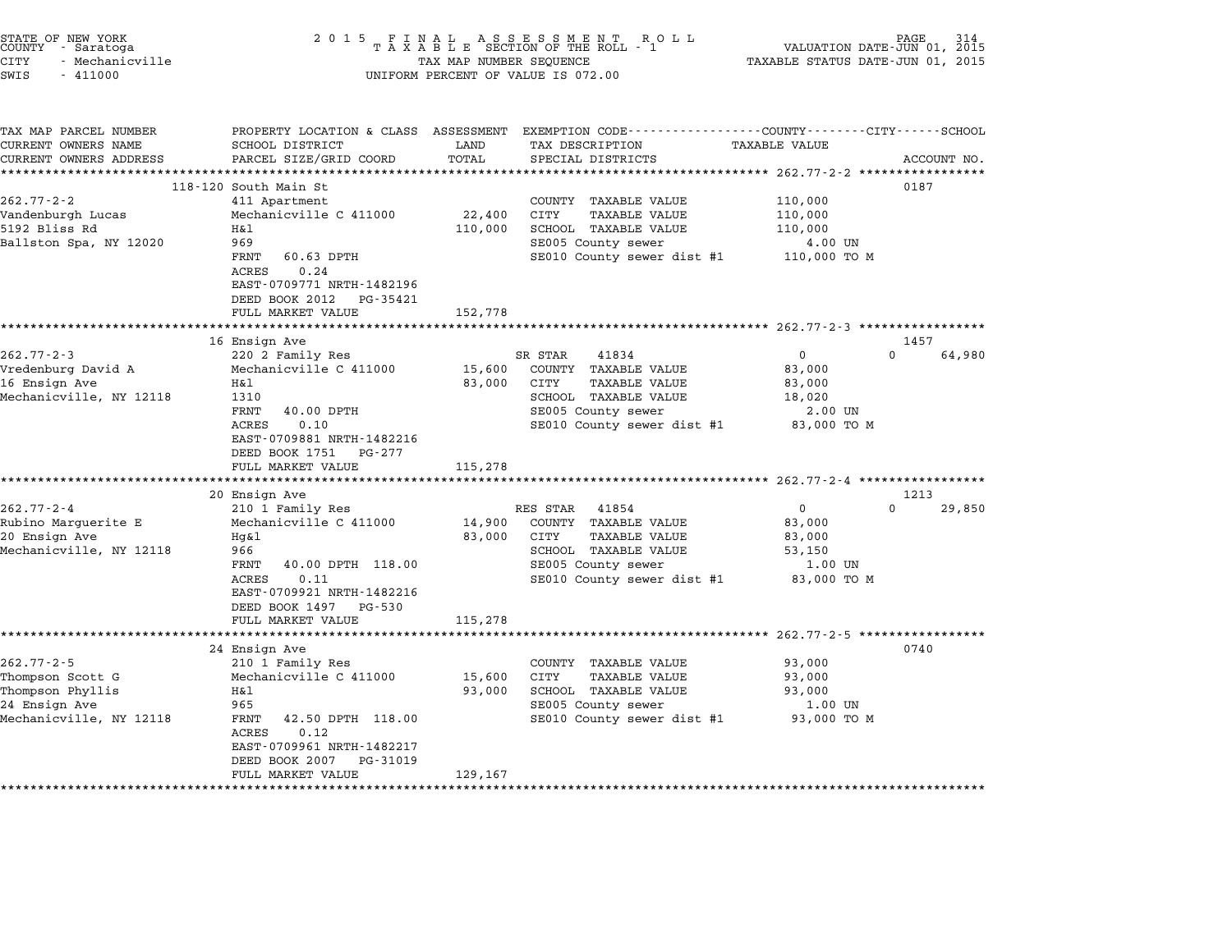| STATE OF NEW YORK<br>COUNTY - Saratoga<br><b>CITY</b><br>- Mechanicville<br>SWIS<br>$-411000$        | 2 0 1 5                                                                                                                                                                                                                        | TAX MAP NUMBER SEQUENCE                  | FINAL ASSESSMENT RO<br>TAXABLE SECTION OF THE ROLL - 1<br>R O L L<br>UNIFORM PERCENT OF VALUE IS 072.00                                                                                            | VALUATION DATE-JUN 01, 2015<br>TAXABLE STATUS DATE-JUN 01, 2015                           | PAGE                       |
|------------------------------------------------------------------------------------------------------|--------------------------------------------------------------------------------------------------------------------------------------------------------------------------------------------------------------------------------|------------------------------------------|----------------------------------------------------------------------------------------------------------------------------------------------------------------------------------------------------|-------------------------------------------------------------------------------------------|----------------------------|
| TAX MAP PARCEL NUMBER<br>CURRENT OWNERS NAME<br>CURRENT OWNERS ADDRESS                               | SCHOOL DISTRICT<br>PARCEL SIZE/GRID COORD<br>***********************                                                                                                                                                           | LAND<br>TOTAL<br>**********              | PROPERTY LOCATION & CLASS ASSESSMENT EXEMPTION CODE---------------COUNTY-------CITY------SCHOOL<br>TAX DESCRIPTION<br>SPECIAL DISTRICTS                                                            | TAXABLE VALUE                                                                             | ACCOUNT NO.                |
| $262.77 - 2 - 2$<br>Vandenburgh Lucas<br>5192 Bliss Rd<br>Ballston Spa, NY 12020                     | 118-120 South Main St<br>411 Apartment<br>Mechanicville C 411000<br>Η&l<br>969<br>FRNT<br>60.63 DPTH<br>ACRES<br>0.24<br>EAST-0709771 NRTH-1482196<br>DEED BOOK 2012<br>PG-35421<br>FULL MARKET VALUE                          | 22,400<br>110,000<br>152,778             | ********************************* 262.77-2-2 *****************<br>COUNTY TAXABLE VALUE<br><b>TAXABLE VALUE</b><br>CITY<br>SCHOOL TAXABLE VALUE<br>SE005 County sewer<br>SE010 County sewer dist #1 | 110,000<br>110,000<br>110,000<br>4.00 UN<br>110,000 TO M                                  | 0187                       |
| $262.77 - 2 - 3$<br>Vredenburg David A<br>16 Ensign Ave<br>Mechanicville, NY 12118                   | 16 Ensign Ave<br>220 2 Family Res<br>Mechanicville C 411000<br>Η&l<br>1310<br>FRNT<br>40.00 DPTH<br>0.10<br>ACRES<br>EAST-0709881 NRTH-1482216<br>DEED BOOK 1751<br>PG-277<br>FULL MARKET VALUE                                | 15,600<br>83,000<br>115,278              | SR STAR<br>41834<br>COUNTY TAXABLE VALUE<br>CITY<br><b>TAXABLE VALUE</b><br>SCHOOL TAXABLE VALUE<br>SE005 County sewer<br>SE010 County sewer dist #1                                               | $\mathbf 0$<br>83,000<br>83,000<br>18,020<br>2.00 UN<br>83,000 TO M                       | 1457<br>$\Omega$<br>64,980 |
| $262.77 - 2 - 4$<br>Rubino Marguerite E<br>20 Ensign Ave<br>Mechanicville, NY 12118                  | 20 Ensign Ave<br>210 1 Family Res<br>Mechanicville C 411000<br>Hg&l<br>966<br>FRNT<br>40.00 DPTH 118.00<br>0.11<br>ACRES<br>EAST-0709921 NRTH-1482216<br>DEED BOOK 1497<br>PG-530<br>FULL MARKET VALUE<br>******************   | 14,900<br>83,000<br>115,278              | RES STAR<br>41854<br>COUNTY TAXABLE VALUE<br>CITY<br><b>TAXABLE VALUE</b><br>SCHOOL TAXABLE VALUE<br>SE005 County sewer<br>SE010 County sewer dist #1                                              | $\mathsf 0$<br>83,000<br>83,000<br>53,150<br>1.00 UN<br>83,000 TO M                       | 1213<br>$\cap$<br>29,850   |
| $262.77 - 2 - 5$<br>Thompson Scott G<br>Thompson Phyllis<br>24 Ensign Ave<br>Mechanicville, NY 12118 | 24 Ensign Ave<br>210 1 Family Res<br>Mechanicville C 411000<br>Η&l<br>965<br>FRNT<br>42.50 DPTH 118.00<br>0.12<br>ACRES<br>EAST-0709961 NRTH-1482217<br>DEED BOOK 2007<br>PG-31019<br>FULL MARKET VALUE<br>******************* | 15,600<br>93,000<br>129,167<br>********* | COUNTY TAXABLE VALUE<br>CITY<br>TAXABLE VALUE<br>SCHOOL TAXABLE VALUE<br>SE005 County sewer<br>SE010 County sewer dist #1                                                                          | $262.77 - 2 - 5$ ****************<br>93,000<br>93,000<br>93,000<br>1.00 UN<br>93,000 TO M | 0740                       |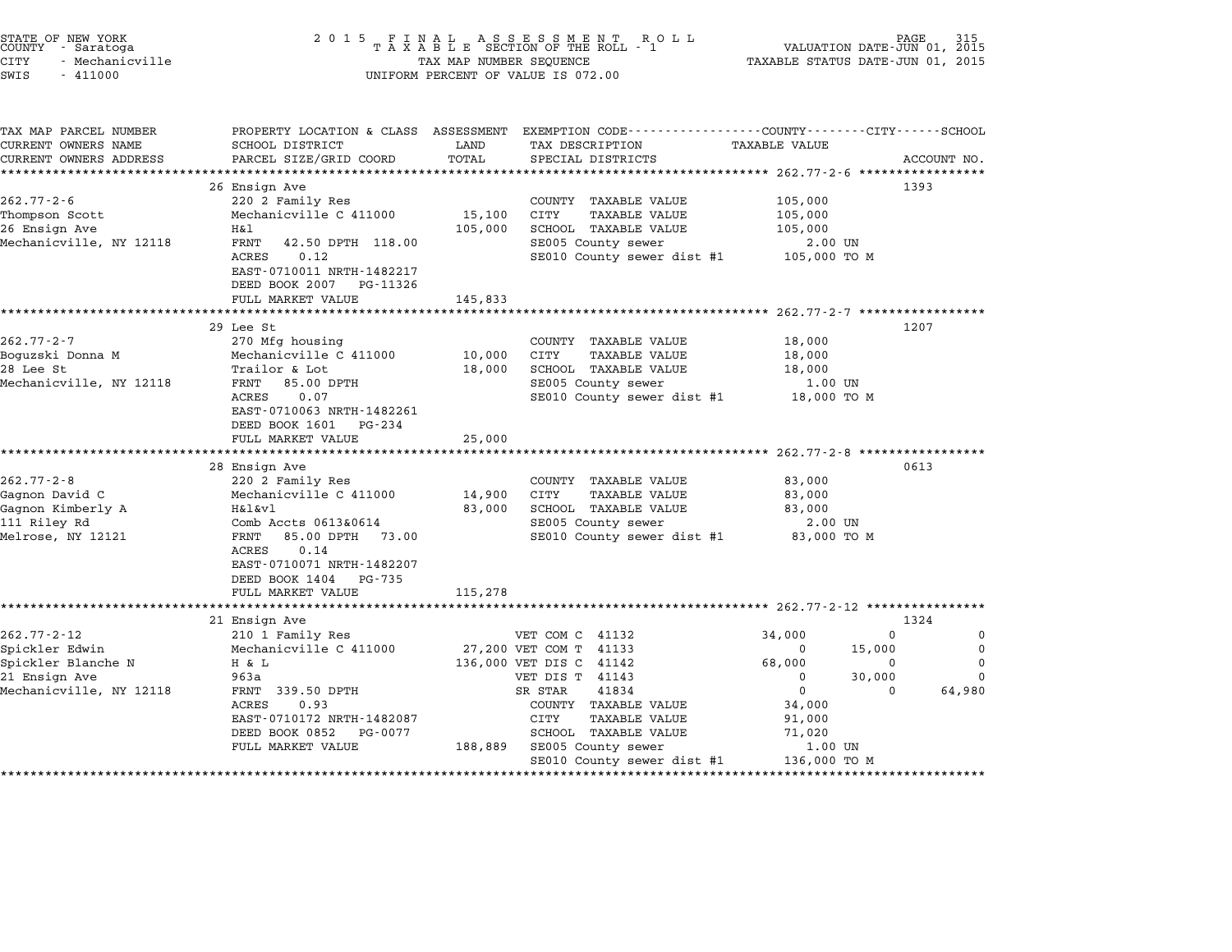| STATE OF NEW YORK<br>COUNTY - Saratoga<br><b>CITY</b><br>- Mechanicville<br>SWIS<br>$-411000$ | 2 0 1 5                                                                                            | TAX MAP NUMBER SEQUENCE | $\begin{array}{cccccccccccccc} & F & I & N & A & L & A & S & S & E & S & S & M & E & N & T & R & O & L & L \\ T & A & X & A & B & L & E & SECTION OF THE ROLL & - & 1 & & & \\ \end{array}$<br>UNIFORM PERCENT OF VALUE IS 072.00 | VALUATION DATE-JUN 01, 2015<br>TAXABLE STATUS DATE-JUN 01, 2015 | PAGE                       |
|-----------------------------------------------------------------------------------------------|----------------------------------------------------------------------------------------------------|-------------------------|-----------------------------------------------------------------------------------------------------------------------------------------------------------------------------------------------------------------------------------|-----------------------------------------------------------------|----------------------------|
| TAX MAP PARCEL NUMBER<br>CURRENT OWNERS NAME                                                  | SCHOOL DISTRICT                                                                                    | LAND<br>TOTAL           | PROPERTY LOCATION & CLASS ASSESSMENT EXEMPTION CODE---------------COUNTY-------CITY------SCHOOL<br>TAX DESCRIPTION<br>SPECIAL DISTRICTS                                                                                           | <b>TAXABLE VALUE</b>                                            | ACCOUNT NO.                |
| CURRENT OWNERS ADDRESS                                                                        | PARCEL SIZE/GRID COORD                                                                             |                         |                                                                                                                                                                                                                                   |                                                                 |                            |
|                                                                                               | 26 Ensign Ave                                                                                      |                         |                                                                                                                                                                                                                                   |                                                                 | 1393                       |
| $262.77 - 2 - 6$<br>Thompson Scott<br>26 Ensign Ave                                           | 220 2 Family Res<br>Mechanicville C 411000<br>Η&l                                                  | 15,100<br>105,000       | COUNTY TAXABLE VALUE<br>CITY<br>TAXABLE VALUE<br>SCHOOL TAXABLE VALUE                                                                                                                                                             | 105,000<br>105,000<br>105,000                                   |                            |
| Mechanicville, NY 12118                                                                       | FRNT<br>42.50 DPTH 118.00<br>ACRES<br>0.12<br>EAST-0710011 NRTH-1482217<br>DEED BOOK 2007 PG-11326 |                         | SE005 County sewer<br>SE010 County sewer dist #1                                                                                                                                                                                  | 2.00 UN<br>105,000 то м                                         |                            |
|                                                                                               | FULL MARKET VALUE                                                                                  | 145,833                 |                                                                                                                                                                                                                                   |                                                                 |                            |
|                                                                                               | *******<br>29 Lee St                                                                               |                         |                                                                                                                                                                                                                                   | ************************ 262.77-2-7 ****************            | 1207                       |
| $262.77 - 2 - 7$<br>Boguzski Donna M                                                          | 270 Mfg housing<br>Mechanicville C 411000                                                          | 10,000                  | COUNTY TAXABLE VALUE<br><b>CITY</b><br><b>TAXABLE VALUE</b>                                                                                                                                                                       | 18,000<br>18,000                                                |                            |
| 28 Lee St<br>Mechanicville, NY 12118                                                          | Trailor & Lot<br>FRNT<br>85.00 DPTH                                                                | 18,000                  | SCHOOL TAXABLE VALUE<br>SE005 County sewer                                                                                                                                                                                        | 18,000<br>1.00 UN                                               |                            |
|                                                                                               | 0.07<br>ACRES<br>EAST-0710063 NRTH-1482261<br>DEED BOOK 1601 PG-234                                |                         | SE010 County sewer dist #1                                                                                                                                                                                                        | 18,000 TO M                                                     |                            |
|                                                                                               | FULL MARKET VALUE                                                                                  | 25,000                  |                                                                                                                                                                                                                                   |                                                                 |                            |
|                                                                                               | 28 Ensign Ave                                                                                      |                         |                                                                                                                                                                                                                                   |                                                                 | 0613                       |
| $262.77 - 2 - 8$                                                                              | 220 2 Family Res                                                                                   |                         | COUNTY TAXABLE VALUE                                                                                                                                                                                                              | 83,000                                                          |                            |
| Gagnon David C<br>Gagnon Kimberly A                                                           | Mechanicville C 411000<br>H&l&vl                                                                   | 14,900<br>83,000        | <b>CITY</b><br>TAXABLE VALUE<br>SCHOOL TAXABLE VALUE                                                                                                                                                                              | 83,000<br>83,000                                                |                            |
| 111 Riley Rd<br>Melrose, NY 12121                                                             | Comb Accts 0613&0614<br>FRNT<br>85.00 DPTH 73.00<br>ACRES<br>0.14<br>EAST-0710071 NRTH-1482207     |                         | SE005 County sewer<br>SE010 County sewer dist #1                                                                                                                                                                                  | 2.00 UN<br>83,000 TO M                                          |                            |
|                                                                                               | DEED BOOK 1404<br>PG-735<br>FULL MARKET VALUE                                                      | 115,278                 |                                                                                                                                                                                                                                   |                                                                 |                            |
|                                                                                               | 21 Ensign Ave                                                                                      |                         |                                                                                                                                                                                                                                   |                                                                 | 1324                       |
| $262.77 - 2 - 12$<br>Spickler Edwin                                                           | 210 1 Family Res<br>Mechanicville C 411000                                                         |                         | VET COM C 41132<br>27,200 VET COM T 41133                                                                                                                                                                                         | 34,000<br>$\mathbf{0}$<br>0<br>15,000                           | $\mathbf 0$<br>$\mathbf 0$ |
| Spickler Blanche N<br>21 Ensign Ave                                                           | H & L<br>963a                                                                                      |                         | 136,000 VET DIS C 41142<br>VET DIS T 41143                                                                                                                                                                                        | 68,000<br>0<br>$\mathbf 0$<br>30,000                            | $\mathbf 0$<br>$\Omega$    |
| Mechanicville, NY 12118                                                                       | FRNT 339.50 DPTH<br>ACRES<br>0.93<br>EAST-0710172 NRTH-1482087<br>DEED BOOK 0852<br>PG-0077        |                         | SR STAR<br>41834<br>COUNTY TAXABLE VALUE<br>CITY<br><b>TAXABLE VALUE</b><br>SCHOOL TAXABLE VALUE                                                                                                                                  | $\mathbf 0$<br>$\Omega$<br>34,000<br>91,000<br>71,020           | 64,980                     |
|                                                                                               | FULL MARKET VALUE                                                                                  | 188,889                 | SE005 County sewer<br>SE010 County sewer dist #1                                                                                                                                                                                  | 1.00 UN<br>136,000 TO M                                         |                            |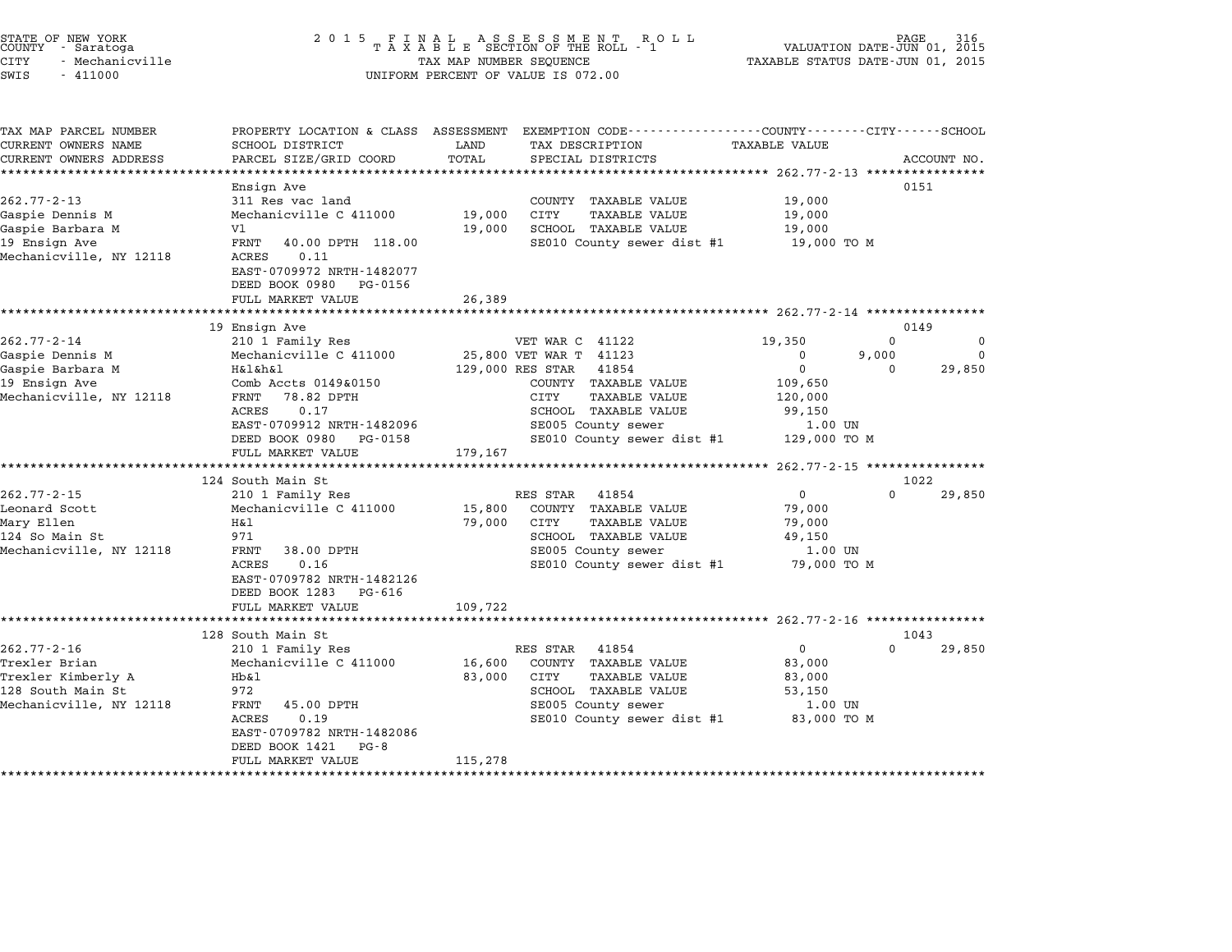| STATE OF NEW YORK |  |               |  |  |  |
|-------------------|--|---------------|--|--|--|
| COUNTY            |  | - Saratoga    |  |  |  |
| CITY              |  | Mechanicville |  |  |  |

# STATE OF NEW YORK <sup>2</sup> <sup>0</sup> <sup>1</sup> 5 F I N A L A S S E S S M E N T R O L L PAGE <sup>316</sup> COUNTY - Saratoga <sup>T</sup> <sup>A</sup> <sup>X</sup> <sup>A</sup> <sup>B</sup> <sup>L</sup> <sup>E</sup> SECTION OF THE ROLL - <sup>1</sup> VALUATION DATE-JUN 01, <sup>2015</sup> STATE OF NEW YORK (RACE STATE OF NEW YORK OF A SOLL ASSESSMENT ASSESSMENT AND TRUSS OF NEW THE ROLL PAGE 316<br>COUNTY - Saratoga (2015 TAXABLE STATUS DATE-JUN 01, 2015 TAXABLE STATUS DATE-JUN 01, 2015<br>CITY - Mechanicville SWIS - <sup>411000</sup> UNIFORM PERCENT OF VALUE IS 072.00

| TAX MAP PARCEL NUMBER        | PROPERTY LOCATION & CLASS ASSESSMENT |              | EXEMPTION CODE-----------------COUNTY-------CITY------SCHOOL        |                                                   |          |             |
|------------------------------|--------------------------------------|--------------|---------------------------------------------------------------------|---------------------------------------------------|----------|-------------|
| CURRENT OWNERS NAME          | SCHOOL DISTRICT                      | LAND         | TAX DESCRIPTION                                                     | <b>TAXABLE VALUE</b>                              |          |             |
| CURRENT OWNERS ADDRESS       | PARCEL SIZE/GRID COORD               | TOTAL        | SPECIAL DISTRICTS                                                   |                                                   |          | ACCOUNT NO. |
| **************************** |                                      |              |                                                                     |                                                   |          |             |
|                              | Ensign Ave                           |              |                                                                     |                                                   | 0151     |             |
| $262.77 - 2 - 13$            | 311 Res vac land                     |              | COUNTY TAXABLE VALUE                                                | 19,000                                            |          |             |
| Gaspie Dennis M              | Mechanicville C 411000               | 19,000       | <b>CITY</b><br><b>TAXABLE VALUE</b>                                 | 19,000                                            |          |             |
| Gaspie Barbara M             | V1                                   | 19,000       | SCHOOL TAXABLE VALUE                                                | 19,000                                            |          |             |
| 19 Ensign Ave                | FRNT<br>40.00 DPTH 118.00            |              | SE010 County sewer dist #1                                          | 19,000 TO M                                       |          |             |
| Mechanicville, NY 12118      | 0.11<br>ACRES                        |              |                                                                     |                                                   |          |             |
|                              | EAST-0709972 NRTH-1482077            |              |                                                                     |                                                   |          |             |
|                              | DEED BOOK 0980<br>PG-0156            |              |                                                                     |                                                   |          |             |
|                              | FULL MARKET VALUE                    | 26,389       |                                                                     |                                                   |          |             |
|                              | *************************            | ************ | ************************************* 262.77-2-14 ***************** |                                                   |          |             |
|                              | 19 Ensign Ave                        |              |                                                                     |                                                   | 0149     |             |
| $262.77 - 2 - 14$            | 210 1 Family Res                     |              | VET WAR C 41122                                                     | 19,350                                            | $\Omega$ | 0           |
| Gaspie Dennis M              | Mechanicville C 411000               |              | 25,800 VET WAR T 41123                                              | 0                                                 | 9,000    | $\Omega$    |
| Gaspie Barbara M             | H&l&h&l                              |              | 129,000 RES STAR<br>41854                                           | $\mathbf 0$                                       | $\Omega$ | 29,850      |
| 19 Ensign Ave                | Comb Accts 0149&0150                 |              | COUNTY TAXABLE VALUE                                                | 109,650                                           |          |             |
| Mechanicville, NY 12118      | 78.82 DPTH<br>FRNT                   |              | CITY<br>TAXABLE VALUE                                               | 120,000                                           |          |             |
|                              | ACRES<br>0.17                        |              | <b>SCHOOL TAXABLE VALUE</b>                                         | 99,150                                            |          |             |
|                              | EAST-0709912 NRTH-1482096            |              | SE005 County sewer                                                  | 1.00 UN                                           |          |             |
|                              | DEED BOOK 0980<br>PG-0158            |              | SE010 County sewer dist #1                                          | 129,000 TO M                                      |          |             |
|                              | FULL MARKET VALUE                    | 179,167      |                                                                     |                                                   |          |             |
|                              |                                      |              |                                                                     | ******************* 262.77-2-15 ***************** |          |             |
|                              | 124 South Main St                    |              |                                                                     |                                                   | 1022     |             |
| $262.77 - 2 - 15$            | 210 1 Family Res                     |              | RES STAR<br>41854                                                   | $\mathbf{0}$                                      | $\Omega$ | 29,850      |
| Leonard Scott                | Mechanicville C 411000               | 15,800       | COUNTY TAXABLE VALUE                                                | 79,000                                            |          |             |
| Mary Ellen                   | H&1                                  | 79,000       | CITY<br><b>TAXABLE VALUE</b>                                        | 79,000                                            |          |             |
| 124 So Main St               | 971                                  |              | SCHOOL TAXABLE VALUE                                                | 49,150                                            |          |             |
| Mechanicville, NY 12118      | 38.00 DPTH<br>FRNT                   |              | SE005 County sewer                                                  | 1.00 UN                                           |          |             |
|                              | 0.16<br>ACRES                        |              | SE010 County sewer dist #1                                          | 79,000 TO M                                       |          |             |
|                              | EAST-0709782 NRTH-1482126            |              |                                                                     |                                                   |          |             |
|                              | DEED BOOK 1283<br>PG-616             |              |                                                                     |                                                   |          |             |
|                              | FULL MARKET VALUE                    | 109,722      |                                                                     |                                                   |          |             |
|                              | ***************************          |              |                                                                     |                                                   |          |             |
|                              | 128 South Main St                    |              |                                                                     |                                                   | 1043     |             |
| $262.77 - 2 - 16$            | 210 1 Family Res                     |              | RES STAR<br>41854                                                   | 0                                                 | $\Omega$ | 29,850      |
| Trexler Brian                | Mechanicville C 411000               | 16,600       | COUNTY TAXABLE VALUE                                                | 83,000                                            |          |             |
| Trexler Kimberly A           | Hb&1                                 | 83,000       | CITY<br><b>TAXABLE VALUE</b>                                        | 83,000                                            |          |             |
| 128 South Main St            | 972                                  |              | SCHOOL TAXABLE VALUE                                                | 53,150                                            |          |             |
| Mechanicville, NY 12118      | 45.00 DPTH<br>FRNT                   |              | SE005 County sewer                                                  | 1.00 UN                                           |          |             |
|                              | <b>ACRES</b><br>0.19                 |              | SE010 County sewer dist #1                                          | 83,000 TO M                                       |          |             |
|                              | EAST-0709782 NRTH-1482086            |              |                                                                     |                                                   |          |             |
|                              | DEED BOOK 1421<br>$PG - 8$           |              |                                                                     |                                                   |          |             |
|                              | FULL MARKET VALUE                    | 115,278      |                                                                     |                                                   |          |             |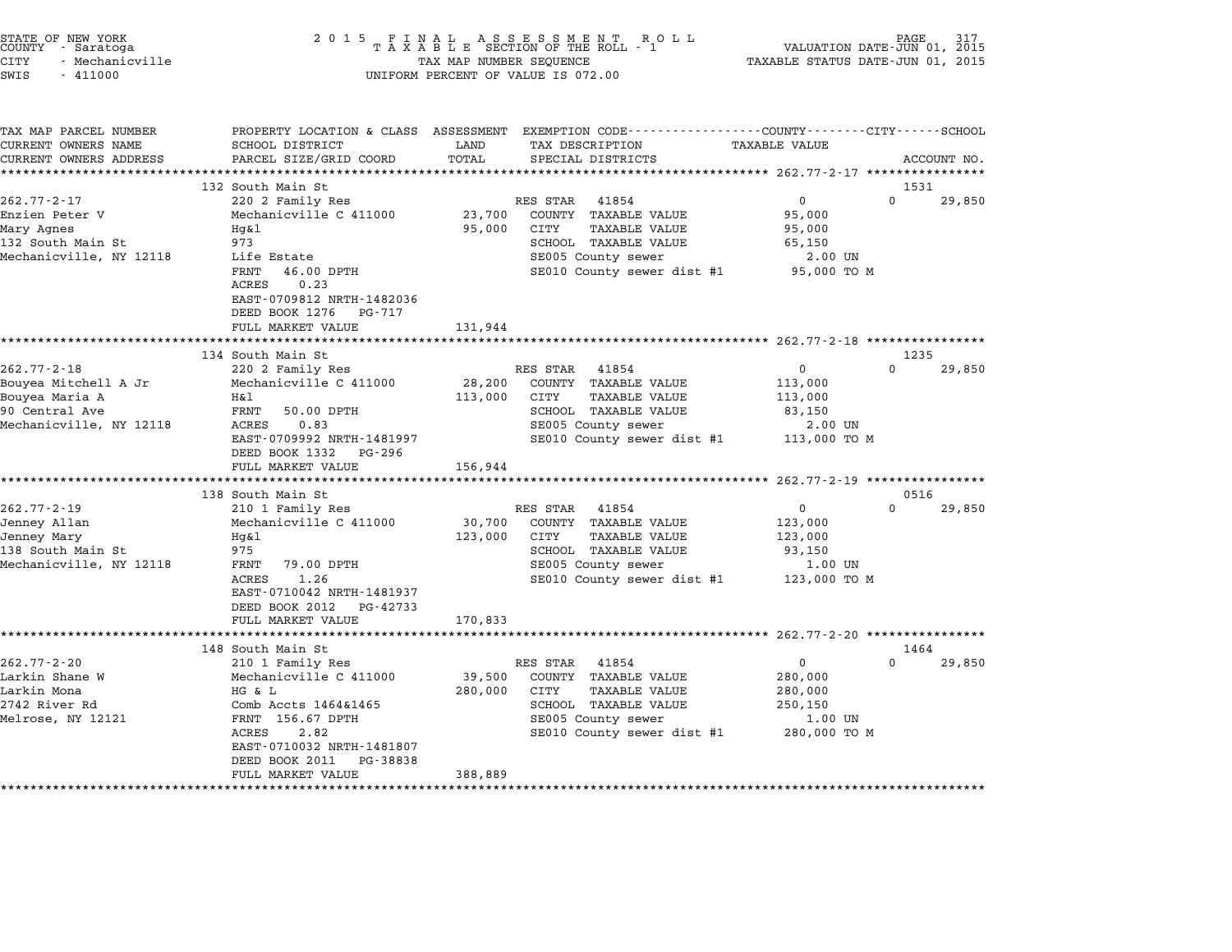| STATE OF NEW YORK |                 |  |
|-------------------|-----------------|--|
| COUNTY            | - Saratoga      |  |
| CITY              | - Mechanicville |  |

# STATE OF NEW YORK <sup>2</sup> <sup>0</sup> <sup>1</sup> 5 F I N A L A S S E S S M E N T R O L L PAGE <sup>317</sup> COUNTY - Saratoga <sup>T</sup> <sup>A</sup> <sup>X</sup> <sup>A</sup> <sup>B</sup> <sup>L</sup> <sup>E</sup> SECTION OF THE ROLL - <sup>1</sup> VALUATION DATE-JUN 01, <sup>2015</sup> CITY - Mechanicville TAX MAP NUMBER SEQUENCE TAXABLE STATUS DATE-JUN 01, <sup>2015</sup> SWIS - <sup>411000</sup> UNIFORM PERCENT OF VALUE IS 072.00

| TAX MAP PARCEL NUMBER                              | PROPERTY LOCATION & CLASS ASSESSMENT  |         | EXEMPTION CODE------------------COUNTY-------CITY------SCHOOL |                         |                  |             |
|----------------------------------------------------|---------------------------------------|---------|---------------------------------------------------------------|-------------------------|------------------|-------------|
| CURRENT OWNERS NAME                                | SCHOOL DISTRICT                       | LAND    | TAX DESCRIPTION                                               | TAXABLE VALUE           |                  |             |
| CURRENT OWNERS ADDRESS<br>************************ | PARCEL SIZE/GRID COORD                | TOTAL   | SPECIAL DISTRICTS                                             |                         |                  | ACCOUNT NO. |
|                                                    |                                       |         |                                                               |                         |                  |             |
| $262.77 - 2 - 17$                                  | 132 South Main St<br>220 2 Family Res |         | RES STAR<br>41854                                             | $\mathbf{0}$            | 1531<br>$\Omega$ | 29,850      |
| Enzien Peter V                                     | Mechanicville C 411000                | 23,700  | COUNTY TAXABLE VALUE                                          | 95,000                  |                  |             |
| Mary Agnes                                         | Hq&l                                  | 95,000  | CITY<br>TAXABLE VALUE                                         | 95,000                  |                  |             |
| 132 South Main St                                  | 973                                   |         | SCHOOL TAXABLE VALUE                                          | 65,150                  |                  |             |
| Mechanicville, NY 12118                            | Life Estate                           |         | SE005 County sewer                                            | 2.00 UN                 |                  |             |
|                                                    | FRNT<br>46.00 DPTH                    |         | SE010 County sewer dist #1 95,000 TO M                        |                         |                  |             |
|                                                    | 0.23<br>ACRES                         |         |                                                               |                         |                  |             |
|                                                    | EAST-0709812 NRTH-1482036             |         |                                                               |                         |                  |             |
|                                                    | DEED BOOK 1276<br>PG-717              |         |                                                               |                         |                  |             |
|                                                    | FULL MARKET VALUE                     | 131,944 |                                                               |                         |                  |             |
|                                                    |                                       |         |                                                               |                         |                  |             |
|                                                    | 134 South Main St                     |         |                                                               |                         | 1235             |             |
| $262.77 - 2 - 18$                                  | 220 2 Family Res                      |         | RES STAR 41854                                                | $\overline{0}$          | $\Omega$         | 29,850      |
| Bouyea Mitchell A Jr                               | Mechanicville C 411000                | 28,200  | COUNTY TAXABLE VALUE                                          | 113,000                 |                  |             |
| Bouyea Maria A                                     | H&l                                   | 113,000 | CITY<br><b>TAXABLE VALUE</b>                                  | 113,000                 |                  |             |
| 90 Central Ave                                     | FRNT<br>50.00 DPTH                    |         | SCHOOL TAXABLE VALUE                                          | 83,150                  |                  |             |
| Mechanicville, NY 12118                            | ACRES<br>0.83                         |         | SE005 County sewer                                            | 2.00 UN                 |                  |             |
|                                                    | EAST-0709992 NRTH-1481997             |         | SE010 County sewer dist #1                                    | 113,000 TO M            |                  |             |
|                                                    | DEED BOOK 1332<br>PG-296              |         |                                                               |                         |                  |             |
|                                                    | FULL MARKET VALUE                     | 156,944 |                                                               |                         |                  |             |
|                                                    |                                       |         |                                                               |                         |                  |             |
|                                                    | 138 South Main St                     |         |                                                               |                         | 0516             |             |
| $262.77 - 2 - 19$                                  | 210 1 Family Res                      |         | RES STAR<br>41854                                             | $\mathbf{0}$            | $\Omega$         | 29,850      |
| Jenney Allan                                       | Mechanicville C 411000                | 30,700  | COUNTY TAXABLE VALUE                                          | 123,000                 |                  |             |
| Jenney Mary                                        | Hq&l                                  | 123,000 | CITY<br>TAXABLE VALUE                                         | 123,000                 |                  |             |
| 138 South Main St<br>Mechanicville, NY 12118       | 975<br>FRNT<br>79.00 DPTH             |         | SCHOOL TAXABLE VALUE<br>SE005 County sewer                    | 93,150                  |                  |             |
|                                                    | 1.26<br>ACRES                         |         | SE010 County sewer dist #1                                    | 1.00 UN<br>123,000 TO M |                  |             |
|                                                    | EAST-0710042 NRTH-1481937             |         |                                                               |                         |                  |             |
|                                                    | DEED BOOK 2012<br>PG-42733            |         |                                                               |                         |                  |             |
|                                                    | FULL MARKET VALUE                     | 170,833 |                                                               |                         |                  |             |
|                                                    |                                       |         |                                                               |                         |                  |             |
|                                                    | 148 South Main St                     |         |                                                               |                         | 1464             |             |
| $262.77 - 2 - 20$                                  | 210 1 Family Res                      |         | RES STAR<br>41854                                             | $\Omega$                | $\Omega$         | 29,850      |
| Larkin Shane W                                     | Mechanicville C 411000                | 39,500  | COUNTY TAXABLE VALUE                                          | 280,000                 |                  |             |
| Larkin Mona                                        | HG & L                                | 280,000 | CITY<br><b>TAXABLE VALUE</b>                                  | 280,000                 |                  |             |
| 2742 River Rd                                      | Comb Accts 1464&1465                  |         | SCHOOL TAXABLE VALUE                                          | 250,150                 |                  |             |
| Melrose, NY 12121                                  | FRNT 156.67 DPTH                      |         | SE005 County sewer                                            | 1.00 UN                 |                  |             |
|                                                    | 2.82<br>ACRES                         |         | SE010 County sewer dist #1                                    | 280,000 TO M            |                  |             |
|                                                    | EAST-0710032 NRTH-1481807             |         |                                                               |                         |                  |             |
|                                                    | DEED BOOK 2011<br>PG-38838            |         |                                                               |                         |                  |             |
|                                                    | FULL MARKET VALUE                     | 388,889 |                                                               |                         |                  |             |
|                                                    |                                       |         |                                                               |                         |                  |             |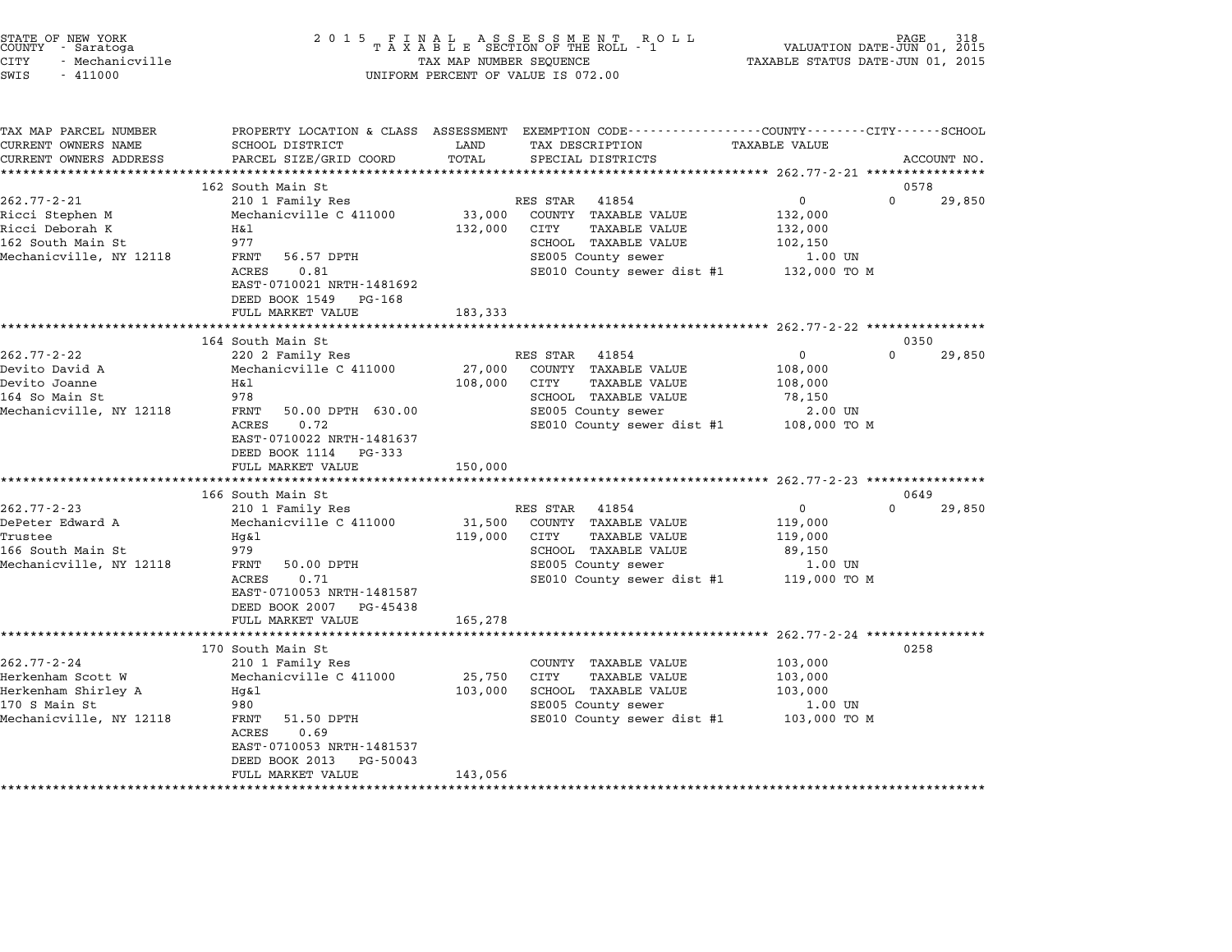| STATE OF NEW YORK<br>COUNTY - Saratoga<br>CITY<br>- Mechanicville<br>$-411000$<br>SWIS |                                                                     | TAX MAP NUMBER SEQUENCE | $\begin{array}{cccccccccccccc} 2& 0& 1& 5 & & F & I & N & A & L & & A & S & S & E & S & M & E & N & T & & R & O & L \\ & & T & A & X & A & B & L & E & SECTION & OF & THE & ROLL & - & 1 \end{array}$<br>UNIFORM PERCENT OF VALUE IS 072.00 | VALUATION DATE-JUN 01, 2015<br>TAXABLE STATUS DATE-JUN 01, 2015 | PAGE<br>318        |
|----------------------------------------------------------------------------------------|---------------------------------------------------------------------|-------------------------|---------------------------------------------------------------------------------------------------------------------------------------------------------------------------------------------------------------------------------------------|-----------------------------------------------------------------|--------------------|
| TAX MAP PARCEL NUMBER<br>CURRENT OWNERS NAME                                           | SCHOOL DISTRICT                                                     | LAND                    | PROPERTY LOCATION & CLASS ASSESSMENT EXEMPTION CODE----------------COUNTY-------CITY------SCHOOL<br>TAX DESCRIPTION                                                                                                                         | <b>TAXABLE VALUE</b>                                            |                    |
| CURRENT OWNERS ADDRESS                                                                 | PARCEL SIZE/GRID COORD                                              | TOTAL                   | SPECIAL DISTRICTS                                                                                                                                                                                                                           |                                                                 | ACCOUNT NO.        |
|                                                                                        | **************************                                          |                         |                                                                                                                                                                                                                                             |                                                                 |                    |
|                                                                                        | 162 South Main St                                                   |                         |                                                                                                                                                                                                                                             | $\mathbf 0$                                                     | 0578<br>$\Omega$   |
| $262.77 - 2 - 21$<br>Ricci Stephen M                                                   | 210 1 Family Res<br>Mechanicville C 411000                          | 33,000                  | RES STAR<br>41854<br>COUNTY TAXABLE VALUE                                                                                                                                                                                                   | 132,000                                                         | 29,850             |
| Ricci Deborah K                                                                        | Η&l                                                                 | 132,000                 | CITY<br>TAXABLE VALUE                                                                                                                                                                                                                       | 132,000                                                         |                    |
| 162 South Main St                                                                      | 977                                                                 |                         | SCHOOL TAXABLE VALUE                                                                                                                                                                                                                        | 102,150                                                         |                    |
| Mechanicville, NY 12118                                                                | FRNT<br>56.57 DPTH                                                  |                         | SE005 County sewer                                                                                                                                                                                                                          | 1.00 UN                                                         |                    |
|                                                                                        | ACRES<br>0.81                                                       |                         | SE010 County sewer dist #1                                                                                                                                                                                                                  | 132,000 TO M                                                    |                    |
|                                                                                        | EAST-0710021 NRTH-1481692                                           |                         |                                                                                                                                                                                                                                             |                                                                 |                    |
|                                                                                        | DEED BOOK 1549<br>PG-168                                            |                         |                                                                                                                                                                                                                                             |                                                                 |                    |
|                                                                                        | FULL MARKET VALUE                                                   | 183,333                 |                                                                                                                                                                                                                                             |                                                                 |                    |
|                                                                                        | 164 South Main St                                                   |                         | ******************************* 262.77-2-22 **************                                                                                                                                                                                  |                                                                 | 0350               |
| $262.77 - 2 - 22$                                                                      | 220 2 Family Res                                                    |                         | RES STAR 41854                                                                                                                                                                                                                              | $\mathbf 0$                                                     | $\Omega$<br>29,850 |
| Devito David A                                                                         | Mechanicville C 411000                                              | 27,000                  | COUNTY TAXABLE VALUE                                                                                                                                                                                                                        | 108,000                                                         |                    |
| Devito Joanne                                                                          | Η&l                                                                 | 108,000                 | CITY<br>TAXABLE VALUE                                                                                                                                                                                                                       | 108,000                                                         |                    |
| 164 So Main St                                                                         | 978                                                                 |                         | SCHOOL TAXABLE VALUE                                                                                                                                                                                                                        | 78,150                                                          |                    |
| Mechanicville, NY 12118                                                                | FRNT<br>50.00 DPTH 630.00                                           |                         | SE005 County sewer                                                                                                                                                                                                                          | 2.00 UN                                                         |                    |
|                                                                                        | ACRES<br>0.72<br>EAST-0710022 NRTH-1481637<br>DEED BOOK 1114 PG-333 |                         | SE010 County sewer dist #1                                                                                                                                                                                                                  | 108,000 TO M                                                    |                    |
|                                                                                        | FULL MARKET VALUE<br>***********************                        | 150,000                 |                                                                                                                                                                                                                                             |                                                                 |                    |
|                                                                                        |                                                                     |                         |                                                                                                                                                                                                                                             |                                                                 | 0649               |
| $262.77 - 2 - 23$                                                                      | 166 South Main St<br>210 1 Family Res                               |                         | RES STAR 41854                                                                                                                                                                                                                              | $\mathbf 0$                                                     | $\Omega$<br>29,850 |
| DePeter Edward A                                                                       | Mechanicville C 411000                                              | 31,500                  | COUNTY TAXABLE VALUE                                                                                                                                                                                                                        | 119,000                                                         |                    |
| Trustee                                                                                | Hq&l                                                                | 119,000                 | CITY<br>TAXABLE VALUE                                                                                                                                                                                                                       | 119,000                                                         |                    |
| 166 South Main St                                                                      | 979                                                                 |                         | SCHOOL TAXABLE VALUE                                                                                                                                                                                                                        | 89,150                                                          |                    |
| Mechanicville, NY 12118                                                                | FRNT<br>50.00 DPTH                                                  |                         | SE005 County sewer                                                                                                                                                                                                                          | 1.00 UN                                                         |                    |
|                                                                                        | ACRES<br>0.71                                                       |                         | SE010 County sewer dist #1                                                                                                                                                                                                                  | 119,000 TO M                                                    |                    |
|                                                                                        | EAST-0710053 NRTH-1481587                                           |                         |                                                                                                                                                                                                                                             |                                                                 |                    |
|                                                                                        | DEED BOOK 2007 PG-45438<br>FULL MARKET VALUE                        | 165,278                 |                                                                                                                                                                                                                                             |                                                                 |                    |
|                                                                                        |                                                                     |                         |                                                                                                                                                                                                                                             |                                                                 |                    |
|                                                                                        | 170 South Main St                                                   |                         |                                                                                                                                                                                                                                             |                                                                 | 0258               |
| $262.77 - 2 - 24$                                                                      | 210 1 Family Res                                                    |                         | COUNTY TAXABLE VALUE                                                                                                                                                                                                                        | 103,000                                                         |                    |
| Herkenham Scott W                                                                      | Mechanicville C 411000                                              | 25,750                  | CITY<br><b>TAXABLE VALUE</b>                                                                                                                                                                                                                | 103,000                                                         |                    |
| Herkenham Shirley A                                                                    | $Hq\&1$                                                             | 103,000                 | SCHOOL TAXABLE VALUE                                                                                                                                                                                                                        | 103,000                                                         |                    |
| 170 S Main St                                                                          | 980                                                                 |                         | SE005 County sewer                                                                                                                                                                                                                          | 1.00 UN                                                         |                    |
| Mechanicville, NY 12118                                                                | FRNT<br>51.50 DPTH<br>ACRES<br>0.69                                 |                         | SE010 County sewer dist #1                                                                                                                                                                                                                  | 103,000 то м                                                    |                    |
|                                                                                        | EAST-0710053 NRTH-1481537<br>DEED BOOK 2013 PG-50043                |                         |                                                                                                                                                                                                                                             |                                                                 |                    |
|                                                                                        | FULL MARKET VALUE                                                   | 143,056                 |                                                                                                                                                                                                                                             |                                                                 |                    |
|                                                                                        |                                                                     |                         |                                                                                                                                                                                                                                             |                                                                 |                    |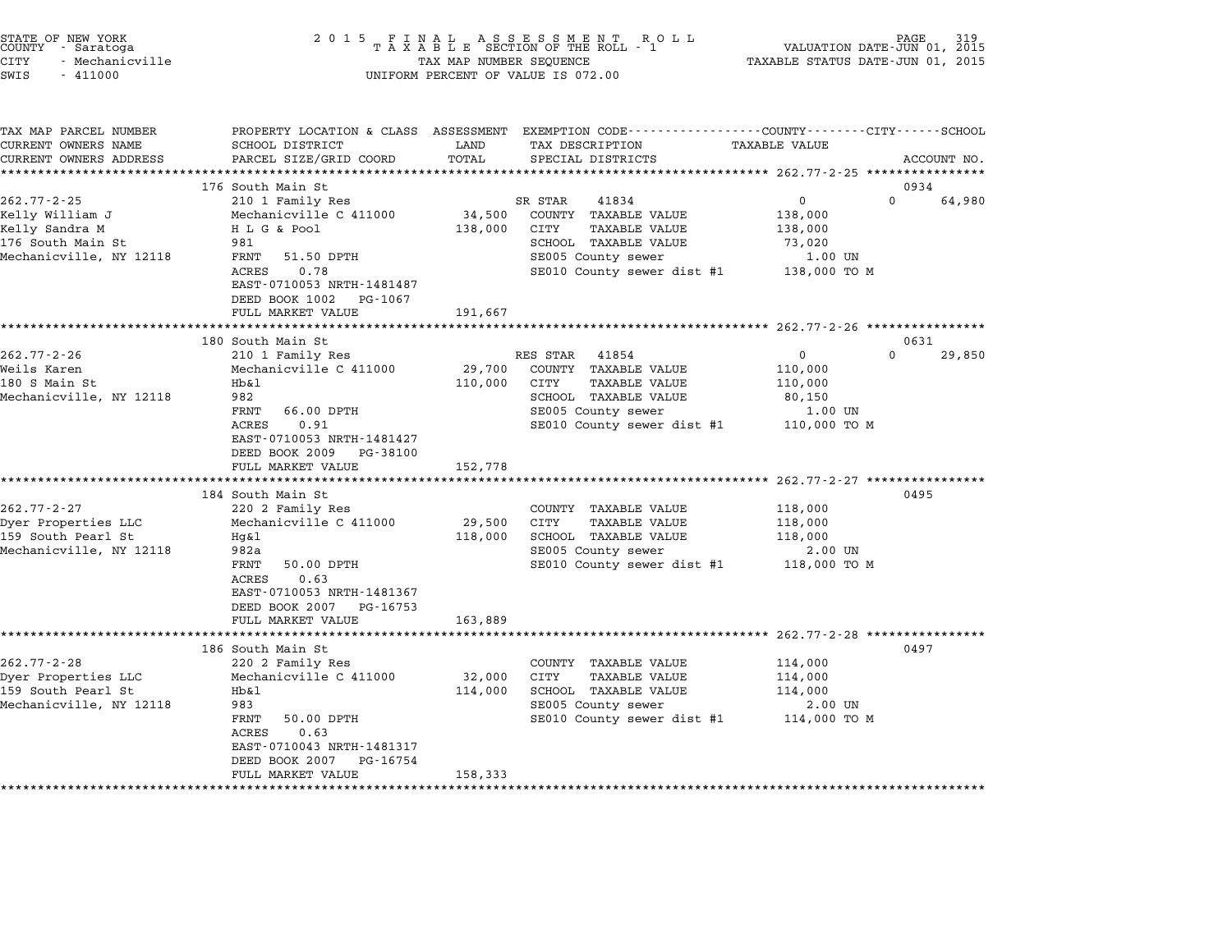| STATE OF NEW YORK<br>COUNTY - Saratoga<br>CITY<br>- Mechanicville<br>SWIS<br>$-411000$ | 2 0 1 5                                                               | TAX MAP NUMBER SEQUENCE | FINAL ASSESSMENT RC<br>TAXABLE SECTION OF THE ROLL - 1<br>R O L L<br>UNIFORM PERCENT OF VALUE IS 072.00                                  | VALUATION DATE-JUN 01, 2015<br>TAXABLE STATUS DATE-JUN 01, 2015 | PAGE                       |
|----------------------------------------------------------------------------------------|-----------------------------------------------------------------------|-------------------------|------------------------------------------------------------------------------------------------------------------------------------------|-----------------------------------------------------------------|----------------------------|
| TAX MAP PARCEL NUMBER<br>CURRENT OWNERS NAME<br>CURRENT OWNERS ADDRESS                 | SCHOOL DISTRICT<br>PARCEL SIZE/GRID COORD                             | LAND<br>TOTAL           | PROPERTY LOCATION & CLASS ASSESSMENT EXEMPTION CODE----------------COUNTY-------CITY------SCHOOL<br>TAX DESCRIPTION<br>SPECIAL DISTRICTS | <b>TAXABLE VALUE</b>                                            | ACCOUNT NO.                |
|                                                                                        | ****************************                                          |                         |                                                                                                                                          |                                                                 |                            |
| $262.77 - 2 - 25$                                                                      | 176 South Main St<br>210 1 Family Res                                 |                         | SR STAR<br>41834                                                                                                                         | 0                                                               | 0934<br>$\Omega$<br>64,980 |
| Kelly William J                                                                        | Mechanicville C 411000                                                | 34,500                  | COUNTY TAXABLE VALUE                                                                                                                     | 138,000                                                         |                            |
| Kelly Sandra M                                                                         | H L G & Pool                                                          | 138,000                 | CITY<br><b>TAXABLE VALUE</b>                                                                                                             | 138,000                                                         |                            |
| 176 South Main St                                                                      | 981                                                                   |                         | SCHOOL TAXABLE VALUE                                                                                                                     | 73,020                                                          |                            |
| Mechanicville, NY 12118                                                                | FRNT<br>51.50 DPTH                                                    |                         | SE005 County sewer                                                                                                                       | 1.00 UN                                                         |                            |
|                                                                                        | ACRES<br>0.78<br>EAST-0710053 NRTH-1481487                            |                         | SE010 County sewer dist #1                                                                                                               | 138,000 TO M                                                    |                            |
|                                                                                        | DEED BOOK 1002 PG-1067                                                |                         |                                                                                                                                          |                                                                 |                            |
|                                                                                        | FULL MARKET VALUE<br>*********************                            | 191,667<br>************ |                                                                                                                                          | ********************* 262.77-2-26 ****************              |                            |
|                                                                                        | 180 South Main St                                                     |                         |                                                                                                                                          |                                                                 | 0631                       |
| $262.77 - 2 - 26$                                                                      | 210 1 Family Res                                                      |                         | 41854<br>RES STAR                                                                                                                        | 0                                                               | $\Omega$<br>29,850         |
| Weils Karen                                                                            | Mechanicville C 411000                                                | 29,700                  | COUNTY TAXABLE VALUE                                                                                                                     | 110,000                                                         |                            |
| 180 S Main St                                                                          | $Hb$ &l                                                               | 110,000                 | CITY<br><b>TAXABLE VALUE</b>                                                                                                             | 110,000                                                         |                            |
| Mechanicville, NY 12118                                                                | 982                                                                   |                         | SCHOOL TAXABLE VALUE                                                                                                                     | 80,150                                                          |                            |
|                                                                                        | FRNT<br>66.00 DPTH                                                    |                         | SE005 County sewer                                                                                                                       | 1.00 UN                                                         |                            |
|                                                                                        | ACRES<br>0.91<br>EAST-0710053 NRTH-1481427<br>DEED BOOK 2009 PG-38100 |                         | SE010 County sewer dist #1                                                                                                               | 110,000 TO M                                                    |                            |
|                                                                                        | FULL MARKET VALUE                                                     | 152,778                 |                                                                                                                                          |                                                                 |                            |
|                                                                                        | ******************                                                    | ***********             |                                                                                                                                          | ************************* 262.77-2-27 ****************          |                            |
|                                                                                        | 184 South Main St                                                     |                         |                                                                                                                                          |                                                                 | 0495                       |
| $262.77 - 2 - 27$                                                                      | 220 2 Family Res                                                      |                         | COUNTY TAXABLE VALUE                                                                                                                     | 118,000                                                         |                            |
| Dyer Properties LLC                                                                    | Mechanicville C 411000                                                | 29,500                  | CITY<br>TAXABLE VALUE                                                                                                                    | 118,000                                                         |                            |
| 159 South Pearl St<br>Mechanicville, NY 12118                                          | Hg&l<br>982a                                                          | 118,000                 | SCHOOL TAXABLE VALUE<br>SE005 County sewer                                                                                               | 118,000<br>2.00 UN                                              |                            |
|                                                                                        | 50.00 DPTH<br>FRNT                                                    |                         | SE010 County sewer dist #1                                                                                                               | 118,000 TO M                                                    |                            |
|                                                                                        | ACRES<br>0.63                                                         |                         |                                                                                                                                          |                                                                 |                            |
|                                                                                        | EAST-0710053 NRTH-1481367                                             |                         |                                                                                                                                          |                                                                 |                            |
|                                                                                        | DEED BOOK 2007<br>PG-16753                                            |                         |                                                                                                                                          |                                                                 |                            |
|                                                                                        | FULL MARKET VALUE                                                     | 163,889                 |                                                                                                                                          |                                                                 |                            |
|                                                                                        | ***********************                                               | *********               |                                                                                                                                          | *********************** 262.77-2-28 ****************            |                            |
| $262.77 - 2 - 28$                                                                      | 186 South Main St                                                     |                         | COUNTY TAXABLE VALUE                                                                                                                     |                                                                 | 0497                       |
| Dyer Properties LLC                                                                    | 220 2 Family Res<br>Mechanicville C 411000                            | 32,000                  | CITY<br>TAXABLE VALUE                                                                                                                    | 114,000<br>114,000                                              |                            |
| 159 South Pearl St                                                                     | Hb&l                                                                  | 114,000                 | SCHOOL TAXABLE VALUE                                                                                                                     | 114,000                                                         |                            |
| Mechanicville, NY 12118                                                                | 983                                                                   |                         | SE005 County sewer                                                                                                                       | 2.00 UN                                                         |                            |
|                                                                                        | FRNT<br>50.00 DPTH                                                    |                         | SE010 County sewer dist #1                                                                                                               | 114,000 TO M                                                    |                            |
|                                                                                        | ACRES<br>0.63                                                         |                         |                                                                                                                                          |                                                                 |                            |
|                                                                                        | EAST-0710043 NRTH-1481317<br>DEED BOOK 2007 PG-16754                  |                         |                                                                                                                                          |                                                                 |                            |
|                                                                                        | FULL MARKET VALUE                                                     | 158,333                 |                                                                                                                                          |                                                                 |                            |
|                                                                                        |                                                                       |                         |                                                                                                                                          |                                                                 |                            |

end the New York (2001 5 F I N A L A S S E S S M E N T R O L L RO L L PAGE 319 (2015 ) FORCH 2001 5 F I N A L A S S E S S M E N T R O L L PAGE 2015 (2015 ) FAGE 2015 (2016 ) T A X A B L E SECTION OF THE ROLL - 1 (2015 ) VA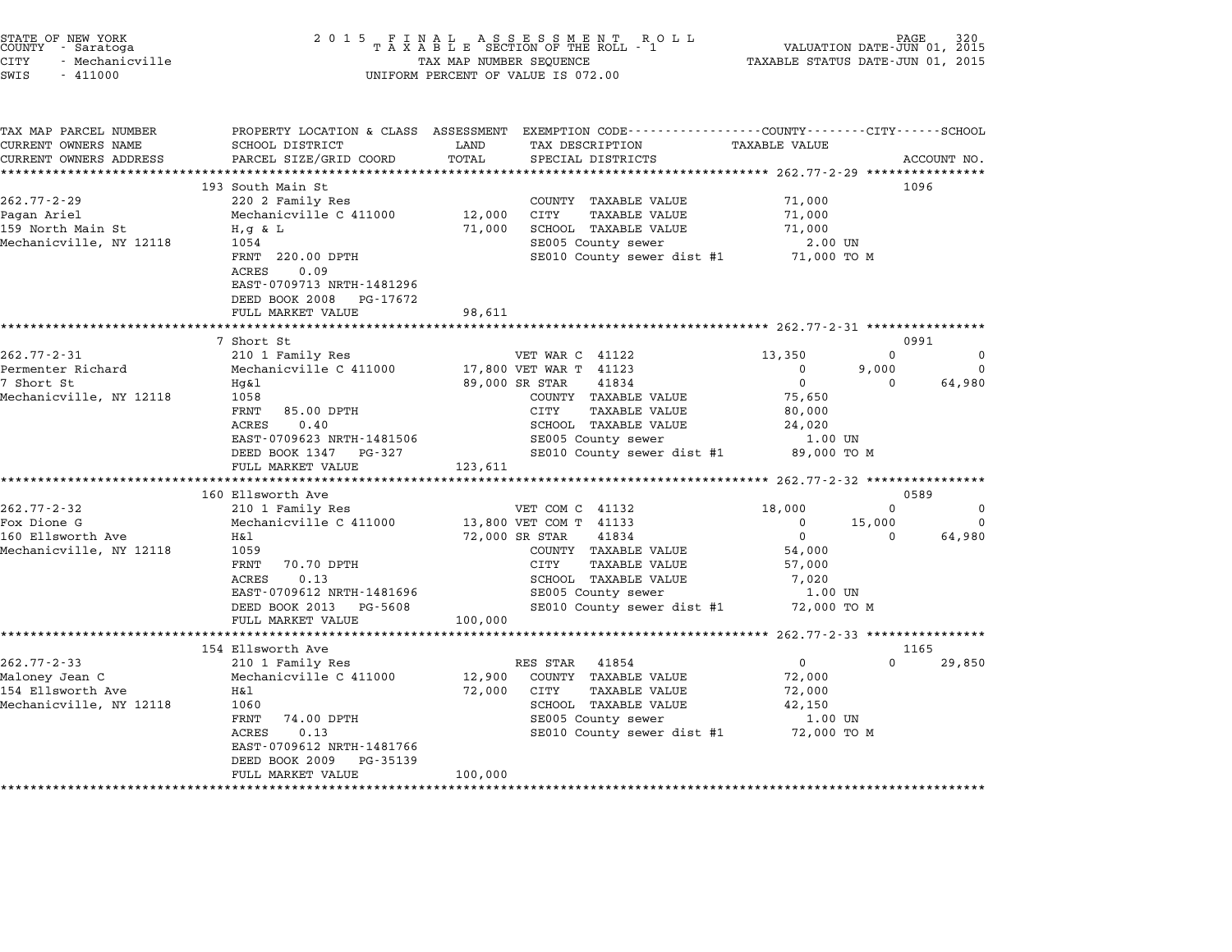| STATE OF NEW YORK<br>COUNTY - Saratoga<br><b>CITY</b><br>- Mechanicville<br>SWIS<br>$-411000$ | 2 0 1 5                                                                                                                                                                                                  | TAX MAP NUMBER SEQUENCE        | FINAL ASSESSMENT ROLL<br>TAXABLE SECTION OF THE ROLL - 1<br>UNIFORM PERCENT OF VALUE IS 072.00                                                                                                           | TAXABLE STATUS DATE-JUN 01, 2015                                                              | PAGE<br>VALUATION DATE-JUN 01, 2015    |                                   |
|-----------------------------------------------------------------------------------------------|----------------------------------------------------------------------------------------------------------------------------------------------------------------------------------------------------------|--------------------------------|----------------------------------------------------------------------------------------------------------------------------------------------------------------------------------------------------------|-----------------------------------------------------------------------------------------------|----------------------------------------|-----------------------------------|
| TAX MAP PARCEL NUMBER<br>CURRENT OWNERS NAME<br>CURRENT OWNERS ADDRESS                        | PROPERTY LOCATION & CLASS ASSESSMENT<br>SCHOOL DISTRICT<br>PARCEL SIZE/GRID COORD<br>***********************                                                                                             | LAND<br>TOTAL<br>************* | EXEMPTION CODE-----------------COUNTY-------CITY------SCHOOL<br>TAX DESCRIPTION<br>SPECIAL DISTRICTS<br>************************************* 262.77-2-29 *****************                              | <b>TAXABLE VALUE</b>                                                                          |                                        | ACCOUNT NO.                       |
| $262.77 - 2 - 29$<br>Pagan Ariel<br>159 North Main St<br>Mechanicville, NY 12118              | 193 South Main St<br>220 2 Family Res<br>Mechanicville C 411000<br>$H, g \& L$<br>1054<br>FRNT 220.00 DPTH<br>ACRES<br>0.09<br>EAST-0709713 NRTH-1481296<br>DEED BOOK 2008 PG-17672<br>FULL MARKET VALUE | 12,000<br>71,000<br>98,611     | COUNTY TAXABLE VALUE<br>CITY<br><b>TAXABLE VALUE</b><br>SCHOOL TAXABLE VALUE<br>SE005 County sewer<br>SE010 County sewer dist #1 71,000 TO M                                                             | 71,000<br>71,000<br>71,000<br>2.00 UN                                                         | 1096                                   |                                   |
|                                                                                               |                                                                                                                                                                                                          |                                |                                                                                                                                                                                                          | ******************** 262.77-2-31 *************                                                |                                        |                                   |
| $262.77 - 2 - 31$<br>Permenter Richard<br>7 Short St<br>Mechanicville, NY 12118               | 7 Short St<br>210 1 Family Res<br>Mechanicville C 411000<br>Hq&l<br>1058<br>FRNT<br>85.00 DPTH<br>0.40<br>ACRES<br>EAST-0709623 NRTH-1481506<br>DEED BOOK 1347<br>PG-327<br>FULL MARKET VALUE            | 123,611                        | VET WAR C 41122<br>17,800 VET WAR T 41123<br>89,000 SR STAR<br>41834<br>COUNTY TAXABLE VALUE<br>CITY<br><b>TAXABLE VALUE</b><br>SCHOOL TAXABLE VALUE<br>SE005 County sewer<br>SE010 County sewer dist #1 | 13,350<br>0<br>$\mathbf 0$<br>75,650<br>80,000<br>24,020<br>1.00 UN<br>89,000 TO M            | 0991<br>$\Omega$<br>9,000<br>$\Omega$  | $\Omega$<br>$\mathbf 0$<br>64,980 |
|                                                                                               |                                                                                                                                                                                                          |                                |                                                                                                                                                                                                          | ***************** 262.77-2-32 *****************                                               |                                        |                                   |
| $262.77 - 2 - 32$<br>Fox Dione G<br>160 Ellsworth Ave<br>Mechanicville, NY 12118              | 160 Ellsworth Ave<br>210 1 Family Res<br>Mechanicville C 411000<br>H&l<br>1059<br>70.70 DPTH<br>FRNT<br>0.13<br>ACRES<br>EAST-0709612 NRTH-1481696<br>DEED BOOK 2013 PG-5608<br>FULL MARKET VALUE        | 100,000                        | VET COM C 41132<br>13,800 VET COM T 41133<br>72,000 SR STAR<br>41834<br>COUNTY TAXABLE VALUE<br>CITY<br><b>TAXABLE VALUE</b><br>SCHOOL TAXABLE VALUE<br>SE005 County sewer<br>SE010 County sewer dist #1 | 18,000<br>$\mathbf 0$<br>$\mathbf 0$<br>54,000<br>57,000<br>7,020<br>$1.00$ UN<br>72,000 TO M | 0589<br>$\Omega$<br>15,000<br>$\Omega$ | $\mathbf 0$<br>$\Omega$<br>64,980 |
|                                                                                               |                                                                                                                                                                                                          |                                |                                                                                                                                                                                                          | ******* 262.77-2-33 ***************                                                           |                                        |                                   |
| $262.77 - 2 - 33$<br>Maloney Jean C<br>154 Ellsworth Ave<br>Mechanicville, NY 12118           | 154 Ellsworth Ave<br>210 1 Family Res<br>Mechanicville C 411000<br>Η&l<br>1060<br>FRNT<br>74.00 DPTH<br>0.13<br><b>ACRES</b><br>EAST-0709612 NRTH-1481766<br>DEED BOOK 2009<br>PG-35139                  | 12,900<br>72,000               | 41854<br>RES STAR<br>COUNTY TAXABLE VALUE<br>CITY<br><b>TAXABLE VALUE</b><br>SCHOOL TAXABLE VALUE<br>SE005 County sewer<br>SE010 County sewer dist #1                                                    | $\Omega$<br>72,000<br>72,000<br>42,150<br>1.00 UN<br>72,000 TO M                              | 1165<br>$\Omega$                       | 29,850                            |

FULL MARKET VALUE 100,000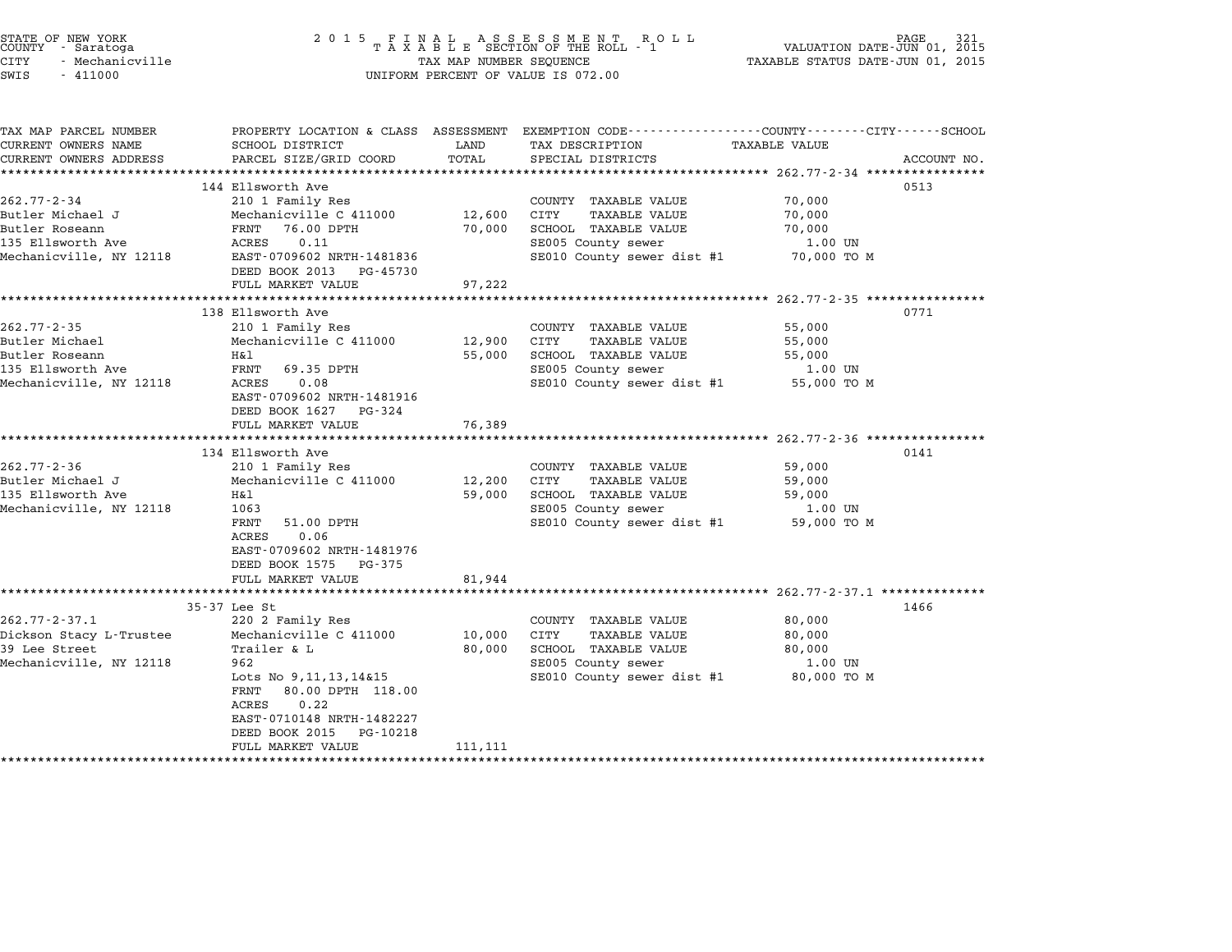| STATE OF NEW YORK<br>COUNTY - Saratoga<br><b>CITY</b><br>- Mechanicville<br>SWIS<br>$-411000$           | 2 0 1 5                                                                                                                                                                                                                                                                     | TAX MAP NUMBER SEQUENCE     | FINAL ASSESSMENT ROTAXABLE SECTION OF THE ROLL - 1<br>R O L L<br>UNIFORM PERCENT OF VALUE IS 072.00                                                                 | VALUATION DATE-JUN 01, 2015<br>TAXABLE STATUS DATE-JUN 01, 2015                                             | PAGE<br>321 |
|---------------------------------------------------------------------------------------------------------|-----------------------------------------------------------------------------------------------------------------------------------------------------------------------------------------------------------------------------------------------------------------------------|-----------------------------|---------------------------------------------------------------------------------------------------------------------------------------------------------------------|-------------------------------------------------------------------------------------------------------------|-------------|
| TAX MAP PARCEL NUMBER<br>CURRENT OWNERS NAME<br>CURRENT OWNERS ADDRESS<br>**********************        | SCHOOL DISTRICT<br>PARCEL SIZE/GRID COORD                                                                                                                                                                                                                                   | LAND<br>TOTAL               | PROPERTY LOCATION & CLASS ASSESSMENT EXEMPTION CODE---------------COUNTY-------CITY------SCHOOL<br>TAX DESCRIPTION<br>SPECIAL DISTRICTS                             | <b>TAXABLE VALUE</b>                                                                                        | ACCOUNT NO. |
| $262.77 - 2 - 34$<br>Butler Michael J<br>Butler Roseann<br>135 Ellsworth Ave<br>Mechanicville, NY 12118 | 144 Ellsworth Ave<br>210 1 Family Res<br>Mechanicville C 411000<br>FRNT<br>76.00 DPTH<br>ACRES<br>0.11<br>EAST-0709602 NRTH-1481836<br>DEED BOOK 2013<br>PG-45730<br>FULL MARKET VALUE                                                                                      | 12,600<br>70,000<br>97,222  | COUNTY TAXABLE VALUE<br>TAXABLE VALUE<br>CITY<br>SCHOOL TAXABLE VALUE<br>SE005 County sewer<br>SE010 County sewer dist #1                                           | 70,000<br>70,000<br>70,000<br>1.00 UN<br>70,000 TO M                                                        | 0513        |
| $262.77 - 2 - 35$<br>Butler Michael<br>Butler Roseann<br>135 Ellsworth Ave<br>Mechanicville, NY 12118   | 138 Ellsworth Ave<br>210 1 Family Res<br>Mechanicville C 411000<br>Η&l<br>FRNT<br>69.35 DPTH<br>0.08<br>ACRES<br>EAST-0709602 NRTH-1481916<br>DEED BOOK 1627<br>PG-324<br>FULL MARKET VALUE                                                                                 | 12,900<br>55,000<br>76,389  | COUNTY TAXABLE VALUE<br>CITY<br><b>TAXABLE VALUE</b><br>SCHOOL TAXABLE VALUE<br>SE005 County sewer<br>SE010 County sewer dist #1                                    | ********************* 262.77-2-35 *****************<br>55,000<br>55,000<br>55,000<br>1.00 UN<br>55,000 TO M | 0771        |
| $262.77 - 2 - 36$<br>Butler Michael J<br>135 Ellsworth Ave<br>Mechanicville, NY 12118                   | *************************<br>134 Ellsworth Ave<br>210 1 Family Res<br>Mechanicville C 411000<br>Η&l<br>1063<br>FRNT<br>51.00 DPTH<br>0.06<br>ACRES<br>EAST-0709602 NRTH-1481976<br>DEED BOOK 1575 PG-375<br>FULL MARKET VALUE                                               | 12,200<br>59,000<br>81,944  | COUNTY TAXABLE VALUE<br>CITY<br>TAXABLE VALUE<br><b>SCHOOL TAXABLE VALUE</b><br>SE005 County sewer<br>SE010 County sewer dist #1                                    | ********************* 262.77-2-36 *****************<br>59,000<br>59,000<br>59,000<br>1.00 UN<br>59,000 TO M | 0141        |
| $262.77 - 2 - 37.1$<br>Dickson Stacy L-Trustee<br>39 Lee Street<br>Mechanicville, NY 12118              | *****************************<br>35-37 Lee St<br>220 2 Family Res<br>Mechanicville C 411000<br>Trailer & L<br>962<br>Lots No 9, 11, 13, 14&15<br>80.00 DPTH 118.00<br>FRNT<br>ACRES<br>0.22<br>EAST-0710148 NRTH-1482227<br>DEED BOOK 2015<br>PG-10218<br>FULL MARKET VALUE | 10,000<br>80,000<br>111,111 | COUNTY TAXABLE VALUE<br>CITY<br><b>TAXABLE VALUE</b><br>SCHOOL TAXABLE VALUE<br>SE005 County sewer<br>SE010 County sewer dist #1<br>******************************* | 80,000<br>80,000<br>80,000<br>1.00 UN<br>80,000 TO M                                                        | 1466        |

STATE OF NEW YORK <sup>2</sup> <sup>0</sup> <sup>1</sup> 5 F I N A L A S S E S S M E N T R O L L PAGE <sup>321</sup> COUNTY - Saratoga <sup>T</sup> <sup>A</sup> <sup>X</sup> <sup>A</sup> <sup>B</sup> <sup>L</sup> <sup>E</sup> SECTION OF THE ROLL - <sup>1</sup> VALUATION DATE-JUN 01, <sup>2015</sup>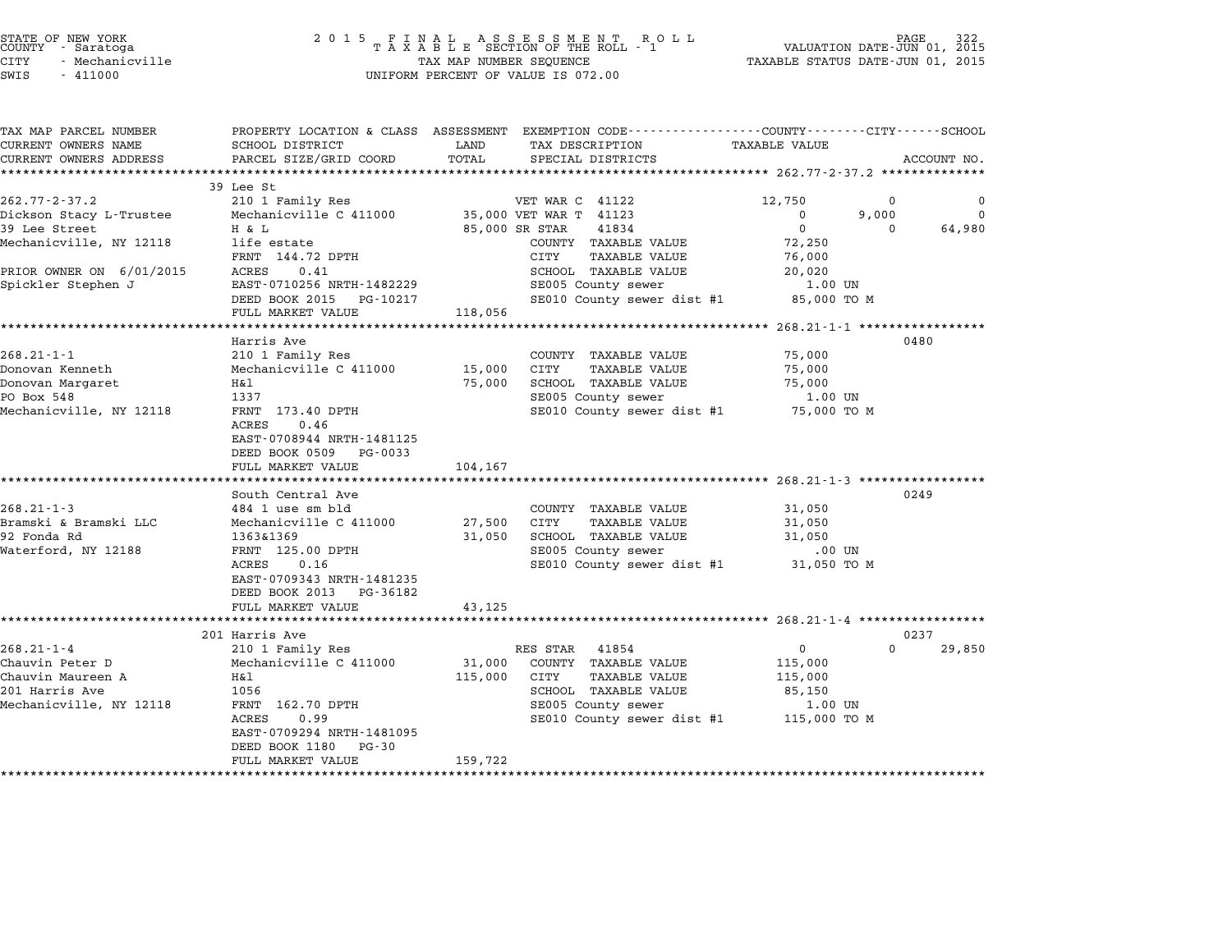| TAX MAP PARCEL NUMBER<br>CURRENT OWNERS NAME | SCHOOL DISTRICT                            | LAND        | PROPERTY LOCATION & CLASS ASSESSMENT EXEMPTION CODE---------------COUNTY-------CITY------SCHOOL<br>TAX DESCRIPTION | <b>TAXABLE VALUE</b> |                    |             |
|----------------------------------------------|--------------------------------------------|-------------|--------------------------------------------------------------------------------------------------------------------|----------------------|--------------------|-------------|
|                                              |                                            |             |                                                                                                                    |                      |                    |             |
| CURRENT OWNERS ADDRESS                       | PARCEL SIZE/GRID COORD                     | TOTAL       | SPECIAL DISTRICTS                                                                                                  |                      | ACCOUNT NO.        |             |
|                                              | 39 Lee St                                  |             |                                                                                                                    |                      |                    |             |
| $262.77 - 2 - 37.2$                          | 210 1 Family Res                           |             | VET WAR C 41122                                                                                                    | 12,750               | $\mathbf 0$        | $\mathbf 0$ |
| Dickson Stacy L-Trustee                      | Mechanicville C 411000                     |             | 35,000 VET WAR T 41123                                                                                             | 0                    | 9,000              | $\Omega$    |
| 39 Lee Street                                | H & L                                      |             | 85,000 SR STAR<br>41834                                                                                            | $\mathbf 0$          | 64,980<br>$\Omega$ |             |
| Mechanicville, NY 12118                      | life estate                                |             | COUNTY TAXABLE VALUE                                                                                               | 72,250               |                    |             |
|                                              | FRNT 144.72 DPTH                           |             | TAXABLE VALUE<br>CITY                                                                                              | 76,000               |                    |             |
| PRIOR OWNER ON 6/01/2015                     | 0.41<br>ACRES                              |             | SCHOOL TAXABLE VALUE                                                                                               | 20,020               |                    |             |
|                                              | EAST-0710256 NRTH-1482229                  |             |                                                                                                                    | $1.00$ UN            |                    |             |
| Spickler Stephen J                           |                                            |             | SE005 County sewer                                                                                                 |                      |                    |             |
|                                              | DEED BOOK 2015 PG-10217                    |             | SE010 County sewer dist #1                                                                                         | 85,000 TO M          |                    |             |
|                                              | FULL MARKET VALUE                          | 118,056     |                                                                                                                    |                      |                    |             |
|                                              | Harris Ave                                 |             |                                                                                                                    |                      | 0480               |             |
| $268.21 - 1 - 1$                             |                                            |             |                                                                                                                    |                      |                    |             |
|                                              | 210 1 Family Res<br>Mechanicville C 411000 |             | COUNTY TAXABLE VALUE<br>CITY<br>TAXABLE VALUE                                                                      | 75,000               |                    |             |
| Donovan Kenneth                              |                                            | 15,000      |                                                                                                                    | 75,000               |                    |             |
| Donovan Margaret                             | Η&l                                        | 75,000      | SCHOOL TAXABLE VALUE                                                                                               | 75,000               |                    |             |
| PO Box 548                                   | 1337                                       |             | SE005 County sewer                                                                                                 | 1.00 UN              |                    |             |
| Mechanicville, NY 12118                      | FRNT 173.40 DPTH                           |             | SE010 County sewer dist #1 75,000 TO M                                                                             |                      |                    |             |
|                                              | ACRES<br>0.46                              |             |                                                                                                                    |                      |                    |             |
|                                              | EAST-0708944 NRTH-1481125                  |             |                                                                                                                    |                      |                    |             |
|                                              | DEED BOOK 0509 PG-0033                     |             |                                                                                                                    |                      |                    |             |
|                                              | FULL MARKET VALUE                          | 104,167     |                                                                                                                    |                      |                    |             |
|                                              |                                            |             |                                                                                                                    |                      |                    |             |
|                                              | South Central Ave                          |             |                                                                                                                    |                      | 0249               |             |
| $268.21 - 1 - 3$                             | 484 1 use sm bld                           |             | COUNTY TAXABLE VALUE                                                                                               | 31,050               |                    |             |
| Bramski & Bramski LLC                        | Mechanicville C 411000                     | 27,500 CITY | <b>TAXABLE VALUE</b>                                                                                               | 31,050               |                    |             |
| 92 Fonda Rd                                  | 1363&1369                                  | 31,050      | SCHOOL TAXABLE VALUE                                                                                               | 31,050               |                    |             |
| Waterford, NY 12188                          | FRNT 125.00 DPTH                           |             | SE005 County sewer                                                                                                 | .00 UN               |                    |             |
|                                              | ACRES<br>0.16                              |             | SE010 County sewer dist #1 31,050 TO M                                                                             |                      |                    |             |
|                                              | EAST-0709343 NRTH-1481235                  |             |                                                                                                                    |                      |                    |             |
|                                              | DEED BOOK 2013<br>PG-36182                 |             |                                                                                                                    |                      |                    |             |
|                                              | FULL MARKET VALUE                          | 43,125      |                                                                                                                    |                      |                    |             |
|                                              |                                            |             |                                                                                                                    |                      |                    |             |
|                                              | 201 Harris Ave                             |             |                                                                                                                    |                      | 0237               |             |
| $268.21 - 1 - 4$                             | 210 1 Family Res                           |             | RES STAR<br>41854                                                                                                  | $\mathbf{0}$         | 29,850<br>$\Omega$ |             |
| Chauvin Peter D                              | Mechanicville C 411000                     | 31,000      | COUNTY TAXABLE VALUE                                                                                               | 115,000              |                    |             |
| Chauvin Maureen A                            | Η&l                                        | 115,000     | CITY<br>TAXABLE VALUE                                                                                              | 115,000              |                    |             |
| 201 Harris Ave                               | 1056                                       |             | SCHOOL TAXABLE VALUE                                                                                               | 85,150               |                    |             |
| Mechanicville, NY 12118                      | FRNT 162.70 DPTH                           |             | SE005 County sewer                                                                                                 | 1.00 UN              |                    |             |
|                                              | ACRES<br>0.99                              |             | SE010 County sewer dist #1 115,000 TO M                                                                            |                      |                    |             |
|                                              | EAST-0709294 NRTH-1481095                  |             |                                                                                                                    |                      |                    |             |
|                                              | DEED BOOK 1180<br>PG-30                    |             |                                                                                                                    |                      |                    |             |
|                                              | FULL MARKET VALUE                          | 159,722     |                                                                                                                    |                      |                    |             |
|                                              |                                            |             |                                                                                                                    |                      |                    |             |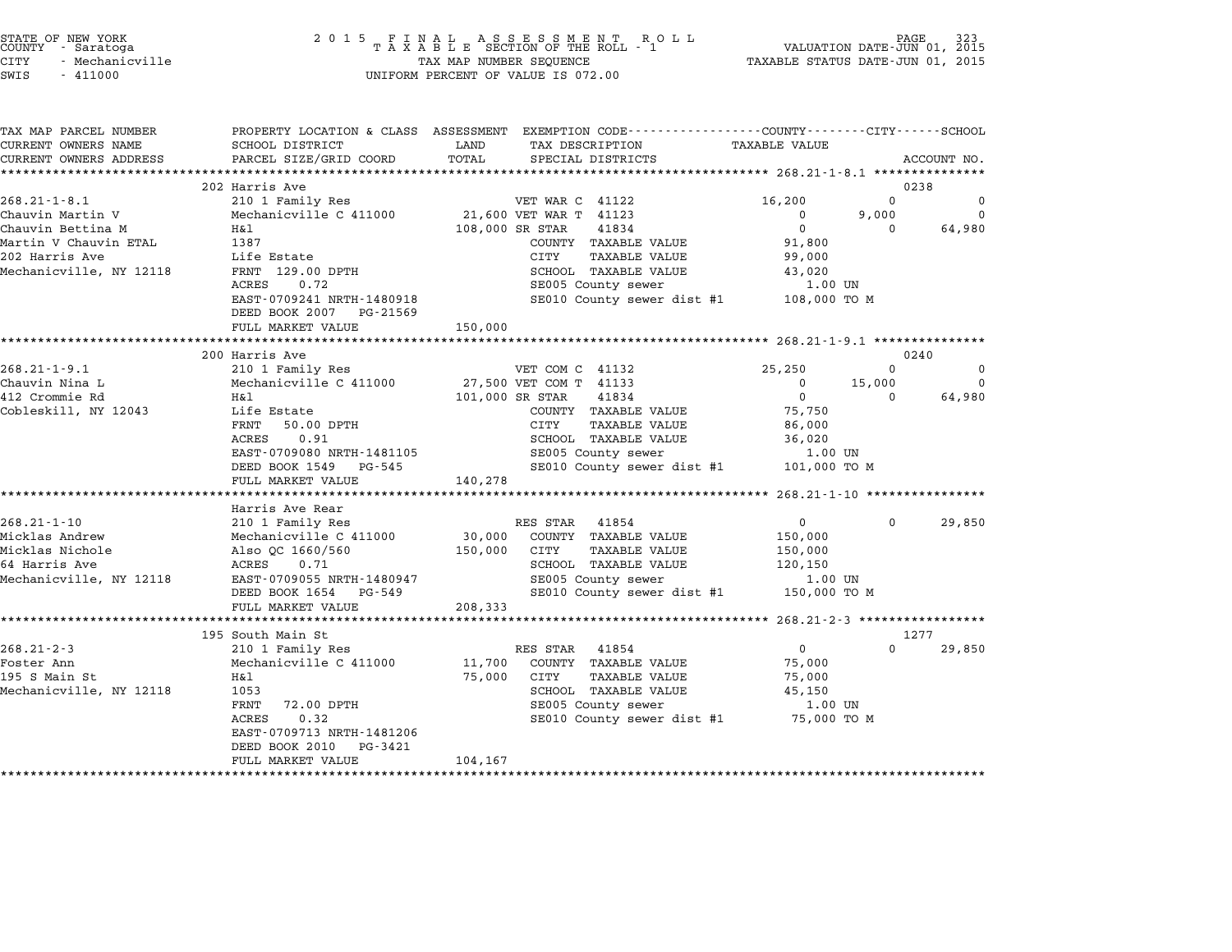| STATE OF NEW YORK |               |  |
|-------------------|---------------|--|
| COUNTY            | - Saratoga    |  |
| CITY              | Mechanicville |  |

# STATE OF NEW YORK <sup>2</sup> <sup>0</sup> <sup>1</sup> 5 F I N A L A S S E S S M E N T R O L L PAGE <sup>323</sup> COUNTY - Saratoga <sup>T</sup> <sup>A</sup> <sup>X</sup> <sup>A</sup> <sup>B</sup> <sup>L</sup> <sup>E</sup> SECTION OF THE ROLL - <sup>1</sup> VALUATION DATE-JUN 01, <sup>2015</sup> STATE OF NEW YORK (RACE STATE OF NEW YORK OF ASSESS ARE NOT THE ROLL OF NEW THAT ON THE SAME DATE-JUN 01, 2015<br>COUNTY - Saratoga (2015 TAXABLE STATUS DATE-JUN 01, 2015 TAXABLE STATUS DATE-JUN 01, 2015<br>CITY - Mechanicville SWIS - <sup>411000</sup> UNIFORM PERCENT OF VALUE IS 072.00

| TAX MAP PARCEL NUMBER   |                                                         | PROPERTY LOCATION & CLASS ASSESSMENT EXEMPTION CODE---------------COUNTY-------CITY------SCHOOL |                      |                      |
|-------------------------|---------------------------------------------------------|-------------------------------------------------------------------------------------------------|----------------------|----------------------|
| CURRENT OWNERS NAME     | SCHOOL DISTRICT                                         | LAND<br>TAX DESCRIPTION                                                                         | <b>TAXABLE VALUE</b> |                      |
| CURRENT OWNERS ADDRESS  | PARCEL SIZE/GRID COORD                                  | TOTAL<br>SPECIAL DISTRICTS                                                                      |                      | ACCOUNT NO.          |
|                         |                                                         |                                                                                                 |                      |                      |
|                         | 202 Harris Ave                                          |                                                                                                 |                      | 0238                 |
| $268.21 - 1 - 8.1$      | 210 1 Family Res                                        | VET WAR C 41122                                                                                 | 16,200               | $\Omega$<br>$\Omega$ |
| Chauvin Martin V        | Mechanicville C 411000                                  | 21,600 VET WAR T 41123                                                                          | $\Omega$             | 9,000<br>$\Omega$    |
| Chauvin Bettina M       | H&l                                                     | 108,000 SR STAR<br>41834                                                                        | $\Omega$             | 64,980<br>$\Omega$   |
| Martin V Chauvin ETAL   | 1387                                                    | COUNTY TAXABLE VALUE                                                                            | 91,800               |                      |
| 202 Harris Ave          | Life Estate                                             | CITY<br><b>TAXABLE VALUE</b>                                                                    | 99,000               |                      |
| Mechanicville, NY 12118 | FRNT 129.00 DPTH                                        | SCHOOL TAXABLE VALUE                                                                            | 43,020               |                      |
|                         | ACRES<br>0.72                                           | SE005 County sewer                                                                              | 1.00 UN              |                      |
|                         | EAST-0709241 NRTH-1480918<br>DEED BOOK 2007<br>PG-21569 | SE010 County sewer dist #1                                                                      | 108,000 TO M         |                      |
|                         | FULL MARKET VALUE                                       | 150,000                                                                                         |                      |                      |
|                         |                                                         |                                                                                                 |                      |                      |
|                         | 200 Harris Ave                                          |                                                                                                 |                      | 0240                 |
| $268.21 - 1 - 9.1$      | 210 1 Family Res                                        | VET COM C 41132                                                                                 | 25,250               | $\Omega$<br>0        |
| Chauvin Nina L          | Mechanicville C 411000                                  | 27,500 VET COM T 41133                                                                          | 15,000<br>0          | $\Omega$             |
| 412 Crommie Rd          | H&1                                                     | 41834<br>101,000 SR STAR                                                                        | $\mathbf 0$          | 64,980<br>$\Omega$   |
| Cobleskill, NY 12043    | Life Estate                                             | COUNTY TAXABLE VALUE                                                                            | 75,750               |                      |
|                         | FRNT<br>50.00 DPTH                                      | CITY<br><b>TAXABLE VALUE</b>                                                                    | 86,000               |                      |
|                         | 0.91<br>ACRES                                           | SCHOOL TAXABLE VALUE                                                                            | 36,020               |                      |
|                         | EAST-0709080 NRTH-1481105                               | SE005 County sewer                                                                              | 1.00 UN              |                      |
|                         | DEED BOOK 1549<br>PG-545                                | SE010 County sewer dist #1                                                                      | 101,000 TO M         |                      |
|                         | FULL MARKET VALUE                                       | 140,278                                                                                         |                      |                      |
|                         |                                                         |                                                                                                 |                      |                      |
|                         | Harris Ave Rear                                         |                                                                                                 |                      |                      |
| $268.21 - 1 - 10$       | 210 1 Family Res                                        | RES STAR 41854                                                                                  | $\mathbf{0}$         | 29,850<br>$\Omega$   |
| Micklas Andrew          | Mechanicville C 411000                                  | 30,000<br>COUNTY TAXABLE VALUE                                                                  | 150,000              |                      |
| Micklas Nichole         | Also OC 1660/560                                        | 150,000 CITY<br><b>TAXABLE VALUE</b>                                                            | 150,000              |                      |
| 64 Harris Ave           | ACRES<br>0.71                                           | SCHOOL TAXABLE VALUE                                                                            | 120,150              |                      |
| Mechanicville, NY 12118 | EAST-0709055 NRTH-1480947                               | SE005 County sewer                                                                              | 1.00 UN              |                      |
|                         | DEED BOOK 1654<br>PG-549                                | SE010 County sewer dist #1                                                                      | 150,000 TO M         |                      |
|                         | FULL MARKET VALUE                                       | 208,333                                                                                         |                      |                      |
|                         |                                                         |                                                                                                 |                      |                      |
|                         | 195 South Main St                                       |                                                                                                 |                      | 1277                 |
| $268.21 - 2 - 3$        | 210 1 Family Res                                        | RES STAR 41854                                                                                  | $\mathbf{0}$         | $\Omega$<br>29,850   |
| Foster Ann              | Mechanicville C 411000                                  | 11,700<br>COUNTY TAXABLE VALUE                                                                  | 75,000               |                      |
| 195 S Main St           | Η&l                                                     | 75,000<br>CITY<br><b>TAXABLE VALUE</b>                                                          | 75,000               |                      |
| Mechanicville, NY 12118 | 1053                                                    | SCHOOL TAXABLE VALUE                                                                            | 45,150               |                      |
|                         | FRNT<br>72.00 DPTH                                      | SE005 County sewer                                                                              | 1.00 UN              |                      |
|                         | 0.32<br>ACRES                                           | SE010 County sewer dist #1 75,000 TO M                                                          |                      |                      |
|                         | EAST-0709713 NRTH-1481206                               |                                                                                                 |                      |                      |
|                         | PG-3421<br>DEED BOOK 2010                               |                                                                                                 |                      |                      |
|                         | FULL MARKET VALUE                                       | 104,167                                                                                         |                      |                      |
|                         |                                                         |                                                                                                 |                      |                      |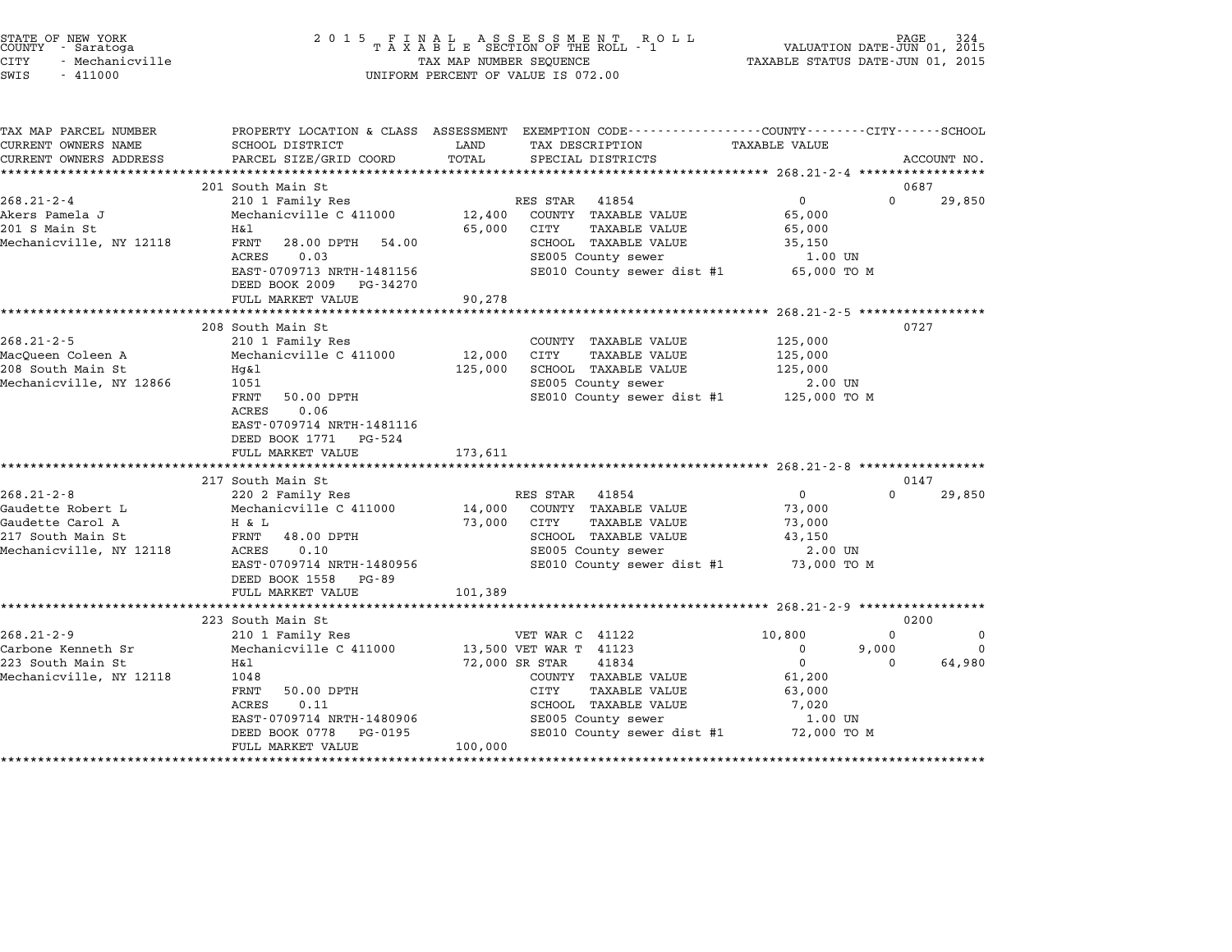| STATE OF NEW YORK<br>COUNTY - Saratoga<br>CITY<br>- Mechanicville<br>SWIS<br>$-411000$ | 2015 FINAL                                                               | TAX MAP NUMBER SEQUENCE | UNIFORM PERCENT OF VALUE IS 072.00                                                             | VALUATION DATE-JUN 01, 2015<br>TAXABLE STATUS DATE-JUN 01, 2015 | PAGE<br>324             |
|----------------------------------------------------------------------------------------|--------------------------------------------------------------------------|-------------------------|------------------------------------------------------------------------------------------------|-----------------------------------------------------------------|-------------------------|
| TAX MAP PARCEL NUMBER                                                                  |                                                                          |                         | PROPERTY LOCATION & CLASS ASSESSMENT EXEMPTION CODE---------------COUNTY-------CITY-----SCHOOL |                                                                 |                         |
| CURRENT OWNERS NAME                                                                    | SCHOOL DISTRICT                                                          | LAND                    | TAX DESCRIPTION                                                                                | TAXABLE VALUE                                                   |                         |
| CURRENT OWNERS ADDRESS                                                                 | PARCEL SIZE/GRID COORD                                                   | TOTAL                   | SPECIAL DISTRICTS                                                                              |                                                                 | ACCOUNT NO.             |
|                                                                                        | 201 South Main St                                                        |                         |                                                                                                |                                                                 | 0687                    |
| $268.21 - 2 - 4$                                                                       | 210 1 Family Res                                                         |                         | RES STAR<br>41854                                                                              | $\mathbf 0$                                                     | $\Omega$<br>29,850      |
| Akers Pamela J                                                                         | Mechanicville C 411000                                                   | 12,400                  | COUNTY TAXABLE VALUE                                                                           | 65,000                                                          |                         |
| 201 S Main St                                                                          | H&l                                                                      | 65,000                  | CITY<br>TAXABLE VALUE                                                                          | 65,000                                                          |                         |
| Mechanicville, NY 12118                                                                | FRNT<br>28.00 DPTH<br>54.00                                              |                         | SCHOOL TAXABLE VALUE                                                                           | 35,150                                                          |                         |
|                                                                                        | ACRES<br>0.03                                                            |                         | SE005 County sewer                                                                             | 1.00 UN                                                         |                         |
|                                                                                        | EAST-0709713 NRTH-1481156<br>DEED BOOK 2009 PG-34270                     |                         | SE010 County sewer dist #1                                                                     | 65,000 TO M                                                     |                         |
|                                                                                        | FULL MARKET VALUE                                                        | 90,278                  |                                                                                                |                                                                 |                         |
|                                                                                        | **************************                                               | **************          |                                                                                                | ******************* 268.21-2-5 ******************               |                         |
|                                                                                        | 208 South Main St                                                        |                         |                                                                                                |                                                                 | 0727                    |
| $268.21 - 2 - 5$                                                                       | 210 1 Family Res                                                         |                         | COUNTY TAXABLE VALUE                                                                           | 125,000                                                         |                         |
| MacOueen Coleen A                                                                      | Mechanicville C 411000                                                   | 12,000                  | CITY<br>TAXABLE VALUE                                                                          | 125,000                                                         |                         |
| 208 South Main St                                                                      | $Hq\&1$                                                                  | 125,000                 | SCHOOL TAXABLE VALUE                                                                           | 125,000                                                         |                         |
| Mechanicville, NY 12866                                                                | 1051<br>FRNT<br>50.00 DPTH<br>ACRES<br>0.06<br>EAST-0709714 NRTH-1481116 |                         | SE005 County sewer<br>SE010 County sewer dist #1                                               | 2.00 UN<br>125,000 то м                                         |                         |
|                                                                                        | DEED BOOK 1771 PG-524<br>FULL MARKET VALUE                               | 173,611                 |                                                                                                |                                                                 |                         |
|                                                                                        | ***********************                                                  | ***********             |                                                                                                |                                                                 |                         |
|                                                                                        | 217 South Main St                                                        |                         |                                                                                                |                                                                 | 0147                    |
| $268.21 - 2 - 8$                                                                       | 220 2 Family Res                                                         |                         | 41854<br>RES STAR                                                                              | 0                                                               | $\Omega$<br>29,850      |
| Gaudette Robert L                                                                      | Mechanicville C 411000                                                   | 14,000                  | COUNTY TAXABLE VALUE                                                                           | 73,000                                                          |                         |
| Gaudette Carol A                                                                       | H & L                                                                    | 73,000                  | TAXABLE VALUE<br>CITY                                                                          | 73,000                                                          |                         |
| 217 South Main St                                                                      | FRNT<br>48.00 DPTH                                                       |                         | SCHOOL TAXABLE VALUE                                                                           | 43,150                                                          |                         |
| Mechanicville, NY 12118                                                                | ACRES<br>0.10                                                            |                         | SE005 County sewer                                                                             | 2.00 UN                                                         |                         |
|                                                                                        | EAST-0709714 NRTH-1480956                                                |                         | SE010 County sewer dist #1                                                                     | 73,000 TO M                                                     |                         |
|                                                                                        | DEED BOOK 1558<br>PG-89                                                  |                         |                                                                                                |                                                                 |                         |
|                                                                                        | FULL MARKET VALUE<br>***********************                             | 101,389                 |                                                                                                | ********************** 268.21-2-9 ****************              |                         |
|                                                                                        | 223 South Main St                                                        |                         |                                                                                                |                                                                 | 0200                    |
| $268.21 - 2 - 9$                                                                       | 210 1 Family Res                                                         |                         | VET WAR C 41122                                                                                | 10,800                                                          | $\Omega$<br>$\mathbf 0$ |
| Carbone Kenneth Sr                                                                     | Mechanicville C 411000                                                   |                         | 13,500 VET WAR T 41123                                                                         | 0<br>9,000                                                      | 0                       |
| 223 South Main St                                                                      | Η&l                                                                      | 72,000 SR STAR          | 41834                                                                                          | $\mathbf 0$                                                     | 64,980<br>$\Omega$      |
| Mechanicville, NY 12118                                                                | 1048                                                                     |                         | COUNTY TAXABLE VALUE                                                                           | 61,200                                                          |                         |
|                                                                                        | <b>FRNT</b><br>50.00 DPTH                                                |                         | CITY<br>TAXABLE VALUE                                                                          | 63,000                                                          |                         |
|                                                                                        | ACRES<br>0.11                                                            |                         | SCHOOL TAXABLE VALUE                                                                           | 7,020                                                           |                         |
|                                                                                        | EAST-0709714 NRTH-1480906                                                |                         | SE005 County sewer                                                                             | 1.00 UN                                                         |                         |
|                                                                                        | DEED BOOK 0778<br>PG-0195                                                |                         | SE010 County sewer dist #1                                                                     | 72,000 TO M                                                     |                         |
|                                                                                        | FULL MARKET VALUE                                                        | 100,000                 |                                                                                                |                                                                 |                         |
|                                                                                        |                                                                          |                         |                                                                                                |                                                                 |                         |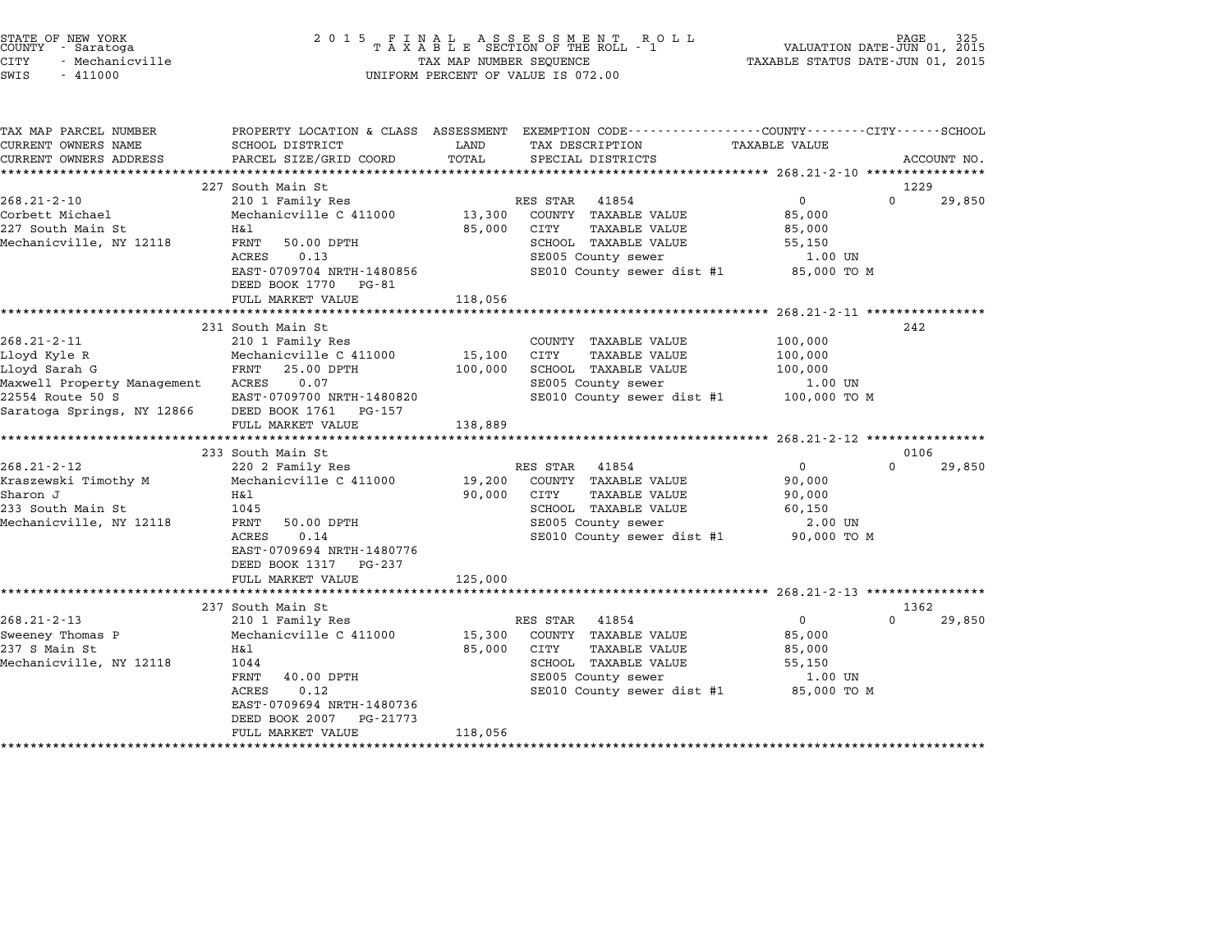| STATE OF NEW YORK<br>COUNTY<br>- Saratoga<br><b>CITY</b><br>- Mechanicville<br>SWIS<br>$-411000$                                                                                                                                             | 2 0 1 5                                                                                                                                                                                                                                                                                                                                                                              | TAX MAP NUMBER SEQUENCE                          | FINAL ASSESSMENT ROLL<br>TAXABLE SECTION OF THE ROLL - 1<br>UNIFORM PERCENT OF VALUE IS 072.00                                                                                                                                                                                         | VALUATION DATE-JUN 01, 2015<br>TAXABLE STATUS DATE-JUN 01, 2015                                                                                                                        | PAGE                          |
|----------------------------------------------------------------------------------------------------------------------------------------------------------------------------------------------------------------------------------------------|--------------------------------------------------------------------------------------------------------------------------------------------------------------------------------------------------------------------------------------------------------------------------------------------------------------------------------------------------------------------------------------|--------------------------------------------------|----------------------------------------------------------------------------------------------------------------------------------------------------------------------------------------------------------------------------------------------------------------------------------------|----------------------------------------------------------------------------------------------------------------------------------------------------------------------------------------|-------------------------------|
| TAX MAP PARCEL NUMBER<br>CURRENT OWNERS NAME<br>CURRENT OWNERS ADDRESS                                                                                                                                                                       | SCHOOL DISTRICT<br>PARCEL SIZE/GRID COORD                                                                                                                                                                                                                                                                                                                                            | LAND<br>TOTAL                                    | PROPERTY LOCATION & CLASS ASSESSMENT EXEMPTION CODE---------------COUNTY-------CITY------SCHOOL<br>TAX DESCRIPTION<br>SPECIAL DISTRICTS                                                                                                                                                | TAXABLE VALUE                                                                                                                                                                          | ACCOUNT NO.                   |
|                                                                                                                                                                                                                                              | 227 South Main St                                                                                                                                                                                                                                                                                                                                                                    |                                                  |                                                                                                                                                                                                                                                                                        |                                                                                                                                                                                        | 1229                          |
| $268.21 - 2 - 10$                                                                                                                                                                                                                            | 210 1 Family Res                                                                                                                                                                                                                                                                                                                                                                     |                                                  | RES STAR 41854                                                                                                                                                                                                                                                                         | $\mathbf 0$                                                                                                                                                                            | $\Omega$<br>29,850            |
| Corbett Michael<br>227 South Main St<br>Mechanicville, NY 12118                                                                                                                                                                              | Mechanicville C 411000<br>Η&l<br>FRNT<br>50.00 DPTH<br>ACRES<br>0.13<br>EAST-0709704 NRTH-1480856<br>DEED BOOK 1770 PG-81                                                                                                                                                                                                                                                            | 13,300<br>85,000                                 | COUNTY TAXABLE VALUE<br>CITY<br><b>TAXABLE VALUE</b><br>SCHOOL TAXABLE VALUE<br>SE005 County sewer<br>SE010 County sewer dist #1                                                                                                                                                       | 85,000<br>85,000<br>55,150<br>1.00 UN<br>85,000 TO M                                                                                                                                   |                               |
|                                                                                                                                                                                                                                              | FULL MARKET VALUE                                                                                                                                                                                                                                                                                                                                                                    | 118,056                                          |                                                                                                                                                                                                                                                                                        |                                                                                                                                                                                        |                               |
|                                                                                                                                                                                                                                              | *************************<br>231 South Main St                                                                                                                                                                                                                                                                                                                                       |                                                  | ************************                                                                                                                                                                                                                                                               | ********************* 268.21-2-11 *****************                                                                                                                                    | 242                           |
| $268.21 - 2 - 11$<br>Lloyd Kyle R<br>Lloyd Sarah G<br>Maxwell Property Management<br>22554 Route 50 S<br>Saratoga Springs, NY 12866<br>$268.21 - 2 - 12$<br>Kraszewski Timothy M<br>Sharon J<br>233 South Main St<br>Mechanicville, NY 12118 | 210 1 Family Res<br>Mechanicville C 411000<br>FRNT<br>25.00 DPTH<br>ACRES<br>0.07<br>EAST-0709700 NRTH-1480820<br>DEED BOOK 1761 PG-157<br>FULL MARKET VALUE<br>*************************************<br>233 South Main St<br>220 2 Family Res<br>Mechanicville C 411000<br>Η&l<br>1045<br>FRNT<br>50.00 DPTH<br>0.14<br>ACRES<br>EAST-0709694 NRTH-1480776<br>DEED BOOK 1317 PG-237 | 15,100<br>100,000<br>138,889<br>19,200<br>90,000 | COUNTY TAXABLE VALUE<br>CITY<br><b>TAXABLE VALUE</b><br>SCHOOL TAXABLE VALUE<br>SE005 County sewer<br>SE010 County sewer dist #1<br>RES STAR 41854<br>COUNTY TAXABLE VALUE<br><b>TAXABLE VALUE</b><br>CITY<br>SCHOOL TAXABLE VALUE<br>SE005 County sewer<br>SE010 County sewer dist #1 | 100,000<br>100,000<br>100,000<br>1.00 UN<br>100,000 то м<br>********************* 268.21-2-12 ****************<br>$\mathsf{O}$<br>90,000<br>90,000<br>60,150<br>2.00 UN<br>90,000 TO M | 0106<br>$\mathbf 0$<br>29,850 |
|                                                                                                                                                                                                                                              | FULL MARKET VALUE                                                                                                                                                                                                                                                                                                                                                                    | 125,000                                          |                                                                                                                                                                                                                                                                                        |                                                                                                                                                                                        |                               |
|                                                                                                                                                                                                                                              | 237 South Main St                                                                                                                                                                                                                                                                                                                                                                    |                                                  |                                                                                                                                                                                                                                                                                        |                                                                                                                                                                                        | 1362                          |
| $268.21 - 2 - 13$<br>Sweeney Thomas P<br>237 S Main St<br>Mechanicville, NY 12118                                                                                                                                                            | 210 1 Family Res<br>Mechanicville C 411000<br>Η&l<br>1044<br>FRNT<br>40.00 DPTH<br><b>ACRES</b><br>0.12<br>EAST-0709694 NRTH-1480736<br>DEED BOOK 2007<br>PG-21773<br>FULL MARKET VALUE                                                                                                                                                                                              | 15,300<br>85,000<br>118,056                      | RES STAR 41854<br>COUNTY TAXABLE VALUE<br><b>CITY</b><br><b>TAXABLE VALUE</b><br>SCHOOL TAXABLE VALUE<br>SE005 County sewer<br>SE010 County sewer dist #1                                                                                                                              | $\mathsf{O}$<br>85,000<br>85,000<br>55,150<br>$1.00$ UN<br>85,000 TO M                                                                                                                 | 0<br>29,850                   |

STATE OF NEW YORK <sup>2</sup> <sup>0</sup> <sup>1</sup> 5 F I N A L A S S E S S M E N T R O L L PAGE <sup>325</sup> COUNTY - Saratoga <sup>T</sup> <sup>A</sup> <sup>X</sup> <sup>A</sup> <sup>B</sup> <sup>L</sup> <sup>E</sup> SECTION OF THE ROLL - <sup>1</sup> VALUATION DATE-JUN 01, <sup>2015</sup>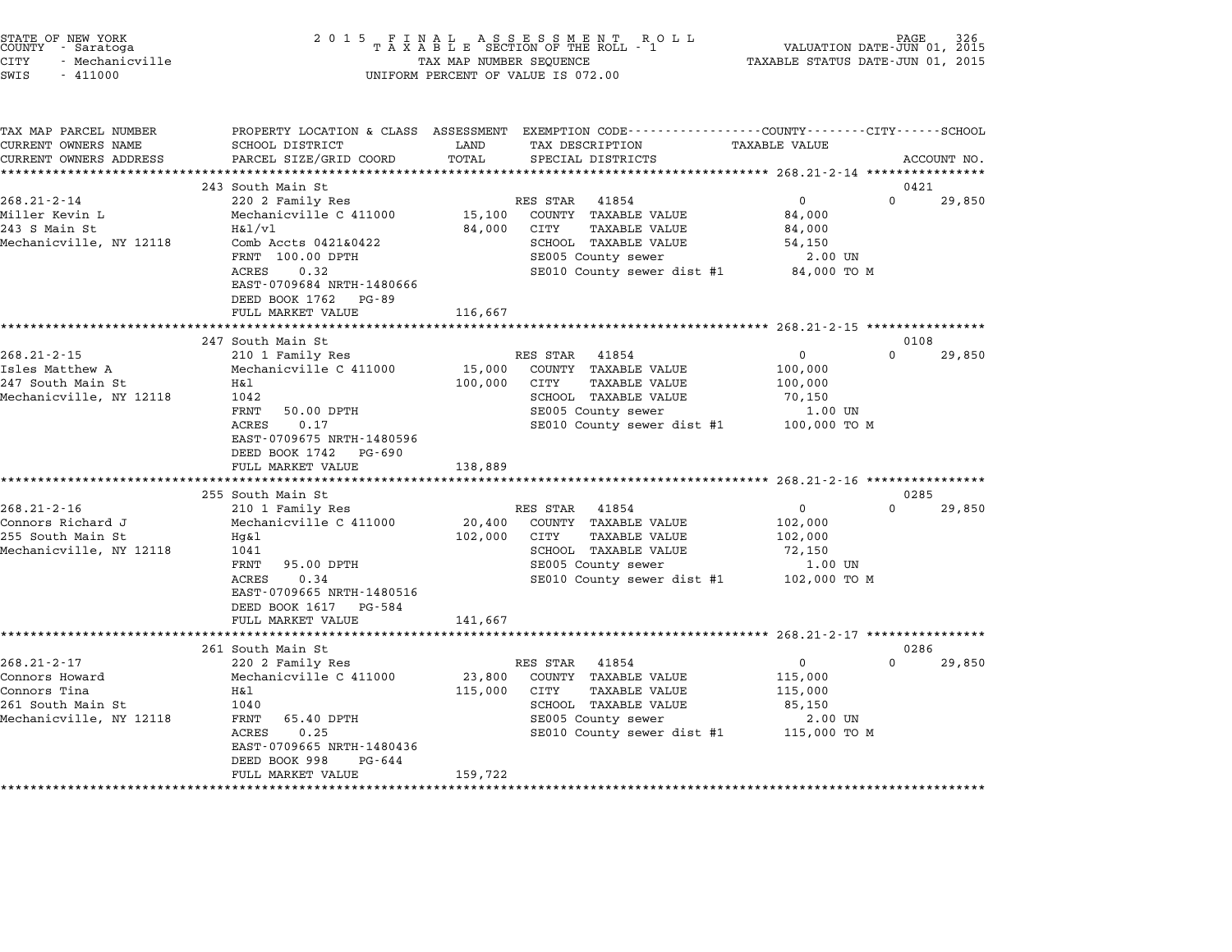| STATE OF NEW YORK<br>COUNTY - Saratoga<br>CITY<br>- Mechanicville<br>SWIS<br>$-411000$              | 2015 FINAL                                                                                                                                                                                          | TAX MAP NUMBER SEQUENCE      | FINAL ASSESSMENT ROLL<br>TAXABLE SECTION OF THE ROLL - 1<br>UNIFORM PERCENT OF VALUE IS 072.00                                                        | TAXABLE STATUS DATE-JUN 01, 2015                                        | PAGE<br>VALUATION DATE-JUN 01, 2015 | 326 |
|-----------------------------------------------------------------------------------------------------|-----------------------------------------------------------------------------------------------------------------------------------------------------------------------------------------------------|------------------------------|-------------------------------------------------------------------------------------------------------------------------------------------------------|-------------------------------------------------------------------------|-------------------------------------|-----|
| TAX MAP PARCEL NUMBER<br>CURRENT OWNERS NAME<br>CURRENT OWNERS ADDRESS                              | SCHOOL DISTRICT<br>PARCEL SIZE/GRID COORD                                                                                                                                                           | LAND<br>TOTAL                | PROPERTY LOCATION & CLASS ASSESSMENT EXEMPTION CODE---------------COUNTY-------CITY------SCHOOL<br>TAX DESCRIPTION<br>SPECIAL DISTRICTS               | TAXABLE VALUE                                                           | ACCOUNT NO.                         |     |
|                                                                                                     | 243 South Main St                                                                                                                                                                                   |                              |                                                                                                                                                       |                                                                         | 0421                                |     |
| $268.21 - 2 - 14$<br>Miller Kevin L<br>243 S Main St<br>Mechanicville, NY 12118                     | 220 2 Family Res<br>Mechanicville C 411000<br>H&1/v1<br>Comb Accts 0421&0422<br>FRNT 100.00 DPTH<br>ACRES<br>0.32<br>EAST-0709684 NRTH-1480666<br>DEED BOOK 1762 PG-89<br>FULL MARKET VALUE         | 15,100<br>84,000<br>116,667  | RES STAR<br>41854<br>COUNTY TAXABLE VALUE<br>CITY<br><b>TAXABLE VALUE</b><br>SCHOOL TAXABLE VALUE<br>SE005 County sewer<br>SE010 County sewer dist #1 | $\mathbf{0}$<br>84,000<br>84,000<br>54,150<br>2.00 UN<br>84,000 TO M    | 29,850<br>$\Omega$                  |     |
|                                                                                                     | ********************                                                                                                                                                                                |                              |                                                                                                                                                       |                                                                         |                                     |     |
| $268.21 - 2 - 15$<br>Isles Matthew A<br>247 South Main St<br>Mechanicville, NY 12118                | 247 South Main St<br>210 1 Family Res<br>Mechanicville C 411000<br>H&l<br>1042<br>FRNT<br>50.00 DPTH<br>ACRES<br>0.17<br>EAST-0709675 NRTH-1480596<br>DEED BOOK 1742<br>PG-690<br>FULL MARKET VALUE | 15,000<br>100,000<br>138,889 | RES STAR<br>41854<br>COUNTY TAXABLE VALUE<br>CITY<br><b>TAXABLE VALUE</b><br>SCHOOL TAXABLE VALUE<br>SE005 County sewer<br>SE010 County sewer dist #1 | $\mathbf 0$<br>100,000<br>100,000<br>70,150<br>1.00 UN<br>100,000 TO M  | 0108<br>$\Omega$<br>29,850          |     |
|                                                                                                     | *************************                                                                                                                                                                           |                              |                                                                                                                                                       |                                                                         |                                     |     |
| $268.21 - 2 - 16$<br>Connors Richard J<br>255 South Main St<br>Mechanicville, NY 12118              | 255 South Main St<br>210 1 Family Res<br>Mechanicville C 411000<br>Hg&l<br>1041<br>FRNT<br>95.00 DPTH<br>ACRES<br>0.34<br>EAST-0709665 NRTH-1480516<br>DEED BOOK 1617 PG-584<br>FULL MARKET VALUE   | 20,400<br>102,000<br>141,667 | RES STAR<br>41854<br>COUNTY TAXABLE VALUE<br>CITY<br>TAXABLE VALUE<br>SCHOOL TAXABLE VALUE<br>SE005 County sewer<br>SE010 County sewer dist #1        | 0<br>102,000<br>102,000<br>72,150<br>1.00 UN<br>102,000 TO M            | 0285<br>$\Omega$<br>29,850          |     |
|                                                                                                     | ********************                                                                                                                                                                                |                              |                                                                                                                                                       |                                                                         |                                     |     |
| $268.21 - 2 - 17$<br>Connors Howard<br>Connors Tina<br>261 South Main St<br>Mechanicville, NY 12118 | 261 South Main St<br>220 2 Family Res<br>Mechanicville C 411000<br>H&l<br>1040<br>FRNT<br>65.40 DPTH<br>ACRES<br>0.25<br>EAST-0709665 NRTH-1480436<br>DEED BOOK 998<br>PG-644<br>FULL MARKET VALUE  | 23,800<br>115,000<br>159,722 | RES STAR 41854<br>COUNTY TAXABLE VALUE<br>CITY<br><b>TAXABLE VALUE</b><br>SCHOOL TAXABLE VALUE<br>SE005 County sewer<br>SE010 County sewer dist #1    | $\mathbf{0}$<br>115,000<br>115,000<br>85,150<br>2.00 UN<br>115,000 TO M | 0286<br>$\Omega$<br>29,850          |     |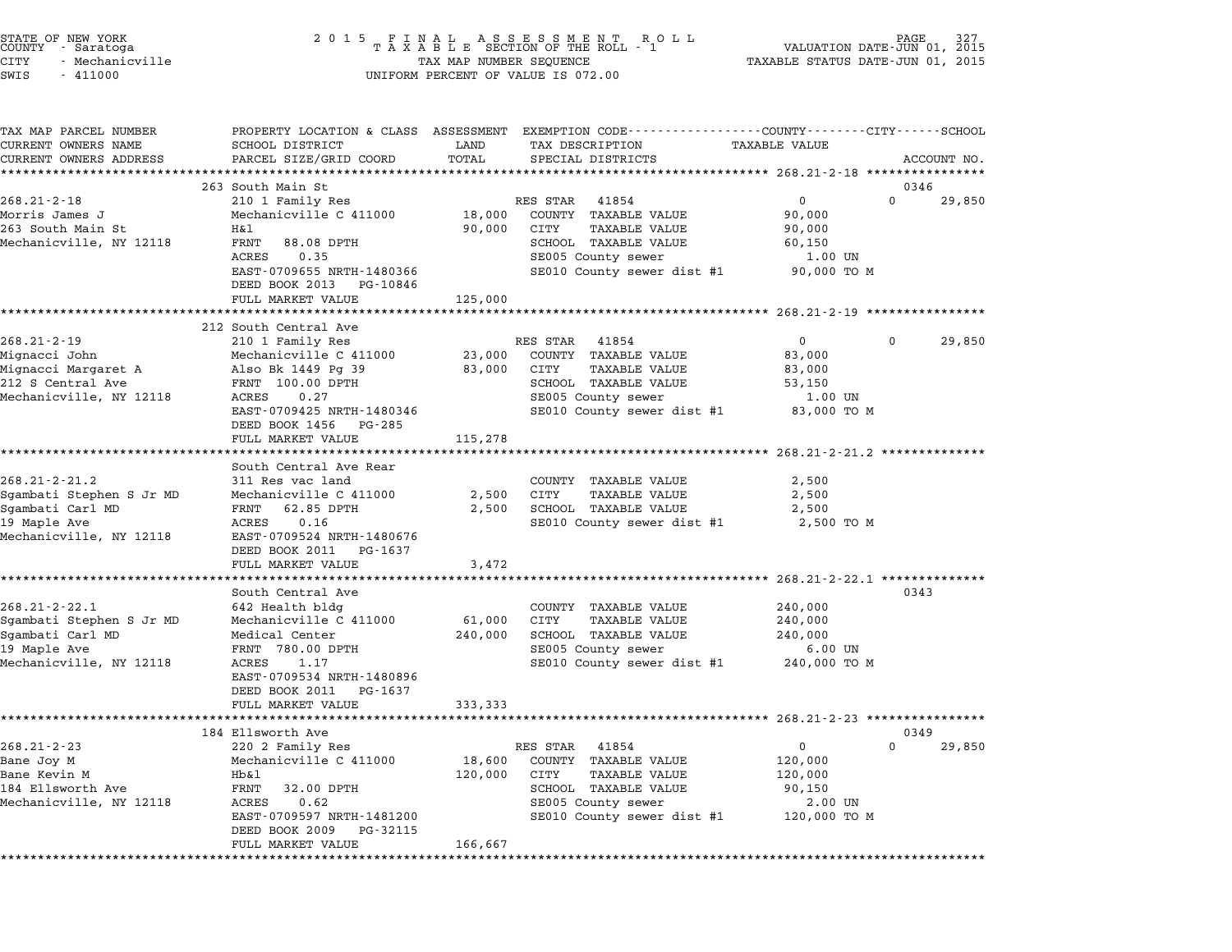| STATE OF NEW YORK<br>COUNTY - Saratoga<br>CITY<br>- Mechanicville<br>SWIS<br>$-411000$ | 2 0 1 5                                                 | TAX MAP NUMBER SEQUENCE | FINAL ASSESSMENT ROLL<br>TAXABLE SECTION OF THE ROLL - 1<br>UNIFORM PERCENT OF VALUE IS 072.00                                          | VALUATION DATE-JUN 01,<br>TAXABLE STATUS DATE-JUN 01, 2015 | PAGE.       | 327<br>2015 |
|----------------------------------------------------------------------------------------|---------------------------------------------------------|-------------------------|-----------------------------------------------------------------------------------------------------------------------------------------|------------------------------------------------------------|-------------|-------------|
| TAX MAP PARCEL NUMBER<br>CURRENT OWNERS NAME<br>CURRENT OWNERS ADDRESS                 | SCHOOL DISTRICT<br>PARCEL SIZE/GRID COORD               | LAND<br>TOTAL           | PROPERTY LOCATION & CLASS ASSESSMENT EXEMPTION CODE---------------COUNTY-------CITY------SCHOOL<br>TAX DESCRIPTION<br>SPECIAL DISTRICTS | <b>TAXABLE VALUE</b>                                       |             | ACCOUNT NO. |
|                                                                                        | 263 South Main St                                       |                         |                                                                                                                                         |                                                            | 0346        |             |
| $268.21 - 2 - 18$                                                                      | 210 1 Family Res                                        |                         | RES STAR<br>41854                                                                                                                       | 0                                                          | 0           | 29,850      |
| Morris James J                                                                         | Mechanicville C 411000                                  | 18,000                  | COUNTY TAXABLE VALUE                                                                                                                    | 90,000                                                     |             |             |
| 263 South Main St<br>Mechanicville, NY 12118                                           | H&l<br>FRNT<br>88.08 DPTH                               | 90,000                  | CITY<br>TAXABLE VALUE<br>SCHOOL TAXABLE VALUE                                                                                           | 90,000<br>60,150                                           |             |             |
|                                                                                        | ACRES<br>0.35                                           |                         | SE005 County sewer                                                                                                                      | 1.00 UN                                                    |             |             |
|                                                                                        | EAST-0709655 NRTH-1480366<br>DEED BOOK 2013<br>PG-10846 |                         | SE010 County sewer dist #1                                                                                                              | 90,000 TO M                                                |             |             |
|                                                                                        | FULL MARKET VALUE                                       | 125,000                 |                                                                                                                                         |                                                            |             |             |
|                                                                                        |                                                         |                         | ******************************** 268.21-2-19 ************                                                                               |                                                            |             |             |
| $268.21 - 2 - 19$                                                                      | 212 South Central Ave<br>210 1 Family Res               |                         | RES STAR<br>41854                                                                                                                       | $\mathbf{0}$                                               | $\mathbf 0$ | 29,850      |
| Mignacci John                                                                          | Mechanicville C 411000                                  | 23,000                  | COUNTY TAXABLE VALUE                                                                                                                    | 83,000                                                     |             |             |
| Mignacci Margaret A                                                                    | Also Bk 1449 Pg 39                                      | 83,000                  | CITY<br>TAXABLE VALUE                                                                                                                   | 83,000                                                     |             |             |
| 212 S Central Ave                                                                      | FRNT 100.00 DPTH                                        |                         | SCHOOL TAXABLE VALUE                                                                                                                    | 53,150                                                     |             |             |
| Mechanicville, NY 12118                                                                | ACRES<br>0.27                                           |                         | SE005 County sewer                                                                                                                      | 1.00 UN                                                    |             |             |
|                                                                                        | EAST-0709425 NRTH-1480346<br>DEED BOOK 1456<br>PG-285   |                         | SE010 County sewer dist #1                                                                                                              | 83,000 TO M                                                |             |             |
|                                                                                        | FULL MARKET VALUE                                       | 115,278                 |                                                                                                                                         | ************ 268.21-2-21.2 *************                   |             |             |
|                                                                                        | South Central Ave Rear                                  |                         |                                                                                                                                         |                                                            |             |             |
| $268.21 - 2 - 21.2$                                                                    | 311 Res vac land                                        |                         | COUNTY TAXABLE VALUE                                                                                                                    | 2,500                                                      |             |             |
| Sgambati Stephen S Jr MD                                                               | Mechanicville C 411000                                  | 2,500                   | CITY<br><b>TAXABLE VALUE</b>                                                                                                            | 2,500                                                      |             |             |
| Sgambati Carl MD                                                                       | 62.85 DPTH<br>FRNT                                      | 2,500                   | SCHOOL TAXABLE VALUE                                                                                                                    | 2,500                                                      |             |             |
| 19 Maple Ave                                                                           | 0.16<br>ACRES                                           |                         | SE010 County sewer dist #1                                                                                                              | 2,500 TO M                                                 |             |             |
| Mechanicville, NY 12118                                                                | EAST-0709524 NRTH-1480676<br>DEED BOOK 2011<br>PG-1637  |                         |                                                                                                                                         |                                                            |             |             |
|                                                                                        | FULL MARKET VALUE                                       | 3,472                   |                                                                                                                                         |                                                            |             |             |
|                                                                                        | South Central Ave                                       |                         |                                                                                                                                         |                                                            | 0343        |             |
| $268.21 - 2 - 22.1$                                                                    | 642 Health bldg                                         |                         | COUNTY TAXABLE VALUE                                                                                                                    | 240,000                                                    |             |             |
| Sgambati Stephen S Jr MD                                                               | Mechanicville C 411000                                  | 61,000                  | CITY<br>TAXABLE VALUE                                                                                                                   | 240,000                                                    |             |             |
| Sgambati Carl MD                                                                       | Medical Center                                          | 240,000                 | SCHOOL TAXABLE VALUE                                                                                                                    | 240,000                                                    |             |             |
| 19 Maple Ave                                                                           | FRNT 780.00 DPTH                                        |                         | SE005 County sewer                                                                                                                      | $6.00$ UN                                                  |             |             |
| Mechanicville, NY 12118                                                                | ACRES<br>1.17                                           |                         | SE010 County sewer dist #1                                                                                                              | 240,000 TO M                                               |             |             |
|                                                                                        | EAST-0709534 NRTH-1480896<br>DEED BOOK 2011             |                         |                                                                                                                                         |                                                            |             |             |
|                                                                                        | PG-1637<br>FULL MARKET VALUE                            | 333,333                 |                                                                                                                                         |                                                            |             |             |
|                                                                                        |                                                         |                         |                                                                                                                                         |                                                            |             |             |
|                                                                                        | 184 Ellsworth Ave                                       |                         |                                                                                                                                         |                                                            | 0349        |             |
| $268.21 - 2 - 23$                                                                      | 220 2 Family Res                                        |                         | RES STAR<br>41854                                                                                                                       | 0                                                          | $\Omega$    | 29,850      |
| Bane Joy M                                                                             | Mechanicville C 411000                                  | 18,600                  | COUNTY<br>TAXABLE VALUE                                                                                                                 | 120,000                                                    |             |             |
| Bane Kevin M<br>184 Ellsworth Ave                                                      | Hb&l<br>FRNT<br>32.00 DPTH                              | 120,000                 | CITY<br>TAXABLE VALUE<br>SCHOOL TAXABLE VALUE                                                                                           | 120,000<br>90,150                                          |             |             |
| Mechanicville, NY 12118                                                                | ACRES<br>0.62                                           |                         | SE005 County sewer                                                                                                                      | 2.00 UN                                                    |             |             |
|                                                                                        | EAST-0709597 NRTH-1481200                               |                         | SE010 County sewer dist #1                                                                                                              | 120,000 TO M                                               |             |             |
|                                                                                        | DEED BOOK 2009<br>PG-32115                              |                         |                                                                                                                                         |                                                            |             |             |
|                                                                                        | FULL MARKET VALUE                                       | 166,667                 |                                                                                                                                         |                                                            |             |             |
|                                                                                        |                                                         |                         |                                                                                                                                         |                                                            |             |             |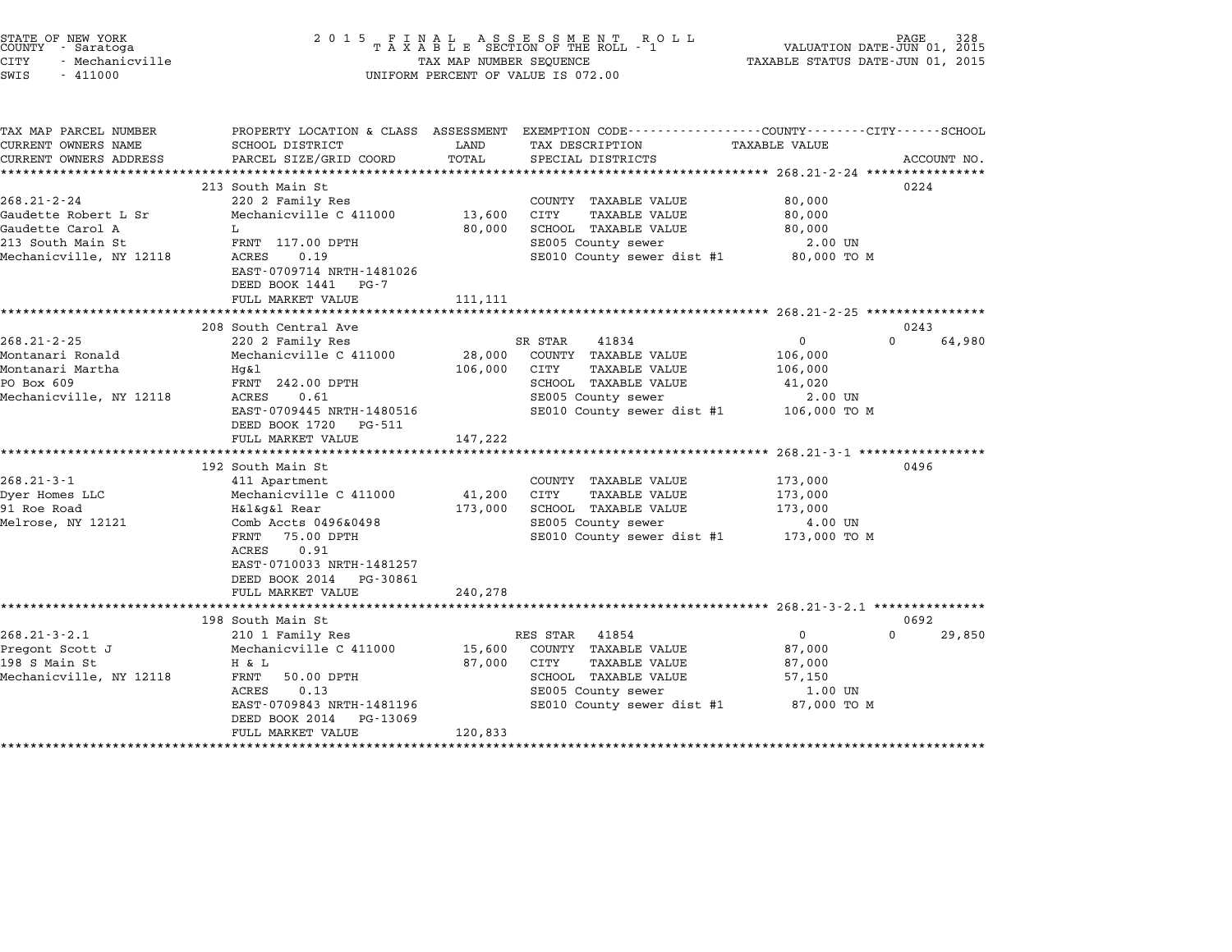| STATE OF NEW YORK<br>COUNTY - Saratoga<br>CITY<br>- Mechanicville<br>SWIS<br>$-411000$                        | 2 0 1 5                                                                                                                                                                                                                                              | TAX MAP NUMBER SEQUENCE      | FINAL ASSESSMENT RO<br>TAXABLE SECTION OF THE ROLL - 1<br>R O L L<br>UNIFORM PERCENT OF VALUE IS 072.00                                               | TAXABLE STATUS DATE-JUN 01, 2015                             | PAGE<br>328<br>VALUATION DATE-JUN 01, 2015 |
|---------------------------------------------------------------------------------------------------------------|------------------------------------------------------------------------------------------------------------------------------------------------------------------------------------------------------------------------------------------------------|------------------------------|-------------------------------------------------------------------------------------------------------------------------------------------------------|--------------------------------------------------------------|--------------------------------------------|
| TAX MAP PARCEL NUMBER<br>CURRENT OWNERS NAME<br>CURRENT OWNERS ADDRESS                                        | PROPERTY LOCATION & CLASS ASSESSMENT<br>SCHOOL DISTRICT<br>PARCEL SIZE/GRID COORD                                                                                                                                                                    | LAND<br>TOTAL                | EXEMPTION CODE----------------COUNTY-------CITY------SCHOOL<br>TAX DESCRIPTION<br>SPECIAL DISTRICTS                                                   | TAXABLE VALUE<br>************ 268.21-2-24 **********         | ACCOUNT NO.                                |
| $268.21 - 2 - 24$<br>Gaudette Robert L Sr<br>Gaudette Carol A<br>213 South Main St<br>Mechanicville, NY 12118 | 213 South Main St<br>220 2 Family Res<br>Mechanicville C 411000<br>L<br>FRNT 117.00 DPTH<br>ACRES<br>0.19<br>EAST-0709714 NRTH-1481026<br>DEED BOOK 1441<br>PG-7<br>FULL MARKET VALUE                                                                | 13,600<br>80,000<br>111,111  | COUNTY TAXABLE VALUE<br><b>TAXABLE VALUE</b><br>CITY<br>SCHOOL TAXABLE VALUE<br>SE005 County sewer<br>SE010 County sewer dist #1                      | 80,000<br>80,000<br>80,000<br>2.00 UN<br>80,000 TO M         | 0224                                       |
| $268.21 - 2 - 25$<br>Montanari Ronald<br>Montanari Martha<br>PO Box 609<br>Mechanicville, NY 12118            | 208 South Central Ave<br>220 2 Family Res<br>Mechanicville C 411000<br>Hq&l<br>FRNT 242.00 DPTH<br>0.61<br>ACRES<br>EAST-0709445 NRTH-1480516<br>DEED BOOK 1720<br>PG-511<br>FULL MARKET VALUE                                                       | 28,000<br>106,000<br>147,222 | 41834<br>SR STAR<br>COUNTY TAXABLE VALUE<br>CITY<br>TAXABLE VALUE<br>SCHOOL TAXABLE VALUE<br>SE005 County sewer<br>SE010 County sewer dist #1         | 0<br>106,000<br>106,000<br>41,020<br>2.00 UN<br>106,000 TO M | 0243<br>$\Omega$<br>64,980                 |
| $268.21 - 3 - 1$<br>Dyer Homes LLC<br>91 Roe Road<br>Melrose, NY 12121                                        | *********************<br>192 South Main St<br>411 Apartment<br>Mechanicville C 411000<br>H&l&g&l Rear<br>Comb Accts 0496&0498<br>FRNT<br>75.00 DPTH<br>0.91<br>ACRES<br>EAST-0710033 NRTH-1481257<br>DEED BOOK 2014<br>PG-30861<br>FULL MARKET VALUE | 41,200<br>173,000<br>240,278 | COUNTY TAXABLE VALUE<br><b>TAXABLE VALUE</b><br>CITY<br>SCHOOL TAXABLE VALUE<br>SE005 County sewer<br>SE010 County sewer dist #1                      | 173,000<br>173,000<br>173,000<br>4.00 UN<br>173,000 TO M     | 0496                                       |
| $268.21 - 3 - 2.1$<br>Pregont Scott J<br>198 S Main St<br>Mechanicville, NY 12118                             | 198 South Main St<br>210 1 Family Res<br>Mechanicville C 411000<br>H & L<br>FRNT<br>50.00 DPTH<br>0.13<br>ACRES<br>EAST-0709843 NRTH-1481196<br>DEED BOOK 2014<br>PG-13069<br>FULL MARKET VALUE                                                      | 15,600<br>87,000<br>120,833  | RES STAR<br>41854<br>COUNTY TAXABLE VALUE<br>CITY<br><b>TAXABLE VALUE</b><br>SCHOOL TAXABLE VALUE<br>SE005 County sewer<br>SE010 County sewer dist #1 | 0<br>87,000<br>87,000<br>57,150<br>1.00 UN<br>87,000 TO M    | 0692<br>$\Omega$<br>29,850                 |

STATE OF NEW YORK <sup>2</sup> <sup>0</sup> <sup>1</sup> 5 F I N A L A S S E S S M E N T R O L L PAGE <sup>328</sup> COUNTY - Saratoga <sup>T</sup> <sup>A</sup> <sup>X</sup> <sup>A</sup> <sup>B</sup> <sup>L</sup> <sup>E</sup> SECTION OF THE ROLL - <sup>1</sup> VALUATION DATE-JUN 01, <sup>2015</sup>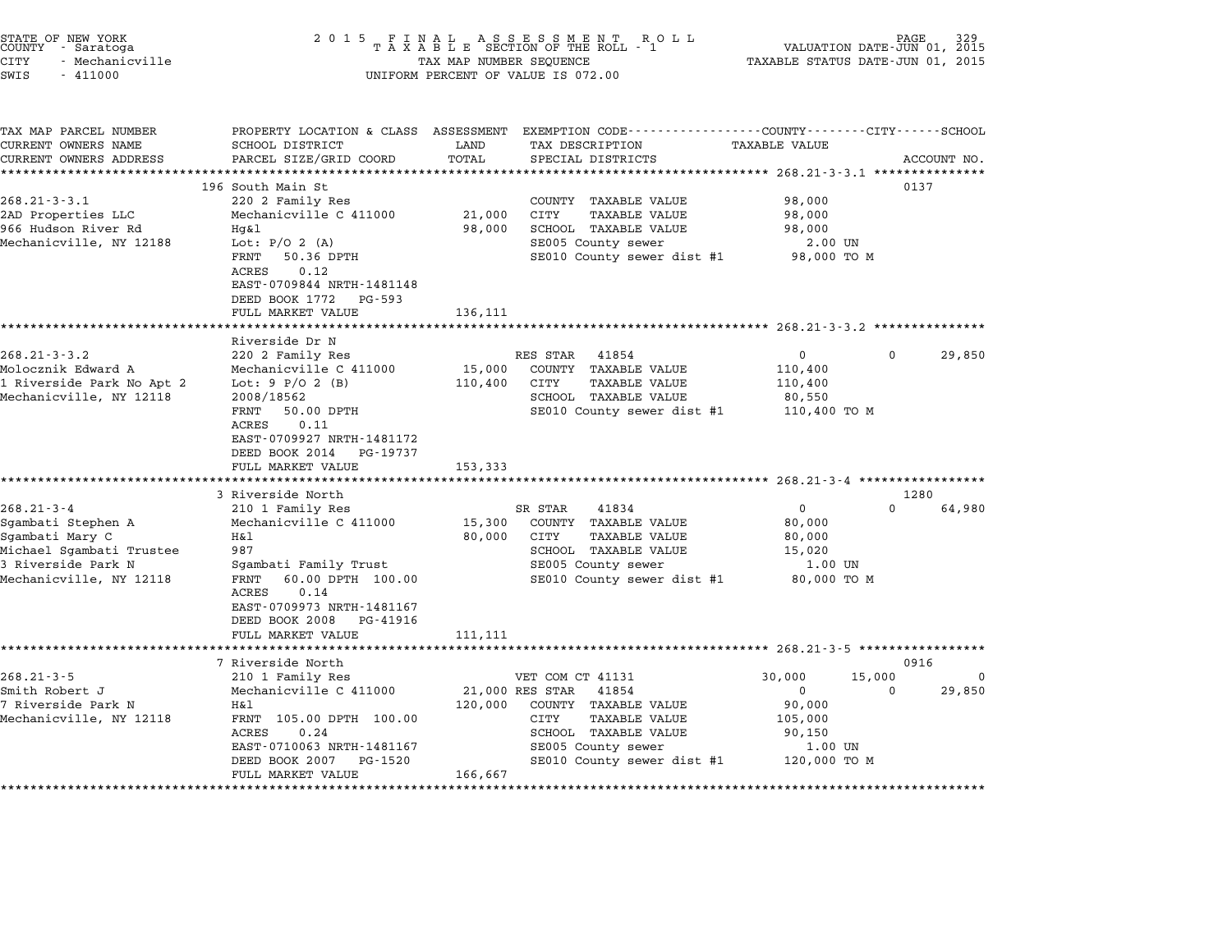| 2 0 1 5<br>FINAL ASSESSMENT ROTAXABLE SECTION OF THE ROLL - 1<br>R O L L<br>TAX MAP NUMBER SEQUENCE<br>UNIFORM PERCENT OF VALUE IS 072.00                                                                            |                                                             |                                                 | PAGE<br>VALUATION DATE-JUN 01, 2015<br>TAXABLE STATUS DATE-JUN 01, 2015 |                                                                                                                                                                                                                                                                                                      |                                                                                        |                                                                                                                                                                                                                                                                                                                                        |
|----------------------------------------------------------------------------------------------------------------------------------------------------------------------------------------------------------------------|-------------------------------------------------------------|-------------------------------------------------|-------------------------------------------------------------------------|------------------------------------------------------------------------------------------------------------------------------------------------------------------------------------------------------------------------------------------------------------------------------------------------------|----------------------------------------------------------------------------------------|----------------------------------------------------------------------------------------------------------------------------------------------------------------------------------------------------------------------------------------------------------------------------------------------------------------------------------------|
| SCHOOL DISTRICT<br>PARCEL SIZE/GRID COORD<br>*****************                                                                                                                                                       | LAND<br>TOTAL                                               |                                                 |                                                                         | TAXABLE VALUE                                                                                                                                                                                                                                                                                        |                                                                                        | ACCOUNT NO.                                                                                                                                                                                                                                                                                                                            |
| 196 South Main St<br>220 2 Family Res<br>Mechanicville C 411000<br>Hq&l<br>Lot: $P/O 2 (A)$<br>FRNT<br>50.36 DPTH<br>0.12<br>ACRES<br>EAST-0709844 NRTH-1481148<br>DEED BOOK 1772<br>PG-593                          | 21,000<br>98,000                                            | <b>CITY</b>                                     | TAXABLE VALUE                                                           | 98,000<br>98,000<br>98,000                                                                                                                                                                                                                                                                           |                                                                                        | 0137                                                                                                                                                                                                                                                                                                                                   |
|                                                                                                                                                                                                                      |                                                             |                                                 |                                                                         |                                                                                                                                                                                                                                                                                                      |                                                                                        |                                                                                                                                                                                                                                                                                                                                        |
| Riverside Dr N<br>220 2 Family Res<br>Mechanicville C 411000<br>Lot: $9 P/O 2 (B)$<br>2008/18562<br>FRNT<br>50.00 DPTH<br>ACRES<br>0.11<br>EAST-0709927 NRTH-1481172<br>DEED BOOK 2014 PG-19737<br>FULL MARKET VALUE | 15,000<br>110,400<br>153,333                                | CITY                                            | 41854<br><b>TAXABLE VALUE</b>                                           | $\mathbf{0}$<br>110,400<br>110,400<br>80,550                                                                                                                                                                                                                                                         | 0                                                                                      | 29,850                                                                                                                                                                                                                                                                                                                                 |
|                                                                                                                                                                                                                      |                                                             |                                                 |                                                                         |                                                                                                                                                                                                                                                                                                      |                                                                                        |                                                                                                                                                                                                                                                                                                                                        |
| 210 1 Family Res<br>Mechanicville C 411000<br>Η&l<br>987<br>Sgambati Family Trust<br>60.00 DPTH 100.00<br>FRNT<br>0.14<br>ACRES<br>EAST-0709973 NRTH-1481167<br>DEED BOOK 2008<br>PG-41916                           | 15,300<br>80,000                                            | CITY                                            | 41834<br><b>TAXABLE VALUE</b>                                           | $\Omega$<br>80,000<br>80,000<br>15,020                                                                                                                                                                                                                                                               | $\Omega$                                                                               | 64,980                                                                                                                                                                                                                                                                                                                                 |
|                                                                                                                                                                                                                      | 111,111                                                     |                                                 |                                                                         |                                                                                                                                                                                                                                                                                                      |                                                                                        |                                                                                                                                                                                                                                                                                                                                        |
| 7 Riverside North<br>210 1 Family Res<br>Mechanicville C 411000<br>Η&l<br>FRNT 105.00 DPTH 100.00<br>ACRES<br>0.24<br>EAST-0710063 NRTH-1481167                                                                      | 120,000                                                     | CITY                                            | 41854<br><b>TAXABLE VALUE</b><br>SE005 County sewer                     | 30,000<br>$\mathbf{0}$<br>90,000<br>105,000<br>90,150<br>1.00 UN                                                                                                                                                                                                                                     | 15,000<br>$\Omega$                                                                     | 0916<br>$\Omega$<br>29,850                                                                                                                                                                                                                                                                                                             |
|                                                                                                                                                                                                                      | FULL MARKET VALUE<br>3 Riverside North<br>FULL MARKET VALUE | PROPERTY LOCATION & CLASS ASSESSMENT<br>136,111 | RES STAR<br>SR STAR<br>21,000 RES STAR                                  | TAX DESCRIPTION<br>SPECIAL DISTRICTS<br>COUNTY TAXABLE VALUE<br>SCHOOL TAXABLE VALUE<br>SE005 County sewer<br>COUNTY TAXABLE VALUE<br>SCHOOL TAXABLE VALUE<br>COUNTY TAXABLE VALUE<br>SCHOOL TAXABLE VALUE<br>SE005 County sewer<br>VET COM CT 41131<br>COUNTY TAXABLE VALUE<br>SCHOOL TAXABLE VALUE | SE010 County sewer dist #1<br>SE010 County sewer dist #1<br>SE010 County sewer dist #1 | EXEMPTION CODE-----------------COUNTY-------CITY------SCHOOL<br>************************************ 268.21-3-3.1 ****************<br>2.00 UN<br>98,000 TO M<br>****************************** 268.21-3-3.2 ***************<br>110,400 TO M<br>********************************** 268.21-3-4 *******<br>1280<br>1.00 UN<br>80,000 TO M |

STATE OF NEW YORK <sup>2</sup> <sup>0</sup> <sup>1</sup> 5 F I N A L A S S E S S M E N T R O L L PAGE <sup>329</sup> COUNTY - Saratoga <sup>T</sup> <sup>A</sup> <sup>X</sup> <sup>A</sup> <sup>B</sup> <sup>L</sup> <sup>E</sup> SECTION OF THE ROLL - <sup>1</sup> VALUATION DATE-JUN 01, <sup>2015</sup>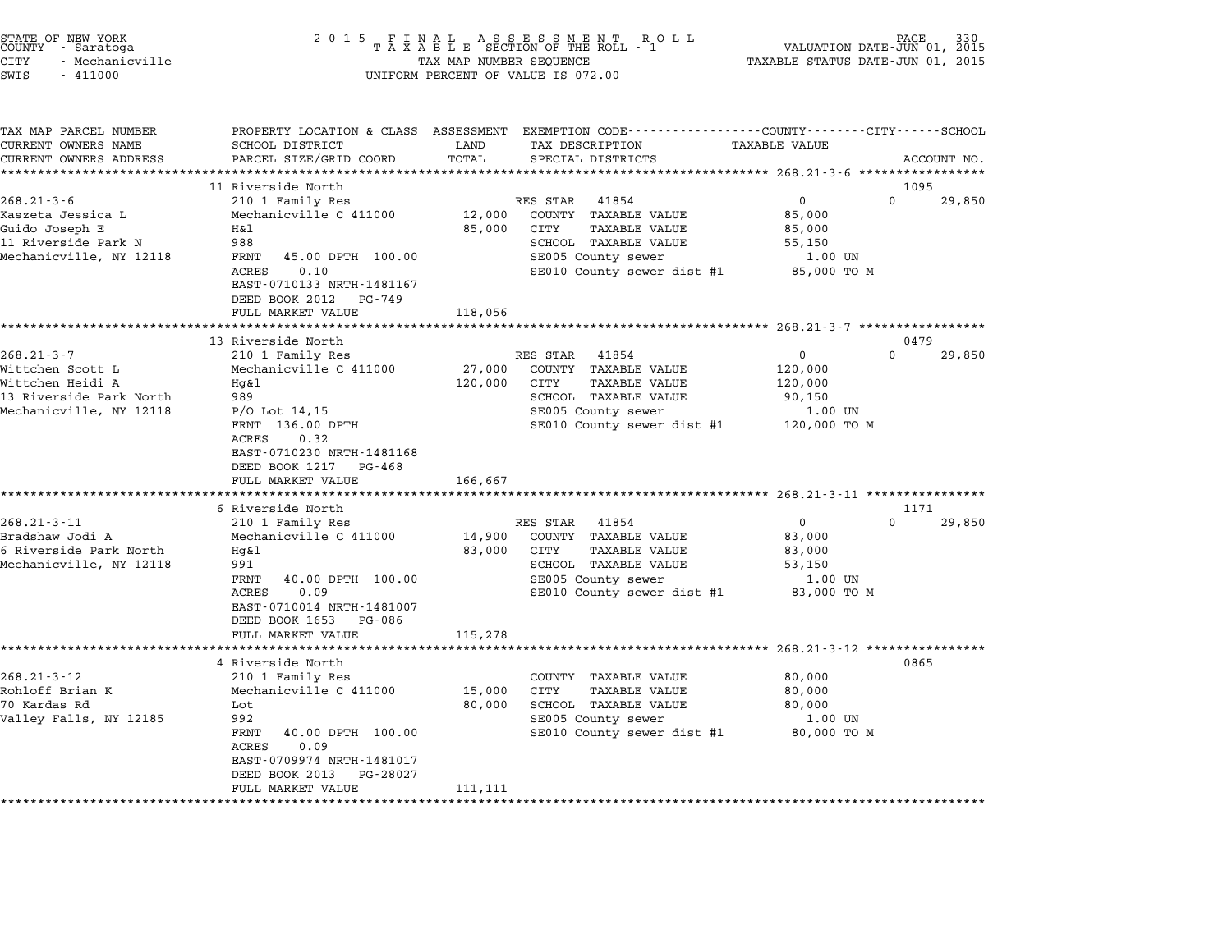| STATE OF NEW YORK<br>COUNTY - Saratoga<br><b>CITY</b><br>- Mechanicville<br>SWIS<br>$-411000$                  | 2 0 1 5                                                                                                                                                                               | TAX MAP NUMBER SEQUENCE     | FINAL ASSESSMENT ROLL<br>TAXABLE SECTION OF THE ROLL - 1<br>UNIFORM PERCENT OF VALUE IS 072.00                                                        | VALUATION DATE-JUN 01, 2015<br>TAXABLE STATUS DATE-JUN 01, 2015      | PAGE                       |
|----------------------------------------------------------------------------------------------------------------|---------------------------------------------------------------------------------------------------------------------------------------------------------------------------------------|-----------------------------|-------------------------------------------------------------------------------------------------------------------------------------------------------|----------------------------------------------------------------------|----------------------------|
| TAX MAP PARCEL NUMBER<br>CURRENT OWNERS NAME<br>CURRENT OWNERS ADDRESS                                         | PROPERTY LOCATION & CLASS ASSESSMENT<br>SCHOOL DISTRICT<br>PARCEL SIZE/GRID COORD                                                                                                     | LAND<br>TOTAL               | EXEMPTION CODE-----------------COUNTY-------CITY------SCHOOL<br>TAX DESCRIPTION<br>SPECIAL DISTRICTS                                                  | <b>TAXABLE VALUE</b>                                                 | ACCOUNT NO.                |
| **********************                                                                                         |                                                                                                                                                                                       |                             |                                                                                                                                                       |                                                                      |                            |
|                                                                                                                | 11 Riverside North                                                                                                                                                                    |                             |                                                                                                                                                       |                                                                      | 1095                       |
| $268.21 - 3 - 6$<br>Kaszeta Jessica L<br>Guido Joseph E<br>11 Riverside Park N<br>Mechanicville, NY 12118      | 210 1 Family Res<br>Mechanicville C 411000<br>Η&l<br>988<br>FRNT<br>45.00 DPTH 100.00<br>0.10<br>ACRES<br>EAST-0710133 NRTH-1481167<br>DEED BOOK 2012<br>PG-749<br>FULL MARKET VALUE  | 12,000<br>85,000<br>118,056 | RES STAR<br>41854<br>COUNTY TAXABLE VALUE<br>CITY<br><b>TAXABLE VALUE</b><br>SCHOOL TAXABLE VALUE<br>SE005 County sewer<br>SE010 County sewer dist #1 | $\mathbf{0}$<br>85,000<br>85,000<br>55,150<br>1.00 UN<br>85,000 TO M | $\Omega$<br>29,850         |
|                                                                                                                | * * * * * * * * * * * * * * * * * * * *                                                                                                                                               |                             |                                                                                                                                                       |                                                                      |                            |
|                                                                                                                | 13 Riverside North                                                                                                                                                                    |                             |                                                                                                                                                       |                                                                      | 0479                       |
| $268.21 - 3 - 7$<br>Wittchen Scott L<br>Wittchen Heidi A<br>13 Riverside Park North<br>Mechanicville, NY 12118 | 210 1 Family Res<br>Mechanicville C 411000<br>Hq&l<br>989<br>$P/O$ Lot 14,15                                                                                                          | 27,000<br>120,000           | RES STAR<br>41854<br>COUNTY TAXABLE VALUE<br>CITY<br>TAXABLE VALUE<br>SCHOOL TAXABLE VALUE<br>SE005 County sewer                                      | $\mathsf{O}$<br>120,000<br>120,000<br>90,150<br>1.00 UN              | $\Omega$<br>29,850         |
|                                                                                                                | FRNT 136.00 DPTH<br>0.32<br>ACRES<br>EAST-0710230 NRTH-1481168<br>DEED BOOK 1217<br>PG-468<br>FULL MARKET VALUE                                                                       | 166,667                     | SE010 County sewer dist #1                                                                                                                            | 120,000 TO M                                                         |                            |
|                                                                                                                |                                                                                                                                                                                       |                             |                                                                                                                                                       | ********************* 268.21-3-11 ****************                   |                            |
| $268.21 - 3 - 11$<br>Bradshaw Jodi A<br>6 Riverside Park North<br>Mechanicville, NY 12118                      | 6 Riverside North<br>210 1 Family Res<br>Mechanicville C 411000<br>Hq&l<br>991<br>FRNT<br>40.00 DPTH 100.00<br>0.09<br>ACRES<br>EAST-0710014 NRTH-1481007<br>DEED BOOK 1653<br>PG-086 | 14,900<br>83,000            | RES STAR<br>41854<br>COUNTY TAXABLE VALUE<br>CITY<br>TAXABLE VALUE<br>SCHOOL TAXABLE VALUE<br>SE005 County sewer<br>SE010 County sewer dist #1        | $\mathbf 0$<br>83,000<br>83,000<br>53,150<br>1.00 UN<br>83,000 TO M  | 1171<br>$\Omega$<br>29,850 |
|                                                                                                                | FULL MARKET VALUE                                                                                                                                                                     | 115,278                     |                                                                                                                                                       |                                                                      |                            |
|                                                                                                                | ***************************                                                                                                                                                           |                             |                                                                                                                                                       |                                                                      |                            |
| $268.21 - 3 - 12$                                                                                              | 4 Riverside North<br>210 1 Family Res                                                                                                                                                 |                             | COUNTY TAXABLE VALUE                                                                                                                                  | 80,000                                                               | 0865                       |
| Rohloff Brian K                                                                                                | Mechanicville C 411000                                                                                                                                                                | 15,000                      | CITY<br>TAXABLE VALUE                                                                                                                                 | 80,000                                                               |                            |
| 70 Kardas Rd                                                                                                   | Lot                                                                                                                                                                                   | 80,000                      | SCHOOL TAXABLE VALUE                                                                                                                                  | 80,000                                                               |                            |
| Valley Falls, NY 12185                                                                                         | 992<br>FRNT<br>40.00 DPTH 100.00<br><b>ACRES</b><br>0.09<br>EAST-0709974 NRTH-1481017<br>DEED BOOK 2013<br>PG-28027                                                                   |                             | SE005 County sewer<br>SE010 County sewer dist #1                                                                                                      | 1.00 UN<br>80,000 TO M                                               |                            |
|                                                                                                                | FULL MARKET VALUE                                                                                                                                                                     | 111,111                     |                                                                                                                                                       |                                                                      |                            |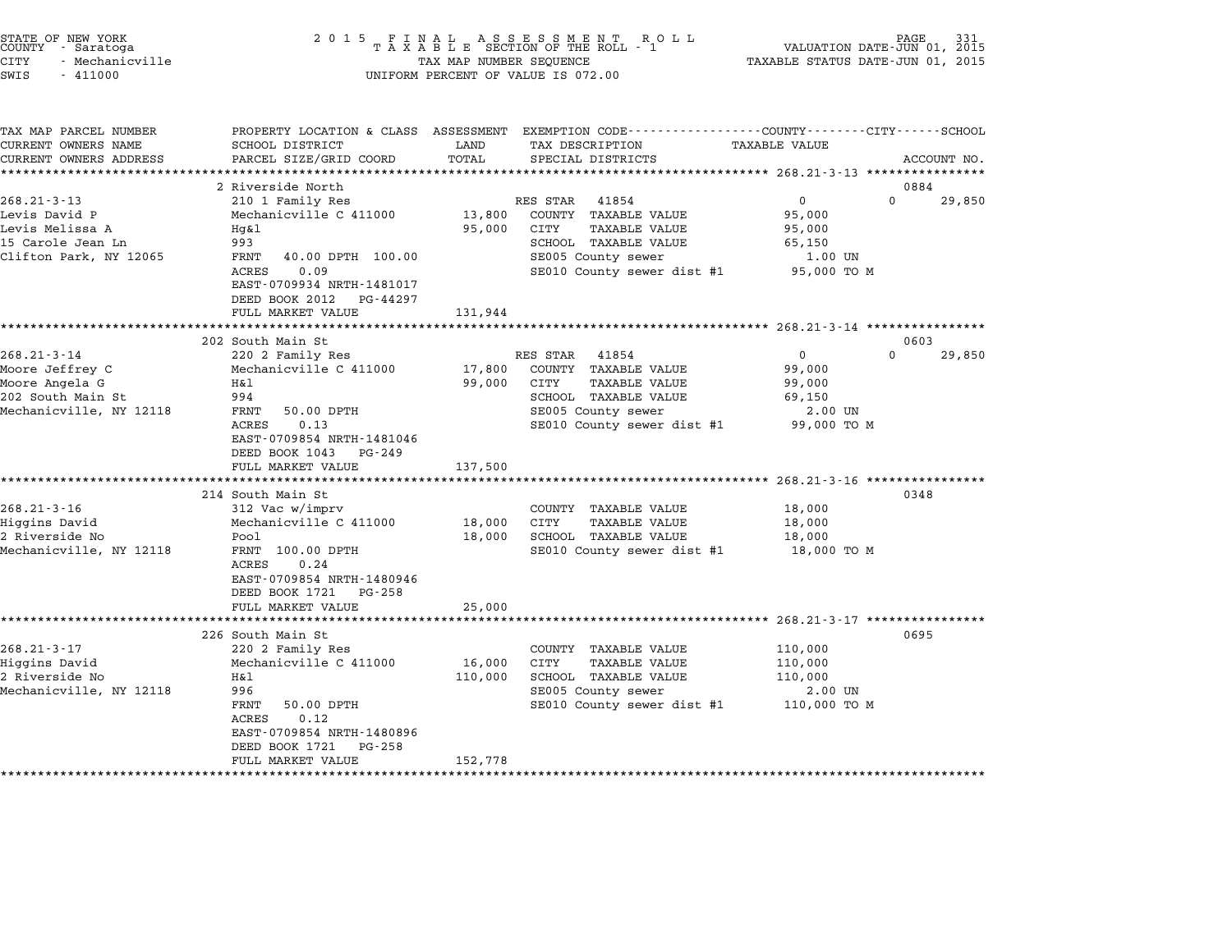| STATE OF NEW YORK<br>COUNTY - Saratoga<br>CITY<br>- Mechanicville<br>SWIS<br>$-411000$                 | 2 0 1 5                                                                                                                                                                                                      | TAX MAP NUMBER SEQUENCE     | FINAL ASSESSMENT ROLL<br>TAXABLE SECTION OF THE ROLL - 1<br>UNIFORM PERCENT OF VALUE IS 072.00                                                        | VALUATION DATE-JUN 01, 2015<br>TAXABLE STATUS DATE-JUN 01, 2015        | PAGE.                          |
|--------------------------------------------------------------------------------------------------------|--------------------------------------------------------------------------------------------------------------------------------------------------------------------------------------------------------------|-----------------------------|-------------------------------------------------------------------------------------------------------------------------------------------------------|------------------------------------------------------------------------|--------------------------------|
| TAX MAP PARCEL NUMBER<br>CURRENT OWNERS NAME<br>CURRENT OWNERS ADDRESS                                 | SCHOOL DISTRICT<br>PARCEL SIZE/GRID COORD                                                                                                                                                                    | LAND<br>TOTAL               | PROPERTY LOCATION & CLASS ASSESSMENT EXEMPTION CODE---------------COUNTY-------CITY-----SCHOOL<br>TAX DESCRIPTION<br>SPECIAL DISTRICTS                | TAXABLE VALUE<br>***************** 268.21-3-13 **********              | ACCOUNT NO.                    |
| $268.21 - 3 - 13$<br>Levis David P<br>Levis Melissa A<br>15 Carole Jean Ln<br>Clifton Park, NY 12065   | 2 Riverside North<br>210 1 Family Res<br>Mechanicville C 411000<br>Hq&l<br>993<br>FRNT<br>40.00 DPTH 100.00<br>ACRES<br>0.09<br>EAST-0709934 NRTH-1481017<br>DEED BOOK 2012<br>PG-44297<br>FULL MARKET VALUE | 13,800<br>95,000<br>131,944 | RES STAR<br>41854<br>COUNTY TAXABLE VALUE<br>CITY<br><b>TAXABLE VALUE</b><br>SCHOOL TAXABLE VALUE<br>SE005 County sewer<br>SE010 County sewer dist #1 | $\mathbf{0}$<br>95,000<br>95,000<br>65,150<br>1.00 UN<br>95,000 TO M   | 0884<br>$\mathsf{O}$<br>29,850 |
|                                                                                                        | **********************                                                                                                                                                                                       |                             |                                                                                                                                                       | ******************** 268.21-3-14 *****************                     |                                |
| $268.21 - 3 - 14$<br>Moore Jeffrey C<br>Moore Angela G<br>202 South Main St<br>Mechanicville, NY 12118 | 202 South Main St<br>220 2 Family Res<br>Mechanicville C 411000<br>H&l<br>994<br>FRNT<br>50.00 DPTH<br>0.13<br>ACRES<br>EAST-0709854 NRTH-1481046<br>DEED BOOK 1043 PG-249                                   | 17,800<br>99,000            | RES STAR<br>41854<br>COUNTY TAXABLE VALUE<br>CITY<br>TAXABLE VALUE<br>SCHOOL TAXABLE VALUE<br>SE005 County sewer<br>SE010 County sewer dist #1        | $\overline{0}$<br>99,000<br>99,000<br>69,150<br>2.00 UN<br>99,000 TO M | 0603<br>$\Omega$<br>29,850     |
|                                                                                                        | FULL MARKET VALUE<br>*********************                                                                                                                                                                   | 137,500                     |                                                                                                                                                       | ****************** 268.21-3-16 *****************                       |                                |
| $268.21 - 3 - 16$<br>Higgins David<br>2 Riverside No<br>Mechanicville, NY 12118                        | 214 South Main St<br>312 Vac w/imprv<br>Mechanicville C 411000<br>Pool<br>FRNT 100.00 DPTH<br>ACRES<br>0.24<br>EAST-0709854 NRTH-1480946<br>DEED BOOK 1721 PG-258<br>FULL MARKET VALUE                       | 18,000<br>18,000<br>25,000  | COUNTY TAXABLE VALUE<br>CITY<br><b>TAXABLE VALUE</b><br>SCHOOL TAXABLE VALUE<br>SE010 County sewer dist #1                                            | 18,000<br>18,000<br>18,000<br>18,000 TO M                              | 0348                           |
|                                                                                                        | ***************                                                                                                                                                                                              |                             |                                                                                                                                                       | $268.21 - 3 - 17$ ***************                                      |                                |
| $268.21 - 3 - 17$<br>Higgins David<br>2 Riverside No<br>Mechanicville, NY 12118                        | 226 South Main St<br>220 2 Family Res<br>Mechanicville C 411000<br>Η&l<br>996<br>FRNT<br>50.00 DPTH<br>ACRES<br>0.12<br>EAST-0709854 NRTH-1480896<br>DEED BOOK 1721 PG-258                                   | 16,000<br>110,000           | COUNTY TAXABLE VALUE<br>CITY<br><b>TAXABLE VALUE</b><br>SCHOOL TAXABLE VALUE<br>SE005 County sewer<br>SE010 County sewer dist #1                      | 110,000<br>110,000<br>110,000<br>2.00 UN<br>110,000 TO M               | 0695                           |

DEED BOOK 1721 PG-258<br>FULL MARKET VALUE 152,778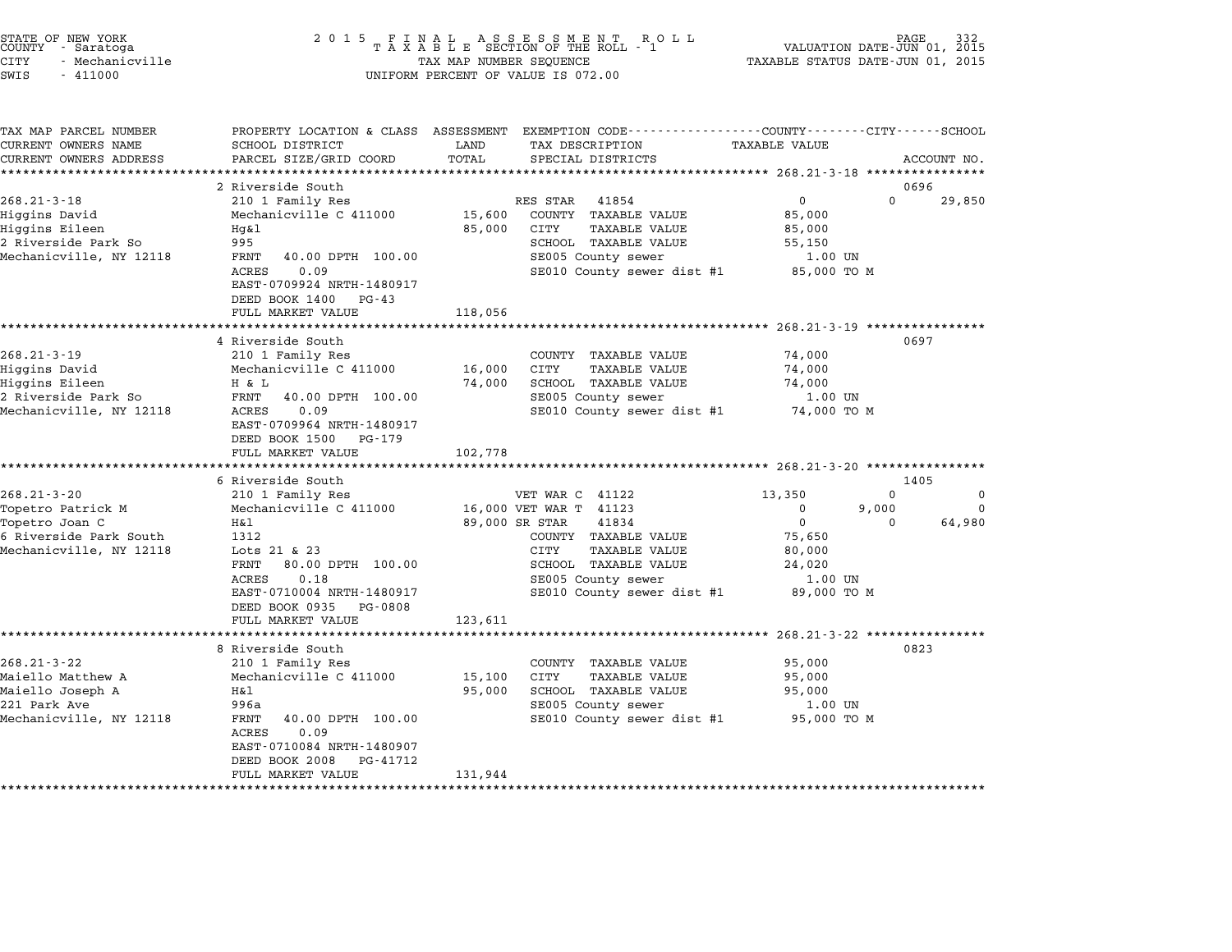| STATE OF NEW YORK<br>COUNTY - Saratoga |                 |  |
|----------------------------------------|-----------------|--|
| CITY                                   | - Mechanicville |  |

# STATE OF NEW YORK <sup>2</sup> <sup>0</sup> <sup>1</sup> 5 F I N A L A S S E S S M E N T R O L L PAGE <sup>332</sup> COUNTY - Saratoga <sup>T</sup> <sup>A</sup> <sup>X</sup> <sup>A</sup> <sup>B</sup> <sup>L</sup> <sup>E</sup> SECTION OF THE ROLL - <sup>1</sup> VALUATION DATE-JUN 01, <sup>2015</sup> STATE OF NEW YORK (ART STATE OF NEW YORK ISSUES OF NEW TAXABLE STATE OF NEW TAXABLE STATE OF NEW TAXABLE STATU<br>COUNTY - Saratoga (2015 TAXABLE STATUS DATE-JUN 01, 2015 TAXABLE STATUS DATE-JUN 01, 2015<br>CITY - Mechanicville SWIS - <sup>411000</sup> UNIFORM PERCENT OF VALUE IS 072.00

| TAX MAP PARCEL NUMBER                         | PROPERTY LOCATION & CLASS ASSESSMENT           |               | EXEMPTION CODE-----------------COUNTY-------CITY------SCHOOL |                                                        |          |             |
|-----------------------------------------------|------------------------------------------------|---------------|--------------------------------------------------------------|--------------------------------------------------------|----------|-------------|
| CURRENT OWNERS NAME<br>CURRENT OWNERS ADDRESS | SCHOOL DISTRICT<br>PARCEL SIZE/GRID COORD      | LAND<br>TOTAL | TAX DESCRIPTION                                              | <b>TAXABLE VALUE</b>                                   |          |             |
|                                               |                                                |               | SPECIAL DISTRICTS                                            |                                                        |          | ACCOUNT NO. |
|                                               | 2 Riverside South                              |               |                                                              |                                                        | 0696     |             |
| $268.21 - 3 - 18$                             | 210 1 Family Res                               |               | 41854<br>RES STAR                                            | $\mathbf 0$                                            | $\Omega$ | 29,850      |
| Higgins David                                 | Mechanicville C 411000                         | 15,600        | COUNTY TAXABLE VALUE                                         | 85,000                                                 |          |             |
| Higgins Eileen                                | Hq&l                                           | 85,000        | CITY<br><b>TAXABLE VALUE</b>                                 | 85,000                                                 |          |             |
| 2 Riverside Park So                           | 995                                            |               | SCHOOL TAXABLE VALUE                                         | 55,150                                                 |          |             |
| Mechanicville, NY 12118                       | 40.00 DPTH 100.00<br>FRNT                      |               | SE005 County sewer                                           | 1.00 UN                                                |          |             |
|                                               | ACRES<br>0.09                                  |               | SE010 County sewer dist #1                                   | 85,000 TO M                                            |          |             |
|                                               | EAST-0709924 NRTH-1480917                      |               |                                                              |                                                        |          |             |
|                                               | DEED BOOK 1400<br>$PG-43$                      |               |                                                              |                                                        |          |             |
|                                               | FULL MARKET VALUE                              | 118,056       |                                                              |                                                        |          |             |
|                                               |                                                |               |                                                              | ************************ 268.21-3-19 ***************** |          |             |
|                                               | 4 Riverside South                              |               |                                                              |                                                        | 0697     |             |
| $268.21 - 3 - 19$                             | 210 1 Family Res                               |               | COUNTY TAXABLE VALUE                                         | 74,000                                                 |          |             |
| Higgins David                                 | Mechanicville C 411000                         | 16,000        | CITY<br><b>TAXABLE VALUE</b>                                 | 74,000                                                 |          |             |
| Higgins Eileen                                | H & L                                          | 74,000        | SCHOOL TAXABLE VALUE                                         | 74,000                                                 |          |             |
| 2 Riverside Park So                           | FRNT<br>40.00 DPTH 100.00                      |               | SE005 County sewer                                           | 1.00 UN                                                |          |             |
| Mechanicville, NY 12118                       | 0.09<br>ACRES                                  |               | SE010 County sewer dist #1                                   | 74,000 TO M                                            |          |             |
|                                               | EAST-0709964 NRTH-1480917                      |               |                                                              |                                                        |          |             |
|                                               | DEED BOOK 1500<br>PG-179                       |               |                                                              |                                                        |          |             |
|                                               | FULL MARKET VALUE                              | 102,778       |                                                              |                                                        |          |             |
|                                               |                                                |               |                                                              |                                                        |          |             |
|                                               | 6 Riverside South                              |               |                                                              |                                                        | 1405     |             |
| $268.21 - 3 - 20$                             | 210 1 Family Res                               |               | VET WAR C 41122                                              | 13,350                                                 | $\Omega$ | $\mathbf 0$ |
| Topetro Patrick M                             | Mechanicville C 411000                         |               | 16,000 VET WAR T 41123                                       | $\Omega$                                               | 9,000    | $\Omega$    |
| Topetro Joan C                                | Η&l                                            |               | 89,000 SR STAR<br>41834                                      | $\Omega$                                               | $\Omega$ | 64,980      |
| 6 Riverside Park South                        | 1312                                           |               | COUNTY TAXABLE VALUE                                         | 75,650                                                 |          |             |
| Mechanicville, NY 12118                       | Lots 21 & 23                                   |               | <b>CITY</b><br><b>TAXABLE VALUE</b>                          | 80,000                                                 |          |             |
|                                               | FRNT<br>80.00 DPTH 100.00                      |               | SCHOOL TAXABLE VALUE                                         | 24,020                                                 |          |             |
|                                               | <b>ACRES</b><br>0.18                           |               | SE005 County sewer                                           | 1.00 UN                                                |          |             |
|                                               | EAST-0710004 NRTH-1480917                      |               | SE010 County sewer dist #1                                   | 89,000 TO M                                            |          |             |
|                                               | DEED BOOK 0935<br>PG-0808<br>FULL MARKET VALUE |               |                                                              |                                                        |          |             |
|                                               | **********************                         | 123,611       |                                                              |                                                        |          |             |
|                                               | 8 Riverside South                              |               |                                                              | ********** 268.21-3-22 ************                    | 0823     |             |
| $268.21 - 3 - 22$                             | 210 1 Family Res                               |               | COUNTY TAXABLE VALUE                                         | 95,000                                                 |          |             |
| Maiello Matthew A                             | Mechanicville C 411000                         | 15,100        | CITY<br><b>TAXABLE VALUE</b>                                 | 95,000                                                 |          |             |
| Maiello Joseph A                              | H&l                                            | 95,000        | SCHOOL TAXABLE VALUE                                         | 95,000                                                 |          |             |
| 221 Park Ave                                  | 996a                                           |               | SE005 County sewer                                           | 1.00 UN                                                |          |             |
| Mechanicville, NY 12118                       | FRNT<br>40.00 DPTH 100.00                      |               | SE010 County sewer dist #1                                   | 95,000 TO M                                            |          |             |
|                                               | <b>ACRES</b><br>0.09                           |               |                                                              |                                                        |          |             |
|                                               | EAST-0710084 NRTH-1480907                      |               |                                                              |                                                        |          |             |
|                                               | DEED BOOK 2008<br>PG-41712                     |               |                                                              |                                                        |          |             |
|                                               | FULL MARKET VALUE                              | 131,944       |                                                              |                                                        |          |             |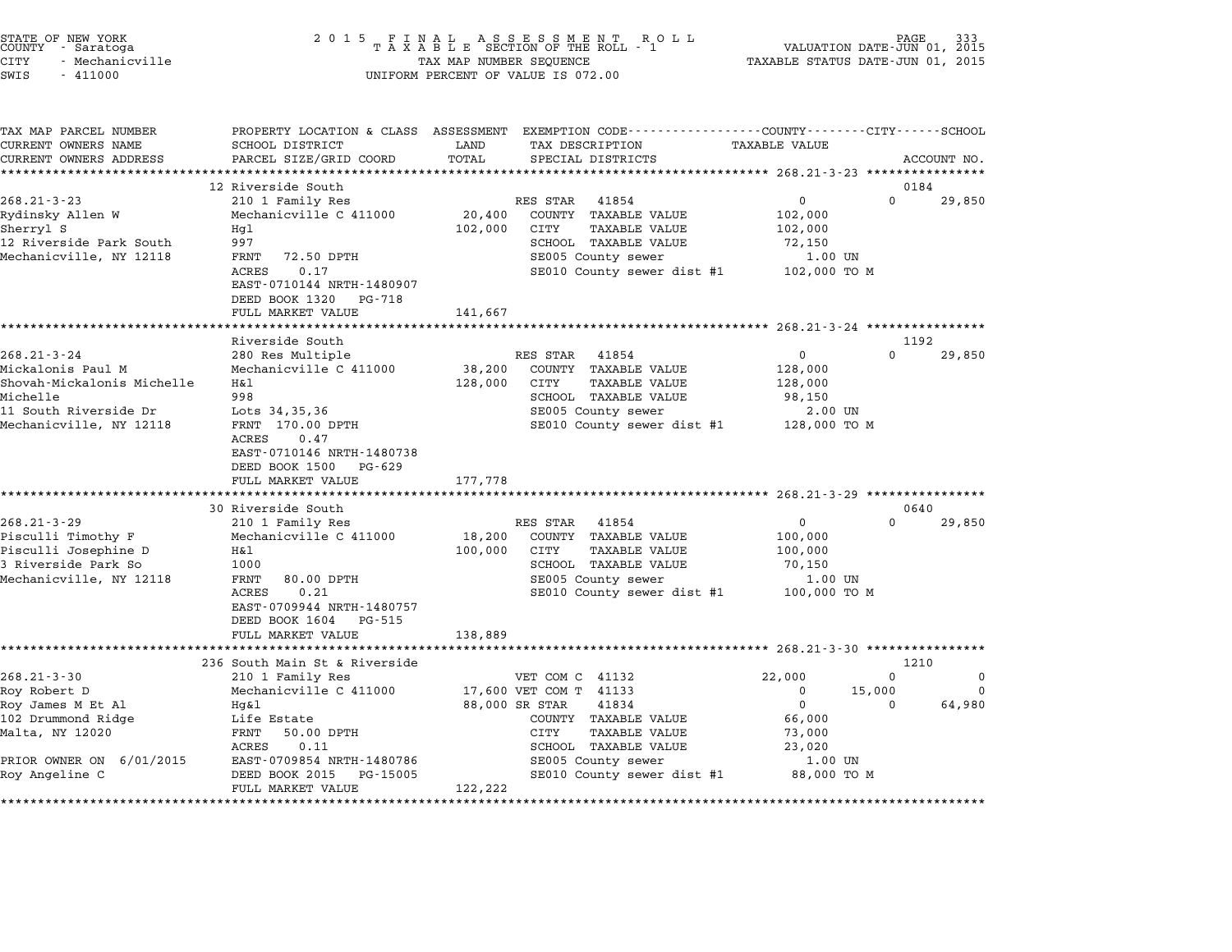|        | STATE OF NEW YORK |  |
|--------|-------------------|--|
| COUNTY | - Saratoga        |  |
| CITY   | - Mechanicville   |  |

| TAX MAP PARCEL NUMBER<br>CURRENT OWNERS NAME | SCHOOL DISTRICT                            | LAND    | PROPERTY LOCATION & CLASS ASSESSMENT EXEMPTION CODE----------------COUNTY-------CITY------SCHOOL<br>TAX DESCRIPTION | <b>TAXABLE VALUE</b> |                    |                         |
|----------------------------------------------|--------------------------------------------|---------|---------------------------------------------------------------------------------------------------------------------|----------------------|--------------------|-------------------------|
| CURRENT OWNERS ADDRESS                       | PARCEL SIZE/GRID COORD                     | TOTAL   | SPECIAL DISTRICTS                                                                                                   |                      |                    | ACCOUNT NO.             |
|                                              |                                            |         |                                                                                                                     |                      |                    |                         |
|                                              | 12 Riverside South                         |         |                                                                                                                     |                      | 0184               |                         |
| $268.21 - 3 - 23$                            | 210 1 Family Res                           |         | RES STAR<br>41854                                                                                                   | 0                    | 0                  | 29,850                  |
| Rydinsky Allen W                             | Mechanicville C 411000                     | 20,400  | COUNTY TAXABLE VALUE                                                                                                | 102,000              |                    |                         |
| Sherryl S                                    | Hq1                                        | 102,000 | CITY<br><b>TAXABLE VALUE</b>                                                                                        | 102,000              |                    |                         |
| 12 Riverside Park South                      | 997                                        |         | SCHOOL TAXABLE VALUE                                                                                                | 72,150               |                    |                         |
| Mechanicville, NY 12118                      | FRNT<br>72.50 DPTH                         |         | SE005 County sewer                                                                                                  | 1.00 UN              |                    |                         |
|                                              | ACRES<br>0.17<br>EAST-0710144 NRTH-1480907 |         | SE010 County sewer dist #1                                                                                          | 102,000 TO M         |                    |                         |
|                                              | DEED BOOK 1320 PG-718<br>FULL MARKET VALUE | 141,667 |                                                                                                                     |                      |                    |                         |
|                                              |                                            |         |                                                                                                                     |                      |                    |                         |
|                                              | Riverside South                            |         |                                                                                                                     |                      | 1192               |                         |
| $268.21 - 3 - 24$                            | 280 Res Multiple                           |         | RES STAR<br>41854                                                                                                   | $\mathbf{0}$         | $\Omega$           | 29,850                  |
| Mickalonis Paul M                            | Mechanicville C 411000                     | 38,200  | COUNTY TAXABLE VALUE                                                                                                | 128,000              |                    |                         |
| Shovah-Mickalonis Michelle                   | Η&l                                        | 128,000 | CITY<br><b>TAXABLE VALUE</b>                                                                                        | 128,000              |                    |                         |
| Michelle                                     | 998                                        |         | SCHOOL TAXABLE VALUE                                                                                                | 98,150               |                    |                         |
| 11 South Riverside Dr                        | Lots 34,35,36                              |         | SE005 County sewer                                                                                                  | 2.00 UN              |                    |                         |
| Mechanicville, NY 12118                      | FRNT 170.00 DPTH                           |         | SE010 County sewer dist #1                                                                                          | 128,000 TO M         |                    |                         |
|                                              | ACRES<br>0.47                              |         |                                                                                                                     |                      |                    |                         |
|                                              | EAST-0710146 NRTH-1480738                  |         |                                                                                                                     |                      |                    |                         |
|                                              | DEED BOOK 1500 PG-629                      |         |                                                                                                                     |                      |                    |                         |
|                                              | FULL MARKET VALUE                          | 177,778 |                                                                                                                     |                      |                    |                         |
|                                              | **********************                     |         |                                                                                                                     |                      |                    |                         |
|                                              | 30 Riverside South                         |         |                                                                                                                     |                      | 0640               |                         |
| $268.21 - 3 - 29$                            | 210 1 Family Res                           |         | RES STAR<br>41854                                                                                                   | $\overline{0}$       | $\Omega$           | 29,850                  |
| Pisculli Timothy F                           | Mechanicville C 411000                     | 18,200  | COUNTY TAXABLE VALUE                                                                                                | 100,000              |                    |                         |
| Pisculli Josephine D                         | Η&l                                        | 100,000 | CITY<br><b>TAXABLE VALUE</b>                                                                                        | 100,000              |                    |                         |
| 3 Riverside Park So                          | 1000                                       |         | SCHOOL TAXABLE VALUE                                                                                                | 70,150               |                    |                         |
| Mechanicville, NY 12118                      | FRNT<br>80.00 DPTH                         |         | SE005 County sewer                                                                                                  | 1.00 UN              |                    |                         |
|                                              | ACRES<br>0.21                              |         | SE010 County sewer dist #1                                                                                          | 100,000 TO M         |                    |                         |
|                                              | EAST-0709944 NRTH-1480757                  |         |                                                                                                                     |                      |                    |                         |
|                                              | DEED BOOK 1604 PG-515                      |         |                                                                                                                     |                      |                    |                         |
|                                              | FULL MARKET VALUE                          | 138,889 |                                                                                                                     |                      |                    |                         |
|                                              |                                            |         |                                                                                                                     |                      |                    |                         |
|                                              | 236 South Main St & Riverside              |         |                                                                                                                     |                      | 1210<br>$\Omega$   |                         |
| $268.21 - 3 - 30$                            | 210 1 Family Res                           |         | VET COM C 41132                                                                                                     | 22,000<br>$\Omega$   |                    | $\mathbf 0$<br>$\Omega$ |
| Roy Robert D<br>Roy James M Et Al            | Mechanicville C 411000<br>Hq&l             |         | 17,600 VET COM T 41133<br>88,000 SR STAR<br>41834                                                                   | $\mathbf 0$          | 15,000<br>$\Omega$ | 64,980                  |
| 102 Drummond Ridge                           | Life Estate                                |         | COUNTY TAXABLE VALUE                                                                                                | 66,000               |                    |                         |
| Malta, NY 12020                              | FRNT<br>50.00 DPTH                         |         | CITY<br><b>TAXABLE VALUE</b>                                                                                        | 73,000               |                    |                         |
|                                              | 0.11<br>ACRES                              |         | SCHOOL TAXABLE VALUE                                                                                                | 23,020               |                    |                         |
| PRIOR OWNER ON 6/01/2015                     | EAST-0709854 NRTH-1480786                  |         | SE005 County sewer                                                                                                  | 1.00 UN              |                    |                         |
| Roy Angeline C                               | DEED BOOK 2015<br>PG-15005                 |         | SE010 County sewer dist #1                                                                                          | 88,000 TO M          |                    |                         |
|                                              | FULL MARKET VALUE                          | 122,222 |                                                                                                                     |                      |                    |                         |
|                                              |                                            |         |                                                                                                                     |                      |                    |                         |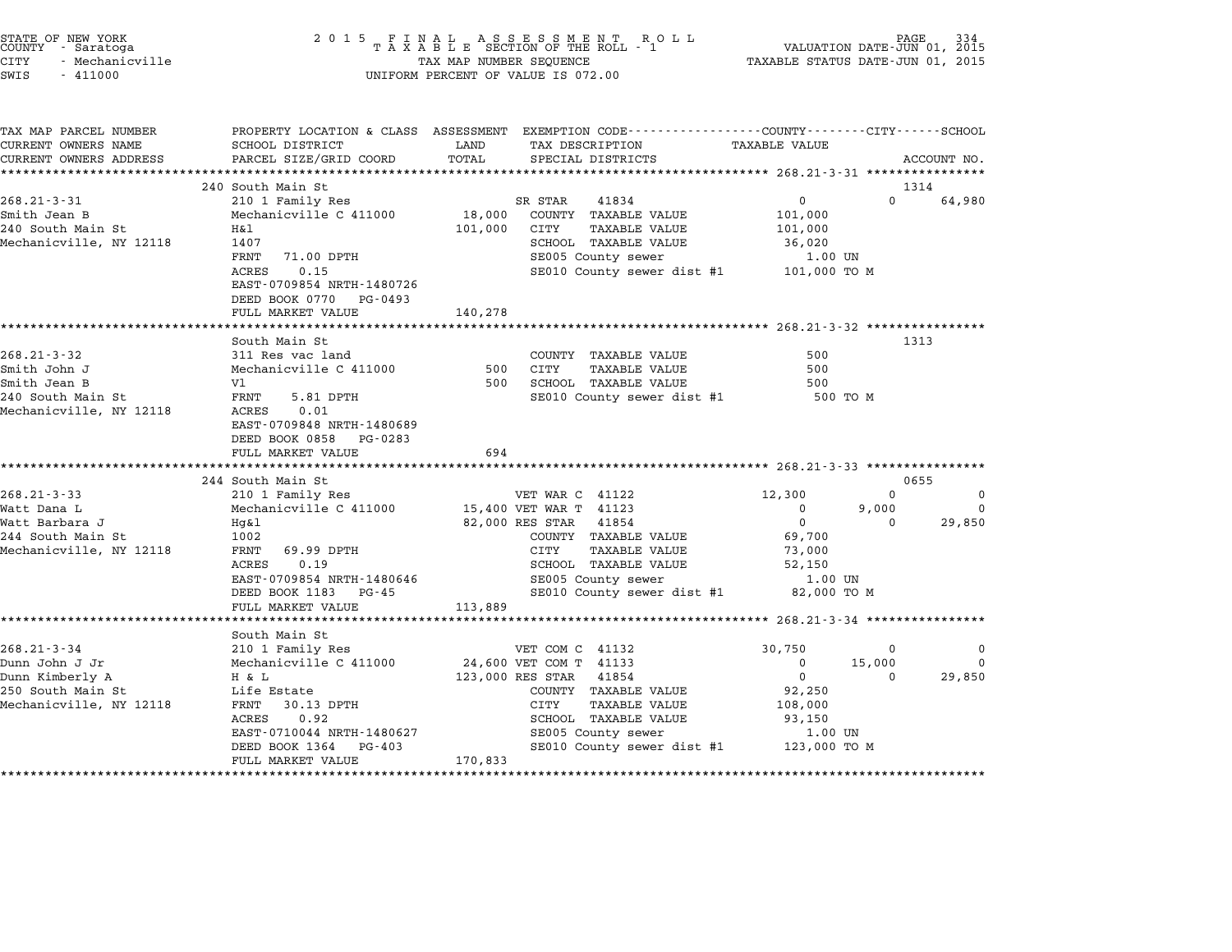| STATE OF NEW YORK<br>COUNTY - Saratoga<br><b>CITY</b><br>- Mechanicville<br>SWIS<br>$-411000$ |                                                                      | TAX MAP NUMBER SEQUENCE | UNIFORM PERCENT OF VALUE IS 072.00                                                                                  | VALUATION DATE-JUN 01, 2015<br>TAXABLE STATUS DATE-JUN 01, 2015 | PAGE        |
|-----------------------------------------------------------------------------------------------|----------------------------------------------------------------------|-------------------------|---------------------------------------------------------------------------------------------------------------------|-----------------------------------------------------------------|-------------|
| TAX MAP PARCEL NUMBER<br>CURRENT OWNERS NAME                                                  | SCHOOL DISTRICT                                                      | LAND                    | PROPERTY LOCATION & CLASS ASSESSMENT EXEMPTION CODE----------------COUNTY-------CITY------SCHOOL<br>TAX DESCRIPTION | TAXABLE VALUE                                                   |             |
| CURRENT OWNERS ADDRESS                                                                        | PARCEL SIZE/GRID COORD                                               | TOTAL                   | SPECIAL DISTRICTS                                                                                                   |                                                                 | ACCOUNT NO. |
|                                                                                               | 240 South Main St                                                    |                         |                                                                                                                     |                                                                 | 1314        |
| $268.21 - 3 - 31$                                                                             | 210 1 Family Res                                                     |                         | 41834<br>SR STAR                                                                                                    | $\Omega$<br>0                                                   | 64,980      |
| Smith Jean B                                                                                  | Mechanicville C 411000                                               | 18,000                  | COUNTY TAXABLE VALUE                                                                                                | 101,000                                                         |             |
| 240 South Main St                                                                             | Η&l                                                                  | 101,000                 | CITY<br>TAXABLE VALUE                                                                                               | 101,000                                                         |             |
| Mechanicville, NY 12118                                                                       | 1407                                                                 |                         | SCHOOL TAXABLE VALUE                                                                                                | 36,020                                                          |             |
|                                                                                               | FRNT<br>71.00 DPTH                                                   |                         | SE005 County sewer                                                                                                  | 1.00 UN                                                         |             |
|                                                                                               | ACRES<br>0.15<br>EAST-0709854 NRTH-1480726                           |                         | SE010 County sewer dist #1                                                                                          | 101,000 TO M                                                    |             |
|                                                                                               | DEED BOOK 0770 PG-0493<br>FULL MARKET VALUE                          | 140,278                 |                                                                                                                     |                                                                 |             |
|                                                                                               |                                                                      |                         |                                                                                                                     |                                                                 |             |
|                                                                                               | South Main St                                                        |                         |                                                                                                                     |                                                                 | 1313        |
| $268.21 - 3 - 32$                                                                             | 311 Res vac land                                                     |                         | COUNTY TAXABLE VALUE                                                                                                | 500                                                             |             |
| Smith John J                                                                                  | Mechanicville C 411000                                               | 500                     | CITY<br>TAXABLE VALUE                                                                                               | 500                                                             |             |
| Smith Jean B                                                                                  | V1                                                                   | 500                     | SCHOOL TAXABLE VALUE                                                                                                | 500                                                             |             |
| 240 South Main St                                                                             | FRNT<br>5.81 DPTH                                                    |                         | SE010 County sewer dist #1                                                                                          | 500 TO M                                                        |             |
| Mechanicville, NY 12118                                                                       | ACRES<br>0.01<br>EAST-0709848 NRTH-1480689<br>DEED BOOK 0858 PG-0283 |                         |                                                                                                                     |                                                                 |             |
|                                                                                               | FULL MARKET VALUE                                                    | 694                     |                                                                                                                     |                                                                 |             |
|                                                                                               |                                                                      |                         |                                                                                                                     |                                                                 |             |
|                                                                                               | 244 South Main St                                                    |                         |                                                                                                                     |                                                                 | 0655        |
| $268.21 - 3 - 33$                                                                             | 210 1 Family Res                                                     |                         | VET WAR C 41122                                                                                                     | 12,300<br>0                                                     | 0           |
| Watt Dana L                                                                                   | Mechanicville C 411000                                               |                         | 15,400 VET WAR T 41123                                                                                              | 9,000<br>$^{\circ}$                                             | 0           |
| Watt Barbara J<br>244 South Main St                                                           | Hq&l<br>1002                                                         |                         | 82,000 RES STAR<br>41854<br>COUNTY TAXABLE VALUE                                                                    | 0<br>$\Omega$<br>69,700                                         | 29,850      |
| Mechanicville, NY 12118                                                                       | FRNT<br>69.99 DPTH                                                   |                         | CITY<br><b>TAXABLE VALUE</b>                                                                                        | 73,000                                                          |             |
|                                                                                               | ACRES<br>0.19                                                        |                         | SCHOOL TAXABLE VALUE                                                                                                | 52,150                                                          |             |
|                                                                                               | EAST-0709854 NRTH-1480646                                            |                         | SE005 County sewer                                                                                                  | 1.00 UN                                                         |             |
|                                                                                               | DEED BOOK 1183 PG-45                                                 |                         | SE010 County sewer dist #1                                                                                          | 82,000 TO M                                                     |             |
|                                                                                               | FULL MARKET VALUE                                                    | 113,889                 |                                                                                                                     |                                                                 |             |
|                                                                                               | *************************                                            |                         |                                                                                                                     |                                                                 |             |
|                                                                                               | South Main St                                                        |                         |                                                                                                                     |                                                                 |             |
| $268.21 - 3 - 34$                                                                             | 210 1 Family Res                                                     |                         | VET COM C 41132                                                                                                     | 30,750<br>0                                                     | 0           |
| Dunn John J Jr                                                                                | Mechanicville C 411000                                               |                         | 24,600 VET COM T 41133                                                                                              | 15,000<br>0                                                     | $\Omega$    |
| Dunn Kimberly A                                                                               | H & L                                                                |                         | 123,000 RES STAR<br>41854                                                                                           | 0<br>$\Omega$                                                   | 29,850      |
| 250 South Main St<br>Mechanicville, NY 12118                                                  | Life Estate<br>FRNT<br>30.13 DPTH                                    |                         | COUNTY TAXABLE VALUE<br>CITY<br>TAXABLE VALUE                                                                       | 92,250<br>108,000                                               |             |
|                                                                                               | ACRES<br>0.92                                                        |                         | SCHOOL TAXABLE VALUE                                                                                                | 93,150                                                          |             |
|                                                                                               | EAST-0710044 NRTH-1480627                                            |                         | SE005 County sewer                                                                                                  | 1.00 UN                                                         |             |
|                                                                                               | DEED BOOK 1364<br>PG-403                                             |                         | SE010 County sewer dist #1 123,000 TO M                                                                             |                                                                 |             |
|                                                                                               | FULL MARKET VALUE                                                    | 170,833                 |                                                                                                                     |                                                                 |             |
|                                                                                               |                                                                      |                         |                                                                                                                     |                                                                 |             |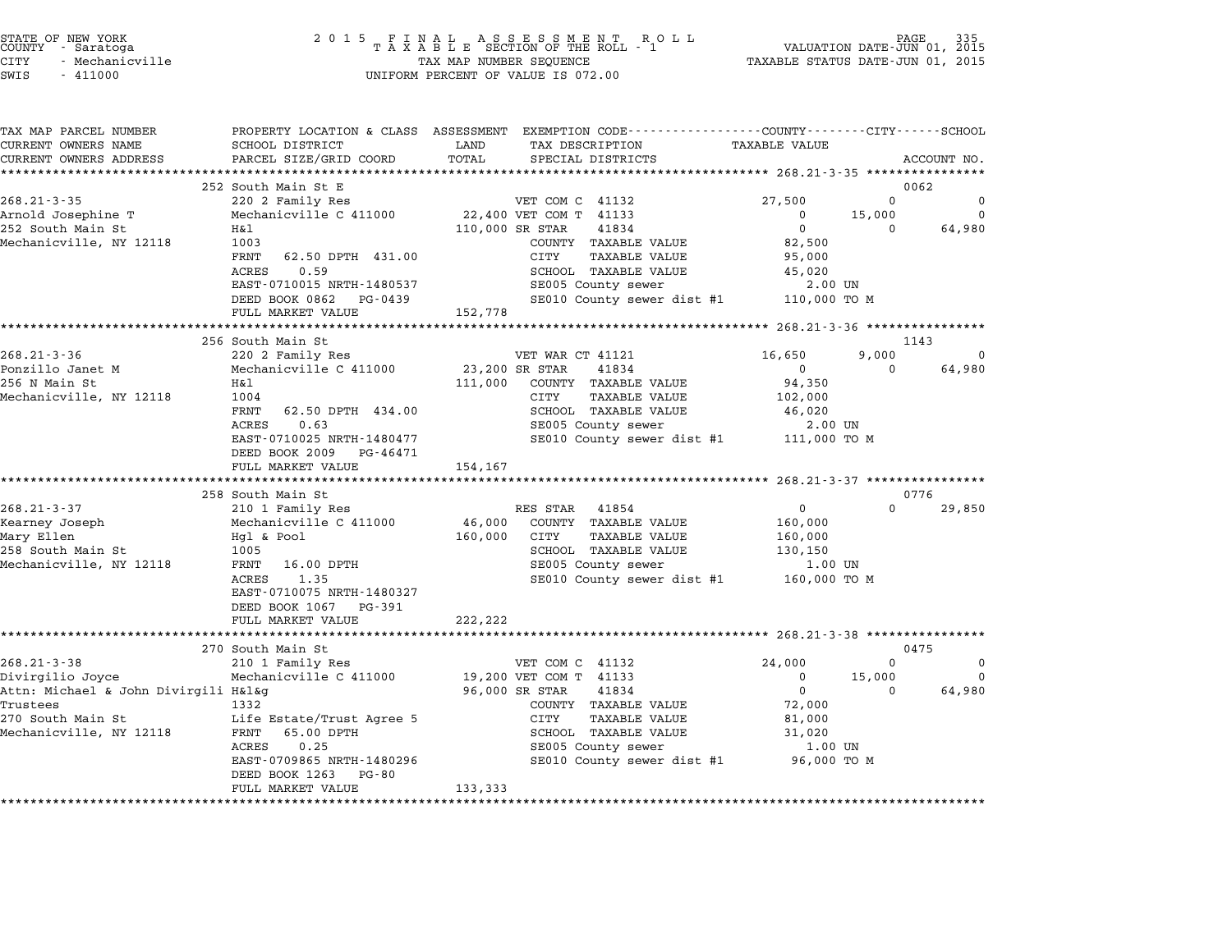| STATE OF NEW YORK<br><b>COUNTY</b><br>- Saratoga<br><b>CITY</b><br>- Mechanicville<br>SWIS<br>$-411000$ | 2 0 1 5<br>FINAL ASSESSMENT RO<br>TAXABLE SECTION OF THE ROLL - 1<br>R O L L<br>TAX MAP NUMBER SEQUENCE<br>UNIFORM PERCENT OF VALUE IS 072.00 |                          |                                                                                                                                         |                                                      |          |             |  |
|---------------------------------------------------------------------------------------------------------|-----------------------------------------------------------------------------------------------------------------------------------------------|--------------------------|-----------------------------------------------------------------------------------------------------------------------------------------|------------------------------------------------------|----------|-------------|--|
| TAX MAP PARCEL NUMBER<br>CURRENT OWNERS NAME<br>CURRENT OWNERS ADDRESS                                  | SCHOOL DISTRICT<br>PARCEL SIZE/GRID COORD                                                                                                     | LAND<br>TOTAL            | PROPERTY LOCATION & CLASS ASSESSMENT EXEMPTION CODE---------------COUNTY-------CITY------SCHOOL<br>TAX DESCRIPTION<br>SPECIAL DISTRICTS | <b>TAXABLE VALUE</b>                                 |          | ACCOUNT NO. |  |
|                                                                                                         |                                                                                                                                               |                          |                                                                                                                                         |                                                      |          |             |  |
|                                                                                                         | 252 South Main St E                                                                                                                           |                          |                                                                                                                                         |                                                      |          | 0062        |  |
| $268.21 - 3 - 35$                                                                                       | 220 2 Family Res                                                                                                                              |                          | VET COM C 41132                                                                                                                         | 27,500                                               | $\Omega$ | 0           |  |
| Arnold Josephine T                                                                                      | Mechanicville C 411000                                                                                                                        |                          | 22,400 VET COM T 41133                                                                                                                  | $\mathbf 0$                                          | 15,000   | $\Omega$    |  |
| 252 South Main St                                                                                       | Η&l                                                                                                                                           |                          | 110,000 SR STAR<br>41834                                                                                                                | $\mathbf 0$                                          | 0        | 64,980      |  |
| Mechanicville, NY 12118                                                                                 | 1003                                                                                                                                          |                          | COUNTY TAXABLE VALUE                                                                                                                    | 82,500                                               |          |             |  |
|                                                                                                         | FRNT<br>62.50 DPTH 431.00                                                                                                                     |                          | CITY<br>TAXABLE VALUE                                                                                                                   | 95,000                                               |          |             |  |
|                                                                                                         | ACRES<br>0.59                                                                                                                                 |                          | SCHOOL TAXABLE VALUE                                                                                                                    | 45,020                                               |          |             |  |
|                                                                                                         | EAST-0710015 NRTH-1480537                                                                                                                     |                          | SE005 County sewer                                                                                                                      | 2.00 UN                                              |          |             |  |
|                                                                                                         | DEED BOOK 0862 PG-0439<br>FULL MARKET VALUE                                                                                                   | 152,778                  | SE010 County sewer dist #1                                                                                                              | 110,000 TO M                                         |          |             |  |
|                                                                                                         | ************************                                                                                                                      | ************************ |                                                                                                                                         | ********************** 268.21-3-36 ***************** |          |             |  |
|                                                                                                         | 256 South Main St                                                                                                                             |                          |                                                                                                                                         |                                                      | 1143     |             |  |
| $268.21 - 3 - 36$                                                                                       | 220 2 Family Res                                                                                                                              |                          | VET WAR CT 41121                                                                                                                        | 16,650                                               | 9,000    | 0           |  |
| Ponzillo Janet M                                                                                        | Mechanicville C 411000                                                                                                                        |                          | 23,200 SR STAR<br>41834                                                                                                                 | $\mathbf{0}$                                         | 0        | 64,980      |  |
| 256 N Main St                                                                                           | Η&l                                                                                                                                           | 111,000                  | COUNTY TAXABLE VALUE                                                                                                                    | 94,350                                               |          |             |  |
| Mechanicville, NY 12118                                                                                 | 1004                                                                                                                                          |                          | CITY<br>TAXABLE VALUE                                                                                                                   | 102,000                                              |          |             |  |
|                                                                                                         | 62.50 DPTH 434.00<br>FRNT                                                                                                                     |                          | SCHOOL TAXABLE VALUE                                                                                                                    | 46,020                                               |          |             |  |
|                                                                                                         | ACRES<br>0.63<br>EAST-0710025 NRTH-1480477                                                                                                    |                          | SE005 County sewer<br>SE010 County sewer dist #1                                                                                        | 2.00 UN<br>111,000 TO M                              |          |             |  |
|                                                                                                         | DEED BOOK 2009 PG-46471                                                                                                                       |                          |                                                                                                                                         |                                                      |          |             |  |
|                                                                                                         | FULL MARKET VALUE                                                                                                                             | 154,167                  |                                                                                                                                         |                                                      |          |             |  |
|                                                                                                         |                                                                                                                                               | *********                |                                                                                                                                         | ******************** 268.21-3-37 *****************   |          |             |  |
|                                                                                                         | 258 South Main St                                                                                                                             |                          |                                                                                                                                         |                                                      |          | 0776        |  |
| $268.21 - 3 - 37$                                                                                       | 210 1 Family Res                                                                                                                              |                          | RES STAR 41854                                                                                                                          | 0                                                    |          | 29,850      |  |
| Kearney Joseph                                                                                          | Mechanicville C 411000                                                                                                                        | 46,000                   | COUNTY TAXABLE VALUE                                                                                                                    | 160,000                                              |          |             |  |
| Mary Ellen                                                                                              | Hgl & Pool                                                                                                                                    | 160,000                  | CITY<br>TAXABLE VALUE                                                                                                                   | 160,000                                              |          |             |  |
| 258 South Main St<br>Mechanicville, NY 12118                                                            | 1005<br>FRNT<br>16.00 DPTH                                                                                                                    |                          | SCHOOL TAXABLE VALUE<br>SE005 County sewer                                                                                              | 130,150<br>1.00 UN                                   |          |             |  |
|                                                                                                         | 1.35<br>ACRES                                                                                                                                 |                          | SE010 County sewer dist #1                                                                                                              | 160,000 то м                                         |          |             |  |
|                                                                                                         | EAST-0710075 NRTH-1480327<br>DEED BOOK 1067<br>PG-391                                                                                         |                          |                                                                                                                                         |                                                      |          |             |  |
|                                                                                                         | FULL MARKET VALUE                                                                                                                             | 222,222                  |                                                                                                                                         |                                                      |          |             |  |
|                                                                                                         |                                                                                                                                               |                          |                                                                                                                                         |                                                      |          |             |  |
|                                                                                                         | 270 South Main St                                                                                                                             |                          |                                                                                                                                         |                                                      |          | 0475        |  |
| $268.21 - 3 - 38$                                                                                       | 210 1 Family Res                                                                                                                              |                          | VET COM C 41132                                                                                                                         | 24,000                                               | $\Omega$ | $\Omega$    |  |
| Divirgilio Joyce                                                                                        | Mechanicville C 411000                                                                                                                        |                          | 19,200 VET COM T 41133                                                                                                                  | $\mathbf 0$                                          | 15,000   | 0           |  |
| Attn: Michael & John Divirgili H&l&g<br>Trustees                                                        | 1332                                                                                                                                          |                          | 96,000 SR STAR<br>41834<br>COUNTY TAXABLE VALUE                                                                                         | $\Omega$<br>72,000                                   | $\Omega$ | 64,980      |  |
| 270 South Main St                                                                                       | Life Estate/Trust Agree 5                                                                                                                     |                          | CITY<br>TAXABLE VALUE                                                                                                                   | 81,000                                               |          |             |  |
| Mechanicville, NY 12118                                                                                 | 65.00 DPTH<br>FRNT                                                                                                                            |                          | SCHOOL TAXABLE VALUE                                                                                                                    | 31,020                                               |          |             |  |
|                                                                                                         | ACRES<br>0.25                                                                                                                                 |                          | SE005 County sewer                                                                                                                      | 1.00 UN                                              |          |             |  |
|                                                                                                         | EAST-0709865 NRTH-1480296                                                                                                                     |                          | SE010 County sewer dist #1                                                                                                              | 96,000 TO M                                          |          |             |  |
|                                                                                                         | DEED BOOK 1263<br>PG-80                                                                                                                       |                          |                                                                                                                                         |                                                      |          |             |  |
|                                                                                                         | FULL MARKET VALUE                                                                                                                             | 133,333                  |                                                                                                                                         |                                                      |          |             |  |
|                                                                                                         |                                                                                                                                               |                          |                                                                                                                                         |                                                      |          |             |  |

STATE OF NEW YORK <sup>2</sup> <sup>0</sup> <sup>1</sup> 5 F I N A L A S S E S S M E N T R O L L PAGE <sup>335</sup> COUNTY - Saratoga <sup>T</sup> <sup>A</sup> <sup>X</sup> <sup>A</sup> <sup>B</sup> <sup>L</sup> <sup>E</sup> SECTION OF THE ROLL - <sup>1</sup> VALUATION DATE-JUN 01, <sup>2015</sup>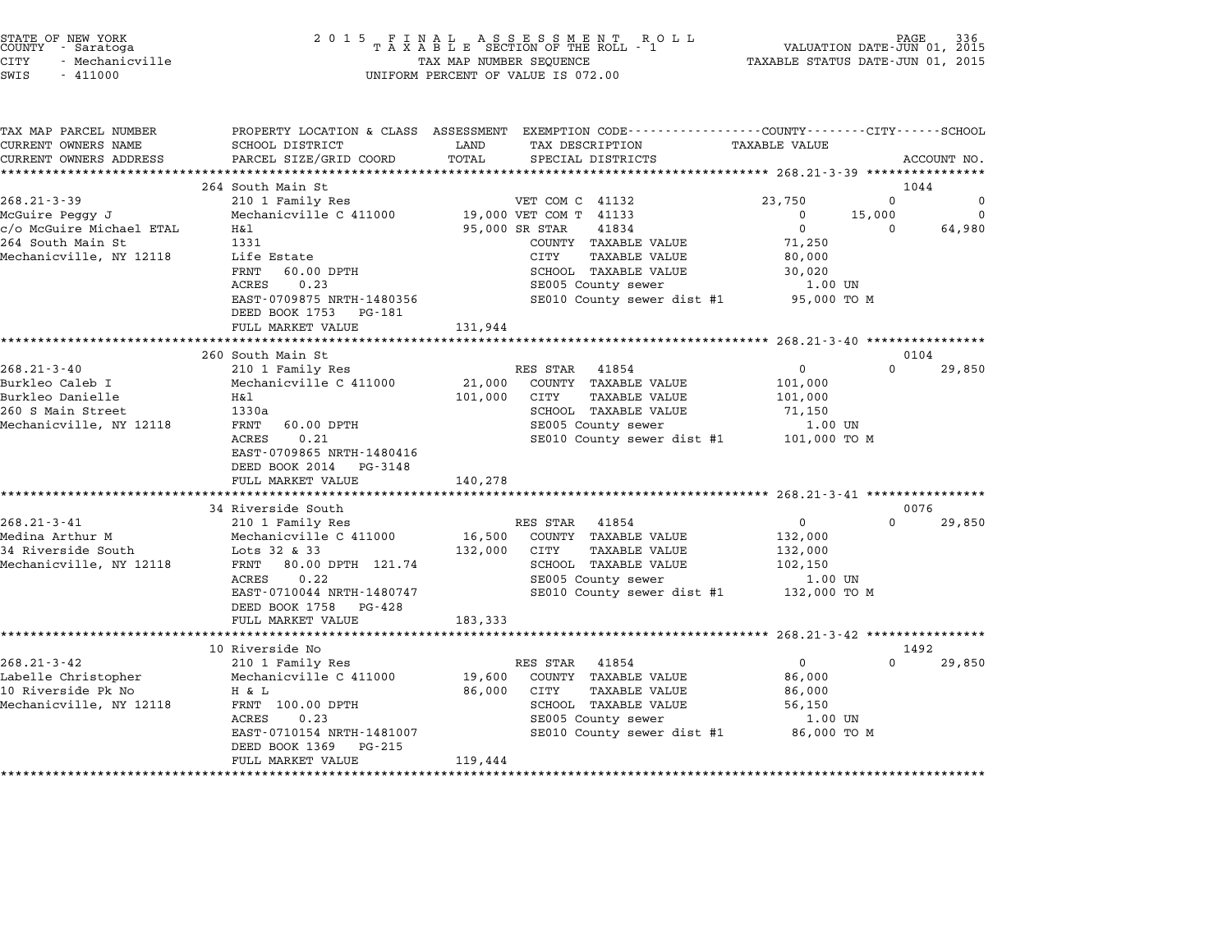| STATE OF NEW YORK |                 |  |
|-------------------|-----------------|--|
| COUNTY            | - Saratoga      |  |
| CITY              | - Mechanicville |  |

# STATE OF NEW YORK <sup>2</sup> <sup>0</sup> <sup>1</sup> 5 F I N A L A S S E S S M E N T R O L L PAGE <sup>336</sup> COUNTY - Saratoga <sup>T</sup> <sup>A</sup> <sup>X</sup> <sup>A</sup> <sup>B</sup> <sup>L</sup> <sup>E</sup> SECTION OF THE ROLL - <sup>1</sup> VALUATION DATE-JUN 01, <sup>2015</sup> STATE OF NEW YORK (RACE STATE OF NEW YORK) 2015 FINAL ASSESSMENT ROLL (RACE STATE OF NEW PAGE 336<br>COUNTY - Saratoga (2015 TAXABLE STATUS DATE-JUN 01, 2015 TAXABLE STATUS DATE-JUN 01, 2015<br>CITY - Mechanicville SWIS - <sup>411000</sup> UNIFORM PERCENT OF VALUE IS 072.00

TAX MAP PARCEL NUMBER PROPERTY LOCATION & CLASS ASSESSMENT EXEMPTION CODE------------------COUNTY--------CITY------SCHOOL CURRENT OWNERS NAME SCHOOL DISTRICT LAND TAX DESCRIPTION TAXABLE VALUE CURRENT OWNERS ADDEER FOURDER FROM BOURDANT SALEMENT ON SCHOOL DISTRICTS AND TRANS AND TRANS TO TRANS TO TRANS<br>CURRENT OWNERS ADDRESS PARCEL SIZE/GRID COORD TOTAL SPECIAL DISTRICTS ACCOUNT NO.<br>\*\*\*\*\*\*\*\*\*\*\*\*\*\*\*\*\*\*\*\*\*\*\*\*\*\*\*\*\* 264 South Main St 1044 264 South Main St<br>268.21-3-39 210 1 Family Res VET COM C 41132 23,750 0 McGuire Peggy J Mechanicville C <sup>411000</sup> 19,000 VET COM T <sup>41133</sup> <sup>0</sup> 15,000 <sup>0</sup> co...1 5 55,000 cm of the mainly ness of the communication of the communication of the communication of the commu<br>McGuire Michael ETAL Machanicville C 411000 cm of the communication of the communication of the communicatio Example From the Medicine of the state of the state of the state of the state of the state of the state of the<br>C/O MCGuire Michael ETAL Hall Hall State 1331 COUNTY TAXABLE VALUE 71,250 cyo Acourre Archael Eran (1831)<br>264 South Main Street (2000) The COUNTY TAXABLE VALUE 2000<br>Mechanicville, NY 12118 Life Estate (2000) CITY TAXABLE VALUE 80,000 FRNT 60.00 DPTH SCHOOL TAXABLE VALUE 30,020 entre escace of the control of the control of the search of the search of the search of the search of the search of the search of the search of the search of the search of the search of the search of the search of the sear EXTRIS 0.0.23<br>
ACRES 0.23 SE005 County sewer 1.00 UN<br>
EED BOOK 1753 PG-181 SE010 County sewer dist #1 95,000 TO M<br>
DEED BOOK 1753 PG-181 DEED BOOK 1753 PG-181<br>FULL MARKET VALUE 131,944 \*\*\*\*\*\*\*\*\*\*\*\*\*\*\*\*\*\*\*\*\*\*\*\*\*\*\*\*\*\*\*\*\*\*\*\*\*\*\*\*\*\*\*\*\*\*\*\*\*\*\*\*\*\*\*\*\*\*\*\*\*\*\*\*\*\*\*\*\*\*\*\*\*\*\*\*\*\*\*\*\*\*\*\*\*\*\*\*\*\*\*\*\*\*\*\*\*\*\*\*\*\*\* 268.21-3-40 \*\*\*\*\*\*\*\*\*\*\*\*\*\*\*\* 260 South Main St 0104 260 South Main St 260.21 3 260 Supplement and the Main St 260.21 3 260 Supplement and the COST 210 1 Family Res 200.21 3 200.21 3 200.21 3 200.21 3 200.21 3 200.21 3 200.21 3 200.21 3 200.21 210 1 Family Res RES STAR 41854 Burkleo Caleb I Mechanicville C <sup>411000</sup> 21,000 COUNTY TAXABLE VALUE 101,000 200.21 Jury 200.21 Dechanicville C 411000 21,000 COUNTY TAXABLE VALUE 101,000<br>Burkleo Danielle 101,000 COUNTY TAXABLE VALUE 101,000<br>Durkleo Danielle 101,000 H&l 101,000 CITY TAXABLE VALUE 101,000 21,000 CONTI IAABLE VALUE VALUE 2016.<br>260 SURABLE VALUE 201,000 CITY 101,000 CITY TAXABLE VALUE 260 Danielle 101,000 CITY<br>260 S Main Street 1330a 308 SCHOOL TAXABLE VALUE 71,150 سمد السلام التي يستطيع المسلم التي يستطيع المسلم التي يستطيع المسلم المسلم المسلم المسلم المسلم المسلم المسلم<br>2600 S Main Strool TAXABLE VALUE SENGOL TAXABLE VALUE SENGOL TAXABLE VALUE 71,150<br>Mechanicville, NY 12118 FRNT ACRES 0.21 SCROOD TAXABLE VALUE (1,150<br>
FRNT 60.00 DPTH SE005 County sewer 1.00 UN<br>
ACRES 0.21 SE010 County sewer dist #1 101,000 TO M<br>
EAST-0709865 NRTH-1480416 EAST-0709865 NRTH-148041<br>DEED BOOK 2014 PG-3148 EAST 0705005 MAIN 1400410<br>
DEED BOOK 2014 PG-3148<br>
FULL MARKET VALUE 140,278 \*\*\*\*\*\*\*\*\*\*\*\*\*\*\*\*\*\*\*\*\*\*\*\*\*\*\*\*\*\*\*\*\*\*\*\*\*\*\*\*\*\*\*\*\*\*\*\*\*\*\*\*\*\*\*\*\*\*\*\*\*\*\*\*\*\*\*\*\*\*\*\*\*\*\*\*\*\*\*\*\*\*\*\*\*\*\*\*\*\*\*\*\*\*\*\*\*\*\*\*\*\*\* 268.21-3-41 \*\*\*\*\*\*\*\*\*\*\*\*\*\*\*\* 34 Riverside South 0076 268.21-3-41 200.21-3-41 200.21-3-41 200.21-3-41 20076<br>34 Riverside South<br>20076 210 1 Family Res RES STAR 41854 0 2008 29,850 Medina Arthur M Mechanicville C <sup>411000</sup> 16,500 COUNTY TAXABLE VALUE 132,000 <sup>34</sup> Riverside South Lots <sup>32</sup> & <sup>33</sup> 132,000 CITY TAXABLE VALUE 132,000 Medina Archit Mechanicville C 111000 10,000 CONTI TAAADDD VADOD 1999,000<br>132,000 CITY 12118 10015 32 & 33 & 34 Riverside VALUE 102,000 111<br>Mechanicville, NY 12118 FRNT 80.00 DPTH 121.74 SCHOOL TAXABLE VALUE 102,150 ENT 80.00 DPTH 121.74 132,000 CITT TAAABLE VALUE 1.00 132,000<br>FRNT 80.00 DPTH 121.74 SCHOOL TAXABLE VALUE 102,150<br>ACRES 0.22 SE005 County sewer 1.00 UN EART 00.02 DETITE LETTER SCROOL TAAADDE VADOUT TO TOZTEN 1.00 UN<br>ACRES 0.22 SE005 County sewer dist #1 1.00 UN<br>EAST-0710044 NRTH-1480747 SE010 County sewer dist #1 132,000 TO M EAST-0710044 NRTH-14807<br>DEED BOOK 1758 PG-428 DEED BOOK 1758 PG-428<br>FULL MARKET VALUE 183,333 \*\*\*\*\*\*\*\*\*\*\*\*\*\*\*\*\*\*\*\*\*\*\*\*\*\*\*\*\*\*\*\*\*\*\*\*\*\*\*\*\*\*\*\*\*\*\*\*\*\*\*\*\*\*\*\*\*\*\*\*\*\*\*\*\*\*\*\*\*\*\*\*\*\*\*\*\*\*\*\*\*\*\*\*\*\*\*\*\*\*\*\*\*\*\*\*\*\*\*\*\*\*\* 268.21-3-42 \*\*\*\*\*\*\*\*\*\*\*\*\*\*\*\* <sup>10</sup> Riverside No <sup>1492</sup> 268.21-3-42 <sup>210</sup> <sup>1</sup> Family Res RES STAR <sup>41854</sup> <sup>0</sup> <sup>0</sup> 29,850 Labelle Christopher Mechanicville C <sup>411000</sup> 19,600 COUNTY TAXABLE VALUE 86,000 200.21°3°42' 210 Pallity Res (RES SIAR 4100BE) 210 RES 814100<br>Labelle Christopher Mechanicville C 411000 19,600 COUNTY TAXABLE VALUE 86,000<br>10 Riverside Pk No H & L 2000 Res 86,000 CITY TAXABLE VALUE 86,000 MEADELLE CHILISCOPHEL AND MECHANICVILLE CHILOON AND INTO COUNTRANDED VALUE SOTTLE SOTTLE SOTTLE SOTTLE SOTTLE<br>10 Riverside PK NO H & L B S S (000 CITY TAXABLE VALUE S S (000 SCHOOL TAXABLE VALUE S S (000 SCHOOL TAXABLE VAL A & D<br>FRNT 100.00 DPTH 60,000 CIII IAABLE VALUE 60,000<br>ACRES 0.23 SE005 County sewer 1.00 UN EART 190.00 DF111 SCOOL TAAADD VADOOL SERVING UNITS UP 1.00 UN<br>ACRES 0.23 1.00 UN SE005 County sewer dist #1 86,000 TO M EAST-0710154 NRTH-14810<br>DEED BOOK 1369 PG-215 EAST 0710134 MAIN 1401007<br>
DEED BOOK 1369 PG-215<br>
FULL MARKET VALUE 119,444 \*\*\*\*\*\*\*\*\*\*\*\*\*\*\*\*\*\*\*\*\*\*\*\*\*\*\*\*\*\*\*\*\*\*\*\*\*\*\*\*\*\*\*\*\*\*\*\*\*\*\*\*\*\*\*\*\*\*\*\*\*\*\*\*\*\*\*\*\*\*\*\*\*\*\*\*\*\*\*\*\*\*\*\*\*\*\*\*\*\*\*\*\*\*\*\*\*\*\*\*\*\*\*\*\*\*\*\*\*\*\*\*\*\*\*\*\*\*\*\*\*\*\*\*\*\*\*\*\*\*\*\*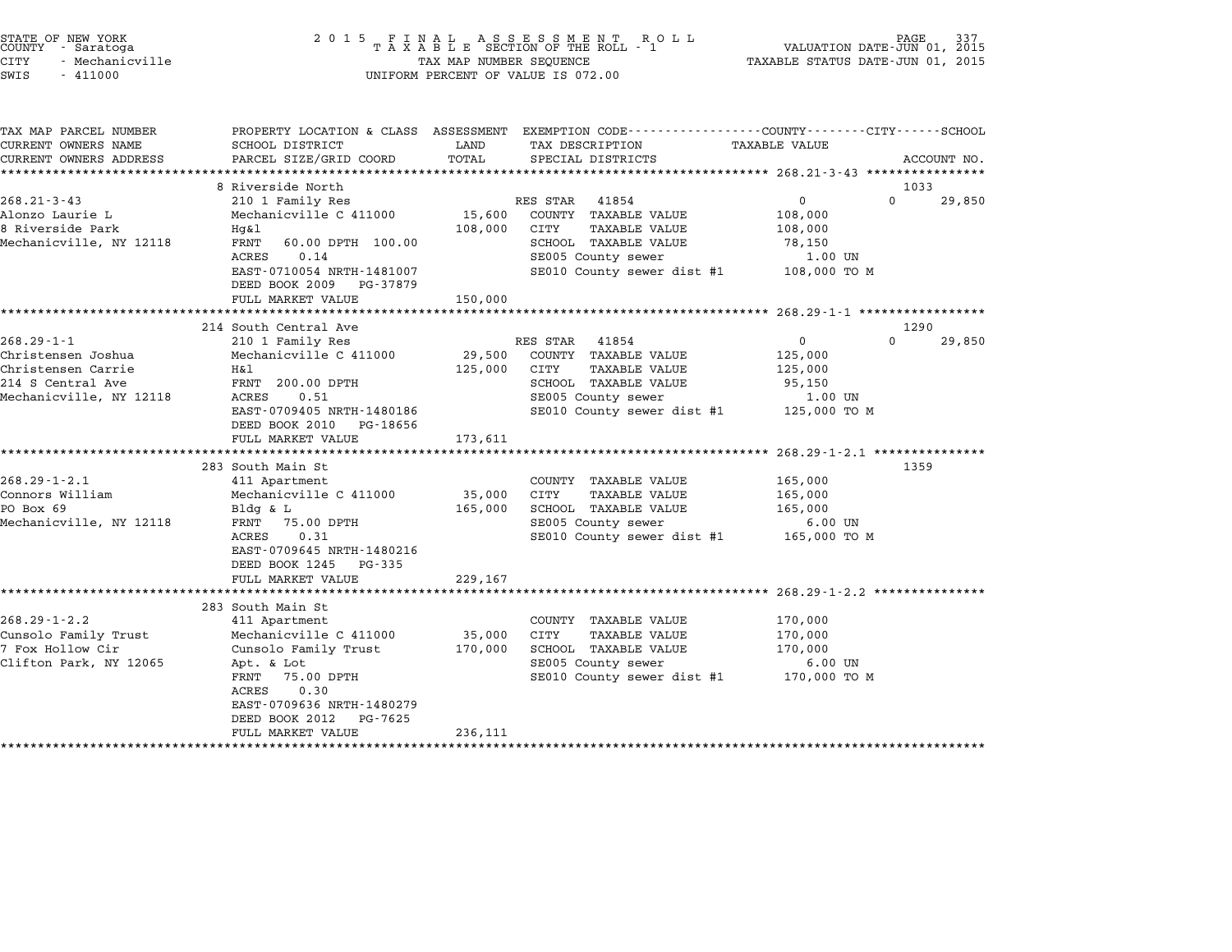| STATE OF NEW YORK<br>COUNTY - Saratoga<br><b>CITY</b><br>- Mechanicville<br>SWIS<br>$-411000$                | 2 0 1 5                                                                                                                                                                                                                  | TAX MAP NUMBER SEQUENCE      | FINAL ASSESSMENT ROLL<br>TAXABLE SECTION OF THE ROLL - 1<br>UNIFORM PERCENT OF VALUE IS 072.00                                                        | VALUATION DATE-JUN 01, 2015<br>TAXABLE STATUS DATE-JUN 01, 2015     | 337<br>PAGE.               |
|--------------------------------------------------------------------------------------------------------------|--------------------------------------------------------------------------------------------------------------------------------------------------------------------------------------------------------------------------|------------------------------|-------------------------------------------------------------------------------------------------------------------------------------------------------|---------------------------------------------------------------------|----------------------------|
| TAX MAP PARCEL NUMBER<br>CURRENT OWNERS NAME<br>CURRENT OWNERS ADDRESS                                       | SCHOOL DISTRICT<br>PARCEL SIZE/GRID COORD                                                                                                                                                                                | LAND<br>TOTAL                | PROPERTY LOCATION & CLASS ASSESSMENT EXEMPTION CODE---------------COUNTY-------CITY------SCHOOL<br>TAX DESCRIPTION<br>SPECIAL DISTRICTS               | TAXABLE VALUE                                                       | ACCOUNT NO.                |
| $268.21 - 3 - 43$<br>Alonzo Laurie L<br>8 Riverside Park<br>Mechanicville, NY 12118                          | 8 Riverside North<br>210 1 Family Res<br>Mechanicville C 411000<br>Hq&l<br>FRNT<br>60.00 DPTH 100.00<br>0.14<br>ACRES<br>EAST-0710054 NRTH-1481007<br>DEED BOOK 2009 PG-37879<br>FULL MARKET VALUE                       | 15,600<br>108,000<br>150,000 | RES STAR<br>41854<br>COUNTY TAXABLE VALUE<br>CITY<br>TAXABLE VALUE<br>SCHOOL TAXABLE VALUE<br>SE005 County sewer<br>SE010 County sewer dist #1        | $\Omega$<br>108,000<br>108,000<br>78,150<br>1.00 UN<br>108,000 TO M | 1033<br>$\Omega$<br>29,850 |
|                                                                                                              | *******************<br>214 South Central Ave                                                                                                                                                                             |                              |                                                                                                                                                       |                                                                     | 1290                       |
| $268.29 - 1 - 1$<br>Christensen Joshua<br>Christensen Carrie<br>214 S Central Ave<br>Mechanicville, NY 12118 | 210 1 Family Res<br>Mechanicville C 411000<br>Η&l<br>FRNT 200.00 DPTH<br>ACRES<br>0.51<br>EAST-0709405 NRTH-1480186<br>DEED BOOK 2010<br>PG-18656<br>FULL MARKET VALUE                                                   | 29,500<br>125,000<br>173,611 | RES STAR<br>41854<br>COUNTY TAXABLE VALUE<br>CITY<br><b>TAXABLE VALUE</b><br>SCHOOL TAXABLE VALUE<br>SE005 County sewer<br>SE010 County sewer dist #1 | $\Omega$<br>125,000<br>125,000<br>95,150<br>1.00 UN<br>125,000 TO M | $\Omega$<br>29,850         |
| $268.29 - 1 - 2.1$<br>Connors William<br>PO Box 69<br>Mechanicville, NY 12118                                | 283 South Main St<br>411 Apartment<br>Mechanicville C 411000<br>Bldg & L<br>FRNT<br>75.00 DPTH<br>0.31<br>ACRES<br>EAST-0709645 NRTH-1480216<br>DEED BOOK 1245 PG-335<br>FULL MARKET VALUE                               | 35,000<br>165,000<br>229,167 | COUNTY TAXABLE VALUE<br><b>CITY</b><br>TAXABLE VALUE<br>SCHOOL TAXABLE VALUE<br>SE005 County sewer<br>SE010 County sewer dist #1                      | 165,000<br>165,000<br>165,000<br>$6.00$ UN<br>165,000 TO M          | 1359                       |
|                                                                                                              |                                                                                                                                                                                                                          |                              |                                                                                                                                                       |                                                                     |                            |
| $268.29 - 1 - 2.2$<br>Cunsolo Family Trust<br>7 Fox Hollow Cir<br>Clifton Park, NY 12065                     | 283 South Main St<br>411 Apartment<br>Mechanicville C 411000<br>Cunsolo Family Trust<br>Apt. & Lot<br>FRNT<br>75.00 DPTH<br>ACRES<br>0.30<br>EAST-0709636 NRTH-1480279<br>DEED BOOK 2012<br>PG-7625<br>FULL MARKET VALUE | 35,000<br>170,000<br>236,111 | COUNTY TAXABLE VALUE<br>CITY<br>TAXABLE VALUE<br>SCHOOL TAXABLE VALUE<br>SE005 County sewer<br>SE010 County sewer dist #1                             | 170,000<br>170,000<br>170,000<br>$6.00$ UN<br>170,000 TO M          |                            |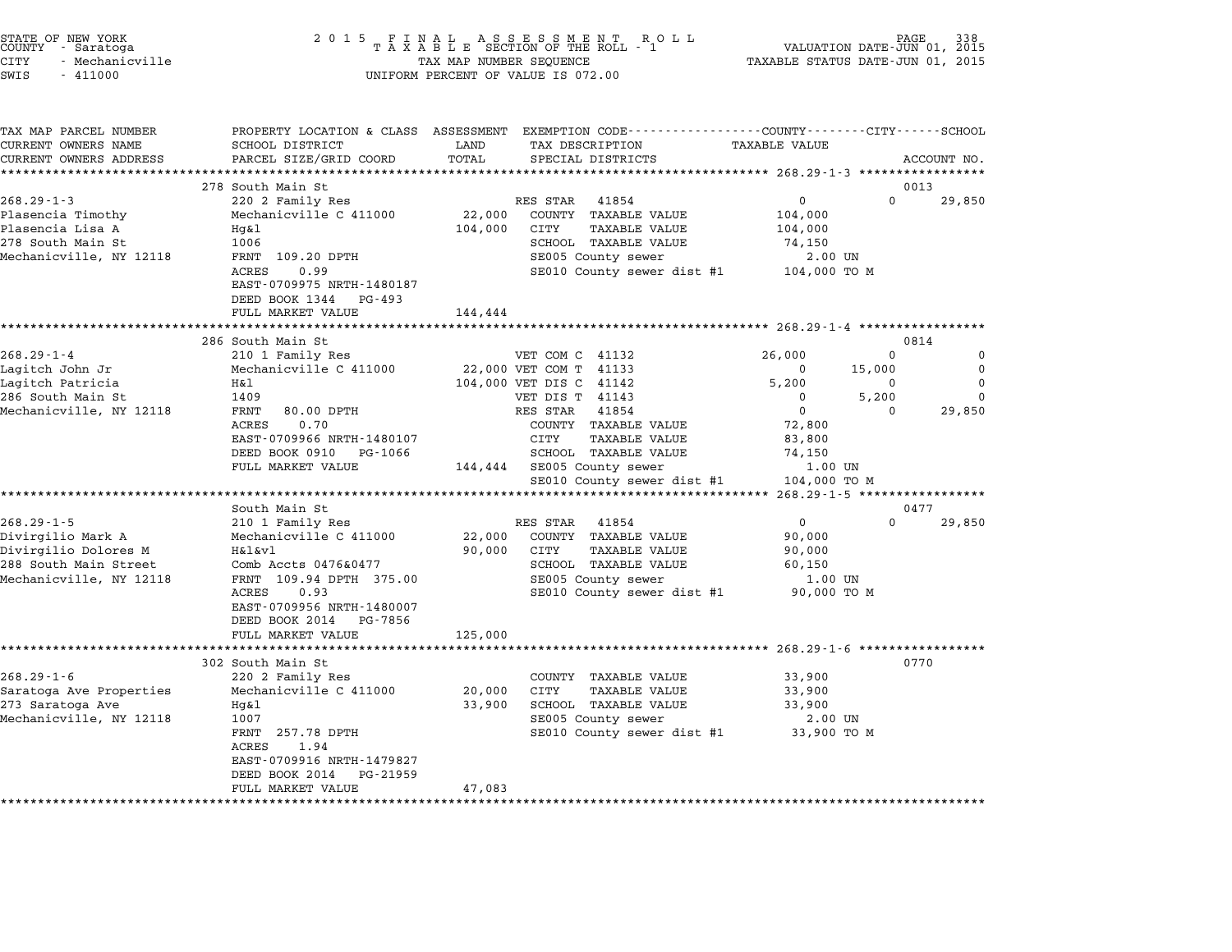| STATE OF NEW YORK<br>COUNTY<br>- Saratoga<br>CITY<br>- Mechanicville<br>$-411000$<br>SWIS | 2 0 1 5<br>FINAL ASSESSMENT ROTAXABLE SECTION OF THE ROLL - 1<br>TAX MAP NUMBER SEQUENCE<br>UNIFORM PERCENT OF VALUE IS 072.00 | PAGE<br>VALUATION DATE-JUN 01, 2015<br>TAXABLE STATUS DATE-JUN 01, 2015                                          |                                                                                                                                |  |  |  |  |  |
|-------------------------------------------------------------------------------------------|--------------------------------------------------------------------------------------------------------------------------------|------------------------------------------------------------------------------------------------------------------|--------------------------------------------------------------------------------------------------------------------------------|--|--|--|--|--|
| TAX MAP PARCEL NUMBER<br>CURRENT OWNERS NAME<br>CURRENT OWNERS ADDRESS                    | SCHOOL DISTRICT<br>PARCEL SIZE/GRID COORD<br>*********************                                                             | LAND<br>TAX DESCRIPTION<br>TOTAL<br>SPECIAL DISTRICTS                                                            | PROPERTY LOCATION & CLASS ASSESSMENT EXEMPTION CODE---------------COUNTY-------CITY-----SCHOOL<br>TAXABLE VALUE<br>ACCOUNT NO. |  |  |  |  |  |
|                                                                                           | 278 South Main St                                                                                                              |                                                                                                                  | 0013                                                                                                                           |  |  |  |  |  |
| $268.29 - 1 - 3$                                                                          | 220 2 Family Res                                                                                                               | RES STAR<br>41854                                                                                                | 0<br>$\Omega$<br>29,850                                                                                                        |  |  |  |  |  |
| Plasencia Timothy<br>Plasencia Lisa A<br>278 South Main St<br>Mechanicville, NY 12118     | Mechanicville C 411000<br>$Hq\&1$<br>1006<br>FRNT 109.20 DPTH                                                                  | 22,000<br>COUNTY TAXABLE VALUE<br>104,000<br>CITY<br>TAXABLE VALUE<br>SCHOOL TAXABLE VALUE<br>SE005 County sewer | 104,000<br>104,000<br>74,150<br>2.00 UN                                                                                        |  |  |  |  |  |
|                                                                                           | <b>ACRES</b><br>0.99<br>EAST-0709975 NRTH-1480187<br>DEED BOOK 1344 PG-493<br>FULL MARKET VALUE                                | SE010 County sewer dist #1<br>144,444                                                                            | 104,000 TO M                                                                                                                   |  |  |  |  |  |
|                                                                                           |                                                                                                                                |                                                                                                                  |                                                                                                                                |  |  |  |  |  |
|                                                                                           | 286 South Main St                                                                                                              |                                                                                                                  | 0814                                                                                                                           |  |  |  |  |  |
| $268.29 - 1 - 4$<br>Lagitch John Jr                                                       | 210 1 Family Res<br>Mechanicville C 411000                                                                                     | VET COM C 41132<br>22,000 VET COM T 41133                                                                        | 26,000<br>$\Omega$<br>0<br>$\mathbf 0$<br>0<br>15,000                                                                          |  |  |  |  |  |
| Lagitch Patricia                                                                          | H&l                                                                                                                            | 104,000 VET DIS C 41142                                                                                          | $\Omega$<br>5,200<br>$\Omega$                                                                                                  |  |  |  |  |  |
| 286 South Main St                                                                         | 1409                                                                                                                           | VET DIS T 41143                                                                                                  | 5,200<br>$\Omega$<br>0                                                                                                         |  |  |  |  |  |
| Mechanicville, NY 12118                                                                   | <b>FRNT</b><br>80.00 DPTH                                                                                                      | RES STAR<br>41854                                                                                                | $\Omega$<br>29,850<br>$\Omega$                                                                                                 |  |  |  |  |  |
|                                                                                           | <b>ACRES</b><br>0.70                                                                                                           | COUNTY TAXABLE VALUE                                                                                             | 72,800                                                                                                                         |  |  |  |  |  |
|                                                                                           | EAST-0709966 NRTH-1480107                                                                                                      | CITY<br>TAXABLE VALUE                                                                                            | 83,800                                                                                                                         |  |  |  |  |  |
|                                                                                           | DEED BOOK 0910<br>PG-1066<br>FULL MARKET VALUE                                                                                 | SCHOOL TAXABLE VALUE<br>SE005 County sewer<br>144,444<br>SE010 County sewer dist #1                              | 74,150<br>1.00 UN<br>104,000 TO M                                                                                              |  |  |  |  |  |
|                                                                                           | ******************************                                                                                                 |                                                                                                                  |                                                                                                                                |  |  |  |  |  |
|                                                                                           | South Main St                                                                                                                  |                                                                                                                  | 0477                                                                                                                           |  |  |  |  |  |
| $268.29 - 1 - 5$                                                                          | 210 1 Family Res                                                                                                               | RES STAR<br>41854                                                                                                | 0<br>$\Omega$<br>29,850                                                                                                        |  |  |  |  |  |
| Divirgilio Mark A                                                                         | Mechanicville C 411000                                                                                                         | COUNTY TAXABLE VALUE<br>22,000                                                                                   | 90,000                                                                                                                         |  |  |  |  |  |
| Divirgilio Dolores M<br>288 South Main Street                                             | H&l&vl<br>Comb Accts 0476&0477                                                                                                 | 90,000<br>CITY<br><b>TAXABLE VALUE</b><br>SCHOOL TAXABLE VALUE                                                   | 90,000<br>60,150                                                                                                               |  |  |  |  |  |
| Mechanicville, NY 12118                                                                   | FRNT 109.94 DPTH 375.00                                                                                                        | SE005 County sewer                                                                                               | 1.00 UN                                                                                                                        |  |  |  |  |  |
|                                                                                           | ACRES<br>0.93<br>EAST-0709956 NRTH-1480007<br>DEED BOOK 2014 PG-7856                                                           | SE010 County sewer dist #1                                                                                       | 90,000 TO M                                                                                                                    |  |  |  |  |  |
|                                                                                           | FULL MARKET VALUE                                                                                                              | 125,000                                                                                                          |                                                                                                                                |  |  |  |  |  |
|                                                                                           |                                                                                                                                |                                                                                                                  | *** 268.29-1-6 ***************                                                                                                 |  |  |  |  |  |
| $268.29 - 1 - 6$                                                                          | 302 South Main St<br>220 2 Family Res                                                                                          | COUNTY TAXABLE VALUE                                                                                             | 0770<br>33,900                                                                                                                 |  |  |  |  |  |
| Saratoga Ave Properties                                                                   | Mechanicville C 411000                                                                                                         | 20,000<br>CITY<br>TAXABLE VALUE                                                                                  | 33,900                                                                                                                         |  |  |  |  |  |
| 273 Saratoga Ave                                                                          | $Hq\&1$                                                                                                                        | 33,900<br>SCHOOL TAXABLE VALUE                                                                                   | 33,900                                                                                                                         |  |  |  |  |  |
| Mechanicville, NY 12118                                                                   | 1007                                                                                                                           | SE005 County sewer                                                                                               | 2.00 UN                                                                                                                        |  |  |  |  |  |
|                                                                                           | FRNT 257.78 DPTH<br><b>ACRES</b><br>1.94<br>EAST-0709916 NRTH-1479827<br>DEED BOOK 2014<br>PG-21959                            | SE010 County sewer dist #1                                                                                       | 33,900 TO M                                                                                                                    |  |  |  |  |  |
|                                                                                           | FULL MARKET VALUE                                                                                                              | 47,083                                                                                                           |                                                                                                                                |  |  |  |  |  |

STATE OF NEW YORK <sup>2</sup> <sup>0</sup> <sup>1</sup> 5 F I N A L A S S E S S M E N T R O L L PAGE <sup>338</sup> COUNTY - Saratoga <sup>T</sup> <sup>A</sup> <sup>X</sup> <sup>A</sup> <sup>B</sup> <sup>L</sup> <sup>E</sup> SECTION OF THE ROLL - <sup>1</sup> VALUATION DATE-JUN 01, <sup>2015</sup>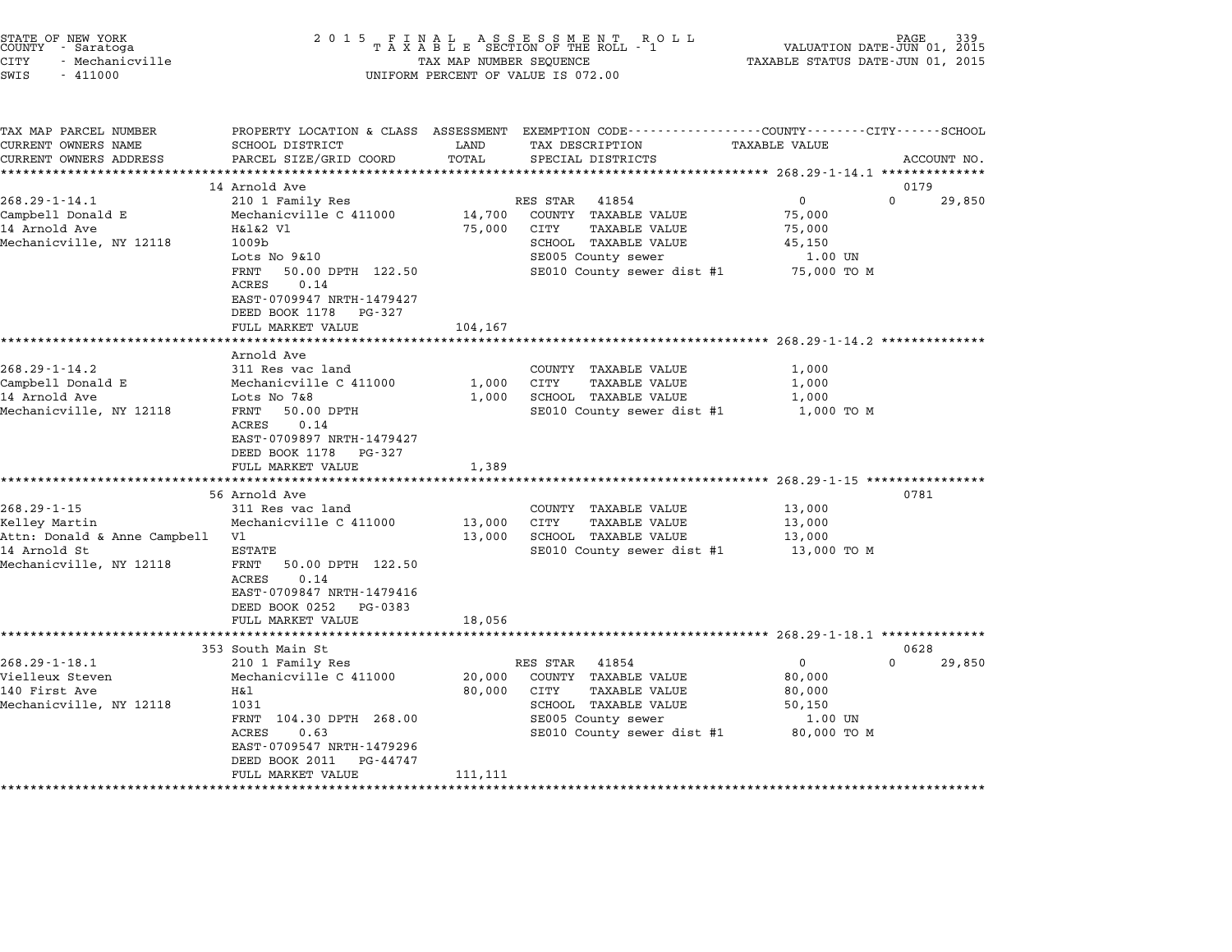| STATE OF NEW YORK<br>COUNTY - Saratoga |  |                 |  |
|----------------------------------------|--|-----------------|--|
| CITY                                   |  | - Mechanicville |  |
|                                        |  |                 |  |

# STATE OF NEW YORK <sup>2</sup> <sup>0</sup> <sup>1</sup> 5 F I N A L A S S E S S M E N T R O L L PAGE <sup>339</sup> COUNTY - Saratoga <sup>T</sup> <sup>A</sup> <sup>X</sup> <sup>A</sup> <sup>B</sup> <sup>L</sup> <sup>E</sup> SECTION OF THE ROLL - <sup>1</sup> VALUATION DATE-JUN 01, <sup>2015</sup> STATE OF NEW YORK (EACH CHANN OF NEW YORK OF AN ALL ASSESSMENT ROLL PAGE OF NEW PAGE 339<br>COUNTY - Saratoga (2015 TAXABLE STATUS DATE-JUN 01, 2015 TAXABLE STATUS DATE-JUN 01, 2015<br>CITY - Mechanicville (2015 TAXABLE STATUS D SWIS - <sup>411000</sup> UNIFORM PERCENT OF VALUE IS 072.00

| TAX MAP PARCEL NUMBER              | PROPERTY LOCATION & CLASS ASSESSMENT |                  |                 |                            | EXEMPTION CODE-----------------COUNTY-------CITY------SCHOOL      |                        |
|------------------------------------|--------------------------------------|------------------|-----------------|----------------------------|-------------------------------------------------------------------|------------------------|
| CURRENT OWNERS NAME                | SCHOOL DISTRICT                      | LAND             | TAX DESCRIPTION |                            | <b>TAXABLE VALUE</b>                                              |                        |
| CURRENT OWNERS ADDRESS             | PARCEL SIZE/GRID COORD               | TOTAL            |                 | SPECIAL DISTRICTS          |                                                                   | ACCOUNT NO.            |
| ***********************            |                                      |                  |                 |                            |                                                                   |                        |
|                                    | 14 Arnold Ave                        |                  |                 |                            |                                                                   | 0179<br>$\mathbf{0}$   |
| $268.29 - 1 - 14.1$                | 210 1 Family Res                     |                  | RES STAR        | 41854                      | $\mathbf 0$                                                       | 29,850                 |
| Campbell Donald E<br>14 Arnold Ave | Mechanicville C 411000               | 14,700<br>75,000 | CITY            | COUNTY TAXABLE VALUE       | 75,000                                                            |                        |
|                                    | H&1&2 V1                             |                  |                 | <b>TAXABLE VALUE</b>       | 75,000                                                            |                        |
| Mechanicville, NY 12118            | 1009b<br>Lots No 9&10                |                  |                 | SCHOOL TAXABLE VALUE       | 45,150                                                            |                        |
|                                    | FRNT<br>50.00 DPTH 122.50            |                  |                 | SE005 County sewer         | 1.00 UN<br>SE010 County sewer dist #1 75,000 TO M                 |                        |
|                                    | 0.14<br>ACRES                        |                  |                 |                            |                                                                   |                        |
|                                    | EAST-0709947 NRTH-1479427            |                  |                 |                            |                                                                   |                        |
|                                    | DEED BOOK 1178<br>PG-327             |                  |                 |                            |                                                                   |                        |
|                                    | FULL MARKET VALUE                    | 104,167          |                 |                            |                                                                   |                        |
|                                    |                                      |                  |                 |                            |                                                                   |                        |
|                                    | Arnold Ave                           |                  |                 |                            |                                                                   |                        |
| $268.29 - 1 - 14.2$                | 311 Res vac land                     |                  |                 | COUNTY TAXABLE VALUE       | 1,000                                                             |                        |
| Campbell Donald E                  | Mechanicville C 411000               | 1,000            | <b>CITY</b>     | TAXABLE VALUE              | 1,000                                                             |                        |
| 14 Arnold Ave                      | Lots No 7&8                          | 1,000            |                 | SCHOOL TAXABLE VALUE       | 1,000                                                             |                        |
| Mechanicville, NY 12118            | FRNT<br>50.00 DPTH                   |                  |                 | SE010 County sewer dist #1 | 1,000 TO M                                                        |                        |
|                                    | ACRES<br>0.14                        |                  |                 |                            |                                                                   |                        |
|                                    | EAST-0709897 NRTH-1479427            |                  |                 |                            |                                                                   |                        |
|                                    | DEED BOOK 1178<br>PG-327             |                  |                 |                            |                                                                   |                        |
|                                    | FULL MARKET VALUE                    | 1,389            |                 |                            |                                                                   |                        |
|                                    | *************************            |                  |                 |                            |                                                                   |                        |
|                                    | 56 Arnold Ave                        |                  |                 |                            |                                                                   | 0781                   |
| $268.29 - 1 - 15$                  | 311 Res vac land                     |                  |                 | COUNTY TAXABLE VALUE       | 13,000                                                            |                        |
| Kelley Martin                      | Mechanicville C 411000               | 13,000           | CITY            | <b>TAXABLE VALUE</b>       | 13,000                                                            |                        |
| Attn: Donald & Anne Campbell Vl    |                                      | 13,000           |                 | SCHOOL TAXABLE VALUE       | 13,000                                                            |                        |
| 14 Arnold St                       | ESTATE                               |                  |                 | SE010 County sewer dist #1 | 13,000 TO M                                                       |                        |
| Mechanicville, NY 12118            | FRNT<br>50.00 DPTH 122.50            |                  |                 |                            |                                                                   |                        |
|                                    | 0.14<br>ACRES                        |                  |                 |                            |                                                                   |                        |
|                                    | EAST-0709847 NRTH-1479416            |                  |                 |                            |                                                                   |                        |
|                                    | DEED BOOK 0252<br>PG-0383            |                  |                 |                            |                                                                   |                        |
|                                    | FULL MARKET VALUE                    | 18,056           |                 |                            |                                                                   |                        |
|                                    | ********************                 |                  |                 |                            | ************************************* 268.29-1-18.1 ************* |                        |
|                                    | 353 South Main St                    |                  |                 |                            |                                                                   | 0628                   |
| $268.29 - 1 - 18.1$                | 210 1 Family Res                     |                  | RES STAR 41854  |                            | $\overline{0}$                                                    | $\mathbf{0}$<br>29,850 |
| Vielleux Steven                    | Mechanicville C 411000               | 20,000           |                 | COUNTY TAXABLE VALUE       | 80,000                                                            |                        |
| 140 First Ave                      | Η&l                                  | 80,000           | CITY            | <b>TAXABLE VALUE</b>       | 80,000                                                            |                        |
| Mechanicville, NY 12118            | 1031                                 |                  |                 | SCHOOL TAXABLE VALUE       | 50,150                                                            |                        |
|                                    | FRNT 104.30 DPTH 268.00              |                  |                 | SE005 County sewer         | 1.00 UN                                                           |                        |
|                                    | <b>ACRES</b><br>0.63                 |                  |                 |                            | SE010 County sewer dist #1 80,000 TO M                            |                        |
|                                    | EAST-0709547 NRTH-1479296            |                  |                 |                            |                                                                   |                        |
|                                    | DEED BOOK 2011<br>PG-44747           |                  |                 |                            |                                                                   |                        |
|                                    | FULL MARKET VALUE                    | 111,111          |                 |                            |                                                                   |                        |
|                                    |                                      |                  |                 |                            |                                                                   |                        |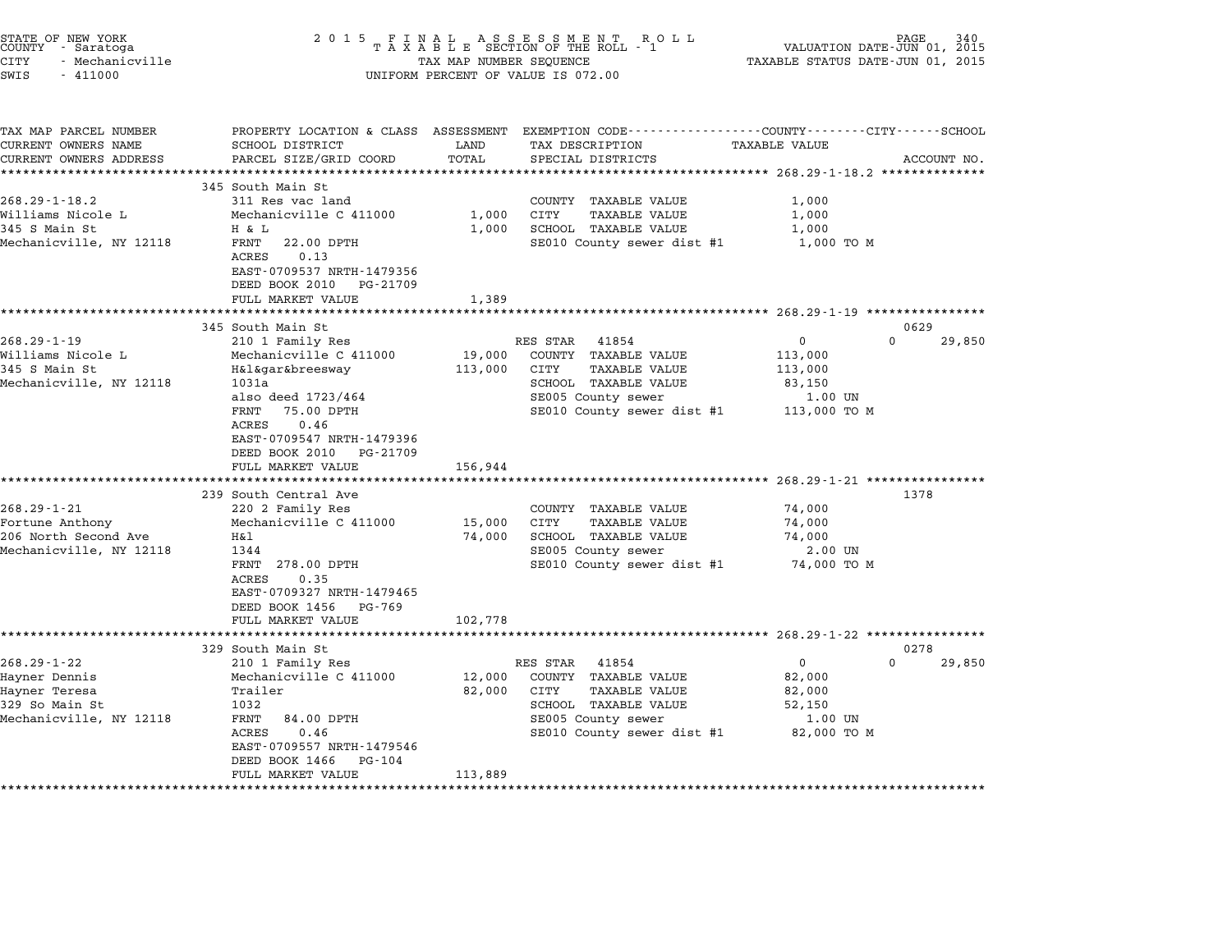| STATE OF NEW YORK<br>COUNTY - Saratoga<br>CITY<br>- Mechanicville<br>SWIS<br>$-411000$           | 2 0 1 5                                                                                                                                                                                                                                                               | TAX MAP NUMBER SEQUENCE                    | FINAL ASSESSMENT ROLL<br>TAXABLE SECTION OF THE ROLL - 1<br>UNIFORM PERCENT OF VALUE IS 072.00                                                        | PAGE<br>VALUATION DATE-JUN 01, 2015<br>TAXABLE STATUS DATE-JUN 01, 2015          | 340            |
|--------------------------------------------------------------------------------------------------|-----------------------------------------------------------------------------------------------------------------------------------------------------------------------------------------------------------------------------------------------------------------------|--------------------------------------------|-------------------------------------------------------------------------------------------------------------------------------------------------------|----------------------------------------------------------------------------------|----------------|
| TAX MAP PARCEL NUMBER<br>CURRENT OWNERS NAME<br>CURRENT OWNERS ADDRESS                           | SCHOOL DISTRICT<br>PARCEL SIZE/GRID COORD                                                                                                                                                                                                                             | LAND<br>TOTAL                              | PROPERTY LOCATION & CLASS ASSESSMENT EXEMPTION CODE---------------COUNTY-------CITY------SCHOOL<br>TAX DESCRIPTION<br>SPECIAL DISTRICTS               | <b>TAXABLE VALUE</b>                                                             | ACCOUNT NO.    |
| $268.29 - 1 - 18.2$<br>Williams Nicole L<br>345 S Main St<br>Mechanicville, NY 12118             | ***************************<br>345 South Main St<br>311 Res vac land<br>Mechanicville C 411000<br>H & L<br>FRNT<br>22.00 DPTH<br>0.13<br>ACRES<br>EAST-0709537 NRTH-1479356<br>DEED BOOK 2010 PG-21709<br>FULL MARKET VALUE                                           | ***************<br>1,000<br>1,000<br>1,389 | COUNTY TAXABLE VALUE<br>CITY<br><b>TAXABLE VALUE</b><br>SCHOOL TAXABLE VALUE<br>SE010 County sewer dist #1                                            | 1,000<br>1,000<br>1,000<br>1,000 TO M                                            |                |
|                                                                                                  | ******************                                                                                                                                                                                                                                                    | ************                               |                                                                                                                                                       | ******************* 268.29-1-19 *****************                                |                |
| $268.29 - 1 - 19$<br>Williams Nicole L<br>345 S Main St<br>Mechanicville, NY 12118               | 345 South Main St<br>210 1 Family Res<br>Mechanicville C 411000<br>H&l&gar&breesway<br>1031a<br>also deed 1723/464<br>FRNT<br>75.00 DPTH<br>ACRES<br>0.46<br>EAST-0709547 NRTH-1479396<br>DEED BOOK 2010<br>PG-21709<br>FULL MARKET VALUE<br>************************ | 19,000<br>113,000<br>156,944               | RES STAR 41854<br>COUNTY TAXABLE VALUE<br>CITY<br><b>TAXABLE VALUE</b><br>SCHOOL TAXABLE VALUE<br>SE005 County sewer<br>SE010 County sewer dist #1    | $\Omega$<br>0<br>113,000<br>113,000<br>83,150<br>1.00 UN<br>113,000 TO M         | 0629<br>29,850 |
| $268.29 - 1 - 21$<br>Fortune Anthony<br>206 North Second Ave<br>Mechanicville, NY 12118          | 239 South Central Ave<br>220 2 Family Res<br>Mechanicville C 411000<br>Η&l<br>1344<br>FRNT 278.00 DPTH<br>0.35<br>ACRES<br>EAST-0709327 NRTH-1479465<br>DEED BOOK 1456 PG-769<br>FULL MARKET VALUE                                                                    | 15,000<br>74,000<br>102,778                | COUNTY TAXABLE VALUE<br>TAXABLE VALUE<br>CITY<br>SCHOOL TAXABLE VALUE<br>SE005 County sewer<br>SE010 County sewer dist #1                             | 74,000<br>74,000<br>74,000<br>2.00 UN<br>74,000 TO M                             | 1378           |
| $268.29 - 1 - 22$<br>Hayner Dennis<br>Hayner Teresa<br>329 So Main St<br>Mechanicville, NY 12118 | ******************<br>329 South Main St<br>210 1 Family Res<br>Mechanicville C 411000<br>Trailer<br>1032<br>FRNT<br>84.00 DPTH<br>ACRES<br>0.46<br>EAST-0709557 NRTH-1479546<br>DEED BOOK 1466<br>PG-104<br>FULL MARKET VALUE<br>**************************           | 12,000<br>82,000<br>113,889<br>*********** | RES STAR<br>41854<br>COUNTY TAXABLE VALUE<br>CITY<br><b>TAXABLE VALUE</b><br>SCHOOL TAXABLE VALUE<br>SE005 County sewer<br>SE010 County sewer dist #1 | $\mathbf{0}$<br>$\Omega$<br>82,000<br>82,000<br>52,150<br>1.00 UN<br>82,000 TO M | 0278<br>29,850 |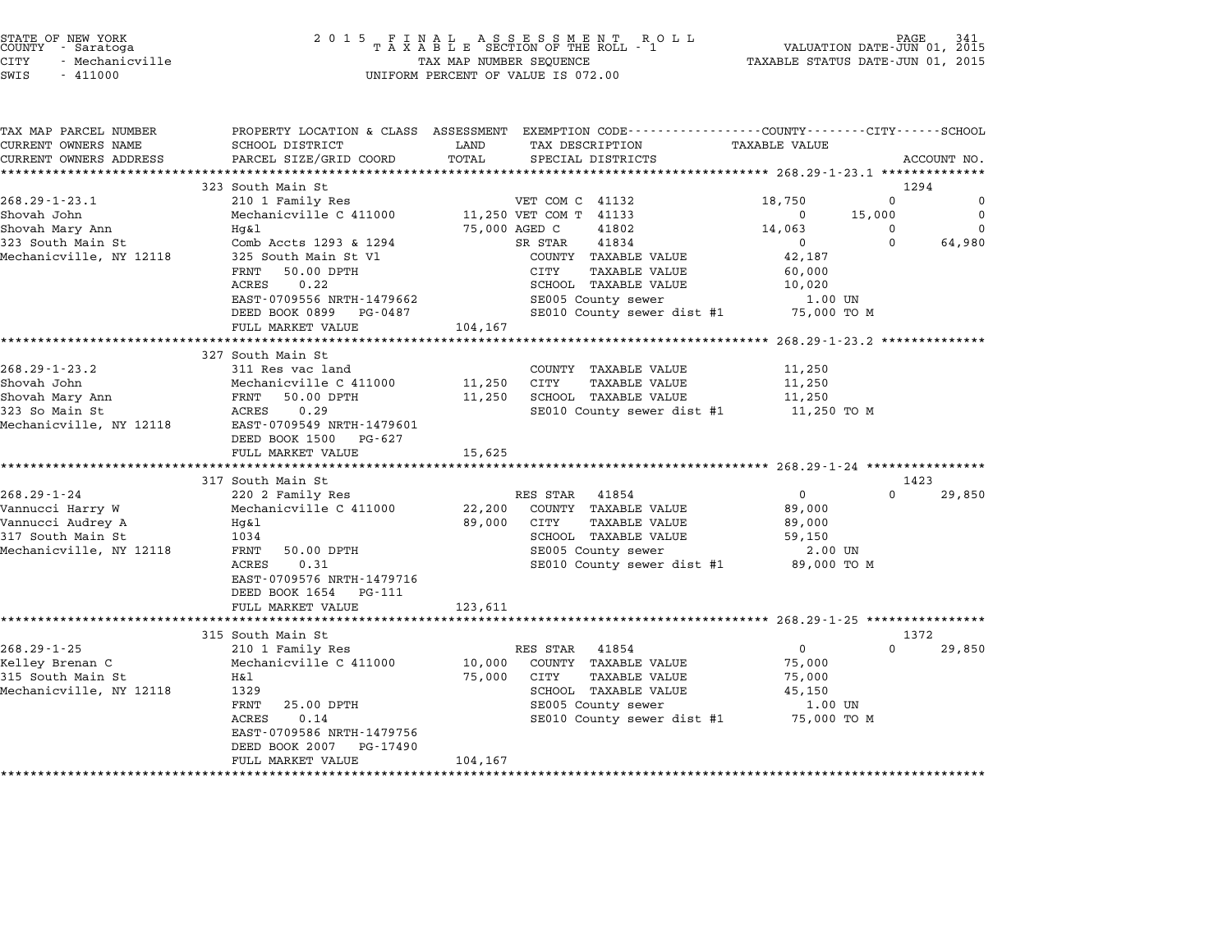| STATE OF NEW YORK |                 |  |
|-------------------|-----------------|--|
| COUNTY            | - Saratoga      |  |
| CITY              | - Mechanicville |  |

| TAX MAP PARCEL NUMBER   | PROPERTY LOCATION & CLASS ASSESSMENT EXEMPTION CODE---------------COUNTY-------CITY------SCHOOL |               |                                        | <b>TAXABLE VALUE</b> |              |             |
|-------------------------|-------------------------------------------------------------------------------------------------|---------------|----------------------------------------|----------------------|--------------|-------------|
| CURRENT OWNERS NAME     | SCHOOL DISTRICT                                                                                 | LAND          | TAX DESCRIPTION                        |                      |              |             |
| CURRENT OWNERS ADDRESS  | PARCEL SIZE/GRID COORD                                                                          | TOTAL         | SPECIAL DISTRICTS                      |                      |              | ACCOUNT NO. |
|                         |                                                                                                 |               |                                        |                      |              |             |
|                         | 323 South Main St                                                                               |               |                                        |                      | 1294         |             |
| $268.29 - 1 - 23.1$     | 210 1 Family Res                                                                                |               | VET COM C 41132                        | 18,750               | $\mathbf{0}$ | 0           |
| Shovah John             | Mechanicville C 411000                                                                          |               | 11,250 VET COM T 41133                 | $\mathbf 0$          | 15,000       | $\mathbf 0$ |
| Shovah Mary Ann         | Hq&l                                                                                            | 75,000 AGED C | 41802                                  | 14,063               | $\Omega$     | $\Omega$    |
| 323 South Main St       | Comb Accts 1293 & 1294                                                                          |               | 41834<br>SR STAR                       | $\mathbf{0}$         | $\Omega$     | 64,980      |
| Mechanicville, NY 12118 | 325 South Main St Vl                                                                            |               | COUNTY TAXABLE VALUE                   | 42,187               |              |             |
|                         | FRNT<br>50.00 DPTH                                                                              |               | CITY<br><b>TAXABLE VALUE</b>           | 60,000               |              |             |
|                         | ACRES<br>0.22                                                                                   |               | SCHOOL TAXABLE VALUE                   | 10,020               |              |             |
|                         | EAST-0709556 NRTH-1479662                                                                       |               | SE005 County sewer                     | 1.00 UN              |              |             |
|                         | DEED BOOK 0899 PG-0487                                                                          |               | SE010 County sewer dist #1             | 75,000 TO M          |              |             |
|                         | FULL MARKET VALUE                                                                               | 104,167       |                                        |                      |              |             |
|                         |                                                                                                 |               |                                        |                      |              |             |
|                         | 327 South Main St                                                                               |               |                                        |                      |              |             |
| $268.29 - 1 - 23.2$     | 311 Res vac land                                                                                |               | COUNTY TAXABLE VALUE                   | 11,250               |              |             |
| Shovah John             | Mechanicville C 411000                                                                          | 11,250        | CITY<br>TAXABLE VALUE                  | 11,250               |              |             |
| Shovah Mary Ann         | FRNT<br>50.00 DPTH                                                                              | 11,250        | SCHOOL TAXABLE VALUE                   | 11,250               |              |             |
| 323 So Main St          | ACRES<br>0.29                                                                                   |               | SE010 County sewer dist #1 11,250 TO M |                      |              |             |
| Mechanicville, NY 12118 | EAST-0709549 NRTH-1479601                                                                       |               |                                        |                      |              |             |
|                         | DEED BOOK 1500 PG-627                                                                           |               |                                        |                      |              |             |
|                         | FULL MARKET VALUE                                                                               | 15,625        |                                        |                      |              |             |
|                         |                                                                                                 |               |                                        |                      |              |             |
|                         | 317 South Main St                                                                               |               |                                        |                      | 1423         |             |
| $268.29 - 1 - 24$       | 220 2 Family Res                                                                                |               | RES STAR 41854                         | $\mathsf{O}$         | $\Omega$     | 29,850      |
| Vannucci Harry W        | Mechanicville C 411000                                                                          | 22,200        | COUNTY TAXABLE VALUE                   | 89,000               |              |             |
| Vannucci Audrey A       | Hg&l                                                                                            | 89,000        | CITY<br><b>TAXABLE VALUE</b>           | 89,000               |              |             |
| 317 South Main St       | 1034                                                                                            |               | SCHOOL TAXABLE VALUE                   | 59,150               |              |             |
| Mechanicville, NY 12118 | FRNT<br>50.00 DPTH                                                                              |               | SE005 County sewer                     | 2.00 UN              |              |             |
|                         | 0.31<br>ACRES                                                                                   |               | SE010 County sewer dist #1 89,000 TO M |                      |              |             |
|                         | EAST-0709576 NRTH-1479716                                                                       |               |                                        |                      |              |             |
|                         | DEED BOOK 1654 PG-111                                                                           |               |                                        |                      |              |             |
|                         | FULL MARKET VALUE                                                                               | 123,611       |                                        |                      |              |             |
|                         |                                                                                                 |               |                                        |                      |              |             |
|                         | 315 South Main St                                                                               |               |                                        |                      | 1372         |             |
| $268.29 - 1 - 25$       | 210 1 Family Res                                                                                |               | RES STAR 41854                         | $\overline{0}$       | $\Omega$     | 29,850      |
| Kelley Brenan C         | Mechanicville C 411000                                                                          | 10,000        | COUNTY TAXABLE VALUE                   | 75,000               |              |             |
| 315 South Main St       | Η&l                                                                                             | 75,000        | CITY<br>TAXABLE VALUE                  | 75,000               |              |             |
| Mechanicville, NY 12118 | 1329                                                                                            |               | SCHOOL TAXABLE VALUE                   | 45,150               |              |             |
|                         | 25.00 DPTH<br>FRNT                                                                              |               | SE005 County sewer                     | 1.00 UN              |              |             |
|                         | ACRES<br>0.14                                                                                   |               | SE010 County sewer dist #1 75,000 TO M |                      |              |             |
|                         | EAST-0709586 NRTH-1479756                                                                       |               |                                        |                      |              |             |
|                         |                                                                                                 |               |                                        |                      |              |             |
|                         | DEED BOOK 2007<br>PG-17490<br>FULL MARKET VALUE                                                 | 104,167       |                                        |                      |              |             |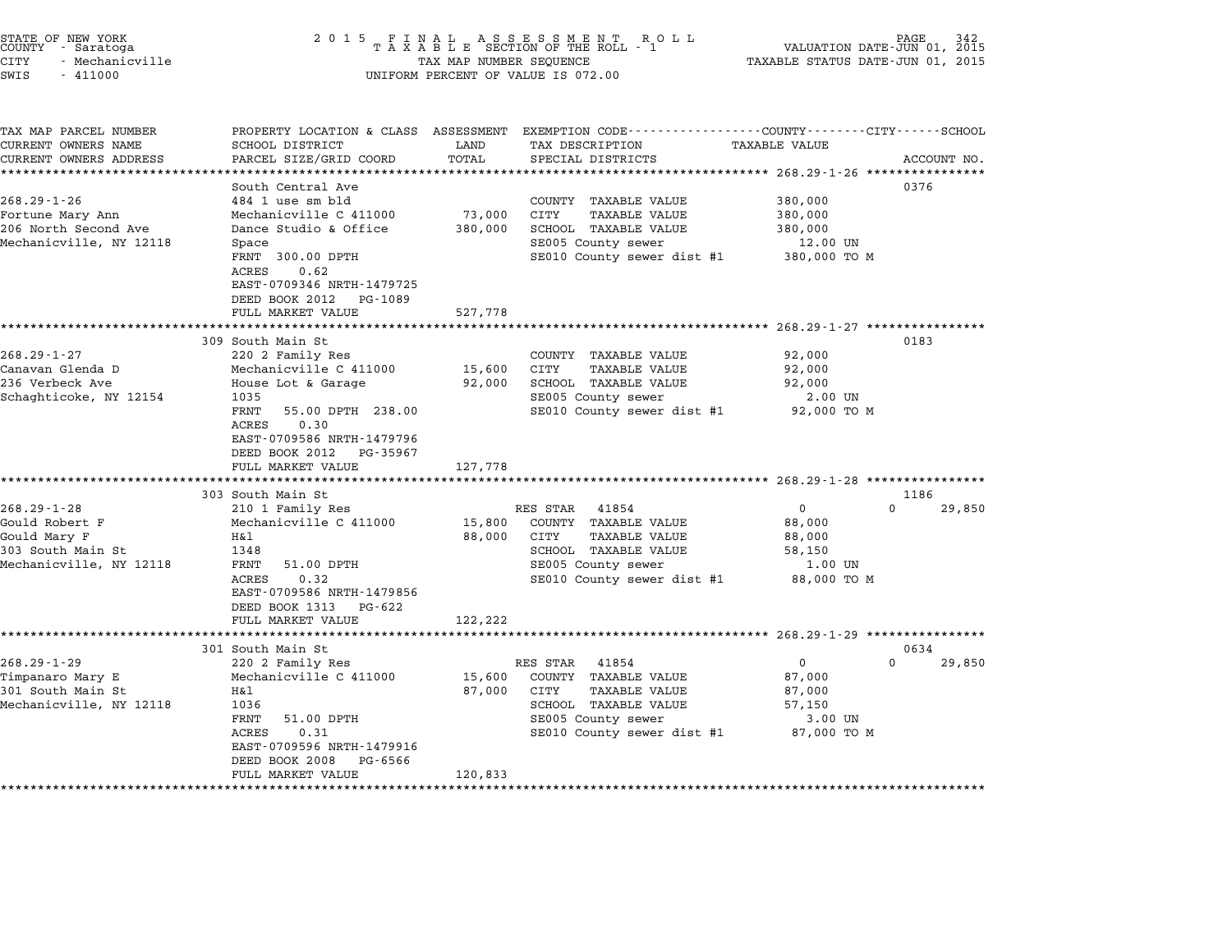| STATE OF NEW YORK<br>COUNTY - Saratoga | 2015 FINAL ASSESSMENT ROLL<br>TAXABLE SECTION OF THE ROLL - 1 | 342<br>PAGE<br>VALUATION DATE-JUN 01, 2015 |
|----------------------------------------|---------------------------------------------------------------|--------------------------------------------|
| - Mechanicville<br>CITY                | TAX MAP NUMBER SEQUENCE                                       | TAXABLE STATUS DATE-JUN 01, 2015           |

|               | STATE OF NEW YORK<br>COUNTY - Saratoga |  |  |  |  |  |  |  |  | 2015 FINAL ASSESSMENT<br>TAXABLE SECTION OF THE ROLI |  |
|---------------|----------------------------------------|--|--|--|--|--|--|--|--|------------------------------------------------------|--|
| CITY          | - Mechanicville                        |  |  |  |  |  |  |  |  | TAX MAP NUMBER SEOUENCE                              |  |
| SWIS - 411000 |                                        |  |  |  |  |  |  |  |  | UNIFORM PERCENT OF VALUE IS 072.00                   |  |

| TAX MAP PARCEL NUMBER<br>CURRENT OWNERS NAME<br>CURRENT OWNERS ADDRESS | PROPERTY LOCATION & CLASS ASSESSMENT<br>SCHOOL DISTRICT<br>PARCEL SIZE/GRID COORD                 | LAND<br>TOTAL | EXEMPTION CODE-----------------COUNTY-------CITY------SCHOOL<br>TAX DESCRIPTION<br>SPECIAL DISTRICTS | <b>TAXABLE VALUE</b> | ACCOUNT NO.        |
|------------------------------------------------------------------------|---------------------------------------------------------------------------------------------------|---------------|------------------------------------------------------------------------------------------------------|----------------------|--------------------|
|                                                                        |                                                                                                   |               |                                                                                                      |                      |                    |
|                                                                        | South Central Ave                                                                                 |               |                                                                                                      |                      | 0376               |
| $268.29 - 1 - 26$                                                      | 484 1 use sm bld                                                                                  |               | COUNTY TAXABLE VALUE                                                                                 | 380,000              |                    |
| Fortune Mary Ann                                                       | Mechanicville C 411000                                                                            | 73,000        | CITY<br><b>TAXABLE VALUE</b>                                                                         | 380,000              |                    |
| 206 North Second Ave                                                   | Dance Studio & Office                                                                             | 380,000       | SCHOOL TAXABLE VALUE                                                                                 | 380,000              |                    |
| Mechanicville, NY 12118                                                | Space                                                                                             |               | SE005 County sewer                                                                                   | 12.00 UN             |                    |
|                                                                        | FRNT 300.00 DPTH<br>ACRES<br>0.62<br>EAST-0709346 NRTH-1479725<br>DEED BOOK 2012 PG-1089          |               | SE010 County sewer dist #1                                                                           | 380,000 TO M         |                    |
|                                                                        | FULL MARKET VALUE                                                                                 | 527,778       |                                                                                                      |                      |                    |
|                                                                        | 309 South Main St                                                                                 |               |                                                                                                      |                      | 0183               |
| $268.29 - 1 - 27$                                                      | 220 2 Family Res                                                                                  |               | COUNTY TAXABLE VALUE                                                                                 | 92,000               |                    |
| Canavan Glenda D                                                       | Mechanicville C 411000                                                                            | 15,600        | CITY<br><b>TAXABLE VALUE</b>                                                                         | 92,000               |                    |
| 236 Verbeck Ave                                                        | House Lot & Garage                                                                                | 92,000        | SCHOOL TAXABLE VALUE                                                                                 | 92,000               |                    |
| Schaghticoke, NY 12154                                                 | 1035                                                                                              |               | SE005 County sewer                                                                                   | 2.00 UN              |                    |
|                                                                        | FRNT<br>55.00 DPTH 238.00                                                                         |               | SE010 County sewer dist #1                                                                           | 92,000 TO M          |                    |
|                                                                        | <b>ACRES</b><br>0.30<br>EAST-0709586 NRTH-1479796<br>DEED BOOK 2012 PG-35967<br>FULL MARKET VALUE | 127,778       |                                                                                                      |                      |                    |
|                                                                        | **********************                                                                            |               |                                                                                                      |                      |                    |
|                                                                        | 303 South Main St                                                                                 |               |                                                                                                      |                      | 1186               |
| $268.29 - 1 - 28$                                                      | 210 1 Family Res                                                                                  |               | RES STAR 41854                                                                                       | 0                    | $\Omega$<br>29,850 |
| Gould Robert F                                                         | Mechanicville C 411000                                                                            | 15,800        | COUNTY TAXABLE VALUE                                                                                 | 88,000               |                    |
| Gould Mary F                                                           | Η&l                                                                                               | 88,000        | CITY<br>TAXABLE VALUE                                                                                | 88,000               |                    |
| 303 South Main St                                                      | 1348                                                                                              |               | SCHOOL TAXABLE VALUE                                                                                 | 58,150               |                    |
| Mechanicville, NY 12118                                                | FRNT<br>51.00 DPTH<br>0.32<br>ACRES                                                               |               | SE005 County sewer                                                                                   | 1.00 UN              |                    |
|                                                                        | EAST-0709586 NRTH-1479856<br>DEED BOOK 1313<br>PG-622                                             |               | SE010 County sewer dist #1                                                                           | 88,000 TO M          |                    |
|                                                                        | FULL MARKET VALUE                                                                                 | 122,222       |                                                                                                      |                      |                    |
|                                                                        | **********************************<br>301 South Main St                                           |               |                                                                                                      |                      | 0634               |
| 268.29-1-29                                                            | 220 2 Family Res                                                                                  |               | RES STAR<br>41854                                                                                    | 0                    | $\Omega$<br>29,850 |
| Timpanaro Mary E                                                       | Mechanicville C 411000                                                                            | 15,600        | COUNTY TAXABLE VALUE                                                                                 | 87,000               |                    |
| 301 South Main St                                                      | Η&l                                                                                               | 87,000        | CITY<br><b>TAXABLE VALUE</b>                                                                         | 87,000               |                    |
| Mechanicville, NY 12118                                                | 1036                                                                                              |               | SCHOOL TAXABLE VALUE                                                                                 | 57,150               |                    |
|                                                                        | 51.00 DPTH<br>FRNT                                                                                |               | SE005 County sewer                                                                                   | 3.00 UN              |                    |
|                                                                        | ACRES<br>0.31<br>EAST-0709596 NRTH-1479916<br>DEED BOOK 2008<br>PG-6566                           |               | SE010 County sewer dist #1                                                                           | 87,000 TO M          |                    |
|                                                                        | FULL MARKET VALUE                                                                                 | 120,833       |                                                                                                      |                      |                    |
|                                                                        |                                                                                                   |               |                                                                                                      |                      |                    |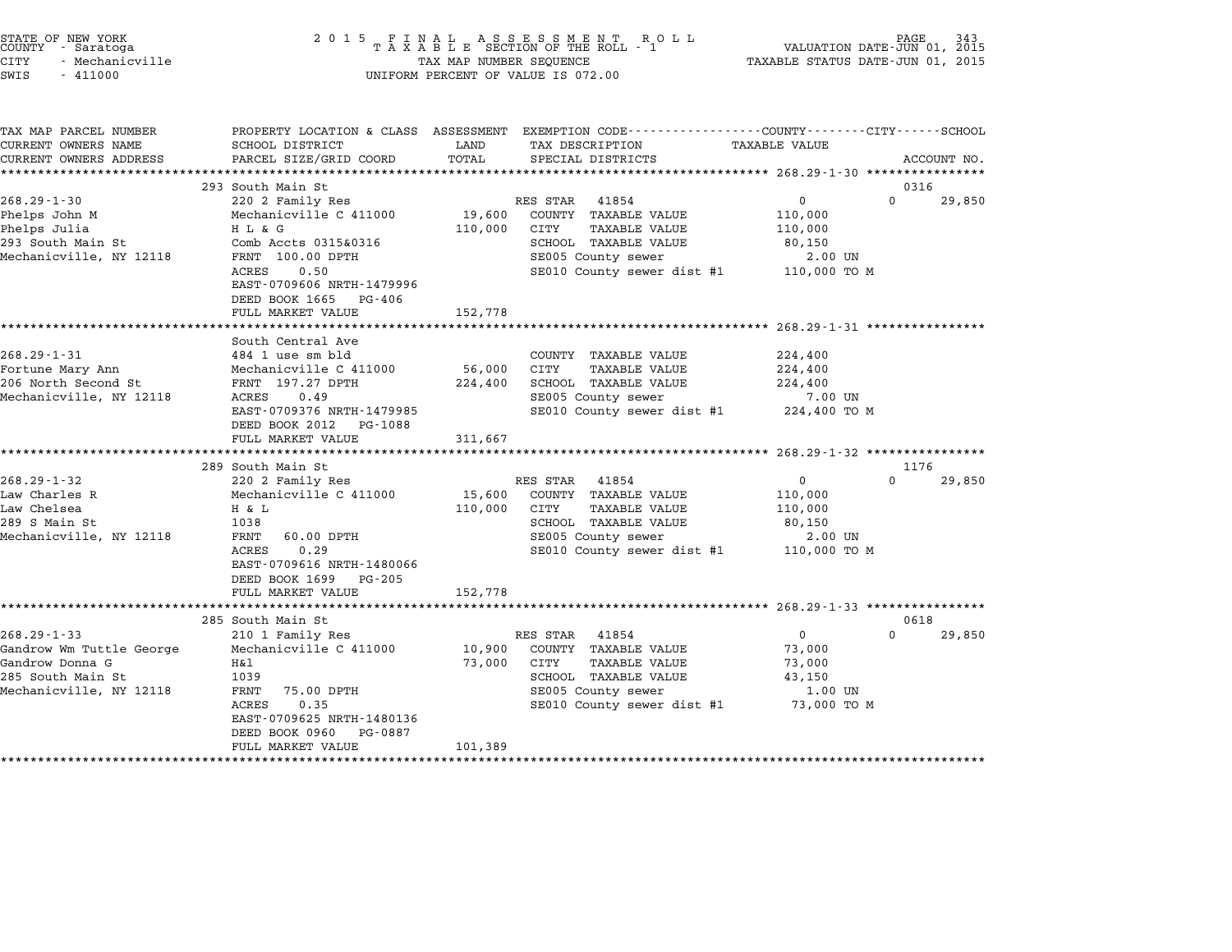| STATE OF NEW YORK |                 |  |
|-------------------|-----------------|--|
| COUNTY            | - Saratoga      |  |
| CITY              | - Mechanicville |  |

| TAX MAP PARCEL NUMBER    |                           |         | PROPERTY LOCATION & CLASS ASSESSMENT EXEMPTION CODE----------------COUNTY-------CITY------SCHOOL |                      |          |             |
|--------------------------|---------------------------|---------|--------------------------------------------------------------------------------------------------|----------------------|----------|-------------|
| CURRENT OWNERS NAME      | SCHOOL DISTRICT           | LAND    | TAX DESCRIPTION                                                                                  | <b>TAXABLE VALUE</b> |          |             |
| CURRENT OWNERS ADDRESS   | PARCEL SIZE/GRID COORD    | TOTAL   | SPECIAL DISTRICTS                                                                                |                      |          | ACCOUNT NO. |
|                          |                           |         |                                                                                                  |                      |          |             |
|                          | 293 South Main St         |         |                                                                                                  |                      | 0316     |             |
| $268.29 - 1 - 30$        | 220 2 Family Res          |         | RES STAR 41854                                                                                   | $\overline{0}$       | $\Omega$ | 29,850      |
| Phelps John M            | Mechanicville C 411000    | 19,600  | COUNTY TAXABLE VALUE                                                                             | 110,000              |          |             |
| Phelps Julia             | H L & G                   | 110,000 | CITY<br>TAXABLE VALUE                                                                            | 110,000              |          |             |
| 293 South Main St        | Comb Accts 0315&0316      |         | SCHOOL TAXABLE VALUE                                                                             | 80,150               |          |             |
| Mechanicville, NY 12118  | FRNT 100.00 DPTH          |         | SE005 County sewer                                                                               | 2.00 UN              |          |             |
|                          | ACRES<br>0.50             |         | SE010 County sewer dist #1 110,000 TO M                                                          |                      |          |             |
|                          | EAST-0709606 NRTH-1479996 |         |                                                                                                  |                      |          |             |
|                          | DEED BOOK 1665 PG-406     |         |                                                                                                  |                      |          |             |
|                          | FULL MARKET VALUE         | 152,778 |                                                                                                  |                      |          |             |
|                          |                           |         |                                                                                                  |                      |          |             |
|                          | South Central Ave         |         |                                                                                                  |                      |          |             |
| $268.29 - 1 - 31$        | 484 1 use sm bld          |         | COUNTY TAXABLE VALUE                                                                             | 224,400              |          |             |
| Fortune Mary Ann         | Mechanicville C 411000    | 56,000  | CITY<br>TAXABLE VALUE                                                                            | 224,400              |          |             |
| 206 North Second St      | FRNT 197.27 DPTH          | 224,400 | SCHOOL TAXABLE VALUE                                                                             | 224,400              |          |             |
| Mechanicville, NY 12118  | ACRES<br>0.49             |         | SE005 County sewer                                                                               | 7.00 UN              |          |             |
|                          | EAST-0709376 NRTH-1479985 |         | SE010 County sewer dist #1 224,400 TO M                                                          |                      |          |             |
|                          | DEED BOOK 2012 PG-1088    |         |                                                                                                  |                      |          |             |
|                          | FULL MARKET VALUE         | 311,667 |                                                                                                  |                      |          |             |
|                          |                           |         |                                                                                                  |                      |          |             |
|                          | 289 South Main St         |         |                                                                                                  |                      | 1176     |             |
| $268.29 - 1 - 32$        | 220 2 Family Res          |         | RES STAR 41854                                                                                   | $\mathbf{0}$         | $\Omega$ | 29,850      |
| Law Charles R            | Mechanicville C 411000    | 15,600  | COUNTY TAXABLE VALUE                                                                             | 110,000              |          |             |
| Law Chelsea              | H & L                     | 110,000 | CITY<br>TAXABLE VALUE                                                                            | 110,000              |          |             |
| 289 S Main St            | 1038                      |         | SCHOOL TAXABLE VALUE                                                                             | 80,150               |          |             |
| Mechanicville, NY 12118  | FRNT<br>60.00 DPTH        |         | SE005 County sewer                                                                               | 2.00 UN              |          |             |
|                          | 0.29<br>ACRES             |         | SE010 County sewer dist #1 110,000 TO M                                                          |                      |          |             |
|                          | EAST-0709616 NRTH-1480066 |         |                                                                                                  |                      |          |             |
|                          | DEED BOOK 1699 PG-205     |         |                                                                                                  |                      |          |             |
|                          | FULL MARKET VALUE         | 152,778 |                                                                                                  |                      |          |             |
|                          |                           |         |                                                                                                  |                      |          |             |
|                          | 285 South Main St         |         |                                                                                                  |                      | 0618     |             |
| $268.29 - 1 - 33$        | 210 1 Family Res          |         | RES STAR 41854                                                                                   | $\overline{0}$       | $\Omega$ | 29,850      |
| Gandrow Wm Tuttle George | Mechanicville C 411000    |         | 10,900 COUNTY TAXABLE VALUE                                                                      | 73,000               |          |             |
| Gandrow Donna G          | Η&l                       | 73,000  | CITY<br><b>TAXABLE VALUE</b>                                                                     | 73,000               |          |             |
| 285 South Main St        | 1039                      |         | SCHOOL TAXABLE VALUE                                                                             | 43,150               |          |             |
| Mechanicville, NY 12118  | 75.00 DPTH<br>FRNT        |         | SE005 County sewer                                                                               | 1.00 UN              |          |             |
|                          | ACRES<br>0.35             |         | SE010 County sewer dist #1 73,000 TO M                                                           |                      |          |             |
|                          | EAST-0709625 NRTH-1480136 |         |                                                                                                  |                      |          |             |
|                          | DEED BOOK 0960 PG-0887    |         |                                                                                                  |                      |          |             |
|                          | FULL MARKET VALUE         | 101,389 |                                                                                                  |                      |          |             |
|                          |                           |         |                                                                                                  |                      |          |             |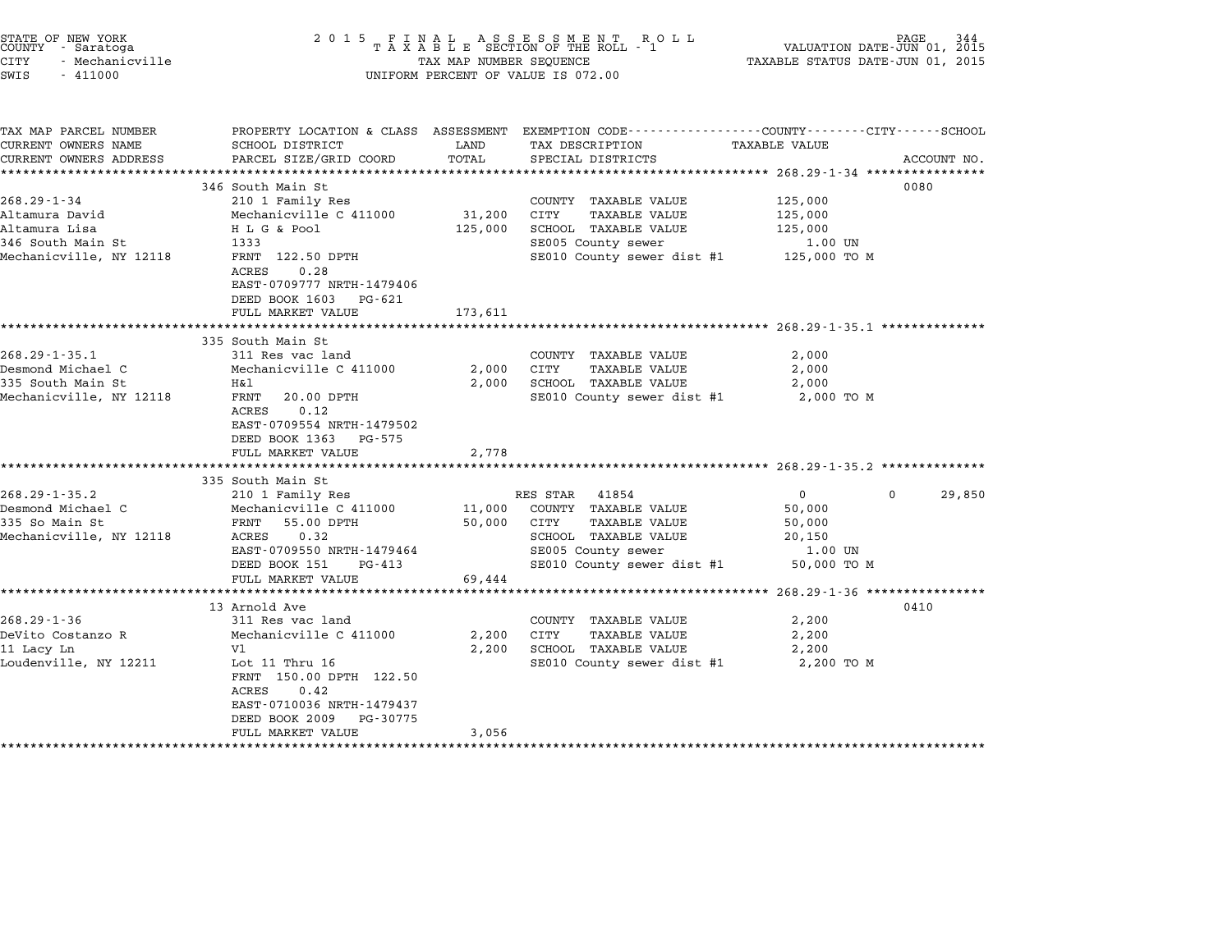| STATE OF NEW YORK<br>COUNTY - Saratoga<br>CITY<br>- Mechanicville<br>SWIS<br>$-411000$               | 2 0 1 5                                                                                                                                                                                                               | TAX MAP NUMBER SEQUENCE                           | FINAL ASSESSMENT ROLL<br>TAXABLE SECTION OF THE ROLL - 1<br>UNIFORM PERCENT OF VALUE IS 072.00                                                        | VALUATION DATE-JUN 01,<br>TAXABLE STATUS DATE-JUN 01, 2015                                  | PAGE<br>344<br>2015 |
|------------------------------------------------------------------------------------------------------|-----------------------------------------------------------------------------------------------------------------------------------------------------------------------------------------------------------------------|---------------------------------------------------|-------------------------------------------------------------------------------------------------------------------------------------------------------|---------------------------------------------------------------------------------------------|---------------------|
| TAX MAP PARCEL NUMBER<br>CURRENT OWNERS NAME<br>CURRENT OWNERS ADDRESS<br>**********************     | SCHOOL DISTRICT<br>PARCEL SIZE/GRID COORD<br>***************************                                                                                                                                              | LAND<br>TOTAL                                     | PROPERTY LOCATION & CLASS ASSESSMENT EXEMPTION CODE---------------COUNTY-------CITY-----SCHOOL<br>TAX DESCRIPTION<br>SPECIAL DISTRICTS                | TAXABLE VALUE                                                                               | ACCOUNT NO.         |
| $268.29 - 1 - 34$<br>Altamura David<br>Altamura Lisa<br>346 South Main St<br>Mechanicville, NY 12118 | 346 South Main St<br>210 1 Family Res<br>Mechanicville C 411000<br>H L G & Pool<br>1333<br>FRNT 122.50 DPTH<br>ACRES<br>0.28<br>EAST-0709777 NRTH-1479406<br>DEED BOOK 1603<br>PG-621<br>FULL MARKET VALUE            | 31,200<br>125,000<br>173,611                      | COUNTY TAXABLE VALUE<br>CITY<br><b>TAXABLE VALUE</b><br>SCHOOL TAXABLE VALUE<br>SE005 County sewer<br>SE010 County sewer dist #1                      | 125,000<br>125,000<br>125,000<br>1.00 UN<br>125,000 TO M                                    | 0080                |
| $268.29 - 1 - 35.1$<br>Desmond Michael C<br>335 South Main St<br>Mechanicville, NY 12118             | 335 South Main St<br>311 Res vac land<br>Mechanicville C 411000<br>H&l<br>FRNT<br>20.00 DPTH<br>0.12<br>ACRES<br>EAST-0709554 NRTH-1479502<br>DEED BOOK 1363<br>PG-575<br>FULL MARKET VALUE<br>********************** | 2,000<br>2,000<br>2,778                           | COUNTY TAXABLE VALUE<br>CITY<br>TAXABLE VALUE<br>SCHOOL TAXABLE VALUE<br>SE010 County sewer dist #1                                                   | 2,000<br>2,000<br>2,000<br>2,000 TO M                                                       |                     |
| $268.29 - 1 - 35.2$<br>Desmond Michael C<br>335 So Main St<br>Mechanicville, NY 12118                | 335 South Main St<br>210 1 Family Res<br>Mechanicville C 411000<br>FRNT<br>55.00 DPTH<br>0.32<br>ACRES<br>EAST-0709550 NRTH-1479464<br>DEED BOOK 151<br>PG-413<br>FULL MARKET VALUE                                   | 11,000<br>50,000<br>69,444                        | 41854<br>RES STAR<br>COUNTY TAXABLE VALUE<br>CITY<br><b>TAXABLE VALUE</b><br>SCHOOL TAXABLE VALUE<br>SE005 County sewer<br>SE010 County sewer dist #1 | $\overline{0}$<br>$\Omega$<br>50,000<br>50,000<br>20,150<br>1.00 UN<br>50,000 TO M          | 29,850              |
| $268.29 - 1 - 36$<br>DeVito Costanzo R<br>11 Lacy Ln<br>Loudenville, NY 12211                        | 13 Arnold Ave<br>311 Res vac land<br>Mechanicville C 411000<br>V1<br>Lot $11$ Thru $16$<br>FRNT 150.00 DPTH 122.50<br>ACRES<br>0.42<br>EAST-0710036 NRTH-1479437<br>DEED BOOK 2009<br>PG-30775<br>FULL MARKET VALUE   | 2,200<br>2,200<br>3,056<br><b>+++++++++++++++</b> | COUNTY TAXABLE VALUE<br><b>TAXABLE VALUE</b><br>CITY<br>SCHOOL TAXABLE VALUE<br>SE010 County sewer dist #1                                            | ********************* 268.29-1-36 ****************<br>2,200<br>2,200<br>2,200<br>2,200 TO M | 0410                |

STATE OF NEW YORK <sup>2</sup> <sup>0</sup> <sup>1</sup> 5 F I N A L A S S E S S M E N T R O L L PAGE <sup>344</sup> COUNTY - Saratoga <sup>T</sup> <sup>A</sup> <sup>X</sup> <sup>A</sup> <sup>B</sup> <sup>L</sup> <sup>E</sup> SECTION OF THE ROLL - <sup>1</sup> VALUATION DATE-JUN 01, <sup>2015</sup>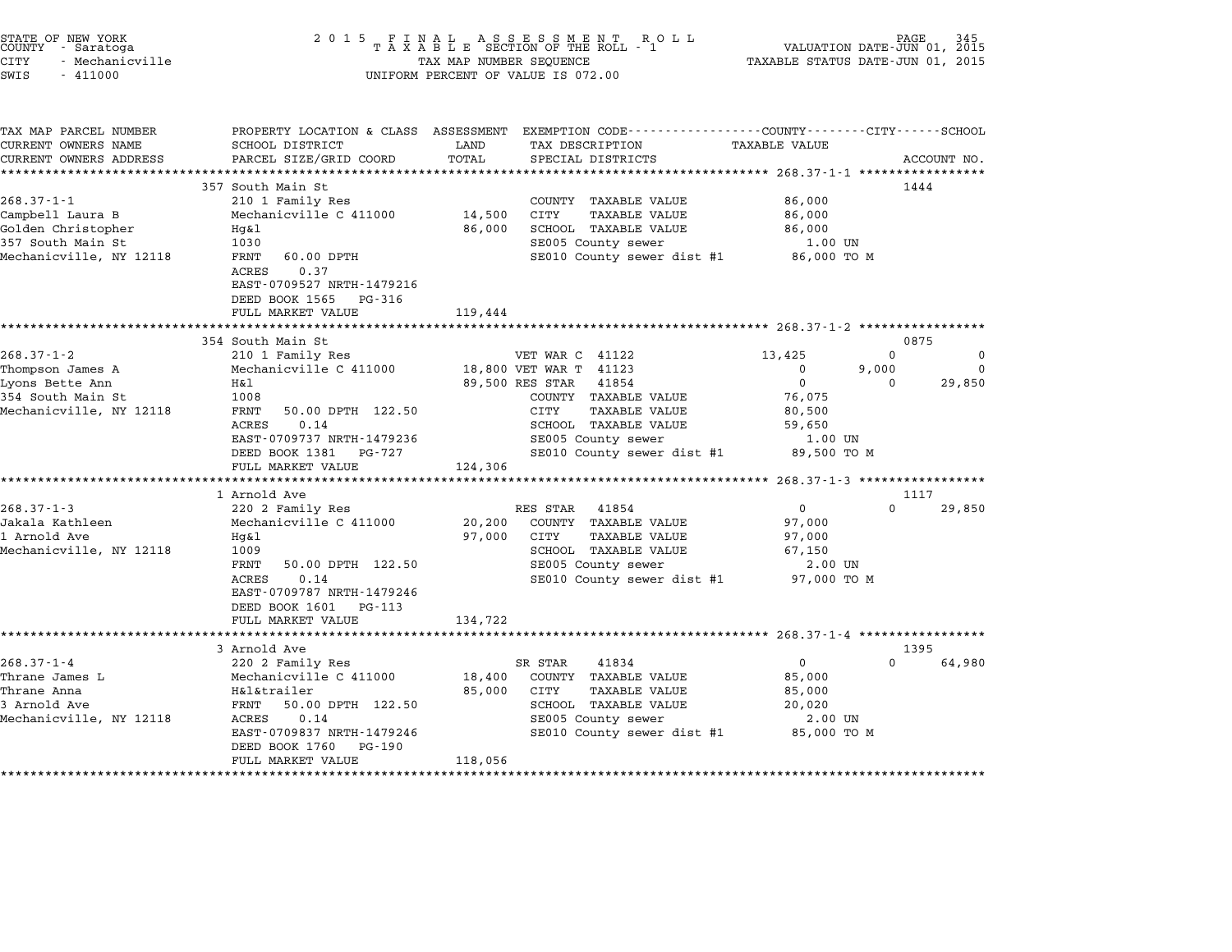| STATE OF NEW YORK<br>COUNTY - Saratoga<br><b>CITY</b><br>- Mechanicville<br>SWIS<br>$-411000$              | 2 0 1 5                                                                                                                                                                                              | TAX MAP NUMBER SEQUENCE     | FINAL ASSESSMENT ROLL<br>TAXABLE SECTION OF THE ROLL - 1<br>UNIFORM PERCENT OF VALUE IS 072.00                                                        | VALUATION DATE-JUN 01, 2015<br>TAXABLE STATUS DATE-JUN 01, 2015      | PAGE                           |                                |
|------------------------------------------------------------------------------------------------------------|------------------------------------------------------------------------------------------------------------------------------------------------------------------------------------------------------|-----------------------------|-------------------------------------------------------------------------------------------------------------------------------------------------------|----------------------------------------------------------------------|--------------------------------|--------------------------------|
| TAX MAP PARCEL NUMBER<br>CURRENT OWNERS NAME<br>CURRENT OWNERS ADDRESS<br>**********************           | SCHOOL DISTRICT<br>PARCEL SIZE/GRID COORD<br>****************************                                                                                                                            | LAND<br>TOTAL               | PROPERTY LOCATION & CLASS ASSESSMENT EXEMPTION CODE---------------COUNTY-------CITY------SCHOOL<br>TAX DESCRIPTION<br>SPECIAL DISTRICTS               | TAXABLE VALUE                                                        |                                | ACCOUNT NO.                    |
| $268.37 - 1 - 1$<br>Campbell Laura B<br>Golden Christopher<br>357 South Main St<br>Mechanicville, NY 12118 | 357 South Main St<br>210 1 Family Res<br>Mechanicville C 411000<br>Hg&l<br>1030<br>FRNT<br>60.00 DPTH<br>ACRES<br>0.37<br>EAST-0709527 NRTH-1479216<br>DEED BOOK 1565<br>PG-316<br>FULL MARKET VALUE | 14,500<br>86,000<br>119,444 | COUNTY TAXABLE VALUE<br>CITY<br>TAXABLE VALUE<br>SCHOOL TAXABLE VALUE<br>SE005 County sewer<br>SE010 County sewer dist #1                             | 86,000<br>86,000<br>86,000<br>1.00 UN<br>86,000 TO M                 | 1444                           |                                |
|                                                                                                            |                                                                                                                                                                                                      |                             |                                                                                                                                                       |                                                                      |                                |                                |
| $268.37 - 1 - 2$<br>Thompson James A<br>Lyons Bette Ann<br>354 South Main St                               | 354 South Main St<br>210 1 Family Res<br>Mechanicville C 411000<br>Η&l<br>1008                                                                                                                       |                             | VET WAR C 41122<br>18,800 VET WAR T 41123<br>89,500 RES STAR<br>41854<br>COUNTY TAXABLE VALUE                                                         | 13,425<br>$\mathbf{0}$<br>$\mathbf 0$<br>76,075                      | 0875<br>$\Omega$<br>9,000<br>0 | $\Omega$<br>$\Omega$<br>29,850 |
| Mechanicville, NY 12118                                                                                    | FRNT<br>50.00 DPTH 122.50<br>ACRES<br>0.14<br>EAST-0709737 NRTH-1479236<br>DEED BOOK 1381<br>PG-727<br>FULL MARKET VALUE                                                                             | 124,306                     | CITY<br><b>TAXABLE VALUE</b><br>SCHOOL TAXABLE VALUE<br>SE005 County sewer<br>SE010 County sewer dist #1                                              | 80,500<br>59,650<br>1.00 UN<br>89,500 TO M                           |                                |                                |
|                                                                                                            |                                                                                                                                                                                                      |                             |                                                                                                                                                       |                                                                      |                                |                                |
| $268.37 - 1 - 3$<br>Jakala Kathleen<br>1 Arnold Ave<br>Mechanicville, NY 12118                             | 1 Arnold Ave<br>220 2 Family Res<br>Mechanicville C 411000<br>Hq&l<br>1009<br>FRNT<br>50.00 DPTH 122.50<br>0.14<br><b>ACRES</b><br>EAST-0709787 NRTH-1479246                                         | 20,200<br>97,000            | RES STAR<br>41854<br>COUNTY TAXABLE VALUE<br>CITY<br><b>TAXABLE VALUE</b><br>SCHOOL TAXABLE VALUE<br>SE005 County sewer<br>SE010 County sewer dist #1 | 0<br>97,000<br>97,000<br>67,150<br>2.00 UN<br>97,000 TO M            | 1117<br>0                      | 29,850                         |
|                                                                                                            | DEED BOOK 1601<br>PG-113<br>FULL MARKET VALUE<br>3 Arnold Ave                                                                                                                                        | 134,722                     |                                                                                                                                                       |                                                                      | 1395                           |                                |
| $268.37 - 1 - 4$<br>Thrane James L<br>Thrane Anna<br>3 Arnold Ave<br>Mechanicville, NY 12118               | 220 2 Family Res<br>Mechanicville C 411000<br>H&l&trailer<br>FRNT<br>50.00 DPTH 122.50<br>ACRES<br>0.14<br>EAST-0709837 NRTH-1479246<br>DEED BOOK 1760<br>PG-190<br>FULL MARKET VALUE                | 18,400<br>85,000<br>118,056 | SR STAR<br>41834<br>COUNTY TAXABLE VALUE<br>CITY<br>TAXABLE VALUE<br>SCHOOL TAXABLE VALUE<br>SE005 County sewer<br>SE010 County sewer dist #1         | $\mathbf{0}$<br>85,000<br>85,000<br>20,020<br>2.00 UN<br>85,000 TO M | $\Omega$                       | 64,980                         |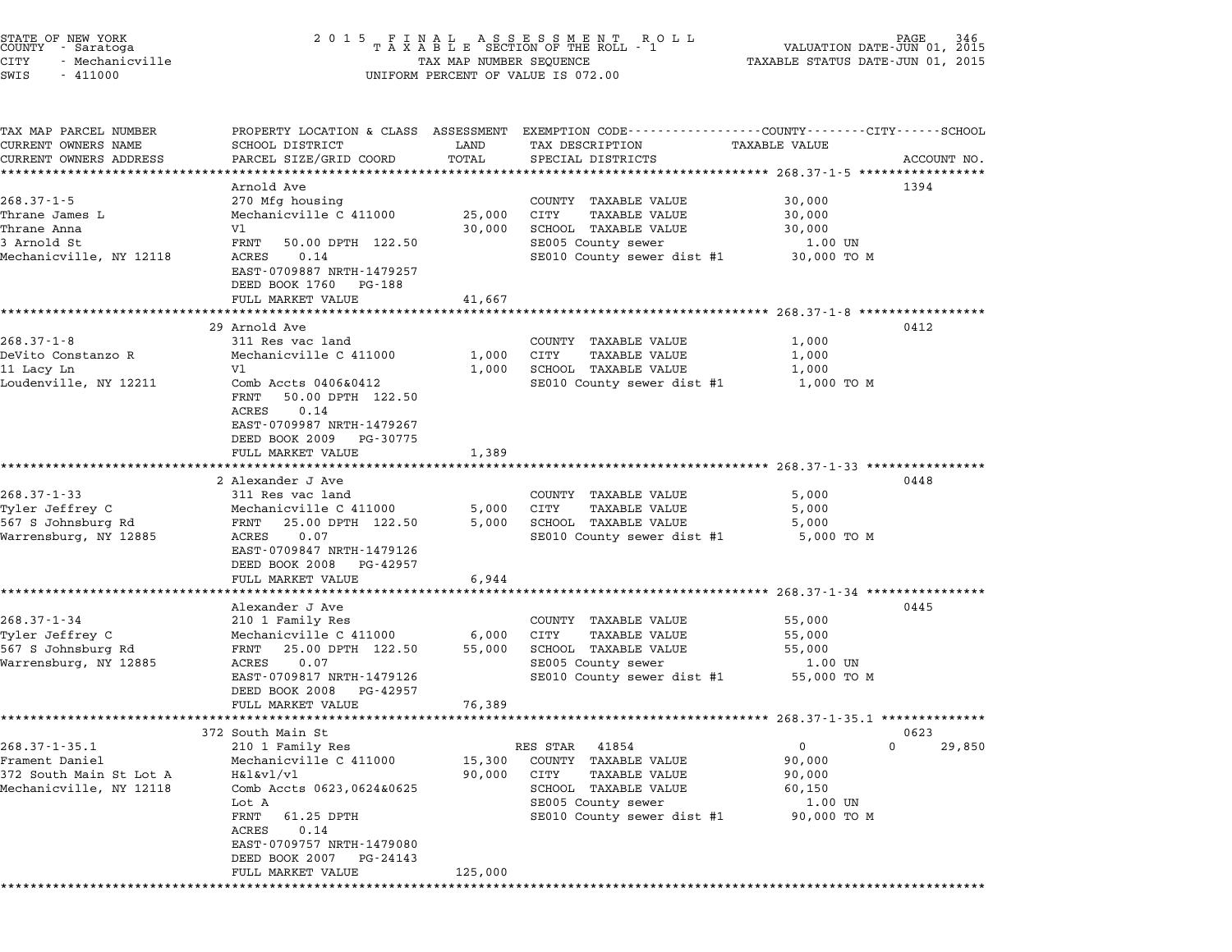| STATE OF NEW YORK<br>COUNTY<br>- Saratoga<br><b>CITY</b><br>- Mechanicville<br>SWIS<br>$-411000$ | 2 0 1 5                                                 | TAX MAP NUMBER SEQUENCE     | FINAL ASSESSMENT ROLL - 1<br>TAXABLE SECTION OF THE ROLL - 1<br>R O L L<br>UNIFORM PERCENT OF VALUE IS 072.00 | VALUATION DATE-JUN 01, 2015<br>TAXABLE STATUS DATE-JUN 01, 2015 | PAGE<br>346                |
|--------------------------------------------------------------------------------------------------|---------------------------------------------------------|-----------------------------|---------------------------------------------------------------------------------------------------------------|-----------------------------------------------------------------|----------------------------|
|                                                                                                  |                                                         |                             |                                                                                                               |                                                                 |                            |
| TAX MAP PARCEL NUMBER<br>CURRENT OWNERS NAME                                                     | PROPERTY LOCATION & CLASS ASSESSMENT<br>SCHOOL DISTRICT | LAND                        | EXEMPTION CODE-----------------COUNTY-------CITY------SCHOOL<br>TAX DESCRIPTION                               | TAXABLE VALUE                                                   |                            |
| CURRENT OWNERS ADDRESS                                                                           | PARCEL SIZE/GRID COORD                                  | TOTAL                       | SPECIAL DISTRICTS                                                                                             |                                                                 | ACCOUNT NO.                |
|                                                                                                  |                                                         | * * * * * * * * * * * * * * | ********************************* 268.37-1-5 *************                                                    |                                                                 |                            |
|                                                                                                  | Arnold Ave                                              |                             |                                                                                                               |                                                                 | 1394                       |
| $268.37 - 1 - 5$                                                                                 | 270 Mfg housing                                         |                             | COUNTY<br>TAXABLE VALUE                                                                                       | 30,000                                                          |                            |
| Thrane James L                                                                                   | Mechanicville C 411000                                  | 25,000                      | CITY<br><b>TAXABLE VALUE</b>                                                                                  | 30,000                                                          |                            |
| Thrane Anna                                                                                      | V1                                                      | 30,000                      | SCHOOL TAXABLE VALUE                                                                                          | 30,000                                                          |                            |
| 3 Arnold St<br>Mechanicville, NY 12118                                                           | FRNT<br>50.00 DPTH 122.50<br>0.14<br>ACRES              |                             | SE005 County sewer                                                                                            | 1.00 UN                                                         |                            |
|                                                                                                  | EAST-0709887 NRTH-1479257                               |                             | SE010 County sewer dist #1                                                                                    | 30,000 TO M                                                     |                            |
|                                                                                                  | DEED BOOK 1760<br>PG-188                                |                             |                                                                                                               |                                                                 |                            |
|                                                                                                  | FULL MARKET VALUE                                       | 41,667                      |                                                                                                               |                                                                 |                            |
|                                                                                                  |                                                         |                             |                                                                                                               | **** 268.37-1-8 *****                                           |                            |
|                                                                                                  | 29 Arnold Ave                                           |                             |                                                                                                               |                                                                 | 0412                       |
| $268.37 - 1 - 8$                                                                                 | 311 Res vac land                                        |                             | COUNTY<br>TAXABLE VALUE                                                                                       | 1,000                                                           |                            |
| DeVito Constanzo R                                                                               | Mechanicville C 411000                                  | 1,000                       | CITY<br>TAXABLE VALUE                                                                                         | 1,000                                                           |                            |
| 11 Lacy Ln                                                                                       | V1                                                      | 1,000                       | SCHOOL TAXABLE VALUE                                                                                          | 1,000                                                           |                            |
| Loudenville, NY 12211                                                                            | Comb Accts 0406&0412                                    |                             | SE010 County sewer dist #1                                                                                    | 1,000 TO M                                                      |                            |
|                                                                                                  | 50.00 DPTH 122.50<br>FRNT<br>ACRES<br>0.14              |                             |                                                                                                               |                                                                 |                            |
|                                                                                                  | EAST-0709987 NRTH-1479267                               |                             |                                                                                                               |                                                                 |                            |
|                                                                                                  | DEED BOOK 2009<br>PG-30775                              |                             |                                                                                                               |                                                                 |                            |
|                                                                                                  | FULL MARKET VALUE                                       | 1,389                       |                                                                                                               |                                                                 |                            |
|                                                                                                  | ****************                                        |                             |                                                                                                               | ****************** 268.37-1-33 ****                             |                            |
|                                                                                                  | 2 Alexander J Ave                                       |                             |                                                                                                               |                                                                 | 0448                       |
| $268.37 - 1 - 33$                                                                                | 311 Res vac land                                        |                             | COUNTY TAXABLE VALUE                                                                                          | 5,000                                                           |                            |
| Tyler Jeffrey C                                                                                  | Mechanicville C 411000                                  | 5,000                       | CITY<br>TAXABLE VALUE                                                                                         | 5,000                                                           |                            |
| 567 S Johnsburg Rd                                                                               | FRNT<br>25.00 DPTH 122.50                               | 5,000                       | SCHOOL TAXABLE VALUE                                                                                          | 5,000                                                           |                            |
| Warrensburg, NY 12885                                                                            | 0.07<br>ACRES                                           |                             | SE010 County sewer dist #1                                                                                    | 5,000 TO M                                                      |                            |
|                                                                                                  | EAST-0709847 NRTH-1479126                               |                             |                                                                                                               |                                                                 |                            |
|                                                                                                  | DEED BOOK 2008<br>PG-42957                              |                             |                                                                                                               |                                                                 |                            |
|                                                                                                  | FULL MARKET VALUE<br>*****************                  | 6,944                       |                                                                                                               | $268.37 - 1 - 34$ ************                                  |                            |
|                                                                                                  | Alexander J Ave                                         |                             |                                                                                                               |                                                                 | 0445                       |
| $268.37 - 1 - 34$                                                                                | 210 1 Family Res                                        |                             | COUNTY TAXABLE VALUE                                                                                          | 55,000                                                          |                            |
| Tyler Jeffrey C                                                                                  | Mechanicville C 411000                                  | 6,000                       | CITY<br>TAXABLE VALUE                                                                                         | 55,000                                                          |                            |
| 567 S Johnsburg Rd                                                                               | FRNT<br>25.00 DPTH 122.50                               | 55,000                      | SCHOOL TAXABLE VALUE                                                                                          | 55,000                                                          |                            |
| Warrensburg, NY 12885                                                                            | ACRES<br>0.07                                           |                             | SE005 County sewer                                                                                            | 1.00 UN                                                         |                            |
|                                                                                                  | EAST-0709817 NRTH-1479126                               |                             | SE010 County sewer dist #1                                                                                    | 55,000 TO M                                                     |                            |
|                                                                                                  | DEED BOOK 2008<br>PG-42957                              |                             |                                                                                                               |                                                                 |                            |
|                                                                                                  | FULL MARKET VALUE                                       | 76,389                      |                                                                                                               |                                                                 |                            |
|                                                                                                  | ************************                                | **********                  |                                                                                                               | ****************** 268.37-1-35.1 ***************                |                            |
| $268.37 - 1 - 35.1$                                                                              | 372 South Main St                                       |                             | RES STAR<br>41854                                                                                             | $\Omega$                                                        | 0623<br>29,850<br>$\Omega$ |
| Frament Daniel                                                                                   | 210 1 Family Res<br>Mechanicville C 411000              | 15,300                      | COUNTY TAXABLE VALUE                                                                                          | 90,000                                                          |                            |
| 372 South Main St Lot A                                                                          | H&1&v1/v1                                               | 90,000                      | CITY<br>TAXABLE VALUE                                                                                         | 90,000                                                          |                            |
| Mechanicville, NY 12118                                                                          | Comb Accts 0623,0624&0625                               |                             | SCHOOL TAXABLE VALUE                                                                                          | 60,150                                                          |                            |
|                                                                                                  | Lot A                                                   |                             | SE005 County sewer                                                                                            | 1.00 UN                                                         |                            |
|                                                                                                  | <b>FRNT</b><br>61.25 DPTH                               |                             | SE010 County sewer dist #1                                                                                    | 90,000 TO M                                                     |                            |
|                                                                                                  |                                                         |                             |                                                                                                               |                                                                 |                            |

FRNT 61.25 DPTH<br>ACRES 0.14 FANI 01.25 DFIH<br>ACRES 0.14<br>EAST-0709757 NRTH-1479080 EAST-0709757 NRTH-1479080<br>DEED BOOK 2007 PG-24143

DEED BOOK 2007 PG-24143<br>FULL MARKET VALUE 125,000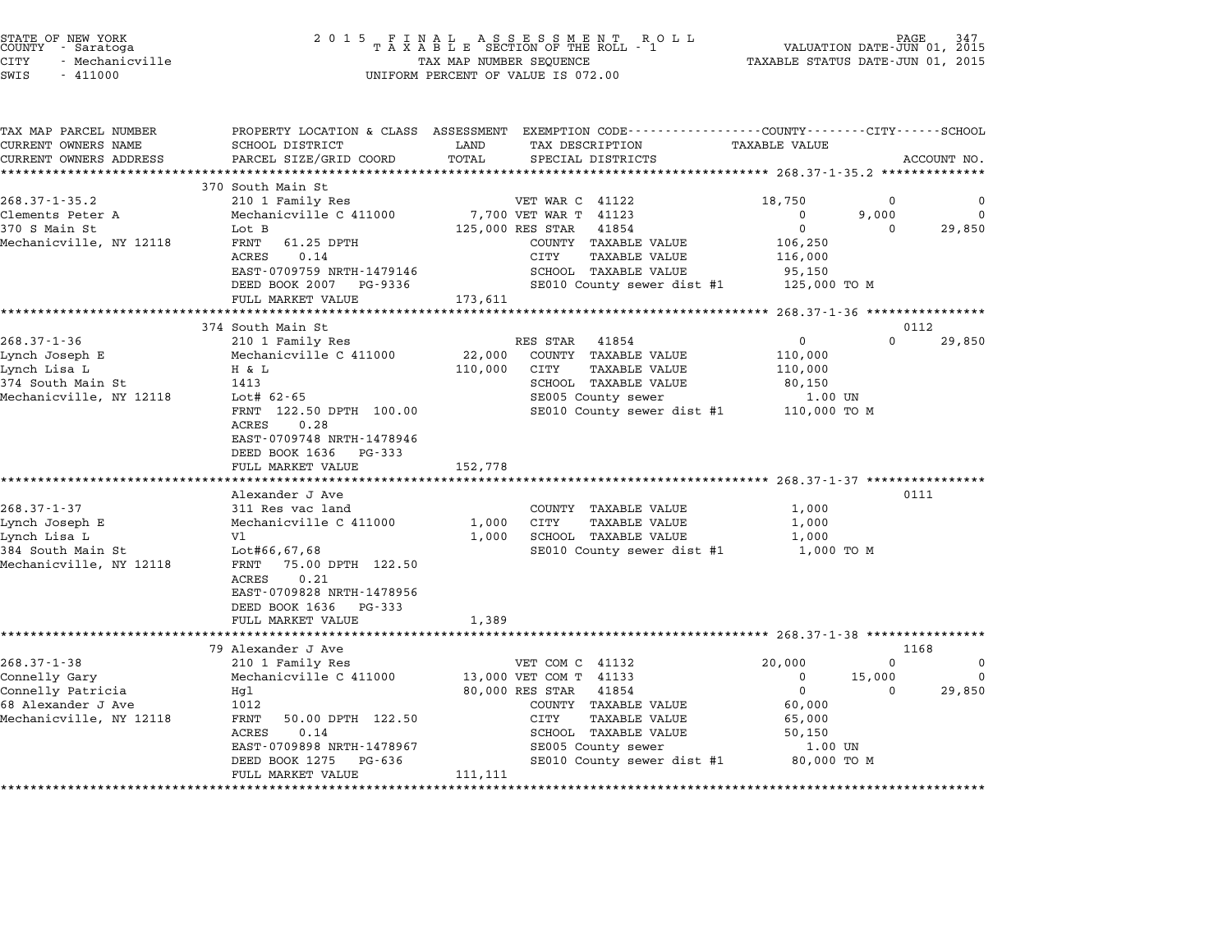| STATE OF NEW YORK<br>COUNTY<br>- Saratoga<br><b>CITY</b><br>- Mechanicville<br>SWIS<br>$-411000$ | 2 0 1 5<br>FINAL ASSESSMENT ROTAXABLE SECTION OF THE ROLL - 1<br>TAX MAP NUMBER SEQUENCE<br>UNIFORM PERCENT OF VALUE IS 072.00 | TAXABLE STATUS DATE-JUN 01, 2015 | PAGE<br>VALUATION DATE-JUN 01, 2015                          |                                                       |          |             |
|--------------------------------------------------------------------------------------------------|--------------------------------------------------------------------------------------------------------------------------------|----------------------------------|--------------------------------------------------------------|-------------------------------------------------------|----------|-------------|
| TAX MAP PARCEL NUMBER                                                                            | PROPERTY LOCATION & CLASS ASSESSMENT                                                                                           |                                  | EXEMPTION CODE-----------------COUNTY-------CITY------SCHOOL |                                                       |          |             |
| CURRENT OWNERS NAME<br>CURRENT OWNERS ADDRESS                                                    | SCHOOL DISTRICT<br>PARCEL SIZE/GRID COORD                                                                                      | LAND<br>TOTAL                    | TAX DESCRIPTION<br>SPECIAL DISTRICTS                         | TAXABLE VALUE                                         |          | ACCOUNT NO. |
|                                                                                                  |                                                                                                                                |                                  |                                                              | ************ 268.37-1-35.2 *************              |          |             |
|                                                                                                  | 370 South Main St                                                                                                              |                                  |                                                              |                                                       |          |             |
| $268.37 - 1 - 35.2$                                                                              | 210 1 Family Res                                                                                                               |                                  | VET WAR C 41122                                              | 18,750                                                | 0        | 0           |
| Clements Peter A                                                                                 | Mechanicville C 411000                                                                                                         |                                  | 7,700 VET WAR T 41123                                        | 0                                                     | 9,000    | $\mathbf 0$ |
| 370 S Main St                                                                                    | Lot B                                                                                                                          |                                  | 125,000 RES STAR<br>41854                                    | $\Omega$                                              | $\Omega$ | 29,850      |
| Mechanicville, NY 12118                                                                          | 61.25 DPTH<br>FRNT                                                                                                             |                                  | COUNTY TAXABLE VALUE                                         | 106,250                                               |          |             |
|                                                                                                  | ACRES<br>0.14                                                                                                                  |                                  | CITY<br><b>TAXABLE VALUE</b>                                 | 116,000                                               |          |             |
|                                                                                                  | EAST-0709759 NRTH-1479146                                                                                                      |                                  | SCHOOL TAXABLE VALUE                                         | 95,150                                                |          |             |
|                                                                                                  | DEED BOOK 2007<br>PG-9336                                                                                                      |                                  | SE010 County sewer dist #1                                   | 125,000 TO M                                          |          |             |
|                                                                                                  | FULL MARKET VALUE<br>************************                                                                                  | 173,611                          | ******************                                           | *********************** 268.37-1-36 ***************** |          |             |
|                                                                                                  | 374 South Main St                                                                                                              |                                  |                                                              |                                                       | 0112     |             |
| $268.37 - 1 - 36$                                                                                | 210 1 Family Res                                                                                                               |                                  | RES STAR<br>41854                                            | 0                                                     | 0        | 29,850      |
| Lynch Joseph E                                                                                   | Mechanicville C 411000                                                                                                         | 22,000                           | COUNTY TAXABLE VALUE                                         | 110,000                                               |          |             |
| Lynch Lisa L                                                                                     | H & L                                                                                                                          | 110,000                          | <b>TAXABLE VALUE</b><br>CITY                                 | 110,000                                               |          |             |
| 374 South Main St                                                                                | 1413                                                                                                                           |                                  | SCHOOL TAXABLE VALUE                                         | 80,150                                                |          |             |
| Mechanicville, NY 12118                                                                          | Lot# 62-65                                                                                                                     |                                  | SE005 County sewer                                           | 1.00 UN                                               |          |             |
|                                                                                                  | FRNT 122.50 DPTH 100.00                                                                                                        |                                  | SE010 County sewer dist #1                                   | 110,000 TO M                                          |          |             |
|                                                                                                  | ACRES<br>0.28                                                                                                                  |                                  |                                                              |                                                       |          |             |
|                                                                                                  | EAST-0709748 NRTH-1478946                                                                                                      |                                  |                                                              |                                                       |          |             |
|                                                                                                  | DEED BOOK 1636<br>PG-333                                                                                                       |                                  |                                                              |                                                       |          |             |
|                                                                                                  | FULL MARKET VALUE                                                                                                              | 152,778                          |                                                              |                                                       |          |             |
|                                                                                                  |                                                                                                                                |                                  |                                                              | **************** 268.37-1-37 *****                    |          |             |
| $268.37 - 1 - 37$                                                                                | Alexander J Ave<br>311 Res vac land                                                                                            |                                  | COUNTY TAXABLE VALUE                                         | 1,000                                                 | 0111     |             |
| Lynch Joseph E                                                                                   | Mechanicville C 411000                                                                                                         | 1,000                            | CITY<br>TAXABLE VALUE                                        | 1,000                                                 |          |             |
| Lynch Lisa L                                                                                     | V1                                                                                                                             | 1,000                            | SCHOOL TAXABLE VALUE                                         | 1,000                                                 |          |             |
| 384 South Main St                                                                                | Lot#66,67,68                                                                                                                   |                                  | SE010 County sewer dist #1                                   | 1,000 TO M                                            |          |             |
| Mechanicville, NY 12118                                                                          | 75.00 DPTH 122.50<br>FRNT                                                                                                      |                                  |                                                              |                                                       |          |             |
|                                                                                                  | ACRES<br>0.21                                                                                                                  |                                  |                                                              |                                                       |          |             |
|                                                                                                  | EAST-0709828 NRTH-1478956                                                                                                      |                                  |                                                              |                                                       |          |             |
|                                                                                                  | DEED BOOK 1636<br>PG-333                                                                                                       |                                  |                                                              |                                                       |          |             |
|                                                                                                  | FULL MARKET VALUE                                                                                                              | 1,389                            |                                                              |                                                       |          |             |
|                                                                                                  | ********************                                                                                                           |                                  |                                                              | ********************** 268.37-1-38 ***************    |          |             |
|                                                                                                  | 79 Alexander J Ave                                                                                                             |                                  |                                                              |                                                       | 1168     |             |
| $268.37 - 1 - 38$                                                                                | 210 1 Family Res                                                                                                               |                                  | VET COM C 41132                                              | 20,000                                                | $\Omega$ | 0           |
| Connelly Gary                                                                                    | Mechanicville C 411000                                                                                                         |                                  | 13,000 VET COM T 41133                                       | 0                                                     | 15,000   | 0           |
| Connelly Patricia                                                                                | Hql                                                                                                                            |                                  | 80,000 RES STAR<br>41854                                     | $\mathbf 0$                                           | $\Omega$ | 29,850      |
| 68 Alexander J Ave                                                                               | 1012                                                                                                                           |                                  | COUNTY TAXABLE VALUE                                         | 60,000                                                |          |             |
| Mechanicville, NY 12118                                                                          | FRNT<br>50.00 DPTH 122.50<br>ACRES<br>0.14                                                                                     |                                  | CITY<br><b>TAXABLE VALUE</b><br>SCHOOL TAXABLE VALUE         | 65,000<br>50,150                                      |          |             |
|                                                                                                  | EAST-0709898 NRTH-1478967                                                                                                      |                                  | SE005 County sewer                                           | 1.00 UN                                               |          |             |
|                                                                                                  | DEED BOOK 1275<br>PG-636                                                                                                       |                                  | SE010 County sewer dist #1                                   | 80,000 TO M                                           |          |             |
|                                                                                                  | FULL MARKET VALUE                                                                                                              | 111,111                          |                                                              |                                                       |          |             |
|                                                                                                  | *****************                                                                                                              | ************                     |                                                              |                                                       |          |             |

STATE OF NEW YORK <sup>2</sup> <sup>0</sup> <sup>1</sup> 5 F I N A L A S S E S S M E N T R O L L PAGE <sup>347</sup> COUNTY - Saratoga <sup>T</sup> <sup>A</sup> <sup>X</sup> <sup>A</sup> <sup>B</sup> <sup>L</sup> <sup>E</sup> SECTION OF THE ROLL - <sup>1</sup> VALUATION DATE-JUN 01, <sup>2015</sup>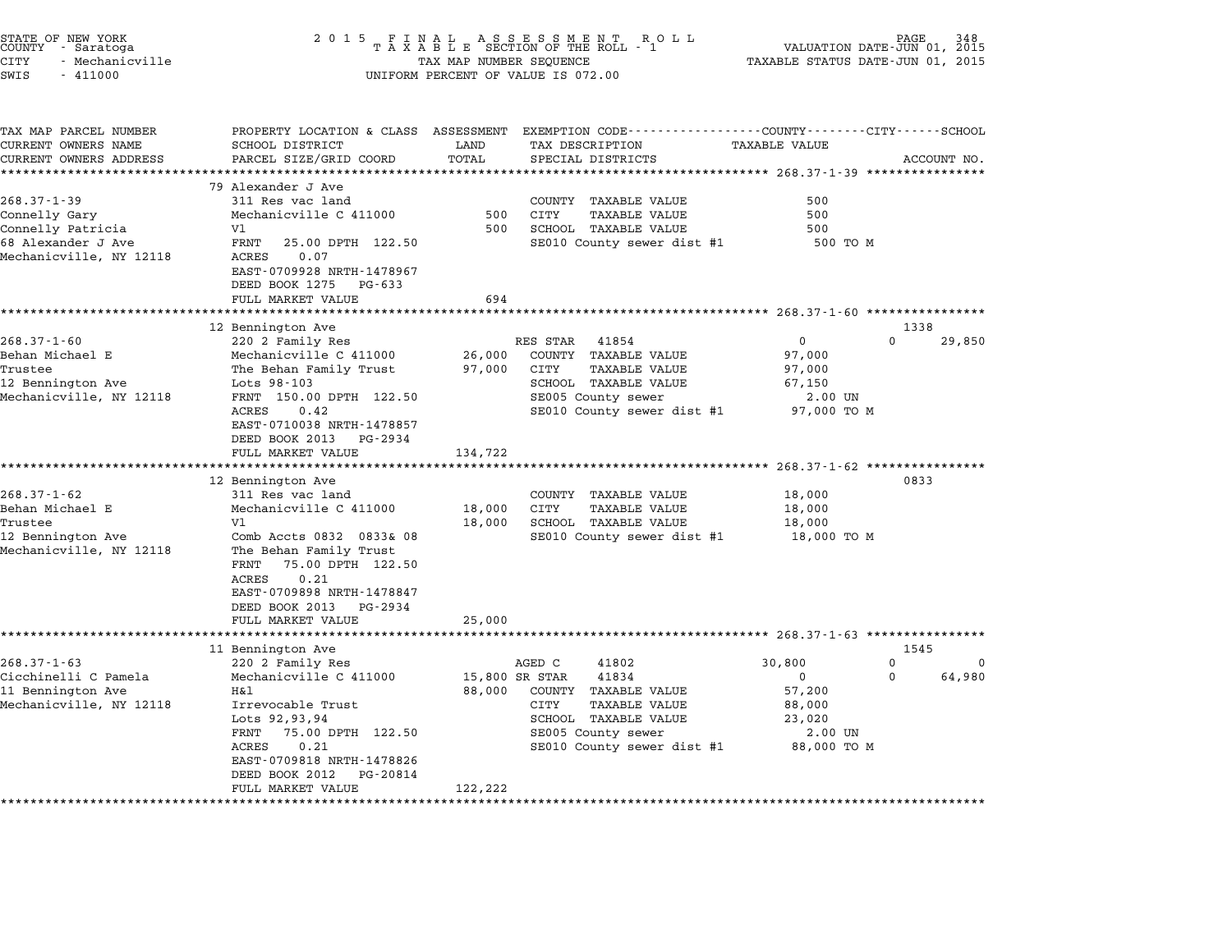| STATE OF NEW YORK<br>COUNTY – Saratoga<br>CITY<br>- Mechanicville<br>SWIS<br>$-411000$                   | 2 0 1 5                                                                                                                                                                                                                                                                             | TAX MAP NUMBER SEQUENCE                      | FINAL ASSESSMENT RO<br>TAXABLE SECTION OF THE ROLL - 1<br>ROLL<br>UNIFORM PERCENT OF VALUE IS 072.00                                                                           | VALUATION DATE-JUN 01, 2015<br>TAXABLE STATUS DATE-JUN 01, 2015                             | PAGE                                              |
|----------------------------------------------------------------------------------------------------------|-------------------------------------------------------------------------------------------------------------------------------------------------------------------------------------------------------------------------------------------------------------------------------------|----------------------------------------------|--------------------------------------------------------------------------------------------------------------------------------------------------------------------------------|---------------------------------------------------------------------------------------------|---------------------------------------------------|
| TAX MAP PARCEL NUMBER<br>CURRENT OWNERS NAME<br>CURRENT OWNERS ADDRESS                                   | PROPERTY LOCATION & CLASS ASSESSMENT<br>SCHOOL DISTRICT<br>PARCEL SIZE/GRID COORD                                                                                                                                                                                                   | LAND<br>TOTAL                                | EXEMPTION CODE-----------------COUNTY-------CITY------SCHOOL<br>TAX DESCRIPTION<br>SPECIAL DISTRICTS                                                                           | TAXABLE VALUE<br>*********** 268.37-1-39 ****************                                   | ACCOUNT NO.                                       |
| $268.37 - 1 - 39$<br>Connelly Gary<br>Connelly Patricia<br>68 Alexander J Ave<br>Mechanicville, NY 12118 | 79 Alexander J Ave<br>311 Res vac land<br>Mechanicville C 411000<br>V1<br>FRNT<br>25.00 DPTH 122.50<br>ACRES<br>0.07<br>EAST-0709928 NRTH-1478967<br>DEED BOOK 1275<br>PG-633<br>FULL MARKET VALUE                                                                                  | 500<br>500<br>694                            | COUNTY<br>TAXABLE VALUE<br>CITY<br><b>TAXABLE VALUE</b><br>SCHOOL TAXABLE VALUE<br>SE010 County sewer dist #1                                                                  | 500<br>500<br>500<br>500 TO M<br>***************** 268.37-1-60 *****************            |                                                   |
| $268.37 - 1 - 60$<br>Behan Michael E<br>Trustee<br>12 Bennington Ave<br>Mechanicville, NY 12118          | 12 Bennington Ave<br>220 2 Family Res<br>Mechanicville C 411000<br>The Behan Family Trust<br>Lots 98-103<br>FRNT 150.00 DPTH 122.50<br>ACRES<br>0.42<br>EAST-0710038 NRTH-1478857<br>DEED BOOK 2013<br>PG-2934<br>FULL MARKET VALUE                                                 | 26,000<br>97,000<br>134,722                  | RES STAR<br>41854<br>COUNTY TAXABLE VALUE<br>CITY<br><b>TAXABLE VALUE</b><br>SCHOOL TAXABLE VALUE<br>SE005 County sewer<br>SE010 County sewer dist #1                          | 0<br>97,000<br>97,000<br>67,150<br>2.00 UN<br>97,000 TO M                                   | 1338<br>$\Omega$<br>29,850                        |
| $268.37 - 1 - 62$<br>Behan Michael E<br>Trustee<br>12 Bennington Ave<br>Mechanicville, NY 12118          | ***********************<br>12 Bennington Ave<br>311 Res vac land<br>Mechanicville C 411000<br>V1<br>Comb Accts 0832 0833& 08<br>The Behan Family Trust<br>75.00 DPTH 122.50<br>FRNT<br>0.21<br>ACRES<br>EAST-0709898 NRTH-1478847<br>DEED BOOK 2013<br>PG-2934<br>FULL MARKET VALUE | **************<br>18,000<br>18,000<br>25,000 | COUNTY<br>TAXABLE VALUE<br>CITY<br>TAXABLE VALUE<br>SCHOOL TAXABLE VALUE<br>SE010 County sewer dist #1                                                                         | ********************* 268.37-1-62 ************<br>18,000<br>18,000<br>18,000<br>18,000 TO M | 0833                                              |
|                                                                                                          | *******************<br>11 Bennington Ave                                                                                                                                                                                                                                            | ***********                                  |                                                                                                                                                                                | ********************* 268.37-1-63 *****************                                         | 1545                                              |
| $268.37 - 1 - 63$<br>Cicchinelli C Pamela<br>11 Bennington Ave<br>Mechanicville, NY 12118                | 220 2 Family Res<br>Mechanicville C 411000<br>Η&l<br>Irrevocable Trust<br>Lots 92,93,94<br>FRNT<br>75.00 DPTH 122.50<br>0.21<br>ACRES<br>EAST-0709818 NRTH-1478826<br>DEED BOOK 2012<br>PG-20814<br>FULL MARKET VALUE<br>******************                                         | 88,000<br>122,222<br>*********               | AGED C<br>41802<br>15,800 SR STAR<br>41834<br>COUNTY TAXABLE VALUE<br>CITY<br><b>TAXABLE VALUE</b><br>SCHOOL TAXABLE VALUE<br>SE005 County sewer<br>SE010 County sewer dist #1 | 30,800<br>0<br>57,200<br>88,000<br>23,020<br>2.00 UN<br>88,000 TO M                         | $\mathbf 0$<br><sup>0</sup><br>$\Omega$<br>64,980 |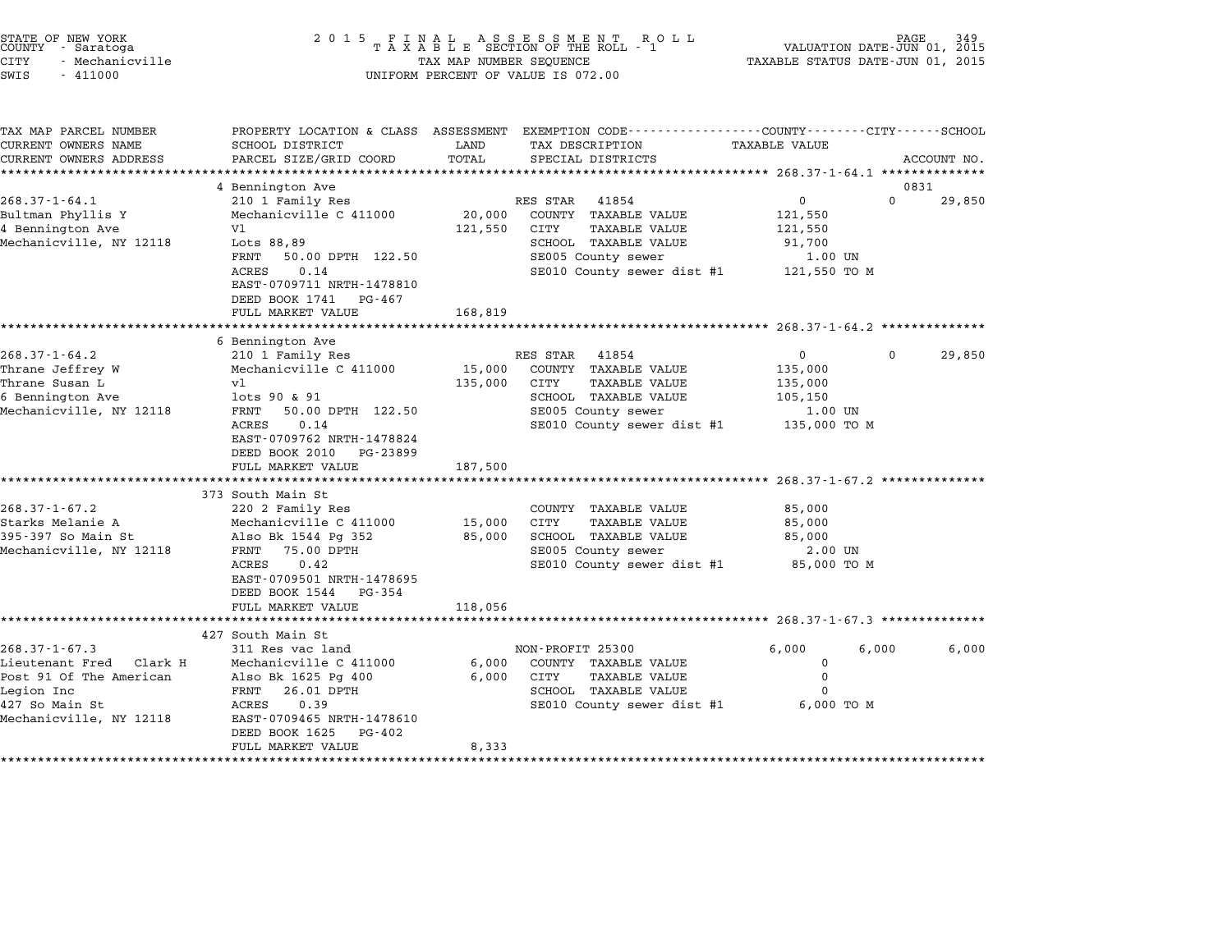| STATE OF NEW YORK<br>COUNTY - Saratoga<br><b>CITY</b><br>- Mechanicville<br>SWIS<br>$-411000$                                        | 2 0 1 5                                                                                                                                                                                                                           | TAX MAP NUMBER SEQUENCE      | FINAL ASSESSMENT ROLL<br>TAXABLE SECTION OF THE ROLL - 1<br>UNIFORM PERCENT OF VALUE IS 072.00                                                        | VALUATION DATE-JUN 01, 2015<br>TAXABLE STATUS DATE-JUN 01, 2015                                         | PAGE     |                |
|--------------------------------------------------------------------------------------------------------------------------------------|-----------------------------------------------------------------------------------------------------------------------------------------------------------------------------------------------------------------------------------|------------------------------|-------------------------------------------------------------------------------------------------------------------------------------------------------|---------------------------------------------------------------------------------------------------------|----------|----------------|
| TAX MAP PARCEL NUMBER<br>CURRENT OWNERS NAME<br>CURRENT OWNERS ADDRESS<br>***********************                                    | PROPERTY LOCATION & CLASS ASSESSMENT EXEMPTION CODE----------------COUNTY-------CITY------SCHOOL<br>SCHOOL DISTRICT<br>PARCEL SIZE/GRID COORD                                                                                     | LAND<br>TOTAL                | TAX DESCRIPTION<br>SPECIAL DISTRICTS                                                                                                                  | TAXABLE VALUE                                                                                           |          | ACCOUNT NO.    |
| $268.37 - 1 - 64.1$<br>Bultman Phyllis Y<br>4 Bennington Ave<br>Mechanicville, NY 12118                                              | 4 Bennington Ave<br>210 1 Family Res<br>Mechanicville C 411000<br>V1<br>Lots 88,89<br>FRNT<br>50.00 DPTH 122.50<br>ACRES<br>0.14<br>EAST-0709711 NRTH-1478810<br>DEED BOOK 1741<br>PG-467<br>FULL MARKET VALUE                    | 20,000<br>121,550<br>168,819 | 41854<br>RES STAR<br>COUNTY TAXABLE VALUE<br>CITY<br>TAXABLE VALUE<br>SCHOOL TAXABLE VALUE<br>SE005 County sewer<br>SE010 County sewer dist #1        | $\mathbf 0$<br>121,550<br>121,550<br>91,700<br>1.00 UN<br>121,550 TO M                                  | $\Omega$ | 0831<br>29,850 |
|                                                                                                                                      | ***********************                                                                                                                                                                                                           | ************                 |                                                                                                                                                       | *********************** 268.37-1-64.2 ***************                                                   |          |                |
| 268.37-1-64.2<br>Thrane Jeffrey W<br>Thrane Susan L<br>6 Bennington Ave<br>Mechanicville, NY 12118                                   | 6 Bennington Ave<br>210 1 Family Res<br>Mechanicville C 411000<br>vl<br>lots 90 & 91<br>FRNT<br>50.00 DPTH 122.50<br>ACRES<br>0.14<br>EAST-0709762 NRTH-1478824<br>DEED BOOK 2010<br>PG-23899<br>FULL MARKET VALUE                | 15,000<br>135,000<br>187,500 | RES STAR<br>41854<br>COUNTY TAXABLE VALUE<br>CITY<br><b>TAXABLE VALUE</b><br>SCHOOL TAXABLE VALUE<br>SE005 County sewer<br>SE010 County sewer dist #1 | $\Omega$<br>135,000<br>135,000<br>105,150<br>1.00 UN<br>135,000 TO M                                    | $\Omega$ | 29,850         |
| $268.37 - 1 - 67.2$<br>Starks Melanie A<br>395-397 So Main St<br>Mechanicville, NY 12118                                             | ******************<br>373 South Main St<br>220 2 Family Res<br>Mechanicville C 411000<br>Also Bk 1544 Pg 352<br>75.00 DPTH<br>FRNT<br>ACRES<br>0.42<br>EAST-0709501 NRTH-1478695<br>DEED BOOK 1544<br>PG-354<br>FULL MARKET VALUE | 15,000<br>85,000<br>118,056  | COUNTY TAXABLE VALUE<br><b>CITY</b><br><b>TAXABLE VALUE</b><br>SCHOOL TAXABLE VALUE<br>SE005 County sewer<br>SE010 County sewer dist #1               | ****************** 268.37-1-67.2 **************<br>85,000<br>85,000<br>85,000<br>2.00 UN<br>85,000 TO M |          |                |
|                                                                                                                                      | *************************                                                                                                                                                                                                         |                              |                                                                                                                                                       |                                                                                                         |          |                |
| $268.37 - 1 - 67.3$<br>Lieutenant Fred Clark H<br>Post 91 Of The American<br>Legion Inc<br>427 So Main St<br>Mechanicville, NY 12118 | 427 South Main St<br>311 Res vac land<br>Mechanicville C 411000<br>Also Bk 1625 Pg 400<br>FRNT<br>26.01 DPTH<br>0.39<br>ACRES<br>EAST-0709465 NRTH-1478610<br>DEED BOOK 1625<br>PG-402<br>FULL MARKET VALUE                       | 6,000<br>6,000<br>8,333      | NON-PROFIT 25300<br>COUNTY TAXABLE VALUE<br>CITY<br><b>TAXABLE VALUE</b><br>SCHOOL TAXABLE VALUE<br>SE010 County sewer dist #1                        | 6,000<br>$\mathbf 0$<br>$\mathbf 0$<br>$\Omega$<br>6,000 TO M                                           | 6,000    | 6,000          |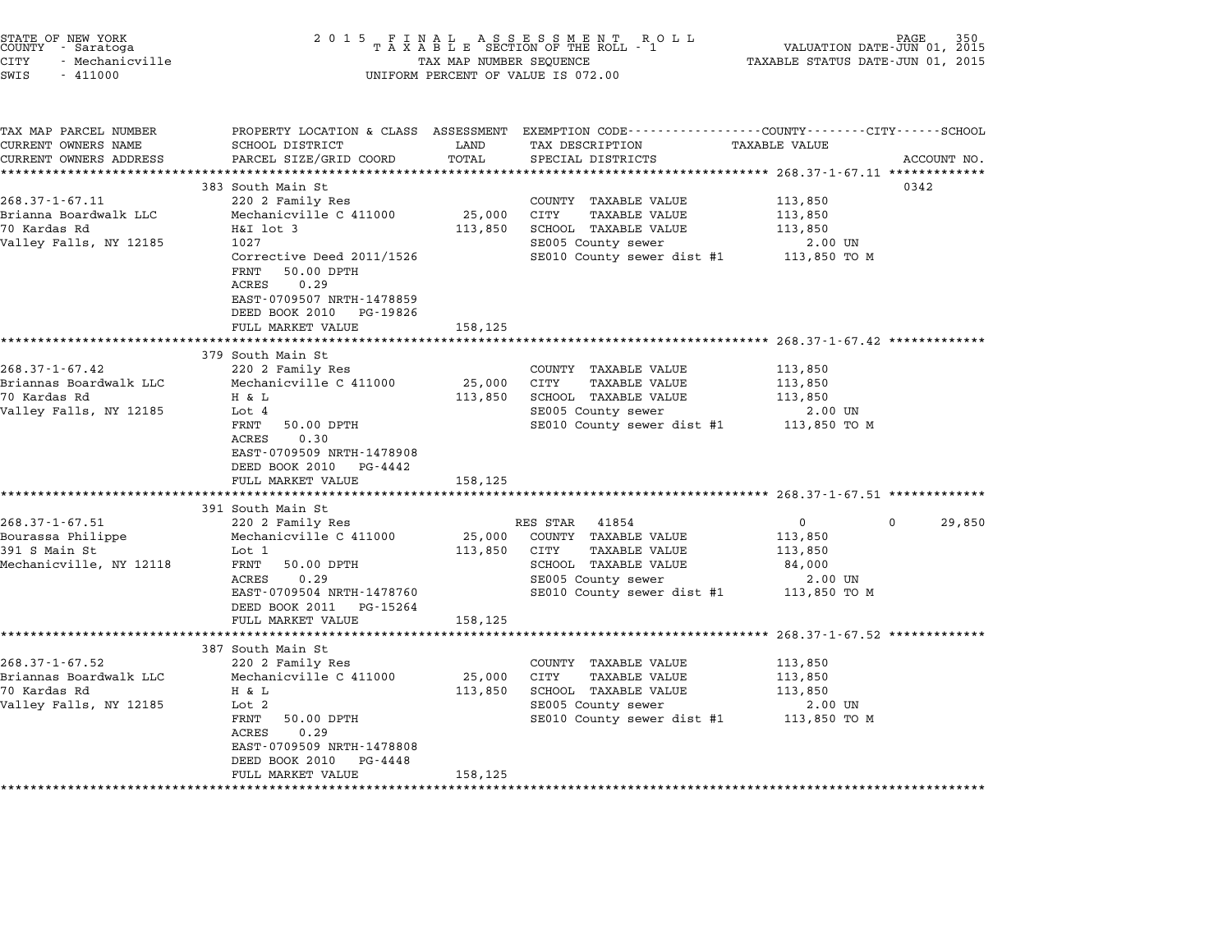| STATE OF NEW YORK<br>COUNTY - Saratoga<br><b>CITY</b><br>- Mechanicville<br>SWIS<br>$-411000$ | 2 0 1 5                                                                                                                                       | TAX MAP NUMBER SEQUENCE | FINAL ASSESSMENT ROTAXABLE SECTION OF THE ROLL - 1<br>R O L L<br>UNIFORM PERCENT OF VALUE IS 072.00  | VALUATION DATE-JUN 01, 2015<br>TAXABLE STATUS DATE-JUN 01, 2015 | PAGE        |
|-----------------------------------------------------------------------------------------------|-----------------------------------------------------------------------------------------------------------------------------------------------|-------------------------|------------------------------------------------------------------------------------------------------|-----------------------------------------------------------------|-------------|
| TAX MAP PARCEL NUMBER<br>CURRENT OWNERS NAME<br>CURRENT OWNERS ADDRESS                        | PROPERTY LOCATION & CLASS ASSESSMENT<br>SCHOOL DISTRICT<br>PARCEL SIZE/GRID COORD<br>**************                                           | LAND<br>TOTAL           | EXEMPTION CODE-----------------COUNTY-------CITY------SCHOOL<br>TAX DESCRIPTION<br>SPECIAL DISTRICTS | TAXABLE VALUE<br>***************** 268.37-1-67.11 ************* | ACCOUNT NO. |
|                                                                                               | 383 South Main St                                                                                                                             |                         |                                                                                                      |                                                                 | 0342        |
| $268.37 - 1 - 67.11$                                                                          | 220 2 Family Res                                                                                                                              |                         | COUNTY TAXABLE VALUE                                                                                 | 113,850                                                         |             |
| Brianna Boardwalk LLC                                                                         | Mechanicville C 411000                                                                                                                        | 25,000                  | CITY<br>TAXABLE VALUE                                                                                | 113,850                                                         |             |
| 70 Kardas Rd<br>Valley Falls, NY 12185                                                        | H&I lot 3<br>1027                                                                                                                             | 113,850                 | SCHOOL TAXABLE VALUE<br>SE005 County sewer                                                           | 113,850<br>2.00 UN                                              |             |
|                                                                                               | Corrective Deed 2011/1526<br>FRNT<br>50.00 DPTH<br>0.29<br>ACRES<br>EAST-0709507 NRTH-1478859<br>DEED BOOK 2010<br>PG-19826                   |                         | SE010 County sewer dist #1                                                                           | 113,850 то м                                                    |             |
|                                                                                               | FULL MARKET VALUE                                                                                                                             | 158,125                 |                                                                                                      |                                                                 |             |
|                                                                                               |                                                                                                                                               |                         |                                                                                                      | ************************ 268.37-1-67.42 *************           |             |
| $268.37 - 1 - 67.42$                                                                          | 379 South Main St                                                                                                                             |                         |                                                                                                      |                                                                 |             |
| Briannas Boardwalk LLC                                                                        | 220 2 Family Res<br>Mechanicville C 411000                                                                                                    | 25,000                  | COUNTY TAXABLE VALUE<br>CITY<br><b>TAXABLE VALUE</b>                                                 | 113,850<br>113,850                                              |             |
| 70 Kardas Rd                                                                                  | H & L                                                                                                                                         | 113,850                 | SCHOOL TAXABLE VALUE                                                                                 | 113,850                                                         |             |
| Valley Falls, NY 12185                                                                        | Lot 4                                                                                                                                         |                         | SE005 County sewer                                                                                   | 2.00 UN                                                         |             |
|                                                                                               | FRNT<br>50.00 DPTH<br>ACRES<br>0.30<br>EAST-0709509 NRTH-1478908<br>DEED BOOK 2010<br>PG-4442<br>FULL MARKET VALUE<br>*********************** | 158,125                 | SE010 County sewer dist #1<br>************************************* 268.37-1-67.51 *************     | 113,850 TO M                                                    |             |
|                                                                                               | 391 South Main St                                                                                                                             |                         |                                                                                                      |                                                                 |             |
| $268.37 - 1 - 67.51$<br>Bourassa Philippe                                                     | 220 2 Family Res<br>Mechanicville C 411000                                                                                                    | 25,000                  | RES STAR<br>41854<br>COUNTY TAXABLE VALUE                                                            | 0<br>$\Omega$<br>113,850                                        | 29,850      |
| 391 S Main St                                                                                 | Lot 1                                                                                                                                         | 113,850                 | <b>TAXABLE VALUE</b><br>CITY                                                                         | 113,850                                                         |             |
| Mechanicville, NY 12118                                                                       | FRNT<br>50.00 DPTH<br>ACRES                                                                                                                   |                         | SCHOOL TAXABLE VALUE                                                                                 | 84,000                                                          |             |
|                                                                                               | 0.29<br>EAST-0709504 NRTH-1478760<br>DEED BOOK 2011<br>PG-15264                                                                               |                         | SE005 County sewer<br>SE010 County sewer dist #1                                                     | 2.00 UN<br>113,850 TO M                                         |             |
|                                                                                               | FULL MARKET VALUE                                                                                                                             | 158,125                 |                                                                                                      |                                                                 |             |
|                                                                                               | ********************                                                                                                                          |                         |                                                                                                      | ********************** 268.37-1-67.52 *************             |             |
| $268.37 - 1 - 67.52$                                                                          | 387 South Main St<br>220 2 Family Res                                                                                                         |                         | COUNTY TAXABLE VALUE                                                                                 | 113,850                                                         |             |
| Briannas Boardwalk LLC                                                                        | Mechanicville C 411000                                                                                                                        | 25,000                  | CITY<br>TAXABLE VALUE                                                                                | 113,850                                                         |             |
| 70 Kardas Rd                                                                                  | H & L                                                                                                                                         | 113,850                 | SCHOOL TAXABLE VALUE                                                                                 | 113,850                                                         |             |
| Valley Falls, NY 12185                                                                        | Lot 2                                                                                                                                         |                         | SE005 County sewer                                                                                   | 2.00 UN                                                         |             |
|                                                                                               | FRNT<br>50.00 DPTH<br><b>ACRES</b><br>0.29                                                                                                    |                         | SE010 County sewer dist #1                                                                           | 113,850 TO M                                                    |             |
|                                                                                               | EAST-0709509 NRTH-1478808<br>DEED BOOK 2010<br>PG-4448                                                                                        |                         |                                                                                                      |                                                                 |             |
|                                                                                               | FULL MARKET VALUE<br>******************                                                                                                       | 158,125<br>*********    |                                                                                                      |                                                                 |             |

STATE OF NEW YORK <sup>2</sup> <sup>0</sup> <sup>1</sup> 5 F I N A L A S S E S S M E N T R O L L PAGE <sup>350</sup> COUNTY - Saratoga <sup>T</sup> <sup>A</sup> <sup>X</sup> <sup>A</sup> <sup>B</sup> <sup>L</sup> <sup>E</sup> SECTION OF THE ROLL - <sup>1</sup> VALUATION DATE-JUN 01, <sup>2015</sup>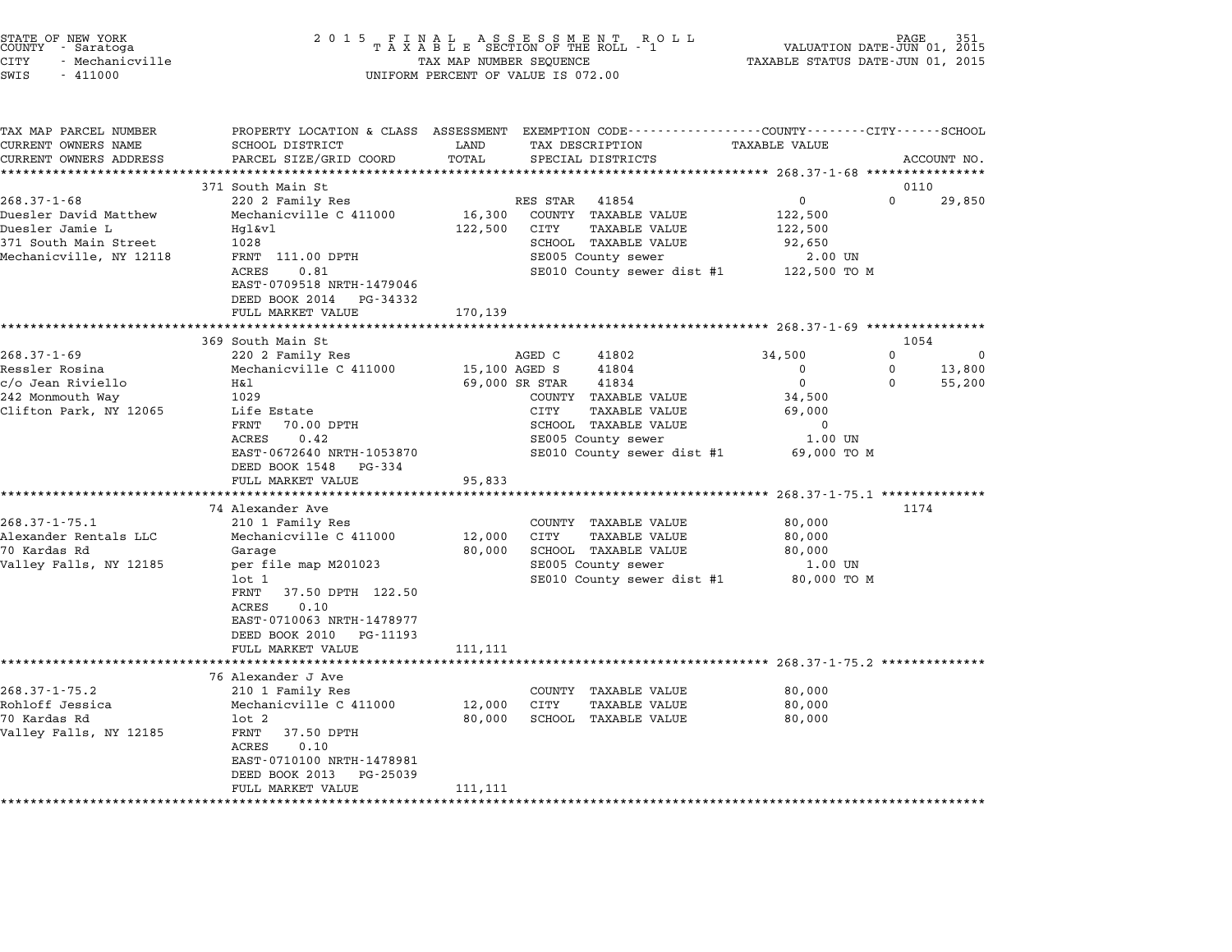| STATE OF NEW YORK<br>COUNTY<br>- Saratoga<br><b>CITY</b><br>- Mechanicville<br>SWIS<br>$-411000$ | 2 0 1 5                                                                           | TAX MAP NUMBER SEQUENCE | FINAL ASSESSMENT ROTAXABLE SECTION OF THE ROLL - 1<br>R O L L<br>UNIFORM PERCENT OF VALUE IS 072.00 | TAXABLE STATUS DATE-JUN 01, 2015    | PAGE<br>VALUATION DATE-JUN 01, 2015 |
|--------------------------------------------------------------------------------------------------|-----------------------------------------------------------------------------------|-------------------------|-----------------------------------------------------------------------------------------------------|-------------------------------------|-------------------------------------|
| TAX MAP PARCEL NUMBER<br>CURRENT OWNERS NAME<br>CURRENT OWNERS ADDRESS                           | PROPERTY LOCATION & CLASS ASSESSMENT<br>SCHOOL DISTRICT<br>PARCEL SIZE/GRID COORD | LAND<br>TOTAL           | EXEMPTION CODE----------------COUNTY-------CITY------SCHOOL<br>TAX DESCRIPTION<br>SPECIAL DISTRICTS | <b>TAXABLE VALUE</b>                | ACCOUNT NO.                         |
|                                                                                                  |                                                                                   | ********                | ************************************** 268.37-1-68 ****************                                 |                                     |                                     |
|                                                                                                  | 371 South Main St                                                                 |                         |                                                                                                     |                                     | 0110                                |
| $268.37 - 1 - 68$                                                                                | 220 2 Family Res                                                                  |                         | RES STAR<br>41854                                                                                   | 0                                   | $\Omega$<br>29,850                  |
| Duesler David Matthew<br>Duesler Jamie L                                                         | Mechanicville C 411000                                                            | 16,300<br>122,500       | COUNTY TAXABLE VALUE<br><b>TAXABLE VALUE</b><br>CITY                                                | 122,500                             |                                     |
| 371 South Main Street                                                                            | Hgl&vl<br>1028                                                                    |                         | SCHOOL TAXABLE VALUE                                                                                | 122,500<br>92,650                   |                                     |
| Mechanicville, NY 12118                                                                          | FRNT 111.00 DPTH                                                                  |                         | SE005 County sewer                                                                                  | 2.00 UN                             |                                     |
|                                                                                                  | ACRES<br>0.81                                                                     |                         | SE010 County sewer dist #1                                                                          | 122,500 TO M                        |                                     |
|                                                                                                  | EAST-0709518 NRTH-1479046                                                         |                         |                                                                                                     |                                     |                                     |
|                                                                                                  | DEED BOOK 2014<br>PG-34332                                                        |                         |                                                                                                     |                                     |                                     |
|                                                                                                  | FULL MARKET VALUE                                                                 | 170,139                 |                                                                                                     |                                     |                                     |
|                                                                                                  |                                                                                   |                         | ************************************ 268.37-1-69 *****************                                  |                                     |                                     |
|                                                                                                  | 369 South Main St                                                                 |                         |                                                                                                     |                                     | 1054                                |
| $268.37 - 1 - 69$<br>Ressler Rosina                                                              | 220 2 Family Res<br>Mechanicville C 411000                                        | 15,100 AGED S           | AGED C<br>41802<br>41804                                                                            | 34,500<br>0                         | 0<br><sup>0</sup><br>0<br>13,800    |
| c/o Jean Riviello                                                                                | H&l                                                                               |                         | 69,000 SR STAR<br>41834                                                                             | $\mathbf 0$                         | $\Omega$<br>55,200                  |
| 242 Monmouth Way                                                                                 | 1029                                                                              |                         | COUNTY TAXABLE VALUE                                                                                | 34,500                              |                                     |
| Clifton Park, NY 12065                                                                           | Life Estate                                                                       |                         | CITY<br>TAXABLE VALUE                                                                               | 69,000                              |                                     |
|                                                                                                  | FRNT<br>70.00 DPTH                                                                |                         | SCHOOL TAXABLE VALUE                                                                                | 0                                   |                                     |
|                                                                                                  | ACRES<br>0.42                                                                     |                         | SE005 County sewer                                                                                  | 1.00 UN                             |                                     |
|                                                                                                  | EAST-0672640 NRTH-1053870                                                         |                         | SE010 County sewer dist #1                                                                          | 69,000 TO M                         |                                     |
|                                                                                                  | DEED BOOK 1548<br>PG-334                                                          |                         |                                                                                                     |                                     |                                     |
|                                                                                                  | FULL MARKET VALUE                                                                 | 95,833                  |                                                                                                     | *********** 268.37-1-75.1 ********* |                                     |
|                                                                                                  | 74 Alexander Ave                                                                  |                         |                                                                                                     |                                     | 1174                                |
| $268.37 - 1 - 75.1$                                                                              | 210 1 Family Res                                                                  |                         | COUNTY TAXABLE VALUE                                                                                | 80,000                              |                                     |
| Alexander Rentals LLC                                                                            | Mechanicville C 411000                                                            | 12,000                  | CITY<br>TAXABLE VALUE                                                                               | 80,000                              |                                     |
| 70 Kardas Rd                                                                                     | Garage                                                                            | 80,000                  | SCHOOL TAXABLE VALUE                                                                                | 80,000                              |                                     |
| Valley Falls, NY 12185                                                                           | per file map M201023                                                              |                         | SE005 County sewer                                                                                  | 1.00 UN                             |                                     |
|                                                                                                  | lot 1                                                                             |                         | SE010 County sewer dist #1                                                                          | 80,000 TO M                         |                                     |
|                                                                                                  | FRNT<br>37.50 DPTH 122.50                                                         |                         |                                                                                                     |                                     |                                     |
|                                                                                                  | 0.10<br>ACRES                                                                     |                         |                                                                                                     |                                     |                                     |
|                                                                                                  | EAST-0710063 NRTH-1478977<br>DEED BOOK 2010                                       |                         |                                                                                                     |                                     |                                     |
|                                                                                                  | PG-11193<br>FULL MARKET VALUE                                                     | 111,111                 |                                                                                                     |                                     |                                     |
|                                                                                                  | **************************                                                        |                         |                                                                                                     |                                     |                                     |
|                                                                                                  | 76 Alexander J Ave                                                                |                         |                                                                                                     |                                     |                                     |
| $268.37 - 1 - 75.2$                                                                              | 210 1 Family Res                                                                  |                         | COUNTY<br>TAXABLE VALUE                                                                             | 80,000                              |                                     |
| Rohloff Jessica                                                                                  | Mechanicville C 411000                                                            | 12,000                  | CITY<br>TAXABLE VALUE                                                                               | 80,000                              |                                     |
| 70 Kardas Rd                                                                                     | $1$ ot $2$                                                                        | 80,000                  | SCHOOL TAXABLE VALUE                                                                                | 80,000                              |                                     |
| Valley Falls, NY 12185                                                                           | FRNT<br>37.50 DPTH                                                                |                         |                                                                                                     |                                     |                                     |
|                                                                                                  | ACRES<br>0.10<br>EAST-0710100 NRTH-1478981                                        |                         |                                                                                                     |                                     |                                     |
|                                                                                                  | DEED BOOK 2013<br>PG-25039                                                        |                         |                                                                                                     |                                     |                                     |
|                                                                                                  | FULL MARKET VALUE                                                                 | 111,111                 |                                                                                                     |                                     |                                     |
|                                                                                                  | *********************                                                             | *************           |                                                                                                     |                                     |                                     |

STATE OF NEW YORK <sup>2</sup> <sup>0</sup> <sup>1</sup> 5 F I N A L A S S E S S M E N T R O L L PAGE <sup>351</sup> COUNTY - Saratoga <sup>T</sup> <sup>A</sup> <sup>X</sup> <sup>A</sup> <sup>B</sup> <sup>L</sup> <sup>E</sup> SECTION OF THE ROLL - <sup>1</sup> VALUATION DATE-JUN 01, <sup>2015</sup>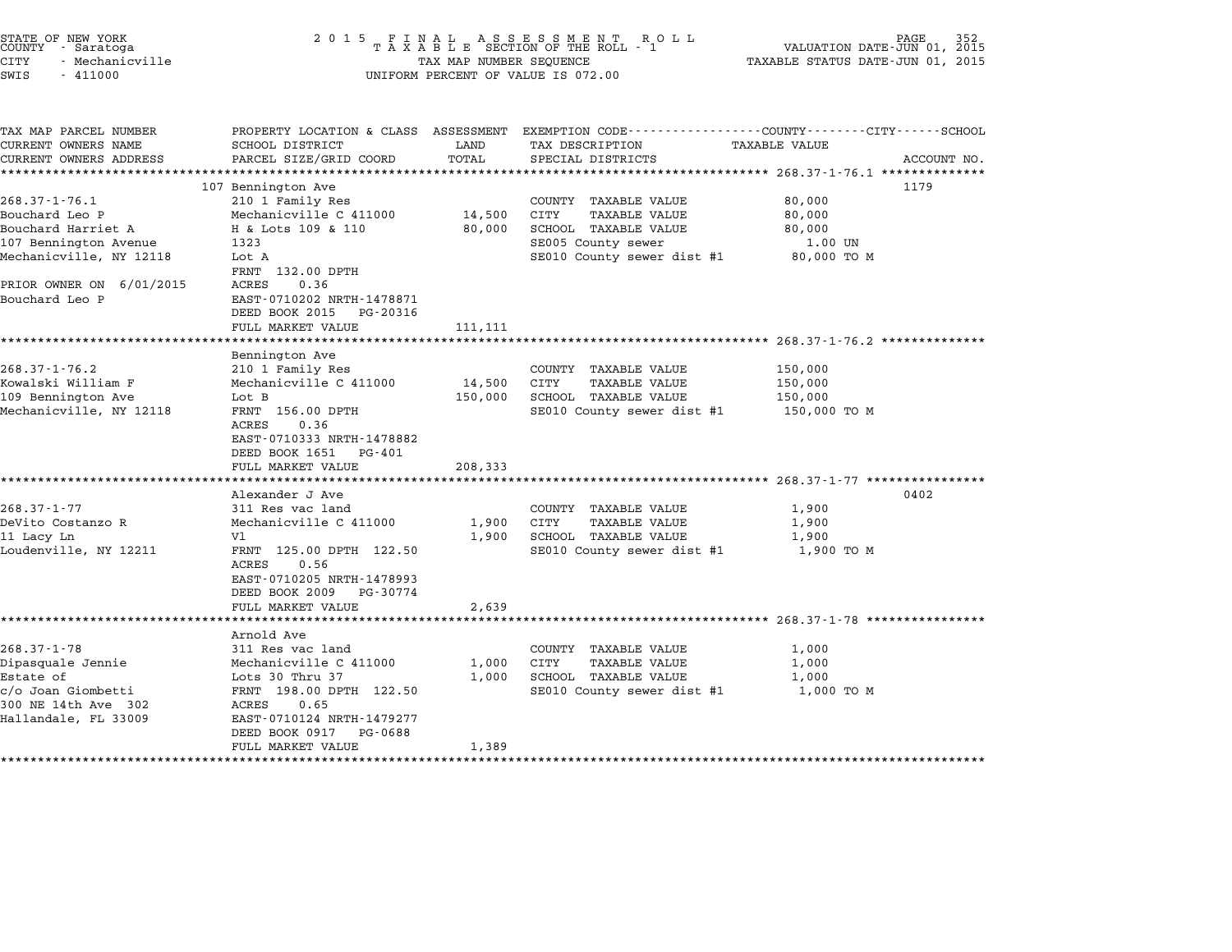# STATE OF NEW YORK <sup>2</sup> <sup>0</sup> <sup>1</sup> 5 F I N A L A S S E S S M E N T R O L L PAGE <sup>352</sup> COUNTY - Saratoga <sup>T</sup> <sup>A</sup> <sup>X</sup> <sup>A</sup> <sup>B</sup> <sup>L</sup> <sup>E</sup> SECTION OF THE ROLL - <sup>1</sup> VALUATION DATE-JUN 01, <sup>2015</sup> STATE OF NEW YORK (RACE STATE OF NEW YORK ISSUES OF NEW TAXABLE STATE OF NEW TAXABLE STATE OF NOT A SUBSEX OUN<br>COUNTY - Saratoga (2015 TAXABLE STATUS DATE-JUN 01, 2015 TAXABLE STATUS DATE-JUN 01, 2015<br>CITY - Mechanicville STATE OF NEW YORK COUNTY - Saratoga and the serve of the server of the server of the server of the server of the server of the server of the server of the server of the server of the server of value is 072.00<br>
SWIS - 41100

| TAX MAP PARCEL NUMBER<br>CURRENT OWNERS NAME<br>CURRENT OWNERS ADDRESS | PROPERTY LOCATION & CLASS ASSESSMENT<br>SCHOOL DISTRICT<br>PARCEL SIZE/GRID COORD                   | LAND<br>TOTAL | EXEMPTION CODE-----------------COUNTY-------CITY------SCHOOL<br>TAX DESCRIPTION<br>SPECIAL DISTRICTS | <b>TAXABLE VALUE</b> | ACCOUNT NO. |
|------------------------------------------------------------------------|-----------------------------------------------------------------------------------------------------|---------------|------------------------------------------------------------------------------------------------------|----------------------|-------------|
|                                                                        |                                                                                                     |               |                                                                                                      |                      |             |
|                                                                        | 107 Bennington Ave                                                                                  |               |                                                                                                      |                      | 1179        |
| $268.37 - 1 - 76.1$                                                    | 210 1 Family Res                                                                                    |               | COUNTY TAXABLE VALUE                                                                                 | 80,000               |             |
| Bouchard Leo P                                                         | Mechanicville C 411000                                                                              | 14,500        | CITY<br><b>TAXABLE VALUE</b>                                                                         | 80,000               |             |
| Bouchard Harriet A                                                     | H & Lots 109 & 110                                                                                  | 80,000        | SCHOOL TAXABLE VALUE                                                                                 | 80,000               |             |
| 107 Bennington Avenue                                                  | 1323                                                                                                |               | SE005 County sewer                                                                                   | 1.00 UN              |             |
| Mechanicville, NY 12118                                                | Lot A                                                                                               |               | SE010 County sewer dist #1                                                                           | 80,000 TO M          |             |
|                                                                        | FRNT 132.00 DPTH                                                                                    |               |                                                                                                      |                      |             |
| PRIOR OWNER ON 6/01/2015                                               | 0.36<br>ACRES                                                                                       |               |                                                                                                      |                      |             |
| Bouchard Leo P                                                         | EAST-0710202 NRTH-1478871<br>DEED BOOK 2015<br>PG-20316                                             |               |                                                                                                      |                      |             |
|                                                                        | FULL MARKET VALUE                                                                                   | 111,111       |                                                                                                      |                      |             |
|                                                                        |                                                                                                     |               |                                                                                                      |                      |             |
|                                                                        | Bennington Ave                                                                                      |               |                                                                                                      |                      |             |
| $268.37 - 1 - 76.2$                                                    | 210 1 Family Res                                                                                    |               | COUNTY TAXABLE VALUE                                                                                 | 150,000              |             |
| Kowalski William F                                                     | Mechanicville C 411000                                                                              | 14,500        | CITY<br><b>TAXABLE VALUE</b>                                                                         | 150,000              |             |
| 109 Bennington Ave                                                     | Lot B                                                                                               | 150,000       | SCHOOL TAXABLE VALUE                                                                                 | 150,000              |             |
| Mechanicville, NY 12118                                                | FRNT 156.00 DPTH<br>0.36<br>ACRES<br>EAST-0710333 NRTH-1478882                                      |               | SE010 County sewer dist #1                                                                           | 150,000 TO M         |             |
|                                                                        | DEED BOOK 1651<br>PG-401                                                                            |               |                                                                                                      |                      |             |
|                                                                        | FULL MARKET VALUE                                                                                   | 208,333       |                                                                                                      |                      |             |
|                                                                        |                                                                                                     |               |                                                                                                      |                      |             |
|                                                                        | Alexander J Ave                                                                                     |               |                                                                                                      |                      | 0402        |
| $268.37 - 1 - 77$                                                      | 311 Res vac land                                                                                    |               | COUNTY TAXABLE VALUE                                                                                 | 1,900                |             |
| DeVito Costanzo R                                                      | Mechanicville C 411000                                                                              | 1,900         | CITY<br><b>TAXABLE VALUE</b>                                                                         | 1,900                |             |
| 11 Lacy Ln                                                             | V1                                                                                                  | 1,900         | SCHOOL TAXABLE VALUE                                                                                 | 1,900                |             |
| Loudenville, NY 12211                                                  | FRNT 125.00 DPTH 122.50<br>0.56<br>ACRES<br>EAST-0710205 NRTH-1478993<br>DEED BOOK 2009<br>PG-30774 |               | SE010 County sewer dist #1                                                                           | 1,900 TO M           |             |
|                                                                        | FULL MARKET VALUE                                                                                   | 2,639         |                                                                                                      |                      |             |
|                                                                        | ******************                                                                                  |               |                                                                                                      |                      |             |
|                                                                        | Arnold Ave                                                                                          |               |                                                                                                      |                      |             |
| $268.37 - 1 - 78$                                                      | 311 Res vac land                                                                                    |               | COUNTY TAXABLE VALUE                                                                                 | 1,000                |             |
| Dipasquale Jennie                                                      | Mechanicville C 411000                                                                              | 1,000         | CITY<br>TAXABLE VALUE                                                                                | 1,000                |             |
| Estate of                                                              | Lots 30 Thru 37                                                                                     | 1,000         | SCHOOL TAXABLE VALUE                                                                                 | 1,000                |             |
| c/o Joan Giombetti                                                     | FRNT 198.00 DPTH 122.50                                                                             |               | SE010 County sewer dist #1                                                                           | 1,000 TO M           |             |
| 300 NE 14th Ave 302                                                    | ACRES<br>0.65                                                                                       |               |                                                                                                      |                      |             |
| Hallandale, FL 33009                                                   | EAST-0710124 NRTH-1479277                                                                           |               |                                                                                                      |                      |             |
|                                                                        | DEED BOOK 0917<br>PG-0688                                                                           |               |                                                                                                      |                      |             |
|                                                                        | FULL MARKET VALUE                                                                                   | 1,389         |                                                                                                      |                      |             |
| *****************                                                      |                                                                                                     |               |                                                                                                      |                      |             |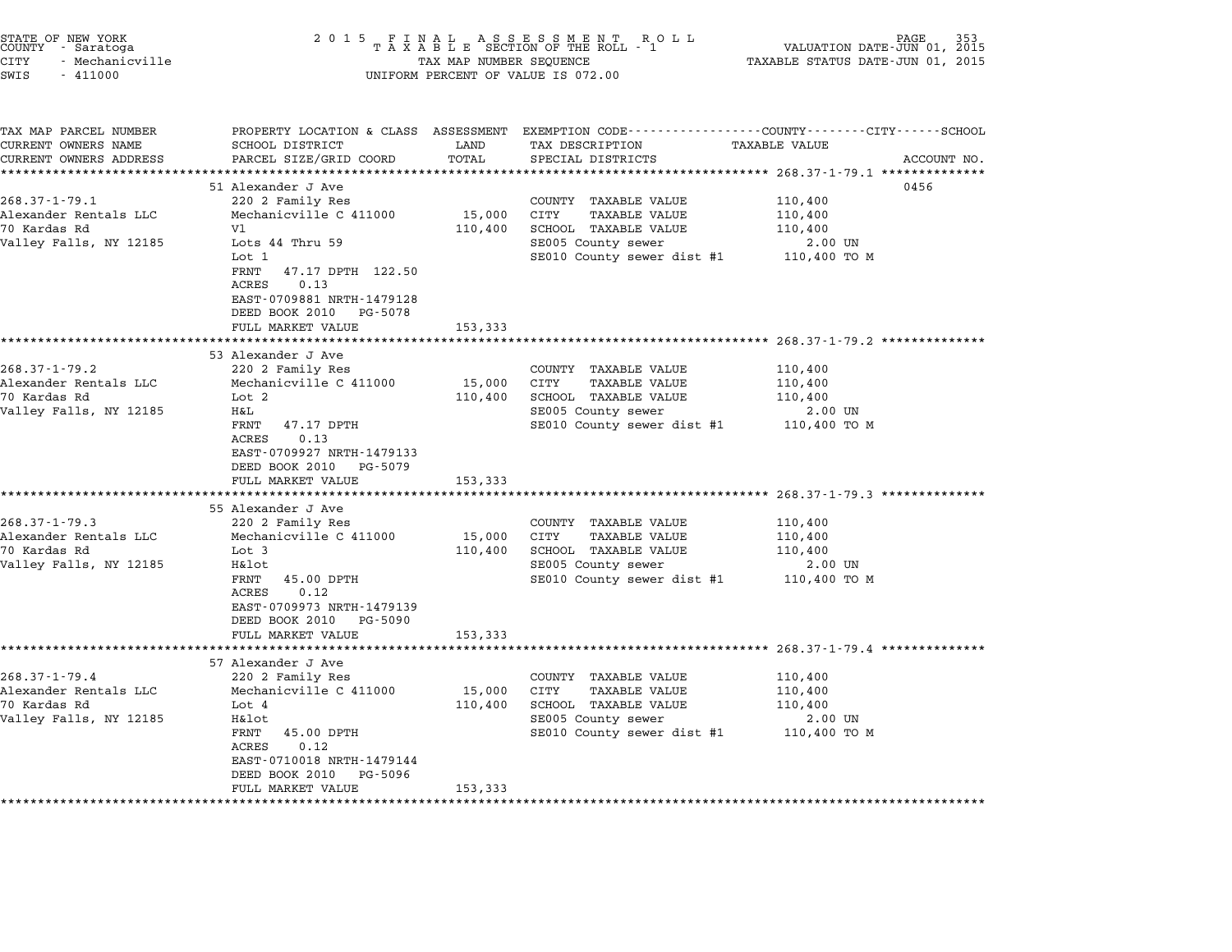| STATE OF NEW YORK<br>COUNTY - Saratoga<br><b>CITY</b><br>- Mechanicville<br>SWIS<br>$-411000$                    | 2 0 1 5                                                                                                                                                                                                                              | TAX MAP NUMBER SEQUENCE                             | UNIFORM PERCENT OF VALUE IS 072.00                                                                                                            | PAGE<br>VALUATION DATE-JUN 01, 2015<br>TAXABLE STATUS DATE-JUN 01, 2015                                                        |
|------------------------------------------------------------------------------------------------------------------|--------------------------------------------------------------------------------------------------------------------------------------------------------------------------------------------------------------------------------------|-----------------------------------------------------|-----------------------------------------------------------------------------------------------------------------------------------------------|--------------------------------------------------------------------------------------------------------------------------------|
| TAX MAP PARCEL NUMBER<br>CURRENT OWNERS NAME<br>CURRENT OWNERS ADDRESS<br>**********************                 | SCHOOL DISTRICT<br>PARCEL SIZE/GRID COORD                                                                                                                                                                                            | LAND<br>TOTAL                                       | TAX DESCRIPTION<br>SPECIAL DISTRICTS                                                                                                          | PROPERTY LOCATION & CLASS ASSESSMENT EXEMPTION CODE--------------COUNTY-------CITY------SCHOOL<br>TAXABLE VALUE<br>ACCOUNT NO. |
| $268.37 - 1 - 79.1$<br>Alexander Rentals LLC<br>70 Kardas Rd<br>Valley Falls, NY 12185                           | 51 Alexander J Ave<br>220 2 Family Res<br>Mechanicville C 411000<br>V1<br>Lots 44 Thru 59<br>Lot 1<br>FRNT<br>47.17 DPTH 122.50<br>ACRES<br>0.13<br>EAST-0709881 NRTH-1479128<br>DEED BOOK 2010<br>PG-5078                           | 15,000<br>110,400                                   | COUNTY TAXABLE VALUE<br>CITY<br><b>TAXABLE VALUE</b><br>SCHOOL TAXABLE VALUE<br>SE005 County sewer<br>SE010 County sewer dist #1 110,400 TO M | 0456<br>110,400<br>110,400<br>110,400<br>2.00 UN                                                                               |
| $268.37 - 1 - 79.2$<br>Alexander Rentals LLC<br>70 Kardas Rd<br>Valley Falls, NY 12185                           | FULL MARKET VALUE<br>53 Alexander J Ave<br>220 2 Family Res<br>Mechanicville C 411000<br>Lot 2<br>H&L<br>FRNT<br>47.17 DPTH<br>0.13<br>ACRES<br>EAST-0709927 NRTH-1479133<br>DEED BOOK 2010 PG-5079<br>FULL MARKET VALUE             | 153,333<br>15,000<br>110,400<br>153,333             | COUNTY TAXABLE VALUE<br>CITY<br>TAXABLE VALUE<br>SCHOOL TAXABLE VALUE<br>SE005 County sewer<br>SE010 County sewer dist #1 110,400 TO M        | 110,400<br>110,400<br>110,400<br>2.00 UN                                                                                       |
| $268.37 - 1 - 79.3$<br>Alexander Rentals LLC<br>70 Kardas Rd<br>Valley Falls, NY 12185                           | **********************<br>55 Alexander J Ave<br>220 2 Family Res<br>Mechanicville C 411000<br>Lot 3<br>H&lot<br>FRNT<br>45.00 DPTH<br>0.12<br>ACRES<br>EAST-0709973 NRTH-1479139<br>DEED BOOK 2010 PG-5090<br>FULL MARKET VALUE      | 15,000<br>110,400<br>153,333                        | COUNTY TAXABLE VALUE<br><b>TAXABLE VALUE</b><br>CITY<br>SCHOOL TAXABLE VALUE<br>SE005 County sewer<br>SE010 County sewer dist #1              | 110,400<br>110,400<br>110,400<br>2.00 UN<br>110,400 TO M                                                                       |
| $268.37 - 1 - 79.4$<br>Alexander Rentals LLC<br>70 Kardas Rd<br>Valley Falls, NY 12185<br>********************** | 57 Alexander J Ave<br>220 2 Family Res<br>Mechanicville C 411000<br>Lot 4<br>H&lot<br>FRNT<br>45.00 DPTH<br>ACRES<br>0.12<br>EAST-0710018 NRTH-1479144<br>DEED BOOK 2010<br>PG-5096<br>FULL MARKET VALUE<br>************************ | 15,000<br>110,400<br>153,333<br>******************* | COUNTY TAXABLE VALUE<br>CITY<br><b>TAXABLE VALUE</b><br>SCHOOL TAXABLE VALUE<br>SE005 County sewer<br>SE010 County sewer dist #1 110,400 TO M | 110,400<br>110,400<br>110,400<br>2.00 UN                                                                                       |

STATE OF NEW YORK <sup>2</sup> <sup>0</sup> <sup>1</sup> 5 F I N A L A S S E S S M E N T R O L L PAGE <sup>353</sup> COUNTY - Saratoga <sup>T</sup> <sup>A</sup> <sup>X</sup> <sup>A</sup> <sup>B</sup> <sup>L</sup> <sup>E</sup> SECTION OF THE ROLL - <sup>1</sup> VALUATION DATE-JUN 01, <sup>2015</sup>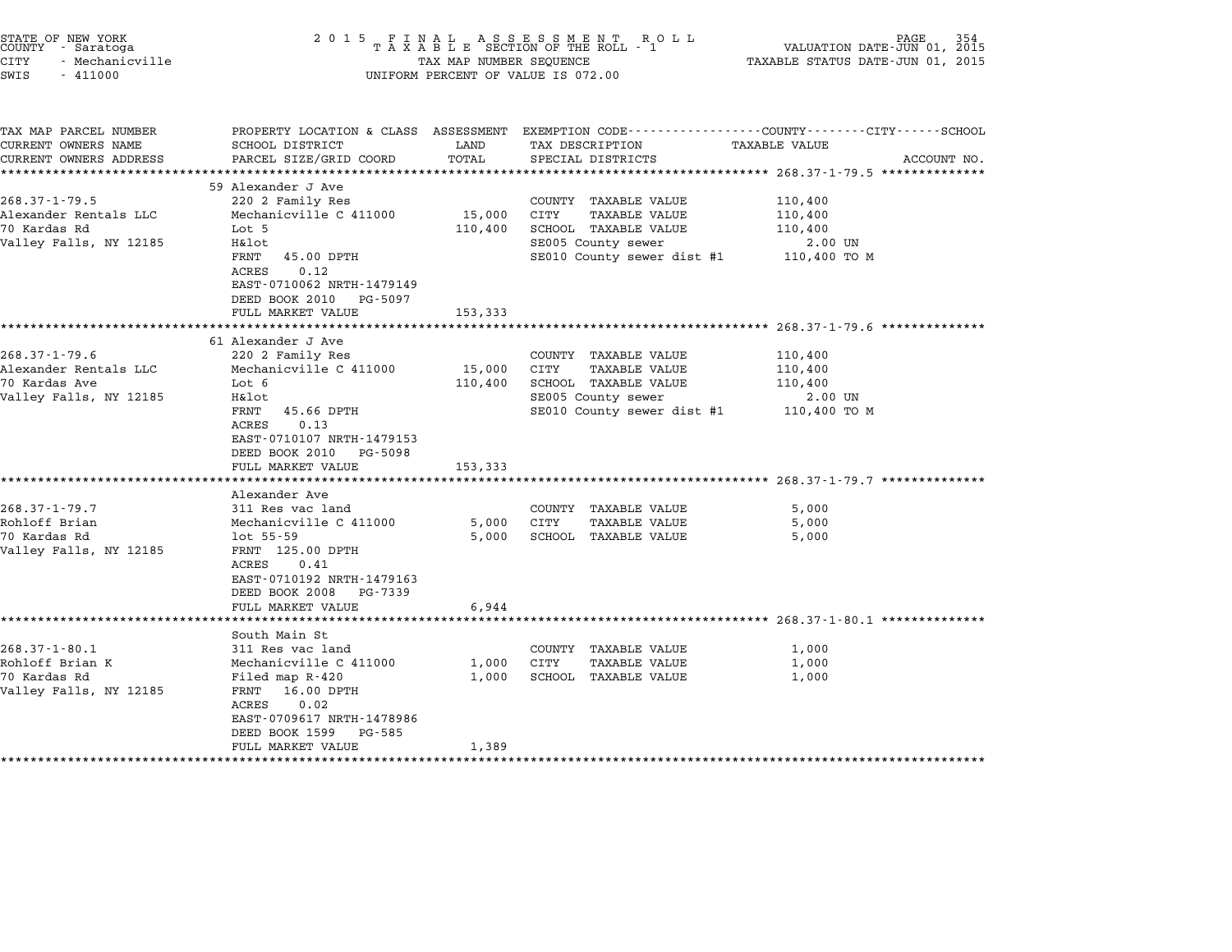| STATE OF NEW YORK<br>COUNTY - Saratoga<br><b>CITY</b><br>- Mechanicville<br>SWIS<br>$-411000$          | 2 0 1 5                                                                                                                                                                                                                          | TAX MAP NUMBER SEQUENCE      | FINAL ASSESSMENT ROLL<br>TAXABLE SECTION OF THE ROLL - 1<br>UNIFORM PERCENT OF VALUE IS 072.00                                   | <b>PAGE</b><br>VALUATION DATE-JUN 01, 2015<br>TAXABLE STATUS DATE-JUN 01, 2015                                                                                            |  |
|--------------------------------------------------------------------------------------------------------|----------------------------------------------------------------------------------------------------------------------------------------------------------------------------------------------------------------------------------|------------------------------|----------------------------------------------------------------------------------------------------------------------------------|---------------------------------------------------------------------------------------------------------------------------------------------------------------------------|--|
| TAX MAP PARCEL NUMBER<br>CURRENT OWNERS NAME<br>CURRENT OWNERS ADDRESS                                 | SCHOOL DISTRICT<br>PARCEL SIZE/GRID COORD                                                                                                                                                                                        | LAND<br>TOTAL                | TAX DESCRIPTION<br>SPECIAL DISTRICTS                                                                                             | PROPERTY LOCATION & CLASS ASSESSMENT EXEMPTION CODE---------------COUNTY-------CITY------SCHOOL<br><b>TAXABLE VALUE</b><br>ACCOUNT NO.                                    |  |
| $268.37 - 1 - 79.5$<br>Alexander Rentals LLC<br>70 Kardas Rd<br>Valley Falls, NY 12185                 | 59 Alexander J Ave<br>220 2 Family Res<br>Mechanicville C 411000<br>Lot 5<br>H&lot<br>FRNT<br>45.00 DPTH<br>ACRES<br>0.12<br>EAST-0710062 NRTH-1479149<br>DEED BOOK 2010<br>PG-5097<br>FULL MARKET VALUE                         | 15,000<br>110,400<br>153,333 | COUNTY TAXABLE VALUE<br>CITY<br><b>TAXABLE VALUE</b><br>SCHOOL TAXABLE VALUE<br>SE005 County sewer<br>SE010 County sewer dist #1 | 110,400<br>110,400<br>110,400<br>2.00 UN<br>110,400 TO M                                                                                                                  |  |
| $268.37 - 1 - 79.6$<br>Alexander Rentals LLC<br>70 Kardas Ave<br>Valley Falls, NY 12185                | ********************<br>61 Alexander J Ave<br>220 2 Family Res<br>Mechanicville C 411000<br>Lot 6<br>H&lot<br>FRNT<br>45.66 DPTH<br>ACRES<br>0.13<br>EAST-0710107 NRTH-1479153<br>DEED BOOK 2010<br>PG-5098<br>FULL MARKET VALUE | 15,000<br>110,400<br>153,333 | COUNTY TAXABLE VALUE<br>CITY<br>TAXABLE VALUE<br>SCHOOL TAXABLE VALUE<br>SE005 County sewer<br>SE010 County sewer dist #1        | ****************************** 268.37-1-79.6 **************<br>110,400<br>110,400<br>110,400<br>2.00 UN<br>110,400 TO M<br>********************* 268.37-1-79.7 ********** |  |
| $268.37 - 1 - 79.7$<br>Rohloff Brian<br>70 Kardas Rd<br>Valley Falls, NY 12185                         | Alexander Ave<br>311 Res vac land<br>Mechanicville C 411000<br>$10t$ 55-59<br>FRNT 125.00 DPTH<br>ACRES<br>0.41<br>EAST-0710192 NRTH-1479163<br>DEED BOOK 2008<br>PG-7339<br>FULL MARKET VALUE                                   | 5,000<br>5,000<br>6,944      | COUNTY TAXABLE VALUE<br>CITY<br><b>TAXABLE VALUE</b><br>SCHOOL TAXABLE VALUE                                                     | 5,000<br>5,000<br>5,000                                                                                                                                                   |  |
| $268.37 - 1 - 80.1$<br>Rohloff Brian K<br>70 Kardas Rd<br>Valley Falls, NY 12185<br>****************** | South Main St<br>311 Res vac land<br>Mechanicville C 411000<br>Filed map R-420<br>FRNT<br>16.00 DPTH<br>ACRES<br>0.02<br>EAST-0709617 NRTH-1478986<br>DEED BOOK 1599<br>PG-585<br>FULL MARKET VALUE<br>*******************       | 1,000<br>1,000<br>1,389      | COUNTY TAXABLE VALUE<br>CITY<br><b>TAXABLE VALUE</b><br>SCHOOL TAXABLE VALUE                                                     | ****************************** 268.37-1-80.1 **********<br>1,000<br>1,000<br>1,000                                                                                        |  |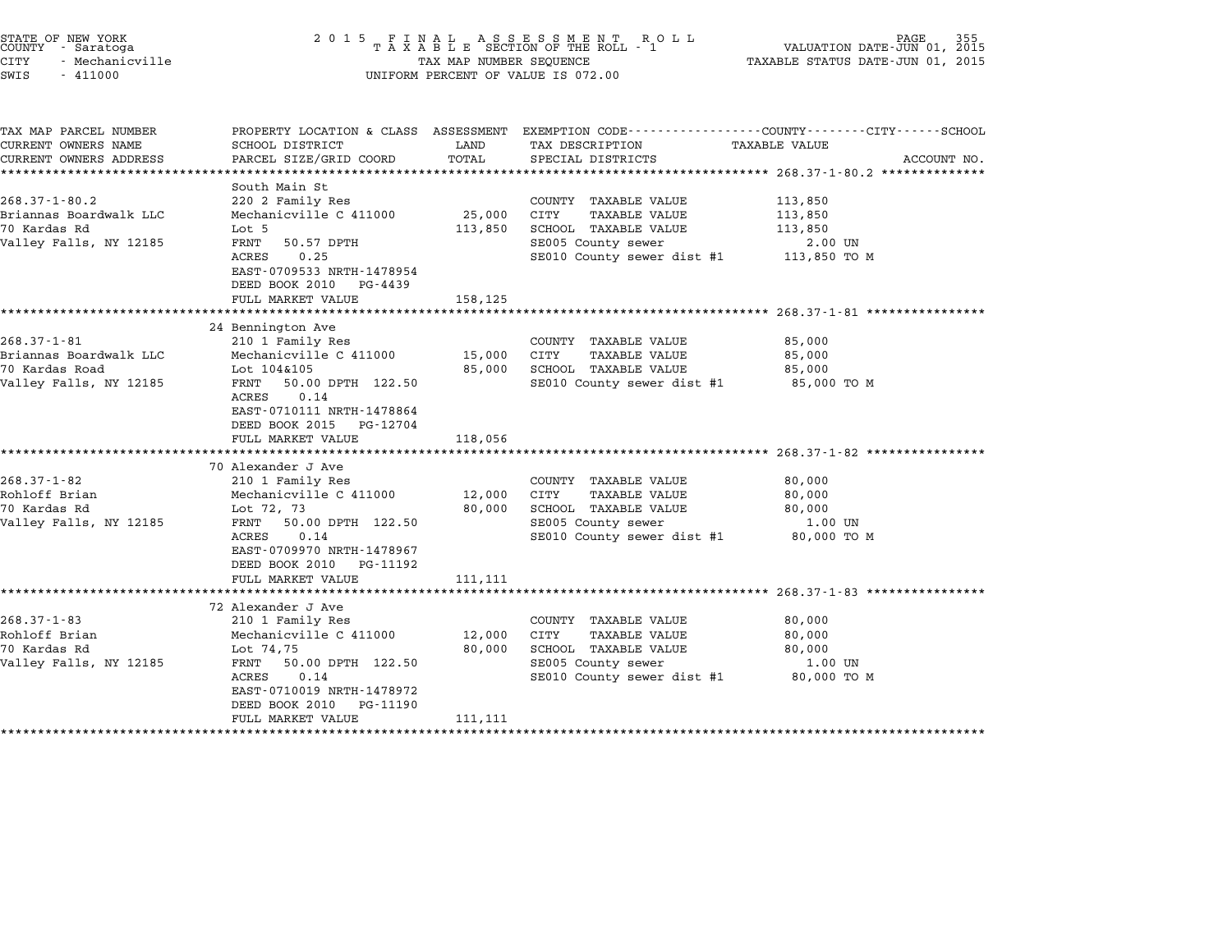| STATE OF NEW YORK<br>COUNTY - Saratoga<br>CITY<br>- Mechanicville<br>SWIS<br>$-411000$           | 2 0 1 5                                                                                                                                                                                                                                 | TAX MAP NUMBER SEQUENCE      | FINAL ASSESSMENT ROLL<br>TAXABLE SECTION OF THE ROLL - 1<br>UNIFORM PERCENT OF VALUE IS 072.00                                   | 355<br>VALUATION DATE-JUN 01, 2015<br>TAXABLE STATUS DATE-JUN 01, 2015                                                                                                             |  |
|--------------------------------------------------------------------------------------------------|-----------------------------------------------------------------------------------------------------------------------------------------------------------------------------------------------------------------------------------------|------------------------------|----------------------------------------------------------------------------------------------------------------------------------|------------------------------------------------------------------------------------------------------------------------------------------------------------------------------------|--|
| TAX MAP PARCEL NUMBER<br>CURRENT OWNERS NAME<br>CURRENT OWNERS ADDRESS<br>********************** | SCHOOL DISTRICT<br>PARCEL SIZE/GRID COORD                                                                                                                                                                                               | LAND<br>TOTAL                | TAX DESCRIPTION<br>SPECIAL DISTRICTS                                                                                             | PROPERTY LOCATION & CLASS ASSESSMENT EXEMPTION CODE---------------COUNTY-------CITY------SCHOOL<br>TAXABLE VALUE<br>ACCOUNT NO.<br>****************** 268.37-1-80.2 ************** |  |
| $268.37 - 1 - 80.2$<br>Briannas Boardwalk LLC<br>70 Kardas Rd<br>Valley Falls, NY 12185          | South Main St<br>220 2 Family Res<br>Mechanicville C 411000<br>Lot 5<br>FRNT<br>50.57 DPTH<br>ACRES<br>0.25<br>EAST-0709533 NRTH-1478954<br>DEED BOOK 2010<br>PG-4439<br>FULL MARKET VALUE                                              | 25,000<br>113,850<br>158,125 | COUNTY TAXABLE VALUE<br>TAXABLE VALUE<br>CITY<br>SCHOOL TAXABLE VALUE<br>SE005 County sewer<br>SE010 County sewer dist #1        | 113,850<br>113,850<br>113,850<br>2.00 UN<br>113,850 TO M                                                                                                                           |  |
| $268.37 - 1 - 81$<br>Briannas Boardwalk LLC<br>70 Kardas Road<br>Valley Falls, NY 12185          | 24 Bennington Ave<br>210 1 Family Res<br>Mechanicville C 411000<br>Lot 104&105<br>FRNT<br>50.00 DPTH 122.50<br>0.14<br>ACRES<br>EAST-0710111 NRTH-1478864<br>DEED BOOK 2015<br>PG-12704<br>FULL MARKET VALUE                            | 15,000<br>85,000<br>118,056  | COUNTY TAXABLE VALUE<br><b>TAXABLE VALUE</b><br>CITY<br>SCHOOL TAXABLE VALUE<br>SE010 County sewer dist #1                       | 85,000<br>85,000<br>85,000<br>85,000 TO M                                                                                                                                          |  |
| $268.37 - 1 - 82$<br>Rohloff Brian<br>70 Kardas Rd<br>Valley Falls, NY 12185                     | ***********************<br>70 Alexander J Ave<br>210 1 Family Res<br>Mechanicville C 411000<br>Lot 72, 73<br>FRNT<br>50.00 DPTH 122.50<br>ACRES<br>0.14<br>EAST-0709970 NRTH-1478967<br>DEED BOOK 2010<br>PG-11192<br>FULL MARKET VALUE | 12,000<br>80,000<br>111,111  | COUNTY TAXABLE VALUE<br>CITY<br><b>TAXABLE VALUE</b><br>SCHOOL TAXABLE VALUE<br>SE005 County sewer<br>SE010 County sewer dist #1 | ******************************** 268.37-1-82 ****************<br>80,000<br>80,000<br>80,000<br>1.00 UN<br>80,000 TO M                                                              |  |
| $268.37 - 1 - 83$<br>Rohloff Brian<br>70 Kardas Rd<br>Valley Falls, NY 12185                     | *******************<br>72 Alexander J Ave<br>210 1 Family Res<br>Mechanicville C 411000<br>Lot 74,75<br>FRNT<br>50.00 DPTH 122.50<br>ACRES<br>0.14<br>EAST-0710019 NRTH-1478972<br>DEED BOOK 2010<br>PG-11190<br>FULL MARKET VALUE      | 12,000<br>80,000<br>111,111  | COUNTY TAXABLE VALUE<br>CITY<br><b>TAXABLE VALUE</b><br>SCHOOL TAXABLE VALUE<br>SE005 County sewer<br>SE010 County sewer dist #1 | ************************* 268.37-1-83 *****************<br>80,000<br>80,000<br>80,000<br>1.00 UN<br>80,000 TO M                                                                    |  |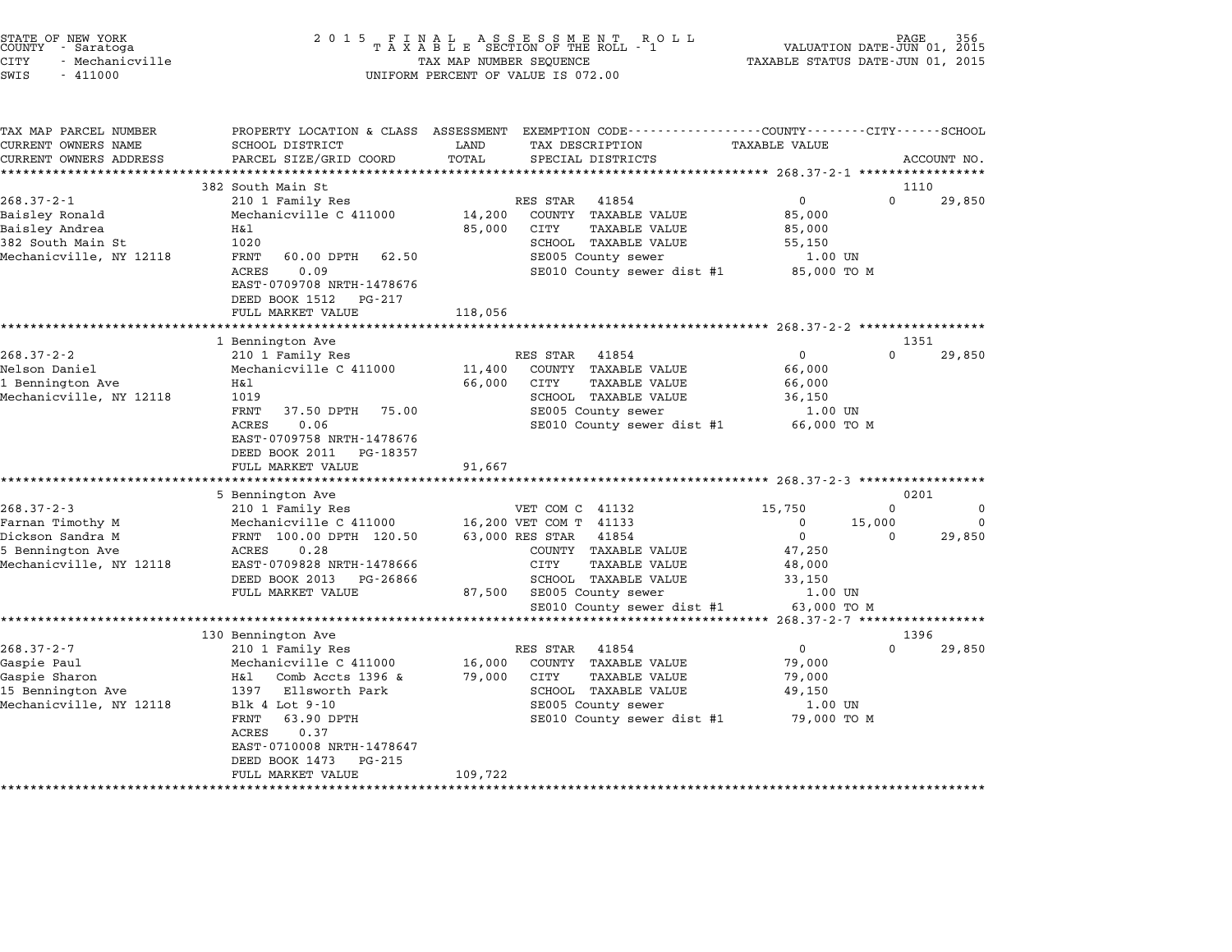| STATE OF NEW YORK<br>COUNTY<br>- Saratoga<br><b>CITY</b><br>- Mechanicville | 2 0 1 5                                                                           | TAX MAP NUMBER SEQUENCE | FINAL ASSESSMENT ROTAXABLE SECTION OF THE ROLL - 1<br>R O L L                                        | TAXABLE STATUS DATE-JUN 01, 2015      | PAGE<br>VALUATION DATE-JUN 01, 2015 |             |
|-----------------------------------------------------------------------------|-----------------------------------------------------------------------------------|-------------------------|------------------------------------------------------------------------------------------------------|---------------------------------------|-------------------------------------|-------------|
| SWIS<br>$-411000$                                                           |                                                                                   |                         | UNIFORM PERCENT OF VALUE IS 072.00                                                                   |                                       |                                     |             |
| TAX MAP PARCEL NUMBER<br>CURRENT OWNERS NAME<br>CURRENT OWNERS ADDRESS      | PROPERTY LOCATION & CLASS ASSESSMENT<br>SCHOOL DISTRICT<br>PARCEL SIZE/GRID COORD | LAND<br>TOTAL           | EXEMPTION CODE-----------------COUNTY-------CITY------SCHOOL<br>TAX DESCRIPTION<br>SPECIAL DISTRICTS | <b>TAXABLE VALUE</b>                  |                                     | ACCOUNT NO. |
|                                                                             | *************************                                                         |                         |                                                                                                      |                                       |                                     |             |
| $268.37 - 2 - 1$                                                            | 382 South Main St<br>210 1 Family Res                                             |                         | RES STAR<br>41854                                                                                    | 0                                     | 1110<br>$\Omega$                    | 29,850      |
| Baisley Ronald                                                              | Mechanicville C 411000                                                            | 14,200                  | COUNTY TAXABLE VALUE                                                                                 | 85,000                                |                                     |             |
| Baisley Andrea                                                              | Η&l                                                                               | 85,000                  | CITY<br>TAXABLE VALUE                                                                                | 85,000                                |                                     |             |
| 382 South Main St                                                           | 1020                                                                              |                         | SCHOOL TAXABLE VALUE                                                                                 | 55,150                                |                                     |             |
| Mechanicville, NY 12118                                                     | FRNT<br>60.00 DPTH<br>62.50                                                       |                         | SE005 County sewer                                                                                   | 1.00 UN                               |                                     |             |
|                                                                             | <b>ACRES</b><br>0.09<br>EAST-0709708 NRTH-1478676                                 |                         | SE010 County sewer dist #1                                                                           | 85,000 TO M                           |                                     |             |
|                                                                             | DEED BOOK 1512<br>PG-217                                                          |                         |                                                                                                      |                                       |                                     |             |
|                                                                             | FULL MARKET VALUE                                                                 | 118,056                 |                                                                                                      |                                       |                                     |             |
|                                                                             | ************************                                                          | ****************        |                                                                                                      |                                       |                                     |             |
|                                                                             | 1 Bennington Ave                                                                  |                         |                                                                                                      |                                       | 1351                                |             |
| $268.37 - 2 - 2$                                                            | 210 1 Family Res                                                                  |                         | RES STAR<br>41854                                                                                    | 0                                     | $\Omega$                            | 29,850      |
| Nelson Daniel                                                               | Mechanicville C 411000                                                            | 11,400                  | COUNTY TAXABLE VALUE                                                                                 | 66,000                                |                                     |             |
| 1 Bennington Ave                                                            | Η&l                                                                               | 66,000                  | CITY<br><b>TAXABLE VALUE</b>                                                                         | 66,000                                |                                     |             |
| Mechanicville, NY 12118                                                     | 1019                                                                              |                         | SCHOOL TAXABLE VALUE                                                                                 | 36,150                                |                                     |             |
|                                                                             | FRNT<br>37.50 DPTH<br>75.00                                                       |                         | SE005 County sewer                                                                                   | 1.00 UN                               |                                     |             |
|                                                                             | 0.06<br>ACRES                                                                     |                         | SE010 County sewer dist #1                                                                           | 66,000 TO M                           |                                     |             |
|                                                                             | EAST-0709758 NRTH-1478676                                                         |                         |                                                                                                      |                                       |                                     |             |
|                                                                             | DEED BOOK 2011<br>PG-18357                                                        |                         |                                                                                                      |                                       |                                     |             |
|                                                                             | FULL MARKET VALUE                                                                 | 91,667                  |                                                                                                      | *************** 268.37-2-3 ********** |                                     |             |
|                                                                             | 5 Bennington Ave                                                                  |                         |                                                                                                      |                                       | 0201                                |             |
| $268.37 - 2 - 3$                                                            | 210 1 Family Res                                                                  |                         | VET COM C 41132                                                                                      | 15,750                                | $\Omega$                            | $\Omega$    |
| Farnan Timothy M                                                            | Mechanicville C 411000                                                            |                         | 16,200 VET COM T 41133                                                                               | $\Omega$                              | 15,000                              | $\Omega$    |
| Dickson Sandra M                                                            | FRNT 100.00 DPTH 120.50                                                           |                         | 63,000 RES STAR<br>41854                                                                             | $\mathbf 0$                           | $\Omega$                            | 29,850      |
| 5 Bennington Ave                                                            | ACRES<br>0.28                                                                     |                         | COUNTY TAXABLE VALUE                                                                                 | 47,250                                |                                     |             |
| Mechanicville, NY 12118                                                     | EAST-0709828 NRTH-1478666                                                         |                         | CITY<br>TAXABLE VALUE                                                                                | 48,000                                |                                     |             |
|                                                                             | DEED BOOK 2013<br>PG-26866                                                        |                         | SCHOOL TAXABLE VALUE                                                                                 | 33,150                                |                                     |             |
|                                                                             | FULL MARKET VALUE                                                                 | 87,500                  | SE005 County sewer                                                                                   | 1.00 UN                               |                                     |             |
|                                                                             |                                                                                   |                         | SE010 County sewer dist #1                                                                           | 63,000 TO M                           |                                     |             |
|                                                                             | *************************************                                             |                         |                                                                                                      |                                       |                                     |             |
|                                                                             | 130 Bennington Ave                                                                |                         |                                                                                                      |                                       | 1396                                |             |
| $268.37 - 2 - 7$                                                            | 210 1 Family Res                                                                  |                         | RES STAR<br>41854                                                                                    | 0                                     | $\Omega$                            | 29,850      |
| Gaspie Paul                                                                 | Mechanicville C 411000                                                            | 16,000                  | COUNTY TAXABLE VALUE                                                                                 | 79,000                                |                                     |             |
| Gaspie Sharon<br>15 Bennington Ave                                          | H&l<br>Comb Accts 1396 $\&$<br>1397<br>Ellsworth Park                             | 79,000                  | CITY<br>TAXABLE VALUE<br>SCHOOL TAXABLE VALUE                                                        | 79,000<br>49,150                      |                                     |             |
| Mechanicville, NY 12118                                                     | Blk 4 Lot 9-10                                                                    |                         | SE005 County sewer                                                                                   | 1.00 UN                               |                                     |             |
|                                                                             | FRNT<br>63.90 DPTH                                                                |                         | SE010 County sewer dist #1                                                                           | 79,000 TO M                           |                                     |             |
|                                                                             | ACRES<br>0.37                                                                     |                         |                                                                                                      |                                       |                                     |             |
|                                                                             | EAST-0710008 NRTH-1478647                                                         |                         |                                                                                                      |                                       |                                     |             |
|                                                                             | DEED BOOK 1473<br>PG-215                                                          |                         |                                                                                                      |                                       |                                     |             |
|                                                                             | FULL MARKET VALUE                                                                 | 109,722                 |                                                                                                      |                                       |                                     |             |
|                                                                             | ******************                                                                |                         |                                                                                                      |                                       |                                     |             |

STATE OF NEW YORK <sup>2</sup> <sup>0</sup> <sup>1</sup> 5 F I N A L A S S E S S M E N T R O L L PAGE <sup>356</sup> COUNTY - Saratoga <sup>T</sup> <sup>A</sup> <sup>X</sup> <sup>A</sup> <sup>B</sup> <sup>L</sup> <sup>E</sup> SECTION OF THE ROLL - <sup>1</sup> VALUATION DATE-JUN 01, <sup>2015</sup>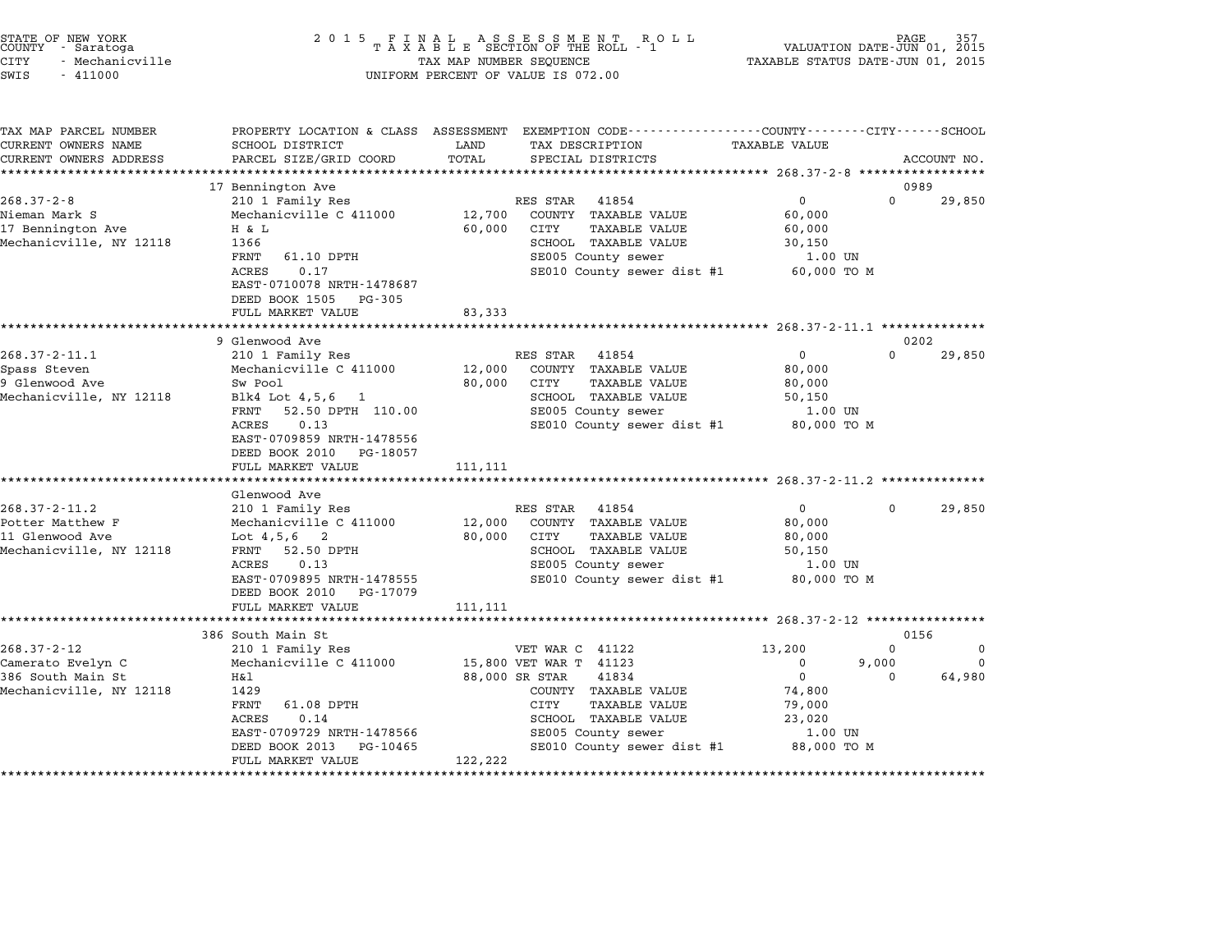| TATE OF NEW YORK<br>OUNTY - Saratoga |  |                 |
|--------------------------------------|--|-----------------|
| ITY                                  |  | - Mechanicville |

# STATE OF NEW YORK <sup>2</sup> <sup>0</sup> <sup>1</sup> 5 F I N A L A S S E S S M E N T R O L L PAGE <sup>357</sup> COUNTY - Saratoga <sup>T</sup> <sup>A</sup> <sup>X</sup> <sup>A</sup> <sup>B</sup> <sup>L</sup> <sup>E</sup> SECTION OF THE ROLL - <sup>1</sup> VALUATION DATE-JUN 01, <sup>2015</sup> STATE OF NEW YORK (NEW SOLUTION OF NEW TAX LET A SUBSER SUBSER OF NEW THE ROLL PAGE OF NEW THAT OF SAME NUMBER<br>COUNTY - Saratoga (2015 TAXABLE STATUS DATE-JUN 01, 2015 TAXABLE STATUS DATE-JUN 01, 2015<br>CITY - Mechanicville SWIS - <sup>411000</sup> UNIFORM PERCENT OF VALUE IS 072.00

TAX MAP PARCEL NUMBER PROPERTY LOCATION & CLASS ASSESSMENT EXEMPTION CODE------------------COUNTY--------CITY------SCHOOL CURRENT OWNERS NAME SCHOOL DISTRICT LAND TAX DESCRIPTION TAXABLE VALUE CURRENT OWNERS ADDEER FOUR DISTRICTS AND ASSESSEENT EXERPTION TRACK THE TRACKE SERVER OWNERS ADDRESS SANGEL SIZE/GRID COORD TOTAL SERVET ON TRANSFERS ADDRESS PARCEL SIZE/GRID COORD TOTAL SPECIAL DISTRICTS ACCOUNT NO. <sup>17</sup> Bennington Ave <sup>0989</sup> 1268.37-2-8 17 Bennington Ave 200.37-2-8 210 1 Family Res RES STAR 41854 0 0 29,850 Nieman Mark S Mechanicville C <sup>411000</sup> 12,700 COUNTY TAXABLE VALUE 60,000 1990. In the Mark of the Market Hammer (1990)<br>17,700 COUNTY TAXABLE VALUE 60,000<br>17 Bennington Ave H & L 60,000 CITY TAXABLE VALUE 60,000 Nieman Mark Strain (Mark Mechanicville C 411000 12,700 CONTRITAABLE VALUE 30,000 0000 12,700 CONTRITAABLE VALUE<br>17 Bennington Ave H & L 366 60,000 CITY TAXABLE VALUE 50,000 130,150<br>Mechanicville, NY 12118 1366 5000 12000 1 1 a 11 and 12 and 12 and 12 and 12 and 12 and 12 and 1366<br>SCOOL TAXABLE VALUE SOLUTION 12 and 1.00 UN<br>FRNT 61.10 DPTH SE005 County sewer 1.00 UN SCHOOL TAXABLE VALUE 30,150<br>SE005 County sewer 1.00 UN<br>SE010 County sewer dist #1 60,000 TO M FRNT 61.10 DPTH<br>ACRES 0.17<br>EAST-0710078 NRTH-1478687 EAST-0710078 NRTH-14786<br>DEED BOOK 1505 PG-305 EAST 0710070 MAIN 1470007<br>
DEED BOOK 1505 PG-305<br>
FULL MARKET VALUE 83,333 \*\*\*\*\*\*\*\*\*\*\*\*\*\*\*\*\*\*\*\*\*\*\*\*\*\*\*\*\*\*\*\*\*\*\*\*\*\*\*\*\*\*\*\*\*\*\*\*\*\*\*\*\*\*\*\*\*\*\*\*\*\*\*\*\*\*\*\*\*\*\*\*\*\*\*\*\*\*\*\*\*\*\*\*\*\*\*\*\*\*\*\*\*\*\*\*\*\*\*\*\*\*\* 268.37-2-11.1 \*\*\*\*\*\*\*\*\*\*\*\*\*\* <sup>9</sup> Glenwood Ave <sup>0202</sup> 268.37-2-11.1 2002 202<br>268.37-2-11.1 210 1 Family Res RES STAR 41854 0 0202<br>268.37-2-11.1 210 1 Family Res RES STAR 41854 0 0 29,850 SPASS STAR 1853 TALL 2012 (NES STAR 1954 MESS STAR 41854 MECHANICUL AND SUIT CONTROLLER SUMMEN 2000 2010 12,000<br>Spass Steven Mechanicville C 411000 12,000 COUNTY TAXABLE VALUE 80,000 9 Go. 210 Hell of Training Research Control of Magnetic Control of Magnetic Control of Magnetic Control of Magne<br>19 Glenwood Ave Sw Pool Sw Pool 80,000 CITY TAXABLE VALUE 80,000 سود السمر المركز المركز المركز المركز المركز المركز المركز المركز المركز المركز المركز المركز المركز المركز ال<br>Mechanicville, NY 12118 Blk4 Lot 4,5,6 1 SCHOOL TAXABLE VALUE 50,000 8 SCHOOL TAXABLE VALUE 50,000 CUTY SW POOL SOURCE THE TAABLE VALUE SOLUTE SOLUTE SECTION SCHOOL TAXABLE VALUE SOLUTE SOLUTE SOLUTE SOLUTE SOLUTE<br>FRNT 52.50 DPTH 110.00 SE005 County sewer 1.00 UN ACRES 0.13,0 THE COUNTRAL SECOLUTE ANALY SERVER AND TRAFFICING UNIT OF THE SECOLUTE OF SECOLUTE OF SECOLUTE OF<br>FRINT 52.50 DPTH 110.00 SECOLUTE SECOLUTE SECOLUTE SECOLUTE OF SECOLUTE OF SECOLUTE OF SECOLUTE OF SECOLUTE SE EAST-0709859 NRTH-1478556 ACRES 0.13<br>EAST-0709859 NRTH-1478556<br>DEED BOOK 2010 PG-18057 FULL MARKET VALUE 111,111 \*\*\*\*\*\*\*\*\*\*\*\*\*\*\*\*\*\*\*\*\*\*\*\*\*\*\*\*\*\*\*\*\*\*\*\*\*\*\*\*\*\*\*\*\*\*\*\*\*\*\*\*\*\*\*\*\*\*\*\*\*\*\*\*\*\*\*\*\*\*\*\*\*\*\*\*\*\*\*\*\*\*\*\*\*\*\*\*\*\*\*\*\*\*\*\*\*\*\*\*\*\*\* 268.37-2-11.2 \*\*\*\*\*\*\*\*\*\*\*\*\*\* ronn marrei<br>\*\*\*\*\*\*\*\*\*\*\*\*<br>Glenwood Ave 268.37-2-11.2 200.37 CHENNOOD AVE RES STAR 41854 0 0 29,850 9 - Sue Matthew Matthew Matthew Matthew Matthew F (1854 - 210 10 10 100 1100 12,000 0000 12,000 COUNTY TAXABLE VALUE 80,000<br>Potter Matthew F Mechanicville C 411000 12,000 COUNTY TAXABLE <sup>11</sup> Glenwood Ave Lot 4,5,6 <sup>2</sup> 80,000 CITY TAXABLE VALUE 80,000 FICCEL MACCHEW FARCHIST MECHANICVILLE CHILOGON AND TRANSPORTED AND SOUTH AN INSURED SOUTH AN INCREDIBLE VALUE<br>10 1 GITY SANT SALUE 50,000 SOUTH SOUTH SOUTH SOUTH SOUTH SOUTH SOUTH SOUTH SOUTH SOUTH SOUTH SOUTH SOUTH SOUT<br>M NOT TAXABLE VALUE SOLUTION OUTSIDE AND SUPPORT SERVICE SERVICE SUPPORT AND SUPPORT SUPPORT SUPPORT SERVICE SUPPORT SUPPORT SERVICE SUPPORT SUPPORT SUPPORT SUPPORT SUPPORT SUPPORT SUPPORT SUPPORT SUPPORT SUPPORT SUPPORT SUP EAST-0709895 NRTH-1478555 SE010 County sewer dist #1 80,000 TO <sup>M</sup> ACRES 0.13<br>EAST-0709895 NRTH-1478555 SED10 County sewer dist #1 80,000 TO M<br>DEED BOOK 2010 PG-17079 SED10 County sewer dist #1 80,000 TO M FULL MARKET VALUE 111,111 \*\*\*\*\*\*\*\*\*\*\*\*\*\*\*\*\*\*\*\*\*\*\*\*\*\*\*\*\*\*\*\*\*\*\*\*\*\*\*\*\*\*\*\*\*\*\*\*\*\*\*\*\*\*\*\*\*\*\*\*\*\*\*\*\*\*\*\*\*\*\*\*\*\*\*\*\*\*\*\*\*\*\*\*\*\*\*\*\*\*\*\*\*\*\*\*\*\*\*\*\*\*\* 268.37-2-12 \*\*\*\*\*\*\*\*\*\*\*\*\*\*\*\* 386 South Main St 0156 268.37-2-12 386 South Main St<br>268.37-2-12 210 1 Family Res VET WAR C 41122 13,200 0 Camerato Evelyn C Mechanicville C <sup>411000</sup> 15,800 VET WAR T <sup>41123</sup> <sup>0</sup> 9,000 <sup>0</sup> 386 South Main State of Microsoft Main State of Microsoft Main State of Microsoft Main State of Microsoft Micr<br>286 South Main State Microsoft Microsoft Microsoft Microsoft Microsoft Microsoft Microsoft Microsoft Microsoft Mechanicville, NY <sup>12118</sup> <sup>1429</sup> COUNTY TAXABLE VALUE 74,800 nai de control de control de control de control de control de control de control de control de control de contr<br>TAXABLE VALUE 79,000<br>FRNT 61.08 DPTH CITY TAXABLE VALUE 79,000 1429 - ACRES 61.08 DPTH COMMIT AAABLE VALUE 1999,000<br>FRINT 61.08 DPTH CITY TAXABLE VALUE 23,000<br>ACRES 0.14 SCHOOL TAXABLE VALUE 23,020 EART UITOURTHE SERVICE SERVICE SERVICE SERVICE SERVICE SERVICE SERVICE SERVICE SERVICE SERVICE SERVICE SERVICE<br>ACRES 0.14 DETERTMENT SCRIPTION SERVICE SERVICE SERVICE SERVICE SERVICE SERVICE SERVICE SERVICE SERVICE SERVIC<br> EAST-0709729 NRTH-1478566 SE005 COUNTY SERVER SERVER SERVER SERVER SERVER SERVER SERVER SERVER SERVER SERVER SERVER SERVER SERVER SERVER SERVER SERVER SERVER SERVER SERVER SERVER SERVER SERVER SERVER SERVER SERVER SERVER S EAST 0709729 MAIN 1470500<br>DEED BOOK 2013 PG-10465<br>FULL MARKET VALUE 122,222 \*\*\*\*\*\*\*\*\*\*\*\*\*\*\*\*\*\*\*\*\*\*\*\*\*\*\*\*\*\*\*\*\*\*\*\*\*\*\*\*\*\*\*\*\*\*\*\*\*\*\*\*\*\*\*\*\*\*\*\*\*\*\*\*\*\*\*\*\*\*\*\*\*\*\*\*\*\*\*\*\*\*\*\*\*\*\*\*\*\*\*\*\*\*\*\*\*\*\*\*\*\*\*\*\*\*\*\*\*\*\*\*\*\*\*\*\*\*\*\*\*\*\*\*\*\*\*\*\*\*\*\*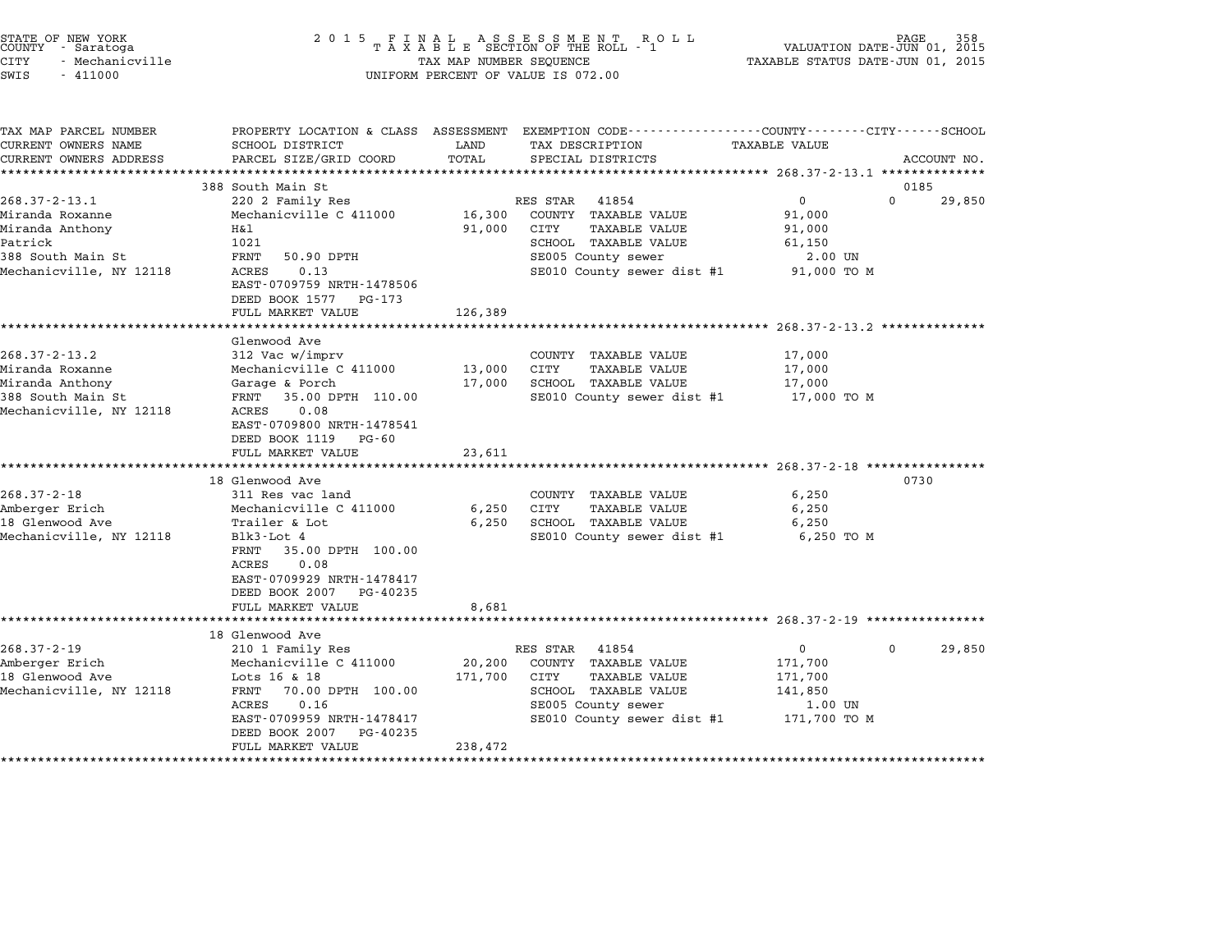| STATE OF NEW YORK<br>COUNTY - Saratoga                                                                    | 2 0 1 5                                                                                                                                                                                               |                   | FINAL ASSESSMENT ROLL<br>TAXABLE SECTION OF THE ROLL - 1                                                                                              |                                                                          | PAGE<br>VALUATION DATE-JUN 01, 2015 |
|-----------------------------------------------------------------------------------------------------------|-------------------------------------------------------------------------------------------------------------------------------------------------------------------------------------------------------|-------------------|-------------------------------------------------------------------------------------------------------------------------------------------------------|--------------------------------------------------------------------------|-------------------------------------|
| <b>CITY</b><br>- Mechanicville<br>SWIS<br>$-411000$                                                       |                                                                                                                                                                                                       |                   | TAX MAP NUMBER SEQUENCE<br>UNIFORM PERCENT OF VALUE IS 072.00                                                                                         | TAXABLE STATUS DATE-JUN 01, 2015                                         |                                     |
| TAX MAP PARCEL NUMBER<br>CURRENT OWNERS NAME<br>CURRENT OWNERS ADDRESS                                    | PROPERTY LOCATION & CLASS ASSESSMENT<br>SCHOOL DISTRICT<br>PARCEL SIZE/GRID COORD                                                                                                                     | LAND<br>TOTAL     | EXEMPTION CODE-----------------COUNTY-------CITY------SCHOOL<br>TAX DESCRIPTION<br>SPECIAL DISTRICTS                                                  | <b>TAXABLE VALUE</b>                                                     | ACCOUNT NO.                         |
|                                                                                                           | 388 South Main St                                                                                                                                                                                     |                   |                                                                                                                                                       | ***************** 268.37-2-13.1 **************                           | 0185                                |
| $268.37 - 2 - 13.1$                                                                                       | 220 2 Family Res                                                                                                                                                                                      |                   | RES STAR<br>41854                                                                                                                                     | $\overline{0}$                                                           | $\Omega$<br>29,850                  |
| Miranda Roxanne<br>Miranda Anthony<br>Patrick<br>388 South Main St<br>Mechanicville, NY 12118             | Mechanicville C 411000<br>H&l<br>1021<br>FRNT<br>50.90 DPTH<br>ACRES<br>0.13<br>EAST-0709759 NRTH-1478506<br>DEED BOOK 1577 PG-173                                                                    | 16,300<br>91,000  | COUNTY TAXABLE VALUE<br>CITY<br>TAXABLE VALUE<br>SCHOOL TAXABLE VALUE<br>SE005 County sewer<br>SE010 County sewer dist #1                             | 91,000<br>91,000<br>61,150<br>2.00 UN<br>91,000 TO M                     |                                     |
|                                                                                                           | FULL MARKET VALUE                                                                                                                                                                                     | 126,389           |                                                                                                                                                       |                                                                          |                                     |
|                                                                                                           |                                                                                                                                                                                                       |                   |                                                                                                                                                       |                                                                          |                                     |
| $268.37 - 2 - 13.2$<br>Miranda Roxanne<br>Miranda Anthony<br>388 South Main St<br>Mechanicville, NY 12118 | Glenwood Ave<br>312 Vac w/imprv<br>Mechanicville C 411000<br>Garage & Porch<br>35.00 DPTH 110.00<br>FRNT<br>ACRES<br>0.08<br>EAST-0709800 NRTH-1478541                                                | 13,000<br>17,000  | COUNTY TAXABLE VALUE<br>CITY<br>TAXABLE VALUE<br>SCHOOL TAXABLE VALUE<br>SE010 County sewer dist #1                                                   | 17,000<br>17,000<br>17,000<br>17,000 TO M                                |                                     |
|                                                                                                           | DEED BOOK 1119<br>PG-60<br>FULL MARKET VALUE                                                                                                                                                          | 23,611            |                                                                                                                                                       |                                                                          |                                     |
|                                                                                                           | **************************                                                                                                                                                                            |                   |                                                                                                                                                       |                                                                          |                                     |
| $268.37 - 2 - 18$<br>Amberger Erich<br>18 Glenwood Ave<br>Mechanicville, NY 12118                         | 18 Glenwood Ave<br>311 Res vac land<br>Mechanicville C 411000<br>Trailer & Lot<br>Blk3-Lot 4<br>35.00 DPTH 100.00<br>FRNT<br>ACRES<br>0.08<br>EAST-0709929 NRTH-1478417<br>DEED BOOK 2007<br>PG-40235 | 6,250<br>6,250    | COUNTY TAXABLE VALUE<br>CITY<br>TAXABLE VALUE<br>SCHOOL TAXABLE VALUE<br>SE010 County sewer dist #1                                                   | 6,250<br>6,250<br>6,250<br>6,250 TO M                                    | 0730                                |
|                                                                                                           | FULL MARKET VALUE<br>*********************                                                                                                                                                            | 8,681             |                                                                                                                                                       | ****************************** 268.37-2-19 ****************              |                                     |
|                                                                                                           | 18 Glenwood Ave                                                                                                                                                                                       |                   |                                                                                                                                                       |                                                                          |                                     |
| $268.37 - 2 - 19$<br>Amberger Erich<br>18 Glenwood Ave<br>Mechanicville, NY 12118                         | 210 1 Family Res<br>Mechanicville C 411000<br>Lots 16 & 18<br>70.00 DPTH 100.00<br>FRNT<br>ACRES<br>0.16<br>EAST-0709959 NRTH-1478417<br>DEED BOOK 2007<br>PG-40235                                   | 20,200<br>171,700 | RES STAR<br>41854<br>COUNTY TAXABLE VALUE<br>CITY<br><b>TAXABLE VALUE</b><br>SCHOOL TAXABLE VALUE<br>SE005 County sewer<br>SE010 County sewer dist #1 | $\mathbf{0}$<br>171,700<br>171,700<br>141,850<br>1.00 UN<br>171,700 TO M | 29,850<br>$\Omega$                  |
|                                                                                                           | FULL MARKET VALUE                                                                                                                                                                                     | 238,472           |                                                                                                                                                       |                                                                          |                                     |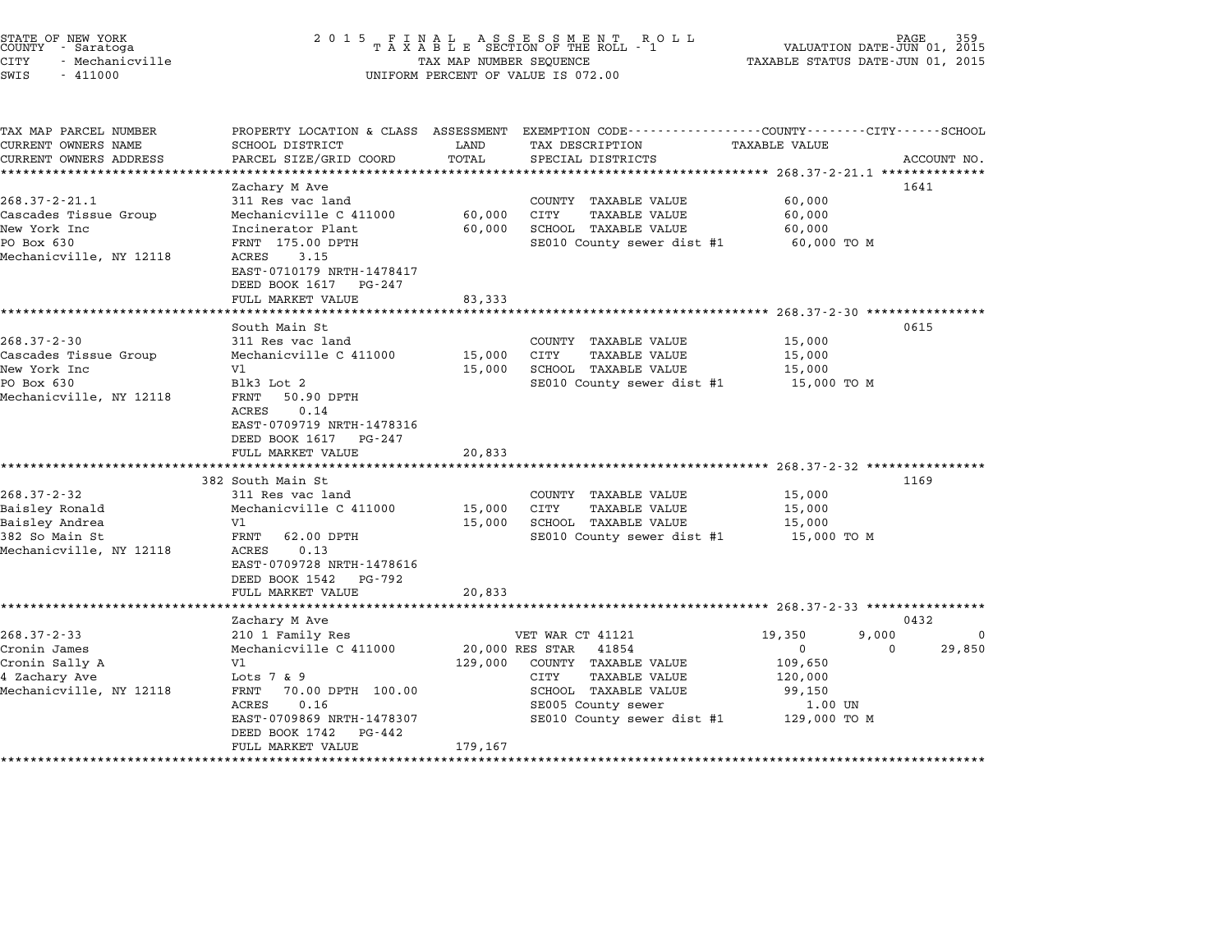| STATE OF NEW YORK<br>COUNTY<br>- Saratoga<br>CITY<br>- Mechanicville<br>SWIS<br>$-411000$ | 2 0 1 5                                               | TAX MAP NUMBER SEQUENCE | FINAL ASSESSMENT ROLL<br>TAXABLE SECTION OF THE ROLL - 1<br>UNIFORM PERCENT OF VALUE IS 072.00   | VALUATION DATE-JUN 01, 2015<br>TAXABLE STATUS DATE-JUN 01, 2015 | PAGE        |
|-------------------------------------------------------------------------------------------|-------------------------------------------------------|-------------------------|--------------------------------------------------------------------------------------------------|-----------------------------------------------------------------|-------------|
| TAX MAP PARCEL NUMBER                                                                     |                                                       |                         | PROPERTY LOCATION & CLASS ASSESSMENT EXEMPTION CODE----------------COUNTY-------CITY------SCHOOL |                                                                 |             |
| CURRENT OWNERS NAME                                                                       | SCHOOL DISTRICT                                       | LAND                    | TAX DESCRIPTION                                                                                  | TAXABLE VALUE                                                   |             |
| CURRENT OWNERS ADDRESS<br>***********************                                         | PARCEL SIZE/GRID COORD                                | TOTAL                   | SPECIAL DISTRICTS                                                                                |                                                                 | ACCOUNT NO. |
|                                                                                           | Zachary M Ave                                         |                         |                                                                                                  |                                                                 | 1641        |
| $268.37 - 2 - 21.1$                                                                       | 311 Res vac land                                      |                         | COUNTY TAXABLE VALUE                                                                             | 60,000                                                          |             |
| Cascades Tissue Group                                                                     | Mechanicville C 411000                                | 60,000                  | <b>CITY</b><br><b>TAXABLE VALUE</b>                                                              | 60,000                                                          |             |
| New York Inc                                                                              | Incinerator Plant                                     | 60,000                  | SCHOOL TAXABLE VALUE                                                                             | 60,000                                                          |             |
| PO Box 630                                                                                | FRNT 175.00 DPTH                                      |                         | SE010 County sewer dist #1                                                                       | 60,000 TO M                                                     |             |
| Mechanicville, NY 12118                                                                   | 3.15<br>ACRES                                         |                         |                                                                                                  |                                                                 |             |
|                                                                                           | EAST-0710179 NRTH-1478417<br>DEED BOOK 1617 PG-247    |                         |                                                                                                  |                                                                 |             |
|                                                                                           | FULL MARKET VALUE                                     | 83,333                  |                                                                                                  |                                                                 |             |
|                                                                                           | **********************                                |                         |                                                                                                  | **************** 268.37-2-30 *****************                  |             |
|                                                                                           | South Main St                                         |                         |                                                                                                  |                                                                 | 0615        |
| $268.37 - 2 - 30$                                                                         | 311 Res vac land                                      |                         | COUNTY TAXABLE VALUE                                                                             | 15,000                                                          |             |
| Cascades Tissue Group                                                                     | Mechanicville C 411000                                | 15,000                  | <b>CITY</b><br><b>TAXABLE VALUE</b>                                                              | 15,000                                                          |             |
| New York Inc                                                                              | V1                                                    | 15,000                  | SCHOOL TAXABLE VALUE                                                                             | 15,000                                                          |             |
| PO Box 630                                                                                | Blk3 Lot 2                                            |                         | SE010 County sewer dist #1                                                                       | 15,000 TO M                                                     |             |
| Mechanicville, NY 12118                                                                   | FRNT<br>50.90 DPTH                                    |                         |                                                                                                  |                                                                 |             |
|                                                                                           | 0.14<br>ACRES                                         |                         |                                                                                                  |                                                                 |             |
|                                                                                           | EAST-0709719 NRTH-1478316                             |                         |                                                                                                  |                                                                 |             |
|                                                                                           | DEED BOOK 1617<br>PG-247<br>FULL MARKET VALUE         | 20,833                  |                                                                                                  |                                                                 |             |
|                                                                                           | *******************                                   |                         |                                                                                                  | $268.37 - 2 - 32$ ****************                              |             |
|                                                                                           | 382 South Main St                                     |                         |                                                                                                  |                                                                 | 1169        |
| $268.37 - 2 - 32$                                                                         | 311 Res vac land                                      |                         | COUNTY TAXABLE VALUE                                                                             | 15,000                                                          |             |
| Baisley Ronald                                                                            | Mechanicville C 411000                                | 15,000                  | CITY<br>TAXABLE VALUE                                                                            | 15,000                                                          |             |
| Baisley Andrea                                                                            | V1                                                    | 15,000                  | SCHOOL TAXABLE VALUE                                                                             | 15,000                                                          |             |
| 382 So Main St                                                                            | FRNT<br>62.00 DPTH                                    |                         | SE010 County sewer dist #1                                                                       | 15,000 TO M                                                     |             |
| Mechanicville, NY 12118                                                                   | 0.13<br>ACRES                                         |                         |                                                                                                  |                                                                 |             |
|                                                                                           | EAST-0709728 NRTH-1478616                             |                         |                                                                                                  |                                                                 |             |
|                                                                                           | DEED BOOK 1542<br>PG-792                              |                         |                                                                                                  |                                                                 |             |
|                                                                                           | FULL MARKET VALUE                                     | 20,833                  |                                                                                                  |                                                                 |             |
|                                                                                           | *****************                                     |                         |                                                                                                  | ********************* 268.37-2-33 ***************               |             |
|                                                                                           | Zachary M Ave                                         |                         |                                                                                                  |                                                                 | 0432        |
| $268.37 - 2 - 33$                                                                         | 210 1 Family Res                                      |                         | VET WAR CT 41121                                                                                 | 19,350<br>9,000                                                 | $\mathbf 0$ |
| Cronin James                                                                              | Mechanicville C 411000                                |                         | 20,000 RES STAR<br>41854                                                                         | 0                                                               | 29,850<br>0 |
| Cronin Sally A                                                                            | V1                                                    | 129,000                 | COUNTY TAXABLE VALUE                                                                             | 109,650                                                         |             |
| 4 Zachary Ave                                                                             | Lots $7 \& 9$                                         |                         | CITY<br>TAXABLE VALUE                                                                            | 120,000                                                         |             |
| Mechanicville, NY 12118                                                                   | FRNT<br>70.00 DPTH 100.00                             |                         | SCHOOL TAXABLE VALUE                                                                             | 99,150                                                          |             |
|                                                                                           | ACRES<br>0.16                                         |                         | SE005 County sewer                                                                               | 1.00 UN                                                         |             |
|                                                                                           | EAST-0709869 NRTH-1478307<br>DEED BOOK 1742<br>PG-442 |                         | SE010 County sewer dist #1                                                                       | 129,000 TO M                                                    |             |
|                                                                                           | FULL MARKET VALUE                                     | 179,167                 |                                                                                                  |                                                                 |             |
|                                                                                           | ********************                                  |                         |                                                                                                  |                                                                 |             |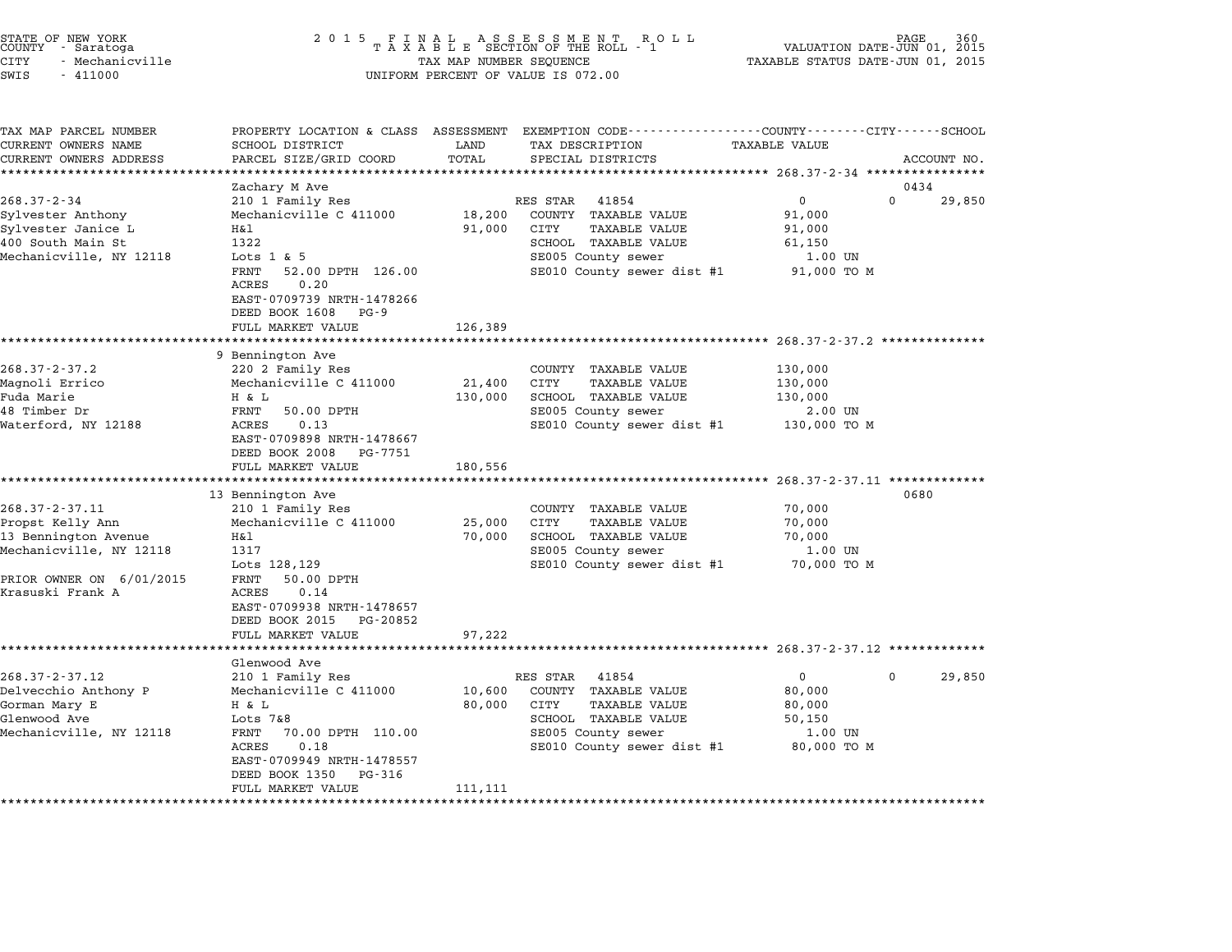| STATE OF NEW YORK<br>COUNTY |  | - Saratoga      |  |
|-----------------------------|--|-----------------|--|
| CITY                        |  | - Mechanicville |  |

# STATE OF NEW YORK <sup>2</sup> <sup>0</sup> <sup>1</sup> 5 F I N A L A S S E S S M E N T R O L L PAGE <sup>360</sup> COUNTY - Saratoga <sup>T</sup> <sup>A</sup> <sup>X</sup> <sup>A</sup> <sup>B</sup> <sup>L</sup> <sup>E</sup> SECTION OF THE ROLL - <sup>1</sup> VALUATION DATE-JUN 01, <sup>2015</sup> STATE OF NEW YORK (NEW SOLUME 2 0 1 5 F I N A L A S S E S S M E N T A R O L L AND TORE TAS COUNTY - SACE 360<br>COUNTY - Saratoga (2015 - TAXABLE SECTION OF THE ROLL - 1 (2015)<br>CITY - Mechanicville (2015 - TAXABLE STATUS DATE SWIS - <sup>411000</sup> UNIFORM PERCENT OF VALUE IS 072.00

| TAX MAP PARCEL NUMBER    | PROPERTY LOCATION & CLASS ASSESSMENT                                    |         | EXEMPTION CODE-----------------COUNTY-------CITY------SCHOOL |                                                    |                       |
|--------------------------|-------------------------------------------------------------------------|---------|--------------------------------------------------------------|----------------------------------------------------|-----------------------|
| CURRENT OWNERS NAME      | SCHOOL DISTRICT                                                         | LAND    | TAX DESCRIPTION                                              | <b>TAXABLE VALUE</b>                               |                       |
| CURRENT OWNERS ADDRESS   | PARCEL SIZE/GRID COORD                                                  | TOTAL   | SPECIAL DISTRICTS                                            |                                                    | ACCOUNT NO.           |
|                          |                                                                         |         |                                                              |                                                    |                       |
|                          | Zachary M Ave                                                           |         |                                                              |                                                    | 0434                  |
| $268.37 - 2 - 34$        | 210 1 Family Res                                                        |         | RES STAR<br>41854                                            | $\mathbf 0$                                        | $\Omega$<br>29,850    |
| Sylvester Anthony        | Mechanicville C 411000                                                  | 18,200  | COUNTY TAXABLE VALUE                                         | 91,000                                             |                       |
| Sylvester Janice L       | Η&l                                                                     | 91,000  | CITY<br><b>TAXABLE VALUE</b>                                 | 91,000                                             |                       |
| 400 South Main St        | 1322                                                                    |         | SCHOOL TAXABLE VALUE                                         | 61,150                                             |                       |
| Mechanicville, NY 12118  | Lots $1 \& 5$                                                           |         | SE005 County sewer                                           | 1.00 UN                                            |                       |
|                          | FRNT<br>52.00 DPTH 126.00<br>0.20<br>ACRES<br>EAST-0709739 NRTH-1478266 |         | SE010 County sewer dist #1                                   | 91,000 TO M                                        |                       |
|                          | DEED BOOK 1608<br>PG - 9                                                |         |                                                              |                                                    |                       |
|                          | FULL MARKET VALUE                                                       | 126,389 |                                                              |                                                    |                       |
|                          |                                                                         |         |                                                              | ************************* 268.37-2-37.2 ********** |                       |
|                          | 9 Bennington Ave                                                        |         |                                                              |                                                    |                       |
| $268.37 - 2 - 37.2$      | 220 2 Family Res                                                        |         | COUNTY TAXABLE VALUE                                         | 130,000                                            |                       |
| Magnoli Errico           | Mechanicville C 411000                                                  | 21,400  | CITY<br><b>TAXABLE VALUE</b>                                 | 130,000                                            |                       |
| Fuda Marie               | H & L                                                                   | 130,000 | SCHOOL TAXABLE VALUE                                         | 130,000                                            |                       |
| 48 Timber Dr             | FRNT<br>50.00 DPTH                                                      |         | SE005 County sewer                                           | 2.00 UN                                            |                       |
| Waterford, NY 12188      | ACRES<br>0.13                                                           |         | SE010 County sewer dist #1                                   | 130,000 TO M                                       |                       |
|                          | EAST-0709898 NRTH-1478667                                               |         |                                                              |                                                    |                       |
|                          | DEED BOOK 2008<br>PG-7751                                               |         |                                                              |                                                    |                       |
|                          | FULL MARKET VALUE                                                       | 180,556 |                                                              |                                                    |                       |
|                          | ******************                                                      |         |                                                              | ****************** 268.37-2-37.11 *************    |                       |
|                          | 13 Bennington Ave                                                       |         |                                                              |                                                    | 0680                  |
| 268.37-2-37.11           | 210 1 Family Res                                                        |         | COUNTY TAXABLE VALUE                                         | 70,000                                             |                       |
| Propst Kelly Ann         | Mechanicville C 411000                                                  | 25,000  | CITY<br><b>TAXABLE VALUE</b>                                 | 70,000                                             |                       |
| 13 Bennington Avenue     | H&l                                                                     | 70,000  | SCHOOL TAXABLE VALUE                                         | 70,000                                             |                       |
| Mechanicville, NY 12118  | 1317                                                                    |         | SE005 County sewer                                           | 1.00 UN                                            |                       |
|                          | Lots 128, 129                                                           |         | SE010 County sewer dist #1                                   | 70,000 TO M                                        |                       |
| PRIOR OWNER ON 6/01/2015 | FRNT<br>50.00 DPTH                                                      |         |                                                              |                                                    |                       |
| Krasuski Frank A         | ACRES<br>0.14                                                           |         |                                                              |                                                    |                       |
|                          | EAST-0709938 NRTH-1478657                                               |         |                                                              |                                                    |                       |
|                          | DEED BOOK 2015<br>PG-20852                                              |         |                                                              |                                                    |                       |
|                          | FULL MARKET VALUE                                                       | 97,222  |                                                              |                                                    |                       |
|                          |                                                                         |         |                                                              |                                                    |                       |
|                          | Glenwood Ave                                                            |         |                                                              |                                                    |                       |
| $268.37 - 2 - 37.12$     | 210 1 Family Res                                                        |         | RES STAR<br>41854                                            | $\mathbf{0}$                                       | 29,850<br>$\mathbf 0$ |
| Delvecchio Anthony P     | Mechanicville C 411000                                                  | 10,600  | COUNTY TAXABLE VALUE                                         | 80,000                                             |                       |
| Gorman Mary E            | H & L                                                                   | 80,000  | CITY<br>TAXABLE VALUE                                        | 80,000                                             |                       |
| Glenwood Ave             | Lots $7&8$                                                              |         | SCHOOL TAXABLE VALUE                                         | 50,150                                             |                       |
| Mechanicville, NY 12118  | 70.00 DPTH 110.00<br>FRNT                                               |         | SE005 County sewer                                           | 1.00 UN                                            |                       |
|                          | 0.18<br>ACRES                                                           |         | SE010 County sewer dist #1                                   | 80,000 TO M                                        |                       |
|                          | EAST-0709949 NRTH-1478557                                               |         |                                                              |                                                    |                       |
|                          | DEED BOOK 1350<br>PG-316                                                |         |                                                              |                                                    |                       |
|                          | FULL MARKET VALUE                                                       | 111,111 |                                                              |                                                    |                       |
|                          |                                                                         |         |                                                              |                                                    |                       |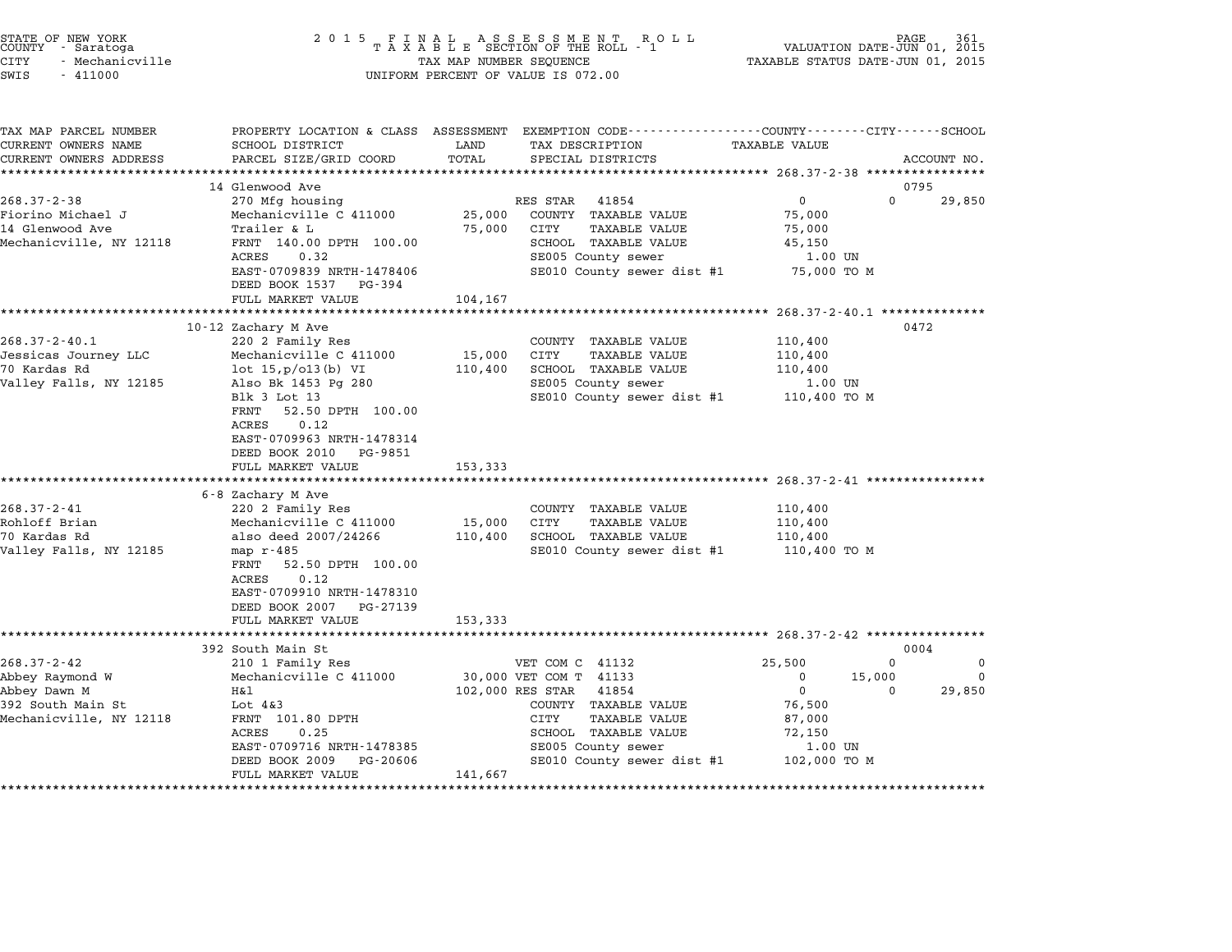| STATE OF NEW YORK<br>COUNTY - Saratoga<br><b>CITY</b><br>- Mechanicville<br>SWIS<br>$-411000$        | 2 0 1 5                                                                                                                                                                                                                                                       | FINAL ASSESSMENT RO<br>TAXABLE SECTION OF THE ROLL - 1<br>R O L L<br>TAX MAP NUMBER SEQUENCE<br>UNIFORM PERCENT OF VALUE IS 072.00                                                                                                           | PAGE<br>VALUATION DATE-JUN 01, 2015<br>TAXABLE STATUS DATE-JUN 01, 2015                                                                                  |
|------------------------------------------------------------------------------------------------------|---------------------------------------------------------------------------------------------------------------------------------------------------------------------------------------------------------------------------------------------------------------|----------------------------------------------------------------------------------------------------------------------------------------------------------------------------------------------------------------------------------------------|----------------------------------------------------------------------------------------------------------------------------------------------------------|
| TAX MAP PARCEL NUMBER<br>CURRENT OWNERS NAME<br>CURRENT OWNERS ADDRESS<br>**********************     | PROPERTY LOCATION & CLASS ASSESSMENT<br>SCHOOL DISTRICT<br>PARCEL SIZE/GRID COORD<br>*************************                                                                                                                                                | LAND<br>TAX DESCRIPTION<br>TOTAL<br>SPECIAL DISTRICTS                                                                                                                                                                                        | EXEMPTION CODE-----------------COUNTY-------CITY------SCHOOL<br><b>TAXABLE VALUE</b><br>ACCOUNT NO.                                                      |
| $268.37 - 2 - 38$<br>Fiorino Michael J<br>14 Glenwood Ave<br>Mechanicville, NY 12118                 | 14 Glenwood Ave<br>270 Mfg housing<br>Mechanicville C 411000<br>Trailer & L<br>FRNT 140.00 DPTH 100.00<br>ACRES<br>0.32<br>EAST-0709839 NRTH-1478406<br>DEED BOOK 1537<br>PG-394                                                                              | RES STAR<br>41854<br>25,000<br>COUNTY TAXABLE VALUE<br>75,000<br>CITY<br><b>TAXABLE VALUE</b><br>SCHOOL TAXABLE VALUE<br>SE005 County sewer<br>SE010 County sewer dist #1                                                                    | 0795<br>$\mathbf 0$<br>0<br>29,850<br>75,000<br>75,000<br>45,150<br>1.00 UN<br>75,000 TO M                                                               |
|                                                                                                      | FULL MARKET VALUE<br>*******************<br>10-12 Zachary M Ave                                                                                                                                                                                               | 104,167<br>* * * * * * * * * *                                                                                                                                                                                                               | ********* 268.37-2-40.1 **************<br>0472                                                                                                           |
| $268.37 - 2 - 40.1$<br>Jessicas Journey LLC<br>70 Kardas Rd<br>Valley Falls, NY 12185                | 220 2 Family Res<br>Mechanicville C 411000<br>lot 15, p/013(b) VI<br>Also Bk 1453 Pg 280<br>Blk 3 Lot 13<br>52.50 DPTH 100.00<br>FRNT<br>ACRES<br>0.12<br>EAST-0709963 NRTH-1478314<br>DEED BOOK 2010<br>PG-9851<br>FULL MARKET VALUE<br>******************** | COUNTY TAXABLE VALUE<br>15,000<br>CITY<br>TAXABLE VALUE<br>110,400<br>SCHOOL TAXABLE VALUE<br>SE005 County sewer<br>SE010 County sewer dist #1<br>153,333<br>**********                                                                      | 110,400<br>110,400<br>110,400<br>1.00 UN<br>110,400 TO M                                                                                                 |
| $268.37 - 2 - 41$<br>Rohloff Brian<br>70 Kardas Rd<br>Valley Falls, NY 12185                         | 6-8 Zachary M Ave<br>220 2 Family Res<br>Mechanicville C 411000<br>also deed 2007/24266<br>map $r - 485$<br>FRNT<br>52.50 DPTH 100.00<br>0.12<br>ACRES<br>EAST-0709910 NRTH-1478310<br>DEED BOOK 2007 PG-27139<br>FULL MARKET VALUE                           | COUNTY TAXABLE VALUE<br>15,000<br>CITY<br><b>TAXABLE VALUE</b><br>SCHOOL TAXABLE VALUE<br>110,400<br>SE010 County sewer dist #1<br>153,333                                                                                                   | 110,400<br>110,400<br>110,400<br>110,400 TO M                                                                                                            |
| $268.37 - 2 - 42$<br>Abbey Raymond W<br>Abbey Dawn M<br>392 South Main St<br>Mechanicville, NY 12118 | ********************<br>392 South Main St<br>210 1 Family Res<br>Mechanicville C 411000<br>H&l<br>Lot $4\,83$<br>FRNT 101.80 DPTH<br>ACRES<br>0.25<br>EAST-0709716 NRTH-1478385<br>DEED BOOK 2009<br>PG-20606<br>FULL MARKET VALUE<br>*******************     | VET COM C 41132<br>30,000 VET COM T 41133<br>102,000 RES STAR<br>41854<br>COUNTY TAXABLE VALUE<br>CITY<br><b>TAXABLE VALUE</b><br>SCHOOL TAXABLE VALUE<br>SE005 County sewer<br>SE010 County sewer dist #1<br>141,667<br>******************* | 0004<br>25,500<br>$\Omega$<br>0<br>$\Omega$<br>15,000<br>$\Omega$<br>$\mathbf 0$<br>29,850<br>0<br>76,500<br>87,000<br>72,150<br>1.00 UN<br>102,000 TO M |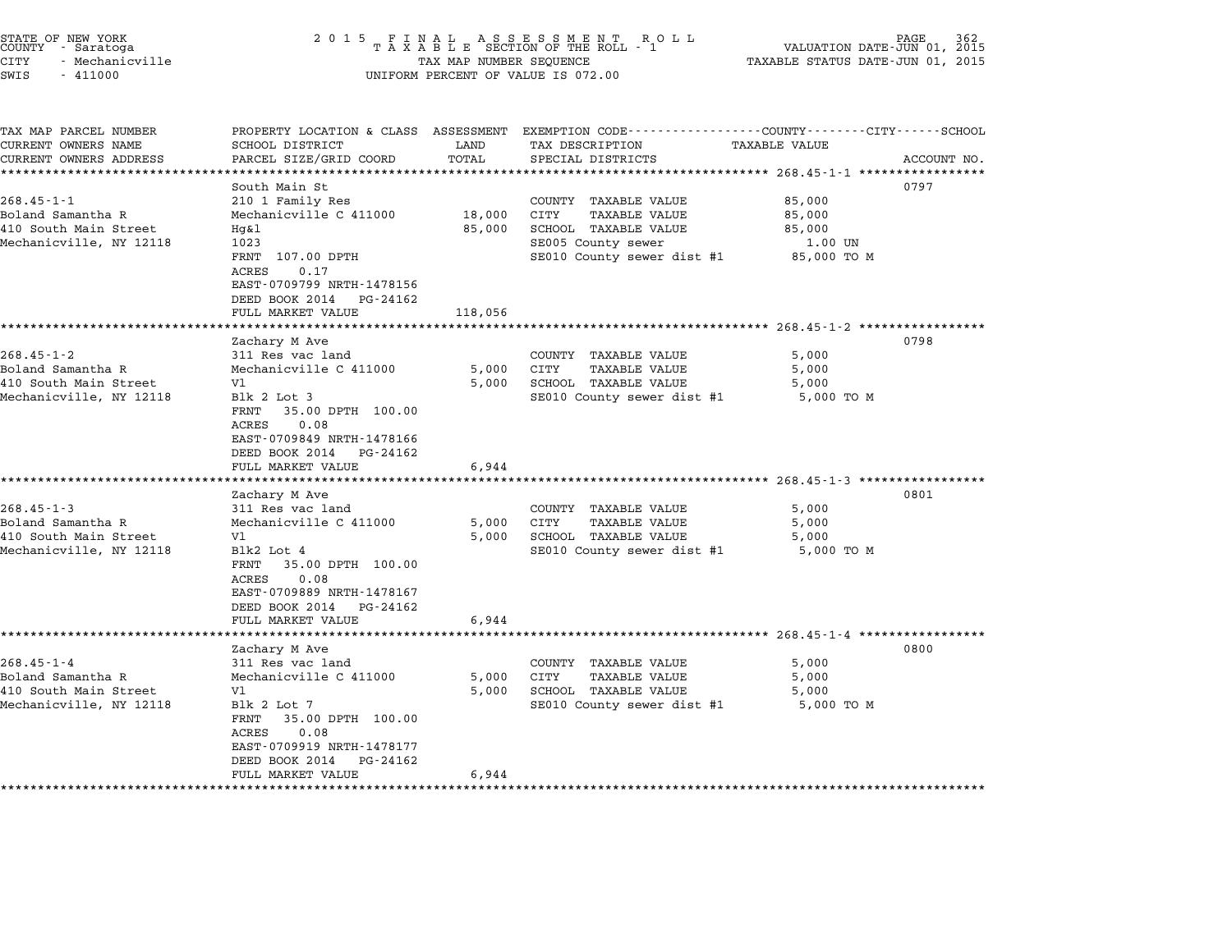| STATE OF NEW YORK<br>COUNTY - Saratoga<br>CITY<br>- Mechanicville<br>SWIS<br>$-411000$ | 2 0 1 5<br>FINAL ASSESSMENT ROTAXABLE SECTION OF THE ROLL - 1<br>TAX MAP NUMBER SEQUENCE<br>UNIFORM PERCENT OF VALUE IS 072.00 | PAGE<br>VALUATION DATE-JUN 01, 2015<br>TAXABLE STATUS DATE-JUN 01, 2015 |                                                                                 |                                             |             |
|----------------------------------------------------------------------------------------|--------------------------------------------------------------------------------------------------------------------------------|-------------------------------------------------------------------------|---------------------------------------------------------------------------------|---------------------------------------------|-------------|
|                                                                                        |                                                                                                                                |                                                                         |                                                                                 |                                             |             |
| TAX MAP PARCEL NUMBER<br>CURRENT OWNERS NAME                                           | PROPERTY LOCATION & CLASS ASSESSMENT<br>SCHOOL DISTRICT                                                                        | LAND                                                                    | EXEMPTION CODE-----------------COUNTY-------CITY------SCHOOL<br>TAX DESCRIPTION | TAXABLE VALUE                               |             |
| CURRENT OWNERS ADDRESS                                                                 | PARCEL SIZE/GRID COORD                                                                                                         | TOTAL                                                                   | SPECIAL DISTRICTS                                                               |                                             | ACCOUNT NO. |
|                                                                                        | ***********************                                                                                                        | ***********                                                             |                                                                                 |                                             |             |
|                                                                                        | South Main St                                                                                                                  |                                                                         |                                                                                 | 0797                                        |             |
| $268.45 - 1 - 1$                                                                       | 210 1 Family Res                                                                                                               |                                                                         | COUNTY TAXABLE VALUE                                                            | 85,000                                      |             |
| Boland Samantha R                                                                      | Mechanicville C 411000                                                                                                         | 18,000                                                                  | CITY<br><b>TAXABLE VALUE</b>                                                    | 85,000                                      |             |
| 410 South Main Street                                                                  | Hq&l                                                                                                                           | 85,000                                                                  | SCHOOL TAXABLE VALUE                                                            | 85,000                                      |             |
| Mechanicville, NY 12118                                                                | 1023                                                                                                                           |                                                                         | SE005 County sewer                                                              | 1.00 UN                                     |             |
|                                                                                        | FRNT 107.00 DPTH<br><b>ACRES</b><br>0.17                                                                                       |                                                                         | SE010 County sewer dist #1                                                      | 85,000 TO M                                 |             |
|                                                                                        | EAST-0709799 NRTH-1478156                                                                                                      |                                                                         |                                                                                 |                                             |             |
|                                                                                        | DEED BOOK 2014<br>PG-24162                                                                                                     |                                                                         |                                                                                 |                                             |             |
|                                                                                        | FULL MARKET VALUE                                                                                                              | 118,056                                                                 |                                                                                 |                                             |             |
|                                                                                        | *****************                                                                                                              | ************                                                            |                                                                                 | ********************* 268.45-1-2 ********** |             |
|                                                                                        | Zachary M Ave                                                                                                                  |                                                                         |                                                                                 | 0798                                        |             |
| $268.45 - 1 - 2$                                                                       | 311 Res vac land                                                                                                               |                                                                         | COUNTY TAXABLE VALUE                                                            | 5,000                                       |             |
| Boland Samantha R                                                                      | Mechanicville C 411000                                                                                                         | 5,000                                                                   | CITY<br><b>TAXABLE VALUE</b>                                                    | 5,000                                       |             |
| 410 South Main Street                                                                  | V1                                                                                                                             | 5,000                                                                   | SCHOOL TAXABLE VALUE                                                            | 5,000                                       |             |
| Mechanicville, NY 12118                                                                | Blk 2 Lot 3                                                                                                                    |                                                                         | SE010 County sewer dist #1                                                      | 5,000 TO M                                  |             |
|                                                                                        | FRNT<br>35.00 DPTH 100.00<br>ACRES<br>0.08                                                                                     |                                                                         |                                                                                 |                                             |             |
|                                                                                        | EAST-0709849 NRTH-1478166                                                                                                      |                                                                         |                                                                                 |                                             |             |
|                                                                                        | DEED BOOK 2014 PG-24162                                                                                                        |                                                                         |                                                                                 |                                             |             |
|                                                                                        | FULL MARKET VALUE                                                                                                              | 6,944                                                                   |                                                                                 |                                             |             |
|                                                                                        |                                                                                                                                |                                                                         |                                                                                 |                                             |             |
|                                                                                        | Zachary M Ave                                                                                                                  |                                                                         |                                                                                 | 0801                                        |             |
| $268.45 - 1 - 3$                                                                       | 311 Res vac land                                                                                                               |                                                                         | COUNTY TAXABLE VALUE                                                            | 5,000                                       |             |
| Boland Samantha R                                                                      | Mechanicville C 411000                                                                                                         | 5,000                                                                   | CITY<br>TAXABLE VALUE                                                           | 5,000                                       |             |
| 410 South Main Street<br>Mechanicville, NY 12118                                       | V1<br>Blk2 Lot 4                                                                                                               | 5,000                                                                   | SCHOOL TAXABLE VALUE<br>SE010 County sewer dist #1                              | 5,000<br>5,000 TO M                         |             |
|                                                                                        | 35.00 DPTH 100.00<br>FRNT                                                                                                      |                                                                         |                                                                                 |                                             |             |
|                                                                                        | ACRES<br>0.08                                                                                                                  |                                                                         |                                                                                 |                                             |             |
|                                                                                        | EAST-0709889 NRTH-1478167                                                                                                      |                                                                         |                                                                                 |                                             |             |
|                                                                                        | DEED BOOK 2014 PG-24162                                                                                                        |                                                                         |                                                                                 |                                             |             |
|                                                                                        | FULL MARKET VALUE                                                                                                              | 6,944                                                                   |                                                                                 |                                             |             |
|                                                                                        |                                                                                                                                | * * * * * * * * * *                                                     | ****************************** 268.45-1-4 *****************                     |                                             |             |
|                                                                                        | Zachary M Ave                                                                                                                  |                                                                         |                                                                                 | 0800                                        |             |
| $268.45 - 1 - 4$<br>Boland Samantha R                                                  | 311 Res vac land<br>Mechanicville C 411000                                                                                     | 5,000                                                                   | COUNTY TAXABLE VALUE<br>CITY<br><b>TAXABLE VALUE</b>                            | 5,000                                       |             |
| 410 South Main Street                                                                  | V1                                                                                                                             | 5,000                                                                   | <b>SCHOOL TAXABLE VALUE</b>                                                     | 5,000<br>5,000                              |             |
| Mechanicville, NY 12118                                                                | Blk 2 Lot 7                                                                                                                    |                                                                         | SE010 County sewer dist #1                                                      | 5,000 TO M                                  |             |
|                                                                                        | FRNT<br>35.00 DPTH 100.00                                                                                                      |                                                                         |                                                                                 |                                             |             |
|                                                                                        | ACRES<br>0.08                                                                                                                  |                                                                         |                                                                                 |                                             |             |
|                                                                                        | EAST-0709919 NRTH-1478177                                                                                                      |                                                                         |                                                                                 |                                             |             |
|                                                                                        | DEED BOOK 2014<br>PG-24162                                                                                                     |                                                                         |                                                                                 |                                             |             |
|                                                                                        | FULL MARKET VALUE                                                                                                              | 6,944                                                                   |                                                                                 |                                             |             |
|                                                                                        |                                                                                                                                |                                                                         |                                                                                 |                                             |             |

STATE OF NEW YORK <sup>2</sup> <sup>0</sup> <sup>1</sup> 5 F I N A L A S S E S S M E N T R O L L PAGE <sup>362</sup> COUNTY - Saratoga <sup>T</sup> <sup>A</sup> <sup>X</sup> <sup>A</sup> <sup>B</sup> <sup>L</sup> <sup>E</sup> SECTION OF THE ROLL - <sup>1</sup> VALUATION DATE-JUN 01, <sup>2015</sup>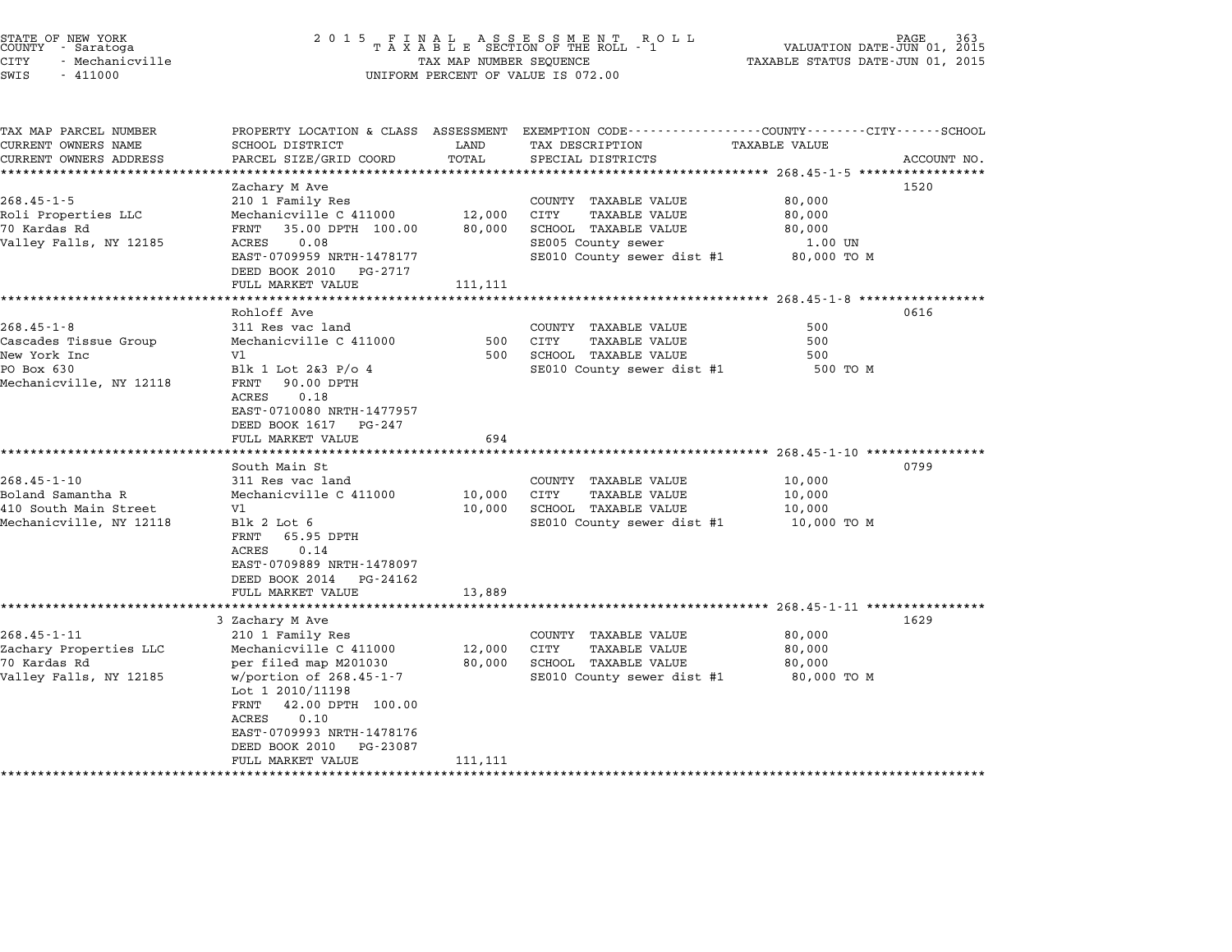| STATE OF NEW YORK<br>COUNTY - Saratoga<br><b>CITY</b><br>- Mechanicville<br>SWIS<br>$-411000$      | 2 0 1 5                                                                                                                                                                                                                                                                   | TAX MAP NUMBER SEQUENCE     | FINAL ASSESSMENT ROLL<br>TAXABLE SECTION OF THE ROLL - 1<br>UNIFORM PERCENT OF VALUE IS 072.00                                   | VALUATION DATE-JUN 01, 2015<br>TAXABLE STATUS DATE-JUN 01, 2015                                                                 |  |
|----------------------------------------------------------------------------------------------------|---------------------------------------------------------------------------------------------------------------------------------------------------------------------------------------------------------------------------------------------------------------------------|-----------------------------|----------------------------------------------------------------------------------------------------------------------------------|---------------------------------------------------------------------------------------------------------------------------------|--|
| TAX MAP PARCEL NUMBER<br>CURRENT OWNERS NAME<br>CURRENT OWNERS ADDRESS                             | SCHOOL DISTRICT<br>PARCEL SIZE/GRID COORD                                                                                                                                                                                                                                 | LAND<br>TOTAL               | TAX DESCRIPTION<br>SPECIAL DISTRICTS                                                                                             | PROPERTY LOCATION & CLASS ASSESSMENT EXEMPTION CODE---------------COUNTY-------CITY------SCHOOL<br>TAXABLE VALUE<br>ACCOUNT NO. |  |
| $268.45 - 1 - 5$<br>Roli Properties LLC<br>70 Kardas Rd<br>Valley Falls, NY 12185                  | Zachary M Ave<br>210 1 Family Res<br>Mechanicville C 411000<br>35.00 DPTH 100.00<br>FRNT<br>ACRES<br>0.08<br>EAST-0709959 NRTH-1478177<br>DEED BOOK 2010<br>PG-2717                                                                                                       | 12,000<br>80,000            | COUNTY TAXABLE VALUE<br>CITY<br><b>TAXABLE VALUE</b><br>SCHOOL TAXABLE VALUE<br>SE005 County sewer<br>SE010 County sewer dist #1 | ********************************* 268.45-1-5 ******************<br>1520<br>80,000<br>80,000<br>80,000<br>1.00 UN<br>80,000 TO M |  |
|                                                                                                    | FULL MARKET VALUE<br>Rohloff Ave                                                                                                                                                                                                                                          | 111,111                     |                                                                                                                                  | ********************* 268.45-1-8 *************<br>0616                                                                          |  |
| $268.45 - 1 - 8$<br>Cascades Tissue Group<br>New York Inc<br>PO Box 630<br>Mechanicville, NY 12118 | 311 Res vac land<br>Mechanicville C 411000<br>V1<br>Blk 1 Lot 2&3 P/o 4<br>90.00 DPTH<br>FRNT<br>0.18<br>ACRES<br>EAST-0710080 NRTH-1477957<br>DEED BOOK 1617<br>PG-247<br>FULL MARKET VALUE<br>*****************                                                         | 500<br>500<br>694<br>****** | COUNTY TAXABLE VALUE<br>CITY<br>TAXABLE VALUE<br>SCHOOL TAXABLE VALUE<br>SE010 County sewer dist #1                              | 500<br>500<br>500<br>500 TO M                                                                                                   |  |
| $268.45 - 1 - 10$<br>Boland Samantha R<br>410 South Main Street<br>Mechanicville, NY 12118         | South Main St<br>311 Res vac land<br>Mechanicville C 411000<br>V1<br>Blk 2 Lot 6<br>FRNT<br>65.95 DPTH<br>0.14<br>ACRES<br>EAST-0709889 NRTH-1478097<br>DEED BOOK 2014<br>PG-24162<br>FULL MARKET VALUE                                                                   | 10,000<br>10,000<br>13,889  | COUNTY TAXABLE VALUE<br><b>CITY</b><br>TAXABLE VALUE<br>SCHOOL TAXABLE VALUE<br>SE010 County sewer dist #1                       | ******************** 268.45-1-10 ****************<br>0799<br>10,000<br>10,000<br>10,000<br>10,000 TO M                          |  |
| $268.45 - 1 - 11$<br>Zachary Properties LLC<br>70 Kardas Rd<br>Valley Falls, NY 12185              | 3 Zachary M Ave<br>210 1 Family Res<br>Mechanicville C 411000<br>per filed map M201030<br>w/portion of $268.45 - 1 - 7$<br>Lot 1 2010/11198<br>42.00 DPTH 100.00<br>FRNT<br>0.10<br>ACRES<br>EAST-0709993 NRTH-1478176<br>DEED BOOK 2010<br>PG-23087<br>FULL MARKET VALUE | 12,000<br>80,000<br>111,111 | COUNTY TAXABLE VALUE<br>TAXABLE VALUE<br>CITY<br>SCHOOL TAXABLE VALUE<br>SE010 County sewer dist #1                              | ************************************ 268.45-1-11 *****************<br>1629<br>80,000<br>80,000<br>80,000<br>80,000 TO M         |  |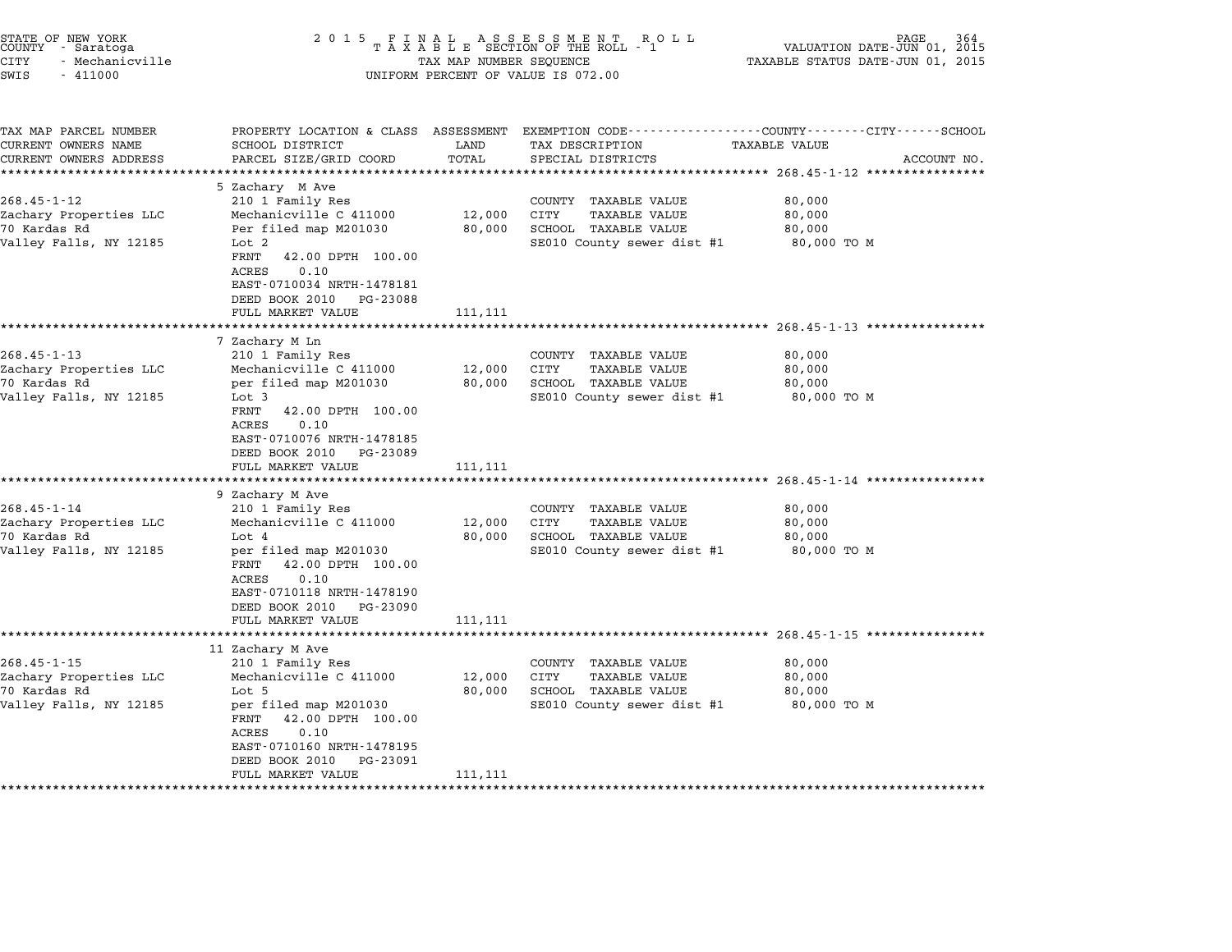| STATE OF NEW YORK<br>COUNTY<br>- Saratoga<br><b>CITY</b><br>- Mechanicville<br>SWIS<br>$-411000$ | 2 0 1 5<br>FINAL ASSESSMENT ROTAXABLE SECTION OF THE ROLL - 1<br>TAX MAP NUMBER SEQUENCE<br>UNIFORM PERCENT OF VALUE IS 072.00                                                                                                                               | PAGE<br>VALUATION DATE-JUN 01, 2015<br>TAXABLE STATUS DATE-JUN 01, 2015 |                                                                                                                        |                                                                                                                             |  |
|--------------------------------------------------------------------------------------------------|--------------------------------------------------------------------------------------------------------------------------------------------------------------------------------------------------------------------------------------------------------------|-------------------------------------------------------------------------|------------------------------------------------------------------------------------------------------------------------|-----------------------------------------------------------------------------------------------------------------------------|--|
| TAX MAP PARCEL NUMBER<br>CURRENT OWNERS NAME<br>CURRENT OWNERS ADDRESS                           | PROPERTY LOCATION & CLASS ASSESSMENT<br>SCHOOL DISTRICT<br>PARCEL SIZE/GRID COORD                                                                                                                                                                            | LAND<br>TOTAL                                                           | TAX DESCRIPTION<br>SPECIAL DISTRICTS                                                                                   | EXEMPTION CODE-----------------COUNTY-------CITY------SCHOOL<br>TAXABLE VALUE<br>ACCOUNT NO.<br>********** 268.45-1-12 **** |  |
| $268.45 - 1 - 12$<br>Zachary Properties LLC<br>70 Kardas Rd<br>Valley Falls, NY 12185            | 5 Zachary M Ave<br>210 1 Family Res<br>Mechanicville C 411000<br>Per filed map M201030<br>Lot <sub>2</sub><br>FRNT<br>42.00 DPTH 100.00<br><b>ACRES</b><br>0.10<br>EAST-0710034 NRTH-1478181<br>DEED BOOK 2010<br>PG-23088<br>FULL MARKET VALUE              | 12,000<br>80,000<br>111,111                                             | COUNTY TAXABLE VALUE<br>CITY<br>TAXABLE VALUE<br>SCHOOL TAXABLE VALUE<br>SE010 County sewer dist #1                    | 80,000<br>80,000<br>80,000<br>80,000 TO M                                                                                   |  |
| $268.45 - 1 - 13$<br>Zachary Properties LLC<br>70 Kardas Rd<br>Valley Falls, NY 12185            | *******************<br>7 Zachary M Ln<br>210 1 Family Res<br>Mechanicville C 411000<br>per filed map M201030<br>Lot 3<br>FRNT<br>42.00 DPTH 100.00<br>0.10<br>ACRES<br>EAST-0710076 NRTH-1478185<br>DEED BOOK 2010<br>PG-23089<br>FULL MARKET VALUE          | ************<br>12,000<br>80,000<br>111,111                             | COUNTY<br>TAXABLE VALUE<br>CITY<br>TAXABLE VALUE<br>SCHOOL TAXABLE VALUE<br>SE010 County sewer dist #1<br>************ | 80,000<br>80,000<br>80,000<br>80,000 TO M<br>$268.45 - 1 - 14$ **********                                                   |  |
| $268.45 - 1 - 14$<br>Zachary Properties LLC<br>70 Kardas Rd<br>Valley Falls, NY 12185            | 9 Zachary M Ave<br>210 1 Family Res<br>Mechanicville C 411000<br>Lot 4<br>per filed map M201030<br>42.00 DPTH 100.00<br>FRNT<br>ACRES<br>0.10<br>EAST-0710118 NRTH-1478190<br>DEED BOOK 2010<br>PG-23090<br>FULL MARKET VALUE                                | 12,000<br>80,000<br>111,111                                             | COUNTY TAXABLE VALUE<br>CITY<br>TAXABLE VALUE<br>SCHOOL TAXABLE VALUE<br>SE010 County sewer dist #1                    | 80,000<br>80,000<br>80,000<br>80,000 TO M                                                                                   |  |
| $268.45 - 1 - 15$<br>Zachary Properties LLC<br>70 Kardas Rd<br>Valley Falls, NY 12185            | **************************<br>11 Zachary M Ave<br>210 1 Family Res<br>Mechanicville C 411000<br>Lot 5<br>per filed map M201030<br>42.00 DPTH 100.00<br>FRNT<br>ACRES<br>0.10<br>EAST-0710160 NRTH-1478195<br>DEED BOOK 2010<br>PG-23091<br>FULL MARKET VALUE | 12,000<br>80,000<br>111,111                                             | COUNTY<br>TAXABLE VALUE<br>CITY<br>TAXABLE VALUE<br>SCHOOL TAXABLE VALUE<br>SE010 County sewer dist #1                 | ******************************* 268.45-1-15 ******************<br>80,000<br>80,000<br>80,000<br>80,000 TO M                 |  |

STATE OF NEW YORK <sup>2</sup> <sup>0</sup> <sup>1</sup> 5 F I N A L A S S E S S M E N T R O L L PAGE <sup>364</sup> COUNTY - Saratoga <sup>T</sup> <sup>A</sup> <sup>X</sup> <sup>A</sup> <sup>B</sup> <sup>L</sup> <sup>E</sup> SECTION OF THE ROLL - <sup>1</sup> VALUATION DATE-JUN 01, <sup>2015</sup>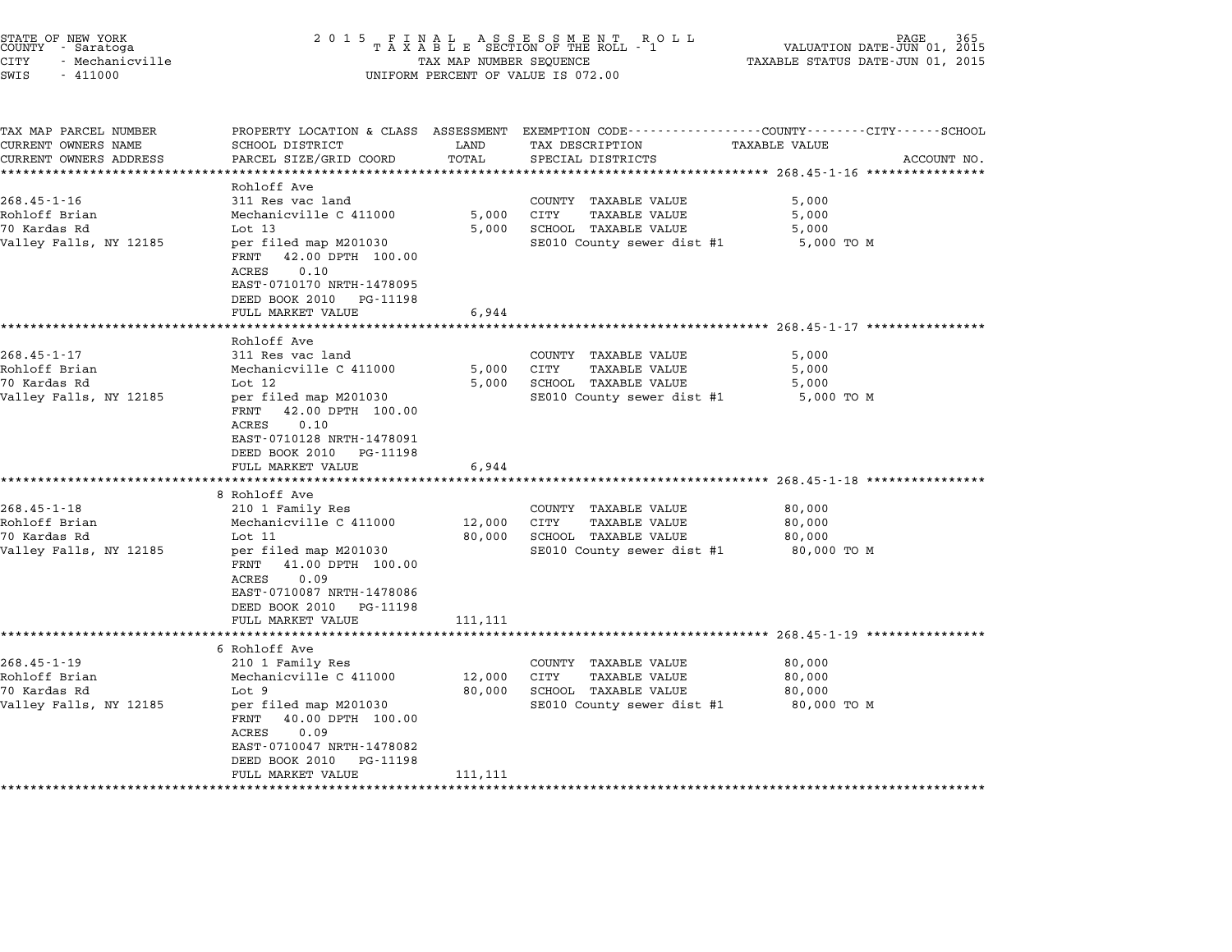|          | STATE OF NEW YORK<br>COUNTY - Saratoga |  |
|----------|----------------------------------------|--|
| CITY     | - Mechanicville                        |  |
| $\alpha$ | 111000                                 |  |

## STATE OF NEW YORK <sup>2</sup> <sup>0</sup> <sup>1</sup> 5 F I N A L A S S E S S M E N T R O L L PAGE <sup>365</sup> COUNTY - Saratoga <sup>T</sup> <sup>A</sup> <sup>X</sup> <sup>A</sup> <sup>B</sup> <sup>L</sup> <sup>E</sup> SECTION OF THE ROLL - <sup>1</sup> VALUATION DATE-JUN 01, <sup>2015</sup> STATE OF NEW YORK (NEW SOLUME 2 0 1 5 F I N A L A S S E S S M E N T A R O L L AND TORE TAS SOLUT PAGE 365<br>COUNTY - Saratoga (2015 - TAXABLE SECTION OF THE ROLL - 1 (2015)<br>CITY - Mechanicville (2015 - TAXABLE STATUS DATE-JU SWIS - <sup>411000</sup> UNIFORM PERCENT OF VALUE IS 072.00

| TAX MAP PARCEL NUMBER                         | PROPERTY LOCATION & CLASS ASSESSMENT                | LAND          | EXEMPTION CODE----------------COUNTY-------CITY------SCHOOL |                      |             |
|-----------------------------------------------|-----------------------------------------------------|---------------|-------------------------------------------------------------|----------------------|-------------|
| CURRENT OWNERS NAME<br>CURRENT OWNERS ADDRESS | SCHOOL DISTRICT                                     | TOTAL         | TAX DESCRIPTION                                             | <b>TAXABLE VALUE</b> |             |
| *********************                         | PARCEL SIZE/GRID COORD<br>************************* |               | SPECIAL DISTRICTS                                           |                      | ACCOUNT NO. |
|                                               | Rohloff Ave                                         |               |                                                             |                      |             |
| $268.45 - 1 - 16$                             | 311 Res vac land                                    |               | COUNTY TAXABLE VALUE                                        | 5,000                |             |
| Rohloff Brian                                 | Mechanicville C 411000                              | 5,000         | CITY<br><b>TAXABLE VALUE</b>                                | 5,000                |             |
| 70 Kardas Rd                                  | Lot $13$                                            | 5,000         | SCHOOL TAXABLE VALUE                                        | 5,000                |             |
| Valley Falls, NY 12185                        | per filed map M201030                               |               | SE010 County sewer dist #1                                  | 5,000 TO M           |             |
|                                               | 42.00 DPTH 100.00<br>FRNT                           |               |                                                             |                      |             |
|                                               | ACRES<br>0.10                                       |               |                                                             |                      |             |
|                                               | EAST-0710170 NRTH-1478095                           |               |                                                             |                      |             |
|                                               | DEED BOOK 2010<br>PG-11198                          |               |                                                             |                      |             |
|                                               | FULL MARKET VALUE                                   | 6,944         |                                                             |                      |             |
|                                               |                                                     |               |                                                             |                      |             |
|                                               | Rohloff Ave                                         |               |                                                             |                      |             |
| $268.45 - 1 - 17$                             | 311 Res vac land                                    |               | COUNTY TAXABLE VALUE                                        | 5,000                |             |
| Rohloff Brian                                 | Mechanicville C 411000                              | 5,000         | CITY<br>TAXABLE VALUE                                       | 5,000                |             |
| 70 Kardas Rd                                  | Lot 12                                              | 5,000         | SCHOOL TAXABLE VALUE                                        | 5,000                |             |
| Valley Falls, NY 12185                        | per filed map M201030                               |               | SE010 County sewer dist #1                                  | 5,000 TO M           |             |
|                                               | 42.00 DPTH 100.00<br>FRNT                           |               |                                                             |                      |             |
|                                               | 0.10<br>ACRES                                       |               |                                                             |                      |             |
|                                               | EAST-0710128 NRTH-1478091                           |               |                                                             |                      |             |
|                                               | DEED BOOK 2010 PG-11198                             |               |                                                             |                      |             |
|                                               | FULL MARKET VALUE                                   | 6,944         |                                                             |                      |             |
|                                               | *********************                               | ************* | ***************************** 268.45-1-18 *************     |                      |             |
|                                               | 8 Rohloff Ave                                       |               |                                                             |                      |             |
| $268.45 - 1 - 18$                             | 210 1 Family Res                                    |               | COUNTY TAXABLE VALUE                                        | 80,000               |             |
| Rohloff Brian                                 | Mechanicville C 411000                              | 12,000        | CITY<br><b>TAXABLE VALUE</b>                                | 80,000               |             |
| 70 Kardas Rd                                  | Lot $11$                                            | 80,000        | SCHOOL TAXABLE VALUE                                        | 80,000               |             |
| Valley Falls, NY 12185                        | per filed map M201030                               |               | SE010 County sewer dist #1                                  | 80,000 TO M          |             |
|                                               | FRNT 41.00 DPTH 100.00                              |               |                                                             |                      |             |
|                                               | 0.09<br>ACRES                                       |               |                                                             |                      |             |
|                                               | EAST-0710087 NRTH-1478086                           |               |                                                             |                      |             |
|                                               | DEED BOOK 2010<br>PG-11198                          |               |                                                             |                      |             |
|                                               | FULL MARKET VALUE                                   | 111,111       |                                                             |                      |             |
|                                               |                                                     |               |                                                             |                      |             |
|                                               | 6 Rohloff Ave                                       |               |                                                             |                      |             |
| $268.45 - 1 - 19$                             | 210 1 Family Res                                    |               | COUNTY TAXABLE VALUE                                        | 80,000               |             |
| Rohloff Brian                                 | Mechanicville C 411000                              | 12,000        | CITY<br>TAXABLE VALUE                                       | 80,000               |             |
| 70 Kardas Rd                                  | Lot 9                                               | 80,000        | SCHOOL TAXABLE VALUE                                        | 80,000               |             |
| Valley Falls, NY 12185                        | per filed map M201030                               |               | SE010 County sewer dist #1                                  | 80,000 TO M          |             |
|                                               | 40.00 DPTH 100.00<br>FRNT                           |               |                                                             |                      |             |
|                                               | 0.09<br>ACRES                                       |               |                                                             |                      |             |
|                                               | EAST-0710047 NRTH-1478082                           |               |                                                             |                      |             |
|                                               | DEED BOOK 2010<br>PG-11198                          |               |                                                             |                      |             |
|                                               | FULL MARKET VALUE                                   | 111,111       |                                                             |                      |             |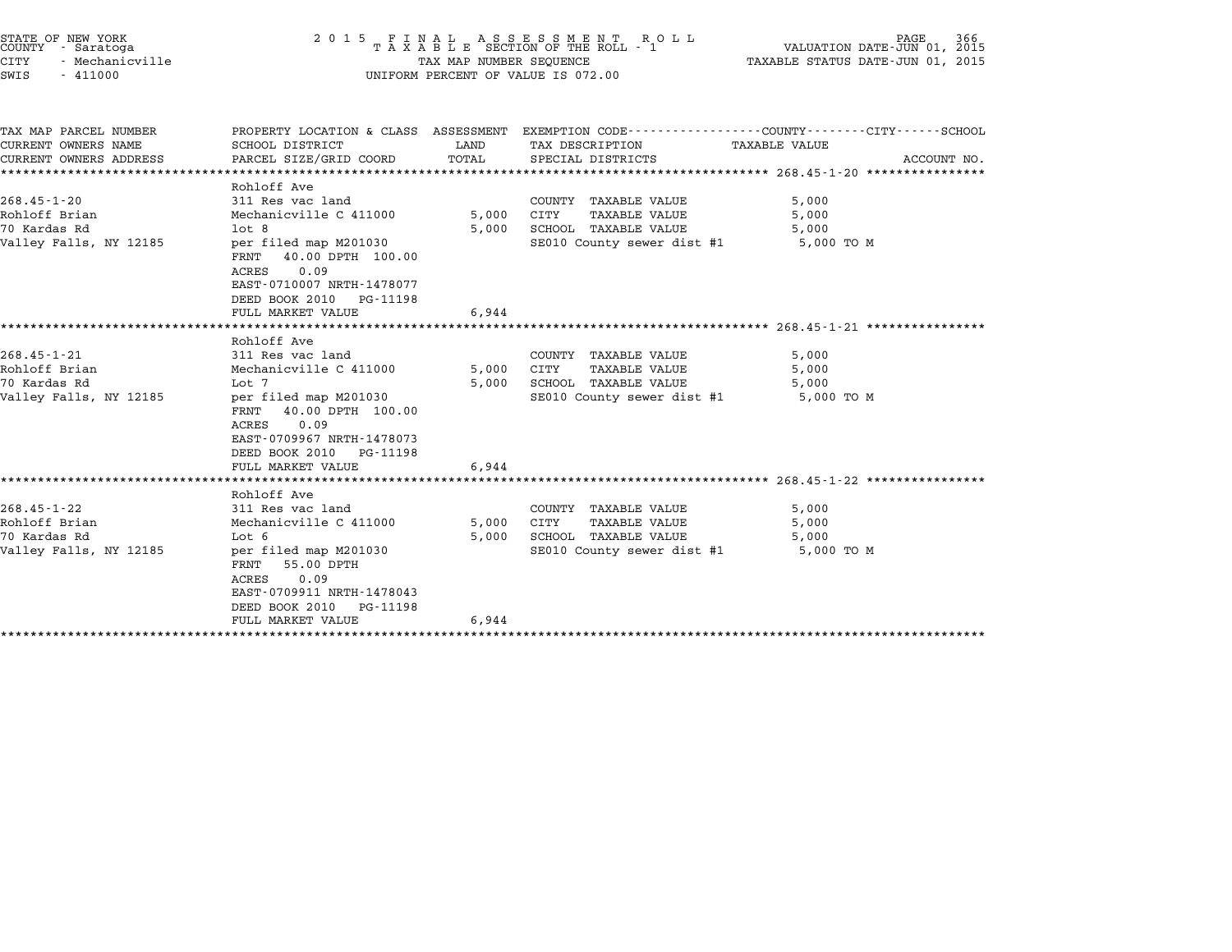|               | STATE OF NEW YORK<br>COUNTY - Saratoga |  |
|---------------|----------------------------------------|--|
| CITY          | - Mechanicville                        |  |
| $\sim$ $\sim$ | 111000                                 |  |

## STATE OF NEW YORK <sup>2</sup> <sup>0</sup> <sup>1</sup> 5 F I N A L A S S E S S M E N T R O L L PAGE <sup>366</sup> COUNTY - Saratoga <sup>T</sup> <sup>A</sup> <sup>X</sup> <sup>A</sup> <sup>B</sup> <sup>L</sup> <sup>E</sup> SECTION OF THE ROLL - <sup>1</sup> VALUATION DATE-JUN 01, <sup>2015</sup> STATE OF NEW YORK (RACE SECUENCE A SECUENCE STATE OF NEW YORK 166<br>COUNTY - Saratoga (DI) 01, 2015 TAXABLE SECTION OF THE ROLL - 1 (NALUATION DATE-JUN 01, 2015<br>CITY - Mechanicville (1, 2015 TAXABLE STATUS DATE-JUN 01, 2015 SWIS - <sup>411000</sup> UNIFORM PERCENT OF VALUE IS 072.00

| TAX MAP PARCEL NUMBER  | PROPERTY LOCATION & CLASS ASSESSMENT               |                |                                       | EXEMPTION CODE-----------------COUNTY-------CITY------SCHOOL |
|------------------------|----------------------------------------------------|----------------|---------------------------------------|--------------------------------------------------------------|
| CURRENT OWNERS NAME    | SCHOOL DISTRICT                                    | LAND           | TAX DESCRIPTION                       | TAXABLE VALUE                                                |
| CURRENT OWNERS ADDRESS | PARCEL SIZE/GRID COORD                             | TOTAL          | SPECIAL DISTRICTS                     | ACCOUNT NO.                                                  |
|                        |                                                    |                |                                       |                                                              |
| $268.45 - 1 - 20$      | Rohloff Ave<br>311 Res vac land                    |                | COUNTY TAXABLE VALUE                  | 5,000                                                        |
| Rohloff Brian          | Mechanicville C 411000                             |                | CITY                                  | 5,000                                                        |
| 70 Kardas Rd           | $1$ ot 8                                           | 5,000<br>5,000 | TAXABLE VALUE<br>SCHOOL TAXABLE VALUE | 5,000                                                        |
| Valley Falls, NY 12185 |                                                    |                | SE010 County sewer dist #1            | 5,000 TO M                                                   |
|                        | per filed map M201030<br>40.00 DPTH 100.00<br>FRNT |                |                                       |                                                              |
|                        | 0.09<br>ACRES                                      |                |                                       |                                                              |
|                        | EAST-0710007 NRTH-1478077                          |                |                                       |                                                              |
|                        | DEED BOOK 2010 PG-11198                            |                |                                       |                                                              |
|                        | FULL MARKET VALUE                                  | 6,944          |                                       |                                                              |
|                        |                                                    |                |                                       |                                                              |
|                        | Rohloff Ave                                        |                |                                       |                                                              |
| $268.45 - 1 - 21$      | 311 Res vac land                                   |                | COUNTY TAXABLE VALUE                  | 5,000                                                        |
| Rohloff Brian          | Mechanicville C 411000                             | 5,000          | CITY<br>TAXABLE VALUE                 | 5,000                                                        |
| 70 Kardas Rd           | Lot 7                                              | 5,000          | SCHOOL TAXABLE VALUE                  | 5,000                                                        |
| Valley Falls, NY 12185 | per filed map M201030                              |                | SE010 County sewer dist #1            | 5,000 TO M                                                   |
|                        | 40.00 DPTH 100.00<br>FRNT                          |                |                                       |                                                              |
|                        | 0.09<br>ACRES                                      |                |                                       |                                                              |
|                        | EAST-0709967 NRTH-1478073                          |                |                                       |                                                              |
|                        | DEED BOOK 2010 PG-11198                            |                |                                       |                                                              |
|                        | FULL MARKET VALUE                                  | 6,944          |                                       |                                                              |
|                        |                                                    |                |                                       |                                                              |
|                        | Rohloff Ave                                        |                |                                       |                                                              |
| $268.45 - 1 - 22$      | 311 Res vac land                                   |                | COUNTY TAXABLE VALUE                  | 5,000                                                        |
| Rohloff Brian          | Mechanicville C 411000                             | 5,000          | CITY<br><b>TAXABLE VALUE</b>          | 5,000                                                        |
| 70 Kardas Rd           | Lot 6                                              | 5,000          | SCHOOL TAXABLE VALUE                  | 5,000                                                        |
| Valley Falls, NY 12185 | per filed map M201030                              |                | SE010 County sewer dist #1            | 5,000 TO M                                                   |
|                        | 55.00 DPTH<br>FRNT                                 |                |                                       |                                                              |
|                        | 0.09<br>ACRES                                      |                |                                       |                                                              |
|                        | EAST-0709911 NRTH-1478043                          |                |                                       |                                                              |
|                        | DEED BOOK 2010<br>PG-11198                         |                |                                       |                                                              |
|                        | FULL MARKET VALUE                                  | 6,944          |                                       |                                                              |

\*\*\*\*\*\*\*\*\*\*\*\*\*\*\*\*\*\*\*\*\*\*\*\*\*\*\*\*\*\*\*\*\*\*\*\*\*\*\*\*\*\*\*\*\*\*\*\*\*\*\*\*\*\*\*\*\*\*\*\*\*\*\*\*\*\*\*\*\*\*\*\*\*\*\*\*\*\*\*\*\*\*\*\*\*\*\*\*\*\*\*\*\*\*\*\*\*\*\*\*\*\*\*\*\*\*\*\*\*\*\*\*\*\*\*\*\*\*\*\*\*\*\*\*\*\*\*\*\*\*\*\*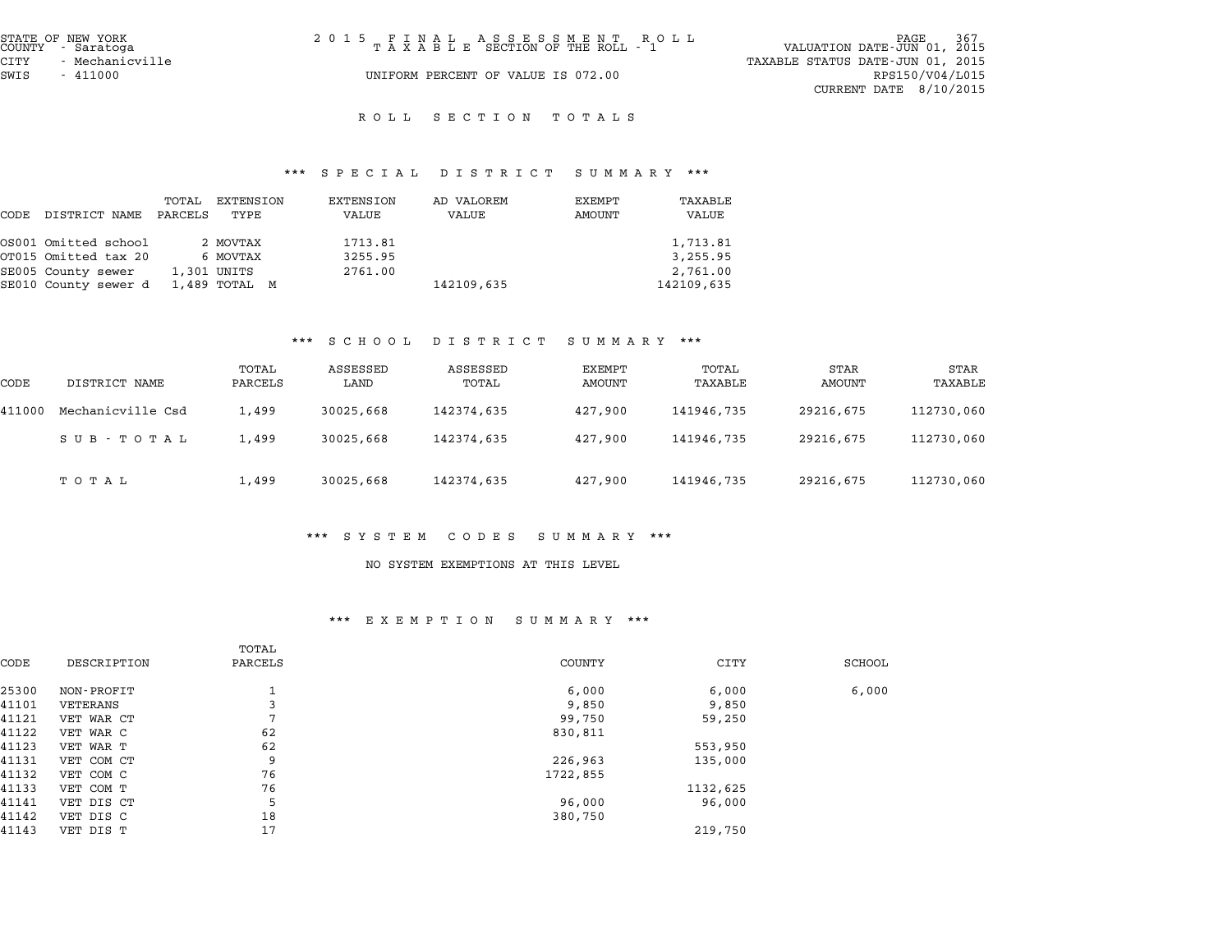| STATE OF NEW YORK<br>COUNTY - Saratoga | 2015 FINAL ASSESSMENT ROLL<br>TAXABLE SECTION OF THE ROLL - 1 | 367<br>PAGE<br>VALUATION DATE-JUN 01, 2015 |
|----------------------------------------|---------------------------------------------------------------|--------------------------------------------|
| CITY<br>– Mechanicville                |                                                               | TAXABLE STATUS DATE-JUN 01, 2015           |
| SWIS<br>- 411000                       | UNIFORM PERCENT OF VALUE IS 072.00                            | RPS150/V04/L015                            |
|                                        |                                                               | CURRENT DATE $8/10/2015$                   |

# \*\*\* S P E C I A L D I S T R I C T S U M M A R Y \*\*\*

|      |                      |                  |                   | $P_{1}$ $P_{2}$ $P_{3}$ $P_{4}$ $P_{5}$ $P_{6}$ $P_{7}$ $P_{8}$ $P_{9}$ $P_{10}$ $P_{11}$ $P_{12}$ $P_{13}$ $P_{14}$ $P_{15}$ $P_{16}$ $P_{17}$ | .                   | $\mathbf{u}$ and $\mathbf{u}$ and $\mathbf{u}$ |                  |
|------|----------------------|------------------|-------------------|-------------------------------------------------------------------------------------------------------------------------------------------------|---------------------|------------------------------------------------|------------------|
| CODE | DISTRICT NAME        | TOTAL<br>PARCELS | EXTENSION<br>TYPE | EXTENSION<br>VALUE                                                                                                                              | AD VALOREM<br>VALUE | EXEMPT<br>AMOUNT                               | TAXABLE<br>VALUE |
|      | OS001 Omitted school |                  | 2 MOVTAX          | 1713.81                                                                                                                                         |                     |                                                | 1,713.81         |
|      | OT015 Omitted tax 20 |                  | 6 MOVTAX          | 3255.95                                                                                                                                         |                     |                                                | 3,255.95         |
|      | SE005 County sewer   |                  | 1,301 UNITS       | 2761.00                                                                                                                                         |                     |                                                | 2,761.00         |
|      | SE010 County sewer d |                  | 1,489 TOTAL M     |                                                                                                                                                 | 142109,635          |                                                | 142109,635       |

### \*\*\* S C H O O L D I S T R I C T S U M M A R Y \*\*\*

|        |                   |                  | . <u>.</u>       | $\mathbf{D}$ $\mathbf{L}$ $\mathbf{D}$ $\mathbf{L}$ $\mathbf{R}$ $\mathbf{L}$ $\mathbf{L}$ $\mathbf{L}$ | $\mathbf{u}$ under $\mathbf{u}$ we |                  |                |                 |
|--------|-------------------|------------------|------------------|---------------------------------------------------------------------------------------------------------|------------------------------------|------------------|----------------|-----------------|
| CODE   | DISTRICT NAME     | TOTAL<br>PARCELS | ASSESSED<br>LAND | ASSESSED<br>TOTAL                                                                                       | EXEMPT<br>AMOUNT                   | TOTAL<br>TAXABLE | STAR<br>AMOUNT | STAR<br>TAXABLE |
| 411000 | Mechanicville Csd | 1,499            | 30025,668        | 142374,635                                                                                              | 427,900                            | 141946,735       | 29216,675      | 112730,060      |
|        | SUB - TOTAL       | 1,499            | 30025,668        | 142374,635                                                                                              | 427,900                            | 141946,735       | 29216,675      | 112730,060      |
|        | тотаь             | 1,499            | 30025,668        | 142374,635                                                                                              | 427,900                            | 141946,735       | 29216,675      | 112730,060      |

#### \*\*\* S Y S T E M C O D E S S U M M A R Y \*\*\*

#### NO SYSTEM EXEMPTIONS AT THIS LEVEL

|       |             | <br>EA EN FILION<br>ם אבת התוסיט |               |          |               |  |
|-------|-------------|----------------------------------|---------------|----------|---------------|--|
| CODE  | DESCRIPTION | TOTAL<br>PARCELS                 | <b>COUNTY</b> | CITY     | <b>SCHOOL</b> |  |
| 25300 | NON-PROFIT  | ᅩ                                | 6,000         | 6,000    | 6,000         |  |
| 41101 | VETERANS    | 3                                | 9,850         | 9,850    |               |  |
| 41121 | VET WAR CT  | $\mathbf{r}$                     | 99,750        | 59,250   |               |  |
| 41122 | VET WAR C   | 62                               | 830,811       |          |               |  |
| 41123 | VET WAR T   | 62                               |               | 553,950  |               |  |
| 41131 | VET COM CT  | 9                                | 226,963       | 135,000  |               |  |
| 41132 | VET COM C   | 76                               | 1722,855      |          |               |  |
| 41133 | VET COM T   | 76                               |               | 1132,625 |               |  |
| 41141 | VET DIS CT  | 5                                | 96,000        | 96,000   |               |  |
| 41142 | VET DIS C   | 18                               | 380,750       |          |               |  |
| 41143 | VET DIS T   | 17                               |               | 219,750  |               |  |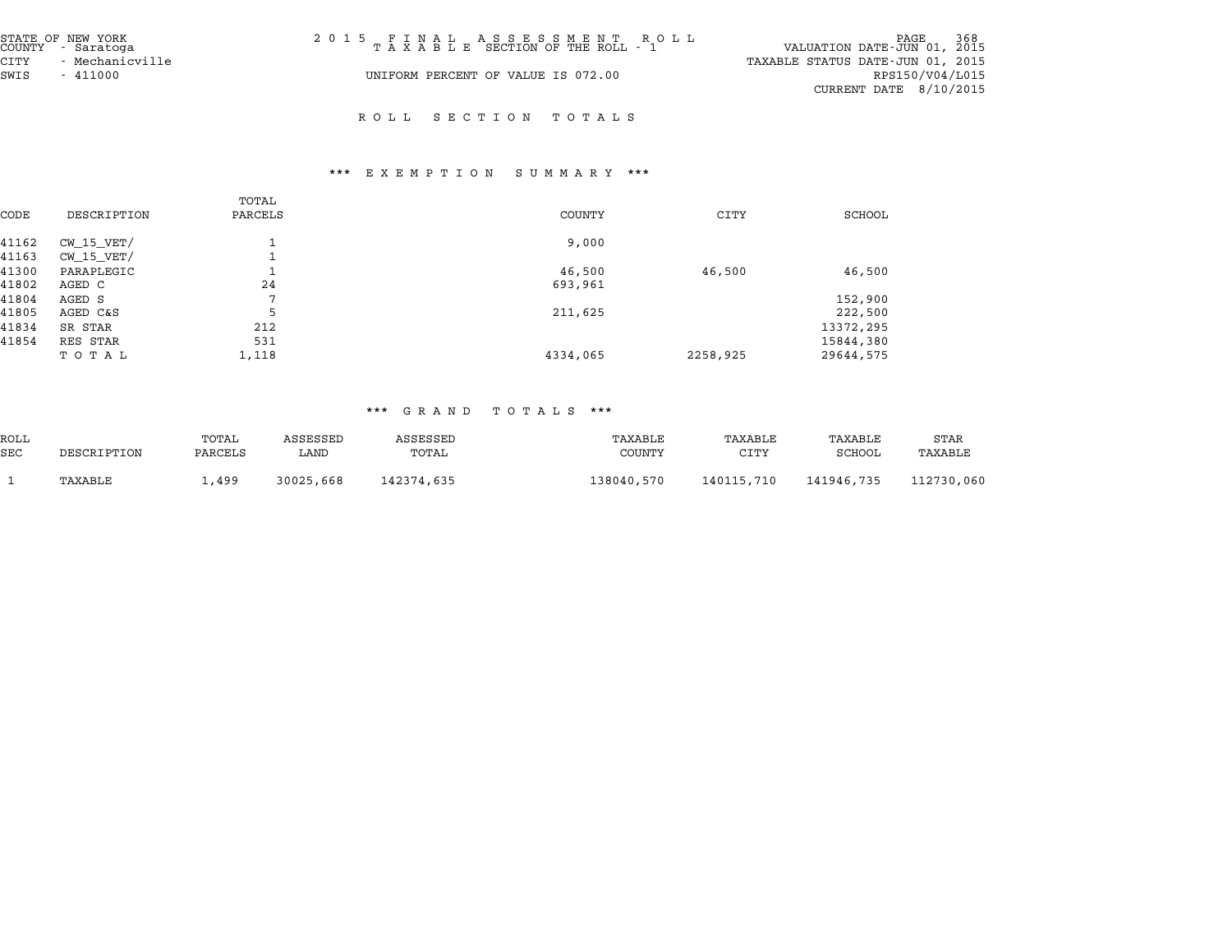| STATE OF NEW YORK<br>COUNTY - Saratoga | 2015 FINAL ASSESSMENT ROLL<br>TAXABLE SECTION OF THE ROLL - 1 | PAGE 368<br>VALUATION DATE-JUN 01, 2015 |
|----------------------------------------|---------------------------------------------------------------|-----------------------------------------|
| CITY<br>- Mechanicville                |                                                               | TAXABLE STATUS DATE-JUN 01, 2015        |
| SWIS<br>- 411000                       | UNIFORM PERCENT OF VALUE IS 072.00                            | RPS150/V04/L015                         |
|                                        |                                                               | CURRENT DATE $8/10/2015$                |

### \*\*\* E X E M P T I O N S U M M A R Y \*\*\*

|       |                | TOTAL        |          |          |           |
|-------|----------------|--------------|----------|----------|-----------|
| CODE  | DESCRIPTION    | PARCELS      | COUNTY   | CITY     | SCHOOL    |
| 41162 | $CW$ 15 $VET/$ |              | 9,000    |          |           |
| 41163 | $CW$ 15 $VET/$ |              |          |          |           |
| 41300 | PARAPLEGIC     |              | 46,500   | 46,500   | 46,500    |
| 41802 | AGED C         | 24           | 693,961  |          |           |
| 41804 | AGED S         | $\mathbf{r}$ |          |          | 152,900   |
| 41805 | AGED C&S       | 5            | 211,625  |          | 222,500   |
| 41834 | SR STAR        | 212          |          |          | 13372,295 |
| 41854 | RES STAR       | 531          |          |          | 15844,380 |
|       | TOTAL          | 1,118        | 4334,065 | 2258,925 | 29644,575 |

|                    |             |                  |                  | $\cdots$<br>G T H M D | פ ע ג ג ט ג<br>.         |                 |                   |                 |
|--------------------|-------------|------------------|------------------|-----------------------|--------------------------|-----------------|-------------------|-----------------|
| ROLL<br><b>SEC</b> | DESCRIPTION | TOTAL<br>PARCELS | ASSESSED<br>LAND | ASSESSED<br>TOTAL     | TAXABLE<br><b>COUNTY</b> | TAXABLE<br>CITY | TAXABLE<br>SCHOOL | STAR<br>TAXABLE |
|                    | TAXABLE     | 1,499            | 30025,668        | 142374,635            | 138040,570               | 140115,710      | 141946,735        | 112730,060      |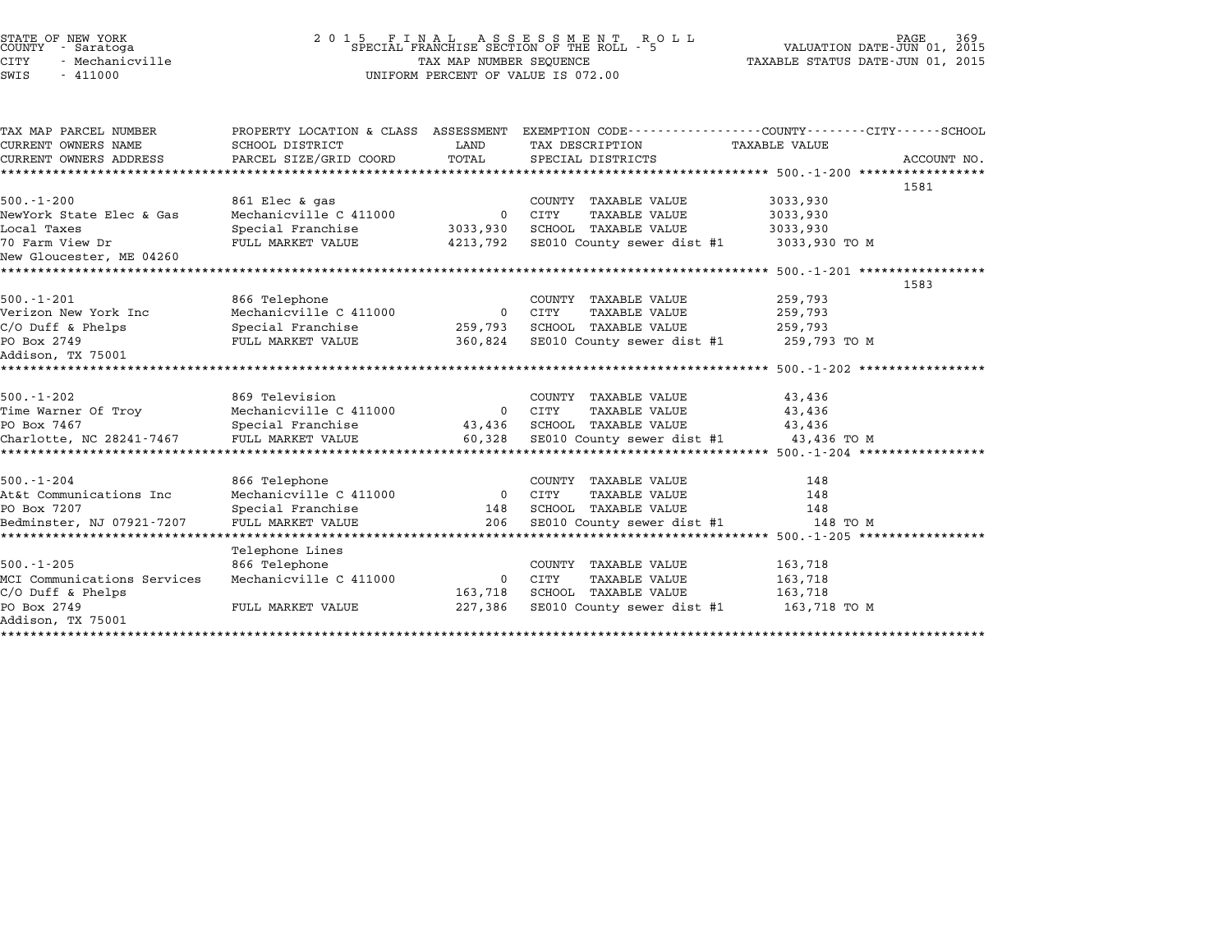| STATE OF NEW YORK<br>COUNTY - Saratoga<br>CITY<br>- Mechanicville<br>SWIS<br>$-411000$ |                                                                                   | TAX MAP NUMBER SEQUENCE | 2015 FINAL ASSESSMENT ROLL SPECIAL FRANCHISE SECTION OF THE ROLL - 5<br>UNIFORM PERCENT OF VALUE IS 072.00 | 369<br>PAGE<br>VALUATION DATE-JUN 01, 2015<br>TAXABLE STATUS DATE-JUN 01, 2015                     |  |
|----------------------------------------------------------------------------------------|-----------------------------------------------------------------------------------|-------------------------|------------------------------------------------------------------------------------------------------------|----------------------------------------------------------------------------------------------------|--|
| TAX MAP PARCEL NUMBER<br>CURRENT OWNERS NAME<br>CURRENT OWNERS ADDRESS                 | PROPERTY LOCATION & CLASS ASSESSMENT<br>SCHOOL DISTRICT<br>PARCEL SIZE/GRID COORD | LAND<br>TOTAL           | TAX DESCRIPTION<br>SPECIAL DISTRICTS                                                                       | EXEMPTION CODE----------------COUNTY-------CITY------SCHOOL<br><b>TAXABLE VALUE</b><br>ACCOUNT NO. |  |
|                                                                                        | ***************                                                                   |                         |                                                                                                            |                                                                                                    |  |
|                                                                                        |                                                                                   |                         |                                                                                                            | 1581                                                                                               |  |
| $500. - 1 - 200$                                                                       | 861 Elec & gas                                                                    |                         | COUNTY TAXABLE VALUE                                                                                       | 3033,930                                                                                           |  |
| NewYork State Elec & Gas                                                               | Mechanicville C 411000                                                            | $\mathbf 0$             | CITY<br><b>TAXABLE VALUE</b>                                                                               | 3033,930                                                                                           |  |
| Local Taxes                                                                            | Special Franchise                                                                 | 3033,930                | SCHOOL TAXABLE VALUE                                                                                       | 3033,930                                                                                           |  |
| 70 Farm View Dr<br>New Gloucester, ME 04260                                            | FULL MARKET VALUE                                                                 | 4213,792                | SE010 County sewer dist #1                                                                                 | 3033,930 TO M                                                                                      |  |
| ********************                                                                   |                                                                                   |                         |                                                                                                            | ******** 500.-1-201 *****************                                                              |  |
|                                                                                        |                                                                                   |                         |                                                                                                            | 1583                                                                                               |  |
| $500.-1-201$                                                                           | 866 Telephone                                                                     |                         | COUNTY TAXABLE VALUE                                                                                       | 259,793                                                                                            |  |
| Verizon New York Inc                                                                   | Mechanicville C 411000                                                            | $\mathbf 0$             | CITY<br><b>TAXABLE VALUE</b>                                                                               | 259,793                                                                                            |  |
| $C/O$ Duff & Phelps                                                                    | Special Franchise                                                                 |                         | 259,793 SCHOOL TAXABLE VALUE                                                                               | 259,793                                                                                            |  |
| PO Box 2749                                                                            | FULL MARKET VALUE                                                                 | 360,824                 | SE010 County sewer dist #1                                                                                 | 259,793 TO M                                                                                       |  |
| Addison, TX 75001                                                                      |                                                                                   |                         |                                                                                                            |                                                                                                    |  |
|                                                                                        |                                                                                   |                         |                                                                                                            |                                                                                                    |  |
| $500. - 1 - 202$                                                                       | 869 Television                                                                    |                         | COUNTY TAXABLE VALUE                                                                                       | 43,436                                                                                             |  |
| Time Warner Of Troy                                                                    | Mechanicville C 411000                                                            |                         | 0 CITY<br>TAXABLE VALUE                                                                                    | 43,436                                                                                             |  |
| PO Box 7467                                                                            | Special Franchise                                                                 | 43,436                  | SCHOOL TAXABLE VALUE                                                                                       | 43,436                                                                                             |  |
| Charlotte, NC 28241-7467<br>********************                                       | FULL MARKET VALUE                                                                 | 60,328                  | SE010 County sewer dist #1                                                                                 | 43,436 TO M                                                                                        |  |
|                                                                                        |                                                                                   |                         |                                                                                                            |                                                                                                    |  |
| $500. - 1 - 204$                                                                       | 866 Telephone                                                                     |                         | COUNTY TAXABLE VALUE                                                                                       | 148                                                                                                |  |
| At&t Communications Inc                                                                | Mechanicville C 411000                                                            | $\overline{0}$          | CITY<br><b>TAXABLE VALUE</b>                                                                               | 148                                                                                                |  |
| PO Box 7207                                                                            | Special Franchise                                                                 | 148                     | <b>SCHOOL TAXABLE VALUE</b>                                                                                | 148                                                                                                |  |
| Bedminster, NJ 07921-7207                                                              | FULL MARKET VALUE                                                                 | 206                     | SE010 County sewer dist #1                                                                                 | 148 TO M                                                                                           |  |
|                                                                                        |                                                                                   |                         |                                                                                                            | ********************** 500.-1-205 ******************                                               |  |
| $500. - 1 - 205$                                                                       | Telephone Lines<br>866 Telephone                                                  |                         |                                                                                                            | 163,718                                                                                            |  |
| MCI Communications Services                                                            | Mechanicville C 411000                                                            | $\Omega$                | COUNTY TAXABLE VALUE<br>CITY<br>TAXABLE VALUE                                                              | 163,718                                                                                            |  |
| $C/O$ Duff & Phelps                                                                    |                                                                                   | 163,718                 | SCHOOL TAXABLE VALUE                                                                                       | 163,718                                                                                            |  |
| PO Box 2749                                                                            | FULL MARKET VALUE                                                                 | 227,386                 | SE010 County sewer dist #1                                                                                 | 163,718 TO M                                                                                       |  |
| Addison, TX 75001                                                                      |                                                                                   |                         |                                                                                                            |                                                                                                    |  |
|                                                                                        |                                                                                   |                         |                                                                                                            |                                                                                                    |  |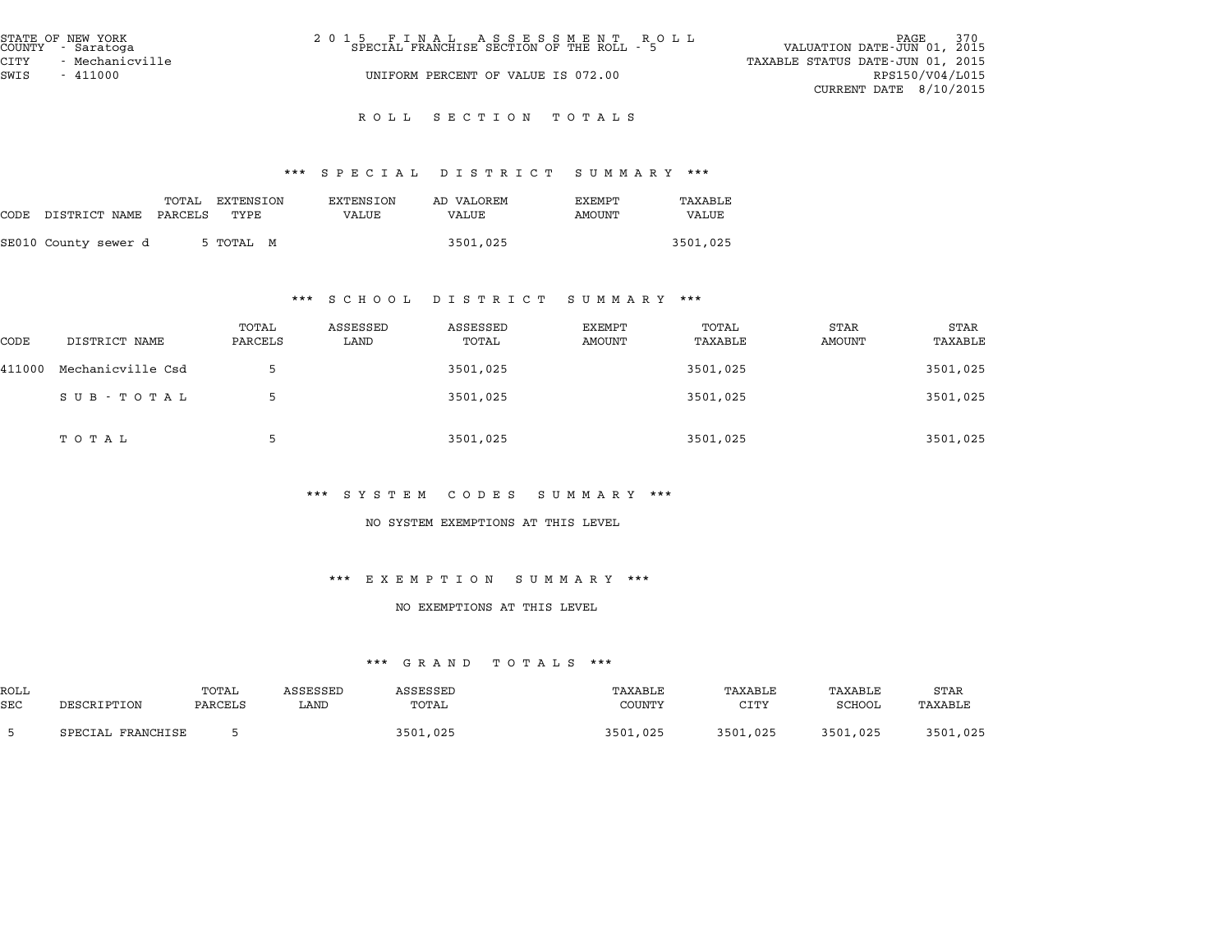| STATE OF NEW YORK<br>COUNTY - Saratoga | 2015 FINAL ASSESSMENT ROLL<br>SPECIAL FRANCHISE SECTION OF THE ROLL - 5 | 370<br>PAGE<br>VALUATION DATE-JUN 01, 2015 |
|----------------------------------------|-------------------------------------------------------------------------|--------------------------------------------|
| CITY<br>- Mechanicville                |                                                                         | TAXABLE STATUS DATE-JUN 01, 2015           |
| SWIS<br>- 411000                       | UNIFORM PERCENT OF VALUE IS 072.00                                      | RPS150/V04/L015                            |
|                                        |                                                                         | CURRENT DATE $8/10/2015$                   |

# \*\*\* S P E C I A L D I S T R I C T S U M M A R Y \*\*\*

|      |                      |                  |                   |                    |                     |                  | .                |
|------|----------------------|------------------|-------------------|--------------------|---------------------|------------------|------------------|
| CODE | DISTRICT NAME        | TOTAL<br>PARCELS | EXTENSION<br>TYPE | EXTENSION<br>VALUE | AD VALOREM<br>VALUE | EXEMPT<br>AMOUNT | TAXABLE<br>VALUE |
|      | SE010 County sewer d |                  | 5 ТОТАL М         |                    | 3501,025            |                  | 3501,025         |

#### \*\*\* S C H O O L D I S T R I C T S U M M A R Y \*\*\*

|        |                   |                  |                  | SCHOOD DISIRICI   | נת מישימים       |                  |                       |                 |
|--------|-------------------|------------------|------------------|-------------------|------------------|------------------|-----------------------|-----------------|
| CODE   | DISTRICT NAME     | TOTAL<br>PARCELS | ASSESSED<br>LAND | ASSESSED<br>TOTAL | EXEMPT<br>AMOUNT | TOTAL<br>TAXABLE | <b>STAR</b><br>AMOUNT | STAR<br>TAXABLE |
| 411000 | Mechanicville Csd | 5                |                  | 3501,025          |                  | 3501,025         |                       | 3501,025        |
|        | SUB - TOTAL       | 5                |                  | 3501,025          |                  | 3501,025         |                       | 3501,025        |
|        | ТОТАЬ             | 5                |                  | 3501,025          |                  | 3501,025         |                       | 3501,025        |

#### \*\*\* S Y S T E M C O D E S S U M M A R Y \*\*\*

#### NO SYSTEM EXEMPTIONS AT THIS LEVEL

#### \*\*\* E X E M P T I O N S U M M A R Y \*\*\*

#### NO EXEMPTIONS AT THIS LEVEL

|                    |                   |                  |                  | כם באנטניים של היי | .                 |                 |                   |                 |
|--------------------|-------------------|------------------|------------------|--------------------|-------------------|-----------------|-------------------|-----------------|
| ROLL<br><b>SEC</b> | DESCRIPTION       | TOTAL<br>PARCELS | ASSESSED<br>LAND | ASSESSED<br>TOTAL  | TAXABLE<br>COUNTY | TAXABLE<br>CITY | TAXABLE<br>SCHOOL | STAR<br>TAXABLE |
|                    | SPECIAL FRANCHISE |                  |                  | 3501,025           | 3501,025          | 3501,025        | 3501,025          | 3501,025        |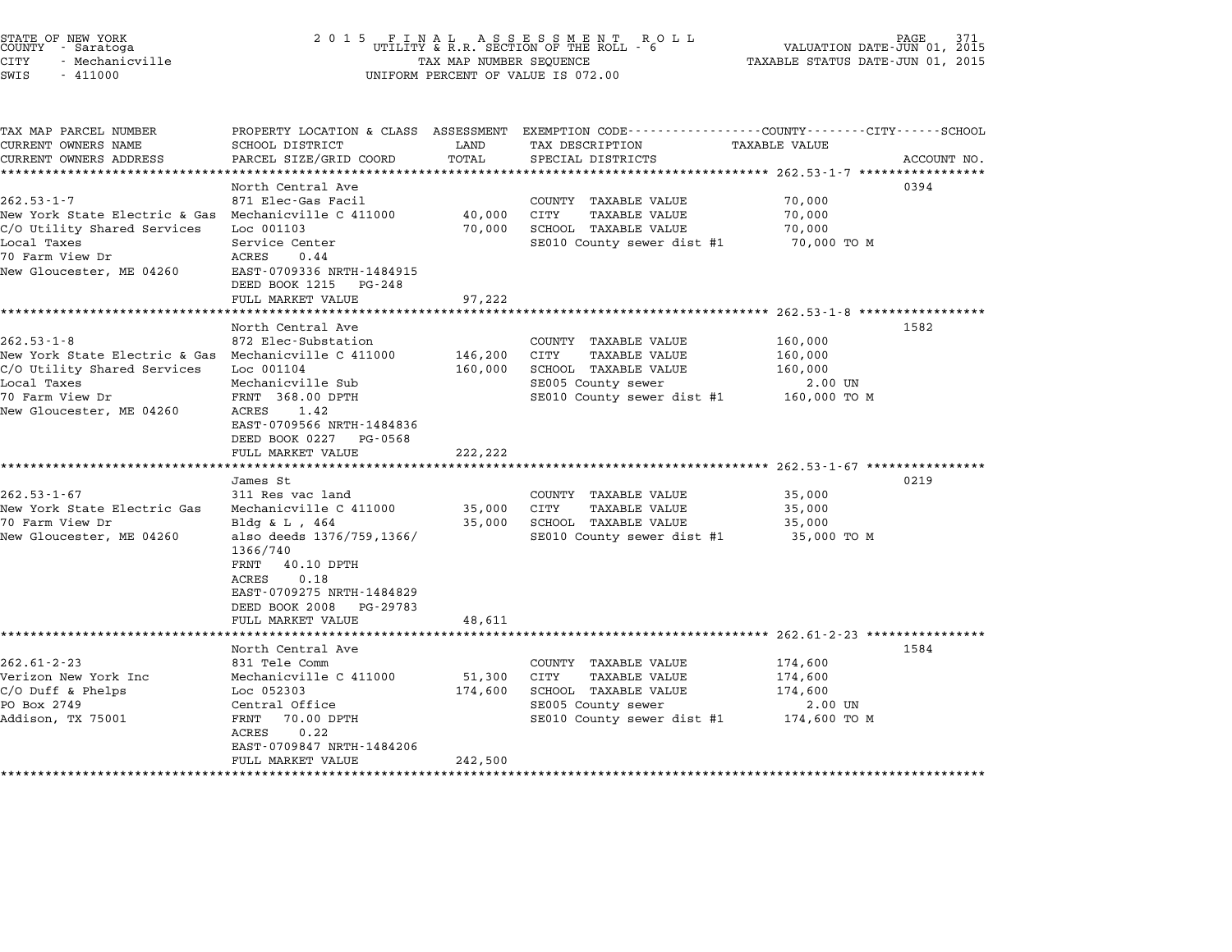| STATE OF NEW YORK<br>COUNTY - Saratoga<br>CITY<br>- Mechanicville<br>SWIS<br>$-411000$                                                                                                           | 2 0 1 5<br>FINAL ASSESSMENT ROUTILITY & R.R. SECTION OF THE ROLL - 6<br>PAGE<br>R O L L<br>VALUATION DATE-JUN 01, 2015<br>TAX MAP NUMBER SEQUENCE<br>TAXABLE STATUS DATE-JUN 01, 2015<br>UNIFORM PERCENT OF VALUE IS 072.00    |                                  |                                                                                                                                  |                                                          |             |  |  |
|--------------------------------------------------------------------------------------------------------------------------------------------------------------------------------------------------|--------------------------------------------------------------------------------------------------------------------------------------------------------------------------------------------------------------------------------|----------------------------------|----------------------------------------------------------------------------------------------------------------------------------|----------------------------------------------------------|-------------|--|--|
| TAX MAP PARCEL NUMBER<br>CURRENT OWNERS NAME<br>CURRENT OWNERS ADDRESS                                                                                                                           | PROPERTY LOCATION & CLASS ASSESSMENT<br>SCHOOL DISTRICT<br>PARCEL SIZE/GRID COORD                                                                                                                                              | LAND<br>TOTAL                    | EXEMPTION CODE-----------------COUNTY-------CITY------SCHOOL<br>TAX DESCRIPTION<br>SPECIAL DISTRICTS                             | TAXABLE VALUE                                            | ACCOUNT NO. |  |  |
| ***********************<br>$262.53 - 1 - 7$<br>New York State Electric & Gas Mechanicville C 411000<br>C/O Utility Shared Services<br>Local Taxes<br>70 Farm View Dr<br>New Gloucester, ME 04260 | *************************<br>North Central Ave<br>871 Elec-Gas Facil<br>Loc 001103<br>Service Center<br>ACRES<br>0.44<br>EAST-0709336 NRTH-1484915<br>DEED BOOK 1215<br>PG-248                                                 | ************<br>40,000<br>70,000 | COUNTY TAXABLE VALUE<br>CITY<br><b>TAXABLE VALUE</b><br>SCHOOL TAXABLE VALUE<br>SE010 County sewer dist #1                       | 70,000<br>70,000<br>70,000<br>70,000 TO M                | 0394        |  |  |
|                                                                                                                                                                                                  | FULL MARKET VALUE<br>******************<br>North Central Ave                                                                                                                                                                   | 97,222                           |                                                                                                                                  | *********************** 262.53-1-8 ******************    | 1582        |  |  |
| $262.53 - 1 - 8$<br>New York State Electric & Gas<br>C/O Utility Shared Services<br>Local Taxes<br>70 Farm View Dr<br>New Gloucester, ME 04260                                                   | 872 Elec-Substation<br>Mechanicville C 411000<br>Loc 001104<br>Mechanicville Sub<br>FRNT 368.00 DPTH<br>ACRES<br>1.42<br>EAST-0709566 NRTH-1484836<br>DEED BOOK 0227<br>PG-0568<br>FULL MARKET VALUE                           | 146,200<br>160,000<br>222,222    | COUNTY TAXABLE VALUE<br>CITY<br>TAXABLE VALUE<br>SCHOOL TAXABLE VALUE<br>SE005 County sewer<br>SE010 County sewer dist #1        | 160,000<br>160,000<br>160,000<br>2.00 UN<br>160,000 TO M |             |  |  |
|                                                                                                                                                                                                  | ****************************<br>James St                                                                                                                                                                                       |                                  |                                                                                                                                  |                                                          | 0219        |  |  |
| $262.53 - 1 - 67$<br>New York State Electric Gas<br>70 Farm View Dr<br>New Gloucester, ME 04260                                                                                                  | 311 Res vac land<br>Mechanicville C 411000<br>Bldg & L , $464$<br>also deeds 1376/759,1366/<br>1366/740<br>40.10 DPTH<br>FRNT<br>0.18<br>ACRES<br>EAST-0709275 NRTH-1484829<br>DEED BOOK 2008<br>PG-29783<br>FULL MARKET VALUE | 35,000<br>35,000<br>48,611       | COUNTY TAXABLE VALUE<br>CITY<br><b>TAXABLE VALUE</b><br>SCHOOL TAXABLE VALUE<br>SE010 County sewer dist #1                       | 35,000<br>35,000<br>35,000<br>35,000 TO M                |             |  |  |
|                                                                                                                                                                                                  | **************************************<br>North Central Ave                                                                                                                                                                    |                                  |                                                                                                                                  |                                                          | 1584        |  |  |
| $262.61 - 2 - 23$<br>Verizon New York Inc<br>$C/O$ Duff & Phelps<br>PO Box 2749<br>Addison, TX 75001                                                                                             | 831 Tele Comm<br>Mechanicville C 411000<br>Loc 052303<br>Central Office<br>FRNT<br>70.00 DPTH<br>0.22<br>ACRES<br>EAST-0709847 NRTH-1484206                                                                                    | 51,300<br>174,600                | COUNTY TAXABLE VALUE<br>CITY<br><b>TAXABLE VALUE</b><br>SCHOOL TAXABLE VALUE<br>SE005 County sewer<br>SE010 County sewer dist #1 | 174,600<br>174,600<br>174,600<br>2.00 UN<br>174,600 TO M |             |  |  |
|                                                                                                                                                                                                  | FULL MARKET VALUE                                                                                                                                                                                                              | 242,500<br>*******************   |                                                                                                                                  |                                                          |             |  |  |

STATE OF NEW YORK <sup>2</sup> <sup>0</sup> <sup>1</sup> 5 F I N A L A S S E S S M E N T R O L L PAGE <sup>371</sup> COUNTY - Saratoga UTILITY & R.R. SECTION OF THE ROLL - <sup>6</sup> VALUATION DATE-JUN 01, <sup>2015</sup>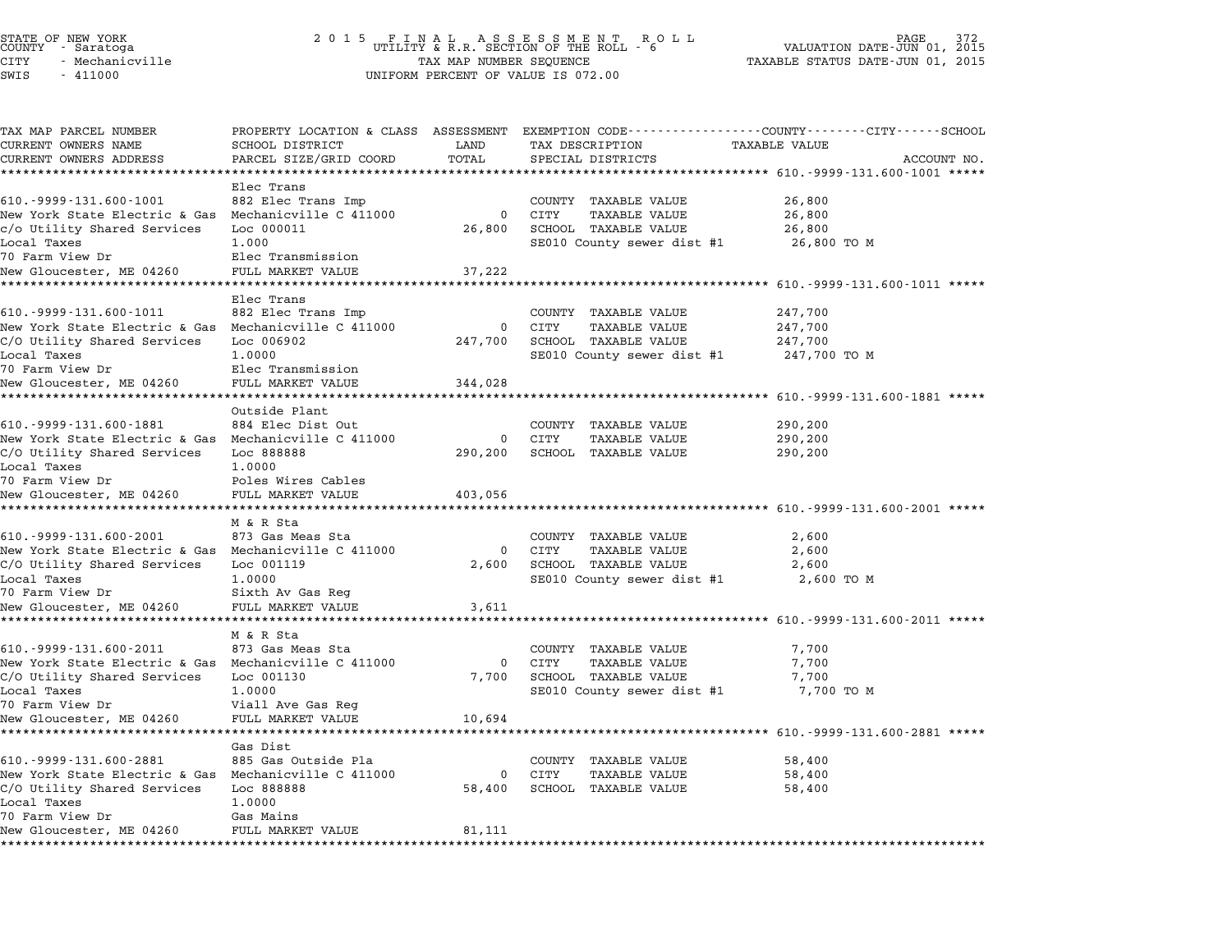## STATE OF NEW YORK <sup>2</sup> <sup>0</sup> <sup>1</sup> 5 F I N A L A S S E S S M E N T R O L L PAGE <sup>372</sup> COUNTY - Saratoga UTILITY & R.R. SECTION OF THE ROLL - <sup>6</sup> VALUATION DATE-JUN 01, <sup>2015</sup> STATE OF NEW YORK (RACE STATE OF NEW YORK OF AGE OF AN ALL ASSESSMENT PAGE OF NEW THEORY OF THE PAGE 372<br>COUNTY - Saratoga (2015) THE SECTION OF THE ROLL - 6 (NALUATION DATE-JUN 01, 2015<br>CITY - Mechanicville (2015) TAXABLE SWIS - <sup>411000</sup> UNIFORM PERCENT OF VALUE IS 072.00

| TAX MAP PARCEL NUMBER                                                               |                                         |                       |                                                      | PROPERTY LOCATION & CLASS ASSESSMENT EXEMPTION CODE---------------COUNTY-------CITY------SCHOOL |  |
|-------------------------------------------------------------------------------------|-----------------------------------------|-----------------------|------------------------------------------------------|-------------------------------------------------------------------------------------------------|--|
| CURRENT OWNERS NAME                                                                 | SCHOOL DISTRICT                         | LAND                  | TAX DESCRIPTION                                      | TAXABLE VALUE                                                                                   |  |
| CURRENT OWNERS ADDRESS                                                              | PARCEL SIZE/GRID COORD                  | TOTAL                 | SPECIAL DISTRICTS                                    | ACCOUNT NO.                                                                                     |  |
| ******************                                                                  |                                         |                       |                                                      |                                                                                                 |  |
| 610. - 9999 - 131.600 - 1001                                                        | Elec Trans<br>882 Elec Trans Imp        |                       |                                                      | 26,800                                                                                          |  |
| New York State Electric & Gas Mechanicville C 411000                                |                                         | 0                     | COUNTY TAXABLE VALUE<br>CITY<br><b>TAXABLE VALUE</b> |                                                                                                 |  |
| c/o Utility Shared Services                                                         | Loc 000011                              | 26,800                | SCHOOL TAXABLE VALUE                                 | 26,800<br>26,800                                                                                |  |
| Local Taxes                                                                         | 1,000                                   |                       | SE010 County sewer dist #1                           | 26,800 TO M                                                                                     |  |
| 70 Farm View Dr                                                                     | Elec Transmission                       |                       |                                                      |                                                                                                 |  |
| New Gloucester, ME 04260                                                            | FULL MARKET VALUE                       | 37,222                |                                                      |                                                                                                 |  |
|                                                                                     |                                         |                       |                                                      | ******************** 610.-9999-131.600-1011 *****                                               |  |
|                                                                                     | Elec Trans                              |                       |                                                      |                                                                                                 |  |
| 610. - 9999 - 131.600 - 1011                                                        | 882 Elec Trans Imp                      |                       | COUNTY TAXABLE VALUE                                 | 247,700                                                                                         |  |
| New York State Electric & Gas Mechanicville C 411000                                |                                         | 0                     | CITY<br><b>TAXABLE VALUE</b>                         | 247,700                                                                                         |  |
| C/O Utility Shared Services                                                         | Loc 006902                              | 247,700               | SCHOOL TAXABLE VALUE                                 | 247,700                                                                                         |  |
| Local Taxes                                                                         | 1,0000                                  |                       | SE010 County sewer dist #1                           | 247,700 TO M                                                                                    |  |
| 70 Farm View Dr                                                                     | Elec Transmission                       |                       |                                                      |                                                                                                 |  |
| New Gloucester, ME 04260                                                            | FULL MARKET VALUE                       | 344,028               |                                                      |                                                                                                 |  |
| ****************************                                                        | *********************                   |                       |                                                      | ************************* 610.-9999-131.600-1881 *****                                          |  |
|                                                                                     | Outside Plant                           |                       |                                                      |                                                                                                 |  |
| 610. - 9999 - 131.600 - 1881                                                        | 884 Elec Dist Out                       |                       | COUNTY TAXABLE VALUE                                 | 290,200                                                                                         |  |
| New York State Electric & Gas Mechanicville C 411000                                |                                         | $\mathbf 0$           | CITY<br><b>TAXABLE VALUE</b>                         | 290,200                                                                                         |  |
| C/O Utility Shared Services                                                         | Loc 888888                              | 290,200               | SCHOOL TAXABLE VALUE                                 | 290,200                                                                                         |  |
| Local Taxes<br>70 Farm View Dr                                                      | 1,0000                                  |                       |                                                      |                                                                                                 |  |
| New Gloucester, ME 04260                                                            | Poles Wires Cables<br>FULL MARKET VALUE |                       |                                                      |                                                                                                 |  |
|                                                                                     |                                         | 403,056               |                                                      | ************************* 610.-9999-131.600-2001 *****                                          |  |
|                                                                                     | M & R Sta                               |                       |                                                      |                                                                                                 |  |
| 610. - 9999 - 131. 600 - 2001                                                       | 873 Gas Meas Sta                        |                       | COUNTY TAXABLE VALUE                                 | 2,600                                                                                           |  |
| New York State Electric & Gas Mechanicville C 411000                                |                                         | $\Omega$              | CITY<br><b>TAXABLE VALUE</b>                         | 2,600                                                                                           |  |
| C/O Utility Shared Services                                                         | Loc 001119                              | 2,600                 | SCHOOL TAXABLE VALUE                                 | 2,600                                                                                           |  |
| Local Taxes                                                                         | 1,0000                                  |                       | SE010 County sewer dist #1                           | 2,600 TO M                                                                                      |  |
| 70 Farm View Dr                                                                     | Sixth Av Gas Reg                        |                       |                                                      |                                                                                                 |  |
| New Gloucester, ME 04260                                                            | FULL MARKET VALUE                       | 3,611                 |                                                      |                                                                                                 |  |
| *************************                                                           | *******************                     |                       |                                                      |                                                                                                 |  |
|                                                                                     | M & R Sta                               |                       |                                                      |                                                                                                 |  |
| 610. - 9999 - 131.600 - 2011                                                        | 873 Gas Meas Sta                        |                       | COUNTY TAXABLE VALUE                                 | 7,700                                                                                           |  |
| New York State Electric & Gas Mechanicville C 411000                                |                                         | $\mathbf 0$           | CITY<br><b>TAXABLE VALUE</b>                         | 7,700                                                                                           |  |
| C/O Utility Shared Services                                                         | Loc 001130                              | 7,700                 | SCHOOL TAXABLE VALUE                                 | 7,700                                                                                           |  |
| Local Taxes                                                                         | 1,0000                                  |                       | SE010 County sewer dist #1                           | 7,700 TO M                                                                                      |  |
| 70 Farm View Dr                                                                     | Viall Ave Gas Reg                       |                       |                                                      |                                                                                                 |  |
| New Gloucester, ME 04260                                                            | FULL MARKET VALUE                       | 10,694                |                                                      |                                                                                                 |  |
|                                                                                     |                                         |                       |                                                      |                                                                                                 |  |
|                                                                                     | Gas Dist                                |                       |                                                      |                                                                                                 |  |
| 610. - 9999 - 131. 600 - 2881                                                       | 885 Gas Outside Pla                     |                       | COUNTY TAXABLE VALUE                                 | 58,400                                                                                          |  |
| New York State Electric & Gas Mechanicville C 411000<br>C/O Utility Shared Services | Loc 888888                              | $\mathbf 0$<br>58,400 | CITY<br><b>TAXABLE VALUE</b><br>SCHOOL TAXABLE VALUE | 58,400<br>58,400                                                                                |  |
| Local Taxes                                                                         | 1.0000                                  |                       |                                                      |                                                                                                 |  |
| 70 Farm View Dr                                                                     | Gas Mains                               |                       |                                                      |                                                                                                 |  |
| New Gloucester, ME 04260                                                            | FULL MARKET VALUE                       | 81,111                |                                                      |                                                                                                 |  |
| *********************                                                               | ***************************             |                       |                                                      |                                                                                                 |  |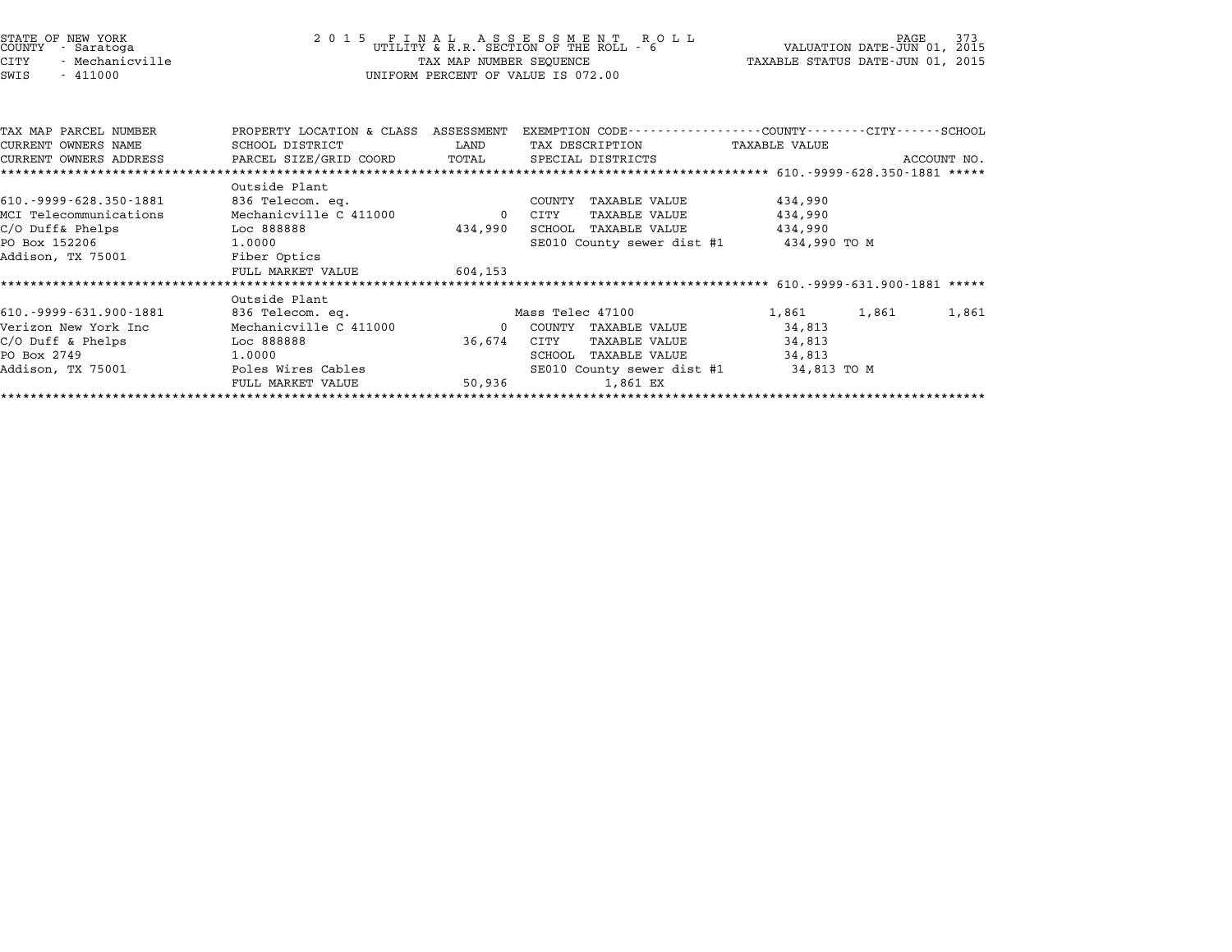|      | STATE OF NEW YORK<br>COUNTY - Saratoga |
|------|----------------------------------------|
| CITY | - Mechanicville                        |
| SWIS | $-411000$                              |

## STATE OF NEW YORK <sup>2</sup> <sup>0</sup> <sup>1</sup> 5 F I N A L A S S E S S M E N T R O L L PAGE <sup>373</sup> COUNTY - Saratoga UTILITY & R.R. SECTION OF THE ROLL - <sup>6</sup> VALUATION DATE-JUN 01, <sup>2015</sup> STATE OF NEW YORK (RACE STATE OF NEW YORK OF AGE OF AN ALL ASSESSMENT PAGE OF NEW THEORY OF THE PAGE 373<br>COUNTY - Saratoga (2015) THE STATUS DATE-JUN 01, 2015 TAXABLE STATUS DATE-JUN 01, 2015<br>CITY - Mechanicville (2015) TA TAX MAP NUMBER SEQUENCE<br>UNIFORM PERCENT OF VALUE IS 072.00

| TAX MAP PARCEL NUMBER         | PROPERTY LOCATION & CLASS | ASSESSMENT  | EXEMPTION CODE-----------------COUNTY-------CITY------SCHOOL |                |             |
|-------------------------------|---------------------------|-------------|--------------------------------------------------------------|----------------|-------------|
| CURRENT OWNERS NAME           | SCHOOL DISTRICT           | LAND        | TAX DESCRIPTION                                              | TAXABLE VALUE  |             |
| CURRENT OWNERS ADDRESS        | PARCEL SIZE/GRID COORD    | TOTAL       | SPECIAL DISTRICTS                                            |                | ACCOUNT NO. |
|                               |                           |             |                                                              |                |             |
|                               | Outside Plant             |             |                                                              |                |             |
| 610. - 9999 - 628. 350 - 1881 | 836 Telecom. eq.          |             | TAXABLE VALUE<br>COUNTY                                      | 434,990        |             |
| MCI Telecommunications        | Mechanicville C 411000    | $\mathbf 0$ | CITY<br>TAXABLE VALUE                                        | 434,990        |             |
| $C/O$ Duff& Phelps            | Loc 888888                | 434,990     | SCHOOL<br>TAXABLE VALUE                                      | 434,990        |             |
| PO Box 152206                 | 1.0000                    |             | SE010 County sewer dist #1                                   | 434,990 TO M   |             |
| Addison, TX 75001             | Fiber Optics              |             |                                                              |                |             |
|                               | FULL MARKET VALUE         | 604,153     |                                                              |                |             |
|                               |                           |             |                                                              |                |             |
|                               | Outside Plant             |             |                                                              |                |             |
| 610. - 9999 - 631. 900 - 1881 | 836 Telecom. eq.          |             | Mass Telec 47100                                             | 1,861<br>1,861 | 1,861       |
| Verizon New York Inc          | Mechanicville C 411000    | $\Omega$    | COUNTY<br>TAXABLE VALUE                                      | 34,813         |             |
| $C/O$ Duff & Phelps           | Loc 888888                | 36,674      | CITY<br>TAXABLE VALUE                                        | 34,813         |             |
| PO Box 2749                   | 1,0000                    |             | TAXABLE VALUE<br>SCHOOL                                      | 34,813         |             |
| Addison, TX 75001             | Poles Wires Cables        |             | SE010 County sewer dist #1                                   | 34,813 TO M    |             |
|                               | FULL MARKET VALUE         | 50,936      | 1,861 EX                                                     |                |             |
|                               |                           |             |                                                              |                |             |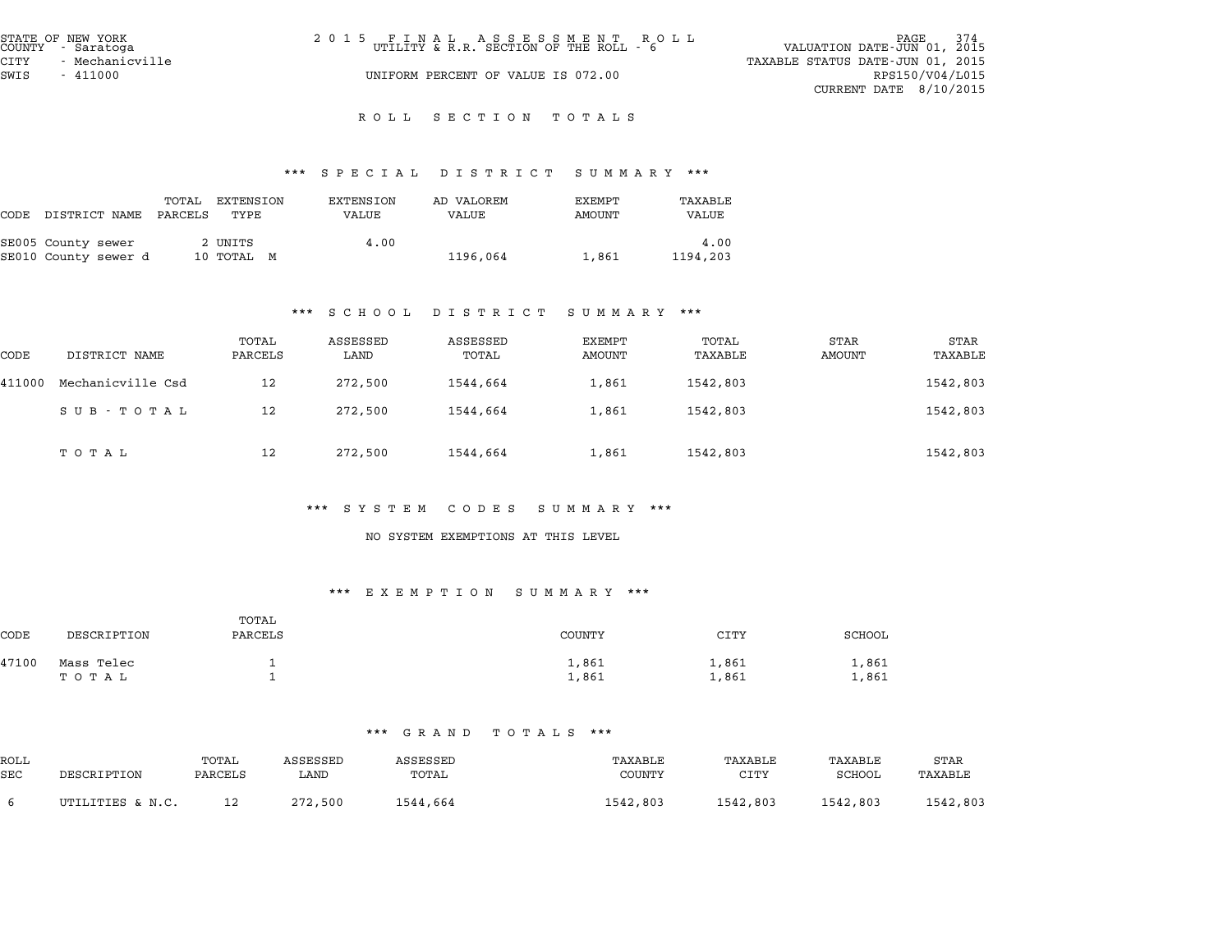| STATE OF NEW YORK<br>COUNTY - Saratoga | 2015 FINAL ASSESSMENT ROLL<br>UTILITY & R.R. SECTION OF THE ROLL - 6 | 374<br>PAGE<br>VALUATION DATE-JUN 01, 2015 |
|----------------------------------------|----------------------------------------------------------------------|--------------------------------------------|
| - Mechanicville<br>CITY                |                                                                      | TAXABLE STATUS DATE-JUN 01, 2015           |
| SWIS<br>$-411000$                      | UNIFORM PERCENT OF VALUE IS 072.00                                   | RPS150/V04/L015                            |
|                                        |                                                                      | CURRENT DATE $8/10/2015$                   |

# \*\*\* S P E C I A L D I S T R I C T S U M M A R Y \*\*\*

|                                            |                  |                       |                    | protan protator pohinaat |                  |                  |
|--------------------------------------------|------------------|-----------------------|--------------------|--------------------------|------------------|------------------|
| CODE DISTRICT NAME                         | TOTAL<br>PARCELS | EXTENSION<br>TYPE     | EXTENSION<br>VALUE | AD VALOREM<br>VALUE      | EXEMPT<br>AMOUNT | TAXABLE<br>VALUE |
| SE005 County sewer<br>SE010 County sewer d |                  | 2 UNITS<br>10 TOTAL M | 4.00               | 1196,064                 | 1,861            | 4.00<br>1194,203 |

## \*\*\* S C H O O L D I S T R I C T S U M M A R Y \*\*\*

| 2 1 2 1 N 1 C 1<br>ם תבתנות טיט |                   |                  |                  |                   |                         |                  |                |                 |
|---------------------------------|-------------------|------------------|------------------|-------------------|-------------------------|------------------|----------------|-----------------|
| CODE                            | DISTRICT NAME     | TOTAL<br>PARCELS | ASSESSED<br>LAND | ASSESSED<br>TOTAL | EXEMPT<br><b>AMOUNT</b> | TOTAL<br>TAXABLE | STAR<br>AMOUNT | STAR<br>TAXABLE |
| 411000                          | Mechanicville Csd | 12               | 272,500          | 1544,664          | 1,861                   | 1542,803         |                | 1542,803        |
|                                 | SUB - TOTAL       | 12               | 272,500          | 1544,664          | 1,861                   | 1542,803         |                | 1542,803        |
|                                 | ТОТАЬ             | 12               | 272,500          | 1544,664          | 1,861                   | 1542,803         |                | 1542,803        |

#### \*\*\* S Y S T E M C O D E S S U M M A R Y \*\*\*

#### NO SYSTEM EXEMPTIONS AT THIS LEVEL

#### \*\*\* E X E M P T I O N S U M M A R Y \*\*\*

|       | .<br>LALIII II ON<br>ponna ni<br>. |                  |                |                |                |  |  |  |  |
|-------|------------------------------------|------------------|----------------|----------------|----------------|--|--|--|--|
| CODE  | DESCRIPTION                        | TOTAL<br>PARCELS | <b>COUNTY</b>  | CITY           | <b>SCHOOL</b>  |  |  |  |  |
| 47100 | Mass Telec<br>ТОТАЬ                |                  | 1,861<br>1,861 | 1,861<br>1,861 | 1,861<br>1,861 |  |  |  |  |

|             | GRAND TOIAHD<br>. |                  |                  |                   |                          |                 |                   |                 |  |  |
|-------------|-------------------|------------------|------------------|-------------------|--------------------------|-----------------|-------------------|-----------------|--|--|
| ROLL<br>SEC | DESCRIPTION       | TOTAL<br>PARCELS | ASSESSED<br>LAND | ASSESSED<br>TOTAL | TAXABLE<br><b>COUNTY</b> | TAXABLE<br>CITY | TAXABLE<br>SCHOOL | STAR<br>TAXABLE |  |  |
| 6           | UTILITIES & N.C.  | 12               | 272,500          | 1544,664          | 1542,803                 | 1542,803        | 1542,803          | 1542,803        |  |  |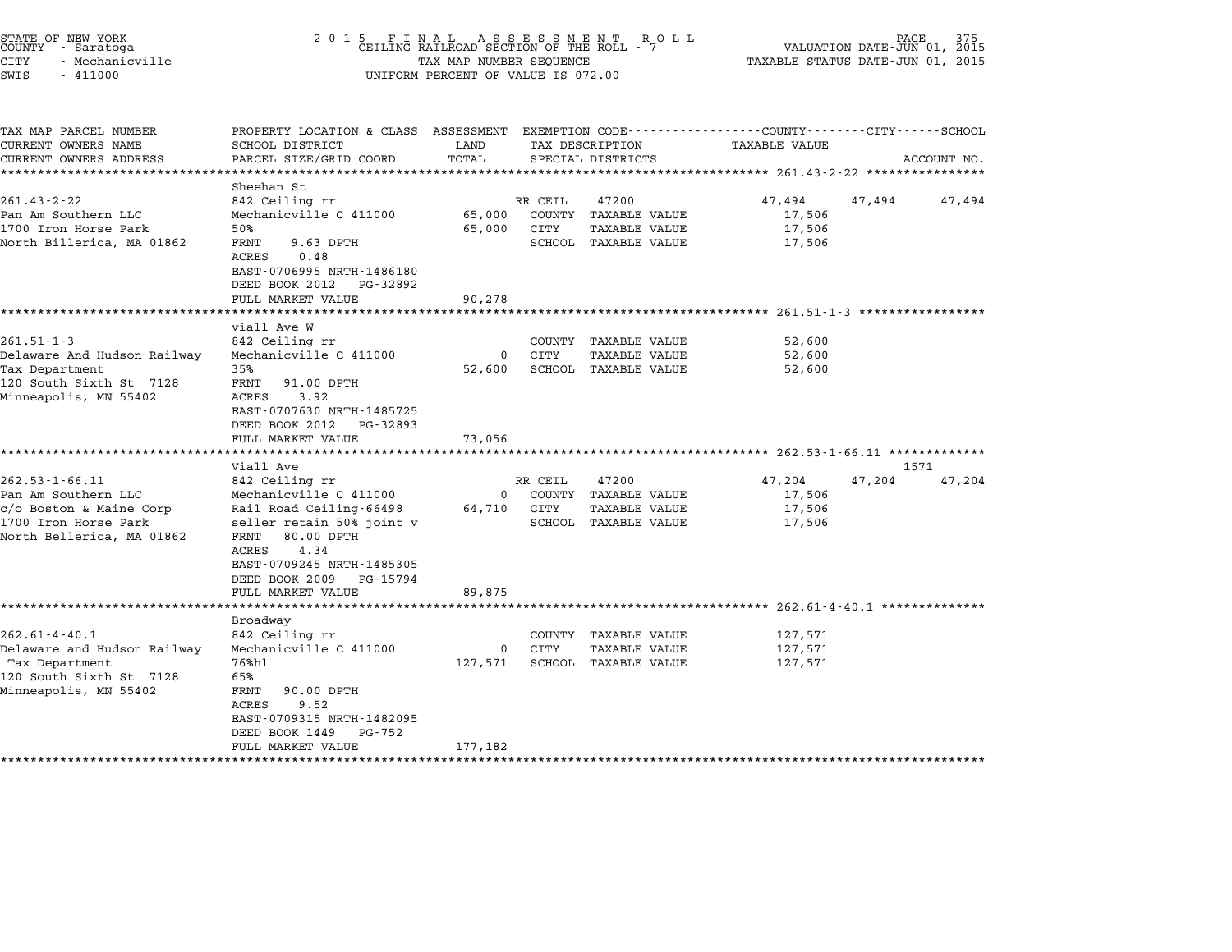|                   | STATE OF NEW YORK |  |
|-------------------|-------------------|--|
|                   | COUNTY - Saratoga |  |
| CITY              | - Mechanicville   |  |
| CIMT <sub>C</sub> | $-111000$         |  |

## end the New York (2001)<br>2015 FINAL ASSESSMENT ROLL ROLL (PAGE 375 PAGE 375 M)<br>COUNTY - Saratoga (CEILING RAILROAD SECTION OF THE ROLL - 7 MALUATION DATE-JUN 01, 2015 CITY - Mechanicville TAX MAP NUMBER SEQUENCE TAXABLE STATUS DATE-JUN 01, <sup>2015</sup> SWIS - <sup>411000</sup> UNIFORM PERCENT OF VALUE IS 072.00

| TAX MAP PARCEL NUMBER                          | PROPERTY LOCATION & CLASS ASSESSMENT EXEMPTION CODE---------------COUNTY-------CITY-----SCHOOL |              |             |                                              |                                                                    |        |             |
|------------------------------------------------|------------------------------------------------------------------------------------------------|--------------|-------------|----------------------------------------------|--------------------------------------------------------------------|--------|-------------|
| CURRENT OWNERS NAME                            | SCHOOL DISTRICT                                                                                | LAND         |             | TAX DESCRIPTION                              | <b>TAXABLE VALUE</b>                                               |        |             |
| CURRENT OWNERS ADDRESS                         | PARCEL SIZE/GRID COORD                                                                         | TOTAL        |             | SPECIAL DISTRICTS                            |                                                                    |        | ACCOUNT NO. |
|                                                |                                                                                                |              |             |                                              |                                                                    |        |             |
| $261.43 - 2 - 22$                              | Sheehan St<br>842 Ceiling rr                                                                   |              | RR CEIL     | 47200                                        | 47,494                                                             | 47,494 | 47,494      |
|                                                |                                                                                                |              |             |                                              |                                                                    |        |             |
| Pan Am Southern LLC<br>1700 Iron Horse Park    | Mechanicville C 411000                                                                         | 65,000       |             | COUNTY TAXABLE VALUE                         | 17,506                                                             |        |             |
|                                                | 50%                                                                                            | 65,000       | CITY        | <b>TAXABLE VALUE</b>                         | 17,506                                                             |        |             |
| North Billerica, MA 01862                      | FRNT<br>9.63 DPTH<br>ACRES<br>0.48                                                             |              |             | SCHOOL TAXABLE VALUE                         | 17,506                                                             |        |             |
|                                                | EAST-0706995 NRTH-1486180<br>DEED BOOK 2012 PG-32892                                           |              |             |                                              |                                                                    |        |             |
|                                                | FULL MARKET VALUE                                                                              | 90,278       |             |                                              |                                                                    |        |             |
|                                                | ***************************                                                                    |              |             |                                              |                                                                    |        |             |
|                                                | viall Ave W                                                                                    |              |             |                                              |                                                                    |        |             |
| $261.51 - 1 - 3$                               | 842 Ceiling rr                                                                                 |              |             | COUNTY TAXABLE VALUE                         | 52,600                                                             |        |             |
| Delaware And Hudson Railway                    | Mechanicville C 411000                                                                         | $\mathsf{O}$ | CITY        | <b>TAXABLE VALUE</b>                         | 52,600                                                             |        |             |
| Tax Department                                 | 35%                                                                                            | 52,600       |             | SCHOOL TAXABLE VALUE                         | 52,600                                                             |        |             |
| 120 South Sixth St 7128                        | FRNT<br>91.00 DPTH                                                                             |              |             |                                              |                                                                    |        |             |
| Minneapolis, MN 55402                          | ACRES<br>3.92                                                                                  |              |             |                                              |                                                                    |        |             |
|                                                | EAST-0707630 NRTH-1485725                                                                      |              |             |                                              |                                                                    |        |             |
|                                                | DEED BOOK 2012 PG-32893                                                                        |              |             |                                              |                                                                    |        |             |
|                                                | FULL MARKET VALUE                                                                              | 73,056       |             |                                              |                                                                    |        |             |
|                                                |                                                                                                |              |             |                                              |                                                                    |        |             |
| $262.53 - 1 - 66.11$                           | Viall Ave                                                                                      |              | RR CEIL     | 47200                                        | 47,204                                                             |        | 1571        |
|                                                | 842 Ceiling rr                                                                                 |              |             |                                              |                                                                    | 47,204 | 47,204      |
| Pan Am Southern LLC<br>c/o Boston & Maine Corp | Mechanicville C 411000<br>Rail Road Ceiling-66498                                              | $\Omega$     | 64,710 CITY | COUNTY TAXABLE VALUE<br><b>TAXABLE VALUE</b> | 17,506<br>17,506                                                   |        |             |
| 1700 Iron Horse Park                           |                                                                                                |              |             | SCHOOL TAXABLE VALUE                         |                                                                    |        |             |
| North Bellerica, MA 01862                      | seller retain 50% joint v<br>FRNT<br>80.00 DPTH                                                |              |             |                                              | 17,506                                                             |        |             |
|                                                | 4.34<br>ACRES                                                                                  |              |             |                                              |                                                                    |        |             |
|                                                | EAST-0709245 NRTH-1485305                                                                      |              |             |                                              |                                                                    |        |             |
|                                                | DEED BOOK 2009 PG-15794                                                                        |              |             |                                              |                                                                    |        |             |
|                                                | FULL MARKET VALUE                                                                              | 89,875       |             |                                              |                                                                    |        |             |
|                                                | *********************                                                                          |              |             |                                              | ************************************ 262.61-4-40.1 *************** |        |             |
|                                                | Broadway                                                                                       |              |             |                                              |                                                                    |        |             |
| $262.61 - 4 - 40.1$                            | 842 Ceiling rr                                                                                 |              |             | COUNTY TAXABLE VALUE                         | 127,571                                                            |        |             |
| Delaware and Hudson Railway                    | Mechanicville C 411000                                                                         |              | 0 CITY      | <b>TAXABLE VALUE</b>                         | 127,571                                                            |        |             |
| Tax Department                                 | 76%hl                                                                                          | 127,571      |             | SCHOOL TAXABLE VALUE                         | 127,571                                                            |        |             |
| 120 South Sixth St 7128                        | 65%                                                                                            |              |             |                                              |                                                                    |        |             |
| Minneapolis, MN 55402                          | 90.00 DPTH<br>FRNT                                                                             |              |             |                                              |                                                                    |        |             |
|                                                | ACRES<br>9.52                                                                                  |              |             |                                              |                                                                    |        |             |
|                                                | EAST-0709315 NRTH-1482095                                                                      |              |             |                                              |                                                                    |        |             |
|                                                | DEED BOOK 1449<br>PG-752                                                                       |              |             |                                              |                                                                    |        |             |
|                                                | FULL MARKET VALUE                                                                              | 177,182      |             |                                              |                                                                    |        |             |
|                                                |                                                                                                |              |             |                                              |                                                                    |        |             |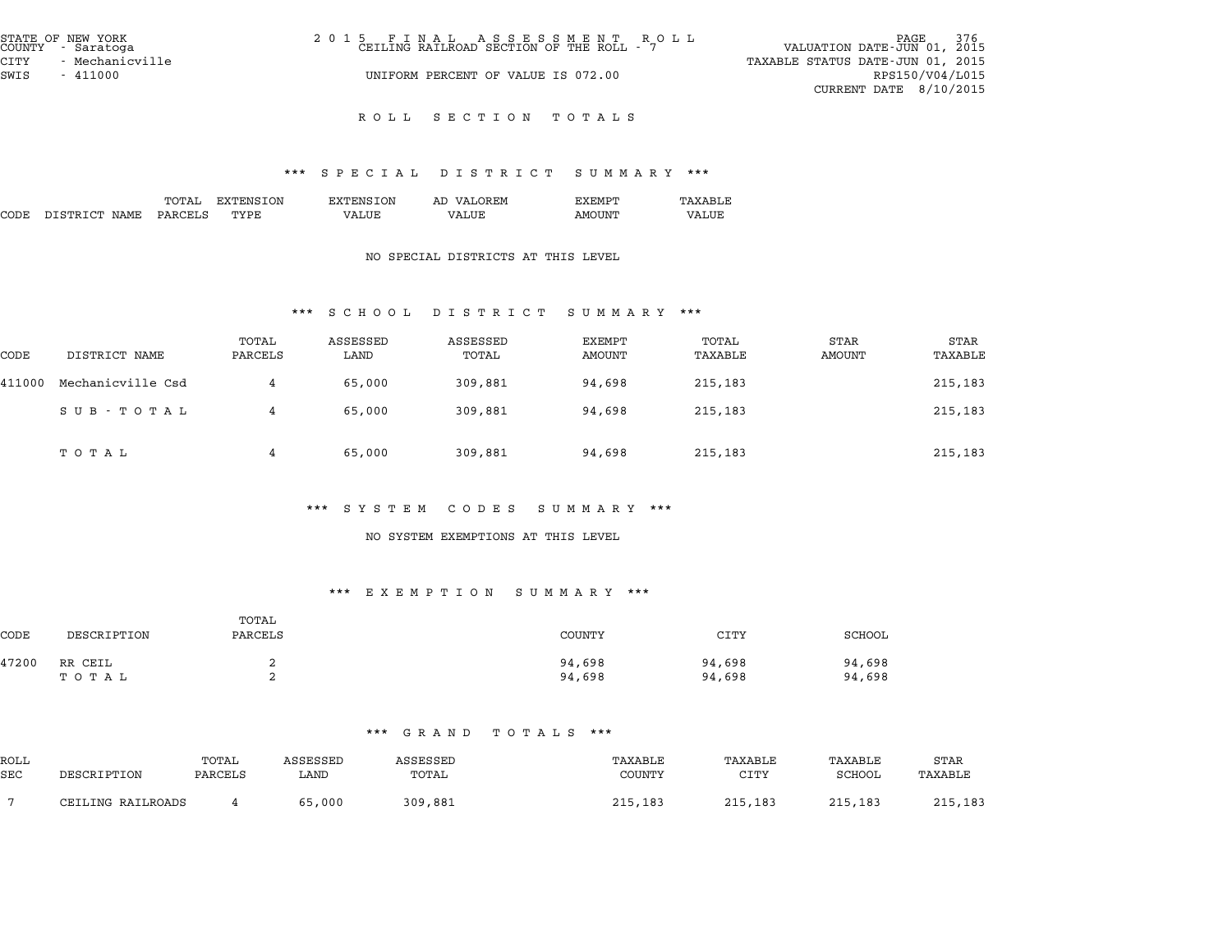| STATE OF NEW YORK<br>COUNTY - Saratoga | 2015 FINAL ASSESSMENT ROLL CEILING RAILROAD SECTION OF THE ROLL - 7 | 376<br>PAGE<br>VALUATION DATE-JUN 01, 2015 |
|----------------------------------------|---------------------------------------------------------------------|--------------------------------------------|
| CITY<br>- Mechanicville                |                                                                     | TAXABLE STATUS DATE-JUN 01, 2015           |
| SWIS<br>$-411000$                      | UNIFORM PERCENT OF VALUE IS 072.00                                  | RPS150/V04/L015                            |
|                                        |                                                                     | CURRENT DATE $8/10/2015$                   |

# \*\*\* S P E C I A L D I S T R I C T S U M M A R Y \*\*\*

|      |               |         |           |                  | protan protator pohinaat |               | .       |
|------|---------------|---------|-----------|------------------|--------------------------|---------------|---------|
|      |               | TOTAL   | EXTENSION | <b>EXTENSION</b> | AD VALOREM               | <b>EXEMPT</b> | TAXABLE |
| CODE | DISTRICT NAME | PARCELS | TYPE      | VALUE            | VALUE                    | <b>AMOUNT</b> | VALUE   |

#### NO SPECIAL DISTRICTS AT THIS LEVEL

#### \*\*\* S C H O O L D I S T R I C T S U M M A R Y \*\*\*

|        | .<br>$\mathbf{D}$ $\mathbf{L}$ $\mathbf{D}$ $\mathbf{L}$ $\mathbf{L}$ $\mathbf{L}$ $\mathbf{L}$ $\mathbf{L}$ $\mathbf{L}$ $\mathbf{L}$<br>ם תבתנות טיט |                  |                  |                   |                  |                  |                |                 |
|--------|--------------------------------------------------------------------------------------------------------------------------------------------------------|------------------|------------------|-------------------|------------------|------------------|----------------|-----------------|
| CODE   | DISTRICT NAME                                                                                                                                          | TOTAL<br>PARCELS | ASSESSED<br>LAND | ASSESSED<br>TOTAL | EXEMPT<br>AMOUNT | TOTAL<br>TAXABLE | STAR<br>AMOUNT | STAR<br>TAXABLE |
| 411000 | Mechanicville Csd                                                                                                                                      | 4                | 65,000           | 309,881           | 94,698           | 215,183          |                | 215,183         |
|        | SUB - TOTAL                                                                                                                                            | 4                | 65,000           | 309,881           | 94,698           | 215,183          |                | 215,183         |
|        | тотаь                                                                                                                                                  | 4                | 65,000           | 309,881           | 94,698           | 215,183          |                | 215,183         |

#### \*\*\* S Y S T E M C O D E S S U M M A R Y \*\*\*

#### NO SYSTEM EXEMPTIONS AT THIS LEVEL

#### \*\*\* E X E M P T I O N S U M M A R Y \*\*\*

|       | .<br>20 A 20 PI F & A 20 AV<br>. |                  |                  |                  |                  |  |  |  |  |
|-------|----------------------------------|------------------|------------------|------------------|------------------|--|--|--|--|
| CODE  | DESCRIPTION                      | TOTAL<br>PARCELS | COUNTY           | <b>CITY</b>      | SCHOOL           |  |  |  |  |
| 47200 | RR CEIL<br>тотаь                 | ▵<br>◠           | 94,698<br>94,698 | 94,698<br>94,698 | 94,698<br>94,698 |  |  |  |  |

|      | .<br>.            |         |          |          |         |         |         |         |  |  |
|------|-------------------|---------|----------|----------|---------|---------|---------|---------|--|--|
| ROLL |                   | TOTAL   | ASSESSED | ASSESSED | TAXABLE | TAXABLE | TAXABLE | STAR    |  |  |
| SEC  | DESCRIPTION       | PARCELS | LAND     | TOTAL    | COUNTY  | CITY    | SCHOOL  | TAXABLE |  |  |
|      | CEILING RAILROADS |         | 65,000   | 309,881  | 215,183 | 215,183 | 215,183 | 215,183 |  |  |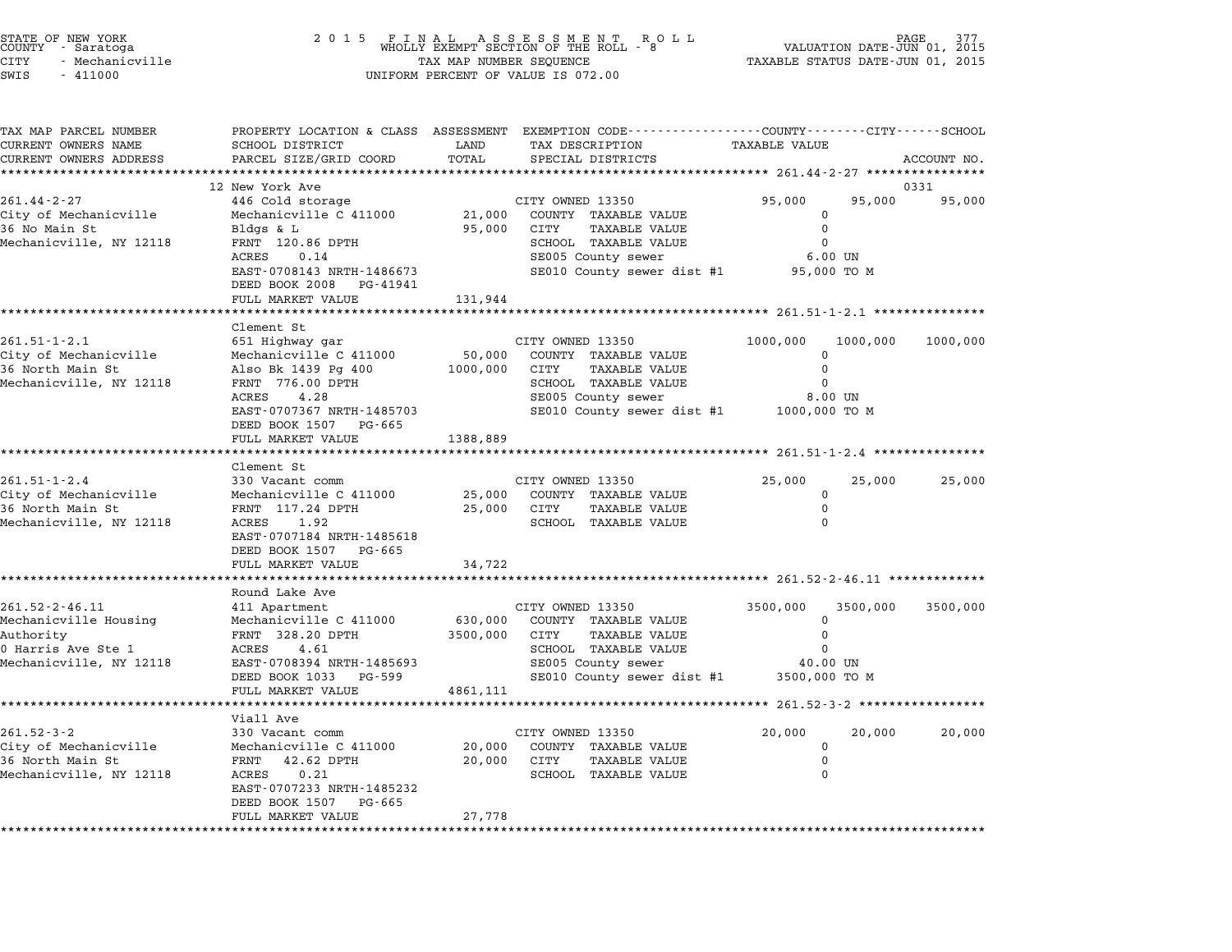|                      | STATE OF NEW YORK<br>COUNTY - Saratoga |  |
|----------------------|----------------------------------------|--|
| CITY                 | - Mechanicville                        |  |
| $\sim$ $\sim$ $\sim$ | 111000                                 |  |

|                                       | LAND                                                                                                                                                                                                                                                                                                                                                                                                                                                                                                                           |                                                             |                                                                                                                                                                                                                                                                                                                                 |                                                                                                                                                                                                           |                                                                                                                                                                                                                                                                |
|---------------------------------------|--------------------------------------------------------------------------------------------------------------------------------------------------------------------------------------------------------------------------------------------------------------------------------------------------------------------------------------------------------------------------------------------------------------------------------------------------------------------------------------------------------------------------------|-------------------------------------------------------------|---------------------------------------------------------------------------------------------------------------------------------------------------------------------------------------------------------------------------------------------------------------------------------------------------------------------------------|-----------------------------------------------------------------------------------------------------------------------------------------------------------------------------------------------------------|----------------------------------------------------------------------------------------------------------------------------------------------------------------------------------------------------------------------------------------------------------------|
| PARCEL SIZE/GRID COORD                | TOTAL                                                                                                                                                                                                                                                                                                                                                                                                                                                                                                                          | SPECIAL DISTRICTS                                           |                                                                                                                                                                                                                                                                                                                                 |                                                                                                                                                                                                           | ACCOUNT NO.                                                                                                                                                                                                                                                    |
|                                       |                                                                                                                                                                                                                                                                                                                                                                                                                                                                                                                                |                                                             |                                                                                                                                                                                                                                                                                                                                 |                                                                                                                                                                                                           |                                                                                                                                                                                                                                                                |
| 12 New York Ave                       |                                                                                                                                                                                                                                                                                                                                                                                                                                                                                                                                |                                                             |                                                                                                                                                                                                                                                                                                                                 |                                                                                                                                                                                                           | 0331                                                                                                                                                                                                                                                           |
| 446 Cold storage                      |                                                                                                                                                                                                                                                                                                                                                                                                                                                                                                                                |                                                             | 95,000                                                                                                                                                                                                                                                                                                                          | 95,000                                                                                                                                                                                                    | 95,000                                                                                                                                                                                                                                                         |
| Mechanicville C 411000                | 21,000                                                                                                                                                                                                                                                                                                                                                                                                                                                                                                                         | COUNTY TAXABLE VALUE                                        | 0                                                                                                                                                                                                                                                                                                                               |                                                                                                                                                                                                           |                                                                                                                                                                                                                                                                |
|                                       |                                                                                                                                                                                                                                                                                                                                                                                                                                                                                                                                |                                                             |                                                                                                                                                                                                                                                                                                                                 |                                                                                                                                                                                                           |                                                                                                                                                                                                                                                                |
|                                       |                                                                                                                                                                                                                                                                                                                                                                                                                                                                                                                                |                                                             |                                                                                                                                                                                                                                                                                                                                 |                                                                                                                                                                                                           |                                                                                                                                                                                                                                                                |
|                                       |                                                                                                                                                                                                                                                                                                                                                                                                                                                                                                                                |                                                             |                                                                                                                                                                                                                                                                                                                                 |                                                                                                                                                                                                           |                                                                                                                                                                                                                                                                |
|                                       |                                                                                                                                                                                                                                                                                                                                                                                                                                                                                                                                |                                                             |                                                                                                                                                                                                                                                                                                                                 |                                                                                                                                                                                                           |                                                                                                                                                                                                                                                                |
|                                       |                                                                                                                                                                                                                                                                                                                                                                                                                                                                                                                                |                                                             |                                                                                                                                                                                                                                                                                                                                 |                                                                                                                                                                                                           |                                                                                                                                                                                                                                                                |
| *******************                   |                                                                                                                                                                                                                                                                                                                                                                                                                                                                                                                                |                                                             |                                                                                                                                                                                                                                                                                                                                 |                                                                                                                                                                                                           |                                                                                                                                                                                                                                                                |
| Clement St                            |                                                                                                                                                                                                                                                                                                                                                                                                                                                                                                                                |                                                             |                                                                                                                                                                                                                                                                                                                                 |                                                                                                                                                                                                           |                                                                                                                                                                                                                                                                |
| 651 Highway gar                       |                                                                                                                                                                                                                                                                                                                                                                                                                                                                                                                                |                                                             | 1000,000                                                                                                                                                                                                                                                                                                                        |                                                                                                                                                                                                           | 1000,000                                                                                                                                                                                                                                                       |
| Mechanicville C 411000                | 50,000                                                                                                                                                                                                                                                                                                                                                                                                                                                                                                                         | COUNTY TAXABLE VALUE                                        | $\Omega$                                                                                                                                                                                                                                                                                                                        |                                                                                                                                                                                                           |                                                                                                                                                                                                                                                                |
| Also Bk 1439 Pg 400                   | 1000,000                                                                                                                                                                                                                                                                                                                                                                                                                                                                                                                       | <b>TAXABLE VALUE</b><br>CITY                                | $\mathbf 0$                                                                                                                                                                                                                                                                                                                     |                                                                                                                                                                                                           |                                                                                                                                                                                                                                                                |
|                                       |                                                                                                                                                                                                                                                                                                                                                                                                                                                                                                                                |                                                             | $\Omega$                                                                                                                                                                                                                                                                                                                        |                                                                                                                                                                                                           |                                                                                                                                                                                                                                                                |
|                                       |                                                                                                                                                                                                                                                                                                                                                                                                                                                                                                                                |                                                             |                                                                                                                                                                                                                                                                                                                                 |                                                                                                                                                                                                           |                                                                                                                                                                                                                                                                |
|                                       |                                                                                                                                                                                                                                                                                                                                                                                                                                                                                                                                |                                                             |                                                                                                                                                                                                                                                                                                                                 |                                                                                                                                                                                                           |                                                                                                                                                                                                                                                                |
|                                       |                                                                                                                                                                                                                                                                                                                                                                                                                                                                                                                                |                                                             |                                                                                                                                                                                                                                                                                                                                 |                                                                                                                                                                                                           |                                                                                                                                                                                                                                                                |
| * * * * * * * * * * * * * * * * * * * |                                                                                                                                                                                                                                                                                                                                                                                                                                                                                                                                |                                                             |                                                                                                                                                                                                                                                                                                                                 |                                                                                                                                                                                                           |                                                                                                                                                                                                                                                                |
| Clement St                            |                                                                                                                                                                                                                                                                                                                                                                                                                                                                                                                                |                                                             |                                                                                                                                                                                                                                                                                                                                 |                                                                                                                                                                                                           |                                                                                                                                                                                                                                                                |
| 330 Vacant comm                       |                                                                                                                                                                                                                                                                                                                                                                                                                                                                                                                                |                                                             | 25,000                                                                                                                                                                                                                                                                                                                          | 25,000                                                                                                                                                                                                    | 25,000                                                                                                                                                                                                                                                         |
| Mechanicville C 411000                | 25,000                                                                                                                                                                                                                                                                                                                                                                                                                                                                                                                         | COUNTY TAXABLE VALUE                                        | 0                                                                                                                                                                                                                                                                                                                               |                                                                                                                                                                                                           |                                                                                                                                                                                                                                                                |
| FRNT 117.24 DPTH                      | 25,000                                                                                                                                                                                                                                                                                                                                                                                                                                                                                                                         | CITY<br><b>TAXABLE VALUE</b>                                | $\mathbf 0$                                                                                                                                                                                                                                                                                                                     |                                                                                                                                                                                                           |                                                                                                                                                                                                                                                                |
|                                       |                                                                                                                                                                                                                                                                                                                                                                                                                                                                                                                                | SCHOOL TAXABLE VALUE                                        |                                                                                                                                                                                                                                                                                                                                 |                                                                                                                                                                                                           |                                                                                                                                                                                                                                                                |
|                                       |                                                                                                                                                                                                                                                                                                                                                                                                                                                                                                                                |                                                             |                                                                                                                                                                                                                                                                                                                                 |                                                                                                                                                                                                           |                                                                                                                                                                                                                                                                |
|                                       |                                                                                                                                                                                                                                                                                                                                                                                                                                                                                                                                |                                                             |                                                                                                                                                                                                                                                                                                                                 |                                                                                                                                                                                                           |                                                                                                                                                                                                                                                                |
|                                       |                                                                                                                                                                                                                                                                                                                                                                                                                                                                                                                                |                                                             |                                                                                                                                                                                                                                                                                                                                 |                                                                                                                                                                                                           |                                                                                                                                                                                                                                                                |
|                                       |                                                                                                                                                                                                                                                                                                                                                                                                                                                                                                                                |                                                             |                                                                                                                                                                                                                                                                                                                                 |                                                                                                                                                                                                           |                                                                                                                                                                                                                                                                |
|                                       |                                                                                                                                                                                                                                                                                                                                                                                                                                                                                                                                |                                                             |                                                                                                                                                                                                                                                                                                                                 |                                                                                                                                                                                                           | 3500,000                                                                                                                                                                                                                                                       |
| Mechanicville C 411000                | 630,000                                                                                                                                                                                                                                                                                                                                                                                                                                                                                                                        | COUNTY TAXABLE VALUE                                        | $\Omega$                                                                                                                                                                                                                                                                                                                        |                                                                                                                                                                                                           |                                                                                                                                                                                                                                                                |
| FRNT 328.20 DPTH                      | 3500,000                                                                                                                                                                                                                                                                                                                                                                                                                                                                                                                       | <b>CITY</b><br><b>TAXABLE VALUE</b>                         | $\Omega$                                                                                                                                                                                                                                                                                                                        |                                                                                                                                                                                                           |                                                                                                                                                                                                                                                                |
| ACRES<br>4.61                         |                                                                                                                                                                                                                                                                                                                                                                                                                                                                                                                                | SCHOOL TAXABLE VALUE                                        | $\Omega$                                                                                                                                                                                                                                                                                                                        |                                                                                                                                                                                                           |                                                                                                                                                                                                                                                                |
| EAST-0708394 NRTH-1485693             |                                                                                                                                                                                                                                                                                                                                                                                                                                                                                                                                | SE005 County sewer                                          |                                                                                                                                                                                                                                                                                                                                 |                                                                                                                                                                                                           |                                                                                                                                                                                                                                                                |
| DEED BOOK 1033<br>PG-599              |                                                                                                                                                                                                                                                                                                                                                                                                                                                                                                                                |                                                             |                                                                                                                                                                                                                                                                                                                                 |                                                                                                                                                                                                           |                                                                                                                                                                                                                                                                |
| FULL MARKET VALUE                     | 4861,111                                                                                                                                                                                                                                                                                                                                                                                                                                                                                                                       |                                                             |                                                                                                                                                                                                                                                                                                                                 |                                                                                                                                                                                                           |                                                                                                                                                                                                                                                                |
|                                       |                                                                                                                                                                                                                                                                                                                                                                                                                                                                                                                                |                                                             |                                                                                                                                                                                                                                                                                                                                 |                                                                                                                                                                                                           |                                                                                                                                                                                                                                                                |
|                                       |                                                                                                                                                                                                                                                                                                                                                                                                                                                                                                                                |                                                             |                                                                                                                                                                                                                                                                                                                                 |                                                                                                                                                                                                           |                                                                                                                                                                                                                                                                |
|                                       |                                                                                                                                                                                                                                                                                                                                                                                                                                                                                                                                |                                                             |                                                                                                                                                                                                                                                                                                                                 |                                                                                                                                                                                                           | 20,000                                                                                                                                                                                                                                                         |
|                                       |                                                                                                                                                                                                                                                                                                                                                                                                                                                                                                                                |                                                             |                                                                                                                                                                                                                                                                                                                                 |                                                                                                                                                                                                           |                                                                                                                                                                                                                                                                |
|                                       |                                                                                                                                                                                                                                                                                                                                                                                                                                                                                                                                |                                                             | $\Omega$                                                                                                                                                                                                                                                                                                                        |                                                                                                                                                                                                           |                                                                                                                                                                                                                                                                |
| EAST-0707233 NRTH-1485232             |                                                                                                                                                                                                                                                                                                                                                                                                                                                                                                                                |                                                             |                                                                                                                                                                                                                                                                                                                                 |                                                                                                                                                                                                           |                                                                                                                                                                                                                                                                |
| DEED BOOK 1507<br>PG-665              |                                                                                                                                                                                                                                                                                                                                                                                                                                                                                                                                |                                                             |                                                                                                                                                                                                                                                                                                                                 |                                                                                                                                                                                                           |                                                                                                                                                                                                                                                                |
| FULL MARKET VALUE                     | 27,778                                                                                                                                                                                                                                                                                                                                                                                                                                                                                                                         |                                                             |                                                                                                                                                                                                                                                                                                                                 |                                                                                                                                                                                                           |                                                                                                                                                                                                                                                                |
|                                       |                                                                                                                                                                                                                                                                                                                                                                                                                                                                                                                                |                                                             |                                                                                                                                                                                                                                                                                                                                 |                                                                                                                                                                                                           |                                                                                                                                                                                                                                                                |
|                                       | SCHOOL DISTRICT<br>Bldgs & L<br>FRNT 120.86 DPTH<br>0.14<br>ACRES<br>EAST-0708143 NRTH-1486673<br>DEED BOOK 2008<br>PG-41941<br>FULL MARKET VALUE<br>FRNT 776.00 DPTH<br>4.28<br>ACRES<br>EAST-0707367 NRTH-1485703<br>DEED BOOK 1507 PG-665<br>FULL MARKET VALUE<br><b>ACRES</b><br>1.92<br>EAST-0707184 NRTH-1485618<br>DEED BOOK 1507<br>PG-665<br>FULL MARKET VALUE<br>Round Lake Ave<br>411 Apartment<br>***************<br>Viall Ave<br>330 Vacant comm<br>Mechanicville C 411000<br>FRNT<br>42.62 DPTH<br>0.21<br>ACRES | 95,000<br>131,944<br>1388,889<br>34,722<br>20,000<br>20,000 | TAX DESCRIPTION<br>CITY OWNED 13350<br>CITY<br><b>TAXABLE VALUE</b><br>SCHOOL TAXABLE VALUE<br>SE005 County sewer<br>CITY OWNED 13350<br>SCHOOL TAXABLE VALUE<br>SE005 County sewer<br>CITY OWNED 13350<br>CITY OWNED 13350<br>CITY OWNED 13350<br>COUNTY TAXABLE VALUE<br>CITY<br><b>TAXABLE VALUE</b><br>SCHOOL TAXABLE VALUE | <b>TAXABLE VALUE</b><br>$\mathbf 0$<br>$\Omega$<br>SE010 County sewer dist #1<br>SE010 County sewer dist #1<br>$\Omega$<br>3500,000<br>SE010 County sewer dist #1<br>20,000<br>$\mathbf 0$<br>$\mathbf 0$ | PROPERTY LOCATION & CLASS ASSESSMENT EXEMPTION CODE---------------COUNTY-------CITY------SCHOOL<br>$6.00$ UN<br>95,000 TO M<br>1000,000<br>8.00 UN<br>1000,000 TO M<br>3500,000<br>40.00 UN<br>3500,000 TO M<br>******* 261.52-3-2 *****************<br>20,000 |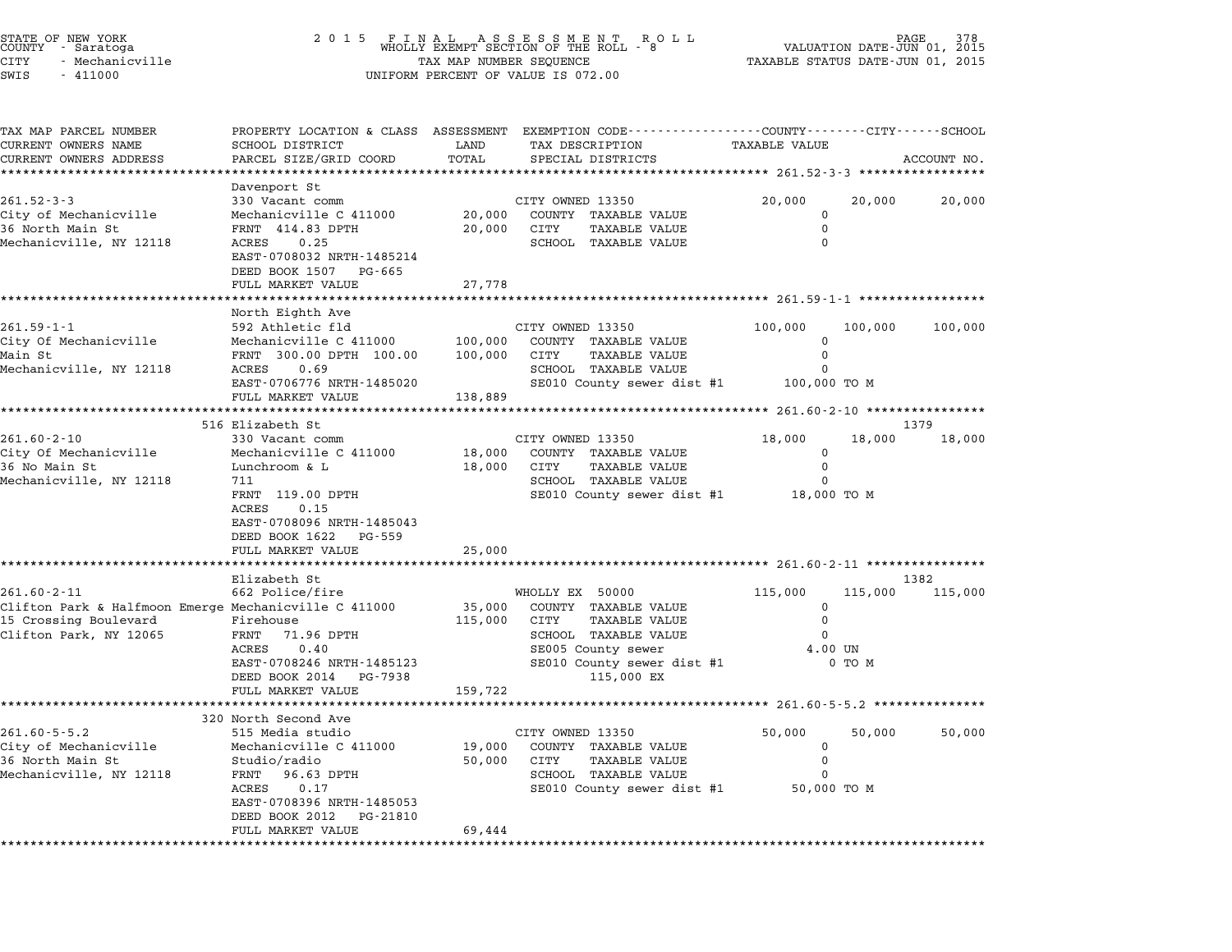|       | STATE OF NEW YORK<br>COUNTY - Saratoga |
|-------|----------------------------------------|
| CITY  | - Mechanicville                        |
| C'MTC | $-111000$                              |

## STATE OF NEW YORK <sup>2</sup> <sup>0</sup> <sup>1</sup> 5 F I N A L A S S E S S M E N T R O L L PAGE <sup>378</sup> COUNTY - Saratoga WHOLLY EXEMPT SECTION OF THE ROLL - <sup>8</sup> VALUATION DATE-JUN 01, <sup>2015</sup> CITY - Mechanicville TAX MAP NUMBER SEQUENCE TAXABLE STATUS DATE-JUN 01, <sup>2015</sup> SWIS - <sup>411000</sup> UNIFORM PERCENT OF VALUE IS 072.00

| TAX MAP PARCEL NUMBER<br>CURRENT OWNERS NAME          | SCHOOL DISTRICT                                                     | LAND                  | PROPERTY LOCATION & CLASS ASSESSMENT EXEMPTION CODE---------------COUNTY-------CITY------SCHOOL<br>TAX DESCRIPTION | TAXABLE VALUE                            |         |                 |
|-------------------------------------------------------|---------------------------------------------------------------------|-----------------------|--------------------------------------------------------------------------------------------------------------------|------------------------------------------|---------|-----------------|
| CURRENT OWNERS ADDRESS                                | PARCEL SIZE/GRID COORD                                              | TOTAL                 | SPECIAL DISTRICTS                                                                                                  |                                          |         | ACCOUNT NO.     |
| *******************                                   |                                                                     |                       |                                                                                                                    |                                          |         |                 |
| $261.52 - 3 - 3$                                      | Davenport St<br>330 Vacant comm                                     |                       | CITY OWNED 13350                                                                                                   | 20,000                                   | 20,000  | 20,000          |
| City of Mechanicville                                 | Mechanicville C 411000                                              | 20,000                | COUNTY TAXABLE VALUE                                                                                               | $\Omega$                                 |         |                 |
| 36 North Main St                                      | FRNT 414.83 DPTH                                                    | 20,000                | CITY<br><b>TAXABLE VALUE</b>                                                                                       | $\mathbf 0$                              |         |                 |
| Mechanicville, NY 12118                               | ACRES<br>0.25<br>EAST-0708032 NRTH-1485214<br>DEED BOOK 1507 PG-665 |                       | SCHOOL TAXABLE VALUE                                                                                               | $\Omega$                                 |         |                 |
|                                                       | FULL MARKET VALUE                                                   | 27,778                |                                                                                                                    |                                          |         |                 |
|                                                       |                                                                     |                       |                                                                                                                    |                                          |         |                 |
|                                                       | North Eighth Ave                                                    |                       |                                                                                                                    |                                          |         |                 |
| 261.59-1-1<br>City Of Mechanicville                   | 592 Athletic fld                                                    | 100,000               | CITY OWNED 13350                                                                                                   | 100,000<br>$\mathbf 0$                   | 100,000 | 100,000         |
| Main St                                               | Mechanicville C 411000<br>FRNT 300.00 DPTH 100.00                   | 100,000               | COUNTY TAXABLE VALUE<br>CITY<br><b>TAXABLE VALUE</b>                                                               | $\mathbf 0$                              |         |                 |
| Mechanicville, NY 12118                               | 0.69<br>ACRES                                                       |                       | SCHOOL TAXABLE VALUE                                                                                               | 0                                        |         |                 |
|                                                       | EAST-0706776 NRTH-1485020                                           |                       | SE010 County sewer dist #1                                                                                         | 100,000 TO M                             |         |                 |
|                                                       | FULL MARKET VALUE                                                   | 138,889               |                                                                                                                    |                                          |         |                 |
|                                                       |                                                                     | ********************* |                                                                                                                    | ********** 261.60-2-10 ***************** |         |                 |
|                                                       | 516 Elizabeth St                                                    |                       |                                                                                                                    |                                          |         | 1379            |
| $261.60 - 2 - 10$                                     | 330 Vacant comm                                                     |                       | CITY OWNED 13350                                                                                                   | 18,000                                   | 18,000  | 18,000          |
| City Of Mechanicville<br>36 No Main St                | Mechanicville C 411000<br>Lunchroom & L                             | 18,000<br>18,000      | COUNTY TAXABLE VALUE<br>CITY<br>TAXABLE VALUE                                                                      | 0<br>$\mathbf 0$                         |         |                 |
| Mechanicville, NY 12118                               | 711                                                                 |                       | SCHOOL TAXABLE VALUE                                                                                               | $\Omega$                                 |         |                 |
|                                                       | FRNT 119.00 DPTH                                                    |                       | SE010 County sewer dist #1                                                                                         | 18,000 TO M                              |         |                 |
|                                                       | 0.15<br>ACRES                                                       |                       |                                                                                                                    |                                          |         |                 |
|                                                       | EAST-0708096 NRTH-1485043                                           |                       |                                                                                                                    |                                          |         |                 |
|                                                       | DEED BOOK 1622<br>PG-559                                            |                       |                                                                                                                    |                                          |         |                 |
|                                                       | FULL MARKET VALUE                                                   | 25,000                |                                                                                                                    |                                          |         |                 |
|                                                       |                                                                     |                       |                                                                                                                    |                                          |         |                 |
| $261.60 - 2 - 11$                                     | Elizabeth St<br>662 Police/fire                                     |                       | WHOLLY EX 50000                                                                                                    | 115,000                                  | 115,000 | 1382<br>115,000 |
| Clifton Park & Halfmoon Emerge Mechanicville C 411000 |                                                                     | 35,000                | COUNTY TAXABLE VALUE                                                                                               | $\mathbf 0$                              |         |                 |
| 15 Crossing Boulevard                                 | Firehouse                                                           | 115,000 CITY          | <b>TAXABLE VALUE</b>                                                                                               | 0                                        |         |                 |
| Clifton Park, NY 12065                                | FRNT 71.96 DPTH                                                     |                       | SCHOOL TAXABLE VALUE                                                                                               | $\Omega$                                 |         |                 |
|                                                       | ACRES<br>0.40                                                       |                       | SE005 County sewer                                                                                                 | 4.00 UN                                  |         |                 |
|                                                       | EAST-0708246 NRTH-1485123                                           |                       | SE010 County sewer dist #1                                                                                         |                                          | 0 TO M  |                 |
|                                                       | DEED BOOK 2014<br>PG-7938                                           |                       | 115,000 EX                                                                                                         |                                          |         |                 |
|                                                       | FULL MARKET VALUE                                                   | 159,722               |                                                                                                                    |                                          |         |                 |
|                                                       | 320 North Second Ave                                                |                       |                                                                                                                    |                                          |         |                 |
| $261.60 - 5 - 5.2$                                    | 515 Media studio                                                    |                       | CITY OWNED 13350                                                                                                   | 50,000                                   | 50,000  | 50,000          |
| City of Mechanicville                                 | Mechanicville C 411000                                              | 19,000                | COUNTY TAXABLE VALUE                                                                                               | 0                                        |         |                 |
| 36 North Main St                                      | Studio/radio                                                        | 50,000                | CITY<br><b>TAXABLE VALUE</b>                                                                                       | $\mathbf 0$                              |         |                 |
| Mechanicville, NY 12118                               | FRNT<br>96.63 DPTH                                                  |                       | SCHOOL TAXABLE VALUE                                                                                               | $\Omega$                                 |         |                 |
|                                                       | ACRES<br>0.17                                                       |                       | SE010 County sewer dist #1                                                                                         | 50,000 TO M                              |         |                 |
|                                                       | EAST-0708396 NRTH-1485053<br>DEED BOOK 2012<br>PG-21810             |                       |                                                                                                                    |                                          |         |                 |
|                                                       | FULL MARKET VALUE                                                   | 69,444                |                                                                                                                    |                                          |         |                 |
|                                                       |                                                                     |                       |                                                                                                                    |                                          |         |                 |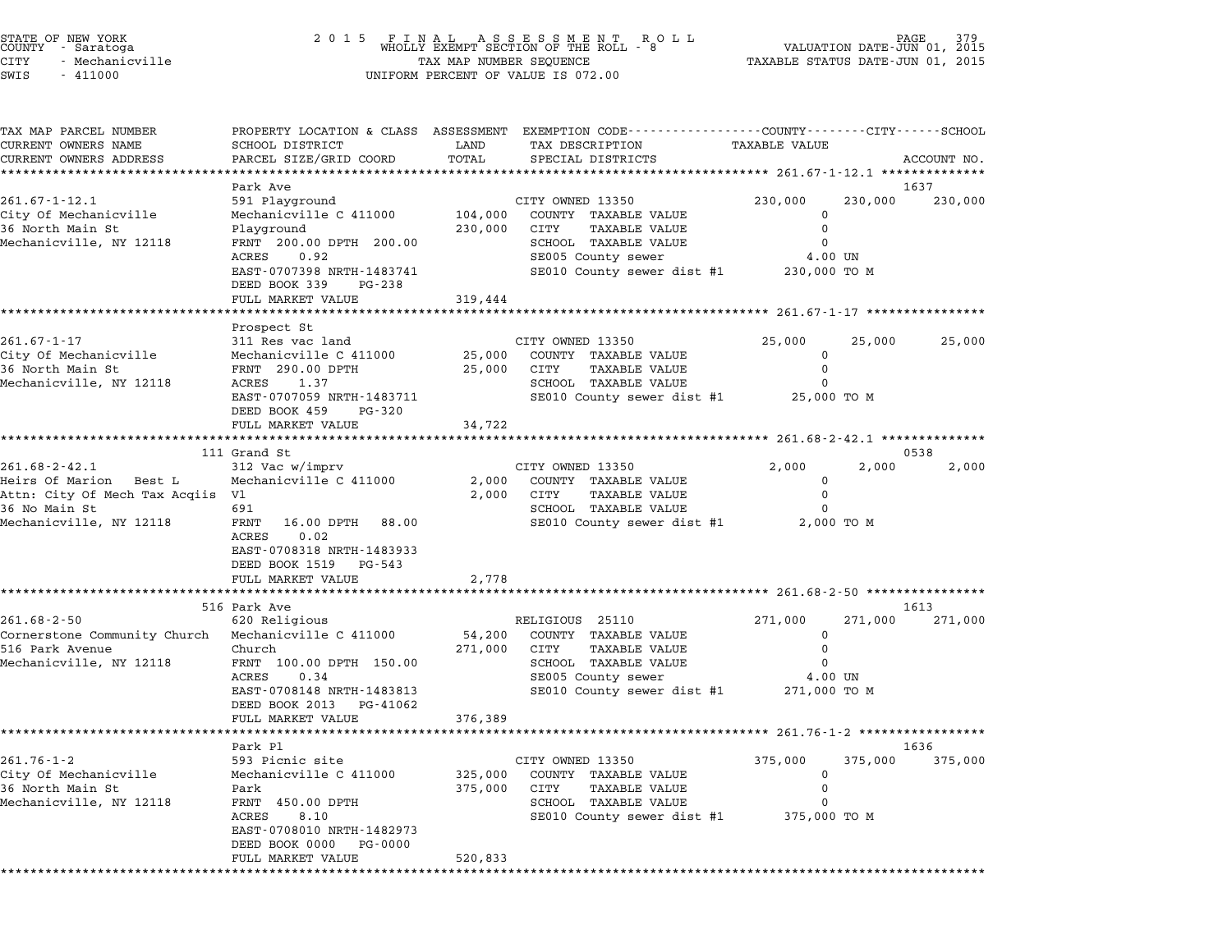|         | STATE OF NEW YORK<br>COUNTY - Saratoga |  |
|---------|----------------------------------------|--|
| CITY    | - Mechanicville                        |  |
| CTATT C | $-111000$                              |  |

| TAX MAP PARCEL NUMBER<br>CURRENT OWNERS NAME        | SCHOOL DISTRICT                                      |         | PROPERTY LOCATION & CLASS ASSESSMENT EXEMPTION CODE----------------COUNTY-------CITY------SCHOOL |                                       |         |             |
|-----------------------------------------------------|------------------------------------------------------|---------|--------------------------------------------------------------------------------------------------|---------------------------------------|---------|-------------|
| CURRENT OWNERS ADDRESS                              |                                                      |         |                                                                                                  |                                       |         |             |
|                                                     |                                                      | LAND    | TAX DESCRIPTION                                                                                  | TAXABLE VALUE                         |         |             |
|                                                     | PARCEL SIZE/GRID COORD                               | TOTAL   | SPECIAL DISTRICTS                                                                                |                                       |         | ACCOUNT NO. |
|                                                     |                                                      |         |                                                                                                  |                                       |         | 1637        |
| $261.67 - 1 - 12.1$                                 | Park Ave<br>591 Playground                           |         | CITY OWNED 13350                                                                                 | 230,000                               | 230,000 | 230,000     |
| City Of Mechanicville                               | Mechanicville C 411000                               | 104,000 | COUNTY TAXABLE VALUE                                                                             | $\mathbf 0$                           |         |             |
| 36 North Main St                                    | Playground                                           | 230,000 | CITY<br>TAXABLE VALUE                                                                            | $\Omega$                              |         |             |
| Mechanicville, NY 12118                             | FRNT 200.00 DPTH 200.00                              |         | SCHOOL TAXABLE VALUE                                                                             | 0                                     |         |             |
|                                                     | ACRES<br>0.92                                        |         | SE005 County sewer                                                                               | 4.00 UN                               |         |             |
|                                                     | EAST-0707398 NRTH-1483741                            |         | SE010 County sewer dist #1                                                                       | 230,000 TO M                          |         |             |
|                                                     | DEED BOOK 339<br>PG-238                              |         |                                                                                                  |                                       |         |             |
|                                                     | FULL MARKET VALUE                                    | 319,444 |                                                                                                  |                                       |         |             |
|                                                     |                                                      |         |                                                                                                  |                                       |         |             |
| $261.67 - 1 - 17$                                   | Prospect St<br>311 Res vac land                      |         | CITY OWNED 13350                                                                                 | 25,000                                | 25,000  | 25,000      |
| City Of Mechanicville                               | Mechanicville C 411000                               | 25,000  | COUNTY TAXABLE VALUE                                                                             | 0                                     |         |             |
| 36 North Main St                                    | FRNT 290.00 DPTH                                     | 25,000  | CITY<br>TAXABLE VALUE                                                                            | 0                                     |         |             |
| Mechanicville, NY 12118                             | ACRES 1.37                                           |         | SCHOOL TAXABLE VALUE                                                                             | 0                                     |         |             |
|                                                     | EAST-0707059 NRTH-1483711                            |         | SE010 County sewer dist #1                                                                       | 25,000 TO M                           |         |             |
|                                                     | DEED BOOK 459<br>PG-320                              |         |                                                                                                  |                                       |         |             |
|                                                     | FULL MARKET VALUE                                    | 34,722  |                                                                                                  |                                       |         |             |
|                                                     |                                                      |         |                                                                                                  | ******** 261.68-2-42.1 ************** |         |             |
|                                                     | 111 Grand St                                         |         |                                                                                                  |                                       |         | 0538        |
| $261.68 - 2 - 42.1$                                 | 312 Vac w/imprv                                      |         | CITY OWNED 13350                                                                                 | 2,000                                 | 2,000   | 2,000       |
| Heirs Of Marion Best L                              | Mechanicville C 411000                               | 2,000   | COUNTY TAXABLE VALUE                                                                             | 0                                     |         |             |
| Attn: City Of Mech Tax Acqiis Vl                    |                                                      | 2,000   | <b>TAXABLE VALUE</b><br>CITY                                                                     | $\mathsf{O}$                          |         |             |
| 36 No Main St<br>Mechanicville, NY 12118            | 691<br>FRNT<br>16.00 DPTH                            |         | SCHOOL TAXABLE VALUE<br>SE010 County sewer dist #1 2,000 TO M                                    | 0                                     |         |             |
|                                                     | 88.00<br>0.02<br>ACRES                               |         |                                                                                                  |                                       |         |             |
|                                                     | EAST-0708318 NRTH-1483933                            |         |                                                                                                  |                                       |         |             |
|                                                     | DEED BOOK 1519 PG-543                                |         |                                                                                                  |                                       |         |             |
|                                                     | FULL MARKET VALUE                                    | 2,778   |                                                                                                  |                                       |         |             |
|                                                     | *********************                                |         |                                                                                                  |                                       |         |             |
|                                                     | 516 Park Ave                                         |         |                                                                                                  |                                       |         | 1613        |
| $261.68 - 2 - 50$                                   | 620 Religious                                        |         | RELIGIOUS 25110                                                                                  | 271,000                               | 271,000 | 271,000     |
| Cornerstone Community Church Mechanicville C 411000 |                                                      | 54,200  | COUNTY TAXABLE VALUE                                                                             | 0                                     |         |             |
| 516 Park Avenue                                     | Church                                               | 271,000 | CITY<br>TAXABLE VALUE                                                                            | $\mathbf 0$                           |         |             |
| Mechanicville, NY 12118                             | FRNT 100.00 DPTH 150.00                              |         | SCHOOL TAXABLE VALUE                                                                             | $\Omega$                              |         |             |
|                                                     | 0.34<br>ACRES                                        |         | SE005 County sewer                                                                               | 4.00 UN                               |         |             |
|                                                     | EAST-0708148 NRTH-1483813<br>DEED BOOK 2013 PG-41062 |         | SE010 County sewer dist #1                                                                       | 271,000 TO M                          |         |             |
|                                                     | FULL MARKET VALUE                                    | 376,389 |                                                                                                  |                                       |         |             |
|                                                     |                                                      |         |                                                                                                  |                                       |         |             |
|                                                     | Park Pl                                              |         |                                                                                                  |                                       |         | 1636        |
| $261.76 - 1 - 2$                                    | 593 Picnic site                                      |         | CITY OWNED 13350                                                                                 | 375,000                               | 375,000 | 375,000     |
| City Of Mechanicville                               | Mechanicville C 411000                               | 325,000 | COUNTY TAXABLE VALUE                                                                             | $\mathbf 0$                           |         |             |
| 36 North Main St                                    | Park                                                 | 375,000 | TAXABLE VALUE<br>CITY                                                                            | $\mathbf 0$                           |         |             |
| Mechanicville, NY 12118                             | FRNT 450.00 DPTH                                     |         | SCHOOL TAXABLE VALUE                                                                             |                                       |         |             |
|                                                     | ACRES<br>8.10                                        |         | SE010 County sewer dist #1                                                                       | 375,000 TO M                          |         |             |
|                                                     | EAST-0708010 NRTH-1482973                            |         |                                                                                                  |                                       |         |             |
|                                                     | DEED BOOK 0000 PG-0000                               |         |                                                                                                  |                                       |         |             |
|                                                     | FULL MARKET VALUE                                    | 520,833 |                                                                                                  |                                       |         |             |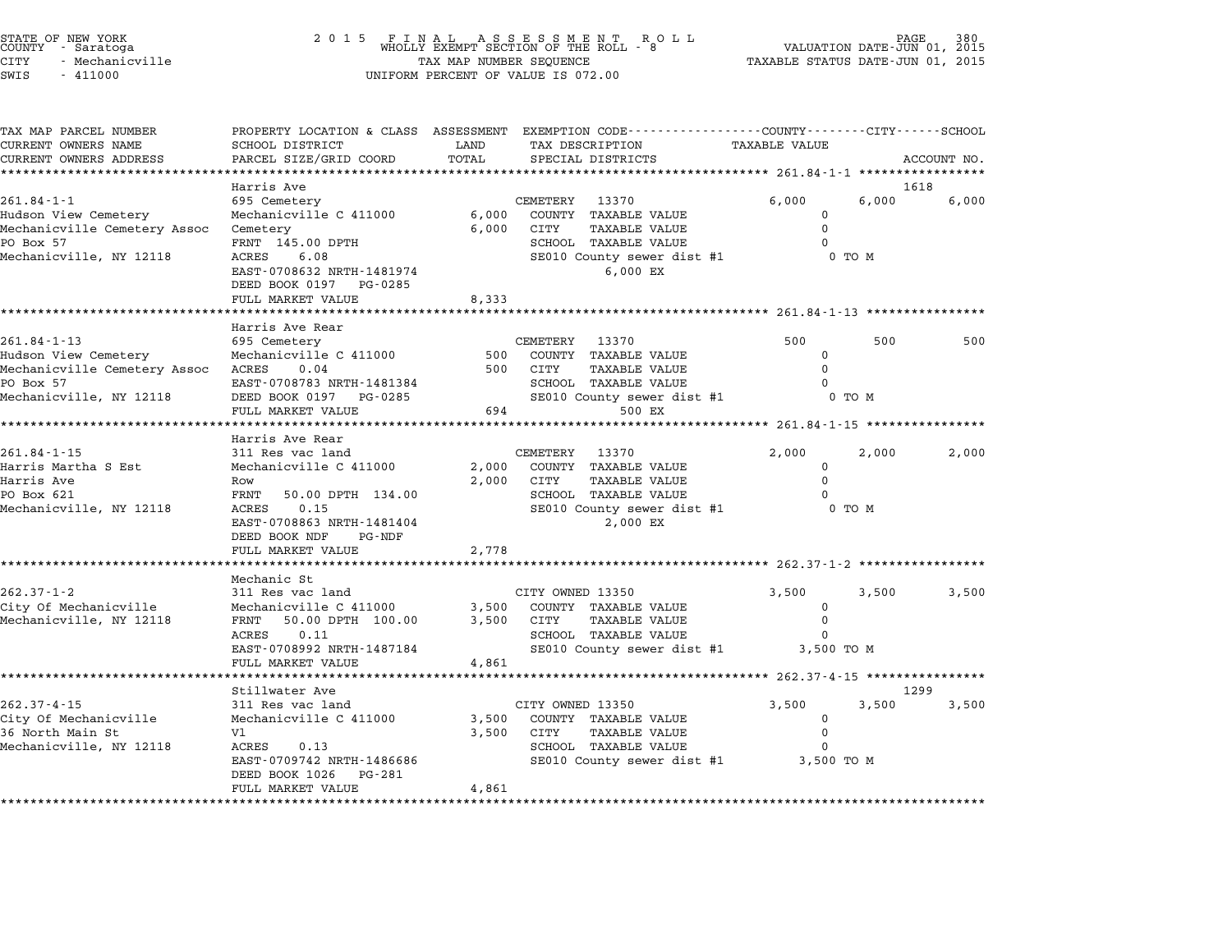## STATE OF NEW YORK <sup>2</sup> <sup>0</sup> <sup>1</sup> 5 F I N A L A S S E S S M E N T R O L L PAGE <sup>380</sup> COUNTY - Saratoga WHOLLY EXEMPT SECTION OF THE ROLL - <sup>8</sup> VALUATION DATE-JUN 01, <sup>2015</sup> STATE OF NEW YORK (RACE SERVICE TAX A LABER OF NEW YORK OF NEW TAGE 380<br>COUNTY - Saratoga (COUNTY A LABER OF THE ROLL TO OF THE ROLL - 8 (VALUATION DATE-JUN 01, 2015<br>CITY - Mechanicville (2015 - TAXABLE STATUS DATE-JUN 01, SWIS - <sup>411000</sup> UNIFORM PERCENT OF VALUE IS 072.00

| TAX MAP PARCEL NUMBER                         | PROPERTY LOCATION & CLASS ASSESSMENT              |                      |                  | EXEMPTION CODE-----------------COUNTY-------CITY------SCHOOL |                                              |        |             |
|-----------------------------------------------|---------------------------------------------------|----------------------|------------------|--------------------------------------------------------------|----------------------------------------------|--------|-------------|
| CURRENT OWNERS NAME<br>CURRENT OWNERS ADDRESS | SCHOOL DISTRICT<br>PARCEL SIZE/GRID COORD         | LAND<br>TOTAL        |                  | TAX DESCRIPTION<br>SPECIAL DISTRICTS                         | <b>TAXABLE VALUE</b>                         |        | ACCOUNT NO. |
|                                               |                                                   |                      |                  |                                                              |                                              |        |             |
|                                               | Harris Ave                                        |                      |                  |                                                              |                                              |        | 1618        |
| $261.84 - 1 - 1$                              | 695 Cemetery                                      |                      | CEMETERY         | 13370                                                        | 6,000                                        | 6,000  | 6,000       |
| Hudson View Cemetery                          | Mechanicville C 411000                            | 6,000                |                  | COUNTY TAXABLE VALUE                                         | $\Omega$                                     |        |             |
| Mechanicville Cemetery Assoc                  | Cemetery                                          | 6,000                | CITY             | TAXABLE VALUE                                                | $\Omega$                                     |        |             |
| PO Box 57                                     | FRNT 145.00 DPTH                                  |                      |                  | <b>SCHOOL TAXABLE VALUE</b>                                  | $\Omega$                                     |        |             |
| Mechanicville, NY 12118                       | ACRES<br>6.08                                     |                      |                  | SE010 County sewer dist #1                                   |                                              | 0 TO M |             |
|                                               | EAST-0708632 NRTH-1481974                         |                      |                  | 6,000 EX                                                     |                                              |        |             |
|                                               | DEED BOOK 0197 PG-0285                            |                      |                  |                                                              |                                              |        |             |
|                                               | FULL MARKET VALUE                                 | 8,333                |                  |                                                              |                                              |        |             |
|                                               |                                                   |                      |                  |                                                              | ********************** 261.84-1-13 ********* |        |             |
|                                               | Harris Ave Rear                                   |                      |                  |                                                              |                                              |        |             |
| $261.84 - 1 - 13$                             | 695 Cemetery                                      |                      | CEMETERY         | 13370                                                        | 500                                          | 500    | 500         |
| Hudson View Cemetery                          | Mechanicville C 411000                            | 500                  |                  | COUNTY TAXABLE VALUE                                         | $\Omega$                                     |        |             |
| Mechanicville Cemetery Assoc                  | ACRES<br>0.04                                     | 500                  | CITY             | <b>TAXABLE VALUE</b>                                         | $\Omega$                                     |        |             |
| PO Box 57                                     | EAST-0708783 NRTH-1481384                         |                      |                  | SCHOOL TAXABLE VALUE                                         |                                              |        |             |
| Mechanicville, NY 12118                       | DEED BOOK 0197 PG-0285                            |                      |                  | SE010 County sewer dist #1                                   |                                              | 0 TO M |             |
|                                               | FULL MARKET VALUE                                 | 694                  |                  | 500 EX                                                       |                                              |        |             |
|                                               |                                                   |                      |                  |                                                              | ******** 261.84-1-15 ***********             |        |             |
|                                               | Harris Ave Rear                                   |                      |                  |                                                              |                                              |        |             |
| $261.84 - 1 - 15$                             | 311 Res vac land                                  |                      | CEMETERY         | 13370                                                        | 2,000                                        | 2,000  | 2,000       |
| Harris Martha S Est                           | Mechanicville C 411000                            | 2,000                |                  | COUNTY TAXABLE VALUE                                         | $\mathbf 0$                                  |        |             |
| Harris Ave                                    | Row                                               | 2,000                | CITY             | TAXABLE VALUE                                                | $\Omega$                                     |        |             |
| PO Box 621                                    | 50.00 DPTH 134.00<br>FRNT                         |                      |                  | <b>SCHOOL TAXABLE VALUE</b>                                  |                                              |        |             |
| Mechanicville, NY 12118                       | ACRES<br>0.15                                     |                      |                  | SE010 County sewer dist #1                                   |                                              | 0 TO M |             |
|                                               | EAST-0708863 NRTH-1481404                         |                      |                  | 2,000 EX                                                     |                                              |        |             |
|                                               | DEED BOOK NDF<br>PG-NDF                           |                      |                  |                                                              |                                              |        |             |
|                                               | FULL MARKET VALUE<br>******************           | 2,778<br>*********** |                  |                                                              |                                              |        |             |
|                                               |                                                   |                      |                  |                                                              |                                              |        |             |
|                                               | Mechanic St                                       |                      |                  |                                                              |                                              |        |             |
| $262.37 - 1 - 2$                              | 311 Res vac land                                  |                      | CITY OWNED 13350 |                                                              | 3,500                                        | 3,500  | 3,500       |
| City Of Mechanicville                         | Mechanicville C 411000                            | 3,500                |                  | COUNTY TAXABLE VALUE                                         | $\Omega$<br>$\Omega$                         |        |             |
| Mechanicville, NY 12118                       | FRNT<br>50.00 DPTH 100.00                         | 3,500                | CITY             | <b>TAXABLE VALUE</b>                                         |                                              |        |             |
|                                               | 0.11<br>ACRES                                     |                      |                  | SCHOOL TAXABLE VALUE                                         | 0                                            |        |             |
|                                               | EAST-0708992 NRTH-1487184                         |                      |                  | SE010 County sewer dist #1                                   | 3,500 TO M                                   |        |             |
|                                               | FULL MARKET VALUE<br>**************************** | 4,861                |                  |                                                              |                                              |        |             |
|                                               | Stillwater Ave                                    |                      |                  |                                                              |                                              |        | 1299        |
| $262.37 - 4 - 15$                             | 311 Res vac land                                  |                      | CITY OWNED 13350 |                                                              | 3,500                                        | 3,500  | 3,500       |
| City Of Mechanicville                         | Mechanicville C 411000                            | 3,500                |                  | COUNTY TAXABLE VALUE                                         | $\Omega$                                     |        |             |
| 36 North Main St                              | V1                                                | 3,500                | CITY             | <b>TAXABLE VALUE</b>                                         | $\Omega$                                     |        |             |
| Mechanicville, NY 12118                       | ACRES<br>0.13                                     |                      |                  | <b>SCHOOL TAXABLE VALUE</b>                                  | $\Omega$                                     |        |             |
|                                               | EAST-0709742 NRTH-1486686                         |                      |                  | SE010 County sewer dist #1                                   | 3,500 TO M                                   |        |             |
|                                               | PG-281<br>DEED BOOK 1026                          |                      |                  |                                                              |                                              |        |             |
|                                               | FULL MARKET VALUE                                 | 4,861                |                  |                                                              |                                              |        |             |
|                                               |                                                   |                      |                  |                                                              |                                              |        |             |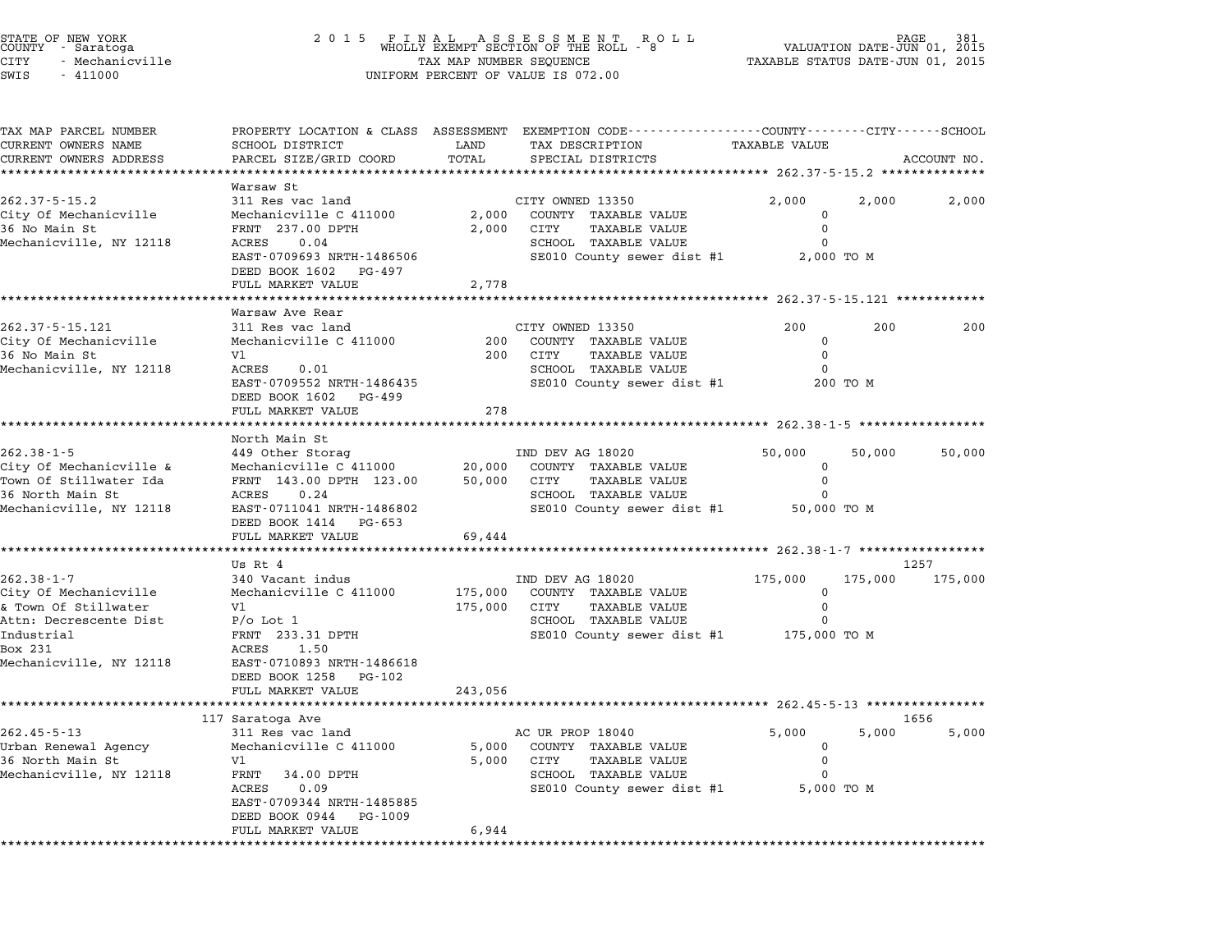| STATE OF NEW YORK |  |                 |  |
|-------------------|--|-----------------|--|
| COUNTY - Saratoga |  |                 |  |
| CITY              |  | - Mechanicville |  |
| $CTT$ $T1$ $T2$   |  | 111000          |  |

| TAX MAP PARCEL NUMBER<br>CURRENT OWNERS NAME<br>****************************** | SCHOOL DISTRICT                                    |                          | PROPERTY LOCATION & CLASS ASSESSMENT EXEMPTION CODE---------------COUNTY-------CITY------SCHOOL |                                                     |          |               |
|--------------------------------------------------------------------------------|----------------------------------------------------|--------------------------|-------------------------------------------------------------------------------------------------|-----------------------------------------------------|----------|---------------|
| CURRENT OWNERS ADDRESS                                                         |                                                    |                          |                                                                                                 |                                                     |          |               |
|                                                                                |                                                    | LAND<br>TOTAL            | TAX DESCRIPTION                                                                                 | <b>TAXABLE VALUE</b>                                |          |               |
|                                                                                | PARCEL SIZE/GRID COORD                             |                          | SPECIAL DISTRICTS                                                                               |                                                     |          | ACCOUNT NO.   |
| Warsaw St                                                                      |                                                    |                          |                                                                                                 |                                                     |          |               |
| $262.37 - 5 - 15.2$                                                            | 311 Res vac land                                   |                          | CITY OWNED 13350                                                                                | 2,000                                               | 2,000    | 2,000         |
| City Of Mechanicville                                                          | Mechanicville C 411000                             | 2,000                    | COUNTY TAXABLE VALUE                                                                            | $\mathbf{0}$                                        |          |               |
| 36 No Main St                                                                  | FRNT 237.00 DPTH                                   | 2,000                    | CITY<br>TAXABLE VALUE                                                                           | $\Omega$                                            |          |               |
| Mechanicville, NY 12118<br>ACRES                                               | 0.04                                               |                          | SCHOOL TAXABLE VALUE                                                                            | $\Omega$                                            |          |               |
|                                                                                | EAST-0709693 NRTH-1486506                          |                          | SE010 County sewer dist #1                                                                      | 2,000 TO M                                          |          |               |
|                                                                                | DEED BOOK 1602 PG-497<br>FULL MARKET VALUE         | 2,778                    |                                                                                                 |                                                     |          |               |
|                                                                                |                                                    |                          |                                                                                                 |                                                     |          |               |
|                                                                                | Warsaw Ave Rear                                    |                          |                                                                                                 |                                                     |          |               |
| 262.37-5-15.121                                                                | 311 Res vac land                                   |                          | CITY OWNED 13350                                                                                | 200                                                 | 200      | 200           |
| City Of Mechanicville                                                          | Mechanicville C 411000                             |                          | 200 COUNTY TAXABLE VALUE                                                                        | $\mathbf 0$                                         |          |               |
| 36 No Main St<br>V1                                                            |                                                    |                          | 200 CITY<br><b>TAXABLE VALUE</b>                                                                | $\mathbf 0$                                         |          |               |
| Mechanicville, NY 12118                                                        | ACRES 0.01                                         |                          | SCHOOL TAXABLE VALUE                                                                            | $\Omega$                                            |          |               |
|                                                                                | EAST-0709552 NRTH-1486435<br>DEED BOOK 1602 PG-499 |                          | SE010 County sewer dist #1                                                                      |                                                     | 200 TO M |               |
|                                                                                | FULL MARKET VALUE                                  | 278                      |                                                                                                 |                                                     |          |               |
|                                                                                | **********************                             |                          |                                                                                                 |                                                     |          |               |
|                                                                                | North Main St                                      |                          |                                                                                                 |                                                     |          |               |
| $262.38 - 1 - 5$                                                               | 449 Other Storag                                   |                          | IND DEV AG 18020                                                                                | 50,000                                              | 50,000   | 50,000        |
| City Of Mechanicville &                                                        | Mechanicville C 411000                             |                          | 20,000 COUNTY TAXABLE VALUE                                                                     | $\mathbf 0$                                         |          |               |
| Town Of Stillwater Ida                                                         | FRNT 143.00 DPTH 123.00                            |                          | <b>TAXABLE VALUE</b><br>50,000 CITY                                                             | $\mathbf 0$                                         |          |               |
| 36 North Main St<br>Mechanicville, NY 12118                                    | ACRES 0.24<br>EAST-0711041 NRTH-1486802            |                          | SCHOOL TAXABLE VALUE<br>SE010 County sewer dist #1                                              | $\Omega$<br>50,000 TO M                             |          |               |
|                                                                                | DEED BOOK 1414 PG-653                              |                          |                                                                                                 |                                                     |          |               |
|                                                                                | FULL MARKET VALUE                                  | 69,444                   |                                                                                                 |                                                     |          |               |
|                                                                                | *************************                          | ************************ |                                                                                                 | ********************* 262.38-1-7 ****************** |          |               |
| Us Rt 4                                                                        |                                                    |                          |                                                                                                 |                                                     |          | 1257          |
| $262.38 - 1 - 7$                                                               | 340 Vacant indus                                   |                          | IND DEV AG 18020                                                                                | 175,000                                             | 175,000  | 175,000       |
| City Of Mechanicville                                                          | Mechanicville C 411000                             | 175,000                  | COUNTY TAXABLE VALUE                                                                            | $\mathbf 0$                                         |          |               |
| & Town Of Stillwater<br>V1<br>Attn: Decrescente Dist<br>$P/O$ Lot $1$          |                                                    | 175,000 CITY             | <b>TAXABLE VALUE</b><br>SCHOOL TAXABLE VALUE                                                    | $\Omega$<br>0                                       |          |               |
| Industrial                                                                     | FRNT 233.31 DPTH                                   |                          | SE010 County sewer dist #1                                                                      | 175,000 TO M                                        |          |               |
| Box 231                                                                        | ACRES 1.50                                         |                          |                                                                                                 |                                                     |          |               |
| Mechanicville, NY 12118                                                        | EAST-0710893 NRTH-1486618                          |                          |                                                                                                 |                                                     |          |               |
|                                                                                | DEED BOOK 1258 PG-102                              |                          |                                                                                                 |                                                     |          |               |
|                                                                                | FULL MARKET VALUE                                  | 243,056                  |                                                                                                 |                                                     |          |               |
|                                                                                | **************************************             |                          |                                                                                                 |                                                     |          |               |
| 117 Saratoga Ave<br>$262.45 - 5 - 13$                                          | 311 Res vac land                                   |                          | AC UR PROP 18040                                                                                | 5,000                                               | 5,000    | 1656<br>5,000 |
| Urban Renewal Agency                                                           | Mechanicville C 411000                             |                          | 5,000 COUNTY TAXABLE VALUE                                                                      | $\mathbf{0}$                                        |          |               |
| 36 North Main St<br>Vl                                                         |                                                    |                          | 5,000 CITY<br><b>TAXABLE VALUE</b>                                                              | $\Omega$                                            |          |               |
| Mechanicville, NY 12118                                                        | FRNT 34.00 DPTH                                    |                          | SCHOOL TAXABLE VALUE                                                                            | O                                                   |          |               |
| ACRES                                                                          | 0.09                                               |                          | SE010 County sewer dist #1                                                                      | 5,000 TO M                                          |          |               |
|                                                                                | EAST-0709344 NRTH-1485885                          |                          |                                                                                                 |                                                     |          |               |
|                                                                                | DEED BOOK 0944<br>PG-1009                          |                          |                                                                                                 |                                                     |          |               |
|                                                                                | FULL MARKET VALUE                                  | 6,944                    |                                                                                                 |                                                     |          |               |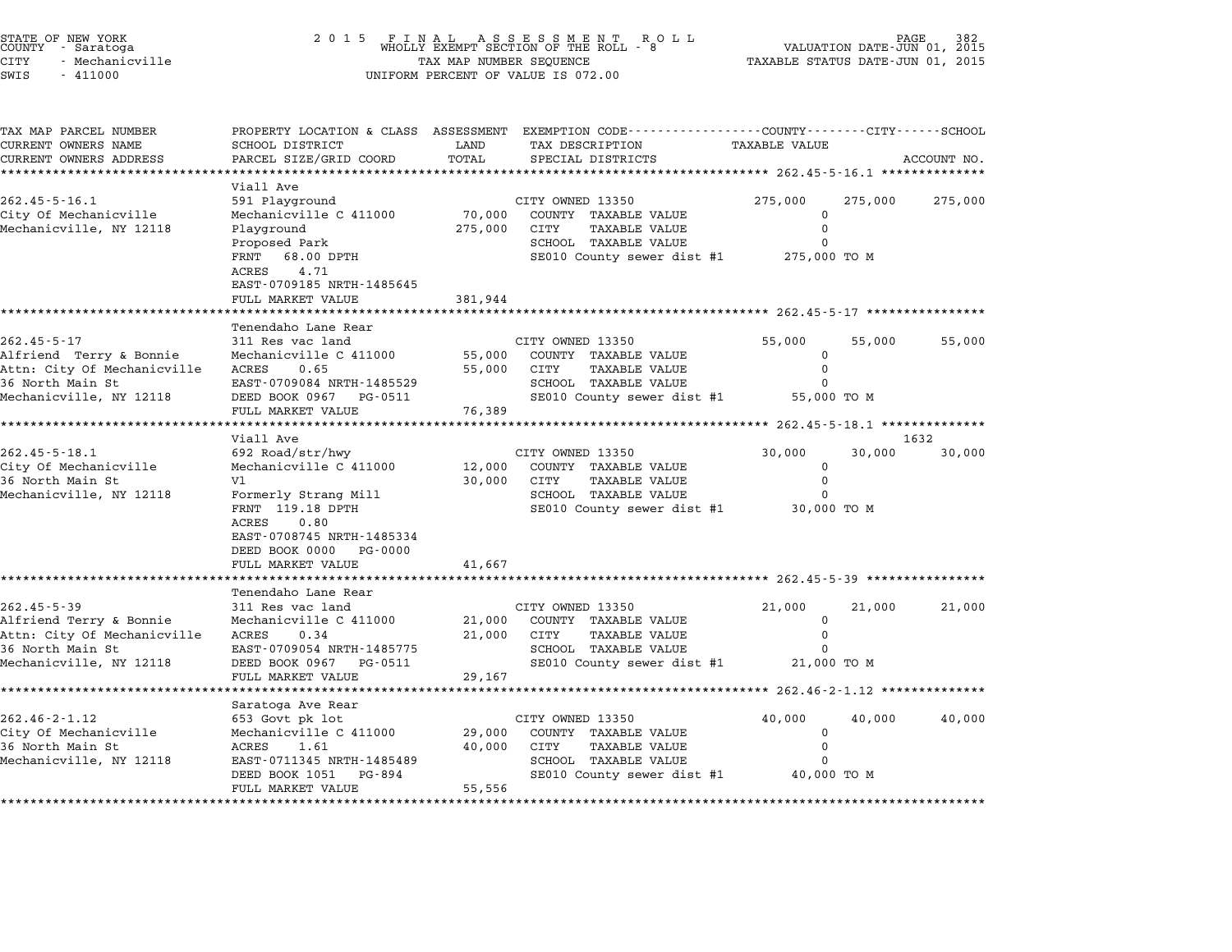|          | STATE OF NEW YORK<br>COUNTY - Saratoga |  |
|----------|----------------------------------------|--|
| CITY     | - Mechanicville                        |  |
| $\alpha$ | 111000                                 |  |

## STATE OF NEW YORK <sup>2</sup> <sup>0</sup> <sup>1</sup> 5 F I N A L A S S E S S M E N T R O L L PAGE <sup>382</sup> COUNTY - Saratoga WHOLLY EXEMPT SECTION OF THE ROLL - <sup>8</sup> VALUATION DATE-JUN 01, <sup>2015</sup> STATE OF NEW YORK (RACE SERVICE TAX A LABER OF NEW YORK OF NEW TAGE 382<br>COUNTY - Saratoga (DI) 2015 (WHOLLY EXEMPT SECTION OF THE ROLL - 8 (VALUATION DATE-JUN 01, 2015<br>CITY - Mechanicville (2015 (RACE TAXABLE STATUS DATE-J SWIS - <sup>411000</sup> UNIFORM PERCENT OF VALUE IS 072.00

| TAX MAP PARCEL NUMBER                           |                                                     |                  | PROPERTY LOCATION & CLASS ASSESSMENT EXEMPTION CODE----------------COUNTY-------CITY------SCHOOL |                                                  |         |             |
|-------------------------------------------------|-----------------------------------------------------|------------------|--------------------------------------------------------------------------------------------------|--------------------------------------------------|---------|-------------|
| CURRENT OWNERS NAME                             | SCHOOL DISTRICT                                     | LAND             | TAX DESCRIPTION                                                                                  | <b>TAXABLE VALUE</b>                             |         |             |
| CURRENT OWNERS ADDRESS                          | PARCEL SIZE/GRID COORD                              | TOTAL            | SPECIAL DISTRICTS                                                                                |                                                  |         | ACCOUNT NO. |
|                                                 | Viall Ave                                           |                  |                                                                                                  |                                                  |         |             |
| $262.45 - 5 - 16.1$                             | 591 Playground                                      |                  | CITY OWNED 13350                                                                                 | 275,000                                          | 275,000 | 275,000     |
| City Of Mechanicville                           | Mechanicville C 411000                              | 70,000           | COUNTY TAXABLE VALUE                                                                             | $\Omega$                                         |         |             |
| Mechanicville, NY 12118                         | Playground                                          | 275,000          | CITY<br><b>TAXABLE VALUE</b>                                                                     | 0                                                |         |             |
|                                                 | Proposed Park                                       |                  | SCHOOL TAXABLE VALUE                                                                             |                                                  |         |             |
|                                                 | 68.00 DPTH<br>FRNT                                  |                  | SE010 County sewer dist #1                                                                       | 275,000 TO M                                     |         |             |
|                                                 | 4.71<br>ACRES                                       |                  |                                                                                                  |                                                  |         |             |
|                                                 | EAST-0709185 NRTH-1485645                           |                  |                                                                                                  |                                                  |         |             |
|                                                 | FULL MARKET VALUE<br>****************************** | 381,944          | ********************************* 262.45-5-17 **************                                     |                                                  |         |             |
|                                                 | Tenendaho Lane Rear                                 |                  |                                                                                                  |                                                  |         |             |
| $262.45 - 5 - 17$                               | 311 Res vac land                                    |                  | CITY OWNED 13350                                                                                 | 55,000                                           | 55,000  | 55,000      |
| Alfriend Terry & Bonnie                         | Mechanicville C 411000                              | 55,000           | COUNTY TAXABLE VALUE                                                                             | 0                                                |         |             |
| Attn: City Of Mechanicville                     | ACRES<br>0.65                                       | 55,000           | CITY<br>TAXABLE VALUE                                                                            | 0                                                |         |             |
| 36 North Main St                                | EAST-0709084 NRTH-1485529                           |                  | SCHOOL TAXABLE VALUE                                                                             | $\Omega$                                         |         |             |
| Mechanicville, NY 12118                         | DEED BOOK 0967 PG-0511                              |                  | SE010 County sewer dist #1                                                                       | 55,000 TO M                                      |         |             |
|                                                 | FULL MARKET VALUE                                   | 76,389           |                                                                                                  |                                                  |         |             |
|                                                 |                                                     |                  |                                                                                                  | ****************** 262.45-5-18.1 *************** |         |             |
|                                                 | Viall Ave                                           |                  |                                                                                                  |                                                  |         | 1632        |
| $262.45 - 5 - 18.1$                             | 692 Road/str/hwy                                    |                  | CITY OWNED 13350                                                                                 | 30,000                                           | 30,000  | 30,000      |
| City Of Mechanicville<br>36 North Main St       | Mechanicville C 411000<br>V1                        | 12,000<br>30,000 | COUNTY TAXABLE VALUE<br>CITY<br>TAXABLE VALUE                                                    | $\mathbf 0$<br>0                                 |         |             |
| Mechanicville, NY 12118                         | Formerly Strang Mill                                |                  | SCHOOL TAXABLE VALUE                                                                             |                                                  |         |             |
|                                                 | FRNT 119.18 DPTH                                    |                  | SE010 County sewer dist #1                                                                       | 30,000 TO M                                      |         |             |
|                                                 | <b>ACRES</b><br>0.80                                |                  |                                                                                                  |                                                  |         |             |
|                                                 | EAST-0708745 NRTH-1485334                           |                  |                                                                                                  |                                                  |         |             |
|                                                 | DEED BOOK 0000<br>PG-0000                           |                  |                                                                                                  |                                                  |         |             |
|                                                 | FULL MARKET VALUE                                   | 41,667           |                                                                                                  |                                                  |         |             |
|                                                 |                                                     |                  |                                                                                                  |                                                  |         |             |
|                                                 | Tenendaho Lane Rear                                 |                  |                                                                                                  |                                                  |         |             |
| $262.45 - 5 - 39$                               | 311 Res vac land                                    |                  | CITY OWNED 13350                                                                                 | 21,000                                           | 21,000  | 21,000      |
| Alfriend Terry & Bonnie                         | Mechanicville C 411000                              | 21,000           | COUNTY TAXABLE VALUE                                                                             | 0                                                |         |             |
| Attn: City Of Mechanicville<br>36 North Main St | <b>ACRES</b><br>0.34<br>EAST-0709054 NRTH-1485775   | 21,000           | CITY<br><b>TAXABLE VALUE</b><br>SCHOOL TAXABLE VALUE                                             | $\Omega$                                         |         |             |
| Mechanicville, NY 12118                         | DEED BOOK 0967<br>PG-0511                           |                  | SE010 County sewer dist #1                                                                       | 21,000 TO M                                      |         |             |
|                                                 | FULL MARKET VALUE                                   | 29,167           |                                                                                                  |                                                  |         |             |
|                                                 |                                                     |                  |                                                                                                  |                                                  |         |             |
|                                                 | Saratoga Ave Rear                                   |                  |                                                                                                  |                                                  |         |             |
| $262.46 - 2 - 1.12$                             | 653 Govt pk lot                                     |                  | CITY OWNED 13350                                                                                 | 40,000                                           | 40,000  | 40,000      |
| City Of Mechanicville                           | Mechanicville C 411000                              | 29,000           | COUNTY TAXABLE VALUE                                                                             | 0                                                |         |             |
| 36 North Main St                                | <b>ACRES</b><br>1.61                                | 40,000           | CITY<br><b>TAXABLE VALUE</b>                                                                     | $\Omega$                                         |         |             |
| Mechanicville, NY 12118                         | EAST-0711345 NRTH-1485489                           |                  | SCHOOL TAXABLE VALUE                                                                             |                                                  |         |             |
|                                                 | DEED BOOK 1051<br>PG-894                            |                  | SE010 County sewer dist #1                                                                       | 40,000 TO M                                      |         |             |
|                                                 | FULL MARKET VALUE<br>*******************            | 55,556           |                                                                                                  |                                                  |         |             |
|                                                 |                                                     |                  |                                                                                                  |                                                  |         |             |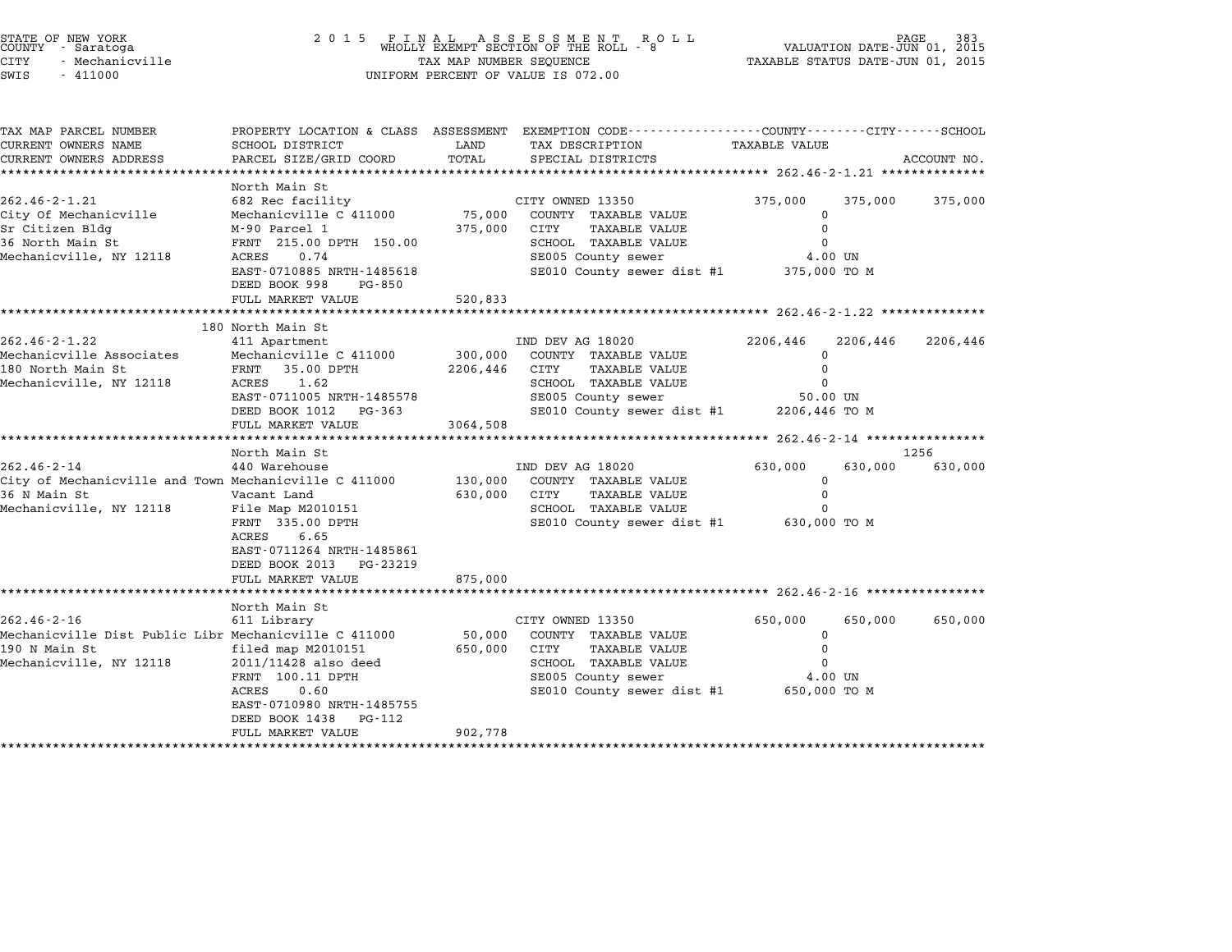| STATE OF NEW YORK<br>COUNTY - Saratoga<br>CITY<br>- Mechanicville<br>SWIS<br>$-411000$                                 | 2 0 1 5                                                                                                                                                                                                   | FINAL ASSESSMENT ROLL<br>WHOLLY EXEMPT SECTION OF THE ROLL - 8<br>TAX MAP NUMBER SEQUENCE<br>UNIFORM PERCENT OF VALUE IS 072.00 | VALUATION DATE-JUN 01, 2015<br>TAXABLE STATUS DATE-JUN 01, 2015                                                                                      |                                                               |                                    |                 |
|------------------------------------------------------------------------------------------------------------------------|-----------------------------------------------------------------------------------------------------------------------------------------------------------------------------------------------------------|---------------------------------------------------------------------------------------------------------------------------------|------------------------------------------------------------------------------------------------------------------------------------------------------|---------------------------------------------------------------|------------------------------------|-----------------|
| TAX MAP PARCEL NUMBER<br>CURRENT OWNERS NAME                                                                           | SCHOOL DISTRICT                                                                                                                                                                                           | LAND                                                                                                                            | PROPERTY LOCATION & CLASS ASSESSMENT EXEMPTION CODE---------------COUNTY-------CITY-----SCHOOL<br>TAX DESCRIPTION                                    | TAXABLE VALUE                                                 |                                    |                 |
| CURRENT OWNERS ADDRESS                                                                                                 | PARCEL SIZE/GRID COORD                                                                                                                                                                                    | TOTAL                                                                                                                           | SPECIAL DISTRICTS                                                                                                                                    |                                                               |                                    | ACCOUNT NO.     |
|                                                                                                                        | North Main St                                                                                                                                                                                             | *********************                                                                                                           |                                                                                                                                                      |                                                               |                                    |                 |
| $262.46 - 2 - 1.21$<br>City Of Mechanicville<br>Sr Citizen Bldg<br>36 North Main St<br>Mechanicville, NY 12118         | 682 Rec facility<br>Mechanicville C 411000<br>M-90 Parcel 1<br>FRNT 215.00 DPTH 150.00<br>ACRES<br>0.74<br>EAST-0710885 NRTH-1485618                                                                      | 75,000<br>375,000                                                                                                               | CITY OWNED 13350<br>COUNTY TAXABLE VALUE<br>CITY<br><b>TAXABLE VALUE</b><br>SCHOOL TAXABLE VALUE<br>SE005 County sewer<br>SE010 County sewer dist #1 | 375,000<br>$\Omega$<br>$\Omega$<br>$\Omega$                   | 375,000<br>4.00 UN<br>375,000 TO M | 375,000         |
|                                                                                                                        | DEED BOOK 998<br>PG-850<br>FULL MARKET VALUE                                                                                                                                                              | 520,833                                                                                                                         |                                                                                                                                                      |                                                               |                                    |                 |
|                                                                                                                        | *****************                                                                                                                                                                                         |                                                                                                                                 |                                                                                                                                                      |                                                               |                                    |                 |
| $262.46 - 2 - 1.22$<br>Mechanicville Associates<br>180 North Main St<br>Mechanicville, NY 12118                        | 180 North Main St<br>411 Apartment<br>Mechanicville C 411000<br>FRNT 35.00 DPTH<br>1.62<br>ACRES<br>EAST-0711005 NRTH-1485578<br>DEED BOOK 1012<br>PG-363<br>FULL MARKET VALUE                            | 300,000<br>2206,446<br>3064,508                                                                                                 | IND DEV AG 18020<br>COUNTY TAXABLE VALUE<br>CITY<br>TAXABLE VALUE<br>SCHOOL TAXABLE VALUE<br>SE005 County sewer<br>SE010 County sewer dist #1        | 2206,446<br>$\Omega$<br>$\Omega$<br>$\Omega$<br>2206,446 TO M | 2206,446<br>50.00 UN               | 2206,446        |
|                                                                                                                        | *******************                                                                                                                                                                                       | *******************                                                                                                             |                                                                                                                                                      | *********** 262.46-2-14 *****************                     |                                    |                 |
| $262.46 - 2 - 14$<br>City of Mechanicville and Town Mechanicville C 411000<br>36 N Main St<br>Mechanicville, NY 12118  | North Main St<br>440 Warehouse<br>Vacant Land<br>File Map M2010151<br>FRNT 335.00 DPTH<br>ACRES<br>6.65<br>EAST-0711264 NRTH-1485861<br>DEED BOOK 2013 PG-23219<br>FULL MARKET VALUE<br>***************** | 130,000<br>630,000<br>875,000                                                                                                   | IND DEV AG 18020<br>COUNTY TAXABLE VALUE<br><b>TAXABLE VALUE</b><br>CITY<br>SCHOOL TAXABLE VALUE<br>SE010 County sewer dist #1                       | 630,000<br>$\Omega$<br>$\mathbf 0$<br>$\Omega$                | 630,000<br>630,000 TO M            | 1256<br>630,000 |
|                                                                                                                        | North Main St                                                                                                                                                                                             |                                                                                                                                 |                                                                                                                                                      |                                                               |                                    |                 |
| $262.46 - 2 - 16$<br>Mechanicville Dist Public Libr Mechanicville C 411000<br>190 N Main St<br>Mechanicville, NY 12118 | 611 Library<br>filed map M2010151<br>2011/11428 also deed<br>FRNT 100.11 DPTH<br>ACRES<br>0.60<br>EAST-0710980 NRTH-1485755<br>DEED BOOK 1438<br>PG-112<br>FULL MARKET VALUE                              | 50,000<br>650,000<br>902,778                                                                                                    | CITY OWNED 13350<br>COUNTY TAXABLE VALUE<br>CITY<br>TAXABLE VALUE<br>SCHOOL TAXABLE VALUE<br>SE005 County sewer<br>SE010 County sewer dist #1        | 650,000<br>0<br>$\mathbf 0$<br>$\Omega$<br>650,000 TO M       | 650,000<br>4.00 UN                 | 650,000         |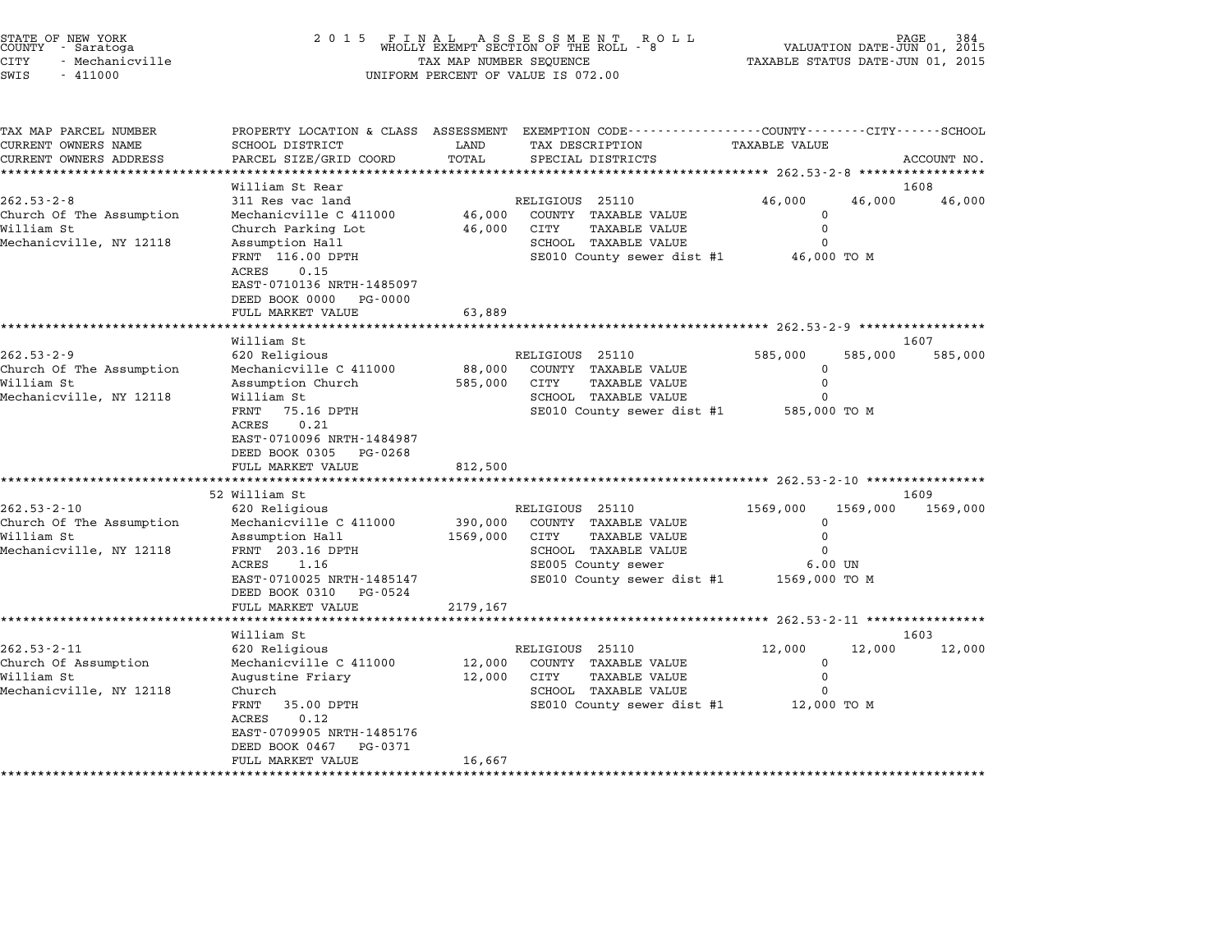| STATE OF NEW YORK |  |                 |  |
|-------------------|--|-----------------|--|
| COUNTY - Saratoga |  |                 |  |
| CITY              |  | - Mechanicville |  |
|                   |  |                 |  |

| TAX MAP PARCEL NUMBER<br>CURRENT OWNERS NAME | SCHOOL DISTRICT           | LAND     | PROPERTY LOCATION & CLASS ASSESSMENT EXEMPTION CODE---------------COUNTY-------CITY------SCHOOL<br>TAX DESCRIPTION | <b>TAXABLE VALUE</b> |          |             |
|----------------------------------------------|---------------------------|----------|--------------------------------------------------------------------------------------------------------------------|----------------------|----------|-------------|
| CURRENT OWNERS ADDRESS                       | PARCEL SIZE/GRID COORD    | TOTAL    | SPECIAL DISTRICTS                                                                                                  |                      |          | ACCOUNT NO. |
|                                              |                           |          |                                                                                                                    |                      |          |             |
|                                              | William St Rear           |          |                                                                                                                    |                      |          | 1608        |
| $262.53 - 2 - 8$                             | 311 Res vac land          |          | RELIGIOUS 25110                                                                                                    | 46,000               | 46,000   | 46,000      |
| Church Of The Assumption                     | Mechanicville C 411000    | 46,000   | COUNTY TAXABLE VALUE                                                                                               | $\mathbf 0$          |          |             |
| William St                                   | Church Parking Lot        | 46,000   | CITY<br>TAXABLE VALUE                                                                                              | 0                    |          |             |
| Mechanicville, NY 12118                      | Assumption Hall           |          | SCHOOL TAXABLE VALUE                                                                                               | $\Omega$             |          |             |
|                                              | FRNT 116.00 DPTH          |          | SE010 County sewer dist #1                                                                                         | 46,000 TO M          |          |             |
|                                              | ACRES<br>0.15             |          |                                                                                                                    |                      |          |             |
|                                              | EAST-0710136 NRTH-1485097 |          |                                                                                                                    |                      |          |             |
|                                              | DEED BOOK 0000 PG-0000    |          |                                                                                                                    |                      |          |             |
|                                              | FULL MARKET VALUE         | 63,889   |                                                                                                                    |                      |          |             |
|                                              |                           |          |                                                                                                                    |                      |          |             |
|                                              | William St                |          |                                                                                                                    |                      |          | 1607        |
| $262.53 - 2 - 9$                             | 620 Religious             |          | RELIGIOUS 25110                                                                                                    | 585,000              | 585,000  | 585,000     |
| Church Of The Assumption                     | Mechanicville C 411000    | 88,000   | COUNTY TAXABLE VALUE                                                                                               | 0                    |          |             |
| William St                                   | Assumption Church         | 585,000  | CITY<br>TAXABLE VALUE                                                                                              | $\mathbf 0$          |          |             |
| Mechanicville, NY 12118                      | William St                |          | SCHOOL TAXABLE VALUE                                                                                               | $\Omega$             |          |             |
|                                              | FRNT<br>75.16 DPTH        |          | SE010 County sewer dist #1                                                                                         | 585,000 TO M         |          |             |
|                                              | ACRES<br>0.21             |          |                                                                                                                    |                      |          |             |
|                                              | EAST-0710096 NRTH-1484987 |          |                                                                                                                    |                      |          |             |
|                                              | DEED BOOK 0305 PG-0268    |          |                                                                                                                    |                      |          |             |
|                                              | FULL MARKET VALUE         | 812,500  |                                                                                                                    |                      |          |             |
|                                              |                           |          |                                                                                                                    |                      |          |             |
|                                              | 52 William St             |          |                                                                                                                    |                      |          | 1609        |
| $262.53 - 2 - 10$                            | 620 Religious             |          | RELIGIOUS 25110                                                                                                    | 1569,000             | 1569,000 | 1569,000    |
| Church Of The Assumption                     | Mechanicville C 411000    | 390,000  | COUNTY TAXABLE VALUE                                                                                               | $\Omega$             |          |             |
| William St                                   | Assumption Hall           | 1569,000 | CITY<br><b>TAXABLE VALUE</b>                                                                                       | $\Omega$             |          |             |
| Mechanicville, NY 12118                      | FRNT 203.16 DPTH          |          | SCHOOL TAXABLE VALUE                                                                                               | $\Omega$             |          |             |
|                                              | ACRES<br>1.16             |          | SE005 County sewer                                                                                                 | $6.00$ UN            |          |             |
|                                              | EAST-0710025 NRTH-1485147 |          | SE010 County sewer dist #1                                                                                         | 1569,000 TO M        |          |             |
|                                              | DEED BOOK 0310<br>PG-0524 |          |                                                                                                                    |                      |          |             |
|                                              | FULL MARKET VALUE         | 2179,167 |                                                                                                                    |                      |          |             |
|                                              |                           |          |                                                                                                                    |                      |          |             |
|                                              | William St                |          |                                                                                                                    |                      |          | 1603        |
| $262.53 - 2 - 11$                            | 620 Religious             |          | RELIGIOUS 25110                                                                                                    | 12,000               | 12,000   | 12,000      |
| Church Of Assumption                         | Mechanicville C 411000    | 12,000   | COUNTY TAXABLE VALUE                                                                                               | 0                    |          |             |
| William St                                   | Augustine Friary          | 12,000   | CITY<br>TAXABLE VALUE                                                                                              | $\mathbf 0$          |          |             |
| Mechanicville, NY 12118                      | Church                    |          | SCHOOL TAXABLE VALUE                                                                                               | $\Omega$             |          |             |
|                                              | FRNT<br>35.00 DPTH        |          | SE010 County sewer dist #1                                                                                         | 12,000 TO M          |          |             |
|                                              | <b>ACRES</b><br>0.12      |          |                                                                                                                    |                      |          |             |
|                                              | EAST-0709905 NRTH-1485176 |          |                                                                                                                    |                      |          |             |
|                                              | DEED BOOK 0467<br>PG-0371 | 16,667   |                                                                                                                    |                      |          |             |
|                                              | FULL MARKET VALUE         |          |                                                                                                                    |                      |          |             |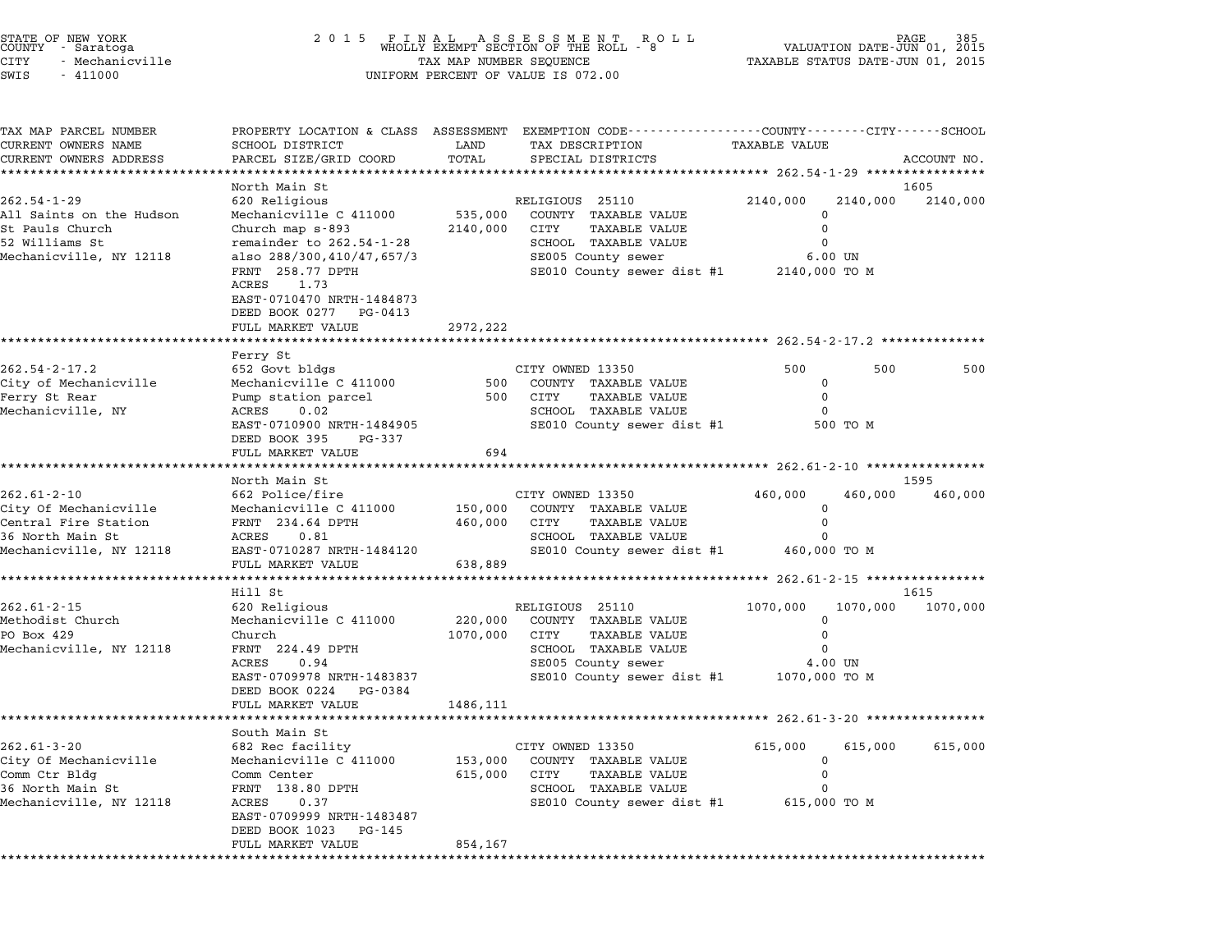| STATE OF NEW YORK<br>COUNTY - Saratoga |  |                 |  |
|----------------------------------------|--|-----------------|--|
| CITY                                   |  | - Mechanicville |  |
| $\alpha$                               |  | 111000          |  |

## STATE OF NEW YORK <sup>2</sup> <sup>0</sup> <sup>1</sup> 5 F I N A L A S S E S S M E N T R O L L PAGE <sup>385</sup> COUNTY - Saratoga WHOLLY EXEMPT SECTION OF THE ROLL - <sup>8</sup> VALUATION DATE-JUN 01, <sup>2015</sup> STATE OF NEW YORK (RACE SERVICE TAX A LABER OF NEW YORK OF NEW TAGE 585<br>COUNTY - Saratoga (COUNTY A LABER OF THE ROLL TO OP THE ROLL - 8 (VALUATION DATE-JUN 01, 2015<br>CITY - Mechanicville (1, 2015 - TAXABLE STATUS DATE-JUN SWIS - <sup>411000</sup> UNIFORM PERCENT OF VALUE IS 072.00

| TAX MAP PARCEL NUMBER    |                                                     |          | PROPERTY LOCATION & CLASS ASSESSMENT EXEMPTION CODE---------------COUNTY-------CITY-----SCHOOL |                                     |             |
|--------------------------|-----------------------------------------------------|----------|------------------------------------------------------------------------------------------------|-------------------------------------|-------------|
| CURRENT OWNERS NAME      | SCHOOL DISTRICT                                     | LAND     | TAX DESCRIPTION                                                                                | TAXABLE VALUE                       |             |
| CURRENT OWNERS ADDRESS   | PARCEL SIZE/GRID COORD                              | TOTAL    | SPECIAL DISTRICTS                                                                              |                                     | ACCOUNT NO. |
|                          |                                                     |          |                                                                                                | ************ 262.54-1-29 ********** |             |
|                          | North Main St                                       |          |                                                                                                |                                     | 1605        |
| $262.54 - 1 - 29$        | 620 Religious                                       |          | RELIGIOUS 25110                                                                                | 2140,000<br>2140,000                | 2140,000    |
| All Saints on the Hudson | Mechanicville C 411000                              | 535,000  | COUNTY TAXABLE VALUE                                                                           | $\Omega$                            |             |
| St Pauls Church          | Church map s-893                                    | 2140,000 | CITY<br>TAXABLE VALUE                                                                          | 0                                   |             |
| 52 Williams St           | remainder to 262.54-1-28                            |          | SCHOOL TAXABLE VALUE                                                                           | $\Omega$                            |             |
| Mechanicville, NY 12118  | also 288/300,410/47,657/3                           |          | SE005 County sewer                                                                             | $6.00$ UN                           |             |
|                          | FRNT 258.77 DPTH<br>ACRES<br>1.73                   |          | SE010 County sewer dist #1 2140,000 TO M                                                       |                                     |             |
|                          | EAST-0710470 NRTH-1484873                           |          |                                                                                                |                                     |             |
|                          | DEED BOOK 0277 PG-0413                              |          |                                                                                                |                                     |             |
|                          | FULL MARKET VALUE                                   | 2972,222 |                                                                                                |                                     |             |
|                          |                                                     |          | ******************************* 262.54-2-17.2 ************                                     |                                     |             |
|                          | Ferry St                                            |          |                                                                                                |                                     |             |
| $262.54 - 2 - 17.2$      | 652 Govt bldgs                                      |          | CITY OWNED 13350                                                                               | 500<br>500                          | 500         |
| City of Mechanicville    | Mechanicville C 411000                              | 500      | COUNTY TAXABLE VALUE                                                                           | $\Omega$                            |             |
| Ferry St Rear            | Pump station parcel                                 | 500      | CITY<br>TAXABLE VALUE                                                                          | $\mathbf 0$                         |             |
| Mechanicville, NY        | ACRES<br>0.02                                       |          | SCHOOL TAXABLE VALUE                                                                           | $\Omega$                            |             |
|                          | EAST-0710900 NRTH-1484905                           |          | SE010 County sewer dist #1                                                                     | 500 TO M                            |             |
|                          | DEED BOOK 395<br>PG-337                             |          |                                                                                                |                                     |             |
|                          | FULL MARKET VALUE                                   | 694      |                                                                                                |                                     |             |
|                          |                                                     |          |                                                                                                |                                     |             |
|                          | North Main St                                       |          |                                                                                                |                                     | 1595        |
| $262.61 - 2 - 10$        | 662 Police/fire                                     |          | CITY OWNED 13350                                                                               | 460,000<br>460,000                  | 460,000     |
| City Of Mechanicville    | Mechanicville C 411000                              | 150,000  | COUNTY TAXABLE VALUE                                                                           | $\Omega$                            |             |
| Central Fire Station     | FRNT 234.64 DPTH                                    | 460,000  | CITY<br>TAXABLE VALUE                                                                          | $\mathbf 0$                         |             |
| 36 North Main St         | ACRES<br>0.81                                       |          | SCHOOL TAXABLE VALUE                                                                           | $\Omega$                            |             |
| Mechanicville, NY 12118  | EAST-0710287 NRTH-1484120                           |          | SE010 County sewer dist #1                                                                     | 460,000 TO M                        |             |
|                          | FULL MARKET VALUE                                   | 638,889  |                                                                                                |                                     |             |
|                          |                                                     |          |                                                                                                |                                     |             |
|                          | Hill St                                             |          |                                                                                                |                                     | 1615        |
| $262.61 - 2 - 15$        | 620 Religious                                       |          | RELIGIOUS 25110                                                                                | 1070,000<br>1070,000                | 1070,000    |
| Methodist Church         | Mechanicville C 411000                              | 220,000  | COUNTY TAXABLE VALUE                                                                           | 0                                   |             |
| PO Box 429               | Church                                              | 1070,000 | CITY<br><b>TAXABLE VALUE</b>                                                                   | 0                                   |             |
| Mechanicville, NY 12118  | FRNT 224.49 DPTH                                    |          | SCHOOL TAXABLE VALUE                                                                           | 0                                   |             |
|                          | 0.94<br>ACRES                                       |          | SE005 County sewer<br>SE010 County sewer dist #1 1070,000 TO M                                 | 4.00 UN                             |             |
|                          | EAST-0709978 NRTH-1483837<br>DEED BOOK 0224 PG-0384 |          |                                                                                                |                                     |             |
|                          | FULL MARKET VALUE                                   | 1486,111 |                                                                                                |                                     |             |
|                          |                                                     |          |                                                                                                |                                     |             |
|                          | South Main St                                       |          |                                                                                                |                                     |             |
| $262.61 - 3 - 20$        | 682 Rec facility                                    |          | CITY OWNED 13350                                                                               | 615,000<br>615,000                  | 615,000     |
| City Of Mechanicville    | Mechanicville C 411000                              | 153,000  | COUNTY TAXABLE VALUE                                                                           | 0                                   |             |
| Comm Ctr Bldg            | Comm Center                                         | 615,000  | CITY<br>TAXABLE VALUE                                                                          | 0                                   |             |
| 36 North Main St         | FRNT 138.80 DPTH                                    |          | SCHOOL TAXABLE VALUE                                                                           | $\Omega$                            |             |
| Mechanicville, NY 12118  | ACRES<br>0.37                                       |          | SE010 County sewer dist #1 615,000 TO M                                                        |                                     |             |
|                          | EAST-0709999 NRTH-1483487                           |          |                                                                                                |                                     |             |
|                          | DEED BOOK 1023<br>PG-145                            |          |                                                                                                |                                     |             |
|                          | FULL MARKET VALUE                                   | 854,167  |                                                                                                |                                     |             |
|                          |                                                     |          |                                                                                                |                                     |             |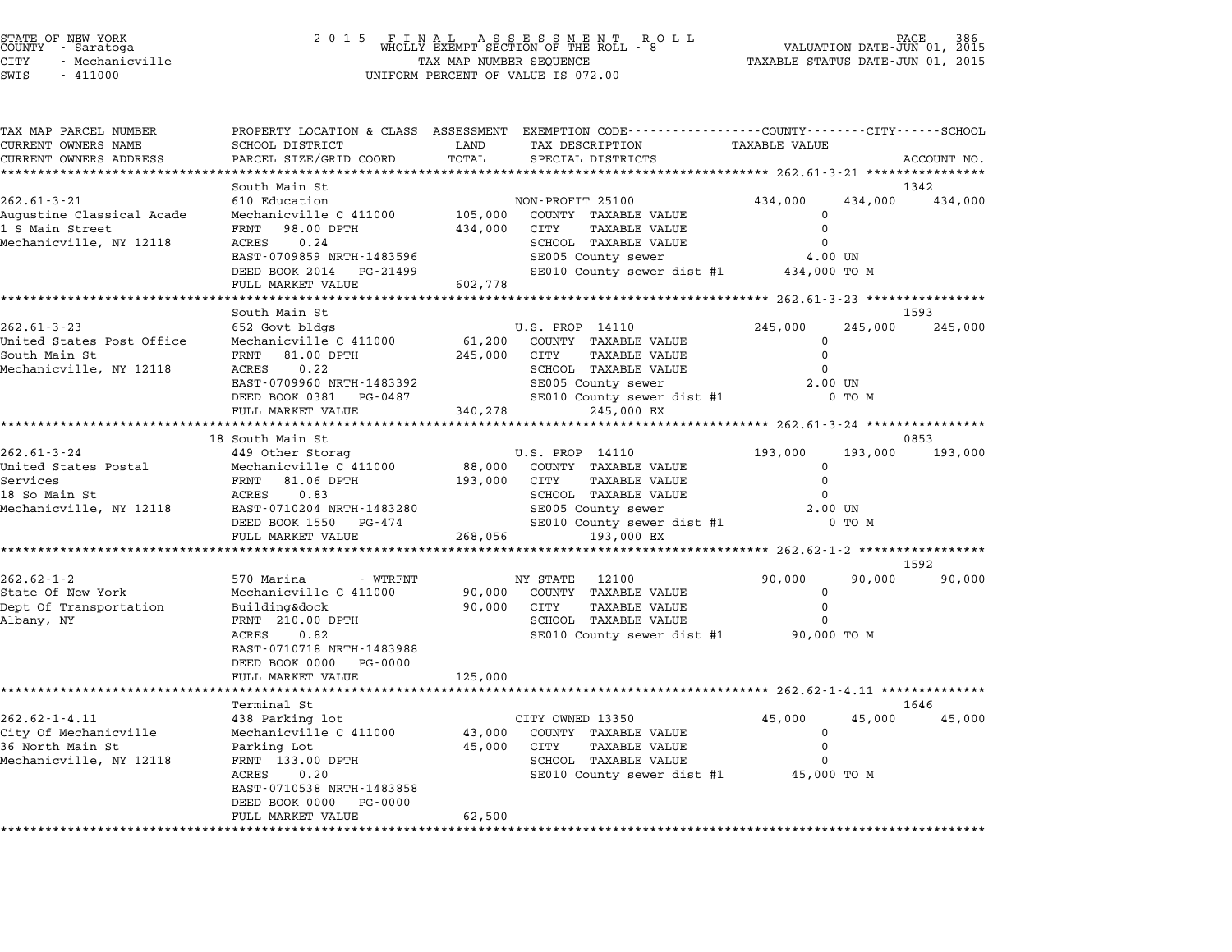|       | STATE OF NEW YORK<br>COUNTY - Saratoga |  |
|-------|----------------------------------------|--|
| 2ITY  | - Mechanicville                        |  |
| 5.777 | 111000                                 |  |

## STATE OF NEW YORK <sup>2</sup> <sup>0</sup> <sup>1</sup> 5 F I N A L A S S E S S M E N T R O L L PAGE <sup>386</sup> COUNTY - Saratoga WHOLLY EXEMPT SECTION OF THE ROLL - <sup>8</sup> VALUATION DATE-JUN 01, <sup>2015</sup> STATE OF NEW YORK (RACE SERVICE TAX A LABER OF NEW YORK OF NEW TAGE 386<br>COUNTY - Saratoga (COUNTY A LABER OF THE ROLL - 8 ) (NALUATION DATE-JUN 01, 2015<br>CITY - Mechanicville (2015 ) (RACE TAXABLE STATUS DATE-JUN 01, 2015 SWIS - <sup>411000</sup> UNIFORM PERCENT OF VALUE IS 072.00

TAX MAP PARCEL NUMBER PROPERTY LOCATION & CLASS ASSESSMENT EXEMPTION CODE------------------COUNTY--------CITY------SCHOOL ...<br>-- COUNTY:- TAX MAP PARCEL NUMBER THE OCHOTRY AND THE CURRENT EXEMPTION CODE<br>CURRENT OWNERS NAME SCHOOL DISTRICT LAND TAX DESCRIPTION TAXABLE VALUE CURRENT OWNERS ADDEER FOUR DISTRICTS AND ASSESSEENT EXERPTION TRACK THE COORD TOTAL TRACK THE TRACK THE COORD TO TRACK THE TRACK THE TRACK THE TRACK THE TRACK THE TRACK THE TRACK THE TRACK THE TRACK THE TRACK THE TRACK THE South Main St 1342 262.61-3-21 610 Education Main St New York New York New York New York New York New York New York New York New York New York New York New York New York New York New York New York New York New York New York New York New York Augustine Classical Acade Mechanicville C <sup>411000</sup> 105,000 COUNTY TAXABLE VALUE <sup>0</sup> 202.01 J ZI MARING OUN BOUGLION (NOW THE MONATION ISSUED AND TO A THE STREET PARABLE VALUE 0<br>Augustine Classical Acade Mechanicville C 411000 105,000 CUNTY TAXABLE VALUE 0<br>194,000 CITY TAXABLE VALUE 0 1434,000 DPTH 0 0 100 Augustine trassital Acade — Mechanicville C 411000 — 105,000 COMIT TAXABLE VALUE 0 0<br>1 S Main Street — FRNT — 98.00 DPTH — 434,000 CITY — TAXABLE VALUE 0<br>Mechanicville, NY 12118 — ACRES 0.24 — SCHOOL TAXABLE VALUE 0 EARL JOURNAL HANDE VAN HANDE VAN DE SCHOOL TRAABLE VAN DE SCHOOL TRAABLE VAN DE SCHOOL TRAABLE VAN DE SCHOOL T<br>ACRES 0.24 0 SCHOOL TRAABLE VALUE SCHOOL TRAABLE VAN DE SCHOOL TRAABLE VALUE OO UN DE SCHOOL TRAABLE VALUE OO U EAST-0709859 NRTH-1483596 SCHOOD IAAABLE VALUE<br>
DEED BOOK 2014 PG-21499 SE010 County sewer dist #1 434,000 TO M EAST 0705055 MAIN 1405550<br>DEED BOOK 2014 PG-21499<br>FULL MARKET VALUE 602,778 \*\*\*\*\*\*\*\*\*\*\*\*\*\*\*\*\*\*\*\*\*\*\*\*\*\*\*\*\*\*\*\*\*\*\*\*\*\*\*\*\*\*\*\*\*\*\*\*\*\*\*\*\*\*\*\*\*\*\*\*\*\*\*\*\*\*\*\*\*\*\*\*\*\*\*\*\*\*\*\*\*\*\*\*\*\*\*\*\*\*\*\*\*\*\*\*\*\*\*\*\*\*\* 262.61-3-23 \*\*\*\*\*\*\*\*\*\*\*\*\*\*\*\* South Main St 1593 262.61-3-23 652 Govt bldgs U.S. PROP 14110 245,000 245,000 245,000 United States Post Office Mechanicville C <sup>411000</sup> 61,200 COUNTY TAXABLE VALUE <sup>0</sup> South States Post Office the Mechanicville C 411000 and the conduct of the state of the states of the states o<br>South Main St Tree of the Mechanicville C 411000 and the conduct of the state of the state of the state of the oniced beates rose office the mechanicville company and the company of the company of the state of the state o<br>South Main State of the state of the school the value of the school that is active of the contracted of the con EANI 81.00 DFIH 245,000 CIII IAABDE VALUE<br>ACRES 0.22 SCHOOL TAXABLE VALUE 0<br>EAST-0709960 NRTH-1483392 SE005 County sewer 2.00 UN NEXES 0.22<br>
EAST-070960 NRTH-1483392 SE005 County sewer dist #1 2.00 UN<br>
DEED BOOK 0381 PG-0487 SE010 County sewer dist #1 0 TO M EAST-1900K NATH-1463332<br>DEED BOOK 0381 PG-0487 SE010 County sewer<br>FULL MARKET VALUE 340,278 245,000 EX \*\*\*\*\*\*\*\*\*\*\*\*\*\*\*\*\*\*\*\*\*\*\*\*\*\*\*\*\*\*\*\*\*\*\*\*\*\*\*\*\*\*\*\*\*\*\*\*\*\*\*\*\*\*\*\*\*\*\*\*\*\*\*\*\*\*\*\*\*\*\*\*\*\*\*\*\*\*\*\*\*\*\*\*\*\*\*\*\*\*\*\*\*\*\*\*\*\*\*\*\*\*\* 262.61-3-24 \*\*\*\*\*\*\*\*\*\*\*\*\*\*\*\* 18 South Main St 0853 18 300th Main St بـ262.61-3-24 18 262.61-3-24 18 300th Main St بـ262.61-3-24 18 300th Main St بـ262.61-3-24 19<br>0853 149 Other Storag U.S. PROP 14110 193,000 193,000 193,000 193,000 16 SOUTH MAIN ST. (1997)<br>193,000 0.S. PROP 14110 193,000<br>193,000 United States Postal Mechanicville C 411000 88,000 COUNTY TAXABLE VALUE Service States Postal and The Scher Schep (S.S. FROF THING ISS, 2.4 )<br>"United States Postal Mechanicville C 411000 088,000 COUNTY TAXABLE VALUE 0<br>Services 0 DPTH 193,000 CITY TAXABLE VALUE 0 oniced Scales Foscal decident of the control of the control of the control of the control of the control of the<br>18 So Main St ACRES 0.83 SCHOOL CHY TAXABLE VALUE 0 Mechanicville, NY <sup>12118</sup> EAST-0710204 NRTH-1483280 SE005 County sewer 2.00 UN EAST-0710204 NRTH-1483280 SCHOOL IAAABLE VALUE<br>DEED BOOK 1550 PG-474 SE010 County sewer dist #1 0 TO M EAST DIVIDED AND THUSSES AND SEVERT SERVED BOOK ASSESS AND THE SERVED BOOK ASSESS THAT A SERVED SERVED SERVED SERVED SERVED SERVED SERVED SERVED SERVED SERVED SERVED SERVED SERVED SERVED SERVED SERVED SERVED SERVED SERVED \*\*\*\*\*\*\*\*\*\*\*\*\*\*\*\*\*\*\*\*\*\*\*\*\*\*\*\*\*\*\*\*\*\*\*\*\*\*\*\*\*\*\*\*\*\*\*\*\*\*\*\*\*\*\*\*\*\*\*\*\*\*\*\*\*\*\*\*\*\*\*\*\*\*\*\*\*\*\*\*\*\*\*\*\*\*\*\*\*\*\*\*\*\*\*\*\*\*\*\*\*\*\* 262.62-1-2 \*\*\*\*\*\*\*\*\*\*\*\*\*\*\*\*\* \*\*\*\*<br>1592 262.62-1-2 <sup>570</sup> Marina - WTRFNT NY STATE <sup>12100</sup> 90,000 90,000 90,000 of New York Mechanicville C 411000 - WIRFNT MASS NOT MANAGE 20100 90,000<br>State Of New York Mechanicville C 411000 90,000 COUNTY TAXABLE VALUE 0 202.02-1-2<br>State Of New York Mechanicville C 411000 90,000 COUNTY TAXABLE VALUE 0<br>Dept Of Transportation Building&dock 90,000 CITY TAXABLE VALUE 0 ل المسلم المسلم المسلم المسلم المسلم المسلم المسلم المسلم المسلم المسلم المسلم المسلم المسلم المسلم المسلم الم<br>Dept Of Transportation building&dock 90,000 CITY TAXABLE VALUE 0<br>Albany, NY NY PRNT 210.00 DPTH SCHOOL TAXABLE BUILUING ACOON BUILUING AND SUPPOSE ON THE SALUS CHOOL TAXABLE VALUE TO BUILUING A CHOOL TAXABLE VALUE ON TO M<br>
FRANT 210.00 DPTH SCHOOL TAXABLE VALUE<br>
ACRES 0.82 SE010 County sewer dist #1 90,000 TO M<br>
EAST-0710718 NRTH-1 EAST-0710718 NRTH-1483988<br>DEED BOOK 0000 PG-0000 FULL MARKET VALUE 125,000 \*\*\*\*\*\*\*\*\*\*\*\*\*\*\*\*\*\*\*\*\*\*\*\*\*\*\*\*\*\*\*\*\*\*\*\*\*\*\*\*\*\*\*\*\*\*\*\*\*\*\*\*\*\*\*\*\*\*\*\*\*\*\*\*\*\*\*\*\*\*\*\*\*\*\*\*\*\*\*\*\*\*\*\*\*\*\*\*\*\*\*\*\*\*\*\*\*\*\*\*\*\*\* 262.62-1-4.11 \*\*\*\*\*\*\*\*\*\*\*\*\*\* Terminal St 1646 262.62-1-4.11 12.2-2.02-1-4.11 12.2-2.02-1-4.11 12.2-2.02-1-4.11 12.2-2.02-1-4.11 12.2-2.02-1-4.11 12.2-2.02-1<br>
438 Parking lot CITY OWNED 13350 45,000 45,000 45,000 45,000 45,000 City Of Mechanicville Mechanicville C <sup>411000</sup> 43,000 COUNTY TAXABLE VALUE <sup>0</sup> <sup>36</sup> North Main St Parking Lot 45,000 CITY TAXABLE VALUE <sup>0</sup> CITY OF HECHANICVILLE COMMISSION (NECHANICVILLE COMMISSION) (NEWSTRIPUS AND DESCRIPTION OF A SUMMISSION OF A S<br>36 North Main St Parking Lot of the SCHOOL TAXABLE VALUE 0<br>Mechanicville, NY 12118 FRNT 133.00 DPTH PAINT BAABLE VALUE VALUE ON THE SAND CITY OF THE SAND SCHOOL TAXABLE VALUE ON THE SAND COUNTY SCHOOL TAXABLE VALUE ON TO M<br>
RORES 0.20 SE010 County sewer dist #1 45,000 TO M<br>
EAST-0710538 NRTH-1483858 EAST-0710538 NRTH-148385<br>DEED BOOK 0000 PG-0000 EAST-0710538 NRTH-1483858<br>DEED BOOK 0000 PG-0000<br>FULL MARKET VALUE 62,500 \*\*\*\*\*\*\*\*\*\*\*\*\*\*\*\*\*\*\*\*\*\*\*\*\*\*\*\*\*\*\*\*\*\*\*\*\*\*\*\*\*\*\*\*\*\*\*\*\*\*\*\*\*\*\*\*\*\*\*\*\*\*\*\*\*\*\*\*\*\*\*\*\*\*\*\*\*\*\*\*\*\*\*\*\*\*\*\*\*\*\*\*\*\*\*\*\*\*\*\*\*\*\*\*\*\*\*\*\*\*\*\*\*\*\*\*\*\*\*\*\*\*\*\*\*\*\*\*\*\*\*\*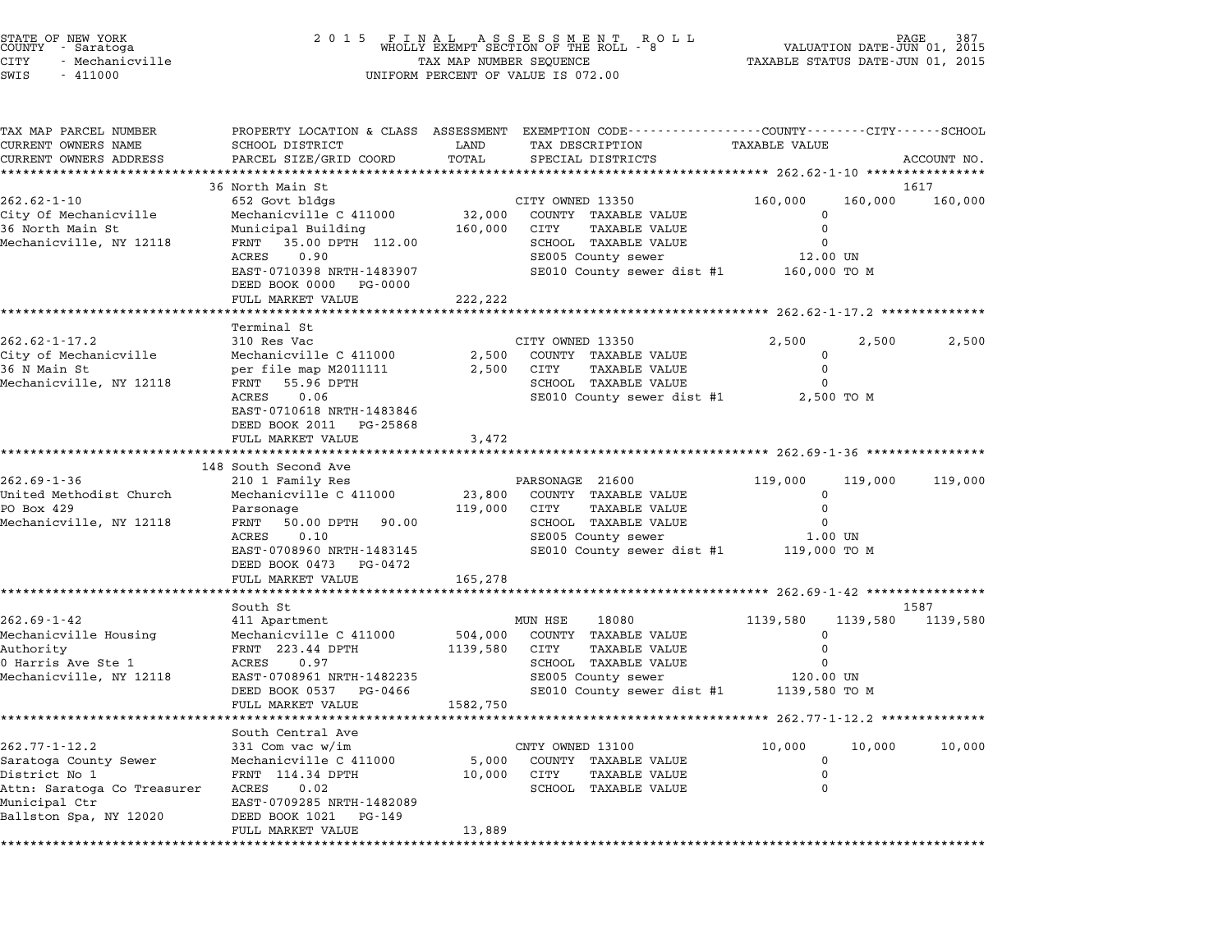| STATE OF NEW YORK<br>COUNTY - Saratoga<br>- Mechanicville<br>CITY<br>SWIS<br>$-411000$ | 2 0 1 5                                                                                                            | TAX MAP NUMBER SEQUENCE<br>UNIFORM PERCENT OF VALUE IS 072.00 |                  | FINAL ASSESSMENT ROLL<br>WHOLLY EXEMPT SECTION OF THE ROLL - 8 | 387<br>VALUATION DATE-JUN 01,<br>2015<br>TAXABLE STATUS DATE-JUN 01, 2015 |          |             |
|----------------------------------------------------------------------------------------|--------------------------------------------------------------------------------------------------------------------|---------------------------------------------------------------|------------------|----------------------------------------------------------------|---------------------------------------------------------------------------|----------|-------------|
| TAX MAP PARCEL NUMBER<br>CURRENT OWNERS NAME                                           | PROPERTY LOCATION & CLASS ASSESSMENT EXEMPTION CODE---------------COUNTY-------CITY------SCHOOL<br>SCHOOL DISTRICT | LAND                                                          |                  | TAX DESCRIPTION                                                | <b>TAXABLE VALUE</b>                                                      |          |             |
| CURRENT OWNERS ADDRESS                                                                 | PARCEL SIZE/GRID COORD                                                                                             | TOTAL                                                         |                  | SPECIAL DISTRICTS                                              |                                                                           |          | ACCOUNT NO. |
|                                                                                        | 36 North Main St                                                                                                   |                                                               |                  |                                                                |                                                                           |          | 1617        |
| 262.62-1-10                                                                            | 652 Govt bldgs                                                                                                     |                                                               | CITY OWNED 13350 |                                                                | 160,000                                                                   | 160,000  | 160,000     |
| City Of Mechanicville                                                                  | Mechanicville C 411000                                                                                             | 32,000                                                        |                  | COUNTY TAXABLE VALUE                                           | 0                                                                         |          |             |
| 36 North Main St                                                                       | Municipal Building                                                                                                 | 160,000                                                       | CITY             | TAXABLE VALUE                                                  | 0                                                                         |          |             |
| Mechanicville, NY 12118                                                                | FRNT 35.00 DPTH 112.00                                                                                             |                                                               |                  | SCHOOL TAXABLE VALUE                                           | 0                                                                         |          |             |
|                                                                                        | ACRES<br>0.90                                                                                                      |                                                               |                  | SE005 County sewer                                             | 12.00 UN                                                                  |          |             |
|                                                                                        | EAST-0710398 NRTH-1483907<br>DEED BOOK 0000<br>PG-0000                                                             |                                                               |                  | SE010 County sewer dist #1                                     | 160,000 TO M                                                              |          |             |
|                                                                                        | FULL MARKET VALUE                                                                                                  | 222,222                                                       |                  |                                                                |                                                                           |          |             |
|                                                                                        | Terminal St                                                                                                        |                                                               |                  |                                                                |                                                                           |          |             |
| $262.62 - 1 - 17.2$                                                                    | 310 Res Vac                                                                                                        |                                                               | CITY OWNED 13350 |                                                                | 2,500                                                                     | 2,500    | 2,500       |
| City of Mechanicville                                                                  | Mechanicville C 411000                                                                                             | 2,500                                                         |                  | COUNTY TAXABLE VALUE                                           | $\mathbf 0$                                                               |          |             |
| 36 N Main St                                                                           | per file map M2011111                                                                                              | 2,500                                                         | CITY             | TAXABLE VALUE                                                  | 0                                                                         |          |             |
| Mechanicville, NY 12118                                                                | 55.96 DPTH<br>FRNT                                                                                                 |                                                               |                  | SCHOOL TAXABLE VALUE                                           | 0                                                                         |          |             |
|                                                                                        | ACRES<br>0.06                                                                                                      |                                                               |                  | SE010 County sewer dist #1 2,500 TO M                          |                                                                           |          |             |
|                                                                                        | EAST-0710618 NRTH-1483846                                                                                          |                                                               |                  |                                                                |                                                                           |          |             |
|                                                                                        | DEED BOOK 2011 PG-25868                                                                                            |                                                               |                  |                                                                |                                                                           |          |             |
|                                                                                        | FULL MARKET VALUE                                                                                                  | 3,472<br>* * * * * * * * *                                    |                  |                                                                |                                                                           |          |             |
|                                                                                        | 148 South Second Ave                                                                                               |                                                               |                  |                                                                |                                                                           |          |             |
| 262.69-1-36                                                                            | 210 1 Family Res                                                                                                   |                                                               | PARSONAGE 21600  |                                                                | 119,000                                                                   | 119,000  | 119,000     |
| United Methodist Church                                                                | Mechanicville C 411000                                                                                             | 23,800                                                        |                  | COUNTY TAXABLE VALUE                                           | $\mathbf 0$                                                               |          |             |
| PO Box 429                                                                             | Parsonage                                                                                                          | 119,000                                                       | CITY             | <b>TAXABLE VALUE</b>                                           | 0                                                                         |          |             |
| Mechanicville, NY 12118                                                                | FRNT<br>50.00 DPTH 90.00                                                                                           |                                                               |                  | SCHOOL TAXABLE VALUE                                           | 0                                                                         |          |             |
|                                                                                        | ACRES<br>0.10<br>EAST-0708960 NRTH-1483145                                                                         |                                                               |                  | SE005 County sewer                                             | 1.00 UN                                                                   |          |             |
|                                                                                        | DEED BOOK 0473 PG-0472                                                                                             |                                                               |                  | SE010 County sewer dist #1 119,000 TO M                        |                                                                           |          |             |
|                                                                                        | FULL MARKET VALUE                                                                                                  | 165,278                                                       |                  |                                                                |                                                                           |          |             |
|                                                                                        |                                                                                                                    |                                                               |                  |                                                                |                                                                           |          |             |
|                                                                                        | South St                                                                                                           |                                                               |                  |                                                                |                                                                           |          | 1587        |
| $262.69 - 1 - 42$                                                                      | 411 Apartment                                                                                                      |                                                               | MUN HSE          | 18080                                                          | 1139,580                                                                  | 1139,580 | 1139,580    |
| Mechanicville Housing<br>Authority                                                     | Mechanicville C 411000<br>FRNT 223.44 DPTH                                                                         | 504,000<br>1139,580                                           | CITY             | COUNTY TAXABLE VALUE<br>TAXABLE VALUE                          | $\mathbf 0$<br>0                                                          |          |             |
| 0 Harris Ave Ste 1                                                                     | ACRES<br>0.97                                                                                                      |                                                               |                  | SCHOOL TAXABLE VALUE                                           | 0                                                                         |          |             |
| Mechanicville, NY 12118                                                                | EAST-0708961 NRTH-1482235                                                                                          |                                                               |                  | SE005 County sewer                                             | 120.00 UN                                                                 |          |             |
|                                                                                        | DEED BOOK 0537<br>PG-0466                                                                                          |                                                               |                  | SE010 County sewer dist #1                                     | 1139,580 TO M                                                             |          |             |
|                                                                                        | FULL MARKET VALUE                                                                                                  | 1582,750                                                      |                  |                                                                |                                                                           |          |             |
|                                                                                        |                                                                                                                    |                                                               |                  |                                                                |                                                                           |          |             |
|                                                                                        | South Central Ave                                                                                                  |                                                               |                  |                                                                |                                                                           | 10,000   | 10,000      |
| $262.77 - 1 - 12.2$<br>Saratoga County Sewer                                           | 331 Com vac w/im<br>Mechanicville C 411000                                                                         | 5,000                                                         | CNTY OWNED 13100 | COUNTY TAXABLE VALUE                                           | 10,000<br>0                                                               |          |             |
| District No 1                                                                          | FRNT 114.34 DPTH                                                                                                   | 10,000                                                        | CITY             | <b>TAXABLE VALUE</b>                                           | 0                                                                         |          |             |
| Attn: Saratoga Co Treasurer                                                            | ACRES<br>0.02                                                                                                      |                                                               |                  | SCHOOL TAXABLE VALUE                                           | 0                                                                         |          |             |
| Municipal Ctr                                                                          | EAST-0709285 NRTH-1482089                                                                                          |                                                               |                  |                                                                |                                                                           |          |             |
| Ballston Spa, NY 12020                                                                 | DEED BOOK 1021<br>PG-149                                                                                           |                                                               |                  |                                                                |                                                                           |          |             |
|                                                                                        | FULL MARKET VALUE                                                                                                  | 13,889                                                        |                  |                                                                |                                                                           |          |             |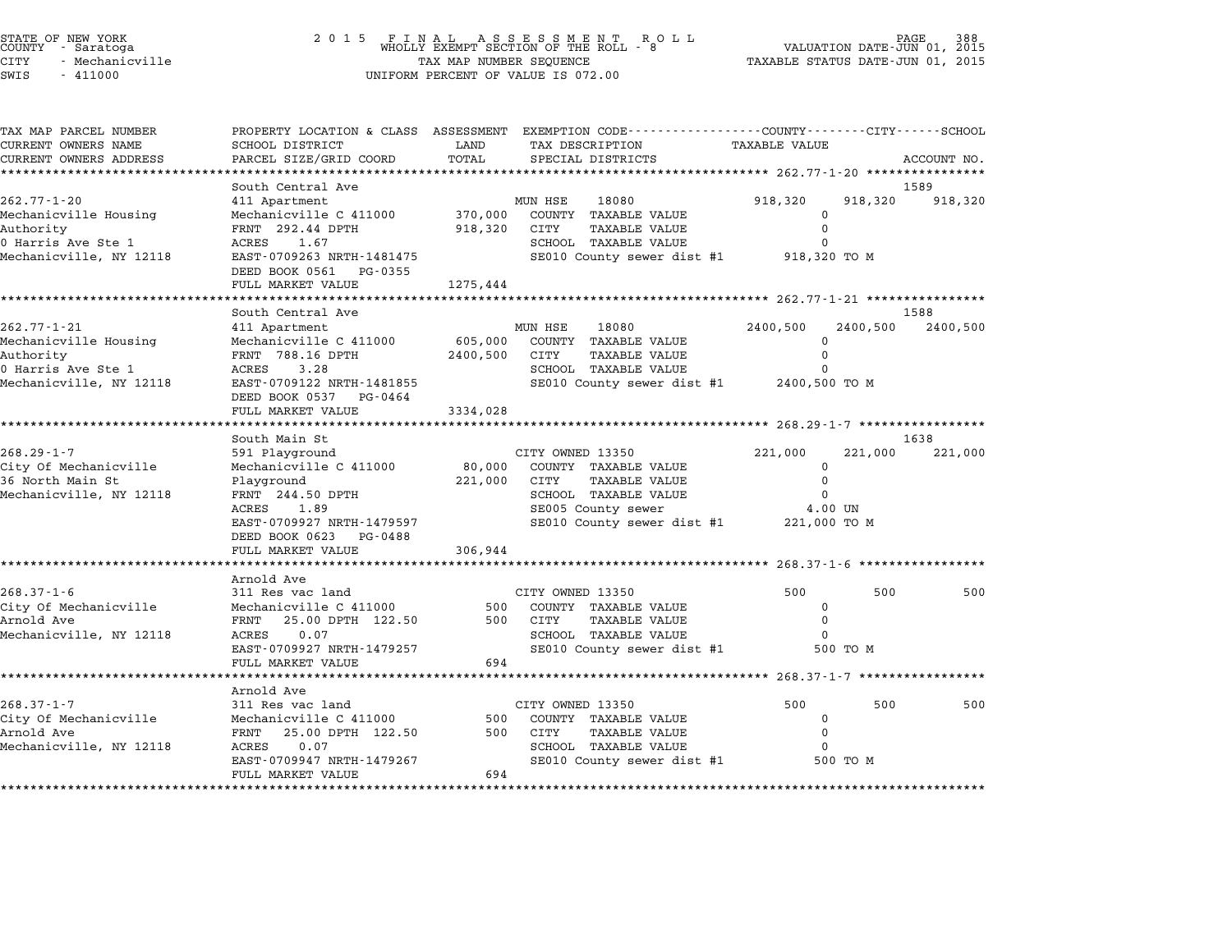| TAX MAP PARCEL NUMBER<br>CURRENT OWNERS NAME | SCHOOL DISTRICT                                     | LAND     | PROPERTY LOCATION & CLASS ASSESSMENT EXEMPTION CODE---------------COUNTY-------CITY------SCHOOL<br>TAX DESCRIPTION | <b>TAXABLE VALUE</b>       |          |             |
|----------------------------------------------|-----------------------------------------------------|----------|--------------------------------------------------------------------------------------------------------------------|----------------------------|----------|-------------|
| CURRENT OWNERS ADDRESS                       | PARCEL SIZE/GRID COORD                              | TOTAL    | SPECIAL DISTRICTS                                                                                                  |                            |          | ACCOUNT NO. |
|                                              | **************                                      |          |                                                                                                                    |                            |          |             |
|                                              | South Central Ave                                   |          | 18080                                                                                                              |                            |          | 1589        |
| $262.77 - 1 - 20$<br>Mechanicville Housing   | 411 Apartment<br>Mechanicville C 411000             | 370,000  | MUN HSE<br>COUNTY TAXABLE VALUE                                                                                    | 918,320<br>$\mathbf 0$     | 918,320  | 918,320     |
| Authority                                    | FRNT 292.44 DPTH                                    | 918,320  | CITY<br><b>TAXABLE VALUE</b>                                                                                       | $\Omega$                   |          |             |
| 0 Harris Ave Ste 1                           | ACRES<br>1.67                                       |          | SCHOOL TAXABLE VALUE                                                                                               | 0                          |          |             |
| Mechanicville, NY 12118                      | EAST-0709263 NRTH-1481475<br>DEED BOOK 0561 PG-0355 |          | SE010 County sewer dist #1                                                                                         | 918,320 TO M               |          |             |
|                                              | FULL MARKET VALUE                                   | 1275,444 |                                                                                                                    |                            |          |             |
|                                              | .                                                   |          |                                                                                                                    |                            |          |             |
|                                              | South Central Ave                                   |          |                                                                                                                    |                            |          | 1588        |
| $262.77 - 1 - 21$                            | 411 Apartment                                       |          | MUN HSE<br>18080                                                                                                   | 2400,500                   | 2400,500 | 2400,500    |
| Mechanicville Housing                        | Mechanicville C 411000                              | 605,000  | COUNTY TAXABLE VALUE                                                                                               | $\Omega$                   |          |             |
| Authority<br>0 Harris Ave Ste 1              | FRNT 788.16 DPTH<br>ACRES<br>3.28                   | 2400,500 | CITY<br><b>TAXABLE VALUE</b><br>SCHOOL TAXABLE VALUE                                                               | 0<br>0                     |          |             |
| Mechanicville, NY 12118                      | EAST-0709122 NRTH-1481855                           |          | SE010 County sewer dist #1                                                                                         | 2400,500 TO M              |          |             |
|                                              | DEED BOOK 0537 PG-0464                              |          |                                                                                                                    |                            |          |             |
|                                              | FULL MARKET VALUE                                   | 3334,028 |                                                                                                                    |                            |          |             |
|                                              |                                                     |          |                                                                                                                    |                            |          |             |
|                                              | South Main St                                       |          |                                                                                                                    |                            |          | 1638        |
| $268.29 - 1 - 7$                             | 591 Playground                                      |          | CITY OWNED 13350                                                                                                   | 221,000                    | 221,000  | 221,000     |
| City Of Mechanicville                        | Mechanicville C 411000                              | 80,000   | COUNTY TAXABLE VALUE                                                                                               | 0                          |          |             |
| 36 North Main St                             | Playground                                          | 221,000  | CITY<br><b>TAXABLE VALUE</b>                                                                                       | $\mathbf 0$                |          |             |
| Mechanicville, NY 12118                      | FRNT 244.50 DPTH<br>ACRES<br>1.89                   |          | SCHOOL TAXABLE VALUE<br>SE005 County sewer                                                                         | $\Omega$<br>4.00 UN        |          |             |
|                                              | EAST-0709927 NRTH-1479597                           |          | SE010 County sewer dist #1                                                                                         | 221,000 TO M               |          |             |
|                                              | DEED BOOK 0623 PG-0488                              |          |                                                                                                                    |                            |          |             |
|                                              | FULL MARKET VALUE                                   | 306,944  |                                                                                                                    |                            |          |             |
|                                              | ********************                                |          |                                                                                                                    |                            |          |             |
|                                              | Arnold Ave                                          |          |                                                                                                                    |                            |          |             |
| $268.37 - 1 - 6$                             | 311 Res vac land                                    |          | CITY OWNED 13350                                                                                                   | 500                        | 500      | 500         |
| City Of Mechanicville                        | Mechanicville C 411000                              | 500      | COUNTY TAXABLE VALUE                                                                                               | $\Omega$                   |          |             |
| Arnold Ave                                   | FRNT 25.00 DPTH 122.50                              |          | 500 CITY<br><b>TAXABLE VALUE</b>                                                                                   | $\Omega$                   |          |             |
| Mechanicville, NY 12118                      | ACRES<br>0.07<br>EAST-0709927 NRTH-1479257          |          | SCHOOL TAXABLE VALUE<br>SE010 County sewer dist #1                                                                 | $\Omega$                   | 500 TO M |             |
|                                              | FULL MARKET VALUE                                   | 694      |                                                                                                                    |                            |          |             |
|                                              |                                                     |          |                                                                                                                    | ********* 268.37-1-7 ***** |          |             |
|                                              | Arnold Ave                                          |          |                                                                                                                    |                            |          |             |
| $268.37 - 1 - 7$                             | 311 Res vac land                                    |          | CITY OWNED 13350                                                                                                   | 500                        | 500      | 500         |
| City Of Mechanicville                        | Mechanicville C 411000                              | 500      | COUNTY TAXABLE VALUE                                                                                               | $\Omega$                   |          |             |
| Arnold Ave                                   | FRNT 25.00 DPTH 122.50                              | 500      | CITY<br><b>TAXABLE VALUE</b>                                                                                       | $\Omega$                   |          |             |
| Mechanicville, NY 12118                      | ACRES<br>0.07                                       |          | SCHOOL TAXABLE VALUE                                                                                               |                            |          |             |
|                                              | EAST-0709947 NRTH-1479267                           |          | SE010 County sewer dist #1                                                                                         |                            | 500 TO M |             |
|                                              | FULL MARKET VALUE                                   | 694      |                                                                                                                    |                            |          |             |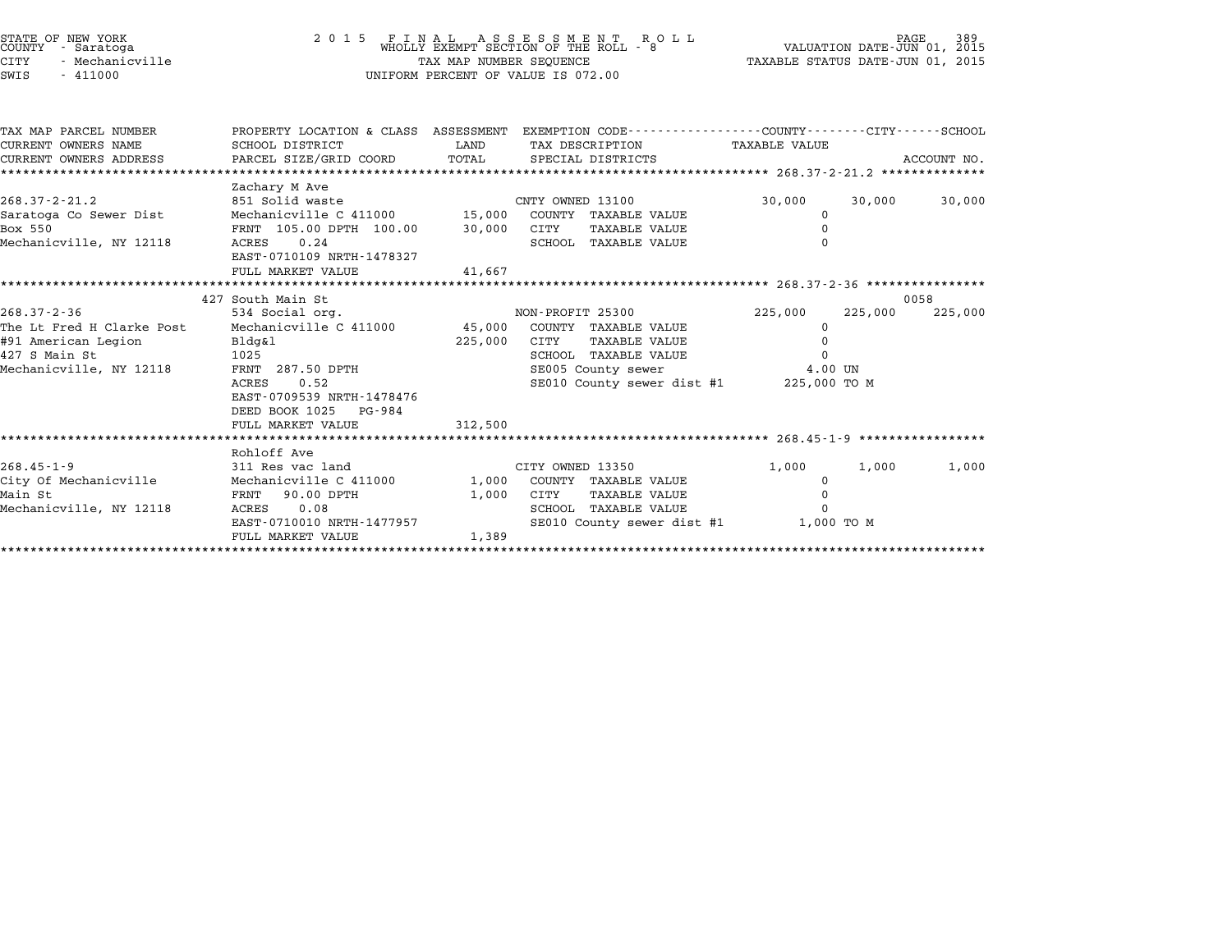|      | ATE OF NEW YORK!<br>)UNTY - Saratoga |
|------|--------------------------------------|
| TTY. | - Mechanicville                      |
| JT C | $-411000$                            |

## STATE OF NEW YORK <sup>2</sup> <sup>0</sup> <sup>1</sup> 5 F I N A L A S S E S S M E N T R O L L PAGE <sup>389</sup> COUNTY - Saratoga WHOLLY EXEMPT SECTION OF THE ROLL - <sup>8</sup> VALUATION DATE-JUN 01, <sup>2015</sup> STATE OF NEW YORK (RACE SERVICE TAX A LABER OF NEW YORK OF NEW TAGE 389<br>COUNTY - Saratoga (DI) 2015 (WHOLLY EXEMPT SECTION OF THE ROLL - 8 (VALUATION DATE-JUN 01, 2015<br>CITY - Mechanicville (2015 - TAXABLE STATUS DATE-JUN 0 STATE OF NEW YORK COUNTY - Saratoga and the state of the country - Saratoga and the state of the state of the s<br>CUNTY - Mechanicville and the state of the state of the state of the state of the state of the state of the st

| TAX MAP PARCEL NUMBER             |                                                                       |                            | PROPERTY LOCATION & CLASS ASSESSMENT EXEMPTION CODE----------------COUNTY-------CITY-----SCHOOL |                            |                 |
|-----------------------------------|-----------------------------------------------------------------------|----------------------------|-------------------------------------------------------------------------------------------------|----------------------------|-----------------|
| CURRENT OWNERS NAME               | SCHOOL DISTRICT                                                       | <b>EXAMPLE STATE STATE</b> | TAX DESCRIPTION TAXABLE VALUE                                                                   |                            |                 |
|                                   | CURRENT OWNERS ADDRESS PARCEL SIZE/GRID COORD TOTAL SPECIAL DISTRICTS |                            |                                                                                                 |                            | ACCOUNT NO.     |
| ********************************  |                                                                       |                            |                                                                                                 |                            |                 |
| $268.37 - 2 - 21.2$               | Zachary M Ave                                                         |                            | 851 Solid waste CNTY OWNED 13100                                                                | 30,000<br>30,000           | 30,000          |
|                                   | Mechanicville C 411000 15,000 COUNTY TAXABLE VALUE                    |                            |                                                                                                 |                            |                 |
| Saratoga Co Sewer Dist<br>Box 550 |                                                                       |                            | CITY<br>TAXABLE VALUE                                                                           | $\mathbf 0$<br>$\mathbf 0$ |                 |
| Mechanicville, NY 12118           | FRNT 105.00 DPTH 100.00 30,000<br>0.24<br>ACRES                       |                            | SCHOOL TAXABLE VALUE                                                                            | $\Omega$                   |                 |
|                                   | EAST-0710109 NRTH-1478327                                             |                            |                                                                                                 |                            |                 |
|                                   | FULL MARKET VALUE                                                     | 41,667                     |                                                                                                 |                            |                 |
|                                   |                                                                       |                            |                                                                                                 |                            |                 |
|                                   | 427 South Main St                                                     |                            |                                                                                                 |                            | 0058            |
| $268.37 - 2 - 36$                 |                                                                       |                            |                                                                                                 |                            | 225,000 225,000 |
| The Lt Fred H Clarke Post         |                                                                       |                            | Mechanicville C 411000 45,000 COUNTY TAXABLE VALUE                                              | 0                          |                 |
| #91 American Legion               | Bldg&l                                                                | 225,000                    | TAXABLE VALUE<br>CITY                                                                           |                            |                 |
| 427 S Main St                     | 1025                                                                  |                            | SCHOOL TAXABLE VALUE                                                                            | $\mathsf{O}$               |                 |
| Mechanicville, NY 12118           | FRNT 287.50 DPTH                                                      |                            | SE005 County sewer 4.00 UN                                                                      |                            |                 |
|                                   | ACRES 0.52                                                            |                            | SE010 County sewer dist #1 225,000 TO M                                                         |                            |                 |
|                                   | EAST-0709539 NRTH-1478476                                             |                            |                                                                                                 |                            |                 |
|                                   | DEED BOOK 1025 PG-984                                                 |                            |                                                                                                 |                            |                 |
|                                   | FULL MARKET VALUE                                                     | 312,500                    |                                                                                                 |                            |                 |
|                                   |                                                                       |                            |                                                                                                 |                            |                 |
|                                   | Rohloff Ave                                                           |                            |                                                                                                 |                            |                 |
| $268.45 - 1 - 9$                  | 311 Res vac land                                                      |                            | CITY OWNED 13350                                                                                | 1,000<br>1,000             | 1,000           |
| City Of Mechanicville             |                                                                       |                            | Mechanicville C 411000 1,000 COUNTY TAXABLE VALUE                                               | $\mathbf 0$                |                 |
| Main St                           | FRNT 90.00 DPTH                                                       | 1,000                      | CITY<br>TAXABLE VALUE                                                                           | 0                          |                 |
| Mechanicville, NY 12118           | ACRES 0.08                                                            |                            | SCHOOL TAXABLE VALUE                                                                            | $\Omega$                   |                 |
|                                   | EAST-0710010 NRTH-1477957                                             |                            | SE010 County sewer dist #1 1,000 TO M                                                           |                            |                 |
|                                   | FULL MARKET VALUE                                                     | 1,389                      |                                                                                                 |                            |                 |
|                                   |                                                                       |                            |                                                                                                 |                            |                 |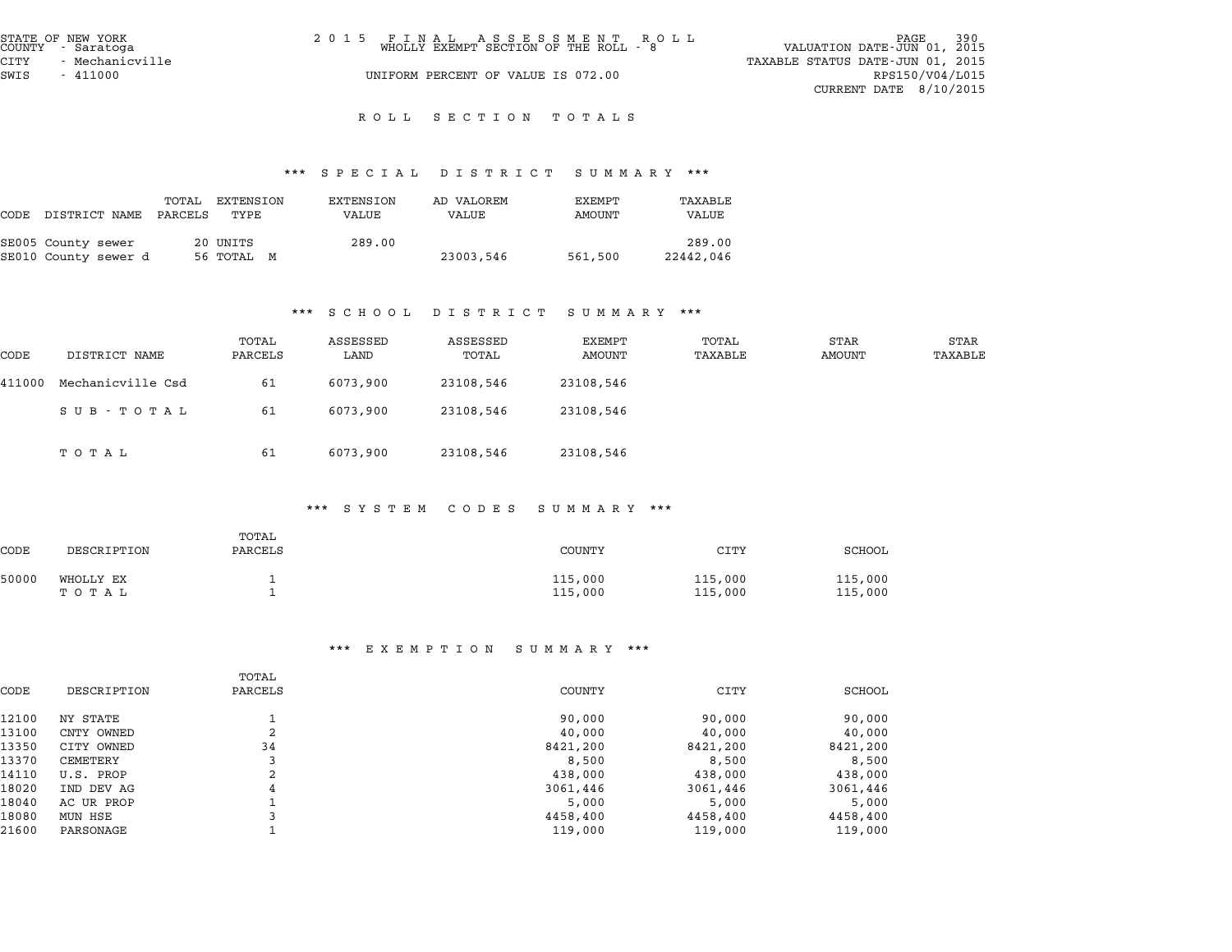| STATE OF NEW YORK<br>COUNTY - Saratoga | 2015 FINAL ASSESSMENT ROLL<br>WHOLLY EXEMPT SECTION OF THE ROLL - 8 | PAGE 390<br>VALUATION DATE-JUN 01, 2015 |
|----------------------------------------|---------------------------------------------------------------------|-----------------------------------------|
| CITY<br>- Mechanicville                |                                                                     | TAXABLE STATUS DATE-JUN 01, 2015        |
| SWIS<br>- 411000                       | UNIFORM PERCENT OF VALUE IS 072.00                                  | RPS150/V04/L015                         |
|                                        |                                                                     | CURRENT DATE 8/10/2015                  |

# \*\*\* S P E C I A L D I S T R I C T S U M M A R Y \*\*\*

|      |                                            |                  |                        | $\mathbf{u}$ . $\mathbf{u}$ . $\mathbf{u}$ . $\mathbf{u}$ | .                   | $\sim$ 0 11 11 $\sim$ 10 1 |                     |
|------|--------------------------------------------|------------------|------------------------|-----------------------------------------------------------|---------------------|----------------------------|---------------------|
| CODE | DISTRICT NAME                              | TOTAL<br>PARCELS | EXTENSION<br>TYPE      | EXTENSION<br>VALUE                                        | AD VALOREM<br>VALUE | EXEMPT<br>AMOUNT           | TAXABLE<br>VALUE    |
|      | SE005 County sewer<br>SE010 County sewer d |                  | 20 UNITS<br>56 TOTAL M | 289.00                                                    | 23003,546           | 561,500                    | 289.00<br>22442,046 |

#### \*\*\* S C H O O L D I S T R I C T S U M M A R Y \*\*\*

| .<br>$\cup$ $\bot$ $\cup$ $\bot$ $\top$ $\bot$ $\top$<br>.<br>. |                   |                  |                  |                   |                  |                  |                |                 |
|-----------------------------------------------------------------|-------------------|------------------|------------------|-------------------|------------------|------------------|----------------|-----------------|
| CODE                                                            | DISTRICT NAME     | TOTAL<br>PARCELS | ASSESSED<br>LAND | ASSESSED<br>TOTAL | EXEMPT<br>AMOUNT | TOTAL<br>TAXABLE | STAR<br>AMOUNT | STAR<br>TAXABLE |
| 411000                                                          | Mechanicville Csd | 61               | 6073,900         | 23108,546         | 23108,546        |                  |                |                 |
|                                                                 | SUB - TOTAL       | 61               | 6073,900         | 23108,546         | 23108,546        |                  |                |                 |
|                                                                 | тотаь             | 61               | 6073,900         | 23108,546         | 23108,546        |                  |                |                 |

#### \*\*\* S Y S T E M C O D E S S U M M A R Y \*\*\*

|       |                    |                  |  | u ruman cobac connan r |                    |                    |
|-------|--------------------|------------------|--|------------------------|--------------------|--------------------|
| CODE  | DESCRIPTION        | TOTAL<br>PARCELS |  | <b>COUNTY</b>          | CITY               | SCHOOL             |
| 50000 | WHOLLY EX<br>ТОТАЬ |                  |  | 115,000<br>115,000     | 115,000<br>115,000 | 115,000<br>115,000 |

|       |             | TOTAL   |          |          |          |
|-------|-------------|---------|----------|----------|----------|
| CODE  | DESCRIPTION | PARCELS | COUNTY   | CITY     | SCHOOL   |
| 12100 | NY STATE    |         | 90,000   | 90,000   | 90,000   |
| 13100 | CNTY OWNED  | 2       | 40,000   | 40,000   | 40,000   |
| 13350 | CITY OWNED  | 34      | 8421,200 | 8421,200 | 8421,200 |
| 13370 | CEMETERY    | 3       | 8,500    | 8,500    | 8,500    |
| 14110 | U.S. PROP   | 2       | 438,000  | 438,000  | 438,000  |
| 18020 | IND DEV AG  | 4       | 3061,446 | 3061,446 | 3061,446 |
| 18040 | AC UR PROP  |         | 5,000    | 5,000    | 5,000    |
| 18080 | MUN HSE     |         | 4458,400 | 4458,400 | 4458,400 |
| 21600 | PARSONAGE   |         | 119,000  | 119,000  | 119,000  |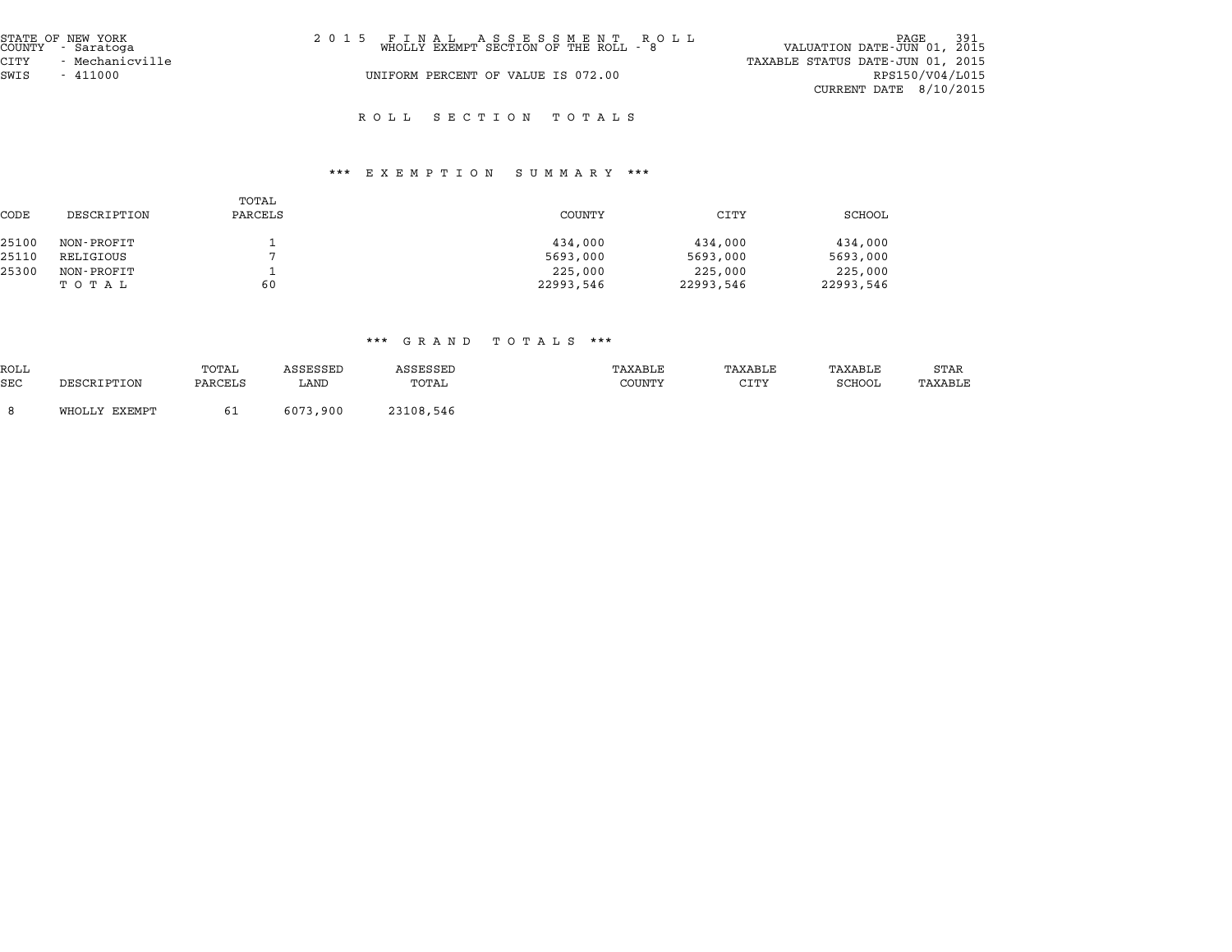| STATE OF NEW YORK<br>COUNTY - Saratoga | 2015 FINAL ASSESSMENT ROLL<br>WHOLLY EXEMPT SECTION OF THE ROLL - 8 | PAGE 391<br>VALUATION DATE-JUN 01, 2015 |
|----------------------------------------|---------------------------------------------------------------------|-----------------------------------------|
| CITY<br>- Mechanicville                |                                                                     | TAXABLE STATUS DATE-JUN 01, 2015        |
| SWIS<br>$-411000$                      | UNIFORM PERCENT OF VALUE IS 072.00                                  | RPS150/V04/L015                         |
|                                        |                                                                     | CURRENT DATE $8/10/2015$                |

### \*\*\* E X E M P T I O N S U M M A R Y \*\*\*

| CODE  | DESCRIPTION | TOTAL<br>PARCELS | COUNTY    | CITY      | SCHOOL    |
|-------|-------------|------------------|-----------|-----------|-----------|
| 25100 | NON-PROFIT  |                  | 434,000   | 434,000   | 434,000   |
| 25110 | RELIGIOUS   |                  | 5693,000  | 5693,000  | 5693,000  |
| 25300 | NON-PROFIT  |                  | 225,000   | 225,000   | 225,000   |
|       | TOTAL       | 60               | 22993,546 | 22993,546 | 22993,546 |

|            | aan ah mendeda ah daga dan menjadi karena dalam kali dalam kali dalam kali dalam kali dalam kali dalam kali da<br>. |         |                 |           |         |         |         |         |  |  |
|------------|---------------------------------------------------------------------------------------------------------------------|---------|-----------------|-----------|---------|---------|---------|---------|--|--|
| ROLL       |                                                                                                                     | TOTAL   | <b>ASSESSED</b> | ASSESSED  | TAXABLE | TAXABLE | TAXABLE | STAR    |  |  |
| <b>SEC</b> | DESCRIPTION                                                                                                         | PARCELS | LAND            | TOTAL     | COUNTY  | CITY    | SCHOOL  | TAXABLE |  |  |
|            | WHOLLY EXEMPT                                                                                                       |         | 6073,900        | 23108,546 |         |         |         |         |  |  |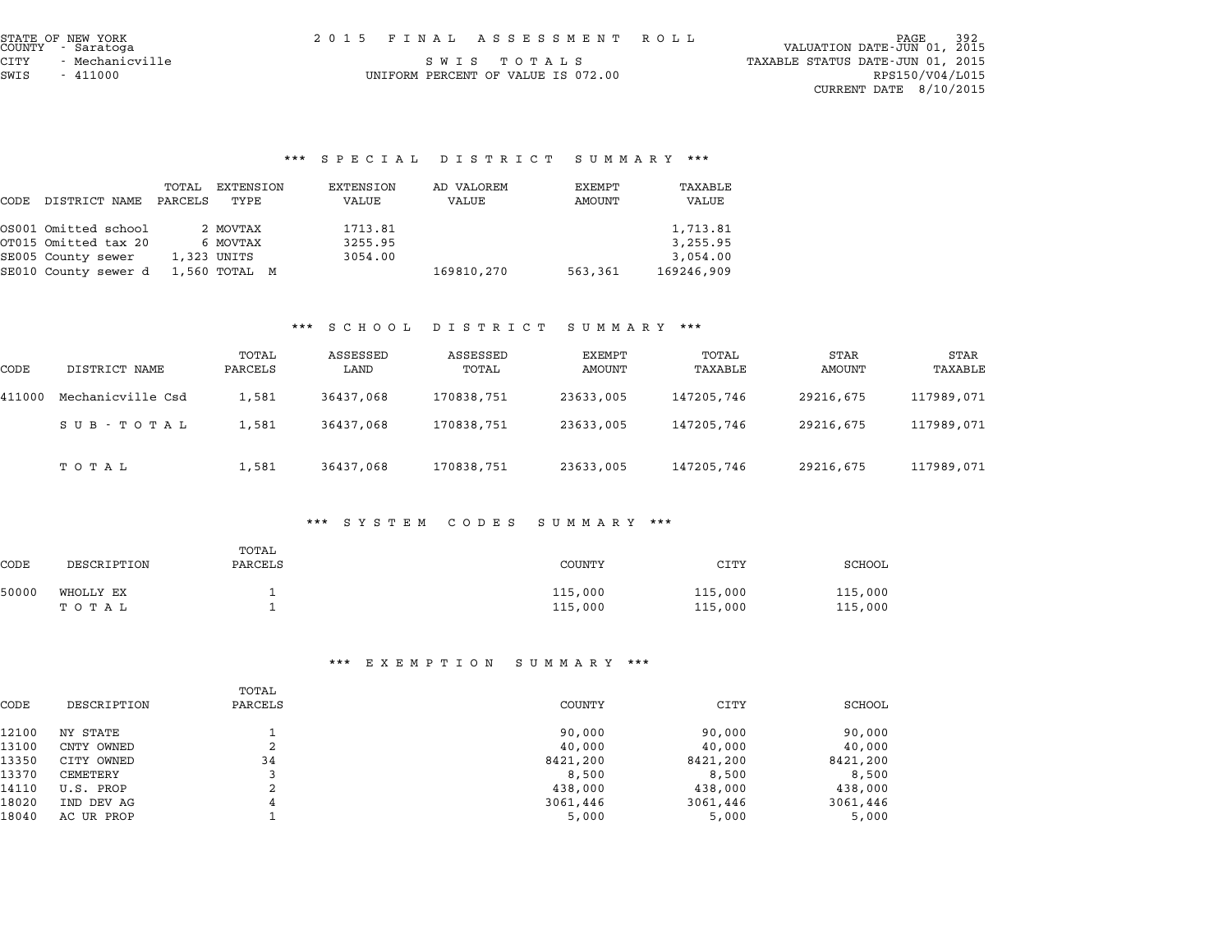CITY - Mechanicville <sup>S</sup> <sup>W</sup> <sup>I</sup> <sup>S</sup> <sup>T</sup> <sup>O</sup> <sup>T</sup> <sup>A</sup> <sup>L</sup> <sup>S</sup> TAXABLE STATUS DATE-JUN 01, <sup>2015</sup> CURRENT DATE 8/10/2015

# \*\*\* S P E C I A L D I S T R I C T S U M M A R Y \*\*\*

|      |                      |                  |                   |                    | orbuan pioiniui oummani |                  |                  |
|------|----------------------|------------------|-------------------|--------------------|-------------------------|------------------|------------------|
| CODE | DISTRICT NAME        | TOTAL<br>PARCELS | EXTENSION<br>TYPE | EXTENSION<br>VALUE | AD VALOREM<br>VALUE     | EXEMPT<br>AMOUNT | TAXABLE<br>VALUE |
|      | OS001 Omitted school |                  | 2 MOVTAX          | 1713.81            |                         |                  | 1,713.81         |
|      | OT015 Omitted tax 20 |                  | 6 MOVTAX          | 3255.95            |                         |                  | 3,255.95         |
|      | SE005 County sewer   |                  | 1,323 UNITS       | 3054.00            |                         |                  | 3,054.00         |
|      | SE010 County sewer d |                  | 1,560 TOTAL<br>M  |                    | 169810,270              | 563,361          | 169246,909       |

#### \*\*\* S C H O O L D I S T R I C T S U M M A R Y \*\*\*

|        |                   |                  | ם ט ט ת ט פ      | 1 J T D T N T C T | נת מישים כ       |                  |                |                 |
|--------|-------------------|------------------|------------------|-------------------|------------------|------------------|----------------|-----------------|
| CODE   | DISTRICT NAME     | TOTAL<br>PARCELS | ASSESSED<br>LAND | ASSESSED<br>TOTAL | EXEMPT<br>AMOUNT | TOTAL<br>TAXABLE | STAR<br>AMOUNT | STAR<br>TAXABLE |
| 411000 | Mechanicville Csd | 1,581            | 36437,068        | 170838,751        | 23633,005        | 147205,746       | 29216,675      | 117989,071      |
|        | SUB - TOTAL       | 1,581            | 36437,068        | 170838,751        | 23633,005        | 147205,746       | 29216,675      | 117989,071      |
|        | тотаь             | 1,581            | 36437,068        | 170838,751        | 23633,005        | 147205,746       | 29216,675      | 117989,071      |

#### \*\*\* S Y S T E M C O D E S S U M M A R Y \*\*\*

|       |             |                  | .<br>יות בו ביט נכ | - د ۱ <i>۵ تا</i> ۲۰۰<br>a u mimini n | .       |         |
|-------|-------------|------------------|--------------------|---------------------------------------|---------|---------|
| CODE  | DESCRIPTION | TOTAL<br>PARCELS |                    | COUNTY                                | CITY    | SCHOOL  |
| 50000 | WHOLLY EX   |                  |                    | 115,000                               | 115,000 | 115,000 |
|       | тотаь       |                  |                    | 115,000                               | 115,000 | 115,000 |

| DESCRIPTION | TOTAL<br>PARCELS | <b>COUNTY</b> | CITY                          | SCHOOL   |
|-------------|------------------|---------------|-------------------------------|----------|
| NY STATE    |                  | 90,000        | 90,000                        | 90,000   |
| CNTY OWNED  | 2                | 40,000        | 40,000                        | 40,000   |
| CITY OWNED  | 34               | 8421,200      | 8421,200                      | 8421,200 |
| CEMETERY    | 3                | 8,500         | 8,500                         | 8,500    |
| U.S. PROP   | 2                | 438,000       | 438,000                       | 438,000  |
| IND DEV AG  | 4                | 3061,446      | 3061,446                      | 3061,446 |
| AC UR PROP  |                  | 5,000         | 5,000                         | 5,000    |
|             |                  |               | <br>EA EMFII UN<br>נת משות טכ | .        |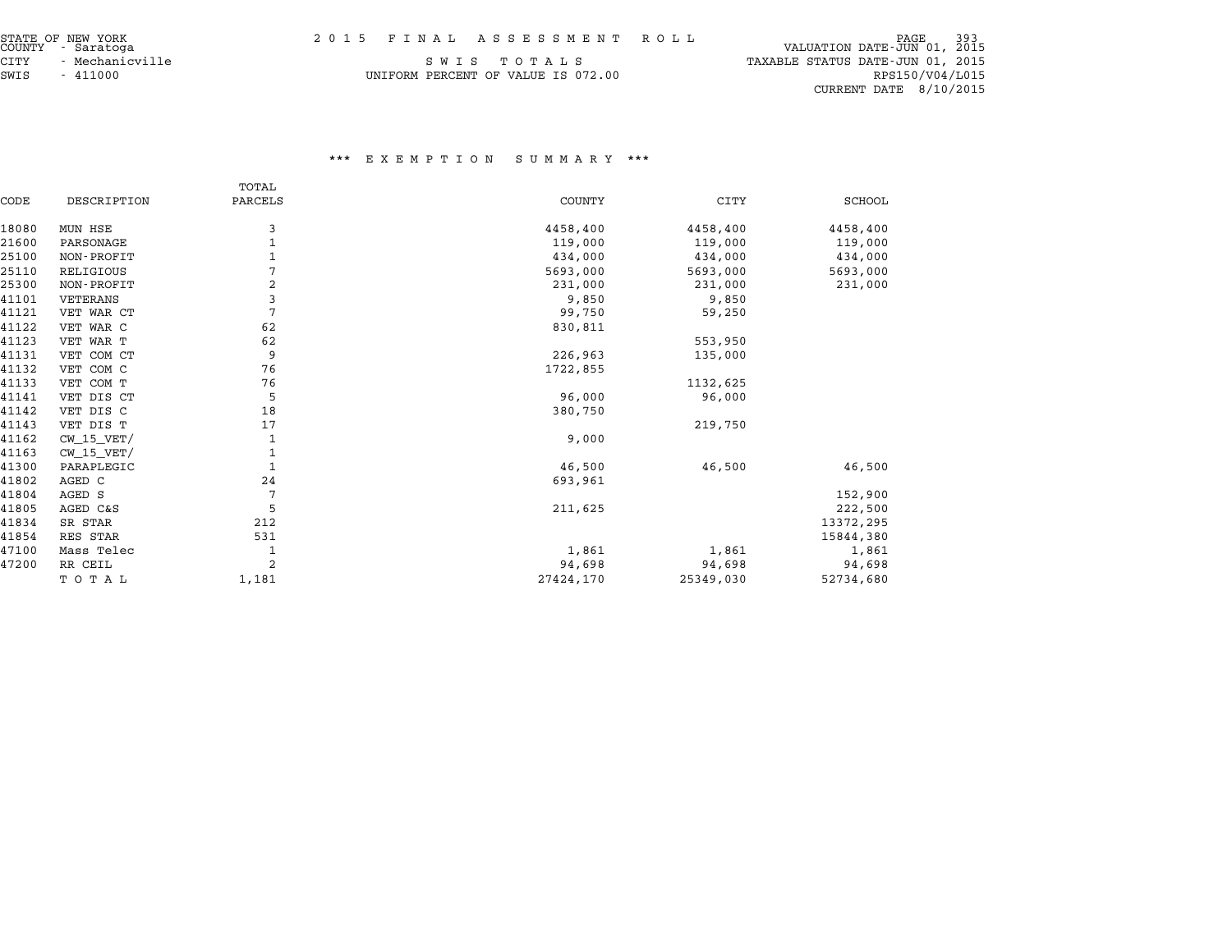| STATE OF NEW YORK<br>COUNTY - Saratoga |  | 2015 FINAL ASSESSMENT ROLL | PAGE<br>VALUATION DATE-JUN 01, 2015 | 393 |
|----------------------------------------|--|----------------------------|-------------------------------------|-----|

|      | STATE OF NEW YORK |  |
|------|-------------------|--|
|      | COUNTY - Saratoga |  |
| CITY | - Mechanicville   |  |
| SWIS | $-411000$         |  |

| STATE OF NEW YORK<br>COUNTY - Saratoga | 2015 FINAL ASSESSMENT ROLL         | -393<br>PAGE<br>VALUATION DATE-JUN 01, 2015 |
|----------------------------------------|------------------------------------|---------------------------------------------|
| CITY<br>- Mechanicville                | SWIS TOTALS                        | TAXABLE STATUS DATE-JUN 01, 2015            |
| SWIS<br>- 411000                       | UNIFORM PERCENT OF VALUE IS 072.00 | RPS150/V04/L015                             |
|                                        |                                    | $CURRENT$ DATE $8/10/2015$                  |

|       |                | TOTAL          |               |             |               |
|-------|----------------|----------------|---------------|-------------|---------------|
| CODE  | DESCRIPTION    | PARCELS        | <b>COUNTY</b> | <b>CITY</b> | <b>SCHOOL</b> |
| 18080 | MUN HSE        | 3              | 4458,400      | 4458,400    | 4458,400      |
| 21600 | PARSONAGE      |                | 119,000       | 119,000     | 119,000       |
| 25100 | NON-PROFIT     |                | 434,000       | 434,000     | 434,000       |
| 25110 | RELIGIOUS      | 7              | 5693,000      | 5693,000    | 5693,000      |
| 25300 | NON-PROFIT     | 2              | 231,000       | 231,000     | 231,000       |
| 41101 | VETERANS       | 3              | 9,850         | 9,850       |               |
| 41121 | VET WAR CT     | $\overline{7}$ | 99,750        | 59,250      |               |
| 41122 | VET WAR C      | 62             | 830,811       |             |               |
| 41123 | VET WAR T      | 62             |               | 553,950     |               |
| 41131 | VET COM CT     | 9              | 226,963       | 135,000     |               |
| 41132 | VET COM C      | 76             | 1722,855      |             |               |
| 41133 | VET COM T      | 76             |               | 1132,625    |               |
| 41141 | VET DIS CT     | 5              | 96,000        | 96,000      |               |
| 41142 | VET DIS C      | 18             | 380,750       |             |               |
| 41143 | VET DIS T      | 17             |               | 219,750     |               |
| 41162 | $CW$ 15 $VET/$ | 1              | 9,000         |             |               |
| 41163 | $CW_15_VET/$   | 1              |               |             |               |
| 41300 | PARAPLEGIC     | 1              | 46,500        | 46,500      | 46,500        |
| 41802 | AGED C         | 24             | 693,961       |             |               |
| 41804 | AGED S         | 7              |               |             | 152,900       |
| 41805 | AGED C&S       | 5              | 211,625       |             | 222,500       |
| 41834 | SR STAR        | 212            |               |             | 13372,295     |
| 41854 | RES STAR       | 531            |               |             | 15844,380     |
| 47100 | Mass Telec     | 1              | 1,861         | 1,861       | 1,861         |
| 47200 | RR CEIL        | 2              | 94,698        | 94,698      | 94,698        |
|       | TOTAL          | 1,181          | 27424,170     | 25349,030   | 52734,680     |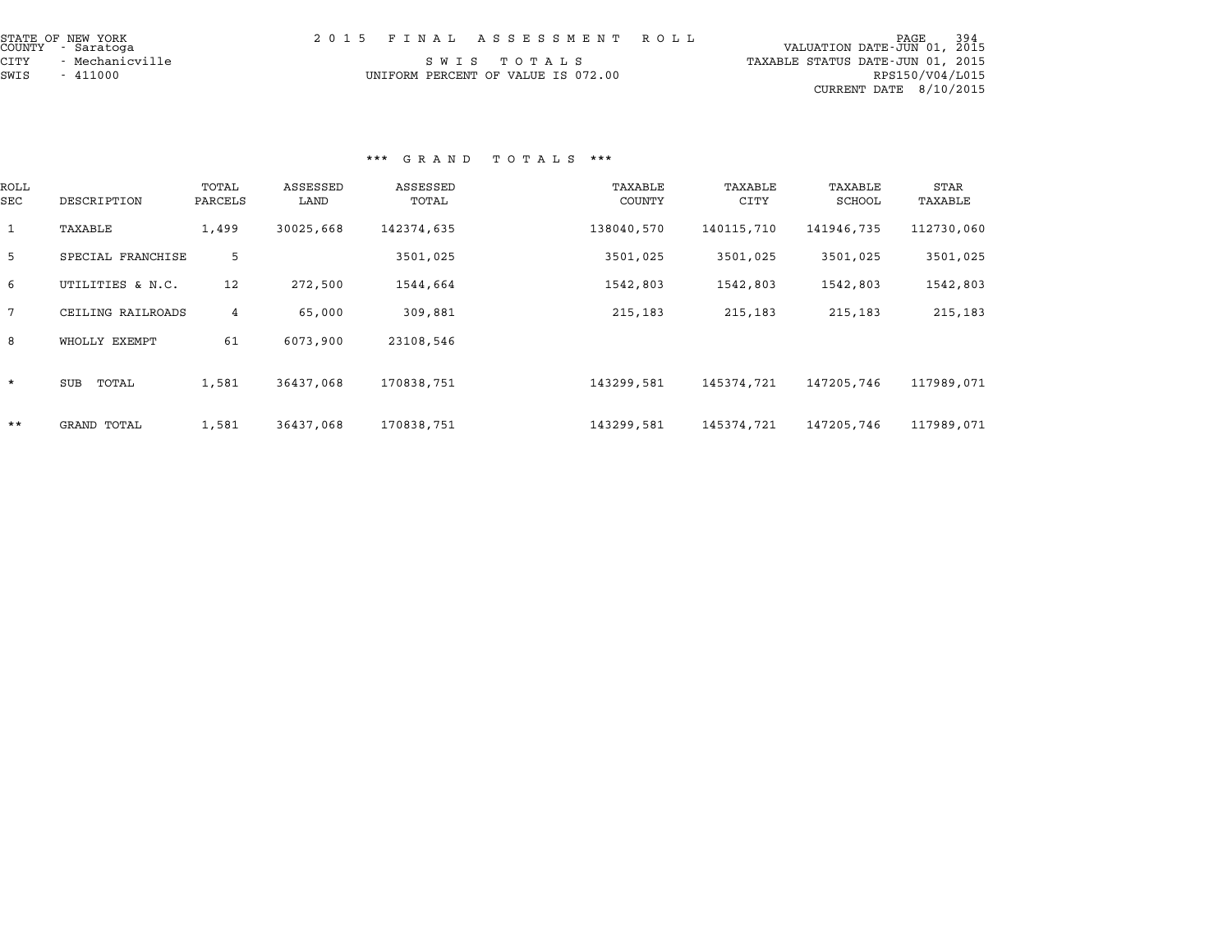| STATE OF NEW YORK<br>COUNTY - Saratoga | 2015 FINAL ASSESSMENT ROLL         | 994 PAGE<br>100 VALUATION DATE-JUN |
|----------------------------------------|------------------------------------|------------------------------------|
| CITY<br>- Mechanicville                | SWIS TOTALS                        | TAXABLE STATUS DATE-JUN 01, 2015   |
| SWIS<br>- 411000                       | UNIFORM PERCENT OF VALUE IS 072.00 | RPS150/V04/L015                    |
|                                        |                                    | CURRENT DATE $8/10/2015$           |

|                 |                    |                  |                  | G R A N D         | ט עמיד ט          |                 |                   |                 |
|-----------------|--------------------|------------------|------------------|-------------------|-------------------|-----------------|-------------------|-----------------|
| ROLL<br>SEC     | DESCRIPTION        | TOTAL<br>PARCELS | ASSESSED<br>LAND | ASSESSED<br>TOTAL | TAXABLE<br>COUNTY | TAXABLE<br>CITY | TAXABLE<br>SCHOOL | STAR<br>TAXABLE |
| $\mathbf{1}$    | TAXABLE            | 1,499            | 30025,668        | 142374,635        | 138040,570        | 140115,710      | 141946,735        | 112730,060      |
| 5               | SPECIAL FRANCHISE  | 5                |                  | 3501,025          | 3501,025          | 3501,025        | 3501,025          | 3501,025        |
| 6               | UTILITIES & N.C.   | 12               | 272,500          | 1544,664          | 1542,803          | 1542,803        | 1542,803          | 1542,803        |
| $7\phantom{.0}$ | CEILING RAILROADS  | 4                | 65,000           | 309,881           | 215,183           | 215,183         | 215,183           | 215,183         |
| 8               | WHOLLY EXEMPT      | 61               | 6073,900         | 23108,546         |                   |                 |                   |                 |
| $\star$         | TOTAL<br>SUB       | 1,581            | 36437,068        | 170838,751        | 143299,581        | 145374,721      | 147205,746        | 117989,071      |
| $***$           | <b>GRAND TOTAL</b> | 1,581            | 36437,068        | 170838,751        | 143299,581        | 145374,721      | 147205,746        | 117989,071      |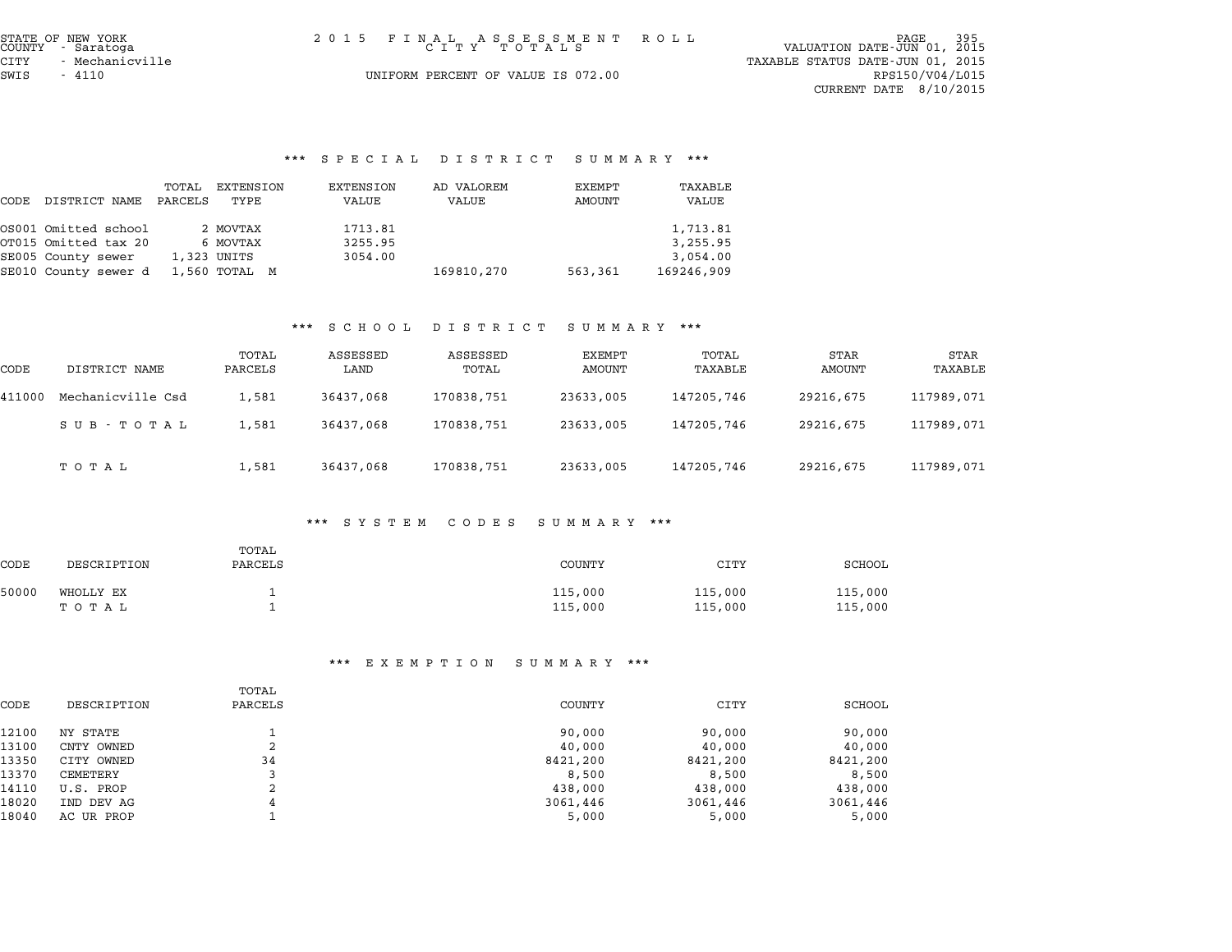| STATE OF NEW YORK<br>COUNTY - Saratoga |                 | 2015 FINAL ASSESSMENT ROLL<br>СІТУ ТОТАЬЅ |  | VALUATION DATE-JUN 01, 2015      | PAGE            | 395 |
|----------------------------------------|-----------------|-------------------------------------------|--|----------------------------------|-----------------|-----|
| CITY                                   | - Mechanicville |                                           |  | TAXABLE STATUS DATE-JUN 01, 2015 |                 |     |
| SWIS<br>4110                           |                 | UNIFORM PERCENT OF VALUE IS 072.00        |  |                                  | RPS150/V04/L015 |     |
|                                        |                 |                                           |  | CURRENT DATE 8/10/2015           |                 |     |
|                                        |                 |                                           |  |                                  |                 |     |

SWIS - <sup>4110</sup> UNIFORM PERCENT OF VALUE IS 072.00 RPS150/V04/L015

## \*\*\* S P E C I A L D I S T R I C T S U M M A R Y \*\*\*

|      |                      |                  |                   | $5$ $F$ $B$ $C$ $T$ $R$ $H$ | PISINIUI            | ounnan i         |                  |
|------|----------------------|------------------|-------------------|-----------------------------|---------------------|------------------|------------------|
| CODE | DISTRICT NAME        | TOTAL<br>PARCELS | EXTENSION<br>TYPE | EXTENSION<br>VALUE          | AD VALOREM<br>VALUE | EXEMPT<br>AMOUNT | TAXABLE<br>VALUE |
|      | OS001 Omitted school |                  | 2 MOVTAX          | 1713.81                     |                     |                  | 1,713.81         |
|      | OT015 Omitted tax 20 |                  | 6 MOVTAX          | 3255.95                     |                     |                  | 3,255.95         |
|      | SE005 County sewer   |                  | 1,323 UNITS       | 3054.00                     |                     |                  | 3,054.00         |
|      | SE010 County sewer d |                  | 1,560 TOTAL M     |                             | 169810,270          | 563,361          | 169246,909       |

#### \*\*\* S C H O O L D I S T R I C T S U M M A R Y \*\*\*

|        |                   |                  | ש טת טפ          | 1 J T J T T T C T | נת משני טכ       |                  |                |                 |
|--------|-------------------|------------------|------------------|-------------------|------------------|------------------|----------------|-----------------|
| CODE   | DISTRICT NAME     | TOTAL<br>PARCELS | ASSESSED<br>LAND | ASSESSED<br>TOTAL | EXEMPT<br>AMOUNT | TOTAL<br>TAXABLE | STAR<br>AMOUNT | STAR<br>TAXABLE |
| 411000 | Mechanicville Csd | 1,581            | 36437,068        | 170838,751        | 23633,005        | 147205,746       | 29216,675      | 117989,071      |
|        | SUB-TOTAL         | 1,581            | 36437,068        | 170838,751        | 23633,005        | 147205,746       | 29216,675      | 117989,071      |
|        | тотаь             | 1,581            | 36437,068        | 170838,751        | 23633,005        | 147205,746       | 29216,675      | 117989,071      |

#### \*\*\* S Y S T E M C O D E S S U M M A R Y \*\*\*

|       |             |                  | .<br>ואנו כנס | - د <u>س</u> س ب<br>נת משני טכ | .       |         |
|-------|-------------|------------------|---------------|--------------------------------|---------|---------|
| CODE  | DESCRIPTION | TOTAL<br>PARCELS |               | COUNTY                         | CITY    | SCHOOL  |
| 50000 | WHOLLY EX   |                  |               | 115,000                        | 115,000 | 115,000 |
|       | тотаь       |                  |               | 115,000                        | 115,000 | 115,000 |

| DESCRIPTION | TOTAL<br>PARCELS | <b>COUNTY</b> | CITY                       | SCHOOL   |  |  |
|-------------|------------------|---------------|----------------------------|----------|--|--|
| NY STATE    |                  | 90,000        | 90,000                     | 90,000   |  |  |
| CNTY OWNED  | 2                | 40,000        | 40,000                     | 40,000   |  |  |
| CITY OWNED  | 34               | 8421,200      | 8421,200                   | 8421,200 |  |  |
| CEMETERY    | 3                | 8,500         | 8,500                      | 8,500    |  |  |
| U.S. PROP   | 2                | 438,000       | 438,000                    | 438,000  |  |  |
| IND DEV AG  | 4                | 3061,446      | 3061,446                   | 3061,446 |  |  |
| AC UR PROP  |                  | 5,000         | 5,000                      | 5,000    |  |  |
|             |                  |               | EA EMFII V N<br>נת משימט כ | .        |  |  |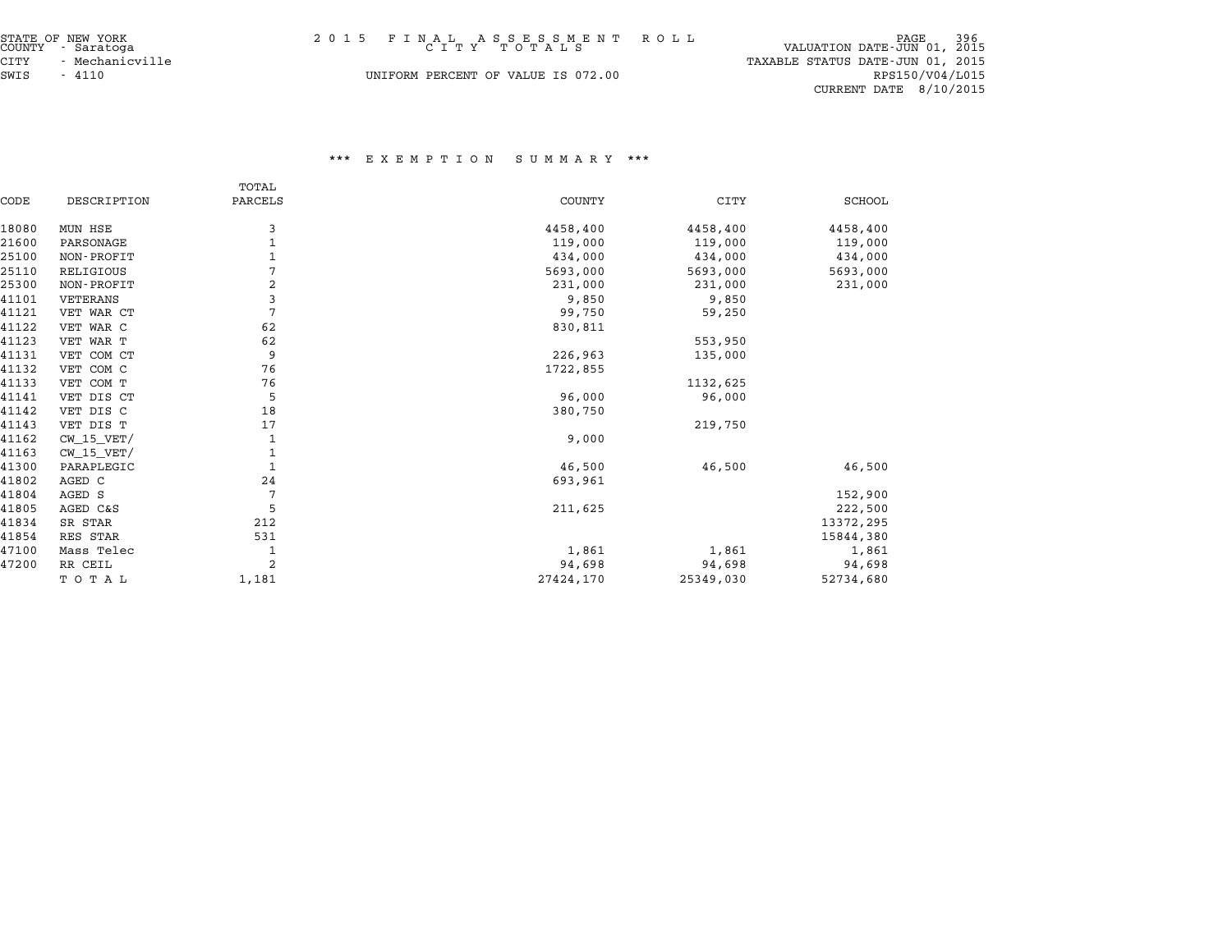| STATE OF NEW YORK<br>COUNTY - Saratoga | 2015 FINAL ASSESSMENT ROLL<br>СІТУ ТОТАЬЅ | 396<br>PAGE<br>VALUATION DATE-JUN 01, 2015 |
|----------------------------------------|-------------------------------------------|--------------------------------------------|
| CITY<br>- Mechanicville                |                                           | TAXABLE STATUS DATE-JUN 01, 2015           |
| SWIS<br>- 4110                         | UNIFORM PERCENT OF VALUE IS 072.00        | RPS150/V04/L015                            |

CURRENT DATE 8/10/2015

|       |                | TOTAL          |               |             |               |
|-------|----------------|----------------|---------------|-------------|---------------|
| CODE  | DESCRIPTION    | PARCELS        | <b>COUNTY</b> | <b>CITY</b> | <b>SCHOOL</b> |
| 18080 | MUN HSE        | 3              | 4458,400      | 4458,400    | 4458,400      |
| 21600 | PARSONAGE      |                | 119,000       | 119,000     | 119,000       |
| 25100 | NON-PROFIT     |                | 434,000       | 434,000     | 434,000       |
| 25110 | RELIGIOUS      | 7              | 5693,000      | 5693,000    | 5693,000      |
| 25300 | NON-PROFIT     | $\overline{2}$ | 231,000       | 231,000     | 231,000       |
| 41101 | VETERANS       | 3              | 9,850         | 9,850       |               |
| 41121 | VET WAR CT     | 7              | 99,750        | 59,250      |               |
| 41122 | VET WAR C      | 62             | 830,811       |             |               |
| 41123 | VET WAR T      | 62             |               | 553,950     |               |
| 41131 | VET COM CT     | 9              | 226,963       | 135,000     |               |
| 41132 | VET COM C      | 76             | 1722,855      |             |               |
| 41133 | VET COM T      | 76             |               | 1132,625    |               |
| 41141 | VET DIS CT     | 5              | 96,000        | 96,000      |               |
| 41142 | VET DIS C      | 18             | 380,750       |             |               |
| 41143 | VET DIS T      | 17             |               | 219,750     |               |
| 41162 | $CW$ 15 $VET/$ |                | 9,000         |             |               |
| 41163 | $CW_15_VET/$   |                |               |             |               |
| 41300 | PARAPLEGIC     |                | 46,500        | 46,500      | 46,500        |
| 41802 | AGED C         | 24             | 693,961       |             |               |
| 41804 | AGED S         | 7              |               |             | 152,900       |
| 41805 | AGED C&S       | 5              | 211,625       |             | 222,500       |
| 41834 | SR STAR        | 212            |               |             | 13372,295     |
| 41854 | RES STAR       | 531            |               |             | 15844,380     |
| 47100 | Mass Telec     |                | 1,861         | 1,861       | 1,861         |
| 47200 | RR CEIL        | $\overline{2}$ | 94,698        | 94,698      | 94,698        |
|       | TOTAL          | 1,181          | 27424,170     | 25349,030   | 52734,680     |